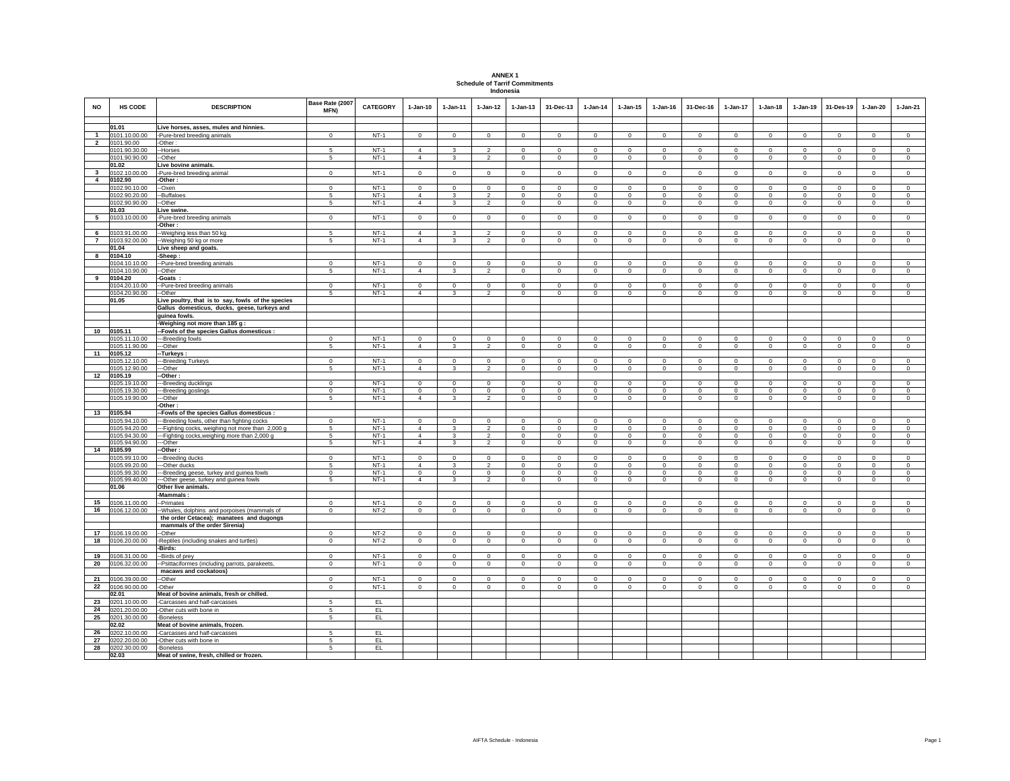| <b>ANNEX1</b>                         |
|---------------------------------------|
| <b>Schedule of Tarrif Commitments</b> |
| Indonesia                             |

| <b>NO</b>      | <b>HS CODE</b>                 | <b>DESCRIPTION</b>                                                                                 | Base Rate (2007<br>MFN)     | CATEGORY         | $1-Jan-10$     | $1-Jan-11$         | $1-Jan-12$                  | $1-Jan-13$                 | 31-Dec-13                   | $1-Jan-14$                  | $1-Jan-15$                  | $1-Jan-16$                  | 31-Dec-16    | $1-Jan-17$                  | $1-Jan-18$                  | $1-Jan-19$                  | 31-Des-19                   | $1-Jan-20$                  | $1-Jan-21$              |
|----------------|--------------------------------|----------------------------------------------------------------------------------------------------|-----------------------------|------------------|----------------|--------------------|-----------------------------|----------------------------|-----------------------------|-----------------------------|-----------------------------|-----------------------------|--------------|-----------------------------|-----------------------------|-----------------------------|-----------------------------|-----------------------------|-------------------------|
|                | 01.01                          | Live horses, asses, mules and hinnies.                                                             |                             |                  |                |                    |                             |                            |                             |                             |                             |                             |              |                             |                             |                             |                             |                             |                         |
| $\overline{1}$ | 0101.10.00.00                  | Pure-bred breeding animals                                                                         | $\Omega$                    | $NT-1$           | $\Omega$       | $\Omega$           | $\mathbf{0}$                | $\mathbf{0}$               | $\mathbf{0}$                | $\Omega$                    | $\Omega$                    | $\Omega$                    | $\Omega$     | $\mathbf 0$                 | $\mathbf 0$                 | $\mathbf 0$                 | $\mathbf 0$                 | $\mathbf{0}$                | $\circ$                 |
| $\mathbf{2}$   | 0101.90.00                     | -Other:                                                                                            |                             |                  |                |                    |                             |                            |                             |                             |                             |                             |              |                             |                             |                             |                             |                             |                         |
|                | 0101.90.30.00                  | -Horses                                                                                            | $\sqrt{2}$                  | $NT-1$           | $\Delta$       | $\mathbf{\hat{z}}$ | $\mathfrak{D}$              | $\Omega$                   | $\Omega$                    | $\Omega$                    | $\Omega$                    | $\Omega$                    | $\Omega$     | $\Omega$                    | $\Omega$                    | $\Omega$                    | $\Omega$                    | $\Omega$                    | $\mathbf{0}$            |
|                | 0101.90.90.00                  | -Other                                                                                             | 5                           | $NT-1$           | $\overline{4}$ | 3                  | $\overline{2}$              | $\mathsf 0$                | $\mathbf{0}$                | $\Omega$                    | $\mathbf 0$                 | $\Omega$                    | $\Omega$     | $\mathbf 0$                 | $\mathbf 0$                 | $\mathbf 0$                 | $\mathbf 0$                 | $\mathsf 0$                 | $\mathsf 0$             |
|                | 01.02                          | Live bovine animals.                                                                               |                             |                  |                |                    |                             |                            |                             |                             |                             |                             |              |                             |                             |                             |                             |                             |                         |
| 3              | 0102.10.00.00                  | Pure-bred breeding animal                                                                          | $\mathbf 0$                 | $NT-1$           | $\Omega$       | $\Omega$           | $\mathbf 0$                 | $\mathbf 0$                | $\mathbf 0$                 | $\mathbf 0$                 | $\mathbf 0$                 | $\mathbf 0$                 | $\Omega$     | $\mathbf 0$                 | $\Omega$                    | $^{\circ}$                  | $\mathbf 0$                 | $\mathbf 0$                 | $\mathsf 0$             |
| $\overline{4}$ | 0102.90                        | -Other:                                                                                            |                             |                  |                |                    |                             |                            |                             |                             |                             |                             |              |                             |                             |                             |                             |                             |                         |
|                | 0102.90.10.00                  | -Oxen                                                                                              | $\Omega$                    | $NT-1$           | $\Omega$       | $\Omega$           | $\Omega$                    | $\Omega$                   | $\Omega$                    | $\Omega$                    | $\Omega$                    | $\Omega$                    | $\Omega$     | $\Omega$                    | $\Omega$                    | $\overline{0}$              | $\mathbf 0$                 | $\Omega$                    | $\overline{0}$          |
|                | 0102.90.20.00                  | -Buffaloes                                                                                         | 5                           | $NT-1$           | $\overline{4}$ | 3                  | $\overline{2}$              | $\mathbf 0$                | $\mathbf 0$                 | $\mathbf 0$                 | $\mathbf 0$                 | $\mathbf 0$                 | $\Omega$     | $\mathbf 0$                 | $\Omega$                    | $^{\circ}$                  | $\mathbf 0$                 | $\mathbf 0$                 | $\mathbf 0$             |
|                | 0102.90.90.00                  | -Other                                                                                             | 5                           | $NT-1$           | $\overline{4}$ | $\mathbf{3}$       | $\overline{2}$              | $\circ$                    | $\mathbf 0$                 | $\mathbf 0$                 | $\circ$                     | $\mathbf{0}$                | $\mathbf{0}$ | $\circ$                     | $\mathbf{0}$                | $\mathbf{0}$                | $\mathbf 0$                 | $\circ$                     | $\circ$                 |
| 5              | 01.03<br>0103.10.00.00         | ive swine.<br>Pure-bred breeding animals                                                           | $\Omega$                    | $NT-1$           | $\Omega$       | $\Omega$           | $\mathbf 0$                 | $\mathbf 0$                | $\mathbf 0$                 | $\mathbf 0$                 | $\mathbf 0$                 | $\mathbf 0$                 | $\Omega$     | $\mathbf 0$                 | $\mathbf 0$                 | $\mathbf 0$                 | $\mathbf 0$                 | $\mathbf 0$                 | $\mathsf 0$             |
|                |                                | -Other:                                                                                            |                             |                  |                |                    |                             |                            |                             |                             |                             |                             |              |                             |                             |                             |                             |                             |                         |
| 6              | 0103.91.00.00                  | -Weighing less than 50 kg                                                                          | 5                           | $NT-1$           | $\Delta$       | 3                  | $\mathfrak{p}$              | $\Omega$                   | $\mathbf{0}$                | $\Omega$                    | $\Omega$                    | $\mathbf 0$                 | $\Omega$     | $\mathbf 0$                 | $\mathbf 0$                 | $\Omega$                    | $\mathbf{0}$                | $\circ$                     | $\mathbf 0$             |
| $\overline{7}$ | 0103.92.00.00                  | -Weighing 50 kg or more                                                                            | 5                           | $NT-1$           | $\overline{4}$ | $\mathbf{3}$       | $\overline{2}$              | $\mathbf 0$                | $\mathbf{0}$                | $\mathbf{0}$                | $\mathbf 0$                 | $\mathbf 0$                 | $\mathbf 0$  | $\mathbf 0$                 | $\mathbf 0$                 | $\Omega$                    | $\mathbf{0}$                | $\circ$                     | $\mathsf 0$             |
|                | 01.04                          | Live sheep and goats.                                                                              |                             |                  |                |                    |                             |                            |                             |                             |                             |                             |              |                             |                             |                             |                             |                             |                         |
| 8              | 0104.10                        | -Sheep:                                                                                            |                             |                  |                |                    |                             |                            |                             |                             |                             |                             |              |                             |                             |                             |                             |                             |                         |
|                | 0104.10.10.00                  | -Pure-bred breeding animals                                                                        | $\mathbf 0$                 | $NT-1$           | $\Omega$       | $\Omega$           | $\Omega$                    | $\Omega$                   | $\Omega$                    | $\Omega$                    | $\Omega$                    | $\mathbf 0$                 | $\Omega$     | $\Omega$                    | $\Omega$                    | $\overline{0}$              | $\Omega$                    | $\Omega$                    | $\overline{0}$          |
|                | 0104.10.90.00                  | -Other                                                                                             | 5                           | $NT-1$           | $\overline{4}$ | $\mathbf{3}$       | $\overline{2}$              | $\circ$                    | $\mathbf{0}$                | $\mathbf{0}$                | $\mathbf 0$                 | $\mathbf 0$                 | $\mathbf 0$  | $\circ$                     | $\mathbf 0$                 | $\circ$                     | $\mathbf{0}$                | $\circ$                     | $\circ$                 |
| 9              | 0104.20                        | -Goats :                                                                                           |                             |                  |                |                    |                             |                            |                             |                             |                             |                             |              |                             |                             |                             |                             |                             |                         |
|                | 0104.20.10.00                  | -Pure-bred breeding animals                                                                        | $\mathbf{0}$                | $NT-1$           | $\mathbf{0}$   | $\Omega$           | $\Omega$                    | $\Omega$                   | $\mathbf{0}$                | $\Omega$                    | $\circ$                     | $\mathbf{0}$                | $\Omega$     | $\mathbf{0}$                | $\mathbf{0}$                | $\Omega$                    | $\Omega$                    | $\mathbf{0}$                | $\mathbf{0}$            |
|                | 0104.20.90.00                  | -Other                                                                                             | 5                           | $NT-1$           | $\Delta$       | 3                  | $\mathfrak{p}$              | $\Omega$                   | $\mathbf{0}$                | $\Omega$                    | $\Omega$                    | $\mathbf 0$                 | $\Omega$     | $\mathbf 0$                 | $\mathbf 0$                 | $\Omega$                    | $\mathbf{0}$                | $\mathbf{0}$                | $\mathbf 0$             |
|                | 01.05                          | Live poultry, that is to say, fowls of the species<br>Gallus domesticus, ducks, geese, turkeys and |                             |                  |                |                    |                             |                            |                             |                             |                             |                             |              |                             |                             |                             |                             |                             |                         |
|                |                                | guinea fowls.                                                                                      |                             |                  |                |                    |                             |                            |                             |                             |                             |                             |              |                             |                             |                             |                             |                             |                         |
|                |                                | -Weighing not more than 185 g :                                                                    |                             |                  |                |                    |                             |                            |                             |                             |                             |                             |              |                             |                             |                             |                             |                             |                         |
| 10             | 0105.11                        | -Fowls of the species Gallus domesticus :                                                          |                             |                  |                |                    |                             |                            |                             |                             |                             |                             |              |                             |                             |                             |                             |                             |                         |
|                | 0105.11.10.00                  | --Breeding fowls                                                                                   | $\Omega$                    | $NT-1$           | $\Omega$       | $\Omega$           | $\Omega$                    | $\Omega$                   | $\Omega$                    | $\Omega$                    | $\Omega$                    | $\Omega$                    | $\Omega$     | $\Omega$                    | $\Omega$                    | $\Omega$                    | $\Omega$                    | $\Omega$                    | $\mathbf 0$             |
|                | 0105.11.90.00                  | --Other                                                                                            | 5                           | $NT-1$           | $\overline{4}$ | $\mathbf{3}$       | $\overline{2}$              | $\circ$                    | $\mathbf{0}$                | $\mathbf{0}$                | $\circ$                     | $\mathbf 0$                 | $\mathbf 0$  | $\circ$                     | $\mathbf 0$                 | $\mathbf 0$                 | $\mathbf{0}$                | $\circ$                     | $\circ$                 |
| 11             | 0105.12                        | -Turkeys:                                                                                          |                             |                  |                |                    |                             |                            |                             |                             |                             |                             |              |                             |                             |                             |                             |                             |                         |
|                | 0105.12.10.00                  | -Breeding Turkeys                                                                                  | $\mathbf 0$                 | $NT-1$           | $\mathbf 0$    | $\Omega$           | $\Omega$                    | $\Omega$                   | $\Omega$                    | $\Omega$                    | $\Omega$                    | $\Omega$                    | $\Omega$     | $\Omega$                    | $\Omega$                    | $\Omega$                    | $\Omega$                    | $\Omega$                    | $\mathbf 0$             |
|                | 0105.12.90.00                  | -Other                                                                                             | 5                           | $NT-1$           | $\overline{4}$ | $\mathbf{3}$       | $\overline{2}$              | $\circ$                    | $\mathbf{0}$                | $\mathbf{0}$                | $\circ$                     | $\mathbf 0$                 | $\mathbf 0$  | $\circ$                     | $\mathbf 0$                 | $\circ$                     | $\mathbf{0}$                | $\circ$                     | $\circ$                 |
| 12             | 0105.19                        | Other:                                                                                             |                             |                  | $\Omega$       | $\Omega$           |                             |                            |                             |                             |                             |                             | $\Omega$     |                             |                             |                             |                             |                             |                         |
|                | 0105.19.10.00<br>0105.19.30.00 | -Breeding ducklings<br>-Breeding goslings                                                          | $\mathbf 0$<br>$\mathbf{0}$ | $NT-1$<br>$NT-1$ | $\mathbf{0}$   | $\Omega$           | $\mathbf 0$<br>$\mathbf{0}$ | $\mathbf 0$<br>$\circ$     | $\mathbf 0$<br>$\mathbf{0}$ | $\mathbf 0$<br>$\mathbf{0}$ | $\mathbf 0$<br>$\mathbf{0}$ | $\mathbf 0$<br>$\mathbf{0}$ | $\mathbf{0}$ | $\mathbf 0$<br>$\mathbf{0}$ | $\mathbf 0$<br>$\mathbf{0}$ | $\mathbf 0$<br>$\mathbf{0}$ | $\mathbf 0$<br>$\mathbf{0}$ | $\mathbf 0$<br>$\mathbf{0}$ | $\circ$<br>$\mathbf{0}$ |
|                | 0105.19.90.00                  | -Other                                                                                             | 5                           | $NT-1$           | $\overline{4}$ | $\mathbf{3}$       | $\overline{2}$              | $\mathsf 0$                | $\mathsf 0$                 | $\mathsf 0$                 | $\circ$                     | $\mathbf 0$                 | $\circ$      | $\mathbf 0$                 | $\mathbf 0$                 | $\circ$                     | $\mathbf 0$                 | $\circ$                     | $\circ$                 |
|                |                                | -Other:                                                                                            |                             |                  |                |                    |                             |                            |                             |                             |                             |                             |              |                             |                             |                             |                             |                             |                         |
| 13             | 0105.94                        | -Fowls of the species Gallus domesticus                                                            |                             |                  |                |                    |                             |                            |                             |                             |                             |                             |              |                             |                             |                             |                             |                             |                         |
|                | 0105.94.10.00                  | --Breeding fowls, other than fighting cocks                                                        | $\overline{0}$              | $NT-1$           | $\Omega$       | $\Omega$           | $\Omega$                    | $\Omega$                   | $\Omega$                    | $\Omega$                    | $\Omega$                    | $\Omega$                    | $\Omega$     | $\Omega$                    | $\Omega$                    | $\overline{0}$              | $\Omega$                    | $\Omega$                    | $\overline{0}$          |
|                | 0105.94.20.00                  | -Fighting cocks, weighing not more than 2,000 g                                                    | 5                           | $NT-1$           | $\overline{4}$ | 3                  | $\mathfrak{p}$              | $\mathbf 0$                | $\Omega$                    | $\Omega$                    | $\mathbf 0$                 | $\mathbf 0$                 | $\Omega$     | $\mathbf 0$                 | $\Omega$                    | $\mathbf 0$                 | $\Omega$                    | $\mathbf 0$                 | $\circ$                 |
|                | 0105.94.30.00                  | -Fighting cocks, weighing more than 2,000 g                                                        | 5                           | $NT-1$           | $\overline{4}$ | 3                  | $\overline{2}$              | $\circ$                    | $\mathbf 0$                 | $\mathbf 0$                 | $\circ$                     | $\mathbf 0$                 | $\mathbf 0$  | $\circ$                     | $\mathbf 0$                 | $\circ$                     | $\mathbf 0$                 | $\circ$                     | $\circ$                 |
|                | 0105.94.90.00                  | -Other                                                                                             | 5                           | $NT-1$           | $\overline{4}$ | $\mathbf{3}$       | $\overline{2}$              | $\circ$                    | $\mathbf{0}$                | $\mathbf{0}$                | $\mathbf{0}$                | $\mathbf{0}$                | $\mathbf{0}$ | $\mathbf{0}$                | $\mathbf{0}$                | $\mathbf{0}$                | $\mathbf{0}$                | $\mathbf{0}$                | $\circ$                 |
| 14             | 0105.99<br>0105.99.10.00       | -Other:                                                                                            | $\mathbf 0$                 | $NT-1$           | $\Omega$       | $\mathbf 0$        | $\mathbf 0$                 | $\mathbf 0$                | $\mathbf 0$                 | $\mathbf 0$                 | $\mathbf 0$                 | $\mathbf 0$                 | $\Omega$     | $\circ$                     | $\mathbf 0$                 | $\circ$                     | $\mathbf 0$                 | $\mathbf 0$                 | $\mathbf 0$             |
|                | 0105.99.20.00                  | --Breeding ducks<br>-Other ducks                                                                   | 5                           | $NT-1$           | $\overline{4}$ | 3                  | $\overline{2}$              | $\mathbf 0$                | $^{\circ}$                  | 0                           | $\mathbf{0}$                | $\overline{0}$              | $^{\circ}$   | $^{\circ}$                  | $\mathbf{0}$                | $\mathbf 0$                 | $\circ$                     | $\mathbf{0}$                | $\mathbf{0}$            |
|                | 0105.99.30.00                  | -Breeding geese, turkey and guinea fowls                                                           | $\mathbf 0$                 | $NT-1$           | $\Omega$       | $\mathbf 0$        | $\circ$                     | $\mathbf 0$                | $\mathbf 0$                 | $^{\circ}$                  | $\circ$                     | $\mathbf 0$                 | $\Omega$     | $\mathbf 0$                 | $\mathbf 0$                 | $\circ$                     | $^{\circ}$                  | $^{\circ}$                  | $\mathbf 0$             |
|                | 0105.99.40.00                  | -Other geese, turkey and guinea fowls                                                              | 5                           | $NT-1$           | $\overline{4}$ | $\overline{3}$     | $\overline{2}$              | $\circ$                    | $\mathbf 0$                 | $\circ$                     | $\mathsf 0$                 | $\mathbf 0$                 | $\mathbf 0$  | $\circ$                     | $\circ$                     | $\mathbf 0$                 | $\circ$                     | $\mathbf 0$                 | $\circ$                 |
|                | 01.06                          | Other live animals.                                                                                |                             |                  |                |                    |                             |                            |                             |                             |                             |                             |              |                             |                             |                             |                             |                             |                         |
|                |                                | Mammals:                                                                                           |                             |                  |                |                    |                             |                            |                             |                             |                             |                             |              |                             |                             |                             |                             |                             |                         |
| 15             | 0106.11.00.00                  | -Primates                                                                                          | $\mathbf 0$                 | $NT-1$           | $\Omega$       | $^{\circ}$         | $\mathbf 0$                 | $\circ$                    | $\Omega$                    | $\mathbf 0$                 | $\mathbf 0$                 | $\mathbf 0$                 | $\Omega$     | $\Omega$                    | $\mathbf 0$                 | $\mathbf 0$                 | $\mathbf 0$                 | $\mathbf 0$                 | $\circ$                 |
| 16             | 0106.12.00.00                  | -Whales, dolphins and porpoises (mammals of                                                        | $\mathbf 0$                 | $NT-2$           | $\mathbf 0$    | $\mathbf 0$        | $\mathbf 0$                 | $\circ$                    | $\mathbf 0$                 | $\mathbf 0$                 | $\circ$                     | $\mathbf 0$                 | $\mathbf 0$  | $\circ$                     | $\mathbf 0$                 | $\circ$                     | $\mathbf 0$                 | $\mathbf 0$                 | $\circ$                 |
|                |                                | the order Cetacea); manatees and dugongs                                                           |                             |                  |                |                    |                             |                            |                             |                             |                             |                             |              |                             |                             |                             |                             |                             |                         |
| 17             |                                | mammals of the order Sirenia)                                                                      | $\mathbf 0$                 |                  | $\Omega$       | $\Omega$           | $\mathbf{0}$                |                            | $\Omega$                    | $\Omega$                    | $\Omega$                    |                             | $\Omega$     |                             | $\Omega$                    |                             |                             | $\Omega$                    |                         |
| 18             | 0106.19.00.00<br>0106.20.00.00 | -Other                                                                                             | $\mathbf 0$                 | $NT-2$<br>$NT-2$ | $\circ$        | $\Omega$           | $\mathbf 0$                 | $\mathbf 0$<br>$\mathsf 0$ | $\mathsf 0$                 | $\mathbf 0$                 | $\circ$                     | $\mathbf 0$<br>$\mathbf 0$  | $\mathbf 0$  | $\mathbf 0$<br>$\mathbf 0$  | $\mathbf 0$                 | $\mathbf 0$<br>$\mathbf 0$  | $\mathbf 0$<br>$\mathsf 0$  | $\circ$                     | $\circ$<br>$\circ$      |
|                |                                | Reptiles (including snakes and turtles)<br>-Birds:                                                 |                             |                  |                |                    |                             |                            |                             |                             |                             |                             |              |                             |                             |                             |                             |                             |                         |
| 19             | 0106.31.00.00                  | -Birds of prey                                                                                     | $\mathbf 0$                 | $NT-1$           | $\mathbf 0$    | $\Omega$           | $\mathbf{0}$                | $\mathbf 0$                | $\mathbf{0}$                | $\Omega$                    | $\mathbf 0$                 | $\mathbf 0$                 | $\mathbf 0$  | $\mathbf 0$                 | $\mathbf 0$                 | $\Omega$                    | $\mathbf{0}$                | $\circ$                     | $\mathbf 0$             |
| 20             | 0106.32.00.00                  | -Psittaciformes (including parrots, parakeets,                                                     | $\mathbf 0$                 | $NT-1$           | $\circ$        | $\mathbf{0}$       | $\mathbf{0}$                | $\circ$                    | $\mathbf{0}$                | $\mathbf{0}$                | $\circ$                     | $\mathbf 0$                 | $\mathbf 0$  | $\circ$                     | $\mathbf 0$                 | $\mathbf 0$                 | $\mathbf{0}$                | $\circ$                     | $\circ$                 |
|                |                                | macaws and cockatoos)                                                                              |                             |                  |                |                    |                             |                            |                             |                             |                             |                             |              |                             |                             |                             |                             |                             |                         |
| 21             | 0106.39.00.00                  | -Other                                                                                             | $\mathbf 0$                 | $NT-1$           | $\Omega$       | $\Omega$           | $\mathbf{0}$                | $\Omega$                   | $\Omega$                    | $\Omega$                    | $\Omega$                    | $\mathbf{0}$                | $\Omega$     | $\Omega$                    | $\Omega$                    | $\mathbf{0}$                | $\Omega$                    | $\Omega$                    | $\mathbf 0$             |
| 22             | 0106.90.00.00                  | -Other                                                                                             | $\mathsf 0$                 | $NT-1$           | $\overline{0}$ | $\mathbf 0$        | $\overline{0}$              | $\overline{0}$             | $\mathbf{0}$                | $\mathbf{0}$                | $\overline{0}$              | $\mathbf 0$                 | $\mathbf 0$  | $\mathbf 0$                 | $\mathbf 0$                 | $\overline{0}$              | $\mathbf{0}$                | $\overline{0}$              | $\overline{0}$          |
|                | 02.01                          | Meat of bovine animals, fresh or chilled.                                                          |                             |                  |                |                    |                             |                            |                             |                             |                             |                             |              |                             |                             |                             |                             |                             |                         |
| 23             | 0201.10.00.00                  | -Carcasses and half-carcasses                                                                      | 5                           | EL               |                |                    |                             |                            |                             |                             |                             |                             |              |                             |                             |                             |                             |                             |                         |
| 24             | 0201.20.00.00                  | -Other cuts with bone in                                                                           | 5                           | EL               |                |                    |                             |                            |                             |                             |                             |                             |              |                             |                             |                             |                             |                             |                         |
| 25             | 0201.30.00.00                  | -Boneless                                                                                          | 5                           | EL               |                |                    |                             |                            |                             |                             |                             |                             |              |                             |                             |                             |                             |                             |                         |
|                | 02.02                          | Meat of bovine animals, frozen.                                                                    |                             |                  |                |                    |                             |                            |                             |                             |                             |                             |              |                             |                             |                             |                             |                             |                         |
| 26<br>27       | 0202.10.00.00<br>0202.20.00.00 | Carcasses and half-carcasses<br>Other cuts with bone in                                            | 5<br>5                      | EL.<br>EL.       |                |                    |                             |                            |                             |                             |                             |                             |              |                             |                             |                             |                             |                             |                         |
| 28             | 0202.30.00.00                  | -Boneless                                                                                          | 5                           | EL.              |                |                    |                             |                            |                             |                             |                             |                             |              |                             |                             |                             |                             |                             |                         |
|                | 02.03                          | Meat of swine, fresh, chilled or frozen.                                                           |                             |                  |                |                    |                             |                            |                             |                             |                             |                             |              |                             |                             |                             |                             |                             |                         |
|                |                                |                                                                                                    |                             |                  |                |                    |                             |                            |                             |                             |                             |                             |              |                             |                             |                             |                             |                             |                         |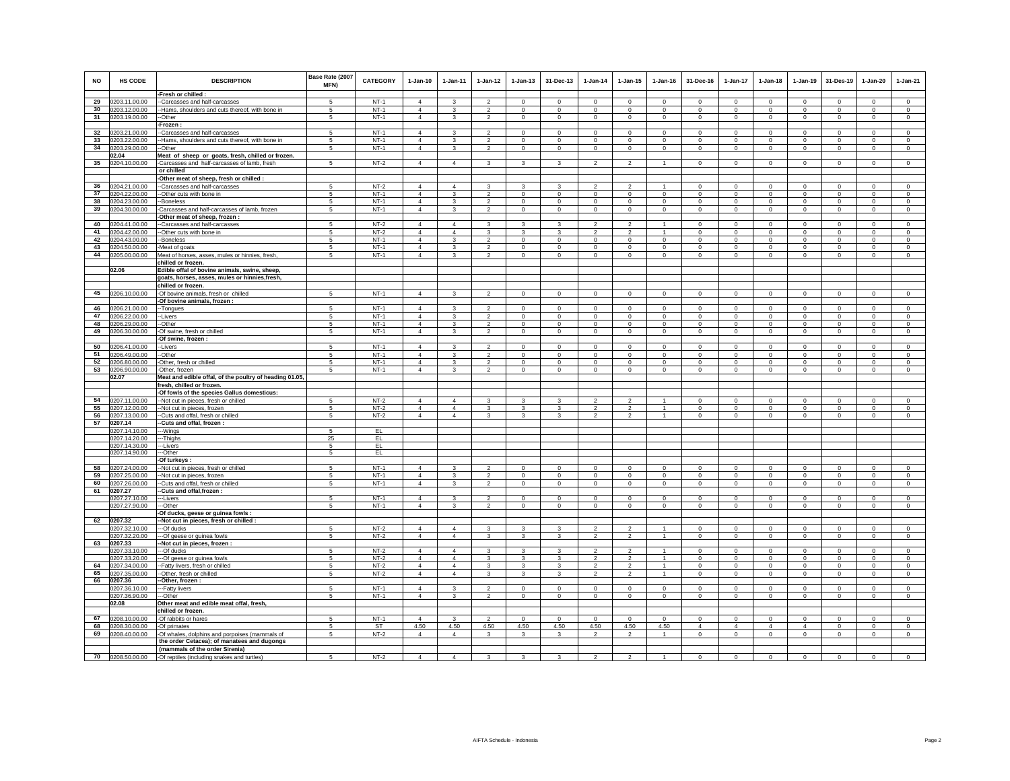| <b>NO</b> | HS CODE                           | <b>DESCRIPTION</b>                                                                            | Base Rate (2007<br>MFN)   | <b>CATEGORY</b>  | $1-Jan-10$                       | $1-Jan-11$                              | $1-Jan-12$                       | $1 - Jan-13$                  | 31-Dec-13                     | $1 - Jan-14$               | $1 - Jan-15$                   | $1 - Jan-16$                | 31-Dec-16                  | $1-Jan-17$                       | $1-Jan-18$                 | 1-Jan-19                   | 31-Des-19                     | 1-Jan-20                      | $1-Jan-21$                  |
|-----------|-----------------------------------|-----------------------------------------------------------------------------------------------|---------------------------|------------------|----------------------------------|-----------------------------------------|----------------------------------|-------------------------------|-------------------------------|----------------------------|--------------------------------|-----------------------------|----------------------------|----------------------------------|----------------------------|----------------------------|-------------------------------|-------------------------------|-----------------------------|
|           |                                   | -Fresh or chilled :                                                                           |                           |                  |                                  |                                         |                                  |                               |                               |                            |                                |                             |                            |                                  |                            |                            |                               |                               |                             |
| 29        | 0203.11.00.00                     | --Carcasses and half-carcasses                                                                | $\sqrt{5}$                | $NT-1$           | $\overline{4}$                   | 3                                       | $\overline{2}$                   | $\Omega$                      | $\mathbf 0$                   | $\mathbf 0$                | $\Omega$                       | $\mathbf 0$                 | $\mathbf{0}$               | $\mathbf{0}$                     | $\circ$                    | $\mathbf 0$                | $\Omega$                      | $\Omega$                      | $\circ$                     |
| 30        | 0203.12.00.00                     | --Hams, shoulders and cuts thereof, with bone in                                              | 5                         | $NT-1$           | $\overline{4}$                   | $\mathbf{3}$                            | $\overline{2}$                   | $\overline{0}$                | $\mathbf 0$                   | $\mathbf 0$                | $\mathbf 0$                    | $\mathbf 0$                 | $\mathbf 0$                | $\overline{0}$                   | $\mathbf 0$                | $\mathbf 0$                | $\mathbf 0$                   | $\mathsf 0$                   | $\mathsf 0$                 |
| 31        | 0203.19.00.00                     | --Other                                                                                       | 5                         | $NT-1$           | $\overline{4}$                   | 3                                       | $\overline{2}$                   | $\mathbf 0$                   | $\mathbf 0$                   | $\Omega$                   | $\mathbf 0$                    | $\Omega$                    | $\mathbf 0$                | $\mathbf 0$                      | $\circ$                    | $\Omega$                   | $\Omega$                      | $\mathbf 0$                   | $\circ$                     |
|           |                                   | -Frozen:<br>--Carcasses and half-carcasses                                                    | 5                         | $NT-1$           | $\overline{4}$                   | 3                                       |                                  | $\mathbf 0$                   |                               | $\mathbf 0$                | $\mathbf 0$                    | $\mathbf 0$                 |                            |                                  | $\circ$                    | $\mathbf 0$                | $\mathbf{0}$                  | $\mathbf 0$                   |                             |
| 33        | 32 0203.21.00.00<br>0203.22.00.00 | --Hams, shoulders and cuts thereof, with bone in                                              | -5                        | $NT-1$           | $\overline{4}$                   | 3                                       | $\overline{2}$<br>$\overline{2}$ | $^{\circ}$                    | $\mathbf 0$<br>$\mathbf{0}$   | $\mathbf 0$                | $^{\circ}$                     | $^{\circ}$                  | $\mathbf 0$<br>$\circ$     | $\mathbf 0$<br>$\mathbf 0$       | $^{\circ}$                 | $\mathbf 0$                | $\mathbf 0$                   | $\circ$                       | $\mathbf 0$<br>$^{\circ}$   |
| 34        | 0203.29.00.00                     | --Other                                                                                       | 5                         | $NT-1$           | $\overline{4}$                   | 3                                       | $\frac{2}{3}$                    | $\mathsf 0$                   | $\mathbf 0$                   | $\mathbf 0$                | $\mathbf 0$                    | $\mathbf 0$                 | $\mathsf 0$                | $\mathbf 0$                      | $\mathsf 0$                | $\mathbf 0$                | $\mathbf 0$                   | $\mathbf 0$                   | $\mathbf 0$                 |
|           | 02.04                             | Meat of sheep or goats, fresh, chilled or frozen.                                             |                           |                  |                                  |                                         |                                  |                               |                               |                            |                                |                             |                            |                                  |                            |                            |                               |                               |                             |
| 35        | 0204.10.00.00                     | -Carcasses and half-carcasses of lamb, fresh                                                  | 5                         | $NT-2$           | $\overline{4}$                   | $\overline{4}$                          | 3                                | $\overline{3}$                | $\overline{\mathbf{3}}$       | $\overline{2}$             | $\overline{2}$                 | $\mathbf{1}$                | $\mathbf 0$                | $\overline{0}$                   | $\circ$                    | $\overline{0}$             | $^{\circ}$                    | $\mathbf 0$                   | $\overline{0}$              |
|           |                                   | or chilled                                                                                    |                           |                  |                                  |                                         |                                  |                               |                               |                            |                                |                             |                            |                                  |                            |                            |                               |                               |                             |
|           |                                   | -Other meat of sheep, fresh or chilled :                                                      |                           |                  |                                  |                                         |                                  |                               |                               |                            |                                |                             |                            |                                  |                            |                            |                               |                               |                             |
| 36        | 0204.21.00.00                     | --Carcasses and half-carcasses                                                                | 5                         | $NT-2$           | $\overline{4}$                   | $\overline{4}$                          | $\mathbf{3}$                     | 3                             | 3                             | $\overline{2}$             | $\overline{2}$                 | $\mathbf{1}$                | $\mathbf 0$                | $\mathbf 0$                      | $\mathbf 0$                | $\mathbf 0$                | $\mathbf 0$                   | $\mathbf 0$                   | $\mathbf{0}$                |
| 37        | 0204.22.00.00                     | --Other cuts with bone in                                                                     | 5<br>$5^{\circ}$          | $NT-1$<br>$NT-1$ | $\overline{4}$<br>$\overline{4}$ | $\mathbf{R}$<br>$\overline{\mathbf{3}}$ | $\overline{2}$<br>$\overline{2}$ | $\mathbf 0$<br>$\overline{0}$ | $\mathbf 0$<br>$\overline{0}$ | $\mathbb O$<br>$\Omega$    | $\mathbf{0}$<br>$\overline{0}$ | $\mathbf 0$<br>$\Omega$     | $\mathsf 0$                | $\overline{0}$<br>$\overline{0}$ | $\mathsf 0$                | $\mathbf 0$<br>$\Omega$    | $\mathbf 0$<br>$\overline{0}$ | $\Omega$<br>$\Omega$          | $\circ$<br>$\overline{0}$   |
| 38<br>39  | 0204.23.00.00<br>0204.30.00.00    | --Boneless<br>-Carcasses and half-carcasses of lamb, frozen                                   | 5                         | $NT-1$           | $\overline{4}$                   | $\overline{3}$                          | $\overline{2}$                   | $\mathbf 0$                   | $\circ$                       | $\mathbf 0$                | $\mathbf{0}$                   | $\mathbf 0$                 | $\circ$<br>$\mathbf{0}$    | $\mathbf 0$                      | $\mathbf 0$<br>$\circ$     | $\mathbf 0$                | $\mathbf 0$                   | $\mathbf{0}$                  | $\circ$                     |
|           |                                   | -Other meat of sheep, frozen :                                                                |                           |                  |                                  |                                         |                                  |                               |                               |                            |                                |                             |                            |                                  |                            |                            |                               |                               |                             |
| 40        | 0204.41.00.00                     | --Carcasses and half-carcasses                                                                | 5                         | $NT-2$           | $\overline{4}$                   | $\Delta$                                | 3                                | 3                             | 3                             | $\overline{2}$             | $\overline{2}$                 |                             | $\mathbf 0$                | $\mathbf 0$                      | $\mathsf 0$                | $\mathbf 0$                | $^{\circ}$                    | $\mathbf 0$                   | $\mathbf 0$                 |
|           | 41 0204.42.00.00                  | --Other cuts with bone in                                                                     | 5                         | $NT-2$           | $\overline{4}$                   | $\Delta$                                | 3                                | 3                             | 3                             | $\overline{2}$             | $\overline{2}$                 | $\overline{1}$              | $\mathbf 0$                | $\mathbf 0$                      | $\circ$                    | $\mathbf 0$                | $\mathbf 0$                   | $\mathbf 0$                   | $\circ$                     |
| 42        | 0204.43.00.00                     | --Boneless                                                                                    | 5                         | $NT-1$           | $\overline{4}$                   | 3                                       | $\overline{2}$                   | 0                             | $\,0\,$                       | $\mathbf{0}$               | $\mathbf 0$                    | $\mathbf 0$                 | $\mathbf{0}$               | $\mathbf 0$                      | $\circ$                    | $\mathbf 0$                | $\,0\,$                       | $\mathbf 0$                   | $\mathbf 0$                 |
| 43        | 0204.50.00.00                     | -Meat of goats                                                                                | -5                        | $NT-1$           | $\overline{4}$                   | 3                                       | $\overline{2}$                   | $\mathbf 0$                   | $\mathbf{0}$                  | $\mathbf 0$                | $^{\circ}$                     | $^{\circ}$                  | $\circ$                    | $\mathbf 0$                      | $\circ$                    | $\mathbf 0$                | $\mathbf 0$                   | $\circ$                       | $^{\circ}$                  |
| 44        | 0205.00.00.00                     | Meat of horses, asses, mules or hinnies, fresh,                                               | 5                         | $NT-1$           | $\overline{4}$                   | 3                                       | $\overline{2}$                   | $\mathbf 0$                   | $\mathsf 0$                   | $\mathbf 0$                | $\mathbf 0$                    | $\mathbf 0$                 | $\mathsf 0$                | $\mathsf 0$                      | $\mathsf 0$                | $\mathbf 0$                | $\mathbb O$                   | $\mathbf 0$                   | $\circ$                     |
|           | 02.06                             | chilled or frozen.<br>Edible offal of bovine animals, swine, sheep,                           |                           |                  |                                  |                                         |                                  |                               |                               |                            |                                |                             |                            |                                  |                            |                            |                               |                               |                             |
|           |                                   | goats, horses, asses, mules or hinnies, fresh,                                                |                           |                  |                                  |                                         |                                  |                               |                               |                            |                                |                             |                            |                                  |                            |                            |                               |                               |                             |
|           |                                   | chilled or frozen.                                                                            |                           |                  |                                  |                                         |                                  |                               |                               |                            |                                |                             |                            |                                  |                            |                            |                               |                               |                             |
| 45        | 0206.10.00.00                     | -Of bovine animals, fresh or chilled                                                          | 5                         | $NT-1$           | $\overline{4}$                   | $\mathbf{3}$                            | $\overline{2}$                   | $\mathbf 0$                   | $\mathsf 0$                   | $\mathbb O$                | $\mathbf 0$                    | $\mathbf 0$                 | $\mathsf 0$                | $\overline{0}$                   | $\mathbf 0$                | $\mathbf 0$                | $\mathbf 0$                   | $\mathbf 0$                   | $\overline{0}$              |
|           |                                   | -Of bovine animals, frozen :                                                                  |                           |                  |                                  |                                         |                                  |                               |                               |                            |                                |                             |                            |                                  |                            |                            |                               |                               |                             |
| 46        | 0206.21.00.00                     | --Tongues                                                                                     | $\sqrt{5}$                | $NT-1$           | $\overline{4}$                   | 3                                       | $\overline{2}$                   | $\overline{0}$                | $\overline{0}$                | $\overline{0}$             | $\overline{0}$                 | $\Omega$                    | $\Omega$                   | $\overline{0}$                   | $\overline{0}$             | $\overline{0}$             | $\overline{0}$                | $\Omega$                      | $\overline{0}$              |
| 47        | 0206.22.00.00                     | -Livers                                                                                       | 5                         | $NT-1$           | $\overline{4}$                   | 3                                       | $\overline{2}$                   | $\mathbf{0}$                  | $\circ$                       | $\mathbf 0$                | $\mathbf{0}$                   | $\mathbf 0$                 | $\mathbf{0}$               | $\mathbf{0}$                     | $\circ$                    | $\mathbf 0$                | $\Omega$                      | $\mathbf{0}$                  | $\circ$                     |
| 48<br>49  | 0206.29.00.00<br>0206.30.00.00    | --Other<br>-Of swine, fresh or chilled                                                        | 5<br>5                    | $NT-1$<br>$NT-1$ | $\overline{4}$<br>$\overline{4}$ | 3<br>3                                  | $\overline{2}$<br>$\overline{2}$ | $\mathbf 0$<br>0              | $\mathbf{0}$<br>$\mathsf 0$   | $^{\circ}$<br>$^{\circ}$   | $\mathbf 0$<br>$\mathbf 0$     | $\mathbf 0$<br>$\mathbf 0$  | $\mathbf 0$<br>$\mathbf 0$ | $\mathbf 0$<br>$\mathbf 0$       | $\circ$<br>$\mathbf 0$     | $\Omega$<br>$\mathbf 0$    | $\Omega$<br>$\mathbf 0$       | $\mathbf 0$<br>$\mathbf 0$    | $\circ$<br>$\mathbf 0$      |
|           |                                   | -Of swine, frozen :                                                                           |                           |                  |                                  |                                         |                                  |                               |                               |                            |                                |                             |                            |                                  |                            |                            |                               |                               |                             |
|           | 50 0206.41.00.00                  | --Livers                                                                                      | -5                        | $NT-1$           | $\overline{4}$                   | 3                                       | $\overline{2}$                   | $\mathbf 0$                   | $\mathsf 0$                   | $^{\circ}$                 | $\mathbf 0$                    | $\mathbf 0$                 | $\mathbf 0$                | $\mathbf 0$                      | $\Omega$                   | $\mathbf 0$                | $^{\circ}$                    | $\mathbf 0$                   | $\mathbf 0$                 |
| 51        | 0206.49.00.00                     | --Other                                                                                       | -5                        | $NT-1$           | $\overline{4}$                   | 3                                       | $\overline{2}$                   | $\mathbf 0$                   | $\mathbf{0}$                  | $^{\circ}$                 | $^{\circ}$                     | $^{\circ}$                  | $\Omega$                   | $\mathbf 0$                      | $\Omega$                   | $\Omega$                   | $\mathbf 0$                   | $\Omega$                      | $^{\circ}$                  |
| 52        | 0206.80.00.00                     | -Other, fresh or chilled                                                                      | 5                         | $NT-1$           | $\overline{4}$                   | 3                                       | $\overline{2}$                   | $\mathbf 0$                   | $\mathsf 0$                   | $\mathbf 0$                | $^{\circ}$                     | $^{\circ}$                  | $\Omega$                   | $\mathbf 0$                      | $\Omega$                   | $\mathbf 0$                | $\mathbf 0$                   | $\Omega$                      | $\mathbf 0$                 |
| 53        | 0206.90.00.00                     | -Other, frozen                                                                                | 5                         | $NT-1$           | $\overline{4}$                   | 3                                       | $\overline{2}$                   | $\mathbf 0$                   | $\circ$                       | $\mathbf 0$                | $\mathbf 0$                    | $\mathsf 0$                 | $\mathbf 0$                | $\mathbf 0$                      | $\mathbf 0$                | $\mathbb O$                | $\mathbb O$                   | $\mathsf 0$                   | $\mathsf 0$                 |
|           | 02.07                             | Meat and edible offal, of the poultry of heading 01.05,<br>fresh, chilled or frozen.          |                           |                  |                                  |                                         |                                  |                               |                               |                            |                                |                             |                            |                                  |                            |                            |                               |                               |                             |
|           |                                   | -Of fowls of the species Gallus domesticus:                                                   |                           |                  |                                  |                                         |                                  |                               |                               |                            |                                |                             |                            |                                  |                            |                            |                               |                               |                             |
| 54        | 0207.11.00.00                     | --Not cut in pieces, fresh or chilled                                                         | $\sqrt{5}$                | $NT-2$           | $\overline{4}$                   | $\overline{4}$                          | $\mathbf{3}$                     | $\mathbf{3}$                  | $\mathbf{3}$                  | $\overline{2}$             | $\mathcal{L}$                  | $\overline{1}$              | $\circ$                    | $\circ$                          | $\mathbf 0$                | $\mathbf 0$                | $\mathbf 0$                   | $\mathbf{0}$                  | $\mathsf 0$                 |
| 55        | 0207.12.00.00                     | -- Not cut in pieces, frozen                                                                  | $\sqrt{5}$                | $NT-2$           | $\Delta$                         | $\Delta$                                | $\mathbf{3}$                     | 3                             | $\mathbf{3}$                  | $\overline{2}$             | $\mathcal{L}$                  | $\overline{1}$              | $\circ$                    | $\circ$                          | $\circ$                    | $\Omega$                   | $\mathbf 0$                   | $\Omega$                      | $\circ$                     |
| 56        | 0207.13.00.00                     | --Cuts and offal, fresh or chilled                                                            | 5                         | $NT-2$           | $\overline{4}$                   | $\overline{4}$                          | $\mathbf{3}$                     | $\mathbf{3}$                  | $\mathbf{3}$                  | $\overline{2}$             | $\overline{2}$                 | $\overline{1}$              | $\circ$                    | $\circ$                          | $\circ$                    | $\mathbf 0$                | $\mathbb O$                   | $\mathbf 0$                   | $\mathsf 0$                 |
| 57        | 0207.14                           | --Cuts and offal, frozen:                                                                     | 5                         | EL.              |                                  |                                         |                                  |                               |                               |                            |                                |                             |                            |                                  |                            |                            |                               |                               |                             |
|           | 0207.14.10.00<br>0207.14.20.00    | ---Wings<br>---Thighs                                                                         | 25                        | EL               |                                  |                                         |                                  |                               |                               |                            |                                |                             |                            |                                  |                            |                            |                               |                               |                             |
|           | 0207.14.30.00                     | --Livers                                                                                      | -5                        | EL.              |                                  |                                         |                                  |                               |                               |                            |                                |                             |                            |                                  |                            |                            |                               |                               |                             |
|           | 0207.14.90.00                     | ---Other                                                                                      | 5                         | EL               |                                  |                                         |                                  |                               |                               |                            |                                |                             |                            |                                  |                            |                            |                               |                               |                             |
|           |                                   | -Of turkeys:                                                                                  |                           |                  |                                  |                                         |                                  |                               |                               |                            |                                |                             |                            |                                  |                            |                            |                               |                               |                             |
| 58        | 0207.24.00.00                     | --Not cut in pieces, fresh or chilled                                                         | 5                         | $NT-1$           | $\overline{4}$                   | 3                                       | $\overline{2}$                   | $\mathbf 0$                   | $\mathbf 0$                   | $\mathbf 0$                | $\mathbf 0$                    | $\mathbf 0$                 | $\mathbf 0$                | $\mathsf 0$                      | $\circ$                    | $^{\circ}$                 | $\mathbf 0$                   | $\mathbf 0$                   | $\mathsf 0$                 |
| 59<br>60  | 0207.25.00.00                     | -- Not cut in pieces, frozen                                                                  | 5<br>5                    | $NT-1$<br>$NT-1$ | $\overline{4}$<br>$\overline{4}$ | $\overline{\mathbf{3}}$<br>3            | $\overline{2}$                   | $\mathsf{O}$<br>$\mathbf 0$   | $\mathbf 0$<br>$\mathsf 0$    | $\mathbf 0$<br>$\mathbf 0$ | $\mathsf{O}$<br>$\mathbf 0$    | $\mathsf{O}$<br>$\mathbf 0$ | $\mathbf 0$<br>$\mathsf 0$ | $\mathsf 0$<br>$\mathsf 0$       | $\mathsf 0$<br>$\mathsf 0$ | $\mathbf 0$<br>$^{\circ}$  | $\mathbf 0$<br>$^{\circ}$     | $\overline{0}$<br>$\mathbf 0$ | $\mathsf{O}$<br>$\mathbf 0$ |
| 61        | 0207.26.00.00<br>0207.27          | -Cuts and offal, fresh or chilled<br>--Cuts and offal, frozen:                                |                           |                  |                                  |                                         | $\overline{2}$                   |                               |                               |                            |                                |                             |                            |                                  |                            |                            |                               |                               |                             |
|           | 0207.27.10.00                     | ---Livers                                                                                     | $\sqrt{5}$                | $NT-1$           | $\overline{4}$                   | 3                                       | $\overline{2}$                   | $\Omega$                      | $\mathbf 0$                   | $\Omega$                   | $\Omega$                       | $\Omega$                    | $\Omega$                   | $\mathbf{0}$                     | $\Omega$                   | $\Omega$                   | $\Omega$                      | $\Omega$                      | $\Omega$                    |
|           | 0207.27.90.00                     | ---Other                                                                                      | 5                         | $NT-1$           | $\overline{4}$                   | $\mathbf{3}$                            | $\overline{2}$                   | $\mathbf 0$                   | $\overline{0}$                | $\circ$                    | $\mathbf 0$                    | $\mathbf 0$                 | $\mathbf 0$                | $\overline{0}$                   | $\mathbf 0$                | $\mathbf 0$                | $\circ$                       | $\mathbf 0$                   | $\mathbf 0$                 |
|           |                                   | -Of ducks, geese or guinea fowls :                                                            |                           |                  |                                  |                                         |                                  |                               |                               |                            |                                |                             |                            |                                  |                            |                            |                               |                               |                             |
| 62        | 0207.32                           | -Not cut in pieces, fresh or chilled :                                                        | 5                         |                  | $\overline{4}$                   | $\Delta$                                | 3                                | $\overline{\mathbf{3}}$       | 3                             | $\mathfrak{p}$             | $\mathfrak{p}$                 |                             | $\Omega$                   | $\Omega$                         |                            |                            | $\Omega$                      | $\Omega$                      |                             |
|           | 0207.32.10.00<br>0207.32.20.00    | ---Of ducks<br>--Of geese or guinea fowls                                                     | 5                         | $NT-2$<br>$NT-2$ | $\overline{4}$                   | $\overline{4}$                          | $\mathbf{3}$                     | 3                             | 3                             | $\overline{2}$             | $\overline{2}$                 |                             | $\mathbf 0$                | $\mathbf 0$                      | $\mathsf 0$<br>$\circ$     | $\mathbf 0$<br>$\mathbf 0$ | $\mathbf 0$                   | $\mathbf 0$                   | $\mathsf 0$<br>$\mathbf 0$  |
| 63        | 0207.33                           | -Not cut in pieces, frozen :                                                                  |                           |                  |                                  |                                         |                                  |                               |                               |                            |                                |                             |                            |                                  |                            |                            |                               |                               |                             |
|           | 0207.33.10.00                     | ---Of ducks                                                                                   | -5                        | $NT-2$           | $\overline{4}$                   | $\Delta$                                | $\overline{\mathbf{3}}$          | 3                             | 3                             | $\overline{2}$             | $\overline{2}$                 | $\mathbf{1}$                | $\Omega$                   | $\overline{0}$                   | $\overline{0}$             | $\overline{0}$             | $\overline{0}$                | $\Omega$                      | $\Omega$                    |
|           | 0207.33.20.00                     | --- Of geese or guinea fowls                                                                  | 5                         | $NT-2$           | $\overline{4}$                   | $\overline{4}$                          | $\mathbf{3}$                     | 3                             | 3                             | $\mathcal{P}$              | $\overline{2}$                 |                             | $\mathsf 0$                | $\mathbf 0$                      | $\mathsf 0$                | $\mathbf 0$                | $\mathbf 0$                   | $\Omega$                      | $\mathsf 0$                 |
|           | 64 0207.34.00.00                  | --Fatty livers, fresh or chilled                                                              | -5                        | $NT-2$           | $\overline{4}$                   | $\overline{4}$                          | $\mathbf{3}$                     | 3                             | $\mathbf{3}$                  | $\overline{\phantom{a}}$   | $\mathcal{P}$                  | $\overline{1}$              | $\mathbf 0$                | $\circ$                          | $\circ$                    | $\Omega$                   | $\Omega$                      | $\Omega$                      | $\circ$                     |
| 66        | 65 0207.35.00.00<br>0207.36       | --Other, fresh or chilled<br>-Other, frozen :                                                 | 5                         | $NT-2$           | $\overline{4}$                   | $\overline{4}$                          | $\mathbf{3}$                     | 3                             | 3                             | $\overline{2}$             | $\overline{2}$                 | $\mathbf{1}$                | $\circ$                    | $\circ$                          | $\circ$                    | $\mathbf 0$                | $\mathbf 0$                   | $\mathbf 0$                   | $\circ$                     |
|           | 0207.36.10.00                     | ---Fatty livers                                                                               | 5                         | $NT-1$           | $\overline{4}$                   | 3                                       | $\overline{2}$                   | $\mathbf 0$                   | $\mathbf 0$                   | $\Omega$                   | $\Omega$                       | $\Omega$                    | $\Omega$                   | $\mathbf 0$                      | $\Omega$                   | $\mathbf 0$                | $\mathbf 0$                   | $\Omega$                      | $\circ$                     |
|           | 0207.36.90.00                     | ---Other                                                                                      | 5                         | $NT-1$           | $\overline{4}$                   | 3                                       | $\overline{2}$                   | $\mathbf 0$                   | $\mathbf 0$                   | $\mathbf 0$                | $\mathbf 0$                    | $\mathbf 0$                 | $\mathsf 0$                | $\mathbf 0$                      | $\mathsf 0$                | $\mathbf 0$                | $\mathbf 0$                   | $\mathsf 0$                   | $\circ$                     |
|           | 02.08                             | Other meat and edible meat offal, fresh,                                                      |                           |                  |                                  |                                         |                                  |                               |                               |                            |                                |                             |                            |                                  |                            |                            |                               |                               |                             |
|           |                                   | chilled or frozen.                                                                            |                           |                  |                                  |                                         |                                  |                               |                               |                            |                                |                             |                            |                                  |                            |                            |                               |                               |                             |
| 67        | 0208.10.00.00                     | -Of rabbits or hares                                                                          | 5                         | $NT-1$           | $\overline{4}$                   | $\mathbf{3}$                            | $\overline{2}$                   | $\mathsf{O}$                  | $\mathbf 0$                   | $\circ$                    | $\mathbf 0$                    | $\Omega$                    | $\mathbf 0$                | $\mathbf{0}$                     | $\mathsf 0$                | $\Omega$                   | $\mathbf 0$                   | $\Omega$                      | $\mathbf 0$                 |
| 68        | 0208.30.00.00                     | -Of primates                                                                                  | $\sqrt{5}$<br>$5^{\circ}$ | ST               | 4.50<br>$\Delta$                 | 4.50<br>$\Delta$                        | 4.50                             | 4.50<br>$\mathbf{R}$          | 4.50                          | 4.50<br>$\mathcal{L}$      | 4.50<br>$\mathfrak{D}$         | 4.50<br>$\overline{1}$      | $\overline{4}$<br>$\Omega$ | $\overline{4}$                   | $\overline{4}$<br>$\Omega$ | $\overline{4}$<br>$\Omega$ | $\mathbf 0$<br>$\Omega$       | $\mathbf 0$<br>$\Omega$       | $\mathbf 0$<br>$\Omega$     |
| 69        | 0208.40.00.00                     | -Of whales, dolphins and porpoises (mammals of<br>the order Cetacea); of manatees and dugongs |                           | $NT-2$           |                                  |                                         | $\mathbf{3}$                     |                               | $\mathbf{3}$                  |                            |                                |                             |                            | $\mathbf{0}$                     |                            |                            |                               |                               |                             |
|           |                                   | (mammals of the order Sirenia)                                                                |                           |                  |                                  |                                         |                                  |                               |                               |                            |                                |                             |                            |                                  |                            |                            |                               |                               |                             |
|           |                                   | 70 0208.50.00.00 -Of reptiles (including snakes and turtles)                                  | 5                         | $NT-2$           | $\overline{4}$                   | $\overline{4}$                          | $\mathbf{3}$                     |                               |                               |                            |                                |                             | $\Omega$                   | $\Omega$                         | $\Omega$                   |                            |                               |                               |                             |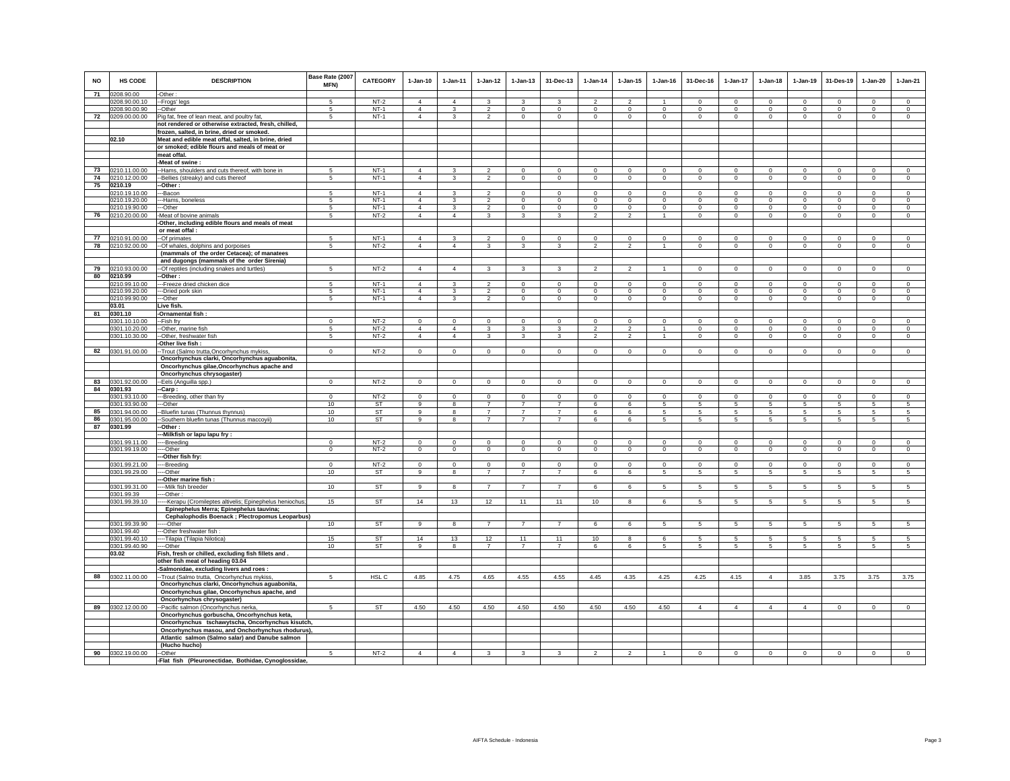| <b>NO</b> | <b>HS CODE</b>              | <b>DESCRIPTION</b>                                                                                  | Base Rate (2007<br>MFN) | <b>CATEGORY</b> | $1-Jan-10$     | $1-Jan-11$        | $1 - Jan-12$                               | $1 - Jan-13$   | 31-Dec-13      | $1 - Jan-14$            | $1 - Jan-15$            | $1 - Jan-16$   | 31-Dec-16               | 1-Jan-17        | $1-Jan-18$      | 1-Jan-19       | 31-Des-19      | $1-Jan-20$     | $1-Jan-21$     |
|-----------|-----------------------------|-----------------------------------------------------------------------------------------------------|-------------------------|-----------------|----------------|-------------------|--------------------------------------------|----------------|----------------|-------------------------|-------------------------|----------------|-------------------------|-----------------|-----------------|----------------|----------------|----------------|----------------|
| 71        | 0208.90.00                  | -Other:                                                                                             |                         |                 |                |                   |                                            |                |                |                         |                         |                |                         |                 |                 |                |                |                |                |
|           | 0208.90.00.10               | --Frogs' legs                                                                                       | 5                       | $NT-2$          | $\overline{4}$ | $\overline{4}$    | $\mathbf{3}$                               | $\mathbf{3}$   | 3              | $\mathcal{P}$           | $\mathfrak{p}$          |                | $\mathsf 0$             | $\mathbf 0$     | $\mathbf 0$     | $\Omega$       | $\Omega$       | $\Omega$       | $\mathsf 0$    |
|           | 0208.90.00.90               | --Other                                                                                             | 5                       | $NT-1$          | $\overline{4}$ | 3                 | $\overline{2}$                             | $\mathbf 0$    | $\mathbf{0}$   | $\mathbf 0$             | $\mathbf 0$             | $\circ$        | $\mathbf 0$             | $\mathbf 0$     | $\circ$         | $\mathbf 0$    | $\circ$        | $\mathbf 0$    | $\circ$        |
|           | 72 0209.00.00.00            | Pig fat, free of lean meat, and poultry fat,                                                        | $5\overline{5}$         | $NT-1$          | $\overline{4}$ | $\mathbf{3}$      | $\overline{2}$                             | $\mathbf 0$    | $\mathbf{0}$   | $\circ$                 | $\mathbf 0$             | $\mathbf 0$    | $\circ$                 | $\circ$         | $\mathbf 0$     | $\,0\,$        | $\circ$        | $\circ$        | $\mathbf 0$    |
|           |                             | not rendered or otherwise extracted, fresh, chilled,                                                |                         |                 |                |                   |                                            |                |                |                         |                         |                |                         |                 |                 |                |                |                |                |
|           |                             | frozen, salted, in brine, dried or smoked.                                                          |                         |                 |                |                   |                                            |                |                |                         |                         |                |                         |                 |                 |                |                |                |                |
|           | 02.10                       | Meat and edible meat offal, salted, in brine, dried                                                 |                         |                 |                |                   |                                            |                |                |                         |                         |                |                         |                 |                 |                |                |                |                |
|           |                             | or smoked; edible flours and meals of meat or<br>meat offal.                                        |                         |                 |                |                   |                                            |                |                |                         |                         |                |                         |                 |                 |                |                |                |                |
|           |                             | -Meat of swine :                                                                                    |                         |                 |                |                   |                                            |                |                |                         |                         |                |                         |                 |                 |                |                |                |                |
| 73        | 0210.11.00.00               | -Hams, shoulders and cuts thereof, with bone in                                                     | 5                       | $NT-1$          | $\Delta$       | $\mathcal{R}$     | $\mathcal{P}$                              | $\mathbf{0}$   | $\Omega$       | $\Omega$                | $\Omega$                | $\Omega$       | $\Omega$                | $\Omega$        | $\mathbf 0$     | $\Omega$       | $\mathbf 0$    | $\Omega$       | $\overline{0}$ |
| 74        | 0210.12.00.00               | -Bellies (streaky) and cuts thereof                                                                 | 5                       | $NT-1$          | $\overline{4}$ | $\mathbf{3}$      | $\overline{2}$                             | $\mathbf{0}$   | $\mathbf 0$    | $\circ$                 | $\mathbf{0}$            | $\circ$        | $\mathbf{0}$            | $\mathbf 0$     | $\mathbf 0$     | $\mathbf 0$    | $\circ$        | $\mathbf{0}$   | $\circ$        |
| 75        | 0210.19                     | --Other:                                                                                            |                         |                 |                |                   |                                            |                |                |                         |                         |                |                         |                 |                 |                |                |                |                |
|           | 0210.19.10.00               | ---Bacon                                                                                            | 5                       | $NT-1$          | $\overline{4}$ | 3                 | $\mathfrak{D}$                             | $\mathbf{0}$   | $\mathbf{0}$   | $\circ$                 | $\Omega$                | $\circ$        | $\mathbf 0$             | $\Omega$        | $\Omega$        | $\Omega$       | $\mathbf{0}$   | $\mathbf 0$    | $\circ$        |
|           | 0210.19.20.00               | ---Hams, boneless                                                                                   | 5                       | $NT-1$          | $\Delta$       | 3                 | $\overline{\mathbf{2}}$                    | $\circ$        | $\mathbf 0$    | $^{\circ}$              | 0                       | $^{\circ}$     | $\Omega$                | $\mathbf 0$     | $\circ$         | $\mathbf 0$    | $\circ$        | $^{\circ}$     | $\circ$        |
|           | 0210.19.90.00               | --Other                                                                                             | 5                       | $NT-1$          | $\overline{4}$ | $\mathbf{3}$      | $\overline{2}$                             | $\mathsf 0$    | $\mathbf{0}$   | $\mathsf 0$             | $\mathsf 0$             | $\circ$        | $\mathbf 0$             | $\mathbf 0$     | $\mathbf 0$     | $\circ$        | $\circ$        | $\mathsf 0$    | $\mathsf 0$    |
| 76        | 0210.20.00.00               | -Meat of bovine animals                                                                             | 5                       | $NT-2$          | $\overline{4}$ | $\overline{4}$    | $\mathbf{3}$                               | 3              | 3              | $\overline{2}$          | $\overline{2}$          |                | $\mathbf 0$             | $\mathbf 0$     | $\mathbf 0$     | $\mathbf 0$    | $\mathbf 0$    | $\mathbf 0$    | $\mathbf 0$    |
|           |                             | -Other, including edible flours and meals of meat                                                   |                         |                 |                |                   |                                            |                |                |                         |                         |                |                         |                 |                 |                |                |                |                |
|           |                             | or meat offal :                                                                                     |                         |                 |                |                   |                                            |                |                |                         |                         |                |                         |                 |                 |                |                |                |                |
| 77        | 0210.91.00.00               | --Of primates                                                                                       | $\overline{5}$          | $NT-1$          | $\overline{4}$ | $\mathbf{3}$      | $\overline{2}$                             | $\mathbf{0}$   | $\overline{0}$ | $\mathbf 0$             | $\mathbf{0}$            | $\mathbf 0$    | $\mathbf{0}$            | $\overline{0}$  | $\mathbf 0$     | $\mathbf 0$    | $\overline{0}$ | $\circ$        | $\overline{0}$ |
| 78        | 0210.92.00.00               | -- Of whales, dolphins and porpoises                                                                | $\overline{5}$          | $NT-2$          | $\overline{4}$ | $\overline{4}$    | $\overline{\mathbf{3}}$                    | $\overline{3}$ | $\overline{3}$ | $\overline{2}$          | $\overline{2}$          | $\overline{1}$ | $\overline{0}$          | $\overline{0}$  | $\overline{0}$  | $\overline{0}$ | $\overline{0}$ | $\overline{0}$ | $\overline{0}$ |
|           |                             | (mammals of the order Cetacea); of manatees                                                         |                         |                 |                |                   |                                            |                |                |                         |                         |                |                         |                 |                 |                |                |                |                |
|           |                             | and dugongs (mammals of the order Sirenia)                                                          |                         |                 |                |                   |                                            |                |                |                         |                         |                |                         |                 |                 |                |                |                |                |
|           | 79 0210.93.00.00            | -Of reptiles (including snakes and turtles)                                                         | 5                       | $NT-2$          | $\overline{4}$ | $\overline{4}$    | $\mathbf{3}$                               | 3              | 3              | $\overline{2}$          | $\overline{2}$          | $\mathbf{1}$   | $\mathbf 0$             | $\mathbf 0$     | $\mathbf 0$     | $\mathbf 0$    | $\mathbf 0$    | $\mathsf 0$    | $\mathbf{0}$   |
|           | 80 0210.99<br>0210.99.10.00 | -Other :                                                                                            | -5                      | $NT-1$          | $\overline{4}$ |                   |                                            | $\Omega$       | $\overline{0}$ | $\Omega$                | $\Omega$                | $\Omega$       |                         | $\Omega$        | $\Omega$        | $\overline{0}$ | $\overline{0}$ | $\Omega$       | $\overline{0}$ |
|           | 0210.99.20.00               | -- Freeze dried chicken dice<br>-Dried pork skin                                                    | 5                       | $NT-1$          | $\overline{4}$ | 3<br>$\mathbf{3}$ | $\overline{\phantom{a}}$<br>$\overline{a}$ | $\mathsf 0$    | $\mathbf 0$    | 0                       | $\mathsf 0$             | $\mathsf 0$    | $\Omega$<br>$\mathsf 0$ | $\mathbf 0$     | $\mathbf 0$     | $\mathbf 0$    | $\mathbf 0$    | $\mathsf 0$    | $\mathsf 0$    |
|           | 0210.99.90.00               | --Other                                                                                             | 5                       | $NT-1$          | $\overline{4}$ | $\mathbf{3}$      | $\overline{2}$                             | $\mathbf 0$    | $\mathbf{0}$   | $\mathbf{0}$            | $\mathbf 0$             | $\circ$        | $\circ$                 | $\circ$         | $\circ$         | $\mathbf 0$    | $\circ$        | $\circ$        | $\circ$        |
|           | 03.01                       | Live fish.                                                                                          |                         |                 |                |                   |                                            |                |                |                         |                         |                |                         |                 |                 |                |                |                |                |
| 81        | 0301.10                     | -Ornamental fish:                                                                                   |                         |                 |                |                   |                                            |                |                |                         |                         |                |                         |                 |                 |                |                |                |                |
|           | 0301.10.10.00               | --Fish fry                                                                                          | $\Omega$                | $NT-2$          | $\Omega$       | $\Omega$          | $\Omega$                                   | $\Omega$       | $\Omega$       | $\Omega$                | $\Omega$                | $\Omega$       | $\Omega$                | $\Omega$        | $\Omega$        | $\Omega$       | $\Omega$       | $\Omega$       | $\Omega$       |
|           | 0301.10.20.00               | --Other, marine fish                                                                                | 5                       | $NT-2$          | $\overline{4}$ | $\overline{4}$    | $\mathbf{3}$                               | 3              | 3              | $\overline{2}$          | $\overline{2}$          | $\overline{1}$ | $\mathbf 0$             | $\circ$         | $\circ$         | $\mathbf 0$    | $\circ$        | $\mathbf 0$    | $\circ$        |
|           | 0301.10.30.00               | -Other, freshwater fish                                                                             | 5                       | $NT-2$          | $\overline{4}$ | $\overline{4}$    | 3                                          | 3              | 3              | $\overline{\mathbf{2}}$ | $\overline{2}$          | $\overline{1}$ | $\mathbf{0}$            | $\mathsf 0$     | $\mathbf{0}$    | $\circ$        | $\mathbf 0$    | $\mathbf 0$    | $\mathbf 0$    |
|           |                             | Other live fish:                                                                                    |                         |                 |                |                   |                                            |                |                |                         |                         |                |                         |                 |                 |                |                |                |                |
|           | 82 0301.91.00.00            | -Trout (Salmo trutta, Oncorhynchus mykiss,                                                          | $\overline{0}$          | $NT-2$          | $\mathbf 0$    | $\overline{0}$    | $\overline{0}$                             | $\overline{0}$ | $\overline{0}$ | $\overline{0}$          | $\mathsf 0$             | $\mathsf 0$    | $\mathbf 0$             | $\overline{0}$  | $\mathbf 0$     | $\overline{0}$ | $\mathbf 0$    | $\mathsf 0$    | $\overline{0}$ |
|           |                             | Oncorhynchus clarki, Oncorhynchus aguabonita,                                                       |                         |                 |                |                   |                                            |                |                |                         |                         |                |                         |                 |                 |                |                |                |                |
|           |                             | Oncorhynchus gilae, Oncorhynchus apache and                                                         |                         |                 |                |                   |                                            |                |                |                         |                         |                |                         |                 |                 |                |                |                |                |
| 83        |                             | Oncorhynchus chrysogaster)                                                                          | $\overline{0}$          | $NT-2$          | $\circ$        | $\circ$           | $\overline{0}$                             | $\overline{0}$ | $\overline{0}$ | $\mathbf 0$             | $\mathbf{0}$            | $\circ$        | $\mathbf{0}$            | $\overline{0}$  | $\overline{0}$  | $\overline{0}$ | $\overline{0}$ | $\circ$        | $\overline{0}$ |
| 84        | 0301.92.00.00<br>0301.93    | -Eels (Anguilla spp.)<br>-Carp:                                                                     |                         |                 |                |                   |                                            |                |                |                         |                         |                |                         |                 |                 |                |                |                |                |
|           | 0301.93.10.00               | --Breeding, other than fry                                                                          | $\Omega$                | $NT-2$          | $\mathbf 0$    | $\Omega$          | $\Omega$                                   | $\circ$        | $\mathbf 0$    | $\Omega$                | $\Omega$                | $\Omega$       | $\mathbf 0$             | $\mathbf 0$     | $\mathbf 0$     | $\mathbf 0$    | $\Omega$       | $\circ$        | $\Omega$       |
|           | 0301.93.90.00               | --Other                                                                                             | 10                      | ST              | 9              | 8                 | $\overline{7}$                             | $\overline{7}$ | $\overline{7}$ | 6                       | 6                       | 5              | 5                       | $5\overline{5}$ | $5\overline{5}$ | 5              | 5              | 5              | 5              |
| 85        | 0301.94.00.00               | -Bluefin tunas (Thunnus thynnus)                                                                    | 10                      | ST              | 9              | 8                 | $\overline{7}$                             | $\overline{7}$ | $\overline{7}$ | 6                       | 6                       | 5              | 5                       | 5               | 5               | 5              | $\sqrt{5}$     | 5              | 5              |
| 86        | 0301.95.00.00               | -Southern bluefin tunas (Thunnus maccoyii)                                                          | 10                      | ST              | 9              | 8                 | $\overline{7}$                             | $\overline{7}$ | $\overline{7}$ | 6                       | 6                       | $\sqrt{5}$     | 5                       | 5               | $5\phantom{.0}$ | $\sqrt{5}$     | $\sqrt{5}$     | $\mathbf 5$    | $\sqrt{5}$     |
| 87        | 0301.99                     | -Other :                                                                                            |                         |                 |                |                   |                                            |                |                |                         |                         |                |                         |                 |                 |                |                |                |                |
|           |                             | -Milkfish or lapu lapu fry:                                                                         |                         |                 |                |                   |                                            |                |                |                         |                         |                |                         |                 |                 |                |                |                |                |
|           | 0301.99.11.00               | ---Breeding                                                                                         | $\mathbf{0}$            | $NT-2$          | $\mathbf{0}$   | $\mathbf 0$       | $\mathbf{0}$                               | $\mathbf 0$    | $\mathbf 0$    | $\mathbf 0$             | $\mathbf 0$             | $\mathbf 0$    | $\mathbf 0$             | $\circ$         | $\mathbf{0}$    | $\mathbf 0$    | $\overline{0}$ | $\mathbf 0$    | $\mathsf 0$    |
|           | 0301.99.19.00               | ---Other<br>--Other fish fry                                                                        | $\mathbf 0$             | $NT-2$          | $\circ$        | $\circ$           | $\circ$                                    | $\mathsf 0$    | $\mathbf 0$    | $\circ$                 | $\mathbf 0$             | $\circ$        | $\circ$                 | $\mathbf 0$     | $\circ$         | $\,0\,$        | $\mathbf 0$    | $\mathbf 0$    | $\mathbf 0$    |
|           | 0301.99.21.00               | ---Breeding                                                                                         | $^{\circ}$              | $NT-2$          | $\mathbf 0$    | $\mathbf 0$       | $\mathbf 0$                                | $\mathbf 0$    | $\mathbf 0$    | $^{\circ}$              | $\mathbf 0$             | $\mathbf 0$    | $\mathbf 0$             | $\mathbf 0$     | $\mathbf{0}$    | $\mathbf 0$    | $\overline{0}$ | $\mathbf 0$    | $\mathbf{0}$   |
|           | 0301.99.29.00               | ----Other                                                                                           | 10                      | ST              | 9              | 8                 | $\overline{7}$                             | $\overline{7}$ | $\overline{7}$ | 6                       | 6                       | 5              | 5                       | 5               | 5               | 5              | 5              | 5              | 5              |
|           |                             | -Other marine fish :                                                                                |                         |                 |                |                   |                                            |                |                |                         |                         |                |                         |                 |                 |                |                |                |                |
|           | 0301.99.31.00               | --Milk fish breeder                                                                                 | 10                      | <b>ST</b>       | 9              | 8                 | $\overline{7}$                             | $\overline{7}$ | $\overline{7}$ | 6                       | 6                       | 5              | 5                       | 5               | 5               | 5              | 5              | 5              | 5              |
|           | 0301.99.39                  | --Other:                                                                                            |                         |                 |                |                   |                                            |                |                |                         |                         |                |                         |                 |                 |                |                |                |                |
|           | 0301.99.39.10               | -- Kerapu (Cromileptes altivelis; Epinephelus heniochus;                                            | 15                      | <b>ST</b>       | 14             | 13                | 12                                         | 11             | 11             | 10                      | $\overline{\mathbf{8}}$ | 6              | 5                       | 5               | 5               | $\overline{5}$ | $\overline{5}$ | 5              | 5              |
|           |                             | Epinephelus Merra; Epinephelus tauvina;                                                             |                         |                 |                |                   |                                            |                |                |                         |                         |                |                         |                 |                 |                |                |                |                |
|           |                             | Cephalophodis Boenack ; Plectropomus Leoparbus)                                                     |                         |                 |                |                   |                                            |                |                |                         |                         |                |                         |                 |                 |                |                |                |                |
|           | 0301.99.39.90               | -----Other                                                                                          | 10                      | <b>ST</b>       | 9              | 8                 | $\overline{7}$                             | $\overline{7}$ | $\overline{7}$ | 6                       | 6                       | 5              | 5                       | 5               | 5               | 5              | 5              | 5              | 5              |
|           | 0301.99.40<br>0301.99.40.10 | --Other freshwater fish:<br>---Tilapia (Tilapia Nilotica)                                           | 15                      | <b>ST</b>       | 14             | 13                | 12                                         | 11             | 11             | 10                      | 8                       | 6              | 5                       | 5               | 5               | 5              | 5              | 5              | 5              |
|           | 0301.99.40.90               | ---Other                                                                                            | 10                      | ST              | $\mathsf g$    | 8                 | $\overline{7}$                             | $\overline{7}$ | $\overline{7}$ | 6                       | 6                       | 5              | 5                       | 5               | 5               | -5             | 5              | 5              |                |
|           | 03.02                       | Fish, fresh or chilled, excluding fish fillets and.                                                 |                         |                 |                |                   |                                            |                |                |                         |                         |                |                         |                 |                 |                |                |                |                |
|           |                             | other fish meat of heading 03.04                                                                    |                         |                 |                |                   |                                            |                |                |                         |                         |                |                         |                 |                 |                |                |                |                |
|           |                             | -Salmonidae, excluding livers and roes :                                                            |                         |                 |                |                   |                                            |                |                |                         |                         |                |                         |                 |                 |                |                |                |                |
| 88        | 0302.11.00.00               | -Trout (Salmo trutta, Oncorhynchus mykiss,                                                          | 5                       | HSL C           | 4.85           | 4.75              | 4.65                                       | 4.55           | 4.55           | 4.45                    | 4.35                    | 4.25           | 4.25                    | 4.15            | $\overline{4}$  | 3.85           | 3.75           | 3.75           | 3.75           |
|           |                             | Oncorhynchus clarki, Oncorhynchus aguabonita,                                                       |                         |                 |                |                   |                                            |                |                |                         |                         |                |                         |                 |                 |                |                |                |                |
|           |                             | Oncorhynchus gilae, Oncorhynchus apache, and                                                        |                         |                 |                |                   |                                            |                |                |                         |                         |                |                         |                 |                 |                |                |                |                |
|           |                             | Oncorhynchus chrysogaster)                                                                          |                         |                 |                |                   |                                            |                |                |                         |                         |                |                         |                 |                 |                |                |                |                |
| 89        | 0302.12.00.00               | -Pacific salmon (Oncorhynchus nerka,                                                                | 5                       | ST              | 4.50           | 4.50              | 4.50                                       | 4.50           | 4.50           | 4.50                    | 4.50                    | 4.50           | $\overline{4}$          | $\overline{4}$  | $\overline{4}$  | $\overline{4}$ | $\mathbf 0$    | $\mathbf 0$    | $\mathbf 0$    |
|           |                             | Oncorhynchus gorbuscha, Oncorhynchus keta,                                                          |                         |                 |                |                   |                                            |                |                |                         |                         |                |                         |                 |                 |                |                |                |                |
|           |                             | Oncorhynchus tschawytscha, Oncorhynchus kisutch,                                                    |                         |                 |                |                   |                                            |                |                |                         |                         |                |                         |                 |                 |                |                |                |                |
|           |                             | Oncorhynchus masou, and Onchorhynchus rhodurus),<br>Atlantic salmon (Salmo salar) and Danube salmon |                         |                 |                |                   |                                            |                |                |                         |                         |                |                         |                 |                 |                |                |                |                |
|           |                             | (Hucho hucho)                                                                                       |                         |                 |                |                   |                                            |                |                |                         |                         |                |                         |                 |                 |                |                |                |                |
|           | 90 0302.19.00.00            | --Other                                                                                             | 5                       | $NT-2$          | $\overline{4}$ | $\overline{4}$    | $\mathbf{3}$                               | $\mathbf{R}$   | $\mathbf{R}$   | $\mathfrak{p}$          | $\mathfrak{p}$          |                | $\mathsf 0$             | $\Omega$        | $\Omega$        |                | $\Omega$       | $\Omega$       | $\Omega$       |
|           |                             | -Flat fish (Pleuronectidae, Bothidae, Cynoglossidae,                                                |                         |                 |                |                   |                                            |                |                |                         |                         |                |                         |                 |                 |                |                |                |                |
|           |                             |                                                                                                     |                         |                 |                |                   |                                            |                |                |                         |                         |                |                         |                 |                 |                |                |                |                |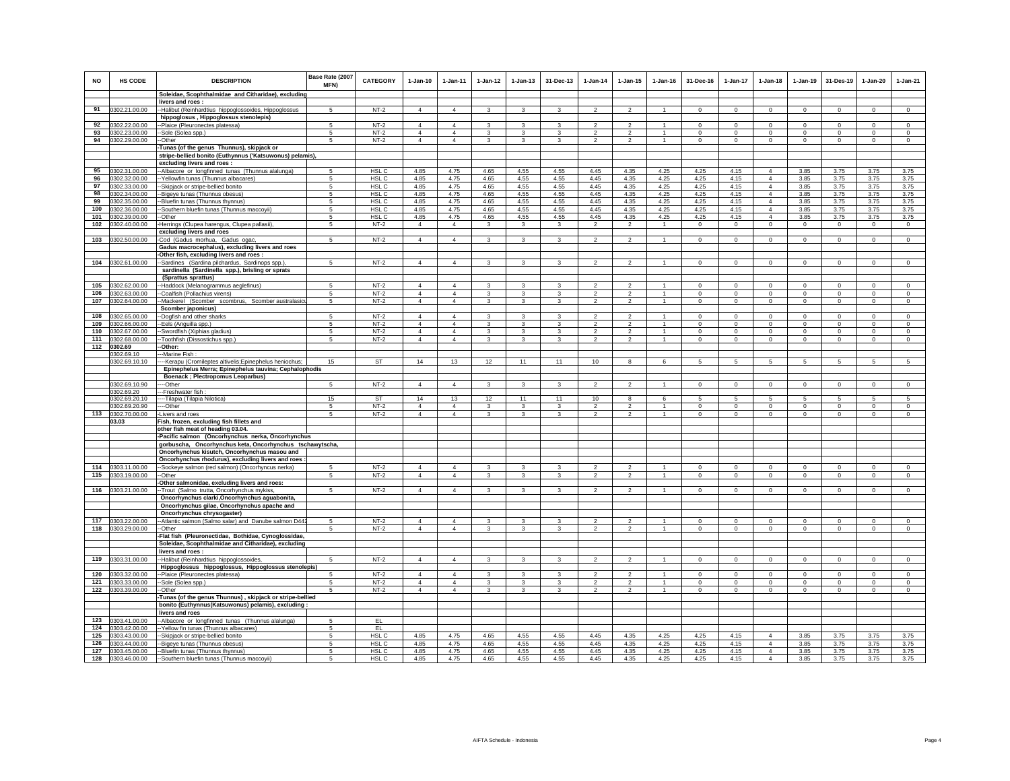| <b>NO</b> | HS CODE                            | <b>DESCRIPTION</b>                                                                                     | Base Rate (2007<br>MFN) | <b>CATEGORY</b>  | $1 - Jan-10$                     | $1-Jan-11$                       | $1-Jan-12$        | $1 - Jan-13$            | 31-Dec-13               | $1 - Jan-14$                     | $1 - Jan-15$                     | $1 - Jan-16$   | 31-Dec-16           | $1-Jan-17$          | $1-Jan-18$                       | $1-Jan-19$              | 31-Des-19                  | 1-Jan-20                | $1-Jan-21$              |
|-----------|------------------------------------|--------------------------------------------------------------------------------------------------------|-------------------------|------------------|----------------------------------|----------------------------------|-------------------|-------------------------|-------------------------|----------------------------------|----------------------------------|----------------|---------------------|---------------------|----------------------------------|-------------------------|----------------------------|-------------------------|-------------------------|
|           |                                    | Soleidae, Scophthalmidae and Citharidae), excluding                                                    |                         |                  |                                  |                                  |                   |                         |                         |                                  |                                  |                |                     |                     |                                  |                         |                            |                         |                         |
|           |                                    | livers and roes:                                                                                       |                         |                  |                                  |                                  |                   |                         |                         |                                  |                                  |                |                     |                     |                                  |                         |                            |                         |                         |
|           | 91 0302.21.00.00                   | --Halibut (Reinhardtius hippoglossoides, Hippoglossus                                                  | 5                       | $NT-2$           | $\overline{4}$                   | $\overline{4}$                   | 3                 |                         | 3                       | $\overline{2}$                   | $\overline{2}$                   |                | $\mathbf 0$         | $\mathbf 0$         | $\mathbf 0$                      | $^{\circ}$              | $\circ$                    | 0                       | $\mathbf 0$             |
|           | 92 0302.22.00.00                   | hippoglosus, Hippoglossus stenolepis)<br>--Plaice (Pleuronectes platessa)                              | -5                      | $NT-2$           | $\overline{4}$                   | $\overline{4}$                   | 3                 | 3                       | $\mathbf{3}$            | $\overline{2}$                   | $\mathcal{P}$                    |                | $\Omega$            | $\mathbf{0}$        | $\Omega$                         | $\Omega$                | $\Omega$                   | $\Omega$                | $^{\circ}$              |
| 93        | 0302.23.00.00                      | --Sole (Solea spp.)                                                                                    | -5                      | $NT-2$           | $\overline{4}$                   | $\Delta$                         | 3                 | 3                       | 3                       | $\overline{2}$                   | $\overline{2}$                   | -1             | $\Omega$            | $\mathbf 0$         | $\Omega$                         | $\Omega$                | $\mathbf 0$                | $\Omega$                | $^{\circ}$              |
| 94        | 0302.29.00.00                      | --Other                                                                                                | 5                       | $NT-2$           | $\overline{4}$                   | 4                                | $\mathbf{3}$      | 3                       | $\mathbf{3}$            | $\overline{2}$                   | $\overline{2}$                   | -1             | $\Omega$            | $\mathbf 0$         | $\circ$                          | $\mathbf 0$             | $\mathbf 0$                | $\Omega$                | $^{\circ}$              |
|           |                                    | Tunas (of the genus Thunnus), skipjack or                                                              |                         |                  |                                  |                                  |                   |                         |                         |                                  |                                  |                |                     |                     |                                  |                         |                            |                         |                         |
|           |                                    | stripe-bellied bonito (Euthynnus ('Katsuwonus) pelamis),                                               |                         |                  |                                  |                                  |                   |                         |                         |                                  |                                  |                |                     |                     |                                  |                         |                            |                         |                         |
|           |                                    | excluding livers and roes :                                                                            |                         |                  |                                  |                                  |                   |                         |                         |                                  |                                  |                |                     |                     |                                  |                         |                            |                         |                         |
| 95        | 0302.31.00.00                      | --Albacore or longfinned tunas (Thunnus alalunga)                                                      | 5                       | HSL C            | 4.85                             | 4.75                             | 4.65              | 4.55                    | 4.55                    | 4.45                             | 4.35                             | 4.25           | 4.25                | 4.15                | $\overline{4}$                   | 3.85                    | 3.75                       | 3.75                    | 3.75                    |
| 96<br>97  | 0302.32.00.00                      | -- Yellowfin tunas (Thunnus albacares)                                                                 | 5<br>5                  | HSL C<br>HSL C   | 4.85<br>4.85                     | 4.75<br>4.75                     | 4.65<br>4.65      | 4.55<br>4.55            | 4.55<br>4.55            | 4.45<br>4.45                     | 4.35<br>4.35                     | 4.25           | 4.25                | 4.15<br>4.15        | $\overline{4}$<br>$\overline{4}$ | 3.85                    | 3.75<br>3.75               | 3.75                    | 3.75<br>3.75            |
| 98        | 0302.33.00.00<br>0302.34.00.00     | -Skipjack or stripe-bellied bonito<br>--Bigeye tunas (Thunnus obesus)                                  | 5                       | HSL C            | 4.85                             | 4.75                             | 4.65              | 4.55                    | 4.55                    | 4.45                             | 4.35                             | 4.25<br>4.25   | 4.25<br>4.25        | 4.15                | $\overline{4}$                   | 3.85<br>3.85            | 3.75                       | 3.75<br>3.75            | 3.75                    |
| 99        | 0302.35.00.00                      | --Bluefin tunas (Thunnus thynnus)                                                                      | 5                       | HSL C            | 4.85                             | 4.75                             | 4.65              | 4.55                    | 4.55                    | 4.45                             | 4.35                             | 4.25           | 4.25                | 4.15                | $\overline{4}$                   | 3.85                    | 3.75                       | 3.75                    | 3.75                    |
| 100       | 0302.36.00.00                      | --Southern bluefin tunas (Thunnus maccoyii)                                                            | 5                       | HSL C            | 4.85                             | 4.75                             | 4.65              | 4.55                    | 4.55                    | 4.45                             | 4.35                             | 4.25           | 4.25                | 4.15                | $\overline{4}$                   | 3.85                    | 3.75                       | 3.75                    | 3.75                    |
| 101       | 0302.39.00.00                      | --Other                                                                                                | 5                       | HSL C            | 4.85                             | 4.75                             | 4.65              | 4.55                    | 4.55                    | 4.45                             | 4.35                             | 4.25           | 4.25                | 4.15                | $\overline{4}$                   | 3.85                    | 3.75                       | 3.75                    | 3.75                    |
| 102       | 0302.40.00.00                      | -Herrings (Clupea harengus, Clupea pallasii),                                                          | 5                       | $NT-2$           | $\overline{4}$                   | $\overline{4}$                   | $\mathbf{3}$      | $\mathbf{3}$            | $\mathbf{3}$            | $\overline{2}$                   | $\overline{2}$                   | $\overline{1}$ | $\mathbf 0$         | $\overline{0}$      | $\circ$                          | $\mathbf 0$             | $\circ$                    | $\circ$                 | $\circ$                 |
|           |                                    | excluding livers and roes                                                                              |                         |                  |                                  |                                  |                   |                         |                         |                                  |                                  |                |                     |                     |                                  |                         |                            |                         |                         |
|           | 103 0302.50.00.00                  | -Cod (Gadus morhua, Gadus ogac,                                                                        | -5                      | $NT-2$           | $\overline{4}$                   | $\overline{4}$                   | $\mathbf{3}$      | $\mathbf{3}$            | $\mathbf{3}$            | $\overline{2}$                   | $\overline{2}$                   | $\overline{1}$ | $^{\circ}$          | $\overline{0}$      | $\circ$                          | $\circ$                 | $\circ$                    | $^{\circ}$              | $\circ$                 |
|           |                                    | Gadus macrocephalus), excluding livers and roes                                                        |                         |                  |                                  |                                  |                   |                         |                         |                                  |                                  |                |                     |                     |                                  |                         |                            |                         |                         |
|           |                                    | -Other fish, excluding livers and roes:                                                                |                         |                  |                                  |                                  |                   |                         |                         |                                  |                                  |                |                     |                     |                                  |                         |                            |                         |                         |
| 104       | 0302.61.00.00                      | --Sardines (Sardina pilchardus, Sardinops spp.)                                                        | 5                       | $NT-2$           | $\overline{4}$                   | $\overline{4}$                   | 3                 | 3                       | 3                       | $\overline{2}$                   | $\overline{2}$                   | $\mathbf{1}$   | $\mathbf 0$         | $\mathbf 0$         | $\circ$                          | $\mathbf 0$             | $^{\circ}$                 | $\mathbf 0$             | $\mathsf 0$             |
|           |                                    | sardinella (Sardinella spp.), brisling or sprats<br>(Sprattus sprattus)                                |                         |                  |                                  |                                  |                   |                         |                         |                                  |                                  |                |                     |                     |                                  |                         |                            |                         |                         |
| 105       | 0302.62.00.00                      | --Haddock (Melanogrammus aeglefinus)                                                                   | 5                       | $NT-2$           | $\overline{4}$                   | $\overline{4}$                   | $\mathbf{3}$      | $\overline{\mathbf{3}}$ | 3                       | $\overline{2}$                   | $\overline{\phantom{a}}$         | $\mathbf{1}$   | $\mathbf 0$         | $\overline{0}$      | $\mathsf 0$                      | $\mathbf 0$             | $\mathbf 0$                | $\mathbf 0$             | $\Omega$                |
| 106       | 0302.63.00.00                      | --Coalfish (Pollachius virens)                                                                         | 5                       | $NT-2$           | $\overline{4}$                   | $\Delta$                         | $\mathbf{3}$      | $\overline{\mathbf{3}}$ | $\mathbf{3}$            | $\overline{2}$                   | $\overline{2}$                   | $\overline{1}$ | $\mathbf{0}$        | $\overline{0}$      | $\circ$                          | $\Omega$                | $\mathbf 0$                | $\Omega$                | $\Omega$                |
| 107       | 0302.64.00.00                      | -Mackerel (Scomber scombrus, Scomber australasic                                                       | 5                       | $NT-2$           | $\overline{4}$                   | $\overline{4}$                   | $\overline{3}$    | $\overline{3}$          | $\overline{\mathbf{3}}$ | $\overline{2}$                   | $\overline{2}$                   | $\overline{1}$ | $\overline{0}$      | $\overline{0}$      | $\circ$                          | $^{\circ}$              | $\overline{0}$             | $\mathbf 0$             | $\overline{0}$          |
|           |                                    | Scomber japonicus)                                                                                     |                         |                  |                                  |                                  |                   |                         |                         |                                  |                                  |                |                     |                     |                                  |                         |                            |                         |                         |
| 108       | 0302.65.00.00                      | --Dogfish and other sharks                                                                             | 5                       | $NT-2$           | $\overline{a}$                   |                                  | 3                 | 3                       | 3                       | $\mathcal{P}$                    | $\mathcal{P}$                    |                | $\Omega$            | $\Omega$            | $\Omega$                         | $\Omega$                | $\Omega$                   | $\Omega$                | $\Omega$                |
| 109       | 0302.66.00.00                      | --Eels (Anguilla spp.)                                                                                 | 5                       | $NT-2$           | $\overline{4}$                   | $\overline{4}$                   | 3                 | 3                       | 3                       | $\overline{2}$                   | $\overline{2}$                   | $\overline{1}$ | $\mathbf 0$         | $\mathbf 0$         | $\mathbf 0$                      | $\mathbf 0$             | $^{\circ}$                 | $\mathbf 0$             | $\mathbf{0}$            |
| 110       | 0302.67.00.00                      | -Swordfish (Xiphias gladius)                                                                           | 5<br>5                  | $NT-2$           | $\overline{4}$<br>$\overline{4}$ | $\overline{4}$<br>$\overline{4}$ | 3                 | 3                       | 3                       | $\overline{2}$                   | $\overline{2}$                   | $\overline{1}$ | $\circ$             | $\mathbf 0$         | $\circ$<br>$\circ$               | $^{\circ}$              | $^{\circ}$<br>$\mathbf{0}$ | $^{\circ}$              | $^{\circ}$              |
|           | 111 0302.68.00.00<br>112 0302.69   | -Toothfish (Dissostichus spp.)<br>-Other:                                                              |                         | $NT-2$           |                                  |                                  | $\mathbf{3}$      | $\mathbf{3}$            | 3                       | $\overline{2}$                   | $\overline{a}$                   |                | $\mathbf 0$         | $\overline{0}$      |                                  | $\,0\,$                 |                            | $\mathbf 0$             | $\mathbf 0$             |
|           | 0302.69.10                         | --Marine Fish                                                                                          |                         |                  |                                  |                                  |                   |                         |                         |                                  |                                  |                |                     |                     |                                  |                         |                            |                         |                         |
|           | 0302.69.10.10                      | -- Kerapu (Cromileptes altivelis; Epinephelus heniochus;                                               | 15                      | ST               | 14                               | 13                               | 12                | 11                      | 11                      | 10                               | 8                                | 6              | 5                   | 5                   | 5                                | 5                       | 5                          | 5                       | 5                       |
|           |                                    | Epinephelus Merra; Epinephelus tauvina; Cephalophodis                                                  |                         |                  |                                  |                                  |                   |                         |                         |                                  |                                  |                |                     |                     |                                  |                         |                            |                         |                         |
|           |                                    | Boenack ; Plectropomus Leoparbus)                                                                      |                         |                  |                                  |                                  |                   |                         |                         |                                  |                                  |                |                     |                     |                                  |                         |                            |                         |                         |
|           | 0302.69.10.90                      | ----Other                                                                                              | $\sqrt{5}$              | $NT-2$           | $\overline{4}$                   | $\overline{4}$                   | $\mathbf{3}$      | $\mathbf{3}$            | $\mathbf{3}$            | $\overline{2}$                   | $\overline{2}$                   | $\overline{1}$ | $\Omega$            | $\circ$             | $\Omega$                         | $\mathbf 0$             | $\mathbf 0$                | $\Omega$                | $\circ$                 |
|           | 0302.69.20<br>0302.69.20.10        | ---Freshwater fish<br>----Tilapia (Tilapia Nilotica)                                                   | 15                      | ST               | 14                               | 13                               | 12                | 11                      | 11                      | 10                               | 8                                | 6              | 5                   | 5                   | 5                                | 5                       | 5                          | 5                       | 5                       |
|           | 0302.69.20.90                      | ----Other                                                                                              | 5                       | $NT-2$           | $\overline{4}$                   | $\overline{4}$                   | $\mathbf{3}$      | 3                       | $\mathbf{3}$            | $\overline{2}$                   | $\overline{2}$                   | $\mathbf{1}$   | $\Omega$            | $\mathbf{0}$        | $^{\circ}$                       | $\mathbf{0}$            | $\mathbf{0}$               | $\Omega$                | $\mathbf{0}$            |
| 113       | 0302.70.00.00                      | -Livers and roes                                                                                       | $\sqrt{5}$              | $NT-2$           | $\overline{4}$                   | $\overline{4}$                   | 3                 | 3                       | $\mathbf{3}$            | $\overline{2}$                   | $\mathfrak{p}$                   | -1             | $\mathbf{0}$        | $\mathbf{0}$        | $\Omega$                         | $\mathbf 0$             | $\mathbf 0$                | $\Omega$                | $\Omega$                |
|           | 03.03                              | Fish, frozen, excluding fish fillets and                                                               |                         |                  |                                  |                                  |                   |                         |                         |                                  |                                  |                |                     |                     |                                  |                         |                            |                         |                         |
|           |                                    | other fish meat of heading 03.04.                                                                      |                         |                  |                                  |                                  |                   |                         |                         |                                  |                                  |                |                     |                     |                                  |                         |                            |                         |                         |
|           |                                    | -Pacific salmon (Oncorhynchus nerka, Oncorhynchus                                                      |                         |                  |                                  |                                  |                   |                         |                         |                                  |                                  |                |                     |                     |                                  |                         |                            |                         |                         |
|           |                                    | gorbuscha, Oncorhynchus keta, Oncorhynchus tschawytscha,                                               |                         |                  |                                  |                                  |                   |                         |                         |                                  |                                  |                |                     |                     |                                  |                         |                            |                         |                         |
|           |                                    | Oncorhynchus kisutch, Oncorhynchus masou and                                                           |                         |                  |                                  |                                  |                   |                         |                         |                                  |                                  |                |                     |                     |                                  |                         |                            |                         |                         |
| 114       | 0303.11.00.00                      | Oncorhynchus rhodurus), excluding livers and roes<br>--Sockeye salmon (red salmon) (Oncorhyncus nerka) | 5                       | $NT-2$           | $\Delta$                         | $\Delta$                         | $\mathbf{3}$      | 3                       | 3                       | $\mathcal{P}$                    | $\mathfrak{p}$                   |                | $\Omega$            | $\Omega$            | $\Omega$                         | $\Omega$                | $\Omega$                   | $\Omega$                | $\circ$                 |
| 115       | 0303.19.00.00                      | --Other                                                                                                | 5                       | $NT-2$           | $\overline{4}$                   | $\overline{4}$                   | $\mathbf{3}$      | 3                       | 3                       | $\mathcal{P}$                    | $\overline{2}$                   | $\mathbf{1}$   | $\mathsf 0$         | $\mathbf 0$         | $\mathsf 0$                      | $\Omega$                | $\mathbf 0$                | $\mathsf 0$             | $\Omega$                |
|           |                                    | -Other salmonidae, excluding livers and roes:                                                          |                         |                  |                                  |                                  |                   |                         |                         |                                  |                                  |                |                     |                     |                                  |                         |                            |                         |                         |
|           | 116 0303.21.00.00                  | --Trout (Salmo trutta, Oncorhynchus mykiss,                                                            | 5                       | $NT-2$           | $\overline{4}$                   | $\overline{4}$                   | 3                 | 3                       | 3                       | $\overline{2}$                   | $\overline{2}$                   |                | $^{\circ}$          | $^{\circ}$          | 0                                | $^{\circ}$              | $^{\circ}$                 | 0                       | $^{\circ}$              |
|           |                                    | Oncorhynchus clarki, Oncorhynchus aguabonita,                                                          |                         |                  |                                  |                                  |                   |                         |                         |                                  |                                  |                |                     |                     |                                  |                         |                            |                         |                         |
|           |                                    | Oncorhynchus gilae, Oncorhynchus apache and                                                            |                         |                  |                                  |                                  |                   |                         |                         |                                  |                                  |                |                     |                     |                                  |                         |                            |                         |                         |
|           |                                    | Oncorhynchus chrysogaster)                                                                             |                         |                  |                                  |                                  |                   |                         |                         |                                  |                                  |                |                     |                     |                                  |                         |                            |                         |                         |
| 117       | 0303.22.00.00<br>118 0303.29.00.00 | -Atlantic salmon (Salmo salar) and Danube salmon D442<br>-Other                                        | 5<br>5                  | $NT-2$<br>$NT-2$ | $\overline{4}$<br>$\overline{4}$ | $\overline{a}$<br>$\overline{4}$ | 3<br>$\mathbf{3}$ | 3<br>3                  | 3<br>$\mathbf{3}$       | $\mathfrak{p}$<br>$\overline{2}$ | $\mathfrak{p}$<br>$\overline{2}$ | $\mathbf{1}$   | $\Omega$<br>$\circ$ | $\Omega$<br>$\circ$ | $\Omega$<br>$\mathbf 0$          | $\Omega$<br>$\mathbb O$ | $\Omega$<br>$\mathbb O$    | $\Omega$<br>$\mathsf 0$ | $\Omega$<br>$\mathbf 0$ |
|           |                                    | -Flat fish (Pleuronectidae, Bothidae, Cynoglossidae,                                                   |                         |                  |                                  |                                  |                   |                         |                         |                                  |                                  |                |                     |                     |                                  |                         |                            |                         |                         |
|           |                                    | Soleidae, Scophthalmidae and Citharidae), excluding                                                    |                         |                  |                                  |                                  |                   |                         |                         |                                  |                                  |                |                     |                     |                                  |                         |                            |                         |                         |
|           |                                    | livers and roes:                                                                                       |                         |                  |                                  |                                  |                   |                         |                         |                                  |                                  |                |                     |                     |                                  |                         |                            |                         |                         |
| 119       | 0303.31.00.00                      | --Halibut (Reinhardtius hippoglossoides,                                                               | $5 -$                   | $NT-2$           | 4                                | $\Delta$                         | $\mathbf{3}$      | $\mathbf{3}$            | $\mathbf{3}$            | $\mathcal{P}$                    | $\overline{2}$                   | $\overline{1}$ | $\circ$             | $\circ$             | $\circ$                          | $\mathbf 0$             | $\mathbf 0$                | $^{\circ}$              | $\mathsf 0$             |
|           |                                    | Hippoglossus hippoglossus, Hippoglossus stenolepis)                                                    |                         |                  |                                  |                                  |                   |                         |                         |                                  |                                  |                |                     |                     |                                  |                         |                            |                         |                         |
| 120       | 0303.32.00.00                      | -- Plaice (Pleuronectes platessa)                                                                      | 5.                      | $NT-2$           | $\overline{4}$                   | $\Delta$                         | $\mathbf{3}$      | 3                       | 3                       | $\mathcal{D}$                    | $\mathfrak{p}$                   |                | $\Omega$            | $\Omega$            | $\Omega$                         | $\Omega$                | $\Omega$                   | $\Omega$                | $\circ$                 |
| 121       | 0303.33.00.00                      | --Sole (Solea spp.)                                                                                    | 5                       | $NT-2$           | $\overline{4}$                   | $\overline{4}$                   | $\mathbf{3}$      | 3                       | 3                       | $\mathfrak{p}$                   | $\mathfrak{p}$                   | $\mathbf{1}$   | $\mathsf 0$         | $\mathbf 0$         | $\mathbf 0$                      | $\Omega$                | $\Omega$                   | $\Omega$                | $\mathsf 0$             |
| 122       | 0303.39.00.00                      | --Other<br>-Tunas (of the genus Thunnus), skipjack or stripe-bellied                                   |                         | $NT-2$           | $\overline{4}$                   | $\overline{4}$                   | 3                 | 3                       | 3                       | $\mathcal{P}$                    | $\mathfrak{p}$                   |                | $\Omega$            | $\Omega$            | $\Omega$                         | $\Omega$                | $\Omega$                   | $\Omega$                | $\Omega$                |
|           |                                    | bonito (Euthynnus(Katsuwonus) pelamis), excluding :                                                    |                         |                  |                                  |                                  |                   |                         |                         |                                  |                                  |                |                     |                     |                                  |                         |                            |                         |                         |
|           |                                    | livers and roes                                                                                        |                         |                  |                                  |                                  |                   |                         |                         |                                  |                                  |                |                     |                     |                                  |                         |                            |                         |                         |
| 123       | 0303.41.00.00                      | -- Albacore or longfinned tunas (Thunnus alalunga)                                                     | 5                       | EL.              |                                  |                                  |                   |                         |                         |                                  |                                  |                |                     |                     |                                  |                         |                            |                         |                         |
| 124       | 0303.42.00.00                      | -Yellow fin tunas (Thunnus albacares)                                                                  | 5                       | EL.              |                                  |                                  |                   |                         |                         |                                  |                                  |                |                     |                     |                                  |                         |                            |                         |                         |
| 125       | 0303.43.00.00                      | -Skipjack or stripe-bellied bonito                                                                     | 5                       | HSL C            | 4.85                             | 4.75                             | 4.65              | 4.55                    | 4.55                    | 4.45                             | 4.35                             | 4.25           | 4.25                | 4.15                | $\overline{4}$                   | 3.85                    | 3.75                       | 3.75                    | 3.75                    |
| 126       | 0303.44.00.00                      | --Bigeye tunas (Thunnus obesus)                                                                        | 5                       | HSL C            | 4.85                             | 4.75                             | 4.65              | 4.55                    | 4.55                    | 4.45                             | 4.35                             | 4.25           | 4.25                | 4.15                | $\overline{4}$                   | 3.85                    | 3.75                       | 3.75                    | 3.75                    |
|           | 127 0303.45.00.00                  | --Bluefin tunas (Thunnus thynnus)                                                                      | 5                       | HSL C            | 4.85                             | 4.75                             | 4.65              | 4.55                    | 4.55                    | 4.45                             | 4.35                             | 4.25           | 4.25                | 4.15                | $\overline{4}$<br>$\Delta$       | 3.85                    | 3.75                       | 3.75                    | 3.75                    |
|           | 128 0303.46.00.00                  | --Southern bluefin tunas (Thunnus maccoyii)                                                            | 5                       | HSL C            | 4.85                             | 4.75                             | 4.65              | 4.55                    | 4.55                    | 4.45                             | 4.35                             | 4.25           | 4.25                | 4.15                |                                  | 3.85                    | 3.75                       | 3.75                    | 3.75                    |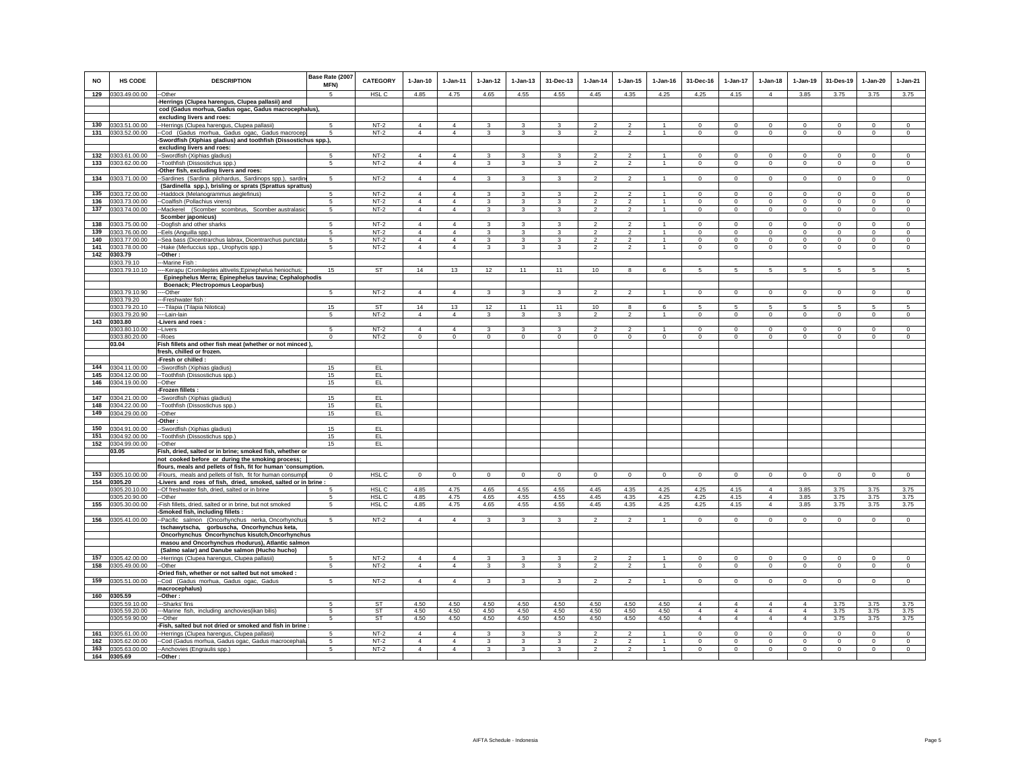| <b>NO</b>  | <b>HS CODE</b>                 | <b>DESCRIPTION</b>                                                                                                 | Base Rate (2007<br>MFN) | <b>CATEGORY</b>     | $1-Jan-10$                       | $1 - Jan-11$                     | $1 - Jan-12$                            | $1 - Jan-13$                     | 31-Dec-13                      | $1 - Jan-14$                     | $1 - Jan-15$                     | $1 - Jan-16$                   | 31-Dec-16                        | $1 - Jan-17$                     | $1-Jan-18$           | $1-Jan-19$                       | 31-Des-19              | $1-Jan-20$             | $1-Jan-21$                  |
|------------|--------------------------------|--------------------------------------------------------------------------------------------------------------------|-------------------------|---------------------|----------------------------------|----------------------------------|-----------------------------------------|----------------------------------|--------------------------------|----------------------------------|----------------------------------|--------------------------------|----------------------------------|----------------------------------|----------------------|----------------------------------|------------------------|------------------------|-----------------------------|
| 129        | 0303.49.00.00                  | --Other                                                                                                            | 5                       | HSL C               | 4.85                             | 4.75                             | 4.65                                    | 4.55                             | 4.55                           | 4.45                             | 4.35                             | 4.25                           | 4.25                             | 4.15                             | $\overline{4}$       | 3.85                             | 3.75                   | 3.75                   | 3.75                        |
|            |                                | Herrings (Clupea harengus, Clupea pallasii) and<br>cod (Gadus morhua, Gadus ogac, Gadus macrocephalus),            |                         |                     |                                  |                                  |                                         |                                  |                                |                                  |                                  |                                |                                  |                                  |                      |                                  |                        |                        |                             |
|            |                                | excluding livers and roes:                                                                                         |                         |                     |                                  |                                  |                                         |                                  |                                |                                  |                                  |                                |                                  |                                  |                      |                                  |                        |                        |                             |
| 130        | 0303.51.00.00                  | -Herrings (Clupea harengus, Clupea pallasii)                                                                       | 5                       | $NT-2$              | $\overline{4}$                   | $\overline{4}$                   | 3                                       | 3                                | 3                              | $\overline{2}$                   | $\overline{2}$                   |                                | $\mathbf 0$                      | $\mathbf 0$                      | $\mathbf 0$          | $\mathbf 0$                      | $^{\circ}$             | $\mathbf 0$            | $\mathbf 0$                 |
|            | 131 0303.52.00.00              | -Cod (Gadus morhua, Gadus ogac, Gadus macrocep                                                                     | 5                       | $NT-2$              | $\overline{4}$                   | $\overline{4}$                   | $\mathbf{3}$                            | 3                                | 3                              | $\overline{2}$                   | $\overline{2}$                   | $\overline{1}$                 | $\overline{0}$                   | $\mathbf{0}$                     | $\circ$              | $\mathbf 0$                      | $\mathbf{0}$           | $\mathbf{0}$           | $\circ$                     |
|            |                                | Swordfish (Xiphias gladius) and toothfish (Dissostichus spp.),                                                     |                         |                     |                                  |                                  |                                         |                                  |                                |                                  |                                  |                                |                                  |                                  |                      |                                  |                        |                        |                             |
| 132        | 0303.61.00.00                  | excluding livers and roes:<br>-Swordfish (Xiphias gladius)                                                         | 5                       | $NT-2$              | $\overline{4}$                   | 4                                | 3                                       | 3                                | 3                              | $\mathfrak{p}$                   | $\overline{2}$                   |                                | $\Omega$                         | $\Omega$                         | $\Omega$             | $\Omega$                         | $\Omega$               | $\Omega$               | $\mathbf 0$                 |
| 133        | 0303.62.00.00                  | -Toothfish (Dissostichus spp.)                                                                                     | 5                       | $NT-2$              | $\overline{4}$                   | $\overline{4}$                   | $\mathbf{3}$                            | 3                                | 3                              | $\overline{2}$                   | $\overline{a}$                   | $\mathbf{1}$                   | $\circ$                          | $\circ$                          | $\mathbf 0$          | $\mathbf 0$                      | $\circ$                | $\mathbf 0$            | $\mathsf 0$                 |
|            |                                | Other fish, excluding livers and roes:                                                                             |                         |                     |                                  |                                  |                                         |                                  |                                |                                  |                                  |                                |                                  |                                  |                      |                                  |                        |                        |                             |
| 134        | 0303.71.00.00                  | -Sardines (Sardina pilchardus, Sardinops spp.), sardin                                                             | 5                       | $NT-2$              | $\overline{4}$                   | $\overline{4}$                   | $\mathbf{3}$                            | 3                                | 3                              | $\overline{2}$                   | $\overline{2}$                   | $\mathbf{1}$                   | $\mathsf 0$                      | $\mathsf 0$                      | $\mathbf 0$          | $\mathbf 0$                      | $\mathbf 0$            | $\mathsf 0$            | $\mathsf 0$                 |
|            |                                | (Sardinella spp.), brisling or sprats (Sprattus sprattus)                                                          |                         |                     |                                  |                                  |                                         |                                  |                                |                                  |                                  |                                |                                  |                                  |                      |                                  |                        |                        |                             |
| 135        | 0303.72.00.00                  | --Haddock (Melanogrammus aeglefinus)                                                                               | 5                       | $NT-2$              | $\overline{4}$                   | $\overline{4}$                   | $\mathbf{3}$                            | 3                                | 3                              | $\overline{2}$                   | $\mathfrak{D}$                   | $\overline{1}$                 | $\mathbf{0}$                     | $\mathbf 0$                      | $\mathbf{0}$         | $\mathbf 0$                      | $\mathbf 0$            | $\mathbf{0}$           | $\Omega$                    |
| 136<br>137 | 0303.73.00.00<br>0303.74.00.00 | -Coalfish (Pollachius virens)                                                                                      | 5<br>5                  | $NT-2$<br>$NT-2$    | $\Delta$<br>$\overline{4}$       | $\Delta$<br>$\overline{4}$       | $\mathbf{3}$<br>$\overline{\mathbf{3}}$ | $\overline{3}$<br>$\overline{3}$ | $\mathbf{3}$<br>$\overline{3}$ | $\mathcal{P}$<br>$\overline{2}$  | $\mathfrak{p}$<br>$\overline{2}$ | $\mathbf{1}$<br>$\overline{1}$ | $\Omega$<br>$\mathbf 0$          | $\mathbf 0$<br>$\overline{0}$    | $\Omega$<br>$\circ$  | $\Omega$                         | $\Omega$<br>$\circ$    | $\Omega$<br>$\circ$    | $\Omega$<br>$\circ$         |
|            |                                | -Mackerel (Scomber scombrus, Scomber australasic<br>Scomber japonicus)                                             |                         |                     |                                  |                                  |                                         |                                  |                                |                                  |                                  |                                |                                  |                                  |                      | $\mathbf 0$                      |                        |                        |                             |
| 138        | 0303.75.00.00                  | -Dogfish and other sharks                                                                                          | 5                       | $NT-2$              | 4                                | 4                                | 3                                       | 3                                | 3                              | $\mathcal{P}$                    | $\mathfrak{p}$                   |                                | $\Omega$                         | $\Omega$                         | $\Omega$             | $\Omega$                         | $\Omega$               | $\Omega$               | $\Omega$                    |
| 139        | 0303.76.00.00                  | --Eels (Anguilla spp.)                                                                                             | 5                       | $NT-2$              | $\overline{4}$                   | $\overline{4}$                   | 3                                       | 3                                | 3                              | $\overline{2}$                   | $\overline{2}$                   |                                | $\mathbf 0$                      | $\mathbf 0$                      | $\mathbf 0$          | $^{\circ}$                       | $^{\circ}$             | $\mathbf 0$            | $\mathbf 0$                 |
| 140        | 0303.77.00.00                  | -Sea bass (Dicentrarchus labrax, Dicentrarchus punctatu                                                            | 5                       | $NT-2$              | $\overline{4}$                   | $\overline{4}$                   | 3                                       | 3                                | 3                              | $\overline{2}$                   | $\overline{2}$                   |                                | $\mathbf 0$                      | $\mathbf 0$                      | $\circ$              | $\mathbf 0$                      | $\circ$                | $\mathbf 0$            | $\circ$                     |
|            | 141 0303.78.00.00              | -Hake (Merluccius spp., Urophycis spp.)                                                                            | 5                       | $NT-2$              | $\overline{4}$                   | $\overline{4}$                   | $\mathbf{3}$                            | $\mathbf{3}$                     | $\mathbf{3}$                   | $\overline{2}$                   | $\overline{a}$                   | $\overline{1}$                 | $\overline{0}$                   | $\mathsf 0$                      | $\mathbf{0}$         | $\circ$                          | $\circ$                | $\mathbf 0$            | $\mathbf 0$                 |
|            | 142 0303.79                    | -Other :                                                                                                           |                         |                     |                                  |                                  |                                         |                                  |                                |                                  |                                  |                                |                                  |                                  |                      |                                  |                        |                        |                             |
|            | 0303.79.10<br>0303.79.10.10    | Marine Fish<br>-Kerapu (Cromileptes altivelis; Epinephelus heniochus;                                              | 15                      | <b>ST</b>           | 14                               | 13                               | 12                                      | 11                               | 11                             | 10                               | 8                                | 6                              | 5                                | 5                                | 5                    | 5                                | 5                      | 5                      | 5                           |
|            |                                | Epinephelus Merra; Epinephelus tauvina; Cephalophodis                                                              |                         |                     |                                  |                                  |                                         |                                  |                                |                                  |                                  |                                |                                  |                                  |                      |                                  |                        |                        |                             |
|            |                                | Boenack: Plectropomus Leoparbus)                                                                                   |                         |                     |                                  |                                  |                                         |                                  |                                |                                  |                                  |                                |                                  |                                  |                      |                                  |                        |                        |                             |
|            | 0303.79.10.90                  | ---Other                                                                                                           | 5                       | $NT-2$              | $\overline{4}$                   | $\overline{4}$                   | 3                                       | 3                                | 3                              | $\overline{2}$                   | $\overline{2}$                   | $\mathbf{1}$                   | $\Omega$                         | $\overline{0}$                   | $\Omega$             | $\overline{0}$                   | $\overline{0}$         | $\Omega$               | $\overline{0}$              |
|            | 0303.79.20                     | --Freshwater fish:                                                                                                 |                         |                     |                                  |                                  |                                         |                                  |                                |                                  |                                  |                                |                                  |                                  |                      |                                  |                        |                        |                             |
|            | 0303.79.20.10<br>0303.79.20.90 | ---Tilapia (Tilapia Nilotica)<br>---Lain-lain                                                                      | 15<br>-5                | <b>ST</b><br>$NT-2$ | 14<br>$\Delta$                   | 13<br>$\overline{4}$             | 12                                      | 11<br>3                          | 11<br>$\mathbf{3}$             | 10<br>$\overline{c}$             | 8<br>$\overline{2}$              | 6<br>$\overline{1}$            | 5<br>$\Omega$                    | 5<br>$\mathbf 0$                 | 5<br>$\Omega$        | 5<br>$\,0\,$                     | 5<br>$\mathbf 0$       | 5<br>$\Omega$          | 5<br>$\mathbf 0$            |
|            | 143 0303.80                    | Livers and roes:                                                                                                   |                         |                     |                                  |                                  | $\mathbf{3}$                            |                                  |                                |                                  |                                  |                                |                                  |                                  |                      |                                  |                        |                        |                             |
|            | 0303.80.10.00                  | -Livers                                                                                                            | 5                       | $NT-2$              | $\overline{4}$                   | 4                                | 3                                       | 3                                | 3                              | $\overline{2}$                   | $\overline{2}$                   |                                | $\mathbf 0$                      | $\mathbf 0$                      | $\mathbf 0$          | $\mathbf 0$                      | $\mathbf 0$            | $\mathbf 0$            | $\mathsf 0$                 |
|            | 0303.80.20.00                  | -Roes                                                                                                              | $\mathbf 0$             | $NT-2$              | $\circ$                          | $\mathbf 0$                      | $\circ$                                 | $\mathbf 0$                      | $\mathbf 0$                    | $\mathbf 0$                      | $\mathbf 0$                      | $\mathbf 0$                    | $\mathbf 0$                      | $\circ$                          | $\mathbf 0$          | $\mathbf 0$                      | $\circ$                | $^{\circ}$             | $\mathbf 0$                 |
|            | 03.04                          | Fish fillets and other fish meat (whether or not minced)                                                           |                         |                     |                                  |                                  |                                         |                                  |                                |                                  |                                  |                                |                                  |                                  |                      |                                  |                        |                        |                             |
|            |                                | fresh, chilled or frozen.<br>-Fresh or chilled :                                                                   |                         |                     |                                  |                                  |                                         |                                  |                                |                                  |                                  |                                |                                  |                                  |                      |                                  |                        |                        |                             |
| 144        | 0304.11.00.00                  | -Swordfish (Xiphias gladius)                                                                                       | 15                      | EL.                 |                                  |                                  |                                         |                                  |                                |                                  |                                  |                                |                                  |                                  |                      |                                  |                        |                        |                             |
| 145        | 0304.12.00.00                  | -- Toothfish (Dissostichus spp.)                                                                                   | 15                      | EL.                 |                                  |                                  |                                         |                                  |                                |                                  |                                  |                                |                                  |                                  |                      |                                  |                        |                        |                             |
| 146        | 0304.19.00.00                  | --Other                                                                                                            | 15                      | EL.                 |                                  |                                  |                                         |                                  |                                |                                  |                                  |                                |                                  |                                  |                      |                                  |                        |                        |                             |
|            |                                | -Frozen fillets :                                                                                                  |                         |                     |                                  |                                  |                                         |                                  |                                |                                  |                                  |                                |                                  |                                  |                      |                                  |                        |                        |                             |
| 147        | 0304.21.00.00                  | -Swordfish (Xiphias gladius)                                                                                       | 15                      | EL.                 |                                  |                                  |                                         |                                  |                                |                                  |                                  |                                |                                  |                                  |                      |                                  |                        |                        |                             |
| 148<br>149 | 0304.22.00.00<br>0304.29.00.00 | -Toothfish (Dissostichus spp.)<br>-Other                                                                           | 15<br>15                | EL.<br>EL           |                                  |                                  |                                         |                                  |                                |                                  |                                  |                                |                                  |                                  |                      |                                  |                        |                        |                             |
|            |                                | Other:                                                                                                             |                         |                     |                                  |                                  |                                         |                                  |                                |                                  |                                  |                                |                                  |                                  |                      |                                  |                        |                        |                             |
| 150        | 0304.91.00.00                  | -Swordfish (Xiphias gladius)                                                                                       | 15                      | EL.                 |                                  |                                  |                                         |                                  |                                |                                  |                                  |                                |                                  |                                  |                      |                                  |                        |                        |                             |
| 151        | 0304.92.00.00                  | -Toothfish (Dissostichus spp.)                                                                                     | 15                      | EL                  |                                  |                                  |                                         |                                  |                                |                                  |                                  |                                |                                  |                                  |                      |                                  |                        |                        |                             |
|            | 152 0304.99.00.00              | -Other                                                                                                             | 15                      | EL                  |                                  |                                  |                                         |                                  |                                |                                  |                                  |                                |                                  |                                  |                      |                                  |                        |                        |                             |
|            | 03.05                          | Fish, dried, salted or in brine; smoked fish, whether or                                                           |                         |                     |                                  |                                  |                                         |                                  |                                |                                  |                                  |                                |                                  |                                  |                      |                                  |                        |                        |                             |
|            |                                | not cooked before or during the smoking process;<br>flours, meals and pellets of fish, fit for human 'consumption. |                         |                     |                                  |                                  |                                         |                                  |                                |                                  |                                  |                                |                                  |                                  |                      |                                  |                        |                        |                             |
| 153        | 0305.10.00.00                  | -Flours, meals and pellets of fish, fit for human consumpt                                                         | $\Omega$                | HSL C               | $\Omega$                         | $\mathbf 0$                      | $\Omega$                                | $\mathbf{0}$                     | $\mathbf{0}$                   | $\Omega$                         | $\mathbf{0}$                     | $\mathbf 0$                    | $\mathbf{0}$                     | $\Omega$                         | $\mathbf 0$          | $\mathbf 0$                      | $\Omega$               | $\Omega$               | $\circ$                     |
| 154        | 0305.20                        | -Livers and roes of fish, dried, smoked, salted or in brine :                                                      |                         |                     |                                  |                                  |                                         |                                  |                                |                                  |                                  |                                |                                  |                                  |                      |                                  |                        |                        |                             |
|            | 0305.20.10.00                  | --Of freshwater fish, dried, salted or in brine                                                                    | 5                       | HSL C               | 4.85                             | 4.75                             | 4.65                                    | 4.55                             | 4.55                           | 4.45                             | 4.35                             | 4.25                           | 4.25                             | 4.15                             | $\overline{4}$       | 3.85                             | 3.75                   | 3.75                   | 3.75                        |
|            | 0305.20.90.00                  | -Other                                                                                                             | 5                       | HSL C               | 4.85                             | 4.75                             | 4.65                                    | 4.55                             | 4.55                           | 4.45                             | 4.35                             | 4.25                           | 4.25                             | 4.15                             | $\overline{4}$       | 3.85                             | 3.75                   | 3.75                   | 3.75                        |
| 155        | 0305.30.00.00                  | -Fish fillets, dried, salted or in brine, but not smoked<br>Smoked fish, including fillets :                       | 5                       | HSL C               | 4.85                             | 4.75                             | 4.65                                    | 4.55                             | 4.55                           | 4.45                             | 4.35                             | 4.25                           | 4.25                             | 4.15                             | $\overline{4}$       | 3.85                             | 3.75                   | 3.75                   | 3.75                        |
| 156        | 0305.41.00.00                  | -Pacific salmon (Oncorhynchus nerka, Oncorhynchus                                                                  | 5                       | $NT-2$              | $\overline{4}$                   | $\Delta$                         | 3                                       | $\mathbf{3}$                     | $\mathbf{3}$                   | $\mathcal{P}$                    | $\mathcal{P}$                    | $\mathbf{1}$                   | $\Omega$                         | $\circ$                          | $\mathbf 0$          | $\mathbf 0$                      | $\mathbf 0$            | $\Omega$               | $\mathbf{0}$                |
|            |                                | tschawytscha, gorbuscha, Oncorhynchus keta,                                                                        |                         |                     |                                  |                                  |                                         |                                  |                                |                                  |                                  |                                |                                  |                                  |                      |                                  |                        |                        |                             |
|            |                                | Oncorhynchus Oncorhynchus kisutch, Oncorhynchus                                                                    |                         |                     |                                  |                                  |                                         |                                  |                                |                                  |                                  |                                |                                  |                                  |                      |                                  |                        |                        |                             |
|            |                                | masou and Oncorhynchus rhodurus), Atlantic salmon                                                                  |                         |                     |                                  |                                  |                                         |                                  |                                |                                  |                                  |                                |                                  |                                  |                      |                                  |                        |                        |                             |
|            |                                | (Salmo salar) and Danube salmon (Hucho hucho)                                                                      |                         |                     |                                  |                                  |                                         |                                  |                                |                                  |                                  |                                |                                  |                                  |                      |                                  |                        |                        |                             |
| 157<br>158 | 0305.42.00.00<br>0305.49.00.00 | -Herrings (Clupea harengus, Clupea pallasii<br>--Other                                                             | -5<br>5                 | $NT-2$<br>$NT-2$    | $\overline{4}$<br>$\overline{4}$ | $\overline{4}$<br>$\overline{4}$ | 3<br>$\overline{3}$                     | 3<br>$\overline{3}$              | 3<br>$\mathbf{3}$              | $\overline{2}$<br>$\mathfrak{p}$ | $\overline{2}$<br>$\mathfrak{p}$ | $\overline{1}$                 | $\mathbf 0$<br>$\circ$           | $\mathbf 0$<br>$\mathsf{O}$      | $\Omega$<br>$\Omega$ | $^{\circ}$<br>$\Omega$           | $^{\circ}$<br>$\Omega$ | $^{\circ}$<br>$\Omega$ | $\mathbf 0$<br>$\mathbf{0}$ |
|            |                                | -Dried fish, whether or not salted but not smoked :                                                                |                         |                     |                                  |                                  |                                         |                                  |                                |                                  |                                  |                                |                                  |                                  |                      |                                  |                        |                        |                             |
| 159        | 0305.51.00.00                  | -Cod (Gadus morhua, Gadus ogac, Gadus                                                                              | 5                       | $NT-2$              | $\overline{4}$                   | $\overline{4}$                   | $\mathbf{3}$                            | 3                                | 3                              | $\overline{2}$                   | $\overline{2}$                   | $\overline{1}$                 | $\mathbf 0$                      | $\mathbf 0$                      | $\mathbf 0$          | $\mathbf 0$                      | $\mathbf 0$            | $\mathsf 0$            | $\mathsf 0$                 |
|            |                                | macrocephalus)                                                                                                     |                         |                     |                                  |                                  |                                         |                                  |                                |                                  |                                  |                                |                                  |                                  |                      |                                  |                        |                        |                             |
|            | 160 0305.59                    | -Other :                                                                                                           |                         |                     |                                  |                                  |                                         |                                  |                                |                                  |                                  |                                |                                  |                                  |                      |                                  |                        |                        |                             |
|            | 0305.59.10.00                  | ---Sharks' fins                                                                                                    | -5                      | <b>ST</b>           | 4.50                             | 4.50                             | 4.50                                    | 4.50                             | 4.50                           | 4.50                             | 4.50                             | 4.50                           | $\overline{4}$                   | 4                                | $\overline{4}$       | $\overline{4}$                   | 3.75                   | 3.75                   | 3.75                        |
|            | 0305.59.20.00<br>0305.59.90.00 | -- Marine fish, including anchovies (ikan bilis)<br>--Other                                                        | -5                      | ST<br>ST            | 4.50<br>4.50                     | 4.50<br>4.50                     | 4.50<br>4.50                            | 4.50<br>4.50                     | 4.50<br>4.50                   | 4.50<br>4.50                     | 4.50<br>4.50                     | 4.50<br>4.50                   | $\overline{4}$<br>$\overline{4}$ | $\overline{4}$<br>$\overline{4}$ | $\overline{4}$<br>4  | $\overline{4}$<br>$\overline{4}$ | 3.75<br>3.75           | 3.75<br>3.75           | 3.75<br>3.75                |
|            |                                | -Fish, salted but not dried or smoked and fish in brine :                                                          |                         |                     |                                  |                                  |                                         |                                  |                                |                                  |                                  |                                |                                  |                                  |                      |                                  |                        |                        |                             |
| 161        | 0305.61.00.00                  | -Herrings (Clupea harengus, Clupea pallasii)                                                                       | 5                       | $NT-2$              | $\overline{4}$                   | $\overline{4}$                   | $\overline{\mathbf{3}}$                 | 3                                | 3                              | $\overline{2}$                   | $\overline{2}$                   | $\mathbf{1}$                   | $\mathbf 0$                      | $\mathbf 0$                      | $\mathbf 0$          | $\mathbf 0$                      | $\mathbf 0$            | $\mathbf 0$            | $\mathbf 0$                 |
| 162        | 0305.62.00.00                  | -Cod (Gadus morhua, Gadus ogac, Gadus macrocephalu                                                                 | 5                       | $NT-2$              | $\Delta$                         | $\Delta$                         | $\mathbf{3}$                            | 3                                | 3                              | $\overline{2}$                   | $\overline{2}$                   | $\mathbf{1}$                   | $\mathbf 0$                      | $\mathbf 0$                      | $\Omega$             | $\Omega$                         | $\circ$                | $\mathbf 0$            | $\mathsf 0$                 |
| 163        | 0305.63.00.00                  | -Anchovies (Engraulis spp.)                                                                                        | 5                       | $NT-2$              | $\overline{4}$                   | $\Delta$                         | $\mathbf{3}$                            | $\mathbf{3}$                     | $\mathbf{R}$                   | $\mathfrak{p}$                   | $\mathfrak{p}$                   | $\mathbf{1}$                   | $\Omega$                         | $\mathbf{0}$                     | $\mathbf{0}$         | $\Omega$                         | $\mathbf{0}$           | $\Omega$               | $\mathbf{0}$                |
| 164        | 0305.69                        | --Other:                                                                                                           |                         |                     |                                  |                                  |                                         |                                  |                                |                                  |                                  |                                |                                  |                                  |                      |                                  |                        |                        |                             |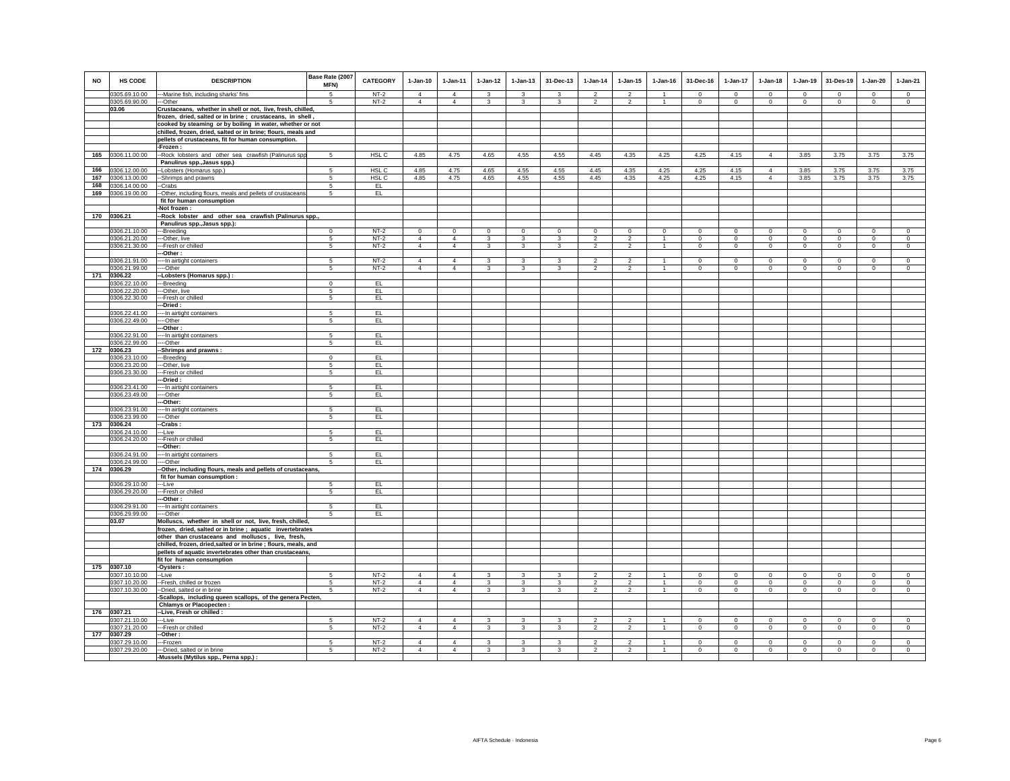| <b>NO</b> | HS CODE                        | <b>DESCRIPTION</b>                                                                                                       | Base Rate (2007<br>MFN) | <b>CATEGORY</b>  | $1-Jan-10$                       | $1-Jan-11$                       | $1-Jan-12$                     | $1-Jan-13$         | 31-Dec-13      | $1-Jan-14$                       | $1-Jan-15$                       | $1 - Jan-16$       | 31-Dec-16               | $1-Jan-17$              | $1-Jan-18$              | $1-Jan-19$              | 31-Des-19               | $1-Jan-20$                 | $1-Jan-21$              |
|-----------|--------------------------------|--------------------------------------------------------------------------------------------------------------------------|-------------------------|------------------|----------------------------------|----------------------------------|--------------------------------|--------------------|----------------|----------------------------------|----------------------------------|--------------------|-------------------------|-------------------------|-------------------------|-------------------------|-------------------------|----------------------------|-------------------------|
|           | 0305.69.10.00                  | ---Marine fish, including sharks' fins                                                                                   | 5                       | $NT-2$           | $\Delta$                         | $\Delta$                         | $\mathbf{\hat{z}}$             | $\mathbf{\hat{z}}$ | $\mathbf{R}$   | $\mathfrak{p}$                   | $\mathfrak{D}$                   |                    | $\Omega$                | $\Omega$                | $\Omega$                | $\Omega$                | $\Omega$                | $\Omega$                   | $\circ$                 |
|           | 0305.69.90.00                  | --Other                                                                                                                  | 5                       | $NT-2$           | $\overline{4}$                   | $\overline{4}$                   | 3                              | 3                  | 3              | $\overline{2}$                   | $\overline{2}$                   | $\mathbf{1}$       | $\circ$                 | $\mathbf 0$             | $\circ$                 | $\mathbf 0$             | $\circ$                 | $\mathbf 0$                | $\mathbf 0$             |
|           | 03.06                          | Crustaceans, whether in shell or not, live, fresh, chilled,<br>frozen, dried, salted or in brine; crustaceans, in shell, |                         |                  |                                  |                                  |                                |                    |                |                                  |                                  |                    |                         |                         |                         |                         |                         |                            |                         |
|           |                                | cooked by steaming or by boiling in water, whether or not                                                                |                         |                  |                                  |                                  |                                |                    |                |                                  |                                  |                    |                         |                         |                         |                         |                         |                            |                         |
|           |                                | chilled, frozen, dried, salted or in brine; flours, meals and                                                            |                         |                  |                                  |                                  |                                |                    |                |                                  |                                  |                    |                         |                         |                         |                         |                         |                            |                         |
|           |                                | pellets of crustaceans, fit for human consumption.                                                                       |                         |                  |                                  |                                  |                                |                    |                |                                  |                                  |                    |                         |                         |                         |                         |                         |                            |                         |
|           |                                | -Frozen:                                                                                                                 |                         |                  |                                  |                                  |                                |                    |                |                                  |                                  |                    |                         |                         |                         |                         |                         |                            |                         |
| 165       | 0306.11.00.00                  | -Rock lobsters and other sea crawfish (Palinurus spp                                                                     | $5\phantom{.0}$         | HSL <sub>C</sub> | 4.85                             | 4.75                             | 4.65                           | 4.55               | 4.55           | 4.45                             | 4.35                             | 4.25               | 4.25                    | 4.15                    | $\overline{4}$          | 3.85                    | 3.75                    | 3.75                       | 3.75                    |
| 166       | 0306.12.00.00                  | Panulirus spp., Jasus spp.)                                                                                              | 5                       | HSL C            | 4.85                             | 4.75                             | 4.65                           | 4.55               | 4.55           | 4.45                             | 4.35                             | 4.25               | 4.25                    | 4.15                    | $\overline{4}$          | 3.85                    | 3.75                    | 3.75                       | 3.75                    |
| 167       | 0306.13.00.00                  | -Lobsters (Homarus spp.)<br>--Shrimps and prawns                                                                         | 5                       | HSL C            | 4.85                             | 4.75                             | 4.65                           | 4.55               | 4.55           | 4.45                             | 4.35                             | 4.25               | 4.25                    | 4.15                    | $\overline{4}$          | 3.85                    | 3.75                    | 3.75                       | 3.75                    |
| 168       | 0306.14.00.00                  | --Crabs                                                                                                                  | 5                       | EL               |                                  |                                  |                                |                    |                |                                  |                                  |                    |                         |                         |                         |                         |                         |                            |                         |
| 169       | 0306.19.00.00                  | -Other, including flours, meals and pellets of crustaceans                                                               | 5                       | EL.              |                                  |                                  |                                |                    |                |                                  |                                  |                    |                         |                         |                         |                         |                         |                            |                         |
|           |                                | fit for human consumption                                                                                                |                         |                  |                                  |                                  |                                |                    |                |                                  |                                  |                    |                         |                         |                         |                         |                         |                            |                         |
|           | 170 0306.21                    | -Not frozen :                                                                                                            |                         |                  |                                  |                                  |                                |                    |                |                                  |                                  |                    |                         |                         |                         |                         |                         |                            |                         |
|           |                                | -Rock lobster and other sea crawfish (Palinurus spp.,<br>Panulirus spp., Jasus spp.):                                    |                         |                  |                                  |                                  |                                |                    |                |                                  |                                  |                    |                         |                         |                         |                         |                         |                            |                         |
|           | 0306.21.10.00                  | --Breeding                                                                                                               | $\mathbf{0}$            | $NT-2$           | $\Omega$                         | $^{\circ}$                       | $\circ$                        | $\mathbf{0}$       | $\mathbf{0}$   | $^{\circ}$                       | $^{\circ}$                       | $^{\circ}$         | $\Omega$                | $\Omega$                | $\Omega$                | $\mathbf 0$             | $\circ$                 | $\Omega$                   | $\circ$                 |
|           | 0306.21.20.00                  | -Other, live                                                                                                             | 5                       | $NT-2$           | $\overline{4}$                   | $\overline{4}$                   | 3                              | 3                  | $\mathbf{3}$   | $\mathfrak{p}$                   | $\overline{2}$                   | $\mathbf{1}$       | $\circ$                 | $\mathbf{0}$            | $\circ$                 | $\mathbf 0$             | $\circ$                 | $\mathbf{0}$               | $\circ$                 |
|           | 0306.21.30.00                  | --Fresh or chilled                                                                                                       | 5                       | $NT-2$           | $\overline{4}$                   | $\overline{4}$                   | 3                              | 3                  | 3              | $\overline{2}$                   | $\overline{2}$                   |                    | $\circ$                 | 0                       | $\mathbf 0$             | $\mathbf 0$             | $\mathbf 0$             | $\mathbf 0$                | $\circ$                 |
|           | 0306.21.91.00                  | --Other :<br>--- In airtight containers                                                                                  | -5                      | $NT-2$           | $\overline{4}$                   | $\overline{4}$                   | $\overline{\mathbf{3}}$        | 3                  | 3              | っ                                | $\overline{2}$                   | $\mathbf{1}$       | $\Omega$                | $\Omega$                | $\Omega$                | $\Omega$                | $\overline{0}$          | $\Omega$                   | $\overline{0}$          |
|           | 0306.21.99.00                  | $-Other$                                                                                                                 | 5                       | $NT-2$           | $\overline{4}$                   | $\overline{4}$                   | 3                              | 3                  | 3              | $\mathfrak{p}$                   | $\overline{a}$                   | $\mathbf{1}$       | $\mathsf 0$             | $\mathbf 0$             | $\mathbf 0$             | $\mathbf 0$             | $\mathbf 0$             | $\mathsf 0$                | $\mathsf 0$             |
| 171       | 0306.22                        | -Lobsters (Homarus spp.) :                                                                                               |                         |                  |                                  |                                  |                                |                    |                |                                  |                                  |                    |                         |                         |                         |                         |                         |                            |                         |
|           | 0306.22.10.00                  | --Breeding                                                                                                               | $\Omega$                | EL.              |                                  |                                  |                                |                    |                |                                  |                                  |                    |                         |                         |                         |                         |                         |                            |                         |
|           | 0306.22.20.00<br>0306.22.30.00 | --Other, live<br>-Fresh or chilled                                                                                       | -5<br>5                 | EL<br>EL         |                                  |                                  |                                |                    |                |                                  |                                  |                    |                         |                         |                         |                         |                         |                            |                         |
|           |                                | -Dried :                                                                                                                 |                         |                  |                                  |                                  |                                |                    |                |                                  |                                  |                    |                         |                         |                         |                         |                         |                            |                         |
|           | 0306.22.41.00                  | -- In airtight containers                                                                                                | 5                       | EL.              |                                  |                                  |                                |                    |                |                                  |                                  |                    |                         |                         |                         |                         |                         |                            |                         |
|           | 0306.22.49.00                  | --Other                                                                                                                  | $\sqrt{5}$              | EL.              |                                  |                                  |                                |                    |                |                                  |                                  |                    |                         |                         |                         |                         |                         |                            |                         |
|           |                                | -Other                                                                                                                   | 5                       |                  |                                  |                                  |                                |                    |                |                                  |                                  |                    |                         |                         |                         |                         |                         |                            |                         |
|           | 0306.22.91.00<br>0306.22.99.00 | -- In airtight containers<br>--Other                                                                                     | 5                       | EL.<br>EL.       |                                  |                                  |                                |                    |                |                                  |                                  |                    |                         |                         |                         |                         |                         |                            |                         |
| 172       | 0306.23                        | -Shrimps and prawns:                                                                                                     |                         |                  |                                  |                                  |                                |                    |                |                                  |                                  |                    |                         |                         |                         |                         |                         |                            |                         |
|           | 0306.23.10.00                  | -Breeding                                                                                                                | $\mathbf{0}$            | EL               |                                  |                                  |                                |                    |                |                                  |                                  |                    |                         |                         |                         |                         |                         |                            |                         |
|           | 0306.23.20.00                  | -Other, live                                                                                                             | 5<br>5                  | EL.<br>EL        |                                  |                                  |                                |                    |                |                                  |                                  |                    |                         |                         |                         |                         |                         |                            |                         |
|           | 0306.23.30.00                  | --Fresh or chilled<br>-Dried :                                                                                           |                         |                  |                                  |                                  |                                |                    |                |                                  |                                  |                    |                         |                         |                         |                         |                         |                            |                         |
|           | 0306.23.41.00                  | -- In airtight containers                                                                                                | 5                       | EL.              |                                  |                                  |                                |                    |                |                                  |                                  |                    |                         |                         |                         |                         |                         |                            |                         |
|           | 0306.23.49.00                  | --Other                                                                                                                  | 5                       | EL.              |                                  |                                  |                                |                    |                |                                  |                                  |                    |                         |                         |                         |                         |                         |                            |                         |
|           |                                | -Other:                                                                                                                  |                         |                  |                                  |                                  |                                |                    |                |                                  |                                  |                    |                         |                         |                         |                         |                         |                            |                         |
|           | 0306.23.91.00<br>306.23.99.00  | -- In airtight containers<br>--Other                                                                                     | 5<br>5                  | EL<br>EL         |                                  |                                  |                                |                    |                |                                  |                                  |                    |                         |                         |                         |                         |                         |                            |                         |
| 173       | 0306.24                        | Crabs:                                                                                                                   |                         |                  |                                  |                                  |                                |                    |                |                                  |                                  |                    |                         |                         |                         |                         |                         |                            |                         |
|           | 0306.24.10.00                  | --Live                                                                                                                   | 5                       | EL               |                                  |                                  |                                |                    |                |                                  |                                  |                    |                         |                         |                         |                         |                         |                            |                         |
|           | 0306.24.20.00                  | -Fresh or chilled                                                                                                        | 5                       | EL.              |                                  |                                  |                                |                    |                |                                  |                                  |                    |                         |                         |                         |                         |                         |                            |                         |
|           | 0306.24.91.00                  | --Other:<br>-- In airtight containers                                                                                    | -5                      | EL.              |                                  |                                  |                                |                    |                |                                  |                                  |                    |                         |                         |                         |                         |                         |                            |                         |
|           | 0306.24.99.00                  | --Other                                                                                                                  | 5                       | EL.              |                                  |                                  |                                |                    |                |                                  |                                  |                    |                         |                         |                         |                         |                         |                            |                         |
|           | 174 0306.29                    | -Other, including flours, meals and pellets of crustaceans,                                                              |                         |                  |                                  |                                  |                                |                    |                |                                  |                                  |                    |                         |                         |                         |                         |                         |                            |                         |
|           |                                | fit for human consumption :                                                                                              |                         |                  |                                  |                                  |                                |                    |                |                                  |                                  |                    |                         |                         |                         |                         |                         |                            |                         |
|           | 0306.29.10.00<br>0306.29.20.00 | --Live<br>--Fresh or chilled                                                                                             | 5<br>5                  | EL<br>EL.        |                                  |                                  |                                |                    |                |                                  |                                  |                    |                         |                         |                         |                         |                         |                            |                         |
|           |                                | -Other:                                                                                                                  |                         |                  |                                  |                                  |                                |                    |                |                                  |                                  |                    |                         |                         |                         |                         |                         |                            |                         |
|           | 0306.29.91.00                  | -- In airtight containers                                                                                                | 5                       | EL.              |                                  |                                  |                                |                    |                |                                  |                                  |                    |                         |                         |                         |                         |                         |                            |                         |
|           | 0306.29.99.00                  | ---Other                                                                                                                 | 5 <sup>1</sup>          | EL               |                                  |                                  |                                |                    |                |                                  |                                  |                    |                         |                         |                         |                         |                         |                            |                         |
|           | 03.07                          | Molluscs, whether in shell or not, live, fresh, chilled,<br>frozen, dried, salted or in brine; aquatic invertebrates     |                         |                  |                                  |                                  |                                |                    |                |                                  |                                  |                    |                         |                         |                         |                         |                         |                            |                         |
|           |                                | other than crustaceans and molluscs, live, fresh,                                                                        |                         |                  |                                  |                                  |                                |                    |                |                                  |                                  |                    |                         |                         |                         |                         |                         |                            |                         |
|           |                                | chilled, frozen, dried, salted or in brine ; flours, meals, and                                                          |                         |                  |                                  |                                  |                                |                    |                |                                  |                                  |                    |                         |                         |                         |                         |                         |                            |                         |
|           |                                | pellets of aquatic invertebrates other than crustaceans,                                                                 |                         |                  |                                  |                                  |                                |                    |                |                                  |                                  |                    |                         |                         |                         |                         |                         |                            |                         |
|           |                                | fit for human consumption                                                                                                |                         |                  |                                  |                                  |                                |                    |                |                                  |                                  |                    |                         |                         |                         |                         |                         |                            |                         |
|           | 175 0307.10<br>0307.10.10.00   | -Oysters:<br>-Live                                                                                                       | 5                       | $NT-2$           | $\overline{4}$                   | $\overline{4}$                   | 3                              | 3                  | 3              | $\overline{2}$                   | $\overline{a}$                   | -1                 | $\mathsf 0$             | $\mathbf 0$             | $\mathbf 0$             | $\mathbf 0$             | $\mathbf 0$             | $\mathsf 0$                | $\mathsf 0$             |
|           | 0307.10.20.00                  | -Fresh, chilled or frozen                                                                                                | 5                       | $NT-2$           | $\overline{4}$                   | $\overline{4}$                   | $\overline{\mathbf{3}}$        | 3                  | 3              | $\overline{2}$                   | $\overline{2}$                   | $\mathbf{1}$       | $\circ$                 | $\mathbf 0$             | $\circ$                 | $\mathbf 0$             | $\mathbf 0$             | $\mathbf 0$                | $\circ$                 |
|           | 0307.10.30.00                  | -Dried, salted or in brine                                                                                               | 5                       | $NT-2$           | $\overline{4}$                   | 4                                | $\overline{\mathbf{3}}$        | $\overline{3}$     | $\overline{3}$ | $\overline{2}$                   | $\overline{2}$                   | $\overline{1}$     | $\circ$                 | $\overline{0}$          | $\mathbf 0$             | $\,0\,$                 | $\,0\,$                 | $\mathbf 0$                | $\mathsf 0$             |
|           |                                | Scallops, including queen scallops, of the genera Pecten,                                                                |                         |                  |                                  |                                  |                                |                    |                |                                  |                                  |                    |                         |                         |                         |                         |                         |                            |                         |
| 176       | 0307.21                        | <b>Chlamys or Placopecten</b><br>-Live, Fresh or chilled                                                                 |                         |                  |                                  |                                  |                                |                    |                |                                  |                                  |                    |                         |                         |                         |                         |                         |                            |                         |
|           | 0307.21.10.00                  | --Live                                                                                                                   | 5                       | $NT-2$           | $\overline{4}$                   | $\overline{4}$                   | 3                              | 3                  | 3              | $\overline{2}$                   | $\overline{2}$                   |                    | $^{\circ}$              | $\mathbf 0$             | $^{\circ}$              | $^{\circ}$              | $\mathbf 0$             | $\mathbf 0$                | $\mathbf 0$             |
|           | 0307.21.20.00                  | ---Fresh or chilled                                                                                                      | 5                       | $NT-2$           | $\overline{4}$                   | $\overline{4}$                   | $\mathbf{3}$                   | $\mathbf{3}$       | 3              | $\overline{2}$                   | $\overline{2}$                   | $\overline{1}$     | $\circ$                 | $\mathbf{0}$            | $\circ$                 | $\circ$                 | $\circ$                 | $\circ$                    | $\circ$                 |
| 177       | 0307.29                        | -Other:                                                                                                                  |                         |                  |                                  |                                  |                                |                    |                |                                  |                                  |                    |                         |                         |                         |                         |                         |                            |                         |
|           | 0307.29.10.00<br>0307.29.20.00 | --Frozen<br>--- Dried, salted or in brine                                                                                | $\sqrt{5}$<br>5         | $NT-2$<br>$NT-2$ | $\overline{4}$<br>$\overline{4}$ | $\overline{4}$<br>$\overline{4}$ | $\overline{3}$<br>$\mathbf{3}$ | 3<br>$\mathbf{3}$  | 3<br>3         | $\mathfrak{p}$<br>$\overline{2}$ | $\overline{2}$<br>$\overline{a}$ | -1<br>$\mathbf{1}$ | $\Omega$<br>$\mathbf 0$ | $\Omega$<br>$\mathsf 0$ | $\Omega$<br>$\mathsf 0$ | $\Omega$<br>$\mathbf 0$ | $\Omega$<br>$\mathbf 0$ | $\mathbf 0$<br>$\mathsf 0$ | $\Omega$<br>$\mathsf 0$ |
|           |                                | -Mussels (Mytilus spp., Perna spp.) :                                                                                    |                         |                  |                                  |                                  |                                |                    |                |                                  |                                  |                    |                         |                         |                         |                         |                         |                            |                         |
|           |                                |                                                                                                                          |                         |                  |                                  |                                  |                                |                    |                |                                  |                                  |                    |                         |                         |                         |                         |                         |                            |                         |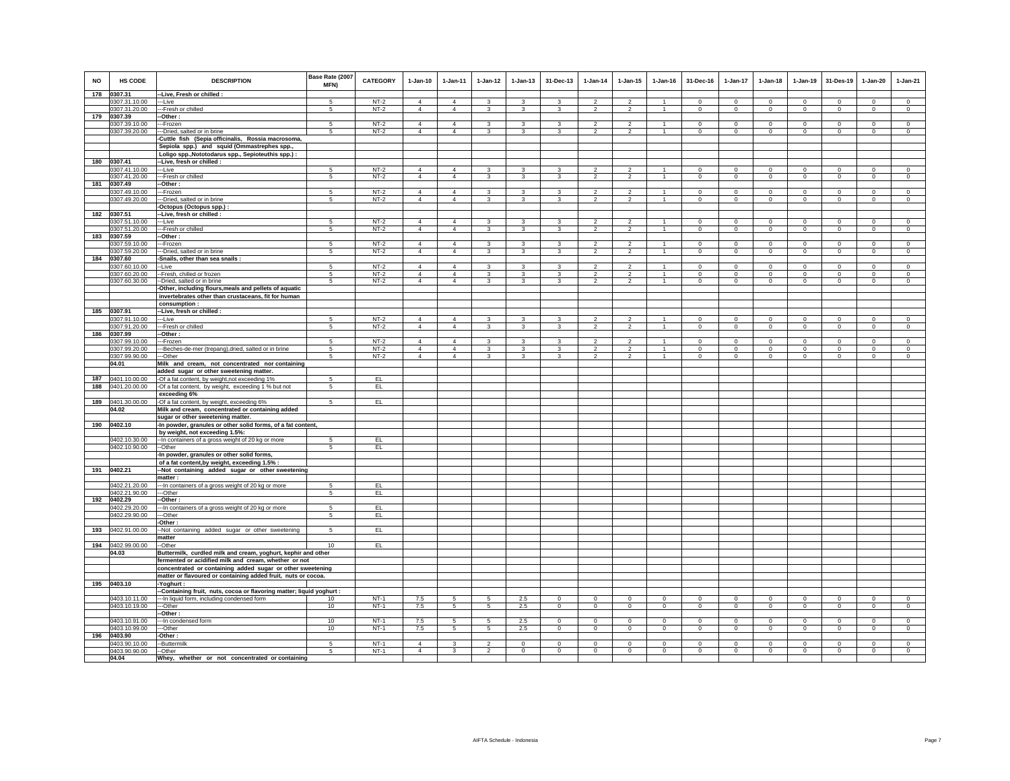| <b>NO</b> | HS CODE                        | <b>DESCRIPTION</b>                                                                             | Base Rate (2007<br>MFN) | <b>CATEGORY</b>  | $1-Jan-10$                       | $1 - Jan-11$                     | $1 - Jan-12$                     | $1 - Jan-13$            | 31-Dec-13           | $1 - Jan-14$                     | $1 - Jan-15$                     | $1 - Jan-16$                   | 31-Dec-16               | 1-Jan-17                      | $1-Jan-18$                 | $1-Jan-19$                 | 31-Des-19                  | 1-Jan-20                 | $1-Jan-21$                |
|-----------|--------------------------------|------------------------------------------------------------------------------------------------|-------------------------|------------------|----------------------------------|----------------------------------|----------------------------------|-------------------------|---------------------|----------------------------------|----------------------------------|--------------------------------|-------------------------|-------------------------------|----------------------------|----------------------------|----------------------------|--------------------------|---------------------------|
| 178       | 0307.31<br>0307.31.10.00       | --Live, Fresh or chilled :                                                                     | 5                       | $NT-2$           | $\overline{4}$                   | $\overline{4}$                   | $\mathbf{3}$                     | $\mathbf{3}$            | 3                   | $\mathcal{L}$                    | $\mathfrak{D}$                   |                                | $\Omega$                | $\mathbf{0}$                  | $\mathbf{0}$               | $\mathbf 0$                | $\Omega$                   | $\mathbf 0$              | $\circ$                   |
|           | 0307.31.20.00                  | --Live<br>---Fresh or chilled                                                                  | $\sqrt{5}$              | $NT-2$           | 4                                | $\overline{4}$                   | $\mathbf{3}$                     | $\mathbf{3}$            | $\mathbf{3}$        | $\overline{2}$                   | $\overline{2}$                   | $\mathbf{1}$                   | $\mathsf 0$             | $\mathbf 0$                   | $\mathsf 0$                | $\mathsf 0$                | $\mathbf 0$                | $\mathbf 0$              | $\mathsf 0$               |
| 179       | 0307.39                        | --Other :                                                                                      |                         |                  |                                  |                                  |                                  |                         |                     |                                  |                                  |                                |                         |                               |                            |                            |                            |                          |                           |
|           | 0307.39.10.00                  | ---Frozen                                                                                      | -5                      | $NT-2$           | $\overline{4}$                   | 4                                | 3                                | 3                       | 3                   | $\mathfrak{p}$                   | $\mathcal{P}$                    |                                | $\Omega$                | $\Omega$                      | $\Omega$                   | $\Omega$                   | $\Omega$                   | $\Omega$                 | $\Omega$                  |
|           | 0307.39.20.00                  | --Dried, salted or in brine                                                                    | 5                       | $NT-2$           | $\overline{4}$                   | $\overline{4}$                   | 3                                | 3                       | 3                   | $\overline{2}$                   | $\overline{2}$                   |                                | $\mathsf 0$             | $\mathbf 0$                   | $\mathsf 0$                | $\mathbf 0$                | $\mathbf 0$                | $\mathbf 0$              | $\mathbf 0$               |
|           |                                | -Cuttle fish (Sepia officinalis, Rossia macrosoma,                                             |                         |                  |                                  |                                  |                                  |                         |                     |                                  |                                  |                                |                         |                               |                            |                            |                            |                          |                           |
|           |                                | Sepiola spp.) and squid (Ommastrephes spp.,                                                    |                         |                  |                                  |                                  |                                  |                         |                     |                                  |                                  |                                |                         |                               |                            |                            |                            |                          |                           |
|           |                                | Loligo spp., Nototodarus spp., Sepioteuthis spp.) :                                            |                         |                  |                                  |                                  |                                  |                         |                     |                                  |                                  |                                |                         |                               |                            |                            |                            |                          |                           |
| 180       | 0307.41                        | --Live, fresh or chilled :                                                                     |                         |                  |                                  |                                  |                                  |                         |                     |                                  |                                  |                                |                         |                               |                            |                            |                            |                          |                           |
|           | 0307.41.10.00                  | ---Live                                                                                        | 5                       | $NT-2$           | $\overline{4}$                   | $\overline{4}$                   | 3                                | $\mathbf{3}$            | 3                   | $\overline{2}$                   | $\overline{2}$                   |                                | $\mathsf 0$             | $\mathbf 0$                   | $\mathsf 0$                | $\mathbf 0$                | $\mathbf 0$                | $\mathbf 0$              | $\mathbf 0$               |
|           | 0307.41.20.00                  | ---Fresh or chilled                                                                            | 5                       | $NT-2$           | $\overline{4}$                   | $\overline{4}$                   | 3                                | 3                       | 3                   | $\overline{2}$                   | $\overline{2}$                   | $\mathbf{1}$                   | $\circ$                 | $\mathbf 0$                   | $\circ$                    | $\circ$                    | $\mathbf 0$                | $\circ$                  | $\circ$                   |
|           | 181 0307.49                    | -Other:                                                                                        |                         | $NT-2$           | $\Delta$                         | $\Delta$                         |                                  |                         | 3                   |                                  |                                  | $\mathbf{1}$                   | $\Omega$                | $\Omega$                      | $\Omega$                   | $\circ$                    | $\Omega$                   |                          | $\Omega$                  |
|           | 0307.49.10.00<br>0307.49.20.00 | --Frozen<br>---Dried, salted or in brine                                                       | -5<br>5                 | $NT-2$           | $\overline{4}$                   | $\overline{4}$                   | 3<br>$\overline{\mathbf{3}}$     | 3<br>$\mathbf{3}$       | 3                   | $\mathcal{P}$<br>$\overline{2}$  | $\overline{2}$<br>$\overline{2}$ |                                | $\mathsf 0$             | $\overline{0}$                | $\mathsf 0$                | $\mathbf 0$                | $\mathbb O$                | $\Omega$<br>$\mathbf 0$  | $\mathbf 0$               |
|           |                                | -Octopus (Octopus spp.) :                                                                      |                         |                  |                                  |                                  |                                  |                         |                     |                                  |                                  |                                |                         |                               |                            |                            |                            |                          |                           |
| 182       | 0307.51                        | -- Live, fresh or chilled :                                                                    |                         |                  |                                  |                                  |                                  |                         |                     |                                  |                                  |                                |                         |                               |                            |                            |                            |                          |                           |
|           | 0307.51.10.00                  | ---Live                                                                                        | 5                       | $NT-2$           | $\overline{4}$                   | $\overline{4}$                   | 3                                | $\overline{\mathbf{3}}$ | 3                   | $\overline{2}$                   | $\overline{\phantom{a}}$         |                                | $\Omega$                | $\overline{0}$                | $\overline{0}$             | $\overline{0}$             | $\overline{0}$             | $\overline{0}$           | $\overline{0}$            |
|           | 0307.51.20.00                  | --- Fresh or chilled                                                                           | 5                       | $NT-2$           | $\overline{4}$                   | $\overline{4}$                   | 3                                | $\overline{\mathbf{3}}$ | $\mathbf{3}$        | $\mathfrak{p}$                   | $\overline{2}$                   |                                | $\circ$                 | $\mathbf{0}$                  | $\circ$                    | $\mathbf 0$                | $\mathbf 0$                | $\circ$                  | $\circ$                   |
| 183       | 0307.59                        | --Other:                                                                                       |                         |                  |                                  |                                  |                                  |                         |                     |                                  |                                  |                                |                         |                               |                            |                            |                            |                          |                           |
|           | 0307.59.10.00                  | ---Frozen                                                                                      | 5                       | $NT-2$           | $\Delta$                         | $\overline{4}$                   | 3                                | 3                       | $\mathbf{3}$        | $\overline{2}$                   | $\mathcal{P}$                    |                                | $\circ$                 | $\mathbf 0$                   | $\circ$                    | $\circ$                    | $\mathbf 0$                | $\circ$                  | $\circ$                   |
|           | 0307.59.20.00                  | --Dried, salted or in brine                                                                    | 5                       | $NT-2$           | $\overline{4}$                   | $\overline{4}$                   | $\mathbf{3}$                     | $\mathbf{3}$            | $\mathbf{3}$        | $\overline{\mathbf{2}}$          | $\overline{2}$                   | $\overline{1}$                 | $\mathsf 0$             | $\mathbf 0$                   | $\mathsf 0$                | $\mathsf 0$                | $\mathbf 0$                | $\mathbf 0$              | $\overline{0}$            |
| 184       | 0307.60                        | -Snails, other than sea snails:                                                                |                         |                  |                                  |                                  |                                  |                         |                     |                                  |                                  |                                |                         |                               |                            |                            |                            |                          |                           |
|           | 0307.60.10.00                  | --Live                                                                                         | 5                       | $NT-2$           | $\overline{4}$                   | 4                                | 3                                | 3                       | 3                   | $\overline{2}$                   | $\overline{2}$                   |                                | $\Omega$                | $\mathbf 0$                   | $\mathbf 0$                | $\mathbf 0$                | $\mathbf 0$                | $\mathbf 0$              | $\mathbf 0$               |
|           | 0307.60.20.00<br>0307.60.30.00 | --Fresh, chilled or frozen<br>--Dried, salted or in brine                                      | 5<br>5                  | $NT-2$<br>$NT-2$ | 4<br>$\overline{4}$              | $\overline{4}$<br>$\overline{4}$ | 3<br>$\overline{3}$              | 3<br>$\mathbf{3}$       | 3<br>3              | $\overline{2}$<br>$\overline{2}$ | $\overline{2}$<br>$\overline{2}$ | $\mathbf{1}$<br>$\overline{1}$ | $\circ$<br>$\circ$      | $\mathbf 0$<br>$\mathbf 0$    | $\mathbf 0$<br>$\mathsf 0$ | $\mathbf 0$<br>$\mathbf 0$ | $\mathbf 0$<br>$\mathbf 0$ | $\mathbf{0}$<br>$\Omega$ | $\overline{0}$<br>$\circ$ |
|           |                                | -Other, including flours, meals and pellets of aquatic                                         |                         |                  |                                  |                                  |                                  |                         |                     |                                  |                                  |                                |                         |                               |                            |                            |                            |                          |                           |
|           |                                | invertebrates other than crustaceans, fit for human                                            |                         |                  |                                  |                                  |                                  |                         |                     |                                  |                                  |                                |                         |                               |                            |                            |                            |                          |                           |
|           |                                | consumption :                                                                                  |                         |                  |                                  |                                  |                                  |                         |                     |                                  |                                  |                                |                         |                               |                            |                            |                            |                          |                           |
| 185       | 0307.91                        | --Live, fresh or chilled :                                                                     |                         |                  |                                  |                                  |                                  |                         |                     |                                  |                                  |                                |                         |                               |                            |                            |                            |                          |                           |
|           | 0307.91.10.00                  | ---Live                                                                                        | -5                      | $NT-2$           | $\overline{4}$                   | $\overline{4}$                   | 3                                | 3                       | 3                   | $\overline{2}$                   | $\overline{2}$                   | $\mathbf{1}$                   | $\Omega$                | $\mathbf 0$                   | $\circ$                    | $\circ$                    | $\circ$                    | $\Omega$                 | $\mathbf{0}$              |
|           | 0307.91.20.00                  | ---Fresh or chilled                                                                            | 5                       | $NT-2$           | $\overline{4}$                   | 4                                | 3                                | 3                       | 3                   | $\overline{2}$                   | $\overline{2}$                   |                                | $\overline{0}$          | $\overline{0}$                | $\overline{0}$             | $\overline{0}$             | $\overline{0}$             | $\overline{0}$           | $\overline{0}$            |
| 186       | 0307.99                        | -Other:                                                                                        |                         |                  |                                  |                                  |                                  |                         |                     |                                  |                                  |                                |                         |                               |                            |                            |                            |                          |                           |
|           | 0307.99.10.00                  | --Frozen                                                                                       | 5                       | $NT-2$           | $\overline{4}$<br>$\overline{4}$ | $\overline{4}$<br>$\overline{4}$ | $\mathbf{3}$                     | $\mathbf{3}$            | 3                   | $\mathfrak{p}$                   | $\mathfrak{D}$                   | $\overline{1}$                 | $\circ$                 | $\mathbf 0$                   | $\mathsf 0$                | $\mathbf 0$                | $\mathbf 0$                | $\mathbf 0$<br>$\Omega$  | $\mathbf 0$               |
|           | 0307.99.20.00<br>0307.99.90.00 | ---Beches-de-mer (trepang), dried, salted or in brine<br>---Other                              | 5<br>5                  | $NT-2$<br>$NT-2$ | $\overline{4}$                   | $\overline{4}$                   | $\overline{\mathbf{3}}$<br>3     | $\overline{3}$<br>3     | $\overline{3}$<br>3 | $\overline{2}$<br>$\overline{2}$ | $\overline{2}$<br>$\overline{2}$ |                                | $\circ$<br>$\circ$      | $\overline{0}$<br>$\mathbf 0$ | $\overline{0}$<br>$\circ$  | $\mathbf 0$<br>$\mathbf 0$ | $\circ$<br>$\circ$         | $\circ$                  | $\circ$<br>$\circ$        |
|           | 04.01                          | Milk and cream, not concentrated nor containing                                                |                         |                  |                                  |                                  |                                  |                         |                     |                                  |                                  |                                |                         |                               |                            |                            |                            |                          |                           |
|           |                                | added sugar or other sweetening matter.                                                        |                         |                  |                                  |                                  |                                  |                         |                     |                                  |                                  |                                |                         |                               |                            |                            |                            |                          |                           |
| 187       | 0401.10.00.00                  | -Of a fat content, by weight, not exceeding 1%                                                 | 5                       | EL.              |                                  |                                  |                                  |                         |                     |                                  |                                  |                                |                         |                               |                            |                            |                            |                          |                           |
| 188       | 0401.20.00.00                  | -Of a fat content, by weight, exceeding 1 % but not                                            | 5                       | EL <sub>1</sub>  |                                  |                                  |                                  |                         |                     |                                  |                                  |                                |                         |                               |                            |                            |                            |                          |                           |
|           |                                | exceeding 6%                                                                                   |                         |                  |                                  |                                  |                                  |                         |                     |                                  |                                  |                                |                         |                               |                            |                            |                            |                          |                           |
| 189       | 0401.30.00.00                  | -Of a fat content, by weight, exceeding 6%                                                     | 5                       | EL.              |                                  |                                  |                                  |                         |                     |                                  |                                  |                                |                         |                               |                            |                            |                            |                          |                           |
|           | 04.02                          | Milk and cream, concentrated or containing added                                               |                         |                  |                                  |                                  |                                  |                         |                     |                                  |                                  |                                |                         |                               |                            |                            |                            |                          |                           |
|           |                                | sugar or other sweetening matter.                                                              |                         |                  |                                  |                                  |                                  |                         |                     |                                  |                                  |                                |                         |                               |                            |                            |                            |                          |                           |
| 190       | 0402.10                        | -In powder, granules or other solid forms, of a fat content,<br>by weight, not exceeding 1.5%: |                         |                  |                                  |                                  |                                  |                         |                     |                                  |                                  |                                |                         |                               |                            |                            |                            |                          |                           |
|           | 0402.10.30.00                  | -- In containers of a gross weight of 20 kg or more                                            | 5                       | EL               |                                  |                                  |                                  |                         |                     |                                  |                                  |                                |                         |                               |                            |                            |                            |                          |                           |
|           | 0402.10.90.00                  | --Other                                                                                        | 5                       | EL.              |                                  |                                  |                                  |                         |                     |                                  |                                  |                                |                         |                               |                            |                            |                            |                          |                           |
|           |                                | -In powder, granules or other solid forms,                                                     |                         |                  |                                  |                                  |                                  |                         |                     |                                  |                                  |                                |                         |                               |                            |                            |                            |                          |                           |
|           |                                | of a fat content, by weight, exceeding 1.5% :                                                  |                         |                  |                                  |                                  |                                  |                         |                     |                                  |                                  |                                |                         |                               |                            |                            |                            |                          |                           |
|           | 191 0402.21                    | -Not containing added sugar or other sweetening                                                |                         |                  |                                  |                                  |                                  |                         |                     |                                  |                                  |                                |                         |                               |                            |                            |                            |                          |                           |
|           |                                | matter:                                                                                        |                         |                  |                                  |                                  |                                  |                         |                     |                                  |                                  |                                |                         |                               |                            |                            |                            |                          |                           |
|           | 0402.21.20.00                  | --- In containers of a gross weight of 20 kg or more                                           | 5                       | EL.              |                                  |                                  |                                  |                         |                     |                                  |                                  |                                |                         |                               |                            |                            |                            |                          |                           |
| 192       | 0402.21.90.00<br>0402.29       | --Other<br>-Other                                                                              | 5                       | EL.              |                                  |                                  |                                  |                         |                     |                                  |                                  |                                |                         |                               |                            |                            |                            |                          |                           |
|           | 0402.29.20.00                  | --- In containers of a gross weight of 20 kg or more                                           | $\overline{5}$          | EL               |                                  |                                  |                                  |                         |                     |                                  |                                  |                                |                         |                               |                            |                            |                            |                          |                           |
|           | 0402.29.90.00                  | ---Other                                                                                       | 5                       | EL.              |                                  |                                  |                                  |                         |                     |                                  |                                  |                                |                         |                               |                            |                            |                            |                          |                           |
|           |                                | -Other:                                                                                        |                         |                  |                                  |                                  |                                  |                         |                     |                                  |                                  |                                |                         |                               |                            |                            |                            |                          |                           |
|           | 193 0402.91.00.00              | --Not containing added sugar or other sweetening<br>matter                                     | 5                       | EL.              |                                  |                                  |                                  |                         |                     |                                  |                                  |                                |                         |                               |                            |                            |                            |                          |                           |
| 194       | 0402.99.00.00                  | --Other                                                                                        | 10                      | EL.              |                                  |                                  |                                  |                         |                     |                                  |                                  |                                |                         |                               |                            |                            |                            |                          |                           |
|           | 04.03                          | Buttermilk, curdled milk and cream, yoghurt, kephir and other                                  |                         |                  |                                  |                                  |                                  |                         |                     |                                  |                                  |                                |                         |                               |                            |                            |                            |                          |                           |
|           |                                | fermented or acidified milk and cream, whether or not                                          |                         |                  |                                  |                                  |                                  |                         |                     |                                  |                                  |                                |                         |                               |                            |                            |                            |                          |                           |
|           |                                | concentrated or containing added sugar or other sweetening                                     |                         |                  |                                  |                                  |                                  |                         |                     |                                  |                                  |                                |                         |                               |                            |                            |                            |                          |                           |
| 195       | 0403.10                        | matter or flavoured or containing added fruit, nuts or cocoa.<br>-Yoghurt :                    |                         |                  |                                  |                                  |                                  |                         |                     |                                  |                                  |                                |                         |                               |                            |                            |                            |                          |                           |
|           |                                | --Containing fruit, nuts, cocoa or flavoring matter; liquid yoghurt :                          |                         |                  |                                  |                                  |                                  |                         |                     |                                  |                                  |                                |                         |                               |                            |                            |                            |                          |                           |
|           | 0403.10.11.00                  | --- In liquid form, including condensed form                                                   | 10 <sup>1</sup>         | $NT-1$           | 7.5                              | 5                                | 5                                | 2.5                     | $\Omega$            | $\Omega$                         | $\Omega$                         | $\Omega$                       | $\Omega$                | $\Omega$                      | $\Omega$                   | $\Omega$                   | $\Omega$                   | $\Omega$                 | $\Omega$                  |
|           | 0403.10.19.00                  | ---Other                                                                                       | 10                      | $NT-1$           | 7.5                              | $5\phantom{.0}$                  | 5                                | 2.5                     | $\mathbf 0$         | $\mathsf 0$                      | $\circ$                          | $\mathbf 0$                    | $\circ$                 | $\mathsf 0$                   | $\mathbf 0$                | $\mathbf 0$                | 0                          | $\mathbf{0}$             | $\circ$                   |
|           |                                | --Other:                                                                                       |                         |                  |                                  |                                  |                                  |                         |                     |                                  |                                  |                                |                         |                               |                            |                            |                            |                          |                           |
|           | 0403.10.91.00                  | -- In condensed form                                                                           | 10                      | $NT-1$           | 7.5                              | 5                                | 5                                | 2.5                     | $\mathbf{0}$        | $\mathbf 0$                      | $\mathbf 0$                      | $\mathbf 0$                    | $\circ$                 | $\mathbf 0$                   | $\mathbf 0$                | $\mathbf{0}$               | 0                          | $\circ$                  | $\mathbf 0$               |
|           | 0403.10.99.00                  | --Other                                                                                        | 10                      | $NT-1$           | 7.5                              | $5\overline{5}$                  | 5                                | 2.5                     | $\mathbf 0$         | $\mathbf 0$                      | $\mathsf 0$                      | $\mathbf 0$                    | $\circ$                 | $\mathsf 0$                   | $\circ$                    | $\circ$                    | $\Omega$                   | $\circ$                  | $\mathbf{0}$              |
| 196       | 0403.90                        | -Other:                                                                                        |                         |                  |                                  |                                  |                                  |                         |                     |                                  |                                  |                                |                         |                               |                            |                            |                            |                          |                           |
|           | 0403.90.10.00                  | --Buttermilk                                                                                   | 5                       | $NT-1$           | $\overline{4}$                   | 3                                | $\overline{2}$<br>$\overline{2}$ | $\mathbf 0$<br>$\Omega$ | $\mathbf 0$         | $\circ$                          | $\mathbf 0$<br>$\Omega$          | $\mathbf 0$                    | $\mathbf 0$<br>$\Omega$ | $\mathbf 0$                   | $\mathbf 0$<br>$\Omega$    | $\mathbf 0$                | $\mathbf 0$<br>$\Omega$    | $\mathbf 0$<br>$\Omega$  | $\mathbf 0$<br>$\Omega$   |
|           | 0403.90.90.00<br>04.04         | --Other<br>Whey, whether or not concentrated or containing                                     | 5                       | $NT-1$           | $\overline{4}$                   | $\mathbf{3}$                     |                                  |                         | $^{\circ}$          | $\mathsf 0$                      |                                  | $\mathbf 0$                    |                         | $\mathbf 0$                   |                            | $\mathbf 0$                |                            |                          |                           |
|           |                                |                                                                                                |                         |                  |                                  |                                  |                                  |                         |                     |                                  |                                  |                                |                         |                               |                            |                            |                            |                          |                           |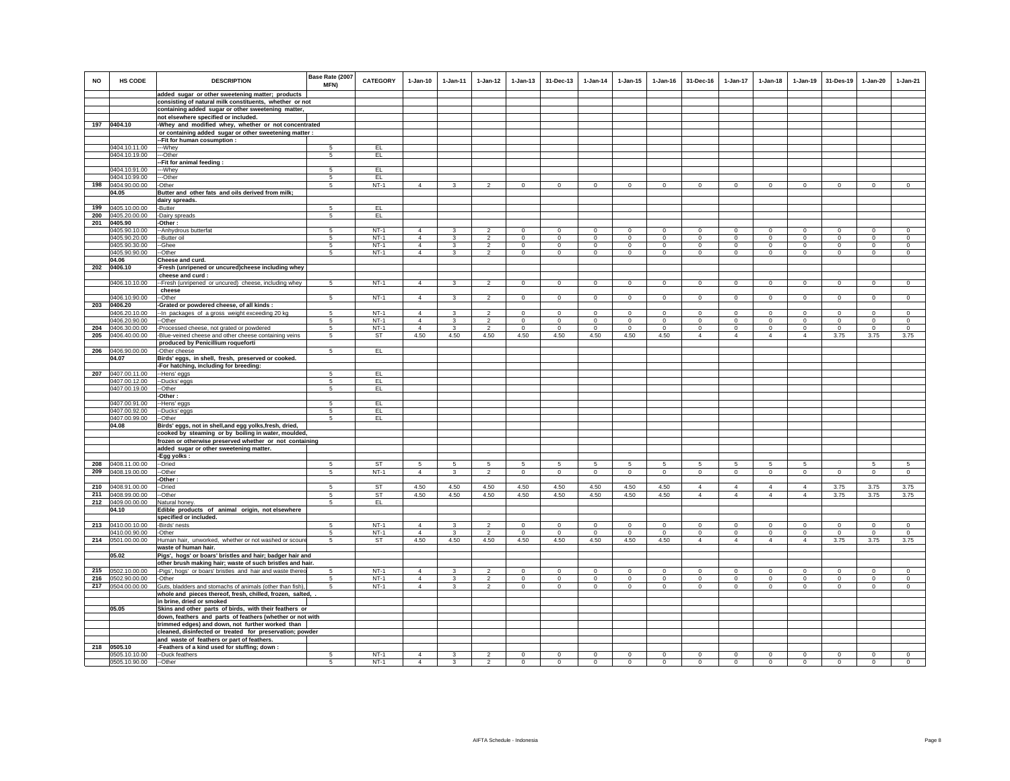| <b>NO</b>  | HS CODE                        | <b>DESCRIPTION</b>                                                                                                  | Base Rate (2007<br>MFN) | <b>CATEGORY</b>  | $1-Jan-10$                       | $1-Jan-11$        | $1-Jan-12$                       | $1-Jan-13$              | 31-Dec-13               | $1-Jan-14$              | $1-Jan-15$           | $1 - Jan-16$           | 31-Dec-16                        | $1-Jan-17$                       | $1-Jan-18$                       | $1-Jan-19$                       | 31-Des-19               | $1-Jan-20$           | $1-Jan-21$             |
|------------|--------------------------------|---------------------------------------------------------------------------------------------------------------------|-------------------------|------------------|----------------------------------|-------------------|----------------------------------|-------------------------|-------------------------|-------------------------|----------------------|------------------------|----------------------------------|----------------------------------|----------------------------------|----------------------------------|-------------------------|----------------------|------------------------|
|            |                                | added sugar or other sweetening matter; products                                                                    |                         |                  |                                  |                   |                                  |                         |                         |                         |                      |                        |                                  |                                  |                                  |                                  |                         |                      |                        |
|            |                                | consisting of natural milk constituents, whether or not<br>containing added sugar or other sweetening matter,       |                         |                  |                                  |                   |                                  |                         |                         |                         |                      |                        |                                  |                                  |                                  |                                  |                         |                      |                        |
|            |                                | not elsewhere specified or included.                                                                                |                         |                  |                                  |                   |                                  |                         |                         |                         |                      |                        |                                  |                                  |                                  |                                  |                         |                      |                        |
|            | 197 0404.10                    | -Whey and modified whey, whether or not concentrated                                                                |                         |                  |                                  |                   |                                  |                         |                         |                         |                      |                        |                                  |                                  |                                  |                                  |                         |                      |                        |
|            |                                | or containing added sugar or other sweetening matter :                                                              |                         |                  |                                  |                   |                                  |                         |                         |                         |                      |                        |                                  |                                  |                                  |                                  |                         |                      |                        |
|            |                                | -Fit for human cosumption :                                                                                         |                         |                  |                                  |                   |                                  |                         |                         |                         |                      |                        |                                  |                                  |                                  |                                  |                         |                      |                        |
|            | 0404.10.11.00                  | --Whey                                                                                                              | 5                       | EL               |                                  |                   |                                  |                         |                         |                         |                      |                        |                                  |                                  |                                  |                                  |                         |                      |                        |
|            | 0404.10.19.00                  | --Other                                                                                                             | 5                       | EL               |                                  |                   |                                  |                         |                         |                         |                      |                        |                                  |                                  |                                  |                                  |                         |                      |                        |
|            | 0404.10.91.00                  | -Fit for animal feeding:<br>--Whey                                                                                  | 5                       | EL.              |                                  |                   |                                  |                         |                         |                         |                      |                        |                                  |                                  |                                  |                                  |                         |                      |                        |
|            | 0404.10.99.00                  | --Other                                                                                                             | 5                       | EL               |                                  |                   |                                  |                         |                         |                         |                      |                        |                                  |                                  |                                  |                                  |                         |                      |                        |
| 198        | 0404.90.00.00                  | -Other                                                                                                              | 5                       | $NT-1$           | $\Delta$                         | $\mathbf{3}$      | $\overline{2}$                   | $\circ$                 | $\mathbf{0}$            | $\circ$                 | $\circ$              | $\mathbf{0}$           | $\circ$                          | $\circ$                          | $\mathsf 0$                      | $\circ$                          | $\circ$                 | $\circ$              | $\circ$                |
|            | 04.05                          | Butter and other fats and oils derived from milk;                                                                   |                         |                  |                                  |                   |                                  |                         |                         |                         |                      |                        |                                  |                                  |                                  |                                  |                         |                      |                        |
|            |                                | dairy spreads.                                                                                                      |                         |                  |                                  |                   |                                  |                         |                         |                         |                      |                        |                                  |                                  |                                  |                                  |                         |                      |                        |
| 199        | 0405.10.00.00                  | -Butter                                                                                                             | 5                       | EL.              |                                  |                   |                                  |                         |                         |                         |                      |                        |                                  |                                  |                                  |                                  |                         |                      |                        |
| 200<br>201 | 0405.20.00.00                  | -Dairy spreads                                                                                                      | 5                       | EL.              |                                  |                   |                                  |                         |                         |                         |                      |                        |                                  |                                  |                                  |                                  |                         |                      |                        |
|            | 0405.90<br>0405.90.10.00       | -Other:<br>-- Anhydrous butterfat                                                                                   | 5                       | $NT-1$           | $\Delta$                         | $\mathbf{3}$      | $\mathcal{P}$                    | $\mathbf 0$             | $\mathbf 0$             | $\Omega$                | $\mathbf 0$          | $\Omega$               | $\Omega$                         | $\Omega$                         | $\Omega$                         | $\mathbf 0$                      | $\Omega$                | $\Omega$             | $\mathbf 0$            |
|            | 0405.90.20.00                  | -Butter oil                                                                                                         | 5                       | $NT-1$           | $\overline{4}$                   | 3                 | $\overline{2}$                   | $\overline{0}$          | $\overline{0}$          | $\mathbf 0$             | $\mathbf 0$          | $\mathbf 0$            | $\overline{0}$                   | $\overline{0}$                   | $\mathbf{0}$                     | $\overline{0}$                   | $\mathbf 0$             | $\mathbf{0}$         | $\overline{0}$         |
|            | 0405.90.30.00                  | -Ghee                                                                                                               | 5                       | $NT-1$           | $\overline{4}$                   | $\mathbf{3}$      | $\overline{2}$                   | $\circ$                 | $\mathbf 0$             | $\mathbf 0$             | $\mathbf 0$          | $\mathbf 0$            | $\circ$                          | $\mathbf 0$                      | $\circ$                          | $\mathbf 0$                      | $\mathbf 0$             | $\mathbf 0$          | $\mathbf 0$            |
|            | 0405.90.90.00                  | -Other                                                                                                              | 5                       | $NT-1$           | $\overline{4}$                   | 3                 | $\boldsymbol{2}$                 | $\mathbf 0$             | $\mathbf 0$             | 0                       | 0                    | $\circ$                | $\mathbf 0$                      | $\mathbf 0$                      | $\mathbf 0$                      | $\mathbf 0$                      | $\mathbf 0$             | 0                    | 0                      |
|            | 04.06                          | Cheese and curd.                                                                                                    |                         |                  |                                  |                   |                                  |                         |                         |                         |                      |                        |                                  |                                  |                                  |                                  |                         |                      |                        |
| 202        | 0406.10                        | Fresh (unripened or uncured)cheese including whey                                                                   |                         |                  |                                  |                   |                                  |                         |                         |                         |                      |                        |                                  |                                  |                                  |                                  |                         |                      |                        |
|            | 0406.10.10.00                  | cheese and curd :<br>--Fresh (unripened or uncured) cheese, including whey                                          | 5                       | $NT-1$           | $\overline{4}$                   | $\mathbf{3}$      | $\overline{2}$                   | $\circ$                 | $\mathbf{0}$            | $\mathbf 0$             | $\mathbf 0$          | $^{\circ}$             | $\Omega$                         | $\mathbf 0$                      | $\overline{0}$                   | $\overline{0}$                   | $\overline{0}$          | $\mathbf 0$          | $\mathbf 0$            |
|            |                                | cheese                                                                                                              |                         |                  |                                  |                   |                                  |                         |                         |                         |                      |                        |                                  |                                  |                                  |                                  |                         |                      |                        |
|            | 0406.10.90.00                  | -Other                                                                                                              | 5                       | $NT-1$           | $\overline{4}$                   | $\mathbf{3}$      | $\overline{2}$                   | $\mathbf 0$             | $\mathbf 0$             | $\mathbf 0$             | $\mathbf 0$          | $\mathbf 0$            | $\mathsf 0$                      | $\mathbf 0$                      | $\mathsf 0$                      | $\mathsf 0$                      | $\mathbf 0$             | $\mathbf 0$          | $\mathbf 0$            |
| 203        | 0406.20                        | -Grated or powdered cheese, of all kinds :                                                                          |                         |                  |                                  |                   |                                  |                         |                         |                         |                      |                        |                                  |                                  |                                  |                                  |                         |                      |                        |
|            | 0406.20.10.00                  | -In packages of a gross weight exceeding 20 kg                                                                      | 5                       | $NT-1$           | $\overline{4}$                   | $\mathbf{3}$      | $\overline{2}$                   | $\mathbf{0}$            | $\overline{0}$          | $\mathbf{0}$            | $\mathbf 0$          | $\mathbf 0$            | $\mathbf{0}$                     | $\mathbf 0$                      | $\mathbf 0$                      | $\circ$                          | $\circ$                 | $\mathbf{0}$         | $\mathbf 0$            |
| 204        | 0406.20.90.00                  | -Other                                                                                                              | 5                       | $NT-1$           | $\Delta$                         | 3                 | $\overline{2}$                   | $\Omega$                | $\mathbf{0}$            | $^{\circ}$              | $\Omega$             | $\Omega$               | $\Omega$                         | $\mathbf 0$                      | $\Omega$                         | $\mathbf{0}$                     | $\mathbf 0$             | $\Omega$             | $^{\circ}$<br>$\Omega$ |
| 205        | 0406.30.00.00<br>0406.40.00.00 | Processed cheese, not grated or powdered<br>Blue-veined cheese and other cheese containing veins                    | 5<br>5                  | $NT-1$<br>ST     | $\overline{4}$<br>4.50           | 3<br>4.50         | $\overline{2}$<br>4.50           | $^{\circ}$<br>4.50      | $\mathbf{0}$<br>4.50    | $\Omega$<br>4.50        | $\Omega$<br>4.50     | $\Omega$<br>4.50       | $\Omega$<br>$\overline{4}$       | $\mathbf 0$<br>$\overline{4}$    | $\circ$<br>$\overline{4}$        | $\circ$<br>$\overline{4}$        | $^{\circ}$<br>3.75      | $\Omega$<br>3.75     | 3.75                   |
|            |                                | produced by Penicillium roqueforti                                                                                  |                         |                  |                                  |                   |                                  |                         |                         |                         |                      |                        |                                  |                                  |                                  |                                  |                         |                      |                        |
|            | 206 0406.90.00.00              | -Other cheese                                                                                                       | 5                       | EL.              |                                  |                   |                                  |                         |                         |                         |                      |                        |                                  |                                  |                                  |                                  |                         |                      |                        |
|            | 04.07                          | Birds' eggs, in shell, fresh, preserved or cooked.                                                                  |                         |                  |                                  |                   |                                  |                         |                         |                         |                      |                        |                                  |                                  |                                  |                                  |                         |                      |                        |
|            |                                | -For hatching, including for breeding:                                                                              |                         |                  |                                  |                   |                                  |                         |                         |                         |                      |                        |                                  |                                  |                                  |                                  |                         |                      |                        |
| 207        | 0407.00.11.00                  | -Hens' eggs                                                                                                         | 5                       | EL               |                                  |                   |                                  |                         |                         |                         |                      |                        |                                  |                                  |                                  |                                  |                         |                      |                        |
|            | 0407.00.12.00<br>0407.00.19.00 | -Ducks' eggs<br>-Other                                                                                              | -5<br>5                 | EL.<br>EL        |                                  |                   |                                  |                         |                         |                         |                      |                        |                                  |                                  |                                  |                                  |                         |                      |                        |
|            |                                | -Other                                                                                                              |                         |                  |                                  |                   |                                  |                         |                         |                         |                      |                        |                                  |                                  |                                  |                                  |                         |                      |                        |
|            | 0407.00.91.00                  | Hens' eggs                                                                                                          | -5                      | EL.              |                                  |                   |                                  |                         |                         |                         |                      |                        |                                  |                                  |                                  |                                  |                         |                      |                        |
|            | 0407.00.92.00                  | -Ducks' eggs                                                                                                        | 5                       | EL.              |                                  |                   |                                  |                         |                         |                         |                      |                        |                                  |                                  |                                  |                                  |                         |                      |                        |
|            | 0407.00.99.00                  | --Other                                                                                                             | 5                       | EL               |                                  |                   |                                  |                         |                         |                         |                      |                        |                                  |                                  |                                  |                                  |                         |                      |                        |
|            | 04.08                          | Birds' eggs, not in shell, and egg yolks, fresh, dried,                                                             |                         |                  |                                  |                   |                                  |                         |                         |                         |                      |                        |                                  |                                  |                                  |                                  |                         |                      |                        |
|            |                                | cooked by steaming or by boiling in water, moulded,<br>frozen or otherwise preserved whether or not containing      |                         |                  |                                  |                   |                                  |                         |                         |                         |                      |                        |                                  |                                  |                                  |                                  |                         |                      |                        |
|            |                                | added sugar or other sweetening matter.                                                                             |                         |                  |                                  |                   |                                  |                         |                         |                         |                      |                        |                                  |                                  |                                  |                                  |                         |                      |                        |
|            |                                | -Egg yolks:                                                                                                         |                         |                  |                                  |                   |                                  |                         |                         |                         |                      |                        |                                  |                                  |                                  |                                  |                         |                      |                        |
| 208        | 0408.11.00.00                  | --Dried                                                                                                             | 5                       | <b>ST</b>        | -5                               | 5                 | 5                                | 5                       | 5                       | 5                       | 5                    | 5                      | 5                                | 5                                | 5                                | 5                                |                         | 5                    | 5                      |
| 209        | 0408.19.00.00                  | -Other                                                                                                              | 5                       | $NT-1$           | $\overline{4}$                   | $\mathbf{3}$      | $\overline{a}$                   | $\mathsf 0$             | $\mathbf 0$             | $\overline{0}$          | $\mathbf 0$          | $\mathbf 0$            | $\mathbf 0$                      | $\mathbf 0$                      | $\mathsf 0$                      | $\mathbf 0$                      | $\overline{0}$          | $\circ$              | $\circ$                |
|            |                                | Other:                                                                                                              |                         |                  |                                  |                   |                                  |                         |                         |                         |                      |                        |                                  |                                  |                                  |                                  |                         |                      |                        |
| 210        | 0408.91.00.00<br>0408.99.00.00 | Dried                                                                                                               | 5<br>$\,$ 5 $\,$        | ST<br>ST         | 4.50<br>4.50                     | 4.50<br>4.50      | 4.50<br>4.50                     | 4.50<br>4.50            | 4.50<br>4.50            | 4.50<br>4.50            | 4.50<br>4.50         | 4.50<br>4.50           | $\overline{4}$<br>$\overline{4}$ | $\overline{4}$<br>$\overline{4}$ | $\overline{4}$<br>$\overline{4}$ | $\overline{4}$<br>$\overline{4}$ | 3.75<br>3.75            | 3.75<br>3.75         | 3.75<br>3.75           |
| 211<br>212 | 0409.00.00.00                  | -Other<br>Natural honey.                                                                                            | 5                       | EL.              |                                  |                   |                                  |                         |                         |                         |                      |                        |                                  |                                  |                                  |                                  |                         |                      |                        |
|            | 04.10                          | Edible products of animal origin, not elsewhere                                                                     |                         |                  |                                  |                   |                                  |                         |                         |                         |                      |                        |                                  |                                  |                                  |                                  |                         |                      |                        |
|            |                                | specified or included.                                                                                              |                         |                  |                                  |                   |                                  |                         |                         |                         |                      |                        |                                  |                                  |                                  |                                  |                         |                      |                        |
| 213        | 0410.00.10.00                  | -Birds' nests                                                                                                       | 5                       | $NT-1$           | $\overline{4}$                   | $\mathbf{3}$      | $\mathfrak{p}$                   | $\Omega$                | $\mathbf 0$             | $\Omega$                | $\Omega$             | $\Omega$               | $\Omega$                         | $\mathbf{0}$                     | $\mathbf 0$                      | $\mathbf 0$                      | $\Omega$                | $\mathbf 0$          | $\mathbf 0$            |
|            | 0410.00.90.00                  | -Other                                                                                                              | 5                       | $NT-1$           | $\overline{4}$                   | $\mathbf{3}$      | $\overline{a}$                   | $\mathbf 0$             | $\mathsf 0$             | $\mathbf 0$             | $\Omega$             | $\Omega$               | $\mathsf 0$                      | $\mathbf 0$                      | $\mathsf 0$                      | $\mathbf 0$                      | $\mathbf 0$             | $\mathbf 0$          | $\mathbf 0$            |
|            | 214 0501.00.00.00              | Human hair, unworked, whether or not washed or scoure                                                               | -5                      | ST               | 4.50                             | 4.50              | 4.50                             | 4.50                    | 4.50                    | 4.50                    | 4.50                 | 4.50                   | $\overline{4}$                   | $\overline{4}$                   | $\overline{4}$                   | $\overline{4}$                   | 3.75                    | 3.75                 | 3.75                   |
|            | 05.02                          | waste of human hair.<br>Pigs', hogs' or boars' bristles and hair; badger hair and                                   |                         |                  |                                  |                   |                                  |                         |                         |                         |                      |                        |                                  |                                  |                                  |                                  |                         |                      |                        |
|            |                                | other brush making hair; waste of such bristles and hair.                                                           |                         |                  |                                  |                   |                                  |                         |                         |                         |                      |                        |                                  |                                  |                                  |                                  |                         |                      |                        |
|            | 215 0502.10.00.00              | -Pigs', hogs' or boars' bristles and hair and waste thereo                                                          | -5                      | $NT-1$           | $\overline{4}$                   | $\mathbf{3}$      | $\mathfrak{p}$                   | $\Omega$                | $\mathsf 0$             | $\Omega$                | $\mathbf 0$          | $\Omega$               | $\Omega$                         | $\mathsf 0$                      | $\Omega$                         | $\circ$                          | $\mathbf 0$             | $\Omega$             | $\Omega$               |
| 216        | 0502.90.00.00                  | -Other                                                                                                              | 5                       | $NT-1$           | $\overline{4}$                   | 3                 | $\overline{2}$                   | $\mathbf 0$             | $\mathsf 0$             | $\mathbf 0$             | $\mathbf 0$          | $^{\circ}$             | $\mathbf 0$                      | $\mathsf 0$                      | $\mathsf 0$                      | $\mathbf 0$                      | $\mathbf 0$             | $\mathbf 0$          | $\mathbf 0$            |
| 217        | 0504.00.00.00                  | Guts, bladders and stomachs of animals (other than fish).                                                           | 5                       | $NT-1$           | $\overline{4}$                   | 3                 | $\overline{2}$                   | $\mathbf 0$             | $\mathbf 0$             | $\mathbf 0$             | $\mathbf 0$          | $\mathbf 0$            | $\mathbf 0$                      | $\mathbf 0$                      | $\circ$                          | $\circ$                          | $\mathbf 0$             | $\mathbf 0$          | $\circ$                |
|            |                                | whole and pieces thereof, fresh, chilled, frozen, salted, .                                                         |                         |                  |                                  |                   |                                  |                         |                         |                         |                      |                        |                                  |                                  |                                  |                                  |                         |                      |                        |
|            | 05.05                          | in brine, dried or smoked                                                                                           |                         |                  |                                  |                   |                                  |                         |                         |                         |                      |                        |                                  |                                  |                                  |                                  |                         |                      |                        |
|            |                                | Skins and other parts of birds, with their feathers or<br>down, feathers and parts of feathers (whether or not with |                         |                  |                                  |                   |                                  |                         |                         |                         |                      |                        |                                  |                                  |                                  |                                  |                         |                      |                        |
|            |                                | trimmed edges) and down, not further worked than                                                                    |                         |                  |                                  |                   |                                  |                         |                         |                         |                      |                        |                                  |                                  |                                  |                                  |                         |                      |                        |
|            |                                | cleaned, disinfected or treated for preservation; powder                                                            |                         |                  |                                  |                   |                                  |                         |                         |                         |                      |                        |                                  |                                  |                                  |                                  |                         |                      |                        |
|            |                                | and waste of feathers or part of feathers.                                                                          |                         |                  |                                  |                   |                                  |                         |                         |                         |                      |                        |                                  |                                  |                                  |                                  |                         |                      |                        |
| 218        | 0505.10                        | -Feathers of a kind used for stuffing; down :                                                                       |                         |                  |                                  |                   |                                  |                         |                         |                         |                      |                        |                                  |                                  |                                  |                                  |                         |                      |                        |
|            | 0505.10.10.00<br>0505.10.90.00 | --Duck feathers<br>--Other                                                                                          | 5<br>5                  | $NT-1$<br>$NT-1$ | $\overline{4}$<br>$\overline{4}$ | $\mathbf{3}$<br>3 | $\overline{2}$<br>$\overline{2}$ | $\Omega$<br>$\mathbf 0$ | $\Omega$<br>$\mathbf 0$ | $\mathbf 0$<br>$\Omega$ | $\Omega$<br>$\Omega$ | $^{\circ}$<br>$\Omega$ | $\Omega$<br>$\Omega$             | $\Omega$<br>$\mathbf 0$          | $\mathbf{0}$<br>$\mathbf 0$      | $\mathbf 0$<br>$\mathbf 0$       | $\mathbf 0$<br>$\Omega$ | $\Omega$<br>$\Omega$ | $^{\circ}$<br>$\Omega$ |
|            |                                |                                                                                                                     |                         |                  |                                  |                   |                                  |                         |                         |                         |                      |                        |                                  |                                  |                                  |                                  |                         |                      |                        |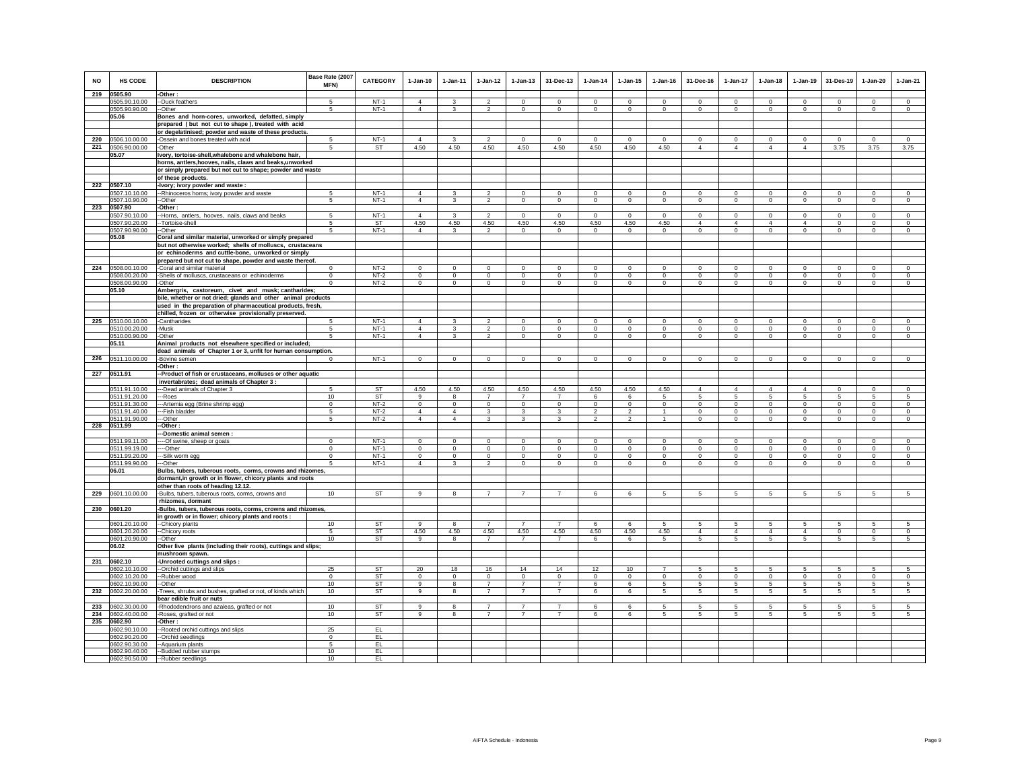| <b>NO</b> | HS CODE                        | <b>DESCRIPTION</b>                                                       | Base Rate (2007<br><b>MFN)</b> | <b>CATEGORY</b>  | $1-Jan-10$                       | $1 - Jan-11$                           | $1 - Jan-12$                     | $1 - Jan-13$            | 31-Dec-13                   | $1 - Jan-14$                  | $1 - Jan-15$            | $1 - Jan-16$            | 31-Dec-16                | $1 - Jan-17$              | $1-Jan-18$               | $1-Jan-19$                    | 31-Des-19           | $1-Jan-20$              | $1-Jan-21$              |
|-----------|--------------------------------|--------------------------------------------------------------------------|--------------------------------|------------------|----------------------------------|----------------------------------------|----------------------------------|-------------------------|-----------------------------|-------------------------------|-------------------------|-------------------------|--------------------------|---------------------------|--------------------------|-------------------------------|---------------------|-------------------------|-------------------------|
| 219       | 0505.90                        | -Other:                                                                  | 5                              |                  |                                  | $\mathbf{\hat{z}}$                     | $\mathfrak{p}$                   |                         | $\Omega$                    | $\Omega$                      |                         | $\Omega$                |                          | $\Omega$                  |                          | $\Omega$                      | $\Omega$            |                         |                         |
|           | 0505.90.10.00<br>0505.90.90.00 | -Duck feathers<br>--Other                                                | 5                              | $NT-1$<br>$NT-1$ | $\overline{4}$<br>$\overline{4}$ | 3                                      | $\overline{2}$                   | $\Omega$<br>$\mathbf 0$ | $^{\circ}$                  | $\mathbf 0$                   | $\Omega$<br>$\mathbf 0$ | $\circ$                 | $\Omega$<br>$\mathbf{0}$ | $\circ$                   | $\Omega$<br>$\mathbf{0}$ | $^{\circ}$                    | $\circ$             | $\Omega$<br>$\mathbf 0$ | $\circ$<br>$\mathsf 0$  |
|           | 05.06                          | Bones and horn-cores, unworked, defatted, simply                         |                                |                  |                                  |                                        |                                  |                         |                             |                               |                         |                         |                          |                           |                          |                               |                     |                         |                         |
|           |                                | prepared (but not cut to shape), treated with acid                       |                                |                  |                                  |                                        |                                  |                         |                             |                               |                         |                         |                          |                           |                          |                               |                     |                         |                         |
|           |                                | or degelatinised; powder and waste of these products.                    |                                |                  |                                  |                                        |                                  |                         |                             |                               |                         |                         |                          |                           |                          |                               |                     |                         |                         |
| 220       | 0506.10.00.00                  | -Ossein and bones treated with acid                                      | -5                             | $NT-1$           | $\overline{4}$                   | 3                                      | $\mathcal{P}$                    | $\Omega$                | $\Omega$                    | $\Omega$                      | $^{\circ}$              | $\Omega$                | $\Omega$                 | $\Omega$                  | $\Omega$                 | $\Omega$                      | $\Omega$            | $\Omega$                | $\Omega$                |
| 221       | 0506.90.00.00                  | -Other                                                                   | 5                              | ST               | 4.50                             | 4.50                                   | 4.50                             | 4.50                    | 4.50                        | 4.50                          | 4.50                    | 4.50                    | $\overline{4}$           | $\overline{4}$            | $\overline{4}$           | $\overline{4}$                | 3.75                | 3.75                    | 3.75                    |
|           | 05.07                          | Ivory, tortoise-shell, whalebone and whalebone hair,                     |                                |                  |                                  |                                        |                                  |                         |                             |                               |                         |                         |                          |                           |                          |                               |                     |                         |                         |
|           |                                | horns, antlers, hooves, nails, claws and beaks, unworked                 |                                |                  |                                  |                                        |                                  |                         |                             |                               |                         |                         |                          |                           |                          |                               |                     |                         |                         |
|           |                                | or simply prepared but not cut to shape; powder and waste                |                                |                  |                                  |                                        |                                  |                         |                             |                               |                         |                         |                          |                           |                          |                               |                     |                         |                         |
|           |                                | of these products.                                                       |                                |                  |                                  |                                        |                                  |                         |                             |                               |                         |                         |                          |                           |                          |                               |                     |                         |                         |
| 222       | 0507.10                        | -Ivory; ivory powder and waste:                                          |                                |                  |                                  |                                        |                                  |                         |                             |                               |                         |                         |                          |                           |                          |                               |                     |                         |                         |
|           | 0507.10.10.00                  | -- Rhinoceros horns; ivory powder and waste<br>--Other                   | -5<br>5                        | $NT-1$           | $\overline{4}$<br>$\overline{4}$ | 3<br>3                                 | $\mathfrak{p}$<br>$\mathfrak{p}$ | $\mathbf 0$             | $\Omega$                    | $\Omega$                      | $\mathbf 0$             | $\Omega$                | $\mathbf 0$              | $\Omega$                  | $\Omega$                 | $\Omega$                      | $\Omega$            | $\Omega$                | $\circ$                 |
|           | 0507.10.90.00<br>223 0507.90   | -Other:                                                                  |                                | $NT-1$           |                                  |                                        |                                  | $\mathbf 0$             | $\mathbf 0$                 | $\mathbf 0$                   | $\mathbf 0$             | $\mathbf 0$             | $\mathbf 0$              | 0                         | $\mathbf 0$              | $\mathbf 0$                   | $\mathbf 0$         | $\mathbf 0$             | $\mathbf 0$             |
|           | 0507.90.10.00                  | -Horns, antlers, hooves, nails, claws and beaks                          | 5                              | $NT-1$           | $\overline{4}$                   | 3                                      | $\overline{\mathbf{2}}$          | $\circ$                 | $\mathbf{0}$                | $^{\circ}$                    | $\Omega$                | $^{\circ}$              | $^{\circ}$               | $\mathbf 0$               | $^{\circ}$               | $\circ$                       | $\overline{0}$      | $^{\circ}$              | $\mathbf{0}$            |
|           | 0507.90.20.00                  | --Tortoise-shell                                                         | -5                             | <b>ST</b>        | 4.50                             | 4.50                                   | 4.50                             | 4.50                    | 4.50                        | 4.50                          | 4.50                    | 4.50                    | $\overline{4}$           | 4                         | $\overline{4}$           | $\overline{4}$                | $^{\circ}$          | $\mathbf 0$             | $\mathbf 0$             |
|           | 0507.90.90.00                  | --Other                                                                  | 5                              | $NT-1$           | $\overline{4}$                   | $\mathbf{3}$                           | $\mathfrak{D}$                   | $\mathsf 0$             | $\mathbf 0$                 | $\mathbf 0$                   | $\mathbf 0$             | $\mathbf 0$             | $\mathsf 0$              | $\mathbf 0$               | $\mathbf 0$              | $\mathbf 0$                   | $\mathbf 0$         | $\mathbf 0$             | $\mathbf 0$             |
|           | 05.08                          | Coral and similar material, unworked or simply prepared                  |                                |                  |                                  |                                        |                                  |                         |                             |                               |                         |                         |                          |                           |                          |                               |                     |                         |                         |
|           |                                | but not otherwise worked; shells of molluscs, crustaceans                |                                |                  |                                  |                                        |                                  |                         |                             |                               |                         |                         |                          |                           |                          |                               |                     |                         |                         |
|           |                                | or echinoderms and cuttle-bone, unworked or simply                       |                                |                  |                                  |                                        |                                  |                         |                             |                               |                         |                         |                          |                           |                          |                               |                     |                         |                         |
|           |                                | prepared but not cut to shape, powder and waste thereof.                 |                                |                  |                                  |                                        |                                  |                         |                             |                               |                         |                         |                          |                           |                          |                               |                     |                         |                         |
| 224       | 0508.00.10.00                  | -Coral and similar material                                              |                                | $NT-2$           | $\Omega$                         | $\Omega$                               | $\Omega$                         | $\Omega$                | $\Omega$                    | $\Omega$                      | $\Omega$                | $\Omega$                | $\Omega$                 | $\Omega$                  | $\Omega$                 | $\Omega$                      | $\Omega$            | $\Omega$                |                         |
|           | 0508.00.20.00                  | -Shells of molluscs, crustaceans or echinoderms                          | $^{\circ}$                     | $NT-2$           | $\circ$                          | $\circ$                                | $\circ$                          | $\mathbf 0$             | $\mathbf 0$                 | $\mathbf 0$                   | $\mathbf 0$             | $\circ$                 | $\mathbf 0$              | $\circ$                   | $\circ$                  | $\mathbf 0$                   | $\circ$             | $\mathbf 0$             | $\circ$                 |
|           | 0508.00.90.00<br>05.10         | -Other<br>Ambergris, castoreum, civet and musk; cantharides;             | $\Omega$                       | $NT-2$           | $\mathbf{0}$                     | $^{\circ}$                             | $\mathbf 0$                      | $\mathbf 0$             | $\mathbf{0}$                | $\mathbf 0$                   | $\mathbf 0$             | $\circ$                 | $\mathbf{0}$             | $\mathbf{0}$              | $\mathbf{0}$             | $\mathbf{0}$                  | $\mathbf{0}$        | $\circ$                 | $\mathbf 0$             |
|           |                                | bile, whether or not dried; glands and other animal products             |                                |                  |                                  |                                        |                                  |                         |                             |                               |                         |                         |                          |                           |                          |                               |                     |                         |                         |
|           |                                | used in the preparation of pharmaceutical products, fresh,               |                                |                  |                                  |                                        |                                  |                         |                             |                               |                         |                         |                          |                           |                          |                               |                     |                         |                         |
|           |                                | chilled, frozen or otherwise provisionally preserved.                    |                                |                  |                                  |                                        |                                  |                         |                             |                               |                         |                         |                          |                           |                          |                               |                     |                         |                         |
|           | 225 0510.00.10.00              | -Cantharides                                                             |                                | $NT-1$           | $\overline{4}$                   | $\mathcal{R}$                          | $\mathfrak{p}$                   | $\Omega$                | $\mathbf 0$                 | $\Omega$                      | $\Omega$                | $\Omega$                | $\Omega$                 | $\mathbf 0$               | $\Omega$                 | $\mathbf 0$                   | $\mathbf 0$         | $\Omega$                | $\Omega$                |
|           | 0510.00.20.00                  | -Musk                                                                    | 5                              | $NT-1$           | $\Delta$                         | 3                                      | $\mathfrak{p}$                   | $\Omega$                | $\mathbf 0$                 | $\Omega$                      | $\Omega$                | $\Omega$                | $\Omega$                 | $\mathbf 0$               | $\Omega$                 | $\Omega$                      | $\mathbf 0$         | $\Omega$                | $\Omega$                |
|           | 0510.00.90.00                  | -Other                                                                   | 5                              | $NT-1$           | $\overline{4}$                   | $\mathbf{3}$                           | $\mathfrak{p}$                   | $\mathsf 0$             | $\mathbf{0}$                | $\mathsf 0$                   | $\mathsf 0$             | $\mathsf 0$             | $\mathbf 0$              | $\mathbf 0$               | $\mathbf 0$              | $\mathbb O$                   | $\circ$             | $\mathsf 0$             | $\mathsf 0$             |
|           | 05.11                          | Animal products not elsewhere specified or included;                     |                                |                  |                                  |                                        |                                  |                         |                             |                               |                         |                         |                          |                           |                          |                               |                     |                         |                         |
|           |                                | dead animals of Chapter 1 or 3, unfit for human consumption.             |                                |                  |                                  |                                        |                                  |                         |                             |                               |                         |                         |                          |                           |                          |                               |                     |                         |                         |
|           | 226 0511.10.00.00              | -Bovine semen                                                            |                                | $NT-1$           | $\mathbf{0}$                     | $\circ$                                | $\mathbf{0}$                     | $\mathbf{0}$            | $\mathbf{0}$                | $\circ$                       | $\mathbf 0$             | $\circ$                 | $\mathbf 0$              | $\mathbf{0}$              | $\circ$                  | $\circ$                       | $\mathbf{0}$        | $\mathbf 0$             | $\circ$                 |
|           |                                | Other:                                                                   |                                |                  |                                  |                                        |                                  |                         |                             |                               |                         |                         |                          |                           |                          |                               |                     |                         |                         |
|           | 227 0511.91                    | -Product of fish or crustaceans, molluscs or other aquatic               |                                |                  |                                  |                                        |                                  |                         |                             |                               |                         |                         |                          |                           |                          |                               |                     |                         |                         |
|           | 0511.91.10.00                  | invertabrates; dead animals of Chapter 3:                                | 5                              | <b>ST</b>        | 4.50                             | 4.50                                   | 4.50                             | 4.50                    | 4.50                        | 4.50                          | 4.50                    | 4.50                    | $\overline{4}$           | $\overline{\mathbf{4}}$   | $\Delta$                 | $\overline{\mathbf{4}}$       | $\Omega$            | $\Omega$                | $\Omega$                |
|           | 0511.91.20.00                  | --Dead animals of Chapter 3<br>--Roes                                    | 10                             | ST               | 9                                | 8                                      | $\overline{7}$                   | $\overline{7}$          | $\overline{7}$              | 6                             | 6                       | 5                       | 5                        | 5                         | 5                        | 5                             | 5                   | 5                       | 5                       |
|           | 0511.91.30.00                  | --- Artemia egg (Brine shrimp egg)                                       | $\mathbf{0}$                   | $NT-2$           | $\circ$                          | $\mathbf 0$                            | $\mathbf 0$                      | $\mathsf 0$             | $\mathbf 0$                 | $\mathbf 0$                   | $\mathsf 0$             | $\Omega$                | $\circ$                  | $\overline{0}$            | $\mathbf 0$              | $\mathbb O$                   | $\mathbf 0$         | $\mathbf{0}$            | $\Omega$                |
|           | 0511.91.40.00                  | --Fish bladder                                                           | 5                              | $NT-2$           | $\overline{4}$                   | $\overline{4}$                         | $\overline{3}$                   | 3                       | 3                           | $\mathfrak{p}$                | $\mathfrak{p}$          | $\mathbf{1}$            | $\Omega$                 | $\mathbf{0}$              | $\Omega$                 | $\Omega$                      | $\Omega$            | $\Omega$                | $\Omega$                |
|           | 0511.91.90.00                  | ---Other                                                                 | 5                              | $NT-2$           | $\overline{4}$                   | $\overline{4}$                         | 3                                | 3                       | 3                           | $\overline{2}$                | $\mathbf 2$             | $\mathbf{1}$            | $\mathbf 0$              | $\mathbf 0$               | $^{\circ}$               | $^{\circ}$                    | $\circ$             | $\mathbf 0$             | $\mathbf 0$             |
|           | 228 0511.99                    | -Other :                                                                 |                                |                  |                                  |                                        |                                  |                         |                             |                               |                         |                         |                          |                           |                          |                               |                     |                         |                         |
|           |                                | --Domestic animal semen :                                                |                                |                  |                                  |                                        |                                  |                         |                             |                               |                         |                         |                          |                           |                          |                               |                     |                         |                         |
|           | 0511.99.11.00                  | --Of swine, sheep or goats                                               | $\Omega$                       | $NT-1$           | $\Omega$                         | $\Omega$                               | $\Omega$                         | $\Omega$                | $\Omega$                    | $\Omega$                      | $\Omega$                | $\Omega$                | $\Omega$                 | $\Omega$                  | $\Omega$                 | $\Omega$                      | $\Omega$            | $\Omega$                | $\Omega$                |
|           | 0511.99.19.00                  | --Other                                                                  | $\Omega$<br>$\Omega$           | $NT-1$           | $\mathbf 0$                      | $\mathbf 0$                            | $\mathbf 0$                      | $\mathbf 0$<br>$\Omega$ | $\mathbf 0$                 | $\mathbf 0$                   | $\mathbf 0$<br>$\Omega$ | $\mathbf 0$             | $\mathsf 0$              | $\mathbf 0$               | $\mathbf 0$              | $\mathbf 0$                   | $\mathbf 0$         | $\mathsf 0$             | $\mathsf 0$             |
|           | 0511.99.20.00<br>0511.99.90.00 | --Silk worm egg<br>---Other                                              | 5                              | $NT-1$<br>$NT-1$ | $\circ$<br>$\overline{4}$        | $\mathbf 0$<br>$\overline{\mathbf{3}}$ | $\circ$<br>$\overline{2}$        | $\overline{0}$          | $\mathbf 0$<br>$\mathbf{0}$ | $\mathbf 0$<br>$\overline{0}$ | $\Omega$                | $\mathbf 0$<br>$\Omega$ | $\mathbf 0$<br>$\circ$   | $\circ$<br>$\overline{0}$ | $\mathbf 0$<br>$\Omega$  | $\mathbf 0$<br>$\overline{0}$ | $\circ$<br>$\Omega$ | $\mathbf 0$<br>$\Omega$ | $\mathbf 0$<br>$\Omega$ |
|           | 06.01                          | Bulbs, tubers, tuberous roots, corms, crowns and rhizomes,               |                                |                  |                                  |                                        |                                  |                         |                             |                               |                         |                         |                          |                           |                          |                               |                     |                         |                         |
|           |                                | dormant, in growth or in flower, chicory plants and roots                |                                |                  |                                  |                                        |                                  |                         |                             |                               |                         |                         |                          |                           |                          |                               |                     |                         |                         |
|           |                                | other than roots of heading 12.12.                                       |                                |                  |                                  |                                        |                                  |                         |                             |                               |                         |                         |                          |                           |                          |                               |                     |                         |                         |
| 229       | 0601.10.00.00                  | -Bulbs, tubers, tuberous roots, corms, crowns and                        | 10                             | ST               | 9                                | 8                                      | $\overline{7}$                   | $\overline{7}$          | $\overline{7}$              | 6                             | 6                       | 5                       | 5                        | $5\overline{5}$           | $5\overline{5}$          | $5\overline{5}$               | 5                   | 5                       | 5                       |
|           |                                | rhizomes, dormant                                                        |                                |                  |                                  |                                        |                                  |                         |                             |                               |                         |                         |                          |                           |                          |                               |                     |                         |                         |
|           | 230 0601.20                    | -Bulbs, tubers, tuberous roots, corms, crowns and rhizomes,              |                                |                  |                                  |                                        |                                  |                         |                             |                               |                         |                         |                          |                           |                          |                               |                     |                         |                         |
|           |                                | in growth or in flower; chicory plants and roots :                       |                                |                  |                                  |                                        |                                  |                         |                             |                               |                         |                         |                          |                           |                          |                               |                     |                         |                         |
|           | 0601.20.10.00                  | -- Chicory plants                                                        | 10                             | <b>ST</b>        | 9                                | 8                                      | $\overline{7}$                   | $\overline{7}$          | $\overline{7}$              | 6                             | 6                       | 5                       | 5                        | 5.                        | 5.                       | -5                            | -5                  | 5                       | 5                       |
|           | 0601.20.20.00                  | --Chicory roots                                                          | 5<br>10                        | ST<br><b>ST</b>  | 4.50<br>9                        | 4.50<br>8                              | 4.50<br>$\overline{7}$           | 4.50<br>$\overline{7}$  | 4.50<br>$\overline{7}$      | 4.50<br>6                     | 4.50<br>6               | 4.50<br>5.              | $\overline{4}$<br>5      | $\overline{4}$<br>5       | $\overline{4}$<br>5      | $\overline{4}$<br>5           | $\mathbf{0}$<br>5   | $\circ$<br>5            | $\circ$<br>5.           |
|           | 0601.20.90.00<br>06.02         | -Other<br>Other live plants (including their roots), cuttings and slips; |                                |                  |                                  |                                        |                                  |                         |                             |                               |                         |                         |                          |                           |                          |                               |                     |                         |                         |
|           |                                | mushroom spawn.                                                          |                                |                  |                                  |                                        |                                  |                         |                             |                               |                         |                         |                          |                           |                          |                               |                     |                         |                         |
| 231       | 0602.10                        | -Unrooted cuttings and slips :                                           |                                |                  |                                  |                                        |                                  |                         |                             |                               |                         |                         |                          |                           |                          |                               |                     |                         |                         |
|           | 0602.10.10.00                  | --Orchid cuttings and slips                                              | 25                             | <b>ST</b>        | 20                               | 18                                     | 16                               | 14                      | 14                          | 12                            | 10                      | $\overline{7}$          | 5                        | 5                         | 5                        | 5                             | 5                   | 5                       | 5                       |
|           | 0602.10.20.00                  | --Rubber wood                                                            | $\Omega$                       | <b>ST</b>        | $\Omega$                         | $^{\circ}$                             | $\circ$                          | $\mathbf 0$             | $\mathbf{0}$                | $\mathbf 0$                   | $\circ$                 | $\circ$                 | $\circ$                  | $\circ$                   | $\Omega$                 | $\mathbf 0$                   | $\circ$             | $\mathbf{0}$            | $\mathbf 0$             |
|           | 0602.10.90.00                  | -Other                                                                   | 10                             | <b>ST</b>        | 9                                | 8                                      | $\overline{7}$                   | $\overline{7}$          | $\overline{7}$              | 6                             | 6                       | -5                      | 5                        | $5\phantom{.0}$           | 5                        | -5                            | 5                   | 5                       | 5                       |
| 232       | 0602.20.00.00                  | Trees, shrubs and bushes, grafted or not, of kinds which                 | 10                             | ST               | 9                                | 8                                      | $\overline{7}$                   | $\overline{7}$          | $\overline{7}$              | 6                             | 6                       | 5                       | 5                        | 5                         | 5                        | 5                             | 5                   | 5                       | 5                       |
|           |                                | bear edible fruit or nuts                                                |                                |                  |                                  |                                        |                                  |                         |                             |                               |                         |                         |                          |                           |                          |                               |                     |                         |                         |
| 233       | 0602.30.00.00                  | -Rhododendrons and azaleas, grafted or not                               | 10                             | ST               | 9                                |                                        | $\overline{7}$                   | $\overline{7}$          | $\overline{7}$              | 6                             | 6                       |                         | 5                        | 5                         | 5                        | 5                             | 5                   | 5                       | 5                       |
| 234       | 0602.40.00.00                  | -Roses, grafted or not                                                   | 10                             | ST               | 9                                | 8                                      | $\overline{7}$                   | $\overline{7}$          | $\overline{7}$              | 6                             | 6                       | 5                       | 5                        | $\overline{5}$            | 5                        | 5                             | 5                   | 5                       | 5                       |
| 235       | 0602.90                        | -Other:                                                                  |                                |                  |                                  |                                        |                                  |                         |                             |                               |                         |                         |                          |                           |                          |                               |                     |                         |                         |
|           | 0602.90.10.00<br>0602.90.20.00 | -Rooted orchid cuttings and slips                                        | 25<br>$^{\circ}$               | EL               |                                  |                                        |                                  |                         |                             |                               |                         |                         |                          |                           |                          |                               |                     |                         |                         |
|           | 0602.90.30.00                  | --Orchid seedlings<br>-- Aquarium plants                                 | 5                              | EL<br>EL         |                                  |                                        |                                  |                         |                             |                               |                         |                         |                          |                           |                          |                               |                     |                         |                         |
|           | 0602.90.40.00                  | --Budded rubber stumps                                                   | 10                             | EL               |                                  |                                        |                                  |                         |                             |                               |                         |                         |                          |                           |                          |                               |                     |                         |                         |
|           | 0602.90.50.00                  | --Rubber seedlings                                                       | 10                             | EL               |                                  |                                        |                                  |                         |                             |                               |                         |                         |                          |                           |                          |                               |                     |                         |                         |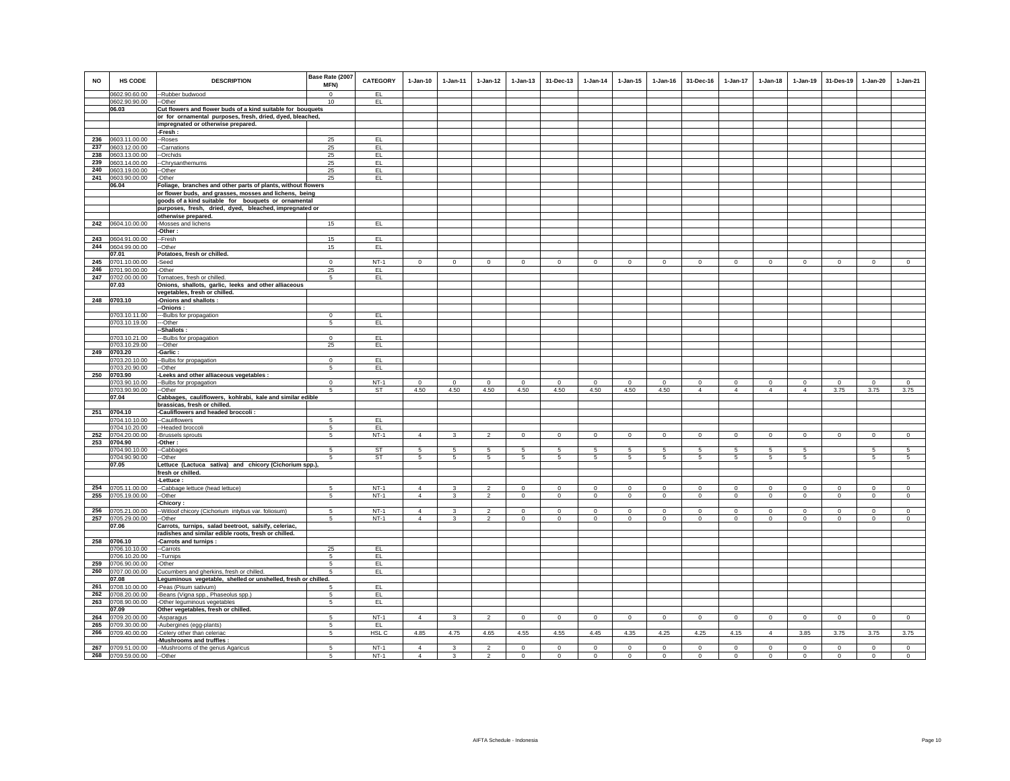| <b>NO</b> | HS CODE       | <b>DESCRIPTION</b>                                            | Base Rate (2007 | <b>CATEGORY</b> | $1 - Jan-10$    | $1 - Jan-11$    | $1 - Jan-12$    | $1 - Jan-13$ | 31-Dec-13    | $1 - Jan-14$ | 1-Jan-15     | $1 - Jan-16$   | 31-Dec-16      | $1 - Jan-17$    | $1 - Jan-18$   | 1-Jan-19       | 31-Des-19      | 1-Jan-20     | $1-Jan-21$     |
|-----------|---------------|---------------------------------------------------------------|-----------------|-----------------|-----------------|-----------------|-----------------|--------------|--------------|--------------|--------------|----------------|----------------|-----------------|----------------|----------------|----------------|--------------|----------------|
|           |               |                                                               | MFN)            |                 |                 |                 |                 |              |              |              |              |                |                |                 |                |                |                |              |                |
|           | 0602.90.60.00 | -Rubber budwood                                               | $\Omega$        | EL.             |                 |                 |                 |              |              |              |              |                |                |                 |                |                |                |              |                |
|           | 0602.90.90.00 | -Other                                                        | 10              | EL.             |                 |                 |                 |              |              |              |              |                |                |                 |                |                |                |              |                |
|           | 06.03         | Cut flowers and flower buds of a kind suitable for bouquets   |                 |                 |                 |                 |                 |              |              |              |              |                |                |                 |                |                |                |              |                |
|           |               | or for ornamental purposes, fresh, dried, dyed, bleached,     |                 |                 |                 |                 |                 |              |              |              |              |                |                |                 |                |                |                |              |                |
|           |               |                                                               |                 |                 |                 |                 |                 |              |              |              |              |                |                |                 |                |                |                |              |                |
|           |               | impregnated or otherwise prepared.                            |                 |                 |                 |                 |                 |              |              |              |              |                |                |                 |                |                |                |              |                |
|           |               | Fresh:                                                        |                 |                 |                 |                 |                 |              |              |              |              |                |                |                 |                |                |                |              |                |
| 236       | 0603.11.00.00 | -Roses                                                        | 25              | EL.             |                 |                 |                 |              |              |              |              |                |                |                 |                |                |                |              |                |
| 237       | 0603.12.00.00 | -Carnations                                                   | 25              | EL <sub>1</sub> |                 |                 |                 |              |              |              |              |                |                |                 |                |                |                |              |                |
| 238       | 0603.13.00.00 | -Orchids                                                      | 25              | EL.             |                 |                 |                 |              |              |              |              |                |                |                 |                |                |                |              |                |
| 239       | 0603.14.00.00 | -Chrysanthemums                                               | 25              | EL.             |                 |                 |                 |              |              |              |              |                |                |                 |                |                |                |              |                |
| 240       | 0603.19.00.00 | -Other                                                        | 25              | EL              |                 |                 |                 |              |              |              |              |                |                |                 |                |                |                |              |                |
| 241       | 0603.90.00.00 | Other                                                         | 25              | EL.             |                 |                 |                 |              |              |              |              |                |                |                 |                |                |                |              |                |
|           | 06.04         | Foliage, branches and other parts of plants, without flowers  |                 |                 |                 |                 |                 |              |              |              |              |                |                |                 |                |                |                |              |                |
|           |               | or flower buds, and grasses, mosses and lichens, being        |                 |                 |                 |                 |                 |              |              |              |              |                |                |                 |                |                |                |              |                |
|           |               | goods of a kind suitable for bouquets or ornamental           |                 |                 |                 |                 |                 |              |              |              |              |                |                |                 |                |                |                |              |                |
|           |               | purposes, fresh, dried, dyed, bleached, impregnated or        |                 |                 |                 |                 |                 |              |              |              |              |                |                |                 |                |                |                |              |                |
|           |               |                                                               |                 |                 |                 |                 |                 |              |              |              |              |                |                |                 |                |                |                |              |                |
|           |               | otherwise prepared.                                           |                 |                 |                 |                 |                 |              |              |              |              |                |                |                 |                |                |                |              |                |
| 242       | 0604.10.00.00 | -Mosses and lichens                                           | 15              | EL.             |                 |                 |                 |              |              |              |              |                |                |                 |                |                |                |              |                |
|           |               | -Other :                                                      |                 |                 |                 |                 |                 |              |              |              |              |                |                |                 |                |                |                |              |                |
| 243       | 0604.91.00.00 | -Fresh                                                        | 15              | EL.             |                 |                 |                 |              |              |              |              |                |                |                 |                |                |                |              |                |
| 244       | 0604.99.00.00 | -Other                                                        | 15              | EL              |                 |                 |                 |              |              |              |              |                |                |                 |                |                |                |              |                |
|           | 07.01         | Potatoes, fresh or chilled.                                   |                 |                 |                 |                 |                 |              |              |              |              |                |                |                 |                |                |                |              |                |
| 245       | 0701.10.00.00 | Seed                                                          | $\mathbf{0}$    | $NT-1$          | $\circ$         | $\circ$         | $\circ$         | $\mathbf 0$  | $\mathbf{0}$ | $\circ$      | $\mathsf 0$  | $\mathbf 0$    | $\circ$        | $\mathbf 0$     | $\overline{0}$ | $\overline{0}$ | $\circ$        | $\mathsf 0$  | $\overline{0}$ |
| 246       | 0701.90.00.00 | Other                                                         | 25              | EL.             |                 |                 |                 |              |              |              |              |                |                |                 |                |                |                |              |                |
| 247       | 0702.00.00.00 | Tomatoes, fresh or chilled.                                   | 5               | EL              |                 |                 |                 |              |              |              |              |                |                |                 |                |                |                |              |                |
|           | 07.03         | Onions, shallots, garlic, leeks and other alliaceous          |                 |                 |                 |                 |                 |              |              |              |              |                |                |                 |                |                |                |              |                |
|           |               | vegetables, fresh or chilled.                                 |                 |                 |                 |                 |                 |              |              |              |              |                |                |                 |                |                |                |              |                |
|           | 248 0703.10   | -Onions and shallots :                                        |                 |                 |                 |                 |                 |              |              |              |              |                |                |                 |                |                |                |              |                |
|           |               | -Onions :                                                     |                 |                 |                 |                 |                 |              |              |              |              |                |                |                 |                |                |                |              |                |
|           | 0703.10.11.00 | --Bulbs for propagation                                       | $\overline{0}$  | EL              |                 |                 |                 |              |              |              |              |                |                |                 |                |                |                |              |                |
|           | 0703.10.19.00 | -Other                                                        | 5               | EL              |                 |                 |                 |              |              |              |              |                |                |                 |                |                |                |              |                |
|           |               | -Shallots:                                                    |                 |                 |                 |                 |                 |              |              |              |              |                |                |                 |                |                |                |              |                |
|           |               |                                                               | $\Omega$        |                 |                 |                 |                 |              |              |              |              |                |                |                 |                |                |                |              |                |
|           | 0703.10.21.00 | -Bulbs for propagation                                        | 25              | EL.<br>EL       |                 |                 |                 |              |              |              |              |                |                |                 |                |                |                |              |                |
|           | 0703.10.29.00 | --Other                                                       |                 |                 |                 |                 |                 |              |              |              |              |                |                |                 |                |                |                |              |                |
| 249       | 0703.20       | <b>Garlic:</b>                                                |                 |                 |                 |                 |                 |              |              |              |              |                |                |                 |                |                |                |              |                |
|           | 0703.20.10.00 | -Bulbs for propagation                                        | $\mathbf 0$     | EL.             |                 |                 |                 |              |              |              |              |                |                |                 |                |                |                |              |                |
|           | 0703.20.90.00 | -Other                                                        | 5               | EL.             |                 |                 |                 |              |              |              |              |                |                |                 |                |                |                |              |                |
| 250       | 0703.90       | -Leeks and other alliaceous vegetables :                      |                 |                 |                 |                 |                 |              |              |              |              |                |                |                 |                |                |                |              |                |
|           | 0703.90.10.00 | --Bulbs for propagation                                       | $\overline{0}$  | $NT-1$          | $\Omega$        | $\Omega$        | $\Omega$        | $\Omega$     | $\Omega$     | $\Omega$     | $\Omega$     | $\Omega$       | $\Omega$       | $\Omega$        | $\Omega$       | $\overline{0}$ | $\Omega$       | $\Omega$     | $\overline{0}$ |
|           | 0703.90.90.00 | --Other                                                       | 5               | ST              | 4.50            | 4.50            | 4.50            | 4.50         | 4.50         | 4.50         | 4.50         | 4.50           | $\overline{4}$ | $\overline{4}$  | $\overline{4}$ | $\overline{4}$ | 3.75           | 3.75         | 3.75           |
|           | 07.04         | Cabbages, cauliflowers, kohlrabi, kale and similar edible     |                 |                 |                 |                 |                 |              |              |              |              |                |                |                 |                |                |                |              |                |
|           |               | brassicas, fresh or chilled.                                  |                 |                 |                 |                 |                 |              |              |              |              |                |                |                 |                |                |                |              |                |
| 251       | 0704.10       | -Cauliflowers and headed broccoli :                           |                 |                 |                 |                 |                 |              |              |              |              |                |                |                 |                |                |                |              |                |
|           | 0704.10.10.00 | --Cauliflowers                                                | 5               | EL              |                 |                 |                 |              |              |              |              |                |                |                 |                |                |                |              |                |
|           | 0704.10.20.00 | -Headed broccoli                                              | 5               | EL              |                 |                 |                 |              |              |              |              |                |                |                 |                |                |                |              |                |
| 252       | 0704.20.00.00 | Brussels sprouts                                              | 5               | $NT-1$          | $\overline{4}$  | 3               | $\overline{2}$  | $\mathsf 0$  | $\mathsf 0$  | $\circ$      | $\mathbb O$  | $\mathbf 0$    | $\Omega$       | $\mathbf 0$     | $\mathbf 0$    | $\mathsf 0$    | $\circ$        | $\mathsf 0$  | $\mathbf 0$    |
|           | 253 0704.90   | -Other :                                                      |                 |                 |                 |                 |                 |              |              |              |              |                |                |                 |                |                |                |              |                |
|           | 0704.90.10.00 | -Cabbages                                                     | $\sqrt{5}$      | <b>ST</b>       | 5               | 5               | $5\phantom{.0}$ | 5            | 5            | 5            | 5            | 5              | 5              | $5\phantom{.0}$ | 5              | $\sqrt{5}$     |                | 5            | $\sqrt{5}$     |
|           | 0704.90.90.00 | --Other                                                       | 5               | ST              | $5\phantom{.0}$ | $5\phantom{.0}$ | $5\phantom{.0}$ | 5            | 5            | 5            | 5            | $\sqrt{5}$     | 5              | 5               | 5              | 5              |                | 5            | 5              |
|           | 07.05         | Lettuce (Lactuca sativa) and chicory (Cichorium spp.),        |                 |                 |                 |                 |                 |              |              |              |              |                |                |                 |                |                |                |              |                |
|           |               | fresh or chilled.                                             |                 |                 |                 |                 |                 |              |              |              |              |                |                |                 |                |                |                |              |                |
|           |               | -Lettuce:                                                     |                 |                 |                 |                 |                 |              |              |              |              |                |                |                 |                |                |                |              |                |
| 254       | 0705.11.00.00 | -Cabbage lettuce (head lettuce)                               | 5               | NT-1            | $\overline{4}$  | 3               | $\overline{2}$  | $\circ$      | $\mathbf 0$  | $^{\circ}$   | $\circ$      | $\mathbf 0$    | $^{\circ}$     | $\circ$         | $\mathbf 0$    | $\circ$        | $\mathbf 0$    | $\circ$      | $\circ$        |
| 255       | 0705.19.00.00 | -Other                                                        | 5               | $NT-1$          | $\overline{4}$  | $\mathbf{3}$    | $\overline{a}$  | $\circ$      | $\mathbf 0$  | $\mathbf 0$  | $\circ$      | $\mathbf 0$    | $\mathbf 0$    | $\circ$         | $\mathbf 0$    | $\mathbf{0}$   | $\mathbf 0$    | $\circ$      | $\circ$        |
|           |               | : Chicory                                                     |                 |                 |                 |                 |                 |              |              |              |              |                |                |                 |                |                |                |              |                |
| 256       | 0705.21.00.00 | -Witloof chicory (Cichorium intybus var. foliosum)            | 5               | $NT-1$          | $\Delta$        | 3               | $\overline{2}$  | $^{\circ}$   | $\Omega$     | $\Omega$     | $^{\circ}$   | $^{\circ}$     | $\Omega$       | $\Omega$        | $\Omega$       | $\circ$        | $\Omega$       | $\Omega$     | $\circ$        |
| 257       | 0705.29.00.00 | -Other                                                        | 5               | $NT-1$          | $\overline{4}$  | 3               | $\overline{2}$  | $\mathbf 0$  | $^{\circ}$   | $\circ$      | $\mathbf{0}$ | $\,$ 0         | $^{\circ}$     | $\mathsf 0$     | $\mathbf{0}$   | $\,0\,$        | $\circ$        | $\mathbf{0}$ | $\mathsf 0$    |
|           | 07.06         | Carrots, turnips, salad beetroot, salsify, celeriac,          |                 |                 |                 |                 |                 |              |              |              |              |                |                |                 |                |                |                |              |                |
|           |               |                                                               |                 |                 |                 |                 |                 |              |              |              |              |                |                |                 |                |                |                |              |                |
|           |               | radishes and similar edible roots, fresh or chilled.          |                 |                 |                 |                 |                 |              |              |              |              |                |                |                 |                |                |                |              |                |
| 258       | 0706.10       | Carrots and turnips:                                          |                 |                 |                 |                 |                 |              |              |              |              |                |                |                 |                |                |                |              |                |
|           | 0706.10.10.00 | -Carrots                                                      | 25              | EL              |                 |                 |                 |              |              |              |              |                |                |                 |                |                |                |              |                |
|           | 0706.10.20.00 | -Turnips                                                      | 5               | EL              |                 |                 |                 |              |              |              |              |                |                |                 |                |                |                |              |                |
| 259       | 0706.90.00.00 | -Other                                                        | 5               | EL              |                 |                 |                 |              |              |              |              |                |                |                 |                |                |                |              |                |
| 260       | 0707.00.00.00 | Cucumbers and gherkins, fresh or chilled.                     | -5              | EL.             |                 |                 |                 |              |              |              |              |                |                |                 |                |                |                |              |                |
|           | 07.08         | Leguminous vegetable, shelled or unshelled, fresh or chilled. |                 |                 |                 |                 |                 |              |              |              |              |                |                |                 |                |                |                |              |                |
| 261       | 0708.10.00.00 | -Peas (Pisum sativum)                                         | 5               | EL.             |                 |                 |                 |              |              |              |              |                |                |                 |                |                |                |              |                |
| 262       | 0708.20.00.00 | -Beans (Vigna spp., Phaseolus spp.)                           | 5               | EL.             |                 |                 |                 |              |              |              |              |                |                |                 |                |                |                |              |                |
| 263       | 0708.90.00.00 | -Other leguminous vegetables                                  | 5               | EL.             |                 |                 |                 |              |              |              |              |                |                |                 |                |                |                |              |                |
|           | 07.09         | Other vegetables, fresh or chilled.                           |                 |                 |                 |                 |                 |              |              |              |              |                |                |                 |                |                |                |              |                |
| 264       | 0709.20.00.00 | -Asparagus                                                    | -5              | $NT-1$          | $\overline{4}$  | $\mathbf{3}$    | $\overline{2}$  | $\circ$      | $^{\circ}$   | $\mathbf{0}$ | $\circ$      | $\overline{0}$ | $\mathbf{0}$   | $\circ$         | $\mathbf{0}$   | $\overline{0}$ | $\overline{0}$ | $\mathbf{0}$ | $\overline{0}$ |
| 265       | 0709.30.00.00 | -Aubergines (egg-plants)                                      | 5               | EL              |                 |                 |                 |              |              |              |              |                |                |                 |                |                |                |              |                |
| 266       | 0709.40.00.00 | Celery other than celeriac                                    | 5               | HSL C           | 4.85            | 4.75            | 4.65            | 4.55         | 4.55         | 4.45         | 4.35         | 4.25           | 4.25           | 4.15            | $\overline{4}$ | 3.85           | 3.75           | 3.75         | 3.75           |
|           |               | Mushrooms and truffles :                                      |                 |                 |                 |                 |                 |              |              |              |              |                |                |                 |                |                |                |              |                |
| 267       | 0709.51.00.00 | -Mushrooms of the genus Agaricus                              | 5               | $NT-1$          | $\overline{4}$  | 3               | $\overline{2}$  | $\mathbf 0$  | $\mathbf 0$  | $\mathbf 0$  | $\mathbf 0$  | $\mathbf 0$    | $\mathbf 0$    | $\mathbf 0$     | $\mathbf 0$    | $\mathbf 0$    | $\mathbf 0$    | $\mathbf 0$  | $\mathsf 0$    |
| 268       | 0709.59.00.00 | --Other                                                       | 5               | $NT-1$          | $\overline{4}$  | $\mathbf{3}$    | $\overline{2}$  | $\circ$      | $\mathsf 0$  | $\circ$      | $\Omega$     | $\mathbf 0$    | $\mathbf 0$    | $\mathbf 0$     | $\Omega$       | $\mathbf 0$    | $\circ$        | $\mathsf 0$  | $\mathsf 0$    |
|           |               |                                                               |                 |                 |                 |                 |                 |              |              |              |              |                |                |                 |                |                |                |              |                |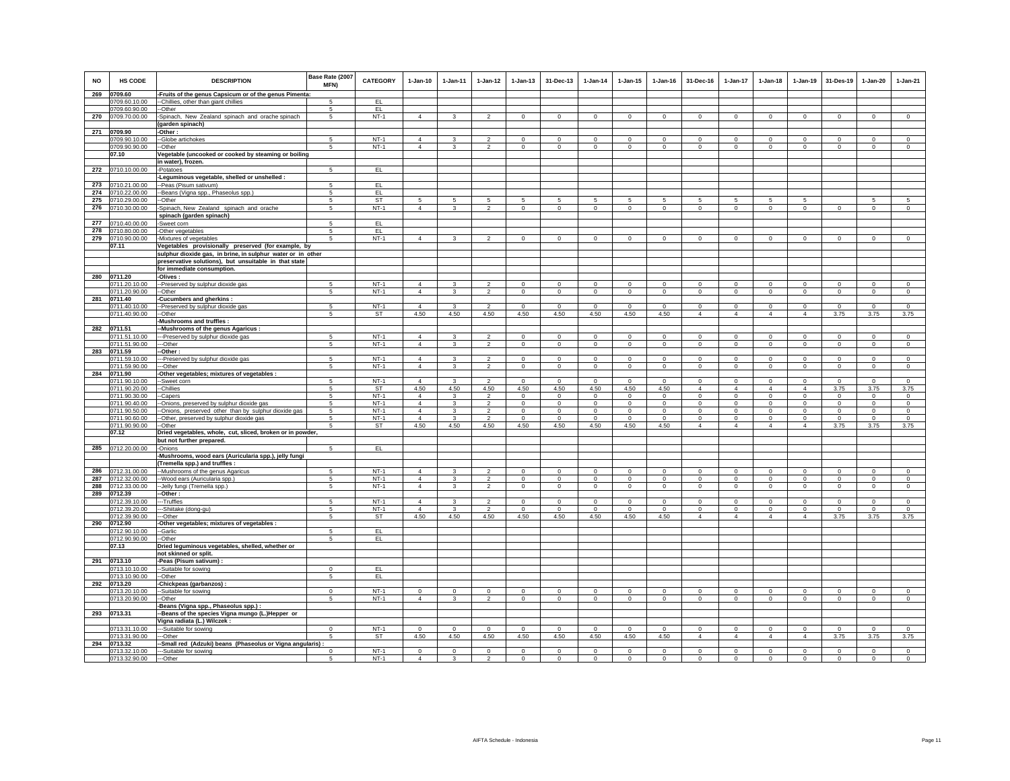| <b>NO</b>  | HS CODE                        | <b>DESCRIPTION</b>                                                   | Base Rate (2007<br>MFN) | <b>CATEGORY</b>  | $1-Jan-10$                 | $1-Jan-11$              | $1 - Jan-12$             | 1-Jan-13                 | 31-Dec-13                  | $1-Jan-14$                     | $1-Jan-15$               | $1$ -Jan-16              | 31-Dec-16                  | 1-Jan-17                   | $1-Jan-18$                 | 1-Jan-19                   | 31-Des-19                    | 1-Jan-20                | $1-Jan-21$          |
|------------|--------------------------------|----------------------------------------------------------------------|-------------------------|------------------|----------------------------|-------------------------|--------------------------|--------------------------|----------------------------|--------------------------------|--------------------------|--------------------------|----------------------------|----------------------------|----------------------------|----------------------------|------------------------------|-------------------------|---------------------|
| 269        | 0709.60                        | -Fruits of the genus Capsicum or of the genus Pimenta:               |                         |                  |                            |                         |                          |                          |                            |                                |                          |                          |                            |                            |                            |                            |                              |                         |                     |
|            | 0709.60.10.00                  | --Chillies, other than giant chillies                                |                         | EL               |                            |                         |                          |                          |                            |                                |                          |                          |                            |                            |                            |                            |                              |                         |                     |
| 270        | 0709.60.90.00                  | -Other                                                               | 5                       | EL               |                            |                         |                          |                          |                            |                                |                          |                          |                            |                            |                            |                            |                              |                         |                     |
|            | 0709.70.00.00                  | -Spinach, New Zealand spinach and orache spinach<br>(garden spinach) | 5                       | $NT-1$           | $\overline{4}$             | $\mathbf{3}$            | $\overline{2}$           | $^{\circ}$               | $\mathbf{0}$               | $^{\circ}$                     | $^{\circ}$               | $^{\circ}$               | $\Omega$                   | $^{\circ}$                 | $^{\circ}$                 | $\mathbf{0}$               | $\circ$                      | $\Omega$                | $\circ$             |
| 271        | 0709.90                        | -Other:                                                              |                         |                  |                            |                         |                          |                          |                            |                                |                          |                          |                            |                            |                            |                            |                              |                         |                     |
|            | 0709.90.10.00                  | -Globe artichokes                                                    | 5                       | $NT-1$           | $\overline{4}$             | 3                       |                          | $\mathbf 0$              | $\bf{0}$                   | $\mathbf 0$                    | $\mathbf 0$              | $\mathbf 0$              | $\mathbf 0$                | 0                          | $\mathbf 0$                | $\mathbf 0$                | $^{\circ}$                   | 0                       | $\mathbf 0$         |
|            | 0709.90.90.00                  | -Other                                                               | -5                      | $NT-1$           | $\overline{4}$             | $\overline{\mathbf{3}}$ | $\overline{2}$           | $\mathbf 0$              | $\mathbf 0$                | $\mathbf 0$                    | $\mathbf 0$              | $\circ$                  | $\circ$                    | $\mathbf 0$                | $\mathbf 0$                | $\mathbf 0$                | $\circ$                      | $\mathbf 0$             | $\Omega$            |
|            | 07.10                          | Vegetable (uncooked or cooked by steaming or boiling                 |                         |                  |                            |                         |                          |                          |                            |                                |                          |                          |                            |                            |                            |                            |                              |                         |                     |
|            |                                | in water), frozen.                                                   |                         |                  |                            |                         |                          |                          |                            |                                |                          |                          |                            |                            |                            |                            |                              |                         |                     |
| 272        | 0710.10.00.00                  | -Potatoes                                                            | 5                       | EL.              |                            |                         |                          |                          |                            |                                |                          |                          |                            |                            |                            |                            |                              |                         |                     |
|            |                                | -Leguminous vegetable, shelled or unshelled :                        |                         |                  |                            |                         |                          |                          |                            |                                |                          |                          |                            |                            |                            |                            |                              |                         |                     |
| 273        | 0710.21.00.00                  | -Peas (Pisum sativum)                                                | 5                       | EL.              |                            |                         |                          |                          |                            |                                |                          |                          |                            |                            |                            |                            |                              |                         |                     |
| 274<br>275 | 0710.22.00.00<br>0710.29.00.00 | -Beans (Vigna spp., Phaseolus spp.)<br>-Other                        | 5<br>5                  | EL.<br>ST        | 5                          | 5                       | 5                        | 5                        | 5                          | 5                              | 5                        | 5                        | 5                          | 5                          | 5                          | 5                          |                              | 5                       | 5                   |
| 276        | 0710.30.00.00                  | Spinach, New Zealand spinach and orache                              | $\sqrt{5}$              | $NT-1$           | $\overline{4}$             | 3                       | $\overline{2}$           | $\mathbf 0$              | $\mathbf 0$                | $\mathbf 0$                    | $\mathbf 0$              | $\mathbf 0$              | $\mathbf 0$                | $\mathbf 0$                | $\mathbf 0$                | $\mathbf 0$                | $\mathbf 0$                  | $\mathbf 0$             | $\circ$             |
|            |                                | spinach (garden spinach)                                             |                         |                  |                            |                         |                          |                          |                            |                                |                          |                          |                            |                            |                            |                            |                              |                         |                     |
| 277        | 0710.40.00.00                  | -Sweet corn                                                          | -5                      | EL               |                            |                         |                          |                          |                            |                                |                          |                          |                            |                            |                            |                            |                              |                         |                     |
| 278        | 0710.80.00.00                  | -Other vegetables                                                    | 5                       | EL.              |                            |                         |                          |                          |                            |                                |                          |                          |                            |                            |                            |                            |                              |                         |                     |
| 279        | 0710.90.00.00                  | -Mixtures of vegetables                                              | 5                       | $NT-1$           | $\overline{4}$             | 3                       | $\mathfrak{p}$           | $\mathbf 0$              | $\mathbf 0$                | $\mathbf 0$                    | $\mathbf 0$              | $\mathbf 0$              | $\circ$                    | $\mathbf 0$                | $\circ$                    | $\mathbf 0$                | $\circ$                      | $\mathbf 0$             | $\Omega$            |
|            | 07.11                          | Vegetables provisionally preserved (for example, by                  |                         |                  |                            |                         |                          |                          |                            |                                |                          |                          |                            |                            |                            |                            |                              |                         |                     |
|            |                                | sulphur dioxide gas, in brine, in sulphur water or in other          |                         |                  |                            |                         |                          |                          |                            |                                |                          |                          |                            |                            |                            |                            |                              |                         |                     |
|            |                                | preservative solutions), but unsuitable in that state                |                         |                  |                            |                         |                          |                          |                            |                                |                          |                          |                            |                            |                            |                            |                              |                         |                     |
| 280        | 0711.20                        | for immediate consumption.<br>-Olives:                               |                         |                  |                            |                         |                          |                          |                            |                                |                          |                          |                            |                            |                            |                            |                              |                         |                     |
|            | 0711.20.10.00                  | --Preserved by sulphur dioxide gas                                   | 5                       | $NT-1$           | $\overline{4}$             | 3                       | $\mathfrak{p}$           | $\Omega$                 | $\Omega$                   | $\Omega$                       | $\Omega$                 | $\Omega$                 | $\Omega$                   | $\Omega$                   | $\Omega$                   | $\Omega$                   | $\Omega$                     | $\Omega$                | $\Omega$            |
|            | 0711.20.90.00                  | --Other                                                              | 5                       | $NT-1$           | $\overline{4}$             | $\mathbf{3}$            | $\overline{2}$           | $\mathbf 0$              | $\overline{0}$             | $\overline{0}$                 | $\mathbf 0$              | $\mathbf 0$              | $\circ$                    | $\circ$                    | $\mathbf 0$                | $\overline{0}$             | $\circ$                      | $\circ$                 | $\circ$             |
| 281        | 0711.40                        | <b>Cucumbers and gherkins:</b>                                       |                         |                  |                            |                         |                          |                          |                            |                                |                          |                          |                            |                            |                            |                            |                              |                         |                     |
|            | 0711.40.10.00                  | -Preserved by sulphur dioxide gas                                    | -5                      | $NT-1$           | $\overline{4}$             | 3                       | $\mathfrak{p}$           | $\Omega$                 | $\Omega$                   | $\Omega$                       | $^{\circ}$               | $\Omega$                 | $\Omega$                   | $\Omega$                   | $\Omega$                   | $\Omega$                   | $\Omega$                     | $\Omega$                | $\Omega$            |
|            | 0711.40.90.00                  | -Other                                                               | 5                       | ST               | 4.50                       | 4.50                    | 4.50                     | 4.50                     | 4.50                       | 4.50                           | 4.50                     | 4.50                     | $\overline{4}$             | $\overline{4}$             | $\overline{4}$             | $\overline{4}$             | 3.75                         | 3.75                    | 3.75                |
|            | 0711.51                        | Mushrooms and truffles :                                             |                         |                  |                            |                         |                          |                          |                            |                                |                          |                          |                            |                            |                            |                            |                              |                         |                     |
| 282        | 0711.51.10.00                  | -Mushrooms of the genus Agaricus :                                   | -5                      | $NT-1$           | $\overline{4}$             | 3                       | $\overline{\phantom{a}}$ | $\Omega$                 | $\Omega$                   | $\overline{0}$                 | $\Omega$                 | $\Omega$                 | $\Omega$                   | $\Omega$                   | $\Omega$                   | $\Omega$                   | $\overline{0}$               | $\Omega$                | $\overline{0}$      |
|            | 0711.51.90.00                  | ---Preserved by sulphur dioxide gas<br>--Other                       | 5                       | $NT-1$           | $\overline{4}$             | $\mathbf{3}$            | $\overline{2}$           | $\mathbf 0$              | $\mathbf 0$                | $\mathsf 0$                    | $\mathsf 0$              | $\mathsf 0$              | $\mathsf 0$                | $\mathbf 0$                | $\mathbf 0$                | $\mathbf 0$                | $\mathbf 0$                  | $\mathsf 0$             | $\mathsf 0$         |
| 283        | 0711.59                        | -Other:                                                              |                         |                  |                            |                         |                          |                          |                            |                                |                          |                          |                            |                            |                            |                            |                              |                         |                     |
|            | 0711.59.10.00                  | -Preserved by sulphur dioxide gas                                    | 5                       | $NT-1$           | $\overline{4}$             | $\mathbf{3}$            | $\overline{a}$           | $\mathbf 0$              | $\mathbf 0$                | $\mathbf 0$                    | $\mathbf 0$              | $\mathbf 0$              | $\circ$                    | 0                          | $\mathbf{0}$               | $\mathbf 0$                | $\mathbf 0$                  | $\mathbf 0$             | $\circ$             |
|            | 0711.59.90.00                  | --Other                                                              | 5                       | $NT-1$           | $\overline{4}$             | 3                       | $\overline{a}$           | 0                        | $\mathbf 0$                | $\mathbf{0}$                   | 0                        | $\mathbf 0$              | $^{\circ}$                 | $\mathbf 0$                | $\mathbf{0}$               | $\mathbf 0$                | $\mathbf 0$                  | $\mathbf 0$             | $\circ$             |
| 284        | 0711.90                        | Other vegetables; mixtures of vegetables :                           |                         |                  |                            |                         |                          |                          |                            |                                |                          |                          |                            |                            |                            |                            |                              |                         |                     |
|            | 0711.90.10.00                  | -Sweet corn                                                          | 5                       | $NT-1$           | $\overline{4}$             | 3                       | $\mathfrak{p}$           | $\mathbf 0$              | $^{\circ}$                 | $\Omega$                       | $\mathbf 0$              | $\Omega$                 | $\circ$                    | $\mathbf 0$                | $\mathbf 0$                | $\mathbf 0$                | $^{\circ}$                   | $\circ$                 | $\mathbf 0$         |
|            | 0711.90.20.00<br>0711.90.30.00 | --Chillies<br>-Capers                                                | -5<br>-5                | ST<br>$NT-1$     | 4.50<br>$\Delta$           | 4.50<br>3               | 4.50<br>$\mathcal{P}$    | 4.50<br>$\Omega$         | 4.50<br>$\Omega$           | 4.50<br>$\Omega$               | 4.50<br>$\Omega$         | 4.50<br>$\Omega$         | $\overline{4}$<br>$\Omega$ | $\overline{4}$<br>$\Omega$ | $\overline{4}$<br>$\Omega$ | $\overline{4}$<br>$\Omega$ | 3.75<br>$\Omega$             | 3.75<br>$\Omega$        | 3.75<br>$\Omega$    |
|            | 0711.90.40.00                  | -Onions, preserved by sulphur dioxide gas                            | 5                       | $NT-1$           | $\overline{4}$             | 3                       | $\overline{2}$           | $\mathbf 0$              | $\mathbf 0$                | $\circ$                        | $\mathbf 0$              | $\circ$                  | $\circ$                    | $\mathbf 0$                | $\mathbf 0$                | $\mathbf 0$                | $\mathbf 0$                  | $\mathbf 0$             | $\circ$             |
|            | 0711.90.50.00                  | -Onions, preserved other than by sulphur dioxide gas                 | 5                       | $NT-1$           | $\Delta$                   | 3                       | $\overline{2}$           | $\mathbf 0$              | $\mathbf 0$                | $\mathbf{0}$                   | $\mathbf 0$              | $\circ$                  | $\Omega$                   | $\mathbf 0$                | $\Omega$                   | $\mathbf 0$                | $\circ$                      | $\mathbf 0$             | $\circ$             |
|            | 0711.90.60.00                  | -Other, preserved by sulphur dioxide gas                             | 5                       | $NT-1$           | $\Delta$                   | 3                       | $\overline{2}$           | $^{\circ}$               | $^{\circ}$                 | $\mathbf 0$                    | $^{\circ}$               | $^{\circ}$               | $^{\circ}$                 | $^{\circ}$                 | $^{\circ}$                 | $\circ$                    | $\overline{\phantom{0}}$     | $^{\circ}$              | $\mathbf{0}$        |
|            | 0711.90.90.00                  | -Other                                                               | -5                      | ST               | 4.50                       | 4.50                    | 4.50                     | 4.50                     | 4.50                       | 4.50                           | 4.50                     | 4.50                     | $\overline{4}$             | $\overline{4}$             | $\overline{4}$             | $\overline{4}$             | 3.75                         | 3.75                    | 3.75                |
|            | 07.12                          | Dried vegetables, whole, cut, sliced, broken or in powder,           |                         |                  |                            |                         |                          |                          |                            |                                |                          |                          |                            |                            |                            |                            |                              |                         |                     |
| 285        | 0712.20.00.00                  | but not further prepared.<br>-Onions                                 | 5                       | EL.              |                            |                         |                          |                          |                            |                                |                          |                          |                            |                            |                            |                            |                              |                         |                     |
|            |                                | -Mushrooms, wood ears (Auricularia spp.), jelly fungi                |                         |                  |                            |                         |                          |                          |                            |                                |                          |                          |                            |                            |                            |                            |                              |                         |                     |
|            |                                | (Tremella spp.) and truffles :                                       |                         |                  |                            |                         |                          |                          |                            |                                |                          |                          |                            |                            |                            |                            |                              |                         |                     |
| 286        | 0712.31.00.00                  | --Mushrooms of the genus Agaricus                                    | -5                      | $NT-1$           | $\overline{4}$             | $\mathbf{3}$            | $\overline{\phantom{a}}$ | $\Omega$                 | $\Omega$                   | $\Omega$                       | $\Omega$                 | $\Omega$                 | $\Omega$                   | $\Omega$                   | $\Omega$                   | $\Omega$                   | $\overline{0}$               | $\Omega$                | $\overline{0}$      |
| 287        | 0712.32.00.00                  | -Wood ears (Auricularia spp.)                                        | 5                       | $NT-1$           | $\overline{4}$             | $\mathbf{3}$            | $\overline{2}$           | $\mathbf{0}$             | $\mathbf{0}$               | $\mathbf{0}$                   | $\Omega$                 | $\Omega$                 | $\Omega$                   | $\Omega$                   | $\Omega$                   | $\Omega$                   | $\Omega$                     | $\Omega$                | $\circ$             |
| 288        | 0712.33.00.00                  | -Jelly fungi (Tremella spp.)                                         | 5                       | $NT-1$           | $\overline{4}$             | $\mathbf{3}$            | $\overline{2}$           | $\mathbf 0$              | $\mathbf{0}$               | $\circ$                        | $\mathbf 0$              | $\circ$                  | $\circ$                    | $\circ$                    | $\circ$                    | $\mathbf 0$                | $\mathbf{0}$                 | $\mathbf 0$             | $\circ$             |
| 289        | 0712.39                        | -Other:                                                              |                         |                  |                            |                         |                          |                          |                            |                                |                          |                          |                            |                            |                            |                            |                              |                         |                     |
|            | 0712.39.10.00<br>0712.39.20.00 | --Truffles                                                           | 5                       | $NT-1$<br>$NT-1$ | $\overline{4}$<br>$\Delta$ | 3                       | $\overline{2}$           | $^{\circ}$<br>$^{\circ}$ | $^{\circ}$<br>$\mathbf{0}$ | $\overline{0}$<br>$\mathbf{0}$ | $^{\circ}$<br>$^{\circ}$ | $^{\circ}$<br>$^{\circ}$ | $\Omega$<br>$\Omega$       | $^{\circ}$<br>$\mathbf{0}$ | $\Omega$<br>$^{\circ}$     | $^{\circ}$<br>$\circ$      | $^{\circ}$<br>$\overline{0}$ | $\circ$<br>$\mathbf{0}$ | $^{\circ}$          |
|            | 0712.39.90.00                  | -Shiitake (dong-gu)<br>-Other                                        | 5<br>5                  | ST               | 4.50                       | 3<br>4.50               | $\overline{2}$<br>4.50   | 4.50                     | 4.50                       | 4.50                           | 4.50                     | 4.50                     | $\overline{4}$             | 4                          | $\overline{4}$             | $\overline{4}$             | 3.75                         | 3.75                    | $\mathbf 0$<br>3.75 |
| 290        | 0712.90                        | Other vegetables; mixtures of vegetables :                           |                         |                  |                            |                         |                          |                          |                            |                                |                          |                          |                            |                            |                            |                            |                              |                         |                     |
|            | 0712.90.10.00                  | -Garlic                                                              | 5                       | EL.              |                            |                         |                          |                          |                            |                                |                          |                          |                            |                            |                            |                            |                              |                         |                     |
|            | 0712.90.90.00                  | --Other                                                              | $\overline{5}$          | EL               |                            |                         |                          |                          |                            |                                |                          |                          |                            |                            |                            |                            |                              |                         |                     |
|            | 07.13                          | Dried leguminous vegetables, shelled, whether or                     |                         |                  |                            |                         |                          |                          |                            |                                |                          |                          |                            |                            |                            |                            |                              |                         |                     |
|            |                                | not skinned or split.                                                |                         |                  |                            |                         |                          |                          |                            |                                |                          |                          |                            |                            |                            |                            |                              |                         |                     |
| 291        | 0713.10                        | -Peas (Pisum sativum)                                                |                         |                  |                            |                         |                          |                          |                            |                                |                          |                          |                            |                            |                            |                            |                              |                         |                     |
|            | 0713.10.10.00<br>0713.10.90.00 | -Suitable for sowing<br>-Other                                       | $^{\circ}$<br>-5        | EL.<br>EL        |                            |                         |                          |                          |                            |                                |                          |                          |                            |                            |                            |                            |                              |                         |                     |
| 292        | 0713.20                        | -Chickpeas (garbanzos) :                                             |                         |                  |                            |                         |                          |                          |                            |                                |                          |                          |                            |                            |                            |                            |                              |                         |                     |
|            | 0713.20.10.00                  | -Suitable for sowing                                                 | $\Omega$                | $NT-1$           | $\Omega$                   | $\Omega$                | $\Omega$                 | $\Omega$                 | $\Omega$                   | $\Omega$                       | $\Omega$                 | $\Omega$                 | $\Omega$                   | $\Omega$                   | $\Omega$                   | $\Omega$                   | $\mathbf 0$                  | $\Omega$                | $\mathbb O$         |
|            | 0713.20.90.00                  | -Other                                                               | 5                       | $NT-1$           | $\overline{4}$             | $\mathbf{3}$            | $\overline{2}$           | $\mathsf 0$              | $\mathbf 0$                | $\circ$                        | $\mathbf 0$              | $\mathbf 0$              | $\circ$                    | $\mathsf 0$                | $\mathbf 0$                | $\mathbf 0$                | $\mathbf 0$                  | $\circ$                 | $\circ$             |
|            |                                | Beans (Vigna spp., Phaseolus spp.) :                                 |                         |                  |                            |                         |                          |                          |                            |                                |                          |                          |                            |                            |                            |                            |                              |                         |                     |
|            | 293 0713.31                    | -Beans of the species Vigna mungo (L.)Hepper or                      |                         |                  |                            |                         |                          |                          |                            |                                |                          |                          |                            |                            |                            |                            |                              |                         |                     |
|            |                                | Vigna radiata (L.) Wilczek :                                         |                         |                  |                            |                         |                          |                          |                            |                                |                          |                          |                            |                            |                            |                            |                              |                         |                     |
|            | 0713.31.10.00                  | ---Suitable for sowing                                               | $\Omega$                | $NT-1$           | $\Omega$                   | $\Omega$                | $\Omega$                 | $\Omega$                 | $\Omega$                   | $\Omega$                       | $\Omega$                 | $\Omega$                 | $\Omega$                   | $\Omega$                   | $\Omega$                   | $\Omega$                   | $\Omega$                     | $\Omega$                | $\Omega$            |
| 294        | 0713.31.90.00<br>0713.32       | --Other<br>-Small red (Adzuki) beans (Phaseolus or Vigna angularis): | 5                       | ST               | 4.50                       | 4.50                    | 4.50                     | 4.50                     | 4.50                       | 4.50                           | 4.50                     | 4.50                     | $\overline{4}$             | $\overline{4}$             | $\overline{4}$             | $\overline{4}$             | 3.75                         | 3.75                    | 3.75                |
|            | 0713.32.10.00                  | -Suitable for sowing                                                 | 0                       | $NT-1$           | $\mathbf 0$                | $\mathbf 0$             | $\overline{0}$           | $\overline{0}$           | $\overline{0}$             | $\overline{0}$                 | $\mathbf 0$              | $\mathbf 0$              | $\mathbf 0$                | $\overline{0}$             | $\mathbf 0$                | $\overline{0}$             | $\overline{0}$               | $\overline{0}$          | $\mathbf 0$         |
|            | 0713.32.90.00                  | ---Other                                                             | $\sqrt{5}$              | $NT-1$           | $\Delta$                   | $\mathbf{3}$            | $\mathcal{P}$            | $\mathbf{0}$             | $\Omega$                   | $\Omega$                       | $\Omega$                 | $\Omega$                 | $\circ$                    | $\Omega$                   | $\Omega$                   | $\Omega$                   | $\Omega$                     | $\Omega$                | $\Omega$            |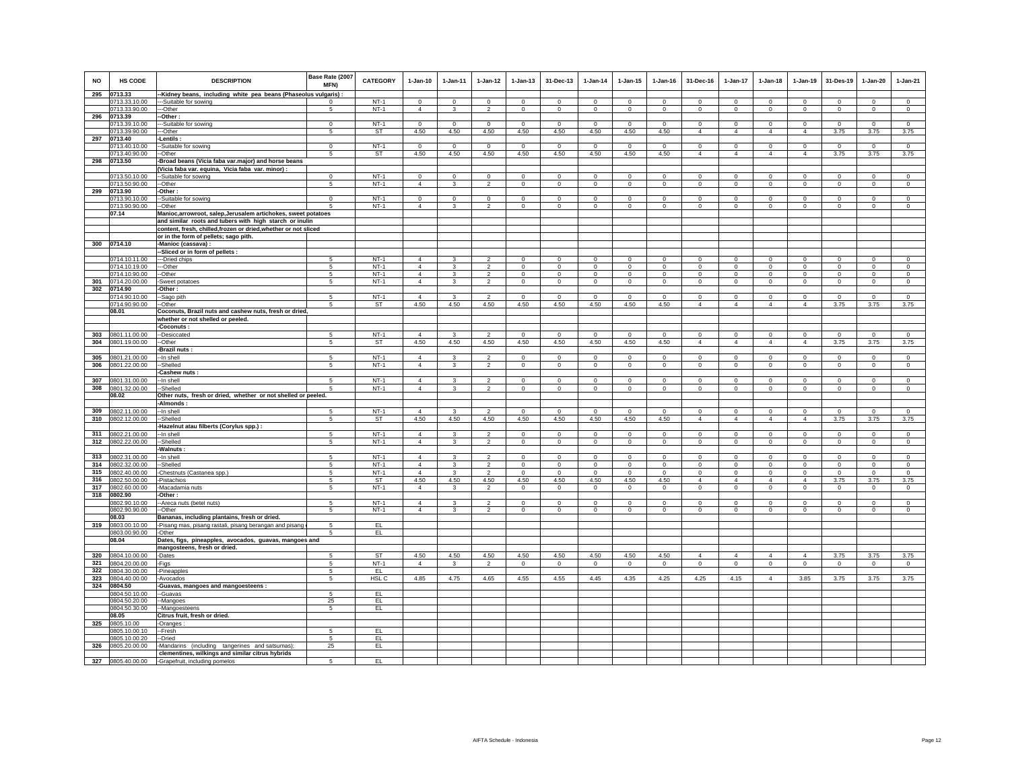| <b>NO</b>  | <b>HS CODE</b>                 | <b>DESCRIPTION</b>                                               | Base Rate (2007<br>MFN) | <b>CATEGORY</b>     | $1-Jan-10$                 | $1-Jan-11$       | $1-Jan-12$                       | $1-Jan-13$              | 31-Dec-13               | $1-Jan-14$              | $1 - Jan-15$            | $1-Jan-16$           | 31-Dec-16                 | 1-Jan-17                      | $1-Jan-18$                    | $1-Jan-19$                    | 31-Des-19               | $1-Jan-20$              | $1-Jan-21$              |
|------------|--------------------------------|------------------------------------------------------------------|-------------------------|---------------------|----------------------------|------------------|----------------------------------|-------------------------|-------------------------|-------------------------|-------------------------|----------------------|---------------------------|-------------------------------|-------------------------------|-------------------------------|-------------------------|-------------------------|-------------------------|
| 295        | 0713.33                        | -Kidney beans, including white pea beans (Phaseolus vulgaris)    |                         |                     |                            |                  |                                  |                         |                         |                         |                         |                      |                           |                               |                               |                               |                         |                         |                         |
|            | 0713.33.10.00                  | --Suitable for sowing                                            | $\Omega$                | $NT-1$              | $\Omega$                   | $\Omega$         | $\Omega$                         | $\Omega$                | $\Omega$                | $\Omega$                | $\Omega$                | $\Omega$             | $\Omega$                  | $\Omega$                      | $\Omega$                      | $\Omega$                      | $\Omega$                | $\mathbf 0$             | $\Omega$                |
|            | 0713.33.90.00                  | --Other                                                          | $\sqrt{5}$              | $NT-1$              | $\overline{4}$             | $\mathbf{3}$     | $\overline{2}$                   | $\mathbf 0$             | $\mathbf 0$             | $\circ$                 | $\mathbf 0$             | $\circ$              | $\circ$                   | $\mathbf 0$                   | $\circ$                       | $\mathbf 0$                   | $\mathbf 0$             | $\mathbf 0$             | $\mathsf 0$             |
| 296        | 0713.39                        | -Other:                                                          |                         |                     |                            |                  |                                  |                         |                         |                         |                         |                      |                           |                               |                               |                               |                         |                         |                         |
|            | 0713.39.10.00                  | -Suitable for sowing                                             | $\Omega$                | $NT-1$              | $\Omega$                   | $\Omega$         | $\overline{0}$                   | $\Omega$                | $\Omega$                | $\mathbf{0}$            | $\Omega$                | $\Omega$             | $^{\circ}$                | $\circ$                       | $\Omega$                      | $\overline{0}$                | $\mathbf{0}$            | $\Omega$                | $\mathbf 0$             |
|            | 0713.39.90.00                  | -Other                                                           | 5                       | ST                  | 4.50                       | 4.50             | 4.50                             | 4.50                    | 4.50                    | 4.50                    | 4.50                    | 4.50                 | $\overline{4}$            | $\overline{4}$                | $\overline{4}$                | $\overline{4}$                | 3.75                    | 3.75                    | 3.75                    |
| 297        | 0713.40                        | <b>Lentils</b>                                                   |                         |                     |                            |                  |                                  |                         |                         |                         |                         |                      |                           |                               |                               |                               |                         |                         |                         |
|            | 0713.40.10.00<br>0713.40.90.00 | -Suitable for sowing                                             | $\mathbf 0$             | $NT-1$<br><b>ST</b> | $\Omega$<br>4.50           | $\Omega$<br>4.50 | $\mathbf 0$<br>4.50              | $\Omega$<br>4.50        | $\mathbf 0$<br>4.50     | $\Omega$                | $\Omega$<br>4.50        | $\Omega$             | $\circ$<br>$\overline{4}$ | $\mathbf 0$<br>$\overline{4}$ | $\mathbf 0$<br>$\overline{4}$ | $\mathbf 0$<br>$\overline{4}$ | $\mathbf 0$<br>3.75     | $\mathbf 0$<br>3.75     | $\Omega$<br>3.75        |
|            | 298 0713.50                    | --Other<br>-Broad beans (Vicia faba var.major) and horse beans   | 5                       |                     |                            |                  |                                  |                         |                         | 4.50                    |                         | 4.50                 |                           |                               |                               |                               |                         |                         |                         |
|            |                                | Vicia faba var. equina, Vicia faba var. minor)                   |                         |                     |                            |                  |                                  |                         |                         |                         |                         |                      |                           |                               |                               |                               |                         |                         |                         |
|            | 0713.50.10.00                  | -Suitable for sowing                                             | $\mathbf 0$             | $NT-1$              | $\mathsf 0$                | $\mathsf 0$      | $\circ$                          | $\mathbf 0$             | $\mathsf 0$             | $\circ$                 | $\mathsf 0$             | $\mathbf{0}$         | $\mathbf 0$               | $\mathbf 0$                   | $\mathbf 0$                   | $\mathbf 0$                   | $\mathbf 0$             | $\mathsf 0$             | $\mathsf 0$             |
|            | 0713.50.90.00                  | -Other                                                           | 5                       | $NT-1$              | $\Delta$                   | $\mathbf{3}$     | $\overline{2}$                   | $\circ$                 | $\overline{0}$          | $\overline{0}$          | $\circ$                 | $\mathbf 0$          | $\circ$                   | $\circ$                       | $\mathbf 0$                   | $\overline{0}$                | $\mathbf 0$             | $\overline{0}$          | $\,0\,$                 |
| 299        | 0713.90                        | -Other:                                                          |                         |                     |                            |                  |                                  |                         |                         |                         |                         |                      |                           |                               |                               |                               |                         |                         |                         |
|            | 0713.90.10.00                  | -Suitable for sowing                                             | $\overline{0}$          | $NT-1$              | $\overline{0}$             | $\overline{0}$   | $\overline{0}$                   | $\overline{0}$          | $\overline{0}$          | $\overline{0}$          | $\mathbf 0$             | $\mathbf 0$          | $\mathbf 0$               | $\overline{\mathbf{0}}$       | 0                             | $\mathbf 0$                   | $\overline{\mathbf{0}}$ | $\overline{0}$          | $\overline{0}$          |
|            | 0713.90.90.00                  | -Other                                                           | -5                      | $NT-1$              | $\overline{4}$             | 3                | 2                                | $\mathbf 0$             | $\mathbf 0$             | $\mathsf 0$             | $\mathbf 0$             | $\Omega$             | $\circ$                   | $\mathbf 0$                   | $\Omega$                      | $\Omega$                      | $\mathbf 0$             | $\mathbf 0$             | $\Omega$                |
|            | 07.14                          | Manioc, arrowroot, salep, Jerusalem artichokes, sweet potatoes   |                         |                     |                            |                  |                                  |                         |                         |                         |                         |                      |                           |                               |                               |                               |                         |                         |                         |
|            |                                | and similar roots and tubers with high starch or inulin          |                         |                     |                            |                  |                                  |                         |                         |                         |                         |                      |                           |                               |                               |                               |                         |                         |                         |
|            |                                | content, fresh, chilled, frozen or dried, whether or not sliced  |                         |                     |                            |                  |                                  |                         |                         |                         |                         |                      |                           |                               |                               |                               |                         |                         |                         |
|            |                                | or in the form of pellets; sago pith.                            |                         |                     |                            |                  |                                  |                         |                         |                         |                         |                      |                           |                               |                               |                               |                         |                         |                         |
|            | 300 0714.10                    | -Manioc (cassava) :                                              |                         |                     |                            |                  |                                  |                         |                         |                         |                         |                      |                           |                               |                               |                               |                         |                         |                         |
|            |                                | -Sliced or in form of pellets :                                  |                         |                     |                            |                  |                                  |                         |                         |                         |                         |                      |                           |                               |                               |                               |                         |                         |                         |
|            | 0714.10.11.00                  | --Dried chips                                                    | -5                      | $NT-1$              | $\overline{4}$             | 3                | $\overline{2}$                   | $\mathbf 0$             | $\Omega$                | $\circ$                 | $^{\circ}$              | $\mathbf{0}$         | $\Omega$                  | $\mathbf{0}$                  | $\mathbf{0}$                  | $\circ$                       | $\mathbf 0$             | $\Omega$                | $\mathsf 0$             |
|            | 0714.10.19.00                  | -Other                                                           | -5                      | $NT-1$              | $\overline{4}$             | $\mathbf{3}$     | $\mathfrak{p}$                   | $\mathbf 0$             | $\Omega$                | $\Omega$                | $^{\circ}$              | $\circ$              | $\Omega$                  | $\Omega$                      | $\Omega$                      | $\Omega$                      | $\circ$                 | $\Omega$                | $\Omega$                |
|            | 0714.10.90.00                  | -Other                                                           | 5                       | $NT-1$              | $\overline{4}$             | 3                | $\overline{2}$                   | $\mathbf 0$             | $\mathbf 0$             | $\circ$                 | $\mathbf 0$             | $\mathbf 0$          | $\circ$                   | $\circ$                       | $\circ$                       | $\mathbf 0$                   | $\circ$                 | $\mathbf 0$             | $\circ$                 |
| 301        | 0714.20.00.00                  | Sweet potatoes                                                   | $\sqrt{5}$              | $NT-1$              | $\overline{4}$             | $\mathbf{3}$     | $\overline{2}$                   | $\mathbf 0$             | $\,0\,$                 | $\mathbf 0$             | $\mathsf 0$             | $\mathsf 0$          | $\mathbf 0$               | $\mathbf 0$                   | $\mathbf 0$                   | $\,0\,$                       | $\,0\,$                 | $\mathbf 0$             | $\mathsf 0$             |
| 302        | 0714.90                        | -Other:                                                          |                         |                     |                            |                  |                                  |                         |                         |                         |                         |                      |                           |                               |                               |                               |                         |                         |                         |
|            | 0714.90.10.00                  | -Sago pith                                                       | 5                       | $NT-1$              | $\overline{4}$             | $\mathbf{3}$     | $\overline{2}$                   | $\mathsf 0$             | $\mathsf 0$             | $\mathbf 0$             | $\mathsf 0$             | $\Omega$             | $\mathsf 0$               | $\mathbf 0$                   | $\mathbf 0$                   | $\mathbf 0$                   | $\mathbf 0$             | $\mathsf 0$             | $\mathsf 0$             |
|            | 0714.90.90.00<br>08.01         | -Other<br>Coconuts, Brazil nuts and cashew nuts, fresh or dried, | 5                       | ST                  | 4.50                       | 4.50             | 4.50                             | 4.50                    | 4.50                    | 4.50                    | 4.50                    | 4.50                 | $\overline{4}$            | $\overline{4}$                | $\overline{4}$                | $\overline{4}$                | 3.75                    | 3.75                    | 3.75                    |
|            |                                | whether or not shelled or peeled.                                |                         |                     |                            |                  |                                  |                         |                         |                         |                         |                      |                           |                               |                               |                               |                         |                         |                         |
|            |                                | -Coconuts:                                                       |                         |                     |                            |                  |                                  |                         |                         |                         |                         |                      |                           |                               |                               |                               |                         |                         |                         |
| 303        | 0801.11.00.00                  | -Desiccated                                                      | -5                      | $NT-1$              | $\overline{4}$             | 3                | $\overline{a}$                   | $\mathbf 0$             | $\mathbf{0}$            | $\Omega$                | $\circ$                 | $\circ$              | $\Omega$                  | $\mathbf 0$                   | $\circ$                       | $\mathbf 0$                   | $\circ$                 | $\circ$                 | $\mathsf 0$             |
| 304        | 0801.19.00.00                  | -Other                                                           | 5                       | ST                  | 4.50                       | 4.50             | 4.50                             | 4.50                    | 4.50                    | 4.50                    | 4.50                    | 4.50                 | $\overline{4}$            | $\overline{4}$                | $\overline{4}$                | $\overline{4}$                | 3.75                    | 3.75                    | 3.75                    |
|            |                                | Brazil nuts:                                                     |                         |                     |                            |                  |                                  |                         |                         |                         |                         |                      |                           |                               |                               |                               |                         |                         |                         |
| 305        | 0801.21.00.00                  | -In shell                                                        | -5                      | $NT-1$              | $\Delta$                   | $\mathbf{R}$     | $\mathfrak{D}$                   | $\mathbf 0$             | $\mathbf 0$             | $^{\circ}$              | $\mathbf 0$             | $\Omega$             | $\circ$                   | $\mathbf 0$                   | $\mathbf 0$                   | $\mathbf 0$                   | $^{\circ}$              | $\mathbf 0$             | $\mathbb O$             |
| 306        | 0801.22.00.00                  | -Shelled                                                         | 5                       | $NT-1$              | $\overline{4}$             | $\mathbf{3}$     | $\overline{2}$                   | $\mathsf 0$             | $\mathbf 0$             | $\mathsf 0$             | $\mathsf 0$             | $\mathbf 0$          | $\mathsf 0$               | $\mathsf{O}$                  | $\mathbf 0$                   | $\mathbf 0$                   | $\mathbf 0$             | $\mathbf 0$             | $\mathsf 0$             |
|            |                                | -Cashew nuts                                                     |                         |                     |                            |                  |                                  |                         |                         |                         |                         |                      |                           |                               |                               |                               |                         |                         |                         |
| 307        | 0801.31.00.00                  | --In shell                                                       | -5                      | $NT-1$              | $\overline{4}$             | $\mathbf{3}$     | $\mathfrak{p}$                   | $\Omega$                | $\Omega$                | $\Omega$                | $\Omega$                | $\Omega$             | $\Omega$                  | $\Omega$                      | $\Omega$                      | $\Omega$                      | $\Omega$                | $\Omega$                | $\circ$                 |
| 308        | 0801.32.00.00                  | -Shelled                                                         | 5                       | $NT-1$              | $\overline{4}$             | $\mathbf{3}$     | $\overline{a}$                   | $\mathsf 0$             | $\mathbf 0$             | $\mathsf 0$             | $\mathsf 0$             | $\mathbf 0$          | $\mathbf 0$               | $\mathbf 0$                   | $\mathbf 0$                   | $\mathbf 0$                   | $\mathbf 0$             | $\mathsf 0$             | $\mathsf 0$             |
|            | 08.02                          | Other nuts, fresh or dried, whether or not shelled or peeled.    |                         |                     |                            |                  |                                  |                         |                         |                         |                         |                      |                           |                               |                               |                               |                         |                         |                         |
|            |                                | -Almonds                                                         |                         |                     |                            |                  |                                  |                         |                         |                         |                         |                      |                           |                               |                               |                               |                         |                         |                         |
| 309        | 0802.11.00.00                  | -In shell                                                        | 5                       | $NT-1$              | $\overline{4}$             | 3                | $\overline{\mathbf{c}}$          | $\mathbf 0$             | $\mathbf 0$             | $\mathbf 0$             | $\mathbf 0$             | $\mathbf 0$          | $\mathbf 0$               | 0                             | $\mathbf 0$                   | $\mathbf 0$                   | $\mathbf 0$             | $\mathbf 0$             | $\,0\,$                 |
| 310        | 0802.12.00.00                  | -Shelled                                                         | 5                       | ST                  | 4.50                       | 4.50             | 4.50                             | 4.50                    | 4.50                    | 4.50                    | 4.50                    | 4.50                 | $\overline{4}$            | $\overline{4}$                | $\overline{4}$                | $\overline{4}$                | 3.75                    | 3.75                    | 3.75                    |
|            |                                | Hazelnut atau filberts (Corylus spp.) :                          |                         |                     |                            |                  |                                  |                         |                         |                         |                         |                      |                           |                               |                               |                               |                         |                         |                         |
| 311        | 0802.21.00.00                  | -In shell                                                        | -5                      | $NT-1$              | $\overline{4}$             | 3                | $\mathfrak{p}$                   | $\Omega$                | $\Omega$                | $\Omega$                | $\Omega$                | $\Omega$             | $\Omega$                  | $\mathbf{0}$                  | $\Omega$                      | $\mathbf 0$                   | $\mathbf 0$             | $\Omega$                | $\mathbf{0}$            |
| 312        | 0802.22.00.00                  | -Shelled                                                         | 5                       | $NT-1$              | $\overline{4}$             | 3                | $\overline{a}$                   | $\mathbf 0$             | $\mathbf 0$             | $\mathbf 0$             | $\mathbf 0$             | $\circ$              | $\circ$                   | $\mathbf 0$                   | $\circ$                       | $\mathbf 0$                   | $\mathbf 0$             | $\mathbf 0$             | $\circ$                 |
|            |                                | Walnuts                                                          |                         |                     |                            |                  |                                  |                         |                         |                         |                         |                      |                           |                               |                               |                               |                         |                         |                         |
| 313        | 0802.31.00.00                  | -In shell                                                        | 5                       | $NT-1$              | $\overline{4}$<br>$\Delta$ | $\mathbf{3}$     | $\overline{2}$                   | $\mathsf 0$             | $\mathsf 0$             | $\mathbf 0$             | $\mathsf 0$             | $\mathbf 0$          | $\circ$                   | $\mathbf{0}$                  | $\mathbf 0$                   | $\mathbf 0$                   | $\mathbf 0$             | $\mathsf 0$             | $\mathbf{0}$            |
| 314<br>315 | 0802.32.00.00                  | -Shelled                                                         | 5<br>5                  | $NT-1$<br>$NT-1$    | $\overline{4}$             | 3<br>3           | $\overline{a}$<br>$\mathfrak{p}$ | $\mathbf 0$<br>$\Omega$ | $\mathbf 0$<br>$\Omega$ | $\mathbf 0$<br>$\Omega$ | $\mathbf 0$<br>$\Omega$ | $\Omega$<br>$\Omega$ | $\circ$<br>$\Omega$       | $\mathsf 0$<br>$\mathbf 0$    | $\Omega$<br>$\Omega$          | $^{\circ}$<br>$\Omega$        | $^{\circ}$<br>$\Omega$  | $\mathbf 0$<br>$\Omega$ | $\mathbf 0$<br>$\Omega$ |
| 316        | 0802.40.00.00<br>0802.50.00.00 | Chestnuts (Castanea spp.)<br>-Pistachios                         | 5                       | ST                  | 4.50                       | 4.50             | 4.50                             | 4.50                    | 4.50                    | 4.50                    | 4.50                    | 4.50                 | $\overline{4}$            | $\overline{4}$                | $\overline{4}$                | $\overline{4}$                | 3.75                    | 3.75                    | 3.75                    |
| 317        | 0802.60.00.00                  | Macadamia nuts                                                   | 5                       | $NT-1$              | $\overline{4}$             | $\mathbf{3}$     | $\overline{2}$                   | $\mathbf 0$             | $\mathsf 0$             | $\mathsf 0$             | $\mathsf 0$             | $\mathsf 0$          | $\mathsf 0$               | $\mathbf 0$                   | $\mathbf 0$                   | $\mathbf 0$                   | $\circ$                 | $\mathsf 0$             | $\mathsf 0$             |
|            | 318 0802.90                    | -Other:                                                          |                         |                     |                            |                  |                                  |                         |                         |                         |                         |                      |                           |                               |                               |                               |                         |                         |                         |
|            | 0802.90.10.00                  | --Areca nuts (betel nuts)                                        | -5                      | $NT-1$              | $\overline{4}$             | 3                | $\overline{2}$                   | $\mathbf{0}$            | $^{\circ}$              | $\mathbf{0}$            | $^{\circ}$              | $^{\circ}$           | $^{\circ}$                | $^{\circ}$                    | $\Omega$                      | $\mathbf{0}$                  | $\overline{0}$          | $^{\circ}$              | $^{\circ}$              |
|            | 0802.90.90.00                  | -Other                                                           | 5                       | $NT-1$              | $\overline{4}$             | 3                | $\overline{2}$                   | $\overline{0}$          | $\overline{0}$          | $\overline{0}$          | $\overline{0}$          | $\overline{0}$       | $\overline{0}$            | $\overline{0}$                | $\overline{0}$                | $\overline{0}$                | $\overline{0}$          | $\overline{0}$          | $\overline{0}$          |
|            | 08.03                          | Bananas, including plantains, fresh or dried.                    |                         |                     |                            |                  |                                  |                         |                         |                         |                         |                      |                           |                               |                               |                               |                         |                         |                         |
| 319        | 0803.00.10.00                  | Pisang mas, pisang rastali, pisang berangan and pisang           | 5                       | EL                  |                            |                  |                                  |                         |                         |                         |                         |                      |                           |                               |                               |                               |                         |                         |                         |
|            | 0803.00.90.00                  | -Other                                                           | 5                       | EL                  |                            |                  |                                  |                         |                         |                         |                         |                      |                           |                               |                               |                               |                         |                         |                         |
|            | 08.04                          | Dates, figs, pineapples, avocados, guavas, mangoes and           |                         |                     |                            |                  |                                  |                         |                         |                         |                         |                      |                           |                               |                               |                               |                         |                         |                         |
|            |                                | mangosteens, fresh or dried.                                     |                         |                     |                            |                  |                                  |                         |                         |                         |                         |                      |                           |                               |                               |                               |                         |                         |                         |
| 320        | 0804.10.00.00                  | -Dates                                                           | 5                       | ST                  | 4.50                       | 4.50             | 4.50                             | 4.50                    | 4.50                    | 4.50                    | 4.50                    | 4.50                 | $\overline{4}$            | $\overline{4}$                | $\overline{4}$                | $\overline{4}$                | 3.75                    | 3.75                    | 3.75                    |
| 321        | 0804.20.00.00                  | -Figs                                                            | 5                       | $NT-1$              | $\overline{4}$             | 3                | $\overline{2}$                   | $\mathbf 0$             | $\mathbf{0}$            | $\mathbf{0}$            | $\mathbf 0$             | $\circ$              | $\circ$                   | $\mathbf 0$                   | $\circ$                       | $\mathbf 0$                   | $\mathbf{0}$            | $\circ$                 | $\circ$                 |
| 322        | 0804.30.00.00                  | -Pineapples                                                      | 5                       | EL                  |                            |                  |                                  |                         |                         |                         |                         |                      |                           |                               |                               |                               |                         |                         |                         |
| 323        | 0804.40.00.00                  | -Avocados                                                        | 5                       | HSL C               | 4.85                       | 4.75             | 4.65                             | 4.55                    | 4.55                    | 4.45                    | 4.35                    | 4.25                 | 4.25                      | 4.15                          | $\overline{4}$                | 3.85                          | 3.75                    | 3.75                    | 3.75                    |
|            | 324 0804.50                    | -Guavas, mangoes and mangoesteens :                              |                         |                     |                            |                  |                                  |                         |                         |                         |                         |                      |                           |                               |                               |                               |                         |                         |                         |
|            | 0804.50.10.00                  | -Guavas                                                          | 5                       | EL                  |                            |                  |                                  |                         |                         |                         |                         |                      |                           |                               |                               |                               |                         |                         |                         |
|            | 0804.50.20.00                  | -Mangoes                                                         | 25                      | EL                  |                            |                  |                                  |                         |                         |                         |                         |                      |                           |                               |                               |                               |                         |                         |                         |
|            | 0804.50.30.00<br>08.05         | -Mangoesteens                                                    | 5                       | EL                  |                            |                  |                                  |                         |                         |                         |                         |                      |                           |                               |                               |                               |                         |                         |                         |
| 325        | 0805.10.00                     | Citrus fruit, fresh or dried.<br>-Oranges                        |                         |                     |                            |                  |                                  |                         |                         |                         |                         |                      |                           |                               |                               |                               |                         |                         |                         |
|            | 0805.10.00.10                  | --Fresh                                                          | 5                       | EL                  |                            |                  |                                  |                         |                         |                         |                         |                      |                           |                               |                               |                               |                         |                         |                         |
|            | 0805.10.00.20                  | -Dried                                                           | 5                       | EL                  |                            |                  |                                  |                         |                         |                         |                         |                      |                           |                               |                               |                               |                         |                         |                         |
| 326        | 0805.20.00.00                  | -Mandarins (including tangerines and satsumas);                  | 25                      | EL                  |                            |                  |                                  |                         |                         |                         |                         |                      |                           |                               |                               |                               |                         |                         |                         |
|            |                                | clementines, wilkings and similar citrus hybrids                 |                         |                     |                            |                  |                                  |                         |                         |                         |                         |                      |                           |                               |                               |                               |                         |                         |                         |
| 327        | 0805.40.00.00                  | -Grapefruit, including pomelos                                   | 5                       | EL                  |                            |                  |                                  |                         |                         |                         |                         |                      |                           |                               |                               |                               |                         |                         |                         |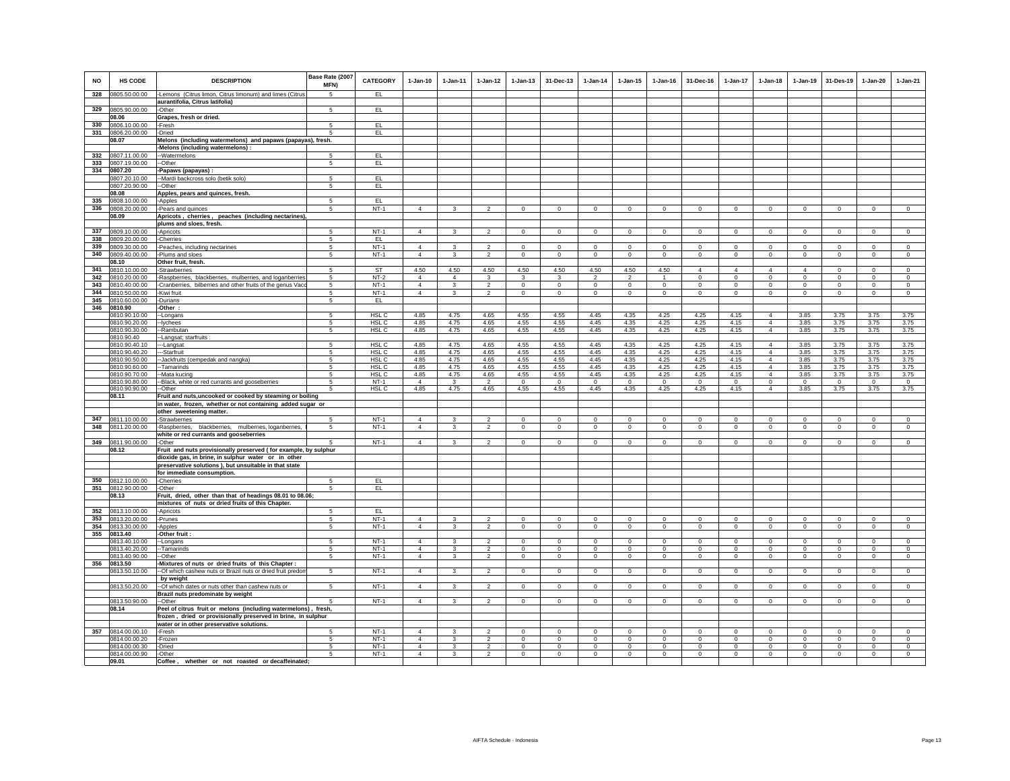| <b>NO</b>  | HS CODE                        | <b>DESCRIPTION</b>                                                                                                              | Base Rate (2007<br>MFN) | <b>CATEGORY</b>  | $1-Jan-10$     | $1-Jan-11$              | $1 - Jan-12$            | $1-Jan-13$                     | 31-Dec-13                      | $1-Jan-14$                    | $1$ -Jan-15                    | $1 - Jan-16$   | 31-Dec-16                  | $1-Jan-17$     | $1-Jan-18$                       | $1-Jan-19$              | 31-Des-19      | $1-Jan-20$                 | $1-Jan-21$     |
|------------|--------------------------------|---------------------------------------------------------------------------------------------------------------------------------|-------------------------|------------------|----------------|-------------------------|-------------------------|--------------------------------|--------------------------------|-------------------------------|--------------------------------|----------------|----------------------------|----------------|----------------------------------|-------------------------|----------------|----------------------------|----------------|
| 328        | 0805.50.00.00                  | -Lemons (Citrus limon, Citrus limonum) and limes (Citrus                                                                        | 5                       | EL.              |                |                         |                         |                                |                                |                               |                                |                |                            |                |                                  |                         |                |                            |                |
|            | 0805.90.00.00                  | aurantifolia, Citrus latifolia)                                                                                                 | 5                       | EL.              |                |                         |                         |                                |                                |                               |                                |                |                            |                |                                  |                         |                |                            |                |
| 329        | 08.06                          | -Other<br>Grapes, fresh or dried.                                                                                               |                         |                  |                |                         |                         |                                |                                |                               |                                |                |                            |                |                                  |                         |                |                            |                |
| 330        | 0806.10.00.00                  | -Fresh                                                                                                                          | -5                      | EL.              |                |                         |                         |                                |                                |                               |                                |                |                            |                |                                  |                         |                |                            |                |
| 331        | 0806.20.00.00                  | -Dried                                                                                                                          | -5                      | EL               |                |                         |                         |                                |                                |                               |                                |                |                            |                |                                  |                         |                |                            |                |
|            | 08.07                          | Melons (including watermelons) and papaws (papayas), fresh.                                                                     |                         |                  |                |                         |                         |                                |                                |                               |                                |                |                            |                |                                  |                         |                |                            |                |
|            |                                | -Melons (including watermelons) :                                                                                               |                         |                  |                |                         |                         |                                |                                |                               |                                |                |                            |                |                                  |                         |                |                            |                |
| 332<br>333 | 0807.11.00.00<br>0807.19.00.00 | -Watermelons<br>-Other                                                                                                          | -5<br>$\sqrt{5}$        | EL<br>EL         |                |                         |                         |                                |                                |                               |                                |                |                            |                |                                  |                         |                |                            |                |
| 334        | 0807.20                        | -Papaws (papayas) :                                                                                                             |                         |                  |                |                         |                         |                                |                                |                               |                                |                |                            |                |                                  |                         |                |                            |                |
|            | 0807.20.10.00                  | -Mardi backcross solo (betik solo)                                                                                              | 5                       | EL.              |                |                         |                         |                                |                                |                               |                                |                |                            |                |                                  |                         |                |                            |                |
|            | 0807.20.90.00                  | -Other                                                                                                                          | 5                       | EL.              |                |                         |                         |                                |                                |                               |                                |                |                            |                |                                  |                         |                |                            |                |
| 335        | 08.08                          | Apples, pears and quinces, fresh.                                                                                               |                         |                  |                |                         |                         |                                |                                |                               |                                |                |                            |                |                                  |                         |                |                            |                |
| 336        | 0808.10.00.00<br>0808.20.00.00 | -Apples<br>-Pears and quinces                                                                                                   | 5<br>5                  | EL<br>$NT-1$     | $\overline{4}$ | $\mathbf{3}$            | $\overline{2}$          | $\mathbf 0$                    | $\mathbf 0$                    | $\circ$                       | $\mathbf 0$                    | $\mathsf 0$    | $\Omega$                   | $\circ$        | $\circ$                          | $\circ$                 | $\circ$        | $\Omega$                   | $\mathsf 0$    |
|            | 08.09                          | Apricots, cherries, peaches (including nectarines)                                                                              |                         |                  |                |                         |                         |                                |                                |                               |                                |                |                            |                |                                  |                         |                |                            |                |
|            |                                | plums and sloes, fresh.                                                                                                         |                         |                  |                |                         |                         |                                |                                |                               |                                |                |                            |                |                                  |                         |                |                            |                |
| 337        | 0809.10.00.00                  | -Apricots                                                                                                                       | 5                       | $NT-1$           | $\overline{4}$ | 3                       | $\mathfrak{p}$          | $\mathbf 0$                    | $\mathbf 0$                    | $\mathbf 0$                   | $\mathbf 0$                    | $\mathbf 0$    | $\circ$                    | $\mathbf 0$    | $\mathbf 0$                      | $^{\circ}$              | $^{\circ}$     | $\mathbf 0$                | $\mathbf 0$    |
| 338        | 0809.20.00.00                  | -Cherries                                                                                                                       | $\overline{5}$          | EL               | $\Delta$       |                         | $\overline{2}$          |                                |                                |                               |                                | $\Omega$       |                            | $\Omega$       | $\Omega$                         |                         | $\Omega$       |                            | $\Omega$       |
| 339<br>340 | 0809.30.00.00<br>0809.40.00.00 | -Peaches, including nectarines<br>-Plums and sloes                                                                              | 5<br>$5\overline{)}$    | $NT-1$<br>$NT-1$ | $\overline{4}$ | $\mathbf{3}$<br>3       | $\overline{2}$          | $\mathbf{0}$<br>$\overline{0}$ | $\mathbf{0}$<br>$\overline{0}$ | $\mathbf 0$<br>$\overline{0}$ | $\mathbf{0}$<br>$\overline{0}$ | $\overline{0}$ | $\Omega$<br>$\overline{0}$ | $\overline{0}$ | $\overline{0}$                   | $\Omega$<br>$\mathbf 0$ | $\overline{0}$ | $\Omega$<br>$\overline{0}$ | $\overline{0}$ |
|            | 08.10                          | Other fruit, fresh.                                                                                                             |                         |                  |                |                         |                         |                                |                                |                               |                                |                |                            |                |                                  |                         |                |                            |                |
| 341        | 0810.10.00.00                  | -Strawberries                                                                                                                   | -5                      | ST               | 4.50           | 4.50                    | 4.50                    | 4.50                           | 4.50                           | 4.50                          | 4.50                           | 4.50           | $\overline{4}$             | $\overline{4}$ | $\overline{4}$                   | $\overline{4}$          | $\Omega$       | $\Omega$                   | $\Omega$       |
| 342        | 0810.20.00.00                  | Raspberries, blackberries, mulberries, and loganberries                                                                         | 5                       | $NT-2$           | $\overline{4}$ | $\overline{4}$          | $\mathbf{3}$            | 3                              | 3                              | $\overline{2}$                | $\overline{a}$                 | $\mathbf{1}$   | $^{\circ}$                 | $\mathbf 0$    | $\mathbf 0$                      | $\mathbf 0$             | $\mathbf 0$    | $\mathbf 0$                | $\mathsf 0$    |
| 343        | 0810.40.00.00                  | Cranberries, bilberries and other fruits of the genus Vaco                                                                      | 5                       | $NT-1$           | $\Delta$       | 3                       | $\overline{2}$          | $\mathbf 0$                    | $\mathbf 0$                    | $\mathbf 0$                   | $\mathbf 0$                    | $\mathbf 0$    | $\Omega$                   | 0              | $\Omega$                         | $\mathbf 0$             | $\mathbf 0$    | $\mathbf 0$                | $\mathbf 0$    |
| 344<br>345 | 0810.50.00.00<br>0810.60.00.00 | -Kiwi fruit<br>-Durians                                                                                                         | -5<br>5                 | $NT-1$<br>EL.    | $\overline{4}$ | $\mathbf{3}$            | $\overline{2}$          | $\circ$                        | $\mathbf{0}$                   | $\mathbf{0}$                  | 0                              | $\mathbf 0$    | $\circ$                    | $\circ$        | $\circ$                          | $\circ$                 | $\mathbf{0}$   | $^{\circ}$                 | $\mathbf{0}$   |
| 346        | 0810.90                        | Other:                                                                                                                          |                         |                  |                |                         |                         |                                |                                |                               |                                |                |                            |                |                                  |                         |                |                            |                |
|            | 0810.90.10.00                  | -Longans                                                                                                                        | 5                       | HSL C            | 4.85           | 4.75                    | 4.65                    | 4.55                           | 4.55                           | 4.45                          | 4.35                           | 4.25           | 4.25                       | 4.15           | $\overline{4}$                   | 3.85                    | 3.75           | 3.75                       | 3.75           |
|            | 0810.90.20.00                  | -lychees                                                                                                                        | 5                       | HSL C            | 4.85           | 4.75                    | 4.65                    | 4.55                           | 4.55                           | 4.45                          | 4.35                           | 4.25           | 4.25                       | 4.15           | $\overline{4}$                   | 3.85                    | 3.75           | 3.75                       | 3.75           |
|            | 0810.90.30.00<br>0810.90.40    | -Rambutan<br>-Langsat; starfruits                                                                                               | 5                       | HSL C            | 4.85           | 4.75                    | 4.65                    | 4.55                           | 4.55                           | 4.45                          | 4.35                           | 4.25           | 4.25                       | 4.15           | $\overline{4}$                   | 3.85                    | 3.75           | 3.75                       | 3.75           |
|            | 0810.90.40.10                  | -Langsat                                                                                                                        | 5                       | HSL C            | 4.85           | 4.75                    | 4.65                    | 4.55                           | 4.55                           | 4.45                          | 4.35                           | 4.25           | 4.25                       | 4.15           | $\overline{4}$                   | 3.85                    | 3.75           | 3.75                       | 3.75           |
|            | 0810.90.40.20                  | -Starfruit                                                                                                                      | 5                       | HSL C            | 4.85           | 4.75                    | 4.65                    | 4.55                           | 4.55                           | 4.45                          | 4.35                           | 4.25           | 4.25                       | 4.15           | $\overline{4}$                   | 3.85                    | 3.75           | 3.75                       | 3.75           |
|            | 0810.90.50.00                  | Jackfruits (cempedak and nangka)                                                                                                | 5                       | HSL <sub>C</sub> | 4.85           | 4.75                    | 4.65                    | 4.55                           | 4.55                           | 4.45                          | 4.35                           | 4.25           | 4.25                       | 4.15           | $\overline{4}$                   | 3.85                    | 3.75           | 3.75                       | 3.75           |
|            | 0810.90.60.00<br>0810.90.70.00 | -Tamarinds<br>-Mata kucing                                                                                                      | -5<br>-5                | HSL C<br>HSL C   | 4.85<br>4.85   | 4.75<br>4.75            | 4.65<br>4.65            | 4.55<br>4.55                   | 4.55<br>4.55                   | 4.45<br>4.45                  | 4.35<br>4.35                   | 4.25<br>4.25   | 4.25<br>4.25               | 4.15<br>4.15   | $\overline{4}$<br>$\overline{4}$ | 3.85<br>3.85            | 3.75<br>3.75   | 3.75<br>3.75               | 3.75<br>3.75   |
|            | 0810.90.80.00                  | Black, white or red currants and gooseberries                                                                                   | -5                      | $NT-1$           | $\overline{4}$ | 3                       | $\overline{2}$          | $\mathbf{0}$                   | $\Omega$                       | $\Omega$                      | $\Omega$                       | $\Omega$       | $\Omega$                   | $\circ$        | $\circ$                          | $\Omega$                | $\circ$        | $\Omega$                   | $\circ$        |
|            | 0810.90.90.00                  | -Other                                                                                                                          | 5                       | HSL C            | 4.85           | 4.75                    | 4.65                    | 4.55                           | 4.55                           | 4.45                          | 4.35                           | 4.25           | 4.25                       | 4.15           | $\overline{4}$                   | 3.85                    | 3.75           | 3.75                       | 3.75           |
|            | 08.11                          | Fruit and nuts, uncooked or cooked by steaming or boiling                                                                       |                         |                  |                |                         |                         |                                |                                |                               |                                |                |                            |                |                                  |                         |                |                            |                |
|            |                                | in water, frozen, whether or not containing added sugar or<br>other sweetening matter.                                          |                         |                  |                |                         |                         |                                |                                |                               |                                |                |                            |                |                                  |                         |                |                            |                |
| 347        | 0811.10.00.00                  | -Strawberries                                                                                                                   | 5                       | $NT-1$           | $\Delta$       | 3                       |                         | $\Omega$                       | $\Omega$                       | $\Omega$                      | $\Omega$                       | $\Omega$       | $\Omega$                   | $\Omega$       | $\Omega$                         | $\Omega$                | $\Omega$       | $\Omega$                   | $\mathbf{0}$   |
| 348        | 0811.20.00.00                  | -Raspberries, blackberries, mulberries, loganberries,                                                                           | 5                       | $NT-1$           | $\overline{4}$ | 3                       | $\overline{a}$          | $\mathbf 0$                    | $\mathbf 0$                    | $\mathbf 0$                   | $\mathbf 0$                    | $\circ$        | $\circ$                    | $\mathbf 0$    | $\circ$                          | $\mathbf 0$             | $\mathbf{0}$   | $\mathbf 0$                | $\mathbf 0$    |
|            |                                | white or red currants and gooseberries                                                                                          |                         |                  |                |                         |                         |                                |                                |                               |                                |                |                            |                |                                  |                         |                |                            |                |
| 349        | 0811.90.00.00                  | -Other                                                                                                                          | 5                       | $NT-1$           | $\Delta$       | $\overline{\mathbf{3}}$ | $\mathcal{L}$           | $\mathbf{0}$                   | $\Omega$                       | $\mathbf 0$                   | $\Omega$                       | $\Omega$       | $\Omega$                   | $\mathbf 0$    | $\Omega$                         | $\Omega$                | $\Omega$       | $\Omega$                   | $\circ$        |
|            | 08.12                          | Fruit and nuts provisionally preserved (for example, by sulphur<br>dioxide gas, in brine, in sulphur water or in other          |                         |                  |                |                         |                         |                                |                                |                               |                                |                |                            |                |                                  |                         |                |                            |                |
|            |                                | preservative solutions ), but unsuitable in that state                                                                          |                         |                  |                |                         |                         |                                |                                |                               |                                |                |                            |                |                                  |                         |                |                            |                |
|            |                                | for immediate consumption.                                                                                                      |                         |                  |                |                         |                         |                                |                                |                               |                                |                |                            |                |                                  |                         |                |                            |                |
|            | 350 0812.10.00.00              | -Cherries                                                                                                                       | -5                      | EL               |                |                         |                         |                                |                                |                               |                                |                |                            |                |                                  |                         |                |                            |                |
| 351        | 0812.90.00.00<br>08.13         | -Other<br>Fruit, dried, other than that of headings 08.01 to 08.06;                                                             | 5                       | EL               |                |                         |                         |                                |                                |                               |                                |                |                            |                |                                  |                         |                |                            |                |
|            |                                | mixtures of nuts or dried fruits of this Chapter.                                                                               |                         |                  |                |                         |                         |                                |                                |                               |                                |                |                            |                |                                  |                         |                |                            |                |
| 352        | 0813.10.00.00                  | -Apricots                                                                                                                       | -5                      | EL               |                |                         |                         |                                |                                |                               |                                |                |                            |                |                                  |                         |                |                            |                |
| 353        | 0813.20.00.00                  | Prunes                                                                                                                          | 5                       | $NT-1$           | $\overline{4}$ | 3                       | $\overline{c}$          | $\mathsf 0$                    | $\mathbf 0$                    | $\mathbf 0$                   | $\mathsf 0$                    | $\circ$        | $\mathbf 0$                | $\mathbf 0$    | $\mathbf 0$                      | $\mathbf 0$             | $\mathbf 0$    | $\circ$                    | $\circ$        |
| 354        | 0813.30.00.00                  | Apples                                                                                                                          | 5                       | $NT-1$           | $\overline{4}$ | 3                       | $\overline{2}$          | $\mathsf 0$                    | $\mathsf 0$                    | $\circ$                       | $\mathsf 0$                    | $\circ$        | $\circ$                    | $\circ$        | $\circ$                          | $\mathbf 0$             | $\mathbf 0$    | $\mathsf 0$                | $\mathsf 0$    |
| 355        | 0813.40<br>0813.40.10.00       | Other fruit<br>--Longans                                                                                                        | 5                       | $NT-1$           | $\Delta$       | $\mathbf{R}$            | $\mathcal{L}$           | $\mathbf{0}$                   | $\Omega$                       | $\Omega$                      | $\Omega$                       | $\Omega$       | $\Omega$                   | $\Omega$       | $\Omega$                         | $\Omega$                | $\Omega$       | $\Omega$                   | $\Omega$       |
|            | 0813.40.20.00                  | -Tamarinds                                                                                                                      | 5                       | $NT-1$           | $\overline{4}$ | 3                       | $\mathfrak{p}$          | $\mathbf{0}$                   | $\Omega$                       | $\Omega$                      | $\Omega$                       | $\Omega$       | $\Omega$                   | $\mathbf{0}$   | $\Omega$                         | $\Omega$                | $\Omega$       | $\Omega$                   | $\Omega$       |
|            | 0813.40.90.00                  | -Other                                                                                                                          | 5                       | $NT-1$           | $\overline{4}$ | 3                       | $\overline{2}$          | $\mathbf 0$                    | $\mathbf 0$                    | $\mathbf 0$                   | $\mathbf 0$                    | $\mathbf 0$    | $^{\circ}$                 | 0              | $\mathbf 0$                      | $\mathbf 0$             | $\mathbf 0$    | $\mathbf 0$                | $\mathbf 0$    |
| 356        | 0813.50                        | Mixtures of nuts or dried fruits of this Chapter :                                                                              |                         | $NT-1$           |                |                         |                         |                                |                                |                               |                                |                |                            |                |                                  |                         |                |                            |                |
|            | 0813.50.10.00                  | -- Of which cashew nuts or Brazil nuts or dried fruit predor<br>by weight                                                       | $5\overline{5}$         |                  | $\overline{4}$ | 3                       | $\overline{2}$          | $\overline{0}$                 | $\overline{0}$                 | $\overline{0}$                | $^{\circ}$                     | $\overline{0}$ | $\Omega$                   | $\overline{0}$ | $\overline{0}$                   | $\overline{0}$          | $\overline{0}$ | $^{\circ}$                 | $\overline{0}$ |
|            | 0813.50.20.00                  | -- Of which dates or nuts other than cashew nuts or                                                                             | 5                       | $NT-1$           | $\overline{4}$ | 3                       | $\overline{2}$          | $\mathbf 0$                    | $\mathbf 0$                    | $\mathbf 0$                   | $\mathbf 0$                    | $\mathbf 0$    | $\circ$                    | $\mathbf 0$    | $\circ$                          | $\mathbf 0$             | $\mathbf 0$    | $\mathbf 0$                | $\mathsf 0$    |
|            |                                | Brazil nuts predominate by weight                                                                                               |                         |                  |                |                         |                         |                                |                                |                               |                                |                |                            |                |                                  |                         |                |                            |                |
|            | 0813.50.90.00                  | --Other                                                                                                                         | 5                       | $NT-1$           | $\Delta$       | $\overline{\mathbf{3}}$ | $\overline{2}$          | $\mathbf{0}$                   | $\mathbf 0$                    | $\mathsf 0$                   | $\mathbf{0}$                   | $\circ$        | $\Omega$                   | $\mathbf 0$    | $\circ$                          | $\circ$                 | $\mathbf 0$    | $\Omega$                   | $\overline{0}$ |
|            | 08.14                          | Peel of citrus fruit or melons (including watermelons), fresh,<br>frozen, dried or provisionally preserved in brine, in sulphur |                         |                  |                |                         |                         |                                |                                |                               |                                |                |                            |                |                                  |                         |                |                            |                |
|            |                                | water or in other preservative solutions.                                                                                       |                         |                  |                |                         |                         |                                |                                |                               |                                |                |                            |                |                                  |                         |                |                            |                |
| 357        | 0814.00.00.10                  | -Fresh                                                                                                                          |                         | $NT-1$           | $\overline{a}$ | 3                       | $\overline{2}$          | $^{\circ}$                     | $^{\circ}$                     | $^{\circ}$                    | $\mathbf 0$                    | $^{\circ}$     | $\mathbf 0$                | $\mathbf 0$    | 0                                | $^{\circ}$              | $^{\circ}$     | $^{\circ}$                 | $^{\circ}$     |
|            | 0814.00.00.20                  | -Frozen                                                                                                                         | 5                       | $NT-1$           | $\Delta$       | 3                       | $\overline{\mathbf{c}}$ | $\mathbf{0}$                   | $\Omega$                       | $^{\circ}$                    | $\Omega$                       | $\Omega$       | $^{\circ}$                 | $\Omega$       | $\Omega$                         | $\Omega$                | $\mathbf 0$    | $\Omega$                   | $^{\circ}$     |
|            | 0814.00.00.30                  | -Dried                                                                                                                          | 5                       | $NT-1$           | $\overline{4}$ | 3                       | $\overline{2}$          | $\mathbf 0$                    | $\mathbf 0$                    | $\circ$<br>$\circ$            | $^{\circ}$                     | $^{\circ}$     | $\Omega$                   | $\mathbf 0$    | $\circ$<br>$\mathbf 0$           | $\Omega$                | $\circ$        | $\mathbf 0$                | $\circ$        |
|            | 0814.00.00.90<br>09.01         | -Other<br>Coffee,<br>whether or not roasted or decaffeinated;                                                                   | 5                       | $NT-1$           | $\overline{4}$ | $\mathbf{3}$            | $\overline{a}$          | $\mathsf 0$                    | $\mathbf 0$                    |                               | 0                              | $\mathbf 0$    | $^{\circ}$                 | $\mathbf 0$    |                                  | $\mathbf 0$             | $\mathbf 0$    | $\mathbf 0$                | $\mathbf 0$    |
|            |                                |                                                                                                                                 |                         |                  |                |                         |                         |                                |                                |                               |                                |                |                            |                |                                  |                         |                |                            |                |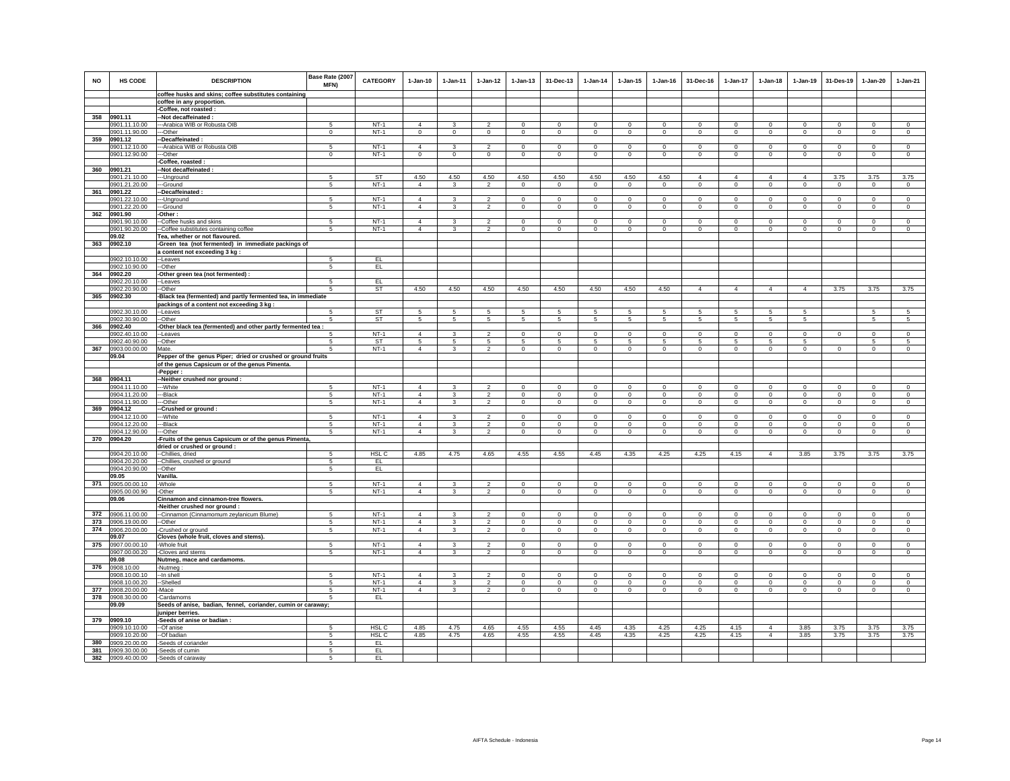| <b>NO</b> | <b>HS CODE</b>           | <b>DESCRIPTION</b>                                            | Base Rate (2007<br><b>MFN)</b> | <b>CATEGORY</b>  | $1-Jan-10$     | $1 - Jan-11$  | $1 - Jan-12$   | $1 - Jan-13$   | 31-Dec-13       | $1 - Jan-14$   | $1 - Jan-15$ | $1 - Jan-16$ | 31-Dec-16      | $1 - Jan-17$   | $1-Jan-18$     | $1-Jan-19$     | 31-Des-19      | 1-Jan-20       | 1-Jan-21       |
|-----------|--------------------------|---------------------------------------------------------------|--------------------------------|------------------|----------------|---------------|----------------|----------------|-----------------|----------------|--------------|--------------|----------------|----------------|----------------|----------------|----------------|----------------|----------------|
|           |                          | coffee husks and skins; coffee substitutes containing         |                                |                  |                |               |                |                |                 |                |              |              |                |                |                |                |                |                |                |
|           |                          | coffee in any proportion.                                     |                                |                  |                |               |                |                |                 |                |              |              |                |                |                |                |                |                |                |
| 358       | 0901.11                  | -Coffee, not roasted :<br>-Not decaffeinated :                |                                |                  |                |               |                |                |                 |                |              |              |                |                |                |                |                |                |                |
|           | 0901.11.10.00            | --Arabica WIB or Robusta OIB                                  | 5                              | $NT-1$           | $\overline{4}$ | 3             | $\overline{2}$ | $\mathbf 0$    | $\mathbf 0$     | $^{\circ}$     | $\mathbf 0$  | $^{\circ}$   | $\mathbf 0$    | $\mathbf 0$    | $\circ$        | $\mathbf 0$    | $\circ$        | $\mathbf 0$    | $\circ$        |
|           | 0901.11.90.00            | --Other                                                       | $\mathbf 0$                    | $NT-1$           | $\circ$        | $\circ$       | $\mathbf 0$    | $\mathbf{0}$   | $\mathbf{0}$    | $\mathbf 0$    | $\mathbf 0$  | $\mathbf 0$  | $\circ$        | $\circ$        | $\mathbf{0}$   | $\mathbf{0}$   | $\,0\,$        | $\mathsf 0$    | $\mathbf 0$    |
| 359       | 0901.12                  | -Decaffeinated:                                               |                                |                  |                |               |                |                |                 |                |              |              |                |                |                |                |                |                |                |
|           | 0901.12.10.00            | --Arabica WIB or Robusta OIB                                  | 5                              | $NT-1$           | $\overline{4}$ | 3             | $\overline{2}$ | $\overline{0}$ | $\overline{0}$  | $\overline{0}$ | $\mathbf 0$  | $\mathbf 0$  | $\overline{0}$ | $\overline{0}$ | $\overline{0}$ | $\overline{0}$ | $\overline{0}$ | $\overline{0}$ | $\overline{0}$ |
|           | 0901.12.90.00            | -Other                                                        | $\Omega$                       | $NT-1$           | $\mathbf 0$    | $\mathbf 0$   | $\circ$        | $\mathbf 0$    | $\mathbf 0$     | $\mathbf 0$    | $\mathbf 0$  | $\Omega$     | $\mathbf 0$    | $\mathbf 0$    | $\circ$        | $\mathbf 0$    | $\circ$        | $\mathbf 0$    | $\Omega$       |
|           |                          | Coffee, roasted :                                             |                                |                  |                |               |                |                |                 |                |              |              |                |                |                |                |                |                |                |
| 360       | 0901.21                  | -Not decaffeinated                                            |                                |                  |                |               |                |                |                 |                |              |              |                |                |                |                |                |                |                |
|           | 0901.21.10.00            | ---Unground                                                   | 5                              | ST               | 4.50           | 4.50          | 4.50           | 4.50           | 4.50            | 4.50           | 4.50         | 4.50         | $\overline{4}$ | $\overline{4}$ | $\overline{4}$ | $\overline{4}$ | 3.75           | 3.75           | 3.75           |
|           | 0901.21.20.00            | ---Ground                                                     | 5                              | $NT-1$           | $\overline{4}$ | $\mathbf{3}$  | $\overline{2}$ | $\circ$        | $\overline{0}$  | $\overline{0}$ | $\mathbf 0$  | $\mathbf 0$  | $\circ$        | $\circ$        | $\mathbf 0$    | $\circ$        | $\overline{0}$ | $\overline{0}$ | $\circ$        |
|           | 361 0901.22              | -Decaffeinated:                                               |                                |                  |                |               |                |                |                 |                |              |              |                |                |                |                |                |                |                |
|           | 0901.22.10.00            | -- Unground                                                   | -5                             | $NT-1$           | $\overline{4}$ | 3             | $\mathcal{P}$  | $\circ$        | $^{\circ}$      | $\Omega$       | $^{\circ}$   | $\Omega$     | $\Omega$       | $\Omega$       | $\Omega$       | $\Omega$       | $\Omega$       | $\Omega$       | $\Omega$       |
|           | 0901.22.20.00            | -Ground                                                       | 5                              | $NT-1$           | $\overline{4}$ | 3             | $\overline{2}$ | $\mathsf 0$    | $\mathsf 0$     | $\mathbf 0$    | $\mathbf 0$  | $\mathbf 0$  | $\mathsf 0$    | $\mathbf 0$    | $\mathbf 0$    | $\mathbf 0$    | $\mathbf 0$    | $\mathbf 0$    | $\Omega$       |
| 362       | 0901.90                  | -Other :                                                      |                                |                  |                |               |                |                |                 |                |              |              |                |                |                |                |                |                |                |
|           | 0901.90.10.00            | --Coffee husks and skins                                      | $5^{\circ}$                    | $NT-1$           | $\Delta$       | $\mathcal{R}$ | $\mathcal{P}$  | $\Omega$       | $\mathbf{0}$    | $\Omega$       | $\Omega$     | $\Omega$     | $\Omega$       | $^{\circ}$     | $\Omega$       | $\Omega$       | $^{\circ}$     | $\Omega$       | $\Omega$       |
|           | 0901.90.20.00            | -Coffee substitutes containing coffee                         | 5                              | $NT-1$           | $\overline{4}$ |               | $\mathfrak{p}$ | $\Omega$       | $\Omega$        | $\Omega$       | $\Omega$     | $\Omega$     | $\mathbf{0}$   | $\mathbf{0}$   | $\mathbf 0$    | $\Omega$       | $\Omega$       | $\Omega$       | $\Omega$       |
|           | 09.02                    | Tea, whether or not flavoured.                                |                                |                  |                |               |                |                |                 |                |              |              |                |                |                |                |                |                |                |
|           | 363 0902.10              | -Green tea (not fermented) in immediate packings of           |                                |                  |                |               |                |                |                 |                |              |              |                |                |                |                |                |                |                |
|           |                          | a content not exceeding 3 kg :                                |                                |                  |                |               |                |                |                 |                |              |              |                |                |                |                |                |                |                |
|           | 0902.10.10.00            | -Leaves                                                       | -5                             | EL               |                |               |                |                |                 |                |              |              |                |                |                |                |                |                |                |
|           | 0902.10.90.00            | -Other                                                        | 5                              | EL               |                |               |                |                |                 |                |              |              |                |                |                |                |                |                |                |
| 364       | 0902.20                  | Other green tea (not fermented) :                             |                                |                  |                |               |                |                |                 |                |              |              |                |                |                |                |                |                |                |
|           | 0902.20.10.00            | -Leaves<br>-Other                                             | -5<br>-5                       | EL.<br><b>ST</b> | 4.50           | 4.50          | 4.50           | 4.50           | 4.50            | 4.50           | 4.50         | 4.50         | $\overline{4}$ | $\overline{4}$ | $\overline{4}$ | $\overline{4}$ | 3.75           | 3.75           | 3.75           |
| 365       | 0902.20.90.00<br>0902.30 | -Black tea (fermented) and partly fermented tea, in immediate |                                |                  |                |               |                |                |                 |                |              |              |                |                |                |                |                |                |                |
|           |                          | packings of a content not exceeding 3 kg:                     |                                |                  |                |               |                |                |                 |                |              |              |                |                |                |                |                |                |                |
|           | 0902.30.10.00            | --Leaves                                                      |                                | ST               | 5              |               | 5              | 5              | 5               | 5              | 5            |              | 5              | 5              | 5              | 5              |                | 5              |                |
|           | 0902.30.90.00            | --Other                                                       | -5                             | ST               | -5             | 5             | 5              | $\sqrt{5}$     | $5\overline{5}$ | 5              | 5            | -5           | 5              | 5              | 5              | 5              |                | 5              | 5              |
| 366       | 0902.40                  | -Other black tea (fermented) and other partly fermented tea : |                                |                  |                |               |                |                |                 |                |              |              |                |                |                |                |                |                |                |
|           | 0902.40.10.00            | -Leaves                                                       |                                | $NT-1$           | $\overline{4}$ | 3             | $\overline{2}$ | $\mathbf 0$    | $\mathbf 0$     | $\mathbf 0$    | $\mathbf 0$  | $\mathbf 0$  | $\mathbf 0$    | $\mathbf 0$    | $\circ$        | $\mathbf 0$    | $\mathbf 0$    | $\mathbf 0$    | $\mathbf 0$    |
|           | 0902.40.90.00            | -Other                                                        | 5                              | ST               | 5              | 5             | 5              | 5              | 5               | 5              | 5            | 5            | 5              | 5              | 5              | 5              |                | 5              | 5              |
| 367       | 0903.00.00.00            | Mate.                                                         | 5                              | $NT-1$           | $\mathbf{A}$   | $\mathbf{3}$  | 2              | $\mathbf 0$    | $\mathbf 0$     | $\mathbf 0$    | $\mathsf 0$  | $\mathbf 0$  | $\circ$        | $\mathbf 0$    | $\mathbf 0$    | $\Omega$       | $\mathbf{0}$   | $\mathbf 0$    | $\mathbf 0$    |
|           | 09.04                    | Pepper of the genus Piper; dried or crushed or ground fruits  |                                |                  |                |               |                |                |                 |                |              |              |                |                |                |                |                |                |                |
|           |                          | of the genus Capsicum or of the genus Pimenta.                |                                |                  |                |               |                |                |                 |                |              |              |                |                |                |                |                |                |                |
|           |                          | -Pepper:                                                      |                                |                  |                |               |                |                |                 |                |              |              |                |                |                |                |                |                |                |
| 368       | 0904.11                  | -Neither crushed nor ground :                                 |                                |                  |                |               |                |                |                 |                |              |              |                |                |                |                |                |                |                |
|           | 0904.11.10.00            | --White                                                       | -5                             | $NT-1$           | $\overline{4}$ | 3             | $\overline{2}$ | $\mathbf 0$    | $\mathbf{0}$    | $\mathbf 0$    | $\mathbf 0$  | $\circ$      | $\mathbf 0$    | $\circ$        | $\Omega$       | $\mathbf 0$    | $\circ$        | $\mathbf 0$    | $\circ$        |
|           | 0904.11.20.00            | --Black                                                       | -5                             | $NT-1$           | $\overline{4}$ | 3             | $\overline{2}$ | $\Omega$       | $\Omega$        | $^{\circ}$     | $\Omega$     | $\Omega$     | $\overline{0}$ | $\overline{0}$ | $\overline{0}$ | $\overline{0}$ | $\overline{0}$ | $\Omega$       | $\overline{0}$ |
|           | 0904.11.90.00            | --Other                                                       | 5                              | $NT-1$           | $\overline{4}$ | $\mathbf{3}$  | $\mathcal{P}$  | $\mathbf{0}$   | $\circ$         | $\circ$        | $\mathbf 0$  | $\circ$      | $\mathbf{0}$   | $\mathsf 0$    | $\circ$        | $\mathbf 0$    | $\circ$        | $\mathbf 0$    | $\circ$        |
| 369       | 0904.12                  | -Crushed or ground:                                           |                                |                  |                |               |                |                |                 |                |              |              |                |                |                |                |                |                |                |
|           | 0904.12.10.00            | --White                                                       | 5                              | $NT-1$           | $\overline{4}$ | 3             | $\mathfrak{p}$ | $\mathbf 0$    | $\mathbf 0$     | $\mathbf 0$    | $\mathbf 0$  | $\mathbf 0$  | $\Omega$       | $\circ$        | $^{\circ}$     | $^{\circ}$     | $\overline{0}$ | $\mathbf 0$    | $\Omega$       |
|           | 0904.12.20.00            | --Black                                                       | -5                             | $NT-1$           | $\Delta$       | 3             | $\overline{2}$ | $\mathbf 0$    | $^{\circ}$      | $\Omega$       | $^{\circ}$   | $\Omega$     | $\Omega$       | $\circ$        | $\Omega$       | $\Omega$       | $\Omega$       | $\Omega$       | $\Omega$       |
|           | 0904.12.90.00            | ---Other                                                      | 5                              | $NT-1$           | $\overline{4}$ | $\mathbf{3}$  | $\overline{2}$ | $\mathsf 0$    | $\mathbf 0$     | $\mathsf 0$    | $\mathsf 0$  | $\mathsf 0$  | $\mathbf 0$    | $\circ$        | $\mathbf 0$    | $\mathbf 0$    | $\mathbf 0$    | $\mathsf 0$    | $\mathsf 0$    |
|           | 370 0904.20              | -Fruits of the genus Capsicum or of the genus Pimenta         |                                |                  |                |               |                |                |                 |                |              |              |                |                |                |                |                |                |                |
|           | 0904.20.10.00            | dried or crushed or ground :<br>--Chillies, dried             | -5                             | HSL <sub>C</sub> | 4.85           | 4.75          | 4.65           | 4.55           | 4.55            | 4.45           | 4.35         | 4.25         | 4.25           | 4.15           | $\overline{4}$ | 3.85           | 3.75           | 3.75           | 3.75           |
|           | 0904.20.20.00            | -Chillies, crushed or ground                                  | 5                              | EL               |                |               |                |                |                 |                |              |              |                |                |                |                |                |                |                |
|           | 0904.20.90.00            | -Other                                                        | 5                              | EL.              |                |               |                |                |                 |                |              |              |                |                |                |                |                |                |                |
|           | 09.05                    | Vanilla.                                                      |                                |                  |                |               |                |                |                 |                |              |              |                |                |                |                |                |                |                |
| 371       | 0905.00.00.10            | <b>Whole</b>                                                  | 5                              | $NT-1$           | $\overline{4}$ | $\mathbf{R}$  | $\mathfrak{p}$ | $\circ$        | $\bf{0}$        | $\mathbf 0$    | $\circ$      | $\Omega$     | $\mathsf 0$    | $\mathbf{0}$   | $\Omega$       | $\Omega$       | $\mathbf 0$    | $\circ$        | $\mathsf{O}$   |
|           | 0905.00.00.90            | -Other                                                        | 5                              | $NT-1$           | $\overline{4}$ | $\mathbf{3}$  | $\overline{2}$ | $\mathbf{0}$   | $\mathbf{0}$    | $\mathbf{0}$   | $\mathbf{0}$ | $\circ$      | $\mathbf{0}$   | $\circ$        | $\mathbf 0$    | $\mathbf 0$    | $\Omega$       | $\mathbf{0}$   | $\circ$        |
|           | 09.06                    | Cinnamon and cinnamon-tree flowers.                           |                                |                  |                |               |                |                |                 |                |              |              |                |                |                |                |                |                |                |
|           |                          | -Neither crushed nor ground :                                 |                                |                  |                |               |                |                |                 |                |              |              |                |                |                |                |                |                |                |
| 372       | 0906.11.00.00            | --Cinnamon (Cinnamomum zeylanicum Blume)                      | 5                              | $NT-1$           | $\overline{4}$ | 3             | $\mathcal{P}$  | $\mathbf 0$    | $\mathbf 0$     | $^{\circ}$     | $\mathbf 0$  | $\mathbf 0$  | $\mathbf 0$    | $\mathbf 0$    | $\Omega$       | $\mathbf 0$    | $\mathbf 0$    | $\mathbf 0$    | $\mathbf 0$    |
| 373       | 0906.19.00.00            | -Other                                                        | 5                              | $NT-1$           | $\overline{4}$ | 3             | $\overline{2}$ | $\mathbf 0$    | $\mathbf{0}$    | $\mathbf 0$    | $\mathbf 0$  | $\circ$      | $\Omega$       | $\circ$        | $\mathbf{0}$   | $\mathbf{0}$   | $\circ$        | $\mathbf 0$    | $\mathbf 0$    |
| 374       | 0906.20.00.00            | -Crushed or ground                                            | 5                              | $NT-1$           | $\overline{4}$ | 3             | $\overline{2}$ | $\mathbf 0$    | $\mathbf{0}$    | $\circ$        | $\mathbf 0$  | $\circ$      | $\mathbf 0$    | $\mathsf 0$    | $\circ$        | $\mathbf 0$    | $\mathbf 0$    | $\circ$        | $\mathbf 0$    |
|           | 09.07                    | Cloves (whole fruit, cloves and stems).                       |                                |                  |                |               |                |                |                 |                |              |              |                |                |                |                |                |                |                |
| 375       | 0907.00.00.10            | -Whole fruit                                                  | 5                              | $NT-1$           | $\overline{4}$ | 3             | $\mathfrak{p}$ | $\mathsf 0$    | $\mathbf 0$     | $\Omega$       | $\Omega$     | $\Omega$     | $\Omega$       | $\mathbf 0$    | $\Omega$       | $\mathbb O$    | $\mathbf 0$    | $\Omega$       | $\mathsf 0$    |
|           | 0907.00.00.20            | Cloves and stems                                              | 5                              | $NT-1$           | $\overline{4}$ | 3             | $\overline{2}$ | $\mathbf 0$    | $\mathbf 0$     | $\mathbf 0$    | $\mathbf 0$  | $\mathbf 0$  | $\mathbf 0$    | $\mathbf 0$    | $\mathbf 0$    | $\mathbf 0$    | $\mathbf 0$    | $\mathbf 0$    | $\mathbf 0$    |
|           | 09.08                    | Nutmeg, mace and cardamoms.                                   |                                |                  |                |               |                |                |                 |                |              |              |                |                |                |                |                |                |                |
| 376       | 0908.10.00               | Nutmeg                                                        |                                |                  |                |               |                |                |                 |                |              |              |                |                |                |                |                |                |                |
|           | 0908.10.00.10            | --In shell                                                    | 5                              | $NT-1$           | $\overline{4}$ | з             | $\mathcal{D}$  | $\Omega$       | $\Omega$        | $\Omega$       | $\Omega$     | $\Omega$     | $\Omega$       | $\Omega$       | $\Omega$       | $\Omega$       | $\Omega$       | $\Omega$       | $\Omega$       |
|           | 0908.10.00.20            | --Shelled                                                     | 5                              | $NT-1$           | $\overline{4}$ | 3             | $\mathfrak{p}$ | $\mathbf 0$    | $\mathbf 0$     | $\Omega$       | $\Omega$     | $\Omega$     | $\mathbf 0$    | $\mathbf 0$    | $\Omega$       | $\Omega$       | $\mathbf 0$    | $\Omega$       | $\mathbf 0$    |
| 377       | 0908.20.00.00            | -Mace                                                         | 5                              | $NT-1$           | $\overline{4}$ | $\mathbf{3}$  | $\overline{2}$ | $\mathbf{0}$   | $\mathbf 0$     | $^{\circ}$     | $\mathbf 0$  | $\circ$      | $\mathbf 0$    | $\circ$        | $\circ$        | $\mathbf 0$    | $\circ$        | $\mathbf 0$    | $\circ$        |
| 378       | 0908.30.00.00            | -Cardamoms                                                    | 5                              | EL.              |                |               |                |                |                 |                |              |              |                |                |                |                |                |                |                |
|           | 09.09                    | Seeds of anise, badian, fennel, coriander, cumin or caraway;  |                                |                  |                |               |                |                |                 |                |              |              |                |                |                |                |                |                |                |
|           |                          | juniper berries.                                              |                                |                  |                |               |                |                |                 |                |              |              |                |                |                |                |                |                |                |
| 379       | 0909.10                  | -Seeds of anise or badian:                                    |                                |                  |                |               |                |                |                 |                |              |              |                |                |                |                |                |                |                |
|           | 0909.10.10.00            | -Of anise                                                     |                                | HSL C            | 4.85           | 4.75          | 4.65           | 4.55           | 4.55            | 4.45           | 4.35         | 4.25         | 4.25           | 4.15           | $\overline{4}$ | 3.85           | 3.75           | 3.75           | 3.75           |
|           | 0909.10.20.00            | -Of badian                                                    | 5                              | HSL C            | 4.85           | 4.75          | 4.65           | 4.55           | 4.55            | 4.45           | 4.35         | 4.25         | 4.25           | 4.15           | $\overline{4}$ | 3.85           | 3.75           | 3.75           | 3.75           |
| 380       | 0909.20.00.00            | -Seeds of coriander                                           | 5                              | EL               |                |               |                |                |                 |                |              |              |                |                |                |                |                |                |                |
| 381       | 0909.30.00.00            | -Seeds of cumin                                               | 5                              | EL               |                |               |                |                |                 |                |              |              |                |                |                |                |                |                |                |
| 382       | 0909.40.00.00            | -Seeds of caraway                                             | 5                              | EL               |                |               |                |                |                 |                |              |              |                |                |                |                |                |                |                |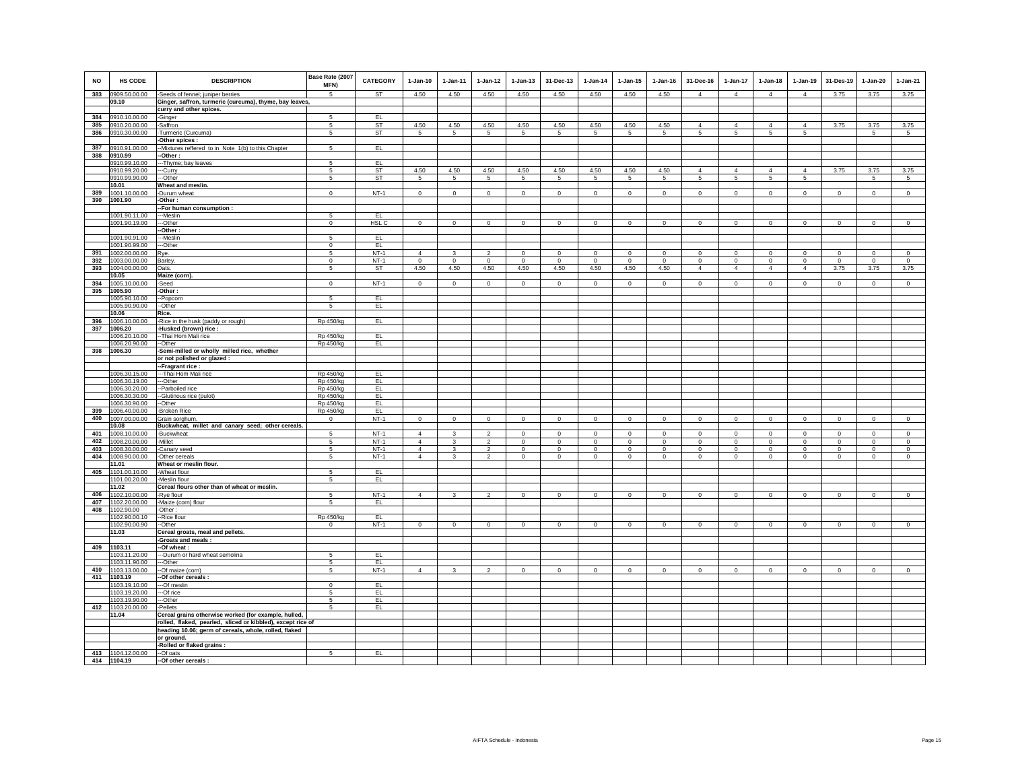| <b>NO</b>  | <b>HS CODE</b>                 | <b>DESCRIPTION</b>                                           | Base Rate (2007<br>MFN)   | <b>CATEGORY</b>  | $1-Jan-10$      | $1-Jan-11$              | $1-Jan-12$              | $1-Jan-13$      | 31-Dec-13       | $1-Jan-14$  | $1 - Jan-15$    | $1-Jan-16$  | 31-Dec-16           | 1-Jan-17            | $1-Jan-18$                        | $1-Jan-19$     | 31-Des-19   | $1-Jan-20$      | $1-Jan-21$     |
|------------|--------------------------------|--------------------------------------------------------------|---------------------------|------------------|-----------------|-------------------------|-------------------------|-----------------|-----------------|-------------|-----------------|-------------|---------------------|---------------------|-----------------------------------|----------------|-------------|-----------------|----------------|
| 383        | 0909.50.00.00                  | -Seeds of fennel; juniper berries                            | $\sqrt{5}$                | <b>ST</b>        | 4.50            | 4.50                    | 4.50                    | 4.50            | 4.50            | 4.50        | 4.50            | 4.50        | $\overline{4}$      | $\overline{4}$      | $\overline{4}$                    | $\overline{4}$ | 3.75        | 3.75            | 3.75           |
|            | 09.10                          | Ginger, saffron, turmeric (curcuma), thyme, bay leaves,      |                           |                  |                 |                         |                         |                 |                 |             |                 |             |                     |                     |                                   |                |             |                 |                |
|            |                                | curry and other spices.                                      |                           |                  |                 |                         |                         |                 |                 |             |                 |             |                     |                     |                                   |                |             |                 |                |
| 384        | 0910.10.00.00                  | -Ginger                                                      | 5                         | EL               |                 |                         |                         |                 |                 |             |                 |             |                     |                     |                                   |                |             |                 |                |
| 385        | 0910.20.00.00                  | -Saffron                                                     | 5<br>5                    | ST               | 4.50<br>5       | 4.50<br>$5\overline{5}$ | 4.50<br>$5\overline{5}$ | 4.50            | 4.50            | 4.50<br>5   | 4.50            | 4.50<br>5   | $\overline{4}$<br>5 | $\overline{4}$<br>5 | $\overline{4}$<br>$5\overline{5}$ | $\overline{4}$ | 3.75        | 3.75            | 3.75           |
|            | 386 0910.30.00.00              | -Turmeric (Curcuma)<br>-Other spices :                       |                           | ST               |                 |                         |                         | $5\phantom{.0}$ | 5               |             | $5\phantom{.0}$ |             |                     |                     |                                   | 5              |             | $5\phantom{.0}$ | $\sqrt{5}$     |
|            | 387 0910.91.00.00              | -- Mixtures reffered to in Note 1(b) to this Chapter         | 5                         | EL               |                 |                         |                         |                 |                 |             |                 |             |                     |                     |                                   |                |             |                 |                |
| 388        | 0910.99                        | -Other :                                                     |                           |                  |                 |                         |                         |                 |                 |             |                 |             |                     |                     |                                   |                |             |                 |                |
|            | 0910.99.10.00                  | -- Thyme; bay leaves                                         | 5                         | EL               |                 |                         |                         |                 |                 |             |                 |             |                     |                     |                                   |                |             |                 |                |
|            | 0910.99.20.00                  | --Curry                                                      | 5                         | ST               | 4.50            | 4.50                    | 4.50                    | 4.50            | 4.50            | 4.50        | 4.50            | 4.50        | $\overline{4}$      | $\overline{4}$      | $\overline{4}$                    | $\overline{4}$ | 3.75        | 3.75            | 3.75           |
|            | 0910.99.90.00<br>10.01         | ---Other<br>Wheat and meslin.                                | $\overline{5}$            | <b>ST</b>        | $5\overline{)}$ | -5                      | $\overline{5}$          | $\overline{5}$  | $5\overline{)}$ | 5           | $5\overline{)}$ | 5           | $5\overline{)}$     | $5\overline{)}$     | $5\overline{)}$                   | $\overline{5}$ |             | $\overline{5}$  | $\overline{5}$ |
| 389        | 1001.10.00.00                  | -Durum wheat                                                 | $\Omega$                  | $NT-1$           | $\mathbf 0$     | $\mathbf 0$             | $\circ$                 | $\mathbf{0}$    | $\mathbf 0$     | $\mathbf 0$ | $\mathbf 0$     | $\Omega$    | $\mathbf 0$         | $\circ$             | $\mathbf 0$                       | $\mathbf 0$    | $\mathbb O$ | $\mathsf 0$     | $\mathsf 0$    |
| 390        | 1001.90                        | -Other:                                                      |                           |                  |                 |                         |                         |                 |                 |             |                 |             |                     |                     |                                   |                |             |                 |                |
|            |                                | -- For human consumption :                                   |                           |                  |                 |                         |                         |                 |                 |             |                 |             |                     |                     |                                   |                |             |                 |                |
|            | 1001.90.11.00                  | ---Meslin                                                    | 5                         | EL               |                 |                         |                         |                 |                 |             |                 |             |                     |                     |                                   |                |             |                 |                |
|            | 1001.90.19.00                  | ---Other                                                     | $\mathbf 0$               | HSL <sub>C</sub> | $\circ$         | $\circ$                 | $\overline{0}$          | $\overline{0}$  | $\overline{0}$  | $\circ$     | $\mathbf 0$     | $\mathsf 0$ | $\mathbf 0$         | $\overline{0}$      | $\mathbf 0$                       | $\overline{0}$ | $\circ$     | $\circ$         | $\overline{0}$ |
|            | 1001.90.91.00                  | -Other:<br>---Meslin                                         | 5                         | EL               |                 |                         |                         |                 |                 |             |                 |             |                     |                     |                                   |                |             |                 |                |
|            | 1001.90.99.00                  | --Other                                                      | $\Omega$                  | EL               |                 |                         |                         |                 |                 |             |                 |             |                     |                     |                                   |                |             |                 |                |
| 391        | 1002.00.00.00                  | Rye.                                                         | 5                         | $NT-1$           | $\overline{4}$  |                         | $\mathcal{P}$           | $\Omega$        | $\mathbf 0$     | $\Omega$    | $\Omega$        | $\Omega$    | $\Omega$            | $\mathbf{0}$        | $\circ$                           | $\mathbf 0$    | $\Omega$    | $\Omega$        | $\mathbf 0$    |
| 392        | 1003.00.00.00                  | Barley.                                                      | $\mathbf 0$               | $NT-1$           | $\mathsf 0$     | $\mathbf 0$             | $\circ$                 | $\mathbf 0$     | $\circ$         | $\mathbf 0$ | $\mathbf 0$     | $\Omega$    | $\mathbf 0$         | $\circ$             | $\mathbf 0$                       | $\mathbb O$    | $\mathbb O$ | $\mathsf 0$     | $\mathsf 0$    |
|            | 393 1004.00.00.00              | Oats.                                                        | $\sqrt{5}$                | ST               | 4.50            | 4.50                    | 4.50                    | 4.50            | 4.50            | 4.50        | 4.50            | 4.50        | $\overline{4}$      | $\overline{4}$      | $\overline{4}$                    | $\overline{4}$ | 3.75        | 3.75            | 3.75           |
|            | 10.05<br>394 1005.10.00.00     | Maize (corn).<br>-Seed                                       | $\mathbf 0$               | $NT-1$           | $\mathbf 0$     | $\mathbf 0$             | $\circ$                 | 0               | $\,0\,$         | $\mathbf 0$ | $\mathbf 0$     | $\mathbf 0$ | $\mathbf 0$         | $\mathbf 0$         | $\mathbf 0$                       | $\,0\,$        | $\mathbf 0$ | $\mathbf 0$     | $\mathbf 0$    |
| 395        | 1005.90                        | -Other:                                                      |                           |                  |                 |                         |                         |                 |                 |             |                 |             |                     |                     |                                   |                |             |                 |                |
|            | 1005.90.10.00                  | -- Popcorn                                                   | 5                         | EL.              |                 |                         |                         |                 |                 |             |                 |             |                     |                     |                                   |                |             |                 |                |
|            | 1005.90.90.00                  | --Other                                                      | 5                         | EL               |                 |                         |                         |                 |                 |             |                 |             |                     |                     |                                   |                |             |                 |                |
|            | 10.06                          | Rice.                                                        |                           |                  |                 |                         |                         |                 |                 |             |                 |             |                     |                     |                                   |                |             |                 |                |
| 396<br>397 | 1006.10.00.00<br>1006.20       | -Rice in the husk (paddy or rough)<br>-Husked (brown) rice : | Rp 450/kg                 | EL               |                 |                         |                         |                 |                 |             |                 |             |                     |                     |                                   |                |             |                 |                |
|            | 1006.20.10.00                  | -- Thai Hom Mali rice                                        | Rp 450/kg                 | EL.              |                 |                         |                         |                 |                 |             |                 |             |                     |                     |                                   |                |             |                 |                |
|            | 1006.20.90.00                  | --Other                                                      | Rp 450/kg                 | EL.              |                 |                         |                         |                 |                 |             |                 |             |                     |                     |                                   |                |             |                 |                |
| 398        | 1006.30                        | -Semi-milled or wholly milled rice, whether                  |                           |                  |                 |                         |                         |                 |                 |             |                 |             |                     |                     |                                   |                |             |                 |                |
|            |                                | or not polished or glazed :                                  |                           |                  |                 |                         |                         |                 |                 |             |                 |             |                     |                     |                                   |                |             |                 |                |
|            |                                | --Fragrant rice:                                             |                           |                  |                 |                         |                         |                 |                 |             |                 |             |                     |                     |                                   |                |             |                 |                |
|            | 1006.30.15.00<br>1006.30.19.00 | --- Thai Hom Mali rice<br>---Other                           | Rp 450/kg<br>Rp 450/kg    | EL<br>EL         |                 |                         |                         |                 |                 |             |                 |             |                     |                     |                                   |                |             |                 |                |
|            | 1006.30.20.00                  | --Parboiled rice                                             | Rp 450/kg                 | EL               |                 |                         |                         |                 |                 |             |                 |             |                     |                     |                                   |                |             |                 |                |
|            | 1006.30.30.00                  | --Glutinous rice (pulot)                                     | Rp 450/kg                 | EL.              |                 |                         |                         |                 |                 |             |                 |             |                     |                     |                                   |                |             |                 |                |
|            | 1006.30.90.00                  | --Other                                                      | Rp 450/kg                 | EL               |                 |                         |                         |                 |                 |             |                 |             |                     |                     |                                   |                |             |                 |                |
| 399<br>400 | 1006.40.00.00<br>1007.00.00.00 | -Broken Rice<br>Grain sorghum.                               | Rp 450/kg<br>$\mathbf{0}$ | EL<br>$NT-1$     | $\mathbf 0$     | $\circ$                 | $\circ$                 | $\mathbf 0$     | $\mathbf 0$     | $\mathbf 0$ | $\circ$         | $\circ$     | $\circ$             | $\mathbf 0$         | $\mathbf 0$                       | $\mathbb O$    | $\mathbb O$ | $\mathbf 0$     | $\mathbf 0$    |
|            | 10.08                          | Buckwheat, millet and canary seed; other cereals.            |                           |                  |                 |                         |                         |                 |                 |             |                 |             |                     |                     |                                   |                |             |                 |                |
| 401        | 1008.10.00.00                  | -Buckwheat                                                   | 5                         | $NT-1$           | $\overline{4}$  | 3                       | $\overline{2}$          | $\mathbf 0$     | $\mathsf 0$     | $\mathbf 0$ | $\mathbf 0$     | $\mathbf 0$ | $\mathbf 0$         | $\mathsf 0$         | $\mathsf 0$                       | $\mathbf 0$    | $\mathbf 0$ | $\circ$         | $\mathbf 0$    |
| 402        | 1008.20.00.00                  | -Millet                                                      | 5                         | $NT-1$           | $\overline{4}$  | 3                       | $\overline{2}$          | 0               | $\mathbf 0$     | $\mathbf 0$ | $\mathbf 0$     | $\mathbf 0$ | $\mathbf 0$         | $\mathbf 0$         | $\mathbf 0$                       | $\mathbf 0$    | $\mathbf 0$ | $\mathbf 0$     | $\mathbf 0$    |
| 403        | 1008.30.00.00                  | -Canary seed                                                 | $\sqrt{5}$                | $NT-1$           | $\overline{4}$  | $\mathbf{3}$            | $\overline{2}$          | $\mathsf 0$     | $\,0\,$         | $\,0\,$     | $\mathsf 0$     | $\mathbf 0$ | $\circ$             | $\mathbf 0$         | $\mathsf 0$                       | $\,0\,$        | $\mathbf 0$ | $\mathbf 0$     | $\mathbf{0}$   |
| 404        | 1008.90.00.00<br>11.01         | -Other cereals<br>Wheat or meslin flour.                     | 5                         | $NT-1$           | $\overline{4}$  | $\mathbf{3}$            | $\overline{2}$          | $\mathbf 0$     | $\circ$         | $\mathbf 0$ | $\mathbf 0$     | $\circ$     | $\circ$             | $\overline{0}$      | $\mathbf 0$                       | $\mathbb O$    | $\mathbf 0$ | $\mathsf 0$     | $\circ$        |
| 405        | 1101.00.10.00                  | -Wheat flour                                                 | 5                         | EL               |                 |                         |                         |                 |                 |             |                 |             |                     |                     |                                   |                |             |                 |                |
|            | 1101.00.20.00                  | -Meslin flour                                                | 5                         | EL.              |                 |                         |                         |                 |                 |             |                 |             |                     |                     |                                   |                |             |                 |                |
|            | 11.02                          | Cereal flours other than of wheat or meslin.                 |                           |                  |                 |                         |                         |                 |                 |             |                 |             |                     |                     |                                   |                |             |                 |                |
|            | 406 1102.10.00.00              | -Rye flour                                                   | 5                         | $NT-1$           | $\overline{4}$  | $\mathbf{3}$            | $\overline{2}$          | $\circ$         | $\mathbf 0$     | $\circ$     | $\circ$         | $\mathbf 0$ | $\overline{0}$      | $\circ$             | $\circ$                           | $\mathbf 0$    | $\mathbf 0$ | $\overline{0}$  | $\mathbf 0$    |
|            | 407 1102.20.00.00              | -Maize (corn) flour                                          | 5                         | EL.              |                 |                         |                         |                 |                 |             |                 |             |                     |                     |                                   |                |             |                 |                |
| 408        | 1102.90.00<br>1102.90.00.10    | -Other:<br>--Rice flour                                      | Rp 450/kg                 | EL               |                 |                         |                         |                 |                 |             |                 |             |                     |                     |                                   |                |             |                 |                |
|            | 1102.90.00.90                  | --Other                                                      | $^{\circ}$                | $NT-1$           | $\circ$         | $\circ$                 | $\overline{0}$          | $\circ$         | $\circ$         | $\circ$     | $\circ$         | $\circ$     | $\circ$             | $\circ$             | $\circ$                           | $\mathbb O$    | $\mathbb O$ | $\circ$         | $\Omega$       |
|            | 11.03                          | Cereal groats, meal and pellets.                             |                           |                  |                 |                         |                         |                 |                 |             |                 |             |                     |                     |                                   |                |             |                 |                |
|            |                                | -Groats and meals :                                          |                           |                  |                 |                         |                         |                 |                 |             |                 |             |                     |                     |                                   |                |             |                 |                |
| 409        | 1103.11                        | -- Of wheat:                                                 |                           |                  |                 |                         |                         |                 |                 |             |                 |             |                     |                     |                                   |                |             |                 |                |
|            | 1103.11.20.00<br>1103.11.90.00 | --- Durum or hard wheat semolina<br>---Other                 | 5<br>5                    | EL<br>EL         |                 |                         |                         |                 |                 |             |                 |             |                     |                     |                                   |                |             |                 |                |
| 410        | 1103.13.00.00                  | --Of maize (corn)                                            | 5                         | $NT-1$           | $\overline{4}$  | 3                       | $\overline{2}$          | $\circ$         | $\mathsf 0$     | $\mathbf 0$ | $\mathbf 0$     | $\mathbf 0$ | $\mathbf 0$         | $\mathbf 0$         | $\mathsf{O}$                      | $\mathbf 0$    | $\mathbb O$ | $\mathbf 0$     | $\mathbf{0}$   |
| 411        | 1103.19                        | -Of other cereals                                            |                           |                  |                 |                         |                         |                 |                 |             |                 |             |                     |                     |                                   |                |             |                 |                |
|            | 1103.19.10.00                  | ---Of meslin                                                 | $\mathbf 0$               | EL               |                 |                         |                         |                 |                 |             |                 |             |                     |                     |                                   |                |             |                 |                |
|            | 1103.19.20.00<br>1103.19.90.00 | ---Of rice                                                   | 5<br>5                    | EL<br>EL         |                 |                         |                         |                 |                 |             |                 |             |                     |                     |                                   |                |             |                 |                |
| 412        | 1103.20.00.00                  | ---Other<br>-Pellets                                         | 5                         | EL               |                 |                         |                         |                 |                 |             |                 |             |                     |                     |                                   |                |             |                 |                |
|            | 11.04                          | Cereal grains otherwise worked (for example, hulled,         |                           |                  |                 |                         |                         |                 |                 |             |                 |             |                     |                     |                                   |                |             |                 |                |
|            |                                | rolled, flaked, pearled, sliced or kibbled), except rice of  |                           |                  |                 |                         |                         |                 |                 |             |                 |             |                     |                     |                                   |                |             |                 |                |
|            |                                | heading 10.06; germ of cereals, whole, rolled, flaked        |                           |                  |                 |                         |                         |                 |                 |             |                 |             |                     |                     |                                   |                |             |                 |                |
|            |                                | or ground.                                                   |                           |                  |                 |                         |                         |                 |                 |             |                 |             |                     |                     |                                   |                |             |                 |                |
|            | 413 1104.12.00.00              | -Rolled or flaked grains :<br>--Of oats                      | 5                         | EL.              |                 |                         |                         |                 |                 |             |                 |             |                     |                     |                                   |                |             |                 |                |
|            | 414 1104.19                    | -- Of other cereals :                                        |                           |                  |                 |                         |                         |                 |                 |             |                 |             |                     |                     |                                   |                |             |                 |                |
|            |                                |                                                              |                           |                  |                 |                         |                         |                 |                 |             |                 |             |                     |                     |                                   |                |             |                 |                |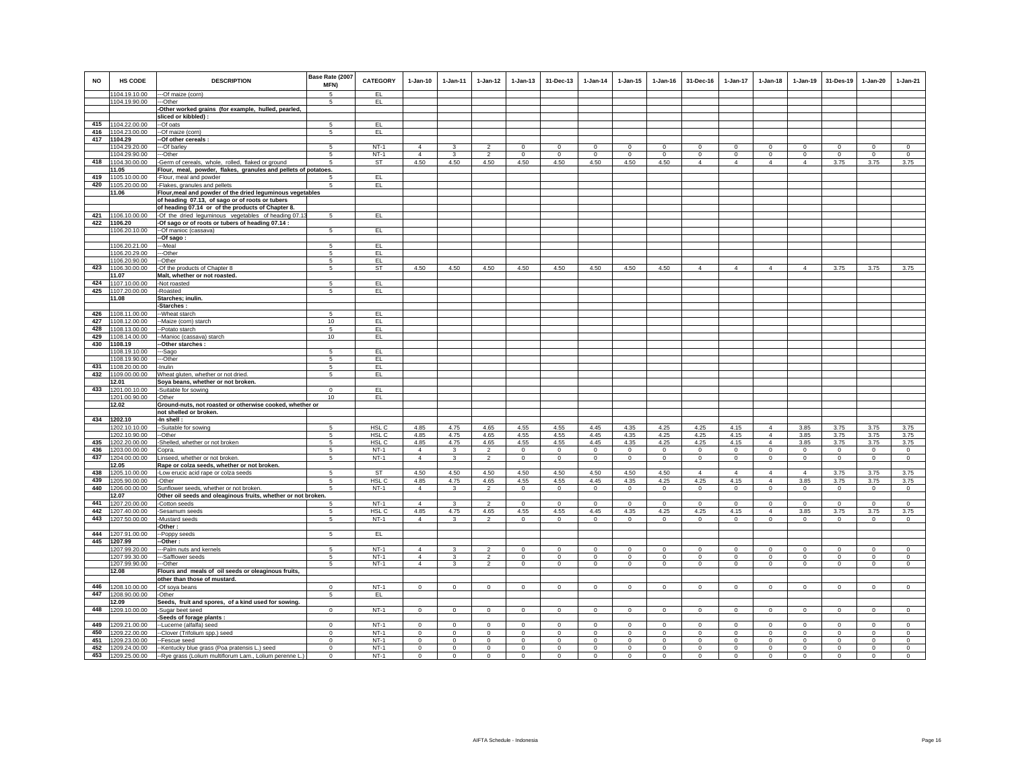| <b>NO</b> | <b>HS CODE</b>                     | <b>DESCRIPTION</b>                                                                                   | Base Rate (2007<br>MFN) | <b>CATEGORY</b>  | $1-Jan-10$     | $1 - Jan-11$ | $1 - Jan-12$   | $1 - Jan-13$ | 31-Dec-13    | $1 - Jan-14$ | $1 - Jan-15$ | $1 - Jan-16$ | 31-Dec-16      | 1-Jan-17       | $1 - Jan-18$                     | $1 - Jan-19$   | 31-Des-19   | $1-Jan-20$  | $1-Jan-21$   |
|-----------|------------------------------------|------------------------------------------------------------------------------------------------------|-------------------------|------------------|----------------|--------------|----------------|--------------|--------------|--------------|--------------|--------------|----------------|----------------|----------------------------------|----------------|-------------|-------------|--------------|
|           | 1104.19.10.00                      | ---Of maize (corn)<br>---Other                                                                       | $\overline{5}$<br>5     | EL.              |                |              |                |              |              |              |              |              |                |                |                                  |                |             |             |              |
|           | 1104.19.90.00                      | -Other worked grains (for example, hulled, pearled,                                                  |                         | EL.              |                |              |                |              |              |              |              |              |                |                |                                  |                |             |             |              |
|           |                                    | sliced or kibbled) :                                                                                 |                         |                  |                |              |                |              |              |              |              |              |                |                |                                  |                |             |             |              |
|           | 415 1104.22.00.00                  | -Of oats                                                                                             | -5                      | EL               |                |              |                |              |              |              |              |              |                |                |                                  |                |             |             |              |
| 416       | 1104.23.00.00                      | -Of maize (corn)                                                                                     | 5                       | EL               |                |              |                |              |              |              |              |              |                |                |                                  |                |             |             |              |
| 417       | 1104.29                            | -Of other cereals                                                                                    |                         |                  |                |              |                |              |              |              |              |              |                |                |                                  |                |             |             |              |
|           | 1104.29.20.00                      | ---Of barley                                                                                         | 5                       | $NT-1$           | $\overline{4}$ |              |                | $\mathbf 0$  | $\mathbf 0$  | $\mathbf 0$  | $^{\circ}$   | $^{\circ}$   | $\mathbf 0$    | 0              | $\mathbf 0$                      | $\mathbf 0$    | $\mathbf 0$ | $\mathbf 0$ | $^{\circ}$   |
|           | 1104.29.90.00                      | --Other                                                                                              | 5                       | $NT-1$           | $\Delta$       | $\mathbf{R}$ | $\mathfrak{D}$ | $\mathbf 0$  | $\Omega$     | $\Omega$     | $\Omega$     | $\Omega$     | $\Omega$       | $\mathbf 0$    | $\Omega$                         | $\mathbf 0$    | $\Omega$    | $\Omega$    | $\Omega$     |
| 418       | 1104.30.00.00                      | Germ of cereals, whole, rolled, flaked or ground                                                     | 5                       | ST               | 4.50           | 4.50         | 4.50           | 4.50         | 4.50         | 4.50         | 4.50         | 4.50         | $\overline{4}$ | $\overline{4}$ | $\overline{4}$                   | $\overline{4}$ | 3.75        | 3.75        | 3.75         |
|           | 11.05                              | Flour, meal, powder, flakes, granules and pellets of potatoes.                                       |                         |                  |                |              |                |              |              |              |              |              |                |                |                                  |                |             |             |              |
| 419       | 1105.10.00.00                      | -Flour, meal and powder                                                                              |                         | EL               |                |              |                |              |              |              |              |              |                |                |                                  |                |             |             |              |
| 420       | 1105.20.00.00                      | -Flakes, granules and pellets                                                                        |                         | EL               |                |              |                |              |              |              |              |              |                |                |                                  |                |             |             |              |
|           | 11.06                              | Flour, meal and powder of the dried leguminous vegetables                                            |                         |                  |                |              |                |              |              |              |              |              |                |                |                                  |                |             |             |              |
|           |                                    | of heading 07.13, of sago or of roots or tubers<br>of heading 07.14 or of the products of Chapter 8. |                         |                  |                |              |                |              |              |              |              |              |                |                |                                  |                |             |             |              |
| 421       | 1106.10.00.00                      | -Of the dried leguminous vegetables of heading 07.13                                                 | 5                       | EL.              |                |              |                |              |              |              |              |              |                |                |                                  |                |             |             |              |
| 422       | 1106.20                            | -Of sago or of roots or tubers of heading 07.14 :                                                    |                         |                  |                |              |                |              |              |              |              |              |                |                |                                  |                |             |             |              |
|           | 1106.20.10.00                      | --Of manioc (cassava)                                                                                | 5                       | EL.              |                |              |                |              |              |              |              |              |                |                |                                  |                |             |             |              |
|           |                                    | -Of sago:                                                                                            |                         |                  |                |              |                |              |              |              |              |              |                |                |                                  |                |             |             |              |
|           | 1106.20.21.00                      | -Meal                                                                                                | 5                       | EL               |                |              |                |              |              |              |              |              |                |                |                                  |                |             |             |              |
|           | 1106.20.29.00                      | --Other                                                                                              | 5                       | EL               |                |              |                |              |              |              |              |              |                |                |                                  |                |             |             |              |
|           | 1106.20.90.00                      | -Other                                                                                               | 5                       | EL               |                |              |                |              |              |              |              |              |                |                |                                  |                |             |             |              |
| 423       | 1106.30.00.00                      | -Of the products of Chapter 8                                                                        | 5                       | ST               | 4.50           | 4.50         | 4.50           | 4.50         | 4.50         | 4.50         | 4.50         | 4.50         | $\Delta$       | $\overline{4}$ | $\Delta$                         | $\Delta$       | 3.75        | 3.75        | 3.75         |
|           | 11.07                              | Malt, whether or not roasted.                                                                        |                         |                  |                |              |                |              |              |              |              |              |                |                |                                  |                |             |             |              |
| 424       | 1107.10.00.00                      | -Not roasted                                                                                         | 5                       | EL.              |                |              |                |              |              |              |              |              |                |                |                                  |                |             |             |              |
| 425       | 1107.20.00.00                      | -Roasted                                                                                             | 5                       | EL               |                |              |                |              |              |              |              |              |                |                |                                  |                |             |             |              |
|           | 11.08                              | Starches; inulin.                                                                                    |                         |                  |                |              |                |              |              |              |              |              |                |                |                                  |                |             |             |              |
|           |                                    | -Starches:                                                                                           |                         |                  |                |              |                |              |              |              |              |              |                |                |                                  |                |             |             |              |
| 427       | 426 1108.11.00.00<br>1108.12.00.00 | --Wheat starch                                                                                       | -5<br>10                | EL<br>EL         |                |              |                |              |              |              |              |              |                |                |                                  |                |             |             |              |
| 428       | 1108.13.00.00                      | -Maize (corn) starch<br>-Potato starch                                                               | 5                       | EL.              |                |              |                |              |              |              |              |              |                |                |                                  |                |             |             |              |
| 429       | 1108.14.00.00                      | -Manioc (cassava) starch                                                                             | 10                      | EL.              |                |              |                |              |              |              |              |              |                |                |                                  |                |             |             |              |
| 430       | 1108.19                            | -Other starches :                                                                                    |                         |                  |                |              |                |              |              |              |              |              |                |                |                                  |                |             |             |              |
|           | 1108.19.10.00                      | --Sago                                                                                               | -5                      | EL               |                |              |                |              |              |              |              |              |                |                |                                  |                |             |             |              |
|           | 1108.19.90.00                      | --Other                                                                                              | -5                      | EL               |                |              |                |              |              |              |              |              |                |                |                                  |                |             |             |              |
| 431       | 1108.20.00.00                      | -Inulin                                                                                              | 5                       | EL               |                |              |                |              |              |              |              |              |                |                |                                  |                |             |             |              |
| 432       | 1109.00.00.00                      | Wheat gluten, whether or not dried.                                                                  | 5                       | EL.              |                |              |                |              |              |              |              |              |                |                |                                  |                |             |             |              |
|           | 12.01                              | Soya beans, whether or not broken.                                                                   |                         |                  |                |              |                |              |              |              |              |              |                |                |                                  |                |             |             |              |
|           | 433 1201.00.10.00                  | -Suitable for sowing                                                                                 | $\Omega$                | EL               |                |              |                |              |              |              |              |              |                |                |                                  |                |             |             |              |
|           | 1201.00.90.00                      | -Other                                                                                               | 10                      | EL.              |                |              |                |              |              |              |              |              |                |                |                                  |                |             |             |              |
|           | 12.02                              | Ground-nuts, not roasted or otherwise cooked, whether or                                             |                         |                  |                |              |                |              |              |              |              |              |                |                |                                  |                |             |             |              |
|           |                                    | not shelled or broken.                                                                               |                         |                  |                |              |                |              |              |              |              |              |                |                |                                  |                |             |             |              |
| 434       | 1202.10                            | -In shell:                                                                                           |                         | HSL <sub>C</sub> | 4.85           | 4.75         | 4.65           | 4.55         | 4.55         |              | 4.35         | 4.25         | 4.25           | 4.15           |                                  | 3.85           | 3.75        | 3.75        | 3.75         |
|           | 1202.10.10.00<br>1202.10.90.00     | -Suitable for sowing<br>-Other                                                                       | 5<br>5                  | HSL C            | 4.85           | 4.75         | 4.65           | 4.55         | 4.55         | 4.45<br>4.45 | 4.35         | 4.25         | 4.25           | 4.15           | $\overline{4}$<br>$\overline{4}$ | 3.85           | 3.75        | 3.75        | 3.75         |
| 435       | 1202.20.00.00                      | Shelled, whether or not broken                                                                       | 5                       | HSL C            | 4.85           | 4.75         | 4.65           | 4.55         | 4.55         | 4.45         | 4.35         | 4.25         | 4.25           | 4.15           | $\overline{4}$                   | 3.85           | 3.75        | 3.75        | 3.75         |
| 436       | 1203.00.00.00                      | Copra                                                                                                | 5                       | $NT-1$           | $\Delta$       | 3            | $\mathfrak{p}$ | $\Omega$     | $^{\circ}$   | $\Omega$     | $\Omega$     | $\Omega$     | $\Omega$       | $\Omega$       | $\Omega$                         | $\mathbf 0$    | $\Omega$    | $\Omega$    | $^{\circ}$   |
| 437       | 1204.00.00.00                      | Linseed, whether or not broken                                                                       | 5                       | $NT-1$           | $\overline{4}$ | 3            | $\overline{2}$ | $\mathbf 0$  | $\circ$      | $\mathsf 0$  | $\Omega$     | $\Omega$     | $\Omega$       | $\circ$        | $\Omega$                         | $\mathbf 0$    | $\Omega$    | $\mathbf 0$ | $\mathbb O$  |
|           | 12.05                              | Rape or colza seeds, whether or not broken.                                                          |                         |                  |                |              |                |              |              |              |              |              |                |                |                                  |                |             |             |              |
| 438       | 1205.10.00.00                      | -Low erucic acid rape or colza seeds                                                                 | 5                       | ST               | 4.50           | 4.50         | 4.50           | 4.50         | 4.50         | 4.50         | 4.50         | 4.50         | $\overline{4}$ | $\overline{4}$ | $\overline{4}$                   | $\overline{4}$ | 3.75        | 3.75        | 3.75         |
|           | 439 1205.90.00.00                  | -Other                                                                                               | 5                       | HSL C            | 4.85           | 4.75         | 4.65           | 4.55         | 4.55         | 4.45         | 4.35         | 4.25         | 4.25           | 4.15           | $\overline{4}$                   | 3.85           | 3.75        | 3.75        | 3.75         |
|           | 440 1206.00.00.00                  | Sunflower seeds, whether or not broken.                                                              | 5                       | $NT-1$           | $\overline{4}$ | 3            | $\overline{2}$ | $\mathbf 0$  | $\,0\,$      | $\circ$      | $\mathbf 0$  | $\mathbf{0}$ | $\mathbf{0}$   | $\mathsf 0$    | $\mathsf 0$                      | $\mathsf 0$    | $\mathbf 0$ | $\mathsf 0$ | $\circ$      |
|           | 12.07                              | Other oil seeds and oleaginous fruits, whether or not broken.                                        |                         |                  |                |              |                |              |              |              |              |              |                |                |                                  |                |             |             |              |
| 441       | 1207.20.00.00                      | -Cotton seeds                                                                                        | 5                       | $NT-1$           | $\overline{4}$ | 3            | $\overline{2}$ | $\mathbf 0$  | $\mathbf 0$  | $\mathbf 0$  | $\mathbf 0$  | $\,0\,$      | $\mathbf 0$    | $\mathbf 0$    | $\mathbf 0$                      | $\mathbf 0$    | $\mathbf 0$ | $\mathbf 0$ | $\,0\,$      |
| 442       | 1207.40.00.00                      | Sesamum seeds                                                                                        | 5                       | HSL C            | 4.85           | 4.75         | 4.65           | 4.55         | 4.55         | 4.45         | 4.35         | 4.25         | 4.25           | 4.15           | $\overline{4}$                   | 3.85           | 3.75        | 3.75        | 3.75         |
| 443       | 1207.50.00.00                      | -Mustard seeds                                                                                       | 5                       | $NT-1$           | $\overline{4}$ | 3            | $\overline{2}$ | $\mathbf 0$  | $\mathbf 0$  | $\mathbf 0$  | $\mathbf 0$  | $\mathbf 0$  | $\mathbf{0}$   | $\mathbf 0$    | $\mathsf 0$                      | $\mathbf 0$    | $\mathbf 0$ | $^{\circ}$  | 0            |
|           |                                    | Other:                                                                                               |                         |                  |                |              |                |              |              |              |              |              |                |                |                                  |                |             |             |              |
| 444       | 1207.91.00.00                      | -Poppy seeds<br>-Other :                                                                             | 5                       | EL               |                |              |                |              |              |              |              |              |                |                |                                  |                |             |             |              |
|           | 445 1207.99<br>1207.99.20.00       | --Palm nuts and kernels                                                                              | 5                       | $NT-1$           | $\Delta$       | 3            | $\overline{2}$ | $\mathbf 0$  | $\mathbf 0$  | $\mathsf 0$  | $\mathbf 0$  | $^{\circ}$   | $\mathbf 0$    | $\mathbf 0$    | $\mathbf 0$                      | $\,$ 0         | $\mathbf 0$ | $\mathbf 0$ | $\mathbf 0$  |
|           | 1207.99.30.00                      | --Safflower seeds                                                                                    | 5                       | $NT-1$           | $\Delta$       | 3            | $\mathbf 2$    | $\mathsf 0$  | $\mathbf 0$  | $\mathbf 0$  | $\Omega$     | $\Omega$     | $\Omega$       | $\mathsf 0$    | $\Omega$                         | $\mathbf 0$    | $\mathbf 0$ | $\Omega$    | $\mathbf 0$  |
|           | 1207.99.90.00                      | ---Other                                                                                             | 5                       | $NT-1$           | $\overline{4}$ | $\mathbf{3}$ | $\overline{2}$ | $\mathbf{0}$ | $\circ$      | $\circ$      | $\circ$      | $\mathbf 0$  | $\circ$        | $\circ$        | $\circ$                          | $\circ$        | $\circ$     | $\circ$     | $\circ$      |
|           | 12.08                              | Flours and meals of oil seeds or oleaginous fruits,                                                  |                         |                  |                |              |                |              |              |              |              |              |                |                |                                  |                |             |             |              |
|           |                                    | other than those of mustard.                                                                         |                         |                  |                |              |                |              |              |              |              |              |                |                |                                  |                |             |             |              |
|           | 446 1208.10.00.00                  | -Of soya beans                                                                                       | $\mathbf 0$             | $NT-1$           | $^{\circ}$     | $\circ$      | $\circ$        | $\mathbf 0$  | $\mathbf 0$  | $\mathbf 0$  | $\circ$      | $^{\circ}$   | $^{\circ}$     | $\mathbf 0$    | $\mathbf 0$                      | $\mathbf 0$    | $\circ$     | $\circ$     | $^{\circ}$   |
| 447       | 1208.90.00.00                      | -Other                                                                                               | 5                       | EL.              |                |              |                |              |              |              |              |              |                |                |                                  |                |             |             |              |
|           | 12.09                              | Seeds, fruit and spores, of a kind used for sowing.                                                  |                         |                  |                |              |                |              |              |              |              |              |                |                |                                  |                |             |             |              |
| 448       | 1209.10.00.00                      | -Sugar beet seed                                                                                     | $\mathbf{0}$            | $NT-1$           | $\Omega$       | $\mathbf{0}$ | $\circ$        | $\mathbf 0$  | $\mathbf{0}$ | $\circ$      | $\circ$      | $\mathbf 0$  | $\Omega$       | $\mathbf{0}$   | $\circ$                          | $\circ$        | $\circ$     | $\circ$     | $\mathbf{0}$ |
|           |                                    | Seeds of forage plants :                                                                             |                         |                  |                |              |                |              |              |              |              |              |                |                |                                  |                |             |             |              |
| 449       | 1209.21.00.00                      | -Lucerne (alfalfa) seed                                                                              | $\mathbf{0}$            | $NT-1$           | $\Omega$       | $\Omega$     | $\mathbf{0}$   | $\mathbf{0}$ | $\mathbf{0}$ | $\mathbf{0}$ | $\circ$      | $\mathbf 0$  | $\Omega$       | $\mathbf{0}$   | $\Omega$                         | $\circ$        | $\circ$     | $\Omega$    | $\mathbf 0$  |
| 450       | 1209.22.00.00                      | -Clover (Trifolium spp.) seed                                                                        | $\mathbf 0$             | $NT-1$           | $\circ$        | $\circ$      | $\mathbf 0$    | $\mathbf 0$  | $\mathbf{0}$ | $\mathbf 0$  | $\circ$      | $\mathbf 0$  | $\mathbf 0$    | $\mathbf 0$    | $\circ$                          | $\mathbf 0$    | $\circ$     | $\mathbf 0$ | $\mathbf 0$  |
| 451       | 1209.23.00.00                      | -Fescue seed                                                                                         | $\mathsf 0$             | $NT-1$           | $\mathbf 0$    | $\mathbf 0$  | $\mathsf 0$    | $\mathsf 0$  | $\mathbf 0$  | $\mathbf 0$  | $\circ$      | $\mathbf 0$  | $\mathbf 0$    | $\mathsf 0$    | $\mathsf 0$                      | $\mathbf 0$    | $\mathbf 0$ | $\mathbf 0$ | $\mathbf 0$  |
|           | 452 1209.24.00.00                  | --Kentucky blue grass (Poa pratensis L.) seed                                                        | $\mathbf 0$             | $NT-1$           | $\circ$        | $\circ$      | $\mathbf{0}$   | $\mathbf 0$  | $\mathbf 0$  | $\mathbf 0$  | $\circ$      | $\mathbf 0$  | $\circ$        | $\mathbf 0$    | $\mathbf 0$                      | $\mathbf 0$    | $\mathbf 0$ | $\mathbf 0$ | $\mathbf 0$  |
|           | 453 1209.25.00.00                  | --Rye grass (Lolium multiflorum Lam., Lolium perenne L.)                                             | $\Omega$                | $NT-1$           | $\Omega$       | $\Omega$     | $\Omega$       | $\Omega$     | $\Omega$     | $\Omega$     | $\Omega$     | $\Omega$     | $\Omega$       | $\Omega$       | $\Omega$                         | $\Omega$       | $\Omega$    | $\Omega$    | $\Omega$     |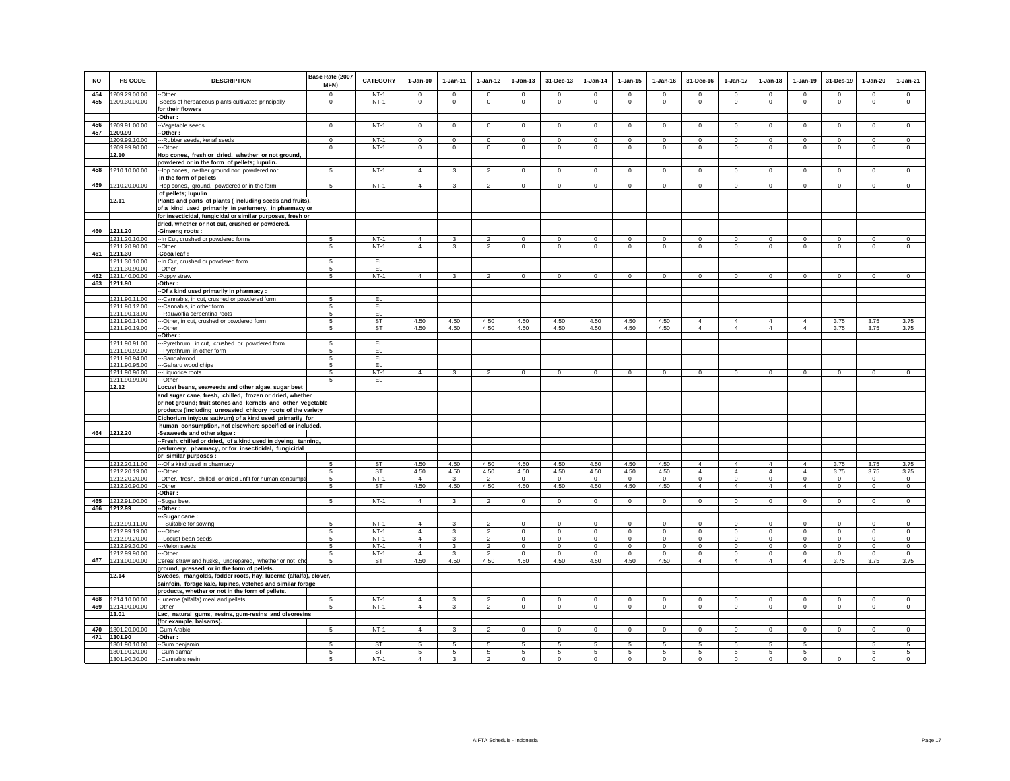| <b>NO</b> | HS CODE                        | <b>DESCRIPTION</b>                                                                                             | Base Rate (2007<br>MFN) | <b>CATEGORY</b>  | $1-Jan-10$                       | 1-Jan-11                              | $1 - Jan-12$                     | $1 - Jan-13$            | 31-Dec-13               | $1-Jan-14$              | $1 - Jan-15$            | $1 - Jan-16$            | 31-Dec-16               | $1-Jan-17$                 | $1-Jan-18$              | $1-Jan-19$             | 31-Des-19              | $1-Jan-20$              | $1-Jan-21$              |
|-----------|--------------------------------|----------------------------------------------------------------------------------------------------------------|-------------------------|------------------|----------------------------------|---------------------------------------|----------------------------------|-------------------------|-------------------------|-------------------------|-------------------------|-------------------------|-------------------------|----------------------------|-------------------------|------------------------|------------------------|-------------------------|-------------------------|
| 454       | 1209.29.00.00                  | -Other                                                                                                         | $\Omega$                | $NT-1$           | $\Omega$                         | $\Omega$                              | $\overline{0}$                   | $\Omega$                | $\Omega$                | $\Omega$                | $\Omega$                | $\Omega$                | $\Omega$                | $\Omega$                   | $\Omega$                | $\Omega$               | $\overline{0}$         | $\Omega$                | $\overline{0}$          |
| 455       | 1209.30.00.00                  | Seeds of herbaceous plants cultivated principally                                                              | $\circ$                 | $NT-1$           | $\circ$                          | $\mathbf{0}$                          | $\mathbf{0}$                     | $\mathbf{0}$            | $\Omega$                | $\circ$                 | $\mathbf{0}$            | $\circ$                 | $\circ$                 | $\mathbf{0}$               | $\circ$                 | $\mathbf 0$            | $\circ$                | $\mathbf{0}$            | $\circ$                 |
|           |                                | for their flowers                                                                                              |                         |                  |                                  |                                       |                                  |                         |                         |                         |                         |                         |                         |                            |                         |                        |                        |                         |                         |
|           |                                | -Other:                                                                                                        |                         |                  |                                  |                                       |                                  |                         |                         |                         |                         |                         |                         |                            |                         |                        |                        |                         |                         |
| 457       | 456 1209.91.00.00<br>1209.99   | -Vegetable seeds<br>-Other :                                                                                   | $\mathbf{0}$            | $NT-1$           | $\mathbf{0}$                     | $\mathbf{0}$                          | $\circ$                          | $\mathbf 0$             | $\mathbf{0}$            | $\circ$                 | $\mathbf 0$             | $\circ$                 | $\circ$                 | $\mathbf{0}$               | $\circ$                 | $\circ$                | $\mathbf{0}$           | $\mathbf{0}$            | $\circ$                 |
|           | 1209.99.10.00                  | --Rubber seeds, kenaf seeds                                                                                    | $^{\circ}$              | $NT-1$           | $\Omega$                         | $^{\circ}$                            | $\mathbf 0$                      | 0                       | $^{\circ}$              | 0                       | 0                       | $^{\circ}$              | $\Omega$                | $^{\circ}$                 | $^{\circ}$              | $\mathbf{0}$           | $^{\circ}$             | $^{\circ}$              | $\mathbf 0$             |
|           | 1209.99.90.00                  | -Other                                                                                                         | $\mathbf{0}$            | $NT-1$           | $\circ$                          | $\circ$                               | $\circ$                          | $\mathsf 0$             | $\mathbf 0$             | $\circ$                 | $\mathbf 0$             | $\circ$                 | $\circ$                 | $\mathbf 0$                | $\circ$                 | $\mathbf 0$            | $\mathbf 0$            | $\mathbf 0$             | $\mathsf 0$             |
|           | 12.10                          | Hop cones, fresh or dried, whether or not ground,                                                              |                         |                  |                                  |                                       |                                  |                         |                         |                         |                         |                         |                         |                            |                         |                        |                        |                         |                         |
| 458       | 1210.10.00.00                  | powdered or in the form of pellets; lupulin.<br>-Hop cones, neither ground nor powdered nor                    | 5                       | $NT-1$           | $\Delta$                         | $\mathbf{3}$                          | $\overline{2}$                   | $\mathsf 0$             | $\mathbf 0$             | $\mathsf 0$             | $\mathbf 0$             | $\Omega$                | $\Omega$                | $\mathbf 0$                | $\Omega$                | $\mathbf 0$            | $\mathbf 0$            | $\Omega$                | $\circ$                 |
|           |                                | in the form of pellets                                                                                         |                         |                  |                                  |                                       |                                  |                         |                         |                         |                         |                         |                         |                            |                         |                        |                        |                         |                         |
| 459       | 1210.20.00.00                  | -Hop cones, ground, powdered or in the form                                                                    | 5                       | $NT-1$           | $\overline{4}$                   | $\overline{\mathbf{3}}$               | 2                                | $\mathbf{0}$            | $\mathbf{0}$            | $\circ$                 | $\mathbf{0}$            | $\mathbf 0$             | $\circ$                 | $\circ$                    | $\circ$                 | $\mathbf 0$            | $\mathbf 0$            | $\mathbf{0}$            | $\circ$                 |
|           | 12.11                          | of pellets; lupulin<br>Plants and parts of plants (including seeds and fruits),                                |                         |                  |                                  |                                       |                                  |                         |                         |                         |                         |                         |                         |                            |                         |                        |                        |                         |                         |
|           |                                | of a kind used primarily in perfumery, in pharmacy or                                                          |                         |                  |                                  |                                       |                                  |                         |                         |                         |                         |                         |                         |                            |                         |                        |                        |                         |                         |
|           |                                | for insecticidal, fungicidal or similar purposes, fresh or                                                     |                         |                  |                                  |                                       |                                  |                         |                         |                         |                         |                         |                         |                            |                         |                        |                        |                         |                         |
|           |                                | dried, whether or not cut, crushed or powdered.                                                                |                         |                  |                                  |                                       |                                  |                         |                         |                         |                         |                         |                         |                            |                         |                        |                        |                         |                         |
| 460       | 1211.20<br>211.20.10.00        | -Ginseng roots:<br>-In Cut, crushed or powdered forms                                                          | 5                       | $NT-1$           | $\overline{4}$                   | 3                                     | $\overline{2}$                   | $\mathbf 0$             | $\mathbf 0$             | $\mathbf 0$             | $\mathbf 0$             | $\mathbf 0$             | $\mathbf 0$             | 0                          | $\mathbf 0$             | $\mathbf 0$            | $\mathbf 0$            | $\mathbf 0$             | $\Omega$                |
|           | 1211.20.90.00                  | --Other                                                                                                        | 5                       | $NT-1$           | $\overline{4}$                   | $\mathbf{3}$                          | 2                                | $\mathbf 0$             | $\mathbf{0}$            | $\circ$                 | $\mathbf 0$             | $\circ$                 | $\overline{0}$          | $\circ$                    | $\circ$                 | $\mathbf 0$            | $\mathbf{0}$           | $\circ$                 | $\circ$                 |
| 461       | 1211.30                        | -Coca leaf :                                                                                                   |                         |                  |                                  |                                       |                                  |                         |                         |                         |                         |                         |                         |                            |                         |                        |                        |                         |                         |
|           | 1211.30.10.00<br>1211.30.90.00 | -- In Cut, crushed or powdered form<br>--Other                                                                 | 5<br>5                  | EL.<br>EL        |                                  |                                       |                                  |                         |                         |                         |                         |                         |                         |                            |                         |                        |                        |                         |                         |
|           | 462 1211.40.00.00              | -Poppy straw                                                                                                   | 5                       | $NT-1$           | $\overline{4}$                   | 3                                     | $\overline{2}$                   | $\mathbf 0$             | $\mathbf 0$             | $\mathbf 0$             | $\mathbf 0$             | $\mathbf 0$             | $\mathbf 0$             | $\Omega$                   | $\Omega$                | $\mathbf 0$            | $\circ$                | $\mathbf 0$             | $\mathbf 0$             |
|           | 463 1211.90                    | -Other :                                                                                                       |                         |                  |                                  |                                       |                                  |                         |                         |                         |                         |                         |                         |                            |                         |                        |                        |                         |                         |
|           |                                | -Of a kind used primarily in pharmacy :                                                                        |                         |                  |                                  |                                       |                                  |                         |                         |                         |                         |                         |                         |                            |                         |                        |                        |                         |                         |
|           | 1211.90.11.00<br>1211.90.12.00 | -Cannabis, in cut, crushed or powdered form<br>-Cannabis, in other form                                        | -5<br>5                 | EL.<br>EL.       |                                  |                                       |                                  |                         |                         |                         |                         |                         |                         |                            |                         |                        |                        |                         |                         |
|           | 1211.90.13.00                  | ---Rauwolfia serpentina roots                                                                                  | 5                       | EL               |                                  |                                       |                                  |                         |                         |                         |                         |                         |                         |                            |                         |                        |                        |                         |                         |
|           | 1211.90.14.00                  | --Other, in cut, crushed or powdered form                                                                      | 5                       | ST               | 4.50                             | 4.50                                  | 4.50                             | 4.50                    | 4.50                    | 4.50                    | 4.50                    | 4.50                    | $\overline{4}$          | $\overline{4}$             | $\overline{4}$          | $\Delta$               | 3.75                   | 3.75                    | 3.75                    |
|           | 1211.90.19.00                  | --Other<br>-Other:                                                                                             | 5                       | ST               | 4.50                             | 4.50                                  | 4.50                             | 4.50                    | 4.50                    | 4.50                    | 4.50                    | 4.50                    | $\overline{4}$          | $\overline{4}$             | $\overline{4}$          | $\overline{4}$         | 3.75                   | 3.75                    | 3.75                    |
|           | 1211.90.91.00                  | --Pyrethrum, in cut, crushed or powdered form                                                                  | 5                       | EL               |                                  |                                       |                                  |                         |                         |                         |                         |                         |                         |                            |                         |                        |                        |                         |                         |
|           | 1211.90.92.00                  | -Pyrethrum, in other form                                                                                      | -5                      | EL               |                                  |                                       |                                  |                         |                         |                         |                         |                         |                         |                            |                         |                        |                        |                         |                         |
|           | 1211.90.94.00<br>1211.90.95.00 | -Sandalwood<br>-Gaharu wood chips                                                                              | 5<br>$\sqrt{5}$         | EL.<br>EL        |                                  |                                       |                                  |                         |                         |                         |                         |                         |                         |                            |                         |                        |                        |                         |                         |
|           | 1211.90.96.00                  | ---Liquorice roots                                                                                             | 5                       | $NT-1$           | $\overline{4}$                   | $\overline{\mathbf{3}}$               | $\overline{2}$                   | $\mathbf{0}$            | $\mathbf{0}$            | $\mathbf{0}$            | $\mathbf{0}$            | $\Omega$                | $\circ$                 | $\mathbf{0}$               | $\mathbf 0$             | $\Omega$               | $\Omega$               | $\mathbf{0}$            | $\circ$                 |
|           | 1211.90.99.00                  | ---Other                                                                                                       | 5                       | EL               |                                  |                                       |                                  |                         |                         |                         |                         |                         |                         |                            |                         |                        |                        |                         |                         |
|           | 12.12                          | Locust beans, seaweeds and other algae, sugar beet<br>and sugar cane, fresh, chilled, frozen or dried, whether |                         |                  |                                  |                                       |                                  |                         |                         |                         |                         |                         |                         |                            |                         |                        |                        |                         |                         |
|           |                                | or not ground; fruit stones and kernels and other vegetable                                                    |                         |                  |                                  |                                       |                                  |                         |                         |                         |                         |                         |                         |                            |                         |                        |                        |                         |                         |
|           |                                | products (including unroasted chicory roots of the variety                                                     |                         |                  |                                  |                                       |                                  |                         |                         |                         |                         |                         |                         |                            |                         |                        |                        |                         |                         |
|           |                                | Cichorium intybus sativum) of a kind used primarily for                                                        |                         |                  |                                  |                                       |                                  |                         |                         |                         |                         |                         |                         |                            |                         |                        |                        |                         |                         |
|           | 464 1212.20                    | human consumption, not elsewhere specified or included.<br>-Seaweeds and other algae :                         |                         |                  |                                  |                                       |                                  |                         |                         |                         |                         |                         |                         |                            |                         |                        |                        |                         |                         |
|           |                                | --Fresh, chilled or dried, of a kind used in dyeing, tanning,                                                  |                         |                  |                                  |                                       |                                  |                         |                         |                         |                         |                         |                         |                            |                         |                        |                        |                         |                         |
|           |                                | perfumery, pharmacy, or for insecticidal, fungicidal                                                           |                         |                  |                                  |                                       |                                  |                         |                         |                         |                         |                         |                         |                            |                         |                        |                        |                         |                         |
|           | 1212.20.11.00                  | or similar purposes :<br>--- Of a kind used in pharmacy                                                        | 5                       | ST               | 4.50                             | 4.50                                  | 4.50                             | 4.50                    | 4.50                    | 4.50                    | 4.50                    | 4.50                    | $\overline{4}$          | $\overline{4}$             | $\overline{4}$          | $\overline{4}$         | 3.75                   | 3.75                    | 3.75                    |
|           | 1212.20.19.00                  | ---Other                                                                                                       | 5                       | ST               | 4.50                             | 4.50                                  | 4.50                             | 4.50                    | 4.50                    | 4.50                    | 4.50                    | 4.50                    | $\overline{4}$          | $\overline{4}$             | $\overline{4}$          | $\overline{4}$         | 3.75                   | 3.75                    | 3.75                    |
|           | 1212.20.20.00                  | --Other, fresh, chilled or dried unfit for human consumpt                                                      | 5                       | $NT-1$           | $\overline{4}$                   | 3                                     | $\overline{2}$                   | $\mathbf{0}$            | $\overline{0}$          | $\overline{0}$          | $\circ$                 | $\mathbf{0}$            | $\Omega$                | $\overline{0}$             | $\overline{0}$          | $\overline{0}$         | $\overline{0}$         | $\overline{0}$          | $\overline{0}$          |
|           | 1212.20.90.00                  | -Other<br>Other:                                                                                               | 5                       | ST               | 4.50                             | 4.50                                  | 4.50                             | 4.50                    | 4.50                    | 4.50                    | 4.50                    | 4.50                    | $\overline{4}$          | $\overline{4}$             | $\overline{4}$          | $\overline{4}$         | $\circ$                | $\mathbf 0$             | $\mathsf 0$             |
| 465       | 1212.91.00.00                  | -Sugar beet                                                                                                    | 5                       | $NT-1$           | $\overline{4}$                   | $\mathbf{3}$                          | $\overline{2}$                   | $\mathbf 0$             | $\mathsf 0$             | $\circ$                 | $\mathsf 0$             | $\mathsf 0$             | $\mathbf 0$             | $\circ$                    | $\mathbf 0$             | $\mathbf 0$            | $\circ$                | $\mathbf 0$             | $\mathsf 0$             |
|           | 466 1212.99                    | -Other :                                                                                                       |                         |                  |                                  |                                       |                                  |                         |                         |                         |                         |                         |                         |                            |                         |                        |                        |                         |                         |
|           | 1212.99.11.00                  | -Sugar cane :<br>--Suitable for sowing                                                                         | 5                       | $NT-1$           | $\Delta$                         | $\mathbf{3}$                          | $\mathfrak{D}$                   | $\mathbf{0}$            | $\Omega$                | $\Omega$                | $\mathbf{0}$            | $\Omega$                | $\circ$                 | $\Omega$                   | $\Omega$                | $\mathbf 0$            | $\Omega$               | $\mathbf{0}$            | $\circ$                 |
|           | 1212.99.19.00                  | --Other                                                                                                        | 5                       | $NT-1$           | $\overline{4}$                   | 3                                     | $\mathfrak{p}$                   | $\mathbf 0$             | $\mathbf 0$             | $\mathbf 0$             | $\mathbf 0$             | $\Omega$                | $\Omega$                | $\mathbf 0$                | $\Omega$                | $\Omega$               | $\Omega$               | $\Omega$                | $\mathbf 0$             |
|           | 1212.99.20.00                  | -Locust bean seeds                                                                                             | 5                       | $NT-1$           | $\overline{4}$                   | 3                                     | $\overline{2}$                   | $\mathbf 0$             | $\mathbf 0$             | $\,0\,$                 | $\mathbf 0$             | $\mathbf 0$             | $^{\circ}$              | 0                          | $^{\circ}$              | $\mathbf 0$            | $\mathbf 0$            | $\mathbf 0$             | $\mathbf 0$             |
|           | 1212.99.30.00<br>1212.99.90.00 | --Melon seeds<br>-Other                                                                                        | -5<br>5                 | $NT-1$<br>$NT-1$ | $\overline{4}$<br>$\overline{4}$ | 3<br>$\mathbf{3}$                     | $\mathfrak{D}$<br>$\overline{2}$ | $\Omega$<br>$\mathsf 0$ | $\Omega$<br>$\mathsf 0$ | $\Omega$<br>$\mathsf 0$ | $\Omega$<br>$\mathbf 0$ | $\Omega$<br>$\mathsf 0$ | $\Omega$<br>$\mathsf 0$ | $\circ$<br>$\mathbf 0$     | $\Omega$<br>$\mathbf 0$ | $\circ$<br>$\mathbf 0$ | $\circ$<br>$\mathbf 0$ | $\Omega$<br>$\mathbf 0$ | $\Omega$<br>$\mathsf 0$ |
| 467       | 1213.00.00.00                  | Cereal straw and husks, unprepared, whether or not cho                                                         | -5                      | ST               | 4.50                             | 4.50                                  | 4.50                             | 4.50                    | 4.50                    | 4.50                    | 4.50                    | 4.50                    | $\overline{4}$          | $\overline{4}$             | $\overline{4}$          | $\overline{4}$         | 3.75                   | 3.75                    | 3.75                    |
|           |                                | ground, pressed or in the form of pellets.                                                                     |                         |                  |                                  |                                       |                                  |                         |                         |                         |                         |                         |                         |                            |                         |                        |                        |                         |                         |
|           | 12.14                          | Swedes, mangolds, fodder roots, hay, lucerne (alfalfa), clover,                                                |                         |                  |                                  |                                       |                                  |                         |                         |                         |                         |                         |                         |                            |                         |                        |                        |                         |                         |
|           |                                | sainfoin, forage kale, lupines, vetches and similar forage<br>products, whether or not in the form of pellets. |                         |                  |                                  |                                       |                                  |                         |                         |                         |                         |                         |                         |                            |                         |                        |                        |                         |                         |
| 468       | 1214.10.00.00                  | -Lucerne (alfalfa) meal and pellets                                                                            | 5                       | $NT-1$           | $\Delta$                         | $\mathbf{R}$                          | $\mathfrak{D}$                   | $\mathbf{0}$            | $\Omega$                | $\Omega$                | $\mathbf{0}$            | $\Omega$                | $\circ$                 | $\mathbf{0}$               | $\mathbf 0$             | $\Omega$               | $\Omega$               | $\Omega$                | $\Omega$                |
| 469       | 1214.90.00.00                  | -Other                                                                                                         | 5                       | $NT-1$           | $\overline{4}$                   | $\mathbf{3}$                          | $\overline{2}$                   | $\mathbf 0$             | $\mathbf 0$             | $\circ$                 | $\mathbf 0$             | $\circ$                 | $\circ$                 | $\circ$                    | $\circ$                 | $\circ$                | $\mathbf{0}$           | $\mathbf 0$             | $\circ$                 |
|           | 13.01                          | Lac, natural gums, resins, gum-resins and oleoresins                                                           |                         |                  |                                  |                                       |                                  |                         |                         |                         |                         |                         |                         |                            |                         |                        |                        |                         |                         |
| 470       | 1301.20.00.00                  | (for example, balsams).<br>-Gum Arabic                                                                         | 5                       | $NT-1$           | $\overline{4}$                   | 3                                     | $\overline{2}$                   | 0                       | $\mathbf 0$             | $\mathbf{0}$            | 0                       | $\mathbf{0}$            | $^{\circ}$              | $^{\circ}$                 | $^{\circ}$              | 0                      | $^{\circ}$             | $\circ$                 | $^{\circ}$              |
| 471       | 1301.90                        | -Other:                                                                                                        |                         |                  |                                  |                                       |                                  |                         |                         |                         |                         |                         |                         |                            |                         |                        |                        |                         |                         |
|           | 1301.90.10.00                  | --Gum benjamin                                                                                                 | 5                       | ST               | 5                                | 5                                     | 5                                | 5                       | 5                       | 5                       | 5                       | 5                       | 5                       | 5                          | 5                       | 5                      |                        | 5                       |                         |
|           | 1301.90.20.00<br>1301.90.30.00 | --Gum damar<br>--Cannabis resin                                                                                | 5<br>5                  | ST<br>$NT-1$     | $5^{\circ}$<br>$\Delta$          | $\sqrt{5}$<br>$\overline{\mathbf{3}}$ | $\overline{5}$<br>$\overline{2}$ | 5<br>$\mathbf{0}$       | 5<br>$\Omega$           | 5<br>$\mathbf{0}$       | 5<br>$\Omega$           | 5<br>$\Omega$           | 5<br>$\Omega$           | $5\phantom{.0}$<br>$\circ$ | 5<br>$\Omega$           | 5<br>$\Omega$          | $\Omega$               | $\sqrt{5}$<br>$\Omega$  | 5<br>$\Omega$           |
|           |                                |                                                                                                                |                         |                  |                                  |                                       |                                  |                         |                         |                         |                         |                         |                         |                            |                         |                        |                        |                         |                         |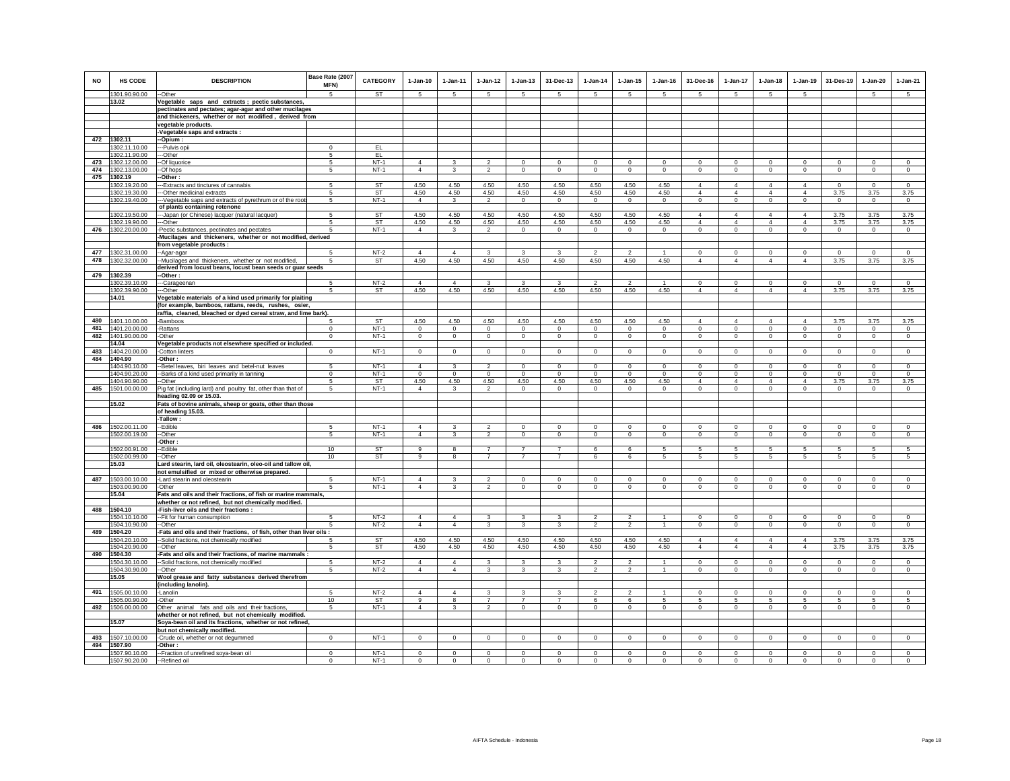| <b>NO</b> | <b>HS CODE</b>                 | <b>DESCRIPTION</b>                                                                                         | Base Rate (2007<br><b>MFN)</b><br>$\overline{5}$ | <b>CATEGORY</b><br><b>ST</b> | $1-Jan-10$<br>$\sqrt{5}$         | $1 - Jan-11$<br>-5             | $1 - Jan-12$<br>-5               | $1 - Jan-13$<br>-5  | 31-Dec-13<br>$5^{\circ}$     | $1 - Jan-14$<br>-5               | $1 - Jan-15$<br>-5  | $1 - Jan-16$<br>$\sqrt{5}$ | 31-Dec-16<br>-5                  | $1 - Jan-17$<br>$5^{\circ}$      | $1-Jan-18$<br>$\sqrt{5}$      | $1 - Jan-19$                     | 31-Des-19                 | $1-Jan-20$<br>$\sqrt{5}$ | $1-Jan-21$<br>$\overline{5}$  |
|-----------|--------------------------------|------------------------------------------------------------------------------------------------------------|--------------------------------------------------|------------------------------|----------------------------------|--------------------------------|----------------------------------|---------------------|------------------------------|----------------------------------|---------------------|----------------------------|----------------------------------|----------------------------------|-------------------------------|----------------------------------|---------------------------|--------------------------|-------------------------------|
|           | 1301.90.90.00<br>13.02         | --Other<br>Vegetable saps and extracts; pectic substances,                                                 |                                                  |                              |                                  |                                |                                  |                     |                              |                                  |                     |                            |                                  |                                  |                               | -5                               |                           |                          |                               |
|           |                                | pectinates and pectates; agar-agar and other mucilages                                                     |                                                  |                              |                                  |                                |                                  |                     |                              |                                  |                     |                            |                                  |                                  |                               |                                  |                           |                          |                               |
|           |                                | and thickeners, whether or not modified, derived from                                                      |                                                  |                              |                                  |                                |                                  |                     |                              |                                  |                     |                            |                                  |                                  |                               |                                  |                           |                          |                               |
|           |                                | vegetable products.                                                                                        |                                                  |                              |                                  |                                |                                  |                     |                              |                                  |                     |                            |                                  |                                  |                               |                                  |                           |                          |                               |
|           |                                | Vegetable saps and extracts :                                                                              |                                                  |                              |                                  |                                |                                  |                     |                              |                                  |                     |                            |                                  |                                  |                               |                                  |                           |                          |                               |
| 472       | 1302.11<br>1302.11.10.00       | -Opium:<br>--Pulvis opii                                                                                   | $\mathbf 0$                                      | EL                           |                                  |                                |                                  |                     |                              |                                  |                     |                            |                                  |                                  |                               |                                  |                           |                          |                               |
|           | 1302.11.90.00                  | --Other                                                                                                    | 5                                                | EL                           |                                  |                                |                                  |                     |                              |                                  |                     |                            |                                  |                                  |                               |                                  |                           |                          |                               |
| 473       | 1302.12.00.00                  | -- Of liquorice                                                                                            | 5                                                | $NT-1$                       | $\Delta$                         | $\mathbf{R}$                   | $\mathcal{P}$                    | $\Omega$            | $\Omega$                     | $\Omega$                         | $\Omega$            | $\Omega$                   | $\Omega$                         | $\Omega$                         | $\Omega$                      | $\Omega$                         | $\mathbf 0$               | $\Omega$                 | $\circ$                       |
| 474       | 1302.13.00.00                  | -Of hops                                                                                                   | 5                                                | $NT-1$                       | $\overline{4}$                   | $\mathbf{3}$                   | $\overline{2}$                   | $\mathbf{0}$        | $\mathbf 0$                  | $\mathbf 0$                      | $\Omega$            | $\Omega$                   | $\Omega$                         | $\mathbf 0$                      | $\Omega$                      | $\mathbf 0$                      | $\mathbf 0$               | $\Omega$                 | $\mathsf 0$                   |
| 475       | 1302.19                        | -Other:                                                                                                    |                                                  |                              |                                  |                                |                                  |                     |                              |                                  |                     |                            |                                  |                                  |                               |                                  |                           |                          |                               |
|           | 1302.19.20.00<br>1302.19.30.00 | ---Extracts and tinctures of cannabis<br>---Other medicinal extracts                                       | -5                                               | ST<br>ST                     | 4.50<br>4.50                     | 4.50<br>4.50                   | 4.50<br>4.50                     | 4.50<br>4.50        | 4.50<br>4.50                 | 4.50<br>4.50                     | 4.50<br>4.50        | 4.50<br>4.50               | $\overline{4}$<br>$\overline{4}$ | $\overline{4}$<br>$\overline{4}$ | 4<br>$\overline{4}$           | $\overline{4}$<br>$\overline{4}$ | $\Omega$<br>3.75          | $\Omega$<br>3.75         | $\Omega$<br>3.75              |
|           | 1302.19.40.00                  | -- Vegetable saps and extracts of pyrethrum or of the root:                                                | -5                                               | $NT-1$                       | $\overline{4}$                   | 3                              | $\overline{2}$                   | $\mathbf 0$         | $\overline{0}$               | $\overline{0}$                   | $\overline{0}$      | $\Omega$                   | $\overline{0}$                   | $\overline{0}$                   | $\Omega$                      | $\overline{0}$                   | $\overline{0}$            | $\overline{0}$           | $\overline{0}$                |
|           |                                | of plants containing rotenone                                                                              |                                                  |                              |                                  |                                |                                  |                     |                              |                                  |                     |                            |                                  |                                  |                               |                                  |                           |                          |                               |
|           | 1302.19.50.00                  | --- Japan (or Chinese) lacquer (natural lacquer)                                                           | 5                                                | <b>ST</b>                    | 4.50                             | 4.50                           | 4.50                             | 4.50                | 4.50                         | 4.50                             | 4.50                | 4.50                       | $\overline{4}$                   | $\overline{4}$                   | $\overline{4}$                | $\overline{4}$                   | 3.75                      | 3.75                     | 3.75                          |
|           | 1302.19.90.00                  | ---Other                                                                                                   | 5                                                | <b>ST</b>                    | 4.50                             | 4.50                           | 4.50                             | 4.50                | 4.50                         | 4.50                             | 4.50                | 4.50                       | $\overline{4}$                   | $\overline{4}$                   | $\Delta$                      | $\Delta$                         | 3.75                      | 3.75                     | 3.75                          |
| 476       | 1302.20.00.00                  | -Pectic substances, pectinates and pectates<br>-Mucilages and thickeners, whether or not modified, derived | 5                                                | $NT-1$                       | $\overline{4}$                   | 3                              | $\overline{2}$                   | $\mathbf 0$         | $\mathbf 0$                  | $\mathbf 0$                      | $\Omega$            | $\Omega$                   | $\mathbf 0$                      | $\mathsf 0$                      | $\mathbf 0$                   | $\mathbf 0$                      | $\mathbf 0$               | $\circ$                  | $\circ$                       |
|           |                                | from vegetable products :                                                                                  |                                                  |                              |                                  |                                |                                  |                     |                              |                                  |                     |                            |                                  |                                  |                               |                                  |                           |                          |                               |
| 477       | 1302.31.00.00                  | -Agar-agar                                                                                                 | 5                                                | $NT-2$                       | $\overline{4}$                   | $\Delta$                       | 3                                | 3                   | 3                            | $\overline{\phantom{a}}$         | $\mathcal{P}$       |                            | $\mathbf 0$                      | $\mathbf 0$                      | $^{\circ}$                    | $^{\circ}$                       | $^{\circ}$                | $\mathbf 0$              | $\mathbf 0$                   |
| 478       | 1302.32.00.00                  | -Mucilages and thickeners, whether or not modified,                                                        | 5                                                | ST                           | 4.50                             | 4.50                           | 4.50                             | 4.50                | 4.50                         | 4.50                             | 4.50                | 4.50                       | $\overline{4}$                   | $\overline{4}$                   | $\overline{4}$                | $\overline{4}$                   | 3.75                      | 3.75                     | 3.75                          |
|           |                                | derived from locust beans, locust bean seeds or guar seeds                                                 |                                                  |                              |                                  |                                |                                  |                     |                              |                                  |                     |                            |                                  |                                  |                               |                                  |                           |                          |                               |
| 479       | 1302.39                        | -Other:                                                                                                    |                                                  |                              |                                  |                                |                                  |                     |                              |                                  |                     |                            |                                  |                                  |                               |                                  |                           |                          |                               |
|           | 1302.39.10.00<br>1302.39.90.00 | --Carageenan<br>--Other                                                                                    |                                                  | $NT-2$<br>ST                 | $\overline{4}$<br>4.50           | $\overline{4}$<br>4.50         | 3<br>4.50                        | 3<br>4.50           | 3<br>4.50                    | $\mathfrak{p}$<br>4.50           | 2<br>4.50           | 4.50                       | $\mathbf 0$<br>$\overline{4}$    | $\mathbf 0$<br>$\overline{4}$    | $\mathbf 0$<br>$\overline{4}$ | $\mathbf 0$<br>$\overline{4}$    | $^{\circ}$<br>3.75        | $\mathbf 0$<br>3.75      | $\circ$<br>3.75               |
|           | 14.01                          | Vegetable materials of a kind used primarily for plaiting                                                  |                                                  |                              |                                  |                                |                                  |                     |                              |                                  |                     |                            |                                  |                                  |                               |                                  |                           |                          |                               |
|           |                                | (for example, bamboos, rattans, reeds, rushes, osier,                                                      |                                                  |                              |                                  |                                |                                  |                     |                              |                                  |                     |                            |                                  |                                  |                               |                                  |                           |                          |                               |
|           |                                | raffia, cleaned, bleached or dyed cereal straw, and lime bark).                                            |                                                  |                              |                                  |                                |                                  |                     |                              |                                  |                     |                            |                                  |                                  |                               |                                  |                           |                          |                               |
| 480       | 1401.10.00.00                  | -Bamboos                                                                                                   |                                                  | <b>ST</b>                    | 4.50                             | 4.50                           | 4.50                             | 4.50                | 4.50                         | 4.50                             | 4.50                | 4.50                       | $\Delta$                         | $\Delta$                         | $\Delta$                      | $\Delta$                         | 3.75                      | 3.75                     | 3.75                          |
|           | 481 1401.20.00.00              | -Rattans                                                                                                   | $\Omega$                                         | $NT-1$                       | $\Omega$                         | $\Omega$                       | $\Omega$                         | $\mathbf 0$         | $^{\circ}$                   | $\Omega$                         | $\Omega$            | $\Omega$                   | $\mathbf 0$                      | $\mathbf 0$                      | $\mathbf 0$                   | $\mathbf 0$                      | $\circ$                   | $\mathbf 0$              | $\circ$                       |
| 482       | 1401.90.00.00<br>14.04         | -Other<br>Vegetable products not elsewhere specified or included.                                          | $\mathbf{0}$                                     | $NT-1$                       | $\mathbf 0$                      | $\mathbf{0}$                   | $\mathbf{0}$                     | $\mathsf 0$         | $\mathbf 0$                  | $\mathbf{0}$                     | $\mathbf 0$         | $\circ$                    | $\mathbf 0$                      | $\mathsf 0$                      | $\mathbf 0$                   | $\mathbf 0$                      | $\mathbf 0$               | $\mathbf 0$              | $\mathbf 0$                   |
| 483       | 1404.20.00.00                  | Cotton linters                                                                                             | $\mathbf 0$                                      | $NT-1$                       | $\circ$                          | $^{\circ}$                     | $\mathbf 0$                      | 0                   | $\mathbf 0$                  | 0                                | 0                   | $\mathbf{0}$               | 0                                | 0                                | $\mathbf{0}$                  | $\mathbf 0$                      | $\mathbf 0$               | 0                        | $\mathbf 0$                   |
| 484       | 1404.90                        | -Other:                                                                                                    |                                                  |                              |                                  |                                |                                  |                     |                              |                                  |                     |                            |                                  |                                  |                               |                                  |                           |                          |                               |
|           | 1404.90.10.00                  | -Betel leaves, biri leaves and betel-nut leaves                                                            | 5                                                | $NT-1$                       | $\overline{4}$                   | $\mathbf{3}$                   | $\mathfrak{p}$                   | $\mathbf 0$         | $\mathsf 0$                  | $^{\circ}$                       | $\mathbf 0$         | $\mathbf 0$                | $\mathbf 0$                      | $\mathbf 0$                      | $\mathbf 0$                   | $\mathbf 0$                      | $^{\circ}$                | $\mathbf 0$              | $\mathbf 0$                   |
|           | 1404.90.20.00                  | -Barks of a kind used primarily in tanning                                                                 | $\mathbf 0$                                      | $NT-1$                       | $\mathbf 0$                      | $\mathbf 0$                    | $\circ$                          | $\mathsf 0$         | $\mathsf 0$                  | $\mathbf 0$                      | $\mathbf 0$         | $\mathbb O$                | $\mathbf 0$                      | $\mathbf 0$                      | $\mathbf 0$                   | $\mathbf 0$                      | $\mathbf 0$               | $\mathbf 0$              | $\mathsf 0$                   |
| 485       | 1404.90.90.00<br>1501.00.00.00 | --Other                                                                                                    | 5<br>5                                           | <b>ST</b><br>$NT-1$          | 4.50<br>$\overline{4}$           | 4.50<br>$\mathbf{\mathcal{R}}$ | 4.50<br>$\mathfrak{D}$           | 4.50<br>$\Omega$    | 4.50<br>$\Omega$             | 4.50<br>$\Omega$                 | 4.50<br>$\Omega$    | 4.50<br>$\Omega$           | $\Delta$<br>$\Omega$             | $\mathbf{A}$<br>$\Omega$         | $\Delta$<br>$\Omega$          | $\Delta$<br>$\Omega$             | 3.75<br>$\Omega$          | 3.75<br>$\Omega$         | 3.75<br>$\Omega$              |
|           |                                | Pig fat (including lard) and poultry fat, other than that of<br>heading 02.09 or 15.03.                    |                                                  |                              |                                  |                                |                                  |                     |                              |                                  |                     |                            |                                  |                                  |                               |                                  |                           |                          |                               |
|           | 15.02                          | Fats of bovine animals, sheep or goats, other than those                                                   |                                                  |                              |                                  |                                |                                  |                     |                              |                                  |                     |                            |                                  |                                  |                               |                                  |                           |                          |                               |
|           |                                | of heading 15.03.                                                                                          |                                                  |                              |                                  |                                |                                  |                     |                              |                                  |                     |                            |                                  |                                  |                               |                                  |                           |                          |                               |
|           |                                | Tallow:                                                                                                    |                                                  |                              |                                  |                                |                                  |                     |                              |                                  |                     |                            |                                  |                                  |                               |                                  |                           |                          |                               |
| 486       | 1502.00.11.00                  | -Edible                                                                                                    | -5                                               | $NT-1$<br>$NT-1$             | $\overline{4}$                   |                                | $\overline{2}$<br>$\overline{2}$ | $^{\circ}$          | 0                            | 0                                | $^{\circ}$          | 0                          | $^{\circ}$                       | 0                                | $^{\circ}$                    | 0                                | 0                         | $^{\circ}$               | $^{\circ}$                    |
|           | 1502.00.19.00                  | -Other<br>Other                                                                                            | 5                                                |                              | $\overline{4}$                   | $\mathbf{3}$                   |                                  | $\mathsf 0$         | $\circ$                      | $\mathsf 0$                      | $\mathsf 0$         | $\mathsf 0$                | $\mathsf 0$                      | $\circ$                          | $\mathbf 0$                   | $\mathbb O$                      | $\mathbf 0$               | $\mathsf 0$              | $\mathsf 0$                   |
|           | 1502.00.91.00                  | -Edible                                                                                                    | 10                                               | ST                           | 9                                | 8                              | $\overline{7}$                   | $\overline{z}$      | $\overline{7}$               | 6                                | 6                   | 5                          | 5                                | 5                                | 5.                            | 5                                | 5                         | 5                        | 5                             |
|           | 1502.00.99.00                  | -Other                                                                                                     | 10                                               | <b>ST</b>                    | $\mathbf{9}$                     | 8                              | $\overline{7}$                   | $\overline{7}$      | $\overline{7}$               | 6                                | $6\overline{6}$     | $\sqrt{5}$                 | $5\phantom{.0}$                  | $5\overline{)}$                  | $5\overline{5}$               | $\overline{5}$                   | $\sqrt{5}$                | 5                        | $\sqrt{5}$                    |
|           | 15.03                          | Lard stearin, lard oil, oleostearin, oleo-oil and tallow oil,                                              |                                                  |                              |                                  |                                |                                  |                     |                              |                                  |                     |                            |                                  |                                  |                               |                                  |                           |                          |                               |
|           |                                | not emulsified or mixed or otherwise prepared.                                                             |                                                  |                              |                                  |                                |                                  |                     |                              |                                  |                     |                            |                                  |                                  |                               |                                  |                           |                          |                               |
| 487       | 1503.00.10.00<br>1503.00.90.00 | -Lard stearin and oleostearin<br>-Other                                                                    | 5<br>5                                           | $NT-1$<br>$NT-1$             | $\overline{4}$<br>$\overline{4}$ | 3                              | $\mathfrak{p}$<br>$\overline{2}$ | $\Omega$<br>$\circ$ | $\Omega$<br>$^{\circ}$       | $\Omega$<br>$\mathbf 0$          | $\Omega$<br>$\circ$ | $\Omega$<br>$\mathbf{0}$   | $\Omega$<br>$\mathbf{0}$         | $\Omega$<br>$\circ$              | $\Omega$<br>$^{\circ}$        | $\Omega$<br>$\mathbf{0}$         | $\Omega$<br>$\mathbf{0}$  | $\Omega$<br>$\mathbf{0}$ | $\Omega$<br>$\circ$           |
|           | 15.04                          | Fats and oils and their fractions, of fish or marine mammals,                                              |                                                  |                              |                                  |                                |                                  |                     |                              |                                  |                     |                            |                                  |                                  |                               |                                  |                           |                          |                               |
|           |                                | whether or not refined, but not chemically modified.                                                       |                                                  |                              |                                  |                                |                                  |                     |                              |                                  |                     |                            |                                  |                                  |                               |                                  |                           |                          |                               |
| 488       | 1504.10                        | -Fish-liver oils and their fractions :                                                                     |                                                  |                              |                                  |                                |                                  |                     |                              |                                  |                     |                            |                                  |                                  |                               |                                  |                           |                          |                               |
|           | 1504.10.10.00                  | -- Fit for human consumption                                                                               | 5                                                | $NT-2$<br>$NT-2$             | $\overline{4}$<br>$\overline{4}$ | 4<br>$\mathbf{A}$              | 3<br>$\mathbf{3}$                | $\overline{3}$      | 3<br>$\overline{\mathbf{3}}$ | $\overline{2}$                   | $\overline{2}$      | $\overline{1}$             | $\mathbf 0$<br>$\circ$           | $\mathbf 0$<br>$\overline{0}$    | $\mathbf 0$<br>$\mathbf 0$    | $^{\circ}$<br>$\mathbb O$        | $^{\circ}$<br>$\mathbf 0$ | $\theta$<br>$\mathsf 0$  | $\mathbf 0$<br>$\overline{0}$ |
| 489       | 1504.10.90.00<br>1504.20       | --Other<br>-Fats and oils and their fractions, of fish, other than liver oils :                            |                                                  |                              |                                  |                                |                                  |                     |                              |                                  |                     |                            |                                  |                                  |                               |                                  |                           |                          |                               |
|           | 1504.20.10.00                  | --Solid fractions, not chemically modified                                                                 |                                                  | <b>ST</b>                    | 4.50                             | 4.50                           | 4.50                             | 4.50                | 4.50                         | 4.50                             | 4.50                | 4.50                       | $\overline{4}$                   | $\overline{4}$                   | 4                             | $\overline{4}$                   | 3.75                      | 3.75                     | 3.75                          |
|           | 1504.20.90.00                  | -Other                                                                                                     | 5                                                | ST                           | 4.50                             | 4.50                           | 4.50                             | 4.50                | 4.50                         | 4.50                             | 4.50                | 4.50                       | $\overline{4}$                   | $\overline{4}$                   | $\overline{4}$                | $\overline{4}$                   | 3.75                      | 3.75                     | 3.75                          |
| 490       | 1504.30                        | -Fats and oils and their fractions, of marine mammals                                                      |                                                  |                              |                                  |                                |                                  |                     |                              |                                  |                     |                            |                                  |                                  |                               |                                  |                           |                          |                               |
|           | 1504.30.10.00                  | -Solid fractions, not chemically modified                                                                  | -5<br>5                                          | $NT-2$                       | $\overline{4}$                   | 4<br>$\overline{4}$            | 3                                | 3                   | 3                            | $\mathfrak{p}$<br>$\mathfrak{p}$ | $\mathfrak{p}$      |                            | $\Omega$                         | $\mathbf{0}$                     | $\Omega$                      | $\Omega$                         | $\mathbf 0$               | $\Omega$                 | $\circ$<br>$\Omega$           |
|           | 1504.30.90.00<br>15.05         | -Other<br>Wool grease and fatty substances derived therefrom                                               |                                                  | $NT-2$                       | $\overline{4}$                   |                                | 3                                | 3                   | 3                            |                                  | $\overline{2}$      |                            | $\mathsf 0$                      | $\mathbf 0$                      | $\mathbf 0$                   | $\mathbf 0$                      | $\mathbf 0$               | $\mathbf 0$              |                               |
|           |                                | (including lanolin).                                                                                       |                                                  |                              |                                  |                                |                                  |                     |                              |                                  |                     |                            |                                  |                                  |                               |                                  |                           |                          |                               |
| 491       | 1505.00.10.00                  | -Lanolin                                                                                                   | 5                                                | $NT-2$                       | $\overline{4}$                   | $\Delta$                       | 3                                | $\overline{3}$      | $\mathbf{3}$                 | $\mathcal{P}$                    | $\mathfrak{p}$      |                            | $\mathbf 0$                      | $\mathbf 0$                      | $\Omega$                      | $\Omega$                         | $\mathbf 0$               | $\Omega$                 | $\mathbf 0$                   |
|           | 1505.00.90.00                  | -Other                                                                                                     | 10                                               | <b>ST</b>                    | 9                                | $\mathbf{R}$                   | $\overline{7}$                   | $\overline{7}$      | $\overline{7}$               | 6                                | 6                   | $\overline{5}$             | 5                                | 5                                | 5                             | 5                                | 5                         | 5                        | 5                             |
| 492       | 1506.00.00.00                  | Other animal fats and oils and their fractions,                                                            | $5\overline{5}$                                  | $NT-1$                       | $\overline{4}$                   | $\mathbf{3}$                   | $\overline{2}$                   | $\mathbf 0$         | $\mathbf{0}$                 | $\circ$                          | $\mathbf 0$         | $\circ$                    | $\mathbf 0$                      | $\circ$                          | $\circ$                       | $\mathbf 0$                      | $\mathbf 0$               | $\mathbf 0$              | $\mathbf 0$                   |
|           |                                | whether or not refined, but not chemically modified.                                                       |                                                  |                              |                                  |                                |                                  |                     |                              |                                  |                     |                            |                                  |                                  |                               |                                  |                           |                          |                               |
|           | 15.07                          | Soya-bean oil and its fractions, whether or not refined,<br>but not chemically modified.                   |                                                  |                              |                                  |                                |                                  |                     |                              |                                  |                     |                            |                                  |                                  |                               |                                  |                           |                          |                               |
| 493       | 1507.10.00.00                  | Crude oil, whether or not degummed                                                                         | $\Omega$                                         | $NT-1$                       | $\Omega$                         | $\Omega$                       | $\Omega$                         | $\Omega$            | $\Omega$                     | $\circ$                          | $^{\circ}$          | $\,0\,$                    | $\Omega$                         | $\Omega$                         | $\Omega$                      | $^{\circ}$                       | $\Omega$                  | $\Omega$                 | $\Omega$                      |
| 494       | 1507.90                        | -Other:                                                                                                    |                                                  |                              |                                  |                                |                                  |                     |                              |                                  |                     |                            |                                  |                                  |                               |                                  |                           |                          |                               |
|           | 1507.90.10.00                  | --Fraction of unrefined soya-bean oil                                                                      | $^{\circ}$                                       | $NT-1$                       | $^{\circ}$                       | $\mathbf 0$                    | $\circ$                          | 0                   | $\mathbf 0$                  | 0                                | 0                   | $\mathbf 0$                | $\mathbf 0$                      | $\mathbf 0$                      | $\mathbf 0$                   | $\mathbf 0$                      | $\circ$                   | 0                        | $\Omega$                      |
|           | 1507.90.20.00                  | -Refined oil                                                                                               | $\Omega$                                         | $NT-1$                       | $\Omega$                         | $\Omega$                       | $\circ$                          | $\Omega$            | $\Omega$                     | $\Omega$                         | $\Omega$            | $\Omega$                   | $\Omega$                         | $\Omega$                         | $\Omega$                      | $\Omega$                         | $\Omega$                  | $\Omega$                 | $\Omega$                      |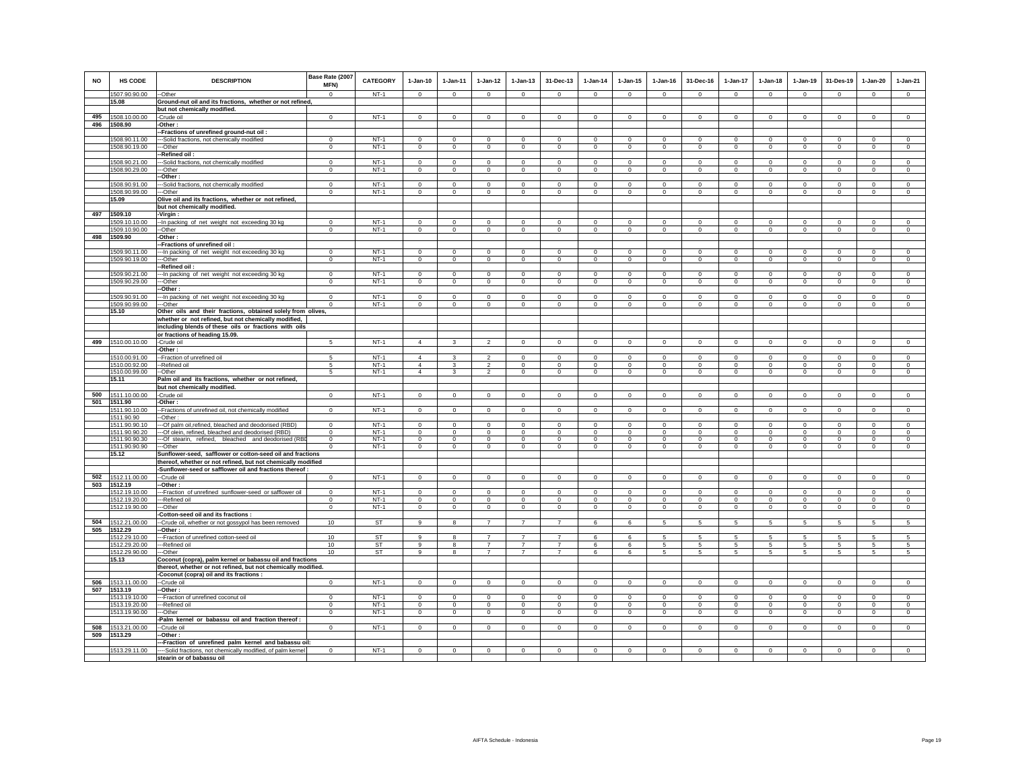| <b>NO</b> | <b>HS CODE</b>                 | <b>DESCRIPTION</b>                                                                                        | Base Rate (2007<br>MFN)     | CATEGORY         | $1-Jan-10$                       | 1-Jan-11                | $1 - Jan-12$                     | $1 - Jan-13$                  | 31-Dec-13               | $1-Jan-14$                    | $1-Jan-15$                 | $1 - Jan-16$               | 31-Dec-16              | $1-Jan-17$                    | $1-Jan-18$              | $1-Jan-19$                   | 31-Des-19                     | $1-Jan-20$                 | $1-Jan-21$                    |
|-----------|--------------------------------|-----------------------------------------------------------------------------------------------------------|-----------------------------|------------------|----------------------------------|-------------------------|----------------------------------|-------------------------------|-------------------------|-------------------------------|----------------------------|----------------------------|------------------------|-------------------------------|-------------------------|------------------------------|-------------------------------|----------------------------|-------------------------------|
|           | 1507.90.90.00                  | --Other                                                                                                   | $\Omega$                    | $NT-1$           | $\Omega$                         | $\Omega$                | $\Omega$                         | $\Omega$                      | $\Omega$                | $\Omega$                      | $\Omega$                   | $\Omega$                   | $\Omega$               | $\Omega$                      | $\Omega$                | $\Omega$                     | $\Omega$                      | $\Omega$                   | $\Omega$                      |
|           | 15.08                          | Ground-nut oil and its fractions, whether or not refined,                                                 |                             |                  |                                  |                         |                                  |                               |                         |                               |                            |                            |                        |                               |                         |                              |                               |                            |                               |
| 495       | 1508.10.00.00                  | but not chemically modified.<br>-Crude oil                                                                | $\mathbf 0$                 | $NT-1$           | $\Omega$                         | $\Omega$                | $\Omega$                         | $\Omega$                      | $\Omega$                | $\Omega$                      | $\Omega$                   | $\Omega$                   | $\Omega$               | $\Omega$                      | $\Omega$                | $\Omega$                     | $\Omega$                      | $\Omega$                   | $\Omega$                      |
| 496       | 1508.90                        | -Other:                                                                                                   |                             |                  |                                  |                         |                                  |                               |                         |                               |                            |                            |                        |                               |                         |                              |                               |                            |                               |
|           |                                | -Fractions of unrefined ground-nut oil:                                                                   |                             |                  |                                  |                         |                                  |                               |                         |                               |                            |                            |                        |                               |                         |                              |                               |                            |                               |
|           | 1508.90.11.00                  | -Solid fractions, not chemically modified                                                                 | $\Omega$                    | $NT-1$           | $\Omega$                         | $^{\circ}$              | $\mathbf 0$                      | $\Omega$                      | $\Omega$                | $\circ$                       | $\Omega$                   | $^{\circ}$                 | $\Omega$               | $\Omega$                      | $\Omega$                | $\Omega$                     | $\circ$                       | $\Omega$                   | $\circ$                       |
|           | 1508.90.19.00                  | --Other                                                                                                   | $\mathbf 0$                 | $NT-1$           | $\Omega$                         | $\mathbf 0$             | $\mathbf 0$                      | $\mathbf 0$                   | $\mathbf 0$             | $\mathbf 0$                   | $\mathbf 0$                | $\circ$                    | $\circ$                | $\mathbf 0$                   | $\mathbf 0$             | $\mathbf 0$                  | $\mathbf 0$                   | $\mathbf 0$                | $\circ$                       |
|           |                                | Refined oil:                                                                                              |                             |                  |                                  |                         |                                  |                               |                         |                               |                            |                            |                        |                               |                         |                              |                               |                            |                               |
|           | 1508.90.21.00                  | -Solid fractions, not chemically modified                                                                 | $\Omega$                    | $NT-1$           | $\Omega$                         | $\Omega$                | $\Omega$                         | $\Omega$                      | $\Omega$                | $\Omega$                      | $\Omega$                   | $\Omega$                   | $\Omega$               | $\Omega$                      | $\Omega$                | $\Omega$                     | $\Omega$                      | $\Omega$                   | $\Omega$                      |
|           | 1508.90.29.00                  | --Other<br>-Other:                                                                                        | $\mathbf 0$                 | $NT-1$           | $\circ$                          | $\mathsf 0$             | $\circ$                          | $\mathsf 0$                   | $\mathsf 0$             | $\mathsf 0$                   | $\mathsf 0$                | $\circ$                    | $\circ$                | $\mathbf 0$                   | $\circ$                 | $\mathbf 0$                  | $\mathbf 0$                   | $\circ$                    | $\circ$                       |
|           | 1508.90.91.00                  | --Solid fractions, not chemically modified                                                                | $\Omega$                    | NT-1             | $\Omega$                         | $\mathbf 0$             | $\mathbf 0$                      | $\mathbf 0$                   | $\mathbf 0$             | $\circ$                       | $\mathbf 0$                | $\Omega$                   | $\Omega$               | $\Omega$                      | $\Omega$                | $\mathbf 0$                  | $\mathbf 0$                   | $\mathbf 0$                | $\circ$                       |
|           | 1508.90.99.00                  | --Other                                                                                                   | $\mathbf{0}$                | $NT-1$           | $\mathbf{0}$                     | $\mathbf{0}$            | $\mathbf{0}$                     | $\mathbf{0}$                  | $\mathbf{0}$            | $\mathbf 0$                   | $\mathbf 0$                | $\mathbf{0}$               | $\circ$                | $\mathbf{0}$                  | $\mathbf{0}$            | $\circ$                      | $\mathbf 0$                   | $\mathbf 0$                | $\mathbf 0$                   |
|           | 15.09                          | Olive oil and its fractions, whether or not refined,                                                      |                             |                  |                                  |                         |                                  |                               |                         |                               |                            |                            |                        |                               |                         |                              |                               |                            |                               |
|           |                                | but not chemically modified.                                                                              |                             |                  |                                  |                         |                                  |                               |                         |                               |                            |                            |                        |                               |                         |                              |                               |                            |                               |
| 497       | 1509.10                        | Virgin:                                                                                                   |                             |                  |                                  |                         |                                  |                               |                         |                               |                            |                            |                        |                               |                         |                              |                               |                            |                               |
|           | 1509.10.10.00                  | -- In packing of net weight not exceeding 30 kg                                                           | $\mathbf 0$                 | $NT-1$           | $^{\circ}$                       | $\mathbf 0$             | $\mathbf 0$                      | $\mathsf 0$                   | $^{\circ}$              | $\overline{0}$                | $\mathbf 0$                | $^{\circ}$                 | $^{\circ}$             | $\mathbf 0$                   | 0                       | $^{\circ}$                   | $\mathbf 0$                   | $^{\circ}$                 | $\mathbb O$                   |
|           | 1509.10.90.00                  | --Other                                                                                                   | $\overline{0}$              | $NT-1$           | $\overline{0}$                   | $\overline{0}$          | $\overline{0}$                   | $\overline{0}$                | $\overline{0}$          | $\overline{0}$                | $\overline{0}$             | $\overline{0}$             | $\overline{0}$         | $\overline{0}$                | $\overline{0}$          | $\overline{0}$               | $\overline{0}$                | $\Omega$                   | $\overline{0}$                |
| 498       | 1509.90                        | -Other:<br>-Fractions of unrefined oil:                                                                   |                             |                  |                                  |                         |                                  |                               |                         |                               |                            |                            |                        |                               |                         |                              |                               |                            |                               |
|           | 1509.90.11.00                  | -- In packing of net weight not exceeding 30 kg                                                           | $\Omega$                    | $NT-1$           |                                  | $\Omega$                | $\Omega$                         | $\Omega$                      | $\Omega$                | $\Omega$                      | $\Omega$                   |                            |                        | $\Omega$                      |                         | $\Omega$                     | $\Omega$                      |                            | $\Omega$                      |
|           | 1509.90.19.00                  | --Other                                                                                                   | $\mathbf 0$                 | $NT-1$           | $\mathbf 0$                      | $\mathbf 0$             | $\circ$                          | $\mathbf 0$                   | $\mathbf 0$             | $\circ$                       | $\mathbf 0$                | $\mathbf 0$                | $\mathbf 0$            | $\circ$                       | $\mathbf 0$             | $\mathbf 0$                  | $\circ$                       | $\circ$                    | $\mathbf 0$                   |
|           |                                | -Refined oil :                                                                                            |                             |                  |                                  |                         |                                  |                               |                         |                               |                            |                            |                        |                               |                         |                              |                               |                            |                               |
|           | 1509.90.21.00                  | -- In packing of net weight not exceeding 30 kg                                                           | $\Omega$                    | $NT-1$           | $\Omega$                         | $\Omega$                | $\Omega$                         | $\Omega$                      | $\Omega$                | $\Omega$                      | $\Omega$                   | $\Omega$                   | $\Omega$               | $\Omega$                      | $\Omega$                | $\Omega$                     | $\Omega$                      | $\Omega$                   | $\Omega$                      |
|           | 1509.90.29.00                  | -Other                                                                                                    | $\mathbf 0$                 | $NT-1$           | $\mathbf 0$                      | $\mathbf 0$             | $\mathbf 0$                      | $\mathbf 0$                   | $\mathbf 0$             | $\mathbf 0$                   | $\mathbf 0$                | $\circ$                    | $\circ$                | $\mathbf 0$                   | $\mathbf 0$             | $\mathbf 0$                  | $\mathbf 0$                   | $\mathbf 0$                | $\mathbf 0$                   |
|           |                                | -Other:                                                                                                   |                             |                  |                                  |                         |                                  |                               |                         |                               |                            |                            |                        |                               |                         |                              |                               |                            |                               |
|           | 1509.90.91.00<br>1509.90.99.00 | --In packing of net weight not exceeding 30 kg<br>--Other                                                 | $\Omega$<br>$\Omega$        | $NT-1$<br>$NT-1$ | $\Omega$<br>$\Omega$             | $\Omega$<br>$\Omega$    | $\circ$<br>$\overline{0}$        | $\Omega$<br>$\overline{0}$    | $\Omega$<br>$\Omega$    | $\Omega$<br>$\Omega$          | $\Omega$<br>$\Omega$       | $\Omega$<br>$\Omega$       | $\Omega$<br>$\Omega$   | $\Omega$<br>$\Omega$          | $\Omega$<br>$\Omega$    | $\Omega$<br>$\Omega$         | $\mathbf 0$<br>$\Omega$       | $\Omega$<br>$\Omega$       | $\Omega$<br>$\Omega$          |
|           | 15.10                          | Other oils and their fractions, obtained solely from olives,                                              |                             |                  |                                  |                         |                                  |                               |                         |                               |                            |                            |                        |                               |                         |                              |                               |                            |                               |
|           |                                | whether or not refined, but not chemically modified,                                                      |                             |                  |                                  |                         |                                  |                               |                         |                               |                            |                            |                        |                               |                         |                              |                               |                            |                               |
|           |                                | including blends of these oils or fractions with oils                                                     |                             |                  |                                  |                         |                                  |                               |                         |                               |                            |                            |                        |                               |                         |                              |                               |                            |                               |
|           |                                | or fractions of heading 15.09.                                                                            |                             |                  |                                  |                         |                                  |                               |                         |                               |                            |                            |                        |                               |                         |                              |                               |                            |                               |
| 499       | 1510.00.10.00                  | -Crude oil                                                                                                | 5                           | $NT-1$           | $\Delta$                         | 3                       | $\overline{2}$                   | $\mathbf 0$                   | $\mathbf 0$             | $\mathbf 0$                   | $\mathbf 0$                | $\mathbf 0$                | $\circ$                | 0                             | $\mathbf 0$             | $\mathbf 0$                  | $\mathbf 0$                   | $\mathbf 0$                | $\mathbf 0$                   |
|           |                                | -Other:                                                                                                   |                             |                  |                                  |                         |                                  |                               |                         |                               |                            |                            |                        |                               |                         |                              |                               |                            |                               |
|           | 1510.00.91.00                  | -Fraction of unrefined oil                                                                                | 5                           | $NT-1$           | $\overline{4}$                   | $\mathbf{3}$            | $\overline{2}$                   | $\mathsf 0$                   | $\mathsf 0$             | $\circ$                       | $\mathsf 0$                | $\circ$                    | $\mathsf 0$            | $\mathbf 0$                   | $\mathbf 0$             | $\mathbf 0$                  | $\mathbf 0$                   | $\mathsf 0$                | $\circ$                       |
|           | 1510.00.92.00<br>1510.00.99.00 | -Refined oil                                                                                              | 5<br>$5\overline{)}$        | $NT-1$<br>$NT-1$ | $\overline{4}$<br>$\overline{4}$ | 3<br>$\overline{3}$     | $\overline{2}$<br>$\overline{2}$ | $\mathbf 0$<br>$\overline{0}$ | $\mathbf 0$<br>$\,0\,$  | $\mathbf 0$<br>$\mathsf 0$    | $\mathbf 0$<br>$\mathsf 0$ | $\mathbf 0$<br>$\circ$     | $\circ$<br>$\mathbf 0$ | $\mathbf 0$<br>$\overline{0}$ | $\circ$<br>$\mathsf 0$  | $\mathbf 0$<br>$\mathbf 0$   | $\mathbf 0$<br>$\,0\,$        | $\mathbf 0$<br>$\mathsf 0$ | $\mathbf 0$<br>$\mathsf 0$    |
|           | 15.11                          | -Other<br>Palm oil and its fractions, whether or not refined,                                             |                             |                  |                                  |                         |                                  |                               |                         |                               |                            |                            |                        |                               |                         |                              |                               |                            |                               |
|           |                                | but not chemically modified.                                                                              |                             |                  |                                  |                         |                                  |                               |                         |                               |                            |                            |                        |                               |                         |                              |                               |                            |                               |
| 500       | 1511.10.00.00                  | -Crude oil                                                                                                | $\Omega$                    | $NT-1$           | $\Omega$                         | $\Omega$                | $\Omega$                         | $\mathbf{0}$                  | $\Omega$                | $\Omega$                      | $\Omega$                   | $\Omega$                   | $\Omega$               | $\Omega$                      | $\Omega$                | $\Omega$                     | $\Omega$                      | $\Omega$                   | $\Omega$                      |
| 501       | 1511.90                        | -Other :                                                                                                  |                             |                  |                                  |                         |                                  |                               |                         |                               |                            |                            |                        |                               |                         |                              |                               |                            |                               |
|           | 1511.90.10.00                  | -- Fractions of unrefined oil, not chemically modified                                                    | $\mathbf{0}$                | $NT-1$           | $\circ$                          | $\circ$                 | $\circ$                          | $\mathbf 0$                   | $\mathbf 0$             | $\circ$                       | $\mathbf 0$                | $\circ$                    | $\Omega$               | $\mathbf{0}$                  | $\circ$                 | $\circ$                      | $\mathbf{0}$                  | $\mathbf{0}$               | $\circ$                       |
|           | 1511.90.90                     | -Other:                                                                                                   |                             |                  |                                  |                         | $\Omega$                         |                               |                         | $\Omega$                      |                            |                            |                        | $\Omega$                      |                         |                              | $\Omega$                      |                            |                               |
|           | 1511.90.90.10<br>1511.90.90.20 | --Of palm oil,refined, bleached and deodorised (RBD)<br>-Of olein, refined, bleached and deodorised (RBD) | $\mathbf 0$<br>$\mathbf{0}$ | $NT-1$<br>$NT-1$ | $\Omega$<br>$\circ$              | $\Omega$<br>$\circ$     | $\circ$                          | $\Omega$<br>$\mathbf 0$       | $\Omega$<br>$\mathbf 0$ | $\mathbf 0$                   | $\Omega$<br>$\mathbf 0$    | $\Omega$<br>$\circ$        | $\Omega$<br>$\circ$    | $\circ$                       | $\Omega$<br>$\circ$     | $\Omega$<br>$\mathbf 0$      | $\circ$                       | $\Omega$<br>$\mathbf 0$    | $\Omega$<br>$\circ$           |
|           | 1511.90.90.30                  | -- Of stearin, refined, bleached and deodorised (RB                                                       | $\mathbf{0}$                | $NT-1$           | $\mathbf{0}$                     | $\mathbf 0$             | $\mathbf 0$                      | $\mathsf 0$                   | $\mathbf{0}$            | $\circ$                       | $\mathbf 0$                | $\mathbf{0}$               | $\circ$                | $\mathsf 0$                   | $\mathbf{0}$            | $^{\circ}$                   | $\mathbf 0$                   | $\mathbf 0$                | $\circ$                       |
|           | 1511.90.90.90                  | --Other                                                                                                   | $\Omega$                    | $NT-1$           | $\mathbf{0}$                     | $\Omega$                | $\circ$                          | $\circ$                       | $\Omega$                | $\circ$                       | $\mathbf{0}$               | $\circ$                    | $\Omega$               | $\circ$                       | $\circ$                 | $\Omega$                     | $\circ$                       | $\Omega$                   | $\circ$                       |
|           | 15.12                          | Sunflower-seed, safflower or cotton-seed oil and fractions                                                |                             |                  |                                  |                         |                                  |                               |                         |                               |                            |                            |                        |                               |                         |                              |                               |                            |                               |
|           |                                | thereof, whether or not refined, but not chemically modified                                              |                             |                  |                                  |                         |                                  |                               |                         |                               |                            |                            |                        |                               |                         |                              |                               |                            |                               |
|           |                                | -Sunflower-seed or safflower oil and fractions thereof :                                                  |                             |                  |                                  |                         |                                  |                               |                         |                               |                            |                            |                        |                               |                         |                              |                               |                            |                               |
| 502       | 1512.11.00.00<br>503 1512.19   | --Crude oil<br>-Other:                                                                                    | $\mathbf 0$                 | $NT-1$           | $\circ$                          | $\circ$                 | $\circ$                          | $\mathbf 0$                   | $\mathbf 0$             | $\circ$                       | $\mathbf 0$                | $\circ$                    | $\circ$                | $\mathbf 0$                   | $\circ$                 | $\circ$                      | $\circ$                       | $\mathbf 0$                | $\circ$                       |
|           | 1512.19.10.00                  | --Fraction of unrefined sunflower-seed or safflower oil                                                   | $\Omega$                    | $NT-1$           | $\circ$                          | $\Omega$                | $\circ$                          | $\mathbf{0}$                  | $\mathbf 0$             | $\circ$                       | $\Omega$                   | $\Omega$                   | $\Omega$               | $\mathbf{0}$                  | $\Omega$                | $\Omega$                     | $\circ$                       | $\Omega$                   | $\circ$                       |
|           | 1512.19.20.00                  | -Refined oil                                                                                              | $\mathbf 0$                 | $NT-1$           | $\mathbf 0$                      | $\mathbf 0$             | $\mathbf 0$                      | $\mathbf 0$                   | $\mathbf 0$             | $\mathbf 0$                   | $\mathbf 0$                | $\mathbf 0$                | $\circ$                | $\mathbf 0$                   | 0                       | $\mathbf 0$                  | $^{\circ}$                    | $\mathbf 0$                | $\mathbf 0$                   |
|           | 1512.19.90.00                  | -Other                                                                                                    | $\mathbf{0}$                | $NT-1$           | $\Omega$                         | $\mathbf{0}$            | $\circ$                          | $\mathbf 0$                   | $\mathbf 0$             | $\circ$                       | $\Omega$                   | $\Omega$                   | $\circ$                | $\mathbf 0$                   | $\Omega$                | $\mathbf 0$                  | $\circ$                       | $\mathbf 0$                | $\Omega$                      |
|           |                                | -Cotton-seed oil and its fractions :                                                                      |                             |                  |                                  |                         |                                  |                               |                         |                               |                            |                            |                        |                               |                         |                              |                               |                            |                               |
| 504       | 1512.21.00.00                  | -Crude oil, whether or not gossypol has been removed                                                      | 10                          | ST               | $\mathbf{g}$                     | $\mathbf{g}$            | $\overline{7}$                   | $\overline{7}$                | $\overline{7}$          | 6                             | 6                          | 5                          | 5                      | 5                             | 5                       | 5                            | 5                             | 5                          | 5                             |
| 505       | 1512.29<br>1512.29.10.00       | -Other:<br>--Fraction of unrefined cotton-seed oil                                                        | 10                          | <b>ST</b>        | 9                                | 8                       | $\overline{7}$                   | $\overline{7}$                | $\overline{7}$          | 6                             | 6                          | 5                          | 5                      | 5                             | 5                       | 5                            | 5                             | 5                          | 5                             |
|           | 1512.29.20.00                  | --Refined oil                                                                                             | 10                          | ST               | 9                                | 8                       | $\overline{7}$                   | $\overline{7}$                | $\overline{7}$          | 6                             | 6                          | 5                          | 5                      | 5                             | 5                       | 5                            | 5                             | 5                          | 5                             |
|           | 1512.29.90.00                  | -Other                                                                                                    | 10                          | <b>ST</b>        | 9                                | 8                       | $\overline{7}$                   | $\overline{7}$                | $\overline{7}$          | 6                             | 6                          | 5                          | 5                      | $5\phantom{.0}$               | $5\phantom{.0}$         | 5                            | $\sqrt{5}$                    | 5                          | $\sqrt{5}$                    |
|           | 15.13                          | Coconut (copra), palm kernel or babassu oil and fractions                                                 |                             |                  |                                  |                         |                                  |                               |                         |                               |                            |                            |                        |                               |                         |                              |                               |                            |                               |
|           |                                | thereof, whether or not refined, but not chemically modified.                                             |                             |                  |                                  |                         |                                  |                               |                         |                               |                            |                            |                        |                               |                         |                              |                               |                            |                               |
|           |                                | -Coconut (copra) oil and its fractions :                                                                  |                             |                  |                                  |                         |                                  |                               |                         |                               |                            |                            |                        |                               |                         |                              |                               |                            |                               |
| 506       | 1513.11.00.00                  | -Crude oil                                                                                                | $\mathbf 0$                 | $NT-1$           | $\circ$                          | $\mathbf 0$             | $\mathbf 0$                      | $\mathbf 0$                   | $\mathbf 0$             | $\,0\,$                       | $\mathbf 0$                | $\mathbf 0$                | $\circ$                | $\mathbf 0$                   | $\circ$                 | $\mathbf 0$                  | $\circ$                       | $\mathbf 0$                | $\mathbf 0$                   |
| 507       | 1513.19                        | -Other :                                                                                                  |                             |                  |                                  |                         |                                  |                               |                         |                               |                            |                            |                        |                               |                         |                              |                               |                            |                               |
|           | 1513.19.10.00<br>1513.19.20.00 | --Fraction of unrefined coconut oil<br>--Refined oil                                                      | $\Omega$<br>$\mathbf 0$     | $NT-1$<br>$NT-1$ | $\Omega$<br>$\mathsf 0$          | $\Omega$<br>$\mathsf 0$ | $\overline{0}$<br>$\mathbf 0$    | $\overline{0}$<br>$\mathsf 0$ | $\Omega$<br>$\mathbf 0$ | $\overline{0}$<br>$\mathbf 0$ | $\Omega$<br>$\mathsf 0$    | $\overline{0}$<br>$\Omega$ | $\Omega$<br>$^{\circ}$ | $\overline{0}$<br>$\mathbf 0$ | $\Omega$<br>$\mathbf 0$ | $\overline{0}$<br>$^{\circ}$ | $\overline{0}$<br>$\mathbf 0$ | $\Omega$<br>$\mathbf 0$    | $\overline{0}$<br>$\mathbf 0$ |
|           | 1513.19.90.00                  | ---Other                                                                                                  | $\mathbf{0}$                | $NT-1$           | $\mathbf{0}$                     | $\mathbf{0}$            | $\circ$                          | $\mathbf 0$                   | $\mathbf{0}$            | $\circ$                       | $\mathbf 0$                | $\circ$                    | $\circ$                | $\mathbf{0}$                  | $\circ$                 | $\circ$                      | $\mathbf{0}$                  | $\mathbf{0}$               | $\circ$                       |
|           |                                | Palm kernel or babassu oil and fraction thereof:                                                          |                             |                  |                                  |                         |                                  |                               |                         |                               |                            |                            |                        |                               |                         |                              |                               |                            |                               |
| 508       | 1513.21.00.00                  | --Crude oil                                                                                               | $\mathbf{0}$                | $NT-1$           | $\Omega$                         | $\circ$                 | $\circ$                          | $\mathbf{0}$                  | $^{\circ}$              | $\mathbf{0}$                  | $^{\circ}$                 | $^{\circ}$                 | $\Omega$               | $^{\circ}$                    | $^{\circ}$              | $\overline{0}$               | $\mathbf{0}$                  | $^{\circ}$                 | $^{\circ}$                    |
| 509       | 1513.29                        | -Other:                                                                                                   |                             |                  |                                  |                         |                                  |                               |                         |                               |                            |                            |                        |                               |                         |                              |                               |                            |                               |
|           |                                | -Fraction of unrefined palm kernel and babassu oil:                                                       |                             |                  |                                  |                         |                                  |                               |                         |                               |                            |                            |                        |                               |                         |                              |                               |                            |                               |
|           | 1513.29.11.00                  | ----Solid fractions, not chemically modified, of palm kernel                                              | $\overline{0}$              | $NT-1$           | $\overline{0}$                   | $\overline{0}$          | $\overline{0}$                   | $\overline{0}$                | $\mathbf 0$             | $\overline{0}$                | $\overline{0}$             | $\overline{0}$             | $\overline{0}$         | $\overline{\mathbf{0}}$       | $\overline{0}$          | $\overline{0}$               | $\overline{0}$                | $\overline{0}$             | $\overline{0}$                |
|           |                                | stearin or of babassu oil                                                                                 |                             |                  |                                  |                         |                                  |                               |                         |                               |                            |                            |                        |                               |                         |                              |                               |                            |                               |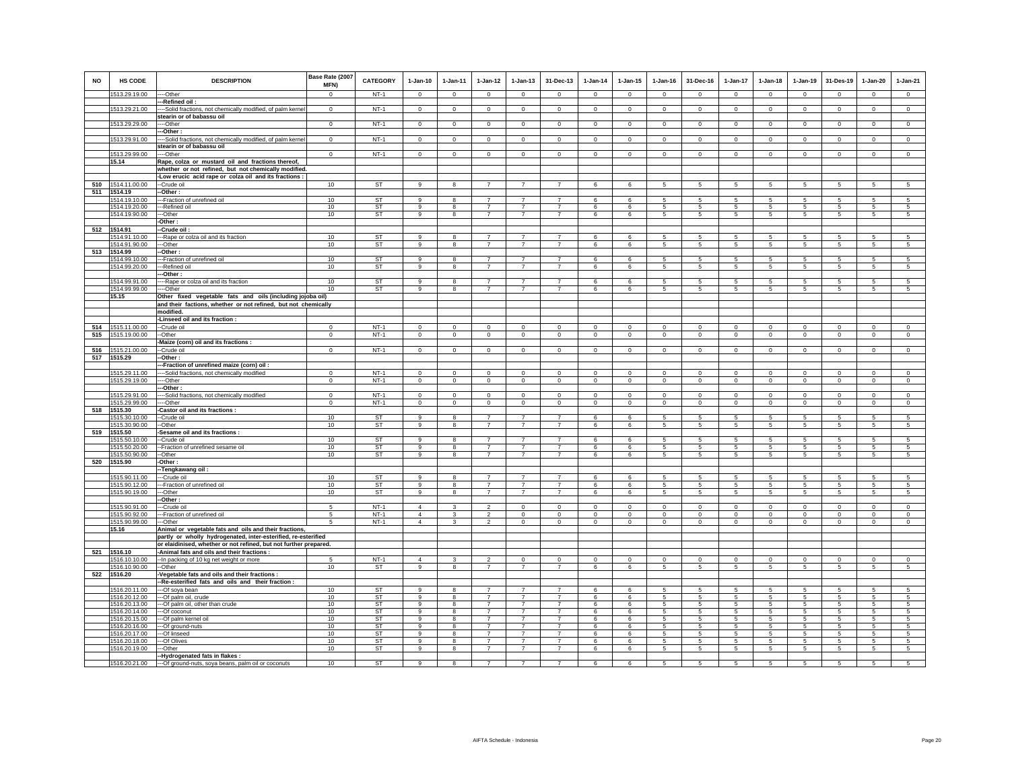| <b>NO</b> | HS CODE                        | <b>DESCRIPTION</b>                                                                                       | Base Rate (2007<br>MFN) | <b>CATEGORY</b>        | $1-Jan-10$          | $1-Jan-11$                   | $1 - Jan-12$                     | $1$ -Jan-13                      | 31-Dec-13                        | $1 - Jan-14$   | $1-Jan-15$      | $1 - Jan-16$            | 31-Dec-16                         | 1-Jan-17                           | $1-Jan-18$           | $1-Jan-19$                | 31-Des-19                      | $1-Jan-20$                   | $1-Jan-21$                   |
|-----------|--------------------------------|----------------------------------------------------------------------------------------------------------|-------------------------|------------------------|---------------------|------------------------------|----------------------------------|----------------------------------|----------------------------------|----------------|-----------------|-------------------------|-----------------------------------|------------------------------------|----------------------|---------------------------|--------------------------------|------------------------------|------------------------------|
|           | 1513.29.19.00                  | --Other                                                                                                  | $\Omega$                | $NT-1$                 | $\circ$             | $\circ$                      | $\circ$                          | $\mathbf{0}$                     | $\mathbf 0$                      | $\circ$        | $\mathbf{0}$    | $\circ$                 | $\circ$                           | $\circ$                            | $\circ$              | $\mathbf 0$               | $\circ$                        | $\circ$                      | $\circ$                      |
|           | 1513.29.21.00                  | -Refined oil:<br>--Solid fractions, not chemically modified, of palm kernel<br>stearin or of babassu oil | $\mathbf 0$             | $NT-1$                 | $\circ$             | $\circ$                      | $\circ$                          | $\mathbf 0$                      | $\overline{0}$                   | $\overline{0}$ | $\mathbf 0$     | $\mathbf 0$             | $\mathbf 0$                       | $\circ$                            | $\circ$              | $\overline{0}$            | $\overline{0}$                 | $\circ$                      | $\circ$                      |
|           | 1513.29.29.00                  | -Other                                                                                                   | $\overline{0}$          | $NT-1$                 | $\overline{0}$      | $\overline{0}$               | $\overline{0}$                   | $\overline{0}$                   | $\overline{0}$                   | $\overline{0}$ | $\overline{0}$  | $\overline{0}$          | $\overline{0}$                    | $\overline{0}$                     | $\overline{0}$       | $\overline{0}$            | $\overline{0}$                 | $\overline{0}$               | $\overline{0}$               |
|           | 1513.29.91.00                  | -Other<br>--Solid fractions, not chemically modified, of palm kerne                                      | $\mathbf 0$             | $NT-1$                 | $\circ$             | $\circ$                      | $\circ$                          | $\mathbf 0$                      | $\mathbf 0$                      | $\mathbf 0$    | $\mathbf 0$     | $\mathbf 0$             | $\circ$                           | $\mathbf 0$                        | $\circ$              | $\mathbf 0$               | $\mathbf 0$                    | $\mathbf 0$                  | $\mathbf 0$                  |
|           | 1513.29.99.00                  | stearin or of babassu oil<br>---Other                                                                    | $\mathbf 0$             | $NT-1$                 | $\mathsf 0$         | $\mathsf 0$                  | $\circ$                          | $\mathbf 0$                      | $\mathbf 0$                      | $\circ$        | $\mathsf 0$     | $\circ$                 | $\mathbf 0$                       | $\mathbf 0$                        | $\mathbf 0$          | $\mathbf 0$               | $\mathbf 0$                    | $\mathsf 0$                  | $\overline{0}$               |
|           | 15.14                          | Rape, colza or mustard oil and fractions thereof,                                                        |                         |                        |                     |                              |                                  |                                  |                                  |                |                 |                         |                                   |                                    |                      |                           |                                |                              |                              |
|           |                                | whether or not refined, but not chemically modified.                                                     |                         |                        |                     |                              |                                  |                                  |                                  |                |                 |                         |                                   |                                    |                      |                           |                                |                              |                              |
| 510       | 1514.11.00.00                  | -Low erucic acid rape or colza oil and its fractions :<br>--Crude oil                                    | 10                      | <b>ST</b>              | 9                   | 8                            | $\overline{7}$                   | $\overline{7}$                   | $\overline{7}$                   | 6              | 6               | $\sqrt{5}$              | 5                                 | $5\phantom{.0}$                    | $5\phantom{.0}$      | $\sqrt{5}$                | $\sqrt{5}$                     | $\sqrt{5}$                   | $\sqrt{5}$                   |
| 511       | 1514.19                        | -Other:                                                                                                  |                         |                        |                     |                              |                                  |                                  |                                  |                |                 |                         |                                   |                                    |                      |                           |                                |                              |                              |
|           | 1514.19.10.00<br>1514.19.20.00 | --Fraction of unrefined oil                                                                              | 10<br>10                | <b>ST</b><br><b>ST</b> | 9<br>$\alpha$       | $\overline{\mathbf{8}}$<br>8 | $\overline{7}$<br>$\overline{7}$ | $\overline{7}$<br>$\overline{7}$ | $\overline{7}$<br>$\overline{7}$ | 6<br>6         | 6<br>6          | 5<br>5                  | 5                                 | 5<br>$5\phantom{.0}$               | 5<br>$5\phantom{.0}$ | $\sqrt{5}$<br>$\,$ 5 $\,$ | 5<br>$\sqrt{5}$                | 5<br>$\sqrt{5}$              | 5<br>5                       |
|           | 1514.19.90.00                  | -Refined oil<br>--Other                                                                                  | 10                      | <b>ST</b>              | 9                   | 8                            | $\overline{7}$                   | $\overline{7}$                   | $\overline{7}$                   | 6              | 6               | 5                       | $5\phantom{.0}$<br>5              | 5                                  | 5                    | 5                         | 5                              | 5                            | 5                            |
|           |                                | -Other:                                                                                                  |                         |                        |                     |                              |                                  |                                  |                                  |                |                 |                         |                                   |                                    |                      |                           |                                |                              |                              |
|           | 512 1514.91<br>1514.91.10.00   | -Crude oil :<br>--Rape or colza oil and its fraction                                                     | 10 <sup>1</sup>         | ST                     | $\alpha$            | 8                            | 7                                |                                  |                                  | 6              | 6               | 5                       | -5                                | 5                                  | -5                   | 5                         | 5                              | 5                            | 5                            |
|           | 514.91.90.00                   | -Other                                                                                                   | 10                      | <b>ST</b>              | $\overline{9}$      | $\mathbf{g}$                 | $\overline{7}$                   | $\overline{7}$                   | $\overline{7}$                   | 6              | 6               | 5                       | 5                                 | 5 <sup>5</sup>                     | 5                    | 5                         | $\overline{5}$                 | $\overline{5}$               | $\overline{5}$               |
| 513       | 1514.99<br>1514.99.10.00       | -Other:<br>--Fraction of unrefined oil                                                                   | 10                      | <b>ST</b>              | $\mathbf{q}$        | 8                            | $\overline{7}$                   | $\overline{7}$                   | $\overline{7}$                   | 6              | 6               | 5                       | 5                                 | 5                                  | 5                    | 5                         | 5                              | 5                            | 5                            |
|           | 1514.99.20.00                  | -Refined oil                                                                                             | 10                      | ST                     | $\overline{9}$      | 8                            | $\overline{7}$                   | $\overline{7}$                   | $\overline{7}$                   | 6              | $6\overline{6}$ | 5                       | -5                                | $\sqrt{5}$                         | $5\overline{5}$      | $\overline{5}$            | 5                              | $\overline{5}$               | $\overline{5}$               |
|           |                                | -Other:                                                                                                  |                         |                        |                     |                              |                                  |                                  |                                  |                |                 |                         |                                   |                                    |                      |                           |                                |                              |                              |
|           | 1514.99.91.00<br>1514.99.99.00 | --Rape or colza oil and its fraction<br>--Other                                                          | 10<br>10                | ST<br><b>ST</b>        | 9                   | 8                            | $\overline{ }$<br>$\overline{7}$ | $\overline{7}$<br>$\overline{7}$ | $\overline{7}$                   | 6<br>6         | 6<br>6          | -5                      | 5                                 | 5<br>5                             | 5<br>5               | 5<br>5                    | 5<br>5                         | 5<br>5                       | 5                            |
|           | 15.15                          | Other fixed vegetable fats and oils (including jojoba oil)                                               |                         |                        |                     |                              |                                  |                                  |                                  |                |                 |                         |                                   |                                    |                      |                           |                                |                              |                              |
|           |                                | and their factions, whether or not refined, but not chemically<br>modified.                              |                         |                        |                     |                              |                                  |                                  |                                  |                |                 |                         |                                   |                                    |                      |                           |                                |                              |                              |
|           |                                | -Linseed oil and its fraction :                                                                          |                         |                        |                     |                              |                                  |                                  |                                  |                |                 |                         |                                   |                                    |                      |                           |                                |                              |                              |
|           | 514 1515.11.00.00              | --Crude oil                                                                                              | $\mathbf 0$             | $NT-1$                 | $\Omega$            | $\mathbf 0$                  | $\mathbf 0$                      | $\mathbf 0$                      | $\mathbf 0$                      | $\,0\,$        | $\mathbf 0$     | $\mathbf 0$             | $\mathbf 0$                       | $\Omega$                           | $\Omega$             | $\mathbf 0$               | $\mathbf 0$                    | $\mathbf 0$                  | $\circ$                      |
| 515       | 1515.19.00.00                  | --Other<br>-Maize (corn) oil and its fractions :                                                         | $\overline{0}$          | $NT-1$                 | $\circ$             | $\mathsf 0$                  | $\overline{0}$                   | $\overline{0}$                   | $\mathsf 0$                      | $\overline{0}$ | $\overline{0}$  | $\overline{0}$          | $\mathsf 0$                       | $\overline{0}$                     | $\mathbf 0$          | $\mathbf 0$               | $\overline{0}$                 | $\mathsf 0$                  | $\overline{0}$               |
| 516       | 1515.21.00.00                  | --Crude oil                                                                                              | $\mathbf 0$             | $NT-1$                 | $\mathsf 0$         | $\mathsf 0$                  | $\mathbf 0$                      | $\mathsf 0$                      | $\mathsf 0$                      | $\mathsf 0$    | $\mathsf 0$     | $\mathsf 0$             | $\mathsf 0$                       | $\mathbf 0$                        | $\mathbf 0$          | $\mathbf 0$               | $\mathbf 0$                    | $\mathsf 0$                  | $\mathsf 0$                  |
|           | 517 1515.29                    | -Other:                                                                                                  |                         |                        |                     |                              |                                  |                                  |                                  |                |                 |                         |                                   |                                    |                      |                           |                                |                              |                              |
|           | 1515.29.11.00                  | --Fraction of unrefined maize (corn) oil:<br>--Solid fractions, not chemically modified                  | $^{\circ}$              | $NT-1$                 | $\mathbf{0}$        | $\mathbf 0$                  | $\mathbf 0$                      | $\mathbf 0$                      | $\mathbf 0$                      | $\,0\,$        | $\mathbf 0$     | $\mathbf{0}$            | $^{\circ}$                        | $\mathbf 0$                        | $\mathbf{0}$         | $^{\circ}$                | $\mathbf 0$                    | $\mathbf 0$                  | $\mathbf 0$                  |
|           | 1515.29.19.00                  | --Other                                                                                                  | $\Omega$                | $NT-1$                 | $\circ$             | $\circ$                      | $\mathbf 0$                      | $\mathbf 0$                      | $\mathbf{0}$                     | $\mathsf 0$    | $\mathbf{0}$    | $\circ$                 | $\circ$                           | $\mathbf 0$                        | $\circ$              | $\circ$                   | $\circ$                        | $\mathbf{0}$                 | $\mathsf 0$                  |
|           |                                | -Other :                                                                                                 |                         |                        | $\mathbf 0$         |                              |                                  | $\mathbf 0$                      |                                  | $\mathbf 0$    | $\mathbf 0$     |                         |                                   |                                    | $^{\circ}$           |                           |                                |                              | $\overline{0}$               |
|           | 1515.29.91.00<br>1515.29.99.00 | -Solid fractions, not chemically modified<br>--Other                                                     | $\mathbf 0$<br>$\Omega$ | $NT-1$<br>$NT-1$       | $\Omega$            | $\mathbf 0$<br>$\circ$       | $\overline{0}$<br>$\overline{0}$ | $\mathbf{0}$                     | $\mathbf 0$<br>$\mathbf{0}$      | $\circ$        | $\mathbf{0}$    | $\mathbf 0$<br>$\Omega$ | $\mathbf 0$<br>$\Omega$           | 0<br>$\circ$                       | $\Omega$             | $\mathbf 0$<br>$\circ$    | $\overline{0}$<br>$\mathbf{0}$ | $\mathbf 0$<br>$\circ$       | $\overline{0}$               |
| 518       | 1515.30                        | -Castor oil and its fractions :                                                                          |                         |                        |                     |                              |                                  |                                  |                                  |                |                 |                         |                                   |                                    |                      |                           |                                |                              |                              |
|           | 1515.30.10.00<br>1515.30.90.00 | --Crude oil<br>--Other                                                                                   | 10<br>10                | ST<br>ST               | 9<br>9              | 8<br>8                       | $\overline{7}$<br>$\overline{7}$ | $\overline{7}$<br>$\overline{7}$ | $\overline{7}$<br>$\overline{7}$ | 6<br>6         | 6<br>6          | 5<br>-5                 | 5<br>-5                           | 5<br>5                             | 5<br>5               | 5<br>5                    | 5<br>$\sqrt{5}$                | 5<br>5                       | $\overline{5}$<br>5          |
|           | 519 1515.50                    | Sesame oil and its fractions :                                                                           |                         |                        |                     |                              |                                  |                                  |                                  |                |                 |                         |                                   |                                    |                      |                           |                                |                              |                              |
|           | 1515.50.10.00                  | -Crude oil                                                                                               | 10                      | <b>ST</b><br><b>ST</b> | 9                   | 8                            | $\overline{7}$<br>$\overline{7}$ | $\overline{7}$<br>$\overline{7}$ | $\overline{7}$<br>$\overline{7}$ | 6              | 6               | 5                       | 5                                 | 5                                  | 5                    | 5                         | 5                              | 5                            | 5                            |
|           | 1515.50.20.00<br>1515.50.90.00 | -Fraction of unrefined sesame oil<br>--Other                                                             | 10<br>10                | <b>ST</b>              | 9<br>$\alpha$       | 8<br>8                       | $\overline{7}$                   | $\overline{7}$                   | $\overline{7}$                   | 6<br>6         | 6<br>6          | 5<br>5                  | $5\phantom{.0}$<br>5 <sup>1</sup> | $5\phantom{.0}$<br>$5\overline{5}$ | $5\phantom{.0}$<br>5 | 5<br>5                    | 5<br>5                         | $\sqrt{5}$<br>$\overline{5}$ | $\sqrt{5}$<br>5 <sup>5</sup> |
| 520       | 1515.90                        | -Other:                                                                                                  |                         |                        |                     |                              |                                  |                                  |                                  |                |                 |                         |                                   |                                    |                      |                           |                                |                              |                              |
|           | 1515.90.11.00                  | -Tengkawang oil :<br>--Crude oil                                                                         | 10                      | ST                     | 9                   | 8                            | $\overline{7}$                   |                                  | $\overline{7}$                   | 6              | 6               | 5                       | 5                                 | 5                                  | 5                    | 5                         | 5                              | 5                            | 5                            |
|           | 1515.90.12.00                  | --Fraction of unrefined oil                                                                              | 10 <sup>1</sup>         | <b>ST</b>              | 9                   | 8                            | $\overline{7}$                   | $\overline{7}$                   | $\overline{7}$                   | 6              | 6               | -5                      | -5                                | 5                                  | 5                    | 5                         | 5                              | 5                            | 5                            |
|           | 1515.90.19.00                  | -Other                                                                                                   | 10                      | <b>ST</b>              | 9                   | 8                            | $\overline{7}$                   | $\overline{7}$                   | $\overline{7}$                   | 6              | 6               | 5                       | 5                                 | 5                                  | $5\phantom{.0}$      | $\,$ 5 $\,$               | 5                              | 5                            | 5                            |
|           | 1515.90.91.00                  | -Other:<br>--Crude oil                                                                                   | 5                       | $NT-1$                 | $\Delta$            | 3                            | $\mathfrak{p}$                   | $\Omega$                         | $\mathbf 0$                      | $\Omega$       | $\Omega$        | $\Omega$                | $\Omega$                          | $\mathbf 0$                        | $\Omega$             | $\Omega$                  | $\mathbf 0$                    | $\circ$                      | $\overline{0}$               |
|           | 1515.90.92.00                  | --Fraction of unrefined oil                                                                              | 5                       | $NT-1$                 | $\overline{4}$      | $\mathbf{3}$                 | $\overline{2}$                   | $\mathbf 0$                      | $\mathbf 0$                      | $\mathsf 0$    | $\mathsf 0$     | $\mathsf 0$             | $\mathbf 0$                       | $\mathbf 0$                        | $\mathbf 0$          | $\mathbf 0$               | $\mathbf 0$                    | $\mathsf 0$                  | $\mathsf 0$                  |
|           | 1515.90.99.00<br>15.16         | --Other<br>Animal or vegetable fats and oils and their fractions,                                        | -5                      | $NT-1$                 | $\overline{4}$      | 3                            | $\mathfrak{p}$                   | $\mathbf 0$                      | $\mathbf 0$                      | $\circ$        | $\mathbf 0$     | $\circ$                 | $\Omega$                          | $\mathbf 0$                        | $\Omega$             | $\mathbf 0$               | $\circ$                        | $\mathbf 0$                  | $\circ$                      |
|           |                                | partly or wholly hydrogenated, inter-esterified, re-esterified                                           |                         |                        |                     |                              |                                  |                                  |                                  |                |                 |                         |                                   |                                    |                      |                           |                                |                              |                              |
|           |                                | or elaidinised, whether or not refined, but not further prepared.                                        |                         |                        |                     |                              |                                  |                                  |                                  |                |                 |                         |                                   |                                    |                      |                           |                                |                              |                              |
| 521       | 1516.10<br>1516.10.10.00       | -Animal fats and oils and their fractions :<br>-- In packing of 10 kg net weight or more                 | 5                       | $NT-1$                 | $\overline{4}$      | 3                            | $\overline{2}$                   | $\mathbf 0$                      | $\bf{0}$                         | $\mathbf 0$    | $\mathbf 0$     | $\mathbf 0$             | $\mathbf 0$                       | $\mathsf 0$                        | $\mathbf 0$          | $\mathbf 0$               | $\mathbf 0$                    | $\mathbf 0$                  | $\mathbb O$                  |
|           | 1516.10.90.00                  | --Other                                                                                                  | 10                      | ST                     | $_{9}$              | $^{\circ}$                   | $\overline{7}$                   | $\overline{7}$                   | $\overline{7}$                   | 6              | $6\overline{6}$ | -5                      | $5 -$                             | $5\overline{)}$                    | 5                    | 5                         | 5                              | $\sqrt{5}$                   | $\sqrt{5}$                   |
|           | 522 1516.20                    | Vegetable fats and oils and their fractions :<br>-Re-esterified fats and oils and their fraction :       |                         |                        |                     |                              |                                  |                                  |                                  |                |                 |                         |                                   |                                    |                      |                           |                                |                              |                              |
|           | 1516.20.11.00                  | ---Of soya bean                                                                                          | 10                      | ST                     |                     |                              |                                  |                                  |                                  |                | 6               |                         |                                   | 5                                  |                      |                           | 5                              | 5                            |                              |
|           | 1516.20.12.00                  | --Of palm oil, crude                                                                                     | 10                      | ST                     | 9                   | 8                            | $\overline{7}$                   | $\overline{7}$                   | $\overline{7}$                   | 6              | 6               | -5                      | 5                                 | 5                                  | 5                    | 5                         | -5                             | $5\phantom{.0}$              | 5                            |
|           | 1516.20.13.00<br>1516.20.14.00 | -- Of palm oil, other than crude<br>--Of coconut                                                         | 10<br>10                | <b>ST</b><br>ST        | $\overline{9}$<br>9 | 8<br>8                       | $\overline{7}$<br>$\overline{7}$ | $\overline{7}$<br>$\overline{7}$ | $\overline{7}$<br>$\overline{7}$ | 6<br>6         | 6<br>6          | 5<br>5                  | 5<br>5                            | 5<br>5                             | 5<br>5               | 5<br>5                    | 5<br>5                         | 5<br>5                       | 5<br>5                       |
|           | 1516.20.15.00                  | --Of palm kernel oil                                                                                     | 10                      | ST                     | $\alpha$            | 8                            | $\overline{7}$                   | $\overline{7}$                   | $\overline{7}$                   | 6              | 6               | 5                       | 5                                 | $5\overline{)}$                    | 5                    | 5                         | 5                              | 5                            | 5                            |
|           | 1516.20.16.00                  | --Of ground-nuts                                                                                         | 10                      | <b>ST</b>              | $\overline{9}$      | $\overline{8}$               | $\overline{7}$                   | $\overline{7}$                   | $\overline{7}$<br>$\overline{7}$ | $\overline{6}$ | 6               | 5                       | $\overline{5}$                    | 5                                  | 5                    | 5                         | 5                              | 5                            | $\overline{5}$               |
|           | 1516.20.17.00<br>1516.20.18.00 | --Of linseed<br>--Of Olives                                                                              | 10<br>10                | ST<br>ST               | 9<br>9              | 8<br>8                       | $\overline{7}$<br>$\overline{7}$ | $\overline{7}$<br>$\overline{7}$ | $\overline{7}$                   | 6<br>6         | 6<br>6          | 5<br>-5                 | 5<br>-5                           | 5<br>5                             | 5<br>5               | 5<br>5                    | 5<br>5                         | 5<br>5                       | 5<br>5                       |
|           | 1516.20.19.00                  | --Other                                                                                                  | 10                      | <b>ST</b>              | $\mathbf{g}$        | 8                            | $\overline{7}$                   | $\overline{7}$                   | $\overline{7}$                   | 6              | 6               | 5                       | 5                                 | 5                                  | $5\phantom{.0}$      | $\sqrt{5}$                | $\,$ 5 $\,$                    | 5                            | 5                            |
|           | 1516.20.21.00                  | -Hydrogenated fats in flakes :<br>--- Of ground-nuts, soya beans, palm oil or coconuts                   | 10                      | <b>ST</b>              | 9                   | 8                            | $\overline{7}$                   | $\overline{7}$                   | $\overline{7}$                   | 6              | 6               | 5                       | $5 -$                             | $5\overline{5}$                    | 5                    | -5                        | $\overline{5}$                 | 5                            | 5                            |
|           |                                |                                                                                                          |                         |                        |                     |                              |                                  |                                  |                                  |                |                 |                         |                                   |                                    |                      |                           |                                |                              |                              |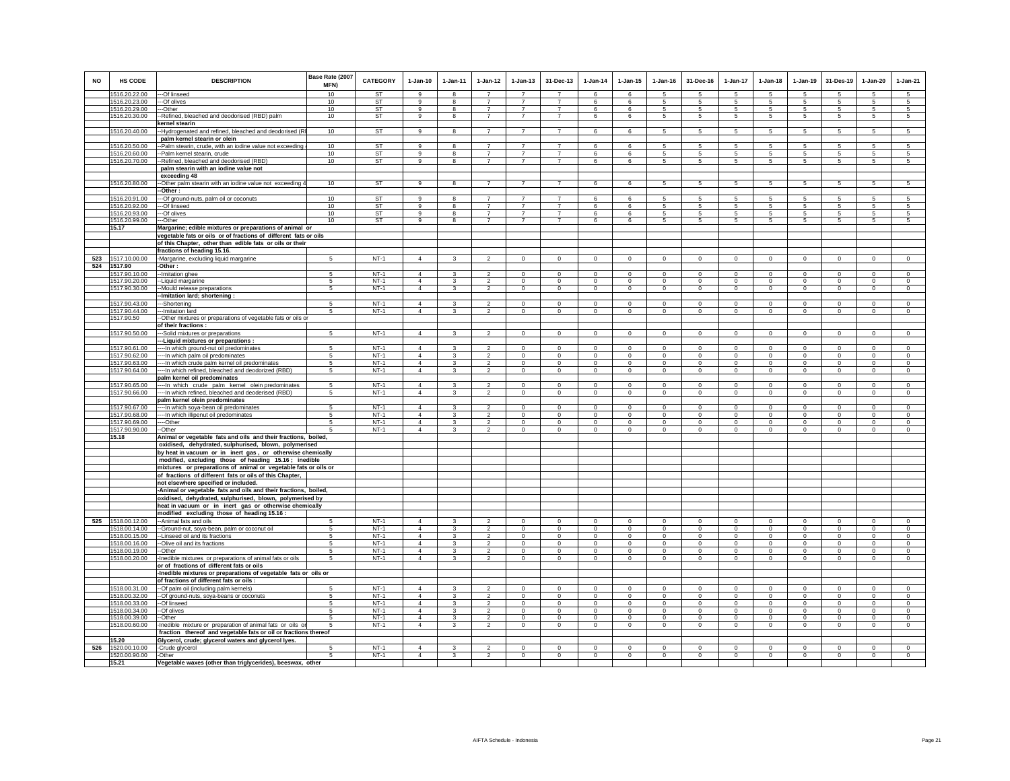| <b>NO</b> | HS CODE                        | <b>DESCRIPTION</b>                                                                                      | Base Rate (2007<br><b>MFN)</b> | <b>CATEGORY</b>  | $1-Jan-10$                       | $1-Jan-11$                   | $1-Jan-12$                       | $1 - Jan-13$                     | 31-Dec-13                        | $1-Jan-14$             | $1 - Jan-15$               | $1 - Jan-16$               | 31-Dec-16                  | $1-Jan-17$                     | $1-Jan-18$                  | $1-Jan-19$             | 31-Des-19                  | $1-Jan-20$              | $1-Jan-21$              |
|-----------|--------------------------------|---------------------------------------------------------------------------------------------------------|--------------------------------|------------------|----------------------------------|------------------------------|----------------------------------|----------------------------------|----------------------------------|------------------------|----------------------------|----------------------------|----------------------------|--------------------------------|-----------------------------|------------------------|----------------------------|-------------------------|-------------------------|
|           | 1516.20.22.00                  | --Of linseed                                                                                            | 10                             | ST               | $\mathbf{Q}$                     |                              |                                  |                                  |                                  | 6                      |                            |                            |                            | 5                              |                             |                        | 5                          |                         | 5                       |
|           | 1516.20.23.00<br>1516.20.29.00 | --Of olives<br>--Other                                                                                  | 10<br>10                       | ST<br><b>ST</b>  | 9<br>9                           | 8<br>8                       | $\overline{7}$<br>$\overline{7}$ | $\overline{7}$<br>$\overline{7}$ | $\overline{7}$<br>$\overline{7}$ | 6<br>6                 | 6<br>6                     | 5<br>-5                    | 5<br>5                     | $\sqrt{5}$<br>5                | 5<br>5                      | 5<br>5                 | $\sqrt{5}$<br>-5           | 5<br>5                  | $\sqrt{5}$<br>5         |
|           | 1516.20.30.00                  | -Refined, bleached and deodorised (RBD) palm                                                            | 10                             | ST               | 9                                | 8                            | $\overline{7}$                   | $\overline{7}$                   | $\overline{7}$                   | 6                      | 6                          | 5                          | 5                          | 5                              | 5                           | 5                      | 5                          | 5                       | 5                       |
|           |                                | kernel stearin                                                                                          |                                |                  |                                  |                              |                                  |                                  |                                  |                        |                            |                            |                            |                                |                             |                        |                            |                         |                         |
|           | 1516.20.40.00                  | --Hydrogenated and refined, bleached and deodorised (RI                                                 | 10                             | <b>ST</b>        | 9                                | 8                            | $\overline{7}$                   | $\overline{7}$                   | $\overline{7}$                   | 6                      | 6                          | $\sqrt{5}$                 | $\sqrt{5}$                 | $5\phantom{.0}$                | $5\overline{)}$             | 5                      | $\,$ 5                     | 5                       | $5\overline{)}$         |
|           |                                | palm kernel stearin or olein                                                                            |                                |                  |                                  |                              |                                  |                                  |                                  |                        |                            |                            |                            |                                |                             |                        |                            |                         |                         |
|           | 1516.20.50.00                  | --Palm stearin, crude, with an iodine value not exceeding                                               | 10                             | <b>ST</b>        | 9                                | 8                            | $\overline{7}$                   | $\overline{7}$                   | 7                                | 6                      | 6                          | 5                          | 5                          | 5                              | 5                           | 5                      | -5                         | 5                       | 5                       |
|           | 1516.20.60.00                  | -Palm kernel stearin, crude                                                                             | 10                             | ST               | 9                                | 8                            | $\overline{7}$                   | $\overline{7}$                   | $\overline{7}$                   | 6                      | 6                          | 5                          | 5                          | 5                              | 5                           | 5                      | $\sqrt{5}$                 | 5                       | 5                       |
|           | 1516.20.70.00                  | -Refined, bleached and deodorised (RBD)                                                                 | 10                             | ST               | 9                                | 8                            | $\overline{7}$                   | $\overline{7}$                   | $\overline{7}$                   | 6                      | 6                          | 5                          | 5                          | 5                              | 5                           | 5                      | $\sqrt{5}$                 | 5                       | 5                       |
|           |                                | palm stearin with an iodine value not                                                                   |                                |                  |                                  |                              |                                  |                                  |                                  |                        |                            |                            |                            |                                |                             |                        |                            |                         |                         |
|           |                                | exceeding 48                                                                                            |                                |                  |                                  |                              |                                  |                                  |                                  |                        |                            |                            |                            |                                |                             |                        |                            |                         |                         |
|           | 1516.20.80.00                  | -- Other palm stearin with an iodine value not exceeding -                                              | 10                             | ST               | $\alpha$                         | $\mathbf{R}$                 | $\overline{7}$                   | $\overline{7}$                   | $\overline{7}$                   | 6                      | 6                          | 5                          | 5                          | 5                              | $\overline{5}$              | 5                      | 5                          | 5                       | 5                       |
|           |                                | -Other :                                                                                                |                                |                  |                                  |                              |                                  |                                  |                                  |                        |                            |                            |                            |                                |                             |                        |                            |                         |                         |
|           | 1516.20.91.00                  | --Of ground-nuts, palm oil or coconuts                                                                  | 10                             | <b>ST</b>        | 9                                | 8                            | $\overline{7}$                   |                                  | $\overline{7}$                   | 6                      | 6                          | 5                          | 5                          | 5                              | 5                           | 5                      | 5                          | 5                       | 5                       |
|           | 1516.20.92.00                  | --Of linseed                                                                                            | 10                             | ST               | 9                                | 8                            | $\overline{7}$                   | $\overline{7}$                   | $\overline{7}$                   | 6                      | 6                          | $\sqrt{5}$                 | $\sqrt{5}$                 | $5\overline{5}$                | 5                           | 5                      | $\sqrt{5}$                 | 5                       | 5                       |
|           | 1516.20.93.00                  | --Of olives                                                                                             | 10 <sup>1</sup>                | ST               | $\alpha$                         | $\mathbf{R}$                 | $\overline{7}$                   | $\overline{7}$                   | $\overline{7}$                   | 6                      | 6                          | 5                          | 5                          | 5                              | 5                           | 5                      | -5                         | 5                       | 5                       |
|           | 1516.20.99.00                  | --Other                                                                                                 | 10                             | ST               | 9                                | 8                            | $\overline{7}$                   | $\overline{7}$                   | $\overline{7}$                   | 6                      | 6                          | 5                          | 5                          | 5                              | 5                           | 5                      | 5                          | 5                       | 5                       |
|           | 15.17                          | Margarine; edible mixtures or preparations of animal or                                                 |                                |                  |                                  |                              |                                  |                                  |                                  |                        |                            |                            |                            |                                |                             |                        |                            |                         |                         |
|           |                                | vegetable fats or oils or of fractions of different fats or oils                                        |                                |                  |                                  |                              |                                  |                                  |                                  |                        |                            |                            |                            |                                |                             |                        |                            |                         |                         |
|           |                                | of this Chapter, other than edible fats or oils or their<br>fractions of heading 15.16.                 |                                |                  |                                  |                              |                                  |                                  |                                  |                        |                            |                            |                            |                                |                             |                        |                            |                         |                         |
| 523       | 1517.10.00.00                  |                                                                                                         | 5                              | $NT-1$           | $\overline{4}$                   | $\mathbf{R}$                 | $\overline{2}$                   | $\mathsf 0$                      | $\mathsf 0$                      | $\mathbb O$            | $\Omega$                   | $\mathbf 0$                | $\mathsf 0$                | $\circ$                        | $\mathsf 0$                 | $\mathsf 0$            | $\mathbf 0$                | $\mathsf 0$             | $\mathbf 0$             |
| 524       | 1517.90                        | -Margarine, excluding liquid margarine<br>-Other:                                                       |                                |                  |                                  |                              |                                  |                                  |                                  |                        |                            |                            |                            |                                |                             |                        |                            |                         |                         |
|           | 1517.90.10.00                  | -- Imitation ghee                                                                                       | 5                              | $NT-1$           | $\overline{4}$                   | 3                            | $\overline{2}$                   | $\mathbf{0}$                     | $\mathbf{0}$                     | $\circ$                | $\mathbf 0$                | $\mathbf{0}$               | $\circ$                    | $\mathbf{0}$                   | $\mathbf{0}$                | $\mathbf{0}$           | $\mathbf{0}$               | $\circ$                 | $\mathbf{0}$            |
|           | 1517.90.20.00                  | --Liquid margarine                                                                                      | 5                              | $NT-1$           | $\overline{4}$                   | 3                            | $\overline{\mathbf{2}}$          | $\circ$                          | $\overline{0}$                   | $^{\circ}$             | $^{\circ}$                 | $^{\circ}$                 | $\mathbf{0}$               | $\circ$                        | 0                           | $\mathbf 0$            | $\mathbf 0$                | $\circ$                 | $\mathbf{0}$            |
|           | 1517.90.30.00                  | -Mould release preparations                                                                             | 5                              | $NT-1$           | $\overline{4}$                   | 3                            | $\overline{2}$                   | $\mathsf 0$                      | $\mathbf{0}$                     | $\mathbf 0$            | $\mathbf 0$                | $\mathbf 0$                | $\mathbf 0$                | $\mathsf 0$                    | $\mathsf 0$                 | $\mathsf 0$            | $\mathbf 0$                | $\circ$                 | $\circ$                 |
|           |                                | -Imitation lard; shortening :                                                                           |                                |                  |                                  |                              |                                  |                                  |                                  |                        |                            |                            |                            |                                |                             |                        |                            |                         |                         |
|           | 1517.90.43.00                  | --Shortening                                                                                            | 5                              | $NT-1$           | $\overline{4}$                   | 3                            | $\overline{\phantom{a}}$         | $\Omega$                         | $^{\circ}$                       | $\Omega$               | $\Omega$                   | $\Omega$                   | $\Omega$                   | $\overline{0}$                 | $\Omega$                    | $\Omega$               | $\mathbf 0$                | $\mathbf 0$             | $\overline{0}$          |
|           | 1517.90.44.00                  | -Imitation lard                                                                                         | $\mathbf{5}$                   | $NT-1$           | $\overline{4}$                   | $\mathbf{R}$                 | $\mathcal{L}$                    | $\Omega$                         | $\Omega$                         | $\Omega$               | $\Omega$                   | $\mathbf 0$                | $\mathbf{0}$               | $\circ$                        | $\mathbf{0}$                | $\mathbf{0}$           | $\Omega$                   | $\Omega$                | $\circ$                 |
|           | 1517.90.50                     | -Other mixtures or preparations of vegetable fats or oils or                                            |                                |                  |                                  |                              |                                  |                                  |                                  |                        |                            |                            |                            |                                |                             |                        |                            |                         |                         |
|           |                                | of their fractions :                                                                                    |                                |                  |                                  |                              |                                  |                                  |                                  |                        |                            |                            |                            |                                |                             |                        |                            |                         |                         |
|           | 1517.90.50.00                  | -Solid mixtures or preparations                                                                         | -5                             | $NT-1$           | $\overline{4}$                   | 3                            | $\overline{2}$                   | $\Omega$                         | $\overline{0}$                   | $\Omega$               | $\Omega$                   | $\Omega$                   | $\Omega$                   | $\overline{0}$                 | $\Omega$                    | $\overline{0}$         | $\overline{0}$             | $\overline{0}$          | $\overline{0}$          |
|           |                                | -Liquid mixtures or preparations :                                                                      |                                |                  |                                  |                              |                                  |                                  |                                  |                        |                            |                            |                            |                                |                             |                        |                            |                         |                         |
|           | 1517.90.61.00                  | -- In which ground-nut oil predominates                                                                 | 5<br>$\sqrt{2}$                | $NT-1$           | $\overline{4}$<br>$\Delta$       | $\mathbf{R}$<br>$\mathbf{R}$ | $\mathcal{L}$                    | $\mathbf 0$                      | $\mathbf 0$                      | $\mathbf 0$            | $\circ$<br>$\Omega$        | $\mathbf 0$<br>$\Omega$    | $\mathbf 0$                | $\mathsf 0$                    | $\mathsf 0$                 | $\mathbf 0$            | $\mathbf 0$                | $\mathbf 0$             | $\mathsf 0$<br>$\Omega$ |
|           | 1517.90.62.00<br>1517.90.63.00 | --- In which palm oil predominates                                                                      | 5                              | $NT-1$<br>$NT-1$ | $\overline{4}$                   | 3                            | $\overline{2}$<br>$\mathfrak{p}$ | $\mathsf 0$<br>$\mathbf{0}$      | $\mathsf 0$<br>$\mathbf{0}$      | $\Omega$<br>$\Omega$   | $\Omega$                   | $\Omega$                   | $\Omega$<br>$\Omega$       | $\overline{0}$<br>$\mathbf{0}$ | $\mathsf 0$<br>$\mathbf{0}$ | $\mathsf 0$<br>$\circ$ | $\Omega$<br>$\Omega$       | $\mathbf 0$<br>$\Omega$ | $\circ$                 |
|           | 1517.90.64.00                  | ----In which crude palm kernel oil predominates<br>--- In which refined, bleached and deodorized (RBD)  | 5                              | $NT-1$           | $\overline{4}$                   | 3                            | $\overline{2}$                   | $\mathbf 0$                      | $\mathbf{0}$                     | $^{\circ}$             | $\mathbf 0$                | $\mathbf 0$                | $\mathbf 0$                | $\circ$                        | $\mathbf 0$                 | $\mathbf{0}$           | $\mathbf 0$                | $\mathbf 0$             | $\mathsf 0$             |
|           |                                | palm kernel oil predominates                                                                            |                                |                  |                                  |                              |                                  |                                  |                                  |                        |                            |                            |                            |                                |                             |                        |                            |                         |                         |
|           | 1517.90.65.00                  | -- In which crude palm kernel olein predominates                                                        | $5 -$                          | $NT-1$           | $\overline{4}$                   | 3                            | $\mathfrak{p}$                   | $\Omega$                         | $\circ$                          | $\Omega$               | $\Omega$                   | $\Omega$                   | $\Omega$                   | $\circ$                        | $\Omega$                    | $\circ$                | $\Omega$                   | $\circ$                 | $\Omega$                |
|           | 1517.90.66.00                  | -- In which refined, bleached and deoderised (RBD)                                                      | 5                              | $NT-1$           | 4                                | 3                            | $\overline{2}$                   | $\mathbf 0$                      | $\mathbf 0$                      | $\circ$                | $\mathbf 0$                | $\mathbf 0$                | $\mathbf 0$                | $\mathbf 0$                    | $\mathbf 0$                 | $\mathbf 0$            | $\mathbf 0$                | $\mathbf 0$             | $\circ$                 |
|           |                                | balm kernel olein predominates                                                                          |                                |                  |                                  |                              |                                  |                                  |                                  |                        |                            |                            |                            |                                |                             |                        |                            |                         |                         |
|           | 1517.90.67.00                  | --- In which soya-bean oil predominates                                                                 | 5                              | $NT-1$           | $\Delta$                         | $\mathcal{R}$                | $\mathcal{P}$                    | $\Omega$                         | $\Omega$                         | $\Omega$               | $\Omega$                   | $\Omega$                   | $\Omega$                   | $\Omega$                       | $\Omega$                    | $\Omega$               | $\Omega$                   | $\Omega$                | $\Omega$                |
|           | 1517.90.68.00                  | --- In which illipenut oil predominates                                                                 | 5                              | NT-1             | $\overline{4}$                   | $\mathbf{3}$                 | $\overline{2}$                   | $\mathbf 0$                      | $\mathbf{0}$                     | $\mathbf 0$            | $\mathbf 0$                | $\mathbf 0$                | $\mathbf 0$                | $\mathbf{0}$                   | $\mathbf 0$                 | $\circ$                | $\mathbf 0$                | $\mathbf 0$             | $\circ$                 |
|           | 1517.90.69.00                  | ---Other                                                                                                | 5                              | $NT-1$           | $\overline{4}$                   | 3                            | $\overline{2}$                   | $\mathbf 0$                      | $^{\circ}$                       | $^{\circ}$             | $\mathbf 0$                | $\mathbf 0$                | $\mathbf 0$                | $\mathsf 0$                    | $\mathbf 0$                 | $\mathbf 0$            | $\mathbf 0$                | $\mathbf 0$             | $\mathbf 0$             |
|           | 1517.90.90.00                  | --Other                                                                                                 | 5                              | $NT-1$           | $\overline{4}$                   | 3                            | $\overline{2}$                   | $\circ$                          | $\mathbf 0$                      | $^{\circ}$             | $\circ$                    | $^{\circ}$                 | $\circ$                    | $\circ$                        | $\circ$                     | $\circ$                | $^{\circ}$                 | $\circ$                 | $\Omega$                |
|           | 15.18                          | Animal or vegetable fats and oils and their fractions, boiled,                                          |                                |                  |                                  |                              |                                  |                                  |                                  |                        |                            |                            |                            |                                |                             |                        |                            |                         |                         |
|           |                                | oxidised, dehydrated, sulphurised, blown, polymerised                                                   |                                |                  |                                  |                              |                                  |                                  |                                  |                        |                            |                            |                            |                                |                             |                        |                            |                         |                         |
|           |                                | by heat in vacuum or in inert gas, or otherwise chemically                                              |                                |                  |                                  |                              |                                  |                                  |                                  |                        |                            |                            |                            |                                |                             |                        |                            |                         |                         |
|           |                                | modified, excluding those of heading 15.16; inedible                                                    |                                |                  |                                  |                              |                                  |                                  |                                  |                        |                            |                            |                            |                                |                             |                        |                            |                         |                         |
|           |                                | mixtures or preparations of animal or vegetable fats or oils or                                         |                                |                  |                                  |                              |                                  |                                  |                                  |                        |                            |                            |                            |                                |                             |                        |                            |                         |                         |
|           |                                | of fractions of different fats or oils of this Chapter,                                                 |                                |                  |                                  |                              |                                  |                                  |                                  |                        |                            |                            |                            |                                |                             |                        |                            |                         |                         |
|           |                                | not elsewhere specified or included.<br>-Animal or vegetable fats and oils and their fractions, boiled, |                                |                  |                                  |                              |                                  |                                  |                                  |                        |                            |                            |                            |                                |                             |                        |                            |                         |                         |
|           |                                | oxidised, dehydrated, sulphurised, blown, polymerised by                                                |                                |                  |                                  |                              |                                  |                                  |                                  |                        |                            |                            |                            |                                |                             |                        |                            |                         |                         |
|           |                                | heat in vacuum or in inert gas or otherwise chemically                                                  |                                |                  |                                  |                              |                                  |                                  |                                  |                        |                            |                            |                            |                                |                             |                        |                            |                         |                         |
|           |                                | modified excluding those of heading 15.16:                                                              |                                |                  |                                  |                              |                                  |                                  |                                  |                        |                            |                            |                            |                                |                             |                        |                            |                         |                         |
| 525       | 1518.00.12.00                  | --Animal fats and oils                                                                                  | -5                             | $NT-1$           | $\overline{4}$                   | 3                            | $\overline{\phantom{a}}$         | $\Omega$                         | $\Omega$                         | $\Omega$               | $\Omega$                   | $\Omega$                   | $\Omega$                   | $\Omega$                       | $\Omega$                    | $\circ$                | $^{\circ}$                 | $\circ$                 | $\Omega$                |
|           | 1518.00.14.00                  | -Ground-nut, soya-bean, palm or coconut oil                                                             | 5                              | $NT-1$           | $\overline{4}$                   | 3                            | $\overline{2}$                   | $\mathbf 0$                      | $\,0\,$                          | $\circ$                | $\mathbf 0$                | $\mathbf 0$                | $\mathbf 0$                | $\mathbf 0$                    | $\mathbf 0$                 | $\mathbf 0$            | $\mathbf 0$                | $\mathbf 0$             | $\overline{0}$          |
|           | 1518.00.15.00                  | -Linseed oil and its fractions                                                                          | $\overline{5}$                 | $NT-1$           | $\Delta$                         | $\mathcal{R}$                | $\mathcal{L}$                    | $\mathbf 0$                      | $\mathbf 0$                      | $^{\circ}$             | $\Omega$                   | $\Omega$                   | $\circ$                    | $\circ$                        | $\mathbf 0$                 | $\mathbf 0$            | $\mathbf 0$                | $\mathbf 0$             | $\circ$                 |
|           | 1518.00.16.00                  | --Olive oil and its fractions                                                                           | $\overline{5}$                 | $NT-1$           | $\overline{4}$                   | $\mathbf{3}$                 | $\mathcal{P}$                    | $\mathbf{0}$                     | $\Omega$                         | $\Omega$               | $\Omega$                   | $\Omega$                   | $\Omega$                   | $\mathbf{0}$                   | $\mathbf{0}$                | $\circ$                | $\Omega$                   | $\Omega$                | $\circ$                 |
|           | 1518.00.19.00                  | --Other                                                                                                 | 5                              | $NT-1$           | $\overline{4}$                   | 3                            | $\overline{2}$                   | $\mathbf 0$                      | $\mathbf 0$                      | $\circ$                | $\mathbf 0$                | $\mathbf 0$                | $\mathbf 0$                | $\mathbf 0$                    | $\mathbf 0$                 | $\mathbf 0$            | $\mathbf 0$                | $\mathbf 0$             | $\circ$                 |
|           | 1518.00.20.00                  | -Inedible mixtures or preparations of animal fats or oils                                               | 5                              | $NT-1$           | $\overline{4}$                   | 3                            | $\overline{2}$                   | $\mathbf 0$                      | $\mathbf 0$                      | $\mathbf 0$            | $\mathbf 0$                | $\mathbf 0$                | $\mathbf 0$                | $\circ$                        | $\mathbf 0$                 | $\circ$                | $\mathbf 0$                | $\circ$                 | $\circ$                 |
|           |                                | or of fractions of different fats or oils                                                               |                                |                  |                                  |                              |                                  |                                  |                                  |                        |                            |                            |                            |                                |                             |                        |                            |                         |                         |
|           |                                | Inedible mixtures or preparations of vegetable fats or oils or                                          |                                |                  |                                  |                              |                                  |                                  |                                  |                        |                            |                            |                            |                                |                             |                        |                            |                         |                         |
|           |                                | of fractions of different fats or oils :                                                                |                                |                  |                                  |                              |                                  |                                  |                                  |                        |                            |                            |                            |                                |                             |                        |                            |                         |                         |
|           | 1518.00.31.00                  | --Of palm oil (including palm kernels)                                                                  |                                | $NT-1$           | $\overline{4}$                   | $\mathbf{3}$                 | $\mathcal{P}$                    | $\Omega$                         | $\mathbf 0$                      | $^{\circ}$             | $\Omega$                   | $^{\circ}$                 | $^{\circ}$                 | $\circ$                        | $\mathbf 0$                 | $\mathbf 0$            | $\mathbf 0$                | $\mathbf 0$             | $\circ$                 |
|           | 1518.00.32.00                  | -- Of ground-nuts, soya-beans or coconuts                                                               | -5                             | $NT-1$           | $\Delta$                         | 3                            | $\overline{\phantom{a}}$         | $\Omega$                         | $\mathsf 0$                      | $\Omega$               | $\Omega$                   | $\Omega$                   | $^{\circ}$                 | $\overline{0}$                 | $\Omega$                    | $\Omega$               | $\Omega$                   | $\mathbf 0$             | $\Omega$                |
|           | 1518.00.33.00<br>1518.00.34.00 | --Of linseed<br>--Of olives                                                                             | 5<br>5                         | $NT-1$<br>$NT-1$ | $\overline{4}$<br>$\overline{4}$ | 3<br>$\mathbf{3}$            | $\mathfrak{p}$<br>$\overline{2}$ | $\mathsf 0$<br>$\mathbf 0$       | $\mathsf 0$<br>$\mathbf{0}$      | $\circ$<br>$\mathbf 0$ | $\mathbf 0$<br>$\mathbf 0$ | $\mathbf 0$<br>$\mathbf 0$ | $\mathbf 0$<br>$\mathbf 0$ | $\mathsf 0$<br>$\circ$         | $\mathsf 0$<br>$\mathbf 0$  | $\mathsf 0$<br>$\circ$ | $\mathbf 0$<br>$\mathbf 0$ | $\mathsf 0$<br>$\circ$  | $\mathsf 0$<br>$\circ$  |
|           | 1518.00.39.00                  | -Other                                                                                                  | 5                              | $NT-1$           | $\overline{4}$                   | 3                            | $\overline{\mathbf{2}}$          | $\circ$                          | $^{\circ}$                       | 0                      | 0                          | $^{\circ}$                 | $^{\circ}$                 | 0                              | 0                           | $\mathbf{0}$           | $\overline{0}$             | $\overline{0}$          | $^{\circ}$              |
|           | 1518.00.60.00                  | Inedible mixture or preparation of animal fats or oils or                                               | -5                             | $NT-1$           | $\overline{4}$                   | 3                            | $\overline{2}$                   | $\mathsf 0$                      | $\mathsf 0$                      | $\mathbf 0$            | $\mathbf 0$                | $\mathbf 0$                | $\mathsf 0$                | $\mathsf 0$                    | $\mathsf 0$                 | $\mathsf 0$            | $\mathbf 0$                | $\circ$                 | $\mathbf 0$             |
|           |                                | fraction thereof and vegetable fats or oil or fractions thereof                                         |                                |                  |                                  |                              |                                  |                                  |                                  |                        |                            |                            |                            |                                |                             |                        |                            |                         |                         |
|           | 15.20                          | Glycerol, crude; glycerol waters and glycerol lyes.                                                     |                                |                  |                                  |                              |                                  |                                  |                                  |                        |                            |                            |                            |                                |                             |                        |                            |                         |                         |
| 526       | 1520.00.10.00                  | -Crude glycerol                                                                                         | 5                              | $NT-1$           | $\overline{4}$                   | $\mathcal{R}$                | $\mathcal{P}$                    | $\Omega$                         | $\mathbf 0$                      | $^{\circ}$             | $\Omega$                   | $\Omega$                   | $\Omega$                   | $\mathsf 0$                    | $\Omega$                    | $\Omega$               | $\mathbf 0$                | $\circ$                 | $\mathsf 0$             |
|           | 1520.00.90.00                  | -Other                                                                                                  | 5                              | $NT-1$           | $\overline{4}$                   | 3                            | $\overline{\phantom{a}}$         | $\overline{0}$                   | $\overline{0}$                   | $\overline{0}$         | $\overline{0}$             | $\overline{0}$             | $\overline{0}$             | $\overline{0}$                 | $\overline{0}$              | $\overline{0}$         | $\overline{0}$             | $\overline{0}$          | $\overline{0}$          |
|           | 15.21                          | Vegetable waxes (other than triglycerides), beeswax, other                                              |                                |                  |                                  |                              |                                  |                                  |                                  |                        |                            |                            |                            |                                |                             |                        |                            |                         |                         |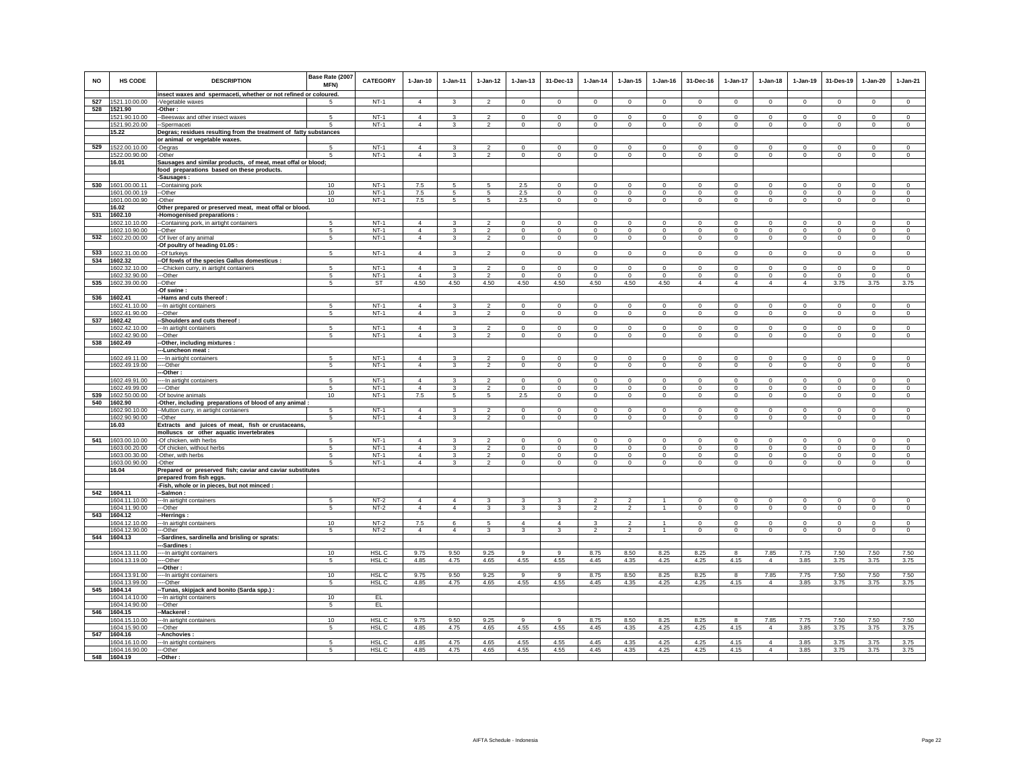| NO  | <b>HS CODE</b>                 | <b>DESCRIPTION</b>                                                  | Base Rate (2007<br>MFN) | <b>CATEGORY</b>  | $1-Jan-10$                       | 1-Jan-11                     | $1 - Jan-12$                     | $1 - Jan-13$               | 31-Dec-13                   | $1-Jan-14$             | $1 - Jan-15$               | $1 - Jan-16$               | 31-Dec-16           | 1-Jan-17                | $1-Jan-18$                 | $1-Jan-19$                 | 31-Des-19                 | $1-Jan-20$                 | $1-Jan-21$              |
|-----|--------------------------------|---------------------------------------------------------------------|-------------------------|------------------|----------------------------------|------------------------------|----------------------------------|----------------------------|-----------------------------|------------------------|----------------------------|----------------------------|---------------------|-------------------------|----------------------------|----------------------------|---------------------------|----------------------------|-------------------------|
| 527 | 1521.10.00.00                  | insect waxes and spermaceti, whether or not refined or coloured.    |                         | $NT-1$           | $\overline{4}$                   | $\mathbf{3}$                 | $\overline{2}$                   | $\circ$                    | $\mathbf{0}$                | $\circ$                | $\Omega$                   | $\mathbf 0$                | $\Omega$            | $\mathbf{0}$            | $\circ$                    | $\mathbf 0$                | $\mathbf 0$               | $\Omega$                   | $\circ$                 |
| 528 | 1521.90                        | -Vegetable waxes<br>-Other:                                         | -5                      |                  |                                  |                              |                                  |                            |                             |                        |                            |                            |                     |                         |                            |                            |                           |                            |                         |
|     | 1521.90.10.00                  | -- Beeswax and other insect waxes                                   | 5                       | $NT-1$           | $\overline{4}$                   | 3                            | $\mathfrak{p}$                   | $\Omega$                   | $\mathbf 0$                 | $\Omega$               | $\Omega$                   | $\Omega$                   | $\Omega$            | $\Omega$                | $\Omega$                   | $\Omega$                   | $\Omega$                  | $\Omega$                   | $\Omega$                |
|     | 1521.90.20.00                  | --Spermaceti                                                        | 5                       | $NT-1$           | $\overline{4}$                   | $\mathbf{3}$                 | $\overline{2}$                   | $\mathbf{0}$               | $\mathbf{0}$                | $\circ$                | $\mathbf{0}$               | $\,0\,$                    | $\mathbf{0}$        | $\mathbf{0}$            | $\mathbf{0}$               | $\circ$                    | $\overline{0}$            | $\circ$                    | $\mathbf 0$             |
|     | 15.22                          | Degras; residues resulting from the treatment of fatty substances   |                         |                  |                                  |                              |                                  |                            |                             |                        |                            |                            |                     |                         |                            |                            |                           |                            |                         |
|     |                                | or animal or vegetable waxes.                                       |                         |                  |                                  |                              |                                  |                            |                             |                        |                            |                            |                     |                         |                            |                            |                           |                            |                         |
| 529 | 1522.00.10.00                  | -Degras                                                             | -5                      | $NT-1$           | $\overline{4}$                   | 3                            | $\mathfrak{p}$                   | $\Omega$                   | $\Omega$                    | $\Omega$               | $\Omega$                   | $\Omega$                   | $\Omega$            | $\Omega$                | $\Omega$                   | $\Omega$                   | $\Omega$                  | $\Omega$                   | $\circ$                 |
|     | 1522.00.90.00                  | -Other                                                              | 5                       | $NT-1$           | $\overline{4}$                   | 3                            | $\overline{2}$                   | $\overline{0}$             | $\overline{0}$              | 0                      | $\overline{0}$             | $\mathbf 0$                | $\overline{0}$      | $\overline{0}$          | $\overline{0}$             | $\overline{0}$             | $\overline{0}$            | $\mathbf 0$                | $\overline{0}$          |
|     | 16.01                          | Sausages and similar products, of meat, meat offal or blood;        |                         |                  |                                  |                              |                                  |                            |                             |                        |                            |                            |                     |                         |                            |                            |                           |                            |                         |
|     |                                | food preparations based on these products.<br>-Sausages:            |                         |                  |                                  |                              |                                  |                            |                             |                        |                            |                            |                     |                         |                            |                            |                           |                            |                         |
| 530 | 1601.00.00.11                  | --Containing pork                                                   | 10                      | $NT-1$           | 7.5                              | 5                            | 5                                | 2.5                        | $\Omega$                    | $\Omega$               | $\Omega$                   | $\Omega$                   | $\Omega$            | $\Omega$                | $\Omega$                   | $\Omega$                   | $\Omega$                  | $\Omega$                   | $\circ$                 |
|     | 1601.00.00.19                  | --Other                                                             | 10                      | $NT-1$           | 7.5                              | 5                            | 5                                | 2.5                        | $\mathbf 0$                 | $\mathsf 0$            | $\mathbf 0$                | $\Omega$                   | $\mathbf 0$         | $\mathsf 0$             | $\mathsf 0$                | $\mathbf 0$                | $\mathbf 0$               | $\mathsf 0$                | $\mathsf 0$             |
|     | 1601.00.00.90                  | -Other                                                              | 10                      | $NT-1$           | 7.5                              | $5\overline{5}$              | $5\phantom{.0}$                  | 2.5                        | $\mathbf 0$                 | $\mathbf 0$            | $\circ$                    | $\mathbf 0$                | $\circ$             | $\mathbf{0}$            | $\mathbf 0$                | $\mathbf 0$                | $\mathbf{0}$              | $\mathbf 0$                | $\mathbf 0$             |
|     | 16.02                          | Other prepared or preserved meat, meat offal or blood.              |                         |                  |                                  |                              |                                  |                            |                             |                        |                            |                            |                     |                         |                            |                            |                           |                            |                         |
| 531 | 1602.10                        | -Homogenised preparations :                                         |                         |                  |                                  |                              |                                  |                            |                             |                        |                            |                            |                     |                         |                            |                            |                           |                            |                         |
|     | 1602.10.10.00                  | --Containing pork, in airtight containers                           | 5                       | $NT-1$           | $\overline{4}$                   | 3                            | $\overline{2}$                   | $\overline{0}$             | $\overline{0}$              | $\overline{0}$         | $\mathbf 0$                | $\overline{0}$             | $\mathbf 0$         | $\overline{0}$          | $\mathbf{0}$               | $\mathbf 0$                | $\overline{0}$            | $\mathbf 0$                | $\overline{0}$          |
| 532 | 1602.10.90.00<br>1602.20.00.00 | --Other<br>-Of liver of any animal                                  | 5<br>5                  | $NT-1$<br>$NT-1$ | $\overline{4}$<br>$\overline{4}$ | 3<br>$\mathbf{3}$            | $\overline{2}$<br>$\overline{2}$ | $\mathbf 0$<br>$\mathbf 0$ | $\mathbf 0$<br>$\mathbf{0}$ | $\mathbf 0$<br>$\circ$ | $\mathbf 0$<br>$\mathbf 0$ | $\mathbf 0$<br>$\mathbb O$ | $\Omega$<br>$\circ$ | $\mathbf 0$<br>$\circ$  | $\mathbf 0$<br>$\mathsf 0$ | $\mathbf 0$<br>$\mathbf 0$ | $\mathbf 0$<br>$\circ$    | $\mathbf 0$<br>$\mathsf 0$ | $\Omega$<br>$\mathsf 0$ |
|     |                                | -Of poultry of heading 01.05 :                                      |                         |                  |                                  |                              |                                  |                            |                             |                        |                            |                            |                     |                         |                            |                            |                           |                            |                         |
| 533 | 1602.31.00.00                  | --Of turkeys                                                        | 5                       | $NT-1$           | $\overline{4}$                   | $\mathbf{3}$                 | $\overline{a}$                   | $\mathsf{O}$               | $\mathbf 0$                 | $\mathsf 0$            | $\mathbf 0$                | $\mathbf 0$                | $\mathbf 0$         | $\mathbf 0$             | $\mathsf{O}$               | $\mathbf 0$                | $\mathbf 0$               | $\mathsf 0$                | $\mathbb O$             |
| 534 | 1602.32                        | -- Of fowls of the species Gallus domesticus :                      |                         |                  |                                  |                              |                                  |                            |                             |                        |                            |                            |                     |                         |                            |                            |                           |                            |                         |
|     | 1602.32.10.00                  | --- Chicken curry, in airtight containers                           | 5                       | $NT-1$           | $\overline{4}$                   | $\mathbf{3}$                 | $\mathfrak{p}$                   | $\mathbf 0$                | $\mathbf 0$                 | $\mathsf 0$            | $\mathbf 0$                | $\Omega$                   | $\mathbf 0$         | $\mathbf 0$             | $\mathbf 0$                | $\mathbf 0$                | $\mathbf 0$               | $\mathsf 0$                | $\mathsf 0$             |
|     | 1602.32.90.00                  | ---Other                                                            | 5                       | $NT-1$           | $\Delta$                         | $\mathbf{3}$                 | $\overline{2}$                   | $\circ$                    | $\mathbf 0$                 | $\circ$                | $\circ$                    | $\Omega$                   | $\circ$             | $\mathbf{0}$            | $\circ$                    | $\mathbf 0$                | $\circ$                   | $\mathbf 0$                | $\circ$                 |
| 535 | 1602.39.00.00                  | --Other                                                             | 5                       | <b>ST</b>        | 4.50                             | 4.50                         | 4.50                             | 4.50                       | 4.50                        | 4.50                   | 4.50                       | 4.50                       | $\overline{4}$      | $\overline{4}$          | $\overline{4}$             | $\overline{4}$             | 3.75                      | 3.75                       | 3.75                    |
|     | 1602.41                        | Of swine<br>-Hams and cuts thereof:                                 |                         |                  |                                  |                              |                                  |                            |                             |                        |                            |                            |                     |                         |                            |                            |                           |                            |                         |
| 536 | 1602.41.10.00                  | -- In airtight containers                                           | 5                       | $NT-1$           | $\Delta$                         | $\mathbf{R}$                 | $\mathfrak{p}$                   | $\mathbf 0$                | $\mathsf 0$                 | $\Omega$               | $\mathbf 0$                | $\Omega$                   | $\Omega$            | $\Omega$                | $\Omega$                   | $\Omega$                   | $\Omega$                  | $\Omega$                   | $\Omega$                |
|     | 1602.41.90.00                  | --Other                                                             | 5                       | $NT-1$           | $\overline{4}$                   | 3                            | $\overline{2}$                   | $\mathbf 0$                | $\mathbf 0$                 | $\mathbf 0$            | $\mathbf 0$                | $^{\circ}$                 | $\mathbf 0$         | $\mathbf 0$             | $\mathbf 0$                | $\mathbf 0$                | $^{\circ}$                | $\mathbf 0$                | $\mathbf 0$             |
| 537 | 1602.42                        | -Shoulders and cuts thereof:                                        |                         |                  |                                  |                              |                                  |                            |                             |                        |                            |                            |                     |                         |                            |                            |                           |                            |                         |
|     | 1602.42.10.00                  | --- In airtight containers                                          | $\sqrt{5}$              | $NT-1$           | $\mathbf{A}$                     | $\mathbf{3}$                 | $\overline{2}$                   | $\Omega$                   | $\mathbf{0}$                | $\Omega$               | $\Omega$                   | $\Omega$                   | $\Omega$            | $\Omega$                | $\Omega$                   | $\Omega$                   | $\mathbf 0$               | $\Omega$                   | $\circ$                 |
|     | 1602.42.90.00                  | ---Other                                                            | 5                       | $NT-1$           | $\overline{4}$                   | $\mathbf{3}$                 | $\overline{a}$                   | $\mathbf 0$                | $\mathbf 0$                 | $\circ$                | $\mathbf 0$                | $\mathbb O$                | $\mathbf 0$         | $\mathbf 0$             | $\mathsf 0$                | $\mathbf 0$                | $\circ$                   | $\mathsf 0$                | $\mathsf 0$             |
| 538 | 1602.49                        | -Other, including mixtures :                                        |                         |                  |                                  |                              |                                  |                            |                             |                        |                            |                            |                     |                         |                            |                            |                           |                            |                         |
|     | 1602.49.11.00                  | --Luncheon meat:<br>---- In airtight containers                     | 5                       | $NT-1$           | $\overline{4}$                   | 3                            | $\overline{2}$                   | $\Omega$                   | $\mathbf 0$                 | $\circ$                | $\Omega$                   | $\Omega$                   | $\Omega$            | $\Omega$                | $\Omega$                   | $\mathbf 0$                | $\circ$                   | $\circ$                    | $\mathbf 0$             |
|     | 1602.49.19.00                  | ---Other                                                            | 5                       | $NT-1$           | $\overline{4}$                   | $\mathbf{3}$                 | $\overline{2}$                   | $\mathbf 0$                | $\overline{0}$              | $\overline{0}$         | $\mathbf 0$                | $\mathbb O$                | $\overline{0}$      | $\overline{0}$          | $\overline{0}$             | $\overline{0}$             | $\overline{0}$            | $\mathsf 0$                | $\overline{0}$          |
|     |                                | -Other                                                              |                         |                  |                                  |                              |                                  |                            |                             |                        |                            |                            |                     |                         |                            |                            |                           |                            |                         |
|     | 1602.49.91.00                  | --- In airtight containers                                          | 5                       | $NT-1$           | $\overline{4}$                   | 3                            | $\overline{2}$                   | $\mathbf 0$                | $\mathbf 0$                 | $\overline{0}$         | $\mathbf 0$                | $^{\circ}$                 | $^{\circ}$          | $\mathbf 0$             | $\mathbf 0$                | $\mathbf 0$                | $\mathbf 0$               | $\circ$                    | $\mathbb O$             |
|     | 1602.49.99.00                  | ----Other                                                           | -5                      | $NT-1$           | $\overline{4}$                   | $\overline{\mathbf{3}}$      | $\overline{2}$                   | $\overline{0}$             | $\Omega$                    | $\overline{0}$         | $\Omega$                   | $\Omega$                   | $\Omega$            | $\overline{0}$          | $\overline{0}$             | $\mathbf 0$                | $\overline{0}$            | $\Omega$                   | $\Omega$                |
| 539 | 1602.50.00.00                  | -Of bovine animals                                                  | 10                      | $NT-1$           | 7.5                              | $5\overline{)}$              | $\overline{5}$                   | 2.5                        | $\overline{0}$              | $\overline{0}$         | $\overline{0}$             | $\Omega$                   | $\overline{0}$      | $\overline{0}$          | $\overline{0}$             | $\overline{0}$             | $\overline{0}$            | $\mathsf 0$                | $\overline{0}$          |
| 540 | 1602.90                        | -Other, including preparations of blood of any animal               |                         |                  |                                  |                              |                                  |                            |                             |                        |                            |                            |                     |                         |                            |                            |                           |                            |                         |
|     | 1602.90.10.00<br>1602.90.90.00 | -- Mutton curry, in airtight containers<br>--Other                  | 5<br>5                  | $NT-1$<br>$NT-1$ | $\overline{4}$<br>$\overline{4}$ | $\mathbf{3}$<br>$\mathbf{3}$ | $\mathfrak{p}$<br>$\overline{2}$ | $\Omega$<br>$\circ$        | $\mathbf 0$<br>$\mathbf 0$  | $\Omega$<br>$\circ$    | $\Omega$<br>$\circ$        | $\Omega$<br>$\mathbf 0$    | $\Omega$<br>$\circ$ | $\Omega$<br>$\mathbf 0$ | $\Omega$<br>$\circ$        | $\Omega$<br>$\mathbf 0$    | $\Omega$<br>$\mathbf{0}$  | $\Omega$<br>$\mathbf 0$    | $\Omega$<br>$\circ$     |
|     | 16.03                          | Extracts and juices of meat, fish or crustaceans,                   |                         |                  |                                  |                              |                                  |                            |                             |                        |                            |                            |                     |                         |                            |                            |                           |                            |                         |
|     |                                | molluscs or other aquatic invertebrates                             |                         |                  |                                  |                              |                                  |                            |                             |                        |                            |                            |                     |                         |                            |                            |                           |                            |                         |
| 541 | 1603.00.10.00                  | -Of chicken, with herbs                                             | $\sqrt{5}$              | $NT-1$           | $\overline{4}$                   | 3                            | $\mathfrak{p}$                   | $\Omega$                   | $\Omega$                    | $\Omega$               | $\Omega$                   | $\Omega$                   | $\Omega$            | $\Omega$                | $\Omega$                   | $\Omega$                   | $\Omega$                  | $\Omega$                   | $\Omega$                |
|     | 1603.00.20.00                  | -Of chicken, without herbs                                          | 5                       | $NT-1$           | $\overline{4}$                   | 3                            | $\overline{2}$                   | 0                          | $\mathbf 0$                 | $\mathbf 0$            | $\mathbf 0$                | $^{\circ}$                 | $^{\circ}$          | $\mathbf 0$             | $\mathbf 0$                | $\mathbf 0$                | $\mathbf 0$               | $\mathbf 0$                | $\mathbf 0$             |
|     | 1603.00.30.00                  | -Other, with herbs                                                  | $\sqrt{5}$<br>5         | $NT-1$<br>$NT-1$ | $\Delta$<br>$\overline{4}$       | $\mathbf{3}$                 | $\mathcal{P}$                    | $\mathbf 0$                | $\mathbf 0$                 | $\mathbf 0$            | $\mathbf 0$                | $\Omega$                   | $\Omega$            | $\mathbf 0$             | $\Omega$                   | $\mathbf 0$                | $^{\circ}$<br>$\mathbf 0$ | $\Omega$                   | $\Omega$<br>$\Omega$    |
|     | 1603.00.90.00<br>16.04         | -Other<br>Prepared or preserved fish; caviar and caviar substitutes |                         |                  |                                  | $\mathbf{3}$                 | $\overline{2}$                   | $\mathbf 0$                | $\mathbf 0$                 | $\mathsf 0$            | $\mathbf 0$                | $\mathbf 0$                | $\mathbf 0$         | $\overline{0}$          | $\mathbf 0$                | $\mathbf 0$                |                           | $\mathbf 0$                |                         |
|     |                                | prepared from fish eggs.                                            |                         |                  |                                  |                              |                                  |                            |                             |                        |                            |                            |                     |                         |                            |                            |                           |                            |                         |
|     |                                | -Fish, whole or in pieces, but not minced :                         |                         |                  |                                  |                              |                                  |                            |                             |                        |                            |                            |                     |                         |                            |                            |                           |                            |                         |
| 542 | 1604.11                        | -Salmon:                                                            |                         |                  |                                  |                              |                                  |                            |                             |                        |                            |                            |                     |                         |                            |                            |                           |                            |                         |
|     | 1604.11.10.00                  | --- In airtight containers                                          | 5                       | $NT-2$           | $\overline{4}$                   | $\overline{4}$               | 3                                | 3                          | 3                           | $\overline{2}$         | $\overline{2}$             |                            | $\Omega$            | $\mathbf 0$             | $\circ$                    | $\mathbf 0$                | $\circ$                   | $\mathbf 0$                | $\circ$                 |
|     | 1604.11.90.00                  | ---Other                                                            | 5                       | $NT-2$           | $\overline{4}$                   | $\overline{4}$               | 3                                | 3                          | $\overline{3}$              | $\overline{2}$         | $\overline{2}$             | $\overline{1}$             | $\overline{0}$      | $\mathbf 0$             | $\overline{0}$             | $\overline{0}$             | $\overline{0}$            | $\overline{0}$             | $\overline{0}$          |
| 543 | 1604.12<br>1604.12.10.00       | -Herrings<br>--- In airtight containers                             | 10                      | $NT-2$           | 7.5                              | 6                            | 5                                | $\overline{4}$             | $\overline{4}$              | 3                      | $\overline{2}$             |                            | $\mathbf 0$         | $\mathsf 0$             | $\mathbf 0$                | $\,0\,$                    | $\mathbf 0$               | $\mathbf 0$                | $\mathbb O$             |
|     | 1604.12.90.00                  | ---Other                                                            | 5                       | $NT-2$           | $\Delta$                         | $\overline{4}$               | $\mathbf{3}$                     | 3                          | 3                           | $\overline{2}$         | $\overline{2}$             | $\overline{1}$             | $\Omega$            | $\mathbf 0$             | $\circ$                    | $\mathbf 0$                | $\circ$                   | $\Omega$                   | $\Omega$                |
| 544 | 1604.13                        | -Sardines, sardinella and brisling or sprats:                       |                         |                  |                                  |                              |                                  |                            |                             |                        |                            |                            |                     |                         |                            |                            |                           |                            |                         |
|     |                                | -Sardines                                                           |                         |                  |                                  |                              |                                  |                            |                             |                        |                            |                            |                     |                         |                            |                            |                           |                            |                         |
|     | 1604.13.11.00                  | ---- In airtight containers                                         | 10                      | HSL C            | 9.75                             | 9.50                         | 9.25                             | 9                          | 9                           | 8.75                   | 8.50                       | 8.25                       | 8.25                | 8                       | 7.85                       | 7.75                       | 7.50                      | 7.50                       | 7.50                    |
|     | 1604.13.19.00                  | ----Other                                                           | 5                       | HSL C            | 4.85                             | 4.75                         | 4.65                             | 4.55                       | 4.55                        | 4.45                   | 4.35                       | 4.25                       | 4.25                | 4.15                    | $\overline{4}$             | 3.85                       | 3.75                      | 3.75                       | 3.75                    |
|     |                                | --Other                                                             |                         |                  |                                  |                              |                                  |                            |                             |                        |                            |                            |                     |                         |                            |                            |                           |                            |                         |
|     | 1604.13.91.00<br>1604.13.99.00 | --- In airtight containers<br>--Other                               | 10<br>5                 | HSL C<br>HSL C   | 9.75<br>4.85                     | 9.50<br>4.75                 | 9.25<br>4.65                     | 9<br>4.55                  | 9<br>4.55                   | 8.75<br>4.45           | 8.50<br>4.35               | 8.25<br>4.25               | 8.25<br>4.25        | 8<br>4.15               | 7.85<br>$\overline{4}$     | 7.75<br>3.85               | 7.50<br>3.75              | 7.50<br>3.75               | 7.50<br>3.75            |
| 545 | 1604.14                        | -Tunas, skipjack and bonito (Sarda spp.) :                          |                         |                  |                                  |                              |                                  |                            |                             |                        |                            |                            |                     |                         |                            |                            |                           |                            |                         |
|     | 1604.14.10.00                  | --- In airtight containers                                          | 10                      | EL               |                                  |                              |                                  |                            |                             |                        |                            |                            |                     |                         |                            |                            |                           |                            |                         |
|     | 1604.14.90.00                  | ---Other                                                            | 5                       | EL               |                                  |                              |                                  |                            |                             |                        |                            |                            |                     |                         |                            |                            |                           |                            |                         |
| 546 | 1604.15                        | -Mackerel                                                           |                         |                  |                                  |                              |                                  |                            |                             |                        |                            |                            |                     |                         |                            |                            |                           |                            |                         |
|     | 1604.15.10.00                  | --- In airtight containers                                          | 10                      | HSL C            | 9.75                             | 9.50                         | 9.25                             | 9                          | $\overline{9}$              | 8.75                   | 8.50                       | 8.25                       | 8.25                | 8                       | 7.85                       | 7.75                       | 7.50                      | 7.50                       | 7.50                    |
| 547 | 1604.15.90.00<br>1604.16       | ---Other<br>-Anchovies                                              | 5                       | HSL C            | 4.85                             | 4.75                         | 4.65                             | 4.55                       | 4.55                        | 4.45                   | 4.35                       | 4.25                       | 4.25                | 4.15                    | $\overline{4}$             | 3.85                       | 3.75                      | 3.75                       | 3.75                    |
|     | 1604.16.10.00                  | --- In airtight containers                                          | -5                      | HSL C            | 4.85                             | 4.75                         | 4.65                             | 4.55                       | 4.55                        | 4.45                   | 4.35                       | 4.25                       | 4.25                | 4.15                    | $\overline{4}$             | 3.85                       | 3.75                      | 3.75                       | 3.75                    |
|     | 1604.16.90.00                  | ---Other                                                            | 5                       | HSL C            | 4.85                             | 4.75                         | 4.65                             | 4.55                       | 4.55                        | 4.45                   | 4.35                       | 4.25                       | 4.25                | 4.15                    | $\overline{4}$             | 3.85                       | 3.75                      | 3.75                       | 3.75                    |
| 548 | 1604.19                        | -- Other:                                                           |                         |                  |                                  |                              |                                  |                            |                             |                        |                            |                            |                     |                         |                            |                            |                           |                            |                         |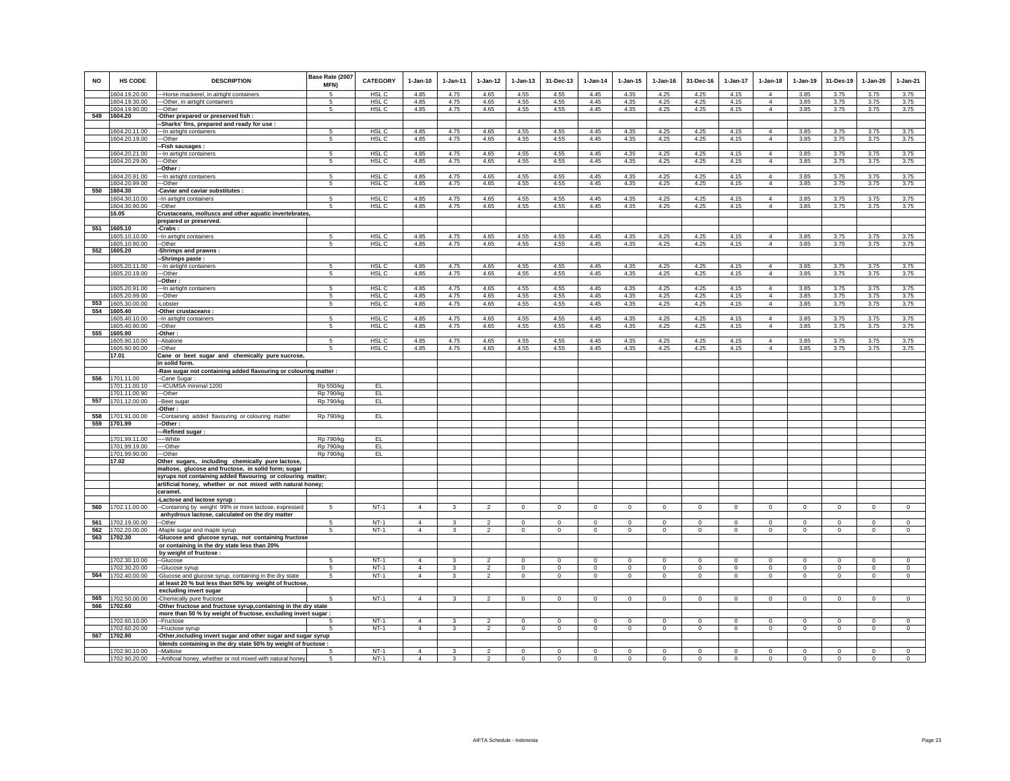| <b>NO</b>  | <b>HS CODE</b>                 | <b>DESCRIPTION</b>                                                                                      | Base Rate (2007<br>MFN) | <b>CATEGORY</b>  | $1-Jan-10$     | $1-Jan-11$              | $1-Jan-12$              | $1-Jan-13$     | 31-Dec-13      | $1-Jan-14$   | $1 - Jan-15$ | $1-Jan-16$   | 31-Dec-16    | $1-Jan-17$   | $1-Jan-18$                       | $1-Jan-19$   | 31-Des-19    | $1-Jan-20$     | $1-Jan-21$     |
|------------|--------------------------------|---------------------------------------------------------------------------------------------------------|-------------------------|------------------|----------------|-------------------------|-------------------------|----------------|----------------|--------------|--------------|--------------|--------------|--------------|----------------------------------|--------------|--------------|----------------|----------------|
|            | 1604.19.20.00                  | -Horse mackerel, in airtight containers                                                                 | 5                       | HSL C            | 4.85           | 4.75                    | 4.65                    | 4.55           | 4.55           | 4.45         | 4.35         | 4.25         | 4.25         | 4.15         | $\overline{4}$                   | 3.85         | 3.75         | 3.75           | 3.75           |
|            | 1604.19.30.00                  | --Other, in airtight containers                                                                         | 5                       | HSL C            | 4.85           | 4.75                    | 4.65                    | 4.55           | 4.55           | 4.45         | 4.35         | 4.25         | 4.25         | 4.15         | $\overline{4}$                   | 3.85         | 3.75         | 3.75           | 3.75           |
|            | 1604.19.90.00                  | ---Other                                                                                                | 5                       | HSL <sub>C</sub> | 4.85           | 4.75                    | 4.65                    | 4.55           | 4.55           | 4.45         | 4.35         | 4.25         | 4.25         | 4.15         | $\overline{4}$                   | 3.85         | 3.75         | 3.75           | 3.75           |
|            | 549 1604.20                    | Other prepared or preserved fish :                                                                      |                         |                  |                |                         |                         |                |                |              |              |              |              |              |                                  |              |              |                |                |
|            |                                | -Sharks' fins, prepared and ready for use :                                                             |                         |                  | 4.85           | 4.75                    |                         | 4.55           | 4.55           | 4.45         |              |              | 4.25         |              | $\overline{4}$                   |              | 3.75         |                | 3.75           |
|            | 1604.20.11.00<br>1604.20.19.00 | -- In airtight containers<br>-Other                                                                     | 5<br>5                  | HSL C<br>HSL C   | 4.85           | 4.75                    | 4.65<br>4.65            | 4.55           | 4.55           | 4.45         | 4.35<br>4.35 | 4.25<br>4.25 | 4.25         | 4.15<br>4.15 | $\overline{4}$                   | 3.85<br>3.85 | 3.75         | 3.75<br>3.75   | 3.75           |
|            |                                | -Fish sausages :                                                                                        |                         |                  |                |                         |                         |                |                |              |              |              |              |              |                                  |              |              |                |                |
|            | 1604.20.21.00                  | --In airtight containers                                                                                | 5                       | HSL <sub>C</sub> | 4.85           | 4.75                    | 4.65                    | 4.55           | 4.55           | 4.45         | 4.35         | 4.25         | 4.25         | 4.15         | $\overline{4}$                   | 3.85         | 3.75         | 3.75           | 3.75           |
|            | 1604.20.29.00                  | -Other                                                                                                  | 5                       | HSL C            | 4.85           | 4.75                    | 4.65                    | 4.55           | 4.55           | 4.45         | 4.35         | 4.25         | 4.25         | 4.15         | $\overline{4}$                   | 3.85         | 3.75         | 3.75           | 3.75           |
|            |                                | -Other                                                                                                  |                         |                  |                |                         |                         |                |                |              |              |              |              |              |                                  |              |              |                |                |
|            | 1604.20.91.00<br>1604.20.99.00 | -- In airtight containers<br>--Other                                                                    | 5<br>5                  | HSL C<br>HSL C   | 4.85<br>4.85   | 4.75<br>4.75            | 4.65<br>4.65            | 4.55<br>4.55   | 4.55<br>4.55   | 4.45<br>4.45 | 4.35<br>4.35 | 4.25<br>4.25 | 4.25<br>4.25 | 4.15<br>4.15 | $\overline{4}$<br>$\overline{4}$ | 3.85<br>3.85 | 3.75<br>3.75 | 3.75<br>3.75   | 3.75<br>3.75   |
| 550        | 1604.30                        | Caviar and caviar substitutes :                                                                         |                         |                  |                |                         |                         |                |                |              |              |              |              |              |                                  |              |              |                |                |
|            | 1604.30.10.00                  | -- In airtight containers                                                                               | 5                       | HSL <sub>C</sub> | 4.85           | 4.75                    | 4.65                    | 4.55           | 4.55           | 4.45         | 4.35         | 4.25         | 4.25         | 4.15         | $\overline{4}$                   | 3.85         | 3.75         | 3.75           | 3.75           |
|            | 1604.30.90.00                  | --Other                                                                                                 | 5                       | HSL C            | 4.85           | 4.75                    | 4.65                    | 4.55           | 4.55           | 4.45         | 4.35         | 4.25         | 4.25         | 4.15         | $\overline{4}$                   | 3.85         | 3.75         | 3.75           | 3.75           |
|            | 16.05                          | Crustaceans, molluscs and other aquatic invertebrates                                                   |                         |                  |                |                         |                         |                |                |              |              |              |              |              |                                  |              |              |                |                |
| 551        | 1605.10                        | prepared or preserved.<br>-Crabs:                                                                       |                         |                  |                |                         |                         |                |                |              |              |              |              |              |                                  |              |              |                |                |
|            | 1605.10.10.00                  | -- In airtight containers                                                                               | 5                       | HSL <sub>C</sub> | 4.85           | 4.75                    | 4.65                    | 4.55           | 4.55           | 4.45         | 4.35         | 4.25         | 4.25         | 4.15         | $\overline{4}$                   | 3.85         | 3.75         | 3.75           | 3.75           |
|            | 1605.10.90.00                  | --Other                                                                                                 | 5                       | HSL C            | 4.85           | 4.75                    | 4.65                    | 4.55           | 4.55           | 4.45         | 4.35         | 4.25         | 4.25         | 4.15         | $\overline{4}$                   | 3.85         | 3.75         | 3.75           | 3.75           |
| 552        | 1605.20                        | Shrimps and prawns:                                                                                     |                         |                  |                |                         |                         |                |                |              |              |              |              |              |                                  |              |              |                |                |
|            |                                | Shrimps paste:                                                                                          |                         |                  |                |                         |                         |                |                |              |              |              |              |              |                                  |              |              |                |                |
|            | 1605.20.11.00<br>1605.20.19.00 | -In airtight containers<br>-Other                                                                       | 5<br>5                  | HSL C<br>HSL C   | 4.85<br>4.85   | 4.75<br>4.75            | 4.65<br>4.65            | 4.55<br>4.55   | 4.55<br>4.55   | 4.45<br>4.45 | 4.35<br>4.35 | 4.25<br>4.25 | 4.25<br>4.25 | 4.15<br>4.15 | $\overline{4}$<br>$\overline{4}$ | 3.85<br>3.85 | 3.75<br>3.75 | 3.75<br>3.75   | 3.75<br>3.75   |
|            |                                | -Other :                                                                                                |                         |                  |                |                         |                         |                |                |              |              |              |              |              |                                  |              |              |                |                |
|            | 1605.20.91.00                  | -- In airtight containers                                                                               | 5                       | HSL <sub>C</sub> | 4.85           | 4.75                    | 4.65                    | 4.55           | 4.55           | 4.45         | 4.35         | 4.25         | 4.25         | 4.15         | $\overline{4}$                   | 3.85         | 3.75         | 3.75           | 3.75           |
|            | 1605.20.99.00                  | --Other                                                                                                 | 5                       | HSL <sub>C</sub> | 4.85           | 4.75                    | 4.65                    | 4.55           | 4.55           | 4.45         | 4.35         | 4.25         | 4.25         | 4.15         | $\overline{4}$                   | 3.85         | 3.75         | 3.75           | 3.75           |
| 553        | 1605.30.00.00                  | -Lobster                                                                                                | 5                       | HSL C            | 4.85           | 4.75                    | 4.65                    | 4.55           | 4.55           | 4.45         | 4.35         | 4.25         | 4.25         | 4.15         | $\overline{4}$                   | 3.85         | 3.75         | 3.75           | 3.75           |
| 554        | 1605.40                        | Other crustaceans :                                                                                     |                         | HSL C            | 4.85           | 4.75                    | 4.65                    | 4.55           | 4.55           | 4.45         | 4.35         |              | 4.25         | 4.15         | $\Delta$                         |              | 3.75         |                | 3.75           |
|            | 1605.40.10.00<br>1605.40.90.00 | -In airtight containers<br>--Other                                                                      | 5<br>5                  | HSL C            | 4.85           | 4.75                    | 4.65                    | 4.55           | 4.55           | 4.45         | 4.35         | 4.25<br>4.25 | 4.25         | 4.15         | $\overline{4}$                   | 3.85<br>3.85 | 3.75         | 3.75<br>3.75   | 3.75           |
| 555        | 1605.90                        | Other:                                                                                                  |                         |                  |                |                         |                         |                |                |              |              |              |              |              |                                  |              |              |                |                |
|            | 1605.90.10.00                  | -Abalone                                                                                                | 5                       | HSL C            | 4.85           | 4.75                    | 4.65                    | 4.55           | 4.55           | 4.45         | 4.35         | 4.25         | 4.25         | 4.15         | $\overline{4}$                   | 3.85         | 3.75         | 3.75           | 3.75           |
|            | 1605.90.90.00                  | -Other                                                                                                  | 5                       | HSL <sub>C</sub> | 4.85           | 4.75                    | 4.65                    | 4.55           | 4.55           | 4.45         | 4.35         | 4.25         | 4.25         | 4.15         | $\mathbf{A}$                     | 3.85         | 3.75         | 3.75           | 3.75           |
|            | 17.01                          | Cane or beet sugar and chemically pure sucrose                                                          |                         |                  |                |                         |                         |                |                |              |              |              |              |              |                                  |              |              |                |                |
|            |                                | in solid form.<br>-Raw sugar not containing added flavouring or colouring matter:                       |                         |                  |                |                         |                         |                |                |              |              |              |              |              |                                  |              |              |                |                |
| 556        | 1701.11.00                     | -Cane Sugar:                                                                                            |                         |                  |                |                         |                         |                |                |              |              |              |              |              |                                  |              |              |                |                |
|            | 1701.11.00.10                  | -- ICUMSA minimal 1200                                                                                  | Rp 550/kg               | EL               |                |                         |                         |                |                |              |              |              |              |              |                                  |              |              |                |                |
|            | 1701.11.00.90                  | -Other                                                                                                  | Rp 790/kg               | EL               |                |                         |                         |                |                |              |              |              |              |              |                                  |              |              |                |                |
| 557        | 1701.12.00.00                  | -Beet suga                                                                                              | Rp 790/kg               | EL               |                |                         |                         |                |                |              |              |              |              |              |                                  |              |              |                |                |
| 558        | 1701.91.00.00                  | Other :<br>-Containing added flavouring or colouring matter                                             | Rp 790/kg               | EL               |                |                         |                         |                |                |              |              |              |              |              |                                  |              |              |                |                |
| 559        | 1701.99                        | -Other :                                                                                                |                         |                  |                |                         |                         |                |                |              |              |              |              |              |                                  |              |              |                |                |
|            |                                | -Refined sugar:                                                                                         |                         |                  |                |                         |                         |                |                |              |              |              |              |              |                                  |              |              |                |                |
|            | 1701.99.11.00                  | --White                                                                                                 | Rp 790/kg               | EL               |                |                         |                         |                |                |              |              |              |              |              |                                  |              |              |                |                |
|            | 1701.99.19.00                  | --Other                                                                                                 | Rp 790/kg               | EL.              |                |                         |                         |                |                |              |              |              |              |              |                                  |              |              |                |                |
|            | 1701.99.90.00<br>17.02         | -Other<br>Other sugars, including chemically pure lactose,                                              | Rp 790/kg               | EL.              |                |                         |                         |                |                |              |              |              |              |              |                                  |              |              |                |                |
|            |                                | maltose, glucose and fructose, in solid form; sugar                                                     |                         |                  |                |                         |                         |                |                |              |              |              |              |              |                                  |              |              |                |                |
|            |                                | syrups not containing added flavouring or colouring matter;                                             |                         |                  |                |                         |                         |                |                |              |              |              |              |              |                                  |              |              |                |                |
|            |                                | artificial honey, whether or not mixed with natural honey;                                              |                         |                  |                |                         |                         |                |                |              |              |              |              |              |                                  |              |              |                |                |
|            |                                | caramel.                                                                                                |                         |                  |                |                         |                         |                |                |              |              |              |              |              |                                  |              |              |                |                |
| 560        | 1702.11.00.00                  | -Lactose and lactose syrup :                                                                            | 5                       | $NT-1$           | $\overline{4}$ | 3                       | $\overline{2}$          | $\mathbf 0$    | $\mathsf 0$    | $\mathsf 0$  | $\mathsf 0$  | $\mathsf 0$  | $\circ$      | $\mathsf{O}$ | $\mathbf 0$                      | $\mathbf 0$  | $\mathsf{O}$ | $\mathbf 0$    | $\mathsf{O}$   |
|            |                                | -Containing by weight 99% or more lactose, expressed<br>anhydrous lactose, calculated on the dry matter |                         |                  |                |                         |                         |                |                |              |              |              |              |              |                                  |              |              |                |                |
| 561        | 1702.19.00.00                  | -Other                                                                                                  | 5                       | $NT-1$           | $\overline{4}$ |                         | $\mathfrak{p}$          | $\Omega$       | $\circ$        | $\Omega$     | $\Omega$     | $\Omega$     | $\Omega$     | $\Omega$     | $\Omega$                         | $\Omega$     | $\Omega$     | $\Omega$       | $\Omega$       |
| 562        | 1702.20.00.00                  | Maple sugar and maple syrup                                                                             | 5                       | $NT-1$           | $\overline{4}$ | $\mathcal{R}$           | $\overline{2}$          | $\mathbf{0}$   | $\circ$        | $\mathbf 0$  | $\mathbf{0}$ | $\circ$      | $\Omega$     | $\circ$      | $\mathbf{0}$                     | $\mathbf 0$  | $\Omega$     | $\Omega$       | $\Omega$       |
|            | 563 1702.30                    | Glucose and glucose syrup, not containing fructose                                                      |                         |                  |                |                         |                         |                |                |              |              |              |              |              |                                  |              |              |                |                |
|            |                                | or containing in the dry state less than 20%                                                            |                         |                  |                |                         |                         |                |                |              |              |              |              |              |                                  |              |              |                |                |
|            | 1702.30.10.00                  | by weight of fructose :<br>--Glucose                                                                    | -5                      | $NT-1$           | $\overline{4}$ | 3                       | $\mathcal{P}$           | $\Omega$       | $\Omega$       | $\Omega$     | $\Omega$     | $\Omega$     | $\Omega$     | $\Omega$     | $\Omega$                         | $\Omega$     | $\Omega$     | $\Omega$       | $\Omega$       |
|            | 1702.30.20.00                  | --Glucose syrup                                                                                         | 5                       | $NT-1$           | $\overline{4}$ | $\mathbf{3}$            | $\overline{2}$          | $\mathbf 0$    | $\mathbf 0$    | $\mathbf 0$  | $\mathbf 0$  | $\circ$      | $\mathbf 0$  | $\mathbf 0$  | $\mathbf 0$                      | $\mathbf 0$  | $\mathbf 0$  | $\mathbf 0$    | $\mathbf 0$    |
| 564        | 1702.40.00.00                  | Glucose and glucose syrup, containing in the dry state                                                  | 5                       | $NT-1$           | $\overline{4}$ | 3                       | $\overline{2}$          | $\mathbf 0$    | $\mathbf 0$    | $\mathbf 0$  | $\mathbf 0$  | $\circ$      | $\mathbf 0$  | $\mathbf 0$  | $\mathbf 0$                      | $\circ$      | $\mathbf 0$  | $\mathbf 0$    | $\mathbf 0$    |
|            |                                | at least 20 % but less than 50% by weight of fructose,                                                  |                         |                  |                |                         |                         |                |                |              |              |              |              |              |                                  |              |              |                |                |
|            |                                | excluding invert sugar                                                                                  |                         |                  |                |                         |                         |                |                |              |              |              |              |              |                                  |              |              |                |                |
| 565<br>566 | 1702.50.00.00<br>1702.60       | -Chemically pure fructose<br>-Other fructose and fructose syrup, containing in the dry state            |                         | $NT-1$           | $\overline{4}$ | $\mathbf{3}$            | $\overline{2}$          | $\mathbf 0$    | $\overline{0}$ | $\mathsf 0$  | $\mathsf 0$  | $\mathsf 0$  | $\mathbf 0$  | $\mathsf 0$  | $\mathbf 0$                      | $\mathbf 0$  | $\mathbf 0$  | $\overline{0}$ | $\overline{0}$ |
|            |                                | more than 50 % by weight of fructose, excluding invert sugar :                                          |                         |                  |                |                         |                         |                |                |              |              |              |              |              |                                  |              |              |                |                |
|            | 1702.60.10.00                  | --Fructose                                                                                              |                         | $NT-1$           | $\overline{4}$ |                         | 2                       | $\Omega$       | $\mathbf 0$    | $\Omega$     | $\Omega$     | $\Omega$     | $\Omega$     | $\Omega$     | $\Omega$                         | $\Omega$     | $\Omega$     | $\Omega$       | $\Omega$       |
|            | 1702.60.20.00                  | --Fructose syrup                                                                                        | -5                      | $NT-1$           | $\overline{4}$ | 3                       | $\overline{2}$          | $^{\circ}$     | $\mathbf{0}$   | $^{\circ}$   | $\mathbf{0}$ | $\circ$      | $^{\circ}$   | $^{\circ}$   | $^{\circ}$                       | $^{\circ}$   | $^{\circ}$   | $\circ$        | $\circ$        |
| 567        | 1702.90                        | -Other, including invert sugar and other sugar and sugar syrup                                          |                         |                  |                |                         |                         |                |                |              |              |              |              |              |                                  |              |              |                |                |
|            | 1702.90.10.00                  | blends containing in the dry state 50% by weight of fructose :<br>--Maltose                             |                         | $NT-1$           | $\overline{4}$ |                         | $\overline{\mathbf{c}}$ | 0              | $\overline{0}$ | $\mathbf 0$  | 0            | 0            | $\mathbf 0$  | $\mathbf 0$  | 0                                | $\mathbf 0$  | $^{\circ}$   | $\overline{0}$ | $\mathbf 0$    |
|            | 1702.90.20.00                  | -- Artificial honey, whether or not mixed with natural honey                                            |                         | $NT-1$           | $\overline{4}$ | $\overline{\mathbf{3}}$ | $\overline{2}$          | $\overline{0}$ | $\mathbf 0$    | $\circ$      | $\mathsf 0$  | $\Omega$     | $\circ$      | $\mathbf 0$  | $\mathbf 0$                      | $\Omega$     | $\Omega$     | $\mathbf 0$    | $\Omega$       |
|            |                                |                                                                                                         |                         |                  |                |                         |                         |                |                |              |              |              |              |              |                                  |              |              |                |                |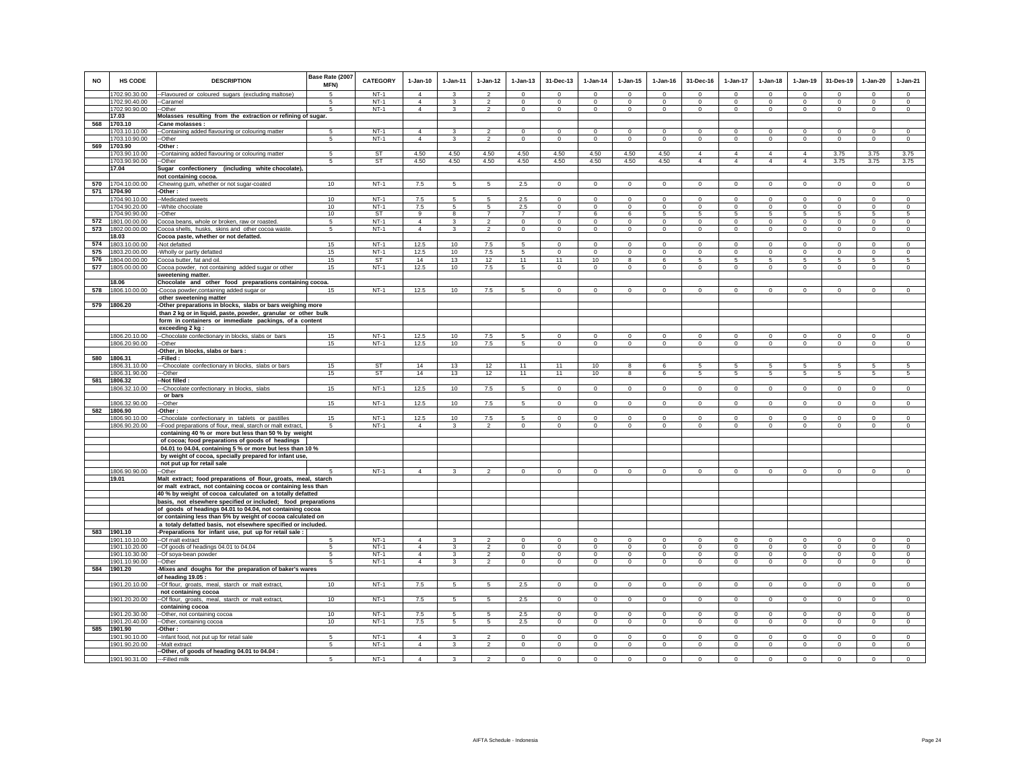| <b>NO</b> | <b>HS CODE</b>                 | <b>DESCRIPTION</b>                                                                                                       | Base Rate (2007<br>MFN) | <b>CATEGORY</b>  | $1-Jan-10$                       | $1-Jan-11$    | $1 - Jan-12$             | $1 - Jan-13$   | 31-Dec-13                  | $1-Jan-14$                 | $1 - Jan-15$              | $1 - Jan-16$             | 31-Dec-16               | $1-Jan-17$          | $1 - Jan-18$               | 1-Jan-19               | 31-Des-19                | $1-Jan-20$             | $1-Jan-21$             |
|-----------|--------------------------------|--------------------------------------------------------------------------------------------------------------------------|-------------------------|------------------|----------------------------------|---------------|--------------------------|----------------|----------------------------|----------------------------|---------------------------|--------------------------|-------------------------|---------------------|----------------------------|------------------------|--------------------------|------------------------|------------------------|
|           | 1702.90.30.00                  | -- Flavoured or coloured sugars (excluding maltose)                                                                      | $\sqrt{5}$              | $NT-1$           | $\overline{4}$                   | $\mathbf{3}$  | $\mathcal{L}$            | $\Omega$       | $\Omega$                   | $\Omega$                   | $\Omega$                  | $\Omega$                 | $\Omega$                | $\Omega$            | $\Omega$                   | $\Omega$               | $\Omega$                 | $\Omega$               | $\Omega$               |
|           | 1702.90.40.00                  | --Caramel                                                                                                                | -5<br>5                 | $NT-1$           | $\overline{4}$<br>$\overline{4}$ | 3             | $\mathcal{P}$            | $\Omega$       | $\Omega$                   | $\Omega$                   | $\Omega$                  | $\Omega$                 | $\Omega$                | $\Omega$            | $\Omega$                   | $\Omega$               | $\Omega$                 | $\Omega$               | $\Omega$               |
|           | 1702.90.90.00<br>17.03         | --Other<br>Molasses resulting from the extraction or refining of sugar.                                                  |                         | $NT-1$           |                                  | 3             | $\overline{2}$           | 0              | $\overline{0}$             | $\mathbf{0}$               | $\mathbf{0}$              | $\mathbf{0}$             | $\mathbf{0}$            | $\mathbf{0}$        | $\mathbf 0$                | $\mathbf{0}$           | 0                        | $\overline{0}$         | $\overline{0}$         |
| 568       | 1703.10                        | -Cane molasses:                                                                                                          |                         |                  |                                  |               |                          |                |                            |                            |                           |                          |                         |                     |                            |                        |                          |                        |                        |
|           | 1703.10.10.00                  | -Containing added flavouring or colouring matter                                                                         | 5                       | $NT-1$           | $\overline{4}$                   | 3             | $\mathfrak{p}$           | $\mathbf 0$    | $\mathsf 0$                | $\mathbf 0$                | $\mathbf 0$               | $\mathbf 0$              | $\mathbf 0$             | $\mathbf 0$         | $\mathbf 0$                | $\mathbf 0$            | $\mathbf 0$              | $\mathbf 0$            | $\mathbf 0$            |
|           | 1703.10.90.00                  | -Other                                                                                                                   | 5                       | $NT-1$           | $\overline{4}$                   | 3             | $\overline{2}$           | $\mathbf 0$    | $\mathbf 0$                | $\mathbf 0$                | $\circ$                   | $\mathbf 0$              | $\mathbf 0$             | $\circ$             | $\mathbf 0$                | $\circ$                | $\mathbf 0$              | $\circ$                | $\circ$                |
| 569       | 1703.90                        | -Other:                                                                                                                  |                         |                  |                                  |               |                          |                |                            |                            |                           |                          |                         |                     |                            |                        |                          |                        |                        |
|           | 1703.90.10.00                  | --Containing added flavouring or colouring matter                                                                        | 5                       | <b>ST</b>        | 4.50                             | 4.50          | 4.50                     | 4.50           | 4.50                       | 4.50                       | 4.50                      | 4.50                     | 4                       | $\overline{4}$      | $\overline{4}$             | $\overline{4}$         | 3.75                     | 3.75                   | 3.75                   |
|           | 1703.90.90.00                  | --Other                                                                                                                  | -5                      | ST               | 4.50                             | 4.50          | 4.50                     | 4.50           | 4.50                       | 4.50                       | 4.50                      | 4.50                     | $\overline{4}$          | $\overline{4}$      | $\overline{4}$             | $\overline{4}$         | 3.75                     | 3.75                   | 3.75                   |
|           | 17.04                          | Sugar confectionery (including white chocolate),<br>not containing cocoa.                                                |                         |                  |                                  |               |                          |                |                            |                            |                           |                          |                         |                     |                            |                        |                          |                        |                        |
| 570       | 1704.10.00.00                  | -Chewing gum, whether or not sugar-coated                                                                                | 10                      | $NT-1$           | 7.5                              | 5             | 5                        | $2.5\,$        | $\mathbf 0$                | 0                          | 0                         | 0                        | $\mathbf 0$             | $\mathbf 0$         | $^{\circ}$                 | $\mathbf 0$            | $^{\circ}$               | 0                      | $\mathbf 0$            |
| 571       | 1704.90                        | -Other:                                                                                                                  |                         |                  |                                  |               |                          |                |                            |                            |                           |                          |                         |                     |                            |                        |                          |                        |                        |
|           | 1704.90.10.00                  | -Medicated sweets                                                                                                        | 10                      | $NT-1$           | 7.5                              | 5             | 5                        | 2.5            | $\mathbf 0$                | $^{\circ}$                 | $\mathbf 0$               | $\mathbf 0$              | $\mathbf 0$             | $\Omega$            | $\Omega$                   | $\mathbf 0$            | $\Omega$                 | $^{\circ}$             | $\mathbf 0$            |
|           | 1704.90.20.00                  | -- White chocolate                                                                                                       | 10                      | $NT-1$           | 7.5                              | 5             | 5                        | 2.5            | $\overline{0}$             | $\,0\,$                    | $\mathbf 0$               | $^{\circ}$               | $\,0\,$                 | $\overline{0}$      | $\mathbf 0$                | $\overline{0}$         | $^{\circ}$               | $\mathbf 0$            | $\mathbf 0$            |
|           | 1704.90.90.00                  | -Other                                                                                                                   | 10                      | <b>ST</b>        | $\alpha$                         | $\mathbf{R}$  | $\overline{7}$           | $\overline{7}$ | $\overline{7}$             | $\epsilon$                 | $\epsilon$                | 5                        | 5                       | $\mathbf{5}$        | $\overline{5}$             | $\mathbf{5}$           | 5                        | 5                      | $\overline{5}$         |
| 572       | 1801.00.00.00                  | Cocoa beans, whole or broken, raw or roasted.                                                                            | 5                       | $NT-1$           | $\overline{4}$<br>$\overline{4}$ | 3<br>3        | $\mathfrak{p}$           | $\Omega$       | $\mathbf 0$                | $\Omega$                   | $\Omega$                  | $\Omega$                 | $\Omega$                | $\Omega$            | $\Omega$                   | $\circ$                | $\Omega$<br>$\Omega$     | $\Omega$               | $\Omega$               |
| 573       | 1802.00.00.00<br>18.03         | Cocoa shells, husks, skins and other cocoa waste.<br>Cocoa paste, whether or not defatted.                               | 5                       | $NT-1$           |                                  |               | $\overline{2}$           | $\mathsf 0$    | $\mathsf 0$                | $\mathbf 0$                | $\mathbf 0$               | $\mathbf 0$              | $\mathbf 0$             | $\mathbf 0$         | $\mathbf 0$                | $\mathbf 0$            |                          | $\mathbf 0$            | $\mathbf 0$            |
| 574       | 1803.10.00.00                  | -Not defatted                                                                                                            | 15                      | $NT-1$           | 12.5                             | 10            | 7.5                      | 5              | $\mathbf 0$                | $\mathbf 0$                | 0                         | $\mathbf 0$              | $^{\circ}$              | $\mathbf 0$         | $\Omega$                   | $\circ$                | $\Omega$                 | $\mathbf 0$            | $\mathbf 0$            |
| 575       | 1803.20.00.00                  | -Wholly or partly defatted                                                                                               | 15                      | $NT-1$           | 12.5                             | 10            | 7.5                      | 5              | $\,0\,$                    | $\mathbf 0$                | 0                         | $\mathbf 0$              | $\mathbf 0$             | $\,0\,$             | $\mathbf 0$                | $\mathbf 0$            | $\mathbf 0$              | $\mathbf 0$            | $\mathbf 0$            |
| 576       | 1804.00.00.00                  | Cocoa butter, fat and oil.                                                                                               | 15                      | ST               | 14                               | 13            | 12                       | 11             | 11                         | 10                         | 8                         | 6                        | 5                       | 5                   | 5                          | 5                      | 5                        | 5                      | 5                      |
| 577       | 1805.00.00.00                  | Cocoa powder, not containing added sugar or other                                                                        | 15                      | $NT-1$           | 12.5                             | 10            | $7.5\,$                  | $\sqrt{5}$     | $\circ$                    | $\mathbf{0}$               | $\mathbf 0$               | $^{\circ}$               | $\mathbf{0}$            | $\mathbf 0$         | $\mathbf{0}$               | $\mathbf 0$            | $\mathbf{0}$             | $\circ$                | $\mathbf 0$            |
|           |                                | sweetening matter.                                                                                                       |                         |                  |                                  |               |                          |                |                            |                            |                           |                          |                         |                     |                            |                        |                          |                        |                        |
|           | 18.06                          | Chocolate and other food preparations containing cocoa.                                                                  |                         |                  |                                  |               |                          |                |                            |                            |                           |                          |                         |                     |                            |                        |                          |                        |                        |
| 578       | 1806.10.00.00                  | -Cocoa powder, containing added sugar or                                                                                 | 15                      | $NT-1$           | 12.5                             | 10            | 7.5                      | 5              | $\mathsf 0$                | $\mathbf 0$                | $\mathbf 0$               | $^{\circ}$               | $\mathbf 0$             | $\mathsf 0$         | $\mathbf 0$                | $\mathbf 0$            | $^{\circ}$               | $^{\circ}$             | $\mathbf 0$            |
| 579       | 1806.20                        | other sweetening matter<br>-Other preparations in blocks, slabs or bars weighing more                                    |                         |                  |                                  |               |                          |                |                            |                            |                           |                          |                         |                     |                            |                        |                          |                        |                        |
|           |                                | than 2 kg or in liquid, paste, powder, granular or other bulk                                                            |                         |                  |                                  |               |                          |                |                            |                            |                           |                          |                         |                     |                            |                        |                          |                        |                        |
|           |                                | form in containers or immediate packings, of a content                                                                   |                         |                  |                                  |               |                          |                |                            |                            |                           |                          |                         |                     |                            |                        |                          |                        |                        |
|           |                                | exceeding 2 kg:                                                                                                          |                         |                  |                                  |               |                          |                |                            |                            |                           |                          |                         |                     |                            |                        |                          |                        |                        |
|           | 1806.20.10.00                  | --Chocolate confectionary in blocks, slabs or bars                                                                       | 15                      | $NT-1$           | 12.5                             | 10            | 7.5                      | 5              | $\mathbf 0$                | $^{\circ}$                 | 0                         | $\mathbf 0$              | $\mathbf 0$             | $\circ$             | $\circ$                    | $\circ$                | $\mathbf 0$              | $\mathbf 0$            | $\mathbf 0$            |
|           | 1806.20.90.00                  | --Other                                                                                                                  | 15                      | $NT-1$           | 12.5                             | 10            | 7.5                      | $\sqrt{5}$     | $\mathbf 0$                | $\mathbf 0$                | 0                         | 0                        | $^{\circ}$              | $\circ$             | $\mathbf{0}$               | $\mathsf 0$            | $\mathbf 0$              | $\mathbf 0$            | $\circ$                |
| 580       | 1806.31                        | Other, in blocks, slabs or bars :<br>-Filled :                                                                           |                         |                  |                                  |               |                          |                |                            |                            |                           |                          |                         |                     |                            |                        |                          |                        |                        |
|           | 1806.31.10.00                  | -Chocolate confectionary in blocks, slabs or bars                                                                        | 15                      | ST               | 14                               | 13            | 12                       | 11             | 11                         | 10                         | 8                         | 6                        |                         | 5                   |                            | 5                      |                          | 5                      | 5                      |
|           | 1806.31.90.00                  | ---Other                                                                                                                 | 15                      | <b>ST</b>        | 14                               | 13            | 12                       | 11             | 11                         | 10                         | 8                         | 6                        | -5                      | $5\phantom{.0}$     | 5                          | 5                      | -5                       | 5                      | 5                      |
| 581       | 1806.32                        | -Not filled                                                                                                              |                         |                  |                                  |               |                          |                |                            |                            |                           |                          |                         |                     |                            |                        |                          |                        |                        |
|           | 1806.32.10.00                  | -Chocolate confectionary in blocks, slabs                                                                                | 15                      | $NT-1$           | 12.5                             | 10            | 7.5                      | 5              | $\mathbf 0$                | $\Omega$                   | $\Omega$                  | $\Omega$                 | $\Omega$                | $\mathsf 0$         | $\mathsf 0$                | $\mathbf 0$            | $\Omega$                 | $\mathbf 0$            | $\Omega$               |
|           |                                | or bars                                                                                                                  |                         |                  |                                  |               |                          |                |                            |                            |                           |                          |                         |                     | $\mathbf{0}$               | $\mathbf{0}$           | $^{\circ}$               |                        | $\circ$                |
| 582       | 1806.32.90.00<br>1806.90       | -Other<br>Other:                                                                                                         | 15                      | $NT-1$           | 12.5                             | 10            | 7.5                      | $\sqrt{5}$     | $\mathbf 0$                | $\,0\,$                    | 0                         | $\mathbf 0$              | $\mathbf 0$             | $\overline{0}$      |                            |                        |                          | $\overline{0}$         |                        |
|           | 1806.90.10.00                  | Chocolate confectionary in tablets or pastilles                                                                          | 15                      | $NT-1$           | 12.5                             | 10            | 7.5                      | 5              | $\overline{0}$             | $^{\circ}$                 | $^{\circ}$                | $^{\circ}$               | $\mathbf 0$             | $\overline{0}$      | $^{\circ}$                 | $^{\circ}$             | $^{\circ}$               | $\overline{0}$         | $\overline{0}$         |
|           | 1806.90.20.00                  | -Food preparations of flour, meal, starch or malt extract,                                                               | -5                      | $NT-1$           | $\overline{4}$                   | 3             | $\mathcal{P}$            | $\Omega$       | $\Omega$                   | $\Omega$                   | $\Omega$                  | 0                        | $\Omega$                | $\mathbf 0$         | $\Omega$                   | $\Omega$               | $\Omega$                 | $\mathbf 0$            | $\Omega$               |
|           |                                | containing 40 % or more but less than 50 % by weight                                                                     |                         |                  |                                  |               |                          |                |                            |                            |                           |                          |                         |                     |                            |                        |                          |                        |                        |
|           |                                | of cocoa; food preparations of goods of headings                                                                         |                         |                  |                                  |               |                          |                |                            |                            |                           |                          |                         |                     |                            |                        |                          |                        |                        |
|           |                                | 04.01 to 04.04, containing 5 % or more but less than 10 %                                                                |                         |                  |                                  |               |                          |                |                            |                            |                           |                          |                         |                     |                            |                        |                          |                        |                        |
|           |                                | by weight of cocoa, specially prepared for infant use,<br>not put up for retail sale                                     |                         |                  |                                  |               |                          |                |                            |                            |                           |                          |                         |                     |                            |                        |                          |                        |                        |
|           | 1806.90.90.00                  | --Other                                                                                                                  | -5                      | $NT-1$           | $\overline{4}$                   | $\mathbf{3}$  | $\overline{2}$           | $\mathbf 0$    | $\mathbf 0$                | $^{\circ}$                 | $^{\circ}$                | $^{\circ}$               | $\circ$                 | $^{\circ}$          | $\mathbf 0$                | $^{\circ}$             | $\mathbf 0$              | $\circ$                | $\circ$                |
|           | 19.01                          | Malt extract; food preparations of flour, groats, meal, starch                                                           |                         |                  |                                  |               |                          |                |                            |                            |                           |                          |                         |                     |                            |                        |                          |                        |                        |
|           |                                | or malt extract, not containing cocoa or containing less than                                                            |                         |                  |                                  |               |                          |                |                            |                            |                           |                          |                         |                     |                            |                        |                          |                        |                        |
|           |                                | 40 % by weight of cocoa calculated on a totally defatted                                                                 |                         |                  |                                  |               |                          |                |                            |                            |                           |                          |                         |                     |                            |                        |                          |                        |                        |
|           |                                | basis, not elsewhere specified or included; food preparations                                                            |                         |                  |                                  |               |                          |                |                            |                            |                           |                          |                         |                     |                            |                        |                          |                        |                        |
|           |                                | of goods of headings 04.01 to 04.04, not containing cocoa<br>or containing less than 5% by weight of cocoa calculated on |                         |                  |                                  |               |                          |                |                            |                            |                           |                          |                         |                     |                            |                        |                          |                        |                        |
|           |                                | a totaly defatted basis, not elsewhere specified or included.                                                            |                         |                  |                                  |               |                          |                |                            |                            |                           |                          |                         |                     |                            |                        |                          |                        |                        |
| 583       | 1901.10                        | -Preparations for infant use, put up for retail sale                                                                     |                         |                  |                                  |               |                          |                |                            |                            |                           |                          |                         |                     |                            |                        |                          |                        |                        |
|           | 1901.10.10.00                  | --Of malt extract                                                                                                        | 5                       | $NT-1$           | $\overline{4}$                   | 3             | $\overline{\phantom{a}}$ | $\overline{0}$ | $\overline{0}$             | $^{\circ}$                 | $\overline{0}$            | $\mathbf 0$              | $\overline{0}$          | $\Omega$            | $\overline{0}$             | $\mathbf 0$            | $\Omega$                 | $^{\circ}$             | $^{\circ}$             |
|           | 1901.10.20.00                  | --Of goods of headings 04.01 to 04.04                                                                                    | -5                      | $NT-1$           | $\overline{4}$                   | 3             | $\mathcal{P}$            | $\Omega$       | $\Omega$                   | $\Omega$                   | $\Omega$                  | $\Omega$                 | $\Omega$                | $\Omega$            | $\Omega$                   | $\Omega$               | $\Omega$                 | $\Omega$               | $\Omega$               |
|           | 1901.10.30.00                  | --Of soya-bean powder                                                                                                    | 5                       | $NT-1$           | $\overline{4}$                   | 3             | $\overline{2}$           | $\mathbf 0$    | $\overline{0}$             | $\mathbf 0$                | $\mathbf 0$               | $\mathbf 0$              | $\mathbf{0}$            | $\,0\,$             | $\mathbf 0$                | $\mathbf{0}$           | $\mathbf 0$              | $\mathbf 0$            | $\mathbf{0}$           |
|           | 1901.10.90.00                  | -Other                                                                                                                   | 5                       | $NT-1$           | $\Delta$                         | 3             | $\mathcal{P}$            | $\mathbf 0$    | $\overline{0}$             | $\Omega$                   | $\mathbf 0$               | $\Omega$                 | $\Omega$                | $\circ$             | $\Omega$                   | $\mathbf 0$            | $\Omega$                 | $\mathbf 0$            | $\circ$                |
| 584       | 1901.20                        | Mixes and doughs for the preparation of baker's wares<br>of heading 19.05 :                                              |                         |                  |                                  |               |                          |                |                            |                            |                           |                          |                         |                     |                            |                        |                          |                        |                        |
|           | 1901.20.10.00                  | --Of flour, groats, meal, starch or malt extract,                                                                        | 10                      | $NT-1$           | 7.5                              | -5            | 5                        | 2.5            | $\mathbf 0$                | $\mathbf 0$                | $\mathbf 0$               | $\mathbf 0$              | $\mathbf 0$             | $\circ$             | $\mathbf 0$                | $\circ$                | $\mathbf 0$              | $\mathbf 0$            | $\mathbf 0$            |
|           |                                | not containing cocoa                                                                                                     |                         |                  |                                  |               |                          |                |                            |                            |                           |                          |                         |                     |                            |                        |                          |                        |                        |
|           | 1901.20.20.00                  | -- Of flour, groats, meal, starch or malt extract,                                                                       | 10                      | $NT-1$           | 7.5                              | 5             | 5 <sub>5</sub>           | 2.5            | $\circ$                    | $\mathbf 0$                | $\circ$                   | $\mathbf 0$              | $\Omega$                | $\mathbf{0}$        | $\mathbf{0}$               | $\circ$                | $\mathbf 0$              | $\circ$                | $\circ$                |
|           |                                | containing cocoa                                                                                                         |                         |                  |                                  |               |                          |                |                            |                            |                           |                          |                         |                     |                            |                        |                          |                        |                        |
|           | 1901.20.30.00<br>1901.20.40.00 | --Other, not containing cocoa<br>-Other, containing cocoa                                                                | 10<br>10 <sup>1</sup>   | $NT-1$<br>$NT-1$ | 7.5<br>7.5                       | 5<br>5        | 5<br>5                   | $2.5\,$<br>2.5 | $\mathbf 0$<br>$\mathbf 0$ | $\mathbf{0}$<br>$^{\circ}$ | $\mathbf 0$<br>$^{\circ}$ | $^{\circ}$<br>$^{\circ}$ | $\mathbf 0$<br>$\Omega$ | $\circ$<br>$\Omega$ | $^{\circ}$<br>$\mathbf{0}$ | $\mathbf 0$<br>$\circ$ | $^{\circ}$<br>$^{\circ}$ | $\mathbf 0$<br>$\circ$ | $\mathbf 0$<br>$\circ$ |
| 585       | 1901.90                        | -Other:                                                                                                                  |                         |                  |                                  |               |                          |                |                            |                            |                           |                          |                         |                     |                            |                        |                          |                        |                        |
|           | 1901.90.10.00                  | -Infant food, not put up for retail sale                                                                                 | 5                       | $NT-1$           | $\overline{4}$                   | 3             | $\mathfrak{p}$           | $\mathbf 0$    | $^{\circ}$                 | $\Omega$                   | $\mathbf 0$               | $\Omega$                 | $\mathbf 0$             | $\Omega$            | $\Omega$                   | $\Omega$               | $\Omega$                 | $^{\circ}$             | $\Omega$               |
|           | 1901.90.20.00                  | --Malt extract                                                                                                           | 5                       | $NT-1$           | $\Delta$                         | $\mathcal{R}$ | $\mathcal{L}$            | $\Omega$       | $\mathbf 0$                | $^{\circ}$                 | $\Omega$                  | $\Omega$                 | $\Omega$                | $\circ$             | $\Omega$                   | $\Omega$               | $\Omega$                 | $\mathbf 0$            | $\Omega$               |
|           |                                | --Other, of goods of heading 04.01 to 04.04                                                                              |                         |                  |                                  |               |                          |                |                            |                            |                           |                          |                         |                     |                            |                        |                          |                        |                        |
|           | 1901.90.31.00                  | ---Filled milk                                                                                                           | 5                       | $NT-1$           | $\Delta$                         | $\mathbf{R}$  | $\mathfrak{p}$           | $\Omega$       | $\Omega$                   | $\Omega$                   | $\Omega$                  | $\Omega$                 | $\Omega$                | $\Omega$            | $\Omega$                   | $\Omega$               | $\Omega$                 | $\Omega$               | $\Omega$               |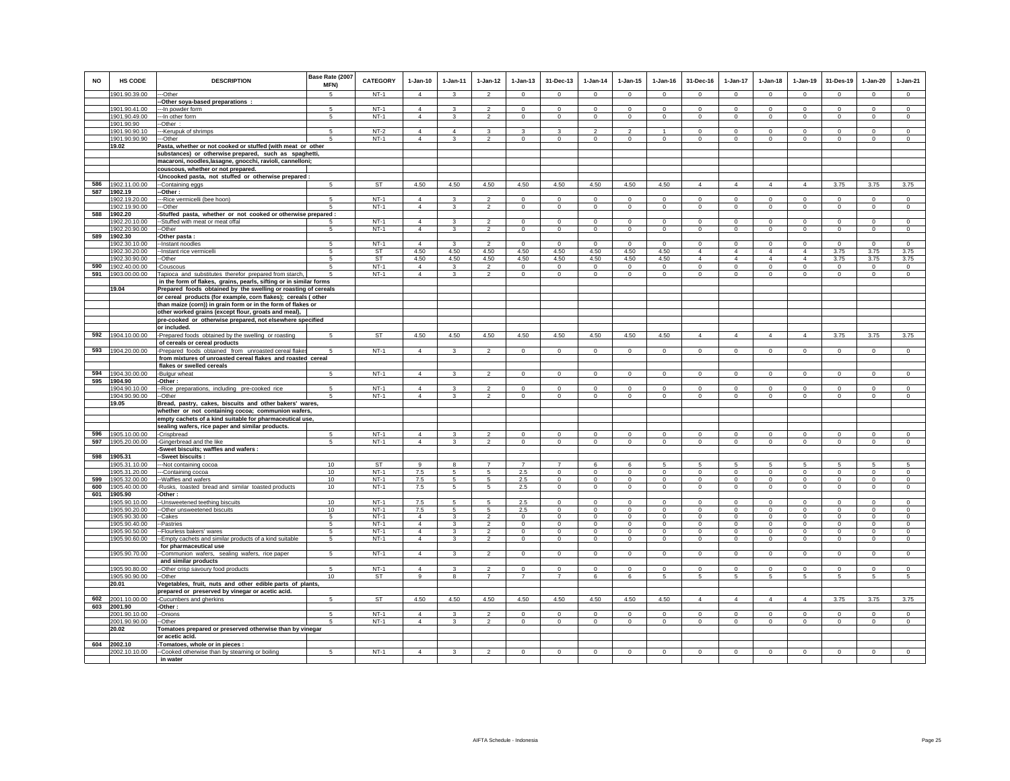| <b>NO</b> | <b>HS CODE</b>           | <b>DESCRIPTION</b>                                                                    | Base Rate (2007<br>MFN) | <b>CATEGORY</b> | $1-Jan-10$     | $1 - Jan-11$            | $1 - Jan-12$             | $1 - Jan-13$                  | 31-Dec-13                    | $1 - Jan-14$   | $1 - Jan-15$ | 1-Jan-16     | 31-Dec-16      | $1 - Jan-17$   | $1-Jan-18$     | $1 - Jan-19$   | 31-Des-19      | $1-Jan-20$  | $1-Jan-21$     |
|-----------|--------------------------|---------------------------------------------------------------------------------------|-------------------------|-----------------|----------------|-------------------------|--------------------------|-------------------------------|------------------------------|----------------|--------------|--------------|----------------|----------------|----------------|----------------|----------------|-------------|----------------|
|           | 1901.90.39.00            | --Other                                                                               | -5                      | $NT-1$          | $\overline{4}$ | $\mathbf{3}$            | $\overline{\phantom{a}}$ | $\Omega$                      | $\Omega$                     | $\Omega$       | $\Omega$     | $\Omega$     | $\Omega$       | $\Omega$       | $\Omega$       | $\Omega$       | $\Omega$       | $\Omega$    | $\Omega$       |
|           |                          | -Other soya-based preparations :                                                      |                         |                 |                |                         |                          |                               |                              |                |              |              |                |                |                |                |                |             |                |
|           | 1901.90.41.00            | --- In powder form                                                                    | 5                       | $NT-1$          | $\overline{4}$ | 3                       | $\overline{2}$           | $\circ$                       | $\mathbf 0$                  | $^{\circ}$     | $^{\circ}$   | $^{\circ}$   | $^{\circ}$     | 0              | $^{\circ}$     | $^{\circ}$     | $\overline{0}$ | $\circ$     | $^{\circ}$     |
|           | 1901.90.49.00            | --- In other form                                                                     | 5                       | $NT-1$          | $\overline{4}$ | 3                       | $\overline{\mathbf{2}}$  | $\mathbf 0$                   | $\overline{0}$               | $\mathbf 0$    | 0            | $\mathbf{0}$ | $^{\circ}$     | $\mathbf 0$    | $\mathbf 0$    | $\mathbf 0$    | $\mathbf 0$    | $^{\circ}$  | $\mathbf 0$    |
|           | 1901.90.90               | -Other                                                                                |                         |                 |                |                         |                          |                               |                              |                |              |              |                |                |                |                |                |             |                |
|           | 1901.90.90.10            | ---Kerupuk of shrimps                                                                 |                         | $NT-2$          | 4              | $\Delta$                | 3                        | 3                             | 3                            | 2              |              |              | $\mathbf 0$    | $\mathbf 0$    | $^{\circ}$     | $^{\circ}$     | $^{\circ}$     | 0           | $^{\circ}$     |
|           | 1901.90.90.90<br>19.02   | ---Other                                                                              |                         | $NT-1$          | $\Delta$       | 3                       | $\overline{2}$           | $\overline{0}$                | $\mathbf 0$                  | $\mathbf 0$    | $\mathbf 0$  | $\Omega$     | $\mathbf 0$    | $\overline{0}$ | $\mathbf 0$    | 0              | $\mathbf 0$    | $\Omega$    | $\Omega$       |
|           |                          | Pasta, whether or not cooked or stuffed (with meat or other                           |                         |                 |                |                         |                          |                               |                              |                |              |              |                |                |                |                |                |             |                |
|           |                          | substances) or otherwise prepared, such as spaghetti,                                 |                         |                 |                |                         |                          |                               |                              |                |              |              |                |                |                |                |                |             |                |
|           |                          | macaroni, noodles, lasagne, gnocchi, ravioli, cannelloni;                             |                         |                 |                |                         |                          |                               |                              |                |              |              |                |                |                |                |                |             |                |
|           |                          | couscous, whether or not prepared.                                                    |                         |                 |                |                         |                          |                               |                              |                |              |              |                |                |                |                |                |             |                |
| 586       | 1902.11.00.00            | -Uncooked pasta, not stuffed or otherwise prepared                                    | 5                       | ST              | 4.50           | 4.50                    | 4.50                     | 4.50                          | 4.50                         | 4.50           | 4.50         | 4.50         | $\overline{4}$ | $\overline{4}$ | $\overline{4}$ | $\overline{4}$ | 3.75           | 3.75        | 3.75           |
| 587       | 1902.19                  | -Containing eggs<br>-Other :                                                          |                         |                 |                |                         |                          |                               |                              |                |              |              |                |                |                |                |                |             |                |
|           | 1902.19.20.00            | -Rice vermicelli (bee hoon)                                                           | 5                       | $NT-1$          | $\overline{4}$ |                         |                          | $\Omega$                      | $\Omega$                     | $\Omega$       | $\Omega$     | $\Omega$     | $\Omega$       | $\Omega$       | $\Omega$       | $\Omega$       | $\Omega$       | $\Omega$    | $\Omega$       |
|           | 1902.19.90.00            | --Other                                                                               | 5                       | $NT-1$          | $\overline{4}$ | 3                       | $\overline{2}$           | $\mathbf 0$                   | $^{\circ}$                   | $\mathbf 0$    | 0            | $^{\circ}$   | $\mathbf 0$    | $\mathbf 0$    | 0              | $^{\circ}$     | $^{\circ}$     | $^{\circ}$  | $^{\circ}$     |
| 588       | 1902.20                  | -Stuffed pasta, whether or not cooked or otherwise prepared :                         |                         |                 |                |                         |                          |                               |                              |                |              |              |                |                |                |                |                |             |                |
|           | 1902.20.10.00            | -Stuffed with meat or meat offal                                                      | 5                       | $NT-1$          | $\overline{4}$ | 3                       | $\overline{\phantom{a}}$ | $\Omega$                      | $\Omega$                     | $\Omega$       | $\Omega$     | $\Omega$     | $\Omega$       | $\overline{0}$ | $\Omega$       | $\Omega$       | $\overline{0}$ | $\Omega$    | $\Omega$       |
|           | 1902.20.90.00            | -Other                                                                                | 5                       | $NT-1$          | $\overline{4}$ | 3                       | $\mathfrak{p}$           | $\mathbf 0$                   | $\mathbf 0$                  | $\mathbf 0$    | $\mathbf 0$  | $\mathbf 0$  | $\mathbf 0$    | $\mathbf 0$    | $\mathbf 0$    | $\mathbf 0$    | $^{\circ}$     | $\mathbf 0$ | $\mathbf 0$    |
| 589       | 1902.30                  | Other pasta :                                                                         |                         |                 |                |                         |                          |                               |                              |                |              |              |                |                |                |                |                |             |                |
|           | 1902.30.10.00            | -Instant noodles                                                                      | 5                       | $NT-1$          | $\overline{4}$ | 3                       | $\overline{\phantom{a}}$ | $\Omega$                      | $\Omega$                     | $^{\circ}$     | $\Omega$     | $\Omega$     | $\Omega$       | $^{\circ}$     | $\Omega$       | $^{\circ}$     | $^{\circ}$     | $\Omega$    | $\Omega$       |
|           | 1902.30.20.00            | -Instant rice vermicelli                                                              |                         | ST              | 4.50           | 4.50                    | 4.50                     | 4.50                          | 4.50                         | 4.50           | 4.50         | 4.50         | $\overline{4}$ | $\overline{4}$ | $\overline{4}$ | $\overline{4}$ | 3.75           | 3.75        | 3.75           |
|           | 1902.30.90.00            | -Other                                                                                |                         | ST              | 4.50           | 4.50                    | 4.50                     | 4.50                          | 4.50                         | 4.50           | 4.50         | 4.50         | $\overline{4}$ | 4              | $\overline{a}$ | $\overline{4}$ | 3.75           | 3.75        | 3.75           |
| 590       | 1902.40.00.00            | -Couscous                                                                             | -5                      | $NT-1$          | $\overline{4}$ | $\mathbf{3}$            | $\mathfrak{p}$           | $^{\circ}$                    | $^{\circ}$                   | $^{\circ}$     | 0            | $^{\circ}$   | $^{\circ}$     | $\mathbf 0$    | $\mathbf 0$    | $^{\circ}$     | $^{\circ}$     | $^{\circ}$  | $^{\circ}$     |
| 591       | 1903.00.00.00            | Tapioca and substitutes therefor prepared from starch,                                |                         | <b>NT-1</b>     | $\overline{4}$ | 3                       | $\overline{a}$           | $\mathsf 0$                   | $\mathbf 0$                  | $\mathbf 0$    | $\mathbf 0$  | $\,0\,$      | $\mathbf 0$    | $\mathsf 0$    | $\mathbf 0$    | $\mathbf 0$    | $\mathbf 0$    | $\mathbf 0$ | $\mathbf 0$    |
|           |                          | in the form of flakes, grains, pearls, sifting or in similar forms                    |                         |                 |                |                         |                          |                               |                              |                |              |              |                |                |                |                |                |             |                |
|           | 19.04                    | Prepared foods obtained by the swelling or roasting of cereals                        |                         |                 |                |                         |                          |                               |                              |                |              |              |                |                |                |                |                |             |                |
|           |                          | or cereal products (for example, corn flakes); cereals ( other                        |                         |                 |                |                         |                          |                               |                              |                |              |              |                |                |                |                |                |             |                |
|           |                          | than maize (corn)) in grain form or in the form of flakes or                          |                         |                 |                |                         |                          |                               |                              |                |              |              |                |                |                |                |                |             |                |
|           |                          | other worked grains (except flour, groats and meal),                                  |                         |                 |                |                         |                          |                               |                              |                |              |              |                |                |                |                |                |             |                |
|           |                          | pre-cooked or otherwise prepared, not elsewhere specified<br>or included.             |                         |                 |                |                         |                          |                               |                              |                |              |              |                |                |                |                |                |             |                |
| 592       | 1904.10.00.00            |                                                                                       | -5                      | ST              | 4.50           | 4.50                    | 4.50                     | 4.50                          | 4.50                         | 4.50           | 4.50         | 4.50         | $\overline{4}$ | $\overline{4}$ | $\overline{4}$ | $\overline{4}$ | 3.75           | 3.75        | 3.75           |
|           |                          | -Prepared foods obtained by the swelling or roasting<br>of cereals or cereal products |                         |                 |                |                         |                          |                               |                              |                |              |              |                |                |                |                |                |             |                |
| 593       | 1904.20.00.00            | -Prepared foods obtained from unroasted cereal flakes                                 |                         | $NT-1$          | $\overline{4}$ | $\mathbf{3}$            | $\overline{2}$           | $\mathsf 0$                   | $\mathsf 0$                  | $\mathbf 0$    | 0            | $\mathbf 0$  | $\mathsf 0$    | $\mathbf 0$    | $\mathbf 0$    | $\mathbf 0$    | $\mathbf 0$    | $\mathbf 0$ | $\mathbf 0$    |
|           |                          | from mixtures of unroasted cereal flakes and roasted cereal                           |                         |                 |                |                         |                          |                               |                              |                |              |              |                |                |                |                |                |             |                |
|           |                          | flakes or swelled cereals                                                             |                         |                 |                |                         |                          |                               |                              |                |              |              |                |                |                |                |                |             |                |
| 594       | 1904.30.00.00            | -Bulgur wheat                                                                         | 5                       | $NT-1$          | $\overline{4}$ | 3                       | $\overline{2}$           | $\mathbf 0$                   | $\mathbf 0$                  | $\mathbf 0$    | $\mathbf 0$  | $\mathbf 0$  | $\mathbf 0$    | $\mathbf 0$    | $^{\circ}$     | $^{\circ}$     | $\mathbf 0$    | $\mathbf 0$ | $\Omega$       |
| 595       | 1904.90                  | -Other:                                                                               |                         |                 |                |                         |                          |                               |                              |                |              |              |                |                |                |                |                |             |                |
|           | 1904.90.10.00            | -Rice preparations, including pre-cooked rice                                         | 5                       | <b>NT-1</b>     | 4              |                         |                          | $\Omega$                      | $\Omega$                     | $\Omega$       | $\Omega$     | $\Omega$     | $\Omega$       | $\Omega$       | $\Omega$       | $\Omega$       | $\Omega$       | $\Omega$    | $\Omega$       |
|           | 1904.90.90.00            | --Other                                                                               |                         | $NT-1$          | $\overline{4}$ |                         | $\overline{2}$           | $\mathbf 0$                   | $\mathbf 0$                  | $\mathbf 0$    | $\mathbf 0$  | $\mathbf 0$  | $\mathbf 0$    | $\mathbf 0$    | $^{\circ}$     | $^{\circ}$     | $^{\circ}$     | $\mathbf 0$ | $\mathbf 0$    |
|           | 19.05                    | Bread, pastry, cakes, biscuits and other bakers' wares,                               |                         |                 |                |                         |                          |                               |                              |                |              |              |                |                |                |                |                |             |                |
|           |                          | whether or not containing cocoa; communion wafers,                                    |                         |                 |                |                         |                          |                               |                              |                |              |              |                |                |                |                |                |             |                |
|           |                          | empty cachets of a kind suitable for pharmaceutical use,                              |                         |                 |                |                         |                          |                               |                              |                |              |              |                |                |                |                |                |             |                |
|           |                          | sealing wafers, rice paper and similar products.                                      |                         |                 |                |                         |                          |                               |                              |                |              |              |                |                |                |                |                |             |                |
| 596       | 1905.10.00.00            | -Crispbread                                                                           | 5                       | $NT-1$          | $\overline{4}$ | 3                       | $\mathcal{P}$            | $\mathsf 0$                   | $\mathsf 0$                  | $\circ$        | $\mathbf 0$  | $\circ$      | $\mathsf 0$    | $\mathbf 0$    | $\mathbf 0$    | $\mathbf 0$    | $\mathbf 0$    | $\circ$     | $\circ$        |
| 597       | 1905.20.00.00            | -Gingerbread and the like                                                             | 5                       | $NT-1$          | $\overline{4}$ | 3                       | $\mathcal{L}$            | $\circ$                       | $^{\circ}$                   | $\Omega$       | $\mathbf 0$  | $\Omega$     | $\mathbf 0$    | $\mathsf 0$    | $\mathbf 0$    | $\mathbf 0$    | $^{\circ}$     | $\Omega$    | $\Omega$       |
|           |                          | -Sweet biscuits; waffles and wafers :                                                 |                         |                 |                |                         |                          |                               |                              |                |              |              |                |                |                |                |                |             |                |
| 598       | 1905.31<br>1905.31.10.00 | -Sweet biscuits :                                                                     | 10                      | <b>ST</b>       | $\alpha$       | $\mathbf{R}$            |                          | $\overline{7}$                |                              | $\mathbf{6}$   | 6            | 5            | 5              | 5              | 5              | -5             | 5              | 5           | 5              |
|           | 1905.31.20.00            | ---Not containing cocoa<br>---Containing cocoa                                        | 10                      | $NT-1$          | 7.5            | 5                       | 5                        | 2.5                           | $\mathbf 0$                  | $\mathbf 0$    | $\mathbf 0$  | $\circ$      | $\mathbf{0}$   | $\mathbf 0$    | $\mathbf{0}$   | $^{\circ}$     | $\circ$        | $\mathbf 0$ | $\overline{0}$ |
|           | 599 1905.32.00.00        | --Waffles and wafers                                                                  | 10                      | <b>NT-1</b>     | 7.5            | $5\phantom{.0}$         | 5                        | 2.5                           | $\overline{0}$               | $\mathbf 0$    | $\mathbf 0$  | $\mathbf 0$  | $\mathbf 0$    | $\mathbf 0$    | $\mathbf 0$    | $\mathbf 0$    | $\mathbf 0$    | $\mathbf 0$ | $\mathbf 0$    |
| 600       | 1905.40.00.00            | -Rusks, toasted bread and similar toasted products                                    | 10                      | <b>NT-1</b>     | 7.5            | 5                       | 5                        | 2.5                           | $\overline{0}$               | $\mathbf{0}$   | 0            | $\mathbf{0}$ | $\mathbf{0}$   | $\mathbf{0}$   | $\mathbf{0}$   | $\mathbf{0}$   | $\mathbf{0}$   | $\mathbf 0$ | $\mathbf 0$    |
| 601       | 1905.90                  | -Other:                                                                               |                         |                 |                |                         |                          |                               |                              |                |              |              |                |                |                |                |                |             |                |
|           | 1905.90.10.00            | -Unsweetened teething biscuits                                                        | 10                      | $NT-1$          | 7.5            | -5                      | 5                        | 2.5                           | $\Omega$                     | $\Omega$       | $\Omega$     | $\Omega$     | $\Omega$       | $\Omega$       | $\Omega$       | $\Omega$       | $\Omega$       | $\Omega$    | $\Omega$       |
|           | 1905.90.20.00            | -Other unsweetened biscuits                                                           | 10                      | $NT-1$          | 7.5            | 5                       | 5                        | 2.5                           | $^{\circ}$                   | $\mathbf 0$    | $^{\circ}$   | $^{\circ}$   | $\mathbf 0$    | 0              | 0              | $^{\circ}$     | $^{\circ}$     | $^{\circ}$  | $^{\circ}$     |
|           | 1905.90.30.00            | -Cakes                                                                                | -5                      | $NT-1$          | $\Delta$       | $\overline{\mathbf{3}}$ | $\overline{2}$           | $\overline{0}$                | $\Omega$                     | $\overline{0}$ | $\Omega$     | $\Omega$     | $\Omega$       | $\overline{0}$ | $\Omega$       | $\Omega$       | $\overline{0}$ | $\Omega$    | $\Omega$       |
|           | 1905.90.40.00            | -Pastries                                                                             | 5                       | $NT-1$          | $\overline{4}$ | $\mathbf{R}$            | $\mathfrak{p}$           | $\Omega$                      | $\Omega$                     | $\Omega$       | $\Omega$     | $\Omega$     | $\mathbf{0}$   | $\mathbf{0}$   | $\Omega$       | $\Omega$       | $\Omega$       | $\Omega$    | $\mathbf{0}$   |
|           | 1905.90.50.00            | -Flourless bakers' wares                                                              | 5                       | $NT-1$          | $\overline{4}$ | 3                       | $\overline{2}$           | $\mathbf 0$                   | $\mathbf 0$                  | $\mathbf 0$    | $\mathbf 0$  | $\mathbf 0$  | $\mathbf 0$    | $\mathbf 0$    | $\mathbf 0$    | $\mathbf 0$    | $^{\circ}$     | $\mathbf 0$ | $\mathbf 0$    |
|           | 1905.90.60.00            | -Empty cachets and similar products of a kind suitable                                | 5                       | $NT-1$          | $\overline{4}$ | 3                       | $\overline{2}$           | $\mathbf 0$                   | $\mathbf{0}$                 | $\mathbf 0$    | $\mathbf 0$  | $\mathbf 0$  | $\mathbf 0$    | $\circ$        | $\circ$        | $\mathbf 0$    | $\circ$        | $\mathbf 0$ | $\circ$        |
|           |                          | for pharmaceutical use                                                                |                         |                 |                |                         |                          |                               |                              |                |              |              |                |                |                |                |                |             |                |
|           | 1905.90.70.00            | --Communion wafers, sealing wafers, rice paper                                        | 5                       | $NT-1$          | $\overline{4}$ | 3                       | $\overline{\mathbf{c}}$  | $\mathbf 0$                   | $\mathbf 0$                  | $\mathbf 0$    | $\mathbf{0}$ | $\mathbf 0$  | $\mathbf 0$    | $\mathbf 0$    | $\mathbf 0$    | $\circ$        | $\circ$        | $\mathbf 0$ | $\mathsf 0$    |
|           |                          | and similar products                                                                  | 5                       |                 | $\overline{4}$ | 3                       | $\overline{2}$           |                               |                              |                | $\Omega$     | $\Omega$     |                |                |                |                |                |             | $\Omega$       |
|           | 1905.90.80.00            | -Other crisp savoury food products                                                    |                         | $NT-1$          | 9              |                         |                          | $\mathbf 0$<br>$\overline{7}$ | $^{\circ}$<br>$\overline{7}$ | $\mathbf 0$    |              |              | $\mathbf 0$    | $\circ$        | $\mathbf{0}$   | $^{\circ}$     | $\mathbf 0$    | $\mathbf 0$ | 5              |
|           | 1905.90.90.00<br>20.01   | -Other<br>Vegetables, fruit, nuts and other edible parts of plants,                   | 10                      | <b>ST</b>       |                | 8                       | $\overline{7}$           |                               |                              | 6              | 6            | 5            | 5              | 5              | 5              | 5              | $\sqrt{5}$     | 5           |                |
|           |                          | prepared or preserved by vinegar or acetic acid.                                      |                         |                 |                |                         |                          |                               |                              |                |              |              |                |                |                |                |                |             |                |
|           | 602 2001.10.00.00        |                                                                                       | 5                       | ST              | 4.50           | 4.50                    | 4.50                     | 4.50                          | 4.50                         | 4.50           | 4.50         | 4.50         | $\overline{4}$ | $\overline{4}$ | $\overline{4}$ | $\overline{4}$ | 3.75           | 3.75        | 3.75           |
|           | 603 2001.90              | -Cucumbers and gherkins<br>-Other:                                                    |                         |                 |                |                         |                          |                               |                              |                |              |              |                |                |                |                |                |             |                |
|           | 2001.90.10.00            | --Onions                                                                              |                         | $NT-1$          | $\Delta$       |                         |                          | 0                             | 0                            | 0              | 0            | 0            | 0              | 0              | 0              | 0              | 0              | 0           | 0              |
|           | 2001.90.90.00            | -Other                                                                                | 5                       | $NT-1$          | $\overline{4}$ | $\mathbf{3}$            | $\overline{2}$           | $\mathbf 0$                   | $\mathbf{0}$                 | $\circ$        | $\mathbf 0$  | $\circ$      | $\mathbf 0$    | $\circ$        | $\circ$        | $\mathbf 0$    | $\mathbf{0}$   | $\circ$     | $\circ$        |
|           | 20.02                    | Tomatoes prepared or preserved otherwise than by vinegar                              |                         |                 |                |                         |                          |                               |                              |                |              |              |                |                |                |                |                |             |                |
|           |                          | or acetic acid.                                                                       |                         |                 |                |                         |                          |                               |                              |                |              |              |                |                |                |                |                |             |                |
| 604       | 2002.10                  | -Tomatoes, whole or in pieces :                                                       |                         |                 |                |                         |                          |                               |                              |                |              |              |                |                |                |                |                |             |                |
|           | 2002.10.10.00            | -- Cooked otherwise than by steaming or boiling                                       |                         | $NT-1$          | $\overline{4}$ |                         |                          | $\Omega$                      |                              | $\Omega$       | $\Omega$     | $\Omega$     | $\Omega$       | $\Omega$       | $\Omega$       |                | $\Omega$       | $\Omega$    | $\Omega$       |
|           |                          | in water                                                                              |                         |                 |                |                         |                          |                               |                              |                |              |              |                |                |                |                |                |             |                |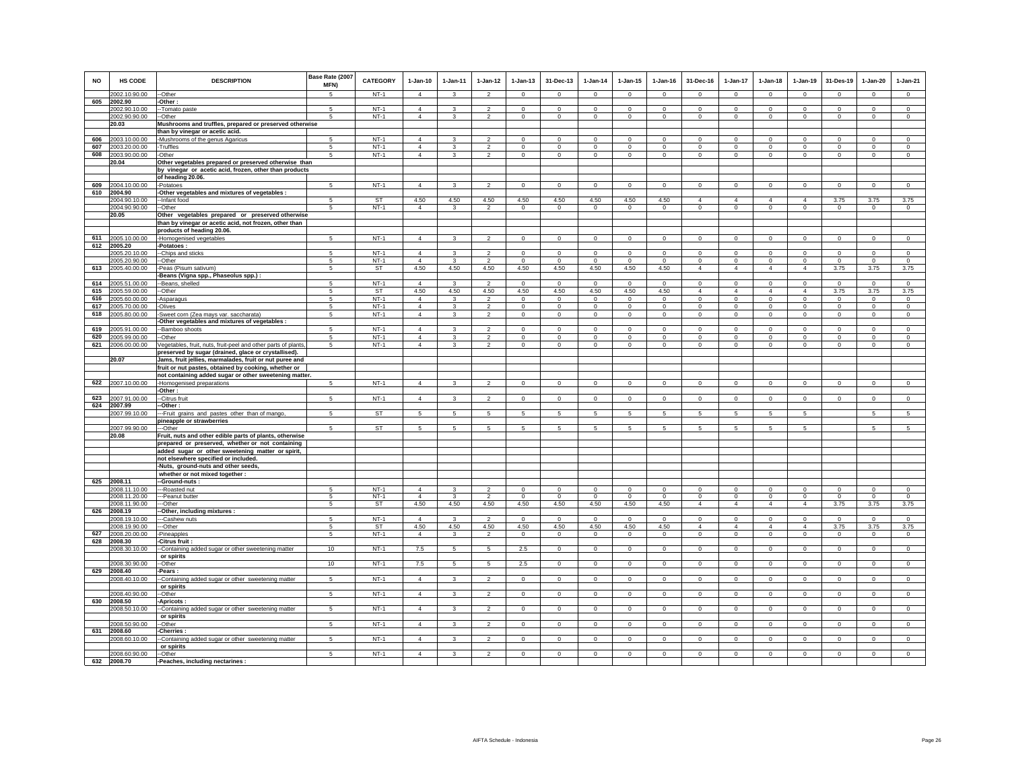| NO         | <b>HS CODE</b>                 | <b>DESCRIPTION</b>                                                                                                    | Base Rate (2007<br>MFN) | <b>CATEGORY</b>  | $1-Jan-10$                       | $1-Jan-11$     | $1 - Jan-12$                              | $1-Jan-13$                 | 31-Dec-13                  | $1-Jan-14$               | $1-Jan-15$                 | $1-Jan-16$               | 31-Dec-16                  | 1-Jan-17                   | $1-Jan-18$               | $1-Jan-19$                 | 31-Des-19                | $1-Jan-20$                 | $1-Jan-21$               |
|------------|--------------------------------|-----------------------------------------------------------------------------------------------------------------------|-------------------------|------------------|----------------------------------|----------------|-------------------------------------------|----------------------------|----------------------------|--------------------------|----------------------------|--------------------------|----------------------------|----------------------------|--------------------------|----------------------------|--------------------------|----------------------------|--------------------------|
|            | 2002.10.90.00                  | -Other                                                                                                                | 5                       | $NT-1$           | $\overline{4}$                   | 3              | $\overline{2}$                            | 0                          | $\mathbf 0$                | $\overline{0}$           | $^{\circ}$                 | $^{\circ}$               | $^{\circ}$                 | $\mathbf{0}$               | $^{\circ}$               | $^{\circ}$                 | $\mathbf{0}$             | $\mathbf{0}$               | $\circ$                  |
| 605        | 2002.90                        | -Other:                                                                                                               |                         |                  |                                  |                |                                           |                            |                            |                          |                            |                          |                            |                            |                          |                            |                          |                            |                          |
|            | 2002.90.10.00<br>2002.90.90.00 | -Tomato paste<br>-Other                                                                                               | 5<br>5                  | $NT-1$<br>NT-1   | $\overline{4}$<br>$\overline{4}$ | 3<br>3         | $\mathfrak{p}$<br>$\overline{2}$          | $\Omega$<br>$\mathbf 0$    | $\Omega$<br>$\mathbf{0}$   | $\Omega$<br>$\mathbf{0}$ | $\Omega$<br>0              | $\Omega$<br>$\mathbf{0}$ | $\Omega$<br>$\mathbf{0}$   | $\Omega$<br>$\mathbf{0}$   | $\Omega$<br>$\mathbf{0}$ | $\Omega$<br>$\overline{0}$ | $\Omega$<br>$\mathbf{0}$ | $\Omega$<br>$\mathbf{0}$   | $\Omega$<br>$\mathbf{0}$ |
|            | 20.03                          | Mushrooms and truffles, prepared or preserved otherwise                                                               |                         |                  |                                  |                |                                           |                            |                            |                          |                            |                          |                            |                            |                          |                            |                          |                            |                          |
|            |                                | than by vinegar or acetic acid.                                                                                       |                         |                  |                                  |                |                                           |                            |                            |                          |                            |                          |                            |                            |                          |                            |                          |                            |                          |
| 606        | 2003.10.00.00                  | Mushrooms of the genus Agaricus                                                                                       | 5<br>5                  | $NT-1$           | $\overline{4}$                   | 3              | $\overline{2}$                            | $\mathbf 0$                | $\mathbf 0$                | $\mathbf 0$              | $\mathbf 0$                | $\circ$                  | $\circ$                    | $\mathbf 0$                | $\mathbf 0$              | $\mathbf 0$                | $^{\circ}$               | $\mathbf 0$                | $\circ$                  |
| 607<br>608 | 2003.20.00.00<br>2003.90.00.00 | Truffles<br>-Other                                                                                                    | 5                       | $NT-1$<br>$NT-1$ | $\overline{4}$<br>$\overline{4}$ | 3<br>3         | $\overline{\mathbf{c}}$<br>$\overline{a}$ | $\mathbf 0$<br>$\mathbf 0$ | $\mathbf 0$<br>$\mathbf 0$ | 0<br>$\circ$             | $\mathbf 0$<br>$\mathbf 0$ | $\mathbf 0$<br>$\circ$   | $\mathbf 0$<br>$\circ$     | 0<br>$\circ$               | 0<br>$\circ$             | $\mathbf 0$<br>$\mathbf 0$ | $\mathbf 0$<br>$\circ$   | $\mathbf 0$<br>$\mathbf 0$ | $\mathbf 0$<br>$\circ$   |
|            | 20.04                          | Other vegetables prepared or preserved otherwise than                                                                 |                         |                  |                                  |                |                                           |                            |                            |                          |                            |                          |                            |                            |                          |                            |                          |                            |                          |
|            |                                | by vinegar or acetic acid, frozen, other than products                                                                |                         |                  |                                  |                |                                           |                            |                            |                          |                            |                          |                            |                            |                          |                            |                          |                            |                          |
| 609        | 2004.10.00.00                  | of heading 20.06.<br>-Potatoes                                                                                        | $5 -$                   | $NT-1$           | $\overline{4}$                   | 3              | $\overline{2}$                            | $\mathbf 0$                | $\mathbf 0$                | $\circ$                  | $\mathbf 0$                | $\mathbf 0$              | $\circ$                    | $\mathbf 0$                | $\mathbf 0$              | $\mathbf 0$                | $\circ$                  | $\mathbf 0$                | $\overline{0}$           |
| 610        | 2004.90                        | -Other vegetables and mixtures of vegetables :                                                                        |                         |                  |                                  |                |                                           |                            |                            |                          |                            |                          |                            |                            |                          |                            |                          |                            |                          |
|            | 2004.90.10.00                  | -Infant food                                                                                                          | 5                       | ST               | 4.50                             | 4.50           | 4.50                                      | 4.50                       | 4.50                       | 4.50                     | 4.50                       | 4.50                     | $\overline{4}$             | $\overline{4}$             | $\overline{4}$           | $\overline{4}$             | 3.75                     | 3.75                       | 3.75                     |
|            | 2004.90.90.00<br>20.05         | --Other                                                                                                               | 5                       | $NT-1$           | $\overline{4}$                   | 3              | $\overline{\mathbf{c}}$                   | 0                          | $\mathbf 0$                | $^{\circ}$               | 0                          | $\mathbf{0}$             | $^{\circ}$                 | $\mathsf 0$                | $\mathbf 0$              | $\,0\,$                    | $\mathbf{0}$             | $\circ$                    | $\mathbf{0}$             |
|            |                                | Other vegetables prepared or preserved otherwise<br>than by vinegar or acetic acid, not frozen, other than            |                         |                  |                                  |                |                                           |                            |                            |                          |                            |                          |                            |                            |                          |                            |                          |                            |                          |
|            |                                | products of heading 20.06.                                                                                            |                         |                  |                                  |                |                                           |                            |                            |                          |                            |                          |                            |                            |                          |                            |                          |                            |                          |
| 611        | 2005.10.00.00                  | -Homogenised vegetables                                                                                               | $\sqrt{5}$              | $NT-1$           | $\overline{4}$                   | 3              | $\overline{a}$                            | $\mathbf 0$                | $\mathbf 0$                | $\mathbf 0$              | $\mathbf 0$                | $\mathbf 0$              | $\mathbf 0$                | $\mathbf 0$                | $\mathbf 0$              | $\mathbf 0$                | $\mathbf 0$              | $\mathbf 0$                | $\mathsf 0$              |
|            | 612 2005.20<br>2005.20.10.00   | -Potatoes:<br>-- Chips and sticks                                                                                     | 5                       | $NT-1$           | $\overline{4}$                   | 3              | $\overline{2}$                            | $\overline{0}$             | $\overline{0}$             | $\overline{0}$           | $\overline{0}$             | $\overline{0}$           | $\overline{0}$             | $\overline{0}$             | $\overline{0}$           | $\overline{0}$             | $\overline{0}$           | $\overline{0}$             | $\overline{0}$           |
|            | 2005.20.90.00                  | --Other                                                                                                               | 5                       | $NT-1$           | $\overline{4}$                   | $\mathbf{3}$   | $\overline{2}$                            | $\Omega$                   | $\Omega$                   | $\Omega$                 | $\Omega$                   | $\Omega$                 | $\Omega$                   | $\mathbf 0$                | $\Omega$                 | $\Omega$                   | $\mathbf 0$              | $\Omega$                   | $\mathsf 0$              |
| 613        | 2005.40.00.00                  | -Peas (Pisum sativum)                                                                                                 | 5                       | ST               | 4.50                             | 4.50           | 4.50                                      | 4.50                       | 4.50                       | 4.50                     | 4.50                       | 4.50                     | $\overline{4}$             | $\overline{4}$             | $\overline{4}$           | $\overline{4}$             | 3.75                     | 3.75                       | 3.75                     |
| 614        |                                | -Beans (Vigna spp., Phaseolus spp.) :                                                                                 |                         | $NT-1$           | $\Delta$                         |                |                                           |                            |                            |                          |                            |                          |                            |                            | $\Omega$                 |                            |                          |                            |                          |
| 615        | 2005.51.00.00<br>2005.59.00.00 | -Beans, shelled<br>-Other                                                                                             | 5<br>-5                 | <b>ST</b>        | 4.50                             | 3<br>4.50      | 2<br>4.50                                 | $\Omega$<br>4.50           | $\Omega$<br>4.50           | $\Omega$<br>4.50         | $\Omega$<br>4.50           | $\Omega$<br>4.50         | $\Omega$<br>$\overline{4}$ | $\Omega$<br>$\overline{4}$ | 4                        | $\Omega$<br>$\overline{4}$ | $\Omega$<br>3.75         | $\Omega$<br>3.75           | $\Omega$<br>3.75         |
| 616        | 2005.60.00.00                  | -Asparagus                                                                                                            | 5                       | $NT-1$           | $\overline{4}$                   | 3              | $\overline{2}$                            | $\mathsf 0$                | $\mathbf 0$                | $\mathbf 0$              | $\mathsf 0$                | $\mathsf 0$              | $\mathsf 0$                | $\mathbf 0$                | $\mathbf 0$              | $\mathbf 0$                | $\mathbf 0$              | $\mathbf 0$                | $\mathsf 0$              |
| 617        | 2005.70.00.00                  | Olives                                                                                                                | 5                       | $NT-1$           | $\overline{4}$                   | 3              | $\mathfrak{p}$                            | $\mathbf 0$                | $\mathbf 0$                | $\mathbf 0$              | $\mathbf 0$                | $\mathbf 0$              | $\mathbf 0$                | 0                          | $\Omega$                 | $\mathbf 0$                | $\mathbf 0$              | $\mathbf 0$                | $\Omega$                 |
| 618        | 2005.80.00.00                  | -Sweet corn (Zea mays var. saccharata)<br>-Other vegetables and mixtures of vegetables :                              | 5                       | $NT-1$           | $\overline{4}$                   | 3              | $\overline{2}$                            | $\circ$                    | $\mathbf{0}$               | $\circ$                  | $\circ$                    | $\circ$                  | $\circ$                    | $\circ$                    | $\circ$                  | $\circ$                    | $\circ$                  | $\circ$                    | $\circ$                  |
| 619        | 2005.91.00.00                  | -Bamboo shoots                                                                                                        | -5                      | $NT-1$           | $\Delta$                         | $\mathbf{R}$   | $\mathfrak{D}$                            | $\Omega$                   | $\Omega$                   | $\Omega$                 | $\Omega$                   | $\Omega$                 | $\Omega$                   | $\Omega$                   | $\Omega$                 | $\Omega$                   | $\Omega$                 | $\Omega$                   | $\Omega$                 |
| 620        | 2005.99.00.00                  | --Other                                                                                                               | -5                      | $NT-1$           | $\Delta$                         | $\mathbf{R}$   | $\mathfrak{D}$                            | $\Omega$                   | $\Omega$                   | $\Omega$                 | $\Omega$                   | $\Omega$                 | $\Omega$                   | $\Omega$                   | $\Omega$                 | $\Omega$                   | $\Omega$                 | $\Omega$                   | $\Omega$                 |
| 621        | 2006.00.00.00                  | Vegetables, fruit, nuts, fruit-peel and other parts of plants<br>preserved by sugar (drained, glace or crystallised). | 5                       | $NT-1$           | $\overline{4}$                   | $\mathbf{3}$   | $\overline{2}$                            | $\mathsf 0$                | $\mathbf 0$                | $\mathsf 0$              | $\mathsf 0$                | $\mathbf 0$              | $\mathsf 0$                | $\mathbf 0$                | $\mathbf 0$              | $\mathbf 0$                | $\mathbf 0$              | $\mathsf 0$                | $\mathsf 0$              |
|            | 20.07                          | Jams, fruit jellies, marmalades, fruit or nut puree and                                                               |                         |                  |                                  |                |                                           |                            |                            |                          |                            |                          |                            |                            |                          |                            |                          |                            |                          |
|            |                                | fruit or nut pastes, obtained by cooking, whether or                                                                  |                         |                  |                                  |                |                                           |                            |                            |                          |                            |                          |                            |                            |                          |                            |                          |                            |                          |
| 622        | 2007.10.00.00                  | not containing added sugar or other sweetening matter                                                                 | 5                       | $NT-1$           | $\overline{4}$                   | $\mathbf{3}$   | $\mathfrak{p}$                            | $\mathsf 0$                | $\mathbf 0$                | $\mathsf 0$              | $\mathsf 0$                | $\mathsf 0$              | $\Omega$                   | $\mathbf 0$                | $\mathbf 0$              | $\mathbf 0$                | $\mathbf 0$              | $\mathbf 0$                | $\circ$                  |
|            |                                | -Homogenised preparations<br>Other:                                                                                   |                         |                  |                                  |                |                                           |                            |                            |                          |                            |                          |                            |                            |                          |                            |                          |                            |                          |
| 623        | 2007.91.00.00                  | -Citrus fruit                                                                                                         | -5                      | $NT-1$           | $\overline{4}$                   | 3              | $\mathfrak{p}$                            | $\mathbf 0$                | $\mathbf 0$                | $\mathsf 0$              | $\mathbf 0$                | $\mathbf 0$              | $\Omega$                   | $\mathbf 0$                | 0                        | $\mathbf 0$                | $\mathbf 0$              | $\mathbf 0$                | $\circ$                  |
|            | 624 2007.99<br>2007.99.10.00   | -Other :<br>--- Fruit grains and pastes other than of mango,                                                          | 5                       | <b>ST</b>        | $5\phantom{.0}$                  | 5              | 5                                         | 5                          | $\sqrt{5}$                 | $\mathbf 5$              | 5                          | 5                        | 5                          | 5                          | 5                        | 5                          |                          | 5                          | 5                        |
|            |                                | pineapple or strawberries                                                                                             |                         |                  |                                  |                |                                           |                            |                            |                          |                            |                          |                            |                            |                          |                            |                          |                            |                          |
|            | 2007.99.90.00                  | --Other                                                                                                               | 5                       | ST               | 5                                | 5              | 5                                         | 5                          | 5                          | 5                        | 5                          | 5                        | 5                          | 5                          | 5                        | 5                          |                          | 5                          | 5                        |
|            | 20.08                          | Fruit, nuts and other edible parts of plants, otherwise<br>prepared or preserved, whether or not containing           |                         |                  |                                  |                |                                           |                            |                            |                          |                            |                          |                            |                            |                          |                            |                          |                            |                          |
|            |                                | added sugar or other sweetening matter or spirit,                                                                     |                         |                  |                                  |                |                                           |                            |                            |                          |                            |                          |                            |                            |                          |                            |                          |                            |                          |
|            |                                | not elsewhere specified or included.                                                                                  |                         |                  |                                  |                |                                           |                            |                            |                          |                            |                          |                            |                            |                          |                            |                          |                            |                          |
|            |                                | Nuts, ground-nuts and other seeds.                                                                                    |                         |                  |                                  |                |                                           |                            |                            |                          |                            |                          |                            |                            |                          |                            |                          |                            |                          |
| 625        | 2008.11                        | whether or not mixed together :<br>-Ground-nuts:                                                                      |                         |                  |                                  |                |                                           |                            |                            |                          |                            |                          |                            |                            |                          |                            |                          |                            |                          |
|            | 2008.11.10.00                  | ---Roasted nut                                                                                                        | -5                      | $NT-1$           | $\Delta$                         | $\mathbf{R}$   | $\overline{2}$                            | $\Omega$                   | $\Omega$                   | $\Omega$                 | $\Omega$                   | $\Omega$                 | $\Omega$                   | $\Omega$                   | $\Omega$                 | $\Omega$                   | $\Omega$                 | $\Omega$                   | $\Omega$                 |
|            | 2008.11.20.00                  | --Peanut butter                                                                                                       | -5                      | $NT-1$           | $\overline{4}$                   | 3              | $\overline{2}$                            | $\mathbf 0$                | $\Omega$                   | $\Omega$                 | $\Omega$                   | $\Omega$                 | $\circ$                    | $\mathbf 0$                | $\mathbf 0$              | $\mathbf 0$                | $\mathbf 0$              | $\mathbf 0$                | $\circ$                  |
| 626        | 2008.11.90.00<br>2008.19       | --Other<br>-Other, including mixtures :                                                                               | 5                       | ST               | 4.50                             | 4.50           | 4.50                                      | 4.50                       | 4.50                       | 4.50                     | 4.50                       | 4.50                     | $\overline{4}$             | $\overline{4}$             | $\overline{4}$           | $\overline{4}$             | 3.75                     | 3.75                       | 3.75                     |
|            | 2008.19.10.00                  | -Cashew nuts                                                                                                          | 5                       | $NT-1$           | $\overline{4}$                   | 3              | $\overline{2}$                            | $^{\circ}$                 | $\mathsf 0$                | $\Omega$                 | $\Omega$                   | $\Omega$                 | $\Omega$                   | $^{\circ}$                 | $\Omega$                 | $^{\circ}$                 | $\Omega$                 | $\mathsf 0$                | $\Omega$                 |
|            | 2008.19.90.00                  | --Other                                                                                                               | 5                       | ST               | 4.50                             | 4.50           | 4.50                                      | 4.50                       | 4.50                       | 4.50                     | 4.50                       | 4.50                     | $\overline{4}$             | $\overline{4}$             | $\overline{4}$           | $\overline{4}$             | 3.75                     | 3.75                       | 3.75                     |
| 627<br>628 | 2008.20.00.00<br>2008.30       | Pineapples<br>Citrus fruit                                                                                            | 5                       | $NT-1$           | $\overline{4}$                   | $\mathbf{3}$   | $\overline{2}$                            | $\mathbf 0$                | $\mathbf{0}$               | $\circ$                  | $\mathbf 0$                | $\mathbf 0$              | $\circ$                    | $\mathbf 0$                | $\circ$                  | $\mathbf 0$                | $\mathbf{0}$             | $\circ$                    | $\circ$                  |
|            | 2008.30.10.00                  | -Containing added sugar or other sweetening matter                                                                    | 10                      | $NT-1$           | 7.5                              | $\overline{5}$ | 5                                         | 2.5                        | $\mathsf 0$                | $\overline{0}$           | $\Omega$                   | $\Omega$                 | $\Omega$                   | $\mathbf 0$                | $\Omega$                 | $\mathsf 0$                | $\overline{0}$           | $\mathsf 0$                | $\overline{0}$           |
|            |                                | or spirits                                                                                                            |                         |                  |                                  |                |                                           |                            |                            |                          |                            |                          |                            |                            |                          |                            |                          |                            |                          |
| 629        | 2008.30.90.00<br>2008.40       | -Other<br>Pears:                                                                                                      | 10                      | $NT-1$           | 7.5                              | 5              | 5                                         | 2.5                        | $\mathbf 0$                | $\mathbb O$              | $\mathbf 0$                | $\mathbf 0$              | $\mathbf 0$                | $\mathbf 0$                | $\mathbf 0$              | $\,0\,$                    | $\mathbf 0$              | $\mathsf 0$                | $\,0\,$                  |
|            | 2008.40.10.00                  | -Containing added sugar or other sweetening matter                                                                    | 5                       | $NT-1$           | $\overline{4}$                   | 3              | $\overline{2}$                            | $\mathbf 0$                | $\overline{0}$             | $\overline{0}$           | $\mathbf 0$                | $\Omega$                 | $\Omega$                   | $\overline{0}$             | $\circ$                  | $\overline{0}$             | $\overline{0}$           | $\circ$                    | $\overline{0}$           |
|            |                                | or spirits                                                                                                            |                         |                  |                                  |                |                                           |                            |                            |                          |                            |                          |                            |                            |                          |                            |                          |                            |                          |
| 630        | 2008.40.90.00<br>2008.50       | -Other<br>-Apricots                                                                                                   | 5                       | $NT-1$           | $\overline{4}$                   | 3              | $\mathcal{P}$                             | $\mathbf 0$                | $\mathbf 0$                | $\mathsf 0$              | $\mathbf 0$                | $\mathbf 0$              | $\mathbf 0$                | 0                          | $\mathbf 0$              | $\mathbf 0$                | $\mathbf 0$              | $\mathbf 0$                | $\mathsf 0$              |
|            | 2008.50.10.00                  | --Containing added sugar or other sweetening matter                                                                   | 5                       | $NT-1$           | $\overline{4}$                   | $\mathbf{3}$   | $\overline{2}$                            | $\mathbf 0$                | $\mathbf 0$                | $\overline{0}$           | $\mathbf 0$                | $\mathsf 0$              | $\mathbf 0$                | $\overline{0}$             | $\mathbf 0$              | $\mathbf 0$                | $\overline{0}$           | $\mathsf 0$                | $\overline{0}$           |
|            |                                | or spirits                                                                                                            |                         |                  | $\overline{4}$                   |                |                                           |                            |                            |                          |                            |                          |                            |                            |                          |                            |                          |                            |                          |
| 631        | 2008.50.90.00<br>2008.60       | -Other<br>-Cherries                                                                                                   | 5                       | NT-1             |                                  | 3              | $\overline{2}$                            | $\mathbf 0$                | $\mathbf 0$                | $\mathbf 0$              | $\mathbf 0$                | $^{\circ}$               | $^{\circ}$                 | $\mathbf 0$                | $\circ$                  | $\mathbf 0$                | $\mathbf 0$              | $\mathbf 0$                | $\circ$                  |
|            | 2008.60.10.00                  | -Containing added sugar or other sweetening matter                                                                    | 5                       | $NT-1$           | $\Delta$                         | 3              | $\overline{2}$                            | $^{\circ}$                 | $^{\circ}$                 | $^{\circ}$               | $^{\circ}$                 | $^{\circ}$               | $\Omega$                   | $^{\circ}$                 | $^{\circ}$               | $\overline{0}$             | $\circ$                  | $\circ$                    | $\circ$                  |
|            | 2008.60.90.00                  | or spirits<br>-Other                                                                                                  | 5                       | $NT-1$           | $\overline{4}$                   | 3              | $\overline{2}$                            | $\mathbf 0$                | $\mathbf 0$                | $\mathbf 0$              | $\mathbf 0$                | $\mathbf 0$              | $\mathbf 0$                | $\mathsf 0$                | $\mathbf 0$              | $\mathbf 0$                | $\mathbf 0$              | $\circ$                    | $\mathsf 0$              |
| 632        | 2008.70                        | -Peaches, including nectarines :                                                                                      |                         |                  |                                  |                |                                           |                            |                            |                          |                            |                          |                            |                            |                          |                            |                          |                            |                          |
|            |                                |                                                                                                                       |                         |                  |                                  |                |                                           |                            |                            |                          |                            |                          |                            |                            |                          |                            |                          |                            |                          |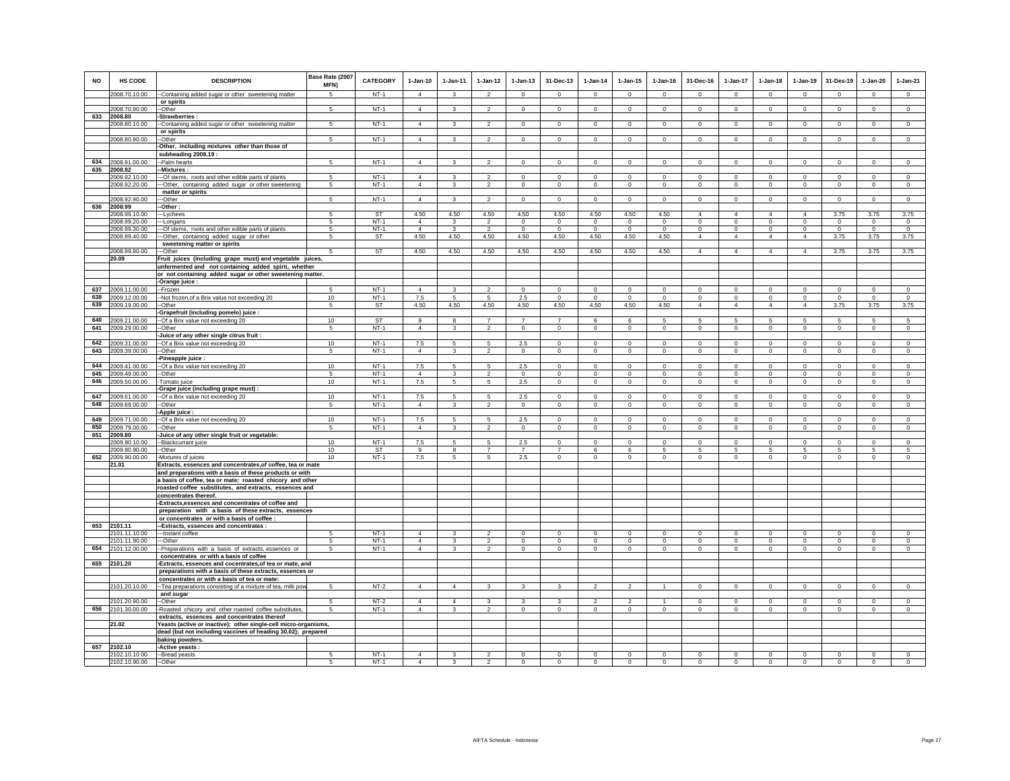| NO         | <b>HS CODE</b>                 | <b>DESCRIPTION</b>                                                                                                              | Base Rate (2007<br>MFN) | <b>CATEGORY</b>     | $1-Jan-10$                       | $1-Jan-11$          | $1-Jan-12$                                | $1-Jan-13$                    | 31-Dec-13                     | $1-Jan-14$                 | $1-Jan-15$                 | $1-Jan-16$                 | 31-Dec-16                  | 1-Jan-17                      | $1-Jan-18$                 | $1-Jan-19$                 | 31-Des-19                  | $1-Jan-20$                 | $1-Jan-21$                 |
|------------|--------------------------------|---------------------------------------------------------------------------------------------------------------------------------|-------------------------|---------------------|----------------------------------|---------------------|-------------------------------------------|-------------------------------|-------------------------------|----------------------------|----------------------------|----------------------------|----------------------------|-------------------------------|----------------------------|----------------------------|----------------------------|----------------------------|----------------------------|
|            | 2008.70.10.00                  | -Containing added sugar or other sweetening matter                                                                              | 5                       | $NT-1$              | $\overline{4}$                   | 3                   | $\overline{2}$                            | 0                             | $\mathbf 0$                   | $\mathbf{0}$               | $^{\circ}$                 | $^{\circ}$                 | $^{\circ}$                 | $\mathbf{0}$                  | $^{\circ}$                 | 0                          | $\mathbf 0$                | $\circ$                    | $\circ$                    |
|            |                                | or spirits                                                                                                                      |                         |                     |                                  |                     |                                           |                               |                               |                            |                            |                            |                            |                               |                            |                            |                            |                            |                            |
| 633        | 2008.70.90.00<br>2008.80       | -Other<br>-Strawberries:                                                                                                        | -5                      | $NT-1$              | $\overline{4}$                   | $\mathbf{3}$        | $\overline{2}$                            | $\mathbf 0$                   | $\mathbf 0$                   | $\Omega$                   | $\mathbf 0$                | $\Omega$                   | $\Omega$                   | $\Omega$                      | $\Omega$                   | $\Omega$                   | $\mathbf 0$                | $\mathbf 0$                | $\mathsf 0$                |
|            | 2008.80.10.00                  | --Containing added sugar or other sweetening matter                                                                             | 5                       | $NT-1$              | $\overline{4}$                   | 3                   | $\overline{2}$                            | $\mathbf{0}$                  | $\overline{0}$                | $\overline{0}$             | $\mathbf 0$                | $\mathbf{0}$               | $\mathbf{0}$               | $\overline{0}$                | $\mathbf{0}$               | $\overline{0}$             | $\overline{0}$             | $\mathbf{0}$               | $\overline{0}$             |
|            |                                | or spirits                                                                                                                      |                         |                     |                                  |                     |                                           |                               |                               |                            |                            |                            |                            |                               |                            |                            |                            |                            |                            |
|            | 2008.80.90.00                  | -Other<br>-Other, including mixtures other than those of                                                                        | 5                       | $NT-1$              | $\overline{4}$                   | 3                   | $\overline{2}$                            | $\mathbf 0$                   | $\mathbf 0$                   | $\mathbf 0$                | $\mathbf 0$                | $\mathbf 0$                | $\circ$                    | $\mathbf 0$                   | $\mathbf 0$                | $\mathbf 0$                | $\mathbf 0$                | $\mathbf 0$                | $\circ$                    |
|            |                                | subheading 2008.19:                                                                                                             |                         |                     |                                  |                     |                                           |                               |                               |                            |                            |                            |                            |                               |                            |                            |                            |                            |                            |
| 634        | 2008.91.00.00                  | -Palm hearts                                                                                                                    | 5                       | $NT-1$              | $\Delta$                         | $\mathbf{3}$        | $\overline{2}$                            | $\mathsf 0$                   | $\mathsf 0$                   | $\mathsf 0$                | $\mathsf 0$                | $\mathbf 0$                | $\circ$                    | $\mathbf 0$                   | $\mathbf 0$                | $\mathbf 0$                | $\mathbf 0$                | $\mathsf 0$                | $\mathsf 0$                |
| 635        | 2008.92<br>2008.92.10.00       | -Mixtures:<br>--Of stems, roots and other edible parts of plants                                                                | 5                       | $NT-1$              | $\overline{4}$                   | 3                   | $\overline{2}$                            | $\mathbf 0$                   | $\mathbf 0$                   | $\mathbf 0$                | $\mathbf 0$                | $\mathbf 0$                | $\mathbf 0$                | $\mathbf 0$                   | $\mathbf 0$                | $\mathbf 0$                | $^{\circ}$                 | $\mathbf 0$                | $\mathbf 0$                |
|            | 2008.92.20.00                  | --Other, containing added sugar or other sweetening                                                                             | 5                       | $NT-1$              | $\overline{4}$                   | 3                   | $\overline{2}$                            | $\mathbf 0$                   | $\mathbf 0$                   | $\mathbf{0}$               | 0                          | $^{\circ}$                 | $\circ$                    | 0                             | $^{\circ}$                 | $\overline{0}$             | $\mathbf{0}$               | $\mathbf{0}$               | $\mathbf{0}$               |
|            |                                | matter or spirits                                                                                                               |                         |                     |                                  |                     |                                           |                               |                               |                            |                            |                            |                            |                               |                            |                            |                            |                            |                            |
| 636        | 2008.92.90.00<br>2008.99       | -Other<br>Other:                                                                                                                | 5                       | $NT-1$              | $\overline{4}$                   | $\mathbf{3}$        | $\overline{2}$                            | $\mathbf 0$                   | $\mathbf 0$                   | $\mathsf 0$                | $\mathsf 0$                | $\mathsf 0$                | $\mathbf 0$                | $\mathbf 0$                   | $\mathbf 0$                | $\mathbf 0$                | $\mathsf 0$                | $\mathsf 0$                | $\mathsf 0$                |
|            | 2008.99.10.00                  | --Lychees                                                                                                                       | $\sqrt{5}$              | <b>ST</b>           | 4.50                             | 4.50                | 4.50                                      | 4.50                          | 4.50                          | 4.50                       | 4.50                       | 4.50                       | $\overline{4}$             | $\overline{4}$                | $\Delta$                   | $\overline{4}$             | 3.75                       | 3.75                       | 3.75                       |
|            | 2008.99.20.00                  | --Longans                                                                                                                       | 5<br>-5                 | $NT-1$              | $\overline{4}$<br>$\overline{4}$ | 3<br>$\mathbf{3}$   | $\overline{2}$<br>$\mathfrak{p}$          | $\overline{0}$<br>$\Omega$    | $\overline{0}$<br>$\Omega$    | $\overline{0}$<br>$\Omega$ | $\overline{0}$<br>$\Omega$ | $\overline{0}$<br>$\Omega$ | $\overline{0}$<br>$\Omega$ | $\overline{0}$                | $\overline{0}$<br>$\Omega$ | $\overline{0}$<br>$\Omega$ | $\overline{0}$<br>$\Omega$ | $\overline{0}$<br>$\Omega$ | $\overline{0}$<br>$\Omega$ |
|            | 2008.99.30.00<br>2008.99.40.00 | -- Of stems, roots and other edible parts of plants<br>--Other, containing added sugar or other                                 | 5                       | $NT-1$<br>ST        | 4.50                             | 4.50                | 4.50                                      | 4.50                          | 4.50                          | 4.50                       | 4.50                       | 4.50                       | $\overline{4}$             | $\mathbf 0$<br>$\overline{4}$ | $\overline{4}$             | $\overline{4}$             | 3.75                       | 3.75                       | 3.75                       |
|            |                                | sweetening matter or spirits                                                                                                    |                         |                     |                                  |                     |                                           |                               |                               |                            |                            |                            |                            |                               |                            |                            |                            |                            |                            |
|            | 2008.99.90.00                  | -Other                                                                                                                          | -5                      | ST                  | 4.50                             | 4.50                | 4.50                                      | 4.50                          | 4.50                          | 4.50                       | 4.50                       | 4.50                       | $\overline{4}$             | $\overline{4}$                | $\overline{4}$             | $\overline{4}$             | 3.75                       | 3.75                       | 3.75                       |
|            | 20.09                          | Fruit juices (including grape must) and vegetable juices,<br>unfermented and not containing added spirit, whether               |                         |                     |                                  |                     |                                           |                               |                               |                            |                            |                            |                            |                               |                            |                            |                            |                            |                            |
|            |                                | or not containing added sugar or other sweetening matter.                                                                       |                         |                     |                                  |                     |                                           |                               |                               |                            |                            |                            |                            |                               |                            |                            |                            |                            |                            |
|            |                                | -Orange juice :                                                                                                                 |                         |                     |                                  |                     |                                           |                               |                               |                            |                            |                            |                            |                               |                            |                            |                            |                            |                            |
| 637<br>638 | 2009.11.00.00<br>2009.12.00.00 | -Frozen<br>-- Not frozen, of a Brix value not exceeding 20                                                                      | 5<br>10                 | $NT-1$<br>$NT-1$    | $\overline{4}$<br>7.5            | 3<br>$\overline{5}$ | $\mathfrak{p}$<br>5                       | $\Omega$<br>2.5               | $\Omega$<br>$\Omega$          | $\Omega$<br>$\Omega$       | $\Omega$<br>$\Omega$       | $\Omega$<br>$\Omega$       | $\Omega$<br>$\Omega$       | $\Omega$<br>$\mathbf{0}$      | $\Omega$<br>$\mathbf 0$    | $\Omega$<br>$\mathbf 0$    | $\Omega$<br>$\Omega$       | $\Omega$<br>$\Omega$       | $\circ$<br>$\circ$         |
| 639        | 2009.19.00.00                  | -Other                                                                                                                          | 5                       | ST                  | 4.50                             | 4.50                | 4.50                                      | 4.50                          | 4.50                          | 4.50                       | 4.50                       | 4.50                       | $\overline{4}$             | $\overline{4}$                | $\overline{4}$             | $\overline{4}$             | 3.75                       | 3.75                       | 3.75                       |
|            |                                | Grapefruit (including pomelo) juice :                                                                                           |                         |                     |                                  |                     |                                           |                               |                               |                            |                            |                            |                            |                               |                            |                            |                            |                            |                            |
| 640<br>641 | 2009.21.00.00<br>2009.29.00.00 | -Of a Brix value not exceeding 20<br>--Other                                                                                    | 10<br>5                 | ST<br>$NT-1$        | $\mathbf{q}$<br>$\Delta$         | 8<br>3              | $\overline{7}$<br>$\overline{\mathbf{c}}$ | $\overline{7}$<br>$\mathbf 0$ | $\overline{7}$<br>$\mathbf 0$ | 6<br>$\mathbf{0}$          | 6<br>0                     | 5<br>$\circ$               | 5<br>$^{\circ}$            | 5<br>$\mathbf 0$              | 5<br>$^{\circ}$            | 5<br>$\mathbf{0}$          | 5<br>$\mathbf 0$           | 5<br>0                     | 5<br>$\mathbf 0$           |
|            |                                | Juice of any other single citrus fruit :                                                                                        |                         |                     |                                  |                     |                                           |                               |                               |                            |                            |                            |                            |                               |                            |                            |                            |                            |                            |
| 642        | 2009.31.00.00                  | -Of a Brix value not exceeding 20                                                                                               | 10                      | $NT-1$              | 7.5                              | 5                   | 5                                         | 2.5                           | $\mathbf 0$                   | $\mathbf 0$                | $\mathsf 0$                | $\circ$                    | $\mathsf 0$                | $\mathbf 0$                   | $\mathbf 0$                | $\mathsf 0$                | $\mathbf 0$                | $\mathsf 0$                | $\circ$                    |
| 643        | 2009.39.00.00                  | -Other<br>-Pineapple juice :                                                                                                    | -5                      | $NT-1$              | $\overline{4}$                   | 3                   | $\overline{2}$                            | $\mathbf 0$                   | $\mathbf 0$                   | $\mathbf 0$                | $\mathbf 0$                | $\mathbf 0$                | $\Omega$                   | $\mathbf 0$                   | $\Omega$                   | $\mathbf 0$                | $^{\circ}$                 | $\mathbf 0$                | $\Omega$                   |
| 644        | 2009.41.00.00                  | -Of a Brix value not exceeding 20                                                                                               | 10                      | $NT-1$              | 7.5                              | $\overline{5}$      | 5                                         | $2.5\,$                       | $\mathbf 0$                   | $\mathbb O$                | $\mathsf 0$                | $\mathbf 0$                | $\mathsf 0$                | $\mathbf 0$                   | $\mathsf 0$                | $\,0\,$                    | $\mathbf 0$                | $\mathbf 0$                | $\mathbb O$                |
| 645        | 2009.49.00.00                  | -Other                                                                                                                          | 5                       | $NT-1$              | $\Delta$                         | 3                   | $\overline{2}$                            | $\mathbf 0$                   | $\mathbf 0$                   | $\mathbf 0$                | $\mathbf 0$                | $\Omega$                   | $\Omega$                   | $\mathbf 0$                   | $\Omega$                   | $\Omega$                   | $\Omega$                   | $\mathbf 0$                | $\mathbf 0$                |
| 646        | 2009.50.00.00                  | Tomato juice<br>Grape juice (including grape must) :                                                                            | 10                      | $NT-1$              | 7.5                              | 5                   | 5                                         | 2.5                           | $\mathbf{0}$                  | $\circ$                    | $\mathbf{0}$               | $\circ$                    | $\circ$                    | $\mathbf{0}$                  | $\circ$                    | $\mathbf 0$                | $\overline{0}$             | $\mathbf{0}$               | $\circ$                    |
| 647        | 2009.61.00.00                  | --Of a Brix value not exceeding 20                                                                                              | 10                      | $NT-1$              | 7.5                              | 5                   | 5                                         | 2.5                           | $\mathbf{0}$                  | $\Omega$                   | $\Omega$                   | $\Omega$                   | $\Omega$                   | $\mathbf{0}$                  | $\Omega$                   | $\Omega$                   | $\Omega$                   | $\Omega$                   | $\circ$                    |
| 648        | 2009.69.00.00                  | -Other                                                                                                                          | 5                       | $NT-1$              | $\overline{4}$                   | 3                   | $\overline{2}$                            | $\mathbf 0$                   | $\mathbf 0$                   | $\mathbf 0$                | $\mathbf 0$                | $\circ$                    | $\circ$                    | $\mathbf 0$                   | $\circ$                    | $\mathbf 0$                | $\circ$                    | $\mathbf 0$                | $\circ$                    |
| 649        | 2009.71.00.00                  | Apple juice :<br>-Of a Brix value not exceeding 20                                                                              | 10                      | $NT-1$              | 7.5                              | -5                  | 5                                         | 2.5                           | $\Omega$                      | $\Omega$                   | $\Omega$                   | $\Omega$                   | $\Omega$                   | $\Omega$                      | $\Omega$                   | $\Omega$                   | $\mathbf 0$                | $\Omega$                   | $\circ$                    |
| 650        | 2009.79.00.00                  | -Other                                                                                                                          | 5                       | $NT-1$              | $\overline{4}$                   | $\mathbf{3}$        | $\mathfrak{p}$                            | $\mathbf 0$                   | $\mathbf 0$                   | $\circ$                    | $\mathbf 0$                | $\circ$                    | $\Omega$                   | $\mathbf 0$                   | $\Omega$                   | $\mathbf 0$                | $\Omega$                   | $\mathbf 0$                | $\Omega$                   |
| 651        | 2009.80                        | Juice of any other single fruit or vegetable:                                                                                   |                         |                     |                                  |                     |                                           |                               |                               |                            |                            |                            |                            |                               |                            |                            |                            |                            |                            |
|            | 2009.80.10.00<br>2009.80.90.00 | Blackcurrant juice<br>--Other                                                                                                   | 10<br>10                | $NT-1$<br><b>ST</b> | 7.5<br>$\mathbf{q}$              | 5<br>8              | 5<br>$\overline{7}$                       | $2.5\,$<br>$\overline{7}$     | $\Omega$<br>$\overline{7}$    | $\Omega$<br>6              | $\Omega$<br>6              | $\Omega$<br>5              | $\Omega$<br>-5             | $\Omega$<br>5                 | $\Omega$<br>-5             | $\Omega$<br>-5             | $\Omega$<br>5              | $\Omega$<br>5              | $\Omega$<br>-5             |
| 652        | 2009.90.00.00                  | -Mixtures of juices                                                                                                             | 10                      | $NT-1$              | 7.5                              | 5                   | 5                                         | 2.5                           | $\mathsf 0$                   | $\circ$                    | $\mathsf 0$                | $\mathsf 0$                | $\mathbf 0$                | $\mathbf 0$                   | $\mathbf 0$                | $\mathsf 0$                | $\mathbf 0$                | $\mathbf 0$                | $\mathsf 0$                |
|            | 21.01                          | Extracts, essences and concentrates, of coffee, tea or mate                                                                     |                         |                     |                                  |                     |                                           |                               |                               |                            |                            |                            |                            |                               |                            |                            |                            |                            |                            |
|            |                                | and preparations with a basis of these products or with<br>a basis of coffee, tea or mate; roasted chicory and other            |                         |                     |                                  |                     |                                           |                               |                               |                            |                            |                            |                            |                               |                            |                            |                            |                            |                            |
|            |                                | roasted coffee substitutes, and extracts, essences and                                                                          |                         |                     |                                  |                     |                                           |                               |                               |                            |                            |                            |                            |                               |                            |                            |                            |                            |                            |
|            |                                | concentrates thereof.                                                                                                           |                         |                     |                                  |                     |                                           |                               |                               |                            |                            |                            |                            |                               |                            |                            |                            |                            |                            |
|            |                                | Extracts, essences and concentrates of coffee and<br>preparation with a basis of these extracts, essences                       |                         |                     |                                  |                     |                                           |                               |                               |                            |                            |                            |                            |                               |                            |                            |                            |                            |                            |
|            |                                | or concentrates or with a basis of coffee :                                                                                     |                         |                     |                                  |                     |                                           |                               |                               |                            |                            |                            |                            |                               |                            |                            |                            |                            |                            |
| 653        | 2101.11                        | --Extracts, essences and concentrates :                                                                                         |                         | $NT-1$              | $\overline{4}$                   | $\mathbf{3}$        | $\mathfrak{p}$                            | $\Omega$                      | $\Omega$                      | $\Omega$                   | $\Omega$                   |                            | $\Omega$                   | $\Omega$                      | $\Omega$                   |                            | $\overline{0}$             |                            | $\overline{0}$             |
|            | 2101.11.10.00<br>2101.11.90.00 | --- Instant coffee<br>--Other                                                                                                   | -5<br>5                 | $NT-1$              | $\overline{4}$                   | 3                   | $\mathfrak{p}$                            | $\mathbf 0$                   | $\Omega$                      | $\Omega$                   | $\mathbf 0$                | $\Omega$<br>$\Omega$       | $\Omega$                   | $\mathbf 0$                   | $\Omega$                   | $\Omega$<br>$\Omega$       | $\Omega$                   | $\Omega$<br>$\Omega$       | $\mathbf 0$                |
| 654        | 2101.12.00.00                  | -Preparations with a basis of extracts, essences or                                                                             | 5                       | $NT-1$              | $\overline{4}$                   | 3                   | $\overline{2}$                            | $\mathbf 0$                   | $\mathbf 0$                   | $\mathbf 0$                | $\mathbf 0$                | $^{\circ}$                 | $\circ$                    | $\mathbf 0$                   | $\circ$                    | $\mathbf 0$                | $\circ$                    | $\circ$                    | $^{\circ}$                 |
|            | 655 2101.20                    | concentrates or with a basis of coffee                                                                                          |                         |                     |                                  |                     |                                           |                               |                               |                            |                            |                            |                            |                               |                            |                            |                            |                            |                            |
|            |                                | Extracts, essences and cocentrates, of tea or mate, and<br>preparations with a basis of these extracts, essences or             |                         |                     |                                  |                     |                                           |                               |                               |                            |                            |                            |                            |                               |                            |                            |                            |                            |                            |
|            |                                | concentrates or with a basis of tea or mate:                                                                                    |                         |                     |                                  |                     |                                           |                               |                               |                            |                            |                            |                            |                               |                            |                            |                            |                            |                            |
|            | 2101.20.10.00                  | -Tea preparations consisting of a mixture of tea, milk pov                                                                      | 5                       | $NT-2$              | $\overline{4}$                   | $\overline{4}$      | 3                                         | 3                             | 3                             | $\mathfrak{p}$             | $\mathfrak{p}$             |                            | $\mathbf 0$                | $\mathbf 0$                   | $\mathbf 0$                | $\mathbf 0$                | $\mathbf 0$                | $\mathbf 0$                | $\mathbf 0$                |
|            | 2101.20.90.00                  | and sugar<br>--Other                                                                                                            | 5                       | $NT-2$              | $\overline{4}$                   | $\overline{4}$      | $\overline{3}$                            | $\overline{3}$                | 3                             | $\overline{\phantom{a}}$   | $\mathfrak{p}$             | $\mathbf{1}$               | $\Omega$                   | $\Omega$                      | $\Omega$                   | $\Omega$                   | $\overline{0}$             | $\Omega$                   | $\overline{0}$             |
| 656        | 2101.30.00.00                  | -Roasted chicory and other roasted coffee substitutes                                                                           | 5                       | $NT-1$              | $\Delta$                         | $\mathbf{3}$        | $\mathfrak{D}$                            | $\mathsf 0$                   | $\Omega$                      | $\mathsf 0$                | $\mathsf 0$                | $\circ$                    | $\mathsf 0$                | $\mathbf 0$                   | $\mathbf 0$                | $\Omega$                   | $\mathbf 0$                | $\Omega$                   | $\Omega$                   |
|            |                                | extracts, essences and concentrates thereof                                                                                     |                         |                     |                                  |                     |                                           |                               |                               |                            |                            |                            |                            |                               |                            |                            |                            |                            |                            |
|            | 21.02                          | Yeasts (active or inactive); other single-cell micro-organisms,<br>dead (but not including vaccines of heading 30.02); prepared |                         |                     |                                  |                     |                                           |                               |                               |                            |                            |                            |                            |                               |                            |                            |                            |                            |                            |
|            |                                | baking powders.                                                                                                                 |                         |                     |                                  |                     |                                           |                               |                               |                            |                            |                            |                            |                               |                            |                            |                            |                            |                            |
| 657        | 2102.10                        | -Active yeasts :                                                                                                                |                         |                     |                                  |                     |                                           |                               |                               |                            |                            |                            |                            |                               |                            |                            |                            |                            |                            |
|            | 2102.10.10.00<br>2102.10.90.00 | --Bread yeasts<br>--Other                                                                                                       | -5                      | $NT-1$<br>$NT-1$    | $\overline{4}$<br>$\Delta$       | 3<br>3              | $\overline{2}$                            | $\mathbf 0$<br>$\overline{0}$ | $\mathbf 0$<br>$\Omega$       | $\mathbf 0$<br>$\Omega$    | 0<br>$\Omega$              | $\mathbf 0$<br>$\Omega$    | $\mathbf 0$<br>$\Omega$    | 0<br>$\Omega$                 | $\mathbf 0$<br>$\Omega$    | $\circ$<br>$\Omega$        | $\circ$<br>$\Omega$        | $\mathbf 0$<br>$\Omega$    | $\Omega$                   |
|            |                                |                                                                                                                                 |                         |                     |                                  |                     |                                           |                               |                               |                            |                            |                            |                            |                               |                            |                            |                            |                            |                            |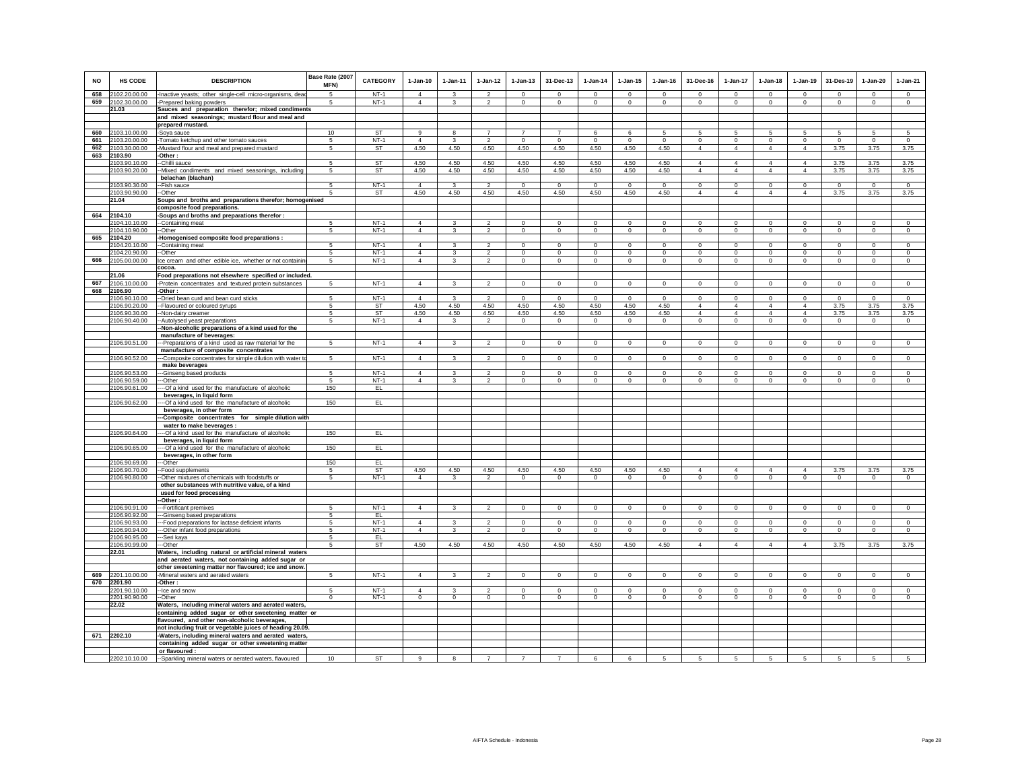|            |                                |                                                                                                           | Base Rate (2007     |                  |                            |                                |                |                               |                             |                               |                               |                        |                        |                               |                            |                            |                            |                         |                               |
|------------|--------------------------------|-----------------------------------------------------------------------------------------------------------|---------------------|------------------|----------------------------|--------------------------------|----------------|-------------------------------|-----------------------------|-------------------------------|-------------------------------|------------------------|------------------------|-------------------------------|----------------------------|----------------------------|----------------------------|-------------------------|-------------------------------|
| <b>NO</b>  | HS CODE                        | <b>DESCRIPTION</b>                                                                                        | MFN)                | <b>CATEGORY</b>  | $1-Jan-10$                 | $1-Jan-11$                     | $1 - Jan-12$   | $1-Jan-13$                    | 31-Dec-13                   | $1-Jan-14$                    | $1-Jan-15$                    | $1-Jan-16$             | 31-Dec-16              | 1-Jan-17                      | $1-Jan-18$                 | $1-Jan-19$                 | 31-Des-19                  | $1-Jan-20$              | $1-Jan-21$                    |
| 658        | 2102.20.00.00                  | -Inactive yeasts; other single-cell micro-organisms, dea                                                  | 5                   | $NT-1$           | $\Delta$                   | $\mathbf{3}$                   | $\overline{2}$ | $\mathbf 0$                   | $\mathbf 0$                 | $\mathbf 0$                   | $\mathbf 0$                   | $\Omega$               | $\Omega$               | $\mathbf 0$                   | $\Omega$                   | $\mathbf 0$                | $\overline{0}$             | $\mathbf 0$             | $\mathsf 0$                   |
| 659        | 2102.30.00.00                  | -Prepared baking powders                                                                                  | 5                   | $NT-1$           | $\Delta$                   | $\mathbf{3}$                   | $\overline{2}$ | $\mathsf 0$                   | $\mathbf 0$                 | $\mathsf 0$                   | $\mathbf 0$                   | $\Omega$               | $\Omega$               | $\mathbf 0$                   | $\Omega$                   | $\Omega$                   | $\mathbf 0$                | $\circ$                 | $\circ$                       |
|            | 21.03                          | Sauces and preparation therefor; mixed condiments                                                         |                     |                  |                            |                                |                |                               |                             |                               |                               |                        |                        |                               |                            |                            |                            |                         |                               |
|            |                                | and mixed seasonings; mustard flour and meal and<br>prepared mustard.                                     |                     |                  |                            |                                |                |                               |                             |                               |                               |                        |                        |                               |                            |                            |                            |                         |                               |
| 660        | 2103.10.00.00                  | -Soya sauce                                                                                               | 10                  | ST               | 9                          | 8                              | $\overline{7}$ | $\overline{z}$                | $\overline{7}$              | 6                             | 6                             | 5                      | 5                      | 5                             | 5                          | -5                         | 5                          | 5                       | $\sqrt{5}$                    |
| 661        | 2103.20.00.00                  | -Tomato ketchup and other tomato sauces                                                                   | 5                   | $NT-1$           | $\overline{4}$             | 3                              | $\overline{2}$ | $\mathbf 0$                   | $\mathbf 0$                 | $^{\circ}$                    | $\mathbf 0$                   | $^{\circ}$             | $\circ$                | $\mathbf 0$                   | $\circ$                    | $\mathbf 0$                | $\circ$                    | $\mathbf 0$             | $\circ$                       |
| 662        | 2103.30.00.00                  | -Mustard flour and meal and prepared mustard                                                              | 5                   | ST               | 4.50                       | 4.50                           | 4.50           | 4.50                          | 4.50                        | 4.50                          | 4.50                          | 4.50                   | $\overline{4}$         | $\overline{4}$                | $\overline{4}$             | $\overline{4}$             | 3.75                       | 3.75                    | 3.75                          |
| 663        | 2103.90                        | -Other :<br>-Chilli sauce                                                                                 |                     | <b>ST</b>        | 4.50                       | 4.50                           | 4.50           | 4.50                          | 4.50                        | 4.50                          | 4.50                          | 4.50                   | $\overline{4}$         | $\overline{4}$                | $\overline{4}$             | $\overline{4}$             | 3.75                       |                         |                               |
|            | 2103.90.10.00<br>2103.90.20.00 | -Mixed condiments and mixed seasonings, including                                                         | 5<br>5              | ST               | 4.50                       | 4.50                           | 4.50           | 4.50                          | 4.50                        | 4.50                          | 4.50                          | 4.50                   | $\overline{4}$         | $\overline{4}$                | $\overline{4}$             | $\overline{4}$             | 3.75                       | 3.75<br>3.75            | 3.75<br>3.75                  |
|            |                                | belachan (blachan)                                                                                        |                     |                  |                            |                                |                |                               |                             |                               |                               |                        |                        |                               |                            |                            |                            |                         |                               |
|            | 2103.90.30.00                  | --Fish sauce                                                                                              | 5                   | $NT-1$           | $\Delta$                   | $\mathbf{R}$                   | $\overline{2}$ | $\Omega$                      | $\Omega$                    | $\Omega$                      | $\Omega$                      | $\Omega$               | $\Omega$               | $\overline{0}$                | $\Omega$                   | $\Omega$                   | $\Omega$                   | $\Omega$                | $\overline{0}$                |
|            | 2103.90.90.00                  | -Other                                                                                                    | $\sqrt{5}$          | <b>ST</b>        | 4.50                       | 4.50                           | 4.50           | 4.50                          | 4.50                        | 4.50                          | 4.50                          | 4.50                   | $\overline{4}$         | $\overline{4}$                | $\overline{4}$             | $\overline{4}$             | 3.75                       | 3.75                    | 3.75                          |
|            | 21.04                          | Soups and broths and preparations therefor; homogenised<br>composite food preparations.                   |                     |                  |                            |                                |                |                               |                             |                               |                               |                        |                        |                               |                            |                            |                            |                         |                               |
|            | 664 2104.10                    | -Soups and broths and preparations therefor :                                                             |                     |                  |                            |                                |                |                               |                             |                               |                               |                        |                        |                               |                            |                            |                            |                         |                               |
|            | 2104.10.10.00                  | -Containing meat                                                                                          | 5                   | $NT-1$           | $\overline{4}$             | 3                              | $\overline{2}$ | $^{\circ}$                    | $\Omega$                    | $\circ$                       | $^{\circ}$                    | $\circ$                | $\Omega$               | $\Omega$                      | $\Omega$                   | $\mathbf 0$                | $\circ$                    | $\Omega$                | $\circ$                       |
|            | 2104.10.90.00                  | --Other                                                                                                   | 5                   | $NT-1$           | $\overline{4}$             | 3                              | $\overline{2}$ | $\overline{0}$                | $\overline{0}$              | $\overline{0}$                | $\overline{0}$                | $\overline{0}$         | $\overline{0}$         | $\overline{0}$                | $\overline{0}$             | $\overline{0}$             | $\overline{0}$             | $\overline{0}$          | $\overline{0}$                |
| 665        | 2104.20                        | Homogenised composite food preparations :                                                                 |                     |                  |                            |                                | $\mathfrak{D}$ |                               |                             |                               |                               |                        |                        |                               |                            |                            |                            |                         |                               |
|            | 2104.20.10.00<br>2104.20.90.00 | -Containing meat<br>--Other                                                                               | 5<br>$\overline{5}$ | $NT-1$<br>$NT-1$ | $\overline{4}$<br>$\Delta$ | $\mathbf{3}$<br>$\overline{3}$ | $\overline{2}$ | $\mathsf 0$<br>$\overline{0}$ | $\mathbf 0$<br>$\mathbf{0}$ | $\mathbb O$<br>$\overline{0}$ | $\mathsf 0$<br>$\overline{0}$ | $\circ$<br>$\mathbf 0$ | $\mathsf 0$<br>$\circ$ | $\mathbf 0$<br>$\overline{0}$ | $\mathbf 0$<br>$\mathbf 0$ | $\mathbf 0$<br>$\mathbf 0$ | $\mathbf 0$<br>$\mathbf 0$ | $\circ$<br>$\circ$      | $\mathbb O$<br>$\overline{0}$ |
| 666        | 2105.00.00.00                  | Ice cream and other edible ice, whether or not containin                                                  | 5                   | $NT-1$           | $\overline{4}$             | $\mathbf{3}$                   | $\overline{2}$ | $\mathsf 0$                   | $\mathsf 0$                 | $\mathsf 0$                   | $\mathsf 0$                   | $\mathbf 0$            | $\mathbf 0$            | $\mathsf 0$                   | $\mathbf 0$                | $\mathbf 0$                | $\mathbf 0$                | $\mathsf 0$             | $\circ$                       |
|            |                                | cocoa                                                                                                     |                     |                  |                            |                                |                |                               |                             |                               |                               |                        |                        |                               |                            |                            |                            |                         |                               |
|            | 21.06                          | Food preparations not elsewhere specified or included.                                                    |                     |                  |                            |                                |                |                               |                             |                               |                               |                        |                        |                               |                            |                            |                            |                         |                               |
| 667<br>668 | 2106.10.00.00<br>2106.90       | -Protein concentrates and textured protein substances<br>-Other :                                         | $5\overline{5}$     | $NT-1$           | $\overline{4}$             | 3                              | $\overline{2}$ | $\mathbf{0}$                  | $\mathbf 0$                 | $\mathbf 0$                   | $\mathbf 0$                   | $\mathbf 0$            | $\mathbf 0$            | $\mathbf 0$                   | $\mathbf{0}$               | $\mathbf 0$                | $\mathbf 0$                | $\mathbf 0$             | $\circ$                       |
|            | 2106.90.10.00                  | --Dried bean curd and bean curd sticks                                                                    | 5                   | $NT-1$           | $\overline{4}$             | $\mathbf{3}$                   | $\overline{2}$ | $\Omega$                      | $\overline{0}$              | $\Omega$                      | $\Omega$                      | $\Omega$               | $\Omega$               | $\overline{0}$                | $\Omega$                   | $^{\circ}$                 | $\overline{0}$             | $\Omega$                | $\overline{0}$                |
|            | 2106.90.20.00                  | Flavoured or coloured syrups                                                                              | -5                  | ST               | 4.50                       | 4.50                           | 4.50           | 4.50                          | 4.50                        | 4.50                          | 4.50                          | 4.50                   | $\overline{4}$         | $\overline{4}$                | 4                          | $\overline{4}$             | 3.75                       | 3.75                    | 3.75                          |
|            | 2106.90.30.00                  | -Non-dairy creamer                                                                                        | 5                   | ST               | 4.50                       | 4.50                           | 4.50           | 4.50                          | 4.50                        | 4.50                          | 4.50                          | 4.50                   | $\overline{4}$         | $\overline{4}$                | $\overline{4}$             | $\overline{4}$             | 3.75                       | 3.75                    | 3.75                          |
|            | 2106.90.40.00                  | Autolysed yeast preparations                                                                              | 5                   | $NT-1$           | $\Delta$                   | 3                              | $\mathcal{P}$  | $\Omega$                      | $\mathbf 0$                 | $\mathbf{0}$                  | $\Omega$                      | $\Omega$               | $\circ$                | $\circ$                       | $\Omega$                   | $\Omega$                   | $\circ$                    | $\circ$                 | $\Omega$                      |
|            |                                | Non-alcoholic preparations of a kind used for the<br>manufacture of beverages:                            |                     |                  |                            |                                |                |                               |                             |                               |                               |                        |                        |                               |                            |                            |                            |                         |                               |
|            | 2106.90.51.00                  | ---Preparations of a kind used as raw material for the                                                    | $\sqrt{5}$          | $NT-1$           | $\overline{4}$             | $\mathbf{3}$                   | $\overline{2}$ | $\mathbf 0$                   | $\mathbf 0$                 | $\circ$                       | $\mathbf 0$                   | $\Omega$               | $\Omega$               | $\mathbf 0$                   | $\Omega$                   | $\mathbf 0$                | $\mathbf 0$                | $\mathbf 0$             | $\circ$                       |
|            |                                | manufacture of composite concentrates                                                                     |                     |                  |                            |                                |                |                               |                             |                               |                               |                        |                        |                               |                            |                            |                            |                         |                               |
|            | 2106.90.52.00                  | -Composite concentrates for simple dilution with water t                                                  | 5                   | $NT-1$           | $\overline{4}$             | 3                              | $\overline{2}$ | $\mathbf 0$                   | $\mathbf{0}$                | $\circ$                       | $\mathbf 0$                   | $\circ$                | $\Omega$               | $\mathbf{0}$                  | $\circ$                    | $\mathbf{0}$               | $\circ$                    | $\mathbf{0}$            | $\mathsf 0$                   |
|            | 2106.90.53.00                  | make beverages<br>-Ginseng based products                                                                 | -5                  | $NT-1$           | $\overline{4}$             | 3                              | っ              | $\mathbf{0}$                  | $\Omega$                    | $\Omega$                      | $\Omega$                      | $\Omega$               | $\Omega$               | $\Omega$                      | $\Omega$                   | $\Omega$                   | $\Omega$                   | $\mathbf{0}$            | $\Omega$                      |
|            | 2106.90.59.00                  | -Other                                                                                                    | 5                   | $NT-1$           | $\overline{4}$             | $\mathbf{3}$                   | $\overline{2}$ | $\mathsf 0$                   | $\mathsf 0$                 | $\mathbf 0$                   | $\mathbf 0$                   | $\mathbf 0$            | $\mathsf 0$            | $\mathbf 0$                   | $\mathbf 0$                | $\mathbf 0$                | $\mathbf 0$                | $\mathsf 0$             | $\mathbf 0$                   |
|            | 2106.90.61.00                  | -- Of a kind used for the manufacture of alcoholic                                                        | 150                 | EL               |                            |                                |                |                               |                             |                               |                               |                        |                        |                               |                            |                            |                            |                         |                               |
|            |                                | beverages, in liquid form                                                                                 |                     |                  |                            |                                |                |                               |                             |                               |                               |                        |                        |                               |                            |                            |                            |                         |                               |
|            | 2106.90.62.00                  | -- Of a kind used for the manufacture of alcoholic<br>beverages, in other form                            | 150                 | EL.              |                            |                                |                |                               |                             |                               |                               |                        |                        |                               |                            |                            |                            |                         |                               |
|            |                                | -Composite concentrates for simple dilution with                                                          |                     |                  |                            |                                |                |                               |                             |                               |                               |                        |                        |                               |                            |                            |                            |                         |                               |
|            |                                | water to make beverages :                                                                                 |                     |                  |                            |                                |                |                               |                             |                               |                               |                        |                        |                               |                            |                            |                            |                         |                               |
|            | 2106.90.64.00                  | -Of a kind used for the manufacture of alcoholic                                                          | 150                 | EL               |                            |                                |                |                               |                             |                               |                               |                        |                        |                               |                            |                            |                            |                         |                               |
|            | 2106.90.65.00                  | beverages, in liquid form<br>-- Of a kind used for the manufacture of alcoholic                           | 150                 | EL               |                            |                                |                |                               |                             |                               |                               |                        |                        |                               |                            |                            |                            |                         |                               |
|            |                                | beverages, in other form                                                                                  |                     |                  |                            |                                |                |                               |                             |                               |                               |                        |                        |                               |                            |                            |                            |                         |                               |
|            | 2106.90.69.00                  | -Other                                                                                                    | 150                 | EL               |                            |                                |                |                               |                             |                               |                               |                        |                        |                               |                            |                            |                            |                         |                               |
|            | 2106.90.70.00                  | -Food supplements                                                                                         | $\sqrt{5}$          | <b>ST</b>        | 4.50                       | 4.50                           | 4.50           | 4.50                          | 4.50                        | 4.50                          | 4.50                          | 4.50                   | $\overline{4}$         | $\Delta$                      | $\overline{4}$             | $\overline{4}$             | 3.75                       | 3.75                    | 3.75                          |
|            | 2106.90.80.00                  | -Other mixtures of chemicals with foodstuffs or<br>other substances with nutritive value, of a kind       | 5                   | $NT-1$           | $\overline{4}$             | 3                              | $\overline{2}$ | $\mathbf 0$                   | $\mathbf 0$                 | $\circ$                       | $\mathbf 0$                   | $\circ$                | $\circ$                | $\mathbf 0$                   | $\mathbf 0$                | $\mathbf 0$                | $\mathbf{0}$               | $\circ$                 | $\circ$                       |
|            |                                | used for food processing                                                                                  |                     |                  |                            |                                |                |                               |                             |                               |                               |                        |                        |                               |                            |                            |                            |                         |                               |
|            |                                | -Other:                                                                                                   |                     |                  |                            |                                |                |                               |                             |                               |                               |                        |                        |                               |                            |                            |                            |                         |                               |
|            | 2106.90.91.00                  | -Fortificant premixes                                                                                     | 5                   | $NT-1$           | $\overline{4}$             | $\mathbf{3}$                   | $\mathfrak{p}$ | $\mathbf{0}$                  | $\mathsf 0$                 | $\circ$                       | $\mathbf{0}$                  | $\circ$                | $\circ$                | $\mathbf{0}$                  | $\circ$                    | $\circ$                    | $\circ$                    | $\mathsf 0$             | $\circ$                       |
|            | 2106.90.92.00                  | -Ginseng based preparations                                                                               | 5                   | EL<br>$NT-1$     | $\Delta$                   | $\mathbf{R}$                   | $\mathfrak{D}$ | $\Omega$                      |                             | $\Omega$                      | $\Omega$                      | $\Omega$               | $\Omega$               | $\Omega$                      | $\Omega$                   |                            |                            |                         | $\Omega$                      |
|            | 2106.90.93.00<br>2106.90.94.00 | --Food preparations for lactase deficient infants<br>--Other infant food preparations                     | 5<br>$\sqrt{5}$     | $NT-1$           | $\overline{4}$             | $\mathbf{3}$                   | $\mathfrak{p}$ | $\Omega$                      | $\mathbf 0$<br>$\Omega$     | $\overline{0}$                | $\Omega$                      | $\Omega$               | $\Omega$               | $\overline{0}$                | $\Omega$                   | $\mathbf 0$<br>$\Omega$    | $^{\circ}$<br>$\Omega$     | $\mathbf 0$<br>$\Omega$ | $\overline{0}$                |
|            | 2106.90.95.00                  | --Seri kaya                                                                                               | $\sqrt{5}$          | EL.              |                            |                                |                |                               |                             |                               |                               |                        |                        |                               |                            |                            |                            |                         |                               |
|            | 2106.90.99.00                  | --Other                                                                                                   | 5                   | ST               | 4.50                       | 4.50                           | 4.50           | 4.50                          | 4.50                        | 4.50                          | 4.50                          | 4.50                   | $\overline{4}$         | $\overline{4}$                | $\overline{4}$             | $\overline{4}$             | 3.75                       | 3.75                    | 3.75                          |
|            | 22.01                          | Waters, including natural or artificial mineral waters                                                    |                     |                  |                            |                                |                |                               |                             |                               |                               |                        |                        |                               |                            |                            |                            |                         |                               |
|            |                                | and aerated waters, not containing added sugar or<br>other sweetening matter nor flavoured; ice and snow. |                     |                  |                            |                                |                |                               |                             |                               |                               |                        |                        |                               |                            |                            |                            |                         |                               |
| 669        | 2201.10.00.00                  | Mineral waters and aerated waters                                                                         | -5                  | $NT-1$           | $\overline{4}$             | $\mathbf{3}$                   |                | $\mathsf 0$                   | $\mathbf 0$                 | $\circ$                       | $\mathbf 0$                   | $\circ$                | $\Omega$               | $\mathbf 0$                   | $\mathbf 0$                | $\mathbf 0$                | $\circ$                    | $\mathsf 0$             | $\mathsf 0$                   |
| 670        | 2201.90                        | Other:                                                                                                    |                     |                  |                            |                                |                |                               |                             |                               |                               |                        |                        |                               |                            |                            |                            |                         |                               |
|            | 2201.90.10.00                  | -Ice and snow                                                                                             | -5                  | $NT-1$           | $\Lambda$                  | $\mathbf{3}$                   | $\mathcal{P}$  | $\Omega$                      | $\mathbf 0$                 | $\Omega$                      | $\Omega$                      | $\Omega$               | $\Omega$               | $\Omega$                      | $\Omega$                   | $\mathbf 0$                | $\circ$                    | $\mathbf 0$             | $\Omega$                      |
|            | 2201.90.90.00<br>22.02         | --Other<br>Waters, including mineral waters and aerated waters,                                           | $^{\circ}$          | $NT-1$           | $\circ$                    | $\mathbf{0}$                   | $\overline{0}$ | $\mathbf 0$                   | $\mathbf 0$                 | $\circ$                       | $\mathbf 0$                   | $\circ$                | $\circ$                | $\overline{0}$                | $\circ$                    | $\mathbf 0$                | $\circ$                    | $\circ$                 | $\overline{0}$                |
|            |                                | containing added sugar or other sweetening matter or                                                      |                     |                  |                            |                                |                |                               |                             |                               |                               |                        |                        |                               |                            |                            |                            |                         |                               |
|            |                                | flavoured, and other non-alcoholic beverages,                                                             |                     |                  |                            |                                |                |                               |                             |                               |                               |                        |                        |                               |                            |                            |                            |                         |                               |
|            |                                | not including fruit or vegetable juices of heading 20.09.                                                 |                     |                  |                            |                                |                |                               |                             |                               |                               |                        |                        |                               |                            |                            |                            |                         |                               |
|            | 671 2202.10                    | -Waters, including mineral waters and aerated waters,                                                     |                     |                  |                            |                                |                |                               |                             |                               |                               |                        |                        |                               |                            |                            |                            |                         |                               |
|            |                                | containing added sugar or other sweetening matter<br>or flavoured :                                       |                     |                  |                            |                                |                |                               |                             |                               |                               |                        |                        |                               |                            |                            |                            |                         |                               |
|            | 2202.10.10.00                  | --Sparkling mineral waters or aerated waters, flavoured                                                   | 10                  | ST               |                            |                                |                |                               |                             | 6                             | 6                             |                        |                        |                               | 5                          |                            | $\mathbf 5$                | $\mathbf 5$             | 5                             |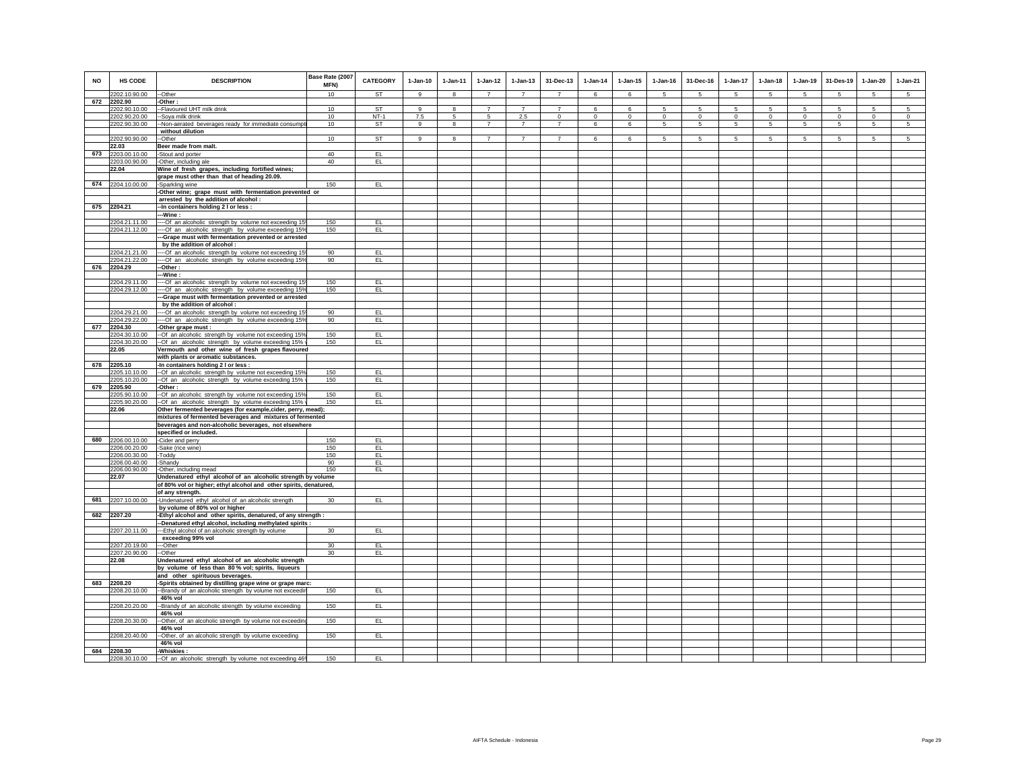| <b>NO</b> | <b>HS CODE</b>                 | <b>DESCRIPTION</b>                                                                                                | Base Rate (2007<br>MFN) | <b>CATEGORY</b> | $1-Jan-10$ | $1-Jan-11$ | $1 - Jan-12$                      | $1-Jan-13$            | 31-Dec-13                     | $1-Jan-14$       | $1 - Jan-15$     | $1-Jan-16$      | 31-Dec-16        | 1-Jan-17     | $1-Jan-18$       | $1-Jan-19$       | 31-Des-19        | 1-Jan-20         | $1-Jan-21$                 |
|-----------|--------------------------------|-------------------------------------------------------------------------------------------------------------------|-------------------------|-----------------|------------|------------|-----------------------------------|-----------------------|-------------------------------|------------------|------------------|-----------------|------------------|--------------|------------------|------------------|------------------|------------------|----------------------------|
|           | 2202.10.90.00                  | --Other                                                                                                           | 10                      | ST              | 9          | 8          | $\overline{7}$                    | $\overline{7}$        | $\overline{7}$                | 6                | 6                | 5               | 5                | 5            | $\sqrt{5}$       | 5                | 5                | 5                | $5\overline{5}$            |
| 672       | 2202.90                        | -Other:                                                                                                           |                         |                 |            |            |                                   |                       |                               |                  |                  |                 |                  |              |                  |                  |                  |                  |                            |
|           | 2202.90.10.00                  | -- Flavoured UHT milk drink                                                                                       | 10                      | <b>ST</b>       | 9          | 8<br>5     | $\overline{7}$                    | $\overline{7}$        | $\overline{7}$                | 6                | 6                | 5<br>$^{\circ}$ | $\sqrt{5}$       | 5            | 5                | 5                | 5                | $\overline{5}$   | 5                          |
|           | 2202.90.20.00<br>2202.90.30.00 | --Soya milk drink                                                                                                 | 10<br>10                | $NT-1$<br>ST    | 7.5<br>9   | $\bf{8}$   | $5\overline{5}$<br>$\overline{7}$ | 2.5<br>$\overline{7}$ | $\mathbf 0$<br>$\overline{7}$ | $\mathbf 0$<br>6 | $\mathbf 0$<br>6 | -5              | $\mathbf 0$<br>5 | $\circ$<br>5 | $\mathbf 0$<br>5 | $\mathbf 0$<br>5 | $\mathbf 0$<br>5 | $\mathbf 0$<br>5 | $\circ$<br>$5\phantom{.0}$ |
|           |                                | --Non-aerated beverages ready for immediate consumpt<br>without dilution                                          |                         |                 |            |            |                                   |                       |                               |                  |                  |                 |                  |              |                  |                  |                  |                  |                            |
|           | 2202.90.90.00                  | --Other                                                                                                           | 10                      | ST              | 9          | 8          | $\overline{7}$                    | $\overline{7}$        | $\overline{7}$                | 6                | 6                | 5               | 5                | 5            | 5                | 5                | 5                | 5                | 5                          |
|           | 22.03                          | Beer made from malt.                                                                                              |                         |                 |            |            |                                   |                       |                               |                  |                  |                 |                  |              |                  |                  |                  |                  |                            |
| 673       | 2203.00.10.00                  | -Stout and porter                                                                                                 | 40                      | EL.             |            |            |                                   |                       |                               |                  |                  |                 |                  |              |                  |                  |                  |                  |                            |
|           | 2203.00.90.00                  | -Other, including ale                                                                                             | 40                      | EL              |            |            |                                   |                       |                               |                  |                  |                 |                  |              |                  |                  |                  |                  |                            |
|           | 22.04                          | Wine of fresh grapes, including fortified wines;                                                                  |                         |                 |            |            |                                   |                       |                               |                  |                  |                 |                  |              |                  |                  |                  |                  |                            |
|           |                                | grape must other than that of heading 20.09.                                                                      |                         |                 |            |            |                                   |                       |                               |                  |                  |                 |                  |              |                  |                  |                  |                  |                            |
| 674       | 2204.10.00.00                  | -Sparkling wine                                                                                                   | 150                     | EL.             |            |            |                                   |                       |                               |                  |                  |                 |                  |              |                  |                  |                  |                  |                            |
|           |                                | -Other wine; grape must with fermentation prevented or<br>arrested by the addition of alcohol :                   |                         |                 |            |            |                                   |                       |                               |                  |                  |                 |                  |              |                  |                  |                  |                  |                            |
|           | 675 2204.21                    | -- In containers holding 2 I or less :                                                                            |                         |                 |            |            |                                   |                       |                               |                  |                  |                 |                  |              |                  |                  |                  |                  |                            |
|           |                                | --Wine :                                                                                                          |                         |                 |            |            |                                   |                       |                               |                  |                  |                 |                  |              |                  |                  |                  |                  |                            |
|           | 2204.21.11.00                  | ---- Of an alcoholic strength by volume not exceeding 15°                                                         | 150                     | EL.             |            |            |                                   |                       |                               |                  |                  |                 |                  |              |                  |                  |                  |                  |                            |
|           | 2204.21.12.00                  | ---- Of an alcoholic strength by volume exceeding 15%                                                             | 150                     | EL.             |            |            |                                   |                       |                               |                  |                  |                 |                  |              |                  |                  |                  |                  |                            |
|           |                                | ---Grape must with fermentation prevented or arrested                                                             |                         |                 |            |            |                                   |                       |                               |                  |                  |                 |                  |              |                  |                  |                  |                  |                            |
|           | 2204.21.21.00                  | by the addition of alcohol :                                                                                      | 90                      | EL              |            |            |                                   |                       |                               |                  |                  |                 |                  |              |                  |                  |                  |                  |                            |
|           | 2204.21.22.00                  | ---- Of an alcoholic strength by volume not exceeding 15<br>---- Of an alcoholic strength by volume exceeding 15% | 90                      | EL.             |            |            |                                   |                       |                               |                  |                  |                 |                  |              |                  |                  |                  |                  |                            |
| 676       | 2204.29                        | --Other:                                                                                                          |                         |                 |            |            |                                   |                       |                               |                  |                  |                 |                  |              |                  |                  |                  |                  |                            |
|           |                                | --Wine :                                                                                                          |                         |                 |            |            |                                   |                       |                               |                  |                  |                 |                  |              |                  |                  |                  |                  |                            |
|           | 2204.29.11.00                  | ---- Of an alcoholic strength by volume not exceeding 15                                                          | 150                     | EL.             |            |            |                                   |                       |                               |                  |                  |                 |                  |              |                  |                  |                  |                  |                            |
|           | 2204.29.12.00                  | ---- Of an alcoholic strength by volume exceeding 15%                                                             | 150                     | EL.             |            |            |                                   |                       |                               |                  |                  |                 |                  |              |                  |                  |                  |                  |                            |
|           |                                | -Grape must with fermentation prevented or arrested                                                               |                         |                 |            |            |                                   |                       |                               |                  |                  |                 |                  |              |                  |                  |                  |                  |                            |
|           |                                | by the addition of alcohol :                                                                                      | 90                      | EL              |            |            |                                   |                       |                               |                  |                  |                 |                  |              |                  |                  |                  |                  |                            |
|           | 2204.29.21.00<br>2204.29.22.00 | ---- Of an alcoholic strength by volume not exceeding 15<br>---- Of an_alcoholic_strength_by_volume_exceeding 15% | 90                      | EL.             |            |            |                                   |                       |                               |                  |                  |                 |                  |              |                  |                  |                  |                  |                            |
| 677       | 2204.30                        | -Other grape must :                                                                                               |                         |                 |            |            |                                   |                       |                               |                  |                  |                 |                  |              |                  |                  |                  |                  |                            |
|           | 2204.30.10.00                  | -- Of an alcoholic strength by volume not exceeding 15%                                                           | 150                     | EL.             |            |            |                                   |                       |                               |                  |                  |                 |                  |              |                  |                  |                  |                  |                            |
|           |                                | 2204.30.20.00 -Of an alcoholic strength by volume exceeding 15%                                                   | 150                     | EL              |            |            |                                   |                       |                               |                  |                  |                 |                  |              |                  |                  |                  |                  |                            |
|           | 22.05                          | Vermouth and other wine of fresh grapes flavoured                                                                 |                         |                 |            |            |                                   |                       |                               |                  |                  |                 |                  |              |                  |                  |                  |                  |                            |
|           |                                | with plants or aromatic substances.                                                                               |                         |                 |            |            |                                   |                       |                               |                  |                  |                 |                  |              |                  |                  |                  |                  |                            |
| 678       | 2205.10                        | -In containers holding 2 I or less :                                                                              |                         |                 |            |            |                                   |                       |                               |                  |                  |                 |                  |              |                  |                  |                  |                  |                            |
|           | 2205.10.10.00<br>2205.10.20.00 | --Of an alcoholic strength by volume not exceeding 15%<br>--Of an alcoholic strength by volume exceeding 15%      | 150<br>150              | EL.<br>EL       |            |            |                                   |                       |                               |                  |                  |                 |                  |              |                  |                  |                  |                  |                            |
| 679       | 2205.90                        | -Other:                                                                                                           |                         |                 |            |            |                                   |                       |                               |                  |                  |                 |                  |              |                  |                  |                  |                  |                            |
|           | 2205.90.10.00                  | -- Of an alcoholic strength by volume not exceeding 15%                                                           | 150                     | EL.             |            |            |                                   |                       |                               |                  |                  |                 |                  |              |                  |                  |                  |                  |                            |
|           | 2205.90.20.00                  | --Of an alcoholic strength by volume exceeding 15% \                                                              | 150                     | EL.             |            |            |                                   |                       |                               |                  |                  |                 |                  |              |                  |                  |                  |                  |                            |
|           | 22.06                          | Other fermented beverages (for example, cider, perry, mead);                                                      |                         |                 |            |            |                                   |                       |                               |                  |                  |                 |                  |              |                  |                  |                  |                  |                            |
|           |                                | mixtures of fermented beverages and mixtures of fermented                                                         |                         |                 |            |            |                                   |                       |                               |                  |                  |                 |                  |              |                  |                  |                  |                  |                            |
|           |                                | beverages and non-alcoholic beverages, not elsewhere                                                              |                         |                 |            |            |                                   |                       |                               |                  |                  |                 |                  |              |                  |                  |                  |                  |                            |
| 680       | 2206.00.10.00                  | specified or included.<br>-Cider and perry                                                                        | 150                     | EL.             |            |            |                                   |                       |                               |                  |                  |                 |                  |              |                  |                  |                  |                  |                            |
|           | 2206.00.20.00                  | -Sake (rice wine)                                                                                                 | 150                     | EL.             |            |            |                                   |                       |                               |                  |                  |                 |                  |              |                  |                  |                  |                  |                            |
|           | 2206.00.30.00                  | -Toddy                                                                                                            | 150                     | EL.             |            |            |                                   |                       |                               |                  |                  |                 |                  |              |                  |                  |                  |                  |                            |
|           | 2206.00.40.00                  | -Shandy                                                                                                           | 90                      | EL.             |            |            |                                   |                       |                               |                  |                  |                 |                  |              |                  |                  |                  |                  |                            |
|           | 2206.00.90.00                  | -Other, including mead                                                                                            | 150                     | EL.             |            |            |                                   |                       |                               |                  |                  |                 |                  |              |                  |                  |                  |                  |                            |
|           | 22.07                          | Undenatured ethyl alcohol of an alcoholic strength by volume                                                      |                         |                 |            |            |                                   |                       |                               |                  |                  |                 |                  |              |                  |                  |                  |                  |                            |
|           |                                | of 80% vol or higher; ethyl alcohol and other spirits, denatured,<br>of any strength.                             |                         |                 |            |            |                                   |                       |                               |                  |                  |                 |                  |              |                  |                  |                  |                  |                            |
| 681       |                                | 2207.10.00.00 -Undenatured ethyl alcohol of an alcoholic strength                                                 | 30                      | EL              |            |            |                                   |                       |                               |                  |                  |                 |                  |              |                  |                  |                  |                  |                            |
|           |                                | by volume of 80% vol or higher                                                                                    |                         |                 |            |            |                                   |                       |                               |                  |                  |                 |                  |              |                  |                  |                  |                  |                            |
| 682       | 2207.20                        | -Ethyl alcohol and other spirits, denatured, of any strength :                                                    |                         |                 |            |            |                                   |                       |                               |                  |                  |                 |                  |              |                  |                  |                  |                  |                            |
|           |                                | -- Denatured ethyl alcohol, including methylated spirits :                                                        |                         |                 |            |            |                                   |                       |                               |                  |                  |                 |                  |              |                  |                  |                  |                  |                            |
|           | 2207.20.11.00                  | --- Ethyl alcohol of an alcoholic strength by volume                                                              | 30                      | EL              |            |            |                                   |                       |                               |                  |                  |                 |                  |              |                  |                  |                  |                  |                            |
|           |                                | exceeding 99% vol                                                                                                 |                         |                 |            |            |                                   |                       |                               |                  |                  |                 |                  |              |                  |                  |                  |                  |                            |
|           | 2207.20.19.00<br>2207.20.90.00 | ---Other<br>--Other                                                                                               | 30<br>30                | EL.<br>EL.      |            |            |                                   |                       |                               |                  |                  |                 |                  |              |                  |                  |                  |                  |                            |
|           | 22.08                          | Undenatured ethyl alcohol of an alcoholic strength                                                                |                         |                 |            |            |                                   |                       |                               |                  |                  |                 |                  |              |                  |                  |                  |                  |                            |
|           |                                | by volume of less than 80 % vol; spirits, liqueurs                                                                |                         |                 |            |            |                                   |                       |                               |                  |                  |                 |                  |              |                  |                  |                  |                  |                            |
|           |                                | and other spirituous beverages.                                                                                   |                         |                 |            |            |                                   |                       |                               |                  |                  |                 |                  |              |                  |                  |                  |                  |                            |
| 683       | 2208.20                        | -Spirits obtained by distilling grape wine or grape marc:                                                         |                         |                 |            |            |                                   |                       |                               |                  |                  |                 |                  |              |                  |                  |                  |                  |                            |
|           | 2208.20.10.00                  | --Brandy of an alcoholic strength by volume not exceedin                                                          | 150                     | EL.             |            |            |                                   |                       |                               |                  |                  |                 |                  |              |                  |                  |                  |                  |                            |
|           |                                | 46% vol                                                                                                           |                         |                 |            |            |                                   |                       |                               |                  |                  |                 |                  |              |                  |                  |                  |                  |                            |
|           | 2208.20.20.00                  | --Brandy of an alcoholic strength by volume exceeding<br>46% vol                                                  | 150                     | EL.             |            |            |                                   |                       |                               |                  |                  |                 |                  |              |                  |                  |                  |                  |                            |
|           | 2208.20.30.00                  | --Other, of an alcoholic strength by volume not exceedin                                                          | 150                     | EL.             |            |            |                                   |                       |                               |                  |                  |                 |                  |              |                  |                  |                  |                  |                            |
|           |                                | 46% vol                                                                                                           |                         |                 |            |            |                                   |                       |                               |                  |                  |                 |                  |              |                  |                  |                  |                  |                            |
|           | 2208.20.40.00                  | --Other, of an alcoholic strength by volume exceeding                                                             | 150                     | EL              |            |            |                                   |                       |                               |                  |                  |                 |                  |              |                  |                  |                  |                  |                            |
|           |                                | 46% vol                                                                                                           |                         |                 |            |            |                                   |                       |                               |                  |                  |                 |                  |              |                  |                  |                  |                  |                            |
| 684       | 2208.30                        | -Whiskies:                                                                                                        |                         |                 |            |            |                                   |                       |                               |                  |                  |                 |                  |              |                  |                  |                  |                  |                            |
|           | 2208.30.10.00                  | --Of an alcoholic strength by volume not exceeding 469                                                            | 150                     | EL              |            |            |                                   |                       |                               |                  |                  |                 |                  |              |                  |                  |                  |                  |                            |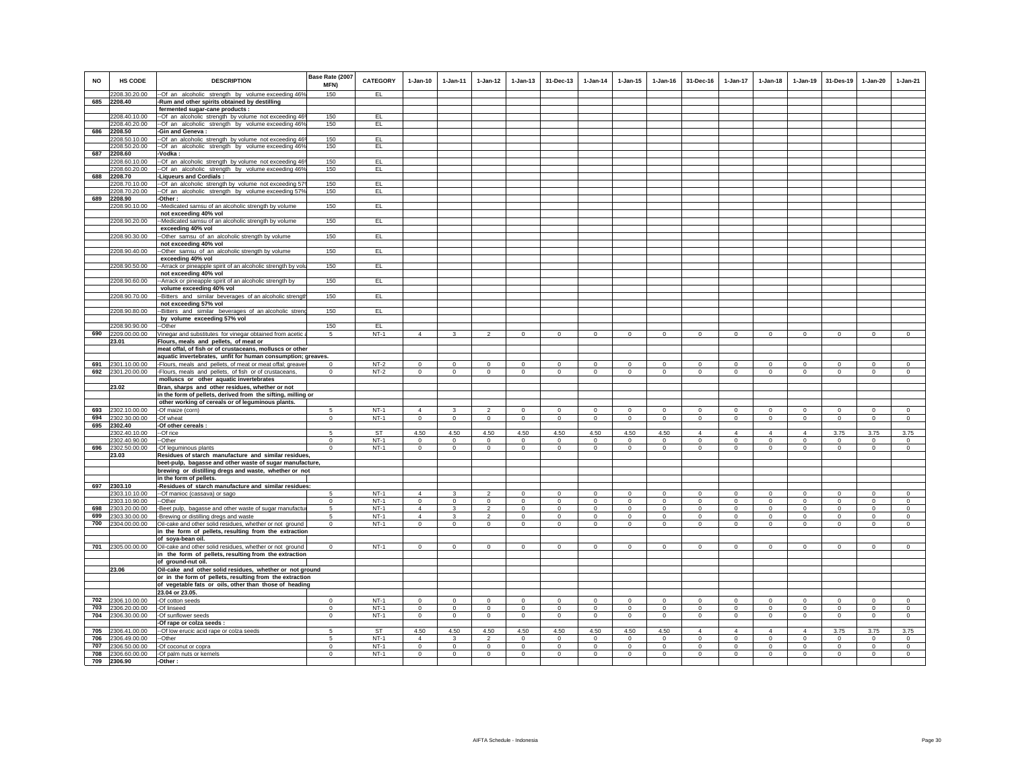| <b>NO</b> | <b>HS CODE</b>                     | <b>DESCRIPTION</b>                                                                                                | Base Rate (2007<br>MFN) | <b>CATEGORY</b> | $1-Jan-10$     | $1-Jan-11$   | $1-Jan-12$     | $1-Jan-13$   | 31-Dec-13    | $1-Jan-14$   | $1-Jan-15$  | $1-Jan-16$     | 31-Dec-16      | $1-Jan-17$     | $1-Jan-18$     | $1-Jan-19$     | 31-Des-19    | $1-Jan-20$  | $1-Jan-21$  |
|-----------|------------------------------------|-------------------------------------------------------------------------------------------------------------------|-------------------------|-----------------|----------------|--------------|----------------|--------------|--------------|--------------|-------------|----------------|----------------|----------------|----------------|----------------|--------------|-------------|-------------|
|           | 2208.30.20.00                      | --Of an alcoholic strength by volume exceeding 46%                                                                | 150                     | EL.             |                |              |                |              |              |              |             |                |                |                |                |                |              |             |             |
|           | 685 2208.40                        | -Rum and other spirits obtained by destilling                                                                     |                         |                 |                |              |                |              |              |              |             |                |                |                |                |                |              |             |             |
|           |                                    | fermented sugar-cane products :                                                                                   |                         |                 |                |              |                |              |              |              |             |                |                |                |                |                |              |             |             |
|           | 2208.40.10.00<br>2208.40.20.00     | -Of an alcoholic strength by volume not exceeding 469                                                             | 150<br>150              | EL.<br>EL.      |                |              |                |              |              |              |             |                |                |                |                |                |              |             |             |
| 686       | 2208.50                            | --Of an alcoholic strength by volume exceeding 46%<br>-Gin and Geneva :                                           |                         |                 |                |              |                |              |              |              |             |                |                |                |                |                |              |             |             |
|           | 2208.50.10.00                      | -- Of an alcoholic strength by volume not exceeding 469                                                           | 150                     | EL              |                |              |                |              |              |              |             |                |                |                |                |                |              |             |             |
|           | 2208.50.20.00                      | --Of an alcoholic strength by volume exceeding 46%                                                                | 150                     | EL.             |                |              |                |              |              |              |             |                |                |                |                |                |              |             |             |
| 687       | 2208.60                            | -Vodka:                                                                                                           |                         |                 |                |              |                |              |              |              |             |                |                |                |                |                |              |             |             |
|           | 2208.60.10.00                      | -- Of an alcoholic strength by volume not exceeding 469                                                           | 150                     | EL              |                |              |                |              |              |              |             |                |                |                |                |                |              |             |             |
|           | 2208.60.20.00                      | --Of an alcoholic strength by volume exceeding 46%                                                                | 150                     | EL.             |                |              |                |              |              |              |             |                |                |                |                |                |              |             |             |
| 688       | 2208.70                            | -Liqueurs and Cordials:                                                                                           |                         |                 |                |              |                |              |              |              |             |                |                |                |                |                |              |             |             |
|           | 2208.70.10.00<br>2208.70.20.00     | -- Of an alcoholic strength by volume not exceeding 579                                                           | 150<br>150              | EL<br>EL        |                |              |                |              |              |              |             |                |                |                |                |                |              |             |             |
| 689       | 2208.90                            | --Of an alcoholic strength by volume exceeding 57%<br>Other:                                                      |                         |                 |                |              |                |              |              |              |             |                |                |                |                |                |              |             |             |
|           | 2208.90.10.00                      | -Medicated samsu of an alcoholic strength by volume                                                               | 150                     | EL.             |                |              |                |              |              |              |             |                |                |                |                |                |              |             |             |
|           |                                    | not exceeding 40% vol                                                                                             |                         |                 |                |              |                |              |              |              |             |                |                |                |                |                |              |             |             |
|           | 2208.90.20.00                      | -Medicated samsu of an alcoholic strength by volume                                                               | 150                     | EL              |                |              |                |              |              |              |             |                |                |                |                |                |              |             |             |
|           |                                    | exceeding 40% vol                                                                                                 |                         |                 |                |              |                |              |              |              |             |                |                |                |                |                |              |             |             |
|           | 2208.90.30.00                      | -Other samsu of an alcoholic strength by volume                                                                   | 150                     | EL              |                |              |                |              |              |              |             |                |                |                |                |                |              |             |             |
|           |                                    | not exceeding 40% vol                                                                                             |                         |                 |                |              |                |              |              |              |             |                |                |                |                |                |              |             |             |
|           | 2208.90.40.00                      | -Other samsu of an alcoholic strength by volume<br>exceeding 40% vol                                              | 150                     | EL              |                |              |                |              |              |              |             |                |                |                |                |                |              |             |             |
|           | 2208.90.50.00                      | -- Arrack or pineapple spirit of an alcoholic strength by volu                                                    | 150                     | EL.             |                |              |                |              |              |              |             |                |                |                |                |                |              |             |             |
|           |                                    | not exceeding 40% vol                                                                                             |                         |                 |                |              |                |              |              |              |             |                |                |                |                |                |              |             |             |
|           | 2208.90.60.00                      | -Arrack or pineapple spirit of an alcoholic strength by                                                           | 150                     | EL              |                |              |                |              |              |              |             |                |                |                |                |                |              |             |             |
|           |                                    | volume exceeding 40% vol                                                                                          |                         |                 |                |              |                |              |              |              |             |                |                |                |                |                |              |             |             |
|           | 2208.90.70.00                      | -Bitters and similar beverages of an alcoholic strengt                                                            | 150                     | EL.             |                |              |                |              |              |              |             |                |                |                |                |                |              |             |             |
|           |                                    | not exceeding 57% vol                                                                                             |                         |                 |                |              |                |              |              |              |             |                |                |                |                |                |              |             |             |
|           | 2208.90.80.00                      | -Bitters and similar beverages of an alcoholic streng                                                             | 150                     | EL              |                |              |                |              |              |              |             |                |                |                |                |                |              |             |             |
|           |                                    | by volume exceeding 57% vol                                                                                       |                         |                 |                |              |                |              |              |              |             |                |                |                |                |                |              |             |             |
|           | 2208.90.90.00<br>690 2209.00.00.00 | --Other                                                                                                           | 150<br>5                | EL.<br>$NT-1$   | $\overline{4}$ | 3            |                | $\Omega$     | $\Omega$     | $\Omega$     | $\Omega$    | $\Omega$       | $\Omega$       | $\Omega$       | $\Omega$       | $\mathbf 0$    | $\Omega$     | $\Omega$    | $\Omega$    |
|           | 23.01                              | Vinegar and substitutes for vinegar obtained from acetic a<br>Flours, meals and pellets, of meat or               |                         |                 |                |              |                |              |              |              |             |                |                |                |                |                |              |             |             |
|           |                                    | meat offal, of fish or of crustaceans, molluscs or other                                                          |                         |                 |                |              |                |              |              |              |             |                |                |                |                |                |              |             |             |
|           |                                    | aquatic invertebrates, unfit for human consumption; greaves.                                                      |                         |                 |                |              |                |              |              |              |             |                |                |                |                |                |              |             |             |
| 691       | 2301.10.00.00                      | -Flours, meals and pellets, of meat or meat offal; greave                                                         | $\Omega$                | $NT-2$          | $\Omega$       | $\Omega$     | $\Omega$       | $\Omega$     | $\Omega$     | $\Omega$     | $\Omega$    | $\Omega$       | $\Omega$       | $\Omega$       | $\Omega$       | $\Omega$       | $\Omega$     | $\Omega$    | $\Omega$    |
| 692       | 2301.20.00.00                      | -Flours, meals and pellets, of fish or of crustaceans,                                                            | $\mathsf 0$             | $NT-2$          | $\mathsf 0$    | $\circ$      | $\mathbf 0$    | $\mathbf 0$  | $\mathsf 0$  | $\mathbf 0$  | $\mathbf 0$ | $\mathbf 0$    | $\mathsf 0$    | $\mathsf 0$    | $\mathbf 0$    | $\mathbf 0$    | $\mathbf 0$  | $\mathsf 0$ | $\circ$     |
|           |                                    | molluscs or other aquatic invertebrates                                                                           |                         |                 |                |              |                |              |              |              |             |                |                |                |                |                |              |             |             |
|           | 23.02                              | Bran, sharps and other residues, whether or not                                                                   |                         |                 |                |              |                |              |              |              |             |                |                |                |                |                |              |             |             |
|           |                                    | in the form of pellets, derived from the sifting, milling or<br>other working of cereals or of leguminous plants. |                         |                 |                |              |                |              |              |              |             |                |                |                |                |                |              |             |             |
| 693       | 2302.10.00.00                      | -Of maize (corn)                                                                                                  | 5                       | $NT-1$          | $\overline{4}$ | $\mathbf{3}$ | $\mathfrak{p}$ | $\Omega$     | $\Omega$     | $\Omega$     | $\Omega$    | $\Omega$       | $\Omega$       | $\Omega$       | $\Omega$       | $\Omega$       | $\Omega$     | $\Omega$    | $\Omega$    |
| 694       | 2302.30.00.00                      | -Of wheat                                                                                                         | $\mathsf 0$             | $NT-1$          | $\mathsf 0$    | $\circ$      | $\circ$        | $\mathbf 0$  | $\mathbf 0$  | $\mathbf 0$  | $\mathsf 0$ | $\mathbf 0$    | $\mathsf 0$    | $\mathbf 0$    | $\mathbf 0$    | $\mathbf 0$    | $\mathsf 0$  | $\circ$     | $\circ$     |
| 695       | 2302.40                            | -Of other cereals :                                                                                               |                         |                 |                |              |                |              |              |              |             |                |                |                |                |                |              |             |             |
|           | 2302.40.10.00                      | --Of rice                                                                                                         | 5                       | <b>ST</b>       | 4.50           | 4.50         | 4.50           | 4.50         | 4.50         | 4.50         | 4.50        | 4.50           | $\overline{4}$ | $\overline{4}$ | $\overline{4}$ | $\overline{4}$ | 3.75         | 3.75        | 3.75        |
|           | 2302.40.90.00                      | --Other                                                                                                           | $\Omega$                | $NT-1$          | $\Omega$       | $\Omega$     | $\Omega$       | $\Omega$     | $\Omega$     | $\Omega$     | $\Omega$    | $\Omega$       | $\Omega$       | $\Omega$       | $\Omega$       | $\overline{0}$ | $\Omega$     | $\Omega$    | $\Omega$    |
| 696       | 2302.50.00.00                      | -Of leguminous plants                                                                                             | $\mathbf 0$             | $NT-1$          | $\mathbf 0$    | $\circ$      | $\circ$        | $\circ$      | $\mathbf 0$  | $\mathbf 0$  | $\mathbf 0$ | $\mathbf 0$    | $\mathbf 0$    | $\circ$        | $\mathbf 0$    | $\mathbf{0}$   | $\mathbf 0$  | $\mathbf 0$ | $\circ$     |
|           | 23.03                              | Residues of starch manufacture and similar residues,                                                              |                         |                 |                |              |                |              |              |              |             |                |                |                |                |                |              |             |             |
|           |                                    | beet-pulp, bagasse and other waste of sugar manufacture,                                                          |                         |                 |                |              |                |              |              |              |             |                |                |                |                |                |              |             |             |
|           |                                    | brewing or distilling dregs and waste, whether or not<br>in the form of pellets.                                  |                         |                 |                |              |                |              |              |              |             |                |                |                |                |                |              |             |             |
|           | 697 2303.10                        | -Residues of starch manufacture and similar residues:                                                             |                         |                 |                |              |                |              |              |              |             |                |                |                |                |                |              |             |             |
|           | 2303.10.10.00                      | -- Of manioc (cassava) or sago                                                                                    | 5                       | $NT-1$          | $\overline{4}$ | $\mathbf{3}$ | $\mathfrak{p}$ | $\Omega$     | $\mathsf 0$  | $\Omega$     | $\Omega$    | $\Omega$       | $\Omega$       | $\Omega$       | $\Omega$       | $\Omega$       | $\Omega$     | $\Omega$    | $\Omega$    |
|           | 2303.10.90.00                      | --Other                                                                                                           | $\mathbf 0$             | NT-1            | $\mathbf 0$    | $\circ$      | $\mathbf 0$    | $\mathbf{0}$ | $\mathbf{0}$ | $\mathbf 0$  | $\mathbf 0$ | $\mathbf 0$    | $\mathbf 0$    | $\mathbf{0}$   | $^{\circ}$     | $\mathbf 0$    | $\mathbf 0$  | $\mathbf 0$ | $\mathbf 0$ |
| 698       | 2303.20.00.00                      | -Beet pulp, bagasse and other waste of sugar manufactur                                                           | 5                       | $NT-1$          | $\Delta$       | 3            | $\overline{2}$ | $\circ$      | $\mathbf 0$  | $\circ$      | $^{\circ}$  | $^{\circ}$     | $\circ$        | $\circ$        | $\Omega$       | $\mathbf 0$    | $\Omega$     | $^{\circ}$  | $^{\circ}$  |
| 699       | 2303.30.00.00                      | -Brewing or distilling dregs and waste                                                                            | 5                       | $NT-1$          | $\overline{4}$ | 3            | $\overline{a}$ | $\mathbf{0}$ | $\Omega$     | $\circ$      | $\mathbf 0$ | $\mathbf 0$    | $\mathbf 0$    | $\mathbf{0}$   | $\mathbf{0}$   | $\,0\,$        | $\Omega$     | $^{\circ}$  | $\mathbf 0$ |
| 700       | 2304.00.00.00                      | Oil-cake and other solid residues, whether or not ground                                                          | $\circ$                 | $NT-1$          | $\circ$        | $\circ$      | $\overline{0}$ | $\mathbf 0$  | $\mathbf 0$  | $\Omega$     | $\mathbf 0$ | $\Omega$       | $\circ$        | $\mathbf 0$    | $\circ$        | $\circ$        | $\Omega$     | $\Omega$    | $\Omega$    |
|           |                                    | in the form of pellets, resulting from the extraction<br>of soya-bean oil.                                        |                         |                 |                |              |                |              |              |              |             |                |                |                |                |                |              |             |             |
|           | 701 2305.00.00.00                  | Oil-cake and other solid residues, whether or not ground                                                          | $\Omega$                | $NT-1$          | $\mathbf 0$    | $\mathbf 0$  | $\mathbf 0$    | $\Omega$     | $\mathbf 0$  | $\mathbf 0$  | $\mathbf 0$ | $\mathbf 0$    | $\mathbf 0$    | $\mathbf 0$    | $\mathbf 0$    | $\mathbf 0$    | $\mathbf 0$  | $\mathbf 0$ | $\circ$     |
|           |                                    | in the form of pellets, resulting from the extraction                                                             |                         |                 |                |              |                |              |              |              |             |                |                |                |                |                |              |             |             |
|           |                                    | of ground-nut oil.                                                                                                |                         |                 |                |              |                |              |              |              |             |                |                |                |                |                |              |             |             |
|           | 23.06                              | Oil-cake and other solid residues, whether or not ground                                                          |                         |                 |                |              |                |              |              |              |             |                |                |                |                |                |              |             |             |
|           |                                    | or in the form of pellets, resulting from the extraction                                                          |                         |                 |                |              |                |              |              |              |             |                |                |                |                |                |              |             |             |
|           |                                    | of vegetable fats or oils, other than those of heading                                                            |                         |                 |                |              |                |              |              |              |             |                |                |                |                |                |              |             |             |
|           |                                    | 23.04 or 23.05.                                                                                                   |                         |                 |                |              |                |              |              |              |             |                |                |                |                |                |              |             |             |
|           | 702 2306.10.00.00                  | -Of cotton seeds                                                                                                  | $\Omega$                | $NT-1$          | $^{\circ}$     | $^{\circ}$   | $\circ$        | $\Omega$     | $\Omega$     | $\Omega$     | $^{\circ}$  | $^{\circ}$     | $\Omega$       | $\Omega$       | $^{\circ}$     | $\mathbf{0}$   | $^{\circ}$   | $^{\circ}$  | $^{\circ}$  |
| 703       | 2306.20.00.00                      | -Of linseed                                                                                                       | $\mathbf 0$             | $NT-1$          | $\mathbf{0}$   | $\circ$      | $\mathbf 0$    | $\mathbf{0}$ | $\mathbf{0}$ | $\mathbf{0}$ | $\mathbf 0$ | $\overline{0}$ | $\mathbf{0}$   | $\mathbf{0}$   | $\mathbf{0}$   | $\,0\,$        | $\mathbf{0}$ | $^{\circ}$  | $\mathbf 0$ |
| 704       | 2306.30.00.00                      | -Of sunflower seeds<br>Of rape or colza seeds :                                                                   | $\Omega$                | $NT-1$          | $\mathbf{0}$   | $\circ$      | $\mathbf 0$    | $\mathbf 0$  | $\mathbf{0}$ | $\circ$      | $\mathsf 0$ | $\circ$        | $\circ$        | $\mathbf 0$    | $\circ$        | $\circ$        | $\mathbf 0$  | $\circ$     | $\circ$     |
| 705       | 2306.41.00.00                      | -Of low erucic acid rape or colza seeds                                                                           | 5                       | <b>ST</b>       | 4.50           | 4.50         | 4.50           | 4.50         | 4.50         | 4.50         | 4.50        | 4.50           | $\overline{4}$ | $\overline{4}$ | $\overline{4}$ | $\overline{4}$ | 3.75         | 3.75        | 3.75        |
| 706       | 2306.49.00.00                      | -Other                                                                                                            | 5                       | $NT-1$          | $\Delta$       | $\mathbf{3}$ | $\mathfrak{p}$ | $\mathbf 0$  | $\mathbf 0$  | $\mathbf 0$  | $\mathbf 0$ | $\mathbf 0$    | $\mathbf 0$    | $\circ$        | $\mathbf 0$    | $^{\circ}$     | $\mathbf 0$  | $\mathbf 0$ | $\circ$     |
| 707       | 2306.50.00.00                      | -Of coconut or copra                                                                                              | $\mathbf 0$             | $NT-1$          | $\Omega$       | $\circ$      | $\overline{0}$ | $\mathbf 0$  | $\mathbf 0$  | $\mathbf 0$  | $\Omega$    | $^{\circ}$     | $\Omega$       | $\overline{0}$ | $\mathbf 0$    | $\mathbf 0$    | $\circ$      | $\Omega$    | $\mathbf 0$ |
| 708       | 2306.60.00.00                      | -Of palm nuts or kernels                                                                                          | $\mathsf 0$             | $NT-1$          | $\overline{0}$ | $\mathsf 0$  | $\overline{0}$ | $\mathbf 0$  | $\Omega$     | $\Omega$     | $\Omega$    | $\mathbf 0$    | $\Omega$       | $\mathbf 0$    | $\Omega$       | $\mathbf 0$    | $\Omega$     | $\Omega$    | $\mathbf 0$ |
| 709       | 2306.90                            | -Other:                                                                                                           |                         |                 |                |              |                |              |              |              |             |                |                |                |                |                |              |             |             |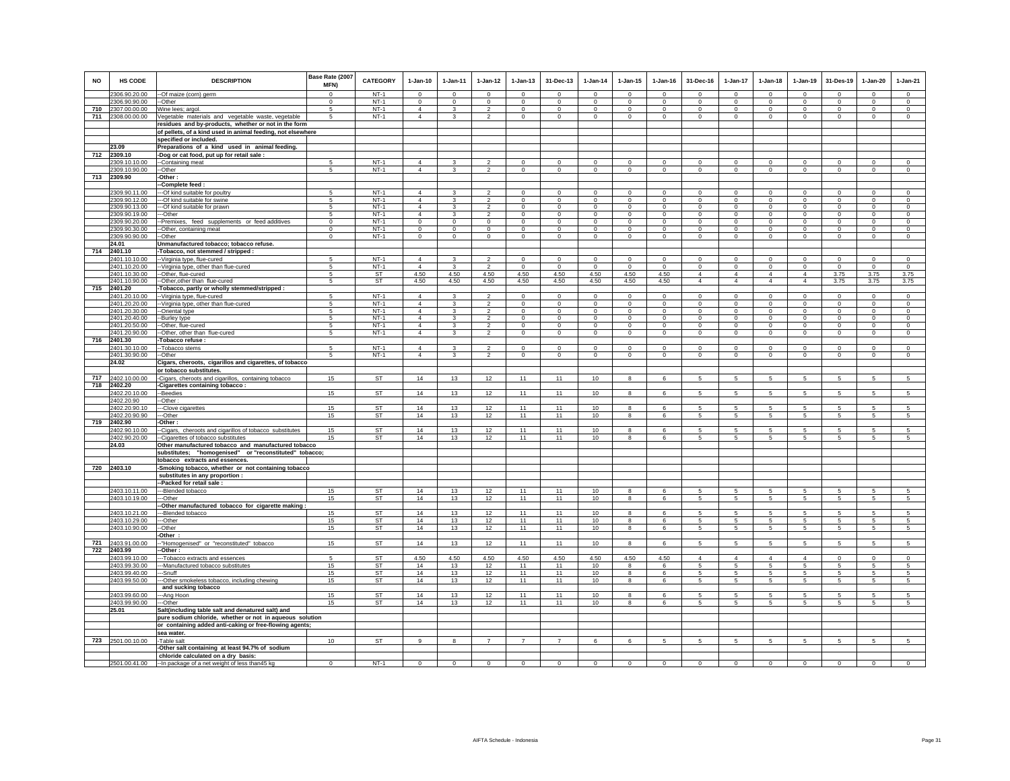| NO  | HS CODE                        | <b>DESCRIPTION</b>                                                                        | Base Rate (2007<br><b>MFN)</b> | <b>CATEGORY</b>        | $1-Jan-10$                 | $1-Jan-11$              | 1-Jan-12                         | 1-Jan-13                   | 31-Dec-13                     | 1-Jan-14                | 1-Jan-15             | 1-Jan-16                | 31-Dec-16                     | 1-Jan-17                      | 1-Jan-18                      | 1-Jan-19                      | 31-Des-19               | 1-Jan-20                      | $1-Jan-21$                    |
|-----|--------------------------------|-------------------------------------------------------------------------------------------|--------------------------------|------------------------|----------------------------|-------------------------|----------------------------------|----------------------------|-------------------------------|-------------------------|----------------------|-------------------------|-------------------------------|-------------------------------|-------------------------------|-------------------------------|-------------------------|-------------------------------|-------------------------------|
|     | 2306.90.20.00                  | -- Of maize (corn) germ                                                                   | $\Omega$                       | $NT-1$                 | $\Omega$                   | $\Omega$                | $\Omega$                         | $\Omega$                   | $\Omega$                      | $\Omega$                | $\Omega$             | $\Omega$                | $\Omega$                      | $\Omega$                      | $\mathbf{0}$                  | $\Omega$                      | $\Omega$                | $\Omega$                      | $\circ$                       |
|     | 2306.90.90.00                  | --Other                                                                                   | $^{\circ}$                     | $NT-1$                 | $^{\circ}$                 | $\mathbf 0$             | $^{\circ}$                       | $\mathbf 0$                | $^{\circ}$                    | $^{\circ}$              | $^{\circ}$           | $^{\circ}$              | $\mathbf 0$                   | $\circ$                       | $\mathbf 0$                   | $^{\circ}$                    | $\mathbf 0$             | $\mathbf 0$                   | $\circ$                       |
|     | 710 2307.00.00.00              | Wine lees; argol.                                                                         | 5                              | $NT-1$                 | $\overline{4}$             | $\mathbf{3}$            | $\overline{2}$                   | $\mathbf 0$                | $\mathbf{0}$                  | $\mathbf 0$             | $\mathbf 0$          | $\mathbf 0$             | $\mathbf{0}$                  | $\mathbf 0$                   | $\mathbf 0$                   | $\mathbf 0$                   | $\mathbf 0$             | $\circ$                       | $\mathbf{0}$                  |
| 711 | 2308.00.00.00                  | Vegetable materials and vegetable waste, vegetable                                        | 5                              | $NT-1$                 | $\overline{4}$             | 3                       | $\overline{2}$                   | $\mathbf 0$                | $\mathbf 0$                   | 0                       | 0                    | 0                       | $\mathbf 0$                   | $\mathbf 0$                   | $\mathbf 0$                   | $\mathbf 0$                   | $\mathbf 0$             | $\mathbf 0$                   | $\mathbf{0}$                  |
|     |                                | esidues and by-products, whether or not in the form                                       |                                |                        |                            |                         |                                  |                            |                               |                         |                      |                         |                               |                               |                               |                               |                         |                               |                               |
|     |                                | of pellets, of a kind used in animal feeding, not elsewhere                               |                                |                        |                            |                         |                                  |                            |                               |                         |                      |                         |                               |                               |                               |                               |                         |                               |                               |
|     |                                | specified or included.                                                                    |                                |                        |                            |                         |                                  |                            |                               |                         |                      |                         |                               |                               |                               |                               |                         |                               |                               |
|     | 23.09                          | Preparations of a kind used in animal feeding.                                            |                                |                        |                            |                         |                                  |                            |                               |                         |                      |                         |                               |                               |                               |                               |                         |                               |                               |
| 712 | 2309.10                        | -Dog or cat food, put up for retail sale :                                                |                                |                        | $\overline{4}$             |                         |                                  |                            | $\overline{0}$                |                         | $\Omega$             |                         |                               |                               |                               | $\overline{0}$                | $\overline{0}$          | $\overline{0}$                |                               |
|     | 309.10.10.00                   | -Containing meat                                                                          | 5<br>5                         | $NT-1$<br>$NT-1$       | $\overline{4}$             | 3<br>3                  | 2<br>$\overline{2}$              | $\overline{0}$             | $\mathbf 0$                   | $\Omega$<br>$\mathbf 0$ | $\mathbf 0$          | $\Omega$<br>$\mathbf 0$ | $\overline{0}$                | $\overline{0}$<br>$\circ$     | $\overline{0}$                |                               |                         | $\mathbf 0$                   | $\overline{0}$<br>$\mathsf 0$ |
|     | 2309.10.90.00<br>713 2309.90   | --Other<br>-Other:                                                                        |                                |                        |                            |                         |                                  | $\mathsf 0$                |                               |                         |                      |                         | $\mathbf 0$                   |                               | $\mathbf 0$                   | $\mathsf 0$                   | $\mathbf 0$             |                               |                               |
|     |                                | -Complete feed:                                                                           |                                |                        |                            |                         |                                  |                            |                               |                         |                      |                         |                               |                               |                               |                               |                         |                               |                               |
|     | 2309.90.11.00                  | -Of kind suitable for poultry                                                             | 5                              | $NT-1$                 | $\overline{4}$             | 3                       | $\mathfrak{p}$                   | $\mathbf 0$                | $\mathbf 0$                   | $\mathbf 0$             | $\mathbf 0$          | $\mathbf 0$             | $\mathbf 0$                   | $\mathbf 0$                   | $\mathsf 0$                   | $\mathsf 0$                   | $\mathbf 0$             | $\mathsf 0$                   | $\mathsf 0$                   |
|     | 2309.90.12.00                  | --Of kind suitable for swine                                                              | 5                              | $NT-1$                 | $\overline{4}$             | 3                       | $\overline{2}$                   | $\mathbf 0$                | $\,0\,$                       | $\mathbf 0$             | $\mathbf 0$          | $\mathbf 0$             | $\mathbf 0$                   | $\mathbf 0$                   | $\mathbf 0$                   | $\mathbf 0$                   | $\mathbf 0$             | $\mathbf 0$                   | $\mathbf 0$                   |
|     | 2309.90.13.00                  | --Of kind suitable for prawn                                                              | $\sqrt{2}$                     | $NT-1$                 | $\Delta$                   | $\mathcal{R}$           | $\mathfrak{D}$                   | $\Omega$                   | $\Omega$                      | $\Omega$                | $\Omega$             | $\Omega$                | $\Omega$                      | $\circ$                       | $\Omega$                      | $\Omega$                      | $\Omega$                | $\Omega$                      | $\Omega$                      |
|     | 2309.90.19.00                  | --Other                                                                                   | 5                              | $NT-1$                 | $\overline{4}$             | 3                       | $\mathfrak{p}$                   | $\mathbf 0$                | $\mathbf 0$                   | $^{\circ}$              | $\mathbf 0$          | $\mathbf 0$             | $\mathbf 0$                   | $\mathbf{0}$                  | $\mathbf 0$                   | $\mathbf 0$                   | $\Omega$                | $\mathbf 0$                   | $\circ$                       |
|     | 2309.90.20.00                  | -Premixes, feed supplements or feed additives                                             | $\mathbf 0$                    | $NT-1$                 | $\mathbf{0}$               | $\mathbf 0$             | $\mathbf 0$                      | $\mathbf 0$                | $\mathbf{0}$                  | $\,0\,$                 | $\mathbf 0$          | $\mathbf 0$             | $\mathbf{0}$                  | $\circ$                       | $\mathbf 0$                   | $\mathbf 0$                   | $\mathbf 0$             | $\circ$                       | $\circ$                       |
|     | 2309.90.30.00                  | -Other, containing meat                                                                   | $\Omega$                       | $NT-1$                 | $\Omega$                   | $\Omega$                | $\Omega$                         | $\mathbf 0$                | $\mathbf{0}$                  | $^{\circ}$              | $^{\circ}$           | $\Omega$                | $\mathbf{0}$                  | $\mathsf 0$                   | $\mathbf 0$                   | $\mathbf{0}$                  | $\Omega$                | $\mathbf{0}$                  | $\Omega$                      |
|     | 2309.90.90.00                  | -Other                                                                                    | $\mathbf 0$                    | $NT-1$                 | $\mathbf 0$                | $\mathbf 0$             | $\mathbf 0$                      | $\mathbf 0$                | $\mathbf 0$                   | $\mathbf 0$             | $\mathbf 0$          | $\mathbf 0$             | $\mathbf 0$                   | $\mathsf 0$                   | $\mathbf 0$                   | $\mathbf 0$                   | $\mathbf 0$             | $\mathbf 0$                   | $\circ$                       |
|     | 24.01                          | Unmanufactured tobacco; tobacco refuse.                                                   |                                |                        |                            |                         |                                  |                            |                               |                         |                      |                         |                               |                               |                               |                               |                         |                               |                               |
| 714 | 2401.10                        | -Tobacco, not stemmed / stripped :                                                        |                                | $NT-1$                 | $\Delta$                   |                         | $\mathcal{L}$                    |                            | $\Omega$                      | $\Omega$                |                      |                         |                               | $\Omega$                      |                               | $\Omega$                      | $\Omega$                | $\Omega$                      | $\Omega$                      |
|     | 2401.10.10.00                  | -- Virginia type, flue-cured                                                              | $\sqrt{2}$<br>5                | $NT-1$                 | $\overline{4}$             | $\mathcal{R}$           | $\mathcal{P}$                    | $\Omega$<br>$\Omega$       | $\Omega$                      | $\Omega$                | $\Omega$<br>$\Omega$ | $\Omega$<br>$\Omega$    | $\Omega$                      |                               | $\Omega$                      |                               | $\Omega$                | $\Omega$                      |                               |
|     | 2401.10.20.00<br>2401.10.30.00 | -- Virginia type, other than flue-cured<br>-Other, flue-cured                             | 5                              | ST                     | 4.50                       | 4.50                    | 4.50                             | 4.50                       | 4.50                          | 4.50                    | 4.50                 | 4.50                    | $\mathbf 0$<br>$\overline{4}$ | $\circ$<br>$\overline{4}$     | $\mathbf 0$<br>$\overline{4}$ | $\circ$<br>$\overline{4}$     | 3.75                    | 3.75                          | $\circ$<br>3.75               |
|     | 2401.10.90.00                  | -Other, other than flue-cured                                                             | 5                              | <b>ST</b>              | 4.50                       | 4.50                    | 4.50                             | 4.50                       | 4.50                          | 4.50                    | 4.50                 | 4.50                    | $\overline{4}$                | $\overline{4}$                | $\overline{4}$                | $\overline{4}$                | 3.75                    | 3.75                          | 3.75                          |
| 715 | 2401.20                        | Tobacco, partly or wholly stemmed/stripped :                                              |                                |                        |                            |                         |                                  |                            |                               |                         |                      |                         |                               |                               |                               |                               |                         |                               |                               |
|     | 2401.20.10.00                  | -Virginia type, flue-cured                                                                | 5                              | $NT-1$                 | $\overline{4}$             | $\mathbf{3}$            | $\mathfrak{p}$                   | $\mathbf 0$                | $^{\circ}$                    | $^{\circ}$              | $^{\circ}$           | $^{\circ}$              | $^{\circ}$                    | $\mathbf 0$                   | $\mathbf 0$                   | $\mathbf 0$                   | $\mathbf 0$             | $\mathbf 0$                   | $\circ$                       |
|     | 2401.20.20.00                  | -- Virginia type, other than flue-cured                                                   | 5                              | $NT-1$                 | $\overline{4}$             | $\overline{\mathbf{3}}$ | $\overline{2}$                   | $\overline{0}$             | $\overline{0}$                | $\overline{0}$          | $\overline{0}$       | $\overline{0}$          | $\overline{0}$                | $\overline{0}$                | $\overline{0}$                | $\overline{0}$                | $\overline{0}$          | $\overline{0}$                | $\overline{0}$                |
|     | 2401.20.30.00                  | -Oriental type                                                                            | 5                              | $NT-1$                 | $\overline{4}$             | $\mathbf{3}$            | $\overline{a}$                   | $\mathsf 0$                | $\mathsf 0$                   | $\mathbf 0$             | $\mathbf 0$          | $\mathbf 0$             | $\mathsf 0$                   | $\mathbf{0}$                  | $\mathsf 0$                   | $\mathsf 0$                   | $\mathbf 0$             | $\mathsf 0$                   | $\mathsf 0$                   |
|     | 2401.20.40.00                  | -Burley type                                                                              | 5                              | $NT-1$                 | $\overline{4}$             | 3                       | $\overline{2}$                   | $\mathbf 0$                | $\mathbf 0$                   | $\mathbf 0$             | $\mathbf 0$          | $\mathbf 0$             | $\mathbf 0$                   | $\mathbf 0$                   | $\mathbf 0$                   | $\mathbf 0$                   | $\mathbf 0$             | $\circ$                       | $\circ$                       |
|     | 2401.20.50.00                  | --Other, flue-cured                                                                       | -5                             | $NT-1$                 | $\overline{4}$             | 3                       | $\overline{2}$                   | $\Omega$                   | $\overline{0}$                | $^{\circ}$              | $\Omega$             | $\Omega$                | $^{\circ}$                    | $\overline{0}$                | $\Omega$                      | $\overline{0}$                | $\Omega$                | $\Omega$                      | $\Omega$                      |
|     | 2401.20.90.00                  | -Other, other than flue-cured                                                             | 5                              | $NT-1$                 | $\overline{4}$             | $\mathbf{3}$            | $\overline{2}$                   | $\mathsf 0$                | $\mathsf 0$                   | $\mathbf 0$             | $\mathbf 0$          | $\mathbf 0$             | $\mathsf 0$                   | $\mathsf 0$                   | $\mathsf 0$                   | $\mathsf 0$                   | $\mathbf 0$             | $\mathsf 0$                   | $\mathsf 0$                   |
| 716 | 2401.30                        | Tobacco refuse :                                                                          |                                |                        |                            |                         |                                  |                            |                               |                         |                      |                         |                               |                               |                               |                               |                         |                               |                               |
|     | 2401.30.10.00<br>2401.30.90.00 | --Tobacco stems                                                                           | $\overline{5}$<br>5            | $NT-1$                 | $\Delta$<br>$\overline{4}$ | $\mathbf{3}$<br>3       | $\overline{2}$<br>$\overline{2}$ | $\Omega$<br>$\overline{0}$ | $\mathbf 0$<br>$\overline{0}$ | $\Omega$<br>$\Omega$    | $\Omega$<br>$\Omega$ | $\Omega$<br>$\Omega$    | $\mathbf 0$<br>$\Omega$       | $\mathsf 0$<br>$\overline{0}$ | $\Omega$<br>$\overline{0}$    | $\mathbf 0$<br>$\overline{0}$ | $\mathbf 0$<br>$\Omega$ | $\mathbf 0$<br>$\overline{0}$ | $\circ$<br>$\overline{0}$     |
|     | 24.02                          | $-Other$                                                                                  |                                | $NT-1$                 |                            |                         |                                  |                            |                               |                         |                      |                         |                               |                               |                               |                               |                         |                               |                               |
|     |                                | Cigars, cheroots, cigarillos and cigarettes, of tobacco<br>or tobacco substitutes.        |                                |                        |                            |                         |                                  |                            |                               |                         |                      |                         |                               |                               |                               |                               |                         |                               |                               |
| 717 | 2402.10.00.00                  | -Cigars, cheroots and cigarillos, containing tobacco                                      | 15                             | ST                     | 14                         | 13                      | 12                               | 11                         | 11                            | 10                      | 8                    | 6                       | 5                             | $5\overline{5}$               | 5                             | 5                             | 5                       | $5\overline{5}$               | 5                             |
| 718 | 2402.20                        | -Cigarettes containing tobacco:                                                           |                                |                        |                            |                         |                                  |                            |                               |                         |                      |                         |                               |                               |                               |                               |                         |                               |                               |
|     | 2402.20.10.00                  | Beedies                                                                                   | 15                             | <b>ST</b>              | 14                         | 13                      | 12                               | 11                         | 11                            | 10                      | 8                    | 6                       | 5                             | 5                             | 5                             | 5                             | $\sqrt{5}$              | 5                             | 5                             |
|     | 2402.20.90                     | -Other:                                                                                   |                                |                        |                            |                         |                                  |                            |                               |                         |                      |                         |                               |                               |                               |                               |                         |                               |                               |
|     | 2402.20.90.10                  | -Clove cigarettes                                                                         | 15                             | <b>ST</b>              | 14                         | 13                      | 12                               | 11                         | 11                            | 10                      | 8                    | $\epsilon$              | 5                             | 5                             | 5                             | 5                             | -5                      | 5                             | 5                             |
|     | 2402.20.90.90                  | --Other                                                                                   | 15                             | ST                     | 14                         | 13                      | 12                               | 11                         | 11                            | 10                      | 8                    | 6                       | 5                             | 5                             | 5                             | 5                             | $\sqrt{5}$              | 5                             | 5                             |
| 719 | 2402.90                        | Other:                                                                                    |                                |                        |                            |                         |                                  |                            |                               |                         |                      |                         |                               |                               |                               |                               |                         |                               |                               |
|     | 2402.90.10.00                  | -Cigars, cheroots and cigarillos of tobacco substitutes                                   | 15<br>15                       | <b>ST</b><br><b>ST</b> | 14<br>14                   | 13<br>13                | 12<br>12                         | 11<br>11                   | 11<br>11                      | 10                      | 8                    | 6                       | 5<br>5                        | 5<br>5                        | 5<br>5                        | 5<br>5                        | -5<br>5                 | 5<br>5                        | 5<br>5                        |
|     | 2402.90.20.00<br>24.03         | -Cigarettes of tobacco substitutes<br>Other manufactured tobacco and manufactured tobacco |                                |                        |                            |                         |                                  |                            |                               | 10                      | 8                    | 6                       |                               |                               |                               |                               |                         |                               |                               |
|     |                                | substitutes; "homogenised" or "reconstituted" tobacco;                                    |                                |                        |                            |                         |                                  |                            |                               |                         |                      |                         |                               |                               |                               |                               |                         |                               |                               |
|     |                                | tobacco extracts and essences.                                                            |                                |                        |                            |                         |                                  |                            |                               |                         |                      |                         |                               |                               |                               |                               |                         |                               |                               |
| 720 | 2403.10                        | -Smoking tobacco, whether or not containing tobacco                                       |                                |                        |                            |                         |                                  |                            |                               |                         |                      |                         |                               |                               |                               |                               |                         |                               |                               |
|     |                                | substitutes in any proportion :                                                           |                                |                        |                            |                         |                                  |                            |                               |                         |                      |                         |                               |                               |                               |                               |                         |                               |                               |
|     |                                | -Packed for retail sale:                                                                  |                                |                        |                            |                         |                                  |                            |                               |                         |                      |                         |                               |                               |                               |                               |                         |                               |                               |
|     | 2403.10.11.00                  | --Blended tobacco                                                                         | 15                             | ST                     | 14                         | 13                      | 12                               | 11                         | 11                            | 10                      | 8                    | 6                       | 5                             | 5                             | 5                             | 5                             | -5                      | 5                             | 5                             |
|     | 2403.10.19.00                  | ---Other                                                                                  | 15                             | <b>ST</b>              | 14                         | 13                      | 12                               | 11                         | 11                            | 10                      | 8                    | 6                       | 5                             | 5                             | 5                             | $\sqrt{5}$                    | $\sqrt{5}$              | $5\overline{5}$               | $5\overline{5}$               |
|     |                                | -Other manufactured tobacco for cigarette making                                          |                                |                        |                            |                         |                                  |                            |                               |                         |                      |                         |                               |                               |                               |                               |                         |                               |                               |
|     | 2403.10.21.00                  | --Blended tobacco                                                                         | 15                             | ST                     | 14                         | 13                      | 12                               | 11                         | 11                            | 10                      | 8                    | 6                       | 5                             | 5                             | 5                             | 5                             | 5                       | 5                             | 5                             |
|     | 2403.10.29.00<br>2403.10.90.00 | --Other                                                                                   | 15<br>15                       | <b>ST</b><br><b>ST</b> | 14<br>14                   | 13<br>13                | 12<br>12                         | 11<br>11                   | 11<br>11                      | 10<br>10                | 8<br>$\overline{8}$  | 6<br>6                  | 5<br>$\overline{5}$           | $5\overline{5}$<br>5          | 5<br>5                        | 5<br>$\overline{5}$           | 5<br>5                  | 5<br>5                        | 5<br>$\overline{5}$           |
|     |                                | -Other<br>Other:                                                                          |                                |                        |                            |                         |                                  |                            |                               |                         |                      |                         |                               |                               |                               |                               |                         |                               |                               |
| 721 | 2403.91.00.00                  | "Homogenised" or "reconstituted" tobacco                                                  | 15                             | ST                     | 14                         | 13                      | 12                               | 11                         | 11                            | 10                      | 8                    | 6                       | 5                             | 5                             | 5                             | 5                             | -5                      | 5                             | -5                            |
| 722 | 2403.99                        | -Other :                                                                                  |                                |                        |                            |                         |                                  |                            |                               |                         |                      |                         |                               |                               |                               |                               |                         |                               |                               |
|     | 2403.99.10.00                  | -Tobacco extracts and essences                                                            | -5                             | <b>ST</b>              | 4.50                       | 4.50                    | 4.50                             | 4.50                       | 4.50                          | 4.50                    | 4.50                 | 4.50                    | $\overline{4}$                | $\overline{4}$                | $\overline{4}$                | $\overline{4}$                | $\Omega$                | $\Omega$                      | $\Omega$                      |
|     | 2403.99.30.00                  | -Manufactured tobacco substitutes                                                         | 15                             | ST                     | 14                         | 13                      | 12                               | 11                         | 11                            | 10                      | 8                    | 6                       | 5                             | 5                             | 5                             | 5                             | -5                      | 5                             | 5                             |
|     | 2403.99.40.00                  | -Snuff                                                                                    | 15                             | ST                     | 14                         | 13                      | 12                               | 11                         | 11                            | 10                      | 8                    | 6                       | 5                             | $\overline{5}$                | 5                             | 5                             | -5                      | 5                             | 5                             |
|     | 2403.99.50.00                  | --Other smokeless tobacco, including chewing                                              | 15                             | <b>ST</b>              | 14                         | 13                      | 12                               | 11                         | 11                            | 10                      | $\overline{8}$       | 6                       | 5                             | $5^{\circ}$                   | 5                             | $\overline{5}$                | 5                       | 5                             | $\overline{5}$                |
|     |                                | and sucking tobacco                                                                       |                                |                        |                            |                         |                                  |                            |                               |                         |                      |                         |                               |                               |                               |                               |                         |                               |                               |
|     | 2403.99.60.00                  | --Ang Hoon                                                                                | 15                             | <b>ST</b>              | 14                         | 13                      | 12                               | 11                         | 11                            | 10                      | 8                    | 6                       | 5                             | 5                             | 5                             | 5                             | 5                       | 5                             | 5                             |
|     | 2403.99.90.00                  | --Other                                                                                   | 15                             | ST                     | 14                         | 13                      | 12                               | 11                         | 11                            | 10                      | 8                    | 6                       | 5                             | 5                             | 5                             | 5                             | -5                      | 5                             | 5                             |
|     | 25.01                          | Salt(including table salt and denatured salt) and                                         |                                |                        |                            |                         |                                  |                            |                               |                         |                      |                         |                               |                               |                               |                               |                         |                               |                               |
|     |                                | pure sodium chloride, whether or not in aqueous solution                                  |                                |                        |                            |                         |                                  |                            |                               |                         |                      |                         |                               |                               |                               |                               |                         |                               |                               |
|     |                                | or containing added anti-caking or free-flowing agents;                                   |                                |                        |                            |                         |                                  |                            |                               |                         |                      |                         |                               |                               |                               |                               |                         |                               |                               |
|     | 723 2501.00.10.00              | sea water.<br>Table salt                                                                  | 10                             | <b>ST</b>              | $\mathbf{q}$               | $\mathbf{g}$            | $\overline{7}$                   | $\overline{7}$             | $\overline{7}$                | 6                       | 6                    | 5                       | 5                             | 5                             | 5                             | $\overline{5}$                | 5                       | 5                             | $\overline{5}$                |
|     |                                | -Other salt containing at least 94.7% of sodium                                           |                                |                        |                            |                         |                                  |                            |                               |                         |                      |                         |                               |                               |                               |                               |                         |                               |                               |
|     |                                | chloride calculated on a dry basis:                                                       |                                |                        |                            |                         |                                  |                            |                               |                         |                      |                         |                               |                               |                               |                               |                         |                               |                               |
|     |                                | 2501.00.41.00 - In package of a net weight of less than45 kg                              | $^{\circ}$                     | $NT-1$                 | $\Omega$                   |                         | $\Omega$                         | $\Omega$                   | $\Omega$                      | $\Omega$                |                      | $\Omega$                | $\Omega$                      | $\Omega$                      | $\Omega$                      | $\Omega$                      | $\Omega$                | $\Omega$                      | $\Omega$                      |
|     |                                |                                                                                           |                                |                        |                            |                         |                                  |                            |                               |                         |                      |                         |                               |                               |                               |                               |                         |                               |                               |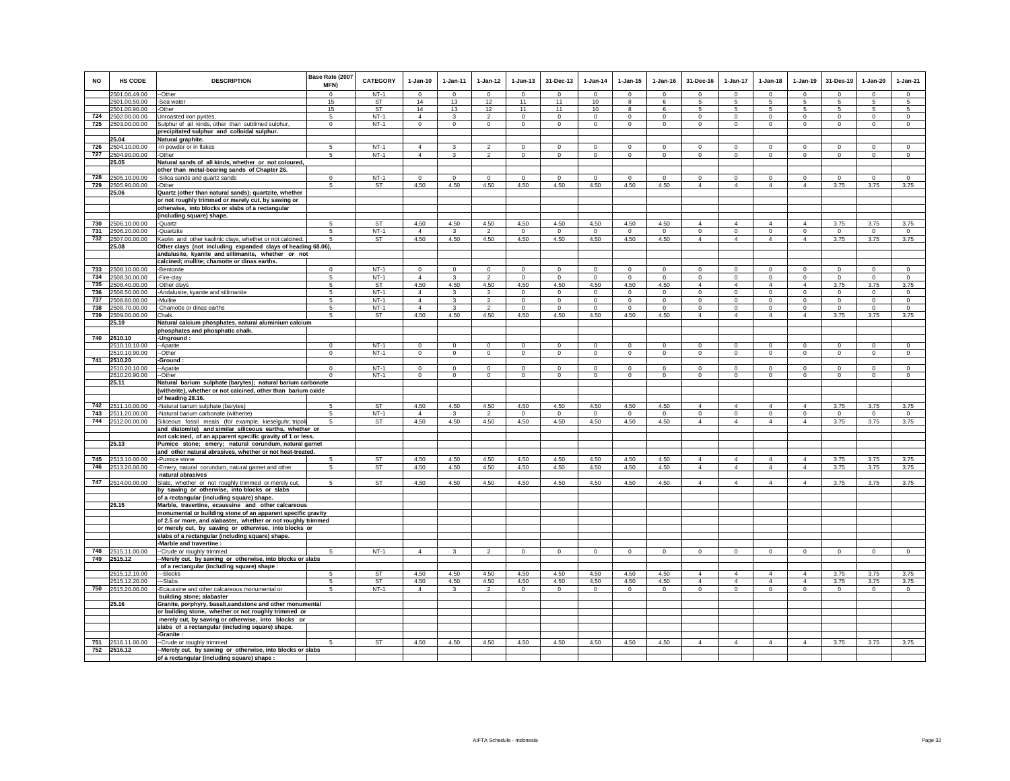| <b>NO</b> | <b>HS CODE</b>                     | <b>DESCRIPTION</b>                                                                                                     | Base Rate (2007<br>MFN) | <b>CATEGORY</b> | $1-Jan-10$             | 1-Jan-11     | $1 - Jan-12$           | $1 - Jan-13$      | 31-Dec-13            | $1-Jan-14$          | $1 - Jan-15$        | $1 - Jan-16$    | 31-Dec-16      | 1-Jan-17        | $1-Jan-18$       | $1-Jan-19$     | 31-Des-19        | $1-Jan-20$                | $1-Jan-21$                  |
|-----------|------------------------------------|------------------------------------------------------------------------------------------------------------------------|-------------------------|-----------------|------------------------|--------------|------------------------|-------------------|----------------------|---------------------|---------------------|-----------------|----------------|-----------------|------------------|----------------|------------------|---------------------------|-----------------------------|
|           | 2501.00.49.00                      | --Other                                                                                                                | $\Omega$                | $NT-1$          | $\Omega$               | $\Omega$     | $\Omega$               | $\Omega$          | $\Omega$             | $\Omega$            | $\Omega$            | $\Omega$        | $\Omega$       | $\Omega$        | $\Omega$         | $\Omega$       | $\Omega$         | $\Omega$                  | $\overline{0}$              |
|           | 2501.00.50.00                      | -Sea water                                                                                                             | 15                      | ST              | 14<br>14               | 13           | 12                     | 11                | 11<br>11             | 10                  | 8                   | 6               | 5              | -5              | 5                | 5<br>5         | -5               | $\sqrt{5}$                | $5\overline{5}$             |
|           | 2501.00.90.00<br>724 2502.00.00.00 | -Other<br>Unroasted iron pyrites.                                                                                      | 15<br>5                 | ST<br>$NT-1$    | $\overline{4}$         | 13<br>3      | 12<br>$\overline{2}$   | 11<br>$\mathbf 0$ | $^{\circ}$           | 10<br>$^{\circ}$    | 8<br>0              | 6<br>$^{\circ}$ | 5<br>$\circ$   | 5<br>$^{\circ}$ | 5<br>$\mathbf 0$ | $\mathbf 0$    | 5<br>$\Omega$    | $\sqrt{5}$<br>$\mathbf 0$ | $5\phantom{.0}$<br>$\Omega$ |
| 725       | 2503.00.00.00                      | Sulphur of all kinds, other than sublimed sulphur,                                                                     | $\mathbf 0$             | $NT-1$          | $\Omega$               | $\mathbf 0$  | $\circ$                | $\mathsf 0$       | $\,0\,$              | $^{\circ}$          | $\mathbf 0$         | $\mathbf 0$     | $\mathsf 0$    | $\mathsf 0$     | $\mathbf 0$      | $\mathbf 0$    | $\mathbf 0$      | $\,0\,$                   | $\Omega$                    |
|           |                                    | precipitated sulphur and colloidal sulphur.                                                                            |                         |                 |                        |              |                        |                   |                      |                     |                     |                 |                |                 |                  |                |                  |                           |                             |
|           | 25.04                              | Natural graphite.                                                                                                      |                         |                 |                        |              |                        |                   |                      |                     |                     |                 |                |                 |                  |                |                  |                           |                             |
| 726       | 2504.10.00.00                      | -In powder or in flakes                                                                                                | 5                       | $NT-1$          | $\overline{4}$         | 3            | $\mathfrak{p}$         | $\mathbf 0$       | $^{\circ}$           | $\Omega$            | $\Omega$            | $\Omega$        | $\mathbf 0$    | $\Omega$        | $\Omega$         | $\mathbf 0$    | $\Omega$         | $^{\circ}$                | $\mathbf 0$                 |
| 727       | 2504.90.00.00                      | -Other                                                                                                                 | 5                       | $NT-1$          | $\overline{4}$         | 3            | $\overline{2}$         | $\circ$           | $\mathbf{0}$         | $\mathbf 0$         | $\circ$             | $\mathbf 0$     | $\mathbf 0$    | $\circ$         | $\circ$          | $\circ$        | $\mathbf 0$      | $\mathbf 0$               | $\mathbf 0$                 |
|           | 25.05                              | Natural sands of all kinds, whether or not coloured,                                                                   |                         |                 |                        |              |                        |                   |                      |                     |                     |                 |                |                 |                  |                |                  |                           |                             |
|           |                                    | other than metal-bearing sands of Chapter 26.                                                                          |                         |                 |                        |              |                        |                   |                      |                     |                     |                 |                |                 |                  |                |                  |                           |                             |
| 728       | 2505.10.00.00                      | -Silica sands and quartz sands                                                                                         | $\Omega$                | $NT-1$          | $\Omega$               | $\Omega$     | $\Omega$               | $\Omega$          | $\Omega$             | $\Omega$            | $\Omega$            | $\Omega$        | $\mathbf 0$    | $\Omega$        | $\Omega$         | $\Omega$       | $\Omega$         | $\Omega$                  | $\Omega$                    |
| 729       | 2505.90.00.00                      | -Other                                                                                                                 | 5                       | <b>ST</b>       | 4.50                   | 4.50         | 4.50                   | 4.50              | 4.50                 | 4.50                | 4.50                | 4.50            | $\overline{4}$ | $\overline{4}$  | $\overline{4}$   | $\overline{4}$ | 3.75             | 3.75                      | 3.75                        |
|           | 25.06                              | Quartz (other than natural sands); quartzite, whether                                                                  |                         |                 |                        |              |                        |                   |                      |                     |                     |                 |                |                 |                  |                |                  |                           |                             |
|           |                                    | or not roughly trimmed or merely cut, by sawing or                                                                     |                         |                 |                        |              |                        |                   |                      |                     |                     |                 |                |                 |                  |                |                  |                           |                             |
|           |                                    | otherwise, into blocks or slabs of a rectangular                                                                       |                         |                 |                        |              |                        |                   |                      |                     |                     |                 |                |                 |                  |                |                  |                           |                             |
|           |                                    | (including square) shape.                                                                                              | -5                      | <b>ST</b>       |                        |              | 4.50                   | 4.50              |                      |                     |                     |                 | $\overline{4}$ | $\overline{4}$  | 4                | $\overline{4}$ |                  |                           | 3.75                        |
| 731       | 730 2506.10.00.00<br>2506.20.00.00 | -Quartz<br>-Quartzite                                                                                                  | -5                      | $NT-1$          | 4.50<br>$\overline{4}$ | 4.50<br>3    |                        |                   | 4.50<br>$\mathbf{0}$ | 4.50<br>$\mathbf 0$ | 4.50<br>$\mathbf 0$ | 4.50<br>$\circ$ | $\mathbf 0$    | $\circ$         | $\mathbf 0$      | $\Omega$       | 3.75<br>$\Omega$ | 3.75<br>$\,0\,$           | $\overline{0}$              |
| 732       | 2507.00.00.00                      | Kaolin and other kaolinic clays, whether or not calcined.                                                              | -5                      | ST              | 4.50                   | 4.50         | $\overline{2}$<br>4.50 | $\circ$<br>4.50   | 4.50                 | 4.50                | 4.50                | 4.50            | $\overline{4}$ | $\overline{4}$  | $\overline{4}$   | $\overline{4}$ | 3.75             | 3.75                      | 3.75                        |
|           | 25.08                              | Other clays (not including expanded clays of heading 68.06),                                                           |                         |                 |                        |              |                        |                   |                      |                     |                     |                 |                |                 |                  |                |                  |                           |                             |
|           |                                    | andalusite, kyanite and sillimanite, whether or not                                                                    |                         |                 |                        |              |                        |                   |                      |                     |                     |                 |                |                 |                  |                |                  |                           |                             |
|           |                                    | calcined; mullite; chamotte or dinas earths.                                                                           |                         |                 |                        |              |                        |                   |                      |                     |                     |                 |                |                 |                  |                |                  |                           |                             |
| 733       | 2508.10.00.00                      | -Bentonite                                                                                                             | $\mathbf 0$             | $NT-1$          | $\mathbf 0$            | $\Omega$     | $\mathbf 0$            | $\mathbf 0$       | $^{\circ}$           | $\mathbf 0$         | $\mathbf 0$         | $\mathbf 0$     | $\mathbf 0$    | $\circ$         | $\Omega$         | $\mathbf 0$    | $\Omega$         | $^{\circ}$                | $\mathbf 0$                 |
| 734       | 2508.30.00.00                      | -Fire-clay                                                                                                             | 5                       | $NT-1$          | $\overline{4}$         | $\mathbf{3}$ | $\overline{2}$         | $\overline{0}$    | $\,0\,$              | $\mathbf 0$         | $\overline{0}$      | $\mathsf 0$     | $\overline{0}$ | $\overline{0}$  | $\overline{0}$   | $\overline{0}$ | $\mathbf 0$      | $\,$ 0                    | $\overline{0}$              |
| 735       | 2508.40.00.00                      | -Other clays                                                                                                           | 5                       | <b>ST</b>       | 4.50                   | 4.50         | 4.50                   | 4.50              | 4.50                 | 4.50                | 4.50                | 4.50            | $\overline{4}$ | $\overline{4}$  | $\overline{4}$   | $\overline{4}$ | 3.75             | 3.75                      | 3.75                        |
| 736       | 2508.50.00.00                      | -Andalusite, kyanite and sillimanite                                                                                   | 5                       | $NT-1$          | $\overline{4}$         | 3            | $\overline{2}$         | $\mathbf{0}$      | $\Omega$             | $\Omega$            | $\mathbf 0$         | $\Omega$        | $\Omega$       | $\circ$         | $\circ$          | $\mathbf 0$    | $\Omega$         | $\mathbf 0$               | $\mathbf 0$                 |
| 737       | 2508.60.00.00                      | -Mullite                                                                                                               | 5                       | $NT-1$          | $\overline{4}$         | 3            | $\overline{2}$         | $\mathbf{0}$      | $\Omega$             | $\mathbf 0$         | $\circ$             | $\mathbf{0}$    | $\Omega$       | $\circ$         | $\circ$          | $\mathbf 0$    | $\mathbf 0$      | $\Omega$                  | $\Omega$                    |
| 738       | 2508.70.00.00                      | -Chamotte or dinas earths                                                                                              | 5                       | $NT-1$          | $\overline{4}$         | 3            | $\overline{2}$         | $\mathbf 0$       | $\Omega$             | $\Omega$            | $\Omega$            | $\Omega$        | $\mathbf 0$    | $\Omega$        | $\mathbf 0$      | $\mathbf 0$    | $\Omega$         | $\Omega$                  | $\Omega$                    |
| 739       | 2509.00.00.00                      | Chalk.                                                                                                                 | 5                       | ST              | 4.50                   | 4.50         | 4.50                   | 4.50              | 4.50                 | 4.50                | 4.50                | 4.50            | $\overline{4}$ | $\overline{4}$  | $\overline{4}$   | $\overline{4}$ | 3.75             | 3.75                      | 3.75                        |
|           | 25.10                              | Natural calcium phosphates, natural aluminium calcium                                                                  |                         |                 |                        |              |                        |                   |                      |                     |                     |                 |                |                 |                  |                |                  |                           |                             |
|           |                                    | phosphates and phosphatic chalk.                                                                                       |                         |                 |                        |              |                        |                   |                      |                     |                     |                 |                |                 |                  |                |                  |                           |                             |
| 740       | 2510.10<br>2510.10.10.00           | Unground :<br>-Apatite                                                                                                 | $\Omega$                | $NT-1$          | $\Omega$               | $\Omega$     | $\Omega$               | $\Omega$          | $\Omega$             | $\Omega$            | $\mathbf 0$         | $\Omega$        | $\Omega$       | $\Omega$        | $\Omega$         | $\Omega$       | $\Omega$         | $\Omega$                  | $\Omega$                    |
|           | 2510.10.90.00                      | -Other                                                                                                                 | $\Omega$                | $NT-1$          | $\Omega$               | $\Omega$     | $\Omega$               | $\mathsf 0$       | $\mathsf 0$          | $\mathbf 0$         | $\mathsf 0$         | $\mathbf 0$     | $\circ$        | $\circ$         | $\mathbf 0$      | $\mathbf 0$    | $\Omega$         | $\mathbf 0$               | $\mathbf 0$                 |
| 741       | 2510.20                            | Ground                                                                                                                 |                         |                 |                        |              |                        |                   |                      |                     |                     |                 |                |                 |                  |                |                  |                           |                             |
|           | 2510.20.10.00                      | --Apatite                                                                                                              | $\Omega$                | $NT-1$          | $\Omega$               | $\Omega$     | $\Omega$               | $\Omega$          | $\Omega$             | $\Omega$            | $\Omega$            | $\Omega$        | $\Omega$       | $\Omega$        | $\Omega$         | $\Omega$       | $\Omega$         | $\Omega$                  | $\Omega$                    |
|           | 2510.20.90.00                      | --Other                                                                                                                | $\Omega$                | $NT-1$          | $\Omega$               | $\Omega$     | $\Omega$               | $\mathbf{0}$      | $\Omega$             | $\Omega$            | $\Omega$            | $\Omega$        | $\Omega$       | $\Omega$        | $\circ$          | $\Omega$       | $\Omega$         | $\Omega$                  | $\Omega$                    |
|           | 25.11                              | Natural barium sulphate (barytes); natural barium carbonate                                                            |                         |                 |                        |              |                        |                   |                      |                     |                     |                 |                |                 |                  |                |                  |                           |                             |
|           |                                    | (witherite), whether or not calcined, other than barium oxide                                                          |                         |                 |                        |              |                        |                   |                      |                     |                     |                 |                |                 |                  |                |                  |                           |                             |
|           |                                    | of heading 28.16.                                                                                                      |                         |                 |                        |              |                        |                   |                      |                     |                     |                 |                |                 |                  |                |                  |                           |                             |
| 742       | 2511.10.00.00                      | -Natural barium sulphate (barytes)                                                                                     | 5                       | ST              | 4.50                   | 4.50         | 4.50                   | 4.50              | 4.50                 | 4.50                | 4.50                | 4.50            | $\overline{4}$ | $\overline{4}$  | $\overline{4}$   | $\overline{4}$ | 3.75             | 3.75                      | 3.75                        |
| 743       | 2511.20.00.00                      | Natural barium carbonate (witherite)                                                                                   | 5                       | $NT-1$          | $\overline{4}$         | $\mathbf{3}$ | $\overline{2}$         | $\mathbf 0$       | $\mathbf 0$          | $\mathbf 0$         | $\mathbf 0$         | $\mathbf 0$     | $\mathbf 0$    | $\mathbf 0$     | $\mathbf 0$      | $\mathbf 0$    | $\,0\,$          | $\,0\,$                   | $\circ$                     |
| 744       | 2512.00.00.00                      | Siliceous fossil meals (for example, kieselguhr, tripol<br>and diatomite) and similar siliceous earths, whether or     | 5                       | ST              | 4.50                   | 4.50         | 4.50                   | 4.50              | 4.50                 | 4.50                | 4.50                | 4.50            | $\overline{4}$ | $\overline{4}$  | $\overline{4}$   | $\overline{4}$ | 3.75             | 3.75                      | 3.75                        |
|           |                                    | not calcined, of an apparent specific gravity of 1 or less.                                                            |                         |                 |                        |              |                        |                   |                      |                     |                     |                 |                |                 |                  |                |                  |                           |                             |
|           | 25.13                              | Pumice stone; emery; natural corundum, natural garnet                                                                  |                         |                 |                        |              |                        |                   |                      |                     |                     |                 |                |                 |                  |                |                  |                           |                             |
|           |                                    | and other natural abrasives, whether or not heat-treated.                                                              |                         |                 |                        |              |                        |                   |                      |                     |                     |                 |                |                 |                  |                |                  |                           |                             |
| 745       | 2513.10.00.00                      | -Pumice stone                                                                                                          |                         | <b>ST</b>       | 4.50                   | 4.50         | 4.50                   | 4.50              | 4.50                 | 4.50                | 4.50                | 4.50            | $\overline{4}$ | $\overline{4}$  | $\overline{4}$   | $\overline{4}$ | 3.75             | 3.75                      | 3.75                        |
| 746       | 2513.20.00.00                      | -Emery, natural corundum, natural garnet and other                                                                     | 5                       | ST              | 4.50                   | 4.50         | 4.50                   | 4.50              | 4.50                 | 4.50                | 4.50                | 4.50            | $\overline{4}$ | $\overline{4}$  | $\overline{4}$   | $\overline{4}$ | 3.75             | 3.75                      | 3.75                        |
|           |                                    | natural abrasives                                                                                                      |                         |                 |                        |              |                        |                   |                      |                     |                     |                 |                |                 |                  |                |                  |                           |                             |
|           | 747 2514.00.00.00                  | Slate, whether or not roughly trimmed or merely cut,                                                                   | $\mathbf{5}$            | <b>ST</b>       | 4.50                   | 4.50         | 4.50                   | 4.50              | 4.50                 | 4.50                | 4.50                | 4.50            | $\Delta$       | $\Delta$        | $\overline{4}$   | $\overline{4}$ | 3.75             | 3.75                      | 3.75                        |
|           |                                    | by sawing or otherwise, into blocks or slabs                                                                           |                         |                 |                        |              |                        |                   |                      |                     |                     |                 |                |                 |                  |                |                  |                           |                             |
|           |                                    | of a rectangular (including square) shape.                                                                             |                         |                 |                        |              |                        |                   |                      |                     |                     |                 |                |                 |                  |                |                  |                           |                             |
|           | 25.15                              | Marble, travertine, ecaussine and other calcareous                                                                     |                         |                 |                        |              |                        |                   |                      |                     |                     |                 |                |                 |                  |                |                  |                           |                             |
|           |                                    | monumental or building stone of an apparent specific gravity                                                           |                         |                 |                        |              |                        |                   |                      |                     |                     |                 |                |                 |                  |                |                  |                           |                             |
|           |                                    | of 2.5 or more, and alabaster, whether or not roughly trimmed<br>or merely cut, by sawing or otherwise, into blocks or |                         |                 |                        |              |                        |                   |                      |                     |                     |                 |                |                 |                  |                |                  |                           |                             |
|           |                                    | slabs of a rectangular (including square) shape.                                                                       |                         |                 |                        |              |                        |                   |                      |                     |                     |                 |                |                 |                  |                |                  |                           |                             |
|           |                                    | -Marble and travertine :                                                                                               |                         |                 |                        |              |                        |                   |                      |                     |                     |                 |                |                 |                  |                |                  |                           |                             |
| 748       | 2515.11.00.00                      | -Crude or roughly trimmed                                                                                              |                         | $NT-1$          | $\overline{4}$         |              | $\mathfrak{p}$         | $\mathsf 0$       | $\mathsf 0$          | $\mathbf 0$         | $\mathsf 0$         | $\mathsf 0$     | $\circ$        | $\mathsf 0$     | $\mathbf 0$      | $\mathbf 0$    | $\mathbf 0$      | $\mathbf 0$               | $\mathbf 0$                 |
|           | 749 2515.12                        | Merely cut, by sawing or otherwise, into blocks or slabs                                                               |                         |                 |                        |              |                        |                   |                      |                     |                     |                 |                |                 |                  |                |                  |                           |                             |
|           |                                    | of a rectangular (including square) shape :                                                                            |                         |                 |                        |              |                        |                   |                      |                     |                     |                 |                |                 |                  |                |                  |                           |                             |
|           | 2515.12.10.00                      | ---Blocks                                                                                                              | 5                       | <b>ST</b>       | 4.50                   | 4.50         | 4.50                   | 4.50              | 4.50                 | 4.50                | 4.50                | 4.50            | $\Delta$       | $\Delta$        | $\Delta$         | $\Delta$       | 3.75             | 3.75                      | 3.75                        |
|           | 2515.12.20.00                      | --Slabs                                                                                                                | 5                       | <b>ST</b>       | 4.50                   | 4.50         | 4.50                   | 4.50              | 4.50                 | 4.50                | 4.50                | 4.50            | $\overline{4}$ | $\overline{4}$  | $\overline{4}$   | $\overline{4}$ | 3.75             | 3.75                      | 3.75                        |
| 750       | 2515.20.00.00                      | -Ecaussine and other calcareous monumental or                                                                          |                         | $NT-1$          | $\overline{4}$         | 3            | $\overline{2}$         | $\Omega$          | $\Omega$             | $\Omega$            | $\Omega$            | $\Omega$        | $\Omega$       | $\Omega$        | $\Omega$         | $\Omega$       | $\Omega$         | $\Omega$                  | $\Omega$                    |
|           |                                    | building stone; alabaster                                                                                              |                         |                 |                        |              |                        |                   |                      |                     |                     |                 |                |                 |                  |                |                  |                           |                             |
|           | 25.16                              | Granite, porphyry, basalt, sandstone and other monumental                                                              |                         |                 |                        |              |                        |                   |                      |                     |                     |                 |                |                 |                  |                |                  |                           |                             |
|           |                                    | or building stone, whether or not roughly trimmed or                                                                   |                         |                 |                        |              |                        |                   |                      |                     |                     |                 |                |                 |                  |                |                  |                           |                             |
|           |                                    | merely cut, by sawing or otherwise, into blocks or<br>slabs of a rectangular (including square) shape.                 |                         |                 |                        |              |                        |                   |                      |                     |                     |                 |                |                 |                  |                |                  |                           |                             |
|           |                                    | -Granite:                                                                                                              |                         |                 |                        |              |                        |                   |                      |                     |                     |                 |                |                 |                  |                |                  |                           |                             |
| 751       | 2516.11.00.00                      | -Crude or roughly trimmed                                                                                              |                         | <b>ST</b>       | 4.50                   | 4.50         | 4.50                   | 4.50              | 4.50                 | 4.50                | 4.50                | 4.50            | $\overline{4}$ | $\overline{4}$  | 4                | 4              | 3.75             | 3.75                      | 3.75                        |
|           | 752 2516.12                        | -Merely cut, by sawing or otherwise, into blocks or slabs                                                              |                         |                 |                        |              |                        |                   |                      |                     |                     |                 |                |                 |                  |                |                  |                           |                             |
|           |                                    | of a rectangular (including square) shape :                                                                            |                         |                 |                        |              |                        |                   |                      |                     |                     |                 |                |                 |                  |                |                  |                           |                             |
|           |                                    |                                                                                                                        |                         |                 |                        |              |                        |                   |                      |                     |                     |                 |                |                 |                  |                |                  |                           |                             |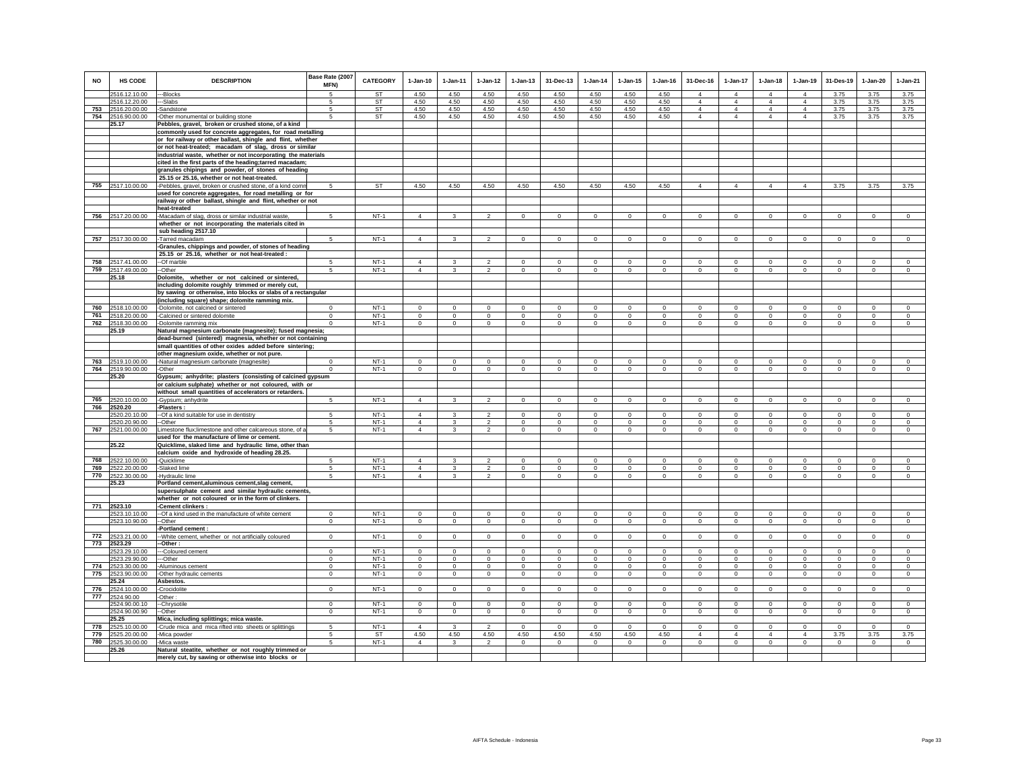| <b>NO</b> | <b>HS CODE</b>    | <b>DESCRIPTION</b>                                            | Base Rate (2007<br>MFN) | <b>CATEGORY</b> | $1-Jan-10$     | $1 - Jan-11$ | $1 - Jan-12$   | $1 - Jan-13$ | 31-Dec-13      | $1 - Jan-14$   | $1 - Jan-15$ | $1 - Jan-16$ | 31-Dec-16      | $1 - Jan-17$   | $1-Jan-18$     | $1-Jan-19$     | 31-Des-19    | $1-Jan-20$   | $1-Jan-21$   |
|-----------|-------------------|---------------------------------------------------------------|-------------------------|-----------------|----------------|--------------|----------------|--------------|----------------|----------------|--------------|--------------|----------------|----------------|----------------|----------------|--------------|--------------|--------------|
|           | 2516.12.10.00     | --Blocks                                                      | 5                       | <b>ST</b>       | 4.50           | 4.50         | 4.50           | 4.50         | 4.50           | 4.50           | 4.50         | 4.50         | $\overline{4}$ | $\overline{4}$ | $\overline{4}$ | $\overline{4}$ | 3.75         | 3.75         | 3.75         |
|           | 2516.12.20.00     | --Slabs                                                       | 5                       | <b>ST</b>       | 4.50           | 4.50         | 4.50           | 4.50         | 4.50           | 4.50           | 4.50         | 4.50         | $\overline{4}$ | $\overline{4}$ | $\overline{4}$ | $\overline{4}$ | 3.75         | 3.75         | 3.75         |
|           | 753 2516.20.00.00 | -Sandstone                                                    | 5                       | ST              | 4.50           | 4.50         | 4.50           | 4.50         | 4.50           | 4.50           | 4.50         | 4.50         | $\overline{4}$ | $\overline{4}$ | $\overline{4}$ | $\overline{4}$ | 3.75         | 3.75         | 3.75         |
|           | 754 2516.90.00.00 | -Other monumental or building stone                           | 5                       | ST              | 4.50           | 4.50         | 4.50           | 4.50         | 4.50           | 4.50           | 4.50         | 4.50         | $\overline{4}$ | $\overline{4}$ | $\overline{4}$ | $\overline{4}$ | 3.75         | 3.75         | 3.75         |
|           | 25.17             | Pebbles, gravel, broken or crushed stone, of a kind           |                         |                 |                |              |                |              |                |                |              |              |                |                |                |                |              |              |              |
|           |                   | commonly used for concrete aggregates, for road metalling     |                         |                 |                |              |                |              |                |                |              |              |                |                |                |                |              |              |              |
|           |                   | or for railway or other ballast, shingle and flint, whether   |                         |                 |                |              |                |              |                |                |              |              |                |                |                |                |              |              |              |
|           |                   | or not heat-treated; macadam of slag, dross or similar        |                         |                 |                |              |                |              |                |                |              |              |                |                |                |                |              |              |              |
|           |                   | industrial waste, whether or not incorporating the materials  |                         |                 |                |              |                |              |                |                |              |              |                |                |                |                |              |              |              |
|           |                   | cited in the first parts of the heading;tarred macadam;       |                         |                 |                |              |                |              |                |                |              |              |                |                |                |                |              |              |              |
|           |                   | granules chipings and powder, of stones of heading            |                         |                 |                |              |                |              |                |                |              |              |                |                |                |                |              |              |              |
|           |                   | 25.15 or 25.16, whether or not heat-treated.                  |                         |                 |                |              |                |              |                |                |              |              |                |                |                |                |              |              |              |
| 755       | 2517.10.00.00     | -Pebbles, gravel, broken or crushed stone, of a kind comn     | 5                       | ST              | 4.50           | 4.50         | 4.50           | 4.50         | 4.50           | 4.50           | 4.50         | 4.50         | $\overline{4}$ | $\overline{4}$ | $\overline{4}$ | $\overline{4}$ | 3.75         | 3.75         | 3.75         |
|           |                   | used for concrete aggregates, for road metalling or for       |                         |                 |                |              |                |              |                |                |              |              |                |                |                |                |              |              |              |
|           |                   | railway or other ballast, shingle and flint, whether or not   |                         |                 |                |              |                |              |                |                |              |              |                |                |                |                |              |              |              |
|           |                   | heat-treated                                                  |                         |                 |                |              |                |              |                |                |              |              |                |                |                |                |              |              |              |
|           | 756 2517.20.00.00 | -Macadam of slag, dross or similar industrial waste,          | $5\overline{5}$         | $NT-1$          | $\overline{4}$ | $\mathbf{3}$ | $\overline{2}$ | $\mathbf{0}$ | $\mathbf{0}$   | $\mathbf{0}$   | $\mathbf 0$  | $\circ$      | $\mathbf 0$    | $\mathbf{0}$   | $\circ$        | $\circ$        | $\mathbf{0}$ | $\mathbf 0$  | $\circ$      |
|           |                   | whether or not incorporating the materials cited in           |                         |                 |                |              |                |              |                |                |              |              |                |                |                |                |              |              |              |
|           |                   |                                                               |                         |                 |                |              |                |              |                |                |              |              |                |                |                |                |              |              |              |
|           |                   | sub heading 2517.10                                           |                         |                 |                |              |                |              |                |                |              |              |                |                |                |                |              |              |              |
| 757       | 2517.30.00.00     | Tarred macadam                                                | $5\overline{5}$         | $NT-1$          | $\overline{4}$ | $\mathbf{3}$ | $\overline{2}$ | $\mathbf{0}$ | $\mathbf{0}$   | $\circ$        | $\mathbf 0$  | $\circ$      | $\Omega$       | $\circ$        | $\circ$        | $\circ$        | $\circ$      | $\Omega$     | $\mathsf 0$  |
|           |                   | Granules, chippings and powder, of stones of heading          |                         |                 |                |              |                |              |                |                |              |              |                |                |                |                |              |              |              |
|           |                   | 25.15 or 25.16, whether or not heat-treated :                 |                         |                 |                |              |                |              |                |                |              |              |                |                |                |                |              |              |              |
|           | 758 2517.41.00.00 | --Of marble                                                   | 5                       | $NT-1$          | $\overline{4}$ | 3            | $\mathfrak{p}$ | 0            | $\mathbf 0$    | $\mathbf 0$    | 0            | $^{\circ}$   | $^{\circ}$     | $\mathbf 0$    | 0              | $^{\circ}$     | $^{\circ}$   | $^{\circ}$   | $\mathbf 0$  |
|           | 759 2517.49.00.00 | --Other                                                       | 5                       | $NT-1$          | $\overline{4}$ | 3            | $\overline{2}$ | $\mathsf 0$  | $\mathbf 0$    | $\mathbf 0$    | $\mathsf 0$  | $\mathbf 0$  | $\mathbf{0}$   | $\mathsf 0$    | $\mathbf{0}$   | $\mathbf 0$    | $\mathbf 0$  | $\mathbf 0$  | $\circ$      |
|           | 25.18             | Dolomite, whether or not calcined or sintered,                |                         |                 |                |              |                |              |                |                |              |              |                |                |                |                |              |              |              |
|           |                   | including dolomite roughly trimmed or merely cut,             |                         |                 |                |              |                |              |                |                |              |              |                |                |                |                |              |              |              |
|           |                   | by sawing or otherwise, into blocks or slabs of a rectangular |                         |                 |                |              |                |              |                |                |              |              |                |                |                |                |              |              |              |
|           |                   | (including square) shape; dolomite ramming mix.               |                         |                 |                |              |                |              |                |                |              |              |                |                |                |                |              |              |              |
| 760       | 2518.10.00.00     | -Dolomite, not calcined or sintered                           | $\Omega$                | $NT-1$          | $\mathbf 0$    | $\Omega$     | $\mathbf 0$    | $\mathbf 0$  | $\mathbf 0$    | $\mathbf 0$    | $\mathbf 0$  | $\mathbf 0$  | $\mathbf 0$    | $\mathbf 0$    | $\mathbf 0$    | $^{\circ}$     | $^{\circ}$   | $\mathbf 0$  | $\mathbf 0$  |
| 761       | 2518.20.00.00     | -Calcined or sintered dolomite                                | $\Omega$                | $NT-1$          | $\Omega$       | $\mathbf 0$  | $\circ$        | $\mathbf 0$  | $\mathbf{0}$   | $^{\circ}$     | $\circ$      | $^{\circ}$   | $\mathbf 0$    | $\mathbf 0$    | $\mathbf 0$    | $\mathbf 0$    | $\circ$      | $\circ$      | $\circ$      |
| 762       | 2518.30.00.00     | -Dolomite ramming mix                                         | $\Omega$                | $NT-1$          | $^{\circ}$     | $^{\circ}$   | $\mathbf 0$    | $\mathbf 0$  | $\mathbf 0$    | $\mathbf 0$    | $\mathbf 0$  | $\,0\,$      | $\mathbf 0$    | $\mathbf 0$    | $\mathbf 0$    | $\mathbf 0$    | $\mathbf 0$  | $\mathbf 0$  | $\mathbf 0$  |
|           | 25.19             | Natural magnesium carbonate (magnesite); fused magnesia;      |                         |                 |                |              |                |              |                |                |              |              |                |                |                |                |              |              |              |
|           |                   | dead-burned (sintered) magnesia, whether or not containing    |                         |                 |                |              |                |              |                |                |              |              |                |                |                |                |              |              |              |
|           |                   | small quantities of other oxides added before sintering;      |                         |                 |                |              |                |              |                |                |              |              |                |                |                |                |              |              |              |
|           |                   | other magnesium oxide, whether or not pure.                   |                         |                 |                |              |                |              |                |                |              |              |                |                |                |                |              |              |              |
| 763       | 2519.10.00.00     | -Natural magnesium carbonate (magnesite)                      | $\Omega$                | $NT-1$          | $\mathbf 0$    | $\mathbf 0$  | $\mathbf 0$    | $\mathsf 0$  | $\mathsf 0$    | $\mathbf 0$    | $\mathbf 0$  | $\mathbf 0$  | $\mathbf 0$    | $\mathsf 0$    | $\mathbf 0$    | $\mathbf 0$    | $\mathbf 0$  | $\mathbf 0$  | $\mathsf 0$  |
| 764       | 2519.90.00.00     | -Other                                                        |                         | $NT-1$          | $\circ$        | $\mathbf 0$  | $\mathbf 0$    | $\mathbf 0$  | $\mathbf{0}$   | $\mathbf 0$    | $\mathbf 0$  | $\mathbf 0$  | $\circ$        | $\mathbf 0$    | $\mathbf 0$    | $\,0\,$        | $\mathbf 0$  | $\mathbf 0$  | $\Omega$     |
|           | 25.20             | Gypsum; anhydrite; plasters (consisting of calcined gypsum    |                         |                 |                |              |                |              |                |                |              |              |                |                |                |                |              |              |              |
|           |                   | or calcium sulphate) whether or not coloured, with or         |                         |                 |                |              |                |              |                |                |              |              |                |                |                |                |              |              |              |
|           |                   | without small quantities of accelerators or retarders.        |                         |                 |                |              |                |              |                |                |              |              |                |                |                |                |              |              |              |
| 765       | 2520.10.00.00     | -Gypsum; anhydrite                                            | 5                       | $NT-1$          | $\overline{4}$ | 3            | $\overline{2}$ | $\mathsf 0$  | $\mathbf 0$    | $\mathsf 0$    | $\mathsf 0$  | $\mathbb O$  | $\mathsf 0$    | $\mathbf 0$    | $\mathbf 0$    | $\mathbf 0$    | $\mathbf 0$  | $\mathsf 0$  | $\Omega$     |
| 766       | 2520.20           | -Plasters:                                                    |                         |                 |                |              |                |              |                |                |              |              |                |                |                |                |              |              |              |
|           | 2520.20.10.00     | -- Of a kind suitable for use in dentistry                    | 5                       | $NT-1$          | $\overline{4}$ | 3            | $\overline{2}$ | $\circ$      | $\mathbf{0}$   | $^{\circ}$     | $\circ$      | $^{\circ}$   | $\mathbf{0}$   | $\circ$        | $\Omega$       | $\circ$        | $\mathbf{0}$ | $\circ$      | $^{\circ}$   |
|           | 2520.20.90.00     | -Other                                                        | 5                       | $NT-1$          | $\overline{4}$ | 3            | $\overline{2}$ | $\mathbf 0$  | $\mathbf{0}$   | $\overline{0}$ | $\mathbf 0$  | $\circ$      | $\Omega$       | $\mathbf 0$    | $\mathbf{0}$   | $\mathbf{0}$   | $\circ$      | $\mathbf{0}$ | $\Omega$     |
| 767       | 2521.00.00.00     | Limestone flux; limestone and other calcareous stone, of a    | 5                       | $NT-1$          | $\overline{4}$ | 3            | $\mathcal{P}$  | $\mathbf 0$  | $\mathbf 0$    | $\Omega$       | $\mathbf 0$  | $\Omega$     | $\Omega$       | $\circ$        | $\Omega$       | $\Omega$       | $\Omega$     | $\Omega$     | $\Omega$     |
|           |                   | used for the manufacture of lime or cement.                   |                         |                 |                |              |                |              |                |                |              |              |                |                |                |                |              |              |              |
|           | 25.22             | Quicklime, slaked lime and hydraulic lime, other than         |                         |                 |                |              |                |              |                |                |              |              |                |                |                |                |              |              |              |
|           |                   | calcium oxide and hydroxide of heading 28.25.                 |                         |                 |                |              |                |              |                |                |              |              |                |                |                |                |              |              |              |
| 768       | 2522.10.00.00     | -Quicklime                                                    | 5                       | $NT-1$          | $\overline{4}$ | $\mathbf{R}$ | $\mathcal{P}$  | $\Omega$     | $\mathbf 0$    | $\mathbf 0$    | $\circ$      | $\Omega$     | $\mathbf 0$    | $\mathbf 0$    | $\mathbf 0$    | $\Omega$       | $\mathbf 0$  | $\mathbf 0$  | $\Omega$     |
| 769       | 2522.20.00.00     | -Slaked lime                                                  | 5                       | $NT-1$          | $\overline{4}$ | 3            | $\mathfrak{p}$ | $\Omega$     | $^{\circ}$     | $\circ$        | $\circ$      | $\Omega$     | $\mathbf 0$    | $\mathbf 0$    | $\Omega$       | $\Omega$       | $^{\circ}$   | $\Omega$     | $\Omega$     |
| 770       | 2522.30.00.00     | -Hydraulic lime                                               | 5                       | $NT-1$          | $\overline{4}$ | $\mathbf{R}$ | $\mathfrak{p}$ | $\Omega$     | $\Omega$       | $\mathbf{0}$   | $\mathbf{0}$ | $\Omega$     | $\Omega$       | $\mathbf{0}$   | $\mathbf{0}$   | $\Omega$       | $\Omega$     | $\Omega$     | $\Omega$     |
|           | 25.23             | Portland cement, aluminous cement, slag cement,               |                         |                 |                |              |                |              |                |                |              |              |                |                |                |                |              |              |              |
|           |                   | supersulphate cement and similar hydraulic cements,           |                         |                 |                |              |                |              |                |                |              |              |                |                |                |                |              |              |              |
|           |                   | whether or not coloured or in the form of clinkers.           |                         |                 |                |              |                |              |                |                |              |              |                |                |                |                |              |              |              |
|           | 771 2523.10       | -Cement clinkers :                                            |                         |                 |                |              |                |              |                |                |              |              |                |                |                |                |              |              |              |
|           | 2523.10.10.00     | -Of a kind used in the manufacture of white cement            | $\Omega$                | $NT-1$          | $\Omega$       | $\Omega$     | $^{\circ}$     | $\mathbf 0$  | $^{\circ}$     | $^{\circ}$     | $^{\circ}$   | $^{\circ}$   | $^{\circ}$     | $\mathbf 0$    | $^{\circ}$     | $^{\circ}$     | $\circ$      | $\Omega$     | $\mathbf{0}$ |
|           | 2523.10.90.00     | -Other                                                        | $\mathbf 0$             | $NT-1$          | $\circ$        | $\mathbf 0$  | $\circ$        | $\mathbf 0$  | $\mathbf{0}$   | $\circ$        | $\mathbf 0$  | $\circ$      | $\mathbf 0$    | $\circ$        | $\circ$        | $\mathbf 0$    | $\circ$      | $\mathbf 0$  | $\mathbf 0$  |
|           |                   | Portland cement:                                              |                         |                 |                |              |                |              |                |                |              |              |                |                |                |                |              |              |              |
| 772       | 2523.21.00.00     | -White cement, whether or not artificially coloured           | $\mathbf 0$             | $NT-1$          | $\circ$        | $\mathbf 0$  | $\mathbf 0$    | $\mathsf 0$  | $\mathbf 0$    | $\mathbf 0$    | $\mathbf 0$  | $\circ$      | $\mathbf 0$    | $\mathsf 0$    | $\mathbf 0$    | $\mathsf 0$    | $\mathbf 0$  | $\mathbf 0$  | $\mathbf 0$  |
| 773       | 2523.29           | -Other :                                                      |                         |                 |                |              |                |              |                |                |              |              |                |                |                |                |              |              |              |
|           | 2523.29.10.00     | --Coloured cement                                             | $\Omega$                | $NT-1$          | $\Omega$       | $\Omega$     | $\Omega$       | $\Omega$     | $\Omega$       | $\Omega$       | $\Omega$     | $\Omega$     | $\Omega$       | $\Omega$       | $\Omega$       | $\Omega$       | $\Omega$     | $\Omega$     | $\Omega$     |
|           | 2523.29.90.00     | --Other                                                       | $\Omega$                | $NT-1$          | $\Omega$       | $\Omega$     | $\Omega$       | $\mathbf 0$  | $\mathbf 0$    | $\Omega$       | $\Omega$     | $\Omega$     | $\mathbf 0$    | $\mathbf 0$    | $\Omega$       | $\Omega$       | $\Omega$     | $\Omega$     | $\mathbf 0$  |
|           | 774 2523.30.00.00 | -Aluminous cement                                             | $^{\circ}$              | $NT-1$          | $^{\circ}$     | $^{\circ}$   | $^{\circ}$     | $\mathbf 0$  | $\mathbf 0$    | $^{\circ}$     | $\circ$      | $^{\circ}$   | $\mathbf 0$    | $\mathbf 0$    | $^{\circ}$     | $\mathbf 0$    | $\circ$      | $\circ$      | $\circ$      |
| 775       | 2523.90.00.00     | Other hydraulic cements                                       | $\mathbf 0$             | $NT-1$          | $\mathbf{0}$   | $\mathbf 0$  | $\circ$        | $\mathbf 0$  | $\overline{0}$ | $\mathbf 0$    | $\mathbf 0$  | $\mathbf 0$  | $\mathbf 0$    | $\circ$        | $\mathbf 0$    | $\circ$        | $\circ$      | $\mathbf 0$  | $\mathbf 0$  |
|           | 25.24             | Asbestos.                                                     |                         |                 |                |              |                |              |                |                |              |              |                |                |                |                |              |              |              |
| 776       | 2524.10.00.00     | -Crocidolite                                                  | $^{\circ}$              | $NT-1$          | $\Omega$       | $\mathbf{0}$ | $\mathsf 0$    | $\mathsf 0$  | $\mathbf 0$    | $\mathbf 0$    | $\mathbf 0$  | $\mathsf 0$  | $\mathbf{0}$   | $\mathsf 0$    | $\mathbf{0}$   | $\mathbf 0$    | $\mathbf 0$  | $\mathsf 0$  | $\mathbf 0$  |
| 777       | 2524.90.00        | Other:                                                        |                         |                 |                |              |                |              |                |                |              |              |                |                |                |                |              |              |              |
|           | 2524.90.00.10     | --Chrysotile                                                  | $^{\circ}$              | $NT-1$          | $^{\circ}$     | $^{\circ}$   | $^{\circ}$     | 0            | $^{\circ}$     | $^{\circ}$     | 0            | $^{\circ}$   | $^{\circ}$     | 0              | 0              | $^{\circ}$     | $^{\circ}$   | $^{\circ}$   | $^{\circ}$   |
|           | 2524.90.00.90     | -Other                                                        | $\mathbf{0}$            | $NT-1$          | $\circ$        | $\mathbf 0$  | $\mathsf 0$    | $\mathsf 0$  | $\overline{0}$ | $\mathbf 0$    | $\mathbf 0$  | $\mathbf 0$  | $\mathbf 0$    | $\mathsf 0$    | $\mathbf 0$    | $\mathbf 0$    | $\mathbf 0$  | $\mathbf 0$  | $\mathbf{0}$ |
|           | 25.25             | Mica, including splittings; mica waste.                       |                         |                 |                |              |                |              |                |                |              |              |                |                |                |                |              |              |              |
| 778       | 2525.10.00.00     | -Crude mica and mica rifted into sheets or splittings         | 5                       | $NT-1$          | $\Delta$       | $\mathbf{R}$ | $\mathcal{P}$  | $\Omega$     | $\Omega$       | $\Omega$       | $\Omega$     | $\Omega$     | $\Omega$       | $\Omega$       | $\Omega$       | $\Omega$       | $\Omega$     | $\Omega$     | $\Omega$     |
| 779       | 2525.20.00.00     | -Mica powder                                                  | 5                       | <b>ST</b>       | 4.50           | 4.50         | 4.50           | 4.50         | 4.50           | 4.50           | 4.50         | 4.50         | $\overline{4}$ | $\overline{4}$ | $\overline{4}$ | $\Delta$       | 3.75         | 3.75         | 3.75         |
| 780       | 2525.30.00.00     | -Mica waste                                                   | 5                       | $NT-1$          | $\overline{4}$ | 3            | $\overline{2}$ | $\mathbf 0$  | $\mathbf 0$    | $\mathbf 0$    | $\mathbf 0$  | $\mathbf 0$  | $\mathbf 0$    | $\mathbf 0$    | $\circ$        | $\mathbf 0$    | $\circ$      | $\mathbf 0$  | $\circ$      |
|           | 25.26             | Natural steatite, whether or not roughly trimmed or           |                         |                 |                |              |                |              |                |                |              |              |                |                |                |                |              |              |              |
|           |                   | merely cut, by sawing or otherwise into blocks or             |                         |                 |                |              |                |              |                |                |              |              |                |                |                |                |              |              |              |
|           |                   |                                                               |                         |                 |                |              |                |              |                |                |              |              |                |                |                |                |              |              |              |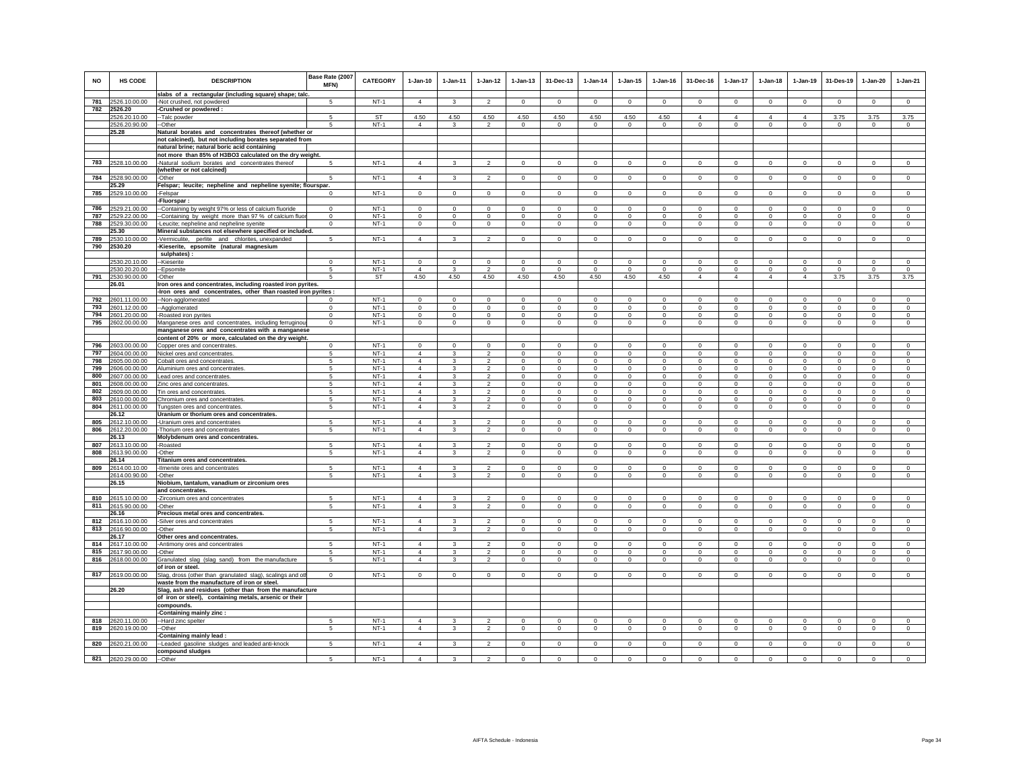| <b>NO</b>  | <b>HS CODE</b>                 | <b>DESCRIPTION</b>                                                                                              | Base Rate (2007<br>MFN) | <b>CATEGORY</b>  | $1-Jan-10$                       | $1-Jan-11$                 | $1-Jan-12$                       | $1 - Jan-13$               | 31-Dec-13                  | $1-Jan-14$              | $1 - Jan-15$               | $1-Jan-16$               | 31-Dec-16                  | 1-Jan-17                      | $1-Jan-18$              | 1-Jan-19                 | 31-Des-19                    | $1-Jan-20$                 | $1-Jan-21$              |
|------------|--------------------------------|-----------------------------------------------------------------------------------------------------------------|-------------------------|------------------|----------------------------------|----------------------------|----------------------------------|----------------------------|----------------------------|-------------------------|----------------------------|--------------------------|----------------------------|-------------------------------|-------------------------|--------------------------|------------------------------|----------------------------|-------------------------|
| 781        | 2526.10.00.00                  | slabs of a rectangular (including square) shape; talc.<br>-Not crushed, not powdered                            | 5                       | $NT-1$           | $\Delta$                         | 3                          | $\mathcal{P}$                    | $\Omega$                   | $\mathbf 0$                | $\mathbf 0$             | $\Omega$                   | $\Omega$                 | $\Omega$                   | $\mathsf 0$                   | $\Omega$                | $\Omega$                 | $\mathbf 0$                  | $\Omega$                   | $\circ$                 |
| 782        | 2526.20                        | -Crushed or powdered :                                                                                          |                         |                  |                                  |                            |                                  |                            |                            |                         |                            |                          |                            |                               |                         |                          |                              |                            |                         |
|            | 2526.20.10.00                  | -- Talc powder                                                                                                  | 5                       | ST               | 4.50                             | 4.50                       | 4.50                             | 4.50                       | 4.50                       | 4.50                    | 4.50                       | 4.50                     | $\overline{4}$             | $\overline{4}$                | 4                       | $\overline{4}$           | 3.75                         | 3.75                       | 3.75                    |
|            | 2526.20.90.00                  | --Other                                                                                                         | 5                       | $NT-1$           | $\overline{4}$                   | 3                          | $\overline{2}$                   | $\circ$                    | $^{\circ}$                 | $^{\circ}$              | $\circ$                    | $^{\circ}$               | $\mathbf 0$                | $\circ$                       | $\circ$                 | $\mathbf 0$              | $\mathbf{0}$                 | $^{\circ}$                 | $\circ$                 |
|            | 25.28                          | Natural borates and concentrates thereof (whether or<br>not calcined), but not including borates separated from |                         |                  |                                  |                            |                                  |                            |                            |                         |                            |                          |                            |                               |                         |                          |                              |                            |                         |
|            |                                | natural brine; natural boric acid containing                                                                    |                         |                  |                                  |                            |                                  |                            |                            |                         |                            |                          |                            |                               |                         |                          |                              |                            |                         |
|            |                                | not more than 85% of H3BO3 calculated on the dry weight.                                                        |                         |                  |                                  |                            |                                  |                            |                            |                         |                            |                          |                            |                               |                         |                          |                              |                            |                         |
| 783        | 2528.10.00.00                  | -Natural sodium borates and concentrates thereof                                                                |                         | $NT-1$           | $\overline{4}$                   | 3                          | $\overline{2}$                   | $\mathbf 0$                | $\mathbf 0$                | $\mathbf 0$             | $\mathbf 0$                | $\mathbf 0$              | $\mathbf 0$                | $\circ$                       | $\mathbf 0$             | $\mathbf 0$              | $\mathbf 0$                  | $\mathbf 0$                | $\mathsf 0$             |
|            |                                | (whether or not calcined)                                                                                       |                         |                  |                                  |                            |                                  |                            |                            |                         |                            |                          |                            |                               |                         |                          |                              |                            |                         |
| 784        | 2528.90.00.00<br>25.29         | -Other<br>Felspar; leucite; nepheline and nepheline syenite; flourspar.                                         | -5                      | $NT-1$           | $\overline{4}$                   | 3                          | $\overline{2}$                   | $\mathbf 0$                | $\mathbf 0$                | $\circ$                 | $\mathbf 0$                | $\mathbf 0$              | $\mathbf 0$                | $\circ$                       | $\circ$                 | $\mathbf 0$              | $\circ$                      | $\mathbf 0$                | $\circ$                 |
| 785        | 2529.10.00.00                  | -Felspar                                                                                                        | $\Omega$                | $NT-1$           | $\circ$                          | $\mathbf 0$                | $\mathsf 0$                      | $\mathsf 0$                | $\mathbf 0$                | $\mathbf 0$             | $\mathsf 0$                | $\circ$                  | $\circ$                    | $\mathbf 0$                   | $\mathbf 0$             | $\mathbf 0$              | $\overline{0}$               | $\mathsf 0$                | $\mathsf 0$             |
|            |                                | -Fluorspar:                                                                                                     |                         |                  |                                  |                            |                                  |                            |                            |                         |                            |                          |                            |                               |                         |                          |                              |                            |                         |
| 786        | 2529.21.00.00                  | -Containing by weight 97% or less of calcium fluoride                                                           | $\Omega$                | $NT-1$           | $\Omega$                         | $\Omega$                   | $\Omega$                         | $\Omega$                   | $\Omega$                   | $\Omega$                | $\Omega$                   | $\Omega$                 | $\Omega$                   | $\mathbf 0$                   | $\mathbf 0$             | $\Omega$                 | $\Omega$                     | $\Omega$                   | $\mathbf 0$             |
| 787        | 2529.22.00.00                  | -Containing by weight more than 97 % of calcium fluor                                                           | $\Omega$                | $NT-1$           | $\Omega$                         | $\Omega$                   | $\Omega$                         | $\Omega$                   | $\Omega$                   | $\Omega$                | $\Omega$                   | $\Omega$                 | $\Omega$                   | $\Omega$                      | $\Omega$                | $\Omega$                 | $\Omega$                     | $\Omega$                   | $\Omega$                |
| 788        | 2529.30.00.00<br>25.30         | -Leucite; nepheline and nepheline syenite                                                                       | $^{\circ}$              | $NT-1$           | $^{\circ}$                       | $^{\circ}$                 | $^{\circ}$                       | $\mathbf 0$                | $\mathbf 0$                | $^{\circ}$              | $\mathbf 0$                | $\circ$                  | $\mathbf 0$                | $\mathbf 0$                   | $\circ$                 | $\mathbf 0$              | $\circ$                      | $\mathbf 0$                | $\mathbf 0$             |
| 789        | 2530.10.00.00                  | Mineral substances not elsewhere specified or included.<br>-Vermiculite, perlite and chlorites, unexpanded      | -5                      | $NT-1$           | $\overline{4}$                   | 3                          | $\overline{2}$                   | $\circ$                    | $\mathbf{0}$               | 0                       | $\circ$                    | $^{\circ}$               | $\mathbf{0}$               | $\circ$                       | $^{\circ}$              | $^{\circ}$               | $\mathbf{0}$                 | $\circ$                    | $^{\circ}$              |
| 790        | 2530.20                        | -Kieserite, epsomite (natural magnesium                                                                         |                         |                  |                                  |                            |                                  |                            |                            |                         |                            |                          |                            |                               |                         |                          |                              |                            |                         |
|            |                                | sulphates):                                                                                                     |                         |                  |                                  |                            |                                  |                            |                            |                         |                            |                          |                            |                               |                         |                          |                              |                            |                         |
|            | 2530.20.10.00                  | -Kieserite                                                                                                      | $^{\circ}$              | $NT-1$           | $\mathbf 0$                      | $^{\circ}$                 | $^{\circ}$                       | 0                          | $\mathbf 0$                | $^{\circ}$              | $^{\circ}$                 | $^{\circ}$               | $^{\circ}$                 | $\mathbf 0$                   | $\mathbf 0$             | $\mathbf 0$              | $^{\circ}$                   | $^{\circ}$                 | $\mathbf 0$             |
| 791        | 2530.20.20.00                  | -Epsomite                                                                                                       | 5<br>5                  | $NT-1$<br>ST     | $\overline{4}$<br>4.50           | 3<br>4.50                  | $\overline{2}$<br>4.50           | $\mathbf 0$<br>4.50        | $\,0\,$<br>4.50            | $\overline{0}$<br>4.50  | $\mathbf 0$<br>4.50        | $\mathbf 0$<br>4.50      | $\mathbf 0$<br>$\Delta$    | $\mathsf 0$<br>$\overline{4}$ | $\mathbf 0$<br>$\Delta$ | $\mathbf 0$<br>$\Delta$  | $\mathbf 0$<br>3.75          | $\mathbf 0$                | $\mathbf 0$<br>3.75     |
|            | 2530.90.00.00<br>26.01         | Other<br>Iron ores and concentrates, including roasted iron pyrites.                                            |                         |                  |                                  |                            |                                  |                            |                            |                         |                            |                          |                            |                               |                         |                          |                              | 3.75                       |                         |
|            |                                | -Iron ores and concentrates, other than roasted iron pyrites :                                                  |                         |                  |                                  |                            |                                  |                            |                            |                         |                            |                          |                            |                               |                         |                          |                              |                            |                         |
|            | 792 2601.11.00.00              | -- Non-agglomerated                                                                                             | $\Omega$                | $NT-1$           | $\Omega$                         | $\Omega$                   | $\Omega$                         | $\Omega$                   | $\Omega$                   | $\Omega$                | $\Omega$                   | $\Omega$                 | $\Omega$                   | $\Omega$                      | $\Omega$                | $\Omega$                 | $\Omega$                     | $\Omega$                   | $\Omega$                |
|            | 793 2601.12.00.00              | --Agglomerated                                                                                                  | $^{\circ}$              | $NT-1$           | $\mathbf 0$                      | $\mathbf 0$                | $\mathbf 0$                      | $\mathbf 0$                | $\mathbf{0}$               | $\mathbf 0$             | $\mathbf 0$                | $\circ$                  | $\mathsf 0$                | $\mathbf 0$                   | $\mathbf{0}$            | $\mathbf 0$              | $\mathbf 0$                  | $\mathbf 0$                | $\mathsf 0$             |
| 794<br>795 | 2601.20.00.00<br>2602.00.00.00 | -Roasted iron pyrites<br>Manganese ores and concentrates, including ferruginou                                  | $\mathbf 0$<br>$\,0\,$  | $NT-1$<br>$NT-1$ | $\circ$<br>$\mathbf 0$           | $\mathbf 0$<br>$\mathbf 0$ | $\mathbf 0$<br>$\mathbf 0$       | $\mathbf 0$<br>$\mathbf 0$ | $\mathbf 0$<br>$\mathbf 0$ | $\mathbf 0$<br>$\bf{0}$ | $\mathbf 0$<br>$\mathbf 0$ | $\mathbf 0$<br>$\,0\,$   | $\mathbf 0$<br>$\mathbf 0$ | $\circ$<br>$\mathbf 0$        | $\circ$<br>$\mathbf 0$  | $\mathbf 0$<br>$\,0\,$   | $\mathbf 0$<br>$\mathbf 0$   | $\mathbf 0$<br>$\mathbf 0$ | $\circ$<br>$\mathbf 0$  |
|            |                                | manganese ores and concentrates with a manganese                                                                |                         |                  |                                  |                            |                                  |                            |                            |                         |                            |                          |                            |                               |                         |                          |                              |                            |                         |
|            |                                | content of 20% or more, calculated on the dry weight.                                                           |                         |                  |                                  |                            |                                  |                            |                            |                         |                            |                          |                            |                               |                         |                          |                              |                            |                         |
| 796        | 2603.00.00.00                  | Copper ores and concentrates.                                                                                   | $\mathsf 0$             | $NT-1$           | $\mathbf 0$                      | $\Omega$                   | $\mathbf 0$                      | $\Omega$                   | $\mathbf 0$                | 0                       | 0                          | $\mathbf 0$              | $\circ$                    | $\mathbf 0$                   | $\mathbf 0$             | $\mathbf 0$              | $\mathbf 0$                  | $\Omega$                   | $\Omega$                |
| 797        | 2604.00.00.00                  | Nickel ores and concentrates.                                                                                   | 5                       | $NT-1$           | $\overline{4}$                   | 3                          | $\mathfrak{p}$                   | $\mathbf 0$                | $\Omega$                   | $\Omega$                | 0                          | $\mathbf 0$              | $\mathbf 0$                | $\mathbf 0$                   | $\Omega$                | $\mathbf 0$              | $\circ$                      | $\Omega$                   | $\Omega$                |
| 798<br>799 | 2605.00.00.00                  | Cobalt ores and concentrates.                                                                                   | 5<br>5                  | $NT-1$           | $\overline{4}$<br>$\overline{4}$ | 3<br>$\mathcal{R}$         | $\overline{2}$<br>$\mathfrak{D}$ | $\mathsf 0$<br>$\Omega$    | $\mathbf 0$<br>$^{\circ}$  | $\mathbf 0$<br>$\Omega$ | $\mathsf 0$<br>$\Omega$    | $\mathbb O$<br>$\Omega$  | $\mathbf 0$                | $\circ$                       | $\mathbf 0$<br>$\Omega$ | $\mathbf 0$<br>$\Omega$  | $\mathbf 0$<br>$^{\circ}$    | $\mathsf 0$<br>$\Omega$    | $\mathsf 0$<br>$\Omega$ |
| 800        | 2606.00.00.00<br>2607.00.00.00 | Aluminium ores and concentrates.<br>ead ores and concentrates.                                                  | 5                       | $NT-1$<br>$NT-1$ | $\Delta$                         | 3                          | $\mathfrak{p}$                   | $\Omega$                   | $\Omega$                   | $\Omega$                | $\Omega$                   | $\Omega$                 | $\mathbf 0$<br>$\Omega$    | $\mathbf 0$<br>$\mathbf 0$    | $\Omega$                | $\Omega$                 | $\Omega$                     | $\Omega$                   | $\Omega$                |
| 801        | 2608.00.00.00                  | Zinc ores and concentrates                                                                                      | 5                       | $NT-1$           | $\overline{4}$                   | $\mathbf{3}$               | $\mathfrak{D}$                   | $\Omega$                   | $\Omega$                   | $\Omega$                | $\Omega$                   | $\Omega$                 | $\Omega$                   | $\Omega$                      | $\Omega$                | $\Omega$                 | $\Omega$                     | $\Omega$                   | $\Omega$                |
| 802        | 2609.00.00.00                  | Tin ores and concentrates                                                                                       | 5                       | $NT-1$           | $\overline{4}$                   | $\mathbf{\hat{z}}$         | $\mathfrak{p}$                   | $\Omega$                   | $\Omega$                   | $\Omega$                | $\Omega$                   | $\Omega$                 | $\Omega$                   | $\Omega$                      | $\Omega$                | $\Omega$                 | $\Omega$                     | $\Omega$                   | $\Omega$                |
| 803        | 2610.00.00.00                  | Chromium ores and concentrates                                                                                  | -5                      | $NT-1$           | $\overline{4}$                   | 3                          | $\mathcal{P}$                    | $\circ$                    | $\mathbf 0$                | $\Omega$                | $\circ$                    | $\Omega$                 | $\mathsf 0$                | $\mathbf 0$                   | $\mathbf 0$             | $\mathbf 0$              | $\Omega$                     | $\Omega$                   | $\Omega$                |
| 804        | 2611.00.00.00<br>26.12         | Tungsten ores and concentrates.<br>Uranium or thorium ores and concentrates.                                    | 5                       | $NT-1$           | $\overline{4}$                   | 3                          | $\overline{2}$                   | $\mathbf 0$                | $\overline{0}$             | $\mathbf 0$             | $\mathbf 0$                | $\mathbf 0$              | $\mathbf 0$                | $\mathbf 0$                   | $\Omega$                | $\,0\,$                  | $\circ$                      | $\mathbf 0$                | $\mathbf 0$             |
| 805        | 2612.10.00.00                  | Uranium ores and concentrates                                                                                   | 5                       | $NT-1$           | $\overline{4}$                   | 3                          | $\overline{2}$                   | $\mathbf 0$                | $\mathbf 0$                | $\bf{0}$                | $\mathbf 0$                | $\,0\,$                  | $\mathbf 0$                | 0                             | $\mathbf 0$             | $\mathbf 0$              | $\mathbf 0$                  | $\mathbf 0$                | $\mathbf 0$             |
| 806        | 2612.20.00.00                  | Thorium ores and concentrates                                                                                   | 5                       | $NT-1$           | $\overline{4}$                   | 3                          | $\overline{\mathbf{2}}$          | $\mathbf 0$                | $\mathbf 0$                | 0                       | 0                          | $\mathbf 0$              | $\mathbf 0$                | 0                             | $\mathbf 0$             | $\mathbf 0$              | $\mathbf 0$                  | 0                          | 0                       |
|            | 26.13                          | Molybdenum ores and concentrates.                                                                               |                         |                  |                                  |                            |                                  |                            |                            |                         |                            |                          |                            |                               |                         |                          |                              |                            |                         |
| 807        | 2613.10.00.00                  | -Roasted                                                                                                        | 5                       | $NT-1$           | $\overline{4}$                   |                            | $\mathfrak{p}$                   | $\Omega$                   | $\Omega$                   | $\Omega$                | $\Omega$                   | $\Omega$                 | $\Omega$                   | $\Omega$                      | $\Omega$                | $\mathbf 0$              | $\Omega$                     | $\Omega$                   | $\Omega$                |
| 808        | 2613.90.00.00<br>26.14         | Other<br>Titanium ores and concentrates.                                                                        | 5                       | $NT-1$           | $\overline{4}$                   | 3                          | $\overline{2}$                   | $\mathbf 0$                | $\mathbf 0$                | $\mathbf 0$             | $\mathbf 0$                | $\mathbf 0$              | $\mathbf 0$                | $\mathbf 0$                   | $\mathbf 0$             | $\mathbf 0$              | $^{\circ}$                   | $\mathbf 0$                | $\mathbf 0$             |
| 809        | 2614.00.10.00                  | -Ilmenite ores and concentrates                                                                                 | 5                       | $NT-1$           | $\Delta$                         | $\mathbf{z}$               | $\mathcal{P}$                    | $\Omega$                   | $\mathbf 0$                | $\Omega$                | $\Omega$                   | $\Omega$                 | $\Omega$                   | $\Omega$                      | $\Omega$                | $\Omega$                 | $^{\circ}$                   | $\mathbf 0$                | $\Omega$                |
|            | 2614.00.90.00                  | -Other                                                                                                          | 5                       | $NT-1$           | $\overline{4}$                   | 3                          | $\overline{2}$                   | $\mathsf 0$                | $\mathsf 0$                | $\circ$                 | $\mathsf 0$                | $\Omega$                 | $\mathbf 0$                | $\overline{0}$                | $\Omega$                | $\mathbf 0$              | $\mathbf 0$                  | $\mathsf 0$                | $\overline{0}$          |
|            | 26.15                          | Niobium, tantalum, vanadium or zirconium ores                                                                   |                         |                  |                                  |                            |                                  |                            |                            |                         |                            |                          |                            |                               |                         |                          |                              |                            |                         |
|            | 810 2615.10.00.00              | and concentrates.<br>-Zirconium ores and concentrates                                                           | 5                       | $NT-1$           | $\overline{4}$                   |                            | $\overline{2}$                   | 0                          | $\mathbf 0$                | $\mathbf 0$             | 0                          | $\mathbf 0$              | $\mathbf 0$                | $\mathbf 0$                   | $\mathbf 0$             | $^{\circ}$               | $^{\circ}$                   | 0                          | $\mathbf 0$             |
|            | 811 2615.90.00.00              | -Other                                                                                                          | 5                       | $NT-1$           | $\overline{4}$                   | 3                          | $\overline{2}$                   | $\mathbf 0$                | $\mathbf 0$                | $\mathbf 0$             | $\mathbf 0$                | $\mathbf 0$              | $\mathbf 0$                | $\mathbf 0$                   | $\circ$                 | $\mathbf 0$              | $\circ$                      | $\mathbf 0$                | $\circ$                 |
|            | 26.16                          | Precious metal ores and concentrates.                                                                           |                         |                  |                                  |                            |                                  |                            |                            |                         |                            |                          |                            |                               |                         |                          |                              |                            |                         |
| 812        | 2616.10.00.00                  | -Silver ores and concentrates                                                                                   | 5                       | $NT-1$           | $\Delta$                         | $\mathcal{R}$              | $\mathcal{P}$                    | $\Omega$                   | $\Omega$                   | $\Omega$                | $\Omega$                   | $\Omega$                 | $\Omega$                   | $\Omega$                      | $\Omega$                | $\Omega$                 | $\Omega$                     | $\Omega$                   | $\Omega$                |
| 813        | 2616.90.00.00                  | -Other                                                                                                          | 5                       | $NT-1$           | $\overline{4}$                   | 3                          | $\overline{2}$                   | $\mathbf 0$                | $\mathbf{0}$               | $\mathbf 0$             | $\circ$                    | $\circ$                  | $\Omega$                   | $\mathsf 0$                   | $\mathbf 0$             | $\mathbf 0$              | $\circ$                      | $\mathbf 0$                | $\circ$                 |
| 814        | 26.17<br>2617.10.00.00         | Other ores and concentrates.<br>-Antimony ores and concentrates                                                 | 5                       | $NT-1$           | $\overline{a}$                   |                            | $\mathfrak{p}$                   | $\mathbf 0$                | $\mathbf 0$                | $\Omega$                | $\Omega$                   | $\Omega$                 | $\mathbf 0$                | $\mathbf 0$                   | $\mathbf 0$             | $\mathbf 0$              | $\Omega$                     | $\mathbf 0$                | $\Omega$                |
| 815        | 2617.90.00.00                  | -Other                                                                                                          | 5                       | $NT-1$           | $\overline{4}$                   | 3                          | $\overline{2}$                   | 0                          | $\mathbf 0$                | $^{\circ}$              | 0                          | $^{\circ}$               | 0                          | $\mathsf 0$                   | 0                       | $\mathbf 0$              | $\mathbf 0$                  | $^{\circ}$                 | $\mathbf 0$             |
| 816        | 2618.00.00.00                  | Granulated slag (slag sand) from the manufacture                                                                | 5                       | $NT-1$           | $\overline{4}$                   | $\mathbf{3}$               | $\overline{a}$                   | $\mathbf 0$                | $\overline{0}$             | $\mathbf 0$             | $\mathbf 0$                | $\,0\,$                  | $\mathbf 0$                | $\mathsf 0$                   | $\mathbf 0$             | $\mathbf 0$              | $\mathbf 0$                  | $\mathbf 0$                | $\mathbf 0$             |
|            |                                | of iron or steel.                                                                                               |                         |                  |                                  |                            |                                  |                            |                            |                         |                            |                          |                            |                               |                         |                          |                              |                            |                         |
|            | 817 2619.00.00.00              | Slag, dross (other than granulated slag), scalings and oth<br>waste from the manufacture of iron or steel.      | $\mathsf 0$             | $NT-1$           | $^{\circ}$                       | $^{\circ}$                 | $\mathbf 0$                      | $\mathsf 0$                | $\mathsf 0$                | $\circ$                 | $\mathbf 0$                | $\Omega$                 | $\mathbf 0$                | $\mathsf 0$                   | $\mathbf 0$             | $^{\circ}$               | $\mathbf 0$                  | $\mathbf 0$                | $\overline{0}$          |
|            | 26.20                          | Slag, ash and residues (other than from the manufacture                                                         |                         |                  |                                  |                            |                                  |                            |                            |                         |                            |                          |                            |                               |                         |                          |                              |                            |                         |
|            |                                | of iron or steel), containing metals, arsenic or their                                                          |                         |                  |                                  |                            |                                  |                            |                            |                         |                            |                          |                            |                               |                         |                          |                              |                            |                         |
|            |                                | compounds.                                                                                                      |                         |                  |                                  |                            |                                  |                            |                            |                         |                            |                          |                            |                               |                         |                          |                              |                            |                         |
|            |                                | -Containing mainly zinc :                                                                                       |                         |                  |                                  |                            |                                  |                            |                            |                         |                            |                          |                            |                               |                         |                          |                              |                            |                         |
| 818<br>819 | 2620.11.00.00<br>2620.19.00.00 | -Hard zinc spelter<br>-Other                                                                                    | -5<br>-5                | $NT-1$<br>$NT-1$ | $\overline{4}$<br>$\overline{4}$ | 3                          | $\overline{2}$<br>$\overline{2}$ | $\Omega$<br>$\mathbf{0}$   | $^{\circ}$<br>$\mathbf{0}$ | $^{\circ}$              | $\Omega$<br>$\circ$        | $^{\circ}$<br>$^{\circ}$ | $\Omega$<br>$\mathbf 0$    | $^{\circ}$<br>$\circ$         | $\Omega$<br>$^{\circ}$  | $^{\circ}$<br>$^{\circ}$ | $\mathbf{0}$<br>$\mathbf{0}$ | $\Omega$<br>$\circ$        | $^{\circ}$<br>$\circ$   |
|            |                                | Containing mainly lead:                                                                                         |                         |                  |                                  | 3                          |                                  |                            |                            | $\circ$                 |                            |                          |                            |                               |                         |                          |                              |                            |                         |
| 820        | 2620.21.00.00                  | -Leaded gasoline sludges and leaded anti-knock                                                                  | 5                       | $NT-1$           | $\overline{4}$                   | 3                          | $\overline{2}$                   | $\mathbf 0$                | $\mathbf{0}$               | $\mathbf 0$             | $\mathbf 0$                | $\circ$                  | $\mathbf 0$                | $\mathbf 0$                   | $\circ$                 | $\circ$                  | $\mathbf 0$                  | $\mathbf 0$                | $\circ$                 |
|            |                                | compound sludges                                                                                                |                         |                  |                                  |                            |                                  |                            |                            |                         |                            |                          |                            |                               |                         |                          |                              |                            |                         |
|            | 821 2620.29.00.00              | --Other                                                                                                         | 5                       | $NT-1$           | $\Delta$                         | 3                          | $\mathfrak{p}$                   | $\Omega$                   | $\Omega$                   | $\Omega$                | $\Omega$                   | $\Omega$                 | $\Omega$                   | $\Omega$                      | $\Omega$                | $\Omega$                 | $\circ$                      | $\Omega$                   | $\Omega$                |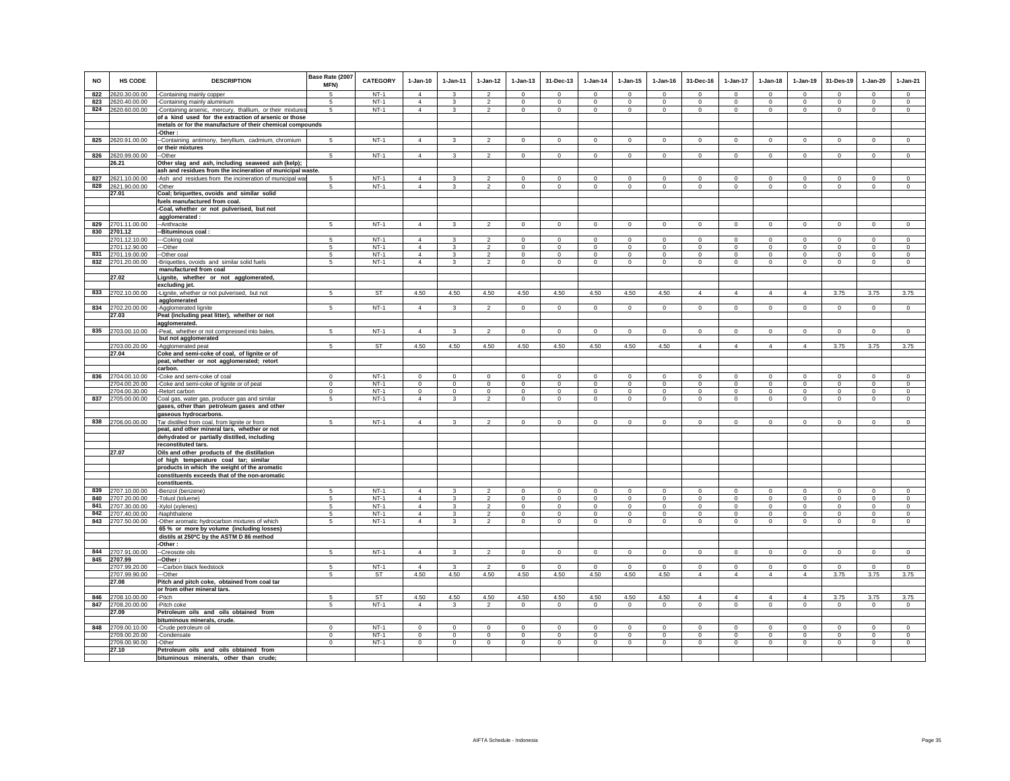| <b>NO</b>  | HS CODE                        | <b>DESCRIPTION</b>                                                                         | Base Rate (2007<br>MFN) | CATEGORY         | $1-Jan-10$                       | 1-Jan-11                | $1 - Jan-12$                     | $1 - Jan-13$               | 31-Dec-13                   | $1-Jan-14$           | $1 - Jan-15$               | $1 - Jan-16$            | 31-Dec-16               | $1-Jan-17$                 | $1-Jan-18$                  | $1-Jan-19$                 | 31-Des-19                  | $1-Jan-20$                 | $1-Jan-21$              |
|------------|--------------------------------|--------------------------------------------------------------------------------------------|-------------------------|------------------|----------------------------------|-------------------------|----------------------------------|----------------------------|-----------------------------|----------------------|----------------------------|-------------------------|-------------------------|----------------------------|-----------------------------|----------------------------|----------------------------|----------------------------|-------------------------|
| 822        | 2620.30.00.00                  |                                                                                            | 5                       | $NT-1$           | $\overline{4}$                   | $\mathbf{3}$            | $\overline{2}$                   | $\Omega$                   | $\Omega$                    | $\Omega$             | $\Omega$                   | $\Omega$                | $\Omega$                | $\Omega$                   | $\Omega$                    | $\Omega$                   | $\Omega$                   | $\Omega$                   | $\overline{0}$          |
| 823        | 2620.40.00.00                  | -Containing mainly copper<br>-Containing mainly aluminium                                  | 5                       | $NT-1$           | $\overline{4}$                   | $\overline{\mathbf{3}}$ | $\overline{2}$                   | $\mathbf{0}$               | $\Omega$                    | $\Omega$             | $\Omega$                   | $\Omega$                | $\Omega$                | $\mathbf{0}$               | $\Omega$                    | $\Omega$                   | $\Omega$                   | $\Omega$                   | $\circ$                 |
| 824        | 2620.60.00.00                  | -Containing arsenic, mercury, thallium, or their mixtures                                  | 5                       | $NT-1$           | $\overline{4}$                   | $\mathbf{3}$            | $\overline{2}$                   | $\mathbf 0$                | $\mathsf 0$                 | $\mathsf 0$          | $\mathsf 0$                | $\mathsf 0$             | $\mathbf 0$             | $\mathbf 0$                | $\mathbf 0$                 | $\mathbf 0$                | $\mathbf 0$                | $\mathsf 0$                | $\circ$                 |
|            |                                | of a kind used for the extraction of arsenic or those                                      |                         |                  |                                  |                         |                                  |                            |                             |                      |                            |                         |                         |                            |                             |                            |                            |                            |                         |
|            |                                | metals or for the manufacture of their chemical compounds                                  |                         |                  |                                  |                         |                                  |                            |                             |                      |                            |                         |                         |                            |                             |                            |                            |                            |                         |
|            |                                | -Other:                                                                                    |                         |                  |                                  |                         |                                  |                            |                             |                      |                            |                         |                         |                            |                             |                            |                            |                            |                         |
|            | 825 2620.91.00.00              | -Containing antimony, beryllium, cadmium, chromium                                         | 5                       | $NT-1$           | $\overline{4}$                   | 3                       | $\overline{2}$                   | $\mathbf 0$                | $\mathbf 0$                 | $\circ$              | $^{\circ}$                 | $\circ$                 | $\Omega$                | $\mathbf 0$                | $\circ$                     | $\mathbf 0$                | $\mathbf 0$                | $\circ$                    | $\mathsf 0$             |
|            |                                | or their mixtures                                                                          |                         |                  |                                  |                         |                                  |                            |                             |                      |                            |                         |                         |                            |                             |                            |                            |                            |                         |
|            | 826 2620.99.00.00              | -Other                                                                                     | 5                       | $NT-1$           | $\overline{4}$                   | $\mathbf{3}$            | $\overline{2}$                   | $\mathbf{0}$               | $\mathsf 0$                 | $\circ$              | $\mathsf 0$                | $\mathsf 0$             | $\circ$                 | $\circ$                    | $\circ$                     | $\circ$                    | $\circ$                    | $\mathsf 0$                | $\circ$                 |
|            | 26.21                          | Other slag and ash, including seaweed ash (kelp);                                          |                         |                  |                                  |                         |                                  |                            |                             |                      |                            |                         |                         |                            |                             |                            |                            |                            |                         |
|            |                                | ash and residues from the incineration of municipal waste.                                 |                         |                  | $\overline{4}$                   |                         | $\overline{2}$                   |                            | $\mathbf 0$                 | $^{\circ}$           |                            | $\mathbf 0$             |                         | $\mathbf 0$                |                             |                            |                            | $\mathbf 0$                |                         |
| 827<br>828 | 2621.10.00.00<br>2621.90.00.00 | -Ash and residues from the incineration of municipal wa<br>-Other                          | 5<br>$\sqrt{5}$         | $NT-1$<br>$NT-1$ | $\overline{4}$                   | 3<br>$\mathbf{3}$       | $\overline{2}$                   | $\mathbf 0$<br>$\mathbf 0$ | $\mathbf 0$                 | $\mathbf 0$          | $^{\circ}$<br>$\mathbf 0$  | $\mathbf 0$             | $\circ$<br>$\circ$      | $\mathsf 0$                | $\mathbf 0$<br>$\mathbf{0}$ | $\mathbf 0$<br>$\mathbf 0$ | $\mathbf 0$<br>$\mathbf 0$ | $\mathbf 0$                | $\mathbf 0$<br>$\circ$  |
|            | 27.01                          | Coal; briquettes, ovoids and similar solid                                                 |                         |                  |                                  |                         |                                  |                            |                             |                      |                            |                         |                         |                            |                             |                            |                            |                            |                         |
|            |                                | fuels manufactured from coal.                                                              |                         |                  |                                  |                         |                                  |                            |                             |                      |                            |                         |                         |                            |                             |                            |                            |                            |                         |
|            |                                | -Coal, whether or not pulverised, but not                                                  |                         |                  |                                  |                         |                                  |                            |                             |                      |                            |                         |                         |                            |                             |                            |                            |                            |                         |
|            |                                | agglomerated:                                                                              |                         |                  |                                  |                         |                                  |                            |                             |                      |                            |                         |                         |                            |                             |                            |                            |                            |                         |
| 829        | 2701.11.00.00                  | --Anthracite                                                                               | 5                       | $NT-1$           | $\overline{4}$                   | 3                       | $\overline{2}$                   | $\mathbf 0$                | $\mathbf 0$                 | $\circ$              | $\mathbf 0$                | $\mathbf 0$             | $^{\circ}$              | 0                          | $\mathbf{0}$                | $\mathbf 0$                | $\mathbf 0$                | $\mathbf 0$                | $\circ$                 |
| 830        | 2701.12                        | -Bituminous coal:                                                                          |                         |                  |                                  |                         |                                  |                            |                             |                      |                            |                         |                         |                            |                             |                            |                            |                            |                         |
|            | 2701.12.10.00                  | -Coking coal                                                                               | 5                       | $NT-1$           | $\Delta$                         | 3                       | $\overline{2}$                   | $\mathbf 0$                | $\mathbf 0$                 | $\,0\,$              | $\mathbf 0$                | $\mathbf 0$             | $^{\circ}$              | $\mathbf 0$                | $^{\circ}$                  | $\mathbf 0$                | $\mathbf 0$                | $\mathbf 0$                | $\mathbf 0$             |
| 831        | 2701.12.90.00<br>2701.19.00.00 | --Other<br>-Other coal                                                                     | -5<br>5                 | $NT-1$<br>$NT-1$ | $\overline{4}$<br>$\overline{4}$ | 3<br>$\mathbf{3}$       | $\mathfrak{p}$<br>$\overline{2}$ | $\Omega$<br>$\mathsf 0$    | $\mathbf{0}$<br>$\mathsf 0$ | $\Omega$<br>$\circ$  | $\Omega$<br>$\mathsf 0$    | $\Omega$<br>$\mathsf 0$ | $\Omega$<br>$\mathsf 0$ | $\Omega$<br>$\mathbf 0$    | $\Omega$<br>$\mathbf 0$     | $\Omega$<br>$\mathbf 0$    | $\circ$<br>$\mathbf 0$     | $\Omega$<br>$\mathsf 0$    | $\Omega$<br>$\mathsf 0$ |
| 832        | 2701.20.00.00                  | -Briquettes, ovoids and similar solid fuels                                                | 5                       | $NT-1$           | $\overline{4}$                   | $\mathbf{3}$            | $\mathfrak{p}$                   | $\mathsf 0$                | $\mathbf 0$                 | $\mathbf 0$          | $\mathbf 0$                | $\mathbf 0$             | $\circ$                 | $\mathbf 0$                | $\mathbf 0$                 | $\mathbf 0$                | $\mathbf 0$                | $\mathbf 0$                | $\Omega$                |
|            |                                | manufactured from coal                                                                     |                         |                  |                                  |                         |                                  |                            |                             |                      |                            |                         |                         |                            |                             |                            |                            |                            |                         |
|            | 27.02                          | Lignite, whether or not agglomerated,                                                      |                         |                  |                                  |                         |                                  |                            |                             |                      |                            |                         |                         |                            |                             |                            |                            |                            |                         |
|            |                                | excluding jet.                                                                             |                         |                  |                                  |                         |                                  |                            |                             |                      |                            |                         |                         |                            |                             |                            |                            |                            |                         |
| 833        | 2702.10.00.00                  | -Lignite, whether or not pulverised, but not                                               | 5                       | <b>ST</b>        | 4.50                             | 4.50                    | 4.50                             | 4.50                       | 4.50                        | 4.50                 | 4.50                       | 4.50                    | $\overline{4}$          | $\overline{4}$             | $\overline{4}$              | $\overline{4}$             | 3.75                       | 3.75                       | 3.75                    |
|            |                                | agglomerated                                                                               |                         |                  |                                  |                         |                                  |                            |                             |                      |                            |                         |                         |                            |                             |                            |                            |                            |                         |
| 834        | 2702.20.00.00                  | -Agglomerated lignite                                                                      | $5^{\circ}$             | $NT-1$           | $\overline{4}$                   | $\mathbf{3}$            | $\overline{a}$                   | $\mathbf 0$                | $\mathbf 0$                 | $\mathsf 0$          | $\mathsf 0$                | $\mathsf 0$             | $\mathbf 0$             | $\mathbf 0$                | $\mathbf 0$                 | $\mathbf 0$                | $\mathbf 0$                | $\mathsf 0$                | $\mathsf 0$             |
|            | 27.03                          | Peat (including peat litter), whether or not                                               |                         |                  |                                  |                         |                                  |                            |                             |                      |                            |                         |                         |                            |                             |                            |                            |                            |                         |
| 835        |                                | agglomerated.                                                                              |                         | $NT-1$           | $\overline{4}$                   |                         |                                  |                            |                             |                      |                            |                         |                         |                            |                             |                            |                            |                            |                         |
|            | 2703.00.10.00                  | -Peat, whether or not compressed into bales,<br>but not agglomerated                       | $\sqrt{5}$              |                  |                                  | 3                       | $\overline{2}$                   | $\mathbf 0$                | $\mathbf 0$                 | $\,0\,$              | $\mathbf 0$                | $\mathbf 0$             | $\mathbf 0$             | 0                          | $\mathbf 0$                 | $\mathbf 0$                | $\mathbf 0$                | $\mathbf 0$                | $\mathbf 0$             |
|            | 2703.00.20.00                  | Agglomerated peat                                                                          | 5                       | <b>ST</b>        | 4.50                             | 4.50                    | 4.50                             | 4.50                       | 4.50                        | 4.50                 | 4.50                       | 4.50                    | $\overline{4}$          | $\overline{4}$             | $\overline{4}$              | $\overline{4}$             | 3.75                       | 3.75                       | 3.75                    |
|            | 27.04                          | Coke and semi-coke of coal, of lignite or of                                               |                         |                  |                                  |                         |                                  |                            |                             |                      |                            |                         |                         |                            |                             |                            |                            |                            |                         |
|            |                                | peat, whether or not agglomerated; retort                                                  |                         |                  |                                  |                         |                                  |                            |                             |                      |                            |                         |                         |                            |                             |                            |                            |                            |                         |
|            |                                | carbon.                                                                                    |                         |                  |                                  |                         |                                  |                            |                             |                      |                            |                         |                         |                            |                             |                            |                            |                            |                         |
| 836        | 2704.00.10.00                  | -Coke and semi-coke of coal                                                                | $\mathbf 0$             | $NT-1$           | $\Omega$                         | $\mathbf 0$             | $\circ$                          | $\Omega$                   | $\mathbf 0$                 | $\Omega$             | $\Omega$                   | $\Omega$                | $\Omega$                | $\Omega$                   | $\Omega$                    | $^{\circ}$                 | $\mathbf 0$                | $\Omega$                   | $\mathbf 0$             |
|            | 2704.00.20.00                  | -Coke and semi-coke of lignite or of peat                                                  | $\Omega$<br>$\Omega$    | $NT-1$<br>$NT-1$ | $\Omega$                         | $\Omega$                | $\overline{0}$<br>$\mathbf 0$    | $\Omega$                   | $\Omega$<br>$\mathbf 0$     | $\Omega$<br>$\Omega$ | $\Omega$                   | $\Omega$<br>$\Omega$    | $\Omega$                | $\Omega$                   | $\Omega$                    | $\Omega$<br>$\Omega$       | $\Omega$<br>$^{\circ}$     | $\Omega$                   | $\Omega$                |
| 837        | 2704.00.30.00<br>2705.00.00.00 | -Retort carbon<br>Coal gas, water gas, producer gas and similar                            | 5                       | $NT-1$           | $\circ$<br>$\overline{4}$        | $\mathbf 0$<br>3        | $\overline{2}$                   | $\mathbf 0$<br>$\mathbf 0$ | $\mathbf 0$                 | $\mathbf 0$          | $\mathbf 0$<br>$\mathbf 0$ | $\mathbf 0$             | $\circ$<br>$\circ$      | $\mathbf 0$<br>$\mathbf 0$ | $\mathbf 0$<br>$\mathbf{0}$ | $^{\circ}$                 | $\mathbf 0$                | $\mathbf 0$<br>$\mathbf 0$ | $\circ$<br>$\mathbf 0$  |
|            |                                | gases, other than petroleum gases and other                                                |                         |                  |                                  |                         |                                  |                            |                             |                      |                            |                         |                         |                            |                             |                            |                            |                            |                         |
|            |                                | gaseous hydrocarbons.                                                                      |                         |                  |                                  |                         |                                  |                            |                             |                      |                            |                         |                         |                            |                             |                            |                            |                            |                         |
| 838        | 2706.00.00.00                  | Tar distilled from coal, from lignite or from                                              | -5                      | $NT-1$           | $\overline{4}$                   | $\mathbf{3}$            | $\overline{2}$                   | $\mathbf 0$                | $\overline{0}$              | $\mathbf 0$          | $\mathbf 0$                | $\mathbf 0$             | $\Omega$                | $\mathbf 0$                | $\Omega$                    | $\overline{0}$             | $\circ$                    | $\Omega$                   | $\mathsf 0$             |
|            |                                | peat, and other mineral tars, whether or not                                               |                         |                  |                                  |                         |                                  |                            |                             |                      |                            |                         |                         |                            |                             |                            |                            |                            |                         |
|            |                                | dehydrated or partially distilled, including                                               |                         |                  |                                  |                         |                                  |                            |                             |                      |                            |                         |                         |                            |                             |                            |                            |                            |                         |
|            |                                | reconstituted tars.                                                                        |                         |                  |                                  |                         |                                  |                            |                             |                      |                            |                         |                         |                            |                             |                            |                            |                            |                         |
|            | 27.07                          | Oils and other products of the distillation                                                |                         |                  |                                  |                         |                                  |                            |                             |                      |                            |                         |                         |                            |                             |                            |                            |                            |                         |
|            |                                | of high temperature coal tar; similar<br>products in which the weight of the aromatic      |                         |                  |                                  |                         |                                  |                            |                             |                      |                            |                         |                         |                            |                             |                            |                            |                            |                         |
|            |                                | constituents exceeds that of the non-aromatic                                              |                         |                  |                                  |                         |                                  |                            |                             |                      |                            |                         |                         |                            |                             |                            |                            |                            |                         |
|            |                                | constituents.                                                                              |                         |                  |                                  |                         |                                  |                            |                             |                      |                            |                         |                         |                            |                             |                            |                            |                            |                         |
| 839        | 2707.10.00.00                  | -Benzol (benzene)                                                                          | 5                       | $NT-1$           | $\overline{4}$                   | $\mathbf{3}$            | $\mathfrak{p}$                   | $\mathsf 0$                | $\mathbf 0$                 | $\mathbf 0$          | $\mathsf 0$                | $\Omega$                | $\mathsf 0$             | $\Omega$                   | $\Omega$                    | $\Omega$                   | $\Omega$                   | $\Omega$                   | $\mathsf 0$             |
| 840        | 2707.20.00.00                  | Toluol (toluene)                                                                           | -5                      | $NT-1$           | $\overline{4}$                   | 3                       | $\mathfrak{p}$                   | $\mathbf 0$                | $\Omega$                    | $\mathbf 0$          | $\mathbf 0$                | $\Omega$                | $\Omega$                | $\Omega$                   | $\Omega$                    | $\Omega$                   | $\Omega$                   | $\Omega$                   | $\circ$                 |
| 841        | 2707.30.00.00                  | -Xylol (xylenes)                                                                           | 5                       | $NT-1$           | $\overline{4}$                   | $\mathbf{3}$            | $\overline{a}$                   | $\mathsf 0$                | $\mathbf 0$                 | $\mathbb O$          | $\mathsf 0$                | $\mathbf 0$             | $\mathbf 0$             | $\mathbf 0$                | $\mathbf 0$                 | $\mathbf 0$                | $\mathbf 0$                | $\mathsf 0$                | $\mathsf 0$             |
| 842        | 2707.40.00.00                  | -Naphthalene                                                                               | 5                       | $NT-1$           | $\Delta$                         | 3                       | $\overline{2}$                   | $\mathbf 0$                | $\Omega$                    | $\mathbf 0$          | $\mathbf 0$                | $\mathbf 0$             | $\Omega$                | $\Omega$                   | $\Omega$                    | $\mathbf 0$                | $\mathbf 0$                | $\Omega$                   | $\circ$                 |
| 843        | 2707.50.00.00                  | -Other aromatic hydrocarbon mixtures of which<br>65 % or more by volume (including losses) | 5                       | $NT-1$           | $\overline{4}$                   | 3                       | $\overline{2}$                   | $\mathbf 0$                | $\mathbf 0$                 | $\mathbf{0}$         | 0                          | $\mathbf{0}$            | $\circ$                 | $\mathbf{0}$               | $\circ$                     | $\circ$                    | $\circ$                    | $^{\circ}$                 | $^{\circ}$              |
|            |                                | distils at 250°C by the ASTM D 86 method                                                   |                         |                  |                                  |                         |                                  |                            |                             |                      |                            |                         |                         |                            |                             |                            |                            |                            |                         |
|            |                                | Other:                                                                                     |                         |                  |                                  |                         |                                  |                            |                             |                      |                            |                         |                         |                            |                             |                            |                            |                            |                         |
| 844        | 2707.91.00.00                  | -Creosote oils                                                                             | 5                       | $NT-1$           | $\overline{4}$                   | 3                       | $\overline{2}$                   | $\mathbf 0$                | $\mathbf 0$                 | $\circ$              | $\mathbf 0$                | $\circ$                 | $\circ$                 | $\mathbf 0$                | $\mathbf 0$                 | $\mathbf 0$                | $\mathbf 0$                | $\mathbf 0$                | $\mathsf 0$             |
| 845        | 2707.99                        | -Other:                                                                                    |                         |                  |                                  |                         |                                  |                            |                             |                      |                            |                         |                         |                            |                             |                            |                            |                            |                         |
|            | 2707.99.20.00                  | --Carbon black feedstock                                                                   | -5                      | $NT-1$           | $\Delta$                         | $\mathbf{3}$            | $\overline{2}$                   | $\Omega$                   | $\Omega$                    | $\Omega$             | $\Omega$                   | $\Omega$                | $\Omega$                | $\overline{0}$             | $\Omega$                    | $\overline{0}$             | $\Omega$                   | $\Omega$                   | $\overline{0}$          |
|            | 2707.99.90.00                  | --Other                                                                                    | -5                      | ST               | 4.50                             | 4.50                    | 4.50                             | 4.50                       | 4.50                        | 4.50                 | 4.50                       | 4.50                    | $\overline{4}$          | $\overline{4}$             | $\overline{4}$              | $\overline{4}$             | 3.75                       | 3.75                       | 3.75                    |
|            | 27.08                          | Pitch and pitch coke, obtained from coal tar                                               |                         |                  |                                  |                         |                                  |                            |                             |                      |                            |                         |                         |                            |                             |                            |                            |                            |                         |
| 846        | 2708.10.00.00                  | or from other mineral tars.<br>-Pitch                                                      | 5                       | ST               | 4.50                             | 4.50                    | 4.50                             | 4.50                       | 4.50                        | 4.50                 | 4.50                       | 4.50                    | $\overline{4}$          | $\overline{4}$             | $\overline{4}$              | $\overline{4}$             | 3.75                       | 3.75                       | 3.75                    |
| 847        | 2708.20.00.00                  | -Pitch coke                                                                                | 5                       | $NT-1$           | $\overline{4}$                   | 3                       | $\overline{2}$                   | $\circ$                    | $\mathbf{0}$                | $\circ$              | $\circ$                    | $\circ$                 | $\circ$                 | $\circ$                    | $\circ$                     | $\circ$                    | $\mathbf{0}$               | $\mathbf{0}$               | $\circ$                 |
|            | 27.09                          | Petroleum oils and oils obtained from                                                      |                         |                  |                                  |                         |                                  |                            |                             |                      |                            |                         |                         |                            |                             |                            |                            |                            |                         |
|            |                                | bituminous minerals, crude.                                                                |                         |                  |                                  |                         |                                  |                            |                             |                      |                            |                         |                         |                            |                             |                            |                            |                            |                         |
| 848        | 2709.00.10.00                  | -Crude petroleum oil                                                                       | $\Omega$                | $NT-1$           | $\Omega$                         | $\Omega$                | $\Omega$                         | $\Omega$                   | $\Omega$                    | $\Omega$             | $\Omega$                   | $\Omega$                | $\Omega$                | $\Omega$                   | $\Omega$                    | $\Omega$                   | $\Omega$                   | $\Omega$                   | $\Omega$                |
|            | 2709.00.20.00                  | -Condensate                                                                                | $\mathbf 0$             | $NT-1$           | $\mathbf 0$                      | $\mathbf 0$             | $\mathsf 0$                      | $\mathsf 0$                | $\bf{0}$                    | $\mathbf 0$          | 0                          | $\mathbf 0$             | $\mathbf 0$             | $\mathsf 0$                | 0                           | $^{\circ}$                 | $^{\circ}$                 | $\mathbf 0$                | $\mathbf 0$             |
|            | 2709.00.90.00                  | -Other                                                                                     | $\mathbf{0}$            | $NT-1$           | $\Omega$                         | $\mathbf{0}$            | $\overline{0}$                   | $\mathbf 0$                | $\mathbf 0$                 | $\mathbf 0$          | $\mathbf 0$                | $\Omega$                | $\Omega$                | $\overline{0}$             | $\Omega$                    | $\mathbf 0$                | $\circ$                    | $\circ$                    | $\Omega$                |
|            | 27.10                          | Petroleum oils and oils obtained from<br>bituminous minerals, other than crude:            |                         |                  |                                  |                         |                                  |                            |                             |                      |                            |                         |                         |                            |                             |                            |                            |                            |                         |
|            |                                |                                                                                            |                         |                  |                                  |                         |                                  |                            |                             |                      |                            |                         |                         |                            |                             |                            |                            |                            |                         |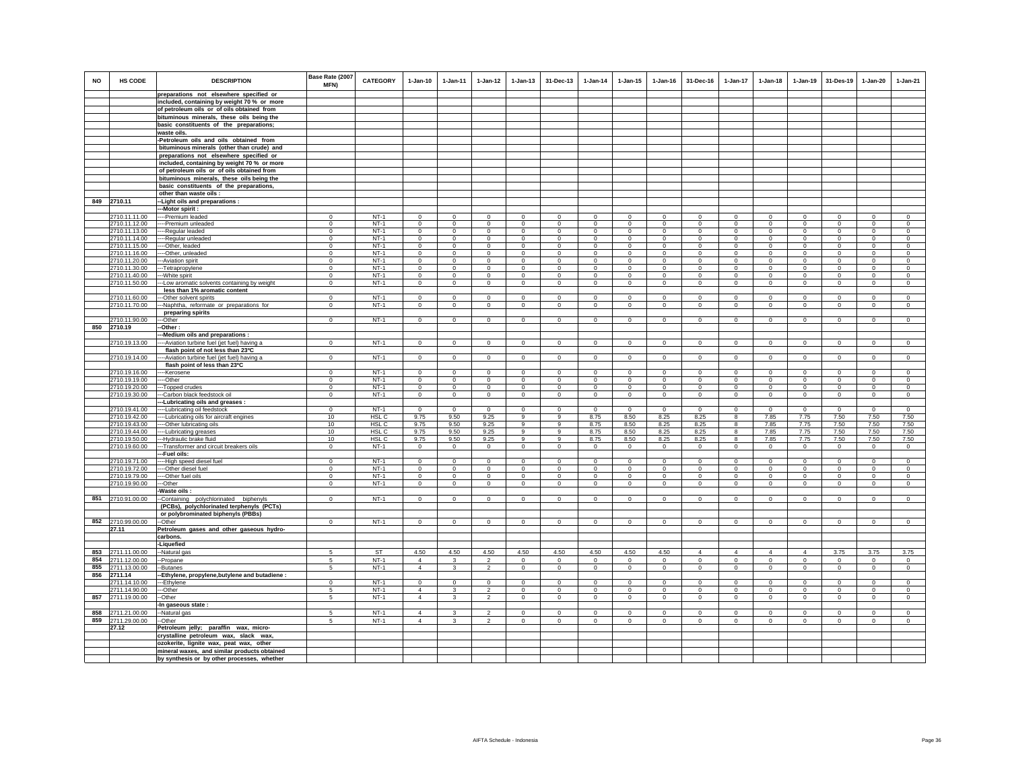|            |                                |                                                                                      | Base Rate (2007             |                  |                          |                         |                                  |                            |                            |                            |                            |                            |                          |                         |                        |                               |                         |                            |                            |
|------------|--------------------------------|--------------------------------------------------------------------------------------|-----------------------------|------------------|--------------------------|-------------------------|----------------------------------|----------------------------|----------------------------|----------------------------|----------------------------|----------------------------|--------------------------|-------------------------|------------------------|-------------------------------|-------------------------|----------------------------|----------------------------|
| <b>NO</b>  | HS CODE                        | <b>DESCRIPTION</b>                                                                   | MFN)                        | <b>CATEGORY</b>  | $1-Jan-10$               | $1-Jan-11$              | $1-Jan-12$                       | $1$ -Jan-13                | 31-Dec-13                  | $1 - Jan-14$               | $1$ -Jan-15                | 1-Jan-16                   | 31-Dec-16                | $1-Jan-17$              | $1-Jan-18$             | $1-Jan-19$                    | 31-Des-19               | 1-Jan-20                   | 1-Jan-21                   |
|            |                                | preparations not elsewhere specified or                                              |                             |                  |                          |                         |                                  |                            |                            |                            |                            |                            |                          |                         |                        |                               |                         |                            |                            |
|            |                                | included, containing by weight 70 % or more                                          |                             |                  |                          |                         |                                  |                            |                            |                            |                            |                            |                          |                         |                        |                               |                         |                            |                            |
|            |                                | of petroleum oils or of oils obtained from                                           |                             |                  |                          |                         |                                  |                            |                            |                            |                            |                            |                          |                         |                        |                               |                         |                            |                            |
|            |                                | bituminous minerals, these oils being the                                            |                             |                  |                          |                         |                                  |                            |                            |                            |                            |                            |                          |                         |                        |                               |                         |                            |                            |
|            |                                | basic constituents of the preparations;                                              |                             |                  |                          |                         |                                  |                            |                            |                            |                            |                            |                          |                         |                        |                               |                         |                            |                            |
|            |                                | waste oils.                                                                          |                             |                  |                          |                         |                                  |                            |                            |                            |                            |                            |                          |                         |                        |                               |                         |                            |                            |
|            |                                | -Petroleum oils and oils obtained from<br>bituminous minerals (other than crude) and |                             |                  |                          |                         |                                  |                            |                            |                            |                            |                            |                          |                         |                        |                               |                         |                            |                            |
|            |                                | preparations not elsewhere specified or                                              |                             |                  |                          |                         |                                  |                            |                            |                            |                            |                            |                          |                         |                        |                               |                         |                            |                            |
|            |                                | included, containing by weight 70 % or more                                          |                             |                  |                          |                         |                                  |                            |                            |                            |                            |                            |                          |                         |                        |                               |                         |                            |                            |
|            |                                | of petroleum oils or of oils obtained from                                           |                             |                  |                          |                         |                                  |                            |                            |                            |                            |                            |                          |                         |                        |                               |                         |                            |                            |
|            |                                | bituminous minerals, these oils being the                                            |                             |                  |                          |                         |                                  |                            |                            |                            |                            |                            |                          |                         |                        |                               |                         |                            |                            |
|            |                                | basic constituents of the preparations,                                              |                             |                  |                          |                         |                                  |                            |                            |                            |                            |                            |                          |                         |                        |                               |                         |                            |                            |
|            |                                | other than waste oils :                                                              |                             |                  |                          |                         |                                  |                            |                            |                            |                            |                            |                          |                         |                        |                               |                         |                            |                            |
| 849        | 2710.11                        | -Light oils and preparations:                                                        |                             |                  |                          |                         |                                  |                            |                            |                            |                            |                            |                          |                         |                        |                               |                         |                            |                            |
|            |                                | -Motor spirit :                                                                      |                             |                  |                          |                         |                                  |                            |                            |                            |                            |                            |                          |                         |                        |                               |                         |                            |                            |
|            | 2710.11.11.00<br>2710.11.12.00 | --Premium leaded<br>--Premium unleaded                                               | $^{\circ}$<br>$\Omega$      | $NT-1$<br>$NT-1$ | $\mathbf{0}$<br>$\Omega$ | $\mathbf 0$<br>$\Omega$ | $\mathbf 0$<br>$\mathbf 0$       | $\mathbf 0$<br>$\Omega$    | $\mathbf{0}$<br>$\Omega$   | $\,0\,$<br>$^{\circ}$      | $\mathbf 0$<br>$\Omega$    | $\mathbf 0$<br>$\Omega$    | $^{\circ}$<br>$^{\circ}$ | $\mathbf 0$<br>$\Omega$ | $^{\circ}$<br>$\Omega$ | $^{\circ}$<br>$\Omega$        | $\mathbf 0$<br>$\Omega$ | $\mathbf 0$<br>$\Omega$    | $\mathbf 0$<br>$\Omega$    |
|            | 2710.11.13.00                  | --Regular leaded                                                                     | $\overline{0}$              | $NT-1$           | $\mathbf 0$              | $\overline{0}$          | $\overline{0}$                   | $\overline{0}$             | $\mathbf 0$                | $\mathbf 0$                | $\mathbf 0$                | $\mathbf 0$                | $\mathbf 0$              | 0                       | 0                      | $\mathbf 0$                   | $\overline{0}$          | $\mathbf 0$                | $\circ$                    |
|            | 2710.11.14.00                  | --Regular unleaded                                                                   | $\mathbf 0$                 | $NT-1$           | $\Omega$                 | $\circ$                 | $\mathbf 0$                      | $\mathbf 0$                | $\mathbf 0$                | $\mathbf 0$                | $\mathbf 0$                | $\mathbf 0$                | $\circ$                  | $\mathbf 0$             | $\mathbf 0$            | $\mathbf 0$                   | $\mathbf 0$             | $\mathbf 0$                | $\Omega$                   |
|            | 2710.11.15.00                  | --Other, leaded                                                                      | $\Omega$                    | $NT-1$           | $\Omega$                 | $\Omega$                | $\mathsf 0$                      | $\Omega$                   | $\Omega$                   | $\Omega$                   | $\Omega$                   | $\Omega$                   | $\Omega$                 | $\Omega$                | $\Omega$               | $\Omega$                      | $\Omega$                | $\Omega$                   | $\Omega$                   |
|            | 2710.11.16.00                  | --Other, unleaded                                                                    | $\Omega$                    | $NT-1$           | $\mathbf 0$              | $\mathbf 0$             | $\mathbf 0$                      | $\mathbf 0$                | $\mathbf 0$                | $\mathbf 0$                | $\mathbf 0$                | $\Omega$                   | $\Omega$                 | $\mathbf 0$             | $\Omega$               | $\Omega$                      | $\mathbf 0$             | $\mathbf 0$                | $\circ$                    |
|            | 2710.11.20.00                  | -Aviation spirit                                                                     | $\mathbf{0}$                | $NT-1$<br>$NT-1$ | $\mathbf{0}$<br>$\Omega$ | $\circ$                 | $\mathbf 0$                      | $\mathbf 0$                | $\mathbf 0$<br>$\Omega$    | $\circ$                    | $\mathbf 0$                | $^{\circ}$                 | $\circ$<br>$\Omega$      | $\mathbf 0$             | $\circ$                | $\mathbf 0$                   | $\circ$                 | $\circ$                    | $\circ$                    |
|            | 2710.11.30.00<br>2710.11.40.00 | -Tetrapropylene                                                                      | $\Omega$<br>$\mathbf 0$     | $NT-1$           | $\circ$                  | $^{\circ}$<br>$\circ$   | $\mathbf 0$<br>$\mathbf 0$       | $\mathbf 0$<br>$\mathbf 0$ | $\mathbf 0$                | $^{\circ}$<br>$\circ$      | $^{\circ}$<br>$^{\circ}$   | $^{\circ}$<br>$^{\circ}$   | $\circ$                  | $\Omega$<br>$\mathbf 0$ | $\Omega$<br>$^{\circ}$ | $\Omega$<br>$^{\circ}$        | $\circ$<br>$^{\circ}$   | $\Omega$<br>$\circ$        | $\circ$<br>$\circ$         |
|            | 2710.11.50.00                  | -White spirit<br>-Low aromatic solvents containing by weight                         | $\mathbf 0$                 | $NT-1$           | $\mathsf 0$              | $\mathbf 0$             | $\mathsf 0$                      | $\mathsf 0$                | $\mathbf 0$                | $\Omega$                   | $\mathsf 0$                | $\Omega$                   | $\mathsf 0$              | $\mathbf 0$             | $\Omega$               | $\mathbf 0$                   | $\mathbf 0$             | $\Omega$                   | $\mathbb O$                |
|            |                                | less than 1% aromatic content                                                        |                             |                  |                          |                         |                                  |                            |                            |                            |                            |                            |                          |                         |                        |                               |                         |                            |                            |
|            | 2710.11.60.00                  | --Other solvent spirits                                                              | $^{\circ}$                  | $NT-1$           | $\Omega$                 | $\mathbf 0$             | $\overline{0}$                   | $\mathsf 0$                | $\mathbf 0$                | $\Omega$                   | $\mathsf 0$                | $\Omega$                   | $\Omega$                 | $\mathbf 0$             | $\Omega$               | $\mathbf 0$                   | $\mathbf 0$             | $\Omega$                   | $\overline{0}$             |
|            | 2710.11.70.00                  | -Naphtha, reformate or preparations for                                              | $\mathbf 0$                 | $NT-1$           | $\circ$                  | $\mathbf{0}$            | $\mathbf{0}$                     | $\mathbf{0}$               | $\Omega$                   | $\circ$                    | $\mathbf{0}$               | $\mathbf 0$                | $\circ$                  | $\mathbf{0}$            | $\mathbf 0$            | $\mathbf 0$                   | $\circ$                 | $\Omega$                   | $\circ$                    |
|            |                                | preparing spirits                                                                    |                             |                  |                          |                         |                                  |                            |                            |                            |                            |                            |                          |                         |                        |                               |                         |                            |                            |
|            | 2710.11.90.00                  | --Other                                                                              | $\mathbf{0}$                | NT-1             | $\mathbf{0}$             | $\mathbf{0}$            | $\overline{0}$                   | $\mathbf 0$                | $\mathbf 0$                | $\circ$                    | $\mathbf 0$                | $\circ$                    | $\mathbf{0}$             | $\mathbf{0}$            | $\mathbf{0}$           | $\circ$                       | $\mathbf{0}$            | $\circ$                    | $\circ$                    |
| 850        | 2710.19                        | -Other :                                                                             |                             |                  |                          |                         |                                  |                            |                            |                            |                            |                            |                          |                         |                        |                               |                         |                            |                            |
|            | 2710.19.13.00                  | -Medium oils and preparations :<br>--Aviation turbine fuel (jet fuel) having a       | $\mathbf{0}$                | $NT-1$           | $\circ$                  | $\circ$                 | $\mathbf 0$                      | $\mathbf 0$                | $\mathbf 0$                | $\circ$                    | $\mathbf 0$                | $\circ$                    | $\circ$                  | $\mathbf 0$             | $\circ$                | $\circ$                       | $\mathbf{0}$            | $\mathbf 0$                | $\mathsf 0$                |
|            |                                | flash point of not less than 23°C                                                    |                             |                  |                          |                         |                                  |                            |                            |                            |                            |                            |                          |                         |                        |                               |                         |                            |                            |
|            | 2710.19.14.00                  | -Aviation turbine fuel (jet fuel) having a                                           | $\mathbf 0$                 | $NT-1$           | $\Omega$                 | $\circ$                 | $\mathbf 0$                      | $\mathbf 0$                | $\mathbf 0$                | $\mathbf 0$                | $\mathbf 0$                | $\mathbf 0$                | $\circ$                  | $\mathbf 0$             | $\mathbf 0$            | $\mathbf 0$                   | $\mathbf 0$             | $\mathbf 0$                | $\Omega$                   |
|            |                                | flash point of less than 23°C                                                        |                             |                  |                          |                         |                                  |                            |                            |                            |                            |                            |                          |                         |                        |                               |                         |                            |                            |
|            | 2710.19.16.00                  | --Kerosene                                                                           | $\Omega$                    | $NT-1$           | $\circ$                  | $\Omega$                | $\mathbf{0}$                     | $\mathbf{0}$               | $\Omega$                   | $\Omega$                   | $\Omega$                   | $\Omega$                   | $\Omega$                 | $\Omega$                | $\mathbf 0$            | $\mathbf 0$                   | $\Omega$                | $\mathbf{0}$               | $\circ$                    |
|            | 2710.19.19.00                  | ---Other                                                                             | $^{\circ}$                  | $NT-1$           | $\mathbf 0$              | $\mathbf 0$             | $\overline{0}$                   | $\overline{0}$             | $\mathbf 0$                | $\mathbf 0$                | $\overline{0}$             | $\mathbf 0$                | $\circ$                  | $\overline{0}$          | $\mathbf{0}$           | $\mathbf 0$                   | $\overline{0}$          | $\mathbf 0$                | $\overline{0}$             |
|            | 2710.19.20.00<br>2710.19.30.00 | -Topped crudes<br>-Carbon black feedstock oil                                        | $\mathbf 0$<br>$\mathbf{0}$ | $NT-1$<br>$NT-1$ | $\circ$<br>$\circ$       | $\circ$<br>$\mathbf{0}$ | $\circ$<br>$\circ$               | $\mathbf 0$<br>$\circ$     | $\mathbf 0$<br>$\mathbf 0$ | $\mathbf 0$<br>$\mathbf 0$ | $\mathbf 0$<br>$\mathbf 0$ | $\mathbf 0$<br>$\mathbf 0$ | $\circ$<br>$\circ$       | $\mathbf 0$<br>$\circ$  | $\circ$<br>$\mathbf 0$ | $\mathbf 0$<br>$\overline{0}$ | $\circ$<br>$\mathbf 0$  | $\mathbf 0$<br>$\mathbf 0$ | $\circ$<br>$\mathbf 0$     |
|            |                                | -Lubricating oils and greases :                                                      |                             |                  |                          |                         |                                  |                            |                            |                            |                            |                            |                          |                         |                        |                               |                         |                            |                            |
|            | 2710.19.41.00                  | --Lubricating oil feedstock                                                          | $\mathbf 0$                 | $NT-1$           | $\mathbf 0$              | $^{\circ}$              | $\mathbf 0$                      | $\mathbf 0$                | $\mathbf 0$                | $^{\circ}$                 | $\mathbf 0$                | $^{\circ}$                 | $\mathbf 0$              | $\mathbf 0$             | $\mathbf 0$            | $\mathbf 0$                   | $\mathbf 0$             | $\mathbf 0$                | $\mathbf 0$                |
|            | 2710.19.42.00                  | -- Lubricating oils for aircraft engines                                             | 10                          | HSL C            | 9.75                     | 9.50                    | 9.25                             | 9                          | 9                          | 8.75                       | 8.50                       | 8.25                       | 8.25                     | 8                       | 7.85                   | 7.75                          | 7.50                    | 7.50                       | 7.50                       |
|            | 2710.19.43.00                  | --Other lubricating oils                                                             | 10                          | HSL C            | 9.75                     | 9.50                    | 9.25                             | 9                          | 9                          | 8.75                       | 8.50                       | 8.25                       | 8.25                     | 8                       | 7.85                   | 7.75                          | 7.50                    | 7.50                       | 7.50                       |
|            | 2710.19.44.00                  | -- Lubricating greases                                                               | 10                          | HSL C            | 9.75                     | 9.50                    | 9.25                             | 9                          | $\overline{9}$             | 8.75                       | 8.50                       | 8.25                       | 8.25                     | 8                       | 7.85                   | 7.75                          | 7.50                    | 7.50                       | 7.50                       |
|            | 2710.19.50.00<br>2710.19.60.00 | -Hydraulic brake fluid<br>-- Transformer and circuit breakers oils                   | 10<br>$\mathbf{0}$          | HSL C<br>$NT-1$  | 9.75<br>$\mathbf 0$      | 9.50<br>$\mathbf{0}$    | 9.25<br>$\mathbf 0$              | 9<br>$\mathsf 0$           | 9<br>$\mathbf 0$           | 8.75                       | 8.50<br>$\mathbf 0$        | 8.25<br>$\mathbf 0$        | 8.25<br>$\circ$          | 8<br>$\mathbf 0$        | 7.85<br>$\mathbf 0$    | 7.75<br>$\circ$               | 7.50<br>$\mathbf 0$     | 7.50<br>$\circ$            | 7.50<br>$\mathbf 0$        |
|            |                                | -Fuel oils:                                                                          |                             |                  |                          |                         |                                  |                            |                            | $\overline{0}$             |                            |                            |                          |                         |                        |                               |                         |                            |                            |
|            | 2710.19.71.00                  | --High speed diesel fuel                                                             | $\mathbf 0$                 | $NT-1$           | $\mathbf 0$              | $\mathbf 0$             | $\mathsf 0$                      | $\mathsf 0$                | $\mathbf 0$                | $\circ$                    | $\mathsf 0$                | $\circ$                    | $\mathbf 0$              | $\mathbf 0$             | $\mathbf 0$            | $\mathbf 0$                   | $\mathbf 0$             | $\mathsf 0$                | $\mathbb O$                |
|            | 2710.19.72.00                  | --Other diesel fuel                                                                  | $\mathbf{0}$                | $NT-1$           | $\Omega$                 | $\circ$                 | $\mathbf 0$                      | $\mathbf 0$                | $\mathbf 0$                | $\mathbf 0$                | $\mathbf 0$                | $\Omega$                   | $\circ$                  | $\mathbf 0$             | $\Omega$               | $\mathbf 0$                   | $\mathbf 0$             | $\mathbf 0$                | $\Omega$                   |
|            | 2710.19.79.00                  | ---Other fuel oils                                                                   | $\mathbf{0}$                | $NT-1$           | $\Omega$                 | $\circ$                 | $\mathbf 0$                      | $\mathbf 0$                | $\Omega$                   | $\Omega$                   | $\mathsf 0$                | $\Omega$                   | $\Omega$                 | $\mathbf 0$             | $\Omega$               | $^{\circ}$                    | $\mathbf 0$             | $\Omega$                   | $\Omega$                   |
|            | 2710.19.90.00                  | --Other                                                                              | $\circ$                     | $NT-1$           | $\circ$                  | $\Omega$                | $\mathbf{0}$                     | $\mathbf{0}$               | $\Omega$                   | $\mathbf{0}$               | $\mathbf{0}$               | $\Omega$                   | $\Omega$                 | $\mathbf{0}$            | $\Omega$               | $\mathbf 0$                   | $\mathbf 0$             | $\Omega$                   | $\circ$                    |
|            | 851 2710.91.00.00              | -Waste oils :<br>-Containing polychlorinated biphenyls                               | $\Omega$                    | $NT-1$           | $\Omega$                 | $\mathbf 0$             | $\mathbf 0$                      | $\mathbf 0$                | $\mathbf 0$                | $\mathbf 0$                | $\mathsf 0$                | $\Omega$                   | $\mathbf 0$              | $\mathbf 0$             | $\mathsf 0$            | $\mathbf 0$                   | $\mathbf 0$             | $\mathbf 0$                | $\mathsf 0$                |
|            |                                | (PCBs), polychlorinated terphenyls (PCTs)                                            |                             |                  |                          |                         |                                  |                            |                            |                            |                            |                            |                          |                         |                        |                               |                         |                            |                            |
|            |                                | or polybrominated biphenyls (PBBs)                                                   |                             |                  |                          |                         |                                  |                            |                            |                            |                            |                            |                          |                         |                        |                               |                         |                            |                            |
|            | 852 2710.99.00.00              | -Other                                                                               | $\mathbf 0$                 | $NT-1$           | $\circ$                  | $\circ$                 | $\circ$                          | $\mathbf 0$                | $^{\circ}$                 | $\mathbf 0$                | 0                          | $\mathbf 0$                | $^{\circ}$               | $^{\circ}$              | $\circ$                | $\circ$                       | $\mathbf 0$             | $\circ$                    | $\mathsf 0$                |
|            | 27.11                          | Petroleum gases and other gaseous hydro-                                             |                             |                  |                          |                         |                                  |                            |                            |                            |                            |                            |                          |                         |                        |                               |                         |                            |                            |
|            |                                | carbons.                                                                             |                             |                  |                          |                         |                                  |                            |                            |                            |                            |                            |                          |                         |                        |                               |                         |                            |                            |
|            |                                | <b>Liquefied</b>                                                                     |                             |                  |                          |                         |                                  |                            |                            |                            |                            |                            |                          |                         |                        |                               |                         |                            |                            |
| 853<br>854 | 2711.11.00.00                  | -Natural gas                                                                         |                             | ST               | 4.50<br>$\overline{4}$   | 4.50                    | 4.50                             | 4.50                       | 4.50<br>$\mathbf 0$        | 4.50                       | 4.50                       | 4.50                       | $\overline{4}$           | $\overline{4}$          | $\overline{4}$         | $\overline{4}$<br>$^{\circ}$  | 3.75                    | 3.75                       | 3.75                       |
| 855        | 2711.12.00.00<br>2711.13.00.00 | -Propane                                                                             | 5<br>$\sqrt{5}$             | $NT-1$           | $\overline{4}$           | 3<br>$\mathbf{3}$       | $\overline{2}$<br>$\overline{2}$ | $\mathbf 0$<br>$\mathbf 0$ |                            | $^{\circ}$                 | $^{\circ}$                 | $^{\circ}$                 | $\circ$                  | $\mathbf 0$<br>$\circ$  | $\mathbf 0$            |                               | $\mathbf 0$             | $^{\circ}$                 | $\mathbf 0$<br>$\mathsf 0$ |
| 856        | 2711.14                        | -Butanes<br>-Ethylene, propylene, butylene and butadiene :                           |                             | $NT-1$           |                          |                         |                                  |                            | $\overline{0}$             | $\mathbf 0$                | $\mathbf 0$                | $\mathbf 0$                | $\circ$                  |                         | $\mathbf 0$            | $\mathbf 0$                   | $\mathbf 0$             | $\mathbf 0$                |                            |
|            | 2711.14.10.00                  | -Ethylene                                                                            | $\mathbf 0$                 | $NT-1$           | $\mathbf{0}$             | $\Omega$                | $\mathsf 0$                      | $\mathsf 0$                | $\mathbf 0$                | $\Omega$                   | $\mathbf 0$                | $\Omega$                   | $^{\circ}$               | $\mathbf 0$             | $\mathbf 0$            | $\Omega$                      | $\mathbf 0$             | $\circ$                    | $\mathsf 0$                |
|            | 2711.14.90.00                  | --Other                                                                              | 5                           | NT-1             | $\overline{4}$           | 3                       | $\overline{2}$                   | $\mathbf 0$                | $^{\circ}$                 | $^{\circ}$                 | $^{\circ}$                 | $^{\circ}$                 | $^{\circ}$               | $\mathbf 0$             | $^{\circ}$             | $^{\circ}$                    | $\mathbf 0$             | $^{\circ}$                 | $\circ$                    |
|            | 857 2711.19.00.00              | -Other                                                                               | $5\overline{5}$             | $NT-1$           | $\overline{4}$           | $\mathbf{3}$            | $\overline{2}$                   | $\overline{0}$             | $\overline{0}$             | $\overline{0}$             | $\mathbf 0$                | $\mathbf 0$                | $\mathbf{0}$             | $\circ$                 | $\circ$                | $\overline{0}$                | $\overline{0}$          | $\circ$                    | $\circ$                    |
|            |                                | -In gaseous state :                                                                  |                             |                  |                          |                         |                                  |                            |                            |                            |                            |                            |                          |                         |                        |                               |                         |                            |                            |
|            | 858 2711.21.00.00              | -Natural gas                                                                         | 5                           | $NT-1$           | $\overline{4}$           | 3                       | 2                                | $^{\circ}$                 | $\Omega$                   | $^{\circ}$                 | $^{\circ}$                 | $^{\circ}$                 | $\Omega$                 | $^{\circ}$              | $^{\circ}$             | $^{\circ}$                    | $^{\circ}$              | $\Omega$                   | $^{\circ}$                 |
|            | 859 2711.29.00.00              | -Other                                                                               | 5                           | $NT-1$           | $\overline{4}$           | $\mathbf{3}$            | $\mathfrak{p}$                   | $\mathbf 0$                | $\mathbf 0$                | $\Omega$                   | $\mathbf 0$                | $\circ$                    | $\Omega$                 | $\mathsf 0$             | $\Omega$               | $\mathbf 0$                   | $\circ$                 | $\mathbf{0}$               | $\circ$                    |
|            | 27.12                          | Petroleum jelly; paraffin wax, micro-<br>crystalline petroleum wax, slack wax,       |                             |                  |                          |                         |                                  |                            |                            |                            |                            |                            |                          |                         |                        |                               |                         |                            |                            |
|            |                                | ozokerite, lignite wax, peat wax, other                                              |                             |                  |                          |                         |                                  |                            |                            |                            |                            |                            |                          |                         |                        |                               |                         |                            |                            |
|            |                                | mineral waxes, and similar products obtained                                         |                             |                  |                          |                         |                                  |                            |                            |                            |                            |                            |                          |                         |                        |                               |                         |                            |                            |
|            |                                | by synthesis or by other processes, whether                                          |                             |                  |                          |                         |                                  |                            |                            |                            |                            |                            |                          |                         |                        |                               |                         |                            |                            |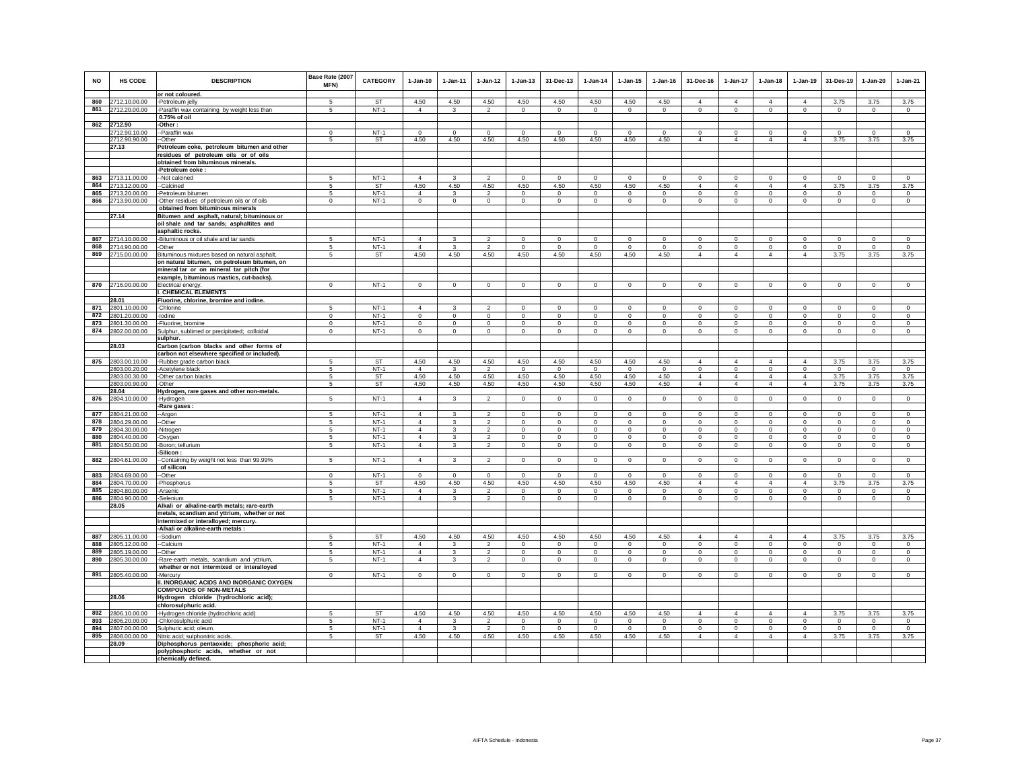| <b>NO</b>  | HS CODE                        | <b>DESCRIPTION</b>                                                                            | Base Rate (2007<br>MFN) | <b>CATEGORY</b>  | $1-Jan-10$                 | $1-Jan-11$                   | $1-Jan-12$                       | $1-Jan-13$                  | 31-Dec-13               | $1-Jan-14$           | $1 - Jan-15$         | $1-Jan-16$           | 31-Dec-16                  | 1-Jan-17                   | $1-Jan-18$                    | 1-Jan-19                   | 31-Des-19               | 1-Jan-20                 | $1-Jan-21$              |
|------------|--------------------------------|-----------------------------------------------------------------------------------------------|-------------------------|------------------|----------------------------|------------------------------|----------------------------------|-----------------------------|-------------------------|----------------------|----------------------|----------------------|----------------------------|----------------------------|-------------------------------|----------------------------|-------------------------|--------------------------|-------------------------|
| 860        | 2712.10.00.00                  | or not coloured.<br>-Petroleum jelly                                                          | 5                       | <b>ST</b>        | 4.50                       | 4.50                         | 4.50                             | 4.50                        | 4.50                    | 4.50                 | 4.50                 | 4.50                 | $\Delta$                   | $\Delta$                   | $\Delta$                      | $\Delta$                   | 3.75                    | 3.75                     | 3.75                    |
| 861        | 2712.20.00.00                  | -Paraffin wax containing by weight less than                                                  | 5                       | $NT-1$           | $\overline{4}$             | $\mathbf{3}$                 | $\mathfrak{p}$                   | $\mathbf{0}$                | $\mathbf{0}$            | $\Omega$             | $\Omega$             | $\Omega$             | $\mathbf{0}$               | $\mathbf{0}$               | $\mathbf{0}$                  | $\circ$                    | $\mathbf 0$             | $\circ$                  | $\circ$                 |
|            |                                | 0.75% of oil                                                                                  |                         |                  |                            |                              |                                  |                             |                         |                      |                      |                      |                            |                            |                               |                            |                         |                          |                         |
| 862        | 2712.90                        | -Other:                                                                                       |                         |                  |                            |                              |                                  |                             |                         |                      |                      |                      |                            |                            |                               |                            |                         |                          |                         |
|            | 2712.90.10.00                  | --Paraffin wax                                                                                | $\mathbf 0$             | $NT-1$           | $^{\circ}$                 | $^{\circ}$                   | $\mathbf 0$                      | $^{\circ}$                  | $^{\circ}$              | $^{\circ}$           | $\Omega$             | $\Omega$             | $\circ$                    | $^{\circ}$                 | $^{\circ}$                    | $^{\circ}$                 | $^{\circ}$              | $^{\circ}$               | $\circ$                 |
|            | 2712.90.90.00                  | --Other                                                                                       | 5                       | ST               | 4.50                       | 4.50                         | 4.50                             | 4.50                        | 4.50                    | 4.50                 | 4.50                 | 4.50                 | $\overline{4}$             | 4                          | $\overline{4}$                | $\overline{4}$             | 3.75                    | 3.75                     | 3.75                    |
|            | 27.13                          | Petroleum coke, petroleum bitumen and other                                                   |                         |                  |                            |                              |                                  |                             |                         |                      |                      |                      |                            |                            |                               |                            |                         |                          |                         |
|            |                                | residues of petroleum oils or of oils                                                         |                         |                  |                            |                              |                                  |                             |                         |                      |                      |                      |                            |                            |                               |                            |                         |                          |                         |
|            |                                | obtained from bituminous minerals.                                                            |                         |                  |                            |                              |                                  |                             |                         |                      |                      |                      |                            |                            |                               |                            |                         |                          |                         |
| 863        | 2713.11.00.00                  | -Petroleum coke :<br>--Not calcined                                                           | 5                       | $NT-1$           | $\overline{4}$             | $\overline{\mathbf{3}}$      | $\overline{2}$                   | $\Omega$                    | $\mathbf{0}$            | $\Omega$             | $\Omega$             | $\Omega$             | $\circ$                    | $\circ$                    | $\mathbf 0$                   | $\mathsf 0$                | $\mathbf 0$             | $\mathbf{0}$             | $\circ$                 |
| 864        | 2713.12.00.00                  | --Calcined                                                                                    | -5                      | <b>ST</b>        | 4.50                       | 4.50                         | 4.50                             | 4.50                        | 4.50                    | 4.50                 | 4.50                 | 4.50                 | $\Delta$                   | $\Delta$                   | $\Delta$                      | $\Delta$                   | 3.75                    | 3.75                     | 3.75                    |
| 865        | 2713.20.00.00                  | -Petroleum bitumen                                                                            | -5                      | $NT-1$           | $\overline{4}$             | $\mathbf{3}$                 | $\mathfrak{p}$                   | $\Omega$                    | $\Omega$                | $\Omega$             | $\Omega$             | $\Omega$             | $\Omega$                   | $\mathbf{0}$               | $\Omega$                      | $\Omega$                   | $\Omega$                | $\Omega$                 | $\Omega$                |
| 866        | 2713.90.00.00                  | -Other residues of petroleum oils or of oils                                                  | $\mathsf 0$             | $NT-1$           | $\mathsf 0$                | $\circ$                      | $\mathbf 0$                      | $\mathbf 0$                 | $\mathsf 0$             | $\mathsf 0$          | $\mathsf 0$          | $\mathbb O$          | $\mathbf 0$                | $\mathbf 0$                | $\mathsf 0$                   | $\mathsf 0$                | $\mathbf 0$             | $\mathsf 0$              | $\mathsf 0$             |
|            |                                | obtained from bituminous minerals                                                             |                         |                  |                            |                              |                                  |                             |                         |                      |                      |                      |                            |                            |                               |                            |                         |                          |                         |
|            | 27.14                          | Bitumen and asphalt, natural; bituminous or                                                   |                         |                  |                            |                              |                                  |                             |                         |                      |                      |                      |                            |                            |                               |                            |                         |                          |                         |
|            |                                | oil shale and tar sands; asphaltites and                                                      |                         |                  |                            |                              |                                  |                             |                         |                      |                      |                      |                            |                            |                               |                            |                         |                          |                         |
|            |                                | asphaltic rocks.                                                                              |                         |                  |                            |                              |                                  |                             |                         |                      |                      |                      |                            |                            |                               |                            |                         |                          |                         |
| 867        | 2714.10.00.00                  | -Bituminous or oil shale and tar sands                                                        | 5                       | $NT-1$           | $\overline{4}$             | $\overline{\mathbf{3}}$      | $\overline{2}$                   | $\mathbf 0$                 | $\mathbf{0}$            | $\mathbf 0$          | $\Omega$             | $\circ$              | $\Omega$                   | $\mathsf 0$                | $\Omega$                      | $\mathsf 0$                | $\mathbf{0}$            | $\mathsf 0$              | $\Omega$                |
| 868        | 2714.90.00.00                  | -Other                                                                                        | -5                      | $NT-1$           | $\overline{4}$             | $\mathbf{3}$                 | $\overline{2}$                   | $\mathbf{0}$                | $\circ$                 | $\Omega$             | $\Omega$             | $\Omega$             | $\mathbf{0}$               | $\mathbf{0}$               | $\mathbf{0}$                  | $\circ$                    | $\circ$                 | $\circ$                  | $\circ$                 |
| 869        | 2715.00.00.00                  | Bituminous mixtures based on natural asphalt,<br>on natural bitumen, on petroleum bitumen, on | 5                       | ST               | 4.50                       | 4.50                         | 4.50                             | 4.50                        | 4.50                    | 4.50                 | 4.50                 | 4.50                 | $\overline{4}$             | $\overline{4}$             | $\overline{4}$                | $\overline{4}$             | 3.75                    | 3.75                     | 3.75                    |
|            |                                | mineral tar or on mineral tar pitch (for                                                      |                         |                  |                            |                              |                                  |                             |                         |                      |                      |                      |                            |                            |                               |                            |                         |                          |                         |
|            |                                | example, bituminous mastics, cut-backs).                                                      |                         |                  |                            |                              |                                  |                             |                         |                      |                      |                      |                            |                            |                               |                            |                         |                          |                         |
|            | 870 2716.00.00.00              | Electrical energy.                                                                            | $\mathsf 0$             | $NT-1$           | $\Omega$                   | $\mathsf 0$                  | $\overline{0}$                   | $\mathsf 0$                 | $\mathsf 0$             | $\circ$              | $\Omega$             | $\Omega$             | $\mathsf 0$                | $\overline{0}$             | $\mathsf 0$                   | $\overline{0}$             | $\mathbf 0$             | $\overline{0}$           | $\overline{0}$          |
|            |                                | <b>I. CHEMICAL ELEMENTS</b>                                                                   |                         |                  |                            |                              |                                  |                             |                         |                      |                      |                      |                            |                            |                               |                            |                         |                          |                         |
|            | 28.01                          | Fluorine, chlorine, bromine and iodine.                                                       |                         |                  |                            |                              |                                  |                             |                         |                      |                      |                      |                            |                            |                               |                            |                         |                          |                         |
| 871        | 2801.10.00.00                  | -Chlorine                                                                                     | $\sqrt{2}$              | $NT-1$           | $\Delta$                   | 3                            | $\mathfrak{p}$                   | $\Omega$                    | $\Omega$                | $\Omega$             | $\Omega$             | $\Omega$             | $\Omega$                   | $\Omega$                   | $\Omega$                      | $\Omega$                   | $\Omega$                | $\Omega$                 | $\Omega$                |
| 872        | 2801.20.00.00                  | -lodine                                                                                       | $\mathbf 0$             | $NT-1$           | $\circ$                    | $\circ$                      | $\mathbf 0$                      | $\mathbf 0$                 | $\mathbf 0$             | $^{\circ}$           | $^{\circ}$           | $\mathbf 0$          | $\mathbf 0$                | $\mathbf 0$                | $\mathbf 0$                   | $\circ$                    | $\mathbf 0$             | $\circ$                  | $\circ$                 |
| 873        | 2801.30.00.00                  | -Fluorine; bromine                                                                            | $\,0\,$                 | $NT-1$           | $\mathbf 0$                | $\,0\,$                      | $\mathbf 0$                      | $\mathbf 0$                 | $\mathbf 0$             | $\bf{0}$             | $\mathbf 0$          | $\,0\,$              | $\mathbf 0$                | $\mathbf 0$                | $\mathbf 0$                   | $\mathbf 0$                | $\mathbf 0$             | $\mathbf 0$              | $\mathbf 0$             |
| 874        | 2802.00.00.00                  | Sulphur, sublimed or precipitated; colloidal<br>sulphur.                                      | $^{\circ}$              | $NT-1$           | $\circ$                    | $^{\circ}$                   | $\circ$                          | $\mathbf 0$                 | 0                       | $\mathbf 0$          | 0                    | $\mathbf{0}$         | $\circ$                    | $\circ$                    | $\mathbf 0$                   | $\mathbf 0$                | $\circ$                 | $\mathbf 0$              | $\Omega$                |
|            | 28.03                          | Carbon (carbon blacks and other forms of<br>carbon not elsewhere specified or included).      |                         |                  |                            |                              |                                  |                             |                         |                      |                      |                      |                            |                            |                               |                            |                         |                          |                         |
| 875        | 2803.00.10.00                  | -Rubber grade carbon black                                                                    | 5                       | ST               | 4.50                       | 4.50                         | 4.50                             | 4.50                        | 4.50                    | 4.50                 | 4.50                 | 4.50                 | $\overline{4}$             | $\overline{4}$             | $\overline{4}$                | $\overline{4}$             | 3.75                    | 3.75                     | 3.75                    |
|            | 2803.00.20.00                  | -Acetylene black                                                                              | -5                      | $NT-1$           | $\Delta$                   | $\mathbf{3}$                 | $\overline{2}$                   | $\Omega$                    | $\Omega$                | $\Omega$             | $\Omega$             | $\Omega$             | $\Omega$                   | $\circ$                    | $\Omega$                      | $\circ$                    | $\Omega$                | $\Omega$                 | $\Omega$                |
|            | 2803.00.30.00                  | -Other carbon blacks                                                                          | -5                      | ST               | 4.50                       | 4.50                         | 4.50                             | 4.50                        | 4.50                    | 4.50                 | 4.50                 | 4.50                 | $\overline{4}$             | $\overline{4}$             | $\overline{4}$                | $\overline{4}$             | 3.75                    | 3.75                     | 3.75                    |
|            | 2803.00.90.00                  | -Other                                                                                        | 5                       | ST               | 4.50                       | 4.50                         | 4.50                             | 4.50                        | 4.50                    | 4.50                 | 4.50                 | 4.50                 | $\overline{4}$             | $\overline{4}$             | $\overline{4}$                | $\overline{4}$             | 3.75                    | 3.75                     | 3.75                    |
|            | 28.04                          | Hydrogen, rare gases and other non-metals.                                                    |                         |                  |                            |                              |                                  |                             |                         |                      |                      |                      |                            |                            |                               |                            |                         |                          |                         |
| 876        | 2804.10.00.00                  | -Hydrogen                                                                                     | 5                       | $NT-1$           | $\overline{4}$             | $\mathbf{3}$                 | $\overline{2}$                   | $\overline{0}$              | $\overline{0}$          | $\overline{0}$       | $\mathbf{0}$         | $\mathbf{0}$         | $\mathbf{0}$               | $\mathbf{0}$               | $\overline{0}$                | $\mathbf{0}$               | $\overline{0}$          | $\overline{0}$           | $\mathbf{0}$            |
| 877        | 2804.21.00.00                  | Rare gases :<br>-Argon                                                                        | -5                      | $NT-1$           | $\overline{4}$             | 3                            | $\mathfrak{p}$                   | $\Omega$                    | $\Omega$                | $\Omega$             | $\Omega$             | $\Omega$             | $\Omega$                   | $\Omega$                   | $\Omega$                      | $\Omega$                   | $\Omega$                | $\Omega$                 | $\Omega$                |
| 878        | 2804.29.00.00                  | -Other                                                                                        | 5                       | $NT-1$           | $\overline{4}$             | $\mathbf{3}$                 | $\overline{2}$                   | $\mathsf 0$                 | $\mathsf 0$             | $\circ$              | $\mathsf 0$          | $\circ$              | $\mathsf 0$                | $\mathbf 0$                | $\mathsf 0$                   | $\mathsf 0$                | $\mathbf 0$             | $\mathsf 0$              | $\mathsf 0$             |
| 879        | 2804.30.00.00                  | -Nitrogen                                                                                     | 5                       | $NT-1$           | $\overline{4}$             | $\mathbf{3}$                 | $\mathfrak{p}$                   | $\mathsf 0$                 | $\mathbf 0$             | $\circ$              | $\mathbf 0$          | $\Omega$             | $\mathbf 0$                | $\mathsf 0$                | $\mathbf 0$                   | $\mathsf 0$                | $\mathbf 0$             | $\circ$                  | $\mathsf 0$             |
| 880        | 2804.40.00.00                  | -Oxygen                                                                                       | 5                       | $NT-1$           | $\overline{4}$             | $\mathbf{3}$                 | $\overline{2}$                   | $\mathbf 0$                 | $\mathbf 0$             | $^{\circ}$           | $\mathbf 0$          | $^{\circ}$           | $\mathbf 0$                | $\mathbf 0$                | $\mathbf 0$                   | $\mathbf 0$                | $\mathbf 0$             | $\mathbf 0$              | $\circ$                 |
| 881        | 2804.50.00.00                  | -Boron; tellurium                                                                             | 5                       | $NT-1$           | $\overline{4}$             | $\overline{3}$               | $\overline{2}$                   | $\mathbf 0$                 | $\mathbf{0}$            | $\mathbf 0$          | $\mathbf 0$          | $\mathbf 0$          | $\circ$                    | $\overline{0}$             | $\mathbf 0$                   | $\mathsf 0$                | $\mathbf 0$             | $\circ$                  | $\mathbf 0$             |
|            |                                | Silicon:                                                                                      |                         |                  |                            |                              |                                  |                             |                         |                      |                      |                      |                            |                            |                               |                            |                         |                          |                         |
| 882        | 2804.61.00.00                  | --Containing by weight not less than 99.99%                                                   | 5                       | $NT-1$           | $\overline{4}$             | $\mathbf{3}$                 | $\overline{2}$                   | $\mathbf 0$                 | $\mathbf{0}$            | $\overline{0}$       | $\Omega$             | $\Omega$             | $\Omega$                   | $\overline{0}$             | $\Omega$                      | $\overline{0}$             | $\circ$                 | $\overline{0}$           | $\overline{0}$          |
|            |                                | of silicon                                                                                    |                         |                  |                            |                              |                                  |                             |                         |                      |                      |                      |                            |                            |                               |                            |                         |                          |                         |
| 883<br>884 | 2804.69.00.00<br>2804.70.00.00 | -Other<br>-Phosphorus                                                                         | $\Omega$<br>5           | $NT-1$<br>ST     | $\Omega$<br>4.50           | $\Omega$<br>4.50             | $\Omega$<br>4.50                 | $\Omega$<br>4.50            | $\Omega$<br>4.50        | $\Omega$<br>4.50     | $\Omega$<br>4.50     | $\Omega$<br>4.50     | $\Omega$<br>$\overline{4}$ | $\Omega$<br>$\overline{4}$ | $\mathbf 0$<br>$\overline{4}$ | $\Omega$<br>$\overline{4}$ | $\Omega$<br>3.75        | $\Omega$<br>3.75         | $\circ$<br>3.75         |
| 885        | 2804.80.00.00                  | -Arsenic                                                                                      | 5                       | <b>NT-1</b>      | $\overline{4}$             | $\mathbf{3}$                 | $\overline{2}$                   | $\mathbf 0$                 | $\mathbf 0$             | $\mathbf 0$          | $\mathbf 0$          | $\circ$              | $\mathbf 0$                | $\mathbf 0$                | $\mathbf 0$                   | $\circ$                    | $\circ$                 | $\circ$                  | $\circ$                 |
| 886        | 2804.90.00.00                  | -Selenium                                                                                     | 5                       | $NT-1$           | $\overline{4}$             | 3                            | $\overline{2}$                   | $\mathbf 0$                 | $\mathbf 0$             | 0                    | 0                    | $\mathbf{0}$         | $\mathbf 0$                | $\circ$                    | $\mathbf 0$                   | $\mathbf 0$                | $\circ$                 | $\mathbf 0$              | $\circ$                 |
|            | 28.05                          | Alkali or alkaline-earth metals; rare-earth                                                   |                         |                  |                            |                              |                                  |                             |                         |                      |                      |                      |                            |                            |                               |                            |                         |                          |                         |
|            |                                | metals, scandium and yttrium, whether or not                                                  |                         |                  |                            |                              |                                  |                             |                         |                      |                      |                      |                            |                            |                               |                            |                         |                          |                         |
|            |                                | intermixed or interalloyed; mercury.                                                          |                         |                  |                            |                              |                                  |                             |                         |                      |                      |                      |                            |                            |                               |                            |                         |                          |                         |
|            |                                | -Alkali or alkaline-earth metals :                                                            |                         |                  |                            |                              |                                  |                             |                         |                      |                      |                      |                            |                            |                               |                            |                         |                          |                         |
| 887        | 2805.11.00.00                  | -Sodium                                                                                       | 5                       | ST               | 4.50                       | 4.50                         | 4.50                             | 4.50                        | 4.50                    | 4.50                 | 4.50                 | 4.50                 | $\overline{4}$             | $\overline{4}$             | $\overline{4}$                | $\overline{4}$             | 3.75                    | 3.75                     | 3.75                    |
| 888<br>889 | 2805.12.00.00                  | --Calcium                                                                                     | -5<br>5                 | $NT-1$<br>$NT-1$ | $\overline{4}$<br>$\Delta$ | $\overline{\mathbf{3}}$      | $\overline{2}$                   | $\mathbf{0}$                | $\mathbf 0$<br>$\Omega$ | $\Omega$<br>$\Omega$ | $\Omega$<br>$\Omega$ | $\Omega$<br>$\Omega$ | $\mathbf{0}$<br>$\Omega$   | $\mathbf 0$                | $\mathbf{0}$<br>$\Omega$      | $\mathsf 0$<br>$\Omega$    | $\mathbf{0}$            | $\mathbf{0}$<br>$\Omega$ | $\mathbf{0}$<br>$\circ$ |
| 890        | 2805.19.00.00<br>2805.30.00.00 | --Other<br>-Rare-earth metals, scandium and yttrium                                           | -5                      | $NT-1$           | $\overline{4}$             | $\mathbf{3}$<br>$\mathbf{3}$ | $\overline{a}$<br>$\overline{2}$ | $\mathbf 0$<br>$\mathbf{0}$ | $\mathbf 0$             | $\mathbf{0}$         | $\mathbf{0}$         | $\Omega$             | $\Omega$                   | $\mathbf 0$<br>$\mathbf 0$ | $\mathbf{0}$                  | $\circ$                    | $\mathbf 0$<br>$\Omega$ | $\circ$                  | $\circ$                 |
|            |                                | whether or not intermixed or interalloyed                                                     |                         |                  |                            |                              |                                  |                             |                         |                      |                      |                      |                            |                            |                               |                            |                         |                          |                         |
| 891        | 2805.40.00.00                  | -Mercury                                                                                      | $\Omega$                | $NT-1$           | $\Omega$                   | $\Omega$                     | $\Omega$                         | $\Omega$                    | $\Omega$                | $\Omega$             | $\Omega$             | $\Omega$             | $\Omega$                   | $\Omega$                   | $\Omega$                      | $\Omega$                   | $\Omega$                | $\Omega$                 | $\Omega$                |
|            |                                | <b>II. INORGANIC ACIDS AND INORGANIC OXYGEN</b>                                               |                         |                  |                            |                              |                                  |                             |                         |                      |                      |                      |                            |                            |                               |                            |                         |                          |                         |
|            |                                | <b>COMPOUNDS OF NON-METALS</b>                                                                |                         |                  |                            |                              |                                  |                             |                         |                      |                      |                      |                            |                            |                               |                            |                         |                          |                         |
|            | 28.06                          | Hydrogen chloride (hydrochloric acid);                                                        |                         |                  |                            |                              |                                  |                             |                         |                      |                      |                      |                            |                            |                               |                            |                         |                          |                         |
|            |                                | chlorosulphuric acid.                                                                         |                         |                  |                            |                              |                                  |                             |                         |                      |                      |                      |                            |                            |                               |                            |                         |                          |                         |
| 892        | 2806.10.00.00                  | -Hydrogen chloride (hydrochloric acid)                                                        | -5                      | <b>ST</b>        | 4.50                       | 4.50                         | 4.50                             | 4.50                        | 4.50                    | 4.50                 | 4.50                 | 4.50                 | $\overline{4}$             | 4                          | $\overline{4}$                | $\overline{4}$             | 3.75                    | 3.75                     | 3.75                    |
| 893        | 2806.20.00.00                  | -Chlorosulphuric acid                                                                         | 5                       | $NT-1$           | $\overline{4}$             | 3                            | $\overline{2}$                   | $\mathbf 0$                 | $\mathbf 0$             | $\circ$              | $\mathbf 0$          | $\circ$              | $\mathbf 0$                | $\mathbf 0$                | $\mathbf 0$                   | $\mathbf 0$                | $\mathbf 0$             | $\circ$                  | $\circ$                 |
| 894        | 2807.00.00.00                  | Sulphuric acid; oleum.                                                                        | 5                       | $NT-1$           | $\overline{4}$             | $\mathbf{3}$                 | $\overline{c}$                   | $\mathsf 0$                 | $\mathbf 0$             | $^{\circ}$           | $\circ$              | $\mathbf 0$          | $\mathbf 0$                | $\mathbf 0$                | $\mathsf 0$                   | $\mathsf 0$                | $\,$ 0                  | $\,$ 0                   | $\mathbf 0$             |
| 895        | 2808.00.00.00<br>28.09         | Nitric acid; sulphonitric acids.                                                              | 5                       | ST               | 4.50                       | 4.50                         | 4.50                             | 4.50                        | 4.50                    | 4.50                 | 4.50                 | 4.50                 | $\overline{4}$             | $\overline{4}$             | $\overline{4}$                | $\overline{4}$             | 3.75                    | 3.75                     | 3.75                    |
|            |                                | Diphosphorus pentaoxide; phosphoric acid;<br>polyphosphoric acids, whether or not             |                         |                  |                            |                              |                                  |                             |                         |                      |                      |                      |                            |                            |                               |                            |                         |                          |                         |
|            |                                | chemically defined.                                                                           |                         |                  |                            |                              |                                  |                             |                         |                      |                      |                      |                            |                            |                               |                            |                         |                          |                         |
|            |                                |                                                                                               |                         |                  |                            |                              |                                  |                             |                         |                      |                      |                      |                            |                            |                               |                            |                         |                          |                         |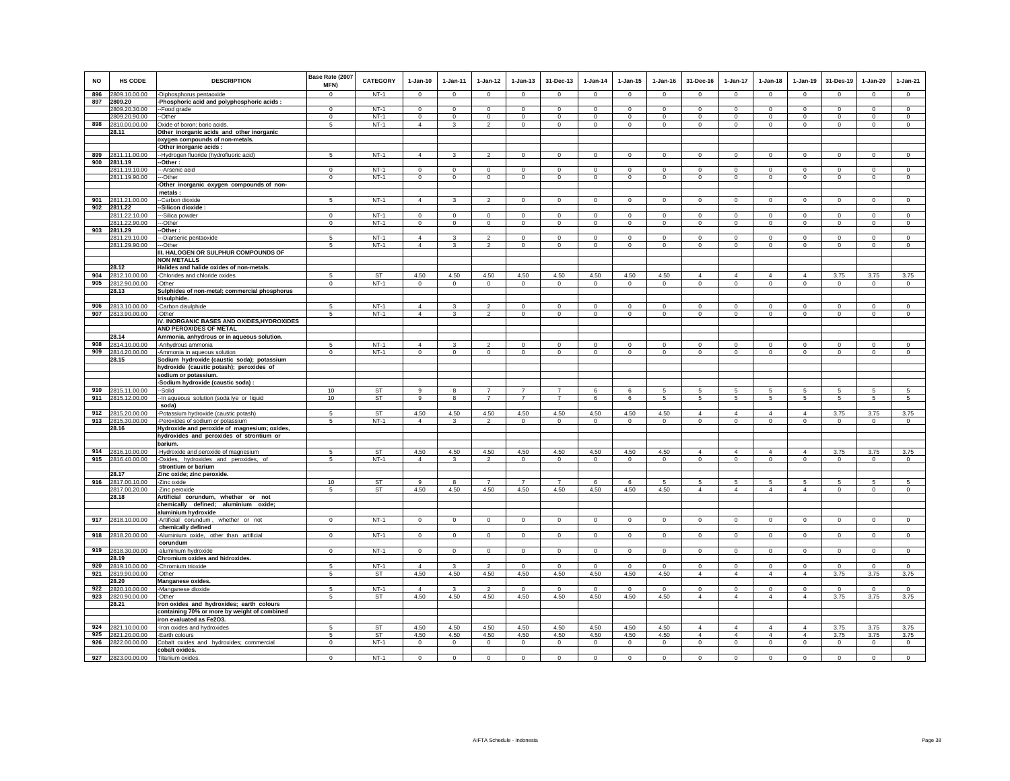| <b>NO</b>  | HS CODE                        | <b>DESCRIPTION</b>                                            | Base Rate (2007<br>MFN)  | <b>CATEGORY</b>        | $1-Jan-10$              | $1-Jan-11$               | $1-Jan-12$                       | $1-Jan-13$                 | 31-Dec-13                        | $1-Jan-14$                | $1-Jan-15$       | $1-Jan-16$                | 31-Dec-16              | $1-Jan-17$                | $1-Jan-18$                 | $1-Jan-19$                  | 31-Des-19              | $1-Jan-20$                 | $1-Jan-21$              |
|------------|--------------------------------|---------------------------------------------------------------|--------------------------|------------------------|-------------------------|--------------------------|----------------------------------|----------------------------|----------------------------------|---------------------------|------------------|---------------------------|------------------------|---------------------------|----------------------------|-----------------------------|------------------------|----------------------------|-------------------------|
| 896        | 2809.10.00.00                  | -Diphosphorus pentaoxide                                      | $\Omega$                 | $NT-1$                 | $\mathsf 0$             | $\Omega$                 | $\Omega$                         | $\mathbf 0$                | $\mathbf 0$                      | $\mathbf 0$               | $\mathsf 0$      | $\mathsf 0$               | $\Omega$               | $\Omega$                  | $\mathbf 0$                | $\mathbf 0$                 | $\Omega$               | $\mathbf 0$                | $\mathbf 0$             |
| 897        | 2809.20                        | -Phosphoric acid and polyphosphoric acids :                   |                          |                        |                         |                          |                                  |                            |                                  |                           |                  |                           |                        |                           |                            |                             |                        |                            |                         |
|            | 2809.20.30.00                  | --Food grade<br>-Other                                        | $^{\circ}$<br>$^{\circ}$ | $NT-1$<br>$NT-1$       | $\mathbf 0$<br>$\Omega$ | $^{\circ}$<br>$^{\circ}$ | $\mathsf 0$<br>$^{\circ}$        | $\mathbf 0$<br>$\mathbf 0$ | $\mathbf 0$<br>$\overline{0}$    | $\mathbf 0$<br>$^{\circ}$ | $\circ$          | $\mathsf 0$<br>$^{\circ}$ | $\mathbf 0$<br>$\circ$ | $\mathbb O$<br>$^{\circ}$ | $\mathbf 0$<br>$\mathbf 0$ | $\mathbf{0}$<br>$\mathbf 0$ | $\Omega$<br>$^{\circ}$ | $\mathbf 0$                | $\mathbf 0$<br>$\Omega$ |
| 898        | 2809.20.90.00<br>2810.00.00.00 | Oxide of boron; boric acids.                                  | 5                        | $NT-1$                 | $\overline{4}$          | 3                        | $\overline{2}$                   | $\mathbf 0$                | $\,0\,$                          | $\mathbf 0$               | 0<br>$\mathsf 0$ | $^{\circ}$                | $\mathsf 0$            | $\mathbf 0$               | $\mathbf 0$                | $\mathbf 0$                 | $\mathbf 0$            | $\mathbf 0$<br>$\mathbf 0$ | $\mathbf 0$             |
|            | 28.11                          | Other inorganic acids and other inorganic                     |                          |                        |                         |                          |                                  |                            |                                  |                           |                  |                           |                        |                           |                            |                             |                        |                            |                         |
|            |                                | oxygen compounds of non-metals.                               |                          |                        |                         |                          |                                  |                            |                                  |                           |                  |                           |                        |                           |                            |                             |                        |                            |                         |
|            |                                | -Other inorganic acids :                                      |                          |                        |                         |                          |                                  |                            |                                  |                           |                  |                           |                        |                           |                            |                             |                        |                            |                         |
| 899        | 2811.11.00.00                  | -Hydrogen fluoride (hydrofluoric acid)                        | 5                        | $NT-1$                 | $\overline{4}$          | 3                        | $\overline{2}$                   | $\mathbf 0$                | $\mathbf{0}$                     | $\mathbf 0$               | $\mathbf 0$      | $\mathbf 0$               | $\mathbf 0$            | $\circ$                   | $\mathbf 0$                | $\circ$                     | $\mathbf 0$            | $\mathbf 0$                | $\mathbf 0$             |
| 900        | 2811.19                        | --Other :                                                     |                          |                        |                         |                          |                                  |                            |                                  |                           |                  |                           |                        |                           |                            |                             |                        |                            |                         |
|            | 2811.19.10.00                  | ---Arsenic acid                                               | $\Omega$                 | $NT-1$                 | $\Omega$                | $\Omega$                 | $\Omega$                         | $\overline{0}$             | $\overline{0}$                   | $\Omega$                  | $\overline{0}$   | $\Omega$                  | $\Omega$               | $\Omega$                  | $\overline{0}$             | $\overline{0}$              | $\overline{0}$         | $\overline{0}$             | $\overline{0}$          |
|            | 2811.19.90.00                  | --Other                                                       | $\mathsf 0$              | $NT-1$                 | $\mathbf 0$             | $\mathbf 0$              | $\circ$                          | $\mathbf 0$                | $\mathbf 0$                      | $\circ$                   | $\mathbf 0$      | $\mathsf 0$               | $\mathbf 0$            | $\mathbf 0$               | $\mathbf 0$                | $\mathbf 0$                 | $\mathbf 0$            | $\mathbf 0$                | $\mathbf 0$             |
|            |                                | -Other inorganic oxygen compounds of non-                     |                          |                        |                         |                          |                                  |                            |                                  |                           |                  |                           |                        |                           |                            |                             |                        |                            |                         |
|            |                                | metals:                                                       |                          |                        |                         |                          |                                  |                            |                                  |                           |                  |                           |                        |                           |                            |                             |                        |                            |                         |
| 901<br>902 | 2811.21.00.00<br>2811.22       | --Carbon dioxide<br>-Silicon dioxide                          | 5                        | $NT-1$                 | $\overline{4}$          | $\mathbf{3}$             | $\overline{2}$                   | $\mathbf 0$                | $\mathbf{0}$                     | $\mathbf 0$               | $\mathbf 0$      | $\circ$                   | $\mathbf 0$            | $\circ$                   | $\mathbf 0$                | $\circ$                     | $\mathbf 0$            | $\mathbf 0$                | $^{\circ}$              |
|            | 2811.22.10.00                  | -Silica powder                                                | $\circ$                  | $NT-1$                 | $\Omega$                | $\circ$                  | $\Omega$                         | $\mathbf{0}$               | $\mathbf{0}$                     | $\Omega$                  | $\mathbf{0}$     | $\Omega$                  | $\circ$                | $\circ$                   | $\Omega$                   | $\circ$                     | $\circ$                | $\circ$                    | $\mathbf 0$             |
|            | 2811.22.90.00                  | --Other                                                       | $\overline{0}$           | $NT-1$                 | $\overline{0}$          | $\overline{0}$           | $\overline{0}$                   | $\overline{0}$             | $\overline{0}$                   | $\overline{0}$            | $\overline{0}$   | $\overline{0}$            | $\overline{0}$         | $\overline{0}$            | $\overline{0}$             | $\overline{0}$              | $\overline{0}$         | $\overline{0}$             | $\overline{0}$          |
| 903        | 2811.29                        | Other:                                                        |                          |                        |                         |                          |                                  |                            |                                  |                           |                  |                           |                        |                           |                            |                             |                        |                            |                         |
|            | 2811.29.10.00                  | -Diarsenic pentaoxide                                         | 5                        | $NT-1$                 | $\overline{4}$          | 3                        | $\overline{2}$                   | $\circ$                    | $\mathbf{0}$                     | $^{\circ}$                | $\mathbf 0$      | $\Omega$                  | $^{\circ}$             | $^{\circ}$                | $\mathbf 0$                | $\Omega$                    | $\Omega$               | $^{\circ}$                 | $\mathbf 0$             |
|            | 2811.29.90.00                  | --Other                                                       | 5                        | $NT-1$                 | $\overline{4}$          | $\overline{\mathbf{3}}$  | $\overline{2}$                   | $\circ$                    | $\mathbf 0$                      | $\circ$                   | $\mathbf{0}$     | $\circ$                   | $\Omega$               | $\circ$                   | $\mathbf{0}$               | $\circ$                     | $\mathbf 0$            | $\Omega$                   | $\Omega$                |
|            |                                | III. HALOGEN OR SULPHUR COMPOUNDS OF                          |                          |                        |                         |                          |                                  |                            |                                  |                           |                  |                           |                        |                           |                            |                             |                        |                            |                         |
|            |                                | <b>NON METALLS</b>                                            |                          |                        |                         |                          |                                  |                            |                                  |                           |                  |                           |                        |                           |                            |                             |                        |                            |                         |
|            | 28.12                          | Halides and halide oxides of non-metals.                      |                          |                        |                         |                          |                                  |                            |                                  |                           |                  |                           |                        |                           |                            |                             |                        |                            |                         |
| 904        | 2812.10.00.00                  | -Chlorides and chloride oxides                                | 5                        | <b>ST</b>              | 4.50                    | 4.50                     | 4.50                             | 4.50                       | 4.50                             | 4.50                      | 4.50             | 4.50                      | $\overline{4}$         | $\overline{4}$            | $\overline{4}$             | $\overline{4}$              | 3.75                   | 3.75                       | 3.75                    |
| 905        | 2812.90.00.00                  | -Other                                                        | $\Omega$                 | $NT-1$                 | $\circ$                 | $^{\circ}$               | $^{\circ}$                       | $^{\circ}$                 | $\mathbf{0}$                     | $^{\circ}$                | $^{\circ}$       | $\circ$                   | $\mathsf 0$            | $\circ$                   | $\mathbf 0$                | $\circ$                     | $^{\circ}$             | $\mathbf 0$                | $\circ$                 |
|            | 28.13                          | Sulphides of non-metal; commercial phosphorus<br>trisulphide. |                          |                        |                         |                          |                                  |                            |                                  |                           |                  |                           |                        |                           |                            |                             |                        |                            |                         |
| 906        | 2813.10.00.00                  | -Carbon disulphide                                            | 5                        | $NT-1$                 | $\overline{4}$          | 3                        | $\overline{2}$                   | $\mathbf 0$                | $\mathbf 0$                      | $\mathbf 0$               | $\mathbf 0$      | $\circ$                   | $\mathbf 0$            | $\mathbf 0$               | $\mathbf 0$                | $\mathbf 0$                 | $\mathbf 0$            | $\mathbf 0$                | $\overline{0}$          |
| 907        | 2813.90.00.00                  | -Other                                                        | 5                        | $NT-1$                 | $\overline{4}$          | $\overline{\mathbf{3}}$  | $\overline{2}$                   | $\mathbf 0$                | $\mathbf 0$                      | $\mathsf 0$               | $\mathsf 0$      | $\mathsf 0$               | $\mathsf 0$            | $\circ$                   | $\mathbf 0$                | $\mathbf 0$                 | $\mathbf 0$            | $\mathbb O$                | $\mathbf 0$             |
|            |                                | IV. INORGANIC BASES AND OXIDES, HYDROXIDES                    |                          |                        |                         |                          |                                  |                            |                                  |                           |                  |                           |                        |                           |                            |                             |                        |                            |                         |
|            |                                | AND PEROXIDES OF METAL                                        |                          |                        |                         |                          |                                  |                            |                                  |                           |                  |                           |                        |                           |                            |                             |                        |                            |                         |
|            | 28.14                          | Ammonia, anhydrous or in aqueous solution.                    |                          |                        |                         |                          |                                  |                            |                                  |                           |                  |                           |                        |                           |                            |                             |                        |                            |                         |
| 908        | 2814.10.00.00                  | -Anhydrous ammonia                                            | 5                        | $NT-1$                 | $\overline{4}$          |                          | $\overline{2}$                   | $\mathbf 0$                | $\mathsf 0$                      | $\Omega$                  | $\Omega$         | $\Omega$                  | $\overline{0}$         | $\mathbf 0$               | $\Omega$                   | $\Omega$                    | $\Omega$               | $\mathbf 0$                | $\mathbf 0$             |
| 909        | 2814.20.00.00                  | -Ammonia in aqueous solution                                  | $\mathbf 0$              | $NT-1$                 | $\circ$                 | $\circ$                  | $\circ$                          | $\mathbf{0}$               | $\circ$                          | $\circ$                   | $\mathbf{0}$     | $\circ$                   | $\circ$                | $\mathbf 0$               | $\mathbf{0}$               | $\mathbf 0$                 | $\mathbf 0$            | $\Omega$                   | $\mathbf 0$             |
|            | 28.15                          | Sodium hydroxide (caustic soda); potassium                    |                          |                        |                         |                          |                                  |                            |                                  |                           |                  |                           |                        |                           |                            |                             |                        |                            |                         |
|            |                                | hydroxide (caustic potash); peroxides of                      |                          |                        |                         |                          |                                  |                            |                                  |                           |                  |                           |                        |                           |                            |                             |                        |                            |                         |
|            |                                | sodium or potassium.                                          |                          |                        |                         |                          |                                  |                            |                                  |                           |                  |                           |                        |                           |                            |                             |                        |                            |                         |
|            |                                | -Sodium hydroxide (caustic soda) :                            |                          |                        |                         |                          |                                  |                            |                                  |                           |                  |                           |                        |                           |                            |                             |                        |                            |                         |
| 910<br>911 | 2815.11.00.00<br>2815.12.00.00 | --Solid                                                       | 10<br>10                 | <b>ST</b><br><b>ST</b> | 9<br>$\overline{9}$     | 8<br>8                   | $\overline{7}$<br>$\overline{7}$ | $\overline{7}$             | $\overline{7}$<br>$\overline{7}$ | 6                         | 6                | 5                         | 5                      | 5                         | 5                          | 5                           | 5                      | $\sqrt{5}$                 | 5                       |
|            |                                | -- In aqueous solution (soda lye or liquid<br>soda)           |                          |                        |                         |                          |                                  | $\overline{7}$             |                                  | 6                         | 6                | $\overline{5}$            | $5\phantom{.0}$        | $\overline{5}$            | $5\phantom{.0}$            | $5\phantom{.0}$             | $\overline{5}$         | $\overline{5}$             | $\overline{5}$          |
| 912        | 2815.20.00.00                  | Potassium hydroxide (caustic potash)                          | 5                        | <b>ST</b>              | 4.50                    | 4.50                     | 4.50                             | 4.50                       | 4.50                             | 4.50                      | 4.50             | 4.50                      | $\overline{4}$         | $\overline{4}$            | $\overline{4}$             | $\overline{4}$              | 3.75                   | 3.75                       | 3.75                    |
| 913        | 2815.30.00.00                  | -Peroxides of sodium or potassium                             | 5                        | $NT-1$                 | $\overline{4}$          | 3                        | $\overline{2}$                   | $\mathbf 0$                | $\circ$                          | $\mathsf 0$               | $\circ$          | $\mathsf 0$               | $\mathsf 0$            | $\mathbb O$               | $\mathbf 0$                | $\mathbf 0$                 | $\mathbf 0$            | $\mathbb O$                | $\mathbf 0$             |
|            | 28.16                          | Hydroxide and peroxide of magnesium; oxides,                  |                          |                        |                         |                          |                                  |                            |                                  |                           |                  |                           |                        |                           |                            |                             |                        |                            |                         |
|            |                                | hydroxides and peroxides of strontium or                      |                          |                        |                         |                          |                                  |                            |                                  |                           |                  |                           |                        |                           |                            |                             |                        |                            |                         |
|            |                                | barium.                                                       |                          |                        |                         |                          |                                  |                            |                                  |                           |                  |                           |                        |                           |                            |                             |                        |                            |                         |
| 914        | 2816.10.00.00                  | -Hydroxide and peroxide of magnesium                          | 5                        | <b>ST</b>              | 4.50                    | 4.50                     | 4.50                             | 4.50                       | 4.50                             | 4.50                      | 4.50             | 4.50                      | $\Delta$               | $\overline{4}$            | $\overline{4}$             | $\overline{4}$              | 3.75                   | 3.75                       | 3.75                    |
| 915        | 2816.40.00.00                  | -Oxides, hydroxides and peroxides, of                         | 5                        | $NT-1$                 | $\overline{4}$          | 3                        | $\overline{2}$                   | $\mathbf 0$                | $\mathsf 0$                      | $\mathbf 0$               | $\mathbf 0$      | $\circ$                   | $\Omega$               | $\mathbf 0$               | $\mathbf{0}$               | $\mathbf 0$                 | $\mathbf 0$            | $\mathbf 0$                | $\Omega$                |
|            |                                | strontium or barium                                           |                          |                        |                         |                          |                                  |                            |                                  |                           |                  |                           |                        |                           |                            |                             |                        |                            |                         |
|            | 28.17                          | Zinc oxide; zinc peroxide.                                    |                          |                        |                         |                          |                                  | $\overline{7}$             |                                  |                           |                  |                           |                        |                           |                            |                             |                        |                            |                         |
| 916        | 2817.00.10.00<br>2817.00.20.00 | -Zinc oxide<br>-Zinc peroxide                                 | 10<br>5                  | ST<br>ST               | 9<br>4.50               | 4.50                     | $\overline{7}$<br>4.50           | 4.50                       | $\overline{7}$<br>4.50           | 6<br>4.50                 | 6<br>4.50        | 5<br>4.50                 | 5<br>$\overline{4}$    | 5<br>$\overline{4}$       | 5<br>4                     | 5<br>$\overline{4}$         | 5<br>$^{\circ}$        | 5<br>$\mathbf{0}$          | 5<br>$^{\circ}$         |
|            | 28.18                          | Artificial corundum, whether or not                           |                          |                        |                         |                          |                                  |                            |                                  |                           |                  |                           |                        |                           |                            |                             |                        |                            |                         |
|            |                                | chemically defined; aluminium oxide;                          |                          |                        |                         |                          |                                  |                            |                                  |                           |                  |                           |                        |                           |                            |                             |                        |                            |                         |
|            |                                | aluminium hydroxide                                           |                          |                        |                         |                          |                                  |                            |                                  |                           |                  |                           |                        |                           |                            |                             |                        |                            |                         |
| 917        | 2818.10.00.00                  | -Artificial corundum, whether or not                          | $\mathsf 0$              | $NT-1$                 | $\mathsf 0$             | $\mathsf 0$              | $\mathsf 0$                      | $\mathbf 0$                | $\mathbf 0$                      | $\mathbf 0$               | $\mathsf 0$      | $\mathsf 0$               | $\mathbf 0$            | $\mathbb O$               | $\mathbf 0$                | $\mathbf 0$                 | $\mathbf 0$            | $\mathbb O$                | $\mathbf 0$             |
|            |                                | chemically defined                                            |                          |                        |                         |                          |                                  |                            |                                  |                           |                  |                           |                        |                           |                            |                             |                        |                            |                         |
| 918        | 2818.20.00.00                  | -Aluminium oxide, other than artificial                       | $\mathbf 0$              | $NT-1$                 | $\circ$                 | $\mathbf 0$              | $\mathbf 0$                      | $\mathsf 0$                | $\mathbf 0$                      | $\mathsf 0$               | $\mathbf 0$      | $\mathbf 0$               | $\mathbf 0$            | $\mathbf 0$               | $\mathbf 0$                | $\mathsf 0$                 | $\mathbf 0$            | $\mathbf 0$                | $\mathsf 0$             |
|            |                                | corundum                                                      |                          |                        |                         |                          |                                  |                            |                                  |                           |                  |                           |                        |                           |                            |                             |                        |                            |                         |
| 919        | 2818.30.00.00                  | -aluminium hydroxide                                          | $\overline{0}$           | $NT-1$                 | $\circ$                 | $\overline{0}$           | $\mathbf 0$                      | $\overline{0}$             | $\overline{0}$                   | $\mathsf 0$               | $\overline{0}$   | $\mathsf 0$               | $\overline{0}$         | $\overline{0}$            | $\overline{0}$             | $\overline{0}$              | $\overline{0}$         | $\overline{0}$             | $\overline{0}$          |
|            | 28.19                          | Chromium oxides and hidroxides.                               |                          |                        |                         |                          |                                  |                            |                                  |                           |                  |                           |                        |                           |                            |                             |                        |                            |                         |
| 920        | 2819.10.00.00                  | -Chromium trioxide                                            | 5                        | $NT-1$                 | $\overline{4}$          | $\mathbf{3}$             | $\overline{2}$                   | $\mathbf 0$                | $\circ$                          | $\mathbf 0$               | $\circ$          | $\mathsf 0$               | $\mathsf 0$            | $\mathbf 0$               | $\mathbf 0$                | $\mathbf 0$                 | $\mathbf 0$            | $\mathbf 0$                | $\mathbf 0$             |
| 921        | 2819.90.00.00<br>28.20         | -Other                                                        | $5 -$                    | ST                     | 4.50                    | 4.50                     | 4.50                             | 4.50                       | 4.50                             | 4.50                      | 4.50             | 4.50                      | $\overline{4}$         | $\overline{4}$            | $\overline{4}$             | $\overline{4}$              | 3.75                   | 3.75                       | 3.75                    |
|            | 922 2820.10.00.00              | Manganese oxides.<br>-Manganese dioxide                       | 5                        | $NT-1$                 | $\overline{4}$          | 3                        | $\overline{2}$                   | $\mathbf 0$                | $\mathbf{0}$                     | $\mathbf{0}$              | $\circ$          | $\Omega$                  | $\circ$                | $\circ$                   | $\mathbf 0$                | $\circ$                     | $\circ$                | $\circ$                    | $\mathbf 0$             |
|            | 923 2820.90.00.00              | -Other                                                        | 5                        | <b>ST</b>              | 4.50                    | 4.50                     | 4.50                             | 4.50                       | 4.50                             | 4.50                      | 4.50             | 4.50                      | $\overline{4}$         | $\overline{4}$            | $\overline{4}$             | $\overline{4}$              | 3.75                   | 3.75                       | 3.75                    |
|            | 28.21                          | Iron oxides and hydroxides; earth colours                     |                          |                        |                         |                          |                                  |                            |                                  |                           |                  |                           |                        |                           |                            |                             |                        |                            |                         |
|            |                                | containing 70% or more by weight of combined                  |                          |                        |                         |                          |                                  |                            |                                  |                           |                  |                           |                        |                           |                            |                             |                        |                            |                         |
|            |                                | iron evaluated as Fe2O3.                                      |                          |                        |                         |                          |                                  |                            |                                  |                           |                  |                           |                        |                           |                            |                             |                        |                            |                         |
| 924        | 2821.10.00.00                  | -Iron oxides and hydroxides                                   | 5                        | ST                     | 4.50                    | 4.50                     | 4.50                             | 4.50                       | 4.50                             | 4.50                      | 4.50             | 4.50                      | $\overline{4}$         | $\overline{a}$            | $\overline{a}$             | $\overline{4}$              | 3.75                   | 3.75                       | 3.75                    |
| 925        | 2821.20.00.00                  | -Earth colours                                                | 5                        | <b>ST</b>              | 4.50                    | 4.50                     | 4.50                             | 4.50                       | 4.50                             | 4.50                      | 4.50             | 4.50                      | $\overline{4}$         | $\overline{4}$            | $\overline{4}$             | $\overline{4}$              | 3.75                   | 3.75                       | 3.75                    |
| 926        | 2822.00.00.00                  | Cobalt oxides and hydroxides; commercial                      | $\mathbf 0$              | $NT-1$                 | $\circ$                 | $\circ$                  | $\circ$                          | $\mathbf 0$                | $\mathbf 0$                      | $\circ$                   | $\mathbf 0$      | $\circ$                   | $\mathbf 0$            | $\mathbf 0$               | $\mathbf 0$                | $\circ$                     | $\mathbf 0$            | $\mathbf 0$                | $\mathbf 0$             |
|            |                                | cobalt oxides.                                                |                          |                        |                         |                          |                                  |                            |                                  |                           |                  |                           |                        |                           |                            |                             |                        |                            |                         |
|            | 927 2823.00.00.00              | Titanium oxides.                                              | $\Omega$                 | $NT-1$                 | $\Omega$                | $\Omega$                 | $\circ$                          | $\overline{0}$             | $\overline{0}$                   | $\mathbf 0$               | $\overline{0}$   | $\Omega$                  | $\Omega$               | $\mathbf 0$               | $\Omega$                   | $\Omega$                    | $\Omega$               | $\overline{0}$             | $\overline{0}$          |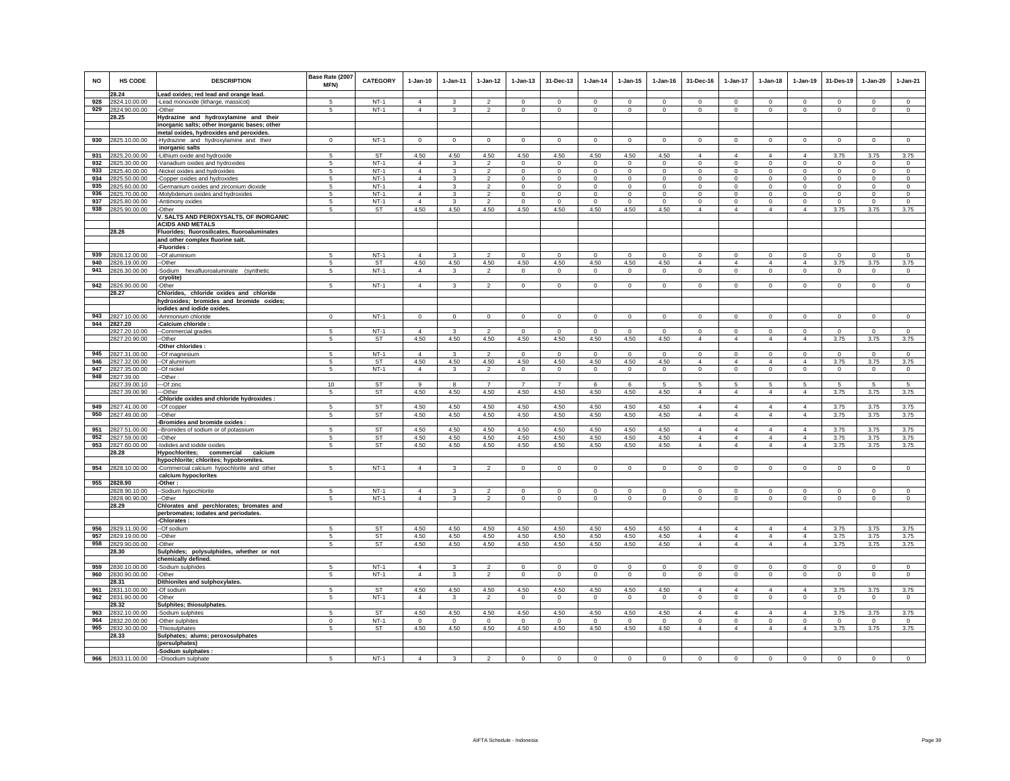| NO         | <b>HS CODE</b>                 | <b>DESCRIPTION</b>                            | Base Rate (2007<br>MFN) | <b>CATEGORY</b>  | $1-Jan-10$                       | $1-Jan-11$           | $1 - Jan-12$                    | $1 - Jan-13$            | 31-Dec-13                | $1-Jan-14$              | $1 - Jan-15$            | $1 - Jan-16$            | 31-Dec-16               | $1-Jan-17$                 | $1-Jan-18$              | $1-Jan-19$              | 31-Des-19                     | $1 - Jan-20$             | $1-Jan-21$              |
|------------|--------------------------------|-----------------------------------------------|-------------------------|------------------|----------------------------------|----------------------|---------------------------------|-------------------------|--------------------------|-------------------------|-------------------------|-------------------------|-------------------------|----------------------------|-------------------------|-------------------------|-------------------------------|--------------------------|-------------------------|
|            | 28.24                          | Lead oxides; red lead and orange lead.        |                         |                  |                                  |                      |                                 |                         |                          |                         |                         |                         |                         |                            |                         |                         |                               |                          |                         |
| 928        | 2824.10.00.00                  | -Lead monoxide (litharge, massicot)           | 5                       | $NT-1$           | $\overline{4}$                   | 3                    | $\mathfrak{p}$                  | $\Omega$                | $\Omega$                 | $\Omega$                | $\Omega$                | $\Omega$                | $\Omega$                | $\Omega$                   | $\Omega$                | $\Omega$                | $\Omega$                      | $\Omega$                 | $\circ$                 |
| 929        | 2824.90.00.00                  | -Other                                        | 5                       | $NT-1$           | $\overline{4}$                   | $\mathbf{3}$         | $\overline{2}$                  | $\mathsf 0$             | $\mathsf 0$              | $\mathbf 0$             | $\mathsf 0$             | $\mathbf 0$             | $\mathsf 0$             | $\mathbf 0$                | $\mathsf 0$             | $\mathsf 0$             | $\mathbf 0$                   | $\mathsf 0$              | $\mathbf 0$             |
|            | 28.25                          | Hydrazine and hydroxylamine and their         |                         |                  |                                  |                      |                                 |                         |                          |                         |                         |                         |                         |                            |                         |                         |                               |                          |                         |
|            |                                | inorganic salts; other inorganic bases; other |                         |                  |                                  |                      |                                 |                         |                          |                         |                         |                         |                         |                            |                         |                         |                               |                          |                         |
|            |                                | metal oxides, hydroxides and peroxides.       |                         |                  |                                  |                      |                                 |                         |                          |                         |                         |                         |                         |                            |                         |                         |                               |                          |                         |
| 930        | 2825.10.00.00                  | -Hydrazine and hydroxylamine and their        | $^{\circ}$              | $NT-1$           | $^{\circ}$                       | $^{\circ}$           | $\mathbf{0}$                    | $\circ$                 | $\mathbf 0$              | 0                       | 0                       | 0                       | $\circ$                 | $\mathbf 0$                | $\circ$                 | $\mathbf 0$             | $\mathbf 0$                   | $\mathbf 0$              | $\circ$                 |
|            |                                | inorganic salts                               |                         |                  |                                  |                      |                                 |                         |                          |                         |                         |                         |                         |                            |                         |                         |                               |                          |                         |
| 931        | 2825.20.00.00                  | -Lithium oxide and hydroxide                  | -5                      | <b>ST</b>        | 4.50                             | 4.50                 | 4.50                            | 4.50                    | 4.50                     | 4.50                    | 4.50                    | 4.50                    | $\overline{4}$          | $\overline{4}$             | $\overline{4}$          | $\overline{a}$          | 3.75                          | 3.75                     | 3.75                    |
| 932        | 2825.30.00.00                  | Vanadium oxides and hydroxides                | 5                       | $NT-1$           | $\overline{4}$                   | $\mathbf{3}$         | $\overline{2}$                  | $\mathsf 0$             | $\mathbf 0$              | $\mathbf 0$             | $\mathbf 0$             | $\mathbf 0$             | $\circ$                 | $\mathbf 0$                | $\mathsf 0$             | $\mathsf 0$             | $\mathbf 0$                   | $\mathsf 0$              | $\mathsf 0$             |
| 933        | 2825.40.00.00                  | Nickel oxides and hydroxides                  | 5                       | $NT-1$           | $\overline{4}$                   | 3                    | $\mathcal{P}$                   | $\mathbf 0$             | $\mathbf 0$              | $\circ$                 | $\mathbf 0$             | $\mathbf 0$             | $\mathbf 0$             | $\circ$                    | $\mathbf 0$             | $\mathsf 0$             | $\mathbf 0$                   | $\circ$                  | $\circ$                 |
| 934        | 2825.50.00.00                  | Copper oxides and hydroxides                  | 5                       | $NT-1$           | $\overline{4}$                   | $\mathbf{3}$         | $\overline{2}$                  | $\mathsf 0$             | $\mathsf 0$              | $\mathbf 0$             | $\mathbf 0$             | $\mathbf 0$             | $\circ$                 | $\mathsf 0$                | $\mathsf 0$             | $\mathsf 0$             | $\mathbf 0$                   | $\mathbf 0$              | $\mathsf 0$             |
| 935        | 2825.60.00.00                  | Germanium oxides and zirconium dioxide        | 5                       | $NT-1$           | $\overline{4}$<br>$\overline{4}$ | 3<br>3               | $\overline{2}$<br>$\mathcal{P}$ | $\mathbf 0$             | $\mathbf 0$              | $^{\circ}$              | $\mathbf 0$             | $\mathbf 0$<br>$\Omega$ | $\mathbf 0$             | $\mathbf 0$                | $\mathbf 0$             | $\circ$                 | $\mathbf 0$                   | $\mathbf 0$              | $\circ$                 |
| 936<br>937 | 2825.70.00.00                  | Molybdenum oxides and hydroxides              | 5<br>$\sqrt{2}$         | $NT-1$<br>$NT-1$ | $\Delta$                         | $\mathcal{R}$        | $\overline{\phantom{a}}$        | $\mathbf 0$<br>$\Omega$ | $\mathbf{0}$<br>$\Omega$ | $\mathbf 0$<br>$\Omega$ | $\mathbf 0$<br>$\Omega$ | $\Omega$                | $\mathbf 0$<br>$\Omega$ | $\mathsf 0$<br>$\mathsf 0$ | $\mathbf 0$<br>$\Omega$ | $\mathsf 0$<br>$\Omega$ | $\mathbf 0$<br>$\Omega$       | $\mathbf{0}$<br>$\Omega$ | $\mathbf 0$<br>$\Omega$ |
| 938        | 2825.80.00.00<br>2825.90.00.00 | -Antimony oxides<br>-Other                    | 5                       | <b>ST</b>        | 4.50                             | 4.50                 | 4.50                            | 4.50                    | 4.50                     | 4.50                    | 4.50                    | 4.50                    | $\overline{4}$          | $\overline{4}$             | $\overline{4}$          | $\overline{4}$          | 3.75                          | 3.75                     | 3.75                    |
|            |                                | V. SALTS AND PEROXYSALTS, OF INORGANIC        |                         |                  |                                  |                      |                                 |                         |                          |                         |                         |                         |                         |                            |                         |                         |                               |                          |                         |
|            |                                | <b>ACIDS AND METALS</b>                       |                         |                  |                                  |                      |                                 |                         |                          |                         |                         |                         |                         |                            |                         |                         |                               |                          |                         |
|            | 28.26                          | Fluorides; fluorosilicates, fluoroaluminates  |                         |                  |                                  |                      |                                 |                         |                          |                         |                         |                         |                         |                            |                         |                         |                               |                          |                         |
|            |                                | and other complex fluorine salt.              |                         |                  |                                  |                      |                                 |                         |                          |                         |                         |                         |                         |                            |                         |                         |                               |                          |                         |
|            |                                | -Fluorides:                                   |                         |                  |                                  |                      |                                 |                         |                          |                         |                         |                         |                         |                            |                         |                         |                               |                          |                         |
| 939        | 2826.12.00.00                  | -Of aluminium                                 | 5                       | $NT-1$           | $\Delta$                         | 3                    | $\overline{2}$                  | $\Omega$                | $\mathbf 0$              | $^{\circ}$              | $\Omega$                | $\Omega$                | $\circ$                 | $\mathbf 0$                | $\circ$                 | $\circ$                 | $\mathbf 0$                   | $\Omega$                 | $\Omega$                |
| 940        | 2826.19.00.00                  | -Other                                        | 5                       | <b>ST</b>        | 4.50                             | 4.50                 | 4.50                            | 4.50                    | 4.50                     | 4.50                    | 4.50                    | 4.50                    | $\overline{4}$          | $\overline{4}$             | $\overline{4}$          | $\overline{4}$          | 3.75                          | 3.75                     | 3.75                    |
| 941        | 2826.30.00.00                  | -Sodium hexafluoroaluminate (synthetic        | $\overline{5}$          | $NT-1$           | $\overline{4}$                   | $\mathbf{3}$         | $\overline{2}$                  | $\mathbf 0$             | $\mathbf{0}$             | $\circ$                 | $\circ$                 | $\Omega$                | $\mathbf{0}$            | $\circ$                    | $\mathsf 0$             | $\mathsf 0$             | $\mathsf 0$                   | $\circ$                  | $\circ$                 |
|            |                                | cryolite)                                     |                         |                  |                                  |                      |                                 |                         |                          |                         |                         |                         |                         |                            |                         |                         |                               |                          |                         |
| 942        | 2826.90.00.00                  | -Other                                        | 5                       | $NT-1$           | 4                                | 3                    | $\mathfrak{p}$                  | $\mathbf 0$             | $\mathsf 0$              | $^{\circ}$              | $\mathbf 0$             | $\mathbf 0$             | $\mathbf 0$             | $\mathbf{0}$               | $\mathbf 0$             | $\mathsf 0$             | $\mathbf 0$                   | $\mathsf 0$              | $\mathsf 0$             |
|            | 28.27                          | Chlorides, chloride oxides and chloride       |                         |                  |                                  |                      |                                 |                         |                          |                         |                         |                         |                         |                            |                         |                         |                               |                          |                         |
|            |                                | hydroxides; bromides and bromide oxides;      |                         |                  |                                  |                      |                                 |                         |                          |                         |                         |                         |                         |                            |                         |                         |                               |                          |                         |
|            |                                | iodides and iodide oxides.                    |                         |                  |                                  |                      |                                 |                         |                          |                         |                         |                         |                         |                            |                         |                         |                               |                          |                         |
| 943        | 2827.10.00.00                  | -Ammonium chloride                            | $\Omega$                | $NT-1$           | $\mathbf 0$                      | $\Omega$             | $\overline{0}$                  | $\circ$                 | $\overline{0}$           | $\mathbf 0$             | $\mathbf 0$             | $\Omega$                | $\mathsf 0$             | $\overline{0}$             | $\mathsf 0$             | $\overline{0}$          | $\mathbf 0$                   | $\overline{0}$           | $\overline{0}$          |
| 944        | 2827.20                        | -Calcium chloride :                           |                         |                  |                                  |                      |                                 |                         |                          |                         |                         |                         |                         |                            |                         |                         |                               |                          |                         |
|            | 2827.20.10.00                  | -Commercial grades                            | 5                       | $NT-1$           | $\overline{4}$                   | $\mathbf{3}$         | $\mathfrak{p}$                  | $\Omega$                | $\mathbf 0$              | $\Omega$                | $\Omega$                | $\Omega$                | $\mathsf 0$             | $\mathsf 0$                | $\mathsf 0$             | $\mathsf 0$             | $\Omega$                      | $\circ$                  | $\mathsf 0$             |
|            | 2827.20.90.00                  | -Other                                        | 5                       | ST               | 4.50                             | 4.50                 | 4.50                            | 4.50                    | 4.50                     | 4.50                    | 4.50                    | 4.50                    | $\overline{4}$          | $\overline{4}$             | $\overline{4}$          | $\overline{4}$          | 3.75                          | 3.75                     | 3.75                    |
| 945        |                                | -Other chlorides :                            |                         | $NT-1$           | $\Delta$                         |                      |                                 | $\Omega$                | $\Omega$                 |                         | $\Omega$                | $\Omega$                | $\Omega$                | $\mathbf{0}$               | $\Omega$                | $\circ$                 | $\Omega$                      | $\Omega$                 | $\Omega$                |
| 946        | 2827.31.00.00                  | -Of magnesium                                 | -5                      |                  |                                  | 3                    | $\mathcal{P}$                   |                         |                          | $\Omega$                |                         | 4.50                    | $\overline{4}$          | $\overline{4}$             | $\overline{4}$          | $\overline{4}$          |                               |                          |                         |
| 947        | 2827.32.00.00<br>2827.35.00.00 | -Of aluminium<br>-Of nickel                   | -5<br>5                 | ST<br>$NT-1$     | 4.50<br>$\overline{4}$           | 4.50<br>$\mathbf{3}$ | 4.50<br>$\overline{2}$          | 4.50<br>$\mathsf 0$     | 4.50<br>$\mathbf{0}$     | 4.50<br>$\circ$         | 4.50                    | $\mathsf 0$             | $\mathsf 0$             | $\mathbf 0$                |                         | $\,0\,$                 | 3.75<br>$\mathsf 0$           | 3.75                     | 3.75<br>$\circ$         |
| 948        | 2827.39.00                     | Other:                                        |                         |                  |                                  |                      |                                 |                         |                          |                         | $\mathsf 0$             |                         |                         |                            | $\mathsf 0$             |                         |                               | $\mathbf 0$              |                         |
|            | 2827.39.00.10                  | -Of zinc                                      | 10                      | <b>ST</b>        | 9                                | 8                    | $\overline{7}$                  | $\overline{7}$          | $\overline{7}$           | 6                       | 6                       | 5                       | 5                       | $\sqrt{5}$                 | 5                       | 5                       | 5                             | 5                        | 5                       |
|            | 2827.39.00.90                  | --Other                                       | 5                       | <b>ST</b>        | 4.50                             | 4.50                 | 4.50                            | 4.50                    | 4.50                     | 4.50                    | 4.50                    | 4.50                    | $\overline{4}$          | $\overline{4}$             | $\overline{4}$          | $\overline{4}$          | 3.75                          | 3.75                     | 3.75                    |
|            |                                | Chloride oxides and chloride hydroxides       |                         |                  |                                  |                      |                                 |                         |                          |                         |                         |                         |                         |                            |                         |                         |                               |                          |                         |
| 949        | 2827.41.00.00                  | -Of copper                                    | 5                       | ST               | 4.50                             | 4.50                 | 4.50                            | 4.50                    | 4.50                     | 4.50                    | 4.50                    | 4.50                    | $\overline{4}$          | $\overline{4}$             | $\overline{4}$          | $\overline{4}$          | 3.75                          | 3.75                     | 3.75                    |
| 950        | 2827.49.00.00                  | --Other                                       | 5                       | ST               | 4.50                             | 4.50                 | 4.50                            | 4.50                    | 4.50                     | 4.50                    | 4.50                    | 4.50                    | $\overline{4}$          | $\overline{4}$             | $\overline{4}$          | $\overline{4}$          | 3.75                          | 3.75                     | 3.75                    |
|            |                                | -Bromides and bromide oxides :                |                         |                  |                                  |                      |                                 |                         |                          |                         |                         |                         |                         |                            |                         |                         |                               |                          |                         |
| 951        | 2827.51.00.00                  | -Bromides of sodium or of potassium           | 5                       | ST               | 4.50                             | 4.50                 | 4.50                            | 4.50                    | 4.50                     | 4.50                    | 4.50                    | 4.50                    | $\overline{4}$          | $\overline{4}$             | $\overline{4}$          | $\overline{4}$          | 3.75                          | 3.75                     | 3.75                    |
| 952        | 2827.59.00.00                  | -Other                                        | 5                       | ST               | 4.50                             | 4.50                 | 4.50                            | 4.50                    | 4.50                     | 4.50                    | 4.50                    | 4.50                    | $\overline{4}$          | $\overline{4}$             | $\overline{4}$          | $\overline{4}$          | 3.75                          | 3.75                     | 3.75                    |
| 953        | 2827.60.00.00                  | -lodides and iodide oxides                    | 5                       | ST               | 4.50                             | 4.50                 | 4.50                            | 4.50                    | 4.50                     | 4.50                    | 4.50                    | 4.50                    | $\overline{4}$          | $\overline{4}$             | $\overline{4}$          | $\overline{4}$          | 3.75                          | 3.75                     | 3.75                    |
|            | 28.28                          | calcium<br>Hypochlorites; commercial          |                         |                  |                                  |                      |                                 |                         |                          |                         |                         |                         |                         |                            |                         |                         |                               |                          |                         |
|            |                                | hypochlorite; chlorites; hypobromites.        |                         |                  |                                  |                      |                                 |                         |                          |                         |                         |                         |                         |                            |                         |                         |                               |                          |                         |
| 954        | 2828.10.00.00                  | Commercial calcium hypochlorite and other     | 5                       | $NT-1$           | $\overline{4}$                   | $\mathbf{3}$         | $\overline{2}$                  | $\mathbf 0$             | $\mathsf 0$              | $\mathbf 0$             | $\mathbf 0$             | $\mathbf 0$             | $\mathbf 0$             | $\mathsf 0$                | $\mathsf 0$             | $\mathsf 0$             | $\mathbf 0$                   | $\mathsf 0$              | $\mathsf 0$             |
|            |                                | calcium hypoclorites                          |                         |                  |                                  |                      |                                 |                         |                          |                         |                         |                         |                         |                            |                         |                         |                               |                          |                         |
|            | 955 2828.90                    | -Other:                                       | $\overline{5}$          | $NT-1$           | $\Delta$                         | $\mathcal{R}$        | $\mathcal{L}$                   | $\Omega$                | $\Omega$                 | $\Omega$                | $\Omega$                | $\Omega$                | $\Omega$                | $\mathbf 0$                | $\Omega$                | $\Omega$                |                               | $\mathbf 0$              | $\circ$                 |
|            | 2828.90.10.00<br>2828.90.90.00 | -Sodium hypochlorite<br>--Other               | 5                       | $NT-1$           | $\overline{4}$                   | 3                    | $\overline{2}$                  | $\overline{0}$          | $\overline{0}$           | $\overline{0}$          | $\overline{0}$          | $\overline{0}$          | $\overline{0}$          | $\overline{0}$             | $\overline{0}$          | $\overline{0}$          | $\mathbf 0$<br>$\overline{0}$ | $\overline{0}$           | $\overline{0}$          |
|            | 28.29                          | Chlorates and perchlorates; bromates and      |                         |                  |                                  |                      |                                 |                         |                          |                         |                         |                         |                         |                            |                         |                         |                               |                          |                         |
|            |                                | perbromates; iodates and periodates.          |                         |                  |                                  |                      |                                 |                         |                          |                         |                         |                         |                         |                            |                         |                         |                               |                          |                         |
|            |                                | -Chlorates:                                   |                         |                  |                                  |                      |                                 |                         |                          |                         |                         |                         |                         |                            |                         |                         |                               |                          |                         |
| 956        | 2829.11.00.00                  | --Of sodium                                   | -5                      | <b>ST</b>        | 4.50                             | 4.50                 | 4.50                            | 4.50                    | 4.50                     | 4.50                    | 4.50                    | 4.50                    | $\overline{4}$          | $\overline{4}$             | $\overline{4}$          | $\overline{4}$          | 3.75                          | 3.75                     | 3.75                    |
| 957        | 2829.19.00.00                  | -Other                                        | 5                       | <b>ST</b>        | 4.50                             | 4.50                 | 4.50                            | 4.50                    | 4.50                     | 4.50                    | 4.50                    | 4.50                    | $\overline{4}$          | $\overline{4}$             | $\overline{4}$          | $\overline{4}$          | 3.75                          | 3.75                     | 3.75                    |
| 958        | 2829.90.00.00                  | -Other                                        | $\overline{5}$          | ST               | 4.50                             | 4.50                 | 4.50                            | 4.50                    | 4.50                     | 4.50                    | 4.50                    | 4.50                    | $\overline{4}$          | $\overline{4}$             | $\overline{4}$          | $\overline{4}$          | 3.75                          | 3.75                     | 3.75                    |
|            | 28.30                          | Sulphides; polysulphides, whether or not      |                         |                  |                                  |                      |                                 |                         |                          |                         |                         |                         |                         |                            |                         |                         |                               |                          |                         |
|            |                                | chemically defined.                           |                         |                  |                                  |                      |                                 |                         |                          |                         |                         |                         |                         |                            |                         |                         |                               |                          |                         |
| 959        | 2830.10.00.00                  | Sodium sulphides                              | 5                       | $NT-1$           | $\overline{4}$                   | 3                    | $\overline{2}$                  | $\mathbf 0$             | $\mathbf 0$              | $\mathbf 0$             | $\circ$                 | $\mathbf 0$             | $\bf{0}$                | $\mathbf 0$                | $\mathbf 0$             | $\mathsf 0$             | $\,$ 0                        | $\,$ 0                   | $\mathbf 0$             |
| 960        | 2830.90.00.00                  | -Other                                        | 5                       | $NT-1$           | $\overline{4}$                   | 3                    | $\overline{2}$                  | $\mathbf 0$             | $\mathbf 0$              | $\mathbf 0$             | $\mathbf 0$             | $\circ$                 | $\mathbf 0$             | $\mathsf 0$                | $\mathbf 0$             | $\circ$                 | $\mathbf 0$                   | $\mathbf{0}$             | $\circ$                 |
|            | 28.31                          | Dithionites and sulphoxylates.                |                         |                  |                                  |                      |                                 |                         |                          |                         |                         |                         |                         |                            |                         |                         |                               |                          |                         |
| 961        | 2831.10.00.00                  | -Of sodium                                    | $\sqrt{2}$              | <b>ST</b>        | 4.50                             | 4.50                 | 4.50                            | 4.50                    | 4.50                     | 4.50                    | 4.50                    | 4.50                    | $\Delta$                | $\Delta$                   | $\Delta$                | $\Delta$                | 3.75                          | 3.75                     | 3.75                    |
| 962        | 2831.90.00.00                  | -Other                                        | 5                       | $NT-1$           | $\overline{4}$                   | 3                    | $\overline{2}$                  | $\Omega$                | $\mathbf{0}$             | $\mathbf 0$             | $\mathbf 0$             | $\Omega$                | $\mathbf 0$             | $\mathbf 0$                | $\mathbf 0$             | $\mathsf 0$             | $\circ$                       | $\mathbf{0}$             | $\circ$                 |
|            | 28.32                          | Sulphites; thiosulphates.                     |                         |                  |                                  |                      |                                 |                         |                          |                         |                         |                         |                         |                            |                         |                         |                               |                          |                         |
| 963        | 2832.10.00.00                  | -Sodium sulphites                             | 5                       | ST               | 4.50                             | 4.50                 | 4.50                            | 4.50                    | 4.50                     | 4.50                    | 4.50                    | 4.50                    | $\overline{4}$          | $\overline{4}$             | $\overline{4}$          | $\overline{4}$          | 3.75                          | 3.75                     | 3.75                    |
| 964        | 2832.20.00.00                  | -Other sulphites                              | $\mathbf 0$             | $NT-1$           | $^{\circ}$                       | $^{\circ}$           | $\circ$                         | $\mathbf 0$             | $^{\circ}$               | $^{\circ}$              | $\circ$                 | $\mathbf 0$             | 0                       | $\mathbf 0$                | $\mathbf 0$             | $\mathbf 0$             | $\mathbf 0$                   | $\mathbf 0$              | $^{\circ}$              |
| 965        | 2832.30.00.00                  | Thiosulphates                                 | 5                       | ST               | 4.50                             | 4.50                 | 4.50                            | 4.50                    | 4.50                     | 4.50                    | 4.50                    | 4.50                    | $\overline{4}$          | $\overline{4}$             | $\overline{4}$          | $\overline{4}$          | 3.75                          | 3.75                     | 3.75                    |
|            | 28.33                          | Sulphates; alums; peroxosulphates             |                         |                  |                                  |                      |                                 |                         |                          |                         |                         |                         |                         |                            |                         |                         |                               |                          |                         |
|            |                                | (persulphates)                                |                         |                  |                                  |                      |                                 |                         |                          |                         |                         |                         |                         |                            |                         |                         |                               |                          |                         |
| 966        | 2833.11.00.00                  | -Sodium sulphates :<br>--Disodium sulphate    | 5                       | $NT-1$           | $\overline{a}$                   | $\mathbf{3}$         | $\mathfrak{p}$                  | $\Omega$                | $\Omega$                 | $\Omega$                | $\Omega$                | $\Omega$                | $\Omega$                | $\Omega$                   | $\Omega$                | $\Omega$                | $\circ$                       | $\Omega$                 | $\Omega$                |
|            |                                |                                               |                         |                  |                                  |                      |                                 |                         |                          |                         |                         |                         |                         |                            |                         |                         |                               |                          |                         |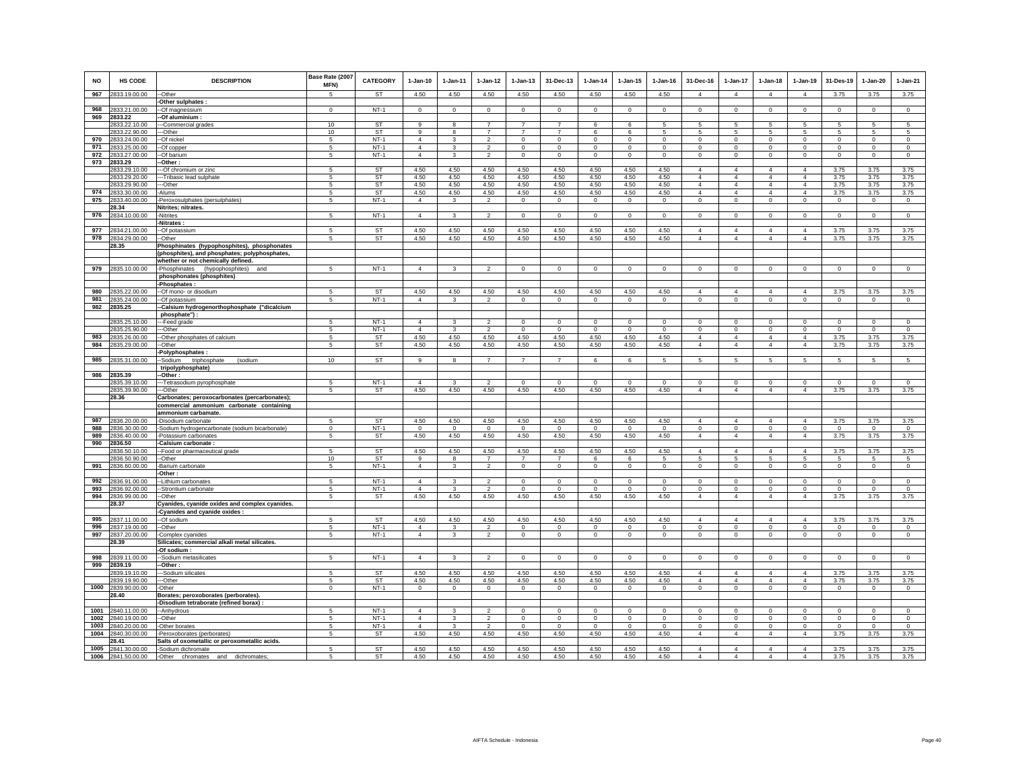| <b>NO</b>    | <b>HS CODE</b>                      | <b>DESCRIPTION</b>                                                                  | Base Rate (2007<br>MFN) | <b>CATEGORY</b>        | $1-Jan-10$             | $1-Jan-11$         | $1-Jan-12$             | $1-Jan-13$             | 31-Dec-13              | 1-Jan-14            | $1-Jan-15$           | 1-Jan-16           | 31-Dec-16                        | 1-Jan-17                         | $1-Jan-18$                       | $1-Jan-19$                       | 31-Des-19           | $1-Jan-20$             | $1-Jan-21$          |
|--------------|-------------------------------------|-------------------------------------------------------------------------------------|-------------------------|------------------------|------------------------|--------------------|------------------------|------------------------|------------------------|---------------------|----------------------|--------------------|----------------------------------|----------------------------------|----------------------------------|----------------------------------|---------------------|------------------------|---------------------|
| 967          | 2833.19.00.00                       | -Other                                                                              | 5                       | <b>ST</b>              | 4.50                   | 4.50               | 4.50                   | 4.50                   | 4.50                   | 4.50                | 4.50                 | 4.50               | $\overline{4}$                   | $\overline{4}$                   | $\overline{4}$                   | $\overline{4}$                   | 3.75                | 3.75                   | 3.75                |
|              |                                     | Other sulphates :                                                                   |                         |                        |                        |                    |                        |                        |                        |                     |                      |                    |                                  |                                  |                                  |                                  |                     |                        |                     |
| 968          | 2833.21.00.00                       | --Of magnessium                                                                     | $\Omega$                | $NT-1$                 | $^{\circ}$             | $\Omega$           | $\mathbf 0$            | $\mathbf 0$            | $\mathsf 0$            | $\mathbf 0$         | $\circ$              | $^{\circ}$         | $\mathbf 0$                      | $\mathbf 0$                      | $\mathbf 0$                      | $\mathbf 0$                      | $\Omega$            | $\mathbf 0$            | $\overline{0}$      |
| 969          | 2833.22<br>2833.22.10.00            | -Of aluminium<br>--Commercial grades                                                | 10                      | ST                     | 9                      |                    | $\overline{7}$         |                        | $\overline{7}$         | 6                   | 6                    | 5                  |                                  | 5                                |                                  | 5                                |                     | 5                      | 5                   |
|              | 2833.22.90.00                       | --Other                                                                             | 10                      | ST                     | 9                      | 8                  | $\overline{7}$         | $\overline{7}$         | $\overline{7}$         | 6                   | 6                    | $\sqrt{5}$         | 5                                | 5                                | 5                                | 5                                | 5                   | $\sqrt{5}$             | 5                   |
| 970          | 2833.24.00.00                       | -Of nickel                                                                          | 5                       | $NT-1$                 | $\overline{4}$         | 3                  | $\overline{2}$         | $\mathbf 0$            | $\mathbf 0$            | $^{\circ}$          | 0                    | $^{\circ}$         | $\circ$                          | $^{\circ}$                       | $\mathbf 0$                      | $^{\circ}$                       | $^{\circ}$          | $\mathbf 0$            | $\mathbf 0$         |
| 971          | 2833.25.00.00                       | -Of copper                                                                          | 5                       | $NT-1$                 | $\overline{4}$         | 3                  | $\overline{2}$         | $\mathbf 0$            | $\,0\,$                | $\mathbf 0$         | $\mathbf 0$          | $^{\circ}$         | $\mathsf 0$                      | $^{\circ}$                       | $\mathbf 0$                      | $^{\circ}$                       | $^{\circ}$          | $\,0\,$                | $\mathbf 0$         |
| 972          | 2833.27.00.00                       | Of barium                                                                           | 5                       | $NT-1$                 | $\overline{4}$         | 3                  | $\overline{2}$         | $\mathbf 0$            | $\circ$                | $^{\circ}$          | $\mathbf 0$          | $\circ$            | $\mathsf 0$                      | $\mathbf 0$                      | $\mathbf 0$                      | $\mathbf 0$                      | $\mathbf 0$         | $\mathbf 0$            | $\mathbf 0$         |
| 973          | 2833.29<br>2833.29.10.00            | Other:<br>-Of chromium or zinc                                                      | -5                      | <b>ST</b>              | 4.50                   | 4.50               | 4.50                   | 4.50                   | 4.50                   | 4.50                | 4.50                 | 4.50               | $\overline{4}$                   | $\overline{4}$                   | $\Delta$                         | $\overline{4}$                   | 3.75                | 3.75                   | 3.75                |
|              | 2833.29.20.00                       | -Tribasic lead sulphate                                                             | 5                       | <b>ST</b>              | 4.50                   | 4.50               | 4.50                   | 4.50                   | 4.50                   | 4.50                | 4.50                 | 4.50               | $\overline{4}$                   | $\overline{4}$                   | $\overline{4}$                   | $\overline{4}$                   | 3.75                | 3.75                   | 3.75                |
|              | 2833.29.90.00                       | -Other                                                                              | 5                       | <b>ST</b>              | 4.50                   | 4.50               | 4.50                   | 4.50                   | 4.50                   | 4.50                | 4.50                 | 4.50               | $\Delta$                         | $\overline{4}$                   | $\Delta$                         | $\overline{4}$                   | 3.75                | 3.75                   | 3.75                |
| 974          | 2833.30.00.00                       | -Alums                                                                              | 5                       | ST                     | 4.50                   | 4.50               | 4.50                   | 4.50                   | 4.50                   | 4.50                | 4.50                 | 4.50               | 4                                | 4                                | $\overline{4}$                   | 4                                | 3.75                | 3.75                   | 3.75                |
| 975          | 2833.40.00.00<br>28.34              | -Peroxosulphates (persulphates)                                                     | 5                       | $NT-1$                 | $\overline{4}$         | 3                  | $\overline{2}$         | $\mathbf 0$            | $\,0\,$                | $\mathbf 0$         | $\circ$              | $\mathbf 0$        | $\mathsf 0$                      | $\Omega$                         | $\mathbf 0$                      | $\mathbf 0$                      | $\Omega$            | $\circ$                | $\circ$             |
| 976          | 2834.10.00.00                       | Nitrites; nitrates.<br>-Nitrites                                                    | 5                       | $NT-1$                 | $\overline{4}$         | $\mathbf{3}$       | $\overline{2}$         | $\circ$                | $\overline{0}$         | $\circ$             | $\circ$              | $\mathbf 0$        | $\circ$                          | $\overline{0}$                   | $\circ$                          | $\circ$                          | $\circ$             | $\circ$                | $\mathbf 0$         |
|              |                                     | -Nitrates                                                                           |                         |                        |                        |                    |                        |                        |                        |                     |                      |                    |                                  |                                  |                                  |                                  |                     |                        |                     |
| 977          | 2834.21.00.00                       | -Of potassium                                                                       | 5                       | <b>ST</b>              | 4.50                   | 4.50               | 4.50                   | 4.50                   | 4.50                   | 4.50                | 4.50                 | 4.50               | $\overline{4}$                   | $\overline{4}$                   | $\overline{4}$                   | $\overline{4}$                   | 3.75                | 3.75                   | 3.75                |
| 978          | 2834.29.00.00                       | --Other                                                                             | 5                       | ST                     | 4.50                   | 4.50               | 4.50                   | 4.50                   | 4.50                   | 4.50                | 4.50                 | 4.50               | $\overline{4}$                   | $\overline{4}$                   | $\overline{4}$                   | $\overline{4}$                   | 3.75                | 3.75                   | 3.75                |
|              | 28.35                               | Phosphinates (hypophosphites), phosphonates                                         |                         |                        |                        |                    |                        |                        |                        |                     |                      |                    |                                  |                                  |                                  |                                  |                     |                        |                     |
|              |                                     | (phosphites), and phosphates; polyphosphates,<br>whether or not chemically defined. |                         |                        |                        |                    |                        |                        |                        |                     |                      |                    |                                  |                                  |                                  |                                  |                     |                        |                     |
|              | 979 2835.10.00.00                   | -Phosphinates (hypophosphites) and                                                  | 5                       | $NT-1$                 | $\overline{4}$         | 3                  | $\overline{2}$         | $\mathbf 0$            | $\,0\,$                | $\mathbf 0$         | $\mathsf 0$          | $\mathbf 0$        | $\mathbf 0$                      | $\mathbf 0$                      | $\mathbf 0$                      | $\mathbf 0$                      | $\mathbf 0$         | $\mathbf 0$            | $\mathbf 0$         |
|              |                                     | phosphonates (phosphites)                                                           |                         |                        |                        |                    |                        |                        |                        |                     |                      |                    |                                  |                                  |                                  |                                  |                     |                        |                     |
|              |                                     | -Phosphates:                                                                        |                         |                        |                        |                    |                        |                        |                        |                     |                      |                    |                                  |                                  |                                  |                                  |                     |                        |                     |
| 980<br>981   | 2835.22.00.00                       | -- Of mono- or disodium                                                             | 5<br>5                  | <b>ST</b>              | 4.50<br>$\overline{4}$ | 4.50<br>3          | 4.50<br>$\overline{2}$ | 4.50<br>$\Omega$       | 4.50                   | 4.50<br>$\Omega$    | 4.50                 | 4.50               | $\Delta$<br>$\Omega$             | $\overline{4}$                   | $\Delta$                         | $\overline{4}$                   | 3.75<br>$\Omega$    | 3.75                   | 3.75<br>$\Omega$    |
| 982          | 2835.24.00.00<br>2835.25            | -Of potassium<br>-Calsium hydrogenorthophosphate ("dicalcium                        |                         | $NT-1$                 |                        |                    |                        |                        | $\mathsf 0$            |                     | $\mathsf 0$          | $\mathsf 0$        |                                  | $\mathbf 0$                      | $\mathbf 0$                      | $\mathbf 0$                      |                     | $\mathbf 0$            |                     |
|              |                                     | phosphate") :                                                                       |                         |                        |                        |                    |                        |                        |                        |                     |                      |                    |                                  |                                  |                                  |                                  |                     |                        |                     |
|              | 2835.25.10.00                       | --Feed grade                                                                        | -5                      | $NT-1$                 | $\overline{4}$         |                    | $\overline{2}$         | $\Omega$               | $\mathbf 0$            | $\Omega$            | $\Omega$             | $\Omega$           | $\Omega$                         | $\Omega$                         | $\Omega$                         | $\Omega$                         | $\Omega$            | $\Omega$               | $\Omega$            |
|              | 2835.25.90.00                       | -Other                                                                              | -5                      | $NT-1$                 | $\overline{4}$         | 3                  | $\overline{2}$         | 0                      | $\Omega$               | $\Omega$            | $^{\circ}$           | $\Omega$           | $\Omega$                         | $\Omega$                         | $\Omega$                         | $^{\circ}$                       | $\Omega$            | $\Omega$               | $\mathbf 0$         |
| 983<br>984   | 2835.26.00.00<br>2835.29.00.00      | -Other phosphates of calcium<br>Other                                               | 5<br>5                  | ST<br>ST               | 4.50<br>4.50           | 4.50<br>4.50       | 4.50<br>4.50           | 4.50<br>4.50           | 4.50<br>4.50           | 4.50<br>4.50        | 4.50<br>4.50         | 4.50<br>4.50       | $\overline{4}$<br>$\overline{4}$ | $\overline{4}$<br>$\overline{4}$ | $\overline{4}$<br>$\overline{4}$ | $\overline{4}$<br>$\overline{4}$ | 3.75<br>3.75        | 3.75<br>3.75           | 3.75<br>3.75        |
|              |                                     | Polyphosphates:                                                                     |                         |                        |                        |                    |                        |                        |                        |                     |                      |                    |                                  |                                  |                                  |                                  |                     |                        |                     |
| 985          | 2835.31.00.00                       | Sodium<br>(sodium<br>triphosphate                                                   | 10                      | ST                     | 9                      | 8                  | $\overline{7}$         | $\overline{7}$         | $\overline{7}$         | 6                   | 6                    | 5                  | 5                                | $\overline{5}$                   | 5                                | 5                                | 5                   | $\sqrt{5}$             | $\overline{5}$      |
|              |                                     | tripolyphosphate)                                                                   |                         |                        |                        |                    |                        |                        |                        |                     |                      |                    |                                  |                                  |                                  |                                  |                     |                        |                     |
| 986          | 2835.39<br>2835.39.10.00            | -Other:                                                                             | 5                       | $NT-1$                 | $\overline{4}$         | $\mathbf{3}$       | $\overline{2}$         | $\Omega$               | $\Omega$               | $\Omega$            | $\Omega$             | $\Omega$           | $\mathbf 0$                      | $\Omega$                         | $\mathbf 0$                      | $\mathbf 0$                      | $\Omega$            | $\Omega$               | $\Omega$            |
|              | 2835.39.90.00                       | -- Tetrasodium pyrophosphate<br>---Other                                            | 5                       | ST                     | 4.50                   | 4.50               | 4.50                   | 4.50                   | 4.50                   | 4.50                | 4.50                 | 4.50               | $\overline{4}$                   | $\overline{4}$                   | $\overline{4}$                   | $\overline{4}$                   | 3.75                | 3.75                   | 3.75                |
|              | 28.36                               | Carbonates; peroxocarbonates (percarbonates);                                       |                         |                        |                        |                    |                        |                        |                        |                     |                      |                    |                                  |                                  |                                  |                                  |                     |                        |                     |
|              |                                     | commercial ammonium carbonate containing                                            |                         |                        |                        |                    |                        |                        |                        |                     |                      |                    |                                  |                                  |                                  |                                  |                     |                        |                     |
| 987          | 2836.20.00.00                       | ammonium carbamate.<br>-Disodium carbonate                                          | 5                       | <b>ST</b>              | 4.50                   | 4.50               | 4.50                   | 4.50                   | 4.50                   | 4.50                | 4.50                 | 4.50               | $\overline{4}$                   | $\overline{4}$                   | $\overline{4}$                   | $\overline{4}$                   | 3.75                | 3.75                   | 3.75                |
| 988          | 2836.30.00.00                       | Sodium hydrogencarbonate (sodium bicarbonate)                                       | $\mathsf 0$             | $NT-1$                 | $\mathsf 0$            | $\circ$            | $\mathbf 0$            | $\mathbf 0$            | $\mathbf 0$            | $\mathbf 0$         | $\mathbf 0$          | $\circ$            | $\mathbf 0$                      | $\mathbf 0$                      | $\mathbf 0$                      | $\mathbf 0$                      | $\mathbf 0$         | $\mathbf 0$            | $\mathbf 0$         |
| 989          | 2836.40.00.00                       | Potassium carbonates                                                                | 5                       | ST                     | 4.50                   | 4.50               | 4.50                   | 4.50                   | 4.50                   | 4.50                | 4.50                 | 4.50               | $\overline{4}$                   | $\overline{4}$                   | $\overline{4}$                   | $\overline{4}$                   | 3.75                | 3.75                   | 3.75                |
| 990          | 2836.50                             | Calsium carbonate :                                                                 |                         |                        |                        |                    |                        |                        |                        |                     |                      |                    |                                  |                                  |                                  |                                  |                     |                        |                     |
|              | 2836.50.10.00<br>2836.50.90.00      | -Food or pharmaceutical grade<br>-Other                                             | -5<br>10                | <b>ST</b><br><b>ST</b> | 4.50<br>9              | 4.50<br>8          | 4.50<br>$\overline{7}$ | 4.50<br>$\overline{7}$ | 4.50<br>$\overline{7}$ | 4.50<br>6           | 4.50<br>6            | 4.50<br>5          | $\Delta$<br>5                    | $\Delta$<br>5                    | $\Delta$<br>5                    | $\Delta$<br>5                    | 3.75<br>5           | 3.75<br>$\overline{5}$ | 3.75<br>5           |
| 991          | 2836.60.00.00                       | Barium carbonate                                                                    | 5                       | $NT-1$                 | $\overline{4}$         | 3                  | $\mathfrak{p}$         | $\mathbf 0$            | $\mathbf{0}$           | $\mathbf 0$         | $\mathbf 0$          | $\circ$            | $\Omega$                         | $\Omega$                         | $\mathbf 0$                      | $\mathbf 0$                      | $\Omega$            | $^{\circ}$             | $\mathbf 0$         |
|              |                                     | Other:                                                                              |                         |                        |                        |                    |                        |                        |                        |                     |                      |                    |                                  |                                  |                                  |                                  |                     |                        |                     |
| 992          | 2836.91.00.00                       | -Lithium carbonates                                                                 | -5                      | $NT-1$                 | $\overline{4}$         | 3                  | $\overline{2}$         | $\mathbf 0$            | $\mathbf 0$            | $\mathbf 0$         | $\mathbf 0$          | $\circ$            | $\mathbf 0$                      | $\mathbf 0$                      | $\Omega$                         | $\circ$                          | $\Omega$            | $\mathbf 0$            | $\mathbf 0$         |
| 993          | 2836.92.00.00                       | -Strontium carbonate                                                                | 5                       | $NT-1$                 | $\overline{4}$         | 3                  | $\overline{2}$         | 0                      | $\,0\,$                | $\overline{0}$      | 0                    | $^{\circ}$         | $\mathsf 0$                      | $^{\circ}$                       | $^{\circ}$                       | $\mathbf 0$                      | $^{\circ}$          | $\mathbf 0$            | $\mathbf 0$         |
| 994          | 2836.99.00.00<br>28.37              | -Other<br>Cyanides, cyanide oxides and complex cyanides.                            | 5                       | <b>ST</b>              | 4.50                   | 4.50               | 4.50                   | 4.50                   | 4.50                   | 4.50                | 4.50                 | 4.50               | $\overline{4}$                   | $\overline{4}$                   | $\overline{4}$                   | $\overline{4}$                   | 3.75                | 3.75                   | 3.75                |
|              |                                     | Cyanides and cyanide oxides :                                                       |                         |                        |                        |                    |                        |                        |                        |                     |                      |                    |                                  |                                  |                                  |                                  |                     |                        |                     |
| 995          | 2837.11.00.00                       | -Of sodium                                                                          | 5                       | ST                     | 4.50                   | 4.50               | 4.50                   | 4.50                   | 4.50                   | 4.50                | 4.50                 | 4.50               | $\overline{4}$                   | $\overline{a}$                   | 4                                | $\overline{4}$                   | 3.75                | 3.75                   | 3.75                |
| 996          | 2837.19.00.00                       | -Other                                                                              | 5                       | $NT-1$                 | $\overline{4}$         |                    | $\overline{2}$         | 0                      | $\,0\,$                | $\mathbf 0$         | 0                    | $\mathbf 0$        | 0                                | $\mathbf 0$                      | $\mathsf 0$                      | $\mathsf 0$                      | $\mathbf 0$         | $\mathbf 0$            | $\bf{0}$            |
| 997          | 2837.20.00.00<br>28.39              | Complex cyanides                                                                    | 5                       | $NT-1$                 | $\overline{4}$         | $\mathbf{3}$       | $\overline{2}$         | $\circ$                | $\mathbf{0}$           | $\circ$             | $\circ$              | $\circ$            | $\circ$                          | $\circ$                          | $\circ$                          | $\circ$                          | $\mathbf 0$         | $\mathbf 0$            | $\circ$             |
|              |                                     | Silicates; commercial alkali metal silicates.<br>-Of sodium :                       |                         |                        |                        |                    |                        |                        |                        |                     |                      |                    |                                  |                                  |                                  |                                  |                     |                        |                     |
| 998          | 2839.11.00.00                       | -Sodium metasilicates                                                               | 5                       | $NT-1$                 | $\overline{4}$         | 3                  | $\overline{2}$         | $\mathbf 0$            | $\mathsf 0$            | $\circ$             | $\mathsf 0$          | $\Omega$           | $\overline{0}$                   | $\mathbf 0$                      | $\Omega$                         | $\mathbf 0$                      | $\mathbf 0$         | $\mathbf 0$            | $\mathbf 0$         |
| 999          | 2839.19                             | -Other:                                                                             |                         |                        |                        |                    |                        |                        |                        |                     |                      |                    |                                  |                                  |                                  |                                  |                     |                        |                     |
|              | 2839.19.10.00                       | -Sodium silicates                                                                   |                         | ST                     | 4.50                   | 4.50               | 4.50                   | 4.50                   | 4.50                   | 4.50                | 4.50                 | 4.50               | $\overline{4}$                   | $\overline{4}$                   | 4                                | $\overline{4}$                   | 3.75                | 3.75                   | 3.75                |
|              | 2839.19.90.00<br>1000 2839.90.00.00 | --Other<br>-Other                                                                   | 5<br>$^{\circ}$         | ST<br>$NT-1$           | 4.50<br>$^{\circ}$     | 4.50<br>$^{\circ}$ | 4.50<br>$^{\circ}$     | 4.50<br>$\mathbf{0}$   | 4.50<br>$\overline{0}$ | 4.50<br>$^{\circ}$  | 4.50<br>$\mathbf{0}$ | 4.50<br>$^{\circ}$ | $\overline{4}$<br>$\circ$        | $\overline{4}$<br>$\circ$        | $\overline{4}$<br>$\mathbf 0$    | $\overline{4}$<br>$\circ$        | 3.75<br>$^{\circ}$  | 3.75<br>$\mathbf{0}$   | 3.75<br>$\circ$     |
|              | 28.40                               | Borates; peroxoborates (perborates).                                                |                         |                        |                        |                    |                        |                        |                        |                     |                      |                    |                                  |                                  |                                  |                                  |                     |                        |                     |
|              |                                     | Disodium tetraborate (refined borax) :                                              |                         |                        |                        |                    |                        |                        |                        |                     |                      |                    |                                  |                                  |                                  |                                  |                     |                        |                     |
| 1001         | 2840.11.00.00                       | -Anhydrous                                                                          | 5                       | $NT-1$                 | $\overline{4}$         | 3                  | $\overline{2}$         | $\mathbf 0$            | $\mathbf 0$            | $\mathbf 0$         | $\mathbf 0$          | $\circ$            | $\mathbf 0$                      | $\mathbf 0$                      | $\mathbf 0$                      | $\mathbf 0$                      | $\mathbf 0$         | $\mathbf 0$            | $\mathbf 0$         |
| 1002         | 2840.19.00.00                       | -Other                                                                              | 5                       | $NT-1$                 | $\overline{4}$         | 3                  | $\overline{2}$         | $\mathbf 0$            | $\mathbf 0$            | $\mathbf 0$         | $\mathsf 0$          | $\circ$            | $\Omega$                         | $\mathbf 0$                      | $\Omega$                         | $\mathbf 0$                      | $\mathbf 0$         | $\mathbf 0$            | $\mathbf 0$         |
| 1003<br>1004 | 2840.20.00.00<br>2840.30.00.00      | -Other borates<br>Peroxoborates (perborates)                                        | 5<br>5                  | $NT-1$<br>ST           | $\overline{4}$<br>4.50 | 3<br>4.50          | $\overline{2}$<br>4.50 | $\circ$<br>4.50        | $\mathbf 0$<br>4.50    | $\mathbf 0$<br>4.50 | $\mathbf{0}$<br>4.50 | $\circ$<br>4.50    | $\mathbf 0$<br>$\overline{4}$    | $\circ$<br>$\overline{4}$        | $\circ$<br>$\overline{4}$        | $\circ$<br>$\overline{4}$        | $\mathbf 0$<br>3.75 | $\mathbf 0$<br>3.75    | $\mathbf 0$<br>3.75 |
|              | 28.41                               | Salts of oxometallic or peroxometallic acids.                                       |                         |                        |                        |                    |                        |                        |                        |                     |                      |                    |                                  |                                  |                                  |                                  |                     |                        |                     |
| 1005         | 2841.30.00.00                       | -Sodium dichromate                                                                  | 5                       | <b>ST</b>              | 4.50                   | 4.50               | 4.50                   | 4.50                   | 4.50                   | 4.50                | 4.50                 | 4.50               | $\overline{4}$                   | $\overline{4}$                   | $\overline{4}$                   | $\overline{4}$                   | 3.75                | 3.75                   | 3.75                |
|              | 1006 2841.50.00.00                  | -Other chromates and dichromates;                                                   | 5                       | ST                     | 4.50                   | 4.50               | 4.50                   | 4.50                   | 4.50                   | 4.50                | 4.50                 | 4.50               | $\Delta$                         | 4                                | $\Delta$                         | $\overline{4}$                   | 3.75                | 3.75                   | 3.75                |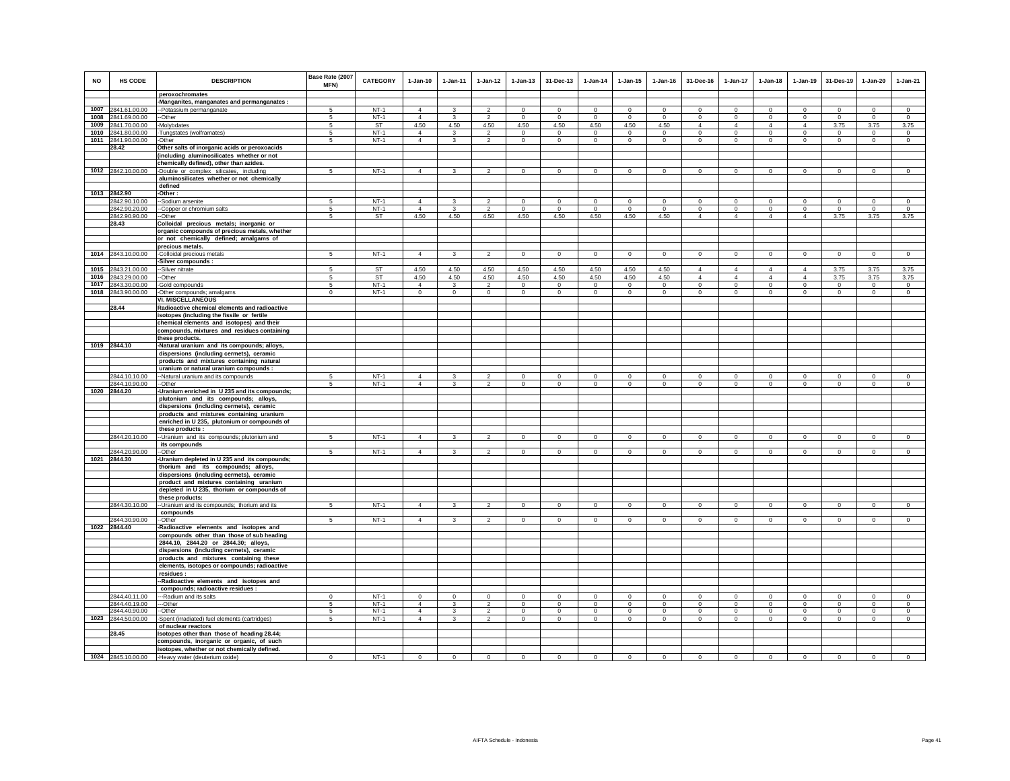| <b>NO</b> | HS CODE                       | <b>DESCRIPTION</b>                                                   | Base Rate (2007<br>MFN) | <b>CATEGORY</b>  | $1-Jan-10$                       | $1-Jan-11$              | $1-Jan-12$     | $1-Jan-13$     | 31-Dec-13      | $1-Jan-14$     | $1 - Jan-15$   | $1 - Jan-16$   | 31-Dec-16      | $1-Jan-17$     | $1-Jan-18$     | $1-Jan-19$     | 31-Des-19      | $1-Jan-20$     | $1-Jan-21$     |
|-----------|-------------------------------|----------------------------------------------------------------------|-------------------------|------------------|----------------------------------|-------------------------|----------------|----------------|----------------|----------------|----------------|----------------|----------------|----------------|----------------|----------------|----------------|----------------|----------------|
|           |                               | peroxochromates                                                      |                         |                  |                                  |                         |                |                |                |                |                |                |                |                |                |                |                |                |                |
|           |                               | -Manganites, manganates and permanganates :                          |                         |                  |                                  |                         |                |                |                |                |                |                |                |                |                |                |                |                |                |
|           | 1007 2841.61.00.00            | -Potassium permanganate                                              | -5                      | $NT-1$           | $\overline{4}$                   | 3                       | $\mathfrak{p}$ | $\Omega$       | $\Omega$       | $\Omega$       | $\Omega$       | $\Omega$       | $\Omega$       | $\Omega$       | $\Omega$       | $\Omega$       | $\Omega$       | $\Omega$       | $\Omega$       |
|           | 1008 2841.69.00.00            | -Other                                                               | 5                       | $NT-1$           | $\overline{4}$                   | 3                       | $\overline{2}$ | $\mathbf 0$    | $\mathbf 0$    | $\circ$        | $\mathbf 0$    | $\circ$        | $\circ$        | $\mathbf 0$    | $\circ$        | $\mathbf 0$    | $\circ$        | $\mathbf 0$    | $\circ$        |
|           | 1009 2841.70.00.00            | -Molybdates                                                          | 5                       | ST               | 4.50                             | 4.50                    | 4.50           | 4.50           | 4.50           | 4.50           | 4.50           | 4.50           | $\overline{4}$ | $\overline{4}$ | $\overline{4}$ | $\overline{4}$ | 3.75           | 3.75           | 3.75           |
|           | 1010 2841.80.00.00            | -Tungstates (wolframates)                                            | 5                       | $NT-1$           | $\overline{4}$<br>$\Delta$       | 3                       | $\overline{2}$ | $\mathbf{0}$   | $\mathbf{0}$   | $\overline{0}$ | $\mathbf{0}$   | $\circ$        | $\Omega$       | $\mathbf{0}$   | $\Omega$       | $\circ$        | $\circ$        | $\mathbf{0}$   | $^{\circ}$     |
|           | 1011 2841.90.00.00            | -Other                                                               | 5                       | $NT-1$           |                                  | 3                       | $\overline{2}$ | $\mathbf 0$    | $\mathbf 0$    | $\circ$        | 0              | $\mathbf 0$    | $\circ$        | $\mathsf 0$    | $\mathbf{0}$   | $\mathbf 0$    | $\mathbf 0$    | $\mathbf 0$    | $\mathbf 0$    |
|           | 28.42                         | Other salts of inorganic acids or peroxoacids                        |                         |                  |                                  |                         |                |                |                |                |                |                |                |                |                |                |                |                |                |
|           |                               | including aluminosilicates whether or not                            |                         |                  |                                  |                         |                |                |                |                |                |                |                |                |                |                |                |                |                |
|           |                               | chemically defined), other than azides.                              | 5                       | $NT-1$           |                                  |                         | $\overline{2}$ |                | $\mathbf 0$    | $\circ$        |                | $\circ$        |                |                |                |                | $\mathbf 0$    | $\circ$        |                |
|           | 1012 2842.10.00.00            | Double or complex silicates, including                               |                         |                  | $\overline{4}$                   | 3                       |                | $\mathsf 0$    |                |                | $\mathbf 0$    |                | $\mathbf 0$    | $\mathbf 0$    | $\mathbf 0$    | $\mathbf 0$    |                |                | $\mathsf 0$    |
|           |                               | aluminosilicates whether or not chemically                           |                         |                  |                                  |                         |                |                |                |                |                |                |                |                |                |                |                |                |                |
|           |                               | defined                                                              |                         |                  |                                  |                         |                |                |                |                |                |                |                |                |                |                |                |                |                |
|           | 1013 2842.90<br>2842.90.10.00 | -Other:                                                              | -5                      | $NT-1$           | $\overline{4}$                   | $\mathbf{3}$            | $\mathfrak{p}$ | $\Omega$       | $\Omega$       | $\Omega$       | $\Omega$       | $\Omega$       | $\Omega$       | $\Omega$       | $\Omega$       | $\Omega$       | $\Omega$       | $\Omega$       | $\Omega$       |
|           | 2842.90.20.00                 | -Sodium arsenite<br>--Copper or chromium salts                       | $\sqrt{5}$              | $NT-1$           | $\overline{4}$                   | 3                       | $\overline{2}$ | $\mathbf 0$    | $\mathbf 0$    | $\Omega$       | $\Omega$       | $\Omega$       | $\circ$        | $\mathbf 0$    | $\circ$        | $\mathbf 0$    | $\circ$        | $\mathbf 0$    | $\circ$        |
|           | 2842.90.90.00                 | --Other                                                              | 5                       | ST               | 4.50                             | 4.50                    | 4.50           | 4.50           | 4.50           | 4.50           | 4.50           | 4.50           | $\overline{4}$ | $\overline{4}$ | $\overline{4}$ | $\overline{4}$ | 3.75           | 3.75           | 3.75           |
|           | 28.43                         | Colloidal precious metals; inorganic or                              |                         |                  |                                  |                         |                |                |                |                |                |                |                |                |                |                |                |                |                |
|           |                               | organic compounds of precious metals, whether                        |                         |                  |                                  |                         |                |                |                |                |                |                |                |                |                |                |                |                |                |
|           |                               | or not chemically defined; amalgams of                               |                         |                  |                                  |                         |                |                |                |                |                |                |                |                |                |                |                |                |                |
|           |                               | precious metals.                                                     |                         |                  |                                  |                         |                |                |                |                |                |                |                |                |                |                |                |                |                |
| 1014      | 2843.10.00.00                 | -Colloidal precious metals                                           | 5                       | $NT-1$           | $\overline{4}$                   | $\mathbf{3}$            | $\overline{a}$ | $\mathsf 0$    | $\mathsf 0$    | $\mathsf 0$    | $\mathsf 0$    | $\mathsf 0$    | $\circ$        | $\mathbf 0$    | $\mathbf 0$    | $\mathbf 0$    | $\mathbf 0$    | $\mathsf 0$    | $\mathsf 0$    |
|           |                               | Silver compounds :                                                   |                         |                  |                                  |                         |                |                |                |                |                |                |                |                |                |                |                |                |                |
| 1015      | 2843.21.00.00                 | -Silver nitrate                                                      | 5                       | <b>ST</b>        | 4.50                             | 4.50                    | 4.50           | 4.50           | 4.50           | 4.50           | 4.50           | 4.50           | $\overline{4}$ | 4              | $\overline{4}$ | $\overline{4}$ | 3.75           | 3.75           | 3.75           |
| 1016      | 2843.29.00.00                 | -Other                                                               | $5\overline{)}$         | ST               | 4.50                             | 4.50                    | 4.50           | 4.50           | 4.50           | 4.50           | 4.50           | 4.50           | $\overline{4}$ | $\overline{4}$ | $\overline{4}$ | $\overline{4}$ | 3.75           | 3.75           | 3.75           |
| 1017      | 2843.30.00.00                 | -Gold compounds                                                      | 5                       | $NT-1$           | $\Delta$                         | $\mathbf{3}$            | $\overline{2}$ | $\mathbf 0$    | $\circ$        | $\circ$        | $\Omega$       | $\circ$        | $\circ$        | $\overline{0}$ | $\circ$        | $\mathbf 0$    | $\circ$        | $\circ$        | $\circ$        |
|           | 1018 2843.90.00.00            | -Other compounds; amalgams                                           | $\mathbf 0$             | $NT-1$           | $\overline{0}$                   | $\overline{0}$          | $\overline{0}$ | $\overline{0}$ | $\overline{0}$ | $\overline{0}$ | $\overline{0}$ | $\Omega$       | $\Omega$       | $\overline{0}$ | $\overline{0}$ | $\Omega$       | $\overline{0}$ | $\overline{0}$ | $\overline{0}$ |
|           |                               | <b>VI. MISCELLANEOUS</b>                                             |                         |                  |                                  |                         |                |                |                |                |                |                |                |                |                |                |                |                |                |
|           | 28.44                         | Radioactive chemical elements and radioactive                        |                         |                  |                                  |                         |                |                |                |                |                |                |                |                |                |                |                |                |                |
|           |                               | isotopes (including the fissile or fertile                           |                         |                  |                                  |                         |                |                |                |                |                |                |                |                |                |                |                |                |                |
|           |                               | chemical elements and isotopes) and their                            |                         |                  |                                  |                         |                |                |                |                |                |                |                |                |                |                |                |                |                |
|           |                               | compounds, mixtures and residues containing                          |                         |                  |                                  |                         |                |                |                |                |                |                |                |                |                |                |                |                |                |
|           |                               | these products.                                                      |                         |                  |                                  |                         |                |                |                |                |                |                |                |                |                |                |                |                |                |
|           | 1019 2844.10                  | -Natural uranium and its compounds; alloys,                          |                         |                  |                                  |                         |                |                |                |                |                |                |                |                |                |                |                |                |                |
|           |                               | dispersions (including cermets), ceramic                             |                         |                  |                                  |                         |                |                |                |                |                |                |                |                |                |                |                |                |                |
|           |                               | products and mixtures containing natural                             |                         |                  |                                  |                         |                |                |                |                |                |                |                |                |                |                |                |                |                |
|           |                               | uranium or natural uranium compounds :                               |                         |                  |                                  |                         |                |                |                |                |                |                |                |                |                |                |                |                |                |
|           | 2844.10.10.00                 | -Natural uranium and its compounds                                   |                         | $NT-1$           | $\overline{4}$                   |                         | $\mathcal{P}$  | $\mathbf 0$    | $\Omega$       | $\Omega$       | $\Omega$       | $\Omega$       | $\Omega$       | $\Omega$       | $\Omega$       | $\mathbf 0$    | $\mathbf 0$    | $\Omega$       | $\Omega$       |
|           | 2844.10.90.00                 | --Other                                                              | $\sqrt{5}$              | $NT-1$           | $\Delta$                         | $\overline{\mathbf{3}}$ | $\overline{2}$ | $\mathbf 0$    | $\Omega$       | $\mathsf 0$    | $\Omega$       | $\Omega$       | $\Omega$       | $\circ$        | $\Omega$       | $\Omega$       | $\circ$        | $\Omega$       | $\Omega$       |
|           | 1020 2844.20                  | -Uranium enriched in U 235 and its compounds;                        |                         |                  |                                  |                         |                |                |                |                |                |                |                |                |                |                |                |                |                |
|           |                               | plutonium and its compounds; alloys,                                 |                         |                  |                                  |                         |                |                |                |                |                |                |                |                |                |                |                |                |                |
|           |                               | dispersions (including cermets), ceramic                             |                         |                  |                                  |                         |                |                |                |                |                |                |                |                |                |                |                |                |                |
|           |                               | products and mixtures containing uranium                             |                         |                  |                                  |                         |                |                |                |                |                |                |                |                |                |                |                |                |                |
|           |                               | enriched in U 235, plutonium or compounds of                         |                         |                  |                                  |                         |                |                |                |                |                |                |                |                |                |                |                |                |                |
|           | 2844.20.10.00                 | these products :<br>-- Uranium and its compounds; plutonium and      | 5                       | $NT-1$           | $\Delta$                         | $\mathbf{3}$            | $\overline{2}$ | $\mathbf{0}$   | $\mathbf{0}$   | $\circ$        | $\mathbf{0}$   | $\mathbf{0}$   | $^{\circ}$     | $\mathbf{0}$   | $\mathbf{0}$   | $\mathbf{0}$   | $\overline{0}$ | $\circ$        | $\circ$        |
|           |                               | its compounds                                                        |                         |                  |                                  |                         |                |                |                |                |                |                |                |                |                |                |                |                |                |
|           | 2844.20.90.00                 | -Other                                                               | 5                       | $NT-1$           | $\overline{4}$                   | $\mathbf{3}$            | $\mathfrak{p}$ | $\mathsf 0$    | $\mathsf 0$    | $\mathsf 0$    | $\mathsf 0$    | $\mathsf 0$    | $\mathsf 0$    | $\mathbf 0$    | $\mathbf 0$    | $\mathbf 0$    | $\mathbf 0$    | $\mathsf 0$    | $\mathsf 0$    |
|           | 1021 2844.30                  | Uranium depleted in U 235 and its compounds;                         |                         |                  |                                  |                         |                |                |                |                |                |                |                |                |                |                |                |                |                |
|           |                               | thorium and its compounds; alloys,                                   |                         |                  |                                  |                         |                |                |                |                |                |                |                |                |                |                |                |                |                |
|           |                               | dispersions (including cermets), ceramic                             |                         |                  |                                  |                         |                |                |                |                |                |                |                |                |                |                |                |                |                |
|           |                               | product and mixtures containing uranium                              |                         |                  |                                  |                         |                |                |                |                |                |                |                |                |                |                |                |                |                |
|           |                               | depleted in U 235, thorium or compounds of                           |                         |                  |                                  |                         |                |                |                |                |                |                |                |                |                |                |                |                |                |
|           |                               | these products:                                                      |                         |                  |                                  |                         |                |                |                |                |                |                |                |                |                |                |                |                |                |
|           | 2844.30.10.00                 | -- Uranium and its compounds; thorium and its                        | 5                       | NT-1             | $\overline{4}$                   | 3                       | $\mathfrak{p}$ | $\Omega$       | $\Omega$       | $\Omega$       | $\Omega$       | $\Omega$       | $\Omega$       | $\Omega$       | $\Omega$       | $\Omega$       | $\Omega$       | $\Omega$       | $\Omega$       |
|           |                               | compounds                                                            |                         |                  |                                  |                         |                |                |                |                |                |                |                |                |                |                |                |                |                |
|           | 2844.30.90.00                 | -Other                                                               | 5                       | $NT-1$           | $\overline{4}$                   | 3                       | $\overline{2}$ | $\mathbf{0}$   | $\Omega$       | $\circ$        | $\mathbf{0}$   | $^{\circ}$     | $^{\circ}$     | $^{\circ}$     | $\Omega$       | $\mathbf{0}$   | $\mathbf{0}$   | $^{\circ}$     | $^{\circ}$     |
|           | 1022 2844.40                  | Radioactive elements and isotopes and                                |                         |                  |                                  |                         |                |                |                |                |                |                |                |                |                |                |                |                |                |
|           |                               | compounds other than those of sub heading                            |                         |                  |                                  |                         |                |                |                |                |                |                |                |                |                |                |                |                |                |
|           |                               | 2844.10, 2844.20 or 2844.30; alloys,                                 |                         |                  |                                  |                         |                |                |                |                |                |                |                |                |                |                |                |                |                |
|           |                               | dispersions (including cermets), ceramic                             |                         |                  |                                  |                         |                |                |                |                |                |                |                |                |                |                |                |                |                |
|           |                               | products and mixtures containing these                               |                         |                  |                                  |                         |                |                |                |                |                |                |                |                |                |                |                |                |                |
|           |                               | elements, isotopes or compounds; radioactive                         |                         |                  |                                  |                         |                |                |                |                |                |                |                |                |                |                |                |                |                |
|           |                               | residues :                                                           |                         |                  |                                  |                         |                |                |                |                |                |                |                |                |                |                |                |                |                |
|           |                               | -Radioactive elements and isotopes and                               |                         |                  |                                  |                         |                |                |                |                |                |                |                |                |                |                |                |                |                |
|           |                               | compounds; radioactive residues :                                    |                         |                  |                                  |                         |                |                |                |                |                |                |                |                |                |                |                |                |                |
|           | 2844.40.11.00                 | --Radium and its salts                                               | $\Omega$                | $NT-1$           | $\circ$                          | $\Omega$                | $\mathbf{0}$   | $\mathbf{0}$   | $\Omega$       | $\Omega$       | $\mathbf{0}$   | $\Omega$       | $\Omega$       | $\Omega$       | $\mathbf 0$    | $\Omega$       | $\Omega$       | $\Omega$       | $\circ$        |
|           | 2844.40.19.00                 | ---Other                                                             | 5                       | $NT-1$           | $\overline{4}$                   | $\mathbf{3}$            | $\overline{2}$ | $\mathbf 0$    | $\mathbf{0}$   | $\mathsf 0$    | $\mathsf 0$    | $\mathbf{0}$   | $\mathbf 0$    | $\mathbf 0$    | $\mathbf 0$    | $\mathbf 0$    | $\circ$        | $\mathbf 0$    | $\circ$        |
|           | 2844.40.90.00                 | --Other                                                              | 5                       | $NT-1$<br>$NT-1$ | $\overline{4}$<br>$\overline{4}$ | 3                       | $\overline{2}$ | $\mathbf 0$    | $\mathbf{0}$   | $\circ$        | $\mathbf 0$    | $\circ$        | $\circ$        | $\mathbf 0$    | $\circ$        | $\mathbf 0$    | $\mathbf{0}$   | $\mathbf{0}$   | $\circ$        |
|           | 1023 2844.50.00.00            | Spent (irradiated) fuel elements (cartridges)<br>of nuclear reactors | 5                       |                  |                                  | 3                       | $\overline{a}$ | $\mathbf 0$    | $^{\circ}$     | $\mathbf{0}$   | 0              | $\overline{0}$ | $\circ$        | $\mathsf 0$    | $^{\circ}$     | $\mathbf{0}$   | $\,0\,$        | $\circ$        | $^{\circ}$     |
|           | 28.45                         | Isotopes other than those of heading 28.44;                          |                         |                  |                                  |                         |                |                |                |                |                |                |                |                |                |                |                |                |                |
|           |                               | compounds, inorganic or organic, of such                             |                         |                  |                                  |                         |                |                |                |                |                |                |                |                |                |                |                |                |                |
|           |                               | isotopes, whether or not chemically defined.                         |                         |                  |                                  |                         |                |                |                |                |                |                |                |                |                |                |                |                |                |
|           |                               | 1024 2845.10.00.00 - Heavy water (deuterium oxide)                   | $\Omega$                | $NT-1$           | $\circ$                          | $\mathsf 0$             | $\mathsf 0$    | $\mathbf{0}$   | $\Omega$       | $\Omega$       | $\mathbf{0}$   | $\mathbf{0}$   | $\circ$        | $\mathbf{0}$   | $\circ$        | $\mathbf 0$    | $\mathbf 0$    | $\mathbf{0}$   | $\circ$        |
|           |                               |                                                                      |                         |                  |                                  |                         |                |                |                |                |                |                |                |                |                |                |                |                |                |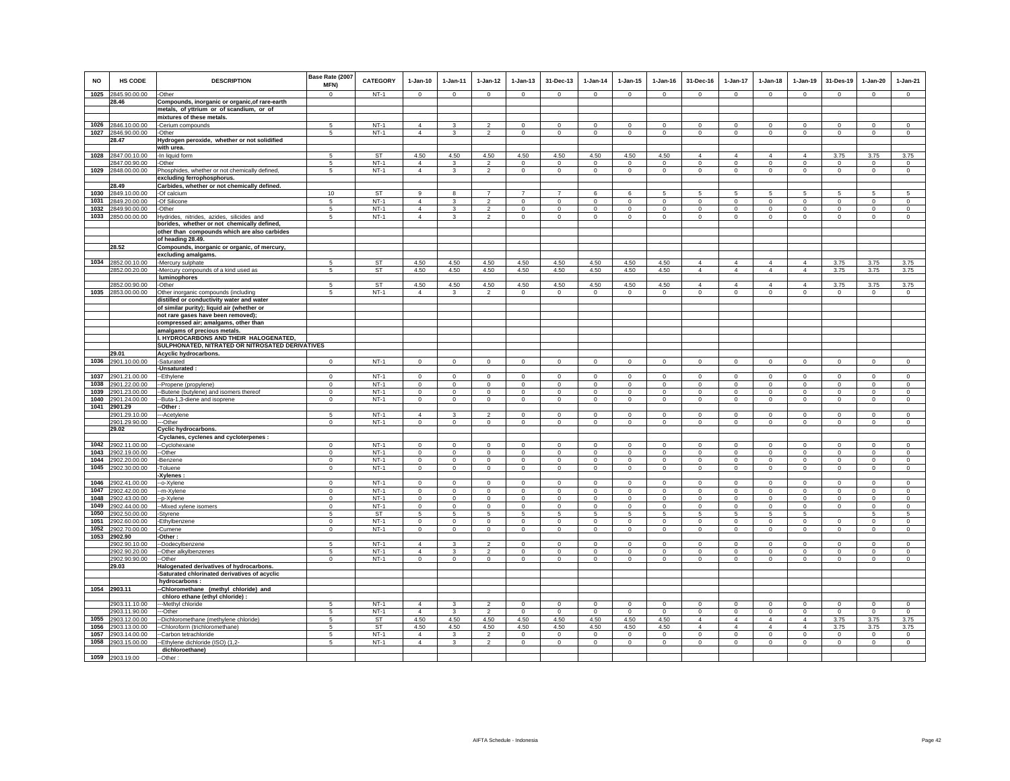| <b>NO</b> | <b>HS CODE</b>                           | <b>DESCRIPTION</b>                                                                         | Base Rate (2007<br><b>MFN)</b><br>$\Omega$ | <b>CATEGORY</b>             | $1-Jan-10$     | $1-Jan-11$<br>$\Omega$      | $1-Jan-12$<br>$\Omega$     | $1 - Jan-13$               | 31-Dec-13                        | $1-Jan-14$                 | $1 - Jan-15$               | $1 - Jan-16$               | 31-Dec-16      | $1-Jan-17$                 | $1-Jan-18$                  | $1-Jan-19$<br>$\Omega$ | 31-Des-19              | $1-Jan-20$                 | $1-Jan-21$                 |
|-----------|------------------------------------------|--------------------------------------------------------------------------------------------|--------------------------------------------|-----------------------------|----------------|-----------------------------|----------------------------|----------------------------|----------------------------------|----------------------------|----------------------------|----------------------------|----------------|----------------------------|-----------------------------|------------------------|------------------------|----------------------------|----------------------------|
|           | 1025 2845.90.00.00<br>28.46              | -Other                                                                                     |                                            | $NT-1$                      | $\mathbf 0$    |                             |                            | $\mathsf 0$                | $\mathsf 0$                      | $\mathbf 0$                | $\mathsf 0$                | $\mathbb O$                | $\mathsf 0$    | $\circ$                    | $\mathbf 0$                 |                        | $\mathbf 0$            | $\mathsf 0$                | $\mathsf 0$                |
|           |                                          | Compounds, inorganic or organic, of rare-earth<br>metals, of yttrium or of scandium, or of |                                            |                             |                |                             |                            |                            |                                  |                            |                            |                            |                |                            |                             |                        |                        |                            |                            |
|           |                                          | mixtures of these metals.                                                                  |                                            |                             |                |                             |                            |                            |                                  |                            |                            |                            |                |                            |                             |                        |                        |                            |                            |
|           | 1026 2846.10.00.00                       | -Cerium compounds                                                                          | 5                                          | $NT-1$                      | $\overline{4}$ | 3                           | $\overline{2}$             | $\Omega$                   | $\mathbf 0$                      | $\mathbf 0$                | $\mathbf 0$                | $\circ$                    | $\mathbf{0}$   | $\Omega$                   | $\Omega$                    | $\mathbf 0$            | $\circ$                | $\Omega$                   | $\mathbf{0}$               |
|           | 1027 2846.90.00.00                       | -Other                                                                                     | 5                                          | $NT-1$                      | $\overline{4}$ | $\mathbf{3}$                | $\overline{2}$             | $\mathsf 0$                | $\mathbf{0}$                     | $\mathbf 0$                | $\mathbf 0$                | $\mathbf 0$                | $\circ$        | $\circ$                    | $\mathbf 0$                 | $\mathbb O$            | $\mathbf 0$            | $\mathsf 0$                | $\mathsf 0$                |
|           | 28.47                                    | Hydrogen peroxide, whether or not solidified                                               |                                            |                             |                |                             |                            |                            |                                  |                            |                            |                            |                |                            |                             |                        |                        |                            |                            |
|           |                                          | with urea.                                                                                 |                                            |                             |                |                             |                            |                            |                                  |                            |                            |                            |                |                            |                             |                        |                        |                            |                            |
| 1028      | 2847.00.10.00                            | -In liquid form                                                                            | 5                                          | ST                          | 4.50           | 4.50                        | 4.50                       | 4.50                       | 4.50                             | 4.50                       | 4.50                       | 4.50                       | $\overline{4}$ | 4                          | $\overline{a}$              | $\overline{4}$         | 3.75                   | 3.75                       | 3.75                       |
|           | 2847.00.90.00                            | -Other                                                                                     | 5                                          | $NT-1$                      | $\overline{4}$ |                             |                            | $\mathbf 0$                | $\mathbf 0$                      | 0                          | 0                          | $\mathbf 0$                | $\mathbf 0$    | $\mathsf 0$                | 0                           | $\mathbf 0$            | $\mathbf 0$            | $\bf{0}$                   | $\mathbf 0$                |
| 1029      | 2848.00.00.00                            | Phosphides, whether or not chemically defined                                              | 5                                          | $NT-1$                      | $\overline{4}$ | $\mathbf{3}$                | $\overline{2}$             | $\circ$                    | $\mathbf{0}$                     | $\circ$                    | $\mathbf 0$                | $\circ$                    | $\circ$        | $\circ$                    | $\mathbf 0$                 | $\mathbb O$            | $\circ$                | $\mathbf{0}$               | $\mathsf 0$                |
|           | 28.49                                    | excluding ferrophosphorus.<br>Carbides, whether or not chemically defined.                 |                                            |                             |                |                             |                            |                            |                                  |                            |                            |                            |                |                            |                             |                        |                        |                            |                            |
| 1030      | 2849.10.00.00                            | -Of calcium                                                                                | 10                                         | <b>ST</b>                   | $\mathbf{q}$   |                             | $\overline{7}$             | $\overline{7}$             | $\overline{7}$                   | 6                          | 6                          | 5                          | 5              | 5                          | 5                           | 5                      | 5                      | 5                          | 5                          |
| 1031      | 2849.20.00.00                            | -Of Silicone                                                                               | 5                                          | $NT-1$                      | $\overline{4}$ | $\mathbf{\hat{z}}$          | $\mathcal{L}$              | $\Omega$                   | $\Omega$                         | $\Omega$                   | $\Omega$                   | $\Omega$                   | $\Omega$       | $\Omega$                   | $\mathbf 0$                 | $\mathbf 0$            | $\Omega$               | $\Omega$                   | $\circ$                    |
|           | 1032 2849.90.00.00                       | -Other                                                                                     | 5                                          | $NT-1$                      | $\overline{4}$ | $\mathbf{3}$                | $\overline{2}$             | $\mathsf 0$                | $\mathsf 0$                      | $\circ$                    | $\circ$                    | $\mathbb O$                | $\mathbf 0$    | $\mathbf 0$                | $\mathbf 0$                 | $\mathbf 0$            | $\mathbf 0$            | $\mathsf 0$                | $\mathsf 0$                |
|           | 1033 2850.00.00.00                       | Hydrides, nitrides, azides, silicides and                                                  | 5                                          | $NT-1$                      | $\overline{4}$ | 3                           | $\overline{2}$             | $\mathsf 0$                | $\mathbf 0$                      | $\circ$                    | $\mathbf 0$                | $\circ$                    | $\mathbf 0$    | $\circ$                    | $\Omega$                    | $\mathbf 0$            | $\mathbf{0}$           | $\mathbf 0$                | $\circ$                    |
|           |                                          | borides, whether or not chemically defined,                                                |                                            |                             |                |                             |                            |                            |                                  |                            |                            |                            |                |                            |                             |                        |                        |                            |                            |
|           |                                          | other than compounds which are also carbides                                               |                                            |                             |                |                             |                            |                            |                                  |                            |                            |                            |                |                            |                             |                        |                        |                            |                            |
|           |                                          | of heading 28.49.                                                                          |                                            |                             |                |                             |                            |                            |                                  |                            |                            |                            |                |                            |                             |                        |                        |                            |                            |
|           | 28.52                                    | Compounds, inorganic or organic, of mercury,                                               |                                            |                             |                |                             |                            |                            |                                  |                            |                            |                            |                |                            |                             |                        |                        |                            |                            |
|           |                                          | excluding amalgams.                                                                        |                                            |                             |                |                             |                            |                            |                                  |                            |                            |                            |                |                            |                             |                        |                        |                            |                            |
|           | 1034 2852.00.10.00                       | -Mercury sulphate                                                                          |                                            | $rac{\text{ST}}{\text{ST}}$ | 4.50           | 4.50                        | 4.50                       | 4.50                       | 4.50                             | 4.50                       | 4.50                       | 4.50                       | $\overline{4}$ | $\overline{4}$             | $\overline{4}$              | $\overline{4}$         | 3.75                   | 3.75                       | 3.75                       |
|           | 2852.00.20.00                            | -Mercury compounds of a kind used as<br>luminophores                                       | 5                                          |                             | 4.50           | 4.50                        | 4.50                       | 4.50                       | 4.50                             | 4.50                       | 4.50                       | 4.50                       | 4              | $\overline{4}$             | $\overline{4}$              | $\overline{4}$         | 3.75                   | 3.75                       | 3.75                       |
|           | 2852.00.90.00                            | -Other                                                                                     | 5                                          | ST                          | 4.50           | 4.50                        | 4.50                       | 4.50                       | 4.50                             | 4.50                       | 4.50                       | 4.50                       | $\overline{4}$ | $\overline{4}$             | $\overline{4}$              | $\overline{4}$         | 3.75                   | 3.75                       | 3.75                       |
|           | 1035 2853.00.00.00                       | Other inorganic compounds (including                                                       | $5 -$                                      | $NT-1$                      | $\overline{4}$ | 3                           | $\mathfrak{p}$             | $\Omega$                   | $\Omega$                         | $\Omega$                   | $\Omega$                   | $\Omega$                   | $\mathbf 0$    | $\mathbf 0$                | $\circ$                     | $\Omega$               | $\Omega$               | $\mathbf 0$                | $\circ$                    |
|           |                                          | distilled or conductivity water and water                                                  |                                            |                             |                |                             |                            |                            |                                  |                            |                            |                            |                |                            |                             |                        |                        |                            |                            |
|           |                                          | of similar purity); liquid air (whether or                                                 |                                            |                             |                |                             |                            |                            |                                  |                            |                            |                            |                |                            |                             |                        |                        |                            |                            |
|           |                                          | not rare gases have been removed);                                                         |                                            |                             |                |                             |                            |                            |                                  |                            |                            |                            |                |                            |                             |                        |                        |                            |                            |
|           |                                          | compressed air; amalgams, other than                                                       |                                            |                             |                |                             |                            |                            |                                  |                            |                            |                            |                |                            |                             |                        |                        |                            |                            |
|           |                                          | amalgams of precious metals.                                                               |                                            |                             |                |                             |                            |                            |                                  |                            |                            |                            |                |                            |                             |                        |                        |                            |                            |
|           |                                          | . HYDROCARBONS AND THEIR HALOGENATED,                                                      |                                            |                             |                |                             |                            |                            |                                  |                            |                            |                            |                |                            |                             |                        |                        |                            |                            |
|           |                                          | SULPHONATED, NITRATED OR NITROSATED DERIVATIVES                                            |                                            |                             |                |                             |                            |                            |                                  |                            |                            |                            |                |                            |                             |                        |                        |                            |                            |
| 1036      | 29.01<br>2901.10.00.00                   | Acyclic hydrocarbons.<br>-Saturated                                                        | $\mathsf 0$                                | $NT-1$                      | $\mathbf 0$    | $\mathbf 0$                 | $\mathbf 0$                | $\mathsf 0$                | $\mathsf 0$                      | $\mathbf 0$                | $\circ$                    | $\circ$                    | $\mathsf 0$    | $\mathbf 0$                | $\mathbf 0$                 | $\mathbf 0$            | $\mathbf 0$            | $\circ$                    | $\mathsf 0$                |
|           |                                          | Unsaturated:                                                                               |                                            |                             |                |                             |                            |                            |                                  |                            |                            |                            |                |                            |                             |                        |                        |                            |                            |
|           | 1037 2901.21.00.00                       | -Ethylene                                                                                  | $\Omega$                                   | $NT-1$                      | $\Omega$       | $\Omega$                    | $\circ$                    | $\mathbf{0}$               | $\mathbf{0}$                     | $\Omega$                   | $\Omega$                   | $\Omega$                   | $\Omega$       | $\mathbf 0$                | $\circ$                     | $\mathbf 0$            | $\mathbf 0$            | $\Omega$                   | $\Omega$                   |
|           | 1038 2901.22.00.00                       | -Propene (propylene)                                                                       | $\mathbf{0}$                               | $NT-1$                      | $\mathbb O$    | $\mathbf 0$                 | $\mathbf 0$                | $\mathsf 0$                | $\mathbf 0$                      | $\mathbf 0$                | $\mathsf 0$                | $\mathbb O$                | $\mathsf 0$    | $\overline{0}$             | $\mathbf 0$                 | $\mathbf 0$            | $\,0\,$                | $\mathbf 0$                | $\mathsf 0$                |
|           | 1039 2901.23.00.00                       | -Butene (butylene) and isomers thereof                                                     | $\Omega$                                   | $NT-1$                      | $\circ$        | $\circ$                     | $\mathbf{0}$               | $\mathbf{0}$               | $\mathbf{0}$                     | $\circ$                    | $\mathbf{0}$               | $\circ$                    | $\mathbf{0}$   | $\circ$                    | $\circ$                     | $\mathbf 0$            | $\circ$                | $\Omega$                   | $\circ$                    |
|           | 1040 2901.24.00.00                       | -Buta-1,3-diene and isoprene                                                               | $\mathsf 0$                                | $NT-1$                      | $\mathbf 0$    | $\mathbf 0$                 | $\mathbf 0$                | $\mathsf 0$                | $\mathbf 0$                      | $\mathsf 0$                | $\mathsf 0$                | $\circ$                    | $\mathbf 0$    | $\mathbf 0$                | $\mathbf 0$                 | $\mathbf 0$            | $\mathbf 0$            | $\mathsf 0$                | $\mathsf 0$                |
|           | 1041 2901.29                             | -Other:                                                                                    |                                            |                             |                |                             |                            |                            |                                  |                            |                            |                            |                |                            |                             |                        |                        |                            |                            |
|           | 2901.29.10.00                            | --Acetylene                                                                                |                                            | $NT-1$                      | $\overline{4}$ |                             | $\overline{2}$             | $\mathbf 0$                | $\mathbf 0$                      | $^{\circ}$                 | $\circ$                    | $\mathbf 0$                | $\mathbf 0$    | $\mathbf 0$                | $^{\circ}$                  | $^{\circ}$             | $^{\circ}$             | $\circ$                    | $\mathbf 0$                |
|           | 2901.29.90.00                            | ---Other                                                                                   | $\Omega$                                   | $NT-1$                      | $\Omega$       | $^{\circ}$                  | $\mathbf{0}$               | $\circ$                    | $\mathbf{0}$                     | $\mathbf{0}$               | $\circ$                    | $^{\circ}$                 | $\mathbf 0$    | $\circ$                    | $\circ$                     | $\mathbf 0$            | $\mathbf{0}$           | $\circ$                    | $\circ$                    |
|           | 29.02                                    | Cyclic hydrocarbons.<br>Cyclanes, cyclenes and cycloterpenes :                             |                                            |                             |                |                             |                            |                            |                                  |                            |                            |                            |                |                            |                             |                        |                        |                            |                            |
|           | 1042 2902.11.00.00                       | --Cyclohexane                                                                              | $\mathbf 0$                                | $NT-1$                      | $\mathbf 0$    | $\mathbf 0$                 | $\mathbf 0$                | $\mathbf 0$                | $\mathbf 0$                      | $\circ$                    | $\mathbf 0$                | $\mathbf 0$                | $\mathbf 0$    | $\mathbf 0$                | $\mathbf 0$                 | $\mathbf 0$            | $^{\circ}$             | $\mathbf 0$                | $\mathbf 0$                |
|           | 1043 2902.19.00.00                       | -Other                                                                                     | $\mathbf 0$                                | $NT-1$                      | $\mathbf 0$    | $\mathbf 0$                 | $\mathbf 0$                | $\mathsf 0$                | $\mathbf 0$                      | $\Omega$                   | $\circ$                    | $\Omega$                   | $\mathsf 0$    | $\mathbf 0$                | $\mathbf 0$                 | $\mathbf 0$            | $\mathbf 0$            | $\mathbf 0$                | $\mathbf 0$                |
|           | 1044 2902.20.00.00                       | -Benzene                                                                                   | $\mathbf 0$                                | $NT-1$                      | $\circ$        | $\mathbf 0$                 | $\circ$                    | $\mathbf 0$                | $\mathbf 0$                      | $\mathbf 0$                | $\mathbf 0$                | $\mathbf 0$                | $\circ$        | $\circ$                    | $\circ$                     | $\mathbf 0$            | $\circ$                | $\mathbf 0$                | $\mathbf 0$                |
|           | 1045 2902.30.00.00                       | -Toluene                                                                                   | $\mathbf 0$                                | $NT-1$                      | $\circ$        | $\mathsf 0$                 | $\mathsf 0$                | $\mathsf 0$                | $\mathbf 0$                      | $\mathbf 0$                | $\mathsf 0$                | $\mathbf 0$                | $\mathbf 0$    | $\overline{0}$             | $\mathsf 0$                 | $\mathbf 0$            | $\,0\,$                | $\mathbf 0$                | $\mathbf 0$                |
|           |                                          | : Xylenes                                                                                  |                                            |                             |                |                             |                            |                            |                                  |                            |                            |                            |                |                            |                             |                        |                        |                            |                            |
|           | 1046 2902.41.00.00                       | -o-Xylene                                                                                  | $\Omega$                                   | $NT-1$                      | $\Omega$       | $\Omega$                    | $\overline{0}$             | $\overline{0}$             | $\mathbf 0$                      | $\overline{0}$             | $\Omega$                   | $\Omega$                   | $\mathsf 0$    | $\overline{0}$             | $\overline{0}$              | $\Omega$               | $\overline{0}$         | $\Omega$                   | $\overline{0}$             |
| 1047      | 2902.42.00.00                            | -m-Xylene                                                                                  | $\mathbf 0$                                | $NT-1$                      | $\circ$        | $\circ$                     | $\mathbf{0}$               | $\mathbf{0}$               | $\Omega$                         | $\mathbf 0$                | $\mathbf{0}$               | $\mathbf 0$                | $\mathbf{0}$   | $\mathbf{0}$               | $\mathbf 0$                 | $\mathbf 0$            | $\Omega$               | $\mathbf{0}$               | $\circ$                    |
| 1048      | 2902.43.00.00                            | -p-Xylene                                                                                  | $\mathbf 0$                                | $NT-1$                      | $\mathbf 0$    | $\circ$                     | $\mathbf 0$                | $\mathsf 0$                | $\mathbf 0$                      | $\mathbf 0$                | $\mathsf 0$                | $\mathsf 0$                | $\mathbf 0$    | $\overline{0}$             | $\mathbf 0$                 | $\mathbf 0$            | $\mathbf 0$            | $\mathsf 0$                | $\mathsf 0$                |
| 1049      | 2902.44.00.00                            | -Mixed xylene isomers                                                                      | $\Omega$                                   | $NT-1$                      | $\Omega$       | $\Omega$                    | $\Omega$                   | $\mathbf 0$                | $\Omega$                         | $\Omega$                   | $\mathbf 0$                | $\Omega$                   | $\mathbf 0$    | $\mathbf 0$                | $\mathbf 0$                 | $\Omega$               | $\circ$                | $\Omega$                   | $\circ$                    |
|           | 1050 2902.50.00.00<br>1051 2902.60.00.00 | Styrene                                                                                    | 5<br>$\Omega$                              | ST<br>$NT-1$                | 5<br>$\Omega$  | $5\overline{5}$<br>$\Omega$ | 5                          | 5                          | 5                                | 5                          | 5                          | 5                          | 5<br>$\Omega$  | 5                          | $5\overline{5}$<br>$\Omega$ | 5                      |                        | 5                          | 5                          |
|           | 1052 2902.70.00.00                       | -Ethylbenzene<br>-Cumene                                                                   | $\mathbf 0$                                | $NT-1$                      | $\mathbf 0$    | $\circ$                     | $\mathbf 0$<br>$\mathbf 0$ | $\mathbf 0$<br>$\mathbf 0$ | $\overline{0}$<br>$\overline{0}$ | $\mathbf 0$<br>$\mathbf 0$ | $\mathbf 0$<br>$\mathbf 0$ | $\mathbf 0$<br>$\mathbf 0$ | $\mathbf 0$    | $\mathbf 0$<br>$\mathsf 0$ | $\circ$                     | $\mathbf 0$<br>$\,0\,$ | $\mathbf 0$<br>$\circ$ | $\mathbf 0$<br>$\mathbf 0$ | $\mathbf 0$<br>$\mathbf 0$ |
|           | 1053 2902.90                             | Other:                                                                                     |                                            |                             |                |                             |                            |                            |                                  |                            |                            |                            |                |                            |                             |                        |                        |                            |                            |
|           | 2902.90.10.00                            | -Dodecylbenzene                                                                            | -5                                         | $NT-1$                      | $\overline{4}$ | 3                           |                            | $\Omega$                   | $\mathbf 0$                      | $\Omega$                   | $\mathbf 0$                | $\mathbf 0$                | $\mathbf 0$    | $\mathbf 0$                | $\mathbf 0$                 | $\mathbf 0$            | 0                      | $\circ$                    | $\Omega$                   |
|           | 2902.90.20.00                            | -Other alkylbenzenes                                                                       | 5                                          | $NT-1$                      | $\overline{4}$ |                             | $\overline{2}$             | 0                          | $\mathbf 0$                      | 0                          | $\mathbf 0$                | $\mathbf 0$                | $\mathbf 0$    | 0                          | $\mathbf 0$                 | $\mathbf 0$            | $\mathbf 0$            | $\mathbf 0$                | $\mathbf 0$                |
|           | 2902.90.90.00                            | -Other                                                                                     | $\Omega$                                   | $NT-1$                      | $\Omega$       | $\Omega$                    | $\circ$                    | $\mathsf 0$                | $\mathbf{0}$                     | $\mathsf 0$                | $\mathsf 0$                | $\circ$                    | $\Omega$       | $\circ$                    | $\circ$                     | $\mathbb O$            | $\mathbf 0$            | $\circ$                    | $\circ$                    |
|           | 29.03                                    | Halogenated derivatives of hydrocarbons.                                                   |                                            |                             |                |                             |                            |                            |                                  |                            |                            |                            |                |                            |                             |                        |                        |                            |                            |
|           |                                          | -Saturated chlorinated derivatives of acyclic                                              |                                            |                             |                |                             |                            |                            |                                  |                            |                            |                            |                |                            |                             |                        |                        |                            |                            |
|           |                                          | hydrocarbons:                                                                              |                                            |                             |                |                             |                            |                            |                                  |                            |                            |                            |                |                            |                             |                        |                        |                            |                            |
|           | 1054 2903.11                             | --Chloromethane (methyl chloride) and                                                      |                                            |                             |                |                             |                            |                            |                                  |                            |                            |                            |                |                            |                             |                        |                        |                            |                            |
|           | 2903.11.10.00                            | chloro ethane (ethyl chloride) :<br>--- Methyl chloride                                    | -5                                         | $NT-1$                      | $\overline{4}$ | 3                           | $\overline{2}$             | $\Omega$                   | $\Omega$                         | $\overline{0}$             | $\Omega$                   | $\Omega$                   | $\Omega$       | $^{\circ}$                 | $\Omega$                    | $\Omega$               | $\circ$                | $\Omega$                   | $\Omega$                   |
|           | 2903.11.90.00                            | --Other                                                                                    | -5                                         | $NT-1$                      | $\overline{4}$ | 3                           | $\overline{\mathbf{2}}$    | $\circ$                    | $\circ$                          | $\mathbf{0}$               | $^{\circ}$                 | $^{\circ}$                 | $\Omega$       | $\circ$                    | $\circ$                     | $\mathbf 0$            | $\circ$                | $\circ$                    | $\circ$                    |
|           | 1055 2903.12.00.00                       | -Dichloromethane (methylene chloride)                                                      | 5                                          | ST                          | 4.50           | 4.50                        | 4.50                       | 4.50                       | 4.50                             | 4.50                       | 4.50                       | 4.50                       | $\overline{4}$ | $\overline{4}$             | $\overline{4}$              | $\overline{4}$         | 3.75                   | 3.75                       | 3.75                       |
| 1056      | 2903.13.00.00                            | -Chloroform (trichloromethane)                                                             | 5                                          | ST                          | 4.50           | 4.50                        | 4.50                       | 4.50                       | 4.50                             | 4.50                       | 4.50                       | 4.50                       | $\overline{4}$ | $\overline{4}$             | $\overline{4}$              | $\overline{4}$         | 3.75                   | 3.75                       | 3.75                       |
| 1057      | 2903.14.00.00                            | -Carbon tetrachloride                                                                      | 5                                          | $NT-1$                      | $\overline{4}$ | $\mathbf{3}$                | $\overline{2}$             | $\mathsf 0$                | $\mathsf 0$                      | $\mathbf 0$                | $\mathbf 0$                | $\mathbf 0$                | $\mathsf 0$    | $\mathbf 0$                | $\mathbf 0$                 | $\mathbf 0$            | $\mathbf 0$            | $\mathsf 0$                | $\mathsf 0$                |
|           | 1058 2903.15.00.00                       | -Ethylene dichloride (ISO) (1,2-                                                           | $5 -$                                      | $NT-1$                      | $\overline{4}$ | $\mathbf{3}$                | $\overline{2}$             | $\mathbf 0$                | $\mathbf{0}$                     | $\circ$                    | $\mathsf 0$                | $\Omega$                   | $\mathbf 0$    | $\mathbf 0$                | $\mathbf 0$                 | $\Omega$               | $\mathbf 0$            | $\mathbf 0$                | $\circ$                    |
|           |                                          | dichloroethane)                                                                            |                                            |                             |                |                             |                            |                            |                                  |                            |                            |                            |                |                            |                             |                        |                        |                            |                            |
|           | 1059 2903.19.00                          | -Other:                                                                                    |                                            |                             |                |                             |                            |                            |                                  |                            |                            |                            |                |                            |                             |                        |                        |                            |                            |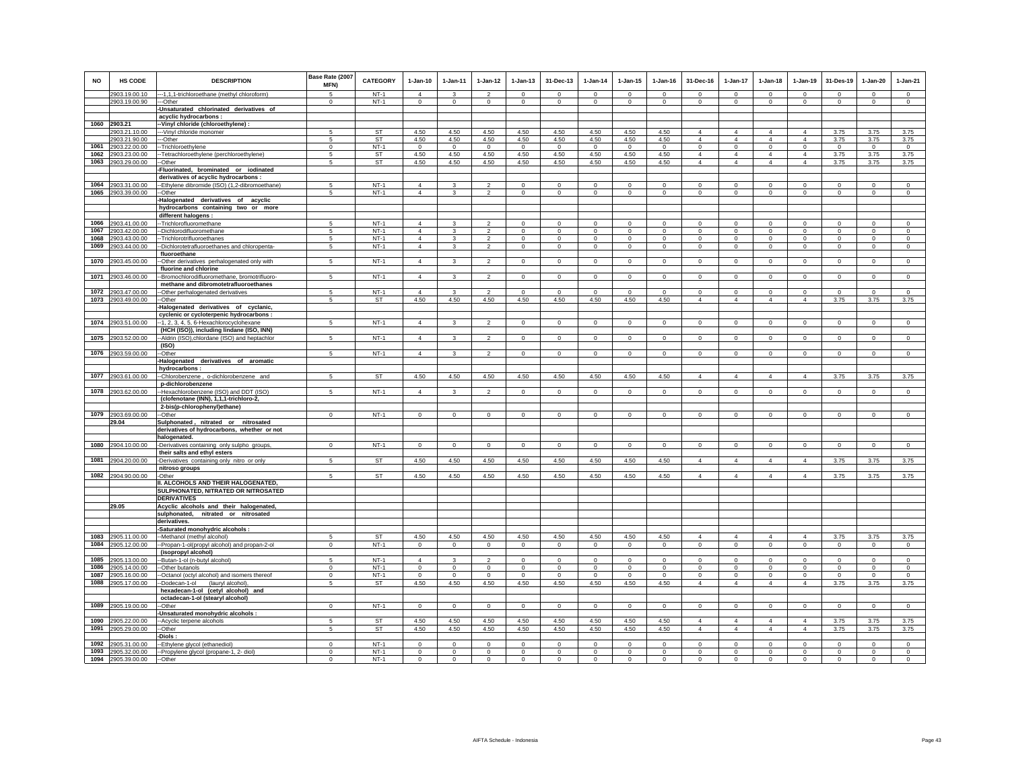| <b>NO</b>    | <b>HS CODE</b>                           | <b>DESCRIPTION</b>                                                                   | Base Rate (2007<br><b>MFN)</b> | <b>CATEGORY</b>  | $1-Jan-10$<br>$\overline{4}$ | $1-Jan-11$          | $1 - Jan-12$<br>$\mathfrak{p}$ | $1-Jan-13$<br>$\Omega$   | 31-Dec-13<br>$\Omega$       | $1-Jan-14$<br>$\Omega$ | $1 - Jan-15$<br>$\Omega$ | $1 - Jan-16$<br>$\Omega$ | 31-Dec-16                     | $1-Jan-17$<br>$\Omega$        | $1-Jan-18$<br>$\Omega$        | $1-Jan-19$<br>$\Omega$        | 31-Des-19<br>$\Omega$ | $1-Jan-20$<br>$\Omega$   | $1-Jan-21$<br>$\Omega$       |
|--------------|------------------------------------------|--------------------------------------------------------------------------------------|--------------------------------|------------------|------------------------------|---------------------|--------------------------------|--------------------------|-----------------------------|------------------------|--------------------------|--------------------------|-------------------------------|-------------------------------|-------------------------------|-------------------------------|-----------------------|--------------------------|------------------------------|
|              | 2903.19.00.10<br>2903.19.00.90           | --- 1,1,1-trichloroethane (methyl chloroform)<br>--Other                             | $^{\circ}$                     | $NT-1$<br>$NT-1$ | $\circ$                      | $\circ$             | $\circ$                        | $\mathbf 0$              | $\mathbf{0}$                | $\mathbf{0}$           | $\mathbf 0$              | $\circ$                  | $\Omega$<br>$\mathbf 0$       | $\circ$                       | $\circ$                       | $\mathbf 0$                   | $\mathbf{0}$          | $\circ$                  | $\mathbf{0}$                 |
|              |                                          | -Unsaturated chlorinated derivatives of<br>acyclic hydrocarbons :                    |                                |                  |                              |                     |                                |                          |                             |                        |                          |                          |                               |                               |                               |                               |                       |                          |                              |
|              | 1060 2903.21                             | -Vinyl chloride (chloroethylene) :                                                   |                                |                  |                              |                     |                                |                          |                             |                        |                          |                          |                               |                               |                               |                               |                       |                          |                              |
|              | 2903.21.10.00                            | --Vinyl chloride monomer                                                             |                                | <b>ST</b>        | 4.50                         | 4.50                | 4.50                           | 4.50                     | 4.50                        | 4.50                   | 4.50                     | 4.50                     | $\overline{4}$                | $\overline{4}$                | $\overline{4}$                | $\overline{4}$                | 3.75                  | 3.75                     | 3.75                         |
|              | 2903.21.90.00                            | --Other                                                                              | 5                              | ST               | 4.50                         | 4.50                | 4.50                           | 4.50                     | 4.50                        | 4.50                   | 4.50                     | 4.50                     | $\overline{4}$                | $\Delta$                      | $\Delta$                      | $\Delta$                      | 3.75                  | 3.75                     | 3.75                         |
| 1061         | 2903.22.00.00                            | -Trichloroethylene                                                                   | $\Omega$                       | $NT-1$           | $\Omega$                     | $^{\circ}$          | $^{\circ}$                     | $\Omega$                 | $\mathbf 0$                 | $\Omega$               | $\Omega$                 | $\Omega$                 | $\Omega$                      | $\mathbf 0$                   | $\Omega$                      | $\Omega$                      | $\mathbf{0}$          | $\Omega$                 | $^{\circ}$                   |
| 1062         | 2903.23.00.00                            | -Tetrachloroethylene (perchloroethylene)                                             | 5<br>5                         | ST               | 4.50                         | 4.50                | 4.50                           | 4.50                     | 4.50                        | 4.50                   | 4.50                     | 4.50                     | $\overline{4}$                | $\overline{4}$                | $\overline{4}$                | $\overline{4}$                | 3.75                  | 3.75                     | 3.75                         |
| 1063         | 2903.29.00.00                            | -Other<br>-Fluorinated, brominated or iodinated                                      |                                | <b>ST</b>        | 4.50                         | 4.50                | 4.50                           | 4.50                     | 4.50                        | 4.50                   | 4.50                     | 4.50                     | $\overline{4}$                | $\overline{4}$                | $\overline{4}$                | $\overline{4}$                | 3.75                  | 3.75                     | 3.75                         |
|              |                                          | derivatives of acyclic hydrocarbons :                                                |                                |                  |                              |                     |                                |                          |                             |                        |                          |                          |                               |                               |                               |                               |                       |                          |                              |
|              | 1064 2903.31.00.00                       | -Ethylene dibromide (ISO) (1,2-dibromoethane)                                        | 5                              | $NT-1$           | $\overline{4}$               | 3                   | $\overline{2}$                 | $\mathbf 0$              | $^{\circ}$                  | $^{\circ}$             | $^{\circ}$               | $\mathbf 0$              | $\mathbf 0$                   | $\mathbf 0$                   | $\mathbf 0$                   | $\mathbf 0$                   | $\mathbf 0$           | $\mathbf 0$              | $\circ$                      |
|              | 1065 2903.39.00.00                       | -Other                                                                               | 5                              | $NT-1$           | $\overline{4}$               | 3                   | $\overline{2}$                 | $\mathbf 0$              | $\mathbf{0}$                | $\mathbf 0$            | $\mathbf 0$              | $\mathbf 0$              | $\mathbf 0$                   | $\mathbf 0$                   | $\mathbf 0$                   | $\,0\,$                       | $\mathbf 0$           | $\mathbf 0$              | $\mathbf 0$                  |
|              |                                          | -Halogenated derivatives of acyclic                                                  |                                |                  |                              |                     |                                |                          |                             |                        |                          |                          |                               |                               |                               |                               |                       |                          |                              |
|              |                                          | hydrocarbons containing two or more<br>different halogens :                          |                                |                  |                              |                     |                                |                          |                             |                        |                          |                          |                               |                               |                               |                               |                       |                          |                              |
|              | 1066 2903.41.00.00                       | -- Trichlorofluoromethane                                                            | 5                              | $NT-1$           | $\overline{4}$               |                     | $\mathfrak{p}$                 | $\Omega$                 | $\mathbf 0$                 | $\mathbf 0$            | 0                        | $\Omega$                 | $\mathbf 0$                   | $\mathbf 0$                   | $\Omega$                      | $\mathbf 0$                   | $^{\circ}$            | $\Omega$                 | $\Omega$                     |
| 1067         | 2903.42.00.00                            | -Dichlorodifluoromethane                                                             | 5                              | $NT-1$           | $\overline{4}$               | 3                   | $\overline{2}$                 | $\mathsf 0$              | $\mathbf{0}$                | $\mathbf 0$            | $\mathsf 0$              | $\mathsf 0$              | $\circ$                       | $\circ$                       | $\mathbf 0$                   | $\mathbf 0$                   | $\mathbf 0$           | $\mathsf 0$              | $\mathsf 0$                  |
| 1068         | 2903.43.00.00                            | -- Trichlorotrifluoroethanes                                                         | 5                              | $NT-1$           | $\overline{4}$               | $\mathcal{R}$       | $\overline{2}$                 | $\mathsf 0$              | $\mathbf{0}$                | $\mathbf 0$            | $\mathsf 0$              | $\Omega$                 | $\circ$                       | $\mathbf 0$                   | $\mathbf 0$                   | $\Omega$                      | $\circ$               | $\circ$                  | $\Omega$                     |
| 1069         | 2903.44.00.00                            | -Dichlorotetrafluoroethanes and chloropenta-<br>fluoroethane                         | 5                              | $NT-1$           | $\overline{4}$               | 3                   | $\overline{2}$                 | $\mathsf 0$              | $\mathbf 0$                 | $\mathbf 0$            | $\mathbf 0$              | $\Omega$                 | $\mathbf 0$                   | $\mathsf 0$                   | $\mathbf 0$                   | $\mathbf 0$                   | $^{\circ}$            | $\mathbf 0$              | $\circ$                      |
|              | 1070 2903.45.00.00                       | -Other derivatives perhalogenated only with                                          | 5                              | $NT-1$           | $\overline{4}$               | $\mathbf{\hat{z}}$  | $\mathcal{L}$                  | $\Omega$                 | $\Omega$                    | $\Omega$               | $\Omega$                 | $\Omega$                 | $\mathbf{0}$                  | $\circ$                       | $\mathbf 0$                   | $\mathbf 0$                   | $\Omega$              | $\Omega$                 | $\circ$                      |
|              | 1071 2903.46.00.00                       | fluorine and chlorine<br>-Bromochlorodifluoromethane, bromotrifluoro-                | 5                              | $NT-1$           | $\overline{4}$               | $\mathbf{R}$        | $\overline{\phantom{a}}$       | $\Omega$                 | $\Omega$                    | $\Omega$               | $\Omega$                 | $\Omega$                 | $\Omega$                      | $\Omega$                      | $\Omega$                      | $\mathbf 0$                   | $\Omega$              | $\Omega$                 | $\mathsf 0$                  |
|              |                                          | methane and dibromotetrafluoroethanes                                                |                                |                  |                              |                     |                                |                          |                             |                        |                          |                          |                               |                               |                               |                               |                       |                          |                              |
| 1072<br>1073 | 2903.47.00.00<br>2903.49.00.00           | -Other perhalogenated derivatives<br>-Other                                          | 5                              | $NT-1$<br>ST     | $\overline{4}$<br>4.50       | 3<br>4.50           | $\overline{2}$<br>4.50         | $\mathbf 0$<br>4.50      | $\mathbf 0$<br>4.50         | $\mathbf 0$<br>4.50    | $\mathbf 0$<br>4.50      | $\,0\,$<br>4.50          | $\mathbf 0$<br>$\overline{4}$ | $\mathbf 0$<br>$\overline{4}$ | $\mathbf 0$<br>$\overline{4}$ | $\mathbf 0$<br>$\overline{4}$ | $\mathbf 0$<br>3.75   | $\mathbf 0$<br>3.75      | $\mathbf 0$<br>3.75          |
|              |                                          | Halogenated derivatives of cyclanic,                                                 |                                |                  |                              |                     |                                |                          |                             |                        |                          |                          |                               |                               |                               |                               |                       |                          |                              |
|              |                                          | cyclenic or cycloterpenic hydrocarbons :                                             |                                |                  |                              |                     |                                |                          |                             |                        |                          |                          |                               |                               |                               |                               |                       |                          |                              |
| 1074         | 2903.51.00.00                            | -1, 2, 3, 4, 5, 6-Hexachlorocyclohexane<br>(HCH (ISO)), including lindane (ISO, INN) | 5                              | $NT-1$           | $\overline{4}$               | 3                   | $\mathfrak{p}$                 | $\mathbf 0$              | $\mathbf 0$                 | $\mathbf 0$            | $\mathbf 0$              | $\circ$                  | $\mathbf 0$                   | $\mathbf 0$                   | $\mathbf 0$                   | $\mathbf 0$                   | $\circ$               | $\mathbf 0$              | $\mathsf 0$                  |
|              | 1075 2903.52.00.00                       | -- Aldrin (ISO), chlordane (ISO) and heptachlor                                      | 5                              | $NT-1$           | $\overline{4}$               | $\mathbf{3}$        | 2                              | $\mathsf 0$              | $\mathbf 0$                 | $\mathbf 0$            | $\mathsf 0$              | $\mathbf 0$              | $\mathbf 0$                   | $\mathsf{O}$                  | $\mathbf 0$                   | $\mathbf 0$                   | $\mathbf 0$           | $\mathsf 0$              | $\mathbf 0$                  |
|              | 1076 2903.59.00.00                       | (ISO)                                                                                | 5                              | $NT-1$           | $\overline{4}$               | 3                   | $\overline{2}$                 | $\Omega$                 | $\Omega$                    | $\Omega$               | $\Omega$                 | $\Omega$                 | $\Omega$                      |                               | $\Omega$                      | $\Omega$                      | $\Omega$              | $\Omega$                 | $\mathbf{0}$                 |
|              |                                          | -Other<br>-Halogenated derivatives of aromatic                                       |                                |                  |                              |                     |                                |                          |                             |                        |                          |                          |                               | $\circ$                       |                               |                               |                       |                          |                              |
|              |                                          | hydrocarbons:                                                                        |                                |                  |                              |                     |                                |                          |                             |                        |                          |                          |                               |                               |                               |                               |                       |                          |                              |
| 1077         | 2903.61.00.00                            | --Chlorobenzene, o-dichlorobenzene and<br>p-dichlorobenzene                          | 5                              | ST               | 4.50                         | 4.50                | 4.50                           | 4.50                     | 4.50                        | 4.50                   | 4.50                     | 4.50                     | $\overline{4}$                | $\overline{4}$                | $\overline{4}$                | $\overline{4}$                | 3.75                  | 3.75                     | 3.75                         |
|              | 1078 2903.62.00.00                       | -Hexachlorobenzene (ISO) and DDT (ISO)                                               | 5                              | $NT-1$           | $\overline{4}$               | $\mathbf{3}$        | $\overline{2}$                 | $\mathbf 0$              | $\mathbf{0}$                | $\mathbf 0$            | $\mathbf 0$              | $\mathbf 0$              | $\mathbf 0$                   | $\mathbf 0$                   | $\mathbf 0$                   | $\circ$                       | $\circ$               | $\mathbf 0$              | $\mathbf 0$                  |
|              |                                          | (clofenotane (INN), 1,1,1-trichloro-2,                                               |                                |                  |                              |                     |                                |                          |                             |                        |                          |                          |                               |                               |                               |                               |                       |                          |                              |
|              | 1079 2903.69.00.00                       | 2-bis(p-chlorophenyl)ethane)<br>-Other                                               | $\mathsf 0$                    | $NT-1$           | $\mathbf 0$                  | $\mathbf 0$         | $\mathbf 0$                    | $\mathsf 0$              | $\mathsf 0$                 | $\mathbf 0$            | $\mathsf 0$              | $\mathbb O$              | $\mathsf 0$                   | $\mathbf 0$                   | $\mathbf 0$                   | $\mathbf 0$                   | $\mathbf 0$           | $\mathsf 0$              | $\circ$                      |
|              | 29.04                                    | Sulphonated, nitrated or nitrosated                                                  |                                |                  |                              |                     |                                |                          |                             |                        |                          |                          |                               |                               |                               |                               |                       |                          |                              |
|              |                                          | derivatives of hydrocarbons, whether or not<br>halogenated.                          |                                |                  |                              |                     |                                |                          |                             |                        |                          |                          |                               |                               |                               |                               |                       |                          |                              |
| 1080         | 2904.10.00.00                            | -Derivatives containing only sulpho groups,                                          | $\Omega$                       | $NT-1$           | $\mathbf 0$                  | $\mathbf 0$         | $\mathbf 0$                    | $\mathbf 0$              | $\mathbf 0$                 | $\mathbf 0$            | $\mathbf 0$              | $\mathbb O$              | $\mathbf 0$                   | $\mathbf 0$                   | $\mathbf 0$                   | $^{\circ}$                    | $\mathbf 0$           | $\mathbf 0$              | $\mathbf 0$                  |
| 1081         | 2904.20.00.00                            | their salts and ethyl esters<br>-Derivatives containing only nitro or only           | $\overline{5}$                 | ST               | 4.50                         | 4.50                | 4.50                           | 4.50                     | 4.50                        | 4.50                   | 4.50                     | 4.50                     | $\overline{4}$                | $\overline{4}$                | $\overline{4}$                | $\overline{4}$                | 3.75                  | 3.75                     | 3.75                         |
|              |                                          | nitroso groups                                                                       |                                |                  |                              |                     |                                |                          |                             |                        |                          |                          |                               |                               |                               |                               |                       |                          |                              |
|              | 1082 2904.90.00.00                       | -Other<br>II. ALCOHOLS AND THEIR HALOGENATED,                                        | 5                              | ST               | 4.50                         | 4.50                | 4.50                           | 4.50                     | 4.50                        | 4.50                   | 4.50                     | 4.50                     | $\overline{4}$                | $\overline{4}$                | $\overline{4}$                | $\overline{4}$                | 3.75                  | 3.75                     | 3.75                         |
|              |                                          | SULPHONATED, NITRATED OR NITROSATED                                                  |                                |                  |                              |                     |                                |                          |                             |                        |                          |                          |                               |                               |                               |                               |                       |                          |                              |
|              |                                          | <b>DERIVATIVES</b>                                                                   |                                |                  |                              |                     |                                |                          |                             |                        |                          |                          |                               |                               |                               |                               |                       |                          |                              |
|              | 29.05                                    | Acyclic alcohols and their halogenated,<br>sulphonated, nitrated or nitrosated       |                                |                  |                              |                     |                                |                          |                             |                        |                          |                          |                               |                               |                               |                               |                       |                          |                              |
|              |                                          | derivatives.                                                                         |                                |                  |                              |                     |                                |                          |                             |                        |                          |                          |                               |                               |                               |                               |                       |                          |                              |
|              |                                          | -Saturated monohydric alcohols :                                                     |                                |                  |                              |                     |                                |                          |                             |                        |                          |                          |                               |                               |                               |                               |                       |                          |                              |
| 1083         | 2905.11.00.00                            | -Methanol (methyl alcohol)                                                           | 5                              | <b>ST</b>        | 4.50                         | 4.50                | 4.50                           | 4.50                     | 4.50                        | 4.50                   | 4.50                     | 4.50                     | $\overline{4}$                | $\overline{4}$                | $\overline{4}$                | $\overline{4}$                | 3.75                  | 3.75                     | 3.75                         |
| 1084         | 2905.12.00.00                            | -Propan-1-ol(propyl alcohol) and propan-2-ol.<br>(isopropyl alcohol)                 | $\mathbf 0$                    | $NT-1$           | $\mathbf 0$                  | $^{\circ}$          | $\mathbf 0$                    | $^{\circ}$               | 0                           | 0                      | $^{\circ}$               | $^{\circ}$               | $\mathbf 0$                   | $\mathsf 0$                   | $\mathbf 0$                   | $\mathbf 0$                   | $\overline{0}$        | 0                        | $\mathbf 0$                  |
| 1085         | 2905.13.00.00                            | -Butan-1-ol (n-butyl alcohol)                                                        | 5                              | $NT-1$           | $\Delta$                     | $\mathbf{R}$        | $\mathfrak{p}$                 | $\Omega$                 | $\Omega$                    | $\Omega$               | $\Omega$                 | $\Omega$                 | $\Omega$                      | $\Omega$                      | $\Omega$                      | $\Omega$                      | $\Omega$              | $\Omega$                 | $\mathbf 0$                  |
| 1086         | 2905.14.00.00                            | -Other butanols                                                                      | $\mathsf 0$                    | $NT-1$           | $\mathbf 0$                  | $\mathbf 0$         | $\mathbf 0$                    | $\mathsf 0$              | $\mathbf 0$                 | $\mathbf 0$            | $\mathsf 0$              | $\mathbb O$              | $\mathsf 0$                   | $\mathbf 0$                   | $\mathbf 0$                   | $\mathbf 0$                   | $\mathbf 0$           | $\circ$                  | $\mathsf 0$                  |
|              | 1087 2905.16.00.00                       | -Octanol (octyl alcohol) and isomers thereof                                         | $\Omega$                       | $NT-1$           | $\Omega$                     | $\Omega$            | $\Omega$                       | $\Omega$                 | $\Omega$                    | $\Omega$               | $\Omega$                 | $\Omega$                 | $\mathbf 0$                   | $\mathbf 0$                   | $\mathbf 0$                   | $\mathbf 0$                   | $\Omega$              | $\Omega$                 | $\mathsf 0$                  |
|              | 1088 2905.17.00.00                       | -Dodecan-1-ol (lauryl alcohol)<br>hexadecan-1-ol (cetyl alcohol) and                 | 5                              | ST               | 4.50                         | 4.50                | 4.50                           | 4.50                     | 4.50                        | 4.50                   | 4.50                     | 4.50                     | $\overline{4}$                | $\overline{4}$                | $\overline{4}$                | $\overline{4}$                | 3.75                  | 3.75                     | 3.75                         |
|              |                                          | octadecan-1-ol (stearyl alcohol)                                                     |                                |                  |                              |                     |                                |                          |                             |                        |                          |                          |                               |                               |                               |                               |                       |                          |                              |
|              | 1089 2905.19.00.00                       | -Other                                                                               | $\mathbf 0$                    | $NT-1$           | $\Omega$                     | $\Omega$            | $\Omega$                       | $\circ$                  | $\circ$                     | $\circ$                | $\circ$                  | $\mathsf 0$              | $\mathbf 0$                   | $\circ$                       | $\mathbf 0$                   | $\mathbb O$                   | $\circ$               | $\mathbf{0}$             | $\mathsf 0$                  |
| 1090         | 2905.22.00.00                            | Unsaturated monohydric alcohols :<br>-Acyclic terpene alcohols                       | 5                              | ST               | 4.50                         | 4.50                | 4.50                           | 4.50                     | 4.50                        | 4.50                   | 4.50                     | 4.50                     | $\overline{4}$                | 4                             | 4                             | $\overline{4}$                | 3.75                  | 3.75                     | 3.75                         |
|              | 1091 2905.29.00.00                       | --Other                                                                              | 5                              | ST               | 4.50                         | 4.50                | 4.50                           | 4.50                     | 4.50                        | 4.50                   | 4.50                     | 4.50                     | $\overline{4}$                | $\overline{4}$                | $\overline{4}$                | $\overline{4}$                | 3.75                  | 3.75                     | 3.75                         |
|              |                                          | -Diols :                                                                             |                                |                  |                              |                     |                                |                          |                             |                        |                          |                          |                               |                               |                               |                               |                       |                          |                              |
| 1092         | 2905.31.00.00                            | -Ethylene glycol (ethanediol)                                                        | $\Omega$                       | $NT-1$           | $\Omega$                     | $\Omega$            | $\mathbf 0$                    | $\mathbf 0$              | $\mathbf 0$                 | $^{\circ}$             | $^{\circ}$               | $\Omega$                 | $\Omega$                      | $\mathbf 0$                   | $\mathbf 0$                   | $\mathbf 0$                   | $^{\circ}$            | $\mathbf 0$              | $\mathsf 0$                  |
|              | 1093 2905.32.00.00<br>1094 2905.39.00.00 | -Propylene glycol (propane-1, 2- diol)<br>--Other                                    | $\Omega$<br>$\mathbf{0}$       | $NT-1$<br>$NT-1$ | $\Omega$<br>$\circ$          | $\Omega$<br>$\circ$ | $\Omega$<br>$\circ$            | $\Omega$<br>$\mathbf{0}$ | $\mathbf 0$<br>$\mathbf{0}$ | $\Omega$<br>$\Omega$   | $\Omega$<br>$\mathbf{0}$ | $\Omega$<br>$\mathbf 0$  | $\Omega$<br>$\mathbf{0}$      | $\mathbf 0$<br>$\circ$        | $\Omega$<br>$\mathbf 0$       | $\Omega$<br>$\mathbf 0$       | $\Omega$<br>$\Omega$  | $\Omega$<br>$\mathbf{0}$ | $\mathbf{0}$<br>$\mathbf{0}$ |
|              |                                          |                                                                                      |                                |                  |                              |                     |                                |                          |                             |                        |                          |                          |                               |                               |                               |                               |                       |                          |                              |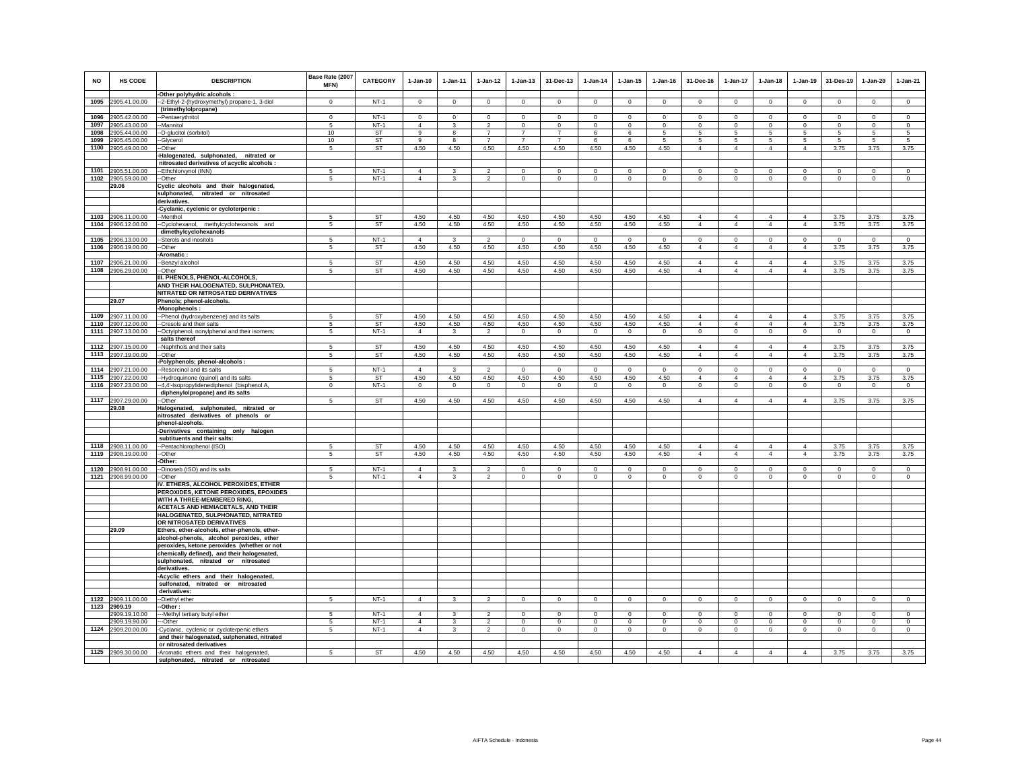| <b>NO</b> | <b>HS CODE</b>                           | <b>DESCRIPTION</b><br>-Other polyhydric alcohols :                                    | Base Rate (2007<br><b>MFN)</b> | <b>CATEGORY</b> | $1-Jan-10$     | $1-Jan-11$   | $1-Jan-12$     | $1 - Jan-13$   | 31-Dec-13      | $1-Jan-14$     | $1 - Jan-15$            | $1 - Jan-16$   | 31-Dec-16                        | $1-Jan-17$                       | $1-Jan-18$                       | $1-Jan-19$                       | 31-Des-19      | $1-Jan-20$     | $1-Jan-21$     |
|-----------|------------------------------------------|---------------------------------------------------------------------------------------|--------------------------------|-----------------|----------------|--------------|----------------|----------------|----------------|----------------|-------------------------|----------------|----------------------------------|----------------------------------|----------------------------------|----------------------------------|----------------|----------------|----------------|
|           | 1095 2905.41.00.00                       | --2-Ethyl-2-(hydroxymethyl) propane-1, 3-diol                                         | $\Omega$                       | $NT-1$          | $\Omega$       | $\Omega$     | $\Omega$       | $\Omega$       | $\Omega$       | $\Omega$       | $\Omega$                | $\Omega$       | $\Omega$                         | $\Omega$                         | $\Omega$                         | $\Omega$                         | $\Omega$       | $\Omega$       | $\Omega$       |
|           |                                          | (trimethylolpropane)                                                                  |                                |                 |                |              |                |                |                |                |                         |                |                                  |                                  |                                  |                                  |                |                |                |
|           | 1096 2905.42.00.00                       | --Pentaerythritol                                                                     | $\Omega$                       | $NT-1$          | $\Omega$       | $\Omega$     | $\Omega$       | $\Omega$       | $\Omega$       | $\Omega$       | $\Omega$                | $\mathbf 0$    | $\Omega$                         | $\Omega$                         | $\Omega$                         | $\Omega$                         | $\Omega$       | $\Omega$       | $\mathbf 0$    |
|           | 1097 2905.43.00.00                       | -Mannitol                                                                             | 5                              | $NT-1$          | $\overline{4}$ | 3            | $\overline{2}$ | $\mathbf 0$    | $\mathbf{0}$   | 0              | $\circ$                 | $^{\circ}$     | $\mathbf 0$                      | $\circ$                          | $\Omega$                         | $\mathbf 0$                      | $\circ$        | $\circ$        | $\circ$        |
| 1098      | 2905.44.00.00                            | -D-glucitol (sorbitol)                                                                | 10                             | <b>ST</b>       | 9              | 8            | $\overline{7}$ | $\overline{7}$ | $\overline{7}$ | 6              | 6                       | 5              | 5                                | $5\phantom{.0}$                  | 5                                | 5                                | $\sqrt{5}$     | 5              | $\sqrt{5}$     |
|           | 1099 2905.45.00.00                       | -Glycerol                                                                             | 10                             | ST              | 9              | 8            | $\overline{7}$ | $\overline{7}$ | $\overline{7}$ | 6              | 6                       | 5              | 5                                | 5                                | 5                                | 5                                | 5              | 5              | 5              |
|           | 1100 2905.49.00.00                       | -Other                                                                                | 5                              | <b>ST</b>       | 4.50           | 4.50         | 4.50           | 4.50           | 4.50           | 4.50           | 4.50                    | 4.50           | $\overline{4}$                   | $\overline{4}$                   | $\overline{4}$                   | $\overline{4}$                   | 3.75           | 3.75           | 3.75           |
|           |                                          | Halogenated, sulphonated, nitrated or<br>nitrosated derivatives of acyclic alcohols : |                                |                 |                |              |                |                |                |                |                         |                |                                  |                                  |                                  |                                  |                |                |                |
|           | 1101 2905.51.00.00                       | -Ethchlorvynol (INN)                                                                  | 5                              | $NT-1$          | $\overline{4}$ | 3            | $\mathfrak{D}$ | $\mathbf 0$    | $\mathbf 0$    | $^{\circ}$     | $\mathbf 0$             | $\mathbf 0$    | $\mathbf 0$                      | $\mathbf 0$                      | $^{\circ}$                       | $\mathbf 0$                      | $\mathbf 0$    | $\mathbf 0$    | $\Omega$       |
|           | 1102 2905.59.00.00                       | --Other                                                                               | 5                              | $NT-1$          | $\overline{4}$ | $\mathbf{3}$ | $\overline{2}$ | $\mathsf 0$    | $\mathsf 0$    | $\mathbf 0$    | $\mathsf 0$             | $\mathbf 0$    | $\mathbf 0$                      | $\mathbf 0$                      | $\mathbf 0$                      | $\mathbf 0$                      | $\mathbf 0$    | $\circ$        | $\circ$        |
|           | 29.06                                    | Cyclic alcohols and their halogenated,                                                |                                |                 |                |              |                |                |                |                |                         |                |                                  |                                  |                                  |                                  |                |                |                |
|           |                                          | sulphonated, nitrated or nitrosated                                                   |                                |                 |                |              |                |                |                |                |                         |                |                                  |                                  |                                  |                                  |                |                |                |
|           |                                          | derivatives.                                                                          |                                |                 |                |              |                |                |                |                |                         |                |                                  |                                  |                                  |                                  |                |                |                |
|           |                                          | -Cyclanic, cyclenic or cycloterpenic :                                                |                                |                 |                |              |                |                |                |                |                         |                |                                  |                                  |                                  |                                  |                |                |                |
|           | 1103 2906.11.00.00                       | --Menthol                                                                             | 5                              | ST              | 4.50           | 4.50         | 4.50           | 4.50           | 4.50           | 4.50           | 4.50                    | 4.50           | $\overline{4}$                   | $\overline{4}$                   | $\overline{4}$                   | $\overline{4}$                   | 3.75           | 3.75           | 3.75           |
|           | 1104 2906.12.00.00                       | --Cyclohexanol, methylcyclohexanols and<br>dimethylcyclohexanols                      | 5                              | <b>ST</b>       | 4.50           | 4.50         | 4.50           | 4.50           | 4.50           | 4.50           | 4.50                    | 4.50           | $\overline{4}$                   | $\overline{4}$                   | $\overline{4}$                   | $\overline{4}$                   | 3.75           | 3.75           | 3.75           |
|           | 1105 2906.13.00.00                       | -Sterols and inositols                                                                | 5                              | $NT-1$          | $\overline{4}$ | 3            | $\overline{2}$ | $^{\circ}$     | $\mathbf{0}$   | $\mathbf{0}$   | $\Omega$                | $\Omega$       | $\Omega$                         | $\mathbf{0}$                     | $^{\circ}$                       | $\circ$                          | $\overline{0}$ | $\Omega$       | $\mathbf{0}$   |
|           | 1106 2906.19.00.00                       | -Other                                                                                | 5                              | ST              | 4.50           | 4.50         | 4.50           | 4.50           | 4.50           | 4.50           | 4.50                    | 4.50           | $\overline{4}$                   | $\overline{4}$                   | $\overline{4}$                   | $\overline{4}$                   | 3.75           | 3.75           | 3.75           |
|           |                                          | Aromatic:                                                                             |                                |                 |                |              |                |                |                |                |                         |                |                                  |                                  |                                  |                                  |                |                |                |
|           | 1107 2906.21.00.00                       | -Benzyl alcohol                                                                       | 5                              | <b>ST</b>       | 4.50           | 4.50         | 4.50           | 4.50           | 4.50           | 4.50           | 4.50                    | 4.50           | $\overline{4}$                   | $\overline{4}$                   | $\overline{4}$                   | $\overline{4}$                   | 3.75           | 3.75           | 3.75           |
|           | 1108 2906.29.00.00                       | --Other                                                                               | 5                              | <b>ST</b>       | 4.50           | 4.50         | 4.50           | 4.50           | 4.50           | 4.50           | 4.50                    | 4.50           | $\overline{4}$                   | $\overline{4}$                   | $\overline{4}$                   | $\overline{4}$                   | 3.75           | 3.75           | 3.75           |
|           |                                          | III. PHENOLS, PHENOL-ALCOHOLS,                                                        |                                |                 |                |              |                |                |                |                |                         |                |                                  |                                  |                                  |                                  |                |                |                |
|           |                                          | AND THEIR HALOGENATED, SULPHONATED,<br>NITRATED OR NITROSATED DERIVATIVES             |                                |                 |                |              |                |                |                |                |                         |                |                                  |                                  |                                  |                                  |                |                |                |
|           | 29.07                                    | Phenols; phenol-alcohols.                                                             |                                |                 |                |              |                |                |                |                |                         |                |                                  |                                  |                                  |                                  |                |                |                |
|           |                                          | -Monophenols :                                                                        |                                |                 |                |              |                |                |                |                |                         |                |                                  |                                  |                                  |                                  |                |                |                |
|           | 1109 2907.11.00.00                       | --Phenol (hydroxybenzene) and its salts                                               | 5                              | ST              | 4.50           | 4.50         | 4.50           | 4.50           | 4.50           | 4.50           | 4.50                    | 4.50           | $\overline{4}$                   | $\overline{4}$                   | $\overline{4}$                   | $\overline{4}$                   | 3.75           | 3.75           | 3.75           |
|           | 1110 2907.12.00.00                       | -Cresols and their salts                                                              | 5                              | ST              | 4.50           | 4.50         | 4.50           | 4.50           | 4.50           | 4.50           | 4.50                    | 4.50           | $\overline{4}$                   | $\overline{4}$                   | $\overline{4}$                   | $\overline{4}$                   | 3.75           | 3.75           | 3.75           |
|           | 1111 2907.13.00.00                       | -Octylphenol, nonylphenol and their isomers;                                          | 5                              | $NT-1$          | $\overline{4}$ | $\mathbf{3}$ | $\overline{2}$ | $\overline{0}$ | $\overline{0}$ | $\overline{0}$ | $\overline{0}$          | $\overline{0}$ | $\circ$                          | $\circ$                          | $\circ$                          | $\circ$                          | $\overline{0}$ | $\overline{0}$ | $\overline{0}$ |
|           | 1112 2907.15.00.00                       | salts thereof<br>-Naphthols and their salts                                           | 5                              | <b>ST</b>       | 4.50           | 4.50         | 4.50           | 4.50           | 4.50           | 4.50           | 4.50                    | 4.50           | $\overline{4}$                   | $\overline{4}$                   | $\overline{4}$                   | $\overline{4}$                   | 3.75           | 3.75           | 3.75           |
|           | 1113 2907.19.00.00                       | -Other                                                                                | 5                              | <b>ST</b>       | 4.50           | 4.50         | 4.50           | 4.50           | 4.50           | 4.50           | 4.50                    | 4.50           | $\overline{4}$                   | $\overline{4}$                   | $\overline{4}$                   | $\overline{4}$                   | 3.75           | 3.75           | 3.75           |
|           |                                          | Polyphenols; phenol-alcohols :                                                        |                                |                 |                |              |                |                |                |                |                         |                |                                  |                                  |                                  |                                  |                |                |                |
|           | 1114 2907.21.00.00                       | -Resorcinol and its salts                                                             | 5                              | $NT-1$          | $\overline{4}$ | 3            | $\overline{2}$ | $\mathbf 0$    | $^{\circ}$     | $\mathbf 0$    | $\mathbf 0$             | $\mathbf 0$    | $\mathbf 0$                      | $\mathbf 0$                      | $\mathbf 0$                      | $\mathbf 0$                      | $\mathbf 0$    | $\mathbf 0$    | $\circ$        |
|           | 1115 2907.22.00.00                       | --Hydroquinone (quinol) and its salts                                                 | 5                              | ST              | 4.50           | 4.50         | 4.50           | 4.50           | 4.50           | 4.50           | 4.50                    | 4.50           | $\overline{4}$                   | $\overline{4}$                   | $\overline{4}$                   | $\overline{4}$                   | 3.75           | 3.75           | 3.75           |
|           | 1116 2907.23.00.00                       | --4,4'-Isopropylidenediphenol (bisphenol A,                                           | $\mathbf 0$                    | $NT-1$          | $\circ$        | $\circ$      | $\circ$        | $\mathbf 0$    | $\mathbf 0$    | $\circ$        | $\mathbf 0$             | $\circ$        | $\circ$                          | $\mathsf 0$                      | $\mathbf 0$                      | $\mathbf 0$                      | $\circ$        | $\circ$        | $\circ$        |
|           | 1117 2907.29.00.00                       | diphenylolpropane) and its salts<br>-Other                                            | 5                              | ST              | 4.50           | 4.50         | 4.50           | 4.50           | 4.50           | 4.50           | 4.50                    | 4.50           | $\overline{4}$                   | $\overline{4}$                   | $\overline{4}$                   | $\overline{4}$                   | 3.75           | 3.75           | 3.75           |
|           | 29.08                                    | Halogenated, sulphonated, nitrated or                                                 |                                |                 |                |              |                |                |                |                |                         |                |                                  |                                  |                                  |                                  |                |                |                |
|           |                                          | nitrosated derivatives of phenols or                                                  |                                |                 |                |              |                |                |                |                |                         |                |                                  |                                  |                                  |                                  |                |                |                |
|           |                                          | phenol-alcohols.                                                                      |                                |                 |                |              |                |                |                |                |                         |                |                                  |                                  |                                  |                                  |                |                |                |
|           |                                          | -Derivatives containing only halogen                                                  |                                |                 |                |              |                |                |                |                |                         |                |                                  |                                  |                                  |                                  |                |                |                |
|           |                                          | subtituents and their salts:                                                          |                                |                 |                |              |                |                |                |                |                         |                |                                  |                                  |                                  |                                  |                |                |                |
|           | 1118 2908.11.00.00<br>1119 2908.19.00.00 | -Pentachlorophenol (ISO)<br>-Other                                                    | 5<br>5                         | <b>ST</b><br>ST | 4.50<br>4.50   | 4.50<br>4.50 | 4.50<br>4.50   | 4.50<br>4.50   | 4.50<br>4.50   | 4.50<br>4.50   | 4.50<br>4.50            | 4.50<br>4.50   | $\overline{4}$<br>$\overline{4}$ | $\overline{4}$<br>$\overline{4}$ | $\overline{4}$<br>$\overline{4}$ | $\overline{4}$<br>$\overline{4}$ | 3.75<br>3.75   | 3.75<br>3.75   | 3.75<br>3.75   |
|           |                                          | Other:                                                                                |                                |                 |                |              |                |                |                |                |                         |                |                                  |                                  |                                  |                                  |                |                |                |
|           | 1120 2908.91.00.00                       | -Dinoseb (ISO) and its salts                                                          | 5                              | $NT-1$          | $\overline{4}$ | 3            | $\overline{2}$ | $\mathbf 0$    | $\bf{0}$       | $^{\circ}$     | $\mathbf 0$             | $\mathbf 0$    | $\mathbf 0$                      | $\mathbf 0$                      | $^{\circ}$                       | $^{\circ}$                       | $\mathbf 0$    | $\mathbf 0$    | $\mathbf 0$    |
|           | 1121 2908.99.00.00                       | -Other                                                                                | 5                              | $NT-1$          | $\overline{4}$ | 3            | $\overline{2}$ | $\mathbf 0$    | $\mathbf 0$    | $\mathbf 0$    | $\mathbf 0$             | $\mathbf 0$    | $\mathbf 0$                      | $\circ$                          | $\mathbf 0$                      | $\mathbf 0$                      | $\mathbf 0$    | $\mathbf 0$    | $\mathbf 0$    |
|           |                                          | IV. ETHERS, ALCOHOL PEROXIDES, ETHER                                                  |                                |                 |                |              |                |                |                |                |                         |                |                                  |                                  |                                  |                                  |                |                |                |
|           |                                          | PEROXIDES, KETONE PEROXIDES, EPOXIDES                                                 |                                |                 |                |              |                |                |                |                |                         |                |                                  |                                  |                                  |                                  |                |                |                |
|           |                                          | WITH A THREE-MEMBERED RING,<br><b>ACETALS AND HEMIACETALS, AND THEIR</b>              |                                |                 |                |              |                |                |                |                |                         |                |                                  |                                  |                                  |                                  |                |                |                |
|           |                                          | HALOGENATED, SULPHONATED, NITRATED                                                    |                                |                 |                |              |                |                |                |                |                         |                |                                  |                                  |                                  |                                  |                |                |                |
|           |                                          | OR NITROSATED DERIVATIVES                                                             |                                |                 |                |              |                |                |                |                |                         |                |                                  |                                  |                                  |                                  |                |                |                |
|           | 29.09                                    | Ethers, ether-alcohols, ether-phenols, ether-                                         |                                |                 |                |              |                |                |                |                |                         |                |                                  |                                  |                                  |                                  |                |                |                |
|           |                                          | alcohol-phenols, alcohol peroxides, ether                                             |                                |                 |                |              |                |                |                |                |                         |                |                                  |                                  |                                  |                                  |                |                |                |
|           |                                          | peroxides, ketone peroxides (whether or not                                           |                                |                 |                |              |                |                |                |                |                         |                |                                  |                                  |                                  |                                  |                |                |                |
|           |                                          | chemically defined), and their halogenated,                                           |                                |                 |                |              |                |                |                |                |                         |                |                                  |                                  |                                  |                                  |                |                |                |
|           |                                          | sulphonated, nitrated or nitrosated                                                   |                                |                 |                |              |                |                |                |                |                         |                |                                  |                                  |                                  |                                  |                |                |                |
|           |                                          | derivatives.<br>-Acyclic ethers and their halogenated,                                |                                |                 |                |              |                |                |                |                |                         |                |                                  |                                  |                                  |                                  |                |                |                |
|           |                                          | sulfonated, nitrated or nitrosated                                                    |                                |                 |                |              |                |                |                |                |                         |                |                                  |                                  |                                  |                                  |                |                |                |
|           |                                          | derivatives:                                                                          |                                |                 |                |              |                |                |                |                |                         |                |                                  |                                  |                                  |                                  |                |                |                |
|           | 1122 2909.11.00.00                       | --Diethyl ether                                                                       | 5                              | $NT-1$          | $\overline{4}$ | $\mathbf{3}$ | $\overline{2}$ | $\circ$        | $\mathbf 0$    | $\mathbf 0$    | $\mathsf 0$             | $\mathsf 0$    | $\mathbf 0$                      | $\mathsf 0$                      | $\mathbf 0$                      | $\mathbb O$                      | $\overline{0}$ | $\mathsf 0$    | $\overline{0}$ |
|           | 1123 2909.19                             | -Other:                                                                               |                                | $NT-1$          | $\overline{4}$ |              |                | $\mathbf 0$    | $\mathbf 0$    | $\Omega$       |                         | $\Omega$       |                                  | $\Omega$                         | $\mathbf 0$                      | $\Omega$                         | $\Omega$       | $\Omega$       | $\Omega$       |
|           | 2909.19.10.00<br>2909.19.90.00           | -- Methyl tertiary butyl ether<br>--Other                                             | 5                              | $NT-1$          | $\overline{4}$ | $\mathbf{3}$ | $\overline{2}$ | $\mathbf 0$    | $\mathbf{0}$   | $\mathbf 0$    | $\Omega$<br>$\mathbf 0$ | $\circ$        | $\Omega$<br>$\mathbf 0$          | $\circ$                          | $\circ$                          | $\mathbf 0$                      | $\circ$        | $\mathbf 0$    | $\circ$        |
|           | 1124 2909.20.00.00                       | -Cyclanic, cyclenic or cycloterpenic ethers                                           | 5                              | $NT-1$          | $\overline{4}$ | 3            | $\overline{2}$ | 0              | $\mathbf 0$    | $\circ$        | 0                       | $\mathbf{0}$   | $\mathbf 0$                      | $\mathbf 0$                      | $\mathbf{0}$                     | $\mathbf 0$                      | $\mathbf 0$    | $\circ$        | $\circ$        |
|           |                                          | and their halogenated, sulphonated, nitrated                                          |                                |                 |                |              |                |                |                |                |                         |                |                                  |                                  |                                  |                                  |                |                |                |
|           |                                          | or nitrosated derivatives                                                             |                                |                 |                |              |                |                |                |                |                         |                |                                  |                                  |                                  |                                  |                |                |                |
|           | 1125 2909.30.00.00                       | -Aromatic ethers and their halogenated,                                               |                                | ST              | 4.50           | 4.50         | 4.50           | 4.50           | 4.50           | 4.50           | 4.50                    | 4.50           | $\overline{4}$                   | $\overline{4}$                   | $\overline{4}$                   | $\overline{4}$                   | 3.75           | 3.75           | 3.75           |
|           |                                          | sulphonated, nitrated or nitrosated                                                   |                                |                 |                |              |                |                |                |                |                         |                |                                  |                                  |                                  |                                  |                |                |                |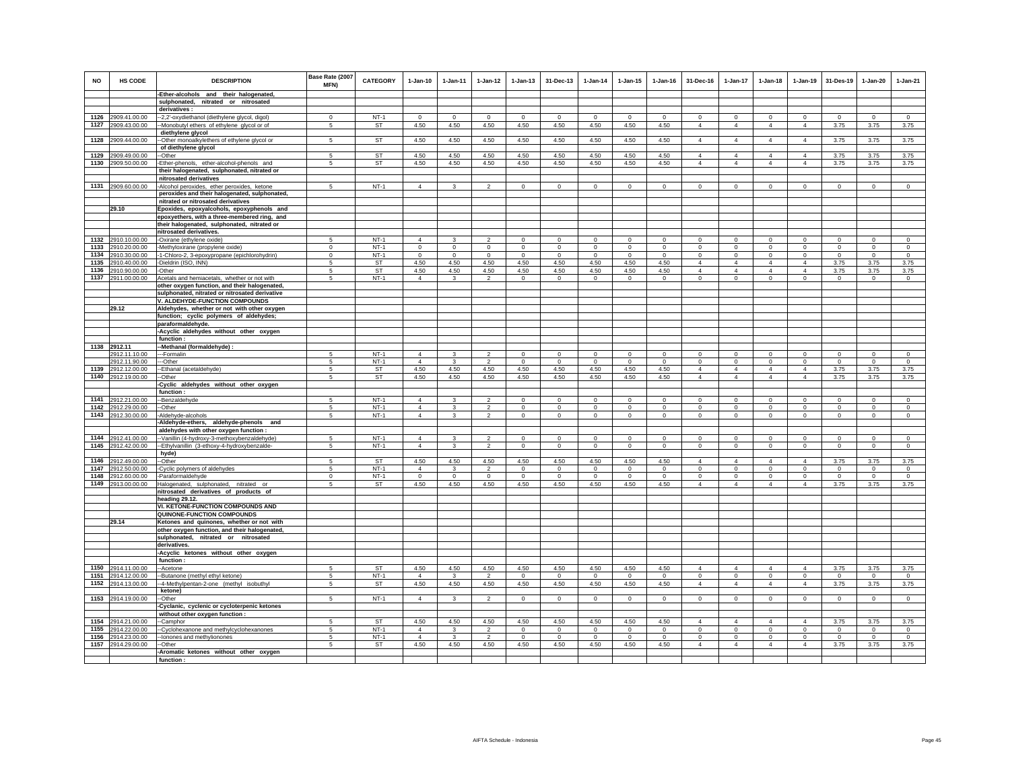| <b>NO</b>    | HS CODE                             | <b>DESCRIPTION</b>                                                                          | Base Rate (2007<br><b>MFN)</b> | <b>CATEGORY</b>     | $1-Jan-10$                 | $1 - Jan-11$          | $1-Jan-12$               | $1-Jan-13$       | 31-Dec-13           | $1-Jan-14$             | $1 - Jan-15$     | $1 - Jan-16$     | 31-Dec-16                  | $1-Jan-17$                       | $1-Jan-18$                     | $1-Jan-19$                       | 31-Des-19               | $1 - Jan-20$     | $1-Jan-21$       |
|--------------|-------------------------------------|---------------------------------------------------------------------------------------------|--------------------------------|---------------------|----------------------------|-----------------------|--------------------------|------------------|---------------------|------------------------|------------------|------------------|----------------------------|----------------------------------|--------------------------------|----------------------------------|-------------------------|------------------|------------------|
|              |                                     | -Ether-alcohols and their halogenated,                                                      |                                |                     |                            |                       |                          |                  |                     |                        |                  |                  |                            |                                  |                                |                                  |                         |                  |                  |
|              |                                     | sulphonated, nitrated or nitrosated<br>derivatives:                                         |                                |                     |                            |                       |                          |                  |                     |                        |                  |                  |                            |                                  |                                |                                  |                         |                  |                  |
|              | 1126 2909.41.00.00                  | -2,2'-oxydiethanol (diethylene glycol, digol)                                               | $\mathbf 0$                    | $NT-1$              | $^{\circ}$                 | $\mathbf 0$           | $\mathbf 0$              | $\mathbf 0$      | $\mathbf 0$         | $^{\circ}$             | $\mathbf 0$      | $\mathbf 0$      | $\mathbf 0$                | $\mathsf 0$                      | $\mathbf 0$                    | $\mathsf 0$                      | $\mathbf 0$             | $\mathbf 0$      | $\mathsf 0$      |
|              | 1127 2909.43.00.00                  | -Monobutyl ethers of ethylene glycol or of                                                  | 5                              | ST                  | 4.50                       | 4.50                  | 4.50                     | 4.50             | 4.50                | 4.50                   | 4.50             | 4.50             | $\overline{4}$             | $\overline{4}$                   | $\overline{4}$                 | $\overline{4}$                   | 3.75                    | 3.75             | 3.75             |
|              |                                     | diethylene glycol                                                                           |                                |                     |                            |                       |                          |                  |                     |                        |                  |                  |                            |                                  |                                |                                  |                         |                  |                  |
| 1128         | 2909.44.00.00                       | -Other monoalkylethers of ethylene glycol or                                                | 5                              | <b>ST</b>           | 4.50                       | 4.50                  | 4.50                     | 4.50             | 4.50                | 4.50                   | 4.50             | 4.50             | $\overline{4}$             | $\overline{4}$                   | $\overline{4}$                 | $\overline{4}$                   | 3.75                    | 3.75             | 3.75             |
|              |                                     | of diethylene glycol                                                                        |                                |                     |                            |                       |                          |                  |                     |                        |                  |                  |                            |                                  |                                |                                  |                         |                  |                  |
| 1129         | 2909.49.00.00                       | -Other                                                                                      | $\overline{5}$                 | ST                  | 4.50                       | 4.50                  | 4.50                     | 4.50             | 4.50                | 4.50                   | 4.50             | 4.50             | $\overline{4}$             | $\overline{4}$                   | $\overline{4}$                 | $\overline{4}$                   | 3.75                    | 3.75             | 3.75             |
| 1130         | 2909.50.00.00                       | Ether-phenols, ether-alcohol-phenols and<br>their halogenated, sulphonated, nitrated or     | 5                              | ST                  | 4.50                       | 4.50                  | 4.50                     | 4.50             | 4.50                | 4.50                   | 4.50             | 4.50             | $\overline{4}$             | $\overline{4}$                   | $\overline{4}$                 | $\overline{4}$                   | 3.75                    | 3.75             | 3.75             |
|              |                                     | nitrosated derivatives                                                                      |                                |                     |                            |                       |                          |                  |                     |                        |                  |                  |                            |                                  |                                |                                  |                         |                  |                  |
|              | 1131 2909.60.00.00                  | -Alcohol peroxides, ether peroxides, ketone                                                 | 5                              | $NT-1$              | $\overline{4}$             | $\mathbf{3}$          | $\overline{2}$           | $\mathsf 0$      | $\mathbf 0$         | $\mathbf 0$            | $\mathsf 0$      | $\mathbf 0$      | $\mathbf 0$                | $\mathsf 0$                      | $\mathsf 0$                    | $\overline{0}$                   | $\mathbf 0$             | $\mathsf 0$      | $\overline{0}$   |
|              |                                     | peroxides and their halogenated, sulphonated,                                               |                                |                     |                            |                       |                          |                  |                     |                        |                  |                  |                            |                                  |                                |                                  |                         |                  |                  |
|              |                                     | nitrated or nitrosated derivatives                                                          |                                |                     |                            |                       |                          |                  |                     |                        |                  |                  |                            |                                  |                                |                                  |                         |                  |                  |
|              | 29.10                               | Epoxides, epoxyalcohols, epoxyphenols and                                                   |                                |                     |                            |                       |                          |                  |                     |                        |                  |                  |                            |                                  |                                |                                  |                         |                  |                  |
|              |                                     | epoxyethers, with a three-membered ring, and<br>their halogenated, sulphonated, nitrated or |                                |                     |                            |                       |                          |                  |                     |                        |                  |                  |                            |                                  |                                |                                  |                         |                  |                  |
|              |                                     | nitrosated derivatives.                                                                     |                                |                     |                            |                       |                          |                  |                     |                        |                  |                  |                            |                                  |                                |                                  |                         |                  |                  |
|              | 1132 2910.10.00.00                  | -Oxirane (ethylene oxide)                                                                   | -5                             | $NT-1$              | $\overline{4}$             | 3                     | $\mathfrak{p}$           | $\Omega$         | $\Omega$            | $\Omega$               | $\Omega$         | $\Omega$         | $\Omega$                   | $\Omega$                         | $\Omega$                       | $\mathbf 0$                      | $\mathbf 0$             | $\circ$          | $\circ$          |
| 1133         | 2910.20.00.00                       | Methyloxirane (propylene oxide)                                                             | $\mathsf 0$                    | $NT-1$              | $\mathbf 0$                | $\mathbf 0$           | $\mathbf 0$              | $\mathsf 0$      | $\mathbf 0$         | $\mathbf 0$            | $\mathbf 0$      | $\mathbf 0$      | $\mathsf 0$                | $\mathsf 0$                      | $\mathsf 0$                    | $\mathsf 0$                      | $\mathbf 0$             | $\mathsf 0$      | $\mathsf 0$      |
| 1134         | 2910.30.00.00                       | 1-Chloro-2, 3-epoxypropane (epichlorohydrin)                                                | $\mathsf 0$                    | $NT-1$              | $\mathbf 0$                | $\mathbf 0$           | $\mathbf 0$              | $\mathsf 0$      | $\mathbf 0$         | $\mathbf 0$            | $\Omega$         | $\Omega$         | $\circ$                    | $\mathsf 0$                      | $\mathsf 0$                    | $\mathsf 0$                      | $\mathbf 0$             | $\mathsf 0$      | $\mathsf 0$      |
| 1135         | 2910.40.00.00                       | -Dieldrin (ISO, INN)                                                                        | 5                              | ST                  | 4.50                       | 4.50                  | 4.50                     | 4.50             | 4.50                | 4.50                   | 4.50             | 4.50             | $\overline{4}$             | $\overline{4}$<br>$\overline{4}$ | $\overline{4}$                 | $\overline{4}$<br>$\overline{4}$ | 3.75                    | 3.75             | 3.75             |
| 1136         | 2910.90.00.00<br>1137 2911.00.00.00 | -Other<br>Acetals and hemiacetals, whether or not with                                      | 5<br>5                         | <b>ST</b><br>$NT-1$ | 4.50<br>$\Delta$           | 4.50<br>$\mathcal{R}$ | 4.50<br>$\mathcal{P}$    | 4.50<br>$\Omega$ | 4.50<br>$\Omega$    | 4.50<br>$\mathbf 0$    | 4.50<br>$\Omega$ | 4.50<br>$\Omega$ | $\overline{4}$<br>$\Omega$ | $\circ$                          | $\overline{4}$<br>$\mathbf{0}$ | $\circ$                          | 3.75<br>$\circ$         | 3.75<br>$\circ$  | 3.75<br>$\Omega$ |
|              |                                     | other oxygen function, and their halogenated,                                               |                                |                     |                            |                       |                          |                  |                     |                        |                  |                  |                            |                                  |                                |                                  |                         |                  |                  |
|              |                                     | sulphonated, nitrated or nitrosated derivative                                              |                                |                     |                            |                       |                          |                  |                     |                        |                  |                  |                            |                                  |                                |                                  |                         |                  |                  |
|              |                                     | V. ALDEHYDE-FUNCTION COMPOUNDS                                                              |                                |                     |                            |                       |                          |                  |                     |                        |                  |                  |                            |                                  |                                |                                  |                         |                  |                  |
|              | 29.12                               | Aldehydes, whether or not with other oxygen                                                 |                                |                     |                            |                       |                          |                  |                     |                        |                  |                  |                            |                                  |                                |                                  |                         |                  |                  |
|              |                                     | function; cyclic polymers of aldehydes;                                                     |                                |                     |                            |                       |                          |                  |                     |                        |                  |                  |                            |                                  |                                |                                  |                         |                  |                  |
|              |                                     | paraformaldehyde.<br>-Acyclic aldehydes without other oxygen                                |                                |                     |                            |                       |                          |                  |                     |                        |                  |                  |                            |                                  |                                |                                  |                         |                  |                  |
|              |                                     | function:                                                                                   |                                |                     |                            |                       |                          |                  |                     |                        |                  |                  |                            |                                  |                                |                                  |                         |                  |                  |
| 1138         | 2912.11                             | -Methanal (formaldehyde) :                                                                  |                                |                     |                            |                       |                          |                  |                     |                        |                  |                  |                            |                                  |                                |                                  |                         |                  |                  |
|              | 2912.11.10.00                       | --Formalin                                                                                  |                                | $NT-1$              | $\overline{4}$             |                       | $\mathcal{D}$            | $\circ$          | $\mathbf 0$         | $^{\circ}$             | $\circ$          | $\mathbf 0$      | $\circ$                    | $\mathbf 0$                      | $\mathbf 0$                    | $\mathbf 0$                      | $\mathbf 0$             | $\mathbf 0$      | $\mathsf 0$      |
| 1139         | 2912.11.90.00<br>2912.12.00.00      | --Other                                                                                     | 5<br>$\overline{5}$            | $NT-1$<br>ST        | $\Delta$<br>4.50           | $\mathcal{R}$<br>4.50 | $\mathcal{P}$<br>4.50    | $\Omega$<br>4.50 | $\Omega$<br>4.50    | $\Omega$<br>4.50       | $\Omega$<br>4.50 | $\Omega$<br>4.50 | $\Omega$<br>$\overline{4}$ | $\circ$<br>$\overline{4}$        | $\Omega$<br>$\overline{4}$     | $\Omega$<br>$\overline{4}$       | $\Omega$<br>3.75        | $\Omega$<br>3.75 | $\Omega$<br>3.75 |
| 1140         | 2912.19.00.00                       | --Ethanal (acetaldehyde)<br>-Other                                                          | 5                              | ST                  | 4.50                       | 4.50                  | 4.50                     | 4.50             | 4.50                | 4.50                   | 4.50             | 4.50             | $\overline{4}$             | $\overline{4}$                   | $\overline{4}$                 | $\overline{4}$                   | 3.75                    | 3.75             | 3.75             |
|              |                                     | -Cyclic aldehydes without other oxygen                                                      |                                |                     |                            |                       |                          |                  |                     |                        |                  |                  |                            |                                  |                                |                                  |                         |                  |                  |
|              |                                     | function:                                                                                   |                                |                     |                            |                       |                          |                  |                     |                        |                  |                  |                            |                                  |                                |                                  |                         |                  |                  |
|              | 1141 2912.21.00.00                  | -Benzaldehyde                                                                               | 5                              | $NT-1$              | $\overline{4}$             | 3                     | $\overline{2}$           | $\mathbf 0$      | $\mathbf 0$         | $\mathbf 0$            | $\bf{0}$         | $\mathbf 0$      | $\mathbf 0$                | $\mathbf 0$                      | $\mathbf 0$                    | $\mathbf 0$                      | $\mathbf 0$             | $\mathbf 0$      | $\mathbf 0$      |
| 1143         | 1142 2912.29.00.00                  | -Other                                                                                      | 5                              | $NT-1$<br>$NT-1$    | $\Delta$<br>$\overline{4}$ | 3                     | $\overline{\mathbf{2}}$  | 0                | $\mathbf 0$         | $^{\circ}$<br>$\Omega$ | $^{\circ}$       | $^{\circ}$       | $^{\circ}$                 | $\mathbf 0$                      | 0                              | $\mathbf 0$                      | $\mathbf{0}$<br>$\circ$ | $\mathbf 0$      | $^{\circ}$       |
|              | 2912.30.00.00                       | -Aldehyde-alcohols<br>Aldehyde-ethers, aldehyde-phenols and                                 | 5                              |                     |                            | 3                     | $\overline{2}$           | $\mathsf 0$      | $\mathbf 0$         |                        | $\mathbf 0$      | $\mathbf 0$      | $\mathsf 0$                | $\mathsf 0$                      | $\mathsf 0$                    | $\mathsf 0$                      |                         | $\mathbf 0$      | $\mathsf{O}$     |
|              |                                     | aldehydes with other oxygen function :                                                      |                                |                     |                            |                       |                          |                  |                     |                        |                  |                  |                            |                                  |                                |                                  |                         |                  |                  |
| 1144         | 2912.41.00.00                       | -Vanillin (4-hydroxy-3-methoxybenzaldehyde)                                                 | 5                              | $NT-1$              | $\overline{4}$             | $\mathbf{3}$          | $\mathcal{P}$            | $\circ$          | $\mathsf 0$         | $\mathbf 0$            | $\mathbf 0$      | $\mathbf 0$      | $\circ$                    | $\mathsf 0$                      | $\mathsf 0$                    | $\mathsf 0$                      | $\mathbf 0$             | $\mathbf 0$      | $\mathsf 0$      |
| 1145         | 2912.42.00.00                       | -Ethylvanillin (3-ethoxy-4-hydroxybenzalde-                                                 | $\overline{5}$                 | $NT-1$              | $\overline{4}$             | $\mathbf{R}$          | $\overline{2}$           | $\mathbf{0}$     | $\mathbf 0$         | $\mathbb O$            | $\mathsf 0$      | $\mathbf 0$      | $\mathsf 0$                | $\overline{0}$                   | $\mathbf{0}$                   | $\circ$                          | $\mathbf 0$             | $\mathsf 0$      | $\circ$          |
|              |                                     | hyde)                                                                                       |                                |                     |                            |                       |                          |                  |                     |                        |                  |                  |                            |                                  |                                |                                  |                         |                  |                  |
| 1146<br>1147 | 2912.49.00.00<br>2912.50.00.00      | -Other                                                                                      | 5<br>5                         | ST<br>$NT-1$        | 4.50<br>$\overline{4}$     | 4.50<br>3             | 4.50<br>$\mathcal{P}$    | 4.50<br>$\Omega$ | 4.50<br>$\mathbf 0$ | 4.50<br>$\Omega$       | 4.50<br>$\Omega$ | 4.50<br>$\Omega$ | $\overline{4}$<br>$\Omega$ | $\overline{4}$<br>$\mathbf{0}$   | $\overline{4}$<br>$\mathbf{0}$ | $\overline{4}$<br>$\circ$        | 3.75<br>$\Omega$        | 3.75<br>$\circ$  | 3.75<br>$\Omega$ |
| 1148         | 2912.60.00.00                       | -Cyclic polymers of aldehydes<br>-Paraformaldehyde                                          | $\Omega$                       | NT-1                | $\mathbf 0$                | $\Omega$              | $\mathbf 0$              | $\circ$          | $\mathbf 0$         | $\Omega$               | $\Omega$         | $\Omega$         | $\mathsf 0$                | $\mathsf 0$                      | $\mathsf 0$                    | $\mathsf 0$                      | $\mathbf 0$             | $\mathbf 0$      | $\mathsf 0$      |
|              | 1149 2913.00.00.00                  | Halogenated, sulphonated, nitrated or                                                       | 5                              | ST                  | 4.50                       | 4.50                  | 4.50                     | 4.50             | 4.50                | 4.50                   | 4.50             | 4.50             | $\overline{4}$             | $\overline{4}$                   | $\overline{4}$                 | $\overline{4}$                   | 3.75                    | 3.75             | 3.75             |
|              |                                     | nitrosated derivatives of products of                                                       |                                |                     |                            |                       |                          |                  |                     |                        |                  |                  |                            |                                  |                                |                                  |                         |                  |                  |
|              |                                     | heading 29.12.                                                                              |                                |                     |                            |                       |                          |                  |                     |                        |                  |                  |                            |                                  |                                |                                  |                         |                  |                  |
|              |                                     | VI. KETONE-FUNCTION COMPOUNDS AND<br>QUINONE-FUNCTION COMPOUNDS                             |                                |                     |                            |                       |                          |                  |                     |                        |                  |                  |                            |                                  |                                |                                  |                         |                  |                  |
|              | 29.14                               | Ketones and quinones, whether or not with                                                   |                                |                     |                            |                       |                          |                  |                     |                        |                  |                  |                            |                                  |                                |                                  |                         |                  |                  |
|              |                                     | other oxygen function, and their halogenated,                                               |                                |                     |                            |                       |                          |                  |                     |                        |                  |                  |                            |                                  |                                |                                  |                         |                  |                  |
|              |                                     | sulphonated, nitrated or nitrosated                                                         |                                |                     |                            |                       |                          |                  |                     |                        |                  |                  |                            |                                  |                                |                                  |                         |                  |                  |
|              |                                     | derivatives.                                                                                |                                |                     |                            |                       |                          |                  |                     |                        |                  |                  |                            |                                  |                                |                                  |                         |                  |                  |
|              |                                     | -Acyclic ketones without other oxygen                                                       |                                |                     |                            |                       |                          |                  |                     |                        |                  |                  |                            |                                  |                                |                                  |                         |                  |                  |
| 1150         | 2914.11.00.00                       | function:<br>--Acetone                                                                      |                                | ST                  | 4.50                       | 4.50                  | 4.50                     | 4.50             | 4.50                | 4.50                   | 4.50             | 4.50             | $\overline{4}$             | $\overline{4}$                   | $\overline{4}$                 | $\overline{4}$                   | 3.75                    | 3.75             | 3.75             |
| 1151         | 2914.12.00.00                       | -Butanone (methyl ethyl ketone)                                                             | 5                              | $NT-1$              | $\overline{4}$             | 3                     | $\mathcal{P}$            | $\mathbf 0$      | $\mathbf 0$         | $\Omega$               | $\Omega$         | $\Omega$         | $\mathbf 0$                | $\circ$                          | $\mathbf 0$                    | $\circ$                          | $\mathbf 0$             | $\Omega$         | $\circ$          |
|              | 1152 2914.13.00.00                  | -4-Methylpentan-2-one (methyl isobuthyl                                                     | 5                              | ST                  | 4.50                       | 4.50                  | 4.50                     | 4.50             | 4.50                | 4.50                   | 4.50             | 4.50             | $\overline{4}$             | $\overline{4}$                   | $\overline{4}$                 | $\overline{4}$                   | 3.75                    | 3.75             | 3.75             |
|              |                                     | ketone)                                                                                     |                                |                     |                            |                       |                          |                  |                     |                        |                  |                  |                            |                                  |                                |                                  |                         |                  |                  |
|              | 1153 2914.19.00.00                  | -Other                                                                                      | 5                              | $NT-1$              | $\overline{4}$             | 3                     | $\overline{2}$           | $\mathbf 0$      | $\mathbf{0}$        | $\circ$                | $\circ$          | $\circ$          | $\circ$                    | $\circ$                          | $\mathbf 0$                    | $\circ$                          | $\circ$                 | $\circ$          | $\circ$          |
|              |                                     | Cyclanic, cyclenic or cycloterpenic ketones                                                 |                                |                     |                            |                       |                          |                  |                     |                        |                  |                  |                            |                                  |                                |                                  |                         |                  |                  |
| 1154         | 2914.21.00.00                       | without other oxygen function :<br>-Camphor                                                 | 5                              | ST                  | 4.50                       | 4.50                  | 4.50                     | 4.50             | 4.50                | 4.50                   | 4.50             | 4.50             | $\overline{4}$             | $\overline{4}$                   | $\overline{4}$                 | $\overline{4}$                   | 3.75                    | 3.75             | 3.75             |
| 1155         | 2914.22.00.00                       | -Cyclohexanone and methylcyclohexanones                                                     | 5                              | $NT-1$              | $\overline{4}$             | $\mathbf{3}$          | $\overline{\phantom{a}}$ | $\mathsf 0$      | $\mathbf 0$         | $\mathbb O$            | $\mathbf 0$      | $\mathbf 0$      | $\mathsf 0$                | $\circ$                          | $\mathsf 0$                    | $\mathsf 0$                      | $\mathsf 0$             | $\circ$          | $\mathsf 0$      |
| 1156         | 2914.23.00.00                       | -Ionones and methylionones                                                                  | 5                              | $NT-1$              | $\overline{4}$             | 3                     | $\overline{2}$           | $\mathsf 0$      | $\mathbf 0$         | $\mathbf 0$            | $\mathbf 0$      | $\Omega$         | $\mathbf 0$                | $\circ$                          | $\mathsf 0$                    | $\mathsf 0$                      | $\mathbf 0$             | $\mathbf 0$      | $\circ$          |
|              | 1157 2914.29.00.00                  | -Other                                                                                      | 5                              | <b>ST</b>           | 4.50                       | 4.50                  | 4.50                     | 4.50             | 4.50                | 4.50                   | 4.50             | 4.50             | $\overline{4}$             | $\overline{4}$                   | $\overline{4}$                 | $\overline{4}$                   | 3.75                    | 3.75             | 3.75             |
|              |                                     | -Aromatic ketones without other oxygen                                                      |                                |                     |                            |                       |                          |                  |                     |                        |                  |                  |                            |                                  |                                |                                  |                         |                  |                  |
|              |                                     | function:                                                                                   |                                |                     |                            |                       |                          |                  |                     |                        |                  |                  |                            |                                  |                                |                                  |                         |                  |                  |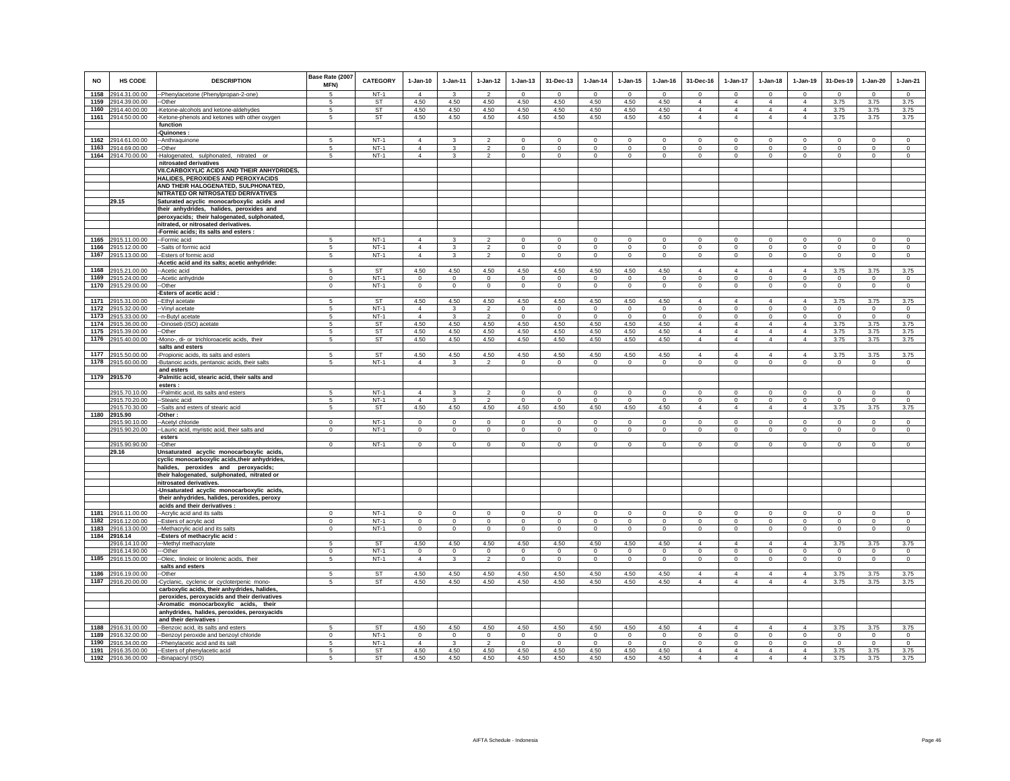| <b>NO</b>    | HS CODE                                  | <b>DESCRIPTION</b>                                                     | Base Rate (2007<br>MFN) | <b>CATEGORY</b>     | $1-Jan-10$                       | $1-Jan-11$           | $1-Jan-12$                       | $1-Jan-13$             | 31-Dec-13                      | $1-Jan-14$               | $1-Jan-15$                 | $1-Jan-16$               | 31-Dec-16                     | 1-Jan-17                      | $1-Jan-18$                    | $1-Jan-19$                    | 31-Des-19               | $1-Jan-20$                 | $1-Jan-21$           |
|--------------|------------------------------------------|------------------------------------------------------------------------|-------------------------|---------------------|----------------------------------|----------------------|----------------------------------|------------------------|--------------------------------|--------------------------|----------------------------|--------------------------|-------------------------------|-------------------------------|-------------------------------|-------------------------------|-------------------------|----------------------------|----------------------|
| 1158         | 2914.31.00.00                            | -Phenylacetone (Phenylpropan-2-one)                                    | -5                      | $NT-1$              | $\overline{4}$                   | $\mathbf{R}$         | $\overline{2}$                   | $\mathbf 0$            | $\Omega$                       | $\Omega$                 | $\Omega$                   | $\Omega$                 | $\Omega$                      | $^{\circ}$                    | $\circ$                       | $\Omega$                      | $\Omega$                | $\mathbf 0$                | $\Omega$             |
| 1159         | 2914.39.00.00                            | -Other                                                                 | 5                       | <b>ST</b>           | 4.50                             | 4.50                 | 4.50                             | 4.50                   | 4.50                           | 4.50                     | 4.50                       | 4.50                     | $\Delta$                      | $\overline{4}$                | $\overline{4}$                | $\Delta$                      | 3.75                    | 3.75                       | 3.75                 |
| 1160         | 2914.40.00.00                            | -Ketone-alcohols and ketone-aldehydes                                  | 5                       | <b>ST</b>           | 4.50                             | 4.50                 | 4.50                             | 4.50                   | 4.50                           | 4.50                     | 4.50                       | 4.50                     | $\overline{4}$                | $\overline{4}$                | $\overline{4}$                | $\overline{4}$                | 3.75                    | 3.75                       | 3.75                 |
|              | 1161 2914.50.00.00                       | Ketone-phenols and ketones with other oxygen                           | 5                       | <b>ST</b>           | 4.50                             | 4.50                 | 4.50                             | 4.50                   | 4.50                           | 4.50                     | 4.50                       | 4.50                     | $\overline{4}$                | $\overline{4}$                | $\overline{4}$                | $\overline{4}$                | 3.75                    | 3.75                       | 3.75                 |
|              |                                          | function                                                               |                         |                     |                                  |                      |                                  |                        |                                |                          |                            |                          |                               |                               |                               |                               |                         |                            |                      |
|              |                                          | -Quinones                                                              |                         | $NT-1$              |                                  |                      |                                  |                        |                                |                          |                            |                          |                               |                               |                               |                               |                         |                            |                      |
|              | 1162 2914.61.00.00                       | -- Anthraquinone                                                       | 5                       | $NT-1$              | $\overline{4}$<br>$\overline{4}$ | 3                    | $\overline{2}$                   | $\mathbf 0$            | $\mathbf{0}$                   | $\mathbf{0}$             | $\mathbf{0}$               | $\mathbf 0$              | $\mathbf 0$                   | $\mathbf 0$                   | $\Omega$                      | $\Omega$                      | $\Omega$<br>$\Omega$    | $\mathbf 0$                | $\Omega$<br>$\Omega$ |
|              | 1163 2914.69.00.00<br>1164 2914.70.00.00 | -Other<br>-Halogenated, sulphonated, nitrated or                       | 5<br>5                  | $NT-1$              | $\overline{4}$                   | 3<br>3               | $\overline{2}$<br>$\overline{2}$ | $\mathbf 0$<br>$\circ$ | $\overline{0}$<br>$\mathbf{0}$ | $^{\circ}$<br>$^{\circ}$ | $^{\circ}$<br>$\mathbf{0}$ | $^{\circ}$<br>$^{\circ}$ | $\circ$<br>$\circ$            | $\mathbf 0$<br>$\circ$        | $\mathbf 0$<br>$\circ$        | $\mathbf 0$<br>$\circ$        | $\mathbf 0$             | $\mathbf 0$<br>$\mathbf 0$ | $\Omega$             |
|              |                                          | nitrosated derivatives                                                 |                         |                     |                                  |                      |                                  |                        |                                |                          |                            |                          |                               |                               |                               |                               |                         |                            |                      |
|              |                                          | VII.CARBOXYLIC ACIDS AND THEIR ANHYDRIDES,                             |                         |                     |                                  |                      |                                  |                        |                                |                          |                            |                          |                               |                               |                               |                               |                         |                            |                      |
|              |                                          | HALIDES, PEROXIDES AND PEROXYACIDS                                     |                         |                     |                                  |                      |                                  |                        |                                |                          |                            |                          |                               |                               |                               |                               |                         |                            |                      |
|              |                                          | AND THEIR HALOGENATED, SULPHONATED,                                    |                         |                     |                                  |                      |                                  |                        |                                |                          |                            |                          |                               |                               |                               |                               |                         |                            |                      |
|              |                                          | NITRATED OR NITROSATED DERIVATIVES                                     |                         |                     |                                  |                      |                                  |                        |                                |                          |                            |                          |                               |                               |                               |                               |                         |                            |                      |
|              | 29.15                                    | Saturated acyclic monocarboxylic acids and                             |                         |                     |                                  |                      |                                  |                        |                                |                          |                            |                          |                               |                               |                               |                               |                         |                            |                      |
|              |                                          | their anhydrides, halides, peroxides and                               |                         |                     |                                  |                      |                                  |                        |                                |                          |                            |                          |                               |                               |                               |                               |                         |                            |                      |
|              |                                          | peroxyacids; their halogenated, sulphonated,                           |                         |                     |                                  |                      |                                  |                        |                                |                          |                            |                          |                               |                               |                               |                               |                         |                            |                      |
|              |                                          | nitrated, or nitrosated derivatives.                                   |                         |                     |                                  |                      |                                  |                        |                                |                          |                            |                          |                               |                               |                               |                               |                         |                            |                      |
|              |                                          | -Formic acids; its salts and esters :                                  |                         |                     |                                  |                      |                                  |                        |                                |                          |                            |                          |                               |                               |                               |                               |                         |                            |                      |
|              | 1165 2915.11.00.00                       | --Formic acid                                                          | 5                       | $NT-1$              | $\overline{4}$                   | 3                    | $\overline{2}$                   | $\mathbf{0}$           | $\overline{0}$                 | $\mathbf{0}$             | $\mathbf{0}$               | $\circ$                  | $\circ$                       | $\circ$                       | $\mathbf{0}$                  | $\Omega$                      | $\mathbf{0}$            | $\circ$                    | $\mathbf{0}$         |
| 1166         | 2915.12.00.00                            | --Salts of formic acid                                                 | -5                      | $NT-1$              | $\overline{4}$                   | 3                    | $\overline{2}$                   | $\mathbf 0$            | $\boldsymbol{0}$               | $^{\circ}$               | $\mathbf 0$                | $^{\circ}$               | $\mathbf 0$                   | $^{\circ}$                    | $^{\circ}$                    | $\mathbf 0$                   | $\,0\,$                 | $\,0\,$                    | $\mathbf 0$          |
|              | 1167 2915.13.00.00                       | -Esters of formic acid<br>Acetic acid and its salts; acetic anhydride: | -5                      | $NT-1$              | $\overline{4}$                   | 3                    | $\overline{2}$                   | $\mathbf 0$            | $\circ$                        | $\circ$                  | $\mathbf 0$                | $\circ$                  | $\mathsf 0$                   | $\Omega$                      | $\mathbf 0$                   | $\mathbf 0$                   | $\mathbb O$             | $\circ$                    | $\mathbf 0$          |
| 1168         | 2915.21.00.00                            | -Acetic acid                                                           | 5                       | ST                  | 4.50                             | 4.50                 | 4.50                             | 4.50                   | 4.50                           | 4.50                     | 4.50                       | 4.50                     | $\overline{4}$                | $\overline{a}$                | $\overline{\mathbf{4}}$       | 4                             | 3.75                    | 3.75                       | 3.75                 |
| 1169         | 2915.24.00.00                            | -Acetic anhydride                                                      | $\mathbf 0$             | $NT-1$              | $\circ$                          | $\circ$              | $\circ$                          | $\mathbf 0$            | $\mathbf 0$                    | $\mathbf 0$              | $\mathbf 0$                | $\circ$                  | $\mathbf 0$                   | $\mathbf 0$                   | $\mathbf 0$                   | $\mathbf 0$                   | $^{\circ}$              | $\mathbf 0$                | $\mathbf 0$          |
|              | 1170 2915.29.00.00                       | -Other                                                                 | $\mathbf 0$             | $NT-1$              | $\circ$                          | $\mathbf 0$          | $\mathbf 0$                      | $\mathsf 0$            | $\,0\,$                        | $\mathsf 0$              | $\mathbf 0$                | $\mathbf 0$              | $\mathsf 0$                   | $\mathbf 0$                   | $\mathsf 0$                   | $\mathsf 0$                   | $\mathbf 0$             | $\mathbf 0$                | $\mathbf 0$          |
|              |                                          | Esters of acetic acid :                                                |                         |                     |                                  |                      |                                  |                        |                                |                          |                            |                          |                               |                               |                               |                               |                         |                            |                      |
|              | 1171 2915.31.00.00                       | -Ethyl acetate                                                         | 5                       | <b>ST</b>           | 4.50                             | 4.50                 | 4.50                             | 4.50                   | 4.50                           | 4.50                     | 4.50                       | 4.50                     | $\overline{4}$                | $\overline{4}$                | $\overline{4}$                | $\overline{4}$                | 3.75                    | 3.75                       | 3.75                 |
| 1172         | 2915.32.00.00                            | Vinyl acetate                                                          | 5                       | $NT-1$              | $\overline{4}$                   | $\mathbf{3}$         | $\overline{2}$                   | $\mathbf 0$            | $\mathsf 0$                    | $\mathbf 0$              | $\mathsf 0$                | $\mathsf 0$              | $\Omega$                      | $\mathbf 0$                   | $\mathbf 0$                   | $\mathbf 0$                   | $\mathbf 0$             | $\Omega$                   | $\Omega$             |
| 1173         | 2915.33.00.00                            | -n-Butyl acetate                                                       | 5                       | $NT-1$              | $\overline{4}$                   | 3                    | $\overline{2}$                   | $\mathbf 0$            | $\Omega$                       | $\mathbf 0$              | $\circ$                    | $\circ$                  | $\mathbf 0$                   | $\Omega$                      | $\mathbf 0$                   | $\circ$                       | $\Omega$                | $^{\circ}$                 | $\mathbf 0$          |
| 1174         | 2915.36.00.00                            | -Dinoseb (ISO) acetate                                                 | 5                       | ST                  | 4.50                             | 4.50                 | 4.50                             | 4.50                   | 4.50                           | 4.50                     | 4.50                       | 4.50                     | $\overline{4}$                | $\overline{4}$                | $\overline{4}$                | $\overline{4}$                | 3.75                    | 3.75                       | 3.75                 |
|              | 1175 2915.39.00.00                       | -Other                                                                 | 5                       | ST                  | 4.50                             | 4.50                 | 4.50                             | 4.50                   | 4.50                           | 4.50                     | 4.50                       | 4.50                     | $\overline{4}$                | $\overline{4}$                | $\overline{4}$                | $\overline{4}$                | 3.75                    | 3.75                       | 3.75                 |
|              | 1176 2915.40.00.00                       | -Mono-, di- or trichloroacetic acids, their                            | 5                       | <b>ST</b>           | 4.50                             | 4.50                 | 4.50                             | 4.50                   | 4.50                           | 4.50                     | 4.50                       | 4.50                     | $\overline{4}$                | $\overline{4}$                | $\overline{4}$                | $\overline{4}$                | 3.75                    | 3.75                       | 3.75                 |
|              |                                          | salts and esters                                                       |                         |                     |                                  |                      |                                  |                        |                                |                          |                            |                          |                               |                               |                               |                               |                         |                            |                      |
|              | 1177 2915.50.00.00                       | Propionic acids, its salts and esters                                  | 5                       | <b>ST</b><br>$NT-1$ | 4.50                             | 4.50                 | 4.50<br>$\overline{2}$           | 4.50                   | 4.50                           | 4.50                     | 4.50                       | 4.50                     | 4                             | 4                             | $\overline{4}$                | $\overline{4}$                | 3.75                    | 3.75                       | 3.75                 |
|              | 1178 2915.60.00.00                       | Butanoic acids, pentanoic acids, their salts<br>and esters             | 5                       |                     | $\overline{4}$                   | $\mathbf{3}$         |                                  | $\mathbf 0$            | $\circ$                        | $\mathsf 0$              | $\circ$                    | $\mathbf 0$              | $\mathsf 0$                   | $\mathbb O$                   | $\mathbf 0$                   | $\mathbf 0$                   | $\mathbf 0$             | $\mathbb O$                | $\circ$              |
|              | 1179 2915.70                             | -Palmitic acid, stearic acid, their salts and                          |                         |                     |                                  |                      |                                  |                        |                                |                          |                            |                          |                               |                               |                               |                               |                         |                            |                      |
|              |                                          | esters:                                                                |                         |                     |                                  |                      |                                  |                        |                                |                          |                            |                          |                               |                               |                               |                               |                         |                            |                      |
|              | 2915.70.10.00                            | -- Palmitic acid, its salts and esters                                 | 5                       | $NT-1$              | $\Delta$                         |                      | $\mathcal{L}$                    | $\Omega$               | $\mathbf{0}$                   | $\Omega$                 | $\Omega$                   | $\Omega$                 | $\Omega$                      | $\Omega$                      | $\Omega$                      | $\Omega$                      | $\Omega$                | $\mathbf 0$                | $\Omega$             |
|              | 2915.70.20.00                            | -Stearic acid                                                          | 5                       | $NT-1$              | $\overline{4}$                   |                      | $\mathfrak{p}$                   | $\mathbf 0$            | $\Omega$                       | $\Omega$                 | $\Omega$                   | $\Omega$                 | $\mathbf 0$                   | $\mathbf 0$                   | $\mathbf 0$                   | $\mathbf 0$                   | $\Omega$                | $\Omega$                   | $\mathbf 0$          |
|              | 2915.70.30.00                            | --Salts and esters of stearic acid                                     | 5                       | ST                  | 4.50                             | 4.50                 | 4.50                             | 4.50                   | 4.50                           | 4.50                     | 4.50                       | 4.50                     | $\overline{4}$                | $\overline{4}$                | $\overline{4}$                | $\overline{4}$                | 3.75                    | 3.75                       | 3.75                 |
|              | 1180 2915.90                             | -Other :                                                               |                         |                     |                                  |                      |                                  |                        |                                |                          |                            |                          |                               |                               |                               |                               |                         |                            |                      |
|              | 2915.90.10.00                            | -Acetyl chloride                                                       | $\Omega$                | $NT-1$              | $\Omega$                         | $\Omega$             | $\Omega$                         | $\Omega$               | $\Omega$                       | $\Omega$                 | $\Omega$                   | $\Omega$                 | $\Omega$                      | $\Omega$                      | $\Omega$                      | $\Omega$                      | $\Omega$                | $\Omega$                   | $\Omega$             |
|              | 2915.90.20.00                            | -Lauric acid, myristic acid, their salts and                           | $\Omega$                | $NT-1$              | $\circ$                          | $\Omega$             | $\circ$                          | $\mathbf 0$            | $\mathsf 0$                    | $\mathbf 0$              | $\mathbf 0$                | $\circ$                  | $\mathbf 0$                   | $\mathbf 0$                   | $\mathbf 0$                   | $\mathbf 0$                   | $\mathbf 0$             | $\mathbf 0$                | $\mathbf 0$          |
|              |                                          | esters                                                                 | $\overline{0}$          | $NT-1$              | $\mathbf{0}$                     | $\Omega$             | $\mathbf{0}$                     | $\overline{0}$         | $\overline{0}$                 | $\mathbf{0}$             | $\overline{0}$             | $^{\circ}$               | $^{\circ}$                    | $\mathbf{0}$                  | $\overline{0}$                | $\mathbf{0}$                  | $\Omega$                | $\overline{0}$             | $\overline{0}$       |
|              | 2915.90.90.00<br>29.16                   | --Other<br>Unsaturated acyclic monocarboxylic acids,                   |                         |                     |                                  |                      |                                  |                        |                                |                          |                            |                          |                               |                               |                               |                               |                         |                            |                      |
|              |                                          | cyclic monocarboxylic acids, their anhydrides,                         |                         |                     |                                  |                      |                                  |                        |                                |                          |                            |                          |                               |                               |                               |                               |                         |                            |                      |
|              |                                          | halides, peroxides and peroxyacids;                                    |                         |                     |                                  |                      |                                  |                        |                                |                          |                            |                          |                               |                               |                               |                               |                         |                            |                      |
|              |                                          | their halogenated, sulphonated, nitrated or                            |                         |                     |                                  |                      |                                  |                        |                                |                          |                            |                          |                               |                               |                               |                               |                         |                            |                      |
|              |                                          | nitrosated derivatives.                                                |                         |                     |                                  |                      |                                  |                        |                                |                          |                            |                          |                               |                               |                               |                               |                         |                            |                      |
|              |                                          | -Unsaturated acyclic monocarboxylic acids,                             |                         |                     |                                  |                      |                                  |                        |                                |                          |                            |                          |                               |                               |                               |                               |                         |                            |                      |
|              |                                          | their anhydrides, halides, peroxides, peroxy                           |                         |                     |                                  |                      |                                  |                        |                                |                          |                            |                          |                               |                               |                               |                               |                         |                            |                      |
|              |                                          | acids and their derivatives :                                          |                         |                     |                                  |                      |                                  |                        |                                |                          |                            |                          |                               |                               |                               |                               |                         |                            |                      |
| 1181         | 2916.11.00.00                            | -Acrylic acid and its salts                                            | $\Omega$                | $NT-1$              | $\mathbf 0$                      | $\Omega$             | $\Omega$                         | $\Omega$               | $\mathbf 0$                    | $\Omega$                 | $\mathbf 0$                | $\circ$                  | $\mathbf 0$                   | $\Omega$                      | $\Omega$                      | $\mathbf 0$                   | $\Omega$                | $^{\circ}$                 | $\circ$              |
| 1182         | 2916.12.00.00                            | -Esters of acrylic acid                                                | $^{\circ}$              | $NT-1$              | $\mathsf 0$                      | $^{\circ}$           | $\mathbf 0$                      | $\mathbf 0$            | $\mathbf 0$                    | $^{\circ}$               | $\mathbf 0$                | 0                        | $\mathbf 0$                   | $\mathbf 0$                   | $\mathbf 0$                   | $\mathbf 0$                   | $^{\circ}$              | $\mathbf 0$                | $\mathbf 0$          |
| 1183         | 2916.13.00.00                            | -Methacrylic acid and its salts                                        | $\mathbf 0$             | $NT-1$              | $\overline{0}$                   | $\mathbf 0$          | $\mathbf 0$                      | $\mathsf 0$            | $\,0\,$                        | $\mathsf 0$              | $\mathbf 0$                | $\mathbf 0$              | $\mathsf 0$                   | $\mathbf 0$                   | $\mathsf 0$                   | $\mathsf 0$                   | $\mathbf 0$             | $\mathbf 0$                | $\mathbf 0$          |
|              | 1184 2916.14<br>2916.14.10.00            | -Esters of methacrylic acid:<br>-- Methyl methacrylate                 | 5                       | <b>ST</b>           | 4.50                             | 4.50                 | 4.50                             | 4.50                   | 4.50                           | 4.50                     | 4.50                       | 4.50                     | $\overline{4}$                | $\overline{4}$                | $\overline{4}$                | $\overline{4}$                | 3.75                    | 3.75                       | 3.75                 |
|              | 2916.14.90.00                            | --Other                                                                | $\Omega$                | $NT-1$              | $\Omega$                         | $\Omega$             | $\Omega$                         | $\Omega$               | $\Omega$                       | $\Omega$                 | $\Omega$                   | $\Omega$                 | $\Omega$                      | $\Omega$                      | $\Omega$                      | $\Omega$                      | $\Omega$                | $\mathbf 0$                | $\circ$              |
|              | 1185 2916.15.00.00                       | --Oleic, linoleic or linolenic acids, their                            | 5                       | $NT-1$              | $\overline{4}$                   | 3                    | $\overline{2}$                   | $\mathbf 0$            | $\mathbf{0}$                   | $^{\circ}$               | $\mathbf 0$                | $^{\circ}$               | $\circ$                       | $\circ$                       | $\mathbf 0$                   | $\circ$                       | $\mathbf 0$             | $\circ$                    | $\circ$              |
|              |                                          | salts and esters                                                       |                         |                     |                                  |                      |                                  |                        |                                |                          |                            |                          |                               |                               |                               |                               |                         |                            |                      |
|              | 1186 2916.19.00.00                       | -Other                                                                 | -5                      | <b>ST</b>           | 4.50                             | 4.50                 | 4.50                             | 4.50                   | 4.50                           | 4.50                     | 4.50                       | 4.50                     | $\overline{4}$                | $\overline{4}$                | $\overline{4}$                | $\overline{4}$                | 3.75                    | 3.75                       | 3.75                 |
|              | 1187 2916.20.00.00                       | -Cyclanic, cyclenic or cycloterpenic mono-                             | 5                       | <b>ST</b>           | 4.50                             | 4.50                 | 4.50                             | 4.50                   | 4.50                           | 4.50                     | 4.50                       | 4.50                     | $\overline{4}$                | $\overline{4}$                | $\overline{4}$                | $\overline{4}$                | 3.75                    | 3.75                       | 3.75                 |
|              |                                          | carboxylic acids, their anhydrides, halides,                           |                         |                     |                                  |                      |                                  |                        |                                |                          |                            |                          |                               |                               |                               |                               |                         |                            |                      |
|              |                                          | peroxides, peroxyacids and their derivatives                           |                         |                     |                                  |                      |                                  |                        |                                |                          |                            |                          |                               |                               |                               |                               |                         |                            |                      |
|              |                                          | -Aromatic monocarboxylic acids, their                                  |                         |                     |                                  |                      |                                  |                        |                                |                          |                            |                          |                               |                               |                               |                               |                         |                            |                      |
|              |                                          | anhydrides, halides, peroxides, peroxyacids                            |                         |                     |                                  |                      |                                  |                        |                                |                          |                            |                          |                               |                               |                               |                               |                         |                            |                      |
|              |                                          | and their derivatives :                                                |                         |                     |                                  |                      |                                  |                        |                                |                          |                            |                          |                               |                               |                               |                               |                         |                            |                      |
| 1188         | 2916.31.00.00                            | -Benzoic acid, its salts and esters                                    | 5                       | <b>ST</b>           | 4.50                             | 4.50                 | 4.50                             | 4.50                   | 4.50                           | 4.50                     | 4.50                       | 4.50                     | $\overline{4}$                | $\overline{4}$                | $\overline{4}$                | $\overline{4}$                | 3.75                    | 3.75                       | 3.75                 |
| 1189<br>1190 | 2916.32.00.00                            | -Benzoyl peroxide and benzoyl chloride                                 | $\mathbf{0}$            | $NT-1$<br>$NT-1$    | $\circ$<br>$\overline{4}$        | $\circ$              | $\circ$                          | $\mathbf 0$            | $\mathbf 0$                    | $\circ$                  | $\circ$                    | $\circ$                  | $\circ$                       | $\circ$                       | $\mathbf{0}$                  | $\mathbf 0$                   | $\mathbf 0$<br>$\Omega$ | $\Omega$<br>$\mathbf 0$    | $\mathbf 0$          |
|              | 2916.34.00.00                            | -Phenylacetic acid and its salt                                        | 5<br>5                  | ST                  | 4.50                             | $\mathbf{3}$<br>4.50 | $\overline{2}$<br>4.50           | $\mathbf 0$<br>4.50    | $\mathsf 0$<br>4.50            | $\mathsf 0$<br>4.50      | $\mathsf 0$<br>4.50        | $\mathsf 0$<br>4.50      | $\mathbf 0$<br>$\overline{4}$ | $\mathbf 0$<br>$\overline{4}$ | $\mathbf 0$<br>$\overline{4}$ | $\mathbf 0$<br>$\overline{4}$ | 3.75                    | 3.75                       | $\mathbf 0$          |
|              | 1191 2916.35.00.00<br>1192 2916.36.00.00 | -- Esters of phenylacetic acid<br>--Binapacryl (ISO)                   | 5                       | ST                  | 4.50                             | 4.50                 | 4.50                             | 4.50                   | 4.50                           | 4.50                     | 4.50                       | 4.50                     | $\overline{4}$                | $\overline{4}$                | 4                             | $\overline{4}$                | 3.75                    | 3.75                       | 3.75<br>3.75         |
|              |                                          |                                                                        |                         |                     |                                  |                      |                                  |                        |                                |                          |                            |                          |                               |                               |                               |                               |                         |                            |                      |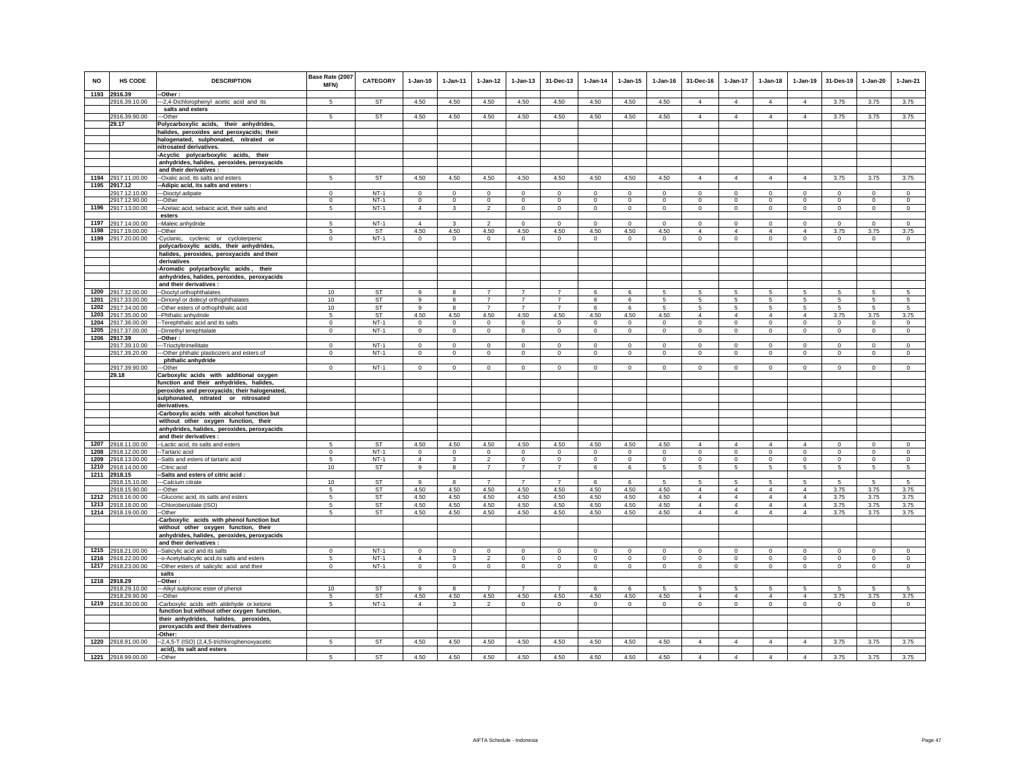| <b>NO</b> | <b>HS CODE</b>                      | <b>DESCRIPTION</b>                                                                   | Base Rate (2007<br>MFN) | <b>CATEGORY</b>  | $1-Jan-10$              | $1 - Jan-11$           | $1 - Jan-12$        | $1 - Jan-13$               | 31-Dec-13                  | $1 - Jan-14$            | $1 - Jan-15$           | $1 - Jan-16$           | 31-Dec-16                      | $1 - Jan-17$                   | $1 - Jan-18$                   | $1-Jan-19$                 | 31-Des-19                  | $1 - Jan-20$           | $1-Jan-21$          |
|-----------|-------------------------------------|--------------------------------------------------------------------------------------|-------------------------|------------------|-------------------------|------------------------|---------------------|----------------------------|----------------------------|-------------------------|------------------------|------------------------|--------------------------------|--------------------------------|--------------------------------|----------------------------|----------------------------|------------------------|---------------------|
|           | 1193 2916.39<br>2916.39.10.00       | -Other:<br>-- 2,4-Dichlorophenyl acetic acid and its                                 | -5                      | <b>ST</b>        | 4.50                    | 4.50                   | 4.50                | 4.50                       | 4.50                       | 4.50                    | 4.50                   | 4.50                   | $\overline{4}$                 | $\overline{4}$                 | $\overline{4}$                 | $\overline{4}$             | 3.75                       | 3.75                   | 3.75                |
|           |                                     | salts and esters                                                                     |                         |                  |                         |                        |                     |                            |                            |                         |                        |                        |                                |                                |                                |                            |                            |                        |                     |
|           | 2916.39.90.00<br>29.17              | -Other<br>Polycarboxylic acids, their anhydrides,                                    | 5                       | ST               | 4.50                    | 4.50                   | 4.50                | 4.50                       | 4.50                       | 4.50                    | 4.50                   | 4.50                   | $\overline{4}$                 | $\overline{4}$                 | $\overline{4}$                 | $\overline{4}$             | 3.75                       | 3.75                   | 3.75                |
|           |                                     | halides, peroxides and peroxyacids; their                                            |                         |                  |                         |                        |                     |                            |                            |                         |                        |                        |                                |                                |                                |                            |                            |                        |                     |
|           |                                     | halogenated, sulphonated, nitrated or                                                |                         |                  |                         |                        |                     |                            |                            |                         |                        |                        |                                |                                |                                |                            |                            |                        |                     |
|           |                                     | nitrosated derivatives.<br>-Acyclic polycarboxylic acids, their                      |                         |                  |                         |                        |                     |                            |                            |                         |                        |                        |                                |                                |                                |                            |                            |                        |                     |
|           |                                     | anhydrides, halides, peroxides, peroxyacids                                          |                         |                  |                         |                        |                     |                            |                            |                         |                        |                        |                                |                                |                                |                            |                            |                        |                     |
|           |                                     | and their derivatives :                                                              |                         |                  |                         |                        |                     |                            |                            |                         |                        |                        |                                |                                |                                |                            |                            |                        |                     |
|           | 1194 2917.11.00.00<br>1195 2917.12  | --Oxalic acid, its salts and esters                                                  | 5                       | <b>ST</b>        | 4.50                    | 4.50                   | 4.50                | 4.50                       | 4.50                       | 4.50                    | 4.50                   | 4.50                   | $\overline{4}$                 | $\overline{4}$                 | $\overline{4}$                 | $\overline{4}$             | 3.75                       | 3.75                   | 3.75                |
|           | 2917.12.10.00                       | -Adipic acid, its salts and esters :<br>--Dioctyl adipate                            | $\Omega$                | $NT-1$           | $\Omega$                | $\Omega$               | $\Omega$            | $\Omega$                   | $\overline{0}$             | $\Omega$                | $\Omega$               | $\Omega$               | $\Omega$                       | $\overline{0}$                 | $\overline{0}$                 | $\overline{0}$             | $\overline{0}$             | $\overline{0}$         | $\overline{0}$      |
|           | 2917.12.90.00                       | --Other                                                                              | $\Omega$                | $NT-1$           | $\mathbf 0$             | $\Omega$               | $\mathbf 0$         | $\mathsf 0$                | $\mathbf 0$                | $\Omega$                | $\Omega$               | $\Omega$               | $\mathsf 0$                    | $\mathsf 0$                    | $\mathsf 0$                    | $\mathsf 0$                | $\mathbf 0$                | $\mathbf 0$            | $\mathbf 0$         |
|           | 1196 2917.13.00.00                  | --Azelaic acid, sebacic acid, their salts and                                        | $\overline{5}$          | $NT-1$           | $\overline{4}$          | $\mathbf{3}$           | $\overline{2}$      | $\mathsf 0$                | $\mathbf{0}$               | $\circ$                 | $\circ$                | $\circ$                | $\circ$                        | $\circ$                        | $\mathbf 0$                    | $\mathsf 0$                | $\mathsf 0$                | $\circ$                | $\circ$             |
| 1197      | 2917.14.00.00                       | esters<br>Maleic anhydride                                                           | 5                       | $NT-1$           | $\overline{4}$          | 3                      | $\overline{2}$      | $\mathbf 0$                | $\mathbf 0$                | $\mathbf 0$             | $\mathbf 0$            | $\mathbf 0$            | $\mathbf 0$                    | $\mathbf 0$                    | $\mathbf 0$                    | $\circ$                    | $\circ$                    | $\circ$                | $\circ$             |
| 1198      | 2917.19.00.00                       | -Other                                                                               | 5                       | ST               | 4.50                    | 4.50                   | 4.50                | 4.50                       | 4.50                       | 4.50                    | 4.50                   | 4.50                   | $\overline{4}$                 | $\overline{4}$                 | $\overline{4}$                 | $\overline{4}$             | 3.75                       | 3.75                   | 3.75                |
|           | 1199 2917.20.00.00                  | Cyclanic, cyclenic or cycloterpenic                                                  | $\Omega$                | $NT-1$           | $\Omega$                | $\Omega$               | $\mathbf 0$         | $^{\circ}$                 | $\mathbf{0}$               | $\circ$                 | $^{\circ}$             | $\Omega$               | $\circ$                        | $\circ$                        | $\mathbf{0}$                   | $\mathsf 0$                | $\Omega$                   | $\circ$                | $\Omega$            |
|           |                                     | polycarboxylic acids, their anhydrides,                                              |                         |                  |                         |                        |                     |                            |                            |                         |                        |                        |                                |                                |                                |                            |                            |                        |                     |
|           |                                     | halides, peroxides, peroxyacids and their<br>derivatives                             |                         |                  |                         |                        |                     |                            |                            |                         |                        |                        |                                |                                |                                |                            |                            |                        |                     |
|           |                                     | -Aromatic polycarboxylic acids, their                                                |                         |                  |                         |                        |                     |                            |                            |                         |                        |                        |                                |                                |                                |                            |                            |                        |                     |
|           |                                     | anhydrides, halides, peroxides, peroxyacids                                          |                         |                  |                         |                        |                     |                            |                            |                         |                        |                        |                                |                                |                                |                            |                            |                        |                     |
| 1200      | 2917.32.00.00                       | and their derivatives :                                                              | 10                      | ST               | $\alpha$                | $\mathbf{R}$           | $\overline{7}$      | $\overline{7}$             | $\overline{7}$             | $\mathbf{6}$            | $\mathbf{6}$           | 5                      | 5                              | 5                              | $\overline{5}$                 | $\overline{5}$             | 5                          | 5                      | $\overline{5}$      |
| 1201      | 2917.33.00.00                       | --Dioctyl orthophthalates<br>-Dinonyl or didecyl orthophthalates                     | 10                      | ST               | 9                       | 8                      | $\overline{7}$      | $\overline{7}$             | $\overline{7}$             | 6                       | 6                      | $\overline{5}$         | 5                              | $5 -$                          | 5                              | 5                          | 5                          | $5 -$                  | 5                   |
| 1202      | 2917.34.00.00                       | -Other esters of orthophthalic acid                                                  | 10                      | <b>ST</b>        | 9                       | 8                      | $\overline{7}$      | $\overline{7}$             | $\overline{7}$             | 6                       | 6                      | $\overline{5}$         | 5                              | 5                              | 5                              | 5                          | 5                          | 5                      | 5                   |
| 1203      | 2917.35.00.00                       | -Phthalic anhydride                                                                  | 5                       | ST               | 4.50                    | 4.50                   | 4.50                | 4.50                       | 4.50                       | 4.50                    | 4.50                   | 4.50                   | $\overline{4}$                 | $\overline{4}$                 | $\overline{4}$                 | $\overline{4}$             | 3.75                       | 3.75                   | 3.75                |
| 1204      | 2917.36.00.00<br>1205 2917.37.00.00 | -Terephthalic acid and its salts<br>-Dimethyl terephtalate                           | $\Omega$<br>$\mathsf 0$ | $NT-1$<br>$NT-1$ | $\Omega$<br>$\mathbf 0$ | $\Omega$<br>$^{\circ}$ | $\Omega$<br>$\circ$ | $\mathbf 0$<br>$\mathsf 0$ | $\mathbf 0$<br>$\mathbf 0$ | $\Omega$<br>$\mathbb O$ | $\Omega$<br>$^{\circ}$ | $\Omega$<br>$^{\circ}$ | $\mathbf 0$<br>$\mathsf 0$     | $\Omega$<br>$\circ$            | $\mathbf 0$<br>$\mathsf 0$     | $\mathbf 0$<br>$\mathsf 0$ | $\mathbf 0$<br>$\mathbf 0$ | $\circ$<br>$\mathbf 0$ | $\circ$<br>$\circ$  |
|           | 1206 2917.39                        | -Other :                                                                             |                         |                  |                         |                        |                     |                            |                            |                         |                        |                        |                                |                                |                                |                            |                            |                        |                     |
|           | 2917.39.10.00                       | -Trioctyltrimellitate                                                                | $\Omega$                | $NT-1$           | $\Omega$                | $\Omega$               | $\mathbf 0$         | $\Omega$                   | $\Omega$                   | $^{\circ}$              | $\Omega$               | $\Omega$               | $\Omega$                       | $\mathsf 0$                    | $\Omega$                       | $\mathsf 0$                | $^{\circ}$                 | $\mathsf 0$            | $\Omega$            |
|           | 2917.39.20.00                       | -Other phthalic plasticizers and esters of<br>phthalic anhydride                     | $\mathbf 0$             | $NT-1$           | $\mathbf 0$             | $\mathbf 0$            | $\mathbf 0$         | $\mathbf 0$                | $\mathbf 0$                | $\mathbf 0$             | $\mathbf 0$            | $\mathbf 0$            | $\mathbf 0$                    | $\mathbf 0$                    | $\mathbf 0$                    | $\mathbf 0$                | $\mathbf 0$                | $\circ$                | $\circ$             |
|           | 2917.39.90.00                       | -Other                                                                               | $\Omega$                | $NT-1$           | $\Omega$                | $\Omega$               | $\circ$             | $\Omega$                   | $\Omega$                   | $\mathbf 0$             | $\Omega$               | $\Omega$               | $\mathbf 0$                    | $\circ$                        | $\Omega$                       | $\Omega$                   | $\Omega$                   | $\mathbf{0}$           | $\circ$             |
|           | 29.18                               | Carboxylic acids with additional oxygen<br>function and their anhydrides, halides,   |                         |                  |                         |                        |                     |                            |                            |                         |                        |                        |                                |                                |                                |                            |                            |                        |                     |
|           |                                     | peroxides and peroxyacids; their halogenated,                                        |                         |                  |                         |                        |                     |                            |                            |                         |                        |                        |                                |                                |                                |                            |                            |                        |                     |
|           |                                     | sulphonated, nitrated or nitrosated                                                  |                         |                  |                         |                        |                     |                            |                            |                         |                        |                        |                                |                                |                                |                            |                            |                        |                     |
|           |                                     | derivatives.                                                                         |                         |                  |                         |                        |                     |                            |                            |                         |                        |                        |                                |                                |                                |                            |                            |                        |                     |
|           |                                     | -Carboxylic acids with alcohol function but<br>without other oxygen function, their  |                         |                  |                         |                        |                     |                            |                            |                         |                        |                        |                                |                                |                                |                            |                            |                        |                     |
|           |                                     | anhydrides, halides, peroxides, peroxyacids                                          |                         |                  |                         |                        |                     |                            |                            |                         |                        |                        |                                |                                |                                |                            |                            |                        |                     |
|           |                                     | and their derivatives :                                                              |                         |                  |                         |                        |                     |                            |                            |                         |                        |                        |                                |                                |                                |                            |                            |                        |                     |
| 1208      | 1207 2918.11.00.00<br>2918.12.00.00 | -- Lactic acid, its salts and esters<br>Tartaric acid                                | 5<br>$\circ$            | ST<br>$NT-1$     | 4.50<br>$\circ$         | 4.50<br>$\mathbf 0$    | 4.50<br>$\mathbf 0$ | 4.50<br>$\Omega$           | 4.50<br>$\mathbf 0$        | 4.50<br>$\Omega$        | 4.50<br>$\Omega$       | 4.50<br>$\Omega$       | $\overline{4}$<br>$\mathbf{0}$ | $\overline{4}$<br>$\mathbf{0}$ | $\overline{4}$<br>$\mathbf{0}$ | $\overline{4}$<br>$\circ$  | $\Omega$<br>$\mathbf 0$    | $\mathsf 0$<br>$\circ$ | $\Omega$<br>$\circ$ |
| 1209      | 2918.13.00.00                       | -Salts and esters of tartaric acid                                                   | 5                       | $NT-1$           | $\overline{4}$          | $\mathbf{3}$           | $\overline{2}$      | $\mathsf 0$                | $\mathbf 0$                | $\mathbf 0$             | $\mathbf 0$            | $\circ$                | $\mathsf 0$                    | $\mathsf 0$                    | $\mathsf 0$                    | $\mathsf 0$                | $\mathbf 0$                | $\mathsf 0$            | $\mathsf 0$         |
| 1210      | 2918.14.00.00                       | -Citric acid                                                                         | 10                      | ST               | 9                       | 8                      | $\overline{7}$      | $\overline{7}$             | $\overline{7}$             | 6                       | 6                      | 5                      | 5                              | 5                              | 5                              | 5                          | $\sqrt{5}$                 | 5                      | -5                  |
|           | 1211 2918.15                        | -Salts and esters of citric acid :                                                   | 10                      | <b>ST</b>        | $\alpha$                | $\mathbf{R}$           | $\overline{7}$      | $\overline{7}$             | $\overline{7}$             | 6                       | $\epsilon$             | 5                      | 5                              | 5                              | 5                              | 5                          | 5                          | 5                      | 5 <sup>7</sup>      |
|           | 2918.15.10.00<br>2918.15.90.00      | --Calcium citrate<br>--Other                                                         | 5                       | <b>ST</b>        | 4.50                    | 4.50                   | 4.50                | 4.50                       | 4.50                       | 4.50                    | 4.50                   | 4.50                   | $\overline{4}$                 | $\overline{4}$                 | $\overline{4}$                 | $\overline{4}$             | 3.75                       | 3.75                   | 3.75                |
| 1212      | 2918.16.00.00                       | -Gluconic acid, its salts and esters                                                 | $5 -$                   | ST               | 4.50                    | 4.50                   | 4.50                | 4.50                       | 4.50                       | 4.50                    | 4.50                   | 4.50                   | $\overline{4}$                 | $\overline{4}$                 | $\overline{4}$                 | $\overline{4}$             | 3.75                       | 3.75                   | 3.75                |
|           | 1213 2918.18.00.00                  | --Chlorobenzilate (ISO)                                                              | 5                       | ST               | 4.50                    | 4.50                   | 4.50                | 4.50                       | 4.50                       | 4.50                    | 4.50                   | 4.50                   | $\overline{4}$                 | $\overline{4}$                 | $\overline{4}$                 | $\overline{4}$             | 3.75                       | 3.75                   | 3.75                |
|           | 1214 2918.19.00.00                  | -Other<br>Carboxylic acids with phenol function but                                  | 5                       | ST               | 4.50                    | 4.50                   | 4.50                | 4.50                       | 4.50                       | 4.50                    | 4.50                   | 4.50                   | $\overline{4}$                 | $\overline{4}$                 | $\overline{4}$                 | $\overline{4}$             | 3.75                       | 3.75                   | 3.75                |
|           |                                     | without other oxygen function, their                                                 |                         |                  |                         |                        |                     |                            |                            |                         |                        |                        |                                |                                |                                |                            |                            |                        |                     |
|           |                                     | anhydrides, halides, peroxides, peroxyacids                                          |                         |                  |                         |                        |                     |                            |                            |                         |                        |                        |                                |                                |                                |                            |                            |                        |                     |
| 1215      | 2918.21.00.00                       | and their derivatives :<br>-Salicylic acid and its salts                             | $\mathbf 0$             | $NT-1$           | $\mathbf 0$             | $\Omega$               | $\mathbf 0$         | $\mathbf 0$                | $\mathbf 0$                | $\mathbf 0$             | $\mathbf 0$            | $\mathbf 0$            | $\mathbf 0$                    | $\mathbf 0$                    | $\mathbf 0$                    | $\mathbf 0$                | $\mathbf 0$                | $\circ$                | $\circ$             |
| 1216      | 2918.22.00.00                       | -- o-Acetylsalicylic acid, its salts and esters                                      | 5                       | $NT-1$           | $\overline{4}$          | $\mathbf{3}$           | $\overline{2}$      | $\mathsf 0$                | $\mathbf 0$                | $^{\circ}$              | $\mathsf 0$            | $\mathbf 0$            | $\mathbf 0$                    | $\mathsf 0$                    | $\mathsf 0$                    | $\mathsf 0$                | $\,$ 0                     | $\,$ 0                 | $\mathbf 0$         |
| 1217      | 2918.23.00.00                       | -Other esters of salicylic acid and their                                            | $\mathbf 0$             | $NT-1$           | $\circ$                 | $\mathbf 0$            | $\circ$             | $\mathbf 0$                | $\mathbf 0$                | $\mathbf 0$             | $\mathbf 0$            | $\mathbf 0$            | $\circ$                        | $\circ$                        | $\mathbf 0$                    | $\circ$                    | $\mathbf 0$                | $\mathbf 0$            | $\circ$             |
|           |                                     | salts                                                                                |                         |                  |                         |                        |                     |                            |                            |                         |                        |                        |                                |                                |                                |                            |                            |                        |                     |
|           | 1218 2918.29<br>2918.29.10.00       | -Other :<br>-- Alkyl sulphonic ester of phenol                                       | 10 <sup>1</sup>         | <b>ST</b>        | 9                       | 8                      | $\overline{7}$      | $\overline{7}$             | $\overline{7}$             | 6                       | -6                     | 5                      | 5                              | $\sqrt{5}$                     | 5                              | -5                         | -5                         | 5                      | -5                  |
|           | 2918.29.90.00                       | --Other                                                                              | $5 -$                   | ST               | 4.50                    | 4.50                   | 4.50                | 4.50                       | 4.50                       | 4.50                    | 4.50                   | 4.50                   | $\overline{4}$                 | $\overline{4}$                 | $\overline{4}$                 | $\overline{4}$             | 3.75                       | 3.75                   | 3.75                |
|           | 1219 2918.30.00.00                  | -Carboxylic acids with aldehyde or ketone                                            | 5                       | $NT-1$           | $\overline{4}$          | 3                      | $\overline{2}$      | $\mathbf{0}$               | $\mathbf 0$                | $\circ$                 | $\mathbf 0$            | $\mathbf{0}$           | $\mathbf 0$                    | $\circ$                        | $\mathbf 0$                    | $\mathsf 0$                | $\mathbf{0}$               | $\mathbf{0}$           | $\mathbf{0}$        |
|           |                                     | function but without other oxygen function,<br>their anhydrides, halides, peroxides, |                         |                  |                         |                        |                     |                            |                            |                         |                        |                        |                                |                                |                                |                            |                            |                        |                     |
|           |                                     | peroxyacids and their derivatives                                                    |                         |                  |                         |                        |                     |                            |                            |                         |                        |                        |                                |                                |                                |                            |                            |                        |                     |
|           |                                     | -Other:                                                                              |                         |                  |                         |                        |                     |                            |                            |                         |                        |                        |                                |                                |                                |                            |                            |                        |                     |
|           | 1220 2918.91.00.00                  | -2,4,5-T (ISO) (2,4,5-trichlorophenoxyacetic<br>acid), its salt and esters           | 5                       | <b>ST</b>        | 4.50                    | 4.50                   | 4.50                | 4.50                       | 4.50                       | 4.50                    | 4.50                   | 4.50                   | $\overline{4}$                 | $\overline{4}$                 | $\overline{4}$                 | $\overline{4}$             | 3.75                       | 3.75                   | 3.75                |
|           | 1221 2918.99.00.00                  | -Other                                                                               | 5                       | <b>ST</b>        | 4.50                    | 4.50                   | 4.50                | 4.50                       | 4.50                       | 4.50                    | 4.50                   | 4.50                   | $\overline{4}$                 | $\overline{4}$                 | $\overline{4}$                 | $\overline{4}$             | 3.75                       | 3.75                   | 3.75                |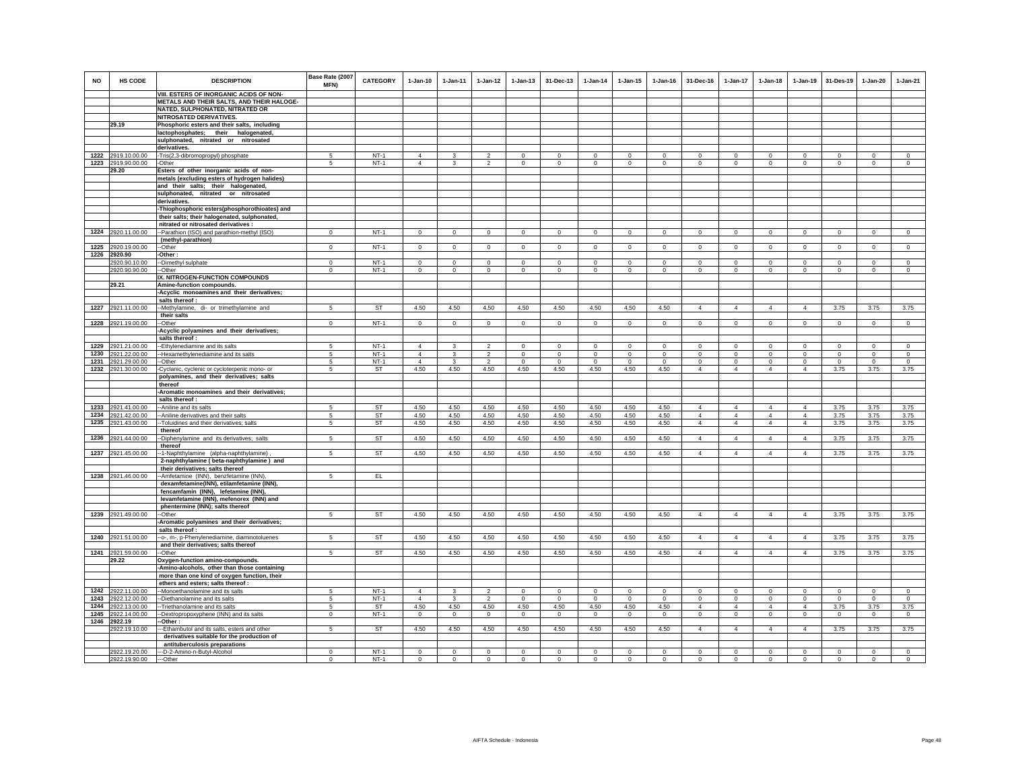| <b>NO</b>    | HS CODE                        | <b>DESCRIPTION</b>                                                               | Base Rate (2007      | <b>CATEGORY</b>  | $1-Jan-10$                       | $1-Jan-11$              | $1 - Jan-12$               | $1-Jan-13$       | 31-Dec-13                 | $1-Jan-14$                 | $1-Jan-15$                | $1$ -Jan-16          | 31-Dec-16                  | $1-Jan-17$                 | $1-Jan-18$                | $1-Jan-19$                    | 31-Des-19               | $1-Jan-20$             | $1-Jan-21$           |
|--------------|--------------------------------|----------------------------------------------------------------------------------|----------------------|------------------|----------------------------------|-------------------------|----------------------------|------------------|---------------------------|----------------------------|---------------------------|----------------------|----------------------------|----------------------------|---------------------------|-------------------------------|-------------------------|------------------------|----------------------|
|              |                                |                                                                                  | MFN)                 |                  |                                  |                         |                            |                  |                           |                            |                           |                      |                            |                            |                           |                               |                         |                        |                      |
|              |                                | VIII. ESTERS OF INORGANIC ACIDS OF NON-                                          |                      |                  |                                  |                         |                            |                  |                           |                            |                           |                      |                            |                            |                           |                               |                         |                        |                      |
|              |                                | METALS AND THEIR SALTS, AND THEIR HALOGE-<br>NATED, SULPHONATED, NITRATED OR     |                      |                  |                                  |                         |                            |                  |                           |                            |                           |                      |                            |                            |                           |                               |                         |                        |                      |
|              |                                | NITROSATED DERIVATIVES.                                                          |                      |                  |                                  |                         |                            |                  |                           |                            |                           |                      |                            |                            |                           |                               |                         |                        |                      |
|              | 29.19                          | Phosphoric esters and their salts, including                                     |                      |                  |                                  |                         |                            |                  |                           |                            |                           |                      |                            |                            |                           |                               |                         |                        |                      |
|              |                                | lactophosphates; their halogenated,                                              |                      |                  |                                  |                         |                            |                  |                           |                            |                           |                      |                            |                            |                           |                               |                         |                        |                      |
|              |                                | sulphonated, nitrated or nitrosated                                              |                      |                  |                                  |                         |                            |                  |                           |                            |                           |                      |                            |                            |                           |                               |                         |                        |                      |
|              |                                | derivatives.                                                                     |                      |                  |                                  |                         |                            |                  |                           |                            |                           |                      |                            |                            |                           |                               |                         |                        |                      |
|              | 1222 2919.10.00.00             | -Tris(2,3-dibromopropyl) phosphate                                               | 5                    | $NT-1$           | $\overline{4}$<br>$\overline{4}$ | 3                       | $\overline{2}$             | $\mathbf 0$      | $^{\circ}$                | $^{\circ}$                 | $^{\circ}$                | $^{\circ}$           | $\circ$                    | 0                          | $\mathbf 0$               | $\mathbf 0$                   | $\mathbf 0$             | $\mathbf 0$            | $\circ$              |
|              | 1223 2919.90.00.00<br>29.20    | -Other<br>Esters of other inorganic acids of non-                                | 5                    | $NT-1$           |                                  | $\mathbf{3}$            | $\overline{2}$             | $\mathbf 0$      | $\mathbf 0$               | $\mathbf 0$                | $\mathbf 0$               | $\mathbf 0$          | $\mathbf 0$                | $\mathsf 0$                | $\mathbf 0$               | $\mathbf 0$                   | $\mathbf 0$             | $\mathbf 0$            | $\mathbf 0$          |
|              |                                | metals (excluding esters of hydrogen halides)                                    |                      |                  |                                  |                         |                            |                  |                           |                            |                           |                      |                            |                            |                           |                               |                         |                        |                      |
|              |                                | and their salts; their halogenated,                                              |                      |                  |                                  |                         |                            |                  |                           |                            |                           |                      |                            |                            |                           |                               |                         |                        |                      |
|              |                                | sulphonated, nitrated or nitrosated                                              |                      |                  |                                  |                         |                            |                  |                           |                            |                           |                      |                            |                            |                           |                               |                         |                        |                      |
|              |                                | derivatives.                                                                     |                      |                  |                                  |                         |                            |                  |                           |                            |                           |                      |                            |                            |                           |                               |                         |                        |                      |
|              |                                | -Thiophosphoric esters(phosphorothioates) and                                    |                      |                  |                                  |                         |                            |                  |                           |                            |                           |                      |                            |                            |                           |                               |                         |                        |                      |
|              |                                | their salts; their halogenated, sulphonated,                                     |                      |                  |                                  |                         |                            |                  |                           |                            |                           |                      |                            |                            |                           |                               |                         |                        |                      |
|              | 1224 2920.11.00.00             | nitrated or nitrosated derivatives :                                             | $\Omega$             | $NT-1$           | $\Omega$                         | $\circ$                 | $\mathbf 0$                | $\mathbf 0$      | $\overline{0}$            | $\overline{0}$             | $\Omega$                  | $\mathsf 0$          | $\circ$                    | $\Omega$                   | $\Omega$                  | $\overline{0}$                | $\mathbf 0$             | $\Omega$               | $\mathsf 0$          |
|              |                                | -Parathion (ISO) and parathion-methyl (ISO)<br>(methyl-parathion)                |                      |                  |                                  |                         |                            |                  |                           |                            |                           |                      |                            |                            |                           |                               |                         |                        |                      |
|              | 1225 2920.19.00.00             | -Other                                                                           | $\mathbf 0$          | $NT-1$           | $\mathsf 0$                      | $\circ$                 | $\circ$                    | $\mathbf 0$      | $\mathbf{0}$              | $\circ$                    | $\mathsf 0$               | $\mathsf 0$          | $\mathbf 0$                | $\circ$                    | $\mathbf 0$               | $\circ$                       | $\circ$                 | $\circ$                | $\mathsf 0$          |
|              | 1226 2920.90                   | Other:                                                                           |                      |                  |                                  |                         |                            |                  |                           |                            |                           |                      |                            |                            |                           |                               |                         |                        |                      |
|              | 2920.90.10.00                  | -Dimethyl sulphate                                                               | $^{\circ}$           | $NT-1$           | $\mathbf 0$                      | $\mathbf 0$             | $\mathsf 0$                | $\mathsf 0$      | $\mathbf 0$               | $\mathbf 0$                | $\mathbf 0$               | $\mathbf 0$          | $\mathbf 0$                | $\mathbf 0$                | $\mathbf 0$               | $^{\circ}$                    | $\mathbf 0$             | $\mathbf 0$            | $\mathbb O$          |
|              | 2920.90.90.00                  | --Other                                                                          | $\mathbf 0$          | $NT-1$           | $\circ$                          | $\circ$                 | $\overline{0}$             | $\mathbf 0$      | $\circ$                   | $\circ$                    | $\mathbf{0}$              | $\circ$              | $\circ$                    | $\circ$                    | $\circ$                   | $\mathbf 0$                   | $\mathbf 0$             | $\mathsf 0$            | $\circ$              |
|              | 29.21                          | IX. NITROGEN-FUNCTION COMPOUNDS<br>Amine-function compounds.                     |                      |                  |                                  |                         |                            |                  |                           |                            |                           |                      |                            |                            |                           |                               |                         |                        |                      |
|              |                                | -Acyclic monoamines and their derivatives;                                       |                      |                  |                                  |                         |                            |                  |                           |                            |                           |                      |                            |                            |                           |                               |                         |                        |                      |
|              |                                | salts thereof :                                                                  |                      |                  |                                  |                         |                            |                  |                           |                            |                           |                      |                            |                            |                           |                               |                         |                        |                      |
|              | 1227 2921.11.00.00             | -Methylamine, di- or trimethylamine and                                          | 5                    | ST               | 4.50                             | 4.50                    | 4.50                       | 4.50             | 4.50                      | 4.50                       | 4.50                      | 4.50                 | $\overline{4}$             | $\overline{4}$             | $\overline{4}$            | $\overline{4}$                | 3.75                    | 3.75                   | 3.75                 |
|              |                                | their salts                                                                      |                      |                  |                                  |                         |                            |                  |                           |                            |                           |                      |                            |                            |                           |                               |                         |                        |                      |
|              | 1228 2921.19.00.00             | -Other                                                                           | $\mathbf{0}$         | $NT-1$           | $^{\circ}$                       | $\circ$                 | $\circ$                    | $\mathbf 0$      | $\mathbf 0$               | $\mathbf{0}$               | 0                         | $\mathbf{0}$         | $\circ$                    | $\circ$                    | $\circ$                   | $\overline{0}$                | $\mathbf{0}$            | $^{\circ}$             | $\mathbf 0$          |
|              |                                | Acyclic polyamines and their derivatives;<br>salts thereof :                     |                      |                  |                                  |                         |                            |                  |                           |                            |                           |                      |                            |                            |                           |                               |                         |                        |                      |
| 1229         | 2921.21.00.00                  | -Ethylenediamine and its salts                                                   | 5                    | $NT-1$           | $\overline{4}$                   | 3                       | $\mathfrak{p}$             | $\mathsf 0$      | $\mathbf 0$               | $\mathbf 0$                | $\mathbf 0$               | $\mathsf 0$          | $\mathbf 0$                | $\mathbf 0$                | $\mathbf 0$               | $\mathbf 0$                   | $\mathbf 0$             | $\circ$                | $\Omega$             |
| 1230         | 2921.22.00.00                  | -Hexamethylenediamine and its salts                                              | 5                    | $NT-1$           | $\overline{4}$                   | 3                       | $\mathfrak{p}$             | $\mathbf 0$      | $\mathbf 0$               | $\Omega$                   | $\mathbf 0$               | $\mathbf 0$          | $\Omega$                   | $\mathbf 0$                | $\Omega$                  | $\mathbf 0$                   | $\Omega$                | $\mathbf 0$            | $\Omega$             |
|              | 1231 2921.29.00.00             | -Other                                                                           | 5                    | $NT-1$           | $\overline{4}$                   | $\mathbf{3}$            | $\overline{2}$             | $\mathsf 0$      | $\mathsf 0$               | $\mathbb O$                | $\mathsf 0$               | $\mathsf 0$          | $\circ$                    | $\circ$                    | $\mathbf 0$               | $\mathbf 0$                   | $\mathbf 0$             | $\mathbf 0$            | $\mathsf 0$          |
|              | 1232 2921.30.00.00             | -Cyclanic, cyclenic or cycloterpenic mono- or                                    | 5                    | ST               | 4.50                             | 4.50                    | 4.50                       | 4.50             | 4.50                      | 4.50                       | 4.50                      | 4.50                 | $\overline{4}$             | $\overline{4}$             | $\overline{4}$            | $\overline{4}$                | 3.75                    | 3.75                   | 3.75                 |
|              |                                | polyamines, and their derivatives; salts                                         |                      |                  |                                  |                         |                            |                  |                           |                            |                           |                      |                            |                            |                           |                               |                         |                        |                      |
|              |                                | thereof                                                                          |                      |                  |                                  |                         |                            |                  |                           |                            |                           |                      |                            |                            |                           |                               |                         |                        |                      |
|              |                                | -Aromatic monoamines and their derivatives;<br>salts thereof :                   |                      |                  |                                  |                         |                            |                  |                           |                            |                           |                      |                            |                            |                           |                               |                         |                        |                      |
| 1233         | 2921.41.00.00                  | --Aniline and its salts                                                          | 5                    | ST               | 4.50                             | 4.50                    | 4.50                       | 4.50             | 4.50                      | 4.50                       | 4.50                      | 4.50                 | $\overline{4}$             | $\overline{4}$             | $\overline{4}$            | $\overline{4}$                | 3.75                    | 3.75                   | 3.75                 |
| 1234         | 2921.42.00.00                  | -- Aniline derivatives and their salts                                           | 5                    | ST               | 4.50                             | 4.50                    | 4.50                       | 4.50             | 4.50                      | 4.50                       | 4.50                      | 4.50                 | $\overline{4}$             | $\overline{4}$             | $\overline{4}$            | $\overline{4}$                | 3.75                    | 3.75                   | 3.75                 |
|              | 1235 2921.43.00.00             | -- Toluidines and their derivatives; salts                                       | 5                    | ST               | 4.50                             | 4.50                    | 4.50                       | 4.50             | 4.50                      | 4.50                       | 4.50                      | 4.50                 | $\overline{4}$             | $\overline{4}$             | $\overline{4}$            | $\overline{4}$                | 3.75                    | 3.75                   | 3.75                 |
|              |                                | thereof                                                                          |                      |                  |                                  |                         |                            |                  |                           |                            |                           |                      |                            |                            |                           |                               |                         |                        |                      |
|              | 1236 2921.44.00.00             | -Diphenylamine and its derivatives; salts<br>thereof                             | 5                    | ST               | 4.50                             | 4.50                    | 4.50                       | 4.50             | 4.50                      | 4.50                       | 4.50                      | 4.50                 | $\overline{4}$             | $\overline{4}$             | $\overline{4}$            | $\overline{4}$                | 3.75                    | 3.75                   | 3.75                 |
|              | 1237 2921.45.00.00             | -1-Naphthylamine (alpha-naphthylamine)                                           | 5                    | ST               | 4.50                             | 4.50                    | 4.50                       | 4.50             | 4.50                      | 4.50                       | 4.50                      | 4.50                 | $\overline{4}$             | $\overline{4}$             | $\overline{4}$            | $\overline{4}$                | 3.75                    | 3.75                   | 3.75                 |
|              |                                | 2-naphthylamine (beta-naphthylamine) and                                         |                      |                  |                                  |                         |                            |                  |                           |                            |                           |                      |                            |                            |                           |                               |                         |                        |                      |
|              |                                | their derivatives; salts thereof                                                 |                      |                  |                                  |                         |                            |                  |                           |                            |                           |                      |                            |                            |                           |                               |                         |                        |                      |
|              | 1238 2921.46.00.00             | -- Amfetamine (INN), benzfetamine (INN)                                          | 5                    | EL               |                                  |                         |                            |                  |                           |                            |                           |                      |                            |                            |                           |                               |                         |                        |                      |
|              |                                | dexamfetamine(INN), etilamfetamine (INN),                                        |                      |                  |                                  |                         |                            |                  |                           |                            |                           |                      |                            |                            |                           |                               |                         |                        |                      |
|              |                                | fencamfamin (INN), lefetamine (INN),<br>levamfetamine (INN), mefenorex (INN) and |                      |                  |                                  |                         |                            |                  |                           |                            |                           |                      |                            |                            |                           |                               |                         |                        |                      |
|              |                                | phentermine (INN); salts thereof                                                 |                      |                  |                                  |                         |                            |                  |                           |                            |                           |                      |                            |                            |                           |                               |                         |                        |                      |
|              | 1239 2921.49.00.00             | --Other                                                                          | 5                    | ST               | 4.50                             | 4.50                    | 4.50                       | 4.50             | 4.50                      | 4.50                       | 4.50                      | 4.50                 | $\overline{4}$             | $\overline{4}$             | $\overline{4}$            | $\overline{4}$                | 3.75                    | 3.75                   | 3.75                 |
|              |                                | Aromatic polyamines and their derivatives;                                       |                      |                  |                                  |                         |                            |                  |                           |                            |                           |                      |                            |                            |                           |                               |                         |                        |                      |
|              |                                | salts thereof :                                                                  |                      |                  |                                  |                         |                            |                  |                           |                            |                           |                      |                            |                            |                           |                               |                         |                        |                      |
|              | 1240 2921.51.00.00             | -- o-, m-, p-Phenylenediamine, diaminotoluenes                                   | 5                    | ST               | 4.50                             | 4.50                    | 4.50                       | 4.50             | 4.50                      | 4.50                       | 4.50                      | 4.50                 | $\overline{4}$             | $\overline{4}$             | $\overline{4}$            | $\overline{4}$                | 3.75                    | 3.75                   | 3.75                 |
|              |                                | and their derivatives; salts thereof                                             |                      |                  |                                  |                         |                            |                  |                           |                            |                           |                      |                            |                            |                           |                               |                         |                        |                      |
|              | 1241 2921.59.00.00<br>29.22    | -Other<br>Oxygen-function amino-compounds.                                       | -5                   | ST               | 4.50                             | 4.50                    | 4.50                       | 4.50             | 4.50                      | 4.50                       | 4.50                      | 4.50                 | $\overline{4}$             | $\overline{4}$             | $\overline{4}$            | $\overline{4}$                | 3.75                    | 3.75                   | 3.75                 |
|              |                                | -Amino-alcohols, other than those containing                                     |                      |                  |                                  |                         |                            |                  |                           |                            |                           |                      |                            |                            |                           |                               |                         |                        |                      |
|              |                                | more than one kind of oxygen function, their                                     |                      |                  |                                  |                         |                            |                  |                           |                            |                           |                      |                            |                            |                           |                               |                         |                        |                      |
|              |                                | ethers and esters; salts thereof :                                               |                      |                  |                                  |                         |                            |                  |                           |                            |                           |                      |                            |                            |                           |                               |                         |                        |                      |
| 1242         | 2922.11.00.00                  | -Monoethanolamine and its salts                                                  | $\sqrt{5}$           | $NT-1$           | $\Delta$                         | $\mathbf{3}$            | $\mathfrak{p}$             | $\mathbf 0$      | $\mathbf 0$               | $\Omega$                   | $\Omega$                  | $\Omega$             | $\Omega$                   | $\mathbf 0$                | $\Omega$                  | $\Omega$                      | $\mathbf 0$             | $\mathbf 0$            | $\mathbf 0$          |
| 1243         | 2922.12.00.00                  | -Diethanolamine and its salts                                                    | 5                    | $NT-1$           | $\Delta$                         | 3                       | $\overline{2}$             | $\Omega$         | $\Omega$                  | $\Omega$                   | $\Omega$                  | $\Omega$             | $\Omega$                   | $\mathbf 0$                | $\Omega$                  | $^{\circ}$                    | $^{\circ}$              | $\Omega$               | $\Omega$             |
| 1244<br>1245 | 2922.13.00.00<br>2922.14.00.00 | -Triethanolamine and its salts                                                   | -5<br>$\Omega$       | ST<br>$NT-1$     | 4.50<br>$\Omega$                 | 4.50<br>$\Omega$        | 4.50<br>$\Omega$           | 4.50<br>$\Omega$ | 4.50<br>$\Omega$          | 4.50<br>$\Omega$           | 4.50<br>$\Omega$          | 4.50<br>$\Omega$     | $\overline{4}$<br>$\Omega$ | $\overline{4}$<br>$\circ$  | $\overline{4}$<br>$\circ$ | $\overline{4}$<br>$\mathbf 0$ | 3.75<br>$\circ$         | 3.75<br>$\Omega$       | 3.75<br>$\circ$      |
|              | 1246 2922.19                   | -Dextropropoxyphene (INN) and its salts<br>-Other:                               |                      |                  |                                  |                         |                            |                  |                           |                            |                           |                      |                            |                            |                           |                               |                         |                        |                      |
|              | 2922.19.10.00                  | -- Ethambutol and its salts, esters and other                                    | 5                    | ST               | 4.50                             | 4.50                    | 4.50                       | 4.50             | 4.50                      | 4.50                       | 4.50                      | 4.50                 | $\overline{4}$             | $\overline{4}$             | $\overline{4}$            | $\overline{4}$                | 3.75                    | 3.75                   | 3.75                 |
|              |                                | derivatives suitable for the production of                                       |                      |                  |                                  |                         |                            |                  |                           |                            |                           |                      |                            |                            |                           |                               |                         |                        |                      |
|              |                                | antituberculosis preparations                                                    |                      |                  |                                  |                         |                            |                  |                           |                            |                           |                      |                            |                            |                           |                               |                         |                        |                      |
|              | 2922.19.20.00<br>2922.19.90.00 | -D-2-Amino-n-Butyl-Alcohol                                                       | $\Omega$<br>$\Omega$ | $NT-1$<br>$NT-1$ | $\Omega$<br>$\Omega$             | $\Omega$<br>$\mathbf 0$ | $\mathbf 0$<br>$\mathbb O$ | $^{\circ}$       | $^{\circ}$<br>$\mathbf 0$ | $\mathsf 0$<br>$\mathbf 0$ | $^{\circ}$<br>$\mathbf 0$ | $\Omega$<br>$\Omega$ | $\Omega$                   | $\mathbf 0$<br>$\mathbf 0$ | $\Omega$<br>$\Omega$      | $\Omega$<br>$\Omega$          | $\Omega$<br>$\mathbf 0$ | $\circ$<br>$\mathbf 0$ | $\Omega$<br>$\Omega$ |
|              |                                | ---Other                                                                         |                      |                  |                                  |                         |                            | $\mathbf 0$      |                           |                            |                           |                      | $\circ$                    |                            |                           |                               |                         |                        |                      |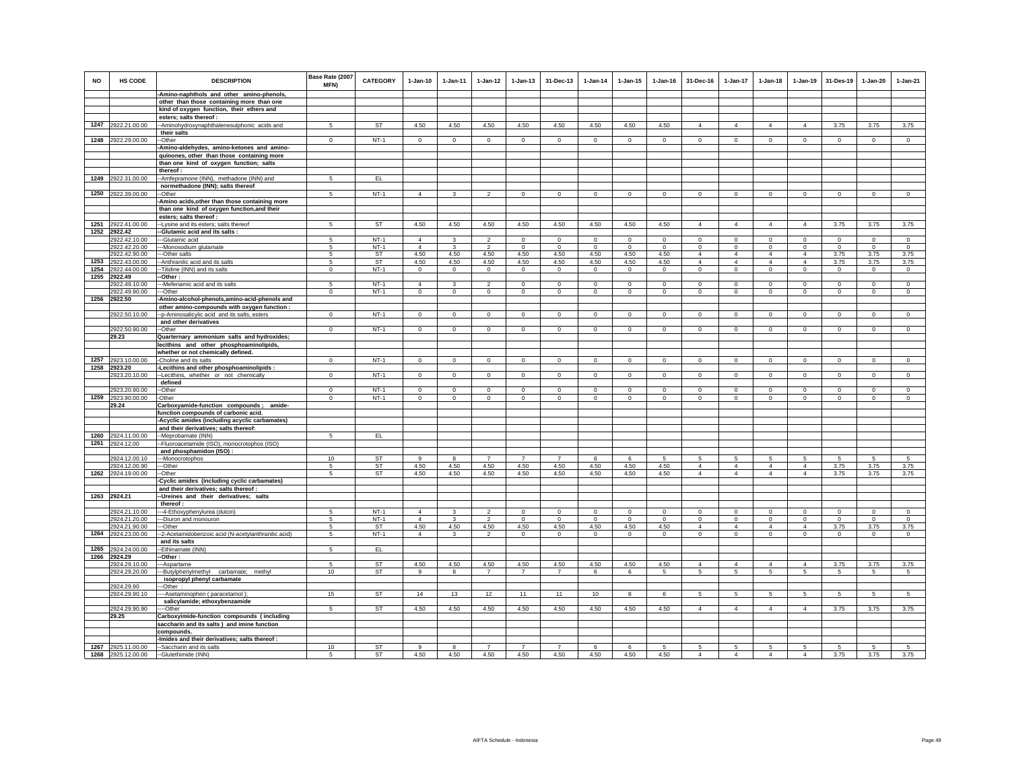| <b>NO</b> | <b>HS CODE</b>                     | <b>DESCRIPTION</b>                                                                      | Base Rate (2007<br>MFN) | <b>CATEGORY</b> | $1-Jan-10$             | $1 - Jan-11$         | $1 - Jan-12$           | $1 - Jan-13$        | 31-Dec-13           | $1 - Jan-14$        | $1 - Jan-15$        | $1 - Jan-16$     | 31-Dec-16                     | $1 - Jan-17$                  | $1 - Jan-18$                  | $1 - Jan-19$                  | 31-Des-19           | 1-Jan-20            | $1-Jan-21$          |
|-----------|------------------------------------|-----------------------------------------------------------------------------------------|-------------------------|-----------------|------------------------|----------------------|------------------------|---------------------|---------------------|---------------------|---------------------|------------------|-------------------------------|-------------------------------|-------------------------------|-------------------------------|---------------------|---------------------|---------------------|
|           |                                    | -Amino-naphthols and other amino-phenols,                                               |                         |                 |                        |                      |                        |                     |                     |                     |                     |                  |                               |                               |                               |                               |                     |                     |                     |
|           |                                    | other than those containing more than one<br>kind of oxygen function, their ethers and  |                         |                 |                        |                      |                        |                     |                     |                     |                     |                  |                               |                               |                               |                               |                     |                     |                     |
|           |                                    | esters; salts thereof :                                                                 |                         |                 |                        |                      |                        |                     |                     |                     |                     |                  |                               |                               |                               |                               |                     |                     |                     |
|           | 1247 2922.21.00.00                 | -- Aminohydroxynaphthalenesulphonic acids and                                           | 5                       | ST              | 4.50                   | 4.50                 | 4.50                   | 4.50                | 4.50                | 4.50                | 4.50                | 4.50             | $\overline{4}$                | $\overline{4}$                | $\overline{4}$                | $\overline{4}$                | 3.75                | 3.75                | 3.75                |
|           |                                    | their salts                                                                             |                         |                 |                        |                      |                        |                     |                     |                     |                     |                  |                               |                               |                               |                               |                     |                     |                     |
|           | 1248 2922.29.00.00                 | -Other                                                                                  | $^{\circ}$              | $NT-1$          | $^{\circ}$             | $^{\circ}$           | $^{\circ}$             | $\circ$             | $\overline{0}$      | $\mathbf{0}$        | $\circ$             | $\circ$          | $\circ$                       | $\circ$                       | $^{\circ}$                    | $\circ$                       | $\circ$             | $\overline{0}$      | $\circ$             |
|           |                                    | -Amino-aldehydes, amino-ketones and amino-                                              |                         |                 |                        |                      |                        |                     |                     |                     |                     |                  |                               |                               |                               |                               |                     |                     |                     |
|           |                                    | quinones, other than those containing more                                              |                         |                 |                        |                      |                        |                     |                     |                     |                     |                  |                               |                               |                               |                               |                     |                     |                     |
|           |                                    | than one kind of oxygen function; salts<br>thereof:                                     |                         |                 |                        |                      |                        |                     |                     |                     |                     |                  |                               |                               |                               |                               |                     |                     |                     |
| 1249      | 2922.31.00.00                      | -Amfepramone (INN), methadone (INN) and                                                 | 5                       | EL.             |                        |                      |                        |                     |                     |                     |                     |                  |                               |                               |                               |                               |                     |                     |                     |
|           |                                    | normethadone (INN); salts thereof                                                       |                         |                 |                        |                      |                        |                     |                     |                     |                     |                  |                               |                               |                               |                               |                     |                     |                     |
| 1250      | 2922.39.00.00                      | -Other                                                                                  | 5                       | $NT-1$          | $\overline{4}$         | 3                    | $\overline{2}$         | $\mathbf 0$         | $\mathbf 0$         | $^{\circ}$          | 0                   | $^{\circ}$       | 0                             | $\mathbf 0$                   | $\mathbf 0$                   | $\circ$                       | $\mathbf 0$         | $\mathbf 0$         | $\circ$             |
|           |                                    | -Amino acids, other than those containing more                                          |                         |                 |                        |                      |                        |                     |                     |                     |                     |                  |                               |                               |                               |                               |                     |                     |                     |
|           |                                    | than one kind of oxygen function, and their                                             |                         |                 |                        |                      |                        |                     |                     |                     |                     |                  |                               |                               |                               |                               |                     |                     |                     |
|           |                                    | esters; salts thereof :                                                                 | 5                       | <b>ST</b>       | 4.50                   | 4.50                 | 4.50                   | 4.50                | 4.50                |                     | 4.50                | 4.50             | $\overline{4}$                | $\overline{4}$                | $\overline{4}$                | $\overline{4}$                | 3.75                | 3.75                | 3.75                |
|           | 1251 2922.41.00.00<br>1252 2922.42 | -- Lysine and its esters; salts thereof<br>--Glutamic acid and its salts :              |                         |                 |                        |                      |                        |                     |                     | 4.50                |                     |                  |                               |                               |                               |                               |                     |                     |                     |
|           | 2922.42.10.00                      | --Glutamic acid                                                                         | $\sqrt{2}$              | $NT-1$          | $\overline{4}$         | $\mathbf{R}$         | $\mathfrak{D}$         | $\mathbf 0$         | $^{\circ}$          | $\Omega$            | $\Omega$            | $\Omega$         | 0                             | $\mathbf 0$                   | $\mathbf 0$                   | $\mathsf 0$                   | $\mathbf 0$         | $\mathbf 0$         | $\mathsf 0$         |
|           | 2922.42.20.00                      | --Monosodium glutamate                                                                  | 5                       | $NT-1$          | $\overline{4}$         | 3                    | $\overline{2}$         | $\mathbf 0$         | $\mathbf 0$         | $\mathbf 0$         | $\mathbf 0$         | $^{\circ}$       | $\mathbf 0$                   | $\mathbf{0}$                  | $\mathbf 0$                   | $\mathbf 0$                   | $\circ$             | $\circ$             | $\circ$             |
|           | 2922.42.90.00                      | --Other salts                                                                           | 5                       | ST              | 4.50                   | 4.50                 | 4.50                   | 4.50                | 4.50                | 4.50                | 4.50                | 4.50             | $\overline{4}$                | $\overline{4}$                | $\overline{4}$                | $\overline{4}$                | 3.75                | 3.75                | 3.75                |
|           | 1253 2922.43.00.00                 | -- Anthranilic acid and its salts                                                       | 5                       | <b>ST</b>       | 4.50                   | 4.50                 | 4.50                   | 4.50                | 4.50                | 4.50                | 4.50                | 4.50             | $\overline{4}$                | $\overline{4}$                | $\overline{4}$                | $\overline{4}$                | 3.75                | 3.75                | 3.75                |
| 1255      | 1254 2922.44.00.00<br>2922.49      | Tilidine (INN) and its salts<br>-Other:                                                 | $\mathbf{0}$            | $NT-1$          | $\circ$                | $\Omega$             | $\overline{0}$         | $\mathsf 0$         | $\mathbf{0}$        | $\circ$             | $\circ$             | $\circ$          | $\mathbf{0}$                  | $\circ$                       | $\mathbf{0}$                  | $\mathsf 0$                   | $\circ$             | $\circ$             | $\circ$             |
|           | 2922.49.10.00                      | -Mefenamic acid and its salts                                                           | 5                       | $NT-1$          | 4                      | 3                    | $\overline{2}$         | $\mathbf 0$         | $\mathbf 0$         | $\mathbf 0$         | $^{\circ}$          | $^{\circ}$       | $^{\circ}$                    | $\mathbf 0$                   | $\mathbf 0$                   | $\mathbf 0$                   | $\mathbf 0$         | $\mathbf 0$         | $\circ$             |
|           | 2922.49.90.00                      | -Other                                                                                  | $\overline{0}$          | $NT-1$          | $\mathbf{0}$           | $\circ$              | $\overline{0}$         | $\mathbf 0$         | $\overline{0}$      | $\circ$             | $\mathbf 0$         | $\mathbf{0}$     | $\circ$                       | $\circ$                       | $\mathbf 0$                   | $\mathbf 0$                   | $\mathbf 0$         | $\circ$             | $\circ$             |
|           | 1256 2922.50                       | -Amino-alcohol-phenols, amino-acid-phenols and                                          |                         |                 |                        |                      |                        |                     |                     |                     |                     |                  |                               |                               |                               |                               |                     |                     |                     |
|           |                                    | other amino-compounds with oxygen function :                                            |                         |                 |                        |                      |                        |                     |                     |                     |                     |                  |                               |                               |                               |                               |                     |                     |                     |
|           | 2922.50.10.00                      | --p-Aminosalicylic acid and its salts, esters                                           | $\Omega$                | NT-1            | $\Omega$               | $\Omega$             | $\Omega$               | $\Omega$            | $\mathbf 0$         | $\circ$             | $\Omega$            | $\mathbf 0$      | $\Omega$                      | $\mathbf 0$                   | $\mathbf 0$                   | $\mathbf 0$                   | $\mathbf 0$         | $\mathbf 0$         | $\circ$             |
|           | 2922.50.90.00                      | and other derivatives<br>--Other                                                        | $\mathsf 0$             | $NT-1$          | $\mathbf{0}$           | $\mathbf 0$          | $^{\circ}$             | $\mathbf 0$         | $\mathbf 0$         | $^{\circ}$          | $\circ$             | $\mathbf 0$      | $\mathbf 0$                   | $\mathsf 0$                   | $\mathsf 0$                   | $\mathsf 0$                   | $\mathbf 0$         | $\mathbf 0$         | $\mathsf 0$         |
|           | 29.23                              | Quarternary ammonium salts and hydroxides;                                              |                         |                 |                        |                      |                        |                     |                     |                     |                     |                  |                               |                               |                               |                               |                     |                     |                     |
|           |                                    | lecithins and other phosphoaminolipids,                                                 |                         |                 |                        |                      |                        |                     |                     |                     |                     |                  |                               |                               |                               |                               |                     |                     |                     |
|           |                                    | whether or not chemically defined.                                                      |                         |                 |                        |                      |                        |                     |                     |                     |                     |                  |                               |                               |                               |                               |                     |                     |                     |
|           | 1257 2923.10.00.00                 | -Choline and its salts                                                                  | $\Omega$                | $NT-1$          | $\Omega$               | $\Omega$             | $\circ$                | $\mathbf 0$         | $\mathbf 0$         | $\circ$             | $\mathbf 0$         | $\mathbf 0$      | $\mathbf 0$                   | $\circ$                       | $\mathbf 0$                   | $\mathsf 0$                   | $\mathbf 0$         | $\mathbf 0$         | $\mathbf 0$         |
| 1258      | 2923.20                            | Lecithins and other phosphoaminolipids :                                                |                         |                 |                        |                      |                        |                     |                     |                     |                     |                  |                               |                               |                               |                               |                     |                     |                     |
|           | 2923.20.10.00                      | --Lecithins, whether or not chemically<br>defined                                       | $\mathsf 0$             | $NT-1$          | $\mathbf 0$            | $\mathbf 0$          | $\mathbf 0$            | $\mathsf 0$         | $\mathsf 0$         | $\mathbb O$         | $\mathbf 0$         | $\mathbf 0$      | $\mathbf 0$                   | $\mathsf 0$                   | $\mathsf 0$                   | $\mathsf 0$                   | $\mathbf 0$         | $\mathsf 0$         | $\mathsf 0$         |
|           | 2923.20.90.00                      | --Other                                                                                 | $\Omega$                | $NT-1$          | $\Omega$               | $\Omega$             | $\mathbf 0$            | $\Omega$            | $^{\circ}$          | $\Omega$            | $\Omega$            | $\Omega$         | $\Omega$                      | $\overline{0}$                | $\Omega$                      | $\Omega$                      | $\mathbf 0$         | $\overline{0}$      | $\Omega$            |
| 1259      | 2923.90.00.00                      | -Other                                                                                  | $\mathsf 0$             | $NT-1$          | $\mathbf 0$            | $\mathbf 0$          | $\mathbf 0$            | $\overline{0}$      | $\mathbf 0$         | $\mathbf 0$         | $\mathbf 0$         | $\Omega$         | $\mathsf 0$                   | $\overline{0}$                | $\mathsf 0$                   | $\mathbf 0$                   | $\mathbf 0$         | $\mathbf 0$         | $\overline{0}$      |
|           | 29.24                              | Carboxyamide-function compounds; amide-                                                 |                         |                 |                        |                      |                        |                     |                     |                     |                     |                  |                               |                               |                               |                               |                     |                     |                     |
|           |                                    | function compounds of carbonic acid.                                                    |                         |                 |                        |                      |                        |                     |                     |                     |                     |                  |                               |                               |                               |                               |                     |                     |                     |
|           |                                    | -Acyclic amides (including acyclic carbamates)<br>and their derivatives; salts thereof: |                         |                 |                        |                      |                        |                     |                     |                     |                     |                  |                               |                               |                               |                               |                     |                     |                     |
| 1260      | 2924.11.00.00                      | --Meprobamate (INN)                                                                     | 5                       | EL.             |                        |                      |                        |                     |                     |                     |                     |                  |                               |                               |                               |                               |                     |                     |                     |
|           | 1261 2924.12.00                    | -Fluoroacetamide (ISO), monocrotophos (ISO)                                             |                         |                 |                        |                      |                        |                     |                     |                     |                     |                  |                               |                               |                               |                               |                     |                     |                     |
|           |                                    | and phosphamidon (ISO) :                                                                |                         |                 |                        |                      |                        |                     |                     |                     |                     |                  |                               |                               |                               |                               |                     |                     |                     |
|           | 2924.12.00.10                      | --- Monocrotophos                                                                       | 10                      | <b>ST</b>       | 9                      | 8                    | $\overline{7}$         | $\overline{7}$      | $\overline{7}$      | 6                   | 6                   | 5                | 5                             | 5                             | 5                             | 5                             | 5                   | 5                   | 5                   |
|           | 2924.12.00.90                      | -Other                                                                                  | 5                       | ST              | 4.50                   | 4.50                 | 4.50                   | 4.50                | 4.50                | 4.50                | 4.50                | 4.50             | $\overline{4}$                | $\overline{4}$                | $\overline{4}$                | $\overline{4}$                | 3.75                | 3.75                | 3.75                |
|           | 1262 2924.19.00.00                 | -Other<br>Cyclic amides (including cyclic carbamates)                                   | 5                       | ST              | 4.50                   | 4.50                 | 4.50                   | 4.50                | 4.50                | 4.50                | 4.50                | 4.50             | $\overline{4}$                | $\overline{4}$                | $\overline{4}$                | $\overline{4}$                | 3.75                | 3.75                | 3.75                |
|           |                                    | and their derivatives; salts thereof :                                                  |                         |                 |                        |                      |                        |                     |                     |                     |                     |                  |                               |                               |                               |                               |                     |                     |                     |
|           | 1263 2924.21                       | -Ureines and their derivatives; salts                                                   |                         |                 |                        |                      |                        |                     |                     |                     |                     |                  |                               |                               |                               |                               |                     |                     |                     |
|           |                                    | thereof:                                                                                |                         |                 |                        |                      |                        |                     |                     |                     |                     |                  |                               |                               |                               |                               |                     |                     |                     |
|           | 2924.21.10.00                      | ---4-Ethoxyphenylurea (dulcin)                                                          | 5                       | $NT-1$          | $\Delta$               | $\mathcal{R}$        | $\mathcal{L}$          | $\Omega$            | $\Omega$            | $\Omega$            | $\Omega$            | $\Omega$         | $\Omega$                      | $\overline{0}$                | $\Omega$                      | $\Omega$                      | $\Omega$            | $\Omega$            | $\Omega$            |
|           | 2924.21.20.00<br>2924.21.90.00     | -- Diuron and monouron<br>--Other                                                       | 5<br>5                  | $NT-1$<br>ST    | $\overline{4}$<br>4.50 | $\mathbf{3}$<br>4.50 | $\overline{2}$<br>4.50 | $\mathbf 0$<br>4.50 | $\mathbf 0$<br>4.50 | $\mathbf 0$<br>4.50 | $\mathbf 0$<br>4.50 | $\Omega$<br>4.50 | $\mathbf 0$<br>$\overline{4}$ | $\mathbf 0$<br>$\overline{4}$ | $\mathsf 0$<br>$\overline{4}$ | $\mathsf 0$<br>$\overline{4}$ | $\mathbf 0$<br>3.75 | $\mathbf 0$<br>3.75 | $\mathsf 0$<br>3.75 |
|           | 1264 2924.23.00.00                 | -2-Acetamidobenzoic acid (N-acetylanthranilic acid)                                     | 5                       | $NT-1$          | $\overline{4}$         | $\mathbf{3}$         | $\overline{2}$         | $\mathbf 0$         | $\overline{0}$      | $\circ$             | $\mathbf 0$         | $\mathbf 0$      | $\circ$                       | $\circ$                       | $\mathbf 0$                   | $\mathbf 0$                   | $\mathbf 0$         | $\overline{0}$      | $\circ$             |
|           |                                    | and its salts                                                                           |                         |                 |                        |                      |                        |                     |                     |                     |                     |                  |                               |                               |                               |                               |                     |                     |                     |
|           | 1265 2924.24.00.00                 | -Ethinamate (INN)                                                                       | 5                       | EL.             |                        |                      |                        |                     |                     |                     |                     |                  |                               |                               |                               |                               |                     |                     |                     |
|           | 1266 2924.29                       | -Other :                                                                                |                         |                 |                        |                      |                        |                     |                     |                     |                     |                  |                               |                               |                               |                               |                     |                     |                     |
|           | 2924.29.10.00                      | -Aspartame                                                                              | 5                       | ST              | 4.50                   | 4.50                 | 4.50                   | 4.50                | 4.50                | 4.50                | 4.50                | 4.50             | $\overline{4}$                | $\overline{4}$                | $\overline{4}$                | $\overline{4}$                | 3.75                | 3.75                | 3.75                |
|           | 2924.29.20.00                      | -Butylphenylmethyl carbamate;<br>methyl                                                 | 10                      | ST              | $\mathsf g$            | 8                    | $\overline{7}$         | $\overline{7}$      | $\overline{7}$      | 6                   | 6                   | 5                | 5                             | 5                             | 5                             | 5                             | $\sqrt{5}$          | 5                   | $\sqrt{5}$          |
|           | 2924.29.90                         | isopropyl phenyl carbamate<br>--Other:                                                  |                         |                 |                        |                      |                        |                     |                     |                     |                     |                  |                               |                               |                               |                               |                     |                     |                     |
|           | 2924.29.90.10                      | ---Asetaminophen (paracetamol)                                                          | 15                      | ST              | 14                     | 13                   | 12                     | 11                  | 11                  | 10                  | 8                   | 6                | 5                             | 5                             | 5                             | 5                             | -5                  | 5                   | 5                   |
|           |                                    | salicylamide; ethoxybenzamide                                                           |                         |                 |                        |                      |                        |                     |                     |                     |                     |                  |                               |                               |                               |                               |                     |                     |                     |
|           | 2924.29.90.90                      | ---Other                                                                                | 5                       | <b>ST</b>       | 4.50                   | 4.50                 | 4.50                   | 4.50                | 4.50                | 4.50                | 4.50                | 4.50             | $\overline{4}$                | $\overline{4}$                | $\overline{4}$                | $\overline{4}$                | 3.75                | 3.75                | 3.75                |
|           | 29.25                              | Carboxyimide-function compounds (including                                              |                         |                 |                        |                      |                        |                     |                     |                     |                     |                  |                               |                               |                               |                               |                     |                     |                     |
|           |                                    | saccharin and its salts ) and imine function<br>compounds                               |                         |                 |                        |                      |                        |                     |                     |                     |                     |                  |                               |                               |                               |                               |                     |                     |                     |
|           |                                    | -Imides and their derivatives; salts thereof :                                          |                         |                 |                        |                      |                        |                     |                     |                     |                     |                  |                               |                               |                               |                               |                     |                     |                     |
|           | 1267 2925.11.00.00                 | --Saccharin and its salts                                                               | 10                      | ST              | 9                      | 8                    | $\overline{7}$         | $\overline{7}$      | $\overline{7}$      | 6                   | 6                   | 5                | 5                             | 5                             | 5                             | 5                             | 5                   | 5                   | -5                  |
|           | 1268 2925.12.00.00                 | --Glutethimide (INN)                                                                    | 5                       | <b>ST</b>       | 4.50                   | 4.50                 | 4.50                   | 4.50                | 4.50                | 4.50                | 4.50                | 4.50             | $\overline{4}$                | $\overline{4}$                | $\overline{4}$                | $\overline{4}$                | 3.75                | 3.75                | 3.75                |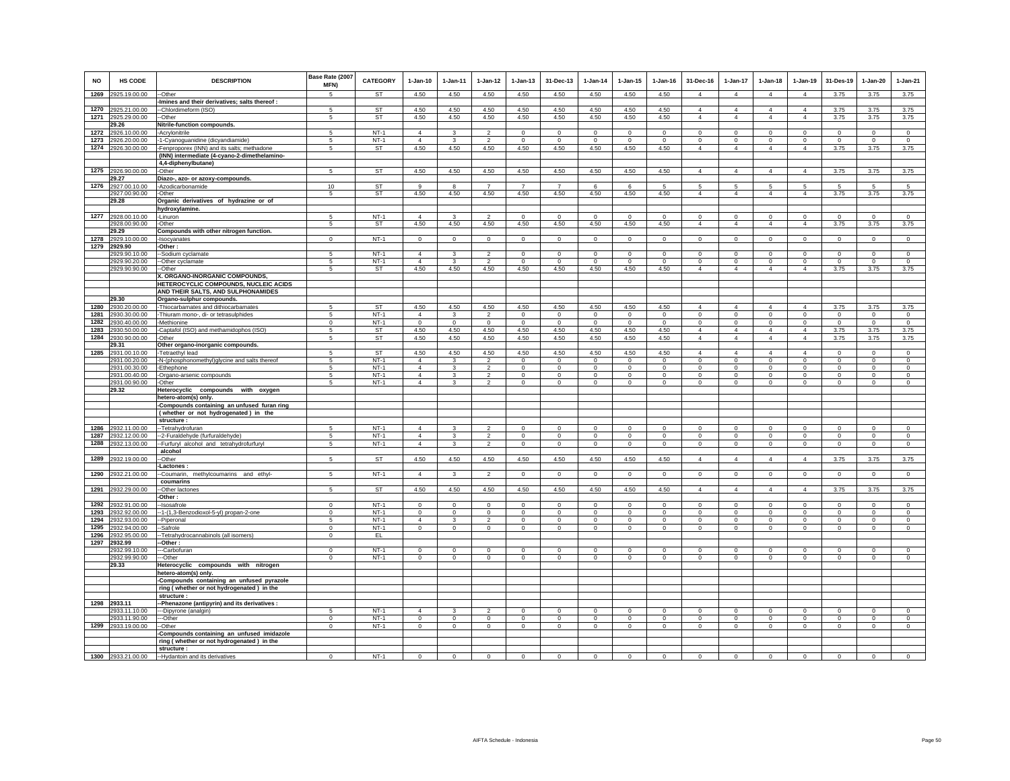|      |                                     |                                                                     | Base Rate (2007          |                  |                         |                         |                         |                         |                             |                     |                           |                         |                         |                            |                                   |                                   |                    |                         |                         |
|------|-------------------------------------|---------------------------------------------------------------------|--------------------------|------------------|-------------------------|-------------------------|-------------------------|-------------------------|-----------------------------|---------------------|---------------------------|-------------------------|-------------------------|----------------------------|-----------------------------------|-----------------------------------|--------------------|-------------------------|-------------------------|
| NO   | <b>HS CODE</b>                      | <b>DESCRIPTION</b>                                                  | MFN)                     | CATEGORY         | $1-Jan-10$              | $1-Jan-11$              | $1-Jan-12$              | $1-Jan-13$              | 31-Dec-13                   | 1-Jan-14            | $1-Jan-15$                | $1-Jan-16$              | 31-Dec-16               | 1-Jan-17                   | $1-Jan-18$                        | 1-Jan-19                          | 31-Des-19          | $1-Jan-20$              | $1-Jan-21$              |
| 1269 | 2925.19.00.00                       | --Other                                                             | $\sqrt{5}$               | <b>ST</b>        | 4.50                    | 4.50                    | 4.50                    | 4.50                    | 4.50                        | 4.50                | 4.50                      | 4.50                    | $\overline{4}$          | $\overline{4}$             | $\overline{4}$                    | $\overline{4}$                    | 3.75               | 3.75                    | 3.75                    |
|      |                                     | -Imines and their derivatives; salts thereof :                      |                          |                  |                         |                         |                         |                         |                             |                     |                           |                         |                         |                            |                                   |                                   |                    |                         |                         |
| 1270 | 2925.21.00.00                       | --Chlordimeform (ISO)                                               | -5                       | <b>ST</b>        | 4.50                    | 4.50                    | 4.50                    | 4.50                    | 4.50                        | 4.50                | 4.50                      | 4.50                    | $\overline{4}$          | $\overline{4}$             | $\overline{4}$                    | $\overline{4}$                    | 3.75               | 3.75                    | 3.75                    |
|      | 1271 2925.29.00.00                  | --Other                                                             | 5                        | ST               | 4.50                    | 4.50                    | 4.50                    | 4.50                    | 4.50                        | 4.50                | 4.50                      | 4.50                    | $\overline{4}$          | $\overline{4}$             | $\overline{4}$                    | $\overline{4}$                    | 3.75               | 3.75                    | 3.75                    |
|      | 29.26                               | Nitrile-function compounds.                                         | 5                        | $NT-1$           | $\overline{4}$          |                         | $\mathcal{P}$           | $\Omega$                | $\Omega$                    | $\Omega$            | $\Omega$                  | $\Omega$                | $\Omega$                | $\Omega$                   | $\Omega$                          | $\Omega$                          | $\Omega$           | $\Omega$                | $\Omega$                |
| 1272 | 2926.10.00.00<br>1273 2926.20.00.00 | -Acrylonitrile<br>-1-Cyanoguanidine (dicyandiamide)                 | 5                        | $NT-1$           | $\overline{4}$          | 3                       | $\overline{2}$          | $\mathbf 0$             | $\mathsf 0$                 | $^{\circ}$          | $\circ$                   | $\mathbf 0$             | $\mathbf 0$             | $\mathbf 0$                | $\mathbf 0$                       | $\mathbf 0$                       | $^{\circ}$         | $\mathsf 0$             | $\mathsf 0$             |
|      | 1274 2926.30.00.00                  | -Fenproporex (INN) and its salts; methadone                         | 5                        | ST               | 4.50                    | 4.50                    | 4.50                    | 4.50                    | 4.50                        | 4.50                | 4.50                      | 4.50                    | $\overline{4}$          | $\overline{4}$             | $\overline{4}$                    | $\overline{4}$                    | 3.75               | 3.75                    | 3.75                    |
|      |                                     | (INN) intermediate (4-cyano-2-dimethelamino-                        |                          |                  |                         |                         |                         |                         |                             |                     |                           |                         |                         |                            |                                   |                                   |                    |                         |                         |
|      |                                     | 4,4-diphenylbutane)                                                 |                          |                  |                         |                         |                         |                         |                             |                     |                           |                         |                         |                            |                                   |                                   |                    |                         |                         |
|      | 1275 2926.90.00.00                  | -Other                                                              | 5                        | <b>ST</b>        | 4.50                    | 4.50                    | 4.50                    | 4.50                    | 4.50                        | 4.50                | 4.50                      | 4.50                    | $\overline{4}$          | $\overline{4}$             | $\overline{4}$                    | $\overline{4}$                    | 3.75               | 3.75                    | 3.75                    |
|      | 29.27                               | Diazo-, azo- or azoxy-compounds.                                    |                          |                  |                         |                         |                         |                         |                             |                     |                           |                         |                         |                            |                                   |                                   |                    |                         |                         |
| 1276 | 2927.00.10.00<br>2927.00.90.00      | -Azodicarbonamide<br>-Other                                         | 10<br>5                  | <b>ST</b><br>ST  | 9<br>4.50               | 8<br>4.50               | $\overline{7}$<br>4.50  | $\overline{7}$<br>4.50  | $\overline{7}$<br>4.50      | 6<br>4.50           | 6<br>4.50                 | 5<br>4.50               | 5<br>$\overline{4}$     | 5<br>$\overline{4}$        | $5\overline{5}$<br>$\overline{4}$ | $5\overline{5}$<br>$\overline{4}$ | 5<br>3.75          | 5<br>3.75               | $5\overline{5}$<br>3.75 |
|      | 29.28                               | Organic derivatives of hydrazine or of                              |                          |                  |                         |                         |                         |                         |                             |                     |                           |                         |                         |                            |                                   |                                   |                    |                         |                         |
|      |                                     | hydroxylamine.                                                      |                          |                  |                         |                         |                         |                         |                             |                     |                           |                         |                         |                            |                                   |                                   |                    |                         |                         |
| 1277 | 2928.00.10.00                       | -Linuron                                                            | 5                        | $NT-1$           | $\Delta$                | 3                       | $\overline{2}$          | $\mathbf 0$             | $\mathsf 0$                 | $\Omega$            | $\Omega$                  | $\Omega$                | $^{\circ}$              | $\mathbf 0$                | $\Omega$                          | $\mathbf 0$                       | $\mathbf 0$        | $\Omega$                | $\mathbf 0$             |
|      | 2928.00.90.00                       | -Other                                                              | 5                        | ST               | 4.50                    | 4.50                    | 4.50                    | 4.50                    | 4.50                        | 4.50                | 4.50                      | 4.50                    | $\overline{4}$          | $\overline{4}$             | $\overline{4}$                    | $\overline{4}$                    | 3.75               | 3.75                    | 3.75                    |
|      | 29.29                               | Compounds with other nitrogen function.                             |                          |                  |                         |                         |                         |                         |                             |                     |                           |                         |                         |                            |                                   |                                   |                    |                         |                         |
|      | 1278 2929.10.00.00<br>1279 2929.90  | -Isocyanates                                                        | $\mathbf 0$              | $NT-1$           | $\mathbf 0$             | $\mathbf 0$             | $\circ$                 | 0                       | $\mathbf 0$                 | $^{\circ}$          | $\mathbf 0$               | $\mathbf 0$             | $\mathbf 0$             | $\mathbf 0$                | $\mathsf 0$                       | $\mathbf 0$                       | $\mathbf 0$        | $\mathsf 0$             | $\mathbf 0$             |
|      | 2929.90.10.00                       | -Other:<br>--Sodium cyclamate                                       | 5                        | $NT-1$           | $\overline{4}$          | 3                       | $\overline{2}$          | $\mathbf 0$             | $\overline{0}$              | $^{\circ}$          | $^{\circ}$                | $^{\circ}$              | $\circ$                 | $\mathbf{0}$               | $\circ$                           | $\mathbf{0}$                      | $\,0\,$            | $\mathbf{0}$            | $\mathbf{0}$            |
|      | 2929.90.20.00                       | --Other cyclamate                                                   | 5                        | $NT-1$           | $\overline{4}$          | 3                       | $\overline{2}$          | $\circ$                 | $\circ$                     | $\Omega$            | $^{\circ}$                | $\Omega$                | $\mathbf 0$             | $\mathbf 0$                | $\Omega$                          | $\mathbf 0$                       | $\circ$            | $\circ$                 | $\circ$                 |
|      | 2929.90.90.00                       | --Other                                                             | 5                        | ST               | 4.50                    | 4.50                    | 4.50                    | 4.50                    | 4.50                        | 4.50                | 4.50                      | 4.50                    | $\overline{4}$          | $\overline{4}$             | $\overline{4}$                    | $\overline{4}$                    | 3.75               | 3.75                    | 3.75                    |
|      |                                     | X. ORGANO-INORGANIC COMPOUNDS                                       |                          |                  |                         |                         |                         |                         |                             |                     |                           |                         |                         |                            |                                   |                                   |                    |                         |                         |
|      |                                     | HETEROCYCLIC COMPOUNDS, NUCLEIC ACIDS                               |                          |                  |                         |                         |                         |                         |                             |                     |                           |                         |                         |                            |                                   |                                   |                    |                         |                         |
|      | 29.30                               | AND THEIR SALTS, AND SULPHONAMIDES<br>Organo-sulphur compounds.     |                          |                  |                         |                         |                         |                         |                             |                     |                           |                         |                         |                            |                                   |                                   |                    |                         |                         |
| 1280 | 2930.20.00.00                       | -Thiocarbamates and dithiocarbamates                                | 5                        | <b>ST</b>        | 4.50                    | 4.50                    | 4.50                    | 4.50                    | 4.50                        | 4.50                | 4.50                      | 4.50                    | $\Delta$                | $\Delta$                   | $\Delta$                          | $\overline{4}$                    | 3.75               | 3.75                    | 3.75                    |
| 1281 | 2930.30.00.00                       | -Thiuram mono-, di- or tetrasulphides                               | 5                        | $NT-1$           | $\overline{4}$          | 3                       | $\overline{2}$          | $\mathbf 0$             | $\mathbf 0$                 | $\mathbf 0$         | $\mathbf 0$               | $\mathbf 0$             | $\mathsf 0$             | $\mathbf 0$                | $\mathsf 0$                       | $\mathbf 0$                       | $\mathbf 0$        | $\mathsf 0$             | $\mathsf 0$             |
| 1282 | 2930.40.00.00                       | -Methionine                                                         | $\Omega$                 | $NT-1$           | $\Omega$                | $\mathbf 0$             | $\Omega$                | $\mathbf 0$             | $\mathsf 0$                 | $\Omega$            | $\Omega$                  | $\Omega$                | $\mathbf 0$             | $\mathbf 0$                | $\circ$                           | $\Omega$                          | $\Omega$           | $\Omega$                | $\mathsf 0$             |
|      | 1283 2930.50.00.00                  | -Captafol (ISO) and methamidophos (ISO)                             | 5                        | ST               | 4.50                    | 4.50                    | 4.50                    | 4.50                    | 4.50                        | 4.50                | 4.50                      | 4.50                    | $\overline{4}$          | $\overline{4}$             | $\overline{4}$                    | $\overline{4}$                    | 3.75               | 3.75                    | 3.75                    |
|      | 1284 2930.90.00.00                  | -Other                                                              | 5                        | ST               | 4.50                    | 4.50                    | 4.50                    | 4.50                    | 4.50                        | 4.50                | 4.50                      | 4.50                    | $\overline{4}$          | $\overline{4}$             | $\overline{4}$                    | $\overline{4}$                    | 3.75               | 3.75                    | 3.75                    |
| 1285 | 29.31<br>2931.00.10.00              | Other organo-inorganic compounds.<br>-Tetraethyl lead               | -5                       | <b>ST</b>        | 4.50                    | 4.50                    | 4.50                    | 4.50                    | 4.50                        | 4.50                | 4.50                      | 4.50                    | $\Delta$                | $\overline{4}$             | $\Delta$                          | $\overline{4}$                    | $\Omega$           | $\Omega$                | $\Omega$                |
|      | 2931.00.20.00                       | -N-(phosphonomethyl)glycine and salts thereof                       | 5                        | $NT-1$           | $\overline{4}$          | 3                       | $\overline{2}$          | $\mathbf 0$             | $\mathbf{0}$                | $^{\circ}$          | $^{\circ}$                | $^{\circ}$              | $\mathbf 0$             | $\mathbf 0$                | $\circ$                           | $\mathbf 0$                       | $^{\circ}$         | $\circ$                 | $\circ$                 |
|      | 2931.00.30.00                       | -Ethephone                                                          | -5                       | $NT-1$           | $\overline{4}$          | $\mathbf{R}$            | $\mathcal{L}$           | $\Omega$                | $\mathbf 0$                 | $\mathbf 0$         | $\Omega$                  | $\Omega$                | $\Omega$                | $\mathbf{0}$               | $\Omega$                          | $\mathbf 0$                       | $\mathbf 0$        | $\Omega$                | $\Omega$                |
|      | 2931.00.40.00                       | -Organo-arsenic compounds                                           | -5                       | $NT-1$           | $\overline{4}$          | 3                       | $\overline{2}$          | $\mathsf 0$             | $\,0\,$                     | $\mathbf 0$         | $\circ$                   | $\Omega$                | $\circ$                 | $\mathbf 0$                | $\circ$                           | $\mathbf 0$                       | $\mathbf 0$        | $^{\circ}$              | $\Omega$                |
|      | 2931.00.90.00                       | -Other                                                              | 5                        | $NT-1$           | $\overline{4}$          | $\overline{\mathbf{3}}$ | $\overline{2}$          | $\overline{0}$          | $\overline{0}$              | $\overline{0}$      | $\overline{0}$            | $\overline{0}$          | $\overline{0}$          | $\overline{0}$             | $\overline{0}$                    | $\overline{0}$                    | $\overline{0}$     | $\overline{0}$          | $\overline{0}$          |
|      | 29.32                               | Heterocyclic compounds with oxygen                                  |                          |                  |                         |                         |                         |                         |                             |                     |                           |                         |                         |                            |                                   |                                   |                    |                         |                         |
|      |                                     | hetero-atom(s) only.<br>-Compounds containing an unfused furan ring |                          |                  |                         |                         |                         |                         |                             |                     |                           |                         |                         |                            |                                   |                                   |                    |                         |                         |
|      |                                     | (whether or not hydrogenated) in the                                |                          |                  |                         |                         |                         |                         |                             |                     |                           |                         |                         |                            |                                   |                                   |                    |                         |                         |
|      |                                     | structure :                                                         |                          |                  |                         |                         |                         |                         |                             |                     |                           |                         |                         |                            |                                   |                                   |                    |                         |                         |
| 1286 | 2932.11.00.00                       | -- Tetrahydrofuran                                                  | 5                        | $NT-1$           | $\overline{4}$          | 3                       | $\overline{2}$          | $\mathbf 0$             | $\,0\,$                     | $\mathbf{0}$        | $\mathbf 0$               | $\mathbf 0$             | $\mathbf 0$             | $\mathbf 0$                | $\circ$                           | $\mathbf{0}$                      | $\mathbf 0$        | $\mathbf{0}$            | $\mathsf 0$             |
| 1287 | 2932.12.00.00                       | --2-Furaldehyde (furfuraldehyde)                                    | 5                        | $NT-1$           | $\overline{4}$          | $\mathbf{3}$            | $\overline{2}$          | $\mathbf 0$             | $\circ$                     | $\Omega$            | $\Omega$                  | $\circ$                 | $\mathbf{0}$            | $\mathbf 0$                | $\circ$                           | $\mathbf 0$                       | $\mathbb O$        | $\circ$                 | $\circ$                 |
| 1288 | 2932.13.00.00                       | -- Furfuryl alcohol and tetrahydrofurfuryl<br>alcohol               | 5                        | $NT-1$           | $\overline{4}$          | $\mathbf{3}$            | $\overline{2}$          | $\mathbf 0$             | $\circ$                     | $\circ$             | $\mathbf 0$               | $\mathsf 0$             | $\mathsf 0$             | $\circ$                    | $\mathbf 0$                       | $\circ$                           | $\circ$            | $\mathbf 0$             | $\mathsf 0$             |
| 1289 | 2932.19.00.00                       | --Other                                                             | 5                        | <b>ST</b>        | 4.50                    | 4.50                    | 4.50                    | 4.50                    | 4.50                        | 4.50                | 4.50                      | 4.50                    | $\overline{4}$          | $\overline{4}$             | $\overline{4}$                    | $\overline{4}$                    | 3.75               | 3.75                    | 3.75                    |
|      |                                     | <b>Lactones:</b>                                                    |                          |                  |                         |                         |                         |                         |                             |                     |                           |                         |                         |                            |                                   |                                   |                    |                         |                         |
| 1290 | 2932.21.00.00                       | --Coumarin, methylcoumarins and ethyl-                              | 5                        | $NT-1$           | $\overline{4}$          | $\mathbf{3}$            | $\overline{2}$          | $\mathbf 0$             | $\mathbf 0$                 | $\mathbf 0$         | $\overline{0}$            | $\mathbf 0$             | $\mathbf 0$             | $\overline{0}$             | $\mathbf 0$                       | $\mathbf 0$                       | $\circ$            | $\mathbf 0$             | $\overline{0}$          |
|      |                                     | coumarins                                                           |                          |                  |                         |                         |                         |                         |                             |                     |                           |                         |                         |                            |                                   |                                   |                    |                         |                         |
| 1291 | 2932.29.00.00                       | --Other lactones                                                    | 5                        | <b>ST</b>        | 4.50                    | 4.50                    | 4.50                    | 4.50                    | 4.50                        | 4.50                | 4.50                      | 4.50                    | $\overline{4}$          | $\overline{4}$             | $\overline{4}$                    | $\overline{4}$                    | 3.75               | 3.75                    | 3.75                    |
| 1292 | 2932.91.00.00                       | -Other:<br>--Isosafrole                                             | $\Omega$                 | $NT-1$           | $\Omega$                | $\Omega$                | $\Omega$                | $\Omega$                | $\mathbf 0$                 | $\Omega$            | $\Omega$                  | $\Omega$                | $\mathbf 0$             | $\mathbf 0$                | $\circ$                           | $\Omega$                          | $\Omega$           | $\Omega$                | $\circ$                 |
| 1293 | 2932.92.00.00                       | --1-(1,3-Benzodioxol-5-yl) propan-2-one                             | $\Omega$                 | $NT-1$           | $\Omega$                | $\Omega$                | $\Omega$                | $\Omega$                | $\mathbf 0$                 | $\Omega$            | $\Omega$                  | $\Omega$                | $\Omega$                | $\mathbf 0$                | $\Omega$                          | $\Omega$                          | $\Omega$           | $\Omega$                | $\circ$                 |
|      | 1294 2932.93.00.00                  | --Piperonal                                                         | 5                        | $NT-1$           | $\overline{4}$          | 3                       | $\overline{2}$          | $\mathbf 0$             | $\mathbf{0}$                | $^{\circ}$          | $^{\circ}$                | $^{\circ}$              | $\mathbf 0$             | $\mathbf 0$                | $\circ$                           | $\mathbf 0$                       | $^{\circ}$         | $\circ$                 | $\circ$                 |
|      | 1295 2932.94.00.00                  | -Safrole                                                            | $\Omega$                 | $NT-1$           | $\circ$                 | $\mathbf 0$             | $\overline{0}$          | 0                       | $\mathbf 0$                 | $\mathbf 0$         | $\mathbf 0$               | $\mathbf 0$             | $\mathbf 0$             | $\circ$                    | $\mathbf 0$                       | $\mathbf 0$                       | $\circ$            | $\mathbf 0$             | $\mathbf 0$             |
|      | 1296 2932.95.00.00                  | -Tetrahydrocannabinols (all isomers)                                | $\mathbf{0}$             | EL.              |                         |                         |                         |                         |                             |                     |                           |                         |                         |                            |                                   |                                   |                    |                         |                         |
|      | 1297 2932.99                        | -Other:                                                             |                          |                  |                         |                         |                         |                         |                             |                     |                           |                         |                         |                            |                                   |                                   |                    |                         |                         |
|      | 2932.99.10.00<br>2932.99.90.00      | --Carbofuran<br>---Other                                            | $\Omega$<br>$\mathbf{0}$ | $NT-1$<br>$NT-1$ | $\Omega$<br>$\mathbf 0$ | $\Omega$<br>$\mathbf 0$ | $\Omega$<br>$\mathsf 0$ | $\Omega$<br>$\mathbf 0$ | $\mathbf{0}$<br>$\mathsf 0$ | $\Omega$<br>$\,0\,$ | $^{\circ}$<br>$\mathbf 0$ | $\Omega$<br>$\mathbf 0$ | $\Omega$<br>$\mathbf 0$ | $\mathbf 0$<br>$\mathbf 0$ | $\Omega$<br>$\mathbf 0$           | $\Omega$<br>$\mathbf 0$           | $\Omega$<br>$\,$ 0 | $\Omega$<br>$\mathbf 0$ | $\circ$<br>$\mathbf 0$  |
|      | 29.33                               | Heterocyclic compounds with nitrogen                                |                          |                  |                         |                         |                         |                         |                             |                     |                           |                         |                         |                            |                                   |                                   |                    |                         |                         |
|      |                                     | hetero-atom(s) only.                                                |                          |                  |                         |                         |                         |                         |                             |                     |                           |                         |                         |                            |                                   |                                   |                    |                         |                         |
|      |                                     | -Compounds containing an unfused pyrazole                           |                          |                  |                         |                         |                         |                         |                             |                     |                           |                         |                         |                            |                                   |                                   |                    |                         |                         |
|      |                                     | ring (whether or not hydrogenated) in the                           |                          |                  |                         |                         |                         |                         |                             |                     |                           |                         |                         |                            |                                   |                                   |                    |                         |                         |
|      |                                     | structure                                                           |                          |                  |                         |                         |                         |                         |                             |                     |                           |                         |                         |                            |                                   |                                   |                    |                         |                         |
| 1298 | 2933.11<br>2933.11.10.00            | --Phenazone (antipyrin) and its derivatives :                       |                          | $NT-1$           | $\overline{4}$          |                         |                         | $\Omega$                | $\Omega$                    | $\Omega$            |                           | $\Omega$                | $\Omega$                | $\Omega$                   | $\Omega$                          | $\Omega$                          | $\Omega$           | $\Omega$                | $\Omega$                |
|      | 2933.11.90.00                       | ---Dipyrone (analgin)<br>---Other                                   | $\mathbf{0}$             | $NT-1$           | $\circ$                 | $\circ$                 | $\circ$                 | $\mathbf 0$             | $\overline{0}$              | $\,0\,$             | $\mathbf 0$               | $\mathbf 0$             | $\circ$                 | $\circ$                    | $\mathbf 0$                       | $\,0\,$                           | $\,0\,$            | $\mathbf 0$             | $\mathbf 0$             |
|      | 1299 2933.19.00.00                  | -Other                                                              | 0                        | $NT-1$           | $\mathbf 0$             | 0                       | $\mathbf{0}$            | 0                       | $\mathbf 0$                 | 0                   | 0                         | 0                       | $\mathbf 0$             | $\mathbf 0$                | $\mathbf 0$                       | $\mathbf 0$                       | $\,0\,$            | $\circ$                 | $\mathbf 0$             |
|      |                                     | -Compounds containing an unfused imidazole                          |                          |                  |                         |                         |                         |                         |                             |                     |                           |                         |                         |                            |                                   |                                   |                    |                         |                         |
|      |                                     | ring (whether or not hydrogenated) in the                           |                          |                  |                         |                         |                         |                         |                             |                     |                           |                         |                         |                            |                                   |                                   |                    |                         |                         |
|      |                                     | structure :                                                         |                          |                  |                         |                         |                         |                         |                             |                     |                           |                         |                         |                            |                                   |                                   |                    |                         |                         |
|      | 1300 2933.21.00.00                  | --Hydantoin and its derivatives                                     | $\Omega$                 | $NT-1$           | $\Omega$                | $\mathsf 0$             | $\mathsf 0$             | $\mathbf 0$             | $\mathsf 0$                 | $\mathbf 0$         | $\Omega$                  | $\mathbf 0$             | $\mathsf 0$             | $\mathsf 0$                | $\mathbf 0$                       | $\mathbf 0$                       | $\mathbf 0$        | $\Omega$                | $\circ$                 |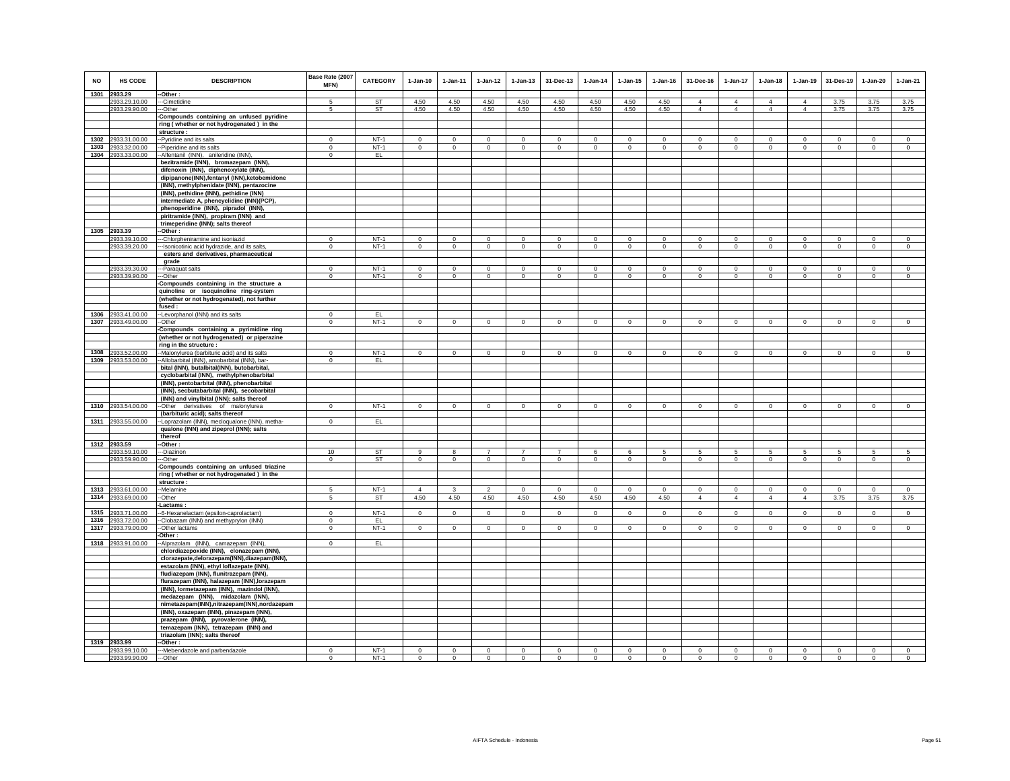| <b>NO</b> | <b>HS CODE</b>     | <b>DESCRIPTION</b>                             | Base Rate (2007<br>MFN) | <b>CATEGORY</b> | $1-Jan-10$     | $1-Jan-11$   | $1-Jan-12$     | $1-Jan-13$     | 31-Dec-13      | $1-Jan-14$     | $1-Jan-15$   | $1-Jan-16$   | 31-Dec-16      | 1-Jan-17       | $1-Jan-18$     | $1-Jan-19$     | 31-Des-19      | $1-Jan-20$   | $1-Jan-21$     |
|-----------|--------------------|------------------------------------------------|-------------------------|-----------------|----------------|--------------|----------------|----------------|----------------|----------------|--------------|--------------|----------------|----------------|----------------|----------------|----------------|--------------|----------------|
|           | 1301 2933.29       | -Other:                                        |                         |                 |                |              |                |                |                |                |              |              |                |                |                |                |                |              |                |
|           | 2933.29.10.00      | --Cimetidine                                   | 5                       | <b>ST</b>       | 4.50           | 4.50         | 4.50           | 4.50           | 4.50           | 4.50           | 4.50         | 4.50         | $\overline{4}$ | $\overline{4}$ | $\overline{4}$ | $\overline{4}$ | 3.75           | 3.75         | 3.75           |
|           | 2933.29.90.00      | --Other                                        | 5                       | <b>ST</b>       | 4.50           | 4.50         | 4.50           | 4.50           | 4.50           | 4.50           | 4.50         | 4.50         | $\overline{4}$ | $\overline{4}$ | $\overline{4}$ | $\overline{4}$ | 3.75           | 3.75         | 3.75           |
|           |                    | -Compounds containing an unfused pyridine      |                         |                 |                |              |                |                |                |                |              |              |                |                |                |                |                |              |                |
|           |                    | ring (whether or not hydrogenated) in the      |                         |                 |                |              |                |                |                |                |              |              |                |                |                |                |                |              |                |
|           |                    | structure :                                    |                         |                 |                |              |                |                |                |                |              |              |                |                |                |                |                |              |                |
|           | 1302 2933.31.00.00 | -Pyridine and its salts                        | $\Omega$                | $NT-1$          | $\mathbf{0}$   | $\mathbf 0$  | $\mathbf 0$    | $\mathbf 0$    | $\mathbf{0}$   | $\mathbf 0$    | $\mathbf 0$  | $\mathbf 0$  | $\mathbf{0}$   | $\mathbf 0$    | $\mathbf{0}$   | $\mathbf 0$    | $\circ$        | $\mathbf 0$  | $\mathbf{0}$   |
|           | 1303 2933.32.00.00 | -Piperidine and its salts                      | $\Omega$                | $NT-1$          | $\circ$        | $\mathbf{0}$ | $\mathbf 0$    | $\mathbf 0$    | $\mathbf{0}$   | $\circ$        | 0            | $\mathbf 0$  | $\circ$        | $\circ$        | $\circ$        | $\mathbf 0$    | $\mathbf{0}$   | $\circ$      | $\circ$        |
|           | 1304 2933.33.00.00 | -Alfentanil (INN), anileridine (INN),          | $\mathbf 0$             | EL              |                |              |                |                |                |                |              |              |                |                |                |                |                |              |                |
|           |                    | bezitramide (INN), bromazepam (INN),           |                         |                 |                |              |                |                |                |                |              |              |                |                |                |                |                |              |                |
|           |                    | difenoxin (INN), diphenoxylate (INN),          |                         |                 |                |              |                |                |                |                |              |              |                |                |                |                |                |              |                |
|           |                    | dipipanone(INN),fentanyl (INN),ketobemidone    |                         |                 |                |              |                |                |                |                |              |              |                |                |                |                |                |              |                |
|           |                    | (INN), methylphenidate (INN), pentazocine      |                         |                 |                |              |                |                |                |                |              |              |                |                |                |                |                |              |                |
|           |                    | (INN), pethidine (INN), pethidine (INN)        |                         |                 |                |              |                |                |                |                |              |              |                |                |                |                |                |              |                |
|           |                    | intermediate A, phencyclidine (INN)(PCP),      |                         |                 |                |              |                |                |                |                |              |              |                |                |                |                |                |              |                |
|           |                    | phenoperidine (INN), pipradol (INN),           |                         |                 |                |              |                |                |                |                |              |              |                |                |                |                |                |              |                |
|           |                    | piritramide (INN), propiram (INN) and          |                         |                 |                |              |                |                |                |                |              |              |                |                |                |                |                |              |                |
|           |                    | trimeperidine (INN); salts thereof             |                         |                 |                |              |                |                |                |                |              |              |                |                |                |                |                |              |                |
|           | 1305 2933.39       | --Other:                                       |                         |                 |                |              |                |                |                |                |              |              |                |                |                |                |                |              |                |
|           |                    |                                                | $\Omega$                |                 | $\Omega$       | $\Omega$     |                |                |                |                |              |              | $\Omega$       |                | $\Omega$       | $\Omega$       |                | $\Omega$     |                |
|           | 2933.39.10.00      | ---Chlorpheniramine and isoniazid              |                         | $NT-1$          |                |              | $\mathbf 0$    | $\mathbf 0$    | $\mathbf 0$    | $\mathbf 0$    | $\mathbf 0$  | $\mathbf 0$  |                | 0              |                |                | $\mathbf 0$    |              | $\mathbf 0$    |
|           | 2933.39.20.00      | --Isonicotinic acid hydrazide, and its salts,  | $^{\circ}$              | $NT-1$          | $\circ$        | $^{\circ}$   | $\overline{0}$ | $\circ$        | $\mathbf{0}$   | $\overline{0}$ | 0            | $\mathbf{0}$ | $\circ$        | $\circ$        | $\circ$        | $\circ$        | $\circ$        | $\circ$      | $\mathbf 0$    |
|           |                    | esters and derivatives, pharmaceutical         |                         |                 |                |              |                |                |                |                |              |              |                |                |                |                |                |              |                |
|           |                    | grade                                          |                         |                 |                |              |                |                |                |                |              |              |                |                |                |                |                |              |                |
|           | 2933.39.30.00      | ---Paraquat salts                              | $^{\circ}$              | $NT-1$          | $\mathbf 0$    | $\mathbf 0$  | $\mathbf 0$    | $\mathbf 0$    | $\bf{0}$       | $^{\circ}$     | 0            | $\mathbf 0$  | $\mathbf 0$    | 0              | 0              | $\mathbf 0$    | $\mathbf 0$    | $\mathbf 0$  | $\mathbf 0$    |
|           | 2933.39.90.00      | ---Other                                       | $\mathbf 0$             | $NT-1$          | $\circ$        | $\circ$      | $\circ$        | $\mathbf 0$    | $\mathbf{0}$   | $\circ$        | $\mathbf 0$  | $\Omega$     | $\circ$        | $\overline{0}$ | $\circ$        | $\mathbf 0$    | $\circ$        | $\circ$      | $\Omega$       |
|           |                    | -Compounds containing in the structure a       |                         |                 |                |              |                |                |                |                |              |              |                |                |                |                |                |              |                |
|           |                    | quinoline or isoquinoline ring-system          |                         |                 |                |              |                |                |                |                |              |              |                |                |                |                |                |              |                |
|           |                    | (whether or not hydrogenated), not further     |                         |                 |                |              |                |                |                |                |              |              |                |                |                |                |                |              |                |
|           |                    | fused:                                         |                         |                 |                |              |                |                |                |                |              |              |                |                |                |                |                |              |                |
|           | 1306 2933.41.00.00 | --Levorphanol (INN) and its salts              | $^{\circ}$              | EL              |                |              |                |                |                |                |              |              |                |                |                |                |                |              |                |
|           | 1307 2933.49.00.00 | --Other                                        | $\mathbf{0}$            | $NT-1$          | $\circ$        | $\mathbf{0}$ | $\circ$        | $\mathbf{0}$   | $\overline{0}$ | $\mathbf{0}$   | $\mathbf{0}$ | $\circ$      | $\mathbf{0}$   | $\circ$        | $\overline{0}$ | $\circ$        | $\mathbf{0}$   | $\mathbf{0}$ | $\mathbf{0}$   |
|           |                    | Compounds containing a pyrimidine ring         |                         |                 |                |              |                |                |                |                |              |              |                |                |                |                |                |              |                |
|           |                    | (whether or not hydrogenated) or piperazine    |                         |                 |                |              |                |                |                |                |              |              |                |                |                |                |                |              |                |
|           |                    | ring in the structure :                        |                         |                 |                |              |                |                |                |                |              |              |                |                |                |                |                |              |                |
|           | 1308 2933.52.00.00 | -Malonylurea (barbituric acid) and its salts   | $\mathbf 0$             | $NT-1$          | $\circ$        | $\circ$      | $\circ$        | $\mathbf{0}$   | $\mathbf{0}$   | $\circ$        | $\mathsf 0$  | $\mathsf 0$  | $\circ$        | $\circ$        | $\circ$        | $\mathbb O$    | $\circ$        | $\circ$      | $\circ$        |
|           | 1309 2933.53.00.00 | -- Allobarbital (INN), amobarbital (INN), bar- | $\mathbf 0$             | EL.             |                |              |                |                |                |                |              |              |                |                |                |                |                |              |                |
|           |                    | bital (INN), butalbital(INN), butobarbital,    |                         |                 |                |              |                |                |                |                |              |              |                |                |                |                |                |              |                |
|           |                    | cyclobarbital (INN), methylphenobarbital       |                         |                 |                |              |                |                |                |                |              |              |                |                |                |                |                |              |                |
|           |                    | (INN), pentobarbital (INN), phenobarbital      |                         |                 |                |              |                |                |                |                |              |              |                |                |                |                |                |              |                |
|           |                    | (INN), secbutabarbital (INN), secobarbital     |                         |                 |                |              |                |                |                |                |              |              |                |                |                |                |                |              |                |
|           |                    | (INN) and vinylbital (INN); salts thereof      |                         |                 |                |              |                |                |                |                |              |              |                |                |                |                |                |              |                |
|           | 1310 2933.54.00.00 | --Other derivatives of malonylurea             | $\mathbf{0}$            | $NT-1$          | $\circ$        | $\circ$      | $\circ$        | $\circ$        | $\circ$        | $\circ$        | $\circ$      | $\circ$      | $\circ$        | $\circ$        | $\circ$        | $\mathbf 0$    | $\circ$        | $\circ$      | $\circ$        |
|           |                    | (barbituric acid); salts thereof               |                         |                 |                |              |                |                |                |                |              |              |                |                |                |                |                |              |                |
|           | 1311 2933.55.00.00 | --Loprazolam (INN), mecloqualone (INN), metha- | $\Omega$                | EL.             |                |              |                |                |                |                |              |              |                |                |                |                |                |              |                |
|           |                    | qualone (INN) and zipeprol (INN); salts        |                         |                 |                |              |                |                |                |                |              |              |                |                |                |                |                |              |                |
|           |                    | thereof                                        |                         |                 |                |              |                |                |                |                |              |              |                |                |                |                |                |              |                |
|           | 1312 2933.59       | -Other:                                        |                         |                 |                |              |                |                |                |                |              |              |                |                |                |                |                |              |                |
|           | 2933.59.10.00      | --Diazinon                                     | 10                      | <b>ST</b>       | $\alpha$       | $\mathbf{R}$ | $\overline{7}$ | $\overline{7}$ | $\overline{7}$ | 6              | 6            | -5           | 5              | 5              | -5             | 5              | 5              | 5            | 5              |
|           | 2933.59.90.00      | --Other                                        | $\mathbf 0$             | <b>ST</b>       | $\mathbf 0$    | $\mathbf 0$  | $\mathbf 0$    | $\mathsf 0$    | $\overline{0}$ | $\mathsf 0$    | $\mathsf 0$  | $\mathsf 0$  | $\mathsf 0$    | $\overline{0}$ | $\mathbf 0$    | $\mathbb O$    | $\mathbf 0$    | $\mathsf 0$  | $\mathsf 0$    |
|           |                    | Compounds containing an unfused triazine       |                         |                 |                |              |                |                |                |                |              |              |                |                |                |                |                |              |                |
|           |                    | ring (whether or not hydrogenated) in the      |                         |                 |                |              |                |                |                |                |              |              |                |                |                |                |                |              |                |
|           |                    | structure :                                    |                         |                 |                |              |                |                |                |                |              |              |                |                |                |                |                |              |                |
|           | 1313 2933.61.00.00 | --Melamine                                     | 5                       | $NT-1$          | $\overline{4}$ | 3            | $\overline{2}$ | $\mathbf 0$    | $\overline{0}$ | $\circ$        | $\circ$      | $\circ$      | $\circ$        | $\overline{0}$ | $\mathbf 0$    | $\overline{0}$ | $\overline{0}$ | $\circ$      | $\overline{0}$ |
|           | 1314 2933.69.00.00 | --Other                                        | 5                       | <b>ST</b>       | 4.50           | 4.50         | 4.50           | 4.50           | 4.50           | 4.50           | 4.50         | 4.50         | $\overline{4}$ | $\overline{4}$ | $\overline{4}$ | $\overline{4}$ | 3.75           | 3.75         | 3.75           |
|           |                    | -Lactams:                                      |                         |                 |                |              |                |                |                |                |              |              |                |                |                |                |                |              |                |
|           | 1315 2933.71.00.00 | -6-Hexanelactam (epsilon-caprolactam)          | $\mathbf{0}$            | $NT-1$          | $\circ$        | $\circ$      | $\mathbf{0}$   | $\circ$        | $\circ$        | $\circ$        | $\mathbf{0}$ | $\circ$      | $\mathbf{0}$   | $\mathbf{0}$   | $\circ$        | $\circ$        | $\circ$        | $\mathbf{0}$ | $\circ$        |
|           | 1316 2933.72.00.00 |                                                |                         | EL              |                |              |                |                |                |                |              |              |                |                |                |                |                |              |                |
|           |                    | --Clobazam (INN) and methyprylon (INN)         | $\mathbf{0}$            |                 | $\Omega$       |              | $\Omega$       |                |                | $\Omega$       | $\Omega$     | $\Omega$     |                |                |                |                |                |              |                |
|           | 1317 2933.79.00.00 | --Other lactams                                | $\mathbf 0$             | $NT-1$          |                | $\mathbf 0$  |                | $\mathbf 0$    | $\mathbf 0$    |                |              |              | $\mathbf 0$    | $\mathsf 0$    | $\mathbf 0$    | $\mathbf 0$    | $\mathbf 0$    | $\mathsf 0$  | $\mathbf 0$    |
|           |                    | Other :                                        |                         |                 |                |              |                |                |                |                |              |              |                |                |                |                |                |              |                |
|           | 1318 2933.91.00.00 | -Alprazolam (INN), camazepam (INN),            | $\overline{0}$          | EL              |                |              |                |                |                |                |              |              |                |                |                |                |                |              |                |
|           |                    | chlordiazepoxide (INN), clonazepam (INN),      |                         |                 |                |              |                |                |                |                |              |              |                |                |                |                |                |              |                |
|           |                    | clorazepate, delorazepam(INN), diazepam(INN),  |                         |                 |                |              |                |                |                |                |              |              |                |                |                |                |                |              |                |
|           |                    | estazolam (INN), ethyl loflazepate (INN),      |                         |                 |                |              |                |                |                |                |              |              |                |                |                |                |                |              |                |
|           |                    | fludiazepam (INN), flunitrazepam (INN),        |                         |                 |                |              |                |                |                |                |              |              |                |                |                |                |                |              |                |
|           |                    | flurazepam (INN), halazepam (INN), lorazepam   |                         |                 |                |              |                |                |                |                |              |              |                |                |                |                |                |              |                |
|           |                    | (INN), lormetazepam (INN), mazindol (INN),     |                         |                 |                |              |                |                |                |                |              |              |                |                |                |                |                |              |                |
|           |                    | medazepam (INN), midazolam (INN),              |                         |                 |                |              |                |                |                |                |              |              |                |                |                |                |                |              |                |
|           |                    | nimetazepam(INN),nitrazepam(INN),nordazepam    |                         |                 |                |              |                |                |                |                |              |              |                |                |                |                |                |              |                |
|           |                    | (INN), oxazepam (INN), pinazepam (INN),        |                         |                 |                |              |                |                |                |                |              |              |                |                |                |                |                |              |                |
|           |                    | prazepam (INN), pyrovalerone (INN),            |                         |                 |                |              |                |                |                |                |              |              |                |                |                |                |                |              |                |
|           |                    | temazepam (INN), tetrazepam (INN) and          |                         |                 |                |              |                |                |                |                |              |              |                |                |                |                |                |              |                |
|           |                    | triazolam (INN); salts thereof                 |                         |                 |                |              |                |                |                |                |              |              |                |                |                |                |                |              |                |
|           | 1319 2933.99       | --Other:                                       |                         |                 |                |              |                |                |                |                |              |              |                |                |                |                |                |              |                |
|           | 2933.99.10.00      | --- Mebendazole and parbendazole               | $\Omega$                | $NT-1$          | $\Omega$       | $\Omega$     | $^{\circ}$     | $\circ$        | $^{\circ}$     | $^{\circ}$     | $^{\circ}$   | $^{\circ}$   | $\Omega$       | 0              | $\Omega$       | $^{\circ}$     | 0              | $^{\circ}$   | $^{\circ}$     |
|           | 2933.99.90.00      | ---Other                                       | $^{\circ}$              | $NT-1$          | $\Omega$       | $^{\circ}$   | $^{\circ}$     | $\mathbf{0}$   | $^{\circ}$     | $^{\circ}$     | $\mathbf{0}$ | $^{\circ}$   | $\mathbf{0}$   | $\mathbf 0$    | $^{\circ}$     | $^{\circ}$     | $\circ$        | $\mathbf 0$  | $^{\circ}$     |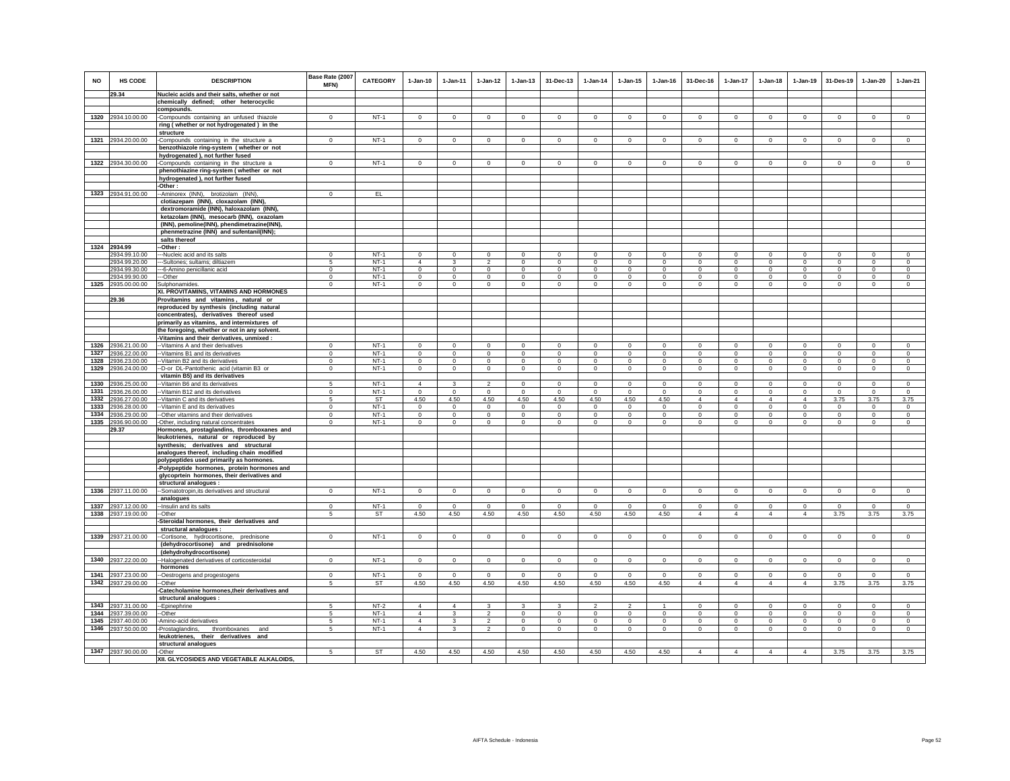| <b>NO</b> | HS CODE                             | <b>DESCRIPTION</b>                                                                      | Base Rate (2007<br>MFN) | <b>CATEGORY</b> | $1-Jan-10$          | $1 - Jan-11$            | $1 - Jan-12$            | $1 - Jan-13$        | 31-Dec-13            | $1-Jan-14$              | $1 - Jan-15$        | $1 - Jan-16$     | 31-Dec-16                     | $1-Jan-17$                    | $1-Jan-18$                    | $1-Jan-19$                    | 31-Des-19            | 1-Jan-20           | $1-Jan-21$         |
|-----------|-------------------------------------|-----------------------------------------------------------------------------------------|-------------------------|-----------------|---------------------|-------------------------|-------------------------|---------------------|----------------------|-------------------------|---------------------|------------------|-------------------------------|-------------------------------|-------------------------------|-------------------------------|----------------------|--------------------|--------------------|
|           | 29.34                               | Nucleic acids and their salts, whether or not                                           |                         |                 |                     |                         |                         |                     |                      |                         |                     |                  |                               |                               |                               |                               |                      |                    |                    |
|           |                                     | chemically defined; other heterocyclic                                                  |                         |                 |                     |                         |                         |                     |                      |                         |                     |                  |                               |                               |                               |                               |                      |                    |                    |
|           |                                     | compounds.                                                                              | $\mathbf{0}$            |                 |                     |                         |                         |                     | $\mathbf{0}$         |                         |                     |                  | $\mathbf{0}$                  | $\mathbf{0}$                  | $\mathbf{0}$                  |                               |                      | $\circ$            |                    |
|           | 1320 2934.10.00.00                  | -Compounds containing an unfused thiazole                                               |                         | $NT-1$          | $\mathbf 0$         | $\mathbf 0$             | $\circ$                 | $\mathbf 0$         |                      | $\mathbf 0$             | $\mathbf 0$         | $\mathbf 0$      |                               |                               |                               | $\mathbf 0$                   | $\circ$              |                    | $\circ$            |
|           |                                     | ring (whether or not hydrogenated) in the<br>structure                                  |                         |                 |                     |                         |                         |                     |                      |                         |                     |                  |                               |                               |                               |                               |                      |                    |                    |
|           | 1321 2934.20.00.00                  | Compounds containing in the structure a                                                 | $\circ$                 | $NT-1$          | $\circ$             | $\mathbf{0}$            | $\circ$                 | $\mathbf 0$         | $\mathbf 0$          | $\circ$                 | $\mathbf 0$         | $\circ$          | $\Omega$                      | $\circ$                       | $\mathbf 0$                   | $\circ$                       | $\circ$              | $\mathbf{0}$       | $\circ$            |
|           |                                     | benzothiazole ring-system ( whether or not                                              |                         |                 |                     |                         |                         |                     |                      |                         |                     |                  |                               |                               |                               |                               |                      |                    |                    |
|           |                                     | hydrogenated ), not further fused                                                       |                         |                 |                     |                         |                         |                     |                      |                         |                     |                  |                               |                               |                               |                               |                      |                    |                    |
|           | 1322 2934.30.00.00                  | Compounds containing in the structure a                                                 | $\mathbf 0$             | $NT-1$          | $\mathbf 0$         | $\mathbf 0$             | $\mathbf 0$             | $\mathbf 0$         | $\mathbf 0$          | $\mathbf 0$             | $\mathbf 0$         | $\mathbf 0$      | $\circ$                       | $\mathbf 0$                   | $\mathbf 0$                   | $\mathbf 0$                   | $^{\circ}$           | $\mathbf 0$        | $\circ$            |
|           |                                     | phenothiazine ring-system (whether or not                                               |                         |                 |                     |                         |                         |                     |                      |                         |                     |                  |                               |                               |                               |                               |                      |                    |                    |
|           |                                     | hydrogenated ), not further fused                                                       |                         |                 |                     |                         |                         |                     |                      |                         |                     |                  |                               |                               |                               |                               |                      |                    |                    |
|           |                                     | -Other:                                                                                 |                         |                 |                     |                         |                         |                     |                      |                         |                     |                  |                               |                               |                               |                               |                      |                    |                    |
|           | 1323 2934.91.00.00                  | -Aminorex (INN), brotizolam (INN).                                                      | $\mathbf 0$             | EL.             |                     |                         |                         |                     |                      |                         |                     |                  |                               |                               |                               |                               |                      |                    |                    |
|           |                                     | clotiazepam (INN), cloxazolam (INN)                                                     |                         |                 |                     |                         |                         |                     |                      |                         |                     |                  |                               |                               |                               |                               |                      |                    |                    |
|           |                                     | dextromoramide (INN), haloxazolam (INN),                                                |                         |                 |                     |                         |                         |                     |                      |                         |                     |                  |                               |                               |                               |                               |                      |                    |                    |
|           |                                     | ketazolam (INN), mesocarb (INN), oxazolam                                               |                         |                 |                     |                         |                         |                     |                      |                         |                     |                  |                               |                               |                               |                               |                      |                    |                    |
|           |                                     | (INN), pemoline(INN), phendimetrazine(INN),<br>phenmetrazine (INN) and sufentanil(INN); |                         |                 |                     |                         |                         |                     |                      |                         |                     |                  |                               |                               |                               |                               |                      |                    |                    |
|           |                                     | salts thereof                                                                           |                         |                 |                     |                         |                         |                     |                      |                         |                     |                  |                               |                               |                               |                               |                      |                    |                    |
|           | 1324 2934.99                        | Other:                                                                                  |                         |                 |                     |                         |                         |                     |                      |                         |                     |                  |                               |                               |                               |                               |                      |                    |                    |
|           | 2934.99.10.00                       | -Nucleic acid and its salts                                                             | $\Omega$                | $NT-1$          | $\Omega$            | $\Omega$                | $\Omega$                | $\Omega$            | $\Omega$             | $\Omega$                | $\Omega$            | $\Omega$         | $\Omega$                      | $\Omega$                      | $\Omega$                      | $\Omega$                      | $\Omega$             | $\Omega$           | $\Omega$           |
|           | 2934.99.20.00                       | -Sultones; sultams; diltiazem                                                           | -5                      | $NT-1$          | $\Delta$            | $\overline{\mathbf{3}}$ | $\overline{2}$          | $\mathbf{0}$        | $\Omega$             | $\circ$                 | $\mathbf{0}$        | $\Omega$         | $\Omega$                      | $\circ$                       | $\Omega$                      | $\Omega$                      | $\mathbf 0$          | $\Omega$           | $\circ$            |
|           | 2934.99.30.00                       | --6-Amino penicillanic acid                                                             | $\overline{0}$          | $NT-1$          | $\overline{0}$      | $\overline{0}$          | $\overline{0}$          | $\overline{0}$      | $\overline{0}$       | $\overline{0}$          | $\overline{0}$      | $\overline{0}$   | $\overline{0}$                | $\overline{0}$                | $\overline{0}$                | $\overline{0}$                | $\overline{0}$       | $\overline{0}$     | $\overline{0}$     |
|           | 2934.99.90.00                       | --Other                                                                                 | $\mathbf 0$             | $NT-1$          | $\Omega$            | $\circ$                 | $\mathbf 0$             | $\mathbf 0$         | $\mathbf 0$          | $\mathbf 0$             | $\mathbf 0$         | $\Omega$         | $\Omega$                      | $\mathbf 0$                   | $\Omega$                      | $\Omega$                      | $\Omega$             | $\Omega$           | $\circ$            |
|           | 1325 2935.00.00.00                  | Sulphonamides.                                                                          | $\circ$                 | $NT-1$          | $\circ$             | $\mathsf 0$             | $\circ$                 | $\mathbf 0$         | $\mathsf 0$          | $\circ$                 | $\mathsf 0$         | $\mathbf{0}$     | $\mathbf 0$                   | $\mathbf 0$                   | $\mathbf 0$                   | $\mathbf 0$                   | $\mathbf 0$          | $\mathbf 0$        | $\circ$            |
|           |                                     | XI. PROVITAMINS, VITAMINS AND HORMONES                                                  |                         |                 |                     |                         |                         |                     |                      |                         |                     |                  |                               |                               |                               |                               |                      |                    |                    |
|           | 29.36                               | Provitamins and vitamins, natural or                                                    |                         |                 |                     |                         |                         |                     |                      |                         |                     |                  |                               |                               |                               |                               |                      |                    |                    |
|           |                                     | reproduced by synthesis (including natural<br>concentrates), derivatives thereof used   |                         |                 |                     |                         |                         |                     |                      |                         |                     |                  |                               |                               |                               |                               |                      |                    |                    |
|           |                                     | primarily as vitamins, and intermixtures of                                             |                         |                 |                     |                         |                         |                     |                      |                         |                     |                  |                               |                               |                               |                               |                      |                    |                    |
|           |                                     | the foregoing, whether or not in any solvent.                                           |                         |                 |                     |                         |                         |                     |                      |                         |                     |                  |                               |                               |                               |                               |                      |                    |                    |
|           |                                     | -Vitamins and their derivatives, unmixed :                                              |                         |                 |                     |                         |                         |                     |                      |                         |                     |                  |                               |                               |                               |                               |                      |                    |                    |
| 1326      | 2936.21.00.00                       | -Vitamins A and their derivatives                                                       | $^{\circ}$              | $NT-1$          | $\mathbf 0$         | $\mathbf 0$             | $\mathsf 0$             | $\mathsf 0$         | $\mathbf 0$          | $\circ$                 | $\mathbf 0$         | $\Omega$         | $^{\circ}$                    | $\mathbf 0$                   | $\mathbf 0$                   | $^{\circ}$                    | $\mathbf 0$          | $\mathbf 0$        | $\mathbb O$        |
| 1327      | 2936.22.00.00                       | -Vitamins B1 and its derivatives                                                        | $\mathbf 0$             | $NT-1$          | $\Omega$            | $\mathbf 0$             | $\mathsf 0$             | $\mathsf 0$         | $\mathbf 0$          | $\Omega$                | $\Omega$            | $\Omega$         | $\mathbf 0$                   | $\mathbf 0$                   | $\Omega$                      | $^{\circ}$                    | $^{\circ}$           | $\circ$            | $\mathbf 0$        |
| 1328      | 2936.23.00.00                       | -Vitamin B2 and its derivatives                                                         | $\Omega$                | $NT-1$          | $\Omega$            | $\Omega$                | $\circ$                 | $\mathbf{0}$        | $\Omega$             | $\Omega$                | $\Omega$            | $\Omega$         | $\Omega$                      | $\mathbf{0}$                  | $\Omega$                      | $\Omega$                      | $\Omega$             | $\Omega$           | $\circ$            |
| 1329      | 2936.24.00.00                       | -D-or DL-Pantothenic acid (vitamin B3 or                                                | $\mathbf 0$             | $NT-1$          | $\circ$             | $\circ$                 | $\circ$                 | $\mathbf{0}$        | $\mathbf 0$          | $\circ$                 | $\mathbf{0}$        | $\mathbf 0$      | $\circ$                       | $\mathbf 0$                   | $\mathbf 0$                   | $\circ$                       | $\circ$              | $\mathbf{0}$       | $\circ$            |
|           |                                     | vitamin B5) and its derivatives                                                         |                         |                 |                     |                         |                         |                     |                      |                         |                     |                  |                               |                               |                               |                               |                      |                    |                    |
| 1330      | 2936.25.00.00                       | -Vitamin B6 and its derivatives                                                         | 5                       | $NT-1$          | $\overline{4}$      | 3                       | $\overline{2}$          | $\mathbf 0$         | $\mathbf 0$          | $\mathbf 0$             | $\mathbf 0$         | $\mathbf 0$      | $^{\circ}$                    | $\mathbf 0$                   | $^{\circ}$                    | $\mathbf 0$                   | $\overline{0}$       | $\mathbf 0$        | $\circ$            |
| 1332      | 1331 2936.26.00.00                  | -Vitamin B12 and its derivatives                                                        | $\mathbf 0$             | $NT-1$          | $\mathbf 0$         | $\mathbf 0$             | $\mathbf 0$<br>4.50     | $\mathbf 0$<br>4.50 | $\mathbf{0}$         | $\circ$                 | $\mathbf 0$         | $\mathbf 0$      | $\circ$<br>$\overline{4}$     | $\mathbf 0$<br>$\overline{4}$ | $\circ$<br>$\overline{4}$     | $\circ$<br>$\overline{4}$     | $\circ$              | $\circ$            | $\circ$            |
|           | 2936.27.00.00<br>1333 2936.28.00.00 | -Vitamin C and its derivatives<br>-Vitamin E and its derivatives                        | 5<br>$\Omega$           | ST<br>$NT-1$    | 4.50<br>$\Omega$    | 4.50<br>$\Omega$        | $\circ$                 | $^{\circ}$          | 4.50<br>$\mathbf{0}$ | 4.50<br>$\mathbf{0}$    | 4.50<br>$^{\circ}$  | 4.50<br>$\Omega$ | $\Omega$                      | $\mathbf 0$                   | $\Omega$                      | $\Omega$                      | 3.75<br>$\mathbf{0}$ | 3.75<br>$^{\circ}$ | 3.75<br>$^{\circ}$ |
| 1334      | 2936.29.00.00                       | -Other vitamins and their derivatives                                                   | $\Omega$                | $NT-1$          | $\Omega$            | $\Omega$                | $\Omega$                | $\mathbf 0$         | $\mathbf 0$          | $\Omega$                | $\Omega$            | $\Omega$         | $\Omega$                      | $\Omega$                      | $\Omega$                      | $\Omega$                      | $\Omega$             | $\mathbf 0$        | $\Omega$           |
| 1335      | 2936.90.00.00                       | -Other, including natural concentrates                                                  | $\mathbf 0$             | $NT-1$          | $\circ$             | $\mathbf 0$             | $\mathsf 0$             | $\mathsf 0$         | $\mathbf 0$          | $\mathbf 0$             | $\mathsf 0$         | $\circ$          | $\mathsf 0$                   | $\mathbf 0$                   | $\mathbf 0$                   | $\mathbf 0$                   | $\mathbf 0$          | $\circ$            | $\circ$            |
|           | 29.37                               | Hormones, prostaglandins, thromboxanes and                                              |                         |                 |                     |                         |                         |                     |                      |                         |                     |                  |                               |                               |                               |                               |                      |                    |                    |
|           |                                     | leukotrienes, natural or reproduced by                                                  |                         |                 |                     |                         |                         |                     |                      |                         |                     |                  |                               |                               |                               |                               |                      |                    |                    |
|           |                                     | synthesis; derivatives and structural                                                   |                         |                 |                     |                         |                         |                     |                      |                         |                     |                  |                               |                               |                               |                               |                      |                    |                    |
|           |                                     | analogues thereof, including chain modified                                             |                         |                 |                     |                         |                         |                     |                      |                         |                     |                  |                               |                               |                               |                               |                      |                    |                    |
|           |                                     | polypeptides used primarily as hormones.                                                |                         |                 |                     |                         |                         |                     |                      |                         |                     |                  |                               |                               |                               |                               |                      |                    |                    |
|           |                                     | -Polypeptide hormones, protein hormones and                                             |                         |                 |                     |                         |                         |                     |                      |                         |                     |                  |                               |                               |                               |                               |                      |                    |                    |
|           |                                     | glycoprtein hormones, their derivatives and<br>structural analogues :                   |                         |                 |                     |                         |                         |                     |                      |                         |                     |                  |                               |                               |                               |                               |                      |                    |                    |
|           | 1336 2937.11.00.00                  | -Somatotropin, its derivatives and structural                                           | $\mathbf 0$             | $NT-1$          | $\circ$             | $\mathbf 0$             | $\circ$                 | $\mathbf 0$         | $\mathbf 0$          | $\mathbf 0$             | $\mathbf 0$         | $\circ$          | $\circ$                       | $\mathbf 0$                   | $\circ$                       | $\mathbf 0$                   | $\circ$              | $\mathbf 0$        | $\circ$            |
|           |                                     | analogues                                                                               |                         |                 |                     |                         |                         |                     |                      |                         |                     |                  |                               |                               |                               |                               |                      |                    |                    |
|           | 1337 2937.12.00.00                  | -Insulin and its salts                                                                  | $^{\circ}$              | $NT-1$          | $^{\circ}$          | $^{\circ}$              | $\mathbf 0$             | $^{\circ}$          | 0                    | $\mathbf 0$             | $^{\circ}$          | $\overline{0}$   | $^{\circ}$                    | $\mathbf 0$                   | $\mathbf 0$                   | $\mathbf 0$                   | $\mathbf 0$          | $^{\circ}$         | $\mathbf 0$        |
|           | 1338 2937.19.00.00                  | -Other                                                                                  | -5                      | ST              | 4.50                | 4.50                    | 4.50                    | 4.50                | 4.50                 | 4.50                    | 4.50                | 4.50             | $\overline{4}$                | $\overline{4}$                | $\overline{4}$                | $\overline{4}$                | 3.75                 | 3.75               | 3.75               |
|           |                                     | Steroidal hormones, their derivatives and                                               |                         |                 |                     |                         |                         |                     |                      |                         |                     |                  |                               |                               |                               |                               |                      |                    |                    |
|           |                                     | structural analogues :                                                                  |                         |                 |                     |                         |                         |                     |                      |                         |                     |                  |                               |                               |                               |                               |                      |                    |                    |
| 1339      | 2937.21.00.00                       | -Cortisone, hydrocortisone,<br>prednisone                                               | $\mathbf 0$             | $NT-1$          | $\mathsf 0$         | $\mathbf 0$             | $\mathbf 0$             | $\mathsf 0$         | $\mathbf 0$          | $\mathbf 0$             | $\mathsf 0$         | $\mathbf 0$      | $\mathsf 0$                   | $\mathbf 0$                   | $\mathbf 0$                   | $\mathbf 0$                   | $\mathbf 0$          | $\mathsf 0$        | $\circ$            |
|           |                                     | (dehydrocortisone) and prednisolone                                                     |                         |                 |                     |                         |                         |                     |                      |                         |                     |                  |                               |                               |                               |                               |                      |                    |                    |
|           |                                     | (dehydrohydrocortisone)                                                                 |                         |                 |                     |                         |                         |                     |                      |                         |                     |                  |                               |                               |                               |                               |                      |                    |                    |
| 1340      | 2937.22.00.00                       | -- Halogenated derivatives of corticosteroidal                                          | $\Omega$                | $NT-1$          | $\Omega$            | $\Omega$                | $\Omega$                | $\Omega$            | $\Omega$             | $\Omega$                | $\Omega$            | $\Omega$         | $\Omega$                      | $\circ$                       | $\Omega$                      | $\Omega$                      | $\Omega$             | $\Omega$           | $\Omega$           |
| 1341      |                                     | hormones                                                                                | $\Omega$                | $NT-1$          |                     | $\Omega$                |                         |                     |                      | $\Omega$                |                     | $\Omega$         |                               |                               |                               |                               |                      | $\circ$            |                    |
|           | 2937.23.00.00<br>1342 2937.29.00.00 | -- Oestrogens and progestogens<br>--Other                                               | 5                       | ST              | $\mathbf 0$<br>4.50 | 4.50                    | $\circ$<br>4.50         | $\mathsf 0$<br>4.50 | $\mathsf 0$<br>4.50  | 4.50                    | $\mathsf 0$<br>4.50 | 4.50             | $\mathsf 0$<br>$\overline{4}$ | $\mathbf 0$<br>$\overline{4}$ | $\mathbf 0$<br>$\overline{4}$ | $\mathbf 0$<br>$\overline{4}$ | $\mathbf 0$<br>3.75  | 3.75               | $\circ$<br>3.75    |
|           |                                     | -Catecholamine hormones, their derivatives and                                          |                         |                 |                     |                         |                         |                     |                      |                         |                     |                  |                               |                               |                               |                               |                      |                    |                    |
|           |                                     | structural analogues :                                                                  |                         |                 |                     |                         |                         |                     |                      |                         |                     |                  |                               |                               |                               |                               |                      |                    |                    |
| 1343      | 2937.31.00.00                       | -Epinephrine                                                                            | 5                       | $NT-2$          | $\overline{4}$      | $\overline{4}$          | 3                       | 3                   | 3                    | $\overline{\mathbf{2}}$ | $\overline{c}$      | $\mathbf{1}$     | $^{\circ}$                    | 0                             | $^{\circ}$                    | 0                             | $\mathbf{0}$         | 0                  | $\mathbf{0}$       |
| 1344      | 2937.39.00.00                       | --Other                                                                                 | 5                       | $NT-1$          | $\overline{4}$      | 3                       | $\overline{\mathbf{c}}$ | $\mathbf 0$         | $\mathbf 0$          | $\mathbf 0$             | $\mathbf 0$         | $\mathbf 0$      | $\Omega$                      | 0                             | $\mathbf 0$                   | $\circ$                       | $\,0\,$              | $\mathbf 0$        | $\mathbf 0$        |
| 1345      | 2937.40.00.00                       | -Amino-acid derivatives                                                                 | -5                      | $NT-1$          | $\overline{4}$      | 3                       | $\overline{2}$          | $\mathsf 0$         | $\mathsf 0$          | $\Omega$                | $\mathbf 0$         | $\Omega$         | $\Omega$                      | $\mathbf 0$                   | $\Omega$                      | $\mathbf 0$                   | $\circ$              | $\mathbf 0$        | $\Omega$           |
| 1346      | 2937.50.00.00                       | thromboxanes<br>-Prostaglandins,<br>and                                                 | 5                       | $NT-1$          | $\overline{4}$      | $\mathbf{3}$            | $\overline{a}$          | $\mathsf 0$         | $\mathbf 0$          | $\mathsf 0$             | $\mathsf 0$         | $\circ$          | $\mathsf 0$                   | $\mathbf 0$                   | $\mathbf 0$                   | $\mathbf 0$                   | $\mathbf 0$          | $\mathsf 0$        | $\mathsf 0$        |
|           |                                     | leukotrienes, their derivatives and                                                     |                         |                 |                     |                         |                         |                     |                      |                         |                     |                  |                               |                               |                               |                               |                      |                    |                    |
|           |                                     | structural analogues                                                                    |                         |                 |                     |                         |                         |                     |                      |                         |                     |                  |                               |                               |                               |                               |                      |                    |                    |
|           | 1347 2937.90.00.00                  | -Other<br>XII. GLYCOSIDES AND VEGETABLE ALKALOIDS,                                      | 5                       | <b>ST</b>       | 4.50                | 4.50                    | 4.50                    | 4.50                | 4.50                 | 4.50                    | 4.50                | 4.50             | $\overline{4}$                | $\overline{4}$                | $\Delta$                      | $\overline{4}$                | 3.75                 | 3.75               | 3.75               |
|           |                                     |                                                                                         |                         |                 |                     |                         |                         |                     |                      |                         |                     |                  |                               |                               |                               |                               |                      |                    |                    |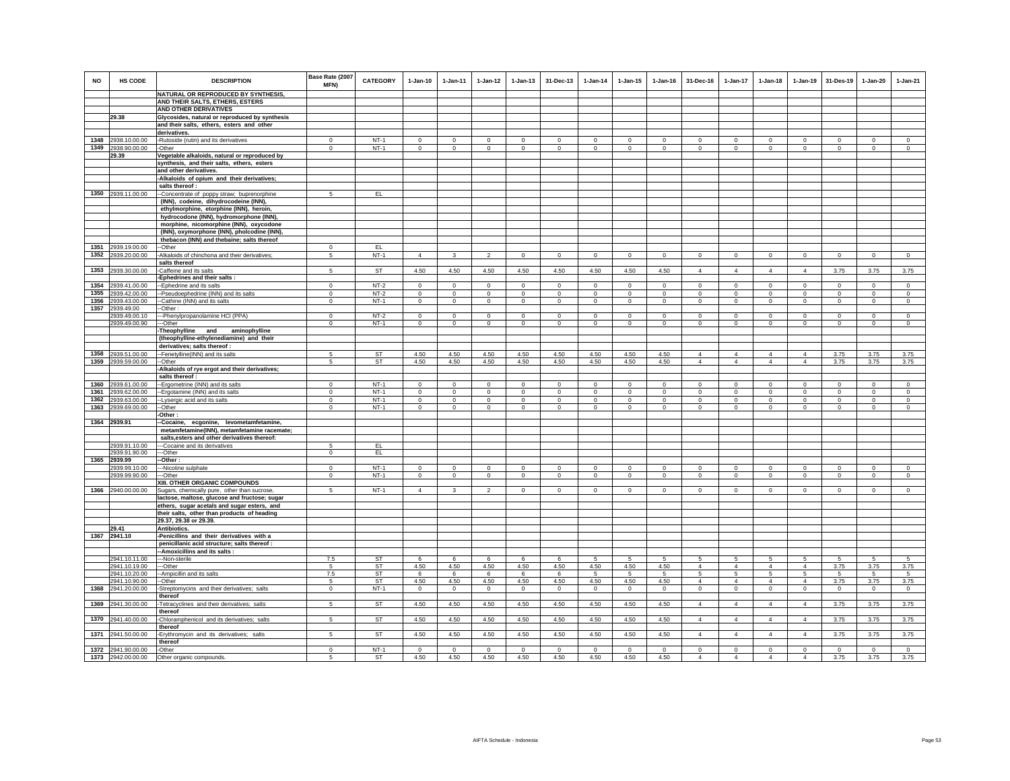| <b>NO</b> | HS CODE                        | <b>DESCRIPTION</b><br>NATURAL OR REPRODUCED BY SYNTHESIS,                                    | Base Rate (2007<br>MFN) | <b>CATEGORY</b>  | $1-Jan-10$         | $1 - Jan-11$        | $1-Jan-12$         | $1 - Jan-13$                | 31-Dec-13                | $1-Jan-14$             | $1-Jan-15$                  | $1$ -Jan-16              | 31-Dec-16           | $1-Jan-17$              | $1-Jan-18$             | $1-Jan-19$              | 31-Des-19          | 1-Jan-20            | $1-Jan-21$         |
|-----------|--------------------------------|----------------------------------------------------------------------------------------------|-------------------------|------------------|--------------------|---------------------|--------------------|-----------------------------|--------------------------|------------------------|-----------------------------|--------------------------|---------------------|-------------------------|------------------------|-------------------------|--------------------|---------------------|--------------------|
|           |                                | AND THEIR SALTS, ETHERS, ESTERS                                                              |                         |                  |                    |                     |                    |                             |                          |                        |                             |                          |                     |                         |                        |                         |                    |                     |                    |
|           |                                | AND OTHER DERIVATIVES                                                                        |                         |                  |                    |                     |                    |                             |                          |                        |                             |                          |                     |                         |                        |                         |                    |                     |                    |
|           | 29.38                          | Glycosides, natural or reproduced by synthesis                                               |                         |                  |                    |                     |                    |                             |                          |                        |                             |                          |                     |                         |                        |                         |                    |                     |                    |
|           |                                | and their salts, ethers, esters and other                                                    |                         |                  |                    |                     |                    |                             |                          |                        |                             |                          |                     |                         |                        |                         |                    |                     |                    |
|           |                                | derivatives.                                                                                 |                         |                  |                    |                     |                    |                             |                          |                        |                             |                          |                     |                         |                        |                         |                    |                     |                    |
|           | 1348 2938.10.00.00             | -Rutoside (rutin) and its derivatives                                                        | $\Omega$                | $NT-1$           | $\Omega$           | $\mathbf{0}$        | $\mathbf 0$        | $\mathbf 0$                 | $\Omega$                 | $\mathbf 0$            | $^{\circ}$                  | $\mathbf{0}$             | $\Omega$            | $\mathbf{0}$            | $\mathbf{0}$           | $\circ$                 | $\mathbf 0$        | $\Omega$            | $\circ$            |
|           | 1349 2938.90.00.00             | Other                                                                                        | $\Omega$                | $NT-1$           | $\circ$            | $\overline{0}$      | $\circ$            | $\mathbf{0}$                | $\mathbf{0}$             | $\Omega$               | $\Omega$                    | $\circ$                  | $\circ$             | $\mathbf 0$             | $\circ$                | $\circ$                 | $\circ$            | $\Omega$            | $\circ$            |
|           | 29.39                          | Vegetable alkaloids, natural or reproduced by                                                |                         |                  |                    |                     |                    |                             |                          |                        |                             |                          |                     |                         |                        |                         |                    |                     |                    |
|           |                                | synthesis, and their salts, ethers, esters                                                   |                         |                  |                    |                     |                    |                             |                          |                        |                             |                          |                     |                         |                        |                         |                    |                     |                    |
|           |                                | and other derivatives.<br>-Alkaloids of opium and their derivatives;                         |                         |                  |                    |                     |                    |                             |                          |                        |                             |                          |                     |                         |                        |                         |                    |                     |                    |
|           |                                | salts thereof :                                                                              |                         |                  |                    |                     |                    |                             |                          |                        |                             |                          |                     |                         |                        |                         |                    |                     |                    |
|           | 1350 2939.11.00.00             | --Concentrate of poppy straw; buprenorphine                                                  | 5 <sup>1</sup>          | EL               |                    |                     |                    |                             |                          |                        |                             |                          |                     |                         |                        |                         |                    |                     |                    |
|           |                                | (INN), codeine, dihydrocodeine (INN),                                                        |                         |                  |                    |                     |                    |                             |                          |                        |                             |                          |                     |                         |                        |                         |                    |                     |                    |
|           |                                | ethylmorphine, etorphine (INN), heroin,                                                      |                         |                  |                    |                     |                    |                             |                          |                        |                             |                          |                     |                         |                        |                         |                    |                     |                    |
|           |                                | hydrocodone (INN), hydromorphone (INN),                                                      |                         |                  |                    |                     |                    |                             |                          |                        |                             |                          |                     |                         |                        |                         |                    |                     |                    |
|           |                                | morphine, nicomorphine (INN), oxycodone                                                      |                         |                  |                    |                     |                    |                             |                          |                        |                             |                          |                     |                         |                        |                         |                    |                     |                    |
|           |                                | (INN), oxymorphone (INN), pholcodine (INN),                                                  |                         |                  |                    |                     |                    |                             |                          |                        |                             |                          |                     |                         |                        |                         |                    |                     |                    |
|           | 1351 2939.19.00.00             | thebacon (INN) and thebaine; salts thereof                                                   | $\Omega$                | EL               |                    |                     |                    |                             |                          |                        |                             |                          |                     |                         |                        |                         |                    |                     |                    |
| 1352      | 2939.20.00.00                  | -Other<br>-Alkaloids of chinchona and their derivatives;                                     | 5                       | $NT-1$           | $\overline{4}$     | $\mathbf{3}$        | $\overline{2}$     | $\mathbf 0$                 | $\overline{0}$           | $\circ$                | $\mathbf 0$                 | $\overline{0}$           | $\Omega$            | $\overline{0}$          | $\circ$                | $\overline{0}$          | $\overline{0}$     | $\overline{0}$      | $\overline{0}$     |
|           |                                | salts thereof                                                                                |                         |                  |                    |                     |                    |                             |                          |                        |                             |                          |                     |                         |                        |                         |                    |                     |                    |
| 1353      | 2939.30.00.00                  | Caffeine and its salts                                                                       | 5                       | ST               | 4.50               | 4.50                | 4.50               | 4.50                        | 4.50                     | 4.50                   | 4.50                        | 4.50                     | $\overline{4}$      | $\overline{4}$          | $\overline{4}$         | $\overline{4}$          | 3.75               | 3.75                | 3.75               |
|           |                                | <b>Ephedrines and their salts:</b>                                                           |                         |                  |                    |                     |                    |                             |                          |                        |                             |                          |                     |                         |                        |                         |                    |                     |                    |
| 1354      | 2939.41.00.00                  | -Ephedrine and its salts                                                                     | $\mathbf 0$             | $NT-2$           | $\circ$            | $\mathbf 0$         | $\circ$            | $\mathbf 0$                 | $\mathbf 0$              | $\mathbf 0$            | $\mathbf 0$                 | $\mathbf 0$              | $\circ$             | $\mathbf 0$             | $\circ$                | $\mathbf 0$             | $\mathbf 0$        | $\mathbf 0$         | $\circ$            |
| 1355      | 2939.42.00.00                  | -Pseudoephedrine (INN) and its salts                                                         | $\,0\,$                 | $NT-2$           | $\mathsf 0$        | $\mathsf 0$         | $\overline{0}$     | $\mathbf 0$                 | $\overline{0}$           | $\mathbf 0$            | $\mathsf 0$                 | $\mathbf 0$              | $\circ$             | $\mathsf 0$             | $\mathbf 0$            | $\mathbf 0$             | $\,0\,$            | $\mathbf 0$         | $\circ$            |
| 1356      | 2939.43.00.00                  | -Cathine (INN) and its salts                                                                 | $\mathbf 0$             | $NT-1$           | $\circ$            | $\circ$             | $\overline{0}$     | $\overline{0}$              | $\circ$                  | $\overline{0}$         | $\overline{0}$              | $\circ$                  | $\circ$             | $\overline{0}$          | $\overline{0}$         | $\mathbf 0$             | $\overline{0}$     | $\mathsf 0$         | $\circ$            |
|           | 1357 2939.49.00                | -Other:                                                                                      |                         |                  |                    |                     |                    |                             |                          |                        |                             |                          |                     |                         |                        |                         |                    |                     |                    |
|           | 2939.49.00.10<br>2939.49.00.90 | --Phenylpropanolamine HCI (PPA)<br>--Other                                                   | $\Omega$<br>$\circ$     | $NT-2$<br>$NT-1$ | $\circ$<br>$\circ$ | $\Omega$<br>$\circ$ | $\circ$<br>$\circ$ | $\mathbf{0}$<br>$\mathbf 0$ | $\Omega$<br>$\mathbf{0}$ | $\mathbf 0$<br>$\circ$ | $\mathbf{0}$<br>$\mathbf 0$ | $\Omega$<br>$\mathbf{0}$ | $\Omega$<br>$\circ$ | $\mathbf{0}$<br>$\circ$ | $\circ$<br>$\mathbf 0$ | $\Omega$<br>$\mathbf 0$ | $\circ$<br>$\circ$ | $\Omega$<br>$\circ$ | $\circ$<br>$\circ$ |
|           |                                | Theophylline and<br>aminophylline                                                            |                         |                  |                    |                     |                    |                             |                          |                        |                             |                          |                     |                         |                        |                         |                    |                     |                    |
|           |                                | (theophylline-ethylenediamine) and their                                                     |                         |                  |                    |                     |                    |                             |                          |                        |                             |                          |                     |                         |                        |                         |                    |                     |                    |
|           |                                | derivatives; salts thereof :                                                                 |                         |                  |                    |                     |                    |                             |                          |                        |                             |                          |                     |                         |                        |                         |                    |                     |                    |
| 1358      | 2939.51.00.00                  | -Fenetylline(INN) and its salts                                                              | -5                      | ST               | 4.50               | 4.50                | 4.50               | 4.50                        | 4.50                     | 4.50                   | 4.50                        | 4.50                     | $\overline{4}$      | $\overline{4}$          | $\overline{4}$         | $\overline{4}$          | 3.75               | 3.75                | 3.75               |
| 1359      | 2939.59.00.00                  | -Other                                                                                       | 5                       | ST               | 4.50               | 4.50                | 4.50               | 4.50                        | 4.50                     | 4.50                   | 4.50                        | 4.50                     | $\overline{4}$      | $\overline{4}$          | $\overline{4}$         | $\overline{4}$          | 3.75               | 3.75                | 3.75               |
|           |                                | Alkaloids of rye ergot and their derivatives;                                                |                         |                  |                    |                     |                    |                             |                          |                        |                             |                          |                     |                         |                        |                         |                    |                     |                    |
| 1360      |                                | salts thereof :                                                                              | $\Omega$                | $NT-1$           | $\Omega$           | $\Omega$            | $\circ$            | $\Omega$                    | $\Omega$                 | $\Omega$               | $\Omega$                    | $\Omega$                 | $\Omega$            | $\Omega$                | $\Omega$               | $\Omega$                | $\Omega$           | $\Omega$            | $\Omega$           |
| 1361      | 2939.61.00.00<br>2939.62.00.00 | -Ergometrine (INN) and its salts<br>-Ergotamine (INN) and its salts                          | $^{\circ}$              | $NT-1$           | $\mathsf 0$        | $\mathbf{0}$        | $\mathsf 0$        | $\mathsf 0$                 | $\mathbf 0$              | $\mathbf 0$            | $\mathsf 0$                 | $\mathbf 0$              | $\mathbf 0$         | $\mathbf 0$             | $\mathbf 0$            | $\mathbf 0$             | $\overline{0}$     | $\mathbf 0$         | $\mathbf 0$        |
| 1362      | 2939.63.00.00                  | --Lysergic acid and its salts                                                                | $\mathbf 0$             | $NT-1$           | $\Omega$           | $\circ$             | $\mathbf 0$        | $\mathbf{0}$                | $\Omega$                 | $\Omega$               | $\Omega$                    | $\Omega$                 | $\Omega$            | $\mathbf 0$             | $\Omega$               | $\Omega$                | $\Omega$           | $\Omega$            | $\Omega$           |
| 1363      | 2939.69.00.00                  | --Other                                                                                      | $\Omega$                | $NT-1$           | $\Omega$           | $\Omega$            | $\Omega$           | $\Omega$                    | $\Omega$                 | $\Omega$               | $\Omega$                    | $\Omega$                 | $\Omega$            | $\mathbf 0$             | $\Omega$               | $\Omega$                | $\Omega$           | $\Omega$            | $\Omega$           |
|           |                                | -Other:                                                                                      |                         |                  |                    |                     |                    |                             |                          |                        |                             |                          |                     |                         |                        |                         |                    |                     |                    |
|           | 1364 2939.91                   | -Cocaine, ecgonine, levometamfetamine,                                                       |                         |                  |                    |                     |                    |                             |                          |                        |                             |                          |                     |                         |                        |                         |                    |                     |                    |
|           |                                | metamfetamine(INN), metamfetamine racemate;                                                  |                         |                  |                    |                     |                    |                             |                          |                        |                             |                          |                     |                         |                        |                         |                    |                     |                    |
|           | 2939.91.10.00                  | salts, esters and other derivatives thereof:                                                 |                         | EL.              |                    |                     |                    |                             |                          |                        |                             |                          |                     |                         |                        |                         |                    |                     |                    |
|           | 2939.91.90.00                  | --Cocaine and its derivatives<br>--Other                                                     | 5<br>$\mathbf{0}$       | EL               |                    |                     |                    |                             |                          |                        |                             |                          |                     |                         |                        |                         |                    |                     |                    |
| 1365      | 2939.99                        | -Other:                                                                                      |                         |                  |                    |                     |                    |                             |                          |                        |                             |                          |                     |                         |                        |                         |                    |                     |                    |
|           | 2939.99.10.00                  | --Nicotine sulphate                                                                          | $\mathbf 0$             | $NT-1$           | $\mathbf 0$        | $\mathbf 0$         | $\mathbf 0$        | $\mathbf 0$                 | $\mathbf 0$              | $^{\circ}$             | $\mathbf 0$                 | $^{\circ}$               | $\circ$             | $\mathbf 0$             | $\mathbf 0$            | $\mathbf 0$             | $\mathbf 0$        | $\mathbf 0$         | $\mathbf 0$        |
|           | 2939.99.90.00                  | ---Other                                                                                     | $\overline{0}$          | $NT-1$           | $\overline{0}$     | $\overline{0}$      | $\overline{0}$     | $\overline{0}$              | $\overline{0}$           | $\overline{0}$         | $\overline{0}$              | $\overline{0}$           | $\Omega$            | $\overline{0}$          | $\overline{0}$         | $\overline{0}$          | $\overline{0}$     | $\overline{0}$      | $\overline{0}$     |
|           |                                | XIII. OTHER ORGANIC COMPOUNDS                                                                |                         |                  |                    |                     |                    |                             |                          |                        |                             |                          |                     |                         |                        |                         |                    |                     |                    |
|           | 1366 2940.00.00.00             | Sugars, chemically pure, other than sucrose,                                                 | 5                       | $NT-1$           | $\Delta$           | $\mathcal{R}$       | $\mathcal{L}$      | $\mathbf 0$                 | $\mathbf 0$              | $\mathsf 0$            | $\mathsf 0$                 | $\mathsf 0$              | $\mathsf 0$         | $\mathbf 0$             | $\mathbf 0$            | $\mathbf 0$             | $\mathbf 0$        | $\mathsf 0$         | $\mathsf 0$        |
|           |                                | lactose, maltose, glucose and fructose; sugar<br>ethers, sugar acetals and sugar esters, and |                         |                  |                    |                     |                    |                             |                          |                        |                             |                          |                     |                         |                        |                         |                    |                     |                    |
|           |                                | their salts, other than products of heading                                                  |                         |                  |                    |                     |                    |                             |                          |                        |                             |                          |                     |                         |                        |                         |                    |                     |                    |
|           |                                | 29.37, 29.38 or 29.39.                                                                       |                         |                  |                    |                     |                    |                             |                          |                        |                             |                          |                     |                         |                        |                         |                    |                     |                    |
|           | 29.41                          | Antibiotics.                                                                                 |                         |                  |                    |                     |                    |                             |                          |                        |                             |                          |                     |                         |                        |                         |                    |                     |                    |
|           | 1367 2941.10                   | -Penicillins and their derivatives with a                                                    |                         |                  |                    |                     |                    |                             |                          |                        |                             |                          |                     |                         |                        |                         |                    |                     |                    |
|           |                                | penicillanic acid structure: salts thereof :                                                 |                         |                  |                    |                     |                    |                             |                          |                        |                             |                          |                     |                         |                        |                         |                    |                     |                    |
|           |                                | -Amoxicillins and its salts :                                                                |                         |                  |                    |                     |                    |                             |                          |                        |                             |                          |                     |                         |                        |                         |                    |                     |                    |
|           | 2941.10.11.00                  | -Non-sterile                                                                                 | 7.5<br>-5               | <b>ST</b><br>ST  | 6<br>4.50          | 6<br>4.50           | 6<br>4.50          | 6<br>4.50                   | 6                        | 5<br>4.50              | 5                           | 5                        | 5<br>$\overline{4}$ | 5<br>$\overline{4}$     | 5<br>$\overline{4}$    | -5<br>$\overline{4}$    | 5                  | 5                   | -5                 |
|           | 2941.10.19.00<br>2941.10.20.00 | --Other<br>-- Ampicillin and its salts                                                       | 7.5                     | <b>ST</b>        | 6                  | 6                   | 6                  | 6                           | 4.50<br>6                | 5                      | 4.50<br>5                   | 4.50<br>-5               | 5                   | $5^{-}$                 | 5                      | -5                      | 3.75<br>5          | 3.75<br>5           | 3.75<br>5          |
|           | 2941.10.90.00                  | -Other                                                                                       | 5                       | ST               | 4.50               | 4.50                | 4.50               | 4.50                        | 4.50                     | 4.50                   | 4.50                        | 4.50                     | 4                   | $\overline{4}$          | $\overline{4}$         | $\overline{4}$          | 3.75               | 3.75                | 3.75               |
| 1368      | 2941.20.00.00                  | -Streptomycins and their derivatives; salts                                                  | $\mathbf 0$             | $NT-1$           | $\mathbf 0$        | $\circ$             | $\overline{0}$     | $\mathbf 0$                 | $\overline{0}$           | $\overline{0}$         | $\circ$                     | $\mathbf 0$              | $\mathbf 0$         | $\mathsf 0$             | $\mathsf 0$            | $\mathbf 0$             | $\overline{0}$     | $\overline{0}$      | $\mathbf 0$        |
|           |                                | thereof                                                                                      |                         |                  |                    |                     |                    |                             |                          |                        |                             |                          |                     |                         |                        |                         |                    |                     |                    |
| 1369      | 2941.30.00.00                  | Tetracyclines and their derivatives; salts<br>thereof                                        | 5                       | ST               | 4.50               | 4.50                | 4.50               | 4.50                        | 4.50                     | 4.50                   | 4.50                        | 4.50                     | $\overline{4}$      | $\overline{4}$          | $\overline{4}$         | $\overline{4}$          | 3.75               | 3.75                | 3.75               |
| 1370      | 2941.40.00.00                  | Chloramphenicol and its derivatives; salts<br>thereof                                        | 5                       | ST               | 4.50               | 4.50                | 4.50               | 4.50                        | 4.50                     | 4.50                   | 4.50                        | 4.50                     | $\overline{4}$      | $\overline{4}$          | $\overline{4}$         | $\overline{4}$          | 3.75               | 3.75                | 3.75               |
| 1371      | 2941.50.00.00                  | Erythromycin and its derivatives; salts<br>thereof                                           | 5                       | ST               | 4.50               | 4.50                | 4.50               | 4.50                        | 4.50                     | 4.50                   | 4.50                        | 4.50                     | $\overline{4}$      | $\overline{4}$          | $\overline{4}$         | $\overline{4}$          | 3.75               | 3.75                | 3.75               |
|           | 1372 2941.90.00.00             | -Other                                                                                       | $\mathbf 0$             | $NT-1$           | $\mathbf 0$        | $\mathbf 0$         | $\mathsf 0$        | $\mathsf 0$                 | $\mathsf 0$              | $\mathbf 0$            | $\mathsf 0$                 | $\mathbf 0$              | $\mathsf 0$         | $\mathbf 0$             | $\mathbf 0$            | $\mathbf 0$             | $\mathbf 0$        | $\mathsf 0$         | $\mathsf 0$        |
|           | 1373 2942.00.00.00             | Other organic compounds                                                                      | 5                       | ST               | 4.50               | 4.50                | 4.50               | 4.50                        | 4.50                     | 4.50                   | 4.50                        | 4.50                     | $\overline{4}$      | $\overline{4}$          | $\Delta$               | $\Delta$                | 3.75               | 3.75                | 3.75               |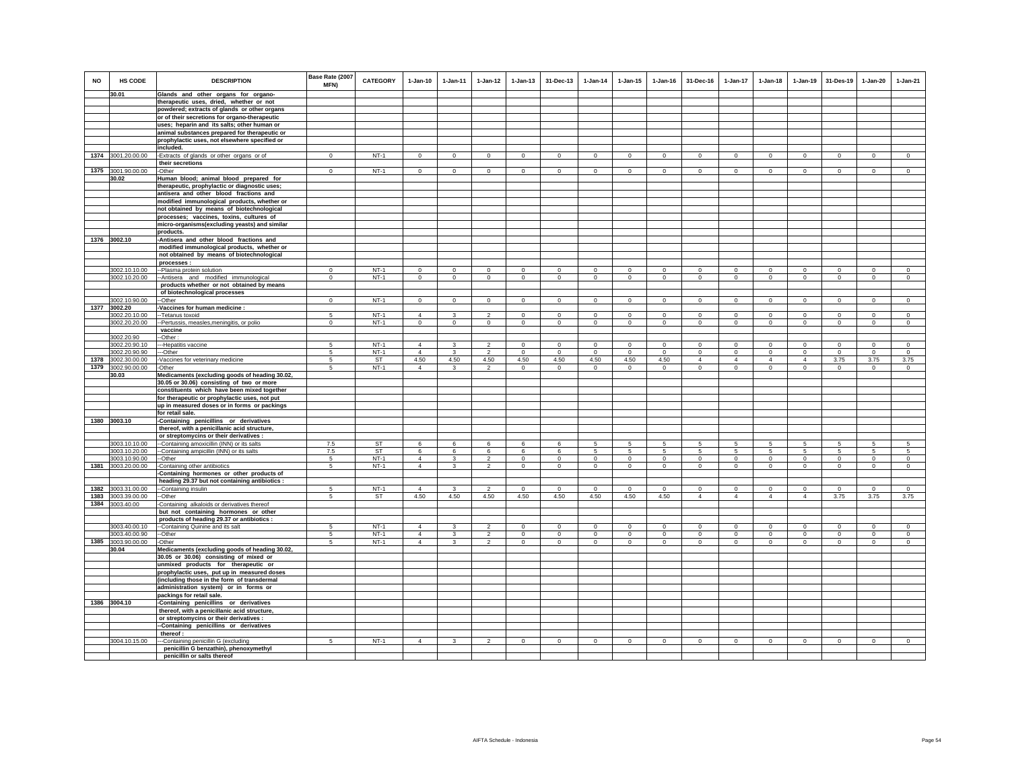| NO   | HS CODE            | <b>DESCRIPTION</b>                                                                           | Base Rate (2007<br>MFN) | <b>CATEGORY</b> | $1-Jan-10$     | $1 -$ lan-11   | $1-Jan-12$     | $1 - Jan-13$   | 31-Dec-13      | $1 - Jan-14$   | $1 - Jan-15$   | $1 - Jan-16$   | 31-Dec-16       | $1 - Jan-17$    | $1-Jan-18$      | $1 - Jan-19$   | 31-Des-19      | $1-Jan-20$     | $1-Jan-21$     |
|------|--------------------|----------------------------------------------------------------------------------------------|-------------------------|-----------------|----------------|----------------|----------------|----------------|----------------|----------------|----------------|----------------|-----------------|-----------------|-----------------|----------------|----------------|----------------|----------------|
|      | 30.01              | Glands and other organs for organo-                                                          |                         |                 |                |                |                |                |                |                |                |                |                 |                 |                 |                |                |                |                |
|      |                    | therapeutic uses, dried, whether or not                                                      |                         |                 |                |                |                |                |                |                |                |                |                 |                 |                 |                |                |                |                |
|      |                    | powdered; extracts of glands or other organs                                                 |                         |                 |                |                |                |                |                |                |                |                |                 |                 |                 |                |                |                |                |
|      |                    | or of their secretions for organo-therapeutic<br>uses; heparin and its salts; other human or |                         |                 |                |                |                |                |                |                |                |                |                 |                 |                 |                |                |                |                |
|      |                    | animal substances prepared for therapeutic or                                                |                         |                 |                |                |                |                |                |                |                |                |                 |                 |                 |                |                |                |                |
|      |                    | prophylactic uses, not elsewhere specified or                                                |                         |                 |                |                |                |                |                |                |                |                |                 |                 |                 |                |                |                |                |
|      |                    | included.                                                                                    |                         |                 |                |                |                |                |                |                |                |                |                 |                 |                 |                |                |                |                |
|      | 1374 3001.20.00.00 | -Extracts of glands or other organs or of                                                    | $\mathbf{0}$            | $NT-1$          | $\circ$        | $\mathbf{0}$   | $\circ$        | $\circ$        | $\mathbf{0}$   | $\circ$        | $\circ$        | $\circ$        | $\circ$         | $\circ$         | $\circ$         | $\circ$        | $\circ$        | $\mathbf{0}$   | $\circ$        |
|      |                    | their secretions                                                                             |                         |                 |                |                |                |                |                |                |                |                |                 |                 |                 |                |                |                |                |
| 1375 | 3001.90.00.00      | -Other                                                                                       | $\mathbf 0$             | $NT-1$          | $\Omega$       | $\mathbf 0$    | $\circ$        | $\mathsf 0$    | $\Omega$       | $\mathbf 0$    | $\mathbf 0$    | $\mathbf 0$    | $\circ$         | $\mathbf 0$     | $\mathbf 0$     | $\mathbf 0$    | $\mathbf 0$    | $\circ$        | $\circ$        |
|      | 30.02              | Human blood; animal blood prepared for                                                       |                         |                 |                |                |                |                |                |                |                |                |                 |                 |                 |                |                |                |                |
|      |                    | therapeutic, prophylactic or diagnostic uses;                                                |                         |                 |                |                |                |                |                |                |                |                |                 |                 |                 |                |                |                |                |
|      |                    | antisera and other blood fractions and                                                       |                         |                 |                |                |                |                |                |                |                |                |                 |                 |                 |                |                |                |                |
|      |                    | modified immunological products, whether or                                                  |                         |                 |                |                |                |                |                |                |                |                |                 |                 |                 |                |                |                |                |
|      |                    | not obtained by means of biotechnological                                                    |                         |                 |                |                |                |                |                |                |                |                |                 |                 |                 |                |                |                |                |
|      |                    | processes; vaccines, toxins, cultures of                                                     |                         |                 |                |                |                |                |                |                |                |                |                 |                 |                 |                |                |                |                |
|      |                    | micro-organisms(excluding yeasts) and similar                                                |                         |                 |                |                |                |                |                |                |                |                |                 |                 |                 |                |                |                |                |
|      | 1376 3002.10       | products.                                                                                    |                         |                 |                |                |                |                |                |                |                |                |                 |                 |                 |                |                |                |                |
|      |                    | -Antisera and other blood fractions and                                                      |                         |                 |                |                |                |                |                |                |                |                |                 |                 |                 |                |                |                |                |
|      |                    | modified immunological products, whether or<br>not obtained by means of biotechnological     |                         |                 |                |                |                |                |                |                |                |                |                 |                 |                 |                |                |                |                |
|      |                    | processes                                                                                    |                         |                 |                |                |                |                |                |                |                |                |                 |                 |                 |                |                |                |                |
|      | 3002.10.10.00      | -Plasma protein solution                                                                     | $\Omega$                | $NT-1$          | $\Omega$       | $\Omega$       | $\mathbf{0}$   | $\mathbf 0$    | $\mathbf 0$    | $\Omega$       | $\mathbf 0$    | $\Omega$       | $\Omega$        | $\Omega$        | $\Omega$        | $\Omega$       | $\mathbf 0$    | $\Omega$       | $\Omega$       |
|      | 3002.10.20.00      | -- Antisera and modified immunological                                                       | $\mathbf 0$             | $NT-1$          | $\mathbf{0}$   | $\mathsf 0$    | $\mathsf 0$    | $\mathsf 0$    | $\mathsf 0$    | $\mathsf 0$    | $\mathsf 0$    | $\mathsf 0$    | $\mathsf 0$     | $\mathbf 0$     | $\mathbf 0$     | $\mathbf 0$    | $\mathbf 0$    | $\mathsf 0$    | $\mathsf 0$    |
|      |                    | products whether or not obtained by means                                                    |                         |                 |                |                |                |                |                |                |                |                |                 |                 |                 |                |                |                |                |
|      |                    | of biotechnological processes                                                                |                         |                 |                |                |                |                |                |                |                |                |                 |                 |                 |                |                |                |                |
|      | 3002.10.90.00      | --Other                                                                                      | $\overline{0}$          | $NT-1$          | $\overline{0}$ | $\Omega$       | $\overline{0}$ | $\overline{0}$ | $\overline{0}$ | $\overline{0}$ | $\overline{0}$ | $\overline{0}$ | $\Omega$        | $\overline{0}$  | $\overline{0}$  | $\overline{0}$ | $\overline{0}$ | $\overline{0}$ | $\overline{0}$ |
|      | 1377 3002.20       | Vaccines for human medicine :                                                                |                         |                 |                |                |                |                |                |                |                |                |                 |                 |                 |                |                |                |                |
|      | 3002.20.10.00      | -Tetanus toxoid                                                                              |                         | $NT-1$          | $\overline{4}$ | 3              | $\mathfrak{p}$ | $\mathbf 0$    | $\Omega$       | $\Omega$       | $\Omega$       | $\Omega$       | $\Omega$        | $\Omega$        | $\Omega$        | $\Omega$       | $\Omega$       | $\Omega$       | $\Omega$       |
|      | 3002.20.20.00      | -Pertussis, measles, meningitis, or polio                                                    | $\mathbf{0}$            | NT-1            | $\mathbf{0}$   | $\mathbf{0}$   | $\circ$        | $\mathbf 0$    | $\mathbf{0}$   | $\circ$        | $\mathbf 0$    | $\circ$        | $\mathbf{0}$    | $\mathbf{0}$    | $\circ$         | $\circ$        | $\mathbf{0}$   | $\mathbf{0}$   | $\circ$        |
|      | 3002.20.90         | vaccine<br>-Other:                                                                           |                         |                 |                |                |                |                |                |                |                |                |                 |                 |                 |                |                |                |                |
|      | 3002.20.90.10      | -Hepatitis vaccine                                                                           | 5                       | $NT-1$          | $\overline{4}$ | 3              | $\mathfrak{p}$ | $\mathbf 0$    | $\mathbf 0$    | $\mathbf 0$    | $\mathbf 0$    | $\mathbf 0$    | $\circ$         | $\mathbf 0$     | $\mathbf 0$     | $\mathbf 0$    | $^{\circ}$     | $\mathbf 0$    | $\circ$        |
|      | 3002.20.90.90      | -Other                                                                                       | 5                       | $NT-1$          | $\overline{4}$ | 3              | $\overline{2}$ | $\mathbf 0$    | $\mathbf 0$    | $\mathbf 0$    | $\mathbf 0$    | $\mathbf 0$    | $\circ$         | $\mathbf 0$     | $\circ$         | $\mathbf 0$    | $\mathbf 0$    | $\mathbf 0$    | $\mathbf 0$    |
| 1378 | 3002.30.00.00      | -Vaccines for veterinary medicine                                                            | -5                      | <b>ST</b>       | 4.50           | 4.50           | 4.50           | 4.50           | 4.50           | 4.50           | 4.50           | 4.50           | $\overline{4}$  | $\overline{4}$  | $\overline{4}$  | $\overline{4}$ | 3.75           | 3.75           | 3.75           |
| 1379 | 3002.90.00.00      | -Other                                                                                       | 5                       | $NT-1$          | $\Delta$       | 3              | $\overline{2}$ | $\Omega$       | $\mathbf 0$    | $\Omega$       | $\Omega$       | $\Omega$       | $\Omega$        | $\mathbf 0$     | $\circ$         | $\Omega$       | $\Omega$       | $\Omega$       | $\Omega$       |
|      | 30.03              | Medicaments (excluding goods of heading 30.02,                                               |                         |                 |                |                |                |                |                |                |                |                |                 |                 |                 |                |                |                |                |
|      |                    | 30.05 or 30.06) consisting of two or more                                                    |                         |                 |                |                |                |                |                |                |                |                |                 |                 |                 |                |                |                |                |
|      |                    | constituents which have been mixed together                                                  |                         |                 |                |                |                |                |                |                |                |                |                 |                 |                 |                |                |                |                |
|      |                    | for therapeutic or prophylactic uses, not put                                                |                         |                 |                |                |                |                |                |                |                |                |                 |                 |                 |                |                |                |                |
|      |                    | up in measured doses or in forms or packings                                                 |                         |                 |                |                |                |                |                |                |                |                |                 |                 |                 |                |                |                |                |
|      | 1380 3003.10       | for retail sale.<br>-Containing penicillins or derivatives                                   |                         |                 |                |                |                |                |                |                |                |                |                 |                 |                 |                |                |                |                |
|      |                    | thereof, with a penicillanic acid structure,                                                 |                         |                 |                |                |                |                |                |                |                |                |                 |                 |                 |                |                |                |                |
|      |                    | or streptomycins or their derivatives :                                                      |                         |                 |                |                |                |                |                |                |                |                |                 |                 |                 |                |                |                |                |
|      | 3003.10.10.00      | -Containing amoxicillin (INN) or its salts                                                   | 7.5                     | <b>ST</b>       | 6              | 6              | 6              | 6              | 6              | 5              | 5              | 5              | 5               | 5               | 5               | 5              | 5              | 5              | 5              |
|      | 3003.10.20.00      | --Containing ampicillin (INN) or its salts                                                   | 7.5                     | ST              | 6              | 6              | 6              | 6              | 6              | 5              | 5              | 5              | $5\overline{5}$ | $5\overline{5}$ | $5\overline{5}$ | 5              | 5              | 5              | $\sqrt{5}$     |
|      | 3003.10.90.00      | --Other                                                                                      | 5                       | $NT-1$          | $\Delta$       | $\overline{3}$ | $\overline{2}$ | $\overline{0}$ | $\circ$        | $\overline{0}$ | $\overline{0}$ | $\circ$        | $\circ$         | $\overline{0}$  | $\overline{0}$  | $\circ$        | $\overline{0}$ | $\circ$        | $\circ$        |
|      | 1381 3003.20.00.00 | -Containing other antibiotics                                                                | $5\overline{)}$         | $NT-1$          | $\overline{4}$ | $\overline{3}$ | $\overline{2}$ | $\overline{0}$ | $\overline{0}$ | $\overline{0}$ | $\overline{0}$ | $\overline{0}$ | $\overline{0}$  | $\overline{0}$  | $\overline{0}$  | $\overline{0}$ | $\overline{0}$ | $\overline{0}$ | $\overline{0}$ |
|      |                    | -Containing hormones or other products of                                                    |                         |                 |                |                |                |                |                |                |                |                |                 |                 |                 |                |                |                |                |
|      |                    | heading 29.37 but not containing antibiotics :                                               |                         |                 |                |                |                |                |                |                |                |                |                 |                 |                 |                |                |                |                |
| 1382 | 3003.31.00.00      | --Containing insulin                                                                         | 5                       | $NT-1$          | $\overline{4}$ | 3              | $\mathfrak{p}$ | $\Omega$       | $\Omega$       | $\Omega$       | $\Omega$       | $\Omega$       | $\Omega$        | $\Omega$        | $\Omega$        | $\Omega$       | $\Omega$       | $\Omega$       | $\Omega$       |
| 1383 | 3003.39.00.00      | --Other                                                                                      | 5                       | ST              | 4.50           | 4.50           | 4.50           | 4.50           | 4.50           | 4.50           | 4.50           | 4.50           | $\overline{4}$  | $\overline{4}$  | $\overline{4}$  | $\overline{4}$ | 3.75           | 3.75           | 3.75           |
|      | 1384 3003.40.00    | Containing alkaloids or derivatives thereof                                                  |                         |                 |                |                |                |                |                |                |                |                |                 |                 |                 |                |                |                |                |
|      |                    | but not containing hormones or other<br>products of heading 29.37 or antibiotics :           |                         |                 |                |                |                |                |                |                |                |                |                 |                 |                 |                |                |                |                |
|      | 3003.40.00.10      | -- Containing Quinine and its salt                                                           | -5                      | $NT-1$          | $\overline{4}$ | 3              | 2              | $^{\circ}$     | $\Omega$       | $\Omega$       | $^{\circ}$     | $\Omega$       | $\Omega$        | $\Omega$        | $\Omega$        | $\Omega$       | $\Omega$       | $\Omega$       | $\Omega$       |
|      | 3003.40.00.90      | -Other                                                                                       | 5                       | $NT-1$          | $\overline{4}$ | 3              | $\mathfrak{p}$ | $\mathbf 0$    | $\mathbf 0$    | $\mathbf 0$    | $\mathbf 0$    | $\mathbf 0$    | $\Omega$        | $\mathbf 0$     | $\Omega$        | $\mathbf 0$    | $^{\circ}$     | $\mathbf 0$    | $\Omega$       |
| 1385 | 3003.90.00.00      | -Other                                                                                       | 5                       | NT-1            | $\overline{4}$ | 3              | $\overline{2}$ | $\circ$        | $\mathbf{0}$   | $\circ$        | $\mathbf 0$    | $\circ$        | $\overline{0}$  | $\circ$         | $\circ$         | $\circ$        | $\circ$        | $\circ$        | $\circ$        |
|      | 30.04              | Medicaments (excluding goods of heading 30.02,                                               |                         |                 |                |                |                |                |                |                |                |                |                 |                 |                 |                |                |                |                |
|      |                    | 30.05 or 30.06) consisting of mixed or                                                       |                         |                 |                |                |                |                |                |                |                |                |                 |                 |                 |                |                |                |                |
|      |                    | unmixed products for therapeutic or                                                          |                         |                 |                |                |                |                |                |                |                |                |                 |                 |                 |                |                |                |                |
|      |                    | prophylactic uses, put up in measured doses                                                  |                         |                 |                |                |                |                |                |                |                |                |                 |                 |                 |                |                |                |                |
|      |                    | (including those in the form of transdermal                                                  |                         |                 |                |                |                |                |                |                |                |                |                 |                 |                 |                |                |                |                |
|      |                    | administration system) or in forms or                                                        |                         |                 |                |                |                |                |                |                |                |                |                 |                 |                 |                |                |                |                |
|      |                    | packings for retail sale.                                                                    |                         |                 |                |                |                |                |                |                |                |                |                 |                 |                 |                |                |                |                |
|      | 1386 3004.10       | -Containing penicillins or derivatives                                                       |                         |                 |                |                |                |                |                |                |                |                |                 |                 |                 |                |                |                |                |
|      |                    | thereof, with a penicillanic acid structure,                                                 |                         |                 |                |                |                |                |                |                |                |                |                 |                 |                 |                |                |                |                |
|      |                    | or streptomycins or their derivatives :<br>-Containing penicillins or derivatives            |                         |                 |                |                |                |                |                |                |                |                |                 |                 |                 |                |                |                |                |
|      |                    | thereof:                                                                                     |                         |                 |                |                |                |                |                |                |                |                |                 |                 |                 |                |                |                |                |
|      | 3004.10.15.00      | -Containing penicillin G (excluding                                                          | 5                       | $NT-1$          | $\overline{4}$ | $\mathbf{3}$   | $\overline{2}$ | $\mathbf 0$    | $\mathsf 0$    | $\mathsf 0$    | $\mathsf 0$    | $\mathsf 0$    | $\mathbf 0$     | $\mathbf 0$     | $\mathbf 0$     | $\mathbf 0$    | $\mathbf 0$    | $\mathsf 0$    | $\mathsf 0$    |
|      |                    | penicillin G benzathin), phenoxymethyl                                                       |                         |                 |                |                |                |                |                |                |                |                |                 |                 |                 |                |                |                |                |
|      |                    | penicillin or salts thereof                                                                  |                         |                 |                |                |                |                |                |                |                |                |                 |                 |                 |                |                |                |                |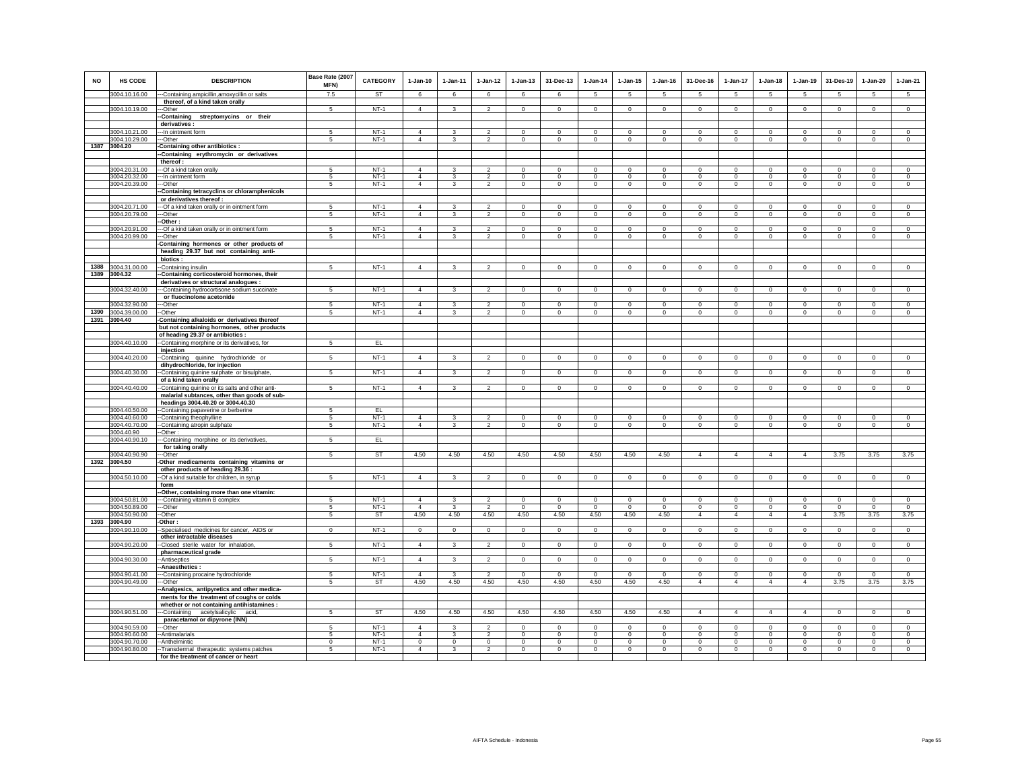| <b>NO</b> | <b>HS CODE</b>                 | <b>DESCRIPTION</b>                                                                                                | Base Rate (2007<br>MFN) | CATEGORY         | $1-Jan-10$                | 1-Jan-11                | $1 - Jan-12$              | $1 - Jan-13$               | 31-Dec-13                  | $1 - Jan-14$                | $1 - Jan-15$               | $1 - Jan-16$               | 31-Dec-16                  | $1 - Jan-17$           | $1-Jan-18$                 | $1-Jan-19$                 | 31-Des-19                  | $1 - Jan-20$               | $1-Jan-21$             |
|-----------|--------------------------------|-------------------------------------------------------------------------------------------------------------------|-------------------------|------------------|---------------------------|-------------------------|---------------------------|----------------------------|----------------------------|-----------------------------|----------------------------|----------------------------|----------------------------|------------------------|----------------------------|----------------------------|----------------------------|----------------------------|------------------------|
|           | 3004.10.16.00                  | --Containing ampicillin, amoxycillin or salts                                                                     | 7.5                     | <b>ST</b>        | 6                         | 6                       | 6                         | 6                          | 6                          | -5                          | -5                         | $\sqrt{5}$                 | -5                         | $5^{\circ}$            | -5                         | -5                         | 5                          | -5                         | $5^{\circ}$            |
|           |                                | thereof, of a kind taken orally                                                                                   |                         |                  |                           |                         |                           |                            |                            |                             |                            |                            |                            |                        |                            |                            |                            |                            |                        |
|           | 3004.10.19.00                  | --Other<br>-Containing streptomycins or their                                                                     | 5                       | $NT-1$           | $\overline{4}$            | $\overline{\mathbf{3}}$ | $\overline{2}$            | $\mathsf 0$                | $\mathsf 0$                | $\mathbf 0$                 | $\mathbf 0$                | $\circ$                    | $\mathbf 0$                | $\mathsf 0$            | $\mathbf 0$                | $\mathsf 0$                | $\mathsf 0$                | $\mathsf 0$                | $\mathbf 0$            |
|           |                                | derivatives:                                                                                                      |                         |                  |                           |                         |                           |                            |                            |                             |                            |                            |                            |                        |                            |                            |                            |                            |                        |
|           | 3004.10.21.00                  | -- In ointment form                                                                                               | -5                      | $NT-1$           | $\overline{4}$            | -3                      | $\mathfrak{p}$            | $\Omega$                   | $\Omega$                   | $\Omega$                    | $\Omega$                   | $\Omega$                   | $\Omega$                   | $\Omega$               | $\Omega$                   | $\Omega$                   | $\Omega$                   | $\Omega$                   | $\overline{0}$         |
|           | 3004.10.29.00                  | -Other                                                                                                            | 5                       | $NT-1$           | $\overline{4}$            | 3                       | $\mathfrak{p}$            | $\mathsf 0$                | $\mathbf 0$                | $\mathbf 0$                 | $\mathsf 0$                | $\mathsf 0$                | $\mathsf 0$                | $\mathbf 0$            | $\mathsf 0$                | $\mathsf 0$                | $\mathbf 0$                | $\mathbf 0$                | $\mathsf 0$            |
| 1387      | 3004.20                        | -Containing other antibiotics :                                                                                   |                         |                  |                           |                         |                           |                            |                            |                             |                            |                            |                            |                        |                            |                            |                            |                            |                        |
|           |                                | -Containing erythromycin or derivatives                                                                           |                         |                  |                           |                         |                           |                            |                            |                             |                            |                            |                            |                        |                            |                            |                            |                            |                        |
|           | 3004.20.31.00                  | thereof:<br>--- Of a kind taken orally                                                                            | -5                      | $NT-1$           | $\overline{4}$            | $\mathbf{3}$            | $\mathfrak{p}$            | $\mathbf{0}$               | $\Omega$                   | $\Omega$                    | $\Omega$                   | $\Omega$                   | $\Omega$                   | $\mathbf{0}$           | $\mathbf{0}$               | $\mathbf 0$                | $\mathbf 0$                | $\Omega$                   | $\circ$                |
|           | 3004.20.32.00                  | --- In ointment form                                                                                              | 5                       | $NT-1$           | $\overline{4}$            | 3                       | $\overline{2}$            | $\overline{0}$             | $\overline{0}$             | $\mathbf 0$                 | $\overline{0}$             | $\circ$                    | $\overline{0}$             | $\overline{0}$         | $\overline{0}$             | $\overline{0}$             | $\mathbf 0$                | $\overline{0}$             | $\overline{0}$         |
|           | 3004.20.39.00                  | ---Other                                                                                                          | 5                       | $NT-1$           | $\overline{4}$            | $\mathbf{3}$            | $\overline{2}$            | $\mathbf 0$                | $\mathbf{0}$               | $\mathbf{0}$                | $\mathbf 0$                | $\circ$                    | $\circ$                    | $\circ$                | $\mathbf 0$                | $\circ$                    | $\circ$                    | $\circ$                    | $\circ$                |
|           |                                | -Containing tetracyclins or chloramphenicols                                                                      |                         |                  |                           |                         |                           |                            |                            |                             |                            |                            |                            |                        |                            |                            |                            |                            |                        |
|           |                                | or derivatives thereof :                                                                                          |                         |                  |                           |                         |                           |                            |                            |                             |                            |                            |                            |                        |                            |                            |                            |                            |                        |
|           | 3004.20.71.00                  | -- Of a kind taken orally or in ointment form                                                                     | 5                       | $NT-1$           | $\overline{4}$            | $\mathbf{3}$            | $\overline{2}$            | $\mathsf 0$                | $\mathsf 0$                | $\mathbf 0$                 | $\mathsf 0$                | $\mathbb O$                | $\mathsf 0$                | $\mathsf 0$            | $\mathsf 0$                | $\mathsf 0$                | $\mathbf 0$                | $\mathsf 0$                | $\mathsf 0$            |
|           | 3004.20.79.00                  | ---Other                                                                                                          | 5                       | $NT-1$           | $\Delta$                  | 3                       | $\overline{2}$            | $\mathbf 0$                | $\mathbf 0$                | $\mathbf 0$                 | $\mathbf 0$                | $\mathbf 0$                | $\mathbf 0$                | $\circ$                | $\mathbf 0$                | $\circ$                    | $\mathbf 0$                | $\mathbf 0$                | $\circ$                |
|           | 3004.20.91.00                  | -Other:<br>--- Of a kind taken orally or in ointment form                                                         | 5                       | $NT-1$           | $\Delta$                  | $\mathbf{R}$            | $\mathfrak{D}$            | $\Omega$                   | $\Omega$                   | $\Omega$                    | $\Omega$                   | $\Omega$                   | $\Omega$                   | $\overline{0}$         | $\Omega$                   | $\Omega$                   | $\Omega$                   | $\Omega$                   | $\Omega$               |
|           | 3004.20.99.00                  | --Other                                                                                                           | 5                       | $NT-1$           | $\overline{4}$            | $\mathbf{3}$            | $\overline{2}$            | $\mathbf 0$                | $\mathbf 0$                | $\mathbf 0$                 | $\mathbf 0$                | $\mathbf 0$                | $\mathbf 0$                | $\mathbf 0$            | $\mathbf 0$                | $\circ$                    | $\mathbf 0$                | $\mathbf 0$                | $\circ$                |
|           |                                | -Containing hormones or other products of<br>heading 29.37 but not containing anti-                               |                         |                  |                           |                         |                           |                            |                            |                             |                            |                            |                            |                        |                            |                            |                            |                            |                        |
|           |                                | biotics:                                                                                                          |                         |                  |                           |                         |                           |                            |                            |                             |                            |                            |                            |                        |                            |                            |                            |                            |                        |
|           | 1388 3004.31.00.00             | --Containing insulin                                                                                              | 5                       | $NT-1$           | $\overline{4}$            | 3                       | $\overline{2}$            | $\mathbf 0$                | $\mathbf 0$                | $\circ$                     | $\circ$                    | $\circ$                    | $\circ$                    | $\circ$                | $\mathbf 0$                | $\circ$                    | $\circ$                    | $\circ$                    | $\circ$                |
|           | 1389 3004.32                   | -Containing corticosteroid hormones, their<br>derivatives or structural analogues :                               |                         |                  |                           |                         |                           |                            |                            |                             |                            |                            |                            |                        |                            |                            |                            |                            |                        |
|           | 3004.32.40.00                  | -Containing hydrocortisone sodium succinate                                                                       | 5                       | $NT-1$           | $\overline{4}$            | $\mathbf{3}$            | $\overline{2}$            | $\mathsf 0$                | $\mathsf 0$                | $\mathsf 0$                 | $\mathsf 0$                | $\mathsf 0$                | $\mathsf 0$                | $\mathbf 0$            | $\mathsf 0$                | $\mathsf 0$                | $\mathbf 0$                | $\circ$                    | $\overline{0}$         |
|           |                                | or fluocinolone acetonide                                                                                         |                         |                  |                           |                         |                           |                            |                            |                             |                            |                            |                            |                        |                            |                            |                            |                            |                        |
|           | 3004.32.90.00                  | --Other                                                                                                           | 5                       | $NT-1$           | $\Delta$                  | 3                       | $\mathcal{L}$             | $\mathbf{0}$               | $\mathbf{0}$               | $\overline{0}$              | $\mathbf 0$                | $\Omega$                   | $\mathbf 0$                | $\circ$                | $\Omega$                   | $\Omega$                   | $\mathbf{0}$               | $\mathbf{0}$               | $\circ$                |
| 1390      | 3004.39.00.00                  | -Other                                                                                                            | 5                       | $NT-1$           | $\Delta$                  | $\mathbf{3}$            | $\overline{2}$            | $\mathsf 0$                | $\Omega$                   | $\Omega$                    | $\circ$                    | $\mathbf 0$                | $\mathbf 0$                | $\mathbf 0$            | $\mathsf 0$                | $\circ$                    | $\mathbf 0$                | $\Omega$                   | $\circ$                |
|           | 1391 3004.40                   | -Containing alkaloids or derivatives thereof                                                                      |                         |                  |                           |                         |                           |                            |                            |                             |                            |                            |                            |                        |                            |                            |                            |                            |                        |
|           |                                | but not containing hormones, other products<br>of heading 29.37 or antibiotics :                                  |                         |                  |                           |                         |                           |                            |                            |                             |                            |                            |                            |                        |                            |                            |                            |                            |                        |
|           | 3004.40.10.00                  | --Containing morphine or its derivatives, for                                                                     | $5\phantom{.0}$         | EL.              |                           |                         |                           |                            |                            |                             |                            |                            |                            |                        |                            |                            |                            |                            |                        |
|           |                                | injection                                                                                                         |                         |                  |                           |                         |                           |                            |                            |                             |                            |                            |                            |                        |                            |                            |                            |                            |                        |
|           | 3004.40.20.00                  | --Containing quinine hydrochloride or                                                                             | 5                       | $NT-1$           | $\overline{4}$            | $\overline{\mathbf{3}}$ | $\overline{2}$            | $\mathsf 0$                | $\mathsf 0$                | $\circ$                     | $\mathbf 0$                | $\mathsf 0$                | $\mathbf 0$                | $\circ$                | $\mathbf 0$                | $\mathsf 0$                | $\mathsf 0$                | $\mathbf 0$                | $\mathbf 0$            |
|           |                                | dihydrochloride, for injection                                                                                    |                         |                  |                           |                         |                           |                            |                            |                             |                            |                            |                            |                        |                            |                            |                            |                            |                        |
|           | 3004.40.30.00                  | -Containing quinine sulphate or bisulphate,                                                                       | 5                       | $NT-1$           | $\overline{4}$            | $\mathbf{3}$            | $\overline{a}$            | $\mathsf 0$                | $\mathbf 0$                | $\circ$                     | $\mathbf 0$                | $\circ$                    | $\mathsf 0$                | $\mathbf 0$            | $\mathsf 0$                | $\mathsf 0$                | $\,$ 0                     | $\mathsf 0$                | $\mathbf 0$            |
|           | 3004.40.40.00                  | of a kind taken orally<br>-- Containing quinine or its salts and other anti-                                      | 5                       | $NT-1$           | $\overline{4}$            | $\overline{\mathbf{3}}$ | $\overline{2}$            | $\overline{0}$             | $\overline{0}$             | $\overline{0}$              | $\overline{0}$             | $\overline{0}$             | $\overline{0}$             | $\overline{0}$         | $\overline{0}$             | $\overline{0}$             | $\overline{0}$             | $\overline{0}$             | $\overline{0}$         |
|           |                                | malarial subtances, other than goods of sub-                                                                      |                         |                  |                           |                         |                           |                            |                            |                             |                            |                            |                            |                        |                            |                            |                            |                            |                        |
|           |                                | headings 3004.40.20 or 3004.40.30                                                                                 |                         |                  |                           |                         |                           |                            |                            |                             |                            |                            |                            |                        |                            |                            |                            |                            |                        |
|           | 3004.40.50.00                  | -- Containing papaverine or berberine                                                                             | 5                       | EL               |                           |                         |                           |                            |                            |                             |                            |                            |                            |                        |                            |                            |                            |                            |                        |
|           | 3004.40.60.00                  | --Containing theophylline                                                                                         | 5                       | $NT-1$           | $\overline{4}$            | 3                       | $\overline{2}$            | $^{\circ}$                 | $^{\circ}$                 | $^{\circ}$                  | $\circ$                    | $^{\circ}$                 | $\circ$                    | $^{\circ}$             | $\mathbf{0}$               | $^{\circ}$                 | $^{\circ}$                 | $^{\circ}$                 | $^{\circ}$             |
|           | 3004.40.70.00                  | -Containing atropin sulphate                                                                                      | -5                      | $NT-1$           | $\overline{4}$            | 3                       | $\mathfrak{p}$            | $\Omega$                   | $\Omega$                   | $\Omega$                    | $\Omega$                   | $\Omega$                   | $\Omega$                   | $\overline{0}$         | $\Omega$                   | $\overline{0}$             | $\Omega$                   | $\overline{0}$             | $\overline{0}$         |
|           | 3004.40.90<br>3004.40.90.10    | -Other:<br>-Containing morphine or its derivatives,                                                               | $\,$ 5 $\,$             | EL.              |                           |                         |                           |                            |                            |                             |                            |                            |                            |                        |                            |                            |                            |                            |                        |
|           |                                | for taking orally                                                                                                 |                         |                  |                           |                         |                           |                            |                            |                             |                            |                            |                            |                        |                            |                            |                            |                            |                        |
|           | 3004.40.90.90                  | ---Other                                                                                                          | 5                       | <b>ST</b>        | 4.50                      | 4.50                    | 4.50                      | 4.50                       | 4.50                       | 4.50                        | 4.50                       | 4.50                       | $\overline{4}$             | $\overline{4}$         | $\overline{4}$             | $\overline{4}$             | 3.75                       | 3.75                       | 3.75                   |
| 1392      | 3004.50                        | -Other medicaments containing vitamins or                                                                         |                         |                  |                           |                         |                           |                            |                            |                             |                            |                            |                            |                        |                            |                            |                            |                            |                        |
|           |                                | other products of heading 29.36 :                                                                                 |                         |                  |                           |                         |                           |                            |                            |                             |                            |                            |                            |                        |                            |                            |                            |                            |                        |
|           | 3004.50.10.00                  | --Of a kind suitable for children, in syrup<br>form                                                               | 5                       | $NT-1$           | $\overline{4}$            | $\mathbf{3}$            | $\overline{2}$            | $\mathbf 0$                | $\mathbf{0}$               | $\mathbf{0}$                | $\mathbf{0}$               | $\circ$                    | $\overline{0}$             | $\circ$                | $\mathbf 0$                | $\circ$                    | $\overline{0}$             | $\circ$                    | $\circ$                |
|           |                                | -Other, containing more than one vitamin:                                                                         |                         |                  |                           |                         |                           |                            |                            |                             |                            |                            |                            |                        |                            |                            |                            |                            |                        |
|           | 3004.50.81.00                  | -Containing vitamin B complex                                                                                     | 5                       | $NT-1$           | $\overline{4}$            | 3                       | $\overline{2}$            | $\mathbf 0$                | $\mathbf 0$                | $\mathbf{0}$                | $\mathbf 0$                | $\circ$                    | $\mathbf 0$                | $\mathbf 0$            | $\mathbf 0$                | $\mathsf 0$                | $\circ$                    | $\circ$                    | $\circ$                |
|           | 3004.50.89.00                  | --Other                                                                                                           | 5                       | $NT-1$           | $\overline{4}$            | $\mathbf{3}$            | $\mathfrak{p}$            | $\mathbf 0$                | $^{\circ}$                 | $\Omega$                    | $\Omega$                   | $\Omega$                   | $\mathbf 0$                | $\mathbf 0$            | $\mathbf 0$                | $\mathsf 0$                | $\,$ 0                     | $\mathbf 0$                | $\mathbf 0$            |
|           | 3004.50.90.00                  | --Other                                                                                                           | 5                       | ST               | 4.50                      | 4.50                    | 4.50                      | 4.50                       | 4.50                       | 4.50                        | 4.50                       | 4.50                       | $\overline{4}$             | $\overline{4}$         | $\overline{4}$             | $\overline{4}$             | 3.75                       | 3.75                       | 3.75                   |
| 1393      | 3004.90                        | -Other:                                                                                                           | $\mathbf 0$             | $NT-1$           | $\Omega$                  | $\Omega$                |                           |                            | $\mathsf 0$                |                             | $\mathbf 0$                |                            |                            | $\circ$                | $\mathbf 0$                | $\mathsf 0$                |                            |                            | $\mathbf 0$            |
|           | 3004.90.10.00<br>3004.90.20.00 | -Specialised medicines for cancer, AIDS or<br>other intractable diseases<br>-Closed sterile water for inhalation, | 5                       | $NT-1$           | $\overline{4}$            | $\mathbf{3}$            | $\circ$<br>$\overline{2}$ | $\mathbf 0$<br>$\mathbf 0$ | $\mathbf{0}$               | $\mathbf 0$<br>$\mathbf{0}$ | $\mathbf 0$                | $\mathbf 0$<br>$\circ$     | $\mathbf 0$<br>$\mathbf 0$ | $\circ$                | $\mathbf 0$                | $\circ$                    | $\mathbf 0$<br>$\circ$     | $\mathbf 0$<br>$\circ$     | $\circ$                |
|           |                                | pharmaceutical grade                                                                                              |                         |                  |                           |                         |                           |                            |                            |                             |                            |                            |                            |                        |                            |                            |                            |                            |                        |
|           | 3004.90.30.00                  | -Antisentics                                                                                                      | 5                       | $NT-1$           | $\overline{4}$            | $\mathbf{3}$            | $\overline{2}$            | $\mathbf{0}$               | $\mathbf 0$                | $\mathsf 0$                 | $\mathbf 0$                | $\mathsf 0$                | $\mathbf{0}$               | $\mathbf 0$            | $\mathbf{0}$               | $\mathsf 0$                | $\mathsf 0$                | $\circ$                    | $\circ$                |
|           |                                | Anaesthetics:                                                                                                     |                         |                  |                           |                         |                           |                            |                            |                             |                            |                            |                            |                        |                            |                            |                            |                            |                        |
|           | 3004.90.41.00                  | --Containing procaine hydrochloride                                                                               | 5                       | $NT-1$           | $\Delta$                  | $\mathbf{3}$            | $\overline{\phantom{a}}$  | $\mathbf 0$                | $^{\circ}$                 | $\Omega$                    | $\Omega$                   | $\Omega$                   | $\mathbf 0$                | $\mathbf 0$            | $\mathbf 0$                | $\mathbf 0$                | $\mathbf 0$                | $\mathbf 0$                | $\circ$                |
|           | 3004.90.49.00                  | --Other                                                                                                           | 5                       | <b>ST</b>        | 4.50                      | 4.50                    | 4.50                      | 4.50                       | 4.50                       | 4.50                        | 4.50                       | 4.50                       | $\overline{4}$             | $\overline{4}$         | $\overline{4}$             | $\overline{4}$             | 3.75                       | 3.75                       | 3.75                   |
|           |                                | -Analgesics, antipyretics and other medica-<br>ments for the treatment of coughs or colds                         |                         |                  |                           |                         |                           |                            |                            |                             |                            |                            |                            |                        |                            |                            |                            |                            |                        |
|           |                                | whether or not containing antihistamines :                                                                        |                         |                  |                           |                         |                           |                            |                            |                             |                            |                            |                            |                        |                            |                            |                            |                            |                        |
|           | 3004.90.51.00                  | ---Containing acetylsalicylic acid,                                                                               | 5                       | ST               | 4.50                      | 4.50                    | 4.50                      | 4.50                       | 4.50                       | 4.50                        | 4.50                       | 4.50                       | $\overline{4}$             | 4                      | $\overline{4}$             | $\overline{4}$             | $\circ$                    | $\circ$                    | $\circ$                |
|           |                                | paracetamol or dipyrone (INN)                                                                                     |                         |                  |                           |                         |                           |                            |                            |                             |                            |                            |                            |                        |                            |                            |                            |                            |                        |
|           | 3004.90.59.00                  | --Other                                                                                                           | 5                       | $NT-1$           | $\Delta$                  | 3                       | $\overline{c}$            | 0                          | $^{\circ}$                 | 0                           | $^{\circ}$                 | $^{\circ}$                 | $\circ$                    | $\mathbf 0$            | $^{\circ}$                 | $\mathbf{0}$               | $^{\circ}$                 | $\mathbf{0}$               | $^{\circ}$             |
|           | 3004.90.60.00<br>3004.90.70.00 | -Antimalarials<br>-- Anthelmintic                                                                                 | 5<br>$\mathbf 0$        | $NT-1$<br>$NT-1$ | $\overline{4}$<br>$\circ$ | 3<br>$\circ$            | $\overline{2}$<br>$\circ$ | $\mathsf 0$<br>$\mathbf 0$ | $\mathsf 0$<br>$\mathbf 0$ | $\mathbf 0$<br>$\mathbf 0$  | $\mathbf 0$<br>$\mathbf 0$ | $\mathbf 0$<br>$\mathbf 0$ | $\mathsf 0$<br>$\mathbf 0$ | $\mathbf 0$<br>$\circ$ | $\mathsf 0$<br>$\mathbf 0$ | $\mathsf 0$<br>$\mathbf 0$ | $\mathbf 0$<br>$\mathbf 0$ | $\mathsf 0$<br>$\mathbf 0$ | $\mathsf 0$<br>$\circ$ |
|           | 3004.90.80.00                  | -- Transdermal therapeutic systems patches                                                                        | 5                       | $NT-1$           | $\overline{4}$            | $\overline{\mathbf{3}}$ | $\overline{2}$            | $\mathsf 0$                | $\mathsf 0$                | $\mathbf 0$                 | $\mathsf 0$                | $\mathbb O$                | $\mathsf 0$                | $\overline{0}$         | $\overline{0}$             | $\overline{0}$             | $\mathbf 0$                | $\mathsf 0$                | $\overline{0}$         |
|           |                                | for the treatment of cancer or heart                                                                              |                         |                  |                           |                         |                           |                            |                            |                             |                            |                            |                            |                        |                            |                            |                            |                            |                        |
|           |                                |                                                                                                                   |                         |                  |                           |                         |                           |                            |                            |                             |                            |                            |                            |                        |                            |                            |                            |                            |                        |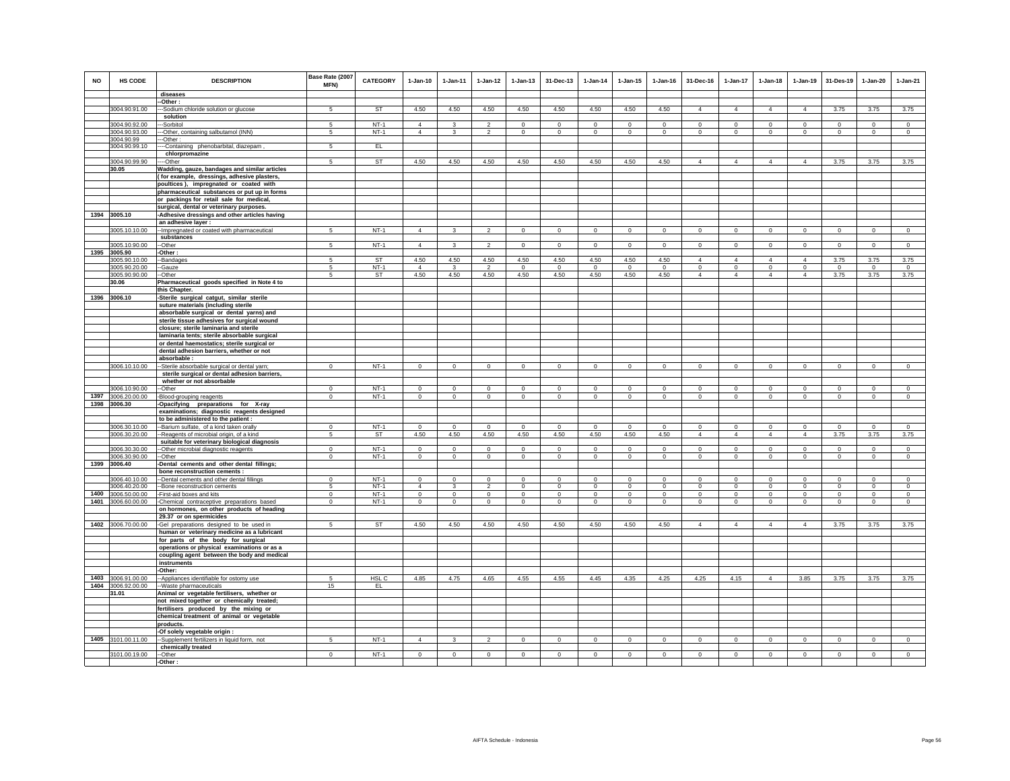| <b>NO</b> | HS CODE                     | <b>DESCRIPTION</b>                                                                             | Base Rate (2007<br>MFN) | <b>CATEGORY</b> | $1-Jan-10$     | $1 - Jan-11$   | $1 - Jan-12$   | $1 - Jan-13$   | 31-Dec-13      | $1 - Jan-14$   | $1 - Jan-15$ | 1-Jan-16       | 31-Dec-16      | 1-Jan-17                | $1 - Jan-18$   | $1 - Jan-19$   | 31-Des-19      | 1-Jan-20       | $1-Jan-21$     |
|-----------|-----------------------------|------------------------------------------------------------------------------------------------|-------------------------|-----------------|----------------|----------------|----------------|----------------|----------------|----------------|--------------|----------------|----------------|-------------------------|----------------|----------------|----------------|----------------|----------------|
|           |                             | diseases                                                                                       |                         |                 |                |                |                |                |                |                |              |                |                |                         |                |                |                |                |                |
|           |                             | -Other:                                                                                        |                         |                 |                |                |                |                |                |                |              |                |                |                         |                |                |                |                |                |
|           | 3004.90.91.00               | ---Sodium chloride solution or glucose<br>solution                                             |                         | ST              | 4.50           | 4.50           | 4.50           | 4.50           | 4.50           | 4.50           | 4.50         | 4.50           | 4              | $\overline{\mathbf{4}}$ | $\overline{4}$ | $\overline{4}$ | 3.75           | 3.75           | 3.75           |
|           | 3004.90.92.00               | --Sorbitol                                                                                     | -5                      | $NT-1$          | $\overline{4}$ | 3              | $\overline{2}$ | $\mathbf 0$    | $\mathbf{0}$   | $^{\circ}$     | $^{\circ}$   | $\mathbf{0}$   | $\mathbf 0$    | $\mathbf{0}$            | $\mathbf{0}$   | $\circ$        | $\circ$        | $\circ$        | $\circ$        |
|           | 3004.90.93.00               | --Other, containing salbutamol (INN)                                                           | 5                       | $NT-1$          | $\overline{4}$ | 3              | $\overline{2}$ | $\mathbf 0$    | $\mathbf 0$    | $\circ$        | $\mathbf 0$  | $\circ$        | $\mathbf 0$    | $\mathbf 0$             | $\circ$        | $\circ$        | $\circ$        | $\mathbf 0$    | $\circ$        |
|           | 3004.90.99                  | --Other:                                                                                       |                         |                 |                |                |                |                |                |                |              |                |                |                         |                |                |                |                |                |
|           | 3004.90.99.10               | ----Containing phenobarbital, diazepam                                                         | $\mathbf{5}$            | EL              |                |                |                |                |                |                |              |                |                |                         |                |                |                |                |                |
|           |                             | chlorpromazine                                                                                 |                         |                 |                |                |                |                |                |                |              |                |                |                         |                |                |                |                |                |
|           | 3004.90.99.90               | ---Other                                                                                       | 5                       | <b>ST</b>       | 4.50           | 4.50           | 4.50           | 4.50           | 4.50           | 4.50           | 4.50         | 4.50           | $\overline{4}$ | $\overline{4}$          | $\overline{4}$ | $\overline{4}$ | 3.75           | 3.75           | 3.75           |
|           | 30.05                       | Wadding, gauze, bandages and similar articles                                                  |                         |                 |                |                |                |                |                |                |              |                |                |                         |                |                |                |                |                |
|           |                             | (for example, dressings, adhesive plasters,<br>poultices), impregnated or coated with          |                         |                 |                |                |                |                |                |                |              |                |                |                         |                |                |                |                |                |
|           |                             | pharmaceutical substances or put up in forms                                                   |                         |                 |                |                |                |                |                |                |              |                |                |                         |                |                |                |                |                |
|           |                             | or packings for retail sale for medical,                                                       |                         |                 |                |                |                |                |                |                |              |                |                |                         |                |                |                |                |                |
|           |                             | surgical, dental or veterinary purposes.                                                       |                         |                 |                |                |                |                |                |                |              |                |                |                         |                |                |                |                |                |
|           | 1394 3005.10                | -Adhesive dressings and other articles having                                                  |                         |                 |                |                |                |                |                |                |              |                |                |                         |                |                |                |                |                |
|           |                             | an adhesive layer :                                                                            |                         |                 |                |                |                |                |                |                |              |                |                |                         |                |                |                |                |                |
|           | 3005.10.10.00               | -- Impregnated or coated with pharmaceutical                                                   |                         | $NT-1$          | $\Delta$       |                |                | $\Omega$       | $\Omega$       | $\Omega$       | $\Omega$     | $\Omega$       | $\Omega$       | $\Omega$                | $\Omega$       | $\Omega$       | $\Omega$       | $\Omega$       | $\Omega$       |
|           | 3005.10.90.00               | substances<br>--Other                                                                          | 5                       | $NT-1$          | $\overline{4}$ |                | $\mathcal{P}$  | $\mathbf 0$    | $\mathsf 0$    | $\mathbf 0$    | $\mathbf 0$  | $\mathbf 0$    | $\mathbf 0$    | $\mathbf 0$             | $\mathbf{0}$   | $\mathbf 0$    | $\mathbf 0$    | $\mathbf 0$    | $^{\circ}$     |
|           | 1395 3005.90                | -Other:                                                                                        |                         |                 |                |                |                |                |                |                |              |                |                |                         |                |                |                |                |                |
|           | 3005.90.10.00               | --Bandages                                                                                     | -5                      | <b>ST</b>       | 4.50           | 4.50           | 4.50           | 4.50           | 4.50           | 4.50           | 4.50         | 4.50           | $\overline{4}$ | $\overline{4}$          | 4              | $\overline{4}$ | 3.75           | 3.75           | 3.75           |
|           | 3005.90.20.00               | --Gauze                                                                                        | 5                       | $NT-1$          | $\overline{4}$ | 3              | $\mathcal{P}$  | $^{\circ}$     | $^{\circ}$     | $^{\circ}$     | $^{\circ}$   | $\mathbf 0$    | $^{\circ}$     | $\mathsf 0$             | $\mathbf 0$    | $\mathbf 0$    | $\mathbf 0$    | $^{\circ}$     | $\mathbf{0}$   |
|           | 3005.90.90.00               | --Other                                                                                        | 5                       | ST              | 4.50           | 4.50           | 4.50           | 4.50           | 4.50           | 4.50           | 4.50         | 4.50           | $\overline{4}$ | $\overline{4}$          | $\overline{4}$ | $\overline{4}$ | 3.75           | 3.75           | 3.75           |
|           | 30.06                       | Pharmaceutical goods specified in Note 4 to                                                    |                         |                 |                |                |                |                |                |                |              |                |                |                         |                |                |                |                |                |
|           |                             | this Chapter.                                                                                  |                         |                 |                |                |                |                |                |                |              |                |                |                         |                |                |                |                |                |
|           | 1396 3006.10                | -Sterile surgical catgut, similar sterile                                                      |                         |                 |                |                |                |                |                |                |              |                |                |                         |                |                |                |                |                |
|           |                             | suture materials (including sterile<br>absorbable surgical or dental yarns) and                |                         |                 |                |                |                |                |                |                |              |                |                |                         |                |                |                |                |                |
|           |                             | sterile tissue adhesives for surgical wound                                                    |                         |                 |                |                |                |                |                |                |              |                |                |                         |                |                |                |                |                |
|           |                             | closure; sterile laminaria and sterile                                                         |                         |                 |                |                |                |                |                |                |              |                |                |                         |                |                |                |                |                |
|           |                             | laminaria tents; sterile absorbable surgical                                                   |                         |                 |                |                |                |                |                |                |              |                |                |                         |                |                |                |                |                |
|           |                             | or dental haemostatics; sterile surgical or                                                    |                         |                 |                |                |                |                |                |                |              |                |                |                         |                |                |                |                |                |
|           |                             | dental adhesion barriers, whether or not                                                       |                         |                 |                |                |                |                |                |                |              |                |                |                         |                |                |                |                |                |
|           | 3006.10.10.00               | absorbable:                                                                                    | $\Omega$                | $NT-1$          |                | $\Omega$       | $\mathbf 0$    |                | $\Omega$       |                | $\Omega$     | $\Omega$       | $\Omega$       | $\Omega$                | $\Omega$       |                | $\mathbf 0$    |                | $\Omega$       |
|           |                             | --Sterile absorbable surgical or dental yarn;<br>sterile surgical or dental adhesion barriers, |                         |                 | $\circ$        |                |                | $\mathbf 0$    |                | $\mathbf 0$    |              |                |                |                         |                | $\mathbf 0$    |                | $\circ$        |                |
|           |                             | whether or not absorbable                                                                      |                         |                 |                |                |                |                |                |                |              |                |                |                         |                |                |                |                |                |
|           | 3006.10.90.00               | --Other                                                                                        | $\Omega$                | $NT-1$          | $\Omega$       | $\Omega$       | $\Omega$       | $\Omega$       | $\Omega$       | $\Omega$       | $\Omega$     | $\Omega$       | $\Omega$       | $\mathbf 0$             | $\Omega$       | $\mathbf 0$    | $\Omega$       | $\Omega$       | $\Omega$       |
|           | 1397 3006.20.00.00          | -Blood-grouping reagents                                                                       | $\mathbf 0$             | $NT-1$          | $\circ$        | $\mathbf 0$    | $\circ$        | $\mathsf 0$    | $\circ$        | $\mathsf 0$    | $\mathsf 0$  | $\mathbf{0}$   | $\mathbf{0}$   | $\mathsf 0$             | $\mathsf 0$    | $\mathsf 0$    | $\mathsf 0$    | $\mathbf 0$    | $\mathbf 0$    |
|           | 1398 3006.30                | -Opacifying preparations for X-ray                                                             |                         |                 |                |                |                |                |                |                |              |                |                |                         |                |                |                |                |                |
|           |                             | examinations; diagnostic reagents designed                                                     |                         |                 |                |                |                |                |                |                |              |                |                |                         |                |                |                |                |                |
|           | 3006.30.10.00               | to be administered to the patient :<br>--Barium sulfate, of a kind taken orally                | $\Omega$                | $NT-1$          | $\mathbf 0$    | $\mathbf 0$    | $^{\circ}$     | $\mathbf 0$    | $\mathbf 0$    | $\Omega$       | $\Omega$     | $\Omega$       | $^{\circ}$     | $\mathbf 0$             | $\mathbf 0$    | $\mathbf 0$    | $\mathbf 0$    | $\mathbf 0$    | $\Omega$       |
|           | 3006.30.20.00               | -Reagents of microbial origin, of a kind                                                       | 5                       | ST              | 4.50           | 4.50           | 4.50           | 4.50           | 4.50           | 4.50           | 4.50         | 4.50           | $\overline{4}$ | $\overline{4}$          | $\overline{4}$ | $\overline{4}$ | 3.75           | 3.75           | 3.75           |
|           |                             | suitable for veterinary biological diagnosis                                                   |                         |                 |                |                |                |                |                |                |              |                |                |                         |                |                |                |                |                |
|           | 3006.30.30.00               | -- Other microbial diagnostic reagents                                                         | $\Omega$                | $NT-1$          | $\Omega$       | $\Omega$       | $\Omega$       | $\Omega$       | $\mathbf{0}$   | $\Omega$       | $\Omega$     | $\Omega$       | $\Omega$       | $\mathbf{0}$            | $\circ$        | $\mathbf 0$    | $\circ$        | $\circ$        | $\mathbf 0$    |
|           | 3006.30.90.00               | --Other                                                                                        | $\mathbf 0$             | $NT-1$          | $\mathbf{0}$   | $\mathbf{0}$   | $\mathbf{0}$   | $\overline{0}$ | $\overline{0}$ | $\mathbf{0}$   | $\mathbf 0$  | $\mathbf 0$    | $\mathbf 0$    | $\overline{0}$          | $\mathbf{0}$   | $\overline{0}$ | $\mathbf{0}$   | $\mathbf{0}$   | $\overline{0}$ |
|           | 1399 3006.40                | -Dental cements and other dental fillings;                                                     |                         |                 |                |                |                |                |                |                |              |                |                |                         |                |                |                |                |                |
|           | 3006.40.10.00               | bone reconstruction cements :<br>-- Dental cements and other dental fillings                   | $\Omega$                | $NT-1$          | $\Omega$       | $\Omega$       | $^{\circ}$     | $\circ$        | $^{\circ}$     | 0              | 0            | $^{\circ}$     | $\Omega$       | $\circ$                 | $^{\circ}$     | $^{\circ}$     | $^{\circ}$     | $\Omega$       | $\mathbf{0}$   |
|           | 3006.40.20.00               | -- Bone reconstruction cements                                                                 | 5                       | $NT-1$          | $\overline{4}$ | 3              | $\overline{2}$ | $\mathsf 0$    | $\mathsf 0$    | $\mathbf 0$    | $\mathbf 0$  | $\mathbf 0$    | $\mathbf 0$    | $\mathsf 0$             | $\mathbf 0$    | $\mathbf 0$    | $\mathbf 0$    | $\mathbf 0$    | $\mathbf 0$    |
|           | 1400 3006.50.00.00          | -First-aid boxes and kits                                                                      | $\mathbf{0}$            | $NT-1$          | $\overline{0}$ | $\circ$        | $\circ$        | $\mathbf 0$    | $\mathbf{0}$   | $\circ$        | $\mathbf 0$  | $\mathbf 0$    | $\circ$        | $\mathbf 0$             | $\circ$        | $\mathbf 0$    | $\circ$        | $\circ$        | $\circ$        |
| 1401      | 3006.60.00.00               | -Chemical contraceptive preparations based                                                     | $\mathbf 0$             | $NT-1$          | $\circ$        | $\mathbf 0$    | $\mathbf 0$    | $\mathsf 0$    | $\,0\,$        | $\mathbf 0$    | $\mathsf 0$  | $\mathbf 0$    | $\circ$        | $\mathsf 0$             | $\mathsf 0$    | $\mathsf 0$    | $\mathsf 0$    | $\mathbf{0}$   | $\mathbf 0$    |
|           |                             | on hormones, on other products of heading                                                      |                         |                 |                |                |                |                |                |                |              |                |                |                         |                |                |                |                |                |
|           |                             | 29.37 or on spermicides                                                                        | 5                       |                 |                |                |                |                |                |                |              |                | $\overline{4}$ | $\overline{4}$          | $\overline{4}$ | $\overline{4}$ |                |                |                |
|           | 1402 3006.70.00.00          | -Gel preparations designed to be used in<br>human or veterinary medicine as a lubricant        |                         | <b>ST</b>       | 4.50           | 4.50           | 4.50           | 4.50           | 4.50           | 4.50           | 4.50         | 4.50           |                |                         |                |                | 3.75           | 3.75           | 3.75           |
|           |                             | for parts of the body for surgical                                                             |                         |                 |                |                |                |                |                |                |              |                |                |                         |                |                |                |                |                |
|           |                             | operations or physical examinations or as a                                                    |                         |                 |                |                |                |                |                |                |              |                |                |                         |                |                |                |                |                |
|           |                             | coupling agent between the body and medical                                                    |                         |                 |                |                |                |                |                |                |              |                |                |                         |                |                |                |                |                |
|           |                             | instruments                                                                                    |                         |                 |                |                |                |                |                |                |              |                |                |                         |                |                |                |                |                |
|           |                             | -Other:                                                                                        |                         |                 |                |                |                |                |                |                |              |                |                |                         |                |                |                |                |                |
|           | 1403 3006.91.00.00          | -- Appliances identifiable for ostomy use                                                      | 5                       | HSL C           | 4.85           | 4.75           | 4.65           | 4.55           | 4.55           | 4.45           | 4.35         | 4.25           | 4.25           | 4.15                    | $\overline{4}$ | 3.85           | 3.75           | 3.75           | 3.75           |
|           | 1404 3006.92.00.00<br>31.01 | -- Waste pharmaceuticals                                                                       | 15                      | EL.             |                |                |                |                |                |                |              |                |                |                         |                |                |                |                |                |
|           |                             | Animal or vegetable fertilisers, whether or<br>not mixed together or chemically treated;       |                         |                 |                |                |                |                |                |                |              |                |                |                         |                |                |                |                |                |
|           |                             | fertilisers produced by the mixing or                                                          |                         |                 |                |                |                |                |                |                |              |                |                |                         |                |                |                |                |                |
|           |                             | chemical treatment of animal or vegetable                                                      |                         |                 |                |                |                |                |                |                |              |                |                |                         |                |                |                |                |                |
|           |                             | products.                                                                                      |                         |                 |                |                |                |                |                |                |              |                |                |                         |                |                |                |                |                |
|           |                             | -Of solely vegetable origin :                                                                  |                         |                 |                |                |                |                |                |                |              |                |                |                         |                |                |                |                |                |
|           | 1405 3101.00.11.00          | --Supplement fertilizers in liquid form, not                                                   | -5                      | $NT-1$          | $\overline{4}$ | $\mathbf{3}$   | $\overline{2}$ | $\mathbf 0$    | $\overline{0}$ | $\overline{0}$ | $\mathbf 0$  | $\mathbf 0$    | $\mathbf 0$    | $\mathbf 0$             | $\mathbf 0$    | $\circ$        | $\circ$        | $\mathbf 0$    | $\overline{0}$ |
|           | 3101.00.19.00               | chemically treated                                                                             |                         | $NT-1$          |                |                |                |                |                |                |              |                |                |                         |                |                |                |                |                |
|           |                             | --Other<br>-Other:                                                                             | $\mathbf 0$             |                 | $\overline{0}$ | $\overline{0}$ | $\overline{0}$ | $\overline{0}$ | $\overline{0}$ | $\overline{0}$ | $\mathbf 0$  | $\overline{0}$ | $\overline{0}$ | $\overline{0}$          | $\overline{0}$ | $\overline{0}$ | $\overline{0}$ | $\overline{0}$ | $\overline{0}$ |
|           |                             |                                                                                                |                         |                 |                |                |                |                |                |                |              |                |                |                         |                |                |                |                |                |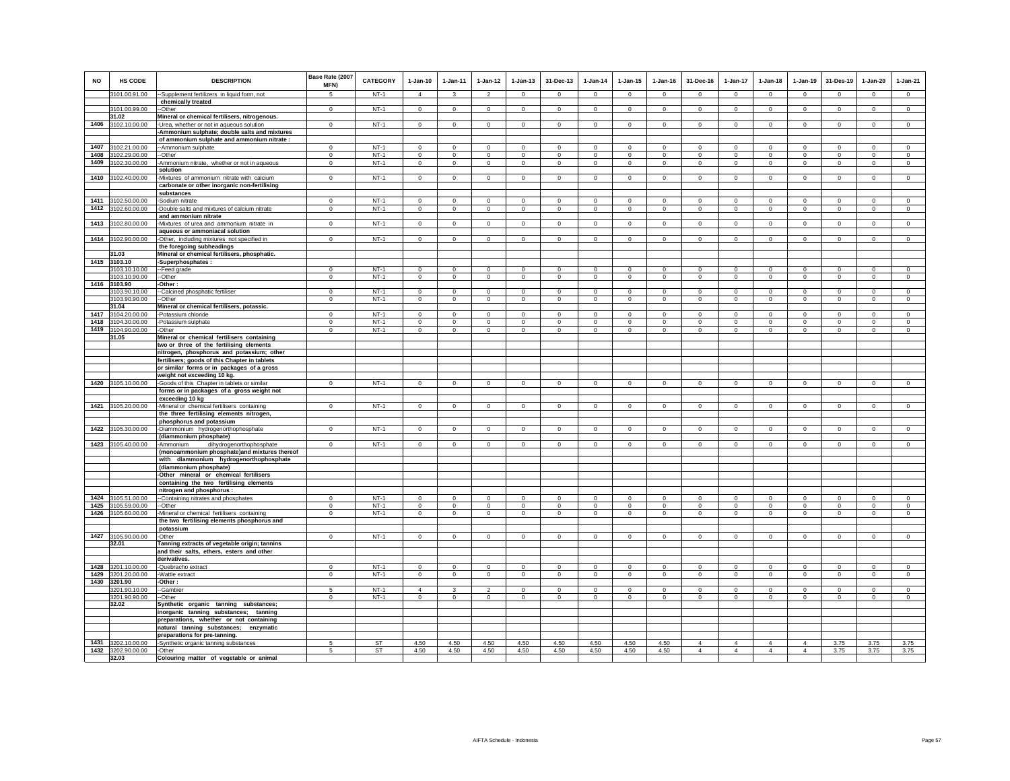| <b>NO</b> | <b>HS CODE</b>                           | <b>DESCRIPTION</b>                                                                        | Base Rate (2007<br>MFN)    | CATEGORY         | $1-Jan-10$              | 1-Jan-11                   | $1 - Jan-12$               | $1 - Jan-13$               | 31-Dec-13                  | $1 - Jan-14$           | $1 - Jan-15$               | $1 - Jan-16$               | 31-Dec-16              | $1-Jan-17$                 | $1-Jan-18$                 | $1-Jan-19$                 | 31-Des-19                              | $1-Jan-20$                 | $1-Jan-21$                 |
|-----------|------------------------------------------|-------------------------------------------------------------------------------------------|----------------------------|------------------|-------------------------|----------------------------|----------------------------|----------------------------|----------------------------|------------------------|----------------------------|----------------------------|------------------------|----------------------------|----------------------------|----------------------------|----------------------------------------|----------------------------|----------------------------|
|           | 3101.00.91.00                            | -Supplement fertilizers in liquid form, not                                               | $\sqrt{5}$                 | $NT-1$           | $\overline{4}$          | $\mathbf{3}$               | $\overline{2}$             | $\Omega$                   | $\Omega$                   | $\Omega$               | $\Omega$                   | $\Omega$                   | $\Omega$               | $\Omega$                   | $\Omega$                   | $\Omega$                   | $\Omega$                               | $\Omega$                   | $\overline{0}$             |
|           |                                          | chemically treated                                                                        |                            |                  |                         |                            |                            |                            |                            |                        |                            |                            |                        |                            |                            |                            |                                        |                            |                            |
|           | 3101.00.99.00<br>31.02                   | --Other<br>Mineral or chemical fertilisers, nitrogenous.                                  | $\mathbf{0}$               | $NT-1$           | $\circ$                 | $\mathbf 0$                | $^{\circ}$                 | $^{\circ}$                 | $\mathbf{0}$               | $^{\circ}$             | $^{\circ}$                 | $^{\circ}$                 | $^{\circ}$             | 0                          | $^{\circ}$                 | $^{\circ}$                 | $^{\circ}$                             | $\circ$                    | $\mathsf 0$                |
|           | 1406 3102.10.00.00                       | -Urea, whether or not in aqueous solution                                                 | $^{\circ}$                 | $NT-1$           | $^{\circ}$              | $\circ$                    | $\overline{0}$             | $\mathbf{0}$               | $\mathbf{0}$               | $\mathbf{0}$           | $^{\circ}$                 | $\mathbf{0}$               | $^{\circ}$             | $\circ$                    | $^{\circ}$                 | $\circ$                    | $\circ$                                | $\mathbf{0}$               | $\circ$                    |
|           |                                          | -Ammonium sulphate; double salts and mixtures                                             |                            |                  |                         |                            |                            |                            |                            |                        |                            |                            |                        |                            |                            |                            |                                        |                            |                            |
|           |                                          | of ammonium sulphate and ammonium nitrate :                                               |                            |                  |                         |                            |                            |                            |                            |                        |                            |                            |                        |                            |                            |                            |                                        |                            |                            |
| 1407      | 3102.21.00.00                            | -Ammonium sulphate                                                                        | $\mathbf 0$                | $NT-1$           | $\mathsf 0$             | $\mathbf 0$                | $\mathsf 0$                | $\mathsf 0$                | $\mathbf 0$                | $\mathsf 0$            | $\mathsf 0$                | $\mathsf 0$                | $\mathsf 0$            | $\mathbf 0$                | $\mathbf 0$                | $\mathbf 0$                | $\mathbf 0$                            | $\mathsf 0$                | $\mathsf 0$                |
| 1408      | 3102.29.00.00                            | -Other                                                                                    | $\mathbf 0$                | $NT-1$           | $\Omega$                | $\mathbf 0$                | $\mathbf 0$                | $\mathbf 0$                | $\mathbf 0$                | $\mathbf 0$            | $\mathbf 0$                | $\mathbf 0$                | $\mathbf 0$            | $\mathbf 0$                | $\mathbf 0$                | $\mathbf 0$                | $^{\circ}$                             | $\mathbf 0$                | $\mathbf 0$                |
| 1409      | 3102.30.00.00                            | -Ammonium nitrate, whether or not in aqueous                                              | $\mathbf 0$                | $NT-1$           | $\circ$                 | $\circ$                    | $\circ$                    | $\mathbf 0$                | $\mathbf 0$                | $\circ$                | $\mathbf 0$                | $\circ$                    | $\circ$                | $\circ$                    | $\circ$                    | $\mathbf 0$                | $\circ$                                | $\mathbf 0$                | $\mathbf 0$                |
|           |                                          | solution                                                                                  |                            |                  |                         |                            |                            |                            |                            |                        |                            |                            |                        |                            |                            |                            |                                        |                            |                            |
| 1410      | 3102.40.00.00                            | Mixtures of ammonium nitrate with calcium                                                 | $\Omega$                   | $NT-1$           | $\circ$                 | $\circ$                    | $\mathsf 0$                | $\mathsf 0$                | $\mathsf 0$                | $\mathbb O$            | $\mathsf 0$                | $\mathbf 0$                | $\Omega$               | $\mathbf 0$                | $\mathbf 0$                | $\mathbf 0$                | $\mathbf 0$                            | $\mathbf 0$                | $\overline{0}$             |
|           |                                          | carbonate or other inorganic non-fertilising<br>substances                                |                            |                  |                         |                            |                            |                            |                            |                        |                            |                            |                        |                            |                            |                            |                                        |                            |                            |
| 1411      | 3102.50.00.00                            | -Sodium nitrate                                                                           | $\Omega$                   | $NT-1$           | $\circ$                 | $\mathbf 0$                | $\circ$                    | $\mathbf 0$                | $\Omega$                   | $\Omega$               | $\mathbf 0$                | $\Omega$                   | $\circ$                | $\mathbf 0$                | $\mathbf 0$                | $\Omega$                   | $^{\circ}$                             | $\Omega$                   | $\circ$                    |
| 1412      | 3102.60.00.00                            | -Double salts and mixtures of calcium nitrate                                             | $^{\circ}$                 | $NT-1$           | $\mathbf{0}$            | $\mathsf 0$                | $\circ$                    | $\mathbf 0$                | $\mathsf 0$                | $\circ$                | $\mathbf 0$                | $\mathbf{0}$               | $\circ$                | $\mathbf 0$                | $\mathbf{0}$               | $\mathbf 0$                | $\mathbf 0$                            | $\mathbf 0$                | $\circ$                    |
|           |                                          | and ammonium nitrate                                                                      |                            |                  |                         |                            |                            |                            |                            |                        |                            |                            |                        |                            |                            |                            |                                        |                            |                            |
|           | 1413 3102.80.00.00                       | -Mixtures of urea and ammonium nitrate in                                                 | $^{\circ}$                 | $NT-1$           | $\overline{0}$          | $\circ$                    | $\overline{0}$             | $\circ$                    | $\overline{0}$             | $\overline{0}$         | $\mathbf 0$                | $\mathbf 0$                | $\circ$                | $\overline{0}$             | $\circ$                    | $\overline{0}$             | $\overline{0}$                         | $\circ$                    | $\circ$                    |
|           |                                          | aqueous or ammoniacal solution                                                            |                            |                  |                         |                            |                            |                            |                            |                        |                            |                            |                        |                            |                            |                            |                                        |                            |                            |
|           | 1414 3102.90.00.00                       | -Other, including mixtures not specified in                                               | $^{\circ}$                 | $NT-1$           | $\mathbf{0}$            | $\circ$                    | $\circ$                    | $\mathbf{0}$               | $\mathbf{0}$               | $^{\circ}$             | $^{\circ}$                 | $^{\circ}$                 | $^{\circ}$             | $\mathbf{0}$               | $^{\circ}$                 | $^{\circ}$                 | $\mathbf{0}$                           | $\circ$                    | $\mathbf 0$                |
|           |                                          | the foregoing subheadings                                                                 |                            |                  |                         |                            |                            |                            |                            |                        |                            |                            |                        |                            |                            |                            |                                        |                            |                            |
| 1415      | 31.03                                    | Mineral or chemical fertilisers, phosphatic.                                              |                            |                  |                         |                            |                            |                            |                            |                        |                            |                            |                        |                            |                            |                            |                                        |                            |                            |
|           | 3103.10<br>103.10.10.00                  | Superphosphates:<br>--Feed grade                                                          | $\Omega$                   | $NT-1$           | $\Omega$                | $\Omega$                   | $\Omega$                   | $\Omega$                   | $\mathbf 0$                | $\Omega$               | $\Omega$                   | $\Omega$                   | $\Omega$               | $\mathbf 0$                | $\Omega$                   | $^{\circ}$                 | $^{\circ}$                             | $\Omega$                   | $\overline{0}$             |
|           | 3103.10.90.00                            | $-Other$                                                                                  | $\Omega$                   | $NT-1$           | $\overline{0}$          | $\Omega$                   | $\overline{0}$             | $\overline{0}$             | $\Omega$                   | $\overline{0}$         | $\overline{0}$             | $\Omega$                   | $\Omega$               | $\overline{0}$             | $\Omega$                   | $\Omega$                   | $\overline{0}$                         | $\Omega$                   | $\overline{0}$             |
| 1416      | 3103.90                                  | -Other:                                                                                   |                            |                  |                         |                            |                            |                            |                            |                        |                            |                            |                        |                            |                            |                            |                                        |                            |                            |
|           | 3103.90.10.00                            | -Calcined phosphatic fertiliser                                                           | $\mathbf 0$                | $NT-1$           | $\circ$                 | $\mathbf 0$                | $\circ$                    | $\mathbf 0$                | $\mathbf 0$                | $\mathbf 0$            | $\mathbf 0$                | $^{\circ}$                 | $\circ$                | $\mathbf 0$                | $\circ$                    | $\mathbf 0$                | $\mathbf 0$                            | $\mathbf 0$                | $\circ$                    |
|           | 3103.90.90.00                            | -Other                                                                                    | $^{\circ}$                 | $NT-1$           | $^{\circ}$              | $\mathbf{0}$               | $\circ$                    | $\mathbf 0$                | $\mathbf{0}$               | $\mathbf{0}$           | 0                          | $\mathbf 0$                | $\circ$                | $\mathbf 0$                | $^{\circ}$                 | $\mathbf 0$                | $\mathbf 0$                            | $\circ$                    | $\mathbf 0$                |
|           | 31.04                                    | Mineral or chemical fertilisers, potassic.                                                |                            |                  |                         |                            |                            |                            |                            |                        |                            |                            |                        |                            |                            |                            |                                        |                            |                            |
| 1418      | 1417 3104.20.00.00<br>3104.30.00.00      | Potassium chloride<br>Potassium sulphate                                                  | $\mathbf 0$<br>$\mathbf 0$ | $NT-1$<br>$NT-1$ | $\mathsf 0$<br>$\Omega$ | $\mathbf 0$<br>$\mathbf 0$ | $\mathsf 0$<br>$\mathbf 0$ | $\mathsf 0$<br>$\mathbf 0$ | $\mathbf 0$<br>$\mathbf 0$ | $\circ$<br>$\mathbf 0$ | $\mathsf 0$<br>$\mathbf 0$ | $\mathsf 0$<br>$\mathbf 0$ | $\mathsf 0$<br>$\circ$ | $\mathbf 0$<br>$\mathbf 0$ | $\mathbf 0$<br>$\mathbf 0$ | $\mathbf 0$<br>$\mathbf 0$ | $\mathbf 0$<br>$^{\circ}$              | $\mathsf 0$<br>$\mathbf 0$ | $\mathsf 0$<br>$\mathbf 0$ |
| 1419      | 3104.90.00.00                            | Other                                                                                     | $\mathbf 0$                | $NT-1$           | $\circ$                 | $\mathbf 0$                | $\circ$                    | $\mathbf 0$                | $\mathbf 0$                | $\mathbf 0$            | $\mathbf 0$                | $\mathbf 0$                | $\circ$                | $\mathbf 0$                | $\mathbf 0$                | $\mathbf 0$                | $\mathbf 0$                            | 0                          | $\circ$                    |
|           | 31.05                                    | Mineral or chemical fertilisers containing                                                |                            |                  |                         |                            |                            |                            |                            |                        |                            |                            |                        |                            |                            |                            |                                        |                            |                            |
|           |                                          | two or three of the fertilising elements                                                  |                            |                  |                         |                            |                            |                            |                            |                        |                            |                            |                        |                            |                            |                            |                                        |                            |                            |
|           |                                          | nitrogen, phosphorus and potassium; other                                                 |                            |                  |                         |                            |                            |                            |                            |                        |                            |                            |                        |                            |                            |                            |                                        |                            |                            |
|           |                                          | fertilisers; goods of this Chapter in tablets                                             |                            |                  |                         |                            |                            |                            |                            |                        |                            |                            |                        |                            |                            |                            |                                        |                            |                            |
|           |                                          | or similar forms or in packages of a gross                                                |                            |                  |                         |                            |                            |                            |                            |                        |                            |                            |                        |                            |                            |                            |                                        |                            |                            |
|           |                                          | weight not exceeding 10 kg.                                                               |                            |                  |                         |                            |                            |                            |                            |                        |                            |                            |                        |                            |                            |                            |                                        |                            |                            |
|           | 1420 3105.10.00.00                       | -Goods of this Chapter in tablets or similar                                              | $^{\circ}$                 | $NT-1$           | $\mathbf 0$             | $\mathbf{0}$               | $^{\circ}$                 | $\mathbf 0$                | $\mathbf{0}$               | $\mathbf{0}$           | $\mathbf{0}$               | $\mathbf{0}$               | $\circ$                | $^{\circ}$                 | $^{\circ}$                 | $^{\circ}$                 | $\mathbf{0}$                           | $\circ$                    | $\mathbf 0$                |
|           |                                          | forms or in packages of a gross weight not<br>exceeding 10 kg                             |                            |                  |                         |                            |                            |                            |                            |                        |                            |                            |                        |                            |                            |                            |                                        |                            |                            |
|           | 1421 3105.20.00.00                       | -Mineral or chemical fertilisers containing                                               | $^{\circ}$                 | $NT-1$           | $\mathbf{0}$            | $\circ$                    | $\circ$                    | $\mathbf 0$                | $\mathbf{0}$               | $\overline{0}$         | $\mathbf 0$                | $\mathbf 0$                | $\circ$                | $\circ$                    | $\mathbf 0$                | $\overline{0}$             | $\mathbf 0$                            | $\circ$                    | $\mathsf 0$                |
|           |                                          | the three fertilising elements nitrogen,                                                  |                            |                  |                         |                            |                            |                            |                            |                        |                            |                            |                        |                            |                            |                            |                                        |                            |                            |
|           |                                          | phosphorus and potassium                                                                  |                            |                  |                         |                            |                            |                            |                            |                        |                            |                            |                        |                            |                            |                            |                                        |                            |                            |
| 1422      | 3105.30.00.00                            | -Diammonium hydrogenorthophosphate                                                        | $^{\circ}$                 | $NT-1$           | $\mathbf 0$             | $\mathbf 0$                | 0                          | $\mathbf 0$                | $\mathbf 0$                | $\mathbf 0$            | $\mathbf 0$                | $\mathbf 0$                | $\mathbf 0$            | 0                          | 0                          | $\mathbf 0$                | $\mathbf 0$                            | $\mathbf 0$                | $\circ$                    |
|           |                                          | (diammonium phosphate)                                                                    |                            |                  |                         |                            |                            |                            |                            |                        |                            |                            |                        |                            |                            |                            |                                        |                            |                            |
|           | 1423 3105.40.00.00                       | -Ammonium<br>dihydrogenorthophosphate                                                     | $\mathbf 0$                | $NT-1$           | $\mathsf 0$             | $\mathsf 0$                | $\overline{0}$             | $\mathbf 0$                | $\mathsf 0$                | $\overline{0}$         | $\mathsf 0$                | $\mathbf 0$                | $^{\circ}$             | $\mathbf 0$                | $\mathbf 0$                | $\mathbf 0$                | $\overline{0}$                         | $\mathsf 0$                | $\overline{0}$             |
|           |                                          | (monoammonium phosphate)and mixtures thereof<br>with diammonium hydrogenorthophosphate    |                            |                  |                         |                            |                            |                            |                            |                        |                            |                            |                        |                            |                            |                            |                                        |                            |                            |
|           |                                          | (diammonium phosphate)                                                                    |                            |                  |                         |                            |                            |                            |                            |                        |                            |                            |                        |                            |                            |                            |                                        |                            |                            |
|           |                                          | -Other mineral or chemical fertilisers                                                    |                            |                  |                         |                            |                            |                            |                            |                        |                            |                            |                        |                            |                            |                            |                                        |                            |                            |
|           |                                          | containing the two fertilising elements                                                   |                            |                  |                         |                            |                            |                            |                            |                        |                            |                            |                        |                            |                            |                            |                                        |                            |                            |
|           |                                          | nitrogen and phosphorus :                                                                 |                            |                  |                         |                            |                            |                            |                            |                        |                            |                            |                        |                            |                            |                            |                                        |                            |                            |
|           | 1424 3105.51.00.00                       | --Containing nitrates and phosphates                                                      | $\Omega$                   | $NT-1$           | $\Omega$                | $^{\circ}$                 | $\mathbf{0}$               | $^{\circ}$                 | $^{\circ}$                 | $\mathbf{0}$           | $^{\circ}$                 | $^{\circ}$                 | $\Omega$               | $^{\circ}$                 | $\Omega$                   | $\mathbf{0}$               | $^{\circ}$                             | $^{\circ}$                 | $^{\circ}$                 |
|           | 1425 3105.59.00.00<br>1426 3105.60.00.00 | -Other                                                                                    | $\Omega$<br>$\Omega$       | $NT-1$<br>$NT-1$ | $\mathbf 0$<br>$\circ$  | 0<br>$\circ$               | $\mathbf 0$<br>$\circ$     | 0<br>$\mathbf 0$           | $\mathbf 0$<br>$\mathbf 0$ | $\bf{0}$               | 0<br>$^{\circ}$            | $\mathbf 0$<br>$\circ$     | $\Omega$<br>$\Omega$   | $\mathbf 0$<br>$\circ$     | 0<br>$\circ$               | $\circ$<br>$\circ$         | $\overline{\mathbf{0}}$<br>$\mathbf 0$ | $\mathbf 0$<br>$\mathbf 0$ | $\circ$<br>$\circ$         |
|           |                                          | Mineral or chemical fertilisers containing<br>the two fertilising elements phosphorus and |                            |                  |                         |                            |                            |                            |                            | $\mathbf 0$            |                            |                            |                        |                            |                            |                            |                                        |                            |                            |
|           |                                          | potassium                                                                                 |                            |                  |                         |                            |                            |                            |                            |                        |                            |                            |                        |                            |                            |                            |                                        |                            |                            |
|           | 1427 3105.90.00.00                       | Other                                                                                     | $\mathbf 0$                | $NT-1$           | $\mathbf 0$             | $\mathbf 0$                | $\circ$                    | $\mathsf 0$                | $\mathbf 0$                | $\circ$                | $\mathbf 0$                | $\circ$                    | $^{\circ}$             | $\mathbf 0$                | $\mathbf 0$                | $\mathbf 0$                | $\mathbf 0$                            | $\circ$                    | $\mathbb O$                |
|           | 32.01                                    | Tanning extracts of vegetable origin; tannins                                             |                            |                  |                         |                            |                            |                            |                            |                        |                            |                            |                        |                            |                            |                            |                                        |                            |                            |
|           |                                          | and their salts, ethers, esters and other                                                 |                            |                  |                         |                            |                            |                            |                            |                        |                            |                            |                        |                            |                            |                            |                                        |                            |                            |
|           |                                          | derivatives.                                                                              |                            |                  |                         |                            |                            |                            |                            |                        |                            |                            |                        |                            |                            |                            |                                        |                            |                            |
|           | 1428 3201.10.00.00                       | -Quebracho extract                                                                        | $\Omega$                   | $NT-1$           | $\circ$                 | $\Omega$                   | $\Omega$                   | $\mathbf{0}$               | $\Omega$                   | $\mathbf 0$            | $\Omega$                   | $\Omega$                   | $\Omega$               | $\Omega$                   | $\Omega$                   | $\mathbf 0$                | $\Omega$                               | $\Omega$                   | $\circ$                    |
| 1429      | 3201.20.00.00<br>1430 3201.90            | Wattle extract<br>-Other:                                                                 | $\mathbf 0$                | $NT-1$           | $\circ$                 | $\mathsf 0$                | $\mathbf 0$                | $\mathbf 0$                | $\mathsf 0$                | $\circ$                | $\mathsf 0$                | $\mathsf 0$                | $\mathbf 0$            | $\mathbf 0$                | $\mathbf 0$                | $\mathbf 0$                | $\mathbf 0$                            | $\mathsf 0$                | $\circ$                    |
|           | 3201.90.10.00                            | -Gambie                                                                                   | 5                          | $NT-1$           | $\overline{4}$          | 3                          | $\overline{2}$             | $\mathbf 0$                | $\mathbf 0$                | $^{\circ}$             | $^{\circ}$                 | $^{\circ}$                 | $\circ$                | $^{\circ}$                 | $^{\circ}$                 | $^{\circ}$                 | $\circ$                                | $\circ$                    | $^{\circ}$                 |
|           | 3201.90.90.00                            | --Other                                                                                   | $^{\circ}$                 | $NT-1$           | $\mathbf{0}$            | $\mathbf{0}$               | $\overline{0}$             | $\mathbf 0$                | $\overline{0}$             | $\mathbf 0$            | 0                          | $\mathbf 0$                | $\circ$                | $\circ$                    | $\mathbf 0$                | $\mathbf 0$                | $\circ$                                | $\circ$                    | $\mathbf 0$                |
|           | 32.02                                    | Synthetic organic tanning substances;                                                     |                            |                  |                         |                            |                            |                            |                            |                        |                            |                            |                        |                            |                            |                            |                                        |                            |                            |
|           |                                          | inorganic tanning substances; tanning                                                     |                            |                  |                         |                            |                            |                            |                            |                        |                            |                            |                        |                            |                            |                            |                                        |                            |                            |
|           |                                          | preparations, whether or not containing                                                   |                            |                  |                         |                            |                            |                            |                            |                        |                            |                            |                        |                            |                            |                            |                                        |                            |                            |
|           |                                          | natural tanning substances; enzymatic                                                     |                            |                  |                         |                            |                            |                            |                            |                        |                            |                            |                        |                            |                            |                            |                                        |                            |                            |
|           |                                          | preparations for pre-tanning.                                                             | 5                          | <b>ST</b>        | 4.50                    | 4.50                       | 4.50                       |                            | 4.50                       |                        | 4.50                       |                            | $\Delta$               | $\overline{4}$             | $\Delta$                   | $\Delta$                   | 3.75                                   |                            | 3.75                       |
|           | 1431 3202.10.00.00<br>1432 3202.90.00.00 | -Synthetic organic tanning substances<br>-Other                                           | 5                          | <b>ST</b>        | 4.50                    | 4.50                       | 4.50                       | 4.50<br>4.50               | 4.50                       | 4.50<br>4.50           | 4.50                       | 4.50<br>4.50               | $\overline{4}$         | $\overline{4}$             | $\overline{4}$             | $\overline{4}$             | 3.75                                   | 3.75<br>3.75               | 3.75                       |
|           | 32.03                                    | Colouring matter of vegetable or animal                                                   |                            |                  |                         |                            |                            |                            |                            |                        |                            |                            |                        |                            |                            |                            |                                        |                            |                            |
|           |                                          |                                                                                           |                            |                  |                         |                            |                            |                            |                            |                        |                            |                            |                        |                            |                            |                            |                                        |                            |                            |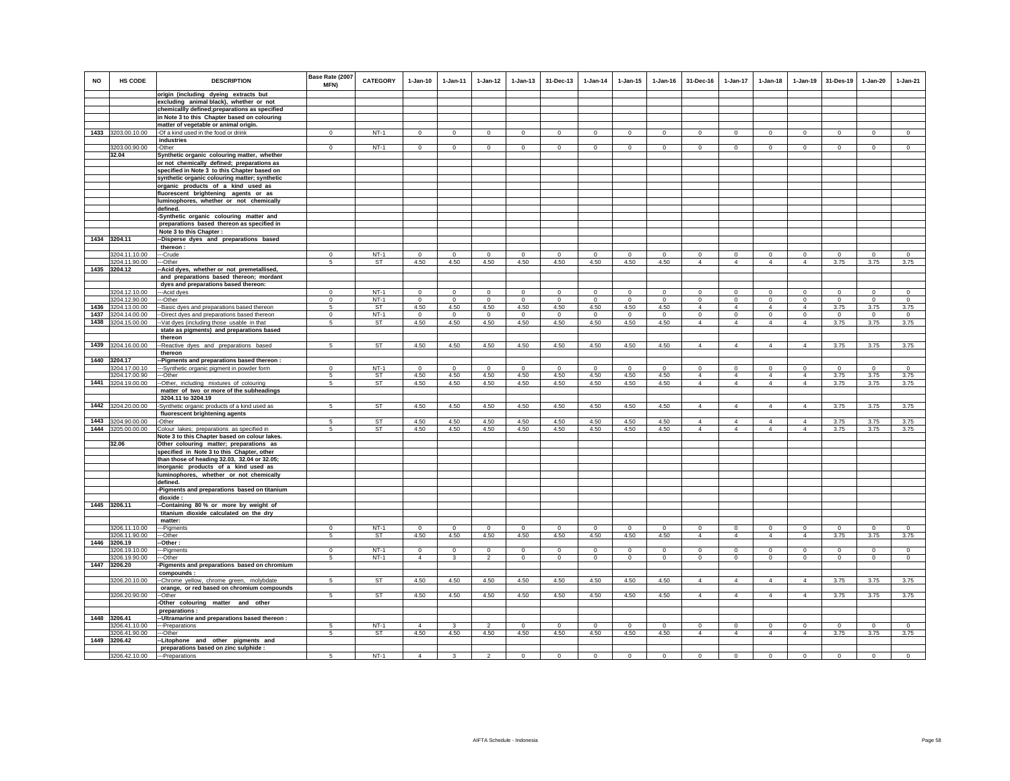| <b>NO</b> | <b>HS CODE</b>                      | <b>DESCRIPTION</b>                                                                          | Base Rate (2007<br>MFN) | <b>CATEGORY</b>  | $1-Jan-10$                     | $1 - Jan-11$                | $1 - Jan-12$                  | $1 - Jan-13$          | 31-Dec-13                  | $1 - Jan-14$ | $1 - Jan-15$          | $1 - Jan-16$              | 31-Dec-16                        | $1 - Jan-17$                     | $1 - Jan-18$                     | $1 - Jan-19$                     | 31-Des-19                   | $1 - Jan-20$          | $1-Jan-21$             |
|-----------|-------------------------------------|---------------------------------------------------------------------------------------------|-------------------------|------------------|--------------------------------|-----------------------------|-------------------------------|-----------------------|----------------------------|--------------|-----------------------|---------------------------|----------------------------------|----------------------------------|----------------------------------|----------------------------------|-----------------------------|-----------------------|------------------------|
|           |                                     | origin (including dyeing extracts but<br>excluding animal black), whether or not            |                         |                  |                                |                             |                               |                       |                            |              |                       |                           |                                  |                                  |                                  |                                  |                             |                       |                        |
|           |                                     | chemicallly defined; preparations as specified                                              |                         |                  |                                |                             |                               |                       |                            |              |                       |                           |                                  |                                  |                                  |                                  |                             |                       |                        |
|           |                                     | in Note 3 to this Chapter based on colouring                                                |                         |                  |                                |                             |                               |                       |                            |              |                       |                           |                                  |                                  |                                  |                                  |                             |                       |                        |
|           |                                     | matter of vegetable or animal origin.                                                       |                         |                  |                                |                             |                               |                       |                            |              |                       |                           |                                  |                                  |                                  |                                  |                             |                       |                        |
|           | 1433 3203.00.10.00                  | -Of a kind used in the food or drink                                                        | $\mathbf{0}$            | $NT-1$           | $\mathbf{0}$                   | $\overline{0}$              | $\mathbf{0}$                  | $\mathbf{0}$          | $\overline{0}$             | $\circ$      | $\circ$               | $\circ$                   | $\mathbf{0}$                     | $\mathbf{0}$                     | $\overline{0}$                   | $\overline{0}$                   | $\overline{0}$              | $\circ$               | $\overline{0}$         |
|           | 3203.00.90.00                       | industries<br>-Other                                                                        | $\mathbf{0}$            | $NT-1$           | $\circ$                        | $\circ$                     | $\mathbf{0}$                  | $\mathbf 0$           | $\mathbf{0}$               | $\mathbf{0}$ | $\mathbf{0}$          | $\mathbf{0}$              | $\mathbf{0}$                     | $\mathbf{0}$                     | $\mathsf 0$                      | $\mathbf{0}$                     | $\overline{0}$              | $\mathbf{0}$          | $\mathsf 0$            |
|           | 32.04                               | Synthetic organic colouring matter, whether                                                 |                         |                  |                                |                             |                               |                       |                            |              |                       |                           |                                  |                                  |                                  |                                  |                             |                       |                        |
|           |                                     | or not chemically defined; preparations as                                                  |                         |                  |                                |                             |                               |                       |                            |              |                       |                           |                                  |                                  |                                  |                                  |                             |                       |                        |
|           |                                     | specified in Note 3 to this Chapter based on                                                |                         |                  |                                |                             |                               |                       |                            |              |                       |                           |                                  |                                  |                                  |                                  |                             |                       |                        |
|           |                                     | synthetic organic colouring matter; synthetic                                               |                         |                  |                                |                             |                               |                       |                            |              |                       |                           |                                  |                                  |                                  |                                  |                             |                       |                        |
|           |                                     | organic products of a kind used as                                                          |                         |                  |                                |                             |                               |                       |                            |              |                       |                           |                                  |                                  |                                  |                                  |                             |                       |                        |
|           |                                     | fluorescent brightening agents or as<br>luminophores, whether or not chemically             |                         |                  |                                |                             |                               |                       |                            |              |                       |                           |                                  |                                  |                                  |                                  |                             |                       |                        |
|           |                                     | defined.                                                                                    |                         |                  |                                |                             |                               |                       |                            |              |                       |                           |                                  |                                  |                                  |                                  |                             |                       |                        |
|           |                                     | -Synthetic organic colouring matter and                                                     |                         |                  |                                |                             |                               |                       |                            |              |                       |                           |                                  |                                  |                                  |                                  |                             |                       |                        |
|           |                                     | preparations based thereon as specified in                                                  |                         |                  |                                |                             |                               |                       |                            |              |                       |                           |                                  |                                  |                                  |                                  |                             |                       |                        |
|           |                                     | Note 3 to this Chapter :                                                                    |                         |                  |                                |                             |                               |                       |                            |              |                       |                           |                                  |                                  |                                  |                                  |                             |                       |                        |
|           | 1434 3204.11                        | --Disperse dyes and preparations based<br>thereon:                                          |                         |                  |                                |                             |                               |                       |                            |              |                       |                           |                                  |                                  |                                  |                                  |                             |                       |                        |
|           | 3204.11.10.00                       | ---Crude                                                                                    | $^{\circ}$              | $NT-1$           | $^{\circ}$                     | $^{\circ}$                  | $\mathbf{0}$                  | $^{\circ}$            | $\mathbf{0}$               | $\mathbf{0}$ | $^{\circ}$            | $^{\circ}$                | $^{\circ}$                       | $\circ$                          | $\mathbf 0$                      | $\mathbf 0$                      | $\circ$                     | $^{\circ}$            | $\mathbf 0$            |
|           | 3204.11.90.00                       | ---Other                                                                                    | 5                       | <b>ST</b>        | 4.50                           | 4.50                        | 4.50                          | 4.50                  | 4.50                       | 4.50         | 4.50                  | 4.50                      | $\overline{4}$                   | $\overline{4}$                   | $\overline{4}$                   | $\overline{4}$                   | 3.75                        | 3.75                  | 3.75                   |
|           | 1435 3204.12                        | -Acid dyes, whether or not premetallised,                                                   |                         |                  |                                |                             |                               |                       |                            |              |                       |                           |                                  |                                  |                                  |                                  |                             |                       |                        |
|           |                                     | and preparations based thereon; mordant                                                     |                         |                  |                                |                             |                               |                       |                            |              |                       |                           |                                  |                                  |                                  |                                  |                             |                       |                        |
|           | 3204.12.10.00                       | dyes and preparations based thereon:                                                        | $\mathbf 0$             | $NT-1$           | $\Omega$                       | $\circ$                     | $\mathbf 0$                   | $\Omega$              | $\mathbf{0}$               | $\Omega$     | $\Omega$              | $\Omega$                  | $\Omega$                         | $\Omega$                         | $\Omega$                         | $\mathbf 0$                      | $\mathbf 0$                 | $\circ$               | $\circ$                |
|           | 3204.12.90.00                       | ---Acid dyes<br>---Other                                                                    | $\mathbf 0$             | $NT-1$           | $\mathbf 0$                    | $\circ$                     | $\mathbf 0$                   | $\mathbf 0$           | $\mathbf 0$                | $\circ$      | $\mathbf 0$           | $\mathbb O$               | $\mathbf 0$                      | $\mathbf 0$                      | $\mathsf 0$                      | $\mathbf 0$                      | $\mathbf 0$                 | $\mathsf 0$           | $\mathsf 0$            |
| 1436      | 3204.13.00.00                       | -- Basic dyes and preparations based thereon                                                | 5                       | ST               | 4.50                           | 4.50                        | 4.50                          | 4.50                  | 4.50                       | 4.50         | 4.50                  | 4.50                      | $\overline{4}$                   | $\overline{4}$                   | $\overline{4}$                   | $\overline{4}$                   | 3.75                        | 3.75                  | 3.75                   |
| 1437      | 3204.14.00.00                       | --Direct dyes and preparations based thereon                                                | $\Omega$                | $NT-1$           | $\Omega$                       | $\Omega$                    | 0                             | $\mathbf 0$           | $\mathbf 0$                | $\Omega$     | $\Omega$              | $\Omega$                  | $\Omega$                         | $\mathbf 0$                      | $\Omega$                         | $\mathbf 0$                      | $\mathbf 0$                 | $\mathbf 0$           | $\mathbf 0$            |
| 1438      | 3204.15.00.00                       | -- Vat dyes (including those usable in that                                                 | 5                       | ST               | 4.50                           | 4.50                        | 4.50                          | 4.50                  | 4.50                       | 4.50         | 4.50                  | 4.50                      | $\overline{4}$                   | $\overline{4}$                   | $\overline{4}$                   | $\overline{4}$                   | 3.75                        | 3.75                  | 3.75                   |
|           |                                     | state as pigments) and preparations based<br>thereon                                        |                         |                  |                                |                             |                               |                       |                            |              |                       |                           |                                  |                                  |                                  |                                  |                             |                       |                        |
|           | 1439 3204.16.00.00                  | -- Reactive dyes and preparations based                                                     | 5                       | <b>ST</b>        | 4.50                           | 4.50                        | 4.50                          | 4.50                  | 4.50                       | 4.50         | 4.50                  | 4.50                      | $\overline{4}$                   | $\overline{4}$                   | $\overline{4}$                   | $\overline{4}$                   | 3.75                        | 3.75                  | 3.75                   |
|           |                                     | thereon                                                                                     |                         |                  |                                |                             |                               |                       |                            |              |                       |                           |                                  |                                  |                                  |                                  |                             |                       |                        |
| 1440      | 3204.17                             | -Pigments and preparations based thereon :                                                  |                         |                  |                                |                             |                               |                       |                            |              |                       |                           |                                  |                                  |                                  |                                  |                             |                       |                        |
|           | 3204.17.00.10                       | ---Synthetic organic pigment in powder form                                                 | $\mathbf 0$             | NT-1             | $^{\circ}$                     | $^{\circ}$                  | $\mathbf 0$                   | $\mathbf 0$           | $\mathbf 0$                | $\circ$      | $\mathbf 0$           | $^{\circ}$                | 0                                | $\mathbf 0$                      | $\mathbf 0$                      | $\mathbf 0$                      | $\mathbf 0$                 | $\mathbf 0$           | $\mathbf 0$            |
| 1441      | 3204.17.00.90                       | ---Other                                                                                    | $\sqrt{5}$<br>5         | ST<br>ST         | 4.50                           | 4.50                        | 4.50                          | 4.50                  | 4.50                       | 4.50         | 4.50                  | 4.50                      | $\overline{4}$<br>$\overline{4}$ | $\overline{4}$<br>$\overline{4}$ | $\Delta$<br>$\overline{4}$       | $\overline{4}$<br>$\overline{4}$ | 3.75                        | 3.75                  | 3.75                   |
|           | 3204.19.00.00                       | -Other, including mixtures of colouring<br>matter of two or more of the subheadings         |                         |                  | 4.50                           | 4.50                        | 4.50                          | 4.50                  | 4.50                       | 4.50         | 4.50                  | 4.50                      |                                  |                                  |                                  |                                  | 3.75                        | 3.75                  | 3.75                   |
|           |                                     | 3204.11 to 3204.19                                                                          |                         |                  |                                |                             |                               |                       |                            |              |                       |                           |                                  |                                  |                                  |                                  |                             |                       |                        |
| 1442      | 3204.20.00.00                       | -Synthetic organic products of a kind used as                                               | 5                       | ST               | 4.50                           | 4.50                        | 4.50                          | 4.50                  | 4.50                       | 4.50         | 4.50                  | 4.50                      | $\overline{4}$                   | $\overline{4}$                   | $\overline{4}$                   | $\overline{4}$                   | 3.75                        | 3.75                  | 3.75                   |
|           |                                     | fluorescent brightening agents                                                              |                         |                  |                                |                             |                               |                       |                            |              |                       |                           |                                  |                                  |                                  |                                  |                             |                       |                        |
| 1443      | 3204.90.00.00<br>1444 3205.00.00.00 | -Other                                                                                      | 5<br>5                  | ST<br>ST         | 4.50<br>4.50                   | 4.50<br>4.50                | 4.50<br>4.50                  | 4.50<br>4.50          | 4.50<br>4.50               | 4.50<br>4.50 | 4.50<br>4.50          | 4.50<br>4.50              | $\overline{4}$<br>$\overline{4}$ | $\overline{4}$<br>$\overline{4}$ | $\overline{4}$<br>$\overline{4}$ | $\overline{4}$<br>$\overline{4}$ | 3.75<br>3.75                | 3.75<br>3.75          | 3.75<br>3.75           |
|           |                                     | Colour lakes; preparations as specified in<br>Note 3 to this Chapter based on colour lakes. |                         |                  |                                |                             |                               |                       |                            |              |                       |                           |                                  |                                  |                                  |                                  |                             |                       |                        |
|           | 32.06                               | Other colouring matter; preparations as                                                     |                         |                  |                                |                             |                               |                       |                            |              |                       |                           |                                  |                                  |                                  |                                  |                             |                       |                        |
|           |                                     | specified in Note 3 to this Chapter, other                                                  |                         |                  |                                |                             |                               |                       |                            |              |                       |                           |                                  |                                  |                                  |                                  |                             |                       |                        |
|           |                                     | than those of heading 32.03, 32.04 or 32.05;                                                |                         |                  |                                |                             |                               |                       |                            |              |                       |                           |                                  |                                  |                                  |                                  |                             |                       |                        |
|           |                                     | inorganic products of a kind used as<br>luminophores, whether or not chemically             |                         |                  |                                |                             |                               |                       |                            |              |                       |                           |                                  |                                  |                                  |                                  |                             |                       |                        |
|           |                                     | defined.                                                                                    |                         |                  |                                |                             |                               |                       |                            |              |                       |                           |                                  |                                  |                                  |                                  |                             |                       |                        |
|           |                                     | -Pigments and preparations based on titanium                                                |                         |                  |                                |                             |                               |                       |                            |              |                       |                           |                                  |                                  |                                  |                                  |                             |                       |                        |
|           |                                     | dioxide                                                                                     |                         |                  |                                |                             |                               |                       |                            |              |                       |                           |                                  |                                  |                                  |                                  |                             |                       |                        |
|           | 1445 3206.11                        | -Containing 80% or more by weight of                                                        |                         |                  |                                |                             |                               |                       |                            |              |                       |                           |                                  |                                  |                                  |                                  |                             |                       |                        |
|           |                                     | titanium dioxide calculated on the dry<br>matter:                                           |                         |                  |                                |                             |                               |                       |                            |              |                       |                           |                                  |                                  |                                  |                                  |                             |                       |                        |
|           | 3206.11.10.00                       | ---Pigments                                                                                 | $\Omega$                | $NT-1$           | $\Omega$                       | $\Omega$                    | $\Omega$                      | $\Omega$              | $\Omega$                   | $\Omega$     | $\Omega$              | $\Omega$                  | $\Omega$                         | $\Omega$                         | $\mathbf 0$                      | $\Omega$                         | $\Omega$                    | $\Omega$              | $\mathbf 0$            |
|           | 3206.11.90.00                       | --Other                                                                                     | 5                       | ST               | 4.50                           | 4.50                        | 4.50                          | 4.50                  | 4.50                       | 4.50         | 4.50                  | 4.50                      | $\overline{4}$                   | $\overline{4}$                   | $\overline{4}$                   | $\overline{4}$                   | 3.75                        | 3.75                  | 3.75                   |
| 1446      | 3206.19                             | -Other :                                                                                    |                         |                  |                                |                             |                               |                       |                            |              |                       |                           |                                  |                                  |                                  |                                  |                             |                       |                        |
|           | 3206.19.10.00<br>3206.19.90.00      | --Pigments<br>-Other                                                                        | $^{\circ}$<br>5         | $NT-1$<br>$NT-1$ | $\mathbf{0}$<br>$\overline{4}$ | $\mathbf 0$<br>$\mathbf{3}$ | $\mathbf 0$<br>$\overline{a}$ | $^{\circ}$<br>$\circ$ | $^{\circ}$<br>$\mathbf{0}$ | 0<br>$\circ$ | $^{\circ}$<br>$\circ$ | $^{\circ}$<br>$\mathbf 0$ | $\Omega$<br>$\circ$              | $\mathbf{0}$<br>$\mathsf 0$      | $\mathbf{0}$<br>$\circ$          | $\overline{0}$<br>$\mathbf 0$    | $\mathbf 0$<br>$\mathbf{0}$ | $^{\circ}$<br>$\circ$ | $\mathbf 0$<br>$\circ$ |
| 1447      | 3206.20                             | Pigments and preparations based on chromium                                                 |                         |                  |                                |                             |                               |                       |                            |              |                       |                           |                                  |                                  |                                  |                                  |                             |                       |                        |
|           |                                     | compounds:                                                                                  |                         |                  |                                |                             |                               |                       |                            |              |                       |                           |                                  |                                  |                                  |                                  |                             |                       |                        |
|           | 3206.20.10.00                       | -Chrome yellow, chrome green, molybdate                                                     | $\sqrt{5}$              | <b>ST</b>        | 4.50                           | 4.50                        | 4.50                          | 4.50                  | 4.50                       | 4.50         | 4.50                  | 4.50                      | $\overline{4}$                   | $\overline{4}$                   | $\overline{4}$                   | $\overline{4}$                   | 3.75                        | 3.75                  | 3.75                   |
|           |                                     | orange, or red based on chromium compounds                                                  |                         |                  |                                |                             |                               |                       |                            |              |                       |                           |                                  |                                  |                                  |                                  |                             |                       |                        |
|           | 3206.20.90.00                       | --Other                                                                                     | $5\phantom{.0}$         | <b>ST</b>        | 4.50                           | 4.50                        | 4.50                          | 4.50                  | 4.50                       | 4.50         | 4.50                  | 4.50                      | $\overline{4}$                   | $\overline{4}$                   | $\overline{4}$                   | $\overline{4}$                   | 3.75                        | 3.75                  | 3.75                   |
|           |                                     | -Other colouring matter and other<br>preparations:                                          |                         |                  |                                |                             |                               |                       |                            |              |                       |                           |                                  |                                  |                                  |                                  |                             |                       |                        |
|           | 1448 3206.41                        | -- Ultramarine and preparations based thereon :                                             |                         |                  |                                |                             |                               |                       |                            |              |                       |                           |                                  |                                  |                                  |                                  |                             |                       |                        |
|           | 3206.41.10.00                       | ---Preparations                                                                             | 5                       | $NT-1$           | $\Delta$                       | 3                           | $\overline{2}$                | $\Omega$              | $\Omega$                   | $\mathbf{0}$ | $\Omega$              | $\Omega$                  | $\Omega$                         | $\circ$                          | $^{\circ}$                       | $\mathbf{0}$                     | $\circ$                     | $\Omega$              | $\circ$                |
|           | 3206.41.90.00                       | ---Other                                                                                    | 5                       | ST               | 4.50                           | 4.50                        | 4.50                          | 4.50                  | 4.50                       | 4.50         | 4.50                  | 4.50                      | $\overline{4}$                   | $\overline{4}$                   | $\overline{4}$                   | $\overline{4}$                   | 3.75                        | 3.75                  | 3.75                   |
| 1449      | 3206.42                             | -Litophone and other pigments and<br>preparations based on zinc sulphide :                  |                         |                  |                                |                             |                               |                       |                            |              |                       |                           |                                  |                                  |                                  |                                  |                             |                       |                        |
|           | 3206.42.10.00                       | ---Preparations                                                                             | 5                       | $NT-1$           | $\Delta$                       | $\mathbf{3}$                | $\mathfrak{p}$                | $\Omega$              | $\Omega$                   | $\Omega$     | $\Omega$              | $\Omega$                  | $\Omega$                         | $\Omega$                         | $\Omega$                         | $\Omega$                         | $\mathbf 0$                 | $\Omega$              | $\circ$                |
|           |                                     |                                                                                             |                         |                  |                                |                             |                               |                       |                            |              |                       |                           |                                  |                                  |                                  |                                  |                             |                       |                        |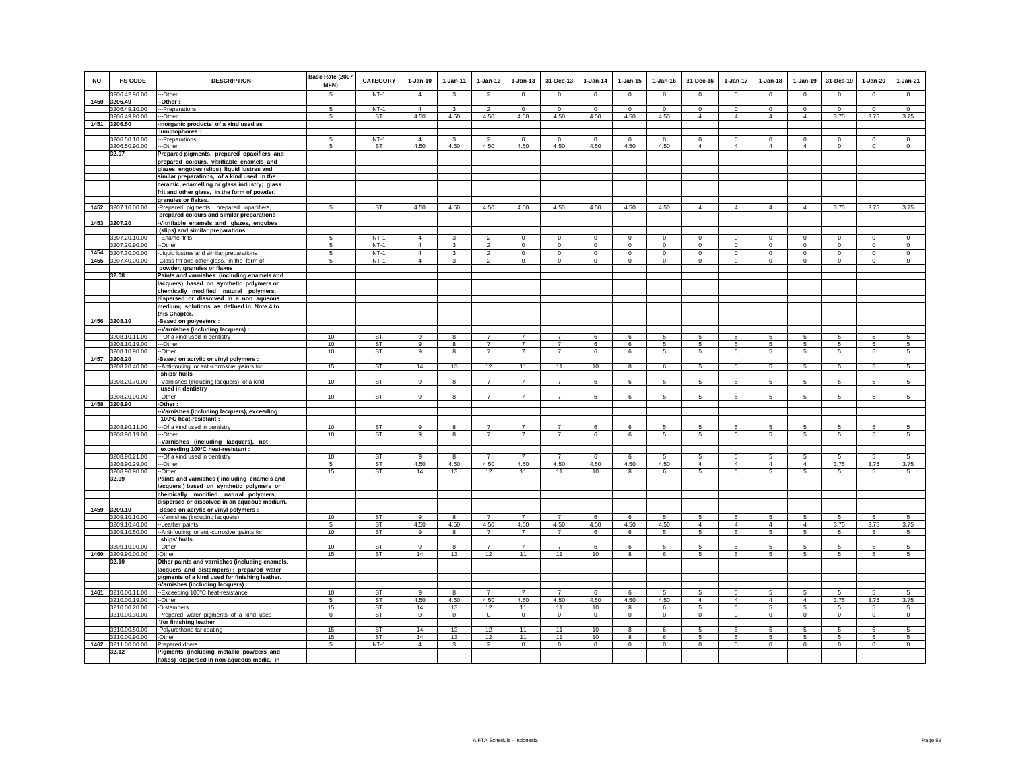| <b>NO</b> | <b>HS CODE</b>                 | <b>DESCRIPTION</b>                                                                    | Base Rate (2007<br>MFN) | <b>CATEGORY</b>  | $1-Jan-10$                       | $1-Jan-11$     | $1 - Jan-12$                               | $1-Jan-13$                   | 31-Dec-13           | $1-Jan-14$                   | $1-Jan-15$                | $1-Jan-16$           | 31-Dec-16                    | $1-Jan-17$                    | $1-Jan-18$                 | $1-Jan-19$             | 31-Des-19                    | $1-Jan-20$                   | $1-Jan-21$                 |
|-----------|--------------------------------|---------------------------------------------------------------------------------------|-------------------------|------------------|----------------------------------|----------------|--------------------------------------------|------------------------------|---------------------|------------------------------|---------------------------|----------------------|------------------------------|-------------------------------|----------------------------|------------------------|------------------------------|------------------------------|----------------------------|
|           | 3206.42.90.00                  | --Other                                                                               | 5                       | $NT-1$           | $\overline{4}$                   | $\mathbf{3}$   | $\overline{2}$                             | $^{\circ}$                   | $\mathbf{0}$        | $\mathbf{0}$                 | $\mathbf{0}$              | $\circ$              | $^{\circ}$                   | $\circ$                       | $^{\circ}$                 | $\mathbf 0$            | $\mathbf{0}$                 | $\mathbf{0}$                 | $\mathbf{0}$               |
|           | 1450 3206.49<br>3206.49.10.00  | -Other:<br>--Preparations                                                             | 5                       | $NT-1$           | $\overline{4}$                   | 3              | $\mathfrak{p}$                             | $\Omega$                     | $\Omega$            | $\Omega$                     | $\Omega$                  | $\Omega$             | $\mathbf 0$                  | $\mathbf 0$                   | $\circ$                    | $\Omega$               | $\Omega$                     | $\Omega$                     | $\circ$                    |
|           | 3206.49.90.00                  | --Other                                                                               | 5                       | ST               | 4.50                             | 4.50           | 4.50                                       | 4.50                         | 4.50                | 4.50                         | 4.50                      | 4.50                 | $\overline{4}$               | $\overline{4}$                | $\overline{4}$             | $\overline{4}$         | 3.75                         | 3.75                         | 3.75                       |
|           | 1451 3206.50                   | -Inorganic products of a kind used as                                                 |                         |                  |                                  |                |                                            |                              |                     |                              |                           |                      |                              |                               |                            |                        |                              |                              |                            |
|           |                                | luminophores :                                                                        |                         |                  |                                  |                |                                            |                              |                     |                              |                           |                      |                              |                               |                            |                        |                              |                              |                            |
|           | 3206.50.10.00                  | -Preparations                                                                         | 5                       | $NT-1$           | $\overline{4}$                   | $\mathbf{3}$   | $\overline{2}$                             | $\mathbf 0$                  | $\mathsf 0$         | $\mathbf 0$                  | $\mathbf 0$               | $\mathbf 0$          | $\mathsf 0$                  | $\mathbf 0$                   | $\mathbf 0$                | $\mathbf 0$            | $\mathbf 0$                  | $\mathbf 0$                  | $\mathsf 0$                |
|           | 3206.50.90.00<br>32.07         | -Other<br>Prepared pigments, prepared opacifiers and                                  | 5                       | ST               | 4.50                             | 4.50           | 4.50                                       | 4.50                         | 4.50                | 4.50                         | 4.50                      | 4.50                 | $\overline{4}$               | $\overline{4}$                | $\overline{4}$             | $\overline{4}$         | $\circ$                      | $\mathbf 0$                  | $\mathbf 0$                |
|           |                                | prepared colours, vitrifiable enamels and                                             |                         |                  |                                  |                |                                            |                              |                     |                              |                           |                      |                              |                               |                            |                        |                              |                              |                            |
|           |                                | glazes, engobes (slips), liquid lustres and                                           |                         |                  |                                  |                |                                            |                              |                     |                              |                           |                      |                              |                               |                            |                        |                              |                              |                            |
|           |                                | similar preparations, of a kind used in the                                           |                         |                  |                                  |                |                                            |                              |                     |                              |                           |                      |                              |                               |                            |                        |                              |                              |                            |
|           |                                | ceramic, enamelling or glass industry; glass                                          |                         |                  |                                  |                |                                            |                              |                     |                              |                           |                      |                              |                               |                            |                        |                              |                              |                            |
|           |                                | frit and other glass, in the form of powder,<br>granules or flakes.                   |                         |                  |                                  |                |                                            |                              |                     |                              |                           |                      |                              |                               |                            |                        |                              |                              |                            |
|           | 1452 3207.10.00.00             | -Prepared pigments, prepared opacifiers,                                              | -5                      | <b>ST</b>        | 4.50                             | 4.50           | 4.50                                       | 4.50                         | 4.50                | 4.50                         | 4.50                      | 4.50                 | $\overline{4}$               | $\overline{4}$                | $\overline{4}$             | $\overline{4}$         | 3.75                         | 3.75                         | 3.75                       |
|           |                                | prepared colours and similar preparations                                             |                         |                  |                                  |                |                                            |                              |                     |                              |                           |                      |                              |                               |                            |                        |                              |                              |                            |
|           | 1453 3207.20                   | -Vitrifiable enamels and glazes, engobes                                              |                         |                  |                                  |                |                                            |                              |                     |                              |                           |                      |                              |                               |                            |                        |                              |                              |                            |
|           |                                | (slips) and similar preparations :                                                    |                         |                  |                                  |                |                                            |                              |                     |                              |                           |                      |                              |                               |                            |                        |                              |                              |                            |
|           | 3207.20.10.00<br>3207.20.90.00 | --Enamel frits<br>--Other                                                             | -5<br>5                 | $NT-1$<br>$NT-1$ | $\overline{4}$<br>$\overline{4}$ | 3<br>3         | $\overline{\phantom{a}}$<br>$\overline{2}$ | $^{\circ}$<br>$\overline{0}$ | 0<br>$\overline{0}$ | $^{\circ}$<br>$\overline{0}$ | $\circ$<br>$\overline{0}$ | $\Omega$<br>$\Omega$ | $^{\circ}$<br>$\overline{0}$ | $\mathbf 0$<br>$\overline{0}$ | $\Omega$<br>$\overline{0}$ | $^{\circ}$<br>$\Omega$ | $^{\circ}$<br>$\overline{0}$ | $^{\circ}$<br>$\overline{0}$ | $\Omega$<br>$\overline{0}$ |
|           | 1454 3207.30.00.00             | -Liquid lustres and similar preparations                                              | 5                       | $NT-1$           | $\overline{4}$                   | $\mathbf{3}$   | $\mathfrak{p}$                             | $\mathbf{0}$                 | $\mathbf{0}$        | $\mathbf 0$                  | $\mathbf{0}$              | $\mathbf 0$          | $\mathbf{0}$                 | $\circ$                       | $\circ$                    | $\mathbf 0$            | $\circ$                      | $\mathbf{0}$                 | $\circ$                    |
|           | 1455 3207.40.00.00             | -Glass frit and other glass, in the form of                                           | 5                       | $NT-1$           | $\overline{4}$                   | 3              | $\overline{2}$                             | $\mathsf 0$                  | $\mathsf 0$         | $\circ$                      | $\mathsf 0$               | $\mathbb O$          | $\mathbf 0$                  | $\mathbf 0$                   | $\mathbf 0$                | $\mathbf 0$            | $\mathbf 0$                  | $\Omega$                     | $\mathsf 0$                |
|           |                                | powder, granules or flakes                                                            |                         |                  |                                  |                |                                            |                              |                     |                              |                           |                      |                              |                               |                            |                        |                              |                              |                            |
|           | 32.08                          | Paints and varnishes (including enamels and                                           |                         |                  |                                  |                |                                            |                              |                     |                              |                           |                      |                              |                               |                            |                        |                              |                              |                            |
|           |                                | lacquers) based on synthetic polymers or<br>chemically modified natural polymers,     |                         |                  |                                  |                |                                            |                              |                     |                              |                           |                      |                              |                               |                            |                        |                              |                              |                            |
|           |                                | dispersed or dissolved in a non aqueous                                               |                         |                  |                                  |                |                                            |                              |                     |                              |                           |                      |                              |                               |                            |                        |                              |                              |                            |
|           |                                | medium; solutions as defined in Note 4 to                                             |                         |                  |                                  |                |                                            |                              |                     |                              |                           |                      |                              |                               |                            |                        |                              |                              |                            |
|           |                                | this Chapter.                                                                         |                         |                  |                                  |                |                                            |                              |                     |                              |                           |                      |                              |                               |                            |                        |                              |                              |                            |
|           | 1456 3208.10                   | -Based on polyesters :                                                                |                         |                  |                                  |                |                                            |                              |                     |                              |                           |                      |                              |                               |                            |                        |                              |                              |                            |
|           | 3208.10.11.00                  | --Varnishes (including lacquers) :<br>---Of a kind used in dentistry                  | 10                      | <b>ST</b>        | $\overline{9}$                   | 8              | $\overline{7}$                             | $\overline{7}$               | $\overline{7}$      | 6                            | 6                         | -5                   | 5                            | 5                             | 5                          | 5                      | 5                            | 5                            | 5                          |
|           | 3208.10.19.00                  | ---Other                                                                              | 10                      | <b>ST</b>        | $\overline{9}$                   | 8              | $\overline{7}$                             | $\overline{7}$               | $\overline{7}$      | 6                            | 6                         | 5                    | 5                            | 5                             | 5                          | 5                      | 5                            | 5                            | 5                          |
|           | 3208.10.90.00                  | --Other                                                                               | 10                      | <b>ST</b>        | 9                                | 8              | $\overline{7}$                             | $\overline{7}$               | $\overline{7}$      | 6                            | 6                         | 5                    | 5                            | $5\phantom{.0}$               | $5\phantom{.0}$            | $5\phantom{.0}$        | $5\phantom{.0}$              | $\sqrt{5}$                   | $\sqrt{5}$                 |
|           | 1457 3208.20                   | Based on acrylic or vinyl polymers :                                                  |                         |                  |                                  |                |                                            |                              |                     |                              |                           |                      |                              |                               |                            |                        |                              |                              |                            |
|           | 3208.20.40.00                  | -- Anti-fouling or anti-corrosive paints for                                          | 15                      | <b>ST</b>        | 14                               | 13             | 12                                         | 11                           | 11                  | 10                           | 8                         | 6                    | 5                            | $5\overline{)}$               | 5                          | 5                      | $5\overline{)}$              | $5\overline{)}$              | $5\phantom{.0}$            |
|           | 3208.20.70.00                  | ships' hulls<br>-Varnishes (including lacquers), of a kind                            | 10                      | ST               | 9                                | 8              | $\overline{7}$                             | $\overline{7}$               | $\overline{7}$      | 6                            | 6                         | -5                   | 5                            | $5\overline{5}$               | $5\overline{5}$            | 5                      | 5                            | 5                            | 5                          |
|           |                                | used in dentistry                                                                     |                         |                  |                                  |                |                                            |                              |                     |                              |                           |                      |                              |                               |                            |                        |                              |                              |                            |
|           | 3208.20.90.00                  | -Other                                                                                | 10 <sup>10</sup>        | <b>ST</b>        | 9                                | $\mathbf{R}$   | $\overline{7}$                             | $\overline{7}$               | $\overline{7}$      | 6                            | 6                         | 5                    | 5                            | 5                             | 5                          | 5                      | 5                            | 5                            | 5                          |
|           | 1458 3208.90                   | -Other:                                                                               |                         |                  |                                  |                |                                            |                              |                     |                              |                           |                      |                              |                               |                            |                        |                              |                              |                            |
|           |                                | -Varnishes (including lacquers), exceeding<br>100°C heat-resistant :                  |                         |                  |                                  |                |                                            |                              |                     |                              |                           |                      |                              |                               |                            |                        |                              |                              |                            |
|           | 3208.90.11.00                  | -- Of a kind used in dentistry                                                        | 10                      | <b>ST</b>        | $\mathbf{q}$                     | 8              | $\overline{7}$                             | $\overline{7}$               | $\overline{7}$      | 6                            | 6                         | 5                    | 5                            | $5\phantom{.0}$               | 5                          | $\sqrt{5}$             | $\sqrt{5}$                   | 5                            | 5                          |
|           | 3208.90.19.00                  | -Other                                                                                | 10                      | <b>ST</b>        | $\overline{9}$                   | 8              | $\overline{7}$                             | $\overline{7}$               | $\overline{7}$      | 6                            | 6                         | 5                    | 5                            | 5                             | 5                          | 5                      | 5                            | 5                            | 5                          |
|           |                                | -Varnishes (including lacquers), not                                                  |                         |                  |                                  |                |                                            |                              |                     |                              |                           |                      |                              |                               |                            |                        |                              |                              |                            |
|           |                                | exceeding 100°C heat-resistant :                                                      | 10                      | <b>ST</b>        | $\alpha$                         | $\mathbf{R}$   | $\overline{7}$                             | $\overline{7}$               | $\overline{7}$      | -6                           | $\kappa$                  | 5                    | 5                            | 5                             | 5                          | 5                      | 5                            | $\overline{5}$               | $\mathbf{5}$               |
|           | 3208.90.21.00<br>3208.90.29.00 | --- Of a kind used in dentistry<br>---Other                                           | 5                       | <b>ST</b>        | 4.50                             | 4.50           | 4.50                                       | 4.50                         | 4.50                | 4.50                         | 4.50                      | 4.50                 | $\overline{4}$               | $\overline{4}$                | $\overline{4}$             | $\overline{4}$         | 3.75                         | 3.75                         | 3.75                       |
|           | 3208.90.90.00                  | --Other                                                                               | 15                      | ST               | 14                               | 13             | 12                                         | 11                           | 11                  | 10                           | 8                         | 6                    | $5\phantom{.0}$              | $5\phantom{.0}$               | 5                          | 5                      | $5\overline{5}$              | $5\phantom{.0}$              | $5\phantom{.0}$            |
|           | 32.09                          | Paints and varnishes (including enamels and                                           |                         |                  |                                  |                |                                            |                              |                     |                              |                           |                      |                              |                               |                            |                        |                              |                              |                            |
|           |                                | lacquers) based on synthetic polymers or                                              |                         |                  |                                  |                |                                            |                              |                     |                              |                           |                      |                              |                               |                            |                        |                              |                              |                            |
|           |                                | chemically modified natural polymers,<br>dispersed or dissolved in an aqueous medium. |                         |                  |                                  |                |                                            |                              |                     |                              |                           |                      |                              |                               |                            |                        |                              |                              |                            |
|           | 1459 3209.10                   | -Based on acrylic or vinyl polymers :                                                 |                         |                  |                                  |                |                                            |                              |                     |                              |                           |                      |                              |                               |                            |                        |                              |                              |                            |
|           | 3209.10.10.00                  | -- Varnishes (including lacquers)                                                     | 10                      | <b>ST</b>        | 9                                | 8              | $\overline{7}$                             | $\overline{z}$               | $\overline{7}$      | -6                           | 6                         | 5                    | 5                            | 5                             | 5                          | 5                      | 5                            | 5                            | 5                          |
|           | 3209.10.40.00                  | --Leather paints                                                                      | -5                      | <b>ST</b>        | 4.50                             | 4.50           | 4.50                                       | 4.50                         | 4.50                | 4.50                         | 4.50                      | 4.50                 | $\overline{4}$               | $\overline{4}$                | $\overline{4}$             | $\overline{4}$         | 3.75                         | 3.75                         | 3.75                       |
|           | 3209.10.50.00                  | -- Anti-fouling or anti-corrosive paints for<br>ships' hulls                          | 10                      | <b>ST</b>        | 9                                | $\mathbf{g}$   | $\overline{7}$                             | $\overline{7}$               | $\overline{7}$      | 6                            | 6                         | 5                    | 5                            | 5 <sup>5</sup>                | 5                          | 5                      | 5                            | 5                            | 5                          |
|           | 3209.10.90.00                  | --Other                                                                               | 10                      | <b>ST</b>        | 9                                | 8              | $\overline{7}$                             | $\overline{7}$               | $\overline{7}$      | 6                            | 6                         | 5                    | 5                            | 5                             | 5                          | 5                      | 5                            | 5                            | $\sqrt{5}$                 |
|           | 1460 3209.90.00.00             | -Other                                                                                | 15                      | <b>ST</b>        | 14                               | 13             | 12                                         | 11                           | 11                  | 10                           | 8                         | 6                    | $\overline{5}$               | $5\phantom{.0}$               | $5\phantom{.0}$            | $\sqrt{5}$             | $\sqrt{5}$                   | $\sqrt{5}$                   | $\sqrt{5}$                 |
|           | 32.10                          | Other paints and varnishes (including enamels,                                        |                         |                  |                                  |                |                                            |                              |                     |                              |                           |                      |                              |                               |                            |                        |                              |                              |                            |
|           |                                | lacquers and distempers); prepared water                                              |                         |                  |                                  |                |                                            |                              |                     |                              |                           |                      |                              |                               |                            |                        |                              |                              |                            |
|           |                                | pigments of a kind used for finishing leather.                                        |                         |                  |                                  |                |                                            |                              |                     |                              |                           |                      |                              |                               |                            |                        |                              |                              |                            |
|           | 1461 3210.00.11.00             | -Varnishes (including lacquers) :<br>-Exceeding 100°C heat-resistance                 | 10                      | <b>ST</b>        | 9                                | 8              | $\overline{7}$                             | $\overline{7}$               | $\overline{7}$      | 6                            | 6                         | -5                   | 5                            | $5\phantom{.0}$               | 5                          | $\,$ 5 $\,$            | $\sqrt{5}$                   | 5                            | 5                          |
|           | 3210.00.19.00                  | $-Other$                                                                              | 5                       | <b>ST</b>        | 4.50                             | 4.50           | 4.50                                       | 4.50                         | 4.50                | 4.50                         | 4.50                      | 4.50                 | $\overline{4}$               | $\overline{4}$                | $\Delta$                   | $\overline{4}$         | 3.75                         | 3.75                         | 3.75                       |
|           | 3210.00.20.00                  | -Distempers                                                                           | 15                      | <b>ST</b>        | 14                               | 13             | 12                                         | 11                           | 11                  | 10                           | 8                         | 6                    | 5                            | 5                             | 5                          | 5                      | 5                            | 5                            | 5                          |
|           | 3210.00.30.00                  | -Prepared water pigments of a kind used                                               | $\mathbf{0}$            | ST               | $\Omega$                         | $\overline{0}$ | $\overline{0}$                             | $\circ$                      | $\overline{0}$      | $\overline{0}$               | $\circ$                   | $\mathbf 0$          | $\overline{0}$               | $\circ$                       | $\circ$                    | $\circ$                | $\overline{0}$               | $\circ$                      | $\circ$                    |
|           | 3210.00.50.00                  | <b>\for finishing leather</b><br>-Polyurethane tar coating                            | 15                      | <b>ST</b>        | 14                               | 13             | 12                                         | 11                           | 11                  | 10                           | 8                         | -6                   | 5                            | 5                             | 5                          | 5                      | 5                            | 5                            | 5                          |
|           | 3210.00.90.00                  | -Other                                                                                | 15                      | ST               | 14                               | 13             | 12                                         | 11                           | 11                  | 10                           | 8                         | 6                    | 5                            | 5                             | 5                          | -5                     | 5                            | 5                            | 5                          |
|           | 1462 3211.00.00.00             | Prepared driers                                                                       | $5 -$                   | $NT-1$           | $\overline{4}$                   | 3              | $\overline{2}$                             | $\mathsf 0$                  | $\mathbf 0$         | $\mathbf 0$                  | $\mathsf 0$               | $\Omega$             | $\mathbf 0$                  | $\mathbf 0$                   | $\mathbf 0$                | $\mathbf 0$            | $\circ$                      | $\circ$                      | $\circ$                    |
|           | 32.12                          | Pigments (including metallic powders and                                              |                         |                  |                                  |                |                                            |                              |                     |                              |                           |                      |                              |                               |                            |                        |                              |                              |                            |
|           |                                | flakes) dispersed in non-aqueous media, in                                            |                         |                  |                                  |                |                                            |                              |                     |                              |                           |                      |                              |                               |                            |                        |                              |                              |                            |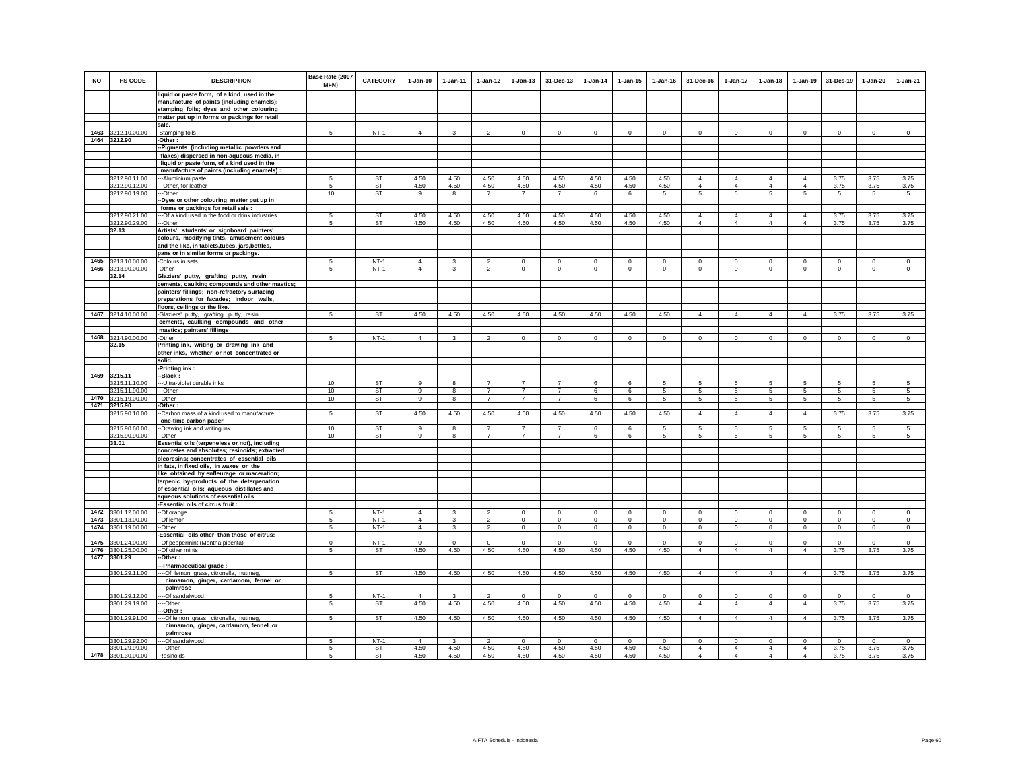| <b>NO</b> | <b>HS CODE</b>                      | <b>DESCRIPTION</b>                                                                          | Base Rate (2007<br>MFN) | <b>CATEGORY</b>        | $1-Jan-10$     | $1 - Jan-11$ | $1 - Jan-12$             | $1 - Jan-13$   | 31-Dec-13      | $1 - Jan-14$ | $1 - Jan-15$ | $1 - Jan-16$ | 31-Dec-16                        | $1 - Jan-17$                     | $1 - Jan-18$                     | $1 - Jan-19$                     | 31-Des-19      | $1 - Jan-20$ | $1-Jan-21$     |
|-----------|-------------------------------------|---------------------------------------------------------------------------------------------|-------------------------|------------------------|----------------|--------------|--------------------------|----------------|----------------|--------------|--------------|--------------|----------------------------------|----------------------------------|----------------------------------|----------------------------------|----------------|--------------|----------------|
|           |                                     | liquid or paste form, of a kind used in the<br>manufacture of paints (including enamels);   |                         |                        |                |              |                          |                |                |              |              |              |                                  |                                  |                                  |                                  |                |              |                |
|           |                                     | stamping foils; dyes and other colouring                                                    |                         |                        |                |              |                          |                |                |              |              |              |                                  |                                  |                                  |                                  |                |              |                |
|           |                                     | matter put up in forms or packings for retail                                               |                         |                        |                |              |                          |                |                |              |              |              |                                  |                                  |                                  |                                  |                |              |                |
|           |                                     | sale.                                                                                       |                         |                        |                |              |                          |                |                |              |              |              |                                  |                                  |                                  |                                  |                |              |                |
|           | 1463 3212.10.00.00<br>1464 3212.90  | -Stamping foils<br>-Other :                                                                 | 5                       | $NT-1$                 | $\overline{4}$ | $\mathbf{3}$ | $\overline{2}$           | $\mathbf{0}$   | $\mathbf{0}$   | $\circ$      | $\mathbf 0$  | $\mathbf 0$  | $\mathbf{0}$                     | $\mathbf{0}$                     | $\mathbf{0}$                     | $\overline{0}$                   | $\overline{0}$ | $\circ$      | $\overline{0}$ |
|           |                                     | -Pigments (including metallic powders and                                                   |                         |                        |                |              |                          |                |                |              |              |              |                                  |                                  |                                  |                                  |                |              |                |
|           |                                     | flakes) dispersed in non-aqueous media, in                                                  |                         |                        |                |              |                          |                |                |              |              |              |                                  |                                  |                                  |                                  |                |              |                |
|           |                                     | liquid or paste form, of a kind used in the                                                 |                         |                        |                |              |                          |                |                |              |              |              |                                  |                                  |                                  |                                  |                |              |                |
|           |                                     | manufacture of paints (including enamels) :                                                 |                         |                        |                |              |                          |                |                |              |              |              |                                  |                                  |                                  |                                  |                |              |                |
|           | 3212.90.11.00<br>3212.90.12.00      | --Aluminium paste<br>--Other, for leather                                                   | 5                       | ST<br><b>ST</b>        | 4.50<br>4.50   | 4.50<br>4.50 | 4.50<br>4.50             | 4.50<br>4.50   | 4.50<br>4.50   | 4.50<br>4.50 | 4.50<br>4.50 | 4.50<br>4.50 | $\overline{4}$<br>$\overline{4}$ | $\overline{4}$<br>$\overline{4}$ | $\overline{4}$<br>$\Delta$       | $\overline{4}$<br>$\Delta$       | 3.75<br>3.75   | 3.75<br>3.75 | 3.75<br>3.75   |
|           | 3212.90.19.00                       | --Other                                                                                     | 10                      | <b>ST</b>              | $\overline{9}$ | $^{\circ}$   | $\overline{7}$           | $\overline{7}$ | $\overline{7}$ | 6            | 6            | -5           | 5                                | 5                                | 5                                | -5                               | 5              | 5            | 5              |
|           |                                     | -Dyes or other colouring matter put up in                                                   |                         |                        |                |              |                          |                |                |              |              |              |                                  |                                  |                                  |                                  |                |              |                |
|           |                                     | forms or packings for retail sale :                                                         |                         |                        |                |              |                          |                |                |              |              |              | $\overline{4}$                   | $\overline{4}$                   | $\overline{4}$                   |                                  |                |              |                |
|           | 3212.90.21.00<br>3212.90.29.00      | --- Of a kind used in the food or drink industries<br>--Other                               | 5<br>5                  | ST<br><b>ST</b>        | 4.50<br>4.50   | 4.50<br>4.50 | 4.50<br>4.50             | 4.50<br>4.50   | 4.50<br>4.50   | 4.50<br>4.50 | 4.50<br>4.50 | 4.50<br>4.50 | $\overline{4}$                   | $\overline{4}$                   | $\overline{4}$                   | $\overline{4}$<br>$\overline{4}$ | 3.75<br>3.75   | 3.75<br>3.75 | 3.75<br>3.75   |
|           | 32.13                               | Artists', students' or signboard painters'                                                  |                         |                        |                |              |                          |                |                |              |              |              |                                  |                                  |                                  |                                  |                |              |                |
|           |                                     | colours, modifying tints, amusement colours                                                 |                         |                        |                |              |                          |                |                |              |              |              |                                  |                                  |                                  |                                  |                |              |                |
|           |                                     | and the like, in tablets, tubes, jars, bottles,<br>pans or in similar forms or packings.    |                         |                        |                |              |                          |                |                |              |              |              |                                  |                                  |                                  |                                  |                |              |                |
|           | 1465 3213.10.00.00                  | -Colours in sets                                                                            | 5                       | $NT-1$                 | $\overline{4}$ | 3            | $\overline{2}$           | $\mathsf 0$    | $\mathbf 0$    | $\mathbf 0$  | $\mathbf 0$  | $\mathbf 0$  | $\mathbf 0$                      | $\mathbf 0$                      | $\mathbf 0$                      | $\mathbf 0$                      | $\mathbf 0$    | $\mathbf 0$  | $\mathbb O$    |
|           | 1466 3213.90.00.00                  | -Other                                                                                      | 5                       | $NT-1$                 | $\overline{4}$ | 3            | $\overline{2}$           | $\mathbf 0$    | $\mathbf 0$    | $\mathbf 0$  | $\mathbf 0$  | $\mathbf 0$  | $\circ$                          | $\circ$                          | $\circ$                          | $\mathbf 0$                      | $\circ$        | $\mathbf 0$  | $\mathbf 0$    |
|           | 32.14                               | Glaziers' putty, grafting putty, resin                                                      |                         |                        |                |              |                          |                |                |              |              |              |                                  |                                  |                                  |                                  |                |              |                |
|           |                                     | cements, caulking compounds and other mastics;                                              |                         |                        |                |              |                          |                |                |              |              |              |                                  |                                  |                                  |                                  |                |              |                |
|           |                                     | painters' fillings; non-refractory surfacing<br>preparations for facades; indoor walls,     |                         |                        |                |              |                          |                |                |              |              |              |                                  |                                  |                                  |                                  |                |              |                |
|           |                                     | floors, ceilings or the like.                                                               |                         |                        |                |              |                          |                |                |              |              |              |                                  |                                  |                                  |                                  |                |              |                |
|           | 1467 3214.10.00.00                  | -Glaziers' putty, grafting putty, resin                                                     | 5.                      | ST                     | 4.50           | 4.50         | 4.50                     | 4.50           | 4.50           | 4.50         | 4.50         | 4.50         | $\overline{4}$                   | $\overline{4}$                   | 4                                | $\overline{4}$                   | 3.75           | 3.75         | 3.75           |
|           |                                     | cements, caulking compounds and other                                                       |                         |                        |                |              |                          |                |                |              |              |              |                                  |                                  |                                  |                                  |                |              |                |
|           |                                     | mastics; painters' fillings                                                                 |                         |                        |                |              |                          |                |                |              |              |              |                                  |                                  |                                  |                                  |                |              |                |
|           | 1468 3214.90.00.00<br>32.15         | -Other<br>Printing ink, writing or drawing ink and                                          | -5                      | $NT-1$                 | $\overline{4}$ | $\mathbf{3}$ | $\overline{2}$           | $\Omega$       | $\Omega$       | $\mathbf 0$  | $\Omega$     | $\mathbf 0$  | $\Omega$                         | $\Omega$                         | $\Omega$                         | $\Omega$                         | $\Omega$       | $\Omega$     | $\mathbf 0$    |
|           |                                     | other inks, whether or not concentrated or                                                  |                         |                        |                |              |                          |                |                |              |              |              |                                  |                                  |                                  |                                  |                |              |                |
|           |                                     | solid.                                                                                      |                         |                        |                |              |                          |                |                |              |              |              |                                  |                                  |                                  |                                  |                |              |                |
|           |                                     | -Printing ink:                                                                              |                         |                        |                |              |                          |                |                |              |              |              |                                  |                                  |                                  |                                  |                |              |                |
| 1469      | 3215.11<br>3215.11.10.00            | -Black :<br>--Ultra-violet curable inks                                                     | 10                      | <b>ST</b>              | 9              | 8            | $\overline{7}$           |                |                | 6            | 6            | 5            | 5                                | 5                                | 5                                | 5                                | 5              | 5            | 5              |
|           | 3215.11.90.00                       | -Other                                                                                      | 10                      | <b>ST</b>              | 9              | 8            | $\overline{7}$           | $\overline{7}$ | $\overline{7}$ | -6           | 6            | 5            | -5                               | $5\overline{)}$                  | $5\overline{5}$                  | 5                                | 5              | 5            | $\sqrt{5}$     |
| 1470      | 3215.19.00.00                       | -Other                                                                                      | 10                      | ST                     | 9              | 8            | $\overline{7}$           | $\overline{7}$ | $\overline{7}$ | 6            | 6            | 5            | 5                                | $\sqrt{5}$                       | 5                                | $\,$ 5 $\,$                      | $\,$ 5 $\,$    | $\mathbf 5$  | 5              |
|           | 1471 3215.90                        | -Other:                                                                                     |                         |                        |                |              |                          |                |                |              |              |              |                                  |                                  |                                  |                                  |                |              |                |
|           | 3215.90.10.00                       | -Carbon mass of a kind used to manufacture<br>one-time carbon paper                         | 5                       | ST                     | 4.50           | 4.50         | 4.50                     | 4.50           | 4.50           | 4.50         | 4.50         | 4.50         | $\overline{4}$                   | $\overline{4}$                   | $\overline{4}$                   | $\overline{4}$                   | 3.75           | 3.75         | 3.75           |
|           | 3215.90.60.00                       | -Drawing ink and writing ink                                                                | 10                      | ST                     | 9              | 8            | $\overline{7}$           | $\overline{7}$ | $\overline{7}$ | 6            | 6            | -5           | 5                                | 5                                | 5                                | 5                                | 5              | 5            | 5              |
|           | 3215.90.90.00                       | --Other                                                                                     | 10                      | <b>ST</b>              | 9              | 8            | $\overline{7}$           | $\overline{7}$ | $\overline{7}$ | 6            | 6            | 5            | 5                                | $5\phantom{.0}$                  | 5                                | 5                                | 5              | 5            | 5              |
|           | 33.01                               | Essential oils (terpeneless or not), including                                              |                         |                        |                |              |                          |                |                |              |              |              |                                  |                                  |                                  |                                  |                |              |                |
|           |                                     | concretes and absolutes; resinoids; extracted<br>oleoresins; concentrates of essential oils |                         |                        |                |              |                          |                |                |              |              |              |                                  |                                  |                                  |                                  |                |              |                |
|           |                                     | in fats, in fixed oils, in waxes or the                                                     |                         |                        |                |              |                          |                |                |              |              |              |                                  |                                  |                                  |                                  |                |              |                |
|           |                                     | like, obtained by enfleurage or maceration;                                                 |                         |                        |                |              |                          |                |                |              |              |              |                                  |                                  |                                  |                                  |                |              |                |
|           |                                     | terpenic by-products of the deterpenation                                                   |                         |                        |                |              |                          |                |                |              |              |              |                                  |                                  |                                  |                                  |                |              |                |
|           |                                     | of essential oils; aqueous distillates and<br>aqueous solutions of essential oils.          |                         |                        |                |              |                          |                |                |              |              |              |                                  |                                  |                                  |                                  |                |              |                |
|           |                                     | -Essential oils of citrus fruit :                                                           |                         |                        |                |              |                          |                |                |              |              |              |                                  |                                  |                                  |                                  |                |              |                |
| 1472      | 3301.12.00.00                       | -- Of orange                                                                                | 5                       | $NT-1$                 | $\Delta$       | $\mathbf{R}$ | $\mathfrak{D}$           | $\mathbf{0}$   | $\Omega$       | $\Omega$     | $\mathbf{0}$ | $\Omega$     | $\circ$                          | $\Omega$                         | $\mathbf 0$                      | $\Omega$                         | $\Omega$       | $\Omega$     | $\Omega$       |
| 1473      | 3301.13.00.00                       | --Of lemon                                                                                  | 5                       | $NT-1$                 | $\overline{4}$ | 3            | $\overline{2}$           | $\mathbf 0$    | $\mathbf 0$    | $\circ$      | $\mathbf 0$  | $\Omega$     | $\circ$                          | $\mathbf 0$                      | $\mathbf 0$                      | $\mathbf 0$                      | $\mathbf 0$    | $\mathbf 0$  | $\circ$        |
| 1474      | 3301.19.00.00                       | --Other                                                                                     | 5                       | $NT-1$                 | $\overline{4}$ | 3            | $\mathfrak{p}$           | $\mathbf 0$    | $\mathbf 0$    | $\circ$      | $\mathbf 0$  | $\circ$      | $\Omega$                         | $\mathbf 0$                      | $\Omega$                         | $\mathbf 0$                      | $\circ$        | $\mathbf 0$  | $\circ$        |
|           | 1475 3301.24.00.00                  | -Essential oils other than those of citrus:<br>-Of peppermint (Mentha piperita)             | $\Omega$                | $NT-1$                 | $\mathbf 0$    | $\mathbf 0$  | $\mathbf 0$              | $\mathbf 0$    | $\mathbf 0$    | $^{\circ}$   | $\mathbf 0$  | $\mathbf 0$  | $\circ$                          | $\mathbf 0$                      | $\circ$                          | $\mathbf 0$                      | $\mathbf 0$    | $\mathbf 0$  | $\mathbf 0$    |
|           | 1476 3301.25.00.00                  | -Of other mints                                                                             | 5                       | ST                     | 4.50           | 4.50         | 4.50                     | 4.50           | 4.50           | 4.50         | 4.50         | 4.50         | $\overline{4}$                   | $\overline{4}$                   | $\overline{4}$                   | $\overline{4}$                   | 3.75           | 3.75         | 3.75           |
|           | 1477 3301.29                        | -Other :                                                                                    |                         |                        |                |              |                          |                |                |              |              |              |                                  |                                  |                                  |                                  |                |              |                |
|           |                                     | -Pharmaceutical grade:                                                                      |                         |                        |                |              |                          |                |                |              |              |              |                                  |                                  |                                  |                                  |                |              |                |
|           | 3301.29.11.00                       | -Of lemon grass, citronella, nutmeg,<br>cinnamon, ginger, cardamom, fennel or               | 5                       | ST                     | 4.50           | 4.50         | 4.50                     | 4.50           | 4.50           | 4.50         | 4.50         | 4.50         | $\overline{4}$                   | 4                                | 4                                | $\overline{4}$                   | 3.75           | 3.75         | 3.75           |
|           |                                     | palmrose                                                                                    |                         |                        |                |              |                          |                |                |              |              |              |                                  |                                  |                                  |                                  |                |              |                |
|           | 3301.29.12.00                       | --Of sandalwood                                                                             | -5                      | $NT-1$                 | $\mathbf{A}$   | $\mathbf{3}$ | $\overline{\phantom{a}}$ | $\Omega$       | $\mathbf 0$    | $\Omega$     | $\Omega$     | $\Omega$     | $\mathbf 0$                      | $\mathbf 0$                      | $\mathbf 0$                      | $\mathbf 0$                      | $\mathbf 0$    | $\Omega$     | $\mathbb O$    |
|           | 3301.29.19.00                       | ---Other                                                                                    | -5                      | ST                     | 4.50           | 4.50         | 4.50                     | 4.50           | 4.50           | 4.50         | 4.50         | 4.50         | $\overline{4}$                   | $\overline{4}$                   | $\overline{4}$                   | $\overline{4}$                   | 3.75           | 3.75         | 3.75           |
|           | 3301.29.91.00                       | -Other<br>--Of lemon grass, citronella, nutmeg,                                             | 5                       | ST                     | 4.50           | 4.50         | 4.50                     | 4.50           | 4.50           | 4.50         | 4.50         | 4.50         | $\overline{4}$                   | 4                                | $\overline{4}$                   | $\overline{4}$                   | 3.75           | 3.75         | 3.75           |
|           |                                     | cinnamon, ginger, cardamom, fennel or                                                       |                         |                        |                |              |                          |                |                |              |              |              |                                  |                                  |                                  |                                  |                |              |                |
|           |                                     | palmrose                                                                                    |                         |                        |                |              |                          |                |                |              |              |              |                                  |                                  |                                  |                                  |                |              |                |
|           | 3301.29.92.00                       | ---Of sandalwood                                                                            | -5                      | $NT-1$                 | $\Delta$       | 3            | $\mathfrak{p}$           | $\Omega$       | $\Omega$       | $\Omega$     | $\Omega$     | $\Omega$     | $\Omega$                         | $\Omega$                         | $\Omega$                         | $\Omega$                         | $\circ$        | $\Omega$     | $\circ$        |
|           | 3301.29.99.00<br>1478 3301.30.00.00 | --Other<br>-Resinoids                                                                       | 5<br>5                  | <b>ST</b><br><b>ST</b> | 4.50<br>4.50   | 4.50<br>4.50 | 4.50<br>4.50             | 4.50<br>4.50   | 4.50<br>4.50   | 4.50<br>4.50 | 4.50<br>4.50 | 4.50<br>4.50 | $\overline{4}$<br>$\overline{4}$ | 4<br>$\overline{4}$              | $\overline{4}$<br>$\overline{4}$ | $\overline{4}$<br>$\Delta$       | 3.75<br>3.75   | 3.75<br>3.75 | 3.75<br>3.75   |
|           |                                     |                                                                                             |                         |                        |                |              |                          |                |                |              |              |              |                                  |                                  |                                  |                                  |                |              |                |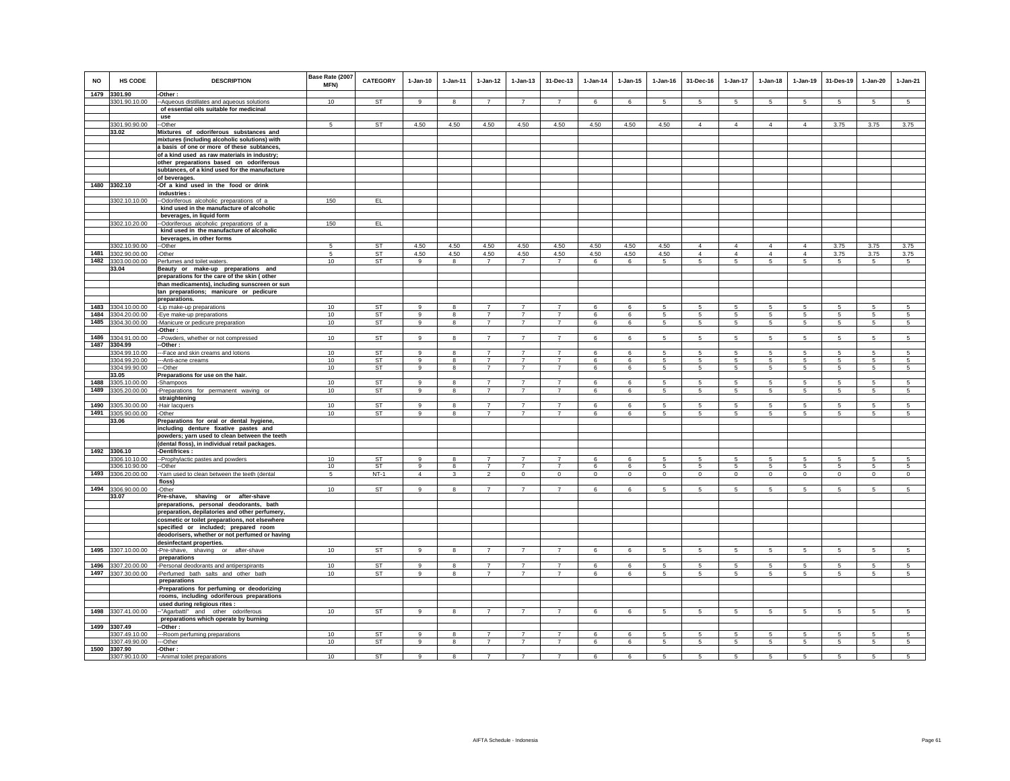| <b>NO</b> | <b>HS CODE</b><br>1479 3301.90 | <b>DESCRIPTION</b><br>-Other:                                                                 | Base Rate (2007<br>MFN) | CATEGORY  | $1-Jan-10$     | $1-Jan-11$              | $1-Jan-12$     | $1-Jan-13$                       | 31-Dec-13                        | $1-Jan-14$      | 1-Jan-15        | $1-Jan-16$     | 31-Dec-16       | 1-Jan-17        | $1-Jan-18$      | $1-Jan-19$     | 31-Des-19       | $1-Jan-20$      | $1-Jan-21$      |
|-----------|--------------------------------|-----------------------------------------------------------------------------------------------|-------------------------|-----------|----------------|-------------------------|----------------|----------------------------------|----------------------------------|-----------------|-----------------|----------------|-----------------|-----------------|-----------------|----------------|-----------------|-----------------|-----------------|
|           | 3301.90.10.00                  | -- Aqueous distillates and aqueous solutions                                                  | 10                      | ST        | 9              |                         | $\overline{7}$ | $\overline{7}$                   | $\overline{7}$                   | 6               | 6               | 5              | 5               | 5               | 5               | 5              | 5               | 5               | -5              |
|           |                                | of essential oils suitable for medicinal                                                      |                         |           |                |                         |                |                                  |                                  |                 |                 |                |                 |                 |                 |                |                 |                 |                 |
|           |                                | use                                                                                           |                         |           |                |                         |                |                                  |                                  |                 |                 |                |                 |                 |                 |                |                 |                 |                 |
|           | 3301.90.90.00<br>33.02         | -Other<br>Mixtures of odoriferous substances and                                              | -5                      | <b>ST</b> | 4.50           | 4.50                    | 4.50           | 4.50                             | 4.50                             | 4.50            | 4.50            | 4.50           | $\overline{4}$  | $\overline{4}$  | $\overline{4}$  | $\overline{4}$ | 3.75            | 3.75            | 3.75            |
|           |                                | mixtures (including alcoholic solutions) with                                                 |                         |           |                |                         |                |                                  |                                  |                 |                 |                |                 |                 |                 |                |                 |                 |                 |
|           |                                | a basis of one or more of these subtances,                                                    |                         |           |                |                         |                |                                  |                                  |                 |                 |                |                 |                 |                 |                |                 |                 |                 |
|           |                                | of a kind used as raw materials in industry;                                                  |                         |           |                |                         |                |                                  |                                  |                 |                 |                |                 |                 |                 |                |                 |                 |                 |
|           |                                | other preparations based on odoriferous                                                       |                         |           |                |                         |                |                                  |                                  |                 |                 |                |                 |                 |                 |                |                 |                 |                 |
|           |                                | subtances, of a kind used for the manufacture                                                 |                         |           |                |                         |                |                                  |                                  |                 |                 |                |                 |                 |                 |                |                 |                 |                 |
|           | 1480 3302.10                   | of beverages.<br>-Of a kind used in the food or drink                                         |                         |           |                |                         |                |                                  |                                  |                 |                 |                |                 |                 |                 |                |                 |                 |                 |
|           |                                | industries:                                                                                   |                         |           |                |                         |                |                                  |                                  |                 |                 |                |                 |                 |                 |                |                 |                 |                 |
|           | 3302.10.10.00                  | --Odoriferous alcoholic preparations of a                                                     | 150                     | EL        |                |                         |                |                                  |                                  |                 |                 |                |                 |                 |                 |                |                 |                 |                 |
|           |                                | kind used in the manufacture of alcoholic                                                     |                         |           |                |                         |                |                                  |                                  |                 |                 |                |                 |                 |                 |                |                 |                 |                 |
|           |                                | beverages, in liquid form                                                                     |                         |           |                |                         |                |                                  |                                  |                 |                 |                |                 |                 |                 |                |                 |                 |                 |
|           | 3302.10.20.00                  | -Odoriferous alcoholic preparations of a<br>kind used in the manufacture of alcoholic         | 150                     | EL.       |                |                         |                |                                  |                                  |                 |                 |                |                 |                 |                 |                |                 |                 |                 |
|           |                                | beverages, in other forms                                                                     |                         |           |                |                         |                |                                  |                                  |                 |                 |                |                 |                 |                 |                |                 |                 |                 |
|           | 3302.10.90.00                  | --Other                                                                                       | 5                       | <b>ST</b> | 4.50           | 4.50                    | 4.50           | 4.50                             | 4.50                             | 4.50            | 4.50            | 4.50           | $\overline{4}$  | $\overline{4}$  | $\overline{4}$  | $\overline{4}$ | 3.75            | 3.75            | 3.75            |
|           | 1481 3302.90.00.00             | -Other                                                                                        | 5                       | <b>ST</b> | 4.50           | 4.50                    | 4.50           | 4.50                             | 4.50                             | 4.50            | 4.50            | 4.50           | $\overline{4}$  | $\overline{4}$  | $\overline{4}$  | $\overline{4}$ | 3.75            | 3.75            | 3.75            |
|           | 1482 3303.00.00.00             | Perfumes and toilet waters                                                                    | 10                      | ST        | 9              | $\bf8$                  | $\overline{7}$ | $\overline{7}$                   | $\overline{7}$                   | 6               | 6               | 5              | $\sqrt{5}$      | $\overline{5}$  | $\overline{5}$  | $\overline{5}$ | $\sqrt{5}$      | $5\phantom{.0}$ | $5\phantom{.0}$ |
|           | 33.04                          | Beauty or make-up preparations and                                                            |                         |           |                |                         |                |                                  |                                  |                 |                 |                |                 |                 |                 |                |                 |                 |                 |
|           |                                | preparations for the care of the skin (other<br>than medicaments), including sunscreen or sun |                         |           |                |                         |                |                                  |                                  |                 |                 |                |                 |                 |                 |                |                 |                 |                 |
|           |                                | tan preparations; manicure or pedicure                                                        |                         |           |                |                         |                |                                  |                                  |                 |                 |                |                 |                 |                 |                |                 |                 |                 |
|           |                                | preparations.                                                                                 |                         |           |                |                         |                |                                  |                                  |                 |                 |                |                 |                 |                 |                |                 |                 |                 |
|           | 1483 3304.10.00.00             | -Lip make-up preparations                                                                     | 10                      | <b>ST</b> | 9              | 8                       | $\overline{7}$ | $\overline{7}$                   | $\overline{7}$                   | 6               | 6               | 5              | 5               | 5               | 5               | $\sqrt{5}$     | 5               | 5               | 5               |
|           | 1484 3304.20.00.00             | -Eye make-up preparations                                                                     | 10                      | ST        | 9              | 8                       | $\overline{7}$ | $\overline{7}$                   | $\overline{7}$                   | 6               | 6               | 5              | 5               | 5               | 5               | 5              | 5               | $5\overline{5}$ | $5\overline{5}$ |
|           | 1485 3304.30.00.00             | -Manicure or pedicure preparation                                                             | 10                      | <b>ST</b> | 9              | 8                       | 7              | $\overline{7}$                   | $\overline{7}$                   | 6               | 6               | $\overline{5}$ | $5\phantom{.0}$ | $5\overline{5}$ | $\overline{5}$  | 5              | 5               | $5\phantom{.0}$ | 5 <sub>5</sub>  |
|           | 1486 3304.91.00.00             | -Other :<br>-Powders, whether or not compressed                                               | 10                      | ST        | 9              | 8                       | $\overline{7}$ | $\overline{7}$                   | $\overline{7}$                   |                 | 6               |                | 5               | $5^{\circ}$     | 5               | 5              | $\sqrt{5}$      |                 | 5               |
| 1487      | 3304.99                        | -Other :                                                                                      |                         |           |                |                         |                |                                  |                                  | 6               |                 | 5              |                 |                 |                 |                |                 | 5               |                 |
|           | 3304.99.10.00                  | --Face and skin creams and lotions                                                            | 10                      | ST        | 9              | 8                       | $\overline{7}$ |                                  | $\overline{7}$                   | 6               | 6               | 5              | 5               | 5               | 5               | $\sqrt{5}$     | 5               | 5               | 5               |
|           | 3304.99.20.00                  | -- Anti-acne creams                                                                           | 10                      | <b>ST</b> | $\alpha$       | 8                       | $\overline{7}$ | $\overline{7}$                   | $\overline{7}$                   | 6               | 6               | 5              | 5               | 5               | 5               | 5              | 5               | 5               | 5               |
|           | 3304.99.90.00                  | ---Other                                                                                      | 10                      | <b>ST</b> | $\overline{9}$ | $\overline{\mathbf{8}}$ | $\overline{7}$ | $\overline{7}$                   | $\overline{7}$                   | $6\overline{6}$ | $6\overline{6}$ | $\overline{5}$ | $\overline{5}$  | $5\overline{)}$ | $5\overline{)}$ | $\overline{5}$ | $5\overline{)}$ | $5\overline{5}$ | $5\overline{)}$ |
| 1488      | 33.05<br>3305.10.00.00         | Preparations for use on the hair.                                                             | 10                      | ST        | 9              | 8                       | $\overline{7}$ | $\overline{7}$                   | $\overline{7}$                   | 6               | 6               | -5             | 5               | 5               | 5               | 5              | 5               | 5               | $5\overline{5}$ |
| 1489      | 3305.20.00.00                  | -Shampoos<br>-Preparations for permanent waving or                                            | 10                      | ST        | 9              | 8                       | $\overline{7}$ | $\overline{7}$                   | $\overline{7}$                   | 6               | 6               | -5             | 5               | 5               | 5               | 5              | 5               | $5\overline{5}$ | $5\overline{5}$ |
|           |                                | straightening                                                                                 |                         |           |                |                         |                |                                  |                                  |                 |                 |                |                 |                 |                 |                |                 |                 |                 |
|           | 1490 3305.30.00.00             | -Hair lacquers                                                                                | 10                      | <b>ST</b> | 9              | 8                       | $\overline{7}$ | $\overline{7}$                   | $\overline{7}$                   | 6               | 6               | 5              | 5               | $5\overline{5}$ | 5               | 5              | 5               | $5\overline{5}$ | $5\overline{5}$ |
|           | 1491 3305.90.00.00             | -Other                                                                                        | 10                      | <b>ST</b> | 9              | 8                       | $\overline{7}$ | $\overline{7}$                   | $\overline{7}$                   | 6               | 6               | 5              | 5               | $5^{\circ}$     | 5               | $\sqrt{5}$     | 5               | $5\phantom{.0}$ | 5               |
|           | 33.06                          | Preparations for oral or dental hygiene,<br>including denture fixative pastes and             |                         |           |                |                         |                |                                  |                                  |                 |                 |                |                 |                 |                 |                |                 |                 |                 |
|           |                                | powders; yarn used to clean between the teeth                                                 |                         |           |                |                         |                |                                  |                                  |                 |                 |                |                 |                 |                 |                |                 |                 |                 |
|           |                                | (dental floss), in individual retail packages.                                                |                         |           |                |                         |                |                                  |                                  |                 |                 |                |                 |                 |                 |                |                 |                 |                 |
|           | 1492 3306.10                   | -Dentifrices :                                                                                |                         |           |                |                         |                |                                  |                                  |                 |                 |                |                 |                 |                 |                |                 |                 |                 |
|           | 3306.10.10.00                  | -- Prophylactic pastes and powders                                                            | 10                      | <b>ST</b> | $\mathbf{Q}$   | 8                       | $\overline{7}$ | $\overline{7}$                   |                                  | 6               | 6               | 5              | 5               | 5               | 5               | $\sqrt{5}$     | 5               | 5.              | -5              |
|           | 3306.10.90.00                  | --Other                                                                                       | 10                      | <b>ST</b> | $\alpha$       | $\mathbf{R}$            | $\overline{7}$ | $\overline{7}$                   | $\overline{7}$                   | $\epsilon$      | 6               | 5              | $\mathbf{5}$    | 5               | 5 <sup>5</sup>  | 5              | 5               | $\mathbf{5}$    | 5               |
|           | 1493 3306.20.00.00             | Yarn used to clean between the teeth (dental<br>floss)                                        | 5                       | $NT-1$    | $\overline{4}$ | $\mathbf{3}$            | $\overline{2}$ | $\mathbf{0}$                     | $\Omega$                         | $\circ$         | $\Omega$        | $\Omega$       | $\Omega$        | $\mathbf{0}$    | $\circ$         | $\Omega$       | $\Omega$        | $\Omega$        | $\Omega$        |
|           | 1494 3306.90.00.00             | -Other                                                                                        | 10                      | ST        | 9              |                         |                |                                  |                                  | 6               | 6               |                |                 | 5               |                 | 5              | 5               | 5               | -5              |
|           | 33.07                          | Pre-shave, shaving or after-shave                                                             |                         |           |                |                         |                |                                  |                                  |                 |                 |                |                 |                 |                 |                |                 |                 |                 |
|           |                                | preparations, personal deodorants, bath                                                       |                         |           |                |                         |                |                                  |                                  |                 |                 |                |                 |                 |                 |                |                 |                 |                 |
|           |                                | preparation, depilatories and other perfumery,                                                |                         |           |                |                         |                |                                  |                                  |                 |                 |                |                 |                 |                 |                |                 |                 |                 |
|           |                                | cosmetic or toilet preparations, not elsewhere<br>specified or included; prepared room        |                         |           |                |                         |                |                                  |                                  |                 |                 |                |                 |                 |                 |                |                 |                 |                 |
|           |                                | deodorisers, whether or not perfumed or having                                                |                         |           |                |                         |                |                                  |                                  |                 |                 |                |                 |                 |                 |                |                 |                 |                 |
|           |                                | desinfectant properties.                                                                      |                         |           |                |                         |                |                                  |                                  |                 |                 |                |                 |                 |                 |                |                 |                 |                 |
| 1495      | 3307.10.00.00                  | -Pre-shave, shaving or after-shave                                                            | 10                      | ST        | 9              | 8                       | $\overline{7}$ | $\overline{7}$                   | $\overline{7}$                   | 6               | 6               | -5             | -5              | 5               | 5               | 5              | $\overline{5}$  | 5               | 5               |
|           |                                | preparations                                                                                  |                         |           |                |                         |                |                                  |                                  |                 |                 |                |                 |                 |                 |                |                 |                 |                 |
|           | 1496 3307.20.00.00             | -Personal deodorants and antiperspirants                                                      | 10                      | <b>ST</b> | 9              | 8                       | $\overline{7}$ | $\overline{7}$<br>$\overline{7}$ | $\overline{7}$<br>$\overline{7}$ | 6               | 6               | -5             | 5               | 5               | 5 <sup>1</sup>  | $\sqrt{5}$     | 5               | 5               | 5               |
|           | 1497 3307.30.00.00             | -Perfumed bath salts and other bath<br>preparations                                           | 10 <sub>1</sub>         | ST        | 9              | 8                       | $\overline{7}$ |                                  |                                  | 6               | 6               | 5              | 5               | 5               | 5               | $\sqrt{5}$     | 5               | 5               | 5               |
|           |                                | -Preparations for perfuming or deodorizing                                                    |                         |           |                |                         |                |                                  |                                  |                 |                 |                |                 |                 |                 |                |                 |                 |                 |
|           |                                | rooms, including odoriferous preparations                                                     |                         |           |                |                         |                |                                  |                                  |                 |                 |                |                 |                 |                 |                |                 |                 |                 |
|           |                                | used during religious rites :                                                                 |                         |           |                |                         |                |                                  |                                  |                 |                 |                |                 |                 |                 |                |                 |                 |                 |
|           | 1498 3307.41.00.00             | --"Agarbatti" and other odoriferous                                                           | 10                      | ST        | 9              | 8                       | $\overline{7}$ | $\overline{7}$                   | $\overline{7}$                   | 6               | 6               | 5              | 5               | 5               | 5               | 5              | 5               | $5\overline{5}$ | $5\overline{5}$ |
|           | 1499 3307.49                   | preparations which operate by burning<br>-Other :                                             |                         |           |                |                         |                |                                  |                                  |                 |                 |                |                 |                 |                 |                |                 |                 |                 |
|           | 3307.49.10.00                  | ---Room perfuming preparations                                                                | 10                      | <b>ST</b> | 9              | 8                       | $\overline{7}$ | 7                                | $\overline{7}$                   | 6               | 6               | -5             | -5              | 5               | 5               | 5              | 5               | 5               | 5               |
|           | 3307.49.90.00                  | ---Other                                                                                      | 10                      | ST        | 9              | 8                       | $\overline{7}$ | $\overline{7}$                   | $\overline{7}$                   | 6               | 6               | 5              | 5               | 5               | 5               | 5              | 5               | 5               | 5               |
|           | 1500 3307.90                   | -Other :                                                                                      |                         |           |                |                         |                |                                  |                                  |                 |                 |                |                 |                 |                 |                |                 |                 |                 |
|           | 3307.90.10.00                  | -- Animal toilet preparations                                                                 | 10                      | <b>ST</b> | $\mathbf{Q}$   | 8                       | $\overline{7}$ | $\overline{7}$                   | $\overline{7}$                   | 6               | 6               | 5              | 5               | 5               | 5               | $\sqrt{5}$     | 5               | 5               | -5              |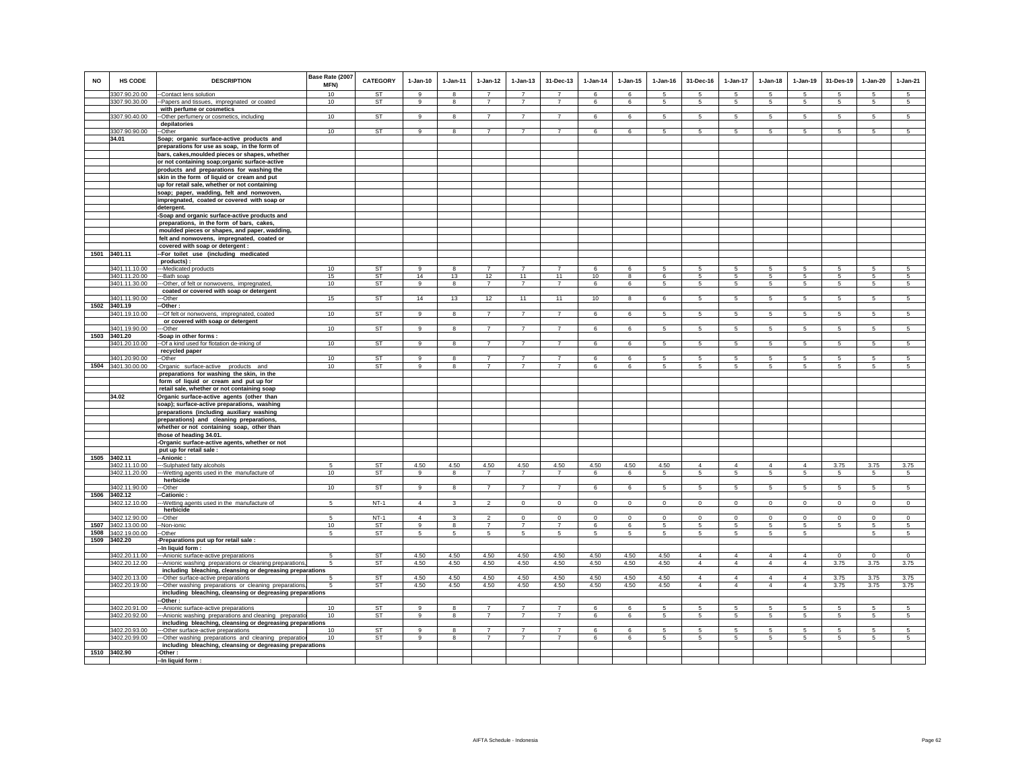| <b>NO</b> | HS CODE                        | <b>DESCRIPTION</b>                                                                                                     | Base Rate (2007<br>MFN) | <b>CATEGORY</b>     | $1-Jan-10$                       | $1-Jan-11$                     | $1-Jan-12$                       | $1-Jan-13$                       | 31-Dec-13                        | $1-Jan-14$       | $1-Jan-15$       | $1-Jan-16$       | 31-Dec-16                        | 1-Jan-17                      | $1-Jan-18$       | $1-Jan-19$                       | 31-Des-19        | $1-Jan-20$                   | $1-Jan-21$          |
|-----------|--------------------------------|------------------------------------------------------------------------------------------------------------------------|-------------------------|---------------------|----------------------------------|--------------------------------|----------------------------------|----------------------------------|----------------------------------|------------------|------------------|------------------|----------------------------------|-------------------------------|------------------|----------------------------------|------------------|------------------------------|---------------------|
|           | 3307.90.20.00                  | --Contact lens solution                                                                                                | 10                      | ST                  | q                                | 8                              | $\overline{7}$                   | $\overline{7}$                   | $\overline{7}$                   | 6                | 6                | 5                | 5                                | 5                             | 5                | -5                               | 5                | 5                            | 5                   |
|           | 3307.90.30.00                  | --Papers and tissues, impregnated or coated                                                                            | 10                      | ST                  | $\mathsf g$                      | 8                              | $\overline{7}$                   | $\overline{7}$                   | $\overline{7}$                   | 6                | 6                | 5                | $5\phantom{.0}$                  | 5                             | 5                | 5                                | 5                | 5                            | $5\phantom{.0}$     |
|           |                                | with perfume or cosmetics                                                                                              |                         |                     |                                  |                                |                                  |                                  |                                  |                  |                  |                  |                                  |                               |                  |                                  |                  |                              |                     |
|           | 3307.90.40.00                  | --Other perfumery or cosmetics, including<br>depilatories                                                              | 10                      | <b>ST</b>           | 9                                | 8                              | $\overline{7}$                   | $\overline{7}$                   | $\overline{7}$                   | 6                | 6                | 5                | 5                                | 5                             | 5                | 5                                | 5                | 5                            | 5 <sup>5</sup>      |
|           | 3307.90.90.00                  | --Other                                                                                                                | 10                      | <b>ST</b>           | $\overline{9}$                   | 8                              | $\overline{7}$                   | $\overline{7}$                   | $\overline{7}$                   | 6                | 6                | 5                | 5                                | 5                             | 5                | 5                                | 5                | 5                            | 5                   |
|           | 34.01                          | Soap; organic surface-active products and                                                                              |                         |                     |                                  |                                |                                  |                                  |                                  |                  |                  |                  |                                  |                               |                  |                                  |                  |                              |                     |
|           |                                | preparations for use as soap, in the form of                                                                           |                         |                     |                                  |                                |                                  |                                  |                                  |                  |                  |                  |                                  |                               |                  |                                  |                  |                              |                     |
|           |                                | bars, cakes, moulded pieces or shapes, whether                                                                         |                         |                     |                                  |                                |                                  |                                  |                                  |                  |                  |                  |                                  |                               |                  |                                  |                  |                              |                     |
|           |                                | or not containing soap;organic surface-active<br>products and preparations for washing the                             |                         |                     |                                  |                                |                                  |                                  |                                  |                  |                  |                  |                                  |                               |                  |                                  |                  |                              |                     |
|           |                                | skin in the form of liquid or cream and put                                                                            |                         |                     |                                  |                                |                                  |                                  |                                  |                  |                  |                  |                                  |                               |                  |                                  |                  |                              |                     |
|           |                                | up for retail sale, whether or not containing                                                                          |                         |                     |                                  |                                |                                  |                                  |                                  |                  |                  |                  |                                  |                               |                  |                                  |                  |                              |                     |
|           |                                | soap; paper, wadding, felt and nonwoven,                                                                               |                         |                     |                                  |                                |                                  |                                  |                                  |                  |                  |                  |                                  |                               |                  |                                  |                  |                              |                     |
|           |                                | impregnated, coated or covered with soap or                                                                            |                         |                     |                                  |                                |                                  |                                  |                                  |                  |                  |                  |                                  |                               |                  |                                  |                  |                              |                     |
|           |                                | detergent.<br>-Soap and organic surface-active products and                                                            |                         |                     |                                  |                                |                                  |                                  |                                  |                  |                  |                  |                                  |                               |                  |                                  |                  |                              |                     |
|           |                                | preparations, in the form of bars, cakes,                                                                              |                         |                     |                                  |                                |                                  |                                  |                                  |                  |                  |                  |                                  |                               |                  |                                  |                  |                              |                     |
|           |                                | moulded pieces or shapes, and paper, wadding,                                                                          |                         |                     |                                  |                                |                                  |                                  |                                  |                  |                  |                  |                                  |                               |                  |                                  |                  |                              |                     |
|           |                                | felt and nonwovens, impregnated, coated or                                                                             |                         |                     |                                  |                                |                                  |                                  |                                  |                  |                  |                  |                                  |                               |                  |                                  |                  |                              |                     |
|           | 1501 3401.11                   | covered with soap or detergent :                                                                                       |                         |                     |                                  |                                |                                  |                                  |                                  |                  |                  |                  |                                  |                               |                  |                                  |                  |                              |                     |
|           |                                | -- For toilet use (including medicated<br>products):                                                                   |                         |                     |                                  |                                |                                  |                                  |                                  |                  |                  |                  |                                  |                               |                  |                                  |                  |                              |                     |
|           | 3401.11.10.00                  | ---Medicated products                                                                                                  | 10                      | ST                  | 9                                | 8                              | $\overline{7}$                   | $\overline{7}$                   | $\overline{7}$                   | 6                | 6                | 5                | 5                                | 5                             | 5                | 5                                | 5                | 5                            | -5                  |
|           | 3401.11.20.00                  | ---Bath soap                                                                                                           | 15                      | <b>ST</b>           | 14                               | 13                             | 12                               | 11                               | 11                               | 10               | 8                | 6                | 5                                | 5                             | 5                | 5                                | 5                | $5\phantom{.0}$              | $5\phantom{.0}$     |
|           | 3401.11.30.00                  | ---Other, of felt or nonwovens, impregnated,                                                                           | 10                      | <b>ST</b>           | 9                                | 8                              | $\overline{7}$                   | $\overline{7}$                   | $\overline{7}$                   | 6                | 6                | 5                | 5                                | 5                             | 5                | $\sqrt{5}$                       | $\sqrt{5}$       | $5\phantom{.0}$              | $5\overline{)}$     |
|           | 3401.11.90.00                  | coated or covered with soap or detergent<br>--Other                                                                    | 15                      | <b>ST</b>           | 14                               | 13                             | 12                               | 11                               | 11                               | 10               | 8                | 6                | 5                                | 5                             | 5                | $\sqrt{5}$                       | $\,$ 5 $\,$      | $5\phantom{.0}$              | $5\phantom{.0}$     |
| 1502      | 3401.19                        | --Other :                                                                                                              |                         |                     |                                  |                                |                                  |                                  |                                  |                  |                  |                  |                                  |                               |                  |                                  |                  |                              |                     |
|           | 3401.19.10.00                  | --- Of felt or nonwovens, impregnated, coated                                                                          | 10                      | <b>ST</b>           | $\overline{9}$                   | 8                              | $\overline{7}$                   | $\overline{7}$                   | $\overline{7}$                   | 6                | 6                | 5                | $\sqrt{5}$                       | 5                             | 5                | $5\overline{5}$                  | $5\overline{5}$  | 5                            | $5\overline{)}$     |
|           |                                | or covered with soap or detergent                                                                                      |                         |                     |                                  |                                |                                  |                                  |                                  |                  |                  |                  |                                  |                               |                  |                                  |                  |                              |                     |
|           | 3401.19.90.00<br>1503 3401.20  | ---Other<br>-Soap in other forms:                                                                                      | 10                      | ST                  | $\overline{9}$                   | 8                              | $\overline{7}$                   | $\overline{7}$                   | $\overline{7}$                   | 6                | 6                | 5                | 5                                | 5                             | 5                | 5                                | -5               | -5                           | 5                   |
|           | 3401.20.10.00                  | -- Of a kind used for flotation de-inking of                                                                           | 10                      | <b>ST</b>           | 9                                | 8                              | $\overline{7}$                   | $\overline{7}$                   | $\overline{7}$                   | 6                | 6                | $\sqrt{5}$       | 5                                | 5                             | $\overline{5}$   | $\overline{5}$                   | $\overline{5}$   | $5\phantom{.0}$              | $5\overline{5}$     |
|           |                                | recycled paper                                                                                                         |                         |                     |                                  |                                |                                  |                                  |                                  |                  |                  |                  |                                  |                               |                  |                                  |                  |                              |                     |
|           | 3401.20.90.00                  | --Other                                                                                                                | 10                      | ST                  | 9                                | 8                              | $\overline{7}$                   | $\overline{7}$                   | $\overline{7}$                   | 6                | 6                | 5                | 5                                | 5                             | 5                | 5                                | 5                | 5                            | 5                   |
|           | 1504 3401.30.00.00             | -Organic surface-active products and<br>preparations for washing the skin, in the                                      | 10                      | ST                  | $\mathsf g$                      | 8                              | $\overline{7}$                   | $\overline{7}$                   | $\overline{7}$                   | 6                | 6                | 5                | 5                                | 5                             | 5                | $\sqrt{5}$                       | 5                | 5                            | 5                   |
|           |                                | form of liquid or cream and put up for                                                                                 |                         |                     |                                  |                                |                                  |                                  |                                  |                  |                  |                  |                                  |                               |                  |                                  |                  |                              |                     |
|           |                                | retail sale, whether or not containing soap                                                                            |                         |                     |                                  |                                |                                  |                                  |                                  |                  |                  |                  |                                  |                               |                  |                                  |                  |                              |                     |
|           | 34.02                          | Organic surface-active agents (other than                                                                              |                         |                     |                                  |                                |                                  |                                  |                                  |                  |                  |                  |                                  |                               |                  |                                  |                  |                              |                     |
|           |                                | soap); surface-active preparations, washing<br>preparations (including auxiliary washing                               |                         |                     |                                  |                                |                                  |                                  |                                  |                  |                  |                  |                                  |                               |                  |                                  |                  |                              |                     |
|           |                                | preparations) and cleaning preparations,                                                                               |                         |                     |                                  |                                |                                  |                                  |                                  |                  |                  |                  |                                  |                               |                  |                                  |                  |                              |                     |
|           |                                | whether or not containing soap, other than                                                                             |                         |                     |                                  |                                |                                  |                                  |                                  |                  |                  |                  |                                  |                               |                  |                                  |                  |                              |                     |
|           |                                | those of heading 34.01.                                                                                                |                         |                     |                                  |                                |                                  |                                  |                                  |                  |                  |                  |                                  |                               |                  |                                  |                  |                              |                     |
|           |                                | -Organic surface-active agents, whether or not                                                                         |                         |                     |                                  |                                |                                  |                                  |                                  |                  |                  |                  |                                  |                               |                  |                                  |                  |                              |                     |
| 1505      | 3402.11                        | put up for retail sale :<br>-- Anionic:                                                                                |                         |                     |                                  |                                |                                  |                                  |                                  |                  |                  |                  |                                  |                               |                  |                                  |                  |                              |                     |
|           | 3402.11.10.00                  | ---Sulphated fatty alcohols                                                                                            | 5                       | <b>ST</b>           | 4.50                             | 4.50                           | 4.50                             | 4.50                             | 4.50                             | 4.50             | 4.50             | 4.50             | $\Delta$                         | $\Delta$                      | $\Delta$         | $\mathbf{A}$                     | 3.75             | 3.75                         | 3.75                |
|           | 3402.11.20.00                  | --- Wetting agents used in the manufacture of                                                                          | 10                      | <b>ST</b>           | $\mathsf g$                      | 8                              | $\overline{7}$                   | $\overline{7}$                   | $\overline{7}$                   | 6                | 6                | 5                | 5                                | $5\overline{)}$               | 5                | $\sqrt{5}$                       | $5\phantom{.0}$  | 5                            | $5\phantom{.0}$     |
|           | 3402.11.90.00                  | herbicide<br>---Other                                                                                                  | 10                      | ST                  | 9                                | 8                              | 7                                | $\overline{7}$                   | $\overline{7}$                   | 6                | 6                | 5                | $5\overline{5}$                  | 5                             | $5\overline{5}$  | $5\overline{5}$                  | $5\overline{5}$  | $5\overline{5}$              | $5\overline{5}$     |
| 1506      | 3402.12                        | -Cationic:                                                                                                             |                         |                     |                                  |                                |                                  |                                  |                                  |                  |                  |                  |                                  |                               |                  |                                  |                  |                              |                     |
|           | 3402.12.10.00                  | -Wetting agents used in the manufacture of                                                                             | 5                       | $NT-1$              | $\overline{4}$                   | $\mathbf{3}$                   | $\overline{2}$                   | $\mathsf 0$                      | $\mathbf{0}$                     | $\mathsf 0$      | $\mathsf 0$      | $\mathbf 0$      | $\mathsf 0$                      | $\mathbf 0$                   | $\circ$          | $\circ$                          | $\circ$          | $\mathbf 0$                  | $\circ$             |
|           |                                | herbicide                                                                                                              |                         |                     |                                  |                                |                                  |                                  |                                  |                  |                  |                  |                                  |                               |                  |                                  |                  |                              |                     |
| 1507      | 3402.12.90.00<br>3402.13.00.00 | --Other                                                                                                                | 5<br>10                 | $NT-1$<br><b>ST</b> | $\overline{4}$<br>$\overline{9}$ | $\mathbf{3}$<br>$\overline{8}$ | $\overline{2}$<br>$\overline{7}$ | $\mathbf{0}$<br>$\overline{7}$   | $^{\circ}$<br>$\overline{7}$     | $\mathbf 0$<br>6 | $\mathbf 0$<br>6 | $\mathbf 0$<br>5 | $\circ$<br>5                     | $\overline{0}$<br>$5^{\circ}$ | $\mathbf 0$<br>5 | $\overline{0}$<br>$\overline{5}$ | $\mathbf 0$<br>5 | $^{\circ}$<br>$\overline{5}$ | $\overline{0}$<br>5 |
| 1508      | 3402.19.00.00                  | --Non-ionic<br>--Other                                                                                                 | 5                       | ST                  | 5                                | $5\phantom{.0}$                | 5                                | 5                                | 5                                | 5                | 5                | 5                | 5                                | 5                             | 5                | $\sqrt{5}$                       |                  | 5                            | 5                   |
| 1509      | 3402.20                        | -Preparations put up for retail sale :                                                                                 |                         |                     |                                  |                                |                                  |                                  |                                  |                  |                  |                  |                                  |                               |                  |                                  |                  |                              |                     |
|           |                                | -In liquid form:                                                                                                       |                         |                     |                                  |                                |                                  |                                  |                                  |                  |                  |                  |                                  |                               |                  |                                  |                  |                              |                     |
|           | 3402.20.11.00                  | --- Anionic surface-active preparations                                                                                | 5                       | ST                  | 4.50                             | 4.50                           | 4.50                             | 4.50                             | 4.50                             | 4.50             | 4.50             | 4.50             | $\overline{4}$<br>$\overline{4}$ | $\overline{4}$                | $\overline{4}$   | $\overline{4}$                   | $\mathbf 0$      | $\circ$                      | $\circ$             |
|           | 3402.20.12.00                  | -- Anionic washing preparations or cleaning preparations,<br>including bleaching, cleansing or degreasing preparations | 5                       | ST                  | 4.50                             | 4.50                           | 4.50                             | 4.50                             | 4.50                             | 4.50             | 4.50             | 4.50             |                                  | $\overline{4}$                | $\overline{4}$   | $\overline{4}$                   | 3.75             | 3.75                         | 3.75                |
|           | 3402.20.13.00                  | --Other surface-active preparations                                                                                    |                         | ST                  | 4.50                             | 4.50                           | 4.50                             | 4.50                             | 4.50                             | 4.50             | 4.50             | 4.50             | $\overline{a}$                   | $\overline{4}$                | $\overline{4}$   | $\overline{4}$                   | 3.75             | 3.75                         | 3.75                |
|           | 3402.20.19.00                  | -- Other washing preparations or cleaning preparations,                                                                | 5                       | <b>ST</b>           | 4.50                             | 4.50                           | 4.50                             | 4.50                             | 4.50                             | 4.50             | 4.50             | 4.50             | $\overline{4}$                   | $\overline{4}$                | $\overline{4}$   | $\overline{4}$                   | 3.75             | 3.75                         | 3.75                |
|           |                                | including bleaching, cleansing or degreasing preparations                                                              |                         |                     |                                  |                                |                                  |                                  |                                  |                  |                  |                  |                                  |                               |                  |                                  |                  |                              |                     |
|           | 3402.20.91.00                  | -Other:<br>--- Anionic surface-active preparations                                                                     | 10                      | ST                  | 9                                | 8                              | $\overline{7}$                   | $\overline{7}$                   | $\overline{7}$                   | 6                | 6                | 5                | 5                                | 5                             | 5                | $\sqrt{5}$                       | 5                | 5                            | 5                   |
|           | 3402.20.92.00                  | --- Anionic washing preparations and cleaning preparatio                                                               | 10                      | ST                  | 9                                | 8                              | $\overline{7}$                   | $\overline{7}$                   | $\overline{7}$                   | 6                | 6                | 5                | 5                                | 5                             | 5                | 5                                | 5                | $5\overline{5}$              | 5                   |
|           |                                | including bleaching, cleansing or degreasing preparations                                                              |                         |                     |                                  |                                |                                  |                                  |                                  |                  |                  |                  |                                  |                               |                  |                                  |                  |                              |                     |
|           | 3402.20.93.00<br>3402.20.99.00 | -Other surface-active preparations<br>--Other washing preparations and cleaning preparation                            | 10<br>10                | <b>ST</b><br>ST     | 9<br>9                           | 8<br>8                         | $\overline{7}$<br>$\overline{7}$ | $\overline{7}$<br>$\overline{7}$ | $\overline{7}$<br>$\overline{7}$ | 6<br>6           | 6<br>6           | 5<br>5           | 5<br>5                           | 5<br>5                        | 5<br>5           | 5<br>5                           | 5<br>5           | 5<br>$5\overline{5}$         | 5<br>5              |
|           |                                | including bleaching, cleansing or degreasing preparations                                                              |                         |                     |                                  |                                |                                  |                                  |                                  |                  |                  |                  |                                  |                               |                  |                                  |                  |                              |                     |
|           | 1510 3402.90                   | -Other:                                                                                                                |                         |                     |                                  |                                |                                  |                                  |                                  |                  |                  |                  |                                  |                               |                  |                                  |                  |                              |                     |
|           |                                | -In liquid form:                                                                                                       |                         |                     |                                  |                                |                                  |                                  |                                  |                  |                  |                  |                                  |                               |                  |                                  |                  |                              |                     |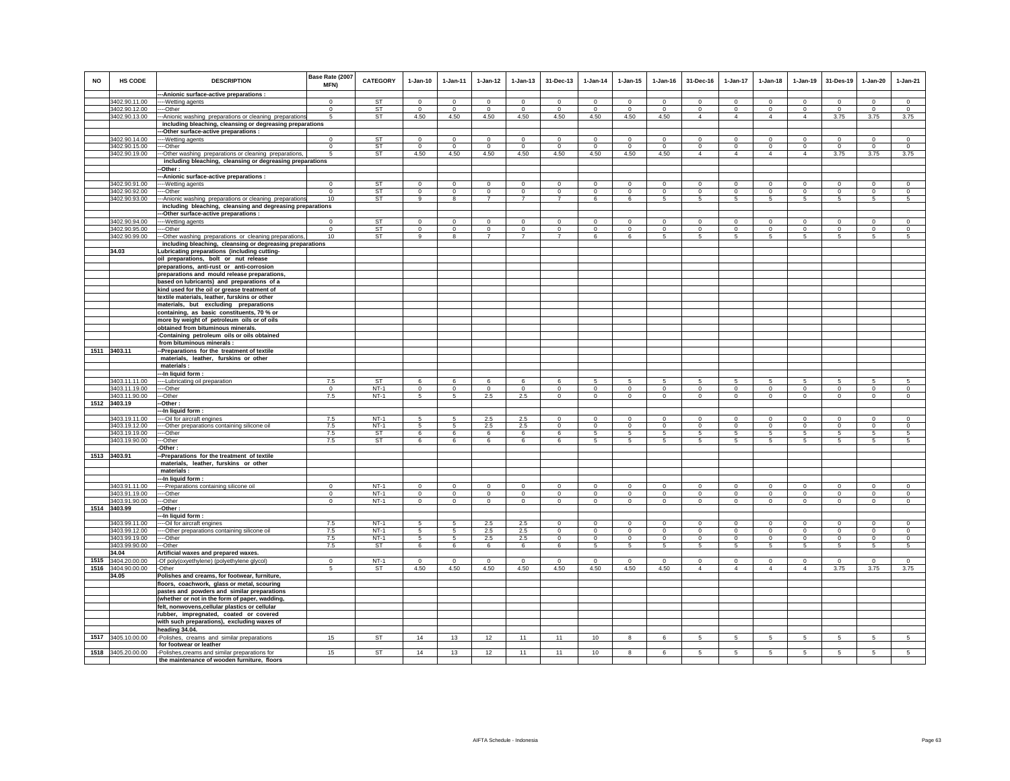| <b>NO</b> | HS CODE            | <b>DESCRIPTION</b>                                         | Base Rate (2007<br><b>MFN)</b> | <b>CATEGORY</b> | $1-Jan-10$      | $1-Jan-11$      | $1 - Jan-12$   | $1 - Jan-13$   | 31-Dec-13      | $1 - Jan-14$ | $1 - Jan-15$   | $1 - Jan-16$ | 31-Dec-16      | 1-Jan-17        | $1-Jan-18$      | 1-Jan-19       | 31-Des-19      | 1-Jan-20     | $1-Jan-21$     |
|-----------|--------------------|------------------------------------------------------------|--------------------------------|-----------------|-----------------|-----------------|----------------|----------------|----------------|--------------|----------------|--------------|----------------|-----------------|-----------------|----------------|----------------|--------------|----------------|
|           |                    | --- Anionic surface-active preparations :                  |                                |                 |                 |                 |                |                |                |              |                |              |                |                 |                 |                |                |              |                |
|           | 3402.90.11.00      | ---Wetting agents                                          | $\Omega$                       | ST              | $\mathbf 0$     | $\Omega$        | $\Omega$       | $\Omega$       | $\Omega$       | $\mathbf 0$  | $\mathsf 0$    | $\mathbb O$  | $\mathsf 0$    | $\Omega$        | $\mathbf 0$     | $\Omega$       | $\Omega$       | $\Omega$     | $\mathsf 0$    |
|           | 3402.90.12.00      | ---Other                                                   | $^{\circ}$                     | ST              | $\circ$         | $\mathbf 0$     | $\mathbf 0$    | $\mathbf 0$    | $\mathbf 0$    | $\mathbf 0$  | $\mathbf 0$    | $\circ$      | $\mathbf 0$    | $\circ$         | $\circ$         | $\mathbf 0$    | $\circ$        | $\mathbf 0$  | $\circ$        |
|           | 3402.90.13.00      | --- Anionic washing preparations or cleaning preparations  | 5                              | <b>ST</b>       | 4.50            | 4.50            | 4.50           | 4.50           | 4.50           | 4.50         | 4.50           | 4.50         | $\overline{4}$ | $\overline{4}$  | $\overline{4}$  | $\overline{4}$ | 3.75           | 3.75         | 3.75           |
|           |                    | including bleaching, cleansing or degreasing preparations  |                                |                 |                 |                 |                |                |                |              |                |              |                |                 |                 |                |                |              |                |
|           |                    | -Other surface-active preparations :                       |                                |                 |                 |                 |                |                |                |              |                |              |                |                 |                 |                |                |              |                |
|           | 3402.90.14.00      | ---Wetting agents                                          | $^{\circ}$                     | <b>ST</b>       | $\mathbf 0$     | $^{\circ}$      | $\mathbf 0$    | $\mathbf 0$    | $\mathbf 0$    | $\mathbf 0$  | $\mathbf 0$    | $\mathbf 0$  | $\mathsf 0$    | $\mathbf 0$     | $\mathbf 0$     | $\mathbf 0$    | $\mathbf 0$    | $\circ$      | $\mathbf 0$    |
|           | 3402.90.15.00      | ---Other                                                   | $\Omega$                       | <b>ST</b>       | $\Omega$        | $\Omega$        | $\mathbf 0$    | $\circ$        | $\Omega$       | $\Omega$     | $\Omega$       | $\Omega$     | $\Omega$       | $\mathbf 0$     | $\mathbf 0$     | $\Omega$       | $\Omega$       | $\Omega$     | $\Omega$       |
|           | 3402.90.19.00      | --- Other washing preparations or cleaning preparations,   | 5                              | <b>ST</b>       | 4.50            | 4.50            | 4.50           | 4.50           | 4.50           | 4.50         | 4.50           | 4.50         | $\overline{4}$ | $\overline{4}$  | $\overline{4}$  | $\overline{4}$ | 3.75           | 3.75         | 3.75           |
|           |                    | including bleaching, cleansing or degreasing preparations  |                                |                 |                 |                 |                |                |                |              |                |              |                |                 |                 |                |                |              |                |
|           |                    | -Other:                                                    |                                |                 |                 |                 |                |                |                |              |                |              |                |                 |                 |                |                |              |                |
|           |                    | -- Anionic surface-active preparations :                   |                                |                 |                 |                 |                |                |                |              |                |              |                |                 |                 |                |                |              |                |
|           | 3402.90.91.00      | ---Wetting agents                                          | $\Omega$                       | <b>ST</b>       | $\Omega$        | $\Omega$        | $\Omega$       | $\Omega$       | $\Omega$       | $\Omega$     | $\Omega$       | $\Omega$     | $\Omega$       | $\Omega$        | $\Omega$        | $\Omega$       | $\Omega$       | $\Omega$     | $\Omega$       |
|           | 3402.90.92.00      | --Other                                                    | $\mathbf 0$                    | <b>ST</b>       | $\mathbf 0$     | $\mathbf 0$     | $\mathbf 0$    | $\mathsf 0$    | $\mathbf 0$    | $\circ$      | $\mathsf 0$    | $\circ$      | $\mathsf 0$    | $\mathbf 0$     | $\mathbf 0$     | $\mathbf 0$    | $\mathbf 0$    | $\mathsf 0$  | $\circ$        |
|           | 3402.90.93.00      | -- Anionic washing preparations or cleaning preparations   | 10                             | <b>ST</b>       | 9               | 8               | $\overline{7}$ | $\overline{7}$ | $\overline{7}$ | 6            | 6              | 5            | 5              | $5\overline{5}$ | 5               | 5              | 5              | 5            | 5              |
|           |                    |                                                            |                                |                 |                 |                 |                |                |                |              |                |              |                |                 |                 |                |                |              |                |
|           |                    | including bleaching, cleansing and degreasing preparations |                                |                 |                 |                 |                |                |                |              |                |              |                |                 |                 |                |                |              |                |
|           |                    | --Other surface-active preparations :                      |                                |                 |                 |                 |                |                |                |              |                |              |                |                 |                 | $\Omega$       |                |              |                |
|           | 3402.90.94.00      | ---- Wetting agents                                        | $\Omega$                       | <b>ST</b>       | $\Omega$        | $\Omega$        | $\Omega$       | $\Omega$       | $\Omega$       | $\Omega$     | $\Omega$       | $\Omega$     | $\Omega$       | $\Omega$        | $\Omega$        |                | $\Omega$       | $\Omega$     | $\Omega$       |
|           | 3402.90.95.00      | ----Other                                                  | $^{\circ}$                     | ST              | $\mathbf 0$     | $\mathbf 0$     | $\mathbf 0$    | $\mathsf 0$    | $\mathsf 0$    | $^{\circ}$   | $\mathsf 0$    | $\mathsf 0$  | $\mathbf 0$    | $\mathbf 0$     | $\mathbf 0$     | $\mathbf 0$    | $\mathbf 0$    | $\mathsf 0$  | $\mathbf 0$    |
|           | 3402.90.99.00      | -- Other washing preparations or cleaning preparations,    | 10                             | ST              | 9               | 8               | $\overline{7}$ | $\overline{7}$ | $\overline{7}$ | 6            | 6              | 5            | 5              | $5\phantom{.0}$ | $5\phantom{.0}$ | 5              | 5              | 5            | $\sqrt{5}$     |
|           |                    | including bleaching, cleansing or degreasing preparations  |                                |                 |                 |                 |                |                |                |              |                |              |                |                 |                 |                |                |              |                |
|           | 34.03              | Lubricating preparations (including cutting-               |                                |                 |                 |                 |                |                |                |              |                |              |                |                 |                 |                |                |              |                |
|           |                    | oil preparations, bolt or nut release                      |                                |                 |                 |                 |                |                |                |              |                |              |                |                 |                 |                |                |              |                |
|           |                    | preparations, anti-rust or anti-corrosion                  |                                |                 |                 |                 |                |                |                |              |                |              |                |                 |                 |                |                |              |                |
|           |                    | preparations and mould release preparations,               |                                |                 |                 |                 |                |                |                |              |                |              |                |                 |                 |                |                |              |                |
|           |                    | based on lubricants) and preparations of a                 |                                |                 |                 |                 |                |                |                |              |                |              |                |                 |                 |                |                |              |                |
|           |                    | kind used for the oil or grease treatment of               |                                |                 |                 |                 |                |                |                |              |                |              |                |                 |                 |                |                |              |                |
|           |                    | textile materials, leather, furskins or other              |                                |                 |                 |                 |                |                |                |              |                |              |                |                 |                 |                |                |              |                |
|           |                    | materials, but excluding preparations                      |                                |                 |                 |                 |                |                |                |              |                |              |                |                 |                 |                |                |              |                |
|           |                    | containing, as basic constituents, 70 % or                 |                                |                 |                 |                 |                |                |                |              |                |              |                |                 |                 |                |                |              |                |
|           |                    | more by weight of petroleum oils or of oils                |                                |                 |                 |                 |                |                |                |              |                |              |                |                 |                 |                |                |              |                |
|           |                    |                                                            |                                |                 |                 |                 |                |                |                |              |                |              |                |                 |                 |                |                |              |                |
|           |                    | obtained from bituminous minerals.                         |                                |                 |                 |                 |                |                |                |              |                |              |                |                 |                 |                |                |              |                |
|           |                    | -Containing petroleum oils or oils obtained                |                                |                 |                 |                 |                |                |                |              |                |              |                |                 |                 |                |                |              |                |
|           |                    | from bituminous minerals :                                 |                                |                 |                 |                 |                |                |                |              |                |              |                |                 |                 |                |                |              |                |
|           | 1511 3403.11       | -Preparations for the treatment of textile                 |                                |                 |                 |                 |                |                |                |              |                |              |                |                 |                 |                |                |              |                |
|           |                    | materials, leather, furskins or other                      |                                |                 |                 |                 |                |                |                |              |                |              |                |                 |                 |                |                |              |                |
|           |                    | materials:                                                 |                                |                 |                 |                 |                |                |                |              |                |              |                |                 |                 |                |                |              |                |
|           |                    | --In liquid form :                                         |                                |                 |                 |                 |                |                |                |              |                |              |                |                 |                 |                |                |              |                |
|           | 3403.11.11.00      | --- Lubricating oil preparation                            | 7.5                            | <b>ST</b>       | $\epsilon$      | $\epsilon$      | $\mathbf{6}$   | $\mathbf{f}$   | $\kappa$       | 5            | $\overline{5}$ | 5            | 5              | 5               | 5               | 5              | -5             | 5            | $\overline{5}$ |
|           | 3403.11.19.00      | ---Other                                                   | $\mathbf 0$                    | $NT-1$          | $\circ$         | $\circ$         | $\circ$        | $\mathbf 0$    | $\mathbf{0}$   | $\mathbf 0$  | $\mathbf 0$    | $\circ$      | $\mathbf 0$    | $\circ$         | $\circ$         | $\mathbf 0$    | $\circ$        | $\mathbf 0$  | $\circ$        |
|           | 3403.11.90.00      | ---Other                                                   | 7.5                            | $NT-1$          | 5               | 5               | $2.5\,$        | 2.5            | $\mathsf 0$    | $\mathbf 0$  | $\mathsf 0$    | $\mathbf 0$  | $\mathbf 0$    | $\mathsf 0$     | $\mathbf 0$     | $\mathbf 0$    | $\mathbf 0$    | $\mathbf 0$  | $\mathbf 0$    |
|           | 1512 3403.19       | -Other :                                                   |                                |                 |                 |                 |                |                |                |              |                |              |                |                 |                 |                |                |              |                |
|           |                    | --In liquid form:                                          |                                |                 |                 |                 |                |                |                |              |                |              |                |                 |                 |                |                |              |                |
|           | 3403.19.11.00      | --Oil for aircraft engines                                 | 7.5                            | $NT-1$          | -5              | -5              | 2.5            | 2.5            | $\mathbf{0}$   | $\Omega$     | $\Omega$       | $\Omega$     | $\Omega$       | $\mathbf{0}$    | $\Omega$        | $\mathbf 0$    | $\Omega$       | $\Omega$     | $\circ$        |
|           | 3403.19.12.00      | ---Other preparations containing silicone oil              | 7.5                            | $NT-1$          | 5               | 5               | 2.5            | 2.5            | $^{\circ}$     | $^{\circ}$   | $\mathbf 0$    | $\mathbf 0$  | $\mathbf 0$    | $\mathbf 0$     | $\mathbf 0$     | $\mathbf 0$    | $\circ$        | $^{\circ}$   | $\mathbf 0$    |
|           | 3403.19.19.00      | ---Other                                                   | 7.5                            | <b>ST</b>       | 6               | 6               | 6              | 6              | 6              | 5            | 5              | 5            | 5              | $5\phantom{.0}$ | 5               | 5              | -5             | 5            | 5              |
|           | 3403.19.90.00      | ---Other                                                   | 7.5                            | ST              | 6               | 6               | 6              | 6              | 6              | 5            | 5              | 5            | 5              | 5               | 5               | 5              | 5              | 5            | 5              |
|           |                    | -Other:                                                    |                                |                 |                 |                 |                |                |                |              |                |              |                |                 |                 |                |                |              |                |
|           | 1513 3403.91       | -Preparations for the treatment of textile                 |                                |                 |                 |                 |                |                |                |              |                |              |                |                 |                 |                |                |              |                |
|           |                    | materials, leather, furskins or other                      |                                |                 |                 |                 |                |                |                |              |                |              |                |                 |                 |                |                |              |                |
|           |                    | materials                                                  |                                |                 |                 |                 |                |                |                |              |                |              |                |                 |                 |                |                |              |                |
|           |                    |                                                            |                                |                 |                 |                 |                |                |                |              |                |              |                |                 |                 |                |                |              |                |
|           |                    | --In liquid form :                                         |                                |                 |                 |                 |                |                |                |              |                |              |                |                 |                 |                |                |              |                |
|           | 3403.91.11.00      | ---Preparations containing silicone oil                    | $\mathbf 0$                    | $NT-1$          | $\mathbf 0$     | $\mathbf 0$     | $\mathbf 0$    | $\mathbf 0$    | $\mathbf 0$    | $\mathbf 0$  | $\mathbf 0$    | $\mathbf 0$  | $\mathbf 0$    | $\mathbf 0$     | $\circ$         | $\mathbf 0$    | $^{\circ}$     | $\mathbf 0$  | $\mathbf 0$    |
|           | 3403.91.19.00      | ---Other                                                   | $^{\circ}$                     | $NT-1$          | $\mathbf 0$     | $\mathbf 0$     | $\mathbf 0$    | $\mathbf 0$    | $\bf{0}$       | $\mathbf 0$  | $\mathbf 0$    | $\mathbf 0$  | $\mathsf 0$    | $\mathsf 0$     | $\mathbf 0$     | $\mathbf 0$    | $\,0\,$        | $\mathbf 0$  | $\mathbf 0$    |
|           | 3403.91.90.00      | $-$ -Other                                                 | $\Omega$                       | $NT-1$          | $\circ$         | $\circ$         | $\circ$        | $\overline{0}$ | $\mathbf{0}$   | $\circ$      | $\mathsf 0$    | $\circ$      | $\circ$        | $\overline{0}$  | $\overline{0}$  | $\overline{0}$ | $\overline{0}$ | $\circ$      | $\circ$        |
|           | 1514 3403.99       | -Other:                                                    |                                |                 |                 |                 |                |                |                |              |                |              |                |                 |                 |                |                |              |                |
|           |                    | --In liquid form:                                          |                                |                 |                 |                 |                |                |                |              |                |              |                |                 |                 |                |                |              |                |
|           | 3403.99.11.00      | ----Oil for aircraft engines                               | 7.5                            | $NT-1$          | 5               |                 | 2.5            | 2.5            | $\Omega$       | $\Omega$     | $\Omega$       | $\Omega$     | $\Omega$       | $\Omega$        | $\Omega$        | $\Omega$       | $\Omega$       | $\Omega$     | $\Omega$       |
|           | 3403.99.12.00      | ---- Other preparations containing silicone oil            | 7.5                            | $NT-1$          | $5\phantom{.0}$ | $5\phantom{.0}$ | 2.5            | 2.5            | $\overline{0}$ | $\mathbf 0$  | $\mathbf 0$    | $\mathbf 0$  | $\mathbf 0$    | $\circ$         | $\mathbf{0}$    | $\circ$        | $\circ$        | $\circ$      | $\mathbf 0$    |
|           | 3403.99.19.00      | --Other                                                    | 7.5                            | $NT-1$          | 5               | 5               | 2.5            | 2.5            | $\circ$        | $\Omega$     | $\Omega$       | $\Omega$     | $\mathbf{0}$   | $\circ$         | $\circ$         | $\mathbf 0$    | $\circ$        | $\mathbf{0}$ | $\circ$        |
|           | 3403.99.90.00      | --Other                                                    | 7.5                            | <b>ST</b>       | 6               | 6               | 6              | 6              | 6              | 5            | 5              | 5            | 5              | 5 <sup>5</sup>  | 5               | 5              | 5              | 5            | 5              |
|           | 34.04              | Artificial waxes and prepared waxes.                       |                                |                 |                 |                 |                |                |                |              |                |              |                |                 |                 |                |                |              |                |
|           | 1515 3404.20.00.00 | -Of poly(oxyethylene) (polyethylene glycol)                | $\mathbf 0$                    | $NT-1$          | $\overline{0}$  | $\mathbf 0$     | $\circ$        | $\mathbf 0$    | $\mathsf 0$    | $\mathbf 0$  | $\mathbf 0$    | $\mathbf 0$  | $\circ$        | $\mathsf 0$     | $\mathbf 0$     | $\mathbf 0$    | $\mathbf 0$    | $\mathbf 0$  | $\mathsf 0$    |
|           | 1516 3404.90.00.00 | -Other                                                     | 5                              | ST              | 4.50            | 4.50            | 4.50           | 4.50           | 4.50           | 4.50         | 4.50           | 4.50         | $\overline{4}$ | $\overline{4}$  | $\overline{4}$  | $\overline{4}$ | 3.75           | 3.75         | 3.75           |
|           | 34.05              | Polishes and creams, for footwear, furniture,              |                                |                 |                 |                 |                |                |                |              |                |              |                |                 |                 |                |                |              |                |
|           |                    | floors, coachwork, glass or metal, scouring                |                                |                 |                 |                 |                |                |                |              |                |              |                |                 |                 |                |                |              |                |
|           |                    | pastes and powders and similar preparations                |                                |                 |                 |                 |                |                |                |              |                |              |                |                 |                 |                |                |              |                |
|           |                    |                                                            |                                |                 |                 |                 |                |                |                |              |                |              |                |                 |                 |                |                |              |                |
|           |                    | (whether or not in the form of paper, wadding,             |                                |                 |                 |                 |                |                |                |              |                |              |                |                 |                 |                |                |              |                |
|           |                    | felt, nonwovens, cellular plastics or cellular             |                                |                 |                 |                 |                |                |                |              |                |              |                |                 |                 |                |                |              |                |
|           |                    | rubber, impregnated, coated or covered                     |                                |                 |                 |                 |                |                |                |              |                |              |                |                 |                 |                |                |              |                |
|           |                    | with such preparations), excluding waxes of                |                                |                 |                 |                 |                |                |                |              |                |              |                |                 |                 |                |                |              |                |
|           |                    | heading 34.04.                                             |                                |                 |                 |                 |                |                |                |              |                |              |                |                 |                 |                |                |              |                |
|           | 1517 3405.10.00.00 | -Polishes, creams and similar preparations                 | 15                             | <b>ST</b>       | 14              | 13              | 12             | 11             | 11             | 10           | 8              | 6            | 5              | 5               | 5               | 5              | 5              | 5            | 5              |
|           |                    | for footwear or leather                                    |                                |                 |                 |                 |                |                |                |              |                |              |                |                 |                 |                |                |              |                |
|           | 1518 3405.20.00.00 | -Polishes, creams and similar preparations for             | 15                             | <b>ST</b>       | 14              | 13              | 12             | 11             | 11             | 10           | $\mathbf{a}$   |              | 5              | 5               | 5               | 5              | 5              | 5            | $\overline{5}$ |
|           |                    | the maintenance of wooden furniture, floors                |                                |                 |                 |                 |                |                |                |              |                |              |                |                 |                 |                |                |              |                |
|           |                    |                                                            |                                |                 |                 |                 |                |                |                |              |                |              |                |                 |                 |                |                |              |                |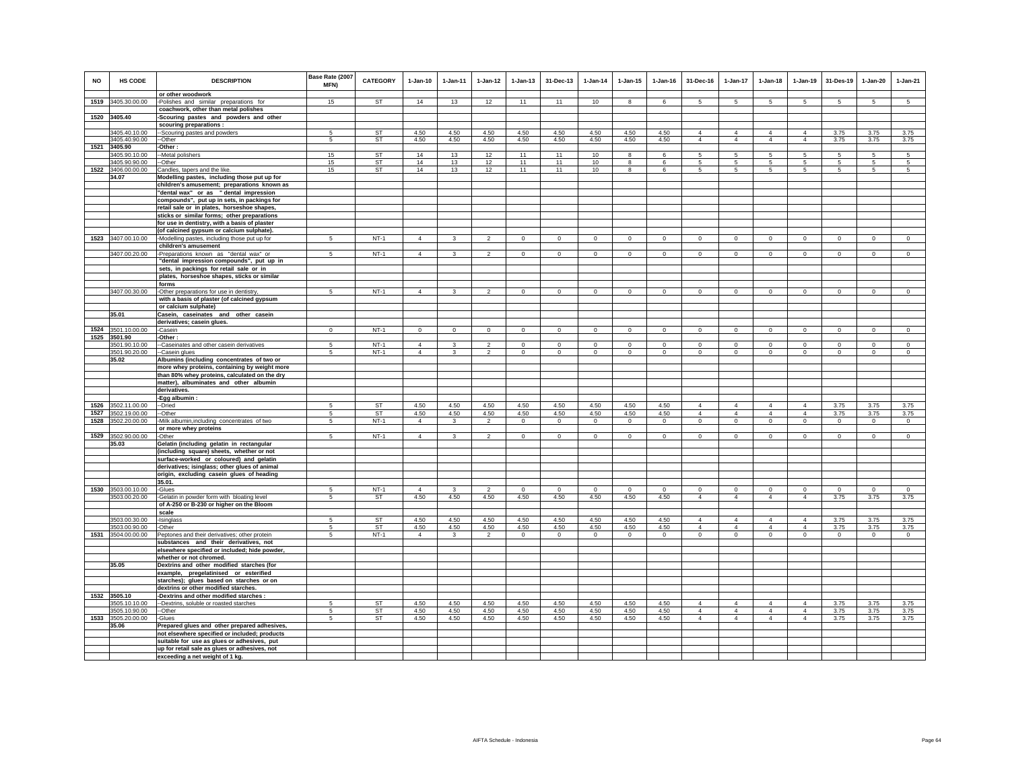| <b>NO</b> | HS CODE                        | <b>DESCRIPTION</b><br>or other woodwork                                                      | Base Rate (2007<br>MFN) | CATEGORY               | $1-Jan-10$             | 1-Jan-11             | $1 - Jan-12$           | $1 - Jan-13$        | 31-Dec-13           | $1-Jan-14$      | $1 - Jan-15$        | $1 - Jan-16$        | 31-Dec-16                        | $1-Jan-17$                       | $1-Jan-18$                       | $1 - Jan-19$                     | 31-Des-19           | $1-Jan-20$          | $1-Jan-21$      |
|-----------|--------------------------------|----------------------------------------------------------------------------------------------|-------------------------|------------------------|------------------------|----------------------|------------------------|---------------------|---------------------|-----------------|---------------------|---------------------|----------------------------------|----------------------------------|----------------------------------|----------------------------------|---------------------|---------------------|-----------------|
|           | 1519 3405.30.00.00             | -Polishes and similar preparations for                                                       | 15                      | ST                     | 14                     | 13                   | 12                     | 11                  | 11                  | 10              | 8                   | 6                   | $5\overline{5}$                  | 5                                | 5                                | 5                                | 5                   | 5                   | 5               |
|           |                                | coachwork, other than metal polishes                                                         |                         |                        |                        |                      |                        |                     |                     |                 |                     |                     |                                  |                                  |                                  |                                  |                     |                     |                 |
|           | 1520 3405.40                   | Scouring pastes and powders and other                                                        |                         |                        |                        |                      |                        |                     |                     |                 |                     |                     |                                  |                                  |                                  |                                  |                     |                     |                 |
|           |                                | scouring preparations :                                                                      |                         | ST                     |                        |                      |                        |                     |                     |                 |                     |                     |                                  |                                  | $\overline{4}$                   |                                  |                     |                     |                 |
|           | 3405.40.10.00<br>3405.40.90.00 | -Scouring pastes and powders<br>-Other                                                       | 5<br>5                  | <b>ST</b>              | 4.50<br>4.50           | 4.50<br>4.50         | 4.50<br>4.50           | 4.50<br>4.50        | 4.50<br>4.50        | 4.50<br>4.50    | 4.50<br>4.50        | 4.50<br>4.50        | $\overline{4}$<br>$\overline{4}$ | 4<br>$\overline{4}$              | $\overline{4}$                   | $\overline{4}$<br>$\overline{4}$ | 3.75<br>3.75        | 3.75<br>3.75        | 3.75<br>3.75    |
| 1521      | 3405.90                        | Other:                                                                                       |                         |                        |                        |                      |                        |                     |                     |                 |                     |                     |                                  |                                  |                                  |                                  |                     |                     |                 |
|           | 3405.90.10.00                  | -Metal polishers                                                                             | 15                      | <b>ST</b>              | 14                     | 13                   | 12                     | 11                  | 11                  | 10              | 8                   | 6                   | 5                                | 5                                | 5                                | 5                                | 5                   | 5                   | 5               |
| 1522      | 3405.90.90.00                  | -Other                                                                                       | 15<br>15                | <b>ST</b><br><b>ST</b> | 14<br>14               | 13<br>13             | 12<br>12               | 11<br>11            | 11<br>11            | 10<br>$10$      | 8<br>$\bf{8}$       | 6<br>6              | -5<br>5                          | 5<br>$\overline{5}$              | 5<br>$\overline{5}$              | -5<br>$\overline{5}$             | 5<br>5              | 5<br>5              | 5<br>5          |
|           | 3406.00.00.00<br>34.07         | Candles, tapers and the like.<br>Modelling pastes, including those put up for                |                         |                        |                        |                      |                        |                     |                     |                 |                     |                     |                                  |                                  |                                  |                                  |                     |                     |                 |
|           |                                | children's amusement; preparations known as                                                  |                         |                        |                        |                      |                        |                     |                     |                 |                     |                     |                                  |                                  |                                  |                                  |                     |                     |                 |
|           |                                | "dental wax" or as "dental impression                                                        |                         |                        |                        |                      |                        |                     |                     |                 |                     |                     |                                  |                                  |                                  |                                  |                     |                     |                 |
|           |                                | compounds", put up in sets, in packings for<br>retail sale or in plates, horseshoe shapes,   |                         |                        |                        |                      |                        |                     |                     |                 |                     |                     |                                  |                                  |                                  |                                  |                     |                     |                 |
|           |                                | sticks or similar forms; other preparations                                                  |                         |                        |                        |                      |                        |                     |                     |                 |                     |                     |                                  |                                  |                                  |                                  |                     |                     |                 |
|           |                                | for use in dentistry, with a basis of plaster                                                |                         |                        |                        |                      |                        |                     |                     |                 |                     |                     |                                  |                                  |                                  |                                  |                     |                     |                 |
|           |                                | (of calcined gypsum or calcium sulphate).                                                    |                         |                        |                        |                      |                        |                     |                     |                 |                     |                     |                                  |                                  |                                  |                                  |                     |                     |                 |
|           | 1523 3407.00.10.00             | -Modelling pastes, including those put up for<br>children's amusement                        | 5                       | $NT-1$                 | $\overline{4}$         | $\mathbf{3}$         | $\mathfrak{p}$         | $\mathsf 0$         | $\mathsf 0$         | $\Omega$        | $\mathsf 0$         | $\mathsf 0$         | $\Omega$                         | $\mathbf 0$                      | $\mathbf 0$                      | $\mathbf 0$                      | $\mathbb O$         | $\mathsf 0$         | $\mathsf 0$     |
|           | 3407.00.20.00                  | -Preparations known as "dental wax" or                                                       | 5                       | $NT-1$                 | $\overline{4}$         | $\mathbf{3}$         | $\overline{2}$         | $\mathbf 0$         | $\mathsf 0$         | $\mathbb O$     | $\mathsf 0$         | $\mathbf 0$         | $\mathsf 0$                      | $\mathbf 0$                      | $\mathbf 0$                      | $\mathbf 0$                      | $\mathbf 0$         | $\mathsf 0$         | $\mathsf 0$     |
|           |                                | "dental impression compounds", put up in                                                     |                         |                        |                        |                      |                        |                     |                     |                 |                     |                     |                                  |                                  |                                  |                                  |                     |                     |                 |
|           |                                | sets, in packings for retail sale or in                                                      |                         |                        |                        |                      |                        |                     |                     |                 |                     |                     |                                  |                                  |                                  |                                  |                     |                     |                 |
|           |                                | plates, horseshoe shapes, sticks or similar<br>forms                                         |                         |                        |                        |                      |                        |                     |                     |                 |                     |                     |                                  |                                  |                                  |                                  |                     |                     |                 |
|           | 3407.00.30.00                  | -Other preparations for use in dentistry,                                                    | 5                       | $NT-1$                 | $\overline{4}$         | 3                    | $\overline{2}$         | $\overline{0}$      | $\Omega$            | $\Omega$        | $\Omega$            | $\Omega$            | $\Omega$                         | $\Omega$                         | $\Omega$                         | $\Omega$                         | $\Omega$            | $\Omega$            | $\overline{0}$  |
|           |                                | with a basis of plaster (of calcined gypsum                                                  |                         |                        |                        |                      |                        |                     |                     |                 |                     |                     |                                  |                                  |                                  |                                  |                     |                     |                 |
|           |                                | or calcium sulphate)                                                                         |                         |                        |                        |                      |                        |                     |                     |                 |                     |                     |                                  |                                  |                                  |                                  |                     |                     |                 |
|           | 35.01                          | Casein, caseinates and other casein                                                          |                         |                        |                        |                      |                        |                     |                     |                 |                     |                     |                                  |                                  |                                  |                                  |                     |                     |                 |
|           | 1524 3501.10.00.00             | derivatives; casein glues.<br>Casein                                                         | $\mathbf{0}$            | $NT-1$                 | $\mathbf{0}$           | $\mathbf{0}$         | $\circ$                | $\mathbf 0$         | $\mathbf{0}$        | $\circ$         | $\mathbf 0$         | $\mathsf 0$         | $\Omega$                         | $\circ$                          | $\mathbf 0$                      | $\circ$                          | $\circ$             | $\overline{0}$      | $\mathsf 0$     |
|           | 1525 3501.90                   | Other:                                                                                       |                         |                        |                        |                      |                        |                     |                     |                 |                     |                     |                                  |                                  |                                  |                                  |                     |                     |                 |
|           | 3501.90.10.00                  | -Caseinates and other casein derivatives                                                     |                         | $NT-1$                 | $\overline{4}$         |                      | $\mathfrak{p}$         | $\mathbf 0$         | $\mathbf 0$         | $\mathbf 0$     | $\mathbf 0$         | $\mathbf 0$         | $\mathbf 0$                      | $\mathbf 0$                      | $\Omega$                         | $\mathbf 0$                      | $\mathbf 0$         | $\mathbf 0$         | $\Omega$        |
|           | 3501.90.20.00<br>35.02         | -Casein glues<br>Albumins (including concentrates of two or                                  | 5                       | $NT-1$                 | $\overline{4}$         | $\overline{3}$       | $\overline{2}$         | $\mathbf 0$         | $\mathsf 0$         | $\mathsf 0$     | $\mathsf 0$         | $\mathsf 0$         | $\circ$                          | $\overline{0}$                   | $\Omega$                         | $\mathbf 0$                      | $\mathbf 0$         | $\mathsf 0$         | $\mathsf 0$     |
|           |                                | more whey proteins, containing by weight more                                                |                         |                        |                        |                      |                        |                     |                     |                 |                     |                     |                                  |                                  |                                  |                                  |                     |                     |                 |
|           |                                | than 80% whey proteins, calculated on the dry                                                |                         |                        |                        |                      |                        |                     |                     |                 |                     |                     |                                  |                                  |                                  |                                  |                     |                     |                 |
|           |                                | matter), albuminates and other albumin<br>derivatives.                                       |                         |                        |                        |                      |                        |                     |                     |                 |                     |                     |                                  |                                  |                                  |                                  |                     |                     |                 |
|           |                                | -Egg albumin :                                                                               |                         |                        |                        |                      |                        |                     |                     |                 |                     |                     |                                  |                                  |                                  |                                  |                     |                     |                 |
|           | 1526 3502.11.00.00             | --Dried                                                                                      | 5                       | <b>ST</b>              | 4.50                   | 4.50                 | 4.50                   | 4.50                | 4.50                | 4.50            | 4.50                | 4.50                | $\overline{4}$                   | $\overline{4}$                   | $\overline{4}$                   | $\overline{4}$                   | 3.75                | 3.75                | 3.75            |
| 1527      | 3502.19.00.00                  | --Other                                                                                      | 5                       | <b>ST</b>              | 4.50                   | 4.50                 | 4.50                   | 4.50                | 4.50                | 4.50            | 4.50                | 4.50                | $\overline{4}$                   | $\overline{4}$                   | $\overline{4}$                   | $\overline{4}$                   | 3.75                | 3.75                | 3.75            |
| 1528      | 3502.20.00.00                  | Milk albumin, including concentrates of two<br>or more whey proteins                         | 5                       | $NT-1$                 | $\overline{4}$         | $\mathbf{3}$         | $\overline{2}$         | $\bf{0}$            | $\overline{0}$      | $\overline{0}$  | $\mathbf 0$         | $\mathbf 0$         | $\circ$                          | $\mathsf 0$                      | $\mathsf 0$                      | $\overline{0}$                   | $\overline{0}$      | $\mathbf{0}$        | $\overline{0}$  |
|           | 1529 3502.90.00.00             | -Other                                                                                       | 5                       | $NT-1$                 | $\overline{4}$         | $\mathbf{3}$         | $\overline{2}$         | $\mathbf 0$         | $\mathsf 0$         | $\circ$         | $\mathsf 0$         | $\mathsf 0$         | $\mathbf 0$                      | $\circ$                          | $\mathbf 0$                      | $\circ$                          | $\circ$             | $\circ$             | $\overline{0}$  |
|           | 35.03                          | Gelatin (including gelatin in rectangular                                                    |                         |                        |                        |                      |                        |                     |                     |                 |                     |                     |                                  |                                  |                                  |                                  |                     |                     |                 |
|           |                                | (including square) sheets, whether or not                                                    |                         |                        |                        |                      |                        |                     |                     |                 |                     |                     |                                  |                                  |                                  |                                  |                     |                     |                 |
|           |                                | surface-worked or coloured) and gelatin<br>derivatives; isinglass; other glues of animal     |                         |                        |                        |                      |                        |                     |                     |                 |                     |                     |                                  |                                  |                                  |                                  |                     |                     |                 |
|           |                                | origin, excluding casein glues of heading                                                    |                         |                        |                        |                      |                        |                     |                     |                 |                     |                     |                                  |                                  |                                  |                                  |                     |                     |                 |
|           |                                | 35.01.                                                                                       |                         |                        |                        |                      |                        |                     |                     |                 |                     |                     |                                  |                                  |                                  |                                  |                     |                     |                 |
|           | 1530 3503.00.10.00             | -Glues                                                                                       | 5                       | $NT-1$                 | $\Delta$               | $\mathbf{3}$         | $\overline{2}$         | $\mathsf 0$         | $\mathsf 0$         | $\mathbb O$     | $\mathsf 0$         | $\Omega$            | $\mathbf 0$                      | $\mathbf 0$                      | $\mathbf 0$                      | $\mathbf 0$                      | $\Omega$            | $\mathsf 0$         | $\mathsf 0$     |
|           | 3503.00.20.00                  | -Gelatin in powder form with bloating level<br>of A-250 or B-230 or higher on the Bloom      | 5                       | ST                     | 4.50                   | 4.50                 | 4.50                   | 4.50                | 4.50                | 4.50            | 4.50                | 4.50                | $\overline{4}$                   | $\overline{4}$                   | $\overline{4}$                   | $\overline{4}$                   | 3.75                | 3.75                | 3.75            |
|           |                                | scale                                                                                        |                         |                        |                        |                      |                        |                     |                     |                 |                     |                     |                                  |                                  |                                  |                                  |                     |                     |                 |
|           | 3503.00.30.00                  | -Isinglass                                                                                   | -5                      | <b>ST</b>              | 4.50                   | 4.50                 | 4.50                   | 4.50                | 4.50                | 4.50            | 4.50                | 4.50                | $\overline{4}$                   | $\overline{4}$                   | $\overline{4}$                   | $\overline{4}$                   | 3.75                | 3.75                | 3.75            |
| 1531      | 3503.00.90.00<br>3504.00.00.00 | -Other<br>Peptones and their derivatives; other protein                                      | 5<br>5                  | ST<br>$NT-1$           | 4.50<br>$\overline{4}$ | 4.50<br>$\mathbf{3}$ | 4.50<br>$\overline{2}$ | 4.50<br>$\mathsf 0$ | 4.50<br>$\mathbf 0$ | 4.50<br>$\circ$ | 4.50<br>$\mathbf 0$ | 4.50<br>$\mathsf 0$ | $\overline{4}$<br>$\mathsf 0$    | $\overline{4}$<br>$\mathsf 0$    | $\overline{4}$<br>$\mathbf 0$    | $\overline{4}$<br>$\mathbf 0$    | 3.75<br>$\mathbf 0$ | 3.75<br>$\mathbf 0$ | 3.75<br>$\circ$ |
|           |                                | substances and their derivatives, not                                                        |                         |                        |                        |                      |                        |                     |                     |                 |                     |                     |                                  |                                  |                                  |                                  |                     |                     |                 |
|           |                                | elsewhere specified or included; hide powder,                                                |                         |                        |                        |                      |                        |                     |                     |                 |                     |                     |                                  |                                  |                                  |                                  |                     |                     |                 |
|           |                                | whether or not chromed.                                                                      |                         |                        |                        |                      |                        |                     |                     |                 |                     |                     |                                  |                                  |                                  |                                  |                     |                     |                 |
|           | 35.05                          | Dextrins and other modified starches (for<br>example, pregelatinised or esterified           |                         |                        |                        |                      |                        |                     |                     |                 |                     |                     |                                  |                                  |                                  |                                  |                     |                     |                 |
|           |                                | starches); glues based on starches or on                                                     |                         |                        |                        |                      |                        |                     |                     |                 |                     |                     |                                  |                                  |                                  |                                  |                     |                     |                 |
|           |                                | dextrins or other modified starches.                                                         |                         |                        |                        |                      |                        |                     |                     |                 |                     |                     |                                  |                                  |                                  |                                  |                     |                     |                 |
|           | 1532 3505.10                   | -Dextrins and other modified starches :                                                      |                         |                        |                        |                      |                        |                     |                     |                 |                     |                     |                                  |                                  |                                  |                                  |                     |                     |                 |
|           | 3505.10.10.00<br>3505.10.90.00 | -- Dextrins, soluble or roasted starches<br>--Other                                          | 5<br>-5                 | ST<br><b>ST</b>        | 4.50<br>4.50           | 4.50<br>4.50         | 4.50<br>4.50           | 4.50<br>4.50        | 4.50<br>4.50        | 4.50<br>4.50    | 4.50<br>4.50        | 4.50<br>4.50        | $\overline{4}$<br>$\overline{4}$ | $\overline{4}$<br>$\overline{4}$ | $\overline{4}$<br>$\overline{4}$ | $\overline{4}$<br>$\overline{4}$ | 3.75<br>3.75        | 3.75<br>3.75        | 3.75<br>3.75    |
| 1533      | 3505.20.00.00                  | -Glues                                                                                       | 5                       | ST                     | 4.50                   | 4.50                 | 4.50                   | 4.50                | 4.50                | 4.50            | 4.50                | 4.50                | $\overline{4}$                   | $\overline{4}$                   | $\overline{4}$                   | $\overline{4}$                   | 3.75                | 3.75                | 3.75            |
|           | 35.06                          | Prepared glues and other prepared adhesives,                                                 |                         |                        |                        |                      |                        |                     |                     |                 |                     |                     |                                  |                                  |                                  |                                  |                     |                     |                 |
|           |                                | not elsewhere specified or included; products<br>suitable for use as glues or adhesives, put |                         |                        |                        |                      |                        |                     |                     |                 |                     |                     |                                  |                                  |                                  |                                  |                     |                     |                 |
|           |                                | up for retail sale as glues or adhesives, not                                                |                         |                        |                        |                      |                        |                     |                     |                 |                     |                     |                                  |                                  |                                  |                                  |                     |                     |                 |
|           |                                | exceeding a net weight of 1 kg.                                                              |                         |                        |                        |                      |                        |                     |                     |                 |                     |                     |                                  |                                  |                                  |                                  |                     |                     |                 |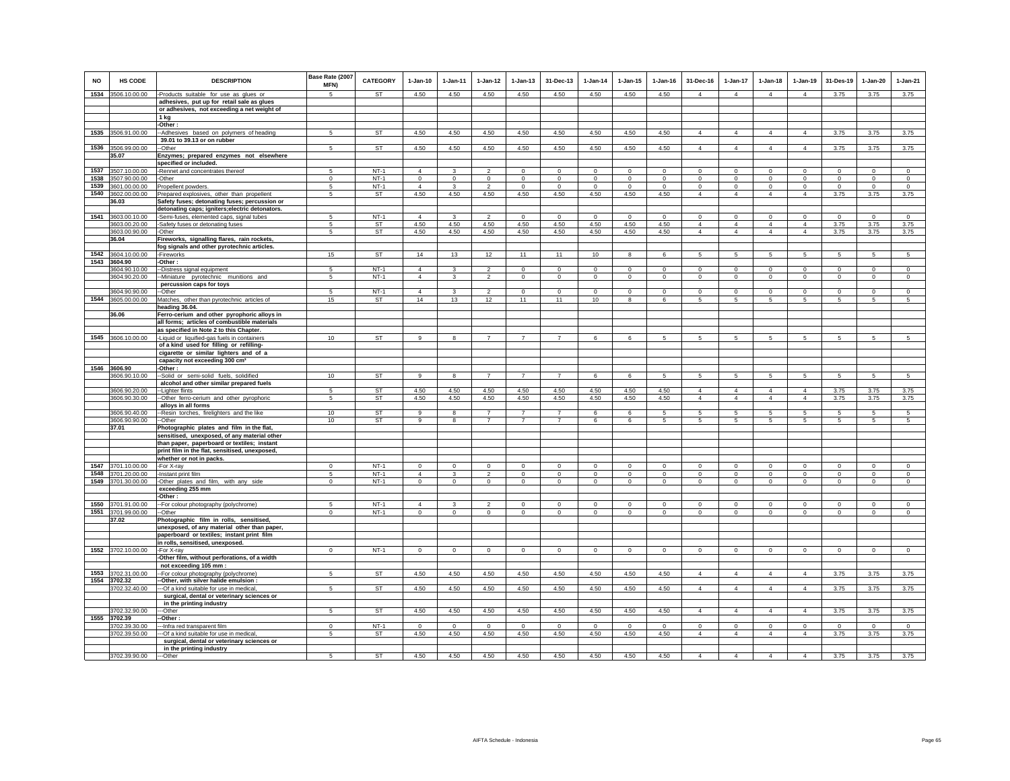| <b>NO</b>    | <b>HS CODE</b>                     | <b>DESCRIPTION</b>                                                                               | Base Rate (2007<br>MFN) | <b>CATEGORY</b>  | $1-Jan-10$     | 1-Jan-11                | $1 - Jan-12$              | $1 - Jan-13$   | 31-Dec-13                   | $1-Jan-14$              | $1 - Jan-15$            | $1 - Jan-16$            | 31-Dec-16       | 1-Jan-17        | $1-Jan-18$      | $1-Jan-19$                 | 31-Des-19                  | $1-Jan-20$      | $1-Jan-21$      |
|--------------|------------------------------------|--------------------------------------------------------------------------------------------------|-------------------------|------------------|----------------|-------------------------|---------------------------|----------------|-----------------------------|-------------------------|-------------------------|-------------------------|-----------------|-----------------|-----------------|----------------------------|----------------------------|-----------------|-----------------|
|              | 1534 3506.10.00.00                 | -Products suitable for use as glues or                                                           | 5                       | ST               | 4.50           | 4.50                    | 4.50                      | 4.50           | 4.50                        | 4.50                    | 4.50                    | 4.50                    | $\Delta$        | $\mathbf{A}$    | $\mathbf{A}$    | $\overline{4}$             | 3.75                       | 3.75            | 3.75            |
|              |                                    | adhesives, put up for retail sale as glues<br>or adhesives, not exceeding a net weight of        |                         |                  |                |                         |                           |                |                             |                         |                         |                         |                 |                 |                 |                            |                            |                 |                 |
|              |                                    | 1 kg                                                                                             |                         |                  |                |                         |                           |                |                             |                         |                         |                         |                 |                 |                 |                            |                            |                 |                 |
|              |                                    | -Other:                                                                                          |                         |                  |                |                         |                           |                |                             |                         |                         |                         |                 |                 |                 |                            |                            |                 |                 |
|              | 1535 3506.91.00.00                 | --Adhesives based on polymers of heading<br>39.01 to 39.13 or on rubber                          | 5                       | ST               | 4.50           | 4.50                    | 4.50                      | 4.50           | 4.50                        | 4.50                    | 4.50                    | 4.50                    | $\overline{4}$  | $\overline{4}$  | 4               | $\overline{4}$             | 3.75                       | 3.75            | 3.75            |
|              | 1536 3506.99.00.00                 | -Other                                                                                           | 5                       | <b>ST</b>        | 4.50           | 4.50                    | 4.50                      | 4.50           | 4.50                        | 4.50                    | 4.50                    | 4.50                    | $\overline{4}$  | $\overline{4}$  | $\overline{4}$  | $\overline{4}$             | 3.75                       | 3.75            | 3.75            |
|              | 35.07                              | Enzymes; prepared enzymes not elsewhere                                                          |                         |                  |                |                         |                           |                |                             |                         |                         |                         |                 |                 |                 |                            |                            |                 |                 |
|              |                                    | specified or included.                                                                           |                         |                  | $\overline{4}$ |                         |                           | $\Omega$       |                             |                         |                         |                         | $\Omega$        | $\Omega$        | $\Omega$        |                            |                            | $\Omega$        | $\Omega$        |
| 1537<br>1538 | 3507.10.00.00<br>3507.90.00.00     | -Rennet and concentrates thereof<br>-Other                                                       | -5<br>$\mathbf{0}$      | $NT-1$<br>$NT-1$ | $\circ$        | 3<br>$\circ$            | $\mathfrak{p}$<br>$\circ$ | $\mathbf 0$    | $\mathbf{0}$<br>$\mathbf 0$ | $\Omega$<br>$\mathbf 0$ | $\mathbf{0}$<br>$\circ$ | $\Omega$<br>$\mathbf 0$ | $\mathsf 0$     | $\mathsf 0$     | $\mathbf 0$     | $\mathbf 0$<br>$\mathbf 0$ | $\mathbf 0$<br>$\mathbf 0$ | $\mathbf 0$     | $\mathbf 0$     |
| 1539         | 3601.00.00.00                      | Propellent powders.                                                                              | 5                       | $NT-1$           | $\overline{4}$ | 3                       | $\overline{2}$            | $\mathsf 0$    | $\mathbf 0$                 | $\Omega$                | $\mathbb O$             | $\mathbf 0$             | $\mathbf 0$     | $\mathsf 0$     | $\mathbf 0$     | $\mathbf 0$                | $\mathbf 0$                | $\mathbf 0$     | $\mathbf 0$     |
| 1540         | 3602.00.00.00                      | Prepared explosives, other than propellent                                                       | 5                       | ST               | 4.50           | 4.50                    | 4.50                      | 4.50           | 4.50                        | 4.50                    | 4.50                    | 4.50                    | $\overline{4}$  | $\overline{4}$  | $\overline{4}$  | $\overline{4}$             | 3.75                       | 3.75            | 3.75            |
|              | 36.03                              | Safety fuses; detonating fuses; percussion or<br>detonating caps; igniters; electric detonators. |                         |                  |                |                         |                           |                |                             |                         |                         |                         |                 |                 |                 |                            |                            |                 |                 |
| 1541         | 3603.00.10.00                      | -Semi-fuses, elemented caps, signal tubes                                                        | 5                       | $NT-1$           | $\Delta$       | $\mathbf{R}$            | $\overline{2}$            | $\mathbf 0$    | $\mathbf{0}$                | $\Omega$                | $\Omega$                | $\Omega$                | $\mathbf 0$     | $\Omega$        | $\Omega$        | $\mathbf 0$                | $\Omega$                   | $\mathbf 0$     | $\overline{0}$  |
|              | 3603.00.20.00                      | -Safety fuses or detonating fuses                                                                | 5                       | <b>ST</b>        | 4.50           | 4.50                    | 4.50                      | 4.50           | 4.50                        | 4.50                    | 4.50                    | 4.50                    | $\overline{4}$  | $\overline{4}$  | $\overline{4}$  | $\overline{4}$             | 3.75                       | 3.75            | 3.75            |
|              | 3603.00.90.00                      | -Other                                                                                           | 5                       | ST               | 4.50           | 4.50                    | 4.50                      | 4.50           | 4.50                        | 4.50                    | 4.50                    | 4.50                    | $\overline{4}$  | $\overline{4}$  | $\overline{4}$  | $\overline{4}$             | 3.75                       | 3.75            | 3.75            |
|              | 36.04                              | Fireworks, signalling flares, rain rockets,                                                      |                         |                  |                |                         |                           |                |                             |                         |                         |                         |                 |                 |                 |                            |                            |                 |                 |
|              |                                    | fog signals and other pyrotechnic articles.                                                      |                         |                  |                |                         |                           |                |                             |                         |                         |                         |                 |                 |                 |                            |                            |                 |                 |
|              | 1542 3604.10.00.00<br>1543 3604.90 | -Fireworks<br>-Other:                                                                            | 15                      | ST               | 14             | 13                      | 12                        | 11             | 11                          | 10                      | 8                       | 6                       | 5               | 5               | $5\phantom{.0}$ | $5\phantom{.0}$            | $5\phantom{.0}$            | 5               | $\overline{5}$  |
|              | 3604.90.10.00                      | -Distress signal equipment                                                                       | 5                       | $NT-1$           | $\overline{4}$ | 3                       | $\overline{2}$            | $\mathbf 0$    | $\mathbf{0}$                | $^{\circ}$              | $\circ$                 | $\mathbf 0$             | $\mathbf 0$     | $\circ$         | $\mathbf 0$     | $\circ$                    | $\mathbf 0$                | $\mathbf 0$     | $\mathbf 0$     |
|              | 3604.90.20.00                      | -Miniature pyrotechnic munitions and                                                             | 5                       | $NT-1$           | $\Delta$       | $\mathcal{R}$           | $\mathcal{L}$             | $\circ$        | $\circ$                     | $\mathbf 0$             | $\circ$                 | $\mathbf{0}$            | $\mathbf 0$     | $\circ$         | $\circ$         | $\circ$                    | $\mathbf 0$                | $\mathbf 0$     | $\mathbf 0$     |
|              |                                    | percussion caps for toys                                                                         |                         |                  |                |                         |                           |                |                             |                         |                         |                         |                 |                 |                 |                            |                            |                 |                 |
|              | 3604.90.90.00                      | --Other                                                                                          | $\overline{a}$          | $NT-1$           | $\Delta$       | $\mathbf{R}$            | $\overline{\phantom{a}}$  | $\overline{0}$ | $\mathbf 0$                 | $\mathbf 0$             | $\overline{0}$          | $\Omega$                | $\Omega$        | $\circ$         | $\Omega$        | $\mathbf 0$                | $\Omega$                   | $\mathbf 0$     | $\overline{0}$  |
|              | 1544 3605.00.00.00                 | Matches, other than pyrotechnic articles of                                                      | 15                      | ST               | 14             | 13                      | 12                        | 11             | 11                          | 10                      | 8                       | 6                       | 5               | $5\phantom{.0}$ | 5               | 5                          | 5                          | 5               | 5               |
|              |                                    | heading 36.04.                                                                                   |                         |                  |                |                         |                           |                |                             |                         |                         |                         |                 |                 |                 |                            |                            |                 |                 |
|              | 36.06                              | Ferro-cerium and other pyrophoric alloys in<br>all forms; articles of combustible materials      |                         |                  |                |                         |                           |                |                             |                         |                         |                         |                 |                 |                 |                            |                            |                 |                 |
|              |                                    | as specified in Note 2 to this Chapter.                                                          |                         |                  |                |                         |                           |                |                             |                         |                         |                         |                 |                 |                 |                            |                            |                 |                 |
|              | 1545 3606.10.00.00                 | -Liquid or liquified-gas fuels in containers                                                     | 10                      | ST               | 9              | 8                       | $\overline{7}$            | $\overline{7}$ | $\overline{7}$              | 6                       | 6                       | 5                       | $5\overline{5}$ | $5\overline{5}$ | $5\overline{5}$ | $5\overline{5}$            | 5                          | $5\overline{5}$ | $5\overline{5}$ |
|              |                                    | of a kind used for filling or refilling-                                                         |                         |                  |                |                         |                           |                |                             |                         |                         |                         |                 |                 |                 |                            |                            |                 |                 |
|              |                                    | cigarette or similar lighters and of a                                                           |                         |                  |                |                         |                           |                |                             |                         |                         |                         |                 |                 |                 |                            |                            |                 |                 |
|              |                                    | capacity not exceeding 300 cm <sup>3</sup>                                                       |                         |                  |                |                         |                           |                |                             |                         |                         |                         |                 |                 |                 |                            |                            |                 |                 |
|              | 1546 3606.90                       | -Other:                                                                                          |                         |                  |                |                         |                           |                |                             |                         |                         |                         |                 |                 |                 |                            |                            |                 |                 |
|              | 3606.90.10.00                      | -Solid or semi-solid fuels, solidified                                                           | 10                      | <b>ST</b>        | 9              | 8                       | $\overline{7}$            | $\overline{7}$ | $\overline{7}$              | 6                       | 6                       | 5                       | 5               | 5               | 5               | 5                          | 5                          | 5               | 5               |
|              |                                    | alcohol and other similar prepared fuels                                                         | 5                       | <b>ST</b>        | 4.50           | 4.50                    | 4.50                      | 4.50           | 4.50                        | 4.50                    | 4.50                    | 4.50                    | $\Delta$        | $\mathbf{A}$    | $\Delta$        | $\Delta$                   | 3.75                       | 3.75            | 3.75            |
|              | 3606.90.20.00<br>3606.90.30.00     | --Lighter flints<br>-Other ferro-cerium and other pyrophoric                                     | 5                       | <b>ST</b>        | 4.50           | 4.50                    | 4.50                      | 4.50           | 4.50                        | 4.50                    | 4.50                    | 4.50                    | $\overline{4}$  | $\overline{4}$  | $\overline{4}$  | $\overline{4}$             | 3.75                       | 3.75            | 3.75            |
|              |                                    | alloys in all forms                                                                              |                         |                  |                |                         |                           |                |                             |                         |                         |                         |                 |                 |                 |                            |                            |                 |                 |
|              | 3606.90.40.00                      | -Resin torches, firelighters and the like                                                        | 10                      | <b>ST</b>        | 9              | 8                       | $\overline{7}$            | $\overline{7}$ | $\overline{7}$              | 6                       | 6                       | 5                       | 5               | 5               | 5               | 5                          | 5                          | 5               | 5               |
|              | 3606.90.90.00                      | -Other                                                                                           | 10                      | <b>ST</b>        | 9              | 8                       | $\overline{7}$            | $\overline{7}$ | $\overline{7}$              | 6                       | 6                       | 5                       | 5               | -5              | 5               | 5                          | 5                          | 5               | 5               |
|              | 37.01                              | Photographic plates and film in the flat,                                                        |                         |                  |                |                         |                           |                |                             |                         |                         |                         |                 |                 |                 |                            |                            |                 |                 |
|              |                                    | sensitised, unexposed, of any material other<br>than paper, paperboard or textiles; instant      |                         |                  |                |                         |                           |                |                             |                         |                         |                         |                 |                 |                 |                            |                            |                 |                 |
|              |                                    | print film in the flat, sensitised, unexposed,                                                   |                         |                  |                |                         |                           |                |                             |                         |                         |                         |                 |                 |                 |                            |                            |                 |                 |
|              |                                    | whether or not in packs.                                                                         |                         |                  |                |                         |                           |                |                             |                         |                         |                         |                 |                 |                 |                            |                            |                 |                 |
|              | 1547 3701.10.00.00                 | -For X-ray                                                                                       | $\mathbf{0}$            | $NT-1$           | $\mathbf 0$    | $\circ$                 | $\mathbf 0$               | $\mathsf 0$    | $\mathbf{0}$                | $\mathbf 0$             | $\mathbf 0$             | $\mathbf 0$             | $\mathbf 0$     | $\circ$         | $\mathsf 0$     | $\mathbf 0$                | $^{\circ}$                 | $\mathbf 0$     | $\mathbb O$     |
|              | 1548 3701.20.00.00                 | -Instant print film                                                                              | 5                       | $NT-1$           | $\overline{4}$ | $\overline{\mathbf{3}}$ | $\overline{2}$            | $\mathbf 0$    | $\mathbf 0$                 | $\mathsf 0$             | $\mathsf 0$             | $\mathsf 0$             | $\mathsf 0$     | $\circ$         | $\mathbf 0$     | $\mathsf{O}$               | $\mathbf 0$                | $\mathbf 0$     | $\mathbb O$     |
|              | 1549 3701.30.00.00                 | -Other plates and film, with any side                                                            | $\Omega$                | $NT-1$           | $\circ$        | $\circ$                 | $\circ$                   | $\mathbf 0$    | $\mathbf{0}$                | $\circ$                 | $\mathsf 0$             | $\mathsf 0$             | $\mathbf 0$     | $\circ$         | $\mathbf 0$     | $\mathbf 0$                | $\Omega$                   | $^{\circ}$      | $\Omega$        |
|              |                                    | exceeding 255 mm                                                                                 |                         |                  |                |                         |                           |                |                             |                         |                         |                         |                 |                 |                 |                            |                            |                 |                 |
|              | 1550 3701.91.00.00                 | -Other:                                                                                          | 5                       | $NT-1$           | $\Delta$       |                         | $\mathcal{P}$             | $\Omega$       | $\Omega$                    | $\Omega$                | $\Omega$                | $\Omega$                | $\Omega$        | $\Omega$        | $\Omega$        | $\mathbf 0$                | $\Omega$                   | $\Omega$        | $\Omega$        |
|              | 1551 3701.99.00.00                 | -For colour photography (polychrome)<br>-Other                                                   | $\mathbf{0}$            | $NT-1$           | $\mathbf 0$    | $\mathbf 0$             | $\circ$                   | $\circ$        | $\mathbf{0}$                | $\mathbf 0$             | $\mathbf 0$             | $\mathbf 0$             | $\mathbf 0$     | $\circ$         | $\circ$         | $\circ$                    | $\mathbf 0$                | $\mathbf 0$     | $\mathbf 0$     |
|              | 37.02                              | Photographic film in rolls, sensitised,                                                          |                         |                  |                |                         |                           |                |                             |                         |                         |                         |                 |                 |                 |                            |                            |                 |                 |
|              |                                    | unexposed, of any material other than paper,                                                     |                         |                  |                |                         |                           |                |                             |                         |                         |                         |                 |                 |                 |                            |                            |                 |                 |
|              |                                    | paperboard or textiles; instant print film                                                       |                         |                  |                |                         |                           |                |                             |                         |                         |                         |                 |                 |                 |                            |                            |                 |                 |
|              |                                    | in rolls, sensitised, unexposed.                                                                 |                         |                  |                |                         |                           |                |                             |                         |                         |                         |                 |                 |                 |                            |                            |                 |                 |
|              | 1552 3702.10.00.00                 | -For X-ray                                                                                       | $\Omega$                | $NT-1$           | $\mathbf{0}$   | $\Omega$                | $\mathbf 0$               | $\circ$        | $\mathbf 0$                 | $\mathbf 0$             | $\mathbb O$             | $\mathbf 0$             | $\mathbf 0$     | $\circ$         | $\Omega$        | $\mathbf 0$                | $\mathbf 0$                | $\mathbf 0$     | $\Omega$        |
|              |                                    | -Other film, without perforations, of a width                                                    |                         |                  |                |                         |                           |                |                             |                         |                         |                         |                 |                 |                 |                            |                            |                 |                 |
|              |                                    | not exceeding 105 mm :                                                                           |                         |                  |                |                         |                           |                |                             |                         |                         |                         |                 |                 |                 |                            |                            |                 |                 |
| 1553         | 3702.31.00.00<br>1554 3702.32      | -For colour photography (polychrome)<br>-Other, with silver halide emulsion :                    |                         | ST               | 4.50           | 4.50                    | 4.50                      | 4.50           | 4.50                        | 4.50                    | 4.50                    | 4.50                    | $\overline{4}$  | $\overline{4}$  | 4               | $\overline{4}$             | 3.75                       | 3.75            | 3.75            |
|              | 3702.32.40.00                      | --Of a kind suitable for use in medical                                                          | -5                      | ST               | 4.50           | 4.50                    | 4.50                      | 4.50           | 4.50                        | 4.50                    | 4.50                    | 4.50                    | $\overline{4}$  | $\overline{4}$  | $\overline{4}$  | $\overline{4}$             | 3.75                       | 3.75            | 3.75            |
|              |                                    | surgical, dental or veterinary sciences or                                                       |                         |                  |                |                         |                           |                |                             |                         |                         |                         |                 |                 |                 |                            |                            |                 |                 |
|              |                                    | in the printing industry                                                                         |                         |                  |                |                         |                           |                |                             |                         |                         |                         |                 |                 |                 |                            |                            |                 |                 |
|              | 3702.32.90.00                      | --Other                                                                                          | 5                       | <b>ST</b>        | 4.50           | 4.50                    | 4.50                      | 4.50           | 4.50                        | 4.50                    | 4.50                    | 4.50                    | $\overline{4}$  | $\overline{4}$  | $\overline{4}$  | $\overline{4}$             | 3.75                       | 3.75            | 3.75            |
|              | 1555 3702.39                       | -Other :                                                                                         |                         |                  |                |                         |                           |                |                             |                         |                         |                         |                 |                 |                 |                            |                            |                 |                 |
|              | 3702.39.30.00                      | -- Infra red transparent film                                                                    | $\Omega$                | $NT-1$           | $\mathbf 0$    | $\circ$                 | $\circ$                   | $\circ$        | $\mathbf{0}$                | $\circ$                 | $\circ$                 | $\mathbf 0$             | $\mathbf 0$     | $\circ$         | $\mathbf 0$     | $\circ$                    | $\mathbf 0$                | $\mathbf 0$     | $\mathbf 0$     |
|              | 3702.39.50.00                      | --Of a kind suitable for use in medical,<br>surgical, dental or veterinary sciences or           | 5                       | ST               | 4.50           | 4.50                    | 4.50                      | 4.50           | 4.50                        | 4.50                    | 4.50                    | 4.50                    | $\overline{4}$  | $\overline{4}$  | 4               | $\overline{4}$             | 3.75                       | 3.75            | 3.75            |
|              |                                    | in the printing industry                                                                         |                         |                  |                |                         |                           |                |                             |                         |                         |                         |                 |                 |                 |                            |                            |                 |                 |
|              | 3702.39.90.00                      | ---Other                                                                                         |                         | <b>ST</b>        | 4.50           | 4.50                    | 4.50                      | 4.50           | 4.50                        | 4.50                    | 4.50                    | 4.50                    | $\overline{4}$  | $\overline{4}$  | $\overline{4}$  | $\overline{4}$             | 3.75                       | 3.75            | 3.75            |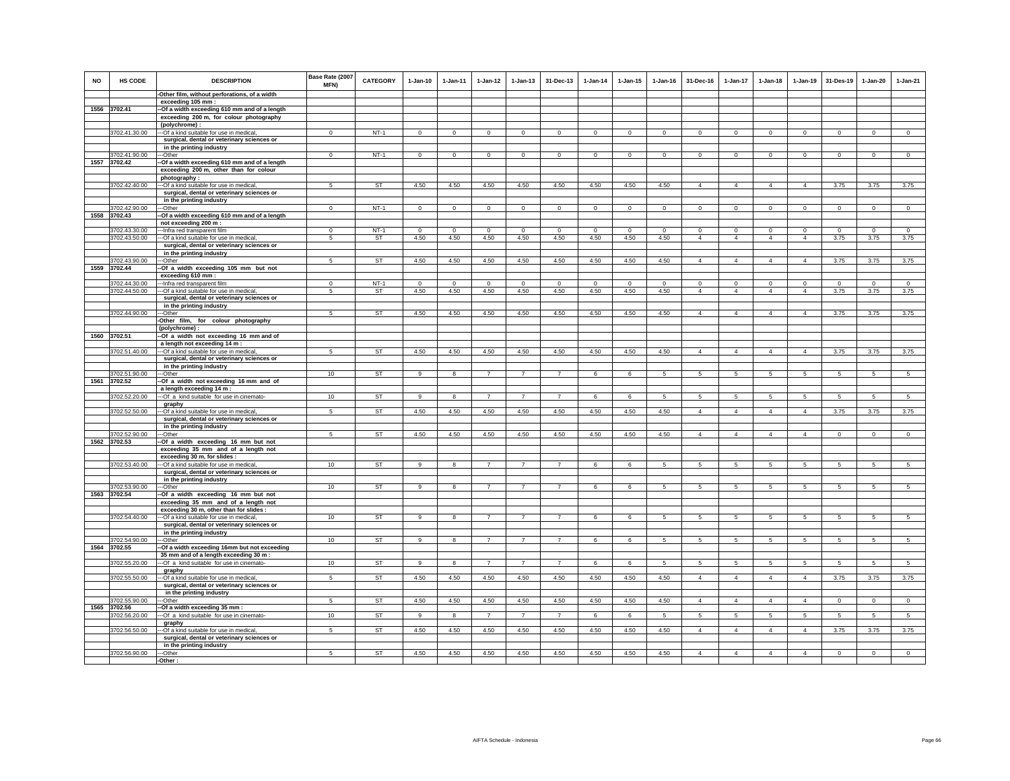| <b>NO</b> | HS CODE                       | <b>DESCRIPTION</b>                                                      | Base Rate (2007<br><b>MFN)</b> | <b>CATEGORY</b> | $1-Jan-10$     | $1 - Jan-11$ | $1 - Jan-12$   | $1 - Jan-13$   | 31-Dec-13      | $1-Jan-14$  | $1 - Jan-15$ | $1$ -Jan-16    | 31-Dec-16       | $1-Jan-17$      | $1-Jan-18$      | $1-Jan-19$     | 31-Des-19       | 1-Jan-20       | $1-Jan-21$      |
|-----------|-------------------------------|-------------------------------------------------------------------------|--------------------------------|-----------------|----------------|--------------|----------------|----------------|----------------|-------------|--------------|----------------|-----------------|-----------------|-----------------|----------------|-----------------|----------------|-----------------|
|           |                               | -Other film, without perforations, of a width<br>exceeding 105 mm :     |                                |                 |                |              |                |                |                |             |              |                |                 |                 |                 |                |                 |                |                 |
|           | 1556 3702.41                  | -Of a width exceeding 610 mm and of a length                            |                                |                 |                |              |                |                |                |             |              |                |                 |                 |                 |                |                 |                |                 |
|           |                               | exceeding 200 m, for colour photography                                 |                                |                 |                |              |                |                |                |             |              |                |                 |                 |                 |                |                 |                |                 |
|           |                               | (polychrome):                                                           |                                |                 |                |              |                |                |                |             |              |                |                 |                 |                 |                |                 |                |                 |
|           | 3702.41.30.00                 | --Of a kind suitable for use in medical,                                | $\mathbf{0}$                   | $NT-1$          | $\Omega$       | $\mathbf 0$  | $\mathsf 0$    | $\mathbf 0$    | $\mathbf 0$    | $\circ$     | $\mathbf 0$  | $\mathsf 0$    | $\Omega$        | $\Omega$        | $\mathbf{0}$    | $\circ$        | $\mathbf 0$     | $\Omega$       | $\overline{0}$  |
|           |                               | surgical, dental or veterinary sciences or                              |                                |                 |                |              |                |                |                |             |              |                |                 |                 |                 |                |                 |                |                 |
|           |                               | in the printing industry                                                |                                |                 |                |              |                |                |                |             |              |                |                 |                 |                 |                |                 |                |                 |
|           | 3702.41.90.00                 | -Other                                                                  | $\mathbf 0$                    | $NT-1$          | $\mathbf 0$    | $\mathbf 0$  | $\mathbf 0$    | $\mathbf 0$    | $\mathbf 0$    | $\,0\,$     | $\mathbf 0$  | $\mathbf 0$    | $\mathbf 0$     | $\mathbf 0$     | $\mathbf 0$     | $\mathbf 0$    | $\mathbf 0$     | $\mathbf 0$    | $\mathbf 0$     |
|           | 1557 3702.42                  | --Of a width exceeding 610 mm and of a length                           |                                |                 |                |              |                |                |                |             |              |                |                 |                 |                 |                |                 |                |                 |
|           |                               | exceeding 200 m, other than for colour                                  |                                |                 |                |              |                |                |                |             |              |                |                 |                 |                 |                |                 |                |                 |
|           |                               | photography:                                                            |                                |                 |                |              |                |                |                |             |              |                |                 |                 |                 |                |                 |                |                 |
|           | 3702.42.40.00                 | --- Of a kind suitable for use in medical                               | 5                              | ST              | 4.50           | 4.50         | 4.50           | 4.50           | 4.50           | 4.50        | 4.50         | 4.50           | $\overline{4}$  | $\overline{4}$  | $\overline{4}$  | $\overline{4}$ | 3.75            | 3.75           | 3.75            |
|           |                               | surgical, dental or veterinary sciences or                              |                                |                 |                |              |                |                |                |             |              |                |                 |                 |                 |                |                 |                |                 |
|           | 3702.42.90.00                 | in the printing industry<br>--Other                                     | $^{\circ}$                     | $NT-1$          | $\mathbf{0}$   | $\mathbf{0}$ | $\mathsf 0$    | $\mathbf 0$    | $\mathbf 0$    | $\mathsf 0$ | $\mathbf 0$  | $\mathbf 0$    | $\Omega$        | 0               | $\mathbf{0}$    | $\mathbf 0$    | $\mathbf 0$     | $\mathbf 0$    | $\mathsf 0$     |
| 1558      | 3702.43                       | -Of a width exceeding 610 mm and of a length                            |                                |                 |                |              |                |                |                |             |              |                |                 |                 |                 |                |                 |                |                 |
|           |                               | not exceeding 200 m :                                                   |                                |                 |                |              |                |                |                |             |              |                |                 |                 |                 |                |                 |                |                 |
|           | 3702.43.30.00                 | -- Infra red transparent film                                           | $\Omega$                       | $NT-1$          | $\Omega$       | $\Omega$     | $\mathbf 0$    | $\Omega$       | $\mathbf 0$    | $\Omega$    | $\Omega$     | $\Omega$       | $\Omega$        | 0               | $\Omega$        | $\mathbf 0$    | $\Omega$        | $\Omega$       | $\Omega$        |
|           | 3702.43.50.00                 | --- Of a kind suitable for use in medical                               | 5                              | <b>ST</b>       | 4.50           | 4.50         | 4.50           | 4.50           | 4.50           | 4.50        | 4.50         | 4.50           | $\overline{4}$  | $\overline{4}$  | $\overline{4}$  | $\overline{4}$ | 3.75            | 3.75           | 3.75            |
|           |                               | surgical, dental or veterinary sciences or                              |                                |                 |                |              |                |                |                |             |              |                |                 |                 |                 |                |                 |                |                 |
|           |                               | in the printing industry                                                |                                |                 |                |              |                |                |                |             |              |                |                 |                 |                 |                |                 |                |                 |
|           | 3702.43.90.00                 | --Other                                                                 | 5                              | <b>ST</b>       | 4.50           | 4.50         | 4.50           | 4.50           | 4.50           | 4.50        | 4.50         | 4.50           | $\overline{4}$  | $\overline{4}$  | $\overline{4}$  | $\overline{4}$ | 3.75            | 3.75           | 3.75            |
|           | 1559 3702.44                  | -Of a width exceeding 105 mm but not<br>exceeding 610 mm :              |                                |                 |                |              |                |                |                |             |              |                |                 |                 |                 |                |                 |                |                 |
|           | 3702.44.30.00                 | -Infra red transparent film                                             | $^{\circ}$                     | $NT-1$          | $\mathbf{0}$   | $\mathbf 0$  | $\mathsf 0$    | $\mathbf 0$    | $\mathsf 0$    | $\mathsf 0$ | $\mathbf 0$  | $\mathbf{0}$   | $^{\circ}$      | $\mathbf 0$     | $\mathbf 0$     | $\mathbf 0$    | $\mathbf 0$     | $\mathsf 0$    | $\mathsf 0$     |
|           | 3702.44.50.00                 | -Of a kind suitable for use in medical                                  | 5                              | ST              | 4.50           | 4.50         | 4.50           | 4.50           | 4.50           | 4.50        | 4.50         | 4.50           | $\overline{4}$  | $\overline{4}$  | $\overline{4}$  | $\overline{4}$ | 3.75            | 3.75           | 3.75            |
|           |                               | surgical, dental or veterinary sciences or                              |                                |                 |                |              |                |                |                |             |              |                |                 |                 |                 |                |                 |                |                 |
|           |                               | in the printing industry                                                |                                |                 |                |              |                |                |                |             |              |                |                 |                 |                 |                |                 |                |                 |
|           | 3702.44.90.00                 | ---Other                                                                | 5                              | <b>ST</b>       | 4.50           | 4.50         | 4.50           | 4.50           | 4.50           | 4.50        | 4.50         | 4.50           | $\overline{4}$  | $\overline{4}$  | $\overline{4}$  | $\overline{4}$ | 3.75            | 3.75           | 3.75            |
|           |                               | -Other film, for colour photography                                     |                                |                 |                |              |                |                |                |             |              |                |                 |                 |                 |                |                 |                |                 |
|           |                               | (polychrome):                                                           |                                |                 |                |              |                |                |                |             |              |                |                 |                 |                 |                |                 |                |                 |
|           | 1560 3702.51                  | -Of a width not exceeding 16 mm and of                                  |                                |                 |                |              |                |                |                |             |              |                |                 |                 |                 |                |                 |                |                 |
|           | 3702.51.40.00                 | a length not exceeding 14 m :<br>-Of a kind suitable for use in medical | 5                              | ST              | 4.50           | 4.50         | 4.50           | 4.50           | 4.50           | 4.50        | 4.50         | 4.50           | $\overline{4}$  | 4               | $\overline{4}$  | $\overline{4}$ | 3.75            | 3.75           | 3.75            |
|           |                               | surgical, dental or veterinary sciences or                              |                                |                 |                |              |                |                |                |             |              |                |                 |                 |                 |                |                 |                |                 |
|           |                               | in the printing industry                                                |                                |                 |                |              |                |                |                |             |              |                |                 |                 |                 |                |                 |                |                 |
|           | 3702.51.90.00                 | -Other                                                                  | 10                             | <b>ST</b>       | $\mathbf{9}$   | 8            | $\overline{7}$ | $\overline{7}$ | $\overline{7}$ | 6           | 6            | 5              | 5               | 5               | 5               | 5              | 5               | 5              | $\sqrt{5}$      |
|           | 1561 3702.52                  | -Of a width not exceeding 16 mm and of                                  |                                |                 |                |              |                |                |                |             |              |                |                 |                 |                 |                |                 |                |                 |
|           |                               | a length exceeding 14 m :                                               |                                |                 |                |              |                |                |                |             |              |                |                 |                 |                 |                |                 |                |                 |
|           | 3702.52.20.00                 | -- Of a kind suitable for use in cinemato-                              | 10                             | <b>ST</b>       | 9              | 8            | $\overline{7}$ | $\overline{7}$ | $\overline{7}$ | 6           | 6            | 5              | 5               | 5               | 5               | 5              | 5               | 5              | 5               |
|           |                               | graphy                                                                  |                                |                 |                |              |                |                |                |             |              |                |                 |                 |                 |                |                 |                |                 |
|           | 3702.52.50.00                 | -- Of a kind suitable for use in medical,                               | 5                              | <b>ST</b>       | 4.50           | 4.50         | 4.50           | 4.50           | 4.50           | 4.50        | 4.50         | 4.50           | $\overline{4}$  | $\overline{4}$  | $\overline{4}$  | $\overline{4}$ | 3.75            | 3.75           | 3.75            |
|           |                               | surgical, dental or veterinary sciences or<br>in the printing industry  |                                |                 |                |              |                |                |                |             |              |                |                 |                 |                 |                |                 |                |                 |
|           | 702.52.90.00                  | -Other                                                                  | 5                              | <b>ST</b>       | 4.50           | 4.50         | 4.50           | 4.50           | 4.50           | 4.50        | 4.50         | 4.50           | $\overline{4}$  | $\overline{4}$  | $\overline{4}$  | $\overline{4}$ | $\mathbf 0$     | $\mathbf 0$    | $\mathsf 0$     |
| 1562      | 3702.53                       | -Of a width exceeding 16 mm but not                                     |                                |                 |                |              |                |                |                |             |              |                |                 |                 |                 |                |                 |                |                 |
|           |                               | exceeding 35 mm and of a length not                                     |                                |                 |                |              |                |                |                |             |              |                |                 |                 |                 |                |                 |                |                 |
|           |                               | exceeding 30 m, for slides :                                            |                                |                 |                |              |                |                |                |             |              |                |                 |                 |                 |                |                 |                |                 |
|           | 3702.53.40.00                 | -- Of a kind suitable for use in medical                                | 10                             | <b>ST</b>       | 9              | 8            | $\overline{7}$ | $\overline{7}$ | $\overline{7}$ | 6           | 6            | -5             | $5\overline{5}$ | $\sqrt{5}$      | $5\overline{5}$ | 5              | $\overline{5}$  | $\overline{5}$ | $5\overline{)}$ |
|           |                               | surgical, dental or veterinary sciences or                              |                                |                 |                |              |                |                |                |             |              |                |                 |                 |                 |                |                 |                |                 |
|           | 3702.53.90.00                 | in the printing industry<br>--Other                                     | 10                             | ST              | 9              | 8            | $\overline{7}$ | $\overline{7}$ | $\overline{7}$ | 6           | 6            | 5              | 5               | $5\phantom{.0}$ | $5\phantom{.0}$ | 5              | 5               | $\sqrt{5}$     | 5               |
|           | 1563 3702.54                  | -Of a width exceeding 16 mm but not                                     |                                |                 |                |              |                |                |                |             |              |                |                 |                 |                 |                |                 |                |                 |
|           |                               | exceeding 35 mm and of a length not                                     |                                |                 |                |              |                |                |                |             |              |                |                 |                 |                 |                |                 |                |                 |
|           |                               | exceeding 30 m, other than for slides :                                 |                                |                 |                |              |                |                |                |             |              |                |                 |                 |                 |                |                 |                |                 |
|           | 3702.54.40.00                 | -Of a kind suitable for use in medical,                                 | 10                             | ST              | 9              | 8            | $\overline{7}$ | $\overline{7}$ |                | 6           | 6            |                | 5               | 5               | 5               | 5              | 5               | 5              | 5               |
|           |                               | surgical, dental or veterinary sciences or                              |                                |                 |                |              |                |                |                |             |              |                |                 |                 |                 |                |                 |                |                 |
|           |                               | in the printing industry                                                |                                |                 |                |              |                |                |                |             |              |                |                 |                 |                 |                |                 |                |                 |
|           | 3702.54.90.00<br>1564 3702.55 | --Other<br>-Of a width exceeding 16mm but not exceeding                 | 10                             | <b>ST</b>       | 9              | 8            | $\overline{7}$ | $\overline{7}$ | $\overline{7}$ | 6           | 6            | 5              | 5               | 5 <sup>5</sup>  | 5               | $\overline{5}$ | $\overline{5}$  | 5              | $\overline{5}$  |
|           |                               | 35 mm and of a length exceeding 30 m :                                  |                                |                 |                |              |                |                |                |             |              |                |                 |                 |                 |                |                 |                |                 |
|           | 3702.55.20.00                 | --- Of a kind suitable for use in cinemato-                             | 10                             | ST              | 9              | 8            | $\overline{7}$ | $\overline{7}$ | $\overline{7}$ | 6           | 6            | 5              | $\sqrt{5}$      | $5\phantom{.0}$ | $5\phantom{.0}$ | 5              | $5\phantom{.0}$ | $\sqrt{5}$     | 5               |
|           |                               | graphy                                                                  |                                |                 |                |              |                |                |                |             |              |                |                 |                 |                 |                |                 |                |                 |
|           | 3702.55.50.00                 | -Of a kind suitable for use in medical                                  | 5                              | <b>ST</b>       | 4.50           | 4.50         | 4.50           | 4.50           | 4.50           | 4.50        | 4.50         | 4.50           | $\overline{4}$  | $\overline{4}$  | $\overline{4}$  | $\overline{4}$ | 3.75            | 3.75           | 3.75            |
|           |                               | surgical, dental or veterinary sciences or                              |                                |                 |                |              |                |                |                |             |              |                |                 |                 |                 |                |                 |                |                 |
|           |                               | in the printing industry                                                |                                |                 |                |              |                |                |                |             |              |                |                 |                 |                 |                |                 |                |                 |
|           | 3702.55.90.00                 | -Other                                                                  | $\sqrt{5}$                     | ST              | 4.50           | 4.50         | 4.50           | 4.50           | 4.50           | 4.50        | 4.50         | 4.50           | $\overline{4}$  | $\overline{4}$  | $\overline{4}$  | $\overline{4}$ | $\overline{0}$  | $\mathbf 0$    | $\overline{0}$  |
| 1565      | 3702.56                       | -Of a width exceeding 35 mm :                                           |                                |                 |                |              |                |                |                |             |              |                |                 |                 |                 |                |                 |                |                 |
|           | 3702.56.20.00                 | -- Of a kind suitable for use in cinemato-                              | 10                             | <b>ST</b>       | $\overline{9}$ | $\mathbf{g}$ | $\overline{7}$ | $\overline{7}$ | $\overline{7}$ | 6           | 6            | $\overline{5}$ | $\overline{5}$  | 5               | 5               | $\overline{5}$ | 5               | $\overline{5}$ | $\overline{5}$  |
|           | 3702.56.50.00                 | graphy<br>--- Of a kind suitable for use in medical                     | 5                              | ST              | 4.50           | 4.50         | 4.50           | 4.50           | 4.50           | 4.50        | 4.50         | 4.50           | $\overline{4}$  | 4               | $\overline{4}$  | $\overline{4}$ | 3.75            | 3.75           | 3.75            |
|           |                               | surgical, dental or veterinary sciences or                              |                                |                 |                |              |                |                |                |             |              |                |                 |                 |                 |                |                 |                |                 |
|           |                               | in the printing industry                                                |                                |                 |                |              |                |                |                |             |              |                |                 |                 |                 |                |                 |                |                 |
|           | 3702.56.90.00                 | -Other                                                                  | 5                              | <b>ST</b>       | 4.50           | 4.50         | 4.50           | 4.50           | 4.50           | 4.50        | 4.50         | 4.50           | $\overline{4}$  | $\overline{4}$  | $\overline{4}$  | $\overline{4}$ | $\mathbf 0$     | $\mathsf 0$    | $\mathsf 0$     |
|           |                               | -Other:                                                                 |                                |                 |                |              |                |                |                |             |              |                |                 |                 |                 |                |                 |                |                 |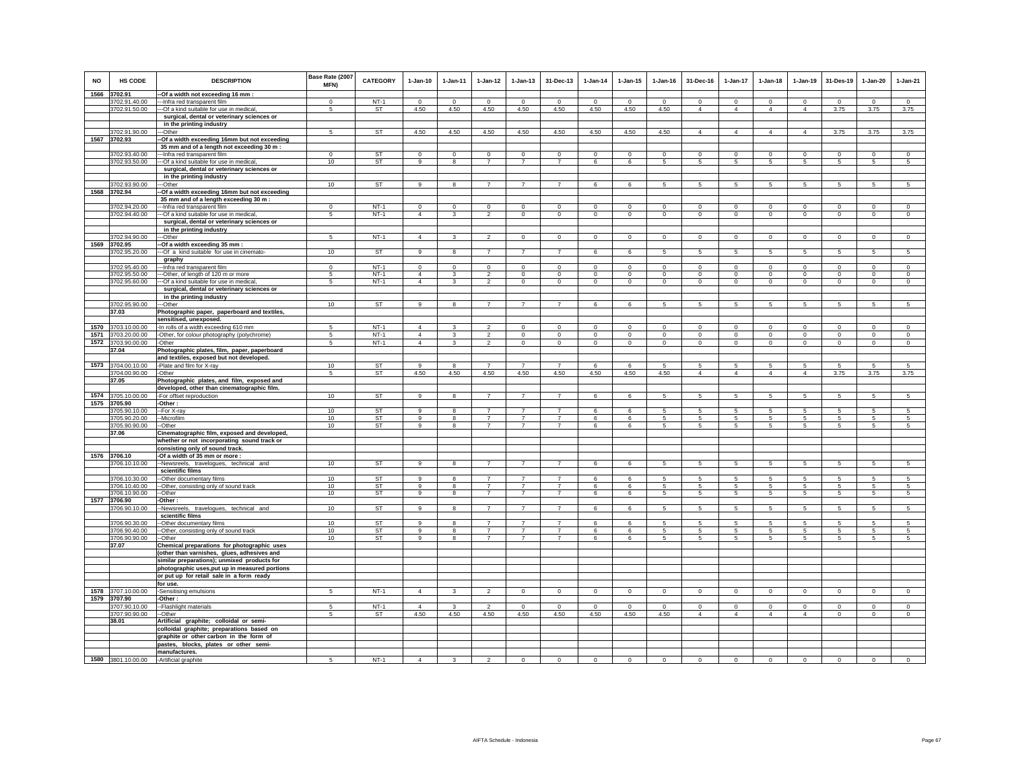| <b>NO</b> | <b>HS CODE</b>     | <b>DESCRIPTION</b>                                                      | Base Rate (2007<br>MFN) | <b>CATEGORY</b> | $1-Jan-10$     | $1-Jan-11$   | $1-Jan-12$     | $1-Jan-13$     | 31-Dec-13      | $1-Jan-14$     | $1 - Jan-15$           | $1-Jan-16$     | 31-Dec-16       | 1-Jan-17        | $1-Jan-18$      | $1-Jan-19$      | 31-Des-19      | $1-Jan-20$     | $1-Jan-21$      |
|-----------|--------------------|-------------------------------------------------------------------------|-------------------------|-----------------|----------------|--------------|----------------|----------------|----------------|----------------|------------------------|----------------|-----------------|-----------------|-----------------|-----------------|----------------|----------------|-----------------|
|           | 1566 3702.91       | -Of a width not exceeding 16 mm :                                       |                         |                 |                |              |                |                |                |                |                        |                |                 |                 |                 |                 |                |                |                 |
|           | 3702.91.40.00      | --- Infra red transparent film                                          | $\Omega$                | $NT-1$          | $\Omega$       | $\Omega$     | $\circ$        | $\Omega$       | $\mathbf 0$    | $\Omega$       | $\Omega$               | $\Omega$       | $\Omega$        | $\circ$         | $\Omega$        | $\Omega$        | $\mathbf 0$    | $\Omega$       | $\mathsf 0$     |
|           | 3702.91.50.00      | --- Of a kind suitable for use in medical,                              | 5                       | ST              | 4.50           | 4.50         | 4.50           | 4.50           | 4.50           | 4.50           | 4.50                   | 4.50           | $\overline{4}$  | $\overline{4}$  | $\overline{4}$  | $\overline{4}$  | 3.75           | 3.75           | 3.75            |
|           |                    | surgical, dental or veterinary sciences or                              |                         |                 |                |              |                |                |                |                |                        |                |                 |                 |                 |                 |                |                |                 |
|           |                    | in the printing industry                                                |                         |                 |                |              |                |                |                |                |                        |                |                 |                 |                 |                 |                |                |                 |
|           | 3702.91.90.00      | --Other                                                                 | 5                       | <b>ST</b>       | 4.50           | 4.50         | 4.50           | 4.50           | 4.50           | 4.50           | 4.50                   | 4.50           | $\overline{4}$  | $\overline{4}$  | $\overline{4}$  | $\overline{4}$  | 3.75           | 3.75           | 3.75            |
|           | 1567 3702.93       | -Of a width exceeding 16mm but not exceeding                            |                         |                 |                |              |                |                |                |                |                        |                |                 |                 |                 |                 |                |                |                 |
|           |                    | 35 mm and of a length not exceeding 30 m :                              |                         |                 |                |              |                |                |                |                |                        |                |                 |                 |                 |                 |                |                |                 |
|           | 3702.93.40.00      | -- Infra red transparent film                                           | $^{\circ}$              | <b>ST</b>       | $^{\circ}$     | $^{\circ}$   | $\circ$        | 0              | $\mathbf 0$    | $\circ$        | 0                      | $\mathbf 0$    | $\mathbf 0$     | $\mathbf 0$     | $\mathbf 0$     | $\mathbf 0$     | $\mathbf 0$    | $\circ$        | $\mathbf 0$     |
|           | 3702.93.50.00      | --Of a kind suitable for use in medical,                                | 10                      | <b>ST</b>       | 9              | 8            | $\overline{7}$ | $\overline{7}$ | $\overline{7}$ | 6              | 6                      | 5              | 5               | $5\phantom{.0}$ | 5               | $\overline{5}$  | 5              | 5              | 5               |
|           |                    | surgical, dental or veterinary sciences or                              |                         |                 |                |              |                |                |                |                |                        |                |                 |                 |                 |                 |                |                |                 |
|           |                    | in the printing industry                                                |                         | ST              |                |              |                | $\overline{7}$ | $\overline{7}$ |                |                        |                |                 |                 |                 |                 |                |                |                 |
|           | 3702.93.90.00      | ---Other                                                                | 10                      |                 | 9              | 8            | $\overline{7}$ |                |                | 6              | 6                      | -5             | 5               | 5               | $5\overline{5}$ | $5\overline{5}$ | 5              | 5              | 5               |
|           | 1568 3702.94       | -Of a width exceeding 16mm but not exceeding                            |                         |                 |                |              |                |                |                |                |                        |                |                 |                 |                 |                 |                |                |                 |
|           | 3702.94.20.00      | 35 mm and of a length exceeding 30 m :                                  | $\mathbf{0}$            | $NT-1$          | $\Omega$       | $\Omega$     | $\mathbf{0}$   | $\mathbf 0$    | $\mathbf{0}$   | $\mathbf 0$    |                        | $\circ$        | $\Omega$        | $\circ$         | $\mathbf{0}$    | $^{\circ}$      | $\mathbf 0$    | $\mathbf{0}$   | $\mathbf{0}$    |
|           | 3702.94.40.00      | -- Infra red transparent film<br>-Of a kind suitable for use in medical | 5                       | $NT-1$          | $\overline{4}$ | $\mathbf{3}$ | $\overline{2}$ | $\mathsf 0$    | $\mathbf{0}$   | $\mathsf 0$    | $\circ$<br>$\mathsf 0$ | $\mathsf 0$    | $\mathbf 0$     | $\mathbf 0$     | $\mathbf 0$     | $\mathbf 0$     | $\mathbf 0$    | $\mathsf 0$    | $\mathsf 0$     |
|           |                    | surgical, dental or veterinary sciences or                              |                         |                 |                |              |                |                |                |                |                        |                |                 |                 |                 |                 |                |                |                 |
|           |                    | in the printing industry                                                |                         |                 |                |              |                |                |                |                |                        |                |                 |                 |                 |                 |                |                |                 |
|           | 3702.94.90.00      | ---Other                                                                | 5                       | $NT-1$          | $\overline{4}$ | 3            | $\overline{2}$ | $\Omega$       | $\overline{0}$ | $\overline{0}$ | $\Omega$               | $\Omega$       | $\Omega$        | $\overline{0}$  | $\Omega$        | $\overline{0}$  | $\overline{0}$ | $\Omega$       | $\overline{0}$  |
|           | 1569 3702.95       | -Of a width exceeding 35 mm :                                           |                         |                 |                |              |                |                |                |                |                        |                |                 |                 |                 |                 |                |                |                 |
|           | 3702.95.20.00      | --- Of a kind suitable for use in cinemato-                             | 10                      | ST              | 9              |              |                |                | $\overline{7}$ | 6              | 6                      |                | 5               | 5               | 5               | 5               | 5              | 5              | 5               |
|           |                    |                                                                         |                         |                 |                |              |                |                |                |                |                        |                |                 |                 |                 |                 |                |                |                 |
|           | 3702.95.40.00      | graphy<br>--- Infra red transparent film                                | $\Omega$                | $NT-1$          | $\Omega$       | $\Omega$     | $\mathbf 0$    | $\Omega$       | $\circ$        | $\mathbf 0$    | $\Omega$               | $\Omega$       | $\Omega$        | $\circ$         | $\Omega$        | $\mathbf 0$     | $\mathbf 0$    | $\circ$        | $\circ$         |
|           | 3702.95.50.00      | -- Other, of length of 120 m or more                                    | -5                      | $NT-1$          | $\overline{4}$ | 3            | 2              | $^{\circ}$     | $\mathbf 0$    | $\Omega$       | $^{\circ}$             | $\Omega$       | $\Omega$        | $\mathbf 0$     | $\Omega$        | $\Omega$        | $\Omega$       | $\Omega$       | $\Omega$        |
|           | 3702.95.60.00      | --Of a kind suitable for use in medical                                 | 5                       | $NT-1$          | $\overline{4}$ | 3            | $\overline{2}$ | $\mathsf 0$    | $\mathbf 0$    | $\mathbf 0$    | $\mathsf 0$            | $\mathsf 0$    | $\circ$         | $\circ$         | $\mathbf 0$     | $\mathbf 0$     | $\mathbf 0$    | $\mathbf 0$    | $\mathsf 0$     |
|           |                    | surgical, dental or veterinary sciences or                              |                         |                 |                |              |                |                |                |                |                        |                |                 |                 |                 |                 |                |                |                 |
|           |                    | in the printing industry                                                |                         |                 |                |              |                |                |                |                |                        |                |                 |                 |                 |                 |                |                |                 |
|           | 3702.95.90.00      | --Other                                                                 | 10                      | <b>ST</b>       | 9              | 8            | $\overline{7}$ | $\overline{7}$ | $\overline{7}$ | 6              | 6                      | 5              | 5               | 5               | 5               | 5               | 5              | 5              | 5               |
|           | 37.03              | Photographic paper, paperboard and textiles,                            |                         |                 |                |              |                |                |                |                |                        |                |                 |                 |                 |                 |                |                |                 |
|           |                    | sensitised, unexposed.                                                  |                         |                 |                |              |                |                |                |                |                        |                |                 |                 |                 |                 |                |                |                 |
|           | 1570 3703.10.00.00 | -In rolls of a width exceeding 610 mm                                   | 5                       | $NT-1$          | $\overline{4}$ | 3            | $\overline{2}$ | $\mathbf 0$    | $\mathbf 0$    | $\mathbf 0$    | $\circ$                | $^{\circ}$     | $\mathbf 0$     | $\mathbf 0$     | $\circ$         | $\mathbf 0$     | $\circ$        | $\mathbf 0$    | $\circ$         |
|           | 1571 3703.20.00.00 | -Other, for colour photography (polychrome)                             | 5                       | $NT-1$          | $\overline{4}$ | 3            | $\overline{2}$ | $\mathbf 0$    | $\circ$        | $\mathbf{0}$   | $\mathbf 0$            | $\mathbf 0$    | $\mathbf{0}$    | $\circ$         | $\mathbf 0$     | $\circ$         | $\circ$        | $\circ$        | $\mathbf 0$     |
|           | 1572 3703.90.00.00 | -Other                                                                  | 5                       | $NT-1$          | $\overline{4}$ | $\mathbf{3}$ | $\overline{2}$ | $\circ$        | $\circ$        | $\mathbf{0}$   | 0                      | $\circ$        | $\circ$         | $\circ$         | $\circ$         | $\circ$         | $\circ$        | $\mathbf{0}$   | $\mathbf 0$     |
|           | 37.04              | Photographic plates, film, paper, paperboard                            |                         |                 |                |              |                |                |                |                |                        |                |                 |                 |                 |                 |                |                |                 |
|           |                    | and textiles, exposed but not developed.                                |                         |                 |                |              |                |                |                |                |                        |                |                 |                 |                 |                 |                |                |                 |
|           | 1573 3704.00.10.00 | -Plate and film for X-ray                                               | 10                      | ST              | $\mathsf g$    | 8            | $\overline{7}$ | $\overline{7}$ | $\overline{7}$ | 6              | 6                      | 5              | 5               | 5               | 5               | 5               | 5              | 5              | 5               |
|           | 3704.00.90.00      | -Other                                                                  | 5                       | <b>ST</b>       | 4.50           | 4.50         | 4.50           | 4.50           | 4.50           | 4.50           | 4.50                   | 4.50           | $\overline{4}$  | $\overline{4}$  | $\overline{4}$  | $\overline{4}$  | 3.75           | 3.75           | 3.75            |
|           | 37.05              | Photographic plates, and film, exposed and                              |                         |                 |                |              |                |                |                |                |                        |                |                 |                 |                 |                 |                |                |                 |
|           |                    | developed, other than cinematographic film.                             |                         |                 |                |              |                |                |                |                |                        |                |                 |                 |                 |                 |                |                |                 |
|           | 1574 3705.10.00.00 | -For offset reproduction                                                | 10                      | ST              | 9              | $\mathbf{R}$ | $\overline{7}$ | $\overline{7}$ | $\overline{7}$ | 6              | 6                      | 5              | 5               | 5               | 5               | 5               | 5              | 5              | $5\overline{5}$ |
|           | 1575 3705.90       | -Other:                                                                 |                         |                 |                |              |                |                |                |                |                        |                |                 |                 |                 |                 |                |                |                 |
|           | 3705.90.10.00      | --For X-ray                                                             | 10                      | <b>ST</b>       | 9              |              | $\overline{7}$ | $\overline{7}$ | $\overline{7}$ | 6              | 6                      | 5              | 5               | 5               | 5               | 5               | 5              | 5              | 5               |
|           | 3705.90.20.00      | -Microfilm                                                              | 10                      | <b>ST</b>       | $\alpha$       | 8            | $\overline{7}$ | $\overline{7}$ | $\overline{7}$ | 6              | 6                      | -5             | 5               | 5               | 5               | 5               | 5              | 5              | 5               |
|           | 3705.90.90.00      | -Other                                                                  | 10                      | ST              | 9              | -8           | $\overline{7}$ | $\overline{7}$ | $\overline{7}$ | 6              | 6                      | -5             | 5               | 5               | $5\overline{5}$ | 5               | 5              | 5              | 5               |
|           | 37.06              | Cinematographic film, exposed and developed,                            |                         |                 |                |              |                |                |                |                |                        |                |                 |                 |                 |                 |                |                |                 |
|           |                    | whether or not incorporating sound track or                             |                         |                 |                |              |                |                |                |                |                        |                |                 |                 |                 |                 |                |                |                 |
|           |                    | consisting only of sound track.                                         |                         |                 |                |              |                |                |                |                |                        |                |                 |                 |                 |                 |                |                |                 |
|           | 1576 3706.10       | -Of a width of 35 mm or more :                                          |                         |                 |                |              |                |                |                |                |                        |                |                 |                 |                 |                 |                |                |                 |
|           | 3706.10.10.00      | -Newsreels, travelogues, technical and                                  | 10                      | <b>ST</b>       | $\overline{9}$ | 8            | $\overline{7}$ | $\overline{7}$ | $\overline{7}$ | 6              | $6\overline{6}$        | $\overline{5}$ | 5               | 5 <sup>5</sup>  | 5               | $\overline{5}$  | $\overline{5}$ | 5              | $\overline{5}$  |
|           |                    | scientific films                                                        |                         |                 |                |              |                |                |                |                |                        |                |                 |                 |                 |                 |                |                |                 |
|           | 3706.10.30.00      | --Other documentary films                                               | 10                      | <b>ST</b>       | 9              |              |                |                |                | 6              | 6                      | 5              | 5               | 5               | 5               | 5               | 5              | 5              | 5               |
|           | 3706.10.40.00      | -Other, consisting only of sound track                                  | 10                      | <b>ST</b>       | 9              | 8            | $\overline{7}$ | $\overline{7}$ | $\overline{7}$ | 6              | 6                      | $\sqrt{5}$     | 5               | 5               | 5               | 5               | $\sqrt{5}$     | 5              | 5               |
|           | 3706.10.90.00      | -Other                                                                  | 10                      | <b>ST</b>       | 9              | 8            | $\overline{7}$ | $\overline{7}$ | $\overline{7}$ | 6              | 6                      | 5              | 5               | 5               | 5               | $\overline{5}$  | 5              | 5              | 5               |
|           | 1577 3706.90       | -Other:                                                                 |                         |                 |                |              | $\overline{7}$ |                |                |                |                        |                |                 |                 |                 |                 |                |                |                 |
|           | 3706.90.10.00      | -Newsreels, travelogues, technical and                                  | 10                      | <b>ST</b>       | 9              |              |                |                | $\overline{7}$ | 6              | 6                      |                | 5               | 5               | 5               | 5               | 5              | 5              | 5               |
|           |                    | scientific films                                                        | 10                      |                 | $\mathbf{q}$   |              | $\overline{7}$ | $\overline{7}$ | $\overline{7}$ | 6              | 6                      |                | 5               | 5 <sub>1</sub>  | 5               | 5               | -5             | $\overline{5}$ | $\sqrt{5}$      |
|           | 3706.90.30.00      | -Other documentary films                                                |                         | <b>ST</b>       |                | 8            |                |                |                |                |                        | -5             |                 |                 |                 |                 |                |                |                 |
|           | 3706.90.40.00      | -- Other, consisting only of sound track                                | 10                      | ST              | 9              | 8            | $\overline{7}$ | $\overline{7}$ | $\overline{7}$ | 6              | 6                      | 5              | 5               | 5               | $5\overline{5}$ | 5               | 5              | 5              | 5               |
|           | 3706.90.90.00      | --Other                                                                 | 10                      | ST              | 9              | 8            | $\overline{7}$ | $\overline{7}$ | $\overline{7}$ | 6              | 6                      | 5              | $5\phantom{.0}$ | 5               | 5               | 5               | 5              | 5              | 5               |
|           | 37.07              | Chemical preparations for photographic uses                             |                         |                 |                |              |                |                |                |                |                        |                |                 |                 |                 |                 |                |                |                 |
|           |                    | (other than varnishes, glues, adhesives and                             |                         |                 |                |              |                |                |                |                |                        |                |                 |                 |                 |                 |                |                |                 |
|           |                    | similar preparations); unmixed products for                             |                         |                 |                |              |                |                |                |                |                        |                |                 |                 |                 |                 |                |                |                 |
|           |                    | photographic uses, put up in measured portions                          |                         |                 |                |              |                |                |                |                |                        |                |                 |                 |                 |                 |                |                |                 |
|           |                    | or put up for retail sale in a form ready                               |                         |                 |                |              |                |                |                |                |                        |                |                 |                 |                 |                 |                |                |                 |
|           |                    | for use.                                                                |                         |                 |                |              |                |                |                |                |                        |                |                 |                 |                 |                 |                |                |                 |
|           | 1578 3707.10.00.00 | -Sensitising emulsions                                                  | 5                       | $NT-1$          | $\overline{4}$ | 3            | $\overline{2}$ | $\circ$        | $\mathbf{0}$   | $\mathbf{0}$   | $\circ$                | $\circ$        | $\circ$         | $\circ$         | $\circ$         | $\mathbf 0$     | $\circ$        | $\circ$        | $\mathsf 0$     |
|           | 1579 3707.90       | $-Other$ :                                                              |                         |                 |                |              | $\mathcal{L}$  |                |                |                |                        |                |                 |                 |                 |                 |                |                |                 |
|           | 3707.90.10.00      | -Flashlight materials                                                   | 5                       | $NT-1$          | $\overline{4}$ | $\mathbf{3}$ |                | $\Omega$       | $\Omega$       | $\Omega$       | $\Omega$               | $\Omega$       | $\Omega$        | $\Omega$        | $\Omega$        | $\Omega$        | $\Omega$       | $\Omega$       | $\circ$         |
|           | 3707.90.90.00      | --Other                                                                 | 5                       | ST              | 4.50           | 4.50         | 4.50           | 4.50           | 4.50           | 4.50           | 4.50                   | 4.50           | $\overline{4}$  | $\overline{4}$  | $\overline{4}$  | $\overline{4}$  | $\overline{0}$ | $\mathbf{0}$   | $\mathsf 0$     |
|           | 38.01              | Artificial graphite; colloidal or semi-                                 |                         |                 |                |              |                |                |                |                |                        |                |                 |                 |                 |                 |                |                |                 |
|           |                    | colloidal graphite; preparations based on                               |                         |                 |                |              |                |                |                |                |                        |                |                 |                 |                 |                 |                |                |                 |
|           |                    | graphite or other carbon in the form of                                 |                         |                 |                |              |                |                |                |                |                        |                |                 |                 |                 |                 |                |                |                 |
|           |                    | pastes, blocks, plates or other semi-                                   |                         |                 |                |              |                |                |                |                |                        |                |                 |                 |                 |                 |                |                |                 |
|           |                    | manufactures.                                                           |                         |                 |                |              |                |                |                |                |                        |                |                 |                 |                 |                 |                |                |                 |
|           | 1580 3801.10.00.00 | -Artificial graphite                                                    | 5                       | $NT-1$          | $\overline{4}$ | 3            | $\overline{2}$ | $\mathbf 0$    | $\mathbf 0$    | $\mathbf 0$    | $\mathbf 0$            | $\mathbf 0$    | $\mathsf 0$     | $\mathbf 0$     | $\mathbf 0$     | $\mathbf 0$     | $\mathbf 0$    | $\mathbf 0$    | $\mathbf 0$     |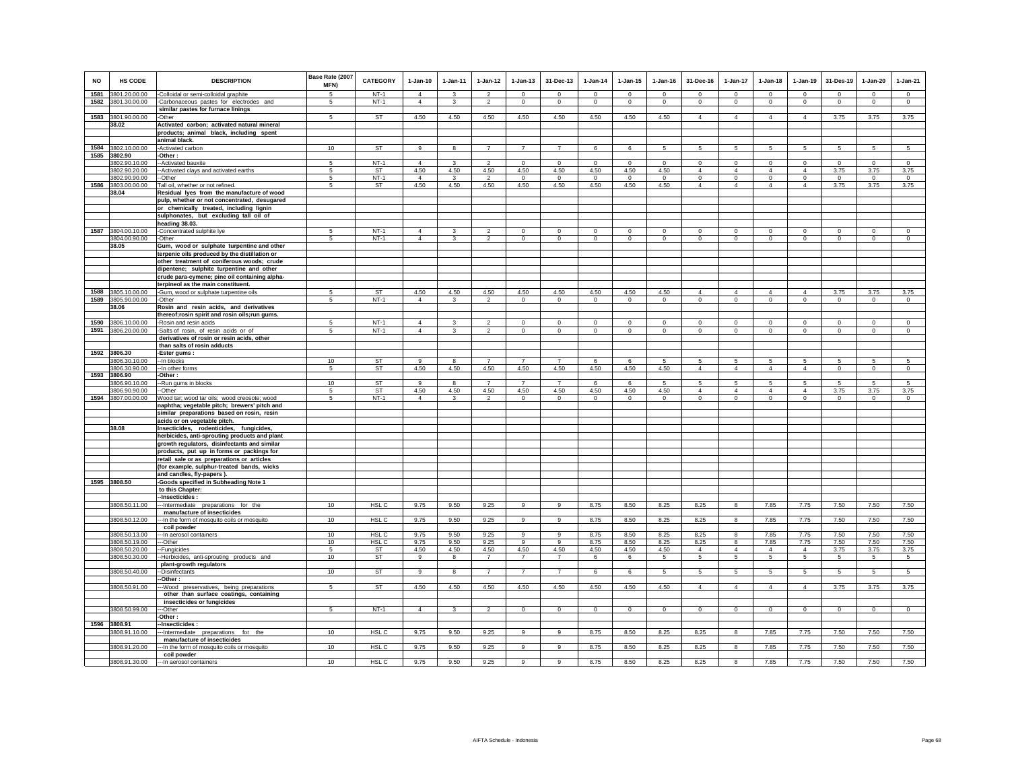| <b>NO</b> | HS CODE                        | <b>DESCRIPTION</b>                                                                          | Base Rate (2007<br>MFN) | <b>CATEGORY</b>                      | $1-Jan-10$             | $1-Jan-11$    | $1-Jan-12$                       | $1-Jan-13$                    | 31-Dec-13              | $1-Jan-14$           | $1 - Jan-15$         | $1-Jan-16$           | 31-Dec-16                 | 1-Jan-17                  | $1-Jan-18$                | $1-Jan-19$                    | 31-Des-19       | $1-Jan-20$      | $1-Jan-21$      |
|-----------|--------------------------------|---------------------------------------------------------------------------------------------|-------------------------|--------------------------------------|------------------------|---------------|----------------------------------|-------------------------------|------------------------|----------------------|----------------------|----------------------|---------------------------|---------------------------|---------------------------|-------------------------------|-----------------|-----------------|-----------------|
| 1581      | 3801.20.00.00                  | -Colloidal or semi-colloidal graphite                                                       | 5                       | $NT-1$                               | $\Delta$               | $\mathcal{R}$ | $\mathcal{L}$                    | $\Omega$                      | $\Omega$               | $\Omega$             | $\Omega$             | $\Omega$             | $\Omega$                  | $\circ$                   | $\Omega$                  | $\Omega$                      | $\Omega$        | $\Omega$        | $\Omega$        |
| 1582      | 3801.30.00.00                  | -Carbonaceous pastes for electrodes and                                                     | 5                       | $NT-1$                               | $\overline{4}$         | $\mathbf{3}$  | $\overline{2}$                   | $\mathsf 0$                   | $\mathbf 0$            | $\circ$              | $\mathsf 0$          | $\Omega$             | $\mathbf 0$               | $\overline{0}$            | $\overline{0}$            | $\overline{0}$                | $\mathbf 0$     | $\overline{0}$  | $\mathsf 0$     |
|           | 1583 3801.90.00.00             | similar pastes for furnace linings<br>-Other                                                | 5                       | ST                                   | 4.50                   | 4.50          | 4.50                             | 4.50                          | 4.50                   | 4.50                 | 4.50                 | 4.50                 | $\overline{4}$            | $\overline{4}$            | $\overline{4}$            | $\overline{4}$                | 3.75            | 3.75            | 3.75            |
|           | 38.02                          | Activated carbon; activated natural mineral                                                 |                         |                                      |                        |               |                                  |                               |                        |                      |                      |                      |                           |                           |                           |                               |                 |                 |                 |
|           |                                | products; animal black, including spent                                                     |                         |                                      |                        |               |                                  |                               |                        |                      |                      |                      |                           |                           |                           |                               |                 |                 |                 |
|           |                                | animal black.                                                                               |                         |                                      |                        |               |                                  |                               |                        |                      |                      |                      |                           |                           |                           |                               |                 |                 |                 |
|           | 1584 3802.10.00.00<br>3802.90  | Activated carbon                                                                            | 10                      | <b>ST</b>                            | 9                      | 8             | $\overline{7}$                   | $\overline{7}$                | $\overline{7}$         | 6                    | 6                    | 5                    | 5                         | 5                         | 5                         | $5\overline{)}$               | $\overline{5}$  | $\overline{5}$  | $5\overline{5}$ |
| 1585      | 3802.90.10.00                  | -Other:<br>-Activated bauxite                                                               |                         | $NT-1$                               | 4                      |               |                                  | $\Omega$                      | $\Omega$               | $\Omega$             | $\Omega$             | $\Omega$             | $\Omega$                  | $\Omega$                  | $\Omega$                  | $\Omega$                      | $\Omega$        | $\Omega$        | $\circ$         |
|           | 3802.90.20.00                  | -Activated clays and activated earths                                                       | -5                      | ST                                   | 4.50                   | 4.50          | 4.50                             | 4.50                          | 4.50                   | 4.50                 | 4.50                 | 4.50                 | $\overline{4}$            | $\overline{4}$            | $\overline{4}$            | $\overline{4}$                | 3.75            | 3.75            | 3.75            |
|           | 3802.90.90.00                  | --Other                                                                                     | $5\overline{5}$         | $NT-1$                               | $\overline{4}$         | 3             | $\overline{2}$                   | $\overline{0}$                | $\overline{0}$         | $\overline{0}$       | $\overline{0}$       | $\mathbf 0$          | $\overline{0}$            | $\overline{0}$            | $\overline{0}$            | $\overline{0}$                | $\overline{0}$  | $\overline{0}$  | $\overline{0}$  |
| 1586      | 3803.00.00.00                  | Tall oil, whether or not refined.                                                           | 5                       | ST                                   | 4.50                   | 4.50          | 4.50                             | 4.50                          | 4.50                   | 4.50                 | 4.50                 | 4.50                 | $\overline{4}$            | $\overline{4}$            | $\overline{4}$            | $\overline{4}$                | 3.75            | 3.75            | 3.75            |
|           | 38.04                          | Residual lyes from the manufacture of wood                                                  |                         |                                      |                        |               |                                  |                               |                        |                      |                      |                      |                           |                           |                           |                               |                 |                 |                 |
|           |                                | pulp, whether or not concentrated, desugared<br>or chemically treated, including lignin     |                         |                                      |                        |               |                                  |                               |                        |                      |                      |                      |                           |                           |                           |                               |                 |                 |                 |
|           |                                | sulphonates, but excluding tall oil of                                                      |                         |                                      |                        |               |                                  |                               |                        |                      |                      |                      |                           |                           |                           |                               |                 |                 |                 |
|           |                                | heading 38.03.                                                                              |                         |                                      |                        |               |                                  |                               |                        |                      |                      |                      |                           |                           |                           |                               |                 |                 |                 |
| 1587      | 3804.00.10.00                  | -Concentrated sulphite lye                                                                  |                         | $NT-1$                               | 4                      | 3             |                                  | $\mathbf 0$                   | $\mathbf 0$            | $\Omega$             | $\Omega$             | $\Omega$             | $\mathbf 0$               | $\Omega$                  | $\mathbf 0$               | $\mathbf 0$                   | $\mathbf 0$     | $\mathbf 0$     | $\mathbf 0$     |
|           | 3804.00.90.00<br>38.05         | -Other                                                                                      | $5 -$                   | $NT-1$                               | $\overline{4}$         | 3             | $\mathcal{L}$                    | $\mathbf 0$                   | $\Omega$               | $\mathbf 0$          | $\Omega$             | $\Omega$             | $\circ$                   | $\circ$                   | $\mathbf 0$               | $\Omega$                      | $\circ$         | $\circ$         | $\circ$         |
|           |                                | Gum, wood or sulphate turpentine and other<br>terpenic oils produced by the distillation or |                         |                                      |                        |               |                                  |                               |                        |                      |                      |                      |                           |                           |                           |                               |                 |                 |                 |
|           |                                | other treatment of coniferous woods; crude                                                  |                         |                                      |                        |               |                                  |                               |                        |                      |                      |                      |                           |                           |                           |                               |                 |                 |                 |
|           |                                | dipentene; sulphite turpentine and other                                                    |                         |                                      |                        |               |                                  |                               |                        |                      |                      |                      |                           |                           |                           |                               |                 |                 |                 |
|           |                                | crude para-cymene; pine oil containing alpha-                                               |                         |                                      |                        |               |                                  |                               |                        |                      |                      |                      |                           |                           |                           |                               |                 |                 |                 |
| 1588      |                                | terpineol as the main constituent.                                                          |                         |                                      |                        |               |                                  |                               |                        |                      |                      |                      |                           |                           |                           |                               |                 |                 |                 |
| 1589      | 3805.10.00.00<br>3805.90.00.00 | -Gum, wood or sulphate turpentine oils<br>-Other                                            | -5<br>5                 | ST<br>$NT-1$                         | 4.50<br>$\overline{4}$ | 4.50<br>3     | 4.50<br>$\overline{\phantom{a}}$ | 4.50<br>$\overline{0}$        | 4.50<br>$\overline{0}$ | 4.50<br>$\mathbf{0}$ | 4.50<br>$\mathbf{0}$ | 4.50<br>$\mathbf{0}$ | $\overline{4}$<br>$\circ$ | $\overline{4}$<br>$\circ$ | $\overline{4}$<br>$\circ$ | $\overline{4}$<br>$\mathsf 0$ | 3.75<br>$\circ$ | 3.75<br>$\circ$ | 3.75<br>$\circ$ |
|           | 38.06                          | Rosin and resin acids, and derivatives                                                      |                         |                                      |                        |               |                                  |                               |                        |                      |                      |                      |                           |                           |                           |                               |                 |                 |                 |
|           |                                | thereof;rosin spirit and rosin oils;run gums.                                               |                         |                                      |                        |               |                                  |                               |                        |                      |                      |                      |                           |                           |                           |                               |                 |                 |                 |
| 1590      | 3806.10.00.00                  | -Rosin and resin acids                                                                      | 5                       | $NT-1$                               | $\overline{4}$         | $\mathbf{3}$  | $\mathcal{P}$                    | $\circ$                       | $\mathbf 0$            | $\mathbf 0$          | $\mathbf 0$          | $\mathbf 0$          | $\mathbf 0$               | $\mathbb O$               | $\mathsf 0$               | $\circ$                       | $\mathbf 0$     | $\mathbf 0$     | $\mathsf 0$     |
|           | 1591 3806.20.00.00             | -Salts of rosin, of resin acids or of<br>derivatives of rosin or resin acids, other         | 5                       | $NT-1$                               | $\overline{4}$         | 3             | $\overline{2}$                   | $\mathsf 0$                   | $\mathbf{0}$           | $\mathbf 0$          | $\mathsf 0$          | $\circ$              | $\circ$                   | $\circ$                   | $\mathbf 0$               | $\circ$                       | $\mathbf 0$     | $\circ$         | $\circ$         |
|           |                                | than salts of rosin adducts                                                                 |                         |                                      |                        |               |                                  |                               |                        |                      |                      |                      |                           |                           |                           |                               |                 |                 |                 |
| 1592      | 3806.30                        | -Ester gums:                                                                                |                         |                                      |                        |               |                                  |                               |                        |                      |                      |                      |                           |                           |                           |                               |                 |                 |                 |
|           | 3806.30.10.00                  | -- In blocks                                                                                | 10                      | ST                                   | 9                      | 8             |                                  | $\overline{7}$                | $\overline{7}$         | 6                    | 6                    | 5                    | 5                         | 5                         | 5                         | 5                             | 5               | 5               | 5               |
|           | 3806.30.90.00                  | -- In other forms                                                                           | 5                       | ST                                   | 4.50                   | 4.50          | 4.50                             | 4.50                          | 4.50                   | 4.50                 | 4.50                 | 4.50                 | $\overline{4}$            | $\overline{4}$            | $\overline{4}$            | $\overline{4}$                | $\overline{0}$  | $\overline{0}$  | $\overline{0}$  |
| 1593      | 3806.90<br>806.90.10.00        | Other:<br>-Run gums in blocks                                                               | 10                      | <b>ST</b>                            | 9                      | 8             | $\overline{7}$                   | $\overline{7}$                | $\overline{7}$         | 6                    | 6                    |                      | 5                         | 5                         | 5                         | 5                             | 5               | 5               | 5               |
|           | 3806.90.90.00                  | -Other                                                                                      | 5                       | ST                                   | 4.50                   | 4.50          | 4.50                             | 4.50                          | 4.50                   | 4.50                 | 4.50                 | 4.50                 | $\overline{4}$            | $\overline{4}$            | $\overline{4}$            | $\overline{4}$                | 3.75            | 3.75            | 3.75            |
|           | 1594 3807.00.00.00             | Wood tar; wood tar oils; wood creosote; wood                                                | $5\phantom{.0}$         | $NT-1$                               | $\Delta$               | 3             | $\overline{2}$                   | $\mathsf 0$                   | $\overline{0}$         | $\Omega$             | $\Omega$             | $\Omega$             | $\Omega$                  | $\overline{0}$            | $\mathbf 0$               | $\overline{0}$                | $\circ$         | $\mathbf 0$     | $\circ$         |
|           |                                | naphtha; vegetable pitch; brewers' pitch and                                                |                         |                                      |                        |               |                                  |                               |                        |                      |                      |                      |                           |                           |                           |                               |                 |                 |                 |
|           |                                | similar preparations based on rosin, resin<br>acids or on vegetable pitch.                  |                         |                                      |                        |               |                                  |                               |                        |                      |                      |                      |                           |                           |                           |                               |                 |                 |                 |
|           | 38.08                          | Insecticides, rodenticides, fungicides,                                                     |                         |                                      |                        |               |                                  |                               |                        |                      |                      |                      |                           |                           |                           |                               |                 |                 |                 |
|           |                                | herbicides, anti-sprouting products and plant                                               |                         |                                      |                        |               |                                  |                               |                        |                      |                      |                      |                           |                           |                           |                               |                 |                 |                 |
|           |                                | growth regulators, disinfectants and similar                                                |                         |                                      |                        |               |                                  |                               |                        |                      |                      |                      |                           |                           |                           |                               |                 |                 |                 |
|           |                                | products, put up in forms or packings for                                                   |                         |                                      |                        |               |                                  |                               |                        |                      |                      |                      |                           |                           |                           |                               |                 |                 |                 |
|           |                                | retail sale or as preparations or articles<br>(for example, sulphur-treated bands, wicks    |                         |                                      |                        |               |                                  |                               |                        |                      |                      |                      |                           |                           |                           |                               |                 |                 |                 |
|           |                                | and candles, fly-papers).                                                                   |                         |                                      |                        |               |                                  |                               |                        |                      |                      |                      |                           |                           |                           |                               |                 |                 |                 |
|           | 1595 3808.50                   | -Goods specified in Subheading Note 1                                                       |                         |                                      |                        |               |                                  |                               |                        |                      |                      |                      |                           |                           |                           |                               |                 |                 |                 |
|           |                                | to this Chapter:                                                                            |                         |                                      |                        |               |                                  |                               |                        |                      |                      |                      |                           |                           |                           |                               |                 |                 |                 |
|           | 3808.50.11.00                  | -Insecticides:<br>--- Intermediate preparations for the                                     | 10                      | HSL C                                | 9.75                   | 9.50          | 9.25                             | 9                             | 9                      | 8.75                 | 8.50                 | 8.25                 | 8.25                      | 8                         | 7.85                      | 7.75                          | 7.50            | 7.50            | 7.50            |
|           |                                | manufacture of insecticides                                                                 |                         |                                      |                        |               |                                  |                               |                        |                      |                      |                      |                           |                           |                           |                               |                 |                 |                 |
|           | 3808.50.12.00                  | -- In the form of mosquito coils or mosquito                                                | 10                      | HSL <sub>C</sub>                     | 9.75                   | 9.50          | 9.25                             | 9                             | $\mathbf{q}$           | 8.75                 | 8.50                 | 8.25                 | 8.25                      | 8                         | 7.85                      | 7.75                          | 7.50            | 7.50            | 7.50            |
|           |                                | coil powder                                                                                 |                         |                                      |                        |               |                                  |                               |                        |                      |                      |                      |                           |                           |                           |                               |                 |                 |                 |
|           | 3808.50.13.00<br>3808.50.19.00 | -In aerosol containers<br>--Other                                                           | 10<br>10                | HSL <sub>C</sub><br>HSL <sub>C</sub> | 9.75<br>9.75           | 9.50<br>9.50  | 9.25<br>9.25                     | $\overline{9}$<br>$\mathsf g$ | 9<br>9                 | 8.75<br>8.75         | 8.50<br>8.50         | 8.25<br>8.25         | 8.25<br>8.25              | 8<br>$\bf{8}$             | 7.85<br>7.85              | 7.75<br>7.75                  | 7.50<br>7.50    | 7.50<br>7.50    | 7.50<br>7.50    |
|           | 3808.50.20.00                  | -Fungicides                                                                                 | $5 -$                   | ST                                   | 4.50                   | 4.50          | 4.50                             | 4.50                          | 4.50                   | 4.50                 | 4.50                 | 4.50                 | $\overline{4}$            | $\overline{4}$            | $\overline{4}$            | $\overline{4}$                | 3.75            | 3.75            | 3.75            |
|           | 3808.50.30.00                  | -Herbicides, anti-sprouting products and                                                    | 10                      | ST                                   | 9                      | 8             | $\overline{7}$                   | $\overline{7}$                | $\overline{7}$         | 6                    | 6                    | 5                    | $5\phantom{.0}$           | $5\phantom{.0}$           | 5                         | $5\phantom{.0}$               | 5               | $\overline{5}$  | 5               |
|           |                                | plant-growth regulators                                                                     |                         |                                      |                        |               |                                  |                               |                        |                      |                      |                      |                           |                           |                           |                               |                 |                 |                 |
|           | 3808.50.40.00                  | -Disinfectants<br>-Other:                                                                   | 10                      | <b>ST</b>                            | 9                      | 8             | $\overline{7}$                   | $\overline{7}$                | $\overline{7}$         | 6                    | 6                    | 5                    | 5                         | $5\overline{5}$           | 5                         | 5                             | 5               | 5               | 5               |
|           | 3808.50.91.00                  | --Wood preservatives, being preparations                                                    | 5                       | ST                                   | 4.50                   | 4.50          | 4.50                             | 4.50                          | 4.50                   | 4.50                 | 4.50                 | 4.50                 | $\overline{4}$            | $\overline{4}$            | $\overline{4}$            | $\overline{4}$                | 3.75            | 3.75            | 3.75            |
|           |                                | other than surface coatings, containing                                                     |                         |                                      |                        |               |                                  |                               |                        |                      |                      |                      |                           |                           |                           |                               |                 |                 |                 |
|           |                                | insecticides or fungicides                                                                  |                         |                                      |                        |               |                                  |                               |                        |                      |                      |                      |                           |                           |                           |                               |                 |                 |                 |
|           | 3808.50.99.00                  | --Other                                                                                     | 5                       | $NT-1$                               | $\overline{4}$         | 3             | $\overline{2}$                   | $\overline{0}$                | $\overline{0}$         | $\overline{0}$       | $\overline{0}$       | $\overline{0}$       | $\overline{0}$            | $\overline{0}$            | $\overline{0}$            | $\overline{0}$                | $\overline{0}$  | $\overline{0}$  | $\overline{0}$  |
|           | 1596 3808.91                   | -Other:<br>-Insecticides :                                                                  |                         |                                      |                        |               |                                  |                               |                        |                      |                      |                      |                           |                           |                           |                               |                 |                 |                 |
|           | 3808.91.10.00                  | -- Intermediate preparations for the                                                        | 10                      | HSL C                                | 9.75                   | 9.50          | 9.25                             | 9                             | 9                      | 8.75                 | 8.50                 | 8.25                 | 8.25                      | 8                         | 7.85                      | 7.75                          | 7.50            | 7.50            | 7.50            |
|           |                                | manufacture of insecticides                                                                 |                         |                                      |                        |               |                                  |                               |                        |                      |                      |                      |                           |                           |                           |                               |                 |                 |                 |
|           | 3808.91.20.00                  | -In the form of mosquito coils or mosquito                                                  | 10                      | HSL <sub>C</sub>                     | 9.75                   | 9.50          | 9.25                             | $\overline{9}$                | $\overline{9}$         | 8.75                 | 8.50                 | 8.25                 | 8.25                      | 8                         | 7.85                      | 7.75                          | 7.50            | 7.50            | 7.50            |
|           |                                | coil powder<br>3808.91.30.00 -- In aerosol containers                                       | 10                      | HSL C                                | 9.75                   | 9.50          | 9.25                             | $\alpha$                      | 9                      | 8.75                 | 8.50                 | 8.25                 | 8.25                      | 8                         | 7.85                      | 7.75                          | 7.50            | 7.50            | 7.50            |
|           |                                |                                                                                             |                         |                                      |                        |               |                                  |                               |                        |                      |                      |                      |                           |                           |                           |                               |                 |                 |                 |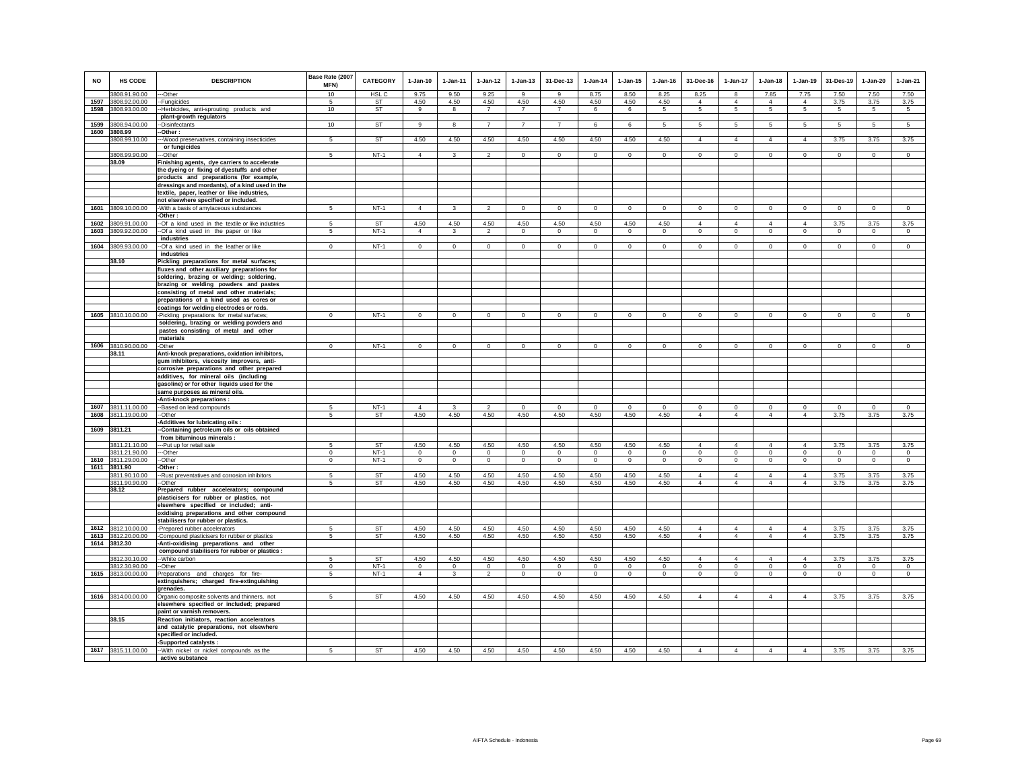| <b>NO</b>    | <b>HS CODE</b>                      | <b>DESCRIPTION</b>                                                                     | Base Rate (2007<br>MFN) | <b>CATEGORY</b>        | $1-Jan-10$                       | $1 - Jan-11$             | $1 - Jan-12$                     | $1 - Jan-13$              | 31-Dec-13                 | $1 - Jan-14$              | $1 - Jan-15$                   | $1 - Jan-16$              | 31-Dec-16                        | $1-Jan-17$                       | $1-Jan-18$                 | $1-Jan-19$                       | 31-Des-19                 | $1-Jan-20$                     | $1-Jan-21$                |
|--------------|-------------------------------------|----------------------------------------------------------------------------------------|-------------------------|------------------------|----------------------------------|--------------------------|----------------------------------|---------------------------|---------------------------|---------------------------|--------------------------------|---------------------------|----------------------------------|----------------------------------|----------------------------|----------------------------------|---------------------------|--------------------------------|---------------------------|
|              | 3808.91.90.00                       | ---Other                                                                               | 10                      | HSL <sub>C</sub>       | 9.75                             | 9.50                     | 9.25                             | $\mathbf{g}$              | $\mathbf{q}$              | 8.75                      | 8.50                           | 8.25                      | 8.25                             | $\mathbf{8}$                     | 7.85                       | 7.75                             | 7.50                      | 7.50                           | 7.50                      |
| 1597<br>1598 | 3808.92.00.00<br>3808.93.00.00      | -- Fungicides<br>-Herbicides, anti-sprouting products and                              | 5<br>10                 | <b>ST</b><br>ST        | 4.50<br>9                        | 4.50<br>$\mathbf{g}$     | 4.50<br>$\overline{7}$           | 4.50<br>$\overline{7}$    | 4.50<br>$\overline{7}$    | 4.50<br>6                 | 4.50<br>6                      | 4.50<br>5                 | $\overline{4}$<br>5              | $\overline{4}$<br>5              | $\overline{4}$<br>5        | $\overline{4}$<br>5              | 3.75<br>5                 | 3.75<br>$5\phantom{.0}$        | 3.75<br>5                 |
|              |                                     | plant-growth regulators                                                                |                         |                        |                                  |                          |                                  |                           |                           |                           |                                |                           |                                  |                                  |                            |                                  |                           |                                |                           |
|              | 1599 3808.94.00.00                  | --Disinfectants                                                                        | 10                      | ST                     | 9                                | 8                        | $\overline{7}$                   | $\overline{7}$            | $\overline{7}$            | 6                         | 6                              | 5                         | $5\phantom{.0}$                  | 5                                | 5                          | 5                                | 5                         | 5                              | 5                         |
|              | 1600 3808.99                        | -Other :                                                                               |                         |                        |                                  |                          |                                  |                           |                           |                           |                                |                           |                                  |                                  |                            |                                  |                           |                                |                           |
|              | 3808.99.10.00                       | -- Wood preservatives, containing insecticides                                         | 5                       | <b>ST</b>              | 4.50                             | 4.50                     | 4.50                             | 4.50                      | 4.50                      | 4.50                      | 4.50                           | 4.50                      | $\overline{4}$                   | $\overline{4}$                   | $\overline{4}$             | $\overline{4}$                   | 3.75                      | 3.75                           | 3.75                      |
|              |                                     | or fungicides                                                                          |                         |                        |                                  |                          |                                  |                           |                           |                           |                                |                           |                                  |                                  |                            |                                  |                           |                                |                           |
|              | 3808.99.90.00                       | --Other                                                                                | 5                       | $NT-1$                 | $\overline{4}$                   | 3                        | $\overline{2}$                   | $\mathbf 0$               | $\mathbf 0$               | $\circ$                   | $\mathbf 0$                    | $\mathbf 0$               | $\mathbf 0$                      | $\circ$                          | $\circ$                    | $\mathbf 0$                      | $\circ$                   | $\mathbf 0$                    | $\mathbf{0}$              |
|              | 38.09                               | Finishing agents, dye carriers to accelerate                                           |                         |                        |                                  |                          |                                  |                           |                           |                           |                                |                           |                                  |                                  |                            |                                  |                           |                                |                           |
|              |                                     | the dyeing or fixing of dyestuffs and other                                            |                         |                        |                                  |                          |                                  |                           |                           |                           |                                |                           |                                  |                                  |                            |                                  |                           |                                |                           |
|              |                                     | products and preparations (for example,                                                |                         |                        |                                  |                          |                                  |                           |                           |                           |                                |                           |                                  |                                  |                            |                                  |                           |                                |                           |
|              |                                     | dressings and mordants), of a kind used in the                                         |                         |                        |                                  |                          |                                  |                           |                           |                           |                                |                           |                                  |                                  |                            |                                  |                           |                                |                           |
|              |                                     | textile, paper, leather or like industries,<br>not elsewhere specified or included.    |                         |                        |                                  |                          |                                  |                           |                           |                           |                                |                           |                                  |                                  |                            |                                  |                           |                                |                           |
|              | 1601 3809.10.00.00                  | -With a basis of amylaceous substances                                                 | 5                       | $NT-1$                 | $\overline{4}$                   | 3                        | $\overline{2}$                   | $\mathbf 0$               | $\mathbf 0$               | $\mathbf{0}$              | $\mathbf 0$                    | $\circ$                   | $\mathbf 0$                      | $\mathbf 0$                      | $\mathbf 0$                | $\mathsf 0$                      | $\circ$                   | $\mathsf 0$                    | $\mathsf 0$               |
|              |                                     | -Other:                                                                                |                         |                        |                                  |                          |                                  |                           |                           |                           |                                |                           |                                  |                                  |                            |                                  |                           |                                |                           |
|              | 1602 3809.91.00.00                  | -Of a kind used in the textile or like industries                                      | 5                       | <b>ST</b>              | 4.50                             | 4.50                     | 4.50                             | 4.50                      | 4.50                      | 4.50                      | 4.50                           | 4.50                      | $\overline{4}$                   | $\overline{4}$                   | $\overline{4}$             | $\overline{4}$                   | 3.75                      | 3.75                           | 3.75                      |
|              | 1603 3809.92.00.00                  | -Of a kind used in the paper or like                                                   | 5                       | $NT-1$                 | $\overline{4}$                   | 3                        | $\overline{2}$                   | $\circ$                   | $\overline{0}$            | $\overline{0}$            | $\overline{0}$                 | $\mathbf 0$               | $\circ$                          | $\circ$                          | $\mathsf 0$                | $\circ$                          | $\overline{0}$            | $\overline{0}$                 | $\overline{0}$            |
|              |                                     | industries                                                                             |                         |                        |                                  |                          |                                  |                           |                           |                           |                                |                           |                                  |                                  |                            |                                  |                           |                                |                           |
|              | 1604 3809.93.00.00                  | -Of a kind used in the leather or like                                                 | $\mathbf 0$             | $NT-1$                 | $\circ$                          | $\circ$                  | $\circ$                          | $\circ$                   | $\overline{0}$            | $\circ$                   | $\mathsf 0$                    | $\mathsf 0$               | $\circ$                          | $\circ$                          | $\mathbf 0$                | $\circ$                          | $\circ$                   | $\mathsf 0$                    | $\mathsf 0$               |
|              |                                     | industries                                                                             |                         |                        |                                  |                          |                                  |                           |                           |                           |                                |                           |                                  |                                  |                            |                                  |                           |                                |                           |
|              | 38.10                               | Pickling preparations for metal surfaces;                                              |                         |                        |                                  |                          |                                  |                           |                           |                           |                                |                           |                                  |                                  |                            |                                  |                           |                                |                           |
|              |                                     | fluxes and other auxiliary preparations for                                            |                         |                        |                                  |                          |                                  |                           |                           |                           |                                |                           |                                  |                                  |                            |                                  |                           |                                |                           |
|              |                                     | soldering, brazing or welding; soldering,                                              |                         |                        |                                  |                          |                                  |                           |                           |                           |                                |                           |                                  |                                  |                            |                                  |                           |                                |                           |
|              |                                     | brazing or welding powders and pastes                                                  |                         |                        |                                  |                          |                                  |                           |                           |                           |                                |                           |                                  |                                  |                            |                                  |                           |                                |                           |
|              |                                     | consisting of metal and other materials;                                               |                         |                        |                                  |                          |                                  |                           |                           |                           |                                |                           |                                  |                                  |                            |                                  |                           |                                |                           |
|              |                                     | preparations of a kind used as cores or                                                |                         |                        |                                  |                          |                                  |                           |                           |                           |                                |                           |                                  |                                  |                            |                                  |                           |                                |                           |
|              | 1605 3810.10.00.00                  | coatings for welding electrodes or rods.<br>-Pickling preparations for metal surfaces; | $\Omega$                | $NT-1$                 | $\mathbf{0}$                     | $\mathbf 0$              | $\mathbf 0$                      | $\mathbf 0$               | $\mathbf 0$               | $\mathbf 0$               | $\mathbf 0$                    | $\mathbf 0$               | $\mathbf 0$                      | $\Omega$                         | $\mathbf{0}$               | $\Omega$                         | $\mathbf 0$               | $\Omega$                       | $\mathbf 0$               |
|              |                                     | soldering, brazing or welding powders and                                              |                         |                        |                                  |                          |                                  |                           |                           |                           |                                |                           |                                  |                                  |                            |                                  |                           |                                |                           |
|              |                                     | pastes consisting of metal and other                                                   |                         |                        |                                  |                          |                                  |                           |                           |                           |                                |                           |                                  |                                  |                            |                                  |                           |                                |                           |
|              |                                     | materials                                                                              |                         |                        |                                  |                          |                                  |                           |                           |                           |                                |                           |                                  |                                  |                            |                                  |                           |                                |                           |
|              | 1606 3810.90.00.00                  | -Other                                                                                 | $\Omega$                | $NT-1$                 | $\Omega$                         | $\circ$                  | $\mathbf{0}$                     | $\mathsf 0$               | $\mathbf{0}$              | $\mathbf{0}$              | $\circ$                        | $\mathsf 0$               | $\circ$                          | $\mathbf 0$                      | $\mathbf 0$                | $\circ$                          | $\circ$                   | $\Omega$                       | $\mathsf 0$               |
|              | 38.11                               | Anti-knock preparations, oxidation inhibitors,                                         |                         |                        |                                  |                          |                                  |                           |                           |                           |                                |                           |                                  |                                  |                            |                                  |                           |                                |                           |
|              |                                     | gum inhibitors, viscosity improvers, anti-                                             |                         |                        |                                  |                          |                                  |                           |                           |                           |                                |                           |                                  |                                  |                            |                                  |                           |                                |                           |
|              |                                     | corrosive preparations and other prepared                                              |                         |                        |                                  |                          |                                  |                           |                           |                           |                                |                           |                                  |                                  |                            |                                  |                           |                                |                           |
|              |                                     | additives, for mineral oils (including                                                 |                         |                        |                                  |                          |                                  |                           |                           |                           |                                |                           |                                  |                                  |                            |                                  |                           |                                |                           |
|              |                                     | gasoline) or for other liquids used for the                                            |                         |                        |                                  |                          |                                  |                           |                           |                           |                                |                           |                                  |                                  |                            |                                  |                           |                                |                           |
|              |                                     | same purposes as mineral oils.                                                         |                         |                        |                                  |                          |                                  |                           |                           |                           |                                |                           |                                  |                                  |                            |                                  |                           |                                |                           |
| 1607         | 3811.11.00.00                       | -Anti-knock preparations :                                                             | 5                       | $NT-1$                 | $\overline{4}$                   | 3                        | $\mathcal{P}$                    | $\mathbf{0}$              | $\mathbf 0$               | $\mathbf 0$               | $\Omega$                       | $\Omega$                  | $\mathbf{0}$                     | $\circ$                          | $\mathbf 0$                | $\mathbf 0$                      | $\mathbf 0$               | $\Omega$                       | $\circ$                   |
|              | 1608 3811.19.00.00                  | --Based on lead compounds<br>--Other                                                   | 5                       | ST                     | 4.50                             | 4.50                     | 4.50                             | 4.50                      | 4.50                      | 4.50                      | 4.50                           | 4.50                      | $\overline{4}$                   | $\overline{4}$                   | $\overline{4}$             | $\overline{4}$                   | 3.75                      | 3.75                           | 3.75                      |
|              |                                     | -Additives for lubricating oils :                                                      |                         |                        |                                  |                          |                                  |                           |                           |                           |                                |                           |                                  |                                  |                            |                                  |                           |                                |                           |
|              | 1609 3811.21                        | -Containing petroleum oils or oils obtained                                            |                         |                        |                                  |                          |                                  |                           |                           |                           |                                |                           |                                  |                                  |                            |                                  |                           |                                |                           |
|              |                                     | from bituminous minerals :                                                             |                         |                        |                                  |                          |                                  |                           |                           |                           |                                |                           |                                  |                                  |                            |                                  |                           |                                |                           |
|              | 3811.21.10.00                       | --Put up for retail sale                                                               | 5                       | ST                     | 4.50                             | 4.50                     | 4.50                             | 4.50                      | 4.50                      | 4.50                      | 4.50                           | 4.50                      | $\overline{4}$                   | $\overline{4}$                   | $\overline{4}$             | $\overline{4}$                   | 3.75                      | 3.75                           | 3.75                      |
|              | 3811.21.90.00                       | --Other                                                                                | $\mathbf 0$             | $NT-1$                 | $\mathbf 0$                      | $\Omega$                 | $\mathbf 0$                      | $\Omega$                  | $\circ$                   | $\Omega$                  | $\Omega$                       | $\Omega$                  | $\mathbf 0$                      | $\mathbf 0$                      | $\mathbf 0$                | $\mathbf 0$                      | $\circ$                   | $\Omega$                       | $\Omega$                  |
|              | 1610 3811.29.00.00                  | -Other                                                                                 | $\mathbf 0$             | $NT-1$                 | $\mathbf 0$                      | $\mathbf 0$              | $\mathbf 0$                      | $\mathsf 0$               | $\mathbf{0}$              | $\circ$                   | $\mathbf 0$                    | $\mathsf 0$               | $\mathbf 0$                      | $\mathbf 0$                      | $\circ$                    | $\mathbf 0$                      | $\mathbf 0$               | $\mathsf 0$                    | $\circ$                   |
|              | 1611 3811.90                        | Other:                                                                                 |                         |                        |                                  |                          |                                  |                           |                           |                           |                                |                           |                                  |                                  |                            |                                  |                           |                                |                           |
|              | 3811.90.10.00<br>3811.90.90.00      | -- Rust preventatives and corrosion inhibitors                                         | -5<br>$5^{\circ}$       | <b>ST</b><br><b>ST</b> | 4.50<br>4.50                     | 4.50<br>4.50             | 4.50<br>4.50                     | 4.50<br>4.50              | 4.50<br>4.50              | 4.50<br>4.50              | 4.50<br>4.50                   | 4.50<br>4.50              | $\overline{4}$<br>$\overline{4}$ | $\overline{4}$<br>$\overline{4}$ | $\Delta$<br>$\overline{4}$ | $\overline{4}$<br>$\overline{4}$ | 3.75<br>3.75              | 3.75<br>3.75                   | 3.75<br>3.75              |
|              | 38.12                               | --Other<br>Prepared rubber accelerators; compound                                      |                         |                        |                                  |                          |                                  |                           |                           |                           |                                |                           |                                  |                                  |                            |                                  |                           |                                |                           |
|              |                                     | plasticisers for rubber or plastics, not                                               |                         |                        |                                  |                          |                                  |                           |                           |                           |                                |                           |                                  |                                  |                            |                                  |                           |                                |                           |
|              |                                     | elsewhere specified or included; anti-                                                 |                         |                        |                                  |                          |                                  |                           |                           |                           |                                |                           |                                  |                                  |                            |                                  |                           |                                |                           |
|              |                                     | oxidising preparations and other compound                                              |                         |                        |                                  |                          |                                  |                           |                           |                           |                                |                           |                                  |                                  |                            |                                  |                           |                                |                           |
|              |                                     | stabilisers for rubber or plastics.                                                    |                         |                        |                                  |                          |                                  |                           |                           |                           |                                |                           |                                  |                                  |                            |                                  |                           |                                |                           |
|              | 1612 3812.10.00.00                  | -Prepared rubber accelerators                                                          | -5                      | ST                     | 4.50                             | 4.50                     | 4.50                             | 4.50                      | 4.50                      | 4.50                      | 4.50                           | 4.50                      | $\overline{4}$                   | $\overline{4}$                   | $\overline{4}$             | $\overline{4}$                   | 3.75                      | 3.75                           | 3.75                      |
|              | 1613 3812.20.00.00                  | -Compound plasticisers for rubber or plastics                                          | -5                      | ST                     | 4.50                             | 4.50                     | 4.50                             | 4.50                      | 4.50                      | 4.50                      | 4.50                           | 4.50                      | $\overline{4}$                   | $\overline{4}$                   | $\overline{4}$             | $\overline{4}$                   | 3.75                      | 3.75                           | 3.75                      |
|              | 1614 3812.30                        | -Anti-oxidising preparations and other                                                 |                         |                        |                                  |                          |                                  |                           |                           |                           |                                |                           |                                  |                                  |                            |                                  |                           |                                |                           |
|              |                                     | compound stabilisers for rubber or plastics :                                          |                         |                        |                                  |                          |                                  |                           |                           |                           |                                |                           |                                  |                                  |                            |                                  |                           |                                |                           |
|              | 3812.30.10.00                       | --White carbon                                                                         | -5                      | <b>ST</b>              | 4.50                             | 4.50                     | 4.50                             | 4.50                      | 4.50                      | 4.50                      | 4.50                           | 4.50                      | $\overline{4}$                   | $\overline{4}$                   | $\overline{4}$             | $\overline{4}$                   | 3.75                      | 3.75                           | 3.75                      |
|              | 3812.30.90.00<br>1615 3813.00.00.00 | --Other                                                                                | $\Omega$<br>5           | $NT-1$<br>$NT-1$       | $\overline{0}$<br>$\overline{4}$ | $\Omega$<br>$\mathbf{3}$ | $\overline{0}$<br>$\overline{2}$ | $\overline{0}$<br>$\circ$ | $\overline{0}$<br>$\circ$ | $\overline{0}$<br>$\circ$ | $\overline{0}$<br>$\mathbf{0}$ | $\overline{0}$<br>$\circ$ | $\Omega$<br>$\mathbf{0}$         | $\overline{0}$<br>$\mathbf{0}$   | $\overline{0}$<br>$\circ$  | $\overline{0}$<br>$\mathbf 0$    | $\overline{0}$<br>$\circ$ | $\overline{0}$<br>$\mathbf{0}$ | $\overline{0}$<br>$\circ$ |
|              |                                     | Preparations and charges for fire-<br>extinguishers; charged fire-extinguishing        |                         |                        |                                  |                          |                                  |                           |                           |                           |                                |                           |                                  |                                  |                            |                                  |                           |                                |                           |
|              |                                     | grenades.                                                                              |                         |                        |                                  |                          |                                  |                           |                           |                           |                                |                           |                                  |                                  |                            |                                  |                           |                                |                           |
|              | 1616 3814.00.00.00                  | Organic composite solvents and thinners, not                                           | 5                       | ST                     | 4.50                             | 4.50                     | 4.50                             | 4.50                      | 4.50                      | 4.50                      | 4.50                           | 4.50                      | 4                                | $\overline{4}$                   | $\overline{4}$             | $\overline{4}$                   | 3.75                      | 3.75                           | 3.75                      |
|              |                                     | elsewhere specified or included; prepared                                              |                         |                        |                                  |                          |                                  |                           |                           |                           |                                |                           |                                  |                                  |                            |                                  |                           |                                |                           |
|              |                                     | paint or varnish removers.                                                             |                         |                        |                                  |                          |                                  |                           |                           |                           |                                |                           |                                  |                                  |                            |                                  |                           |                                |                           |
|              | 38.15                               | Reaction initiators, reaction accelerators                                             |                         |                        |                                  |                          |                                  |                           |                           |                           |                                |                           |                                  |                                  |                            |                                  |                           |                                |                           |
|              |                                     | and catalytic preparations, not elsewhere                                              |                         |                        |                                  |                          |                                  |                           |                           |                           |                                |                           |                                  |                                  |                            |                                  |                           |                                |                           |
|              |                                     | specified or included.                                                                 |                         |                        |                                  |                          |                                  |                           |                           |                           |                                |                           |                                  |                                  |                            |                                  |                           |                                |                           |
|              |                                     | -Supported catalysts :                                                                 |                         |                        |                                  |                          |                                  |                           |                           |                           |                                |                           |                                  |                                  |                            |                                  |                           |                                |                           |
|              | 1617 3815.11.00.00                  | -- With nickel or nickel compounds as the                                              | 5                       | <b>ST</b>              | 4.50                             | 4.50                     | 4.50                             | 4.50                      | 4.50                      | 4.50                      | 4.50                           | 4.50                      | $\overline{4}$                   | $\overline{4}$                   | $\overline{4}$             | $\overline{4}$                   | 3.75                      | 3.75                           | 3.75                      |
|              |                                     | active substance                                                                       |                         |                        |                                  |                          |                                  |                           |                           |                           |                                |                           |                                  |                                  |                            |                                  |                           |                                |                           |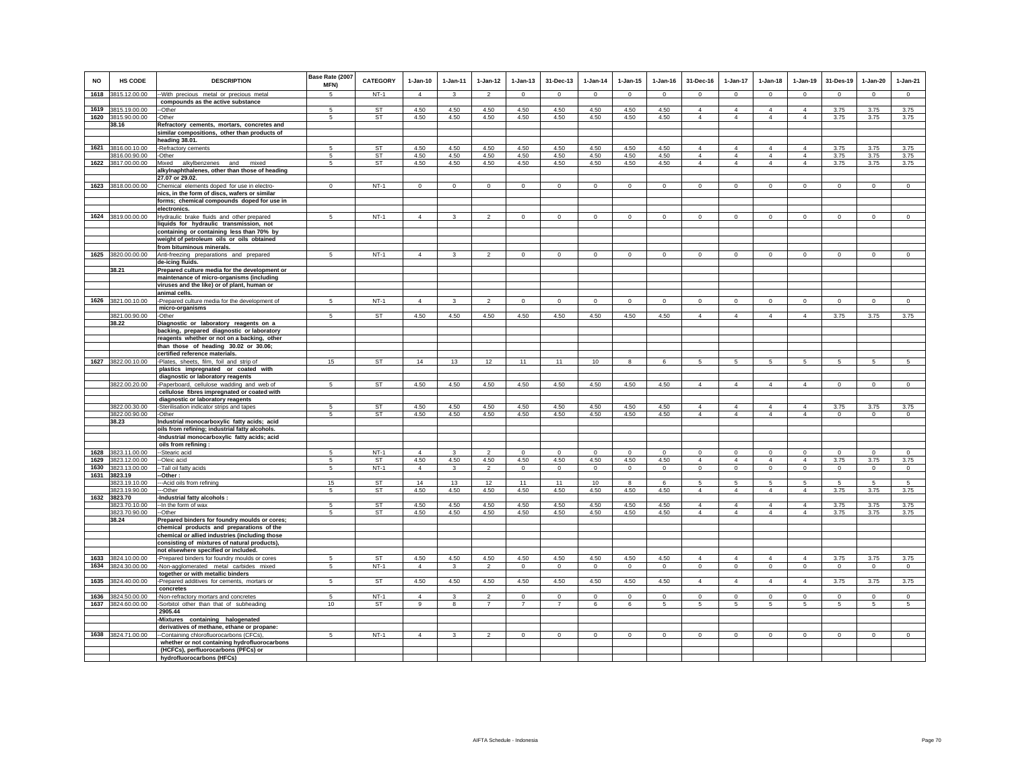| NO   | HS CODE                        | <b>DESCRIPTION</b>                                                                          | Base Rate (2007<br>MFN) | <b>CATEGORY</b> | $1-Jan-10$     | $1-Jan-11$   | $1-Jan-12$     | $1-Jan-13$     | 31-Dec-13      | $1-Jan-14$   | $1 - Jan-15$ | $1-Jan-16$   | 31-Dec-16                        | 1-Jan-17                   | $1-Jan-18$                       | $1-Jan-19$                       | 31-Des-19        | $1-Jan-20$      | 1-Jan-21        |
|------|--------------------------------|---------------------------------------------------------------------------------------------|-------------------------|-----------------|----------------|--------------|----------------|----------------|----------------|--------------|--------------|--------------|----------------------------------|----------------------------|----------------------------------|----------------------------------|------------------|-----------------|-----------------|
|      | 1618 3815.12.00.00             | -With precious metal or precious metal                                                      | 5                       | $NT-1$          | $\overline{4}$ | 3            | $\overline{2}$ | $\mathsf 0$    | $\mathbf{0}$   | $\circ$      | $\mathbf{0}$ | $\Omega$     | $\mathbf{0}$                     | $\circ$                    | $\mathbf{0}$                     | $\circ$                          | $\circ$          | $\circ$         | $\mathbf{0}$    |
|      | 1619 3815.19.00.00             | compounds as the active substance<br>--Other                                                | 5                       | <b>ST</b>       | 4.50           | 4.50         | 4.50           | 4.50           | 4.50           | 4.50         | 4.50         | 4.50         | $\overline{4}$                   | $\overline{4}$             | $\overline{4}$                   | $\overline{4}$                   | 3.75             | 3.75            | 3.75            |
|      | 1620 3815,90,00,00             | -Other                                                                                      | 5                       | <b>ST</b>       | 4.50           | 4.50         | 4.50           | 4.50           | 4.50           | 4.50         | 4.50         | 4.50         | $\overline{4}$                   | $\mathbf{A}$               | $\overline{4}$                   | $\Delta$                         | 3.75             | 3.75            | 3.75            |
|      | 38.16                          | Refractory cements, mortars, concretes and                                                  |                         |                 |                |              |                |                |                |              |              |              |                                  |                            |                                  |                                  |                  |                 |                 |
|      |                                | similar compositions, other than products of<br>heading 38.01.                              |                         |                 |                |              |                |                |                |              |              |              |                                  |                            |                                  |                                  |                  |                 |                 |
|      | 1621 3816.00.10.00             | -Refractory cements                                                                         | 5                       | <b>ST</b>       | 4.50           | 4.50         | 4.50           | 4.50           | 4.50           | 4.50         | 4.50         | 4.50         | $\overline{4}$                   | $\overline{4}$             | $\overline{4}$                   | $\overline{4}$                   | 3.75             | 3.75            | 3.75            |
|      | 3816.00.90.00                  | -Other                                                                                      | 5                       | <b>ST</b>       | 4.50           | 4.50         | 4.50           | 4.50           | 4.50           | 4.50         | 4.50         | 4.50         | $\overline{4}$                   | $\overline{4}$             | $\overline{4}$                   | $\overline{4}$                   | 3.75             | 3.75            | 3.75            |
|      | 1622 3817.00.00.00             | Mixed<br>alkylbenzenes and mixed<br>alkylnaphthalenes, other than those of heading          | 5                       | ST              | 4.50           | 4.50         | 4.50           | 4.50           | 4.50           | 4.50         | 4.50         | 4.50         | $\overline{4}$                   | $\overline{4}$             | $\overline{4}$                   | $\overline{4}$                   | 3.75             | 3.75            | 3.75            |
|      |                                | 27.07 or 29.02.                                                                             |                         |                 |                |              |                |                |                |              |              |              |                                  |                            |                                  |                                  |                  |                 |                 |
|      | 1623 3818.00.00.00             | Chemical elements doped for use in electro-                                                 | $\Omega$                | $NT-1$          | $\circ$        | $\mathbf 0$  | $\circ$        | $\Omega$       | $\Omega$       | $\mathbf 0$  | $\Omega$     | $\Omega$     | $\Omega$                         | $\circ$                    | $\mathbf{0}$                     | $\circ$                          | $\,$ 0           | $\mathbf 0$     | $\circ$         |
|      |                                | nics, in the form of discs, wafers or similar<br>forms; chemical compounds doped for use in |                         |                 |                |              |                |                |                |              |              |              |                                  |                            |                                  |                                  |                  |                 |                 |
|      |                                | electronics.                                                                                |                         |                 |                |              |                |                |                |              |              |              |                                  |                            |                                  |                                  |                  |                 |                 |
|      | 1624 3819.00.00.00             | Hydraulic brake fluids and other prepared                                                   | 5                       | $NT-1$          | $\overline{4}$ | 3            | $\overline{2}$ | $\Omega$       | $\circ$        | $\Omega$     | $\Omega$     | $\Omega$     | $\Omega$                         | $\circ$                    | $\Omega$                         | $\circ$                          | $\Omega$         | $\circ$         | $\circ$         |
|      |                                | liquids for hydraulic transmission, not<br>containing or containing less than 70% by        |                         |                 |                |              |                |                |                |              |              |              |                                  |                            |                                  |                                  |                  |                 |                 |
|      |                                | weight of petroleum oils or oils obtained                                                   |                         |                 |                |              |                |                |                |              |              |              |                                  |                            |                                  |                                  |                  |                 |                 |
|      |                                | from bituminous minerals.                                                                   |                         |                 |                |              |                |                |                |              |              |              |                                  |                            |                                  |                                  |                  |                 |                 |
|      | 1625 3820.00.00.00             | Anti-freezing preparations and prepared<br>de-icina fluids.                                 | 5                       | $NT-1$          | $\overline{4}$ | 3            | $\overline{2}$ | $\mathbf 0$    | $\mathbf{0}$   | $\mathbf 0$  | $\mathbf 0$  | $\mathbf 0$  | $\mathbf 0$                      | $\circ$                    | $\mathbf 0$                      | $\mathbf 0$                      | $\mathbf 0$      | $\mathbf 0$     | $\mathbf{0}$    |
|      | 38.21                          | Prepared culture media for the development or                                               |                         |                 |                |              |                |                |                |              |              |              |                                  |                            |                                  |                                  |                  |                 |                 |
|      |                                | maintenance of micro-organisms (including                                                   |                         |                 |                |              |                |                |                |              |              |              |                                  |                            |                                  |                                  |                  |                 |                 |
|      |                                | viruses and the like) or of plant, human or<br>animal cells.                                |                         |                 |                |              |                |                |                |              |              |              |                                  |                            |                                  |                                  |                  |                 |                 |
|      | 1626 3821.00.10.00             | -Prepared culture media for the development of                                              | 5                       | $NT-1$          | $\overline{4}$ | $\mathbf{R}$ | $\mathfrak{D}$ | $\mathsf 0$    | $\mathsf 0$    | $\mathbb O$  | $\mathbf 0$  | $\Omega$     | $\Omega$                         | $\mathbf 0$                | $\Omega$                         | $\mathbf{0}$                     | $\mathbf 0$      | $\mathsf 0$     | $\mathsf 0$     |
|      |                                | micro-organisms                                                                             |                         |                 |                |              |                |                |                |              |              |              |                                  |                            |                                  |                                  |                  |                 |                 |
|      | 3821.00.90.00<br>38.22         | -Other<br>Diagnostic or laboratory reagents on a                                            | $\mathbf{5}$            | <b>ST</b>       | 4.50           | 4.50         | 4.50           | 4.50           | 4.50           | 4.50         | 4.50         | 4.50         | $\Delta$                         | $\Delta$                   | $\Delta$                         | $\Delta$                         | 3.75             | 3.75            | 3.75            |
|      |                                | backing, prepared diagnostic or laboratory                                                  |                         |                 |                |              |                |                |                |              |              |              |                                  |                            |                                  |                                  |                  |                 |                 |
|      |                                | reagents whether or not on a backing, other                                                 |                         |                 |                |              |                |                |                |              |              |              |                                  |                            |                                  |                                  |                  |                 |                 |
|      |                                | than those of heading 30.02 or 30.06;<br>certified reference materials.                     |                         |                 |                |              |                |                |                |              |              |              |                                  |                            |                                  |                                  |                  |                 |                 |
|      | 1627 3822.00.10.00             | Plates, sheets, film, foil and strip of                                                     | 15                      | ST              | 14             | 13           | 12             | 11             | 11             | 10           | 8            | 6            | 5                                | 5                          | 5                                | 5                                | $\sqrt{5}$       | 5               | $\overline{5}$  |
|      |                                | plastics impregnated or coated with                                                         |                         |                 |                |              |                |                |                |              |              |              |                                  |                            |                                  |                                  |                  |                 |                 |
|      | 3822.00.20.00                  | diagnostic or laboratory reagents<br>-Paperboard, cellulose wadding and web of              | 5                       | <b>ST</b>       | 4.50           | 4.50         | 4.50           | 4.50           | 4.50           | 4.50         | 4.50         | 4.50         | $\overline{4}$                   | $\overline{4}$             | $\overline{4}$                   | $\overline{4}$                   | $\circ$          | $\circ$         | $\circ$         |
|      |                                | cellulose fibres impregnated or coated with                                                 |                         |                 |                |              |                |                |                |              |              |              |                                  |                            |                                  |                                  |                  |                 |                 |
|      |                                | diagnostic or laboratory reagents                                                           |                         |                 |                |              |                |                |                |              |              |              |                                  |                            |                                  |                                  |                  |                 |                 |
|      | 3822.00.30.00<br>3822.00.90.00 | -Sterilisation indicator strips and tapes<br>-Other                                         | 5<br>5                  | <b>ST</b><br>ST | 4.50<br>4.50   | 4.50<br>4.50 | 4.50<br>4.50   | 4.50<br>4.50   | 4.50<br>4.50   | 4.50<br>4.50 | 4.50<br>4.50 | 4.50<br>4.50 | $\overline{4}$<br>$\overline{4}$ | $\Delta$<br>$\overline{4}$ | $\overline{4}$<br>$\overline{4}$ | $\overline{4}$<br>$\overline{4}$ | 3.75<br>$\Omega$ | 3.75<br>$\circ$ | 3.75<br>$\circ$ |
|      | 38.23                          | Industrial monocarboxylic fatty acids; acid                                                 |                         |                 |                |              |                |                |                |              |              |              |                                  |                            |                                  |                                  |                  |                 |                 |
|      |                                | oils from refining; industrial fatty alcohols.                                              |                         |                 |                |              |                |                |                |              |              |              |                                  |                            |                                  |                                  |                  |                 |                 |
|      |                                | -Industrial monocarboxylic fatty acids; acid<br>oils from refining:                         |                         |                 |                |              |                |                |                |              |              |              |                                  |                            |                                  |                                  |                  |                 |                 |
| 1628 | 3823.11.00.00                  | -Stearic acid                                                                               | 5                       | $NT-1$          | $\overline{4}$ | 3            | $\mathfrak{p}$ | $\mathbf{0}$   | $\mathbf 0$    | $\Omega$     | $\Omega$     | $\Omega$     | $\Omega$                         | $\mathbf{0}$               | $\mathbf{0}$                     | $\mathsf 0$                      | $\circ$          | $\circ$         | $\circ$         |
| 1629 | 3823.12.00.00                  | -Oleic acid                                                                                 | 5                       | <b>ST</b>       | 4.50           | 4.50         | 4.50           | 4.50           | 4.50           | 4.50         | 4.50         | 4.50         | $\overline{4}$                   | $\overline{4}$             | $\overline{4}$                   | $\overline{4}$                   | 3.75             | 3.75            | 3.75            |
| 1630 | 3823.13.00.00<br>1631 3823.19  | -Tall oil fatty acids<br>-Other:                                                            | 5                       | $NT-1$          | $\overline{4}$ | $\mathbf{3}$ | $\overline{2}$ | $\mathsf 0$    | $\circ$        | $\circ$      | $\mathsf 0$  | $\mathbf 0$  | $\mathsf 0$                      | $\circ$                    | $\mathbf 0$                      | $\mathsf 0$                      | $\mathsf 0$      | $\circ$         | $\circ$         |
|      | 3823.19.10.00                  | --Acid oils from refining                                                                   | 15                      | <b>ST</b>       | 14             | 13           | 12             | 11             | 11             | 10           | $\mathbf{R}$ | $\epsilon$   | 5                                | 5                          | $\overline{5}$                   | $\overline{5}$                   | -5               | 5               | $\overline{5}$  |
|      | 3823.19.90.00                  | -Other                                                                                      | 5                       | ST              | 4.50           | 4.50         | 4.50           | 4.50           | 4.50           | 4.50         | 4.50         | 4.50         | $\overline{4}$                   | $\overline{4}$             | $\overline{4}$                   | $\overline{4}$                   | 3.75             | 3.75            | 3.75            |
| 1632 | 3823.70<br>3823.70.10.00       | -Industrial fatty alcohols :<br>-- In the form of wax                                       | 5                       | ST              | 4.50           | 4.50         | 4.50           | 4.50           | 4.50           | 4.50         | 4.50         | 4.50         | $\overline{4}$                   | $\overline{4}$             | $\overline{4}$                   | $\overline{4}$                   | 3.75             | 3.75            | 3.75            |
|      | 3823.70.90.00                  | -Other                                                                                      | 5                       | <b>ST</b>       | 4.50           | 4.50         | 4.50           | 4.50           | 4.50           | 4.50         | 4.50         | 4.50         | $\overline{4}$                   | $\overline{4}$             | $\overline{4}$                   | $\overline{4}$                   | 3.75             | 3.75            | 3.75            |
|      | 38.24                          | Prepared binders for foundry moulds or cores;<br>chemical products and preparations of the  |                         |                 |                |              |                |                |                |              |              |              |                                  |                            |                                  |                                  |                  |                 |                 |
|      |                                | chemical or allied industries (including those                                              |                         |                 |                |              |                |                |                |              |              |              |                                  |                            |                                  |                                  |                  |                 |                 |
|      |                                | consisting of mixtures of natural products),                                                |                         |                 |                |              |                |                |                |              |              |              |                                  |                            |                                  |                                  |                  |                 |                 |
| 1633 | 3824.10.00.00                  | not elsewhere specified or included.<br>-Prepared binders for foundry moulds or cores       | $\sqrt{2}$              | <b>ST</b>       | 4.50           | 4.50         | 4.50           | 4.50           | 4.50           | 4.50         | 4.50         | 4.50         | $\overline{4}$                   | $\mathbf{A}$               | $\overline{4}$                   | $\Delta$                         | 3.75             | 3.75            | 3.75            |
| 1634 | 3824.30.00.00                  | -Non-agglomerated metal carbides mixed                                                      | $\sqrt{5}$              | $NT-1$          | $\overline{4}$ | 3            | $\overline{2}$ | $\mathsf 0$    | $\,0\,$        | $\mathbf{0}$ | $\mathbf{0}$ | $\mathbf{0}$ | $\mathbf 0$                      | $\overline{0}$             | $\mathbf 0$                      | $\overline{0}$                   | $\mathsf 0$      | $\mathbf 0$     | $\overline{0}$  |
|      |                                | together or with metallic binders                                                           |                         |                 |                |              |                |                |                |              |              |              |                                  |                            |                                  |                                  |                  |                 |                 |
| 1635 | 3824.40.00.00                  | -Prepared additives for cements, mortars or<br>concretes                                    | $5\phantom{.0}$         | <b>ST</b>       | 4.50           | 4.50         | 4.50           | 4.50           | 4.50           | 4.50         | 4.50         | 4.50         | $\overline{4}$                   | $\overline{4}$             | $\overline{4}$                   | $\overline{4}$                   | 3.75             | 3.75            | 3.75            |
| 1636 | 3824.50.00.00                  | -Non-refractory mortars and concretes                                                       | 5                       | $NT-1$          | $\overline{4}$ | 3            | $\overline{2}$ | $\mathsf 0$    | $\mathsf 0$    | $^{\circ}$   | $\mathbf 0$  | $\mathbf 0$  | $\mathbf 0$                      | $\mathsf 0$                | $\mathbf 0$                      | $\mathsf 0$                      | $\mathsf 0$      | $\mathsf 0$     | $\mathsf 0$     |
|      | 1637 3824.60.00.00             | -Sorbitol other than that of subheading                                                     | 10                      | <b>ST</b>       | 9              | 8            | $\overline{7}$ | $\overline{7}$ | $\overline{7}$ | 6            | 6            | 5            | $5\overline{5}$                  | $5\overline{5}$            | 5                                | 5                                | 5                | $5\overline{5}$ | $5\overline{5}$ |
|      |                                | 2905.44                                                                                     |                         |                 |                |              |                |                |                |              |              |              |                                  |                            |                                  |                                  |                  |                 |                 |
|      |                                | Mixtures containing halogenated<br>derivatives of methane, ethane or propane:               |                         |                 |                |              |                |                |                |              |              |              |                                  |                            |                                  |                                  |                  |                 |                 |
|      | 1638 3824.71.00.00             | -Containing chlorofluorocarbons (CFCs),                                                     | 5                       | $NT-1$          | $\overline{4}$ | $\mathbf{3}$ | $\overline{2}$ | $\mathbf 0$    | $\mathbf{0}$   | $\circ$      | $\mathsf 0$  | $\mathsf 0$  | $\circ$                          | $\circ$                    | $\mathbf 0$                      | $\mathsf 0$                      | $\circ$          | $\circ$         | $\circ$         |
|      |                                | whether or not containing hydrofluorocarbons<br>(HCFCs), perfluorocarbons (PFCs) or         |                         |                 |                |              |                |                |                |              |              |              |                                  |                            |                                  |                                  |                  |                 |                 |
|      |                                | hydrofluorocarbons (HFCs)                                                                   |                         |                 |                |              |                |                |                |              |              |              |                                  |                            |                                  |                                  |                  |                 |                 |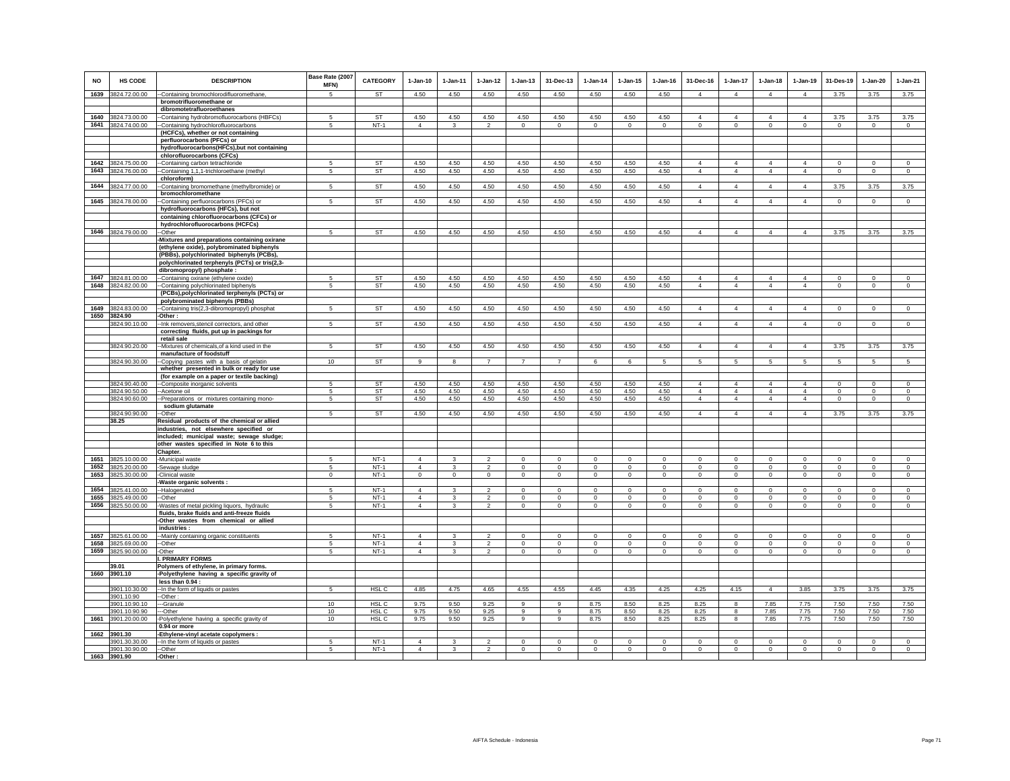| <b>NO</b>    | HS CODE                        | <b>DESCRIPTION</b>                                                                          | Base Rate (2007<br>MFN) | <b>CATEGORY</b>  | $1-Jan-10$                       | $1-Jan-11$    | $1 - Jan-12$                    | $1-Jan-13$                 | 31-Dec-13              | $1-Jan-14$              | $1-Jan-15$                 | $1-Jan-16$            | 31-Dec-16                  | $1-Jan-17$                 | $1-Jan-18$           | $1-Jan-19$                 | 31-Des-19                  | $1-Jan-20$                 | $1-Jan-21$                |
|--------------|--------------------------------|---------------------------------------------------------------------------------------------|-------------------------|------------------|----------------------------------|---------------|---------------------------------|----------------------------|------------------------|-------------------------|----------------------------|-----------------------|----------------------------|----------------------------|----------------------|----------------------------|----------------------------|----------------------------|---------------------------|
|              | 1639 3824.72.00.00             | -Containing bromochlorodifluoromethane,                                                     | $\overline{5}$          | <b>ST</b>        | 4.50                             | 4.50          | 4.50                            | 4.50                       | 4.50                   | 4.50                    | 4.50                       | 4.50                  | $\Delta$                   | $\Delta$                   | $\mathbf{A}$         | $\Delta$                   | 3.75                       | 3.75                       | 3.75                      |
|              |                                | bromotrifluoromethane or<br>dibromotetrafluoroethanes                                       |                         |                  |                                  |               |                                 |                            |                        |                         |                            |                       |                            |                            |                      |                            |                            |                            |                           |
|              | 1640 3824.73.00.00             | -Containing hydrobromofluorocarbons (HBFCs)                                                 | 5                       | <b>ST</b>        | 4.50                             | 4.50          | 4.50                            | 4.50                       | 4.50                   | 4.50                    | 4.50                       | 4.50                  | $\overline{4}$             | $\overline{4}$             | $\overline{4}$       | $\overline{4}$             | 3.75                       | 3.75                       | 3.75                      |
|              | 1641 3824.74.00.00             | -Containing hydrochlorofluorocarbons                                                        | 5                       | $NT-1$           | $\overline{4}$                   | 3             | $\overline{2}$                  | $\mathbf{0}$               | $\overline{0}$         | $\circ$                 | $\circ$                    | $\circ$               | $\circ$                    | $\mathbf{0}$               | $\mathbf{0}$         | $\mathbf{0}$               | $\mathbf{0}$               | $\circ$                    | $\circ$                   |
|              |                                | (HCFCs), whether or not containing                                                          |                         |                  |                                  |               |                                 |                            |                        |                         |                            |                       |                            |                            |                      |                            |                            |                            |                           |
|              |                                | perfluorocarbons (PFCs) or                                                                  |                         |                  |                                  |               |                                 |                            |                        |                         |                            |                       |                            |                            |                      |                            |                            |                            |                           |
|              |                                | hydrofluorocarbons(HFCs), but not containing<br>chlorofluorocarbons (CFCs)                  |                         |                  |                                  |               |                                 |                            |                        |                         |                            |                       |                            |                            |                      |                            |                            |                            |                           |
| 1642         | 3824.75.00.00                  | -Containing carbon tetrachloride                                                            | 5                       | ST               | 4.50                             | 4.50          | 4.50                            | 4.50                       | 4.50                   | 4.50                    | 4.50                       | 4.50                  | $\overline{4}$             | $\overline{4}$             | 4                    | $\overline{4}$             | $\mathbf 0$                | $^{\circ}$                 | $\mathbf 0$               |
| 1643         | 3824.76.00.00                  | -Containing 1,1,1-trichloroethane (methyl                                                   | 5                       | ST               | 4.50                             | 4.50          | 4.50                            | 4.50                       | 4.50                   | 4.50                    | 4.50                       | 4.50                  | $\overline{4}$             | $\overline{4}$             | $\overline{4}$       | $\overline{4}$             | $\mathbf 0$                | $\mathbf 0$                | $\mathbf 0$               |
|              |                                | chloroform)                                                                                 |                         |                  |                                  |               |                                 |                            |                        |                         |                            |                       |                            |                            |                      |                            |                            |                            |                           |
|              | 1644 3824.77.00.00             | -Containing bromomethane (methylbromide) or                                                 | 5                       | <b>ST</b>        | 4.50                             | 4.50          | 4.50                            | 4.50                       | 4.50                   | 4.50                    | 4.50                       | 4.50                  | $\overline{4}$             | $\overline{4}$             | $\overline{4}$       | $\overline{4}$             | 3.75                       | 3.75                       | 3.75                      |
|              |                                | bromochloromethane                                                                          |                         |                  |                                  |               |                                 |                            |                        |                         |                            |                       |                            |                            |                      |                            |                            |                            |                           |
|              | 1645 3824.78.00.00             | -Containing perfluorocarbons (PFCs) or<br>hydrofluorocarbons (HFCs), but not                | 5                       | <b>ST</b>        | 4.50                             | 4.50          | 4.50                            | 4.50                       | 4.50                   | 4.50                    | 4.50                       | 4.50                  | $\overline{4}$             | $\overline{4}$             | $\overline{4}$       | $\overline{4}$             | $\overline{0}$             | $\overline{0}$             | $\overline{0}$            |
|              |                                | containing chlorofluorocarbons (CFCs) or                                                    |                         |                  |                                  |               |                                 |                            |                        |                         |                            |                       |                            |                            |                      |                            |                            |                            |                           |
|              |                                | hydrochlorofluorocarbons (HCFCs)                                                            |                         |                  |                                  |               |                                 |                            |                        |                         |                            |                       |                            |                            |                      |                            |                            |                            |                           |
|              | 1646 3824.79.00.00             | --Other                                                                                     | 5                       | <b>ST</b>        | 4.50                             | 4.50          | 4.50                            | 4.50                       | 4.50                   | 4.50                    | 4.50                       | 4.50                  | 4                          | $\overline{4}$             | $\overline{4}$       | $\overline{4}$             | 3.75                       | 3.75                       | 3.75                      |
|              |                                | Mixtures and preparations containing oxirane                                                |                         |                  |                                  |               |                                 |                            |                        |                         |                            |                       |                            |                            |                      |                            |                            |                            |                           |
|              |                                | (ethylene oxide), polybrominated biphenyls                                                  |                         |                  |                                  |               |                                 |                            |                        |                         |                            |                       |                            |                            |                      |                            |                            |                            |                           |
|              |                                | (PBBs), polychlorinated biphenyls (PCBs),<br>polychlorinated terphenyls (PCTs) or tris(2,3- |                         |                  |                                  |               |                                 |                            |                        |                         |                            |                       |                            |                            |                      |                            |                            |                            |                           |
|              |                                | dibromopropyl) phosphate :                                                                  |                         |                  |                                  |               |                                 |                            |                        |                         |                            |                       |                            |                            |                      |                            |                            |                            |                           |
| 1647         | 3824.81.00.00                  | -Containing oxirane (ethylene oxide)                                                        | 5                       | ST               | 4.50                             | 4.50          | 4.50                            | 4.50                       | 4.50                   | 4.50                    | 4.50                       | 4.50                  | $\overline{4}$             | 4                          | 4                    | 4                          | $\mathbf 0$                | $^{\circ}$                 | $\mathbf 0$               |
| 1648         | 3824.82.00.00                  | -Containing polychlorinated biphenyls                                                       | 5                       | <b>ST</b>        | 4.50                             | 4.50          | 4.50                            | 4.50                       | 4.50                   | 4.50                    | 4.50                       | 4.50                  | $\overline{4}$             | $\overline{4}$             | $\overline{4}$       | $\overline{4}$             | $\mathbf 0$                | $\mathbb O$                | $\mathbf 0$               |
|              |                                | (PCBs), polychlorinated terphenyls (PCTs) or                                                |                         |                  |                                  |               |                                 |                            |                        |                         |                            |                       |                            |                            |                      |                            |                            |                            |                           |
|              |                                | polybrominated biphenyls (PBBs)                                                             | 5                       |                  |                                  |               |                                 |                            |                        |                         |                            |                       | $\Delta$                   | $\overline{4}$             | $\overline{4}$       | $\overline{4}$             | $\Omega$                   |                            | $\overline{0}$            |
| 1649<br>1650 | 3824.83.00.00<br>3824.90       | --Containing tris(2,3-dibromopropyl) phosphat<br>-Other:                                    |                         | <b>ST</b>        | 4.50                             | 4.50          | 4.50                            | 4.50                       | 4.50                   | 4.50                    | 4.50                       | 4.50                  |                            |                            |                      |                            |                            | $\overline{0}$             |                           |
|              | 3824.90.10.00                  | -Ink removers, stencil correctors, and other                                                | 5                       | <b>ST</b>        | 4.50                             | 4.50          | 4.50                            | 4.50                       | 4.50                   | 4.50                    | 4.50                       | 4.50                  | $\Delta$                   | $\mathbf{A}$               | $\mathbf{A}$         | $\Delta$                   | $\Omega$                   | $\Omega$                   | $\Omega$                  |
|              |                                | correcting fluids, put up in packings for                                                   |                         |                  |                                  |               |                                 |                            |                        |                         |                            |                       |                            |                            |                      |                            |                            |                            |                           |
|              |                                | retail sale                                                                                 |                         |                  |                                  |               |                                 |                            |                        |                         |                            |                       |                            |                            |                      |                            |                            |                            |                           |
|              | 3824.90.20.00                  | -Mixtures of chemicals, of a kind used in the<br>manufacture of foodstuff                   | 5                       | <b>ST</b>        | 4.50                             | 4.50          | 4.50                            | 4.50                       | 4.50                   | 4.50                    | 4.50                       | 4.50                  | $\overline{4}$             | $\overline{4}$             | $\overline{4}$       | $\overline{4}$             | 3.75                       | 3.75                       | 3.75                      |
|              | 3824.90.30.00                  | -Copying pastes with a basis of gelatin                                                     | 10                      | ST               | 9                                | 8             | $\overline{7}$                  | $\overline{7}$             | $\overline{7}$         | 6                       | 6                          | 5                     | 5                          | $5\phantom{.0}$            | 5                    | 5                          | 5                          | 5                          | 5                         |
|              |                                | whether presented in bulk or ready for use                                                  |                         |                  |                                  |               |                                 |                            |                        |                         |                            |                       |                            |                            |                      |                            |                            |                            |                           |
|              |                                | (for example on a paper or textile backing)                                                 |                         |                  |                                  |               |                                 |                            |                        |                         |                            |                       |                            |                            |                      |                            |                            |                            |                           |
|              | 3824.90.40.00                  | --Composite inorganic solvents                                                              | 5                       | <b>ST</b>        | 4.50                             | 4.50          | 4.50                            | 4.50                       | 4.50                   | 4.50                    | 4.50                       | 4.50                  | $\Delta$                   | $\overline{4}$             | $\Delta$             | $\Delta$                   | $\Omega$                   | $\mathbf 0$                | $\Omega$                  |
|              | 3824.90.50.00                  | --Acetone oil                                                                               | 5                       | <b>ST</b>        | 4.50                             | 4.50          | 4.50                            | 4.50                       | 4.50                   | 4.50                    | 4.50                       | 4.50                  | $\overline{4}$             | $\overline{4}$             | $\overline{4}$       | $\overline{4}$             | $\Omega$                   | $\mathbf 0$                | $\mathbf 0$               |
|              | 3824.90.60.00                  | --Preparations or mixtures containing mono-<br>sodium glutamate                             | 5                       | <b>ST</b>        | 4.50                             | 4.50          | 4.50                            | 4.50                       | 4.50                   | 4.50                    | 4.50                       | 4.50                  | $\overline{4}$             | $\overline{4}$             | $\overline{4}$       | $\overline{4}$             | $\Omega$                   | $\Omega$                   | $\Omega$                  |
|              | 3824.90.90.00                  | -Other                                                                                      | 5                       | <b>ST</b>        | 4.50                             | 4.50          | 4.50                            | 4.50                       | 4.50                   | 4.50                    | 4.50                       | 4.50                  | $\overline{4}$             | $\overline{4}$             | $\overline{4}$       | $\overline{4}$             | 3.75                       | 3.75                       | 3.75                      |
|              | 38.25                          | Residual products of the chemical or allied                                                 |                         |                  |                                  |               |                                 |                            |                        |                         |                            |                       |                            |                            |                      |                            |                            |                            |                           |
|              |                                | industries, not elsewhere specified or                                                      |                         |                  |                                  |               |                                 |                            |                        |                         |                            |                       |                            |                            |                      |                            |                            |                            |                           |
|              |                                | included; municipal waste; sewage sludge;                                                   |                         |                  |                                  |               |                                 |                            |                        |                         |                            |                       |                            |                            |                      |                            |                            |                            |                           |
|              |                                | other wastes specified in Note 6 to this<br>Chapter.                                        |                         |                  |                                  |               |                                 |                            |                        |                         |                            |                       |                            |                            |                      |                            |                            |                            |                           |
| 1651         | 3825.10.00.00                  | -Municipal waste                                                                            | 5                       | $NT-1$           | $\overline{4}$                   | 3             | $\overline{2}$                  | $\mathbf 0$                | $\mathbf 0$            | $\mathbf 0$             | $\mathsf 0$                | $\mathsf 0$           | $\mathbf 0$                | $\circ$                    | $\mathbf 0$          | $\mathbf 0$                | $\mathbf 0$                | $\mathbf 0$                | $\mathbf 0$               |
| 1652         | 3825.20.00.00                  | -Sewage sludge                                                                              | 5                       | $NT-1$           | $\overline{4}$                   | $\mathcal{R}$ | $\overline{2}$                  | $\mathbf 0$                | $\circ$                | $\circ$                 | $\circ$                    | $\mathbf 0$           | $\circ$                    | $\circ$                    | $\mathbf 0$          | $\mathbf 0$                | $\Omega$                   | $\mathbb O$                | $\circ$                   |
| 1653         | 3825.30.00.00                  | -Clinical waste                                                                             | $\mathbf 0$             | $NT-1$           | $\Omega$                         | $\mathbf{0}$  | $\circ$                         | $\mathsf{O}$               | $\circ$                | $\mathsf 0$             | $\mathsf 0$                | $\mathsf 0$           | $\mathsf 0$                | $\circ$                    | $\mathsf{O}$         | $\mathsf{O}$               | $\Omega$                   | $\mathbb O$                | $\mathsf{O}$              |
|              |                                | Waste organic solvents :                                                                    |                         |                  |                                  |               |                                 |                            |                        |                         |                            |                       |                            |                            |                      |                            |                            |                            |                           |
| 1654<br>1655 | 3825.41.00.00<br>3825.49.00.00 | --Halogenated<br>-Other                                                                     | 5<br>5                  | $NT-1$<br>$NT-1$ | $\overline{4}$<br>$\overline{4}$ | $\mathcal{R}$ | $\mathcal{L}$<br>$\overline{2}$ | $\Omega$<br>$\circ$        | $\circ$<br>$\circ$     | $\Omega$<br>$\mathbf 0$ | $\Omega$<br>$\mathbf{0}$   | $\Omega$<br>$\circ$   | $\Omega$<br>$\Omega$       | $\Omega$<br>$\mathbf 0$    | $\Omega$<br>$\Omega$ | $\Omega$<br>$\mathbf 0$    | $\Omega$<br>$\Omega$       | $\Omega$<br>$\Omega$       | $\Omega$<br>$\Omega$      |
| 1656         | 3825.50.00.00                  | -Wastes of metal pickling liquors, hydraulic                                                | $5\overline{5}$         | $NT-1$           | $\overline{4}$                   | 3             | $\overline{2}$                  | $\circ$                    | $\mathbf{0}$           | $\circ$                 | $\mathbf 0$                | $\circ$               | $\Omega$                   | $\circ$                    | $\mathbf 0$          | $\circ$                    | $\Omega$                   | $^{\circ}$                 | $\Omega$                  |
|              |                                | fluids, brake fluids and anti-freeze fluids                                                 |                         |                  |                                  |               |                                 |                            |                        |                         |                            |                       |                            |                            |                      |                            |                            |                            |                           |
|              |                                | -Other wastes from chemical or allied                                                       |                         |                  |                                  |               |                                 |                            |                        |                         |                            |                       |                            |                            |                      |                            |                            |                            |                           |
|              |                                | industries:                                                                                 |                         |                  |                                  |               |                                 |                            |                        |                         |                            |                       |                            |                            |                      |                            |                            |                            |                           |
| 1658         | 1657 3825.61.00.00             | -Mainly containing organic constituents<br>--Other                                          |                         | $NT-1$<br>$NT-1$ | $\overline{4}$<br>$\Delta$       | 3             | $\overline{c}$                  | 0                          | $\mathbf 0$<br>$\circ$ | $^{\circ}$              | 0                          | $^{\circ}$            | $^{\circ}$<br>$\mathbf{0}$ | $^{\circ}$<br>$\mathbf{0}$ | 0<br>$\mathbf 0$     | $^{\circ}$<br>$\mathbf{0}$ | $^{\circ}$<br>$\mathbf{0}$ | $\mathbf 0$<br>$\mathbb O$ | $^{\circ}$<br>$\mathbb O$ |
| 1659         | 3825.69.00.00<br>3825.90.00.00 | Other                                                                                       | 5<br>5                  | $NT-1$           | $\overline{4}$                   | 3             | $\overline{c}$<br>$\mathcal{P}$ | $\mathbf 0$<br>$\mathbf 0$ | $\circ$                | $^{\circ}$<br>$\Omega$  | $\mathbf 0$<br>$\mathsf 0$ | $^{\circ}$<br>$\circ$ | $\circ$                    | $\mathbf 0$                | $\Omega$             | $\mathbf 0$                | $\Omega$                   | $\mathbf 0$                | $\Omega$                  |
|              |                                | <b>PRIMARY FORMS</b>                                                                        |                         |                  |                                  |               |                                 |                            |                        |                         |                            |                       |                            |                            |                      |                            |                            |                            |                           |
|              | 39.01                          | Polymers of ethylene, in primary forms.                                                     |                         |                  |                                  |               |                                 |                            |                        |                         |                            |                       |                            |                            |                      |                            |                            |                            |                           |
|              | 1660 3901.10                   | -Polyethylene having a specific gravity of                                                  |                         |                  |                                  |               |                                 |                            |                        |                         |                            |                       |                            |                            |                      |                            |                            |                            |                           |
|              |                                | less than 0.94 :                                                                            |                         |                  |                                  |               |                                 |                            |                        |                         |                            |                       |                            |                            |                      |                            |                            |                            |                           |
|              | 3901.10.30.00<br>3901.10.90    | -- In the form of liquids or pastes<br>--Other:                                             | 5                       | HSL <sub>C</sub> | 4.85                             | 4.75          | 4.65                            | 4.55                       | 4.55                   | 4.45                    | 4.35                       | 4.25                  | 4.25                       | 4.15                       | $\overline{4}$       | 3.85                       | 3.75                       | 3.75                       | 3.75                      |
|              | 3901.10.90.10                  | --Granule                                                                                   | 10                      | HSL C            | 9.75                             | 9.50          | 9.25                            | 9                          | $\,9$                  | 8.75                    | 8.50                       | 8.25                  | 8.25                       | 8                          | 7.85                 | 7.75                       | 7.50                       | 7.50                       | 7.50                      |
|              | 3901.10.90.90                  | --Other                                                                                     | 10                      | HSL C            | 9.75                             | 9.50          | 9.25                            | 9                          | 9                      | 8.75                    | 8.50                       | 8.25                  | 8.25                       | 8                          | 7.85                 | 7.75                       | 7.50                       | 7.50                       | 7.50                      |
|              | 1661 3901.20.00.00             | -Polyethylene having a specific gravity of                                                  | 10                      | HSL <sub>C</sub> | 9.75                             | 9.50          | 9.25                            | $\overline{9}$             | $\overline{9}$         | 8.75                    | 8.50                       | 8.25                  | 8.25                       | $\bf8$                     | 7.85                 | 7.75                       | 7.50                       | 7.50                       | 7.50                      |
|              |                                | 0.94 or more                                                                                |                         |                  |                                  |               |                                 |                            |                        |                         |                            |                       |                            |                            |                      |                            |                            |                            |                           |
|              | 1662 3901.30<br>3901.30.30.00  | -Ethylene-vinyl acetate copolymers :<br>-- In the form of liquids or pastes                 |                         | $NT-1$           | $\overline{4}$                   |               |                                 |                            | $^{\circ}$             | $\Omega$                | $\Omega$                   | $\Omega$              | $\Omega$                   | $\Omega$                   | $\Omega$             | $\Omega$                   | $\Omega$                   | $^{\circ}$                 | $\Omega$                  |
|              | 3901.30.90.00                  | --Other                                                                                     | 5                       | $NT-1$           | $\overline{4}$                   | 3             | $\mathfrak{D}$                  | $\Omega$                   | $\mathbf 0$            | $\mathsf 0$             | $\overline{0}$             | $\mathsf 0$           | $\Omega$                   | $\mathbf 0$                | $\mathbf 0$          | $\mathbf 0$                | $\Omega$                   | $\mathbf 0$                | $\Omega$                  |
|              | 1663 3901.90                   | -Other:                                                                                     |                         |                  |                                  |               |                                 |                            |                        |                         |                            |                       |                            |                            |                      |                            |                            |                            |                           |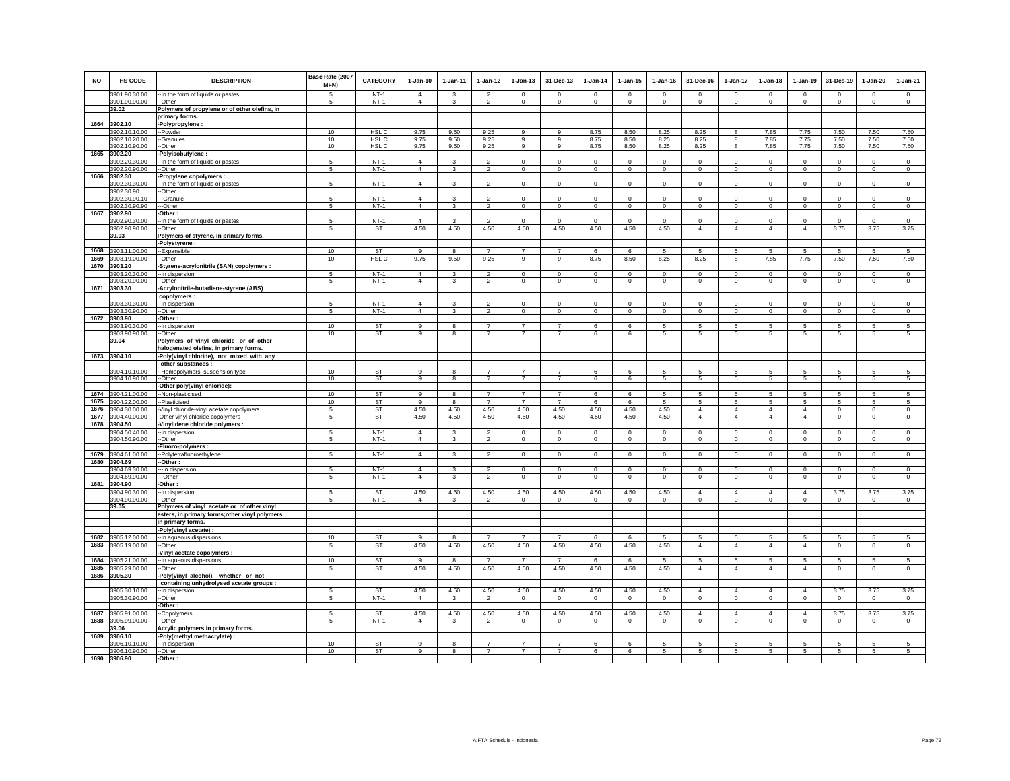| <b>NO</b>    | <b>HS CODE</b>                 | <b>DESCRIPTION</b>                                                                  | Base Rate (2007<br>MFN) | CATEGORY                  | $1-Jan-10$                       | $1 - Jan-11$                   | $1 - Jan-12$                     | $1 - Jan-13$                     | 31-Dec-13                        | $1 - Jan-14$                  | $1 - Jan-15$                  | $1 - Jan-16$               | 31-Dec-16                     | $1-Jan-17$                    | $1 - Jan-18$                  | $1-Jan-19$                    | 31-Des-19               | $1 - Jan-20$               | $1-Jan-21$                |
|--------------|--------------------------------|-------------------------------------------------------------------------------------|-------------------------|---------------------------|----------------------------------|--------------------------------|----------------------------------|----------------------------------|----------------------------------|-------------------------------|-------------------------------|----------------------------|-------------------------------|-------------------------------|-------------------------------|-------------------------------|-------------------------|----------------------------|---------------------------|
|              | 3901.90.30.00<br>3901.90.90.00 | -- In the form of liquids or pastes<br>--Other                                      | 5<br>5                  | $NT-1$<br>$NT-1$          | $\overline{4}$<br>$\overline{4}$ | $\mathbf{3}$<br>3              | $\overline{2}$<br>$\overline{2}$ | $\Omega$<br>$\mathbf 0$          | $\Omega$<br>$\mathbf 0$          | $\Omega$<br>$\mathbf 0$       | $\Omega$<br>$\mathbf 0$       | $\Omega$<br>$\mathbf 0$    | $\Omega$<br>$\mathbf 0$       | $\Omega$<br>$\mathbf 0$       | $\Omega$<br>$\mathbf 0$       | $\Omega$<br>$\circ$           | $\Omega$<br>$\mathbf 0$ | $\Omega$<br>$\circ$        | $\Omega$<br>$\circ$       |
|              | 39.02                          | Polymers of propylene or of other olefins, in                                       |                         |                           |                                  |                                |                                  |                                  |                                  |                               |                               |                            |                               |                               |                               |                               |                         |                            |                           |
|              |                                | primary forms.                                                                      |                         |                           |                                  |                                |                                  |                                  |                                  |                               |                               |                            |                               |                               |                               |                               |                         |                            |                           |
|              | 1664 3902.10                   | -Polypropylene :<br>-Powder                                                         |                         |                           |                                  |                                |                                  | 9                                | $\overline{9}$                   |                               |                               |                            |                               | 8                             |                               |                               |                         |                            | 7.50                      |
|              | 3902.10.10.00<br>3902.10.20.00 | -Granules                                                                           | 10<br>10                | HSL <sub>C</sub><br>HSL C | 9.75<br>9.75                     | 9.50<br>9.50                   | 9.25<br>9.25                     | 9                                | 9                                | 8.75<br>8.75                  | 8.50<br>8.50                  | 8.25<br>8.25               | 8.25<br>8.25                  | 8                             | 7.85<br>7.85                  | 7.75<br>7.75                  | 7.50<br>7.50            | 7.50<br>7.50               | 7.50                      |
|              | 3902.10.90.00                  | --Other                                                                             | 10                      | HSL C                     | 9.75                             | 9.50                           | 9.25                             | $\mathsf g$                      | 9                                | 8.75                          | 8.50                          | 8.25                       | 8.25                          | 8                             | 7.85                          | 7.75                          | 7.50                    | 7.50                       | 7.50                      |
| 1665         | 3902.20                        | -Polyisobutylene:                                                                   |                         |                           |                                  |                                |                                  |                                  |                                  |                               |                               |                            |                               |                               |                               |                               |                         |                            |                           |
|              | 3902.20.30.00                  | -- In the form of liquids or pastes                                                 | 5                       | $NT-1$                    | $\overline{4}$<br>$\overline{4}$ | 3                              | $\overline{2}$<br>$\overline{2}$ | $\overline{0}$                   | $\overline{0}$                   | $\overline{0}$                | $\overline{0}$                | $\overline{0}$             | $\mathbf 0$                   | $\overline{0}$                | $\overline{0}$                | $\overline{0}$                | $\overline{0}$          | $\overline{0}$             | $\overline{0}$            |
|              | 3902.20.90.00<br>1666 3902.30  | --Other<br>-Propylene copolymers :                                                  | 5                       | $NT-1$                    |                                  | $\mathbf{3}$                   |                                  | $\mathbf 0$                      | $\mathbf 0$                      | $\mathbf 0$                   | $\circ$                       | $\circ$                    | $\mathbf{0}$                  | $\circ$                       | $\mathbf 0$                   | $\mathsf 0$                   | $\circ$                 | $\circ$                    | $\circ$                   |
|              | 3902.30.30.00                  | -In the form of liquids or pastes                                                   | 5                       | $NT-1$                    | $\overline{4}$                   | $\mathbf{3}$                   | $\overline{2}$                   | $\mathbf 0$                      | $\mathbf 0$                      | $\circ$                       | $\mathbf 0$                   | $\mathbf 0$                | $\circ$                       | $\mathbf 0$                   | $\mathbf 0$                   | $\,0\,$                       | $\circ$                 | $\mathbf 0$                | $\mathbf 0$               |
|              | 3902.30.90                     | Other:                                                                              |                         |                           |                                  |                                |                                  |                                  |                                  |                               |                               |                            |                               |                               |                               |                               |                         |                            |                           |
|              | 3902.30.90.10                  | -Granule                                                                            | 5                       | $NT-1$<br>$NT-1$          | $\overline{4}$<br>$\overline{4}$ | $\mathbf{3}$                   | $\overline{2}$<br>$\overline{2}$ | $\mathbf 0$<br>$\mathsf 0$       | 0<br>$\circ$                     | $\mathbf 0$<br>$\mathbf 0$    | $\mathbf 0$<br>$\mathsf 0$    | $\mathbf 0$<br>$\Omega$    | 0<br>$\mathbf{0}$             | $\mathbf 0$<br>$\circ$        | $\mathbf 0$<br>$\mathbf 0$    | $\mathbf 0$<br>$\overline{0}$ | $\mathbf 0$<br>$\circ$  | $\mathbf 0$<br>$\circ$     | $\mathbf 0$<br>$\circ$    |
|              | 3902.30.90.90<br>1667 3902.90  | --Other<br>-Other:                                                                  |                         |                           |                                  |                                |                                  |                                  |                                  |                               |                               |                            |                               |                               |                               |                               |                         |                            |                           |
|              | 3902.90.30.00                  | -- In the form of liquids or pastes                                                 | 5                       | $NT-1$                    | $\overline{4}$                   | 3                              | $\mathcal{L}$                    | $\Omega$                         | $\Omega$                         | $\Omega$                      | $\Omega$                      | $\Omega$                   | $\Omega$                      | $\mathbf{0}$                  | $\Omega$                      | $\circ$                       | $\Omega$                | $\Omega$                   | $\circ$                   |
|              | 3902.90.90.00                  | --Other                                                                             | $\,$ 5 $\,$             | ST                        | 4.50                             | 4.50                           | 4.50                             | 4.50                             | 4.50                             | 4.50                          | 4.50                          | 4.50                       | $\overline{4}$                | $\overline{4}$                | $\overline{4}$                | $\overline{4}$                | 3.75                    | 3.75                       | 3.75                      |
|              | 39.03                          | Polymers of styrene, in primary forms.                                              |                         |                           |                                  |                                |                                  |                                  |                                  |                               |                               |                            |                               |                               |                               |                               |                         |                            |                           |
| 1668         | 3903.11.00.00                  | -Polystyrene :<br>-Expansible                                                       | 10                      | ST                        | $\alpha$                         | 8                              | $\overline{7}$                   | $\overline{7}$                   | $\overline{7}$                   | 6                             | 6                             | 5                          | 5                             | 5                             | 5                             | $\sqrt{5}$                    | $\sqrt{5}$              | $\overline{5}$             | $5\phantom{.0}$           |
| 1669         | 3903.19.00.00                  | -Other                                                                              | 10                      | HSL C                     | 9.75                             | 9.50                           | 9.25                             | 9                                | 9                                | 8.75                          | 8.50                          | 8.25                       | 8.25                          | 8                             | 7.85                          | 7.75                          | 7.50                    | 7.50                       | 7.50                      |
| 1670         | 3903.20                        | Styrene-acrylonitrile (SAN) copolymers :                                            |                         |                           |                                  |                                |                                  |                                  |                                  |                               |                               |                            |                               |                               |                               |                               |                         |                            |                           |
|              | 3903.20.30.00<br>3903.20.90.00 | -In dispersion                                                                      | 5<br>5                  | $NT-1$<br>$NT-1$          | $\overline{4}$<br>$\overline{4}$ | $\mathbf{3}$<br>$\overline{3}$ | $\mathfrak{p}$<br>$\overline{2}$ | $\mathbf 0$<br>$\mathbf 0$       | $^{\circ}$<br>$\mathbf 0$        | $\mathbf 0$<br>$\overline{0}$ | $\mathbf 0$<br>$\overline{0}$ | $\mathbf 0$<br>$\mathsf 0$ | $\mathbf 0$<br>$\mathbf 0$    | $\mathbf 0$<br>$\overline{0}$ | $\mathbf 0$<br>$\mathbf 0$    | $\mathbf 0$<br>$\overline{0}$ | $\mathbf 0$<br>$\,$ 0   | $\mathbf 0$<br>$\mathbf 0$ | $\circ$<br>$\overline{0}$ |
|              | 1671 3903.30                   | --Other<br>-Acrylonitrile-butadiene-styrene (ABS)                                   |                         |                           |                                  |                                |                                  |                                  |                                  |                               |                               |                            |                               |                               |                               |                               |                         |                            |                           |
|              |                                | copolymers :                                                                        |                         |                           |                                  |                                |                                  |                                  |                                  |                               |                               |                            |                               |                               |                               |                               |                         |                            |                           |
|              | 3903.30.30.00                  | -- In dispersion                                                                    | 5                       | $NT-1$                    | $\overline{4}$                   | 3                              | $\overline{2}$                   | $\mathbf 0$                      | $^{\circ}$                       | $^{\circ}$                    | $\mathbf 0$                   | $\mathbf 0$                | $\mathbf 0$                   | $\mathbf 0$                   | $\mathbf 0$                   | $\mathbf 0$                   | $\mathbf 0$             | $\mathbf 0$                | $\mathbf 0$               |
| 1672         | 3903.30.90.00<br>3903.90       | --Other<br>-Other:                                                                  | 5                       | $NT-1$                    | $\overline{4}$                   | 3                              | $\overline{2}$                   | $\mathbf{0}$                     | $\overline{0}$                   | $\mathbf{0}$                  | $\circ$                       | $\circ$                    | $\mathbf{0}$                  | $\overline{0}$                | $\mathbf 0$                   | $\mathbf{0}$                  | $\overline{0}$          | $\overline{0}$             | $\mathbf{0}$              |
|              | 3903.90.30.00                  | -In dispersion                                                                      | 10                      | ST                        | 9                                | $\mathbf{R}$                   | $\overline{7}$                   | $\overline{7}$                   | $\overline{7}$                   | 6                             | 6                             | -5                         | 5                             | 5                             | 5                             | 5                             | -5                      | 5                          | 5                         |
|              | 3903.90.90.00                  | --Other                                                                             | 10                      | ST                        | $\mathsf g$                      | 8                              | $\overline{7}$                   | $\overline{7}$                   | $\overline{7}$                   | 6                             | 6                             | 5                          | 5                             | 5                             | 5                             | 5                             | $\sqrt{5}$              | 5                          | 5                         |
|              | 39.04                          | Polymers of vinyl chloride or of other                                              |                         |                           |                                  |                                |                                  |                                  |                                  |                               |                               |                            |                               |                               |                               |                               |                         |                            |                           |
|              | 1673 3904.10                   | halogenated olefins, in primary forms.<br>-Poly(vinyl chloride), not mixed with any |                         |                           |                                  |                                |                                  |                                  |                                  |                               |                               |                            |                               |                               |                               |                               |                         |                            |                           |
|              |                                | other substances :                                                                  |                         |                           |                                  |                                |                                  |                                  |                                  |                               |                               |                            |                               |                               |                               |                               |                         |                            |                           |
|              | 3904.10.10.00                  | -- Homopolymers, suspension type                                                    | 10                      | <b>ST</b>                 | 9                                | 8                              |                                  |                                  |                                  | 6                             | 6                             | 5                          | 5                             | 5                             | 5                             | 5                             | 5                       | 5                          | 5                         |
|              | 3904.10.90.00                  | -Other                                                                              | 10                      | ST                        | 9                                | 8                              | $\overline{7}$                   | $\overline{7}$                   | $\overline{7}$                   | 6                             | 6                             | 5                          | 5                             | 5                             | 5                             | 5                             | 5                       | 5                          | 5                         |
|              | 1674 3904.21.00.00             | -Other poly(vinyl chloride):<br>-Non-plasticised                                    | 10                      | ST                        | $\alpha$                         | $\mathbf{R}$                   | $\overline{7}$                   | $\overline{7}$                   | $\overline{7}$                   | 6                             | 6                             | 5                          | 5                             | 5                             | 5                             | 5                             | 5                       | 5                          | -5                        |
| 1675         | 3904.22.00.00                  | -Plasticised                                                                        | 10                      | ST                        | 9                                | -8                             | $\overline{7}$                   | $\overline{7}$                   | $\overline{7}$                   | -6                            | 6                             | -5                         | 5                             | 5                             | 5                             | 5                             | -5                      | 5                          | 5                         |
| 1676         | 3904.30.00.00                  | Vinyl chloride-vinyl acetate copolymers                                             | 5                       | ST                        | 4.50                             | 4.50                           | 4.50                             | 4.50                             | 4.50                             | 4.50                          | 4.50                          | 4.50                       | $\overline{4}$                | $\overline{4}$                | $\overline{4}$                | $\overline{4}$                | $\mathbf 0$             | $\mathsf 0$                | $\mathsf 0$               |
| 1677         | 3904.40.00.00                  | Other vinyl chloride copolymers                                                     | 5                       | ST                        | 4.50                             | 4.50                           | 4.50                             | 4.50                             | 4.50                             | 4.50                          | 4.50                          | 4.50                       | $\overline{4}$                | $\overline{4}$                | $\overline{4}$                | $\overline{4}$                | $\mathbf 0$             | $\mathsf 0$                | $\circ$                   |
| 1678         | 3904.50<br>3904.50.40.00       | Vinylidene chloride polymers :<br>-- In dispersion                                  | $\overline{5}$          | $NT-1$                    | $\Delta$                         | $\mathcal{R}$                  | $\overline{2}$                   | $\Omega$                         | $\mathbf 0$                      | $\Omega$                      | $\Omega$                      | $\Omega$                   | $\Omega$                      | $\mathsf 0$                   | $\Omega$                      | $\circ$                       | $\mathbf 0$             | $\mathsf 0$                | $\circ$                   |
|              | 3904.50.90.00                  | --Other                                                                             | $\overline{5}$          | $NT-1$                    | $\overline{4}$                   | 3                              | $\overline{2}$                   | $\Omega$                         | $\mathsf 0$                      | $\Omega$                      | $\Omega$                      | $\Omega$                   | $\Omega$                      | $\overline{0}$                | $\Omega$                      | $\Omega$                      | $\Omega$                | $\mathbf 0$                | $\overline{0}$            |
|              |                                | -Fluoro-polymers :                                                                  |                         |                           |                                  |                                |                                  |                                  |                                  |                               |                               |                            |                               |                               |                               |                               |                         |                            |                           |
| 1679         | 3904.61.00.00                  | -Polytetrafluoroethylene                                                            | 5                       | $NT-1$                    | $\overline{4}$                   | 3                              | $\overline{2}$                   | $\mathbf 0$                      | $\mathbf 0$                      | $\mathbf 0$                   | $\mathbf 0$                   | $\mathbf 0$                | $\mathbf 0$                   | $\circ$                       | $\mathbf 0$                   | $\circ$                       | $\circ$                 | $\mathbf 0$                | $\circ$                   |
|              | 1680 3904.69<br>3904.69.30.00  | -Other:<br>--In dispersion                                                          | 5                       | $NT-1$                    | $\overline{4}$                   | 3                              | $\overline{2}$                   | $\circ$                          | $\mathbf 0$                      | $\mathbf 0$                   | $^{\circ}$                    | $^{\circ}$                 | $^{\circ}$                    | $\mathbf{0}$                  | 0                             | $\mathbf{0}$                  | $\mathbf{0}$            | $\mathbf{0}$               | $^{\circ}$                |
|              | 3904.69.90.00                  | -Other                                                                              | 5                       | $NT-1$                    | $\overline{4}$                   | $\mathbf{3}$                   | $\overline{2}$                   | $\mathsf 0$                      | $\mathbf 0$                      | $\mathbf 0$                   | $\mathsf 0$                   | $\mathsf 0$                | $\mathsf 0$                   | $\mathbf 0$                   | $\mathsf 0$                   | $\mathsf 0$                   | $\mathsf 0$             | $\mathbf 0$                | $\mathbf 0$               |
| 1681         | 3904.90                        | Other:                                                                              |                         |                           |                                  |                                |                                  |                                  |                                  |                               |                               |                            |                               |                               |                               |                               |                         |                            |                           |
|              | 3904.90.30.00<br>3904.90.90.00 | -In dispersion<br>-Other                                                            | 5<br>$\overline{5}$     | <b>ST</b><br>$NT-1$       | 4.50<br>$\Delta$                 | 4.50<br>3                      | 4.50<br>$\overline{2}$           | 4.50<br>$\Omega$                 | 4.50<br>$\overline{0}$           | 4.50<br>$\Omega$              | 4.50<br>$\Omega$              | 4.50<br>$\Omega$           | $\overline{4}$<br>$\Omega$    | $\overline{4}$<br>$\circ$     | $\overline{4}$<br>$\Omega$    | $\overline{4}$<br>$\Omega$    | 3.75<br>$\Omega$        | 3.75<br>$\Omega$           | 3.75<br>$\Omega$          |
|              | 39.05                          | Polymers of vinyl acetate or of other vinyl                                         |                         |                           |                                  |                                |                                  |                                  |                                  |                               |                               |                            |                               |                               |                               |                               |                         |                            |                           |
|              |                                | esters, in primary forms; other vinyl polymers                                      |                         |                           |                                  |                                |                                  |                                  |                                  |                               |                               |                            |                               |                               |                               |                               |                         |                            |                           |
|              |                                | in primary forms.                                                                   |                         |                           |                                  |                                |                                  |                                  |                                  |                               |                               |                            |                               |                               |                               |                               |                         |                            |                           |
| 1682         | 3905.12.00.00                  | -Poly(vinyl acetate) :<br>-- In aqueous dispersions                                 | 10                      | ST                        | 9                                | 8                              | $\overline{7}$                   | $\overline{7}$                   | $\overline{7}$                   | 6                             | 6                             | 5                          | 5                             | 5                             | 5                             | 5                             | 5                       | 5                          | 5                         |
| 1683         | 3905.19.00.00                  | -Other                                                                              | 5                       | ST                        | 4.50                             | 4.50                           | 4.50                             | 4.50                             | 4.50                             | 4.50                          | 4.50                          | 4.50                       | $\overline{4}$                | $\overline{4}$                | $\overline{4}$                | $\overline{4}$                | $\mathbf 0$             | $\overline{0}$             | $\circ$                   |
|              |                                | Vinyl acetate copolymers :                                                          |                         |                           |                                  |                                |                                  |                                  |                                  |                               |                               |                            |                               |                               |                               |                               |                         |                            |                           |
| 1684         | 3905.21.00.00                  | -- In aqueous dispersions                                                           | 10                      | ST                        | 9                                | -8                             | $\overline{7}$                   | $\overline{7}$                   | $\overline{7}$                   | 6                             | 6                             | -5                         | 5                             | 5                             | 5                             | 5                             | -5                      | 5                          | 5                         |
| 1685<br>1686 | 3905.29.00.00<br>3905.30       | -Other                                                                              | 5                       | ST                        | 4.50                             | 4.50                           | 4.50                             | 4.50                             | 4.50                             | 4.50                          | 4.50                          | 4.50                       | $\overline{4}$                | $\overline{4}$                | $\overline{4}$                | $\overline{4}$                | $\mathbf 0$             | $\mathsf 0$                | $\mathbf 0$               |
|              |                                | -Poly(vinyl alcohol), whether or not<br>containing unhydrolysed acetate groups :    |                         |                           |                                  |                                |                                  |                                  |                                  |                               |                               |                            |                               |                               |                               |                               |                         |                            |                           |
|              | 3905.30.10.00                  | -- In dispersion                                                                    | $\overline{5}$          | <b>ST</b>                 | 4.50                             | 4.50                           | 4.50                             | 4.50                             | 4.50                             | 4.50                          | 4.50                          | 4.50                       | $\overline{4}$                | $\Delta$                      | $\Delta$                      | $\Delta$                      | 3.75                    | 3.75                       | 3.75                      |
|              | 3905.30.90.00                  | $-Other$                                                                            | -5                      | $NT-1$                    | $\overline{4}$                   | 3                              | $\mathcal{P}$                    | $\Omega$                         | $\mathbf 0$                      | $\Omega$                      | $\Omega$                      | $\Omega$                   | $\Omega$                      | $\overline{0}$                | $\Omega$                      | $\overline{0}$                | $\Omega$                | $\mathbf 0$                | $\circ$                   |
|              |                                | -Other:                                                                             |                         |                           |                                  |                                |                                  |                                  |                                  |                               |                               |                            |                               |                               |                               |                               |                         |                            |                           |
| 1687<br>1688 | 3905.91.00.00<br>3905.99.00.00 | -Copolymers<br>-Other                                                               | 5<br>5                  | ST<br>$NT-1$              | 4.50<br>$\overline{4}$           | 4.50<br>3                      | 4.50<br>$\overline{2}$           | 4.50<br>$\mathbf 0$              | 4.50<br>$\mathbf 0$              | 4.50<br>$\circ$               | 4.50<br>$\mathbf 0$           | 4.50<br>$\mathbf 0$        | $\overline{4}$<br>$\mathbf 0$ | $\overline{4}$<br>$\circ$     | $\overline{4}$<br>$\mathbf 0$ | $\overline{4}$<br>$\mathsf 0$ | 3.75<br>$\mathbf 0$     | 3.75<br>$\mathbf 0$        | 3.75<br>$\circ$           |
|              | 39.06                          | Acrylic polymers in primary forms.                                                  |                         |                           |                                  |                                |                                  |                                  |                                  |                               |                               |                            |                               |                               |                               |                               |                         |                            |                           |
| 1689         | 3906.10                        | -Poly(methyl methacrylate) :                                                        |                         |                           |                                  |                                |                                  |                                  |                                  |                               |                               |                            |                               |                               |                               |                               |                         |                            |                           |
|              | 3906.10.10.00<br>3906.10.90.00 | -In dispersion<br>--Other                                                           | 10<br>10                | ST<br><b>ST</b>           | 9<br>g                           | 8<br>8                         | $\overline{7}$<br>$\overline{7}$ | $\overline{7}$<br>$\overline{7}$ | $\overline{7}$<br>$\overline{7}$ | 6<br>6                        | 6<br>6                        | -5<br>5                    | 5<br>5                        | 5<br>5                        | 5<br>5                        | 5<br>5                        | -5<br>5                 | 5<br>5                     | $5 -$<br>5                |
| 1690         | 3906.90                        | -Other:                                                                             |                         |                           |                                  |                                |                                  |                                  |                                  |                               |                               |                            |                               |                               |                               |                               |                         |                            |                           |
|              |                                |                                                                                     |                         |                           |                                  |                                |                                  |                                  |                                  |                               |                               |                            |                               |                               |                               |                               |                         |                            |                           |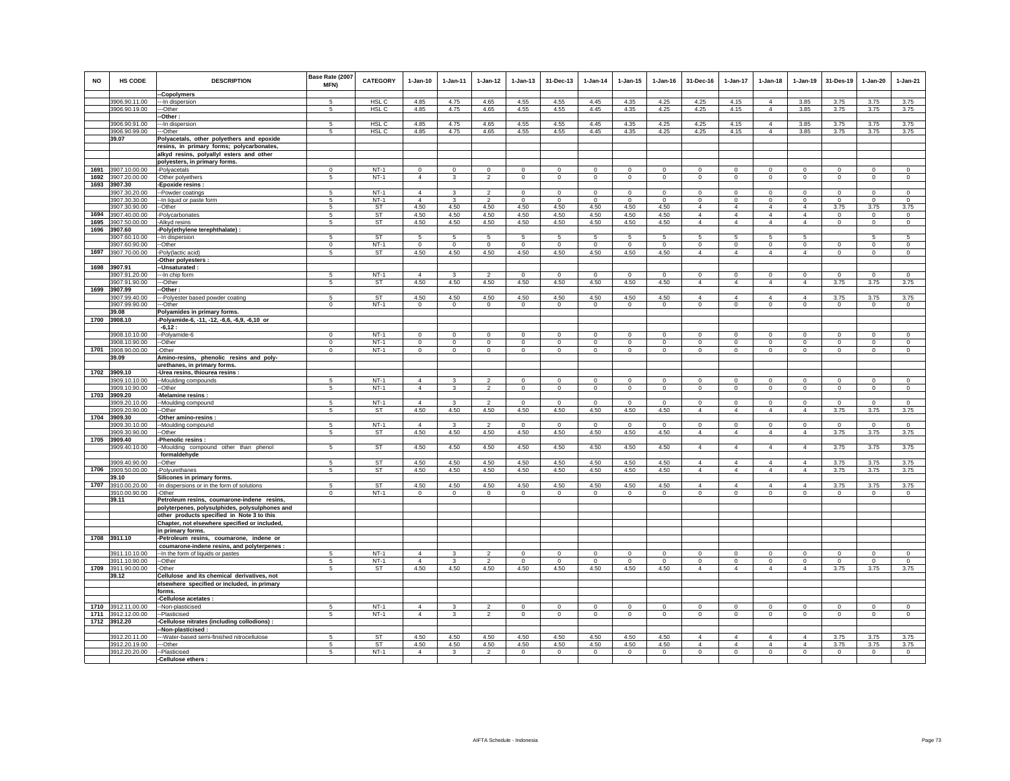| <b>NO</b> | HS CODE                             | <b>DESCRIPTION</b>                                                                          | Base Rate (2007<br>MFN) | <b>CATEGORY</b>  | $1-Jan-10$                       | 1-Jan-11                     | $1 - Jan-12$                               | $1 - Jan-13$            | 31-Dec-13                        | $1-Jan-14$              | $1 - Jan-15$            | $1 - Jan-16$               | 31-Dec-16                     | 1-Jan-17                      | $1-Jan-18$                       | 1-Jan-19                         | 31-Des-19               | $1-Jan-20$                | $1-Jan-21$                     |
|-----------|-------------------------------------|---------------------------------------------------------------------------------------------|-------------------------|------------------|----------------------------------|------------------------------|--------------------------------------------|-------------------------|----------------------------------|-------------------------|-------------------------|----------------------------|-------------------------------|-------------------------------|----------------------------------|----------------------------------|-------------------------|---------------------------|--------------------------------|
|           | 3906.90.11.00                       | -Copolymers                                                                                 | 5                       | HSL C            | 4.85                             | 4.75                         | 4.65                                       | 4.55                    | 4.55                             | 4.45                    | 4.35                    | 4.25                       | 4.25                          | 4.15                          | $\overline{4}$                   | 3.85                             | 3.75                    | 3.75                      | 3.75                           |
|           | 3906.90.19.00                       | --In dispersion<br>---Other                                                                 | 5                       | HSL C            | 4.85                             | 4.75                         | 4.65                                       | 4.55                    | 4.55                             | 4.45                    | 4.35                    | 4.25                       | 4.25                          | 4.15                          | $\overline{4}$                   | 3.85                             | 3.75                    | 3.75                      | 3.75                           |
|           |                                     | -Other:                                                                                     |                         |                  |                                  |                              |                                            |                         |                                  |                         |                         |                            |                               |                               |                                  |                                  |                         |                           |                                |
|           | 3906.90.91.00                       | -- In dispersion                                                                            | -5                      | HSL C            | 4.85                             | 4.75                         | 4.65                                       | 4.55                    | 4.55                             | 4.45                    | 4.35                    | 4.25                       | 4.25                          | 4.15                          | $\overline{4}$                   | 3.85                             | 3.75                    | 3.75                      | 3.75                           |
|           | 3906.90.99.00                       | -Other                                                                                      | 5                       | HSL <sub>C</sub> | 4.85                             | 4.75                         | 4.65                                       | 4.55                    | 4.55                             | 4.45                    | 4.35                    | 4.25                       | 4.25                          | 4.15                          | $\overline{4}$                   | 3.85                             | 3.75                    | 3.75                      | 3.75                           |
|           | 39.07                               | Polyacetals, other polyethers and epoxide                                                   |                         |                  |                                  |                              |                                            |                         |                                  |                         |                         |                            |                               |                               |                                  |                                  |                         |                           |                                |
|           |                                     | resins, in primary forms; polycarbonates,<br>alkyd resins, polyallyl esters and other       |                         |                  |                                  |                              |                                            |                         |                                  |                         |                         |                            |                               |                               |                                  |                                  |                         |                           |                                |
|           |                                     | polyesters, in primary forms.                                                               |                         |                  |                                  |                              |                                            |                         |                                  |                         |                         |                            |                               |                               |                                  |                                  |                         |                           |                                |
| 1691      | 3907.10.00.00                       | -Polyacetals                                                                                | $\Omega$                | $NT-1$           | $\Omega$                         | $\Omega$                     | $\Omega$                                   | $\mathbf{0}$            | $\Omega$                         | $\Omega$                | $\mathbf{0}$            | $\Omega$                   | $\Omega$                      | $\Omega$                      | $\Omega$                         | $\mathbf{0}$                     | $\Omega$                | $\Omega$                  | $\mathbf{0}$                   |
|           | 1692 3907.20.00.00                  | -Other polyethers                                                                           | 5                       | $NT-1$           | $\overline{4}$                   | 3                            | $\overline{2}$                             | $\circ$                 | $\mathbf 0$                      | $\mathbf 0$             | $\mathsf 0$             | $\mathsf 0$                | $\mathsf 0$                   | $\circ$                       | $\mathbf 0$                      | $\mathbf 0$                      | $\mathbb O$             | $\mathbf 0$               | $\mathbf 0$                    |
|           | 1693 3907.30                        | -Epoxide resins                                                                             |                         |                  |                                  |                              |                                            |                         |                                  |                         |                         |                            |                               |                               |                                  |                                  |                         |                           |                                |
|           | 3907.30.20.00<br>3907.30.30.00      | -Powder coatings<br>-In liquid or paste form                                                | 5<br>-5                 | $NT-1$<br>$NT-1$ | $\overline{4}$<br>$\overline{4}$ | 3<br>3                       | $\overline{2}$<br>$\overline{2}$           | $\circ$<br>$\Omega$     | $\overline{0}$<br>$\overline{0}$ | $\mathbf 0$<br>$\Omega$ | $\circ$<br>$\Omega$     | $\mathbf 0$<br>$\Omega$    | $\mathbf 0$<br>$\overline{0}$ | $\mathbf{0}$<br>$\Omega$      | $\mathbf 0$<br>$\Omega$          | $\mathbf{0}$<br>$\Omega$         | $^{\circ}$<br>$\Omega$  | $\circ$<br>$\overline{0}$ | $\mathbf{0}$<br>$\overline{0}$ |
|           | 3907.30.90.00                       | -Other                                                                                      | 5                       | <b>ST</b>        | 4.50                             | 4.50                         | 4.50                                       | 4.50                    | 4.50                             | 4.50                    | 4.50                    | 4.50                       | $\overline{4}$                | $\overline{4}$                | 4                                | $\overline{4}$                   | 3.75                    | 3.75                      | 3.75                           |
| 1694      | 3907.40.00.00                       | Polycarbonates                                                                              | 5                       | ST               | 4.50                             | 4.50                         | 4.50                                       | 4.50                    | 4.50                             | 4.50                    | 4.50                    | 4.50                       | $\overline{4}$                | $\overline{4}$                | $\overline{4}$                   | $\overline{4}$                   | $\mathbf 0$             | $\mathbf 0$               | $\mathbf 0$                    |
| 1695      | 3907.50.00.00                       | -Alkyd resins                                                                               | -5                      | ST               | 4.50                             | 4.50                         | 4.50                                       | 4.50                    | 4.50                             | 4.50                    | 4.50                    | 4.50                       | $\overline{4}$                | $\overline{4}$                | $\overline{4}$                   | $\overline{4}$                   | $\mathbf 0$             | $\mathbf 0$               | $\circ$                        |
|           | 1696 3907.60                        | -Poly(ethylene terephthalate) :                                                             |                         |                  |                                  |                              |                                            |                         |                                  |                         |                         |                            |                               |                               |                                  |                                  |                         |                           |                                |
|           | 3907.60.10.00                       | -- In dispersion                                                                            | 5                       | <b>ST</b>        | 5                                | 5                            | -5                                         | 5                       | 5                                | 5                       | 5                       | 5                          | 5                             | 5                             | 5.                               | 5                                |                         | 5                         | 5                              |
|           | 3907.60.90.00<br>1697 3907.70.00.00 | --Other<br>-Poly(lactic acid)                                                               | $^{\circ}$<br>5         | $NT-1$<br>ST     | $\circ$<br>4.50                  | $\circ$<br>4.50              | $^{\circ}$<br>4.50                         | $\circ$<br>4.50         | $\mathbf 0$<br>4.50              | $^{\circ}$<br>4.50      | $^{\circ}$<br>4.50      | $^{\circ}$<br>4.50         | $^{\circ}$<br>$\overline{4}$  | $\circ$<br>$\overline{4}$     | 0<br>$\overline{4}$              | $\circ$<br>$\overline{4}$        | $\Omega$<br>$\mathbf 0$ | $\mathbf 0$<br>$\circ$    | $\mathbf 0$<br>$\mathbf 0$     |
|           |                                     | Other polyesters:                                                                           |                         |                  |                                  |                              |                                            |                         |                                  |                         |                         |                            |                               |                               |                                  |                                  |                         |                           |                                |
|           | 1698 3907.91                        | -Unsaturated:                                                                               |                         |                  |                                  |                              |                                            |                         |                                  |                         |                         |                            |                               |                               |                                  |                                  |                         |                           |                                |
|           | 3907.91.20.00                       | -- In chip form                                                                             | 5                       | $NT-1$           | $\overline{4}$                   | 3                            | $\mathcal{P}$                              | $\Omega$                | $\Omega$                         | $\Omega$                | $\Omega$                | $\Omega$                   | $\Omega$                      | $\Omega$                      | $\Omega$                         | $\Omega$                         | $\Omega$                | $\Omega$                  | $\mathbf 0$                    |
|           | 3907.91.90.00                       | --Other                                                                                     | -5                      | ST               | 4.50                             | 4.50                         | 4.50                                       | 4.50                    | 4.50                             | 4.50                    | 4.50                    | 4.50                       | $\overline{4}$                | $\overline{4}$                | $\overline{4}$                   | $\overline{4}$                   | 3.75                    | 3.75                      | 3.75                           |
| 1699      | 3907.99                             | -Other:                                                                                     | 5                       | <b>ST</b>        | 4.50                             | 4.50                         | 4.50                                       | 4.50                    | 4.50                             | 4.50                    | 4.50                    | 4.50                       | $\Delta$                      | $\mathbf{A}$                  | $\Delta$                         | $\Delta$                         | 3.75                    | 3.75                      | 3.75                           |
|           | 3907.99.40.00<br>3907.99.90.00      | --Polyester based powder coating<br>--Other                                                 | $\mathbf 0$             | $NT-1$           | $\circ$                          | $\Omega$                     | $\circ$                                    | $\mathbf 0$             | $\mathsf 0$                      | $\mathbf 0$             | $\mathsf 0$             | $\mathsf 0$                | $\mathbf 0$                   | $\mathbf 0$                   | $\mathbf 0$                      | $\mathbf 0$                      | $\mathbf 0$             | $\mathbb O$               | $\mathbf 0$                    |
|           | 39.08                               | Polyamides in primary forms.                                                                |                         |                  |                                  |                              |                                            |                         |                                  |                         |                         |                            |                               |                               |                                  |                                  |                         |                           |                                |
|           | 1700 3908.10                        | -Polyamide-6, -11, -12, -6,6, -6,9, -6,10 or                                                |                         |                  |                                  |                              |                                            |                         |                                  |                         |                         |                            |                               |                               |                                  |                                  |                         |                           |                                |
|           |                                     | $-6,12:$                                                                                    |                         |                  |                                  |                              |                                            |                         |                                  |                         |                         |                            |                               |                               |                                  |                                  |                         |                           |                                |
|           | 3908.10.10.00<br>3908.10.90.00      | -Polyamide-6<br>-Other                                                                      | $\Omega$<br>$\mathbf 0$ | $NT-1$<br>$NT-1$ | $\Omega$<br>$\mathsf 0$          | $\Omega$<br>$\mathsf 0$      | $\Omega$<br>$\mathsf 0$                    | $\Omega$<br>$\mathbf 0$ | $\Omega$<br>$\mathbf 0$          | $\Omega$<br>$\mathbf 0$ | $\Omega$<br>$\mathsf 0$ | $\Omega$<br>$\mathbf 0$    | $\Omega$<br>$\circ$           | $\Omega$<br>$\mathsf 0$       | $\Omega$<br>$\mathbf 0$          | $\Omega$<br>$\mathbf 0$          | $\Omega$<br>$\mathbf 0$ | $\Omega$<br>$\mathbb O$   | $\mathbf 0$<br>$\mathbf 0$     |
| 1701      | 3908.90.00.00                       | -Other                                                                                      | $\circ$                 | $NT-1$           | $\mathbf{0}$                     | $\mathbf{0}$                 | $\overline{0}$                             | $\circ$                 | $\circ$                          | $\circ$                 | $\circ$                 | $\mathbf{0}$               | $\circ$                       | $\overline{0}$                | $\circ$                          | $\circ$                          | $\mathbf 0$             | $\circ$                   | $\circ$                        |
|           | 39.09                               | Amino-resins, phenolic resins and poly-                                                     |                         |                  |                                  |                              |                                            |                         |                                  |                         |                         |                            |                               |                               |                                  |                                  |                         |                           |                                |
|           |                                     | urethanes, in primary forms.                                                                |                         |                  |                                  |                              |                                            |                         |                                  |                         |                         |                            |                               |                               |                                  |                                  |                         |                           |                                |
|           | 1702 3909.10                        | Urea resins, thiourea resins :                                                              |                         |                  |                                  |                              |                                            |                         |                                  |                         |                         |                            |                               |                               |                                  |                                  |                         |                           |                                |
|           | 3909.10.10.00<br>3909.10.90.00      | -Moulding compounds<br>--Other                                                              | 5<br>5                  | $NT-1$<br>$NT-1$ | $\overline{4}$<br>$\overline{4}$ | $\mathbf{3}$<br>$\mathbf{3}$ | $\overline{\phantom{a}}$<br>$\overline{2}$ | $\mathsf 0$<br>$\circ$  | $\mathsf 0$<br>$\mathbf{0}$      | $\Omega$<br>$\circ$     | $\mathsf 0$<br>$\circ$  | $\mathsf 0$<br>$\mathbf 0$ | $\mathsf 0$<br>$\circ$        | $\mathbf 0$<br>$\overline{0}$ | $\mathbf 0$<br>$\circ$           | $\mathbf 0$<br>$\mathbf{0}$      | $\Omega$<br>$\circ$     | $\mathbf 0$<br>$\circ$    | $\mathbf 0$<br>$\circ$         |
|           | 1703 3909.20                        | Melamine resins :                                                                           |                         |                  |                                  |                              |                                            |                         |                                  |                         |                         |                            |                               |                               |                                  |                                  |                         |                           |                                |
|           | 3909.20.10.00                       | -Moulding compound                                                                          | 5                       | $NT-1$           | $\overline{4}$                   | 3                            | $\overline{2}$                             | $\mathbf{0}$            | $\Omega$                         | $\Omega$                | $\Omega$                | $\Omega$                   | $\Omega$                      | $\Omega$                      | $\Omega$                         | $\Omega$                         | $\Omega$                | $\Omega$                  | $\Omega$                       |
|           | 3909.20.90.00                       | -Other                                                                                      | 5                       | <b>ST</b>        | 4.50                             | 4.50                         | 4.50                                       | 4.50                    | 4.50                             | 4.50                    | 4.50                    | 4.50                       | $\overline{4}$                | $\overline{4}$                | $\overline{4}$                   | $\overline{4}$                   | 3.75                    | 3.75                      | 3.75                           |
|           | 1704 3909.30                        | Other amino-resins :                                                                        |                         |                  |                                  |                              |                                            |                         |                                  |                         | $\overline{0}$          |                            |                               |                               |                                  |                                  |                         |                           |                                |
|           | 3909.30.10.00<br>3909.30.90.00      | --Moulding compound<br>-Other                                                               | -5<br>5                 | $NT-1$<br>ST     | $\Delta$<br>4.50                 | $\mathbf{R}$<br>4.50         | $\overline{\phantom{a}}$<br>4.50           | $\overline{0}$<br>4.50  | $\Omega$<br>4.50                 | $\Omega$<br>4.50        | 4.50                    | $\Omega$<br>4.50           | $\Omega$<br>$\overline{4}$    | $\Omega$<br>$\overline{4}$    | $\overline{0}$<br>$\overline{4}$ | $\overline{0}$<br>$\overline{4}$ | $\Omega$<br>3.75        | $\mathbf 0$<br>3.75       | $\Omega$<br>3.75               |
|           | 1705 3909.40                        | -Phenolic resins :                                                                          |                         |                  |                                  |                              |                                            |                         |                                  |                         |                         |                            |                               |                               |                                  |                                  |                         |                           |                                |
|           | 3909.40.10.00                       | -Moulding compound other than phenol                                                        | 5                       | ST               | 4.50                             | 4.50                         | 4.50                                       | 4.50                    | 4.50                             | 4.50                    | 4.50                    | 4.50                       | $\overline{4}$                | 4                             | 4                                | 4                                | 3.75                    | 3.75                      | 3.75                           |
|           |                                     | formaldehyde                                                                                |                         |                  |                                  |                              |                                            |                         |                                  |                         |                         |                            |                               |                               |                                  |                                  |                         |                           |                                |
|           | 3909.40.90.00                       | -Other                                                                                      | 5                       | <b>ST</b>        | 4.50                             | 4.50                         | 4.50                                       | 4.50                    | 4.50                             | 4.50                    | 4.50                    | 4.50                       | $\Delta$                      | $\Delta$                      | $\Delta$                         | $\Delta$                         | 3.75                    | 3.75                      | 3.75                           |
| 1706      | 3909.50.00.00<br>39.10              | -Polvurethanes<br>Silicones in primary forms.                                               | 5                       | ST               | 4.50                             | 4.50                         | 4.50                                       | 4.50                    | 4.50                             | 4.50                    | 4.50                    | 4.50                       | $\overline{4}$                | $\overline{4}$                | $\overline{4}$                   | $\overline{4}$                   | 3.75                    | 3.75                      | 3.75                           |
|           | 1707 3910.00.20.00                  | -In dispersions or in the form of solutions                                                 | 5                       | ST               | 4.50                             | 4.50                         | 4.50                                       | 4.50                    | 4.50                             | 4.50                    | 4.50                    | 4.50                       | $\overline{4}$                | $\overline{4}$                | 4                                | 4                                | 3.75                    | 3.75                      | 3.75                           |
|           | 3910.00.90.00                       | -Other                                                                                      | $\Omega$                | $NT-1$           | $\circ$                          | $^{\circ}$                   | $^{\circ}$                                 | $\circ$                 | $\mathbf{0}$                     | $^{\circ}$              | $^{\circ}$              | $^{\circ}$                 | $\Omega$                      | $\circ$                       | $\overline{0}$                   | $\mathbf 0$                      | $\Omega$                | $^{\circ}$                | $\mathbb O$                    |
|           | 39.11                               | Petroleum resins, coumarone-indene resins,                                                  |                         |                  |                                  |                              |                                            |                         |                                  |                         |                         |                            |                               |                               |                                  |                                  |                         |                           |                                |
|           |                                     | polyterpenes, polysulphides, polysulphones and                                              |                         |                  |                                  |                              |                                            |                         |                                  |                         |                         |                            |                               |                               |                                  |                                  |                         |                           |                                |
|           |                                     | other products specified in Note 3 to this<br>Chapter, not elsewhere specified or included, |                         |                  |                                  |                              |                                            |                         |                                  |                         |                         |                            |                               |                               |                                  |                                  |                         |                           |                                |
|           |                                     | in primary forms.                                                                           |                         |                  |                                  |                              |                                            |                         |                                  |                         |                         |                            |                               |                               |                                  |                                  |                         |                           |                                |
|           | 1708 3911.10                        | -Petroleum resins, coumarone, indene or                                                     |                         |                  |                                  |                              |                                            |                         |                                  |                         |                         |                            |                               |                               |                                  |                                  |                         |                           |                                |
|           |                                     | coumarone-indene resins, and polyterpenes :                                                 |                         |                  |                                  |                              |                                            |                         |                                  |                         |                         |                            |                               |                               |                                  |                                  |                         |                           |                                |
|           | 3911.10.10.00                       | -In the form of liquids or pastes                                                           | 5                       | $NT-1$           | $\overline{4}$                   | 3                            | $\overline{2}$                             | $\mathsf 0$             | $\mathsf 0$                      | $\mathbf 0$             | $\mathsf 0$             | $\mathsf 0$                | $\mathsf 0$                   | $\mathsf 0$                   | $\mathbf 0$                      | $\mathbf 0$                      | $\mathbf 0$             | $\mathbf 0$               | $\mathbf 0$                    |
|           | 3911.10.90.00                       | --Other                                                                                     |                         | $NT-1$           | $\overline{4}$                   | 3                            | $\mathfrak{p}$                             | $\circ$                 | $\mathbf 0$                      | $\Omega$                | $\mathbf 0$             | $\Omega$                   | $\mathbf 0$                   | $\mathbf 0$                   | $\mathbf 0$                      | $\mathbf 0$                      | $^{\circ}$              | $^{\circ}$                | $\mathbf 0$                    |
|           | 1709 3911.90.00.00<br>39.12         | -Other<br>Cellulose and its chemical derivatives, not                                       | 5                       | ST               | 4.50                             | 4.50                         | 4.50                                       | 4.50                    | 4.50                             | 4.50                    | 4.50                    | 4.50                       | $\overline{4}$                | $\overline{4}$                | $\overline{4}$                   | $\overline{4}$                   | 3.75                    | 3.75                      | 3.75                           |
|           |                                     | elsewhere specified or included, in primary                                                 |                         |                  |                                  |                              |                                            |                         |                                  |                         |                         |                            |                               |                               |                                  |                                  |                         |                           |                                |
|           |                                     | forms.                                                                                      |                         |                  |                                  |                              |                                            |                         |                                  |                         |                         |                            |                               |                               |                                  |                                  |                         |                           |                                |
|           |                                     | -Cellulose acetates :                                                                       |                         |                  |                                  |                              |                                            |                         |                                  |                         |                         |                            |                               |                               |                                  |                                  |                         |                           |                                |
|           | 1710 3912.11.00.00                  | -Non-plasticised                                                                            | 5                       | $NT-1$           | $\overline{4}$                   |                              | $\mathcal{P}$                              | $\mathbf 0$             | $\mathbf 0$                      | $\Omega$                | $\Omega$                | $\mathbf 0$                | $\mathbf 0$                   | $\Omega$                      | $\mathbf 0$                      | $\mathbf 0$                      | $\Omega$                | $^{\circ}$                | $\mathbf 0$                    |
|           | 1711 3912.12.00.00                  | -Plasticised                                                                                | 5                       | $NT-1$           | $\overline{4}$                   | $\mathbf{3}$                 | $\overline{2}$                             | $\mathbf 0$             | $\overline{0}$                   | $\mathbf 0$             | $\mathbf 0$             | $\mathsf 0$                | $\mathbf 0$                   | $\circ$                       | $\circ$                          | $\mathbf 0$                      | $\mathbb O$             | $\circ$                   | $\circ$                        |
|           | 1712 3912.20                        | -Cellulose nitrates (including collodions) :<br>Non-plasticised:                            |                         |                  |                                  |                              |                                            |                         |                                  |                         |                         |                            |                               |                               |                                  |                                  |                         |                           |                                |
|           | 3912.20.11.00                       | -Water-based semi-finished nitrocellulose                                                   | 5                       | ST               | 4.50                             | 4.50                         | 4.50                                       | 4.50                    | 4.50                             | 4.50                    | 4.50                    | 4.50                       | $\overline{4}$                | 4                             | 4                                | $\overline{4}$                   | 3.75                    | 3.75                      | 3.75                           |
|           | 3912.20.19.00                       | --Other                                                                                     | 5                       | ST               | 4.50                             | 4.50                         | 4.50                                       | 4.50                    | 4.50                             | 4.50                    | 4.50                    | 4.50                       | $\overline{4}$                | $\overline{4}$                | 4                                | $\overline{4}$                   | 3.75                    | 3.75                      | 3.75                           |
|           | 3912.20.20.00                       | --Plasticised                                                                               | $\sqrt{5}$              | $NT-1$           | $\overline{4}$                   | $\mathcal{R}$                | $\mathcal{P}$                              | $\mathbf 0$             | $\mathbf 0$                      | $\mathbf{0}$            | $\mathsf 0$             | $\Omega$                   | $\mathsf 0$                   | $\circ$                       | $\overline{0}$                   | $\mathbf 0$                      | $\mathbf{0}$            | $\mathbf{0}$              | $\Omega$                       |
|           |                                     | -Cellulose ethers :                                                                         |                         |                  |                                  |                              |                                            |                         |                                  |                         |                         |                            |                               |                               |                                  |                                  |                         |                           |                                |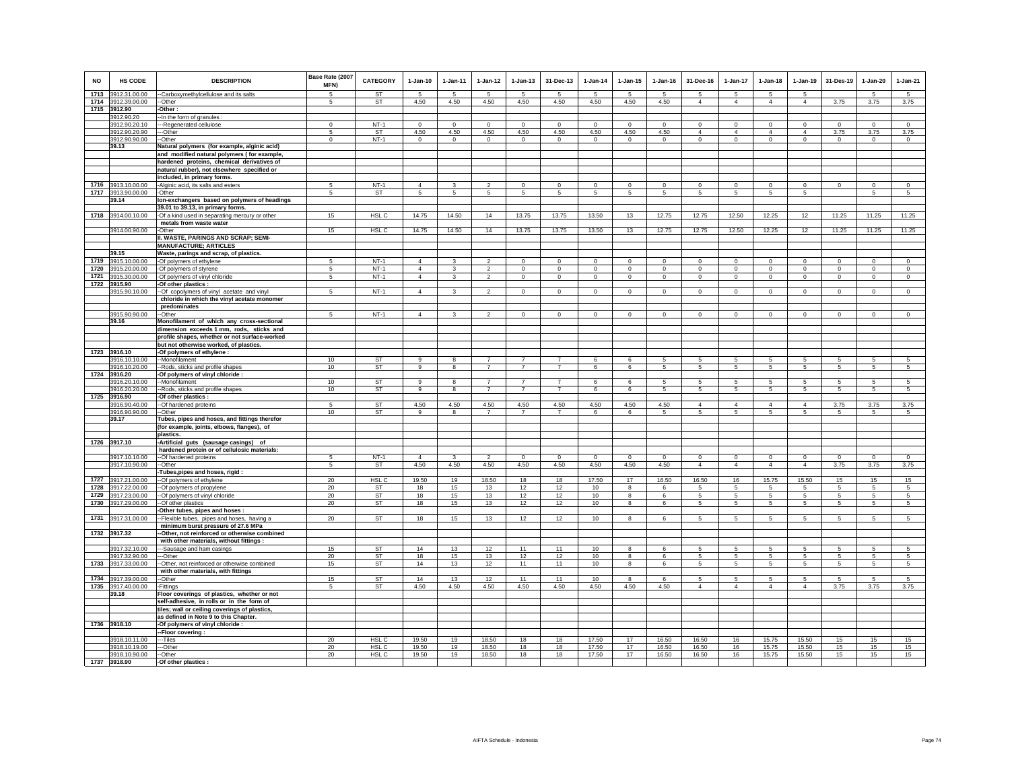| <b>NO</b> | <b>HS CODE</b>                      | <b>DESCRIPTION</b>                                                                        | Base Rate (2007<br>MFN) | <b>CATEGORY</b> | $1-Jan-10$     | $1-Jan-11$              | $1-Jan-12$      | $1-Jan-13$     | 31-Dec-13      | $1-Jan-14$     | $1-Jan-15$      | $1-Jan-16$     | 31-Dec-16           | $1-Jan-17$           | $1-Jan-18$                    | $1-Jan-19$           | 31-Des-19       | $1-Jan-20$           | $1-Jan-21$           |
|-----------|-------------------------------------|-------------------------------------------------------------------------------------------|-------------------------|-----------------|----------------|-------------------------|-----------------|----------------|----------------|----------------|-----------------|----------------|---------------------|----------------------|-------------------------------|----------------------|-----------------|----------------------|----------------------|
| 1713      | 3912.31.00.00                       | -Carboxymethylcellulose and its salts                                                     | -5                      | <b>ST</b>       | 5              | -5                      | -5              | 5              | -5             | -5             | 5               | -5             | 5<br>$\overline{4}$ | $5\overline{5}$      | $5^{\circ}$<br>$\overline{4}$ | -5<br>$\overline{4}$ |                 | -5                   | $\sqrt{5}$           |
|           | 1714 3912.39.00.00<br>1715 3912.90  | --Other<br>-Other:                                                                        | 5                       | <b>ST</b>       | 4.50           | 4.50                    | 4.50            | 4.50           | 4.50           | 4.50           | 4.50            | 4.50           |                     | $\overline{4}$       |                               |                      | 3.75            | 3.75                 | 3.75                 |
|           | 3912.90.20                          | -In the form of granules                                                                  |                         |                 |                |                         |                 |                |                |                |                 |                |                     |                      |                               |                      |                 |                      |                      |
|           | 3912.90.20.10                       | --Regenerated cellulose                                                                   | $^{\circ}$              | $NT-1$          | $\Omega$       | $\mathbf 0$             | $\mathbf 0$     | $\mathbf 0$    | $\Omega$       | $\mathbf 0$    | $\Omega$        | $\Omega$       | $\mathbf 0$         | $\mathbf 0$          | $\mathbf{0}$                  | $\mathbf 0$          | $\mathbf 0$     | $\Omega$             | $\Omega$             |
|           | 3912.90.20.90                       | --Other                                                                                   | -5                      | <b>ST</b>       | 4.50           | 4.50                    | 4.50            | 4.50           | 4.50           | 4.50           | 4.50            | 4.50           | $\overline{4}$      | $\overline{4}$       | $\overline{4}$                | $\overline{4}$       | 3.75            | 3.75                 | 3.75                 |
|           | 3912.90.90.00                       | -Other                                                                                    | $\mathbf 0$             | $NT-1$          | $\circ$        | $\circ$                 | $\circ$         | $\mathbf 0$    | $\mathbf 0$    | $\circ$        | $\mathbf 0$     | $\mathbf 0$    | $\circ$             | $\mathbf 0$          | $\circ$                       | $\mathbf 0$          | $\circ$         | $\circ$              | $\circ$              |
|           | 39.13                               | Natural polymers (for example, alginic acid)                                              |                         |                 |                |                         |                 |                |                |                |                 |                |                     |                      |                               |                      |                 |                      |                      |
|           |                                     | and modified natural polymers (for example,<br>hardened proteins, chemical derivatives of |                         |                 |                |                         |                 |                |                |                |                 |                |                     |                      |                               |                      |                 |                      |                      |
|           |                                     | natural rubber), not elsewhere specified or                                               |                         |                 |                |                         |                 |                |                |                |                 |                |                     |                      |                               |                      |                 |                      |                      |
|           |                                     | included, in primary forms.                                                               |                         |                 |                |                         |                 |                |                |                |                 |                |                     |                      |                               |                      |                 |                      |                      |
| 1716      | 3913.10.00.00                       | -Alginic acid, its salts and esters                                                       |                         | $NT-1$          | $\overline{4}$ | 3                       | $\mathfrak{p}$  | $\mathbf 0$    | $\Omega$       | $\Omega$       | $\Omega$        | $\Omega$       | $\Omega$            | $\Omega$             | $\Omega$                      | $\Omega$             | $\circ$         | $\Omega$             | $\Omega$             |
|           | 1717 3913.90.00.00                  | -Other                                                                                    | 5                       | ST              | 5              | $5\phantom{.0}$         | $5\phantom{.0}$ | 5              | 5              | 5              | 5               | 5              | 5                   | 5                    | 5                             | 5                    |                 | 5                    | 5                    |
|           | 39.14                               | Ion-exchangers based on polymers of headings                                              |                         |                 |                |                         |                 |                |                |                |                 |                |                     |                      |                               |                      |                 |                      |                      |
|           |                                     | 39.01 to 39.13, in primary forms.                                                         |                         |                 |                |                         |                 |                |                |                |                 |                |                     |                      |                               |                      |                 |                      |                      |
|           | 1718 3914.00.10.00                  | -Of a kind used in separating mercury or other<br>metals from waste water                 | 15                      | HSL C           | 14.75          | 14.50                   | 14              | 13.75          | 13.75          | 13.50          | 13              | 12.75          | 12.75               | 12.50                | 12.25                         | 12                   | 11.25           | 11.25                | 11.25                |
|           | 3914.00.90.00                       | -Other                                                                                    | 15                      | HSL C           | 14.75          | 14.50                   | 14              | 13.75          | 13.75          | 13.50          | 13              | 12.75          | 12.75               | 12.50                | 12.25                         | 12                   | 11.25           | 11.25                | 11.25                |
|           |                                     | II. WASTE, PARINGS AND SCRAP; SEMI-                                                       |                         |                 |                |                         |                 |                |                |                |                 |                |                     |                      |                               |                      |                 |                      |                      |
|           |                                     | <b>MANUFACTURE: ARTICLES</b>                                                              |                         |                 |                |                         |                 |                |                |                |                 |                |                     |                      |                               |                      |                 |                      |                      |
|           | 39.15                               | Waste, parings and scrap, of plastics.                                                    |                         |                 |                |                         |                 |                |                |                |                 |                |                     |                      |                               |                      |                 |                      |                      |
| 1719      | 3915.10.00.00                       | -Of polymers of ethylene                                                                  | 5                       | $NT-1$          | $\Delta$       | $\mathbf{R}$            | $\mathcal{L}$   | $\mathsf 0$    | $\mathsf 0$    | $\Omega$       | $\mathsf 0$     | $\Omega$       | $\mathsf 0$         | $\mathbf 0$          | $\mathbf 0$                   | $\mathbf 0$          | $\mathbf 0$     | $\mathsf 0$          | $\circ$              |
| 1720      | 3915.20.00.00                       | -Of polymers of styrene                                                                   | -5                      | $NT-1$          | $\overline{4}$ | 3                       | $\overline{2}$  | $\mathbf 0$    | $\Omega$       | $\mathbf 0$    | $\mathbf 0$     | $\Omega$       | $\Omega$            | $\mathbf 0$          | $\mathbf 0$                   | $\Omega$             | $^{\circ}$      | $\mathbf 0$          | $\circ$              |
|           | 1721 3915.30.00.00<br>1722 3915.90  | -Of polymers of vinyl chloride<br>-Of other plastics :                                    | 5                       | $NT-1$          | $\overline{4}$ | $\mathbf{3}$            | $\overline{2}$  | $\mathbf 0$    | $\mathbf 0$    | $\mathsf 0$    | $\mathbf 0$     | $\mathbf{0}$   | $\circ$             | $\mathbf 0$          | $\mathbf 0$                   | $\mathbf 0$          | $\,0\,$         | $\mathsf 0$          | $\mathsf 0$          |
|           | 3915.90.10.00                       | -Of copolymers of vinyl acetate and vinyl                                                 | -5                      | $NT-1$          | $\overline{4}$ | 3                       | $\overline{2}$  | $\Omega$       | $\Omega$       | $\overline{0}$ | $\Omega$        | $\Omega$       | $\Omega$            | $\overline{0}$       | $\Omega$                      | $\Omega$             | $\overline{0}$  | $\Omega$             | $\overline{0}$       |
|           |                                     | chloride in which the vinyl acetate monomer                                               |                         |                 |                |                         |                 |                |                |                |                 |                |                     |                      |                               |                      |                 |                      |                      |
|           |                                     | predominates                                                                              |                         |                 |                |                         |                 |                |                |                |                 |                |                     |                      |                               |                      |                 |                      |                      |
|           | 3915.90.90.00<br>39.16              | --Other                                                                                   | -5                      | $NT-1$          | $\overline{4}$ | 3                       | $\mathfrak{p}$  | $\mathbf 0$    | $\mathbf 0$    | $\mathbf 0$    | $\mathbf 0$     | $\mathbf 0$    | $\circ$             | $\mathbf 0$          | $\mathbf 0$                   | $\mathbf 0$          | $\mathbf 0$     | $\mathbf 0$          | $\Omega$             |
|           |                                     | Monofilament of which any cross-sectional<br>dimension exceeds 1 mm, rods, sticks and     |                         |                 |                |                         |                 |                |                |                |                 |                |                     |                      |                               |                      |                 |                      |                      |
|           |                                     | profile shapes, whether or not surface-worked                                             |                         |                 |                |                         |                 |                |                |                |                 |                |                     |                      |                               |                      |                 |                      |                      |
|           |                                     | but not otherwise worked, of plastics.                                                    |                         |                 |                |                         |                 |                |                |                |                 |                |                     |                      |                               |                      |                 |                      |                      |
|           | 1723 3916.10                        | -Of polymers of ethylene :                                                                |                         |                 |                |                         |                 |                |                |                |                 |                |                     |                      |                               |                      |                 |                      |                      |
|           | 3916.10.10.00                       | -Monofilament                                                                             | 10                      | ST              | 9              | 8                       | $\overline{7}$  | $\overline{7}$ | $\overline{7}$ | 6              | 6               | 5              | -5                  | 5                    | 5                             | 5                    | 5               | 5                    | -5                   |
| 1724      | 3916.10.20.00<br>3916.20            | -Rods, sticks and profile shapes<br>Of polymers of vinyl chloride :                       | 10                      | ST              | 9              | $\overline{\mathbf{8}}$ | $\overline{7}$  | $\overline{7}$ | $\overline{7}$ | 6              | $6\overline{6}$ | 5              | 5                   | 5                    | 5                             | 5                    | 5               | 5                    | 5                    |
|           | 3916.20.10.00                       | -Monofilament                                                                             | 10                      | <b>ST</b>       | $\alpha$       | 8                       | $\overline{7}$  | $\overline{7}$ | $\overline{7}$ | 6              | 6               |                | 5                   | 5                    | 5                             | 5                    | 5               | 5                    | 5                    |
|           | 3916.20.20.00                       | -Rods, sticks and profile shapes                                                          | 10                      | <b>ST</b>       | 9              | 8                       | $\overline{7}$  | $\overline{7}$ | $\overline{7}$ | 6              | $6\overline{6}$ | 5              | 5 <sub>1</sub>      | $\overline{5}$       | 5                             | $\overline{5}$       | 5               | 5                    | 5                    |
|           | 1725 3916.90                        | -Of other plastics :                                                                      |                         |                 |                |                         |                 |                |                |                |                 |                |                     |                      |                               |                      |                 |                      |                      |
|           | 3916.90.40.00                       | -- Of hardened proteins                                                                   |                         | <b>ST</b>       | 4.50           | 4.50                    | 4.50            | 4.50           | 4.50           | 4.50           | 4.50            | 4.50           | $\overline{4}$      | 4                    | 4                             | $\overline{4}$       | 3.75            | 3.75                 | 3.75                 |
|           | 3916.90.90.00<br>39.17              | -Other<br>Tubes, pipes and hoses, and fittings therefor                                   | 10                      | ST              | 9              | 8                       | $\overline{7}$  | $\overline{7}$ | $\overline{7}$ | 6              | 6               | 5              | $\overline{5}$      | 5                    | $5\phantom{.0}$               | 5                    | 5               | $5\phantom{.0}$      | 5                    |
|           |                                     | for example, joints, elbows, flanges), of<br>plastics.                                    |                         |                 |                |                         |                 |                |                |                |                 |                |                     |                      |                               |                      |                 |                      |                      |
|           | 1726 3917.10                        | -Artificial guts (sausage casings) of                                                     |                         |                 |                |                         |                 |                |                |                |                 |                |                     |                      |                               |                      |                 |                      |                      |
|           |                                     | hardened protein or of cellulosic materials:                                              |                         |                 |                |                         |                 |                |                |                |                 |                |                     |                      |                               |                      |                 |                      |                      |
|           | 3917.10.10.00                       | -- Of hardened proteins                                                                   | $\sqrt{5}$              | $NT-1$          | $\overline{4}$ | $\mathbf{3}$            | $\mathcal{P}$   | $\Omega$       | $\Omega$       | $\Omega$       | $\Omega$        | $\Omega$       | $\Omega$            | $\mathbf 0$          | $\Omega$                      | $\Omega$             | $\mathbf 0$     | $\Omega$             | $\overline{0}$       |
|           | 3917.10.90.00                       | --Other<br>Tubes,pipes and hoses, rigid:                                                  | 5                       | ST              | 4.50           | 4.50                    | 4.50            | 4.50           | 4.50           | 4.50           | 4.50            | 4.50           | $\overline{4}$      | $\overline{4}$       | $\overline{4}$                | $\overline{4}$       | 3.75            | 3.75                 | 3.75                 |
|           | 1727 3917.21.00.00                  | -Of polymers of ethylene                                                                  | 20                      | HSL C           | 19.50          | 19                      | 18.50           | 18             | 18             | 17.50          | 17              | 16.50          | 16.50               | 16                   | 15.75                         | 15.50                | 15              | 15                   | 15                   |
| 1728      | 3917.22.00.00                       | -Of polymers of propylene                                                                 | 20                      | ST              | 18             | 15                      | 13              | 12             | 12             | 10             | 8               | 6              | 5                   | 5                    | $5\overline{5}$               | 5                    | 5               | 5                    | 5                    |
| 1729      | 3917.23.00.00                       | -Of polymers of vinyl chloride                                                            | 20                      | ST              | 18             | 15                      | 13              | 12             | 12             | 10             | 8               | 6              | 5                   | 5                    | 5                             | 5                    | 5               | 5                    | 5                    |
|           | 1730 3917.29.00.00                  | -- Of other plastics                                                                      | 20                      | ST              | 18             | 15                      | 13              | 12             | 12             | 10             | 8               | 6              | $5\phantom{.0}$     | $5\phantom{.0}$      | $5\phantom{.0}$               | $\sqrt{5}$           | $\sqrt{5}$      | $\sqrt{5}$           | 5                    |
| 1731      | 3917.31.00.00                       | Other tubes, pipes and hoses :<br>-Flexible tubes, pipes and hoses, having a              | 20                      | ST              | 18             | 15                      | 13              | 12             | 12             | 10             | 8               | 6              | 5                   | 5                    | 5                             | 5                    | 5               | 5                    | 5                    |
|           |                                     | minimum burst pressure of 27.6 MPa                                                        |                         |                 |                |                         |                 |                |                |                |                 |                |                     |                      |                               |                      |                 |                      |                      |
|           | 1732 3917.32                        | -Other, not reinforced or otherwise combined                                              |                         |                 |                |                         |                 |                |                |                |                 |                |                     |                      |                               |                      |                 |                      |                      |
|           |                                     | with other materials, without fittings :                                                  |                         |                 |                |                         |                 |                |                |                |                 |                |                     |                      |                               |                      |                 |                      |                      |
|           | 3917.32.10.00                       | --Sausage and ham casings                                                                 | 15                      | ST              | 14             | 13                      | 12              | 11             | 11             | 10             | 8               | $\epsilon$     | 5                   | 5                    | 5                             | 5                    | 5               | 5                    | 5                    |
|           | 3917.32.90.00<br>1733 3917.33.00.00 | --Other                                                                                   | 20                      | ST<br><b>ST</b> | 18<br>14       | 15<br>13                | 13<br>12        | 12<br>11       | 12<br>11       | 10             | 8               | 6              | 5                   | 5<br>$5\phantom{.0}$ | 5<br>$5\phantom{.0}$          | 5<br>5               | 5<br>$\sqrt{5}$ | 5<br>$5\phantom{.0}$ | 5<br>$5\phantom{.0}$ |
|           |                                     | -Other, not reinforced or otherwise combined<br>with other materials, with fittings       | 15                      |                 |                |                         |                 |                |                | 10             | 8               | 6              | 5                   |                      |                               |                      |                 |                      |                      |
|           | 1734 3917.39.00.00                  | --Other                                                                                   | 15                      | <b>ST</b>       | 14             | 13                      | 12              | 11             | 11             | 10             | 8               | -6             | -5                  | 5                    | -5                            | -5                   | -5              | 5                    | 5                    |
|           | 1735 3917.40.00.00                  | Fittinas                                                                                  | 5                       | ST              | 4.50           | 4.50                    | 4.50            | 4.50           | 4.50           | 4.50           | 4.50            | 4.50           | $\overline{4}$      | $\overline{4}$       | $\overline{4}$                | $\overline{4}$       | 3.75            | 3.75                 | 3.75                 |
|           | 39.18                               | Floor coverings of plastics, whether or not                                               |                         |                 |                |                         |                 |                |                |                |                 |                |                     |                      |                               |                      |                 |                      |                      |
|           |                                     | self-adhesive, in rolls or in the form of                                                 |                         |                 |                |                         |                 |                |                |                |                 |                |                     |                      |                               |                      |                 |                      |                      |
|           |                                     | tiles; wall or ceiling coverings of plastics,<br>as defined in Note 9 to this Chapter.    |                         |                 |                |                         |                 |                |                |                |                 |                |                     |                      |                               |                      |                 |                      |                      |
|           | 1736 3918.10                        | -Of polymers of vinyl chloride :                                                          |                         |                 |                |                         |                 |                |                |                |                 |                |                     |                      |                               |                      |                 |                      |                      |
|           |                                     | -Floor covering:                                                                          |                         |                 |                |                         |                 |                |                |                |                 |                |                     |                      |                               |                      |                 |                      |                      |
|           | 3918.10.11.00                       | ---Tiles                                                                                  | 20                      | HSL C           | 19.50          | 19                      | 18.50           | 18             | 18             | 17.50          | 17              | 16.50          | 16.50               | 16                   | 15.75                         | 15.50                | 15              | 15                   | 15                   |
|           | 3918.10.19.00<br>3918.10.90.00      | --Other<br>--Other                                                                        | 20<br>20                | HSL C<br>HSL C  | 19.50<br>19.50 | 19<br>19                | 18.50<br>18.50  | 18<br>18       | 18<br>18       | 17.50<br>17.50 | 17<br>17        | 16.50<br>16.50 | 16.50<br>16.50      | 16<br>16             | 15.75<br>15.75                | 15.50<br>15.50       | 15<br>15        | 15<br>15             | 15<br>15             |
|           | 1737 3918.90                        | -Of other plastics :                                                                      |                         |                 |                |                         |                 |                |                |                |                 |                |                     |                      |                               |                      |                 |                      |                      |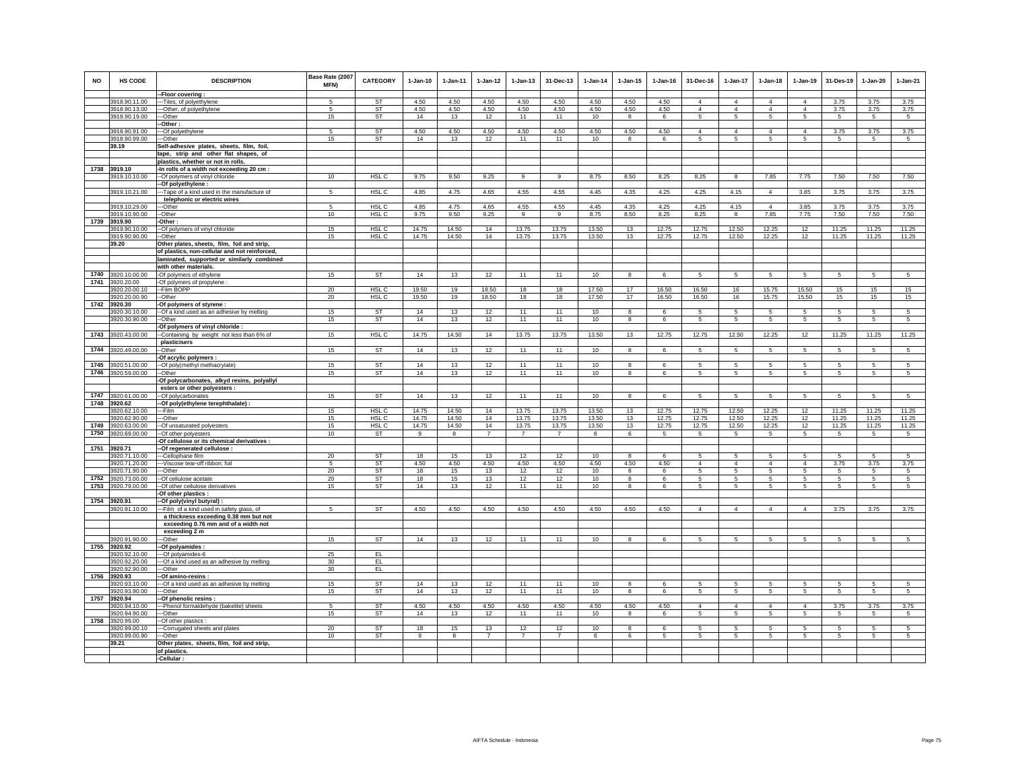| <b>NO</b> | HS CODE                        | <b>DESCRIPTION</b>                                                               | Base Rate (2007<br>MFN) | <b>CATEGORY</b>           | $1-Jan-10$     | $1 - Jan-11$ | $1 - Jan-12$   | $1 - Jan-13$   | 31-Dec-13      | $1-Jan-14$      | $1 - Jan-15$                    | $1 - Jan-16$   | 31-Dec-16           | $1-Jan-17$          | $1-Jan-18$          | $1-Jan-19$          | 31-Des-19 | $1-Jan-20$      | $1-Jan-21$      |
|-----------|--------------------------------|----------------------------------------------------------------------------------|-------------------------|---------------------------|----------------|--------------|----------------|----------------|----------------|-----------------|---------------------------------|----------------|---------------------|---------------------|---------------------|---------------------|-----------|-----------------|-----------------|
|           | 3918.90.11.00                  | -- Floor covering:                                                               | 5                       | <b>ST</b>                 | 4.50           | 4.50         | 4.50           | 4.50           | 4.50           | 4.50            | 4.50                            | 4.50           | $\Delta$            | $\overline{4}$      | $\overline{4}$      | $\overline{4}$      | 3.75      | 3.75            | 3.75            |
|           | 3918.90.13.00                  | ---Tiles, of polyethylene<br>---Other, of polyethylene                           | -5                      | ST                        | 4.50           | 4.50         | 4.50           | 4.50           | 4.50           | 4.50            | 4.50                            | 4.50           | $\overline{4}$      | $\overline{4}$      | $\overline{4}$      | $\overline{4}$      | 3.75      | 3.75            | 3.75            |
|           | 3918.90.19.00                  | --Other                                                                          | 15                      | ST                        | 14             | 13           | 12             | 11             | 11             | 10              | 8                               | 6              | 5                   | -5                  | $5\overline{5}$     | 5                   | 5         | 5               | 5               |
|           |                                | -Other:                                                                          |                         |                           |                |              |                |                |                |                 |                                 |                |                     |                     |                     |                     |           |                 |                 |
|           | 3918.90.91.00                  | --Of polyethylene                                                                | 5                       | <b>ST</b>                 | 4.50           | 4.50         | 4.50           | 4.50           | 4.50           | 4.50            | 4.50                            | 4.50           | $\overline{4}$      | $\overline{4}$      | $\overline{4}$      | $\overline{4}$      | 3.75      | 3.75            | 3.75            |
|           | 3918.90.99.00                  | --Other                                                                          | 15                      | ST                        | 14             | 13           | 12             | 11             | 11             | 10              | 8                               | 6              | 5                   | 5                   | 5                   | 5                   | 5         | 5               | 5               |
|           | 39.19                          | Self-adhesive plates, sheets, film, foil,                                        |                         |                           |                |              |                |                |                |                 |                                 |                |                     |                     |                     |                     |           |                 |                 |
|           |                                | tape, strip and other flat shapes, of                                            |                         |                           |                |              |                |                |                |                 |                                 |                |                     |                     |                     |                     |           |                 |                 |
|           | 1738 3919.10                   | plastics, whether or not in rolls.<br>-In rolls of a width not exceeding 20 cm : |                         |                           |                |              |                |                |                |                 |                                 |                |                     |                     |                     |                     |           |                 |                 |
|           | 3919.10.10.00                  | -- Of polymers of vinyl chloride                                                 | 10                      | HSL <sub>C</sub>          | 9.75           | 9.50         | 9.25           | 9              | 9              | 8.75            | 8.50                            | 8.25           | 8.25                | 8                   | 7.85                | 7.75                | 7.50      | 7.50            | 7.50            |
|           |                                | -Of polyethylene :                                                               |                         |                           |                |              |                |                |                |                 |                                 |                |                     |                     |                     |                     |           |                 |                 |
|           | 3919.10.21.00                  | -- Tape of a kind used in the manufacture of                                     | -5                      | HSL <sub>C</sub>          | 4.85           | 4.75         | 4.65           | 4.55           | 4.55           | 4.45            | 4.35                            | 4.25           | 4.25                | 4.15                | $\overline{4}$      | 3.85                | 3.75      | 3.75            | 3.75            |
|           |                                | telephonic or electric wires                                                     |                         |                           |                |              |                |                |                |                 |                                 |                |                     |                     |                     |                     |           |                 |                 |
|           | 3919.10.29.00                  | --Other                                                                          | 5                       | HSL C                     | 4.85           | 4.75         | 4.65           | 4.55           | 4.55           | 4.45            | 4.35                            | 4.25           | 4.25                | 4.15                | $\overline{4}$      | 3.85                | 3.75      | 3.75            | 3.75            |
|           | 3919.10.90.00                  | -Other                                                                           | 10                      | HSL C                     | 9.75           | 9.50         | 9.25           | 9              | 9              | 8.75            | 8.50                            | 8.25           | 8.25                | 8                   | 7.85                | 7.75                | 7.50      | 7.50            | 7.50            |
|           | 1739 3919.90<br>3919.90.10.00  | -Other:                                                                          | 15                      | HSL C                     | 14.75          | 14.50        | 14             | 13.75          | 13.75          | 13.50           | 13                              | 12.75          | 12.75               | 12.50               | 12.25               | 12                  | 11.25     | 11.25           | 11.25           |
|           | 3919.90.90.00                  | -Of polymers of vinyl chloride<br>--Other                                        | 15                      | HSL C                     | 14.75          | 14.50        | 14             | 13.75          | 13.75          | 13.50           | 13                              | 12.75          | 12.75               | 12.50               | 12.25               | 12                  | 11.25     | 11.25           | 11.25           |
|           | 39.20                          | Other plates, sheets, film, foil and strip,                                      |                         |                           |                |              |                |                |                |                 |                                 |                |                     |                     |                     |                     |           |                 |                 |
|           |                                | of plastics, non-cellular and not reinforced,                                    |                         |                           |                |              |                |                |                |                 |                                 |                |                     |                     |                     |                     |           |                 |                 |
|           |                                | laminated, supported or similarly combined                                       |                         |                           |                |              |                |                |                |                 |                                 |                |                     |                     |                     |                     |           |                 |                 |
|           |                                | with other materials.                                                            |                         |                           |                |              |                |                |                |                 |                                 |                |                     |                     |                     |                     |           |                 |                 |
|           | 1740 3920.10.00.00             | -Of polymers of ethylene                                                         | 15                      | <b>ST</b>                 | 14             | 13           | 12             | 11             | 11             | 10              | 8                               | 6              | $\overline{5}$      | $5\phantom{.0}$     | 5                   | 5                   | 5         | $5\phantom{.0}$ | $\sqrt{5}$      |
| 1741      | 3920.20.00                     | Of polymers of propylene :                                                       |                         |                           |                |              |                |                |                |                 |                                 |                |                     |                     |                     |                     |           |                 |                 |
|           | 3920.20.00.10<br>3920.20.00.90 | -Film BOPP<br>--Other                                                            | 20<br>20                | HSL <sub>C</sub><br>HSL C | 19.50<br>19.50 | 19<br>19     | 18.50<br>18.50 | 18<br>18       | 18<br>18       | 17.50<br>17.50  | 17<br>17                        | 16.50<br>16.50 | 16.50<br>16.50      | 16<br>16            | 15.75<br>15.75      | 15.50<br>15.50      | 15<br>15  | 15<br>15        | 15<br>15        |
|           | 1742 3920.30                   | -Of polymers of styrene :                                                        |                         |                           |                |              |                |                |                |                 |                                 |                |                     |                     |                     |                     |           |                 |                 |
|           | 3920.30.10.00                  | -- Of a kind used as an adhesive by melting                                      | 15                      | ST                        | 14             | 13           | 12             | 11             | 11             | 10              | 8                               | 6              | 5                   | $5\phantom{.0}$     | 5                   | 5                   | 5         | $\overline{5}$  | 5               |
|           | 3920.30.90.00                  | --Other                                                                          | 15                      | ST                        | 14             | 13           | 12             | 11             | 11             | 10              | 8                               | 6              | $5\overline{5}$     | $5\overline{5}$     | $5\overline{5}$     | $5\overline{5}$     | 5         | $\sqrt{5}$      | $5\overline{5}$ |
|           |                                | Of polymers of vinyl chloride :                                                  |                         |                           |                |              |                |                |                |                 |                                 |                |                     |                     |                     |                     |           |                 |                 |
| 1743      | 3920.43.00.00                  | -Containing by weight not less than 6% of                                        | 15                      | HSL C                     | 14.75          | 14.50        | 14             | 13.75          | 13.75          | 13.50           | 13                              | 12.75          | 12.75               | 12.50               | 12.25               | 12                  | 11.25     | 11.25           | 11.25           |
|           |                                | plasticisers                                                                     |                         |                           |                |              |                |                |                |                 |                                 |                |                     |                     |                     |                     |           |                 |                 |
| 1744      | 920.49.00.00                   | -Other<br>-Of acrylic polymers :                                                 | 15                      | ST                        | 14             | 13           | 12             | 11             | 11             | 10              | 8                               | 6              | 5                   | 5                   | 5                   | 5                   | 5         | 5               | 5               |
| 1745      | 3920.51.00.00                  | -Of poly(methyl methacrylate)                                                    | 15                      | ST                        | 14             | 13           | 12             | 11             | 11             | 10              | 8                               | 6              | 5                   | 5                   | 5                   | 5                   | 5         | 5               | 5               |
|           | 1746 3920.59.00.00             | -Other                                                                           | 15                      | ST                        | 14             | 13           | 12             | 11             | 11             | 10              | 8                               | 6              | 5                   | $5\overline{5}$     | 5                   | 5                   | 5         | 5               | 5               |
|           |                                | -Of polycarbonates, alkyd resins, polyallyl                                      |                         |                           |                |              |                |                |                |                 |                                 |                |                     |                     |                     |                     |           |                 |                 |
|           |                                | esters or other polyesters :                                                     |                         |                           |                |              |                |                |                |                 |                                 |                |                     |                     |                     |                     |           |                 |                 |
|           | 1747 3920.61.00.00             | -- Of polycarbonates                                                             | 15                      | ST                        | 14             | 13           | 12             | 11             | 11             | 10              | $\mathbf{a}$                    | 6              | 5                   | 5                   | 5                   | 5                   | 5         | 5               | 5               |
|           | 1748 3920.62                   | -Of poly(ethylene terephthalate) :<br>--Film                                     |                         | HSL C                     |                | 14.50        | 14             | 13.75          |                |                 |                                 |                |                     |                     | 12.25               | 12                  | 11.25     |                 | 11.25           |
|           | 3920.62.10.00<br>3920.62.90.00 | --Other                                                                          | 15<br>15                | HSL C                     | 14.75<br>14.75 | 14.50        | 14             | 13.75          | 13.75<br>13.75 | 13.50<br>13.50  | 13<br>13                        | 12.75<br>12.75 | 12.75<br>12.75      | 12.50<br>12.50      | 12.25               | 12                  | 11.25     | 11.25<br>11.25  | 11.25           |
|           | 1749 3920.63.00.00             | -Of unsaturated polyesters                                                       | 15                      | HSL <sub>C</sub>          | 14.75          | 14.50        | 14             | 13.75          | 13.75          | 13.50           | 13                              | 12.75          | 12.75               | 12.50               | 12.25               | 12                  | 11.25     | 11.25           | 11.25           |
| 1750      | 3920.69.00.00                  | -Of other polyesters                                                             | 10                      | ST                        | $\overline{9}$ | 8            | $\overline{7}$ | $\overline{7}$ | $\overline{7}$ | 6               | 6                               | 5              | $5\overline{)}$     | $5\overline{)}$     | $5\overline{5}$     | $5\overline{5}$     | 5         | 5               | $5\overline{5}$ |
|           |                                | Of cellulose or its chemical derivatives :                                       |                         |                           |                |              |                |                |                |                 |                                 |                |                     |                     |                     |                     |           |                 |                 |
|           | 1751 3920.71                   | -Of regenerated cellulose :                                                      |                         |                           |                |              |                |                |                |                 |                                 |                |                     |                     |                     |                     |           |                 |                 |
|           | 3920.71.10.00                  | --Cellophane film                                                                | 20                      | <b>ST</b>                 | 18             | 15           | 13             | 12             | 12             | 10              | $\mathbf{8}$                    | 6              | 5<br>$\overline{4}$ | 5                   | 5                   | 5                   | -5        | $\sqrt{5}$      | 5<br>3.75       |
|           | 3920.71.20.00<br>3920.71.90.00 | ---Viscose tear-off ribbon: foil<br>---Other                                     | -5<br>20                | <b>ST</b><br><b>ST</b>    | 4.50<br>18     | 4.50<br>15   | 4.50<br>13     | 4.50<br>12     | 4.50<br>12     | 4.50<br>10      | 4.50<br>$\overline{\mathbf{8}}$ | 4.50<br>6      | 5                   | $\overline{4}$<br>5 | $\overline{4}$<br>5 | $\overline{4}$<br>5 | 3.75<br>5 | 3.75<br>5       | $5\overline{)}$ |
|           | 1752 3920.73.00.00             | --Of cellulose acetate                                                           | 20                      | ST                        | 18             | 15           | 13             | 12             | 12             | 10              | 8                               | 6              | 5                   | 5                   | $5\overline{5}$     | $5\overline{5}$     | 5         | 5               | $5\overline{5}$ |
|           | 1753 3920.79.00.00             | -Of other cellulose derivatives                                                  | 15                      | <b>ST</b>                 | 14             | 13           | 12             | 11             | 11             | 10              | 8                               | 6              | 5                   | 5                   | $5\phantom{.0}$     | $5\phantom{.0}$     | 5         | $\sqrt{5}$      | $5\overline{5}$ |
|           |                                | Of other plastics :                                                              |                         |                           |                |              |                |                |                |                 |                                 |                |                     |                     |                     |                     |           |                 |                 |
|           | 1754 3920.91                   | -Of poly(vinyl butyral) :                                                        |                         |                           |                |              |                |                |                |                 |                                 |                |                     |                     |                     |                     |           |                 |                 |
|           | 3920.91.10.00                  | --Film of a kind used in safety glass, of                                        | 5                       | <b>ST</b>                 | 4.50           | 4.50         | 4.50           | 4.50           | 4.50           | 4.50            | 4.50                            | 4.50           | $\overline{4}$      | $\overline{4}$      | $\overline{4}$      | $\overline{4}$      | 3.75      | 3.75            | 3.75            |
|           |                                | a thickness exceeding 0.38 mm but not                                            |                         |                           |                |              |                |                |                |                 |                                 |                |                     |                     |                     |                     |           |                 |                 |
|           |                                | exceeding 0.76 mm and of a width not<br>exceeding 2 m                            |                         |                           |                |              |                |                |                |                 |                                 |                |                     |                     |                     |                     |           |                 |                 |
|           | 3920.91.90.00                  | --Other                                                                          | 15                      | <b>ST</b>                 | 14             | 13           | 12             | 11             | 11             | 10              | 8                               | 6              | 5                   | 5 <sup>5</sup>      | 5                   | 5                   | 5         | 5               | 5               |
| 1755      | 3920.92                        | -Of polyamides :                                                                 |                         |                           |                |              |                |                |                |                 |                                 |                |                     |                     |                     |                     |           |                 |                 |
|           | 3920.92.10.00                  | ---Of polyamides-6                                                               | 25                      | EL                        |                |              |                |                |                |                 |                                 |                |                     |                     |                     |                     |           |                 |                 |
|           | 3920.92.20.00                  | --Of a kind used as an adhesive by melting                                       | 30                      | EL                        |                |              |                |                |                |                 |                                 |                |                     |                     |                     |                     |           |                 |                 |
|           | 3920.92.90.00                  | -Other                                                                           | 30                      | EL.                       |                |              |                |                |                |                 |                                 |                |                     |                     |                     |                     |           |                 |                 |
| 1756      | 3920.93                        | -Of amino-resins :                                                               | 15                      |                           | 14             | 13           |                | 11             | 11             | 10              | 8                               | 6              | 5                   | 5                   |                     | 5                   | 5         | 5               | 5               |
|           | 3920.93.10.00<br>3920.93.90.00 | --Of a kind used as an adhesive by melting<br>--Other                            | 15                      | <b>ST</b><br><b>ST</b>    | 14             | 13           | 12<br>12       | 11             | 11             | 10              | 8                               | 6              | 5                   | 5                   | 5                   | 5                   | 5         | 5               | $\overline{5}$  |
| 1757      | 3920.94                        | -Of phenolic resins :                                                            |                         |                           |                |              |                |                |                |                 |                                 |                |                     |                     |                     |                     |           |                 |                 |
|           | 3920.94.10.00                  | ---Phenol formaldehyde (bakelite) sheets                                         | 5                       | ST                        | 4.50           | 4.50         | 4.50           | 4.50           | 4.50           | 4.50            | 4.50                            | 4.50           | $\overline{4}$      | $\overline{4}$      | $\overline{4}$      | $\overline{4}$      | 3.75      | 3.75            | 3.75            |
|           | 3920.94.90.00                  | ---Other                                                                         | 15                      | ST                        | 14             | 13           | 12             | 11             | 11             | 10              | 8                               | 6              | 5                   | 5                   | 5                   | 5                   | 5         | $\overline{5}$  | $5\overline{5}$ |
|           | 1758 3920.99.00                | -Of other plastics :                                                             |                         |                           |                |              |                |                |                |                 |                                 |                |                     |                     |                     |                     |           |                 |                 |
|           | 3920.99.00.10                  | -Corrugated sheets and plates                                                    | 20                      | <b>ST</b>                 | 18             | 15           | 13             | 12             | 12             | 10 <sup>1</sup> | 8                               | 6              | 5                   | 5                   | 5                   | $5\overline{5}$     | 5         | 5               | 5               |
|           | 3920.99.00.90<br>39.21         | --Other<br>Other plates, sheets, film, foil and strip,                           | 10                      | <b>ST</b>                 | g              | 8            | $\overline{7}$ | $\overline{7}$ | $\overline{7}$ | 6               | 6                               | 5              | 5                   | 5                   | 5                   | 5                   | 5         | 5               | 5               |
|           |                                | of plastics.                                                                     |                         |                           |                |              |                |                |                |                 |                                 |                |                     |                     |                     |                     |           |                 |                 |
|           |                                | -Cellular                                                                        |                         |                           |                |              |                |                |                |                 |                                 |                |                     |                     |                     |                     |           |                 |                 |
|           |                                |                                                                                  |                         |                           |                |              |                |                |                |                 |                                 |                |                     |                     |                     |                     |           |                 |                 |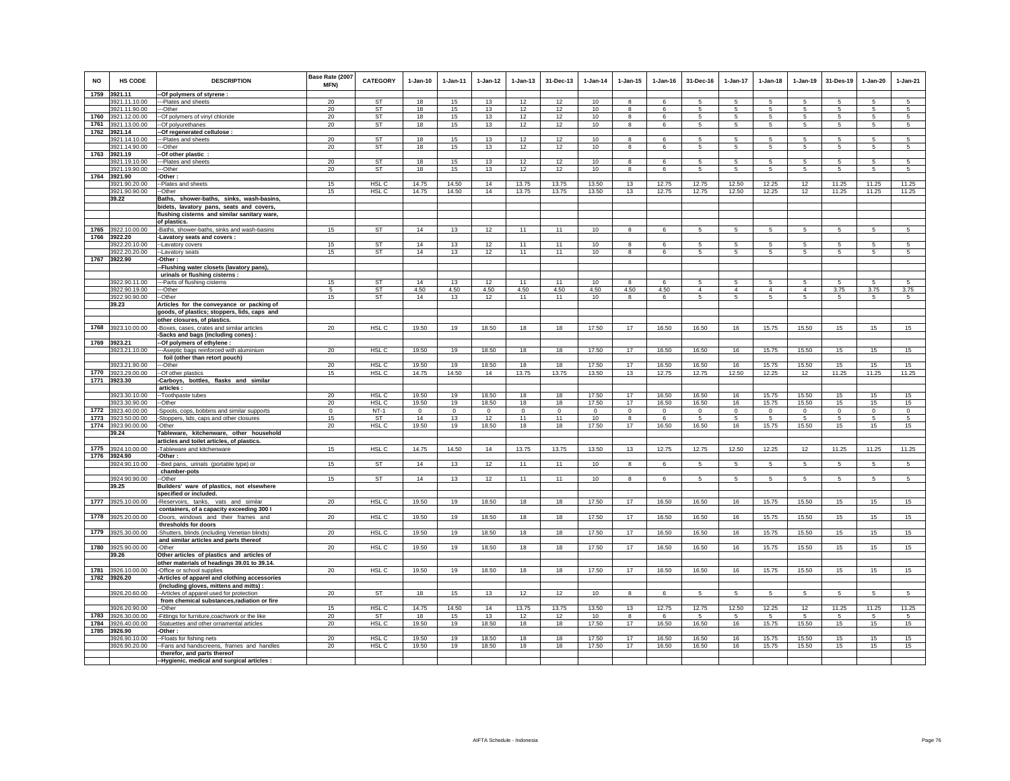| <b>NO</b> | HS CODE                            | <b>DESCRIPTION</b>                                                                        | Base Rate (2007<br><b>MFN)</b> | <b>CATEGORY</b>  | $1-Jan-10$     | $1 - Jan-11$ | $1 - Jan-12$   | $1 - Jan-13$ | 31-Dec-13 | $1 - Jan-14$    | $1 - Jan-15$   | $1 - Jan-16$   | 31-Dec-16      | $1-Jan-17$     | $1 - Jan-18$   | $1 - Jan-19$   | 31-Des-19   | $1-Jan-20$ | $1-Jan-21$     |
|-----------|------------------------------------|-------------------------------------------------------------------------------------------|--------------------------------|------------------|----------------|--------------|----------------|--------------|-----------|-----------------|----------------|----------------|----------------|----------------|----------------|----------------|-------------|------------|----------------|
|           | 1759 3921.11<br>3921.11.10.00      | -Of polymers of styrene :                                                                 | 20                             | ST               | 18             | 15           | 13             | 12           | 12        | 10              | 8              | 6              | 5              | 5              | 5              | 5              | $\sqrt{5}$  | 5          | 5              |
|           | 3921.11.90.00                      | ---Plates and sheets<br>--Other                                                           | 20                             | ST               | 18             | 15           | 13             | 12           | 12        | 10              | 8              | 6              | 5              | 5              | 5              | 5              | -5          | 5          | 5              |
|           | 1760 3921.12.00.00                 | -Of polymers of vinyl chloride                                                            | 20                             | <b>ST</b>        | 18             | 15           | 13             | 12           | 12        | 10              | 8              | 6              | 5              | $\mathbf 5$    | 5              | 5              | 5           | 5          | 5              |
| 1761      | 3921.13.00.00                      | -Of polyurethanes                                                                         | 20                             | ST               | 18             | 15           | 13             | 12           | 12        | 10              | 8              | 6              | 5              | 5              | 5              | 5              | $\sqrt{5}$  | 5          | 5              |
| 1762      | 3921.14                            | -Of regenerated cellulose :                                                               |                                |                  |                |              |                |              |           |                 |                |                |                |                |                |                |             |            |                |
|           | 3921.14.10.00                      | --Plates and sheets                                                                       | 20                             | <b>ST</b>        | 18             | 15           | 13             | 12           | 12        | 10              | 8              | 6              | 5              | 5              | 5              | 5              | 5           | 5          | 5              |
| 1763      | 3921.14.90.00<br>3921.19           | --Other<br>-Of other plastic                                                              | 20                             | <b>ST</b>        | 18             | 15           | 13             | 12           | 12        | 10              | 8              | $\epsilon$     | 5              | $\overline{5}$ | $\overline{5}$ | 5 <sup>7</sup> | 5           | 5          | $\overline{5}$ |
|           | 3921.19.10.00                      | --Plates and sheets                                                                       | 20                             | ST               | 18             | 15           | 13             | 12           | 12        | 10              | 8              | 6              | 5              | 5              | 5              | 5              | 5           | 5          | 5              |
|           | 3921.19.90.00                      | --Other                                                                                   | 20                             | <b>ST</b>        | 18             | 15           | 13             | 12           | 12        | 10              | 8              | 6              | 5              | 5              | 5              | 5              | -5          | 5          | 5              |
|           | 1764 3921.90                       | -Other :                                                                                  |                                |                  |                |              |                |              |           |                 |                |                |                |                |                |                |             |            |                |
|           | 3921.90.20.00                      | -Plates and sheets                                                                        | 15                             | HSL C            | 14.75          | 14.50        | 14             | 13.75        | 13.75     | 13.50           | 13             | 12.75          | 12.75          | 12.50          | 12.25          | 12             | 11.25       | 11.25      | 11.25          |
|           | 3921.90.90.00<br>39.22             | -Other                                                                                    | 15                             | HSL C            | 14.75          | 14.50        | 14             | 13.75        | 13.75     | 13.50           | 13             | 12.75          | 12.75          | 12.50          | 12.25          | 12             | 11.25       | 11.25      | 11.25          |
|           |                                    | Baths, shower-baths, sinks, wash-basins,<br>bidets, lavatory pans, seats and covers,      |                                |                  |                |              |                |              |           |                 |                |                |                |                |                |                |             |            |                |
|           |                                    | flushing cisterns and similar sanitary ware,                                              |                                |                  |                |              |                |              |           |                 |                |                |                |                |                |                |             |            |                |
|           |                                    | of plastics.                                                                              |                                |                  |                |              |                |              |           |                 |                |                |                |                |                |                |             |            |                |
|           | 1765 3922.10.00.00                 | -Baths, shower-baths, sinks and wash-basins                                               | 15                             | ST               | 14             | 13           | 12             | 11           | 11        | 10 <sup>1</sup> | 8              | 6              | 5              | 5              | 5              | 5              | 5           | 5          | -5             |
|           | 1766 3922.20                       | -Lavatory seats and covers:                                                               |                                |                  |                |              |                |              |           |                 |                |                |                |                |                |                |             |            |                |
|           | 3922.20.10.00                      | --Lavatory covers                                                                         | 15                             | <b>ST</b>        | 14             | 13           | 12             | 11           | 11        | 10 <sup>1</sup> | 8              | 6              | 5              | 5              | 5              | 5              | -5          | 5          | 5              |
|           | 3922.20.20.00<br>1767 3922.90      | -Lavatory seats<br>Other:                                                                 | 15                             | ST               | 14             | 13           | 12             | 11           | 11        | 10              | 8              | 6              | 5              | 5              | 5              | 5              | -5          | 5          | 5              |
|           |                                    | -Flushing water closets (lavatory pans),                                                  |                                |                  |                |              |                |              |           |                 |                |                |                |                |                |                |             |            |                |
|           |                                    | urinals or flushing cisterns :                                                            |                                |                  |                |              |                |              |           |                 |                |                |                |                |                |                |             |            |                |
|           | 3922.90.11.00                      | --Parts of flushing cisterns                                                              | 15                             | <b>ST</b>        | 14             | 13           | 12             | 11           | 11        | 10              | R              | 6              | 5              | 5              | 5              | 5              | $\sqrt{5}$  | 5          | -5             |
|           | 3922.90.19.00                      | ---Other                                                                                  | 5                              | ST               | 4.50           | 4.50         | 4.50           | 4.50         | 4.50      | 4.50            | 4.50           | 4.50           | $\overline{4}$ | $\overline{4}$ | $\overline{4}$ | $\overline{4}$ | 3.75        | 3.75       | 3.75           |
|           | 3922.90.90.00                      | --Other                                                                                   | 15                             | ST               | 14             | 13           | 12             | 11           | 11        | 10              | 8              | 6              | 5              | 5              | 5              | 5              | 5           | 5          | -5             |
|           | 39.23                              | Articles for the conveyance or packing of<br>goods, of plastics; stoppers, lids, caps and |                                |                  |                |              |                |              |           |                 |                |                |                |                |                |                |             |            |                |
|           |                                    | other closures, of plastics.                                                              |                                |                  |                |              |                |              |           |                 |                |                |                |                |                |                |             |            |                |
| 1768      | 3923.10.00.00                      | -Boxes, cases, crates and similar articles                                                | 20                             | HSL C            | 19.50          | 19           | 18.50          | 18           | 18        | 17.50           | 17             | 16.50          | 16.50          | 16             | 15.75          | 15.50          | 15          | 15         | 15             |
|           |                                    | -Sacks and bags (including cones) :                                                       |                                |                  |                |              |                |              |           |                 |                |                |                |                |                |                |             |            |                |
|           | 1769 3923.21                       | -Of polymers of ethylene :                                                                |                                |                  |                |              |                |              |           |                 |                |                |                |                |                |                |             |            |                |
|           | 3923.21.10.00                      | --- Aseptic bags reinforced with aluminium<br>foil (other than retort pouch)              | 20                             | HSL <sub>C</sub> | 19.50          | 19           | 18.50          | 18           | 18        | 17.50           | 17             | 16.50          | 16.50          | 16             | 15.75          | 15.50          | 15          | 15         | 15             |
|           | 3923.21.90.00                      | --Other                                                                                   | 20                             | HSL C            | 19.50          | 19           | 18.50          | 18           | 18        | 17.50           | 17             | 16.50          | 16.50          | 16             | 15.75          | 15.50          | 15          | 15         | 15             |
|           | 1770 3923.29.00.00                 | -Of other plastics                                                                        | 15                             | HSL C            | 14.75          | 14.50        | 14             | 13.75        | 13.75     | 13.50           | 13             | 12.75          | 12.75          | 12.50          | 12.25          | 12             | 11.25       | 11.25      | 11.25          |
|           | 1771 3923.30                       | -Carboys, bottles, flasks and similar                                                     |                                |                  |                |              |                |              |           |                 |                |                |                |                |                |                |             |            |                |
|           |                                    | articles:                                                                                 |                                |                  |                |              |                |              |           |                 |                |                |                |                |                |                |             |            |                |
|           | 3923.30.10.00<br>3923.30.90.00     | -Toothpaste tubes<br>--Other                                                              | 20<br>20                       | HSL C<br>HSL C   | 19.50<br>19.50 | 19<br>19     | 18.50<br>18.50 | 18<br>18     | 18<br>18  | 17.50<br>17.50  | 17<br>17       | 16.50<br>16.50 | 16.50<br>16.50 | 16<br>16       | 15.75<br>15.75 | 15.50<br>15.50 | 15<br>15    | 15<br>15   | 15<br>15       |
|           | 1772 3923.40.00.00                 | -Spools, cops, bobbins and similar supports                                               | $\Omega$                       | $NT-1$           | $\mathbf{0}$   | $\mathbf{0}$ | $\mathbf{0}$   | $\mathbf 0$  | $\,0\,$   | $\overline{0}$  | $\circ$        | $\Omega$       | $\mathbf 0$    | $\mathbf 0$    | $\mathbf 0$    | $\circ$        | $\mathbf 0$ | $\circ$    | $\circ$        |
|           | 1773 3923.50.00.00                 | -Stoppers, lids, caps and other closures                                                  | 15                             | <b>ST</b>        | 14             | 13           | 12             | 11           | 11        | 10              | 8              | $\epsilon$     | 5              | 5              | $\mathbf{5}$   | 5              | 5           | $\sqrt{5}$ | 5              |
|           | 1774 3923.90.00.00                 | -Other                                                                                    | 20                             | HSL C            | 19.50          | 19           | 18.50          | 18           | 18        | 17.50           | 17             | 16.50          | 16.50          | 16             | 15.75          | 15.50          | 15          | 15         | 15             |
|           | 39.24                              | Tableware, kitchenware, other household                                                   |                                |                  |                |              |                |              |           |                 |                |                |                |                |                |                |             |            |                |
|           | 1775 3924.10.00.00                 | articles and toilet articles, of plastics.<br>-Tableware and kitchenware                  | 15                             | HSL C            | 14.75          | 14.50        | 14             | 13.75        | 13.75     | 13.50           | 13             | 12.75          | 12.75          | 12.50          | 12.25          | 12             | 11.25       | 11.25      | 11.25          |
|           | 1776 3924.90                       | -Other:                                                                                   |                                |                  |                |              |                |              |           |                 |                |                |                |                |                |                |             |            |                |
|           | 3924.90.10.00                      | -Bed pans, urinals (portable type) or                                                     | 15                             | <b>ST</b>        | 14             | 13           | 12             | 11           | 11        | 10              | 8              | 6              | 5              | 5              | 5              | -5             | -5          | 5          | $\overline{5}$ |
|           |                                    | chamber-pots                                                                              |                                |                  |                |              |                |              |           |                 |                |                |                |                |                |                |             |            |                |
|           | 3924.90.90.00<br>39.25             | -Other<br>Builders' ware of plastics, not elsewhere                                       | 15                             | <b>ST</b>        | 14             | 13           | 12             | 11           | 11        | 10              | 8              | 6              | 5              | 5              | 5              | 5              | $\sqrt{5}$  | 5          | $\sqrt{5}$     |
|           |                                    | specified or included.                                                                    |                                |                  |                |              |                |              |           |                 |                |                |                |                |                |                |             |            |                |
| 1777      | 3925.10.00.00                      | -Reservoirs, tanks, vats and similar                                                      | 20                             | HSL <sub>C</sub> | 19.50          | 19           | 18.50          | 18           | 18        | 17.50           | 17             | 16.50          | 16.50          | 16             | 15.75          | 15.50          | 15          | 15         | 15             |
|           |                                    | containers, of a capacity exceeding 300 I                                                 |                                |                  |                |              |                |              |           |                 |                |                |                |                |                |                |             |            |                |
|           | 1778 3925.20.00.00                 | -Doors, windows and their frames and                                                      | 20                             | HSL <sub>C</sub> | 19.50          | 19           | 18.50          | 18           | 18        | 17.50           | 17             | 16.50          | 16.50          | 16             | 15.75          | 15.50          | 15          | 15         | 15             |
|           | 1779 3925.30.00.00                 | thresholds for doors<br>-Shutters, blinds (including Venetian blinds)                     | 20                             | HSL C            | 19.50          | 19           | 18.50          | 18           | 18        | 17.50           | 17             | 16.50          | 16.50          | 16             | 15.75          | 15.50          | 15          | 15         | 15             |
|           |                                    | and similar articles and parts thereof                                                    |                                |                  |                |              |                |              |           |                 |                |                |                |                |                |                |             |            |                |
|           | 1780 3925.90.00.00                 | -Other                                                                                    | 20                             | HSL C            | 19.50          | 19           | 18.50          | 18           | 18        | 17.50           | 17             | 16.50          | 16.50          | 16             | 15.75          | 15.50          | 15          | 15         | 15             |
|           | 39.26                              | Other articles of plastics and articles of                                                |                                |                  |                |              |                |              |           |                 |                |                |                |                |                |                |             |            |                |
|           |                                    | other materials of headings 39.01 to 39.14.                                               |                                |                  |                |              |                |              |           |                 |                |                |                |                |                |                |             |            |                |
|           | 1781 3926.10.00.00<br>1782 3926.20 | -Office or school supplies<br>-Articles of apparel and clothing accessories               | 20                             | HSL C            | 19.50          | 19           | 18.50          | 18           | 18        | 17.50           | 17             | 16.50          | 16.50          | 16             | 15.75          | 15.50          | 15          | 15         | 15             |
|           |                                    | (including gloves, mittens and mitts) :                                                   |                                |                  |                |              |                |              |           |                 |                |                |                |                |                |                |             |            |                |
|           | 3926.20.60.00                      | -- Articles of apparel used for protection                                                | 20                             | <b>ST</b>        | 18             | 15           | 13             | 12           | 12        | 10              | $\overline{8}$ | 6              | 5              | 5              | 5              | 5              | 5           | 5          | 5              |
|           |                                    | from chemical substances, radiation or fire                                               |                                |                  |                |              |                |              |           |                 |                |                |                |                |                |                |             |            |                |
|           | 3926.20.90.00                      | -Other                                                                                    | 15                             | HSL C            | 14.75          | 14.50        | 14             | 13.75        | 13.75     | 13.50           | 13             | 12.75          | 12.75          | 12.50          | 12.25          | 12             | 11.25       | 11.25      | 11.25          |
|           | 1783 3926.30.00.00                 | Fittings for furniture, coachwork or the like                                             | 20                             | ST               | 18             | 15           | 13             | 12           | 12        | 10              | 8              | 6              | 5              | 5              | 5              | 5              | 5           | 5          | 5              |
|           | 1784 3926.40.00.00<br>1785 3926.90 | Statuettes and other ornamental articles<br>-Other :                                      | 20                             | HSL C            | 19.50          | 19           | 18.50          | 18           | 18        | 17.50           | 17             | 16.50          | 16.50          | 16             | 15.75          | 15.50          | 15          | 15         | 15             |
|           | 3926.90.10.00                      | -Floats for fishing nets                                                                  | 20                             | HSL C            | 19.50          | 19           | 18.50          | 18           | 18        | 17.50           | 17             | 16.50          | 16.50          | 16             | 15.75          | 15.50          | 15          | 15         | 15             |
|           | 3926.90.20.00                      | -Fans and handscreens, frames and handles                                                 | 20                             | HSL C            | 19.50          | 19           | 18.50          | 18           | 18        | 17.50           | 17             | 16.50          | 16.50          | 16             | 15.75          | 15.50          | 15          | 15         | 15             |
|           |                                    | therefor, and parts thereof                                                               |                                |                  |                |              |                |              |           |                 |                |                |                |                |                |                |             |            |                |
|           |                                    | -- Hygienic, medical and surgical articles :                                              |                                |                  |                |              |                |              |           |                 |                |                |                |                |                |                |             |            |                |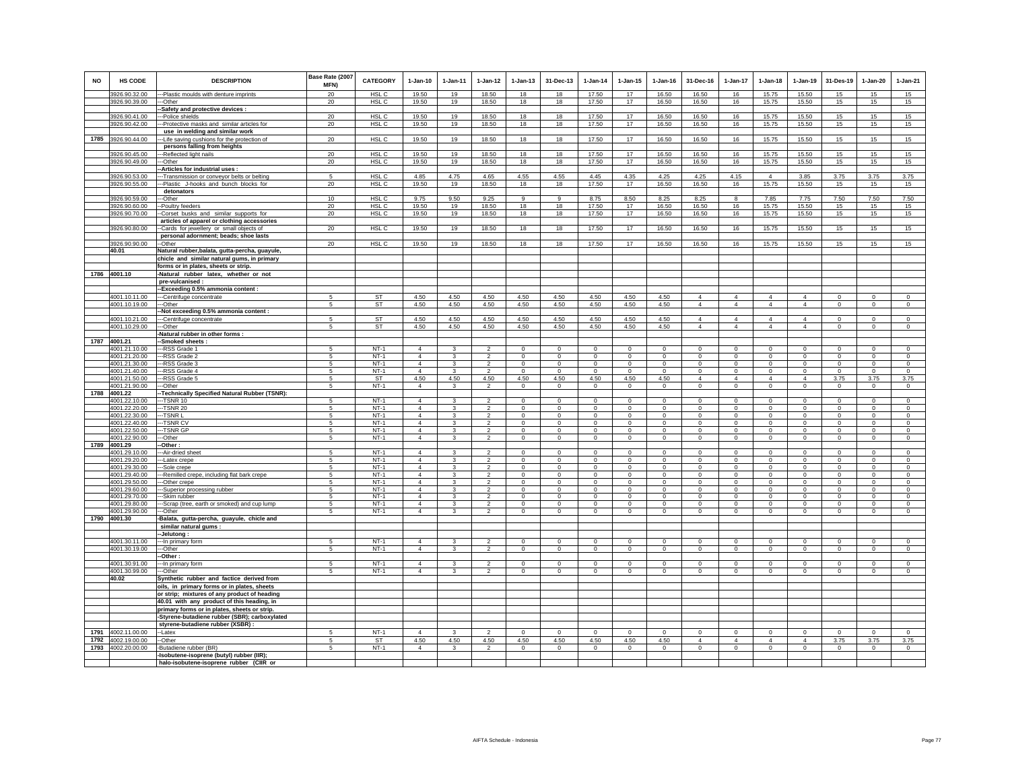| NO   | HS CODE                        | <b>DESCRIPTION</b>                                                                         | Base Rate (2007<br>MFN) | <b>CATEGORY</b>           | $1-Jan-10$                       | $1-Jan-11$                   | $1-Jan-12$                       | $1-Jan-13$                    | 31-Dec-13                     | $1-Jan-14$                    | $1-Jan-15$                   | $1-Jan-16$                    | 31-Dec-16                  | $1-Jan-17$                    | $1-Jan-18$                    | $1-Jan-19$                    | 31-Des-19                     | $1-Jan-20$                    | $1-Jan-21$                |
|------|--------------------------------|--------------------------------------------------------------------------------------------|-------------------------|---------------------------|----------------------------------|------------------------------|----------------------------------|-------------------------------|-------------------------------|-------------------------------|------------------------------|-------------------------------|----------------------------|-------------------------------|-------------------------------|-------------------------------|-------------------------------|-------------------------------|---------------------------|
|      | 3926.90.32.00                  | --Plastic moulds with denture imprints                                                     | 20                      | HSL C                     | 19.50                            | 19                           | 18.50                            | 18                            | 18                            | 17.50                         | 17                           | 16.50                         | 16.50                      | 16                            | 15.75                         | 15.50                         | 15                            | 15                            | 15                        |
|      | 3926.90.39.00                  | --Other                                                                                    | 20                      | HSL C                     | 19.50                            | 19                           | 18.50                            | 18                            | 18                            | 17.50                         | 17                           | 16.50                         | 16.50                      | 16                            | 15.75                         | 15.50                         | 15                            | 15                            | 15                        |
|      | 3926.90.41.00                  | -Safety and protective devices :<br>--Police shields                                       | 20                      | HSL <sub>C</sub>          | 19.50                            | 19                           | 18.50                            | 18                            | 18                            | 17.50                         | 17                           | 16.50                         | 16.50                      | 16                            | 15.75                         | 15.50                         | 15                            | 15                            | 15                        |
|      | 3926.90.42.00                  | -Protective masks and similar articles for                                                 | 20                      | HSL C                     | 19.50                            | 19                           | 18.50                            | 18                            | 18                            | 17.50                         | 17                           | 16.50                         | 16.50                      | 16                            | 15.75                         | 15.50                         | 15                            | 15                            | 15                        |
|      |                                | use in welding and similar work                                                            |                         |                           |                                  |                              |                                  |                               |                               |                               |                              |                               |                            |                               |                               |                               |                               |                               |                           |
| 1785 | 3926.90.44.00                  | -Life saving cushions for the protection of                                                | 20                      | HSL C                     | 19.50                            | 19                           | 18.50                            | 18                            | 18                            | 17.50                         | $17$                         | 16.50                         | 16.50                      | 16                            | 15.75                         | 15.50                         | 15                            | 15                            | 15                        |
|      |                                | persons falling from heights                                                               |                         |                           |                                  |                              |                                  |                               |                               |                               |                              |                               |                            |                               |                               |                               |                               |                               |                           |
|      | 3926.90.45.00<br>3926.90.49.00 | ---Reflected light nails<br>---Other                                                       | 20<br>20                | HSL C<br>HSL <sub>C</sub> | 19.50<br>19.50                   | 19<br>19                     | 18.50<br>18.50                   | 18<br>18                      | 18<br>18                      | 17.50<br>17.50                | 17<br>17                     | 16.50<br>16.50                | 16.50<br>16.50             | 16<br>16                      | 15.75<br>15.75                | 15.50<br>15.50                | 15<br>15                      | 15<br>15                      | 15<br>15                  |
|      |                                | Articles for industrial uses :                                                             |                         |                           |                                  |                              |                                  |                               |                               |                               |                              |                               |                            |                               |                               |                               |                               |                               |                           |
|      | 3926.90.53.00                  | -Transmission or conveyor belts or belting                                                 | 5                       | HSL <sub>C</sub>          | 4.85                             | 4.75                         | 4.65                             | 4.55                          | 4.55                          | 4.45                          | 4.35                         | 4.25                          | 4.25                       | 4.15                          | $\overline{4}$                | 3.85                          | 3.75                          | 3.75                          | 3.75                      |
|      | 3926.90.55.00                  | -Plastic J-hooks and bunch blocks for                                                      | 20                      | HSL C                     | 19.50                            | 19                           | 18.50                            | 18                            | 18                            | 17.50                         | 17                           | 16.50                         | 16.50                      | 16                            | 15.75                         | 15.50                         | 15                            | 15                            | 15                        |
|      |                                | detonators                                                                                 |                         |                           |                                  |                              |                                  |                               |                               |                               |                              |                               |                            |                               |                               |                               |                               |                               |                           |
|      | 3926.90.59.00<br>3926.90.60.00 | --Other<br>--Poultry feeders                                                               | 10<br>20                | HSL C<br>HSL C            | 9.75<br>19.50                    | 9.50<br>19                   | 9.25<br>18.50                    | 9<br>18                       | $\overline{9}$<br>18          | 8.75<br>17.50                 | 8.50<br>17                   | 8.25<br>16.50                 | 8.25<br>16.50              | 8<br>16                       | 7.85<br>15.75                 | 7.75<br>15.50                 | 7.50<br>15                    | 7.50<br>15                    | 7.50<br>15                |
|      | 3926.90.70.00                  | -Corset busks and similar supports for                                                     | 20                      | HSL C                     | 19.50                            | 19                           | 18.50                            | 18                            | 18                            | 17.50                         | 17                           | 16.50                         | 16.50                      | 16                            | 15.75                         | 15.50                         | 15                            | 15                            | 15                        |
|      |                                | articles of apparel or clothing accessories                                                |                         |                           |                                  |                              |                                  |                               |                               |                               |                              |                               |                            |                               |                               |                               |                               |                               |                           |
|      | 3926.90.80.00                  | -Cards for jewellery or small objects of                                                   | 20                      | HSL <sub>C</sub>          | 19.50                            | 19                           | 18.50                            | 18                            | 18                            | 17.50                         | 17                           | 16.50                         | 16.50                      | 16                            | 15.75                         | 15.50                         | 15                            | 15                            | 15                        |
|      |                                | personal adornment; beads; shoe lasts                                                      |                         |                           |                                  |                              |                                  |                               |                               |                               |                              |                               |                            |                               |                               |                               |                               |                               |                           |
|      | 3926.90.90.00                  | --Other                                                                                    | 20                      | HSL C                     | 19.50                            | 19                           | 18.50                            | 18                            | 18                            | 17.50                         | 17                           | 16.50                         | 16.50                      | 16                            | 15.75                         | 15.50                         | 15                            | 15                            | 15                        |
|      | 40.01                          | Natural rubber, balata, gutta-percha, guayule,                                             |                         |                           |                                  |                              |                                  |                               |                               |                               |                              |                               |                            |                               |                               |                               |                               |                               |                           |
|      |                                | chicle and similar natural gums, in primary<br>forms or in plates, sheets or strip.        |                         |                           |                                  |                              |                                  |                               |                               |                               |                              |                               |                            |                               |                               |                               |                               |                               |                           |
|      | 1786 4001.10                   | -Natural rubber latex, whether or not                                                      |                         |                           |                                  |                              |                                  |                               |                               |                               |                              |                               |                            |                               |                               |                               |                               |                               |                           |
|      |                                | pre-vulcanised:                                                                            |                         |                           |                                  |                              |                                  |                               |                               |                               |                              |                               |                            |                               |                               |                               |                               |                               |                           |
|      |                                | -Exceeding 0.5% ammonia content:                                                           |                         |                           |                                  |                              |                                  |                               |                               |                               |                              |                               |                            |                               |                               |                               |                               |                               |                           |
|      | 4001.10.11.00                  | --Centrifuge concentrate                                                                   | 5                       | ST                        | 4.50                             | 4.50                         | 4.50                             | 4.50                          | 4.50                          | 4.50                          | 4.50                         | 4.50                          | $\overline{4}$             | 4                             | $\overline{4}$                | $\overline{4}$                | $\mathbf 0$                   | $\mathbf 0$                   | $\mathsf 0$               |
|      | 4001.10.19.00                  | ---Other                                                                                   | 5                       | <b>ST</b>                 | 4.50                             | 4.50                         | 4.50                             | 4.50                          | 4.50                          | 4.50                          | 4.50                         | 4.50                          | $\overline{4}$             | $\overline{4}$                | $\overline{4}$                | $\overline{4}$                | $\circ$                       | $\circ$                       | $\circ$                   |
|      | 4001.10.21.00                  | -Not exceeding 0.5% ammonia content :<br>-Centrifuge concentrate                           | 5                       | <b>ST</b>                 | 4.50                             | 4.50                         | 4.50                             | 4.50                          | 4.50                          | 4.50                          | 4.50                         | 4.50                          | $\overline{4}$             | $\overline{4}$                | $\overline{4}$                | $\overline{4}$                | $\mathbf 0$                   | $\mathbf{0}$                  | $\circ$                   |
|      | 4001.10.29.00                  | ---Other                                                                                   | 5                       | ST                        | 4.50                             | 4.50                         | 4.50                             | 4.50                          | 4.50                          | 4.50                          | 4.50                         | 4.50                          | $\overline{4}$             | $\overline{4}$                | $\overline{4}$                | $\overline{4}$                | $\circ$                       | $\mathbf 0$                   | $\circ$                   |
|      |                                | -Natural rubber in other forms :                                                           |                         |                           |                                  |                              |                                  |                               |                               |                               |                              |                               |                            |                               |                               |                               |                               |                               |                           |
|      | 1787 4001.21                   | -Smoked sheets:                                                                            |                         |                           |                                  |                              |                                  |                               |                               |                               |                              |                               |                            |                               |                               |                               |                               |                               |                           |
|      | 4001.21.10.00                  | -RSS Grade 1                                                                               | -5                      | $NT-1$                    | $\overline{4}$                   | 3                            | $\mathfrak{p}$                   | $\Omega$                      | $\Omega$                      | $\Omega$                      | $\Omega$                     | $\Omega$                      | $\Omega$                   | $\Omega$                      | $\Omega$                      | $\mathbf{0}$                  | $\Omega$                      | $\Omega$                      | $\Omega$                  |
|      | 4001.21.20.00<br>4001.21.30.00 | --RSS Grade 2<br>---RSS Grade 3                                                            | 5<br>-5                 | $NT-1$<br>$NT-1$          | $\overline{4}$<br>$\overline{4}$ | 3<br>$\overline{\mathbf{3}}$ | $\overline{2}$<br>$\overline{2}$ | $\mathbf 0$<br>$\overline{0}$ | $\mathbf 0$<br>$\overline{0}$ | $\mathbf 0$<br>$\overline{0}$ | $^{\circ}$<br>$\overline{0}$ | $\mathbf 0$<br>$\overline{0}$ | $\mathbf 0$<br>$\Omega$    | $\mathbf 0$<br>$\overline{0}$ | $\mathbf 0$<br>$\overline{0}$ | $\mathbf 0$<br>$\overline{0}$ | $\mathbf 0$<br>$\overline{0}$ | $\mathbf 0$<br>$\overline{0}$ | $\circ$<br>$\overline{0}$ |
|      | 4001.21.40.00                  | -RSS Grade 4                                                                               | 5                       | $NT-1$                    | $\Delta$                         | $\mathbf{3}$                 | $\mathfrak{p}$                   | $\mathbf{0}$                  | $\mathbf{0}$                  | $\mathbf 0$                   | $\Omega$                     | $\mathbf 0$                   | $\mathbf{0}$               | $\mathbf{0}$                  | $\mathbf{0}$                  | $\circ$                       | $\mathbf 0$                   | $\Omega$                      | $\circ$                   |
|      | 4001.21.50.00                  | --RSS Grade 5                                                                              | 5                       | ST                        | 4.50                             | 4.50                         | 4.50                             | 4.50                          | 4.50                          | 4.50                          | 4.50                         | 4.50                          | $\overline{4}$             | $\overline{4}$                | $\overline{4}$                | $\overline{4}$                | 3.75                          | 3.75                          | 3.75                      |
|      | 4001.21.90.00                  | --Other                                                                                    | 5                       | $NT-1$                    | $\mathbf{A}$                     | $\mathbf{3}$                 | $\overline{a}$                   | $\mathbf 0$                   | $\,0\,$                       | $\circ$                       | $\mathbf 0$                  | $\mathsf 0$                   | $\mathbf 0$                | $\circ$                       | $\mathbf{0}$                  | $\mathsf 0$                   | $\mathbf 0$                   | $\mathbf 0$                   | $\circ$                   |
| 1788 | 4001.22                        | -Technically Specified Natural Rubber (TSNR):                                              |                         |                           |                                  |                              |                                  |                               |                               |                               |                              |                               |                            |                               |                               |                               |                               |                               |                           |
|      | 4001.22.10.00                  | $-TSNR 10$                                                                                 | -5<br>5                 | $NT-1$<br>$NT-1$          | $\Delta$<br>$\Delta$             | $\mathbf{3}$<br>$\mathbf{3}$ | $\mathfrak{D}$<br>$\overline{2}$ | $\Omega$<br>$\mathsf 0$       | $\Omega$                      | $\Omega$<br>$\mathbf 0$       | $\Omega$<br>$\mathsf 0$      | $\Omega$<br>$\Omega$          | $\Omega$                   | $\Omega$<br>$\mathbf 0$       | $\Omega$<br>$\mathbf{0}$      | $\Omega$<br>$\mathbf{0}$      | $\mathbf 0$                   | $\circ$                       | $\circ$<br>$\circ$        |
|      | 4001.22.20.00<br>4001.22.30.00 | --TSNR 20<br>--TSNR L                                                                      | 5                       | $NT-1$                    | $\overline{4}$                   | $\mathbf{3}$                 | $\overline{\phantom{a}}$         | $\overline{0}$                | $\mathbf 0$<br>$\Omega$       | $\overline{0}$                | $\overline{0}$               | $\Omega$                      | $\mathbf 0$<br>$\Omega$    | $\overline{0}$                | $\overline{0}$                | $\overline{0}$                | $\mathbf 0$<br>$\Omega$       | $\circ$<br>$\overline{0}$     | $\overline{0}$            |
|      | 4001.22.40.00                  | --TSNR C'                                                                                  | 5                       | $NT-1$                    | $\overline{4}$                   | 3                            | $\overline{2}$                   | $\mathbf 0$                   | $\mathbf 0$                   | $\circ$                       | $\mathbf 0$                  | $\mathbf 0$                   | $\mathbf 0$                | 0                             | $\mathbf 0$                   | $\mathbf 0$                   | $\mathbf 0$                   | 0                             | $\mathbf 0$               |
|      | 4001.22.50.00                  | --TSNR GP                                                                                  | 5                       | $NT-1$                    | $\overline{4}$                   | 3                            | $\overline{2}$                   | $^{\circ}$                    | $^{\circ}$                    | $\mathbf{0}$                  | $\circ$                      | $^{\circ}$                    | $\mathbf{0}$               | $\circ$                       | $^{\circ}$                    | $^{\circ}$                    | $^{\circ}$                    | $\circ$                       | $^{\circ}$                |
|      | 4001.22.90.00                  | -Other                                                                                     | 5                       | $NT-1$                    | $\overline{4}$                   | 3                            | $\overline{a}$                   | $\mathsf 0$                   | $\mathsf 0$                   | $\mathbf 0$                   | 0                            | $^{\circ}$                    | $\mathsf 0$                | $\overline{0}$                | $\mathsf 0$                   | $\mathsf 0$                   | $\mathbf 0$                   | $\mathbf 0$                   | $\mathsf 0$               |
| 1789 | 4001.29                        | Other-                                                                                     |                         |                           | $\Delta$                         |                              | $\mathfrak{D}$                   |                               |                               |                               |                              |                               |                            |                               |                               |                               |                               |                               |                           |
|      | 4001.29.10.00<br>4001.29.20.00 | --Air-dried sheet<br>--- I atex crepe                                                      | 5<br>-5                 | $NT-1$<br>$NT-1$          | $\overline{4}$                   | 3<br>$\mathbf{3}$            | $\overline{2}$                   | $\Omega$<br>$\Omega$          | $\mathbf 0$<br>$\Omega$       | $\Omega$<br>$\Omega$          | $\Omega$<br>$\Omega$         | $\Omega$<br>$\Omega$          | $\Omega$<br>$\Omega$       | $\mathbf 0$<br>$\overline{0}$ | $\Omega$<br>$\overline{0}$    | $\mathbf 0$<br>$\overline{0}$ | $\mathbf 0$<br>$\Omega$       | $\mathbf 0$<br>$\Omega$       | $\mathbf 0$<br>$\Omega$   |
|      | 4001.29.30.00                  | -Sole crepe                                                                                | 5                       | $NT-1$                    | $\overline{4}$                   | $\mathbf{3}$                 | $\overline{a}$                   | $\mathbf 0$                   | $\mathbf 0$                   | $\mathsf 0$                   | $\mathsf 0$                  | $\mathsf 0$                   | $\mathbf 0$                | $\mathbf 0$                   | $\mathbf 0$                   | $\mathsf 0$                   | $\mathbf 0$                   | $\mathbf 0$                   | $\mathbf 0$               |
|      | 4001.29.40.00                  | -- Remilled crepe, including flat bark crepe                                               | 5                       | $NT-1$                    | $\overline{4}$                   | $\mathbf{3}$                 | $\overline{2}$                   | $\mathbf 0$                   | $\mathbf{0}$                  | $\mathbf 0$                   | $\mathbf 0$                  | $\mathbf 0$                   | $\circ$                    | $\circ$                       | $\mathbf{0}$                  | $\circ$                       | $\circ$                       | $\circ$                       | $\mathbf{0}$              |
|      | 4001.29.50.00                  | --Other crepe                                                                              | -5                      | $NT-1$                    | $\overline{4}$                   | $\mathbf{3}$                 | $\overline{\phantom{a}}$         | $\Omega$                      | $\Omega$                      | $\Omega$                      | $\Omega$                     | $\Omega$                      | $\Omega$                   | $\overline{0}$                | $\Omega$                      | $\overline{0}$                | $\Omega$                      | $\overline{0}$                | $\Omega$                  |
|      | 4001.29.60.00                  | -Superior processing rubber                                                                | -5                      | $NT-1$                    | $\overline{4}$<br>$\overline{4}$ | 3                            | $\mathfrak{p}$<br>$\overline{2}$ | $\mathbf 0$                   | $\mathbf 0$                   | 0                             | $\mathbf 0$                  | $\Omega$                      | $\mathbf 0$                | $\mathbf 0$<br>$\overline{0}$ | $\mathbf 0$                   | $\mathbf 0$                   | $\mathbf 0$                   | $\mathbf 0$                   | $\circ$                   |
|      | 4001.29.70.00<br>4001.29.80.00 | --Skim rubber<br>--- Scrap (tree, earth or smoked) and cup lump                            | 5<br>5                  | $NT-1$<br>$NT-1$          | $\mathbf{A}$                     | $\mathbf{3}$<br>$\mathbf{R}$ | $\overline{2}$                   | $\mathbf 0$<br>$\Omega$       | $\overline{0}$<br>$\Omega$    | $\mathbf 0$<br>$\Omega$       | $\mathsf 0$<br>$\Omega$      | $\mathbf 0$<br>$\Omega$       | $\mathbf{0}$<br>$\Omega$   | $\overline{0}$                | $\mathbf 0$<br>$\Omega$       | $\mathsf 0$<br>$\Omega$       | $\,$ 0<br>$\Omega$            | $\mathbf 0$<br>$\Omega$       | $\mathbf{0}$<br>$\Omega$  |
|      | 4001.29.90.00                  | ---Other                                                                                   | $\overline{5}$          | $NT-1$                    | $\overline{4}$                   | 3                            | $\mathfrak{p}$                   | $\mathbf 0$                   | $\Omega$                      | $\mathbf 0$                   | $\mathbf 0$                  | $\Omega$                      | $\mathbf 0$                | $\mathbf 0$                   | $\mathbf 0$                   | $\mathbf 0$                   | $\Omega$                      | $\mathbf 0$                   | $\Omega$                  |
|      | 1790 4001.30                   | -Balata, gutta-percha, guayule, chicle and                                                 |                         |                           |                                  |                              |                                  |                               |                               |                               |                              |                               |                            |                               |                               |                               |                               |                               |                           |
|      |                                | similar natural gums :                                                                     |                         |                           |                                  |                              |                                  |                               |                               |                               |                              |                               |                            |                               |                               |                               |                               |                               |                           |
|      |                                | Jelutong:                                                                                  |                         |                           |                                  |                              |                                  |                               |                               |                               |                              |                               |                            |                               |                               |                               |                               |                               |                           |
|      | 4001.30.11.00<br>4001.30.19.00 | -- In primary form<br>--Other                                                              | 5<br>5                  | $NT-1$<br>$NT-1$          | $\overline{4}$<br>$\overline{4}$ | 3<br>$\mathbf{3}$            | $\mathfrak{p}$<br>$\overline{2}$ | $\mathbf 0$<br>$\mathsf 0$    | $\mathbf 0$<br>$\mathsf 0$    | $\mathbf 0$<br>$\mathsf 0$    | $\mathbf 0$<br>$\mathsf 0$   | $\mathbf 0$<br>$\circ$        | $\mathbf 0$<br>$\mathsf 0$ | $\mathbf 0$<br>$\circ$        | $\mathbf 0$<br>$\mathsf 0$    | $\mathbf 0$<br>$\mathsf 0$    | $\mathbf 0$<br>$\mathbf 0$    | $\mathbf 0$<br>$\mathsf 0$    | $\circ$<br>$\mathsf 0$    |
|      |                                | -Other                                                                                     |                         |                           |                                  |                              |                                  |                               |                               |                               |                              |                               |                            |                               |                               |                               |                               |                               |                           |
|      | 4001.30.91.00                  | --- In primary form                                                                        | 5                       | $NT-1$                    | $\Delta$                         | $\mathbf{3}$                 | $\mathfrak{p}$                   | $\mathbf{0}$                  | $\Omega$                      | $\Omega$                      | $\Omega$                     | $\Omega$                      | $\Omega$                   | $\mathbf{0}$                  | $\mathbf{0}$                  | $\mathbf{0}$                  | $\mathbf 0$                   | $\Omega$                      | $\circ$                   |
|      | 4001.30.99.00                  | ---Other                                                                                   | 5                       | <b>NT-1</b>               | $\overline{4}$                   | 3                            | $\overline{2}$                   | $^{\circ}$                    | $^{\circ}$                    | $^{\circ}$                    | $\circ$                      | $^{\circ}$                    | $\mathbf{0}$               | $^{\circ}$                    | $\mathbf{0}$                  | $^{\circ}$                    | $^{\circ}$                    | $^{\circ}$                    | $\circ$                   |
|      | 40.02                          | Synthetic rubber and factice derived from                                                  |                         |                           |                                  |                              |                                  |                               |                               |                               |                              |                               |                            |                               |                               |                               |                               |                               |                           |
|      |                                | oils, in primary forms or in plates, sheets                                                |                         |                           |                                  |                              |                                  |                               |                               |                               |                              |                               |                            |                               |                               |                               |                               |                               |                           |
|      |                                | or strip; mixtures of any product of heading                                               |                         |                           |                                  |                              |                                  |                               |                               |                               |                              |                               |                            |                               |                               |                               |                               |                               |                           |
|      |                                | 40.01 with any product of this heading, in<br>primary forms or in plates, sheets or strip. |                         |                           |                                  |                              |                                  |                               |                               |                               |                              |                               |                            |                               |                               |                               |                               |                               |                           |
|      |                                | -Styrene-butadiene rubber (SBR); carboxylated                                              |                         |                           |                                  |                              |                                  |                               |                               |                               |                              |                               |                            |                               |                               |                               |                               |                               |                           |
|      |                                | styrene-butadiene rubber (XSBR) :                                                          |                         |                           |                                  |                              |                                  |                               |                               |                               |                              |                               |                            |                               |                               |                               |                               |                               |                           |
| 1791 | 4002.11.00.00                  | --Latex                                                                                    | -5                      | $NT-1$                    | $\Delta$                         | $\mathbf{3}$                 | $\mathfrak{p}$                   | $\Omega$                      | $\Omega$                      | $\Omega$                      | $\Omega$                     | $\Omega$                      | $\Omega$                   | $\mathbf{0}$                  | $\mathbf{0}$                  | $\circ$                       | $\Omega$                      | $\Omega$                      | $\Omega$                  |
| 1792 | 4002.19.00.00                  | -Other                                                                                     | 5                       | ST                        | 4.50                             | 4.50                         | 4.50                             | 4.50                          | 4.50                          | 4.50                          | 4.50                         | 4.50                          | $\overline{4}$             | $\overline{4}$                | $\overline{4}$                | $\overline{4}$                | 3.75                          | 3.75                          | 3.75                      |
| 1793 | 4002.20.00.00                  | -Butadiene rubber (BR)                                                                     | 5                       | $NT-1$                    | $\overline{4}$                   | 3                            | $\overline{a}$                   | $\mathbf 0$                   | $\mathbf 0$                   | $\mathbf 0$                   | $\mathbf 0$                  | $\mathbf 0$                   | $\mathbf 0$                | $\mathbf 0$                   | $\mathbf 0$                   | $\mathbf 0$                   | $\mathbf 0$                   | $\mathbf 0$                   | $\mathbf 0$               |
|      |                                | -Isobutene-isoprene (butyl) rubber (IIR);                                                  |                         |                           |                                  |                              |                                  |                               |                               |                               |                              |                               |                            |                               |                               |                               |                               |                               |                           |
|      |                                | halo-isobutene-isoprene rubber (CIIR or                                                    |                         |                           |                                  |                              |                                  |                               |                               |                               |                              |                               |                            |                               |                               |                               |                               |                               |                           |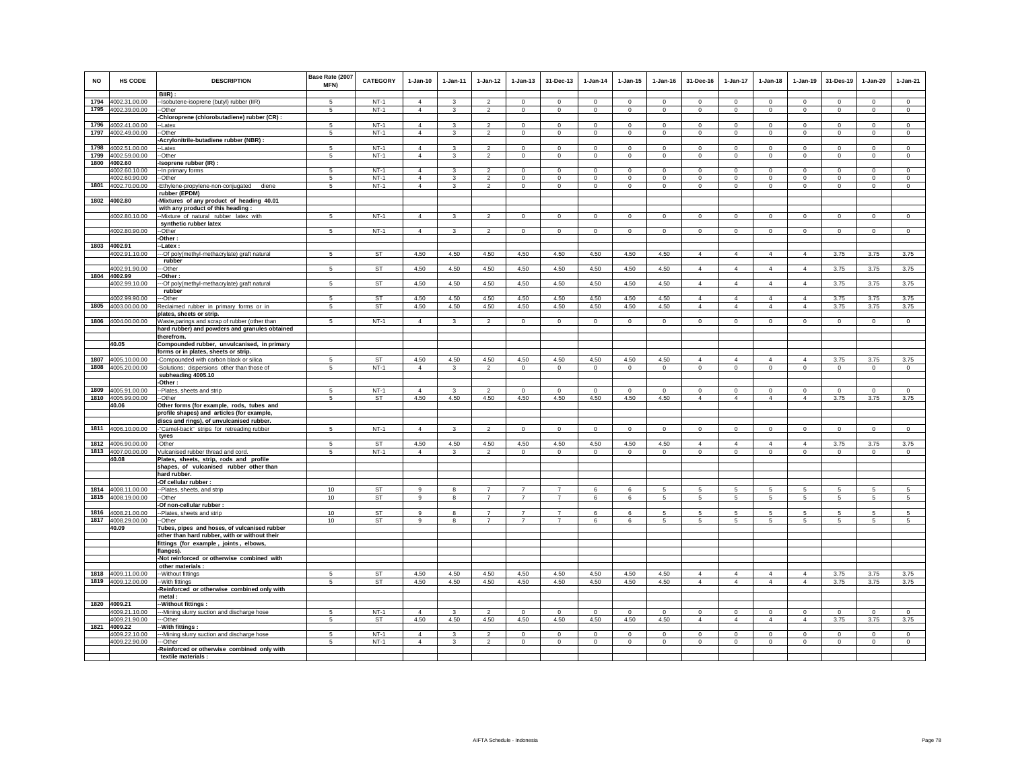| <b>NO</b> | HS CODE                        | <b>DESCRIPTION</b>                                                                      | Base Rate (2007<br>MFN) | <b>CATEGORY</b>  | $1-Jan-10$                       | $1 - Jan-11$            | $1-Jan-12$                       | $1 - Jan-13$               | 31-Dec-13                 | $1-Jan-14$              | $1 - Jan-15$               | $1 - Jan-16$           | 31-Dec-16               | 1-Jan-17                | $1-Jan-18$             | $1 - Jan-19$            | 31-Des-19               | $1-Jan-20$                 | $1-Jan-21$              |
|-----------|--------------------------------|-----------------------------------------------------------------------------------------|-------------------------|------------------|----------------------------------|-------------------------|----------------------------------|----------------------------|---------------------------|-------------------------|----------------------------|------------------------|-------------------------|-------------------------|------------------------|-------------------------|-------------------------|----------------------------|-------------------------|
| 1794      |                                | $BIR$ ):                                                                                | 5                       | $NT-1$           | $\overline{4}$                   | 3                       | $\overline{2}$                   | $\mathbf{0}$               | $\mathbf 0$               | $\Omega$                | $\mathbf{0}$               | $\Omega$               | $\Omega$                | $\Omega$                | $\mathbf{0}$           | $\mathbf 0$             | $\mathbf 0$             | $\mathbf 0$                | $\circ$                 |
| 1795      | 4002.31.00.00<br>4002.39.00.00 | -Isobutene-isoprene (butyl) rubber (IIR)<br>--Other                                     | 5                       | $NT-1$           | $\overline{4}$                   | $\mathbf{3}$            | $\overline{2}$                   | $\mathbf 0$                | $\mathbf 0$               | $\circ$                 | $\mathbf 0$                | $\mathsf 0$            | $\mathsf 0$             | $\mathbf 0$             | $\mathbf 0$            | $\mathbf 0$             | $\mathbf 0$             | $\mathbf 0$                | $\mathbf 0$             |
|           |                                | -Chloroprene (chlorobutadiene) rubber (CR) :                                            |                         |                  |                                  |                         |                                  |                            |                           |                         |                            |                        |                         |                         |                        |                         |                         |                            |                         |
| 1796      | 4002.41.00.00                  | --Latex                                                                                 | 5                       | $NT-1$           | $\overline{4}$                   | $\mathbf{3}$            | $\overline{2}$                   | $\mathbf 0$                | $\mathsf 0$               | $\mathbf 0$             | $\mathbf 0$                | $\mathbf 0$            | $\mathbf 0$             | $\mathbf 0$             | $\mathbf 0$            | $\mathbf 0$             | $\mathbf 0$             | $\mathbf 0$                | $\mathbf 0$             |
|           | 1797 4002.49.00.00             | -Other                                                                                  | 5                       | $NT-1$           | $\overline{4}$                   | $\mathbf{3}$            | $\overline{2}$                   | $\circ$                    | $\mathbf{0}$              | $\circ$                 | $\mathbf 0$                | $\circ$                | $\circ$                 | $\circ$                 | $\mathbf{0}$           | $\circ$                 | $\mathbf 0$             | $\circ$                    | $\circ$                 |
|           |                                | -Acrylonitrile-butadiene rubber (NBR) :                                                 |                         |                  |                                  |                         |                                  |                            |                           |                         |                            |                        |                         |                         |                        |                         |                         |                            |                         |
| 1798      | 4002.51.00.00                  | -Latex                                                                                  | -5                      | $NT-1$           | $\Delta$                         | $\mathbf{R}$            | $\overline{2}$                   | $\Omega$                   | $\,0\,$                   | $\Omega$                | $\mathbf 0$                | $\Omega$               | $\Omega$                | $\Omega$                | $\Omega$               | $\Omega$                | $\Omega$                | $\mathbf 0$                | $\mathbf 0$             |
| 1799      | 4002.59.00.00                  | -Other                                                                                  | 5                       | $NT-1$           | $\overline{4}$                   | 3                       | $\overline{2}$                   | $\circ$                    | $\,0\,$                   | $^{\circ}$              | $\mathbf 0$                | $\circ$                | $\circ$                 | $\mathbf 0$             | $\mathbf 0$            | $\mathsf 0$             | $\mathbf 0$             | $\,0\,$                    | $\mathbf 0$             |
| 1800      | 4002.60                        | Isoprene rubber (IR) :                                                                  |                         |                  |                                  |                         |                                  |                            |                           |                         |                            |                        |                         |                         |                        |                         |                         |                            |                         |
|           | 4002.60.10.00<br>4002.60.90.00 | -- In primary forms<br>--Other                                                          | 5<br>5                  | $NT-1$<br>$NT-1$ | $\overline{4}$<br>$\overline{4}$ | 3                       | $\mathcal{P}$<br>$\overline{2}$  | $\mathsf 0$                | $\mathbf 0$<br>$\,0\,$    | $\Omega$<br>$\mathbf 0$ | $\Omega$<br>$\mathbf 0$    | $\Omega$<br>$\circ$    | $\Omega$<br>$\mathbf 0$ | $\Omega$<br>$\mathbf 0$ | $\mathbf 0$            | $\Omega$<br>$\mathbf 0$ | $\Omega$<br>$\mathbf 0$ | $\mathbf 0$<br>$\,0\,$     | $\Omega$<br>$^{\circ}$  |
|           | 1801 4002.70.00.00             | -Ethylene-propylene-non-conjugated diene                                                | 5                       | $NT-1$           | $\overline{4}$                   | $\overline{\mathbf{3}}$ | $\overline{2}$                   | $\mathbf 0$                | $\mathbf 0$               | $\mathsf 0$             | $\circ$                    | $\mathsf 0$            | $\mathsf 0$             | $\circ$                 | $\mathbf 0$            | $\mathbf 0$             | $\mathbf 0$             | $\mathbf 0$                | $\mathbb O$             |
|           |                                | rubber (EPDM)                                                                           |                         |                  |                                  |                         |                                  |                            |                           |                         |                            |                        |                         |                         |                        |                         |                         |                            |                         |
|           | 1802 4002.80                   | -Mixtures of any product of heading 40.01                                               |                         |                  |                                  |                         |                                  |                            |                           |                         |                            |                        |                         |                         |                        |                         |                         |                            |                         |
|           |                                | with any product of this heading :                                                      |                         |                  |                                  |                         |                                  |                            |                           |                         |                            |                        |                         |                         |                        |                         |                         |                            |                         |
|           | 4002.80.10.00                  | --Mixture of natural rubber latex with                                                  | 5                       | $NT-1$           | $\Delta$                         | 3                       | $\overline{2}$                   | $\mathbf 0$                | $\mathbf{0}$              | $\circ$                 | $\mathbf 0$                | $\circ$                | $\Omega$                | $\mathbf{0}$            | $\Omega$               | $\mathbf{0}$            | $\circ$                 | $\circ$                    | $\Omega$                |
|           |                                | synthetic rubber latex                                                                  |                         |                  |                                  |                         |                                  |                            |                           |                         |                            |                        |                         |                         |                        |                         |                         |                            |                         |
|           | 4002.80.90.00                  | -Other<br>Other:                                                                        | 5                       | $NT-1$           | $\overline{4}$                   | 3                       | $\overline{2}$                   | $\Omega$                   | $\circ$                   | $\overline{0}$          | $\overline{0}$             | $\Omega$               | $\mathbf 0$             | $\circ$                 | $\circ$                | $\mathbf 0$             | $\circ$                 | $\circ$                    | $\circ$                 |
| 1803      | 4002.91                        | -Latex:                                                                                 |                         |                  |                                  |                         |                                  |                            |                           |                         |                            |                        |                         |                         |                        |                         |                         |                            |                         |
|           | 4002.91.10.00                  | -Of poly(methyl-methacrylate) graft natural                                             | 5                       | <b>ST</b>        | 4.50                             | 4.50                    | 4.50                             | 4.50                       | 4.50                      | 4.50                    | 4.50                       | 4.50                   | 4                       | $\overline{4}$          | $\overline{4}$         | $\overline{4}$          | 3.75                    | 3.75                       | 3.75                    |
|           |                                | rubber                                                                                  |                         |                  |                                  |                         |                                  |                            |                           |                         |                            |                        |                         |                         |                        |                         |                         |                            |                         |
|           | 4002.91.90.00                  | -Other                                                                                  | 5                       | <b>ST</b>        | 4.50                             | 4.50                    | 4.50                             | 4.50                       | 4.50                      | 4.50                    | 4.50                       | 4.50                   | $\overline{4}$          | $\overline{4}$          | $\overline{4}$         | $\overline{4}$          | 3.75                    | 3.75                       | 3.75                    |
| 1804      | 4002.99                        | -Other:                                                                                 |                         |                  |                                  |                         |                                  |                            |                           |                         |                            |                        |                         |                         |                        |                         |                         |                            |                         |
|           | 4002.99.10.00                  | -- Of poly(methyl-methacrylate) graft natural                                           | 5                       | ST               | 4.50                             | 4.50                    | 4.50                             | 4.50                       | 4.50                      | 4.50                    | 4.50                       | 4.50                   | 4                       | $\overline{4}$          | $\overline{4}$         | $\overline{4}$          | 3.75                    | 3.75                       | 3.75                    |
|           | 4002.99.90.00                  | rubber<br>-Other                                                                        | -5                      | <b>ST</b>        | 4.50                             | 4.50                    | 4.50                             | 4.50                       | 4.50                      | 4.50                    | 4.50                       | 4.50                   | $\overline{4}$          | $\overline{4}$          | $\overline{4}$         | $\overline{4}$          | 3.75                    | 3.75                       | 3.75                    |
| 1805      | 4003.00.00.00                  | Reclaimed rubber in primary forms or in                                                 | -5                      | ST               | 4.50                             | 4.50                    | 4.50                             | 4.50                       | 4.50                      | 4.50                    | 4.50                       | 4.50                   | $\overline{4}$          | $\overline{4}$          | $\overline{4}$         | $\overline{4}$          | 3.75                    | 3.75                       | 3.75                    |
|           |                                | plates, sheets or strip.                                                                |                         |                  |                                  |                         |                                  |                            |                           |                         |                            |                        |                         |                         |                        |                         |                         |                            |                         |
| 1806      | 4004.00.00.00                  | Waste, parings and scrap of rubber (other than                                          | 5                       | $NT-1$           | $\overline{4}$                   | 3                       | $\overline{2}$                   | $\mathbf 0$                | $\mathbf 0$               | $\circ$                 | $\mathbf 0$                | $\circ$                | $\circ$                 | $\circ$                 | $\mathbf 0$            | $\mathbf 0$             | $\mathbf 0$             | $\mathbb O$                | $\mathbf 0$             |
|           |                                | hard rubber) and powders and granules obtained                                          |                         |                  |                                  |                         |                                  |                            |                           |                         |                            |                        |                         |                         |                        |                         |                         |                            |                         |
|           |                                | therefrom.                                                                              |                         |                  |                                  |                         |                                  |                            |                           |                         |                            |                        |                         |                         |                        |                         |                         |                            |                         |
|           | 40.05                          | Compounded rubber, unvulcanised, in primary<br>forms or in plates, sheets or strip.     |                         |                  |                                  |                         |                                  |                            |                           |                         |                            |                        |                         |                         |                        |                         |                         |                            |                         |
| 1807      | 4005.10.00.00                  | -Compounded with carbon black or silica                                                 | 5                       | <b>ST</b>        | 4.50                             | 4.50                    | 4.50                             | 4.50                       | 4.50                      | 4.50                    | 4.50                       | 4.50                   | $\overline{4}$          | $\overline{4}$          | $\overline{4}$         | $\overline{4}$          | 3.75                    | 3.75                       | 3.75                    |
| 1808      | 4005.20.00.00                  | -Solutions: dispersions other than those of                                             | 5                       | $NT-1$           | $\overline{4}$                   | $\overline{\mathbf{3}}$ | $\overline{2}$                   | $\circ$                    | $\mathbf 0$               | $\circ$                 | $\mathbf{0}$               | $\circ$                | $\circ$                 | $\circ$                 | $\circ$                | $\circ$                 | $\mathbf 0$             | $\Omega$                   | $\mathbf 0$             |
|           |                                | subheading 4005.10                                                                      |                         |                  |                                  |                         |                                  |                            |                           |                         |                            |                        |                         |                         |                        |                         |                         |                            |                         |
|           |                                | -Other :                                                                                |                         |                  |                                  |                         |                                  |                            |                           |                         |                            |                        |                         |                         |                        |                         |                         |                            |                         |
|           | 1809 4005.91.00.00             | -Plates, sheets and strip                                                               | 5                       | $NT-1$           | $\overline{4}$                   | 3                       | $\overline{2}$                   | $\circ$                    | $\mathbf{0}$              | $\mathbf{0}$            | $\mathbf{0}$               | $\circ$                | $\mathbf 0$             | $\circ$                 | $\mathbf 0$            | $\circ$                 | $\Omega$                | $\mathbf 0$                | $\circ$                 |
|           | 1810 4005.99.00.00             | --Other                                                                                 | 5                       | <b>ST</b>        | 4.50                             | 4.50                    | 4.50                             | 4.50                       | 4.50                      | 4.50                    | 4.50                       | 4.50                   | $\overline{4}$          | $\overline{4}$          | $\overline{4}$         | $\overline{4}$          | 3.75                    | 3.75                       | 3.75                    |
|           | 40.06                          | Other forms (for example, rods, tubes and<br>profile shapes) and articles (for example, |                         |                  |                                  |                         |                                  |                            |                           |                         |                            |                        |                         |                         |                        |                         |                         |                            |                         |
|           |                                | discs and rings), of unvulcanised rubber.                                               |                         |                  |                                  |                         |                                  |                            |                           |                         |                            |                        |                         |                         |                        |                         |                         |                            |                         |
|           | 1811 4006.10.00.00             | "Camel-back" strips for retreading rubber                                               | 5                       | $NT-1$           | $\overline{4}$                   | $\mathbf{3}$            | $\overline{2}$                   | $\overline{0}$             | $\overline{0}$            | $\mathsf 0$             | $\overline{0}$             | $\mathbf 0$            | $\mathsf 0$             | $\mathbb O$             | $\mathbf 0$            | $\mathbf 0$             | $\mathbf 0$             | $\circ$                    | $\overline{0}$          |
|           |                                | tyres                                                                                   |                         |                  |                                  |                         |                                  |                            |                           |                         |                            |                        |                         |                         |                        |                         |                         |                            |                         |
|           | 1812 4006.90.00.00             | -Other                                                                                  | 5                       | <b>ST</b>        | 4.50                             | 4.50                    | 4.50                             | 4.50                       | 4.50                      | 4.50                    | 4.50                       | 4.50                   | 4                       | $\overline{4}$          | $\overline{4}$         | $\overline{4}$          | 3.75                    | 3.75                       | 3.75                    |
|           | 1813 4007.00.00.00             | Vulcanised rubber thread and cord.                                                      | 5                       | $NT-1$           | $\overline{4}$                   | 3                       | $\overline{2}$                   | $\circ$                    | $\mathbf 0$               | $\circ$                 | $\mathbf 0$                | $\circ$                | $\mathbf 0$             | $\circ$                 | $\mathbf 0$            | $\circ$                 | $\mathbf 0$             | $\mathbf 0$                | $^{\circ}$              |
|           | 40.08                          | Plates, sheets, strip, rods and profile<br>shapes, of vulcanised rubber other than      |                         |                  |                                  |                         |                                  |                            |                           |                         |                            |                        |                         |                         |                        |                         |                         |                            |                         |
|           |                                | hard rubber.                                                                            |                         |                  |                                  |                         |                                  |                            |                           |                         |                            |                        |                         |                         |                        |                         |                         |                            |                         |
|           |                                | -Of cellular rubber :                                                                   |                         |                  |                                  |                         |                                  |                            |                           |                         |                            |                        |                         |                         |                        |                         |                         |                            |                         |
|           | 1814 4008.11.00.00             | --Plates, sheets, and strip                                                             | 10                      | ST               | 9                                |                         | $\overline{7}$                   | $\overline{7}$             | $\overline{7}$            | 6                       | 6                          | 5                      | 5                       | 5                       | 5                      | 5                       | 5                       | 5                          | 5                       |
|           | 1815 4008.19.00.00             | --Other                                                                                 | 10                      | ST               | 9                                | 8                       | $\overline{7}$                   | $\overline{7}$             | $\overline{7}$            | 6                       | 6                          | 5                      | 5                       | $5\phantom{.0}$         | 5                      | 5                       | 5                       | $\sqrt{5}$                 | 5                       |
|           |                                | -Of non-cellular rubber :                                                               |                         |                  |                                  |                         |                                  |                            |                           |                         |                            |                        |                         |                         |                        |                         |                         |                            |                         |
|           | 1816 4008.21.00.00             | -Plates, sheets and strip                                                               | 10                      | <b>ST</b>        | 9                                | 8                       | $\overline{7}$                   | $\overline{7}$             | $\overline{7}$            | 6                       | 6                          | 5                      | 5                       | -5                      | 5                      | 5                       | 5                       | 5                          | 5                       |
|           | 1817 4008.29.00.00<br>40.09    | -Other<br>Tubes, pipes and hoses, of vulcanised rubber                                  | 10                      | <b>ST</b>        | 9                                | 8                       | $\overline{7}$                   | $\overline{7}$             | $\overline{7}$            | 6                       | 6                          | 5                      | $5\overline{5}$         | $5\overline{5}$         | 5                      | 5                       | 5                       | $\overline{5}$             | 5                       |
|           |                                | other than hard rubber, with or without their                                           |                         |                  |                                  |                         |                                  |                            |                           |                         |                            |                        |                         |                         |                        |                         |                         |                            |                         |
|           |                                | fittings (for example, joints, elbows,                                                  |                         |                  |                                  |                         |                                  |                            |                           |                         |                            |                        |                         |                         |                        |                         |                         |                            |                         |
|           |                                | flanges).                                                                               |                         |                  |                                  |                         |                                  |                            |                           |                         |                            |                        |                         |                         |                        |                         |                         |                            |                         |
|           |                                | -Not reinforced or otherwise combined with                                              |                         |                  |                                  |                         |                                  |                            |                           |                         |                            |                        |                         |                         |                        |                         |                         |                            |                         |
|           |                                | other materials :                                                                       |                         |                  |                                  |                         |                                  |                            |                           |                         |                            |                        |                         |                         |                        |                         |                         |                            |                         |
|           | 1818 4009.11.00.00             | -Without fittings                                                                       | 5                       | <b>ST</b>        | 4.50                             | 4.50                    | 4.50                             | 4.50                       | 4.50                      | 4.50                    | 4.50                       | 4.50                   | $\Delta$                | $\Delta$                | $\Delta$               | $\Delta$                | 3.75                    | 3.75                       | 3.75                    |
|           | 1819 4009.12.00.00             | -With fittings                                                                          | 5                       | <b>ST</b>        | 4.50                             | 4.50                    | 4.50                             | 4.50                       | 4.50                      | 4.50                    | 4.50                       | 4.50                   | $\overline{4}$          | $\overline{4}$          | $\overline{4}$         | $\overline{4}$          | 3.75                    | 3.75                       | 3.75                    |
|           |                                | -Reinforced or otherwise combined only with<br>metal :                                  |                         |                  |                                  |                         |                                  |                            |                           |                         |                            |                        |                         |                         |                        |                         |                         |                            |                         |
|           | 1820 4009.21                   | -Without fittings :                                                                     |                         |                  |                                  |                         |                                  |                            |                           |                         |                            |                        |                         |                         |                        |                         |                         |                            |                         |
|           | 4009.21.10.00                  | --Mining slurry suction and discharge hose                                              | 5                       | $NT-1$           | $\overline{4}$                   | 3                       | $\overline{2}$                   | $^{\circ}$                 | $^{\circ}$                | $\mathbf{0}$            | $^{\circ}$                 | $\Omega$               | $^{\circ}$              | $^{\circ}$              | $^{\circ}$             | $^{\circ}$              | $^{\circ}$              | $^{\circ}$                 | $^{\circ}$              |
|           | 4009.21.90.00                  | --Other                                                                                 | 5                       | <b>ST</b>        | 4.50                             | 4.50                    | 4.50                             | 4.50                       | 4.50                      | 4.50                    | 4.50                       | 4.50                   | $\overline{4}$          | $\overline{4}$          | $\overline{4}$         | $\overline{4}$          | 3.75                    | 3.75                       | 3.75                    |
| 1821      | 4009.22                        | With fittings:                                                                          |                         |                  |                                  |                         |                                  |                            |                           |                         |                            |                        |                         |                         |                        |                         |                         |                            |                         |
|           | 4009.22.10.00<br>4009.22.90.00 | -Mining slurry suction and discharge hose<br>-Other                                     | 5<br>5                  | $NT-1$<br>$NT-1$ | $\overline{4}$<br>$\overline{4}$ | $\mathbf{R}$            | $\overline{2}$<br>$\overline{2}$ | $\mathbf 0$<br>$\mathbf 0$ | $^{\circ}$<br>$\mathbf 0$ | $\mathbf 0$<br>$\circ$  | $\mathbf 0$<br>$\mathbf 0$ | $\mathbf 0$<br>$\circ$ | $\mathbf 0$<br>$\Omega$ | $^{\circ}$<br>$\circ$   | $\mathbf 0$<br>$\circ$ | $\mathbf 0$<br>$\circ$  | $^{\circ}$<br>$\Omega$  | $\mathbf 0$<br>$\mathbb O$ | $\mathbf 0$<br>$\Omega$ |
|           |                                | -Reinforced or otherwise combined only with                                             |                         |                  |                                  |                         |                                  |                            |                           |                         |                            |                        |                         |                         |                        |                         |                         |                            |                         |
|           |                                | textile materials :                                                                     |                         |                  |                                  |                         |                                  |                            |                           |                         |                            |                        |                         |                         |                        |                         |                         |                            |                         |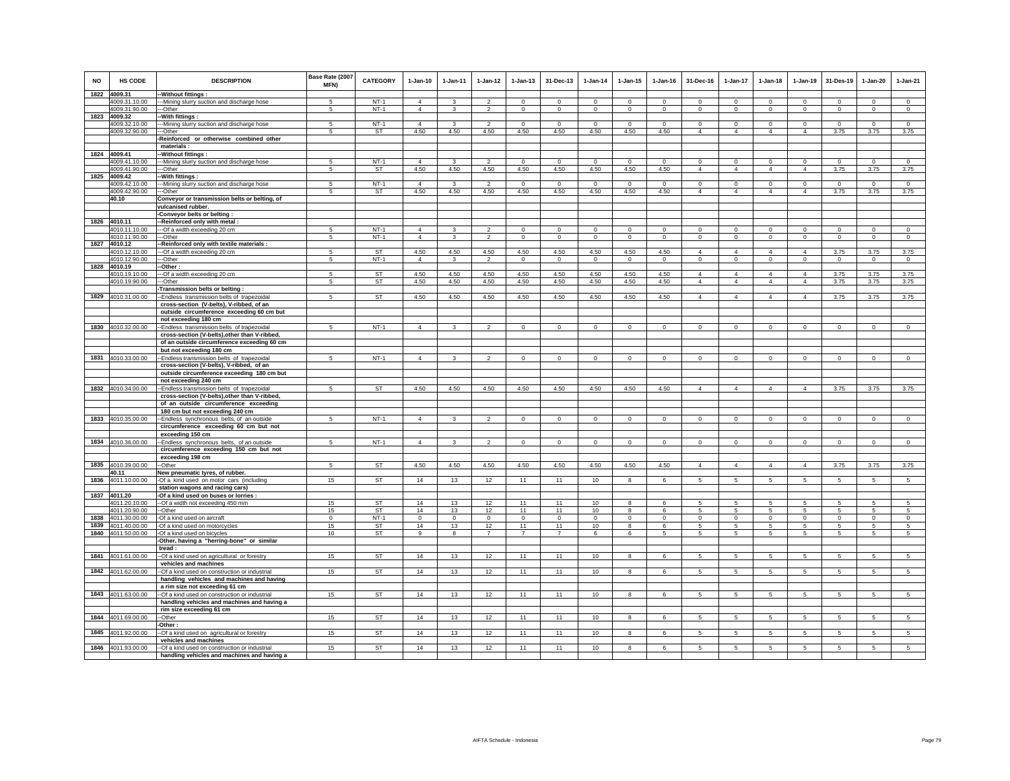| <b>NO</b> | <b>HS CODE</b>                           | <b>DESCRIPTION</b>                                                                     | Base Rate (2007<br>MFN) | <b>CATEGORY</b> | $1-Jan-10$        | $1 - Jan-11$   | $1 - Jan-12$      | $1 - Jan-13$      | 31-Dec-13           | $1 - Jan-14$      | $1 - Jan-15$     | $1 - Jan-16$     | 31-Dec-16                    | $1 - Jan-17$               | $1-Jan-18$                    | $1-Jan-19$                    | 31-Des-19       | $1-Jan-20$       | $1-Jan-21$     |
|-----------|------------------------------------------|----------------------------------------------------------------------------------------|-------------------------|-----------------|-------------------|----------------|-------------------|-------------------|---------------------|-------------------|------------------|------------------|------------------------------|----------------------------|-------------------------------|-------------------------------|-----------------|------------------|----------------|
|           | 1822 4009.31<br>4009.31.10.00            | -Without fittings :                                                                    | -5                      | $NT-1$          | $\overline{4}$    | $\mathbf{3}$   | $\mathcal{P}$     | $\Omega$          | $\Omega$            | $\Omega$          | $\Omega$         | $\Omega$         | $\Omega$                     | $\Omega$                   | $\Omega$                      | $\Omega$                      | $\Omega$        | $\Omega$         | $\circ$        |
|           | 4009.31.90.00                            | --Mining slurry suction and discharge hose<br>---Other                                 | 5                       | $NT-1$          | $\overline{4}$    | 3              | $\overline{2}$    | $\mathbf 0$       | $\Omega$            | $\Omega$          | $\mathbf 0$      | $\Omega$         | $\mathbf 0$                  | $\circ$                    | $\Omega$                      | $\Omega$                      | $\Omega$        | $\Omega$         | $\circ$        |
|           | 1823 4009.32                             | -With fittings :                                                                       |                         |                 |                   |                |                   |                   |                     |                   |                  |                  |                              |                            |                               |                               |                 |                  |                |
|           | 4009.32.10.00                            | --- Mining slurry suction and discharge hose                                           | -5                      | $NT-1$          | $\overline{4}$    | 3              | $\overline{2}$    | $\Omega$          | $\Omega$            | $\Omega$          | $\Omega$         | $\Omega$         | $\Omega$                     | $^{\circ}$                 | $\Omega$                      | $\Omega$                      | $^{\circ}$      | $\Omega$         | $^{\circ}$     |
|           | 4009.32.90.00                            | -Other                                                                                 | -5                      | <b>ST</b>       | 4.50              | 4.50           | 4.50              | 4.50              | 4.50                | 4.50              | 4.50             | 4.50             | $\overline{4}$               | $\overline{4}$             | $\overline{4}$                | $\overline{4}$                | 3.75            | 3.75             | 3.75           |
|           |                                          | Reinforced or otherwise combined other                                                 |                         |                 |                   |                |                   |                   |                     |                   |                  |                  |                              |                            |                               |                               |                 |                  |                |
|           |                                          | materials:                                                                             |                         |                 |                   |                |                   |                   |                     |                   |                  |                  |                              |                            |                               |                               |                 |                  |                |
|           | 1824 4009.41                             | -Without fittings :                                                                    |                         | $NT-1$          | $\overline{4}$    |                | $\overline{2}$    | $\Omega$          |                     | $\Omega$          | $\Omega$         | $\Omega$         |                              |                            |                               |                               |                 |                  | $\overline{0}$ |
|           | 4009.41.10.00<br>4009.41.90.00           | --Mining slurry suction and discharge hose<br>---Other                                 | -5<br>5                 | <b>ST</b>       | 4.50              | 3<br>4.50      | 4.50              | 4.50              | $\mathbf 0$<br>4.50 | 4.50              | 4.50             | 4.50             | $^{\circ}$<br>$\overline{4}$ | $\circ$<br>$\overline{4}$  | $\mathbf 0$<br>$\overline{4}$ | $\mathbf 0$<br>$\overline{4}$ | $\circ$<br>3.75 | $\Omega$<br>3.75 | 3.75           |
|           | 1825 4009.42                             | -With fittings :                                                                       |                         |                 |                   |                |                   |                   |                     |                   |                  |                  |                              |                            |                               |                               |                 |                  |                |
|           | 4009.42.10.00                            | --Mining slurry suction and discharge hose                                             |                         | $NT-1$          | $\Delta$          |                | $\mathcal{D}$     | $\Omega$          | $\Omega$            | $\Omega$          | $\Omega$         | $\Omega$         | $\Omega$                     | $\Omega$                   | $\Omega$                      | $\Omega$                      | $\Omega$        | $\Omega$         | $\Omega$       |
|           | 4009.42.90.00                            | --Other                                                                                | 5                       | ST              | 4.50              | 4.50           | 4.50              | 4.50              | 4.50                | 4.50              | 4.50             | 4.50             | $\overline{4}$               | $\overline{4}$             | $\overline{4}$                | $\overline{4}$                | 3.75            | 3.75             | 3.75           |
|           | 40.10                                    | Conveyor or transmission belts or belting, of                                          |                         |                 |                   |                |                   |                   |                     |                   |                  |                  |                              |                            |                               |                               |                 |                  |                |
|           |                                          | vulcanised rubber.                                                                     |                         |                 |                   |                |                   |                   |                     |                   |                  |                  |                              |                            |                               |                               |                 |                  |                |
|           |                                          | Conveyor belts or belting:                                                             |                         |                 |                   |                |                   |                   |                     |                   |                  |                  |                              |                            |                               |                               |                 |                  |                |
|           | 1826 4010.11<br>4010.11.10.00            | -Reinforced only with metal :<br>--- Of a width exceeding 20 cm                        | 5                       | $NT-1$          | $\overline{4}$    | $\mathbf{3}$   | $\mathcal{P}$     | $\Omega$          | $\mathbf 0$         | $^{\circ}$        | $\Omega$         | $^{\circ}$       | $\mathbf 0$                  | $\mathbf 0$                | 0                             | $^{\circ}$                    | $^{\circ}$      | $^{\circ}$       | $\Omega$       |
|           | 4010.11.90.00                            | --Other                                                                                | 5                       | $NT-1$          | $\overline{4}$    | $\overline{3}$ | $\overline{2}$    | $\mathsf 0$       | $\mathbf 0$         | $\mathbf 0$       | $\mathsf 0$      | $\Omega$         | $\Omega$                     | $\overline{0}$             | $\mathbf 0$                   | $\mathbf 0$                   | $\mathbf 0$     | $\mathsf 0$      | $\overline{0}$ |
|           | 1827 4010.12                             | -Reinforced only with textile materials :                                              |                         |                 |                   |                |                   |                   |                     |                   |                  |                  |                              |                            |                               |                               |                 |                  |                |
|           | 4010.12.10.00                            | --Of a width exceeding 20 cm                                                           | 5                       | <b>ST</b>       | 4.50              | 4.50           | 4.50              | 4.50              | 4.50                | 4.50              | 4.50             | 4.50             | $\overline{4}$               | $\overline{4}$             | $\overline{4}$                | $\overline{4}$                | 3.75            | 3.75             | 3.75           |
|           | 4010.12.90.00                            | --Other                                                                                | 5                       | $NT-1$          | $\overline{4}$    | 3              | $\overline{2}$    | $\mathbf 0$       | $\mathbf 0$         | $\circ$           | $\mathbf 0$      | $\Omega$         | $\mathbf 0$                  | $\mathbf 0$                | $\Omega$                      | $\mathbf 0$                   | $\circ$         | $\circ$          | $\circ$        |
|           | 1828 4010.19                             | -Other:                                                                                |                         |                 |                   |                |                   |                   |                     |                   |                  |                  |                              |                            |                               |                               |                 |                  |                |
|           | 4010.19.10.00<br>4010.19.90.00           | --Of a width exceeding 20 cm<br>--Other                                                | -5<br>5                 | ST              | 4.50<br>4.50      | 4.50<br>4.50   | 4.50<br>4.50      | 4.50<br>4.50      | 4.50<br>4.50        | 4.50<br>4.50      | 4.50<br>4.50     | 4.50<br>4.50     | $\Delta$<br>$\overline{4}$   | $\Delta$<br>$\overline{4}$ | $\Delta$<br>$\overline{4}$    | $\Delta$<br>$\overline{4}$    | 3.75<br>3.75    | 3.75<br>3.75     | 3.75<br>3.75   |
|           |                                          | Transmission belts or belting:                                                         |                         | ST              |                   |                |                   |                   |                     |                   |                  |                  |                              |                            |                               |                               |                 |                  |                |
|           | 1829 4010.31.00.00                       | -Endless transmission belts of trapezoidal                                             | 5                       | <b>ST</b>       | 4.50              | 4.50           | 4.50              | 4.50              | 4.50                | 4.50              | 4.50             | 4.50             | $\overline{4}$               | $\overline{4}$             | $\overline{4}$                | $\overline{4}$                | 3.75            | 3.75             | 3.75           |
|           |                                          | cross-section (V-belts), V-ribbed, of an                                               |                         |                 |                   |                |                   |                   |                     |                   |                  |                  |                              |                            |                               |                               |                 |                  |                |
|           |                                          | outside circumference exceeding 60 cm but                                              |                         |                 |                   |                |                   |                   |                     |                   |                  |                  |                              |                            |                               |                               |                 |                  |                |
|           |                                          | not exceeding 180 cm                                                                   |                         |                 |                   |                |                   |                   |                     |                   |                  |                  |                              |                            |                               |                               |                 |                  |                |
|           | 1830 4010.32.00.00                       | -Endless transmission belts of trapezoidal                                             | 5                       | $NT-1$          | $\overline{4}$    | 3              | $\overline{2}$    | $\overline{0}$    | $\mathsf 0$         | $\overline{0}$    | $\Omega$         | $\Omega$         | $\mathsf 0$                  | $\overline{0}$             | $\mathbf 0$                   | $\Omega$                      | $\overline{0}$  | $\Omega$         | $\overline{0}$ |
|           |                                          | cross-section (V-belts), other than V-ribbed,                                          |                         |                 |                   |                |                   |                   |                     |                   |                  |                  |                              |                            |                               |                               |                 |                  |                |
|           |                                          | of an outside circumference exceeding 60 cm<br>but not exceeding 180 cm                |                         |                 |                   |                |                   |                   |                     |                   |                  |                  |                              |                            |                               |                               |                 |                  |                |
|           | 1831 4010.33.00.00                       | -- Endless transmission belts of trapezoidal                                           | 5                       | $NT-1$          | $\overline{4}$    | 3              | $\overline{2}$    | $\mathsf 0$       | $^{\circ}$          | $\mathbf 0$       | $\mathbf 0$      | $\circ$          | $\mathbf{0}$                 | $\circ$                    | $\mathbf 0$                   | $\mathbf 0$                   | $\circ$         | $\mathbf 0$      | $\mathbf{0}$   |
|           |                                          | cross-section (V-belts), V-ribbed, of an                                               |                         |                 |                   |                |                   |                   |                     |                   |                  |                  |                              |                            |                               |                               |                 |                  |                |
|           |                                          | outside circumference exceeding 180 cm but                                             |                         |                 |                   |                |                   |                   |                     |                   |                  |                  |                              |                            |                               |                               |                 |                  |                |
|           |                                          | not exceeding 240 cm                                                                   |                         |                 |                   |                |                   |                   |                     |                   |                  |                  |                              |                            |                               |                               |                 |                  |                |
|           | 1832 4010.34.00.00                       | -Endless transmission belts of trapezoidal                                             | 5                       | <b>ST</b>       | 4.50              | 4.50           | 4.50              | 4.50              | 4.50                | 4.50              | 4.50             | 4.50             | $\overline{4}$               | $\overline{4}$             | $\overline{4}$                | $\overline{4}$                | 3.75            | 3.75             | 3.75           |
|           |                                          | cross-section (V-belts), other than V-ribbed,<br>of an outside circumference exceeding |                         |                 |                   |                |                   |                   |                     |                   |                  |                  |                              |                            |                               |                               |                 |                  |                |
|           |                                          | 180 cm but not exceeding 240 cm                                                        |                         |                 |                   |                |                   |                   |                     |                   |                  |                  |                              |                            |                               |                               |                 |                  |                |
|           | 1833 4010.35.00.00                       | -Endless synchronous belts, of an outside                                              | 5                       | $NT-1$          | $\overline{4}$    | 3              | $\overline{2}$    | $\mathsf 0$       | $\mathbf 0$         | $\mathbf 0$       | $\mathbf 0$      | $\circ$          | $\mathsf 0$                  | $\mathbf 0$                | $\mathbf 0$                   | $\mathbf 0$                   | $\mathbf 0$     | $\mathbf 0$      | $\mathsf 0$    |
|           |                                          | circumference exceeding 60 cm but not                                                  |                         |                 |                   |                |                   |                   |                     |                   |                  |                  |                              |                            |                               |                               |                 |                  |                |
|           |                                          | exceeding 150 cm                                                                       |                         |                 |                   |                |                   |                   |                     |                   |                  |                  |                              |                            |                               |                               |                 |                  |                |
|           | 1834 4010.36.00.00                       | -Endless synchronous belts, of an outside                                              | 5                       | $NT-1$          | $\Delta$          | $\mathcal{R}$  | $\overline{2}$    | $\mathbf{0}$      | $\mathbf 0$         | $\mathbf 0$       | $\Omega$         | $\circ$          | $\Omega$                     | $\circ$                    | $\mathbf 0$                   | $\Omega$                      | $\circ$         | $\Omega$         | $\Omega$       |
|           |                                          | circumference exceeding 150 cm but not                                                 |                         |                 |                   |                |                   |                   |                     |                   |                  |                  |                              |                            |                               |                               |                 |                  |                |
|           | 1835 4010.39.00.00                       | exceeding 198 cm<br>-Other                                                             | 5                       | <b>ST</b>       | 4.50              | 4.50           | 4.50              | 4.50              | 4.50                | 4.50              | 4.50             | 4.50             | $\overline{4}$               | $\overline{4}$             | $\overline{4}$                | $\overline{4}$                | 3.75            | 3.75             | 3.75           |
|           | 40.11                                    | New pneumatic tyres, of rubber.                                                        |                         |                 |                   |                |                   |                   |                     |                   |                  |                  |                              |                            |                               |                               |                 |                  |                |
|           | 1836 4011.10.00.00                       | -Of a kind used on motor cars (including                                               | 15                      | <b>ST</b>       | 14                | 13             | 12                | 11                | 11                  | 10                | 8                | 6                | 5                            | 5                          | 5                             | 5                             | 5               | 5                | 5              |
|           |                                          | station wagons and racing cars)                                                        |                         |                 |                   |                |                   |                   |                     |                   |                  |                  |                              |                            |                               |                               |                 |                  |                |
|           | 1837 4011.20                             | -Of a kind used on buses or lorries :                                                  |                         |                 |                   |                |                   |                   |                     |                   |                  |                  |                              |                            |                               |                               |                 |                  |                |
|           | 4011.20.10.00                            | -Of a width not exceeding 450 mm                                                       | 15                      | <b>ST</b>       | 14                | 13             | 12                | 11                | 11                  | 10                | $\mathbf{R}$     | $\epsilon$       | 5                            | 5                          | 5                             | -5                            | 5               | 5                | 5              |
|           | 4011.20.90.00                            | -Other                                                                                 | 15                      | ST              | 14                | 13             | 12                | 11                | 11                  | 10                | 8                | 6                | 5                            | 5                          | 5                             | 5                             | 5               | 5                | 5              |
|           | 1838 4011.30.00.00<br>1839 4011.40.00.00 | -Of a kind used on aircraft<br>-Of a kind used on motorcycles                          | $\mathbf 0$<br>15       | $NT-1$<br>ST    | $\mathbf 0$<br>14 | $\Omega$<br>13 | $\mathbf 0$<br>12 | $\mathbf 0$<br>11 | $^{\circ}$<br>11    | $\mathbf 0$<br>10 | $\mathbf 0$<br>8 | $\mathbf 0$<br>6 | $\mathbf 0$<br>5             | $\mathbf 0$<br>5           | $\mathbf 0$<br>5              | $\mathbf 0$<br>5              | $^{\circ}$<br>5 | $\mathbf 0$<br>5 | $\Omega$<br>5  |
|           | 1840 4011.50.00.00                       | -Of a kind used on bicycles                                                            | 10                      | ST              | 9                 | 8              | $\overline{7}$    | $\overline{7}$    | $\overline{7}$      | 6                 | 6                | 5                | 5                            | $5\overline{5}$            | 5                             | 5                             | 5               | 5                | 5              |
|           |                                          | -Other, having a "herring-bone" or similar                                             |                         |                 |                   |                |                   |                   |                     |                   |                  |                  |                              |                            |                               |                               |                 |                  |                |
|           |                                          | tread:                                                                                 |                         |                 |                   |                |                   |                   |                     |                   |                  |                  |                              |                            |                               |                               |                 |                  |                |
|           | 1841 4011.61.00.00                       | -- Of a kind used on agricultural or forestry                                          | 15                      | <b>ST</b>       | 14                | 13             | 12                | 11                | 11                  | 10                | 8                | 6                | 5                            | $5\phantom{.0}$            | 5                             | $\overline{5}$                | $\sqrt{5}$      | 5                | $\overline{5}$ |
|           |                                          | vehicles and machines                                                                  |                         |                 |                   |                |                   |                   |                     |                   |                  |                  |                              |                            |                               |                               |                 |                  |                |
|           | 1842 4011.62.00.00                       | -Of a kind used on construction or industrial                                          | 15                      | <b>ST</b>       | 14                | 13             | 12                | 11                | 11                  | 10                | 8                | 6                | 5                            | 5                          | 5                             | $\sqrt{5}$                    | $\sqrt{5}$      | 5                | 5              |
|           |                                          | handling vehicles and machines and having<br>a rim size not exceeding 61 cm            |                         |                 |                   |                |                   |                   |                     |                   |                  |                  |                              |                            |                               |                               |                 |                  |                |
|           | 1843 4011.63.00.00                       | -- Of a kind used on construction or industrial                                        | 15                      | ST              | 14                | 13             | 12                | 11                | 11                  | 10                | 8                | 6                | 5                            | 5                          | $5\overline{5}$               | 5                             | 5               | 5                | 5              |
|           |                                          | handling vehicles and machines and having a                                            |                         |                 |                   |                |                   |                   |                     |                   |                  |                  |                              |                            |                               |                               |                 |                  |                |
|           |                                          | rim size exceeding 61 cm                                                               |                         |                 |                   |                |                   |                   |                     |                   |                  |                  |                              |                            |                               |                               |                 |                  |                |
|           | 1844 4011.69.00.00                       | -Other                                                                                 | 15                      | <b>ST</b>       | 14                | 13             | 12                | 11                | 11                  | 10                | 8                | 6                | 5                            | $5\overline{5}$            | 5                             | 5                             | $5\phantom{.0}$ | 5                | 5              |
|           |                                          | Other:                                                                                 |                         |                 |                   |                |                   |                   |                     |                   |                  |                  |                              |                            |                               |                               |                 |                  |                |
|           | 1845 4011.92.00.00                       | -Of a kind used on agricultural or forestry<br>vehicles and machines                   | 15                      | <b>ST</b>       | 14                | 13             | 12                | 11                | 11                  | 10                | 8                | 6                | 5                            | 5                          | $5\overline{5}$               | $5\overline{5}$               | 5               | 5                | 5              |
|           | 1846 4011.93.00.00                       | -- Of a kind used on construction or industrial                                        | 15                      | <b>ST</b>       | 14                | 13             | 12                | 11                | 11                  | 10                | 8                | 6                | 5                            | 5                          | 5                             | 5                             | 5               | 5                | 5              |
|           |                                          | handling vehicles and machines and having a                                            |                         |                 |                   |                |                   |                   |                     |                   |                  |                  |                              |                            |                               |                               |                 |                  |                |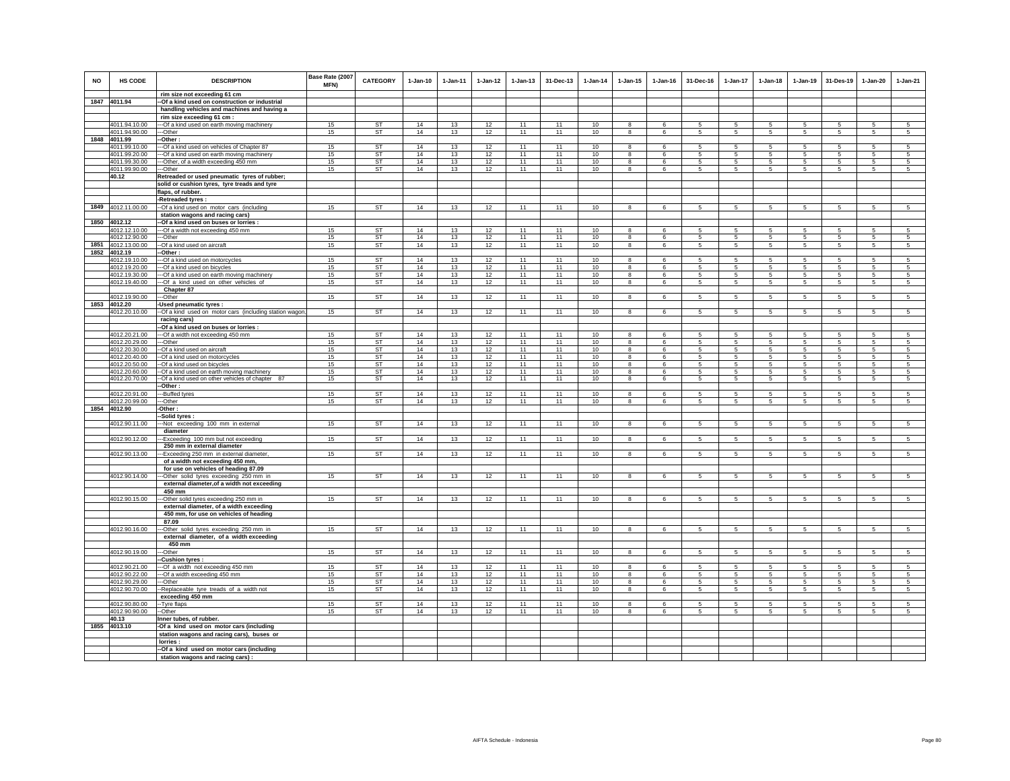| NO   | <b>HS CODE</b>                 | <b>DESCRIPTION</b>                                                                              | Base Rate (2007<br>MFN) | <b>CATEGORY</b> | $1 - Jan-10$ | 1-Jan-11 | $1 - Jan-12$ | $1 - Jan-13$ | 31-Dec-13 | $1-Jan-14$ | $1 - Jan-15$                 | $1 - Jan-16$ | 31-Dec-16                          | 1-Jan-17                           | $1 - Jan-18$    | $1-Jan-19$       | 31-Des-19       | $1-Jan-20$          | $1-Jan-21$      |
|------|--------------------------------|-------------------------------------------------------------------------------------------------|-------------------------|-----------------|--------------|----------|--------------|--------------|-----------|------------|------------------------------|--------------|------------------------------------|------------------------------------|-----------------|------------------|-----------------|---------------------|-----------------|
|      | 1847 4011.94                   | rim size not exceeding 61 cm<br>-Of a kind used on construction or industrial                   |                         |                 |              |          |              |              |           |            |                              |              |                                    |                                    |                 |                  |                 |                     |                 |
|      |                                | handling vehicles and machines and having a                                                     |                         |                 |              |          |              |              |           |            |                              |              |                                    |                                    |                 |                  |                 |                     |                 |
|      |                                | rim size exceeding 61 cm :                                                                      |                         |                 |              |          |              |              |           |            |                              |              |                                    |                                    |                 |                  |                 |                     |                 |
|      | 4011.94.10.00                  | --- Of a kind used on earth moving machinery                                                    | 15                      | ST              | 14           | 13       | 12           | 11           | 11        | 10         | 8                            |              |                                    | 5                                  | 5               | 5                | 5               | 5                   | 5               |
|      | 4011.94.90.00                  | ---Other                                                                                        | 15                      | ST              | 14           | 13       | 12           | 11           | 11        | 10         | 8                            | 6            | 5                                  | $5\phantom{.0}$                    | $\sqrt{5}$      | 5                | 5               | $\sqrt{5}$          | 5               |
| 1848 | 4011.99                        | -Other:                                                                                         |                         |                 |              |          |              |              |           |            |                              |              |                                    |                                    |                 |                  |                 |                     |                 |
|      | 4011.99.10.00                  | --Of a kind used on vehicles of Chapter 87                                                      | 15                      | <b>ST</b>       | 14           | 13       | 12           | 11           | 11        | 10         | 8                            | 6            | 5                                  | 5                                  | 5               | 5                | 5               | 5                   | 5               |
|      | 4011.99.20.00<br>4011.99.30.00 | --Of a kind used on earth moving machinery                                                      | 15<br>15                | ST<br>ST        | 14<br>14     | 13<br>13 | 12<br>12     | 11<br>11     | 11<br>11  | 10<br>10   | 8<br>8                       | 6<br>6       | 5<br>5                             | 5<br>$5\overline{5}$               | 5<br>5          | 5<br>5           | 5<br>5          | 5<br>5              | 5<br>5          |
|      | 4011.99.90.00                  | ---Other, of a width exceeding 450 mm<br>---Other                                               | 15                      | <b>ST</b>       | 14           | 13       | 12           | 11           | 11        | 10         | $\overline{\mathbf{8}}$      | 6            | 5                                  | 5                                  | 5               | 5                | 5               | 5                   | 5               |
|      | 40.12                          | Retreaded or used pneumatic tyres of rubber;                                                    |                         |                 |              |          |              |              |           |            |                              |              |                                    |                                    |                 |                  |                 |                     |                 |
|      |                                | solid or cushion tyres, tyre treads and tyre                                                    |                         |                 |              |          |              |              |           |            |                              |              |                                    |                                    |                 |                  |                 |                     |                 |
|      |                                | flaps, of rubber.                                                                               |                         |                 |              |          |              |              |           |            |                              |              |                                    |                                    |                 |                  |                 |                     |                 |
|      |                                | -Retreaded tyres                                                                                |                         |                 |              |          |              |              |           |            |                              |              |                                    |                                    |                 |                  |                 |                     |                 |
| 1849 | 4012.11.00.00                  | --Of a kind used on motor cars (including                                                       | 15                      | <b>ST</b>       | 14           | 13       | 12           | 11           | 11        | 10         | 8                            | 6            | 5                                  | $5\phantom{.0}$                    | $\overline{5}$  | $5\phantom{.0}$  | $5\phantom{.0}$ | $\overline{5}$      | 5               |
| 1850 | 4012.12                        | station wagons and racing cars)<br>-Of a kind used on buses or lorries :                        |                         |                 |              |          |              |              |           |            |                              |              |                                    |                                    |                 |                  |                 |                     |                 |
|      | 4012.12.10.00                  | --Of a width not exceeding 450 mm                                                               | 15                      | <b>ST</b>       | 14           | 13       | 12           | 11           | 11        | 10         | 8                            | 6            | 5                                  | 5                                  | 5               | 5                | 5               | 5                   | 5               |
|      | 4012.12.90.00                  | ---Other                                                                                        | 15                      | <b>ST</b>       | 14           | 13       | 12           | 11           | 11        | 10         | 8                            | 6            | $5\overline{5}$                    | 5                                  | 5               | 5                | 5               | 5                   | 5               |
| 1851 | 4012.13.00.00                  | --Of a kind used on aircraft                                                                    | 15                      | <b>ST</b>       | 14           | 13       | 12           | 11           | 11        | 10         | 8                            | 6            | $5\overline{5}$                    | $5\phantom{.0}$                    | 5               | 5                | 5               | $\overline{5}$      | 5               |
|      | 1852 4012.19                   | -Other:                                                                                         |                         |                 |              |          |              |              |           |            |                              |              |                                    |                                    |                 |                  |                 |                     |                 |
|      | 4012.19.10.00                  | --- Of a kind used on motorcycles                                                               | 15                      | <b>ST</b>       | 14           | 13       | 12           | 11           | 11        | 10         | 8                            | 6            | 5                                  | 5                                  | 5               | 5                | 5               | 5                   | 5               |
|      | 4012.19.20.00                  | --- Of a kind used on bicycles                                                                  | 15                      | ST<br>ST        | 14<br>14     | 13       | 12           | 11<br>11     | 11<br>11  | 10         | 8                            | 6            | 5<br>5                             | 5                                  | 5<br>5          | 5                | 5               | 5                   | 5               |
|      | 4012.19.30.00<br>4012.19.40.00 | --- Of a kind used on earth moving machinery<br>--- Of a kind used on other vehicles of         | 15<br>15                | <b>ST</b>       | 14           | 13<br>13 | 12<br>12     | 11           | 11        | 10<br>10   | 8<br>8                       | 6            | $5\phantom{.0}$                    | 5<br>$5\phantom{.0}$               | $\overline{5}$  | 5<br>$\sqrt{5}$  | 5<br>$\sqrt{5}$ | 5<br>$\overline{5}$ | 5<br>5          |
|      |                                | Chapter 87                                                                                      |                         |                 |              |          |              |              |           |            |                              |              |                                    |                                    |                 |                  |                 |                     |                 |
|      | 4012.19.90.00                  | --Other                                                                                         | 15                      | ST              | 14           | 13       | 12           | 11           | 11        | 10         | 8                            | 6            | -5                                 | 5                                  | 5               | 5                | $\sqrt{5}$      | 5                   | 5               |
| 1853 | 4012.20                        | -Used pneumatic tyres :                                                                         |                         |                 |              |          |              |              |           |            |                              |              |                                    |                                    |                 |                  |                 |                     |                 |
|      | 4012.20.10.00                  | -- Of a kind used on motor cars (including station wagor                                        | 15                      | <b>ST</b>       | 14           | 13       | 12           | 11           | 11        | 10         | $\overline{\mathbf{8}}$      | 6            | 5                                  | $5\overline{)}$                    | $\overline{5}$  | $\overline{5}$   | $\overline{5}$  | $\overline{5}$      | $\overline{5}$  |
|      |                                | racing cars)<br>-- Of a kind used on buses or lorries :                                         |                         |                 |              |          |              |              |           |            |                              |              |                                    |                                    |                 |                  |                 |                     |                 |
|      | 4012.20.21.00                  | --- Of a width not exceeding 450 mm                                                             | 15                      | ST              | 14           | 13       | 12           | 11           | 11        | 10         | 8                            | 6            | 5                                  | 5                                  | 5               | 5                | 5               | 5                   | 5               |
|      | 4012.20.29.00                  | ---Other                                                                                        | 15                      | ST              | 14           | 13       | 12           | 11           | 11        | 10         | 8                            | 6            | $5\phantom{.0}$                    | $5\phantom{.0}$                    | $\overline{5}$  | 5                | 5               | $5\phantom{.0}$     | 5               |
|      | 4012.20.30.00                  | --Of a kind used on aircraft                                                                    | 15                      | <b>ST</b>       | 14           | 13       | 12           | 11           | 11        | 10         | 8                            | -6           | 5                                  | 5                                  | 5               | 5                | 5               | 5                   | 5               |
|      | 4012.20.40.00                  | -- Of a kind used on motorcycles                                                                | 15                      | <b>ST</b>       | 14           | 13       | 12           | 11           | 11        | 10         | 8                            | 6            | 5                                  | 5                                  | 5               | 5                | 5               | 5                   | 5               |
|      | 4012.20.50.00<br>4012.20.60.00 | --Of a kind used on bicycles                                                                    | 15<br>15                | ST<br><b>ST</b> | 14<br>14     | 13<br>13 | 12<br>12     | 11<br>11     | 11<br>11  | 10<br>10   | 8<br>$\overline{\mathbf{8}}$ | 6<br>6       | 5<br>5                             | 5<br>5                             | 5<br>5          | 5<br>5           | 5<br>5          | 5<br>5              | 5<br>-5         |
|      | 4012.20.70.00                  | -- Of a kind used on earth moving machinery<br>--Of a kind used on other vehicles of chapter 87 | 15                      | ST              | 14           | 13       | 12           | 11           | 11        | 10         | 8                            | 6            | 5                                  | 5                                  | 5               | 5                | 5               | 5                   | 5               |
|      |                                | --Other:                                                                                        |                         |                 |              |          |              |              |           |            |                              |              |                                    |                                    |                 |                  |                 |                     |                 |
|      | 4012.20.91.00                  | ---Buffed tyres                                                                                 | 15                      | <b>ST</b>       | 14           | 13       | 12           | 11           | 11        | 10         | 8                            | 6            | 5                                  | 5                                  | 5               | 5                | 5               | 5                   | 5               |
|      | 4012.20.99.00                  | --Other                                                                                         | 15                      | ST              | 14           | 13       | 12           | 11           | 11        | 10         | 8                            | 6            | $5\phantom{.0}$                    | $5\phantom{.0}$                    | $\sqrt{5}$      | 5                | 5               | $\sqrt{5}$          | 5               |
| 1854 | 4012.90                        | -Other:<br>-Solid tyres :                                                                       |                         |                 |              |          |              |              |           |            |                              |              |                                    |                                    |                 |                  |                 |                     |                 |
|      | 4012.90.11.00                  | --Not exceeding 100 mm in external                                                              | 15                      | ST              | 14           | 13       | 12           | 11           | 11        | 10         | 8                            | 6            | 5                                  | 5                                  | 5               | 5                | 5               | 5                   | 5               |
|      |                                | diameter                                                                                        |                         |                 |              |          |              |              |           |            |                              |              |                                    |                                    |                 |                  |                 |                     |                 |
|      | 4012.90.12.00                  | ---Exceeding 100 mm but not exceeding                                                           | 15                      | <b>ST</b>       | 14           | 13       | 12           | 11           | 11        | 10         | 8                            | 6            | 5                                  | 5                                  | 5               | $\overline{5}$   | 5               | $\overline{5}$      | 5               |
|      | 4012.90.13.00                  | 250 mm in external diameter<br>--Exceeding 250 mm in external diameter,                         | 15                      | <b>ST</b>       | 14           | 13       | 12           | 11           | 11        | 10         | 8                            | 6            | 5                                  | 5                                  | 5               | 5                | 5               | 5                   | 5               |
|      |                                | of a width not exceeding 450 mm,                                                                |                         |                 |              |          |              |              |           |            |                              |              |                                    |                                    |                 |                  |                 |                     |                 |
|      |                                | for use on vehicles of heading 87.09                                                            |                         |                 |              |          |              |              |           |            |                              |              |                                    |                                    |                 |                  |                 |                     |                 |
|      | 4012.90.14.00                  | --Other solid tyres exceeding 250 mm in<br>external diameter, of a width not exceeding          | 15                      | ST              | 14           | 13       | 12           | 11           | 11        | 10         | 8                            | 6            | 5                                  | 5                                  | 5               | 5                | $5\phantom{.0}$ | 5                   | 5               |
|      |                                | 450 mm                                                                                          |                         |                 |              |          |              |              |           |            |                              |              |                                    |                                    |                 |                  |                 |                     |                 |
|      | 4012.90.15.00                  | -Other solid tyres exceeding 250 mm in                                                          | 15                      | <b>ST</b>       | 14           | 13       | 12           | 11           | 11        | 10         | 8                            | 6            | 5                                  | 5                                  | 5               | 5                | 5               | 5                   | 5               |
|      |                                | external diameter, of a width exceeding                                                         |                         |                 |              |          |              |              |           |            |                              |              |                                    |                                    |                 |                  |                 |                     |                 |
|      |                                | 450 mm, for use on vehicles of heading                                                          |                         |                 |              |          |              |              |           |            |                              |              |                                    |                                    |                 |                  |                 |                     |                 |
|      |                                | 87.09                                                                                           |                         |                 |              |          |              |              |           |            |                              | $\epsilon$   |                                    |                                    |                 |                  | 5               |                     |                 |
|      | 4012.90.16.00                  | -- Other solid tyres exceeding 250 mm in<br>external diameter, of a width exceeding             | 15                      | <b>ST</b>       | 14           | 13       | 12           | 11           | 11        | 10         | $\mathbf{g}$                 |              | 5                                  | 5                                  | $\overline{5}$  | $\overline{5}$   |                 | 5                   | $\overline{5}$  |
|      |                                | 450 mm                                                                                          |                         |                 |              |          |              |              |           |            |                              |              |                                    |                                    |                 |                  |                 |                     |                 |
|      | 4012.90.19.00                  | --Other                                                                                         | 15                      | ST              | 14           | 13       | 12           | 11           | 11        | 10         | 8                            | 6            | 5                                  | 5                                  | 5               | 5                | 5               | 5                   | 5               |
|      |                                | -Cushion tyres:                                                                                 |                         |                 |              |          |              |              |           |            |                              |              |                                    |                                    |                 |                  |                 |                     |                 |
|      | 4012.90.21.00                  | --- Of a width not exceeding 450 mm                                                             | 15                      | <b>ST</b>       | 14           | 13       | 12           | 11           | 11        | 10         | 8                            | -6           | -5                                 | 5                                  | -5              | -5               | 5               | 5                   | -5              |
|      | 4012.90.22.00                  | --- Of a width exceeding 450 mm                                                                 | 15                      | ST              | 14           | 13       | 12           | 11           | 11        | 10         | 8                            | 6            | 5                                  | 5                                  | 5               | 5                | 5               | 5                   | 5               |
|      | 4012.90.29.00<br>4012.90.70.00 | --Other                                                                                         | 15<br>15                | ST<br><b>ST</b> | 14<br>14     | 13<br>13 | 12<br>12     | 11<br>11     | 11<br>11  | 10<br>10   | 8<br>$\bf8$                  | 6<br>6       | $5\overline{5}$<br>$5\phantom{.0}$ | $5\overline{5}$<br>$5\overline{)}$ | 5<br>$\sqrt{5}$ | 5<br>$\,$ 5 $\,$ | 5<br>5          | 5<br>$\mathbf 5$    | 5<br>$\sqrt{5}$ |
|      |                                | -Replaceable tyre treads of a width not<br>exceeding 450 mm                                     |                         |                 |              |          |              |              |           |            |                              |              |                                    |                                    |                 |                  |                 |                     |                 |
|      | 4012.90.80.00                  | -- Tyre flaps                                                                                   | 15                      | ST              | 14           | 13       | 12           | 11           | 11        | 10         | 8                            | 6            | 5                                  | 5                                  | 5               | 5                | 5               | 5                   | 5               |
|      | 4012.90.90.00                  | --Other                                                                                         | 15                      | ST              | 14           | 13       | 12           | 11           | 11        | 10         | 8                            | 6            | 5                                  | 5                                  | 5               | 5                | 5               | 5                   | $5\overline{5}$ |
|      | 40.13                          | Inner tubes, of rubber.                                                                         |                         |                 |              |          |              |              |           |            |                              |              |                                    |                                    |                 |                  |                 |                     |                 |
|      | 1855 4013.10                   | -Of a kind used on motor cars (including                                                        |                         |                 |              |          |              |              |           |            |                              |              |                                    |                                    |                 |                  |                 |                     |                 |
|      |                                | station wagons and racing cars), buses or<br>lorries:                                           |                         |                 |              |          |              |              |           |            |                              |              |                                    |                                    |                 |                  |                 |                     |                 |
|      |                                | -- Of a kind used on motor cars (including                                                      |                         |                 |              |          |              |              |           |            |                              |              |                                    |                                    |                 |                  |                 |                     |                 |
|      |                                | station wagons and racing cars):                                                                |                         |                 |              |          |              |              |           |            |                              |              |                                    |                                    |                 |                  |                 |                     |                 |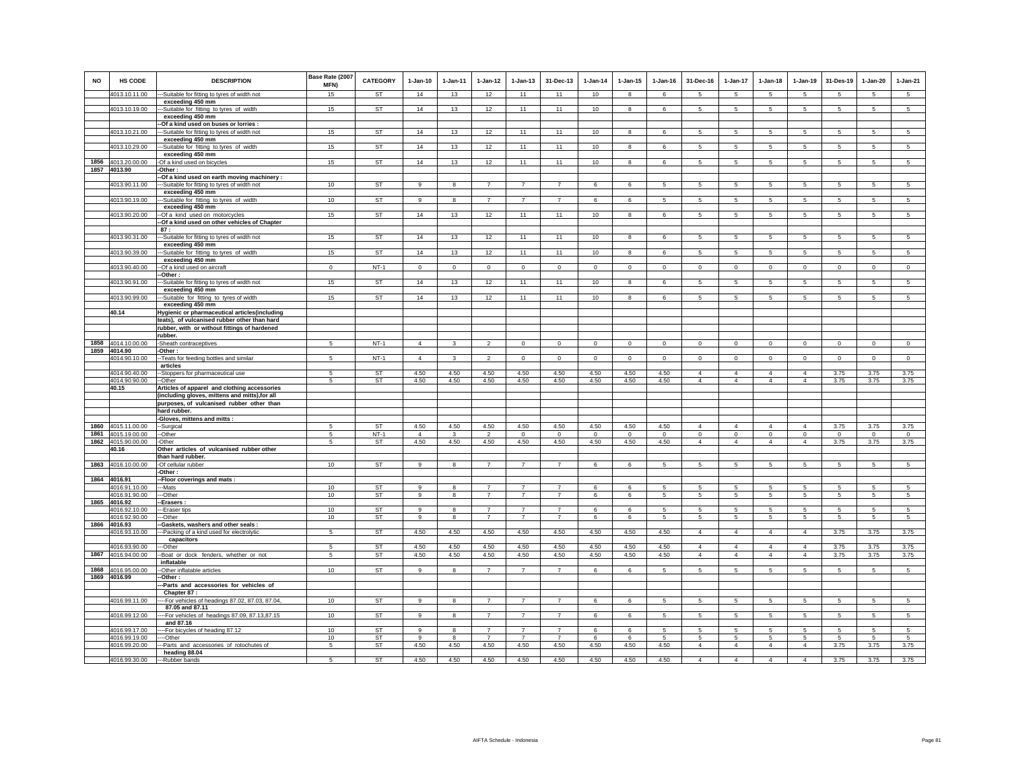| <b>NO</b>    | HS CODE                            | <b>DESCRIPTION</b>                                                 | Base Rate (2007<br>MFN) | <b>CATEGORY</b> | $1-Jan-10$             | $1-Jan-11$   | $1 - Jan-12$                     | $1 - Jan-13$                     | 31-Dec-13                        | $1-Jan-14$       | $1 - Jan-15$     | $1 - Jan-16$     | 31-Dec-16                  | $1-Jan-17$                     | $1-Jan-18$                 | $1-Jan-19$                | 31-Des-19        | $1 - Jan-20$    | $1-Jan-21$      |
|--------------|------------------------------------|--------------------------------------------------------------------|-------------------------|-----------------|------------------------|--------------|----------------------------------|----------------------------------|----------------------------------|------------------|------------------|------------------|----------------------------|--------------------------------|----------------------------|---------------------------|------------------|-----------------|-----------------|
|              | 4013.10.11.00                      | -- Suitable for fitting to tyres of width not                      | 15                      | <b>ST</b>       | 14                     | 13           | 12                               | 11                               | 11                               | 10               | $\mathbf{g}$     | 6                | -5                         | 5                              | $\sqrt{5}$                 | -5                        | -5               | $\overline{5}$  | $5\overline{)}$ |
|              | 4013.10.19.00                      | exceeding 450 mm<br>-Suitable for fitting to tyres of width        | 15                      | ST              | 14                     | 13           | 12                               | 11                               | 11                               | 10               | 8                | 6                | 5                          | 5                              | 5                          | 5                         | 5                | 5               | 5               |
|              |                                    | exceeding 450 mm                                                   |                         |                 |                        |              |                                  |                                  |                                  |                  |                  |                  |                            |                                |                            |                           |                  |                 |                 |
|              |                                    | -Of a kind used on buses or lorries :                              |                         |                 |                        |              |                                  |                                  |                                  |                  |                  |                  |                            |                                |                            |                           |                  |                 |                 |
|              | 4013.10.21.00                      | -Suitable for fitting to tyres of width not                        | 15                      | ST              | 14                     | 13           | 12                               | 11                               | 11                               | 10               | 8                | 6                | 5                          | 5                              | 5                          | 5                         | 5                | 5               | $\overline{5}$  |
|              | 4013.10.29.00                      | exceeding 450 mm<br>-Suitable for fitting to tyres of width        | 15                      | <b>ST</b>       | 14                     | 13           | 12                               | 11                               | 11                               | 10               | 8                | 6                | 5                          | $5\overline{5}$                | 5                          | -5                        | 5                | 5               | $5\phantom{.0}$ |
|              |                                    | exceeding 450 mm                                                   |                         |                 |                        |              |                                  |                                  |                                  |                  |                  |                  |                            |                                |                            |                           |                  |                 |                 |
|              | 1856 4013.20.00.00                 | -Of a kind used on bicycles                                        | 15                      | ST              | 14                     | 13           | 12                               | 11                               | 11                               | 10               | 8                | 6                | 5                          | 5                              | 5                          | $\overline{5}$            | $\sqrt{5}$       | 5               | $\overline{5}$  |
|              | 1857 4013.90                       | -Other:<br>-Of a kind used on earth moving machinery :             |                         |                 |                        |              |                                  |                                  |                                  |                  |                  |                  |                            |                                |                            |                           |                  |                 |                 |
|              | 4013.90.11.00                      | --Suitable for fitting to tyres of width not                       | 10                      | <b>ST</b>       | 9                      | 8            | 7                                | $\overline{7}$                   | $\overline{7}$                   | 6                | 6                | 5                | $5\overline{5}$            | $5\overline{5}$                | $5\overline{5}$            | $5\overline{5}$           | 5                | 5               | 5               |
|              |                                    | exceeding 450 mm                                                   |                         |                 |                        |              |                                  |                                  |                                  |                  |                  |                  |                            |                                |                            |                           |                  |                 |                 |
|              | 4013.90.19.00                      | -Suitable for fitting to tyres of width                            | 10                      | ST              | 9                      | 8            | $\overline{7}$                   | $\overline{7}$                   | $\overline{7}$                   | 6                | 6                | 5                | 5                          | 5                              | 5                          | 5                         | 5                | 5               | 5               |
|              | 4013.90.20.00                      | exceeding 450 mm<br>-Of a kind used on motorcycles                 | 15                      | <b>ST</b>       | 14                     | 13           | 12                               | 11                               | 11                               | 10               | 8                | 6                | 5                          | 5                              | 5                          | 5                         | $\sqrt{5}$       | 5               | 5               |
|              |                                    | -Of a kind used on other vehicles of Chapter                       |                         |                 |                        |              |                                  |                                  |                                  |                  |                  |                  |                            |                                |                            |                           |                  |                 |                 |
|              |                                    | 87:                                                                |                         |                 |                        |              |                                  |                                  |                                  |                  |                  |                  |                            |                                |                            |                           |                  |                 |                 |
|              | 4013.90.31.00                      | --Suitable for fitting to tyres of width not<br>exceeding 450 mm   | 15                      | <b>ST</b>       | 14                     | 13           | 12                               | 11                               | 11                               | 10               | 8                | 6                | 5                          | 5                              | 5                          | 5                         | 5                | 5               | 5               |
|              | 4013.90.39.00                      | -Suitable for fitting to tyres of width                            | 15                      | ST              | 14                     | 13           | 12                               | 11                               | 11                               | 10               | 8                | 6                | 5                          | 5                              | 5                          | 5                         | $\sqrt{5}$       | 5               | $5\phantom{.0}$ |
|              |                                    | exceeding 450 mm                                                   |                         |                 |                        |              |                                  |                                  |                                  |                  |                  |                  |                            |                                |                            |                           |                  |                 |                 |
|              | 4013.90.40.00                      | -Of a kind used on aircraft<br>Other:                              | $\mathbf 0$             | $NT-1$          | $\Omega$               | $^{\circ}$   | $\mathsf 0$                      | $\mathbf 0$                      | $\mathbf 0$                      | $\,0\,$          | $\mathbf 0$      | $\mathbf 0$      | $\mathbf 0$                | $\circ$                        | $\mathbf 0$                | $\mathsf 0$               | $\mathsf 0$      | $\mathsf 0$     | $\overline{0}$  |
|              | 4013.90.91.00                      | -Suitable for fitting to tyres of width not                        | 15                      | ST              | 14                     | 13           | 12                               | 11                               | 11                               | 10               | 8                | 6                | 5                          | 5                              | 5                          | 5                         | 5                | 5               | $\overline{5}$  |
|              |                                    | exceeding 450 mm                                                   |                         |                 |                        |              |                                  |                                  |                                  |                  |                  |                  |                            |                                |                            |                           |                  |                 |                 |
|              | 4013.90.99.00                      | --Suitable for fitting to tyres of width                           | 15                      | <b>ST</b>       | 14                     | 13           | 12                               | 11                               | 11                               | 10               | $\mathbf{a}$     | 6                | 5                          | 5                              | 5                          | 5                         | 5                | 5               | $\overline{5}$  |
|              | 40.14                              | exceeding 450 mm<br>Hygienic or pharmaceutical articles(including  |                         |                 |                        |              |                                  |                                  |                                  |                  |                  |                  |                            |                                |                            |                           |                  |                 |                 |
|              |                                    | teats), of vulcanised rubber other than hard                       |                         |                 |                        |              |                                  |                                  |                                  |                  |                  |                  |                            |                                |                            |                           |                  |                 |                 |
|              |                                    | rubber, with or without fittings of hardened                       |                         |                 |                        |              |                                  |                                  |                                  |                  |                  |                  |                            |                                |                            |                           |                  |                 |                 |
| 1858         | 4014.10.00.00                      | rubber.                                                            |                         | $NT-1$          | $\overline{4}$         |              |                                  |                                  |                                  |                  |                  |                  |                            |                                |                            |                           |                  |                 |                 |
|              | 1859 4014.90                       | Sheath contraceptives<br>-Other:                                   | 5                       |                 |                        | 3            | $\overline{2}$                   | $\mathsf 0$                      | $\mathbf 0$                      | 0                | 0                | 0                | $\mathsf 0$                | $\mathsf 0$                    | 0                          | $\mathsf 0$               | $\mathsf 0$      | $\mathsf 0$     | $\mathsf 0$     |
|              | 4014.90.10.00                      | -Teats for feeding bottles and similar                             | 5                       | $NT-1$          | $\overline{4}$         | 3            | $\mathfrak{D}$                   | $\Omega$                         | $\mathsf 0$                      | $^{\circ}$       | $\mathbf 0$      | $\mathbf 0$      | $\mathbf 0$                | $\mathbf 0$                    | $\mathbf 0$                | $\mathbf 0$               | $\mathbf 0$      | $\mathbf 0$     | $\mathsf 0$     |
|              | 4014.90.40.00                      | articles                                                           | 5                       | <b>ST</b>       | 4.50                   | 4.50         | 4.50                             | 4.50                             | 4.50                             | 4.50             | 4.50             | 4.50             | $\overline{4}$             | $\overline{4}$                 | $\overline{4}$             | $\Delta$                  | 3.75             | 3.75            | 3.75            |
|              | 4014.90.90.00                      | -Stoppers for pharmaceutical use<br>$-Other$                       | 5                       | <b>ST</b>       | 4.50                   | 4.50         | 4.50                             | 4.50                             | 4.50                             | 4.50             | 4.50             | 4.50             | $\overline{4}$             | $\overline{4}$                 | $\overline{4}$             | $\overline{4}$            | 3.75             | 3.75            | 3.75            |
|              | 40.15                              | Articles of apparel and clothing accessories                       |                         |                 |                        |              |                                  |                                  |                                  |                  |                  |                  |                            |                                |                            |                           |                  |                 |                 |
|              |                                    | (including gloves, mittens and mitts), for all                     |                         |                 |                        |              |                                  |                                  |                                  |                  |                  |                  |                            |                                |                            |                           |                  |                 |                 |
|              |                                    | purposes, of vulcanised rubber other than<br>hard rubber.          |                         |                 |                        |              |                                  |                                  |                                  |                  |                  |                  |                            |                                |                            |                           |                  |                 |                 |
|              |                                    | -Gloves, mittens and mitts :                                       |                         |                 |                        |              |                                  |                                  |                                  |                  |                  |                  |                            |                                |                            |                           |                  |                 |                 |
| 1860         | 4015.11.00.00                      | -Surgical                                                          | -5                      | ST              | 4.50                   | 4.50         | 4.50                             | 4.50                             | 4.50                             | 4.50             | 4.50             | 4.50             | $\overline{4}$             | $\overline{4}$                 | $\overline{4}$             | $\overline{4}$            | 3.75             | 3.75            | 3.75            |
| 1861<br>1862 | 4015.19.00.00<br>4015.90.00.00     | --Other<br>-Other                                                  | 5<br>5                  | $NT-1$<br>ST    | $\overline{4}$<br>4.50 | 3<br>4.50    | $\mathfrak{p}$<br>4.50           | $\Omega$<br>4.50                 | $\Omega$<br>4.50                 | $\Omega$<br>4.50 | $\Omega$<br>4.50 | $\Omega$<br>4.50 | $\Omega$<br>$\overline{4}$ | $\mathbf{0}$<br>$\overline{4}$ | $\Omega$<br>$\overline{4}$ | $\circ$<br>$\overline{4}$ | $\Omega$<br>3.75 | $\circ$<br>3.75 | $\circ$<br>3.75 |
|              | 40.16                              | Other articles of vulcanised rubber other                          |                         |                 |                        |              |                                  |                                  |                                  |                  |                  |                  |                            |                                |                            |                           |                  |                 |                 |
|              |                                    | than hard rubber.                                                  |                         |                 |                        |              |                                  |                                  |                                  |                  |                  |                  |                            |                                |                            |                           |                  |                 |                 |
| 1863         | 4016.10.00.00                      | -Of cellular rubber                                                | 10 <sub>1</sub>         | <b>ST</b>       | 9                      | 8            | $\overline{7}$                   | $\overline{7}$                   | $\overline{7}$                   | $\,$ 6 $\,$      | 6                | 5                | 5                          | $\overline{5}$                 | $\overline{5}$             | $\overline{5}$            | $\sqrt{5}$       | 5               | $\overline{5}$  |
| 1864         | 4016.91                            | -Other:<br>-Floor coverings and mats :                             |                         |                 |                        |              |                                  |                                  |                                  |                  |                  |                  |                            |                                |                            |                           |                  |                 |                 |
|              | 4016.91.10.00                      | --Mats                                                             | 10                      | ST              | 9                      | 8            | $\overline{7}$                   | $\overline{7}$                   | $\overline{7}$                   | 6                | 6                | 5                | 5                          | 5                              | 5                          | 5                         | -5               | 5               | $\sqrt{5}$      |
|              | 4016.91.90.00                      | --Other                                                            | 10                      | ST              | 9                      | 8            | $\overline{7}$                   | $\overline{7}$                   | $\overline{7}$                   | 6                | 6                | 5                | 5                          | 5                              | 5                          | 5                         | 5                | 5               | 5               |
|              | 1865 4016.92<br>4016.92.10.00      | -Erasers<br>-Eraser tips                                           | 10                      | <b>ST</b>       | 9                      | 8            | $\overline{7}$                   | $\overline{7}$                   | $\overline{7}$                   | 6                | 6                | 5                | 5                          | 5                              | 5                          | 5                         | -5               | 5               | 5               |
|              | 4016.92.90.00                      | --Other                                                            | 10                      | ST              | 9                      | 8            | $\overline{7}$                   | $\overline{7}$                   | $\overline{7}$                   | 6                | 6                | 5                | 5                          | 5                              | 5                          | 5                         | $\sqrt{5}$       | $\sqrt{5}$      | 5               |
|              | 1866 4016.93                       | -Gaskets, washers and other seals :                                |                         |                 |                        |              |                                  |                                  |                                  |                  |                  |                  |                            |                                |                            |                           |                  |                 |                 |
|              | 4016.93.10.00                      | ---Packing of a kind used for electrolytic<br>capacitors           | 5                       | <b>ST</b>       | 4.50                   | 4.50         | 4.50                             | 4.50                             | 4.50                             | 4.50             | 4.50             | 4.50             | $\overline{4}$             | $\overline{4}$                 | $\overline{4}$             | $\overline{4}$            | 3.75             | 3.75            | 3.75            |
|              | 4016.93.90.00                      | --Other                                                            | 5                       | <b>ST</b>       | 4.50                   | 4.50         | 4.50                             | 4.50                             | 4.50                             | 4.50             | 4.50             | 4.50             | $\overline{4}$             | $\overline{4}$                 | $\overline{4}$             | $\overline{4}$            | 3.75             | 3.75            | 3.75            |
|              | 1867 4016.94.00.00                 | --Boat or dock fenders, whether or not                             | 5                       | ST              | 4.50                   | 4.50         | 4.50                             | 4.50                             | 4.50                             | 4.50             | 4.50             | 4.50             | $\overline{4}$             | $\overline{4}$                 | $\overline{4}$             | $\overline{4}$            | 3.75             | 3.75            | 3.75            |
|              |                                    | inflatable                                                         |                         |                 |                        |              |                                  |                                  |                                  |                  |                  |                  |                            |                                |                            |                           |                  |                 |                 |
|              | 1868 4016.95.00.00<br>1869 4016.99 | -Other inflatable articles<br>-Other:                              | 10                      | ST              | 9                      | 8            | $\overline{7}$                   | $\overline{7}$                   | $\overline{7}$                   | 6                | 6                | 5                | 5                          | 5                              | 5                          | 5                         | 5                | 5               | $\sqrt{5}$      |
|              |                                    | -Parts and accessories for vehicles of                             |                         |                 |                        |              |                                  |                                  |                                  |                  |                  |                  |                            |                                |                            |                           |                  |                 |                 |
|              |                                    | Chapter 87:                                                        |                         |                 |                        |              |                                  |                                  |                                  |                  |                  |                  |                            |                                |                            |                           |                  |                 |                 |
|              | 4016.99.11.00                      | --For vehicles of headings 87.02, 87.03, 87.04,<br>87.05 and 87.11 | 10                      | ST              | 9                      | 8            | $\overline{7}$                   | $\overline{7}$                   | $\overline{7}$                   | 6                | 6                | $\overline{5}$   | 5                          | $\sqrt{5}$                     | 5                          | $\sqrt{5}$                | $\,$ 5           | 5               | $5\overline{)}$ |
|              | 4016.99.12.00                      | --- For vehicles of headings 87.09, 87.13,87.15                    | 10                      | <b>ST</b>       | $\overline{9}$         | $\mathbf{g}$ | $\overline{7}$                   | $\overline{7}$                   | $\overline{7}$                   | $\overline{6}$   | 6                | $\overline{5}$   | 5                          | 5                              | 5                          | $\overline{5}$            | 5                | 5               | $5\overline{)}$ |
|              |                                    | and 87.16                                                          |                         |                 |                        |              |                                  |                                  |                                  |                  |                  |                  |                            |                                |                            |                           |                  |                 |                 |
|              | 4016.99.17.00<br>4016.99.19.00     | ---For bicycles of heading 87.12<br>--Other                        | 10<br>10                | ST<br><b>ST</b> | 9<br>$\alpha$          | 8            | $\overline{7}$<br>$\overline{7}$ | $\overline{7}$<br>$\overline{7}$ | $\overline{7}$<br>$\overline{7}$ | 6<br>6           | 6<br>6           | 5<br>5           | 5<br>5                     | 5<br>$\,$ 5 $\,$               | 5<br>5                     | 5<br>5                    | -5<br>$\sqrt{5}$ | 5<br>5          | 5<br>5          |
|              | 4016.99.20.00                      | --Parts and accessories of rotochutes of                           | 5                       | ST              | 4.50                   | 4.50         | 4.50                             | 4.50                             | 4.50                             | 4.50             | 4.50             | 4.50             | $\overline{4}$             | $\overline{4}$                 | $\overline{4}$             | $\overline{4}$            | 3.75             | 3.75            | 3.75            |
|              |                                    | heading 88.04                                                      |                         |                 |                        |              |                                  |                                  |                                  |                  |                  |                  |                            |                                |                            |                           |                  |                 |                 |
|              | 4016.99.30.00                      | ---Rubber bands                                                    | 5                       | <b>ST</b>       | 4.50                   | 4.50         | 4.50                             | 4.50                             | 4.50                             | 4.50             | 4.50             | 4.50             | $\overline{4}$             | $\Delta$                       | $\overline{4}$             | $\Delta$                  | 3.75             | 3.75            | 3.75            |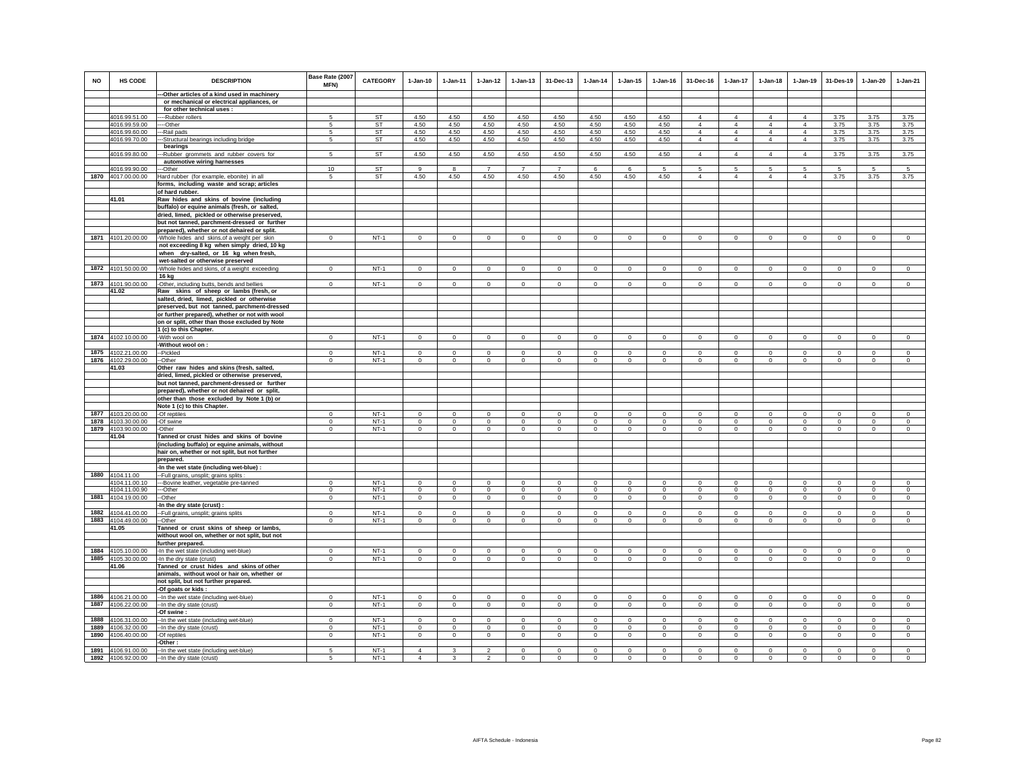| <b>NO</b> | HS CODE                        | <b>DESCRIPTION</b>                                                                          | Base Rate (2007<br>MFN) | <b>CATEGORY</b> | $1-Jan-10$     | 1-Jan-11     | $1 - Jan-12$             | $1 - Jan-13$   | 31-Dec-13      | $1-Jan-14$     | $1 - Jan-15$   | $1 - Jan-16$ | 31-Dec-16                        | $1-Jan-17$                       | $1-Jan-18$                       | $1 - Jan-19$                     | 31-Des-19    | $1-Jan-20$   | $1-Jan-21$     |
|-----------|--------------------------------|---------------------------------------------------------------------------------------------|-------------------------|-----------------|----------------|--------------|--------------------------|----------------|----------------|----------------|----------------|--------------|----------------------------------|----------------------------------|----------------------------------|----------------------------------|--------------|--------------|----------------|
|           |                                | -Other articles of a kind used in machinery                                                 |                         |                 |                |              |                          |                |                |                |                |              |                                  |                                  |                                  |                                  |              |              |                |
|           |                                | or mechanical or electrical appliances, or                                                  |                         |                 |                |              |                          |                |                |                |                |              |                                  |                                  |                                  |                                  |              |              |                |
|           |                                | for other technical uses :                                                                  |                         |                 |                |              |                          |                |                |                |                |              |                                  |                                  |                                  |                                  |              |              |                |
|           | 4016.99.51.00                  | --Rubber rollers                                                                            | 5                       | ST              | 4.50           | 4.50         | 4.50                     | 4.50           | 4.50           | 4.50           | 4.50           | 4.50         | 4                                | $\overline{4}$                   | $\overline{4}$                   | $\overline{4}$                   | 3.75         | 3.75         | 3.75           |
|           | 4016.99.59.00<br>4016.99.60.00 | --Other<br>-Rail pads                                                                       | 5<br>-5                 | ST<br><b>ST</b> | 4.50<br>4.50   | 4.50<br>4.50 | 4.50<br>4.50             | 4.50<br>4.50   | 4.50<br>4.50   | 4.50<br>4.50   | 4.50<br>4.50   | 4.50<br>4.50 | $\overline{4}$<br>$\overline{4}$ | $\overline{4}$<br>$\overline{4}$ | $\overline{4}$<br>$\overline{4}$ | $\overline{4}$<br>$\overline{4}$ | 3.75<br>3.75 | 3.75<br>3.75 | 3.75<br>3.75   |
|           | 4016.99.70.00                  | -Structural bearings including bridge                                                       | -5                      | ST              | 4.50           | 4.50         | 4.50                     | 4.50           | 4.50           | 4.50           | 4.50           | 4.50         | $\overline{4}$                   | $\overline{4}$                   | $\overline{4}$                   | $\overline{4}$                   | 3.75         | 3.75         | 3.75           |
|           |                                | bearings                                                                                    |                         |                 |                |              |                          |                |                |                |                |              |                                  |                                  |                                  |                                  |              |              |                |
|           | 4016.99.80.00                  | -Rubber grommets and rubber covers for                                                      | $\overline{5}$          | <b>ST</b>       | 4.50           | 4.50         | 4.50                     | 4.50           | 4.50           | 4.50           | 4.50           | 4.50         | $\overline{4}$                   | $\overline{4}$                   | $\overline{4}$                   | $\overline{4}$                   | 3.75         | 3.75         | 3.75           |
|           |                                | automotive wiring harnesses                                                                 |                         |                 |                |              |                          |                |                |                |                |              |                                  |                                  |                                  |                                  |              |              |                |
|           | 4016.99.90.00                  | --Other                                                                                     | 10                      | <b>ST</b>       | $\mathbf{q}$   | 8            | $\overline{7}$           | $\overline{7}$ | $\overline{7}$ | -6             | 6              | 5            | 5                                | 5                                | 5                                | -5                               | 5            | 5            | 5              |
|           | 1870 4017.00.00.00             | Hard rubber (for example, ebonite) in all                                                   | 5                       | ST              | 4.50           | 4.50         | 4.50                     | 4.50           | 4.50           | 4.50           | 4.50           | 4.50         | $\overline{4}$                   | $\overline{4}$                   | $\overline{4}$                   | $\overline{4}$                   | 3.75         | 3.75         | 3.75           |
|           |                                | forms, including waste and scrap; articles                                                  |                         |                 |                |              |                          |                |                |                |                |              |                                  |                                  |                                  |                                  |              |              |                |
|           |                                | of hard rubber.                                                                             |                         |                 |                |              |                          |                |                |                |                |              |                                  |                                  |                                  |                                  |              |              |                |
|           | 41.01                          | Raw hides and skins of bovine (including                                                    |                         |                 |                |              |                          |                |                |                |                |              |                                  |                                  |                                  |                                  |              |              |                |
|           |                                | buffalo) or equine animals (fresh, or salted,                                               |                         |                 |                |              |                          |                |                |                |                |              |                                  |                                  |                                  |                                  |              |              |                |
|           |                                | dried, limed, pickled or otherwise preserved,                                               |                         |                 |                |              |                          |                |                |                |                |              |                                  |                                  |                                  |                                  |              |              |                |
|           |                                | but not tanned, parchment-dressed or further                                                |                         |                 |                |              |                          |                |                |                |                |              |                                  |                                  |                                  |                                  |              |              |                |
|           | 1871 4101.20.00.00             | prepared), whether or not dehaired or split.                                                | $\mathbf{0}$            | $NT-1$          | $\mathsf 0$    | $\circ$      | $\circ$                  | $\mathbf 0$    | $\mathbf{0}$   | $\mathsf 0$    | $\mathbf 0$    | $\mathbf{0}$ | $\circ$                          | $\mathbf{0}$                     | $\mathbf 0$                      | $^{\circ}$                       | $\circ$      | $\mathbf 0$  | $\mathsf 0$    |
|           |                                | -Whole hides and skins, of a weight per skin<br>not exceeding 8 kg when simply dried, 10 kg |                         |                 |                |              |                          |                |                |                |                |              |                                  |                                  |                                  |                                  |              |              |                |
|           |                                | when dry-salted, or 16 kg when fresh,                                                       |                         |                 |                |              |                          |                |                |                |                |              |                                  |                                  |                                  |                                  |              |              |                |
|           |                                | wet-salted or otherwise preserved                                                           |                         |                 |                |              |                          |                |                |                |                |              |                                  |                                  |                                  |                                  |              |              |                |
|           | 1872 4101.50.00.00             | -Whole hides and skins, of a weight exceeding                                               | $\Omega$                | $NT-1$          | $\Omega$       | $\Omega$     | $\Omega$                 | $\Omega$       | $\Omega$       | $\circ$        | $\mathsf 0$    | $\Omega$     | $\Omega$                         | $\Omega$                         | $\Omega$                         | $\Omega$                         | $\Omega$     | $\Omega$     | $\Omega$       |
|           |                                | 16 kg                                                                                       |                         |                 |                |              |                          |                |                |                |                |              |                                  |                                  |                                  |                                  |              |              |                |
|           | 1873 4101.90.00.00             | -Other, including butts, bends and bellies                                                  | $\mathbf 0$             | $NT-1$          | $^{\circ}$     | $\circ$      | $\circ$                  | $\mathbf 0$    | $\mathbf 0$    | $\mathbf 0$    | $^{\circ}$     | $^{\circ}$   | $\circ$                          | $\mathbf 0$                      | $\circ$                          | $\mathbf 0$                      | $\circ$      | $\circ$      | $^{\circ}$     |
|           | 41.02                          | Raw skins of sheep or lambs (fresh, or                                                      |                         |                 |                |              |                          |                |                |                |                |              |                                  |                                  |                                  |                                  |              |              |                |
|           |                                | salted, dried, limed, pickled or otherwise                                                  |                         |                 |                |              |                          |                |                |                |                |              |                                  |                                  |                                  |                                  |              |              |                |
|           |                                | preserved, but not tanned, parchment-dressed                                                |                         |                 |                |              |                          |                |                |                |                |              |                                  |                                  |                                  |                                  |              |              |                |
|           |                                | or further prepared), whether or not with wool                                              |                         |                 |                |              |                          |                |                |                |                |              |                                  |                                  |                                  |                                  |              |              |                |
|           |                                | on or split, other than those excluded by Note                                              |                         |                 |                |              |                          |                |                |                |                |              |                                  |                                  |                                  |                                  |              |              |                |
|           |                                | 1 (c) to this Chapter.                                                                      |                         |                 |                |              |                          |                |                |                |                |              |                                  |                                  |                                  |                                  |              |              |                |
|           | 1874 4102.10.00.00             | -With wool on                                                                               | $\mathbf 0$             | $NT-1$          | $\mathbf 0$    | $\mathbf 0$  | $\mathbf 0$              | $\mathbf 0$    | $\mathbf 0$    | $\mathbf 0$    | $\mathbf 0$    | $\mathbf 0$  | $\circ$                          | $\mathbf 0$                      | $\mathbf 0$                      | $\mathbf 0$                      | $\mathbf 0$  | $\mathbf 0$  | $\circ$        |
|           | 1875 4102.21.00.00             | Without wool on :<br>--Pickled                                                              | $\Omega$                | $NT-1$          | $\Omega$       | $\Omega$     | $\circ$                  | $\mathbf{0}$   | $\Omega$       | $\mathbf 0$    | $\Omega$       | $\Omega$     | $\Omega$                         | $\mathbf{0}$                     | $\mathbf 0$                      | $\Omega$                         | $\mathbf{0}$ | $\Omega$     | $\circ$        |
|           | 1876 4102.29.00.00             | --Other                                                                                     | $\mathbf 0$             | $NT-1$          | $\Omega$       | $\circ$      | $\overline{0}$           | $\overline{0}$ | $\Omega$       | $\overline{0}$ | $\mathsf 0$    | $\Omega$     | $\mathbf 0$                      | $\overline{0}$                   | $\mathbf 0$                      | $\mathbf 0$                      | $\mathbf 0$  | $\Omega$     | $\overline{0}$ |
|           | 41.03                          | Other raw hides and skins (fresh, salted,                                                   |                         |                 |                |              |                          |                |                |                |                |              |                                  |                                  |                                  |                                  |              |              |                |
|           |                                | dried, limed, pickled or otherwise preserved,                                               |                         |                 |                |              |                          |                |                |                |                |              |                                  |                                  |                                  |                                  |              |              |                |
|           |                                | but not tanned, parchment-dressed or further                                                |                         |                 |                |              |                          |                |                |                |                |              |                                  |                                  |                                  |                                  |              |              |                |
|           |                                | prepared), whether or not dehaired or split,                                                |                         |                 |                |              |                          |                |                |                |                |              |                                  |                                  |                                  |                                  |              |              |                |
|           |                                | other than those excluded by Note 1 (b) or                                                  |                         |                 |                |              |                          |                |                |                |                |              |                                  |                                  |                                  |                                  |              |              |                |
|           |                                | Note 1 (c) to this Chapter.                                                                 |                         |                 |                |              |                          |                |                |                |                |              |                                  |                                  |                                  |                                  |              |              |                |
|           | 1877 4103.20.00.00             | -Of reptiles                                                                                | $\Omega$                | $NT-1$          | $\Omega$       | $\mathbf{0}$ | $\mathsf 0$              | $\mathbf 0$    | $\Omega$       | $\mathbf 0$    | $\mathbf 0$    | $\mathbf{0}$ | $\Omega$                         | $\mathbf 0$                      | $\Omega$                         | $\mathbf 0$                      | $\mathbf 0$  | $\Omega$     | $\circ$        |
| 1878      | 4103.30.00.00                  | -Of swine                                                                                   | $\circ$                 | $NT-1$          | $\circ$        | $\circ$      | $\circ$                  | $\mathbf{0}$   | $\mathbf{0}$   | $\circ$        | $\mathbf{0}$   | $\circ$      | $\circ$                          | $\circ$                          | $\circ$                          | $\circ$                          | $\circ$      | $\circ$      | $\circ$        |
|           | 1879 4103.90.00.00             | -Other                                                                                      | $\mathbf 0$             | $NT-1$          | $\mathbf 0$    | $\circ$      | $\mathsf 0$              | $\mathbf 0$    | $\mathbf 0$    | $\mathbf 0$    | $\mathbf 0$    | $\mathbf 0$  | $\circ$                          | $\mathbf 0$                      | $\mathbf 0$                      | $\mathbf 0$                      | $\circ$      | $\mathbf 0$  | $\mathbf 0$    |
|           | 41.04                          | Tanned or crust hides and skins of bovine                                                   |                         |                 |                |              |                          |                |                |                |                |              |                                  |                                  |                                  |                                  |              |              |                |
|           |                                | (including buffalo) or equine animals, without                                              |                         |                 |                |              |                          |                |                |                |                |              |                                  |                                  |                                  |                                  |              |              |                |
|           |                                | hair on, whether or not split, but not further<br>prepared.                                 |                         |                 |                |              |                          |                |                |                |                |              |                                  |                                  |                                  |                                  |              |              |                |
|           |                                | -In the wet state (including wet-blue) :                                                    |                         |                 |                |              |                          |                |                |                |                |              |                                  |                                  |                                  |                                  |              |              |                |
|           | 1880 4104.11.00                | -Full grains, unsplit; grains splits                                                        |                         |                 |                |              |                          |                |                |                |                |              |                                  |                                  |                                  |                                  |              |              |                |
|           | 4104.11.00.10                  | -- Bovine leather, vegetable pre-tanned                                                     | $\Omega$                | $NT-1$          | $\Omega$       | $\Omega$     | $\mathbf 0$              | $\mathbf 0$    | $\mathbf 0$    | $\Omega$       | $\mathbf 0$    | $\Omega$     | $\Omega$                         | $\Omega$                         | $\Omega$                         | $\Omega$                         | $\Omega$     | $\mathbf 0$  | $\circ$        |
|           | 4104.11.00.90                  | --Other                                                                                     | $^{\circ}$              | $NT-1$          | $\circ$        | $\circ$      | $\circ$                  | $\mathbf 0$    | $\mathbf{0}$   | $\mathbf 0$    | $\mathbf 0$    | $\mathbf 0$  | $\circ$                          | $\mathbf{0}$                     | $\mathbf{0}$                     | $\mathbf{0}$                     | $\mathbf 0$  | $\mathbf{0}$ | $\mathbf 0$    |
|           | 1881 4104.19.00.00             | --Other                                                                                     | $\mathbf{0}$            | $NT-1$          | $\circ$        | $\mathbf{0}$ | $\circ$                  | $\mathbf 0$    | $\circ$        | $\overline{0}$ | $\mathbf 0$    | $\circ$      | $\circ$                          | $\circ$                          | $\mathbf 0$                      | $\circ$                          | $\circ$      | $\circ$      | $\mathbf 0$    |
|           |                                | In the dry state (crust):                                                                   |                         |                 |                |              |                          |                |                |                |                |              |                                  |                                  |                                  |                                  |              |              |                |
| 1882      | 4104.41.00.00                  | -Full grains, unsplit; grains splits                                                        | $\Omega$                | $NT-1$          | $\Omega$       | $\Omega$     | $\mathbf{0}$             | $\mathbf{0}$   | $\Omega$       | $\mathbf{0}$   | $\Omega$       | $\Omega$     | $\Omega$                         | $\mathbf{0}$                     | $\Omega$                         | $\mathbf 0$                      | $\circ$      | $\Omega$     | $\circ$        |
| 1883      | 4104.49.00.00                  | -Other                                                                                      | $\mathbf 0$             | $NT-1$          | $\circ$        | $\circ$      | $\mathbf 0$              | $\mathbf 0$    | $\mathbf 0$    | $\mathbf 0$    | $\mathbf 0$    | $\mathbf 0$  | $\circ$                          | $\mathbf 0$                      | $\mathbf 0$                      | $\mathbf 0$                      | $\mathbf 0$  | $\mathbf 0$  | $\mathbf 0$    |
|           | 41.05                          | Tanned or crust skins of sheep or lambs,<br>without wool on, whether or not split, but not  |                         |                 |                |              |                          |                |                |                |                |              |                                  |                                  |                                  |                                  |              |              |                |
|           |                                | further prepared.                                                                           |                         |                 |                |              |                          |                |                |                |                |              |                                  |                                  |                                  |                                  |              |              |                |
|           | 1884 4105.10.00.00             | -In the wet state (including wet-blue)                                                      | $\Omega$                | $NT-1$          | $\Omega$       | $\mathbf 0$  | $\mathbf{0}$             | $\mathbf{0}$   | $\Omega$       | $\mathbf 0$    | $\mathbf{0}$   | $\mathbf 0$  | $\Omega$                         | $\Omega$                         | $\mathbf 0$                      | $\Omega$                         | $\mathbf 0$  | $\Omega$     | $\mathbf 0$    |
|           | 1885 4105.30.00.00             | -In the dry state (crust)                                                                   | $\mathbf 0$             | $NT-1$          | $\Omega$       | $\mathsf 0$  | $\overline{0}$           | $\overline{0}$ | $\Omega$       | $\overline{0}$ | $\overline{0}$ | $\Omega$     | $\mathsf 0$                      | $\overline{0}$                   | $\overline{0}$                   | $\Omega$                         | $\mathbf 0$  | $\Omega$     | $\overline{0}$ |
|           | 41.06                          | Tanned or crust hides and skins of other                                                    |                         |                 |                |              |                          |                |                |                |                |              |                                  |                                  |                                  |                                  |              |              |                |
|           |                                | animals, without wool or hair on, whether or                                                |                         |                 |                |              |                          |                |                |                |                |              |                                  |                                  |                                  |                                  |              |              |                |
|           |                                | not split, but not further prepared.                                                        |                         |                 |                |              |                          |                |                |                |                |              |                                  |                                  |                                  |                                  |              |              |                |
|           |                                | -Of goats or kids:                                                                          |                         |                 |                |              |                          |                |                |                |                |              |                                  |                                  |                                  |                                  |              |              |                |
| 1886      | 4106.21.00.00                  | -- In the wet state (including wet-blue)                                                    | $\mathbf{0}$            | $NT-1$          | $\mathbf{0}$   | $\mathbf{0}$ | $\circ$                  | $\mathbf 0$    | $\mathbf 0$    | $\mathbf 0$    | $\mathbf 0$    | $\mathbf{0}$ | $\Omega$                         | $\mathbf 0$                      | $\mathbf{0}$                     | $\mathbf{0}$                     | $\circ$      | $\mathbf 0$  | $\mathbf 0$    |
| 1887      | 4106.22.00.00                  | -- In the dry state (crust)                                                                 | $^{\circ}$              | $NT-1$          | $\Omega$       | $\mathbf{0}$ | $\circ$                  | $\mathbf 0$    | $\circ$        | $\overline{0}$ | $\mathbf 0$    | $\mathbf 0$  | $\Omega$                         | $\mathbf 0$                      | $\circ$                          | $\circ$                          | $\circ$      | $\circ$      | $\mathbf 0$    |
|           |                                | -Of swine:                                                                                  |                         |                 |                |              |                          |                |                |                |                |              |                                  |                                  |                                  |                                  |              |              |                |
| 1888      | 4106.31.00.00                  | -In the wet state (including wet-blue)                                                      | $\circ$                 | $NT-1$          | $\circ$        | $\Omega$     | $\mathbf{0}$             | $\mathbf{0}$   | $\mathbf 0$    | $\circ$        | $\Omega$       | $\circ$      | $\Omega$                         | $\mathbf{0}$                     | $\circ$                          | $\circ$                          | $\circ$      | $\mathbf{0}$ | $\circ$        |
| 1889      | 4106.32.00.00                  | -In the dry state (crust)                                                                   | $\mathbf 0$             | $NT-1$          | $\mathbf 0$    | $\mathbf 0$  | $\mathsf 0$              | $\mathbf 0$    | $\mathbf 0$    | $\mathbf 0$    | $\mathbf 0$    | $\mathbf 0$  | $\circ$                          | $\mathbf 0$                      | $\mathbf 0$                      | $\mathbf 0$                      | $^{\circ}$   | $\mathbf 0$  | $\mathbf 0$    |
| 1890      | 4106.40.00.00                  | -Of reptiles                                                                                | $\mathbf 0$             | $NT-1$          | $\mathsf 0$    | $\mathsf 0$  | $\mathbf 0$              | $\mathsf 0$    | $\mathbf 0$    | $\mathsf 0$    | $\mathsf 0$    | $\mathsf 0$  | $\mathsf 0$                      | $\mathbf 0$                      | $\mathbf 0$                      | $\mathbf 0$                      | $\mathbf 0$  | $\mathsf 0$  | $\mathsf 0$    |
|           | 1891 4106.91.00.00             | -Other :<br>-- In the wet state (including wet-blue)                                        | 5                       | $NT-1$          | $\overline{4}$ | $\mathbf{3}$ | $\overline{2}$           | $\mathbf 0$    | $\mathbf 0$    | $\circ$        | $\mathbf 0$    | $\mathbf 0$  | $\mathbf 0$                      | $\mathbf 0$                      | $\mathbf 0$                      | $\mathbf 0$                      | $\mathbf 0$  | $\mathbf 0$  | $\Omega$       |
|           | 1892 4106.92.00.00             | -- In the dry state (crust)                                                                 | 5                       | $NT-1$          | $\Delta$       | $\mathbf{R}$ | $\overline{\phantom{a}}$ | $\Omega$       | $\Omega$       | $\Omega$       | $\Omega$       | $\Omega$     | $\Omega$                         | $\Omega$                         | $\Omega$                         | $\Omega$                         | $\Omega$     | $\Omega$     | $\Omega$       |
|           |                                |                                                                                             |                         |                 |                |              |                          |                |                |                |                |              |                                  |                                  |                                  |                                  |              |              |                |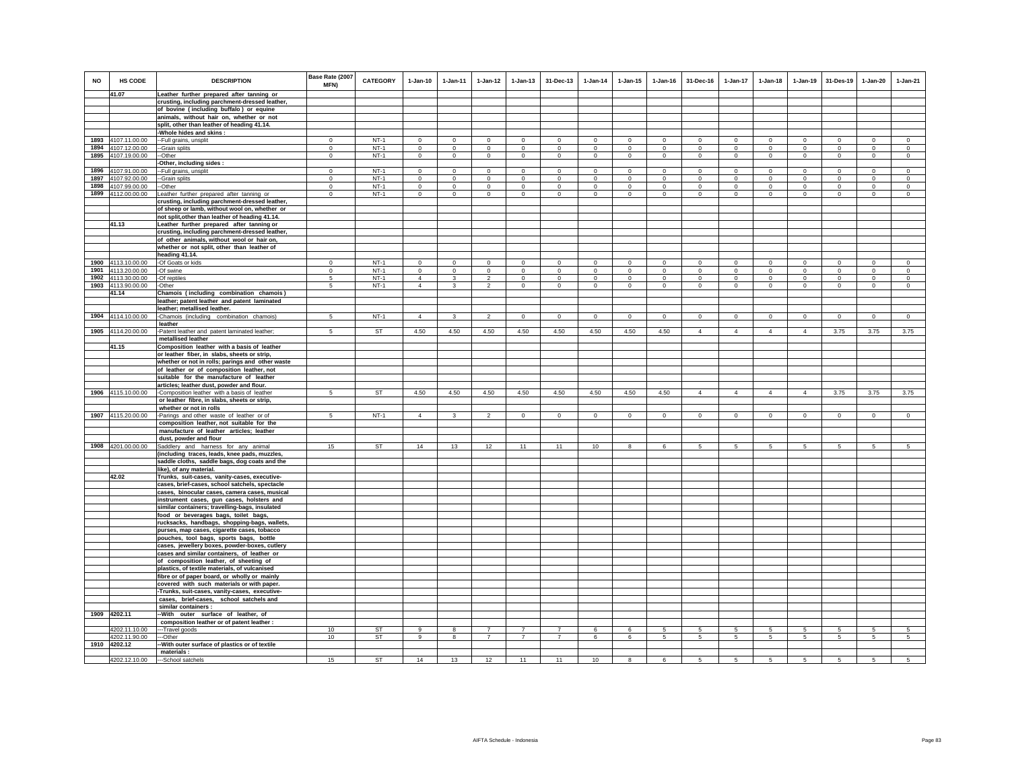| <b>NO</b> | HS CODE                        | <b>DESCRIPTION</b>                                                                            | Base Rate (2007<br>MFN) | <b>CATEGORY</b> | $1-Jan-10$     | $1-Jan-11$     | $1-Jan-12$                       | $1-Jan-13$                       | 31-Dec-13                        | $1-Jan-14$   | $1 - Jan-15$ | $1 - Jan-16$ | 31-Dec-16            | 1-Jan-17             | $1-Jan-18$     | $1-Jan-19$     | 31-Des-19   | $1-Jan-20$   | $1-Jan-21$     |
|-----------|--------------------------------|-----------------------------------------------------------------------------------------------|-------------------------|-----------------|----------------|----------------|----------------------------------|----------------------------------|----------------------------------|--------------|--------------|--------------|----------------------|----------------------|----------------|----------------|-------------|--------------|----------------|
|           | 41.07                          | Leather further prepared after tanning or                                                     |                         |                 |                |                |                                  |                                  |                                  |              |              |              |                      |                      |                |                |             |              |                |
|           |                                | crusting, including parchment-dressed leather,                                                |                         |                 |                |                |                                  |                                  |                                  |              |              |              |                      |                      |                |                |             |              |                |
|           |                                | of bovine (including buffalo) or equine<br>animals, without hair on, whether or not           |                         |                 |                |                |                                  |                                  |                                  |              |              |              |                      |                      |                |                |             |              |                |
|           |                                | split, other than leather of heading 41.14.                                                   |                         |                 |                |                |                                  |                                  |                                  |              |              |              |                      |                      |                |                |             |              |                |
|           |                                | -Whole hides and skins :                                                                      |                         |                 |                |                |                                  |                                  |                                  |              |              |              |                      |                      |                |                |             |              |                |
| 1893      | 4107.11.00.00                  | --Full grains, unsplit                                                                        | $\Omega$                | $NT-1$          | $\Omega$       | $\circ$        | $\Omega$                         | $\Omega$                         | $\Omega$                         | $\Omega$     | $\circ$      | $^{\circ}$   | $\Omega$             | $\Omega$             | $\Omega$       | $\mathbf 0$    | $\circ$     | $\Omega$     | $\Omega$       |
| 1894      | 4107.12.00.00                  | --Grain splits                                                                                | $\mathsf 0$             | $NT-1$          | $\mathbf 0$    | $\mathbf 0$    | $\mathsf 0$                      | $\mathsf 0$                      | $\mathbf 0$                      | $\mathbf 0$  | $\mathsf 0$  | $\mathbf 0$  | $\mathbf 0$          | $\mathbf 0$          | $\mathbf 0$    | $\mathbf 0$    | $\circ$     | $\mathbf 0$  | $\mathbf 0$    |
| 1895      | 4107.19.00.00                  | --Other                                                                                       | $\mathbf 0$             | $NT-1$          | $\mathbf 0$    | $\mathbb O$    | $\mathsf 0$                      | $\circ$                          | $\mathbf{0}$                     | $\mathbf 0$  | $\circ$      | $\mathbf 0$  | $\mathbf 0$          | $\mathbf 0$          | $\circ$        | $\mathbf 0$    | $\mathbf 0$ | $\circ$      | $\circ$        |
| 1896      | 4107.91.00.00                  | Other, including sides :<br>-- Full grains, unsplit                                           | $^{\circ}$              | $NT-1$          | $\Omega$       | $\mathbf 0$    | $\Omega$                         | $\Omega$                         | $\mathbf 0$                      | $\Omega$     | $\mathbf 0$  | $^{\circ}$   | $\Omega$             | $\mathbf 0$          | $\Omega$       | $\mathbf 0$    | $\Omega$    | $\Omega$     | $\Omega$       |
| 1897      | 4107.92.00.00                  | --Grain splits                                                                                | $\,0\,$                 | $NT-1$          | $\mathbf 0$    | $\mathbb O$    | $\overline{0}$                   | $\mathbf 0$                      | $\mathbf 0$                      | $\mathbf 0$  | $\mathbf 0$  | $\mathbf 0$  | $\mathsf 0$          | $\overline{0}$       | $\mathsf 0$    | $\,$ 0         | $\mathbf 0$ | $\Omega$     | $\mathbf 0$    |
| 1898      | 4107.99.00.00                  | --Other                                                                                       | $\mathbf 0$             | $NT-1$          | $\mathbf 0$    | $\mathbf 0$    | $\circ$                          | $\circ$                          | $\mathbf 0$                      | $\Omega$     | $\Omega$     | $\Omega$     | $\circ$              | $\mathbf 0$          | $\circ$        | $\mathbf 0$    | $\mathbf 0$ | $\Omega$     | $\Omega$       |
| 1899      | 4112.00.00.00                  | Leather further prepared after tanning or                                                     | $\mathbf 0$             | $NT-1$          | $\mathbf 0$    | $\mathbf 0$    | $\mathsf 0$                      | $\circ$                          | $\Omega$                         | $\mathbf{0}$ | $\Omega$     | $\mathbf 0$  | $\circ$              | $\mathbf 0$          | $\Omega$       | $\mathbf 0$    | $\Omega$    | $\Omega$     | $\Omega$       |
|           |                                | crusting, including parchment-dressed leather,                                                |                         |                 |                |                |                                  |                                  |                                  |              |              |              |                      |                      |                |                |             |              |                |
|           |                                | of sheep or lamb, without wool on, whether or                                                 |                         |                 |                |                |                                  |                                  |                                  |              |              |              |                      |                      |                |                |             |              |                |
|           | 41.13                          | not split, other than leather of heading 41.14.<br>Leather further prepared after tanning or  |                         |                 |                |                |                                  |                                  |                                  |              |              |              |                      |                      |                |                |             |              |                |
|           |                                | crusting, including parchment-dressed leather,                                                |                         |                 |                |                |                                  |                                  |                                  |              |              |              |                      |                      |                |                |             |              |                |
|           |                                | of other animals, without wool or hair on,<br>whether or not split, other than leather of     |                         |                 |                |                |                                  |                                  |                                  |              |              |              |                      |                      |                |                |             |              |                |
|           |                                | heading 41.14.                                                                                |                         |                 |                |                |                                  |                                  |                                  |              |              |              |                      |                      |                |                |             |              |                |
| 1900      | 4113.10.00.00                  | -Of Goats or kids                                                                             | $\mathbf 0$             | $NT-1$          | $\Omega$       | $\mathbf 0$    | $\mathbf 0$                      | $\mathbf 0$                      | $\mathbf 0$                      | $\mathbf 0$  | $\mathbf 0$  | $\mathbf 0$  | $\mathbf 0$          | $\mathbf 0$          | $\mathbf 0$    | $\mathbf 0$    | $\mathbf 0$ | $\mathbf 0$  | $\mathbf 0$    |
| 1901      | 4113.20.00.00                  | -Of swine                                                                                     | $\circ$                 | $NT-1$          | $\mathbf 0$    | $\circ$        | $\mathsf 0$                      | $\mathbf 0$                      | $\mathbf 0$                      | $\mathbf 0$  | $\mathbf 0$  | $\mathbf 0$  | $\mathsf 0$          | $\mathbf 0$          | $\mathsf 0$    | $\,$ 0         | $\mathbf 0$ | $\mathbf 0$  | $\mathbf 0$    |
| 1902      | 4113.30.00.00                  | -Of reptiles                                                                                  | 5                       | $NT-1$          | $\overline{4}$ | $\mathbf{3}$   | $\overline{2}$                   | $\circ$                          | $\mathbf 0$                      | $\mathbf 0$  | $\mathbf 0$  | $\mathbf 0$  | $\circ$              | $\mathbf 0$          | $\mathbf 0$    | $\mathbf 0$    | $^{\circ}$  | $\mathbf 0$  | $\mathbf 0$    |
|           | 1903 4113.90.00.00<br>41.14    | -Other<br>Chamois (including combination chamois)                                             | $5\overline{)}$         | $NT-1$          | $\overline{4}$ | $\mathbf{3}$   | $\overline{2}$                   | $\mathsf 0$                      | $\mathbf{0}$                     | $\mathsf 0$  | $\mathbf 0$  | $\mathbf 0$  | $\mathsf 0$          | $\overline{0}$       | $\mathsf 0$    | $\mathsf 0$    | $\circ$     | $\mathbf{0}$ | $\mathbf 0$    |
|           |                                | leather; patent leather and patent laminated                                                  |                         |                 |                |                |                                  |                                  |                                  |              |              |              |                      |                      |                |                |             |              |                |
|           |                                | leather; metallised leather.                                                                  |                         |                 |                |                |                                  |                                  |                                  |              |              |              |                      |                      |                |                |             |              |                |
|           | 1904 4114.10.00.00             | -Chamois (including combination chamois)<br>leather                                           | $5 -$                   | $NT-1$          | $\overline{4}$ | 3              | $\mathfrak{p}$                   | $\circ$                          | $\mathbf 0$                      | $\Omega$     | $\Omega$     | $\Omega$     | $\Omega$             | $\mathbf 0$          | $\Omega$       | $\circ$        | $\mathbf 0$ | $\circ$      | $\Omega$       |
|           | 1905 4114.20.00.00             | -Patent leather and patent laminated leather;<br>metallised leather                           | 5                       | ST              | 4.50           | 4.50           | 4.50                             | 4.50                             | 4.50                             | 4.50         | 4.50         | 4.50         | $\overline{4}$       | $\overline{4}$       | $\overline{4}$ | $\overline{4}$ | 3.75        | 3.75         | 3.75           |
|           | 41.15                          | Composition leather with a basis of leather                                                   |                         |                 |                |                |                                  |                                  |                                  |              |              |              |                      |                      |                |                |             |              |                |
|           |                                | or leather fiber, in slabs, sheets or strip,                                                  |                         |                 |                |                |                                  |                                  |                                  |              |              |              |                      |                      |                |                |             |              |                |
|           |                                | whether or not in rolls; parings and other waste<br>of leather or of composition leather, not |                         |                 |                |                |                                  |                                  |                                  |              |              |              |                      |                      |                |                |             |              |                |
|           |                                | suitable for the manufacture of leather                                                       |                         |                 |                |                |                                  |                                  |                                  |              |              |              |                      |                      |                |                |             |              |                |
|           |                                | articles; leather dust, powder and flour.                                                     |                         |                 |                |                |                                  |                                  |                                  |              |              |              |                      |                      |                |                |             |              |                |
| 1906      | 4115.10.00.00                  | -Composition leather with a basis of leather                                                  | 5                       | <b>ST</b>       | 4.50           | 4.50           | 4.50                             | 4.50                             | 4.50                             | 4.50         | 4.50         | 4.50         | $\overline{4}$       | $\overline{4}$       | $\overline{4}$ | $\overline{4}$ | 3.75        | 3.75         | 3.75           |
|           |                                | or leather fibre, in slabs, sheets or strip,                                                  |                         |                 |                |                |                                  |                                  |                                  |              |              |              |                      |                      |                |                |             |              |                |
|           | 1907 4115.20.00.00             | whether or not in rolls                                                                       | 5 <sup>5</sup>          | $NT-1$          | $\overline{4}$ | $\overline{3}$ | $\overline{2}$                   | $\circ$                          | $\mathbf{0}$                     | $\circ$      | $\circ$      | $\circ$      | $\circ$              | $\mathbf{0}$         | $\circ$        | $\circ$        | $\circ$     | $\circ$      | $\circ$        |
|           |                                | -Parings and other waste of leather or of<br>composition leather, not suitable for the        |                         |                 |                |                |                                  |                                  |                                  |              |              |              |                      |                      |                |                |             |              |                |
|           |                                | manufacture of leather articles; leather                                                      |                         |                 |                |                |                                  |                                  |                                  |              |              |              |                      |                      |                |                |             |              |                |
|           |                                | dust, powder and flour                                                                        |                         |                 |                |                |                                  |                                  |                                  |              |              |              |                      |                      |                |                |             |              |                |
|           | 1908 4201.00.00.00             | Saddlery and harness for any animal                                                           | 15                      | ST              | 14             | 13             | 12                               | 11                               | 11                               | 10           | 8            | 6            | $5\overline{5}$      | 5                    | 5              | 5              | 5           | $5^{\circ}$  | 5 <sub>5</sub> |
|           |                                | (including traces, leads, knee pads, muzzles,                                                 |                         |                 |                |                |                                  |                                  |                                  |              |              |              |                      |                      |                |                |             |              |                |
|           |                                | saddle cloths, saddle bags, dog coats and the                                                 |                         |                 |                |                |                                  |                                  |                                  |              |              |              |                      |                      |                |                |             |              |                |
|           | 42.02                          | like), of any material.<br>Trunks, suit-cases, vanity-cases, executive-                       |                         |                 |                |                |                                  |                                  |                                  |              |              |              |                      |                      |                |                |             |              |                |
|           |                                | cases, brief-cases, school satchels, spectacle                                                |                         |                 |                |                |                                  |                                  |                                  |              |              |              |                      |                      |                |                |             |              |                |
|           |                                | cases, binocular cases, camera cases, musical                                                 |                         |                 |                |                |                                  |                                  |                                  |              |              |              |                      |                      |                |                |             |              |                |
|           |                                | instrument cases, gun cases, holsters and                                                     |                         |                 |                |                |                                  |                                  |                                  |              |              |              |                      |                      |                |                |             |              |                |
|           |                                | similar containers; travelling-bags, insulated                                                |                         |                 |                |                |                                  |                                  |                                  |              |              |              |                      |                      |                |                |             |              |                |
|           |                                | food or beverages bags, toilet bags,<br>rucksacks, handbags, shopping-bags, wallets,          |                         |                 |                |                |                                  |                                  |                                  |              |              |              |                      |                      |                |                |             |              |                |
|           |                                | purses, map cases, cigarette cases, tobacco                                                   |                         |                 |                |                |                                  |                                  |                                  |              |              |              |                      |                      |                |                |             |              |                |
|           |                                | pouches, tool bags, sports bags, bottle                                                       |                         |                 |                |                |                                  |                                  |                                  |              |              |              |                      |                      |                |                |             |              |                |
|           |                                | cases, jewellery boxes, powder-boxes, cutlery                                                 |                         |                 |                |                |                                  |                                  |                                  |              |              |              |                      |                      |                |                |             |              |                |
|           |                                | cases and similar containers, of leather or                                                   |                         |                 |                |                |                                  |                                  |                                  |              |              |              |                      |                      |                |                |             |              |                |
|           |                                | of composition leather, of sheeting of                                                        |                         |                 |                |                |                                  |                                  |                                  |              |              |              |                      |                      |                |                |             |              |                |
|           |                                | plastics, of textile materials, of vulcanised                                                 |                         |                 |                |                |                                  |                                  |                                  |              |              |              |                      |                      |                |                |             |              |                |
|           |                                | fibre or of paper board, or wholly or mainly<br>covered with such materials or with paper.    |                         |                 |                |                |                                  |                                  |                                  |              |              |              |                      |                      |                |                |             |              |                |
|           |                                | -Trunks, suit-cases, vanity-cases, executive-                                                 |                         |                 |                |                |                                  |                                  |                                  |              |              |              |                      |                      |                |                |             |              |                |
|           |                                | cases, brief-cases, school satchels and                                                       |                         |                 |                |                |                                  |                                  |                                  |              |              |              |                      |                      |                |                |             |              |                |
|           |                                | similar containers :                                                                          |                         |                 |                |                |                                  |                                  |                                  |              |              |              |                      |                      |                |                |             |              |                |
|           | 1909 4202.11                   | -With outer surface of leather, of                                                            |                         |                 |                |                |                                  |                                  |                                  |              |              |              |                      |                      |                |                |             |              |                |
|           |                                | composition leather or of patent leather :                                                    |                         |                 |                |                |                                  |                                  |                                  |              |              |              |                      |                      |                |                |             |              |                |
|           | 4202.11.10.00<br>4202.11.90.00 | ---Travel goods<br>---Other                                                                   | 10<br>10                | <b>ST</b><br>ST | 9<br>9         | 8<br>8         | $\overline{7}$<br>$\overline{7}$ | $\overline{7}$<br>$\overline{7}$ | $\overline{7}$<br>$\overline{7}$ | 6<br>6       | 6<br>6       | 5<br>5       | 5<br>$5\phantom{.0}$ | 5<br>$5\phantom{.0}$ | 5<br>5         | 5<br>5         | 5<br>5      | 5<br>5       | 5<br>-5        |
|           | 1910 4202.12                   | -With outer surface of plastics or of textile                                                 |                         |                 |                |                |                                  |                                  |                                  |              |              |              |                      |                      |                |                |             |              |                |
|           |                                | materials:                                                                                    |                         |                 |                |                |                                  |                                  |                                  |              |              |              |                      |                      |                |                |             |              |                |
|           | 4202.12.10.00                  | --School satchels                                                                             | 15                      | <b>ST</b>       | 14             | 13             | 12                               | 11                               | 11                               | 10           | 8            | 6            | 5                    | 5                    | 5              | 5              | 5           | 5            | 5              |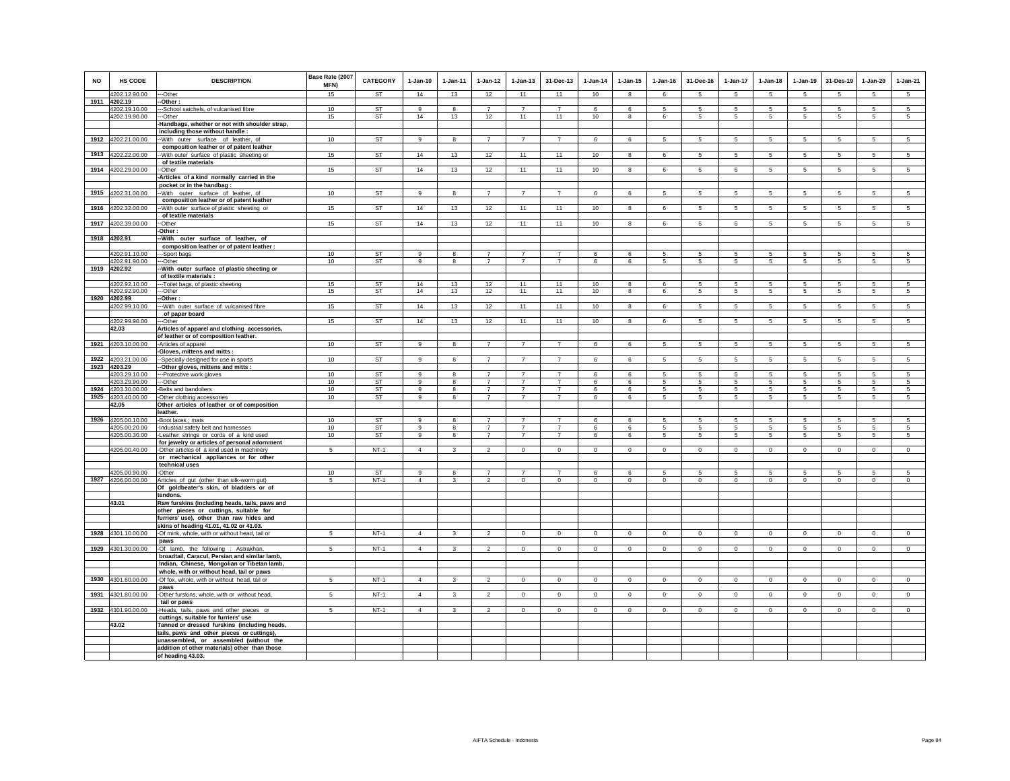| <b>NO</b> | <b>HS CODE</b>     | <b>DESCRIPTION</b>                                                                           | Base Rate (2007<br>MFN) | CATEGORY  | $1-Jan-10$     | 1-Jan-11                | $1 - Jan-12$                     | $1 - Jan-13$                     | 31-Dec-13                        | $1-Jan-14$   | $1 - Jan-15$ | $1 - Jan-16$   | 31-Dec-16       | $1-Jan-17$      | $1-Jan-18$      | $1 - Jan-19$    | 31-Des-19       | $1-Jan-20$      | $1-Jan-21$      |
|-----------|--------------------|----------------------------------------------------------------------------------------------|-------------------------|-----------|----------------|-------------------------|----------------------------------|----------------------------------|----------------------------------|--------------|--------------|----------------|-----------------|-----------------|-----------------|-----------------|-----------------|-----------------|-----------------|
|           | 4202.12.90.00      | --Other                                                                                      | 15                      | <b>ST</b> | 14             | 13                      | 12                               | 11                               | 11                               | 10           | $\mathbf{R}$ | 6              | 5               | 5               | 5 <sup>1</sup>  | -5              | 5               | 5               | 5 <sup>5</sup>  |
|           | 1911 4202.19       | -Other:                                                                                      |                         |           |                |                         |                                  |                                  |                                  |              |              |                |                 |                 |                 |                 |                 |                 |                 |
|           | 4202.19.10.00      | --School satchels, of vulcanised fibre                                                       | 10                      | ST        | $\mathbf{q}$   | 8                       | $\overline{7}$                   | $\overline{7}$                   | $\overline{7}$                   | 6            | 6            | 5              | -5              | 5               | -5              | -5              | 5               | 5               | $\sqrt{5}$      |
|           | 4202.19.90.00      | --Other                                                                                      | 15                      | ST        | 14             | 13                      | 12                               | 11                               | 11                               | 10           | 8            | 6              | 5               | 5               | 5               | 5               | 5               | 5               | $5\overline{5}$ |
|           |                    | -Handbags, whether or not with shoulder strap,                                               |                         |           |                |                         |                                  |                                  |                                  |              |              |                |                 |                 |                 |                 |                 |                 |                 |
|           |                    | including those without handle :                                                             |                         |           |                |                         | $\overline{7}$                   |                                  | $\overline{7}$                   |              |              |                |                 |                 |                 |                 |                 |                 |                 |
|           | 1912 4202.21.00.00 | -With outer surface of leather, of                                                           | 10                      | <b>ST</b> | 9              | 8                       |                                  | $\overline{7}$                   |                                  | 6            | 6            | 5              | 5               | 5               | $5\phantom{.0}$ | $\sqrt{5}$      | 5               | 5               | 5               |
|           | 4202.22.00.00      | composition leather or of patent leather                                                     | 15                      | <b>ST</b> | 14             | 13                      | 12                               | 11                               | 11                               | 10           |              |                |                 | 5               | $5\phantom{.0}$ | $\,$ 5 $\,$     | $\sqrt{5}$      | 5               | $\sqrt{5}$      |
| 1913      |                    | -With outer surface of plastic sheeting or<br>of textile materials                           |                         |           |                |                         |                                  |                                  |                                  |              | 8            | 6              | $\overline{5}$  |                 |                 |                 |                 |                 |                 |
| 1914      | 4202.29.00.00      | -Other                                                                                       | 15                      | ST        | 14             | 13                      | 12                               | 11                               | 11                               | 10           | 8            | 6              | 5               | $5\overline{)}$ | 5               | $\overline{5}$  | $\sqrt{5}$      | $\sqrt{5}$      | $5\overline{)}$ |
|           |                    | -Articles of a kind normally carried in the                                                  |                         |           |                |                         |                                  |                                  |                                  |              |              |                |                 |                 |                 |                 |                 |                 |                 |
|           |                    | pocket or in the handbag                                                                     |                         |           |                |                         |                                  |                                  |                                  |              |              |                |                 |                 |                 |                 |                 |                 |                 |
| 1915      | 4202.31.00.00      | -- With outer surface of leather, of                                                         | 10                      | <b>ST</b> | 9              | 8                       | $\overline{7}$                   | $\overline{7}$                   | $\overline{7}$                   | 6            | 6            | 5              | 5               | $5\phantom{.0}$ | 5               | 5               | 5               | 5               | 5               |
|           |                    | composition leather or of patent leather                                                     |                         |           |                |                         |                                  |                                  |                                  |              |              |                |                 |                 |                 |                 |                 |                 |                 |
| 1916      | 4202.32.00.00      | -With outer surface of plastic sheeting or                                                   | 15                      | ST        | 14             | 13                      | 12                               | 11                               | 11                               | 10           | 8            | 6              | 5               | $5\phantom{.0}$ | 5               | $5\phantom{.0}$ | 5               | $5\phantom{.0}$ | 5               |
|           |                    | of textile materials                                                                         |                         |           |                |                         |                                  |                                  |                                  |              |              |                |                 |                 |                 |                 |                 |                 |                 |
| 1917      | 4202.39.00.00      | -Other                                                                                       | 15                      | ST        | 14             | 13                      | 12                               | 11                               | 11                               | 10           | 8            | 6              | $5\overline{5}$ | $5\overline{5}$ | $5\overline{5}$ | 5               | 5               | 5               | 5               |
|           |                    | Other:                                                                                       |                         |           |                |                         |                                  |                                  |                                  |              |              |                |                 |                 |                 |                 |                 |                 |                 |
|           | 1918 4202.91       | -With outer surface of leather, of                                                           |                         |           |                |                         |                                  |                                  |                                  |              |              |                |                 |                 |                 |                 |                 |                 |                 |
|           |                    | composition leather or of patent leather :                                                   |                         |           |                |                         |                                  |                                  |                                  |              |              |                |                 |                 |                 |                 |                 |                 |                 |
|           | 4202.91.10.00      | -Sport bags                                                                                  | 10                      | <b>ST</b> | 9              | 8                       | $\overline{7}$                   | $\overline{7}$                   | $\overline{7}$                   | 6            | 6            | 5              | -5              | 5               | 5               | 5               | 5               | 5               | 5               |
|           | 4202.91.90.00      | --Other                                                                                      | 10                      | ST        | 9              | $\bf{8}$                | $\overline{7}$                   | $\overline{7}$                   | $\overline{7}$                   | 6            | 6            | 5              | $5\phantom{.0}$ | $5\phantom{.0}$ | $5\phantom{.0}$ | $5\phantom{.0}$ | $\sqrt{5}$      | $\sqrt{5}$      | $\sqrt{5}$      |
|           | 1919 4202.92       | -With outer surface of plastic sheeting or                                                   |                         |           |                |                         |                                  |                                  |                                  |              |              |                |                 |                 |                 |                 |                 |                 |                 |
|           |                    | of textile materials :                                                                       |                         |           |                |                         |                                  |                                  |                                  |              |              |                |                 |                 |                 |                 |                 |                 |                 |
|           | 4202.92.10.00      | -- Toilet bags, of plastic sheeting                                                          | 15                      | <b>ST</b> | 14             | 13                      | 12                               | 11                               | 11                               | 10           | 8            | 6              | -5              | 5               | 5               | 5               | -5              | 5               | 5               |
|           | 4202.92.90.00      | --Other                                                                                      | 15                      | <b>ST</b> | 14             | 13                      | 12                               | 11                               | 11                               | 10           | 8            | 6              | 5               | 5 <sup>5</sup>  | 5               | 5               | 5               | 5               | $5\phantom{.0}$ |
| 1920      | 4202.99            | -Other:                                                                                      |                         | <b>ST</b> | 14             |                         |                                  |                                  |                                  |              |              |                |                 |                 |                 |                 |                 |                 |                 |
|           | 4202.99.10.00      | -- With outer surface of vulcanised fibre<br>of paper board                                  | 15                      |           |                | 13                      | 12                               | 11                               | 11                               | 10           | 8            | 6              | $5\overline{5}$ | $5\overline{5}$ | $5^{\circ}$     | $5\overline{5}$ | $5\phantom{.0}$ | $5\overline{5}$ | $5\overline{5}$ |
|           | 4202.99.90.00      | -Other                                                                                       | 15                      | ST        | 14             | 13                      | 12                               | 11                               | 11                               | 10           | 8            | 6              | 5               | 5               | 5               | 5               | 5               | 5               | 5               |
|           | 42.03              | Articles of apparel and clothing accessories,                                                |                         |           |                |                         |                                  |                                  |                                  |              |              |                |                 |                 |                 |                 |                 |                 |                 |
|           |                    | of leather or of composition leather.                                                        |                         |           |                |                         |                                  |                                  |                                  |              |              |                |                 |                 |                 |                 |                 |                 |                 |
| 1921      | 4203.10.00.00      | -Articles of apparel                                                                         | 10                      | <b>ST</b> | 9              | 8                       | $\overline{7}$                   | $\overline{7}$                   | $\overline{7}$                   | 6            | 6            | 5              | $5\overline{5}$ | $5\overline{5}$ | $5\overline{5}$ | 5               | 5               | 5               | $5\phantom{.0}$ |
|           |                    | -Gloves, mittens and mitts :                                                                 |                         |           |                |                         |                                  |                                  |                                  |              |              |                |                 |                 |                 |                 |                 |                 |                 |
| 1922      | 4203.21.00.00      | -Specially designed for use in sports                                                        | 10                      | <b>ST</b> | $\alpha$       | 8                       | $\overline{7}$                   | $\overline{7}$                   | $\overline{7}$                   | 6            | 6            | 5              | 5               | $5\overline{)}$ | 5               | $5\overline{5}$ | $\overline{5}$  | $\overline{5}$  | $\overline{5}$  |
| 1923      | 4203.29            | -Other gloves, mittens and mitts :                                                           |                         |           |                |                         |                                  |                                  |                                  |              |              |                |                 |                 |                 |                 |                 |                 |                 |
|           | 4203.29.10.00      | --Protective work gloves                                                                     | 10                      | <b>ST</b> | $\alpha$       | $\mathbf{R}$            | $\overline{7}$                   | $\overline{7}$                   | $\overline{7}$                   | ĥ.           | 6            | $\overline{5}$ | 5               | 5               | 5               | 5               | 5               | 5               | 5               |
|           | 4203.29.90.00      | --Other                                                                                      | 10                      | ST        | 9              | 8                       | $\overline{7}$                   | $\overline{7}$                   | $\overline{7}$                   | 6            | 6            | 5              | 5               | 5               | 5               | 5               | 5               | 5               | -5              |
|           | 1924 4203.30.00.00 | -Belts and bandoliers                                                                        | 10                      | ST        | 9              | 8                       | $\overline{7}$                   | $\overline{7}$                   | $\overline{7}$                   | 6            | 6            | 5              | $5\overline{5}$ | 5               | $5\overline{5}$ | 5               | 5               | 5               | 5               |
| 1925      | 4203.40.00.00      | -Other clothing accessories                                                                  | 10                      | ST        | 9              | 8                       | $\overline{7}$                   | $\overline{7}$                   | $\overline{7}$                   | 6            | 6            | 5              | $5\phantom{.0}$ | $5\phantom{.0}$ | $5\phantom{.0}$ | 5               | $5\phantom{.0}$ | $\sqrt{5}$      | 5               |
|           | 42.05              | Other articles of leather or of composition                                                  |                         |           |                |                         |                                  |                                  |                                  |              |              |                |                 |                 |                 |                 |                 |                 |                 |
|           |                    | leather.                                                                                     |                         |           |                |                         |                                  |                                  |                                  |              |              |                |                 |                 |                 |                 |                 |                 |                 |
| 1926      | 4205.00.10.00      | -Boot laces : mats                                                                           | 10                      | <b>ST</b> | 9              | 8                       | $\overline{7}$                   | $\overline{7}$                   | $\overline{7}$                   | 6            | 6            | 5              | 5               | 5               | 5               | 5               | 5               | 5               | 5               |
|           | 4205.00.20.00      | -Industrial safety belt and harnesses                                                        | 10                      | ST        | 9<br>$\alpha$  | 8                       | $\overline{7}$<br>$\overline{7}$ | $\overline{7}$<br>$\overline{7}$ | $\overline{7}$<br>$\overline{7}$ | 6            | 6            | 5              | 5               | 5               | 5               | 5               | 5               | 5               | 5               |
|           | 4205.00.30.00      | -Leather strings or cords of a kind used                                                     | 10                      | <b>ST</b> |                | 8                       |                                  |                                  |                                  | 6            | 6            | 5              | $5 -$           | $5\phantom{.0}$ | 5               | 5               | 5               | 5               | 5               |
|           | 4205.00.40.00      | for jewelry or articles of personal adornment<br>-Other articles of a kind used in machinery | 5                       | $NT-1$    | $\Delta$       | $\mathbf{3}$            | $\mathfrak{D}$                   | $\mathbf{0}$                     | $\Omega$                         | $\mathbf{0}$ | $\mathbf{0}$ | $\Omega$       | $\circ$         | $\mathbf{0}$    | $\mathbf 0$     | $\mathbf 0$     | $\mathbf 0$     | $\mathbf{0}$    | $\circ$         |
|           |                    | or mechanical appliances or for other                                                        |                         |           |                |                         |                                  |                                  |                                  |              |              |                |                 |                 |                 |                 |                 |                 |                 |
|           |                    | technical uses                                                                               |                         |           |                |                         |                                  |                                  |                                  |              |              |                |                 |                 |                 |                 |                 |                 |                 |
|           | 4205.00.90.00      | -Other                                                                                       | 10                      | ST        | 9              | 8                       | $\overline{7}$                   | $\overline{7}$                   | $\overline{7}$                   | 6            | 6            | 5              | 5               | 5               | 5               | 5               | 5               | 5               | -5              |
|           | 1927 4206.00.00.00 | Articles of gut (other than silk-worm gut)                                                   | 5                       | $NT-1$    | $\overline{4}$ | 3                       | $\overline{2}$                   | $\mathbf 0$                      | $\mathbf 0$                      | $\mathbf 0$  | $\mathbf 0$  | $\mathbf 0$    | $\mathbf 0$     | $\mathbf 0$     | $\mathbf 0$     | $\mathbf 0$     | $\,0\,$         | $\mathbf 0$     | $\mathbf 0$     |
|           |                    | Of goldbeater's skin, of bladders or of                                                      |                         |           |                |                         |                                  |                                  |                                  |              |              |                |                 |                 |                 |                 |                 |                 |                 |
|           |                    | tendons.                                                                                     |                         |           |                |                         |                                  |                                  |                                  |              |              |                |                 |                 |                 |                 |                 |                 |                 |
|           | 43.01              | Raw furskins (including heads, tails, paws and                                               |                         |           |                |                         |                                  |                                  |                                  |              |              |                |                 |                 |                 |                 |                 |                 |                 |
|           |                    | other pieces or cuttings, suitable for                                                       |                         |           |                |                         |                                  |                                  |                                  |              |              |                |                 |                 |                 |                 |                 |                 |                 |
|           |                    | furriers' use), other than raw hides and                                                     |                         |           |                |                         |                                  |                                  |                                  |              |              |                |                 |                 |                 |                 |                 |                 |                 |
|           |                    | skins of heading 41.01, 41.02 or 41.03.                                                      |                         |           |                |                         |                                  |                                  |                                  |              |              |                |                 |                 |                 |                 |                 |                 |                 |
|           | 1928 4301.10.00.00 | -Of mink, whole, with or without head, tail or                                               | 5                       | $NT-1$    | $\overline{4}$ | $\mathbf{3}$            | $\overline{2}$                   | $\mathsf 0$                      | $\mathbf 0$                      | $\circ$      | $\mathbf 0$  | $\Omega$       | $\circ$         | $\mathbf 0$     | $\circ$         | $\mathbf 0$     | $\mathbf 0$     | $\mathbf 0$     | $\mathsf 0$     |
|           |                    | paws                                                                                         |                         |           |                |                         |                                  |                                  |                                  |              |              |                |                 |                 |                 |                 |                 |                 |                 |
|           | 1929 4301.30.00.00 | -Of lamb, the following : Astrakhan,                                                         | 5                       | $NT-1$    | $\overline{4}$ | $\overline{\mathbf{3}}$ | $\overline{2}$                   | $\mathbf{0}$                     | $\mathbf 0$                      | $\circ$      | $\mathbf{0}$ | $\mathbf 0$    | $\circ$         | $\circ$         | $\circ$         | $\mathbf 0$     | $\mathbf 0$     | $\Omega$        | $\circ$         |
|           |                    | broadtail, Caracul, Persian and similar lamb,                                                |                         |           |                |                         |                                  |                                  |                                  |              |              |                |                 |                 |                 |                 |                 |                 |                 |
|           |                    | Indian, Chinese, Mongolian or Tibetan lamb,                                                  |                         |           |                |                         |                                  |                                  |                                  |              |              |                |                 |                 |                 |                 |                 |                 |                 |
|           |                    | whole, with or without head, tail or paws                                                    |                         |           |                |                         |                                  |                                  |                                  |              |              |                |                 |                 |                 |                 |                 |                 |                 |
| 1930      | 4301.60.00.00      | -Of fox, whole, with or without head, tail or                                                | 5                       | $NT-1$    | $\overline{4}$ | 3                       | $\overline{2}$                   | $\mathbf 0$                      | $\mathbf 0$                      | $\circ$      | $\mathbf 0$  | $\circ$        | $\circ$         | $\mathbf 0$     | $\circ$         | $\mathbf 0$     | $\mathbf{0}$    | $\mathbf 0$     | $\circ$         |
|           |                    | paws                                                                                         |                         | $NT-1$    | $\overline{4}$ |                         |                                  |                                  |                                  |              |              |                |                 |                 |                 |                 |                 |                 |                 |
|           | 1931 4301.80.00.00 | -Other furskins, whole, with or without head,<br>tail or paws                                | 5                       |           |                | 3                       | $\overline{2}$                   | $\mathbf 0$                      | $\mathbf 0$                      | $\mathbf{0}$ | $\circ$      | $\circ$        | $\circ$         | $\mathbf{0}$    | $\circ$         | $\circ$         | $\mathbf{0}$    | $\circ$         | $\circ$         |
|           | 1932 4301.90.00.00 |                                                                                              | 5                       | $NT-1$    | $\overline{4}$ | $\mathbf{3}$            | $\overline{2}$                   | $\mathbf 0$                      | $\mathbf{0}$                     | $\circ$      | $\circ$      | $\circ$        | $\circ$         | $\circ$         | $\circ$         | $\mathbf{0}$    | $\circ$         | $\mathbf{0}$    | $\circ$         |
|           |                    | Heads, tails, paws and other pieces or<br>cuttings, suitable for furriers' use               |                         |           |                |                         |                                  |                                  |                                  |              |              |                |                 |                 |                 |                 |                 |                 |                 |
|           | 43.02              | Tanned or dressed furskins (including heads,                                                 |                         |           |                |                         |                                  |                                  |                                  |              |              |                |                 |                 |                 |                 |                 |                 |                 |
|           |                    | tails, paws and other pieces or cuttings),                                                   |                         |           |                |                         |                                  |                                  |                                  |              |              |                |                 |                 |                 |                 |                 |                 |                 |
|           |                    | unassembled, or assembled (without the                                                       |                         |           |                |                         |                                  |                                  |                                  |              |              |                |                 |                 |                 |                 |                 |                 |                 |
|           |                    | addition of other materials) other than those                                                |                         |           |                |                         |                                  |                                  |                                  |              |              |                |                 |                 |                 |                 |                 |                 |                 |
|           |                    | of heading 43.03.                                                                            |                         |           |                |                         |                                  |                                  |                                  |              |              |                |                 |                 |                 |                 |                 |                 |                 |
|           |                    |                                                                                              |                         |           |                |                         |                                  |                                  |                                  |              |              |                |                 |                 |                 |                 |                 |                 |                 |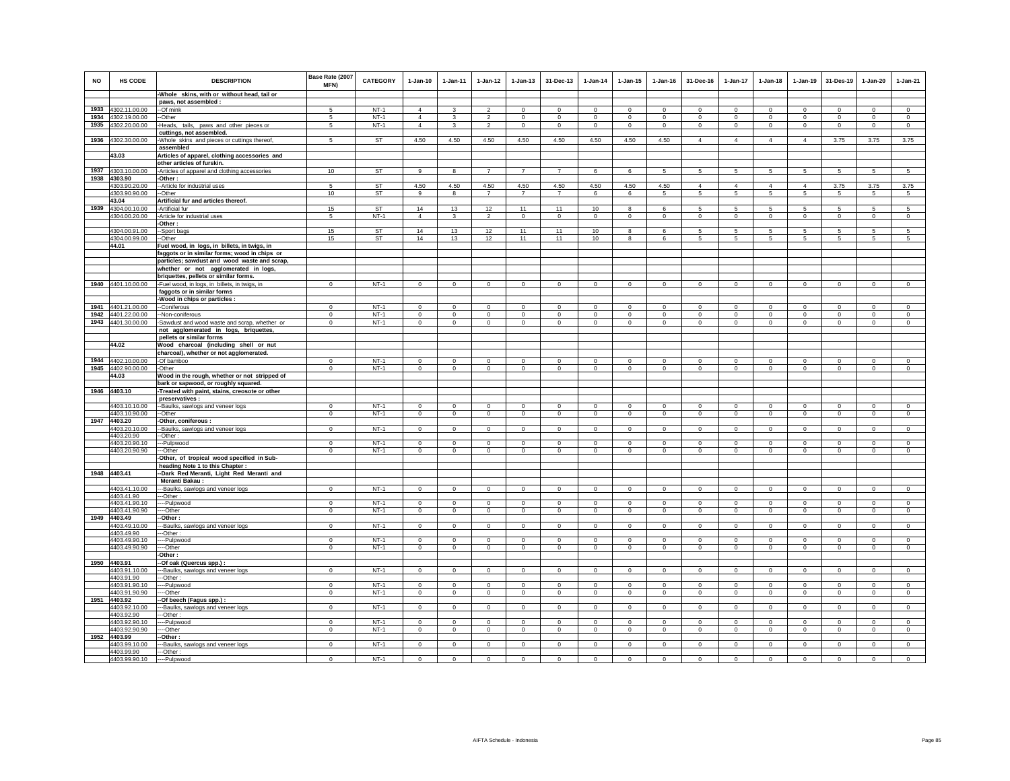| <b>NO</b> | HS CODE                                  | <b>DESCRIPTION</b>                                                                     | Base Rate (2007<br>MFN)     | <b>CATEGORY</b>  | $1-Jan-10$                 | $1 - Jan-11$               | $1 - Jan-12$               | $1 - Jan-13$               | 31-Dec-13               | $1 - Jan-14$               | $1 - Jan-15$               | $1 - Jan-16$     | 31-Dec-16               | $1-Jan-17$                    | $1 - Jan-18$               | 1-Jan-19               | 31-Des-19                  | $1-Jan-20$                 | $1-Jan-21$             |
|-----------|------------------------------------------|----------------------------------------------------------------------------------------|-----------------------------|------------------|----------------------------|----------------------------|----------------------------|----------------------------|-------------------------|----------------------------|----------------------------|------------------|-------------------------|-------------------------------|----------------------------|------------------------|----------------------------|----------------------------|------------------------|
|           |                                          | -Whole skins, with or without head, tail or                                            |                             |                  |                            |                            |                            |                            |                         |                            |                            |                  |                         |                               |                            |                        |                            |                            |                        |
|           |                                          | paws, not assembled :                                                                  |                             |                  |                            |                            |                            |                            |                         |                            |                            |                  |                         |                               |                            |                        |                            |                            |                        |
|           | 1933 4302.11.00.00                       | --Of mink                                                                              | 5                           | $NT-1$           | $\overline{4}$             | 3                          | $\mathfrak{p}$             | $\Omega$                   | $\mathbf 0$             | $\Omega$                   | $\mathbf 0$                | $\mathbf 0$      | $\Omega$                | $\Omega$                      | $\mathbf 0$                | $\Omega$               | $\Omega$                   | $\Omega$                   | $\circ$                |
|           | 1934 4302.19.00.00                       | --Other                                                                                | 5                           | $NT-1$           | $\overline{4}$             | 3                          | $\overline{2}$             | $\mathbf 0$                | $\,0\,$                 | $\mathbf 0$                | $\mathbf 0$                | $^{\circ}$       | $\mathbf 0$             | $\mathbf 0$                   | $\mathbf 0$                | $\mathsf 0$            | $\mathbf 0$                | $\mathsf 0$                | $\mathsf 0$            |
|           | 1935 4302.20.00.00                       | -Heads, tails, paws and other pieces or                                                | 5                           | $NT-1$           | $\overline{4}$             | 3                          | $\overline{2}$             | $\mathbf{0}$               | $\mathbf{0}$            | $\circ$                    | $\circ$                    | $\circ$          | $\mathbf{0}$            | $\mathbf{0}$                  | $\mathbf{0}$               | $\circ$                | $\circ$                    | $\circ$                    | $\circ$                |
|           |                                          | cuttings, not assembled.                                                               |                             |                  |                            |                            |                            |                            |                         |                            |                            |                  |                         |                               |                            |                        |                            |                            |                        |
|           | 1936 4302.30.00.00                       | -Whole skins and pieces or cuttings thereof,<br>assembled                              | 5                           | <b>ST</b>        | 4.50                       | 4.50                       | 4.50                       | 4.50                       | 4.50                    | 4.50                       | 4.50                       | 4.50             | $\overline{4}$          | $\overline{4}$                | $\overline{4}$             | $\overline{4}$         | 3.75                       | 3.75                       | 3.75                   |
|           |                                          |                                                                                        |                             |                  |                            |                            |                            |                            |                         |                            |                            |                  |                         |                               |                            |                        |                            |                            |                        |
|           | 43.03                                    | Articles of apparel, clothing accessories and<br>other articles of furskin.            |                             |                  |                            |                            |                            |                            |                         |                            |                            |                  |                         |                               |                            |                        |                            |                            |                        |
|           |                                          |                                                                                        | 10                          | ST               | 9                          | 8                          | $\overline{7}$             | $\overline{7}$             | $\overline{7}$          |                            | 6                          |                  | 5                       | 5                             | 5                          | 5                      | 5                          |                            |                        |
|           | 1937 4303.10.00.00<br>1938 4303.90       | -Articles of apparel and clothing accessories                                          |                             |                  |                            |                            |                            |                            |                         | 6                          |                            | 5                |                         |                               |                            |                        |                            | $\sqrt{5}$                 | 5                      |
|           | 4303.90.20.00                            | -Other:<br>-- Article for industrial uses                                              | 5                           | <b>ST</b>        | 4.50                       | 4.50                       | 4.50                       | 4.50                       | 4.50                    | 4.50                       | 4.50                       | 4.50             | $\Delta$                | $\mathbf{A}$                  | $\Delta$                   | $\Delta$               | 3.75                       | 3.75                       | 3.75                   |
|           | 4303.90.90.00                            | --Other                                                                                | 10                          | <b>ST</b>        | 9                          | 8                          | $\overline{7}$             | $\overline{7}$             | $\overline{7}$          | 6                          | 6                          | 5                | 5                       | $5\phantom{.0}$               | $\overline{5}$             | 5                      | 5                          | $5\phantom{.0}$            | $5\phantom{.0}$        |
|           | 43.04                                    | Artificial fur and articles thereof.                                                   |                             |                  |                            |                            |                            |                            |                         |                            |                            |                  |                         |                               |                            |                        |                            |                            |                        |
|           | 1939 4304.00.10.00                       | -Artificial fur                                                                        | 15                          | ST               | 14                         | 13                         | 12                         | 11                         | 11                      | 10                         | 8                          | 6                | 5                       | 5                             | 5                          | 5                      | 5                          | 5                          | 5                      |
|           | 4304.00.20.00                            | -Article for industrial uses                                                           | -5                          | $NT-1$           | $\overline{4}$             | 3                          | $\overline{2}$             | $\mathbf{0}$               | $\overline{0}$          | $\circ$                    | $\mathbf 0$                | $\mathbf{0}$     | $\mathbf{0}$            | $\overline{0}$                | $\mathbf{0}$               | $\overline{0}$         | $\mathbf 0$                | $\overline{0}$             | $\mathbf{0}$           |
|           |                                          | -Other:                                                                                |                             |                  |                            |                            |                            |                            |                         |                            |                            |                  |                         |                               |                            |                        |                            |                            |                        |
|           | 4304.00.91.00                            | -Sport bags                                                                            | 15                          | <b>ST</b>        | 14                         | 13                         | 12                         | 11                         | 11                      | 10                         | 8                          | 6                | 5                       | 5                             | 5                          | 5                      | $\sqrt{5}$                 | 5                          | 5                      |
|           | 4304.00.99.00                            | --Other                                                                                | 15                          | ST               | 14                         | 13                         | 12                         | 11                         | 11                      | 10                         | 8                          | 6                | 5                       | 5                             | 5                          | 5                      | 5                          | 5                          | -5                     |
|           | 44.01                                    | Fuel wood, in logs, in billets, in twigs, in                                           |                             |                  |                            |                            |                            |                            |                         |                            |                            |                  |                         |                               |                            |                        |                            |                            |                        |
|           |                                          | faggots or in similar forms; wood in chips or                                          |                             |                  |                            |                            |                            |                            |                         |                            |                            |                  |                         |                               |                            |                        |                            |                            |                        |
|           |                                          | particles; sawdust and wood waste and scrap,                                           |                             |                  |                            |                            |                            |                            |                         |                            |                            |                  |                         |                               |                            |                        |                            |                            |                        |
|           |                                          | whether or not agglomerated in logs,                                                   |                             |                  |                            |                            |                            |                            |                         |                            |                            |                  |                         |                               |                            |                        |                            |                            |                        |
|           |                                          | briquettes, pellets or similar forms.                                                  |                             |                  |                            |                            |                            |                            |                         |                            |                            |                  |                         |                               |                            |                        |                            |                            |                        |
|           | 1940 4401.10.00.00                       | -Fuel wood, in logs, in billets, in twigs, in                                          | $\mathbf{0}$                | $NT-1$           | $\mathbf 0$                | $\mathbf 0$                | $\circ$                    | $\circ$                    | $\mathbf{0}$            | $\circ$                    | $\mathbf 0$                | $\circ$          | $\mathbf 0$             | $\circ$                       | $\mathbf{0}$               | $\circ$                | $\circ$                    | $\circ$                    | $\circ$                |
|           |                                          | faggots or in similar forms                                                            |                             |                  |                            |                            |                            |                            |                         |                            |                            |                  |                         |                               |                            |                        |                            |                            |                        |
|           |                                          | -Wood in chips or particles :                                                          |                             |                  |                            |                            |                            |                            |                         |                            |                            |                  |                         |                               |                            |                        |                            |                            |                        |
|           | 1941 4401.21.00.00<br>1942 4401.22.00.00 | -Coniferous                                                                            | $\Omega$                    | $NT-1$<br>$NT-1$ | $\Omega$                   | $\Omega$                   | $\Omega$                   | $\Omega$                   | $\mathbf 0$             | $\Omega$                   | $\Omega$<br>$\mathbf 0$    | $\Omega$         | $\Omega$                | $\Omega$                      | $\Omega$                   | $\circ$                | $\Omega$                   | $\Omega$                   | $\Omega$               |
|           | 1943 4401.30.00.00                       | -Non-coniferous                                                                        | $\mathbf 0$<br>$\mathbf 0$  | $NT-1$           | $\mathsf 0$<br>$\mathsf 0$ | $\mathsf 0$<br>$\mathsf 0$ | $\mathsf 0$<br>$\mathsf 0$ | $\mathbf 0$<br>$\mathbf 0$ | $\circ$<br>$\mathbf 0$  | $\mathbf 0$                |                            | $^{\circ}$       | $\mathbf 0$             | $\mathsf 0$<br>$\mathsf 0$    | $\mathsf 0$                | $\mathsf 0$<br>$\circ$ | $\mathbf 0$                | $\mathsf 0$<br>$\circ$     | $\mathsf 0$            |
|           |                                          | -Sawdust and wood waste and scrap, whether or<br>not agglomerated in logs, briquettes, |                             |                  |                            |                            |                            |                            |                         | $\mathbf 0$                | $\mathbf 0$                | $\mathbf 0$      | $\mathbf 0$             |                               | $\mathbf 0$                |                        | $\mathbf 0$                |                            | $\circ$                |
|           |                                          | pellets or similar forms                                                               |                             |                  |                            |                            |                            |                            |                         |                            |                            |                  |                         |                               |                            |                        |                            |                            |                        |
|           | 44.02                                    | Wood charcoal (including shell or nut                                                  |                             |                  |                            |                            |                            |                            |                         |                            |                            |                  |                         |                               |                            |                        |                            |                            |                        |
|           |                                          | charcoal), whether or not agglomerated.                                                |                             |                  |                            |                            |                            |                            |                         |                            |                            |                  |                         |                               |                            |                        |                            |                            |                        |
|           | 1944 4402.10.00.00                       | -Of bamboo                                                                             | $\Omega$                    | $NT-1$           | $\Omega$                   | $\Omega$                   | $\Omega$                   | $\Omega$                   | $\mathbf 0$             | $\Omega$                   | $\Omega$                   | $\Omega$         | $\Omega$                | $\Omega$                      | $\Omega$                   | $\circ$                | $\Omega$                   | $\Omega$                   | $\circ$                |
| 1945      | 4402.90.00.00                            | -Other                                                                                 | $\Omega$                    | $NT-1$           | $\mathbf 0$                | $\mathbf 0$                | $\Omega$                   | $\mathbf 0$                | $\mathbf 0$             | $\Omega$                   | $\mathbf 0$                | $\mathbf 0$      | $\mathbf 0$             | $\Omega$                      | $\mathbf 0$                | $\circ$                | $\mathbf 0$                | $\circ$                    | $\mathbf 0$            |
|           | 44.03                                    | Wood in the rough, whether or not stripped of                                          |                             |                  |                            |                            |                            |                            |                         |                            |                            |                  |                         |                               |                            |                        |                            |                            |                        |
|           |                                          | bark or sapwood, or roughly squared.                                                   |                             |                  |                            |                            |                            |                            |                         |                            |                            |                  |                         |                               |                            |                        |                            |                            |                        |
|           | 1946 4403.10                             | -Treated with paint, stains, creosote or other                                         |                             |                  |                            |                            |                            |                            |                         |                            |                            |                  |                         |                               |                            |                        |                            |                            |                        |
|           |                                          | preservatives :                                                                        |                             |                  |                            |                            |                            |                            |                         |                            |                            |                  |                         |                               |                            |                        |                            |                            |                        |
|           | 4403.10.10.00                            | -Baulks, sawlogs and veneer logs                                                       | $\mathbf 0$                 | $NT-1$           | $\mathbf 0$                | $\mathbf 0$                | $\circ$                    | $\mathbf 0$                | $\mathbf{0}$            | $\mathbf 0$                | $\mathbf 0$                | $^{\circ}$       | $^{\circ}$              | $\mathbf 0$                   | $\mathbf 0$                | $\mathbf 0$            | $\mathbf 0$                | $\mathbf 0$                | $\circ$                |
|           | 4403.10.90.00                            | --Other                                                                                | $\mathsf 0$                 | $NT-1$           | $\mathsf 0$                | $\mathsf 0$                | $\mathbf 0$                | $\mathsf 0$                | $\,0\,$                 | $\,$ 0                     | 0                          | 0                | $\mathbf 0$             | $\mathbf 0$                   | $\mathbf 0$                | $\mathsf 0$            | $\,$ 0                     | $\,$ 0                     | $\mathbf 0$            |
|           | 1947 4403.20                             | -Other, coniferous :                                                                   |                             |                  |                            |                            |                            |                            |                         |                            |                            |                  |                         |                               |                            |                        |                            |                            |                        |
|           | 4403.20.10.00                            | --Baulks, sawlogs and veneer logs                                                      | $\mathbf 0$                 | $NT-1$           | $\mathbf{0}$               | $\mathsf 0$                | $\circ$                    | $\mathbf 0$                | $\overline{0}$          | $\circ$                    | $\mathbf 0$                | $\mathbf 0$      | $\mathbf 0$             | $\overline{0}$                | $\mathsf 0$                | $\overline{0}$         | $\mathbf 0$                | $\mathsf 0$                | $\circ$                |
|           | 4403.20.90                               | -Other:                                                                                |                             |                  |                            |                            |                            |                            |                         |                            |                            |                  | $\mathbf 0$             |                               |                            |                        |                            |                            |                        |
|           | 4403.20.90.10<br>4403.20.90.90           | --- Pulpwood<br>--Other                                                                | $\mathbf{0}$<br>$\mathbf 0$ | $NT-1$<br>$NT-1$ | $\mathbf 0$<br>$\Omega$    | $^{\circ}$<br>$\mathbf 0$  | $\circ$<br>$\mathbf 0$     | 0<br>$\mathbf 0$           | $\mathbf{0}$<br>$\,0\,$ | $\mathbf 0$<br>$\mathbf 0$ | 0<br>$\mathbf 0$           | $\mathbf 0$<br>0 | $\Omega$                | $\circ$<br>$\mathbf 0$        | $\mathbf 0$<br>$\mathbf 0$ | $\circ$<br>$\mathbf 0$ | $\mathbf 0$<br>$\mathbf 0$ | $\mathbf 0$<br>$\mathbf 0$ | $\circ$<br>$\circ$     |
|           |                                          | -Other, of tropical wood specified in Sub-                                             |                             |                  |                            |                            |                            |                            |                         |                            |                            |                  |                         |                               |                            |                        |                            |                            |                        |
|           |                                          | heading Note 1 to this Chapter :                                                       |                             |                  |                            |                            |                            |                            |                         |                            |                            |                  |                         |                               |                            |                        |                            |                            |                        |
|           | 1948 4403.41                             | -Dark Red Meranti, Light Red Meranti and                                               |                             |                  |                            |                            |                            |                            |                         |                            |                            |                  |                         |                               |                            |                        |                            |                            |                        |
|           |                                          | <b>Meranti Bakau:</b>                                                                  |                             |                  |                            |                            |                            |                            |                         |                            |                            |                  |                         |                               |                            |                        |                            |                            |                        |
|           | 4403.41.10.00                            | ---Baulks, sawlogs and veneer logs                                                     | $\mathbf 0$                 | $NT-1$           | $\circ$                    | $\mathbf 0$                | $\circ$                    | $\mathsf 0$                | $\mathbf 0$             | $\mathbf 0$                | $\mathbf 0$                | $\mathbf 0$      | $\mathbf 0$             | $\mathsf 0$                   | $\mathbf 0$                | $\mathsf 0$            | $\mathbf 0$                | $\mathbf 0$                | $\mathbf 0$            |
|           | 4403.41.90                               | --Other:                                                                               |                             |                  |                            |                            |                            |                            |                         |                            |                            |                  |                         |                               |                            |                        |                            |                            |                        |
|           | 4403.41.90.10                            | ----Pulpwood                                                                           | $\mathbf 0$                 | $NT-1$           | $\mathbf 0$                | $\mathsf 0$                | $\circ$                    | $\mathbf 0$                | $\circ$                 | $\mathsf 0$                | $\mathbf 0$                | $\mathbf 0$      | $\mathbf 0$             | $\mathsf 0$                   | $\mathsf 0$                | $\mathsf 0$            | $\mathbf 0$                | $\mathsf 0$                | $\mathbf 0$            |
|           | 4403.41.90.90                            | ---Other                                                                               | $\mathbf{0}$                | $NT-1$           | $\circ$                    | $\circ$                    | $\circ$                    | $\mathbf 0$                | $\mathbf{0}$            | $\circ$                    | $\circ$                    | $\circ$          | $\circ$                 | $\mathbf{0}$                  | $\mathbf 0$                | $\circ$                | $\circ$                    | $\circ$                    | $\circ$                |
|           | 1949 4403.49                             | -Other:                                                                                |                             |                  |                            |                            |                            |                            |                         |                            |                            |                  |                         |                               |                            |                        |                            |                            |                        |
|           | 4403.49.10.00                            | -Baulks, sawlogs and veneer logs                                                       | $\mathbf 0$                 | $NT-1$           | $\circ$                    | $\mathsf 0$                | $\circ$                    | $\mathbf 0$                | $\circ$                 | $\mathsf 0$                | $\mathbf 0$                | $\mathbf 0$      | $\mathbf 0$             | $\circ$                       | $\mathbf 0$                | $\mathsf 0$            | $\mathsf 0$                | $\circ$                    | $\mathsf 0$            |
|           | 4403.49.90                               | --Other                                                                                | $\Omega$                    | $NT-1$           | $\Omega$                   | $\Omega$                   |                            | $\mathbf 0$                |                         |                            |                            | $\Omega$         |                         |                               | $\Omega$                   |                        |                            |                            |                        |
|           | 4403.49.90.10<br>4403.49.90.90           | ---Pulpwood<br>---Other                                                                | $\circ$                     | $NT-1$           | $\circ$                    | $\mathbf{0}$               | $\mathbf 0$<br>$\circ$     | $\circ$                    | $\,0\,$<br>$\circ$      | $\mathbf 0$<br>$\circ$     | $\mathbf 0$<br>$\mathbf 0$ | $\mathbf 0$      | $\circ$<br>$\mathbf{0}$ | $\mathbf 0$<br>$\overline{0}$ | $\mathbf{0}$               | $\mathbf 0$<br>$\circ$ | $\mathbf 0$<br>$\mathbf 0$ | $\mathbf 0$<br>$\mathbf 0$ | $\mathsf 0$<br>$\circ$ |
|           |                                          | -Other :                                                                               |                             |                  |                            |                            |                            |                            |                         |                            |                            |                  |                         |                               |                            |                        |                            |                            |                        |
|           | 1950 4403.91                             | -Of oak (Quercus spp.) :                                                               |                             |                  |                            |                            |                            |                            |                         |                            |                            |                  |                         |                               |                            |                        |                            |                            |                        |
|           | 4403.91.10.00                            | --Baulks, sawlogs and veneer logs                                                      | $^{\circ}$                  | $NT-1$           | $\mathbf{0}$               | $^{\circ}$                 | $\overline{0}$             | $\mathbf{0}$               | $\mathbf{0}$            | $\mathbf{0}$               | $\mathbf{0}$               | $^{\circ}$       | $^{\circ}$              | $\mathbf 0$                   | $\circ$                    | $\mathbf{0}$           | $\mathbf{0}$               | $\overline{0}$             | $\circ$                |
|           | 4403.91.90                               | --Other:                                                                               |                             |                  |                            |                            |                            |                            |                         |                            |                            |                  |                         |                               |                            |                        |                            |                            |                        |
|           | 4403.91.90.10                            | --Pulpwood                                                                             | $\Omega$                    | $NT-1$           | $\mathbf 0$                | $\mathbf 0$                | $\mathbf 0$                | $\mathbf 0$                | $\mathsf 0$             | $\mathbf 0$                | $\mathbf 0$                | $\mathbf 0$      | $\circ$                 | $\circ$                       | $\mathbf 0$                | $\mathsf 0$            | $\mathbf 0$                | $\circ$                    | $\mathsf 0$            |
|           | 4403.91.90.90                            | ---Other                                                                               | $\mathbf{0}$                | $NT-1$           | $\mathbf 0$                | $\mathbf 0$                | $\circ$                    | $\mathbf 0$                | $\mathbf 0$             | $\mathbf 0$                | $\mathbf 0$                | $\mathbf 0$      | $\mathbf 0$             | $\mathbf{0}$                  | $\mathbf 0$                | $\mathbf 0$            | $\mathbf 0$                | $\mathbf 0$                | $\circ$                |
| 1951      | 4403.92                                  | -Of beech (Fagus spp.) :                                                               |                             |                  |                            |                            |                            |                            |                         |                            |                            |                  |                         |                               |                            |                        |                            |                            |                        |
|           | 4403.92.10.00                            | --Baulks, sawlogs and veneer logs                                                      | $\circ$                     | $NT-1$           | $\circ$                    | $\circ$                    | $\circ$                    | $\circ$                    | $\circ$                 | $\circ$                    | $\mathbf 0$                | $\circ$          | $\Omega$                | $\circ$                       | $\circ$                    | $\circ$                | $\circ$                    | $\circ$                    | $\circ$                |
|           | 4403.92.90                               | ---Other:                                                                              |                             |                  |                            |                            |                            |                            |                         |                            |                            |                  |                         |                               |                            |                        |                            |                            |                        |
|           | 4403.92.90.10                            | ---Pulpwood                                                                            | $\mathbf{0}$                | $NT-1$           | $\mathbf 0$                | $^{\circ}$                 | $\circ$                    | $\mathbf 0$                | $\mathbf{0}$            | $\circ$                    | $\mathbf 0$                | $\mathbf 0$      | $\mathbf 0$             | $\circ$                       | $\mathbf 0$                | $\circ$                | $\circ$                    | $\mathbf{0}$               | $\circ$                |
|           | 4403.92.90.90                            | --Other                                                                                | $\Omega$                    | $NT-1$           | $\Omega$                   | $\Omega$                   | $\Omega$                   | $\mathbf 0$                | $\overline{0}$          | $\Omega$                   | $\mathbf 0$                | $\Omega$         | $\Omega$                | $\overline{0}$                | $\mathsf 0$                | $\mathsf 0$            | $\circ$                    | $\overline{0}$             | $\Omega$               |
|           | 1952 4403.99                             | -Other:                                                                                |                             |                  |                            |                            |                            |                            |                         |                            |                            |                  |                         |                               |                            |                        |                            |                            |                        |
|           | 4403.99.10.00                            | -Baulks, sawlogs and veneer logs                                                       | $\mathbf{0}$                | $NT-1$           | $\mathbf 0$                | $\mathbf 0$                | $\circ$                    | $\mathbf 0$                | $\mathbf 0$             | $\mathbf 0$                | $\mathbf 0$                | $\mathbf 0$      | $\circ$                 | $\mathbf 0$                   | $\mathbf 0$                | $\mathbf 0$            | $\mathbf 0$                | $\mathbf 0$                | $\circ$                |
|           | 4403.99.90<br>4403.99.90.10              | --Other:<br>----Pulpwood                                                               | $\mathbf{0}$                | $NT-1$           | $\mathbf{0}$               | $\mathbf{0}$               | $\Omega$                   | $\Omega$                   | $\Omega$                | $\Omega$                   | $\Omega$                   | $\mathbf 0$      | $\Omega$                | $\Omega$                      | $\mathbf{0}$               | $\mathbf{0}$           | $\mathbf 0$                | $\Omega$                   | $\circ$                |
|           |                                          |                                                                                        |                             |                  |                            |                            |                            |                            |                         |                            |                            |                  |                         |                               |                            |                        |                            |                            |                        |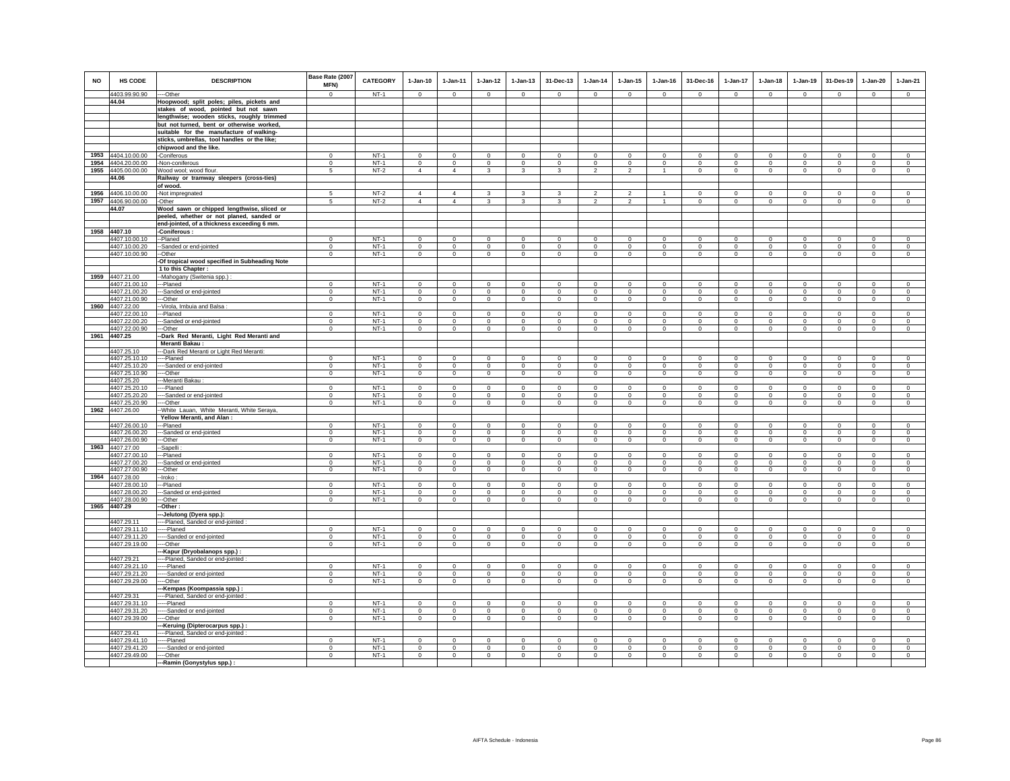| <b>NO</b> | <b>HS CODE</b>                           | <b>DESCRIPTION</b>                                                                     | Base Rate (2007<br>MFN)     | <b>CATEGORY</b>  | $1-Jan-10$                  | $1-Jan-11$              | $1 - Jan-12$                 | 1-Jan-13                     | 31-Dec-13                     | $1-Jan-14$                   | $1-Jan-15$                 | $1 - Jan-16$              | 31-Dec-16                    | $1-Jan-17$             | $1-Jan-18$                 | $1-Jan-19$                 | 31-Des-19                   | $1-Jan-20$                   | $1-Jan-21$                 |
|-----------|------------------------------------------|----------------------------------------------------------------------------------------|-----------------------------|------------------|-----------------------------|-------------------------|------------------------------|------------------------------|-------------------------------|------------------------------|----------------------------|---------------------------|------------------------------|------------------------|----------------------------|----------------------------|-----------------------------|------------------------------|----------------------------|
|           | 4403.99.90.90                            | ---Other                                                                               | $\Omega$                    | $NT-1$           | $\circ$                     | $\Omega$                | $\Omega$                     | $\mathbf{0}$                 | $\mathbf 0$                   | $\circ$                      | $\mathbf{0}$               | $\circ$                   | $\mathbf{0}$                 | $\circ$                | $\circ$                    | $\Omega$                   | $\circ$                     | $\circ$                      | $\mathbf{0}$               |
|           | 44.04                                    | Hoopwood; split poles; piles, pickets and<br>stakes of wood, pointed but not sawn      |                             |                  |                             |                         |                              |                              |                               |                              |                            |                           |                              |                        |                            |                            |                             |                              |                            |
|           |                                          | lengthwise; wooden sticks, roughly trimmed                                             |                             |                  |                             |                         |                              |                              |                               |                              |                            |                           |                              |                        |                            |                            |                             |                              |                            |
|           |                                          | but not turned, bent or otherwise worked,                                              |                             |                  |                             |                         |                              |                              |                               |                              |                            |                           |                              |                        |                            |                            |                             |                              |                            |
|           |                                          | suitable for the manufacture of walking-                                               |                             |                  |                             |                         |                              |                              |                               |                              |                            |                           |                              |                        |                            |                            |                             |                              |                            |
|           |                                          | sticks, umbrellas, tool handles or the like;                                           |                             |                  |                             |                         |                              |                              |                               |                              |                            |                           |                              |                        |                            |                            |                             |                              |                            |
|           |                                          | chipwood and the like.                                                                 | $\Omega$                    |                  |                             | $\Omega$                |                              |                              |                               |                              | $\Omega$                   | $\Omega$                  |                              | $\Omega$               |                            |                            |                             |                              |                            |
|           | 1953 4404.10.00.00<br>1954 4404.20.00.00 | -Coniferous<br>-Non-coniferous                                                         | $\mathbf{0}$                | $NT-1$<br>$NT-1$ | $\mathbf 0$<br>$\circ$      | $\mathbf 0$             | $\mathbf 0$<br>$\mathbf 0$   | $\mathsf 0$<br>$\mathsf 0$   | $\mathsf 0$<br>$\overline{0}$ | $\mathbf 0$<br>$\mathbf 0$   | $\mathsf 0$                | $\mathsf 0$               | $\mathsf 0$<br>$\circ$       | $\mathsf 0$            | $\mathbf 0$<br>$\mathbf 0$ | $\mathbf 0$<br>$\mathbf 0$ | $\mathbf 0$<br>$\mathbf 0$  | $\mathsf 0$<br>$\mathbf{0}$  | $\mathsf 0$<br>$\mathsf 0$ |
|           | 1955 4405.00.00.00                       | Wood wool; wood flour.                                                                 | 5                           | $NT-2$           | $\Delta$                    | $\Delta$                | $\overline{3}$               | $\mathbf{3}$                 | $\mathbf{R}$                  | $\mathcal{L}$                | $\mathfrak{D}$             | $\overline{1}$            | $\Omega$                     | $\circ$                | $\Omega$                   | $\Omega$                   | $\Omega$                    | $\Omega$                     | $\Omega$                   |
|           | 44.06                                    | Railway or tramway sleepers (cross-ties)                                               |                             |                  |                             |                         |                              |                              |                               |                              |                            |                           |                              |                        |                            |                            |                             |                              |                            |
|           |                                          | of wood.                                                                               |                             |                  |                             |                         |                              |                              |                               |                              |                            |                           |                              |                        |                            |                            |                             |                              |                            |
|           | 1956 4406.10.00.00                       | -Not impregnated                                                                       | 5                           | $NT-2$           | $\overline{4}$              | $\overline{4}$          | $\mathbf{3}$                 | 3                            | 3                             | $\overline{\phantom{a}}$     | $\mathfrak{p}$             | $\mathbf{1}$              | $\Omega$                     | $\Omega$               | $\Omega$                   | $\mathbf 0$                | $\Omega$                    | $\Omega$                     | $\Omega$                   |
|           | 1957 4406.90.00.00                       | -Other                                                                                 | 5                           | $NT-2$           | $\overline{4}$              | 4                       | $\mathbf{3}$                 | 3                            | 3                             | $\overline{2}$               | $\overline{2}$             | $\mathbf{1}$              | $\circ$                      | $\circ$                | $\circ$                    | $\mathbf 0$                | $\mathbf{0}$                | $\circ$                      | $\circ$                    |
|           | 44.07                                    | Wood sawn or chipped lengthwise, sliced or<br>peeled, whether or not planed, sanded or |                             |                  |                             |                         |                              |                              |                               |                              |                            |                           |                              |                        |                            |                            |                             |                              |                            |
|           |                                          | end-jointed, of a thickness exceeding 6 mm.                                            |                             |                  |                             |                         |                              |                              |                               |                              |                            |                           |                              |                        |                            |                            |                             |                              |                            |
|           | 1958 4407.10                             | -Coniferous:                                                                           |                             |                  |                             |                         |                              |                              |                               |                              |                            |                           |                              |                        |                            |                            |                             |                              |                            |
|           | 4407.10.00.10                            | --Planed                                                                               | $\Omega$                    | $NT-1$           | $\mathbf 0$                 | $\mathbf 0$             | $\mathbf 0$                  | $\Omega$                     | $\mathsf 0$                   | $\mathbf 0$                  | $\Omega$                   | $\mathsf 0$               | $\mathbf 0$                  | $\overline{0}$         | $\Omega$                   | $\mathbf 0$                | $\mathbf 0$                 | $\mathbf 0$                  | $\Omega$                   |
|           | 4407.10.00.20                            | --Sanded or end-jointed                                                                | $\overline{0}$              | $NT-1$           | $\overline{0}$              | $\overline{0}$          | $\overline{0}$               | $\overline{0}$               | $\overline{0}$                | $\overline{0}$               | $\overline{0}$             | $\overline{0}$            | $\overline{0}$               | $\overline{0}$         | $\overline{0}$             | $\overline{0}$             | $\overline{0}$              | $\overline{0}$               | $\overline{0}$             |
|           | 4407.10.00.90                            | --Other                                                                                | $\mathbf 0$                 | $NT-1$           | $\circ$                     | $\mathbf{0}$            | $\circ$                      | $\mathsf 0$                  | $\mathbf 0$                   | $\mathbf 0$                  | $\mathbf 0$                | $\Omega$                  | $\mathbf 0$                  | $\mathbf 0$            | $\circ$                    | $\mathbf 0$                | $\mathbf 0$                 | $\Omega$                     | $\circ$                    |
|           |                                          | -Of tropical wood specified in Subheading Note                                         |                             |                  |                             |                         |                              |                              |                               |                              |                            |                           |                              |                        |                            |                            |                             |                              |                            |
|           | 1959 4407.21.00                          | 1 to this Chapter :                                                                    |                             |                  |                             |                         |                              |                              |                               |                              |                            |                           |                              |                        |                            |                            |                             |                              |                            |
|           | 4407.21.00.10                            | -Mahogany (Switenia spp.) :<br>--Planed                                                | $\mathbf 0$                 | $NT-1$           | $\mathbf 0$                 | $\mathbf 0$             | $\mathbf 0$                  | $\mathsf 0$                  | $\overline{0}$                | $\circ$                      | $\mathsf 0$                | $\mathsf 0$               | $\mathsf 0$                  | $\overline{0}$         | $\mathbf 0$                | $\overline{0}$             | $\mathbf 0$                 | $\circ$                      | $\mathsf 0$                |
|           | 4407.21.00.20                            | -Sanded or end-jointed                                                                 | $\mathbf 0$                 | $NT-1$           | $\mathbf 0$                 | $\mathbf 0$             | $\overline{0}$               | $\mathbf 0$                  | $\,0\,$                       | $\mathbf 0$                  | $\mathbf 0$                | $\mathbf 0$               | $\mathbf 0$                  | $\mathbf 0$            | $\mathbf 0$                | $\mathbf 0$                | $\mathbf 0$                 | $\mathbf 0$                  | $\mathbf 0$                |
|           | 4407.21.00.90                            | --Other                                                                                | $\Omega$                    | $NT-1$           | $\Omega$                    | $\circ$                 | $\circ$                      | $\circ$                      | $\overline{0}$                | $\Omega$                     | $\circ$                    | $\Omega$                  | $\circ$                      | $\overline{0}$         | $\Omega$                   | $\mathbf 0$                | $\circ$                     | $\circ$                      | $\circ$                    |
|           | 1960 4407.22.00                          | -Virola, Imbuia and Balsa                                                              |                             |                  |                             |                         |                              |                              |                               |                              |                            |                           |                              |                        |                            |                            |                             |                              |                            |
|           | 4407.22.00.10                            | ---Planed                                                                              | $^{\circ}$                  | $NT-1$           | $^{\circ}$                  | $^{\circ}$              | $^{\circ}$                   | $\mathsf 0$                  | $\mathbf 0$                   | $^{\circ}$                   | $\mathbf 0$                | $\mathbf 0$               | $\mathbf 0$                  | $\mathbf 0$            | $\mathbf{0}$               | $\mathbf 0$                | $\mathbf 0$                 | $\mathsf 0$                  | $\mathbf 0$                |
|           | 4407.22.00.20<br>4407.22.00.90           | --Sanded or end-jointed<br>-Other                                                      | $\Omega$<br>$\mathbf{0}$    | $NT-1$<br>$NT-1$ | $\Omega$<br>$\mathbf 0$     | $\Omega$<br>$\mathbf 0$ | $\circ$<br>$\Omega$          | $\circ$<br>$\mathsf 0$       | $\mathbf{0}$<br>$\mathsf 0$   | $^{\circ}$<br>$\Omega$       | $\circ$<br>$\mathbf 0$     | $^{\circ}$<br>$\mathbf 0$ | $\mathbf{0}$<br>$\mathbf{0}$ | $\circ$<br>$\mathbf 0$ | $\Omega$<br>$\mathbf 0$    | $^{\circ}$<br>$\mathbf 0$  | $\mathbf{0}$<br>$\circ$     | $^{\circ}$<br>$\mathsf 0$    | $\mathbf 0$<br>$\Omega$    |
|           | 1961 4407.25                             | -Dark Red Meranti, Light Red Meranti and                                               |                             |                  |                             |                         |                              |                              |                               |                              |                            |                           |                              |                        |                            |                            |                             |                              |                            |
|           |                                          | <b>Meranti Bakau:</b>                                                                  |                             |                  |                             |                         |                              |                              |                               |                              |                            |                           |                              |                        |                            |                            |                             |                              |                            |
|           | 4407.25.10                               | --Dark Red Meranti or Light Red Meranti:                                               |                             |                  |                             |                         |                              |                              |                               |                              |                            |                           |                              |                        |                            |                            |                             |                              |                            |
|           | 4407.25.10.10                            | ---Planed                                                                              | $\Omega$                    | $NT-1$           | $\overline{0}$              | $\overline{0}$          | $\overline{0}$               | $\overline{0}$               | $\overline{0}$                | $\overline{0}$               | $\overline{0}$             | $\overline{0}$            | $\Omega$                     | $\overline{0}$         | $\overline{0}$             | $\overline{0}$             | $\overline{0}$              | $\overline{0}$               | $\overline{0}$             |
|           | 4407.25.10.20                            | ---Sanded or end-jointed                                                               | $^{\circ}$                  | $NT-1$<br>$NT-1$ | $\mathbf 0$<br>$\Omega$     | $^{\circ}$              | $\mathbf 0$                  | $\mathbf 0$                  | $\bf{0}$                      | $\bf{0}$                     | $\mathbf 0$                | $\mathbf 0$               | $\mathbf 0$                  | 0                      | $\mathbf 0$                | $\mathbf 0$                | $\mathbf 0$                 | $\mathbf 0$                  | $\mathbf 0$                |
|           | 4407.25.10.90<br>4407.25.20              | ---Other<br>-Meranti Bakau:                                                            | $^{\circ}$                  |                  |                             | $\circ$                 | $\mathbf{0}$                 | $\circ$                      | $\mathbf{0}$                  | $\circ$                      | $\mathbf 0$                | $\mathbf 0$               | $\circ$                      | $\circ$                | $\circ$                    | $\circ$                    | $\circ$                     | $\mathbf{0}$                 | $\mathbf 0$                |
|           | 4407.25.20.10                            | ---Planed                                                                              | $\mathsf 0$                 | $NT-1$           | $\mathbf 0$                 | $\mathbf 0$             | $\mathbf 0$                  | $\circ$                      | $\mathbf 0$                   | $\mathbf 0$                  | $\mathbf 0$                | $\circ$                   | $\mathsf 0$                  | $\mathbf 0$            | $\mathbf 0$                | $\mathbf 0$                | $\mathbf 0$                 | $\circ$                      | $\mathbf 0$                |
|           | 4407.25.20.20                            | ---Sanded or end-jointed                                                               | $\Omega$                    | $NT-1$           | $\Omega$                    | $\Omega$                | $\mathbf 0$                  | $\Omega$                     | $\Omega$                      | $\Omega$                     | $\Omega$                   | $\Omega$                  | $\Omega$                     | $\overline{0}$         | $\Omega$                   | $\Omega$                   | $\Omega$                    | $\Omega$                     | $\Omega$                   |
|           | 4407.25.20.90                            | --Other                                                                                | $\overline{0}$              | $NT-1$           | $\overline{0}$              | $\overline{0}$          | $\overline{0}$               | $\overline{0}$               | $\overline{0}$                | $\overline{0}$               | $\overline{0}$             | $\overline{0}$            | $\overline{0}$               | $\overline{0}$         | $\overline{0}$             | $\overline{0}$             | $\overline{0}$              | $\overline{0}$               | $\overline{0}$             |
|           | 1962 4407.26.00                          | -White Lauan, White Meranti, White Seraya,                                             |                             |                  |                             |                         |                              |                              |                               |                              |                            |                           |                              |                        |                            |                            |                             |                              |                            |
|           | 4407.26.00.10                            | Yellow Meranti, and Alan:<br>--Planed                                                  | $\Omega$                    | $NT-1$           | $\Omega$                    | $\Omega$                | $\circ$                      | $\mathbf 0$                  | $\mathbf{0}$                  | $\mathbf 0$                  | $\circ$                    | $\circ$                   | $\Omega$                     | $\mathbf 0$            | $\Omega$                   | $\mathbf 0$                | $\circ$                     | $\circ$                      | $^{\circ}$                 |
|           | 4407.26.00.20                            | -Sanded or end-jointed                                                                 | $\overline{0}$              | $NT-1$           | $\overline{0}$              | $\overline{0}$          | $\overline{0}$               | $\overline{0}$               | $\overline{0}$                | $\overline{0}$               | $\overline{0}$             | $\overline{0}$            | $\overline{0}$               | $\overline{0}$         | $\overline{0}$             | $\overline{0}$             | $\overline{0}$              | $\overline{0}$               | $\overline{0}$             |
|           | 4407.26.00.90                            | --Other                                                                                | $\mathbf 0$                 | $NT-1$           | $\circ$                     | $\mathbf 0$             | $\circ$                      | $\mathsf 0$                  | $\mathbf 0$                   | $\mathbf 0$                  | $\mathbf 0$                | $\Omega$                  | $\mathbf{0}$                 | $\mathsf 0$            | $\circ$                    | $\mathbf 0$                | $\circ$                     | $\circ$                      | $\mathbf 0$                |
|           | 1963 4407.27.00                          | -Sapelli                                                                               |                             |                  |                             |                         |                              |                              |                               |                              |                            |                           |                              |                        |                            |                            |                             |                              |                            |
|           | 4407.27.00.10                            | ---Planed                                                                              | $\overline{0}$              | $NT-1$           | $\Omega$                    | $\overline{0}$          | $\overline{0}$               | $\overline{0}$               | $\overline{0}$                | $\overline{0}$               | $\overline{0}$             | $\overline{0}$            | $\Omega$                     | $\overline{0}$         | $\overline{0}$             | $\overline{0}$             | $\overline{0}$              | $\overline{0}$               | $\overline{0}$             |
|           | 4407.27.00.20<br>4407.27.00.90           | --Sanded or end-jointed<br>--Other                                                     | $\mathsf 0$<br>$\mathbf 0$  | $NT-1$<br>$NT-1$ | $\mathbf 0$<br>$\mathbf{0}$ | $\mathbf 0$<br>$\circ$  | $\mathbf 0$<br>$\circ$       | $\mathsf 0$<br>$\mathbf 0$   | $\mathbf 0$<br>$\mathbf{0}$   | $\circ$<br>$\mathbf{0}$      | $\mathsf 0$<br>$\mathbf 0$ | $\mathsf 0$<br>$\circ$    | $\mathbf 0$<br>$\mathbf 0$   | $\mathbf 0$<br>$\circ$ | $\mathbf 0$<br>$\circ$     | $\mathbf 0$<br>$\mathbf 0$ | $\mathbf 0$<br>$\mathbf{0}$ | $\mathsf 0$<br>$\mathbf 0$   | $\mathsf 0$<br>$\circ$     |
|           | 1964 4407.28.00                          | -Iroko:                                                                                |                             |                  |                             |                         |                              |                              |                               |                              |                            |                           |                              |                        |                            |                            |                             |                              |                            |
|           | 4407.28.00.10                            | -Planed                                                                                | $\mathsf 0$                 | $NT-1$           | $\mathbf 0$                 | $\mathbf 0$             | $\mathbf 0$                  | $\mathsf 0$                  | $\mathbf 0$                   | $\circ$                      | $\mathsf 0$                | $\mathsf 0$               | $\mathsf 0$                  | $\mathbf 0$            | $\mathbf 0$                | $\mathbf 0$                | $\mathbf 0$                 | $\mathsf 0$                  | $\mathsf 0$                |
|           | 4407.28.00.20                            | -Sanded or end-jointed                                                                 | $\Omega$                    | $NT-1$           | $\mathbf 0$                 | $\Omega$                | $\mathbf 0$                  | $\mathbf 0$                  | $\mathbf 0$                   | $\Omega$                     | $\mathbf 0$                | $\Omega$                  | $\mathbf 0$                  | $\mathbf 0$            | $\mathbf 0$                | $\mathbf 0$                | $^{\circ}$                  | $\mathbf 0$                  | $\Omega$                   |
|           | 4407.28.00.90                            | --Other                                                                                | $^{\circ}$                  | $NT-1$           | $\circ$                     | $\circ$                 | $\circ$                      | $\circ$                      | $\circ$                       | $\circ$                      | $\mathsf 0$                | $\Omega$                  | $^{\circ}$                   | $\overline{0}$         | $\mathbf 0$                | $\circ$                    | $\circ$                     | $\circ$                      | $\mathsf 0$                |
|           | 1965 4407.29                             | --Other:                                                                               |                             |                  |                             |                         |                              |                              |                               |                              |                            |                           |                              |                        |                            |                            |                             |                              |                            |
|           | 4407.29.11                               | ---Jelutong (Dyera spp.):<br>---Planed, Sanded or end-jointed :                        |                             |                  |                             |                         |                              |                              |                               |                              |                            |                           |                              |                        |                            |                            |                             |                              |                            |
|           | 4407.29.11.10                            | ----Planed                                                                             | $\mathbf{0}$                | $NT-1$           | $\mathbf{0}$                | $^{\circ}$              | $\mathbf 0$                  | $\mathbf 0$                  | $\mathbf{0}$                  | $\circ$                      | $\mathbf 0$                | $\mathbf 0$               | $\mathbf{0}$                 | $\mathbf 0$            | $\mathbf{0}$               | $\,0\,$                    | $\circ$                     | $\mathbf 0$                  | $\mathbf 0$                |
|           | 4407.29.11.20                            | ---Sanded or end-jointed                                                               | $\mathbf 0$                 | $NT-1$           | $\mathbf 0$                 | $\mathbf 0$             | $\mathbf 0$                  | $\mathbf{0}$                 | $\circ$                       | $\Omega$                     | $\mathbf{0}$               | $\circ$                   | $\mathbf{0}$                 | $\circ$                | $\circ$                    | $\mathbf 0$                | $\circ$                     | $\circ$                      | $\circ$                    |
|           | 4407.29.19.00                            | ---Other                                                                               | $\mathbf 0$                 | $NT-1$           | $\circ$                     | $\mathbf 0$             | $\circ$                      | $\mathbf 0$                  | $\mathbf 0$                   | $\mathbf 0$                  | $\mathbf 0$                | $\mathbf 0$               | $\mathbf 0$                  | $\circ$                | $\circ$                    | $\mathbf 0$                | $\circ$                     | $\mathbf 0$                  | $\mathbf 0$                |
|           |                                          | --Kapur (Dryobalanops spp.) :                                                          |                             |                  |                             |                         |                              |                              |                               |                              |                            |                           |                              |                        |                            |                            |                             |                              |                            |
|           | 4407.29.21<br>4407.29.21.10              | ---Planed, Sanded or end-jointed<br>----Planed                                         | $\Omega$                    | $NT-1$           | $\Omega$                    | $\Omega$                | $\Omega$                     | $\Omega$                     | $\Omega$                      | $\Omega$                     | $\Omega$                   | $\Omega$                  | $\Omega$                     | $\Omega$               | $\Omega$                   | $\Omega$                   | $\Omega$                    | $\Omega$                     | $\Omega$                   |
|           | 4407.29.21.20                            | ----Sanded or end-jointed                                                              | $^{\circ}$                  | $NT-1$           | $\mathbf{0}$                | $^{\circ}$              | $\mathbf 0$                  | $\mathbf 0$                  | $\mathbf 0$                   | $\mathbf 0$                  | $\mathbf 0$                | $\mathbf 0$               | $\mathbf{0}$                 | 0                      | $\mathbf{0}$               | $^{\circ}$                 | $\mathbf 0$                 | $\mathbf 0$                  | $\mathbf 0$                |
|           | 4407.29.29.00                            | ---Other                                                                               | $\mathbf{0}$                | $NT-1$           | $\mathbf 0$                 | $\mathbf{0}$            | $\mathsf 0$                  | $\mathbf 0$                  | $\mathbf 0$                   | $\circ$                      | $\mathbf 0$                | $\mathbf 0$               | $\mathbf 0$                  | $\mathbf 0$            | $\mathbf{0}$               | $\mathbf 0$                | $\,0\,$                     | $\mathbf 0$                  | $\mathbf 0$                |
|           |                                          | -Kempas (Koompassia spp.) :                                                            |                             |                  |                             |                         |                              |                              |                               |                              |                            |                           |                              |                        |                            |                            |                             |                              |                            |
|           | 4407.29.31                               | ---Planed, Sanded or end-jointed :                                                     |                             |                  |                             |                         |                              |                              |                               |                              |                            |                           |                              |                        |                            |                            |                             |                              |                            |
|           | 4407.29.31.10                            | ----Planed                                                                             | $\Omega$                    | $NT-1$           | $\Omega$                    | $\Omega$                | $\mathbf 0$                  | $\mathbf 0$                  | $^{\circ}$                    | $\Omega$                     | $\Omega$                   | $\Omega$                  | $\mathbf 0$                  | $\circ$                | $\Omega$                   | $\mathbf 0$                | $\mathbf 0$                 | $\mathbf 0$                  | $\Omega$                   |
|           | 4407.29.31.20                            | --Sanded or end-jointed<br>----Other                                                   | $\mathbf{0}$<br>$\mathbf 0$ | $NT-1$<br>$NT-1$ | $\circ$<br>$\mathbf{0}$     | $\circ$<br>$\mathbf{0}$ | $\mathbf{0}$<br>$\mathbf{0}$ | $\mathbf{0}$<br>$\mathbf{0}$ | $\mathbf{0}$<br>$\mathbf{0}$  | $\mathbf{0}$<br>$\mathbf{0}$ | $\mathbf{0}$               | $\circ$                   | $\mathbf{0}$<br>$\mathbf{0}$ | $\circ$<br>$\circ$     | $\circ$<br>$\circ$         | $\mathbf 0$<br>$\circ$     | $\circ$<br>$\mathbf{0}$     | $\mathbf{0}$<br>$\mathbf{0}$ | $\circ$                    |
|           | 4407.29.39.00                            | --Keruing (Dipterocarpus spp.)                                                         |                             |                  |                             |                         |                              |                              |                               |                              | $\mathbf 0$                | $\mathbf 0$               |                              |                        |                            |                            |                             |                              | $\circ$                    |
|           | 4407.29.41                               | --Planed, Sanded or end-jointed                                                        |                             |                  |                             |                         |                              |                              |                               |                              |                            |                           |                              |                        |                            |                            |                             |                              |                            |
|           | 4407.29.41.10                            | --Planed                                                                               | $^{\circ}$                  | $NT-1$           | $\mathbf 0$                 | $\Omega$                | $\circ$                      | $\mathbf 0$                  | $\mathbf 0$                   | $\circ$                      | $\mathbf 0$                | $\mathbf 0$               | $\mathbf 0$                  | $\mathbf 0$            | $\mathbf 0$                | $\mathbf 0$                | $^{\circ}$                  | $\mathbf 0$                  | $\mathbf 0$                |
|           | 4407.29.41.20                            | -----Sanded or end-jointed                                                             | $\mathbf{0}$                | $NT-1$           | $\overline{0}$              | $\mathbf 0$             | $\overline{0}$               | $\mathbf 0$                  | $\overline{0}$                | $\mathbf 0$                  | $\mathbf 0$                | $\circ$                   | $\overline{0}$               | $\overline{0}$         | $\overline{0}$             | $\mathbf 0$                | $\overline{0}$              | $\mathbf 0$                  | $\mathbf{0}$               |
|           | 4407.29.49.00                            | ---Other                                                                               | $\Omega$                    | $NT-1$           | $\Omega$                    | $\Omega$                | $\overline{0}$               | $\overline{0}$               | $\overline{0}$                | $\Omega$                     | $\Omega$                   | $\Omega$                  | $\Omega$                     | $\overline{0}$         | $\overline{0}$             | $\Omega$                   | $\overline{0}$              | $\Omega$                     | $\Omega$                   |
|           |                                          | ---Ramin (Gonystylus spp.) :                                                           |                             |                  |                             |                         |                              |                              |                               |                              |                            |                           |                              |                        |                            |                            |                             |                              |                            |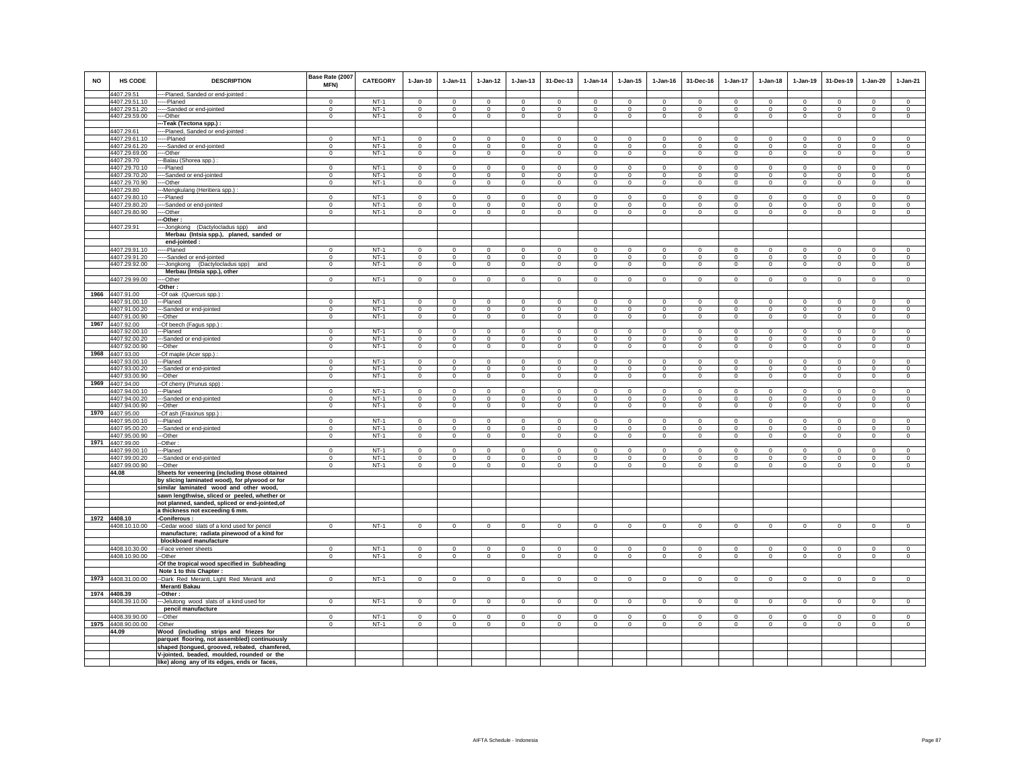| <b>NO</b> | <b>HS CODE</b>                 | <b>DESCRIPTION</b>                             | Base Rate (2007<br><b>MFN)</b> | <b>CATEGORY</b>  | $1-Jan-10$               | $1-Jan-11$              | $1-Jan-12$              | $1 - Jan-13$            | 31-Dec-13                        | $1-Jan-14$             | $1 - Jan-15$            | $1 - Jan-16$            | 31-Dec-16                     | $1-Jan-17$                    | $1-Jan-18$               | $1-Jan-19$              | 31-Des-19                     | $1-Jan-20$                    | $1-Jan-21$                    |
|-----------|--------------------------------|------------------------------------------------|--------------------------------|------------------|--------------------------|-------------------------|-------------------------|-------------------------|----------------------------------|------------------------|-------------------------|-------------------------|-------------------------------|-------------------------------|--------------------------|-------------------------|-------------------------------|-------------------------------|-------------------------------|
|           | 4407.29.51                     | ---Planed, Sanded or end-jointed :             |                                |                  |                          |                         |                         |                         |                                  |                        |                         |                         |                               |                               |                          |                         |                               |                               |                               |
|           | 4407.29.51.10<br>4407.29.51.20 | ----Planed<br>---Sanded or end-jointed         | $\mathbf{0}$<br>$\Omega$       | $NT-1$<br>$NT-1$ | $\mathbf{0}$<br>$\Omega$ | $\mathbf 0$<br>$\Omega$ | $\mathbf 0$<br>$\Omega$ | $\mathbf 0$<br>$\Omega$ | $\overline{0}$<br>$\overline{0}$ | $\mathbf 0$<br>$\circ$ | $\mathbf 0$<br>$\Omega$ | $\mathbf 0$<br>$\Omega$ | $\mathbf 0$<br>$\overline{0}$ | $\mathbf 0$<br>$\overline{0}$ | $\mathbf{0}$<br>$\Omega$ | $\mathbf 0$<br>$\Omega$ | $\mathbf 0$<br>$\overline{0}$ | $\mathbf 0$<br>$\overline{0}$ | $\mathbf 0$<br>$\overline{0}$ |
|           | 4407.29.59.00                  | -Other                                         | $\overline{0}$                 | $NT-1$           | $\mathbf 0$              | $\mathbf 0$             | $\overline{0}$          | $\mathsf 0$             | $\mathbf 0$                      | $\mathsf 0$            | $\mathsf 0$             | $\mathsf 0$             | $\mathbf 0$                   | $\overline{0}$                | $\mathbf 0$              | $\mathbf 0$             | $\mathbf 0$                   | $\mathsf 0$                   | $\mathsf 0$                   |
|           |                                |                                                |                                |                  |                          |                         |                         |                         |                                  |                        |                         |                         |                               |                               |                          |                         |                               |                               |                               |
|           | 4407.29.61                     | -Teak (Tectona spp.) :                         |                                |                  |                          |                         |                         |                         |                                  |                        |                         |                         |                               |                               |                          |                         |                               |                               |                               |
|           | 4407.29.61.10                  | ---Planed, Sanded or end-jointed<br>----Planed | $\overline{0}$                 | $NT-1$           | $\overline{0}$           | $\overline{0}$          | $\overline{0}$          | $\overline{0}$          | $\overline{0}$                   | $\overline{0}$         | $\overline{0}$          | $\overline{0}$          | $\overline{0}$                | $\overline{0}$                | $\overline{0}$           | $\overline{0}$          | $\overline{0}$                | $\overline{0}$                | $\overline{0}$                |
|           | 4407.29.61.20                  | -----Sanded or end-jointed                     | $\mathbf 0$                    | $NT-1$           | $\Omega$                 | $\Omega$                | $\Omega$                | $\mathbf{0}$            | $\mathbf{0}$                     | $\Omega$               | $\Omega$                | $\Omega$                | $\mathbf{0}$                  | $\circ$                       | $\Omega$                 | $\Omega$                | $\Omega$                      | $\Omega$                      | $\mathbf 0$                   |
|           | 4407.29.69.00                  | ---Other                                       | $\mathbf 0$                    | $NT-1$           | $\mathbf{0}$             | $\overline{0}$          | $\overline{0}$          | $\circ$                 | $\mathbf{0}$                     | $\overline{0}$         | $\circ$                 | $\mathbf 0$             | $\overline{0}$                | $\circ$                       | $\circ$                  | $\circ$                 | $\overline{0}$                | $\circ$                       | $\mathbf 0$                   |
|           | 4407.29.70                     | --Balau (Shorea spp.) :                        |                                |                  |                          |                         |                         |                         |                                  |                        |                         |                         |                               |                               |                          |                         |                               |                               |                               |
|           | 4407.29.70.10                  | --Planed                                       | $\Omega$                       | $NT-1$           | $\mathbf 0$              | $\Omega$                | $\Omega$                | $\Omega$                | $\mathbf 0$                      | $\Omega$               | $\circ$                 | $\Omega$                | $\mathbf 0$                   | $\Omega$                      | $\mathbf 0$              | $\mathbf 0$             | $\mathbf 0$                   | $\circ$                       | $\mathbf 0$                   |
|           | 4407.29.70.20                  | --Sanded or end-jointed                        | $\Omega$                       | $NT-1$           | $\Omega$                 | $\circ$                 | $\circ$                 | $\circ$                 | $\mathbf{0}$                     | $\circ$                | $\circ$                 | $\Omega$                | $\circ$                       | $\circ$                       | $\circ$                  | $\mathbb O$             | $\mathbf 0$                   | $\circ$                       | $\circ$                       |
|           | 4407.29.70.90                  | ---Other                                       | $\Omega$                       | $NT-1$           | $\Omega$                 | $\Omega$                | $\Omega$                | $\overline{0}$          | $\mathbf 0$                      | $\Omega$               | $\mathsf 0$             | $\Omega$                | $\Omega$                      | $\overline{0}$                | $\overline{0}$           | $\Omega$                | $\Omega$                      | $\mathbf 0$                   | $\Omega$                      |
|           | 4407.29.80                     | --Mengkulang (Heritiera spp.)                  |                                |                  |                          |                         |                         |                         |                                  |                        |                         |                         |                               |                               |                          |                         |                               |                               |                               |
|           | 4407.29.80.10                  | ---Planed                                      | $\Omega$                       | $NT-1$           | $\Omega$                 | $\Omega$                | $\mathbf{0}$            | $\Omega$                | $\mathbf{0}$                     | $\mathbf{0}$           | $\circ$                 | $^{\circ}$              | $^{\circ}$                    | $\circ$                       | $\Omega$                 | $^{\circ}$              | $\mathbf{0}$                  | $^{\circ}$                    | $^{\circ}$                    |
|           | 4407.29.80.20                  | --Sanded or end-jointed                        | $\Omega$                       | $NT-1$           | $\Omega$                 | $\Omega$                | $\mathbf 0$             | $\mathbf 0$             | $\mathbf 0$                      | $^{\circ}$             | $\circ$                 | $\circ$                 | $\Omega$                      | $\mathbf 0$                   | $\Omega$                 | $\mathbf{0}$            | $\overline{0}$                | $\Omega$                      | $\mathbf{0}$                  |
|           | 4407.29.80.90                  | --Other                                        | $\mathbf 0$                    | $NT-1$           | $\circ$                  | $\mathbf 0$             | $\circ$                 | $\mathsf 0$             | $\mathbf 0$                      | $\mathbf 0$            | $\mathbf 0$             | $\mathbf 0$             | $\mathbf 0$                   | $\mathbf 0$                   | $\mathbf 0$              | $\mathbf 0$             | $\circ$                       | $\mathbf 0$                   | $\mathbf 0$                   |
|           |                                | -Other:                                        |                                |                  |                          |                         |                         |                         |                                  |                        |                         |                         |                               |                               |                          |                         |                               |                               |                               |
|           | 4407.29.91                     | --Jongkong (Dactylocladus spp)<br>and          |                                |                  |                          |                         |                         |                         |                                  |                        |                         |                         |                               |                               |                          |                         |                               |                               |                               |
|           |                                | Merbau (Intsia spp.), planed, sanded or        |                                |                  |                          |                         |                         |                         |                                  |                        |                         |                         |                               |                               |                          |                         |                               |                               |                               |
|           |                                | end-jointed :                                  |                                |                  |                          |                         |                         |                         |                                  |                        |                         |                         |                               |                               |                          |                         |                               |                               |                               |
|           | 4407.29.91.10                  | -----Planed                                    | $\Omega$                       | $NT-1$           | $\Omega$                 | $\Omega$                | $\Omega$                | $\mathbf{0}$            | $\Omega$                         | $\Omega$               | $\Omega$                | $\Omega$                | $\Omega$                      | $\Omega$                      | $\Omega$                 | $\Omega$                | $\Omega$                      | $\Omega$                      | $\Omega$                      |
|           | 4407.29.91.20                  | -----Sanded or end-jointed                     | $\mathbf 0$                    | $NT-1$           | $\Omega$                 | $^{\circ}$              | $\overline{0}$          | $^{\circ}$              | $\mathbf{0}$                     | $\mathbf{0}$           | $\circ$                 | $\mathbf{0}$            | $\circ$                       | $\circ$                       | $^{\circ}$               | $^{\circ}$              | $\circ$                       | $\mathbf{0}$                  | $\mathbf 0$                   |
|           | 4407.29.92.00                  | --Jongkong (Dactylocladus spp) and             | $\overline{0}$                 | $NT-1$           | $\overline{0}$           | $\overline{0}$          | $\overline{0}$          | $\overline{0}$          | $\overline{0}$                   | $\overline{0}$         | $\overline{0}$          | $\overline{0}$          | $\overline{0}$                | $\overline{0}$                | $\overline{0}$           | $\overline{0}$          | $\overline{0}$                | $\overline{0}$                | $\overline{0}$                |
|           |                                | Merbau (Intsia spp.), other                    |                                |                  |                          |                         |                         |                         |                                  |                        |                         |                         |                               |                               |                          |                         |                               |                               |                               |
|           | 4407.29.99.00                  | ---Other                                       | $\mathbf 0$                    | $NT-1$           | $\circ$                  | $\mathbf 0$             | $\circ$                 | $\mathbf 0$             | $\mathbf{0}$                     | $\mathbf 0$            | $\mathbf 0$             | $\mathbf 0$             | $\mathbf 0$                   | $\circ$                       | $\circ$                  | $\mathbf 0$             | $\circ$                       | $\mathbf 0$                   | $\Omega$                      |
|           |                                | -Other:                                        |                                |                  |                          |                         |                         |                         |                                  |                        |                         |                         |                               |                               |                          |                         |                               |                               |                               |
|           | 1966 4407.91.00                | -Of oak (Quercus spp.)                         |                                |                  |                          |                         |                         |                         |                                  |                        |                         |                         |                               |                               |                          |                         |                               |                               |                               |
|           | 4407.91.00.10                  | ---Planed                                      | $\Omega$                       | $NT-1$           | $\mathbf 0$              | $\Omega$                | $\Omega$                | $\Omega$                | $\Omega$                         | $\Omega$               | $\Omega$                | $\Omega$                | $\mathbf 0$                   | $\mathbf 0$                   | $\mathbf 0$              | $\Omega$                | $\Omega$                      | $\mathbf 0$                   | $\Omega$                      |
|           | 4407.91.00.20                  | --Sanded or end-jointed                        | $\mathbf 0$                    | $NT-1$           | $\mathbf 0$              | $\mathbf 0$             | $\mathbf 0$             | $\mathsf 0$             | $\mathbf 0$                      | $\mathbf 0$            | $\mathsf 0$             | $\mathsf 0$             | $\mathbf 0$                   | $\mathbf 0$                   | $\mathbf 0$              | $\mathbf 0$             | $\,0\,$                       | $\mathsf 0$                   | $\mathbf 0$                   |
|           | 4407.91.00.90                  | --Other                                        | $\Omega$                       | $NT-1$           | $\Omega$                 | $^{\circ}$              | $\mathbf{0}$            | $^{\circ}$              | $\mathbf{0}$                     | $\circ$                | $\mathbf 0$             | $\mathbf{0}$            | $^{\circ}$                    | $\circ$                       | $^{\circ}$               | $\mathbf 0$             | $\circ$                       | $^{\circ}$                    | $\circ$                       |
|           | 1967 4407.92.00                | -Of beech (Fagus spp.) :                       |                                |                  |                          |                         |                         |                         |                                  |                        |                         |                         |                               |                               |                          |                         |                               |                               |                               |
|           | 4407.92.00.10                  | --Planed                                       | $^{\circ}$                     | $NT-1$           | $\mathbf 0$              | $\mathbf 0$             | $\mathbf 0$             | $\mathbf 0$             | $\pmb{0}$                        | $\mathbf 0$            | $\mathbf 0$             | $\mathbf 0$             | $\mathbf 0$                   | $\mathsf 0$                   | $\mathsf 0$              | $\mathbf 0$             | $\mathbf 0$                   | $\mathbf 0$                   | $\circ$                       |
|           | 4407.92.00.20                  | -Sanded or end-jointed                         | $\mathbf 0$                    | $NT-1$           | $\circ$                  | $\circ$                 | $\circ$                 | $\mathbf 0$             | $\mathbf 0$                      | $\mathbf 0$            | $\mathbf 0$             | $\circ$                 | $\circ$                       | $\mathbf 0$                   | $\circ$                  | $\mathbf 0$             | $\circ$                       | $\mathbf 0$                   | $\circ$                       |
|           | 4407.92.00.90                  | ---Other                                       | $\Omega$                       | $NT-1$           | $\Omega$                 | $\Omega$                | $\overline{0}$          | $\overline{0}$          | $\circ$                          | $\Omega$               | $\overline{0}$          | $\Omega$                | $\Omega$                      | $\overline{0}$                | $\Omega$                 | $\Omega$                | $\Omega$                      | $\Omega$                      | $\overline{0}$                |
|           | 1968 4407.93.00                | -- Of maple (Acer spp.)                        |                                |                  |                          |                         |                         |                         |                                  |                        |                         |                         |                               |                               |                          |                         |                               |                               |                               |
|           | 4407.93.00.10                  | ---Planed                                      | $\mathbf 0$                    | $NT-1$           | $\circ$                  | $\mathbf 0$             | $\circ$                 | $\mathbf 0$             | $\mathbf 0$                      | $\mathbf 0$            | $\mathbf 0$             | $\circ$                 | $\mathbf 0$                   | $\mathbf 0$                   | $\circ$                  | $\mathbf 0$             | $\circ$                       | $\mathbf 0$                   | $\circ$                       |
|           | 4407.93.00.20                  | --Sanded or end-jointed                        | $\mathbf{0}$                   | $NT-1$<br>$NT-1$ | $\Omega$                 | $\mathbf{0}$            | $\circ$                 | $\mathbf 0$             | $\overline{0}$                   | $\circ$                | $\mathbf 0$             | $\mathbf 0$             | $\mathbf{0}$                  | $\mathbf 0$                   | $\mathbf{0}$             | $\,0\,$                 | $\circ$                       | $\circ$                       | $\mathbf 0$                   |
|           | 4407.93.00.90                  | -Other                                         | $\mathbf 0$                    |                  | $\circ$                  | $\circ$                 | $\circ$                 | $\mathbf{0}$            | $\mathbf{0}$                     | $\circ$                | $\mathbf{0}$            | $\circ$                 | $\mathbf{0}$                  | $\circ$                       | $\mathbf 0$              | $\mathbb O$             | $\circ$                       | $\circ$                       | $\circ$                       |
|           | 1969 4407.94.00                | -Of cherry (Prunus spp)<br>---Planed           | $\mathbf 0$                    | $NT-1$           | $\mathbf 0$              | $\mathbf 0$             | $\overline{0}$          | $\mathbf 0$             | $\overline{0}$                   | $\mathbf 0$            | $\mathbf 0$             | $\,0\,$                 | $\circ$                       | $\overline{0}$                | $\mathbf 0$              | $\overline{0}$          | $\overline{0}$                | $\mathbf 0$                   | $\overline{0}$                |
|           | 4407.94.00.10<br>4407.94.00.20 | --Sanded or end-jointed                        | $\Omega$                       | $NT-1$           | $\Omega$                 | $\Omega$                | $\overline{0}$          | $\overline{0}$          | $\Omega$                         | $\Omega$               | $\Omega$                | $\Omega$                | $\Omega$                      | $\overline{0}$                | $\overline{0}$           | $\Omega$                | $\overline{0}$                | $\Omega$                      | $\overline{0}$                |
|           | 4407.94.00.90                  | --Other                                        | $\mathbf 0$                    | $NT-1$           | $\circ$                  | $\circ$                 | $\mathbf 0$             | $\mathbf 0$             | $\mathbf{0}$                     | $\mathbf 0$            | $\mathbf 0$             | $\circ$                 | $\mathbf 0$                   | $\circ$                       | $\circ$                  | $\mathbf 0$             | $\mathbf 0$                   | $\mathbf 0$                   | $\circ$                       |
|           | 1970 4407.95.00                | -Of ash (Fraxinus spp.) :                      |                                |                  |                          |                         |                         |                         |                                  |                        |                         |                         |                               |                               |                          |                         |                               |                               |                               |
|           | 4407.95.00.10                  | ---Planed                                      | $\Omega$                       | $NT-1$           | $\Omega$                 | $\Omega$                | $^{\circ}$              | $\Omega$                | $^{\circ}$                       | $^{\circ}$             | $\Omega$                | $^{\circ}$              | $\Omega$                      | $\circ$                       | $\Omega$                 | $\Omega$                | $\mathbf{0}$                  | $^{\circ}$                    | $^{\circ}$                    |
|           | 4407.95.00.20                  | -Sanded or end-jointed                         | $\Omega$                       | $NT-1$           | $\Omega$                 | $\Omega$                | $\Omega$                | $\circ$                 | $\mathbf 0$                      | $^{\circ}$             | $^{\circ}$              | $^{\circ}$              | $\Omega$                      | $\mathbf 0$                   | $\Omega$                 | $\Omega$                | $\Omega$                      | $^{\circ}$                    | $\Omega$                      |
|           | 4407.95.00.90                  | --Other                                        | $\mathbf 0$                    | $NT-1$           | $\mathsf 0$              | $\mathbf 0$             | $\mathbf 0$             | $\mathsf 0$             | $\mathbf 0$                      | $\mathbf 0$            | $\mathsf 0$             | $\mathsf 0$             | $\mathsf 0$                   | $\mathsf 0$                   | $\mathbf 0$              | $\mathbf 0$             | $\,0\,$                       | $\mathsf 0$                   | $\mathbf 0$                   |
| 1971      | 4407.99.00                     | -Other:                                        |                                |                  |                          |                         |                         |                         |                                  |                        |                         |                         |                               |                               |                          |                         |                               |                               |                               |
|           | 4407.99.00.10                  | ---Planed                                      | $\Omega$                       | $NT-1$           | $\Omega$                 | $\Omega$                | $\Omega$                | $\Omega$                | $\mathbf 0$                      | $\Omega$               | $\Omega$                | $\Omega$                | $\Omega$                      | $\Omega$                      | $\Omega$                 | $\Omega$                | $\Omega$                      | $\Omega$                      | $\Omega$                      |
|           | 4407.99.00.20                  | --Sanded or end-jointed                        | $\mathsf 0$                    | $NT-1$           | $\mathbf 0$              | $\mathbf 0$             | $\mathbf 0$             | $\mathsf 0$             | $\mathsf 0$                      | 0                      | $\mathsf 0$             | $\mathbb O$             | $\mathbf 0$                   | $\mathbf 0$                   | $\mathbf 0$              | $\mathbf 0$             | $\mathbf 0$                   | $\mathbf 0$                   | $\mathsf 0$                   |
|           | 4407.99.00.90                  | ---Other                                       | $\mathbf 0$                    | $NT-1$           | $\circ$                  | $\circ$                 | $\circ$                 | $\mathbf{0}$            | $\mathbf{0}$                     | $\circ$                | $\mathbf 0$             | $\circ$                 | $\mathbf 0$                   | $\circ$                       | $\circ$                  | $\mathbf 0$             | $\mathbf{0}$                  | $\mathbf 0$                   | $\circ$                       |
|           | 44.08                          | Sheets for veneering (including those obtained |                                |                  |                          |                         |                         |                         |                                  |                        |                         |                         |                               |                               |                          |                         |                               |                               |                               |
|           |                                | by slicing laminated wood), for plywood or for |                                |                  |                          |                         |                         |                         |                                  |                        |                         |                         |                               |                               |                          |                         |                               |                               |                               |
|           |                                | similar laminated wood and other wood,         |                                |                  |                          |                         |                         |                         |                                  |                        |                         |                         |                               |                               |                          |                         |                               |                               |                               |
|           |                                | sawn lengthwise, sliced or peeled, whether or  |                                |                  |                          |                         |                         |                         |                                  |                        |                         |                         |                               |                               |                          |                         |                               |                               |                               |
|           |                                | not planned, sanded, spliced or end-jointed,of |                                |                  |                          |                         |                         |                         |                                  |                        |                         |                         |                               |                               |                          |                         |                               |                               |                               |
|           |                                | a thickness not exceeding 6 mm.                |                                |                  |                          |                         |                         |                         |                                  |                        |                         |                         |                               |                               |                          |                         |                               |                               |                               |
|           | 1972 4408.10                   | -Coniferous:                                   |                                |                  |                          |                         |                         |                         |                                  |                        |                         |                         |                               |                               |                          |                         |                               |                               |                               |
|           | 4408.10.10.00                  | -- Cedar wood slats of a kind used for pencil  | $\Omega$                       | $NT-1$           | $\Omega$                 | $\Omega$                | $\overline{0}$          | $\overline{0}$          | $\overline{0}$                   | $\overline{0}$         | $\overline{0}$          | $\overline{0}$          | $\overline{0}$                | $\overline{0}$                | $\overline{0}$           | $\overline{0}$          | $\overline{0}$                | $\Omega$                      | $\Omega$                      |
|           |                                | manufacture; radiata pinewood of a kind for    |                                |                  |                          |                         |                         |                         |                                  |                        |                         |                         |                               |                               |                          |                         |                               |                               |                               |
|           | 4408.10.30.00                  | blockboard manufacture<br>--Face veneer sheets | $\Omega$                       | $NT-1$           | $\Omega$                 | $\Omega$                | $\circ$                 | $\mathbf 0$             | $\mathbf{0}$                     | $\circ$                | $\mathbf 0$             | $\circ$                 | $\mathbf 0$                   | $\circ$                       | $\Omega$                 | $\mathbf 0$             | $\circ$                       | $\mathbf 0$                   | $\circ$                       |
|           | 4408.10.90.00                  | -Other                                         | $\overline{0}$                 | $NT-1$           | $\overline{0}$           | $\Omega$                | $\mathbf{0}$            | $\mathbf 0$             | $\mathbf{0}$                     | $^{\circ}$             | $\circ$                 | $\circ$                 | $\Omega$                      | $\circ$                       | $\circ$                  | $\mathbf 0$             | $\overline{0}$                | $\Omega$                      | $\circ$                       |
|           |                                | Of the tropical wood specified in Subheading   |                                |                  |                          |                         |                         |                         |                                  |                        |                         |                         |                               |                               |                          |                         |                               |                               |                               |
|           |                                | Note 1 to this Chapter :                       |                                |                  |                          |                         |                         |                         |                                  |                        |                         |                         |                               |                               |                          |                         |                               |                               |                               |
|           | 1973 4408.31.00.00             | -Dark Red Meranti, Light Red Meranti and       | $\mathbf 0$                    | $NT-1$           | $\circ$                  | $\mathbf 0$             | $\circ$                 | $\mathbf 0$             | $^{\circ}$                       | $\circ$                | $\mathbf 0$             | $\mathbf 0$             | $\mathbf 0$                   | $\circ$                       | $\circ$                  | $\mathbf 0$             | $\circ$                       | $\mathbf 0$                   | $\circ$                       |
|           |                                | Meranti Bakau                                  |                                |                  |                          |                         |                         |                         |                                  |                        |                         |                         |                               |                               |                          |                         |                               |                               |                               |
|           | 1974 4408.39                   | -Other:                                        |                                |                  |                          |                         |                         |                         |                                  |                        |                         |                         |                               |                               |                          |                         |                               |                               |                               |
|           | 4408.39.10.00                  | -- Jelutong wood slats of a kind used for      | $\mathbf 0$                    | $NT-1$           | $\circ$                  | $\circ$                 | $\mathbf{0}$            | $\mathbf{0}$            | $\circ$                          | $\circ$                | $\mathbf{0}$            | $\circ$                 | $\mathbf{0}$                  | $\circ$                       | $\circ$                  | $\mathbf 0$             | $\circ$                       | $\circ$                       | $\circ$                       |
|           |                                | pencil manufacture                             |                                |                  |                          |                         |                         |                         |                                  |                        |                         |                         |                               |                               |                          |                         |                               |                               |                               |
|           | 4408.39.90.00                  | --Other                                        | $\mathbf 0$                    | $NT-1$           | $\circ$                  | $\mathbf 0$             | $\circ$                 | $\mathbf{0}$            | $\mathbf{0}$                     | $\mathbf 0$            | $\mathbf 0$             | $\circ$                 | $\mathbf 0$                   | $\circ$                       | $\circ$                  | $\mathbf 0$             | $\circ$                       | $\mathbf 0$                   | $\circ$                       |
|           | 1975 4408.90.00.00             | -Other                                         | $\mathbf{0}$                   | $NT-1$           | $\circ$                  | $\mathbf{0}$            | $\mathbf{0}$            | $\mathbf{0}$            | $\mathbf{0}$                     | $\mathbf{0}$           | 0                       | $\mathbf 0$             | $\circ$                       | $\circ$                       | $\circ$                  | $\,0\,$                 | $\circ$                       | $\circ$                       | $\mathbf 0$                   |
|           | 44.09                          | Wood (including strips and friezes for         |                                |                  |                          |                         |                         |                         |                                  |                        |                         |                         |                               |                               |                          |                         |                               |                               |                               |
|           |                                | parquet flooring, not assembled) continuously  |                                |                  |                          |                         |                         |                         |                                  |                        |                         |                         |                               |                               |                          |                         |                               |                               |                               |
|           |                                | shaped (tongued, grooved, rebated, chamfered,  |                                |                  |                          |                         |                         |                         |                                  |                        |                         |                         |                               |                               |                          |                         |                               |                               |                               |
|           |                                | V-jointed, beaded, moulded, rounded or the     |                                |                  |                          |                         |                         |                         |                                  |                        |                         |                         |                               |                               |                          |                         |                               |                               |                               |
|           |                                | like) along any of its edges, ends or faces,   |                                |                  |                          |                         |                         |                         |                                  |                        |                         |                         |                               |                               |                          |                         |                               |                               |                               |
|           |                                |                                                |                                |                  |                          |                         |                         |                         |                                  |                        |                         |                         |                               |                               |                          |                         |                               |                               |                               |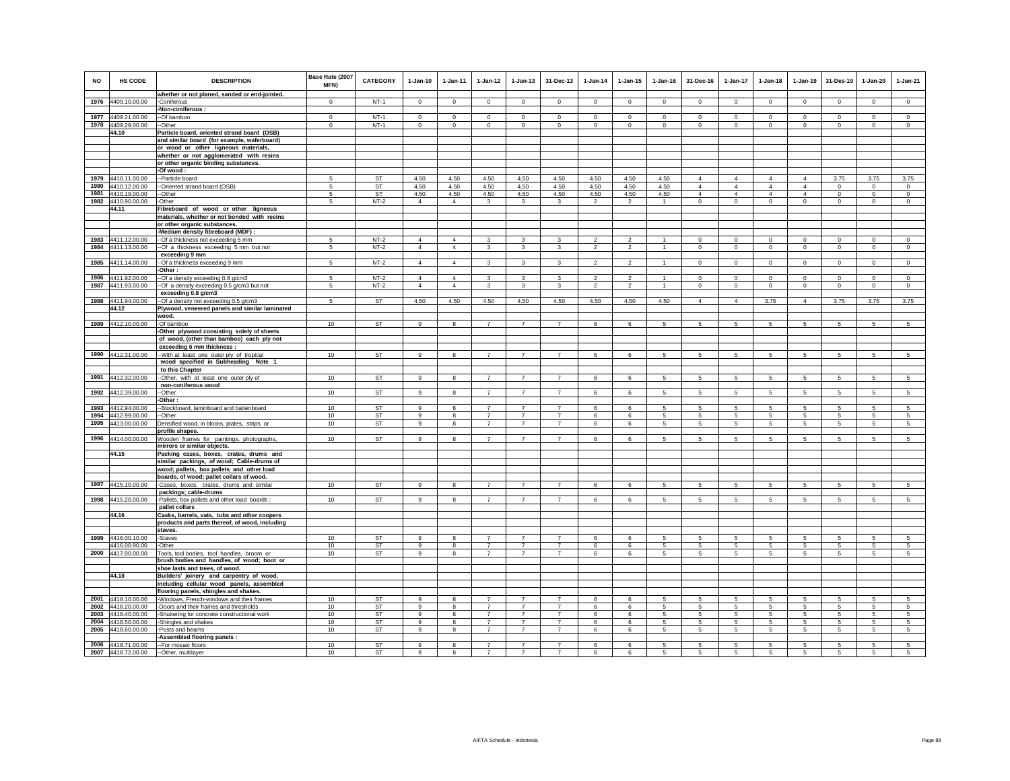| NO   | <b>HS CODE</b>                           | <b>DESCRIPTION</b>                                                                     | Base Rate (2007<br>MFN) | <b>CATEGORY</b> | $1-Jan-10$          | $1-Jan-11$     | $1$ -Jan-12                      | $1-Jan-13$                       | 31-Dec-13                        | $1-Jan-14$     | $1 - Jan-15$   | $1 - Jan-16$   | 31-Dec-16           | $1-Jan-17$      | $1-Jan-18$      | $1-Jan-19$      | 31-Des-19                | $1-Jan-20$      | $1-Jan-21$     |
|------|------------------------------------------|----------------------------------------------------------------------------------------|-------------------------|-----------------|---------------------|----------------|----------------------------------|----------------------------------|----------------------------------|----------------|----------------|----------------|---------------------|-----------------|-----------------|-----------------|--------------------------|-----------------|----------------|
|      |                                          | whether or not planed, sanded or end-jointed.                                          |                         | $NT-1$          |                     |                |                                  |                                  |                                  |                |                |                |                     |                 |                 |                 |                          |                 | $\overline{0}$ |
|      | 1976 4409.10.00.00                       | -Coniferous<br>-Non-coniferous:                                                        | $\mathbf 0$             |                 | $\mathsf 0$         | $\mathsf 0$    | $\mathsf 0$                      | $\mathsf 0$                      | $\mathsf 0$                      | $\mathbf 0$    | $\mathbf 0$    | $\mathbf 0$    | $\mathsf 0$         | $\overline{0}$  | $\mathsf 0$     | $\mathbf 0$     | $\mathbf 0$              | $\mathsf 0$     |                |
|      | 1977 4409.21.00.00                       | --Of bamboo                                                                            | $\circ$                 | $NT-1$          | $\Omega$            | $\mathbf{0}$   | $\Omega$                         | $\Omega$                         | $\Omega$                         | $\Omega$       | $\Omega$       | $\Omega$       | $\Omega$            | $\mathbf{0}$    | $\circ$         | $\mathbf 0$     | $\Omega$                 | $\Omega$        | $\circ$        |
|      | 1978 4409.29.00.00                       | --Other                                                                                | $\Omega$                | $NT-1$          | $\mathbf 0$         | $\Omega$       | $\Omega$                         | $\mathbf 0$                      | $\Omega$                         | $\Omega$       | $\mathbf 0$    | $\mathbf 0$    | $\mathbf 0$         | $\mathbf 0$     | $\mathbf 0$     | $\Omega$        | $\Omega$                 | $\mathsf 0$     | $\circ$        |
|      | 44.10                                    | Particle board, oriented strand board (OSB)                                            |                         |                 |                     |                |                                  |                                  |                                  |                |                |                |                     |                 |                 |                 |                          |                 |                |
|      |                                          | and similar board (for example, waferboard)                                            |                         |                 |                     |                |                                  |                                  |                                  |                |                |                |                     |                 |                 |                 |                          |                 |                |
|      |                                          | or wood or other ligneous materials,                                                   |                         |                 |                     |                |                                  |                                  |                                  |                |                |                |                     |                 |                 |                 |                          |                 |                |
|      |                                          | whether or not agglomerated with resins                                                |                         |                 |                     |                |                                  |                                  |                                  |                |                |                |                     |                 |                 |                 |                          |                 |                |
|      |                                          | or other organic binding substances.                                                   |                         |                 |                     |                |                                  |                                  |                                  |                |                |                |                     |                 |                 |                 |                          |                 |                |
|      | 1979 4410.11.00.00                       | -Of wood:<br>--Particle board                                                          | 5                       | <b>ST</b>       | 4.50                | 4.50           | 4.50                             | 4.50                             | 4.50                             | 4.50           | 4.50           | 4.50           | $\overline{4}$      | $\overline{4}$  | $\overline{4}$  | $\overline{4}$  | 3.75                     | 3.75            | 3.75           |
|      | 1980 4410.12.00.00                       | --Oriented strand board (OSB)                                                          | 5                       | ST              | 4.50                | 4.50           | 4.50                             | 4.50                             | 4.50                             | 4.50           | 4.50           | 4.50           | $\overline{4}$      | $\overline{4}$  | $\overline{4}$  | $\overline{4}$  | $\mathbf 0$              | $\Omega$        | $\mathsf 0$    |
|      | 1981 4410.19.00.00                       | --Other                                                                                | 5                       | <b>ST</b>       | 4.50                | 4.50           | 4.50                             | 4.50                             | 4.50                             | 4.50           | 4.50           | 4.50           | $\overline{4}$      | $\overline{4}$  | $\overline{4}$  | $\overline{4}$  | $\mathbf 0$              | $\Omega$        | $\circ$        |
|      | 1982 4410.90.00.00                       | -Other                                                                                 | 5                       | $NT-2$          | $\overline{4}$      | $\overline{4}$ | $\mathbf{3}$                     | $\mathbf{3}$                     | 3                                | $\overline{2}$ | $\overline{2}$ | $\mathbf{1}$   | $\circ$             | $\mathbf 0$     | $\circ$         | $\mathbf 0$     | $\mathbf 0$              | $\circ$         | $\circ$        |
|      | 44.11                                    | Fibreboard of wood or other ligneous                                                   |                         |                 |                     |                |                                  |                                  |                                  |                |                |                |                     |                 |                 |                 |                          |                 |                |
|      |                                          | materials, whether or not bonded with resins                                           |                         |                 |                     |                |                                  |                                  |                                  |                |                |                |                     |                 |                 |                 |                          |                 |                |
|      |                                          | or other organic substances.                                                           |                         |                 |                     |                |                                  |                                  |                                  |                |                |                |                     |                 |                 |                 |                          |                 |                |
|      | 1983 4411.12.00.00                       | -Medium density fibreboard (MDF)<br>--Of a thickness not exceeding 5 mm                | 5                       | $NT-2$          | $\overline{4}$      | $\Delta$       | $\mathbf{3}$                     | 3                                | $\mathbf{3}$                     | $\overline{2}$ | $\mathcal{L}$  | $\overline{1}$ | $\Omega$            | $\mathsf 0$     | $\Omega$        | $\Omega$        | $\mathbf 0$              | $\Omega$        | $\overline{0}$ |
| 1984 | 4411.13.00.00                            | --Of a thickness exceeding 5 mm but not                                                | 5                       | $NT-2$          | $\overline{4}$      | $\overline{4}$ | $\mathbf{3}$                     | $\overline{3}$                   | $\mathbf{3}$                     | $\overline{2}$ | $\overline{2}$ | $\overline{1}$ | $\circ$             | $\overline{0}$  | $\mathsf 0$     | $\mathbf 0$     | $\mathbf 0$              | $\mathbf 0$     | $\circ$        |
|      |                                          | exceeding 9 mm                                                                         |                         |                 |                     |                |                                  |                                  |                                  |                |                |                |                     |                 |                 |                 |                          |                 |                |
|      | 1985 4411.14.00.00                       | -- Of a thickness exceeding 9 mm                                                       | 5                       | $NT-2$          | $\overline{4}$      | $\Delta$       | $\mathbf{3}$                     | 3                                | 3                                | $\overline{2}$ | $\mathfrak{p}$ |                | $\mathbf{0}$        | $\mathbf{0}$    | $\circ$         | $\mathbf 0$     | $\mathbf 0$              | $\mathbf{0}$    | $\circ$        |
|      |                                          | -Other:                                                                                |                         |                 |                     |                |                                  |                                  |                                  |                |                |                |                     |                 |                 |                 |                          |                 |                |
|      | 1986 4411.92.00.00                       | --Of a density exceeding 0.8 g/cm3                                                     | 5                       | $NT-2$          | $\overline{4}$      | $\overline{4}$ | $\mathbf{3}$                     | 3                                | 3                                | $\overline{2}$ | $\mathfrak{p}$ | $\overline{1}$ | $\mathbf 0$         | $\mathbf 0$     | $\circ$         | $\mathbf 0$     | $\mathbf 0$              | $\Omega$        | $\circ$        |
|      | 1987 4411.93.00.00                       | -- Of a density exceeding 0.5 g/cm3 but not<br>exceeding 0.8 g/cm3                     | $\sqrt{5}$              | $NT-2$          | $\overline{4}$      | $\overline{4}$ | $\mathbf{3}$                     | 3                                | $\mathbf{3}$                     | $\overline{2}$ | $\overline{2}$ | $\overline{1}$ | $\mathbf{0}$        | $\mathbf 0$     | $\circ$         | $\mathbf 0$     | $\mathbf 0$              | $\mathbf{0}$    | $\mathsf 0$    |
|      | 1988 4411.94.00.00                       | --Of a density not exceeding 0.5 g/cm3                                                 | 5                       | ST              | 4.50                | 4.50           | 4.50                             | 4.50                             | 4.50                             | 4.50           | 4.50           | 4.50           | $\overline{4}$      | 4               | 3.75            | $\overline{4}$  | 3.75                     | 3.75            | 3.75           |
|      | 44.12                                    | Plywood, veneered panels and similar laminated                                         |                         |                 |                     |                |                                  |                                  |                                  |                |                |                |                     |                 |                 |                 |                          |                 |                |
|      |                                          | wood.                                                                                  |                         |                 |                     |                |                                  |                                  |                                  |                |                |                |                     |                 |                 |                 |                          |                 |                |
|      | 1989 4412.10.00.00                       | -Of bamboo                                                                             | 10                      | <b>ST</b>       | 9                   | 8              | $\overline{7}$                   | $\overline{7}$                   | $\overline{7}$                   | 6              | 6              | 5              | 5                   | $5\phantom{.0}$ | $5\phantom{.0}$ | $\overline{5}$  | $\sqrt{5}$               | $\sqrt{5}$      | $\sqrt{5}$     |
|      |                                          | -Other plywood consisting solely of sheets                                             |                         |                 |                     |                |                                  |                                  |                                  |                |                |                |                     |                 |                 |                 |                          |                 |                |
|      |                                          | of wood, (other than bamboo) each ply not                                              |                         |                 |                     |                |                                  |                                  |                                  |                |                |                |                     |                 |                 |                 |                          |                 |                |
|      | 1990 4412.31.00.00                       | exceeding 6 mm thickness :<br>-- With at least one outer ply of tropical               | 10                      | <b>ST</b>       | $\overline{9}$      | 8              | $\overline{7}$                   | $\overline{7}$                   | $\overline{7}$                   | 6              | 6              | 5              | 5                   | 5               | 5               | -5              | 5                        | 5               | 5              |
|      |                                          | wood specified in Subheading Note 1                                                    |                         |                 |                     |                |                                  |                                  |                                  |                |                |                |                     |                 |                 |                 |                          |                 |                |
|      |                                          | to this Chapter                                                                        |                         |                 |                     |                |                                  |                                  |                                  |                |                |                |                     |                 |                 |                 |                          |                 |                |
|      | 1991 4412.32.00.00                       | --Other, with at least one outer ply of                                                | 10                      | ST              | 9                   | 8              | $\overline{7}$                   | $\overline{7}$                   | $\overline{7}$                   | 6              | 6              | 5              | 5                   | $\overline{5}$  | -5              | 5               | 5                        | 5               | 5              |
|      |                                          | non-coniferous wood                                                                    |                         |                 |                     |                |                                  |                                  |                                  |                |                |                |                     |                 |                 |                 |                          |                 |                |
|      | 1992 4412.39.00.00                       | --Other                                                                                | 10                      | ST              | 9                   | $\mathbf{R}$   | $\overline{7}$                   | $\overline{7}$                   | $\overline{7}$                   | 6              | 6              | 5              | 5                   | $5\overline{)}$ | 5               | 5               | $\overline{5}$           | $\overline{5}$  | $\overline{5}$ |
|      | 1993 4412.94.00.00                       | -Other:<br>--Blockboard, laminboard and battenboard                                    | 10                      | <b>ST</b>       | 9                   | 8              | $\overline{7}$                   | $\overline{7}$                   | $\overline{7}$                   | 6              | 6              | 5              | 5                   | 5               | 5               | 5               | 5                        | 5               | 5              |
|      | 1994 4412.99.00.00                       | --Other                                                                                | 10                      | <b>ST</b>       | 9                   | 8              | $\overline{7}$                   | $\overline{7}$                   | $\overline{7}$                   | 6              | 6              | 5              | 5                   | 5               | 5               | 5               | 5                        | 5               | 5              |
|      | 1995 4413.00.00.00                       | Densified wood, in blocks, plates, strips or                                           | 10                      | ST              | 9                   | 8              | $\overline{7}$                   | $\overline{7}$                   | $\overline{7}$                   | 6              | 6              | 5              | 5                   | 5               | $5\overline{5}$ | 5               | 5                        | 5               | 5              |
|      |                                          | profile shapes.                                                                        |                         |                 |                     |                |                                  |                                  |                                  |                |                |                |                     |                 |                 |                 |                          |                 |                |
|      | 1996 4414.00.00.00                       | Wooden frames for paintings, photographs,                                              | 10                      | <b>ST</b>       | 9                   |                | $\overline{7}$                   | $\overline{7}$                   | $\overline{7}$                   | 6              | 6              | 5              | 5                   | 5               | 5               | 5               | 5                        | 5               | 5              |
|      |                                          | mirrors or similar objects.                                                            |                         |                 |                     |                |                                  |                                  |                                  |                |                |                |                     |                 |                 |                 |                          |                 |                |
|      | 44.15                                    | Packing cases, boxes, crates, drums and                                                |                         |                 |                     |                |                                  |                                  |                                  |                |                |                |                     |                 |                 |                 |                          |                 |                |
|      |                                          | similar packings, of wood; Cable-drums of<br>wood; pallets, box pallets and other load |                         |                 |                     |                |                                  |                                  |                                  |                |                |                |                     |                 |                 |                 |                          |                 |                |
|      |                                          | boards, of wood; pallet collars of wood.                                               |                         |                 |                     |                |                                  |                                  |                                  |                |                |                |                     |                 |                 |                 |                          |                 |                |
|      | 1997 4415.10.00.00                       | -Cases, boxes, crates, drums and similar                                               | 10                      | ST              | 9                   | 8              |                                  |                                  | $\overline{7}$                   | 6              | 6              | 5              | 5                   | 5               | -5              | 5               | $\sqrt{5}$               | 5               | 5              |
|      |                                          | packings; cable-drums                                                                  |                         |                 |                     |                |                                  |                                  |                                  |                |                |                |                     |                 |                 |                 |                          |                 |                |
|      | 1998 4415.20.00.00                       | -Pallets, box pallets and other load boards ;                                          | 10                      | ST              | 9                   | 8              | $\overline{7}$                   | $\overline{7}$                   | $\overline{7}$                   | 6              | 6              | 5              | 5                   | 5               | 5               | 5               | 5                        | 5               | 5              |
|      | 44.16                                    | pallet collars<br>Casks, barrels, vats, tubs and other coopers                         |                         |                 |                     |                |                                  |                                  |                                  |                |                |                |                     |                 |                 |                 |                          |                 |                |
|      |                                          | products and parts thereof, of wood, including                                         |                         |                 |                     |                |                                  |                                  |                                  |                |                |                |                     |                 |                 |                 |                          |                 |                |
|      |                                          | staves.                                                                                |                         |                 |                     |                |                                  |                                  |                                  |                |                |                |                     |                 |                 |                 |                          |                 |                |
| 1999 | 4416.00.10.00                            | -Staves                                                                                | 10                      | <b>ST</b>       | $\mathbf{Q}$        | $\mathbf{R}$   | $\overline{7}$                   | $\overline{7}$                   | $\overline{7}$                   | 6              | 6              | 5              | 5                   | 5               | 5.              | 5               | 5                        | 5               | 5              |
|      | 4416.00.90.00                            | -Other                                                                                 | 10                      | <b>ST</b>       | $\mathbf{g}$        | 8              | $\overline{7}$                   | $\overline{7}$                   | $\overline{7}$                   | 6              | 6              | 5              | 5                   | 5               | 5               | 5               | 5                        | 5               | 5              |
|      | 2000 4417.00.00.00                       | Tools, tool bodies, tool handles, broom or                                             | 10                      | <b>ST</b>       | 9                   |                | $\overline{7}$                   | $\overline{7}$                   | $\overline{7}$                   | $\epsilon$     | 6              | $\overline{5}$ | 5                   | 5               | 5               | 5               | 5                        | 5               | $\overline{5}$ |
|      |                                          | brush bodies and handles, of wood; boot or<br>shoe lasts and trees, of wood.           |                         |                 |                     |                |                                  |                                  |                                  |                |                |                |                     |                 |                 |                 |                          |                 |                |
|      | 44.18                                    | Builders' joinery and carpentry of wood,                                               |                         |                 |                     |                |                                  |                                  |                                  |                |                |                |                     |                 |                 |                 |                          |                 |                |
|      |                                          | including cellular wood panels, assembled                                              |                         |                 |                     |                |                                  |                                  |                                  |                |                |                |                     |                 |                 |                 |                          |                 |                |
|      |                                          | flooring panels, shingles and shakes.                                                  |                         |                 |                     |                |                                  |                                  |                                  |                |                |                |                     |                 |                 |                 |                          |                 |                |
|      | 2001 4418.10.00.00                       | -Windows, French-windows and their frames                                              | 10                      | ST              | 9                   | 8              | $\overline{7}$                   | $\overline{7}$                   | $\overline{7}$                   | 6              | 6              | 5              | 5                   | 5               | $\sqrt{5}$      | 5               | $\sqrt{5}$               | 5               | 5              |
|      | 2002 4418.20.00.00                       | -Doors and their frames and thresholds                                                 | 10                      | ST              | 9                   | 8              | $\overline{7}$                   | $\overline{7}$                   | $\overline{7}$                   | 6              | 6              | 5              | 5                   | 5               | 5               | 5               | $\sqrt{5}$               | 5               | 5              |
|      | 2003 4418.40.00.00<br>2004 4418.50.00.00 | -Shuttering for concrete constructional work                                           | 10<br>10                | ST              | $\overline{9}$<br>9 | 8              | $\overline{7}$<br>$\overline{7}$ | $\overline{7}$<br>$\overline{7}$ | $\overline{7}$<br>$\overline{7}$ | 6              | 6              | 5              | 5<br>$\overline{5}$ | 5               | $\sqrt{5}$      | 5               | $\sqrt{5}$<br>$\sqrt{5}$ | 5               | 5              |
| 2005 | 4418.60.00.00                            | -Shingles and shakes<br>-Posts and beams                                               | 10                      | ST<br>ST        | $\mathbf{g}$        | 8              | $\overline{7}$                   | $\overline{7}$                   | $\overline{7}$                   | 6<br>6         | 6<br>6         | 5<br>5         | 5                   | 5<br>5          | $\sqrt{5}$<br>5 | $\sqrt{5}$<br>5 | 5                        | $\sqrt{5}$<br>5 | 5<br>5         |
|      |                                          | -Assembled flooring panels :                                                           |                         |                 |                     |                |                                  |                                  |                                  |                |                |                |                     |                 |                 |                 |                          |                 |                |
|      | 2006 4418.71.00.00                       | -- For mosaic floors                                                                   | 10                      | ST              | 9                   |                | $\overline{7}$                   | $\overline{7}$                   | $\overline{7}$                   | 6              | 6              | 5              | 5                   | 5               | 5               | 5               | 5                        | 5               |                |
|      | 2007 4418.72.00.00                       | --Other, multilayer                                                                    | 10                      | <b>ST</b>       | 9                   | $\mathbf{R}$   | $\overline{7}$                   | $\overline{7}$                   | $\overline{7}$                   | 6              | $\mathbf{6}$   | 5              | 5                   | 5               | 5               | 5               | 5                        | $\overline{5}$  | $\mathbf{r}$   |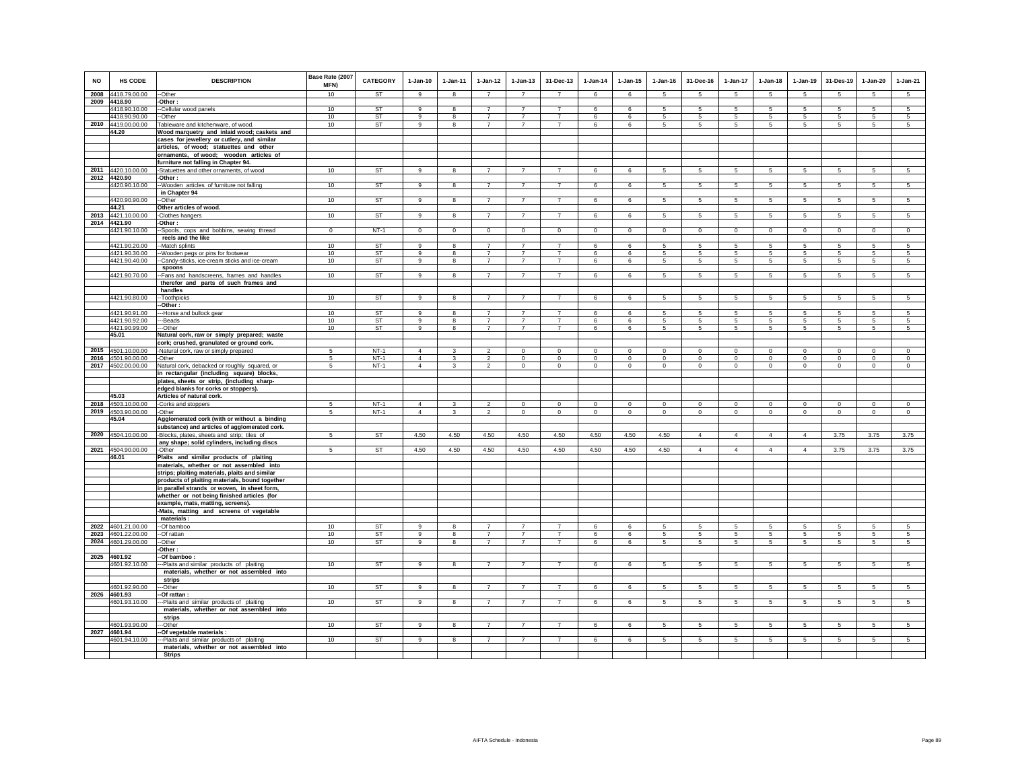| <b>NO</b> | <b>HS CODE</b>                      | <b>DESCRIPTION</b>                                                                             | Base Rate (2007<br>MFN) | <b>CATEGORY</b>        | $1-Jan-10$     | $1-Jan-11$              | $1-Jan-12$                       | $1 - Jan-13$                     | 31-Dec-13                        | $1 - Jan-14$ | $1 - Jan-15$         | $1 - Jan-16$ | 31-Dec-16                          | $1-Jan-17$           | $1 - Jan-18$                  | $1-Jan-19$          | 31-Des-19           | $1 - Jan-20$        | $1-Jan-21$      |
|-----------|-------------------------------------|------------------------------------------------------------------------------------------------|-------------------------|------------------------|----------------|-------------------------|----------------------------------|----------------------------------|----------------------------------|--------------|----------------------|--------------|------------------------------------|----------------------|-------------------------------|---------------------|---------------------|---------------------|-----------------|
| 2008      | 4418.79.00.00                       | --Other                                                                                        | 10                      | <b>ST</b>              | 9              | 8                       | $\overline{7}$                   | $\overline{7}$                   | $\overline{7}$                   | 6            | 6                    | 5            | 5                                  | 5                    | 5                             | 5                   | 5                   | 5                   | 5               |
|           | 2009 4418.90                        | -Other:                                                                                        |                         |                        |                |                         |                                  |                                  |                                  |              |                      |              |                                    |                      |                               |                     |                     |                     |                 |
|           | 4418.90.10.00                       | --Cellular wood panels                                                                         | 10                      | ST                     | $\alpha$       | $\mathbf{R}$            | $\overline{ }$                   | $\overline{z}$                   | $\overline{7}$                   | 6            | 6                    |              | 5                                  | 5                    | 5                             | 5                   | 5                   | 5                   | 5               |
|           | 4418.90.90.00                       | -Other                                                                                         | 10                      | ST                     | 9              | 8                       | $\overline{7}$                   | $\overline{7}$                   | $\overline{7}$                   | 6            | 6                    | 5            | $5\phantom{.0}$                    | 5                    | $5\phantom{.0}$               | 5                   | 5                   | $\sqrt{5}$          | 5               |
|           | 2010 4419.00.00.00<br>44.20         | Tableware and kitchenware, of wood.<br>Wood marquetry and inlaid wood; caskets and             | 10                      | ST                     | 9              | 8                       | $\overline{7}$                   | $\overline{7}$                   | $\overline{7}$                   | 6            | 6                    | 5            | $5\overline{5}$                    | $5\phantom{.0}$      | $5\overline{5}$               | 5                   | 5                   | 5                   | 5               |
|           |                                     | cases for jewellery or cutlery, and similar                                                    |                         |                        |                |                         |                                  |                                  |                                  |              |                      |              |                                    |                      |                               |                     |                     |                     |                 |
|           |                                     | articles, of wood; statuettes and other                                                        |                         |                        |                |                         |                                  |                                  |                                  |              |                      |              |                                    |                      |                               |                     |                     |                     |                 |
|           |                                     | ornaments, of wood; wooden articles of                                                         |                         |                        |                |                         |                                  |                                  |                                  |              |                      |              |                                    |                      |                               |                     |                     |                     |                 |
|           |                                     | furniture not falling in Chapter 94.                                                           |                         |                        |                |                         |                                  |                                  |                                  |              |                      |              |                                    |                      |                               |                     |                     |                     |                 |
|           | 2011 4420.10.00.00                  | -Statuettes and other ornaments, of wood                                                       | 10                      | <b>ST</b>              | 9              | 8                       | $\overline{7}$                   | $\overline{7}$                   | $\overline{7}$                   | 6            | 6                    | 5            | $5\overline{5}$                    | $5\phantom{.0}$      | $5\phantom{.0}$               | 5                   | 5                   | 5                   | 5               |
|           | 2012 4420.90                        | -Other:                                                                                        |                         |                        |                |                         |                                  |                                  |                                  |              |                      |              |                                    |                      |                               |                     |                     |                     |                 |
|           | 4420.90.10.00                       | --Wooden articles of furniture not falling                                                     | 10                      | ST                     | $_{9}$         | $\overline{\mathbf{8}}$ | $\overline{7}$                   | $\overline{7}$                   | $\overline{7}$                   | 6            | 6                    | 5            | 5                                  | $5\overline{)}$      | 5                             | $5\overline{5}$     | $5\overline{5}$     | 5                   | $5\overline{)}$ |
|           |                                     | in Chapter 94                                                                                  |                         |                        | 9              | 8                       | $\overline{7}$                   | $\overline{7}$                   | $\overline{7}$                   |              |                      | 5            |                                    |                      |                               |                     |                     |                     |                 |
|           | 4420.90.90.00<br>44.21              | --Other<br>Other articles of wood.                                                             | 10                      | ST                     |                |                         |                                  |                                  |                                  | 6            | 6                    |              | 5                                  | 5                    | $5\overline{5}$               | 5                   | 5                   | 5                   | 5               |
|           | 2013 4421.10.00.00                  | -Clothes hangers                                                                               | 10                      | ST                     | 9              | 8                       | $\overline{7}$                   | 7                                | 7                                | 6            | 6                    | 5            | $5\overline{5}$                    | $5\overline{5}$      | $5\overline{5}$               | $5\overline{5}$     | $5\overline{5}$     | $5\overline{5}$     | $5\overline{5}$ |
|           | 2014 4421.90                        | -Other :                                                                                       |                         |                        |                |                         |                                  |                                  |                                  |              |                      |              |                                    |                      |                               |                     |                     |                     |                 |
|           | 4421.90.10.00                       | Spools, cops and bobbins, sewing thread                                                        | $\mathbf 0$             | $NT-1$                 | $\mathsf 0$    | $\circ$                 | $\overline{0}$                   | $\mathbf 0$                      | $\overline{0}$                   | $\mathsf 0$  | $\mathsf 0$          | $\mathsf 0$  | $\Omega$                           | $\overline{0}$       | $\mathbf 0$                   | $\mathbf 0$         | $\overline{0}$      | $\mathsf 0$         | $\overline{0}$  |
|           |                                     | reels and the like                                                                             |                         |                        |                |                         |                                  |                                  |                                  |              |                      |              |                                    |                      |                               |                     |                     |                     |                 |
|           | 4421.90.20.00                       | -Match splints                                                                                 | 10                      | ST                     | 9<br>$\alpha$  | $\overline{\mathbf{8}}$ | $\overline{7}$<br>$\overline{7}$ | $\overline{7}$<br>$\overline{7}$ | $\overline{7}$<br>$\overline{7}$ | 6            | 6                    | 5            | 5                                  | 5                    | 5                             | 5                   | 5                   | 5                   | 5               |
|           | 4421.90.30.00<br>4421.90.40.00      | -Wooden pegs or pins for footwear<br>-Candy-sticks, ice-cream sticks and ice-cream             | 10<br>10                | <b>ST</b><br><b>ST</b> | $\mathbf{g}$   | 8<br>8                  | $\overline{7}$                   | $\overline{7}$                   | $\overline{7}$                   | 6<br>6       | 6<br>$6\overline{6}$ | 5<br>5       | $5\overline{5}$<br>$5\phantom{.0}$ | 5<br>$5\overline{)}$ | $5\overline{5}$<br>$\sqrt{5}$ | 5<br>$\overline{5}$ | 5<br>$\sqrt{5}$     | 5<br>$\overline{5}$ | $\sqrt{5}$<br>5 |
|           |                                     | spoons                                                                                         |                         |                        |                |                         |                                  |                                  |                                  |              |                      |              |                                    |                      |                               |                     |                     |                     |                 |
|           | 4421.90.70.00                       | -Fans and handscreens, frames and handles                                                      | 10                      | ST                     | 9              | 8                       | $\overline{7}$                   | $\overline{7}$                   | $\overline{7}$                   | 6            | 6                    | 5            | 5                                  | 5                    | 5                             | 5                   | 5                   | 5                   | 5               |
|           |                                     | therefor and parts of such frames and                                                          |                         |                        |                |                         |                                  |                                  |                                  |              |                      |              |                                    |                      |                               |                     |                     |                     |                 |
|           |                                     | handles                                                                                        |                         | <b>ST</b>              | 9              | 8                       | $\overline{7}$                   | $\overline{7}$                   | $\overline{7}$                   |              |                      |              |                                    |                      |                               |                     |                     |                     |                 |
|           | 4421.90.80.00                       | --Toothpicks<br>-Other:                                                                        | 10                      |                        |                |                         |                                  |                                  |                                  | 6            | 6                    | -5           | 5                                  | 5                    | 5                             | 5                   | 5                   | 5                   | 5               |
|           | 4421.90.91.00                       | -Horse and bullock gear                                                                        | 10                      | <b>ST</b>              | 9              | 8                       | $\overline{7}$                   | $\overline{7}$                   | $\overline{7}$                   | 6            | 6                    | 5            | 5                                  | 5                    | 5                             | 5                   | 5                   | 5                   | 5               |
|           | 4421.90.92.00                       | --Beads                                                                                        | 10                      | ST                     | 9              | 8                       | $\overline{7}$                   | $\overline{7}$                   |                                  | 6            | 6                    |              | 5                                  | 5                    | 5                             | 5                   | 5                   | 5                   |                 |
|           | 4421.90.99.00                       | --Other                                                                                        | 10                      | <b>ST</b>              | -9             | 8                       | $\overline{7}$                   | $\overline{7}$                   | $\overline{7}$                   | 6            | 6                    | -5           | 5                                  | $5\phantom{.0}$      | $5\overline{5}$               | 5                   | 5                   | $5\overline{5}$     | $5\overline{5}$ |
|           | 45.01                               | Natural cork, raw or simply prepared; waste<br>cork; crushed, granulated or ground cork.       |                         |                        |                |                         |                                  |                                  |                                  |              |                      |              |                                    |                      |                               |                     |                     |                     |                 |
| 2015      | 4501.10.00.00                       | -Natural cork, raw or simply prepared                                                          | $\overline{a}$          | $NT-1$                 | $\Delta$       |                         | $\mathfrak{p}$                   | $\Omega$                         | $\Omega$                         | $\Omega$     | $\Omega$             | $\Omega$     | $\Omega$                           | $\Omega$             | $\mathbf 0$                   | $\Omega$            | $\Omega$            | $\Omega$            | $\Omega$        |
|           | 2016 4501.90.00.00                  | -Other                                                                                         | 5                       | $NT-1$                 | $\overline{4}$ | $\mathbf{3}$            | $\overline{2}$                   | $\mathsf 0$                      | $\mathbf 0$                      | $\circ$      | $\mathsf 0$          | $\Omega$     | $\mathsf 0$                        | $\mathbf 0$          | $\mathbf 0$                   | $\mathbf 0$         | $\mathbf 0$         | $\circ$             | $\mathsf 0$     |
|           | 2017 4502.00.00.00                  | Natural cork, debacked or roughly squared, or                                                  | 5                       | $NT-1$                 | $\overline{4}$ | 3                       | $\overline{2}$                   | $\mathbf 0$                      | $\mathbf 0$                      | $\circ$      | $\mathbf 0$          | $\circ$      | $\circ$                            | $\circ$              | $\circ$                       | $\mathbf 0$         | $\mathbf{0}$        | $\mathbf 0$         | $\circ$         |
|           |                                     | in rectangular (including square) blocks,                                                      |                         |                        |                |                         |                                  |                                  |                                  |              |                      |              |                                    |                      |                               |                     |                     |                     |                 |
|           |                                     | plates, sheets or strip, (including sharp-                                                     |                         |                        |                |                         |                                  |                                  |                                  |              |                      |              |                                    |                      |                               |                     |                     |                     |                 |
|           | 45.03                               | edged blanks for corks or stoppers).<br>Articles of natural cork.                              |                         |                        |                |                         |                                  |                                  |                                  |              |                      |              |                                    |                      |                               |                     |                     |                     |                 |
|           | 2018 4503.10.00.00                  | -Corks and stoppers                                                                            | 5                       | $NT-1$                 | $\overline{4}$ | 3                       | $\overline{2}$                   | $\mathsf 0$                      | $\mathsf 0$                      | $\mathbb O$  | $\mathsf 0$          | $\mathsf 0$  | $\Omega$                           | $\mathbf 0$          | $\Omega$                      | $\mathbf 0$         | $\mathbf 0$         | $\mathsf 0$         | $\mathsf 0$     |
| 2019      | 4503.90.00.00                       | -Other                                                                                         | 5                       | $NT-1$                 | $\overline{4}$ | $\mathbf{3}$            | $\mathfrak{p}$                   | $\mathsf 0$                      | $\mathsf 0$                      | $\circ$      | $\mathsf 0$          | $\mathsf 0$  | $\circ$                            | $\mathbf 0$          | $\circ$                       | $\circ$             | $\circ$             | $\mathsf 0$         | $\circ$         |
|           | 45.04                               | Agglomerated cork (with or without a binding                                                   |                         |                        |                |                         |                                  |                                  |                                  |              |                      |              |                                    |                      |                               |                     |                     |                     |                 |
|           | 2020 4504.10.00.00                  | substance) and articles of agglomerated cork.                                                  | 5                       | <b>ST</b>              | 4.50           | 4.50                    |                                  |                                  |                                  |              |                      |              | $\overline{4}$                     | $\overline{4}$       | $\overline{4}$                | $\overline{4}$      |                     |                     |                 |
|           |                                     | -Blocks, plates, sheets and strip; tiles of<br>any shape; solid cylinders, including discs     |                         |                        |                |                         | 4.50                             | 4.50                             | 4.50                             | 4.50         | 4.50                 | 4.50         |                                    |                      |                               |                     | 3.75                | 3.75                | 3.75            |
|           | 2021 4504.90.00.00                  | -Other                                                                                         | 5                       | <b>ST</b>              | 4.50           | 4.50                    | 4.50                             | 4.50                             | 4.50                             | 4.50         | 4.50                 | 4.50         | $\overline{4}$                     | $\overline{4}$       | $\Delta$                      | $\overline{4}$      | 3.75                | 3.75                | 3.75            |
|           | 46.01                               | Plaits and similar products of plaiting                                                        |                         |                        |                |                         |                                  |                                  |                                  |              |                      |              |                                    |                      |                               |                     |                     |                     |                 |
|           |                                     | materials, whether or not assembled into                                                       |                         |                        |                |                         |                                  |                                  |                                  |              |                      |              |                                    |                      |                               |                     |                     |                     |                 |
|           |                                     | strips; plaiting materials, plaits and similar                                                 |                         |                        |                |                         |                                  |                                  |                                  |              |                      |              |                                    |                      |                               |                     |                     |                     |                 |
|           |                                     | products of plaiting materials, bound together<br>in parallel strands or woven, in sheet form, |                         |                        |                |                         |                                  |                                  |                                  |              |                      |              |                                    |                      |                               |                     |                     |                     |                 |
|           |                                     | whether or not being finished articles (for                                                    |                         |                        |                |                         |                                  |                                  |                                  |              |                      |              |                                    |                      |                               |                     |                     |                     |                 |
|           |                                     | example, mats, matting, screens).                                                              |                         |                        |                |                         |                                  |                                  |                                  |              |                      |              |                                    |                      |                               |                     |                     |                     |                 |
|           |                                     | -Mats, matting and screens of vegetable                                                        |                         |                        |                |                         |                                  |                                  |                                  |              |                      |              |                                    |                      |                               |                     |                     |                     |                 |
|           |                                     | materials:                                                                                     |                         |                        | $\alpha$       |                         |                                  |                                  | $\overline{7}$                   |              |                      |              |                                    |                      |                               |                     |                     |                     |                 |
| 2023      | 2022 4601.21.00.00<br>4601.22.00.00 | -Of bamboo<br>-Of rattan                                                                       | 10 <sup>1</sup><br>10   | ST<br>ST               | $\mathbf{g}$   | 8<br>$\mathbf{g}$       | $\overline{7}$<br>$\overline{7}$ | $\overline{7}$<br>$\overline{7}$ | $\overline{7}$                   | 6<br>6       | 6<br>6               | 5<br>5       | -5<br>5                            | 5<br>5               | 5<br>5                        | -5<br>5             | 5<br>$\overline{5}$ | 5<br>5              | 5<br>5          |
| 2024      | 4601.29.00.00                       | -Other                                                                                         | 10                      | <b>ST</b>              | 9              | 8                       | $\overline{7}$                   | $\overline{7}$                   | $\overline{7}$                   | 6            | 6                    | 5            | 5                                  | 5                    | 5                             | 5                   | 5                   | 5                   | 5               |
|           |                                     | Other:                                                                                         |                         |                        |                |                         |                                  |                                  |                                  |              |                      |              |                                    |                      |                               |                     |                     |                     |                 |
| 2025      | 4601.92                             | -Of bamboo:                                                                                    |                         |                        |                |                         |                                  |                                  |                                  |              |                      |              |                                    |                      |                               |                     |                     |                     |                 |
|           | 4601.92.10.00                       | -Plaits and similar products of plaiting                                                       | 10                      | ST                     | 9              | 8                       | $\overline{7}$                   | $\overline{7}$                   | $\overline{7}$                   | 6            | 6                    | 5            | 5                                  | $\overline{5}$       | 5                             | $\,$ 5 $\,$         | $\overline{5}$      | 5                   | $5\overline{)}$ |
|           |                                     | materials, whether or not assembled into<br>strips                                             |                         |                        |                |                         |                                  |                                  |                                  |              |                      |              |                                    |                      |                               |                     |                     |                     |                 |
|           | 4601.92.90.00                       | --Other                                                                                        | 10                      | <b>ST</b>              | 9              | 8                       | $\overline{7}$                   | $\overline{7}$                   | $\overline{7}$                   | 6            | 6                    | 5            | 5                                  | 5 <sub>5</sub>       | 5                             | 5                   | 5                   | 5                   | 5               |
|           | 2026 4601.93                        | --Of rattan                                                                                    |                         |                        |                |                         |                                  |                                  |                                  |              |                      |              |                                    |                      |                               |                     |                     |                     |                 |
|           | 4601.93.10.00                       | --Plaits and similar products of plaiting                                                      | 10                      | ST                     | 9              | 8                       | $\overline{7}$                   | $\overline{7}$                   | $\overline{7}$                   | 6            | 6                    | 5            | $5\overline{5}$                    | $5^{\circ}$          | $5\phantom{.0}$               | 5                   | $5\overline{5}$     | 5                   | $5\overline{5}$ |
|           |                                     | materials, whether or not assembled into                                                       |                         |                        |                |                         |                                  |                                  |                                  |              |                      |              |                                    |                      |                               |                     |                     |                     |                 |
|           | 4601.93.90.00                       | strips<br>-Other                                                                               | 10                      | <b>ST</b>              | 9              | 8                       | 7                                | $\overline{7}$                   | 7                                | 6            | 6                    | 5            | -5                                 | 5                    | -5                            | 5                   | 5                   | 5                   | $5\overline{5}$ |
|           | 2027 4601.94                        | Of vegetable materials :                                                                       |                         |                        |                |                         |                                  |                                  |                                  |              |                      |              |                                    |                      |                               |                     |                     |                     |                 |
|           | 4601.94.10.00                       | -Plaits and similar products of plaiting                                                       | 10                      | <b>ST</b>              | $\alpha$       | 8                       | $\overline{7}$                   | $\overline{7}$                   | $\overline{7}$                   | 6            | 6                    | 5            | 5                                  | 5                    | 5                             | 5                   | 5                   | 5                   | 5               |
|           |                                     | materials, whether or not assembled into                                                       |                         |                        |                |                         |                                  |                                  |                                  |              |                      |              |                                    |                      |                               |                     |                     |                     |                 |
|           |                                     | <b>Strips</b>                                                                                  |                         |                        |                |                         |                                  |                                  |                                  |              |                      |              |                                    |                      |                               |                     |                     |                     |                 |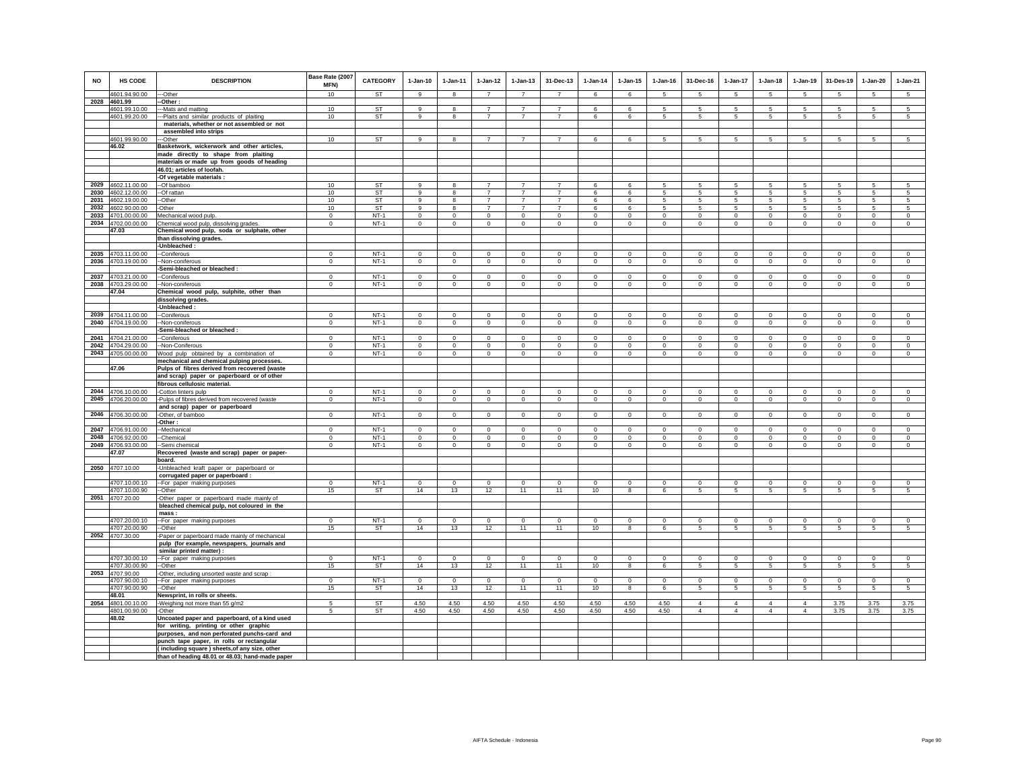| <b>NO</b> | HS CODE                                  | <b>DESCRIPTION</b>                                                               | Base Rate (2007<br>MFN) | <b>CATEGORY</b> | $1-Jan-10$<br>$\mathbf{g}$ | $1 - Jan-11$ | $1 - Jan-12$<br>$\overline{7}$ | $1 - Jan-13$<br>$\overline{7}$ | 31-Dec-13<br>$\overline{7}$ | $1 - Jan-14$<br>6 | $1 - Jan-15$<br>6   | $1 - Jan-16$<br>5 | 31-Dec-16<br>-5 | $1 - Jan-17$<br>$5^{\circ}$ | $1-Jan-18$<br>$\sqrt{5}$ | $1 - Jan-19$   | 31-Des-19<br>-5 | $1-Jan-20$<br>-5 | $1-Jan-21$<br>-5 |
|-----------|------------------------------------------|----------------------------------------------------------------------------------|-------------------------|-----------------|----------------------------|--------------|--------------------------------|--------------------------------|-----------------------------|-------------------|---------------------|-------------------|-----------------|-----------------------------|--------------------------|----------------|-----------------|------------------|------------------|
|           | 4601.94.90.00<br>2028 4601.99            | ---Other                                                                         | 10                      | <b>ST</b>       |                            | 8            |                                |                                |                             |                   |                     |                   |                 |                             |                          | -5             |                 |                  |                  |
|           |                                          | -Other:                                                                          | 10                      | ST              | $\mathsf g$                | 8            | $\overline{7}$                 | $\overline{7}$                 | $\overline{7}$              | 6                 | 6                   | 5                 | 5               | 5                           | 5                        | 5              | 5               | 5                | 5                |
|           | 4601.99.10.00<br>4601.99.20.00           | --- Mats and matting<br>---Plaits and similar products of plaiting               | 10                      | <b>ST</b>       | 9                          | 8            | $\overline{7}$                 | $\overline{7}$                 | $\overline{7}$              | 6                 | 6                   | 5                 | 5               | 5                           | 5                        | 5              | 5               | 5                | 5                |
|           |                                          | materials, whether or not assembled or not                                       |                         |                 |                            |              |                                |                                |                             |                   |                     |                   |                 |                             |                          |                |                 |                  |                  |
|           |                                          | assembled into strips                                                            |                         |                 |                            |              |                                |                                |                             |                   |                     |                   |                 |                             |                          |                |                 |                  |                  |
|           | 4601.99.90.00                            | --Other                                                                          | 10                      | ST              | 9                          |              | $\overline{7}$                 |                                | 7                           | 6                 | 6                   | 5                 | 5               | 5                           | 5                        | 5              | 5               | 5                | 5                |
|           | 46.02                                    | Basketwork, wickerwork and other articles,                                       |                         |                 |                            |              |                                |                                |                             |                   |                     |                   |                 |                             |                          |                |                 |                  |                  |
|           |                                          | made directly to shape from plaiting                                             |                         |                 |                            |              |                                |                                |                             |                   |                     |                   |                 |                             |                          |                |                 |                  |                  |
|           |                                          | materials or made up from goods of heading                                       |                         |                 |                            |              |                                |                                |                             |                   |                     |                   |                 |                             |                          |                |                 |                  |                  |
|           |                                          | 46.01; articles of loofah.                                                       |                         |                 |                            |              |                                |                                |                             |                   |                     |                   |                 |                             |                          |                |                 |                  |                  |
|           |                                          | -Of vegetable materials :                                                        |                         |                 |                            |              |                                |                                |                             |                   |                     |                   |                 |                             |                          |                |                 |                  |                  |
|           | 2029 4602.11.00.00                       | --Of bamboo                                                                      | 10                      | <b>ST</b>       | $\mathbf{Q}$               |              | $\overline{7}$                 | $\overline{7}$                 |                             | $\mathbf{6}$      | $\mathbf{6}$        | 5                 | 5               | 5                           | 5                        | 5              | 5               | 5                | $\overline{5}$   |
|           | 2030 4602.12.00.00                       | --Of rattan                                                                      | 10                      | ST              | 9                          | 8            | $\overline{7}$                 | $\overline{7}$                 | $\overline{7}$              | 6                 | 6                   | -5                | 5               | 5                           | 5                        | 5              | 5               | 5                | 5                |
|           | 2031 4602.19.00.00                       | --Other                                                                          | 10                      | ST              | 9                          | 8            | $\overline{7}$                 | $\overline{7}$                 | $\overline{7}$              | 6                 | 6                   | -5                | 5               | 5                           | -5                       | 5              | 5               | 5                | 5                |
|           | 2032 4602.90.00.00                       | -Other                                                                           | 10                      | ST              | 9                          | 8            | $\overline{7}$                 | $\overline{7}$                 | $\overline{7}$              | 6                 | 6                   | 5                 | 5               | 5                           | 5                        | 5              | 5               | 5                | 5                |
|           | 2033 4701.00.00.00                       | Mechanical wood pulp.                                                            | $\mathbf 0$             | $NT-1$          | $\mathbf 0$                | $\mathbf 0$  | $\mathbf 0$                    | $\mathbf 0$                    | $\mathbf 0$                 | $\mathbf 0$       | $\mathbf 0$         | $\,0\,$           | $\mathbf 0$     | $\mathbf 0$                 | $\mathbf 0$              | $\,0\,$        | $\mathbf 0$     | $\mathbf 0$      | $\mathbf 0$      |
|           | 2034 4702.00.00.00                       | Chemical wood pulp, dissolving grades.                                           | $^{\circ}$              | $NT-1$          | $\Omega$                   | $^{\circ}$   | $\circ$                        | $\circ$                        | $\mathbf{0}$                | $^{\circ}$        | 0                   | $\circ$           | $\mathbf 0$     | $\circ$                     | $\circ$                  | $\mathbf 0$    | $\mathbf{0}$    | $\circ$          | $\circ$          |
|           | 47.03                                    | Chemical wood pulp, soda or sulphate, other                                      |                         |                 |                            |              |                                |                                |                             |                   |                     |                   |                 |                             |                          |                |                 |                  |                  |
|           |                                          | than dissolving grades.                                                          |                         |                 |                            |              |                                |                                |                             |                   |                     |                   |                 |                             |                          |                |                 |                  |                  |
|           |                                          | -Unbleached:                                                                     |                         |                 |                            |              |                                |                                |                             |                   |                     |                   |                 |                             |                          |                |                 |                  |                  |
|           | 2035 4703.11.00.00                       | --Coniferous                                                                     | $\mathbf{0}$            | $NT-1$          | $\mathbf 0$                | $\mathbf 0$  | $\mathbf 0$                    | $\Omega$                       | $\Omega$                    | $\Omega$          | $\Omega$            | $\Omega$          | $\mathbf{0}$    | $\Omega$                    | $\Omega$                 | $\mathbf 0$    | $\Omega$        | $\Omega$         | $\circ$          |
|           | 2036 4703.19.00.00                       | --Non-coniferous                                                                 | $\mathbf 0$             | $NT-1$          | $\circ$                    | $\mathbf 0$  | $\circ$                        | $\mathsf 0$                    | $\mathbf{0}$                | $\mathbf{0}$      | $\mathsf 0$         | $\circ$           | $\circ$         | $\circ$                     | $\circ$                  | $\mathbf 0$    | $\mathbf 0$     | $\circ$          | $\mathsf 0$      |
|           |                                          | -Semi-bleached or bleached :                                                     |                         |                 |                            |              |                                |                                |                             |                   |                     |                   |                 |                             |                          |                |                 |                  |                  |
|           | 2037 4703.21.00.00                       | -Coniferous                                                                      | $\mathsf 0$             | $NT-1$          | $\Omega$                   | $\Omega$     | $\Omega$                       | $\Omega$                       | $\mathbf 0$                 | $\mathbf 0$       | $\ddot{\mathbf{0}}$ | $\mathbf 0$       | $\mathbf 0$     | $\mathbf 0$                 | $\Omega$                 | $\Omega$       | $\mathbf 0$     | $\mathbf 0$      | $\mathbf 0$      |
|           | 2038 4703.29.00.00                       | -Non-coniferous                                                                  | $\mathbf{0}$            | $NT-1$          | $\circ$                    | $\mathbf{0}$ | $\mathbf{0}$                   | $\mathbf{0}$                   | $\mathbf{0}$                | $\mathbf{0}$      | $\mathbf{0}$        | $\circ$           | $\mathbf{0}$    | $\mathbf{0}$                | $\mathbf{0}$             | $\mathbf{0}$   | $\mathbf{0}$    | $\mathbf{0}$     | $\mathbf{0}$     |
|           | 47.04                                    | Chemical wood pulp, sulphite, other than                                         |                         |                 |                            |              |                                |                                |                             |                   |                     |                   |                 |                             |                          |                |                 |                  |                  |
|           |                                          | dissolving grades.                                                               |                         |                 |                            |              |                                |                                |                             |                   |                     |                   |                 |                             |                          |                |                 |                  |                  |
|           |                                          | -Unbleached:                                                                     |                         |                 |                            |              |                                |                                |                             |                   |                     |                   |                 |                             |                          |                |                 |                  |                  |
|           | 2039 4704.11.00.00                       | --Coniferous                                                                     | $\mathbf 0$             | $NT-1$          | $\circ$                    | $\mathbf 0$  | $\mathbf 0$                    | $\mathbf 0$                    | $\mathbf 0$                 | $\mathbf 0$       | $\circ$             | $\mathbf 0$       | $\mathbf 0$     | $\circ$                     | $\circ$                  | $\mathbf 0$    | $\circ$         | $\circ$          | $\circ$          |
|           | 2040 4704.19.00.00                       | -Non-coniferous                                                                  | $\mathbf 0$             | <b>NT-1</b>     | $\circ$                    | $\mathbf 0$  | $\overline{0}$                 | $\mathbf 0$                    | $\overline{0}$              | $\mathbf 0$       | $\mathbf 0$         | $\mathbf 0$       | $\circ$         | $\circ$                     | $\mathbf 0$              | $\,0\,$        | $\mathbf 0$     | $\mathbf 0$      | $\mathbf 0$      |
|           |                                          | Semi-bleached or bleached :                                                      |                         |                 |                            |              |                                |                                |                             |                   |                     |                   |                 |                             |                          |                |                 |                  |                  |
|           | 2041 4704.21.00.00                       | -Coniferous                                                                      | $\Omega$                | $NT-1$          | $\Omega$                   | $\Omega$     | $\Omega$                       | $\Omega$                       | $\mathbf{0}$                | $\Omega$          | $\mathbf 0$         | $\circ$           | $\Omega$        | $\circ$                     | $\Omega$                 | $\mathbf{0}$   | $\Omega$        | $\Omega$         | $\mathsf 0$      |
|           | 2042 4704.29.00.00                       | -Non-Coniferous                                                                  | $\mathbf{0}$            | $NT-1$          | $\mathbf 0$                | $\Omega$     | $\mathbf 0$                    | $\Omega$                       | $\mathbf{0}$                | $\Omega$          | $\mathbf 0$         | $\Omega$          | $\Omega$        | $\mathbf{0}$                | $\Omega$                 | $\Omega$       | $\Omega$        | $\Omega$         | $\Omega$         |
|           | 2043 4705.00.00.00                       | Wood pulp obtained by a combination of                                           | $\mathsf 0$             | $NT-1$          | $\mathbf 0$                | $\mathbf 0$  | $\mathbf 0$                    | $\mathsf 0$                    | $\mathsf 0$                 | $\circ$           | $\circ$             | $\circ$           | $\mathsf 0$     | $\mathbf{0}$                | $\mathbf 0$              | $\mathbf 0$    | $\mathbf 0$     | $\circ$          | $\Omega$         |
|           |                                          | mechanical and chemical pulping processes.                                       |                         |                 |                            |              |                                |                                |                             |                   |                     |                   |                 |                             |                          |                |                 |                  |                  |
|           | 47.06                                    | Pulps of fibres derived from recovered (waste                                    |                         |                 |                            |              |                                |                                |                             |                   |                     |                   |                 |                             |                          |                |                 |                  |                  |
|           |                                          | and scrap) paper or paperboard or of other                                       |                         |                 |                            |              |                                |                                |                             |                   |                     |                   |                 |                             |                          |                |                 |                  |                  |
|           |                                          | fibrous cellulosic material.                                                     | $\Omega$                | $NT-1$          | $\Omega$                   | $\Omega$     | $\Omega$                       | $\Omega$                       | $\Omega$                    | $\Omega$          | $\Omega$            | $\Omega$          | $\Omega$        | $\mathbf 0$                 | $\Omega$                 | $\Omega$       | $\Omega$        | $\Omega$         | $\mathbf{0}$     |
|           | 2044 4706.10.00.00<br>2045 4706.20.00.00 | -Cotton linters pulp                                                             | $\mathbf{0}$            | $NT-1$          | $\circ$                    | $\circ$      | $\circ$                        | $\circ$                        | $\circ$                     | $\circ$           | $\mathbf{0}$        | $\circ$           | $\mathbf{0}$    | $\circ$                     | $\circ$                  | $\mathbf 0$    | $\circ$         | $\circ$          | $\circ$          |
|           |                                          | -Pulps of fibres derived from recovered (waste<br>and scrap) paper or paperboard |                         |                 |                            |              |                                |                                |                             |                   |                     |                   |                 |                             |                          |                |                 |                  |                  |
|           | 2046 4706.30.00.00                       | -Other, of bamboo                                                                | $\mathbf 0$             | $NT-1$          | $\circ$                    | $\circ$      | $\circ$                        | $\circ$                        | $\mathbf{0}$                | $\mathbf{0}$      | $\mathbf 0$         | $\circ$           | $\overline{0}$  | $\circ$                     | $\circ$                  | $\circ$        | $\circ$         | $\circ$          | $\mathsf 0$      |
|           |                                          | -Other :                                                                         |                         |                 |                            |              |                                |                                |                             |                   |                     |                   |                 |                             |                          |                |                 |                  |                  |
|           | 2047 4706.91.00.00                       | -Mechanical                                                                      | $\Omega$                | $NT-1$          | $\Omega$                   | $\Omega$     | $\mathbf 0$                    | $\mathbf 0$                    | $\mathbf 0$                 | $^{\circ}$        | $\mathbf 0$         | $\,0\,$           | $\mathbf 0$     | $\mathbf 0$                 | $\mathbf 0$              | $\mathbf 0$    | $\mathbf 0$     | $\mathbf 0$      | $\mathbf 0$      |
|           | 2048 4706.92.00.00                       | -Chemical                                                                        | $^{\circ}$              | $NT-1$          | $^{\circ}$                 | 0            | 0                              | 0                              | $\mathbf 0$                 | 0                 | 0                   | $\mathbf 0$       | 0               | 0                           | 0                        | $\mathbf 0$    | $\mathbf{0}$    | 0                | $\mathbf 0$      |
|           | 2049 4706.93.00.00                       | -Semi chemical                                                                   | $\mathbf 0$             | $NT-1$          | $\circ$                    | $\mathbf 0$  | $\mathbf 0$                    | $\mathsf 0$                    | $\mathbf{0}$                | $\mathbf{0}$      | $\mathbf{0}$        | $\mathbf 0$       | $\mathbf{0}$    | $\circ$                     | $\mathbf{0}$             | $\mathbb O$    | $\circ$         | $\mathsf 0$      | $\mathsf 0$      |
|           | 47.07                                    | Recovered (waste and scrap) paper or paper-                                      |                         |                 |                            |              |                                |                                |                             |                   |                     |                   |                 |                             |                          |                |                 |                  |                  |
|           |                                          | board.                                                                           |                         |                 |                            |              |                                |                                |                             |                   |                     |                   |                 |                             |                          |                |                 |                  |                  |
|           | 2050 4707.10.00                          | Unbleached kraft paper or paperboard or                                          |                         |                 |                            |              |                                |                                |                             |                   |                     |                   |                 |                             |                          |                |                 |                  |                  |
|           |                                          | corrugated paper or paperboard :                                                 |                         |                 |                            |              |                                |                                |                             |                   |                     |                   |                 |                             |                          |                |                 |                  |                  |
|           | 4707.10.00.10                            | -- For paper making purposes                                                     | $\Omega$                | $NT-1$          | $\Omega$                   | $\Omega$     | $\mathbf 0$                    | $\mathbf{0}$                   | $\mathbf 0$                 | $\circ$           | $\circ$             | $\circ$           | $\circ$         | $\circ$                     | $\mathbf 0$              | $\Omega$       | $\mathbf 0$     | $\circ$          | $\circ$          |
|           | 4707.10.00.90                            | --Other                                                                          | 15                      | ST              | 14                         | 13           | 12                             | 11                             | 11                          | 10                | 8                   | 6                 | 5               | $5\overline{5}$             | $5\overline{5}$          | 5              | 5               | 5                | 5                |
|           | 2051 4707.20.00                          | -Other paper or paperboard made mainly of                                        |                         |                 |                            |              |                                |                                |                             |                   |                     |                   |                 |                             |                          |                |                 |                  |                  |
|           |                                          | bleached chemical pulp, not coloured in the                                      |                         |                 |                            |              |                                |                                |                             |                   |                     |                   |                 |                             |                          |                |                 |                  |                  |
|           |                                          | mass:                                                                            |                         |                 |                            |              |                                |                                |                             |                   |                     |                   |                 |                             |                          |                |                 |                  |                  |
|           | 4707.20.00.10                            | -For paper making purposes                                                       | $^{\circ}$              | $NT-1$          | $\Omega$                   | $^{\circ}$   | 0                              | $^{\circ}$                     | $^{\circ}$                  | 0                 | $^{\circ}$          | $\mathbf 0$       | $^{\circ}$      | $\mathbf 0$                 | $^{\circ}$               | $^{\circ}$     | $\overline{0}$  | $^{\circ}$       | $\mathbf 0$      |
|           | 4707.20.00.90                            | -Other                                                                           | 15                      | ST              | 14                         | 13           | 12                             | 11                             | 11                          | 10                | 8                   | 6                 | 5               | 5                           | 5                        | $\overline{5}$ | 5               | 5                | 5                |
|           | 2052 4707.30.00                          | -Paper or paperboard made mainly of mechanical                                   |                         |                 |                            |              |                                |                                |                             |                   |                     |                   |                 |                             |                          |                |                 |                  |                  |
|           |                                          | pulp (for example, newspapers, journals and                                      |                         |                 |                            |              |                                |                                |                             |                   |                     |                   |                 |                             |                          |                |                 |                  |                  |
|           |                                          | similar printed matter) :                                                        |                         |                 |                            |              |                                |                                |                             |                   |                     |                   |                 |                             |                          |                |                 |                  |                  |
|           | 4707.30.00.10                            | -- For paper making purposes                                                     | $\Omega$                | $NT-1$          | $\Omega$                   | $\Omega$     | $\Omega$                       | $\Omega$                       | $\Omega$                    | $\Omega$          | $\Omega$            | $\Omega$          | $\Omega$        | $\Omega$                    | $\Omega$                 | $\Omega$       | $\Omega$        | $\Omega$         | $\overline{0}$   |
|           | 4707.30.00.90                            | --Other                                                                          | 15                      | ST              | 14                         | 13           | 12                             | 11                             | 11                          | 10                | 8                   | 6                 | 5               | 5                           | 5                        | 5              | 5               | 5                | 5                |
|           | 2053 4707.90.00                          | -Other, including unsorted waste and scrap                                       |                         |                 |                            |              |                                |                                |                             |                   |                     |                   |                 |                             |                          |                |                 |                  |                  |
|           | 4707.90.00.10                            | -- For paper making purposes                                                     | $^{\circ}$              | $NT-1$          | $\mathbf{0}$               | $\mathbf{0}$ | $\mathbf{0}$                   | $\mathbf{0}$                   | $\mathbf{0}$                | $\mathbf{0}$      | $\mathbf 0$         | $\mathbf 0$       | $\mathbf{0}$    | $\mathbf{0}$                | $\mathbf{0}$             | $\mathbf 0$    | $\mathbf{0}$    | $\circ$          | $\mathbf 0$      |
|           | 4707.90.00.90<br>48.01                   | --Other<br>Newsprint, in rolls or sheets.                                        | 15                      | ST              | 14                         | 13           | 12                             | 11                             | 11                          | 10                | 8                   | 6                 | 5               | 5                           | $5\phantom{.0}$          | $\sqrt{5}$     | 5               | $5\phantom{.0}$  | $\sqrt{5}$       |
|           |                                          |                                                                                  | 5                       |                 | 4.50                       |              | 4.50                           | 4.50                           |                             | 4.50              | 4.50                | 4.50              | $\overline{4}$  | $\overline{4}$              | $\overline{4}$           | $\overline{4}$ |                 |                  |                  |
|           | 2054 4801.00.10.00<br>4801.00.90.00      | -Weighing not more than 55 g/m2                                                  | 5                       | <b>ST</b><br>ST | 4.50                       | 4.50<br>4.50 | 4.50                           | 4.50                           | 4.50<br>4.50                | 4.50              | 4.50                | 4.50              | $\overline{4}$  | $\overline{4}$              | $\overline{4}$           | $\overline{4}$ | 3.75<br>3.75    | 3.75<br>3.75     | 3.75<br>3.75     |
|           | 48.02                                    | -Other<br>Uncoated paper and paperboard, of a kind used                          |                         |                 |                            |              |                                |                                |                             |                   |                     |                   |                 |                             |                          |                |                 |                  |                  |
|           |                                          | for writing, printing or other graphic                                           |                         |                 |                            |              |                                |                                |                             |                   |                     |                   |                 |                             |                          |                |                 |                  |                  |
|           |                                          | purposes, and non perforated punchs-card and                                     |                         |                 |                            |              |                                |                                |                             |                   |                     |                   |                 |                             |                          |                |                 |                  |                  |
|           |                                          | punch tape paper, in rolls or rectangular                                        |                         |                 |                            |              |                                |                                |                             |                   |                     |                   |                 |                             |                          |                |                 |                  |                  |
|           |                                          | (including square) sheets, of any size, other                                    |                         |                 |                            |              |                                |                                |                             |                   |                     |                   |                 |                             |                          |                |                 |                  |                  |
|           |                                          | than of heading 48.01 or 48.03; hand-made paper                                  |                         |                 |                            |              |                                |                                |                             |                   |                     |                   |                 |                             |                          |                |                 |                  |                  |
|           |                                          |                                                                                  |                         |                 |                            |              |                                |                                |                             |                   |                     |                   |                 |                             |                          |                |                 |                  |                  |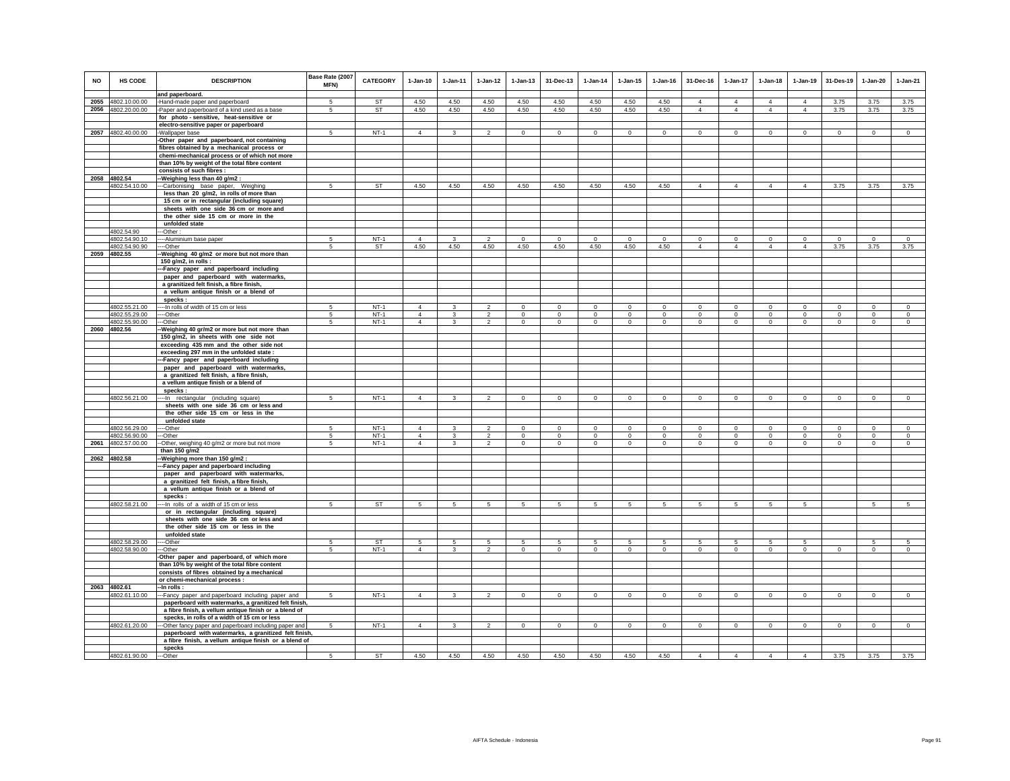| NO   | <b>HS CODE</b>     | <b>DESCRIPTION</b>                                              | Base Rate (2007<br>MFN) | <b>CATEGORY</b> | $1-Jan-10$     | $1-Jan-11$   | $1-Jan-12$     | $1-Jan-13$     | 31-Dec-13      | $1-Jan-14$ | $1-Jan-15$  | $1-Jan-16$  | 31-Dec-16      | 1-Jan-17       | $1-Jan-18$     | $1-Jan-19$     | 31-Des-19      | 1-Jan-20     | $1-Jan-21$     |
|------|--------------------|-----------------------------------------------------------------|-------------------------|-----------------|----------------|--------------|----------------|----------------|----------------|------------|-------------|-------------|----------------|----------------|----------------|----------------|----------------|--------------|----------------|
|      |                    | and paperboard.                                                 |                         |                 |                |              |                |                |                |            |             |             |                |                |                |                |                |              |                |
| 2055 | 4802.10.00.00      | -Hand-made paper and paperboard                                 | $\sqrt{5}$              | <b>ST</b>       | 4.50           | 4.50         | 4.50           | 4.50           | 4.50           | 4.50       | 4.50        | 4.50        | $\overline{4}$ | $\overline{4}$ | $\Delta$       | $\overline{4}$ | 3.75           | 3.75         | 3.75           |
| 2056 | 4802.20.00.00      | -Paper and paperboard of a kind used as a base                  | 5                       | <b>ST</b>       | 4.50           | 4.50         | 4.50           | 4.50           | 4.50           | 4.50       | 4.50        | 4.50        | $\overline{4}$ | $\overline{4}$ | $\overline{4}$ | $\overline{4}$ | 3.75           | 3.75         | 3.75           |
|      |                    | for photo-sensitive, heat-sensitive or                          |                         |                 |                |              |                |                |                |            |             |             |                |                |                |                |                |              |                |
|      |                    | electro-sensitive paper or paperboard                           |                         |                 |                |              |                |                |                |            |             |             |                |                |                |                |                |              |                |
|      | 2057 4802.40.00.00 | -Wallpaper base                                                 | $\sqrt{5}$              | $NT-1$          | $\overline{4}$ | 3            | $\mathfrak{D}$ | $\circ$        | $\mathbf 0$    | $\Omega$   | $\mathbf 0$ | $\Omega$    | $\Omega$       | $\Omega$       | $\Omega$       | $\Omega$       | $\Omega$       | $\mathbf 0$  | $\Omega$       |
|      |                    | -Other paper and paperboard, not containing                     |                         |                 |                |              |                |                |                |            |             |             |                |                |                |                |                |              |                |
|      |                    | fibres obtained by a mechanical process or                      |                         |                 |                |              |                |                |                |            |             |             |                |                |                |                |                |              |                |
|      |                    | chemi-mechanical process or of which not more                   |                         |                 |                |              |                |                |                |            |             |             |                |                |                |                |                |              |                |
|      |                    | than 10% by weight of the total fibre content                   |                         |                 |                |              |                |                |                |            |             |             |                |                |                |                |                |              |                |
|      |                    | consists of such fibres :                                       |                         |                 |                |              |                |                |                |            |             |             |                |                |                |                |                |              |                |
| 2058 | 4802.54            | Weighing less than 40 g/m2 :                                    |                         |                 |                |              |                |                |                |            |             |             |                |                |                |                |                |              |                |
|      | 4802.54.10.00      | -Carbonising base paper, Weighing                               | 5                       | <b>ST</b>       | 4.50           | 4.50         | 4.50           | 4.50           | 4.50           | 4.50       | 4.50        | 4.50        | $\overline{4}$ | $\overline{4}$ | $\overline{4}$ | $\overline{4}$ | 3.75           | 3.75         | 3.75           |
|      |                    | less than 20 g/m2, in rolls of more than                        |                         |                 |                |              |                |                |                |            |             |             |                |                |                |                |                |              |                |
|      |                    | 15 cm or in rectangular (including square)                      |                         |                 |                |              |                |                |                |            |             |             |                |                |                |                |                |              |                |
|      |                    | sheets with one side 36 cm or more and                          |                         |                 |                |              |                |                |                |            |             |             |                |                |                |                |                |              |                |
|      |                    | the other side 15 cm or more in the                             |                         |                 |                |              |                |                |                |            |             |             |                |                |                |                |                |              |                |
|      |                    | unfolded state                                                  |                         |                 |                |              |                |                |                |            |             |             |                |                |                |                |                |              |                |
|      | 4802.54.90         | ---Other:                                                       |                         |                 |                |              |                |                |                |            |             |             |                |                |                |                |                |              |                |
|      | 4802.54.90.10      | ----Aluminium base paper                                        | 5                       | NT-1            | $\Delta$       | 3            | 2              | 0              | $\mathbf 0$    | $\Omega$   | $^{\circ}$  | $\Omega$    | $\Omega$       | 0              | $\circ$        | $^{\circ}$     | $^{\circ}$     | $\circ$      | $\circ$        |
|      | 4802.54.90.90      | ----Other                                                       | 5                       | ST              | 4.50           | 4.50         | 4.50           | 4.50           | 4.50           | 4.50       | 4.50        | 4.50        | $\overline{4}$ | $\overline{4}$ | $\overline{4}$ | $\overline{4}$ | 3.75           | 3.75         | 3.75           |
|      | 2059 4802.55       | -Weighing 40 g/m2 or more but not more than                     |                         |                 |                |              |                |                |                |            |             |             |                |                |                |                |                |              |                |
|      |                    | 150 g/m2, in rolls :                                            |                         |                 |                |              |                |                |                |            |             |             |                |                |                |                |                |              |                |
|      |                    | -Fancy paper and paperboard including                           |                         |                 |                |              |                |                |                |            |             |             |                |                |                |                |                |              |                |
|      |                    | paper and paperboard with watermarks,                           |                         |                 |                |              |                |                |                |            |             |             |                |                |                |                |                |              |                |
|      |                    | a granitized felt finish, a fibre finish,                       |                         |                 |                |              |                |                |                |            |             |             |                |                |                |                |                |              |                |
|      |                    | a vellum antique finish or a blend of                           |                         |                 |                |              |                |                |                |            |             |             |                |                |                |                |                |              |                |
|      |                    | specks:                                                         |                         |                 |                |              |                |                |                |            |             |             |                |                |                |                |                |              |                |
|      | 4802.55.21.00      | ---- In rolls of width of 15 cm or less                         | 5                       | $NT-1$          | $\Delta$       | $\mathbf{3}$ | $\overline{2}$ | $\mathbf 0$    | $\circ$        | $\circ$    | $\Omega$    | $\Omega$    | $\Omega$       | $\Omega$       | $\Omega$       | $\mathbf 0$    | $\overline{0}$ | $\Omega$     | $\overline{0}$ |
|      | 4802.55.29.00      | ----Other                                                       | 5                       | $NT-1$          | $\overline{4}$ | $\mathbf{3}$ | $\overline{2}$ | $\circ$        | $\mathbf{0}$   | $\circ$    | $\circ$     | $\mathbf 0$ | $\circ$        | $\mathbf 0$    | $\circ$        | $\mathbf 0$    | $\mathbf{0}$   | $\mathbf{0}$ | $\circ$        |
|      | 4802.55.90.00      | ---Other                                                        | 5                       | $NT-1$          | $\overline{4}$ | $\mathbf{3}$ | $\mathfrak{D}$ | $\circ$        | $\Omega$       | $\Omega$   | $\Omega$    | $\Omega$    | $\Omega$       | $\Omega$       | $\Omega$       | $\Omega$       | $\circ$        | $\Omega$     | $\Omega$       |
|      | 2060 4802.56       | -- Weighing 40 gr/m2 or more but not more than                  |                         |                 |                |              |                |                |                |            |             |             |                |                |                |                |                |              |                |
|      |                    | 150 g/m2, in sheets with one side not                           |                         |                 |                |              |                |                |                |            |             |             |                |                |                |                |                |              |                |
|      |                    | exceeding 435 mm and the other side not                         |                         |                 |                |              |                |                |                |            |             |             |                |                |                |                |                |              |                |
|      |                    | exceeding 297 mm in the unfolded state:                         |                         |                 |                |              |                |                |                |            |             |             |                |                |                |                |                |              |                |
|      |                    | -Fancy paper and paperboard including                           |                         |                 |                |              |                |                |                |            |             |             |                |                |                |                |                |              |                |
|      |                    | paper and paperboard with watermarks,                           |                         |                 |                |              |                |                |                |            |             |             |                |                |                |                |                |              |                |
|      |                    | a granitized felt finish, a fibre finish,                       |                         |                 |                |              |                |                |                |            |             |             |                |                |                |                |                |              |                |
|      |                    | a vellum antique finish or a blend of                           |                         |                 |                |              |                |                |                |            |             |             |                |                |                |                |                |              |                |
|      | 4802.56.21.00      | specks:<br>---- In rectangular (including square)               | 5                       | $NT-1$          | $\Delta$       | $\mathbf{3}$ | $\overline{2}$ | $\overline{0}$ | $\circ$        | $\circ$    | $\mathbf 0$ | $\mathbf 0$ | $\circ$        | $\circ$        | $\overline{0}$ | $\circ$        | $\overline{0}$ | $\circ$      | $\overline{0}$ |
|      |                    | sheets with one side 36 cm or less and                          |                         |                 |                |              |                |                |                |            |             |             |                |                |                |                |                |              |                |
|      |                    | the other side 15 cm or less in the                             |                         |                 |                |              |                |                |                |            |             |             |                |                |                |                |                |              |                |
|      |                    | unfolded state                                                  |                         |                 |                |              |                |                |                |            |             |             |                |                |                |                |                |              |                |
|      | 4802.56.29.00      | ---Other                                                        | 5                       | $NT-1$          | $\Delta$       | 3            | $\mathfrak{p}$ | $\Omega$       | $\mathbf 0$    | $\Omega$   | $\Omega$    | $\Omega$    | $\Omega$       | $\Omega$       | $\Omega$       | $\mathbf 0$    | $\Omega$       | $\Omega$     | $\circ$        |
|      | 4802.56.90.00      | ---Other                                                        | 5                       | $NT-1$          | $\overline{4}$ | 3            | $\overline{2}$ | $\circ$        | $\overline{0}$ | $^{\circ}$ | $\mathbf 0$ | $^{\circ}$  | $\Omega$       | $\mathbf 0$    | $\mathbf 0$    | $\circ$        | $\circ$        | $\circ$      | $\mathbf{0}$   |
| 2061 | 4802.57.00.00      | --Other, weighing 40 g/m2 or more but not more                  | 5                       | $NT-1$          | $\mathbf{A}$   | $\mathbf{3}$ | $\mathfrak{p}$ | $\circ$        | $\circ$        | $\circ$    | $\Omega$    | $\mathbf 0$ | $\Omega$       | $\circ$        | $\circ$        | $\circ$        | $\circ$        | $\circ$      | $\Omega$       |
|      |                    | than $150$ g/m2                                                 |                         |                 |                |              |                |                |                |            |             |             |                |                |                |                |                |              |                |
|      | 2062 4802.58       | -Weighing more than 150 g/m2 :                                  |                         |                 |                |              |                |                |                |            |             |             |                |                |                |                |                |              |                |
|      |                    | -Fancy paper and paperboard including                           |                         |                 |                |              |                |                |                |            |             |             |                |                |                |                |                |              |                |
|      |                    | paper and paperboard with watermarks,                           |                         |                 |                |              |                |                |                |            |             |             |                |                |                |                |                |              |                |
|      |                    | a granitized felt finish, a fibre finish,                       |                         |                 |                |              |                |                |                |            |             |             |                |                |                |                |                |              |                |
|      |                    | a vellum antique finish or a blend of                           |                         |                 |                |              |                |                |                |            |             |             |                |                |                |                |                |              |                |
|      |                    | specks :                                                        | 5                       |                 |                |              |                |                |                |            |             | 5           |                |                |                | $\overline{5}$ |                | 5            | 5              |
|      | 4802.58.21.00      | ---- In rolls of a width of 15 cm or less                       |                         | <b>ST</b>       | 5              | 5            | 5              | 5              | 5              | 5          | 5           |             | 5              | 5              | 5              |                |                |              |                |
|      |                    | or in rectangular (including square)                            |                         |                 |                |              |                |                |                |            |             |             |                |                |                |                |                |              |                |
|      |                    | sheets with one side 36 cm or less and                          |                         |                 |                |              |                |                |                |            |             |             |                |                |                |                |                |              |                |
|      |                    | the other side 15 cm or less in the<br>unfolded state           |                         |                 |                |              |                |                |                |            |             |             |                |                |                |                |                |              |                |
|      | 4802.58.29.00      | --Other                                                         | 5                       | ST              | -5             | 5            | 5              | 5              | 5              | 5          | 5           | 5           | 5              | 5              | 5              | 5              |                | 5            | 5              |
|      | 4802.58.90.00      | --Other                                                         | 5                       | $NT-1$          | $\Delta$       | $\mathbf{3}$ | $\mathfrak{D}$ | $\mathbf 0$    | $\mathbf{0}$   | $\circ$    | $\mathbf 0$ | $\mathbf 0$ | $\mathbf 0$    | $\mathbf{0}$   | $\mathbf{0}$   | $\mathbf 0$    | $\mathbf 0$    | $\mathbf{0}$ | $\mathbf{0}$   |
|      |                    | Other paper and paperboard, of which more                       |                         |                 |                |              |                |                |                |            |             |             |                |                |                |                |                |              |                |
|      |                    | than 10% by weight of the total fibre content                   |                         |                 |                |              |                |                |                |            |             |             |                |                |                |                |                |              |                |
|      |                    | consists of fibres obtained by a mechanical                     |                         |                 |                |              |                |                |                |            |             |             |                |                |                |                |                |              |                |
|      |                    | or chemi-mechanical process :                                   |                         |                 |                |              |                |                |                |            |             |             |                |                |                |                |                |              |                |
| 2063 | 4802.61            | $-$ In rolls:                                                   |                         |                 |                |              |                |                |                |            |             |             |                |                |                |                |                |              |                |
|      | 4802.61.10.00      | --- Fancy paper and paperboard including paper and              | 5 <sup>5</sup>          | $NT-1$          | $\overline{4}$ | $\mathbf{3}$ | $\overline{2}$ | $\circ$        | $\mathbf{0}$   | $\circ$    | $\circ$     | $\mathbf 0$ | $\circ$        | $\mathbf{0}$   | $\circ$        | $\circ$        | $\circ$        | $\circ$      | $\circ$        |
|      |                    | paperboard with watermarks, a granitized felt finish,           |                         |                 |                |              |                |                |                |            |             |             |                |                |                |                |                |              |                |
|      |                    | a fibre finish, a vellum antique finish or a blend of           |                         |                 |                |              |                |                |                |            |             |             |                |                |                |                |                |              |                |
|      |                    | specks, in rolls of a width of 15 cm or less                    |                         |                 |                |              |                |                |                |            |             |             |                |                |                |                |                |              |                |
|      | 4802.61.20.00      | --- Other fancy paper and paperboard including paper and        | 5                       | $NT-1$          | $\overline{4}$ | $\mathbf{3}$ | $\overline{2}$ | $\mathbf{0}$   | $\mathbf{0}$   | $\circ$    | $\circ$     | $\mathbf 0$ | $\Omega$       | $\mathbf{0}$   | $\circ$        | $\mathbf{0}$   | $\mathbf{0}$   | $\circ$      | $\Omega$       |
|      |                    | paperboard with watermarks, a granitized felt finish,           |                         |                 |                |              |                |                |                |            |             |             |                |                |                |                |                |              |                |
|      |                    | a fibre finish, a vellum antique finish or a blend of<br>specks |                         |                 |                |              |                |                |                |            |             |             |                |                |                |                |                |              |                |
|      | 4802.61.90.00      | --Other                                                         | 5                       | <b>ST</b>       | 4.50           | 4.50         | 4.50           | 4.50           | 4.50           | 4.50       | 4.50        | 4.50        | $\overline{4}$ | $\overline{4}$ | $\overline{4}$ | $\overline{4}$ | 3.75           | 3.75         | 3.75           |
|      |                    |                                                                 |                         |                 |                |              |                |                |                |            |             |             |                |                |                |                |                |              |                |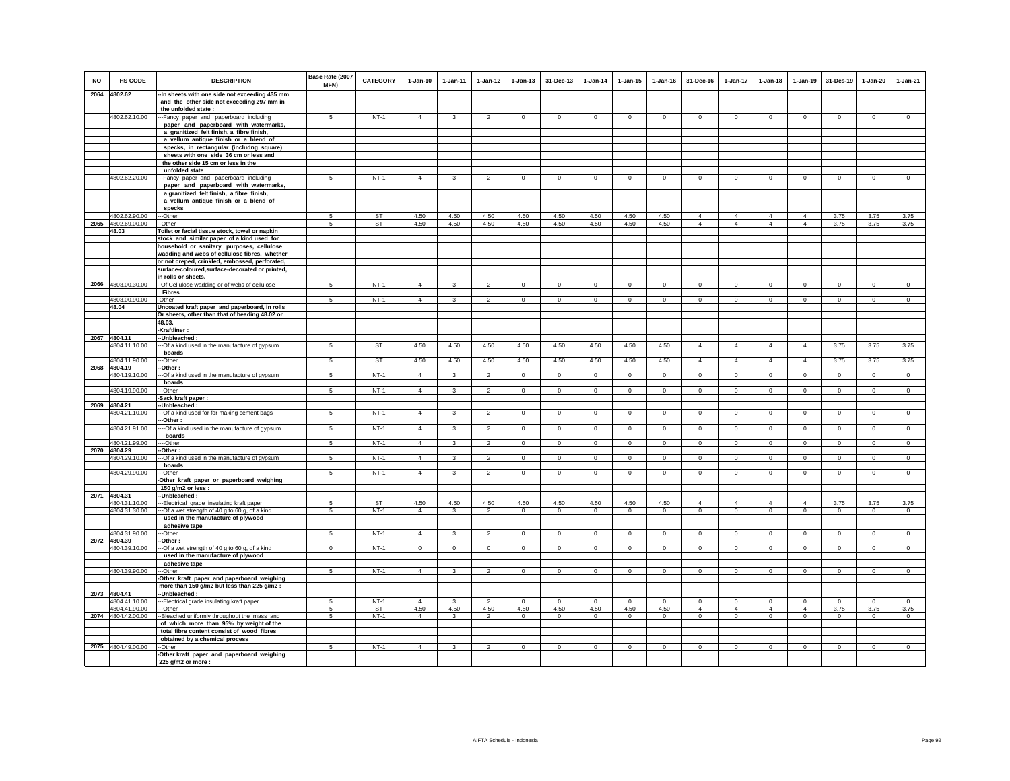| <b>NO</b> | <b>HS CODE</b><br>2064 4802.62 | <b>DESCRIPTION</b><br>-In sheets with one side not exceeding 435 mm                          | Base Rate (2007<br><b>MFN)</b> | <b>CATEGORY</b> | $1-Jan-10$     | $1 - Jan-11$  | $1 - Jan-12$             | $1 - Jan-13$   | 31-Dec-13      | $1-Jan-14$     | $1 - Jan-15$ | $1 - Jan-16$   | 31-Dec-16                      | $1-Jan-17$                | $1-Jan-18$                | $1 - Jan-19$                  | 31-Des-19      | $1-Jan-20$   | $1-Jan-21$     |
|-----------|--------------------------------|----------------------------------------------------------------------------------------------|--------------------------------|-----------------|----------------|---------------|--------------------------|----------------|----------------|----------------|--------------|----------------|--------------------------------|---------------------------|---------------------------|-------------------------------|----------------|--------------|----------------|
|           |                                |                                                                                              |                                |                 |                |               |                          |                |                |                |              |                |                                |                           |                           |                               |                |              |                |
|           |                                | and the other side not exceeding 297 mm in<br>the unfolded state:                            |                                |                 |                |               |                          |                |                |                |              |                |                                |                           |                           |                               |                |              |                |
|           | 4802.62.10.00                  |                                                                                              | 5                              | $NT-1$          | $\overline{4}$ | $\mathbf{R}$  | $\overline{2}$           | $\mathbf 0$    | $\Omega$       | $\mathbf 0$    | $\Omega$     | $\circ$        | $\mathbf{0}$                   | $\Omega$                  | $\mathbf 0$               | $\Omega$                      | $^{\circ}$     | $\Omega$     | $\Omega$       |
|           |                                | --Fancy paper and paperboard including<br>paper and paperboard with watermarks,              |                                |                 |                |               |                          |                |                |                |              |                |                                |                           |                           |                               |                |              |                |
|           |                                | a granitized felt finish, a fibre finish,                                                    |                                |                 |                |               |                          |                |                |                |              |                |                                |                           |                           |                               |                |              |                |
|           |                                | a vellum antique finish or a blend of                                                        |                                |                 |                |               |                          |                |                |                |              |                |                                |                           |                           |                               |                |              |                |
|           |                                | specks, in rectangular (includng square)                                                     |                                |                 |                |               |                          |                |                |                |              |                |                                |                           |                           |                               |                |              |                |
|           |                                | sheets with one side 36 cm or less and                                                       |                                |                 |                |               |                          |                |                |                |              |                |                                |                           |                           |                               |                |              |                |
|           |                                | the other side 15 cm or less in the                                                          |                                |                 |                |               |                          |                |                |                |              |                |                                |                           |                           |                               |                |              |                |
|           |                                | unfolded state                                                                               |                                |                 |                |               |                          |                |                |                |              |                |                                |                           |                           |                               |                |              |                |
|           | 4802.62.20.00                  | --Fancy paper and paperboard including                                                       | $5 -$                          | $NT-1$          | $\overline{4}$ | 3             | $\mathcal{P}$            | $\mathbf{0}$   | $\Omega$       | $\Omega$       | $\Omega$     | $\Omega$       | $\mathbf 0$                    | $\Omega$                  | $\Omega$                  | $\Omega$                      | $\circ$        | $\Omega$     | $\Omega$       |
|           |                                | paper and paperboard with watermarks,                                                        |                                |                 |                |               |                          |                |                |                |              |                |                                |                           |                           |                               |                |              |                |
|           |                                | a granitized felt finish, a fibre finish,                                                    |                                |                 |                |               |                          |                |                |                |              |                |                                |                           |                           |                               |                |              |                |
|           |                                | a vellum antique finish or a blend of                                                        |                                |                 |                |               |                          |                |                |                |              |                |                                |                           |                           |                               |                |              |                |
|           |                                | specks                                                                                       |                                |                 |                |               |                          |                |                |                |              |                |                                |                           |                           |                               |                |              |                |
|           | 4802.62.90.00                  | -Other                                                                                       | 5                              | <b>ST</b>       | 4.50           | 4.50          | 4.50                     | 4.50           | 4.50           | 4.50           | 4.50         | 4.50           | $\overline{4}$                 | 4                         | $\overline{4}$            | $\overline{4}$                | 3.75           | 3.75         | 3.75           |
|           | 2065 4802.69.00.00             | -Other                                                                                       | 5                              | <b>ST</b>       | 4.50           | 4.50          | 4.50                     | 4.50           | 4.50           | 4.50           | 4.50         | 4.50           | $\overline{4}$                 | $\overline{4}$            | $\overline{4}$            | $\overline{4}$                | 3.75           | 3.75         | 3.75           |
|           | 48.03                          | Toilet or facial tissue stock, towel or napkin                                               |                                |                 |                |               |                          |                |                |                |              |                |                                |                           |                           |                               |                |              |                |
|           |                                | stock and similar paper of a kind used for                                                   |                                |                 |                |               |                          |                |                |                |              |                |                                |                           |                           |                               |                |              |                |
|           |                                | household or sanitary purposes, cellulose                                                    |                                |                 |                |               |                          |                |                |                |              |                |                                |                           |                           |                               |                |              |                |
|           |                                | wadding and webs of cellulose fibres, whether                                                |                                |                 |                |               |                          |                |                |                |              |                |                                |                           |                           |                               |                |              |                |
|           |                                | or not creped, crinkled, embossed, perforated,                                               |                                |                 |                |               |                          |                |                |                |              |                |                                |                           |                           |                               |                |              |                |
|           |                                | surface-coloured, surface-decorated or printed,                                              |                                |                 |                |               |                          |                |                |                |              |                |                                |                           |                           |                               |                |              |                |
|           |                                | in rolls or sheets.                                                                          |                                |                 |                |               |                          |                |                |                |              |                |                                |                           |                           |                               |                |              |                |
|           | 2066 4803.00.30.00             | - Of Cellulose wadding or of webs of cellulose                                               | -5                             | $NT-1$          | $\overline{4}$ | 3             | $\overline{2}$           | $\circ$        | $\mathbf{0}$   | $\mathbf{0}$   | $^{\circ}$   | $\circ$        | $\circ$                        | $\circ$                   | $\circ$                   | $\circ$                       | $\mathbf{0}$   | $^{\circ}$   | $\mathbf{0}$   |
|           |                                | <b>Fibres</b>                                                                                |                                |                 |                |               |                          |                |                |                |              |                |                                |                           |                           |                               |                |              |                |
|           | 4803.00.90.00                  | -Other                                                                                       | 5                              | $NT-1$          | $\overline{4}$ | 3             | $\mathfrak{p}$           | $\mathbf{0}$   | $\mathbf{0}$   | $\circ$        | $\Omega$     | $\Omega$       | $\Omega$                       | $\mathsf 0$               | $\circ$                   | $\circ$                       | $\circ$        | $\Omega$     | $\circ$        |
|           | 48.04                          | Uncoated kraft paper and paperboard, in rolls                                                |                                |                 |                |               |                          |                |                |                |              |                |                                |                           |                           |                               |                |              |                |
|           |                                | Or sheets, other than that of heading 48.02 or                                               |                                |                 |                |               |                          |                |                |                |              |                |                                |                           |                           |                               |                |              |                |
|           |                                | 48.03.                                                                                       |                                |                 |                |               |                          |                |                |                |              |                |                                |                           |                           |                               |                |              |                |
|           |                                | -Kraftliner                                                                                  |                                |                 |                |               |                          |                |                |                |              |                |                                |                           |                           |                               |                |              |                |
|           | 2067 4804.11                   | --Unbleached:                                                                                |                                |                 |                |               |                          |                |                |                |              |                |                                |                           |                           |                               |                |              |                |
|           | 4804.11.10.00                  | --- Of a kind used in the manufacture of gypsum                                              | 5                              | ST              | 4.50           | 4.50          | 4.50                     | 4.50           | 4.50           | 4.50           | 4.50         | 4.50           | $\overline{4}$                 | $\overline{4}$            | $\overline{4}$            | $\overline{4}$                | 3.75           | 3.75         | 3.75           |
|           |                                | boards                                                                                       |                                | <b>ST</b>       |                |               |                          |                |                |                |              |                |                                |                           |                           |                               |                |              |                |
|           | 4804.11.90.00<br>2068 4804.19  | --Other<br>-Other:                                                                           | -5                             |                 | 4.50           | 4.50          | 4.50                     | 4.50           | 4.50           | 4.50           | 4.50         | 4.50           | $\overline{4}$                 | $\overline{4}$            | $\overline{4}$            | $\overline{4}$                | 3.75           | 3.75         | 3.75           |
|           | 4804.19.10.00                  | -Of a kind used in the manufacture of gypsum                                                 | 5                              | $NT-1$          | $\overline{4}$ | 3             | $\overline{2}$           | $\mathsf 0$    | $\overline{0}$ | $\mathsf 0$    | $\mathsf 0$  | $\mathsf 0$    | $\mathbf 0$                    | $\overline{0}$            | $\mathbf 0$               | $\mathbf 0$                   | $\circ$        | $\mathsf 0$  | $\mathsf 0$    |
|           |                                | boards                                                                                       |                                |                 |                |               |                          |                |                |                |              |                |                                |                           |                           |                               |                |              |                |
|           | 4804.19.90.00                  | --Other                                                                                      | 5                              | $NT-1$          | $\overline{4}$ | $\mathbf{R}$  | $\overline{2}$           | $\mathbf{0}$   | $\mathbf{0}$   | $\mathbf 0$    | $\mathbf{0}$ | $\mathbf 0$    | $\mathbf{0}$                   | $\mathbf 0$               | $\circ$                   | $\mathbf 0$                   | $\overline{0}$ | $\mathsf 0$  | $\overline{0}$ |
|           |                                | -Sack kraft paper:                                                                           |                                |                 |                |               |                          |                |                |                |              |                |                                |                           |                           |                               |                |              |                |
|           | 2069 4804.21                   | -- Unbleached :                                                                              |                                |                 |                |               |                          |                |                |                |              |                |                                |                           |                           |                               |                |              |                |
|           | 4804.21.10.00                  | --- Of a kind used for for making cement bags                                                | 5                              | NT-1            | $\overline{4}$ | 3             | $\overline{2}$           | $\mathbf 0$    | $\mathbf{0}$   | $\mathbf 0$    | $\circ$      | $^{\circ}$     | $\mathbf 0$                    | $\mathbf 0$               | $\circ$                   | $\mathbf 0$                   | $\mathbf{0}$   | $\mathbf 0$  | $\circ$        |
|           |                                | --Other :                                                                                    |                                |                 |                |               |                          |                |                |                |              |                |                                |                           |                           |                               |                |              |                |
|           | 4804.21.91.00                  | --- Of a kind used in the manufacture of gypsum                                              | 5                              | $NT-1$          | $\Delta$       | $\mathcal{R}$ | $\overline{2}$           | $\Omega$       | $\circ$        | $\mathbf{0}$   | $\Omega$     | $\Omega$       | $\Omega$                       | $\circ$                   | $\circ$                   | $\circ$                       | $\circ$        | $\mathbf{0}$ | $\mathsf 0$    |
|           |                                | boards                                                                                       |                                |                 |                |               |                          |                |                |                |              |                |                                |                           |                           |                               |                |              |                |
|           | 4804.21.99.00                  | --Other                                                                                      | 5                              | $NT-1$          | $\overline{4}$ | 3             | $\overline{2}$           | $\mathbf 0$    | $\mathbf 0$    | $\mathbf 0$    | $\mathbf 0$  | $\mathbf 0$    | $\mathsf 0$                    | $\mathsf 0$               | $\mathbf 0$               | $\mathbf 0$                   | $\,0\,$        | $\mathbf 0$  | $\mathbf 0$    |
|           | 2070 4804.29                   | -Other:                                                                                      |                                |                 |                |               |                          |                |                |                |              |                |                                |                           |                           |                               |                |              |                |
|           | 4804.29.10.00                  | --Of a kind used in the manufacture of gypsum                                                | 5                              | $NT-1$          | $\overline{4}$ | 3             | $\overline{2}$           | $\overline{0}$ | $\overline{0}$ | $\overline{0}$ | $\circ$      | $\overline{0}$ | $\circ$                        | $\overline{0}$            | $\overline{0}$            | $\overline{0}$                | $\overline{0}$ | $\circ$      | $\overline{0}$ |
|           |                                | boards                                                                                       |                                |                 |                |               |                          |                |                |                |              |                |                                |                           |                           |                               |                |              |                |
|           | 4804.29.90.00                  | ---Other                                                                                     | 5                              | $NT-1$          | $\overline{4}$ | 3             | $\overline{\phantom{a}}$ | $\mathbf 0$    | $\Omega$       | $\Omega$       | $\mathbf 0$  | $\Omega$       | $\mathbf 0$                    | $\circ$                   | $\Omega$                  | $\mathbf 0$                   | $\Omega$       | $\mathbf 0$  | $\Omega$       |
|           |                                | Other kraft paper or paperboard weighing                                                     |                                |                 |                |               |                          |                |                |                |              |                |                                |                           |                           |                               |                |              |                |
|           | 2071 4804.31                   | 150 g/m2 or less :<br>-Unbleached:                                                           |                                |                 |                |               |                          |                |                |                |              |                |                                |                           |                           |                               |                |              |                |
|           |                                |                                                                                              |                                | <b>ST</b>       | 4.50           | 4.50          | 4.50                     | 4.50           | 4.50           | 4.50           | 4.50         | 4.50           |                                |                           |                           |                               | 3.75           | 3.75         | 3.75           |
|           | 4804.31.10.00<br>4804.31.30.00 | -- Electrical grade insulating kraft paper<br>--Of a wet strength of 40 g to 60 g, of a kind | 5<br>5                         | $NT-1$          | $\overline{4}$ | $\mathbf{3}$  | $\mathcal{L}$            | $\circ$        | $\mathbf 0$    | $\circ$        | $\Omega$     | $\circ$        | $\overline{4}$<br>$\mathbf{0}$ | $\overline{4}$<br>$\circ$ | $\overline{4}$<br>$\circ$ | $\overline{4}$<br>$\mathbf 0$ | $\circ$        | $\circ$      | $\Omega$       |
|           |                                | used in the manufacture of plywood                                                           |                                |                 |                |               |                          |                |                |                |              |                |                                |                           |                           |                               |                |              |                |
|           |                                | adhesive tape                                                                                |                                |                 |                |               |                          |                |                |                |              |                |                                |                           |                           |                               |                |              |                |
|           | 4804.31.90.00                  | --Other                                                                                      | 5                              | $NT-1$          | $\overline{4}$ | $\mathbf{R}$  | $\mathcal{L}$            | $\Omega$       | $\mathbf{0}$   | $\Omega$       | $\Omega$     | $\Omega$       | $\mathbf{0}$                   | $\Omega$                  | $\mathbf 0$               | $\mathbf 0$                   | $\Omega$       | $\Omega$     | $\circ$        |
|           | 2072 4804.39                   | --Other :                                                                                    |                                |                 |                |               |                          |                |                |                |              |                |                                |                           |                           |                               |                |              |                |
|           | 4804.39.10.00                  | --Of a wet strength of 40 g to 60 g, of a kind                                               | $\mathbf{0}$                   | $NT-1$          | $\mathbf{0}$   | $\circ$       | $\overline{0}$           | $\circ$        | $\overline{0}$ | $\overline{0}$ | $\mathbf 0$  | $\mathbf 0$    | $\overline{0}$                 | $\circ$                   | $\mathbf{0}$              | $\mathbf 0$                   | $\overline{0}$ | $\circ$      | $\mathbf 0$    |
|           |                                | used in the manufacture of plywood                                                           |                                |                 |                |               |                          |                |                |                |              |                |                                |                           |                           |                               |                |              |                |
|           |                                | adhesive tape                                                                                |                                |                 |                |               |                          |                |                |                |              |                |                                |                           |                           |                               |                |              |                |
|           | 4804.39.90.00                  | -Other                                                                                       | 5                              | $NT-1$          | $\overline{4}$ | 3             | $\mathfrak{p}$           | $\mathsf 0$    | $\mathsf 0$    | $\mathbf 0$    | $\mathbf 0$  | $\mathsf 0$    | $\mathsf 0$                    | $\mathbf 0$               | $\mathbf 0$               | $\mathbf 0$                   | $\mathbf 0$    | $\circ$      | $\Omega$       |
|           |                                | Other kraft paper and paperboard weighing                                                    |                                |                 |                |               |                          |                |                |                |              |                |                                |                           |                           |                               |                |              |                |
|           |                                | more than 150 g/m2 but less than 225 g/m2 :                                                  |                                |                 |                |               |                          |                |                |                |              |                |                                |                           |                           |                               |                |              |                |
|           | 2073 4804.41                   | --Unbleached :                                                                               |                                |                 |                |               |                          |                |                |                |              |                |                                |                           |                           |                               |                |              |                |
|           | 4804.41.10.00                  | --Electrical grade insulating kraft paper                                                    | 5                              | $NT-1$          | $\overline{4}$ | $\mathbf{3}$  | $\overline{2}$           | $\Omega$       | $\mathbf 0$    | $\mathbf 0$    | $\Omega$     | $\mathbf 0$    | $\mathbf{0}$                   | $\circ$                   | $\mathbf 0$               | $\mathbf 0$                   | $\mathbf 0$    | $\Omega$     | $\circ$        |
|           | 4804.41.90.00                  | ---Other                                                                                     | 5                              | <b>ST</b>       | 4.50           | 4.50          | 4.50                     | 4.50           | 4.50           | 4.50           | 4.50         | 4.50           | $\overline{4}$                 | $\overline{4}$            | $\overline{4}$            | $\overline{4}$                | 3.75           | 3.75         | 3.75           |
|           | 2074 4804.42.00.00             | --Bleached uniformly throughout the mass and                                                 | 5                              | $NT-1$          | $\overline{4}$ | $\mathbf{3}$  | $\overline{2}$           | $\mathbf{0}$   | $\overline{0}$ | $\mathbf{0}$   | $\mathbf{0}$ | $\circ$        | $\overline{0}$                 | $\circ$                   | $\mathbf{0}$              | $\circ$                       | $\mathbf{0}$   | $\mathbf{0}$ | $\mathbf{0}$   |
|           |                                | of which more than 95% by weight of the                                                      |                                |                 |                |               |                          |                |                |                |              |                |                                |                           |                           |                               |                |              |                |
|           |                                | total fibre content consist of wood fibres                                                   |                                |                 |                |               |                          |                |                |                |              |                |                                |                           |                           |                               |                |              |                |
|           |                                | obtained by a chemical process                                                               |                                |                 |                |               |                          |                |                |                |              |                |                                |                           |                           |                               |                |              |                |
|           | 2075 4804.49.00.00             | -Other                                                                                       | 5                              | $NT-1$          | $\overline{4}$ | $\mathbf{3}$  | $\overline{2}$           | $\mathsf 0$    | $\mathbf{0}$   | $\circ$        | $\mathbf 0$  | $\circ$        | $\circ$                        | $\mathbf 0$               | $\circ$                   | $\circ$                       | $\mathbf{0}$   | $\mathbf{0}$ | $\mathsf 0$    |
|           |                                | Other kraft paper and paperboard weighing                                                    |                                |                 |                |               |                          |                |                |                |              |                |                                |                           |                           |                               |                |              |                |
|           |                                | 225 g/m2 or more :                                                                           |                                |                 |                |               |                          |                |                |                |              |                |                                |                           |                           |                               |                |              |                |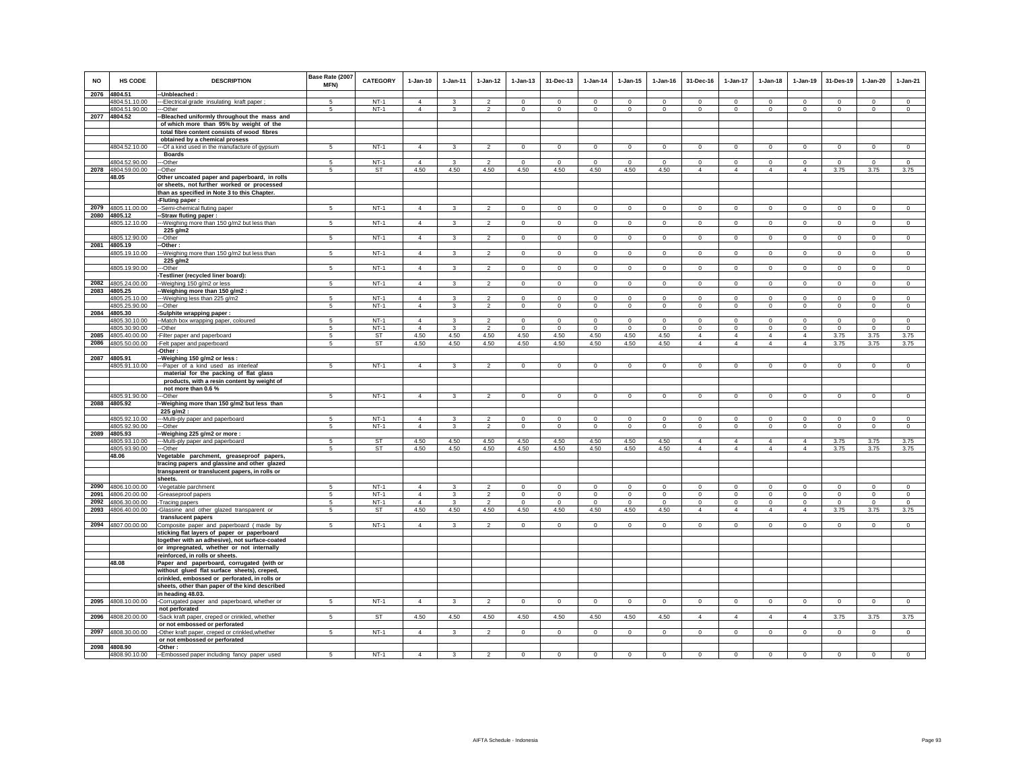| NO           | <b>HS CODE</b>                 | <b>DESCRIPTION</b>                                                                              | Base Rate (2007<br>MFN) | <b>CATEGORY</b> | $1-Jan-10$     | $1-Jan-11$   | $1-Jan-12$               | $1-Jan-13$     | 31-Dec-13      | $1-Jan-14$  | $1$ -Jan-15  | $1 - Jan-16$ | 31-Dec-16                        | $1-Jan-17$                       | $1-Jan-18$     | $1-Jan-19$                       | 31-Des-19      | $1-Jan-20$   | $1-Jan-21$     |
|--------------|--------------------------------|-------------------------------------------------------------------------------------------------|-------------------------|-----------------|----------------|--------------|--------------------------|----------------|----------------|-------------|--------------|--------------|----------------------------------|----------------------------------|----------------|----------------------------------|----------------|--------------|----------------|
| 2076         | 4804.51                        | --Unbleached:                                                                                   | $\sqrt{5}$              | $NT-1$          | $\overline{4}$ | $\mathbf{R}$ | $\overline{\phantom{a}}$ | $\Omega$       | $\Omega$       | $\Omega$    | $\Omega$     | $\Omega$     | $\Omega$                         | $\Omega$                         | $\Omega$       |                                  | $\Omega$       | $\Omega$     | $\Omega$       |
|              | 4804.51.10.00<br>4804.51.90.00 | --- Electrical grade insulating kraft paper<br>---Other                                         | 5                       | $NT-1$          | $\overline{4}$ | 3            | $\overline{2}$           | $\mathbf 0$    | $\mathbf{0}$   | $\mathbf 0$ | $\mathbf 0$  | $\mathbf 0$  | $\mathbf 0$                      | $\mathbf 0$                      | $\circ$        | $\Omega$<br>$\Omega$             | $\mathbf 0$    | $\mathbf 0$  | $\circ$        |
|              | 2077 4804.52                   | --Bleached uniformly throughout the mass and                                                    |                         |                 |                |              |                          |                |                |             |              |              |                                  |                                  |                |                                  |                |              |                |
|              |                                | of which more than 95% by weight of the                                                         |                         |                 |                |              |                          |                |                |             |              |              |                                  |                                  |                |                                  |                |              |                |
|              |                                | total fibre content consists of wood fibres                                                     |                         |                 |                |              |                          |                |                |             |              |              |                                  |                                  |                |                                  |                |              |                |
|              |                                | obtained by a chemical prosess                                                                  |                         |                 |                |              |                          |                |                |             |              |              |                                  |                                  |                |                                  |                |              |                |
|              | 4804.52.10.00                  | -- Of a kind used in the manufacture of gypsum<br><b>Boards</b>                                 | $5 -$                   | $NT-1$          | $\overline{4}$ | 3            | $\mathcal{P}$            | $\Omega$       | $\overline{0}$ | $\Omega$    | $\Omega$     | $\Omega$     | $\Omega$                         | $\Omega$                         | $\Omega$       | $\Omega$                         | $\Omega$       | $\Omega$     | $\overline{0}$ |
|              | 4804.52.90.00                  | --Other                                                                                         |                         | $NT-1$          | $\overline{4}$ |              |                          | $\Omega$       | $\mathbf 0$    | $\Omega$    |              | $\Omega$     | $\Omega$                         | $\Omega$                         | $\mathbf 0$    | $\mathbf 0$                      | $\Omega$       | $\Omega$     | $\Omega$       |
| 2078         | 4804.59.00.00                  | -Other                                                                                          | 5                       | ST              | 4.50           | 4.50         | 4.50                     | 4.50           | 4.50           | 4.50        | 4.50         | 4.50         | $\overline{4}$                   | $\overline{4}$                   | $\overline{4}$ | $\overline{4}$                   | 3.75           | 3.75         | 3.75           |
|              | 48.05                          | Other uncoated paper and paperboard, in rolls                                                   |                         |                 |                |              |                          |                |                |             |              |              |                                  |                                  |                |                                  |                |              |                |
|              |                                | or sheets, not further worked or processed                                                      |                         |                 |                |              |                          |                |                |             |              |              |                                  |                                  |                |                                  |                |              |                |
|              |                                | than as specified in Note 3 to this Chapter.                                                    |                         |                 |                |              |                          |                |                |             |              |              |                                  |                                  |                |                                  |                |              |                |
|              | 2079 4805.11.00.00             | -Fluting paper :<br>-Semi-chemical fluting paper                                                | -5                      | $NT-1$          | $\overline{4}$ | $\mathbf{R}$ | $\overline{2}$           | $\circ$        | $\circ$        | $\Omega$    | $\Omega$     | $\mathbf 0$  | $\mathbf{0}$                     | $\circ$                          | $\circ$        | $\mathbf 0$                      | $\mathbf 0$    | $\mathbf{0}$ | $\circ$        |
|              | 2080 4805.12                   | -Straw fluting paper:                                                                           |                         |                 |                |              |                          |                |                |             |              |              |                                  |                                  |                |                                  |                |              |                |
|              | 4805.12.10.00                  | ---Weighing more than 150 g/m2 but less than                                                    | 5                       | $NT-1$          | $\overline{4}$ | 3            | $\overline{2}$           | 0              | $\overline{0}$ | $^{\circ}$  | $\mathbf 0$  | $^{\circ}$   | $\mathbf 0$                      | $\overline{0}$                   | $\circ$        | $\mathbf 0$                      | $\circ$        | $\mathbf 0$  | $\mathbf 0$    |
|              |                                | 225 g/m2                                                                                        |                         |                 |                |              |                          |                |                |             |              |              |                                  |                                  |                |                                  |                |              |                |
|              | 4805.12.90.00                  | ---Other                                                                                        | 5                       | $NT-1$          | $\overline{4}$ | 3            | $\overline{2}$           | $\overline{0}$ | $\overline{0}$ | $\circ$     | $\mathbf{0}$ | $\mathbf{0}$ | $\mathbf{0}$                     | $\overline{0}$                   | $\mathbf{0}$   | $\overline{0}$                   | $\overline{0}$ | $\mathbf 0$  | $\overline{0}$ |
| 2081         | 4805.19<br>4805.19.10.00       | -Other:<br>-Weighing more than 150 g/m2 but less than                                           | 5                       | $NT-1$          | $\overline{4}$ | 3            | $\overline{2}$           | $\mathsf 0$    | $\circ$        | $\mathbb O$ | $\mathbf 0$  | $\mathsf 0$  | $\mathbf 0$                      | $\overline{0}$                   | $\mathbf 0$    | $\circ$                          | $\circ$        | $\mathbf 0$  | $\mathsf 0$    |
|              |                                | 225 g/m2                                                                                        |                         |                 |                |              |                          |                |                |             |              |              |                                  |                                  |                |                                  |                |              |                |
|              | 4805.19.90.00                  | --Other                                                                                         | 5                       | $NT-1$          | $\overline{4}$ | $\mathbf{3}$ | $\overline{2}$           | 0              | $\circ$        | $\,0\,$     | $\mathbf 0$  | $\mathbf 0$  | $\mathbf 0$                      | $\overline{0}$                   | $\mathbf 0$    | $\mathbf 0$                      | $\,0\,$        | $\mathbf 0$  | $\mathbf 0$    |
|              |                                | -Testliner (recycled liner board):                                                              |                         |                 |                |              |                          |                |                |             |              |              |                                  |                                  |                |                                  |                |              |                |
| 2082         | 4805.24.00.00                  | --Weighing 150 g/m2 or less                                                                     | $\sqrt{5}$              | $NT-1$          | $\Delta$       | $\mathbf{R}$ | $\overline{2}$           | $\mathbf 0$    | $\circ$        | $\mathbb O$ | $\mathbf{0}$ | $\mathbf 0$  | $\Omega$                         | $\overline{0}$                   | $\circ$        | $\mathbf 0$                      | $\mathbb O$    | $\mathsf 0$  | $\overline{0}$ |
| 2083         | 4805.25<br>4805.25.10.00       | -Weighing more than 150 g/m2 :                                                                  | 5                       | $NT-1$          | $\overline{4}$ | 3            | $\mathcal{P}$            | $\Omega$       | $\mathbf 0$    | $\Omega$    | $\Omega$     | $\Omega$     | $\Omega$                         | $\mathbf 0$                      | $\Omega$       | $\Omega$                         | $\Omega$       | $\Omega$     | $\mathbf 0$    |
|              | 4805.25.90.00                  | ---Weighing less than 225 g/m2<br>---Other                                                      | 5                       | $NT-1$          | $\overline{4}$ | 3            | $\overline{2}$           | $\mathbf 0$    | $\,0\,$        | $\mathbb O$ | $\mathbf 0$  | $\mathbf 0$  | $\mathbf 0$                      | $\mathbf 0$                      | $\mathbf 0$    | $\mathbf 0$                      | $\mathbb O$    | $\mathsf 0$  | $\mathsf 0$    |
|              | 2084 4805.30                   | -Sulphite wrapping paper:                                                                       |                         |                 |                |              |                          |                |                |             |              |              |                                  |                                  |                |                                  |                |              |                |
|              | 4805.30.10.00                  | -- Match box wrapping paper, coloured                                                           | 5                       | $NT-1$          | $\overline{4}$ | 3            | $\overline{2}$           | $\mathbf{0}$   | $\circ$        | $^{\circ}$  | $^{\circ}$   | $^{\circ}$   | $\circ$                          | $\mathbf{0}$                     | $\circ$        | $\mathbf{0}$                     | $^{\circ}$     | $\mathbf{0}$ | $\mathsf 0$    |
|              | 4805.30.90.00                  | -Other                                                                                          | $\sqrt{5}$              | $NT-1$          | $\overline{4}$ | 3            | $\overline{2}$           | $\circ$        | $\Omega$       | $\Omega$    | $^{\circ}$   | $\Omega$     | $\Omega$                         | $\mathbf 0$                      | $\Omega$       | $\Omega$                         | $\Omega$       | $\Omega$     | $\Omega$       |
| 2085<br>2086 | 4805.40.00.00                  | -Filter paper and paperboard                                                                    | 5<br>5                  | ST<br>ST        | 4.50           | 4.50         | 4.50                     | 4.50           | 4.50           | 4.50        | 4.50         | 4.50         | $\overline{4}$<br>$\overline{4}$ | $\overline{4}$<br>$\overline{4}$ | $\overline{4}$ | $\overline{4}$<br>$\overline{4}$ | 3.75           | 3.75         | 3.75           |
|              | 4805.50.00.00                  | -Felt paper and paperboard<br>-Other :                                                          |                         |                 | 4.50           | 4.50         | 4.50                     | 4.50           | 4.50           | 4.50        | 4.50         | 4.50         |                                  |                                  | $\overline{4}$ |                                  | 3.75           | 3.75         | 3.75           |
|              | 2087 4805.91                   | -Weighing 150 g/m2 or less :                                                                    |                         |                 |                |              |                          |                |                |             |              |              |                                  |                                  |                |                                  |                |              |                |
|              | 4805.91.10.00                  | ---Paper of a kind used as interleaf                                                            | 5                       | $NT-1$          | $\overline{4}$ | 3            | $\overline{2}$           | $\mathbf 0$    | $\circ$        | $\mathbf 0$ | $\Omega$     | $\Omega$     | $\circ$                          | $\circ$                          | $\circ$        | $\mathbf 0$                      | $\mathbf 0$    | $\mathsf 0$  | $\overline{0}$ |
|              |                                | material for the packing of flat glass                                                          |                         |                 |                |              |                          |                |                |             |              |              |                                  |                                  |                |                                  |                |              |                |
|              |                                | products, with a resin content by weight of                                                     |                         |                 |                |              |                          |                |                |             |              |              |                                  |                                  |                |                                  |                |              |                |
|              | 4805.91.90.00                  | not more than 0.6 %<br>---Other                                                                 | 5                       | $NT-1$          | $\overline{4}$ | 3            | $\overline{2}$           | $\mathbf{0}$   | $\mathbf{0}$   | $\circ$     | $\mathbf 0$  | $^{\circ}$   | $\mathbf 0$                      | $\overline{0}$                   | $\mathbf{0}$   | $\circ$                          | $\circ$        | $\mathbf 0$  | $\mathbf{0}$   |
|              | 2088 4805.92                   | -Weighing more than 150 g/m2 but less than                                                      |                         |                 |                |              |                          |                |                |             |              |              |                                  |                                  |                |                                  |                |              |                |
|              |                                | 225 g/m2 :                                                                                      |                         |                 |                |              |                          |                |                |             |              |              |                                  |                                  |                |                                  |                |              |                |
|              | 4805.92.10.00                  | --- Multi-ply paper and paperboard                                                              | 5                       | $NT-1$          | $\overline{4}$ |              | $\overline{2}$           | $\mathbf 0$    | $\mathbf{0}$   | $\mathbf 0$ | $^{\circ}$   | $^{\circ}$   | $^{\circ}$                       | $\mathbf{0}$                     | $^{\circ}$     | $^{\circ}$                       | $\mathbf 0$    | $^{\circ}$   | $^{\circ}$     |
| 2089         | 4805.92.90.00<br>4805.93       | --Other                                                                                         | 5                       | $NT-1$          | $\overline{4}$ | 3            | $\overline{2}$           | $\mathbf 0$    | $\circ$        | $\mathbf 0$ | $\circ$      | $\circ$      | $\mathbf 0$                      | $\mathbf 0$                      | $\circ$        | $\mathbf 0$                      | $\mathbf 0$    | $\circ$      | $\circ$        |
|              | 4805.93.10.00                  | -Weighing 225 g/m2 or more :<br>---Multi-ply paper and paperboard                               | 5                       | <b>ST</b>       | 4.50           | 4.50         | 4.50                     | 4.50           | 4.50           | 4.50        | 4.50         | 4.50         | $\overline{4}$                   | $\overline{4}$                   | $\overline{4}$ | $\overline{4}$                   | 3.75           | 3.75         | 3.75           |
|              | 4805.93.90.00                  | --Other                                                                                         | $\sqrt{5}$              | ST              | 4.50           | 4.50         | 4.50                     | 4.50           | 4.50           | 4.50        | 4.50         | 4.50         | $\overline{4}$                   | $\overline{4}$                   | $\overline{4}$ | $\overline{4}$                   | 3.75           | 3.75         | 3.75           |
|              | 48.06                          | Vegetable parchment, greaseproof papers,                                                        |                         |                 |                |              |                          |                |                |             |              |              |                                  |                                  |                |                                  |                |              |                |
|              |                                | tracing papers and glassine and other glazed                                                    |                         |                 |                |              |                          |                |                |             |              |              |                                  |                                  |                |                                  |                |              |                |
|              |                                | transparent or translucent papers, in rolls or                                                  |                         |                 |                |              |                          |                |                |             |              |              |                                  |                                  |                |                                  |                |              |                |
|              | 2090 4806.10.00.00             | sheets.<br>-Vegetable parchment                                                                 | 5                       | $NT-1$          | $\overline{4}$ |              | $\overline{2}$           | $\Omega$       | $\,0\,$        | $\Omega$    | $\Omega$     | $\Omega$     | $\Omega$                         | $\mathbf 0$                      | $\Omega$       | $\Omega$                         | $\Omega$       | $\Omega$     | $\Omega$       |
|              | 2091 4806.20.00.00             | -Greaseproof papers                                                                             | 5                       | $NT-1$          | $\overline{4}$ | $\mathbf{3}$ | $\overline{2}$           | $\mathbf 0$    | $\mathbf{0}$   | $\mathbf 0$ | $\mathbf 0$  | $\mathbf 0$  | $\circ$                          | $\circ$                          | $\circ$        | $\mathbf 0$                      | $\mathbf 0$    | $\circ$      | $\circ$        |
| 2092         | 4806.30.00.00                  | -Tracing papers                                                                                 | 5                       | $NT-1$          | $\overline{4}$ | 3            | $\overline{2}$           | $\mathbf 0$    | $\mathbf 0$    | $\mathbf 0$ | $\mathbf 0$  | $\mathbf 0$  | $\mathbf 0$                      | $\circ$                          | $\circ$        | $\mathbf 0$                      | $\mathbf 0$    | $\mathbf 0$  | $\circ$        |
|              | 2093 4806.40.00.00             | -Glassine and other glazed transparent or                                                       | 5                       | ST              | 4.50           | 4.50         | 4.50                     | 4.50           | 4.50           | 4.50        | 4.50         | 4.50         | $\overline{4}$                   | $\overline{4}$                   | $\overline{4}$ | $\overline{4}$                   | 3.75           | 3.75         | 3.75           |
|              |                                | translucent papers                                                                              |                         |                 |                |              | $\mathcal{P}$            |                |                |             |              |              |                                  |                                  |                |                                  |                |              |                |
|              | 2094 4807.00.00.00             | Composite paper and paperboard (made by<br>sticking flat layers of paper or paperboard          | 5                       | $NT-1$          | $\overline{4}$ | 3            |                          | $\mathbf 0$    | $\circ$        | $\mathbf 0$ | $\mathbf 0$  | $\mathbf 0$  | $\mathbf 0$                      | $\circ$                          | $\mathsf 0$    | $\mathbb O$                      | $\mathbb O$    | $\mathbf 0$  | $\mathbf 0$    |
|              |                                | together with an adhesive), not surface-coated                                                  |                         |                 |                |              |                          |                |                |             |              |              |                                  |                                  |                |                                  |                |              |                |
|              |                                | or impregnated, whether or not internally                                                       |                         |                 |                |              |                          |                |                |             |              |              |                                  |                                  |                |                                  |                |              |                |
|              |                                | reinforced, in rolls or sheets.                                                                 |                         |                 |                |              |                          |                |                |             |              |              |                                  |                                  |                |                                  |                |              |                |
|              | 48.08                          | Paper and paperboard, corrugated (with or                                                       |                         |                 |                |              |                          |                |                |             |              |              |                                  |                                  |                |                                  |                |              |                |
|              |                                | without glued flat surface sheets), creped,                                                     |                         |                 |                |              |                          |                |                |             |              |              |                                  |                                  |                |                                  |                |              |                |
|              |                                | crinkled, embossed or perforated, in rolls or<br>sheets, other than paper of the kind described |                         |                 |                |              |                          |                |                |             |              |              |                                  |                                  |                |                                  |                |              |                |
|              |                                | in heading 48.03.                                                                               |                         |                 |                |              |                          |                |                |             |              |              |                                  |                                  |                |                                  |                |              |                |
|              | 2095 4808.10.00.00             | -Corrugated paper and paperboard, whether or                                                    | $\overline{a}$          | $NT-1$          | $\overline{4}$ | $\mathbf{R}$ | 2                        | $\mathbf 0$    | $\circ$        | $\Omega$    | $\Omega$     | $\mathbf 0$  | $\mathbf{0}$                     | $\circ$                          | $\circ$        | $\mathbf 0$                      | $\mathbf 0$    | $\Omega$     | $\circ$        |
|              |                                | not perforated                                                                                  |                         |                 |                |              |                          |                |                |             |              |              |                                  |                                  |                |                                  |                |              |                |
|              | 2096 4808.20.00.00             | -Sack kraft paper, creped or crinkled, whether                                                  | 5                       | ST              | 4.50           | 4.50         | 4.50                     | 4.50           | 4.50           | 4.50        | 4.50         | 4.50         | $\overline{4}$                   | $\overline{4}$                   | $\overline{4}$ | $\overline{4}$                   | 3.75           | 3.75         | 3.75           |
|              | 2097 4808.30.00.00             | or not embossed or perforated                                                                   |                         | $NT-1$          |                |              |                          |                |                |             | $\mathbf 0$  |              |                                  |                                  |                |                                  |                |              |                |
|              |                                | -Other kraft paper, creped or crinkled, whether<br>or not embossed or perforated                | 5                       |                 | $\overline{4}$ | 3            | $\overline{2}$           | $\mathbf 0$    | $\mathbf{0}$   | $\mathbf 0$ |              | $\mathbf 0$  | $\mathbf 0$                      | $\circ$                          | $\circ$        | $\mathbf 0$                      | $\mathbf 0$    | $\mathbf 0$  | $\circ$        |
| 2098         | 4808.90                        | -Other:                                                                                         |                         |                 |                |              |                          |                |                |             |              |              |                                  |                                  |                |                                  |                |              |                |
|              | 4808.90.10.00                  | --Embossed paper including fancy paper used                                                     | 5                       | $NT-1$          | $\overline{4}$ | 3            | $\mathfrak{p}$           | $\Omega$       | $\mathbf 0$    | $\Omega$    | $\Omega$     | $\Omega$     | $\Omega$                         | $\Omega$                         | $\Omega$       | $\Omega$                         | $\Omega$       | $\Omega$     | $\Omega$       |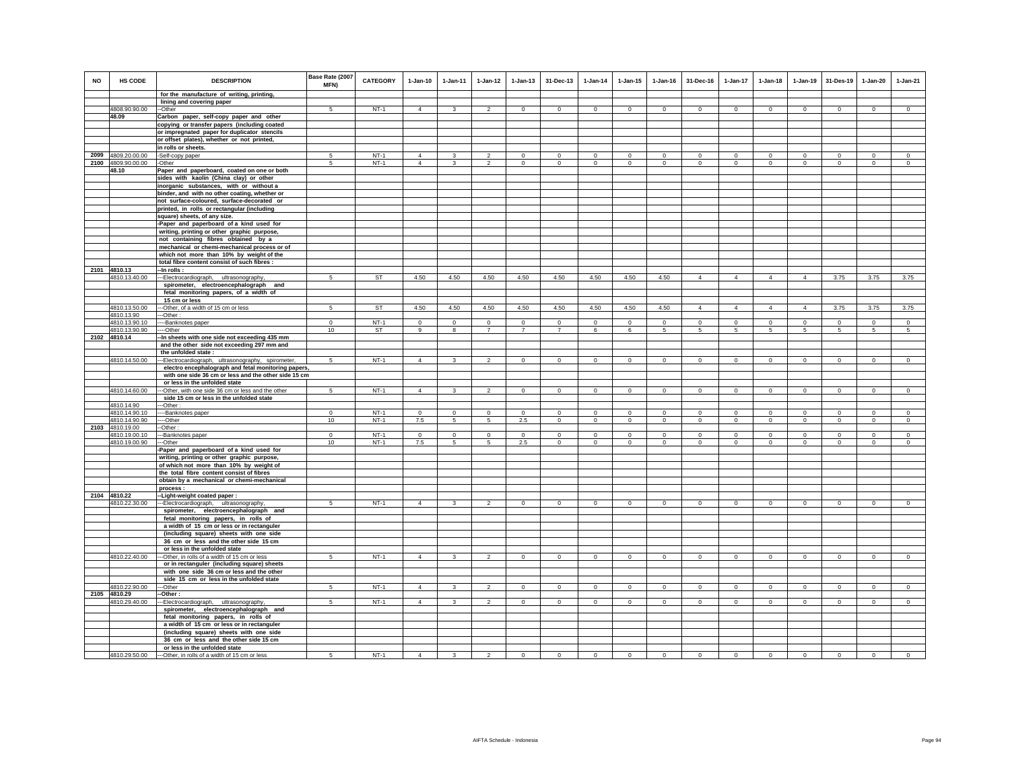| NO | HS CODE            | <b>DESCRIPTION</b>                                                                            | Base Rate (2007<br>MFN) | <b>CATEGORY</b> | $1-Jan-10$     | $1-Jan-11$              | $1-Jan-12$     | $1 - Jan-13$   | 31-Dec-13      | $1 - Jan-14$        | $1 - Jan-15$   | 1-Jan-16     | 31-Dec-16      | $1 - Jan-17$   | $1-Jan-18$     | $1-Jan-19$     | 31-Des-19      | $1-Jan-20$   | $1-Jan-21$     |
|----|--------------------|-----------------------------------------------------------------------------------------------|-------------------------|-----------------|----------------|-------------------------|----------------|----------------|----------------|---------------------|----------------|--------------|----------------|----------------|----------------|----------------|----------------|--------------|----------------|
|    |                    | for the manufacture of writing, printing,                                                     |                         |                 |                |                         |                |                |                |                     |                |              |                |                |                |                |                |              |                |
|    |                    | lining and covering paper                                                                     |                         |                 |                |                         |                |                |                |                     |                |              |                |                |                |                |                |              |                |
|    | 4808.90.90.00      | --Other                                                                                       | 5                       | $NT-1$          | $\overline{4}$ | $\mathbf{3}$            | $\mathfrak{D}$ | $\mathbf{0}$   | $\Omega$       | $\circ$             | $\mathbf{0}$   | $\circ$      | $\Omega$       | $\mathbf{0}$   | $\circ$        | $\Omega$       | $\mathbf 0$    | $\Omega$     | $\Omega$       |
|    | 48.09              | Carbon paper, self-copy paper and other                                                       |                         |                 |                |                         |                |                |                |                     |                |              |                |                |                |                |                |              |                |
|    |                    | copying or transfer papers (including coated                                                  |                         |                 |                |                         |                |                |                |                     |                |              |                |                |                |                |                |              |                |
|    |                    | or impregnated paper for duplicator stencils                                                  |                         |                 |                |                         |                |                |                |                     |                |              |                |                |                |                |                |              |                |
|    |                    | or offset plates), whether or not printed,                                                    |                         |                 |                |                         |                |                |                |                     |                |              |                |                |                |                |                |              |                |
|    | 2099 4809.20.00.00 | in rolls or sheets.                                                                           | -5                      | $NT-1$          | $\Delta$       | 3                       | $\overline{c}$ | 0              | $^{\circ}$     | 0                   | $^{\circ}$     | $\mathbf{0}$ | $^{\circ}$     | $^{\circ}$     | $^{\circ}$     | $^{\circ}$     | $\mathbf 0$    | $\circ$      | $^{\circ}$     |
|    | 2100 4809.90.00.00 | -Self-copy paper<br>-Other                                                                    | -5                      | $NT-1$          | $\Delta$       | 3                       | $\overline{2}$ | $\circ$        | $\mathbf{0}$   | $\circ$             | $\mathbf 0$    | $\mathsf 0$  | $\Omega$       | $\circ$        | $\mathbf 0$    | $\circ$        | $\circ$        | $\Omega$     | $\mathsf 0$    |
|    | 48.10              | Paper and paperboard, coated on one or both                                                   |                         |                 |                |                         |                |                |                |                     |                |              |                |                |                |                |                |              |                |
|    |                    | sides with kaolin (China clay) or other                                                       |                         |                 |                |                         |                |                |                |                     |                |              |                |                |                |                |                |              |                |
|    |                    | inorganic substances, with or without a                                                       |                         |                 |                |                         |                |                |                |                     |                |              |                |                |                |                |                |              |                |
|    |                    | binder, and with no other coating, whether or                                                 |                         |                 |                |                         |                |                |                |                     |                |              |                |                |                |                |                |              |                |
|    |                    | not surface-coloured, surface-decorated or                                                    |                         |                 |                |                         |                |                |                |                     |                |              |                |                |                |                |                |              |                |
|    |                    | printed, in rolls or rectangular (including                                                   |                         |                 |                |                         |                |                |                |                     |                |              |                |                |                |                |                |              |                |
|    |                    | square) sheets, of any size.                                                                  |                         |                 |                |                         |                |                |                |                     |                |              |                |                |                |                |                |              |                |
|    |                    | -Paper and paperboard of a kind used for<br>writing, printing or other graphic purpose,       |                         |                 |                |                         |                |                |                |                     |                |              |                |                |                |                |                |              |                |
|    |                    | not containing fibres obtained by a                                                           |                         |                 |                |                         |                |                |                |                     |                |              |                |                |                |                |                |              |                |
|    |                    | mechanical or chemi-mechanical process or of                                                  |                         |                 |                |                         |                |                |                |                     |                |              |                |                |                |                |                |              |                |
|    |                    | which not more than 10% by weight of the                                                      |                         |                 |                |                         |                |                |                |                     |                |              |                |                |                |                |                |              |                |
|    |                    | total fibre content consist of such fibres :                                                  |                         |                 |                |                         |                |                |                |                     |                |              |                |                |                |                |                |              |                |
|    | 2101 4810.13       | -In rolls :                                                                                   |                         |                 |                |                         |                |                |                |                     |                |              |                |                |                |                |                |              |                |
|    | 4810.13.40.00      | --Electrocardiograph, ultrasonography,                                                        | 5                       | <b>ST</b>       | 4.50           | 4.50                    | 4.50           | 4.50           | 4.50           | 4.50                | 4.50           | 4.50         | $\overline{4}$ | $\overline{4}$ | $\overline{4}$ | $\overline{4}$ | 3.75           | 3.75         | 3.75           |
|    |                    | spirometer, electroencephalograph and<br>fetal monitoring papers, of a width of               |                         |                 |                |                         |                |                |                |                     |                |              |                |                |                |                |                |              |                |
|    |                    | 15 cm or less                                                                                 |                         |                 |                |                         |                |                |                |                     |                |              |                |                |                |                |                |              |                |
|    | 4810.13.50.00      | --Other, of a width of 15 cm or less                                                          | 5                       | <b>ST</b>       | 4.50           | 4.50                    | 4.50           | 4.50           | 4.50           | 4.50                | 4.50           | 4.50         | $\overline{4}$ | $\overline{4}$ | $\overline{4}$ | $\overline{4}$ | 3.75           | 3.75         | 3.75           |
|    | 4810.13.90         | -Other:                                                                                       |                         |                 |                |                         |                |                |                |                     |                |              |                |                |                |                |                |              |                |
|    | 4810.13.90.10      | ----Banknotes paper                                                                           | $\overline{0}$          | $NT-1$          | $\Omega$       | $\Omega$                | $\overline{0}$ | $\Omega$       | $\Omega$       | $\overline{0}$      | $\overline{0}$ | $\Omega$     | $\Omega$       | $\overline{0}$ | $\overline{0}$ | $\Omega$       | $\overline{0}$ | $\Omega$     | $\overline{0}$ |
|    | 4810.13.90.90      | ---Other                                                                                      | 10                      | <b>ST</b>       | 9              | 8                       | $\overline{7}$ | $\overline{7}$ | $\overline{7}$ | 6                   | 6              | 5            | $5 -$          | 5              | 5              | -5             | -5             | 5            | $\sqrt{5}$     |
|    | 2102 4810.14       | -In sheets with one side not exceeding 435 mm<br>and the other side not exceeding 297 mm and  |                         |                 |                |                         |                |                |                |                     |                |              |                |                |                |                |                |              |                |
|    |                    | the unfolded state:                                                                           |                         |                 |                |                         |                |                |                |                     |                |              |                |                |                |                |                |              |                |
|    | 4810.14.50.00      | -Electrocardiograph, ultrasonography, spirometer,                                             | 5                       | $NT-1$          | $\overline{4}$ | 3                       | $\mathfrak{p}$ | $\Omega$       | $\Omega$       | $\ddot{\mathbf{0}}$ | $\Omega$       | $^{\circ}$   | $\Omega$       | $\Omega$       | $^{\circ}$     | $\Omega$       | $\circ$        | $\Omega$     | $\Omega$       |
|    |                    | electro encephalograph and fetal monitoring papers,                                           |                         |                 |                |                         |                |                |                |                     |                |              |                |                |                |                |                |              |                |
|    |                    | with one side 36 cm or less and the other side 15 cm                                          |                         |                 |                |                         |                |                |                |                     |                |              |                |                |                |                |                |              |                |
|    |                    | or less in the unfolded state                                                                 |                         |                 |                |                         |                |                |                |                     |                |              |                |                |                |                |                |              |                |
|    | 4810.14.60.00      | -Other, with one side 36 cm or less and the other<br>side 15 cm or less in the unfolded state | 5                       | $NT-1$          | $\overline{4}$ | $\mathbf{3}$            | $\overline{2}$ | $\mathsf 0$    | $\mathbf 0$    | $\mathbb O$         | $\mathsf 0$    | $\mathsf 0$  | $\mathbf 0$    | $\mathbf 0$    | $\mathsf 0$    | $\mathbf 0$    | $\,0\,$        | $\mathsf 0$  | $\mathbf 0$    |
|    | 4810.14.90         | --Other                                                                                       |                         |                 |                |                         |                |                |                |                     |                |              |                |                |                |                |                |              |                |
|    | 4810.14.90.10      | --Banknotes paper                                                                             | $\mathbf 0$             | $NT-1$          | $\circ$        | $\circ$                 | $\mathbf{0}$   | $\mathbf{0}$   | $\Omega$       | $\circ$             | $\mathbf{0}$   | $\mathbf 0$  | $\circ$        | $\mathbf{0}$   | $\circ$        | $\mathbf 0$    | $\mathbf 0$    | $\mathbf{0}$ | $\circ$        |
|    | 4810.14.90.90      | ---Other                                                                                      | 10                      | $NT-1$          | 7.5            | $5\phantom{.0}$         | $\overline{5}$ | 2.5            | $\mathbf 0$    | $\mathbf 0$         | $\mathbf 0$    | $\Omega$     | $\Omega$       | $\mathbf{0}$   | $\Omega$       | $\mathbf 0$    | $\mathbf 0$    | $\mathbf 0$  | $\circ$        |
|    | 2103 4810.19.00    | -Other:                                                                                       |                         |                 |                |                         |                |                |                |                     |                |              |                |                |                |                |                |              |                |
|    | 4810.19.00.10      | --Banknotes paper                                                                             | $\Omega$                | $NT-1$          | $\circ$        | $\circ$                 | $\circ$        | $\mathbf 0$    | $\mathbf 0$    | $\circ$             | $\mathbf 0$    | $\mathbf 0$  | $\Omega$       | $\mathbf 0$    | $\Omega$       | $\mathbf 0$    | $\circ$        | $\circ$      | $\circ$        |
|    | 4810.19.00.90      | --Other<br>Paper and paperboard of a kind used for                                            | 10                      | $NT-1$          | 7.5            | 5                       | 5              | 2.5            | $\mathbf 0$    | $\circ$             | $\mathbf 0$    | $\mathbf 0$  | $\Omega$       | $\mathbf 0$    | $\mathbf 0$    | $\circ$        | $\circ$        | $\mathbf 0$  | $\Omega$       |
|    |                    | writing, printing or other graphic purpose,                                                   |                         |                 |                |                         |                |                |                |                     |                |              |                |                |                |                |                |              |                |
|    |                    | of which not more than 10% by weight of                                                       |                         |                 |                |                         |                |                |                |                     |                |              |                |                |                |                |                |              |                |
|    |                    | the total fibre content consist of fibres                                                     |                         |                 |                |                         |                |                |                |                     |                |              |                |                |                |                |                |              |                |
|    |                    | obtain by a mechanical or chemi-mechanical                                                    |                         |                 |                |                         |                |                |                |                     |                |              |                |                |                |                |                |              |                |
|    | 2104 4810.22       | process:                                                                                      |                         |                 |                |                         |                |                |                |                     |                |              |                |                |                |                |                |              |                |
|    | 4810.22.30.00      | -Light-weight coated paper :<br>--Electrocardiograph, ultrasonography                         | 5                       | $NT-1$          | $\Delta$       | $\overline{\mathbf{3}}$ | $\mathfrak{p}$ | $\mathbf{0}$   | $\Omega$       | $\mathbf{0}$        | $\mathbf{0}$   | $\mathbf{0}$ | $\circ$        | $\mathbf{0}$   | $\mathbf 0$    | $\mathbf 0$    | $\mathbf 0$    | $\Omega$     | $\circ$        |
|    |                    | spirometer, electroencephalograph and                                                         |                         |                 |                |                         |                |                |                |                     |                |              |                |                |                |                |                |              |                |
|    |                    | fetal monitoring papers, in rolls of                                                          |                         |                 |                |                         |                |                |                |                     |                |              |                |                |                |                |                |              |                |
|    |                    | a width of 15 cm or less or in rectanguler                                                    |                         |                 |                |                         |                |                |                |                     |                |              |                |                |                |                |                |              |                |
|    |                    | (including square) sheets with one side                                                       |                         |                 |                |                         |                |                |                |                     |                |              |                |                |                |                |                |              |                |
|    |                    | 36 cm or less and the other side 15 cm                                                        |                         |                 |                |                         |                |                |                |                     |                |              |                |                |                |                |                |              |                |
|    |                    | or less in the unfolded state                                                                 |                         |                 |                |                         |                |                |                |                     |                |              |                |                |                |                |                |              |                |
|    | 4810.22.40.00      | -Other, in rolls of a width of 15 cm or less                                                  | 5                       | $NT-1$          | $\overline{4}$ | 3                       | $\overline{2}$ | $\mathbf 0$    | $\mathbf{0}$   | $\mathbf 0$         | $\circ$        | $\mathsf 0$  | $\circ$        | $\circ$        | $\mathbf 0$    | $\circ$        | $\overline{0}$ | $\mathsf 0$  | $\overline{0}$ |
|    |                    | or in rectanguler (including square) sheets<br>with one side 36 cm or less and the other      |                         |                 |                |                         |                |                |                |                     |                |              |                |                |                |                |                |              |                |
|    |                    | side 15 cm or less in the unfolded state                                                      |                         |                 |                |                         |                |                |                |                     |                |              |                |                |                |                |                |              |                |
|    | 4810.22.90.00      | --Other                                                                                       | 5                       | $NT-1$          | $\overline{4}$ | 3                       | $\overline{2}$ | $\mathbf 0$    | $\mathbf 0$    | $\circ$             | $\mathbf 0$    | $\circ$      | $\circ$        | $\circ$        | $\circ$        | $\mathbf 0$    | $\circ$        | $\circ$      | $\mathbf 0$    |
|    | 2105 4810.29       | --Other :                                                                                     |                         |                 |                |                         |                |                |                |                     |                |              |                |                |                |                |                |              |                |
|    | 4810.29.40.00      | --Electrocardiograph, ultrasonography,                                                        | 5                       | $NT-1$          | $\Delta$       | 3                       | $\overline{2}$ | $\overline{0}$ | $\Omega$       | $\overline{0}$      | $\Omega$       | $\Omega$     | $\Omega$       | $\Omega$       | $\overline{0}$ | $\Omega$       | $\overline{0}$ | $\Omega$     | $\overline{0}$ |
|    |                    | spirometer, electroencephalograph and                                                         |                         |                 |                |                         |                |                |                |                     |                |              |                |                |                |                |                |              |                |
|    |                    | fetal monitoring papers, in rolls of<br>a width of 15 cm or less or in rectanguler            |                         |                 |                |                         |                |                |                |                     |                |              |                |                |                |                |                |              |                |
|    |                    | (including square) sheets with one side                                                       |                         |                 |                |                         |                |                |                |                     |                |              |                |                |                |                |                |              |                |
|    |                    | 36 cm or less and the other side 15 cm                                                        |                         |                 |                |                         |                |                |                |                     |                |              |                |                |                |                |                |              |                |
|    |                    | or less in the unfolded state                                                                 |                         |                 |                |                         |                |                |                |                     |                |              |                |                |                |                |                |              |                |
|    | 4810.29.50.00      | ---Other, in rolls of a width of 15 cm or less                                                | 5                       | $NT-1$          | $\overline{4}$ | 3                       | $\overline{2}$ | $\mathbf{0}$   | $^{\circ}$     | $\mathbf{0}$        | $\mathbf{0}$   | $\mathbf{0}$ | $\circ$        | 0              | $^{\circ}$     | $\mathbf{0}$   | $\mathbf{0}$   | $\mathbf{0}$ | $\mathbf{0}$   |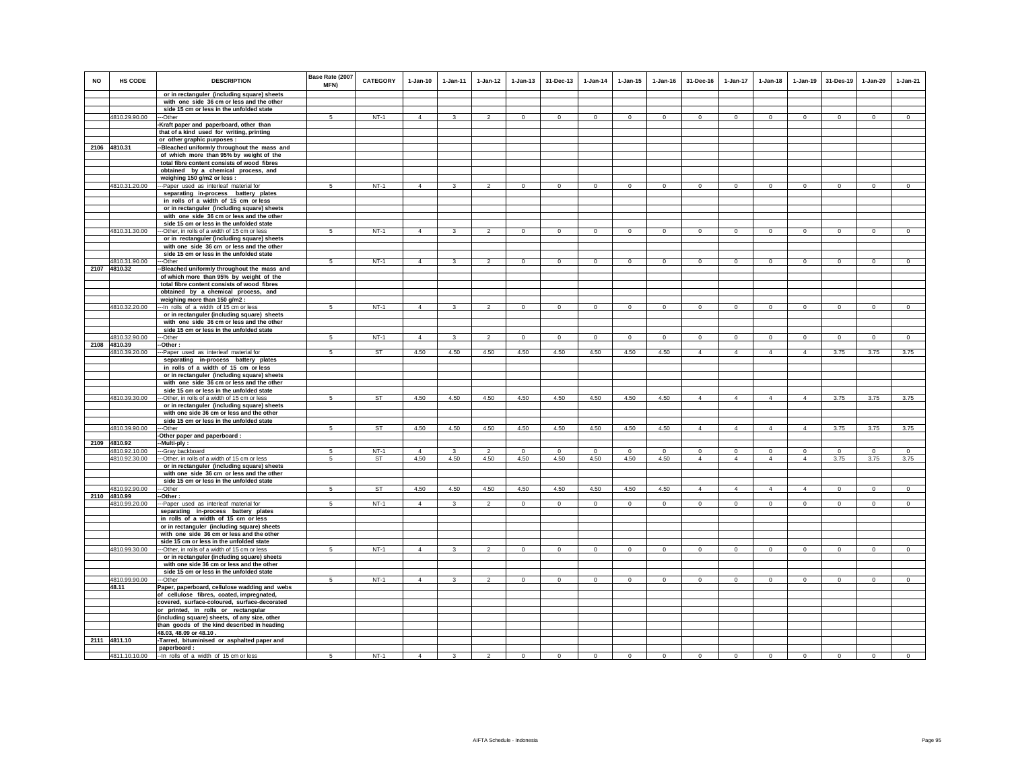| <b>NO</b> | <b>HS CODE</b> | <b>DESCRIPTION</b>                                                                           | Base Rate (2007<br>MFN) | <b>CATEGORY</b> | $1-Jan-10$     | $1-Jan-11$              | $1-Jan-12$     | $1 - Jan-13$   | 31-Dec-13      | $1 - Jan-14$   | $1 - Jan-15$   | $1 - Jan-16$   | 31-Dec-16      | $1-Jan-17$     | $1-Jan-18$     | $1-Jan-19$     | 31-Des-19      | $1-Jan-20$     | $1-Jan-21$     |
|-----------|----------------|----------------------------------------------------------------------------------------------|-------------------------|-----------------|----------------|-------------------------|----------------|----------------|----------------|----------------|----------------|----------------|----------------|----------------|----------------|----------------|----------------|----------------|----------------|
|           |                | or in rectanguler (including square) sheets                                                  |                         |                 |                |                         |                |                |                |                |                |                |                |                |                |                |                |                |                |
|           |                | with one side 36 cm or less and the other<br>side 15 cm or less in the unfolded state        |                         |                 |                |                         |                |                |                |                |                |                |                |                |                |                |                |                |                |
|           | 4810.29.90.00  | --Other                                                                                      | 5                       | $NT-1$          | $\overline{4}$ | $\mathbf{3}$            | $\mathcal{P}$  | $\circ$        | $\mathbf{0}$   | $\circ$        | $\mathbf{0}$   | $\mathbf{0}$   | $\circ$        | $\mathbf{0}$   | $\circ$        | $\mathbf 0$    | $\circ$        | $\circ$        | $\circ$        |
|           |                | Kraft paper and paperboard, other than                                                       |                         |                 |                |                         |                |                |                |                |                |                |                |                |                |                |                |                |                |
|           |                | that of a kind used for writing, printing                                                    |                         |                 |                |                         |                |                |                |                |                |                |                |                |                |                |                |                |                |
|           |                | or other graphic purposes :                                                                  |                         |                 |                |                         |                |                |                |                |                |                |                |                |                |                |                |                |                |
|           | 2106 4810.31   | -Bleached uniformly throughout the mass and                                                  |                         |                 |                |                         |                |                |                |                |                |                |                |                |                |                |                |                |                |
|           |                | of which more than 95% by weight of the                                                      |                         |                 |                |                         |                |                |                |                |                |                |                |                |                |                |                |                |                |
|           |                | total fibre content consists of wood fibres                                                  |                         |                 |                |                         |                |                |                |                |                |                |                |                |                |                |                |                |                |
|           |                | obtained by a chemical process, and<br>weighing 150 g/m2 or less :                           |                         |                 |                |                         |                |                |                |                |                |                |                |                |                |                |                |                |                |
|           | 4810.31.20.00  | --Paper used as interleaf material for                                                       | 5                       | $NT-1$          | $\overline{4}$ | $\overline{\mathbf{3}}$ | $\overline{2}$ | $\overline{0}$ | $\overline{0}$ | $\overline{0}$ | $\overline{0}$ | $\overline{0}$ | $\Omega$       | $\overline{0}$ | $\overline{0}$ | $\overline{0}$ | $\overline{0}$ | $\Omega$       | $\overline{0}$ |
|           |                | separating in-process battery plates                                                         |                         |                 |                |                         |                |                |                |                |                |                |                |                |                |                |                |                |                |
|           |                | in rolls of a width of 15 cm or less                                                         |                         |                 |                |                         |                |                |                |                |                |                |                |                |                |                |                |                |                |
|           |                | or in rectanguler (including square) sheets                                                  |                         |                 |                |                         |                |                |                |                |                |                |                |                |                |                |                |                |                |
|           |                | with one side 36 cm or less and the other                                                    |                         |                 |                |                         |                |                |                |                |                |                |                |                |                |                |                |                |                |
|           |                | side 15 cm or less in the unfolded state                                                     |                         |                 |                |                         |                |                |                |                |                |                |                |                |                |                |                |                |                |
|           | 4810.31.30.00  | --Other, in rolls of a width of 15 cm or less<br>or in rectanguler (including square) sheets | 5                       | $NT-1$          | $\overline{4}$ | $\mathbf{3}$            | $\overline{2}$ | $\overline{0}$ | $\overline{0}$ | $\overline{0}$ | $\overline{0}$ | $\circ$        | $\mathbf{0}$   | $\circ$        | $\circ$        | $\overline{0}$ | $\overline{0}$ | $\overline{0}$ | $\overline{0}$ |
|           |                | with one side 36 cm or less and the other                                                    |                         |                 |                |                         |                |                |                |                |                |                |                |                |                |                |                |                |                |
|           |                | side 15 cm or less in the unfolded state                                                     |                         |                 |                |                         |                |                |                |                |                |                |                |                |                |                |                |                |                |
|           | 4810.31.90.00  | -Other                                                                                       | 5                       | $NT-1$          | $\overline{4}$ | $\mathbf{3}$            | $\mathfrak{D}$ | $\mathbf{0}$   | $\mathbf{0}$   | $\circ$        | $\mathbf{0}$   | $\circ$        | $\circ$        | $\mathbf{0}$   | $\mathbf 0$    | $\mathbf 0$    | $\mathbf 0$    | $\mathbf{0}$   | $\circ$        |
|           | 2107 4810.32   | -Bleached uniformly throughout the mass and                                                  |                         |                 |                |                         |                |                |                |                |                |                |                |                |                |                |                |                |                |
|           |                | of which more than 95% by weight of the                                                      |                         |                 |                |                         |                |                |                |                |                |                |                |                |                |                |                |                |                |
|           |                | total fibre content consists of wood fibres                                                  |                         |                 |                |                         |                |                |                |                |                |                |                |                |                |                |                |                |                |
|           |                | obtained by a chemical process, and                                                          |                         |                 |                |                         |                |                |                |                |                |                |                |                |                |                |                |                |                |
|           | 4810.32.20.00  | weighing more than 150 g/m2 :<br>-- In rolls of a width of 15 cm or less                     | 5 <sup>5</sup>          | $NT-1$          | $\overline{4}$ | $\mathbf{3}$            | 2              | $\mathbf{0}$   | $\mathbf 0$    | $\circ$        | $\mathbf{0}$   | $\circ$        | $\circ$        | $\mathbf{0}$   | $\circ$        | $\mathbf 0$    | $\circ$        | $\mathbf{0}$   | $\circ$        |
|           |                | or in rectanguler (including square) sheets                                                  |                         |                 |                |                         |                |                |                |                |                |                |                |                |                |                |                |                |                |
|           |                | with one side 36 cm or less and the other                                                    |                         |                 |                |                         |                |                |                |                |                |                |                |                |                |                |                |                |                |
|           |                | side 15 cm or less in the unfolded state                                                     |                         |                 |                |                         |                |                |                |                |                |                |                |                |                |                |                |                |                |
|           | 4810.32.90.00  | -Other                                                                                       | -5                      | $NT-1$          | $\overline{4}$ | 3                       | $\overline{2}$ | $\mathbf{0}$   | $^{\circ}$     | $\circ$        | $\mathbf{0}$   | $^{\circ}$     | $^{\circ}$     | $^{\circ}$     | $\mathbf{0}$   | $\circ$        | $\mathbf{0}$   | $\circ$        | $\circ$        |
|           | 2108 4810.39   | -Other:                                                                                      |                         |                 |                |                         |                |                |                |                |                |                |                |                |                |                |                |                |                |
|           | 4810.39.20.00  | -Paper used as interleaf material for<br>separating in-process battery plates                | $\sqrt{5}$              | <b>ST</b>       | 4.50           | 4.50                    | 4.50           | 4.50           | 4.50           | 4.50           | 4.50           | 4.50           | $\overline{4}$ | $\overline{4}$ | $\overline{4}$ | $\overline{4}$ | 3.75           | 3.75           | 3.75           |
|           |                | in rolls of a width of 15 cm or less                                                         |                         |                 |                |                         |                |                |                |                |                |                |                |                |                |                |                |                |                |
|           |                | or in rectanguler (including square) sheets                                                  |                         |                 |                |                         |                |                |                |                |                |                |                |                |                |                |                |                |                |
|           |                | with one side 36 cm or less and the other                                                    |                         |                 |                |                         |                |                |                |                |                |                |                |                |                |                |                |                |                |
|           |                | side 15 cm or less in the unfolded state                                                     |                         |                 |                |                         |                |                |                |                |                |                |                |                |                |                |                |                |                |
|           | 4810.39.30.00  | --Other, in rolls of a width of 15 cm or less                                                | $\overline{5}$          | <b>ST</b>       | 4.50           | 4.50                    | 4.50           | 4.50           | 4.50           | 4.50           | 4.50           | 4.50           | $\overline{4}$ | $\overline{4}$ | $\overline{4}$ | $\overline{4}$ | 3.75           | 3.75           | 3.75           |
|           |                | or in rectanguler (including square) sheets                                                  |                         |                 |                |                         |                |                |                |                |                |                |                |                |                |                |                |                |                |
|           |                | with one side 36 cm or less and the other                                                    |                         |                 |                |                         |                |                |                |                |                |                |                |                |                |                |                |                |                |
|           | 4810.39.90.00  | side 15 cm or less in the unfolded state<br>--Other                                          | $5\overline{5}$         | <b>ST</b>       | 4.50           | 4.50                    | 4.50           | 4.50           | 4.50           | 4.50           | 4.50           | 4.50           | $\overline{4}$ | $\overline{4}$ | $\overline{4}$ | $\overline{4}$ | 3.75           | 3.75           | 3.75           |
|           |                | -Other paper and paperboard :                                                                |                         |                 |                |                         |                |                |                |                |                |                |                |                |                |                |                |                |                |
|           | 2109 4810.92   | -Multi-ply:                                                                                  |                         |                 |                |                         |                |                |                |                |                |                |                |                |                |                |                |                |                |
|           | 4810.92.10.00  | -Gray backboard                                                                              | $\sqrt{5}$              | $NT-1$          | $\overline{4}$ | 3                       | $\overline{2}$ | $\mathbf 0$    | $\Omega$       | $\Omega$       | $\Omega$       | $\circ$        | $\Omega$       | $\Omega$       | $\Omega$       | $\Omega$       | $\circ$        | $\mathsf 0$    | $\circ$        |
|           | 4810.92.30.00  | -Other, in rolls of a width of 15 cm or less                                                 | 5                       | ST              | 4.50           | 4.50                    | 4.50           | 4.50           | 4.50           | 4.50           | 4.50           | 4.50           | $\overline{4}$ | $\overline{4}$ | $\overline{4}$ | $\overline{4}$ | 3.75           | 3.75           | 3.75           |
|           |                | or in rectanguler (including square) sheets                                                  |                         |                 |                |                         |                |                |                |                |                |                |                |                |                |                |                |                |                |
|           |                | with one side 36 cm or less and the other<br>side 15 cm or less in the unfolded state        |                         |                 |                |                         |                |                |                |                |                |                |                |                |                |                |                |                |                |
|           | 4810.92.90.00  | --Other                                                                                      | 5                       | <b>ST</b>       | 4.50           | 4.50                    | 4.50           | 4.50           | 4.50           | 4.50           | 4.50           | 4.50           | $\Delta$       | $\mathbf{A}$   | $\Delta$       | $\Delta$       | $\overline{0}$ | $\Omega$       | $\overline{0}$ |
|           | 2110 4810.99   | -Other:                                                                                      |                         |                 |                |                         |                |                |                |                |                |                |                |                |                |                |                |                |                |
|           | 4810.99.20.00  | --Paper used as interleaf material for                                                       | 5                       | $NT-1$          | $\overline{4}$ | $\mathbf{R}$            | $\mathcal{P}$  | $\Omega$       | $\Omega$       | $\Omega$       | $\Omega$       | $\Omega$       | $\Omega$       | $\Omega$       | $\Omega$       | $\Omega$       | $\Omega$       | $\Omega$       | $\Omega$       |
|           |                | separating in-process battery plates                                                         |                         |                 |                |                         |                |                |                |                |                |                |                |                |                |                |                |                |                |
|           |                | in rolls of a width of 15 cm or less                                                         |                         |                 |                |                         |                |                |                |                |                |                |                |                |                |                |                |                |                |
|           |                | or in rectanguler (including square) sheets<br>with one side 36 cm or less and the other     |                         |                 |                |                         |                |                |                |                |                |                |                |                |                |                |                |                |                |
|           |                | side 15 cm or less in the unfolded state                                                     |                         |                 |                |                         |                |                |                |                |                |                |                |                |                |                |                |                |                |
|           | 4810.99.30.00  | -Other, in rolls of a width of 15 cm or less                                                 | -5                      | $NT-1$          | $\overline{4}$ | 3                       | $\mathfrak{p}$ | $\mathsf 0$    | $\mathbf 0$    | $\circ$        | $\mathbf 0$    | $\circ$        | $\circ$        | $\mathbf 0$    | $\mathbf 0$    | $\mathbf 0$    | $\mathbf 0$    | $\mathbf 0$    | $\mathsf 0$    |
|           |                | or in rectanguler (including square) sheets                                                  |                         |                 |                |                         |                |                |                |                |                |                |                |                |                |                |                |                |                |
|           |                | with one side 36 cm or less and the other                                                    |                         |                 |                |                         |                |                |                |                |                |                |                |                |                |                |                |                |                |
|           |                | side 15 cm or less in the unfolded state                                                     |                         |                 |                |                         |                |                |                |                |                |                |                |                |                |                |                |                |                |
|           | 4810.99.90.00  | --Other                                                                                      | 5                       | $NT-1$          | $\overline{4}$ | $\overline{3}$          | $\overline{2}$ | $\overline{0}$ | $\Omega$       | $\overline{0}$ | $\mathbf 0$    | $\mathsf 0$    | $\mathbf 0$    | $\overline{0}$ | $\overline{0}$ | $\mathbf 0$    | $\overline{0}$ | $\mathsf 0$    | $\overline{0}$ |
|           | 48.11          | Paper, paperboard, cellulose wadding and webs<br>of cellulose fibres, coated, impregnated,   |                         |                 |                |                         |                |                |                |                |                |                |                |                |                |                |                |                |                |
|           |                | covered, surface-coloured, surface-decorated                                                 |                         |                 |                |                         |                |                |                |                |                |                |                |                |                |                |                |                |                |
|           |                | or printed, in rolls or rectangular                                                          |                         |                 |                |                         |                |                |                |                |                |                |                |                |                |                |                |                |                |
|           |                | (including square) sheets, of any size, other                                                |                         |                 |                |                         |                |                |                |                |                |                |                |                |                |                |                |                |                |
|           |                | than goods of the kind described in heading                                                  |                         |                 |                |                         |                |                |                |                |                |                |                |                |                |                |                |                |                |
|           |                | 48.03, 48.09 or 48.10.                                                                       |                         |                 |                |                         |                |                |                |                |                |                |                |                |                |                |                |                |                |
|           | 2111 4811.10   | -Tarred, bituminised or asphalted paper and                                                  |                         |                 |                |                         |                |                |                |                |                |                |                |                |                |                |                |                |                |
|           | 4811.10.10.00  | paperboard:<br>-- In rolls of a width of 15 cm or less                                       | 5                       | $NT-1$          | $\overline{4}$ | $\mathbf{3}$            | $\mathfrak{p}$ | $\mathsf 0$    | $\Omega$       | $\circ$        | $\mathsf 0$    | $\circ$        | $\mathsf 0$    | $\Omega$       | $\mathbf 0$    | $\mathbf 0$    | $\mathbf 0$    | $\mathsf 0$    | $\circ$        |
|           |                |                                                                                              |                         |                 |                |                         |                |                |                |                |                |                |                |                |                |                |                |                |                |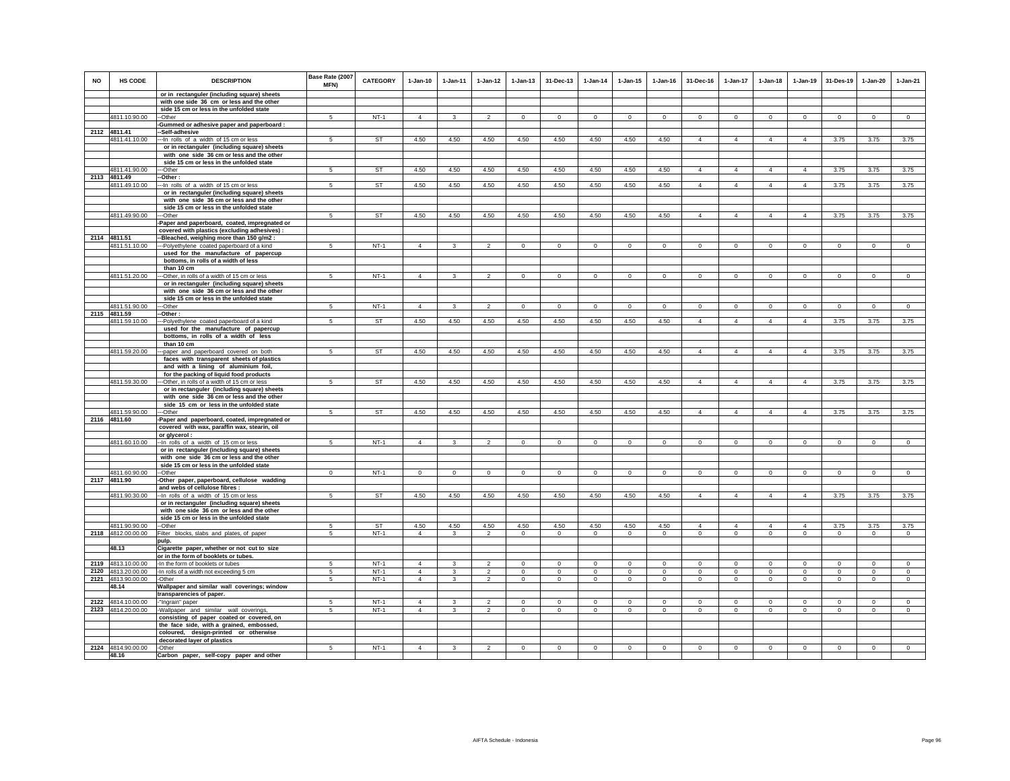| <b>NO</b> | HS CODE            | <b>DESCRIPTION</b>                                                                       | Base Rate (2007<br>MFN) | <b>CATEGORY</b> | $1-Jan-10$     | $1 -$ lan-11       | $1-Jan-12$     | $1 -$ lan-13   | 31-Dec-13      | $1-Jan-14$     | $1-Jan-15$  | $1 - Jan-16$ | 31-Dec-16      | $1 - Jan-17$   | $1-Jan-18$     | $1-Jan-19$     | 31-Des-19      | 1-Jan-20     | $1-Jan-21$     |
|-----------|--------------------|------------------------------------------------------------------------------------------|-------------------------|-----------------|----------------|--------------------|----------------|----------------|----------------|----------------|-------------|--------------|----------------|----------------|----------------|----------------|----------------|--------------|----------------|
|           |                    | or in rectanguler (including square) sheets<br>with one side 36 cm or less and the other |                         |                 |                |                    |                |                |                |                |             |              |                |                |                |                |                |              |                |
|           |                    | side 15 cm or less in the unfolded state                                                 |                         |                 |                |                    |                |                |                |                |             |              |                |                |                |                |                |              |                |
|           | 4811.10.90.00      | -Other                                                                                   | 5                       | $NT-1$          | $\overline{4}$ | 3                  | $\mathfrak{p}$ | $\mathbf 0$    | $\mathbf 0$    | $\mathbf{0}$   | $\mathbf 0$ | $\circ$      | $\circ$        | $\Omega$       | $\circ$        | $\mathbf 0$    | $\mathbf{0}$   | $\mathbf 0$  | $\circ$        |
|           |                    | -Gummed or adhesive paper and paperboard :                                               |                         |                 |                |                    |                |                |                |                |             |              |                |                |                |                |                |              |                |
|           | 2112 4811.41       | -Self-adhesive                                                                           |                         |                 |                |                    |                |                |                |                |             |              |                |                |                |                |                |              |                |
|           | 4811.41.10.00      | -In rolls of a width of 15 cm or less                                                    | 5                       | <b>ST</b>       | 4.50           | 4.50               | 4.50           | 4.50           | 4.50           | 4.50           | 4.50        | 4.50         | $\overline{4}$ | $\Delta$       | $\overline{4}$ | $\overline{4}$ | 3.75           | 3.75         | 3.75           |
|           |                    | or in rectanguler (including square) sheets<br>with one side 36 cm or less and the other |                         |                 |                |                    |                |                |                |                |             |              |                |                |                |                |                |              |                |
|           |                    | side 15 cm or less in the unfolded state                                                 |                         |                 |                |                    |                |                |                |                |             |              |                |                |                |                |                |              |                |
|           | 4811.41.90.00      | --Other                                                                                  | $\overline{5}$          | ST              | 4.50           | 4.50               | 4.50           | 4.50           | 4.50           | 4.50           | 4.50        | 4.50         | $\Delta$       | $\overline{4}$ | $\overline{4}$ | $\overline{4}$ | 3.75           | 3.75         | 3.75           |
|           | 2113 4811.49       | --Other:                                                                                 |                         |                 |                |                    |                |                |                |                |             |              |                |                |                |                |                |              |                |
|           | 4811.49.10.00      | -- In rolls of a width of 15 cm or less                                                  | $5\overline{5}$         | <b>ST</b>       | 4.50           | 4.50               | 4.50           | 4.50           | 4.50           | 4.50           | 4.50        | 4.50         | $\overline{4}$ | $\overline{4}$ | $\overline{4}$ | $\overline{4}$ | 3.75           | 3.75         | 3.75           |
|           |                    | or in rectanguler (including square) sheets                                              |                         |                 |                |                    |                |                |                |                |             |              |                |                |                |                |                |              |                |
|           |                    | with one side 36 cm or less and the other<br>side 15 cm or less in the unfolded state    |                         |                 |                |                    |                |                |                |                |             |              |                |                |                |                |                |              |                |
|           | 4811.49.90.00      | --Other                                                                                  | 5                       | <b>ST</b>       | 4.50           | 4.50               | 4.50           | 4.50           | 4.50           | 4.50           | 4.50        | 4.50         | $\overline{4}$ | $\overline{4}$ | $\overline{4}$ | $\overline{4}$ | 3.75           | 3.75         | 3.75           |
|           |                    | Paper and paperboard, coated, impregnated or                                             |                         |                 |                |                    |                |                |                |                |             |              |                |                |                |                |                |              |                |
|           |                    | covered with plastics (excluding adhesives) :                                            |                         |                 |                |                    |                |                |                |                |             |              |                |                |                |                |                |              |                |
|           | 2114 4811.51       | -Bleached, weighing more than 150 g/m2 :                                                 |                         |                 |                |                    |                |                |                |                |             |              |                |                |                |                |                |              |                |
|           | 4811.51.10.00      | -Polyethylene coated paperboard of a kind                                                | 5                       | $NT-1$          | $\overline{4}$ | 3                  | $\overline{2}$ | $\overline{0}$ | $\mathbf 0$    | $\overline{0}$ | $\mathbf 0$ | $\mathbf 0$  | $\circ$        | $\mathbf 0$    | $\mathbf{0}$   | $^{\circ}$     | $\overline{0}$ | $\mathbf 0$  | $\overline{0}$ |
|           |                    | used for the manufacture of papercup<br>bottoms, in rolls of a width of less             |                         |                 |                |                    |                |                |                |                |             |              |                |                |                |                |                |              |                |
|           |                    | than 10 cm                                                                               |                         |                 |                |                    |                |                |                |                |             |              |                |                |                |                |                |              |                |
|           | 4811.51.20.00      | -Other, in rolls of a width of 15 cm or less                                             | 5                       | $NT-1$          | $\overline{4}$ | $\mathbf{3}$       | $\mathfrak{p}$ | $\mathsf 0$    | $\Omega$       | $\mathsf 0$    | $\Omega$    | $\Omega$     | $\Omega$       | $\Omega$       | $\Omega$       | $\Omega$       | $\Omega$       | $\Omega$     | $\Omega$       |
|           |                    | or in rectanguler (including square) sheets                                              |                         |                 |                |                    |                |                |                |                |             |              |                |                |                |                |                |              |                |
|           |                    | with one side 36 cm or less and the other                                                |                         |                 |                |                    |                |                |                |                |             |              |                |                |                |                |                |              |                |
|           | 4811.51.90.00      | side 15 cm or less in the unfolded state<br>-Other                                       | 5                       | $NT-1$          | $\overline{4}$ | 3                  | $\mathfrak{p}$ | $\mathsf 0$    | $\mathsf 0$    | $\mathsf 0$    | $\mathbf 0$ | $\mathsf 0$  | $\mathsf 0$    | $\mathbf 0$    | $\mathbf 0$    | $\circ$        | $\mathbf 0$    | $\mathsf 0$  | $\overline{0}$ |
|           | 2115 4811.59       | -Other:                                                                                  |                         |                 |                |                    |                |                |                |                |             |              |                |                |                |                |                |              |                |
|           | 4811.59.10.00      | -Polyethylene coated paperboard of a kind                                                | 5                       | ST              | 4.50           | 4.50               | 4.50           | 4.50           | 4.50           | 4.50           | 4.50        | 4.50         | $\overline{4}$ | 4              | $\overline{4}$ | $\overline{4}$ | 3.75           | 3.75         | 3.75           |
|           |                    | used for the manufacture of papercup                                                     |                         |                 |                |                    |                |                |                |                |             |              |                |                |                |                |                |              |                |
|           |                    | bottoms, in rolls of a width of less                                                     |                         |                 |                |                    |                |                |                |                |             |              |                |                |                |                |                |              |                |
|           |                    | than 10 cm                                                                               |                         |                 |                |                    |                |                |                |                |             |              |                |                |                |                |                |              |                |
|           | 4811.59.20.00      | --paper and paperboard covered on both<br>faces with transparent sheets of plastics      | 5                       | <b>ST</b>       | 4.50           | 4.50               | 4.50           | 4.50           | 4.50           | 4.50           | 4.50        | 4.50         | $\overline{4}$ | $\overline{4}$ | $\overline{4}$ | $\overline{4}$ | 3.75           | 3.75         | 3.75           |
|           |                    | and with a lining of aluminium foil,                                                     |                         |                 |                |                    |                |                |                |                |             |              |                |                |                |                |                |              |                |
|           |                    | for the packing of liquid food products                                                  |                         |                 |                |                    |                |                |                |                |             |              |                |                |                |                |                |              |                |
|           | 4811.59.30.00      | -Other, in rolls of a width of 15 cm or less                                             | -5                      | <b>ST</b>       | 4.50           | 4.50               | 4.50           | 4.50           | 4.50           | 4.50           | 4.50        | 4.50         | $\overline{4}$ | $\overline{4}$ | $\overline{4}$ | $\overline{4}$ | 3.75           | 3.75         | 3.75           |
|           |                    | or in rectanguler (including square) sheets                                              |                         |                 |                |                    |                |                |                |                |             |              |                |                |                |                |                |              |                |
|           |                    | with one side 36 cm or less and the other                                                |                         |                 |                |                    |                |                |                |                |             |              |                |                |                |                |                |              |                |
|           | 4811.59.90.00      | side 15 cm or less in the unfolded state<br>--Other                                      | 5                       | ST              | 4.50           | 4.50               | 4.50           | 4.50           | 4.50           | 4.50           | 4.50        | 4.50         | $\overline{4}$ | $\overline{4}$ | 4              | $\overline{4}$ | 3.75           | 3.75         | 3.75           |
|           | 2116 4811.60       | Paper and paperboard, coated, impregnated or                                             |                         |                 |                |                    |                |                |                |                |             |              |                |                |                |                |                |              |                |
|           |                    | covered with wax, paraffin wax, stearin, oil                                             |                         |                 |                |                    |                |                |                |                |             |              |                |                |                |                |                |              |                |
|           |                    | or glycerol :                                                                            |                         |                 |                |                    |                |                |                |                |             |              |                |                |                |                |                |              |                |
|           | 4811.60.10.00      | -- In rolls of a width of 15 cm or less                                                  | 5                       | $NT-1$          | $\Delta$       | $\mathbf{\hat{z}}$ |                | $\Omega$       | $\Omega$       | $\Omega$       | $\Omega$    | $\Omega$     | $\Omega$       | $\Omega$       | $\Omega$       | $\Omega$       | $\mathbf 0$    | $\Omega$     | $\Omega$       |
|           |                    | or in rectanguler (including square) sheets                                              |                         |                 |                |                    |                |                |                |                |             |              |                |                |                |                |                |              |                |
|           |                    | with one side 36 cm or less and the other<br>side 15 cm or less in the unfolded state    |                         |                 |                |                    |                |                |                |                |             |              |                |                |                |                |                |              |                |
|           | 4811.60.90.00      | -Other                                                                                   | $\Omega$                | $NT-1$          | $\Omega$       | $^{\circ}$         | $\circ$        | $^{\circ}$     | $^{\circ}$     | $^{\circ}$     | $^{\circ}$  | $^{\circ}$   | $\Omega$       | $\mathbf 0$    | $\Omega$       | $^{\circ}$     | $\circ$        | $\Omega$     | $^{\circ}$     |
|           | 2117 4811.90       | -Other paper, paperboard, cellulose wadding                                              |                         |                 |                |                    |                |                |                |                |             |              |                |                |                |                |                |              |                |
|           |                    | and webs of cellulose fibres :                                                           |                         |                 |                |                    |                |                |                |                |             |              |                |                |                |                |                |              |                |
|           | 4811.90.30.00      | -In rolls of a width of 15 cm or less                                                    | 5                       | <b>ST</b>       | 4.50           | 4.50               | 4.50           | 4.50           | 4.50           | 4.50           | 4.50        | 4.50         | $\overline{4}$ | $\overline{4}$ | $\overline{4}$ | $\overline{4}$ | 3.75           | 3.75         | 3.75           |
|           |                    | or in rectanguler (including square) sheets<br>with one side 36 cm or less and the other |                         |                 |                |                    |                |                |                |                |             |              |                |                |                |                |                |              |                |
|           |                    | side 15 cm or less in the unfolded state                                                 |                         |                 |                |                    |                |                |                |                |             |              |                |                |                |                |                |              |                |
|           | 4811.90.90.00      | --Other                                                                                  | 5                       | <b>ST</b>       | 4.50           | 4.50               | 4.50           | 4.50           | 4.50           | 4.50           | 4.50        | 4.50         | $\Delta$       | $\Delta$       | $\Delta$       | $\Delta$       | 3.75           | 3.75         | 3.75           |
|           | 2118 4812.00.00.00 | Filter blocks, slabs and plates, of paper                                                | 5                       | $NT-1$          | $\overline{4}$ | $\mathbf{3}$       | $\overline{2}$ | $\mathbf 0$    | $\Omega$       | $\Omega$       | $\Omega$    | $\Omega$     | $\Omega$       | $\mathbf 0$    | $\circ$        | $\mathbf 0$    | $\mathbf 0$    | $\Omega$     | $\mathbf 0$    |
|           |                    | pulp.                                                                                    |                         |                 |                |                    |                |                |                |                |             |              |                |                |                |                |                |              |                |
|           | 48.13              | Cigarette paper, whether or not cut to size                                              |                         |                 |                |                    |                |                |                |                |             |              |                |                |                |                |                |              |                |
|           | 2119 4813.10.00.00 | or in the form of booklets or tubes.<br>-In the form of booklets or tubes                | 5                       | $NT-1$          | $\overline{4}$ | 3                  | $\overline{2}$ | $\mathbf 0$    | $\mathbf 0$    | $\mathbf 0$    | $\mathbf 0$ | $^{\circ}$   | $\circ$        | $\mathbf 0$    | $\circ$        | $\mathbf 0$    | $\mathbf 0$    | $\mathbf 0$  | $\circ$        |
|           | 2120 4813.20.00.00 | -In rolls of a width not exceeding 5 cm                                                  | 5                       | $NT-1$          | $\overline{4}$ | $\mathbf{3}$       | $\overline{2}$ | $\mathbf 0$    | $\overline{0}$ | $\circ$        | $\mathbf 0$ | $\mathbf 0$  | $\circ$        | $\mathbf 0$    | $\mathbf{0}$   | $\mathbf 0$    | $\mathbf 0$    | $\mathbf 0$  | $\mathbf 0$    |
|           | 2121 4813.90.00.00 | -Other                                                                                   | 5                       | $NT-1$          | $\overline{4}$ | 3                  | $\overline{2}$ | $\mathbf 0$    | $\mathbf{0}$   | $\mathbf{0}$   | 0           | $\circ$      | $\circ$        | $\mathbf{0}$   | $\circ$        | $\circ$        | $\circ$        | $\mathbf{0}$ | $\mathbf 0$    |
|           | 48.14              | Wallpaper and similar wall coverings; window                                             |                         |                 |                |                    |                |                |                |                |             |              |                |                |                |                |                |              |                |
|           |                    | transparencies of paper.                                                                 |                         |                 |                |                    |                |                |                |                |             |              |                |                |                |                |                |              |                |
|           | 2122 4814.10.00.00 | "Ingrain" paper                                                                          | 5                       | $NT-1$          | $\overline{4}$ | $\mathbf{3}$       | $\overline{2}$ | $\mathbf 0$    | $\mathsf 0$    | $\mathbf 0$    | $\mathsf 0$ | $\mathbf 0$  | $\mathsf 0$    | $\mathbf 0$    | $\mathbf 0$    | $\mathbf 0$    | $\mathbf 0$    | $\mathsf 0$  | $\mathbf 0$    |
|           | 2123 4814.20.00.00 | Wallpaper and similar wall coverings,<br>consisting of paper coated or covered, on       | 5                       | $NT-1$          | $\overline{4}$ | $\mathbf{3}$       | $\overline{2}$ | $\mathsf 0$    | $\mathsf 0$    | $\mathbf 0$    | $\mathbf 0$ | $\mathsf 0$  | $\mathbf 0$    | $\mathbf 0$    | $\mathbf 0$    | $\mathbf 0$    | $\mathbf 0$    | $\mathbf 0$  | $\circ$        |
|           |                    | the face side, with a grained, embossed,                                                 |                         |                 |                |                    |                |                |                |                |             |              |                |                |                |                |                |              |                |
|           |                    | coloured, design-printed or otherwise                                                    |                         |                 |                |                    |                |                |                |                |             |              |                |                |                |                |                |              |                |
|           |                    | decorated layer of plastics                                                              |                         |                 |                |                    |                |                |                |                |             |              |                |                |                |                |                |              |                |
|           | 2124 4814.90.00.00 | -Other                                                                                   | 5                       | $NT-1$          | $\overline{4}$ | $\mathbf{3}$       | $\mathfrak{D}$ | $\Omega$       | $\Omega$       | $\overline{0}$ | $\Omega$    | $\Omega$     | $\Omega$       | $\Omega$       | $\Omega$       |                | $\overline{0}$ | $\Omega$     | $\overline{0}$ |
|           | 48.16              | Carbon paper, self-copy paper and other                                                  |                         |                 |                |                    |                |                |                |                |             |              |                |                |                |                |                |              |                |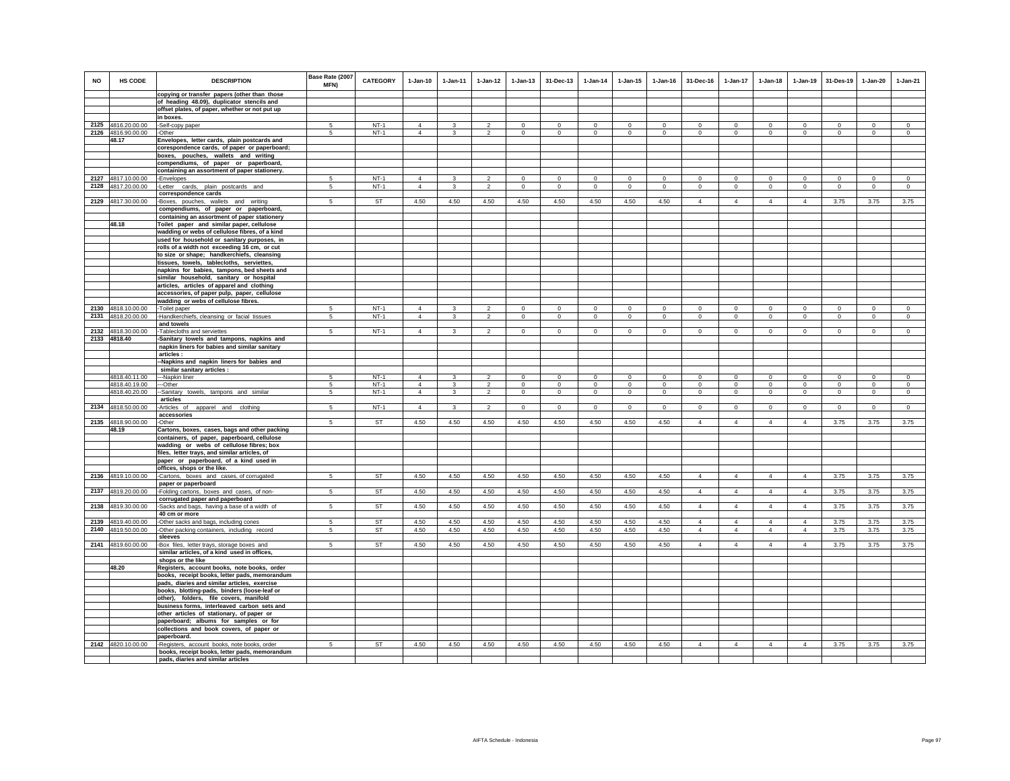| <b>NO</b>    | HS CODE                            | <b>DESCRIPTION</b>                                                                           | Base Rate (2007<br>MFN) | <b>CATEGORY</b>  | $1 - Jan-10$   | $1 - Jan-11$            | $1 - Jan-12$   | $1 - Jan-13$   | 31-Dec-13    | $1 - Jan-14$ | $1 - Jan-15$ | $1 - Jan-16$ | 31-Dec-16                        | $1 - Jan-17$                     | $1-Jan-18$                       | $1 - Jan-19$                     | 31-Des-19                     | $1 - Jan-20$ | $1-Jan-21$     |
|--------------|------------------------------------|----------------------------------------------------------------------------------------------|-------------------------|------------------|----------------|-------------------------|----------------|----------------|--------------|--------------|--------------|--------------|----------------------------------|----------------------------------|----------------------------------|----------------------------------|-------------------------------|--------------|----------------|
|              |                                    | copying or transfer papers (other than those                                                 |                         |                  |                |                         |                |                |              |              |              |              |                                  |                                  |                                  |                                  |                               |              |                |
|              |                                    | of heading 48.09), duplicator stencils and<br>offset plates, of paper, whether or not put up |                         |                  |                |                         |                |                |              |              |              |              |                                  |                                  |                                  |                                  |                               |              |                |
|              |                                    | in boxes.                                                                                    |                         |                  |                |                         |                |                |              |              |              |              |                                  |                                  |                                  |                                  |                               |              |                |
|              | 2125 4816.20.00.00                 | -Self-copy paper                                                                             | 5                       | $NT-1$           | $\overline{4}$ | 3                       | $\mathcal{P}$  | $\Omega$       | $\Omega$     | $\Omega$     | $\Omega$     | $\Omega$     | $\Omega$                         | $\Omega$                         | $\Omega$                         | $\Omega$                         | $\circ$                       | $\Omega$     | $^{\circ}$     |
|              | 2126 4816.90.00.00                 | -Other                                                                                       | 5                       | $NT-1$           | 4              | $\mathbf{3}$            | $\overline{2}$ | $\mathbf 0$    | $\mathbf{0}$ | $\mathbf 0$  | $\mathbf 0$  | $\circ$      | $\mathbf{0}$                     | $\circ$                          | $\mathbf 0$                      | $\overline{0}$                   | $\mathbf 0$                   | $\mathbf{0}$ | $\mathbf 0$    |
|              | 48.17                              | Envelopes, letter cards, plain postcards and                                                 |                         |                  |                |                         |                |                |              |              |              |              |                                  |                                  |                                  |                                  |                               |              |                |
|              |                                    | corespondence cards, of paper or paperboard;                                                 |                         |                  |                |                         |                |                |              |              |              |              |                                  |                                  |                                  |                                  |                               |              |                |
|              |                                    | boxes, pouches, wallets and writing                                                          |                         |                  |                |                         |                |                |              |              |              |              |                                  |                                  |                                  |                                  |                               |              |                |
|              |                                    | compendiums, of paper or paperboard,                                                         |                         |                  |                |                         |                |                |              |              |              |              |                                  |                                  |                                  |                                  |                               |              |                |
|              |                                    | containing an assortment of paper stationery.                                                | 5                       |                  | $\Delta$       | $\mathbf{3}$            | $\mathfrak{p}$ | $\mathbf 0$    | $\Omega$     | $\Omega$     | $\Omega$     | $\Omega$     | $\Omega$                         | $\Omega$                         | $\mathbf 0$                      |                                  |                               | $\Omega$     | $\circ$        |
| 2127<br>2128 | 4817.10.00.00<br>4817.20.00.00     | -Envelopes<br>-Letter cards, plain postcards and                                             | $5\overline{)}$         | $NT-1$<br>$NT-1$ | $\overline{4}$ | $\overline{\mathbf{3}}$ | $\overline{2}$ | $\overline{0}$ | $\Omega$     | $\Omega$     | $\Omega$     | $\Omega$     | $\Omega$                         | $\overline{0}$                   | $\overline{0}$                   | $\mathbf 0$<br>$\mathbf 0$       | $\mathbf 0$<br>$\overline{0}$ | $\Omega$     | $\overline{0}$ |
|              |                                    | correspondence cards                                                                         |                         |                  |                |                         |                |                |              |              |              |              |                                  |                                  |                                  |                                  |                               |              |                |
|              | 2129 4817.30.00.00                 | -Boxes, pouches, wallets and writing                                                         | 5 <sup>5</sup>          | ST               | 4.50           | 4.50                    | 4.50           | 4.50           | 4.50         | 4.50         | 4.50         | 4.50         | $\overline{4}$                   | $\overline{4}$                   | $\overline{4}$                   | $\overline{4}$                   | 3.75                          | 3.75         | 3.75           |
|              |                                    | compendiums, of paper or paperboard,                                                         |                         |                  |                |                         |                |                |              |              |              |              |                                  |                                  |                                  |                                  |                               |              |                |
|              |                                    | containing an assortment of paper stationery                                                 |                         |                  |                |                         |                |                |              |              |              |              |                                  |                                  |                                  |                                  |                               |              |                |
|              | 48.18                              | Toilet paper and similar paper, cellulose                                                    |                         |                  |                |                         |                |                |              |              |              |              |                                  |                                  |                                  |                                  |                               |              |                |
|              |                                    | wadding or webs of cellulose fibres, of a kind                                               |                         |                  |                |                         |                |                |              |              |              |              |                                  |                                  |                                  |                                  |                               |              |                |
|              |                                    | used for household or sanitary purposes, in                                                  |                         |                  |                |                         |                |                |              |              |              |              |                                  |                                  |                                  |                                  |                               |              |                |
|              |                                    | rolls of a width not exceeding 16 cm, or cut                                                 |                         |                  |                |                         |                |                |              |              |              |              |                                  |                                  |                                  |                                  |                               |              |                |
|              |                                    | to size or shape; handkerchiefs, cleansing<br>tissues, towels, tablecloths, serviettes,      |                         |                  |                |                         |                |                |              |              |              |              |                                  |                                  |                                  |                                  |                               |              |                |
|              |                                    | napkins for babies, tampons, bed sheets and                                                  |                         |                  |                |                         |                |                |              |              |              |              |                                  |                                  |                                  |                                  |                               |              |                |
|              |                                    | similar household, sanitary or hospital                                                      |                         |                  |                |                         |                |                |              |              |              |              |                                  |                                  |                                  |                                  |                               |              |                |
|              |                                    | articles, articles of apparel and clothing                                                   |                         |                  |                |                         |                |                |              |              |              |              |                                  |                                  |                                  |                                  |                               |              |                |
|              |                                    | accessories, of paper pulp, paper, cellulose                                                 |                         |                  |                |                         |                |                |              |              |              |              |                                  |                                  |                                  |                                  |                               |              |                |
|              |                                    | wadding or webs of cellulose fibres.                                                         |                         |                  |                |                         |                |                |              |              |              |              |                                  |                                  |                                  |                                  |                               |              |                |
| 2130         | 4818.10.00.00                      | Toilet paper                                                                                 | 5                       | $NT-1$           | $\overline{4}$ | 3                       | $\mathfrak{p}$ | $\Omega$       | $\Omega$     | $\Omega$     | $\Omega$     | $\Omega$     | $\Omega$                         | $\Omega$                         | $\Omega$                         | $\Omega$                         | $\Omega$                      | $\Omega$     | $\Omega$       |
|              | 2131 4818.20.00.00                 | -Handkerchiefs, cleansing or facial tissues                                                  | 5                       | $NT-1$           | $\overline{4}$ | $\mathbf{3}$            | $\overline{2}$ | $\mathsf 0$    | $\mathbf 0$  | $\mathbf 0$  | $^{\circ}$   | $^{\circ}$   | $\mathbf 0$                      | $\mathsf 0$                      | $\mathsf 0$                      | $\mathbf 0$                      | $\circ$                       | $\mathbf 0$  | $\mathsf 0$    |
|              |                                    | and towels                                                                                   |                         |                  |                |                         | $\mathcal{P}$  |                |              |              |              |              |                                  |                                  |                                  |                                  |                               |              |                |
|              | 2132 4818.30.00.00<br>2133 4818.40 | -Tablecloths and serviettes<br>-Sanitary towels and tampons, napkins and                     | 5                       | $NT-1$           | $\overline{4}$ | $\mathbf{3}$            |                | $\circ$        | $^{\circ}$   | $^{\circ}$   | $^{\circ}$   | $\circ$      | $^{\circ}$                       | $\mathbf 0$                      | $\circ$                          | $\circ$                          | $\mathbf{0}$                  | $\circ$      | $\circ$        |
|              |                                    | napkin liners for babies and similar sanitary                                                |                         |                  |                |                         |                |                |              |              |              |              |                                  |                                  |                                  |                                  |                               |              |                |
|              |                                    | articles :                                                                                   |                         |                  |                |                         |                |                |              |              |              |              |                                  |                                  |                                  |                                  |                               |              |                |
|              |                                    | -Napkins and napkin liners for babies and                                                    |                         |                  |                |                         |                |                |              |              |              |              |                                  |                                  |                                  |                                  |                               |              |                |
|              |                                    | similar sanitary articles :                                                                  |                         |                  |                |                         |                |                |              |              |              |              |                                  |                                  |                                  |                                  |                               |              |                |
|              | 4818.40.11.00                      | --Napkin liner                                                                               | 5                       | $NT-1$           | $\Delta$       | 3                       | $\mathcal{P}$  | $\mathbf 0$    | $^{\circ}$   | $\Omega$     | $\Omega$     | $^{\circ}$   | $\Omega$                         | $\mathbf 0$                      | $\mathbf 0$                      | $\mathbf 0$                      | $\mathbf 0$                   | $\mathbf 0$  | $\circ$        |
|              | 4818.40.19.00                      | ---Other                                                                                     | 5                       | $NT-1$           | $\overline{4}$ | $\overline{\mathbf{3}}$ | $\overline{2}$ | $\circ$        | $\Omega$     | $\circ$      | $\circ$      | $\Omega$     | $\circ$                          | $\mathbf{0}$                     | $\circ$                          | $\Omega$                         | $\circ$                       | $\Omega$     | $\circ$        |
|              | 4818.40.20.00                      | --Sanitary towels, tampons and similar<br>articles                                           | 5                       | $NT-1$           | $\overline{4}$ | $\mathbf{3}$            | $\overline{2}$ | $\mathsf 0$    | $\circ$      | $\mathbf 0$  | $\mathbf 0$  | $\mathbf 0$  | $\circ$                          | $\circ$                          | $\mathsf 0$                      | $\circ$                          | $\circ$                       | $\mathbf 0$  | $\circ$        |
|              | 2134 4818.50.00.00                 | -Articles of apparel and clothing                                                            | $5\phantom{.0}$         | $NT-1$           | $\overline{4}$ | $\mathbf{3}$            | $\overline{2}$ | $\circ$        | $\mathbf{0}$ | $\mathbf{0}$ | $\circ$      | $\mathbf{0}$ | $\circ$                          | $\mathbf{0}$                     | $\circ$                          | $^{\circ}$                       | $\mathbf{0}$                  | $\circ$      | $\circ$        |
|              |                                    | accessories                                                                                  |                         |                  |                |                         |                |                |              |              |              |              |                                  |                                  |                                  |                                  |                               |              |                |
|              | 2135 4818.90.00.00                 | -Other                                                                                       | $5\overline{5}$         | <b>ST</b>        | 4.50           | 4.50                    | 4.50           | 4.50           | 4.50         | 4.50         | 4.50         | 4.50         | $\overline{4}$                   | $\overline{4}$                   | $\overline{4}$                   | $\overline{4}$                   | 3.75                          | 3.75         | 3.75           |
|              | 48.19                              | Cartons, boxes, cases, bags and other packing                                                |                         |                  |                |                         |                |                |              |              |              |              |                                  |                                  |                                  |                                  |                               |              |                |
|              |                                    | containers, of paper, paperboard, cellulose                                                  |                         |                  |                |                         |                |                |              |              |              |              |                                  |                                  |                                  |                                  |                               |              |                |
|              |                                    | wadding or webs of cellulose fibres; box                                                     |                         |                  |                |                         |                |                |              |              |              |              |                                  |                                  |                                  |                                  |                               |              |                |
|              |                                    | files, letter trays, and similar articles, of                                                |                         |                  |                |                         |                |                |              |              |              |              |                                  |                                  |                                  |                                  |                               |              |                |
|              |                                    | paper or paperboard, of a kind used in<br>offices, shops or the like.                        |                         |                  |                |                         |                |                |              |              |              |              |                                  |                                  |                                  |                                  |                               |              |                |
| 2136         | 4819.10.00.00                      | -Cartons, boxes and cases, of corrugated                                                     | 5                       | ST               | 4.50           | 4.50                    | 4.50           | 4.50           | 4.50         | 4.50         | 4.50         | 4.50         | $\overline{4}$                   | $\overline{4}$                   | $\overline{4}$                   | $\overline{4}$                   | 3.75                          | 3.75         | 3.75           |
|              |                                    | paper or paperboard                                                                          |                         |                  |                |                         |                |                |              |              |              |              |                                  |                                  |                                  |                                  |                               |              |                |
| 2137         | 4819.20.00.00                      | -Folding cartons, boxes and cases, of non-                                                   | 5                       | ST               | 4.50           | 4.50                    | 4.50           | 4.50           | 4.50         | 4.50         | 4.50         | 4.50         | $\overline{4}$                   | $\overline{4}$                   | $\overline{4}$                   | $\overline{4}$                   | 3.75                          | 3.75         | 3.75           |
|              |                                    | corrugated paper and paperboard                                                              |                         |                  |                |                         |                |                |              |              |              |              |                                  |                                  |                                  |                                  |                               |              |                |
|              | 2138 4819.30.00.00                 | -Sacks and bags, having a base of a width of                                                 | $5\overline{5}$         | ST               | 4.50           | 4.50                    | 4.50           | 4.50           | 4.50         | 4.50         | 4.50         | 4.50         | $\overline{4}$                   | $\overline{4}$                   | $\overline{4}$                   | $\overline{4}$                   | 3.75                          | 3.75         | 3.75           |
|              |                                    | 40 cm or more                                                                                |                         |                  |                |                         |                |                |              |              |              |              |                                  |                                  |                                  |                                  |                               |              |                |
| 2139         | 4819.40.00.00<br>4819.50.00.00     | -Other sacks and bags, including cones                                                       | 5<br>$5\overline{5}$    | <b>ST</b><br>ST  | 4.50<br>4.50   | 4.50<br>4.50            | 4.50<br>4.50   | 4.50<br>4.50   | 4.50<br>4.50 | 4.50<br>4.50 | 4.50<br>4.50 | 4.50<br>4.50 | $\overline{4}$<br>$\overline{4}$ | $\overline{4}$<br>$\overline{4}$ | $\overline{4}$<br>$\overline{4}$ | $\overline{4}$<br>$\overline{4}$ | 3.75<br>3.75                  | 3.75<br>3.75 | 3.75<br>3.75   |
| 2140         |                                    | -Other packing containers, including record<br>sleeves                                       |                         |                  |                |                         |                |                |              |              |              |              |                                  |                                  |                                  |                                  |                               |              |                |
|              | 2141 4819.60.00.00                 | -Box files, letter trays, storage boxes and                                                  | 5                       | ST               | 4.50           | 4.50                    | 4.50           | 4.50           | 4.50         | 4.50         | 4.50         | 4.50         | $\overline{4}$                   | $\overline{4}$                   | $\overline{4}$                   | $\overline{4}$                   | 3.75                          | 3.75         | 3.75           |
|              |                                    | similar articles, of a kind used in offices,                                                 |                         |                  |                |                         |                |                |              |              |              |              |                                  |                                  |                                  |                                  |                               |              |                |
|              |                                    | shops or the like                                                                            |                         |                  |                |                         |                |                |              |              |              |              |                                  |                                  |                                  |                                  |                               |              |                |
|              | 48.20                              | Registers, account books, note books, order                                                  |                         |                  |                |                         |                |                |              |              |              |              |                                  |                                  |                                  |                                  |                               |              |                |
|              |                                    | books, receipt books, letter pads, memorandum                                                |                         |                  |                |                         |                |                |              |              |              |              |                                  |                                  |                                  |                                  |                               |              |                |
|              |                                    | pads, diaries and similar articles, exercise                                                 |                         |                  |                |                         |                |                |              |              |              |              |                                  |                                  |                                  |                                  |                               |              |                |
|              |                                    | books, blotting-pads, binders (loose-leaf or                                                 |                         |                  |                |                         |                |                |              |              |              |              |                                  |                                  |                                  |                                  |                               |              |                |
|              |                                    | other), folders, file covers, manifold                                                       |                         |                  |                |                         |                |                |              |              |              |              |                                  |                                  |                                  |                                  |                               |              |                |
|              |                                    | business forms, interleaved carbon sets and<br>other articles of stationary, of paper or     |                         |                  |                |                         |                |                |              |              |              |              |                                  |                                  |                                  |                                  |                               |              |                |
|              |                                    | paperboard; albums for samples or for                                                        |                         |                  |                |                         |                |                |              |              |              |              |                                  |                                  |                                  |                                  |                               |              |                |
|              |                                    | collections and book covers, of paper or                                                     |                         |                  |                |                         |                |                |              |              |              |              |                                  |                                  |                                  |                                  |                               |              |                |
|              |                                    | paperboard.                                                                                  |                         |                  |                |                         |                |                |              |              |              |              |                                  |                                  |                                  |                                  |                               |              |                |
|              | 2142 4820.10.00.00                 | -Registers, account books, note books, order                                                 | -5                      | ST               | 4.50           | 4.50                    | 4.50           | 4.50           | 4.50         | 4.50         | 4.50         | 4.50         | $\overline{4}$                   | $\overline{4}$                   | $\overline{4}$                   | $\overline{4}$                   | 3.75                          | 3.75         | 3.75           |
|              |                                    | books, receipt books, letter pads, memorandum                                                |                         |                  |                |                         |                |                |              |              |              |              |                                  |                                  |                                  |                                  |                               |              |                |
|              |                                    | pads, diaries and similar articles                                                           |                         |                  |                |                         |                |                |              |              |              |              |                                  |                                  |                                  |                                  |                               |              |                |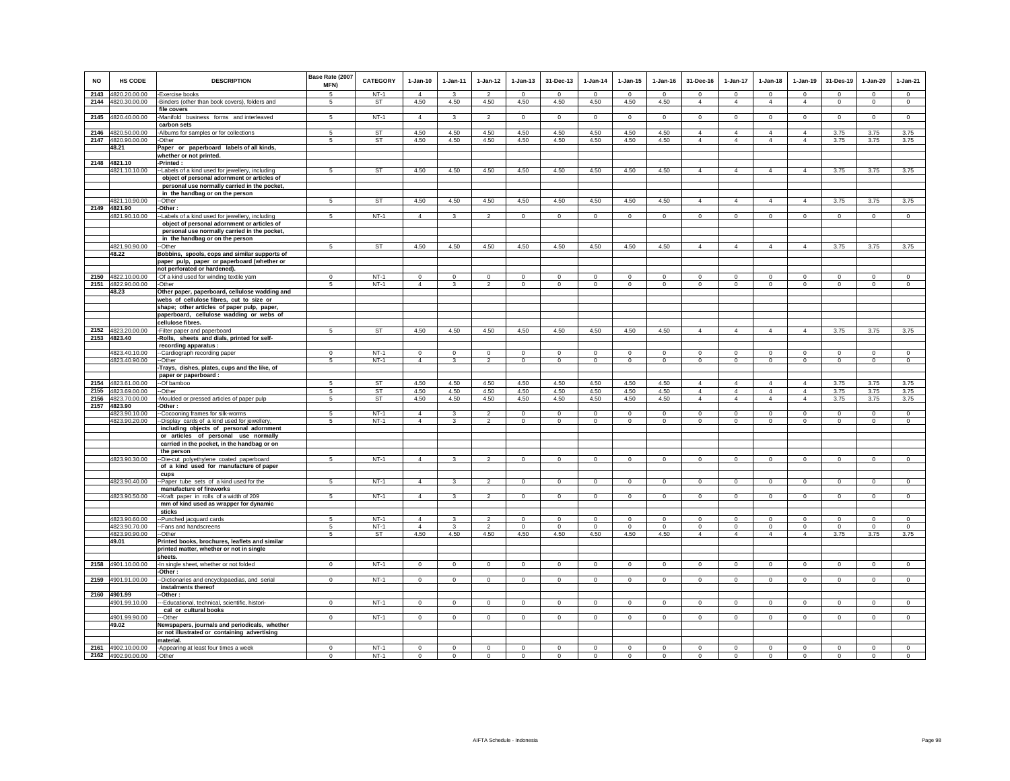| NO           | <b>HS CODE</b>                 | <b>DESCRIPTION</b>                                                                            | Base Rate (2007<br>MFN) | CATEGORY            | 1-Jan-10                         | $1 - Jan-11$         | $1 - Jan-12$                     | $1-Jan-13$              | 31-Dec-13                  | $1-Jan-14$               | $1 - Jan-15$              | $1 - Jan-16$            | 31-Dec-16                  | $1-Jan-17$                 | $1-Jan-18$                    | $1-Jan-19$                 | 31-Des-19               | $1-Jan-20$                 | $1-Jan-21$              |
|--------------|--------------------------------|-----------------------------------------------------------------------------------------------|-------------------------|---------------------|----------------------------------|----------------------|----------------------------------|-------------------------|----------------------------|--------------------------|---------------------------|-------------------------|----------------------------|----------------------------|-------------------------------|----------------------------|-------------------------|----------------------------|-------------------------|
| 2143<br>2144 | 4820.20.00.00<br>4820.30.00.00 | -Exercise books                                                                               | 5<br>5                  | $NT-1$<br><b>ST</b> | $\Delta$<br>4.50                 | $\mathbf{R}$<br>4.50 | $\overline{\phantom{a}}$<br>4.50 | $\mathbf 0$<br>4.50     | $\Omega$<br>4.50           | $\Omega$<br>4.50         | $\Omega$<br>4.50          | $\Omega$<br>4.50        | $\Omega$<br>$\overline{4}$ | $\Omega$<br>$\overline{4}$ | $\mathbf 0$<br>$\overline{4}$ | $\Omega$<br>$\overline{4}$ | $\Omega$<br>$\mathbf 0$ | $\mathbf 0$<br>$\mathbf 0$ | $\mathbf 0$<br>$\circ$  |
|              |                                | -Binders (other than book covers), folders and<br>file covers                                 |                         |                     |                                  |                      |                                  |                         |                            |                          |                           |                         |                            |                            |                               |                            |                         |                            |                         |
| 2145         | 4820.40.00.00                  | -Manifold business forms and interleaved<br>carbon sets                                       | 5                       | $NT-1$              | $\overline{4}$                   | 3                    | $\mathcal{P}$                    | $\Omega$                | $\Omega$                   | $\mathbf 0$              | $\mathbf 0$               | $\circ$                 | $\Omega$                   | $\Omega$                   | $\Omega$                      | $\circ$                    | $\Omega$                | $^{\circ}$                 | $\mathbf 0$             |
|              | 2146 4820.50.00.00             | -Albums for samples or for collections                                                        | 5                       | ST                  | 4.50                             | 4.50                 | 4.50                             | 4.50                    | 4.50                       | 4.50                     | 4.50                      | 4.50                    | $\overline{4}$             | $\overline{4}$             | 4                             | $\overline{4}$             | 3.75                    | 3.75                       | 3.75                    |
|              | 2147 4820.90.00.00<br>48.21    | -Other                                                                                        | 5                       | ST                  | 4.50                             | 4.50                 | 4.50                             | 4.50                    | 4.50                       | 4.50                     | 4.50                      | 4.50                    | $\overline{4}$             | $\overline{4}$             | $\overline{4}$                | $\overline{4}$             | 3.75                    | 3.75                       | 3.75                    |
|              |                                | Paper or paperboard labels of all kinds,<br>whether or not printed.                           |                         |                     |                                  |                      |                                  |                         |                            |                          |                           |                         |                            |                            |                               |                            |                         |                            |                         |
|              | 2148 4821.10                   | -Printed:                                                                                     |                         |                     |                                  |                      |                                  |                         |                            |                          |                           |                         |                            |                            |                               |                            |                         |                            |                         |
|              | 4821.10.10.00                  | -Labels of a kind used for jewellery, including                                               | 5                       | <b>ST</b>           | 4.50                             | 4.50                 | 4.50                             | 4.50                    | 4.50                       | 4.50                     | 4.50                      | 4.50                    | $\overline{4}$             | $\overline{4}$             | $\overline{4}$                | $\overline{4}$             | 3.75                    | 3.75                       | 3.75                    |
|              |                                | object of personal adornment or articles of                                                   |                         |                     |                                  |                      |                                  |                         |                            |                          |                           |                         |                            |                            |                               |                            |                         |                            |                         |
|              |                                | personal use normally carried in the pocket,<br>in the handbag or on the person               |                         |                     |                                  |                      |                                  |                         |                            |                          |                           |                         |                            |                            |                               |                            |                         |                            |                         |
|              | 4821.10.90.00                  | --Other                                                                                       | 5                       | <b>ST</b>           | 4.50                             | 4.50                 | 4.50                             | 4.50                    | 4.50                       | 4.50                     | 4.50                      | 4.50                    | $\overline{4}$             | $\overline{4}$             | $\overline{4}$                | $\overline{4}$             | 3.75                    | 3.75                       | 3.75                    |
|              | 2149 4821.90                   | -Other:                                                                                       |                         |                     |                                  |                      |                                  |                         |                            |                          |                           |                         |                            |                            |                               |                            |                         |                            |                         |
|              | 4821.90.10.00                  | --Labels of a kind used for jewellery, including                                              | 5                       | $NT-1$              | $\overline{4}$                   | 3                    | $\overline{2}$                   | $\mathbf 0$             | $\mathbf{0}$               | $\mathbf 0$              | $\mathbf 0$               | $^{\circ}$              | $\mathbf 0$                | $\mathbf{0}$               | $\mathbf 0$                   | $\mathbf 0$                | $^{\circ}$              | $\mathbf 0$                | $\mathbf 0$             |
|              |                                | object of personal adornment or articles of<br>personal use normally carried in the pocket,   |                         |                     |                                  |                      |                                  |                         |                            |                          |                           |                         |                            |                            |                               |                            |                         |                            |                         |
|              |                                | in the handbag or on the person                                                               |                         |                     |                                  |                      |                                  |                         |                            |                          |                           |                         |                            |                            |                               |                            |                         |                            |                         |
|              | 4821.90.90.00                  | --Other                                                                                       | 5                       | <b>ST</b>           | 4.50                             | 4.50                 | 4.50                             | 4.50                    | 4.50                       | 4.50                     | 4.50                      | 4.50                    | $\overline{4}$             | $\overline{4}$             | $\overline{4}$                | $\overline{4}$             | 3.75                    | 3.75                       | 3.75                    |
|              | 48.22                          | Bobbins, spools, cops and similar supports of                                                 |                         |                     |                                  |                      |                                  |                         |                            |                          |                           |                         |                            |                            |                               |                            |                         |                            |                         |
|              |                                | paper pulp, paper or paperboard (whether or<br>not perforated or hardened).                   |                         |                     |                                  |                      |                                  |                         |                            |                          |                           |                         |                            |                            |                               |                            |                         |                            |                         |
|              | 2150 4822.10.00.00             | -Of a kind used for winding textile yarn                                                      | $\mathsf 0$             | $NT-1$              | $\circ$                          | $\mathsf 0$          | $\mathbf 0$                      | $\mathbf 0$             | $\mathbf 0$                | $\mathbf 0$              | $\mathbf 0$               | $\mathsf 0$             | $\circ$                    | $\mathbf 0$                | $\mathbf 0$                   | $\mathbf 0$                | $^{\circ}$              | $\mathbf 0$                | $\mathbf 0$             |
|              | 2151 4822.90.00.00             | -Other                                                                                        | 5                       | $NT-1$              | $\overline{4}$                   | $\mathcal{R}$        | 2                                | $\mathbf 0$             | $\mathbf 0$                | $\circ$                  | $\circ$                   | $\circ$                 | $\mathbf 0$                | $\circ$                    | $\mathbf 0$                   | $\mathbf 0$                | $\Omega$                | $\mathbf 0$                | $\mathbf 0$             |
|              | 48.23                          | Other paper, paperboard, cellulose wadding and                                                |                         |                     |                                  |                      |                                  |                         |                            |                          |                           |                         |                            |                            |                               |                            |                         |                            |                         |
|              |                                | webs of cellulose fibres, cut to size or<br>shape; other articles of paper pulp, paper,       |                         |                     |                                  |                      |                                  |                         |                            |                          |                           |                         |                            |                            |                               |                            |                         |                            |                         |
|              |                                | paperboard, cellulose wadding or webs of                                                      |                         |                     |                                  |                      |                                  |                         |                            |                          |                           |                         |                            |                            |                               |                            |                         |                            |                         |
|              |                                | cellulose fibres.                                                                             |                         |                     |                                  |                      |                                  |                         |                            |                          |                           |                         |                            |                            |                               |                            |                         |                            |                         |
|              | 2152 4823.20.00.00             | -Filter paper and paperboard                                                                  | 5                       | <b>ST</b>           | 4.50                             | 4.50                 | 4.50                             | 4.50                    | 4.50                       | 4.50                     | 4.50                      | 4.50                    | $\overline{4}$             | $\overline{4}$             | $\overline{4}$                | $\overline{4}$             | 3.75                    | 3.75                       | 3.75                    |
|              | 2153 4823.40                   | -Rolls, sheets and dials, printed for self-                                                   |                         |                     |                                  |                      |                                  |                         |                            |                          |                           |                         |                            |                            |                               |                            |                         |                            |                         |
|              | 4823.40.10.00                  | recording apparatus :<br>--Cardiograph recording paper                                        | $\Omega$                | $NT-1$              | $\Omega$                         | $\Omega$             | $^{\circ}$                       | $\mathbf 0$             | $\mathbf 0$                | $^{\circ}$               | $^{\circ}$                | $\Omega$                | $\mathbf 0$                | $^{\circ}$                 | $\Omega$                      | $\Omega$                   | $\Omega$                | $\mathbf 0$                | $\mathbf 0$             |
|              | 4823.40.90.00                  | -Other                                                                                        | 5                       | $NT-1$              | $\overline{4}$                   | $\mathbf{3}$         | $\overline{2}$                   | $\mathbf 0$             | $\mathbf 0$                | $\mathbf 0$              | $\mathbf 0$               | $\circ$                 | $\mathbf 0$                | $\mathbf 0$                | $\mathbf 0$                   | $\mathbf 0$                | $\mathbf 0$             | $^{\circ}$                 | $\mathbf 0$             |
|              |                                | Trays, dishes, plates, cups and the like, of                                                  |                         |                     |                                  |                      |                                  |                         |                            |                          |                           |                         |                            |                            |                               |                            |                         |                            |                         |
|              | 2154 4823.61.00.00             | paper or paperboard :<br>--Of bamboo                                                          | 5                       | <b>ST</b>           | 4.50                             | 4.50                 | 4.50                             | 4.50                    | 4.50                       | 4.50                     | 4.50                      | 4.50                    | $\overline{4}$             | $\overline{4}$             | $\overline{4}$                | $\overline{4}$             | 3.75                    | 3.75                       | 3.75                    |
| 2155         | 4823.69.00.00                  | --Other                                                                                       | 5                       | <b>ST</b>           | 4.50                             | 4.50                 | 4.50                             | 4.50                    | 4.50                       | 4.50                     | 4.50                      | 4.50                    | $\Delta$                   | $\Delta$                   | $\Delta$                      | $\Delta$                   | 3.75                    | 3.75                       | 3.75                    |
| 2156         | 4823.70.00.00                  | -Moulded or pressed articles of paper pulp                                                    | 5                       | ST                  | 4.50                             | 4.50                 | 4.50                             | 4.50                    | 4.50                       | 4.50                     | 4.50                      | 4.50                    | $\overline{4}$             | $\overline{4}$             | $\overline{4}$                | $\overline{4}$             | 3.75                    | 3.75                       | 3.75                    |
|              | 2157 4823.90                   | -Other:                                                                                       |                         |                     |                                  |                      |                                  |                         |                            |                          |                           |                         |                            |                            |                               |                            |                         |                            |                         |
|              | 4823.90.10.00<br>4823.90.20.00 | -Cocooning frames for silk-worms<br>--Display cards of a kind used for jewellery,             | 5<br>5                  | $NT-1$<br>NT-1      | $\overline{4}$<br>$\overline{4}$ | $\mathbf{3}$         | 2<br>$\overline{2}$              | $\Omega$<br>$\mathbf 0$ | $\Omega$<br>$\mathbf{0}$   | $\Omega$<br>$\mathbf 0$  | $\Omega$<br>$\mathbf 0$   | $\Omega$<br>$\mathbf 0$ | $\Omega$<br>$\mathbf 0$    | $\Omega$<br>$\mathbf 0$    | $\Omega$<br>0                 | $\Omega$<br>$\mathbf 0$    | $\Omega$<br>$\,0\,$     | $\Omega$<br>$\circ$        | $\Omega$<br>$\mathbf 0$ |
|              |                                | including objects of personal adornment                                                       |                         |                     |                                  |                      |                                  |                         |                            |                          |                           |                         |                            |                            |                               |                            |                         |                            |                         |
|              |                                | or articles of personal use normally                                                          |                         |                     |                                  |                      |                                  |                         |                            |                          |                           |                         |                            |                            |                               |                            |                         |                            |                         |
|              |                                | carried in the pocket, in the handbag or on                                                   |                         |                     |                                  |                      |                                  |                         |                            |                          |                           |                         |                            |                            |                               |                            |                         |                            |                         |
|              | 4823.90.30.00                  | the person<br>--Die-cut polyethylene coated paperboard                                        | 5                       | $NT-1$              | $\overline{4}$                   | 3                    | $\overline{2}$                   | $\mathbf 0$             | $\mathbf 0$                | $\mathbf 0$              | $\mathbf 0$               | $\circ$                 | $\mathbf 0$                | $\mathbf 0$                | $\mathbf 0$                   | $\circ$                    | $\mathbf 0$             | $\mathbf 0$                | $\mathbf 0$             |
|              |                                | of a kind used for manufacture of paper                                                       |                         |                     |                                  |                      |                                  |                         |                            |                          |                           |                         |                            |                            |                               |                            |                         |                            |                         |
|              |                                | cups                                                                                          |                         |                     |                                  |                      |                                  |                         |                            |                          |                           |                         |                            |                            |                               |                            |                         |                            |                         |
|              | 4823.90.40.00                  | -- Paper tube sets of a kind used for the<br>manufacture of fireworks                         | 5                       | $NT-1$              | $\overline{4}$                   |                      | $\mathfrak{D}$                   | $\Omega$                | $\overline{0}$             | $\Omega$                 | $\overline{0}$            | $\Omega$                | $\Omega$                   | $\Omega$                   | $\Omega$                      | $\Omega$                   | $\Omega$                | $\Omega$                   | $\Omega$                |
|              | 4823.90.50.00                  | --Kraft paper in rolls of a width of 209                                                      | 5                       | $NT-1$              | $\overline{4}$                   |                      | $\overline{2}$                   | $\mathbf 0$             | $\mathsf 0$                | $\mathbf 0$              | $\mathbf 0$               | $^{\circ}$              | $\mathbf 0$                | $^{\circ}$                 | $\mathbf 0$                   | $\mathbf{0}$               | $^{\circ}$              | $^{\circ}$                 | $\mathbf 0$             |
|              |                                | mm of kind used as wrapper for dynamic                                                        |                         |                     |                                  |                      |                                  |                         |                            |                          |                           |                         |                            |                            |                               |                            |                         |                            |                         |
|              |                                | sticks                                                                                        |                         |                     |                                  |                      |                                  |                         |                            |                          |                           |                         |                            |                            |                               |                            |                         |                            |                         |
|              | 4823.90.60.00<br>4823.90.70.00 | --Punched jacquard cards<br>--Fans and handscreens                                            | -5<br>5                 | $NT-1$<br>$NT-1$    | $\overline{4}$<br>$\overline{4}$ | 3                    | 2<br>$\overline{2}$              | $\Omega$<br>$^{\circ}$  | $\mathbf 0$<br>$\mathbf 0$ | $^{\circ}$<br>$^{\circ}$ | $^{\circ}$<br>$\mathbf 0$ | $\Omega$<br>$^{\circ}$  | $\Omega$<br>$\mathsf 0$    | $^{\circ}$<br>$\mathbf 0$  | $\Omega$<br>$\mathbf 0$       | $\Omega$<br>$^{\circ}$     | $\Omega$<br>$^{\circ}$  | $\Omega$<br>$^{\circ}$     | $\Omega$<br>$\mathbf 0$ |
|              | 4823.90.90.00                  | --Other                                                                                       | 5                       | ST                  | 4.50                             | 4.50                 | 4.50                             | 4.50                    | 4.50                       | 4.50                     | 4.50                      | 4.50                    | $\overline{4}$             | $\overline{4}$             | $\overline{4}$                | $\overline{4}$             | 3.75                    | 3.75                       | 3.75                    |
|              | 49.01                          | Printed books, brochures, leaflets and similar                                                |                         |                     |                                  |                      |                                  |                         |                            |                          |                           |                         |                            |                            |                               |                            |                         |                            |                         |
|              |                                | printed matter, whether or not in single<br>sheets.                                           |                         |                     |                                  |                      |                                  |                         |                            |                          |                           |                         |                            |                            |                               |                            |                         |                            |                         |
| 2158         | 4901.10.00.00                  | -In single sheet, whether or not folded                                                       | $\mathbf{0}$            | $NT-1$              | $\circ$                          | $\circ$              | $\circ$                          | $\mathbf 0$             | $\mathsf 0$                | $\mathsf 0$              | $\mathsf 0$               | $\circ$                 | $\mathbf 0$                | $\mathbf 0$                | $\mathbf 0$                   | $\mathbf 0$                | $\mathbf 0$             | $\mathbf 0$                | $\mathbf 0$             |
|              |                                | -Other:                                                                                       |                         |                     |                                  |                      |                                  |                         |                            |                          |                           |                         |                            |                            |                               |                            |                         |                            |                         |
| 2159         | 4901.91.00.00                  | -Dictionaries and encyclopaedias, and serial                                                  | $\Omega$                | $NT-1$              | $\circ$                          | $\Omega$             | $\Omega$                         | $\mathbf 0$             | $\mathbf{0}$               | $\circ$                  | $\mathbf 0$               | $\circ$                 | $\Omega$                   | $\Omega$                   | $\mathbf 0$                   | $\circ$                    | $\Omega$                | $\mathbf 0$                | $\mathbf{0}$            |
|              | 2160 4901.99                   | instalments thereof<br>-Other:                                                                |                         |                     |                                  |                      |                                  |                         |                            |                          |                           |                         |                            |                            |                               |                            |                         |                            |                         |
|              | 4901.99.10.00                  | -- Educational, technical, scientific, histori-                                               | $\Omega$                | $NT-1$              | $\circ$                          | $^{\circ}$           | $\circ$                          | 0                       | $\overline{0}$             | $\mathbf 0$              | $\mathbf 0$               | $\mathbf 0$             | $\mathbf 0$                | $\circ$                    | 0                             | $\mathbf 0$                | $\,0\,$                 | $\circ$                    | $\mathbf 0$             |
|              |                                | cal or cultural books                                                                         |                         |                     |                                  |                      |                                  |                         |                            |                          |                           |                         |                            |                            |                               |                            |                         |                            |                         |
|              | 4901.99.90.00                  | -Other                                                                                        | $\mathbf{0}$            | $NT-1$              | $\mathbf 0$                      | $\mathbf 0$          | $\circ$                          | $\mathbf 0$             | $\circ$                    | $\mathsf 0$              | $\circ$                   | $\mathsf 0$             | $\circ$                    | $\circ$                    | $\mathbf 0$                   | $\mathbf 0$                | $\circ$                 | $\circ$                    | $\overline{0}$          |
|              | 49.02                          | Newspapers, journals and periodicals, whether<br>or not illustrated or containing advertising |                         |                     |                                  |                      |                                  |                         |                            |                          |                           |                         |                            |                            |                               |                            |                         |                            |                         |
|              |                                | material.                                                                                     |                         |                     |                                  |                      |                                  |                         |                            |                          |                           |                         |                            |                            |                               |                            |                         |                            |                         |
|              | 2161 4902.10.00.00             | -Appearing at least four times a week                                                         | $^{\circ}$              | $NT-1$              | $^{\circ}$                       | 0                    | $\,$ 0                           | $\mathsf 0$             | $\mathbf 0$                | $\,$ 0                   | $\mathsf 0$               | $\mathbf 0$             | $\mathbf 0$                | 0                          | $\mathbf 0$                   | $^{\circ}$                 | $^{\circ}$              | 0                          | $\Omega$                |
|              | 2162 4902.90.00.00             | -Other                                                                                        | $\Omega$                | $NT-1$              | $\Omega$                         | $\circ$              | $\circ$                          | $\circ$                 | $\Omega$                   | $\circ$                  | $\mathbf{0}$              | $\circ$                 | $\Omega$                   | $\mathbf 0$                | $\mathbf{0}$                  | $\Omega$                   | $\Omega$                | $\Omega$                   | $\Omega$                |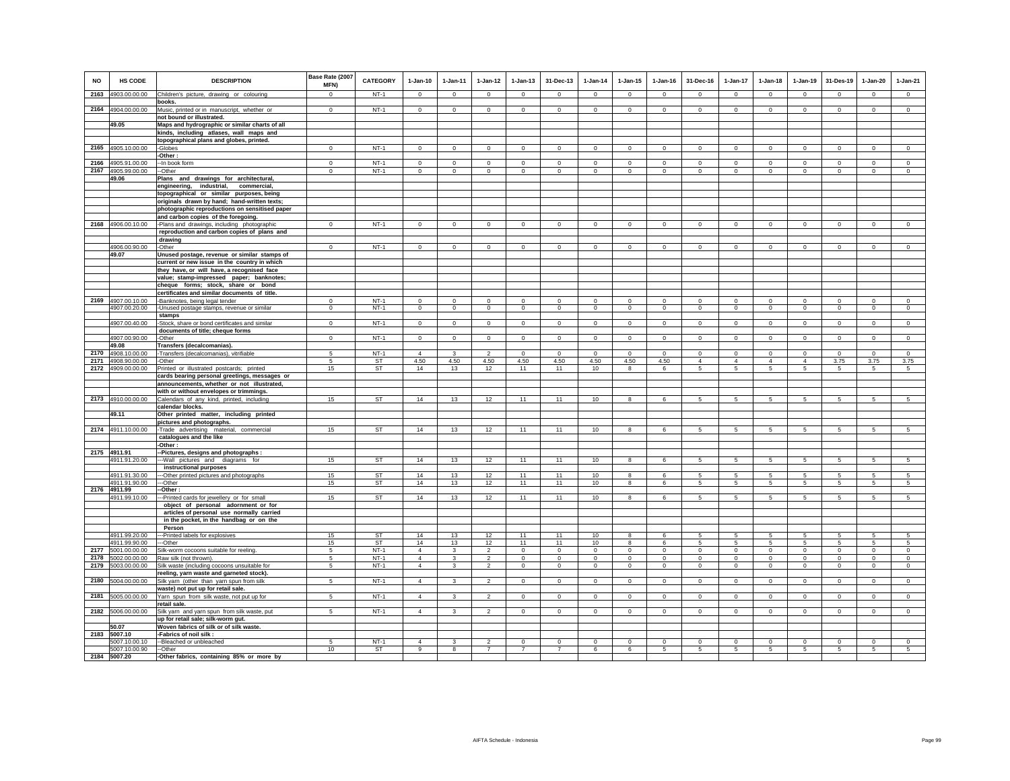| NO           | <b>HS CODE</b>                 | <b>DESCRIPTION</b>                                                                           | Base Rate (2007<br>MFN) | CATEGORY         | $1-Jan-10$                 | $1 - Jan-11$      | $1 - Jan-12$                     | $1 - Jan-13$                  | 31-Dec-13                  | $1-Jan-14$              | $1 - Jan-15$            | $1 - Jan-16$         | 31-Dec-16               | 1-Jan-17                    | $1 - Jan-18$         | $1-Jan-19$                | 31-Des-19               | $1-Jan-20$              | $1-Jan-21$              |
|--------------|--------------------------------|----------------------------------------------------------------------------------------------|-------------------------|------------------|----------------------------|-------------------|----------------------------------|-------------------------------|----------------------------|-------------------------|-------------------------|----------------------|-------------------------|-----------------------------|----------------------|---------------------------|-------------------------|-------------------------|-------------------------|
| 2163         | 4903.00.00.00                  | Children's picture, drawing or colouring                                                     | $\,0\,$                 | $NT-1$           | $\Omega$                   | $\mathbf 0$       | $\circ$                          | $^{\circ}$                    | $\mathbf{0}$               | $\circ$                 | $\mathbf{0}$            | $\Omega$             | $\mathbf{0}$            | $\mathbf{0}$                | $\mathsf 0$          | $\mathbf 0$               | $\mathbf 0$             | $\mathbf{0}$            | $\circ$                 |
|              | 2164 4904.00.00.00             | books.<br>Music, printed or in manuscript, whether or                                        | $\mathsf 0$             | $NT-1$           | $\mathsf 0$                | $\mathsf 0$       | $\mathbf 0$                      | $\mathbf 0$                   | $\mathbf 0$                | $\mathsf 0$             | $\mathbf 0$             | $\Omega$             | $\mathbf 0$             | $\mathbf 0$                 | $\mathsf 0$          | $\mathbf 0$               | $\mathbf 0$             | $\mathsf 0$             | $\circ$                 |
|              |                                | not bound or illustrated.                                                                    |                         |                  |                            |                   |                                  |                               |                            |                         |                         |                      |                         |                             |                      |                           |                         |                         |                         |
|              | 49.05                          | Maps and hydrographic or similar charts of all                                               |                         |                  |                            |                   |                                  |                               |                            |                         |                         |                      |                         |                             |                      |                           |                         |                         |                         |
|              |                                | kinds, including atlases, wall maps and<br>topographical plans and globes, printed.          |                         |                  |                            |                   |                                  |                               |                            |                         |                         |                      |                         |                             |                      |                           |                         |                         |                         |
|              | 2165 4905.10.00.00             | -Globes                                                                                      | $\Omega$                | $NT-1$           | $\Omega$                   | $\circ$           | $\mathbf 0$                      | $\Omega$                      | $\mathbf{0}$               | $\circ$                 | $\mathbf 0$             | $\,0\,$              | $\Omega$                | $\Omega$                    | $\Omega$             | $\circ$                   | $\mathbf 0$             | $\Omega$                | $\mathsf 0$             |
| 2166         | 4905.91.00.00                  | -Other:<br>-- In book form                                                                   | $\mathsf 0$             | $NT-1$           | $\circ$                    | $\mathbf 0$       | $\mathbf 0$                      | $\mathbf 0$                   | $\mathsf 0$                | $\mathsf 0$             | $\mathbf 0$             | $\mathbb O$          | $^{\circ}$              | $\mathbf 0$                 | $\mathsf 0$          | $\mathbf 0$               | $\mathbf 0$             | $\circ$                 | $\circ$                 |
| 2167         | 4905.99.00.00                  | -Other                                                                                       | $\mathbf 0$             | $NT-1$           | $\circ$                    | $\circ$           | $\circ$                          | $\mathbf 0$                   | $\mathbf 0$                | $\mathbf 0$             | $\mathbf 0$             | $\mathbf 0$          | $\mathbf 0$             | $\mathbf 0$                 | $\circ$              | $\mathbf 0$               | $\mathbf 0$             | $\mathbf 0$             | $\mathbf 0$             |
|              | 49.06                          | Plans and drawings for architectural,                                                        |                         |                  |                            |                   |                                  |                               |                            |                         |                         |                      |                         |                             |                      |                           |                         |                         |                         |
|              |                                | engineering, industrial,<br>commercial,                                                      |                         |                  |                            |                   |                                  |                               |                            |                         |                         |                      |                         |                             |                      |                           |                         |                         |                         |
|              |                                | topographical or similar purposes, being<br>originals drawn by hand; hand-written texts;     |                         |                  |                            |                   |                                  |                               |                            |                         |                         |                      |                         |                             |                      |                           |                         |                         |                         |
|              |                                | photographic reproductions on sensitised paper                                               |                         |                  |                            |                   |                                  |                               |                            |                         |                         |                      |                         |                             |                      |                           |                         |                         |                         |
|              |                                | and carbon copies of the foregoing.                                                          | $\Omega$                |                  | $\Omega$                   | $\Omega$          | $\Omega$                         |                               |                            | $\Omega$                |                         | $\Omega$             | $\Omega$                | $\Omega$                    |                      | $\Omega$                  |                         | $\Omega$                | $\Omega$                |
| 2168         | 4906.00.10.00                  | -Plans and drawings, including photographic<br>reproduction and carbon copies of plans and   |                         | $NT-1$           |                            |                   |                                  | $\circ$                       | $\mathbf 0$                |                         | $\mathbf 0$             |                      |                         |                             | $\circ$              |                           | $\circ$                 |                         |                         |
|              |                                | drawing                                                                                      |                         |                  |                            |                   |                                  |                               |                            |                         |                         |                      |                         |                             |                      |                           |                         |                         |                         |
|              | 4906.00.90.00<br>49.07         | -Other                                                                                       | $\mathbf{0}$            | $NT-1$           | $\mathbf{0}$               | $\mathbf{0}$      | $\circ$                          | $\mathbf{0}$                  | $\mathbf{0}$               | $\mathbf{0}$            | $\mathbf 0$             | $\mathbf{0}$         | $\Omega$                | $\mathbf 0$                 | $\mathbf{0}$         | $\mathbf{0}$              | $\circ$                 | $\mathbf{0}$            | $\circ$                 |
|              |                                | Unused postage, revenue or similar stamps of<br>current or new issue in the country in which |                         |                  |                            |                   |                                  |                               |                            |                         |                         |                      |                         |                             |                      |                           |                         |                         |                         |
|              |                                | they have, or will have, a recognised face                                                   |                         |                  |                            |                   |                                  |                               |                            |                         |                         |                      |                         |                             |                      |                           |                         |                         |                         |
|              |                                | value; stamp-impressed paper; banknotes;                                                     |                         |                  |                            |                   |                                  |                               |                            |                         |                         |                      |                         |                             |                      |                           |                         |                         |                         |
|              |                                | cheque forms; stock, share or bond<br>certificates and similar documents of title.           |                         |                  |                            |                   |                                  |                               |                            |                         |                         |                      |                         |                             |                      |                           |                         |                         |                         |
| 2169         | 4907.00.10.00                  | -Banknotes, being legal tender                                                               | $^{\circ}$              | $NT-1$           | $\mathbf 0$                | $\mathbf 0$       | $\mathbf 0$                      | $\mathbf 0$                   | $\mathbf 0$                | $\mathbf 0$             | $\mathbf 0$             | $^{\circ}$           | $\mathbf 0$             | $\mathbf 0$                 | $\mathbf 0$          | $\mathbf 0$               | $\mathbf 0$             | $\mathbf 0$             | $\circ$                 |
|              | 4907.00.20.00                  | -Unused postage stamps, revenue or similar<br>stamps                                         | $\Omega$                | $NT-1$           | $\circ$                    | $\circ$           | $\mathbf 0$                      | $\Omega$                      | $\circ$                    | $\circ$                 | $\Omega$                | $\mathbf 0$          | $\Omega$                | $\circ$                     | $\circ$              | $\Omega$                  | $\circ$                 | $\circ$                 | $\circ$                 |
|              | 4907.00.40.00                  | -Stock, share or bond certificates and similar                                               | $\mathbf 0$             | $NT-1$           | $\circ$                    | $\circ$           | $\circ$                          | $\circ$                       | $\mathbf{0}$               | $\circ$                 | $\circ$                 | $\mathbf 0$          | $\circ$                 | $\mathbf{0}$                | $\circ$              | $\circ$                   | $\mathbf{0}$            | $\mathbf 0$             | $\mathbf 0$             |
|              |                                | documents of title; cheque forms                                                             |                         |                  |                            |                   |                                  |                               |                            |                         |                         |                      |                         |                             |                      |                           |                         |                         |                         |
|              | 4907.00.90.00<br>49.08         | -Other<br>Transfers (decalcomanias).                                                         | $\mathbf 0$             | $NT-1$           | $^{\circ}$                 | $^{\circ}$        | $\circ$                          | $^{\circ}$                    | 0                          | $^{\circ}$              | $^{\circ}$              | $^{\circ}$           | $\Omega$                | $\circ$                     | $^{\circ}$           | $\mathbf{0}$              | $\circ$                 | $\circ$                 | $\circ$                 |
| 2170         | 4908.10.00.00                  | -Transfers (decalcomanias), vitrifiable                                                      | 5                       | $NT-1$           | $\overline{4}$             | $\mathbf{3}$      | $\mathfrak{p}$                   | $\Omega$                      | $\Omega$                   | $\Omega$                | $\Omega$                | $\Omega$             | $\Omega$                | $\Omega$                    | $\Omega$             | $\Omega$                  | $\mathbf 0$             | $\Omega$                | $\circ$                 |
| 2171         | 4908.90.00.00                  | -Other                                                                                       | 5                       | ST               | 4.50                       | 4.50              | 4.50                             | 4.50                          | 4.50                       | 4.50                    | 4.50                    | 4.50                 | $\overline{4}$          | $\overline{4}$              | $\overline{4}$       | $\overline{4}$            | 3.75                    | 3.75                    | 3.75                    |
| 2172         | 4909.00.00.00                  | Printed or illustrated postcards; printed<br>cards bearing personal greetings, messages or   | 15                      | ST               | 14                         | 13                | 12                               | 11                            | 11                         | 10                      | 8                       | 6                    | 5                       | 5                           | 5                    | 5                         | -5                      | 5                       | $\sqrt{5}$              |
|              |                                | announcements, whether or not illustrated,                                                   |                         |                  |                            |                   |                                  |                               |                            |                         |                         |                      |                         |                             |                      |                           |                         |                         |                         |
| 2173         | 4910.00.00.00                  | with or without envelopes or trimmings.                                                      | 15                      | ST               | 14                         | 13                | 12                               | 11                            | 11                         | 10                      | $\mathbf{g}$            |                      | $\sqrt{5}$              | $\sqrt{5}$                  | $\sqrt{5}$           | $\overline{5}$            |                         | 5                       | 5                       |
|              |                                | Calendars of any kind, printed, including<br>calendar blocks.                                |                         |                  |                            |                   |                                  |                               |                            |                         |                         | 6                    |                         |                             |                      |                           | 5                       |                         |                         |
|              | 49.11                          | Other printed matter, including printed                                                      |                         |                  |                            |                   |                                  |                               |                            |                         |                         |                      |                         |                             |                      |                           |                         |                         |                         |
|              | 2174 4911.10.00.00             | pictures and photographs.<br>-Trade advertising material, commercial                         | 15                      | <b>ST</b>        | 14                         | 13                | 12                               | 11                            | 11                         | 10                      | 8                       | 6                    | $5\overline{5}$         | $5\overline{5}$             | 5                    | 5                         | 5                       | 5                       | 5                       |
|              |                                | catalogues and the like<br>-Other:                                                           |                         |                  |                            |                   |                                  |                               |                            |                         |                         |                      |                         |                             |                      |                           |                         |                         |                         |
| 2175         | 4911.91                        | -Pictures, designs and photographs :                                                         |                         |                  |                            |                   |                                  |                               |                            |                         |                         |                      |                         |                             |                      |                           |                         |                         |                         |
|              | 4911.91.20.00                  | -Wall pictures and diagrams for                                                              | 15                      | ST               | 14                         | 13                | 12                               | 11                            | 11                         | 10                      | 8                       | 6                    | 5                       | 5                           | 5                    | 5                         | 5                       | 5                       | 5                       |
|              | 4911.91.30.00                  | instructional purposes<br>--Other printed pictures and photographs                           | 15                      | <b>ST</b>        | 14                         | 13                | 12                               | 11                            | 11                         | 10                      | 8                       | 6                    | -5                      | 5                           | 5                    | -5                        | 5                       | 5                       | 5                       |
|              | 4911.91.90.00                  | ---Other                                                                                     | 15                      | <b>ST</b>        | 14                         | 13                | 12                               | 11                            | 11                         | 10                      | $\overline{8}$          | $\epsilon$           | 5                       | 5 <sup>5</sup>              | $\overline{5}$       | $\overline{5}$            | 5                       | $\overline{5}$          | $\overline{5}$          |
| 2176         | 4911.99                        | -Other :<br>--Printed cards for jewellery or for small                                       | 15                      | <b>ST</b>        | 14                         | 13                | 12                               | 11                            | 11                         | $10$                    | 8                       | 6                    | 5                       | 5                           | 5                    | 5                         | 5                       | 5                       | 5                       |
|              | 4911.99.10.00                  | object of personal adornment or for                                                          |                         |                  |                            |                   |                                  |                               |                            |                         |                         |                      |                         |                             |                      |                           |                         |                         |                         |
|              |                                | articles of personal use normally carried                                                    |                         |                  |                            |                   |                                  |                               |                            |                         |                         |                      |                         |                             |                      |                           |                         |                         |                         |
|              |                                | in the pocket, in the handbag or on the<br>Person                                            |                         |                  |                            |                   |                                  |                               |                            |                         |                         |                      |                         |                             |                      |                           |                         |                         |                         |
|              | 4911.99.20.00                  | --Printed labels for explosives                                                              | 15                      | <b>ST</b>        | 14                         | 13                | 12                               | 11                            | 11                         | 10                      | 8                       | 6                    | 5                       | 5                           | 5                    | 5                         | 5                       | 5                       |                         |
|              | 4911.99.90.00                  | --Other                                                                                      | 15                      | ST               | 14                         | 13                | 12                               | 11                            | 11                         | 10                      | 8                       | 6                    | 5                       | 5                           | 5                    | 5                         | 5                       | 5                       | 5                       |
| 2177<br>2178 | 5001.00.00.00<br>5002.00.00.00 | Silk-worm cocoons suitable for reeling.<br>Raw silk (not thrown).                            | 5<br>5                  | $NT-1$<br>$NT-1$ | $\overline{4}$<br>$\Delta$ | $\mathbf{3}$<br>3 | $\overline{2}$<br>$\overline{2}$ | $\mathbf 0$<br>$\Omega$       | $\mathbf 0$<br>$\mathbf 0$ | $\mathsf 0$<br>$\Omega$ | $\mathbf 0$<br>$\Omega$ | $\Omega$<br>$\Omega$ | $\mathbf 0$<br>$\Omega$ | $\mathsf{O}$<br>$\mathbf 0$ | $\Omega$<br>$\Omega$ | $\mathbf 0$<br>$^{\circ}$ | $\mathbf 0$<br>$\Omega$ | $\mathbf 0$<br>$\Omega$ | $\mathbb O$<br>$\Omega$ |
| 2179         | 5003.00.00.00                  | Silk waste (including cocoons unsuitable for                                                 | $\sqrt{5}$              | $NT-1$           | $\overline{4}$             | $\mathbf{3}$      | $\overline{2}$                   | $\Omega$                      | $\Omega$                   | $\Omega$                | $\Omega$                | $\Omega$             | $\Omega$                | $\circ$                     | $\Omega$             | $\overline{0}$            | $\Omega$                | $\Omega$                | $\Omega$                |
|              |                                | reeling, yarn waste and garneted stock).                                                     |                         |                  |                            |                   |                                  |                               |                            |                         |                         |                      |                         |                             |                      |                           |                         |                         |                         |
| 2180         | 5004.00.00.00                  | Silk yarn (other than yarn spun from silk<br>waste) not put up for retail sale.              | 5                       | $NT-1$           | $\overline{4}$             | $\mathbf{3}$      | $\overline{2}$                   | $\mathbf 0$                   | $\mathsf 0$                | $\mathbf 0$             | $\mathbf 0$             | $\Omega$             | $\Omega$                | $\mathbf 0$                 | $\mathsf 0$          | $\mathbf 0$               | $\mathbf 0$             | $\mathsf 0$             | $\mathbf 0$             |
| 2181         | 5005.00.00.00                  | Yarn spun from silk waste, not put up for                                                    | 5                       | $NT-1$           | $\overline{4}$             | $\mathbf{3}$      | $\overline{2}$                   | $\mathbf{0}$                  | $\overline{0}$             | $\circ$                 | $\circ$                 | $\mathbf 0$          | $\mathbf{0}$            | $\mathbf{0}$                | $\circ$              | $\circ$                   | $\overline{0}$          | $\mathbf 0$             | $\circ$                 |
| 2182         |                                | retail sale.                                                                                 |                         |                  |                            |                   |                                  |                               |                            |                         |                         |                      |                         |                             |                      |                           |                         |                         |                         |
|              | 5006.00.00.00                  | Silk yarn and yarn spun from silk waste, put<br>up for retail sale; silk-worm gut.           | 5                       | $NT-1$           | $\overline{4}$             | $\mathbf{3}$      | $\overline{a}$                   | $\circ$                       | $\mathbf{0}$               | $\mathbf 0$             | $\mathbf{0}$            | $\mathbf 0$          | $^{\circ}$              | $\mathbf{0}$                | $\mathbf 0$          | $\overline{0}$            | $\overline{0}$          | 0                       | $\mathsf 0$             |
|              | 50.07                          | Woven fabrics of silk or of silk waste.                                                      |                         |                  |                            |                   |                                  |                               |                            |                         |                         |                      |                         |                             |                      |                           |                         |                         |                         |
| 2183         | 5007.10                        | -Fabrics of noil silk :                                                                      |                         | $NT-1$           | $\overline{4}$             |                   | $\mathfrak{p}$                   |                               | $\mathbf 0$                | $\circ$                 |                         |                      |                         | $\mathbf 0$                 | $\mathbf 0$          |                           | $^{\circ}$              | $\mathbf 0$             |                         |
|              | 5007.10.00.10<br>5007.10.00.90 | --Bleached or unbleached<br>--Other                                                          | 5<br>10                 | <b>ST</b>        | 9                          | 3<br>8            | $\overline{7}$                   | $\mathbf 0$<br>$\overline{7}$ | $\overline{7}$             | 6                       | $\mathbf 0$<br>6        | $^{\circ}$<br>5      | $\mathbf 0$<br>5        | $5\overline{)}$             | 5                    | $\mathbf 0$<br>5          | 5                       | 5                       | $\mathbf 0$<br>5        |
|              | 2184 5007.20                   | -Other fabrics, containing 85% or more by                                                    |                         |                  |                            |                   |                                  |                               |                            |                         |                         |                      |                         |                             |                      |                           |                         |                         |                         |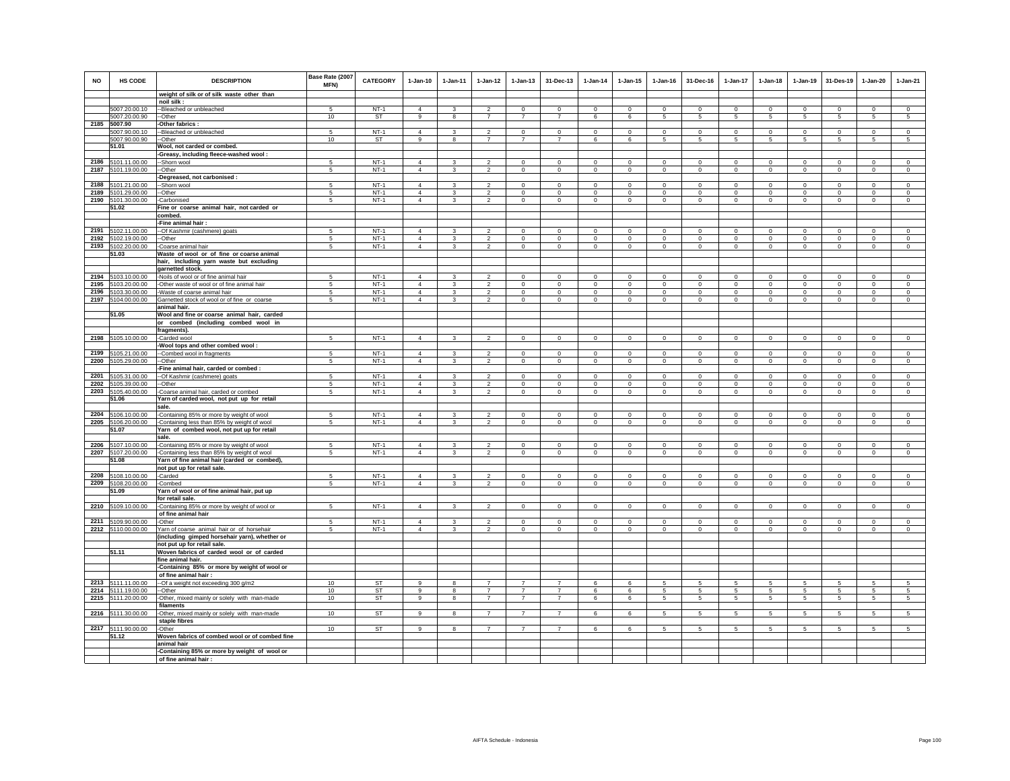| NO           | <b>HS CODE</b>                 | <b>DESCRIPTION</b>                                                                       | Base Rate (2007<br>MFN) | <b>CATEGORY</b>  | $1-Jan-10$                       | $1-Jan-11$                   | $1 - Jan-12$                     | $1 - Jan-13$                 | 31-Dec-13                  | $1-Jan-14$                 | $1 - Jan-15$                 | $1-Jan-16$                 | 31-Dec-16               | 1-Jan-17                   | $1-Jan-18$                 | $1-Jan-19$                 | 31-Des-19               | $1-Jan-20$                 | $1-Jan-21$              |
|--------------|--------------------------------|------------------------------------------------------------------------------------------|-------------------------|------------------|----------------------------------|------------------------------|----------------------------------|------------------------------|----------------------------|----------------------------|------------------------------|----------------------------|-------------------------|----------------------------|----------------------------|----------------------------|-------------------------|----------------------------|-------------------------|
|              |                                | weight of silk or of silk waste other than                                               |                         |                  |                                  |                              |                                  |                              |                            |                            |                              |                            |                         |                            |                            |                            |                         |                            |                         |
|              |                                | noil silk:                                                                               |                         |                  |                                  |                              |                                  |                              |                            |                            |                              |                            |                         |                            |                            |                            |                         |                            |                         |
|              | 5007.20.00.10                  | --Bleached or unbleached                                                                 | -5                      | $NT-1$           | $\Delta$<br>9                    | 3<br>8                       | $\mathfrak{D}$<br>$\overline{7}$ | $\Omega$<br>$\overline{7}$   | $\Omega$<br>$\overline{7}$ | $\Omega$                   | $\Omega$                     | $\Omega$                   | $\Omega$                | $\Omega$                   | $\Omega$                   | $\mathbf 0$                | $\Omega$                | $\Omega$                   | $\circ$                 |
| 2185         | 5007.20.00.90<br>5007.90       | --Other<br>-Other fabrics:                                                               | 10                      | ST               |                                  |                              |                                  |                              |                            | 6                          | 6                            | 5                          | $5\phantom{.0}$         | 5                          | $5\phantom{.0}$            | $\,$ 5 $\,$                | $\sqrt{5}$              | $\sqrt{5}$                 | $\sqrt{5}$              |
|              | 5007.90.00.10                  | --Bleached or unbleached                                                                 | -5                      | $NT-1$           | $\overline{4}$                   | 3                            | $\overline{2}$                   | $\mathbf{0}$                 | $\Omega$                   | $\circ$                    | $\Omega$                     | $\mathbf{0}$               | $\Omega$                | $\overline{0}$             | $\Omega$                   | $\overline{0}$             | $\overline{0}$          | $\Omega$                   | $\overline{0}$          |
|              | 5007.90.00.90                  | -Other                                                                                   | 10                      | ST               | 9                                | 8                            | $\overline{7}$                   | $\overline{7}$               | $\overline{7}$             | 6                          | 6                            | 5                          | 5                       | 5                          | 5                          | 5                          | 5                       | 5                          | 5                       |
|              | 51.01                          | Wool, not carded or combed.                                                              |                         |                  |                                  |                              |                                  |                              |                            |                            |                              |                            |                         |                            |                            |                            |                         |                            |                         |
|              |                                | -Greasy, including fleece-washed wool:                                                   |                         |                  |                                  |                              |                                  |                              |                            |                            |                              |                            |                         |                            |                            |                            |                         |                            |                         |
| 2186         | 5101.11.00.00                  | -Shorn wool                                                                              | -5                      | $NT-1$           | $\mathbf{A}$                     | $\mathbf{3}$                 | $\mathcal{L}$                    | $\Omega$                     | $\mathbf 0$                | $\Omega$                   | $\Omega$                     | $\Omega$                   | $\Omega$                | $\mathbf{0}$               | $\Omega$                   | $\Omega$                   | $\mathbf 0$             | $\mathbf 0$                | $\circ$                 |
| 2187         | 5101.19.00.00                  | -Other                                                                                   | $\sqrt{5}$              | $NT-1$           | $\overline{4}$                   | $\mathbf{3}$                 | $\overline{2}$                   | $\mathbf 0$                  | $\mathbf 0$                | $\mathbf 0$                | $\mathsf 0$                  | $\mathsf 0$                | $\mathbf 0$             | $\mathbf 0$                | $\mathbf 0$                | $\,0\,$                    | $\mathbf 0$             | $\mathbf 0$                | $\mathsf 0$             |
|              |                                | -Degreased, not carbonised :                                                             |                         |                  |                                  | $\mathbf{R}$                 | $\mathfrak{D}$                   |                              |                            | $\Omega$                   |                              | $\Omega$                   |                         |                            |                            |                            |                         |                            |                         |
| 2188<br>2189 | 5101.21.00.00<br>5101.29.00.00 | -Shorn wool<br>-Other                                                                    | -5<br>5                 | $NT-1$<br>$NT-1$ | $\overline{4}$<br>$\overline{4}$ | $\mathbf{3}$                 | $\overline{2}$                   | $\Omega$<br>$\mathsf 0$      | $\Omega$<br>$\mathbf 0$    | $\mathsf 0$                | $\Omega$<br>$\mathsf 0$      | $\mathbf 0$                | $\Omega$<br>$\mathbf 0$ | $\Omega$<br>$\mathbf 0$    | $\Omega$<br>$\mathbf 0$    | $\Omega$<br>$\mathbf 0$    | $\Omega$<br>$\mathbf 0$ | $\Omega$<br>$\mathsf 0$    | $\mathbf 0$<br>$\circ$  |
|              | 2190 5101.30.00.00             | -Carbonised                                                                              | 5                       | $NT-1$           | $\overline{4}$                   | 3                            | $\overline{2}$                   | $\mathbf 0$                  | $\mathbf 0$                | $\circ$                    | $\mathbf 0$                  | $\circ$                    | $\circ$                 | $\circ$                    | $\mathbf 0$                | $\mathbf 0$                | $\mathbf{0}$            | $\mathbf 0$                | $\circ$                 |
|              | 51.02                          | Fine or coarse animal hair, not carded or                                                |                         |                  |                                  |                              |                                  |                              |                            |                            |                              |                            |                         |                            |                            |                            |                         |                            |                         |
|              |                                | combed.                                                                                  |                         |                  |                                  |                              |                                  |                              |                            |                            |                              |                            |                         |                            |                            |                            |                         |                            |                         |
|              |                                | -Fine animal hair:                                                                       |                         |                  |                                  |                              |                                  |                              |                            |                            |                              |                            |                         |                            |                            |                            |                         |                            |                         |
|              | 2191 5102.11.00.00             | -Of Kashmir (cashmere) goats                                                             | 5                       | $NT-1$           | $\overline{4}$                   | 3                            | $\overline{2}$                   | $\mathbf 0$                  | $\mathbf 0$                | $\mathbf 0$                | $\mathbf 0$                  | $\mathbf 0$                | $\Omega$                | $\mathbf 0$                | $\mathbf 0$                | $^{\circ}$                 | $\mathbf 0$             | $\mathbf 0$                | $\mathbb O$             |
| 2192         | 5102.19.00.00                  | -Other                                                                                   | 5                       | $NT-1$           | $\overline{4}$                   | $\mathbf{3}$                 | $\overline{2}$                   | $\mathsf 0$                  | $\mathsf 0$                | $\Omega$                   | $\mathsf 0$                  | $\circ$                    | $\circ$                 | $\mathbf 0$                | $\circ$                    | $\circ$                    | $\circ$                 | $\mathsf 0$                | $\Omega$                |
| 2193         | 5102.20.00.00                  | -Coarse animal hair                                                                      | 5                       | $NT-1$           | $\overline{4}$                   | $\overline{3}$               | $\overline{2}$                   | $\mathbf 0$                  | $\mathbf 0$                | $\mathsf 0$                | $\mathsf 0$                  | $\circ$                    | $\mathbf 0$             | $\mathsf{O}$               | $\mathbf 0$                | $\mathbf 0$                | $\circ$                 | $\mathsf 0$                | $\mathsf 0$             |
|              | 51.03                          | Waste of wool or of fine or coarse animal                                                |                         |                  |                                  |                              |                                  |                              |                            |                            |                              |                            |                         |                            |                            |                            |                         |                            |                         |
|              |                                | hair, including yarn waste but excluding<br>garnetted stock.                             |                         |                  |                                  |                              |                                  |                              |                            |                            |                              |                            |                         |                            |                            |                            |                         |                            |                         |
| 2194         | 5103.10.00.00                  | -Noils of wool or of fine animal hair                                                    | -5                      | $NT-1$           | $\Delta$                         | $\mathbf{R}$                 | $\mathfrak{D}$                   | $\Omega$                     | $\Omega$                   | $\Omega$                   | $\Omega$                     | $\Omega$                   | $\Omega$                | $\Omega$                   | $\Omega$                   | $\Omega$                   | $\Omega$                | $\Omega$                   | $\Omega$                |
| 2195         | 5103.20.00.00                  | -Other waste of wool or of fine animal hair                                              | 5                       | $NT-1$           | $\overline{4}$                   | 3                            | $\mathfrak{D}$                   | $\mathbf{0}$                 | $\Omega$                   | $\Omega$                   | $\mathbf{0}$                 | $\Omega$                   | $\Omega$                | $\Omega$                   | $\Omega$                   | $\Omega$                   | $\Omega$                | $\Omega$                   | $\circ$                 |
| 2196         | 5103.30.00.00                  | -Waste of coarse animal hair                                                             | 5                       | $NT-1$           | $\overline{4}$                   | $\overline{\mathbf{3}}$      | $\overline{2}$                   | $\mathbf{0}$                 | $\mathbf{0}$               | $\circ$                    | $\mathbf{0}$                 | $\circ$                    | $\circ$                 | $\circ$                    | $\circ$                    | $\mathbf 0$                | $\mathbf 0$             | $\mathbf{0}$               | $\circ$                 |
|              | 2197 5104.00.00.00             | Garnetted stock of wool or of fine or coarse                                             | 5                       | $NT-1$           | $\overline{4}$                   | 3                            | $\overline{2}$                   | $\mathbf 0$                  | $\mathbf 0$                | $\circ$                    | $\mathbf 0$                  | $\circ$                    | $\circ$                 | $\mathbf{0}$               | $\circ$                    | $\mathbf 0$                | $\mathbf 0$             | $\mathbf 0$                | $\circ$                 |
|              |                                | animal hair.                                                                             |                         |                  |                                  |                              |                                  |                              |                            |                            |                              |                            |                         |                            |                            |                            |                         |                            |                         |
|              | 51.05                          | Wool and fine or coarse animal hair, carded                                              |                         |                  |                                  |                              |                                  |                              |                            |                            |                              |                            |                         |                            |                            |                            |                         |                            |                         |
|              |                                | or combed (including combed wool in<br>fragments).                                       |                         |                  |                                  |                              |                                  |                              |                            |                            |                              |                            |                         |                            |                            |                            |                         |                            |                         |
| 2198         | 5105.10.00.00                  | -Carded wool                                                                             | 5                       | $NT-1$           | $\overline{4}$                   | $\mathbf{3}$                 | $\mathfrak{p}$                   | $\mathbf 0$                  | $\mathsf 0$                | $\circ$                    | $\mathsf 0$                  | $\circ$                    | $\circ$                 | $\circ$                    | $\mathbf 0$                | $\circ$                    | $\circ$                 | $\mathsf 0$                | $\circ$                 |
|              |                                | Wool tops and other combed wool:                                                         |                         |                  |                                  |                              |                                  |                              |                            |                            |                              |                            |                         |                            |                            |                            |                         |                            |                         |
| 2199         | 5105.21.00.00                  | --Combed wool in fragments                                                               | 5                       | $NT-1$           | $\overline{4}$                   | 3                            | $\mathcal{P}$                    | $\Omega$                     | $\Omega$                   | $\mathbf 0$                | $\mathbf 0$                  | $\mathbf 0$                | $\Omega$                | $\Omega$                   | $\Omega$                   | $\mathbf 0$                | $\Omega$                | $\Omega$                   | $\circ$                 |
| 2200         | 5105.29.00.00                  | -Other                                                                                   | 5                       | $NT-1$           | $\overline{4}$                   | $\mathbf{3}$                 | $\overline{2}$                   | $\mathsf 0$                  | $\circ$                    | $\circ$                    | $\mathsf 0$                  | $\circ$                    | $\circ$                 | $\circ$                    | $\mathbf 0$                | $\mathbf 0$                | $\mathbf 0$             | $\mathsf 0$                | $\circ$                 |
|              |                                | -Fine animal hair, carded or combed :                                                    |                         |                  |                                  |                              |                                  |                              |                            |                            |                              |                            |                         |                            |                            |                            |                         |                            |                         |
| 2201         | 5105.31.00.00                  | -Of Kashmir (cashmere) goats                                                             | 5                       | $NT-1$           | $\Delta$                         | $\mathbf{3}$                 | $\overline{2}$                   | $\mathsf 0$                  | $\mathbf 0$                | $\mathbb O$                | $\mathsf 0$                  | $\mathbf 0$                | $\circ$                 | $\mathbf 0$                | $\mathbf 0$                | $\mathbf 0$                | $\mathbf 0$             | $\mathbf 0$                | $\mathbf 0$             |
| 2202<br>2203 | 5105.39.00.00<br>5105.40.00.00 | --Other                                                                                  | 5<br>5                  | $NT-1$<br>$NT-1$ | $\overline{4}$<br>$\overline{4}$ | 3<br>$\overline{\mathbf{3}}$ | $\overline{a}$<br>$\overline{2}$ | $\mathbf{0}$<br>$\mathbf{0}$ | $\Omega$<br>$\mathbf 0$    | $\Omega$<br>$\circ$        | $\mathbf{0}$<br>$\mathbf{0}$ | $\Omega$<br>$\circ$        | $\Omega$<br>$\circ$     | $\mathbf{0}$<br>$\circ$    | $\Omega$<br>$\circ$        | $\Omega$<br>$\mathbf 0$    | $\Omega$<br>$\circ$     | $\Omega$<br>$\mathbf{0}$   | $\circ$<br>$\circ$      |
|              | 51.06                          | -Coarse animal hair, carded or combed<br>Yarn of carded wool, not put up for retail      |                         |                  |                                  |                              |                                  |                              |                            |                            |                              |                            |                         |                            |                            |                            |                         |                            |                         |
|              |                                | sale.                                                                                    |                         |                  |                                  |                              |                                  |                              |                            |                            |                              |                            |                         |                            |                            |                            |                         |                            |                         |
|              | 2204 5106.10.00.00             | -Containing 85% or more by weight of wool                                                | 5                       | $NT-1$           | $\overline{4}$                   | 3                            | $\overline{2}$                   | $\mathbf 0$                  | $\mathbf 0$                | $\circ$                    | $\mathbf 0$                  | $\circ$                    | $\circ$                 | $\mathbf 0$                | $\circ$                    | $\circ$                    | $\circ$                 | $\mathbf 0$                | $\circ$                 |
| 2205         | 5106.20.00.00                  | -Containing less than 85% by weight of wool                                              | 5                       | $NT-1$           | $\overline{4}$                   | $\mathbf{3}$                 | $\overline{2}$                   | $\mathbf 0$                  | $\mathbf 0$                | $\mathbf 0$                | $\mathbf 0$                  | $\mathbf 0$                | $\mathbf 0$             | $\mathbf 0$                | $\mathbf 0$                | $\mathbf 0$                | $\circ$                 | $\mathbf 0$                | $\mathbf 0$             |
|              | 51.07                          | Yarn of combed wool, not put up for retail                                               |                         |                  |                                  |                              |                                  |                              |                            |                            |                              |                            |                         |                            |                            |                            |                         |                            |                         |
|              |                                | sale.                                                                                    |                         |                  |                                  |                              | $\mathfrak{p}$                   |                              |                            |                            |                              |                            |                         |                            |                            |                            |                         |                            |                         |
| 2206<br>2207 | 5107.10.00.00<br>5107.20.00.00 | -Containing 85% or more by weight of wool<br>-Containing less than 85% by weight of wool | 5<br>5                  | $NT-1$<br>$NT-1$ | $\overline{4}$<br>$\overline{4}$ | $\mathbf{3}$<br>$\mathbf{3}$ | $\overline{2}$                   | $\mathsf 0$<br>$\mathsf 0$   | $\mathsf 0$<br>$\mathsf 0$ | $\mathsf 0$<br>$\mathsf 0$ | $\mathsf 0$<br>$\mathbf 0$   | $\mathsf 0$<br>$\mathsf 0$ | $\mathsf 0$<br>$\circ$  | $\mathbf 0$<br>$\mathbf 0$ | $\mathbf 0$<br>$\mathbf 0$ | $\mathbf 0$<br>$\mathbf 0$ | $\mathbf 0$<br>$\circ$  | $\mathsf 0$<br>$\mathbf 0$ | $\mathbb O$<br>$\Omega$ |
|              | 51.08                          | Yarn of fine animal hair (carded or combed),                                             |                         |                  |                                  |                              |                                  |                              |                            |                            |                              |                            |                         |                            |                            |                            |                         |                            |                         |
|              |                                | not put up for retail sale.                                                              |                         |                  |                                  |                              |                                  |                              |                            |                            |                              |                            |                         |                            |                            |                            |                         |                            |                         |
| 2208         | 5108.10.00.00                  | -Carded                                                                                  | 5                       | $NT-1$           | $\Delta$                         | $\mathbf{3}$                 | $\overline{a}$                   | $\mathsf 0$                  | $\mathbf 0$                | $\mathbf 0$                | $\mathsf 0$                  | $\Omega$                   | $\mathsf 0$             | $\mathbf 0$                | $\Omega$                   | $\mathbf 0$                | $\mathbf 0$             | $\mathbf 0$                | $\mathbb O$             |
| 2209         | 5108.20.00.00                  | -Combed                                                                                  | 5                       | $NT-1$           | $\overline{4}$                   | $\mathbf{3}$                 | $\overline{a}$                   | $\mathbf 0$                  | $\mathsf 0$                | $\mathsf 0$                | $\mathsf{O}\xspace$          | $\Omega$                   | $\mathbf 0$             | $\mathsf{O}$               | $\Omega$                   | $\mathbf 0$                | $\Omega$                | $\mathsf 0$                | $\Omega$                |
|              | 51.09                          | Yarn of wool or of fine animal hair, put up                                              |                         |                  |                                  |                              |                                  |                              |                            |                            |                              |                            |                         |                            |                            |                            |                         |                            |                         |
|              | 2210 5109.10.00.00             | for retail sale.<br>-Containing 85% or more by weight of wool or                         | -5                      | $NT-1$           | $\overline{4}$                   | $\mathbf{3}$                 | $\overline{2}$                   | $\mathbf{0}$                 | $\mathsf 0$                | $\Omega$                   |                              | $\Omega$                   | $\Omega$                | $\circ$                    | $\circ$                    | $\mathbf 0$                | $\circ$                 | $\mathsf 0$                | $\circ$                 |
|              |                                | of fine animal hair                                                                      |                         |                  |                                  |                              |                                  |                              |                            |                            | $\mathbf 0$                  |                            |                         |                            |                            |                            |                         |                            |                         |
|              | 2211 5109.90.00.00             | -Other                                                                                   | 5                       | $NT-1$           | $\Delta$                         | 3                            | $\mathfrak{D}$                   | $\mathbf 0$                  | $\mathbf 0$                | $\mathbf 0$                | $\mathbf 0$                  | $\mathbf 0$                | $\Omega$                | 0                          | $\Omega$                   | $\mathbf 0$                | $\mathbf 0$             | $\mathbf 0$                | $\mathbf 0$             |
|              | 2212 5110.00.00.00             | Yarn of coarse animal hair or of horsehair                                               | 5                       | $NT-1$           | $\overline{4}$                   | 3                            | 2                                | 0                            | 0                          | 0                          | 0                            | $\mathbf{0}$               | $^{\circ}$              | $\mathbf{0}$               | 0                          | $\mathbf{0}$               | $\mathbf{0}$            | $^{\circ}$                 | $\mathbf{0}$            |
|              |                                | (including gimped horsehair yarn), whether or                                            |                         |                  |                                  |                              |                                  |                              |                            |                            |                              |                            |                         |                            |                            |                            |                         |                            |                         |
|              |                                | not put up for retail sale.                                                              |                         |                  |                                  |                              |                                  |                              |                            |                            |                              |                            |                         |                            |                            |                            |                         |                            |                         |
|              | 51.11                          | Woven fabrics of carded wool or of carded                                                |                         |                  |                                  |                              |                                  |                              |                            |                            |                              |                            |                         |                            |                            |                            |                         |                            |                         |
|              |                                | fine animal hair.                                                                        |                         |                  |                                  |                              |                                  |                              |                            |                            |                              |                            |                         |                            |                            |                            |                         |                            |                         |
|              |                                | -Containing 85% or more by weight of wool or                                             |                         |                  |                                  |                              |                                  |                              |                            |                            |                              |                            |                         |                            |                            |                            |                         |                            |                         |
|              | 2213 5111.11.00.00             | of fine animal hair:<br>--Of a weight not exceeding 300 g/m2                             | 10 <sup>1</sup>         | ST               | $\alpha$                         | $\mathbf{R}$                 | $\overline{7}$                   | $\overline{7}$               | $\overline{7}$             | ĥ.                         | $\mathbf{f}$                 | $\sqrt{2}$                 | 5.                      | 5                          | 5                          | 5.                         | 5                       | 5                          | 5 <sup>1</sup>          |
|              | 2214 5111.19.00.00             | --Other                                                                                  | 10                      | ST               | 9                                | 8                            | $\overline{7}$                   | $\overline{7}$               | $\overline{7}$             | 6                          | 6                            | 5                          | $5 -$                   | 5                          | 5                          | -5                         | 5                       | 5                          | 5                       |
|              | 2215 5111.20.00.00             | -Other, mixed mainly or solely with man-made                                             | 10                      | ST               | 9                                | 8                            | $\overline{7}$                   | $\overline{7}$               | $\overline{7}$             | 6                          | 6                            | 5                          | 5                       | $5\phantom{.0}$            | 5                          | 5                          | 5                       | 5                          | 5                       |
|              |                                | filaments                                                                                |                         |                  |                                  |                              |                                  |                              |                            |                            |                              |                            |                         |                            |                            |                            |                         |                            |                         |
|              | 2216 5111.30.00.00             | -Other, mixed mainly or solely with man-made                                             | 10                      | ST               | 9                                | 8                            | $\overline{7}$                   | $\overline{7}$               | $\overline{7}$             | 6                          | 6                            | 5                          | 5                       | 5                          | 5                          | $5\phantom{.0}$            | $\sqrt{5}$              | 5                          | 5                       |
|              |                                | staple fibres                                                                            |                         |                  |                                  |                              |                                  |                              |                            |                            |                              |                            |                         |                            |                            |                            |                         |                            |                         |
|              | 2217 5111.90.00.00             | -Other                                                                                   | 10                      | <b>ST</b>        | 9                                | 8                            | $\overline{7}$                   | $\overline{7}$               | $\overline{7}$             | 6                          | 6                            | 5                          | 5                       | 5                          | 5                          | 5                          | 5                       | 5                          | -5                      |
|              | 51.12                          | Woven fabrics of combed wool or of combed fine<br>animal hair                            |                         |                  |                                  |                              |                                  |                              |                            |                            |                              |                            |                         |                            |                            |                            |                         |                            |                         |
|              |                                | -Containing 85% or more by weight of wool or                                             |                         |                  |                                  |                              |                                  |                              |                            |                            |                              |                            |                         |                            |                            |                            |                         |                            |                         |
|              |                                | of fine animal hair:                                                                     |                         |                  |                                  |                              |                                  |                              |                            |                            |                              |                            |                         |                            |                            |                            |                         |                            |                         |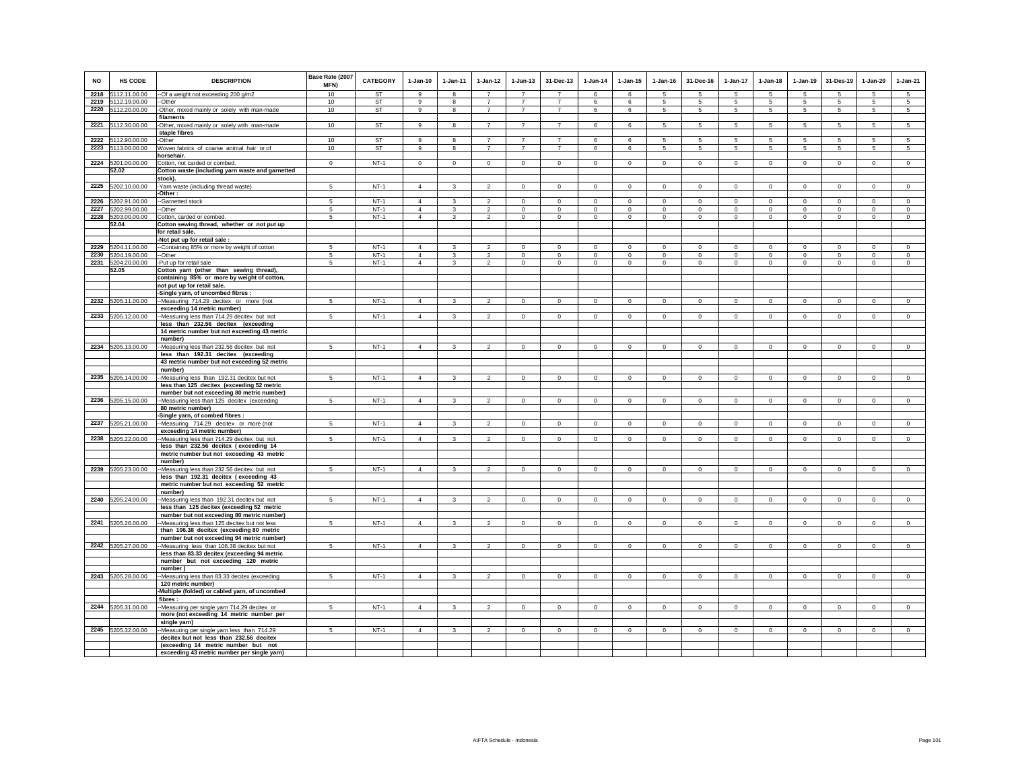| <b>NO</b> | HS CODE                     | <b>DESCRIPTION</b>                                                                          | Base Rate (2007<br>MFN) | <b>CATEGORY</b>        | $1-Jan-10$        | $1-Jan-11$    | $1-Jan-12$                       | $1-Jan-13$                       | 31-Dec-13                        | $1-Jan-14$  | $1 - Jan-15$ | $1-Jan-16$  | 31-Dec-16            | $1-Jan-17$      | $1-Jan-18$      | $1-Jan-19$      | 31-Des-19   | $1-Jan-20$      | $1-Jan-21$      |
|-----------|-----------------------------|---------------------------------------------------------------------------------------------|-------------------------|------------------------|-------------------|---------------|----------------------------------|----------------------------------|----------------------------------|-------------|--------------|-------------|----------------------|-----------------|-----------------|-----------------|-------------|-----------------|-----------------|
| 2218      | 5112.11.00.00               | --Of a weight not exceeding 200 g/m2                                                        | 10                      | <b>ST</b>              | $\alpha$          | $\mathbf{R}$  | $\overline{7}$                   | $\overline{7}$                   | $\overline{7}$                   | 6           | 6            | 5           | 5                    | 5               | 5               | 5               | 5           | $\sqrt{5}$      | $\overline{5}$  |
|           | 2219 5112.19.00.00          | --Other                                                                                     | 10                      | <b>ST</b><br><b>ST</b> | $\mathbf{9}$<br>9 | 8<br>8        | $\overline{7}$<br>$\overline{7}$ | $\overline{7}$<br>$\overline{7}$ | $\overline{7}$<br>$\overline{7}$ | 6           | 6            | 5<br>5      | $5\phantom{.0}$<br>5 | $\overline{5}$  | $\sqrt{5}$      | $5\overline{5}$ | 5<br>5      | $\sqrt{5}$      | $5\overline{)}$ |
|           | 2220 5112.20.00.00          | -Other, mixed mainly or solely with man-made<br>filaments                                   | 10                      |                        |                   |               |                                  |                                  |                                  | 6           | 6            |             |                      | $5\overline{5}$ | $5\phantom{.0}$ | 5               |             | $5\phantom{.0}$ | $5\phantom{.0}$ |
|           | 2221 5112.30.00.00          | -Other, mixed mainly or solely with man-made                                                | 10                      | ST                     | 9                 | 8             | $\overline{7}$                   | $\overline{7}$                   | $\overline{7}$                   | 6           | 6            | -5          | 5                    | -5              | 5               | 5               | -5          | -5              | 5               |
|           |                             | staple fibres                                                                               |                         |                        |                   |               |                                  |                                  |                                  |             |              |             |                      |                 |                 |                 |             |                 |                 |
|           | 2222 5112.90.00.00          | -Other                                                                                      | 10                      | ST                     | 9                 | 8             | $\overline{7}$                   | $\overline{7}$                   | $\overline{7}$                   | 6           | 6            | 5           | 5                    | 5               | 5               | $5\overline{5}$ | 5           | 5               | 5               |
|           | 2223 5113.00.00.00          | Woven fabrics of coarse animal hair or of                                                   | 10                      | ST                     | 9                 | 8             | $\overline{7}$                   | $\overline{7}$                   | $\overline{7}$                   | 6           | 6            | 5           | 5                    | $5\overline{5}$ | $5\overline{5}$ | $5\overline{5}$ | 5           | 5               | $5\overline{5}$ |
|           |                             | horsehair.                                                                                  |                         |                        |                   |               |                                  |                                  |                                  |             |              |             |                      |                 |                 |                 |             |                 |                 |
|           | 2224 5201.00.00.00<br>52.02 | Cotton, not carded or combed.                                                               | $\mathbf 0$             | $NT-1$                 | $\Omega$          | $\circ$       | $\circ$                          | $\mathbf 0$                      | $\circ$                          | $\circ$     | $\circ$      | $\circ$     | $\circ$              | $\circ$         | $\mathbf 0$     | $\mathbf 0$     | $\mathbb O$ | $\circ$         | $\overline{0}$  |
|           |                             | Cotton waste (including yarn waste and garnetted<br>stock).                                 |                         |                        |                   |               |                                  |                                  |                                  |             |              |             |                      |                 |                 |                 |             |                 |                 |
|           | 2225 5202.10.00.00          | Yarn waste (including thread waste)                                                         | $5\overline{5}$         | $NT-1$                 | $\overline{4}$    | $\mathbf{3}$  | $\overline{2}$                   | $\mathbf 0$                      | $\circ$                          | $\circ$     | $\circ$      | $\mathbf 0$ | $\circ$              | $\circ$         | $\mathbf 0$     | $\mathbf 0$     | $\circ$     | $\circ$         | $\overline{0}$  |
|           |                             | Other:                                                                                      |                         |                        |                   |               |                                  |                                  |                                  |             |              |             |                      |                 |                 |                 |             |                 |                 |
| 2226      | 5202.91.00.00               | -Garnetted stock                                                                            | 5                       | $NT-1$                 | $\overline{4}$    |               | $\overline{2}$                   | $\mathbf 0$                      | $\mathbf 0$                      | $\mathbf 0$ | $\circ$      | $\mathbf 0$ | $\mathbf 0$          | $\mathbf 0$     | $\mathbf 0$     | $\mathbf 0$     | $\mathbf 0$ | $\mathbf 0$     | $\mathbf 0$     |
| 2227      | 5202.99.00.00               | -Other                                                                                      | 5                       | $NT-1$                 | $\overline{4}$    | 3             | $\overline{2}$                   | $\mathbf 0$                      | $^{\circ}$                       | $\mathbf 0$ | $\mathbf 0$  | $\circ$     | $\circ$              | $\mathbf 0$     | $\mathbf 0$     | $\mathbf 0$     | $^{\circ}$  | $\mathbf 0$     | $^{\circ}$      |
|           | 2228 5203.00.00.00<br>52.04 | Cotton, carded or combed.<br>Cotton sewing thread, whether or not put up                    | $\sqrt{5}$              | $NT-1$                 | $\overline{4}$    | $\mathbf{3}$  | $\overline{2}$                   | $\mathbf 0$                      | $\,0\,$                          | $\mathbf 0$ | $\mathbf 0$  | $\mathbf 0$ | $\overline{0}$       | $\mathbf 0$     | $\mathbf 0$     | $\mathsf 0$     | $\,0\,$     | $\,0\,$         | $\mathbf 0$     |
|           |                             | for retail sale.                                                                            |                         |                        |                   |               |                                  |                                  |                                  |             |              |             |                      |                 |                 |                 |             |                 |                 |
|           |                             | -Not put up for retail sale :                                                               |                         |                        |                   |               |                                  |                                  |                                  |             |              |             |                      |                 |                 |                 |             |                 |                 |
| 2229      | 5204.11.00.00               | --Containing 85% or more by weight of cotton                                                | 5                       | $NT-1$                 | $\overline{4}$    | 3             | $\mathfrak{p}$                   | $\Omega$                         | $\mathbf 0$                      | $\mathbf 0$ | $\mathbf{0}$ | $\Omega$    | $\Omega$             | $\mathbf 0$     | $\Omega$        | $\mathbf 0$     | $\mathbf 0$ | $\Omega$        | $\Omega$        |
| 2230      | 5204.19.00.00               | --Other                                                                                     | 5                       | $NT-1$                 | $\overline{4}$    | $\mathbf{3}$  | $\overline{2}$                   | $\mathbf 0$                      | $\mathsf 0$                      | $\mathsf 0$ | $\mathsf 0$  | $\mathsf 0$ | $\mathbf 0$          | $\Omega$        | $\mathbf 0$     | $\mathbf 0$     | $\Omega$    | $\mathbf 0$     | $\mathbf 0$     |
| 2231      | 5204.20.00.00               | -Put up for retail sale                                                                     | 5                       | $NT-1$                 | $\overline{4}$    | 3             | $\mathcal{P}$                    | $\mathbf 0$                      | $\Omega$                         | $\Omega$    | $\Omega$     | $\Omega$    | $\Omega$             | $\Omega$        | $\Omega$        | $\circ$         | $\Omega$    | $\mathbf 0$     | $\Omega$        |
|           | 52.05                       | Cotton yarn (other than sewing thread),                                                     |                         |                        |                   |               |                                  |                                  |                                  |             |              |             |                      |                 |                 |                 |             |                 |                 |
|           |                             | containing 85% or more by weight of cotton,<br>not put up for retail sale.                  |                         |                        |                   |               |                                  |                                  |                                  |             |              |             |                      |                 |                 |                 |             |                 |                 |
|           |                             | -Single yarn, of uncombed fibres :                                                          |                         |                        |                   |               |                                  |                                  |                                  |             |              |             |                      |                 |                 |                 |             |                 |                 |
| 2232      | 5205.11.00.00               | -- Measuring 714.29 decitex or more (not                                                    | $\sqrt{5}$              | $NT-1$                 | $\overline{4}$    | 3             | $\overline{2}$                   | $\circ$                          | $\circ$                          | $\circ$     | $\circ$      | $\Omega$    | $\circ$              | $\circ$         | $\circ$         | $\circ$         | $\circ$     | $\circ$         | $\overline{0}$  |
|           |                             | exceeding 14 metric number)                                                                 |                         |                        |                   |               |                                  |                                  |                                  |             |              |             |                      |                 |                 |                 |             |                 |                 |
|           | 2233 5205.12.00.00          | Measuring less than 714.29 decitex but not                                                  | 5                       | $NT-1$                 | $\overline{4}$    | $\mathbf{3}$  | $\overline{2}$                   | $\circ$                          | $\mathbf{0}$                     | $\circ$     | $\mathbf{0}$ | $\circ$     | $\circ$              | $\circ$         | $\circ$         | $\circ$         | $\circ$     | $\circ$         | $\circ$         |
|           |                             | less than 232.56 decitex (exceeding<br>14 metric number but not exceeding 43 metric         |                         |                        |                   |               |                                  |                                  |                                  |             |              |             |                      |                 |                 |                 |             |                 |                 |
|           |                             | number)                                                                                     |                         |                        |                   |               |                                  |                                  |                                  |             |              |             |                      |                 |                 |                 |             |                 |                 |
|           | 2234 5205.13.00.00          | -Measuring less than 232.56 decitex but not                                                 | 5                       | $NT-1$                 | $\overline{4}$    | 3             | $\overline{2}$                   | $\mathbf 0$                      | $\mathbf{0}$                     | $\circ$     | $\mathbf 0$  | $\circ$     | $\circ$              | $\circ$         | $\mathbf 0$     | $\circ$         | $\mathbf 0$ | $\mathbf 0$     | $\Omega$        |
|           |                             | less than 192.31 decitex (exceeding                                                         |                         |                        |                   |               |                                  |                                  |                                  |             |              |             |                      |                 |                 |                 |             |                 |                 |
|           |                             | 43 metric number but not exceeding 52 metric                                                |                         |                        |                   |               |                                  |                                  |                                  |             |              |             |                      |                 |                 |                 |             |                 |                 |
|           |                             | number)                                                                                     | 5                       | $NT-1$                 | $\overline{4}$    | $\mathbf{R}$  | $\overline{2}$                   | $\Omega$                         | $\mathbf 0$                      | $\circ$     | $\mathbf{0}$ | $\circ$     | $\Omega$             | $\mathbf 0$     | $\Omega$        | $\mathbf 0$     | $\Omega$    | $\Omega$        | $\mathbf 0$     |
|           | 2235 5205.14.00.00          | -Measuring less than 192.31 decitex but not<br>less than 125 decitex (exceeding 52 metric   |                         |                        |                   |               |                                  |                                  |                                  |             |              |             |                      |                 |                 |                 |             |                 |                 |
|           |                             | number but not exceeding 80 metric number)                                                  |                         |                        |                   |               |                                  |                                  |                                  |             |              |             |                      |                 |                 |                 |             |                 |                 |
|           | 2236 5205.15.00.00          | --Measuring less than 125 decitex (exceeding                                                | 5                       | $NT-1$                 | $\overline{4}$    | $\mathbf{3}$  | $\mathcal{P}$                    | $\mathbf{0}$                     | $\circ$                          | $\Omega$    | $\Omega$     | $\Omega$    | $\Omega$             | $\Omega$        | $\mathbf{0}$    | $\Omega$        | $\Omega$    | $\Omega$        | $\Omega$        |
|           |                             | 80 metric number)                                                                           |                         |                        |                   |               |                                  |                                  |                                  |             |              |             |                      |                 |                 |                 |             |                 |                 |
|           |                             | Single yarn, of combed fibres :                                                             |                         |                        |                   |               |                                  |                                  |                                  |             |              |             |                      |                 |                 |                 |             |                 |                 |
|           | 2237 5205.21.00.00          | -Measuring 714.29 decitex or more (not<br>exceeding 14 metric number)                       | 5                       | $NT-1$                 | $\overline{4}$    | 3             | $\overline{2}$                   | $\mathsf 0$                      | $\mathbf 0$                      | $\mathbf 0$ | $\circ$      | $\mathbf 0$ | $\mathsf 0$          | $\circ$         | $\mathbf 0$     | $\mathbf 0$     | $\mathbf 0$ | $\mathbf 0$     | $\overline{0}$  |
|           | 2238 5205.22.00.00          | -Measuring less than 714.29 decitex but not                                                 | 5                       | $NT-1$                 | $\overline{4}$    | $\mathbf{3}$  | $\overline{2}$                   | $\mathbf 0$                      | $\overline{0}$                   | $\mathbf 0$ | $\mathbf 0$  | $^{\circ}$  | $\mathsf 0$          | $\mathbf 0$     | $\mathbf 0$     | $\mathbf 0$     | $\mathbb O$ | $\mathbb O$     | $\overline{0}$  |
|           |                             | less than 232.56 decitex (exceeding 14                                                      |                         |                        |                   |               |                                  |                                  |                                  |             |              |             |                      |                 |                 |                 |             |                 |                 |
|           |                             | metric number but not exceeding 43 metric                                                   |                         |                        |                   |               |                                  |                                  |                                  |             |              |             |                      |                 |                 |                 |             |                 |                 |
|           |                             | number)                                                                                     |                         |                        |                   |               |                                  |                                  |                                  |             |              |             |                      |                 |                 |                 |             |                 |                 |
| 2239      | 5205.23.00.00               | -Measuring less than 232.56 decitex but not                                                 | 5                       | $NT-1$                 | $\overline{4}$    | $\mathbf{3}$  | $\overline{2}$                   | $\mathbf 0$                      | $\mathbf 0$                      | $\mathbf 0$ | $\mathsf 0$  | $\mathsf 0$ | $\mathbf 0$          | $\mathbb O$     | $\mathbf 0$     | $\mathbf 0$     | $\mathbf 0$ | $\mathbb O$     | $\mathbf 0$     |
|           |                             | less than 192.31 decitex (exceeding 43<br>metric number but not exceeding 52 metric         |                         |                        |                   |               |                                  |                                  |                                  |             |              |             |                      |                 |                 |                 |             |                 |                 |
|           |                             | number)                                                                                     |                         |                        |                   |               |                                  |                                  |                                  |             |              |             |                      |                 |                 |                 |             |                 |                 |
| 2240      | 5205.24.00.00               | --Measuring less than 192.31 decitex but not                                                | 5                       | $NT-1$                 | $\overline{4}$    | $\mathcal{R}$ | $\overline{2}$                   | $\mathbf 0$                      | $\overline{0}$                   | $\mathsf 0$ | $\circ$      | $\mathsf 0$ | $\Omega$             | $\mathbf 0$     | $\circ$         | $\circ$         | $\mathbf 0$ | $\mathbf 0$     | $\overline{0}$  |
|           |                             | less than 125 decitex (exceeding 52 metric                                                  |                         |                        |                   |               |                                  |                                  |                                  |             |              |             |                      |                 |                 |                 |             |                 |                 |
|           | 2241 5205.26.00.00          | number but not exceeding 80 metric number)<br>-Measuring less than 125 decitex but not less | 5                       | $NT-1$                 | $\overline{4}$    | 3             | $\overline{2}$                   | $\mathbf 0$                      | $\mathbf{0}$                     | $\mathsf 0$ | $\circ$      | $\mathsf 0$ | $\mathsf 0$          | $\mathbf 0$     | $\mathbf 0$     | $\mathbf 0$     | $\mathbf 0$ | $\mathbf 0$     | $\mathbf 0$     |
|           |                             | than 106.38 decitex (exceeding 80 metric                                                    |                         |                        |                   |               |                                  |                                  |                                  |             |              |             |                      |                 |                 |                 |             |                 |                 |
|           |                             | number but not exceeding 94 metric number)                                                  |                         |                        |                   |               |                                  |                                  |                                  |             |              |             |                      |                 |                 |                 |             |                 |                 |
|           | 2242 5205.27.00.00          | --Measuring less than 106.38 decitex but not                                                | $5^{\circ}$             | $NT-1$                 | $\overline{4}$    | $\mathbf{3}$  | $\overline{2}$                   | $\mathbf{0}$                     | $\mathbf{0}$                     | $\circ$     | $\circ$      | $\circ$     | $\circ$              | $\mathbf{0}$    | $\mathbf{0}$    | $\mathbf{0}$    | $\circ$     | $\circ$         | $\circ$         |
|           |                             | less than 83.33 decitex (exceeding 94 metric                                                |                         |                        |                   |               |                                  |                                  |                                  |             |              |             |                      |                 |                 |                 |             |                 |                 |
|           |                             | number but not exceeding 120 metric                                                         |                         |                        |                   |               |                                  |                                  |                                  |             |              |             |                      |                 |                 |                 |             |                 |                 |
|           | 2243 5205.28.00.00          | number)<br>-Measuring less than 83.33 decitex (exceeding                                    | 5                       | $NT-1$                 | $\overline{4}$    | 3             | $\overline{2}$                   | $\mathbf 0$                      | $\mathsf 0$                      | $^{\circ}$  | $\mathbf 0$  | $^{\circ}$  | $\circ$              | $\circ$         | $\mathbf 0$     | $\mathbf 0$     | $\mathbb O$ | $\circ$         | $\overline{0}$  |
|           |                             | 120 metric number)                                                                          |                         |                        |                   |               |                                  |                                  |                                  |             |              |             |                      |                 |                 |                 |             |                 |                 |
|           |                             | Multiple (folded) or cabled yarn, of uncombed                                               |                         |                        |                   |               |                                  |                                  |                                  |             |              |             |                      |                 |                 |                 |             |                 |                 |
|           |                             | fibres :                                                                                    |                         |                        |                   |               |                                  |                                  |                                  |             |              |             |                      |                 |                 |                 |             |                 |                 |
|           | 2244 5205.31.00.00          | -Measuring per single yarn 714.29 decitex or                                                | 5                       | $NT-1$                 | $\overline{4}$    | 3             | $\overline{2}$                   | $\mathbf 0$                      | $\,0\,$                          | $\mathsf 0$ | $\mathsf 0$  | $\mathbf 0$ | $\mathsf 0$          | $\circ$         | $\mathbf 0$     | $\mathsf 0$     | $^{\circ}$  | $\mathbf 0$     | $\mathbf 0$     |
|           |                             | more (not exceeding 14 metric number per                                                    |                         |                        |                   |               |                                  |                                  |                                  |             |              |             |                      |                 |                 |                 |             |                 |                 |
|           | 2245 5205.32.00.00          | single yarn)                                                                                | 5 <sup>5</sup>          | $NT-1$                 | $\overline{4}$    | $\mathcal{R}$ | 2                                | $\circ$                          | $\circ$                          | $\circ$     | $\mathbf{0}$ | $\Omega$    | $\Omega$             | $\circ$         | $\circ$         | $\circ$         | $\mathbf 0$ | $\circ$         | $\circ$         |
|           |                             | -Measuring per single yarn less than 714.29<br>decitex but not less than 232.56 decitex     |                         |                        |                   |               |                                  |                                  |                                  |             |              |             |                      |                 |                 |                 |             |                 |                 |
|           |                             | (exceeding 14 metric number but not                                                         |                         |                        |                   |               |                                  |                                  |                                  |             |              |             |                      |                 |                 |                 |             |                 |                 |
|           |                             | exceeding 43 metric number per single yarn)                                                 |                         |                        |                   |               |                                  |                                  |                                  |             |              |             |                      |                 |                 |                 |             |                 |                 |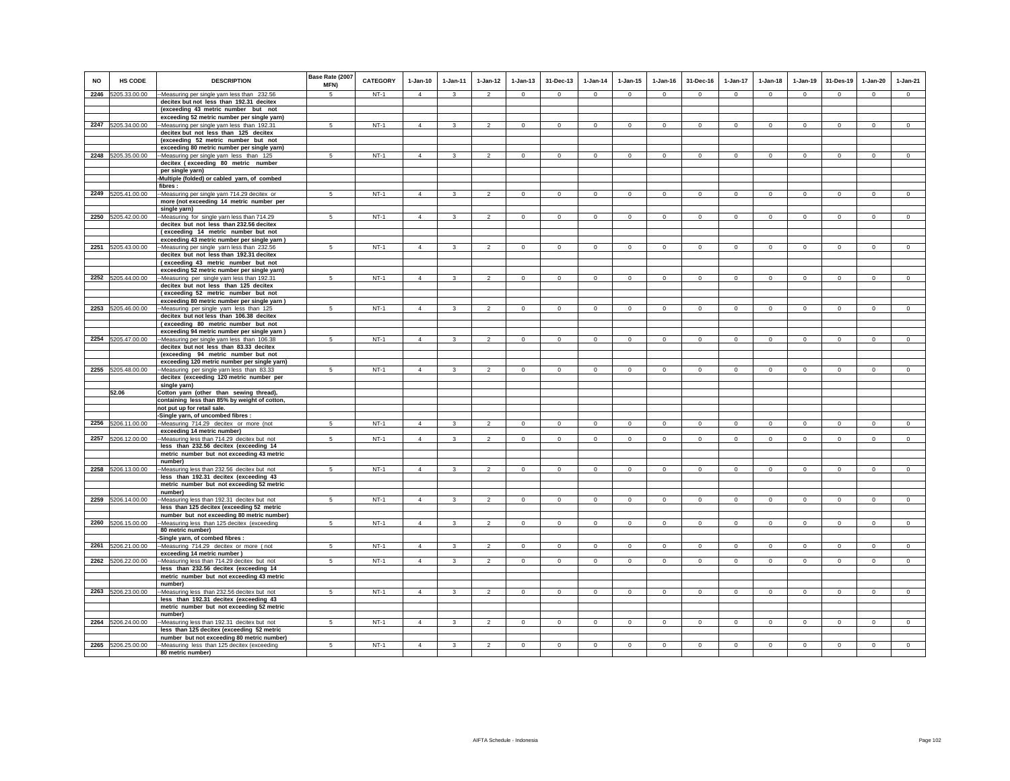|           |                    |                                                                                            | Base Rate (2007 | <b>CATEGORY</b> |                |                         |                |                |                |                |              |                |              |                |                |                |                |              |                |
|-----------|--------------------|--------------------------------------------------------------------------------------------|-----------------|-----------------|----------------|-------------------------|----------------|----------------|----------------|----------------|--------------|----------------|--------------|----------------|----------------|----------------|----------------|--------------|----------------|
| <b>NO</b> | <b>HS CODE</b>     | <b>DESCRIPTION</b>                                                                         | MFN)            |                 | $1-Jan-10$     | $1-Jan-11$              | $1-Jan-12$     | $1 - Jan-13$   | 31-Dec-13      | $1 - Jan-14$   | $1 - Jan-15$ | $1 - Jan-16$   | 31-Dec-16    | $1-Jan-17$     | $1-Jan-18$     | $1-Jan-19$     | 31-Des-19      | $1-Jan-20$   | $1-Jan-21$     |
|           | 2246 5205.33.00.00 | -Measuring per single yarn less than 232.56                                                | 5               | $NT-1$          | $\overline{4}$ | $\overline{\mathbf{3}}$ | $\overline{2}$ | $\mathbf{0}$   | $\mathbf 0$    | $\circ$        | $\mathbf{0}$ | $\circ$        | $\circ$      | $\circ$        | $\circ$        | $\mathbf 0$    | $\circ$        | $\circ$      | $\circ$        |
|           |                    | decitex but not less than 192.31 decitex                                                   |                 |                 |                |                         |                |                |                |                |              |                |              |                |                |                |                |              |                |
|           |                    | (exceeding 43 metric number but not<br>exceeding 52 metric number per single yarn)         |                 |                 |                |                         |                |                |                |                |              |                |              |                |                |                |                |              |                |
|           | 2247 5205.34.00.00 | -Measuring per single yarn less than 192.31                                                | 5               | $NT-1$          | $\overline{4}$ | 3                       | $\mathfrak{p}$ | $\mathbf 0$    | $\mathsf 0$    | $\circ$        | $\mathbf 0$  | $\mathbf 0$    | $\Omega$     | $\Omega$       | $\mathbf 0$    | $\mathbf 0$    | $\circ$        | $\mathbf 0$  | $\circ$        |
|           |                    | decitex but not less than 125 decitex                                                      |                 |                 |                |                         |                |                |                |                |              |                |              |                |                |                |                |              |                |
|           |                    | (exceeding 52 metric number but not                                                        |                 |                 |                |                         |                |                |                |                |              |                |              |                |                |                |                |              |                |
|           |                    | exceeding 80 metric number per single yarn)                                                |                 |                 |                |                         |                |                |                |                |              |                |              |                |                |                |                |              |                |
|           | 2248 5205.35.00.00 | -Measuring per single yarn less than 125                                                   | -5              | $NT-1$          | $\Delta$       | $\mathbf{3}$            | $\mathcal{P}$  | $\Omega$       | $\Omega$       | $\Omega$       | $\Omega$     | $\Omega$       | $\Omega$     | $\Omega$       | $\Omega$       | $\Omega$       | $\Omega$       | $\Omega$     | $\Omega$       |
|           |                    | decitex (exceeding 80 metric number<br>per single yarn)                                    |                 |                 |                |                         |                |                |                |                |              |                |              |                |                |                |                |              |                |
|           |                    | Multiple (folded) or cabled yarn, of combed                                                |                 |                 |                |                         |                |                |                |                |              |                |              |                |                |                |                |              |                |
|           |                    | fibres:                                                                                    |                 |                 |                |                         |                |                |                |                |              |                |              |                |                |                |                |              |                |
|           | 2249 5205.41.00.00 | --Measuring per single yarn 714.29 decitex or                                              | 5               | $NT-1$          | $\overline{4}$ | $\mathbf{3}$            | $\mathfrak{p}$ | $\mathbf{0}$   | $\Omega$       | $\circ$        | $\Omega$     | $\circ$        | $\circ$      | $\mathbf{0}$   | $\circ$        | $\mathbf 0$    | $\circ$        | $\Omega$     | $\circ$        |
|           |                    | more (not exceeding 14 metric number per<br>single yarn)                                   |                 |                 |                |                         |                |                |                |                |              |                |              |                |                |                |                |              |                |
|           | 2250 5205.42.00.00 | -Measuring for single yarn less than 714.29                                                | $5\overline{)}$ | $NT-1$          | $\overline{4}$ | $\overline{\mathbf{3}}$ | $\overline{2}$ | $\circ$        | $\mathsf 0$    | $\circ$        | $\mathbf 0$  | $\mathsf 0$    | $\circ$      | $\overline{0}$ | $\mathbf 0$    | $\circ$        | $\overline{0}$ | $\circ$      | $\overline{0}$ |
|           |                    | decitex but not less than 232.56 decitex                                                   |                 |                 |                |                         |                |                |                |                |              |                |              |                |                |                |                |              |                |
|           |                    | (exceeding 14 metric number but not                                                        |                 |                 |                |                         |                |                |                |                |              |                |              |                |                |                |                |              |                |
|           |                    | exceeding 43 metric number per single yarn)                                                |                 |                 |                |                         |                |                |                |                |              |                |              |                |                |                |                |              |                |
|           | 2251 5205.43.00.00 | --Measuring per single yarn less than 232.56<br>decitex but not less than 192.31 decitex   | 5               | $NT-1$          | $\Delta$       | $\mathbf{3}$            | $\overline{2}$ | $\mathbf{0}$   | $\mathbf{0}$   | $\circ$        | $\mathbf{0}$ | $\circ$        | $\circ$      | $\circ$        | $\circ$        | $\mathbf 0$    | $\circ$        | $\mathbf{0}$ | $\circ$        |
|           |                    | (exceeding 43 metric number but not                                                        |                 |                 |                |                         |                |                |                |                |              |                |              |                |                |                |                |              |                |
|           |                    | exceeding 52 metric number per single yarn)                                                |                 |                 |                |                         |                |                |                |                |              |                |              |                |                |                |                |              |                |
|           | 2252 5205.44.00.00 | --Measuring per single yarn less than 192.31                                               | 5               | $NT-1$          | $\overline{4}$ | $\mathbf{3}$            | $\overline{2}$ | $\mathbf 0$    | $\mathbf 0$    | $\circ$        | $\mathbf 0$  | $\circ$        | $\mathbf{0}$ | $\mathbf{0}$   | $\circ$        | $\circ$        | $\mathbf{0}$   | $\mathbf 0$  | $\circ$        |
|           |                    | decitex but not less than 125 decitex                                                      |                 |                 |                |                         |                |                |                |                |              |                |              |                |                |                |                |              |                |
|           |                    | (exceeding 52 metric number but not<br>exceeding 80 metric number per single yarn)         |                 |                 |                |                         |                |                |                |                |              |                |              |                |                |                |                |              |                |
|           | 2253 5205.46.00.00 | -Measuring per single yarn less than 125                                                   | 5               | $NT-1$          | $\overline{4}$ | $\mathbf{3}$            | $\overline{2}$ | $\mathbf 0$    | $\mathsf 0$    | $\circ$        | $\mathbf 0$  | $\mathsf 0$    | $\circ$      | $\circ$        | $\mathbf 0$    | $\circ$        | $\circ$        | $\mathbf{0}$ | $\mathsf 0$    |
|           |                    | decitex but not less than 106.38 decitex                                                   |                 |                 |                |                         |                |                |                |                |              |                |              |                |                |                |                |              |                |
|           |                    | (exceeding 80 metric number but not                                                        |                 |                 |                |                         |                |                |                |                |              |                |              |                |                |                |                |              |                |
|           | 2254 5205.47.00.00 | exceeding 94 metric number per single yarn)<br>-Measuring per single yarn less than 106.38 | 5               | $NT-1$          | $\overline{4}$ | $\mathbf{3}$            | $\mathfrak{p}$ | $\mathsf 0$    | $\Omega$       | $\mathbf 0$    | $\mathbf 0$  | $\Omega$       | $\circ$      | $\Omega$       | $\Omega$       | $\mathbf 0$    | $\Omega$       | $\Omega$     | $\circ$        |
|           |                    | decitex but not less than 83.33 decitex                                                    |                 |                 |                |                         |                |                |                |                |              |                |              |                |                |                |                |              |                |
|           |                    | (exceeding 94 metric number but not                                                        |                 |                 |                |                         |                |                |                |                |              |                |              |                |                |                |                |              |                |
|           |                    | exceeding 120 metric number per single yarn)                                               |                 |                 |                |                         |                |                |                |                |              |                |              |                |                |                |                |              |                |
|           | 2255 5205.48.00.00 | -Measuring per single yarn less than 83.33                                                 | 5               | $NT-1$          | $\Delta$       | $\mathcal{R}$           | $\overline{2}$ | $\mathbf{0}$   | $\mathbf{0}$   | $\overline{0}$ | $\mathbf{0}$ | $\mathbf 0$    | $\circ$      | $\mathbf{0}$   | $\mathbf 0$    | $\Omega$       | $\mathbf{0}$   | $\Omega$     | $\circ$        |
|           |                    | decitex (exceeding 120 metric number per                                                   |                 |                 |                |                         |                |                |                |                |              |                |              |                |                |                |                |              |                |
|           | 52.06              | single yarn)<br>Cotton yarn (other than sewing thread),                                    |                 |                 |                |                         |                |                |                |                |              |                |              |                |                |                |                |              |                |
|           |                    | containing less than 85% by weight of cotton,                                              |                 |                 |                |                         |                |                |                |                |              |                |              |                |                |                |                |              |                |
|           |                    | not put up for retail sale.                                                                |                 |                 |                |                         |                |                |                |                |              |                |              |                |                |                |                |              |                |
|           |                    | -Single yarn, of uncombed fibres :                                                         |                 |                 |                |                         |                |                |                |                |              |                |              |                |                |                |                |              |                |
|           | 2256 5206.11.00.00 | --Measuring 714.29 decitex or more (not<br>exceeding 14 metric number)                     | 5               | $NT-1$          | $\overline{4}$ | 3                       | $\mathfrak{p}$ | $\mathbf 0$    | $\mathbf 0$    | $\mathbf 0$    | $^{\circ}$   | $^{\circ}$     | $\circ$      | $\Omega$       | $\circ$        | $\mathbf 0$    | $\mathbf 0$    | $\circ$      | $\circ$        |
|           | 2257 5206.12.00.00 | -Measuring less than 714.29 decitex but not                                                | 5               | $NT-1$          | $\overline{4}$ | $\mathbf{3}$            | $\overline{2}$ | $\mathbf 0$    | $\circ$        | $\circ$        | $^{\circ}$   | $\mathsf 0$    | $\circ$      | $\circ$        | $\mathbf 0$    | $\circ$        | $\overline{0}$ | $\circ$      | $\mathsf 0$    |
|           |                    | less than 232.56 decitex (exceeding 14                                                     |                 |                 |                |                         |                |                |                |                |              |                |              |                |                |                |                |              |                |
|           |                    | metric number but not exceeding 43 metric                                                  |                 |                 |                |                         |                |                |                |                |              |                |              |                |                |                |                |              |                |
|           | 2258 5206.13.00.00 | number)<br>Measuring less than 232.56 decitex but not                                      | 5               | $NT-1$          | $\overline{4}$ | $\overline{\mathbf{3}}$ | $\mathfrak{p}$ | $\mathbf{0}$   | $\mathbf{0}$   | $\circ$        | $\mathbf{0}$ | $\circ$        | $\circ$      | $\circ$        | $\circ$        | $\mathbf 0$    | $\circ$        | $\mathbf{0}$ | $\circ$        |
|           |                    | less than 192.31 decitex (exceeding 43                                                     |                 |                 |                |                         |                |                |                |                |              |                |              |                |                |                |                |              |                |
|           |                    | metric number but not exceeding 52 metric                                                  |                 |                 |                |                         |                |                |                |                |              |                |              |                |                |                |                |              |                |
|           |                    | number)                                                                                    |                 |                 |                |                         |                |                |                |                |              |                |              |                |                |                |                |              |                |
|           | 2259 5206.14.00.00 | -Measuring less than 192.31 decitex but not                                                | 5               | $NT-1$          | $\overline{4}$ | 3                       | $\overline{2}$ | $\mathbf 0$    | $\mathbf 0$    | $\circ$        | $\mathbf 0$  | $\circ$        | $\circ$      | $\circ$        | $\circ$        | $\mathbf 0$    | $\mathbf 0$    | $\mathbf 0$  | $\circ$        |
|           |                    | less than 125 decitex (exceeding 52 metric<br>number but not exceeding 80 metric number)   |                 |                 |                |                         |                |                |                |                |              |                |              |                |                |                |                |              |                |
|           | 2260 5206.15.00.00 | -Measuring less than 125 decitex (exceeding                                                | 5               | $NT-1$          | $\overline{4}$ | $\overline{3}$          | $\overline{2}$ | $\overline{0}$ | $\circ$        | $\overline{0}$ | $\mathbf{0}$ | $\overline{0}$ | $\circ$      | $\overline{0}$ | $\overline{0}$ | $\overline{0}$ | $\overline{0}$ | $\Omega$     | $\overline{0}$ |
|           |                    | 80 metric number)                                                                          |                 |                 |                |                         |                |                |                |                |              |                |              |                |                |                |                |              |                |
|           |                    | Single yarn, of combed fibres :                                                            |                 |                 |                |                         |                |                |                |                |              |                |              |                |                |                |                |              |                |
|           | 2261 5206.21.00.00 | -Measuring 714.29 decitex or more (not<br>exceeding 14 metric number)                      | $5\phantom{.0}$ | $NT-1$          | $\overline{4}$ | $\mathbf{3}$            | $\overline{2}$ | $\mathbf 0$    | $\mathsf 0$    | $\circ$        | $\mathsf 0$  | $\mathsf 0$    | $\mathbf 0$  | $\circ$        | $\mathbf 0$    | $\mathbf 0$    | $\circ$        | $\mathsf 0$  | $\mathsf 0$    |
|           | 2262 5206.22.00.00 | -Measuring less than 714.29 decitex but not                                                | 5 <sup>5</sup>  | $NT-1$          | $\overline{4}$ | $\mathbf{3}$            | 2              | $\overline{0}$ | $\mathbf{0}$   | $\circ$        | $\Omega$     | $\Omega$       | $\Omega$     | $\mathbf{0}$   | $\circ$        | $\circ$        | $\circ$        | $\mathbf{0}$ | $\circ$        |
|           |                    | less than 232.56 decitex (exceeding 14                                                     |                 |                 |                |                         |                |                |                |                |              |                |              |                |                |                |                |              |                |
|           |                    | metric number but not exceeding 43 metric                                                  |                 |                 |                |                         |                |                |                |                |              |                |              |                |                |                |                |              |                |
|           |                    | number)                                                                                    |                 |                 |                |                         |                |                |                |                |              |                |              |                |                |                |                |              |                |
|           | 2263 5206.23.00.00 | -Measuring less than 232.56 decitex but not<br>less than 192.31 decitex (exceeding 43      | 5               | $NT-1$          | $\overline{4}$ | $\mathbf{3}$            | $\overline{2}$ | $\mathbf 0$    | $\mathbf 0$    | $\circ$        | $\mathbf 0$  | $\circ$        | $\Omega$     | $\mathbf{0}$   | $\circ$        | $\circ$        | $\mathbf{0}$   | $\circ$      | $\circ$        |
|           |                    | metric number but not exceeding 52 metric                                                  |                 |                 |                |                         |                |                |                |                |              |                |              |                |                |                |                |              |                |
|           |                    | number)                                                                                    |                 |                 |                |                         |                |                |                |                |              |                |              |                |                |                |                |              |                |
|           | 2264 5206.24.00.00 | -Measuring less than 192.31 decitex but not                                                | $5\overline{)}$ | $NT-1$          | $\overline{4}$ | 3                       | $\overline{2}$ | $\mathsf 0$    | $\overline{0}$ | $\circ$        | $\mathsf 0$  | $\mathbf 0$    | $\mathbf 0$  | $\overline{0}$ | $\mathbf 0$    | $\mathbf 0$    | $\circ$        | $\mathsf 0$  | $\overline{0}$ |
|           |                    | less than 125 decitex (exceeding 52 metric                                                 |                 |                 |                |                         |                |                |                |                |              |                |              |                |                |                |                |              |                |
|           | 2265 5206.25.00.00 | number but not exceeding 80 metric number)<br>--Measuring less than 125 decitex (exceeding | 5               | $NT-1$          | $\overline{4}$ | 3                       | $\overline{2}$ | $\mathbf 0$    | $\mathbf 0$    | $\circ$        | $\mathbf 0$  | $\circ$        | $\circ$      | $\mathbf 0$    | $\circ$        | $\mathbf 0$    | $\circ$        | $\mathbf 0$  | $\circ$        |
|           |                    | 80 metric number)                                                                          |                 |                 |                |                         |                |                |                |                |              |                |              |                |                |                |                |              |                |
|           |                    |                                                                                            |                 |                 |                |                         |                |                |                |                |              |                |              |                |                |                |                |              |                |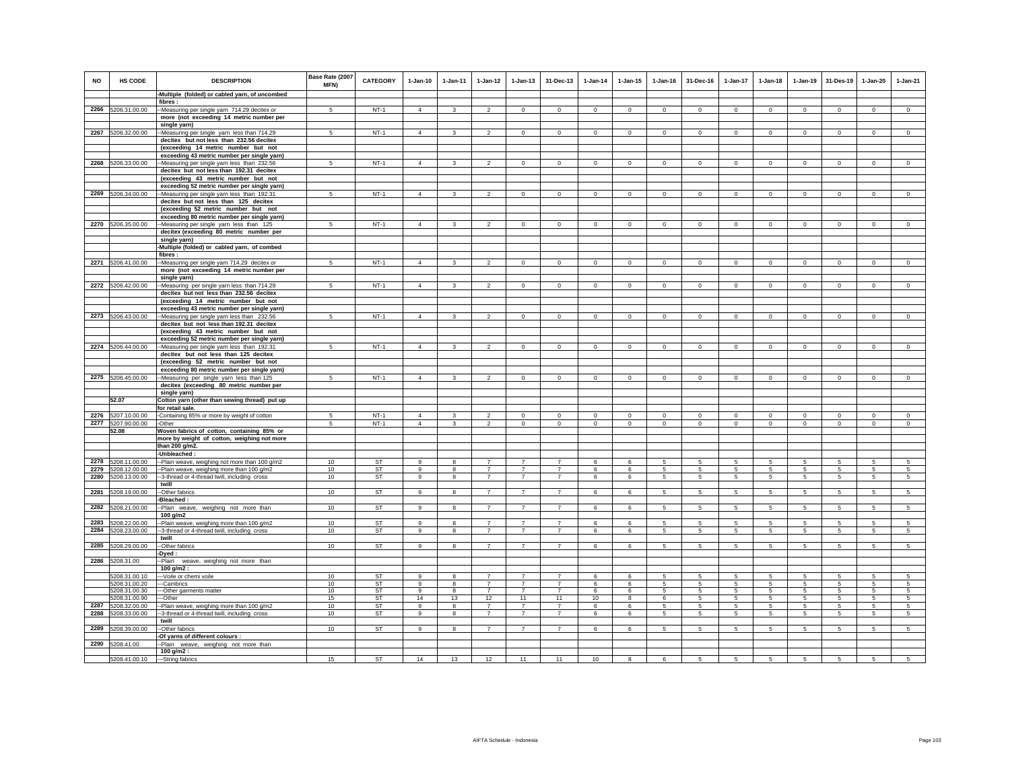| <b>NO</b> | HS CODE                        | <b>DESCRIPTION</b>                                                                          | Base Rate (2007<br>MFN) | CATEGORY        | $1-Jan-10$        | 1-Jan-11                | $1 - Jan-12$                     | $1 - Jan-13$                     | 31-Dec-13                        | $1-Jan-14$  | $1 - Jan-15$ | $1 - Jan-16$ | 31-Dec-16       | $1-Jan-17$      | $1-Jan-18$      | $1-Jan-19$     | 31-Des-19       | $1-Jan-20$      | $1-Jan-21$      |
|-----------|--------------------------------|---------------------------------------------------------------------------------------------|-------------------------|-----------------|-------------------|-------------------------|----------------------------------|----------------------------------|----------------------------------|-------------|--------------|--------------|-----------------|-----------------|-----------------|----------------|-----------------|-----------------|-----------------|
|           |                                | -Multiple (folded) or cabled yarn, of uncombed                                              |                         |                 |                   |                         |                                  |                                  |                                  |             |              |              |                 |                 |                 |                |                 |                 |                 |
|           |                                | fibres:                                                                                     |                         |                 |                   |                         |                                  |                                  |                                  |             |              |              |                 |                 |                 |                |                 |                 |                 |
|           | 2266 5206.31.00.00             | -Measuring per single yarn 714.29 decitex or                                                | $\sqrt{5}$              | $NT-1$          | $\overline{4}$    | $\mathbf{3}$            | $\overline{2}$                   | $\mathbf 0$                      | $\mathbf 0$                      | $\circ$     | $\mathbf 0$  | $\Omega$     | $\circ$         | $\mathbf 0$     | $\circ$         | $\mathbf 0$    | $\mathbf 0$     | $\mathbf{0}$    | $\circ$         |
|           |                                | more (not exceeding 14 metric number per<br>single yarn)                                    |                         |                 |                   |                         |                                  |                                  |                                  |             |              |              |                 |                 |                 |                |                 |                 |                 |
|           | 2267 5206.32.00.00             | -Measuring per single yarn less than 714.29                                                 | 5                       | $NT-1$          | $\overline{4}$    | $\mathbf{3}$            | $\overline{2}$                   | $\mathbf 0$                      | $\mathbf 0$                      | $\circ$     | $\mathbf 0$  | $\mathbf 0$  | $\mathbf 0$     | $\circ$         | $\mathbf{0}$    | $\overline{0}$ | $\circ$         | $\circ$         | $\circ$         |
|           |                                | decitex but not less than 232.56 decitex                                                    |                         |                 |                   |                         |                                  |                                  |                                  |             |              |              |                 |                 |                 |                |                 |                 |                 |
|           |                                | (exceeding 14 metric number but not                                                         |                         |                 |                   |                         |                                  |                                  |                                  |             |              |              |                 |                 |                 |                |                 |                 |                 |
|           |                                | exceeding 43 metric number per single yarn)                                                 |                         |                 |                   |                         |                                  |                                  |                                  |             |              |              |                 |                 |                 |                |                 |                 |                 |
| 2268      | 5206.33.00.00                  | -Measuring per single yarn less than 232.56                                                 | 5                       | $NT-1$          | $\overline{4}$    | 3                       | $\overline{2}$                   | $\mathbf 0$                      | $\mathbf 0$                      | $\circ$     | $\mathbf 0$  | $\circ$      | $\circ$         | $\circ$         | $\mathbf 0$     | $\mathbf 0$    | $\mathbf 0$     | $\mathbf 0$     | $\mathsf 0$     |
|           |                                | decitex but not less than 192.31 decitex                                                    |                         |                 |                   |                         |                                  |                                  |                                  |             |              |              |                 |                 |                 |                |                 |                 |                 |
|           |                                | (exceeding 43 metric number but not                                                         |                         |                 |                   |                         |                                  |                                  |                                  |             |              |              |                 |                 |                 |                |                 |                 |                 |
|           | 2269 5206.34.00.00             | exceeding 52 metric number per single yarn)<br>--Measuring per single yarn less than 192.31 | 5                       | $NT-1$          | $\Delta$          | $\overline{\mathbf{3}}$ | $\overline{2}$                   | $\mathbf 0$                      | $\mathbf 0$                      | $\mathsf 0$ | $\mathbf 0$  | $\circ$      | $\Omega$        | $\mathbf 0$     | $\circ$         | $\mathbf 0$    | $\mathbf 0$     | $\circ$         | $\overline{0}$  |
|           |                                | decitex but not less than 125 decitex                                                       |                         |                 |                   |                         |                                  |                                  |                                  |             |              |              |                 |                 |                 |                |                 |                 |                 |
|           |                                | (exceeding 52 metric number but not                                                         |                         |                 |                   |                         |                                  |                                  |                                  |             |              |              |                 |                 |                 |                |                 |                 |                 |
|           |                                | exceeding 80 metric number per single yarn)                                                 |                         |                 |                   |                         |                                  |                                  |                                  |             |              |              |                 |                 |                 |                |                 |                 |                 |
|           | 2270 5206.35.00.00             | -Measuring per single yarn less than 125                                                    | 5                       | $NT-1$          | $\overline{4}$    | 3                       | $\overline{2}$                   | $\mathbf{0}$                     | $\mathbf 0$                      | $\circ$     | $\mathbf 0$  | $\mathbf 0$  | $^{\circ}$      | $\mathbf 0$     | $\mathbf{0}$    | $^{\circ}$     | $\mathbf{0}$    | $\mathbf 0$     | $\mathsf 0$     |
|           |                                | decitex (exceeding 80 metric number per                                                     |                         |                 |                   |                         |                                  |                                  |                                  |             |              |              |                 |                 |                 |                |                 |                 |                 |
|           |                                | single yarn)                                                                                |                         |                 |                   |                         |                                  |                                  |                                  |             |              |              |                 |                 |                 |                |                 |                 |                 |
|           |                                | Multiple (folded) or cabled yarn, of combed<br>fibres:                                      |                         |                 |                   |                         |                                  |                                  |                                  |             |              |              |                 |                 |                 |                |                 |                 |                 |
|           | 2271 5206.41.00.00             | -Measuring per single yarn 714.29 decitex or                                                | 5                       | $NT-1$          | $\overline{4}$    | $\mathbf{3}$            | $\overline{2}$                   | $\mathbf 0$                      | $\circ$                          | $\circ$     | $\mathsf 0$  | $\mathsf 0$  | $\mathbf 0$     | $\circ$         | $\mathbf 0$     | $\circ$        | $\circ$         | $\mathsf 0$     | $\mathsf 0$     |
|           |                                | more (not exceeding 14 metric number per                                                    |                         |                 |                   |                         |                                  |                                  |                                  |             |              |              |                 |                 |                 |                |                 |                 |                 |
|           |                                | single yarn)                                                                                |                         |                 |                   |                         |                                  |                                  |                                  |             |              |              |                 |                 |                 |                |                 |                 |                 |
|           | 2272 5206.42.00.00             | -Measuring per single yarn less than 714.29<br>decitex but not less than 232.56 decitex     | $\sqrt{5}$              | $NT-1$          | $\overline{4}$    | 3                       | $\mathfrak{p}$                   | $\mathbf 0$                      | $\mathbf 0$                      | $\,0\,$     | $\mathbf 0$  | $\mathbf 0$  | $\mathbf 0$     | 0               | $\Omega$        | $\mathbf 0$    | $\mathbf 0$     | $\mathbf 0$     | $\Omega$        |
|           |                                | (exceeding 14 metric number but not                                                         |                         |                 |                   |                         |                                  |                                  |                                  |             |              |              |                 |                 |                 |                |                 |                 |                 |
|           |                                | exceeding 43 metric number per single yarn)                                                 |                         |                 |                   |                         |                                  |                                  |                                  |             |              |              |                 |                 |                 |                |                 |                 |                 |
|           | 2273 5206.43.00.00             | -Measuring per single yarn less than 232.56                                                 | 5                       | $NT-1$          | $\overline{4}$    | $\mathbf{3}$            | $\mathfrak{p}$                   | $\Omega$                         | $\Omega$                         | $\Omega$    | $\Omega$     | $\Omega$     | $\Omega$        | $\Omega$        | $\Omega$        | $\Omega$       | $\Omega$        | $\Omega$        | $\Omega$        |
|           |                                | decitex but not less than 192.31 decitex                                                    |                         |                 |                   |                         |                                  |                                  |                                  |             |              |              |                 |                 |                 |                |                 |                 |                 |
|           |                                | (exceeding 43 metric number but not                                                         |                         |                 |                   |                         |                                  |                                  |                                  |             |              |              |                 |                 |                 |                |                 |                 |                 |
|           | 2274 5206.44.00.00             | exceeding 52 metric number per single yarn)<br>-Measuring per single yarn less than 192.31  | 5                       | $NT-1$          | $\overline{4}$    | 3                       | $\overline{2}$                   | $\mathbf 0$                      | $\mathbf 0$                      | $\circ$     | $^{\circ}$   | $\circ$      | $\circ$         | $\circ$         | $\circ$         | $\circ$        | $\mathbf 0$     | $\Omega$        | $\mathsf 0$     |
|           |                                | decitex but not less than 125 decitex                                                       |                         |                 |                   |                         |                                  |                                  |                                  |             |              |              |                 |                 |                 |                |                 |                 |                 |
|           |                                | (exceeding 52 metric number but not                                                         |                         |                 |                   |                         |                                  |                                  |                                  |             |              |              |                 |                 |                 |                |                 |                 |                 |
|           |                                | exceeding 80 metric number per single yarn)                                                 |                         |                 |                   |                         |                                  |                                  |                                  |             |              |              |                 |                 |                 |                |                 |                 |                 |
| 2275      | 5206.45.00.00                  | -Measuring per single yarn less than 125                                                    | 5                       | $NT-1$          | $\overline{4}$    | 3                       | $\overline{2}$                   | $\mathsf 0$                      | $\mathbf 0$                      | $\mathbf 0$ | $\mathbf 0$  | $\mathbf 0$  | $\mathbf 0$     | $\mathsf 0$     | $\mathbf 0$     | $\mathbf 0$    | $\mathbf 0$     | $\mathbf 0$     | $\mathsf 0$     |
|           |                                | decitex (exceeding 80 metric number per<br>single yarn)                                     |                         |                 |                   |                         |                                  |                                  |                                  |             |              |              |                 |                 |                 |                |                 |                 |                 |
|           | 52.07                          | Cotton yarn (other than sewing thread) put up                                               |                         |                 |                   |                         |                                  |                                  |                                  |             |              |              |                 |                 |                 |                |                 |                 |                 |
|           |                                | for retail sale.                                                                            |                         |                 |                   |                         |                                  |                                  |                                  |             |              |              |                 |                 |                 |                |                 |                 |                 |
|           | 2276 5207.10.00.00             | -Containing 85% or more by weight of cotton                                                 | 5                       | $NT-1$          | $\Delta$          | 3                       | $\mathfrak{D}$                   | $\mathbf 0$                      | $\mathbf 0$                      | $\Omega$    | $\mathbf 0$  | $\Omega$     | $^{\circ}$      | $\mathbf 0$     | $\mathbf 0$     | $\Omega$       | $\mathbf 0$     | $\mathbf 0$     | $\mathsf 0$     |
| 2277      | 5207.90.00.00                  | -Other                                                                                      | -5                      | $NT-1$          | $\overline{4}$    | 3                       | $\mathfrak{p}$                   | $\mathbf 0$                      | $\mathbf 0$                      | $\mathbf 0$ | $\mathbf 0$  | $\Omega$     | $\circ$         | $\mathbf 0$     | $\mathbf 0$     | $\mathbf 0$    | $\mathbf 0$     | $\mathbf 0$     | $\circ$         |
|           | 52.08                          | Woven fabrics of cotton, containing 85% or                                                  |                         |                 |                   |                         |                                  |                                  |                                  |             |              |              |                 |                 |                 |                |                 |                 |                 |
|           |                                | more by weight of cotton, weighing not more<br>than 200 g/m2.                               |                         |                 |                   |                         |                                  |                                  |                                  |             |              |              |                 |                 |                 |                |                 |                 |                 |
|           |                                | -Unbleached:                                                                                |                         |                 |                   |                         |                                  |                                  |                                  |             |              |              |                 |                 |                 |                |                 |                 |                 |
|           | 2278 5208.11.00.00             | -Plain weave, weighing not more than 100 g/m2                                               | 10                      | ST              | 9                 | 8                       | $\overline{7}$                   | 7                                | 7                                | 6           | 6            | 5            | -5              | 5               | 5               | 5              | 5               | 5               | -5              |
| 2279      | 5208.12.00.00                  | Plain weave, weighing more than 100 g/m2                                                    | 10                      | <b>ST</b>       | 9                 | 8                       | $\overline{7}$                   | $\overline{7}$                   | $\overline{7}$                   | 6           | 6            | 5            | 5               | 5               | 5               | 5              | 5               | 5               | 5               |
| 2280      | 5208.13.00.00                  | 3-thread or 4-thread twill, including cross                                                 | 10                      | ST              | 9                 | 8                       | $\overline{7}$                   | $\overline{7}$                   | $\overline{7}$                   | 6           | 6            | 5            | 5               | 5               | 5               | 5              | 5               | 5               | 5               |
| 2281      | 5208.19.00.00                  | twill<br>-Other fabrics                                                                     | 10                      | <b>ST</b>       | 9                 | 8                       | $\overline{7}$                   | $\overline{7}$                   | $\overline{7}$                   | 6           | 6            | 5            | $5\phantom{.0}$ | 5               | 5               | 5              | 5               | 5               | $\sqrt{5}$      |
|           |                                | Bleached :                                                                                  |                         |                 |                   |                         |                                  |                                  |                                  |             |              |              |                 |                 |                 |                |                 |                 |                 |
| 2282      | 5208.21.00.00                  | -Plain weave, weighing not more than                                                        | 10                      | <b>ST</b>       | 9                 | 8                       | $\overline{7}$                   | $\overline{7}$                   | $\overline{7}$                   | 6           | 6            | 5            | 5               | $5\overline{)}$ | 5               | $\,$ 5 $\,$    | $\overline{5}$  | $\overline{5}$  | $\overline{5}$  |
|           |                                | 100 g/m2                                                                                    |                         |                 |                   |                         |                                  |                                  |                                  |             |              |              |                 |                 |                 |                |                 |                 |                 |
| 2283      | 5208.22.00.00<br>5208.23.00.00 | -Plain weave, weighing more than 100 g/m2<br>-3-thread or 4-thread twill, including cross   | 10<br>10                | <b>ST</b><br>ST | $\mathbf{g}$<br>9 | 8<br>8                  | $\overline{7}$<br>$\overline{7}$ | $\overline{7}$<br>$\overline{7}$ | $\overline{7}$<br>$\overline{7}$ | 6<br>6      | 6<br>6       | 5<br>5       | 5<br>$5 -$      | 5<br>5          | 5<br>5          | 5<br>5         | 5<br>5          | 5<br>5          | 5<br>$\sqrt{5}$ |
| 2284      |                                | twill                                                                                       |                         |                 |                   |                         |                                  |                                  |                                  |             |              |              |                 |                 |                 |                |                 |                 |                 |
|           | 2285 5208.29.00.00             | -Other fabrics                                                                              | 10                      | ST              | 9                 | 8                       | $\overline{7}$                   | $\overline{7}$                   | $\overline{7}$                   | 6           | 6            | 5            | $5\phantom{.0}$ | $5^{\circ}$     | $5\phantom{.0}$ | 5              | $5\phantom{.0}$ | $5\overline{5}$ | $5\overline{5}$ |
|           |                                | -Dyed :                                                                                     |                         |                 |                   |                         |                                  |                                  |                                  |             |              |              |                 |                 |                 |                |                 |                 |                 |
|           | 2286 5208.31.00                | -Plain weave, weighing not more than                                                        |                         |                 |                   |                         |                                  |                                  |                                  |             |              |              |                 |                 |                 |                |                 |                 |                 |
|           | 5208.31.00.10                  | 100 g/m2:<br>-Voile or chemi voile                                                          | 10                      | ST              | 9                 | 8                       |                                  |                                  |                                  | 6           | 6            | 5            | 5               | 5               | 5               | 5              | 5               | 5               | 5               |
|           | 5208.31.00.20                  | -Cambrics                                                                                   | 10                      | <b>ST</b>       | $\alpha$          | 8                       | $\overline{7}$                   | $\overline{7}$                   | $\overline{7}$                   | 6           | 6            | 5            | -5              | 5               | -5              | -5             | 5               | 5               | 5               |
|           | 5208.31.00.30                  | --Other garments matter                                                                     | 10                      | ST              | 9                 | 8                       | $\overline{7}$                   | $\overline{7}$                   | $\overline{7}$                   | 6           | 6            | 5            | 5               | 5               | 5               | 5              | 5               | 5               | 5               |
|           | 5208.31.00.90                  | --Other                                                                                     | 15                      | ST              | 14                | 13                      | 12                               | 11                               | 11                               | 10          | 8            | 6            | 5               | 5               | 5               | 5              | 5               | 5               | 5               |
| 2287      | 5208.32.00.00                  | Plain weave, weighing more than 100 g/m2                                                    | 10                      | ST              | 9                 | 8                       | $\overline{7}$                   | $\overline{7}$                   | $\overline{7}$<br>$\overline{7}$ | 6           | 6            | 5            | 5               | 5               | -5              | 5              | 5               | 5               | 5               |
|           | 2288 5208.33.00.00             | -3-thread or 4-thread twill, including cross<br>twill                                       | 10                      | ST              | 9                 | 8                       | $\overline{7}$                   | $\overline{7}$                   |                                  | 6           | 6            | 5            | 5               | 5               | $5\phantom{.0}$ | 5              | $5\phantom{.0}$ | $\sqrt{5}$      | 5               |
| 2289      | 5208.39.00.00                  | -Other fabrics                                                                              | 10                      | ST              | 9                 | 8                       | 7                                | 7                                | $\overline{7}$                   | 6           | 6            | 5            | 5               | 5               | 5               | 5              | 5               | 5               | 5               |
|           |                                | Of yarns of different colours :                                                             |                         |                 |                   |                         |                                  |                                  |                                  |             |              |              |                 |                 |                 |                |                 |                 |                 |
| 2290      | 5208.41.00                     | -Plain weave, weighing not more than                                                        |                         |                 |                   |                         |                                  |                                  |                                  |             |              |              |                 |                 |                 |                |                 |                 |                 |
|           | 5208.41.00.10                  | 100 g/m2:<br>---String fabrics                                                              | 15                      | <b>ST</b>       | 14                | 13                      | 12                               | 11                               | 11                               | 10          | 8            | 6            | $5 -$           | $5\overline{5}$ | 5               | -5             | 5               | 5               | $\sqrt{5}$      |
|           |                                |                                                                                             |                         |                 |                   |                         |                                  |                                  |                                  |             |              |              |                 |                 |                 |                |                 |                 |                 |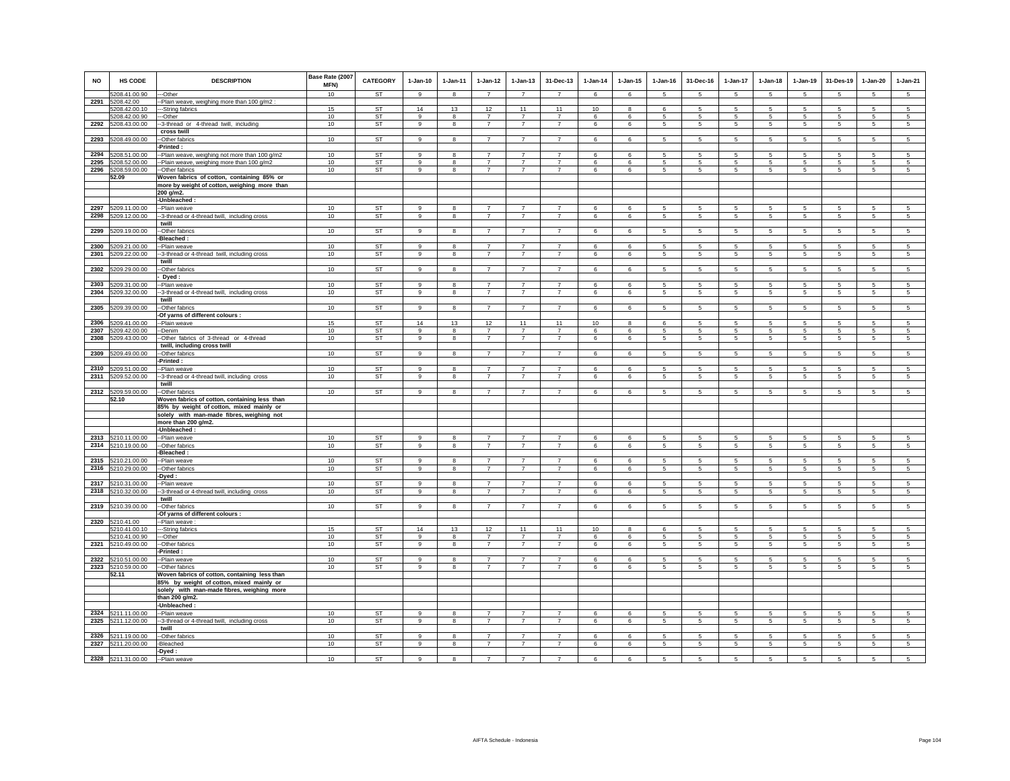| <b>NO</b> | <b>HS CODE</b>                      | <b>DESCRIPTION</b>                                              | Base Rate (2007<br>MFN) | <b>CATEGORY</b>        | $1-Jan-10$     | $1-Jan-11$ | $1 - Jan-12$         | $1 - Jan-13$         | 31-Dec-13            | $1-Jan-14$ | $1 - Jan-15$ | $1 - Jan-16$             | 31-Dec-16           | $1 - Jan-17$         | $1-Jan-18$                         | $1-Jan-19$      | 31-Des-19                    | $1-Jan-20$               | $1-Jan-21$                   |
|-----------|-------------------------------------|-----------------------------------------------------------------|-------------------------|------------------------|----------------|------------|----------------------|----------------------|----------------------|------------|--------------|--------------------------|---------------------|----------------------|------------------------------------|-----------------|------------------------------|--------------------------|------------------------------|
| 2291      | 5208.41.00.90                       | ---Other                                                        | 10                      | ST                     | $\mathbf{q}$   | 8          | $\overline{7}$       | $\overline{7}$       | $\overline{7}$       | 6          | 6            | $\sqrt{5}$               | -5                  | $5^{\circ}$          | $\sqrt{5}$                         | -5              | -5                           | -5                       | $\overline{5}$               |
|           | 5208.42.00<br>5208.42.00.10         | --Plain weave, weighing more than 100 g/m2<br>---String fabrics | 15                      | ST                     | 14             | 13         | 12                   | 11                   | 11                   | 10         | 8            | 6                        | 5                   | 5                    | 5                                  | 5               | 5                            | 5                        | 5                            |
|           | 5208.42.00.90                       | ---Other                                                        | 10 <sup>1</sup>         | <b>ST</b>              | -9             | 8          | $\overline{7}$       | $\overline{7}$       | $\overline{7}$       | 6          | 6            | 5                        | 5                   | $5\phantom{.0}$      | 5                                  | 5               | 5                            | 5                        | 5                            |
|           | 2292 5208.43.00.00                  | --3-thread or 4-thread twill, including                         | 10                      | ST                     | 9              | 8          | $\overline{7}$       | $\overline{7}$       | $\overline{7}$       | 6          | 6            | 5                        | 5                   | 5                    | $5\phantom{.0}$                    | $\sqrt{5}$      | $\sqrt{5}$                   | 5                        | $\sqrt{5}$                   |
|           |                                     | cross twill                                                     |                         |                        |                |            |                      |                      |                      |            |              |                          |                     |                      |                                    |                 |                              |                          |                              |
| 2293      | 5208.49.00.00                       | --Other fabrics                                                 | 10                      | <b>ST</b>              | 9              | 8          | $\overline{7}$       | $\overline{7}$       | $\overline{7}$       | 6          | 6            | 5                        | 5                   | 5                    | 5                                  | 5               | 5                            | 5                        | 5                            |
|           |                                     | -Printed:                                                       |                         |                        |                |            |                      |                      |                      |            |              |                          |                     |                      |                                    |                 |                              |                          |                              |
|           | 2294 5208.51.00.00                  | --Plain weave, weighing not more than 100 g/m2                  | 10                      | <b>ST</b>              | 9              | 8          | $\overline{7}$       | $\overline{7}$       | $\overline{7}$       | 6          | 6            | 5                        | 5                   | 5                    | 5                                  | 5               | $\sqrt{5}$                   | 5                        | 5                            |
| 2295      | 5208.52.00.00                       | --Plain weave, weighing more than 100 g/m2                      | 10                      | ST                     | 9              | 8          | $\overline{7}$       | $\overline{7}$       | $\overline{7}$       | 6          | 6            | 5                        | 5                   | 5                    | 5                                  | 5               | $\sqrt{5}$                   | 5                        | 5                            |
| 2296      | 5208.59.00.00                       | --Other fabrics                                                 | 10                      | <b>ST</b>              | 9              | 8          | $\overline{7}$       | $\overline{7}$       | $\overline{7}$       | 6          | 6            | 5                        | $\overline{5}$      | $\overline{5}$       | $5\overline{5}$                    | $\sqrt{5}$      | $\sqrt{5}$                   | $\,$ 5 $\,$              | 5                            |
|           | 52.09                               | Woven fabrics of cotton, containing 85% or                      |                         |                        |                |            |                      |                      |                      |            |              |                          |                     |                      |                                    |                 |                              |                          |                              |
|           |                                     | more by weight of cotton, weighing more than                    |                         |                        |                |            |                      |                      |                      |            |              |                          |                     |                      |                                    |                 |                              |                          |                              |
|           |                                     | 200 g/m2.                                                       |                         |                        |                |            |                      |                      |                      |            |              |                          |                     |                      |                                    |                 |                              |                          |                              |
|           |                                     | -Unbleached:                                                    |                         |                        |                |            |                      |                      |                      |            |              |                          |                     |                      |                                    |                 |                              |                          |                              |
|           | 2297 5209.11.00.00                  | --Plain weave                                                   | 10                      | ST                     | 9              | 8          | $\overline{7}$       | $\overline{7}$       | $\overline{7}$       | 6          | 6            | $\sqrt{5}$               | 5                   | 5                    | $5\phantom{.0}$                    | 5               | $\sqrt{5}$                   | $\sqrt{5}$               | $\sqrt{5}$                   |
| 2298      | 5209.12.00.00                       | --3-thread or 4-thread twill, including cross<br>twill          | 10                      | <b>ST</b>              | 9              | 8          | $\overline{7}$       | $\overline{7}$       | $\overline{7}$       | 6          | 6            | $\sqrt{5}$               | $\overline{5}$      | $\overline{5}$       | $5\phantom{.0}$                    | 5               | 5                            | $5\phantom{.0}$          | $\sqrt{5}$                   |
| 2299      | 5209.19.00.00                       | --Other fabrics                                                 | 10                      | <b>ST</b>              | 9              | 8          | $\overline{7}$       | $\overline{7}$       | $\overline{7}$       | 6          | 6            | 5                        | 5                   | 5 <sub>5</sub>       | 5                                  | $5\phantom{.0}$ | $5\phantom{.0}$              | 5                        | 5                            |
|           |                                     | -Bleached:                                                      |                         |                        |                |            |                      |                      |                      |            |              |                          |                     |                      |                                    |                 |                              |                          |                              |
|           | 2300 5209.21.00.00                  | --Plain weave                                                   | 10                      | ST                     | $\overline{9}$ | 8          | $\overline{7}$       | $\overline{7}$       | $\overline{7}$       | 6          | 6            | 5                        | 5                   | 5                    | 5                                  | 5               | 5                            | 5                        | $\,$ 5 $\,$                  |
| 2301      | 5209.22.00.00                       | --3-thread or 4-thread twill, including cross                   | 10                      | ST                     | 9              | 8          | $\overline{7}$       | $\overline{7}$       | $\overline{7}$       | 6          | 6            | 5                        | 5                   | 5                    | 5                                  | 5               | 5                            | 5                        | 5                            |
|           |                                     | twill                                                           |                         |                        |                |            |                      |                      |                      |            |              |                          |                     |                      |                                    |                 |                              |                          |                              |
|           | 2302 5209.29.00.00                  | --Other fabrics                                                 | 10                      | ST                     | 9              | 8          | $\overline{7}$       | $\overline{7}$       | $\overline{7}$       | 6          | 6            | 5                        | 5                   | $5\overline{)}$      | 5                                  | 5               | $\sqrt{5}$                   | $\overline{5}$           | $\overline{5}$               |
|           |                                     | Dyed:                                                           |                         |                        |                |            |                      |                      |                      |            |              |                          |                     |                      |                                    |                 |                              |                          |                              |
| 2303      | 5209.31.00.00                       | -Plain weave                                                    | 10                      | <b>ST</b>              | 9              | 8          | $\overline{7}$       | $\overline{7}$       | $\overline{7}$       | 6          | 6            | 5                        | 5                   | 5                    | 5                                  | 5               | 5                            | 5                        | 5                            |
| 2304      | 5209.32.00.00                       | --3-thread or 4-thread twill, including cross                   | 10                      | ST                     | 9              | 8          | $\overline{7}$       | $\overline{7}$       | $\overline{7}$       | 6          | 6            | 5                        | 5                   | 5 <sub>5</sub>       | 5                                  | $\overline{5}$  | $\overline{5}$               | 5                        | 5                            |
|           |                                     | twill                                                           |                         |                        |                |            |                      |                      |                      |            |              |                          |                     |                      |                                    |                 |                              |                          |                              |
|           | 2305 5209.39.00.00                  | --Other fabrics                                                 | 10                      | ST                     | 9              | 8          | 7                    | $\overline{7}$       | $\overline{7}$       | 6          | 6            | 5                        | 5                   | $5\overline{5}$      | $5\overline{5}$                    | 5               | 5                            | 5                        | $\overline{5}$               |
|           |                                     | -Of yarns of different colours :                                |                         |                        |                |            |                      |                      |                      |            |              |                          |                     |                      |                                    |                 |                              |                          |                              |
| 2306      | 5209.41.00.00                       | --Plain weave                                                   | 15<br>10                | <b>ST</b>              | 14<br>9        | 13         | 12<br>$\overline{7}$ | 11<br>$\overline{7}$ | 11<br>$\overline{7}$ | 10         | 8            | 6                        | 5                   | 5                    | -5                                 | 5               | 5                            | 5                        | 5                            |
| 2308      | 2307 5209.42.00.00<br>5209.43.00.00 | --Denim<br>-Other fabrics of 3-thread or 4-thread               | 10                      | ST<br><b>ST</b>        | 9              | 8<br>8     | $\overline{7}$       | $\overline{7}$       | $\overline{7}$       | 6<br>6     | 6<br>6       | -5<br>$\sqrt{5}$         | 5<br>$\sqrt{5}$     | 5<br>$\overline{5}$  | $5\overline{5}$<br>$5\phantom{.0}$ | 5<br>$\sqrt{5}$ | $\sqrt{5}$<br>$\overline{5}$ | 5<br>$\sqrt{5}$          | $\overline{5}$<br>$\sqrt{5}$ |
|           |                                     | twill, including cross twill                                    |                         |                        |                |            |                      |                      |                      |            |              |                          |                     |                      |                                    |                 |                              |                          |                              |
| 2309      | 5209.49.00.00                       | --Other fabrics                                                 | 10                      | <b>ST</b>              | $\mathsf g$    | 8          | $\overline{7}$       | $\overline{7}$       | $\overline{7}$       | $\,6\,$    | 6            | $\,$ 5 $\,$              | $\mathbf 5$         | 5                    | $\sqrt{5}$                         | $\,$ 5 $\,$     | $\,$ 5                       | $\mathbf 5$              | $\sqrt{5}$                   |
|           |                                     | -Printed:                                                       |                         |                        |                |            |                      |                      |                      |            |              |                          |                     |                      |                                    |                 |                              |                          |                              |
|           | 2310 5209.51.00.00                  | --Plain weave                                                   | 10                      | ST                     | 9              | 8          | $\overline{7}$       | $\overline{7}$       | $\overline{7}$       | 6          | 6            | 5                        | 5                   | $\overline{5}$       | $5\overline{5}$                    | 5               | $\,$ 5                       | 5                        | 5                            |
| 2311      | 5209.52.00.00                       | --3-thread or 4-thread twill, including cross                   | 10                      | ST                     | 9              | 8          | $\overline{7}$       | $\overline{7}$       | $\overline{7}$       | 6          | 6            | 5                        | $\overline{5}$      | $\overline{5}$       | $5\phantom{.0}$                    | $\sqrt{5}$      | $\sqrt{5}$                   | $\,$ 5 $\,$              | 5                            |
|           |                                     | twill                                                           |                         |                        |                |            |                      |                      |                      |            |              |                          |                     |                      |                                    |                 |                              |                          |                              |
|           | 2312 5209.59.00.00                  | --Other fabrics                                                 | 10                      | <b>ST</b>              | 9              | 8          | $\overline{7}$       | $\overline{7}$       | $\overline{7}$       | 6          | 6            | 5                        | 5                   | 5 <sub>5</sub>       | 5                                  | 5               | 5                            | 5                        | 5                            |
|           | 52.10                               | Woven fabrics of cotton, containing less than                   |                         |                        |                |            |                      |                      |                      |            |              |                          |                     |                      |                                    |                 |                              |                          |                              |
|           |                                     | 85% by weight of cotton, mixed mainly or                        |                         |                        |                |            |                      |                      |                      |            |              |                          |                     |                      |                                    |                 |                              |                          |                              |
|           |                                     | solely with man-made fibres, weighing not                       |                         |                        |                |            |                      |                      |                      |            |              |                          |                     |                      |                                    |                 |                              |                          |                              |
|           |                                     | more than 200 g/m2.<br>$-l$ Thbleached:                         |                         |                        |                |            |                      |                      |                      |            |              |                          |                     |                      |                                    |                 |                              |                          |                              |
|           | 2313 5210.11.00.00                  | --Plain weave                                                   | 10                      | ST                     | 9              | 8          | $\overline{7}$       | $\overline{7}$       | $\overline{7}$       | 6          | 6            | -5                       | 5                   | 5                    | $5\overline{5}$                    | 5               | 5                            | 5                        | 5                            |
|           | 2314 5210.19.00.00                  | --Other fabrics                                                 | 10                      | <b>ST</b>              | $\overline{9}$ | 8          | $\overline{7}$       | $\overline{7}$       | $\overline{7}$       | 6          | 6            | 5                        | 5                   | $5\overline{)}$      | $\overline{5}$                     | $\overline{5}$  | $\overline{5}$               | 5                        | 5                            |
|           |                                     | -Bleached:                                                      |                         |                        |                |            |                      |                      |                      |            |              |                          |                     |                      |                                    |                 |                              |                          |                              |
|           | 2315 5210.21.00.00                  | --Plain weave                                                   | 10                      | <b>ST</b>              | 9              | 8          | $\overline{7}$       | $\overline{7}$       | $\overline{7}$       | 6          | 6            | 5                        | 5                   | 5                    | 5                                  | 5               | 5                            | 5                        | 5                            |
|           | 2316 5210.29.00.00                  | --Other fabrics                                                 | 10                      | ST                     | $\mathsf g$    | 8          | $\overline{7}$       | $\overline{7}$       | $\overline{7}$       | 6          | 6            | $\sqrt{5}$               | $\sqrt{5}$          | $5\overline{)}$      | $5\phantom{.0}$                    | $\,$ 5 $\,$     | $\,$ 5                       | 5                        | $\sqrt{5}$                   |
|           |                                     | -Dyed :                                                         |                         |                        |                |            |                      |                      |                      |            |              |                          |                     |                      |                                    |                 |                              |                          |                              |
|           | 2317 5210.31.00.00                  | --Plain weave                                                   | 10                      | <b>ST</b>              | $\mathbf{g}$   | 8          | $\overline{7}$       | $\overline{7}$       | $\overline{7}$       | 6          | 6            | $\overline{5}$           | 5                   | $5\overline{)}$      | 5                                  | 5               | $\sqrt{5}$                   | 5                        | $\overline{5}$               |
|           | 2318 5210.32.00.00                  | --3-thread or 4-thread twill, including cross                   | 10                      | <b>ST</b>              | 9              | 8          | $\overline{7}$       | $\overline{7}$       | $\overline{7}$       | 6          | 6            | 5                        | 5                   | 5 <sub>5</sub>       | 5                                  | $\overline{5}$  | $\overline{5}$               | 5                        | 5                            |
|           |                                     | twill                                                           |                         | <b>ST</b>              | 9              | 8          | $\overline{7}$       | $\overline{7}$       | $\overline{7}$       | 6          | 6            |                          | 5                   |                      | 5                                  | 5               |                              |                          |                              |
|           | 2319 5210.39.00.00                  | --Other fabrics<br>-Of yarns of different colours :             | 10                      |                        |                |            |                      |                      |                      |            |              | 5                        |                     | 5                    |                                    |                 | $\sqrt{5}$                   | 5                        | $\sqrt{5}$                   |
|           | 2320 5210.41.00                     | --Plain weave :                                                 |                         |                        |                |            |                      |                      |                      |            |              |                          |                     |                      |                                    |                 |                              |                          |                              |
|           | 5210.41.00.10                       | ---String fabrics                                               | 15                      | <b>ST</b>              | 14             | 13         | 12                   | 11                   | 11                   | 10         | 8            | 6                        | 5                   | 5                    | 5                                  | 5               | 5                            | 5                        | 5                            |
|           | 5210.41.00.90                       | --Other                                                         | 10                      | <b>ST</b>              | 9              | 8          | $\overline{7}$       | $\overline{7}$       | $\overline{7}$       | 6          | 6            | 5                        | 5                   | 5                    | 5                                  | $\overline{5}$  | $\overline{5}$               | 5                        | 5                            |
| 2321      | 5210.49.00.00                       | -Other fabrics                                                  | 10                      | ST                     | 9              | 8          | $\overline{7}$       | $\overline{7}$       | $\overline{7}$       | 6          | 6            | $\sqrt{5}$               | 5                   | 5                    | $\sqrt{5}$                         | $\,$ 5 $\,$     | $\sqrt{5}$                   | 5                        | $\sqrt{5}$                   |
|           |                                     | -Printed :                                                      |                         |                        |                |            |                      |                      |                      |            |              |                          |                     |                      |                                    |                 |                              |                          |                              |
|           | 2322 5210.51.00.00                  | --Plain weave                                                   | 10                      | <b>ST</b>              | 9              | 8          | $\overline{7}$       | $\overline{7}$       | $\overline{7}$       | 6          | 6            | 5                        | 5                   | 5                    | -5                                 | -5              | $\sqrt{5}$                   | 5                        | 5                            |
|           | 2323 5210.59.00.00                  | --Other fabrics                                                 | 10                      | <b>ST</b>              | 9              | 8          | $\overline{7}$       | $\overline{7}$       | $\overline{7}$       | 6          | 6            | 5                        | 5                   | $5\overline{)}$      | 5                                  | 5               | 5                            | 5                        | 5                            |
|           | 52.11                               | Woven fabrics of cotton, containing less than                   |                         |                        |                |            |                      |                      |                      |            |              |                          |                     |                      |                                    |                 |                              |                          |                              |
|           |                                     | 85% by weight of cotton, mixed mainly or                        |                         |                        |                |            |                      |                      |                      |            |              |                          |                     |                      |                                    |                 |                              |                          |                              |
|           |                                     | solely with man-made fibres, weighing more                      |                         |                        |                |            |                      |                      |                      |            |              |                          |                     |                      |                                    |                 |                              |                          |                              |
|           |                                     | than 200 g/m2.                                                  |                         |                        |                |            |                      |                      |                      |            |              |                          |                     |                      |                                    |                 |                              |                          |                              |
|           | 2324 5211.11.00.00                  | -Unbleached:                                                    | 10                      | <b>ST</b>              | 9              | 8          | $\overline{7}$       | $\overline{7}$       | $\overline{7}$       | 6          |              |                          |                     |                      | 5                                  |                 |                              |                          |                              |
| 2325      | 5211.12.00.00                       | --Plain weave<br>--3-thread or 4-thread twill, including cross  | 10                      | <b>ST</b>              | 9              | 8          | $\overline{7}$       | $\overline{7}$       | $\overline{7}$       | 6          | 6<br>6       | $\sqrt{5}$<br>$\sqrt{5}$ | 5<br>$\overline{5}$ | 5<br>$5\overline{5}$ | $5\phantom{.0}$                    | 5<br>5          | $\sqrt{5}$<br>$\sqrt{5}$     | $\sqrt{5}$<br>$\sqrt{5}$ | $\sqrt{5}$<br>$\sqrt{5}$     |
|           |                                     | twill                                                           |                         |                        |                |            |                      |                      |                      |            |              |                          |                     |                      |                                    |                 |                              |                          |                              |
|           | 2326 5211.19.00.00                  | --Other fabrics                                                 | 10                      | <b>ST</b>              | 9              | 8          | $\overline{7}$       | $\overline{7}$       | $\overline{7}$       | 6          | 6            | 5                        | 5                   | 5                    | 5                                  | 5               | 5                            | 5                        | 5                            |
|           | 2327 5211.20.00.00                  | -Bleached                                                       | 10                      | ST                     | 9              | 8          | $\overline{7}$       | $\overline{7}$       | $\overline{7}$       | 6          | 6            | 5                        | 5                   | 5                    | 5                                  | 5               | $\overline{5}$               | 5                        | 5                            |
|           |                                     | -Dyed:                                                          |                         |                        |                |            |                      |                      |                      |            |              |                          |                     |                      |                                    |                 |                              |                          |                              |
|           | 2328 5211.31.00.00                  | --Plain weave                                                   | 10                      | $\overline{\text{ST}}$ | 9              | 8          | $\overline{7}$       | $\overline{7}$       | $\overline{7}$       | 6          | 6            | 5                        | 5                   | 5                    | 5                                  | -5              | $\overline{5}$               | 5                        | 5                            |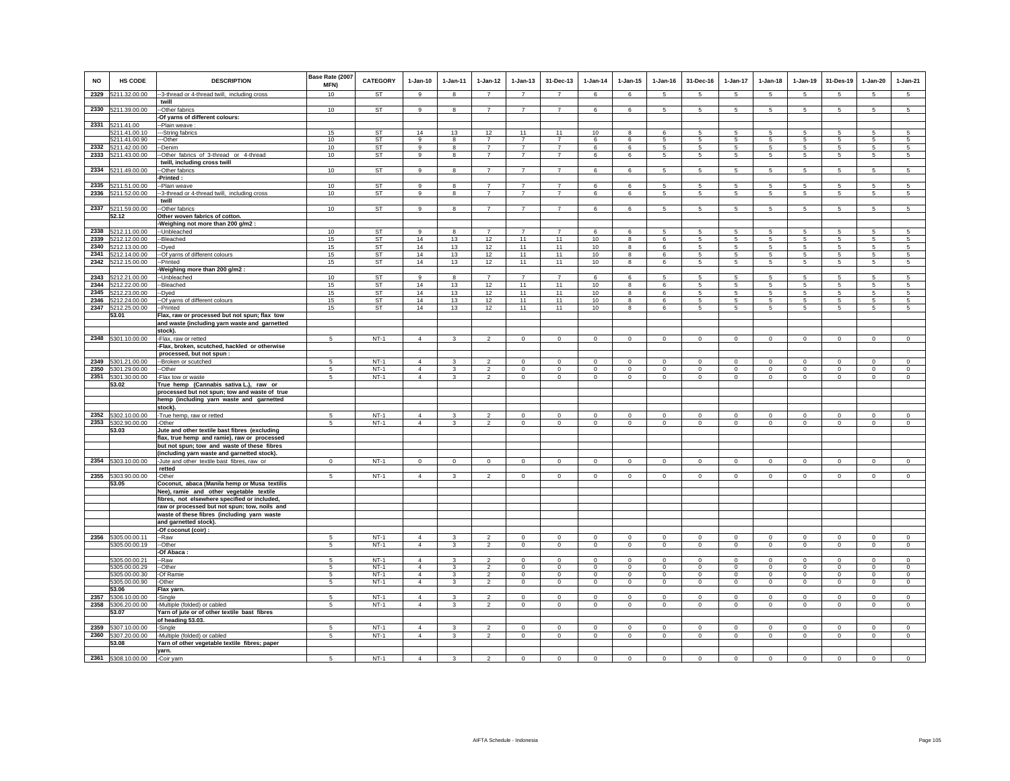| <b>NO</b> | HS CODE                             | <b>DESCRIPTION</b>                                                                            | Base Rate (2007<br>MFN) | <b>CATEGORY</b>  | $1-Jan-10$                       | $1-Jan-11$              | $1 - Jan-12$                     | $1-Jan-13$                       | 31-Dec-13                        | $1-Jan-14$                 | 1-Jan-15                   | $1-Jan-16$                 | 31-Dec-16              | 1-Jan-17                   | $1-Jan-18$                 | $1-Jan-19$                 | 31-Des-19                  | $1-Jan-20$                 | $1-Jan-21$                 |
|-----------|-------------------------------------|-----------------------------------------------------------------------------------------------|-------------------------|------------------|----------------------------------|-------------------------|----------------------------------|----------------------------------|----------------------------------|----------------------------|----------------------------|----------------------------|------------------------|----------------------------|----------------------------|----------------------------|----------------------------|----------------------------|----------------------------|
| 2329      | 5211.32.00.00                       | -3-thread or 4-thread twill, including cross                                                  | 10                      | ST               | 9                                | 8                       | $\overline{7}$                   | $\overline{7}$                   | $\overline{7}$                   | 6                          | 6                          | 5                          | 5                      | $5\phantom{.0}$            | 5                          | 5                          | 5                          | $\sqrt{5}$                 | $5\phantom{.0}$            |
|           |                                     | twill                                                                                         | 10                      | <b>ST</b>        | 9                                |                         | $\overline{7}$                   | $\overline{7}$                   | $\overline{7}$                   | 6                          | $6\overline{6}$            | 5                          |                        | 5 <sup>5</sup>             | $5\overline{5}$            | $\overline{5}$             | $\overline{5}$             | 5                          | $5\overline{)}$            |
|           | 2330 5211.39.00.00                  | -- Other fabrics<br>-Of yarns of different colours:                                           |                         |                  |                                  | 8                       |                                  |                                  |                                  |                            |                            |                            | 5                      |                            |                            |                            |                            |                            |                            |
|           | 2331 5211.41.00                     | -Plain weave                                                                                  |                         |                  |                                  |                         |                                  |                                  |                                  |                            |                            |                            |                        |                            |                            |                            |                            |                            |                            |
|           | 5211.41.00.10                       | -String fabrics                                                                               | 15                      | ST               | 14                               | 13                      | 12                               | 11                               | 11                               | 10                         | 8                          | 6                          | 5                      | 5                          | 5                          | -5                         | 5                          | 5                          | 5                          |
| 2332      | 5211.41.00.90<br>5211.42.00.00      | --Other<br>-Denim                                                                             | 10<br>10                | ST<br><b>ST</b>  | 9<br>$\mathbf{g}$                | 8                       | $\overline{7}$<br>$\overline{7}$ | $\overline{7}$<br>$\overline{7}$ | $\overline{7}$<br>$\overline{7}$ | 6                          | 6                          | 5                          | 5<br>5                 | 5                          | 5<br>$5\phantom{.0}$       | 5                          | -5<br>$\sqrt{5}$           | 5                          | 5                          |
|           | 2333 5211.43.00.00                  | -Other fabrics of 3-thread or 4-thread                                                        | 10                      | ST               | 9                                | 8<br>8                  | $\overline{7}$                   | $\overline{7}$                   | $\overline{7}$                   | 6<br>6                     | 6<br>6                     | 5<br>5                     | 5                      | 5<br>5                     | $5\phantom{.0}$            | 5<br>5                     | 5                          | $\sqrt{5}$<br>5            | 5<br>5                     |
|           |                                     | twill, including cross twill                                                                  |                         |                  |                                  |                         |                                  |                                  |                                  |                            |                            |                            |                        |                            |                            |                            |                            |                            |                            |
| 2334      | 5211.49.00.00                       | -Other fabrics                                                                                | 10                      | ST               | 9                                | 8                       | $\overline{7}$                   | $\overline{7}$                   | $\overline{7}$                   | 6                          | 6                          | 5                          | 5                      | 5                          | 5                          | 5                          | 5                          | 5                          | 5                          |
| 2335      |                                     | -Printed :                                                                                    |                         | <b>ST</b>        | 9                                |                         | $\overline{7}$                   | $\overline{7}$                   | $\overline{7}$                   |                            |                            |                            |                        |                            |                            |                            |                            |                            |                            |
|           | 5211.51.00.00<br>2336 5211.52.00.00 | -Plain weave<br>-3-thread or 4-thread twill, including cross                                  | 10<br>10                | <b>ST</b>        | 9                                | 8<br>8                  | $\overline{7}$                   | $\overline{7}$                   | $\overline{7}$                   | 6<br>6                     | 6<br>6                     | 5<br>-5                    | 5<br>$5 -$             | 5<br>$5\overline{)}$       | $5\overline{5}$<br>5       | 5<br>5                     | 5<br>5                     | 5<br>5                     | 5<br>$\sqrt{5}$            |
|           |                                     | twill                                                                                         |                         |                  |                                  |                         |                                  |                                  |                                  |                            |                            |                            |                        |                            |                            |                            |                            |                            |                            |
|           | 2337 5211.59.00.00                  | -Other fabrics                                                                                | 10                      | <b>ST</b>        | 9                                | 8                       | $\overline{7}$                   | $\overline{7}$                   | $\overline{7}$                   | 6                          | 6                          | 5                          | 5                      | 5 <sub>5</sub>             | 5                          | 5                          | 5                          | 5                          | 5                          |
|           | 52.12                               | Other woven fabrics of cotton.                                                                |                         |                  |                                  |                         |                                  |                                  |                                  |                            |                            |                            |                        |                            |                            |                            |                            |                            |                            |
| 2338      | 5212.11.00.00                       | -Weighing not more than 200 g/m2 :<br>-- Unbleached                                           | 10                      | <b>ST</b>        | 9                                | 8                       | $\overline{7}$                   | $\overline{7}$                   | $\overline{7}$                   | 6                          | 6                          | 5                          | 5                      | 5                          | 5                          | 5                          | $\,$ 5 $\,$                | 5                          | 5                          |
|           | 2339 5212.12.00.00                  | -Bleached                                                                                     | 15                      | ST               | 14                               | 13                      | 12                               | 11                               | 11                               | 10                         | 8                          | 6                          | $5\overline{5}$        | 5                          | $5\overline{5}$            | 5                          | 5                          | 5                          | 5                          |
| 2340      | 5212.13.00.00                       | -Dyed                                                                                         | 15                      | <b>ST</b>        | 14                               | 13                      | 12                               | 11                               | 11                               | 10                         | 8                          | 6                          | $5\phantom{.0}$        | $5\phantom{.0}$            | $5\phantom{.0}$            | 5                          | $\sqrt{5}$                 | $5\phantom{.0}$            | 5                          |
| 2341      | 5212.14.00.00                       | -Of yarns of different colours                                                                | 15                      | <b>ST</b>        | 14                               | 13                      | 12                               | 11                               | 11                               | 10                         | 8                          | 6                          | 5                      | $\overline{5}$             | $5\phantom{.0}$            | $5\phantom{.0}$            | $\sqrt{5}$                 | $\sqrt{5}$                 | 5                          |
| 2342      | 5212.15.00.00                       | -Printed                                                                                      | 15                      | <b>ST</b>        | 14                               | 13                      | 12                               | 11                               | 11                               | 10                         | 8                          | 6                          | 5                      | 5                          | $5\phantom{.0}$            | 5                          | $\sqrt{5}$                 | 5                          | $\sqrt{5}$                 |
| 2343      | 5212.21.00.00                       | Weighing more than 200 g/m2:<br>-Unbleached                                                   | 10                      | <b>ST</b>        | 9                                | 8                       | $\overline{7}$                   | $\overline{7}$                   | $\overline{7}$                   | 6                          | 6                          | 5                          | 5                      | 5                          | 5                          | 5                          | 5                          | 5                          | 5                          |
| 2344      | 5212.22.00.00                       | -Bleached                                                                                     | 15                      | <b>ST</b>        | 14                               | 13                      | 12                               | 11                               | 11                               | $10$                       | 8                          | 6                          | 5                      | 5                          | 5                          | $\,$ 5 $\,$                | $\,$ 5 $\,$                | $\mathbf 5$                | 5                          |
| 2345      | 5212.23.00.00                       | -Dyed                                                                                         | 15                      | <b>ST</b>        | 14                               | 13                      | 12                               | 11                               | 11                               | 10                         | 8                          | 6                          | $5\overline{5}$        | $5\phantom{.0}$            | 5                          | 5                          | 5                          | 5                          | 5                          |
|           | 2346 5212.24.00.00                  | -Of yarns of different colours                                                                | 15                      | ST               | 14                               | 13                      | 12                               | 11                               | 11                               | 10                         | $\overline{\mathbf{8}}$    | 6                          | 5                      | 5                          | $\overline{5}$             | 5                          | 5                          | 5                          | 5<br>$\overline{5}$        |
|           | 2347 5212.25.00.00<br>53.01         | --Printed<br>Flax, raw or processed but not spun; flax tow                                    | 15                      | <b>ST</b>        | 14                               | 13                      | 12                               | 11                               | 11                               | 10                         | $\overline{\mathbf{8}}$    | $\epsilon$                 | 5                      | $5\overline{)}$            | $5\overline{5}$            | 5                          | 5                          | 5                          |                            |
|           |                                     | and waste (including yarn waste and garnetted                                                 |                         |                  |                                  |                         |                                  |                                  |                                  |                            |                            |                            |                        |                            |                            |                            |                            |                            |                            |
|           |                                     | stock).                                                                                       |                         |                  |                                  |                         |                                  |                                  |                                  |                            |                            |                            |                        |                            |                            |                            |                            |                            |                            |
|           | 2348 5301.10.00.00                  | -Flax, raw or retted                                                                          | 5                       | $NT-1$           | $\overline{4}$                   | $\mathbf{3}$            | $\overline{2}$                   | $\mathbf 0$                      | $\circ$                          | $\mathsf 0$                | $\mathsf 0$                | $\mathsf 0$                | $\circ$                | $\mathbf 0$                | $\mathbf 0$                | $\mathbf 0$                | $\circ$                    | $\mathsf 0$                | $\mathsf 0$                |
|           |                                     | -Flax, broken, scutched, hackled or otherwise<br>processed, but not spun :                    |                         |                  |                                  |                         |                                  |                                  |                                  |                            |                            |                            |                        |                            |                            |                            |                            |                            |                            |
| 2349      | 5301.21.00.00                       | -Broken or scutched                                                                           | 5                       | $NT-1$           | $\Delta$                         | 3                       |                                  | $\Omega$                         | $\Omega$                         | $\mathbf 0$                | $\Omega$                   | $\Omega$                   | $\Omega$               | $\Omega$                   | $\Omega$                   | $\Omega$                   | $^{\circ}$                 | $\Omega$                   | $\Omega$                   |
| 2350      | 5301.29.00.00                       | --Other                                                                                       | 5                       | $NT-1$           | $\overline{4}$                   | 3                       | $\mathfrak{p}$                   | $\mathbf 0$                      | $\mathbf 0$                      | $\circ$                    | $\mathbf 0$                | $\circ$                    | $\Omega$               | $\mathbf 0$                | $\circ$                    | $\Omega$                   | $\mathbf 0$                | $\mathbf 0$                | $\circ$                    |
| 2351      | 5301.30.00.00                       | -Flax tow or waste                                                                            | 5                       | $NT-1$           | $\overline{4}$                   | $\mathbf{3}$            | $\mathbf 2$                      | $\mathsf 0$                      | $\mathsf 0$                      | $\mathsf 0$                | $\mathsf 0$                | $\mathsf 0$                | $\mathbf 0$            | $\mathsf 0$                | $\mathsf 0$                | $\mathbf 0$                | $\circ$                    | $\mathsf 0$                | $\mathsf 0$                |
|           | 53.02                               | True hemp (Cannabis sativa L.), raw or<br>processed but not spun; tow and waste of true       |                         |                  |                                  |                         |                                  |                                  |                                  |                            |                            |                            |                        |                            |                            |                            |                            |                            |                            |
|           |                                     | hemp (including yarn waste and garnetted                                                      |                         |                  |                                  |                         |                                  |                                  |                                  |                            |                            |                            |                        |                            |                            |                            |                            |                            |                            |
|           |                                     | stock).                                                                                       |                         |                  |                                  |                         |                                  |                                  |                                  |                            |                            |                            |                        |                            |                            |                            |                            |                            |                            |
|           | 2352 5302.10.00.00                  | -True hemp, raw or retted                                                                     | 5                       | $NT-1$           | $\Delta$                         | $\mathbf{R}$            | $\mathcal{L}$                    | $\Omega$                         | $\Omega$                         | $\Omega$                   | $\Omega$                   | $\Omega$                   | $\Omega$               | $\Omega$                   | $\Omega$                   | $\Omega$                   | $\Omega$                   | $\Omega$                   | $\Omega$                   |
| 2353      | 5302.90.00.00<br>53.03              | -Other<br>Jute and other textile bast fibres (excluding                                       | 5                       | $NT-1$           | $\overline{4}$                   | 3                       | $\overline{2}$                   | $\circ$                          | $\Omega$                         | $\circ$                    | $\mathbf{0}$               | $\circ$                    | $\Omega$               | $\circ$                    | $\circ$                    | $\Omega$                   | $\Omega$                   | $\Omega$                   | $\circ$                    |
|           |                                     | flax, true hemp and ramie), raw or processed                                                  |                         |                  |                                  |                         |                                  |                                  |                                  |                            |                            |                            |                        |                            |                            |                            |                            |                            |                            |
|           |                                     | but not spun; tow and waste of these fibres                                                   |                         |                  |                                  |                         |                                  |                                  |                                  |                            |                            |                            |                        |                            |                            |                            |                            |                            |                            |
|           |                                     | (including yarn waste and garnetted stock).                                                   |                         |                  |                                  |                         |                                  |                                  |                                  |                            |                            |                            |                        |                            |                            |                            |                            |                            |                            |
| 2354      | 5303.10.00.00                       | -Jute and other textile bast fibres, raw or<br>retted                                         | $\mathbf{0}$            | $NT-1$           | $\mathbf 0$                      | $\circ$                 | $\circ$                          | $\mathbf 0$                      | $\mathbf 0$                      | $\mathbf 0$                | $\mathbf 0$                | $\mathbf 0$                | $\mathbf 0$            | $\circ$                    | $\mathbf 0$                | $\overline{0}$             | $\mathbf 0$                | $\mathbf 0$                | $\mathbf 0$                |
|           | 2355 5303.90.00.00                  | Other                                                                                         | 5                       | $NT-1$           | $\overline{4}$                   | $\mathbf{3}$            | $\overline{2}$                   | $\mathbf 0$                      | $\mathsf 0$                      | $\circ$                    | $\mathbf 0$                | $\mathsf 0$                | $\Omega$               | $\circ$                    | $\mathbf 0$                | $\circ$                    | $\circ$                    | $\circ$                    | $\mathsf 0$                |
|           | 53.05                               | Coconut, abaca (Manila hemp or Musa textilis                                                  |                         |                  |                                  |                         |                                  |                                  |                                  |                            |                            |                            |                        |                            |                            |                            |                            |                            |                            |
|           |                                     | Nee), ramie and other vegetable textile                                                       |                         |                  |                                  |                         |                                  |                                  |                                  |                            |                            |                            |                        |                            |                            |                            |                            |                            |                            |
|           |                                     | fibres, not elsewhere specified or included,<br>raw or processed but not spun; tow, noils and |                         |                  |                                  |                         |                                  |                                  |                                  |                            |                            |                            |                        |                            |                            |                            |                            |                            |                            |
|           |                                     | waste of these fibres (including yarn waste                                                   |                         |                  |                                  |                         |                                  |                                  |                                  |                            |                            |                            |                        |                            |                            |                            |                            |                            |                            |
|           |                                     | and garnetted stock).                                                                         |                         |                  |                                  |                         |                                  |                                  |                                  |                            |                            |                            |                        |                            |                            |                            |                            |                            |                            |
|           |                                     | -Of coconut (coir) :                                                                          | $\overline{a}$          |                  | $\Delta$                         |                         | $\mathfrak{D}$                   |                                  |                                  | $\Omega$                   |                            | $\Omega$                   |                        |                            |                            | $\Omega$                   |                            |                            |                            |
| 2356      | 5305.00.00.11<br>5305.00.00.19      | -Raw<br>--Other                                                                               | 5                       | $NT-1$<br>$NT-1$ | $\overline{4}$                   | $\mathbf{R}$<br>3       | $\overline{2}$                   | $\mathbf{0}$<br>$\mathbf 0$      | $\Omega$<br>$\mathbf{0}$         | $\mathbf{0}$               | $\Omega$<br>$\mathbf 0$    | $\circ$                    | $\Omega$<br>$\circ$    | $\Omega$<br>$\mathbf{0}$   | $\mathbf 0$<br>$\circ$     | $\circ$                    | $\Omega$<br>$\mathbf{0}$   | $\Omega$<br>$\mathbf 0$    | $\Omega$<br>$\mathbf 0$    |
|           |                                     | Of Abaca:                                                                                     |                         |                  |                                  |                         |                                  |                                  |                                  |                            |                            |                            |                        |                            |                            |                            |                            |                            |                            |
|           | 5305.00.00.21                       | -Raw                                                                                          | 5                       | $NT-1$           | $\Delta$                         | 3                       | $\overline{\mathbf{c}}$          | $^{\circ}$                       | $^{\circ}$                       | $\mathbf 0$                | $^{\circ}$                 | $^{\circ}$                 | $\Omega$               | $^{\circ}$                 | $\Omega$                   | $^{\circ}$                 | $^{\circ}$                 | $\circ$                    | $^{\circ}$                 |
|           | 5305.00.00.29<br>5305.00.00.30      | -Other<br>-Of Ramie                                                                           | 5<br>5                  | $NT-1$<br>$NT-1$ | $\overline{4}$<br>$\overline{4}$ | 3<br>3                  | $\overline{2}$<br>$\overline{2}$ | $\mathsf 0$<br>$\mathbf 0$       | $\mathsf 0$<br>$\mathbf 0$       | $\mathsf 0$<br>$\mathbf 0$ | $\mathsf 0$<br>$\mathbf 0$ | $\mathsf 0$<br>$\mathbf 0$ | $\mathsf 0$<br>$\circ$ | $\mathbf 0$<br>$\mathbf 0$ | $\mathbf 0$<br>$\mathbf 0$ | $\mathbf 0$<br>$\mathbf 0$ | $\mathbf 0$<br>$\mathbf 0$ | $\mathsf 0$<br>$\mathbf 0$ | $\mathsf 0$<br>$\mathbf 0$ |
|           | 5305.00.00.90                       | -Other                                                                                        | 5                       | $NT-1$           | $\overline{4}$                   | $\overline{3}$          | $\overline{2}$                   | $\mathbf 0$                      | $\,0\,$                          | $\mathbf 0$                | $\mathsf 0$                | $\mathsf 0$                | $\overline{0}$         | $\overline{0}$             | $\mathbf 0$                | $\,0\,$                    | $\,0\,$                    | $\mathbf 0$                | $\mathsf 0$                |
|           | 53.06                               | Flax yarn.                                                                                    |                         |                  |                                  |                         |                                  |                                  |                                  |                            |                            |                            |                        |                            |                            |                            |                            |                            |                            |
| 2357      | 5306.10.00.00                       | -Single                                                                                       | -5                      | $NT-1$           | $\overline{4}$                   | $\mathbf{3}$            | $\mathfrak{p}$                   | $\mathbf{0}$                     | $\Omega$                         | $\mathbf{0}$               | $\Omega$                   | $\Omega$                   | $\Omega$               | $\Omega$                   | $\Omega$                   | $\Omega$                   | $\Omega$                   | $\Omega$                   | $\circ$                    |
| 2358      | 5306.20.00.00<br>53.07              | -Multiple (folded) or cabled<br>Yarn of jute or of other textile bast fibres                  | 5                       | $NT-1$           | $\overline{4}$                   | $\overline{\mathbf{3}}$ | $\overline{2}$                   | $\mathbf{0}$                     | $\mathbf 0$                      | $\circ$                    | $\mathbf{0}$               | $\circ$                    | $\circ$                | $\circ$                    | $\mathbf 0$                | $\mathbf 0$                | $\circ$                    | $\mathbf{0}$               | $\circ$                    |
|           |                                     | of heading 53.03.                                                                             |                         |                  |                                  |                         |                                  |                                  |                                  |                            |                            |                            |                        |                            |                            |                            |                            |                            |                            |
|           | 2359 5307.10.00.00                  | -Single                                                                                       | 5                       | $NT-1$           | $\overline{4}$                   | 3                       | $\overline{2}$                   | $\mathbf 0$                      | $\mathbf 0$                      | $\mathbf 0$                | $\mathbf 0$                | $\mathbf 0$                | $\circ$                | $\mathbf 0$                | $\circ$                    | $\mathbf 0$                | $\circ$                    | $\mathbf 0$                | $\circ$                    |
| 2360      | 5307.20.00.00                       | -Multiple (folded) or cabled                                                                  | 5                       | $NT-1$           | $\overline{4}$                   | $\mathbf{3}$            | $\overline{a}$                   | $\mathbf 0$                      | $\mathbf 0$                      | $\mathbf 0$                | $\mathbf 0$                | $\mathbf 0$                | $\mathbf 0$            | $\mathbf 0$                | $\mathbf 0$                | $\mathbf 0$                | $\mathbf 0$                | $\mathbf 0$                | $\mathbf 0$                |
|           | 53.08                               | Yarn of other vegetable textile fibres; paper<br>yarn.                                        |                         |                  |                                  |                         |                                  |                                  |                                  |                            |                            |                            |                        |                            |                            |                            |                            |                            |                            |
|           | 2361 5308.10.00.00                  | -Coir varn                                                                                    | 5                       | $NT-1$           | $\overline{4}$                   | $\mathbf{3}$            | $\mathfrak{p}$                   | $\Omega$                         | $\Omega$                         | $\Omega$                   | $\Omega$                   | $\Omega$                   | $\Omega$               | $\Omega$                   | $\Omega$                   | $\mathbf 0$                | $\Omega$                   | $\Omega$                   | $\Omega$                   |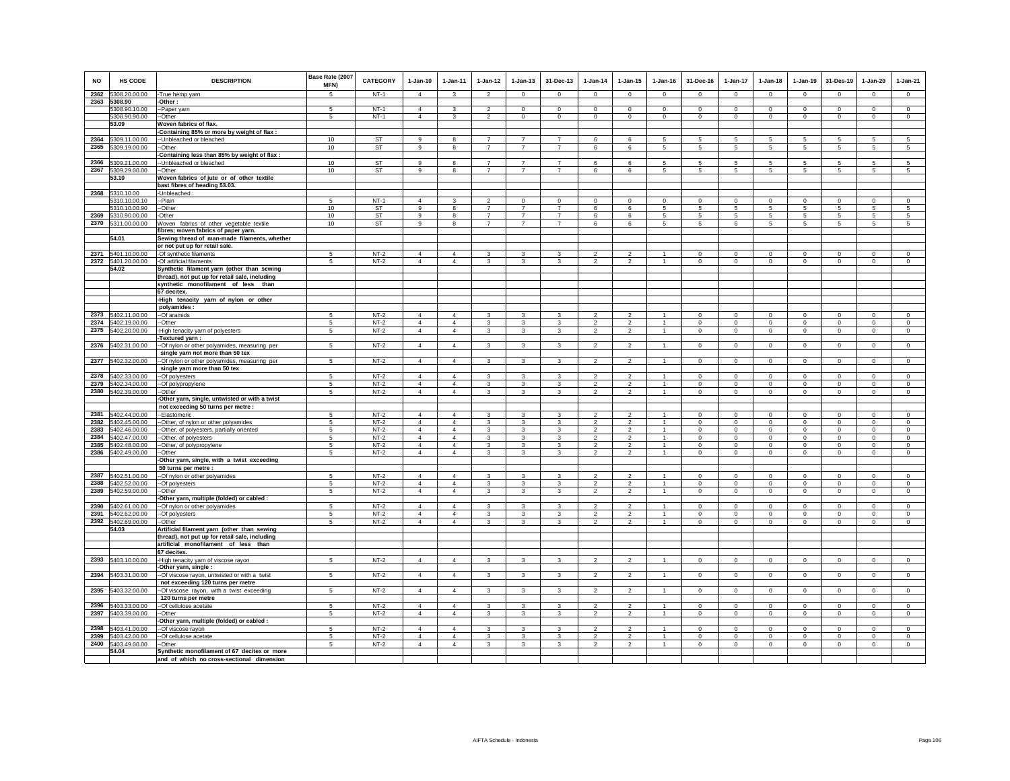| <b>NO</b>    | HS CODE                        | <b>DESCRIPTION</b>                                                               | Base Rate (2007<br><b>MFN)</b> | CATEGORY         | $1-Jan-10$     | $1 - Jan-11$   | $1-Jan-12$                       | $1-Jan-13$                       | 31-Dec-13                        | $1-Jan-14$                       | $1 - Jan-15$               | $1 - Jan-16$              | 31-Dec-16                 | $1-Jan-17$                         | $1-Jan-18$                 | $1-Jan-19$                | 31-Des-19       | $1-Jan-20$                 | $1-Jan-21$             |
|--------------|--------------------------------|----------------------------------------------------------------------------------|--------------------------------|------------------|----------------|----------------|----------------------------------|----------------------------------|----------------------------------|----------------------------------|----------------------------|---------------------------|---------------------------|------------------------------------|----------------------------|---------------------------|-----------------|----------------------------|------------------------|
| 2362         | 5308.20.00.00                  | -True hemp yarn                                                                  | 5                              | $NT-1$           | $\overline{4}$ | $\mathbf{3}$   | $\overline{\phantom{a}}$         | $\mathsf 0$                      | $\mathbf 0$                      | $\mathsf 0$                      | $\mathsf 0$                | $\Omega$                  | $\Omega$                  | $\Omega$                           | $\mathbf 0$                | $\Omega$                  | $\Omega$        | $\mathsf 0$                | $\mathsf 0$            |
| 2363         | 5308.90                        | -Other:                                                                          | -5                             |                  | $\overline{4}$ |                | $\mathfrak{p}$                   |                                  | $\mathbf 0$                      |                                  |                            |                           |                           |                                    |                            |                           | $^{\circ}$      |                            |                        |
|              | 5308.90.10.00<br>5308.90.90.00 | -Paper yarn<br>-Other                                                            | 5                              | $NT-1$<br>$NT-1$ | $\overline{4}$ | 3<br>3         | $\overline{2}$                   | $\mathbf 0$<br>$\mathbf 0$       | $\mathbf 0$                      | $\mathbf 0$<br>0                 | $\mathbf 0$<br>$\mathbf 0$ | $^{\circ}$<br>$\mathbf 0$ | $^{\circ}$<br>$\mathbf 0$ | 0<br>$\mathbf 0$                   | $\mathbf 0$<br>$\mathbf 0$ | $^{\circ}$<br>$\mathbf 0$ | $\mathbf 0$     | $\mathbf 0$<br>$\mathbf 0$ | $\circ$<br>$\mathbf 0$ |
|              | 53.09                          | Woven fabrics of flax.                                                           |                                |                  |                |                |                                  |                                  |                                  |                                  |                            |                           |                           |                                    |                            |                           |                 |                            |                        |
|              |                                | Containing 85% or more by weight of flax :                                       |                                |                  |                |                |                                  |                                  |                                  |                                  |                            |                           |                           |                                    |                            |                           |                 |                            |                        |
| 2364         | 5309.11.00.00                  | -Unbleached or bleached                                                          | 10                             | ST               | $\mathsf g$    | 8              | $\overline{7}$                   | $\overline{7}$                   | $\overline{7}$                   | 6                                | 6                          | 5                         | 5                         | 5                                  | 5                          | $\,$ 5 $\,$               | 5               | 5                          | $\overline{5}$         |
| 2365         | 5309.19.00.00                  | -Other                                                                           | 10                             | ST               | 9              | 8              | $\overline{7}$                   | $\overline{7}$                   | $\overline{7}$                   | 6                                | 6                          | 5                         | 5                         | $5\phantom{.0}$                    | $5\overline{5}$            | 5                         | 5               | 5                          | 5                      |
| 2366         |                                | -Containing less than 85% by weight of flax :                                    |                                | <b>ST</b>        | $\alpha$       | $\mathbf{R}$   | $\overline{7}$                   | $\overline{7}$                   | $\overline{7}$                   | $\mathbf{f}$                     | 6                          | 5                         | 5.                        |                                    | 5                          | 5                         |                 | 5                          | 5                      |
| 2367         | 5309.21.00.00<br>5309.29.00.00 | -- Unbleached or bleached<br>--Other                                             | 10<br>10                       | ST               | 9              | 8              | $\overline{7}$                   | $\overline{7}$                   | $\overline{7}$                   | 6                                | 6                          | -5                        | $5\overline{5}$           | $5\phantom{.0}$<br>$5\phantom{.0}$ | $5\overline{5}$            | 5                         | $\sqrt{5}$<br>5 | 5                          | 5                      |
|              | 53.10                          | Woven fabrics of jute or of other textile                                        |                                |                  |                |                |                                  |                                  |                                  |                                  |                            |                           |                           |                                    |                            |                           |                 |                            |                        |
|              |                                | bast fibres of heading 53.03.                                                    |                                |                  |                |                |                                  |                                  |                                  |                                  |                            |                           |                           |                                    |                            |                           |                 |                            |                        |
| 2368         | 5310.10.00                     | -Unbleached:                                                                     |                                |                  |                |                |                                  |                                  |                                  |                                  |                            |                           |                           |                                    |                            |                           |                 |                            |                        |
|              | 5310.10.00.10                  | -Plain                                                                           | 5                              | $NT-1$           | $\Delta$       | 3              | 2                                | $^{\circ}$                       | $^{\circ}$                       | $^{\circ}$                       | $^{\circ}$                 | $^{\circ}$                | $\Omega$                  | $^{\circ}$                         | $\Omega$                   | $\mathbf 0$               | $\mathbf 0$     | $\circ$                    | $^{\circ}$             |
|              | 5310.10.00.90                  | --Other                                                                          | 10                             | <b>ST</b>        | 9              | 8              | $\overline{7}$                   | $\overline{7}$                   | $\overline{7}$<br>$\overline{7}$ | 6                                | 6                          | 5                         | 5                         | 5                                  | $5\overline{5}$            | 5                         | 5               | 5                          | $\sqrt{5}$             |
| 2369<br>2370 | 5310.90.00.00<br>5311.00.00.00 | -Other<br>Woven fabrics of other vegetable textile                               | 10<br>10                       | ST<br>ST         | 9<br>9         | 8<br>8         | $\overline{7}$<br>$\overline{7}$ | $\overline{7}$<br>$\overline{7}$ | $\overline{7}$                   | 6<br>6                           | 6<br>6                     | 5<br>5                    | 5<br>$5 -$                | 5<br>5                             | 5<br>5                     | $\overline{5}$<br>5       | 5<br>5          | 5<br>5                     | 5<br>5                 |
|              |                                | fibres; woven fabrics of paper yarn.                                             |                                |                  |                |                |                                  |                                  |                                  |                                  |                            |                           |                           |                                    |                            |                           |                 |                            |                        |
|              | 54.01                          | Sewing thread of man-made filaments, whether                                     |                                |                  |                |                |                                  |                                  |                                  |                                  |                            |                           |                           |                                    |                            |                           |                 |                            |                        |
|              |                                | or not put up for retail sale.                                                   |                                |                  |                |                |                                  |                                  |                                  |                                  |                            |                           |                           |                                    |                            |                           |                 |                            |                        |
| 2371         | 5401.10.00.00                  | -Of synthetic filaments                                                          | 5                              | $NT-2$           | $\Delta$       | $\Delta$       | $\mathbf{\hat{z}}$               | 3                                | $\mathbf{\hat{z}}$               | $\mathfrak{D}$                   | $\mathfrak{D}$             |                           | $\Omega$                  | $\Omega$                           | $\Omega$                   | $\Omega$                  | $\Omega$        | $\Omega$                   | $\circ$                |
|              | 2372 5401.20.00.00             | -Of artificial filaments                                                         | 5                              | $NT-2$           | $\overline{4}$ | $\overline{4}$ | 3                                | 3                                | 3                                | $\overline{2}$                   | $\overline{2}$             | $\mathbf{1}$              | $\mathsf 0$               | $\mathbf 0$                        | $\mathbf 0$                | $\mathbf 0$               | $\mathbf 0$     | $\mathsf 0$                | $\circ$                |
|              | 54.02                          | Synthetic filament yarn (other than sewing                                       |                                |                  |                |                |                                  |                                  |                                  |                                  |                            |                           |                           |                                    |                            |                           |                 |                            |                        |
|              |                                | thread), not put up for retail sale, including                                   |                                |                  |                |                |                                  |                                  |                                  |                                  |                            |                           |                           |                                    |                            |                           |                 |                            |                        |
|              |                                | synthetic monofilament of less than<br>67 decitex.                               |                                |                  |                |                |                                  |                                  |                                  |                                  |                            |                           |                           |                                    |                            |                           |                 |                            |                        |
|              |                                | -High tenacity yarn of nylon or other                                            |                                |                  |                |                |                                  |                                  |                                  |                                  |                            |                           |                           |                                    |                            |                           |                 |                            |                        |
|              |                                | polyamides:                                                                      |                                |                  |                |                |                                  |                                  |                                  |                                  |                            |                           |                           |                                    |                            |                           |                 |                            |                        |
| 2373         | 5402.11.00.00                  | --Of aramids                                                                     | 5                              | $NT-2$           | $\overline{4}$ | $\overline{4}$ | 3                                | 3                                | 3                                |                                  | $\overline{2}$             |                           | $\circ$                   | $\mathbf 0$                        | $\mathbf 0$                | $\mathbf 0$               | $\mathbf 0$     | 0                          | $\circ$                |
| 2374         | 5402.19.00.00                  | -Other                                                                           | 5                              | $NT-2$           | $\overline{4}$ | $\overline{4}$ | $\mathbf{3}$                     | 3                                | 3                                | $\overline{2}$                   | $\overline{2}$             | $\mathbf{1}$              | $\mathbf 0$               | $\mathsf 0$                        | $\mathbf 0$                | $\mathbf 0$               | $\,0\,$         | $\mathsf 0$                | $\mathsf 0$            |
| 2375         | 5402.20.00.00                  | High tenacity yarn of polyesters                                                 | 5                              | $NT-2$           | $\overline{4}$ | $\overline{4}$ | $\mathbf{3}$                     | $\mathbf{3}$                     | $\mathbf{3}$                     | $\overline{2}$                   | 2                          | $\overline{1}$            | $\circ$                   | $\circ$                            | $\circ$                    | $\circ$                   | $\mathbf{0}$    | $\mathbf{0}$               | $\circ$                |
|              |                                | -Textured yarn :                                                                 | 5                              |                  | $\Delta$       | $\Delta$       | $\mathbf{R}$                     | $\mathbf{R}$                     | $\mathbf{R}$                     | $\mathfrak{D}$                   | $\mathfrak{p}$             | $\mathbf{1}$              | $\Omega$                  |                                    | $\Omega$                   |                           | $\Omega$        |                            | $\Omega$               |
|              | 2376 5402.31.00.00             | -Of nylon or other polyamides, measuring per<br>single yarn not more than 50 tex |                                | $NT-2$           |                |                |                                  |                                  |                                  |                                  |                            |                           |                           | $\circ$                            |                            | $\mathbf 0$               |                 | $\mathbf{0}$               |                        |
| 2377         | 5402.32.00.00                  | -Of nylon or other polyamides, measuring per                                     | 5                              | $NT-2$           | $\overline{4}$ | $\overline{4}$ | $\mathbf{3}$                     | 3                                | 3                                | $\overline{2}$                   | $\overline{2}$             | $\mathbf{1}$              | $\mathsf 0$               | $\circ$                            | $\mathbf 0$                | $\mathbf 0$               | $\mathsf 0$     | $\mathsf 0$                | $\circ$                |
|              |                                | single yarn more than 50 tex                                                     |                                |                  |                |                |                                  |                                  |                                  |                                  |                            |                           |                           |                                    |                            |                           |                 |                            |                        |
| 2378         | 5402.33.00.00                  | -Of polyesters                                                                   | 5                              | $NT-2$           | $\overline{4}$ | $\overline{4}$ | 3                                | 3                                | 3                                | $\overline{2}$                   | $\overline{2}$             | $\mathbf{1}$              | $\circ$                   | $\mathbf 0$                        | $\circ$                    | $\mathbf 0$               | $\circ$         | $\mathbf 0$                | $\circ$                |
| 2379         | 5402.34.00.00                  | -Of polypropylene                                                                | 5                              | $NT-2$           | $\overline{4}$ | $\overline{4}$ | $\mathbf{3}$                     | 3                                | 3                                | $\overline{2}$                   | $\overline{a}$             | $\overline{1}$            | $\mathbf 0$               | 0                                  | $\mathbf 0$                | $\mathbf 0$               | $\mathbf 0$     | $\mathbf 0$                | $\mathbf 0$            |
| 2380         | 5402.39.00.00                  | -Other                                                                           | 5                              | $NT-2$           | $\overline{4}$ | $\overline{4}$ | 3                                | 3                                | 3                                | $\overline{c}$                   | $\overline{c}$             | $\mathbf{1}$              | $\mathbf 0$               | 0                                  | $\mathbf{0}$               | $\mathbf{0}$              | $\circ$         | 0                          | $\circ$                |
|              |                                | Other yarn, single, untwisted or with a twist                                    |                                |                  |                |                |                                  |                                  |                                  |                                  |                            |                           |                           |                                    |                            |                           |                 |                            |                        |
| 2381         | 5402.44.00.00                  | not exceeding 50 turns per metre :<br>-Elastomeric                               | 5                              | $NT-2$           | $\overline{4}$ | $\overline{4}$ | 3                                | 3                                | 3                                | $\mathfrak{p}$                   | $\overline{2}$             |                           | $\circ$                   | $\mathbf 0$                        | $\Omega$                   | $\mathbf 0$               | $\mathbf 0$     | $\mathbf 0$                | $\circ$                |
| 2382         | 5402.45.00.00                  | -Other, of nylon or other polyamides                                             | 5                              | $NT-2$           | $\overline{4}$ | $\overline{4}$ | $\mathbf{3}$                     | 3                                | 3                                | $\overline{\phantom{a}}$         | $\overline{2}$             | $\mathbf{1}$              | $\circ$                   | $\mathbf 0$                        | $\mathbf 0$                | $\mathbf 0$               | $\mathbf 0$     | $\mathsf 0$                | $\circ$                |
| 2383         | 5402.46.00.00                  | -Other, of polyesters, partially oriented                                        | 5                              | $NT-2$           | $\Delta$       | $\overline{4}$ | $\mathbf{3}$                     | 3                                | 3                                | $\mathfrak{D}$                   | $\overline{2}$             | $\overline{1}$            | $\circ$                   | $\mathbf 0$                        | $\circ$                    | $\Omega$                  | $\mathbf 0$     | $\mathbf 0$                | $\circ$                |
| 2384         | 5402.47.00.00                  | -Other, of polyesters                                                            | 5                              | $NT-2$           | $\Delta$       | $\overline{4}$ | 3                                | 3                                | 3                                | $\overline{2}$                   | $\overline{2}$             | $\mathbf{1}$              | $\Omega$                  | $\mathbf 0$                        | $\Omega$                   | $\mathbf 0$               | $^{\circ}$      | $^{\circ}$                 | $\circ$                |
| 2385         | 5402.48.00.00                  | -- Other, of polypropylene                                                       | 5                              | $NT-2$           | $\overline{4}$ | $\overline{4}$ | 3                                | $\mathbf{3}$                     | 3                                | $\mathfrak{p}$                   | $\mathfrak{p}$             | $\mathbf{1}$              | $\Omega$                  | $\mathbf 0$                        | $\Omega$                   | $\Omega$                  | $\Omega$        | $\Omega$                   | $\Omega$               |
| 2386         | 5402.49.00.00                  | -Other                                                                           | 5                              | $NT-2$           | $\overline{4}$ | $\overline{4}$ | 3                                | 3                                | $\mathbf{3}$                     | $\mathfrak{p}$                   | $\overline{2}$             | $\mathbf{1}$              | $\circ$                   | $\circ$                            | $\mathbf 0$                | $\mathbf 0$               | $\Omega$        | $\Omega$                   | $\circ$                |
|              |                                | Other yarn, single, with a twist exceeding<br>50 turns per metre :               |                                |                  |                |                |                                  |                                  |                                  |                                  |                            |                           |                           |                                    |                            |                           |                 |                            |                        |
|              | 2387 5402.51.00.00             | -Of nylon or other polyamides                                                    | 5                              | $NT-2$           | $\overline{4}$ | $\overline{4}$ | 3                                | 3                                | 3                                | $\overline{2}$                   | $\overline{2}$             | $\mathbf{1}$              | $\circ$                   | $\mathbf 0$                        | $\mathbf 0$                | $\mathbf 0$               | $^{\circ}$      | $\mathbf 0$                | $\mathbf 0$            |
| 2388         | 5402.52.00.00                  | -Of polyesters                                                                   | 5                              | $NT-2$           | $\overline{4}$ | $\overline{4}$ | $\mathbf{3}$                     | 3                                | 3                                | $\overline{2}$                   | $\overline{2}$             | $\overline{1}$            | $\mathbf 0$               | $\mathbf 0$                        | $\mathbf 0$                | $\mathbf 0$               | $\mathbf 0$     | $\mathbf 0$                | $\mathbf 0$            |
| 2389         | 5402.59.00.00                  | -Other                                                                           | 5                              | $NT-2$           | $\Delta$       | $\overline{4}$ | $\mathbf{3}$                     | 3                                | 3                                | $\overline{\mathbf{2}}$          | $\overline{c}$             | $\overline{1}$            | $\circ$                   | $\mathbf 0$                        | $\circ$                    | $\mathbf 0$               | $\mathbf 0$     | $\mathbf 0$                | $\circ$                |
|              |                                | Other yarn, multiple (folded) or cabled :                                        |                                |                  |                |                |                                  |                                  |                                  |                                  |                            |                           |                           |                                    |                            |                           |                 |                            |                        |
| 2390         | 5402.61.00.00                  | -Of nylon or other polyamides                                                    | 5                              | $NT-2$           | $\overline{4}$ | $\overline{4}$ | 3                                | 3                                | 3                                | $\mathfrak{p}$                   | $\overline{2}$             |                           | $\mathbf 0$               | $\mathbf 0$                        | $\mathbf 0$                | $\mathbf 0$               | $\mathbf 0$     | $\mathsf 0$                | $\mathsf 0$            |
| 2391         | 5402.62.00.00                  | --Of polyesters                                                                  | -5                             | $NT-2$           | $\overline{4}$ | $\overline{4}$ | 3                                | $\mathbf{3}$                     | 3                                | $\mathfrak{p}$<br>$\mathfrak{D}$ | $\mathcal{P}$              | $\mathbf{1}$              | $\circ$                   | $\mathbf 0$                        | $\mathbf 0$                | $\mathbf 0$               | $\mathbf 0$     | $\mathbf 0$                | $\mathsf 0$            |
| 2392         | 5402.69.00.00<br>54.03         | -Other<br>Artificial filament yarn (other than sewing                            | 5                              | $NT-2$           | $\overline{4}$ | $\overline{4}$ | $\mathbf{3}$                     | $\mathbf{3}$                     | 3                                |                                  | $\overline{a}$             | $\mathbf{1}$              | $\circ$                   | $\mathsf{O}$                       | $\mathbf 0$                | $\mathbf 0$               | $\mathbf 0$     | $\mathsf 0$                | $\mathsf 0$            |
|              |                                | thread), not put up for retail sale, including                                   |                                |                  |                |                |                                  |                                  |                                  |                                  |                            |                           |                           |                                    |                            |                           |                 |                            |                        |
|              |                                | artificial monofilament of less than                                             |                                |                  |                |                |                                  |                                  |                                  |                                  |                            |                           |                           |                                    |                            |                           |                 |                            |                        |
|              |                                | 67 decitex.                                                                      |                                |                  |                |                |                                  |                                  |                                  |                                  |                            |                           |                           |                                    |                            |                           |                 |                            |                        |
| 2393         | 5403.10.00.00                  | -High tenacity yarn of viscose rayon                                             | 5                              | $NT-2$           | $\overline{4}$ | $\overline{4}$ | $\mathbf{3}$                     | 3                                | 3                                | $\overline{2}$                   | $\overline{2}$             | $\mathbf{1}$              | $\circ$                   | $\mathbf{0}$                       | $\circ$                    | $\mathbf 0$               | $\circ$         | $\mathbf 0$                | $\circ$                |
|              |                                | -Other yarn, single:                                                             |                                |                  |                |                |                                  |                                  |                                  |                                  |                            |                           |                           |                                    |                            |                           |                 |                            |                        |
| 2394         | 5403.31.00.00                  | -Of viscose rayon, untwisted or with a twist                                     | 5                              | $NT-2$           | $\overline{4}$ | $\overline{4}$ | $\mathbf{3}$                     | 3                                | $\mathbf{3}$                     | $\overline{2}$                   | $\overline{2}$             | $\mathbf{1}$              | $\circ$                   | $\mathbf{0}$                       | $\circ$                    | $\circ$                   | $\mathbf{0}$    | $\mathbf 0$                | $\circ$                |
| 2395         | 5403.32.00.00                  | not exceeding 120 turns per metre                                                | 5                              | $NT-2$           | $\Delta$       | $\Delta$       | $\mathbf{3}$                     | 3                                | $\mathbf{3}$                     | $\mathbf 2$                      | $\overline{a}$             | $\overline{1}$            | $\mathbf 0$               | $\mathsf 0$                        | $\mathsf 0$                | $\overline{0}$            | $\overline{0}$  | $\mathsf 0$                | $\,0\,$                |
|              |                                | -Of viscose rayon, with a twist exceeding<br>120 turns per metre                 |                                |                  |                |                |                                  |                                  |                                  |                                  |                            |                           |                           |                                    |                            |                           |                 |                            |                        |
| 2396         | 5403.33.00.00                  | -Of cellulose acetate                                                            | 5                              | $NT-2$           | $\overline{4}$ | $\overline{4}$ | 3                                | 3                                | 3                                | $\overline{2}$                   | $\overline{2}$             |                           | $\mathsf 0$               | $\mathbf 0$                        | $\mathbf 0$                | $\mathbf 0$               | $\mathbf 0$     | $\mathsf 0$                | $\mathsf 0$            |
| 2397         | 5403.39.00.00                  | -Other                                                                           | 5                              | $NT-2$           | $\overline{4}$ | $\overline{4}$ | $\mathbf{3}$                     | 3                                | 3                                | $\overline{2}$                   | $\overline{2}$             | $\mathbf{1}$              | $\circ$                   | $\mathbf 0$                        | $\circ$                    | $\mathbf 0$               | $\circ$         | $\mathsf 0$                | $\circ$                |
|              |                                | -Other yarn, multiple (folded) or cabled :                                       |                                |                  |                |                |                                  |                                  |                                  |                                  |                            |                           |                           |                                    |                            |                           |                 |                            |                        |
| 2398         | 5403.41.00.00                  | -Of viscose rayon                                                                | 5                              | $NT-2$           | $\overline{4}$ | $\overline{4}$ | $\overline{3}$                   | $\overline{3}$                   | 3                                | $\overline{2}$                   | $\overline{2}$             | $\overline{1}$            | $\mathbf 0$               | $\mathsf 0$                        | $\mathbf 0$                | $\mathbf 0$               | $\mathbf 0$     | $\circ$                    | $\mathbb O$            |
| 2399         | 5403.42.00.00                  | -Of cellulose acetate                                                            | 5                              | $NT-2$           | $\Delta$       | $\Delta$       | $\mathbf{3}$                     | 3                                | 3                                | $\mathfrak{p}$                   | $\mathfrak{p}$             | $\mathbf{1}$              | $\circ$                   | $\Omega$                           | $\Omega$                   | $\Omega$                  | $\Omega$        | $\Omega$                   | $\circ$                |
|              | 2400 5403.49.00.00             | --Other                                                                          | $5\phantom{.0}$                | $NT-2$           | $\overline{4}$ | $\overline{4}$ | $\mathbf{3}$                     | $\mathbf{3}$                     | 3                                | $\mathfrak{p}$                   | $\overline{a}$             | $\mathbf{1}$              | $\Omega$                  | $\circ$                            | $\mathsf{O}$               | $\Omega$                  | $\Omega$        | $\mathbf 0$                | $\circ$                |
|              | 54.04                          | Synthetic monofilament of 67 decitex or more                                     |                                |                  |                |                |                                  |                                  |                                  |                                  |                            |                           |                           |                                    |                            |                           |                 |                            |                        |
|              |                                | and of which no cross-sectional dimension                                        |                                |                  |                |                |                                  |                                  |                                  |                                  |                            |                           |                           |                                    |                            |                           |                 |                            |                        |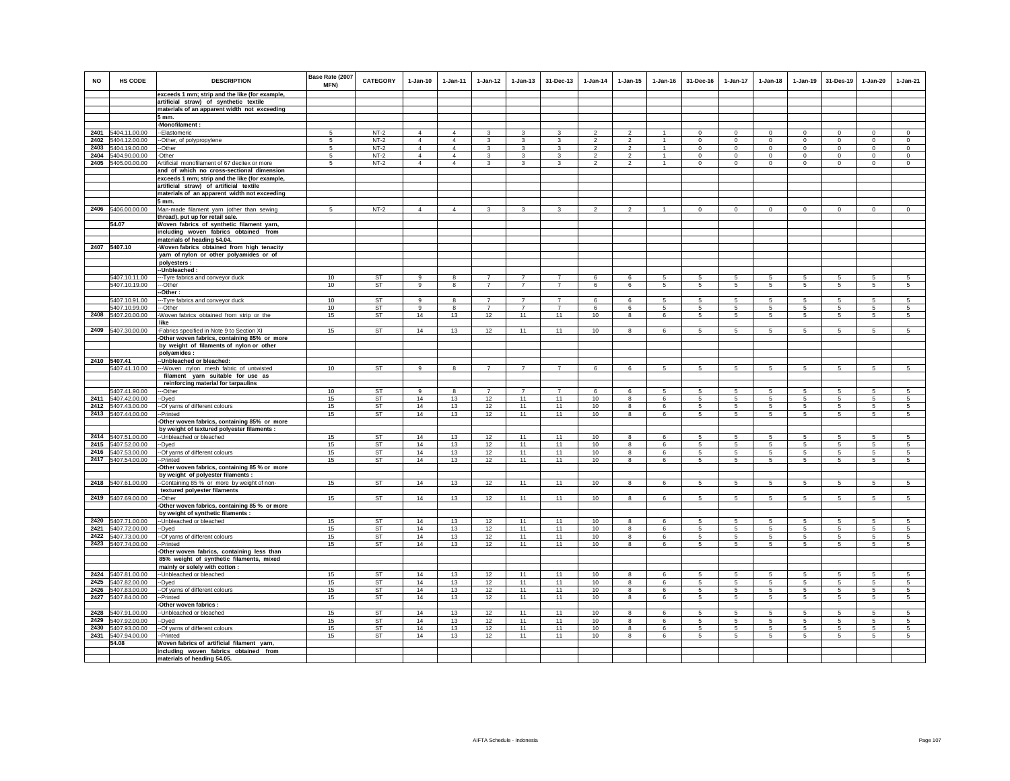| <b>NO</b>    | HS CODE                                  | <b>DESCRIPTION</b><br>exceeds 1 mm; strip and the like (for example,          | Base Rate (2007<br><b>MFN)</b> | <b>CATEGORY</b>        | $1-Jan-10$                       | $1 - Jan-11$                     | $1 - Jan-12$                     | $1 - Jan-13$                     | 31-Dec-13                        | $1-Jan-14$                       | $1 - Jan-15$                     | $1 - Jan-16$       | 31-Dec-16            | $1 - Jan-17$                | $1-Jan-18$              | $1 - Jan-19$               | 31-Des-19             | 1-Jan-20                | $1-Jan-21$             |
|--------------|------------------------------------------|-------------------------------------------------------------------------------|--------------------------------|------------------------|----------------------------------|----------------------------------|----------------------------------|----------------------------------|----------------------------------|----------------------------------|----------------------------------|--------------------|----------------------|-----------------------------|-------------------------|----------------------------|-----------------------|-------------------------|------------------------|
|              |                                          | artificial straw) of synthetic textile                                        |                                |                        |                                  |                                  |                                  |                                  |                                  |                                  |                                  |                    |                      |                             |                         |                            |                       |                         |                        |
|              |                                          | materials of an apparent width not exceeding                                  |                                |                        |                                  |                                  |                                  |                                  |                                  |                                  |                                  |                    |                      |                             |                         |                            |                       |                         |                        |
|              |                                          | 5 mm.                                                                         |                                |                        |                                  |                                  |                                  |                                  |                                  |                                  |                                  |                    |                      |                             |                         |                            |                       |                         |                        |
|              |                                          | -Monofilament:                                                                |                                |                        |                                  |                                  |                                  |                                  |                                  |                                  |                                  |                    |                      |                             |                         |                            |                       |                         |                        |
|              | 2401 5404.11.00.00                       | -Elastomeric                                                                  | 5                              | $NT-2$<br>$NT-2$       | $\overline{4}$                   | $\overline{4}$                   | 3<br>3                           | 3                                | 3<br>$\mathbf{3}$                | $\overline{2}$                   | $\overline{c}$                   | $\mathbf{1}$       | $\Omega$             | $\Omega$                    | $\Omega$                | $\circ$                    | $\overline{0}$        | $\Omega$                | $\circ$                |
| 2402<br>2403 | 5404.12.00.00<br>5404.19.00.00           | -Other, of polypropylene<br>-Other                                            | -5<br>5                        | $NT-2$                 | $\overline{4}$<br>$\overline{4}$ | $\overline{4}$<br>$\overline{4}$ | 3                                | 3<br>3                           | 3                                | $\mathfrak{p}$<br>$\overline{2}$ | $\overline{2}$<br>$\overline{2}$ | -1<br>$\mathbf{1}$ | $\circ$<br>$\circ$   | $\mathbf{0}$<br>$\mathbf 0$ | $\Omega$<br>$\mathbf 0$ | $\mathbf 0$<br>$\mathbf 0$ | $\circ$<br>$^{\circ}$ | $\Omega$<br>$\mathbf 0$ | $\circ$<br>$\mathbf 0$ |
| 2404         | 5404.90.00.00                            | -Other                                                                        | 5                              | $NT-2$                 | $\overline{4}$                   | $\overline{4}$                   | 3                                | $\mathbf 3$                      | 3                                | $\overline{2}$                   | $\overline{2}$                   |                    | $\mathbf 0$          | $\mathsf 0$                 | $\mathbf 0$             | $\mathbf 0$                | $\circ$               | $\mathbf 0$             | $\mathbf 0$            |
|              | 2405 5405.00.00.00                       | Artificial monofilament of 67 decitex or more                                 | 5                              | $NT-2$                 | $\overline{4}$                   | $\overline{4}$                   | $\mathbf{3}$                     | 3                                | $\mathbf{3}$                     | $\mathfrak{p}$                   | $\overline{2}$                   | $\mathbf{1}$       | $\circ$              | $\mathbf 0$                 | $\mathbf 0$             | $\mathbf 0$                | $^{\circ}$            | $\mathbf 0$             | $\mathbf 0$            |
|              |                                          | and of which no cross-sectional dimension                                     |                                |                        |                                  |                                  |                                  |                                  |                                  |                                  |                                  |                    |                      |                             |                         |                            |                       |                         |                        |
|              |                                          | exceeds 1 mm; strip and the like (for example,                                |                                |                        |                                  |                                  |                                  |                                  |                                  |                                  |                                  |                    |                      |                             |                         |                            |                       |                         |                        |
|              |                                          | artificial straw) of artificial textile                                       |                                |                        |                                  |                                  |                                  |                                  |                                  |                                  |                                  |                    |                      |                             |                         |                            |                       |                         |                        |
|              |                                          | materials of an apparent width not exceeding<br>5 mm.                         |                                |                        |                                  |                                  |                                  |                                  |                                  |                                  |                                  |                    |                      |                             |                         |                            |                       |                         |                        |
|              | 2406 5406.00.00.00                       | Man-made filament yarn (other than sewing                                     | 5                              | $NT-2$                 | $\overline{4}$                   | $\overline{4}$                   | $\mathbf{3}$                     | $\mathbf{3}$                     | 3                                | $\overline{2}$                   | $\overline{2}$                   | $\mathbf{1}$       | $\circ$              | $\mathbf{0}$                | $\mathbf{0}$            | $\mathbf{0}$               | $\overline{0}$        | $\mathbf 0$             | $\circ$                |
|              |                                          | thread), put up for retail sale.                                              |                                |                        |                                  |                                  |                                  |                                  |                                  |                                  |                                  |                    |                      |                             |                         |                            |                       |                         |                        |
|              | 54.07                                    | Woven fabrics of synthetic filament yarn,                                     |                                |                        |                                  |                                  |                                  |                                  |                                  |                                  |                                  |                    |                      |                             |                         |                            |                       |                         |                        |
|              |                                          | including woven fabrics obtained from                                         |                                |                        |                                  |                                  |                                  |                                  |                                  |                                  |                                  |                    |                      |                             |                         |                            |                       |                         |                        |
|              | 2407 5407.10                             | materials of heading 54.04.<br>Woven fabrics obtained from high tenacity      |                                |                        |                                  |                                  |                                  |                                  |                                  |                                  |                                  |                    |                      |                             |                         |                            |                       |                         |                        |
|              |                                          | yarn of nylon or other polyamides or of                                       |                                |                        |                                  |                                  |                                  |                                  |                                  |                                  |                                  |                    |                      |                             |                         |                            |                       |                         |                        |
|              |                                          | polyesters :                                                                  |                                |                        |                                  |                                  |                                  |                                  |                                  |                                  |                                  |                    |                      |                             |                         |                            |                       |                         |                        |
|              |                                          | --Unbleached :                                                                |                                |                        |                                  |                                  |                                  |                                  |                                  |                                  |                                  |                    |                      |                             |                         |                            |                       |                         |                        |
|              | 5407.10.11.00<br>5407.10.19.00           | --- Tyre fabrics and conveyor duck<br>--Other                                 | 10<br>10                       | <b>ST</b><br><b>ST</b> | $\alpha$<br>9                    | $\mathbf{R}$<br>8                | $\overline{7}$<br>$\overline{7}$ | $\overline{7}$<br>$\overline{7}$ | $\overline{7}$<br>$\overline{7}$ | $\mathbf{6}$<br>6                | $\epsilon$<br>6                  | 5<br>5             | 5.<br>5              | 5<br>5                      | -5<br>5                 | 5<br>5                     | 5<br>5                | 5<br>5                  | 5<br>5                 |
|              |                                          | -Other:                                                                       |                                |                        |                                  |                                  |                                  |                                  |                                  |                                  |                                  |                    |                      |                             |                         |                            |                       |                         |                        |
|              | 5407.10.91.00                            | ---Tyre fabrics and conveyor duck                                             | 10                             | <b>ST</b>              | 9                                | 8                                | 7                                | 7                                | $\overline{7}$                   | 6                                | 6                                | 5                  | 5                    | 5                           | 5                       | 5                          | -5                    | 5                       | 5                      |
|              | 5407.10.99.00                            | --Other                                                                       | 10 <sup>1</sup>                | <b>ST</b>              | $\alpha$                         | $\mathbf{R}$                     | $\overline{7}$                   | $\overline{7}$                   | $\overline{7}$                   | 6                                | 6                                | 5                  | 5                    | 5                           | 5                       | 5                          | 5                     | 5                       | 5                      |
| 2408         | 5407.20.00.00                            | Woven fabrics obtained from strip or the                                      | 15                             | ST                     | 14                               | 13                               | 12                               | 11                               | 11                               | 10                               | 8                                | 6                  | 5                    | 5                           | 5                       | 5                          | 5                     | 5                       | 5                      |
|              | 2409 5407.30.00.00                       | like<br>-Fabrics specified in Note 9 to Section XI                            | 15                             | ST                     | 14                               | 13                               | 12                               | 11                               | 11                               | 10                               | 8                                | 6                  | 5                    | 5                           | 5                       | 5                          | 5                     | 5                       | $\overline{5}$         |
|              |                                          | -Other woven fabrics, containing 85% or more                                  |                                |                        |                                  |                                  |                                  |                                  |                                  |                                  |                                  |                    |                      |                             |                         |                            |                       |                         |                        |
|              |                                          | by weight of filaments of nylon or other                                      |                                |                        |                                  |                                  |                                  |                                  |                                  |                                  |                                  |                    |                      |                             |                         |                            |                       |                         |                        |
|              |                                          | polyamides:                                                                   |                                |                        |                                  |                                  |                                  |                                  |                                  |                                  |                                  |                    |                      |                             |                         |                            |                       |                         |                        |
|              | 2410 5407.41                             | -- Unbleached or bleached:                                                    |                                |                        |                                  |                                  |                                  |                                  |                                  |                                  |                                  |                    |                      |                             |                         |                            |                       |                         |                        |
|              | 5407.41.10.00                            | --- Woven nylon mesh fabric of untwisted<br>filament yarn suitable for use as | 10                             | ST                     | 9                                | 8                                | $\overline{7}$                   | $\overline{7}$                   | $\overline{7}$                   | 6                                | 6                                | 5                  | $5 -$                | 5                           | $5\overline{5}$         | 5                          | 5                     | 5                       | 5                      |
|              |                                          | reinforcing material for tarpaulins                                           |                                |                        |                                  |                                  |                                  |                                  |                                  |                                  |                                  |                    |                      |                             |                         |                            |                       |                         |                        |
|              | 5407.41.90.00                            | -Other                                                                        | 10 <sup>1</sup>                | <b>ST</b>              | 9                                | 8                                | $\overline{7}$                   | $\overline{7}$                   | $\overline{7}$                   | 6                                | 6                                | 5                  | -5                   | 5                           | -5                      | 5                          | 5                     | 5                       | -5                     |
|              | 2411 5407.42.00.00                       | Dyed                                                                          | 15                             | <b>ST</b>              | 14                               | 13                               | 12                               | 11                               | 11                               | 10                               | 8                                | 6                  | 5                    | 5                           | 5                       | 5                          | 5                     | 5                       | 5                      |
| 2412         | 5407.43.00.00                            | -Of yarns of different colours                                                | 15                             | ST<br>ST               | 14                               | 13                               | 12                               | 11                               | 11                               | 10                               | 8                                | 6                  | 5                    | 5                           | 5                       | 5                          | 5                     | 5                       | 5                      |
| 2413         | 5407.44.00.00                            | -Printed<br>Other woven fabrics, containing 85% or more                       | 15                             |                        | 14                               | 13                               | 12                               | 11                               | 11                               | 10                               | 8                                | 6                  | $5\overline{5}$      | 5                           | $5\overline{5}$         | 5                          | 5                     | 5                       | 5                      |
|              |                                          | by weight of textured polyester filaments :                                   |                                |                        |                                  |                                  |                                  |                                  |                                  |                                  |                                  |                    |                      |                             |                         |                            |                       |                         |                        |
| 2414         | 5407.51.00.00                            | -- Unbleached or bleached                                                     | 15                             | <b>ST</b>              | 14                               | 13                               | 12                               | 11                               | 11                               | 10                               | 8                                | 6                  | 5                    | 5                           | 5                       | 5                          | 5                     | 5                       | $\overline{5}$         |
|              | 2415 5407.52.00.00                       | -Dyed                                                                         | 15                             | <b>ST</b>              | 14                               | 13                               | 12                               | 11                               | 11                               | 10                               | 8                                | 6                  | 5                    | 5                           | 5                       | 5                          | 5                     | 5                       | 5                      |
|              | 2416 5407.53.00.00<br>2417 5407.54.00.00 | -- Of yarns of different colours<br>--Printed                                 | 15<br>15                       | ST<br>ST               | 14<br>14                         | 13<br>13                         | 12<br>12                         | 11<br>11                         | 11<br>11                         | 10<br>10                         | 8<br>8                           | 6<br>6             | $5\overline{5}$<br>5 | 5<br>5                      | $5\overline{5}$<br>5    | 5<br>5                     | 5<br>5                | 5<br>5                  | 5<br>5                 |
|              |                                          | -Other woven fabrics, containing 85 % or more                                 |                                |                        |                                  |                                  |                                  |                                  |                                  |                                  |                                  |                    |                      |                             |                         |                            |                       |                         |                        |
|              |                                          | by weight of polyester filaments :                                            |                                |                        |                                  |                                  |                                  |                                  |                                  |                                  |                                  |                    |                      |                             |                         |                            |                       |                         |                        |
|              | 2418 5407.61.00.00                       | --Containing 85 % or more by weight of non-                                   | 15                             | <b>ST</b>              | 14                               | 13                               | 12                               | 11                               | 11                               | 10                               | 8                                | 6                  | 5                    | $5\phantom{.0}$             | $5\overline{5}$         | 5                          | 5                     | $\sqrt{5}$              | 5                      |
|              |                                          | textured polyester filaments                                                  |                                |                        |                                  |                                  |                                  |                                  |                                  |                                  |                                  |                    |                      |                             |                         |                            |                       |                         |                        |
|              | 2419 5407.69.00.00                       | -Other<br>Other woven fabrics, containing 85 % or more                        | 15                             | <b>ST</b>              | 14                               | 13                               | 12                               | 11                               | 11                               | 10                               | 8                                | 6                  | 5                    | 5                           | 5                       | 5                          | 5                     | 5                       | $5\overline{5}$        |
|              |                                          | by weight of synthetic filaments :                                            |                                |                        |                                  |                                  |                                  |                                  |                                  |                                  |                                  |                    |                      |                             |                         |                            |                       |                         |                        |
|              | 2420 5407.71.00.00                       | -- Unbleached or bleached                                                     | 15                             | <b>ST</b>              | 14                               | 13                               | 12                               | 11                               | 11                               | 10                               | 8                                | 6                  | -5                   | 5                           | 5                       | 5                          | 5                     | 5                       | -5                     |
|              | 2421 5407.72.00.00                       | --Dyed                                                                        | 15                             | ST                     | 14                               | 13                               | 12                               | 11                               | 11                               | 10                               | 8                                | 6                  | -5                   | 5                           | 5                       | 5                          | 5                     | 5                       | $\sqrt{5}$             |
| 2422         | 5407.73.00.00<br>5407.74.00.00           | -- Of yarns of different colours<br>--Printed                                 | 15                             | <b>ST</b>              | 14<br>14                         | 13                               | 12                               | 11                               | 11<br>11                         | 10                               | $\overline{\mathbf{8}}$<br>8     | -6<br>6            | 5 <sub>1</sub>       | $5\overline{)}$             | 5<br>5                  | 5                          | 5                     | 5<br>5                  | $\sqrt{5}$<br>5        |
| 2423         |                                          | Other woven fabrics, containing less than                                     | 15                             | ST                     |                                  | 13                               | 12                               | 11                               |                                  | 10                               |                                  |                    | 5                    | $5\phantom{.0}$             |                         | 5                          | 5                     |                         |                        |
|              |                                          | 85% weight of synthetic filaments, mixed                                      |                                |                        |                                  |                                  |                                  |                                  |                                  |                                  |                                  |                    |                      |                             |                         |                            |                       |                         |                        |
|              |                                          | mainly or solely with cotton :                                                |                                |                        |                                  |                                  |                                  |                                  |                                  |                                  |                                  |                    |                      |                             |                         |                            |                       |                         |                        |
|              | 2424 5407.81.00.00                       | -Unbleached or bleached                                                       | 15                             | <b>ST</b>              | 14                               | 13                               | 12                               | 11                               | 11                               | 10                               | 8                                | 6                  | $5\phantom{.0}$      | 5                           | $5\phantom{.0}$         | 5                          | 5                     | $\sqrt{5}$              | 5                      |
| 2425<br>2426 | 5407.82.00.00                            | -Dyed                                                                         | 15                             | <b>ST</b>              | 14<br>14                         | 13                               | 12                               | 11                               | 11<br>11                         | 10                               | 8                                | 6                  | 5                    | $5\phantom{.0}$             | $5\overline{5}$         | 5                          | 5                     | $\sqrt{5}$              | -5                     |
|              | 5407.83.00.00<br>2427 5407.84.00.00      | -- Of yarns of different colours<br>-Printed                                  | 15<br>15                       | <b>ST</b><br><b>ST</b> | 14                               | 13<br>13                         | 12<br>12                         | 11<br>11                         | 11                               | 10<br>10                         | 8<br>8                           | 6<br>6             | 5<br>5               | 5<br>5                      | $5\phantom{.0}$<br>5    | 5<br>5                     | $\sqrt{5}$<br>5       | 5<br>5                  | 5<br>5                 |
|              |                                          | Other woven fabrics:                                                          |                                |                        |                                  |                                  |                                  |                                  |                                  |                                  |                                  |                    |                      |                             |                         |                            |                       |                         |                        |
| 2428         | 5407.91.00.00                            | -Unbleached or bleached                                                       | 15                             | <b>ST</b>              | 14                               | 13                               | 12                               | 11                               | 11                               | 10                               | 8                                | 6                  | 5                    | 5                           | 5                       | 5                          | 5                     | 5                       | $\overline{5}$         |
| 2429         | 5407.92.00.00                            | -Dved                                                                         | 15                             | <b>ST</b>              | 14                               | 13                               | 12                               | 11                               | 11                               | 10                               | 8                                | 6                  | 5                    | 5                           | 5                       | 5                          | 5                     | 5                       | 5                      |
|              | 2430 5407.93.00.00                       | -- Of yarns of different colours                                              | 15                             | <b>ST</b>              | 14<br>14                         | 13                               | 12                               | 11                               | 11                               | 10                               | 8                                | 6<br>$\epsilon$    | 5                    | 5                           | 5<br>5                  | 5                          | $\sqrt{5}$            | 5                       | 5<br>5 <sup>1</sup>    |
|              | 2431 5407.94.00.00<br>54.08              | --Printed<br>Woven fabrics of artificial filament yarn,                       | 15                             | <b>ST</b>              |                                  | 13                               | 12                               | 11                               | 11                               | 10                               | 8                                |                    | 5                    | 5                           |                         | 5                          | 5                     | 5                       |                        |
|              |                                          | including woven fabrics obtained from                                         |                                |                        |                                  |                                  |                                  |                                  |                                  |                                  |                                  |                    |                      |                             |                         |                            |                       |                         |                        |
|              |                                          | materials of heading 54.05.                                                   |                                |                        |                                  |                                  |                                  |                                  |                                  |                                  |                                  |                    |                      |                             |                         |                            |                       |                         |                        |
|              |                                          |                                                                               |                                |                        |                                  |                                  |                                  |                                  |                                  |                                  |                                  |                    |                      |                             |                         |                            |                       |                         |                        |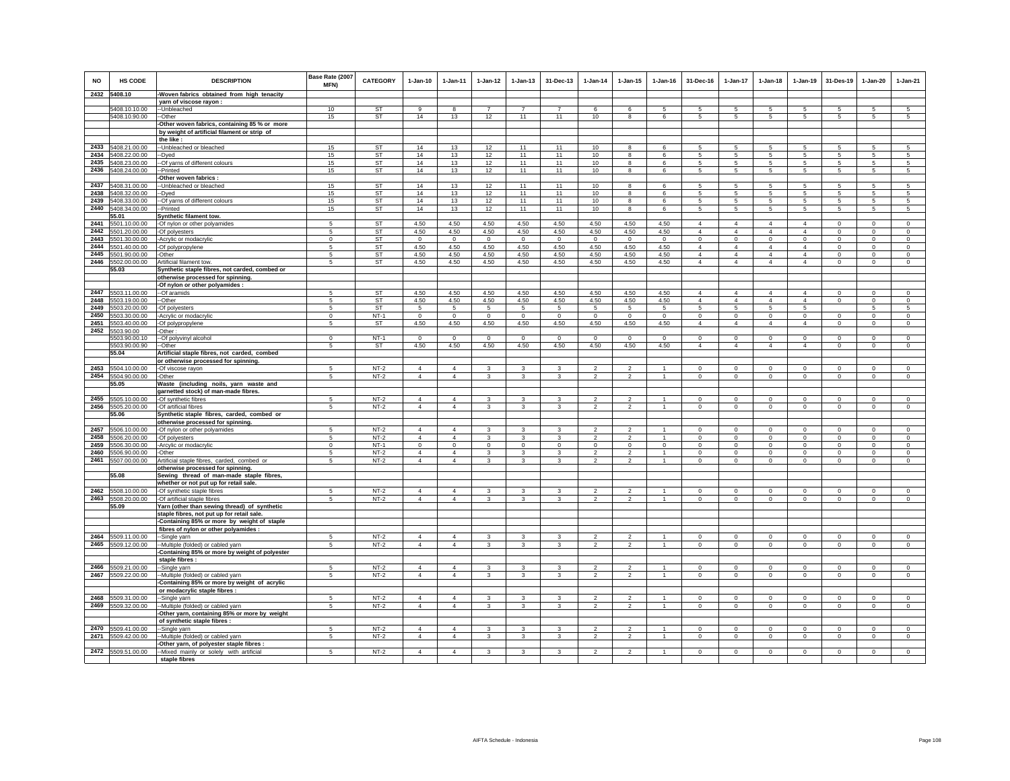| <b>NO</b> | <b>HS CODE</b>                 | <b>DESCRIPTION</b>                                                                | Base Rate (2007<br><b>MFN)</b> | <b>CATEGORY</b>     | $1-Jan-10$                       | $1 - Jan-11$                   | $1 - Jan-12$        | $1 - Jan-13$        | 31-Dec-13               | $1 - Jan-14$    | $1 - Jan-15$            | $1 - Jan-16$                   | 31-Dec-16                 | $1-Jan-17$                | $1 - Jan-18$                  | $1 - Jan-19$              | 31-Des-19        | $1-Jan-20$                  | $1-Jan-21$             |
|-----------|--------------------------------|-----------------------------------------------------------------------------------|--------------------------------|---------------------|----------------------------------|--------------------------------|---------------------|---------------------|-------------------------|-----------------|-------------------------|--------------------------------|---------------------------|---------------------------|-------------------------------|---------------------------|------------------|-----------------------------|------------------------|
|           | 2432 5408.10                   | -Woven fabrics obtained from high tenacity                                        |                                |                     |                                  |                                |                     |                     |                         |                 |                         |                                |                           |                           |                               |                           |                  |                             |                        |
|           |                                | yarn of viscose rayon:                                                            |                                | ST                  |                                  |                                | $\overline{7}$      | $\overline{7}$      | $\overline{7}$          |                 |                         |                                |                           |                           |                               |                           |                  |                             |                        |
|           | 5408.10.10.00<br>5408.10.90.00 | --Unbleached<br>-Other                                                            | 10<br>15                       | <b>ST</b>           | 9<br>14                          | 13                             | 12                  | 11                  | 11                      | 6<br>10         | 6<br>8                  | 5<br>6                         | 5<br>5                    | 5<br>$\sqrt{5}$           | 5<br>5                        | 5<br>5                    | -5<br>$\sqrt{5}$ | 5<br>5                      | 5<br>5                 |
|           |                                | Other woven fabrics, containing 85 % or more                                      |                                |                     |                                  |                                |                     |                     |                         |                 |                         |                                |                           |                           |                               |                           |                  |                             |                        |
|           |                                | by weight of artificial filament or strip of                                      |                                |                     |                                  |                                |                     |                     |                         |                 |                         |                                |                           |                           |                               |                           |                  |                             |                        |
|           |                                | the like :                                                                        |                                |                     |                                  |                                |                     |                     |                         |                 |                         |                                |                           |                           |                               |                           |                  |                             |                        |
|           | 2433 5408.21.00.00             | -- Unbleached or bleached                                                         | 15                             | <b>ST</b>           | 14                               | 13                             | 12                  | 11                  | 11                      | 10              | 8                       | 6                              | 5                         | 5                         | 5                             | 5                         | 5                | 5                           | 5                      |
| 2434      | 5408.22.00.00                  | -Dyed                                                                             | 15                             | <b>ST</b>           | 14                               | 13                             | 12                  | 11                  | 11                      | 10              | 8                       | 6                              | 5                         | $\,$ 5 $\,$               | 5                             | 5                         | $\sqrt{5}$       | 5                           | 5                      |
| 2435      | 5408.23.00.00                  | -Of yarns of different colours                                                    | 15                             | <b>ST</b>           | 14                               | 13                             | 12                  | 11                  | 11                      | 10              | 8                       | 6                              | 5                         | 5                         | $\overline{5}$                | 5                         | 5                | 5                           | 5                      |
| 2436      | 5408.24.00.00                  | -Printed                                                                          | 15                             | <b>ST</b>           | 14                               | 13                             | 12                  | 11                  | 11                      | 10              | 8                       | 6                              | $5\phantom{.0}$           | $\sqrt{5}$                | $5\overline{)}$               | $\sqrt{5}$                | $\,$ 5           | 5                           | $5\phantom{.0}$        |
|           |                                | Other woven fabrics :                                                             |                                |                     |                                  |                                |                     |                     |                         |                 |                         |                                |                           |                           |                               |                           |                  |                             |                        |
| 2437      | 5408.31.00.00                  | -Unbleached or bleached                                                           | 15                             | ST                  | 14                               | 13                             | 12                  | 11                  | 11                      | 10 <sup>1</sup> | 8                       | 6                              | 5                         | 5                         | 5                             | 5                         | -5               | 5                           | 5                      |
|           | 2438 5408.32.00.00             | -Dyed                                                                             | 15                             | ST                  | 14                               | 13                             | 12                  | 11                  | 11                      | 10              | 8                       | 6                              | 5                         | 5                         | 5                             | 5                         | 5                | 5                           | 5                      |
|           | 2439 5408.33.00.00             | -Of yarns of different colours                                                    | 15                             | ST                  | 14                               | 13                             | 12                  | 11                  | 11                      | 10              | 8                       | 6                              | 5                         | 5                         | 5                             | 5                         | 5                | 5                           | 5                      |
|           | 2440 5408.34.00.00             | --Printed                                                                         | 15                             | <b>ST</b>           | 14                               | 13                             | 12                  | 11                  | 11                      | 10              | 8                       | 6                              | $5\phantom{.0}$           | $5\phantom{.0}$           | $5\phantom{.0}$               | $\sqrt{5}$                | $\sqrt{5}$       | $\overline{5}$              | $\overline{5}$         |
|           | 55.01                          | Synthetic filament tow.                                                           |                                |                     |                                  |                                |                     |                     |                         |                 |                         |                                |                           |                           |                               |                           |                  |                             |                        |
| 2441      | 5501.10.00.00                  | -Of nylon or other polyamides                                                     | 5                              | <b>ST</b>           | 4.50                             | 4.50                           | 4.50                | 4.50                | 4.50                    | 4.50            | 4.50                    | 4.50                           | $\overline{4}$            | 4                         | $\overline{4}$                | $\overline{4}$            | $\circ$          | $\circ$                     | $\Omega$               |
| 2442      | 5501.20.00.00                  | -Of polyesters                                                                    | 5                              | <b>ST</b>           | 4.50                             | 4.50                           | 4.50                | 4.50                | 4.50                    | 4.50            | 4.50                    | 4.50                           | $\overline{4}$            | $\overline{4}$            | $\overline{4}$                | $\overline{4}$            | $\mathbf 0$      | $\mathsf 0$                 | $\mathsf 0$            |
| 2443      | 5501.30.00.00                  | Acrylic or modacrylic                                                             | $\mathsf 0$                    | ST                  | $\mathsf 0$                      | $\mathbf 0$                    | $\circ$             | $\circ$             | $\circ$                 | $\circ$         | $\circ$                 | $\mathbf 0$                    | $\mathbf 0$               | $\mathsf 0$               | $\mathsf 0$                   | $\mathsf 0$               | $\mathbf 0$      | $\mathsf 0$                 | $\mathsf 0$            |
|           | 2444 5501.40.00.00             | -Of polypropylene                                                                 | 5                              | <b>ST</b>           | 4.50                             | 4.50                           | 4.50                | 4.50                | 4.50                    | 4.50            | 4.50                    | 4.50                           | $\overline{4}$            | $\overline{4}$            | $\overline{4}$                | $\overline{4}$            | $\mathbf 0$      | $\,$ 0                      | $\mathbf 0$            |
|           | 2445 5501.90.00.00             | -Other                                                                            | 5                              | <b>ST</b>           | 4.50                             | 4.50                           | 4.50                | 4.50                | 4.50                    | 4.50            | 4.50                    | 4.50                           | $\overline{4}$            | 4                         | $\overline{4}$                | $\overline{4}$            | $\mathbf 0$      | $\circ$                     | $\circ$                |
|           | 2446 5502.00.00.00             | Artificial filament tow                                                           | 5                              | <b>ST</b>           | 4.50                             | 4.50                           | 4.50                | 4.50                | 4.50                    | 4.50            | 4.50                    | 4.50                           | $\overline{4}$            | $\overline{4}$            | $\overline{4}$                | $\Delta$                  | $\mathbf 0$      | $\mathsf 0$                 | $\circ$                |
|           | 55.03                          | Synthetic staple fibres, not carded, combed or                                    |                                |                     |                                  |                                |                     |                     |                         |                 |                         |                                |                           |                           |                               |                           |                  |                             |                        |
|           |                                | otherwise processed for spinning.                                                 |                                |                     |                                  |                                |                     |                     |                         |                 |                         |                                |                           |                           |                               |                           |                  |                             |                        |
|           |                                | -Of nylon or other polyamides :                                                   |                                |                     |                                  |                                |                     |                     |                         |                 |                         |                                |                           |                           |                               |                           |                  |                             |                        |
|           | 2447 5503.11.00.00             | --Of aramids                                                                      | 5                              | <b>ST</b>           | 4.50                             | 4.50                           | 4.50                | 4.50                | 4.50                    | 4.50            | 4.50                    | 4.50                           | $\overline{4}$            | $\overline{4}$            | $\overline{4}$                | $\overline{4}$            | $\Omega$         | $\Omega$                    | $\Omega$               |
|           | 2448 5503.19.00.00             | --Other                                                                           | 5                              | ST                  | 4.50                             | 4.50                           | 4.50                | 4.50                | 4.50                    | 4.50            | 4.50                    | 4.50                           | $\overline{4}$            | $\overline{4}$            | $\overline{4}$                | $\overline{4}$            | $\mathbf 0$      | $\circ$                     | $\circ$                |
|           | 2449 5503.20.00.00             | -Of polyesters                                                                    | 5                              | ST                  | 5                                | 5                              | 5                   | $5^{\circ}$         | 5                       | 5               | 5                       | $5\phantom{.0}$                | $5\phantom{.0}$           | $5\overline{5}$           | 5                             | 5                         |                  | 5                           | 5                      |
|           | 2450 5503.30.00.00             | -Acrylic or modacrylic                                                            | $\mathbf 0$                    | $NT-1$              | $\circ$                          | $\circ$                        | $\circ$             | $\mathbf 0$         | $\,0\,$                 | $\mathbf{0}$    | $\,0\,$                 | $\mathbf 0$                    | $\mathbf 0$               | $\mathbf 0$               | $\mathbf 0$                   | $\mathbf 0$               | $^{\circ}$       | $\circ$                     | $\circ$                |
|           | 2451 5503.40.00.00             | -Of polypropylene                                                                 | 5                              | ST                  | 4.50                             | 4.50                           | 4.50                | 4.50                | 4.50                    | 4.50            | 4.50                    | 4.50                           | $\overline{4}$            | $\overline{4}$            | $\overline{4}$                | $\overline{4}$            | $\mathbf 0$      | $\mathbf 0$                 | $\mathsf 0$            |
|           | 2452 5503,90.00                | Other:                                                                            |                                |                     |                                  |                                |                     |                     |                         |                 |                         |                                |                           |                           |                               |                           |                  |                             |                        |
|           | 5503.90.00.10                  | -Of polyvinyl alcohol                                                             | $\mathbf 0$<br>5               | $NT-1$<br><b>ST</b> | $\mathbf 0$                      | $^{\circ}$<br>4.50             | $\mathbf 0$<br>4.50 | $\mathbf 0$<br>4.50 | $\mathbf 0$             | $\mathbf 0$     | $^{\circ}$              | $\mathbf 0$                    | $\circ$<br>$\overline{4}$ | $\circ$<br>$\overline{4}$ | $\mathbf 0$<br>$\overline{4}$ | $\circ$<br>$\overline{4}$ | $\mathbf 0$      | $\mathbf 0$<br>$\mathbf{0}$ | $\circ$<br>$\mathsf 0$ |
|           | 5503.90.00.90<br>55.04         | -Other<br>Artificial staple fibres, not carded, combed                            |                                |                     | 4.50                             |                                |                     |                     | 4.50                    | 4.50            | 4.50                    | 4.50                           |                           |                           |                               |                           | $\mathbf 0$      |                             |                        |
|           |                                | or otherwise processed for spinning.                                              |                                |                     |                                  |                                |                     |                     |                         |                 |                         |                                |                           |                           |                               |                           |                  |                             |                        |
|           | 2453 5504.10.00.00             | -Of viscose rayon                                                                 | $\sqrt{2}$                     | $NT-2$              | $\overline{4}$                   | $\Delta$                       | $\mathbf{3}$        | 3                   | 3                       | $\mathcal{L}$   | $\mathfrak{p}$          | $\overline{1}$                 | $\Omega$                  | $\Omega$                  | $\mathbf{0}$                  | $\mathbf{0}$              | $\mathbf 0$      | $\Omega$                    | $\circ$                |
|           | 2454 5504.90.00.00             | -Other                                                                            | $\overline{5}$                 | $NT-2$              | $\overline{4}$                   | $\overline{4}$                 | $\mathbf{3}$        | 3                   | 3                       | $\overline{2}$  | $\overline{2}$          | $\overline{1}$                 | $\mathbf 0$               | $\circ$                   | $\mathbf 0$                   | $\circ$                   | $\mathbf 0$      | $\circ$                     | $\circ$                |
|           | 55.05                          | Waste (including noils, yarn waste and                                            |                                |                     |                                  |                                |                     |                     |                         |                 |                         |                                |                           |                           |                               |                           |                  |                             |                        |
|           |                                | garnetted stock) of man-made fibres.                                              |                                |                     |                                  |                                |                     |                     |                         |                 |                         |                                |                           |                           |                               |                           |                  |                             |                        |
|           | 2455 5505.10.00.00             | -Of synthetic fibres                                                              | 5                              | $NT-2$              | $\overline{4}$                   | $\overline{4}$                 | 3                   | 3                   | 3                       | $\overline{2}$  | $\overline{\mathbf{c}}$ | $\overline{1}$                 | $\bf{0}$                  | $\mathbf 0$               | $\mathbf 0$                   | $\mathbf 0$               | $\mathbf 0$      | $\mathbf 0$                 | $\mathbf 0$            |
|           | 2456 5505.20.00.00             | -Of artificial fibres                                                             | -5                             | $NT-2$              | $\overline{4}$                   | $\Delta$                       | $\mathbf{3}$        | 3                   | $\mathbf{3}$            | $\overline{2}$  | $\overline{2}$          | $\mathbf{1}$                   | $\circ$                   | $\circ$                   | $\circ$                       | $\mathsf 0$               | $\circ$          | $\circ$                     | $\circ$                |
|           | 55.06                          | Synthetic staple fibres, carded, combed or                                        |                                |                     |                                  |                                |                     |                     |                         |                 |                         |                                |                           |                           |                               |                           |                  |                             |                        |
|           |                                | otherwise processed for spinning.                                                 |                                |                     |                                  |                                |                     |                     |                         |                 |                         |                                |                           |                           |                               |                           |                  |                             |                        |
| 2457      | 5506.10.00.00                  | -Of nylon or other polyamides                                                     |                                | $NT-2$              | $\overline{4}$                   | $\overline{4}$                 | 3                   |                     | 3                       | $\mathcal{P}$   | $\mathfrak{p}$          |                                | $\Omega$                  | $\Omega$                  | $\Omega$                      | $\mathbf 0$               | $\mathbf 0$      | $\circ$                     | $\mathsf 0$            |
|           | 2458 5506.20.00.00             | -Of polyesters                                                                    | 5                              | $NT-2$              | $\overline{4}$                   | $\overline{4}$                 | $\mathbf{3}$        | $\mathbf{3}$        | $\mathbf{3}$            | $\overline{2}$  | $\overline{2}$          | $\overline{1}$                 | $\mathbf 0$               | $\circ$                   | $\mathsf 0$                   | $\mathsf 0$               | $\mathbf 0$      | $\circ$                     | $\mathsf 0$            |
|           | 2459 5506.30.00.00             | -Arcylic or modacrylic                                                            | $\mathbf 0$                    | $NT-1$              | $\mathbf 0$                      | $\circ$                        | $\circ$             | $\mathsf{O}$        | $\circ$                 | $\mathsf 0$     | $\mathsf{O}$            | $\mathbf 0$                    | $\mathbf 0$               | $\circ$                   | $\mathsf 0$                   | $\mathsf 0$               | $\mathbf 0$      | $\mathbf 0$                 | $\mathsf 0$            |
|           | 2460 5506.90.00.00             | -Other                                                                            | 5                              | $NT-2$              | $\overline{4}$                   | $\overline{4}$                 | $\mathbf{3}$        | 3                   | 3                       | $\overline{2}$  | $\overline{a}$          | $\mathbf{1}$                   | $\mathbf 0$               | $\circ$                   | $\mathbf 0$                   | $\mathsf 0$               | $\mathbf 0$      | $\circ$                     | $\mathsf 0$            |
|           | 2461 5507.00.00.00             | Artificial staple fibres, carded, combed or                                       | 5                              | $NT-2$              | $\overline{4}$                   | $\overline{4}$                 | $\mathbf{3}$        | 3                   | $\mathbf{3}$            | $\mathfrak{p}$  | $\mathfrak{p}$          | $\overline{1}$                 | $\Omega$                  | $\circ$                   | $\mathbf{0}$                  | $\circ$                   | $\Omega$         | $\Omega$                    | $\mathbf{0}$           |
|           |                                | otherwise processed for spinning.                                                 |                                |                     |                                  |                                |                     |                     |                         |                 |                         |                                |                           |                           |                               |                           |                  |                             |                        |
|           | 55.08                          | Sewing thread of man-made staple fibres,                                          |                                |                     |                                  |                                |                     |                     |                         |                 |                         |                                |                           |                           |                               |                           |                  |                             |                        |
|           |                                | whether or not put up for retail sale.                                            |                                |                     |                                  |                                |                     |                     |                         |                 |                         |                                |                           |                           |                               |                           |                  |                             |                        |
|           | 2462 5508.10.00.00             | -Of synthetic staple fibres                                                       | -5                             | $NT-2$              | $\overline{4}$                   | $\overline{4}$                 | 3                   | 3                   | 3                       | $\overline{2}$  | $\overline{2}$          | $\mathbf{1}$                   | $\circ$                   | $\mathbf 0$               | $\mathbf 0$                   | $\circ$                   | $\mathbf 0$      | $\mathbf 0$                 | $\circ$                |
|           | 2463 5508.20.00.00             | -Of artificial staple fibres                                                      | 5                              | $NT-2$              | $\overline{4}$                   | $\overline{4}$                 | $\mathbf{3}$        | 3                   | 3                       | $\overline{2}$  | $\overline{2}$          | $\mathbf{1}$                   | $\mathbf{0}$              | $\mathbf 0$               | $\mathbf 0$                   | $\mathbf 0$               | $\mathbf 0$      | $\mathsf 0$                 | $\mathbf{0}$           |
|           | 55.09                          | Yarn (other than sewing thread) of synthetic                                      |                                |                     |                                  |                                |                     |                     |                         |                 |                         |                                |                           |                           |                               |                           |                  |                             |                        |
|           |                                | staple fibres, not put up for retail sale.                                        |                                |                     |                                  |                                |                     |                     |                         |                 |                         |                                |                           |                           |                               |                           |                  |                             |                        |
|           |                                | Containing 85% or more by weight of staple                                        |                                |                     |                                  |                                |                     |                     |                         |                 |                         |                                |                           |                           |                               |                           |                  |                             |                        |
|           |                                | fibres of nylon or other polyamides :                                             |                                |                     |                                  |                                |                     |                     |                         |                 |                         |                                |                           |                           |                               |                           |                  |                             |                        |
|           | 2464 5509.11.00.00             | -Single yarn                                                                      |                                | $NT-2$              | $\overline{4}$                   | $\overline{4}$<br>$\mathbf{A}$ | 3                   | 3                   | 3                       | $\mathcal{P}$   | $\mathfrak{p}$          | $\mathbf{1}$                   | $\circ$                   | $\mathbf 0$               | $\mathbf 0$                   | $\circ$                   | $\mathbf 0$      | $\circ$                     | $\mathsf 0$            |
|           | 2465 5509.12.00.00             | --Multiple (folded) or cabled yarn                                                | 5                              | $NT-2$              | $\overline{4}$                   |                                | $\mathbf{3}$        | $\mathbf{3}$        | $\mathbf{3}$            | $\overline{2}$  | $\overline{2}$          | $\overline{1}$                 | $\circ$                   | $\circ$                   | $\mathbf 0$                   | $\mathsf 0$               | $\mathsf 0$      | $\circ$                     | $\circ$                |
|           |                                | Containing 85% or more by weight of polyester                                     |                                |                     |                                  |                                |                     |                     |                         |                 |                         |                                |                           |                           |                               |                           |                  |                             |                        |
|           |                                | staple fibres :                                                                   | $\sqrt{2}$                     |                     |                                  |                                |                     | $\mathbf{\hat{z}}$  | $\overline{\mathbf{3}}$ | $\mathcal{P}$   | $\mathfrak{D}$          |                                | $\Omega$                  |                           |                               | $\Omega$                  | $\Omega$         | $\Omega$                    |                        |
| 2466      | 5509.21.00.00                  | -Single yarn                                                                      |                                | $NT-2$              | $\overline{4}$                   | $\Delta$<br>$\overline{4}$     | $\mathbf{3}$        |                     | $\mathbf{3}$            |                 |                         | $\mathbf{1}$<br>$\overline{1}$ |                           | $\Omega$                  | $\Omega$                      |                           |                  |                             | $\circ$                |
|           | 2467 5509.22.00.00             | -Multiple (folded) or cabled yarn                                                 | 5                              | $NT-2$              | $\overline{4}$                   |                                | $\mathbf{3}$        | 3                   |                         | $\overline{2}$  | $\overline{2}$          |                                | $\mathbf 0$               | $\mathsf 0$               | $\mathsf 0$                   | $\mathsf 0$               | $\mathbf 0$      | $\mathsf 0$                 | $\mathsf 0$            |
|           |                                | Containing 85% or more by weight of acrylic                                       |                                |                     |                                  |                                |                     |                     |                         |                 |                         |                                |                           |                           |                               |                           |                  |                             |                        |
| 2468      |                                | or modacrylic staple fibres :                                                     | 5                              | $NT-2$              |                                  | $\overline{4}$                 |                     | 3                   | 3                       |                 | $\overline{2}$          | $\overline{1}$                 | $\Omega$                  | $\mathbf 0$               |                               |                           |                  |                             |                        |
| 2469      | 5509.31.00.00                  | -Single yarn                                                                      | 5                              | $NT-2$              | $\overline{4}$<br>$\overline{4}$ | $\overline{4}$                 | 3                   |                     | 3                       | $\overline{2}$  |                         | $\overline{1}$                 | $^{\circ}$                | $\mathbf 0$               | $\mathbf 0$                   | $\mathbf 0$               | $\mathbf 0$      | $\mathbf 0$                 | $\mathbf 0$<br>$\circ$ |
|           | 5509.32.00.00                  | -Multiple (folded) or cabled yarn<br>Other yarn, containing 85% or more by weight |                                |                     |                                  |                                | 3                   | 3                   |                         | $\overline{c}$  | $\overline{\mathbf{c}}$ |                                |                           |                           | $\mathbf 0$                   | $\mathbf 0$               | $\mathbf 0$      | $\mathbf 0$                 |                        |
|           |                                | of synthetic staple fibres :                                                      |                                |                     |                                  |                                |                     |                     |                         |                 |                         |                                |                           |                           |                               |                           |                  |                             |                        |
|           | 2470 5509.41.00.00             | -Single yarn                                                                      | 5                              | $NT-2$              | $\overline{4}$                   | $\overline{4}$                 | 3                   | 3                   | 3                       | $\overline{2}$  | $\overline{2}$          | $\mathbf{1}$                   | $\mathbf 0$               | $\mathsf 0$               | $\mathsf 0$                   | $\mathsf 0$               | $\mathbf 0$      | $\mathsf 0$                 | $\mathsf 0$            |
| 2471      | 5509.42.00.00                  | -Multiple (folded) or cabled yarn                                                 | 5                              | $NT-2$              | $\overline{4}$                   | $\Delta$                       | $\mathbf{3}$        | 3                   | $\mathbf{3}$            | $\overline{2}$  | $\mathfrak{p}$          | $\mathbf{1}$                   | $\mathbf 0$               | $\circ$                   | $\mathbf 0$                   | $\mathsf 0$               | $\mathbf 0$      | $\mathsf 0$                 | $\mathbf 0$            |
|           |                                | Other yarn, of polyester staple fibres :                                          |                                |                     |                                  |                                |                     |                     |                         |                 |                         |                                |                           |                           |                               |                           |                  |                             |                        |
|           | 2472 5509.51.00.00             | -Mixed mainly or solely with artificial                                           | 5                              | $NT-2$              | $\overline{4}$                   | $\Delta$                       | 3                   | $\overline{3}$      | $\mathbf{3}$            | $\mathfrak{p}$  | $\mathfrak{p}$          | $\mathbf{1}$                   | $\Omega$                  | $\Omega$                  | $\mathbf{0}$                  | $\Omega$                  | $\Omega$         | $\Omega$                    | $\Omega$               |
|           |                                | staple fibres                                                                     |                                |                     |                                  |                                |                     |                     |                         |                 |                         |                                |                           |                           |                               |                           |                  |                             |                        |
|           |                                |                                                                                   |                                |                     |                                  |                                |                     |                     |                         |                 |                         |                                |                           |                           |                               |                           |                  |                             |                        |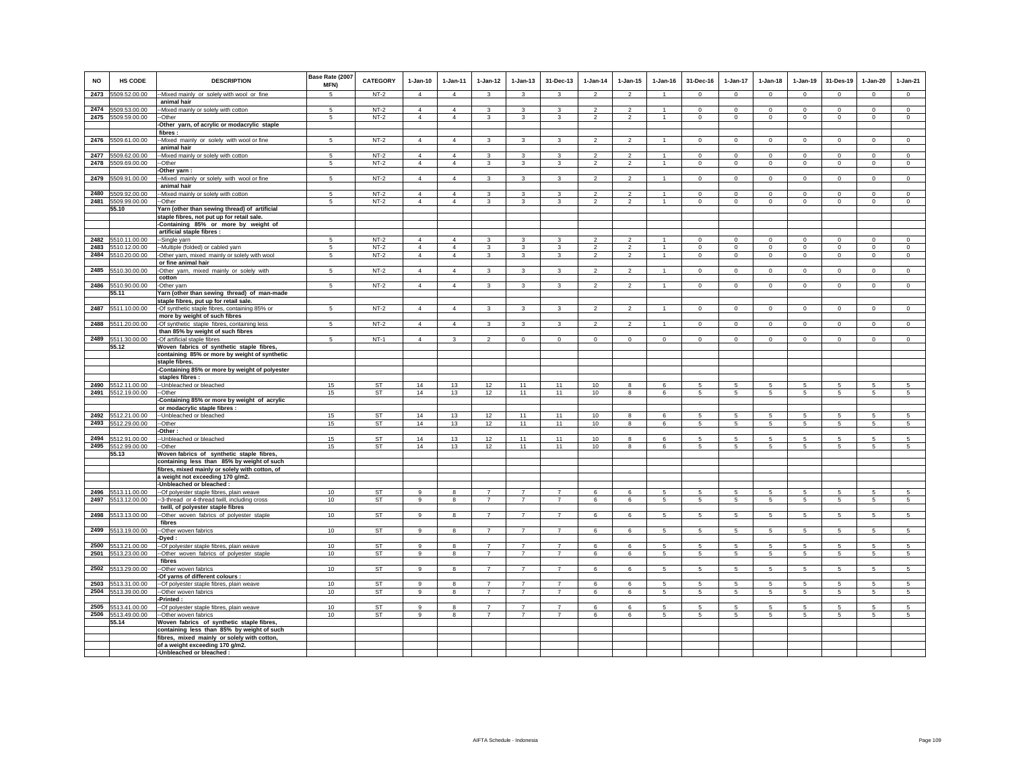| NO           | HS CODE                             | <b>DESCRIPTION</b>                                                                      | Base Rate (2007<br>MFN) | <b>CATEGORY</b>  | $1-Jan-10$                 | $1-Jan-11$                       | $1-Jan-12$                       | $1-Jan-13$                       | 31-Dec-13                        | $1-Jan-14$                       | $1 - Jan-15$                     | $1 - Jan-16$                   | 31-Dec-16               | 1-Jan-17                   | $1-Jan-18$             | $1-Jan-19$                 | 31-Des-19                  | $1-Jan-20$                 | $1-Jan-21$             |
|--------------|-------------------------------------|-----------------------------------------------------------------------------------------|-------------------------|------------------|----------------------------|----------------------------------|----------------------------------|----------------------------------|----------------------------------|----------------------------------|----------------------------------|--------------------------------|-------------------------|----------------------------|------------------------|----------------------------|----------------------------|----------------------------|------------------------|
| 2473         | 5509.52.00.00                       | --Mixed mainly or solely with wool or fine                                              | 5                       | $NT-2$           | $\Delta$                   | $\overline{4}$                   | $\mathbf{3}$                     | $\mathbf{3}$                     | $\mathbf{3}$                     | $\overline{2}$                   | $\overline{2}$                   | $\overline{1}$                 | $\Omega$                | $\Omega$                   | $\mathbf 0$            | $\Omega$                   | $\mathbf 0$                | $\Omega$                   | $\circ$                |
| 2474         | 5509.53.00.00                       | animal hair<br>-- Mixed mainly or solely with cotton                                    | 5                       | $NT-2$           | $\Delta$                   | $\overline{4}$                   | 3                                | $\mathbf{3}$                     | $\mathbf{3}$                     | $\mathfrak{p}$                   | $\overline{2}$                   |                                | $\Omega$                | $\Omega$                   | $\circ$                | $\Omega$                   | $\Omega$                   | $\Omega$                   | $\circ$                |
| 2475         | 5509.59.00.00                       | --Other                                                                                 | 5                       | $NT-2$           | $\overline{4}$             | $\overline{4}$                   | 3                                | $\mathbf{3}$                     | 3                                | $\overline{2}$                   | $\overline{2}$                   | $\overline{1}$                 | $\mathbf 0$             | $\mathbf 0$                | $\mathsf 0$            | $\mathbf 0$                | $\mathbf 0$                | $\mathsf 0$                | $\mathsf 0$            |
|              |                                     | -Other yarn, of acrylic or modacrylic staple                                            |                         |                  |                            |                                  |                                  |                                  |                                  |                                  |                                  |                                |                         |                            |                        |                            |                            |                            |                        |
|              |                                     | fibres:                                                                                 |                         |                  |                            |                                  |                                  |                                  |                                  |                                  |                                  |                                |                         |                            |                        |                            |                            |                            |                        |
| 2476         | 5509.61.00.00                       | --Mixed mainly or solely with wool or fine                                              | 5                       | $NT-2$           | $\overline{4}$             | $\overline{4}$                   | 3                                | 3                                | 3                                | $\overline{2}$                   | $\overline{2}$                   |                                | 0                       | $^{\circ}$                 | $^{\circ}$             | $\mathbf 0$                | $^{\circ}$                 | $\circ$                    | $\circ$                |
|              |                                     | animal hair                                                                             |                         |                  | $\overline{4}$             |                                  |                                  |                                  |                                  |                                  |                                  |                                |                         |                            |                        |                            |                            |                            |                        |
| 2477<br>2478 | 5509.62.00.00<br>5509.69.00.00      | --Mixed mainly or solely with cotton<br>-Other                                          | 5<br>5                  | $NT-2$<br>$NT-2$ | $\overline{4}$             | $\overline{4}$<br>$\overline{4}$ | $\mathbf{3}$<br>$\overline{3}$   | $\mathbf{3}$<br>$\mathbf{3}$     | $\mathbf{3}$<br>$\mathbf{3}$     | $\overline{2}$<br>$\overline{2}$ | $\overline{2}$<br>$\overline{a}$ | $\mathbf{1}$<br>$\overline{1}$ | $\Omega$<br>$\mathsf 0$ | $\mathbf 0$<br>$\mathsf 0$ | $\circ$<br>$\mathbf 0$ | $\mathbf 0$<br>$\circ$     | $\circ$<br>$\mathbf 0$     | $^{\circ}$<br>$\circ$      | $\circ$<br>$\mathsf 0$ |
|              |                                     | -Other yarn:                                                                            |                         |                  |                            |                                  |                                  |                                  |                                  |                                  |                                  |                                |                         |                            |                        |                            |                            |                            |                        |
| 2479         | 5509.91.00.00                       | -Mixed mainly or solely with wool or fine                                               | 5                       | $NT-2$           | $\overline{4}$             | $\overline{4}$                   | 3                                | $\mathbf{3}$                     | 3                                | $\overline{2}$                   | $\overline{2}$                   |                                | $\Omega$                | $\mathbf 0$                | $\circ$                | $\mathsf 0$                | $\circ$                    | $\mathsf 0$                | $\mathsf 0$            |
|              |                                     | animal hair                                                                             |                         |                  |                            |                                  |                                  |                                  |                                  |                                  |                                  |                                |                         |                            |                        |                            |                            |                            |                        |
| 2480         | 5509.92.00.00                       | -Mixed mainly or solely with cotton                                                     | 5                       | $NT-2$           | $\overline{4}$             | $\overline{4}$                   | 3<br>3                           | 3                                | 3<br>3                           | $\mathfrak{p}$<br>$\overline{2}$ | $\overline{2}$<br>$\overline{2}$ |                                | $\Omega$                | $\mathbf 0$                | $\Omega$               | $\mathbf 0$                | $\mathbf 0$<br>$\mathbf 0$ | $\mathbf 0$                | $\mathbf 0$            |
| 2481         | 5509.99.00.00<br>55.10              | -Other<br>Yarn (other than sewing thread) of artificial                                 | 5                       | $NT-2$           | $\overline{4}$             | $\overline{4}$                   |                                  | $\mathbf{3}$                     |                                  |                                  |                                  |                                | $\mathbf 0$             | $\mathsf 0$                | $\mathsf 0$            | $\mathbf 0$                |                            | 0                          | $\circ$                |
|              |                                     | staple fibres, not put up for retail sale.                                              |                         |                  |                            |                                  |                                  |                                  |                                  |                                  |                                  |                                |                         |                            |                        |                            |                            |                            |                        |
|              |                                     | -Containing 85% or more by weight of                                                    |                         |                  |                            |                                  |                                  |                                  |                                  |                                  |                                  |                                |                         |                            |                        |                            |                            |                            |                        |
|              |                                     | artificial staple fibres :                                                              |                         |                  |                            |                                  |                                  |                                  |                                  |                                  |                                  |                                |                         |                            |                        |                            |                            |                            |                        |
| 2482         | 5510.11.00.00<br>5510.12.00.00      | --Single yarn                                                                           | 5                       | $NT-2$           | $\Delta$<br>$\overline{4}$ | $\overline{4}$                   | 3<br>$\overline{3}$              | $\mathbf{3}$                     | $\mathbf{3}$<br>3                | $\mathcal{P}$<br>$\overline{2}$  | $\overline{2}$                   | $\overline{1}$                 | $\mathbf 0$             | $\mathbf{0}$               | $\mathbf 0$            | $\mathbf 0$                | $\Omega$                   | $\mathbf{0}$               | $\circ$                |
| 2483<br>2484 | 5510.20.00.00                       | --Multiple (folded) or cabled yarn<br>-Other yarn, mixed mainly or solely with wool     | 5<br>5                  | $NT-2$<br>$NT-2$ | $\overline{4}$             | $\overline{4}$<br>$\overline{4}$ | 3                                | $\mathbf{3}$<br>$\mathbf{3}$     | 3                                | $\overline{2}$                   | $\overline{2}$<br>$\overline{2}$ | $\overline{1}$                 | $\mathbf 0$<br>$\circ$  | $\mathbf 0$<br>$\mathbf 0$ | $\mathbf 0$<br>$\circ$ | $\mathbf 0$<br>$\mathbf 0$ | $\mathbf 0$<br>$\circ$     | $\mathsf 0$<br>$\mathbf 0$ | $\circ$<br>$\circ$     |
|              |                                     | or fine animal hair                                                                     |                         |                  |                            |                                  |                                  |                                  |                                  |                                  |                                  |                                |                         |                            |                        |                            |                            |                            |                        |
| 2485         | 5510.30.00.00                       | -Other yarn, mixed mainly or solely with                                                | 5                       | $NT-2$           | $\overline{4}$             | $\overline{4}$                   | $\mathbf{3}$                     | $\mathbf{3}$                     | $\mathbf{3}$                     | $\overline{2}$                   | $\overline{2}$                   | $\mathbf{1}$                   | $\circ$                 | $\mathbf{0}$               | $\circ$                | $\mathbf 0$                | $\mathbf{0}$               | $\mathbf 0$                | $\mathbf 0$            |
|              |                                     | cotton                                                                                  |                         |                  |                            |                                  |                                  |                                  |                                  |                                  |                                  |                                |                         |                            |                        |                            |                            |                            |                        |
| 2486         | 5510.90.00.00<br>55.11              | -Other yarn<br>Yarn (other than sewing thread) of man-made                              | 5                       | $NT-2$           | $\overline{4}$             | $\overline{4}$                   | $\mathbf{3}$                     | $\mathbf{3}$                     | 3                                | $\overline{2}$                   | $\overline{2}$                   | $\mathbf{1}$                   | $^{\circ}$              | $\circ$                    | $\circ$                | $\circ$                    | $\overline{0}$             | 0                          | $\mathbf 0$            |
|              |                                     | staple fibres, put up for retail sale.                                                  |                         |                  |                            |                                  |                                  |                                  |                                  |                                  |                                  |                                |                         |                            |                        |                            |                            |                            |                        |
| 2487         | 5511.10.00.00                       | -Of synthetic staple fibres, containing 85% or                                          | 5                       | $NT-2$           | $\overline{4}$             | $\overline{4}$                   | $\overline{3}$                   | $\mathbf{3}$                     | 3                                | $\overline{2}$                   | $\overline{2}$                   | $\overline{1}$                 | $\circ$                 | $\mathbf 0$                | $\mathsf 0$            | $\circ$                    | $\circ$                    | $\mathsf 0$                | $\circ$                |
|              |                                     | more by weight of such fibres                                                           |                         |                  |                            |                                  |                                  |                                  |                                  |                                  |                                  |                                |                         |                            |                        |                            |                            |                            |                        |
| 2488         | 5511.20.00.00                       | -Of synthetic staple fibres, containing less                                            | 5                       | $NT-2$           | $\overline{4}$             | $\overline{4}$                   | 3                                | $\mathbf{3}$                     | 3                                | $\overline{2}$                   | $\overline{2}$                   |                                | $\mathbf 0$             | $\mathbf 0$                | $\mathbf 0$            | $\mathbf 0$                | $\mathbf 0$                | $\mathbf 0$                | $\circ$                |
| 2489         | 5511.30.00.00                       | than 85% by weight of such fibres<br>-Of artificial staple fibres                       | 5                       | $NT-1$           | $\overline{4}$             | $\mathbf{3}$                     | $\overline{2}$                   | $\circ$                          | $\mathbf 0$                      | $\circ$                          | $\mathbf 0$                      | $\mathbf 0$                    | $\circ$                 | $\mathbf 0$                | $\circ$                | $\mathbf 0$                | $\circ$                    | $\mathbf 0$                | $\circ$                |
|              | 55.12                               | Woven fabrics of synthetic staple fibres,                                               |                         |                  |                            |                                  |                                  |                                  |                                  |                                  |                                  |                                |                         |                            |                        |                            |                            |                            |                        |
|              |                                     | containing 85% or more by weight of synthetic                                           |                         |                  |                            |                                  |                                  |                                  |                                  |                                  |                                  |                                |                         |                            |                        |                            |                            |                            |                        |
|              |                                     | staple fibres.                                                                          |                         |                  |                            |                                  |                                  |                                  |                                  |                                  |                                  |                                |                         |                            |                        |                            |                            |                            |                        |
|              |                                     | -Containing 85% or more by weight of polyester                                          |                         |                  |                            |                                  |                                  |                                  |                                  |                                  |                                  |                                |                         |                            |                        |                            |                            |                            |                        |
| 2490         | 5512.11.00.00                       | staples fibres :<br>-- Unbleached or bleached                                           | 15                      | ST               | 14                         | 13                               | 12                               | 11                               | 11                               | 10                               | 8                                | 6                              | 5                       | 5                          | 5                      | 5                          | 5                          | 5                          | 5                      |
| 2491         | 5512.19.00.00                       | --Other                                                                                 | 15                      | ST               | 14                         | 13                               | 12                               | 11                               | 11                               | 10                               | 8                                | 6                              | 5                       | 5                          | 5                      | 5                          | 5                          | 5                          | 5                      |
|              |                                     | -Containing 85% or more by weight of acrylic                                            |                         |                  |                            |                                  |                                  |                                  |                                  |                                  |                                  |                                |                         |                            |                        |                            |                            |                            |                        |
|              |                                     | or modacrylic staple fibres :                                                           |                         |                  |                            |                                  |                                  |                                  |                                  |                                  |                                  |                                |                         |                            |                        |                            |                            |                            |                        |
| 2493         | 2492 5512.21.00.00<br>5512.29.00.00 | -- Unbleached or bleached<br>--Other                                                    | 15<br>15                | ST<br><b>ST</b>  | 14<br>14                   | 13<br>13                         | 12<br>12                         | 11<br>11                         | 11<br>11                         | 10<br>10                         | 8<br>8                           | 6<br>6                         | 5<br>5                  | 5<br>$5\phantom{.0}$       | 5<br>5                 | -5<br>5                    | 5<br>5                     | 5<br>$\sqrt{5}$            | -5<br>5                |
|              |                                     | Other:                                                                                  |                         |                  |                            |                                  |                                  |                                  |                                  |                                  |                                  |                                |                         |                            |                        |                            |                            |                            |                        |
| 2494         | 5512.91.00.00                       | -- Unbleached or bleached                                                               | 15                      | <b>ST</b>        | 14                         | 13                               | 12                               | 11                               | 11                               | 10                               | 8                                | 6                              | -5                      | 5                          | 5                      | 5                          | 5                          | 5                          | 5                      |
| 2495         | 5512.99.00.00                       | -Other                                                                                  | 15                      | <b>ST</b>        | 14                         | 13                               | 12                               | 11                               | 11                               | 10                               | 8                                | 6                              | 5                       | 5                          | 5                      | 5                          | 5                          | 5                          | 5                      |
|              | 55.13                               | Woven fabrics of synthetic staple fibres,<br>containing less than 85% by weight of such |                         |                  |                            |                                  |                                  |                                  |                                  |                                  |                                  |                                |                         |                            |                        |                            |                            |                            |                        |
|              |                                     | fibres, mixed mainly or solely with cotton, of                                          |                         |                  |                            |                                  |                                  |                                  |                                  |                                  |                                  |                                |                         |                            |                        |                            |                            |                            |                        |
|              |                                     | a weight not exceeding 170 g/m2.                                                        |                         |                  |                            |                                  |                                  |                                  |                                  |                                  |                                  |                                |                         |                            |                        |                            |                            |                            |                        |
|              |                                     | -Unbleached or bleached :                                                               |                         |                  |                            |                                  |                                  |                                  |                                  |                                  |                                  |                                |                         |                            |                        |                            |                            |                            |                        |
| 2496<br>2497 | 5513.11.00.00<br>5513.12.00.00      | -- Of polyester staple fibres, plain weave                                              | 10<br>10                | <b>ST</b><br>ST  | $\alpha$<br>9              | 8<br>$\overline{8}$              | $\overline{7}$<br>$\overline{7}$ | $\overline{7}$<br>$\overline{7}$ | $\overline{7}$<br>$\overline{7}$ | 6<br>6                           | 6<br>6                           | 5<br>-5                        | -5                      | 5<br>$5\phantom{.0}$       | -5<br>5                | 5<br>5                     | 5                          | 5<br>5                     | 5<br>5                 |
|              |                                     | --3-thread or 4-thread twill, including cross<br>twill, of polyester staple fibres      |                         |                  |                            |                                  |                                  |                                  |                                  |                                  |                                  |                                | $5\overline{5}$         |                            |                        |                            | 5                          |                            |                        |
| 2498         | 5513.13.00.00                       | --Other woven fabrics of polyester staple                                               | 10                      | ST               | 9                          | 8                                | $\overline{7}$                   | $\overline{7}$                   | $\overline{7}$                   | 6                                | 6                                | -5                             | 5                       | 5                          | 5                      | 5                          | 5                          | 5                          | 5                      |
|              |                                     | fibres                                                                                  |                         |                  |                            |                                  |                                  |                                  |                                  |                                  |                                  |                                |                         |                            |                        |                            |                            |                            |                        |
| 2499         | 5513.19.00.00                       | --Other woven fabrics                                                                   | 10                      | <b>ST</b>        | 9                          | 8                                | $\overline{7}$                   | $\overline{7}$                   | $\overline{7}$                   | 6                                | 6                                | 5                              | $5\overline{5}$         | 5                          | $\sqrt{5}$             | $\sqrt{5}$                 | $5\phantom{.0}$            | 5                          | 5                      |
| 2500         | 5513.21.00.00                       | -Dyed:<br>-- Of polyester staple fibres, plain weave                                    | 10                      | <b>ST</b>        | 9                          | 8                                | $\overline{7}$                   | $\overline{7}$                   | $\overline{7}$                   | 6                                | 6                                | 5                              | 5                       | 5                          | 5                      | $\sqrt{5}$                 | 5                          | $\sqrt{5}$                 | 5                      |
| 2501         | 5513.23.00.00                       | --Other woven fabrics of polyester staple                                               | 10                      | <b>ST</b>        | 9                          | 8                                | $\overline{7}$                   | $\overline{7}$                   | $\overline{7}$                   | 6                                | 6                                | $\sqrt{5}$                     | $5\overline{5}$         | $5\phantom{.0}$            | $\sqrt{5}$             | $5\phantom{.0}$            | $\sqrt{5}$                 | $\sqrt{5}$                 | 5                      |
|              |                                     | fibres                                                                                  |                         |                  |                            |                                  |                                  |                                  |                                  |                                  |                                  |                                |                         |                            |                        |                            |                            |                            |                        |
| 2502         | 5513.29.00.00                       | -Other woven fabrics                                                                    | 10                      | <b>ST</b>        | 9                          | 8                                | $\overline{7}$                   | $\overline{7}$                   | $\overline{7}$                   | 6                                | 6                                | 5                              | 5                       | 5                          | 5                      | 5                          | $5\phantom{.0}$            | 5                          | 5                      |
|              | 5513.31.00.00                       | Of yarns of different colours :                                                         | 10                      | ST               | 9                          | 8                                | $\overline{7}$                   | $\overline{7}$                   | $\overline{7}$                   | 6                                | 6                                | 5                              | 5                       | 5                          | 5                      |                            | 5                          | 5                          | 5                      |
| 2503<br>2504 | 5513.39.00.00                       | --Of polyester staple fibres, plain weave<br>--Other woven fabrics                      | 10                      | <b>ST</b>        | 9                          | 8                                | $\overline{7}$                   | $\overline{7}$                   | $\overline{7}$                   | 6                                | 6                                | 5                              | 5                       | 5                          | 5                      | 5<br>5                     | 5                          | 5                          | 5                      |
|              |                                     | Printed :                                                                               |                         |                  |                            |                                  |                                  |                                  |                                  |                                  |                                  |                                |                         |                            |                        |                            |                            |                            |                        |
| 2505         | 5513.41.00.00                       | -- Of polyester staple fibres, plain weave                                              | 10                      | <b>ST</b>        | 9                          | 8                                | $\overline{7}$                   | $\overline{7}$                   | $\overline{7}$                   | 6                                | 6                                | 5                              | -5                      | 5                          | -5                     | 5                          | 5                          | 5                          | 5                      |
|              | 2506 5513.49.00.00                  | --Other woven fabrics                                                                   | 10                      | <b>ST</b>        | 9                          | 8                                | $\overline{7}$                   | $\overline{7}$                   | $\overline{7}$                   | 6                                | 6                                | 5                              | 5                       | $5\overline{)}$            | 5                      | 5                          | 5                          | 5                          | $\overline{5}$         |
|              | 55.14                               | Woven fabrics of synthetic staple fibres,<br>containing less than 85% by weight of such |                         |                  |                            |                                  |                                  |                                  |                                  |                                  |                                  |                                |                         |                            |                        |                            |                            |                            |                        |
|              |                                     | fibres, mixed mainly or solely with cotton,                                             |                         |                  |                            |                                  |                                  |                                  |                                  |                                  |                                  |                                |                         |                            |                        |                            |                            |                            |                        |
|              |                                     | of a weight exceeding 170 g/m2.                                                         |                         |                  |                            |                                  |                                  |                                  |                                  |                                  |                                  |                                |                         |                            |                        |                            |                            |                            |                        |
|              |                                     | -Unbleached or bleached :                                                               |                         |                  |                            |                                  |                                  |                                  |                                  |                                  |                                  |                                |                         |                            |                        |                            |                            |                            |                        |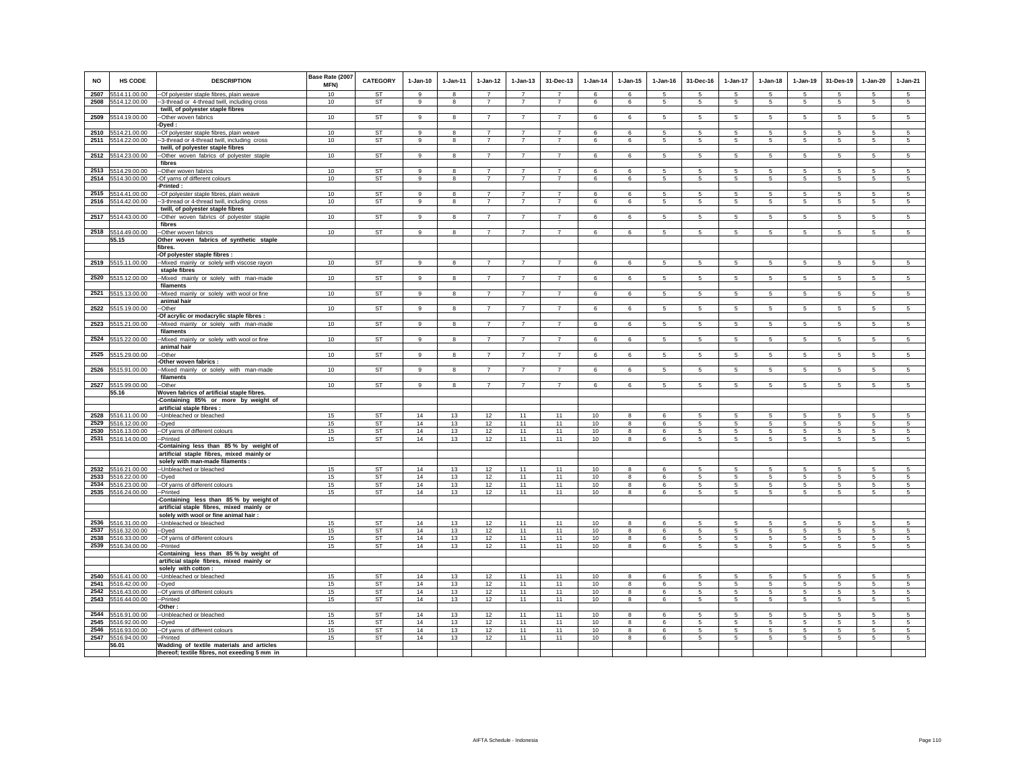| <b>NO</b>    | HS CODE                        | <b>DESCRIPTION</b>                                                                         | Base Rate (2007<br>MFN) | <b>CATEGORY</b>        | $1-Jan-10$                   | $1-Jan-11$        | $1-Jan-12$                       | $1-Jan-13$                       | 31-Dec-13                        | 1-Jan-14 | $1 - Jan-15$      | $1-Jan-16$      | 31-Dec-16                      | 1-Jan-17                           | $1-Jan-18$           | $1-Jan-19$           | 31-Des-19       | $1-Jan-20$      | $1-Jan-21$                    |
|--------------|--------------------------------|--------------------------------------------------------------------------------------------|-------------------------|------------------------|------------------------------|-------------------|----------------------------------|----------------------------------|----------------------------------|----------|-------------------|-----------------|--------------------------------|------------------------------------|----------------------|----------------------|-----------------|-----------------|-------------------------------|
| 2507         | 5514.11.00.00                  | -Of polyester staple fibres, plain weave                                                   | 10                      | <b>ST</b>              | $\alpha$                     | 8                 | $\overline{7}$<br>$\overline{7}$ | $\overline{z}$<br>$\overline{7}$ | $\overline{7}$                   | 6        | 6                 | -5              | 5                              | 5                                  | 5                    | 5                    | -5              | 5               | 5                             |
| 2508         | 5514.12.00.00                  | --3-thread or 4-thread twill, including cross<br>twill, of polyester staple fibres         | 10                      | ST                     | 9                            | 8                 |                                  |                                  | $\overline{7}$                   | 6        | 6                 | 5               | 5                              | $5\phantom{.0}$                    | $5\overline{)}$      | 5                    | 5               | 5               | $\sqrt{5}$                    |
| 2509         | 5514.19.00.00                  | --Other woven fabrics                                                                      | 10                      | ST                     | 9                            | 8                 | $\overline{7}$                   | $\overline{7}$                   | $\overline{7}$                   | 6        | 6                 | -5              | 5                              | 5                                  | 5                    | 5                    | 5               | 5               | 5                             |
|              |                                | -Dyed:                                                                                     |                         |                        |                              |                   |                                  |                                  |                                  |          |                   |                 |                                |                                    |                      |                      |                 |                 |                               |
| 2510         | 5514.21.00.00                  | -- Of polyester staple fibres, plain weave                                                 | 10                      | <b>ST</b>              | 9                            | 8                 | $\overline{7}$                   | $\overline{7}$                   | $\overline{7}$                   | 6        | 6                 | -5              | 5                              | 5                                  | 5                    | 5                    | 5               | 5               | 5                             |
| 2511         | 5514.22.00.00                  | -3-thread or 4-thread twill, including cross<br>twill, of polyester staple fibres          | 10                      | ST                     | 9                            | 8                 | $\overline{7}$                   | $\overline{7}$                   | $\overline{7}$                   | 6        | 6                 | 5               | 5                              | $5\overline{5}$                    | 5                    | 5                    | -5              | 5               | 5                             |
|              | 2512 5514.23.00.00             | -Other woven fabrics of polyester staple                                                   | 10                      | <b>ST</b>              | 9                            | 8                 | $\overline{7}$                   | $\overline{7}$                   | $\overline{7}$                   | 6        | 6                 | 5               | 5                              | $5\overline{5}$                    | 5                    | $5\overline{5}$      | 5               | 5               | 5                             |
|              |                                | fibres                                                                                     |                         |                        |                              |                   |                                  |                                  |                                  |          |                   |                 |                                |                                    |                      |                      |                 |                 |                               |
| 2513<br>2514 | 5514.29.00.00<br>5514.30.00.00 | -Other woven fabrics<br>-Of yarns of different colours                                     | 10 <sup>1</sup><br>10   | <b>ST</b><br><b>ST</b> | $\mathbf{Q}$<br>$\mathbf{q}$ | $\mathbf{R}$<br>8 | $\overline{7}$<br>$\overline{7}$ | $\overline{7}$<br>$\overline{7}$ | $\overline{7}$<br>$\overline{7}$ | 6<br>6   | 6<br>6            | -5<br>5         | 5<br>5                         | 5<br>$\,$ 5 $\,$                   | 5<br>5               | 5<br>$5\phantom{.0}$ | 5<br>$\sqrt{5}$ | 5<br>$\sqrt{5}$ | $\,$ 5 $\,$<br>$\overline{5}$ |
|              |                                | Printed:                                                                                   |                         |                        |                              |                   |                                  |                                  |                                  |          |                   |                 |                                |                                    |                      |                      |                 |                 |                               |
| 2515         | 5514.41.00.00                  | -Of polyester staple fibres, plain weave                                                   | 10                      | <b>ST</b>              | $\mathsf g$                  | 8                 | $\overline{7}$                   | $\overline{7}$                   | $\overline{7}$                   | 6        | 6                 | 5               | 5                              | 5                                  | 5                    | 5                    | 5               | 5               | 5                             |
| 2516         | 5514.42.00.00                  | -3-thread or 4-thread twill, including cross                                               | 10                      | ST                     | 9                            | 8                 | $\overline{7}$                   | $\overline{7}$                   | $\overline{7}$                   | 6        | 6                 | 5               | 5                              | $5\phantom{.0}$                    | 5                    | 5                    | 5               | 5               | 5                             |
| 2517         | 5514.43.00.00                  | twill, of polyester staple fibres<br>-Other woven fabrics of polyester staple              | 10                      | <b>ST</b>              | 9                            | 8                 | $\overline{7}$                   | $\overline{7}$                   | $\overline{7}$                   | 6        | 6                 | 5               | 5                              | 5                                  | 5                    | $5\overline{5}$      | 5               | 5               | 5                             |
|              |                                | fibres                                                                                     |                         |                        |                              |                   |                                  |                                  |                                  |          |                   |                 |                                |                                    |                      |                      |                 |                 |                               |
| 2518         | 5514.49.00.00                  | --Other woven fabrics                                                                      | 10                      | <b>ST</b>              | $\alpha$                     | 8                 | $\overline{7}$                   | $\overline{7}$                   | $\overline{7}$                   | 6        | 6                 | 5               | 5                              | 5                                  | 5                    | 5                    | 5               | 5               | $5\overline{)}$               |
|              | 55.15                          | Other woven fabrics of synthetic staple<br>fibres.                                         |                         |                        |                              |                   |                                  |                                  |                                  |          |                   |                 |                                |                                    |                      |                      |                 |                 |                               |
|              |                                | -Of polyester staple fibres :                                                              |                         |                        |                              |                   |                                  |                                  |                                  |          |                   |                 |                                |                                    |                      |                      |                 |                 |                               |
| 2519         | 5515.11.00.00                  | -- Mixed mainly or solely with viscose rayon                                               | 10                      | ST                     | 9                            | 8                 | $\overline{7}$                   | $\overline{7}$                   | $\overline{7}$                   | 6        | 6                 | -5              | 5                              | -5                                 | 5                    | 5                    | -5              | 5               | 5                             |
|              | 5515.12.00.00                  | staple fibres                                                                              |                         | ST                     |                              |                   |                                  | $\overline{7}$                   |                                  |          |                   |                 |                                |                                    |                      |                      |                 |                 |                               |
| 2520         |                                | --Mixed mainly or solely with man-made<br>filaments                                        | 10                      |                        | 9                            | 8                 | $\overline{7}$                   |                                  | $\overline{7}$                   | 6        | 6                 | $5\overline{5}$ | $5\overline{5}$                | $5\overline{5}$                    | $5\overline{5}$      | 5 <sub>5</sub>       | $5\phantom{.0}$ | $5\overline{5}$ | 5                             |
| 2521         | 5515.13.00.00                  | -Mixed mainly or solely with wool or fine                                                  | 10                      | <b>ST</b>              | 9                            | 8                 | $\overline{7}$                   | $\overline{7}$                   | $\overline{7}$                   | 6        | 6                 | 5               | $5\phantom{.0}$                | $5\overline{5}$                    | 5 <sub>5</sub>       | $5\overline{5}$      | 5               | 5               | 5                             |
| 2522         | 5515.19.00.00                  | animal hair<br>-Other                                                                      | 10                      | <b>ST</b>              | 9                            | 8                 | $\overline{7}$                   | $\overline{7}$                   | $\overline{7}$                   | 6        | 6                 | $5\overline{5}$ | $5\phantom{.0}$                | $5\phantom{.0}$                    | 5                    | $5\phantom{.0}$      | $5\overline{5}$ | $5\phantom{.0}$ | 5                             |
|              |                                | Of acrylic or modacrylic staple fibres :                                                   |                         |                        |                              |                   |                                  |                                  |                                  |          |                   |                 |                                |                                    |                      |                      |                 |                 |                               |
| 2523         | 5515.21.00.00                  | -Mixed mainly or solely with man-made                                                      | 10                      | <b>ST</b>              | 9                            | 8                 | $\overline{7}$                   | $\overline{7}$                   | $\overline{7}$                   | 6        | 6                 | 5               | 5                              | 5                                  | 5                    | 5                    | 5               | 5               | 5                             |
| 2524         | 5515.22.00.00                  | filaments<br>--Mixed mainly or solely with wool or fine                                    | 10                      | <b>ST</b>              | 9                            | 8                 | $\overline{7}$                   | $\overline{7}$                   | $\overline{7}$                   | 6        | 6                 | 5               | 5                              | 5                                  | 5                    | 5                    | 5               | 5               | 5                             |
|              |                                | animal hair                                                                                |                         |                        |                              |                   |                                  |                                  |                                  |          |                   |                 |                                |                                    |                      |                      |                 |                 |                               |
| 2525         | 5515.29.00.00                  | -Other<br>Other woven fabrics :                                                            | 10                      | <b>ST</b>              | 9                            | 8                 | $\overline{7}$                   | $\overline{7}$                   | $\overline{7}$                   | 6        | 6                 | 5               | 5                              | $\overline{5}$                     | $5\overline{)}$      | 5                    | 5               | $\sqrt{5}$      | $5\overline{)}$               |
| 2526         | 5515.91.00.00                  | -Mixed mainly or solely with man-made                                                      | 10                      | <b>ST</b>              | 9                            | 8                 | $\overline{7}$                   | $\overline{7}$                   | $\overline{7}$                   | 6        | 6                 | -5              | 5                              | 5                                  | 5                    | 5                    | 5               | 5               | 5                             |
|              |                                | filaments                                                                                  |                         |                        |                              |                   |                                  |                                  |                                  |          |                   |                 |                                |                                    |                      |                      |                 |                 |                               |
|              | 2527 5515.99.00.00<br>55.16    | -Other<br>Woven fabrics of artificial staple fibres.                                       | 10                      | ST                     | 9                            | 8                 | $\overline{7}$                   | $\overline{7}$                   | $\overline{7}$                   | 6        | 6                 | 5               | 5                              | -5                                 | 5                    | 5                    | -5              | 5               | 5                             |
|              |                                | -Containing 85% or more by weight of                                                       |                         |                        |                              |                   |                                  |                                  |                                  |          |                   |                 |                                |                                    |                      |                      |                 |                 |                               |
|              |                                | artificial staple fibres :                                                                 |                         |                        |                              |                   |                                  |                                  |                                  |          |                   |                 |                                |                                    |                      |                      |                 |                 |                               |
| 2529         | 2528 5516.11.00.00             | -- Unbleached or bleached                                                                  | 15                      | <b>ST</b><br><b>ST</b> | 14<br>14                     | 13                | 12                               | 11                               | 11<br>11                         | 10       | 8                 | 6<br>6          | 5                              | 5                                  | 5                    | -5                   | 5               | $\sqrt{5}$      | 5                             |
| 2530         | 5516.12.00.00<br>5516.13.00.00 | -Dyed<br>-Of yarns of different colours                                                    | 15<br>15                | <b>ST</b>              | 14                           | 13<br>13          | 12<br>12                         | 11<br>11                         | 11                               | 10<br>10 | 8<br>8            | 6               | $\,$ 5 $\,$<br>$5\overline{5}$ | $\,$ 5 $\,$<br>5                   | 5<br>5               | 5<br>5               | 5<br>5          | $\sqrt{5}$<br>5 | $\sqrt{5}$<br>5               |
| 2531         | 5516.14.00.00                  | -Printed                                                                                   | 15                      | <b>ST</b>              | 14                           | 13                | 12                               | 11                               | 11                               | 10       | 8                 | 6               | 5                              | 5                                  | 5                    | $5\phantom{.0}$      | 5               | 5               | 5                             |
|              |                                | Containing less than 85% by weight of                                                      |                         |                        |                              |                   |                                  |                                  |                                  |          |                   |                 |                                |                                    |                      |                      |                 |                 |                               |
|              |                                | artificial staple fibres, mixed mainly or<br>solely with man-made filaments :              |                         |                        |                              |                   |                                  |                                  |                                  |          |                   |                 |                                |                                    |                      |                      |                 |                 |                               |
| 2532         | 5516.21.00.00                  | -- Unbleached or bleached                                                                  | 15                      | <b>ST</b>              | 14                           | 13                | 12                               | 11                               | 11                               | 10       | 8                 | 6               | 5                              | 5                                  | 5                    | 5                    | 5               | 5               | 5                             |
| 2533         | 5516.22.00.00                  | --Dyed                                                                                     | 15                      | <b>ST</b>              | 14                           | 13                | 12                               | 11                               | 11                               | 10       | 8                 | 6               | 5                              | 5                                  | 5                    | 5                    | 5               | 5               | 5                             |
| 2534<br>2535 | 5516.23.00.00<br>5516.24.00.00 | -- Of yarns of different colours<br>--Printed                                              | 15<br>15                | <b>ST</b><br><b>ST</b> | 14<br>14                     | 13<br>13          | 12<br>12                         | 11<br>11                         | 11<br>11                         | 10<br>10 | 8<br>8            | $\epsilon$<br>6 | 5<br>5                         | 5<br>5                             | $5\overline{5}$<br>5 | 5<br>5               | 5<br>5          | 5<br>5          | $\overline{5}$<br>5           |
|              |                                | -Containing less than 85% by weight of                                                     |                         |                        |                              |                   |                                  |                                  |                                  |          |                   |                 |                                |                                    |                      |                      |                 |                 |                               |
|              |                                | artificial staple fibres, mixed mainly or                                                  |                         |                        |                              |                   |                                  |                                  |                                  |          |                   |                 |                                |                                    |                      |                      |                 |                 |                               |
| 2536         | 5516.31.00.00                  | solely with wool or fine animal hair :<br>-Unbleached or bleached                          | 15                      | ST                     | 14                           | 13                | 12                               | 11                               | 11                               | 10       | 8                 | 6               | 5                              | -5                                 | 5                    | 5                    | 5               | 5               | 5                             |
| 2537         | 5516.32.00.00                  | -Dyed                                                                                      | 15                      | ST                     | 14                           | 13                | 12                               | 11                               | 11                               | 10       | 8                 | 6               | 5                              | 5                                  | 5                    | $5\overline{5}$      | 5               | 5               | 5                             |
| 2538         | 5516.33.00.00                  | -Of yarns of different colours                                                             | 15                      | <b>ST</b>              | 14                           | 13                | 12                               | 11                               | 11                               | 10       | 8                 | 6               | 5                              | 5                                  | 5                    | $5\phantom{.0}$      | 5               | $\sqrt{5}$      | 5                             |
| 2539         | 5516.34.00.00                  | -Printed                                                                                   | 15                      | <b>ST</b>              | 14                           | 13                | 12                               | 11                               | 11                               | 10       | 8                 | 6               | 5                              | 5                                  | 5                    | $5\overline{5}$      | 5               | 5               | 5                             |
|              |                                | Containing less than 85% by weight of<br>artificial staple fibres, mixed mainly or         |                         |                        |                              |                   |                                  |                                  |                                  |          |                   |                 |                                |                                    |                      |                      |                 |                 |                               |
|              |                                | solely with cotton :                                                                       |                         |                        |                              |                   |                                  |                                  |                                  |          |                   |                 |                                |                                    |                      |                      |                 |                 |                               |
| 2540         | 5516.41.00.00                  | -Unbleached or bleached                                                                    | 15                      | ST                     | 14                           | 13                | 12                               | 11                               | 11                               | 10       | 8                 | 6               | 5                              | 5                                  | 5                    | 5                    | 5               | 5               | 5                             |
| 2541<br>2542 | 5516.42.00.00<br>5516.43.00.00 | -Dyed<br>-Of yarns of different colours                                                    | 15<br>15                | <b>ST</b><br><b>ST</b> | 14<br>14                     | 13<br>13          | 12<br>12                         | 11<br>11                         | 11<br>11                         | 10<br>10 | 8<br>8            | 6<br>6          | 5<br>5                         | $5\phantom{.0}$<br>$5\phantom{.0}$ | 5<br>5               | $5\phantom{.0}$<br>5 | 5<br>5          | $\sqrt{5}$<br>5 | $\,$ 5 $\,$<br>5              |
| 2543         | 5516.44.00.00                  | --Printed                                                                                  | 15                      | ST                     | 14                           | 13                | 12                               | 11                               | 11                               | 10       | 8                 | 6               | 5                              | 5                                  | $5\overline{5}$      | $5\overline{5}$      | $\overline{5}$  | $\sqrt{5}$      | $5\overline{)}$               |
|              |                                | Other:                                                                                     |                         | <b>ST</b>              |                              |                   |                                  |                                  |                                  |          |                   |                 |                                |                                    |                      |                      |                 |                 |                               |
| 2544<br>2545 | 5516.91.00.00<br>5516.92.00.00 | -Unbleached or bleached<br>-Dyed                                                           | 15<br>15                | <b>ST</b>              | 14<br>14                     | 13<br>13          | 12<br>12                         | 11<br>11                         | 11<br>11                         | 10<br>10 | $\mathbf{8}$<br>8 | 6<br>6          | 5<br>5                         | $\overline{5}$<br>5                | 5<br>5               | 5<br>5               | 5<br>-5         | 5<br>5          | $\overline{5}$<br>5           |
| 2546         | 5516.93.00.00                  | -Of yarns of different colours                                                             | 15                      | <b>ST</b>              | 14                           | 13                | 12                               | 11                               | 11                               | 10       | 8                 | 6               | 5                              | 5                                  | 5                    | 5                    | 5               | 5               | 5                             |
| 2547         | 5516.94.00.00                  | --Printed                                                                                  | 15                      | ST                     | 14                           | 13                | 12                               | 11                               | 11                               | 10       | 8                 | 6               | 5                              | 5                                  | 5                    | $5\overline{5}$      | -5              | 5               | 5                             |
|              | 56.01                          | Wadding of textile materials and articles<br>thereof; textile fibres, not exeeding 5 mm in |                         |                        |                              |                   |                                  |                                  |                                  |          |                   |                 |                                |                                    |                      |                      |                 |                 |                               |
|              |                                |                                                                                            |                         |                        |                              |                   |                                  |                                  |                                  |          |                   |                 |                                |                                    |                      |                      |                 |                 |                               |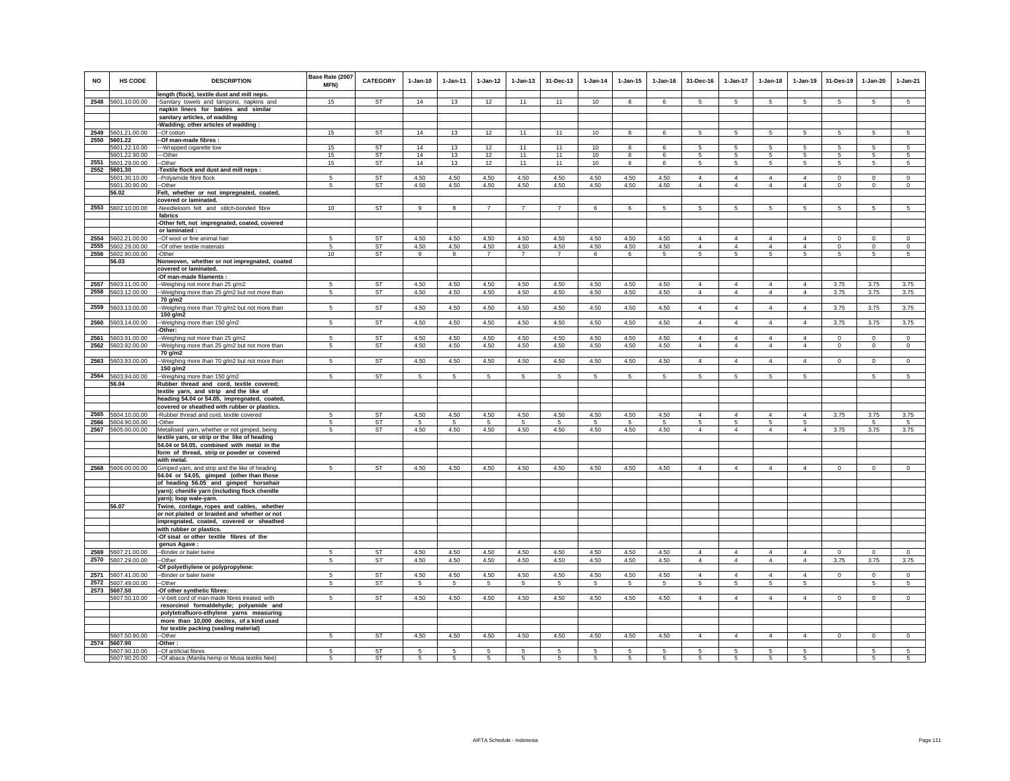| <b>NO</b>    | HS CODE                        | <b>DESCRIPTION</b>                                                                          | Base Rate (2007<br>MFN) | <b>CATEGORY</b>        | $1-Jan-10$   | $1-Jan-11$   | $1-Jan-12$     | $1-Jan-13$     | 31-Dec-13      | $1-Jan-14$   | $1-Jan-15$     | $1-Jan-16$     | 31-Dec-16                        | 1-Jan-17                         | $1-Jan-18$                       | $1-Jan-19$                       | 31-Des-19                    | $1-Jan-20$                 | $1-Jan-21$                 |
|--------------|--------------------------------|---------------------------------------------------------------------------------------------|-------------------------|------------------------|--------------|--------------|----------------|----------------|----------------|--------------|----------------|----------------|----------------------------------|----------------------------------|----------------------------------|----------------------------------|------------------------------|----------------------------|----------------------------|
|              | 2548 5601.10.00.00             | length (flock), textile dust and mill neps.<br>-Sanitary towels and tampons, napkins and    | 15                      | <b>ST</b>              | 14           | 13           | 12             | 11             | 11             | 10           | 8              | 6              | -5                               | 5                                | 5                                | -5                               | 5                            | 5                          | $\overline{5}$             |
|              |                                | napkin liners for babies and similar                                                        |                         |                        |              |              |                |                |                |              |                |                |                                  |                                  |                                  |                                  |                              |                            |                            |
|              |                                | sanitary articles, of wadding                                                               |                         |                        |              |              |                |                |                |              |                |                |                                  |                                  |                                  |                                  |                              |                            |                            |
| 2549         | 5601.21.00.00                  | -Wadding; other articles of wadding:<br>--Of cotton                                         | 15                      | ST                     | 14           | 13           | 12             | 11             | 11             | 10           | 8              | 6              | 5                                | 5                                | 5                                | 5                                | 5                            | 5                          | 5                          |
|              | 2550 5601.22                   | -Of man-made fibres :                                                                       |                         |                        |              |              |                |                |                |              |                |                |                                  |                                  |                                  |                                  |                              |                            |                            |
|              | 5601.22.10.00<br>5601.22.90.00 | -- Wrapped cigarette tow<br>-Other                                                          | 15<br>15                | <b>ST</b><br><b>ST</b> | 14<br>14     | 13<br>13     | 12             | 11<br>11       | 11<br>11       | 10<br>10     | 8<br>8         | 6<br>6         | 5<br>5                           | 5<br>5                           | 5<br>5                           | 5<br>-5                          | 5<br>5                       | 5<br>5                     | -5<br>$\sqrt{5}$           |
| 2551         | 5601.29.00.00                  | -Other                                                                                      | 15                      | ST                     | 14           | 13           | 12<br>12       | 11             | 11             | 10           | 8              | 6              | 5                                | 5                                | 5                                | 5                                | 5                            | 5                          | 5                          |
| 2552         | 5601.30                        | Textile flock and dust and mill neps :                                                      |                         |                        |              |              |                |                |                |              |                |                |                                  |                                  |                                  |                                  |                              |                            |                            |
|              | 5601.30.10.00<br>5601.30.90.00 | --Polyamide fibre flock<br>-Other                                                           | -5<br>5                 | ST<br><b>ST</b>        | 4.50<br>4.50 | 4.50<br>4.50 | 4.50<br>4.50   | 4.50<br>4.50   | 4.50<br>4.50   | 4.50<br>4.50 | 4.50<br>4.50   | 4.50<br>4.50   | $\overline{4}$<br>$\overline{4}$ | $\overline{4}$<br>$\overline{4}$ | $\Delta$<br>$\overline{4}$       | $\Delta$<br>$\overline{4}$       | $^{\circ}$<br>$\overline{0}$ | $\Omega$<br>$\Omega$       | $\Omega$<br>$\overline{0}$ |
|              | 56.02                          | Felt, whether or not impregnated, coated,                                                   |                         |                        |              |              |                |                |                |              |                |                |                                  |                                  |                                  |                                  |                              |                            |                            |
|              |                                | covered or laminated.                                                                       |                         |                        |              |              |                |                |                |              |                |                |                                  |                                  |                                  |                                  |                              |                            |                            |
|              | 2553 5602.10.00.00             | -Needleloom felt and stitch-bonded fibre<br>fabrics                                         | 10                      | ST                     | 9            | 8            | $\overline{7}$ | $\overline{7}$ | $\overline{7}$ | 6            | 6              | 5              | 5                                | 5                                | 5                                | 5                                | 5                            | 5                          | 5                          |
|              |                                | -Other felt, not impregnated, coated, covered<br>or laminated :                             |                         |                        |              |              |                |                |                |              |                |                |                                  |                                  |                                  |                                  |                              |                            |                            |
| 2554         | 5602.21.00.00                  | -Of wool or fine animal hair                                                                | -5                      | ST                     | 4.50         | 4.50         | 4.50           | 4.50           | 4.50           | 4.50         | 4.50           | 4.50           | $\overline{4}$                   | $\overline{4}$                   | $\overline{4}$                   | $\overline{4}$                   | $\Omega$                     | $\mathbf 0$                | $\Omega$                   |
| 2555         | 5602.29.00.00                  | -Of other textile materials                                                                 | 5                       | ST                     | 4.50         | 4.50         | 4.50           | 4.50           | 4.50           | 4.50         | 4.50           | 4.50           | $\overline{4}$                   | $\overline{4}$                   | $\overline{4}$                   | $\overline{4}$                   | $\mathbf 0$                  | $\mathsf 0$                | $\Omega$                   |
| 2556         | 5602.90.00.00<br>56.03         | -Other<br>Nonwoven, whether or not impregnated, coated                                      | 10                      | ST                     | 9            | 8            | $\overline{7}$ | $\overline{7}$ | $\overline{7}$ | 6            | 6              | 5              | 5                                | 5                                | 5                                | 5                                | 5                            | 5                          | 5                          |
|              |                                | covered or laminated.                                                                       |                         |                        |              |              |                |                |                |              |                |                |                                  |                                  |                                  |                                  |                              |                            |                            |
|              |                                | -Of man-made filaments :                                                                    |                         |                        |              |              |                |                |                |              |                |                |                                  |                                  |                                  |                                  |                              |                            |                            |
| 2557<br>2558 | 5603.11.00.00<br>5603.12.00.00 | -Weighing not more than 25 g/m2<br>-Weighing more than 25 g/m2 but not more than            | 5<br>-5                 | <b>ST</b><br>ST        | 4.50<br>4.50 | 4.50<br>4.50 | 4.50<br>4.50   | 4.50<br>4.50   | 4.50<br>4.50   | 4.50<br>4.50 | 4.50<br>4.50   | 4.50<br>4.50   | $\Delta$<br>$\overline{4}$       | $\mathbf{A}$<br>$\overline{4}$   | $\Delta$<br>$\overline{4}$       | $\Delta$<br>$\overline{4}$       | 3.75<br>3.75                 | 3.75<br>3.75               | 3.75<br>3.75               |
|              |                                | 70 g/m2                                                                                     |                         |                        |              |              |                |                |                |              |                |                |                                  |                                  |                                  |                                  |                              |                            |                            |
|              | 2559 5603.13.00.00             | -Weighing more than 70 g/m2 but not more than<br>150 g/m2                                   | -5                      | ST                     | 4.50         | 4.50         | 4.50           | 4.50           | 4.50           | 4.50         | 4.50           | 4.50           | $\overline{4}$                   | $\overline{4}$                   | $\overline{4}$                   | $\overline{4}$                   | 3.75                         | 3.75                       | 3.75                       |
| 2560         | 5603.14.00.00                  | -Weighing more than 150 g/m2<br>-Other:                                                     | 5                       | ST                     | 4.50         | 4.50         | 4.50           | 4.50           | 4.50           | 4.50         | 4.50           | 4.50           | $\overline{4}$                   | $\overline{4}$                   | $\overline{4}$                   | $\overline{4}$                   | 3.75                         | 3.75                       | 3.75                       |
| 2561<br>2562 | 5603.91.00.00<br>5603.92.00.00 | -Weighing not more than 25 g/m2<br>-Weighing more than 25 g/m2 but not more than            | 5<br>-5                 | ST<br>ST               | 4.50<br>4.50 | 4.50<br>4.50 | 4.50<br>4.50   | 4.50<br>4.50   | 4.50<br>4.50   | 4.50<br>4.50 | 4.50<br>4.50   | 4.50<br>4.50   | $\overline{4}$<br>$\overline{4}$ | $\overline{4}$<br>$\overline{4}$ | $\overline{4}$<br>$\overline{4}$ | $\overline{4}$<br>$\overline{4}$ | $\mathbf 0$<br>$\circ$       | $\mathbf 0$<br>$\mathbf 0$ | $\mathsf 0$<br>$\mathsf 0$ |
|              |                                | 70 g/m2                                                                                     |                         |                        |              |              |                |                |                |              |                |                |                                  |                                  |                                  |                                  |                              |                            |                            |
| 2563         | 5603.93.00.00                  | -Weighing more than 70 g/m2 but not more than<br>150 g/m2                                   | 5                       | ST                     | 4.50         | 4.50         | 4.50           | 4.50           | 4.50           | 4.50         | 4.50           | 4.50           | $\overline{4}$                   | $\overline{4}$                   | $\overline{4}$                   | $\overline{4}$                   | $\circ$                      | $\mathsf 0$                | $\mathsf 0$                |
| 2564         | 5603.94.00.00<br>56.04         | -Weighing more than 150 g/m2<br>Rubber thread and cord, textile covered;                    | 5                       | ST                     | 5            | 5            | 5              | 5              | 5              | $\sqrt{5}$   | 5              | 5              | 5                                | 5                                | 5                                | $\overline{5}$                   |                              | 5                          | $\overline{5}$             |
|              |                                | textile yarn, and strip and the like of                                                     |                         |                        |              |              |                |                |                |              |                |                |                                  |                                  |                                  |                                  |                              |                            |                            |
|              |                                | heading 54.04 or 54.05, impregnated, coated,                                                |                         |                        |              |              |                |                |                |              |                |                |                                  |                                  |                                  |                                  |                              |                            |                            |
| 2565         |                                | covered or sheathed with rubber or plastics.                                                | 5                       |                        |              |              |                |                |                |              |                |                | $\overline{4}$                   |                                  | $\overline{4}$                   |                                  |                              |                            |                            |
| 2566         | 5604.10.00.00<br>5604.90.00.00 | -Rubber thread and cord, textile covered<br>-Other                                          | 5                       | ST<br>ST               | 4.50<br>5    | 4.50<br>5    | 4.50<br>-5     | 4.50<br>5      | 4.50<br>5      | 4.50<br>-5   | 4.50<br>-5     | 4.50<br>-5     | 5                                | $\overline{4}$<br>5              | $5\overline{5}$                  | $\overline{4}$<br>5              | 3.75                         | 3.75<br>5                  | 3.75<br>5                  |
| 2567         | 5605.00.00.00                  | Metallised yarn, whether or not gimped, being                                               | 5                       | ST                     | 4.50         | 4.50         | 4.50           | 4.50           | 4.50           | 4.50         | 4.50           | 4.50           | $\overline{4}$                   | $\overline{4}$                   | $\overline{4}$                   | $\overline{4}$                   | 3.75                         | 3.75                       | 3.75                       |
|              |                                | textile yarn, or strip or the like of heading<br>54.04 or 54.05, combined with metal in the |                         |                        |              |              |                |                |                |              |                |                |                                  |                                  |                                  |                                  |                              |                            |                            |
|              |                                | form of thread, strip or powder or covered                                                  |                         |                        |              |              |                |                |                |              |                |                |                                  |                                  |                                  |                                  |                              |                            |                            |
|              |                                | with metal.                                                                                 |                         |                        |              |              |                |                |                |              |                |                |                                  |                                  |                                  |                                  |                              |                            |                            |
|              | 2568 5606.00.00.00             | Gimped yarn, and strip and the like of heading                                              | 5                       | ST                     | 4.50         | 4.50         | 4.50           | 4.50           | 4.50           | 4.50         | 4.50           | 4.50           | $\overline{4}$                   | $\overline{4}$                   | $\overline{4}$                   | $\overline{4}$                   | $\mathbf 0$                  | $\mathsf 0$                | $\mathsf 0$                |
|              |                                | 54.04 or 54.05, gimped (other than those<br>of heading 56.05 and gimped horsehair           |                         |                        |              |              |                |                |                |              |                |                |                                  |                                  |                                  |                                  |                              |                            |                            |
|              |                                | yarn); chenille yarn (including flock chenille                                              |                         |                        |              |              |                |                |                |              |                |                |                                  |                                  |                                  |                                  |                              |                            |                            |
|              | 56.07                          | yarn); loop wale-yarn.<br>Twine, cordage, ropes and cables, whether                         |                         |                        |              |              |                |                |                |              |                |                |                                  |                                  |                                  |                                  |                              |                            |                            |
|              |                                | or not plaited or braided and whether or not                                                |                         |                        |              |              |                |                |                |              |                |                |                                  |                                  |                                  |                                  |                              |                            |                            |
|              |                                | impregnated, coated, covered or sheathed                                                    |                         |                        |              |              |                |                |                |              |                |                |                                  |                                  |                                  |                                  |                              |                            |                            |
|              |                                | with rubber or plastics.<br>-Of sisal or other textile fibres of the                        |                         |                        |              |              |                |                |                |              |                |                |                                  |                                  |                                  |                                  |                              |                            |                            |
|              |                                | genus Agave :                                                                               |                         |                        |              |              |                |                |                |              |                |                |                                  |                                  |                                  |                                  |                              |                            |                            |
| 2569         | 5607.21.00.00                  | -Binder or baler twine                                                                      | -5                      | ST                     | 4.50         | 4.50         | 4.50           | 4.50           | 4.50           | 4.50         | 4.50           | 4.50           | $\overline{4}$                   | $\overline{4}$                   | $\overline{4}$                   | $\overline{4}$                   | $\mathbf 0$                  | $\Omega$                   | $\circ$                    |
| 2570         | 5607.29.00.00                  | -Other<br>Of polyethylene or polypropylene:                                                 | 5                       | ST                     | 4.50         | 4.50         | 4.50           | 4.50           | 4.50           | 4.50         | 4.50           | 4.50           | $\overline{4}$                   | $\overline{4}$                   | $\overline{4}$                   | $\overline{4}$                   | 3.75                         | 3.75                       | 3.75                       |
| 2571         | 5607.41.00.00                  | -Binder or baler twine                                                                      | 5                       | <b>ST</b>              | 4.50         | 4.50         | 4.50           | 4.50           | 4.50           | 4.50         | 4.50           | 4.50           | $\overline{4}$                   | $\overline{4}$                   | $\overline{4}$                   | $\overline{4}$                   | $\circ$                      | $\mathbf 0$                | $\circ$                    |
| 2572         | 5607.49.00.00                  | -Other                                                                                      | 5                       | ST                     | 5            | 5            | 5              | 5              | 5              | $\sqrt{5}$   | 5              | 5              | $\sqrt{5}$                       | $\sqrt{5}$                       | $\,$ 5 $\,$                      | $\,$ 5 $\,$                      |                              | $\,$ 5 $\,$                | 5                          |
| 2573         | 5607.50<br>5607.50.10.00       | -Of other synthetic fibres:<br>-V-belt cord of man-made fibres treated with                 | $5^{\circ}$             | <b>ST</b>              | 4.50         | 4.50         | 4.50           | 4.50           | 4.50           | 4.50         | 4.50           | 4.50           | $\overline{4}$                   | $\overline{4}$                   | $\overline{4}$                   | $\overline{4}$                   | $\mathbf 0$                  | $\mathsf 0$                | $\mathsf 0$                |
|              |                                | resorcinol formaldehyde; polyamide and                                                      |                         |                        |              |              |                |                |                |              |                |                |                                  |                                  |                                  |                                  |                              |                            |                            |
|              |                                | polytetrafluoro-ethylene yarns measuring<br>more than 10,000 decitex, of a kind used        |                         |                        |              |              |                |                |                |              |                |                |                                  |                                  |                                  |                                  |                              |                            |                            |
|              |                                | for textile packing (sealing material)                                                      |                         |                        |              |              |                |                |                |              |                |                |                                  |                                  |                                  |                                  |                              |                            |                            |
|              | 5607.50.90.00                  | -Other                                                                                      | 5                       | ST                     | 4.50         | 4.50         | 4.50           | 4.50           | 4.50           | 4.50         | 4.50           | 4.50           | $\overline{4}$                   | $\overline{4}$                   | $\overline{4}$                   | $\overline{4}$                   | $\overline{0}$               | $\overline{0}$             | $\overline{0}$             |
| 2574         | 5607.90<br>5607.90.10.00       | Other:<br>-- Of artificial fibres                                                           | 5                       | <b>ST</b>              | 5            | 5            | 5              | 5              | 5              | 5            | 5              |                | 5                                | 5                                | 5                                | 5                                |                              | 5                          | 5                          |
|              | 5607.90.20.00                  | -- Of abaca (Manila hemp or Musa textilis Nee)                                              | 5                       | <b>ST</b>              | $5^{\circ}$  | $\mathbf{5}$ | 5              | $\overline{5}$ | 5              | 5            | $\overline{5}$ | $\overline{5}$ | 5 <sup>1</sup>                   | 5                                | $\mathbf{5}$                     | 5                                |                              | $\overline{5}$             | 5 <sup>5</sup>             |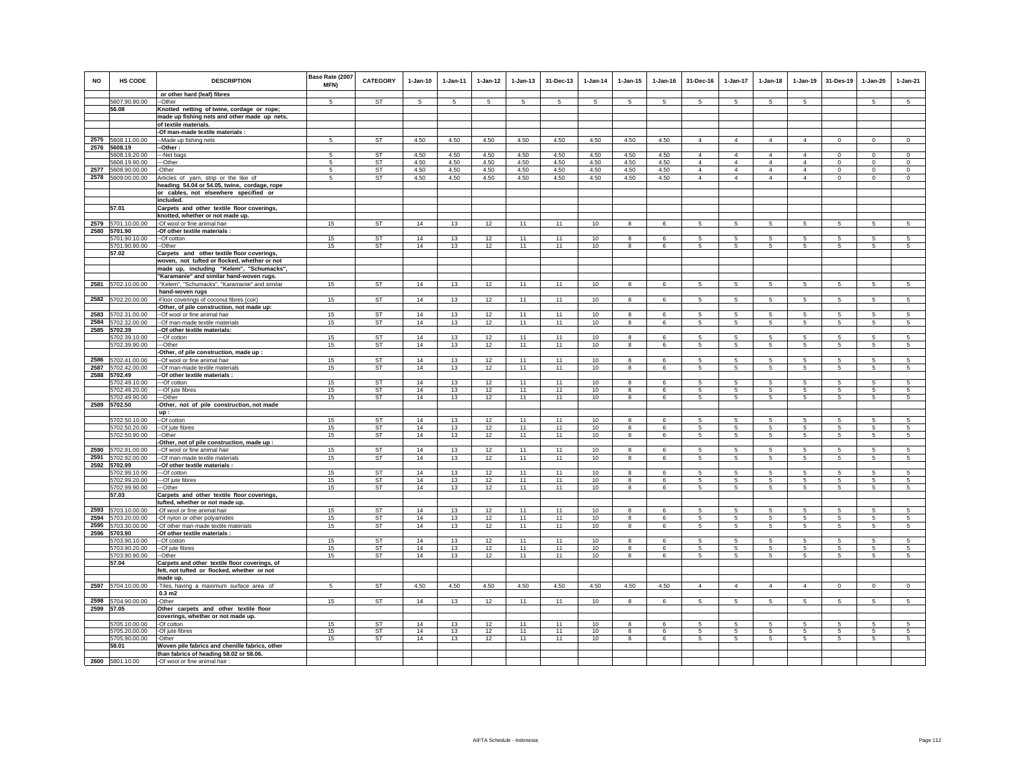| <b>NO</b>    | HS CODE                             | <b>DESCRIPTION</b>                                                                           | Base Rate (2007<br><b>MFN)</b> | <b>CATEGORY</b>        | $1-Jan-10$   | 1-Jan-11       | $1 - Jan-12$   | $1 - Jan-13$ | 31-Dec-13    | $1-Jan-14$   | $1-Jan-15$     | $1 - Jan-16$ | 31-Dec-16                  | $1-Jan-17$                       | $1-Jan-18$                 | $1-Jan-19$                 | 31-Des-19               | $1-Jan-20$          | $1-Jan-21$              |
|--------------|-------------------------------------|----------------------------------------------------------------------------------------------|--------------------------------|------------------------|--------------|----------------|----------------|--------------|--------------|--------------|----------------|--------------|----------------------------|----------------------------------|----------------------------|----------------------------|-------------------------|---------------------|-------------------------|
|              |                                     | or other hard (leaf) fibres                                                                  | 5                              |                        |              | $\overline{5}$ | 5              |              | 5            |              |                | 5            |                            |                                  |                            | 5                          |                         | $\overline{5}$      |                         |
|              | 5607.90.90.00<br>56.08              | -Other<br>Knotted netting of twine, cordage or rope;                                         |                                | ST                     | 5            |                |                | 5            |              | 5            | 5              |              | 5                          | 5                                | 5                          |                            |                         |                     | 5                       |
|              |                                     | made up fishing nets and other made up nets,                                                 |                                |                        |              |                |                |              |              |              |                |              |                            |                                  |                            |                            |                         |                     |                         |
|              |                                     | of textile materials.                                                                        |                                |                        |              |                |                |              |              |              |                |              |                            |                                  |                            |                            |                         |                     |                         |
|              |                                     | -Of man-made textile materials :                                                             |                                |                        |              |                |                |              |              |              |                |              |                            |                                  |                            |                            |                         |                     |                         |
|              | 2575 5608.11.00.00                  | -Made up fishing nets                                                                        | $\sqrt{5}$                     | ST                     | 4.50         | 4.50           | 4.50           | 4.50         | 4.50         | 4.50         | 4.50           | 4.50         | $\overline{4}$             | $\overline{4}$                   | $\overline{4}$             | $\overline{4}$             | $\mathbf 0$             | $\mathbf 0$         | $\,0\,$                 |
| 2576         | 5608.19                             | Other:                                                                                       |                                |                        |              |                |                |              |              |              |                |              |                            |                                  |                            |                            |                         |                     |                         |
|              | 5608.19.20.00                       | -Net bags<br>--Other                                                                         | 5<br>-5                        | <b>ST</b><br><b>ST</b> | 4.50<br>4.50 | 4.50<br>4.50   | 4.50<br>4.50   | 4.50<br>4.50 | 4.50<br>4.50 | 4.50<br>4.50 | 4.50           | 4.50<br>4.50 | $\overline{4}$<br>$\Delta$ | $\overline{4}$<br>$\overline{4}$ | $\overline{4}$<br>$\Delta$ | $\overline{4}$<br>$\Delta$ | $\mathbf 0$<br>$\Omega$ | $\circ$<br>$\Omega$ | $\mathbb O$<br>$\Omega$ |
|              | 5608.19.90.00<br>2577 5608.90.00.00 | -Other                                                                                       | -5                             | ST                     | 4.50         | 4.50           | 4.50           | 4.50         | 4.50         | 4.50         | 4.50<br>4.50   | 4.50         | $\overline{4}$             | $\overline{4}$                   | $\overline{4}$             | $\overline{4}$             | $\circ$                 | $\Omega$            | $\circ$                 |
|              | 2578 5609.00.00.00                  | Articles of yarn, strip or the like of                                                       | 5                              | ST                     | 4.50         | 4.50           | 4.50           | 4.50         | 4.50         | 4.50         | 4.50           | 4.50         | $\overline{4}$             | $\overline{4}$                   | $\overline{4}$             | $\overline{4}$             | $\mathbf 0$             | $\mathsf 0$         | $\mathsf 0$             |
|              |                                     | heading 54.04 or 54.05, twine, cordage, rope                                                 |                                |                        |              |                |                |              |              |              |                |              |                            |                                  |                            |                            |                         |                     |                         |
|              |                                     | or cables, not elsewhere specified or                                                        |                                |                        |              |                |                |              |              |              |                |              |                            |                                  |                            |                            |                         |                     |                         |
|              |                                     | included.                                                                                    |                                |                        |              |                |                |              |              |              |                |              |                            |                                  |                            |                            |                         |                     |                         |
|              | 57.01                               | Carpets and other textile floor coverings,                                                   |                                |                        |              |                |                |              |              |              |                |              |                            |                                  |                            |                            |                         |                     |                         |
|              | 2579 5701.10.00.00                  | knotted, whether or not made up.<br>-Of wool or fine animal hair                             | 15                             | <b>ST</b>              | 14           | 13             |                | 11           | 11           |              | 8              | 6            | 5                          | 5                                | 5                          |                            |                         | 5                   | 5                       |
|              | 2580 5701.90                        | Of other textile materials :                                                                 |                                |                        |              |                | 12             |              |              | 10           |                |              |                            |                                  |                            | $\sqrt{5}$                 | $\sqrt{5}$              |                     |                         |
|              | 5701.90.10.00                       | --Of cotton                                                                                  | 15                             | <b>ST</b>              | 14           | 13             | 12             | 11           | 11           | 10           | 8              | 6            | 5                          | 5                                | 5                          | 5                          | 5                       | 5                   | $\overline{5}$          |
|              | 5701.90.90.00                       | --Other                                                                                      | 15                             | <b>ST</b>              | 14           | 13             | $\frac{2}{12}$ | 11           | 11           | 10           | $\overline{8}$ | $\epsilon$   | 5                          | 5                                | 5                          | 5                          | 5                       | 5                   | 5                       |
|              | 57.02                               | Carpets and other textile floor coverings,                                                   |                                |                        |              |                |                |              |              |              |                |              |                            |                                  |                            |                            |                         |                     |                         |
|              |                                     | woven, not tufted or flocked, whether or not                                                 |                                |                        |              |                |                |              |              |              |                |              |                            |                                  |                            |                            |                         |                     |                         |
|              |                                     | made up, including "Kelem", "Schumacks"                                                      |                                |                        |              |                |                |              |              |              |                |              |                            |                                  |                            |                            |                         |                     |                         |
|              |                                     | "Karamanie" and similar hand-woven rugs.                                                     |                                |                        |              |                |                |              |              |              |                |              |                            |                                  |                            |                            |                         |                     |                         |
|              | 2581 5702.10.00.00                  | "Kelem", "Schumacks", "Karamanie" and similar<br>hand-woven rugs                             | 15                             | <b>ST</b>              | 14           | 13             | 12             | 11           | 11           | 10           | 8              | 6            | $5\phantom{.0}$            | 5                                | $5\phantom{.0}$            | 5                          | 5                       | 5                   | 5                       |
| 2582         | 5702.20.00.00                       | -Floor coverings of coconut fibres (coir)                                                    | 15                             | <b>ST</b>              | 14           | 13             | 12             | 11           | 11           | 10           | 8              | 6            | $5\phantom{.0}$            | 5                                | $5\phantom{.0}$            | $5\phantom{.0}$            | $\overline{5}$          | $\overline{5}$      | $\sqrt{5}$              |
|              |                                     | Other, of pile construction, not made up:                                                    |                                |                        |              |                |                |              |              |              |                |              |                            |                                  |                            |                            |                         |                     |                         |
| 2583         | 5702.31.00.00                       | -Of wool or fine animal hair                                                                 | 15                             | ST                     | 14           | 13             | 12             | 11           | 11           | 10           | 8              | 6            | 5                          | 5                                | 5                          | 5                          | 5                       | 5                   | 5                       |
| 2584         | 5702.32.00.00                       | -Of man-made textile materials                                                               | 15                             | ST                     | 14           | 13             | 12             | 11           | 11           | 10           | 8              | 6            | 5                          | 5                                | 5                          | $\,$ 5 $\,$                | 5                       | 5                   | 5                       |
| 2585         | 5702.39                             | -Of other textile materials:                                                                 |                                |                        |              |                |                |              |              |              |                |              |                            |                                  |                            |                            |                         |                     |                         |
|              | 5702.39.10.00                       | ---Of cotton                                                                                 | 15                             | <b>ST</b>              | 14           | 13             | 12             | 11           | 11           | 10           | $\overline{8}$ | 6            | -5                         | 5                                | 5                          | 5                          | -5                      | 5                   | $\overline{5}$          |
|              | 5702.39.90.00                       | --Other<br>-Other, of pile construction, made up :                                           | 15                             | ST                     | 14           | 13             | 12             | 11           | 11           | 10           | 8              | 6            | 5                          | 5                                | 5                          | 5                          | 5                       | 5                   | 5                       |
|              | 2586 5702.41.00.00                  | -Of wool or fine animal hair                                                                 | 15                             | ST                     | 14           | 13             | 12             | 11           | 11           | 10           | 8              | 6            | 5                          | 5                                | 5                          | 5                          | 5                       | 5                   | $\overline{5}$          |
| 2587         | 5702.42.00.00                       | -Of man-made textile materials                                                               | 15                             | ST                     | 14           | 13             | 12             | 11           | 11           | 10           | 8              | 6            | 5                          | 5                                | 5                          | 5                          | 5                       | 5                   | 5                       |
|              | 2588 5702.49                        | -Of other textile materials :                                                                |                                |                        |              |                |                |              |              |              |                |              |                            |                                  |                            |                            |                         |                     |                         |
|              | 5702.49.10.00                       | -Of cotton                                                                                   | 15                             | <b>ST</b>              | 14           | 13             | 12             | 11           | 11           | 10           | 8              | 6            | 5                          | 5                                | 5                          | 5                          | 5                       | 5                   | 5                       |
|              | 5702.49.20.00                       | ---Of jute fibres                                                                            | 15                             | ST                     | 14           | 13             | 12             | 11           | 11           | 10           | 8              | 6            | 5                          | 5                                | 5                          | 5                          | 5                       | 5                   | 5                       |
|              | 5702.49.90.00                       | --Other                                                                                      | 15                             | ST                     | 14           | 13             | 12             | 11           | 11           | 10           | 8              | 6            | 5                          | 5                                | $\overline{5}$             | 5                          | 5                       | 5                   | 5                       |
|              | 2589 5702.50                        | -Other, not of pile construction, not made<br>up:                                            |                                |                        |              |                |                |              |              |              |                |              |                            |                                  |                            |                            |                         |                     |                         |
|              | 5702.50.10.00                       | --Of cotton                                                                                  | 15                             | <b>ST</b>              | 14           | 13             | 12             | 11           | 11           | 10           | 8              | 6            | 5                          | 5                                | 5                          | 5                          | 5                       | 5                   | 5                       |
|              | 5702.50.20.00                       | --Of jute fibres                                                                             | 15                             | ST                     | 14           | 13             | 12             | 11           | 11           | 10           | 8              | 6            | 5                          | 5                                | 5                          | 5                          | 5                       | 5                   | 5                       |
|              | 5702.50.90.00                       | -Other                                                                                       | 15                             | <b>ST</b>              | 14           | 13             | 12             | 11           | 11           | 10           | 8              | 6            | 5                          | $5\phantom{.0}$                  | $5\phantom{.0}$            | 5                          | $\sqrt{5}$              | $\sqrt{5}$          | $\sqrt{5}$              |
|              |                                     | Other, not of pile construction, made up :                                                   |                                |                        |              |                |                |              |              |              |                |              |                            |                                  |                            |                            |                         |                     |                         |
| 2590         | 5702.91.00.00                       | -Of wool or fine animal hair                                                                 | 15                             | ST                     | 14           | 13             | 12             | 11           | 11           | 10           | 8              | 6            | 5                          | 5                                | 5                          | 5                          | 5                       | 5                   | 5                       |
| 2591<br>2592 | 5702.92.00.00<br>5702.99            | -Of man-made textile materials<br>-Of other textile materials :                              | 15                             | ST                     | 14           | 13             | 12             | 11           | 11           | 10           | 8              | 6            | 5                          | 5                                | 5                          | 5                          | 5                       | 5                   | 5                       |
|              | 5702.99.10.00                       | --Of cotton                                                                                  | 15                             | <b>ST</b>              | 14           | 13             | 12             | 11           | 11           | 10           | 8              | 6            | -5                         | 5                                | 5                          | 5                          | 5                       | 5                   | $\overline{5}$          |
|              | 5702.99.20.00                       | --Of jute fibres                                                                             | 15                             | ST                     | 14           | 13             | 12             | 11           | 11           | 10           | 8              | $\epsilon$   | 5                          | 5                                | 5                          | 5                          | 5                       | 5                   | 5                       |
|              | 5702.99.90.00                       | --Other                                                                                      | 15                             | ST                     | 14           | 13             | 12             | 11           | 11           | 10           | 8              | 6            | $5\overline{5}$            | $5\overline{5}$                  | $5\overline{5}$            | 5                          | 5                       | 5                   | 5                       |
|              | 57.03                               | Carpets and other textile floor coverings,                                                   |                                |                        |              |                |                |              |              |              |                |              |                            |                                  |                            |                            |                         |                     |                         |
| 2593         |                                     | tufted, whether or not made up.                                                              |                                |                        |              |                |                |              |              |              |                |              |                            |                                  |                            |                            |                         |                     |                         |
| 2594         | 5703.10.00.00<br>5703.20.00.00      | -Of wool or fine animal hair<br>-Of nylon or other polyamides                                | 15<br>15                       | <b>ST</b><br><b>ST</b> | 14<br>14     | 13<br>13       | 12<br>12       | 11<br>11     | 11<br>11     | 10<br>10     | 8<br>8         | 6<br>6       | -5<br>5                    | 5<br>5                           | 5<br>5                     | 5<br>5                     | 5<br>5                  | 5<br>5              | -5<br>5                 |
| 2595         | 5703.30.00.00                       | -Of other man-made textile materials                                                         | 15                             | ST                     | 14           | 13             | 12             | 11           | 11           | 10           | 8              | 6            | -5                         | 5                                | 5                          | 5                          | 5                       | 5                   | 5                       |
|              | 2596 5703.90                        | -Of other textile materials :                                                                |                                |                        |              |                |                |              |              |              |                |              |                            |                                  |                            |                            |                         |                     |                         |
|              | 5703.90.10.00                       | --Of cotton                                                                                  | 15                             | <b>ST</b>              | 14           | 13             | 12             | 11           | 11           | 10           | 8              | $\epsilon$   | 5.                         | 5                                | 5.                         | -5                         | -5                      | 5                   | -5                      |
|              | 5703.90.20.00                       | -- Of jute fibres                                                                            | 15                             | ST                     | 14           | 13             | 12             | 11           | 11           | 10           | 8              | $\epsilon$   | 5                          | 5                                | 5                          | -5                         | 5                       | 5                   | 5                       |
|              | 5703.90.90.00                       | -Other                                                                                       | 15                             | ST                     | 14           | 13             | 12             | 11           | 11           | 10           | 8              | 6            | 5                          | 5                                | 5                          | 5                          | 5                       | 5                   | 5                       |
|              | 57.04                               | Carpets and other textile floor coverings, of<br>felt, not tufted or flocked, whether or not |                                |                        |              |                |                |              |              |              |                |              |                            |                                  |                            |                            |                         |                     |                         |
|              |                                     | made up.                                                                                     |                                |                        |              |                |                |              |              |              |                |              |                            |                                  |                            |                            |                         |                     |                         |
|              | 2597 5704.10.00.00                  | Tiles, having a maximum surface area of                                                      | 5                              | ST                     | 4.50         | 4.50           | 4.50           | 4.50         | 4.50         | 4.50         | 4.50           | 4.50         | $\overline{4}$             | $\overline{4}$                   | $\overline{4}$             | $\overline{4}$             | $\mathsf 0$             | $\mathsf 0$         | $\mathsf 0$             |
|              |                                     | 0.3 <sub>m2</sub>                                                                            |                                |                        |              |                |                |              |              |              |                |              |                            |                                  |                            |                            |                         |                     |                         |
| 2598         | 5704.90.00.00                       | -Other                                                                                       | 15                             | ST                     | 14           | 13             | 12             | 11           | 11           | 10           | 8              | 6            | $\sqrt{5}$                 | 5                                | $5\phantom{.0}$            | 5                          | $\sqrt{5}$              | 5                   | 5                       |
| 2599 57.05   |                                     | Other carpets and other textile floor                                                        |                                |                        |              |                |                |              |              |              |                |              |                            |                                  |                            |                            |                         |                     |                         |
|              |                                     | coverings, whether or not made up.                                                           |                                |                        |              |                |                |              |              |              |                |              |                            |                                  |                            |                            |                         |                     |                         |
|              | 5705.10.00.00                       | -Of cotton                                                                                   | 15                             | <b>ST</b>              | 14           | 13             | 12             | 11           | 11           | 10           | 8<br>8         | 6            | 5<br>5                     | 5                                | -5<br>5                    | -5<br>5                    | 5<br>5                  | 5<br>5              | 5<br>5                  |
|              | 5705.20.00.00<br>5705.90.00.00      | -Of jute fibres<br>-Other                                                                    | 15<br>15                       | ST<br>ST               | 14<br>14     | 13<br>13       | 12<br>12       | 11<br>11     | 11<br>11     | 10<br>10     | 8              | 6<br>6       | $5\phantom{.0}$            | 5<br>$5\overline{5}$             | $5\phantom{.0}$            | 5                          | $5\phantom{.0}$         | $\sqrt{5}$          | 5                       |
|              | 58.01                               | Woven pile fabrics and chenille fabrics, other                                               |                                |                        |              |                |                |              |              |              |                |              |                            |                                  |                            |                            |                         |                     |                         |
|              |                                     | than fabrics of heading 58.02 or 58.06                                                       |                                |                        |              |                |                |              |              |              |                |              |                            |                                  |                            |                            |                         |                     |                         |
|              | 2600 5801.10.00                     | -Of wool or fine animal hair                                                                 |                                |                        |              |                |                |              |              |              |                |              |                            |                                  |                            |                            |                         |                     |                         |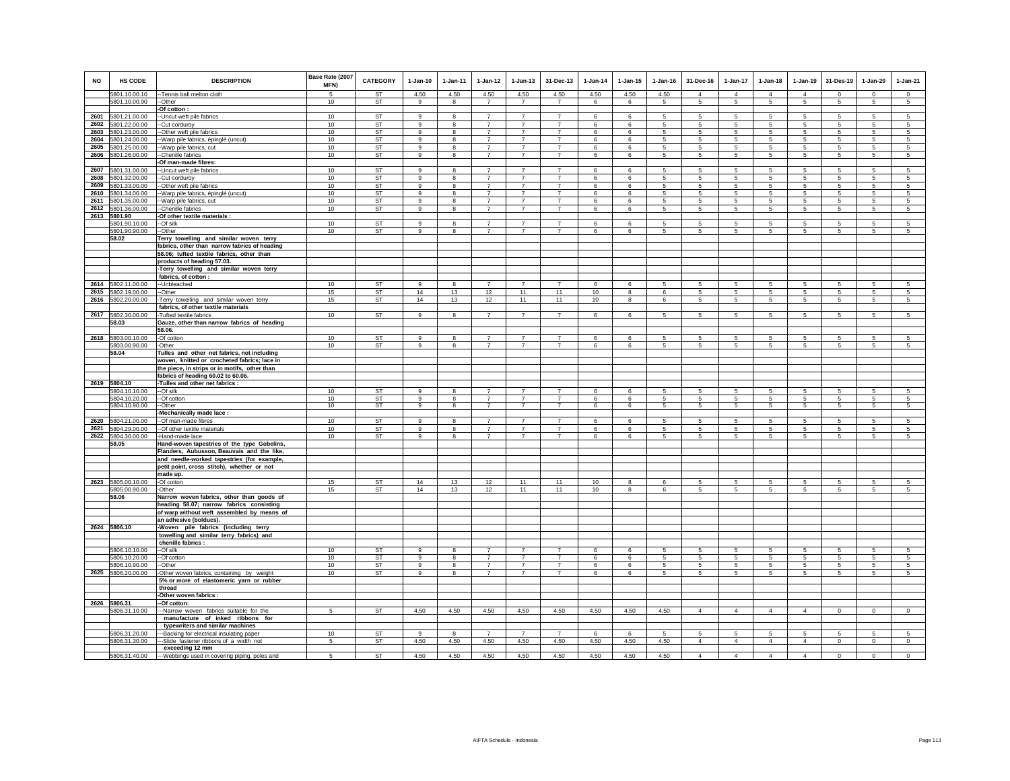| <b>NO</b> | HS CODE                            | <b>DESCRIPTION</b>                                                                          | Base Rate (2007<br>MFN) | <b>CATEGORY</b>        | $1-Jan-10$               | $1-Jan-11$   | $1 - Jan-12$                     | $1 - Jan-13$                     | 31-Dec-13                        | $1-Jan-14$ | $1$ -Jan-15  | $1 - Jan-16$   | 31-Dec-16       | $1-Jan-17$           | $1-Jan-18$           | $1-Jan-19$      | 31-Des-19        | $1-Jan-20$      | $1-Jan-21$                         |
|-----------|------------------------------------|---------------------------------------------------------------------------------------------|-------------------------|------------------------|--------------------------|--------------|----------------------------------|----------------------------------|----------------------------------|------------|--------------|----------------|-----------------|----------------------|----------------------|-----------------|------------------|-----------------|------------------------------------|
|           | 5801.10.00.10                      | -Tennis ball melton cloth                                                                   | $\overline{5}$          | <b>ST</b>              | 4.50                     | 4.50         | 4.50                             | 4.50                             | 4.50                             | 4.50       | 4.50         | 4.50           | $\Delta$        | $\Delta$             | $\Delta$             | $\Delta$        | $\Omega$         | $\mathbf{0}$    | $\circ$                            |
|           | 5801.10.00.90                      | --Other<br>-Of cotton :                                                                     | 10                      | ST                     | 9                        | 8            | $\overline{7}$                   | $\overline{7}$                   | $\overline{7}$                   | 6          | 6            | 5              | 5               | 5                    | 5                    | 5               | 5                | 5               | $5\phantom{.0}$                    |
|           | 2601 5801.21.00.00                 | -Uncut weft pile fabrics                                                                    | 10                      | <b>ST</b>              | 9                        | 8            | $\overline{7}$                   | $\overline{7}$                   | $\overline{7}$                   | 6          | 6            | 5              | 5               | 5                    | 5                    | 5               | 5                | 5               | 5                                  |
| 2602      | 5801.22.00.00                      | -Cut corduroy                                                                               | 10                      | <b>ST</b>              | $\alpha$                 | 8            | $\overline{7}$                   | $\overline{7}$                   | $\overline{7}$                   | 6          | 6            | 5              | $\sqrt{5}$      | 5                    | 5                    | $\sqrt{5}$      | $\sqrt{5}$       | 5               | 5                                  |
| 2603      | 5801.23.00.00                      | -Other weft pile fabrics                                                                    | 10                      | <b>ST</b>              | $\overline{9}$           | 8            | $\overline{7}$                   | $\overline{7}$                   | $\overline{7}$                   | 6          | 6            | 5              | 5               | 5                    | 5                    | $\sqrt{5}$      | $\sqrt{5}$       | 5               | 5                                  |
| 2604      | 5801.24.00.00                      | -Warp pile fabrics, épinglé (uncut)                                                         | 10                      | <b>ST</b>              | $\mathsf g$              | 8            | $\overline{7}$                   | $\overline{7}$                   | $\overline{7}$                   | 6          | 6            | 5              | 5               | 5                    | 5                    | 5               | $\sqrt{5}$       | 5               | 5                                  |
| 2605      | 5801.25.00.00                      | -Warp pile fabrics, cut                                                                     | 10                      | ST                     | 9                        | 8            | $\overline{7}$                   | $\overline{7}$                   | $\overline{7}$                   | 6          | 6            | 5              | 5               | 5                    | 5                    | 5               | 5                | 5               | 5                                  |
| 2606      | 5801.26.00.00                      | -Chenille fabrics                                                                           | 10                      | ST                     | 9                        | $\bf8$       | $\overline{7}$                   | $\overline{7}$                   | $\overline{7}$                   | 6          | 6            | 5              | $\sqrt{5}$      | $5\phantom{.0}$      | 5                    | 5               | $\,$ 5           | 5               | $\sqrt{5}$                         |
| 2607      | 5801.31.00.00                      | -Of man-made fibres:<br>-Uncut weft pile fabrics                                            | 10                      | ST                     | 9                        | 8            | $\overline{7}$                   | $\overline{z}$                   | $\overline{7}$                   | 6          | 6            | 5              | 5               | 5                    | 5                    | 5               | $\sqrt{5}$       | 5               | 5                                  |
| 2608      | 5801.32.00.00                      | -Cut corduroy                                                                               | 10                      | <b>ST</b>              | $\alpha$                 | 8            | $\overline{7}$                   | $\overline{7}$                   | $\overline{7}$                   | 6          | 6            | 5              | 5               | 5                    | 5                    | 5               | 5                | 5               | 5                                  |
| 2609      | 5801.33.00.00                      | -Other weft pile fabrics                                                                    | 10                      | <b>ST</b>              | 9                        | 8            | $\overline{7}$                   | $\overline{7}$                   | $\overline{7}$                   | 6          | 6            | $\overline{5}$ | 5               | 5                    | 5                    | 5               | 5                | 5               | $\overline{5}$                     |
| 2610      | 5801.34.00.00                      | -Warp pile fabrics, épinglé (uncut)                                                         | 10                      | ST                     | 9                        | 8            | $\overline{7}$                   | $\overline{7}$                   | $\overline{7}$                   | 6          | 6            | 5              | 5               | 5                    | 5                    | 5               | -5               | 5               | 5                                  |
| 2611      | 5801.35.00.00                      | -Warp pile fabrics, cut                                                                     | 10                      | <b>ST</b>              | 9                        | 8            | $\overline{7}$                   | $\overline{7}$                   | $\overline{7}$                   | 6          | 6            | 5              | 5               | 5                    | 5                    | 5               | $\sqrt{5}$       | 5               | 5                                  |
|           | 2612 5801.36.00.00<br>2613 5801.90 | -Chenille fabrics<br>-Of other textile materials :                                          | 10                      | ST                     | 9                        | 8            | $\overline{7}$                   | $\overline{7}$                   | $\overline{7}$                   | 6          | 6            | 5              | $5\phantom{.0}$ | $5\phantom{.0}$      | $5\phantom{.0}$      | 5               | 5                | 5               | $5\phantom{.0}$                    |
|           | 5801.90.10.00                      | --Of silk                                                                                   | 10                      | ST                     | 9                        | 8            | $\overline{7}$                   | $\overline{7}$                   | $\overline{7}$                   | 6          | 6            | 5              | 5               | 5                    | 5                    | 5               | 5                | 5               | 5                                  |
|           | 5801.90.90.00                      | --Other                                                                                     | 10                      | <b>ST</b>              | 9                        | 8            | $\overline{7}$                   | $\overline{7}$                   | $\overline{7}$                   | 6          | 6            | 5              | 5               | 5                    | 5                    | 5               | $\sqrt{5}$       | 5               | 5                                  |
|           | 58.02                              | Terry towelling and similar woven terry                                                     |                         |                        |                          |              |                                  |                                  |                                  |            |              |                |                 |                      |                      |                 |                  |                 |                                    |
|           |                                    | fabrics, other than narrow fabrics of heading                                               |                         |                        |                          |              |                                  |                                  |                                  |            |              |                |                 |                      |                      |                 |                  |                 |                                    |
|           |                                    | 58.06; tufted textile fabrics, other than                                                   |                         |                        |                          |              |                                  |                                  |                                  |            |              |                |                 |                      |                      |                 |                  |                 |                                    |
|           |                                    | products of heading 57.03.<br>-Terry towelling and similar woven terry                      |                         |                        |                          |              |                                  |                                  |                                  |            |              |                |                 |                      |                      |                 |                  |                 |                                    |
|           |                                    | fabrics, of cotton :                                                                        |                         |                        |                          |              |                                  |                                  |                                  |            |              |                |                 |                      |                      |                 |                  |                 |                                    |
| 2614      | 5802.11.00.00                      | -- Unbleached                                                                               | 10                      | ST                     | $\alpha$                 | $\mathbf{R}$ | $\overline{7}$                   | $\overline{7}$                   | $\overline{7}$                   | 6          | 6            | 5              | 5               | 5                    | 5                    | 5               | 5                | 5               | 5                                  |
| 2615      | 5802.19.00.00                      | --Other                                                                                     | 15                      | ST                     | 14                       | 13           | 12                               | 11                               | 11                               | 10         | 8            | 6              | $5\overline{5}$ | 5                    | 5                    | 5               | 5                | 5               | 5                                  |
| 2616      | 5802.20.00.00                      | Terry towelling and similar woven terry                                                     | 15                      | ST                     | 14                       | 13           | 12                               | 11                               | 11                               | 10         | 8            | 6              | 5               | 5                    | 5                    | 5               | 5                | 5               | 5                                  |
|           | 2617 5802.30.00.00                 | fabrics, of other textile materials<br>-Tufted textile fabrics                              | 10                      | ST                     | 9                        | 8            | $\overline{7}$                   | $\overline{7}$                   | $\overline{7}$                   | 6          | 6            | 5              | 5               | 5                    | 5                    | 5               | 5                | 5               | 5                                  |
|           | 58.03                              | Gauze, other than narrow fabrics of heading                                                 |                         |                        |                          |              |                                  |                                  |                                  |            |              |                |                 |                      |                      |                 |                  |                 |                                    |
|           |                                    | 58.06.                                                                                      |                         |                        |                          |              |                                  |                                  |                                  |            |              |                |                 |                      |                      |                 |                  |                 |                                    |
|           | 2618 5803.00.10.00                 | -Of cotton                                                                                  | 10                      | ST                     | 9                        | 8            | $\overline{7}$                   | $\overline{7}$                   | $\overline{7}$                   | 6          | 6            | 5              | 5               | 5                    | 5                    | 5               | 5                | 5               | $\sqrt{5}$                         |
|           | 5803.00.90.00                      | -Other                                                                                      | 10                      | <b>ST</b>              | $\overline{9}$           | 8            | $\overline{7}$                   | $\overline{7}$                   | $\overline{7}$                   | 6          | 6            | 5              | 5               | 5                    | 5                    | 5               | $\sqrt{5}$       | 5               | 5                                  |
|           | 58.04                              | Tulles and other net fabrics, not including<br>woven, knitted or crocheted fabrics; lace in |                         |                        |                          |              |                                  |                                  |                                  |            |              |                |                 |                      |                      |                 |                  |                 |                                    |
|           |                                    | the piece, in strips or in motifs, other than                                               |                         |                        |                          |              |                                  |                                  |                                  |            |              |                |                 |                      |                      |                 |                  |                 |                                    |
|           |                                    | fabrics of heading 60.02 to 60.06.                                                          |                         |                        |                          |              |                                  |                                  |                                  |            |              |                |                 |                      |                      |                 |                  |                 |                                    |
|           | 2619 5804.10                       | -Tulles and other net fabrics :                                                             |                         |                        |                          |              |                                  |                                  |                                  |            |              |                |                 |                      |                      |                 |                  |                 |                                    |
|           | 5804.10.10.00<br>5804.10.20.00     | --Of silk<br>--Of cotton                                                                    | 10<br>10                | <b>ST</b><br>ST        | $\overline{9}$<br>9      | 8<br>8       | $\overline{7}$<br>$\overline{7}$ | $\overline{7}$<br>$\overline{7}$ | $\overline{7}$<br>$\overline{7}$ | 6<br>6     | 6<br>6       | 5<br>5         | 5<br>5          | 5<br>$5\overline{5}$ | 5<br>5               | 5<br>5          | 5<br>5           | 5<br>5          | 5<br>$5\overline{5}$               |
|           | 5804.10.90.00                      | --Other                                                                                     | 10                      | ST                     | 9                        | 8            | $\overline{7}$                   | $\overline{7}$                   | $\overline{7}$                   | 6          | 6            | 5              | $5\overline{5}$ | $5\overline{5}$      | $5\overline{5}$      | $5\overline{5}$ | 5                | $5\overline{5}$ | $5\overline{5}$                    |
|           |                                    | -Mechanically made lace:                                                                    |                         |                        |                          |              |                                  |                                  |                                  |            |              |                |                 |                      |                      |                 |                  |                 |                                    |
| 2620      | 5804.21.00.00                      | --Of man-made fibres                                                                        | 10                      | <b>ST</b>              | $\alpha$                 | 8            | $\overline{7}$                   | $\overline{7}$                   | $\overline{7}$                   | 6          | 6            | 5              | 5               | 5                    | 5                    | 5               | -5               | 5               | $\sqrt{5}$                         |
|           | 2621 5804.29.00.00                 | -- Of other textile materials                                                               | 10                      | ST                     | 9                        | 8            | $\overline{7}$                   | $\overline{7}$                   | $\overline{7}$                   | 6          | 6            | 5              | 5               | $5\overline{5}$      | 5                    | 5               | 5                | 5               | $5\overline{5}$                    |
|           | 2622 5804.30.00.00<br>58.05        | -Hand-made lace<br>Hand-woven tapestries of the type Gobelins,                              | 10                      | <b>ST</b>              | 9                        | 8            | $\overline{7}$                   | $\overline{7}$                   | $\overline{7}$                   | 6          | 6            | 5              | 5               | 5                    | 5                    | 5               | 5                | 5               | 5                                  |
|           |                                    | Flanders, Aubusson, Beauvais and the like,                                                  |                         |                        |                          |              |                                  |                                  |                                  |            |              |                |                 |                      |                      |                 |                  |                 |                                    |
|           |                                    | and needle-worked tapestries (for example,                                                  |                         |                        |                          |              |                                  |                                  |                                  |            |              |                |                 |                      |                      |                 |                  |                 |                                    |
|           |                                    | petit point, cross stitch), whether or not                                                  |                         |                        |                          |              |                                  |                                  |                                  |            |              |                |                 |                      |                      |                 |                  |                 |                                    |
|           | 2623 5805.00.10.00                 | made up.                                                                                    |                         |                        | 14                       | 13           |                                  | 11                               | 11                               |            | $\mathbf{g}$ | 6              |                 |                      | $\sqrt{5}$           | -5              |                  |                 |                                    |
|           | 5805.00.90.00                      | -Of cotton<br>-Other                                                                        | 15<br>15                | <b>ST</b><br><b>ST</b> | 14                       | 13           | 12<br>12                         | 11                               | 11                               | 10<br>10   | 8            | 6              | 5<br>5          | 5<br>5               | 5                    | 5               | $\sqrt{5}$<br>-5 | $\sqrt{5}$<br>5 | $5\overline{)}$<br>$5\overline{5}$ |
|           | 58.06                              | Narrow woven fabrics, other than goods of                                                   |                         |                        |                          |              |                                  |                                  |                                  |            |              |                |                 |                      |                      |                 |                  |                 |                                    |
|           |                                    | heading 58.07; narrow fabrics consisting                                                    |                         |                        |                          |              |                                  |                                  |                                  |            |              |                |                 |                      |                      |                 |                  |                 |                                    |
|           |                                    | of warp without weft assembled by means of                                                  |                         |                        |                          |              |                                  |                                  |                                  |            |              |                |                 |                      |                      |                 |                  |                 |                                    |
|           | 2624 5806.10                       | an adhesive (bolducs).<br>-Woven pile fabrics (including terry                              |                         |                        |                          |              |                                  |                                  |                                  |            |              |                |                 |                      |                      |                 |                  |                 |                                    |
|           |                                    | towelling and similar terry fabrics) and                                                    |                         |                        |                          |              |                                  |                                  |                                  |            |              |                |                 |                      |                      |                 |                  |                 |                                    |
|           |                                    | chenille fabrics :                                                                          |                         |                        |                          |              |                                  |                                  |                                  |            |              |                |                 |                      |                      |                 |                  |                 |                                    |
|           | 5806.10.10.00                      | --Of silk                                                                                   | 10                      | ST                     | 9                        | 8            |                                  |                                  |                                  | 6          | 6            |                |                 | 5                    |                      |                 | 5                | 5               | 5                                  |
|           | 5806.10.20.00                      | --Of cotton                                                                                 | 10                      | ST                     | $\mathbf{9}$<br>$\alpha$ | 8            | $\overline{7}$                   | $\overline{7}$                   | $\overline{7}$<br>$\overline{7}$ | 6          | 6            | 5              | 5               | $5\phantom{.0}$      | $5\phantom{.0}$      | 5               | $\sqrt{5}$       | $\overline{5}$  | 5                                  |
| 2625      | 5806.10.90.00<br>5806.20.00.00     | --Other                                                                                     | 10<br>10                | <b>ST</b><br>ST        | $\overline{9}$           | 8<br>8       | $\overline{7}$<br>$\overline{7}$ | $\overline{7}$<br>$\overline{7}$ | $\overline{7}$                   | 6<br>6     | 6<br>6       | 5<br>5         | 5<br>$\sqrt{5}$ | 5<br>5               | $5\overline{)}$<br>5 | 5<br>5          | $\sqrt{5}$<br>5  | 5<br>5          | 5<br>$5\overline{5}$               |
|           |                                    | Other woven fabrics, containing by weight<br>5% or more of elastomeric yarn or rubber       |                         |                        |                          |              |                                  |                                  |                                  |            |              |                |                 |                      |                      |                 |                  |                 |                                    |
|           |                                    | thread                                                                                      |                         |                        |                          |              |                                  |                                  |                                  |            |              |                |                 |                      |                      |                 |                  |                 |                                    |
|           |                                    | -Other woven fabrics :                                                                      |                         |                        |                          |              |                                  |                                  |                                  |            |              |                |                 |                      |                      |                 |                  |                 |                                    |
|           | 2626 5806.31                       | -Of cotton:                                                                                 |                         |                        |                          |              |                                  |                                  |                                  |            |              |                |                 |                      |                      |                 |                  |                 |                                    |
|           | 5806.31.10.00                      | -Narrow woven fabrics suitable for the<br>manufacture of inked ribbons for                  | -5                      | <b>ST</b>              | 4.50                     | 4.50         | 4.50                             | 4.50                             | 4.50                             | 4.50       | 4.50         | 4.50           | $\overline{4}$  | $\mathbf{A}$         | $\overline{4}$       | $\overline{4}$  | $\circ$          | $\circ$         | $\circ$                            |
|           |                                    | typewriters and similar machines                                                            |                         |                        |                          |              |                                  |                                  |                                  |            |              |                |                 |                      |                      |                 |                  |                 |                                    |
|           | 5806.31.20.00                      | --Backing for electrical insulating paper                                                   | 10                      | <b>ST</b>              | $\mathsf g$              | 8            | $\overline{7}$                   | $\overline{7}$                   | $\overline{7}$                   | 6          | 6            | 5              | 5               | 5                    | 5                    | 5               | $\sqrt{5}$       | 5               | 5                                  |
|           | 5806.31.30.00                      | --Slide fastener ribbons of a width not                                                     | 5                       | <b>ST</b>              | 4.50                     | 4.50         | 4.50                             | 4.50                             | 4.50                             | 4.50       | 4.50         | 4.50           | $\overline{4}$  | $\overline{4}$       | $\overline{4}$       | $\overline{4}$  | $\mathsf 0$      | $\circ$         | $\circ$                            |
|           |                                    | exceeding 12 mm                                                                             |                         |                        |                          |              |                                  |                                  |                                  |            |              |                | $\Delta$        | $\Delta$             |                      | $\Delta$        |                  |                 |                                    |
|           | 5806.31.40.00                      | --- Webbings used in covering piping, poles and                                             | 5                       | <b>ST</b>              | 4.50                     | 4.50         | 4.50                             | 4.50                             | 4.50                             | 4.50       | 4.50         | 4.50           |                 |                      | $\overline{4}$       |                 | $\Omega$         | $\Omega$        | $\circ$                            |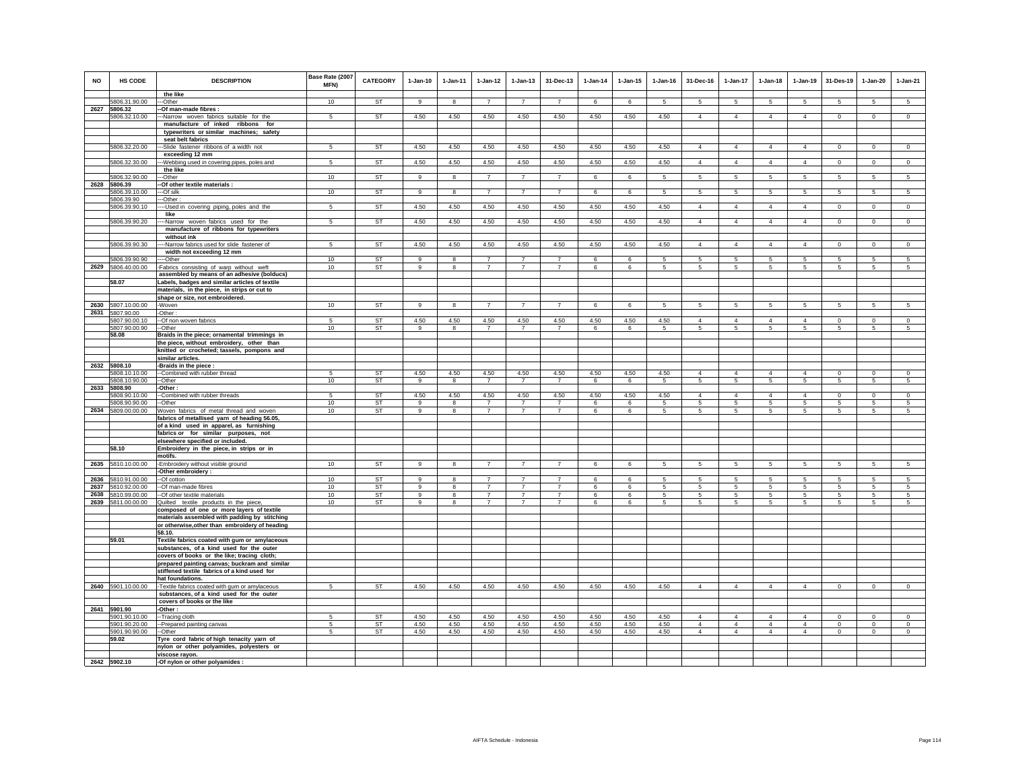| <b>NO</b> | HS CODE                        | <b>DESCRIPTION</b>                                                                              | Base Rate (2007<br><b>MFN)</b> | <b>CATEGORY</b> | $1-Jan-10$     | $1-Jan-11$   | $1 - Jan-12$   | $1 - Jan-13$   | 31-Dec-13      | $1 - Jan-14$ | $1 - Jan-15$ | $1 - Jan-16$ | 31-Dec-16                  | $1-Jan-17$                 | $1-Jan-18$      | $1-Jan-19$                 | 31-Des-19              | $1 - Jan-20$            | $1-Jan-21$          |
|-----------|--------------------------------|-------------------------------------------------------------------------------------------------|--------------------------------|-----------------|----------------|--------------|----------------|----------------|----------------|--------------|--------------|--------------|----------------------------|----------------------------|-----------------|----------------------------|------------------------|-------------------------|---------------------|
|           |                                | the like                                                                                        |                                |                 |                |              |                |                |                |              |              |              |                            |                            |                 |                            |                        |                         |                     |
|           | 5806.31.90.00<br>2627 5806.32  | -Other<br>-Of man-made fibres :                                                                 | 10                             | <b>ST</b>       | $\mathbf{q}$   | $\mathbf{g}$ | $\overline{7}$ | $\overline{7}$ | $\overline{7}$ | 6            | 6            | 5            | 5                          | 5                          | 5               | 5                          | 5                      | 5                       | 5                   |
|           | 5806.32.10.00                  | --Narrow woven fabrics suitable for the                                                         | 5                              | <b>ST</b>       | 4.50           | 4.50         | 4.50           | 4.50           | 4.50           | 4.50         | 4.50         | 4.50         | $\overline{4}$             | $\overline{4}$             | $\overline{4}$  | $\overline{4}$             | $\circ$                | $\circ$                 | $\mathbf 0$         |
|           |                                | manufacture of inked ribbons for                                                                |                                |                 |                |              |                |                |                |              |              |              |                            |                            |                 |                            |                        |                         |                     |
|           |                                | typewriters or similar machines; safety                                                         |                                |                 |                |              |                |                |                |              |              |              |                            |                            |                 |                            |                        |                         |                     |
|           |                                | seat belt fabrics                                                                               |                                |                 |                |              |                |                |                |              |              |              |                            |                            |                 |                            |                        |                         |                     |
|           | 5806.32.20.00                  | --Slide fastener ribbons of a width not                                                         | 5                              | <b>ST</b>       | 4.50           | 4.50         | 4.50           | 4.50           | 4.50           | 4.50         | 4.50         | 4.50         | $\overline{4}$             | $\overline{4}$             | $\overline{4}$  | $\overline{4}$             | $\overline{0}$         | $\mathbf 0$             | $\overline{0}$      |
|           | 5806.32.30.00                  | exceeding 12 mm<br>--Webbing used in covering pipes, poles and                                  | $\sqrt{5}$                     | <b>ST</b>       | 4.50           | 4.50         | 4.50           | 4.50           | 4.50           | 4.50         | 4.50         | 4.50         | $\overline{4}$             | $\overline{4}$             | $\overline{4}$  | $\overline{4}$             | $\overline{0}$         | $\Omega$                | $\overline{0}$      |
|           |                                | the like                                                                                        |                                |                 |                |              |                |                |                |              |              |              |                            |                            |                 |                            |                        |                         |                     |
|           | 5806.32.90.00                  | --Other                                                                                         | 10                             | ST              | 9              | 8            | $\overline{7}$ | $\overline{7}$ | $\overline{7}$ | 6            | 6            | -5           | 5                          | $5^{\circ}$                | $5\overline{5}$ | $5\phantom{.0}$            | 5                      | 5                       | $\sqrt{5}$          |
|           | 2628 5806.39                   | -Of other textile materials :                                                                   |                                |                 |                |              |                |                |                |              |              |              |                            |                            |                 |                            |                        |                         |                     |
|           | 5806.39.10.00                  | --Of silk                                                                                       | 10                             | <b>ST</b>       | $\overline{9}$ | 8            | $\overline{7}$ | $\overline{7}$ | $\overline{7}$ | 6            | 6            | $\sqrt{5}$   | 5                          | 5                          | 5               | $5\overline{5}$            | 5                      | 5                       | 5                   |
|           | 5806.39.90<br>5806.39.90.10    | -Other:<br>--Used in covering piping, poles and the                                             | 5                              | <b>ST</b>       | 4.50           | 4.50         | 4.50           | 4.50           | 4.50           | 4.50         | 4.50         | 4.50         | $\overline{4}$             | $\overline{4}$             | $\overline{4}$  | $\overline{4}$             | $\,0\,$                | $\mathbf 0$             | $\mathbf 0$         |
|           |                                | like                                                                                            |                                |                 |                |              |                |                |                |              |              |              |                            |                            |                 |                            |                        |                         |                     |
|           | 5806.39.90.20                  | --Narrow woven fabrics used for the                                                             | 5                              | ST              | 4.50           | 4.50         | 4.50           | 4.50           | 4.50           | 4.50         | 4.50         | 4.50         | $\overline{4}$             | $\overline{4}$             | $\overline{4}$  | $\overline{4}$             | $\overline{0}$         | $\overline{0}$          | $\overline{0}$      |
|           |                                | manufacture of ribbons for typewriters                                                          |                                |                 |                |              |                |                |                |              |              |              |                            |                            |                 |                            |                        |                         |                     |
|           |                                | without ink                                                                                     |                                | <b>ST</b>       |                |              |                |                |                |              |              |              |                            |                            |                 |                            |                        |                         |                     |
|           | 5806.39.90.30                  | ---Narrow fabrics used for slide fastener of<br>width not exceeding 12 mm                       | 5                              |                 | 4.50           | 4.50         | 4.50           | 4.50           | 4.50           | 4.50         | 4.50         | 4.50         | $\overline{4}$             | $\overline{4}$             | $\overline{4}$  | $\overline{4}$             | $\circ$                | $\mathbf{0}$            | $\mathbf{0}$        |
|           | 5806.39.90.90                  | --Other                                                                                         | 10                             | ST              | 9              | 8            | $\overline{7}$ | $\overline{7}$ | $\overline{7}$ | 6            | 6            | 5            | 5                          | 5                          | 5               | 5                          | 5                      | 5                       | 5                   |
|           | 2629 5806.40.00.00             | -Fabrics consisting of warp without weft                                                        | 10                             | ST              | 9              | 8            | $\overline{7}$ | $\overline{7}$ | $\overline{7}$ | 6            | 6            | 5            | 5                          | 5                          | 5               | 5                          | 5                      | 5                       | 5                   |
|           |                                | assembled by means of an adhesive (bolducs)                                                     |                                |                 |                |              |                |                |                |              |              |              |                            |                            |                 |                            |                        |                         |                     |
|           | 58.07                          | Labels, badges and similar articles of textile                                                  |                                |                 |                |              |                |                |                |              |              |              |                            |                            |                 |                            |                        |                         |                     |
|           |                                | materials, in the piece, in strips or cut to<br>shape or size, not embroidered.                 |                                |                 |                |              |                |                |                |              |              |              |                            |                            |                 |                            |                        |                         |                     |
|           | 2630 5807.10.00.00             | -Woven                                                                                          | 10                             | <b>ST</b>       | 9              | 8            | $\overline{7}$ | $\overline{7}$ | $\overline{7}$ | 6            | 6            | 5            | 5                          | $5\overline{5}$            | $5\overline{5}$ | $5\overline{5}$            | 5                      | 5                       | 5                   |
|           | 2631 5807.90.00                | -Other:                                                                                         |                                |                 |                |              |                |                |                |              |              |              |                            |                            |                 |                            |                        |                         |                     |
|           | 5807.90.00.10                  | --Of non woven fabrics                                                                          | 5                              | ST              | 4.50           | 4.50         | 4.50           | 4.50           | 4.50           | 4.50         | 4.50         | 4.50         | $\overline{4}$             | $\overline{4}$             | $\overline{4}$  | $\overline{4}$             | $\circ$                | $^{\circ}$              | $\circ$             |
|           | 5807.90.00.90<br>58.08         | --Other<br>Braids in the piece; ornamental trimmings in                                         | 10                             | <b>ST</b>       | 9              | -8           | $\overline{7}$ | $\overline{7}$ | $\overline{7}$ | 6            | 6            | -5           | 5                          | 5                          | 5               | 5                          | -5                     | 5                       | 5                   |
|           |                                | the piece, without embroidery, other than                                                       |                                |                 |                |              |                |                |                |              |              |              |                            |                            |                 |                            |                        |                         |                     |
|           |                                | knitted or crocheted; tassels, pompons and                                                      |                                |                 |                |              |                |                |                |              |              |              |                            |                            |                 |                            |                        |                         |                     |
|           |                                | similar articles.                                                                               |                                |                 |                |              |                |                |                |              |              |              |                            |                            |                 |                            |                        |                         |                     |
|           | 2632 5808.10                   | -Braids in the piece :                                                                          |                                |                 |                |              |                |                |                |              |              |              |                            |                            |                 |                            |                        |                         |                     |
|           | 5808.10.10.00                  | --Combined with rubber thread                                                                   | 5                              | <b>ST</b>       | 4.50           | 4.50         | 4.50           | 4.50           | 4.50           | 4.50         | 4.50         | 4.50         | $\overline{4}$             | $\overline{4}$             | $\overline{4}$  | $\overline{4}$             | $\mathbf 0$            | $\mathsf 0$             | $\mathsf 0$         |
|           | 5808.10.90.00<br>2633 5808.90  | --Other<br>-Other :                                                                             | 10                             | ST              | 9              | 8            | $\overline{7}$ | $\overline{7}$ | $\overline{7}$ | 6            | 6            | -5           | 5                          | 5                          | 5               | 5                          | 5                      | 5                       | 5                   |
|           | 5808.90.10.00                  | -Combined with rubber threads                                                                   | -5                             | <b>ST</b>       | 4.50           | 4.50         | 4.50           | 4.50           | 4.50           | 4.50         | 4.50         | 4.50         | $\overline{4}$             | $\overline{4}$             | $\overline{4}$  | $\overline{4}$             | $\overline{0}$         | $\circ$                 | $^{\circ}$          |
|           | 5808.90.90.00                  | -Other                                                                                          | 10                             | <b>ST</b>       | 9              | 8            | $\overline{7}$ | 7              | 7              | 6            | 6            | 5            | 5                          | 5                          | 5               | 5                          | 5                      | 5                       | 5                   |
|           | 2634 5809.00.00.00             | Woven fabrics of metal thread and woven                                                         | 10                             | <b>ST</b>       | 9              | 8            | $\overline{7}$ | $\overline{7}$ | $\overline{7}$ | 6            | 6            | 5            | 5                          | 5                          | 5               | 5                          | 5                      | 5                       | 5                   |
|           |                                | fabrics of metallised yarn of heading 56.05,<br>of a kind used in apparel, as furnishing        |                                |                 |                |              |                |                |                |              |              |              |                            |                            |                 |                            |                        |                         |                     |
|           |                                | fabrics or for similar purposes, not                                                            |                                |                 |                |              |                |                |                |              |              |              |                            |                            |                 |                            |                        |                         |                     |
|           |                                | elsewhere specified or included.                                                                |                                |                 |                |              |                |                |                |              |              |              |                            |                            |                 |                            |                        |                         |                     |
|           | 58.10                          | Embroidery in the piece, in strips or in                                                        |                                |                 |                |              |                |                |                |              |              |              |                            |                            |                 |                            |                        |                         |                     |
|           |                                | motifs.                                                                                         |                                |                 |                |              |                |                |                |              |              |              |                            |                            |                 |                            |                        |                         |                     |
|           | 2635 5810.10.00.00             | -Embroidery without visible ground                                                              | 10                             | ST              | 9              | 8            | 7              | $\overline{7}$ | $\overline{7}$ | 6            | 6            | 5            | 5                          | $5\overline{5}$            | $5^{\circ}$     | 5                          | $5\phantom{.0}$        | $5\phantom{.0}$         | $\sqrt{5}$          |
|           | 2636 5810.91.00.00             | -Other embroidery :<br>--Of cotton                                                              | 10 <sup>1</sup>                | <b>ST</b>       | 9              | 8            | $\overline{7}$ | $\overline{7}$ | $\overline{7}$ | 6            | 6            | -5           | 5                          | $5\phantom{.0}$            | 5               | 5                          | $5\phantom{.0}$        | 5                       | 5                   |
|           | 2637 5810.92.00.00             | -Of man-made fibres                                                                             | 10                             | <b>ST</b>       | 9              | 8            | $\overline{7}$ | $\overline{7}$ | $\overline{7}$ | 6            | 6            | $\sqrt{5}$   | 5                          | 5                          | 5               | $5\phantom{.0}$            | 5                      | 5                       | 5                   |
|           | 2638 5810.99.00.00             | -Of other textile materials                                                                     | 10                             | ST              | 9              | 8            | $\overline{7}$ | $\overline{7}$ | $\overline{7}$ | 6            | 6            | 5            | 5                          | 5                          | 5               | 5                          | 5                      | 5                       | 5                   |
|           | 2639 5811.00.00.00             | Quilted textile products in the piece,                                                          | 10                             | <b>ST</b>       | $\mathsf g$    | 8            | $\overline{7}$ | $\overline{7}$ | $\overline{7}$ | 6            | 6            | 5            | 5                          | 5                          | 5               | 5                          | 5                      | 5                       | 5                   |
|           |                                | composed of one or more layers of textile                                                       |                                |                 |                |              |                |                |                |              |              |              |                            |                            |                 |                            |                        |                         |                     |
|           |                                | materials assembled with padding by stitching<br>or otherwise, other than embroidery of heading |                                |                 |                |              |                |                |                |              |              |              |                            |                            |                 |                            |                        |                         |                     |
|           |                                | 58.10.                                                                                          |                                |                 |                |              |                |                |                |              |              |              |                            |                            |                 |                            |                        |                         |                     |
|           | 59.01                          | Textile fabrics coated with gum or amylaceous                                                   |                                |                 |                |              |                |                |                |              |              |              |                            |                            |                 |                            |                        |                         |                     |
|           |                                | substances, of a kind used for the outer                                                        |                                |                 |                |              |                |                |                |              |              |              |                            |                            |                 |                            |                        |                         |                     |
|           |                                | covers of books or the like; tracing cloth;                                                     |                                |                 |                |              |                |                |                |              |              |              |                            |                            |                 |                            |                        |                         |                     |
|           |                                | prepared painting canvas; buckram and similar                                                   |                                |                 |                |              |                |                |                |              |              |              |                            |                            |                 |                            |                        |                         |                     |
|           |                                | stiffened textile fabrics of a kind used for<br>hat foundations.                                |                                |                 |                |              |                |                |                |              |              |              |                            |                            |                 |                            |                        |                         |                     |
|           | 2640 5901.10.00.00             | -Textile fabrics coated with gum or amylaceous                                                  | 5                              | <b>ST</b>       | 4.50           | 4.50         | 4.50           | 4.50           | 4.50           | 4.50         | 4.50         | 4.50         | $\overline{4}$             | $\overline{4}$             | $\overline{4}$  | $\overline{4}$             | $\overline{0}$         | $\mathsf 0$             | $\overline{0}$      |
|           |                                | substances, of a kind used for the outer                                                        |                                |                 |                |              |                |                |                |              |              |              |                            |                            |                 |                            |                        |                         |                     |
|           |                                | covers of books or the like                                                                     |                                |                 |                |              |                |                |                |              |              |              |                            |                            |                 |                            |                        |                         |                     |
|           | 2641 5901.90                   | -Other:                                                                                         |                                |                 |                |              |                |                |                |              |              |              |                            |                            |                 |                            |                        |                         |                     |
|           | 5901.90.10.00<br>5901.90.20.00 | -- Tracing cloth<br>--Prepared painting canvas                                                  | 5<br>5                         | <b>ST</b><br>ST | 4.50<br>4.50   | 4.50<br>4.50 | 4.50<br>4.50   | 4.50<br>4.50   | 4.50<br>4.50   | 4.50<br>4.50 | 4.50<br>4.50 | 4.50<br>4.50 | $\Delta$<br>$\overline{4}$ | $\Delta$<br>$\overline{4}$ | $\Delta$<br>4   | $\Delta$<br>$\overline{4}$ | $\Omega$<br>$^{\circ}$ | $\Omega$<br>$\mathbf 0$ | $\Omega$<br>$\circ$ |
|           | 5901.90.90.00                  | --Other                                                                                         | 5                              | <b>ST</b>       | 4.50           | 4.50         | 4.50           | 4.50           | 4.50           | 4.50         | 4.50         | 4.50         | $\overline{4}$             | $\overline{4}$             | $\overline{4}$  | $\overline{4}$             | $\overline{0}$         | $\circ$                 | $\circ$             |
|           | 59.02                          | Tyre cord fabric of high tenacity yarn of                                                       |                                |                 |                |              |                |                |                |              |              |              |                            |                            |                 |                            |                        |                         |                     |
|           |                                | nylon or other polyamides, polyesters or                                                        |                                |                 |                |              |                |                |                |              |              |              |                            |                            |                 |                            |                        |                         |                     |
|           |                                | viscose rayon.                                                                                  |                                |                 |                |              |                |                |                |              |              |              |                            |                            |                 |                            |                        |                         |                     |
|           | 2642 5902.10                   | -Of nylon or other polyamides :                                                                 |                                |                 |                |              |                |                |                |              |              |              |                            |                            |                 |                            |                        |                         |                     |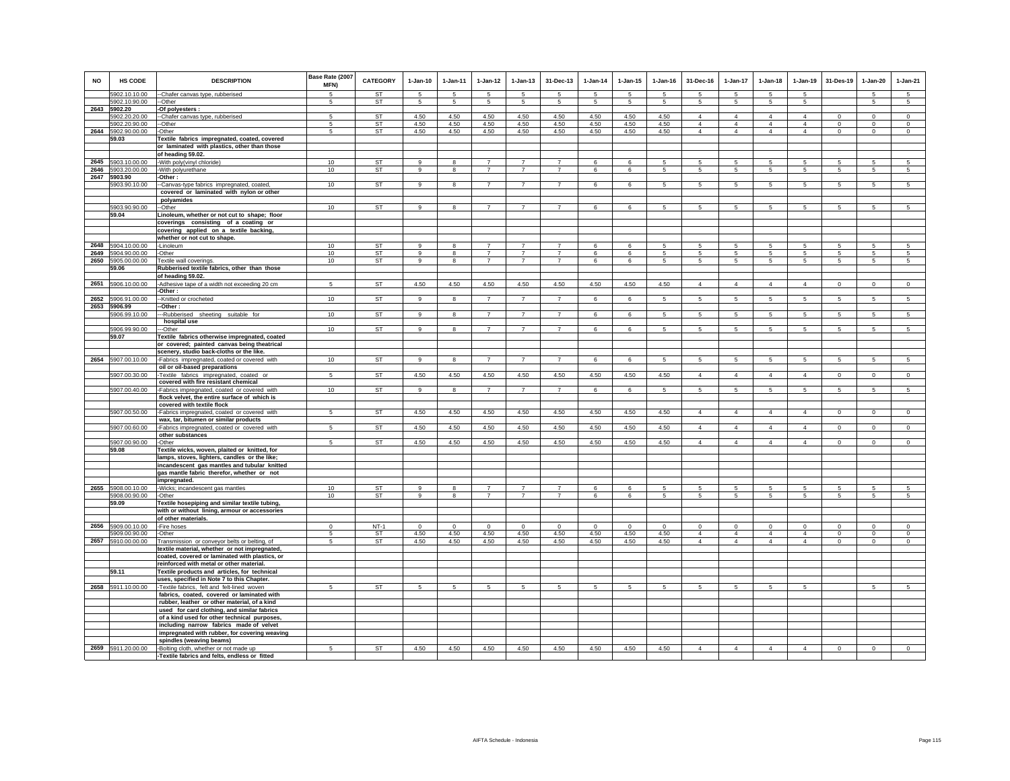| <b>NO</b> | <b>HS CODE</b>                 | <b>DESCRIPTION</b>                                                                              | Base Rate (2007 | <b>CATEGORY</b> | $1-Jan-10$           | $1-Jan-11$   | $1 - Jan-12$                 | $1-Jan-13$     | 31-Dec-13      | $1-Jan-14$ | $1-Jan-15$ | $1-Jan-16$ | 31-Dec-16             | 1-Jan-17             | $1-Jan-18$      | $1-Jan-19$      | 31-Des-19       | $1-Jan-20$     | $1-Jan-21$      |
|-----------|--------------------------------|-------------------------------------------------------------------------------------------------|-----------------|-----------------|----------------------|--------------|------------------------------|----------------|----------------|------------|------------|------------|-----------------------|----------------------|-----------------|-----------------|-----------------|----------------|-----------------|
|           |                                |                                                                                                 | MFN)            |                 |                      |              |                              |                |                |            |            |            |                       |                      |                 |                 |                 |                |                 |
|           | 5902.10.10.00<br>5902.10.90.00 | -Chafer canvas type, rubberised<br>--Other                                                      | 5<br>5          | <b>ST</b><br>ST | 5<br>$5\phantom{.0}$ | 5<br>5       | $\sqrt{5}$<br>$\overline{5}$ | 5<br>5         | 5<br>5         | -5<br>5    | 5<br>5     | 5<br>5     | -5<br>$5\phantom{.0}$ | 5<br>$5\phantom{.0}$ | 5<br>5          | 5<br>5          |                 | 5<br>5         | $\sqrt{5}$<br>5 |
| 2643      | 5902.20                        | -Of polyesters :                                                                                |                 |                 |                      |              |                              |                |                |            |            |            |                       |                      |                 |                 |                 |                |                 |
|           | 5902.20.20.00                  | --Chafer canvas type, rubberised                                                                | 5               | <b>ST</b>       | 4.50                 | 4.50         | 4.50                         | 4.50           | 4.50           | 4.50       | 4.50       | 4.50       | $\overline{4}$        | $\overline{4}$       | $\overline{4}$  | $\overline{4}$  | $^{\circ}$      | $\mathbf 0$    | $\circ$         |
|           | 5902.20.90.00                  | -Other                                                                                          | 5               | ST              | 4.50                 | 4.50         | 4.50                         | 4.50           | 4.50           | 4.50       | 4.50       | 4.50       | $\overline{4}$        | $\overline{4}$       | $\overline{4}$  | $\overline{4}$  | $\circ$         | $\mathbf 0$    | $\circ$         |
| 2644      | 5902.90.00.00                  | Other                                                                                           | 5               | ST              | 4.50                 | 4.50         | 4.50                         | 4.50           | 4.50           | 4.50       | 4.50       | 4.50       | $\overline{4}$        | $\overline{4}$       | $\overline{4}$  | $\overline{4}$  | 0               | 0              | 0               |
|           | 59.03                          | Textile fabrics impregnated, coated, covered                                                    |                 |                 |                      |              |                              |                |                |            |            |            |                       |                      |                 |                 |                 |                |                 |
|           |                                | or laminated with plastics, other than those                                                    |                 |                 |                      |              |                              |                |                |            |            |            |                       |                      |                 |                 |                 |                |                 |
| 2645      | 5903.10.00.00                  | of heading 59.02.                                                                               | 10              | ST              | 9                    | 8            | $\overline{7}$               | $\overline{7}$ | $\overline{7}$ | 6          | 6          | 5          | 5                     | 5                    | 5               | 5               | 5               | 5              | 5               |
| 2646      | 5903.20.00.00                  | With poly(vinyl chloride)<br>With polyurethane                                                  | 10              | ST              | 9                    | 8            | $\overline{7}$               | $\overline{7}$ | $\overline{7}$ | 6          | 6          | 5          | 5                     | $5\phantom{.0}$      | 5               | 5               | 5               | 5              | 5               |
| 2647      | 5903.90                        | -Other :                                                                                        |                 |                 |                      |              |                              |                |                |            |            |            |                       |                      |                 |                 |                 |                |                 |
|           | 5903.90.10.00                  | -Canvas-type fabrics impregnated, coated                                                        | 10              | <b>ST</b>       | $\alpha$             | 8            | $\overline{7}$               | $\overline{7}$ | $\overline{7}$ | 6          | 6          | 5          | 5 <sup>1</sup>        | $5\overline{5}$      | 5               | $\overline{5}$  | 5               | $\overline{5}$ | $\overline{5}$  |
|           |                                | covered or laminated with nylon or other                                                        |                 |                 |                      |              |                              |                |                |            |            |            |                       |                      |                 |                 |                 |                |                 |
|           |                                | polyamides                                                                                      |                 |                 |                      |              |                              |                |                |            |            |            |                       |                      |                 |                 |                 |                |                 |
|           | 5903.90.90.00                  | --Other                                                                                         | 10              | <b>ST</b>       | 9                    | 8            | $\overline{7}$               | $\overline{7}$ | $\overline{7}$ | 6          | 6          | 5          | $5\overline{5}$       | 5                    | $5\overline{5}$ | $5\overline{5}$ | 5               | 5              | 5               |
|           | 59.04                          | Linoleum, whether or not cut to shape; floor                                                    |                 |                 |                      |              |                              |                |                |            |            |            |                       |                      |                 |                 |                 |                |                 |
|           |                                | coverings consisting of a coating or<br>covering applied on a textile backing,                  |                 |                 |                      |              |                              |                |                |            |            |            |                       |                      |                 |                 |                 |                |                 |
|           |                                | whether or not cut to shape.                                                                    |                 |                 |                      |              |                              |                |                |            |            |            |                       |                      |                 |                 |                 |                |                 |
|           | 2648 5904.10.00.00             | -Linoleum                                                                                       | 10              | <b>ST</b>       | 9                    | 8            | $\overline{7}$               | $\overline{7}$ | $\overline{7}$ | 6          | 6          | 5          | 5                     | 5                    | 5               | 5               | 5               | 5              | 5               |
| 2649      | 5904.90.00.00                  | -Other                                                                                          | 10              | ST              | 9                    | 8            | $\overline{7}$               | $\overline{7}$ | $\overline{7}$ | 6          | 6          | 5          | 5                     | 5                    | $5\overline{5}$ | 5               | 5               | 5              | 5               |
| 2650      | 5905.00.00.00                  | Textile wall coverings.                                                                         | 10              | ST              | 9                    | 8            | $\overline{7}$               | $\overline{7}$ | $\overline{7}$ | 6          | 6          | 5          | 5                     | $5\phantom{.0}$      | 5               | 5               | 5               | 5              | 5               |
|           | 59.06                          | Rubberised textile fabrics, other than those                                                    |                 |                 |                      |              |                              |                |                |            |            |            |                       |                      |                 |                 |                 |                |                 |
|           | 2651 5906.10.00.00             | of heading 59.02.<br>-Adhesive tape of a width not exceeding 20 cm                              | $5\overline{5}$ | <b>ST</b>       | 4.50                 | 4.50         | 4.50                         | 4.50           | 4.50           | 4.50       | 4.50       | 4.50       | $\overline{4}$        | $\overline{4}$       | $\overline{4}$  | $\overline{4}$  | $\circ$         | $\mathbf{0}$   | $\circ$         |
|           |                                | -Other:                                                                                         |                 |                 |                      |              |                              |                |                |            |            |            |                       |                      |                 |                 |                 |                |                 |
| 2652      | 5906.91.00.00                  | --Knitted or crocheted                                                                          | 10              | <b>ST</b>       | 9                    | 8            | $\overline{7}$               | $\overline{7}$ | $\overline{7}$ | 6          | 6          | 5          | $5 -$                 | $5\phantom{.0}$      | 5               | 5               | 5               | 5              | 5               |
|           | 2653 5906.99                   | -Other:                                                                                         |                 |                 |                      |              |                              |                |                |            |            |            |                       |                      |                 |                 |                 |                |                 |
|           | 5906.99.10.00                  | --Rubberised sheeting suitable for<br>hospital use                                              | 10              | ST              | 9                    | 8            | $\overline{7}$               | $\overline{7}$ | $\overline{7}$ | 6          | 6          | 5          | 5                     | 5                    | 5               | 5               | 5               | 5              | 5               |
|           | 5906.99.90.00                  | -Other                                                                                          | 10              | <b>ST</b>       | 9                    | 8            | $\overline{7}$               | $\overline{7}$ | $\overline{7}$ | 6          | 6          | 5          | $5\overline{5}$       | $5^{\circ}$          | $5\overline{5}$ | $5\phantom{.0}$ | 5               | 5              | 5               |
|           | 59.07                          | Textile fabrics otherwise impregnated, coated                                                   |                 |                 |                      |              |                              |                |                |            |            |            |                       |                      |                 |                 |                 |                |                 |
|           |                                | or covered; painted canvas being theatrical                                                     |                 |                 |                      |              |                              |                |                |            |            |            |                       |                      |                 |                 |                 |                |                 |
|           |                                | scenery, studio back-cloths or the like.                                                        |                 |                 |                      |              |                              |                |                |            |            |            |                       |                      |                 |                 |                 |                |                 |
|           | 2654 5907.00.10.00             | -Fabrics impregnated, coated or covered with<br>oil or oil-based preparations                   | 10              | ST              | 9                    | 8            | $\overline{7}$               | $\overline{7}$ | $\overline{7}$ | 6          | 6          | 5          | 5                     | 5                    | 5               | 5               | 5               | 5              | 5               |
|           | 5907.00.30.00                  | -Textile fabrics impregnated, coated or                                                         | 5               | ST              | 4.50                 | 4.50         | 4.50                         | 4.50           | 4.50           | 4.50       | 4.50       | 4.50       | $\overline{4}$        | 4                    | $\overline{4}$  | $\overline{4}$  | $\overline{0}$  | $\circ$        | $\overline{0}$  |
|           |                                | covered with fire resistant chemical                                                            |                 |                 |                      |              |                              |                |                |            |            |            |                       |                      |                 |                 |                 |                |                 |
|           | 5907.00.40.00                  | -Fabrics impregnated, coated or covered with                                                    | 10              | <b>ST</b>       | 9                    | 8            | $\overline{7}$               | $\overline{7}$ | $\overline{7}$ | 6          | 6          | 5          | 5                     | 5 <sub>5</sub>       | 5               | 5               | 5               | 5              | 5               |
|           |                                | flock velvet, the entire surface of which is                                                    |                 |                 |                      |              |                              |                |                |            |            |            |                       |                      |                 |                 |                 |                |                 |
|           | 5907.00.50.00                  | covered with textile flock<br>-Fabrics impregnated, coated or covered with                      | 5               | ST              | 4.50                 | 4.50         | 4.50                         | 4.50           | 4.50           | 4.50       | 4.50       | 4.50       | $\overline{4}$        | 4                    | $\overline{4}$  | $\overline{4}$  | $\mathbf{0}$    | $\mathbf{0}$   | $\circ$         |
|           |                                | wax, tar, bitumen or similar products                                                           |                 |                 |                      |              |                              |                |                |            |            |            |                       |                      |                 |                 |                 |                |                 |
|           | 5907.00.60.00                  | -Fabrics impregnated, coated or covered with                                                    | -5              | <b>ST</b>       | 4.50                 | 4.50         | 4.50                         | 4.50           | 4.50           | 4.50       | 4.50       | 4.50       | $\overline{4}$        | $\overline{4}$       | $\overline{4}$  | $\overline{4}$  | $\circ$         | $\mathbf{0}$   | $\circ$         |
|           |                                | other substances                                                                                |                 |                 |                      |              |                              |                |                |            |            |            |                       |                      |                 |                 |                 |                |                 |
|           | 5907.00.90.00                  | -Other                                                                                          | -5              | <b>ST</b>       | 4.50                 | 4.50         | 4.50                         | 4.50           | 4.50           | 4.50       | 4.50       | 4.50       | $\overline{4}$        | $\overline{4}$       | $\overline{4}$  | $\overline{4}$  | $\circ$         | $\Omega$       | $\circ$         |
|           | 59.08                          | Textile wicks, woven, plaited or knitted, for<br>lamps, stoves, lighters, candles or the like;  |                 |                 |                      |              |                              |                |                |            |            |            |                       |                      |                 |                 |                 |                |                 |
|           |                                | incandescent gas mantles and tubular knitted                                                    |                 |                 |                      |              |                              |                |                |            |            |            |                       |                      |                 |                 |                 |                |                 |
|           |                                | gas mantle fabric therefor, whether or not                                                      |                 |                 |                      |              |                              |                |                |            |            |            |                       |                      |                 |                 |                 |                |                 |
|           |                                | impregnated.                                                                                    |                 |                 |                      |              |                              |                |                |            |            |            |                       |                      |                 |                 |                 |                |                 |
| 2655      | 5908.00.10.00                  | -Wicks; incandescent gas mantles                                                                | 10              | <b>ST</b>       | $\mathsf q$          | $\mathbf{R}$ | $\overline{7}$               | $\overline{7}$ |                | ĥ          | 6          |            | 5                     | 5                    | 5               | 5               | 5               | 5              | $\overline{5}$  |
|           | 5908.00.90.00<br>59.09         | -Other<br>Textile hosepiping and similar textile tubing,                                        | 10              | ST              | 9                    | 8            | $\overline{7}$               | $\overline{7}$ | $\overline{7}$ | 6          | 6          | 5          | $5\overline{5}$       | $5^{\circ}$          | $5\overline{5}$ | 5               | $5\phantom{.0}$ | 5              | 5               |
|           |                                | with or without lining, armour or accessories                                                   |                 |                 |                      |              |                              |                |                |            |            |            |                       |                      |                 |                 |                 |                |                 |
|           |                                | of other materials.                                                                             |                 |                 |                      |              |                              |                |                |            |            |            |                       |                      |                 |                 |                 |                |                 |
| 2656      | 5909.00.10.00                  | -Fire hoses                                                                                     | $\Omega$        | $NT-1$          | $\Omega$             | $\Omega$     | $^{\circ}$                   | $^{\circ}$     | $\Omega$       | $\Omega$   | $^{\circ}$ | $\Omega$   | $\Omega$              | $^{\circ}$           | $\Omega$        | $\Omega$        | $^{\circ}$      | $\Omega$       | $\circ$         |
|           | 5909.00.90.00                  | Other                                                                                           | -5              | ST              | 4.50                 | 4.50         | 4.50                         | 4.50           | 4.50           | 4.50       | 4.50       | 4.50       | $\overline{4}$        | $\overline{4}$       | $\overline{4}$  | $\overline{4}$  | $\circ$         | $\Omega$       | $\Omega$        |
| 2657      | 5910.00.00.00                  | Transmission or conveyor belts or belting, of                                                   | 5               | ST              | 4.50                 | 4.50         | 4.50                         | 4.50           | 4.50           | 4.50       | 4.50       | 4.50       | $\overline{4}$        | $\overline{4}$       | $\overline{4}$  | $\overline{4}$  | $\circ$         | $\mathbf 0$    | $\mathbf 0$     |
|           |                                | textile material, whether or not impregnated,<br>coated, covered or laminated with plastics, or |                 |                 |                      |              |                              |                |                |            |            |            |                       |                      |                 |                 |                 |                |                 |
|           |                                | reinforced with metal or other material.                                                        |                 |                 |                      |              |                              |                |                |            |            |            |                       |                      |                 |                 |                 |                |                 |
|           | 59.11                          | Textile products and articles, for technical                                                    |                 |                 |                      |              |                              |                |                |            |            |            |                       |                      |                 |                 |                 |                |                 |
|           |                                | uses, specified in Note 7 to this Chapter.                                                      |                 |                 |                      |              |                              |                |                |            |            |            |                       |                      |                 |                 |                 |                |                 |
|           | 2658 5911.10.00.00             | -Textile fabrics, felt and felt-lined woven                                                     | -5              | ST              | 5                    | 5            | 5                            | 5              | 5              | 5          | 5          | 5          | -5                    | 5                    | -5              | 5               |                 | 5              | 5               |
|           |                                | fabrics, coated, covered or laminated with<br>rubber, leather or other material, of a kind      |                 |                 |                      |              |                              |                |                |            |            |            |                       |                      |                 |                 |                 |                |                 |
|           |                                | used for card clothing, and similar fabrics                                                     |                 |                 |                      |              |                              |                |                |            |            |            |                       |                      |                 |                 |                 |                |                 |
|           |                                | of a kind used for other technical purposes,                                                    |                 |                 |                      |              |                              |                |                |            |            |            |                       |                      |                 |                 |                 |                |                 |
|           |                                | including narrow fabrics made of velvet                                                         |                 |                 |                      |              |                              |                |                |            |            |            |                       |                      |                 |                 |                 |                |                 |
|           |                                | impregnated with rubber, for covering weaving                                                   |                 |                 |                      |              |                              |                |                |            |            |            |                       |                      |                 |                 |                 |                |                 |
| 2659      | 5911.20.00.00                  | spindles (weaving beams)<br>-Bolting cloth, whether or not made up                              | $\sqrt{5}$      | <b>ST</b>       | 4.50                 | 4.50         | 4.50                         | 4.50           | 4.50           | 4.50       | 4.50       | 4.50       | $\overline{4}$        | 4                    | 4               | $\overline{4}$  | $\Omega$        | $\Omega$       | $\Omega$        |
|           |                                | -Textile fabrics and felts, endless or fitted                                                   |                 |                 |                      |              |                              |                |                |            |            |            |                       |                      |                 |                 |                 |                |                 |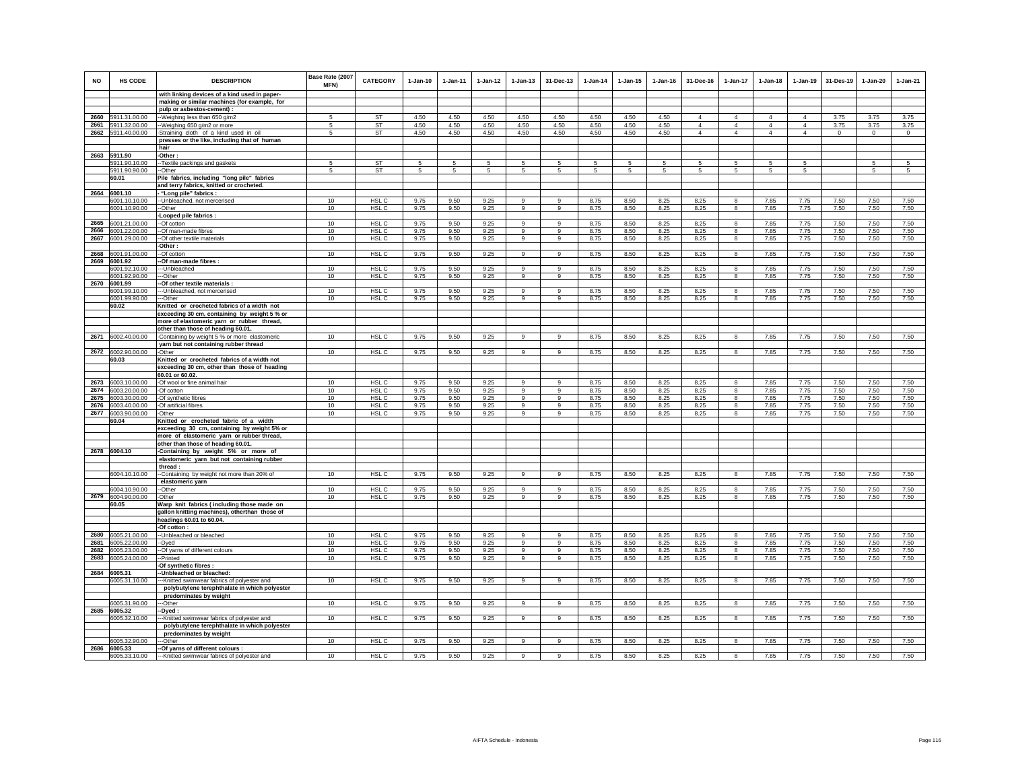| <b>NO</b> | <b>HS CODE</b>                      | <b>DESCRIPTION</b>                                                         | Base Rate (2007<br>MFN) | <b>CATEGORY</b>  | $1-Jan-10$   | $1 - Jan-11$ | $1 - Jan-12$ | $1 - Jan-13$   | 31-Dec-13      | $1 - Jan-14$ | $1 - Jan-15$ | $1 - Jan-16$ | 31-Dec-16      | $1-Jan-17$        | $1 - Jan-18$   | 1-Jan-19       | 31-Des-19    | $1 - Jan-20$ | 1-Jan-21     |
|-----------|-------------------------------------|----------------------------------------------------------------------------|-------------------------|------------------|--------------|--------------|--------------|----------------|----------------|--------------|--------------|--------------|----------------|-------------------|----------------|----------------|--------------|--------------|--------------|
|           |                                     | with linking devices of a kind used in paper-                              |                         |                  |              |              |              |                |                |              |              |              |                |                   |                |                |              |              |              |
|           |                                     | making or similar machines (for example, for<br>pulp or asbestos-cement) : |                         |                  |              |              |              |                |                |              |              |              |                |                   |                |                |              |              |              |
| 2660      | 5911.31.00.00                       | -- Weighing less than 650 g/m2                                             | 5                       | ST               | 4.50         | 4.50         | 4.50         | 4.50           | 4.50           | 4.50         | 4.50         | 4.50         | $\overline{4}$ | $\overline{4}$    | $\overline{4}$ | $\overline{4}$ | 3.75         | 3.75         | 3.75         |
| 2661      | 5911.32.00.00                       | --Weighing 650 g/m2 or more                                                | 5                       | ST               | 4.50         | 4.50         | 4.50         | 4.50           | 4.50           | 4.50         | 4.50         | 4.50         | $\overline{4}$ | $\overline{4}$    | $\overline{4}$ | $\overline{4}$ | 3.75         | 3.75         | 3.75         |
|           | 2662 5911.40.00.00                  | -Straining cloth of a kind used in oil                                     | 5                       | ST               | 4.50         | 4.50         | 4.50         | 4.50           | 4.50           | 4.50         | 4.50         | 4.50         | $\overline{4}$ | $\overline{4}$    | $\overline{4}$ | $\overline{4}$ | $^{\circ}$   | $^{\circ}$   | $\circ$      |
|           |                                     | presses or the like, including that of human                               |                         |                  |              |              |              |                |                |              |              |              |                |                   |                |                |              |              |              |
|           |                                     | hair                                                                       |                         |                  |              |              |              |                |                |              |              |              |                |                   |                |                |              |              |              |
|           | 2663 5911.90                        | Other:                                                                     |                         |                  |              |              |              |                |                |              |              |              |                |                   |                |                |              |              |              |
|           | 5911.90.10.00                       | -Textile packings and gaskets                                              | -5                      | ST               | 5.           | -5           | -5           | 5.             | 5              | -5           | 5            | 5            | -5             | 5                 | 5              | 5              |              | 5            | 5            |
|           | 5911.90.90.00                       | -Other                                                                     |                         | ST               | 5            | 5            | 5            | 5              | 5              | 5            | 5            | 5            | 5              | 5                 | 5              | 5              |              | 5            | 5            |
|           | 60.01                               | Pile fabrics, including "long pile" fabrics                                |                         |                  |              |              |              |                |                |              |              |              |                |                   |                |                |              |              |              |
|           |                                     | and terry fabrics, knitted or crocheted.                                   |                         |                  |              |              |              |                |                |              |              |              |                |                   |                |                |              |              |              |
|           | 2664 6001.10                        | - "Long pile" fabrics :                                                    |                         |                  |              |              |              |                |                |              |              |              |                |                   |                |                |              |              |              |
|           | 6001.10.10.00                       | -- Unbleached, not mercerised                                              | 10                      | HSL C            | 9.75         | 9.50         | 9.25         | $\overline{9}$ | $\overline{9}$ | 8.75         | 8.50         | 8.25         | 8.25           | $\overline{8}$    | 7.85           | 7.75           | 7.50         | 7.50         | 7.50         |
|           | 6001.10.90.00                       | --Other<br>Looped pile fabrics :                                           | 10                      | HSL C            | 9.75         | 9.50         | 9.25         | 9              | 9              | 8.75         | 8.50         | 8.25         | 8.25           | 8                 | 7.85           | 7.75           | 7.50         | 7.50         | 7.50         |
| 2665      | 6001.21.00.00                       | --Of cotton                                                                | 10                      | HSL C            | 9.75         | 9.50         | 9.25         | 9              | 9              | 8.75         | 8.50         | 8.25         | 8.25           | 8                 | 7.85           | 7.75           | 7.50         | 7.50         | 7.50         |
| 2666      | 6001.22.00.00                       | -Of man-made fibres                                                        | 10                      | HSL C            | 9.75         | 9.50         | 9.25         | 9              | 9              | 8.75         | 8.50         | 8.25         | 8.25           | 8                 | 7.85           | 7.75           | 7.50         | 7.50         | 7.50         |
| 2667      | 6001.29.00.00                       | -Of other textile materials                                                | 10                      | HSL C            | 9.75         | 9.50         | 9.25         | 9              | 9              | 8.75         | 8.50         | 8.25         | 8.25           | 8                 | 7.85           | 7.75           | 7.50         | 7.50         | 7.50         |
|           |                                     | -Other:                                                                    |                         |                  |              |              |              |                |                |              |              |              |                |                   |                |                |              |              |              |
|           | 2668 6001.91.00.00                  | -Of cotton                                                                 | 10                      | HSL C            | 9.75         | 9.50         | 9.25         | 9              | $9\,$          | 8.75         | 8.50         | 8.25         | 8.25           | 8                 | 7.85           | 7.75           | 7.50         | 7.50         | 7.50         |
|           | 2669 6001.92                        | -Of man-made fibres :                                                      |                         |                  |              |              |              |                |                |              |              |              |                |                   |                |                |              |              |              |
|           | 6001.92.10.00                       | --Unbleached                                                               | 10                      | HSL C            | 9.75         | 9.50         | 9.25         | 9              | 9              | 8.75         | 8.50         | 8.25         | 8.25           | 8                 | 7.85           | 7.75           | 7.50         | 7.50         | 7.50         |
|           | 6001.92.90.00                       | ---Other                                                                   | 10                      | HSL C            | 9.75         | 9.50         | 9.25         | $\overline{9}$ | $_{9}$         | 8.75         | 8.50         | 8.25         | 8.25           | 8                 | 7.85           | 7.75           | 7.50         | 7.50         | 7.50         |
|           | 2670 6001.99                        | -Of other textile materials                                                |                         |                  |              |              |              | $\mathbf{Q}$   | $\mathsf q$    |              |              |              |                | $\mathbf{R}$      |                |                |              |              |              |
|           | 6001.99.10.00<br>6001.99.90.00      | -- Unbleached, not mercerised<br>---Other                                  | 10<br>10                | HSL C<br>HSL C   | 9.75<br>9.75 | 9.50<br>9.50 | 9.25<br>9.25 | 9              | 9              | 8.75<br>8.75 | 8.50<br>8.50 | 8.25         | 8.25           | 8                 | 7.85<br>7.85   | 7.75<br>7.75   | 7.50<br>7.50 | 7.50<br>7.50 | 7.50<br>7.50 |
|           | 60.02                               | Knitted or crocheted fabrics of a width not                                |                         |                  |              |              |              |                |                |              |              | 8.25         | 8.25           |                   |                |                |              |              |              |
|           |                                     | exceeding 30 cm, containing by weight 5 % or                               |                         |                  |              |              |              |                |                |              |              |              |                |                   |                |                |              |              |              |
|           |                                     | more of elastomeric yarn or rubber thread,                                 |                         |                  |              |              |              |                |                |              |              |              |                |                   |                |                |              |              |              |
|           |                                     | other than those of heading 60.01.                                         |                         |                  |              |              |              |                |                |              |              |              |                |                   |                |                |              |              |              |
|           | 2671 6002.40.00.00                  | -Containing by weight 5 % or more elastomeric                              | 10                      | HSL C            | 9.75         | 9.50         | 9.25         | 9              | 9              | 8.75         | 8.50         | 8.25         | 8.25           | 8                 | 7.85           | 7.75           | 7.50         | 7.50         | 7.50         |
|           |                                     | yarn but not containing rubber thread                                      |                         |                  |              |              |              |                |                |              |              |              |                |                   |                |                |              |              |              |
| 2672      | 6002.90.00.00                       | -Other                                                                     | 10                      | HSL C            | 9.75         | 9.50         | 9.25         | 9              | $\overline{9}$ | 8.75         | 8.50         | 8.25         | 8.25           | 8                 | 7.85           | 7.75           | 7.50         | 7.50         | 7.50         |
|           | 60.03                               | Knitted or crocheted fabrics of a width not                                |                         |                  |              |              |              |                |                |              |              |              |                |                   |                |                |              |              |              |
|           |                                     | exceeding 30 cm, other than those of heading                               |                         |                  |              |              |              |                |                |              |              |              |                |                   |                |                |              |              |              |
|           |                                     | 60.01 or 60.02.                                                            |                         |                  |              |              |              | $\mathbf{Q}$   |                |              |              |              |                |                   |                |                |              |              |              |
| 2674      | 2673 6003.10.00.00<br>6003.20.00.00 | -Of wool or fine animal hair                                               | 10<br>10                | HSL C<br>HSL C   | 9.75<br>9.75 | 9.50<br>9.50 | 9.25<br>9.25 | $\mathbf{g}$   | 9<br>9         | 8.75<br>8.75 | 8.50<br>8.50 | 8.25         | 8.25<br>8.25   | $\mathbf{a}$<br>8 | 7.85<br>7.85   | 7.75<br>7.75   | 7.50<br>7.50 | 7.50<br>7.50 | 7.50<br>7.50 |
| 2675      | 6003.30.00.00                       | -Of cotton<br>-Of synthetic fibres                                         | 10                      | HSL C            | 9.75         | 9.50         | 9.25         | 9              | 9              | 8.75         | 8.50         | 8.25<br>8.25 | 8.25           | 8                 | 7.85           | 7.75           | 7.50         | 7.50         | 7.50         |
| 2676      | 6003.40.00.00                       | -Of artificial fibres                                                      | 10                      | HSL C            | 9.75         | 9.50         | 9.25         | 9              | 9              | 8.75         | 8.50         | 8.25         | 8.25           | 8                 | 7.85           | 7.75           | 7.50         | 7.50         | 7.50         |
| 2677      | 6003.90.00.00                       | -Other                                                                     | 10                      | HSL C            | 9.75         | 9.50         | 9.25         | 9              | 9              | 8.75         | 8.50         | 8.25         | 8.25           | 8                 | 7.85           | 7.75           | 7.50         | 7.50         | 7.50         |
|           | 60.04                               | Knitted or crocheted fabric of a width                                     |                         |                  |              |              |              |                |                |              |              |              |                |                   |                |                |              |              |              |
|           |                                     | exceeding 30 cm, containing by weight 5% or                                |                         |                  |              |              |              |                |                |              |              |              |                |                   |                |                |              |              |              |
|           |                                     | more of elastomeric yarn or rubber thread,                                 |                         |                  |              |              |              |                |                |              |              |              |                |                   |                |                |              |              |              |
|           |                                     | other than those of heading 60.01.                                         |                         |                  |              |              |              |                |                |              |              |              |                |                   |                |                |              |              |              |
|           | 2678 6004.10                        | -Containing by weight 5% or more of                                        |                         |                  |              |              |              |                |                |              |              |              |                |                   |                |                |              |              |              |
|           |                                     | elastomeric yarn but not containing rubber                                 |                         |                  |              |              |              |                |                |              |              |              |                |                   |                |                |              |              |              |
|           |                                     | thread:                                                                    |                         |                  |              |              |              |                |                |              |              |              |                |                   |                |                |              |              |              |
|           | 6004.10.10.00                       | --Containing by weight not more than 20% of                                | 10                      | HSL <sub>C</sub> | 9.75         | 9.50         | 9.25         | 9              | 9              | 8.75         | 8.50         | 8.25         | 8.25           | 8                 | 7.85           | 7.75           | 7.50         | 7.50         | 7.50         |
|           | 6004.10.90.00                       | elastomeric yarn<br>-Other                                                 | 10 <sup>10</sup>        | HSL C            | 9.75         | 9.50         | 9.25         | $\mathbf{Q}$   | $\mathbf{Q}$   | 8.75         | 8.50         | 8.25         | 8.25           | $\mathbf{R}$      | 7.85           | 7.75           | 7.50         | 7.50         | 7.50         |
|           | 2679 6004.90.00.00                  | -Other                                                                     | 10                      | HSL C            | 9.75         | 9.50         | 9.25         | $\mathbf{Q}$   | $\mathsf q$    | 8.75         | 8.50         | 8.25         | 8.25           | 8                 | 7.85           | 7.75           | 7.50         | 7.50         | 7.50         |
|           | 60.05                               | Warp knit fabrics (including those made on                                 |                         |                  |              |              |              |                |                |              |              |              |                |                   |                |                |              |              |              |
|           |                                     | gallon knitting machines), otherthan those of                              |                         |                  |              |              |              |                |                |              |              |              |                |                   |                |                |              |              |              |
|           |                                     | headings 60.01 to 60.04.                                                   |                         |                  |              |              |              |                |                |              |              |              |                |                   |                |                |              |              |              |
|           |                                     | -Of cotton:                                                                |                         |                  |              |              |              |                |                |              |              |              |                |                   |                |                |              |              |              |
| 2680      | 6005.21.00.00                       | -Unbleached or bleached                                                    | 10                      | HSL C            | 9.75         | 9.50         | 9.25         | 9              | 9              | 8.75         | 8.50         | 8.25         | 8.25           | 8                 | 7.85           | 7.75           | 7.50         | 7.50         | 7.50         |
| 2681      | 6005.22.00.00                       | -Dyed                                                                      | 10                      | HSL C            | 9.75         | 9.50         | 9.25         | 9              | 9              | 8.75         | 8.50         | 8.25         | 8.25           | 8                 | 7.85           | 7.75           | 7.50         | 7.50         | 7.50         |
| 2682      | 6005.23.00.00                       | -Of yarns of different colours                                             | 10                      | HSL C            | 9.75         | 9.50         | 9.25         | 9              | $9\,$          | 8.75         | 8.50         | 8.25         | 8.25           | 8                 | 7.85           | 7.75           | 7.50         | 7.50         | 7.50         |
| 2683      | 6005.24.00.00                       | --Printed                                                                  | 10                      | HSL C            | 9.75         | 9.50         | 9.25         | 9              | $\mathsf g$    | 8.75         | 8.50         | 8.25         | 8.25           | 8                 | 7.85           | 7.75           | 7.50         | 7.50         | 7.50         |
|           |                                     | Of synthetic fibres :                                                      |                         |                  |              |              |              |                |                |              |              |              |                |                   |                |                |              |              |              |
| 2684      | 6005.31                             | -Unbleached or bleached:                                                   |                         | HSL <sub>C</sub> |              |              |              |                |                |              |              |              |                |                   |                |                |              |              |              |
|           | 6005.31.10.00                       | -- Knitted swimwear fabrics of polyester and                               | 10                      |                  | 9.75         | 9.50         | 9.25         | 9              | 9              | 8.75         | 8.50         | 8.25         | 8.25           | 8                 | 7.85           | 7.75           | 7.50         | 7.50         | 7.50         |
|           |                                     | polybutylene terephthalate in which polyester                              |                         |                  |              |              |              |                |                |              |              |              |                |                   |                |                |              |              |              |
|           | 6005.31.90.00                       | predominates by weight<br>--Other                                          | 10                      | HSL C            | 9.75         | 9.50         | 9.25         | 9              | 9              | 8.75         | 8.50         | 8.25         | 8.25           | 8                 | 7.85           | 7.75           | 7.50         | 7.50         | 7.50         |
| 2685      | 6005.32                             | -Dyed:                                                                     |                         |                  |              |              |              |                |                |              |              |              |                |                   |                |                |              |              |              |
|           | 6005.32.10.00                       | -- Knitted swimwear fabrics of polyester and                               | 10                      | HSL C            | 9.75         | 9.50         | 9.25         | 9              | 9              | 8.75         | 8.50         | 8.25         | 8.25           | 8                 | 7.85           | 7.75           | 7.50         | 7.50         | 7.50         |
|           |                                     | polybutylene terephthalate in which polyester                              |                         |                  |              |              |              |                |                |              |              |              |                |                   |                |                |              |              |              |
|           |                                     | predominates by weight                                                     |                         |                  |              |              |              |                |                |              |              |              |                |                   |                |                |              |              |              |
|           | 6005.32.90.00                       | --Other                                                                    | 10                      | HSL C            | 9.75         | 9.50         | 9.25         | 9              | 9              | 8.75         | 8.50         | 8.25         | 8.25           | 8                 | 7.85           | 7.75           | 7.50         | 7.50         | 7.50         |
| 2686      | 6005.33                             | -Of yarns of different colours :                                           |                         |                  |              |              |              |                |                |              |              |              |                |                   |                |                |              |              |              |
|           | 6005.33.10.00                       | --- Knitted swimwear fabrics of polyester and                              | 10                      | HSL C            | 9.75         | 9.50         | 9.25         | $\mathbf{Q}$   | $\mathbf{9}$   | 8.75         | 8.50         | 8.25         | 8.25           | 8                 | 7.85           | 7.75           | 7.50         | 7.50         | 7.50         |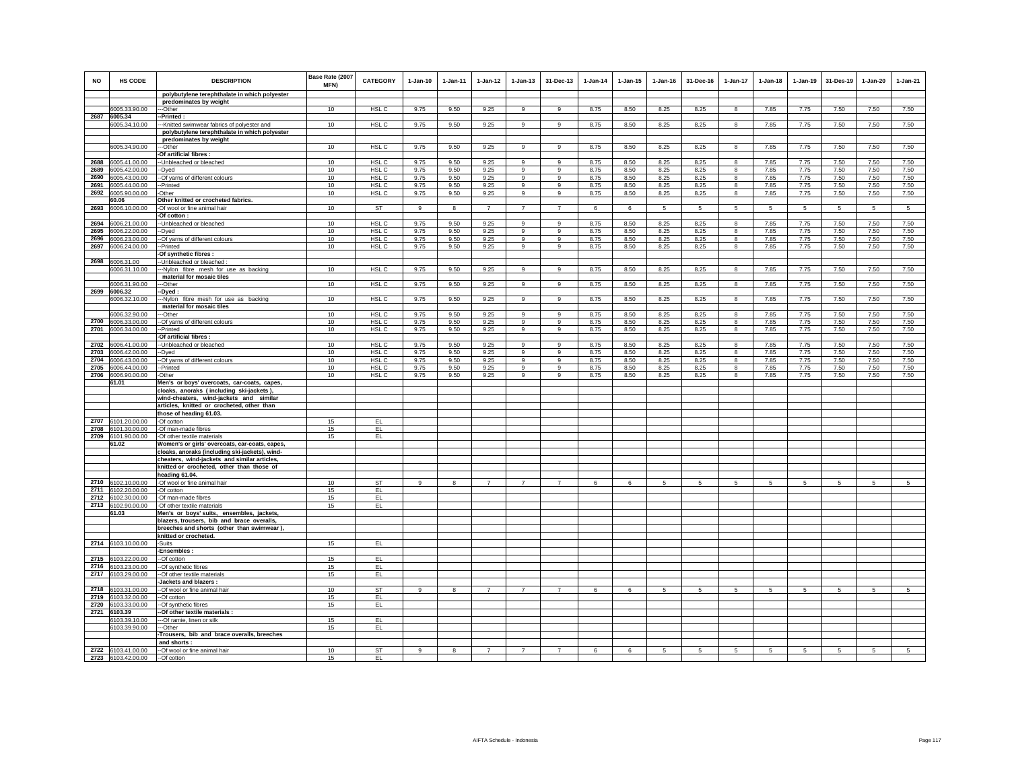| <b>NO</b>    | <b>HS CODE</b>                           | <b>DESCRIPTION</b>                                                       | Base Rate (2007<br>MFN) | <b>CATEGORY</b>           | $1-Jan-10$   | $1-Jan-11$   | $1 - Jan-12$   | $1 - Jan-13$     | 31-Dec-13            | $1-Jan-14$   | $1 - Jan-15$ | $1 - Jan-16$ | 31-Dec-16    | $1 - Jan-17$ | $1-Jan-18$   | $1 - Jan-19$ | 31-Des-19       | $1-Jan-20$   | $1-Jan-21$     |
|--------------|------------------------------------------|--------------------------------------------------------------------------|-------------------------|---------------------------|--------------|--------------|----------------|------------------|----------------------|--------------|--------------|--------------|--------------|--------------|--------------|--------------|-----------------|--------------|----------------|
|              |                                          | polybutylene terephthalate in which polyester                            |                         |                           |              |              |                |                  |                      |              |              |              |              |              |              |              |                 |              |                |
|              |                                          | predominates by weight                                                   |                         |                           |              |              |                |                  |                      |              |              |              |              |              |              |              |                 |              |                |
|              | 6005.33.90.00                            | --Other                                                                  | 10                      | HSL C                     | 9.75         | 9.50         | 9.25           | $\mathbf{Q}$     | 9                    | 8.75         | 8.50         | 8.25         | 8.25         | 8            | 7.85         | 7.75         | 7.50            | 7.50         | 7.50           |
|              | 2687 6005.34                             | -Printed:                                                                |                         |                           |              |              |                |                  |                      |              |              |              |              |              |              |              |                 |              |                |
|              | 6005.34.10.00                            | -- Knitted swimwear fabrics of polyester and                             | 10                      | HSL C                     | 9.75         | 9.50         | 9.25           | 9                | 9                    | 8.75         | 8.50         | 8.25         | 8.25         | 8            | 7.85         | 7.75         | 7.50            | 7.50         | 7.50           |
|              |                                          | polybutylene terephthalate in which polyester<br>predominates by weight  |                         |                           |              |              |                |                  |                      |              |              |              |              |              |              |              |                 |              |                |
|              | 6005.34.90.00                            | --Other                                                                  | 10                      | HSL <sub>C</sub>          | 9.75         | 9.50         | 9.25           | 9                | 9                    | 8.75         | 8.50         | 8.25         | 8.25         | 8            | 7.85         | 7.75         | 7.50            | 7.50         | 7.50           |
|              |                                          | Of artificial fibres :                                                   |                         |                           |              |              |                |                  |                      |              |              |              |              |              |              |              |                 |              |                |
| 2688         | 6005.41.00.00                            | -- Unbleached or bleached                                                | 10                      | HSL C                     | 9.75         | 9.50         | 9.25           | 9                | 9                    | 8.75         | 8.50         | 8.25         | 8.25         | 8            | 7.85         | 7.75         | 7.50            | 7.50         | 7.50           |
| 2689         | 6005.42.00.00                            | --Dyed                                                                   | 10                      | HSL C                     | 9.75         | 9.50         | 9.25           | $\overline{9}$   | 9                    | 8.75         | 8.50         | 8.25         | 8.25         | $\bf{8}$     | 7.85         | 7.75         | 7.50            | 7.50         | 7.50           |
| 2690         | 6005.43.00.00                            | --Of yarns of different colours                                          | 10                      | HSL C                     | 9.75         | 9.50         | 9.25           | 9                | $\boldsymbol{9}$     | 8.75         | 8.50         | 8.25         | 8.25         | 8            | 7.85         | 7.75         | 7.50            | 7.50         | 7.50           |
| 2691         | 6005.44.00.00                            | --Printed                                                                | 10                      | HSL <sub>C</sub>          | 9.75         | 9.50         | 9.25           | 9                | 9                    | 8.75         | 8.50         | 8.25         | 8.25         | $\bf{8}$     | 7.85         | 7.75         | 7.50            | 7.50         | 7.50           |
| 2692         | 6005.90.00.00                            | -Other                                                                   | 10                      | HSL C                     | 9.75         | 9.50         | 9.25           | 9                | 9                    | 8.75         | 8.50         | 8.25         | 8.25         | 8            | 7.85         | 7.75         | 7.50            | 7.50         | 7.50           |
|              | 60.06                                    | Other knitted or crocheted fabrics.                                      |                         |                           |              |              |                |                  |                      |              |              |              |              |              |              |              |                 |              |                |
| 2693         | 6006.10.00.00                            | -Of wool or fine animal hair                                             | 10                      | ST                        | 9            | 8            | $\overline{7}$ | $\overline{7}$   | $\overline{7}$       | 6            | 6            | 5            | 5            | 5            | $5 -$        | 5            | $5\overline{5}$ | 5            | 5              |
|              |                                          | -Of cotton :                                                             |                         |                           |              |              |                |                  |                      |              |              |              |              |              |              |              |                 |              |                |
|              | 2694 6006.21.00.00                       | -- Unbleached or bleached                                                | 10                      | HSL C                     | 9.75         | 9.50         | 9.25           | 9                | 9                    | 8.75         | 8.50         | 8.25         | 8.25         | 8            | 7.85         | 7.75         | 7.50            | 7.50         | 7.50           |
| 2695<br>2696 | 6006.22.00.00                            | --Dyed                                                                   | 10<br>10                | HSL C                     | 9.75         | 9.50         | 9.25           | 9                | 9                    | 8.75         | 8.50         | 8.25         | 8.25         | 8            | 7.85         | 7.75         | 7.50            | 7.50         | 7.50           |
| 2697         | 6006.23.00.00<br>6006.24.00.00           | -- Of yarns of different colours<br>--Printed                            | 10                      | HSL <sub>C</sub><br>HSL C | 9.75<br>9.75 | 9.50<br>9.50 | 9.25<br>9.25   | 9<br>$\mathsf g$ | $\,9$<br>$\mathsf g$ | 8.75<br>8.75 | 8.50<br>8.50 | 8.25<br>8.25 | 8.25<br>8.25 | 8<br>8       | 7.85<br>7.85 | 7.75<br>7.75 | 7.50<br>7.50    | 7.50<br>7.50 | 7.50<br>7.50   |
|              |                                          | -Of synthetic fibres :                                                   |                         |                           |              |              |                |                  |                      |              |              |              |              |              |              |              |                 |              |                |
|              | 2698 6006.31.00                          | -Unbleached or bleached                                                  |                         |                           |              |              |                |                  |                      |              |              |              |              |              |              |              |                 |              |                |
|              | 6006.31.10.00                            | ---Nylon fibre mesh for use as backing                                   | 10                      | HSL C                     | 9.75         | 9.50         | 9.25           | 9                | $\overline{9}$       | 8.75         | 8.50         | 8.25         | 8.25         | 8            | 7.85         | 7.75         | 7.50            | 7.50         | 7.50           |
|              |                                          | material for mosaic tiles                                                |                         |                           |              |              |                |                  |                      |              |              |              |              |              |              |              |                 |              |                |
|              | 6006.31.90.00                            | ---Other                                                                 | 10                      | HSL <sub>C</sub>          | 9.75         | 9.50         | 9.25           | 9                | $\overline{9}$       | 8.75         | 8.50         | 8.25         | 8.25         | 8            | 7.85         | 7.75         | 7.50            | 7.50         | 7.50           |
|              | 2699 6006.32                             | -Dved                                                                    |                         |                           |              |              |                |                  |                      |              |              |              |              |              |              |              |                 |              |                |
|              | 6006.32.10.00                            | ---Nylon fibre mesh for use as backing                                   | 10                      | HSL <sub>C</sub>          | 9.75         | 9.50         | 9.25           | 9                | 9                    | 8.75         | 8.50         | 8.25         | 8.25         | 8            | 7.85         | 7.75         | 7.50            | 7.50         | 7.50           |
|              |                                          | material for mosaic tiles                                                |                         |                           |              |              |                |                  |                      |              |              |              |              |              |              |              |                 |              |                |
|              | 6006.32.90.00                            | ---Other                                                                 | 10                      | HSL C                     | 9.75         | 9.50         | 9.25           | 9                | 9                    | 8.75         | 8.50         | 8.25         | 8.25         | 8            | 7.85         | 7.75         | 7.50            | 7.50         | 7.50           |
|              | 2700 6006.33.00.00                       | -Of yarns of different colours                                           | 10                      | HSL C<br>HSL C            | 9.75         | 9.50         | 9.25           | 9                | 9<br>$\mathsf g$     | 8.75         | 8.50         | 8.25         | 8.25         | 8            | 7.85<br>7.85 | 7.75         | 7.50            | 7.50<br>7.50 | 7.50           |
|              | 2701 6006.34.00.00                       | --Printed<br>-Of artificial fibres :                                     | 10                      |                           | 9.75         | 9.50         | 9.25           | $\mathsf g$      |                      | 8.75         | 8.50         | 8.25         | 8.25         | $\bf{8}$     |              | 7.75         | 7.50            |              | 7.50           |
| 2702         | 6006.41.00.00                            | -- Unbleached or bleached                                                | 10                      | HSL C                     | 9.75         | 9.50         | 9.25           | $\mathbf{g}$     | 9                    | 8.75         | 8.50         | 8.25         | 8.25         | 8            | 7.85         | 7.75         | 7.50            | 7.50         | 7.50           |
| 2703         | 6006.42.00.00                            | --Dved                                                                   | 10                      | HSL C                     | 9.75         | 9.50         | 9.25           | 9                | 9                    | 8.75         | 8.50         | 8.25         | 8.25         | 8            | 7.85         | 7.75         | 7.50            | 7.50         | 7.50           |
| 2704         | 6006.43.00.00                            | -- Of yarns of different colours                                         | 10                      | HSL C                     | 9.75         | 9.50         | 9.25           | 9                | 9                    | 8.75         | 8.50         | 8.25         | 8.25         | 8            | 7.85         | 7.75         | 7.50            | 7.50         | 7.50           |
| 2705         | 6006.44.00.00                            | --Printed                                                                | 10                      | HSL C                     | 9.75         | 9.50         | 9.25           | 9                | 9                    | 8.75         | 8.50         | 8.25         | 8.25         | 8            | 7.85         | 7.75         | 7.50            | 7.50         | 7.50           |
| 2706         | 6006.90.00.00                            | -Other                                                                   | 10                      | HSL C                     | 9.75         | 9.50         | 9.25           | 9                | 9                    | 8.75         | 8.50         | 8.25         | 8.25         | 8            | 7.85         | 7.75         | 7.50            | 7.50         | 7.50           |
|              | 61.01                                    | Men's or boys' overcoats, car-coats, capes,                              |                         |                           |              |              |                |                  |                      |              |              |              |              |              |              |              |                 |              |                |
|              |                                          | cloaks, anoraks (including ski-jackets)                                  |                         |                           |              |              |                |                  |                      |              |              |              |              |              |              |              |                 |              |                |
|              |                                          | wind-cheaters, wind-jackets and similar                                  |                         |                           |              |              |                |                  |                      |              |              |              |              |              |              |              |                 |              |                |
|              |                                          | articles, knitted or crocheted, other than                               |                         |                           |              |              |                |                  |                      |              |              |              |              |              |              |              |                 |              |                |
| 2707         |                                          | those of heading 61.03.                                                  |                         |                           |              |              |                |                  |                      |              |              |              |              |              |              |              |                 |              |                |
| 2708         | 6101.20.00.00<br>6101.30.00.00           | -Of cotton<br>-Of man-made fibres                                        | 15<br>15                | EL.<br>EL                 |              |              |                |                  |                      |              |              |              |              |              |              |              |                 |              |                |
|              | 2709 6101.90.00.00                       | -Of other textile materials                                              | 15                      | EL                        |              |              |                |                  |                      |              |              |              |              |              |              |              |                 |              |                |
|              | 61.02                                    | Women's or girls' overcoats, car-coats, capes,                           |                         |                           |              |              |                |                  |                      |              |              |              |              |              |              |              |                 |              |                |
|              |                                          | cloaks, anoraks (including ski-jackets), wind-                           |                         |                           |              |              |                |                  |                      |              |              |              |              |              |              |              |                 |              |                |
|              |                                          | cheaters, wind-jackets and similar articles,                             |                         |                           |              |              |                |                  |                      |              |              |              |              |              |              |              |                 |              |                |
|              |                                          | knitted or crocheted, other than those of                                |                         |                           |              |              |                |                  |                      |              |              |              |              |              |              |              |                 |              |                |
|              |                                          | heading 61.04.                                                           |                         |                           |              |              |                |                  |                      |              |              |              |              |              |              |              |                 |              |                |
| 2710         | 6102.10.00.00                            | -Of wool or fine animal hair                                             | 10                      | ST                        | 9            | $\mathbf{R}$ | $\overline{7}$ | $\overline{7}$   | $\overline{7}$       | 6            | 6            | 5            | 5            | 5            | 5            | 5            | 5               | 5            | $\overline{5}$ |
|              | 2711 6102.20.00.00                       | -Of cotton                                                               | 15                      | EL                        |              |              |                |                  |                      |              |              |              |              |              |              |              |                 |              |                |
|              | 2712 6102.30.00.00<br>2713 6102.90.00.00 | -Of man-made fibres                                                      | 15<br>15                | EL.<br>EL.                |              |              |                |                  |                      |              |              |              |              |              |              |              |                 |              |                |
|              | 61.03                                    | -Of other textile materials<br>Men's or boys' suits, ensembles, jackets. |                         |                           |              |              |                |                  |                      |              |              |              |              |              |              |              |                 |              |                |
|              |                                          | blazers, trousers, bib and brace overalls,                               |                         |                           |              |              |                |                  |                      |              |              |              |              |              |              |              |                 |              |                |
|              |                                          | breeches and shorts (other than swimwear),                               |                         |                           |              |              |                |                  |                      |              |              |              |              |              |              |              |                 |              |                |
|              |                                          | knitted or crocheted.                                                    |                         |                           |              |              |                |                  |                      |              |              |              |              |              |              |              |                 |              |                |
|              | 2714 6103.10.00.00                       | -Suits                                                                   | 15                      | EL                        |              |              |                |                  |                      |              |              |              |              |              |              |              |                 |              |                |
|              |                                          | -Ensembles:                                                              |                         |                           |              |              |                |                  |                      |              |              |              |              |              |              |              |                 |              |                |
| 2715         | 6103.22.00.00                            | --Of cotton                                                              | 15                      | EL                        |              |              |                |                  |                      |              |              |              |              |              |              |              |                 |              |                |
| 2716         | 6103.23.00.00                            | --Of synthetic fibres                                                    | 15                      | EL.                       |              |              |                |                  |                      |              |              |              |              |              |              |              |                 |              |                |
| 2717         | 6103.29.00.00                            | -- Of other textile materials                                            | 15                      | EL                        |              |              |                |                  |                      |              |              |              |              |              |              |              |                 |              |                |
|              |                                          | Jackets and blazers :                                                    |                         |                           |              |              |                |                  |                      |              |              |              |              |              |              |              |                 |              |                |
| 2718         | 6103.31.00.00                            | --Of wool or fine animal hair                                            | 10                      | ST                        | 9            | 8            | $\overline{7}$ | $\overline{7}$   | $\overline{7}$       | 6            | 6            | 5            | 5            | 5            | 5            | 5            | $\sqrt{5}$      | 5            | 5              |
| 2719<br>2720 | 6103.32.00.00                            | -Of cotton                                                               | 15                      | EL                        |              |              |                |                  |                      |              |              |              |              |              |              |              |                 |              |                |
|              | 6103.33.00.00<br>2721 6103.39            | -Of synthetic fibres<br>-Of other textile materials                      | 15                      | EL                        |              |              |                |                  |                      |              |              |              |              |              |              |              |                 |              |                |
|              | 6103.39.10.00                            | --- Of ramie, linen or silk                                              | 15                      | EL                        |              |              |                |                  |                      |              |              |              |              |              |              |              |                 |              |                |
|              | 6103.39.90.00                            | ---Other                                                                 | 15                      | EL.                       |              |              |                |                  |                      |              |              |              |              |              |              |              |                 |              |                |
|              |                                          | -Trousers, bib and brace overalls, breeches                              |                         |                           |              |              |                |                  |                      |              |              |              |              |              |              |              |                 |              |                |
|              |                                          | and shorts:                                                              |                         |                           |              |              |                |                  |                      |              |              |              |              |              |              |              |                 |              |                |
|              | 2722 6103.41.00.00                       | --Of wool or fine animal hair                                            | 10                      | ST                        | 9            | 8            | $\overline{7}$ | $\overline{7}$   | 7                    | 6            | 6            | 5            | 5            | 5            | 5            | 5            | 5               | 5            | 5              |
|              | 2723 6103.42.00.00                       | --Of cotton                                                              | 15                      | EL.                       |              |              |                |                  |                      |              |              |              |              |              |              |              |                 |              |                |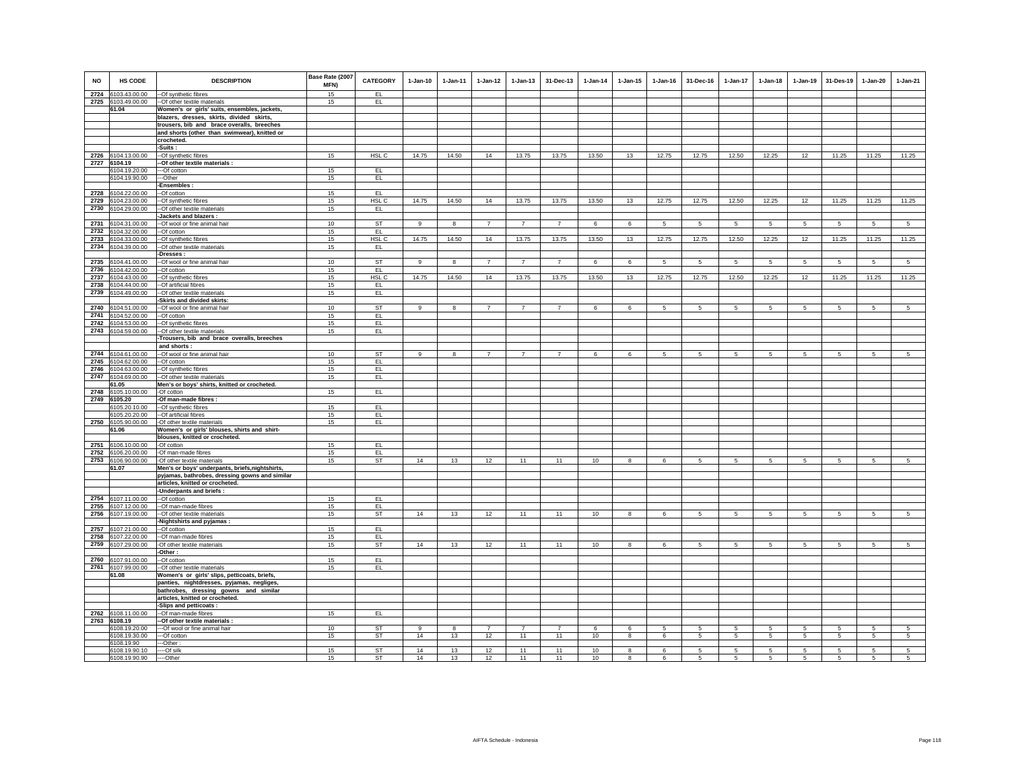| <b>NO</b>    | HS CODE                        | <b>DESCRIPTION</b>                                                                        | Base Rate (2007<br>MFN) | <b>CATEGORY</b>  | $1 - Jan-10$ | $1-Jan-11$              | $1-Jan-12$     | $1 - Jan-13$   | 31-Dec-13      | $1-Jan-14$   | $1 - Jan-15$ | $1 - Jan-16$   | 31-Dec-16       | 1-Jan-17        | $1-Jan-18$      | $1 - Jan-19$    | 31-Des-19      | 1-Jan-20       | $1-Jan-21$      |
|--------------|--------------------------------|-------------------------------------------------------------------------------------------|-------------------------|------------------|--------------|-------------------------|----------------|----------------|----------------|--------------|--------------|----------------|-----------------|-----------------|-----------------|-----------------|----------------|----------------|-----------------|
| 2724         | 6103.43.00.00                  | -- Of synthetic fibres                                                                    | 15                      | EL.              |              |                         |                |                |                |              |              |                |                 |                 |                 |                 |                |                |                 |
|              | 2725 6103.49.00.00             | -Of other textile materials                                                               | 15                      | EL.              |              |                         |                |                |                |              |              |                |                 |                 |                 |                 |                |                |                 |
|              | 61.04                          | Women's or girls' suits, ensembles, jackets,                                              |                         |                  |              |                         |                |                |                |              |              |                |                 |                 |                 |                 |                |                |                 |
|              |                                | blazers, dresses, skirts, divided skirts,                                                 |                         |                  |              |                         |                |                |                |              |              |                |                 |                 |                 |                 |                |                |                 |
|              |                                | trousers, bib and brace overalls, breeches                                                |                         |                  |              |                         |                |                |                |              |              |                |                 |                 |                 |                 |                |                |                 |
|              |                                | and shorts (other than swimwear), knitted or                                              |                         |                  |              |                         |                |                |                |              |              |                |                 |                 |                 |                 |                |                |                 |
|              |                                | crocheted.<br>Suits :                                                                     |                         |                  |              |                         |                |                |                |              |              |                |                 |                 |                 |                 |                |                |                 |
| 2726         | 6104.13.00.00                  | -Of synthetic fibres                                                                      | 15                      | HSL C            | 14.75        | 14.50                   | 14             | 13.75          | 13.75          | 13.50        | 13           | 12.75          | 12.75           | 12.50           | 12.25           | 12              | 11.25          | 11.25          | 11.25           |
| 2727         | 6104.19                        | Of other textile materials :                                                              |                         |                  |              |                         |                |                |                |              |              |                |                 |                 |                 |                 |                |                |                 |
|              | 6104.19.20.00                  | --Of cotton                                                                               | 15                      | EL               |              |                         |                |                |                |              |              |                |                 |                 |                 |                 |                |                |                 |
|              | 6104.19.90.00                  | -Other                                                                                    | 15                      | EL               |              |                         |                |                |                |              |              |                |                 |                 |                 |                 |                |                |                 |
|              |                                | -Ensembles:                                                                               |                         |                  |              |                         |                |                |                |              |              |                |                 |                 |                 |                 |                |                |                 |
| 2728         | 6104.22.00.00                  | -Of cotton                                                                                | 15                      | EL.              |              |                         |                |                |                |              |              |                |                 |                 |                 |                 |                |                |                 |
| 2729         | 6104.23.00.00                  | -Of synthetic fibres                                                                      | 15                      | HSL C            | 14.75        | 14.50                   | 14             | 13.75          | 13.75          | 13.50        | 13           | 12.75          | 12.75           | 12.50           | 12.25           | 12              | 11.25          | 11.25          | 11.25           |
| 2730         | 6104.29.00.00                  | -Of other textile materials<br>Jackets and blazers:                                       | 15                      | EL.              |              |                         |                |                |                |              |              |                |                 |                 |                 |                 |                |                |                 |
| 2731         | 6104.31.00.00                  | -Of wool or fine animal hair                                                              | 10                      | <b>ST</b>        | 9            | 8                       | $\overline{7}$ | $\overline{7}$ | $\overline{7}$ | 6            | 6            | 5              | $5\phantom{.0}$ | $5^{\circ}$     | $5\phantom{.0}$ | $5\overline{5}$ | 5              | 5              | $5\overline{5}$ |
| 2732         | 6104.32.00.00                  | -Of cotton                                                                                | 15                      | EL               |              |                         |                |                |                |              |              |                |                 |                 |                 |                 |                |                |                 |
| 2733         | 6104.33.00.00                  | -Of synthetic fibres                                                                      | 15                      | HSL <sub>C</sub> | 14.75        | 14.50                   | 14             | 13.75          | 13.75          | 13.50        | 13           | 12.75          | 12.75           | 12.50           | 12.25           | 12              | 11.25          | 11.25          | 11.25           |
| 2734         | 6104.39.00.00                  | -Of other textile materials                                                               | 15                      | EL               |              |                         |                |                |                |              |              |                |                 |                 |                 |                 |                |                |                 |
|              |                                | Dresses:                                                                                  |                         |                  |              |                         |                |                |                |              |              |                |                 |                 |                 |                 |                |                |                 |
| 2735         | 6104.41.00.00                  | -Of wool or fine animal hair                                                              | 10                      | <b>ST</b>        | 9            | 8                       | $\overline{7}$ | $\overline{7}$ | $\overline{7}$ | 6            | 6            | $\sqrt{5}$     | $5\phantom{.0}$ | $5\phantom{.0}$ | $\sqrt{5}$      | $5\overline{5}$ | $\overline{5}$ | $\overline{5}$ | $5\overline{5}$ |
| 2736         | 6104.42.00.00                  | -Of cotton                                                                                | 15                      | EL.              |              |                         |                |                |                |              |              |                |                 |                 |                 |                 |                |                |                 |
| 2737<br>2738 | 6104.43.00.00                  | -Of synthetic fibres<br>-Of artificial fibres                                             | 15<br>15                | HSL C            | 14.75        | 14.50                   | 14             | 13.75          | 13.75          | 13.50        | 13           | 12.75          | 12.75           | 12.50           | 12.25           | 12              | 11.25          | 11.25          | 11.25           |
| 2739         | 6104.44.00.00<br>6104.49.00.00 | -Of other textile materials                                                               | 15                      | EL.<br>EL        |              |                         |                |                |                |              |              |                |                 |                 |                 |                 |                |                |                 |
|              |                                | -Skirts and divided skirts:                                                               |                         |                  |              |                         |                |                |                |              |              |                |                 |                 |                 |                 |                |                |                 |
| 2740         | 6104.51.00.00                  | --Of wool or fine animal hair                                                             | 10                      | <b>ST</b>        | $\mathbf{q}$ | $\overline{\mathbf{8}}$ | $\overline{7}$ | $\overline{7}$ | $\overline{7}$ | 6            | 6            | $\overline{5}$ | -5              | $5\overline{5}$ | $\overline{5}$  | 5               | 5              | $\overline{5}$ | $\overline{5}$  |
| 2741         | 6104.52.00.00                  | --Of cotton                                                                               | 15                      | EL               |              |                         |                |                |                |              |              |                |                 |                 |                 |                 |                |                |                 |
|              | 2742 6104.53.00.00             | -Of synthetic fibres                                                                      | 15                      | EL.              |              |                         |                |                |                |              |              |                |                 |                 |                 |                 |                |                |                 |
|              | 2743 6104.59.00.00             | -Of other textile materials                                                               | 15                      | EL.              |              |                         |                |                |                |              |              |                |                 |                 |                 |                 |                |                |                 |
|              |                                | Trousers, bib and brace overalls, breeches                                                |                         |                  |              |                         |                |                |                |              |              |                |                 |                 |                 |                 |                |                |                 |
| 2744         | 6104.61.00.00                  | and shorts:<br>--Of wool or fine animal hair                                              | 10                      | ST               |              | 8                       |                | $\overline{7}$ | $\overline{7}$ | 6            | 6            | 5              | -5              | 5               | 5               | 5               | 5              | 5              | 5               |
| 2745         | 6104.62.00.00                  | -Of cotton                                                                                | 15                      | EL               |              |                         |                |                |                |              |              |                |                 |                 |                 |                 |                |                |                 |
| 2746         | 6104.63.00.00                  | -Of synthetic fibres                                                                      | 15                      | EL               |              |                         |                |                |                |              |              |                |                 |                 |                 |                 |                |                |                 |
| 2747         | 6104.69.00.00                  | -Of other textile materials                                                               | 15                      | EL               |              |                         |                |                |                |              |              |                |                 |                 |                 |                 |                |                |                 |
|              | 61.05                          | Men's or boys' shirts, knitted or crocheted.                                              |                         |                  |              |                         |                |                |                |              |              |                |                 |                 |                 |                 |                |                |                 |
| 2748         | 6105.10.00.00                  | -Of cotton                                                                                | 15                      | EL.              |              |                         |                |                |                |              |              |                |                 |                 |                 |                 |                |                |                 |
| 2749         | 6105.20                        | -Of man-made fibres :                                                                     | 15                      | EL               |              |                         |                |                |                |              |              |                |                 |                 |                 |                 |                |                |                 |
|              | 6105.20.10.00<br>6105.20.20.00 | --Of synthetic fibres<br>--Of artificial fibres                                           | 15                      | EL.              |              |                         |                |                |                |              |              |                |                 |                 |                 |                 |                |                |                 |
| 2750         | 6105.90.00.00                  | -Of other textile materials                                                               | 15                      | EL.              |              |                         |                |                |                |              |              |                |                 |                 |                 |                 |                |                |                 |
|              | 61.06                          | Women's or girls' blouses, shirts and shirt-                                              |                         |                  |              |                         |                |                |                |              |              |                |                 |                 |                 |                 |                |                |                 |
|              |                                | blouses, knitted or crocheted.                                                            |                         |                  |              |                         |                |                |                |              |              |                |                 |                 |                 |                 |                |                |                 |
| 2751         | 6106.10.00.00                  | -Of cotton                                                                                | 15                      | EL.              |              |                         |                |                |                |              |              |                |                 |                 |                 |                 |                |                |                 |
| 2752         | 6106.20.00.00                  | -Of man-made fibres                                                                       | 15                      | EL.              |              |                         |                |                |                |              |              |                |                 |                 |                 |                 |                |                |                 |
|              | 2753 6106.90.00.00<br>61.07    | -Of other textile materials<br>Men's or boys' underpants, briefs, nightshirts,            | 15                      | ST               | 14           | 13                      | 12             | 11             | 11             | 10           | 8            | 6              | 5               | 5               | 5               | 5               | 5              | 5              | 5               |
|              |                                | pyjamas, bathrobes, dressing gowns and similar                                            |                         |                  |              |                         |                |                |                |              |              |                |                 |                 |                 |                 |                |                |                 |
|              |                                | articles, knitted or crocheted.                                                           |                         |                  |              |                         |                |                |                |              |              |                |                 |                 |                 |                 |                |                |                 |
|              |                                | -Underpants and briefs :                                                                  |                         |                  |              |                         |                |                |                |              |              |                |                 |                 |                 |                 |                |                |                 |
| 2754         | 6107.11.00.00                  | --Of cotton                                                                               | 15                      | EL               |              |                         |                |                |                |              |              |                |                 |                 |                 |                 |                |                |                 |
| 2755         | 6107.12.00.00                  | --Of man-made fibres                                                                      | 15                      | EL               |              |                         |                |                |                |              |              |                |                 |                 |                 |                 |                |                |                 |
| 2756         | 6107.19.00.00                  | -Of other textile materials                                                               | 15                      | ST               | 14           | 13                      | $12\,$         | 11             | 11             | 10           | 8            | $\,6\,$        | 5               | $\sqrt{5}$      | 5               | $\,$ 5 $\,$     | 5              | 5              | 5               |
| 2757         | 6107.21.00.00                  | Nightshirts and pyjamas<br>--Of cotton                                                    | 15                      | EL.              |              |                         |                |                |                |              |              |                |                 |                 |                 |                 |                |                |                 |
| 2758         | 6107.22.00.00                  | --Of man-made fibres                                                                      | 15                      | EL.              |              |                         |                |                |                |              |              |                |                 |                 |                 |                 |                |                |                 |
| 2759         | 6107.29.00.00                  | -Of other textile materials                                                               | 15                      | ST               | 14           | 13                      | 12             | 11             | 11             | 10           | 8            | 6              | 5               | 5               | 5               | 5               | 5              | 5              | $\overline{5}$  |
|              |                                | -Other:                                                                                   |                         |                  |              |                         |                |                |                |              |              |                |                 |                 |                 |                 |                |                |                 |
|              | 2760 6107.91.00.00             | -Of cotton                                                                                | 15                      | EL.              |              |                         |                |                |                |              |              |                |                 |                 |                 |                 |                |                |                 |
|              | 2761 6107.99.00.00             | -Of other textile materials                                                               | 15                      | EL.              |              |                         |                |                |                |              |              |                |                 |                 |                 |                 |                |                |                 |
|              | 61.08                          | Women's or girls' slips, petticoats, briefs,<br>panties, nightdresses, pyjamas, negliges, |                         |                  |              |                         |                |                |                |              |              |                |                 |                 |                 |                 |                |                |                 |
|              |                                | bathrobes, dressing gowns and similar                                                     |                         |                  |              |                         |                |                |                |              |              |                |                 |                 |                 |                 |                |                |                 |
|              |                                | articles, knitted or crocheted.                                                           |                         |                  |              |                         |                |                |                |              |              |                |                 |                 |                 |                 |                |                |                 |
|              |                                | Slips and petticoats:                                                                     |                         |                  |              |                         |                |                |                |              |              |                |                 |                 |                 |                 |                |                |                 |
| 2762         | 6108.11.00.00                  | --Of man-made fibres                                                                      | 15                      | EL.              |              |                         |                |                |                |              |              |                |                 |                 |                 |                 |                |                |                 |
| 2763         | 6108.19                        | -Of other textile materials                                                               |                         |                  |              |                         |                |                |                |              |              |                |                 |                 |                 |                 |                |                |                 |
|              | 6108.19.20.00                  | ---Of wool or fine animal hair                                                            | 10                      | <b>ST</b>        | $\circ$      | $\mathbf{g}$            | $\overline{7}$ | $\overline{7}$ | $\overline{7}$ | $\mathbf{f}$ | $\epsilon$   | 5              | 5               | 5               | 5               | 5               | 5              | $\overline{5}$ | 5               |
|              | 6108.19.30.00                  | --Of cotton                                                                               | 15                      | <b>ST</b>        | 14           | 13                      | 12             | 11             | 11             | 10           | 8            | 6              | 5               | $5\overline{5}$ | 5               | 5               | 5              | 5              | 5               |
|              | 6108.19.90<br>6108.19.90.10    | --Other:<br>--Of silk                                                                     | 15                      | <b>ST</b>        | 14           | 13                      | 12             | 11             | 11             | 10           | -8           | 6              | -5              | -5              | 5               | 5               | 5              | -5             | -5              |
|              | 6108.19.90.90                  | --Other                                                                                   | 15                      | <b>ST</b>        | 14           | 13                      | 12             | 11             | 11             | 10           | 8            | 6              | -5              | -5              | -5              | 5               | 5              | -5             | 5               |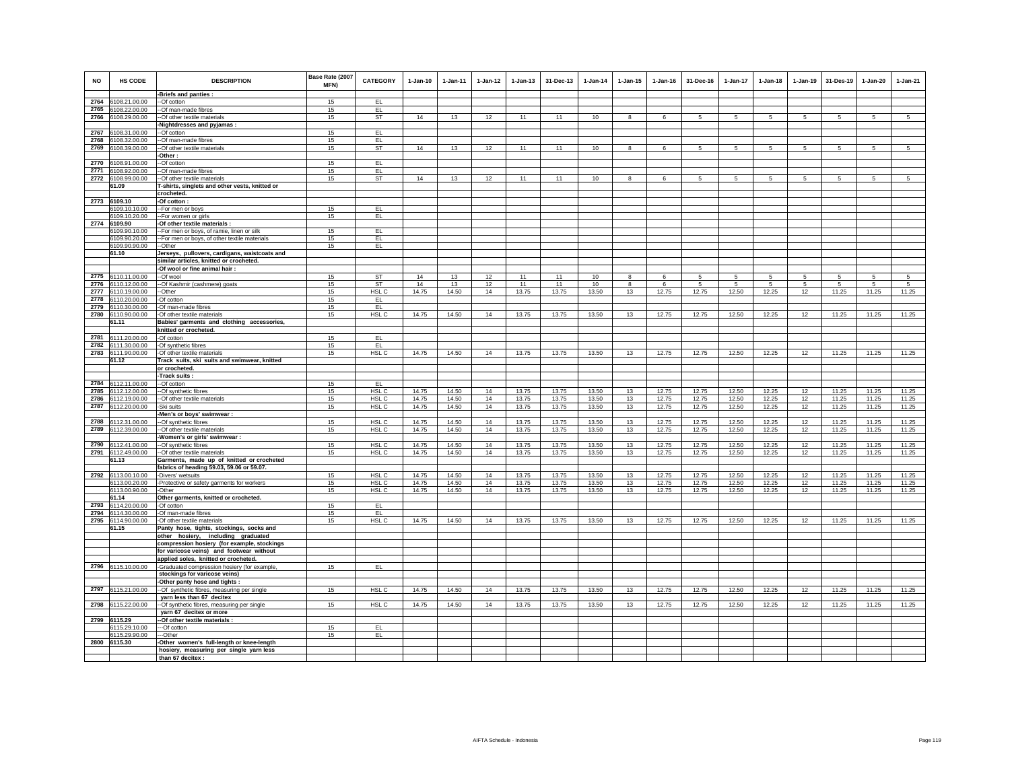| <b>NO</b>    | HS CODE                             | <b>DESCRIPTION</b>                                                           | Base Rate (2007<br>MFN) | CATEGORY         | $1-Jan-10$     | $1 -$ lan-11   | $1 - Jan-12$ | $1 - Jan-13$   | 31-Dec-13      | $1 - Jan-14$   | $1 - Jan-15$ | $1 - Jan-16$   | 31-Dec-16      | 1-Jan-17        | $1 - Jan-18$    | $1 - Jan-19$ | 31-Des-19       | $1 - Jan-20$   | $1-Jan-21$      |
|--------------|-------------------------------------|------------------------------------------------------------------------------|-------------------------|------------------|----------------|----------------|--------------|----------------|----------------|----------------|--------------|----------------|----------------|-----------------|-----------------|--------------|-----------------|----------------|-----------------|
|              |                                     | -Briefs and panties :                                                        |                         |                  |                |                |              |                |                |                |              |                |                |                 |                 |              |                 |                |                 |
| 2764<br>2765 | 6108.21.00.00<br>6108.22.00.00      | --Of cotton<br>-Of man-made fibres                                           | 15<br>15                | EL.<br>EL.       |                |                |              |                |                |                |              |                |                |                 |                 |              |                 |                |                 |
| 2766         | 6108.29.00.00                       | -- Of other textile materials                                                | 15                      | ST               | 14             | 13             | 12           | 11             | 11             | 10             | 8            | 6              | 5              | $5\overline{5}$ | $5\overline{5}$ | 5            | 5               | 5              | -5              |
|              |                                     | -Nightdresses and pyjamas:                                                   |                         |                  |                |                |              |                |                |                |              |                |                |                 |                 |              |                 |                |                 |
|              | 2767 6108.31.00.00                  | --Of cotton                                                                  | 15                      | EL.              |                |                |              |                |                |                |              |                |                |                 |                 |              |                 |                |                 |
| 2768         | 6108.32.00.00                       | -Of man-made fibres                                                          | 15                      | EL               |                |                |              |                |                |                |              |                |                |                 |                 |              |                 |                |                 |
| 2769         | 6108.39.00.00                       | -Of other textile materials                                                  | 15                      | ST               | 14             | 13             | 12           | 11             | 11             | 10             | 8            | 6              | 5              | 5               | 5               | 5            | $5\overline{5}$ | 5              | $5\overline{5}$ |
|              |                                     | Other:                                                                       |                         |                  |                |                |              |                |                |                |              |                |                |                 |                 |              |                 |                |                 |
| 2770         | 6108.91.00.00                       | -Of cotton                                                                   | 15                      | EL               |                |                |              |                |                |                |              |                |                |                 |                 |              |                 |                |                 |
| 2771         | 6108.92.00.00                       | -Of man-made fibres                                                          | 15                      | EL               |                |                |              |                |                |                |              |                |                |                 |                 |              |                 |                |                 |
| 2772         | 6108.99.00.00                       | -Of other textile materials                                                  | 15                      | ST               | 14             | 13             | 12           | 11             | 11             | 10             | 8            | 6              | 5              | 5               | 5               | 5            | 5               | 5              | 5               |
|              | 61.09                               | T-shirts, singlets and other vests, knitted or                               |                         |                  |                |                |              |                |                |                |              |                |                |                 |                 |              |                 |                |                 |
|              |                                     | crocheted.                                                                   |                         |                  |                |                |              |                |                |                |              |                |                |                 |                 |              |                 |                |                 |
|              | 2773 6109.10<br>6109.10.10.00       | -Of cotton:                                                                  | 15                      | EL.              |                |                |              |                |                |                |              |                |                |                 |                 |              |                 |                |                 |
|              | 6109.10.20.00                       | -- For men or boys<br>-- For women or girls                                  | 15                      | EL.              |                |                |              |                |                |                |              |                |                |                 |                 |              |                 |                |                 |
|              | 2774 6109.90                        | -Of other textile materials :                                                |                         |                  |                |                |              |                |                |                |              |                |                |                 |                 |              |                 |                |                 |
|              | 6109.90.10.00                       | -- For men or boys, of ramie, linen or silk                                  | 15                      | EL               |                |                |              |                |                |                |              |                |                |                 |                 |              |                 |                |                 |
|              | 6109.90.20.00                       | -For men or boys, of other textile materials                                 | 15                      | EL               |                |                |              |                |                |                |              |                |                |                 |                 |              |                 |                |                 |
|              | 6109.90.90.00                       | -Other                                                                       | 15                      | EL               |                |                |              |                |                |                |              |                |                |                 |                 |              |                 |                |                 |
|              | 61.10                               | Jerseys, pullovers, cardigans, waistcoats and                                |                         |                  |                |                |              |                |                |                |              |                |                |                 |                 |              |                 |                |                 |
|              |                                     | similar articles, knitted or crocheted.                                      |                         |                  |                |                |              |                |                |                |              |                |                |                 |                 |              |                 |                |                 |
|              |                                     | -Of wool or fine animal hair :                                               |                         |                  |                |                |              |                |                |                |              |                |                |                 |                 |              |                 |                |                 |
|              | 2775 6110.11.00.00                  | --Of wool                                                                    | 15                      | <b>ST</b>        | 14             | 13             | 12           | 11             | 11             | 10             | 8            | 6              | 5              | 5               | 5               | 5            | 5               | 5              | 5               |
|              | 2776 6110.12.00.00                  | --Of Kashmir (cashmere) goats                                                | 15                      | <b>ST</b>        | 14             | 13             | 12           | 11             | 11             | 10             | 8            | 6              | 5              | 5               | 5               | 5            | 5               | 5              | 5               |
|              | 2777 6110.19.00.00                  | -Other                                                                       | 15                      | HSL <sub>C</sub> | 14.75          | 14.50          | 14           | 13.75          | 13.75          | 13.50          | 13           | 12.75          | 12.75          | 12.50           | 12.25           | 12           | 11.25           | 11.25          | 11.25           |
| 2779         | 2778 6110.20.00.00<br>6110.30.00.00 | -Of cotton<br>-Of man-made fibres                                            | 15<br>15                | EL.<br>EL        |                |                |              |                |                |                |              |                |                |                 |                 |              |                 |                |                 |
|              | 2780 6110.90.00.00                  | -Of other textile materials                                                  | 15                      | HSL C            | 14.75          | 14.50          | 14           | 13.75          | 13.75          | 13.50          | 13           | 12.75          | 12.75          | 12.50           | 12.25           | 12           | 11.25           | 11.25          | 11.25           |
|              | 61.11                               | Babies' garments and clothing accessories,                                   |                         |                  |                |                |              |                |                |                |              |                |                |                 |                 |              |                 |                |                 |
|              |                                     | knitted or crocheted.                                                        |                         |                  |                |                |              |                |                |                |              |                |                |                 |                 |              |                 |                |                 |
|              | 2781 6111.20.00.00                  | -Of cotton                                                                   | 15                      | EL               |                |                |              |                |                |                |              |                |                |                 |                 |              |                 |                |                 |
|              | 2782 6111.30.00.00                  | -Of synthetic fibres                                                         | 15                      | EL               |                |                |              |                |                |                |              |                |                |                 |                 |              |                 |                |                 |
|              | 2783 6111.90.00.00                  | -Of other textile materials                                                  | 15                      | HSL C            | 14.75          | 14.50          | 14           | 13.75          | 13.75          | 13.50          | 13           | 12.75          | 12.75          | 12.50           | 12.25           | 12           | 11.25           | 11.25          | 11.25           |
|              | 61.12                               | Track suits, ski suits and swimwear, knitted                                 |                         |                  |                |                |              |                |                |                |              |                |                |                 |                 |              |                 |                |                 |
|              |                                     | or crocheted.                                                                |                         |                  |                |                |              |                |                |                |              |                |                |                 |                 |              |                 |                |                 |
|              |                                     | -Track suits:                                                                |                         |                  |                |                |              |                |                |                |              |                |                |                 |                 |              |                 |                |                 |
|              | 2784 6112.11.00.00                  | --Of cotton                                                                  | 15                      | EL               |                |                |              |                |                |                |              |                |                |                 |                 |              |                 |                |                 |
| 2786         | 2785 6112.12.00.00                  | --Of synthetic fibres                                                        | 15<br>15                | HSL C<br>HSL C   | 14.75<br>14.75 | 14.50<br>14.50 | 14           | 13.75          | 13.75          | 13.50<br>13.50 | 13           | 12.75          | 12.75<br>12.75 | 12.50           | 12.25           | 12<br>12     | 11.25           | 11.25          | 11.25           |
|              | 6112.19.00.00<br>2787 6112.20.00.00 | -- Of other textile materials<br>-Ski suits                                  | 15                      | HSL C            | 14.75          | 14.50          | 14<br>14     | 13.75<br>13.75 | 13.75<br>13.75 | 13.50          | $13\,$<br>13 | 12.75<br>12.75 | 12.75          | 12.50<br>12.50  | 12.25<br>12.25  | 12           | 11.25<br>11.25  | 11.25<br>11.25 | 11.25<br>11.25  |
|              |                                     | Men's or boys' swimwear :                                                    |                         |                  |                |                |              |                |                |                |              |                |                |                 |                 |              |                 |                |                 |
| 2788         | 6112.31.00.00                       | -Of synthetic fibres                                                         | 15                      | HSL C            | 14.75          | 14.50          | 14           | 13.75          | 13.75          | 13.50          | 13           | 12.75          | 12.75          | 12.50           | 12.25           | 12           | 11.25           | 11.25          | 11.25           |
| 2789         | 6112.39.00.00                       | -- Of other textile materials                                                | 15                      | HSL C            | 14.75          | 14.50          | 14           | 13.75          | 13.75          | 13.50          | 13           | 12.75          | 12.75          | 12.50           | 12.25           | 12           | 11.25           | 11.25          | 11.25           |
|              |                                     | Women's or girls' swimwear :                                                 |                         |                  |                |                |              |                |                |                |              |                |                |                 |                 |              |                 |                |                 |
|              | 2790 6112.41.00.00                  | -Of synthetic fibres                                                         | 15                      | HSL C            | 14.75          | 14.50          | 14           | 13.75          | 13.75          | 13.50          | 13           | 12.75          | 12.75          | 12.50           | 12.25           | 12           | 11.25           | 11.25          | 11.25           |
|              | 2791 6112.49.00.00                  | --Of other textile materials                                                 | 15                      | HSL C            | 14.75          | 14.50          | 14           | 13.75          | 13.75          | 13.50          | 13           | 12.75          | 12.75          | 12.50           | 12.25           | 12           | 11.25           | 11.25          | 11.25           |
|              | 61.13                               | Garments, made up of knitted or crocheted                                    |                         |                  |                |                |              |                |                |                |              |                |                |                 |                 |              |                 |                |                 |
|              | 2792 6113.00.10.00                  | fabrics of heading 59.03, 59.06 or 59.07.                                    |                         | HSL C            | 14.75          | 14.50          |              | 13.75          |                |                |              |                | 12.75          | 12.50           | 12.25           | 12           | 11.25           |                | 11.25           |
|              | 6113.00.20.00                       | -Divers' wetsuits<br>-Protective or safety garments for workers              | 15<br>15                | HSL C            | 14.75          | 14.50          | 14<br>14     | 13.75          | 13.75<br>13.75 | 13.50<br>13.50 | 13<br>13     | 12.75<br>12.75 | 12.75          | 12.50           | 12.25           | 12           | 11.25           | 11.25<br>11.25 | 11.25           |
|              | 6113.00.90.00                       | -Other                                                                       | 15                      | HSL C            | 14.75          | 14.50          | 14           | 13.75          | 13.75          | 13.50          | 13           | 12.75          | 12.75          | 12.50           | 12.25           | 12           | 11.25           | 11.25          | 11.25           |
|              | 61.14                               | Other garments, knitted or crocheted.                                        |                         |                  |                |                |              |                |                |                |              |                |                |                 |                 |              |                 |                |                 |
| 2793         | 6114.20.00.00                       | -Of cotton                                                                   | 15                      | EL               |                |                |              |                |                |                |              |                |                |                 |                 |              |                 |                |                 |
|              | 2794 6114.30.00.00                  | -Of man-made fibres                                                          | 15                      | EL               |                |                |              |                |                |                |              |                |                |                 |                 |              |                 |                |                 |
|              | 2795 6114.90.00.00                  | -Of other textile materials                                                  | 15                      | HSL C            | 14.75          | 14.50          | 14           | 13.75          | 13.75          | 13.50          | 13           | 12.75          | 12.75          | 12.50           | 12.25           | 12           | 11.25           | 11.25          | 11.25           |
|              | 61.15                               | Panty hose, tights, stockings, socks and                                     |                         |                  |                |                |              |                |                |                |              |                |                |                 |                 |              |                 |                |                 |
|              |                                     | other hosiery, including graduated                                           |                         |                  |                |                |              |                |                |                |              |                |                |                 |                 |              |                 |                |                 |
|              |                                     | compression hosiery (for example, stockings                                  |                         |                  |                |                |              |                |                |                |              |                |                |                 |                 |              |                 |                |                 |
|              |                                     | for varicose veins) and footwear without                                     |                         |                  |                |                |              |                |                |                |              |                |                |                 |                 |              |                 |                |                 |
|              |                                     | applied soles, knitted or crocheted.                                         |                         | EL.              |                |                |              |                |                |                |              |                |                |                 |                 |              |                 |                |                 |
|              | 2796 6115.10.00.00                  | Graduated compression hosiery (for example,<br>stockings for varicose veins) | 15                      |                  |                |                |              |                |                |                |              |                |                |                 |                 |              |                 |                |                 |
|              |                                     | Other panty hose and tights:                                                 |                         |                  |                |                |              |                |                |                |              |                |                |                 |                 |              |                 |                |                 |
| 2797         | 6115.21.00.00                       | -Of synthetic fibres, measuring per single                                   | 15                      | HSL C            | 14.75          | 14.50          | 14           | 13.75          | 13.75          | 13.50          | 13           | 12.75          | 12.75          | 12.50           | 12.25           | 12           | 11.25           | 11.25          | 11.25           |
|              |                                     | yarn less than 67 decitex                                                    |                         |                  |                |                |              |                |                |                |              |                |                |                 |                 |              |                 |                |                 |
|              | 2798 6115.22.00.00                  | -Of synthetic fibres, measuring per single                                   | 15                      | HSL C            | 14.75          | 14.50          | 14           | 13.75          | 13.75          | 13.50          | 13           | 12.75          | 12.75          | 12.50           | 12.25           | 12           | 11.25           | 11.25          | 11.25           |
|              |                                     | yarn 67 decitex or more                                                      |                         |                  |                |                |              |                |                |                |              |                |                |                 |                 |              |                 |                |                 |
|              | 2799 6115.29                        | -- Of other textile materials :                                              |                         |                  |                |                |              |                |                |                |              |                |                |                 |                 |              |                 |                |                 |
|              | 6115.29.10.00                       | --Of cotton                                                                  | 15                      | EL.              |                |                |              |                |                |                |              |                |                |                 |                 |              |                 |                |                 |
|              | 6115.29.90.00                       | ---Other                                                                     | 15                      | EL.              |                |                |              |                |                |                |              |                |                |                 |                 |              |                 |                |                 |
|              | 2800 6115.30                        | -Other women's full-length or knee-length                                    |                         |                  |                |                |              |                |                |                |              |                |                |                 |                 |              |                 |                |                 |
|              |                                     | hosiery, measuring per single yarn less<br>than 67 decitex :                 |                         |                  |                |                |              |                |                |                |              |                |                |                 |                 |              |                 |                |                 |
|              |                                     |                                                                              |                         |                  |                |                |              |                |                |                |              |                |                |                 |                 |              |                 |                |                 |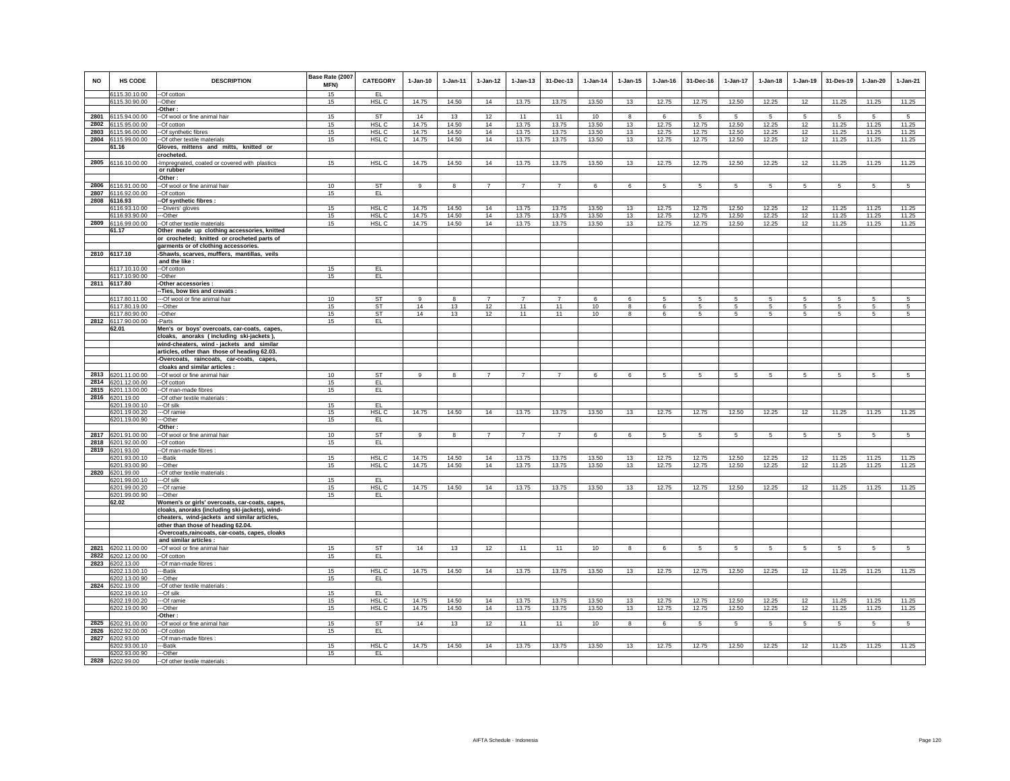| <b>NO</b> | <b>HS CODE</b>                           | <b>DESCRIPTION</b>                                                                        | Base Rate (2007<br>MFN) | <b>CATEGORY</b>  | $1-Jan-10$     | $1-Jan-11$     | $1-Jan-12$     | $1-Jan-13$     | 31-Dec-13      | $1-Jan-14$ | $1 - Jan-15$            | $1-Jan-16$     | 31-Dec-16       | 1-Jan-17        | $1-Jan-18$      | $1-Jan-19$      | 31-Des-19      | $1-Jan-20$ | $1-Jan-21$ |
|-----------|------------------------------------------|-------------------------------------------------------------------------------------------|-------------------------|------------------|----------------|----------------|----------------|----------------|----------------|------------|-------------------------|----------------|-----------------|-----------------|-----------------|-----------------|----------------|------------|------------|
|           | 6115.30.10.00<br>6115.30.90.00           | --Of cotton<br>--Other                                                                    | 15<br>15                | EL<br>HSL C      | 14.75          | 14.50          | 14             | 13.75          | 13.75          | 13.50      | 13                      | 12.75          | 12.75           | 12.50           | 12.25           | 12              | 11.25          | 11.25      | 11.25      |
|           |                                          | -Other:                                                                                   |                         |                  |                |                |                |                |                |            |                         |                |                 |                 |                 |                 |                |            |            |
|           | 2801 6115.94.00.00                       | --Of wool or fine animal hair                                                             | 15                      | ST               | 14             | 13             | 12             | 11             | 11             | 10         | 8                       | 6              | 5               | 5               | 5               | 5               | 5              | 5          | 5          |
|           | 2802 6115.95.00.00                       | -Of cotton                                                                                | 15                      | HSL C            | 14.75          | 14.50          | 14             | 13.75          | 13.75          | 13.50      | 13                      | 12.75          | 12.75           | 12.50           | 12.25           | 12              | 11.25          | 11.25      | 11.25      |
|           | 2803 6115.96.00.00<br>2804 6115.99.00.00 | -Of synthetic fibres                                                                      | 15<br>15                | HSL C<br>HSL C   | 14.75<br>14.75 | 14.50<br>14.50 | 14<br>14       | 13.75<br>13.75 | 13.75          | 13.50      | 13                      | 12.75<br>12.75 | 12.75<br>12.75  | 12.50<br>12.50  | 12.25<br>12.25  | 12              | 11.25<br>11.25 | 11.25      | 11.25      |
|           | 61.16                                    | -Of other textile materials<br>Gloves, mittens and mitts, knitted or                      |                         |                  |                |                |                |                | 13.75          | 13.50      | 13                      |                |                 |                 |                 | 12              |                | 11.25      | 11.25      |
|           |                                          | crocheted.                                                                                |                         |                  |                |                |                |                |                |            |                         |                |                 |                 |                 |                 |                |            |            |
|           | 2805 6116.10.00.00                       | -Impregnated, coated or covered with plastics                                             | 15                      | HSL C            | 14.75          | 14.50          | 14             | 13.75          | 13.75          | 13.50      | 13                      | 12.75          | 12.75           | 12.50           | 12.25           | 12              | 11.25          | 11.25      | 11.25      |
|           |                                          | or rubber                                                                                 |                         |                  |                |                |                |                |                |            |                         |                |                 |                 |                 |                 |                |            |            |
|           |                                          | -Other:                                                                                   |                         |                  |                |                |                |                |                |            |                         |                |                 |                 |                 |                 |                |            |            |
|           | 2806 6116.91.00.00                       | -- Of wool or fine animal hair                                                            | 10                      | ST               | 9              | 8              | $\overline{7}$ | $\overline{7}$ | $\overline{7}$ | 6          | 6                       | 5              | 5               | $5\phantom{.0}$ | 5               | $\overline{5}$  | 5              | 5          | 5          |
|           | 2807 6116.92.00.00<br>2808 6116.93       | --Of cotton<br>-- Of synthetic fibres:                                                    | 15                      | EL.              |                |                |                |                |                |            |                         |                |                 |                 |                 |                 |                |            |            |
|           | 6116.93.10.00                            | ---Divers' gloves                                                                         | 15                      | HSL C            | 14.75          | 14.50          | 14             | 13.75          | 13.75          | 13.50      | 13                      | 12.75          | 12.75           | 12.50           | 12.25           | 12              | 11.25          | 11.25      | 11.25      |
|           | 6116.93.90.00                            | ---Other                                                                                  | 15                      | HSL <sub>C</sub> | 14.75          | 14.50          | 14             | 13.75          | 13.75          | 13.50      | 13                      | 12.75          | 12.75           | 12.50           | 12.25           | 12              | 11.25          | 11.25      | 11.25      |
|           | 2809 6116.99.00.00                       | -- Of other textile materials                                                             | 15                      | HSL C            | 14.75          | 14.50          | 14             | 13.75          | 13.75          | 13.50      | 13                      | 12.75          | 12.75           | 12.50           | 12.25           | 12              | 11.25          | 11.25      | 11.25      |
|           | 61.17                                    | Other made up clothing accessories, knitted                                               |                         |                  |                |                |                |                |                |            |                         |                |                 |                 |                 |                 |                |            |            |
|           |                                          | or crocheted; knitted or crocheted parts of                                               |                         |                  |                |                |                |                |                |            |                         |                |                 |                 |                 |                 |                |            |            |
|           | 2810 6117.10                             | garments or of clothing accessories.<br>-Shawls, scarves, mufflers, mantillas, veils      |                         |                  |                |                |                |                |                |            |                         |                |                 |                 |                 |                 |                |            |            |
|           |                                          | and the like:                                                                             |                         |                  |                |                |                |                |                |            |                         |                |                 |                 |                 |                 |                |            |            |
|           | 6117.10.10.00                            | --Of cotton                                                                               | 15                      | EL               |                |                |                |                |                |            |                         |                |                 |                 |                 |                 |                |            |            |
|           | 6117.10.90.00                            | --Other                                                                                   | 15                      | EL               |                |                |                |                |                |            |                         |                |                 |                 |                 |                 |                |            |            |
|           | 2811 6117.80                             | -Other accessories :                                                                      |                         |                  |                |                |                |                |                |            |                         |                |                 |                 |                 |                 |                |            |            |
|           | 6117.80.11.00                            | -Ties, bow ties and cravats:<br>-- Of wool or fine animal hair                            | 10                      | ST               | $\mathsf g$    | 8              |                | $\overline{7}$ |                | 6          | 6                       | 5              | 5               | 5               | 5               | 5               | 5              | 5          | 5          |
|           | 6117.80.19.00                            | --Other                                                                                   | 15                      | ST               | 14             | 13             | 12             | 11             | 11             | 10         | 8                       | 6              | 5               | 5               | $5\phantom{.0}$ | 5               | $\sqrt{5}$     | 5          | 5          |
|           | 6117.80.90.00                            | --Other                                                                                   | 15                      | <b>ST</b>        | 14             | 13             | 12             | 11             | 11             | 10         | $\overline{\mathbf{8}}$ | 6              | 5               | $5\overline{5}$ | 5               | 5               | 5              | 5          | 5          |
|           | 2812 6117.90.00.00                       | -Parts                                                                                    | 15                      | EL.              |                |                |                |                |                |            |                         |                |                 |                 |                 |                 |                |            |            |
|           | 62.01                                    | Men's or boys' overcoats, car-coats, capes,                                               |                         |                  |                |                |                |                |                |            |                         |                |                 |                 |                 |                 |                |            |            |
|           |                                          | cloaks, anoraks (including ski-jackets),                                                  |                         |                  |                |                |                |                |                |            |                         |                |                 |                 |                 |                 |                |            |            |
|           |                                          | wind-cheaters, wind - jackets and similar<br>articles, other than those of heading 62.03. |                         |                  |                |                |                |                |                |            |                         |                |                 |                 |                 |                 |                |            |            |
|           |                                          | -Overcoats, raincoats, car-coats, capes,                                                  |                         |                  |                |                |                |                |                |            |                         |                |                 |                 |                 |                 |                |            |            |
|           |                                          | cloaks and similar articles :                                                             |                         |                  |                |                |                |                |                |            |                         |                |                 |                 |                 |                 |                |            |            |
|           | 2813 6201.11.00.00                       | -- Of wool or fine animal hair                                                            | 10                      | ST               | 9              | 8              | $\overline{7}$ | $\overline{7}$ | $\overline{7}$ | 6          | 6                       | 5              | 5               | 5               | 5               | -5              | 5              | 5          | 5          |
|           | 2814 6201.12.00.00                       | --Of cotton                                                                               | 15                      | EL               |                |                |                |                |                |            |                         |                |                 |                 |                 |                 |                |            |            |
|           | 2815 6201.13.00.00                       | --Of man-made fibres                                                                      | 15                      | EL               |                |                |                |                |                |            |                         |                |                 |                 |                 |                 |                |            |            |
|           | 2816 6201.19.00<br>6201.19.00.10         | -Of other textile materials<br>---Of silk                                                 | 15                      | EL.              |                |                |                |                |                |            |                         |                |                 |                 |                 |                 |                |            |            |
|           | 6201.19.00.20                            | ---Of ramie                                                                               | 15                      | HSL C            | 14.75          | 14.50          | 14             | 13.75          | 13.75          | 13.50      | 13                      | 12.75          | 12.75           | 12.50           | 12.25           | 12              | 11.25          | 11.25      | 11.25      |
|           | 6201.19.00.90                            | --Other                                                                                   | 15                      | EL.              |                |                |                |                |                |            |                         |                |                 |                 |                 |                 |                |            |            |
|           |                                          | Other:                                                                                    |                         |                  |                |                |                |                |                |            |                         |                |                 |                 |                 |                 |                |            |            |
|           | 2817 6201.91.00.00                       | --Of wool or fine animal hair                                                             | 10 <sup>10</sup>        | ST               | 9              | 8              | $\overline{7}$ | $\overline{7}$ | $\overline{7}$ | 6          | 6                       | 5              | 5               | 5               | 5               | 5               | 5              | 5          | 5          |
|           | 2818 6201.92.00.00                       | -Of cotton                                                                                | 15                      | EL               |                |                |                |                |                |            |                         |                |                 |                 |                 |                 |                |            |            |
|           | 2819 6201.93.00<br>6201.93.00.10         | -Of man-made fibres :<br>--Batik                                                          | 15                      | HSL C            | 14.75          | 14.50          | 14             | 13.75          | 13.75          | 13.50      | 13                      | 12.75          | 12.75           | 12.50           | 12.25           | 12              | 11.25          | 11.25      | 11.25      |
|           | 6201.93.00.90                            | --Other                                                                                   | 15                      | HSL C            | 14.75          | 14.50          | 14             | 13.75          | 13.75          | 13.50      | 13                      | 12.75          | 12.75           | 12.50           | 12.25           | 12              | 11.25          | 11.25      | 11.25      |
|           | 2820 6201.99.00                          | -- Of other textile materials :                                                           |                         |                  |                |                |                |                |                |            |                         |                |                 |                 |                 |                 |                |            |            |
|           | 6201.99.00.10                            | ---Of silk                                                                                | 15                      | EL.              |                |                |                |                |                |            |                         |                |                 |                 |                 |                 |                |            |            |
|           | 6201.99.00.20                            | ---Of ramie<br>--Other                                                                    | 15<br>15                | HSL C            | 14.75          | 14.50          | 14             | 13.75          | 13.75          | 13.50      | 13                      | 12.75          | 12.75           | 12.50           | 12.25           | 12              | 11.25          | 11.25      | 11.25      |
|           | 6201.99.00.90<br>62.02                   | Women's or girls' overcoats, car-coats, capes,                                            |                         | EL               |                |                |                |                |                |            |                         |                |                 |                 |                 |                 |                |            |            |
|           |                                          | cloaks, anoraks (including ski-jackets), wind-                                            |                         |                  |                |                |                |                |                |            |                         |                |                 |                 |                 |                 |                |            |            |
|           |                                          | cheaters, wind-jackets and similar articles,                                              |                         |                  |                |                |                |                |                |            |                         |                |                 |                 |                 |                 |                |            |            |
|           |                                          | other than those of heading 62.04.                                                        |                         |                  |                |                |                |                |                |            |                         |                |                 |                 |                 |                 |                |            |            |
|           |                                          | -Overcoats,raincoats, car-coats, capes, cloaks                                            |                         |                  |                |                |                |                |                |            |                         |                |                 |                 |                 |                 |                |            |            |
|           | 2821 6202.11.00.00                       | and similar articles :<br>--Of wool or fine animal hair                                   | 15                      | <b>ST</b>        | 14             | 13             | 12             | 11             | 11             | 10         | 8                       | 6              | 5               | 5.              | 5               | -5              | -5             | 5          | 5          |
|           | 2822 6202.12.00.00                       | --Of cotton                                                                               | 15                      | EL.              |                |                |                |                |                |            |                         |                |                 |                 |                 |                 |                |            |            |
|           | 2823 6202.13.00                          | -Of man-made fibres :                                                                     |                         |                  |                |                |                |                |                |            |                         |                |                 |                 |                 |                 |                |            |            |
|           | 6202.13.00.10                            | --Batik                                                                                   | 15                      | HSL C            | 14.75          | 14.50          | 14             | 13.75          | 13.75          | 13.50      | 13                      | 12.75          | 12.75           | 12.50           | 12.25           | 12              | 11.25          | 11.25      | 11.25      |
|           | 6202.13.00.90                            | -Other                                                                                    | 15                      | EL.              |                |                |                |                |                |            |                         |                |                 |                 |                 |                 |                |            |            |
|           | 2824 6202.19.00                          | -Of other textile materials                                                               |                         |                  |                |                |                |                |                |            |                         |                |                 |                 |                 |                 |                |            |            |
|           | 6202.19.00.10<br>6202.19.00.20           | ---Of silk<br>--Of ramie                                                                  | 15<br>15                | EL<br>HSL C      | 14.75          | 14.50          | 14             | 13.75          | 13.75          | 13.50      | 13                      | 12.75          | 12.75           | 12.50           | 12.25           | 12              | 11.25          | 11.25      | 11.25      |
|           | 6202.19.00.90                            | --Other                                                                                   | 15                      | HSL C            | 14.75          | 14.50          | 14             | 13.75          | 13.75          | 13.50      | 13                      | 12.75          | 12.75           | 12.50           | 12.25           | 12              | 11.25          | 11.25      | 11.25      |
|           |                                          | Other:                                                                                    |                         |                  |                |                |                |                |                |            |                         |                |                 |                 |                 |                 |                |            |            |
|           | 2825 6202.91.00.00                       | -Of wool or fine animal hair                                                              | 15                      | ST               | 14             | 13             | 12             | 11             | 11             | 10         | 8                       | 6              | $5\overline{5}$ | 5               | 5               | $5\overline{5}$ | 5              | 5          | 5          |
| 2826      | 6202.92.00.00                            | -Of cotton                                                                                | 15                      | EL               |                |                |                |                |                |            |                         |                |                 |                 |                 |                 |                |            |            |
| 2827      | 6202.93.00                               | -Of man-made fibres :                                                                     |                         |                  |                |                |                |                |                |            |                         |                |                 |                 |                 |                 |                |            |            |
|           | 6202.93.00.10<br>6202.93.00.90           | --Batik<br>--Other                                                                        | 15<br>15                | HSL C<br>EL      | 14.75          | 14.50          | 14             | 13.75          | 13.75          | 13.50      | 13                      | 12.75          | 12.75           | 12.50           | 12.25           | 12              | 11.25          | 11.25      | 11.25      |
|           | 2828 6202.99.00                          | -Of other textile materials                                                               |                         |                  |                |                |                |                |                |            |                         |                |                 |                 |                 |                 |                |            |            |
|           |                                          |                                                                                           |                         |                  |                |                |                |                |                |            |                         |                |                 |                 |                 |                 |                |            |            |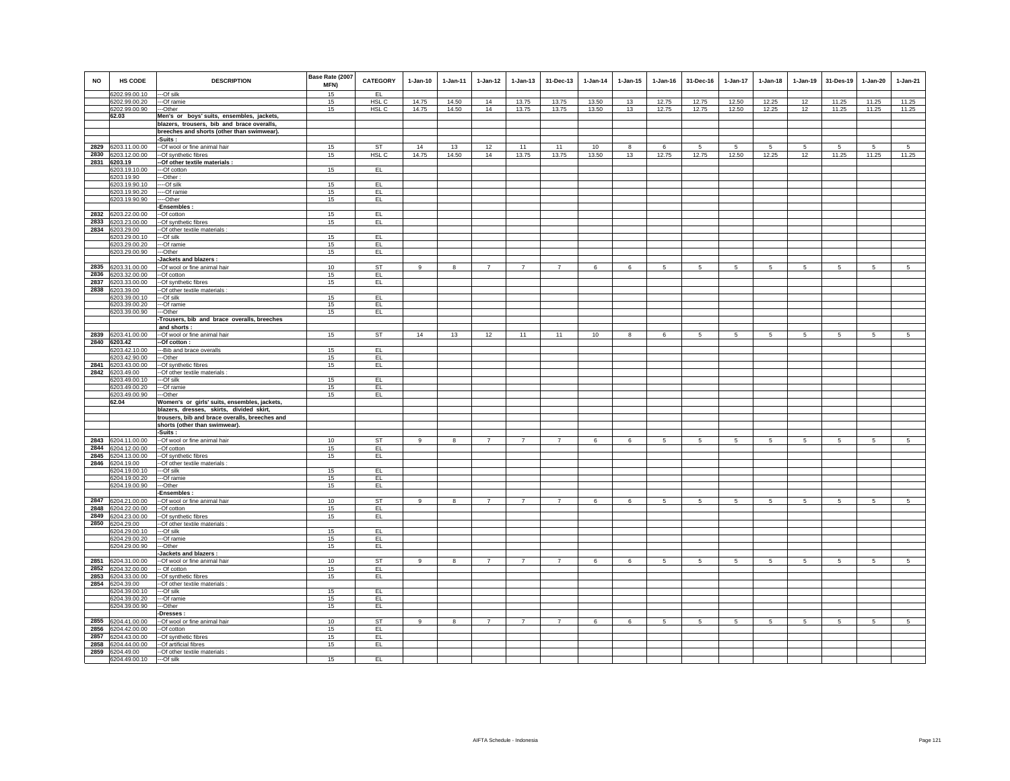| <b>NO</b> | <b>HS CODE</b>                           | <b>DESCRIPTION</b>                                                              | Base Rate (2007<br>MFN) | <b>CATEGORY</b>  | $1-Jan-10$   | $1-Jan-11$              | $1-Jan-12$     | $1-Jan-13$     | 31-Dec-13      | $1-Jan-14$ | $1 - Jan-15$    | $1 - Jan-16$    | 31-Dec-16       | $1-Jan-17$      | $1-Jan-18$      | $1-Jan-19$      | 31-Des-19       | $1-Jan-20$      | $1-Jan-21$      |
|-----------|------------------------------------------|---------------------------------------------------------------------------------|-------------------------|------------------|--------------|-------------------------|----------------|----------------|----------------|------------|-----------------|-----------------|-----------------|-----------------|-----------------|-----------------|-----------------|-----------------|-----------------|
|           | 6202.99.00.10                            | ---Of silk                                                                      | 15                      | EL               |              |                         |                |                |                |            |                 |                 |                 |                 |                 |                 |                 |                 |                 |
|           | 6202.99.00.20                            | ---Of ramie                                                                     | 15                      | HSL C            | 14.75        | 14.50                   | 14             | 13.75          | 13.75          | 13.50      | 13              | 12.75           | 12.75           | 12.50           | 12.25           | 12              | 11.25           | 11.25           | 11.25           |
|           | 6202.99.00.90                            | ---Other                                                                        | 15                      | HSL C            | 14.75        | 14.50                   | 14             | 13.75          | 13.75          | 13.50      | 13              | 12.75           | 12.75           | 12.50           | 12.25           | 12              | 11.25           | 11.25           | 11.25           |
|           | 62.03                                    | Men's or boys' suits, ensembles, jackets,                                       |                         |                  |              |                         |                |                |                |            |                 |                 |                 |                 |                 |                 |                 |                 |                 |
|           |                                          | blazers, trousers, bib and brace overalls,                                      |                         |                  |              |                         |                |                |                |            |                 |                 |                 |                 |                 |                 |                 |                 |                 |
|           |                                          | breeches and shorts (other than swimwear).                                      |                         |                  |              |                         |                |                |                |            |                 |                 |                 |                 |                 |                 |                 |                 |                 |
|           | 2829 6203.11.00.00                       | -Suits :<br>--Of wool or fine animal hair                                       | 15                      | ST               | 14           | 13                      | 12             | 11             | 11             | 10         | 8               | 6               | 5               | 5               | 5               | $\sqrt{5}$      | 5               | -5              | 5               |
|           | 2830 6203.12.00.00                       | -- Of synthetic fibres                                                          | 15                      | HSL <sub>C</sub> | 14.75        | 14.50                   | 14             | 13.75          | 13.75          | 13.50      | 13              | 12.75           | 12.75           | 12.50           | 12.25           | 12              | 11.25           | 11.25           | 11.25           |
|           | 2831 6203.19                             | -- Of other textile materials :                                                 |                         |                  |              |                         |                |                |                |            |                 |                 |                 |                 |                 |                 |                 |                 |                 |
|           | 6203.19.10.00                            | ---Of cotton                                                                    | 15                      | EL.              |              |                         |                |                |                |            |                 |                 |                 |                 |                 |                 |                 |                 |                 |
|           | 6203.19.90                               | ---Other:                                                                       |                         |                  |              |                         |                |                |                |            |                 |                 |                 |                 |                 |                 |                 |                 |                 |
|           | 6203.19.90.10<br>6203.19.90.20           | $---Of$ silk<br>----Of ramie                                                    | 15<br>15                | EL<br>EL         |              |                         |                |                |                |            |                 |                 |                 |                 |                 |                 |                 |                 |                 |
|           | 6203.19.90.90                            | ----Other                                                                       | 15                      | EL.              |              |                         |                |                |                |            |                 |                 |                 |                 |                 |                 |                 |                 |                 |
|           |                                          | -Ensembles:                                                                     |                         |                  |              |                         |                |                |                |            |                 |                 |                 |                 |                 |                 |                 |                 |                 |
|           | 2832 6203.22.00.00                       | --Of cotton                                                                     | 15                      | EL               |              |                         |                |                |                |            |                 |                 |                 |                 |                 |                 |                 |                 |                 |
|           | 2833 6203.23.00.00                       | --Of synthetic fibres                                                           | 15                      | EL               |              |                         |                |                |                |            |                 |                 |                 |                 |                 |                 |                 |                 |                 |
|           | 2834 6203.29.00<br>6203.29.00.10         | -- Of other textile materials :<br>---Of silk                                   | 15                      | EL               |              |                         |                |                |                |            |                 |                 |                 |                 |                 |                 |                 |                 |                 |
|           | 6203.29.00.20                            | ---Of ramie                                                                     | 15                      | EL.              |              |                         |                |                |                |            |                 |                 |                 |                 |                 |                 |                 |                 |                 |
|           | 6203.29.00.90                            | ---Other                                                                        | 15                      | EL.              |              |                         |                |                |                |            |                 |                 |                 |                 |                 |                 |                 |                 |                 |
|           |                                          | Jackets and blazers :                                                           |                         |                  |              |                         |                |                |                |            |                 |                 |                 |                 |                 |                 |                 |                 |                 |
|           | 2835 6203.31.00.00                       | -- Of wool or fine animal hair                                                  | 10                      | <b>ST</b>        | 9            | 8                       | 7              | $\overline{7}$ | $\overline{7}$ | 6          | 6               | $5\overline{5}$ | 5 <sub>5</sub>  | $5\phantom{.0}$ | $5\phantom{.0}$ | $5\overline{)}$ | $5\phantom{.0}$ | $5\phantom{.0}$ | 5               |
|           | 2836 6203.32.00.00                       | --Of cotton                                                                     | 15                      | EL.              |              |                         |                |                |                |            |                 |                 |                 |                 |                 |                 |                 |                 |                 |
|           | 2837 6203.33.00.00<br>2838 6203.39.00    | -- Of synthetic fibres<br>-Of other textile materials :                         | 15                      | EL.              |              |                         |                |                |                |            |                 |                 |                 |                 |                 |                 |                 |                 |                 |
|           | 6203.39.00.10                            | --Of silk                                                                       | 15                      | EL               |              |                         |                |                |                |            |                 |                 |                 |                 |                 |                 |                 |                 |                 |
|           | 6203.39.00.20                            | ---Of ramie                                                                     | 15                      | EL.              |              |                         |                |                |                |            |                 |                 |                 |                 |                 |                 |                 |                 |                 |
|           | 6203.39.00.90                            | ---Other                                                                        | 15                      | EL.              |              |                         |                |                |                |            |                 |                 |                 |                 |                 |                 |                 |                 |                 |
|           |                                          | -Trousers, bib and brace overalls, breeches                                     |                         |                  |              |                         |                |                |                |            |                 |                 |                 |                 |                 |                 |                 |                 |                 |
|           | 2839 6203.41.00.00                       | and shorts:<br>-- Of wool or fine animal hair                                   | 15                      | <b>ST</b>        | 14           | 13                      | 12             | 11             | 11             | 10         | 8               | 6               | 5 <sub>5</sub>  | 5 <sub>5</sub>  | 5 <sub>5</sub>  | $5\phantom{.0}$ | $5\phantom{.0}$ | 5               | $5\overline{5}$ |
|           | 2840 6203.42                             | -Of cotton :                                                                    |                         |                  |              |                         |                |                |                |            |                 |                 |                 |                 |                 |                 |                 |                 |                 |
|           | 6203.42.10.00                            | --- Bib and brace overalls                                                      | 15                      | EL               |              |                         |                |                |                |            |                 |                 |                 |                 |                 |                 |                 |                 |                 |
|           | 6203.42.90.00                            | ---Other                                                                        | 15                      | EL.              |              |                         |                |                |                |            |                 |                 |                 |                 |                 |                 |                 |                 |                 |
|           | 2841 6203.43.00.00                       | -- Of synthetic fibres                                                          | 15                      | EL               |              |                         |                |                |                |            |                 |                 |                 |                 |                 |                 |                 |                 |                 |
|           | 2842 6203.49.00<br>6203.49.00.10         | -- Of other textile materials :<br>---Of silk                                   | 15                      | EL               |              |                         |                |                |                |            |                 |                 |                 |                 |                 |                 |                 |                 |                 |
|           | 6203.49.00.20                            | ---Of ramie                                                                     | 15                      | EL.              |              |                         |                |                |                |            |                 |                 |                 |                 |                 |                 |                 |                 |                 |
|           | 6203.49.00.90                            | ---Other                                                                        | 15                      | EL.              |              |                         |                |                |                |            |                 |                 |                 |                 |                 |                 |                 |                 |                 |
|           | 62.04                                    | Women's or girls' suits, ensembles, jackets,                                    |                         |                  |              |                         |                |                |                |            |                 |                 |                 |                 |                 |                 |                 |                 |                 |
|           |                                          | blazers, dresses, skirts, divided skirt,                                        |                         |                  |              |                         |                |                |                |            |                 |                 |                 |                 |                 |                 |                 |                 |                 |
|           |                                          | trousers, bib and brace overalls, breeches and<br>shorts (other than swimwear). |                         |                  |              |                         |                |                |                |            |                 |                 |                 |                 |                 |                 |                 |                 |                 |
|           |                                          | -Suits :                                                                        |                         |                  |              |                         |                |                |                |            |                 |                 |                 |                 |                 |                 |                 |                 |                 |
|           | 2843 6204.11.00.00                       | -- Of wool or fine animal hair                                                  | 10                      | ST               | $\mathbf{g}$ | $\overline{\mathbf{8}}$ | $\overline{7}$ | $\overline{7}$ | $\overline{7}$ | 6          | $6\overline{6}$ | $\overline{5}$  | $5\phantom{.0}$ | $5\overline{)}$ | 5               | $5\overline{)}$ | $5\overline{)}$ | $5\phantom{.0}$ | $5\overline{)}$ |
|           | 2844 6204.12.00.00                       | $-Ofcotton$                                                                     | 15                      | EL               |              |                         |                |                |                |            |                 |                 |                 |                 |                 |                 |                 |                 |                 |
|           | 2845 6204.13.00.00<br>2846 6204.19.00    | --Of synthetic fibres                                                           | 15                      | EL.              |              |                         |                |                |                |            |                 |                 |                 |                 |                 |                 |                 |                 |                 |
|           | 6204.19.00.10                            | -- Of other textile materials :<br>---Of silk                                   | 15                      | EL               |              |                         |                |                |                |            |                 |                 |                 |                 |                 |                 |                 |                 |                 |
|           | 6204.19.00.20                            | ---Of ramie                                                                     | 15                      | EL.              |              |                         |                |                |                |            |                 |                 |                 |                 |                 |                 |                 |                 |                 |
|           | 6204.19.00.90                            | ---Other                                                                        | 15                      | EL.              |              |                         |                |                |                |            |                 |                 |                 |                 |                 |                 |                 |                 |                 |
|           |                                          | -Ensembles :                                                                    |                         |                  |              |                         |                |                |                |            |                 |                 |                 |                 |                 |                 |                 |                 |                 |
|           | 2847 6204.21.00.00<br>2848 6204.22.00.00 | -- Of wool or fine animal hair<br>--Of cotton                                   | 10<br>15                | <b>ST</b><br>EL  | 9            | 8                       | $\overline{7}$ | $\overline{7}$ | $\overline{7}$ | 6          | 6               | 5               | 5               | 5               | 5               | 5               | 5               | 5               | 5               |
|           | 2849 6204.23.00.00                       | --Of synthetic fibres                                                           | 15                      | EL.              |              |                         |                |                |                |            |                 |                 |                 |                 |                 |                 |                 |                 |                 |
|           | 2850 6204.29.00                          | -- Of other textile materials :                                                 |                         |                  |              |                         |                |                |                |            |                 |                 |                 |                 |                 |                 |                 |                 |                 |
|           | 6204.29.00.10                            | ---Of silk                                                                      | 15                      | EL               |              |                         |                |                |                |            |                 |                 |                 |                 |                 |                 |                 |                 |                 |
|           | 6204.29.00.20                            | ---Of ramie                                                                     | 15                      | EL.              |              |                         |                |                |                |            |                 |                 |                 |                 |                 |                 |                 |                 |                 |
|           | 6204.29.00.90                            | ---Other<br>-Jackets and blazers :                                              | 15                      | EL.              |              |                         |                |                |                |            |                 |                 |                 |                 |                 |                 |                 |                 |                 |
|           | 2851 6204.31.00.00                       | --Of wool or fine animal hair                                                   | 10                      | ST               | 9            | 8                       | 7              | $\overline{7}$ | $\overline{7}$ | 6          | 6               | $5^{\circ}$     | 5 <sub>5</sub>  | 5 <sub>5</sub>  | $5\overline{5}$ | $5\overline{5}$ | $5\overline{5}$ | 5               | $5\overline{5}$ |
|           | 2852 6204.32.00.00                       | -- Of cotton                                                                    | 15                      | EL.              |              |                         |                |                |                |            |                 |                 |                 |                 |                 |                 |                 |                 |                 |
|           | 2853 6204.33.00.00                       | --Of synthetic fibres                                                           | 15                      | EL.              |              |                         |                |                |                |            |                 |                 |                 |                 |                 |                 |                 |                 |                 |
|           | 2854 6204.39.00                          | -Of other textile materials :                                                   |                         |                  |              |                         |                |                |                |            |                 |                 |                 |                 |                 |                 |                 |                 |                 |
|           | 6204.39.00.10<br>6204.39.00.20           | ---Of silk                                                                      | 15<br>15                | EL<br>EL         |              |                         |                |                |                |            |                 |                 |                 |                 |                 |                 |                 |                 |                 |
|           | 6204.39.00.90                            | ---Of ramie<br>---Other                                                         | 15                      | EL.              |              |                         |                |                |                |            |                 |                 |                 |                 |                 |                 |                 |                 |                 |
|           |                                          | -Dresses:                                                                       |                         |                  |              |                         |                |                |                |            |                 |                 |                 |                 |                 |                 |                 |                 |                 |
|           | 2855 6204.41.00.00                       | --Of wool or fine animal hair                                                   | 10                      | <b>ST</b>        | 9            | 8                       | 7              | $\overline{7}$ | 7              | 6          | 6               | $5\overline{)}$ | 5 <sub>5</sub>  | 5 <sub>5</sub>  | $5\overline{5}$ | $5\overline{)}$ | $5\overline{5}$ | $5\overline{5}$ | 5 <sub>5</sub>  |
|           | 2856 6204.42.00.00                       | --Of cotton                                                                     | 15                      | EL.              |              |                         |                |                |                |            |                 |                 |                 |                 |                 |                 |                 |                 |                 |
|           | 2857 6204.43.00.00<br>2858 6204.44.00.00 | --Of synthetic fibres<br>--Of artificial fibres                                 | 15<br>15                | EL<br>EL.        |              |                         |                |                |                |            |                 |                 |                 |                 |                 |                 |                 |                 |                 |
|           | 2859 6204.49.00                          | -- Of other textile materials :                                                 |                         |                  |              |                         |                |                |                |            |                 |                 |                 |                 |                 |                 |                 |                 |                 |
|           | 6204.49.00.10 -- Of silk                 |                                                                                 | 15                      | EL               |              |                         |                |                |                |            |                 |                 |                 |                 |                 |                 |                 |                 |                 |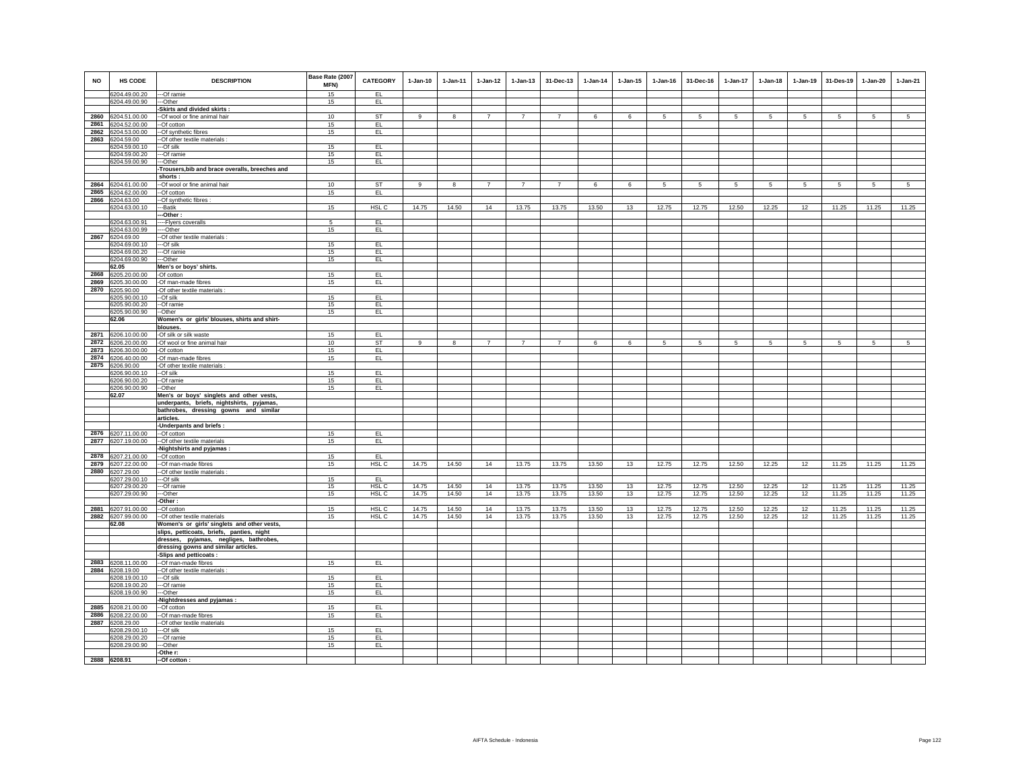| <b>NO</b> | <b>HS CODE</b>     | <b>DESCRIPTION</b>                              | Base Rate (2007<br>MFN) | <b>CATEGORY</b>  | $1-Jan-10$ | $1-Jan-11$ | $1-Jan-12$     | $1 - Jan-13$   | 31-Dec-13      | $1-Jan-14$ | $1 - Jan-15$ | $1 - Jan-16$    | 31-Dec-16      | 1-Jan-17        | $1-Jan-18$      | $1-Jan-19$      | 31-Des-19       | 1-Jan-20        | $1-Jan-21$      |
|-----------|--------------------|-------------------------------------------------|-------------------------|------------------|------------|------------|----------------|----------------|----------------|------------|--------------|-----------------|----------------|-----------------|-----------------|-----------------|-----------------|-----------------|-----------------|
|           | 6204.49.00.20      | ---Of ramie                                     | 15                      | EL               |            |            |                |                |                |            |              |                 |                |                 |                 |                 |                 |                 |                 |
|           | 6204.49.00.90      | ---Other                                        | 15                      | EL.              |            |            |                |                |                |            |              |                 |                |                 |                 |                 |                 |                 |                 |
|           |                    | -Skirts and divided skirts :                    |                         |                  |            |            |                |                |                |            |              |                 |                |                 |                 |                 |                 |                 |                 |
|           | 2860 6204.51.00.00 | -- Of wool or fine animal hair                  | 10                      | <b>ST</b>        | 9          | 8          | $\overline{7}$ | $\overline{7}$ | $\overline{7}$ | 6          | 6            | 5               | -5             | $5\overline{5}$ | 5               | 5               | 5               | -5              | $\overline{5}$  |
|           | 2861 6204.52.00.00 | --Of cotton                                     | 15                      | EL.              |            |            |                |                |                |            |              |                 |                |                 |                 |                 |                 |                 |                 |
|           | 2862 6204.53.00.00 | -- Of synthetic fibres                          | 15                      | EL               |            |            |                |                |                |            |              |                 |                |                 |                 |                 |                 |                 |                 |
|           | 2863 6204.59.00    | -Of other textile materials :                   |                         |                  |            |            |                |                |                |            |              |                 |                |                 |                 |                 |                 |                 |                 |
|           | 6204.59.00.10      | ---Of silk                                      | 15                      | EL               |            |            |                |                |                |            |              |                 |                |                 |                 |                 |                 |                 |                 |
|           | 6204.59.00.20      | ---Of ramie                                     | 15                      | EL               |            |            |                |                |                |            |              |                 |                |                 |                 |                 |                 |                 |                 |
|           | 6204.59.00.90      | ---Other                                        | 15                      | EL.              |            |            |                |                |                |            |              |                 |                |                 |                 |                 |                 |                 |                 |
|           |                    | -Trousers, bib and brace overalls, breeches and |                         |                  |            |            |                |                |                |            |              |                 |                |                 |                 |                 |                 |                 |                 |
|           |                    | shorts:                                         |                         |                  |            |            |                |                |                |            |              |                 |                |                 |                 |                 |                 |                 |                 |
|           | 2864 6204.61.00.00 | --Of wool or fine animal hair                   | 10                      | <b>ST</b>        | 9          | 8          | 7              | $\overline{7}$ | $\overline{7}$ | 6          | 6            | $5\overline{5}$ | 5 <sub>5</sub> | 5 <sub>5</sub>  | $5\overline{5}$ | $5\phantom{.0}$ | $5\overline{5}$ | 5               | $5\overline{5}$ |
|           | 2865 6204.62.00.00 | --Of cotton                                     | 15                      | EL               |            |            |                |                |                |            |              |                 |                |                 |                 |                 |                 |                 |                 |
|           | 2866 6204.63.00    | -Of synthetic fibres :                          |                         |                  |            |            |                |                |                |            |              |                 |                |                 |                 |                 |                 |                 |                 |
|           | 6204.63.00.10      | --Batik                                         | 15                      | HSL C            | 14.75      | 14.50      | 14             | 13.75          | 13.75          | 13.50      | 13           | 12.75           | 12.75          | 12.50           | 12.25           | 12              | 11.25           | 11.25           | 11.25           |
|           |                    | --Other:                                        |                         |                  |            |            |                |                |                |            |              |                 |                |                 |                 |                 |                 |                 |                 |
|           | 6204.63.00.91      | ----Flyers coveralls                            | 5                       | EL               |            |            |                |                |                |            |              |                 |                |                 |                 |                 |                 |                 |                 |
|           | 6204.63.00.99      | ---Other                                        | 15                      | EL               |            |            |                |                |                |            |              |                 |                |                 |                 |                 |                 |                 |                 |
|           | 2867 6204.69.00    | -- Of other textile materials :                 |                         |                  |            |            |                |                |                |            |              |                 |                |                 |                 |                 |                 |                 |                 |
|           | 6204.69.00.10      | ---Of silk                                      | 15                      | EL               |            |            |                |                |                |            |              |                 |                |                 |                 |                 |                 |                 |                 |
|           | 6204.69.00.20      | --Of ramie                                      | 15                      | EL.              |            |            |                |                |                |            |              |                 |                |                 |                 |                 |                 |                 |                 |
|           | 6204.69.00.90      | --Other                                         | 15                      | EL.              |            |            |                |                |                |            |              |                 |                |                 |                 |                 |                 |                 |                 |
|           | 62.05              | Men's or boys' shirts.                          |                         |                  |            |            |                |                |                |            |              |                 |                |                 |                 |                 |                 |                 |                 |
|           | 2868 6205.20.00.00 | -Of cotton                                      | 15                      | EL.              |            |            |                |                |                |            |              |                 |                |                 |                 |                 |                 |                 |                 |
|           | 2869 6205.30.00.00 | -Of man-made fibres                             | 15                      | EL.              |            |            |                |                |                |            |              |                 |                |                 |                 |                 |                 |                 |                 |
|           | 2870 6205.90.00    | Of other textile materials :                    |                         |                  |            |            |                |                |                |            |              |                 |                |                 |                 |                 |                 |                 |                 |
|           | 6205.90.00.10      | --Of silk                                       | 15                      | EL               |            |            |                |                |                |            |              |                 |                |                 |                 |                 |                 |                 |                 |
|           | 6205.90.00.20      | --Of ramie                                      | 15                      | EL               |            |            |                |                |                |            |              |                 |                |                 |                 |                 |                 |                 |                 |
|           | 6205.90.00.90      | --Other                                         | 15                      | EL.              |            |            |                |                |                |            |              |                 |                |                 |                 |                 |                 |                 |                 |
|           | 62.06              | Women's or girls' blouses, shirts and shirt-    |                         |                  |            |            |                |                |                |            |              |                 |                |                 |                 |                 |                 |                 |                 |
|           |                    | blouses.                                        |                         |                  |            |            |                |                |                |            |              |                 |                |                 |                 |                 |                 |                 |                 |
|           | 2871 6206.10.00.00 | -Of silk or silk waste                          | 15                      | EL               |            |            |                |                |                |            |              |                 |                |                 |                 |                 |                 |                 |                 |
|           | 2872 6206.20.00.00 | -Of wool or fine animal hair                    | 10                      | <b>ST</b>        | 9          | 8          | $7^{\circ}$    | $\overline{7}$ | $\overline{7}$ | 6          | 6            | $5\phantom{.0}$ | 5 <sub>5</sub> | $5\phantom{.0}$ | $5\overline{5}$ | $5\overline{5}$ | $5\phantom{.0}$ | $5\phantom{.0}$ | 5 <sub>5</sub>  |
|           | 2873 6206.30.00.00 | -Of cotton                                      | 15                      | EL.              |            |            |                |                |                |            |              |                 |                |                 |                 |                 |                 |                 |                 |
|           | 2874 6206.40.00.00 | -Of man-made fibres                             | 15                      | EL.              |            |            |                |                |                |            |              |                 |                |                 |                 |                 |                 |                 |                 |
|           | 2875 6206.90.00    | -Of other textile materials :                   |                         |                  |            |            |                |                |                |            |              |                 |                |                 |                 |                 |                 |                 |                 |
|           | 6206.90.00.10      | --Of silk                                       | 15                      | EL               |            |            |                |                |                |            |              |                 |                |                 |                 |                 |                 |                 |                 |
|           | 6206.90.00.20      | --Of ramie                                      | 15                      | EL.              |            |            |                |                |                |            |              |                 |                |                 |                 |                 |                 |                 |                 |
|           | 6206.90.00.90      | --Other                                         | 15                      | EL               |            |            |                |                |                |            |              |                 |                |                 |                 |                 |                 |                 |                 |
|           | 62.07              | Men's or boys' singlets and other vests,        |                         |                  |            |            |                |                |                |            |              |                 |                |                 |                 |                 |                 |                 |                 |
|           |                    | underpants, briefs, nightshirts, pyjamas,       |                         |                  |            |            |                |                |                |            |              |                 |                |                 |                 |                 |                 |                 |                 |
|           |                    | bathrobes, dressing gowns and similar           |                         |                  |            |            |                |                |                |            |              |                 |                |                 |                 |                 |                 |                 |                 |
|           |                    | articles.                                       |                         |                  |            |            |                |                |                |            |              |                 |                |                 |                 |                 |                 |                 |                 |
|           | 2876 6207.11.00.00 | Underpants and briefs:                          | 15                      | EL.              |            |            |                |                |                |            |              |                 |                |                 |                 |                 |                 |                 |                 |
|           |                    | --Of cotton                                     |                         |                  |            |            |                |                |                |            |              |                 |                |                 |                 |                 |                 |                 |                 |
|           | 2877 6207.19.00.00 | -- Of other textile materials                   | 15                      | EL.              |            |            |                |                |                |            |              |                 |                |                 |                 |                 |                 |                 |                 |
|           | 2878 6207.21.00.00 | -Nightshirts and pyjamas:<br>--Of cotton        | 15                      | EL               |            |            |                |                |                |            |              |                 |                |                 |                 |                 |                 |                 |                 |
|           | 2879 6207.22.00.00 | --Of man-made fibres                            | 15                      | HSL <sub>C</sub> | 14.75      | 14.50      | 14             | 13.75          | 13.75          | 13.50      | 13           | 12.75           | 12.75          | 12.50           | 12.25           | 12              | 11.25           | 11.25           | 11.25           |
|           | 2880 6207.29.00    | -- Of other textile materials :                 |                         |                  |            |            |                |                |                |            |              |                 |                |                 |                 |                 |                 |                 |                 |
|           | 6207.29.00.10      | ---Of silk                                      | 15                      | EL.              |            |            |                |                |                |            |              |                 |                |                 |                 |                 |                 |                 |                 |
|           | 6207.29.00.20      | ---Of ramie                                     | 15                      | HSL C            | 14.75      | 14.50      | 14             | 13.75          | 13.75          | 13.50      | 13           | 12.75           | 12.75          | 12.50           | 12.25           | 12              | 11.25           | 11.25           | 11.25           |
|           | 6207.29.00.90      | ---Other                                        | 15                      | HSL C            | 14.75      | 14.50      | 14             | 13.75          | 13.75          | 13.50      | 13           | 12.75           | 12.75          | 12.50           | 12.25           | 12              | 11.25           | 11.25           | 11.25           |
|           |                    | Other:                                          |                         |                  |            |            |                |                |                |            |              |                 |                |                 |                 |                 |                 |                 |                 |
|           | 2881 6207.91.00.00 | -Of cotton                                      | 15                      | HSL C            | 14.75      | 14.50      | 14             | 13.75          | 13.75          | 13.50      | 13           | 12.75           | 12.75          | 12.50           | 12.25           | 12              | 11.25           | 11.25           | 11.25           |
|           | 2882 6207.99.00.00 | -Of other textile materials                     | 15                      | HSL C            | 14.75      | 14.50      | 14             | 13.75          | 13.75          | 13.50      | 13           | 12.75           | 12.75          | 12.50           | 12.25           | 12              | 11.25           | 11.25           | 11.25           |
|           | 62.08              | Women's or girls' singlets and other vests,     |                         |                  |            |            |                |                |                |            |              |                 |                |                 |                 |                 |                 |                 |                 |
|           |                    | slips, petticoats, briefs, panties, night       |                         |                  |            |            |                |                |                |            |              |                 |                |                 |                 |                 |                 |                 |                 |
|           |                    | dresses, pyjamas, negliges, bathrobes,          |                         |                  |            |            |                |                |                |            |              |                 |                |                 |                 |                 |                 |                 |                 |
|           |                    | dressing gowns and similar articles.            |                         |                  |            |            |                |                |                |            |              |                 |                |                 |                 |                 |                 |                 |                 |
|           |                    | -Slips and petticoats :                         |                         |                  |            |            |                |                |                |            |              |                 |                |                 |                 |                 |                 |                 |                 |
|           | 2883 6208.11.00.00 | --Of man-made fibres                            | 15                      | EL.              |            |            |                |                |                |            |              |                 |                |                 |                 |                 |                 |                 |                 |
|           | 2884 6208.19.00    | -- Of other textile materials :                 |                         |                  |            |            |                |                |                |            |              |                 |                |                 |                 |                 |                 |                 |                 |
|           | 6208.19.00.10      | ---Of silk                                      | 15                      | EL.              |            |            |                |                |                |            |              |                 |                |                 |                 |                 |                 |                 |                 |
|           | 6208.19.00.20      | ---Of ramie                                     | 15                      | EL               |            |            |                |                |                |            |              |                 |                |                 |                 |                 |                 |                 |                 |
|           | 6208.19.00.90      | --Other                                         | 15                      | EL               |            |            |                |                |                |            |              |                 |                |                 |                 |                 |                 |                 |                 |
|           |                    | -Nightdresses and pyjamas:                      |                         |                  |            |            |                |                |                |            |              |                 |                |                 |                 |                 |                 |                 |                 |
|           | 2885 6208.21.00.00 | --Of cotton                                     | 15                      | EL               |            |            |                |                |                |            |              |                 |                |                 |                 |                 |                 |                 |                 |
|           | 2886 6208.22.00.00 | --Of man-made fibres                            | 15                      | EL.              |            |            |                |                |                |            |              |                 |                |                 |                 |                 |                 |                 |                 |
|           | 2887 6208.29.00    | -Of other textile materials                     |                         |                  |            |            |                |                |                |            |              |                 |                |                 |                 |                 |                 |                 |                 |
|           | 6208.29.00.10      | ---Of silk                                      | 15                      | EL.              |            |            |                |                |                |            |              |                 |                |                 |                 |                 |                 |                 |                 |
|           | 6208.29.00.20      | ---Of ramie<br>---Other                         | 15<br>15                | EL<br>EL.        |            |            |                |                |                |            |              |                 |                |                 |                 |                 |                 |                 |                 |
|           | 6208.29.00.90      | -Othe r:                                        |                         |                  |            |            |                |                |                |            |              |                 |                |                 |                 |                 |                 |                 |                 |
|           | 2888 6208.91       | -- Of cotton:                                   |                         |                  |            |            |                |                |                |            |              |                 |                |                 |                 |                 |                 |                 |                 |
|           |                    |                                                 |                         |                  |            |            |                |                |                |            |              |                 |                |                 |                 |                 |                 |                 |                 |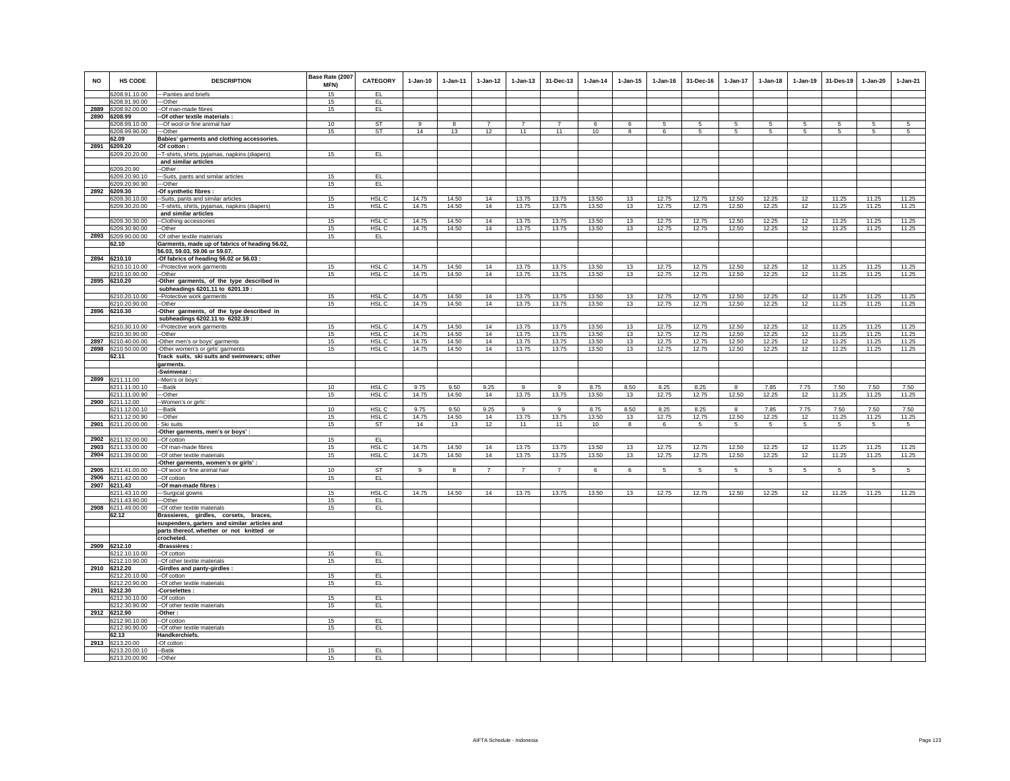| <b>NO</b> | <b>HS CODE</b>                           | <b>DESCRIPTION</b>                                                               | Base Rate (2007<br>MFN)<br>15 | <b>CATEGORY</b>           | $1-Jan-10$     | $1 - Jan-11$   | $1 - Jan-12$   | $1 - Jan-13$   | 31-Dec-13      | $1 - Jan-14$  | $1 - Jan-15$ | $1 - Jan-16$   | 31-Dec-16       | $1-Jan-17$      | $1-Jan-18$      | $1-Jan-19$ | 31-Des-19     | $1-Jan-20$    | $1-Jan-21$     |
|-----------|------------------------------------------|----------------------------------------------------------------------------------|-------------------------------|---------------------------|----------------|----------------|----------------|----------------|----------------|---------------|--------------|----------------|-----------------|-----------------|-----------------|------------|---------------|---------------|----------------|
|           | 6208.91.10.00                            | ---Panties and briefs                                                            |                               | EL<br>EL                  |                |                |                |                |                |               |              |                |                 |                 |                 |            |               |               |                |
| 2889      | 6208.91.90.00<br>6208.92.00.00           | --Other<br>--Of man-made fibres                                                  | 15<br>15                      | EL                        |                |                |                |                |                |               |              |                |                 |                 |                 |            |               |               |                |
| 2890      | 6208.99                                  | -Of other textile materials :                                                    |                               |                           |                |                |                |                |                |               |              |                |                 |                 |                 |            |               |               |                |
|           | 6208.99.10.00                            | --Of wool or fine animal hair                                                    | 10                            | <b>ST</b>                 | 9              | 8              | $\overline{7}$ | $\overline{7}$ | $\overline{7}$ | 6             | 6            | 5              | 5               | 5               | 5               | 5          | 5             | 5             | 5              |
|           | 6208.99.90.00                            | --Other                                                                          | 15                            | <b>ST</b>                 | 14             | 13             | 12             | 11             | 11             | 10            | 8            | 6              | $5\phantom{.0}$ | 5               | 5               | 5          | 5             | 5             | 5              |
|           | 62.09                                    | Babies' garments and clothing accessories.                                       |                               |                           |                |                |                |                |                |               |              |                |                 |                 |                 |            |               |               |                |
| 2891      | 6209.20                                  | -Of cotton:                                                                      |                               |                           |                |                |                |                |                |               |              |                |                 |                 |                 |            |               |               |                |
|           | 6209.20.20.00                            | -T-shirts, shirts, pyjamas, napkins (diapers)                                    | 15                            | EL.                       |                |                |                |                |                |               |              |                |                 |                 |                 |            |               |               |                |
|           | 6209.20.90                               | and similar articles<br>-Other:                                                  |                               |                           |                |                |                |                |                |               |              |                |                 |                 |                 |            |               |               |                |
|           | 6209.20.90.10                            | --Suits, pants and similar articles                                              | 15                            | EL.                       |                |                |                |                |                |               |              |                |                 |                 |                 |            |               |               |                |
|           | 6209.20.90.90                            | --Other                                                                          | 15                            | EL                        |                |                |                |                |                |               |              |                |                 |                 |                 |            |               |               |                |
|           | 2892 6209.30                             | -Of synthetic fibres :                                                           |                               |                           |                |                |                |                |                |               |              |                |                 |                 |                 |            |               |               |                |
|           | 6209.30.10.00                            | -Suits, pants and similar articles                                               | 15                            | HSL <sub>C</sub>          | 14.75          | 14.50          | 14             | 13.75          | 13.75          | 13.50         | 13           | 12.75          | 12.75           | 12.50           | 12.25           | 12         | 11.25         | 11.25         | 11.25          |
|           | 6209.30.20.00                            | -- T-shirts, shirts, pyjamas, napkins (diapers)                                  | 15                            | HSLC                      | 14.75          | 14.50          | 14             | 13.75          | 13.75          | 13.50         | 13           | 12.75          | 12.75           | 12.50           | 12.25           | 12         | 11.25         | 11.25         | 11.25          |
|           |                                          | and similar articles                                                             |                               |                           |                |                |                |                |                |               |              |                |                 |                 |                 |            |               |               |                |
|           | 6209.30.30.00<br>6209.30.90.00           | --Clothing accessories                                                           | 15<br>15                      | HSL <sub>C</sub><br>HSL C | 14.75<br>14.75 | 14.50<br>14.50 | 14<br>14       | 13.75<br>13.75 | 13.75<br>13.75 | 13.50         | 13           | 12.75<br>12.75 | 12.75<br>12.75  | 12.50<br>12.50  | 12.25<br>12.25  | 12<br>12   | 11.25         | 11.25         | 11.25<br>11.25 |
|           | 2893 6209.90.00.00                       | --Other<br>-Of other textile materials                                           | 15                            | EL.                       |                |                |                |                |                | 13.50         | 13           |                |                 |                 |                 |            | 11.25         | 11.25         |                |
|           | 62.10                                    | Garments, made up of fabrics of heading 56.02,                                   |                               |                           |                |                |                |                |                |               |              |                |                 |                 |                 |            |               |               |                |
|           |                                          | 56.03, 59.03, 59.06 or 59.07.                                                    |                               |                           |                |                |                |                |                |               |              |                |                 |                 |                 |            |               |               |                |
|           | 2894 6210.10                             | -Of fabrics of heading 56.02 or 56.03 :                                          |                               |                           |                |                |                |                |                |               |              |                |                 |                 |                 |            |               |               |                |
|           | 6210.10.10.00                            | -- Protective work garments                                                      | 15                            | HSL <sub>C</sub>          | 14.75          | 14.50          | 14             | 13.75          | 13.75          | 13.50         | 13           | 12.75          | 12.75           | 12.50           | 12.25           | 12         | 11.25         | 11.25         | 11.25          |
|           | 6210.10.90.00                            | -Other                                                                           | 15                            | HSL C                     | 14.75          | 14.50          | 14             | 13.75          | 13.75          | 13.50         | 13           | 12.75          | 12.75           | 12.50           | 12.25           | 12         | 11.25         | 11.25         | 11.25          |
|           | 2895 6210.20                             | Other garments, of the type described in                                         |                               |                           |                |                |                |                |                |               |              |                |                 |                 |                 |            |               |               |                |
|           | 6210.20.10.00                            | subheadings 6201.11 to 6201.19:<br>-Protective work garments                     | 15                            | HSL <sub>C</sub>          | 14.75          | 14.50          | 14             | 13.75          | 13.75          | 13.50         | 13           | 12.75          | 12.75           | 12.50           | 12.25           | 12         | 11.25         | 11.25         | 11.25          |
|           | 6210.20.90.00                            | --Other                                                                          | 15                            | HSL C                     | 14.75          | 14.50          | 14             | 13.75          | 13.75          | 13.50         | 13           | 12.75          | 12.75           | 12.50           | 12.25           | 12         | 11.25         | 11.25         | 11.25          |
|           | 2896 6210.30                             | -Other garments, of the type described in                                        |                               |                           |                |                |                |                |                |               |              |                |                 |                 |                 |            |               |               |                |
|           |                                          | subheadings 6202.11 to 6202.19:                                                  |                               |                           |                |                |                |                |                |               |              |                |                 |                 |                 |            |               |               |                |
|           | 6210.30.10.00                            | -- Protective work garments                                                      | 15                            | HSL C                     | 14.75          | 14.50          | 14             | 13.75          | 13.75          | 13.50         | 13           | 12.75          | 12.75           | 12.50           | 12.25           | 12         | 11.25         | 11.25         | 11.25          |
|           | 6210.30.90.00                            | -Other                                                                           | 15                            | HSL C                     | 14.75          | 14.50          | 14             | 13.75          | 13.75          | 13.50         | 13           | 12.75          | 12.75           | 12.50           | 12.25           | 12         | 11.25         | 11.25         | 11.25          |
| 2897      | 6210.40.00.00                            | -Other men's or boys' garments                                                   | 15                            | HSL C                     | 14.75          | 14.50          | 14             | 13.75          | 13.75          | 13.50         | 13           | 12.75          | 12.75           | 12.50           | 12.25           | 12         | 11.25         | 11.25         | 11.25          |
| 2898      | 6210.50.00.00<br>62.11                   | -Other women's or girls' garments<br>Track suits, ski suits and swimwears; other | 15                            | HSL C                     | 14.75          | 14.50          | 14             | 13.75          | 13.75          | 13.50         | 13           | 12.75          | 12.75           | 12.50           | 12.25           | 12         | 11.25         | 11.25         | 11.25          |
|           |                                          | garments.                                                                        |                               |                           |                |                |                |                |                |               |              |                |                 |                 |                 |            |               |               |                |
|           |                                          | -Swimwear:                                                                       |                               |                           |                |                |                |                |                |               |              |                |                 |                 |                 |            |               |               |                |
|           | 2899 6211.11.00                          | -Men's or boys':                                                                 |                               |                           |                |                |                |                |                |               |              |                |                 |                 |                 |            |               |               |                |
|           | 6211.11.00.10                            | ---Batik                                                                         | 10                            | HSL <sub>C</sub>          | 9.75           | 9.50           | 9.25           | $\mathsf g$    | $\mathbf{q}$   | 8.75          | 8.50         | 8.25           | 8.25            | 8               | 7.85            | 7.75       | 7.50          | 7.50          | 7.50           |
|           | 6211.11.00.90                            | ---Other                                                                         | 15                            | HSL C                     | 14.75          | 14.50          | 14             | 13.75          | 13.75          | 13.50         | 13           | 12.75          | 12.75           | 12.50           | 12.25           | 12         | 11.25         | 11.25         | 11.25          |
|           | 2900 6211.12.00                          | -Women's or girls':                                                              |                               |                           |                |                |                |                |                |               |              |                |                 |                 |                 |            |               |               |                |
|           | 6211.12.00.10<br>6211.12.00.90           | --Batik<br>--Other                                                               | 10<br>15                      | HSL C<br>HSL C            | 9.75<br>14.75  | 9.50<br>14.50  | 9.25<br>14     | 9<br>13.75     | 9<br>13.75     | 8.75<br>13.50 | 8.50<br>13   | 8.25<br>12.75  | 8.25<br>12.75   | 8<br>12.50      | 7.85<br>12.25   | 7.75<br>12 | 7.50<br>11.25 | 7.50<br>11.25 | 7.50<br>11.25  |
|           | 2901 6211.20.00.00                       | Ski suits                                                                        | 15                            | ST                        | 14             | 13             | 12             | 11             | 11             | 10            | 8            | 6              | $5\phantom{.0}$ | $5\phantom{.0}$ | $5\overline{5}$ | 5          | 5             | 5             | 5              |
|           |                                          | Other garments, men's or boys':                                                  |                               |                           |                |                |                |                |                |               |              |                |                 |                 |                 |            |               |               |                |
|           | 2902 6211.32.00.00                       | -Of cotton                                                                       | 15                            | EL                        |                |                |                |                |                |               |              |                |                 |                 |                 |            |               |               |                |
|           | 2903 6211.33.00.00                       | -Of man-made fibres                                                              | 15                            | HSL C                     | 14.75          | 14.50          | 14             | 13.75          | 13.75          | 13.50         | 13           | 12.75          | 12.75           | 12.50           | 12.25           | 12         | 11.25         | 11.25         | 11.25          |
|           | 2904 6211.39.00.00                       | -Of other textile materials                                                      | 15                            | HSL C                     | 14.75          | 14.50          | 14             | 13.75          | 13.75          | 13.50         | 13           | 12.75          | 12.75           | 12.50           | 12.25           | 12         | 11.25         | 11.25         | 11.25          |
|           |                                          | Other garments, women's or girls' :                                              | 10                            | <b>ST</b>                 | 9              | 8              | $\overline{7}$ | $\overline{7}$ | $\overline{7}$ | 6             |              | 5              |                 |                 | 5               | 5          |               |               | 5              |
|           | 2905 6211.41.00.00<br>2906 6211.42.00.00 | --Of wool or fine animal hair<br>--Of cotton                                     | 15                            | EL                        |                |                |                |                |                |               | 6            |                | 5               | $5\phantom{.0}$ |                 |            | 5             | 5             |                |
|           | 2907 6211.43                             | --Of man-made fibres :                                                           |                               |                           |                |                |                |                |                |               |              |                |                 |                 |                 |            |               |               |                |
|           | 6211.43.10.00                            | ---Surgical gowns                                                                | 15                            | HSL C                     | 14.75          | 14.50          | 14             | 13.75          | 13.75          | 13.50         | 13           | 12.75          | 12.75           | 12.50           | 12.25           | 12         | 11.25         | 11.25         | 11.25          |
|           | 6211.43.90.00                            | ---Other                                                                         | 15                            | EL                        |                |                |                |                |                |               |              |                |                 |                 |                 |            |               |               |                |
|           | 2908 6211.49.00.00                       | -Of other textile materials                                                      | 15                            | EL                        |                |                |                |                |                |               |              |                |                 |                 |                 |            |               |               |                |
|           | 62.12                                    | Brassieres, girdles, corsets, braces,                                            |                               |                           |                |                |                |                |                |               |              |                |                 |                 |                 |            |               |               |                |
|           |                                          | suspenders, garters and similar articles and                                     |                               |                           |                |                |                |                |                |               |              |                |                 |                 |                 |            |               |               |                |
|           |                                          | parts thereof, whether or not knitted or<br>crocheted.                           |                               |                           |                |                |                |                |                |               |              |                |                 |                 |                 |            |               |               |                |
|           | 2909 6212.10                             | -Brassières :                                                                    |                               |                           |                |                |                |                |                |               |              |                |                 |                 |                 |            |               |               |                |
|           | 6212.10.10.00                            | --Of cotton                                                                      | 15                            | EL                        |                |                |                |                |                |               |              |                |                 |                 |                 |            |               |               |                |
|           | 6212.10.90.00                            | -- Of other textile materials                                                    | 15                            | EL                        |                |                |                |                |                |               |              |                |                 |                 |                 |            |               |               |                |
|           | 2910 6212.20                             | -Girdles and panty-girdles                                                       |                               |                           |                |                |                |                |                |               |              |                |                 |                 |                 |            |               |               |                |
|           | 6212.20.10.00                            | --Of cotton                                                                      | 15                            | EL                        |                |                |                |                |                |               |              |                |                 |                 |                 |            |               |               |                |
|           | 6212.20.90.00<br>2911 6212.30            | --Of other textile materials<br>Corselettes:                                     | 15                            | EL                        |                |                |                |                |                |               |              |                |                 |                 |                 |            |               |               |                |
|           | 6212.30.10.00                            | -Of cotton                                                                       | 15                            | EL                        |                |                |                |                |                |               |              |                |                 |                 |                 |            |               |               |                |
|           | 6212.30.90.00                            | -Of other textile materials                                                      | 15                            | EL                        |                |                |                |                |                |               |              |                |                 |                 |                 |            |               |               |                |
|           | 2912 6212.90                             | -Other :                                                                         |                               |                           |                |                |                |                |                |               |              |                |                 |                 |                 |            |               |               |                |
|           | 6212.90.10.00                            | --Of cotton                                                                      | 15                            | EL                        |                |                |                |                |                |               |              |                |                 |                 |                 |            |               |               |                |
|           | 6212.90.90.00                            | --Of other textile materials                                                     | 15                            | EL.                       |                |                |                |                |                |               |              |                |                 |                 |                 |            |               |               |                |
|           | 62.13                                    | Handkerchiefs.                                                                   |                               |                           |                |                |                |                |                |               |              |                |                 |                 |                 |            |               |               |                |
|           | 2913 6213.20.00                          | -Of cotton                                                                       |                               |                           |                |                |                |                |                |               |              |                |                 |                 |                 |            |               |               |                |
|           | 6213.20.00.10<br>6213.20.00.90           | --Batik<br>--Other                                                               | 15<br>15                      | EL.<br>EL                 |                |                |                |                |                |               |              |                |                 |                 |                 |            |               |               |                |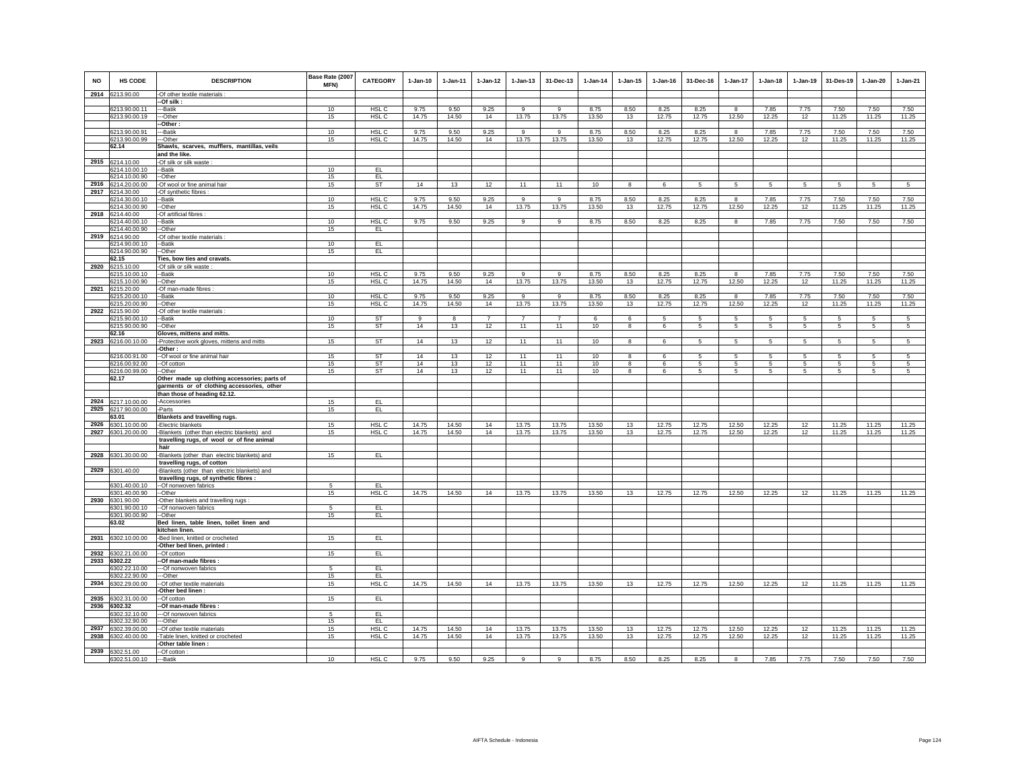| <b>NO</b> | <b>HS CODE</b>                   | <b>DESCRIPTION</b>                                                                         | Base Rate (2007<br>MFN) | <b>CATEGORY</b>        | $1-Jan-10$     | 1-Jan-11       | $1 - Jan-12$   | $1 - Jan-13$         | 31-Dec-13      | $1-Jan-14$     | $1 - Jan-15$ | $1 - Jan-16$   | 31-Dec-16       | $1-Jan-17$      | $1-Jan-18$      | $1 - Jan-19$ | 31-Des-19            | $1-Jan-20$      | $1-Jan-21$      |
|-----------|----------------------------------|--------------------------------------------------------------------------------------------|-------------------------|------------------------|----------------|----------------|----------------|----------------------|----------------|----------------|--------------|----------------|-----------------|-----------------|-----------------|--------------|----------------------|-----------------|-----------------|
|           | 2914 6213.90.00                  | -Of other textile materials                                                                |                         |                        |                |                |                |                      |                |                |              |                |                 |                 |                 |              |                      |                 |                 |
|           |                                  | -Of silk:                                                                                  |                         |                        |                |                |                |                      |                |                |              |                |                 |                 |                 |              |                      |                 |                 |
|           | 6213.90.00.11                    | --Batik                                                                                    | 10                      | HSL C                  | 9.75           | 9.50           | 9.25           | 9                    | 9              | 8.75           | 8.50         | 8.25           | 8.25            | 8               | 7.85            | 7.75         | 7.50                 | 7.50            | 7.50            |
|           | 6213.90.00.19                    | --Other<br>-Other:                                                                         | 15                      | HSL C                  | 14.75          | 14.50          | 14             | 13.75                | 13.75          | 13.50          | 13           | 12.75          | 12.75           | 12.50           | 12.25           | 12           | 11.25                | 11.25           | 11.25           |
|           | 6213.90.00.91                    | -Batik                                                                                     | 10                      | HSL C                  | 9.75           | 9.50           | 9.25           | 9                    | $\overline{9}$ | 8.75           | 8.50         | 8.25           | 8.25            | 8               | 7.85            | 7.75         | 7.50                 | 7.50            | 7.50            |
|           | 6213.90.00.99                    | -Other                                                                                     | 15                      | HSL C                  | 14.75          | 14.50          | 14             | 13.75                | 13.75          | 13.50          | 13           | 12.75          | 12.75           | 12.50           | 12.25           | 12           | 11.25                | 11.25           | 11.25           |
|           | 62.14                            | Shawls, scarves, mufflers, mantillas, veils                                                |                         |                        |                |                |                |                      |                |                |              |                |                 |                 |                 |              |                      |                 |                 |
|           |                                  | and the like.                                                                              |                         |                        |                |                |                |                      |                |                |              |                |                 |                 |                 |              |                      |                 |                 |
| 2915      | 6214.10.00<br>6214.10.00.10      | -Of silk or silk waste<br>--Batik                                                          | 10                      | EL.                    |                |                |                |                      |                |                |              |                |                 |                 |                 |              |                      |                 |                 |
|           | 6214.10.00.90                    | --Other                                                                                    | 15                      | EL.                    |                |                |                |                      |                |                |              |                |                 |                 |                 |              |                      |                 |                 |
|           | 2916 6214.20.00.00               | -Of wool or fine animal hair                                                               | 15                      | <b>ST</b>              | 14             | 13             | 12             | 11                   | 11             | 10             | 8            | 6              | 5               | $5^{\circ}$     | $5\phantom{.0}$ | 5            | $5\phantom{.0}$      | $\overline{5}$  | $5\overline{5}$ |
|           | 2917 6214.30.00                  | Of synthetic fibres :                                                                      |                         |                        |                |                |                |                      |                |                |              |                |                 |                 |                 |              |                      |                 |                 |
|           | 6214.30.00.10<br>6214.30.00.90   | -Batik<br>-Other                                                                           | 10<br>15                | HSL C<br>HSL C         | 9.75<br>14.75  | 9.50<br>14.50  | 9.25<br>14     | 9<br>13.75           | 9<br>13.75     | 8.75<br>13.50  | 8.50<br>13   | 8.25<br>12.75  | 8.25<br>12.75   | 8<br>12.50      | 7.85<br>12.25   | 7.75<br>12   | 7.50<br>11.25        | 7.50<br>11.25   | 7.50<br>11.25   |
| 2918      | 6214.40.00                       | -Of artificial fibres :                                                                    |                         |                        |                |                |                |                      |                |                |              |                |                 |                 |                 |              |                      |                 |                 |
|           | 6214.40.00.10                    | --Batik                                                                                    | 10                      | HSL <sub>C</sub>       | 9.75           | 9.50           | 9.25           | 9                    | 9              | 8.75           | 8.50         | 8.25           | 8.25            | 8               | 7.85            | 7.75         | 7.50                 | 7.50            | 7.50            |
|           | 6214.40.00.90                    | -Other                                                                                     | 15                      | EL.                    |                |                |                |                      |                |                |              |                |                 |                 |                 |              |                      |                 |                 |
| 2919      | 6214.90.00                       | -Of other textile materials :                                                              |                         |                        |                |                |                |                      |                |                |              |                |                 |                 |                 |              |                      |                 |                 |
|           | 6214.90.00.10<br>6214.90.00.90   | -Batik<br>-Other                                                                           | 10<br>15                | EL.<br>EL              |                |                |                |                      |                |                |              |                |                 |                 |                 |              |                      |                 |                 |
|           | 62.15                            | Ties, bow ties and cravats.                                                                |                         |                        |                |                |                |                      |                |                |              |                |                 |                 |                 |              |                      |                 |                 |
| 2920      | 6215.10.00                       | Of silk or silk waste                                                                      |                         |                        |                |                |                |                      |                |                |              |                |                 |                 |                 |              |                      |                 |                 |
|           | 6215.10.00.10                    | -Batik                                                                                     | 10                      | HSL C                  | 9.75           | 9.50           | 9.25           | 9                    | 9              | 8.75           | 8.50         | 8.25           | 8.25            | 8               | 7.85            | 7.75         | 7.50<br>11.25        | 7.50            | 7.50            |
| 2921      | 6215.10.00.90<br>6215.20.00      | --Other<br>Of man-made fibres :                                                            | 15                      | HSL C                  | 14.75          | 14.50          | 14             | 13.75                | 13.75          | 13.50          | 13           | 12.75          | 12.75           | 12.50           | 12.25           | 12           |                      | 11.25           | 11.25           |
|           | 6215.20.00.10                    | -- Batik                                                                                   | 10                      | HSL C                  | 9.75           | 9.50           | 9.25           | 9                    | $_{9}$         | 8.75           | 8.50         | 8.25           | 8.25            | 8               | 7.85            | 7.75         | 7.50                 | 7.50            | 7.50            |
|           | 6215.20.00.90                    | --Other                                                                                    | 15                      | HSL C                  | 14.75          | 14.50          | 14             | 13.75                | 13.75          | 13.50          | 13           | 12.75          | 12.75           | 12.50           | 12.25           | 12           | 11.25                | 11.25           | 11.25           |
|           | 2922 6215.90.00<br>6215.90.00.10 | Of other textile materials :                                                               | 10 <sup>1</sup>         |                        |                |                | $\overline{7}$ |                      | $\overline{7}$ |                |              |                |                 |                 |                 |              |                      |                 |                 |
|           | 6215.90.00.90                    | --Batik<br>-Other                                                                          | 15                      | <b>ST</b><br><b>ST</b> | 9<br>14        | 8<br>13        | 12             | $\overline{7}$<br>11 | 11             | -6<br>10       | 6<br>8       | -5<br>6        | -5<br>5         | 5<br>5          | 5<br>5          | 5<br>5       | $5\overline{5}$<br>5 | 5<br>$\sqrt{5}$ | -5<br>5         |
|           | 62.16                            | Gloves, mittens and mitts.                                                                 |                         |                        |                |                |                |                      |                |                |              |                |                 |                 |                 |              |                      |                 |                 |
|           | 2923 6216.00.10.00               | -Protective work gloves, mittens and mitts                                                 | 15                      | <b>ST</b>              | 14             | 13             | 12             | 11                   | 11             | 10             | 8            | 6              | 5               | 5               | 5               | 5            | 5                    | 5               | 5               |
|           | 6216.00.91.00                    | -Other :                                                                                   | 15                      | <b>ST</b>              | 14             | 13             | 12             | 11                   | 11             | 10             | 8            | 6              | -5              | 5               | 5               | -5           | 5                    | 5               | 5               |
|           | 6216.00.92.00                    | --Of wool or fine animal hair<br>--Of cotton                                               | 15                      | <b>ST</b>              | 14             | 13             | 12             | 11                   | 11             | 10             | 8            | 6              | 5               | 5               | 5               | 5            | 5                    | 5               | 5               |
|           | 6216.00.99.00                    | -Other                                                                                     | 15                      | ST                     | 14             | 13             | 12             | 11                   | 11             | 10             | 8            | 6              | $5\overline{5}$ | $5\overline{5}$ | $5\overline{5}$ | 5            | 5                    | 5               | 5               |
|           | 62.17                            | Other made up clothing accessories; parts of                                               |                         |                        |                |                |                |                      |                |                |              |                |                 |                 |                 |              |                      |                 |                 |
|           |                                  | garments or of clothing accessories, other                                                 |                         |                        |                |                |                |                      |                |                |              |                |                 |                 |                 |              |                      |                 |                 |
| 2924      | 6217.10.00.00                    | than those of heading 62.12.<br>-Accessories                                               | 15                      | EL                     |                |                |                |                      |                |                |              |                |                 |                 |                 |              |                      |                 |                 |
| 2925      | 6217.90.00.00                    | -Parts                                                                                     | 15                      | EL                     |                |                |                |                      |                |                |              |                |                 |                 |                 |              |                      |                 |                 |
|           | 63.01                            | Blankets and travelling rugs.                                                              |                         |                        |                |                |                |                      |                |                |              |                |                 |                 |                 |              |                      |                 |                 |
| 2926      | 6301.10.00.00                    | -Electric blankets                                                                         | 15                      | HSL C                  | 14.75          | 14.50          | 14             | 13.75                | 13.75          | 13.50          | 13           | 12.75          | 12.75           | 12.50           | 12.25           | 12           | 11.25                | 11.25           | 11.25           |
| 2927      | 6301.20.00.00                    | -Blankets (other than electric blankets) and<br>travelling rugs, of wool or of fine animal | 15                      | HSL C                  | 14.75          | 14.50          | 14             | 13.75                | 13.75          | 13.50          | 13           | 12.75          | 12.75           | 12.50           | 12.25           | 12           | 11.25                | 11.25           | 11.25           |
|           |                                  | hair                                                                                       |                         |                        |                |                |                |                      |                |                |              |                |                 |                 |                 |              |                      |                 |                 |
| 2928      | 6301.30.00.00                    | -Blankets (other than electric blankets) and                                               | 15                      | EL.                    |                |                |                |                      |                |                |              |                |                 |                 |                 |              |                      |                 |                 |
|           |                                  | travelling rugs, of cotton                                                                 |                         |                        |                |                |                |                      |                |                |              |                |                 |                 |                 |              |                      |                 |                 |
|           | 2929 6301.40.00                  | -Blankets (other than electric blankets) and                                               |                         |                        |                |                |                |                      |                |                |              |                |                 |                 |                 |              |                      |                 |                 |
|           | 6301.40.00.10                    | travelling rugs, of synthetic fibres :<br>-Of nonwoven fabrics                             | 5                       | EL.                    |                |                |                |                      |                |                |              |                |                 |                 |                 |              |                      |                 |                 |
|           | 6301.40.00.90                    | -Other                                                                                     | 15                      | HSL <sub>C</sub>       | 14.75          | 14.50          | 14             | 13.75                | 13.75          | 13.50          | 13           | 12.75          | 12.75           | 12.50           | 12.25           | 12           | 11.25                | 11.25           | 11.25           |
| 2930      | 6301.90.00                       | Other blankets and travelling rugs:                                                        |                         |                        |                |                |                |                      |                |                |              |                |                 |                 |                 |              |                      |                 |                 |
|           | 6301.90.00.10<br>6301.90.00.90   | --Of nonwoven fabrics<br>--Other                                                           | 5<br>15                 | EL<br>EL               |                |                |                |                      |                |                |              |                |                 |                 |                 |              |                      |                 |                 |
|           | 63.02                            | Bed linen, table linen, toilet linen and                                                   |                         |                        |                |                |                |                      |                |                |              |                |                 |                 |                 |              |                      |                 |                 |
|           |                                  | kitchen linen.                                                                             |                         |                        |                |                |                |                      |                |                |              |                |                 |                 |                 |              |                      |                 |                 |
|           | 2931 6302.10.00.00               | -Bed linen, knitted or crocheted                                                           | 15                      | EL.                    |                |                |                |                      |                |                |              |                |                 |                 |                 |              |                      |                 |                 |
|           |                                  | Other bed linen, printed :                                                                 |                         | EL.                    |                |                |                |                      |                |                |              |                |                 |                 |                 |              |                      |                 |                 |
| 2933      | 2932 6302.21.00.00<br>6302.22    | -Of cotton<br>-Of man-made fibres :                                                        | 15                      |                        |                |                |                |                      |                |                |              |                |                 |                 |                 |              |                      |                 |                 |
|           | 6302.22.10.00                    | -Of nonwoven fabrics                                                                       | -5                      | EL                     |                |                |                |                      |                |                |              |                |                 |                 |                 |              |                      |                 |                 |
|           | 6302.22.90.00                    | -Other                                                                                     | 15                      | EL                     |                |                |                |                      |                |                |              |                |                 |                 |                 |              |                      |                 |                 |
| 2934      | 6302.29.00.00                    | -Of other textile materials<br>-Other bed linen:                                           | 15                      | HSL C                  | 14.75          | 14.50          | 14             | 13.75                | 13.75          | 13.50          | 13           | 12.75          | 12.75           | 12.50           | 12.25           | $12\,$       | 11.25                | 11.25           | 11.25           |
| 2935      | 6302.31.00.00                    | -Of cotton                                                                                 | 15                      | EL                     |                |                |                |                      |                |                |              |                |                 |                 |                 |              |                      |                 |                 |
| 2936      | 6302.32                          | -Of man-made fibres:                                                                       |                         |                        |                |                |                |                      |                |                |              |                |                 |                 |                 |              |                      |                 |                 |
|           | 6302.32.10.00                    | --Of nonwoven fabrics                                                                      | 5                       | EL                     |                |                |                |                      |                |                |              |                |                 |                 |                 |              |                      |                 |                 |
| 2937      | 6302.32.90.00                    | --Other                                                                                    | 15                      | EL.                    |                |                |                |                      |                |                |              |                |                 |                 |                 |              |                      |                 |                 |
| 2938      | 6302.39.00.00<br>6302.40.00.00   | --Of other textile materials<br>Table linen, knitted or crocheted                          | 15<br>15                | HSL C<br>HSL C         | 14.75<br>14.75 | 14.50<br>14.50 | 14<br>14       | 13.75<br>13.75       | 13.75<br>13.75 | 13.50<br>13.50 | 13<br>13     | 12.75<br>12.75 | 12.75<br>12.75  | 12.50<br>12.50  | 12.25<br>12.25  | 12<br>$12\,$ | 11.25<br>11.25       | 11.25<br>11.25  | 11.25<br>11.25  |
|           |                                  | Other table linen :                                                                        |                         |                        |                |                |                |                      |                |                |              |                |                 |                 |                 |              |                      |                 |                 |
| 2939      | 6302.51.00                       | -Of cotton:                                                                                |                         |                        |                |                |                |                      |                |                |              |                |                 |                 |                 |              |                      |                 |                 |
|           | 6302.51.00.10                    | ---Batik                                                                                   | 10                      | HSL C                  | 9.75           | 9.50           | 9.25           | 9                    | 9              | 8.75           | 8.50         | 8.25           | 8.25            | 8               | 7.85            | 7.75         | 7.50                 | 7.50            | 7.50            |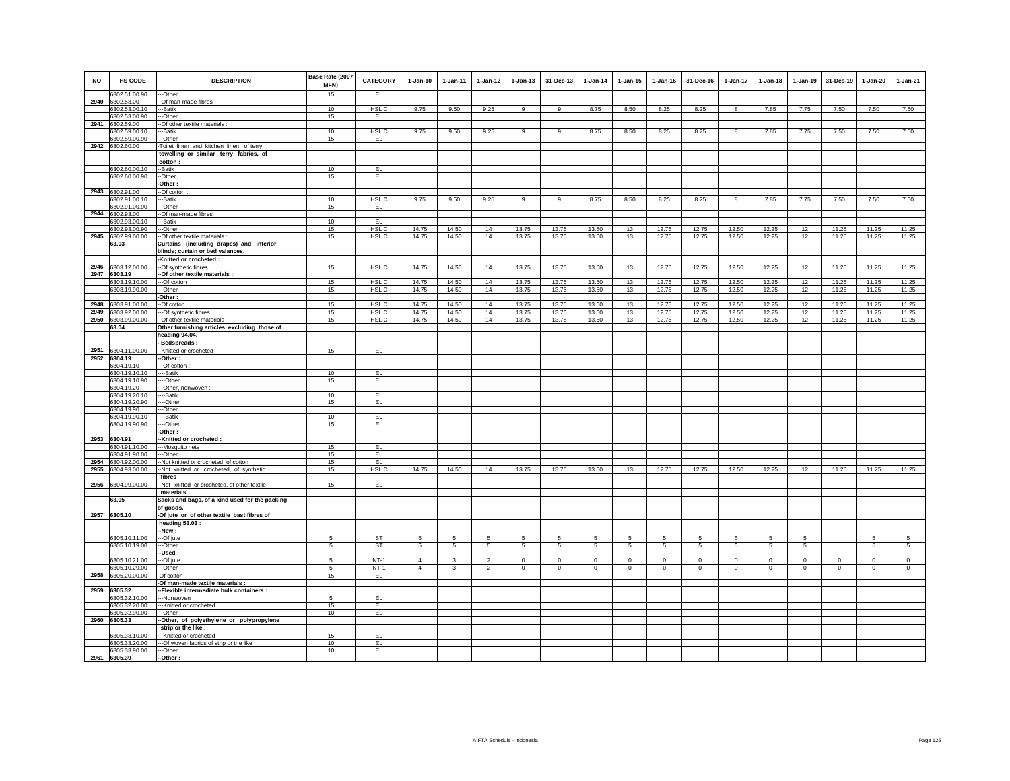| <b>NO</b> | HS CODE                          | <b>DESCRIPTION</b>                              | Base Rate (2007<br>MFN) | CATEGORY         | $1-Jan-10$      | 1-Jan-11     | $1 - Jan-12$    | $1 - Jan-13$    | 31-Dec-13      | $1 - Jan-14$   | $1 - Jan-15$   | 1-Jan-16   | 31-Dec-16       | $1 - Jan-17$    | $1-Jan-18$      | $1 - Jan-19$   | 31-Des-19    | 1-Jan-20       | 1-Jan-21 |
|-----------|----------------------------------|-------------------------------------------------|-------------------------|------------------|-----------------|--------------|-----------------|-----------------|----------------|----------------|----------------|------------|-----------------|-----------------|-----------------|----------------|--------------|----------------|----------|
|           | 6302.51.00.90                    | --Other                                         | 15                      | EL               |                 |              |                 |                 |                |                |                |            |                 |                 |                 |                |              |                |          |
| 2940      | 6302.53.00                       | -Of man-made fibres :                           |                         |                  |                 |              |                 |                 |                |                |                |            |                 |                 |                 |                |              |                |          |
|           | 6302.53.00.10                    | ---Batik                                        | 10                      | HSL C            | 9.75            | 9.50         | 9.25            | 9               | 9              | 8.75           | 8.50           | 8.25       | 8.25            | 8               | 7.85            | 7.75           | 7.50         | 7.50           | 7.50     |
|           | 6302.53.00.90<br>2941 6302.59.00 | --Other<br>-- Of other textile materials :      | 15                      | EL.              |                 |              |                 |                 |                |                |                |            |                 |                 |                 |                |              |                |          |
|           | 6302.59.00.10                    | --Batik                                         | 10                      | HSL C            | 9.75            | 9.50         | 9.25            | 9               | 9              | 8.75           | 8.50           | 8.25       | 8.25            | 8               | 7.85            | 7.75           | 7.50         | 7.50           | 7.50     |
|           | 6302.59.00.90                    | --Other                                         | 15                      | EL.              |                 |              |                 |                 |                |                |                |            |                 |                 |                 |                |              |                |          |
| 2942      | 6302.60.00                       | Toilet linen and kitchen linen, of terry        |                         |                  |                 |              |                 |                 |                |                |                |            |                 |                 |                 |                |              |                |          |
|           |                                  | towelling or similar terry fabrics, of          |                         |                  |                 |              |                 |                 |                |                |                |            |                 |                 |                 |                |              |                |          |
|           |                                  | cotton:                                         |                         |                  |                 |              |                 |                 |                |                |                |            |                 |                 |                 |                |              |                |          |
|           | 6302.60.00.10                    | --Batik                                         | 10                      | EL               |                 |              |                 |                 |                |                |                |            |                 |                 |                 |                |              |                |          |
|           | 6302.60.00.90                    | -Other                                          | 15                      | EL.              |                 |              |                 |                 |                |                |                |            |                 |                 |                 |                |              |                |          |
|           |                                  | Other:                                          |                         |                  |                 |              |                 |                 |                |                |                |            |                 |                 |                 |                |              |                |          |
|           | 2943 6302.91.00                  | -Of cotton                                      |                         |                  |                 |              |                 |                 |                |                |                |            |                 |                 |                 |                |              |                |          |
|           | 6302.91.00.10<br>6302.91.00.90   | --Batik                                         | 10<br>15                | HSL C<br>EL      | 9.75            | 9.50         | 9.25            | 9               | $\overline{9}$ | 8.75           | 8.50           | 8.25       | 8.25            | 8               | 7.85            | 7.75           | 7.50         | 7.50           | 7.50     |
| 2944      | 6302.93.00                       | --Other<br>-Of man-made fibres :                |                         |                  |                 |              |                 |                 |                |                |                |            |                 |                 |                 |                |              |                |          |
|           | 6302.93.00.10                    | --Batik                                         | 10                      | EL               |                 |              |                 |                 |                |                |                |            |                 |                 |                 |                |              |                |          |
|           | 6302.93.00.90                    | --Other                                         | 15                      | HSL <sub>C</sub> | 14.75           | 14.50        | 14              | 13.75           | 13.75          | 13.50          | 13             | 12.75      | 12.75           | 12.50           | 12.25           | 12             | 11.25        | 11.25          | 11.25    |
|           | 2945 6302.99.00.00               | -- Of other textile materials                   | 15                      | HSL C            | 14.75           | 14.50        | 14              | 13.75           | 13.75          | 13.50          | 13             | 12.75      | 12.75           | 12.50           | 12.25           | 12             | 11.25        | 11.25          | 11.25    |
|           | 63.03                            | Curtains (including drapes) and interior        |                         |                  |                 |              |                 |                 |                |                |                |            |                 |                 |                 |                |              |                |          |
|           |                                  | blinds; curtain or bed valances.                |                         |                  |                 |              |                 |                 |                |                |                |            |                 |                 |                 |                |              |                |          |
|           |                                  | -Knitted or crocheted :                         |                         |                  |                 |              |                 |                 |                |                |                |            |                 |                 |                 |                |              |                |          |
|           | 2946 6303.12.00.00               | --Of synthetic fibres                           | 15                      | HSL C            | 14.75           | 14.50        | 14              | 13.75           | 13.75          | 13.50          | 13             | 12.75      | 12.75           | 12.50           | 12.25           | 12             | 11.25        | 11.25          | 11.25    |
|           | 2947 6303.19                     | -Of other textile materials :                   |                         |                  |                 |              |                 |                 |                |                |                |            |                 |                 |                 |                |              |                |          |
|           | 6303.19.10.00                    | --Of cotton                                     | 15                      | HSL C            | 14.75           | 14.50        | 14              | 13.75           | 13.75          | 13.50          | 13             | 12.75      | 12.75           | 12.50           | 12.25           | 12             | 11.25        | 11.25          | 11.25    |
|           | 6303.19.90.00                    | --Other                                         | 15                      | HSL C            | 14.75           | 14.50        | 14              | 13.75           | 13.75          | 13.50          | 13             | 12.75      | 12.75           | 12.50           | 12.25           | 12             | 11.25        | 11.25          | 11.25    |
| 2948      |                                  | -Other:                                         | 15                      | HSL C            | 14.75           | 14.50        | 14              | 13.75           | 13.75          | 13.50          | 13             | 12.75      | 12.75           | 12.50           | 12.25           | 12             | 11.25        |                | 11.25    |
| 2949      | 6303.91.00.00<br>6303.92.00.00   | -Of cotton<br>-- Of synthetic fibres            | 15                      | HSL C            | 14.75           | 14.50        | 14              | 13.75           | 13.75          | 13.50          | 13             | 12.75      | 12.75           | 12.50           | 12.25           | $12\,$         | 11.25        | 11.25<br>11.25 | 11.25    |
| 2950      | 6303.99.00.00                    | -Of other textile materials                     | 15                      | HSL C            | 14.75           | 14.50        | 14              | 13.75           | 13.75          | 13.50          | 13             | 12.75      | 12.75           | 12.50           | 12.25           | 12             | 11.25        | 11.25          | 11.25    |
|           | 63.04                            | Other furnishing articles, excluding those of   |                         |                  |                 |              |                 |                 |                |                |                |            |                 |                 |                 |                |              |                |          |
|           |                                  | heading 94.04.                                  |                         |                  |                 |              |                 |                 |                |                |                |            |                 |                 |                 |                |              |                |          |
|           |                                  | <b>Bedspreads:</b>                              |                         |                  |                 |              |                 |                 |                |                |                |            |                 |                 |                 |                |              |                |          |
|           | 2951 6304.11.00.00               | -Knitted or crocheted                           | 15                      | EL.              |                 |              |                 |                 |                |                |                |            |                 |                 |                 |                |              |                |          |
|           | 2952 6304.19                     | -Other:                                         |                         |                  |                 |              |                 |                 |                |                |                |            |                 |                 |                 |                |              |                |          |
|           | 6304.19.10                       | -Of cotton                                      |                         |                  |                 |              |                 |                 |                |                |                |            |                 |                 |                 |                |              |                |          |
|           | 6304.19.10.10                    | --Batik                                         | 10                      | EL               |                 |              |                 |                 |                |                |                |            |                 |                 |                 |                |              |                |          |
|           | 6304.19.10.90<br>6304.19.20      | --Other<br>-Other, nonwoven :                   | 15                      | EL.              |                 |              |                 |                 |                |                |                |            |                 |                 |                 |                |              |                |          |
|           | 6304.19.20.10                    | --Batik                                         | 10                      | EL               |                 |              |                 |                 |                |                |                |            |                 |                 |                 |                |              |                |          |
|           | 6304.19.20.90                    | --Other                                         | 15                      | EL.              |                 |              |                 |                 |                |                |                |            |                 |                 |                 |                |              |                |          |
|           | 6304.19.90                       | -Other:                                         |                         |                  |                 |              |                 |                 |                |                |                |            |                 |                 |                 |                |              |                |          |
|           | 6304.19.90.10                    | --Batik                                         | 10                      | EL.              |                 |              |                 |                 |                |                |                |            |                 |                 |                 |                |              |                |          |
|           | 6304.19.90.90                    | --Other                                         | 15                      | EL.              |                 |              |                 |                 |                |                |                |            |                 |                 |                 |                |              |                |          |
|           |                                  | Other:                                          |                         |                  |                 |              |                 |                 |                |                |                |            |                 |                 |                 |                |              |                |          |
| 2953      | 6304.91                          | -Knitted or crocheted :                         |                         |                  |                 |              |                 |                 |                |                |                |            |                 |                 |                 |                |              |                |          |
|           | 6304.91.10.00<br>6304.91.90.00   | --Mosquito nets                                 | 15<br>15                | EL<br>EL         |                 |              |                 |                 |                |                |                |            |                 |                 |                 |                |              |                |          |
| 2954      | 6304.92.00.00                    | --Other<br>-Not knitted or crocheted, of cotton | 15                      | EL.              |                 |              |                 |                 |                |                |                |            |                 |                 |                 |                |              |                |          |
| 2955      | 6304.93.00.00                    | -Not knitted or crocheted, of synthetic         | 15                      | HSL C            | 14.75           | 14.50        | 14              | 13.75           | 13.75          | 13.50          | 13             | 12.75      | 12.75           | 12.50           | 12.25           | 12             | 11.25        | 11.25          | 11.25    |
|           |                                  | fibres                                          |                         |                  |                 |              |                 |                 |                |                |                |            |                 |                 |                 |                |              |                |          |
|           | 2956 6304.99.00.00               | -- Not knitted or crocheted, of other textile   | 15                      | EL.              |                 |              |                 |                 |                |                |                |            |                 |                 |                 |                |              |                |          |
|           |                                  | materials                                       |                         |                  |                 |              |                 |                 |                |                |                |            |                 |                 |                 |                |              |                |          |
|           | 63.05                            | Sacks and bags, of a kind used for the packing  |                         |                  |                 |              |                 |                 |                |                |                |            |                 |                 |                 |                |              |                |          |
|           |                                  | of goods.                                       |                         |                  |                 |              |                 |                 |                |                |                |            |                 |                 |                 |                |              |                |          |
|           | 2957 6305.10                     | -Of jute or of other textile bast fibres of     |                         |                  |                 |              |                 |                 |                |                |                |            |                 |                 |                 |                |              |                |          |
|           |                                  | heading $53.03:$<br>-New:                       |                         |                  |                 |              |                 |                 |                |                |                |            |                 |                 |                 |                |              |                |          |
|           | 6305.10.11.00                    | --Of jute                                       | 5                       | <b>ST</b>        | 5               | 5            | 5               | 5               | 5              | 5              | 5              | 5          | $5\overline{5}$ | 5               | $5\overline{5}$ | 5              |              | 5              | 5        |
|           | 6305.10.19.00                    | --Other                                         | $\sqrt{5}$              | ST               | $5\phantom{.0}$ | $5 -$        | $5\overline{)}$ | $5\overline{)}$ | $\overline{5}$ | $\overline{5}$ | $\overline{5}$ | 5          | 5               | $5\overline{)}$ | $\sqrt{5}$      | $\overline{5}$ |              | $\overline{5}$ | 5        |
|           |                                  | -Used :                                         |                         |                  |                 |              |                 |                 |                |                |                |            |                 |                 |                 |                |              |                |          |
|           | 6305.10.21.00                    | -Of jute                                        | 5                       | $NT-1$           | $\overline{4}$  | $\mathbf{3}$ | $\overline{2}$  | $\mathsf 0$     | $\mathbf 0$    | $\circ$        | $\mathsf 0$    | $\Omega$   | $\mathsf 0$     | $\mathbf 0$     | $\mathbf 0$     | $\mathbf 0$    | $\mathbf 0$  | $\circ$        | $\circ$  |
|           | 6305.10.29.00                    | --Other                                         | 5                       | <b>NT-1</b>      | $\overline{4}$  | $\mathbf{3}$ | $\overline{2}$  | $\mathbf 0$     | $\mathbf 0$    | $\circ$        | $\mathbf 0$    | $^{\circ}$ | $\circ$         | $\mathbf 0$     | $\circ$         | $\mathbf 0$    | $\mathbf{0}$ | $\mathbf 0$    | $\circ$  |
|           | 2958 6305.20.00.00               | -Of cotton                                      | 15                      | EL               |                 |              |                 |                 |                |                |                |            |                 |                 |                 |                |              |                |          |
|           |                                  | -Of man-made textile materials :                |                         |                  |                 |              |                 |                 |                |                |                |            |                 |                 |                 |                |              |                |          |
|           | 2959 6305.32                     | -Flexible intermediate bulk containers :        |                         |                  |                 |              |                 |                 |                |                |                |            |                 |                 |                 |                |              |                |          |
|           | 6305.32.10.00<br>6305.32.20.00   | --Nonwoven<br>-- Knitted or crocheted           | -5<br>15                | EL<br>EL         |                 |              |                 |                 |                |                |                |            |                 |                 |                 |                |              |                |          |
|           | 6305.32.90.00                    | --Other                                         | 10                      | EL               |                 |              |                 |                 |                |                |                |            |                 |                 |                 |                |              |                |          |
|           | 2960 6305.33                     | -Other, of polyethylene or polypropylene        |                         |                  |                 |              |                 |                 |                |                |                |            |                 |                 |                 |                |              |                |          |
|           |                                  | strip or the like :                             |                         |                  |                 |              |                 |                 |                |                |                |            |                 |                 |                 |                |              |                |          |
|           | 6305.33.10.00                    | ---Knitted or crocheted                         | 15                      | EL.              |                 |              |                 |                 |                |                |                |            |                 |                 |                 |                |              |                |          |
|           | 6305.33.20.00                    | --- Of woven fabrics of strip or the like       | 10                      | EL.              |                 |              |                 |                 |                |                |                |            |                 |                 |                 |                |              |                |          |
|           | 6305.33.90.00                    | --Other                                         | 10                      | EL.              |                 |              |                 |                 |                |                |                |            |                 |                 |                 |                |              |                |          |
| 2961      | 6305.39                          | -Other:                                         |                         |                  |                 |              |                 |                 |                |                |                |            |                 |                 |                 |                |              |                |          |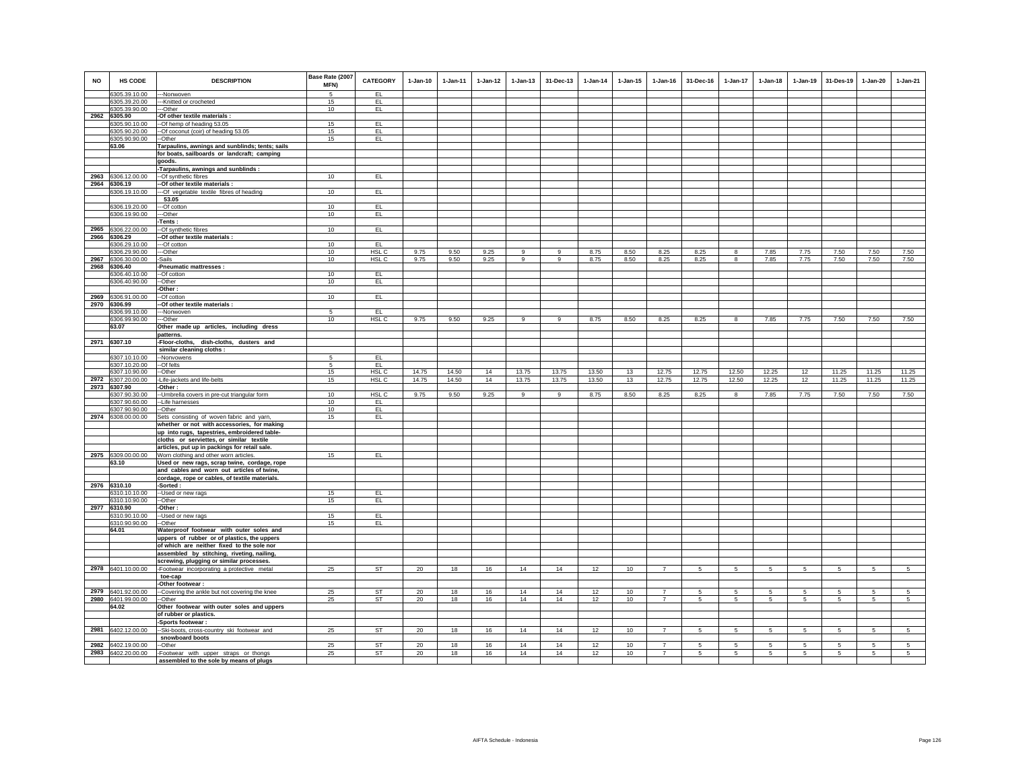|           |                                |                                                                                 | Base Rate (2007 |                        |            |              |          |            |           |            |              |                                  |                 |                 |              |                 |                 |            |                 |
|-----------|--------------------------------|---------------------------------------------------------------------------------|-----------------|------------------------|------------|--------------|----------|------------|-----------|------------|--------------|----------------------------------|-----------------|-----------------|--------------|-----------------|-----------------|------------|-----------------|
| <b>NO</b> | <b>HS CODE</b>                 | <b>DESCRIPTION</b>                                                              | MFN)            | <b>CATEGORY</b>        | $1-Jan-10$ | $1 - Jan-11$ | 1-Jan-12 | $1-Jan-13$ | 31-Dec-13 | $1-Jan-14$ | $1 - Jan-15$ | $1 - Jan-16$                     | 31-Dec-16       | 1-Jan-17        | $1 - Jan-18$ | $1-Jan-19$      | 31-Des-19       | $1-Jan-20$ | $1-Jan-21$      |
|           | 6305.39.10.00                  | -Nonwoven                                                                       | 5               | EL.                    |            |              |          |            |           |            |              |                                  |                 |                 |              |                 |                 |            |                 |
|           | 6305.39.20.00                  | --Knitted or crocheted                                                          | 15              | EL.                    |            |              |          |            |           |            |              |                                  |                 |                 |              |                 |                 |            |                 |
|           | 6305.39.90.00                  | --Other                                                                         | 10              | EL                     |            |              |          |            |           |            |              |                                  |                 |                 |              |                 |                 |            |                 |
| 2962      | 6305.90                        | Of other textile materials :                                                    |                 |                        |            |              |          |            |           |            |              |                                  |                 |                 |              |                 |                 |            |                 |
|           | 6305.90.10.00                  | -Of hemp of heading 53.05                                                       | 15              | EL.                    |            |              |          |            |           |            |              |                                  |                 |                 |              |                 |                 |            |                 |
|           | 6305.90.20.00                  | --Of coconut (coir) of heading 53.05                                            | 15              | EL.                    |            |              |          |            |           |            |              |                                  |                 |                 |              |                 |                 |            |                 |
|           | 6305.90.90.00                  | --Other                                                                         | 15              | EL                     |            |              |          |            |           |            |              |                                  |                 |                 |              |                 |                 |            |                 |
|           | 63.06                          | Tarpaulins, awnings and sunblinds; tents; sails                                 |                 |                        |            |              |          |            |           |            |              |                                  |                 |                 |              |                 |                 |            |                 |
|           |                                | for boats, sailboards or landcraft; camping<br>goods.                           |                 |                        |            |              |          |            |           |            |              |                                  |                 |                 |              |                 |                 |            |                 |
|           |                                | -Tarpaulins, awnings and sunblinds :                                            |                 |                        |            |              |          |            |           |            |              |                                  |                 |                 |              |                 |                 |            |                 |
| 2963      | 6306.12.00.00                  | --Of synthetic fibres                                                           | 10              | EL.                    |            |              |          |            |           |            |              |                                  |                 |                 |              |                 |                 |            |                 |
|           | 2964 6306.19                   | -Of other textile materials :                                                   |                 |                        |            |              |          |            |           |            |              |                                  |                 |                 |              |                 |                 |            |                 |
|           | 6306.19.10.00                  | -Of vegetable textile fibres of heading                                         | 10              | EL                     |            |              |          |            |           |            |              |                                  |                 |                 |              |                 |                 |            |                 |
|           |                                | 53.05                                                                           |                 |                        |            |              |          |            |           |            |              |                                  |                 |                 |              |                 |                 |            |                 |
|           | 6306.19.20.00                  | -Of cotton                                                                      | 10              | EL.                    |            |              |          |            |           |            |              |                                  |                 |                 |              |                 |                 |            |                 |
|           | 6306.19.90.00                  | --Other                                                                         | 10              | EL                     |            |              |          |            |           |            |              |                                  |                 |                 |              |                 |                 |            |                 |
|           |                                | Tents:                                                                          |                 |                        |            |              |          |            |           |            |              |                                  |                 |                 |              |                 |                 |            |                 |
| 2965      | 6306.22.00.00                  | -Of synthetic fibres                                                            | 10              | EL.                    |            |              |          |            |           |            |              |                                  |                 |                 |              |                 |                 |            |                 |
|           | 2966 6306.29<br>6306.29.10.00  | -Of other textile materials :                                                   | 10              | EL <sub>1</sub>        |            |              |          |            |           |            |              |                                  |                 |                 |              |                 |                 |            |                 |
|           | 6306.29.90.00                  | --Of cotton<br>-Other                                                           | 10              | HSL C                  | 9.75       | 9.50         | 9.25     | 9          | $_{9}$    | 8.75       | 8.50         | 8.25                             | 8.25            | 8               | 7.85         | 7.75            | 7.50            | 7.50       | 7.50            |
| 2967      | 6306.30.00.00                  | <b>Sails</b>                                                                    | 10              | HSL C                  | 9.75       | 9.50         | 9.25     | 9          | 9         | 8.75       | 8.50         | 8.25                             | 8.25            | 8               | 7.85         | 7.75            | 7.50            | 7.50       | 7.50            |
| 2968      | 6306.40                        | Pneumatic mattresses :                                                          |                 |                        |            |              |          |            |           |            |              |                                  |                 |                 |              |                 |                 |            |                 |
|           | 306.40.10.00                   | -Of cotton                                                                      | 10              | EL.                    |            |              |          |            |           |            |              |                                  |                 |                 |              |                 |                 |            |                 |
|           | 6306.40.90.00                  | --Other                                                                         | 10              | EL                     |            |              |          |            |           |            |              |                                  |                 |                 |              |                 |                 |            |                 |
|           |                                | -Other:                                                                         |                 |                        |            |              |          |            |           |            |              |                                  |                 |                 |              |                 |                 |            |                 |
|           | 2969 6306.91.00.00             | --Of cotton                                                                     | 10              | EL.                    |            |              |          |            |           |            |              |                                  |                 |                 |              |                 |                 |            |                 |
|           | 2970 6306.99                   | -Of other textile materials :                                                   |                 |                        |            |              |          |            |           |            |              |                                  |                 |                 |              |                 |                 |            |                 |
|           | 6306.99.10.00<br>6306.99.90.00 | --Nonwoven<br>--Other                                                           | 5<br>10         | EL<br>HSL <sub>C</sub> | 9.75       | 9.50         | 9.25     | 9          | -9        | 8.75       | 8.50         | 8.25                             | 8.25            | 8               | 7.85         | 7.75            | 7.50            | 7.50       | 7.50            |
|           | 63.07                          | Other made up articles, including dress                                         |                 |                        |            |              |          |            |           |            |              |                                  |                 |                 |              |                 |                 |            |                 |
|           |                                | patterns.                                                                       |                 |                        |            |              |          |            |           |            |              |                                  |                 |                 |              |                 |                 |            |                 |
|           | 2971 6307.10                   | -Floor-cloths, dish-cloths, dusters and                                         |                 |                        |            |              |          |            |           |            |              |                                  |                 |                 |              |                 |                 |            |                 |
|           |                                | similar cleaning cloths :                                                       |                 |                        |            |              |          |            |           |            |              |                                  |                 |                 |              |                 |                 |            |                 |
|           | 6307.10.10.00                  | --Nonvowens                                                                     | -5              | EL.                    |            |              |          |            |           |            |              |                                  |                 |                 |              |                 |                 |            |                 |
|           | 6307.10.20.00                  | --Of felts                                                                      | 5               | E                      |            |              |          |            |           |            |              |                                  |                 |                 |              |                 |                 |            |                 |
|           | 6307.10.90.00                  | -Other                                                                          | 15              | HSL C                  | 14.75      | 14.50        | 14       | 13.75      | 13.75     | 13.50      | 13           | 12.75                            | 12.75           | 12.50           | 12.25        | 12              | 11.25           | 11.25      | 11.25           |
|           | 2972 6307.20.00.00             | -Life-jackets and life-belts                                                    | 15              | HSL C                  | 14.75      | 14.50        | 14       | 13.75      | 13.75     | 13.50      | 13           | 12.75                            | 12.75           | 12.50           | 12.25        | 12              | 11.25           | 11.25      | 11.25           |
|           | 2973 6307.90<br>6307.90.30.00  | -Other:                                                                         | 10              | HSL C                  | 9.75       | 9.50         | 9.25     | 9          |           |            | 8.50         |                                  | 8.25            |                 | 7.85         |                 | 7.50            |            | 7.50            |
|           | 6307.90.60.00                  | -- Umbrella covers in pre-cut triangular form<br>-Life harnesses                | 10              | EL.                    |            |              |          |            | 9         | 8.75       |              | 8.25                             |                 | 8               |              | 7.75            |                 | 7.50       |                 |
|           | 6307.90.90.00                  | --Other                                                                         | 10              | EL.                    |            |              |          |            |           |            |              |                                  |                 |                 |              |                 |                 |            |                 |
|           | 2974 6308.00.00.00             | Sets consisting of woven fabric and yarn                                        | 15              | EL.                    |            |              |          |            |           |            |              |                                  |                 |                 |              |                 |                 |            |                 |
|           |                                | whether or not with accessories, for making                                     |                 |                        |            |              |          |            |           |            |              |                                  |                 |                 |              |                 |                 |            |                 |
|           |                                | up into rugs, tapestries, embroidered table-                                    |                 |                        |            |              |          |            |           |            |              |                                  |                 |                 |              |                 |                 |            |                 |
|           |                                | cloths or serviettes, or similar textile                                        |                 |                        |            |              |          |            |           |            |              |                                  |                 |                 |              |                 |                 |            |                 |
|           |                                | articles, put up in packings for retail sale.                                   |                 |                        |            |              |          |            |           |            |              |                                  |                 |                 |              |                 |                 |            |                 |
|           | 2975 6309.00.00.00             | Worn clothing and other worn articles.                                          | 15              | EL                     |            |              |          |            |           |            |              |                                  |                 |                 |              |                 |                 |            |                 |
|           | 63.10                          | Used or new rags, scrap twine, cordage, rope                                    |                 |                        |            |              |          |            |           |            |              |                                  |                 |                 |              |                 |                 |            |                 |
|           |                                | and cables and worn out articles of twine,                                      |                 |                        |            |              |          |            |           |            |              |                                  |                 |                 |              |                 |                 |            |                 |
|           | 2976 6310.10                   | cordage, rope or cables, of textile materials.<br>-Sorted :                     |                 |                        |            |              |          |            |           |            |              |                                  |                 |                 |              |                 |                 |            |                 |
|           | 6310.10.10.00                  | --Used or new rags                                                              | 15              | EL                     |            |              |          |            |           |            |              |                                  |                 |                 |              |                 |                 |            |                 |
|           | 6310.10.90.00                  | --Other                                                                         | 15              | EL                     |            |              |          |            |           |            |              |                                  |                 |                 |              |                 |                 |            |                 |
|           | 2977 6310.90                   | -Other:                                                                         |                 |                        |            |              |          |            |           |            |              |                                  |                 |                 |              |                 |                 |            |                 |
|           | 6310.90.10.00                  | -Used or new rags                                                               | 15              | EL.                    |            |              |          |            |           |            |              |                                  |                 |                 |              |                 |                 |            |                 |
|           | 6310.90.90.00                  | -Other                                                                          | 15              | EL.                    |            |              |          |            |           |            |              |                                  |                 |                 |              |                 |                 |            |                 |
|           | 64.01                          | Waterproof footwear with outer soles and                                        |                 |                        |            |              |          |            |           |            |              |                                  |                 |                 |              |                 |                 |            |                 |
|           |                                | uppers of rubber or of plastics, the uppers                                     |                 |                        |            |              |          |            |           |            |              |                                  |                 |                 |              |                 |                 |            |                 |
|           |                                | of which are neither fixed to the sole nor                                      |                 |                        |            |              |          |            |           |            |              |                                  |                 |                 |              |                 |                 |            |                 |
|           |                                | assembled by stitching, riveting, nailing,                                      |                 |                        |            |              |          |            |           |            |              |                                  |                 |                 |              |                 |                 |            |                 |
|           | 2978 6401.10.00.00             | screwing, plugging or similar processes.                                        | 25              | <b>ST</b>              | 20         | 18           | 16       | 14         | 14        | 12         | 10           | $\overline{7}$                   | 5               | $\overline{5}$  | 5            | $\overline{5}$  | 5               | 5          | $\overline{5}$  |
|           |                                | -Footwear incorporating a protective metal<br>toe-cap                           |                 |                        |            |              |          |            |           |            |              |                                  |                 |                 |              |                 |                 |            |                 |
|           |                                | -Other footwear:                                                                |                 |                        |            |              |          |            |           |            |              |                                  |                 |                 |              |                 |                 |            |                 |
|           | 2979 6401.92.00.00             | --Covering the ankle but not covering the knee                                  | 25              | <b>ST</b>              | 20         | 18           | 16       | 14         | 14        | 12         | 10           | $\overline{7}$                   | 5               | 5               | 5            | 5               | 5               | 5          | 5               |
|           | 2980 6401.99.00.00             | -Other                                                                          | 25              | ST                     | 20         | 18           | 16       | 14         | 14        | 12         | 10           | $\overline{7}$                   | -5              | $5^{\circ}$     | -5           | 5               | 5               | 5          | 5               |
|           | 64.02                          | Other footwear with outer soles and uppers                                      |                 |                        |            |              |          |            |           |            |              |                                  |                 |                 |              |                 |                 |            |                 |
|           |                                | of rubber or plastics.                                                          |                 |                        |            |              |          |            |           |            |              |                                  |                 |                 |              |                 |                 |            |                 |
|           |                                | Sports footwear :                                                               |                 |                        |            |              |          |            |           |            |              |                                  |                 |                 |              |                 |                 |            |                 |
|           | 2981 6402.12.00.00             | -Ski-boots, cross-country ski footwear and                                      | 25              | <b>ST</b>              | 20         | 18           | 16       | 14         | 14        | 12         | 10           | $\overline{7}$                   | -5              | $5\phantom{.0}$ | $\sqrt{5}$   | $5\phantom{.0}$ | $5\phantom{.0}$ | -5         | $5\overline{5}$ |
|           |                                | snowboard boots                                                                 |                 |                        |            |              |          |            |           |            |              |                                  |                 |                 |              |                 |                 |            |                 |
| 2982      | 6402.19.00.00                  | Other                                                                           | 25              | ST<br><b>ST</b>        | 20         | 18           | 16       | 14<br>14   | 14<br>14  | 12         | 10           | $\overline{7}$<br>$\overline{7}$ | 5               | $5\overline{5}$ | 5            | 5               | 5               | 5          | 5               |
| 2983      | 6402.20.00.00                  | Footwear with upper straps or thongs<br>assembled to the sole by means of plugs | 25              |                        | 20         | 18           | 16       |            |           | 12         | $10$         |                                  | $5\phantom{.0}$ | $5\phantom{.0}$ | $\,$ 5 $\,$  | $\sqrt{5}$      | 5               | 5          | $\overline{5}$  |
|           |                                |                                                                                 |                 |                        |            |              |          |            |           |            |              |                                  |                 |                 |              |                 |                 |            |                 |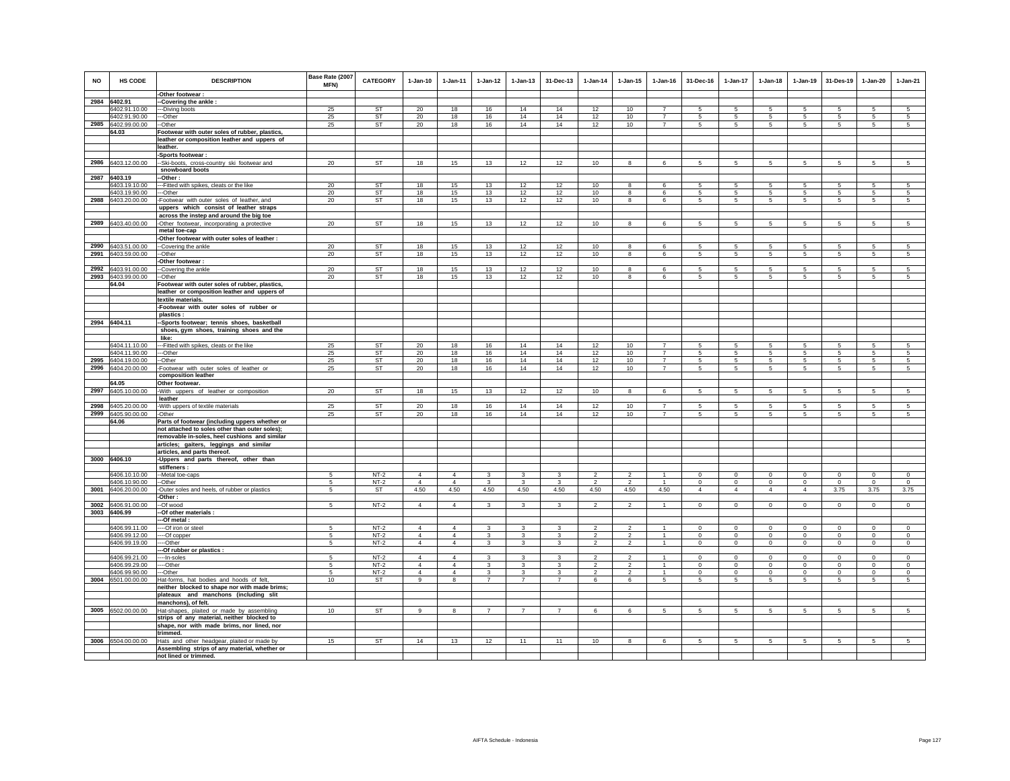| NO   | HS CODE                     | <b>DESCRIPTION</b>                                                                               | Base Rate (2007<br>MFN) | CATEGORY        | $1-Jan-10$     | 1-Jan-11       | $1 - Jan-12$            | $1 - Jan-13$   | 31-Dec-13      | $1 - Jan-14$   | $1 - Jan-15$                     | $1 - Jan-16$                     | 31-Dec-16            | $1-Jan-17$      | $1-Jan-18$      | $1 - Jan-19$    | 31-Des-19       | 1-Jan-20       | $1-Jan-21$     |
|------|-----------------------------|--------------------------------------------------------------------------------------------------|-------------------------|-----------------|----------------|----------------|-------------------------|----------------|----------------|----------------|----------------------------------|----------------------------------|----------------------|-----------------|-----------------|-----------------|-----------------|----------------|----------------|
|      |                             | -Other footwear:                                                                                 |                         |                 |                |                |                         |                |                |                |                                  |                                  |                      |                 |                 |                 |                 |                |                |
|      | 2984 6402.91                | -Covering the ankle:                                                                             |                         |                 |                |                |                         |                |                |                |                                  |                                  |                      |                 |                 |                 |                 |                |                |
|      | 6402.91.10.00               | -Diving boots                                                                                    | 25                      | ST              | 20             | 18             | 16                      | 14             | 14             | 12             | 10                               | $\overline{7}$                   | 5                    | 5               | 5               | 5               | 5               | 5              | 5              |
|      | 6402.91.90.00               | --Other<br>-Other                                                                                | 25                      | ST<br><b>ST</b> | 20<br>20       | 18             | 16                      | 14             | 14             | 12             | 10                               | $\overline{7}$<br>$\overline{7}$ | $5\overline{5}$<br>5 | 5               | $5\overline{5}$ | 5               | 5               | 5              | 5              |
|      | 2985 6402.99.00.00<br>64.03 | Footwear with outer soles of rubber, plastics,                                                   | 25                      |                 |                | 18             | 16                      | 14             | 14             | 12             | 10                               |                                  |                      | $5\overline{5}$ | $5\phantom{.0}$ | 5               | $5\phantom{.0}$ | $\sqrt{5}$     | 5              |
|      |                             | leather or composition leather and uppers of                                                     |                         |                 |                |                |                         |                |                |                |                                  |                                  |                      |                 |                 |                 |                 |                |                |
|      |                             | leather.                                                                                         |                         |                 |                |                |                         |                |                |                |                                  |                                  |                      |                 |                 |                 |                 |                |                |
|      |                             | Sports footwear :                                                                                |                         |                 |                |                |                         |                |                |                |                                  |                                  |                      |                 |                 |                 |                 |                |                |
| 2986 | 6403.12.00.00               | -Ski-boots, cross-country ski footwear and                                                       | 20                      | <b>ST</b>       | 18             | 15             | 13                      | 12             | 12             | 10             | 8                                | 6                                | 5                    | 5               | 5               | 5               | 5               | 5              | 5              |
|      |                             | snowboard boots                                                                                  |                         |                 |                |                |                         |                |                |                |                                  |                                  |                      |                 |                 |                 |                 |                |                |
| 2987 | 6403.19                     | -Other :                                                                                         |                         |                 |                |                |                         |                |                |                |                                  |                                  |                      |                 |                 |                 |                 |                |                |
|      | 6403.19.10.00               | --- Fitted with spikes, cleats or the like                                                       | 20                      | <b>ST</b>       | 18             | 15             | 13                      | 12             | 12             | 10             | 8                                | -6                               | -5                   | 5               | -5              | -5              | -5              | 5              | 5              |
|      | 6403.19.90.00               | --Other                                                                                          | 20                      | ST              | 18             | 15             | 13                      | 12             | 12             | 10             | 8                                | 6                                | 5                    | 5               | 5               | 5               | 5               | 5              | 5              |
| 2988 | 6403.20.00.00               | -Footwear with outer soles of leather, and                                                       | 20                      | ST              | 18             | 15             | 13                      | 12             | 12             | 10             | 8                                | 6                                | $5\overline{5}$      | $5\overline{5}$ | $5\overline{5}$ | 5               | 5               | 5              | 5              |
|      |                             | uppers which consist of leather straps                                                           |                         |                 |                |                |                         |                |                |                |                                  |                                  |                      |                 |                 |                 |                 |                |                |
|      |                             | across the instep and around the big toe                                                         |                         |                 |                |                |                         |                |                |                |                                  |                                  |                      |                 |                 |                 |                 |                |                |
| 2989 | 6403.40.00.00               | -Other footwear, incorporating a protective                                                      | 20                      | ST              | 18             | 15             | 13                      | 12             | 12             | 10             | 8                                | 6                                | $\sqrt{5}$           | 5               | $5\phantom{.0}$ | 5               | 5               | 5              | 5              |
|      |                             | metal toe-cap                                                                                    |                         |                 |                |                |                         |                |                |                |                                  |                                  |                      |                 |                 |                 |                 |                |                |
|      |                             | -Other footwear with outer soles of leather :                                                    |                         |                 |                |                |                         |                |                |                |                                  |                                  |                      |                 |                 |                 |                 |                |                |
| 2990 | 6403.51.00.00               | -Covering the ankle                                                                              | 20                      | ST              | 18             | 15             | 13                      | 12             | 12             | 10             | 8                                | 6                                | 5                    | 5               | 5               | 5               | 5               | 5              | 5              |
| 2991 | 6403.59.00.00               | -Other                                                                                           | 20                      | ST              | 18             | 15             | 13                      | 12             | 12             | 10             | 8                                | 6                                | 5                    | 5               | 5               | $\overline{5}$  | 5               | 5              | 5              |
|      |                             | -Other footwear:                                                                                 |                         |                 |                |                |                         |                |                |                |                                  |                                  |                      |                 |                 |                 |                 |                |                |
| 2992 | 6403.91.00.00               | -Covering the ankle                                                                              | 20                      | <b>ST</b>       | 18             | 15             | 13                      | 12             | 12             | 10             | 8                                | 6                                | 5                    | 5               | 5               | 5               | 5               | 5              | -5             |
|      | 2993 6403.99.00.00          | -Other                                                                                           | 20                      | ST              | 18             | 15             | 13                      | 12             | 12             | 10             | 8                                | 6                                | 5                    | $\mathbf 5$     | 5               | 5               | -5              | 5              | $\overline{5}$ |
|      | 64.04                       | Footwear with outer soles of rubber, plastics,                                                   |                         |                 |                |                |                         |                |                |                |                                  |                                  |                      |                 |                 |                 |                 |                |                |
|      |                             | leather or composition leather and uppers of                                                     |                         |                 |                |                |                         |                |                |                |                                  |                                  |                      |                 |                 |                 |                 |                |                |
|      |                             | textile materials.                                                                               |                         |                 |                |                |                         |                |                |                |                                  |                                  |                      |                 |                 |                 |                 |                |                |
|      |                             | -Footwear with outer soles of rubber or<br>plastics:                                             |                         |                 |                |                |                         |                |                |                |                                  |                                  |                      |                 |                 |                 |                 |                |                |
|      | 2994 6404.11                | -Sports footwear; tennis shoes, basketball                                                       |                         |                 |                |                |                         |                |                |                |                                  |                                  |                      |                 |                 |                 |                 |                |                |
|      |                             | shoes, gym shoes, training shoes and the                                                         |                         |                 |                |                |                         |                |                |                |                                  |                                  |                      |                 |                 |                 |                 |                |                |
|      |                             | like:                                                                                            |                         |                 |                |                |                         |                |                |                |                                  |                                  |                      |                 |                 |                 |                 |                |                |
|      | 6404.11.10.00               | --Fitted with spikes, cleats or the like                                                         | 25                      | <b>ST</b>       | 20             | 18             | 16                      | 14             | 14             | 12             | 10                               |                                  | -5                   | 5               | -5              | -5              | 5               | 5              | 5              |
|      | 6404.11.90.00               | --Other                                                                                          | 25                      | <b>ST</b>       | 20             | 18             | 16                      | 14             | 14             | 12             | 10                               |                                  | 5                    | 5               | $\sqrt{5}$      | 5               | 5               | 5              | 5              |
| 2995 | 6404.19.00.00               | -Other                                                                                           | 25                      | ST              | 20             | 18             | 16                      | 14             | 14             | 12             | 10                               | $\overline{7}$                   | $5\overline{5}$      | 5               | $5\overline{5}$ | 5               | 5               | 5              | 5              |
|      | 2996 6404.20.00.00          | Footwear with outer soles of leather or                                                          | 25                      | ST              | 20             | 18             | 16                      | 14             | 14             | 12             | 10                               | $\overline{7}$                   | 5                    | $5\overline{)}$ | 5               | 5               | 5               | 5              | 5              |
|      |                             | composition leather                                                                              |                         |                 |                |                |                         |                |                |                |                                  |                                  |                      |                 |                 |                 |                 |                |                |
|      | 64.05                       | Other footwear.                                                                                  |                         |                 |                |                |                         |                |                |                |                                  |                                  |                      |                 |                 |                 |                 |                |                |
| 2997 | 6405.10.00.00               | -With uppers of leather or composition                                                           | 20                      | <b>ST</b>       | 18             | 15             | 13                      | 12             | 12             | 10             | 8                                | 6                                | 5                    | $5\phantom{.0}$ | 5               | 5               | 5               | 5              | 5              |
|      |                             | leather                                                                                          |                         |                 |                |                |                         |                |                |                |                                  |                                  |                      |                 |                 |                 |                 |                |                |
| 2998 | 6405.20.00.00               | With uppers of textile materials                                                                 | 25                      | <b>ST</b>       | 20             | 18             | 16                      | 14             | 14             | 12             | 10                               | $\overline{7}$<br>$\overline{7}$ | 5                    | 5               | 5               | 5               | 5               | 5              | 5              |
|      | 2999 6405.90.00.00<br>64.06 | -Other                                                                                           | 25                      | ST              | 20             | 18             | 16                      | 14             | 14             | 12             | 10                               |                                  | $5\overline{5}$      | $5\overline{5}$ | $5\overline{5}$ | 5               | 5               | 5              | 5              |
|      |                             | Parts of footwear (including uppers whether or<br>not attached to soles other than outer soles); |                         |                 |                |                |                         |                |                |                |                                  |                                  |                      |                 |                 |                 |                 |                |                |
|      |                             | removable in-soles, heel cushions and similar                                                    |                         |                 |                |                |                         |                |                |                |                                  |                                  |                      |                 |                 |                 |                 |                |                |
|      |                             | articles; gaiters, leggings and similar                                                          |                         |                 |                |                |                         |                |                |                |                                  |                                  |                      |                 |                 |                 |                 |                |                |
|      |                             | articles, and parts thereof.                                                                     |                         |                 |                |                |                         |                |                |                |                                  |                                  |                      |                 |                 |                 |                 |                |                |
|      | 3000 6406.10                | Uppers and parts thereof, other than                                                             |                         |                 |                |                |                         |                |                |                |                                  |                                  |                      |                 |                 |                 |                 |                |                |
|      |                             | stiffeners :                                                                                     |                         |                 |                |                |                         |                |                |                |                                  |                                  |                      |                 |                 |                 |                 |                |                |
|      | 6406.10.10.00               | -- Metal toe-caps                                                                                | -5                      | $NT-2$          | $\Delta$       | $\overline{4}$ | $\mathbf{3}$            | 3              | 3              | $\mathcal{L}$  | $\mathfrak{p}$                   |                                  | $\mathbf 0$          | $\Omega$        | $\Omega$        | $\Omega$        | $\mathbf 0$     | $\Omega$       | $\Omega$       |
|      | 6406.10.90.00               | --Other                                                                                          | 5                       | $NT-2$          | $\overline{4}$ | $\overline{4}$ | $\overline{\mathbf{3}}$ | $\mathbf{3}$   | $\mathbf{3}$   | $\overline{2}$ | $\overline{2}$                   | $\overline{1}$                   | $\circ$              | $\circ$         | $\circ$         | $\circ$         | $\mathbf{0}$    | $\circ$        | $\circ$        |
|      | 3001 6406.20.00.00          | -Outer soles and heels, of rubber or plastics                                                    | 5                       | <b>ST</b>       | 4.50           | 4.50           | 4.50                    | 4.50           | 4.50           | 4.50           | 4.50                             | 4.50                             | $\overline{4}$       | $\overline{4}$  | $\overline{4}$  | $\overline{4}$  | 3.75            | 3.75           | 3.75           |
|      |                             | -Other :                                                                                         |                         |                 |                |                |                         |                |                |                |                                  |                                  |                      |                 |                 |                 |                 |                |                |
|      | 3002 6406.91.00.00          | -Of wood                                                                                         | 5                       | $NT-2$          | $\overline{4}$ | $\overline{4}$ | $\overline{\mathbf{3}}$ | 3              | 3              | $\overline{2}$ | $\overline{2}$                   | $\mathbf{1}$                     | $\circ$              | $\mathbf 0$     | $\mathbf 0$     | $\mathbf 0$     | $\mathbf 0$     | $\mathbf 0$    | $\mathsf 0$    |
|      | 3003 6406.99                | -Of other materials :                                                                            |                         |                 |                |                |                         |                |                |                |                                  |                                  |                      |                 |                 |                 |                 |                |                |
|      | 6406.99.11.00               | --Of metal:<br>--Of iron or steel                                                                | -5                      | $NT-2$          | $\overline{4}$ | $\overline{4}$ | 3                       | 3              | 3              | $\mathfrak{p}$ |                                  |                                  | $\Omega$             | $\Omega$        | $\Omega$        | $\Omega$        | $\Omega$        | $\Omega$       | $\Omega$       |
|      | 6406.99.12.00               | --Of copper                                                                                      | 5                       | $NT-2$          | $\overline{4}$ | $\overline{4}$ | 3                       | 3              | 3              | $\overline{2}$ | $\overline{2}$<br>$\overline{2}$ | -1<br>$\mathbf{1}$               | $\mathsf 0$          | $\mathbf 0$     | $\mathbf 0$     | $\mathbf 0$     | $\mathbf 0$     | $\mathsf 0$    | $\mathsf 0$    |
|      | 6406.99.19.00               | --Other                                                                                          | 5                       | $NT-2$          | $\overline{4}$ | $\overline{4}$ | $\mathbf{3}$            | 3              | 3              | $\overline{2}$ | $\overline{2}$                   | $\mathbf{1}$                     | $\circ$              | $\circ$         | $\circ$         | $\mathbf 0$     | $\circ$         | $\mathbf 0$    | $\circ$        |
|      |                             | -Of rubber or plastics :                                                                         |                         |                 |                |                |                         |                |                |                |                                  |                                  |                      |                 |                 |                 |                 |                |                |
|      | 6406.99.21.00               | ---In-soles                                                                                      | -5                      | $NT-2$          | $\Delta$       | $\Delta$       | $\mathcal{R}$           | $\mathbf{R}$   | 3              | $\mathcal{P}$  | $\mathcal{D}$                    | $\overline{1}$                   | $\Omega$             | $\Omega$        | $\Omega$        | $\Omega$        | $\Omega$        | $\Omega$       | $\Omega$       |
|      | 6406.99.29.00               | --Other                                                                                          | 5                       | $NT-2$          | $\overline{4}$ | $\overline{4}$ | 3                       | 3              | 3              | $\mathfrak{p}$ | $\overline{2}$                   |                                  | $\mathsf 0$          | $\mathbf 0$     | $\mathbf 0$     | $\mathbf 0$     | $\mathbf 0$     | $\mathsf 0$    | $\mathsf 0$    |
|      | 6406.99.90.00               | --Other                                                                                          | 5                       | $NT-2$          | $\overline{4}$ | $\overline{4}$ | $\mathbf{3}$            | 3              | 3              | $\overline{2}$ | $\overline{2}$                   | $\mathbf{1}$                     | $\circ$              | $\mathbf 0$     | $\circ$         | $\mathbf 0$     | $\circ$         | $\mathbf 0$    | $\circ$        |
|      | 3004 6501.00.00.00          | Hat-forms, hat bodies and hoods of felt,                                                         | 10                      | <b>ST</b>       | 9              | 8              | $\overline{7}$          | $\overline{7}$ | $\overline{7}$ | 6              | 6                                | 5                                | $5\phantom{.0}$      | $5\phantom{.0}$ | $5\phantom{.0}$ | 5               | 5               | 5              | 5              |
|      |                             | neither blocked to shape nor with made brims;                                                    |                         |                 |                |                |                         |                |                |                |                                  |                                  |                      |                 |                 |                 |                 |                |                |
|      |                             | plateaux and manchons (including slit                                                            |                         |                 |                |                |                         |                |                |                |                                  |                                  |                      |                 |                 |                 |                 |                |                |
|      |                             | manchons), of felt.                                                                              |                         |                 |                |                |                         |                |                |                |                                  |                                  |                      |                 |                 |                 |                 |                |                |
|      | 3005 6502.00.00.00          | Hat-shapes, plaited or made by assembling                                                        | 10                      | ST              | 9              | 8              | $\overline{7}$          | $\overline{7}$ | $\overline{7}$ | 6              | 6                                | 5                                | $5\overline{5}$      | 5               | $5\overline{5}$ | $5\overline{5}$ | 5               | 5              | 5              |
|      |                             | strips of any material, neither blocked to                                                       |                         |                 |                |                |                         |                |                |                |                                  |                                  |                      |                 |                 |                 |                 |                |                |
|      |                             | shape, nor with made brims, nor lined, nor                                                       |                         |                 |                |                |                         |                |                |                |                                  |                                  |                      |                 |                 |                 |                 |                |                |
|      |                             | trimmed.                                                                                         |                         |                 |                |                |                         |                |                |                |                                  |                                  |                      |                 |                 |                 |                 |                |                |
|      | 3006 6504.00.00.00          | Hats and other headgear, plaited or made by                                                      | 15                      | <b>ST</b>       | 14             | 13             | 12                      | 11             | 11             | 10             | 8                                | 6                                | 5                    | 5               | 5               | 5               | 5               | $\overline{5}$ | $\overline{5}$ |
|      |                             | Assembling strips of any material, whether or                                                    |                         |                 |                |                |                         |                |                |                |                                  |                                  |                      |                 |                 |                 |                 |                |                |
|      |                             | not lined or trimmed.                                                                            |                         |                 |                |                |                         |                |                |                |                                  |                                  |                      |                 |                 |                 |                 |                |                |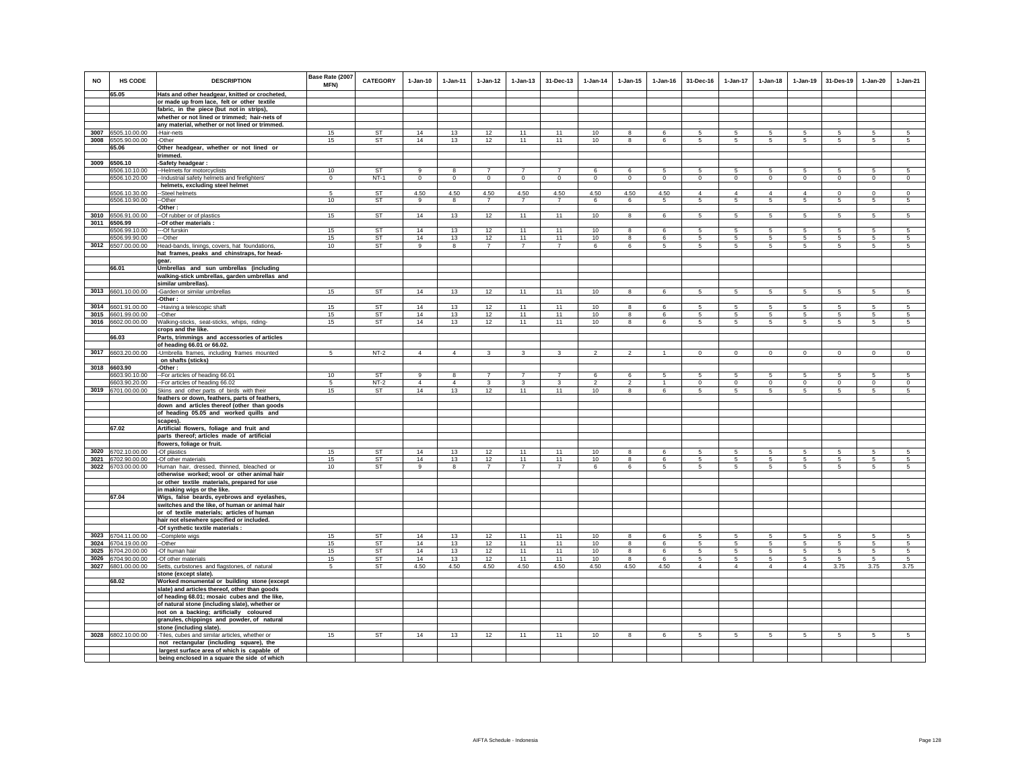| <b>NO</b> | <b>HS CODE</b>                     | <b>DESCRIPTION</b>                                                                            | Base Rate (2007<br>MFN) | <b>CATEGORY</b> | $1-Jan-10$     | $1 - Jan-11$   | $1 - Jan-12$   | $1 - Jan-13$   | 31-Dec-13      | $1 - Jan-14$   | $1 - Jan-15$   | $1 - Jan-16$   | 31-Dec-16      | 1-Jan-17        | $1 - Jan-18$   | $1 - Jan-19$   | 31-Des-19      | $1-Jan-20$      | 1-Jan-21        |
|-----------|------------------------------------|-----------------------------------------------------------------------------------------------|-------------------------|-----------------|----------------|----------------|----------------|----------------|----------------|----------------|----------------|----------------|----------------|-----------------|----------------|----------------|----------------|-----------------|-----------------|
|           | 65.05                              | Hats and other headgear, knitted or crocheted,                                                |                         |                 |                |                |                |                |                |                |                |                |                |                 |                |                |                |                 |                 |
|           |                                    | or made up from lace, felt or other textile                                                   |                         |                 |                |                |                |                |                |                |                |                |                |                 |                |                |                |                 |                 |
|           |                                    | fabric, in the piece (but not in strips),                                                     |                         |                 |                |                |                |                |                |                |                |                |                |                 |                |                |                |                 |                 |
|           |                                    | whether or not lined or trimmed; hair-nets of                                                 |                         |                 |                |                |                |                |                |                |                |                |                |                 |                |                |                |                 |                 |
|           |                                    | any material, whether or not lined or trimmed.                                                |                         |                 |                |                |                |                |                |                |                |                |                |                 |                |                |                |                 |                 |
|           | 3007 6505.10.00.00                 | -Hair-nets                                                                                    | 15                      | <b>ST</b>       | 14             | 13             | 12             | 11             | 11             | 10             | 8              | 6              | 5              | 5               | 5              | 5              | 5              | 5               | $5\phantom{.0}$ |
| 3008      | 6505.90.00.00                      | -Other                                                                                        | 15                      | <b>ST</b>       | 14             | 13             | 12             | 11             | 11             | 10             | 8              | 6              | 5              | 5               | 5              | $\sqrt{5}$     | 5              | 5               | $5\phantom{.0}$ |
|           | 65.06                              | Other headgear, whether or not lined or<br>trimmed.                                           |                         |                 |                |                |                |                |                |                |                |                |                |                 |                |                |                |                 |                 |
| 3009      | 6506.10                            | Safety headgear:                                                                              |                         |                 |                |                |                |                |                |                |                |                |                |                 |                |                |                |                 |                 |
|           | 6506.10.10.00                      | -Helmets for motorcyclists                                                                    | 10                      | <b>ST</b>       | 9              | $\mathbf{8}$   | $\overline{7}$ | $\overline{7}$ | $\overline{7}$ | 6              | 6              | -5             | 5              | 5               | 5              | 5              | 5              | -5              | -5              |
|           | 6506.10.20.00                      | -Industrial safety helmets and firefighters'                                                  | $\mathbf{0}$            | $NT-1$          | $\mathsf 0$    | $\circ$        | $\mathbf 0$    | $\mathbf 0$    | $\mathbf{0}$   | $\mathsf 0$    | $\mathbf 0$    | $\circ$        | $\circ$        | $\overline{0}$  | $\mathsf 0$    | $\,$ 0         | $\mathbf 0$    | $\circ$         | $\circ$         |
|           |                                    | helmets, excluding steel helmet                                                               |                         |                 |                |                |                |                |                |                |                |                |                |                 |                |                |                |                 |                 |
|           | 6506.10.30.00                      | -Steel helmets                                                                                | 5                       | <b>ST</b>       | 4.50           | 4.50           | 4.50           | 4.50           | 4.50           | 4.50           | 4.50           | 4.50           | $\overline{4}$ | $\overline{4}$  | $\overline{4}$ | $\overline{4}$ | $\Omega$       | $\Omega$        | $\Omega$        |
|           | 6506.10.90.00                      | -Other                                                                                        | 10                      | ST              | 9              | 8              | $\overline{7}$ | $\overline{7}$ | $\overline{7}$ | 6              | 6              | 5              | 5              | $\sqrt{5}$      | 5              | $\sqrt{5}$     | 5              | $5\phantom{.0}$ | $\overline{5}$  |
|           |                                    | -Other :                                                                                      |                         |                 |                |                |                |                |                |                |                |                |                |                 |                |                |                |                 |                 |
|           | 3010 6506.91.00.00<br>3011 6506.99 | -Of rubber or of plastics<br>-Of other materials:                                             | 15                      | <b>ST</b>       | 14             | 13             | 12             | 11             | 11             | 10             | 8              | 6              | 5              | 5               | 5              | $\overline{5}$ | 5              | 5               | $5\overline{5}$ |
|           | 6506.99.10.00                      | -Of furskin                                                                                   | 15                      | ST              | 14             | 13             | 12             | 11             | 11             | 10             | 8              | 6              | 5              | 5               | 5              | $\sqrt{5}$     | 5              | 5               | 5               |
|           | 6506.99.90.00                      | --Other                                                                                       | 15                      | ST              | 14             | 13             | 12             | 11             | 11             | 10             | 8              | 6              | 5              | 5               | 5              | 5              | 5              | 5               | 5               |
|           | 3012 6507.00.00.00                 | Head-bands, linings, covers, hat foundations                                                  | 10                      | <b>ST</b>       | $\alpha$       | 8              | $\overline{7}$ | $\overline{7}$ | $\overline{7}$ | 6              | 6              | 5.             | 5              | 5 <sup>5</sup>  | 5              | 5              | $\overline{5}$ | 5               | 5               |
|           |                                    | hat frames, peaks and chinstraps, for head-                                                   |                         |                 |                |                |                |                |                |                |                |                |                |                 |                |                |                |                 |                 |
|           |                                    | gear.                                                                                         |                         |                 |                |                |                |                |                |                |                |                |                |                 |                |                |                |                 |                 |
|           | 66.01                              | Umbrellas and sun umbrellas (including                                                        |                         |                 |                |                |                |                |                |                |                |                |                |                 |                |                |                |                 |                 |
|           |                                    | walking-stick umbrellas, garden umbrellas and                                                 |                         |                 |                |                |                |                |                |                |                |                |                |                 |                |                |                |                 |                 |
|           |                                    | similar umbrellas).                                                                           |                         |                 |                |                |                |                |                |                |                |                |                |                 |                |                |                |                 |                 |
|           | 3013 6601.10.00.00                 | -Garden or similar umbrellas<br>-Other :                                                      | 15                      | <b>ST</b>       | 14             | 13             | 12             | 11             | 11             | 10             | 8              | 6              | $\sqrt{5}$     | 5               | 5              | 5              | 5              | $5\phantom{.0}$ | 5               |
|           | 3014 6601.91.00.00                 | -Having a telescopic shaft                                                                    | 15                      | <b>ST</b>       | 14             | 13             | 12             | 11             | 11             | 10             | 8              | 6              | 5              | 5               | -5             | 5              | 5              | 5               | 5               |
|           | 3015 6601.99.00.00                 | -Other                                                                                        | 15                      | <b>ST</b>       | 14             | 13             | 12             | 11             | 11             | 10             | 8              | 6              | 5              | 5               | -5             | 5              | 5              | 5               | $5\overline{5}$ |
|           | 3016 6602.00.00.00                 | Valking-sticks, seat-sticks, whips, riding-                                                   | 15                      | <b>ST</b>       | 14             | 13             | 12             | 11             | 11             | 10             | 8              | 6              | 5              | $5\overline{5}$ | 5              | $\overline{5}$ | 5              | 5               | $5\overline{5}$ |
|           |                                    | crops and the like.                                                                           |                         |                 |                |                |                |                |                |                |                |                |                |                 |                |                |                |                 |                 |
|           | 66.03                              | Parts, trimmings and accessories of articles                                                  |                         |                 |                |                |                |                |                |                |                |                |                |                 |                |                |                |                 |                 |
|           |                                    | of heading 66.01 or 66.02.                                                                    |                         |                 |                |                |                |                |                |                |                |                |                |                 |                |                |                |                 |                 |
|           | 3017 6603.20.00.00                 | -Umbrella frames, including frames mounted                                                    | 5                       | $NT-2$          | $\mathbf{A}$   | $\overline{4}$ | $\mathbf{3}$   | $\mathbf{3}$   | $\mathbf{3}$   | $\overline{2}$ | $\overline{2}$ | $\overline{1}$ | $\circ$        | $\mathbf 0$     | $\circ$        | $\mathbf 0$    | $\mathbb O$    | $\mathbf 0$     | $\mathbf 0$     |
|           | 3018 6603.90                       | on shafts (sticks)<br>-Other:                                                                 |                         |                 |                |                |                |                |                |                |                |                |                |                 |                |                |                |                 |                 |
|           | 6603.90.10.00                      |                                                                                               | 10                      | ST              | 9              | 8              | $\overline{7}$ | $\overline{7}$ | $\overline{7}$ | 6              | 6              |                | 5              | 5               | 5              | 5              | 5              | 5               | -5              |
|           | 6603.90.20.00                      | -- For articles of heading 66.01<br>-- For articles of heading 66.02                          | $5\phantom{.0}$         | $NT-2$          | $\overline{4}$ | $\overline{4}$ | $\mathbf{3}$   | $\mathbf{3}$   | 3              | $\mathfrak{D}$ | $\overline{2}$ | $\overline{1}$ | $\mathbf 0$    | $\mathbf 0$     | $\mathbf 0$    | $\mathbf 0$    | $\circ$        | $\mathbf 0$     | $\circ$         |
|           | 3019 6701.00.00.00                 | Skins and other parts of birds with their                                                     | 15                      | ST              | 14             | 13             | 12             | 11             | 11             | 10             | 8              | 6              | $5^{\circ}$    | 5               | 5              | 5              | 5              | 5               | 5               |
|           |                                    | feathers or down, feathers, parts of feathers,                                                |                         |                 |                |                |                |                |                |                |                |                |                |                 |                |                |                |                 |                 |
|           |                                    | down and articles thereof (other than goods                                                   |                         |                 |                |                |                |                |                |                |                |                |                |                 |                |                |                |                 |                 |
|           |                                    | of heading 05.05 and worked quills and                                                        |                         |                 |                |                |                |                |                |                |                |                |                |                 |                |                |                |                 |                 |
|           |                                    | scapes).                                                                                      |                         |                 |                |                |                |                |                |                |                |                |                |                 |                |                |                |                 |                 |
|           | 67.02                              | Artificial flowers, foliage and fruit and                                                     |                         |                 |                |                |                |                |                |                |                |                |                |                 |                |                |                |                 |                 |
|           |                                    | parts thereof; articles made of artificial<br>flowers, foliage or fruit.                      |                         |                 |                |                |                |                |                |                |                |                |                |                 |                |                |                |                 |                 |
| 3020      | 6702.10.00.00                      | -Of plastics                                                                                  | 15                      | <b>ST</b>       | 14             | 13             | 12             | 11             | 11             | 10             | $\mathbf{g}$   | 6              | $\overline{5}$ | $\overline{5}$  | 5              | $\overline{5}$ | 5              | 5               | $\overline{5}$  |
|           | 3021 6702.90.00.00                 | -Of other materials                                                                           | 15                      | <b>ST</b>       | 14             | 13             | 12             | 11             | 11             | 10             | 8              | 6              | 5              | 5               | 5              | 5              | 5              | 5               | 5               |
|           | 3022 6703.00.00.00                 | Human hair, dressed, thinned, bleached or                                                     | 10                      | <b>ST</b>       | 9              | 8              | $\overline{7}$ | $\overline{7}$ | $\overline{7}$ | 6              | 6              | 5              | 5              | $5\overline{)}$ | 5              | $\sqrt{5}$     | 5              | 5               | 5               |
|           |                                    | otherwise worked; wool or other animal hair                                                   |                         |                 |                |                |                |                |                |                |                |                |                |                 |                |                |                |                 |                 |
|           |                                    | or other textile materials, prepared for use                                                  |                         |                 |                |                |                |                |                |                |                |                |                |                 |                |                |                |                 |                 |
|           |                                    | in making wigs or the like.                                                                   |                         |                 |                |                |                |                |                |                |                |                |                |                 |                |                |                |                 |                 |
|           | 67.04                              | Wigs, false beards, eyebrows and eyelashes,<br>switches and the like, of human or animal hair |                         |                 |                |                |                |                |                |                |                |                |                |                 |                |                |                |                 |                 |
|           |                                    | or of textile materials; articles of human                                                    |                         |                 |                |                |                |                |                |                |                |                |                |                 |                |                |                |                 |                 |
|           |                                    | hair not elsewhere specified or included.                                                     |                         |                 |                |                |                |                |                |                |                |                |                |                 |                |                |                |                 |                 |
|           |                                    | -Of synthetic textile materials :                                                             |                         |                 |                |                |                |                |                |                |                |                |                |                 |                |                |                |                 |                 |
| 3023      | 6704.11.00.00                      | --Complete wigs                                                                               | 15                      | <b>ST</b>       | 14             | 13             | 12             | 11             | 11             | 10             | 8              | 6              | 5              | 5               | 5              | 5              | 5              | 5               | 5               |
| 3024      | 6704.19.00.00                      | -Other                                                                                        | 15                      | <b>ST</b>       | 14             | 13             | 12             | 11             | 11             | $10$           | 8              | 6              | 5              | $5\overline{)}$ | 5              | $\,$ 5         | 5              | 5               | 5               |
| 3025      | 6704.20.00.00                      | -Of human hair                                                                                | 15                      | <b>ST</b>       | 14             | 13             | 12             | 11             | 11             | 10             | 8              | 6              | $5^{\circ}$    | 5               | 5              | 5              | 5              | 5               | 5               |
| 3026      | 6704.90.00.00                      | -Of other materials                                                                           | 15                      | <b>ST</b>       | 14             | 13             | 12             | 11             | 11             | 10             | $\mathbf{g}$   | 6              | $\sqrt{5}$     | 5               | -5             | $\sqrt{5}$     | $\overline{5}$ | 5               | -5              |
|           | 3027 6801.00.00.00                 | Setts, curbstones and flagstones, of natural                                                  | 5                       | <b>ST</b>       | 4.50           | 4.50           | 4.50           | 4.50           | 4.50           | 4.50           | 4.50           | 4.50           | $\overline{4}$ | $\overline{4}$  | $\overline{4}$ | $\overline{4}$ | 3.75           | 3.75            | 3.75            |
|           |                                    | stone (except slate).                                                                         |                         |                 |                |                |                |                |                |                |                |                |                |                 |                |                |                |                 |                 |
|           | 68.02                              | Worked monumental or building stone (except                                                   |                         |                 |                |                |                |                |                |                |                |                |                |                 |                |                |                |                 |                 |
|           |                                    | slate) and articles thereof, other than goods<br>of heading 68.01; mosaic cubes and the like, |                         |                 |                |                |                |                |                |                |                |                |                |                 |                |                |                |                 |                 |
|           |                                    | of natural stone (including slate), whether or                                                |                         |                 |                |                |                |                |                |                |                |                |                |                 |                |                |                |                 |                 |
|           |                                    | not on a backing; artificially coloured                                                       |                         |                 |                |                |                |                |                |                |                |                |                |                 |                |                |                |                 |                 |
|           |                                    | granules, chippings and powder, of natural                                                    |                         |                 |                |                |                |                |                |                |                |                |                |                 |                |                |                |                 |                 |
|           |                                    | stone (including slate).                                                                      |                         |                 |                |                |                |                |                |                |                |                |                |                 |                |                |                |                 |                 |
|           | 3028 6802.10.00.00                 | -Tiles, cubes and similar articles, whether or                                                | 15                      | ST              | 14             | 13             | 12             | 11             | 11             | 10             | 8              | 6              | 5              | 5               | 5              | $\sqrt{5}$     | 5              | 5               | 5               |
|           |                                    | not rectangular (including square), the                                                       |                         |                 |                |                |                |                |                |                |                |                |                |                 |                |                |                |                 |                 |
|           |                                    | largest surface area of which is capable of                                                   |                         |                 |                |                |                |                |                |                |                |                |                |                 |                |                |                |                 |                 |
|           |                                    | being enclosed in a square the side of which                                                  |                         |                 |                |                |                |                |                |                |                |                |                |                 |                |                |                |                 |                 |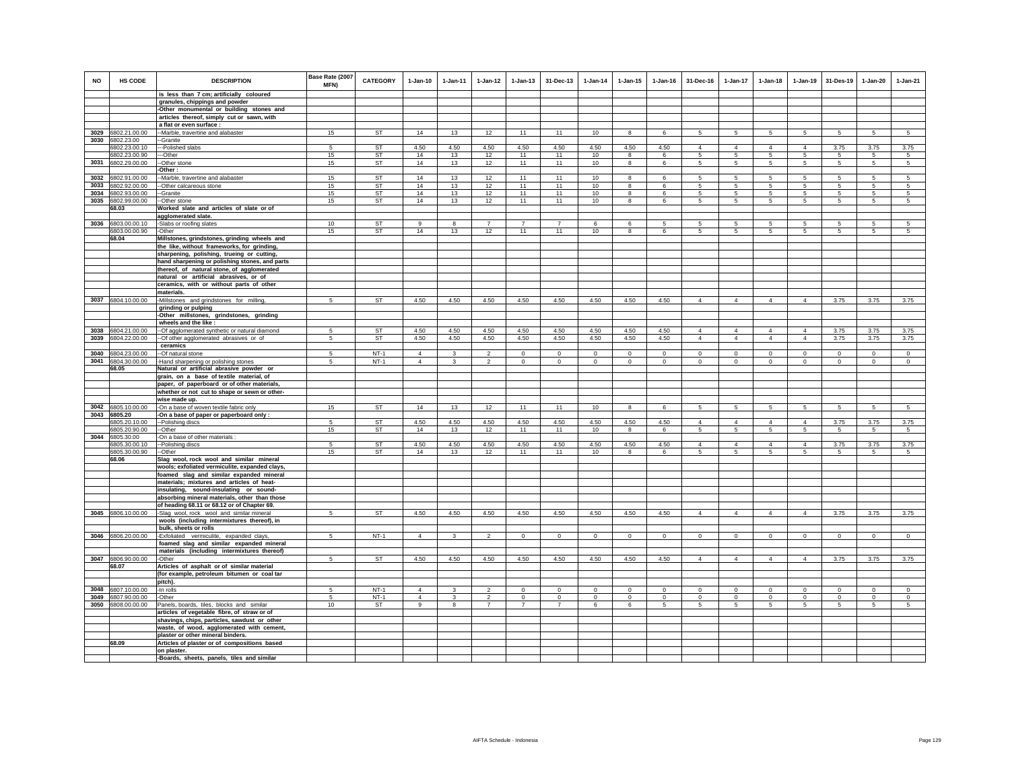| <b>NO</b>    | HS CODE                             | <b>DESCRIPTION</b><br>is less than 7 cm; artificially coloured                               | Base Rate (2007<br>MFN) | <b>CATEGORY</b>        | $1-Jan-10$          | $1 - Jan-11$      | $1-Jan-12$                       | $1 - Jan-13$              | 31-Dec-13                     | $1-Jan-14$       | $1 - Jan-15$     | $1 - Jan-16$     | 31-Dec-16                      | $1 - Jan-17$                   | $1 - Jan-18$                   | $1-Jan-19$          | 31-Des-19               | 1-Jan-20         | $1-Jan-21$          |
|--------------|-------------------------------------|----------------------------------------------------------------------------------------------|-------------------------|------------------------|---------------------|-------------------|----------------------------------|---------------------------|-------------------------------|------------------|------------------|------------------|--------------------------------|--------------------------------|--------------------------------|---------------------|-------------------------|------------------|---------------------|
|              |                                     | granules, chippings and powder                                                               |                         |                        |                     |                   |                                  |                           |                               |                  |                  |                  |                                |                                |                                |                     |                         |                  |                     |
|              |                                     | -Other monumental or building stones and                                                     |                         |                        |                     |                   |                                  |                           |                               |                  |                  |                  |                                |                                |                                |                     |                         |                  |                     |
|              |                                     | articles thereof, simply cut or sawn, with                                                   |                         |                        |                     |                   |                                  |                           |                               |                  |                  |                  |                                |                                |                                |                     |                         |                  |                     |
|              |                                     | a flat or even surface :                                                                     |                         |                        |                     |                   |                                  |                           |                               |                  |                  |                  |                                |                                |                                |                     |                         |                  |                     |
| 3030         | 3029 6802.21.00.00<br>6802.23.00    | --Marble, travertine and alabaster<br>-Granite                                               | 15                      | <b>ST</b>              | 14                  | 13                | 12                               | 11                        | 11                            | 10               | 8                | 6                | $5\overline{5}$                | $5\overline{5}$                | $5\overline{5}$                | $5\phantom{.0}$     | 5                       | 5                | $\sqrt{5}$          |
|              | 6802.23.00.10                       | -Polished slabs                                                                              | 5                       | ST                     | 4.50                | 4.50              | 4.50                             | 4.50                      | 4.50                          | 4.50             | 4.50             | 4.50             | $\overline{4}$                 | $\overline{4}$                 | $\overline{4}$                 | $\overline{4}$      | 3.75                    | 3.75             | 3.75                |
|              | 6802.23.00.90                       | -Other                                                                                       | 15                      | ST                     | 14                  | 13                | 12                               | 11                        | 11                            | 10               | 8                | 6                | 5                              | 5                              | 5                              | 5                   | 5                       | 5                | 5                   |
|              | 3031 6802.29.00.00                  | -Other stone                                                                                 | 15                      | ST                     | 14                  | 13                | 12                               | 11                        | 11                            | 10               | 8                | 6                | 5                              | $5\overline{)}$                | $5\overline{5}$                | $5\overline{)}$     | $\sqrt{5}$              | $\sqrt{5}$       | $5\phantom{.0}$     |
|              |                                     | -Other :                                                                                     |                         |                        |                     |                   |                                  |                           |                               |                  |                  |                  |                                |                                |                                |                     |                         |                  |                     |
| 3032<br>3033 | 6802.91.00.00<br>6802.92.00.00      | -Marble, travertine and alabaster<br>-Other calcareous stone                                 | 15<br>15                | <b>ST</b><br><b>ST</b> | 14<br>14            | 13<br>13          | 12<br>12                         | 11<br>11                  | 11<br>11                      | 10<br>10         | 8<br>8           | 6<br>6           | -5<br>5                        | 5<br>5                         | 5<br>5                         | 5<br>5              | 5<br>5                  | 5<br>5           | $\overline{5}$<br>5 |
| 3034         | 6802.93.00.00                       | -Granite                                                                                     | 15                      | ST                     | 14                  | 13                | 12                               | 11                        | 11                            | 10               | 8                | 6                | $5 -$                          | 5                              | 5                              | -5                  | 5                       | 5                | 5                   |
| 3035         | 6802.99.00.00                       | --Other stone                                                                                | 15                      | ST                     | 14                  | 13                | 12                               | 11                        | 11                            | 10               | 8                | 6                | $5 -$                          | 5                              | 5                              | 5                   | 5                       | 5                | 5                   |
|              | 68.03                               | Worked slate and articles of slate or of                                                     |                         |                        |                     |                   |                                  |                           |                               |                  |                  |                  |                                |                                |                                |                     |                         |                  |                     |
|              |                                     | agglomerated slate.                                                                          |                         |                        |                     |                   |                                  |                           |                               |                  |                  |                  |                                |                                |                                |                     |                         |                  |                     |
|              | 3036 6803.00.00.10<br>6803.00.00.90 | -Slabs or roofing slates<br>-Other                                                           | 10<br>15                | <b>ST</b><br><b>ST</b> | $\alpha$<br>14      | 8<br>13           | $\overline{7}$<br>12             | $\overline{7}$<br>11      | $\overline{7}$<br>11          | 6<br>10          | 6<br>8           | -5<br>6          | -5<br>5                        | 5<br>5                         | 5<br>5                         | 5<br>5              | 5<br>$5\overline{5}$    | 5<br>5           | -5<br>5             |
|              | 68.04                               | Millstones, grindstones, grinding wheels and                                                 |                         |                        |                     |                   |                                  |                           |                               |                  |                  |                  |                                |                                |                                |                     |                         |                  |                     |
|              |                                     | the like, without frameworks, for grinding,                                                  |                         |                        |                     |                   |                                  |                           |                               |                  |                  |                  |                                |                                |                                |                     |                         |                  |                     |
|              |                                     | sharpening, polishing, trueing or cutting,                                                   |                         |                        |                     |                   |                                  |                           |                               |                  |                  |                  |                                |                                |                                |                     |                         |                  |                     |
|              |                                     | hand sharpening or polishing stones, and parts                                               |                         |                        |                     |                   |                                  |                           |                               |                  |                  |                  |                                |                                |                                |                     |                         |                  |                     |
|              |                                     | thereof, of natural stone, of agglomerated                                                   |                         |                        |                     |                   |                                  |                           |                               |                  |                  |                  |                                |                                |                                |                     |                         |                  |                     |
|              |                                     | natural or artificial abrasives, or of<br>ceramics, with or without parts of other           |                         |                        |                     |                   |                                  |                           |                               |                  |                  |                  |                                |                                |                                |                     |                         |                  |                     |
|              |                                     | materials.                                                                                   |                         |                        |                     |                   |                                  |                           |                               |                  |                  |                  |                                |                                |                                |                     |                         |                  |                     |
|              | 3037 6804.10.00.00                  | -Millstones and grindstones for milling,                                                     | 5                       | <b>ST</b>              | 4.50                | 4.50              | 4.50                             | 4.50                      | 4.50                          | 4.50             | 4.50             | 4.50             | $\overline{4}$                 | $\overline{4}$                 | $\overline{4}$                 | $\overline{4}$      | 3.75                    | 3.75             | 3.75                |
|              |                                     | grinding or pulping                                                                          |                         |                        |                     |                   |                                  |                           |                               |                  |                  |                  |                                |                                |                                |                     |                         |                  |                     |
|              |                                     | -Other millstones, grindstones, grinding                                                     |                         |                        |                     |                   |                                  |                           |                               |                  |                  |                  |                                |                                |                                |                     |                         |                  |                     |
|              | 3038 6804.21.00.00                  | wheels and the like :                                                                        |                         |                        | 4.50                | 4.50              | 4.50                             | 4.50                      | 4.50                          | 4.50             | 4.50             | 4.50             | $\overline{4}$                 | $\overline{4}$                 | $\overline{4}$                 | $\overline{4}$      | 3.75                    | 3.75             | 3.75                |
| 3039         | 6804.22.00.00                       | -Of agglomerated synthetic or natural diamond<br>-Of other agglomerated abrasives or of      | 5<br>5                  | ST<br><b>ST</b>        | 4.50                | 4.50              | 4.50                             | 4.50                      | 4.50                          | 4.50             | 4.50             | 4.50             | $\overline{4}$                 | $\overline{4}$                 | $\overline{4}$                 | $\overline{4}$      | 3.75                    | 3.75             | 3.75                |
|              |                                     | ceramics                                                                                     |                         |                        |                     |                   |                                  |                           |                               |                  |                  |                  |                                |                                |                                |                     |                         |                  |                     |
| 3040         | 6804.23.00.00                       | -Of natural stone                                                                            | 5                       | $NT-1$                 | $\overline{4}$      | 3                 | $\overline{2}$                   | $\mathsf 0$               | $\mathbf 0$                   | $\mathbf 0$      | $\mathbf 0$      | $\mathbf 0$      | $\mathbf 0$                    | $\mathbf 0$                    | $\mathbf 0$                    | $\mathbf 0$         | $\mathbf 0$             | $\circ$          | $\mathsf 0$         |
| 3041         | 6804.30.00.00                       | -Hand sharpening or polishing stones                                                         | 5                       | $NT-1$                 | $\overline{4}$      | $\mathbf{3}$      | $\overline{2}$                   | $\mathbf 0$               | $\mathbf 0$                   | $\circ$          | $\mathbf 0$      | $\circ$          | $\circ$                        | $\circ$                        | $\circ$                        | $\mathbf 0$         | $\mathbf{0}$            | $\circ$          | $\circ$             |
|              | 68.05                               | Natural or artificial abrasive powder or                                                     |                         |                        |                     |                   |                                  |                           |                               |                  |                  |                  |                                |                                |                                |                     |                         |                  |                     |
|              |                                     | grain, on a base of textile material, of<br>paper, of paperboard or of other materials,      |                         |                        |                     |                   |                                  |                           |                               |                  |                  |                  |                                |                                |                                |                     |                         |                  |                     |
|              |                                     | whether or not cut to shape or sewn or other-                                                |                         |                        |                     |                   |                                  |                           |                               |                  |                  |                  |                                |                                |                                |                     |                         |                  |                     |
|              |                                     | wise made up.                                                                                |                         |                        |                     |                   |                                  |                           |                               |                  |                  |                  |                                |                                |                                |                     |                         |                  |                     |
| 3042         | 6805.10.00.00                       | -On a base of woven textile fabric only                                                      | 15                      | <b>ST</b>              | 14                  | 13                | 12                               | 11                        | 11                            | 10               | 8                | 6                | 5                              | 5                              | 5                              | 5                   | 5                       | 5                | $\sqrt{5}$          |
| 3043         | 6805.20                             | -On a base of paper or paperboard only :                                                     |                         | <b>ST</b>              |                     |                   |                                  |                           |                               |                  |                  |                  |                                |                                |                                |                     |                         |                  |                     |
|              | 6805.20.10.00<br>6805.20.90.00      | --Polishing discs<br>-Other                                                                  | 5<br>15                 | ST                     | 4.50<br>14          | 4.50<br>13        | 4.50<br>12                       | 4.50<br>11                | 4.50<br>11                    | 4.50<br>10       | 4.50<br>8        | 4.50<br>6        | $\overline{4}$<br>5            | 4<br>5                         | $\overline{4}$<br>5            | $\overline{4}$<br>5 | 3.75<br>$5\phantom{.0}$ | 3.75<br>5        | 3.75<br>5           |
|              | 3044 6805.30.00                     | On a base of other materials                                                                 |                         |                        |                     |                   |                                  |                           |                               |                  |                  |                  |                                |                                |                                |                     |                         |                  |                     |
|              | 6805.30.00.10                       | -Polishing discs                                                                             | 5                       | ST                     | 4.50                | 4.50              | 4.50                             | 4.50                      | 4.50                          | 4.50             | 4.50             | 4.50             | $\overline{4}$                 | $\overline{4}$                 | $\overline{4}$                 | $\overline{4}$      | 3.75                    | 3.75             | 3.75                |
|              | 6805.30.00.90                       | -Other                                                                                       | 15                      | <b>ST</b>              | 14                  | 13                | 12                               | 11                        | 11                            | 10               | 8                | $\epsilon$       | 5.                             | 5                              | 5                              | 5                   | -5                      | $\overline{5}$   | 5                   |
|              | 68.06                               | Slag wool, rock wool and similar mineral<br>wools; exfoliated vermiculite, expanded clays,   |                         |                        |                     |                   |                                  |                           |                               |                  |                  |                  |                                |                                |                                |                     |                         |                  |                     |
|              |                                     | foamed slag and similar expanded mineral                                                     |                         |                        |                     |                   |                                  |                           |                               |                  |                  |                  |                                |                                |                                |                     |                         |                  |                     |
|              |                                     | materials; mixtures and articles of heat-                                                    |                         |                        |                     |                   |                                  |                           |                               |                  |                  |                  |                                |                                |                                |                     |                         |                  |                     |
|              |                                     | insulating, sound-insulating or sound-                                                       |                         |                        |                     |                   |                                  |                           |                               |                  |                  |                  |                                |                                |                                |                     |                         |                  |                     |
|              |                                     | absorbing mineral materials, other than those<br>of heading 68.11 or 68.12 or of Chapter 69. |                         |                        |                     |                   |                                  |                           |                               |                  |                  |                  |                                |                                |                                |                     |                         |                  |                     |
|              | 3045 6806.10.00.00                  | -Slag wool, rock wool and similar mineral                                                    | 5                       | ST                     | 4.50                | 4.50              | 4.50                             | 4.50                      | 4.50                          | 4.50             | 4.50             | 4.50             | $\overline{4}$                 | $\overline{4}$                 | $\overline{4}$                 | $\overline{4}$      | 3.75                    | 3.75             | 3.75                |
|              |                                     | wools (including intermixtures thereof), in                                                  |                         |                        |                     |                   |                                  |                           |                               |                  |                  |                  |                                |                                |                                |                     |                         |                  |                     |
|              |                                     | bulk, sheets or rolls                                                                        |                         |                        |                     |                   |                                  |                           |                               |                  |                  |                  |                                |                                |                                |                     |                         |                  |                     |
| 3046         | 6806.20.00.00                       | -Exfoliated vermiculite, expanded clays,                                                     | 5                       | $NT-1$                 | $\overline{4}$      | $\mathbf{3}$      | $\overline{2}$                   | $\mathsf 0$               | $\mathbf{0}$                  | $\circ$          | $\mathbf 0$      | $\mathsf 0$      | $\Omega$                       | $\mathbf{0}$                   | $\circ$                        | $\mathbf 0$         | $\circ$                 | $\mathbf{0}$     | $\circ$             |
|              |                                     | foamed slag and similar expanded mineral                                                     |                         |                        |                     |                   |                                  |                           |                               |                  |                  |                  |                                |                                |                                |                     |                         |                  |                     |
| 3047         | 6806.90.00.00                       | materials (including intermixtures thereof)<br>-Other                                        | $\sqrt{5}$              | ST                     | 4.50                | 4.50              | 4.50                             | 4.50                      | 4.50                          | 4.50             | 4.50             | 4.50             | $\overline{4}$                 | $\overline{4}$                 | $\overline{4}$                 | $\overline{4}$      | 3.75                    | 3.75             | 3.75                |
|              | 68.07                               | Articles of asphalt or of similar material                                                   |                         |                        |                     |                   |                                  |                           |                               |                  |                  |                  |                                |                                |                                |                     |                         |                  |                     |
|              |                                     | (for example, petroleum bitumen or coal tar                                                  |                         |                        |                     |                   |                                  |                           |                               |                  |                  |                  |                                |                                |                                |                     |                         |                  |                     |
|              |                                     | pitch).                                                                                      |                         |                        |                     |                   |                                  |                           |                               |                  |                  |                  |                                |                                |                                |                     |                         |                  |                     |
| 3048         | 6807.10.00.00                       | -In rolls                                                                                    | 5                       | $NT-1$                 | $\overline{4}$      | 3                 | $\mathfrak{p}$                   | $\mathbf 0$               | $\mathbf 0$                   | $\Omega$         | $\mathbf 0$      | $\Omega$         | $\Omega$                       | $\Omega$                       | $\Omega$                       | $\Omega$            | $\mathbf 0$             | $\mathbf 0$      | $\Omega$            |
| 3049         | 6807.90.00.00<br>3050 6808.00.00.00 | -Other<br>Panels, boards, tiles, blocks and similar                                          | 5<br>10                 | $NT-1$<br>ST           | $\overline{4}$<br>9 | $\mathbf{3}$<br>8 | $\overline{2}$<br>$\overline{7}$ | $\circ$<br>$\overline{7}$ | $\mathsf 0$<br>$\overline{7}$ | $\mathbb O$<br>6 | $\mathsf 0$<br>6 | $\mathsf 0$<br>5 | $\mathbf 0$<br>$5\overline{5}$ | $\mathbf 0$<br>$5\overline{5}$ | $\mathbf 0$<br>$5\overline{5}$ | $\mathbf 0$<br>5    | $\mathbf 0$<br>5        | $\mathsf 0$<br>5 | $\mathsf 0$<br>5    |
|              |                                     | articles of vegetable fibre, of straw or of                                                  |                         |                        |                     |                   |                                  |                           |                               |                  |                  |                  |                                |                                |                                |                     |                         |                  |                     |
|              |                                     | shavings, chips, particles, sawdust or other                                                 |                         |                        |                     |                   |                                  |                           |                               |                  |                  |                  |                                |                                |                                |                     |                         |                  |                     |
|              |                                     | waste, of wood, agglomerated with cement,                                                    |                         |                        |                     |                   |                                  |                           |                               |                  |                  |                  |                                |                                |                                |                     |                         |                  |                     |
|              |                                     | plaster or other mineral binders.                                                            |                         |                        |                     |                   |                                  |                           |                               |                  |                  |                  |                                |                                |                                |                     |                         |                  |                     |
|              | 68.09                               | Articles of plaster or of compositions based<br>on plaster.                                  |                         |                        |                     |                   |                                  |                           |                               |                  |                  |                  |                                |                                |                                |                     |                         |                  |                     |
|              |                                     | -Boards, sheets, panels, tiles and similar                                                   |                         |                        |                     |                   |                                  |                           |                               |                  |                  |                  |                                |                                |                                |                     |                         |                  |                     |
|              |                                     |                                                                                              |                         |                        |                     |                   |                                  |                           |                               |                  |                  |                  |                                |                                |                                |                     |                         |                  |                     |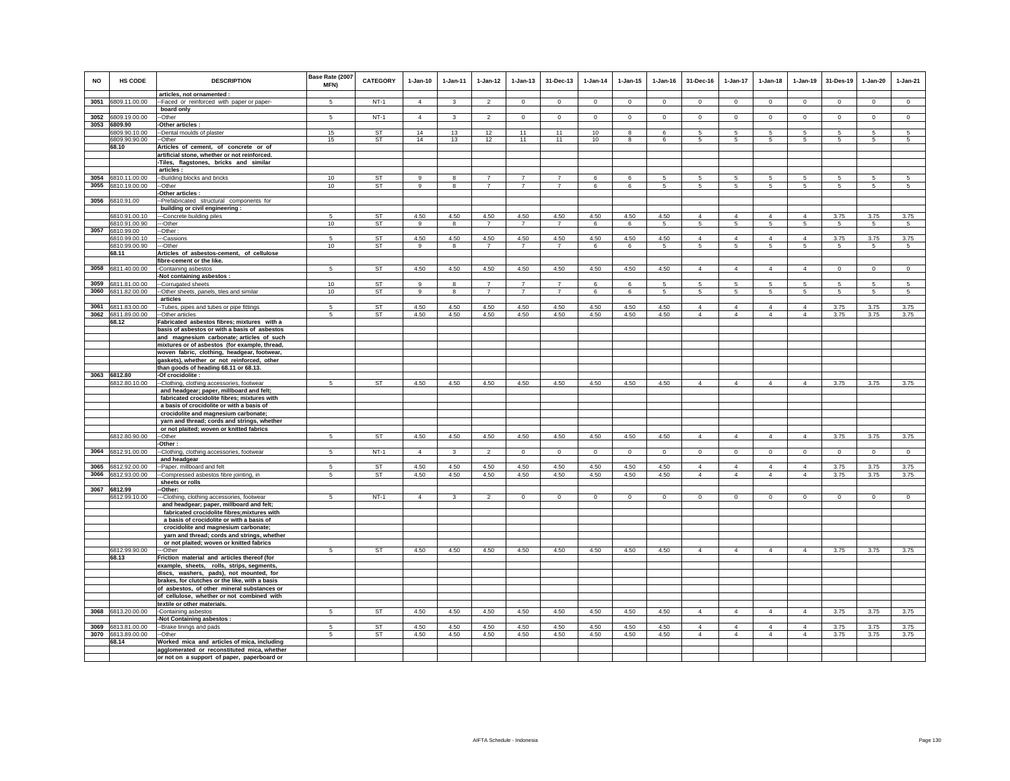| <b>NO</b> | HS CODE                        | <b>DESCRIPTION</b>                                                                         | Base Rate (2007<br>MFN) | <b>CATEGORY</b>        | $1-Jan-10$     | 1-Jan-11                | $1 - Jan-12$           | $1 - Jan-13$           | 31-Dec-13              | $1-Jan-14$  | $1 - Jan-15$ | $1 - Jan-16$ | 31-Dec-16           | 1-Jan-17        | $1 - Jan-18$   | $1-Jan-19$      | 31-Des-19       | $1-Jan-20$     | $1-Jan-21$     |
|-----------|--------------------------------|--------------------------------------------------------------------------------------------|-------------------------|------------------------|----------------|-------------------------|------------------------|------------------------|------------------------|-------------|--------------|--------------|---------------------|-----------------|----------------|-----------------|-----------------|----------------|----------------|
| 3051      | 6809.11.00.00                  | articles, not ornamented :<br>--Faced or reinforced with paper or paper-                   | $5\overline{)}$         | $NT-1$                 | $\overline{4}$ | $\mathbf{3}$            | $\overline{2}$         | $\circ$                | $\mathbf{0}$           | $\circ$     | $\mathbf 0$  | $\mathbf 0$  | $\Omega$            | $\mathbf{0}$    | $\circ$        | $\mathbf 0$     | $\circ$         | $\mathbf{0}$   | $\circ$        |
|           |                                | board only                                                                                 | 5                       | $NT-1$                 | $\overline{4}$ | $\overline{\mathbf{3}}$ | $\mathfrak{p}$         | $\circ$                |                        | $\Omega$    | $\Omega$     | $\Omega$     | $\Omega$            | $\Omega$        | $\Omega$       |                 | $\mathbf 0$     |                |                |
| 3052      | 6809.19.00.00<br>3053 6809.90  | -Other<br>-Other articles :                                                                |                         |                        |                |                         |                        |                        | $\mathbf 0$            |             |              |              |                     |                 |                | $\mathbf 0$     |                 | $\mathbf 0$    | $\mathsf 0$    |
|           | 6809.90.10.00                  | --Dental moulds of plaster                                                                 | 15                      | ST                     | 14             | 13                      | 12                     | 11                     | 11                     | 10          | 8            | 6            | 5                   | 5               | 5              | 5               | 5               | 5              | $\sqrt{5}$     |
|           | 6809.90.90.00                  | --Other                                                                                    | 15                      | <b>ST</b>              | 14             | 13                      | 12                     | 11                     | 11                     | 10          | 8            | -6           | -5                  | 5               | 5              | -5              | 5               | 5              | $\sqrt{5}$     |
|           | 68.10                          | Articles of cement, of concrete or of                                                      |                         |                        |                |                         |                        |                        |                        |             |              |              |                     |                 |                |                 |                 |                |                |
|           |                                | artificial stone, whether or not reinforced.                                               |                         |                        |                |                         |                        |                        |                        |             |              |              |                     |                 |                |                 |                 |                |                |
|           |                                | -Tiles, flagstones, bricks and similar                                                     |                         |                        |                |                         |                        |                        |                        |             |              |              |                     |                 |                |                 |                 |                |                |
| 3054      | 6810.11.00.00                  | articles:<br>--Building blocks and bricks                                                  | 10                      | <b>ST</b>              | $\alpha$       | 8                       | $\overline{7}$         | $\overline{7}$         | $\overline{7}$         | 6           | 6            | 5            | -5                  | 5               | -5             | 5               | 5               | 5              | 5              |
| 3055      | 6810.19.00.00                  | --Other                                                                                    | 10                      | <b>ST</b>              | 9              | 8                       | $\overline{7}$         | $\overline{7}$         | $\overline{7}$         | 6           | 6            | 5            | 5                   | $\overline{5}$  | 5              | 5               | $\sqrt{5}$      | 5              | 5              |
|           |                                | -Other articles :                                                                          |                         |                        |                |                         |                        |                        |                        |             |              |              |                     |                 |                |                 |                 |                |                |
| 3056      | 6810.91.00                     | --Prefabricated structural components for                                                  |                         |                        |                |                         |                        |                        |                        |             |              |              |                     |                 |                |                 |                 |                |                |
|           |                                | building or civil engineering :                                                            |                         |                        |                |                         |                        |                        |                        |             |              |              |                     |                 |                |                 |                 |                |                |
|           | 6810.91.00.10<br>6810.91.00.90 | ---Concrete building piles<br>---Other                                                     | 5<br>10                 | <b>ST</b><br><b>ST</b> | 4.50<br>9      | 4.50                    | 4.50<br>$\overline{7}$ | 4.50<br>$\overline{7}$ | 4.50<br>$\overline{7}$ | 4.50        | 4.50         | 4.50         | $\overline{4}$<br>5 | $\overline{4}$  | $\overline{4}$ | $\overline{4}$  | 3.75            | 3.75           | 3.75           |
| 3057      | 6810.99.00                     | -Other:                                                                                    |                         |                        |                | 8                       |                        |                        |                        | 6           | 6            | -5           |                     | $5\phantom{.0}$ | $\sqrt{5}$     | 5               | $\sqrt{5}$      | $\overline{5}$ | $\sqrt{5}$     |
|           | 6810.99.00.10                  | --Cassions                                                                                 | 5                       | ST                     | 4.50           | 4.50                    | 4.50                   | 4.50                   | 4.50                   | 4.50        | 4.50         | 4.50         | $\overline{4}$      | $\overline{4}$  | $\overline{4}$ | $\overline{4}$  | 3.75            | 3.75           | 3.75           |
|           | 6810.99.00.90                  | ---Other                                                                                   | 10                      | <b>ST</b>              | 9              | 8                       | $\overline{7}$         | $\overline{7}$         | $\overline{7}$         | 6           | 6            | -5           | -5                  | 5               | 5              | 5               | -5              | -5             | -5             |
|           | 68.11                          | Articles of asbestos-cement, of cellulose                                                  |                         |                        |                |                         |                        |                        |                        |             |              |              |                     |                 |                |                 |                 |                |                |
|           |                                | fibre-cement or the like.                                                                  | $5^{\circ}$             | <b>ST</b>              | 4.50           | 4.50                    | 4.50                   | 4.50                   | 4.50                   |             |              |              | $\overline{4}$      | $\overline{4}$  | $\overline{4}$ |                 |                 |                |                |
| 3058      | 6811.40.00.00                  | -Containing asbestos<br>-Not containing asbestos :                                         |                         |                        |                |                         |                        |                        |                        | 4.50        | 4.50         | 4.50         |                     |                 |                | $\overline{4}$  | $\mathbf 0$     | $\mathsf 0$    | $\mathsf 0$    |
| 3059      | 6811.81.00.00                  | --Corrugated sheets                                                                        | 10                      | ST                     | 9              | 8                       | $\overline{7}$         | $\overline{7}$         | $\overline{7}$         | 6           | 6            | 5            | $5\overline{5}$     | 5               | 5              | 5               | 5               | 5              | 5              |
| 3060      | 6811.82.00.00                  | -Other sheets, panels, tiles and similar                                                   | 10                      | ST                     | 9              | 8                       | $\overline{7}$         | $\overline{7}$         | $\overline{7}$         | 6           | 6            | $\sqrt{5}$   | $5\phantom{.0}$     | $5^{\circ}$     | $\sqrt{5}$     | $5\phantom{.0}$ | $5\phantom{.0}$ | $\sqrt{5}$     | 5              |
|           |                                | articles                                                                                   |                         |                        |                |                         |                        |                        |                        |             |              |              |                     |                 |                |                 |                 |                |                |
| 3061      | 6811.83.00.00                  | -Tubes, pipes and tubes or pipe fittings                                                   | 5                       | <b>ST</b>              | 4.50           | 4.50                    | 4.50                   | 4.50                   | 4.50                   | 4.50        | 4.50         | 4.50         | $\overline{4}$      | $\overline{4}$  | $\overline{4}$ | $\overline{4}$  | 3.75            | 3.75           | 3.75           |
| 3062      | 6811.89.00.00<br>68.12         | -Other articles<br>Fabricated asbestos fibres; mixtures with a                             | $\sqrt{5}$              | <b>ST</b>              | 4.50           | 4.50                    | 4.50                   | 4.50                   | 4.50                   | 4.50        | 4.50         | 4.50         | $\overline{4}$      | $\overline{4}$  | $\overline{4}$ | $\overline{4}$  | 3.75            | 3.75           | 3.75           |
|           |                                | basis of asbestos or with a basis of asbestos                                              |                         |                        |                |                         |                        |                        |                        |             |              |              |                     |                 |                |                 |                 |                |                |
|           |                                | and magnesium carbonate; articles of such                                                  |                         |                        |                |                         |                        |                        |                        |             |              |              |                     |                 |                |                 |                 |                |                |
|           |                                | mixtures or of asbestos (for example, thread,                                              |                         |                        |                |                         |                        |                        |                        |             |              |              |                     |                 |                |                 |                 |                |                |
|           |                                | woven fabric, clothing, headgear, footwear                                                 |                         |                        |                |                         |                        |                        |                        |             |              |              |                     |                 |                |                 |                 |                |                |
|           |                                | gaskets), whether or not reinforced, other                                                 |                         |                        |                |                         |                        |                        |                        |             |              |              |                     |                 |                |                 |                 |                |                |
| 3063      | 6812.80                        | than goods of heading 68.11 or 68.13.<br>-Of crocidolite :                                 |                         |                        |                |                         |                        |                        |                        |             |              |              |                     |                 |                |                 |                 |                |                |
|           | 6812.80.10.00                  | --Clothing, clothing accessories, footwear                                                 | 5                       | ST                     | 4.50           | 4.50                    | 4.50                   | 4.50                   | 4.50                   | 4.50        | 4.50         | 4.50         | $\overline{4}$      | $\overline{4}$  | $\overline{4}$ | $\overline{4}$  | 3.75            | 3.75           | 3.75           |
|           |                                | and headgear; paper, millboard and felt;                                                   |                         |                        |                |                         |                        |                        |                        |             |              |              |                     |                 |                |                 |                 |                |                |
|           |                                | fabricated crocidolite fibres; mixtures with                                               |                         |                        |                |                         |                        |                        |                        |             |              |              |                     |                 |                |                 |                 |                |                |
|           |                                | a basis of crocidolite or with a basis of                                                  |                         |                        |                |                         |                        |                        |                        |             |              |              |                     |                 |                |                 |                 |                |                |
|           |                                | crocidolite and magnesium carbonate;<br>yarn and thread; cords and strings, whether        |                         |                        |                |                         |                        |                        |                        |             |              |              |                     |                 |                |                 |                 |                |                |
|           |                                | or not plaited; woven or knitted fabrics                                                   |                         |                        |                |                         |                        |                        |                        |             |              |              |                     |                 |                |                 |                 |                |                |
|           | 6812.80.90.00                  | --Other                                                                                    | 5                       | <b>ST</b>              | 4.50           | 4.50                    | 4.50                   | 4.50                   | 4.50                   | 4.50        | 4.50         | 4.50         | $\overline{4}$      | $\overline{4}$  | $\overline{4}$ | $\overline{4}$  | 3.75            | 3.75           | 3.75           |
|           |                                | -Other:                                                                                    |                         |                        |                |                         |                        |                        |                        |             |              |              |                     |                 |                |                 |                 |                |                |
| 3064      | 6812.91.00.00                  | --Clothing, clothing accessories, footwear<br>and headgear                                 | 5                       | $NT-1$                 | $\overline{4}$ | $\mathbf{3}$            | $\overline{2}$         | $\mathbf 0$            | $\mathbf{0}$           | $\mathsf 0$ | $\mathbf 0$  | $\mathbb O$  | $\Omega$            | $\overline{0}$  | $\overline{0}$ | $\mathsf 0$     | $\mathbf 0$     | $\mathbf{0}$   | $\overline{0}$ |
| 3065      | 6812.92.00.00                  | -Paper, millboard and felt                                                                 | 5                       | <b>ST</b>              | 4.50           | 4.50                    | 4.50                   | 4.50                   | 4.50                   | 4.50        | 4.50         | 4.50         | $\overline{4}$      | $\overline{4}$  | $\overline{4}$ | $\overline{4}$  | 3.75            | 3.75           | 3.75           |
| 3066      | 6812.93.00.00                  | -Compressed asbestos fibre jointing, in                                                    | 5                       | ST                     | 4.50           | 4.50                    | 4.50                   | 4.50                   | 4.50                   | 4.50        | 4.50         | 4.50         | $\overline{4}$      | $\overline{4}$  | $\overline{4}$ | $\overline{4}$  | 3.75            | 3.75           | 3.75           |
|           |                                | sheets or rolls                                                                            |                         |                        |                |                         |                        |                        |                        |             |              |              |                     |                 |                |                 |                 |                |                |
|           | 3067 6812.99                   | -Other:                                                                                    |                         |                        |                |                         | $\mathfrak{p}$         | $\Omega$               |                        | $\Omega$    |              |              |                     |                 | $\Omega$       |                 | $\Omega$        |                |                |
|           | 6812.99.10.00                  | --Clothing, clothing accessories, footwear<br>and headgear; paper, millboard and felt;     | -5                      | $NT-1$                 | $\overline{4}$ | 3                       |                        |                        | $\Omega$               |             | $\Omega$     | $\mathbf 0$  | $\Omega$            | $\Omega$        |                | $\mathbf 0$     |                 | $\Omega$       | $\overline{0}$ |
|           |                                | fabricated crocidolite fibres; mixtures with                                               |                         |                        |                |                         |                        |                        |                        |             |              |              |                     |                 |                |                 |                 |                |                |
|           |                                | a basis of crocidolite or with a basis of                                                  |                         |                        |                |                         |                        |                        |                        |             |              |              |                     |                 |                |                 |                 |                |                |
|           |                                | crocidolite and magnesium carbonate;                                                       |                         |                        |                |                         |                        |                        |                        |             |              |              |                     |                 |                |                 |                 |                |                |
|           |                                | yarn and thread; cords and strings, whether                                                |                         |                        |                |                         |                        |                        |                        |             |              |              |                     |                 |                |                 |                 |                |                |
|           | 6812.99.90.00                  | or not plaited; woven or knitted fabrics<br>---Other                                       | 5                       | <b>ST</b>              | 4.50           | 4.50                    | 4.50                   | 4.50                   | 4.50                   | 4.50        | 4.50         | 4.50         | $\Delta$            | $\overline{4}$  | $\overline{4}$ | $\overline{4}$  | 3.75            | 3.75           | 3.75           |
|           | 68.13                          | Friction material and articles thereof (for                                                |                         |                        |                |                         |                        |                        |                        |             |              |              |                     |                 |                |                 |                 |                |                |
|           |                                | example, sheets, rolls, strips, segments,                                                  |                         |                        |                |                         |                        |                        |                        |             |              |              |                     |                 |                |                 |                 |                |                |
|           |                                | discs, washers, pads), not mounted, for                                                    |                         |                        |                |                         |                        |                        |                        |             |              |              |                     |                 |                |                 |                 |                |                |
|           |                                | brakes, for clutches or the like, with a basis                                             |                         |                        |                |                         |                        |                        |                        |             |              |              |                     |                 |                |                 |                 |                |                |
|           |                                | of asbestos, of other mineral substances or                                                |                         |                        |                |                         |                        |                        |                        |             |              |              |                     |                 |                |                 |                 |                |                |
|           |                                | of cellulose, whether or not combined with<br>textile or other materials.                  |                         |                        |                |                         |                        |                        |                        |             |              |              |                     |                 |                |                 |                 |                |                |
| 3068      | 6813.20.00.00                  | -Containing asbestos                                                                       | 5                       | ST                     | 4.50           | 4.50                    | 4.50                   | 4.50                   | 4.50                   | 4.50        | 4.50         | 4.50         | $\overline{4}$      | $\overline{4}$  | $\overline{4}$ | $\overline{4}$  | 3.75            | 3.75           | 3.75           |
|           |                                | -Not Containing asbestos :                                                                 |                         |                        |                |                         |                        |                        |                        |             |              |              |                     |                 |                |                 |                 |                |                |
| 3069      | 6813.81.00.00                  | --Brake linings and pads                                                                   | 5                       | ST                     | 4.50           | 4.50                    | 4.50                   | 4.50                   | 4.50                   | 4.50        | 4.50         | 4.50         | $\overline{4}$      | $\overline{4}$  | $\overline{4}$ | $\overline{4}$  | 3.75            | 3.75           | 3.75           |
| 3070      | 6813.89.00.00                  | -Other                                                                                     | $5\overline{5}$         | ST                     | 4.50           | 4.50                    | 4.50                   | 4.50                   | 4.50                   | 4.50        | 4.50         | 4.50         | $\overline{4}$      | $\overline{4}$  | $\overline{4}$ | $\overline{4}$  | 3.75            | 3.75           | 3.75           |
|           | 68.14                          | Worked mica and articles of mica, including                                                |                         |                        |                |                         |                        |                        |                        |             |              |              |                     |                 |                |                 |                 |                |                |
|           |                                | agglomerated or reconstituted mica, whether<br>or not on a support of paper, paperboard or |                         |                        |                |                         |                        |                        |                        |             |              |              |                     |                 |                |                 |                 |                |                |
|           |                                |                                                                                            |                         |                        |                |                         |                        |                        |                        |             |              |              |                     |                 |                |                 |                 |                |                |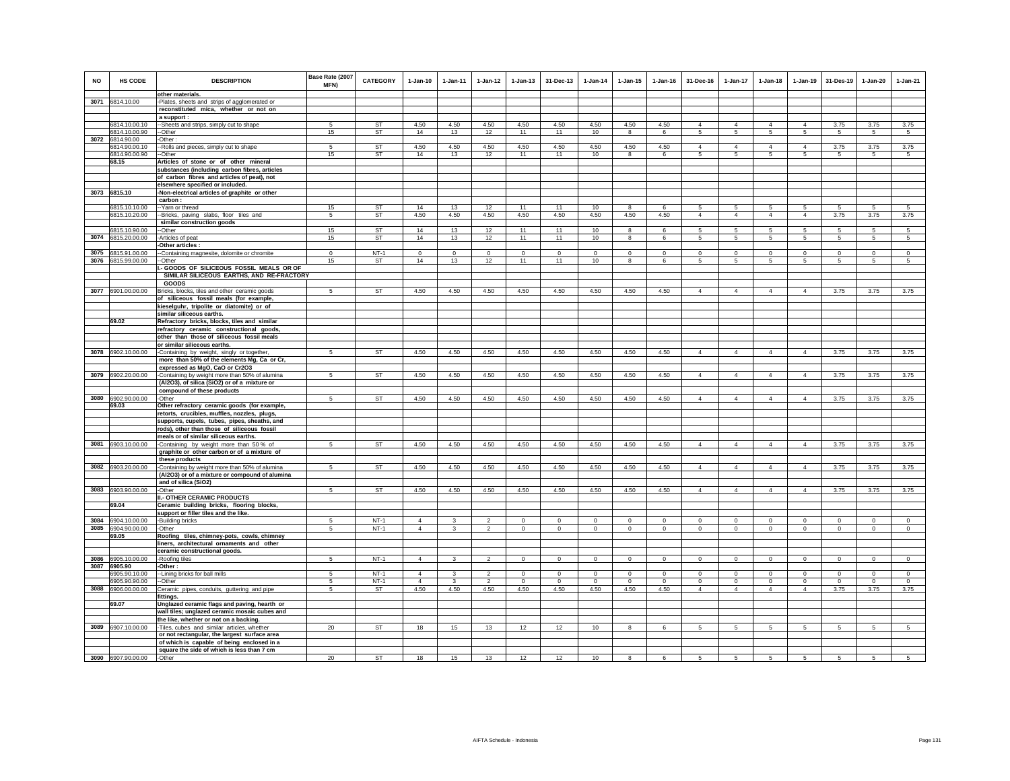| <b>NO</b> | <b>HS CODE</b>     | <b>DESCRIPTION</b>                             | Base Rate (2007<br>MFN) | <b>CATEGORY</b> | 1-Jan-10       | 1-Jan-11     | $1 - Jan-12$   | $1 - Jan-13$ | 31-Dec-13   | $1-Jan-14$  | $1 - Jan-15$ | $1 - Jan-16$ | 31-Dec-16       | 1-Jan-17        | $1 - Jan-18$   | $1-Jan-19$     | 31-Des-19       | $1-Jan-20$      | $1-Jan-21$      |
|-----------|--------------------|------------------------------------------------|-------------------------|-----------------|----------------|--------------|----------------|--------------|-------------|-------------|--------------|--------------|-----------------|-----------------|----------------|----------------|-----------------|-----------------|-----------------|
|           |                    | other materials.                               |                         |                 |                |              |                |              |             |             |              |              |                 |                 |                |                |                 |                 |                 |
|           | 3071 6814.10.00    | -Plates, sheets and strips of agglomerated or  |                         |                 |                |              |                |              |             |             |              |              |                 |                 |                |                |                 |                 |                 |
|           |                    |                                                |                         |                 |                |              |                |              |             |             |              |              |                 |                 |                |                |                 |                 |                 |
|           |                    | reconstituted mica, whether or not on          |                         |                 |                |              |                |              |             |             |              |              |                 |                 |                |                |                 |                 |                 |
|           |                    | a support :                                    |                         |                 |                |              |                |              |             |             |              |              |                 |                 |                |                |                 |                 |                 |
|           | 6814.10.00.10      | --Sheets and strips, simply cut to shape       |                         | <b>ST</b>       | 4.50           | 4.50         | 4.50           | 4.50         | 4.50        | 4.50        | 4.50         | 4.50         | $\overline{4}$  | $\overline{4}$  | $\overline{4}$ | $\overline{4}$ | 3.75            | 3.75            | 3.75            |
|           | 6814.10.00.90      | --Other                                        | 15                      | ST              | 14             | 13           | 12             | 11           | 11          | 10          | 8            | 6            | 5               | $5^{\circ}$     | 5              | 5              | 5               | 5               | $5\overline{5}$ |
|           | 3072 6814.90.00    | -Other                                         |                         |                 |                |              |                |              |             |             |              |              |                 |                 |                |                |                 |                 |                 |
|           | 6814.90.00.10      | -- Rolls and pieces, simply cut to shape       | 5                       | <b>ST</b>       | 4.50           | 4.50         | 4.50           | 4.50         | 4.50        | 4.50        | 4.50         | 4.50         | $\overline{4}$  | $\overline{4}$  | $\overline{4}$ | $\overline{4}$ | 3.75            | 3.75            | 3.75            |
|           | 6814.90.00.90      |                                                | 15                      | ST              | 14             | 13           | 12             | 11           | 11          | 10          | 8            | 6            | 5               | 5               | $\sqrt{5}$     | $\sqrt{5}$     | $\sqrt{5}$      | 5               | 5               |
|           |                    | --Other                                        |                         |                 |                |              |                |              |             |             |              |              |                 |                 |                |                |                 |                 |                 |
|           | 68.15              | Articles of stone or of other mineral          |                         |                 |                |              |                |              |             |             |              |              |                 |                 |                |                |                 |                 |                 |
|           |                    | substances (including carbon fibres, articles  |                         |                 |                |              |                |              |             |             |              |              |                 |                 |                |                |                 |                 |                 |
|           |                    | of carbon fibres and articles of peat), not    |                         |                 |                |              |                |              |             |             |              |              |                 |                 |                |                |                 |                 |                 |
|           |                    | elsewhere specified or included.               |                         |                 |                |              |                |              |             |             |              |              |                 |                 |                |                |                 |                 |                 |
|           | 3073 6815.10       | -Non-electrical articles of graphite or other  |                         |                 |                |              |                |              |             |             |              |              |                 |                 |                |                |                 |                 |                 |
|           |                    | carbon:                                        |                         |                 |                |              |                |              |             |             |              |              |                 |                 |                |                |                 |                 |                 |
|           |                    |                                                |                         |                 |                |              |                |              |             |             |              |              |                 |                 |                |                |                 |                 |                 |
|           | 6815.10.10.00      | -- Yarn or thread                              | 15                      | ST              | 14             | 13           | 12             | 11           | 11          | 10          | 8            | 6            | 5               | 5               | 5              | 5              | 5               | 5               | $5\overline{5}$ |
|           | 6815.10.20.00      | --Bricks, paving slabs, floor tiles and        | 5                       | <b>ST</b>       | 4.50           | 4.50         | 4.50           | 4.50         | 4.50        | 4.50        | 4.50         | 4.50         | $\overline{4}$  | $\overline{4}$  | $\overline{4}$ | $\overline{4}$ | 3.75            | 3.75            | 3.75            |
|           |                    | similar construction goods                     |                         |                 |                |              |                |              |             |             |              |              |                 |                 |                |                |                 |                 |                 |
|           | 6815.10.90.00      | -Other                                         | 15                      | ST              | 14             | 13           | 12             | 11           | 11          | 10          | 8            | 6            | 5               | 5               | 5              | 5              | 5               | 5               | $5\overline{5}$ |
|           | 3074 6815.20.00.00 | -Articles of peat                              | 15                      | ST              | 14             | 13           | 12             | 11           | 11          | 10          | 8            | 6            | 5               | 5               | 5              | 5              | 5               | 5               | -5              |
|           |                    | Other articles :                               |                         |                 |                |              |                |              |             |             |              |              |                 |                 |                |                |                 |                 |                 |
|           |                    |                                                |                         |                 |                |              |                |              |             |             |              |              |                 |                 |                |                |                 |                 |                 |
|           | 3075 6815.91.00.00 | -Containing magnesite, dolomite or chromite    | $\circ$                 | $NT-1$          | $\circ$        | $\mathbf 0$  | $\mathsf 0$    | $\mathsf 0$  | $\mathsf 0$ | $\,$ 0      | $\mathbf 0$  | $\Omega$     | $\mathbf 0$     | $\mathsf{o}\,$  | $\mathbf 0$    | $\,$ 0         | $\,$ 0          | $\mathbf 0$     | $\mathbf 0$     |
|           | 3076 6815.99.00.00 | --Other                                        | 15                      | ST              | 14             | 13           | 12             | 11           | 11          | 10          | 8            | 6            | 5               | 5               | $\overline{5}$ | 5              | 5               | 5               | 5               |
|           |                    | I .- GOODS OF SILICEOUS FOSSIL MEALS OR OF     |                         |                 |                |              |                |              |             |             |              |              |                 |                 |                |                |                 |                 |                 |
|           |                    | SIMILAR SILICEOUS EARTHS, AND RE-FRACTORY      |                         |                 |                |              |                |              |             |             |              |              |                 |                 |                |                |                 |                 |                 |
|           |                    | GOODS                                          |                         |                 |                |              |                |              |             |             |              |              |                 |                 |                |                |                 |                 |                 |
|           | 3077 6901.00.00.00 | Bricks, blocks, tiles and other ceramic goods  | 5                       | ST              | 4.50           | 4.50         | 4.50           | 4.50         | 4.50        | 4.50        | 4.50         | 4.50         | $\overline{4}$  | $\overline{4}$  | $\overline{4}$ | $\overline{4}$ | 3.75            | 3.75            | 3.75            |
|           |                    |                                                |                         |                 |                |              |                |              |             |             |              |              |                 |                 |                |                |                 |                 |                 |
|           |                    | of siliceous fossil meals (for example,        |                         |                 |                |              |                |              |             |             |              |              |                 |                 |                |                |                 |                 |                 |
|           |                    | kieselguhr, tripolite or diatomite) or of      |                         |                 |                |              |                |              |             |             |              |              |                 |                 |                |                |                 |                 |                 |
|           |                    | similar siliceous earths.                      |                         |                 |                |              |                |              |             |             |              |              |                 |                 |                |                |                 |                 |                 |
|           | 69.02              | Refractory bricks, blocks, tiles and similar   |                         |                 |                |              |                |              |             |             |              |              |                 |                 |                |                |                 |                 |                 |
|           |                    | refractory ceramic constructional goods,       |                         |                 |                |              |                |              |             |             |              |              |                 |                 |                |                |                 |                 |                 |
|           |                    | other than those of siliceous fossil meals     |                         |                 |                |              |                |              |             |             |              |              |                 |                 |                |                |                 |                 |                 |
|           |                    | or similar siliceous earths.                   |                         |                 |                |              |                |              |             |             |              |              |                 |                 |                |                |                 |                 |                 |
|           |                    |                                                |                         |                 |                |              |                |              |             |             |              |              |                 |                 |                |                |                 |                 |                 |
|           | 3078 6902.10.00.00 | -Containing by weight, singly or together,     | 5                       | ST              | 4.50           | 4.50         | 4.50           | 4.50         | 4.50        | 4.50        | 4.50         | 4.50         | $\overline{4}$  | $\overline{4}$  | $\overline{4}$ | $\overline{4}$ | 3.75            | 3.75            | 3.75            |
|           |                    | more than 50% of the elements Mg, Ca or Cr,    |                         |                 |                |              |                |              |             |             |              |              |                 |                 |                |                |                 |                 |                 |
|           |                    | expressed as MgO, CaO or Cr2O3                 |                         |                 |                |              |                |              |             |             |              |              |                 |                 |                |                |                 |                 |                 |
|           | 3079 6902.20.00.00 | -Containing by weight more than 50% of alumina | 5                       | ST              | 4.50           | 4.50         | 4.50           | 4.50         | 4.50        | 4.50        | 4.50         | 4.50         | $\Delta$        | $\overline{4}$  | $\mathbf{A}$   | $\overline{4}$ | 3.75            | 3.75            | 3.75            |
|           |                    | (Al2O3), of silica (SiO2) or of a mixture or   |                         |                 |                |              |                |              |             |             |              |              |                 |                 |                |                |                 |                 |                 |
|           |                    | compound of these products                     |                         |                 |                |              |                |              |             |             |              |              |                 |                 |                |                |                 |                 |                 |
|           |                    |                                                |                         |                 |                |              |                |              |             |             |              |              |                 |                 |                |                |                 |                 |                 |
|           | 3080 6902.90.00.00 | -Other                                         | 5                       | ST              | 4.50           | 4.50         | 4.50           | 4.50         | 4.50        | 4.50        | 4.50         | 4.50         | $\Delta$        | $\overline{4}$  | $\Delta$       | $\overline{4}$ | 3.75            | 3.75            | 3.75            |
|           | 69.03              | Other refractory ceramic goods (for example,   |                         |                 |                |              |                |              |             |             |              |              |                 |                 |                |                |                 |                 |                 |
|           |                    | retorts, crucibles, muffles, nozzles, plugs,   |                         |                 |                |              |                |              |             |             |              |              |                 |                 |                |                |                 |                 |                 |
|           |                    | supports, cupels, tubes, pipes, sheaths, and   |                         |                 |                |              |                |              |             |             |              |              |                 |                 |                |                |                 |                 |                 |
|           |                    | rods), other than those of siliceous fossil    |                         |                 |                |              |                |              |             |             |              |              |                 |                 |                |                |                 |                 |                 |
|           |                    | meals or of similar siliceous earths.          |                         |                 |                |              |                |              |             |             |              |              |                 |                 |                |                |                 |                 |                 |
|           |                    |                                                | 5                       |                 |                |              |                |              |             |             |              |              | $\overline{4}$  | $\overline{4}$  | $\overline{4}$ |                |                 |                 |                 |
|           | 3081 6903.10.00.00 | -Containing by weight more than 50% of         |                         | ST              | 4.50           | 4.50         | 4.50           | 4.50         | 4.50        | 4.50        | 4.50         | 4.50         |                 |                 |                | $\overline{4}$ | 3.75            | 3.75            | 3.75            |
|           |                    | graphite or other carbon or of a mixture of    |                         |                 |                |              |                |              |             |             |              |              |                 |                 |                |                |                 |                 |                 |
|           |                    | these products                                 |                         |                 |                |              |                |              |             |             |              |              |                 |                 |                |                |                 |                 |                 |
|           | 3082 6903.20.00.00 | -Containing by weight more than 50% of alumina | 5                       | ST              | 4.50           | 4.50         | 4.50           | 4.50         | 4.50        | 4.50        | 4.50         | 4.50         | $\overline{4}$  | $\overline{4}$  | $\overline{4}$ | $\overline{4}$ | 3.75            | 3.75            | 3.75            |
|           |                    | (Al2O3) or of a mixture or compound of alumina |                         |                 |                |              |                |              |             |             |              |              |                 |                 |                |                |                 |                 |                 |
|           |                    | and of silica (SiO2)                           |                         |                 |                |              |                |              |             |             |              |              |                 |                 |                |                |                 |                 |                 |
|           | 3083 6903.90.00.00 | -Other                                         | 5                       | <b>ST</b>       | 4.50           | 4.50         | 4.50           | 4.50         | 4.50        | 4.50        | 4.50         | 4.50         | $\Delta$        | $\overline{4}$  | $\overline{A}$ | $\overline{4}$ | 3.75            | 3.75            | 3.75            |
|           |                    | <b>II.- OTHER CERAMIC PRODUCTS</b>             |                         |                 |                |              |                |              |             |             |              |              |                 |                 |                |                |                 |                 |                 |
|           |                    |                                                |                         |                 |                |              |                |              |             |             |              |              |                 |                 |                |                |                 |                 |                 |
|           | 69.04              | Ceramic building bricks, flooring blocks,      |                         |                 |                |              |                |              |             |             |              |              |                 |                 |                |                |                 |                 |                 |
|           |                    | support or filler tiles and the like.          |                         |                 |                |              |                |              |             |             |              |              |                 |                 |                |                |                 |                 |                 |
|           | 3084 6904.10.00.00 | -Building bricks                               | 5                       | $NT-1$          | $\overline{4}$ | 3            | $\mathfrak{p}$ | $\mathbf 0$  | $\mathbf 0$ | $\Omega$    | $\Omega$     | $\Omega$     | $\Omega$        | $\mathbf 0$     | $\Omega$       | $\mathbf 0$    | $\Omega$        | $\Omega$        | $\Omega$        |
|           | 3085 6904.90.00.00 | -Other                                         | -5                      | $NT-1$          | $\overline{4}$ | $\mathbf{3}$ | $\overline{2}$ | $\mathbf 0$  | $\mathsf 0$ | $\mathbf 0$ | $\Omega$     | $\Omega$     | $\Omega$        | $\mathbf 0$     | $\mathsf 0$    | $\,$ 0         | $\Omega$        | $\Omega$        | $\mathbf 0$     |
|           | 69.05              | Roofing tiles, chimney-pots, cowls, chimney    |                         |                 |                |              |                |              |             |             |              |              |                 |                 |                |                |                 |                 |                 |
|           |                    |                                                |                         |                 |                |              |                |              |             |             |              |              |                 |                 |                |                |                 |                 |                 |
|           |                    | liners, architectural ornaments and other      |                         |                 |                |              |                |              |             |             |              |              |                 |                 |                |                |                 |                 |                 |
|           |                    | ceramic constructional goods.                  |                         |                 |                |              |                |              |             |             |              |              |                 |                 |                |                |                 |                 |                 |
|           | 3086 6905.10.00.00 | -Roofing tiles                                 | 5                       | $NT-1$          | $\overline{4}$ | 3            | $\overline{2}$ | $\mathsf 0$  | $\mathsf 0$ | $\mathsf 0$ | $\mathbf 0$  | $\mathbf{0}$ | $\mathbf 0$     | $\mathsf 0$     | $\mathsf 0$    | $\mathsf 0$    | $\mathsf 0$     | $\mathbf 0$     | $\mathbf 0$     |
| 3087      | 6905.90            | Other:                                         |                         |                 |                |              |                |              |             |             |              |              |                 |                 |                |                |                 |                 |                 |
|           | 6905.90.10.00      | -Lining bricks for ball mills                  | 5                       | $NT-1$          | $\overline{4}$ |              | $\overline{2}$ | $\mathbf 0$  | $\mathbf 0$ | $\mathbf 0$ | $^{\circ}$   | $^{\circ}$   | $\circ$         | $\mathbf 0$     | $\mathbf 0$    | $\,$ 0         | $\mathbf 0$     | $^{\circ}$      | $^{\circ}$      |
|           | 6905.90.90.00      | --Other                                        | -5                      | $NT-1$          | $\Delta$       | $\mathbf{3}$ | $\mathcal{P}$  | $\Omega$     | $\Omega$    | $\Omega$    | $\Omega$     | $\Omega$     | $\Omega$        | $\mathbf 0$     | $\Omega$       | $^{\circ}$     | $\Omega$        | $\Omega$        | $\Omega$        |
|           |                    |                                                | 5                       | <b>ST</b>       | 4.50           | 4.50         | 4.50           | 4.50         | 4.50        |             | 4.50         | 4.50         | $\overline{4}$  | $\overline{4}$  | $\overline{4}$ | $\overline{4}$ | 3.75            |                 | 3.75            |
|           | 3088 6906.00.00.00 | Ceramic pipes, conduits, guttering and pipe    |                         |                 |                |              |                |              |             | 4.50        |              |              |                 |                 |                |                |                 | 3.75            |                 |
|           |                    | fittings.                                      |                         |                 |                |              |                |              |             |             |              |              |                 |                 |                |                |                 |                 |                 |
|           | 69.07              | Unglazed ceramic flags and paving, hearth or   |                         |                 |                |              |                |              |             |             |              |              |                 |                 |                |                |                 |                 |                 |
|           |                    | wall tiles; unglazed ceramic mosaic cubes and  |                         |                 |                |              |                |              |             |             |              |              |                 |                 |                |                |                 |                 |                 |
|           |                    | the like, whether or not on a backing.         |                         |                 |                |              |                |              |             |             |              |              |                 |                 |                |                |                 |                 |                 |
|           | 3089 6907.10.00.00 | -Tiles, cubes and similar articles, whether    | 20                      | ST              | 18             | 15           | 13             | 12           | 12          | 10          | 8            | 6            | $5\overline{5}$ | $5\overline{5}$ | 5              | 5              | $5\overline{5}$ | $5\overline{5}$ | $5\overline{5}$ |
|           |                    |                                                |                         |                 |                |              |                |              |             |             |              |              |                 |                 |                |                |                 |                 |                 |
|           |                    | or not rectangular, the largest surface area   |                         |                 |                |              |                |              |             |             |              |              |                 |                 |                |                |                 |                 |                 |
|           |                    | of which is capable of being enclosed in a     |                         |                 |                |              |                |              |             |             |              |              |                 |                 |                |                |                 |                 |                 |
|           |                    | square the side of which is less than 7 cm     |                         |                 |                |              |                |              |             |             |              |              |                 |                 |                |                |                 |                 |                 |
|           | 3090 6907.90.00.00 | -Other                                         | 20                      | <b>ST</b>       | 18             | 15           | 13             | 12           | 12          | 10          | 8            | 6            | 5               | $\overline{5}$  | 5              | $\sqrt{5}$     | 5               | 5               | -5              |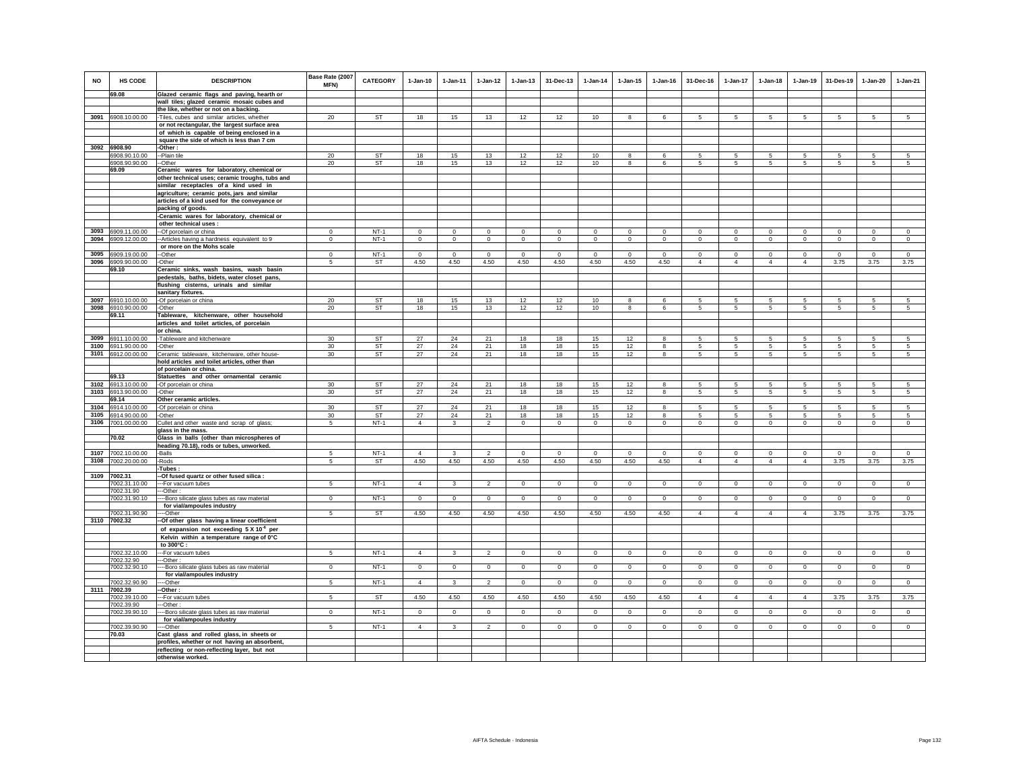| <b>NO</b> | HS CODE                     | <b>DESCRIPTION</b>                                                                         | Base Rate (2007<br>MFN) | <b>CATEGORY</b> | $1-Jan-10$                  | 1-Jan-11                    | $1 - Jan-12$           | $1 - Jan-13$           | 31-Dec-13                   | $1-Jan-14$                    | $1 - Jan-15$           | $1 - Jan-16$               | 31-Dec-16      | $1-Jan-17$      | $1-Jan-18$     | $1 - Jan-19$           | 31-Des-19          | $1-Jan-20$                  | $1-Jan-21$             |
|-----------|-----------------------------|--------------------------------------------------------------------------------------------|-------------------------|-----------------|-----------------------------|-----------------------------|------------------------|------------------------|-----------------------------|-------------------------------|------------------------|----------------------------|----------------|-----------------|----------------|------------------------|--------------------|-----------------------------|------------------------|
|           | 69.08                       | Glazed ceramic flags and paving, hearth or                                                 |                         |                 |                             |                             |                        |                        |                             |                               |                        |                            |                |                 |                |                        |                    |                             |                        |
|           |                             | wall tiles; glazed ceramic mosaic cubes and                                                |                         |                 |                             |                             |                        |                        |                             |                               |                        |                            |                |                 |                |                        |                    |                             |                        |
|           |                             | the like, whether or not on a backing.                                                     |                         |                 |                             |                             |                        |                        |                             |                               |                        |                            |                |                 |                |                        |                    |                             |                        |
|           | 3091 6908.10.00.00          | -Tiles, cubes and similar articles, whether                                                | 20                      | <b>ST</b>       | 18                          | 15                          | 13                     | 12                     | 12                          | 10                            | 8                      | 6                          | $5 -$          | 5               | 5              | -5                     | 5                  | 5                           | 5                      |
|           |                             | or not rectangular, the largest surface area<br>of which is capable of being enclosed in a |                         |                 |                             |                             |                        |                        |                             |                               |                        |                            |                |                 |                |                        |                    |                             |                        |
|           |                             | square the side of which is less than 7 cm                                                 |                         |                 |                             |                             |                        |                        |                             |                               |                        |                            |                |                 |                |                        |                    |                             |                        |
|           | 3092 6908.90                | -Other:                                                                                    |                         |                 |                             |                             |                        |                        |                             |                               |                        |                            |                |                 |                |                        |                    |                             |                        |
|           | 6908.90.10.00               | -Plain tile                                                                                | 20                      | ST              | 18                          | 15                          | 13                     | 12                     | 12                          | 10                            | 8                      | 6                          | 5              | 5.              | 5.             | -5                     | 5                  | 5                           | 5                      |
|           | 6908.90.90.00               | -Other                                                                                     | 20                      | ST              | 18                          | 15                          | 13                     | 12                     | 12                          | $10$                          | 8                      | 6                          | 5              | 5               | 5              | 5                      | 5                  | 5                           |                        |
|           | 69.09                       | Ceramic wares for laboratory, chemical or                                                  |                         |                 |                             |                             |                        |                        |                             |                               |                        |                            |                |                 |                |                        |                    |                             |                        |
|           |                             | other technical uses; ceramic troughs, tubs and                                            |                         |                 |                             |                             |                        |                        |                             |                               |                        |                            |                |                 |                |                        |                    |                             |                        |
|           |                             | similar receptacles of a kind used in                                                      |                         |                 |                             |                             |                        |                        |                             |                               |                        |                            |                |                 |                |                        |                    |                             |                        |
|           |                             | agriculture; ceramic pots, jars and similar                                                |                         |                 |                             |                             |                        |                        |                             |                               |                        |                            |                |                 |                |                        |                    |                             |                        |
|           |                             | articles of a kind used for the conveyance or                                              |                         |                 |                             |                             |                        |                        |                             |                               |                        |                            |                |                 |                |                        |                    |                             |                        |
|           |                             | packing of goods.                                                                          |                         |                 |                             |                             |                        |                        |                             |                               |                        |                            |                |                 |                |                        |                    |                             |                        |
|           |                             | -Ceramic wares for laboratory, chemical or<br>other technical uses:                        |                         |                 |                             |                             |                        |                        |                             |                               |                        |                            |                |                 |                |                        |                    |                             |                        |
| 3093      | 6909.11.00.00               |                                                                                            | $\mathbf{0}$            | $NT-1$          |                             |                             |                        |                        |                             |                               |                        |                            | $\circ$        | $\mathbf 0$     | $\mathbf{0}$   |                        |                    |                             |                        |
| 3094      | 6909.12.00.00               | --Of porcelain or china<br>-- Articles having a hardness equivalent to 9                   | $^{\circ}$              | $NT-1$          | $\mathbf 0$<br>$\mathbf{0}$ | $\mathbf 0$<br>$\mathbf{0}$ | $\mathbf 0$<br>$\circ$ | $\mathbf 0$<br>$\circ$ | $\mathbf 0$<br>$\mathbf{0}$ | $\mathbf 0$<br>$\overline{0}$ | $\mathbf 0$<br>$\circ$ | $\mathbf 0$<br>$\mathsf 0$ | $\circ$        | $\mathbf{0}$    | $\circ$        | $\mathbf 0$<br>$\circ$ | $\circ$<br>$\circ$ | $\mathbf 0$<br>$\mathbf{0}$ | $\mathbf 0$<br>$\circ$ |
|           |                             | or more on the Mohs scale                                                                  |                         |                 |                             |                             |                        |                        |                             |                               |                        |                            |                |                 |                |                        |                    |                             |                        |
|           | 3095 6909.19.00.00          | -Other                                                                                     | $\Omega$                | $NT-1$          | $\Omega$                    | $^{\circ}$                  | $\circ$                | $\Omega$               | $\circ$                     | $\Omega$                      | $\Omega$               | $\Omega$                   | $\Omega$       | $\mathbf{0}$    | $\Omega$       | $\Omega$               | $\circ$            | $\Omega$                    | $\circ$                |
| 3096      | 6909.90.00.00               | -Other                                                                                     | 5                       | <b>ST</b>       | 4.50                        | 4.50                        | 4.50                   | 4.50                   | 4.50                        | 4.50                          | 4.50                   | 4.50                       | $\overline{4}$ | $\overline{4}$  | $\overline{4}$ | $\overline{4}$         | 3.75               | 3.75                        | 3.75                   |
|           | 69.10                       | Ceramic sinks, wash basins, wash basin                                                     |                         |                 |                             |                             |                        |                        |                             |                               |                        |                            |                |                 |                |                        |                    |                             |                        |
|           |                             | pedestals, baths, bidets, water closet pans,                                               |                         |                 |                             |                             |                        |                        |                             |                               |                        |                            |                |                 |                |                        |                    |                             |                        |
|           |                             | flushing cisterns, urinals and similar                                                     |                         |                 |                             |                             |                        |                        |                             |                               |                        |                            |                |                 |                |                        |                    |                             |                        |
|           |                             | sanitary fixtures.                                                                         |                         |                 |                             |                             |                        |                        |                             |                               |                        |                            |                |                 |                |                        |                    |                             |                        |
|           | 3097 6910.10.00.00          | -Of porcelain or china                                                                     | 20                      | <b>ST</b>       | 18                          | 15                          | 13                     | 12                     | 12                          | 10                            | 8                      | 6                          | 5 <sup>1</sup> | 5               | 5              | 5                      | $\overline{5}$     | 5                           | 5                      |
|           | 3098 6910.90.00.00          | -Other                                                                                     | 20                      | <b>ST</b>       | 18                          | 15                          | 13                     | 12                     | 12                          | 10                            | 8                      | 6                          | 5              | 5               | 5              | 5                      | 5                  | 5                           | 5                      |
|           | 69.11                       | Tableware, kitchenware, other household                                                    |                         |                 |                             |                             |                        |                        |                             |                               |                        |                            |                |                 |                |                        |                    |                             |                        |
|           |                             | articles and toilet articles, of porcelain                                                 |                         |                 |                             |                             |                        |                        |                             |                               |                        |                            |                |                 |                |                        |                    |                             |                        |
| 3099      | 6911.10.00.00               | or china.                                                                                  | 30                      | <b>ST</b>       | 27                          | 24                          | 21                     | 18                     | 18                          | 15                            | 12                     | 8                          | 5              | 5               | 5              | 5                      | 5                  | 5                           | 5                      |
| 3100      | 6911.90.00.00               | -Tableware and kitchenware<br>-Other                                                       | 30 <sup>°</sup>         | ST              | 27                          | 24                          | 21                     | 18                     | 18                          | 15                            | 12                     | 8                          | $\sqrt{5}$     | $5\phantom{.0}$ | 5              | 5                      | 5                  | 5                           | 5                      |
|           | 3101 6912.00.00.00          | Ceramic tableware, kitchenware, other house-                                               | 30 <sup>°</sup>         | ST              | 27                          | 24                          | 21                     | 18                     | 18                          | 15                            | 12                     | 8                          | 5              | 5               | 5              | -5                     | 5                  | 5                           | 5                      |
|           |                             | hold articles and toilet articles, other than                                              |                         |                 |                             |                             |                        |                        |                             |                               |                        |                            |                |                 |                |                        |                    |                             |                        |
|           |                             | of porcelain or china.                                                                     |                         |                 |                             |                             |                        |                        |                             |                               |                        |                            |                |                 |                |                        |                    |                             |                        |
|           | 69.13                       | Statuettes and other ornamental ceramic                                                    |                         |                 |                             |                             |                        |                        |                             |                               |                        |                            |                |                 |                |                        |                    |                             |                        |
| 3102      | 6913.10.00.00               | -Of porcelain or china                                                                     | 30 <sup>°</sup>         | ST              | 27                          | 24                          | 21                     | 18                     | 18                          | 15                            | 12                     | 8                          | 5              | 5               | 5              | 5                      | 5                  | 5                           | $\overline{5}$         |
| 3103      | 6913.90.00.00               | -Other                                                                                     | 30 <sup>°</sup>         | ST              | 27                          | 24                          | 21                     | 18                     | 18                          | 15                            | 12                     | 8                          | 5              | 5               | 5              | 5                      | 5                  | 5                           | 5                      |
|           | 69.14                       | Other ceramic articles.                                                                    |                         |                 |                             |                             |                        |                        |                             |                               |                        |                            |                |                 |                |                        |                    |                             |                        |
| 3104      | 6914.10.00.00               | -Of porcelain or china                                                                     | 30                      | ST              | 27                          | 24                          | 21                     | 18                     | 18                          | 15                            | 12                     | $\mathbf{R}$               | 5              | 5               | 5              | 5                      | 5                  | 5                           | $\overline{5}$         |
|           | 3105 6914.90.00.00          | -Other                                                                                     | 30 <sup>°</sup>         | ST              | 27                          | 24                          | 21                     | 18                     | 18                          | 15                            | 12                     | я                          | $\sqrt{5}$     | 5               | 5              | -5                     | -5                 | 5                           | $\sqrt{5}$             |
| 3106      | 7001.00.00.00               | Cullet and other waste and scrap of glass;<br>glass in the mass.                           | 5                       | $NT-1$          | $\overline{4}$              | $\overline{\mathbf{3}}$     | $\overline{2}$         | $\mathbf{0}$           | $\mathbf{0}$                | $\circ$                       | $\mathbf{0}$           | $\mathbf 0$                | $\circ$        | $\circ$         | $\circ$        | $\mathbf 0$            | $\circ$            | $\mathbf{0}$                | $\circ$                |
|           | 70.02                       | Glass in balls (other than microspheres of                                                 |                         |                 |                             |                             |                        |                        |                             |                               |                        |                            |                |                 |                |                        |                    |                             |                        |
|           |                             | heading 70.18), rods or tubes, unworked.                                                   |                         |                 |                             |                             |                        |                        |                             |                               |                        |                            |                |                 |                |                        |                    |                             |                        |
| 3107      | 7002.10.00.00               | -Balls                                                                                     | 5                       | $NT-1$          | $\overline{4}$              | 3                           | $\overline{2}$         | $\mathbf 0$            | $\mathbf 0$                 | $\mathbf 0$                   | $\mathbf 0$            | $\mathbf 0$                | $\mathbf 0$    | 0               | $\mathbf 0$    | $\mathbf 0$            | $\mathbf 0$        | $\mathbf 0$                 | $\mathbf 0$            |
| 3108      | 7002.20.00.00               | -Rods                                                                                      | 5                       | ST              | 4.50                        | 4.50                        | 4.50                   | 4.50                   | 4.50                        | 4.50                          | 4.50                   | 4.50                       | $\overline{4}$ | $\overline{4}$  | $\overline{4}$ | $\overline{4}$         | 3.75               | 3.75                        | 3.75                   |
|           |                             | Tubes:                                                                                     |                         |                 |                             |                             |                        |                        |                             |                               |                        |                            |                |                 |                |                        |                    |                             |                        |
|           | 3109 7002.31                | -Of fused quartz or other fused silica :                                                   |                         |                 |                             |                             |                        |                        |                             |                               |                        |                            |                |                 |                |                        |                    |                             |                        |
|           | 7002.31.10.00               | -- For vacuum tubes                                                                        | 5                       | $NT-1$          | $\overline{4}$              | $\mathbf{3}$                | $\overline{2}$         | $\mathsf 0$            | $\mathbf 0$                 | $\mathbb O$                   | $\mathsf 0$            | $\circ$                    | $\mathsf 0$    | $\mathbf 0$     | $\mathbf 0$    | $\mathbf 0$            | $\mathbf 0$        | $\mathsf 0$                 | $\mathbf 0$            |
|           | 7002.31.90                  | -Other:                                                                                    | $\Omega$                | $NT-1$          | $\overline{0}$              | $\Omega$                    | $\overline{0}$         | $\overline{0}$         | $\overline{0}$              | $\overline{0}$                | $\Omega$               | $\overline{0}$             | $\Omega$       | $\overline{0}$  | $\overline{0}$ | $\overline{0}$         | $\overline{0}$     | $\Omega$                    | $\overline{0}$         |
|           | 7002.31.90.10               | -- Boro silicate glass tubes as raw material<br>for vial/ampoules industry                 |                         |                 |                             |                             |                        |                        |                             |                               |                        |                            |                |                 |                |                        |                    |                             |                        |
|           | 7002.31.90.90               | --Other                                                                                    | 5                       | ST              | 4.50                        | 4.50                        | 4.50                   | 4.50                   | 4.50                        | 4.50                          | 4.50                   | 4.50                       | $\overline{4}$ | $\overline{4}$  | $\overline{4}$ | $\overline{4}$         | 3.75               | 3.75                        | 3.75                   |
|           | 3110 7002.32                | -Of other glass having a linear coefficient                                                |                         |                 |                             |                             |                        |                        |                             |                               |                        |                            |                |                 |                |                        |                    |                             |                        |
|           |                             | of expansion not exceeding 5 X 10 <sup>-6</sup> per                                        |                         |                 |                             |                             |                        |                        |                             |                               |                        |                            |                |                 |                |                        |                    |                             |                        |
|           |                             | Kelvin within a temperature range of 0°C                                                   |                         |                 |                             |                             |                        |                        |                             |                               |                        |                            |                |                 |                |                        |                    |                             |                        |
|           |                             | to 300°C:                                                                                  |                         |                 |                             |                             |                        |                        |                             |                               |                        |                            |                |                 |                |                        |                    |                             |                        |
|           | 7002.32.10.00               | --For vacuum tubes                                                                         | 5                       | $NT-1$          | $\overline{4}$              | $\mathbf{3}$                | $\overline{2}$         | $\mathbf 0$            | $\mathbf 0$                 | $\circ$                       | $\mathbf 0$            | $\mathbf 0$                | $\circ$        | $\mathsf 0$     | $\mathsf 0$    | $\mathbf 0$            | $\overline{0}$     | $\circ$                     | $\circ$                |
|           | 7002.32.90                  | -Other:                                                                                    |                         |                 |                             |                             |                        |                        |                             |                               |                        |                            |                |                 |                |                        |                    |                             |                        |
|           | 7002.32.90.10               | -Boro silicate glass tubes as raw material                                                 | $\circ$                 | $NT-1$          | $\overline{0}$              | $\circ$                     | $\overline{0}$         | $\overline{0}$         | $\overline{0}$              | $\circ$                       | $\mathbf 0$            | $\mathbf 0$                | $\mathbf 0$    | $\overline{0}$  | $\overline{0}$ | $\overline{0}$         | $\overline{0}$     | $\circ$                     | $\overline{0}$         |
|           |                             | for vial/ampoules industry                                                                 |                         |                 |                             |                             |                        |                        |                             |                               |                        |                            |                |                 |                |                        |                    |                             |                        |
|           | 7002.32.90.90               | --Other                                                                                    | 5                       | $NT-1$          | $\overline{4}$              | $\overline{3}$              | $\overline{2}$         | $\overline{0}$         | $\mathbf 0$                 | $\circ$                       | $^{\circ}$             | $\circ$                    | $\circ$        | $\circ$         | $\circ$        | $\overline{0}$         | $\overline{0}$     | $\mathbf 0$                 | $\overline{0}$         |
|           | 3111 7002.39                | -Other :                                                                                   | 5                       | <b>ST</b>       | 4.50                        | 4.50                        |                        |                        |                             |                               |                        | 4.50                       | $\overline{4}$ | $\overline{4}$  | $\overline{4}$ | $\overline{4}$         |                    |                             |                        |
|           | 7002.39.10.00<br>7002.39.90 | --For vacuum tubes<br>--Other:                                                             |                         |                 |                             |                             | 4.50                   | 4.50                   | 4.50                        | 4.50                          | 4.50                   |                            |                |                 |                |                        | 3.75               | 3.75                        | 3.75                   |
|           | 7002.39.90.10               | -- Boro silicate glass tubes as raw material                                               | $^{\circ}$              | $NT-1$          | $\mathbf 0$                 | $\mathbf{0}$                | $\mathbf{0}$           | $\circ$                | $\overline{0}$              | $\overline{0}$                | $^{\circ}$             | $\mathbf{0}$               | $^{\circ}$     | $\overline{0}$  | $\circ$        | $\overline{0}$         | $\overline{0}$     | $\mathbf{0}$                | $\overline{0}$         |
|           |                             | for vial/ampoules industry                                                                 |                         |                 |                             |                             |                        |                        |                             |                               |                        |                            |                |                 |                |                        |                    |                             |                        |
|           | 7002.39.90.90               | -Other                                                                                     | $5 -$                   | $NT-1$          | $\overline{4}$              | $\mathbf{3}$                | $\mathfrak{p}$         | $\mathbf 0$            | $\mathsf 0$                 | $\circ$                       | $\mathbf 0$            | $\mathsf 0$                | $\circ$        | $\circ$         | $\circ$        | $\circ$                | $\circ$            | $\mathsf 0$                 | $\circ$                |
|           | 70.03                       | Cast glass and rolled glass, in sheets or                                                  |                         |                 |                             |                             |                        |                        |                             |                               |                        |                            |                |                 |                |                        |                    |                             |                        |
|           |                             | profiles, whether or not having an absorbent,                                              |                         |                 |                             |                             |                        |                        |                             |                               |                        |                            |                |                 |                |                        |                    |                             |                        |
|           |                             | reflecting or non-reflecting layer, but not                                                |                         |                 |                             |                             |                        |                        |                             |                               |                        |                            |                |                 |                |                        |                    |                             |                        |
|           |                             | otherwise worked.                                                                          |                         |                 |                             |                             |                        |                        |                             |                               |                        |                            |                |                 |                |                        |                    |                             |                        |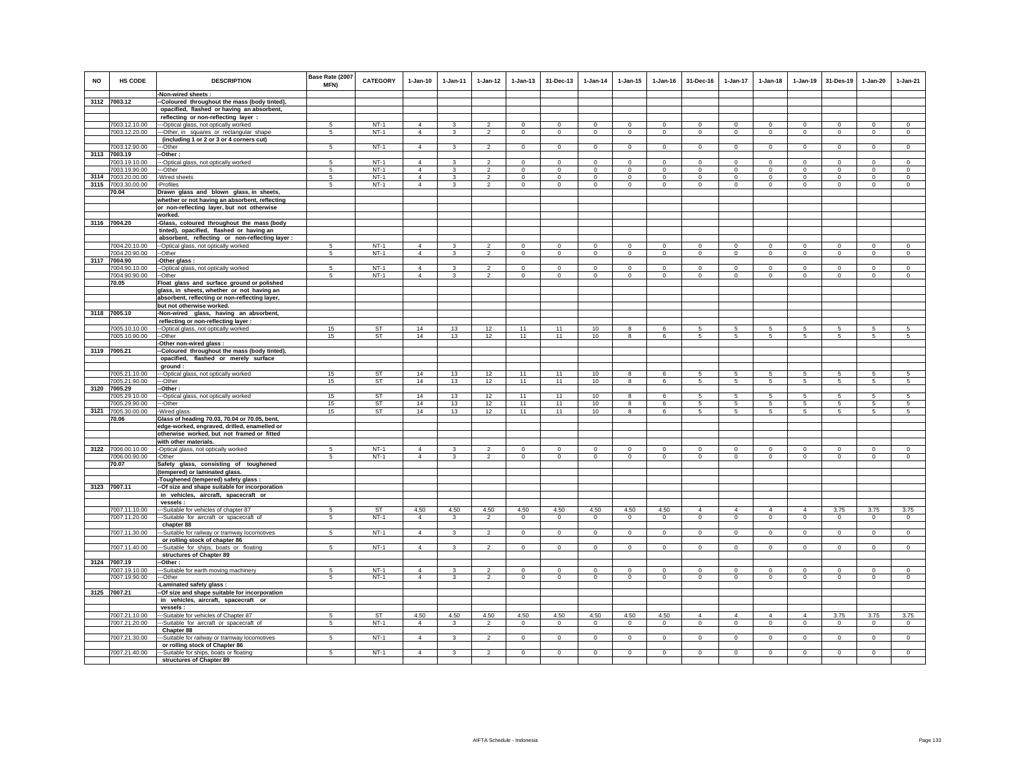| <b>NO</b> | HS CODE                        | <b>DESCRIPTION</b><br>-Non-wired sheets :                                              | Base Rate (2007<br><b>MFN)</b> | <b>CATEGORY</b>  | $1-Jan-10$                       | $1 - Jan-11$ | $1-Jan-12$                       | $1 - Jan-13$ | 31-Dec-13               | $1-Jan-14$                 | $1 - Jan-15$ | $1 - Jan-16$           | 31-Dec-16              | $1 - Jan-17$                       | $1-Jan-18$              | $1 - Jan-19$   | 31-Des-19              | $1-Jan-20$              | $1-Jan-21$          |
|-----------|--------------------------------|----------------------------------------------------------------------------------------|--------------------------------|------------------|----------------------------------|--------------|----------------------------------|--------------|-------------------------|----------------------------|--------------|------------------------|------------------------|------------------------------------|-------------------------|----------------|------------------------|-------------------------|---------------------|
|           | 3112 7003.12                   | -Coloured throughout the mass (body tinted),                                           |                                |                  |                                  |              |                                  |              |                         |                            |              |                        |                        |                                    |                         |                |                        |                         |                     |
|           |                                | opacified, flashed or having an absorbent,                                             |                                |                  |                                  |              |                                  |              |                         |                            |              |                        |                        |                                    |                         |                |                        |                         |                     |
|           |                                | reflecting or non-reflecting layer :                                                   |                                |                  |                                  |              |                                  |              |                         |                            |              |                        |                        |                                    |                         |                |                        |                         |                     |
|           | 7003.12.10.00                  | --Optical glass, not optically worked                                                  | -5                             | $NT-1$           | $\Delta$                         | 3            | $\mathfrak{p}$                   | $\Omega$     | $\Omega$                | $\Omega$                   | $\Omega$     | $\Omega$               | $\Omega$               | $\Omega$                           | $\Omega$                | $\Omega$       | $\mathbf{0}$           | $\Omega$                | $\Omega$            |
|           | 7003.12.20.00                  | -Other, in squares or rectangular shape                                                | 5                              | $NT-1$           | $\overline{4}$                   | 3            | $\overline{2}$                   | $\mathbf 0$  | $\mathbf 0$             | $\circ$                    | $\mathbf 0$  | $\circ$                | $\circ$                | $\overline{0}$                     | $\circ$                 | $\mathbf 0$    | $\mathbf{0}$           | $\circ$                 | $\circ$             |
|           |                                | (including 1 or 2 or 3 or 4 corners cut)                                               |                                |                  |                                  |              |                                  |              |                         |                            |              |                        |                        |                                    |                         |                |                        |                         |                     |
|           | 7003.12.90.00<br>7003.19       | --Other                                                                                | 5                              | $NT-1$           | $\Delta$                         | 3            | $\overline{2}$                   | $\mathbf 0$  | $\mathbf 0$             | $\circ$                    | $\mathbf 0$  | $\Omega$               | $^{\circ}$             | $\overline{0}$                     | $\Omega$                | $\mathbf 0$    | $\overline{0}$         | $\mathbf 0$             | $\Omega$            |
| 3113      | 7003.19.10.00                  | -Other:<br>--Optical glass, not optically worked                                       | 5                              | $NT-1$           | $\overline{4}$                   | $\mathbf{R}$ | $\mathfrak{D}$                   | $\mathbf{0}$ | $\Omega$                | $\Omega$                   | $\mathbf{0}$ | $\Omega$               | $\Omega$               | $\mathbf{0}$                       | $\mathbf 0$             | $\mathbf 0$    | $\Omega$               | $\Omega$                | $\circ$             |
|           | 7003.19.90.00                  | --Other                                                                                | 5                              | NT-1             | $\overline{4}$                   | 3            | $\overline{2}$                   | $\mathbf 0$  | $\mathbf 0$             | $^{\circ}$                 | $^{\circ}$   | $^{\circ}$             | $^{\circ}$             | $\mathbf 0$                        | $^{\circ}$              | $\mathbf 0$    | $\mathbf 0$            | $\mathbf 0$             | $\circ$             |
|           | 3114 7003.20.00.00             | -Wired sheets                                                                          | 5                              | $NT-1$           | $\overline{4}$                   | $\mathbf{3}$ | $\overline{2}$                   | $\mathbf 0$  | $\mathbf 0$             | $\mathbf 0$                | $\mathbf 0$  | $\mathbf 0$            | $\circ$                | 0                                  | $\mathbf{0}$            | $\mathbf 0$    | $\circ$                | $\mathbf 0$             | $\mathbf 0$         |
|           | 3115 7003.30.00.00             | -Profiles                                                                              | 5                              | $NT-1$           | $\overline{4}$                   | 3            | $\overline{2}$                   | $\mathbf 0$  | $\mathbf 0$             | $^{\circ}$                 | $\mathbf 0$  | $\circ$                | $\circ$                | $\circ$                            | $\circ$                 | $\mathbf 0$    | $\mathbf{0}$           | $\mathbf 0$             | $\circ$             |
|           | 70.04                          | Drawn glass and blown glass, in sheets,                                                |                                |                  |                                  |              |                                  |              |                         |                            |              |                        |                        |                                    |                         |                |                        |                         |                     |
|           |                                | whether or not having an absorbent, reflecting                                         |                                |                  |                                  |              |                                  |              |                         |                            |              |                        |                        |                                    |                         |                |                        |                         |                     |
|           |                                | or non-reflecting layer, but not otherwise                                             |                                |                  |                                  |              |                                  |              |                         |                            |              |                        |                        |                                    |                         |                |                        |                         |                     |
|           | 3116 7004.20                   | worked.<br>-Glass, coloured throughout the mass (body                                  |                                |                  |                                  |              |                                  |              |                         |                            |              |                        |                        |                                    |                         |                |                        |                         |                     |
|           |                                | tinted), opacified, flashed or having an                                               |                                |                  |                                  |              |                                  |              |                         |                            |              |                        |                        |                                    |                         |                |                        |                         |                     |
|           |                                | absorbent, reflecting or non-reflecting layer :                                        |                                |                  |                                  |              |                                  |              |                         |                            |              |                        |                        |                                    |                         |                |                        |                         |                     |
|           | 7004.20.10.00                  | --Optical glass, not optically worked                                                  | -5                             | $NT-1$           | $\overline{4}$                   | 3            | $\mathfrak{p}$                   | $\mathbf 0$  | $\Omega$                | $\Omega$                   | $\mathbf 0$  | $\Omega$               | $\Omega$               | $\Omega$                           | $\Omega$                | $\Omega$       | $\Omega$               | $\mathbf 0$             | $\circ$             |
|           | 7004.20.90.00                  | --Other                                                                                | 5                              | $NT-1$           | $\overline{4}$                   | $\mathbf{3}$ | $\overline{2}$                   | $\mathbf 0$  | $\mathsf 0$             | $\mathbf 0$                | $\mathbf 0$  | $\mathsf 0$            | $\mathbf 0$            | $\mathsf 0$                        | $\mathbf 0$             | $\mathbf 0$    | $\circ$                | $\circ$                 | $\circ$             |
|           | 3117 7004.90                   | -Other glass :                                                                         |                                |                  |                                  |              |                                  |              |                         |                            |              |                        |                        |                                    |                         |                |                        |                         |                     |
|           | 7004.90.10.00<br>7004.90.90.00 | -Optical glass, not optically worked                                                   | -5<br>5                        | $NT-1$<br>$NT-1$ | $\overline{4}$<br>$\overline{4}$ | 3<br>3       | $\overline{2}$<br>$\overline{2}$ | $\Omega$     | $\Omega$<br>$\mathbf 0$ | $\mathbf 0$<br>$\mathbf 0$ | $\Omega$     | $\circ$<br>$\mathbf 0$ | $\Omega$<br>$^{\circ}$ | $\circ$<br>$\overline{\mathbf{0}}$ | $\Omega$<br>$\mathbf 0$ | $\Omega$       | $\Omega$<br>$^{\circ}$ | $\Omega$<br>$\mathbf 0$ | $\Omega$<br>$\circ$ |
|           | 70.05                          | -Other<br>Float glass and surface ground or polished                                   |                                |                  |                                  |              |                                  | $\mathbf 0$  |                         |                            | $\mathbf 0$  |                        |                        |                                    |                         | $\mathbf 0$    |                        |                         |                     |
|           |                                | glass, in sheets, whether or not having an                                             |                                |                  |                                  |              |                                  |              |                         |                            |              |                        |                        |                                    |                         |                |                        |                         |                     |
|           |                                | absorbent, reflecting or non-reflecting layer,                                         |                                |                  |                                  |              |                                  |              |                         |                            |              |                        |                        |                                    |                         |                |                        |                         |                     |
|           |                                | but not otherwise worked.                                                              |                                |                  |                                  |              |                                  |              |                         |                            |              |                        |                        |                                    |                         |                |                        |                         |                     |
|           | 3118 7005.10                   | -Non-wired glass, having an absorbent,                                                 |                                |                  |                                  |              |                                  |              |                         |                            |              |                        |                        |                                    |                         |                |                        |                         |                     |
|           |                                | reflecting or non-reflecting layer :                                                   |                                |                  |                                  |              |                                  |              |                         |                            |              |                        |                        |                                    |                         |                |                        |                         |                     |
|           | 7005.10.10.00<br>7005.10.90.00 | -- Optical glass, not optically worked<br>--Other                                      | 15<br>15                       | ST<br><b>ST</b>  | 14<br>14                         | 13<br>13     | 12<br>12                         | 11<br>11     | 11<br>11                | 10<br>10                   | 8<br>8       | 6<br>6                 | 5<br>5                 | 5<br>$5\phantom{.0}$               | 5<br>$5\phantom{.0}$    | 5<br>5         | 5<br>5                 | 5<br>5                  | 5<br>5              |
|           |                                | Other non-wired glass:                                                                 |                                |                  |                                  |              |                                  |              |                         |                            |              |                        |                        |                                    |                         |                |                        |                         |                     |
|           | 3119 7005.21                   | Coloured throughout the mass (body tinted),                                            |                                |                  |                                  |              |                                  |              |                         |                            |              |                        |                        |                                    |                         |                |                        |                         |                     |
|           |                                | opacified, flashed or merely surface                                                   |                                |                  |                                  |              |                                  |              |                         |                            |              |                        |                        |                                    |                         |                |                        |                         |                     |
|           |                                | ground:                                                                                |                                |                  |                                  |              |                                  |              |                         |                            |              |                        |                        |                                    |                         |                |                        |                         |                     |
|           | 7005.21.10.00<br>7005.21.90.00 | --- Optical glass, not optically worked                                                | 15<br>15                       | ST<br><b>ST</b>  | 14<br>14                         | 13<br>13     | 12<br>12                         | 11<br>11     | 11<br>11                | 10<br>10                   | 8<br>8       | 6<br>-6                | 5<br>5                 | 5<br>5                             | 5<br>5                  | 5<br>5         | 5<br>5                 | 5<br>5                  | 5<br>5              |
| 3120      | 7005.29                        | --Other<br>-Other:                                                                     |                                |                  |                                  |              |                                  |              |                         |                            |              |                        |                        |                                    |                         |                |                        |                         |                     |
|           | 7005.29.10.00                  | --Optical glass, not optically worked                                                  | 15                             | <b>ST</b>        | 14                               | 13           | 12                               | 11           | 11                      | 10                         | 8            | 6                      | $\sqrt{5}$             | 5                                  | 5                       | 5              | 5                      | $\sqrt{5}$              | 5                   |
|           | 7005.29.90.00                  | --Other                                                                                | 15                             | ST               | 14                               | 13           | 12                               | 11           | 11                      | 10                         | 8            | 6                      | 5                      | $5\phantom{.0}$                    | $5\phantom{.0}$         | 5              | 5                      | 5                       | 5                   |
|           | 3121 7005.30.00.00             | -Wired glass                                                                           | 15                             | ST               | 14                               | 13           | 12                               | 11           | 11                      | 10 <sub>1</sub>            | 8            | 6                      | 5                      | 5                                  | 5                       | 5              | 5                      | 5                       | 5                   |
|           | 70.06                          | Glass of heading 70.03, 70.04 or 70.05, bent,                                          |                                |                  |                                  |              |                                  |              |                         |                            |              |                        |                        |                                    |                         |                |                        |                         |                     |
|           |                                | edge-worked, engraved, drilled, enamelled or                                           |                                |                  |                                  |              |                                  |              |                         |                            |              |                        |                        |                                    |                         |                |                        |                         |                     |
|           |                                | otherwise worked, but not framed or fitted<br>with other materials.                    |                                |                  |                                  |              |                                  |              |                         |                            |              |                        |                        |                                    |                         |                |                        |                         |                     |
|           | 3122 7006.00.10.00             | -Optical glass, not optically worked                                                   | -5                             | $NT-1$           | $\Delta$                         | 3            | $\mathfrak{p}$                   | $\Omega$     | $^{\circ}$              | $\Omega$                   | $\Omega$     | $\Omega$               | $\Omega$               | $\mathbf 0$                        | $\Omega$                | $\Omega$       | $^{\circ}$             | $\Omega$                | $\mathbf 0$         |
|           | 7006.00.90.00                  | -Other                                                                                 | 5                              | $NT-1$           | $\overline{4}$                   | $\mathbf{3}$ | $\overline{2}$                   | $\mathbf 0$  | $\mathbf 0$             | $\circ$                    | $\mathsf 0$  | $\mathbf 0$            | $\mathbf 0$            | $\mathbf 0$                        | $\mathbf 0$             | $\mathbf 0$    | $\circ$                | $\mathbf 0$             | $\mathbf 0$         |
|           | 70.07                          | Safety glass, consisting of toughened                                                  |                                |                  |                                  |              |                                  |              |                         |                            |              |                        |                        |                                    |                         |                |                        |                         |                     |
|           |                                | (tempered) or laminated glass.                                                         |                                |                  |                                  |              |                                  |              |                         |                            |              |                        |                        |                                    |                         |                |                        |                         |                     |
|           |                                | -Toughened (tempered) safety glass :                                                   |                                |                  |                                  |              |                                  |              |                         |                            |              |                        |                        |                                    |                         |                |                        |                         |                     |
|           | 3123 7007.11                   | --Of size and shape suitable for incorporation<br>in vehicles, aircraft, spacecraft or |                                |                  |                                  |              |                                  |              |                         |                            |              |                        |                        |                                    |                         |                |                        |                         |                     |
|           |                                | vessels :                                                                              |                                |                  |                                  |              |                                  |              |                         |                            |              |                        |                        |                                    |                         |                |                        |                         |                     |
|           | 7007.11.10.00                  | --Suitable for vehicles of chapter 87                                                  | 5                              | <b>ST</b>        | 4.50                             | 4.50         | 4.50                             | 4.50         | 4.50                    | 4.50                       | 4.50         | 4.50                   | $\overline{4}$         | 4                                  | $\overline{4}$          | $\overline{4}$ | 3.75                   | 3.75                    | 3.75                |
|           | 7007.11.20.00                  | -Suitable for aircraft or spacecraft of                                                | 5                              | $NT-1$           | $\Delta$                         | $\mathbf{3}$ | $\overline{2}$                   | $\mathbf{0}$ | $\overline{0}$          | $\circ$                    | $\mathbf{0}$ | $\mathbf{0}$           | $\mathbf{0}$           | $\mathsf 0$                        | $\mathbf 0$             | $\mathbf 0$    | $\mathbf 0$            | $\mathbf 0$             | $\circ$             |
|           |                                | chapter 88                                                                             |                                |                  |                                  |              |                                  |              |                         |                            |              |                        |                        |                                    |                         |                |                        |                         |                     |
|           | 7007.11.30.00                  | -Suitable for railway or tramway locomotives<br>or rolling stock of chapter 86         | 5                              | $NT-1$           | $\overline{4}$                   | $\mathbf{3}$ | $\overline{2}$                   | $\mathbf 0$  | $\mathsf 0$             | $\mathbf 0$                | $\mathsf 0$  | $\mathbf 0$            | $\mathsf 0$            | $\mathbf 0$                        | $\mathbf 0$             | $\mathbf 0$    | $\mathbf 0$            | $\mathsf 0$             | $\mathbf 0$         |
|           | 7007.11.40.00                  | --Suitable for ships, boats or floating                                                | 5                              | $NT-1$           | $\overline{4}$                   | 3            | $\overline{2}$                   | $\mathbf{0}$ | $\mathbf 0$             | $\mathbf{0}$               | 0            | $^{\circ}$             | $\circ$                | $\mathbf{0}$                       | $^{\circ}$              | $\overline{0}$ | $\mathbf{0}$           | $\circ$                 | $^{\circ}$          |
|           |                                | structures of Chapter 89                                                               |                                |                  |                                  |              |                                  |              |                         |                            |              |                        |                        |                                    |                         |                |                        |                         |                     |
|           | 3124 7007.19                   | -Other:                                                                                |                                |                  |                                  |              |                                  |              |                         |                            |              |                        |                        |                                    |                         |                |                        |                         |                     |
|           | 7007.19.10.00                  | -Suitable for earth moving machinery                                                   | 5                              | $NT-1$           | $\overline{4}$                   | 3            | $\mathfrak{p}$                   | $\mathsf 0$  | $\mathbf 0$             | $\mathbf 0$                | $\mathsf 0$  | $\mathbf 0$            | $\mathsf 0$            | $\mathbf 0$                        | $\mathbf 0$             | $\mathbf 0$    | $\mathbf 0$            | $\mathbf 0$             | $\mathbf 0$         |
|           | 7007.19.90.00                  | -Other                                                                                 | 5                              | $NT-1$           | $\overline{4}$                   | $\mathbf{3}$ | $\overline{2}$                   | $\mathbf 0$  | $\mathbf 0$             | $\mathbf 0$                | $\mathbf 0$  | $\mathbf 0$            | $\circ$                | $\mathbf 0$                        | $\mathbf 0$             | $\mathbf 0$    | $\mathbf 0$            | $\mathbf 0$             | $\mathbf 0$         |
|           |                                | -Laminated safety glass :                                                              |                                |                  |                                  |              |                                  |              |                         |                            |              |                        |                        |                                    |                         |                |                        |                         |                     |
|           | 3125 7007.21                   | -Of size and shape suitable for incorporation<br>in vehicles, aircraft, spacecraft or  |                                |                  |                                  |              |                                  |              |                         |                            |              |                        |                        |                                    |                         |                |                        |                         |                     |
|           |                                | vessels:                                                                               |                                |                  |                                  |              |                                  |              |                         |                            |              |                        |                        |                                    |                         |                |                        |                         |                     |
|           | 7007.21.10.00                  | ---Suitable for vehicles of Chapter 87                                                 | 5                              | ST               | 4.50                             | 4.50         | 4.50                             | 4.50         | 4.50                    | 4.50                       | 4.50         | 4.50                   | $\overline{4}$         | $\overline{4}$                     | $\overline{4}$          | $\overline{4}$ | 3.75                   | 3.75                    | 3.75                |
|           | 7007.21.20.00                  | --Suitable for aircraft or spacecraft of                                               | 5                              | $NT-1$           | $\overline{4}$                   | 3            | $\overline{a}$                   | $\mathbf{0}$ | $\mathbf{0}$            | $\overline{0}$             | $\mathbf{0}$ | $\mathbf{0}$           | $\circ$                | $\circ$                            | $\circ$                 | $\mathbf 0$    | $\mathbf{0}$           | $\mathbf{0}$            | $\mathbf{0}$        |
|           |                                | Chapter 88                                                                             |                                |                  |                                  |              |                                  |              |                         |                            |              |                        |                        |                                    |                         |                |                        |                         |                     |
|           | 7007.21.30.00                  | -Suitable for railway or tramway locomotives                                           | -5                             | $NT-1$           | $\overline{4}$                   | $\mathbf{3}$ | $\overline{2}$                   | $\mathsf 0$  | $\mathsf 0$             | $\circ$                    | $\mathbf 0$  | $\mathbf 0$            | $\circ$                | $\mathbf 0$                        | $\mathbf 0$             | $\mathbf 0$    | $\mathbf 0$            | $\mathsf 0$             | $\circ$             |
|           | 7007.21.40.00                  | or rolling stock of Chapter 86<br>---Suitable for ships, boats or floating             | 5                              | $NT-1$           | $\Delta$                         | $\mathbf{3}$ | $\mathfrak{D}$                   | $\Omega$     | $\Omega$                | $\Omega$                   | $\Omega$     | $\Omega$               | $\Omega$               | $\Omega$                           | $\Omega$                | $\Omega$       | $\Omega$               | $\Omega$                | $\Omega$            |
|           |                                | structures of Chapter 89                                                               |                                |                  |                                  |              |                                  |              |                         |                            |              |                        |                        |                                    |                         |                |                        |                         |                     |
|           |                                |                                                                                        |                                |                  |                                  |              |                                  |              |                         |                            |              |                        |                        |                                    |                         |                |                        |                         |                     |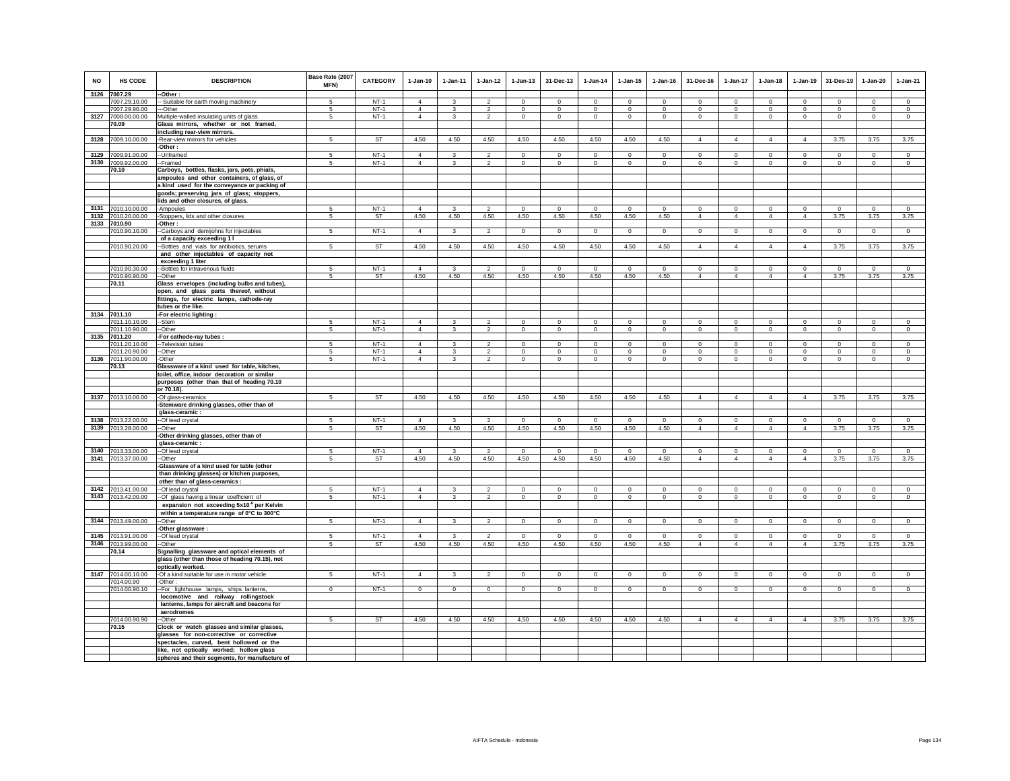| <b>NO</b> | HS CODE                             | <b>DESCRIPTION</b>                                    | Base Rate (2007<br>MFN) | <b>CATEGORY</b> | $1-Jan-10$     | $1-Jan-11$        | $1 - Jan-12$                     | $1 - Jan-13$               | 31-Dec-13                      | $1-Jan-14$         | $1-Jan-15$                 | $1 - Jan-16$               | 31-Dec-16              | $1-Jan-17$         | $1-Jan-18$                 | $1-Jan-19$                 | 31-Des-19              | $1-Jan-20$         | $1-Jan-21$         |
|-----------|-------------------------------------|-------------------------------------------------------|-------------------------|-----------------|----------------|-------------------|----------------------------------|----------------------------|--------------------------------|--------------------|----------------------------|----------------------------|------------------------|--------------------|----------------------------|----------------------------|------------------------|--------------------|--------------------|
|           | 3126 7007.29                        | -Other:                                               |                         | $NT-1$          | $\overline{4}$ |                   | $\mathcal{D}$                    | $\Omega$                   | $\Omega$                       | $\Omega$           | $\Omega$                   | $\Omega$                   | $\Omega$               | $\Omega$           | $\Omega$                   | $\Omega$                   | $\Omega$               | $\Omega$           | $\Omega$           |
|           | 7007.29.10.00                       | --Suitable for earth moving machinery                 |                         | $NT-1$          | $\overline{4}$ |                   |                                  |                            |                                |                    |                            |                            |                        |                    |                            |                            |                        |                    |                    |
|           | 7007.29.90.00<br>3127 7008.00.00.00 | --Other<br>Multiple-walled insulating units of glass. | 5<br>5                  | $NT-1$          | $\overline{4}$ | 3<br>$\mathbf{3}$ | $\overline{2}$<br>$\overline{2}$ | $\mathbf 0$<br>$\mathbf 0$ | $\overline{0}$<br>$\mathbf{0}$ | $\,0\,$<br>$\circ$ | $\mathbf 0$<br>$\mathbf 0$ | $\mathbf 0$<br>$\mathbf 0$ | $\mathbf 0$<br>$\circ$ | $\circ$<br>$\circ$ | $\mathbf 0$<br>$\mathbf 0$ | $\mathbf 0$<br>$\mathsf 0$ | $\mathbf 0$<br>$\circ$ | $\circ$<br>$\circ$ | $\circ$<br>$\circ$ |
|           | 70.09                               | Glass mirrors, whether or not framed,                 |                         |                 |                |                   |                                  |                            |                                |                    |                            |                            |                        |                    |                            |                            |                        |                    |                    |
|           |                                     | including rear-view mirrors.                          |                         |                 |                |                   |                                  |                            |                                |                    |                            |                            |                        |                    |                            |                            |                        |                    |                    |
|           | 3128 7009.10.00.00                  | -Rear-view mirrors for vehicles                       | 5                       | <b>ST</b>       | 4.50           | 4.50              | 4.50                             | 4.50                       | 4.50                           | 4.50               | 4.50                       | 4.50                       | $\overline{4}$         | $\overline{4}$     | $\overline{4}$             | $\overline{4}$             | 3.75                   | 3.75               | 3.75               |
|           |                                     | -Other:                                               |                         |                 |                |                   |                                  |                            |                                |                    |                            |                            |                        |                    |                            |                            |                        |                    |                    |
| 3129      | 7009.91.00.00                       | --Unframed                                            | 5                       | $NT-1$          | $\overline{4}$ | 3                 | $\overline{2}$                   | $\mathsf 0$                | $\mathbf 0$                    | $\mathbf 0$        | $\mathbf 0$                | $\mathbf 0$                | $\mathsf 0$            | $\mathsf 0$        | $\mathsf 0$                | $\mathsf 0$                | $\,$ 0                 | $\mathsf 0$        | $\mathsf 0$        |
| 3130      | 7009.92.00.00                       | -Framed                                               | 5                       | $NT-1$          | $\overline{4}$ | $\mathbf{3}$      | $\overline{2}$                   | $\mathbf 0$                | $\mathbf{0}$                   | $\circ$            | $\mathbf 0$                | $\circ$                    | $\mathbf{0}$           | $\circ$            | $\mathbf 0$                | $\mathsf 0$                | $\circ$                | $\circ$            | $\circ$            |
|           | 70.10                               | Carboys, bottles, flasks, jars, pots, phials,         |                         |                 |                |                   |                                  |                            |                                |                    |                            |                            |                        |                    |                            |                            |                        |                    |                    |
|           |                                     | ampoules and other containers, of glass, of           |                         |                 |                |                   |                                  |                            |                                |                    |                            |                            |                        |                    |                            |                            |                        |                    |                    |
|           |                                     | a kind used for the conveyance or packing of          |                         |                 |                |                   |                                  |                            |                                |                    |                            |                            |                        |                    |                            |                            |                        |                    |                    |
|           |                                     | goods; preserving jars of glass; stoppers,            |                         |                 |                |                   |                                  |                            |                                |                    |                            |                            |                        |                    |                            |                            |                        |                    |                    |
|           |                                     | lids and other closures, of glass                     |                         |                 |                |                   |                                  |                            |                                |                    |                            |                            |                        |                    |                            |                            |                        |                    |                    |
|           | 3131 7010.10.00.00                  | -Ampoules                                             | 5                       | $NT-1$          | $\overline{4}$ | 3                 | $\overline{2}$                   | $\mathbf 0$                | $\mathbf 0$                    | $\mathbf{0}$       | $\mathbf 0$                | $\mathbf 0$                | $\mathbf 0$            | $\circ$            | $\mathbf 0$                | $\mathsf 0$                | $\mathsf 0$            | $\mathsf 0$        | $\circ$            |
|           | 3132 7010.20.00.00                  | -Stoppers, lids and other closures                    | 5                       | ST              | 4.50           | 4.50              | 4.50                             | 4.50                       | 4.50                           | 4.50               | 4.50                       | 4.50                       | $\overline{4}$         | $\overline{4}$     | $\overline{4}$             | $\overline{4}$             | 3.75                   | 3.75               | 3.75               |
|           | 3133 7010.90                        | -Other:                                               |                         |                 |                |                   |                                  |                            |                                |                    |                            |                            |                        |                    |                            |                            |                        |                    |                    |
|           | 7010.90.10.00                       | --Carboys and demijohns for injectables               | 5                       | $NT-1$          | $\overline{4}$ | 3                 | $\overline{2}$                   | $\overline{0}$             | $\overline{0}$                 | $\overline{0}$     | $\Omega$                   | $\overline{0}$             | $\overline{0}$         | $\overline{0}$     | $\overline{0}$             | $\overline{0}$             | $\overline{0}$         | $\overline{0}$     | $\overline{0}$     |
|           |                                     | of a capacity exceeding 1 I                           |                         |                 |                |                   |                                  |                            |                                |                    |                            |                            |                        |                    |                            |                            |                        |                    |                    |
|           | 7010.90.20.00                       | -Bottles and vials for antibiotics, serums            | 5                       | ST              | 4.50           | 4.50              | 4.50                             | 4.50                       | 4.50                           | 4.50               | 4.50                       | 4.50                       | $\overline{4}$         | $\overline{4}$     | $\overline{4}$             | $\overline{4}$             | 3.75                   | 3.75               | 3.75               |
|           |                                     | and other injectables of capacity not                 |                         |                 |                |                   |                                  |                            |                                |                    |                            |                            |                        |                    |                            |                            |                        |                    |                    |
|           |                                     | exceeding 1 liter                                     |                         |                 |                |                   |                                  |                            |                                |                    |                            |                            |                        |                    |                            |                            |                        |                    |                    |
|           | 7010.90.30.00                       | --Bottles for intravenous fluids                      | $\overline{5}$          | $NT-1$          | $\overline{4}$ | 3                 | $\overline{2}$                   | $\Omega$                   | $\overline{0}$                 | $\Omega$           | $\Omega$                   | $\Omega$                   | $\Omega$               | $\overline{0}$     | $\overline{0}$             | $\overline{0}$             | $\Omega$               | $\overline{0}$     | $\overline{0}$     |
|           | 7010.90.90.00                       | --Other                                               | $5 -$                   | <b>ST</b>       | 4.50           | 4.50              | 4.50                             | 4.50                       | 4.50                           | 4.50               | 4.50                       | 4.50                       | $\overline{4}$         | $\overline{4}$     | $\overline{4}$             | $\overline{4}$             | 3.75                   | 3.75               | 3.75               |
|           | 70.11                               | Glass envelopes (including bulbs and tubes),          |                         |                 |                |                   |                                  |                            |                                |                    |                            |                            |                        |                    |                            |                            |                        |                    |                    |
|           |                                     | open, and glass parts thereof, without                |                         |                 |                |                   |                                  |                            |                                |                    |                            |                            |                        |                    |                            |                            |                        |                    |                    |
|           |                                     | fittings, for electric lamps, cathode-ray             |                         |                 |                |                   |                                  |                            |                                |                    |                            |                            |                        |                    |                            |                            |                        |                    |                    |
|           |                                     | tubes or the like.                                    |                         |                 |                |                   |                                  |                            |                                |                    |                            |                            |                        |                    |                            |                            |                        |                    |                    |
|           | 3134 7011.10                        | For electric lighting :                               |                         |                 |                |                   |                                  |                            |                                |                    |                            |                            |                        |                    |                            |                            |                        |                    |                    |
|           | 7011.10.10.00                       | -Stem                                                 | 5                       | $NT-1$          | $\overline{4}$ | 3                 | $\overline{2}$                   | $\mathbf 0$                | $\mathsf 0$                    | $\mathbf 0$        | $\mathbf 0$                | $\mathbf 0$                | $\mathbf 0$            | $\mathsf 0$        | $\mathbf 0$                | $\mathsf 0$                | $\mathbf 0$            | $\mathsf 0$        | $\mathsf 0$        |
|           | 7011.10.90.00<br>3135 7011.20       | -Other                                                | 5                       | $NT-1$          | 4              | $\mathbf{3}$      | $\overline{2}$                   | $\circ$                    | $\mathbf{0}$                   | $\circ$            | $\mathbf 0$                | $\circ$                    | $\mathbf{0}$           | $\circ$            | $\mathbf 0$                | $\circ$                    | $\circ$                | $\circ$            | $\circ$            |
|           | 7011.20.10.00                       | -For cathode-ray tubes :<br>-- Television tubes       | $\overline{5}$          | $NT-1$          | $\overline{4}$ | 3                 | $\overline{\phantom{a}}$         | $\overline{0}$             | $\overline{0}$                 | $\Omega$           | $\overline{0}$             | $\Omega$                   | $\Omega$               | $\overline{0}$     | $\overline{0}$             | $\overline{0}$             | $\overline{0}$         | $\overline{0}$     | $\overline{0}$     |
|           | 7011.20.90.00                       | --Other                                               | 5                       | $NT-1$          | $\overline{4}$ | $\mathbf{3}$      | $\mathfrak{p}$                   | $\mathsf 0$                | $\mathbf 0$                    | $\Omega$           | $\mathsf 0$                | $\mathbf 0$                | $\mathbf 0$            | $\mathbf 0$        | $\mathbf 0$                | $\mathsf 0$                | $\mathbf 0$            | $\mathbf 0$        | $\mathbf 0$        |
| 3136      | 7011.90.00.00                       | -Other                                                | 5                       | $NT-1$          | $\overline{4}$ | $\mathbf{3}$      | $\overline{2}$                   | $\mathbf 0$                | $\mathbf{0}$                   | $\circ$            | $\mathbf 0$                | $\mathbf 0$                | $\mathbf{0}$           | $\circ$            | $\mathbf 0$                | $\circ$                    | $\circ$                | $\mathbf 0$        | $\circ$            |
|           | 70.13                               | Glassware of a kind used for table, kitchen,          |                         |                 |                |                   |                                  |                            |                                |                    |                            |                            |                        |                    |                            |                            |                        |                    |                    |
|           |                                     | toilet, office, indoor decoration or similar          |                         |                 |                |                   |                                  |                            |                                |                    |                            |                            |                        |                    |                            |                            |                        |                    |                    |
|           |                                     | purposes (other than that of heading 70.10            |                         |                 |                |                   |                                  |                            |                                |                    |                            |                            |                        |                    |                            |                            |                        |                    |                    |
|           |                                     | or 70.18).                                            |                         |                 |                |                   |                                  |                            |                                |                    |                            |                            |                        |                    |                            |                            |                        |                    |                    |
|           | 3137 7013.10.00.00                  | -Of glass-ceramics                                    | 5                       | ST              | 4.50           | 4.50              | 4.50                             | 4.50                       | 4.50                           | 4.50               | 4.50                       | 4.50                       | $\overline{4}$         | $\overline{4}$     | $\overline{4}$             | $\overline{4}$             | 3.75                   | 3.75               | 3.75               |
|           |                                     | Stemware drinking glasses, other than of              |                         |                 |                |                   |                                  |                            |                                |                    |                            |                            |                        |                    |                            |                            |                        |                    |                    |
|           |                                     | glass-ceramic:                                        |                         |                 |                |                   |                                  |                            |                                |                    |                            |                            |                        |                    |                            |                            |                        |                    |                    |
|           | 3138 7013.22.00.00                  | -- Of lead crystal                                    | 5                       | $NT-1$          | $\overline{4}$ | $\mathbf{3}$      | $\overline{2}$                   | $\mathsf 0$                | $\,0\,$                        | $\circ$            | $\mathbf 0$                | $\mathbf 0$                | $\mathsf 0$            | $\circ$            | $\mathsf 0$                | $\mathsf 0$                | $\mathbf 0$            | $\circ$            | $\circ$            |
|           | 3139 7013.28.00.00                  | --Other                                               | 5                       | ST              | 4.50           | 4.50              | 4.50                             | 4.50                       | 4.50                           | 4.50               | 4.50                       | 4.50                       | $\overline{4}$         | $\overline{4}$     | $\overline{4}$             | $\overline{4}$             | 3.75                   | 3.75               | 3.75               |
|           |                                     | -Other drinking glasses, other than of                |                         |                 |                |                   |                                  |                            |                                |                    |                            |                            |                        |                    |                            |                            |                        |                    |                    |
|           |                                     | glass-ceramic:                                        |                         |                 |                |                   |                                  |                            |                                |                    |                            |                            |                        |                    |                            |                            |                        |                    |                    |
| 3140      | 7013.33.00.00                       | -- Of lead crystal                                    | 5                       | $NT-1$          | $\overline{4}$ | 3                 | $\mathfrak{p}$                   | $\Omega$                   | $\mathbf 0$                    | $\Omega$           | $\Omega$                   | $\Omega$                   | $\Omega$               | $\circ$            | $\mathbf{0}$               | $\circ$                    | $\Omega$               | $\circ$            | $\circ$            |
|           | 3141 7013.37.00.00                  | --Other                                               | 5                       | ST              | 4.50           | 4.50              | 4.50                             | 4.50                       | 4.50                           | 4.50               | 4.50                       | 4.50                       | $\overline{4}$         | $\Delta$           | $\overline{4}$             | $\overline{4}$             | 3.75                   | 3.75               | 3.75               |
|           |                                     | -Glassware of a kind used for table (other            |                         |                 |                |                   |                                  |                            |                                |                    |                            |                            |                        |                    |                            |                            |                        |                    |                    |
|           |                                     | than drinking glasses) or kitchen purposes,           |                         |                 |                |                   |                                  |                            |                                |                    |                            |                            |                        |                    |                            |                            |                        |                    |                    |
|           |                                     | other than of glass-ceramics :                        |                         |                 |                |                   |                                  |                            |                                |                    |                            |                            |                        |                    |                            |                            |                        |                    |                    |
| 3142      | 7013.41.00.00                       | -Of lead crystal                                      | $\overline{5}$          | $NT-1$          | $\overline{4}$ | 3                 | $\mathcal{P}$                    | $\Omega$                   | $\mathsf 0$                    | $^{\circ}$         | $\Omega$                   | $\mathbf 0$                | $\mathbf 0$            | $\mathbf 0$        | $\mathbf 0$                | $\circ$                    | $\mathbf 0$            | $\mathsf 0$        | $\circ$            |
|           | 3143 7013.42.00.00                  | -Of glass having a linear coefficient of              | 5                       | $NT-1$          | $\overline{4}$ | 3                 | $\overline{2}$                   | $\mathbf 0$                | $\mathbf 0$                    | 0                  | 0                          | 0                          | $\mathbf 0$            | $\circ$            | $\mathbf 0$                | $\mathbf 0$                | $\mathbf 0$            | $\mathbf 0$        | $\circ$            |
|           |                                     | expansion not exceeding 5x10 <sup>®</sup> per Kelvin  |                         |                 |                |                   |                                  |                            |                                |                    |                            |                            |                        |                    |                            |                            |                        |                    |                    |
|           |                                     | within a temperature range of 0°C to 300°C            |                         |                 |                |                   |                                  |                            |                                |                    |                            |                            |                        |                    |                            |                            |                        |                    |                    |
|           | 3144 7013.49.00.00                  | -Other                                                | 5                       | $NT-1$          | $\overline{4}$ | $\mathbf{3}$      | $\overline{2}$                   | $\mathbf{0}$               | $\mathbf{0}$                   | $\circ$            | $\mathbf 0$                | $\mathbf 0$                | $\circ$                | $\mathbf{0}$       | $\mathbf{0}$               | $\circ$                    | $\circ$                | $\mathbf 0$        | $\mathbf{0}$       |
|           |                                     | -Other glassware :                                    |                         |                 |                |                   |                                  |                            |                                |                    |                            |                            |                        |                    |                            |                            |                        |                    |                    |
|           | 3145 7013.91.00.00                  | -Of lead crystal                                      | 5                       | $NT-1$          | $\overline{4}$ | 3                 | $\overline{2}$                   | $\mathbf{0}$               | $\mathbf 0$                    | $\mathbf{0}$       | $\Omega$                   | $^{\circ}$                 | $\mathbf 0$            | $\circ$            | $\mathbf{0}$               | $\mathsf 0$                | $\mathbf{0}$           | $\mathsf 0$        | $\mathbf{0}$       |
|           | 3146 7013.99.00.00                  | -Other                                                | $5 -$                   | ST              | 4.50           | 4.50              | 4.50                             | 4.50                       | 4.50                           | 4.50               | 4.50                       | 4.50                       | $\overline{4}$         | $\overline{4}$     | $\overline{4}$             | $\overline{4}$             | 3.75                   | 3.75               | 3.75               |
|           | 70.14                               | Signalling glassware and optical elements of          |                         |                 |                |                   |                                  |                            |                                |                    |                            |                            |                        |                    |                            |                            |                        |                    |                    |
|           |                                     | glass (other than those of heading 70.15), not        |                         |                 |                |                   |                                  |                            |                                |                    |                            |                            |                        |                    |                            |                            |                        |                    |                    |
|           |                                     | optically worked.                                     |                         |                 | $\overline{4}$ |                   |                                  |                            |                                |                    |                            |                            |                        |                    |                            |                            |                        |                    |                    |
|           | 3147 7014.00.10.00                  | -Of a kind suitable for use in motor vehicle          | 5                       | $NT-1$          |                | $\mathbf{3}$      | $\overline{2}$                   | $\mathbf 0$                | $\mathbf 0$                    | $\,0\,$            | $\mathbf 0$                | $\mathbf 0$                | $\mathbf 0$            | $\circ$            | $\mathbf 0$                | $\mathsf 0$                | $\mathsf 0$            | $\mathsf 0$        | $\mathbf 0$        |
|           | 7014.00.90<br>7014.00.90.10         | -Other:<br>-- For lighthouse lamps, ships lanterns,   | $\mathsf 0$             | $NT-1$          | $\mathbf 0$    | $\circ$           | $\mathbf 0$                      | $\mathbf 0$                | $\mathbf{0}$                   | $\mathbf 0$        | $\mathsf 0$                | $\mathsf 0$                | $\mathbf 0$            | $\circ$            | $\mathbf 0$                | $\mathsf 0$                | $\mathsf 0$            | $\mathsf 0$        | $\mathbf 0$        |
|           |                                     | locomotive and railway rollingstock                   |                         |                 |                |                   |                                  |                            |                                |                    |                            |                            |                        |                    |                            |                            |                        |                    |                    |
|           |                                     | lanterns, lamps for aircraft and beacons for          |                         |                 |                |                   |                                  |                            |                                |                    |                            |                            |                        |                    |                            |                            |                        |                    |                    |
|           |                                     | aerodromes                                            |                         |                 |                |                   |                                  |                            |                                |                    |                            |                            |                        |                    |                            |                            |                        |                    |                    |
|           | 7014.00.90.90                       | --Other                                               | 5                       | <b>ST</b>       | 4.50           | 4.50              | 4.50                             | 4.50                       | 4.50                           | 4.50               | 4.50                       | 4.50                       | $\overline{4}$         | $\overline{4}$     | $\overline{4}$             | $\overline{4}$             | 3.75                   | 3.75               | 3.75               |
|           | 70.15                               | Clock or watch glasses and similar glasses,           |                         |                 |                |                   |                                  |                            |                                |                    |                            |                            |                        |                    |                            |                            |                        |                    |                    |
|           |                                     | glasses for non-corrective or corrective              |                         |                 |                |                   |                                  |                            |                                |                    |                            |                            |                        |                    |                            |                            |                        |                    |                    |
|           |                                     | spectacles, curved, bent hollowed or the              |                         |                 |                |                   |                                  |                            |                                |                    |                            |                            |                        |                    |                            |                            |                        |                    |                    |
|           |                                     | like, not optically worked; hollow glass              |                         |                 |                |                   |                                  |                            |                                |                    |                            |                            |                        |                    |                            |                            |                        |                    |                    |
|           |                                     | spheres and their segments, for manufacture of        |                         |                 |                |                   |                                  |                            |                                |                    |                            |                            |                        |                    |                            |                            |                        |                    |                    |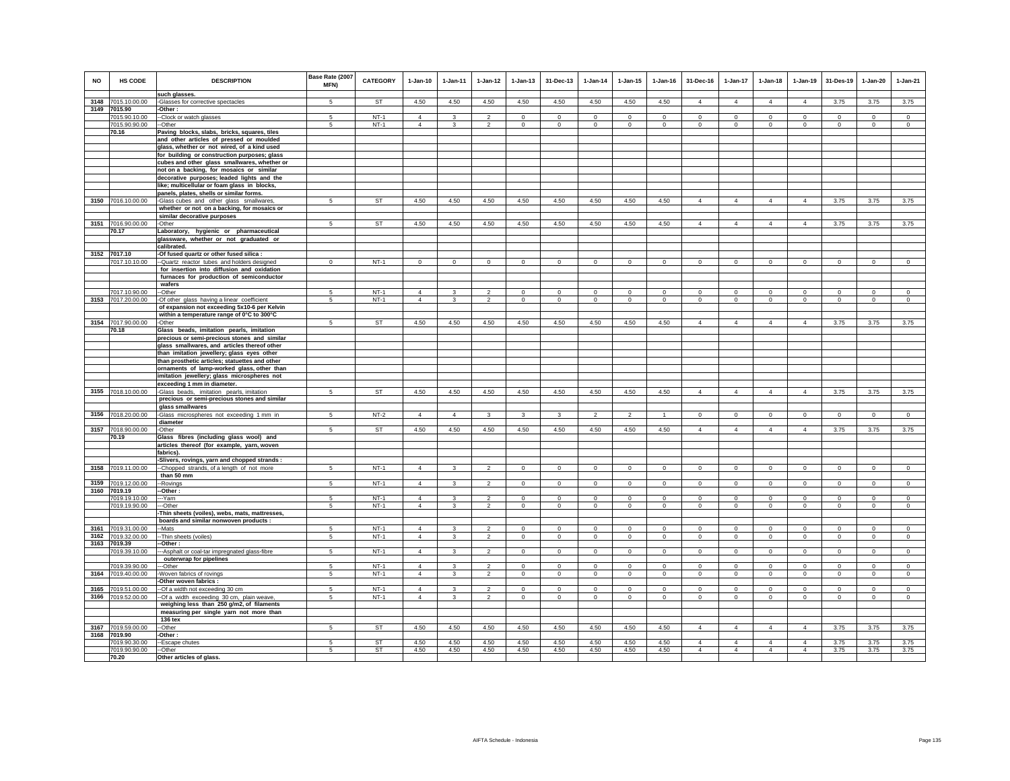| <b>NO</b>    | HS CODE                        | <b>DESCRIPTION</b>                                                                                                     | Base Rate (2007<br>MFN) | <b>CATEGORY</b>  | $1-Jan-10$                 | 1-Jan-11                | $1 - Jan-12$                     | $1 - Jan-13$           | 31-Dec-13                  | $1 - Jan-14$               | $1 - Jan-15$               | $1 - Jan-16$           | 31-Dec-16                 | 1-Jan-17                   | $1-Jan-18$                | $1-Jan-19$                 | 31-Des-19                 | $1-Jan-20$         | $1-Jan-21$             |
|--------------|--------------------------------|------------------------------------------------------------------------------------------------------------------------|-------------------------|------------------|----------------------------|-------------------------|----------------------------------|------------------------|----------------------------|----------------------------|----------------------------|------------------------|---------------------------|----------------------------|---------------------------|----------------------------|---------------------------|--------------------|------------------------|
| 3148         | 7015.10.00.00                  | such glasses.<br>-Glasses for corrective spectacles                                                                    | 5                       | <b>ST</b>        | 4.50                       | 4.50                    | 4.50                             | 4.50                   | 4.50                       | 4.50                       | 4.50                       | 4.50                   | $\overline{4}$            | $\overline{4}$             | $\overline{4}$            | $\overline{4}$             | 3.75                      | 3.75               | 3.75                   |
| 3149         | 7015.90                        | -Other:                                                                                                                |                         |                  |                            |                         |                                  |                        |                            |                            |                            |                        |                           |                            |                           |                            |                           |                    |                        |
|              | 7015.90.10.00                  | --Clock or watch glasses                                                                                               | 5                       | $NT-1$           | $\Delta$                   | 3                       | $\mathfrak{p}$                   | $\Omega$               | $\Omega$                   | $\Omega$                   | $\Omega$                   |                        |                           | $\Omega$                   | $\Omega$                  | $\Omega$                   | $\Omega$                  | $\Omega$           | $\Omega$               |
|              | 7015.90.90.00                  | --Other                                                                                                                | -5                      | $NT-1$           | $\overline{4}$             | $\mathbf{3}$            | $\overline{2}$                   | $^{\circ}$             | $^{\circ}$                 | $^{\circ}$                 | $^{\circ}$                 | $^{\circ}$             | $^{\circ}$                | $^{\circ}$                 | $^{\circ}$                | $\mathbf{0}$               | $\mathbf{0}$              | $\circ$            | $^{\circ}$             |
|              | 70.16                          | Paving blocks, slabs, bricks, squares, tiles                                                                           |                         |                  |                            |                         |                                  |                        |                            |                            |                            |                        |                           |                            |                           |                            |                           |                    |                        |
|              |                                | and other articles of pressed or moulded<br>glass, whether or not wired, of a kind used                                |                         |                  |                            |                         |                                  |                        |                            |                            |                            |                        |                           |                            |                           |                            |                           |                    |                        |
|              |                                | for building or construction purposes; glass                                                                           |                         |                  |                            |                         |                                  |                        |                            |                            |                            |                        |                           |                            |                           |                            |                           |                    |                        |
|              |                                | cubes and other glass smallwares, whether or                                                                           |                         |                  |                            |                         |                                  |                        |                            |                            |                            |                        |                           |                            |                           |                            |                           |                    |                        |
|              |                                | not on a backing, for mosaics or similar                                                                               |                         |                  |                            |                         |                                  |                        |                            |                            |                            |                        |                           |                            |                           |                            |                           |                    |                        |
|              |                                | decorative purposes; leaded lights and the                                                                             |                         |                  |                            |                         |                                  |                        |                            |                            |                            |                        |                           |                            |                           |                            |                           |                    |                        |
|              |                                | like; multicellular or foam glass in blocks,                                                                           |                         |                  |                            |                         |                                  |                        |                            |                            |                            |                        |                           |                            |                           |                            |                           |                    |                        |
|              |                                | panels, plates, shells or similar forms.                                                                               |                         |                  |                            |                         |                                  |                        |                            |                            |                            |                        |                           |                            |                           |                            |                           |                    |                        |
| 3150         | 7016.10.00.00                  | -Glass cubes and other glass smallwares,<br>whether or not on a backing, for mosaics or<br>similar decorative purposes | 5                       | <b>ST</b>        | 4.50                       | 4.50                    | 4.50                             | 4.50                   | 4.50                       | 4.50                       | 4.50                       | 4.50                   | $\overline{4}$            | $\overline{4}$             | $\overline{4}$            | $\overline{4}$             | 3.75                      | 3.75               | 3.75                   |
|              | 3151 7016.90.00.00             | -Other                                                                                                                 | 5                       | ST               | 4.50                       | 4.50                    | 4.50                             | 4.50                   | 4.50                       | 4.50                       | 4.50                       | 4.50                   | $\overline{4}$            | $\overline{4}$             | $\overline{4}$            | $\overline{4}$             | 3.75                      | 3.75               | 3.75                   |
|              | 70.17                          | Laboratory, hygienic or pharmaceutical                                                                                 |                         |                  |                            |                         |                                  |                        |                            |                            |                            |                        |                           |                            |                           |                            |                           |                    |                        |
|              |                                | glassware, whether or not graduated or<br>calibrated.                                                                  |                         |                  |                            |                         |                                  |                        |                            |                            |                            |                        |                           |                            |                           |                            |                           |                    |                        |
| 3152 7017.10 |                                | -Of fused quartz or other fused silica :                                                                               |                         |                  |                            |                         |                                  |                        |                            |                            |                            |                        |                           |                            |                           |                            |                           |                    |                        |
|              | 7017.10.10.00                  | --Quartz reactor tubes and holders designed                                                                            | $\mathbf 0$             | $NT-1$           | $\mathbf 0$                | $\circ$                 | $\mathbf 0$                      | $\circ$                | $\mathbf 0$                | $\mathbf 0$                | $\mathbf 0$                | $^{\circ}$             | $\mathbf 0$               | $\mathbf 0$                | $\mathbf 0$               | $\mathbf 0$                | $\mathbf 0$               | $\mathbf 0$        | $\circ$                |
|              |                                | for insertion into diffusion and oxidation                                                                             |                         |                  |                            |                         |                                  |                        |                            |                            |                            |                        |                           |                            |                           |                            |                           |                    |                        |
|              |                                | furnaces for production of semiconductor<br>wafers                                                                     |                         |                  |                            |                         |                                  |                        |                            |                            |                            |                        |                           |                            |                           |                            |                           |                    |                        |
|              | 7017.10.90.00                  | --Other                                                                                                                | 5                       | $NT-1$           | $\Delta$                   | $\overline{\mathbf{3}}$ | $\mathcal{P}$                    | $\mathbf 0$            | $\mathbf{0}$               | $\Omega$                   | $\mathbf 0$                | $\Omega$               | $\Omega$                  | $\Omega$                   | $\Omega$                  | $\Omega$                   | $\Omega$                  | $\mathbf{0}$       | $\circ$                |
| 3153         | 7017.20.00.00                  | -Of other glass having a linear coefficient                                                                            | 5                       | $NT-1$           | $\overline{4}$             | $\mathbf{3}$            | $\overline{a}$                   | $\mathbf 0$            | $\mathbf 0$                | $\mathsf 0$                | $\mathbf 0$                | $\mathbf 0$            | $\Omega$                  | $\mathbf 0$                | $\mathbf 0$               | $\mathbf 0$                | $\mathbf 0$               | $\Omega$           | $\mathsf 0$            |
|              |                                | of expansion not exceeding 5x10-6 per Kelvin<br>within a temperature range of 0°C to 300°C                             |                         |                  |                            |                         |                                  |                        |                            |                            |                            |                        |                           |                            |                           |                            |                           |                    |                        |
|              | 3154 7017.90.00.00             | -Other                                                                                                                 | 5                       | ST               | 4.50                       | 4.50                    | 4.50                             | 4.50                   | 4.50                       | 4.50                       | 4.50                       | 4.50                   | $\overline{4}$            | $\overline{4}$             | $\overline{4}$            | $\overline{4}$             | 3.75                      | 3.75               | 3.75                   |
|              | 70.18                          | Glass beads, imitation pearls, imitation                                                                               |                         |                  |                            |                         |                                  |                        |                            |                            |                            |                        |                           |                            |                           |                            |                           |                    |                        |
|              |                                | precious or semi-precious stones and similar                                                                           |                         |                  |                            |                         |                                  |                        |                            |                            |                            |                        |                           |                            |                           |                            |                           |                    |                        |
|              |                                | glass smallwares, and articles thereof other<br>than imitation jewellery; glass eyes other                             |                         |                  |                            |                         |                                  |                        |                            |                            |                            |                        |                           |                            |                           |                            |                           |                    |                        |
|              |                                | than prosthetic articles; statuettes and other                                                                         |                         |                  |                            |                         |                                  |                        |                            |                            |                            |                        |                           |                            |                           |                            |                           |                    |                        |
|              |                                | ornaments of lamp-worked glass, other than                                                                             |                         |                  |                            |                         |                                  |                        |                            |                            |                            |                        |                           |                            |                           |                            |                           |                    |                        |
|              |                                | imitation jewellery; glass microspheres not                                                                            |                         |                  |                            |                         |                                  |                        |                            |                            |                            |                        |                           |                            |                           |                            |                           |                    |                        |
|              |                                | exceeding 1 mm in diameter.                                                                                            |                         |                  |                            |                         |                                  |                        |                            |                            |                            |                        |                           |                            |                           |                            |                           |                    |                        |
| 3155         | 7018.10.00.00                  | -Glass beads, imitation pearls, imitation                                                                              | $\sqrt{5}$              | <b>ST</b>        | 4.50                       | 4.50                    | 4.50                             | 4.50                   | 4.50                       | 4.50                       | 4.50                       | 4.50                   | $\overline{4}$            | $\overline{4}$             | $\overline{4}$            | $\overline{4}$             | 3.75                      | 3.75               | 3.75                   |
|              |                                | precious or semi-precious stones and similar<br>glass smallwares                                                       |                         |                  |                            |                         |                                  |                        |                            |                            |                            |                        |                           |                            |                           |                            |                           |                    |                        |
| 3156         | 7018.20.00.00                  | -Glass microspheres not exceeding 1 mm in                                                                              | -5                      | $NT-2$           | $\overline{4}$             | $\overline{4}$          | 3                                | 3                      | $\mathbf{3}$               | $\overline{2}$             | $\overline{2}$             | $\mathbf{1}$           | $\Omega$                  | $\circ$                    | $\circ$                   | $\mathbf 0$                | $\mathbf{0}$              | $\circ$            | $\circ$                |
|              |                                | diameter                                                                                                               |                         |                  |                            |                         |                                  |                        |                            |                            |                            |                        |                           |                            |                           |                            |                           |                    |                        |
|              | 3157 7018.90.00.00             | -Other                                                                                                                 | 5                       | ST               | 4.50                       | 4.50                    | 4.50                             | 4.50                   | 4.50                       | 4.50                       | 4.50                       | 4.50                   | $\overline{4}$            | $\overline{4}$             | $\overline{4}$            | $\overline{4}$             | 3.75                      | 3.75               | 3.75                   |
|              | 70.19                          | Glass fibres (including glass wool) and                                                                                |                         |                  |                            |                         |                                  |                        |                            |                            |                            |                        |                           |                            |                           |                            |                           |                    |                        |
|              |                                | articles thereof (for example, yarn, woven                                                                             |                         |                  |                            |                         |                                  |                        |                            |                            |                            |                        |                           |                            |                           |                            |                           |                    |                        |
|              |                                | fabrics).<br>Slivers, rovings, yarn and chopped strands :                                                              |                         |                  |                            |                         |                                  |                        |                            |                            |                            |                        |                           |                            |                           |                            |                           |                    |                        |
| 3158         | 7019.11.00.00                  | --Chopped strands, of a length of not more                                                                             | 5                       | $NT-1$           | $\overline{4}$             | $\mathbf{3}$            | $\mathfrak{D}$                   | $\Omega$               | $\mathbf{0}$               | $\Omega$                   | $\Omega$                   | $\Omega$               | $\Omega$                  | $\Omega$                   | $\Omega$                  | $\mathbf 0$                | $\Omega$                  | $\Omega$           | $\circ$                |
|              |                                | than 50 mm                                                                                                             |                         |                  |                            |                         |                                  |                        |                            |                            |                            |                        |                           |                            |                           |                            |                           |                    |                        |
| 3159         | 7019.12.00.00                  | -Rovings                                                                                                               | 5                       | $NT-1$           | $\mathbf{A}$               | $\mathbf{R}$            | $\mathfrak{D}$                   | $\mathbf 0$            | $\mathbf 0$                | $\mathbf{0}$               | $\mathbf 0$                | $\Omega$               | $\Omega$                  | $\Omega$                   | $\Omega$                  | $\mathbf 0$                | $\Omega$                  | $\Omega$           | $\Omega$               |
|              | 3160 7019.19                   | -Other:                                                                                                                |                         |                  |                            |                         |                                  |                        |                            |                            |                            |                        |                           |                            |                           |                            |                           |                    |                        |
|              | 7019.19.10.00<br>7019.19.90.00 | --- Yarn<br>---Other                                                                                                   | 5<br>5                  | $NT-1$<br>$NT-1$ | $\Delta$<br>$\overline{4}$ | 3<br>3                  | $\overline{a}$<br>$\overline{2}$ | $\mathbf 0$<br>$\circ$ | $\mathsf 0$<br>$\mathbf 0$ | $\mathbf 0$<br>$\mathbf 0$ | $\mathbf 0$<br>$\mathbf 0$ | $\Omega$<br>$^{\circ}$ | $\mathbf 0$<br>$^{\circ}$ | $\mathbf 0$<br>$\mathbf 0$ | $\mathbf 0$<br>$^{\circ}$ | $\mathbf 0$<br>$\mathbf 0$ | $\mathbf 0$<br>$^{\circ}$ | $\circ$<br>$\circ$ | $\mathsf 0$<br>$\circ$ |
|              |                                | -Thin sheets (voiles), webs, mats, mattresses,                                                                         |                         |                  |                            |                         |                                  |                        |                            |                            |                            |                        |                           |                            |                           |                            |                           |                    |                        |
|              |                                | boards and similar nonwoven products :                                                                                 |                         |                  |                            |                         |                                  |                        |                            |                            |                            |                        |                           |                            |                           |                            |                           |                    |                        |
| 3161         | 7019.31.00.00                  | -Mats                                                                                                                  | 5                       | $NT-1$           | $\overline{4}$             | $\overline{\mathbf{3}}$ | $\overline{2}$                   | $\mathbf 0$            | $\Omega$                   | $\mathbf 0$                | $\Omega$                   | $\Omega$               | $\Omega$                  | $\Omega$                   | $\mathbf{0}$              | $\overline{0}$             | $\overline{0}$            | $\Omega$           | $\circ$                |
| 3162         | 7019.32.00.00                  | Thin sheets (voiles)                                                                                                   | 5                       | $NT-1$           | $\overline{4}$             | 3                       | $\overline{2}$                   | $\mathbf 0$            | $\mathbf 0$                | $\circ$                    | $\mathbf 0$                | $\mathbf 0$            | $\Omega$                  | $\mathbf 0$                | $\mathsf 0$               | $\circ$                    | $\circ$                   | $\mathbf 0$        | $\mathsf 0$            |
| 3163         | 7019.39                        | Other:                                                                                                                 |                         |                  |                            |                         |                                  |                        |                            |                            |                            |                        |                           |                            |                           |                            |                           |                    |                        |
|              | 7019.39.10.00                  | -- Asphalt or coal-tar impregnated glass-fibre<br>outerwrap for pipelines                                              | 5                       | $NT-1$           | $\overline{4}$             | $\mathbf{3}$            | $\mathfrak{p}$                   | $\mathbf 0$            | $\mathbf 0$                | $\mathbf 0$                | $\mathbf 0$                | $\mathbf 0$            | $\Omega$                  | $\mathbf 0$                | $\Omega$                  | $\mathbf 0$                | $\mathbf 0$               | $\mathbf 0$        | $\mathsf 0$            |
|              | 7019.39.90.00                  | --Other                                                                                                                | 5                       | $NT-1$           | $\mathbf{A}$               | $\mathbf{3}$            | $\overline{2}$                   | $\Omega$               | $\mathbf 0$                | $\mathsf 0$                | $\Omega$                   | $\Omega$               | $\Omega$                  | $\mathbf 0$                | $\Omega$                  | $\mathbf 0$                | $\mathbf 0$               | $\Omega$           | $\overline{0}$         |
| 3164         | 7019.40.00.00                  | -Woven fabrics of rovings                                                                                              | 5                       | $NT-1$           | $\overline{4}$             | $\mathbf{3}$            | $\overline{2}$                   | $\circ$                | $\circ$                    | $\circ$                    | $\mathbf 0$                | $\mathbf 0$            | $\Omega$                  | $\mathbf{0}$               | $\circ$                   | $\mathbf 0$                | $\circ$                   | $\mathbf{0}$       | $\circ$                |
|              |                                | -Other woven fabrics :                                                                                                 |                         |                  |                            |                         |                                  |                        |                            |                            |                            |                        |                           |                            |                           |                            |                           |                    |                        |
| 3165         | 7019.51.00.00                  | --Of a width not exceeding 30 cm                                                                                       | 5                       | $NT-1$           | $\overline{4}$             | $\mathbf{3}$            | $\mathfrak{p}$                   | $\Omega$               | $\Omega$                   | $\Omega$                   | $\Omega$                   | $\Omega$               | $\Omega$                  | $\Omega$                   | $\Omega$                  | $\Omega$                   | $\Omega$                  | $\Omega$           | $\Omega$               |
| 3166         | 7019.52.00.00                  | --Of a width exceeding 30 cm, plain weave,                                                                             | 5                       | $NT-1$           | $\overline{4}$             | $\mathbf{3}$            | $\overline{2}$                   | $\mathbf{0}$           | $\mathbf 0$                | 0                          | $\mathbf 0$                | $\mathbf 0$            | $\mathbf 0$               | $\mathbf 0$                | $\mathbf 0$               | $\mathbf 0$                | $\mathbf 0$               | $\mathbf 0$        | $\mathbf 0$            |
|              |                                | weighing less than 250 g/m2, of filaments<br>measuring per single yarn not more than                                   |                         |                  |                            |                         |                                  |                        |                            |                            |                            |                        |                           |                            |                           |                            |                           |                    |                        |
|              |                                | <b>136 tex</b>                                                                                                         |                         |                  |                            |                         |                                  |                        |                            |                            |                            |                        |                           |                            |                           |                            |                           |                    |                        |
| 3167         | 7019.59.00.00                  | -Other                                                                                                                 | 5                       | ST               | 4.50                       | 4.50                    | 4.50                             | 4.50                   | 4.50                       | 4.50                       | 4.50                       | 4.50                   | $\overline{4}$            | $\overline{4}$             | $\overline{4}$            | $\overline{4}$             | 3.75                      | 3.75               | 3.75                   |
| 3168         | 7019.90                        | Other:                                                                                                                 |                         |                  |                            |                         |                                  |                        |                            |                            |                            |                        |                           |                            |                           |                            |                           |                    |                        |
|              | 7019.90.30.00                  | -Escape chutes                                                                                                         | 5                       | <b>ST</b>        | 4.50                       | 4.50                    | 4.50                             | 4.50                   | 4.50                       | 4.50                       | 4.50                       | 4.50                   | $\overline{4}$            | $\overline{4}$             | $\Delta$                  | $\overline{4}$             | 3.75                      | 3.75               | 3.75                   |
|              | 7019.90.90.00                  | --Other                                                                                                                | 5                       | <b>ST</b>        | 4.50                       | 4.50                    | 4.50                             | 4.50                   | 4.50                       | 4.50                       | 4.50                       | 4.50                   | $\overline{4}$            | $\overline{4}$             | $\Delta$                  | $\overline{4}$             | 3.75                      | 3.75               | 3.75                   |
|              | 70.20                          | Other articles of glass.                                                                                               |                         |                  |                            |                         |                                  |                        |                            |                            |                            |                        |                           |                            |                           |                            |                           |                    |                        |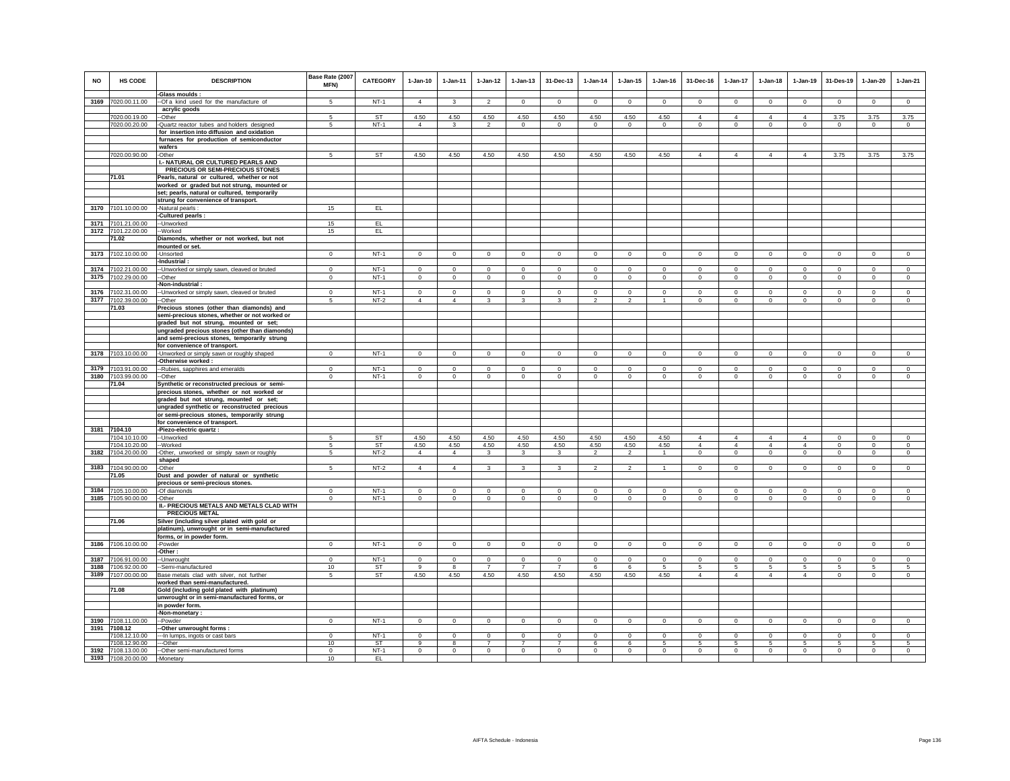| <b>NO</b> | HS CODE                                  | <b>DESCRIPTION</b><br>-Glass moulds :                                                    | Base Rate (2007<br>MFN) | <b>CATEGORY</b> | $1-Jan-10$       | $1-Jan-11$     | $1-Jan-12$                    | $1 - Jan-13$                  | 31-Dec-13                     | $1-Jan-14$          | $1-Jan-15$          | $1-Jan-16$         | 31-Dec-16                        | $1 - Jan-17$                     | $1-Jan-18$                       | $1-Jan-19$                       | 31-Des-19               | 1-Jan-20                | $1-Jan-21$              |
|-----------|------------------------------------------|------------------------------------------------------------------------------------------|-------------------------|-----------------|------------------|----------------|-------------------------------|-------------------------------|-------------------------------|---------------------|---------------------|--------------------|----------------------------------|----------------------------------|----------------------------------|----------------------------------|-------------------------|-------------------------|-------------------------|
| 3169      | 7020.00.11.00                            | --Of a kind used for the manufacture of                                                  | 5                       | $NT-1$          | $\overline{4}$   | 3              | $\mathfrak{p}$                | $\Omega$                      | $\mathbf 0$                   | $\Omega$            | $\Omega$            | $\Omega$           | $\Omega$                         | $\Omega$                         | $\Omega$                         | $\Omega$                         | $\Omega$                | $\Omega$                | $\Omega$                |
|           |                                          | acrylic goods                                                                            |                         |                 |                  |                |                               |                               |                               |                     |                     |                    |                                  |                                  |                                  |                                  |                         |                         |                         |
|           | 7020.00.19.00<br>7020.00.20.00           | -Other<br>-Quartz reactor tubes and holders designed                                     | 5<br>-5                 | ST<br>$NT-1$    | 4.50<br>4        | 4.50<br>3      | 4.50<br>2                     | 4.50<br>$\circ$               | 4.50<br>$^{\circ}$            | 4.50<br>$\mathbf 0$ | 4.50<br>$\mathbf 0$ | 4.50<br>$^{\circ}$ | $\overline{4}$<br>$\mathbf 0$    | $\overline{4}$<br>$\mathbf 0$    | $\overline{4}$<br>$\mathsf 0$    | $\overline{4}$<br>$\,$ 0         | 3.75<br>$\mathbf{0}$    | 3.75<br>$^{\circ}$      | 3.75<br>$^{\circ}$      |
|           |                                          | for insertion into diffusion and oxidation                                               |                         |                 |                  |                |                               |                               |                               |                     |                     |                    |                                  |                                  |                                  |                                  |                         |                         |                         |
|           |                                          | furnaces for production of semiconductor                                                 |                         |                 |                  |                |                               |                               |                               |                     |                     |                    |                                  |                                  |                                  |                                  |                         |                         |                         |
|           |                                          | wafers                                                                                   | 5                       | <b>ST</b>       |                  | 4.50           | 4.50                          |                               | 4.50                          |                     |                     |                    | $\Delta$                         | $\overline{4}$                   | $\Delta$                         | $\overline{4}$                   |                         |                         |                         |
|           | 7020.00.90.00                            | -Other<br>I.- NATURAL OR CULTURED PEARLS AND                                             |                         |                 | 4.50             |                |                               | 4.50                          |                               | 4.50                | 4.50                | 4.50               |                                  |                                  |                                  |                                  | 3.75                    | 3.75                    | 3.75                    |
|           |                                          | PRECIOUS OR SEMI-PRECIOUS STONES                                                         |                         |                 |                  |                |                               |                               |                               |                     |                     |                    |                                  |                                  |                                  |                                  |                         |                         |                         |
|           | 71.01                                    | Pearls, natural or cultured, whether or not                                              |                         |                 |                  |                |                               |                               |                               |                     |                     |                    |                                  |                                  |                                  |                                  |                         |                         |                         |
|           |                                          | worked or graded but not strung, mounted or                                              |                         |                 |                  |                |                               |                               |                               |                     |                     |                    |                                  |                                  |                                  |                                  |                         |                         |                         |
|           |                                          | set; pearls, natural or cultured, temporarily                                            |                         |                 |                  |                |                               |                               |                               |                     |                     |                    |                                  |                                  |                                  |                                  |                         |                         |                         |
|           | 3170 7101.10.00.00                       | strung for convenience of transport.<br>-Natural pearls :                                | 15                      | EL.             |                  |                |                               |                               |                               |                     |                     |                    |                                  |                                  |                                  |                                  |                         |                         |                         |
|           |                                          | Cultured pearls :                                                                        |                         |                 |                  |                |                               |                               |                               |                     |                     |                    |                                  |                                  |                                  |                                  |                         |                         |                         |
|           | 3171 7101.21.00.00                       | -Unworked                                                                                | 15                      | EL <sub>1</sub> |                  |                |                               |                               |                               |                     |                     |                    |                                  |                                  |                                  |                                  |                         |                         |                         |
|           | 3172 7101.22.00.00<br>71.02              | -Worked                                                                                  | 15                      | EL <sub>1</sub> |                  |                |                               |                               |                               |                     |                     |                    |                                  |                                  |                                  |                                  |                         |                         |                         |
|           |                                          | Diamonds, whether or not worked, but not<br>mounted or set.                              |                         |                 |                  |                |                               |                               |                               |                     |                     |                    |                                  |                                  |                                  |                                  |                         |                         |                         |
|           | 3173 7102.10.00.00                       | -Unsorted                                                                                | $\mathbf 0$             | $NT-1$          | $\Omega$         | $\mathbf 0$    | $\Omega$                      | $\circ$                       | $\mathbf 0$                   | $\mathbf 0$         | $\Omega$            | $\Omega$           | $\Omega$                         | $\Omega$                         | $\mathbf 0$                      | $\mathbf 0$                      | $\mathbf 0$             | $\mathbf 0$             | $\Omega$                |
|           |                                          | -Industrial :                                                                            |                         |                 |                  |                |                               |                               |                               |                     |                     |                    |                                  |                                  |                                  |                                  |                         |                         |                         |
| 3174      | 7102.21.00.00                            | -Unworked or simply sawn, cleaved or bruted                                              | $\mathbf 0$             | $NT-1$          | $\Omega$         | $\circ$        | $\overline{0}$                | $\mathbf 0$                   | $\Omega$                      | $\overline{0}$      | $\Omega$            | $\mathbf 0$        | $\Omega$                         | $\overline{0}$                   | $\overline{0}$                   | $\mathbf 0$                      | $\mathbf 0$             | $\Omega$                | $\Omega$                |
| 3175      | 7102.29.00.00                            | --Other<br>Non-industrial:                                                               | $\mathbf 0$             | $NT-1$          | $\circ$          | $\circ$        | $\mathbf 0$                   | $\mathbf 0$                   | $\mathbf{0}$                  | $\mathbf 0$         | $\mathbf 0$         | $\mathbf 0$        | $\circ$                          | $\mathbf 0$                      | $\circ$                          | $\mathbf 0$                      | $\mathbf 0$             | $\mathbf 0$             | $\mathbf 0$             |
|           | 3176 7102.31.00.00                       | -Unworked or simply sawn, cleaved or bruted                                              | $\circ$                 | $NT-1$          | $\Omega$         | $\Omega$       | $\Omega$                      | $\Omega$                      | $\Omega$                      | $\Omega$            | $\Omega$            | $\Omega$           | $\Omega$                         | $\Omega$                         | $\Omega$                         | $\Omega$                         | $\Omega$                | $\Omega$                | $\Omega$                |
|           | 3177 7102.39.00.00                       | -Other                                                                                   | 5                       | $NT-2$          | $\overline{4}$   | $\overline{4}$ | $\mathbf{3}$                  | $\mathbf{3}$                  | $\mathbf{3}$                  | $\overline{2}$      | $\overline{2}$      | $\overline{1}$     | $\mathbf 0$                      | $\mathbf 0$                      | $\circ$                          | $\circ$                          | $\mathbf 0$             | $\mathbf{0}$            | $\mathbf 0$             |
|           | 71.03                                    | Precious stones (other than diamonds) and                                                |                         |                 |                  |                |                               |                               |                               |                     |                     |                    |                                  |                                  |                                  |                                  |                         |                         |                         |
|           |                                          | semi-precious stones, whether or not worked or                                           |                         |                 |                  |                |                               |                               |                               |                     |                     |                    |                                  |                                  |                                  |                                  |                         |                         |                         |
|           |                                          | graded but not strung, mounted or set;<br>ungraded precious stones (other than diamonds) |                         |                 |                  |                |                               |                               |                               |                     |                     |                    |                                  |                                  |                                  |                                  |                         |                         |                         |
|           |                                          | and semi-precious stones, temporarily strung                                             |                         |                 |                  |                |                               |                               |                               |                     |                     |                    |                                  |                                  |                                  |                                  |                         |                         |                         |
|           |                                          | for convenience of transport.                                                            |                         |                 |                  |                |                               |                               |                               |                     |                     |                    |                                  |                                  |                                  |                                  |                         |                         |                         |
| 3178      | 7103.10.00.00                            | -Unworked or simply sawn or roughly shaped                                               | $\mathsf 0$             | $NT-1$          | $\mathbf 0$      | $\circ$        | $\mathbf 0$                   | $\mathbf 0$                   | $\mathbf 0$                   | $\mathbf 0$         | $\mathbf 0$         | $^{\circ}$         | $\mathbf 0$                      | $\mathsf 0$                      | $\mathsf 0$                      | $\,$ 0                           | $\mathbf 0$             | $\mathbf 0$             | $\mathbf 0$             |
|           | 3179 7103.91.00.00                       | -Otherwise worked:                                                                       | $\mathbf 0$             | $NT-1$          | $\Omega$         | $\circ$        | $\circ$                       | $\circ$                       | $\mathbf{0}$                  | $\mathbf 0$         | $\Omega$            | $^{\circ}$         | $\circ$                          | $\mathbf 0$                      | $\circ$                          | $\mathbf 0$                      | $\mathbf 0$             | $\mathbf 0$             | $\mathbf 0$             |
|           | 3180 7103.99.00.00                       | --Rubies, sapphires and emeralds<br>--Other                                              | $\Omega$                | $NT-1$          | $\circ$          | $\mathbf 0$    | $\mathbf 0$                   | $\circ$                       | $\Omega$                      | $\circ$             | $\mathbf 0$         | $\Omega$           | $\Omega$                         | $\mathbf 0$                      | $\circ$                          | $\,$ 0                           | $\mathbf 0$             | $\circ$                 | $\mathbf 0$             |
|           | 71.04                                    | Synthetic or reconstructed precious or semi-                                             |                         |                 |                  |                |                               |                               |                               |                     |                     |                    |                                  |                                  |                                  |                                  |                         |                         |                         |
|           |                                          | precious stones, whether or not worked or                                                |                         |                 |                  |                |                               |                               |                               |                     |                     |                    |                                  |                                  |                                  |                                  |                         |                         |                         |
|           |                                          | graded but not strung, mounted or set;<br>ungraded synthetic or reconstructed precious   |                         |                 |                  |                |                               |                               |                               |                     |                     |                    |                                  |                                  |                                  |                                  |                         |                         |                         |
|           |                                          | or semi-precious stones, temporarily strung                                              |                         |                 |                  |                |                               |                               |                               |                     |                     |                    |                                  |                                  |                                  |                                  |                         |                         |                         |
|           |                                          | for convenience of transport.                                                            |                         |                 |                  |                |                               |                               |                               |                     |                     |                    |                                  |                                  |                                  |                                  |                         |                         |                         |
|           | 3181 7104.10                             | -Piezo-electric quartz :                                                                 |                         |                 |                  |                |                               |                               |                               |                     |                     |                    |                                  |                                  |                                  |                                  |                         |                         |                         |
|           | 7104.10.10.00<br>7104.10.20.00           | --Unworked<br>-Worked                                                                    | -5<br>5                 | ST<br>ST        | 4.50<br>4.50     | 4.50<br>4.50   | 4.50<br>4.50                  | 4.50<br>4.50                  | 4.50<br>4.50                  | 4.50<br>4.50        | 4.50<br>4.50        | 4.50<br>4.50       | $\overline{4}$<br>$\overline{4}$ | $\overline{4}$<br>$\overline{4}$ | $\overline{4}$<br>$\overline{4}$ | $\overline{4}$<br>$\overline{4}$ | $\Omega$<br>$\mathbf 0$ | $\Omega$<br>$\mathbf 0$ | $\Omega$<br>$\mathbf 0$ |
|           | 3182 7104.20.00.00                       | -Other, unworked or simply sawn or roughly                                               | 5                       | $NT-2$          | $\overline{4}$   | $\overline{4}$ | $\mathbf{3}$                  | $\mathbf{3}$                  | $\mathbf{3}$                  | $\overline{2}$      | $\overline{2}$      |                    | $\circ$                          | $\mathbf 0$                      | $\mathbf 0$                      | $\circ$                          | $\mathbf 0$             | $\circ$                 | $\mathbf 0$             |
|           |                                          | shaped                                                                                   |                         |                 |                  |                |                               |                               |                               |                     |                     |                    |                                  |                                  |                                  |                                  |                         |                         |                         |
|           | 3183 7104.90.00.00                       | -Other                                                                                   | $\overline{5}$          | $NT-2$          | $\mathbf{A}$     | $\overline{4}$ | $\overline{\mathbf{3}}$       | $\overline{\mathbf{3}}$       | $\overline{\mathbf{3}}$       | $\overline{2}$      | $\overline{2}$      | $\overline{1}$     | $\mathbf 0$                      | $\mathbf{0}$                     | $\Omega$                         | $\mathbf 0$                      | $\Omega$                | $\mathbf 0$             | $\mathbf 0$             |
|           | 71.05                                    | Dust and powder of natural or synthetic<br>precious or semi-precious stones.             |                         |                 |                  |                |                               |                               |                               |                     |                     |                    |                                  |                                  |                                  |                                  |                         |                         |                         |
|           | 3184 7105.10.00.00                       | -Of diamonds                                                                             | $\Omega$                | $NT-1$          | $\Omega$         | $\Omega$       | $\Omega$                      | $\Omega$                      | $\mathbf 0$                   | $\Omega$            | $\Omega$            | $\Omega$           | $\Omega$                         | $\mathbf 0$                      | $\Omega$                         | $\Omega$                         | $\Omega$                | $\Omega$                | $\Omega$                |
|           | 3185 7105.90.00.00                       | -Other                                                                                   | $\Omega$                | $NT-1$          | $\circ$          | $\circ$        | $\mathbf 0$                   | $\mathbf 0$                   | $\mathbf 0$                   | $\mathbf 0$         | $\Omega$            | $\Omega$           | $\Omega$                         | $\mathbf 0$                      | $\mathsf 0$                      | $\mathbf 0$                      | $\mathbf 0$             | $\Omega$                | $\mathbf 0$             |
|           |                                          | II.- PRECIOUS METALS AND METALS CLAD WITH                                                |                         |                 |                  |                |                               |                               |                               |                     |                     |                    |                                  |                                  |                                  |                                  |                         |                         |                         |
|           | 71.06                                    | <b>PRECIOUS METAL</b><br>Silver (including silver plated with gold or                    |                         |                 |                  |                |                               |                               |                               |                     |                     |                    |                                  |                                  |                                  |                                  |                         |                         |                         |
|           |                                          | platinum), unwrought or in semi-manufactured                                             |                         |                 |                  |                |                               |                               |                               |                     |                     |                    |                                  |                                  |                                  |                                  |                         |                         |                         |
|           |                                          | forms, or in powder form.                                                                |                         |                 |                  |                |                               |                               |                               |                     |                     |                    |                                  |                                  |                                  |                                  |                         |                         |                         |
| 3186      | 7106.10.00.00                            | -Powder                                                                                  | $\mathbf{0}$            | $NT-1$          | $\circ$          | $\circ$        | $\overline{0}$                | $\circ$                       | $\mathbf{0}$                  | $\circ$             | $\mathbf 0$         | $\circ$            | $\circ$                          | $\mathbf 0$                      | $\overline{0}$                   | $\overline{0}$                   | $\mathbf 0$             | $\circ$                 | $\overline{0}$          |
|           |                                          | Other:                                                                                   |                         |                 |                  |                |                               |                               |                               |                     |                     |                    |                                  |                                  |                                  |                                  |                         |                         |                         |
| 3187      | 7106.91.00.00                            | -Unwrought                                                                               | $\mathbf 0$             | $NT-1$          | $\mathbf 0$<br>9 | $\mathbf 0$    | $\mathbf 0$<br>$\overline{7}$ | $\mathbf 0$<br>$\overline{7}$ | $\mathbf 0$<br>$\overline{7}$ | $\mathbf 0$<br>6    | $\mathbf 0$<br>6    | $^{\circ}$<br>5    | $\mathbf 0$<br>5                 | $\mathbf 0$<br>5                 | $\mathbf 0$<br>5                 | $\mathbf 0$                      | $\mathbf 0$<br>5        | $\mathbf 0$<br>-5       | $\mathbf 0$<br>5        |
|           | 3188 7106.92.00.00<br>3189 7107.00.00.00 | -Semi-manufactured<br>Base metals clad with silver, not further                          | 10<br>5                 | ST<br><b>ST</b> | 4.50             | 8<br>4.50      | 4.50                          | 4.50                          | 4.50                          | 4.50                | 4.50                | 4.50               | $\Delta$                         | $\overline{4}$                   | $\Delta$                         | $\,$ 5<br>$\overline{4}$         | $\mathbf 0$             | $\Omega$                | $\mathbf 0$             |
|           |                                          | worked than semi-manufactured.                                                           |                         |                 |                  |                |                               |                               |                               |                     |                     |                    |                                  |                                  |                                  |                                  |                         |                         |                         |
|           | 71.08                                    | Gold (including gold plated with platinum)                                               |                         |                 |                  |                |                               |                               |                               |                     |                     |                    |                                  |                                  |                                  |                                  |                         |                         |                         |
|           |                                          | unwrought or in semi-manufactured forms, or<br>in powder form.                           |                         |                 |                  |                |                               |                               |                               |                     |                     |                    |                                  |                                  |                                  |                                  |                         |                         |                         |
|           |                                          | -Non-monetary:                                                                           |                         |                 |                  |                |                               |                               |                               |                     |                     |                    |                                  |                                  |                                  |                                  |                         |                         |                         |
|           | 3190 7108.11.00.00                       | -Powder                                                                                  | $\mathbf{0}$            | $NT-1$          | $\overline{0}$   | $\overline{0}$ | $\circ$                       | $\circ$                       | $\mathbf{0}$                  | $\mathbf 0$         | $\mathbf 0$         | $\mathbf 0$        | $\circ$                          | $\circ$                          | $\circ$                          | $\overline{0}$                   | $\circ$                 | $\mathbf 0$             | $\overline{0}$          |
|           | 3191 7108.12                             | -Other unwrought forms:                                                                  |                         |                 |                  |                |                               |                               |                               |                     |                     |                    |                                  |                                  |                                  |                                  |                         |                         |                         |
|           | 7108.12.10.00                            | -In lumps, ingots or cast bars                                                           | $\mathbf{0}$            | $NT-1$          | $\mathbf 0$      | $\mathbf 0$    | $\mathbf 0$                   | $\mathbf{0}$                  | $^{\circ}$                    | $\mathbf 0$         | $^{\circ}$          | $\mathbf 0$        | $\circ$                          | $\overline{0}$                   | $\mathbf{0}$                     | $\mathbf{0}$                     | $\mathbf 0$             | $^{\circ}$              | $\overline{0}$          |
|           | 7108.12.90.00<br>3192 7108.13.00.00      | --Other<br>--Other semi-manufactured forms                                               | 10<br>$\mathbf 0$       | ST<br>$NT-1$    | 9<br>$\circ$     | 8<br>$\circ$   | $\overline{7}$<br>$\circ$     | $\overline{7}$<br>$\mathbf 0$ | $\overline{7}$<br>$\mathbf 0$ | 6<br>$\mathbf 0$    | 6<br>$\mathbf 0$    | 5<br>$\mathbf 0$   | 5<br>$\mathsf 0$                 | 5<br>$\mathsf 0$                 | 5<br>$\mathsf 0$                 | 5<br>$\mathbf 0$                 | 5<br>$\mathbf 0$        | 5<br>$\mathbf 0$        | 5<br>$\Omega$           |
|           | 3193 7108.20.00.00                       | -Monetary                                                                                | 10                      | EL.             |                  |                |                               |                               |                               |                     |                     |                    |                                  |                                  |                                  |                                  |                         |                         |                         |
|           |                                          |                                                                                          |                         |                 |                  |                |                               |                               |                               |                     |                     |                    |                                  |                                  |                                  |                                  |                         |                         |                         |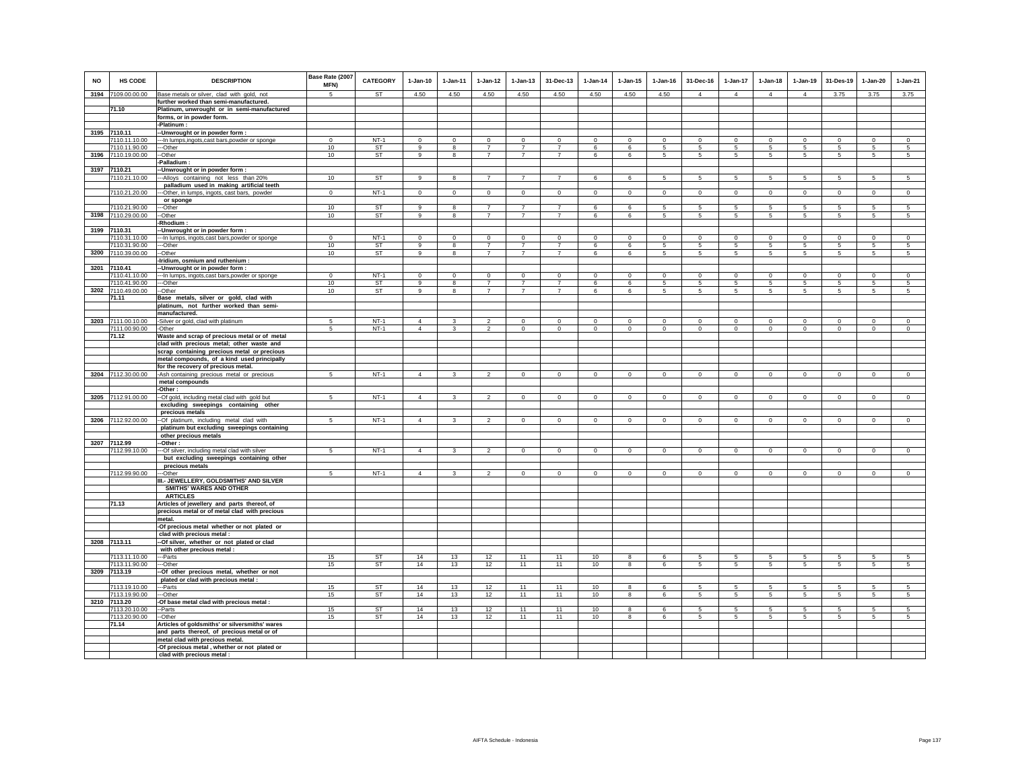| <b>NO</b> | HS CODE                        | <b>DESCRIPTION</b>                                                                 | Base Rate (2007<br>MFN) | <b>CATEGORY</b>        | $1-Jan-10$     | $1 - Jan-11$   | $1 - Jan-12$            | $1 - Jan-13$   | 31-Dec-13      | $1 - Jan-14$   | $1 - Jan-15$      | $1 - Jan-16$   | 31-Dec-16    | $1 - Jan-17$         | $1-Jan-18$      | $1 - Jan-19$          | 31-Des-19      | $1-Jan-20$           | $1-Jan-21$           |
|-----------|--------------------------------|------------------------------------------------------------------------------------|-------------------------|------------------------|----------------|----------------|-------------------------|----------------|----------------|----------------|-------------------|----------------|--------------|----------------------|-----------------|-----------------------|----------------|----------------------|----------------------|
|           | 3194 7109.00.00.00             | Base metals or silver, clad with gold, not                                         | $\overline{5}$          | <b>ST</b>              | 4.50           | 4.50           | 4.50                    | 4.50           | 4.50           | 4.50           | 4.50              | 4.50           | $\mathbf{A}$ | $\overline{4}$       | $\Delta$        | $\overline{4}$        | 3.75           | 3.75                 | 3.75                 |
|           |                                | further worked than semi-manufactured.                                             |                         |                        |                |                |                         |                |                |                |                   |                |              |                      |                 |                       |                |                      |                      |
|           | 71.10                          | Platinum, unwrought or in semi-manufactured                                        |                         |                        |                |                |                         |                |                |                |                   |                |              |                      |                 |                       |                |                      |                      |
|           |                                | forms, or in powder form.<br>-Platinum:                                            |                         |                        |                |                |                         |                |                |                |                   |                |              |                      |                 |                       |                |                      |                      |
|           | 3195 7110.11                   | -- Unwrought or in powder form:                                                    |                         |                        |                |                |                         |                |                |                |                   |                |              |                      |                 |                       |                |                      |                      |
|           | 7110.11.10.00                  | --- In lumps, ingots, cast bars, powder or sponge                                  | $\Omega$                | $NT-1$                 | $\Omega$       | $\Omega$       | $\circ$                 | $\mathbf 0$    | $\mathbf 0$    | $\mathbf 0$    | $\circ$           | $\circ$        | $\mathbf 0$  | $\mathbf 0$          | $\Omega$        | $\mathbf 0$           | $\circ$        | $\mathbf 0$          | $\circ$              |
|           | 7110.11.90.00                  | --Other                                                                            | 10                      | ST                     | 9              | 8              | $\overline{7}$          | $\overline{7}$ | $\overline{7}$ | 6              | 6                 | 5              | 5            | $\overline{5}$       | $5\phantom{.0}$ | $\sqrt{5}$            | $\overline{5}$ | $\sqrt{5}$           | $\overline{5}$       |
|           | 3196 7110.19.00.00             | --Other                                                                            | 10                      | <b>ST</b>              | 9              | 8              | $\overline{7}$          | $\overline{7}$ | $\overline{7}$ | 6              | 6                 | 5              | 5            | 5                    | 5               | 5                     | 5              | 5                    | 5                    |
|           |                                | Palladium:                                                                         |                         |                        |                |                |                         |                |                |                |                   |                |              |                      |                 |                       |                |                      |                      |
|           | 3197 7110.21                   | -Unwrought or in powder form :                                                     |                         |                        |                |                |                         |                |                |                |                   |                |              |                      |                 |                       |                |                      |                      |
|           | 7110.21.10.00                  | --- Alloys containing not less than 20%                                            | 10                      | ST                     | 9              | 8              | $\overline{7}$          | $\overline{7}$ | $\overline{7}$ | 6              | 6                 | 5              | 5            | $5\overline{)}$      | $5\overline{)}$ | $\sqrt{5}$            | 5              | $\sqrt{5}$           | $\sqrt{5}$           |
|           |                                | palladium used in making artificial teeth                                          |                         |                        |                |                |                         |                |                |                |                   |                |              |                      |                 |                       |                |                      |                      |
|           | 7110.21.20.00                  | --- Other, in lumps, ingots, cast bars, powder                                     | $\mathbf 0$             | $NT-1$                 | $\overline{0}$ | $\circ$        | $\overline{0}$          | $\overline{0}$ | $\overline{0}$ | $\overline{0}$ | $\overline{0}$    | $\overline{0}$ | $\circ$      | $\overline{0}$       | $\overline{0}$  | $\overline{0}$        | $\overline{0}$ | $\overline{0}$       | $\overline{0}$       |
|           |                                | or sponge                                                                          |                         |                        |                |                |                         |                |                |                |                   |                |              |                      |                 |                       |                |                      |                      |
|           | 7110.21.90.00                  | ---Other                                                                           | 10                      | <b>ST</b>              | $\overline{9}$ | 8              | $\overline{7}$          | $\overline{7}$ | $\overline{7}$ | 6              | 6                 | 5              | 5            | 5                    | 5               | 5                     | 5              | 5                    | 5                    |
|           | 3198 7110.29.00.00             | --Other                                                                            | 10                      | ST                     | 9              | 8              | $\overline{7}$          | $\overline{7}$ | $\overline{7}$ | 6              | 6                 | 5              | 5            | $5\phantom{.0}$      | $5\overline{5}$ | $\sqrt{5}$            | 5              | 5                    | $\sqrt{5}$           |
|           | 3199 7110.31                   | -Rhodium<br>-- Unwrought or in powder form :                                       |                         |                        |                |                |                         |                |                |                |                   |                |              |                      |                 |                       |                |                      |                      |
|           | 7110.31.10.00                  | -- In lumps, ingots, cast bars, powder or sponge                                   | $\Omega$                | $NT-1$                 | $\Omega$       | $\Omega$       | $\Omega$                | $\Omega$       | $\overline{0}$ | $\Omega$       | $\Omega$          | $\Omega$       | $\Omega$     | $\overline{0}$       | $\Omega$        | $\overline{0}$        | $\overline{0}$ | $\Omega$             | $\Omega$             |
|           | 7110.31.90.00                  | --Other                                                                            | 10                      | <b>ST</b>              | 9              | $\mathbf{g}$   | $\overline{7}$          | $\overline{7}$ | $\overline{7}$ | 6              | 6                 | 5              | 5            | 5                    | 5               | 5                     | 5              | 5                    | 5                    |
|           | 3200 7110.39.00.00             | --Other                                                                            | 10                      | ST                     | 9              | 8              | $\overline{7}$          | $\overline{7}$ | $\overline{7}$ | 6              | 6                 | 5              | 5            | 5                    | 5               | 5                     | 5              | 5                    | 5                    |
|           |                                | -Iridium, osmium and ruthenium :                                                   |                         |                        |                |                |                         |                |                |                |                   |                |              |                      |                 |                       |                |                      |                      |
|           | 3201 7110.41                   | -Unwrought or in powder form :                                                     |                         |                        |                |                |                         |                |                |                |                   |                |              |                      |                 |                       |                |                      |                      |
|           | 7110.41.10.00                  | --- In lumps, ingots, cast bars, powder or sponge                                  | $\Omega$                | $NT-1$                 | $\Omega$       | $\Omega$       | $\Omega$                | $\Omega$       | $\overline{0}$ | $\Omega$       | $\Omega$          | $\Omega$       | $\Omega$     | $\overline{0}$       | $\overline{0}$  | $\overline{0}$        | $\overline{0}$ | $\overline{0}$       | $\overline{0}$       |
|           | 7110.41.90.00                  | ---Other                                                                           | 10                      | <b>ST</b>              | 9              | 8              | $\overline{7}$          | $\overline{7}$ | $\overline{7}$ | 6              | 6                 | 5              | 5            | 5                    | $5\overline{5}$ | 5                     | 5              | 5                    | 5                    |
|           | 3202 7110.49.00.00             | --Other                                                                            | 10                      | ST                     | 9              | 8              | $\overline{7}$          | $\overline{7}$ | $\overline{7}$ | 6              | 6                 | 5              | 5            | 5                    | $5\phantom{.0}$ | $\,$ 5 $\,$           | $\sqrt{5}$     | $\sqrt{5}$           | $\sqrt{5}$           |
|           | 71.11                          | Base metals, silver or gold, clad with                                             |                         |                        |                |                |                         |                |                |                |                   |                |              |                      |                 |                       |                |                      |                      |
|           |                                | platinum, not further worked than semi-                                            |                         |                        |                |                |                         |                |                |                |                   |                |              |                      |                 |                       |                |                      |                      |
|           |                                | manufactured.                                                                      |                         |                        |                |                |                         |                |                |                |                   |                |              |                      |                 |                       |                |                      |                      |
|           | 3203 7111.00.10.00             | -Silver or gold, clad with platinum                                                | -5                      | $NT-1$                 | $\overline{4}$ | 3              | $\overline{\mathbf{2}}$ | $\Omega$       | $\Omega$       | 0              | $\Omega$          | $\Omega$       | $\Omega$     | $\Omega$             | $\Omega$        | $\Omega$              | $\mathbf 0$    | $\Omega$             | $\mathbf 0$          |
|           | 7111.00.90.00                  | -Other                                                                             | 5                       | $NT-1$                 | $\overline{4}$ | 3              | $\mathfrak{p}$          | $\mathbf 0$    | $\mathbf{0}$   | $\Omega$       | $\Omega$          | $\circ$        | $\mathbf{0}$ | $\circ$              | $\mathbf 0$     | $\mathbf 0$           | $\circ$        | $\Omega$             | $\circ$              |
|           | 71.12                          | Waste and scrap of precious metal or of metal                                      |                         |                        |                |                |                         |                |                |                |                   |                |              |                      |                 |                       |                |                      |                      |
|           |                                | clad with precious metal; other waste and                                          |                         |                        |                |                |                         |                |                |                |                   |                |              |                      |                 |                       |                |                      |                      |
|           |                                | scrap containing precious metal or precious                                        |                         |                        |                |                |                         |                |                |                |                   |                |              |                      |                 |                       |                |                      |                      |
|           |                                | metal compounds, of a kind used principally<br>for the recovery of precious metal. |                         |                        |                |                |                         |                |                |                |                   |                |              |                      |                 |                       |                |                      |                      |
|           | 3204 7112.30.00.00             | -Ash containing precious metal or precious                                         | 5                       | $NT-1$                 | $\overline{4}$ | $\overline{3}$ | $\overline{2}$          | $\mathbf 0$    | $\mathbf 0$    | $\mathsf{O}$   | $\mathsf 0$       | $\mathbb O$    | $\mathsf 0$  | $\mathsf{O}$         | $\mathsf{O}$    | $\mathbf{0}$          | $\mathbf 0$    | $\mathbf{0}$         | $\overline{0}$       |
|           |                                | metal compounds                                                                    |                         |                        |                |                |                         |                |                |                |                   |                |              |                      |                 |                       |                |                      |                      |
|           |                                | -Other:                                                                            |                         |                        |                |                |                         |                |                |                |                   |                |              |                      |                 |                       |                |                      |                      |
|           | 3205 7112.91.00.00             | -- Of gold, including metal clad with gold but                                     | 5                       | $NT-1$                 | $\overline{4}$ | $\mathbf{R}$   | $\mathcal{L}$           | $\circ$        | $\mathbf{0}$   | $\mathbf 0$    | $\mathbf{0}$      | $\mathbf 0$    | $\mathbf{0}$ | $\circ$              | $\circ$         | $\mathbf 0$           | $\circ$        | $\mathbf{0}$         | $\circ$              |
|           |                                | excluding sweepings containing other                                               |                         |                        |                |                |                         |                |                |                |                   |                |              |                      |                 |                       |                |                      |                      |
|           |                                | precious metals                                                                    |                         |                        |                |                |                         |                |                |                |                   |                |              |                      |                 |                       |                |                      |                      |
|           | 3206 7112.92.00.00             | -- Of platinum, including metal clad with                                          | $5\phantom{.0}$         | $NT-1$                 | 4              | $\mathbf{3}$   | $\overline{2}$          | $\circ$        | $\circ$        | $\circ$        | $\circ$           | $\mathsf 0$    | $\circ$      | $\circ$              | $\circ$         | $\circ$               | $\circ$        | $\circ$              | $\circ$              |
|           |                                | platinum but excluding sweepings containing                                        |                         |                        |                |                |                         |                |                |                |                   |                |              |                      |                 |                       |                |                      |                      |
|           |                                | other precious metals                                                              |                         |                        |                |                |                         |                |                |                |                   |                |              |                      |                 |                       |                |                      |                      |
|           | 3207 7112.99                   | -Other:                                                                            |                         |                        |                |                |                         |                |                |                |                   |                |              |                      |                 |                       |                |                      |                      |
|           | 7112.99.10.00                  | -Of silver, including metal clad with silver                                       | $5\overline{)}$         | $NT-1$                 | $\overline{4}$ | 3              | $\overline{2}$          | $\overline{0}$ | $\overline{0}$ | $\circ$        | $\mathsf 0$       | $\mathsf 0$    | $\circ$      | $\overline{0}$       | $\mathbf 0$     | $\circ$               | $\circ$        | $\circ$              | $\overline{0}$       |
|           |                                | but excluding sweepings containing other                                           |                         |                        |                |                |                         |                |                |                |                   |                |              |                      |                 |                       |                |                      |                      |
|           | 7112.99.90.00                  | precious metals<br>---Other                                                        | 5                       | $NT-1$                 | $\Delta$       | $\mathbf{z}$   | $\mathcal{L}$           | $\Omega$       | $\Omega$       | $\Omega$       | $\Omega$          | $\Omega$       | $\Omega$     | $\circ$              | $\Omega$        | $\Omega$              | $\Omega$       | $\Omega$             | $\Omega$             |
|           |                                | III.- JEWELLERY, GOLDSMITHS' AND SILVER                                            |                         |                        |                |                |                         |                |                |                |                   |                |              |                      |                 |                       |                |                      |                      |
|           |                                | <b>SMITHS' WARES AND OTHER</b>                                                     |                         |                        |                |                |                         |                |                |                |                   |                |              |                      |                 |                       |                |                      |                      |
|           |                                | <b>ARTICLES</b>                                                                    |                         |                        |                |                |                         |                |                |                |                   |                |              |                      |                 |                       |                |                      |                      |
|           | 71.13                          | Articles of jewellery and parts thereof, of                                        |                         |                        |                |                |                         |                |                |                |                   |                |              |                      |                 |                       |                |                      |                      |
|           |                                | precious metal or of metal clad with precious                                      |                         |                        |                |                |                         |                |                |                |                   |                |              |                      |                 |                       |                |                      |                      |
|           |                                | metal.                                                                             |                         |                        |                |                |                         |                |                |                |                   |                |              |                      |                 |                       |                |                      |                      |
|           |                                | -Of precious metal whether or not plated or                                        |                         |                        |                |                |                         |                |                |                |                   |                |              |                      |                 |                       |                |                      |                      |
|           |                                | clad with precious metal :                                                         |                         |                        |                |                |                         |                |                |                |                   |                |              |                      |                 |                       |                |                      |                      |
|           | 3208 7113.11                   | -Of silver, whether or not plated or clad                                          |                         |                        |                |                |                         |                |                |                |                   |                |              |                      |                 |                       |                |                      |                      |
|           |                                | with other precious metal :                                                        |                         |                        |                |                |                         |                |                |                |                   |                |              |                      |                 |                       |                |                      |                      |
|           | 7113.11.10.00                  | --Parts                                                                            | 15                      | ST                     | 14             | 13             | 12                      | 11             | 11             | 10             | 8                 | 6              | 5            | 5.                   | -5              | 5                     | -5             | 5                    | 5                    |
|           | 7113.11.90.00                  | --Other                                                                            | 15                      | <b>ST</b>              | 14             | 13             | 12                      | 11             | 11             | 10             | 8                 | 6              | 5            | $5\phantom{.0}$      | 5               | 5                     | 5              | 5                    | $\sqrt{5}$           |
|           | 3209 7113.19                   | -Of other precious metal, whether or not                                           |                         |                        |                |                |                         |                |                |                |                   |                |              |                      |                 |                       |                |                      |                      |
|           |                                | plated or clad with precious metal :                                               |                         |                        | 14             |                |                         |                |                |                |                   |                |              |                      |                 |                       |                |                      |                      |
|           | 7113.19.10.00<br>7113.19.90.00 | ---Parts<br>---Other                                                               | 15<br>15                | <b>ST</b><br><b>ST</b> | 14             | 13<br>13       | 12<br>12                | 11<br>11       | 11<br>11       | 10<br>10       | $\mathbf{a}$<br>8 | 6<br>6         | 5<br>5       | 5<br>$5\phantom{.0}$ | -5<br>5         | -5<br>$5\phantom{.0}$ | 5<br>5         | 5<br>$5\phantom{.0}$ | 5<br>$5\phantom{.0}$ |
|           | 3210 7113.20                   | -Of base metal clad with precious metal :                                          |                         |                        |                |                |                         |                |                |                |                   |                |              |                      |                 |                       |                |                      |                      |
|           | 7113.20.10.00                  | --Parts                                                                            | 15                      | <b>ST</b>              | 14             | 13             | 12                      | 11             | 11             | 10             | 8                 | 6              | 5            | 5                    | 5               | 5                     | 5              | 5                    | 5                    |
|           | 7113.20.90.00                  | --Other                                                                            | 15                      | <b>ST</b>              | 14             | 13             | 12                      | 11             | 11             | 10             | 8                 | 6              | 5            | $5\phantom{.0}$      | $5\overline{5}$ | 5                     | 5              | 5                    | 5                    |
|           | 71.14                          | Articles of goldsmiths' or silversmiths' wares                                     |                         |                        |                |                |                         |                |                |                |                   |                |              |                      |                 |                       |                |                      |                      |
|           |                                | and parts thereof, of precious metal or of                                         |                         |                        |                |                |                         |                |                |                |                   |                |              |                      |                 |                       |                |                      |                      |
|           |                                | metal clad with precious metal.                                                    |                         |                        |                |                |                         |                |                |                |                   |                |              |                      |                 |                       |                |                      |                      |
|           |                                | -Of precious metal, whether or not plated or                                       |                         |                        |                |                |                         |                |                |                |                   |                |              |                      |                 |                       |                |                      |                      |
|           |                                | clad with precious metal :                                                         |                         |                        |                |                |                         |                |                |                |                   |                |              |                      |                 |                       |                |                      |                      |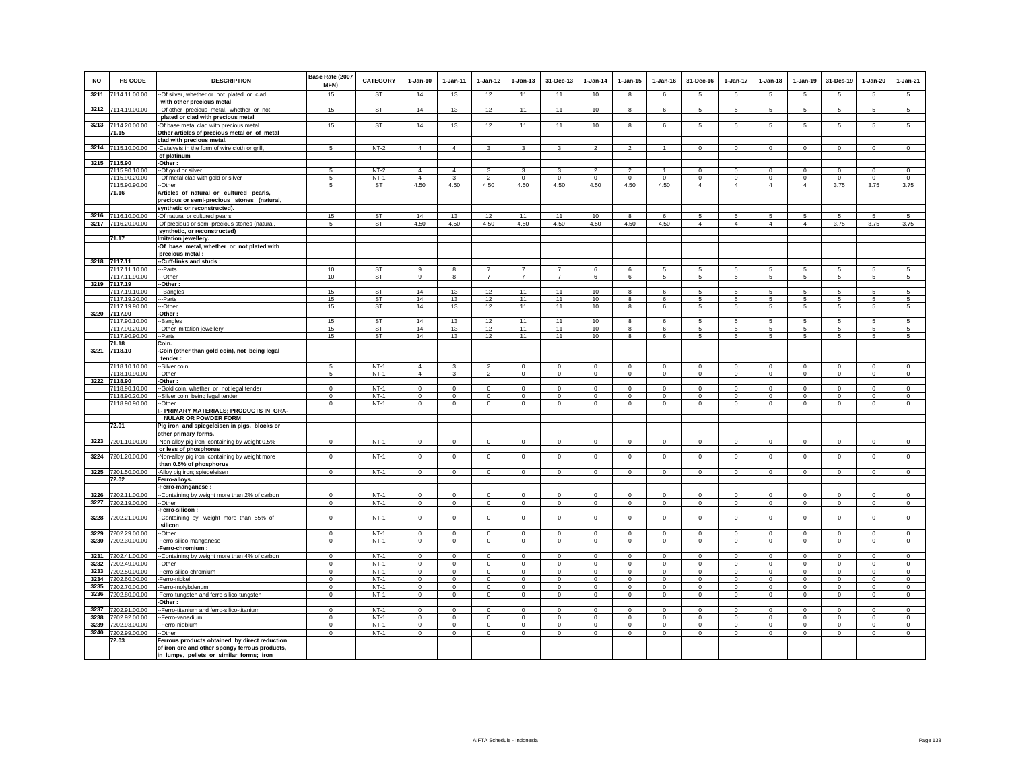| NO   | <b>HS CODE</b>                 | <b>DESCRIPTION</b>                                                                      | Base Rate (2007<br>MFN) | CATEGORY        | $1-Jan-10$     | 1-Jan-11       | $1 - Jan-12$   | $1 - Jan-13$    | 31-Dec-13      | $1-Jan-14$     | $1 - Jan-15$            | $1 - Jan-16$   | 31-Dec-16       | 1-Jan-17             | $1-Jan-18$      | $1-Jan-19$      | 31-Des-19       | $1 - Jan-20$   | $1-Jan-21$      |
|------|--------------------------------|-----------------------------------------------------------------------------------------|-------------------------|-----------------|----------------|----------------|----------------|-----------------|----------------|----------------|-------------------------|----------------|-----------------|----------------------|-----------------|-----------------|-----------------|----------------|-----------------|
| 3211 | 7114.11.00.00                  | -- Of silver, whether or not plated or clad                                             | 15                      | <b>ST</b>       | 14             | 13             | 12             | 11              | 11             | 10             | 8                       | 6              | 5               | $5\phantom{.0}$      | 5               | 5               | $\sqrt{5}$      | 5              | $5\phantom{.0}$ |
|      |                                | with other precious metal                                                               |                         |                 |                |                |                |                 |                |                |                         |                |                 |                      |                 |                 |                 |                |                 |
|      | 3212 7114.19.00.00             | -- Of other precious metal, whether or not                                              | 15                      | <b>ST</b>       | 14             | 13             | 12             | 11              | 11             | 10             | 8                       | 6              | 5               | 5                    | 5               | 5               | 5               | 5              | 5               |
|      |                                | plated or clad with precious metal                                                      |                         | <b>ST</b>       |                |                |                |                 |                |                |                         |                |                 | 5                    |                 |                 |                 | 5              |                 |
|      | 3213 7114.20.00.00<br>71.15    | -Of base metal clad with precious metal<br>Other articles of precious metal or of metal | 15                      |                 | 14             | 13             | 12             | 11              | 11             | 10             | 8                       | 6              | 5               |                      | 5               | 5               | $\sqrt{5}$      |                | 5               |
|      |                                | clad with precious metal.                                                               |                         |                 |                |                |                |                 |                |                |                         |                |                 |                      |                 |                 |                 |                |                 |
|      | 3214 7115.10.00.00             | -Catalysts in the form of wire cloth or grill,                                          | 5                       | $NT-2$          | $\overline{4}$ | $\overline{4}$ | 3              | 3               | 3              | $\overline{2}$ | $\overline{2}$          | $\overline{1}$ | $\Omega$        | $\mathbf 0$          | $\Omega$        | $\mathsf 0$     | $\circ$         | $\circ$        | $\circ$         |
|      |                                | of platinum                                                                             |                         |                 |                |                |                |                 |                |                |                         |                |                 |                      |                 |                 |                 |                |                 |
| 3215 | 7115.90                        | -Other:                                                                                 |                         |                 |                |                |                |                 |                |                |                         |                |                 |                      |                 |                 |                 |                |                 |
|      | 7115.90.10.00                  | --Of gold or silver                                                                     | 5                       | $NT-2$          | $\overline{4}$ | $\overline{4}$ | 3              | 3               | 3              | $\mathfrak{p}$ | $\mathfrak{p}$          |                | $\mathbf 0$     | $\mathbf 0$          | $\mathbf 0$     | $\mathbf 0$     | $\mathbf 0$     | $\mathbf 0$    | $\mathbf 0$     |
|      | 7115.90.20.00                  | --Of metal clad with gold or silver                                                     | -5                      | $NT-1$          | $\Delta$       | $\mathbf{3}$   | $\mathcal{P}$  | $\Omega$        | $\Omega$       | $\Omega$       | $\Omega$                | $\Omega$       | $\mathbf 0$     | $\mathbf 0$          | $\mathbf 0$     | $\mathbf 0$     | $\mathbf 0$     | $\Omega$       | $\mathbf 0$     |
|      | 7115.90.90.00<br>71.16         | --Other<br>Articles of natural or cultured pearls,                                      | -5                      | <b>ST</b>       | 4.50           | 4.50           | 4.50           | 4.50            | 4.50           | 4.50           | 4.50                    | 4.50           | $\overline{4}$  | $\overline{4}$       | $\overline{4}$  | $\overline{4}$  | 3.75            | 3.75           | 3.75            |
|      |                                | precious or semi-precious stones (natural,                                              |                         |                 |                |                |                |                 |                |                |                         |                |                 |                      |                 |                 |                 |                |                 |
|      |                                | synthetic or reconstructed).                                                            |                         |                 |                |                |                |                 |                |                |                         |                |                 |                      |                 |                 |                 |                |                 |
| 3216 | 7116.10.00.00                  | -Of natural or cultured pearls                                                          | 15                      | ST              | 14             | 13             | 12             | 11              | 11             | 10             | 8                       | 6              | 5               | 5                    | 5               | 5               | 5               | 5              | 5               |
| 3217 | 7116.20.00.00                  | -Of precious or semi-precious stones (natural,                                          | $5\phantom{.0}$         | <b>ST</b>       | 4.50           | 4.50           | 4.50           | 4.50            | 4.50           | 4.50           | 4.50                    | 4.50           | $\overline{4}$  | $\overline{4}$       | $\overline{4}$  | $\overline{4}$  | 3.75            | 3.75           | 3.75            |
|      |                                | synthetic, or reconstructed)                                                            |                         |                 |                |                |                |                 |                |                |                         |                |                 |                      |                 |                 |                 |                |                 |
|      | 71.17                          | Imitation jewellery.                                                                    |                         |                 |                |                |                |                 |                |                |                         |                |                 |                      |                 |                 |                 |                |                 |
|      |                                | -Of base metal, whether or not plated with<br>precious metal :                          |                         |                 |                |                |                |                 |                |                |                         |                |                 |                      |                 |                 |                 |                |                 |
| 3218 | 7117.11                        | -Cuff-links and studs:                                                                  |                         |                 |                |                |                |                 |                |                |                         |                |                 |                      |                 |                 |                 |                |                 |
|      | 7117.11.10.00                  | ---Parts                                                                                | 10                      | <b>ST</b>       | $\alpha$       | 8              | $\overline{7}$ | $\overline{7}$  | $\overline{7}$ | 6              | 6                       | 5              | 5               | 5                    | 5               | 5               | 5               | 5              | 5               |
|      | 7117.11.90.00                  | ---Other                                                                                | 10                      | <b>ST</b>       | $\alpha$       | 8              | $\overline{7}$ | $\overline{7}$  | $\overline{7}$ | 6              | 6                       | 5              | 5               | 5 <sup>5</sup>       | $\overline{5}$  | 5               | $\overline{5}$  | 5              | $\overline{5}$  |
| 3219 | 7117.19                        | --Other:                                                                                |                         |                 |                |                |                |                 |                |                |                         |                |                 |                      |                 |                 |                 |                |                 |
|      | 7117.19.10.00                  | ---Bangles                                                                              | 15                      | <b>ST</b>       | 14             | 13             | 12             | 11              | 11             | 10             | 8                       | 6              | 5               | 5                    | 5               | 5               | 5               | 5              | -5              |
|      | 7117.19.20.00<br>7117.19.90.00 | --Parts<br>--Other                                                                      | 15<br>15                | ST<br><b>ST</b> | 14<br>14       | 13<br>13       | 12<br>12       | 11<br>11        | 11<br>11       | 10<br>10       | 8<br>8                  | 6<br>6         | 5<br>5          | 5<br>$5\phantom{.0}$ | 5<br>5          | 5<br>$\sqrt{5}$ | 5<br>$\sqrt{5}$ | 5<br>5         | 5<br>$\sqrt{5}$ |
| 3220 | 7117.90                        | -Other:                                                                                 |                         |                 |                |                |                |                 |                |                |                         |                |                 |                      |                 |                 |                 |                |                 |
|      | 7117.90.10.00                  | -Bangles                                                                                | 15                      | <b>ST</b>       | 14             | 13             | 12             | $\overline{11}$ | 11             | 10             | 8                       | 6              | 5               | 5                    | 5               | 5               | 5               | 5              | 5               |
|      | 7117.90.20.00                  | -Other imitation jewellery                                                              | 15                      | <b>ST</b>       | 14             | 13             | 12             | 11              | 11             | 10             | 8                       | 6              | 5               | 5                    | 5               | 5               | 5               | 5              | 5               |
|      | 7117.90.90.00<br>71.18         | --Parts<br>Coin.                                                                        | 15                      | <b>ST</b>       | 14             | 13             | 12             | 11              | 11             | 10             | $\overline{\mathbf{8}}$ | 6              | $5\overline{)}$ | $5\overline{)}$      | $5\overline{)}$ | $5\overline{)}$ | 5               | 5              | $5\overline{)}$ |
| 3221 | 7118.10                        | -Coin (other than gold coin), not being legal                                           |                         |                 |                |                |                |                 |                |                |                         |                |                 |                      |                 |                 |                 |                |                 |
|      |                                | tender                                                                                  |                         |                 |                |                |                |                 |                |                |                         |                |                 |                      |                 |                 |                 |                |                 |
|      | 7118.10.10.00                  | --Silver coin                                                                           | 5                       | $NT-1$          | $\overline{4}$ | 3              | $\overline{2}$ | $\mathbf 0$     | $\mathbf 0$    | $^{\circ}$     | $\circ$                 | $\mathbf 0$    | $\mathbf 0$     | $\mathbf 0$          | $\mathbf 0$     | $\mathbf 0$     | $\mathbf 0$     | $\mathbf 0$    | $\mathbf 0$     |
|      | 7118.10.90.00                  | --Other                                                                                 | 5                       | $NT-1$          | $\Delta$       | 3              | $\overline{2}$ | 0               | $\mathbf 0$    | $\circ$        | $\circ$                 | $^{\circ}$     | $\mathbf 0$     | $\circ$              | $^{\circ}$      | $\mathbf 0$     | $\circ$         | $\mathbf{0}$   | $\circ$         |
| 3222 | 7118.90<br>7118.90.10.00       | -Other:<br>-Gold coin, whether or not legal tender                                      | $\mathsf 0$             | $NT-1$          | $\Omega$       | $\Omega$       | $\circ$        | $\mathsf 0$     | $\mathbf 0$    | $\Omega$       | $\mathbf 0$             | $\mathbf 0$    | $\mathbf 0$     | $\mathbf 0$          | $\mathsf 0$     | $\mathsf 0$     | $\mathbf 0$     | $\circ$        | $\mathsf 0$     |
|      | 7118.90.20.00                  | --Silver coin, being legal tender                                                       | $\mathbf{0}$            | $NT-1$          | $\circ$        | $\circ$        | $\circ$        | $\mathbf 0$     | $\mathbf 0$    | $\mathbf 0$    | $\mathbf 0$             | $\mathbf 0$    | $\mathbf 0$     | $\circ$              | $\mathbf 0$     | $\mathbf 0$     | $\mathbf 0$     | $\mathbf 0$    | $\circ$         |
|      | 7118.90.90.00                  | --Other                                                                                 | $\mathbf 0$             | $NT-1$          | $\circ$        | $\circ$        | $\circ$        | $\mathbf 0$     | $\circ$        | $\mathsf 0$    | $\mathbf{0}$            | $\Omega$       | $\circ$         | $\overline{0}$       | $\mathbf 0$     | $\circ$         | $\mathbf 0$     | $\mathsf 0$    | $\circ$         |
|      |                                | I.- PRIMARY MATERIALS; PRODUCTS IN GRA-<br><b>NULAR OR POWDER FORM</b>                  |                         |                 |                |                |                |                 |                |                |                         |                |                 |                      |                 |                 |                 |                |                 |
|      | 72.01                          | Pig iron and spiegeleisen in pigs, blocks or                                            |                         |                 |                |                |                |                 |                |                |                         |                |                 |                      |                 |                 |                 |                |                 |
|      | 3223 7201.10.00.00             | other primary forms.<br>-Non-alloy pig iron containing by weight 0.5%                   | $\mathbf{0}$            | $NT-1$          | $\mathbf 0$    | $\mathbf 0$    | $\mathbf 0$    | $\mathbf 0$     | $\mathbf 0$    | $\mathbf 0$    | $\mathbf 0$             | $\circ$        | $\mathbf 0$     | $\mathbf 0$          | $\mathbf 0$     | $\circ$         | $\circ$         | $\mathbf 0$    | $\circ$         |
|      | 3224 7201.20.00.00             | or less of phosphorus                                                                   | $\mathbf{0}$            | $NT-1$          | $\circ$        | $^{\circ}$     | $\circ$        | $\mathbf 0$     | $\mathbf{0}$   | $\mathbf 0$    | $\circ$                 | $^{\circ}$     | $\circ$         | $\circ$              | $\mathbf 0$     | $\mathsf 0$     | $\mathbf 0$     | $\mathbf 0$    | $\circ$         |
|      |                                | -Non-alloy pig iron containing by weight more<br>than 0.5% of phosphorus                |                         |                 |                |                |                |                 |                |                |                         |                |                 |                      |                 |                 |                 |                |                 |
| 3225 | 7201.50.00.00                  | -Alloy pig iron; spiegeleisen                                                           | $\mathbf 0$             | $NT-1$          | $\circ$        | $\mathbf 0$    | $\mathsf 0$    | $\mathbf{0}$    | $\Omega$       | $\Omega$       | $\mathsf 0$             | $\mathsf 0$    | $\mathbf{0}$    | $\mathbf 0$          | $\mathbf{0}$    | $\mathsf 0$     | $\circ$         | $\mathbf{0}$   | $\circ$         |
|      | 72.02                          | Ferro-alloys.<br>-Ferro-manganese :                                                     |                         |                 |                |                |                |                 |                |                |                         |                |                 |                      |                 |                 |                 |                |                 |
| 3226 | 7202.11.00.00                  | -Containing by weight more than 2% of carbon                                            | $\mathbf 0$             | $NT-1$          | $\circ$        | $\mathbf 0$    | $\mathbf 0$    | $\mathbf 0$     | $\mathbf 0$    | $^{\circ}$     | $^{\circ}$              | $\mathbf 0$    | $^{\circ}$      | $\mathbf 0$          | $\mathbf 0$     | $\mathbf 0$     | $\mathbf 0$     | $\mathbf 0$    | $\mathbf 0$     |
| 3227 | 7202.19.00.00                  | -Other                                                                                  | $\mathbf{0}$            | $NT-1$          | $\circ$        | $\circ$        | $\circ$        | $\mathbf 0$     | $\mathbf 0$    | $\circ$        | $\mathbf 0$             | $\circ$        | $\mathbf 0$     | $\circ$              | $\mathbf 0$     | $\circ$         | $\circ$         | $\circ$        | $\circ$         |
|      |                                | -Ferro-silicon :                                                                        |                         | $NT-1$          | $\overline{0}$ |                | $\overline{0}$ | $\overline{0}$  |                | $\overline{0}$ |                         |                |                 |                      | $\overline{0}$  | $\overline{0}$  |                 |                | $\overline{0}$  |
| 3228 | 7202.21.00.00                  | -Containing by weight more than 55% of<br>silicon                                       | $\,0\,$                 |                 |                | $\mathsf 0$    |                |                 | $\mathbf 0$    |                | $\mathsf 0$             | $\mathbb O$    | $\mathbf 0$     | $\overline{0}$       |                 |                 | $\,$ 0          | $\overline{0}$ |                 |
| 3229 | 7202.29.00.00                  | -Other                                                                                  | $\mathsf 0$             | $NT-1$          | $\mathsf 0$    | $\mathsf 0$    | $\circ$        | $\mathsf 0$     | $\mathbf 0$    | $\mathbf 0$    | $\mathsf 0$             | $\mathbb O$    | $\mathsf 0$     | $\circ$              | $\mathsf 0$     | $\mathsf 0$     | $\mathbf 0$     | $\mathsf 0$    | $\mathsf 0$     |
| 3230 | 7202.30.00.00                  | -Ferro-silico-manganese                                                                 | $\mathbf{0}$            | $NT-1$          | $\circ$        | $\circ$        | $\circ$        | $\mathbf 0$     | $\mathbf 0$    | $\circ$        | $\mathbf 0$             | $\circ$        | $\mathbf 0$     | $\circ$              | $\mathbf 0$     | $\mathsf 0$     | $\mathbf 0$     | $\circ$        | $\mathbf 0$     |
| 3231 | 7202.41.00.00                  | -Ferro-chromium :<br>--Containing by weight more than 4% of carbon                      | $\mathbf{0}$            | <b>NT-1</b>     | $\mathbf 0$    | $\circ$        | $\mathbf 0$    | $\mathbf 0$     | $\mathbf 0$    | $\mathbf 0$    | $\mathbf 0$             | $\mathbf 0$    | $\mathbf 0$     | $\mathbf 0$          | $\mathbf 0$     | $\mathbf 0$     | $\circ$         | $\mathbf 0$    | $\circ$         |
| 3232 | 7202.49.00.00                  | --Other                                                                                 | $\mathbf{0}$            | $NT-1$          | $\circ$        | $\mathbf{0}$   | $\circ$        | $\mathbf{0}$    | $\mathbf{0}$   | $\mathbf 0$    | $\mathbf 0$             | $\circ$        | $\mathbf{0}$    | $\circ$              | $\mathbf{0}$    | $\mathsf 0$     | $\circ$         | $\mathbf{0}$   | $\mathbf{0}$    |
| 3233 | 7202.50.00.00                  | -Ferro-silico-chromium                                                                  | $^{\circ}$              | $NT-1$          | $^{\circ}$     | $^{\circ}$     | $\circ$        | $\mathbf 0$     | $\mathbf 0$    | 0              | $\circ$                 | $^{\circ}$     | $\mathbf 0$     | $\mathbf 0$          | $\mathbf 0$     | $\circ$         | $\circ$         | $\circ$        | $\circ$         |
| 3234 | 7202.60.00.00                  | Ferro-nickel                                                                            | $^{\circ}$              | $NT-1$          | $^{\circ}$     | $^{\circ}$     | $\mathbf 0$    | $\mathbf 0$     | $\mathsf 0$    | 0              | $\circ$                 | $^{\circ}$     | $\circ$         | $\mathbf 0$          | $\mathbf 0$     | $\mathsf 0$     | $\mathsf 0$     | $\circ$        | $^{\circ}$      |
| 3235 | 7202.70.00.00                  | -Ferro-molvbdenum                                                                       | $\mathbf 0$             | $NT-1$          | $\circ$        | $\Omega$       | $\mathbf{0}$   | $\mathbf{0}$    | $\mathbf 0$    | $\Omega$       | $\Omega$                | $\Omega$       | $\mathbf{0}$    | $\mathbf{0}$         | $\mathbf{0}$    | $\circ$         | $\circ$         | $\circ$        | $\circ$         |
| 3236 | 7202.80.00.00                  | Ferro-tungsten and ferro-silico-tungsten                                                | $\mathbf 0$             | $NT-1$          | $\mathbf 0$    | $\mathbf 0$    | $\mathbf 0$    | $\mathbf 0$     | $\mathbf 0$    | $\mathbf 0$    | $\mathbf 0$             | $\mathbf 0$    | $\mathbf 0$     | $\mathsf 0$          | $\mathbf 0$     | $\mathbf 0$     | $\mathbf 0$     | $\mathbf 0$    | $\circ$         |
| 3237 | 7202.91.00.00                  | Other:                                                                                  | $\mathbf 0$             | $NT-1$          | $\mathbf 0$    | $\mathbf 0$    | $\mathbf 0$    | $\mathbf 0$     | $\mathbf 0$    | $^{\circ}$     | $\mathbf 0$             | $\mathbf 0$    | $\mathbf 0$     | $\mathbf 0$          | $\mathbf 0$     | $\mathbf 0$     | $\mathbf 0$     | $\mathbf 0$    | $\circ$         |
| 3238 | 7202.92.00.00                  | -- Ferro-titanium and ferro-silico-titanium<br>--Ferro-vanadium                         | $\mathbf 0$             | $NT-1$          | $\circ$        | $\mathsf 0$    | $\mathbf 0$    | $\mathsf 0$     | $\mathbf 0$    | $\mathbf 0$    | $\mathbf 0$             | $\mathbf 0$    | $\mathbf 0$     | $\mathbf 0$          | $\mathbf 0$     | $\mathsf 0$     | $\mathbf 0$     | $\mathbf 0$    | $\mathbf 0$     |
| 3239 | 7202.93.00.00                  | --Ferro-niobium                                                                         | $\mathbf{0}$            | $NT-1$          | $\Omega$       | $\mathsf 0$    | $\circ$        | $\mathsf 0$     | $\mathbf 0$    | $\mathbf 0$    | $\mathsf 0$             | $\Omega$       | $\mathbf 0$     | $\circ$              | $\mathsf 0$     | $\mathsf 0$     | $\mathbf 0$     | $\mathbf 0$    | $\circ$         |
| 3240 | 7202.99.00.00                  | --Other                                                                                 | $\overline{0}$          | $NT-1$          | $\mathsf 0$    | $\circ$        | $\overline{0}$ | $\overline{0}$  | $\mathsf 0$    | $\mathsf 0$    | $\mathsf 0$             | $\Omega$       | $\mathbf 0$     | $\overline{0}$       | $\overline{0}$  | $\mathsf 0$     | $\mathsf 0$     | $\mathsf 0$    | $\overline{0}$  |
|      | 72.03                          | Ferrous products obtained by direct reduction                                           |                         |                 |                |                |                |                 |                |                |                         |                |                 |                      |                 |                 |                 |                |                 |
|      |                                | of iron ore and other spongy ferrous products,                                          |                         |                 |                |                |                |                 |                |                |                         |                |                 |                      |                 |                 |                 |                |                 |
|      |                                | in lumps, pellets or similar forms; iron                                                |                         |                 |                |                |                |                 |                |                |                         |                |                 |                      |                 |                 |                 |                |                 |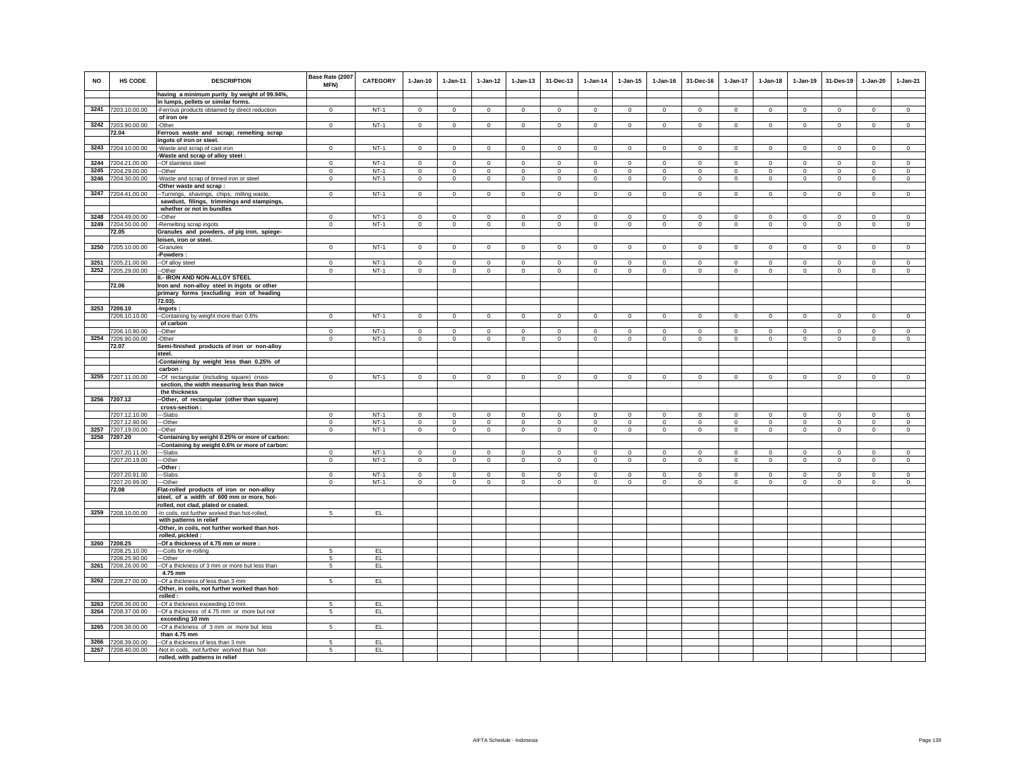| <b>NO</b> | HS CODE                        | <b>DESCRIPTION</b>                                                                      | Base Rate (2007<br>MFN) | CATEGORY | $1-Jan-10$   | 1-Jan-11               | $1 - Jan-12$   | $1 - Jan-13$   | 31-Dec-13      | $1-Jan-14$   | $1 - Jan-15$ | $1 - Jan-16$ | 31-Dec-16    | $1-Jan-17$     | $1-Jan-18$   | $1 - Jan-19$   | 31-Des-19      | 1-Jan-20       | 1-Jan-21    |
|-----------|--------------------------------|-----------------------------------------------------------------------------------------|-------------------------|----------|--------------|------------------------|----------------|----------------|----------------|--------------|--------------|--------------|--------------|----------------|--------------|----------------|----------------|----------------|-------------|
|           |                                | having a minimum purity by weight of 99.94%,                                            |                         |          |              |                        |                |                |                |              |              |              |              |                |              |                |                |                |             |
|           |                                | in lumps, pellets or similar forms.                                                     |                         |          |              |                        |                |                |                |              |              |              |              |                |              |                |                |                |             |
|           | 3241 7203.10.00.00             | -Ferrous products obtained by direct reduction                                          | $\circ$                 | $NT-1$   | $\mathsf 0$  | $\mathsf 0$            | $\mathbf 0$    | $\mathbf 0$    | $\mathbf 0$    | $\mathsf 0$  | $\mathbf 0$  | $\mathsf 0$  | $\mathbf 0$  | $\mathbf 0$    | $\mathbf 0$  | $\mathbf 0$    | $\mathbf 0$    | $\mathsf 0$    | $\mathsf 0$ |
|           |                                | of iron ore                                                                             | $\mathbf 0$             | $NT-1$   | $\mathbf{0}$ | $\mathbf 0$            | $\mathsf 0$    |                | $\mathbf 0$    | $\mathbb O$  | $\mathsf 0$  | $\mathbf{0}$ | $\mathbf 0$  | $\mathbf 0$    | $\mathbf 0$  |                |                |                |             |
|           | 3242 7203.90.00.00<br>72.04    | -Other<br>Ferrous waste and scrap; remelting scrap                                      |                         |          |              |                        |                | $\mathbf 0$    |                |              |              |              |              |                |              | $\mathbf 0$    | $\,0\,$        | $\mathsf 0$    | $\mathsf 0$ |
|           |                                | ingots of iron or steel.                                                                |                         |          |              |                        |                |                |                |              |              |              |              |                |              |                |                |                |             |
| 3243      | 7204.10.00.00                  | Waste and scrap of cast iron                                                            | $\mathbf{0}$            | $NT-1$   | $\Omega$     | $\circ$                | $\circ$        | $\mathbf 0$    | $\mathbf 0$    | $\circ$      | $\mathbf 0$  | $\mathsf 0$  | $\Omega$     | $\mathbf 0$    | $\Omega$     | $\circ$        | $\mathbf 0$    | $\circ$        | $\mathsf 0$ |
|           |                                | Waste and scrap of alloy steel:                                                         |                         |          |              |                        |                |                |                |              |              |              |              |                |              |                |                |                |             |
| 3244      | 7204.21.00.00                  | -Of stainless steel                                                                     | $\mathbf 0$             | $NT-1$   | $\circ$      | $\mathbf 0$            | $\mathbf{0}$   | $\mathbf{0}$   | $\mathbf 0$    | $\mathbf{0}$ | $\mathbf{0}$ | $\circ$      | $\circ$      | $\mathbf{0}$   | $\circ$      | $\mathbf 0$    | $\Omega$       | $\mathbf{0}$   | $\circ$     |
| 3245      | 7204.29.00.00                  | -Other                                                                                  | $\mathbf 0$             | $NT-1$   | $\circ$      | $\circ$                | $\circ$        | $\mathbf 0$    | $\mathbf 0$    | $\mathbf 0$  | $\mathbf 0$  | $\circ$      | $\circ$      | $\mathbf 0$    | $\mathbf 0$  | $\mathbf 0$    | $\mathbf 0$    | $\mathbf 0$    | $\circ$     |
| 3246      | 7204.30.00.00                  | Waste and scrap of tinned iron or steel                                                 | $\,0\,$                 | $NT-1$   | $\mathbf 0$  | $\mathsf 0$            | $\mathbf 0$    | $\mathbf 0$    | $\,0\,$        | $\mathbf 0$  | $\mathsf 0$  | $\mathsf 0$  | $\mathbf 0$  | $\mathsf 0$    | $\mathsf 0$  | $\mathbf 0$    | $\,0\,$        | $\mathbf 0$    | $\mathsf 0$ |
|           |                                | Other waste and scrap:                                                                  |                         |          |              |                        |                |                |                |              |              |              |              |                |              |                |                |                |             |
| 3247      | 7204.41.00.00                  | -Turnings, shavings, chips, milling waste,                                              | $\mathbf 0$             | $NT-1$   | $\mathbf 0$  | $\mathbf 0$            | $\mathbf 0$    | $\mathbf 0$    | $\mathbf 0$    | $\mathbf 0$  | $\mathbf 0$  | $\mathbf 0$  | $\circ$      | $\mathsf 0$    | $\mathbf{0}$ | $\,0\,$        | $\,0\,$        | $\mathbf 0$    | $\mathsf 0$ |
|           |                                | sawdust, filings, trimmings and stampings,                                              |                         |          |              |                        |                |                |                |              |              |              |              |                |              |                |                |                |             |
|           | 3248 7204.49.00.00             | whether or not in bundles<br>--Other                                                    | $\Omega$                | $NT-1$   | $\circ$      | $\Omega$               | $\mathbf{0}$   | $\mathbf{0}$   | $\Omega$       | $\Omega$     | $\mathbf{0}$ | $\Omega$     | $\Omega$     | $\mathbf{0}$   | $\circ$      | $\mathbf 0$    | $\mathbf 0$    | $\mathbf{0}$   | $\circ$     |
| 3249      | 7204.50.00.00                  | -Remelting scrap ingots                                                                 | $\mathbf 0$             | $NT-1$   | $\mathsf 0$  | $\mathsf 0$            | $\mathbf 0$    | $\mathsf 0$    | $\mathbf 0$    | $\mathsf 0$  | $\mathsf 0$  | $\mathsf 0$  | $\mathbf 0$  | $\mathbf 0$    | $\mathbf 0$  | $\mathbf 0$    | $\mathbf 0$    | $\mathsf 0$    | $\mathsf 0$ |
|           | 72.05                          | Granules and powders, of pig iron, spiege-                                              |                         |          |              |                        |                |                |                |              |              |              |              |                |              |                |                |                |             |
|           |                                | leisen, iron or steel.                                                                  |                         |          |              |                        |                |                |                |              |              |              |              |                |              |                |                |                |             |
|           | 3250 7205.10.00.00             | -Granules                                                                               | $\mathbf{0}$            | $NT-1$   | $\mathbf{0}$ | $\mathbf{0}$           | $\circ$        | $\mathbf 0$    | $\mathbf{0}$   | $\circ$      | $\mathbf 0$  | $\circ$      | $\mathbf{0}$ | $\mathbf{0}$   | $\mathbf{0}$ | $\circ$        | $\mathbf{0}$   | $\mathbf{0}$   | $\circ$     |
|           |                                | Powders:                                                                                |                         |          |              |                        |                |                |                |              |              |              |              |                |              |                |                |                |             |
|           | 3251 7205.21.00.00             | -Of alloy steel                                                                         | $\Omega$                | $NT-1$   | $\Omega$     | $\Omega$               | $\circ$        | $\Omega$       | $\Omega$       | $\Omega$     | $\Omega$     | $\Omega$     | $\Omega$     | $\Omega$       | $\Omega$     | $\Omega$       | $\circ$        | $\Omega$       | $\Omega$    |
|           | 3252 7205.29.00.00             | -Other                                                                                  | $\Omega$                | $NT-1$   | $\circ$      | $\mathbf{0}$           | $\circ$        | $\mathbf 0$    | $\mathsf 0$    | $\circ$      | $\mathbf 0$  | $\mathsf 0$  | $\Omega$     | $\mathbf 0$    | $\circ$      | $\circ$        | $\circ$        | $\Omega$       | $\mathsf 0$ |
|           | 72.06                          | II.- IRON AND NON-ALLOY STEEL                                                           |                         |          |              |                        |                |                |                |              |              |              |              |                |              |                |                |                |             |
|           |                                | Iron and non-alloy steel in ingots or other<br>primary forms (excluding iron of heading |                         |          |              |                        |                |                |                |              |              |              |              |                |              |                |                |                |             |
|           |                                | 72.03).                                                                                 |                         |          |              |                        |                |                |                |              |              |              |              |                |              |                |                |                |             |
|           | 3253 7206.10                   | -Ingots:                                                                                |                         |          |              |                        |                |                |                |              |              |              |              |                |              |                |                |                |             |
|           | 7206.10.10.00                  | --Containing by weight more than 0.6%                                                   | $\Omega$                | $NT-1$   | $\Omega$     | $\mathbf{0}$           | $\overline{0}$ | $\mathbf{0}$   | $\mathbf{0}$   | $\circ$      | $\mathbf{0}$ | $\circ$      | $\circ$      | $\circ$        | $\circ$      | $\circ$        | $\overline{0}$ | $\circ$        | $\circ$     |
|           |                                | of carbon                                                                               |                         |          |              |                        |                |                |                |              |              |              |              |                |              |                |                |                |             |
|           | 7206.10.90.00                  | -Other                                                                                  | $\Omega$                | $NT-1$   | $\Omega$     | $\Omega$               | $\Omega$       | $\mathbf 0$    | $\Omega$       | $\Omega$     | $\Omega$     | $\Omega$     | $\Omega$     | $\Omega$       | $\Omega$     | $\Omega$       | $\Omega$       | $\Omega$       | $\Omega$    |
|           | 3254 7206.90.00.00             | -Other                                                                                  | $\circ$                 | $NT-1$   | $\circ$      | $\circ$                | $\circ$        | $\circ$        | $\circ$        | $\mathbf 0$  | $\mathsf 0$  | $\mathsf 0$  | $\circ$      | $\circ$        | $\circ$      | $\mathbf 0$    | $\circ$        | $\mathsf 0$    | $\mathsf 0$ |
|           | 72.07                          | Semi-finished products of iron or non-alloy<br>steel.                                   |                         |          |              |                        |                |                |                |              |              |              |              |                |              |                |                |                |             |
|           |                                | Containing by weight less than 0.25% of                                                 |                         |          |              |                        |                |                |                |              |              |              |              |                |              |                |                |                |             |
|           |                                | carbon:                                                                                 |                         |          |              |                        |                |                |                |              |              |              |              |                |              |                |                |                |             |
| 3255      | 7207.11.00.00                  | -Of rectangular (including square) cross-                                               | $\mathbf 0$             | $NT-1$   | $\mathsf 0$  | $\mathsf 0$            | $\mathsf 0$    | $\mathsf 0$    | $\mathbf 0$    | $\mathsf 0$  | $\mathsf 0$  | $\mathsf 0$  | $\mathsf 0$  | $\mathbf 0$    | $\mathbf 0$  | $\mathbf 0$    | $\mathbf 0$    | $\mathbf 0$    | $\mathsf 0$ |
|           |                                | section, the width measuring less than twice                                            |                         |          |              |                        |                |                |                |              |              |              |              |                |              |                |                |                |             |
|           |                                | the thickness                                                                           |                         |          |              |                        |                |                |                |              |              |              |              |                |              |                |                |                |             |
|           | 3256 7207.12                   | -Other, of rectangular (other than square)                                              |                         |          |              |                        |                |                |                |              |              |              |              |                |              |                |                |                |             |
|           |                                | cross-section:<br>--Slabs                                                               | $\Omega$                | $NT-1$   | $\circ$      | $\Omega$               | $\mathbf{0}$   | $\mathbf{0}$   | $\Omega$       | $\mathbf 0$  | $\mathbf{0}$ | $\mathbf 0$  | $\Omega$     | $\mathbf{0}$   | $\mathbf 0$  | $\mathbf 0$    | $\Omega$       | $\Omega$       | $\circ$     |
|           | 7207.12.10.00<br>7207.12.90.00 | --Other                                                                                 | $\mathbf 0$             | $NT-1$   | $\circ$      | $\circ$                | $\circ$        | $\mathbf 0$    | $\mathbf 0$    | $\circ$      | $\mathsf 0$  | $\mathsf 0$  | $\mathbf 0$  | $\mathbf 0$    | $\mathbf 0$  | $\mathbf 0$    | $\mathbf 0$    | $\mathsf 0$    | $\circ$     |
| 3257      | 7207.19.00.00                  | -Other                                                                                  | $\mathbf{0}$            | $NT-1$   | $\mathbf{0}$ | $\mathbf{0}$           | $\circ$        | $\mathbf 0$    | $\mathbf 0$    | $\circ$      | $\mathbf 0$  | $\circ$      | $\circ$      | $\circ$        | $\circ$      | $\circ$        | $\mathbf{0}$   | $\mathbf 0$    | $\circ$     |
|           | 3258 7207.20                   | Containing by weight 0.25% or more of carbon:                                           |                         |          |              |                        |                |                |                |              |              |              |              |                |              |                |                |                |             |
|           |                                | -Containing by weight 0.6% or more of carbon:                                           |                         |          |              |                        |                |                |                |              |              |              |              |                |              |                |                |                |             |
|           | 7207.20.11.00                  | --Slabs                                                                                 | $^{\circ}$              | $NT-1$   | $\Omega$     | $^{\circ}$             | $\circ$        | $\mathbf{0}$   | $\Omega$       | $^{\circ}$   | $^{\circ}$   | $^{\circ}$   | $^{\circ}$   | $\circ$        | $\Omega$     | $\mathbf{0}$   | $\circ$        | $\Omega$       | $\circ$     |
|           | 7207.20.19.00                  | --Other                                                                                 | $\mathbf 0$             | $NT-1$   | $\mathbf 0$  | $\mathbf 0$            | $\overline{0}$ | $\overline{0}$ | $\overline{0}$ | $\mathbf 0$  | $\mathbf 0$  | $\circ$      | $\circ$      | $\overline{0}$ | $\mathbf 0$  | $\overline{0}$ | $\overline{0}$ | $\overline{0}$ | $\mathbf 0$ |
|           |                                | Other:                                                                                  |                         | $NT-1$   | $\Omega$     |                        | $\Omega$       | $\Omega$       | $\mathbf 0$    | $\Omega$     | $\Omega$     | $\Omega$     | $\Omega$     | $\Omega$       | $\Omega$     | $\Omega$       | $^{\circ}$     | $\mathbf 0$    | $\Omega$    |
|           | 7207.20.91.00<br>7207.20.99.00 | -Slabs<br>--Other                                                                       | $\mathbf 0$<br>$\circ$  | $NT-1$   | $\circ$      | $\mathbf 0$<br>$\circ$ | $\circ$        | $\mathsf 0$    | $\mathbf{0}$   | $\circ$      | $\mathbf{0}$ | $\circ$      | $\circ$      | $\mathbf 0$    | $\mathbf 0$  | $\mathbf 0$    | $\mathbf{0}$   | $\mathbf{0}$   | $\circ$     |
|           | 72.08                          | Flat-rolled products of iron or non-alloy                                               |                         |          |              |                        |                |                |                |              |              |              |              |                |              |                |                |                |             |
|           |                                | steel, of a width of 600 mm or more, hot-                                               |                         |          |              |                        |                |                |                |              |              |              |              |                |              |                |                |                |             |
|           |                                | rolled, not clad, plated or coated.                                                     |                         |          |              |                        |                |                |                |              |              |              |              |                |              |                |                |                |             |
|           | 3259 7208.10.00.00             | -In coils, not further worked than hot-rolled,                                          | 5                       | EL.      |              |                        |                |                |                |              |              |              |              |                |              |                |                |                |             |
|           |                                | with patterns in relief                                                                 |                         |          |              |                        |                |                |                |              |              |              |              |                |              |                |                |                |             |
|           |                                | -Other, in coils, not further worked than hot-<br>rolled, pickled:                      |                         |          |              |                        |                |                |                |              |              |              |              |                |              |                |                |                |             |
|           | 3260 7208.25                   | -Of a thickness of 4.75 mm or more:                                                     |                         |          |              |                        |                |                |                |              |              |              |              |                |              |                |                |                |             |
|           | 7208.25.10.00                  | --Coils for re-rolling                                                                  | 5                       | EL       |              |                        |                |                |                |              |              |              |              |                |              |                |                |                |             |
|           | 7208.25.90.00                  | --Other                                                                                 | 5                       | EL       |              |                        |                |                |                |              |              |              |              |                |              |                |                |                |             |
| 3261      | 7208.26.00.00                  | -Of a thickness of 3 mm or more but less than                                           | 5                       | EL       |              |                        |                |                |                |              |              |              |              |                |              |                |                |                |             |
|           |                                | 4.75 mm                                                                                 |                         |          |              |                        |                |                |                |              |              |              |              |                |              |                |                |                |             |
| 3262      | 7208.27.00.00                  | -Of a thickness of less than 3 mm                                                       | 5                       | EL.      |              |                        |                |                |                |              |              |              |              |                |              |                |                |                |             |
|           |                                | -Other, in coils, not further worked than hot-                                          |                         |          |              |                        |                |                |                |              |              |              |              |                |              |                |                |                |             |
|           | 3263 7208.36.00.00             | rolled :<br>-Of a thickness exceeding 10 mm                                             | 5                       | EL.      |              |                        |                |                |                |              |              |              |              |                |              |                |                |                |             |
| 3264      | 7208.37.00.00                  | -Of a thickness of 4.75 mm or more but not                                              | 5                       | EL.      |              |                        |                |                |                |              |              |              |              |                |              |                |                |                |             |
|           |                                | exceeding 10 mm                                                                         |                         |          |              |                        |                |                |                |              |              |              |              |                |              |                |                |                |             |
| 3265      | 7208.38.00.00                  | -Of a thickness of 3 mm or more but less                                                | 5                       | EL.      |              |                        |                |                |                |              |              |              |              |                |              |                |                |                |             |
|           |                                | than 4.75 mm                                                                            |                         |          |              |                        |                |                |                |              |              |              |              |                |              |                |                |                |             |
| 3266      | 7208.39.00.00                  | -- Of a thickness of less than 3 mm                                                     | -5                      | EL       |              |                        |                |                |                |              |              |              |              |                |              |                |                |                |             |
| 3267      | 7208.40.00.00                  | -Not in coils, not further worked than hot-                                             | 5                       | EL       |              |                        |                |                |                |              |              |              |              |                |              |                |                |                |             |
|           |                                | rolled, with patterns in relief                                                         |                         |          |              |                        |                |                |                |              |              |              |              |                |              |                |                |                |             |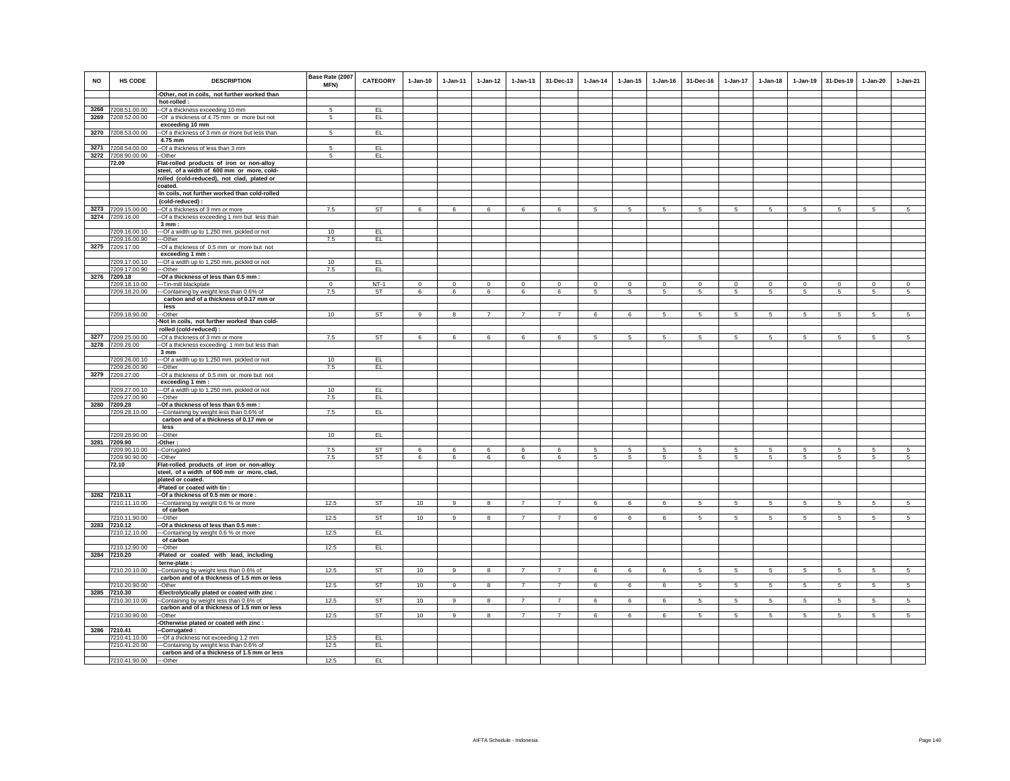|           |                                          |                                                                                          | Base Rate (2007 |                 |              |                |                         |                |                |                 |                 |              |                 |                 |                 |                 |                 |                 |                 |
|-----------|------------------------------------------|------------------------------------------------------------------------------------------|-----------------|-----------------|--------------|----------------|-------------------------|----------------|----------------|-----------------|-----------------|--------------|-----------------|-----------------|-----------------|-----------------|-----------------|-----------------|-----------------|
| <b>NO</b> | <b>HS CODE</b>                           | <b>DESCRIPTION</b>                                                                       | MFN)            | <b>CATEGORY</b> | $1-Jan-10$   | $1 - Jan-11$   | $1-Jan-12$              | $1 - Jan-13$   | 31-Dec-13      | $1-Jan-14$      | $1 - Jan-15$    | $1 - Jan-16$ | 31-Dec-16       | 1-Jan-17        | $1 - Jan-18$    | $1-Jan-19$      | 31-Des-19       | $1-Jan-20$      | $1-Jan-21$      |
|           |                                          | -Other, not in coils, not further worked than                                            |                 |                 |              |                |                         |                |                |                 |                 |              |                 |                 |                 |                 |                 |                 |                 |
|           |                                          | hot-rolled :                                                                             |                 |                 |              |                |                         |                |                |                 |                 |              |                 |                 |                 |                 |                 |                 |                 |
|           | 3268 7208.51.00.00<br>3269 7208.52.00.00 | --Of a thickness exceeding 10 mm                                                         | 5               | EL.<br>EL.      |              |                |                         |                |                |                 |                 |              |                 |                 |                 |                 |                 |                 |                 |
|           |                                          | -- Of a thickness of 4.75 mm or more but not<br>exceeding 10 mm                          | 5               |                 |              |                |                         |                |                |                 |                 |              |                 |                 |                 |                 |                 |                 |                 |
|           | 3270 7208.53.00.00                       | -- Of a thickness of 3 mm or more but less than                                          | $\sqrt{5}$      | EL              |              |                |                         |                |                |                 |                 |              |                 |                 |                 |                 |                 |                 |                 |
|           |                                          | 4.75 mm                                                                                  |                 |                 |              |                |                         |                |                |                 |                 |              |                 |                 |                 |                 |                 |                 |                 |
|           | 3271 7208.54.00.00                       | -- Of a thickness of less than 3 mm                                                      | 5               | EL.             |              |                |                         |                |                |                 |                 |              |                 |                 |                 |                 |                 |                 |                 |
|           | 3272 7208.90.00.00                       | --Other                                                                                  | $\sqrt{5}$      | EL.             |              |                |                         |                |                |                 |                 |              |                 |                 |                 |                 |                 |                 |                 |
|           | 72.09                                    | Flat-rolled products of iron or non-alloy                                                |                 |                 |              |                |                         |                |                |                 |                 |              |                 |                 |                 |                 |                 |                 |                 |
|           |                                          | steel, of a width of 600 mm or more, cold-<br>rolled (cold-reduced), not clad, plated or |                 |                 |              |                |                         |                |                |                 |                 |              |                 |                 |                 |                 |                 |                 |                 |
|           |                                          | coated.                                                                                  |                 |                 |              |                |                         |                |                |                 |                 |              |                 |                 |                 |                 |                 |                 |                 |
|           |                                          | -In coils, not further worked than cold-rolled                                           |                 |                 |              |                |                         |                |                |                 |                 |              |                 |                 |                 |                 |                 |                 |                 |
|           |                                          | (cold-reduced):                                                                          |                 |                 |              |                |                         |                |                |                 |                 |              |                 |                 |                 |                 |                 |                 |                 |
|           | 3273 7209.15.00.00                       | -- Of a thickness of 3 mm or more                                                        | 7.5             | ST              | 6            | 6              | 6                       | 6              | 6              | $5\phantom{.0}$ | 5               | 5            | 5               | 5               | 5               | $\sqrt{5}$      | 5               | 5               | $5\overline{5}$ |
|           | 3274 7209.16.00                          | -- Of a thickness exceeding 1 mm but less than                                           |                 |                 |              |                |                         |                |                |                 |                 |              |                 |                 |                 |                 |                 |                 |                 |
|           | 7209.16.00.10                            | 3mm:<br>--- Of a width up to 1,250 mm, pickled or not                                    | 10              | EL              |              |                |                         |                |                |                 |                 |              |                 |                 |                 |                 |                 |                 |                 |
|           | 7209.16.00.90                            | ---Other                                                                                 | 7.5             | EL.             |              |                |                         |                |                |                 |                 |              |                 |                 |                 |                 |                 |                 |                 |
|           | 3275 7209.17.00                          | -Of a thickness of 0.5 mm or more but not                                                |                 |                 |              |                |                         |                |                |                 |                 |              |                 |                 |                 |                 |                 |                 |                 |
|           |                                          | exceeding 1 mm :                                                                         |                 |                 |              |                |                         |                |                |                 |                 |              |                 |                 |                 |                 |                 |                 |                 |
|           | 7209.17.00.10<br>7209.17.00.90           | --- Of a width up to 1,250 mm, pickled or not<br>--Other                                 | 10<br>7.5       | EL<br>EL        |              |                |                         |                |                |                 |                 |              |                 |                 |                 |                 |                 |                 |                 |
|           | 3276 7209.18                             | -Of a thickness of less than 0.5 mm :                                                    |                 |                 |              |                |                         |                |                |                 |                 |              |                 |                 |                 |                 |                 |                 |                 |
|           | 7209.18.10.00                            | --Tin-mill blackplate                                                                    | $\mathbf{0}$    | $NT-1$          | $\mathbf{0}$ | $\circ$        | $\mathbf 0$             | $\mathbf{0}$   | $\mathbf{0}$   | $\mathbf 0$     | $\mathbf 0$     | $\mathbf 0$  | $\mathbf{0}$    | $\circ$         | $\circ$         | $\mathbf 0$     | $\mathbf 0$     | $\mathbf 0$     | $\overline{0}$  |
|           | 7209.18.20.00                            | --Containing by weight less than 0.6% of                                                 | 7.5             | <b>ST</b>       | 6            | 6              | 6                       | 6              | 6              | 5               | 5               | 5            | $5\overline{5}$ | 5               | $5\overline{5}$ | 5               | 5               | 5               | 5               |
|           |                                          | carbon and of a thickness of 0.17 mm or                                                  |                 |                 |              |                |                         |                |                |                 |                 |              |                 |                 |                 |                 |                 |                 |                 |
|           | 7209.18.90.00                            | less<br>--Other                                                                          | 10              | <b>ST</b>       | 9            | 8              | 7                       | $\overline{7}$ | $\overline{7}$ | 6               | 6               | 5            | 5               | 5               | 5               | 5               | 5               | 5               | 5               |
|           |                                          | -Not in coils, not further worked than cold-                                             |                 |                 |              |                |                         |                |                |                 |                 |              |                 |                 |                 |                 |                 |                 |                 |
|           |                                          | rolled (cold-reduced) :                                                                  |                 |                 |              |                |                         |                |                |                 |                 |              |                 |                 |                 |                 |                 |                 |                 |
|           | 3277 7209.25.00.00                       | -- Of a thickness of 3 mm or more                                                        | 7.5             | ST              | 6            | 6              | 6                       | 6              | 6              | 5               | $5\overline{5}$ | 5            | 5               | 5               | $5\overline{5}$ | 5               | 5               | 5               | 5               |
|           | 3278 7209.26.00                          | -- Of a thickness exceeding 1 mm but less than                                           |                 |                 |              |                |                         |                |                |                 |                 |              |                 |                 |                 |                 |                 |                 |                 |
|           | 7209.26.00.10                            | 3 mm                                                                                     | 10              | EL              |              |                |                         |                |                |                 |                 |              |                 |                 |                 |                 |                 |                 |                 |
|           | 7209.26.00.90                            | --- Of a width up to 1,250 mm, pickled or not<br>---Other                                | 7.5             | EL              |              |                |                         |                |                |                 |                 |              |                 |                 |                 |                 |                 |                 |                 |
|           | 3279 7209.27.00                          | -Of a thickness of 0.5 mm or more but not                                                |                 |                 |              |                |                         |                |                |                 |                 |              |                 |                 |                 |                 |                 |                 |                 |
|           |                                          | exceeding 1 mm :                                                                         |                 |                 |              |                |                         |                |                |                 |                 |              |                 |                 |                 |                 |                 |                 |                 |
|           | 7209.27.00.10                            | --- Of a width up to 1,250 mm, pickled or not                                            | 10              | EL              |              |                |                         |                |                |                 |                 |              |                 |                 |                 |                 |                 |                 |                 |
|           | 7209.27.00.90<br>3280 7209.28            | ---Other<br>-Of a thickness of less than 0.5 mm :                                        | 7.5             | EL              |              |                |                         |                |                |                 |                 |              |                 |                 |                 |                 |                 |                 |                 |
|           | 7209.28.10.00                            | --Containing by weight less than 0.6% of                                                 | 7.5             | EL.             |              |                |                         |                |                |                 |                 |              |                 |                 |                 |                 |                 |                 |                 |
|           |                                          | carbon and of a thickness of 0.17 mm or                                                  |                 |                 |              |                |                         |                |                |                 |                 |              |                 |                 |                 |                 |                 |                 |                 |
|           |                                          | less                                                                                     |                 |                 |              |                |                         |                |                |                 |                 |              |                 |                 |                 |                 |                 |                 |                 |
|           | 7209.28.90.00                            | --Other                                                                                  | 10              | EL              |              |                |                         |                |                |                 |                 |              |                 |                 |                 |                 |                 |                 |                 |
|           | 3281 7209.90<br>7209.90.10.00            | Other:<br>-Corrugated                                                                    | 7.5             | <b>ST</b>       | 6            | 6              | 6                       | 6              | 6              | 5               | 5               | 5            | 5               | $\,$ 5 $\,$     | 5               | $\sqrt{5}$      | 5               | 5               | $\sqrt{5}$      |
|           | 7209.90.90.00                            | -Other                                                                                   | 7.5             | <b>ST</b>       | 6            | 6              | 6                       | 6              | 6              | -5              | 5               | 5            | 5               | 5               | -5              | 5               | 5               | 5               | 5               |
|           | 72.10                                    | Flat-rolled products of iron or non-alloy                                                |                 |                 |              |                |                         |                |                |                 |                 |              |                 |                 |                 |                 |                 |                 |                 |
|           |                                          | steel, of a width of 600 mm or more, clad,                                               |                 |                 |              |                |                         |                |                |                 |                 |              |                 |                 |                 |                 |                 |                 |                 |
|           |                                          | plated or coated.                                                                        |                 |                 |              |                |                         |                |                |                 |                 |              |                 |                 |                 |                 |                 |                 |                 |
|           | 3282 7210.11                             | -Plated or coated with tin :<br>-- Of a thickness of 0.5 mm or more :                    |                 |                 |              |                |                         |                |                |                 |                 |              |                 |                 |                 |                 |                 |                 |                 |
|           | 7210.11.10.00                            | ---Containing by weight 0.6 % or more                                                    | 12.5            | <b>ST</b>       | 10           | 9              | 8                       | 7              | $\overline{7}$ | 6               | 6               | 6            | 5 <sub>5</sub>  | 5 <sub>5</sub>  | 5 <sub>5</sub>  | 5               | 5               | 5               | 5 <sub>5</sub>  |
|           |                                          | of carbon                                                                                |                 |                 |              |                |                         |                |                |                 |                 |              |                 |                 |                 |                 |                 |                 |                 |
|           | 7210.11.90.00                            | --Other                                                                                  | 12.5            | ST              | 10           | $\overline{9}$ | $\overline{\mathbf{8}}$ | $\overline{7}$ | $\overline{7}$ | 6               | 6               | 6            | $5\overline{5}$ | $5\overline{5}$ | $5\overline{5}$ | $5\overline{)}$ | $5\overline{)}$ | $5\overline{5}$ | $5\overline{)}$ |
|           | 3283 7210.12                             | -Of a thickness of less than 0.5 mm :                                                    | 12.5            | EL.             |              |                |                         |                |                |                 |                 |              |                 |                 |                 |                 |                 |                 |                 |
|           | 7210.12.10.00                            | --Containing by weight 0.6 % or more<br>of carbon                                        |                 |                 |              |                |                         |                |                |                 |                 |              |                 |                 |                 |                 |                 |                 |                 |
|           | 7210.12.90.00                            | --Other                                                                                  | 12.5            | EL.             |              |                |                         |                |                |                 |                 |              |                 |                 |                 |                 |                 |                 |                 |
|           | 3284 7210.20                             | -Plated or coated with lead, including                                                   |                 |                 |              |                |                         |                |                |                 |                 |              |                 |                 |                 |                 |                 |                 |                 |
|           |                                          | terne-plate :                                                                            |                 |                 |              |                |                         |                |                |                 |                 |              |                 |                 |                 |                 |                 |                 |                 |
|           | 7210.20.10.00                            | --Containing by weight less than 0.6% of<br>carbon and of a thickness of 1.5 mm or less  | 12.5            | ST              | 10           | 9              | 8                       | $\overline{7}$ | $\overline{7}$ | 6               | 6               | 6            | -5              | 5               | 5               | 5               | 5               | 5               | $5\overline{5}$ |
|           | 7210.20.90.00                            | -Other                                                                                   | 12.5            | <b>ST</b>       | 10           | 9              | 8                       | $\overline{7}$ | $\overline{7}$ | 6               | 6               | 6            | 5               | $5\phantom{.0}$ | 5               | $\overline{5}$  | $\overline{5}$  | 5               | $\overline{5}$  |
|           | 3285 7210.30                             | -Electrolytically plated or coated with zinc :                                           |                 |                 |              |                |                         |                |                |                 |                 |              |                 |                 |                 |                 |                 |                 |                 |
|           | 7210.30.10.00                            | --Containing by weight less than 0.6% of                                                 | 12.5            | ST              | 10           | $\overline{9}$ | 8                       | $\overline{7}$ | $\overline{7}$ | 6               | 6               | 6            | $\overline{5}$  | $\overline{5}$  | $\sqrt{5}$      | $\overline{5}$  | $5\overline{)}$ | $\overline{5}$  | $5\overline{)}$ |
|           |                                          | carbon and of a thickness of 1.5 mm or less                                              |                 |                 |              |                |                         |                |                |                 |                 |              |                 |                 |                 |                 |                 |                 |                 |
|           | 7210.30.90.00                            | --Other<br>-Otherwise plated or coated with zinc :                                       | 12.5            | <b>ST</b>       | 10           | $\overline{9}$ | $\overline{8}$          | $\overline{7}$ | $\overline{7}$ | 6               | 6               | 6            | $5^{\circ}$     | 5               | $\overline{5}$  | $\overline{5}$  | $\overline{5}$  | $\overline{5}$  | $\overline{5}$  |
|           | 3286 7210.41                             | -Corrugated:                                                                             |                 |                 |              |                |                         |                |                |                 |                 |              |                 |                 |                 |                 |                 |                 |                 |
|           | 7210.41.10.00                            | --- Of a thickness not exceeding 1.2 mm                                                  | 12.5            | EL.             |              |                |                         |                |                |                 |                 |              |                 |                 |                 |                 |                 |                 |                 |
|           | 7210.41.20.00                            | ---Containing by weight less than 0.6% of                                                | 12.5            | EL.             |              |                |                         |                |                |                 |                 |              |                 |                 |                 |                 |                 |                 |                 |
|           |                                          | carbon and of a thickness of 1.5 mm or less                                              |                 |                 |              |                |                         |                |                |                 |                 |              |                 |                 |                 |                 |                 |                 |                 |
|           | 7210.41.90.00                            | ---Other                                                                                 | 12.5            | EL              |              |                |                         |                |                |                 |                 |              |                 |                 |                 |                 |                 |                 |                 |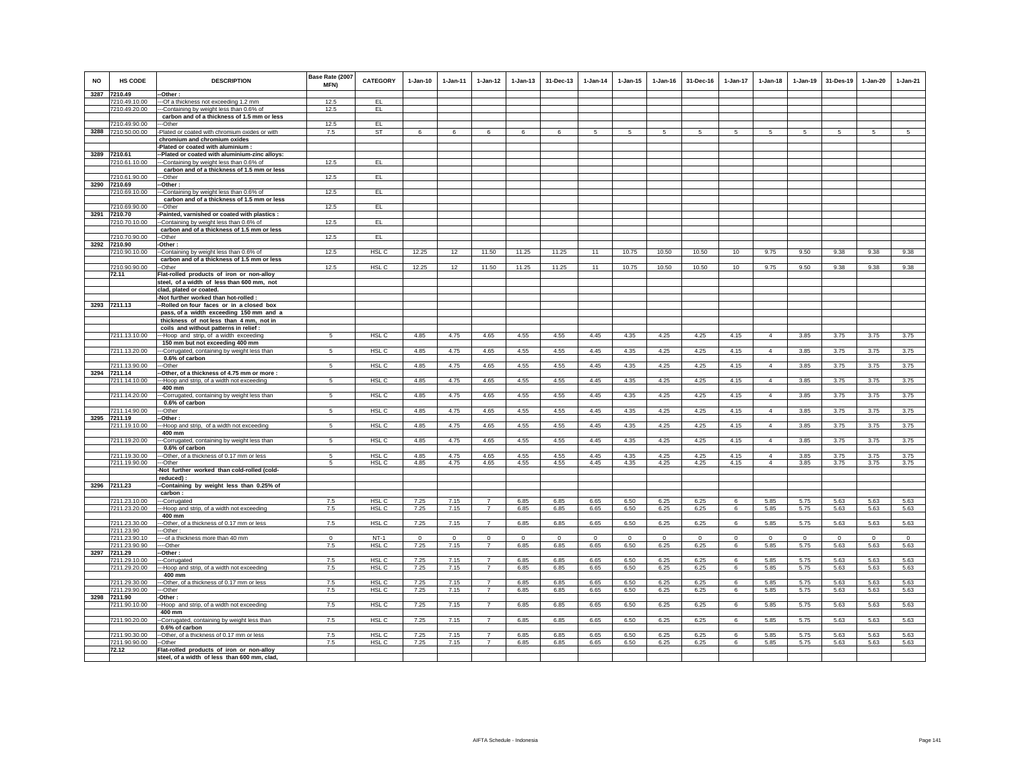| <b>NO</b> | <b>HS CODE</b><br>3287 7210.49 | <b>DESCRIPTION</b><br>-- Other:                                                         | Base Rate (2007<br>MFN) | <b>CATEGORY</b>  | $1-Jan-10$       | $1 - Jan-11$     | $1 - Jan-12$                     | $1 - Jan-13$     | 31-Dec-13            | $1 - Jan-14$     | $1 - Jan-15$     | $1 - Jan-16$     | 31-Dec-16        | $1-Jan-17$ | $1 - Jan-18$     | $1 - Jan-19$     | 31-Des-19        | $1-Jan-20$          | $1-Jan-21$       |
|-----------|--------------------------------|-----------------------------------------------------------------------------------------|-------------------------|------------------|------------------|------------------|----------------------------------|------------------|----------------------|------------------|------------------|------------------|------------------|------------|------------------|------------------|------------------|---------------------|------------------|
|           | 7210.49.10.00                  | --- Of a thickness not exceeding 1.2 mm                                                 | 12.5                    | EL               |                  |                  |                                  |                  |                      |                  |                  |                  |                  |            |                  |                  |                  |                     |                  |
|           | 7210.49.20.00                  | --Containing by weight less than 0.6% of<br>carbon and of a thickness of 1.5 mm or less | 12.5                    | EL.              |                  |                  |                                  |                  |                      |                  |                  |                  |                  |            |                  |                  |                  |                     |                  |
|           | 7210.49.90.00                  | --Other                                                                                 | 12.5                    | EL               |                  |                  |                                  |                  |                      |                  |                  |                  |                  |            |                  |                  |                  |                     |                  |
|           | 3288 7210.50.00.00             | Plated or coated with chromium oxides or with                                           | 7.5                     | ST               | 6                | 6                | 6                                | 6                | 6                    | 5                | 5                | 5                | 5                | 5          | 5                |                  | $\sqrt{5}$       | 5                   | $\overline{5}$   |
|           |                                | chromium and chromium oxides                                                            |                         |                  |                  |                  |                                  |                  |                      |                  |                  |                  |                  |            |                  |                  |                  |                     |                  |
|           |                                | -Plated or coated with aluminium :                                                      |                         |                  |                  |                  |                                  |                  |                      |                  |                  |                  |                  |            |                  |                  |                  |                     |                  |
|           | 3289 7210.61                   | -Plated or coated with aluminium-zinc alloys:                                           |                         |                  |                  |                  |                                  |                  |                      |                  |                  |                  |                  |            |                  |                  |                  |                     |                  |
|           | 7210.61.10.00                  | --Containing by weight less than 0.6% of                                                | 12.5                    | EL.              |                  |                  |                                  |                  |                      |                  |                  |                  |                  |            |                  |                  |                  |                     |                  |
|           | 7210.61.90.00                  | carbon and of a thickness of 1.5 mm or less<br>--Other                                  | 12.5                    | EL.              |                  |                  |                                  |                  |                      |                  |                  |                  |                  |            |                  |                  |                  |                     |                  |
|           | 3290 7210.69                   | -Other :                                                                                |                         |                  |                  |                  |                                  |                  |                      |                  |                  |                  |                  |            |                  |                  |                  |                     |                  |
|           | 7210.69.10.00                  | --Containing by weight less than 0.6% of                                                | 12.5                    | EL               |                  |                  |                                  |                  |                      |                  |                  |                  |                  |            |                  |                  |                  |                     |                  |
|           |                                | carbon and of a thickness of 1.5 mm or less                                             |                         |                  |                  |                  |                                  |                  |                      |                  |                  |                  |                  |            |                  |                  |                  |                     |                  |
|           | 7210.69.90.00                  | -Other                                                                                  | 12.5                    | EL.              |                  |                  |                                  |                  |                      |                  |                  |                  |                  |            |                  |                  |                  |                     |                  |
|           | 3291 7210.70                   | Painted, varnished or coated with plastics :                                            | 12.5                    | EL               |                  |                  |                                  |                  |                      |                  |                  |                  |                  |            |                  |                  |                  |                     |                  |
|           | 7210.70.10.00                  | -Containing by weight less than 0.6% of<br>carbon and of a thickness of 1.5 mm or less  |                         |                  |                  |                  |                                  |                  |                      |                  |                  |                  |                  |            |                  |                  |                  |                     |                  |
|           | 7210.70.90.00                  | -Other                                                                                  | 12.5                    | EL               |                  |                  |                                  |                  |                      |                  |                  |                  |                  |            |                  |                  |                  |                     |                  |
|           | 3292 7210.90                   | Other:                                                                                  |                         |                  |                  |                  |                                  |                  |                      |                  |                  |                  |                  |            |                  |                  |                  |                     |                  |
|           | 7210.90.10.00                  | -Containing by weight less than 0.6% of                                                 | 12.5                    | HSL C            | 12.25            | 12               | 11.50                            | 11.25            | 11.25                | 11               | 10.75            | 10.50            | 10.50            | 10         | 9.75             | 9.50             | 9.38             | 9.38                | 9.38             |
|           | 7210.90.90.00                  | carbon and of a thickness of 1.5 mm or less<br>-Other                                   | 12.5                    | HSL C            | 12.25            | 12               | 11.50                            | 11.25            | 11.25                | 11               | 10.75            | 10.50            | 10.50            | 10         | 9.75             | 9.50             | 9.38             | 9.38                | 9.38             |
|           | 72.11                          | Flat-rolled products of iron or non-alloy                                               |                         |                  |                  |                  |                                  |                  |                      |                  |                  |                  |                  |            |                  |                  |                  |                     |                  |
|           |                                | steel, of a width of less than 600 mm, not                                              |                         |                  |                  |                  |                                  |                  |                      |                  |                  |                  |                  |            |                  |                  |                  |                     |                  |
|           |                                | clad, plated or coated.                                                                 |                         |                  |                  |                  |                                  |                  |                      |                  |                  |                  |                  |            |                  |                  |                  |                     |                  |
|           |                                | -Not further worked than hot-rolled :                                                   |                         |                  |                  |                  |                                  |                  |                      |                  |                  |                  |                  |            |                  |                  |                  |                     |                  |
|           | 3293 7211.13                   | -Rolled on four faces or in a closed box                                                |                         |                  |                  |                  |                                  |                  |                      |                  |                  |                  |                  |            |                  |                  |                  |                     |                  |
|           |                                | pass, of a width exceeding 150 mm and a<br>thickness of not less than 4 mm, not in      |                         |                  |                  |                  |                                  |                  |                      |                  |                  |                  |                  |            |                  |                  |                  |                     |                  |
|           |                                | coils and without patterns in relief :                                                  |                         |                  |                  |                  |                                  |                  |                      |                  |                  |                  |                  |            |                  |                  |                  |                     |                  |
|           | 7211.13.10.00                  | ---Hoop and strip, of a width exceeding                                                 |                         | HSL C            | 4.85             | 4.75             | 4.65                             | 4.55             | 4.55                 | 4.45             | 4.35             | 4.25             | 4.25             | 4.15       | $\overline{4}$   | 3.85             | 3.75             | 3.75                | 3.75             |
|           |                                | 150 mm but not exceeding 400 mm                                                         |                         |                  |                  |                  |                                  |                  |                      |                  |                  |                  |                  |            |                  |                  |                  |                     |                  |
|           | 7211.13.20.00                  | --Corrugated, containing by weight less than<br>0.6% of carbon                          | 5                       | HSL <sub>C</sub> | 4.85             | 4.75             | 4.65                             | 4.55             | 4.55                 | 4.45             | 4.35             | 4.25             | 4.25             | 4.15       | $\overline{4}$   | 3.85             | 3.75             | 3.75                | 3.75             |
|           | 7211.13.90.00                  | --Other                                                                                 | 5                       | HSL C            | 4.85             | 4.75             | 4.65                             | 4.55             | 4.55                 | 4.45             | 4.35             | 4.25             | 4.25             | 4.15       | $\overline{4}$   | 3.85             | 3.75             | 3.75                | 3.75             |
|           | 3294 7211.14                   | -Other, of a thickness of 4.75 mm or more:                                              |                         |                  |                  |                  |                                  |                  |                      |                  |                  |                  |                  |            |                  |                  |                  |                     |                  |
|           | 7211.14.10.00                  | --Hoop and strip, of a width not exceeding<br>400 mm                                    | 5                       | HSL <sub>C</sub> | 4.85             | 4.75             | 4.65                             | 4.55             | 4.55                 | 4.45             | 4.35             | 4.25             | 4.25             | 4.15       | $\overline{4}$   | 3.85             | 3.75             | 3.75                | 3.75             |
|           | 7211.14.20.00                  | --Corrugated, containing by weight less than<br>0.6% of carbon                          | 5                       | HSL <sub>C</sub> | 4.85             | 4.75             | 4.65                             | 4.55             | 4.55                 | 4.45             | 4.35             | 4.25             | 4.25             | 4.15       | $\overline{4}$   | 3.85             | 3.75             | 3.75                | 3.75             |
|           | 7211.14.90.00                  | --Other                                                                                 | 5                       | HSL C            | 4.85             | 4.75             | 4.65                             | 4.55             | 4.55                 | 4.45             | 4.35             | 4.25             | 4.25             | 4.15       | $\overline{4}$   | 3.85             | 3.75             | 3.75                | 3.75             |
|           | 3295 7211.19                   | -Other:                                                                                 |                         |                  |                  |                  |                                  |                  |                      |                  |                  |                  |                  |            |                  |                  |                  |                     |                  |
|           | 7211.19.10.00                  | -Hoop and strip, of a width not exceeding<br>400 mm                                     | 5                       | HSL C            | 4.85             | 4.75             | 4.65                             | 4.55             | 4.55                 | 4.45             | 4.35             | 4.25             | 4.25             | 4.15       | $\overline{4}$   | 3.85             | 3.75             | 3.75                | 3.75             |
|           | 7211.19.20.00                  | -Corrugated, containing by weight less than<br>0.6% of carbon                           | 5                       | HSL C            | 4.85             | 4.75             | 4.65                             | 4.55             | 4.55                 | 4.45             | 4.35             | 4.25             | 4.25             | 4.15       | $\overline{4}$   | 3.85             | 3.75             | 3.75                | 3.75             |
|           | 7211.19.30.00                  | ---Other, of a thickness of 0.17 mm or less                                             | 5                       | HSL C            | 4.85             | 4.75             | 4.65                             | 4.55             | 4.55                 | 4.45             | 4.35             | 4.25             | 4.25             | 4.15       | $\overline{4}$   | 3.85             | 3.75             | 3.75                | 3.75             |
|           | 7211.19.90.00                  | ---Other                                                                                | 5                       | HSL C            | 4.85             | 4.75             | 4.65                             | 4.55             | 4.55                 | 4.45             | 4.35             | 4.25             | 4.25             | 4.15       | $\overline{4}$   | 3.85             | 3.75             | 3.75                | 3.75             |
|           |                                | -Not further worked than cold-rolled (cold-                                             |                         |                  |                  |                  |                                  |                  |                      |                  |                  |                  |                  |            |                  |                  |                  |                     |                  |
|           | 3296 7211.23                   | reduced):<br>-Containing by weight less than 0.25% of                                   |                         |                  |                  |                  |                                  |                  |                      |                  |                  |                  |                  |            |                  |                  |                  |                     |                  |
|           |                                | carbon:                                                                                 |                         |                  |                  |                  |                                  |                  |                      |                  |                  |                  |                  |            |                  |                  |                  |                     |                  |
|           | 7211.23.10.00                  | --Corrugated                                                                            | 7.5                     | HSL <sub>C</sub> | 7.25             | 7.15             | $\overline{7}$                   | 6.85             | 6.85                 | 6.65             | 6.50             | 6.25             | 6.25             | 6          | 5.85             | 5.75             | 5.63             | 5.63                | 5.63             |
|           | 7211.23.20.00                  | --Hoop and strip, of a width not exceeding                                              | 7.5                     | HSL C            | 7.25             | 7.15             | $\overline{7}$                   | 6.85             | 6.85                 | 6.65             | 6.50             | 6.25             | 6.25             | 6          | 5.85             | 5.75             | 5.63             | 5.63                | 5.63             |
|           | 7211.23.30.00                  | 400 mm<br>--Other, of a thickness of 0.17 mm or less                                    | 7.5                     | HSL <sub>C</sub> | 7.25             | 7.15             | $\overline{7}$                   | 6.85             | 6.85                 | 6.65             | 6.50             | 6.25             | 6.25             | 6          | 5.85             | 5.75             | 5.63             | 5.63                | 5.63             |
|           | 7211.23.90                     | --Other:                                                                                |                         |                  |                  |                  |                                  |                  |                      |                  |                  |                  |                  |            |                  |                  |                  |                     |                  |
|           | 7211.23.90.10                  | --- of a thickness more than 40 mm                                                      | $\Omega$<br>7.5         | $NT-1$<br>HSL C  | $\Omega$<br>7.25 | $\Omega$<br>7.15 | $\Omega$<br>$\overline{7}$       | $\Omega$<br>6.85 | $\mathbf{0}$<br>6.85 | $\Omega$<br>6.65 | $\Omega$<br>6.50 | $\Omega$<br>6.25 | $\Omega$<br>6.25 | $\Omega$   | $\Omega$<br>5.85 | $\Omega$<br>5.75 | $\Omega$<br>5.63 | $\mathbf 0$<br>5.63 | $\Omega$<br>5.63 |
|           | 7211.23.90.90<br>3297 7211.29  | ---Other<br>-Other:                                                                     |                         |                  |                  |                  |                                  |                  |                      |                  |                  |                  |                  | 6          |                  |                  |                  |                     |                  |
|           | 7211.29.10.00                  | -Corrugated                                                                             | 7.5                     | HSL C            | 7.25             | 7.15             | $\overline{7}$                   | 6.85             | 6.85                 | 6.65             | 6.50             | 6.25             | 6.25             | 6          | 5.85             | 5.75             | 5.63             | 5.63                | 5.63             |
|           | 7211.29.20.00                  | -Hoop and strip, of a width not exceeding                                               | 7.5                     | HSL C            | 7.25             | 7.15             | $\overline{7}$                   | 6.85             | 6.85                 | 6.65             | 6.50             | 6.25             | 6.25             | 6          | 5.85             | 5.75             | 5.63             | 5.63                | 5.63             |
|           | 7211.29.30.00                  | 400 mm<br>-Other, of a thickness of 0.17 mm or less                                     | 7.5                     | HSL C            | 7.25             | 7.15             | $\overline{7}$                   | 6.85             | 6.85                 | 6.65             | 6.50             | 6.25             | 6.25             | 6          | 5.85             | 5.75             | 5.63             | 5.63                | 5.63             |
|           | 7211.29.90.00<br>3298 7211.90  | --Other<br>-Other:                                                                      | 7.5                     | HSL C            | 7.25             | 7.15             | $\overline{7}$                   | 6.85             | 6.85                 | 6.65             | 6.50             | 6.25             | 6.25             | 6          | 5.85             | 5.75             | 5.63             | 5.63                | 5.63             |
|           | 7211.90.10.00                  | -Hoop and strip, of a width not exceeding                                               | 7.5                     | HSL C            | 7.25             | 7.15             | $\overline{7}$                   | 6.85             | 6.85                 | 6.65             | 6.50             | 6.25             | 6.25             | 6          | 5.85             | 5.75             | 5.63             | 5.63                | 5.63             |
|           |                                | 400 mm                                                                                  |                         |                  |                  |                  |                                  |                  |                      |                  |                  |                  |                  |            |                  |                  |                  |                     |                  |
|           | 7211.90.20.00                  | -Corrugated, containing by weight less than<br>0.6% of carbon                           | 7.5                     | HSL <sub>C</sub> | 7.25             | 7.15             | $\overline{7}$                   | 6.85             | 6.85                 | 6.65             | 6.50             | 6.25             | 6.25             | 6          | 5.85             | 5.75             | 5.63             | 5.63                | 5.63             |
|           | 7211.90.30.00                  | -Other, of a thickness of 0.17 mm or less                                               | 7.5<br>7.5              | HSL C            | 7.25             | 7.15<br>7.15     | $\overline{7}$<br>$\overline{7}$ | 6.85<br>6.85     | 6.85<br>6.85         | 6.65<br>6.65     | 6.50             | 6.25             | 6.25             | 6          | 5.85<br>5.85     | 5.75             | 5.63<br>5.63     | 5.63                | 5.63<br>5.63     |
|           | 7211.90.90.00<br>72.12         | -Other<br>Flat-rolled products of iron or non-alloy                                     |                         | HSL C            | 7.25             |                  |                                  |                  |                      |                  | 6.50             | 6.25             | 6.25             | 6          |                  | 5.75             |                  | 5.63                |                  |
|           |                                | steel, of a width of less than 600 mm, clad,                                            |                         |                  |                  |                  |                                  |                  |                      |                  |                  |                  |                  |            |                  |                  |                  |                     |                  |
|           |                                |                                                                                         |                         |                  |                  |                  |                                  |                  |                      |                  |                  |                  |                  |            |                  |                  |                  |                     |                  |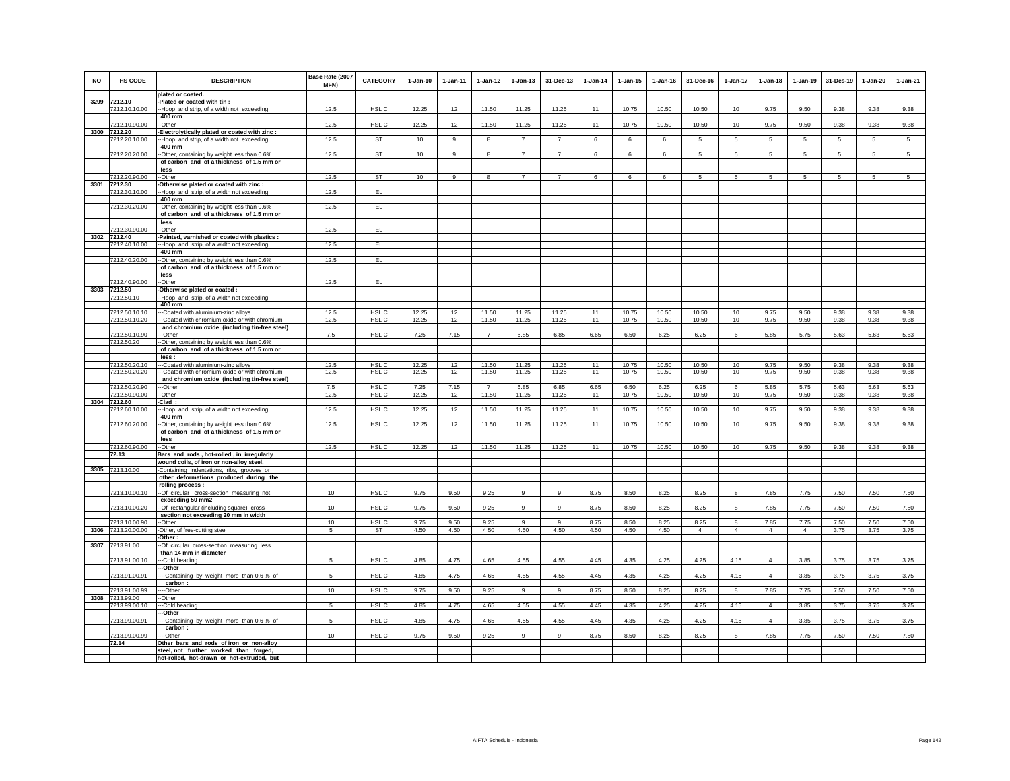| <b>NO</b> | HS CODE                        | <b>DESCRIPTION</b>                                                                             | Base Rate (2007<br>MFN) | <b>CATEGORY</b>           | $1-Jan-10$     | $1-Jan-11$      | $1-Jan-12$     | $1-Jan-13$     | 31-Dec-13      | $1-Jan-14$ | $1-Jan-15$     | $1-Jan-16$     | 31-Dec-16      | 1-Jan-17       | $1-Jan-18$     | $1-Jan-19$     | 31-Des-19    | $1-Jan-20$   | $1-Jan-21$      |
|-----------|--------------------------------|------------------------------------------------------------------------------------------------|-------------------------|---------------------------|----------------|-----------------|----------------|----------------|----------------|------------|----------------|----------------|----------------|----------------|----------------|----------------|--------------|--------------|-----------------|
|           | 3299 7212.10                   | plated or coated.                                                                              |                         |                           |                |                 |                |                |                |            |                |                |                |                |                |                |              |              |                 |
|           | 7212.10.10.00                  | -Plated or coated with tin :<br>--Hoop and strip, of a width not exceeding                     | 12.5                    | HSL C                     | 12.25          | 12              | 11.50          | 11.25          | 11.25          | 11         | 10.75          | 10.50          | 10.50          | 10             | 9.75           | 9.50           | 9.38         | 9.38         | 9.38            |
|           |                                | 400 mm                                                                                         |                         |                           |                |                 |                |                |                |            |                |                |                |                |                |                |              |              |                 |
|           | 7212.10.90.00                  | -Other                                                                                         | 12.5                    | HSL C                     | 12.25          | 12              | 11.50          | 11.25          | 11.25          | 11         | 10.75          | 10.50          | 10.50          | 10             | 9.75           | 9.50           | 9.38         | 9.38         | 9.38            |
|           | 3300 7212.20                   | Electrolytically plated or coated with zinc :                                                  |                         |                           |                |                 |                |                |                |            |                |                |                |                |                |                |              |              |                 |
|           | 7212.20.10.00                  | -Hoop and strip, of a width not exceeding                                                      | 12.5                    | ST                        | 10             | 9               | 8              | $\overline{7}$ | $\overline{7}$ | 6          | 6              | -6             | 5.             | 5              | 5              | 5              | 5            | 5            | $5\overline{5}$ |
|           |                                | 400 mm                                                                                         |                         |                           |                |                 |                |                |                |            |                |                |                |                |                |                |              |              |                 |
|           | 7212.20.20.00                  | -Other, containing by weight less than 0.6%                                                    | 12.5                    | ST                        | 10             | $\mathsf g$     | 8              | $\overline{7}$ | $\overline{7}$ | 6          | 6              | 6              | 5              | 5              | 5              | 5              | 5            | 5            | 5               |
|           |                                | of carbon and of a thickness of 1.5 mm or<br>less                                              |                         |                           |                |                 |                |                |                |            |                |                |                |                |                |                |              |              |                 |
|           | 7212.20.90.00                  | --Other                                                                                        | 12.5                    | <b>ST</b>                 | 10             | 9               | 8              | $\overline{7}$ | $\overline{7}$ | 6          | 6              | 6              | 5              | 5              | 5              | 5              | 5            | 5            | 5               |
| 3301      | 7212.30                        | Otherwise plated or coated with zinc :                                                         |                         |                           |                |                 |                |                |                |            |                |                |                |                |                |                |              |              |                 |
|           | 7212.30.10.00                  | -Hoop and strip, of a width not exceeding                                                      | 12.5                    | EL                        |                |                 |                |                |                |            |                |                |                |                |                |                |              |              |                 |
|           |                                | 400 mm                                                                                         |                         |                           |                |                 |                |                |                |            |                |                |                |                |                |                |              |              |                 |
|           | 7212.30.20.00                  | -Other, containing by weight less than 0.6%<br>of carbon and of a thickness of 1.5 mm or       | 12.5                    | EL                        |                |                 |                |                |                |            |                |                |                |                |                |                |              |              |                 |
|           | 7212.30.90.00                  | less<br>-Other                                                                                 | 12.5                    | EL                        |                |                 |                |                |                |            |                |                |                |                |                |                |              |              |                 |
|           | 3302 7212.40                   | -Painted, varnished or coated with plastics :                                                  |                         |                           |                |                 |                |                |                |            |                |                |                |                |                |                |              |              |                 |
|           | 7212.40.10.00                  | -Hoop and strip, of a width not exceeding                                                      | 12.5                    | EL                        |                |                 |                |                |                |            |                |                |                |                |                |                |              |              |                 |
|           |                                | 400 mm                                                                                         |                         |                           |                |                 |                |                |                |            |                |                |                |                |                |                |              |              |                 |
|           | 7212.40.20.00                  | -Other, containing by weight less than 0.6%                                                    | 12.5                    | EL.                       |                |                 |                |                |                |            |                |                |                |                |                |                |              |              |                 |
|           |                                | of carbon and of a thickness of 1.5 mm or<br>less                                              |                         |                           |                |                 |                |                |                |            |                |                |                |                |                |                |              |              |                 |
|           | 7212.40.90.00                  | -Other                                                                                         | 12.5                    | EL                        |                |                 |                |                |                |            |                |                |                |                |                |                |              |              |                 |
| 3303      | 7212.50                        | Otherwise plated or coated :                                                                   |                         |                           |                |                 |                |                |                |            |                |                |                |                |                |                |              |              |                 |
|           | 7212.50.10                     | Hoop and strip, of a width not exceeding                                                       |                         |                           |                |                 |                |                |                |            |                |                |                |                |                |                |              |              |                 |
|           |                                | 400 mm                                                                                         |                         |                           |                |                 |                |                |                |            |                |                |                |                |                |                |              |              |                 |
|           | 7212.50.10.10                  | --Coated with aluminium-zinc alloys                                                            | 12.5                    | HSL C                     | 12.25          | 12 <sup>2</sup> | 11.50          | 11.25          | 11.25          | 11         | 10.75          | 10.50          | 10.50          | 10             | 9.75           | 9.50           | 9.38         | 9.38         | 9.38            |
|           | 7212.50.10.20                  | --Coated with chromium oxide or with chromium<br>and chromium oxide (including tin-free steel) | 12.5                    | HSL C                     | 12.25          | 12              | 11.50          | 11.25          | 11.25          | 11         | 10.75          | 10.50          | 10.50          | 10             | 9.75           | 9.50           | 9.38         | 9.38         | 9.38            |
|           | 7212.50.10.90                  | -Other                                                                                         | 7.5                     | HSL <sub>C</sub>          | 7.25           | 7.15            | $\overline{7}$ | 6.85           | 6.85           | 6.65       | 6.50           | 6.25           | 6.25           | 6              | 5.85           | 5.75           | 5.63         | 5.63         | 5.63            |
|           | 7212.50.20                     | -Other, containing by weight less than 0.6%                                                    |                         |                           |                |                 |                |                |                |            |                |                |                |                |                |                |              |              |                 |
|           |                                | of carbon and of a thickness of 1.5 mm or                                                      |                         |                           |                |                 |                |                |                |            |                |                |                |                |                |                |              |              |                 |
|           |                                | less :                                                                                         |                         |                           |                |                 |                |                |                |            |                |                |                |                |                |                |              |              |                 |
|           | 7212.50.20.10<br>7212.50.20.20 | --Coated with aluminium-zinc alloys                                                            | 12.5<br>12.5            | HSL <sub>C</sub><br>HSL C | 12.25<br>12.25 | 12<br>12        | 11.50<br>11.50 | 11.25<br>11.25 | 11.25<br>11.25 | 11<br>11   | 10.75<br>10.75 | 10.50<br>10.50 | 10.50<br>10.50 | 10<br>10       | 9.75<br>9.75   | 9.50<br>9.50   | 9.38<br>9.38 | 9.38<br>9.38 | 9.38<br>9.38    |
|           |                                | --Coated with chromium oxide or with chromium<br>and chromium oxide (including tin-free steel) |                         |                           |                |                 |                |                |                |            |                |                |                |                |                |                |              |              |                 |
|           | 7212.50.20.90                  | --Other                                                                                        | 7.5                     | HSL C                     | 7.25           | 7.15            | $\overline{7}$ | 6.85           | 6.85           | 6.65       | 6.50           | 6.25           | 6.25           | 6              | 5.85           | 5.75           | 5.63         | 5.63         | 5.63            |
|           | 7212.50.90.00                  | --Other                                                                                        | 12.5                    | HSL <sub>C</sub>          | 12.25          | 12              | 11.50          | 11.25          | 11.25          | 11         | 10.75          | 10.50          | 10.50          | 10             | 9.75           | 9.50           | 9.38         | 9.38         | 9.38            |
|           | 3304 7212.60                   | -Clad:                                                                                         |                         |                           |                |                 |                |                |                |            |                |                |                |                |                |                |              |              |                 |
|           | 7212.60.10.00                  | -Hoop and strip, of a width not exceeding<br>400 mm                                            | 12.5                    | HSL C                     | 12.25          | 12              | 11.50          | 11.25          | 11.25          | 11         | 10.75          | 10.50          | 10.50          | 10             | 9.75           | 9.50           | 9.38         | 9.38         | 9.38            |
|           | 7212.60.20.00                  | -Other, containing by weight less than 0.6%                                                    | 12.5                    | HSL C                     | 12.25          | 12              | 11.50          | 11.25          | 11.25          | 11         | 10.75          | 10.50          | 10.50          | 10             | 9.75           | 9.50           | 9.38         | 9.38         | 9.38            |
|           |                                | of carbon and of a thickness of 1.5 mm or                                                      |                         |                           |                |                 |                |                |                |            |                |                |                |                |                |                |              |              |                 |
|           |                                | less                                                                                           |                         |                           |                |                 |                |                |                |            |                |                |                |                |                |                |              |              |                 |
|           | 7212.60.90.00<br>72.13         | -Other                                                                                         | 12.5                    | HSL C                     | 12.25          | 12              | 11.50          | 11.25          | 11.25          | 11         | 10.75          | 10.50          | 10.50          | 10             | 9.75           | 9.50           | 9.38         | 9.38         | 9.38            |
|           |                                | Bars and rods, hot-rolled, in irregularly<br>wound coils, of iron or non-alloy steel.          |                         |                           |                |                 |                |                |                |            |                |                |                |                |                |                |              |              |                 |
|           | 3305 7213.10.00                | Containing indentations, ribs, grooves or                                                      |                         |                           |                |                 |                |                |                |            |                |                |                |                |                |                |              |              |                 |
|           |                                | other deformations produced during the                                                         |                         |                           |                |                 |                |                |                |            |                |                |                |                |                |                |              |              |                 |
|           |                                | rolling process :                                                                              |                         |                           |                |                 |                |                |                |            |                |                |                |                |                |                |              |              |                 |
|           | 7213.10.00.10                  | -- Of circular cross-section measuring not                                                     | 10                      | HSL C                     | 9.75           | 9.50            | 9.25           | 9              | 9              | 8.75       | 8.50           | 8.25           | 8.25           | 8              | 7.85           | 7.75           | 7.50         | 7.50         | 7.50            |
|           | 7213.10.00.20                  | exceeding 50 mm2<br>-- Of rectangular (including square) cross-                                | 10                      | HSL C                     | 9.75           | 9.50            | 9.25           | 9              | $_{9}$         | 8.75       | 8.50           | 8.25           | 8.25           | 8              | 7.85           | 7.75           | 7.50         | 7.50         | 7.50            |
|           |                                | section not exceeding 20 mm in width                                                           |                         |                           |                |                 |                |                |                |            |                |                |                |                |                |                |              |              |                 |
|           | 7213.10.00.90                  | -Other                                                                                         | 10                      | HSL <sub>C</sub>          | 9.75           | 9.50            | 9.25           | 9              | $\mathbf{q}$   | 8.75       | 8.50           | 8.25           | 8.25           | 8              | 7.85           | 7.75           | 7.50         | 7.50         | 7.50            |
|           | 3306 7213.20.00.00             | -Other, of free-cutting steel<br>-Other:                                                       | $\sqrt{5}$              | ST                        | 4.50           | 4.50            | 4.50           | 4.50           | 4.50           | 4.50       | 4.50           | 4.50           | $\overline{4}$ | $\overline{4}$ | $\overline{4}$ | $\overline{4}$ | 3.75         | 3.75         | 3.75            |
|           | 3307 7213.91.00                | -Of circular cross-section measuring less                                                      |                         |                           |                |                 |                |                |                |            |                |                |                |                |                |                |              |              |                 |
|           | 7213.91.00.10                  | than 14 mm in diameter<br>-Cold heading                                                        | 5                       | HSL C                     | 4.85           | 4.75            | 4.65           | 4.55           | 4.55           | 4.45       | 4.35           | 4.25           | 4.25           | 4.15           | $\overline{4}$ | 3.85           | 3.75         | 3.75         | 3.75            |
|           |                                | -Other                                                                                         |                         |                           |                |                 |                |                |                |            |                |                |                |                |                |                |              |              |                 |
|           | 7213.91.00.91                  | -Containing by weight more than 0.6 % of                                                       | 5                       | HSL <sub>C</sub>          | 4.85           | 4.75            | 4.65           | 4.55           | 4.55           | 4.45       | 4.35           | 4.25           | 4.25           | 4.15           | $\overline{4}$ | 3.85           | 3.75         | 3.75         | 3.75            |
|           |                                | carbon:                                                                                        |                         |                           |                |                 |                |                |                |            |                |                |                |                |                |                |              |              |                 |
| 3308      | 7213.91.00.99                  | --Other                                                                                        | 10                      | HSL C                     | 9.75           | 9.50            | 9.25           | 9              | 9              | 8.75       | 8.50           | 8.25           | 8.25           | 8              | 7.85           | 7.75           | 7.50         | 7.50         | 7.50            |
|           | 7213.99.00<br>7213.99.00.10    | -Other<br>--Cold heading                                                                       | 5                       | HSL C                     | 4.85           | 4.75            | 4.65           | 4.55           | 4.55           | 4.45       | 4.35           | 4.25           | 4.25           | 4.15           | $\overline{4}$ | 3.85           | 3.75         | 3.75         | 3.75            |
|           |                                | -Other                                                                                         |                         |                           |                |                 |                |                |                |            |                |                |                |                |                |                |              |              |                 |
|           | 7213.99.00.91                  | -Containing by weight more than 0.6 % of                                                       | $\sqrt{5}$              | HSL C                     | 4.85           | 4.75            | 4.65           | 4.55           | 4.55           | 4.45       | 4.35           | 4.25           | 4.25           | 4.15           | $\overline{4}$ | 3.85           | 3.75         | 3.75         | 3.75            |
|           | 7213.99.00.99                  | carbon:<br>--Other                                                                             | 10                      | HSL C                     | 9.75           | 9.50            | 9.25           | 9              | 9              | 8.75       | 8.50           | 8.25           | 8.25           | 8              | 7.85           | 7.75           | 7.50         | 7.50         | 7.50            |
|           | 72.14                          | Other bars and rods of iron or non-alloy                                                       |                         |                           |                |                 |                |                |                |            |                |                |                |                |                |                |              |              |                 |
|           |                                | steel, not further worked than forged,                                                         |                         |                           |                |                 |                |                |                |            |                |                |                |                |                |                |              |              |                 |
|           |                                | hot-rolled, hot-drawn or hot-extruded, but                                                     |                         |                           |                |                 |                |                |                |            |                |                |                |                |                |                |              |              |                 |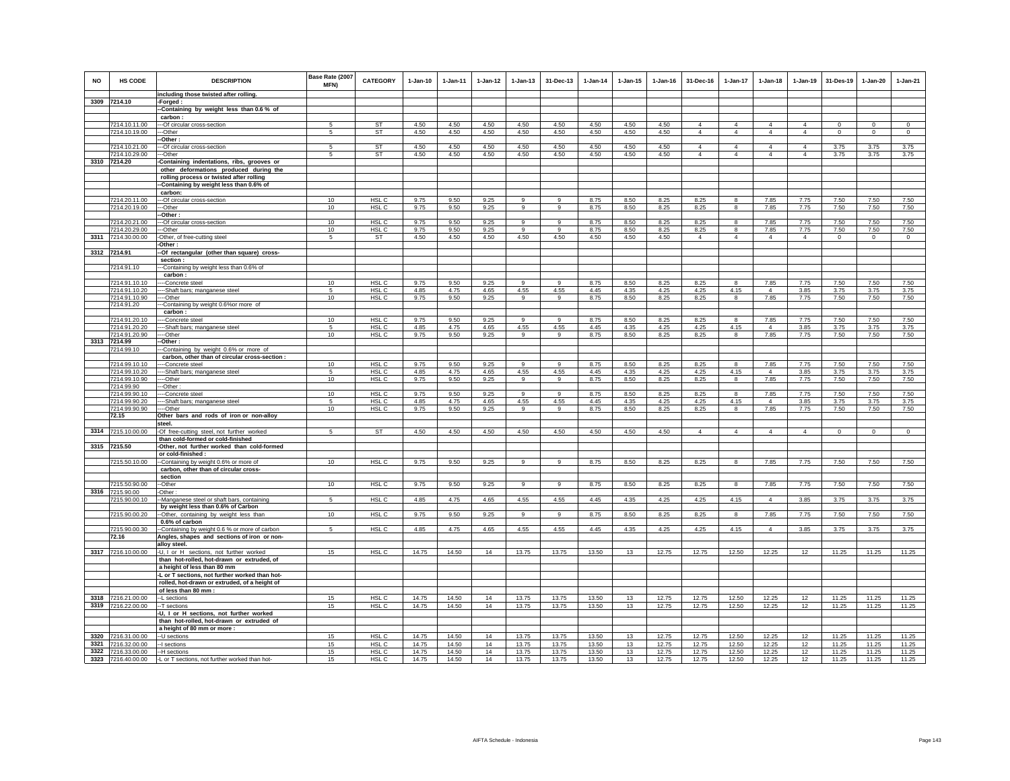| <b>NO</b> | <b>HS CODE</b>                      | <b>DESCRIPTION</b>                                                                           | Base Rate (2007<br>MFN) | <b>CATEGORY</b>           | $1-Jan-10$     | 1-Jan-11       | $1 - Jan-12$ | $1 - Jan-13$         | 31-Dec-13           | $1-Jan-14$     | $1 - Jan-15$ | $1 - Jan-16$   | 31-Dec-16      | $1-Jan-17$       | $1-Jan-18$             | $1-Jan-19$     | 31-Des-19      | $1-Jan-20$     | $1-Jan-21$     |
|-----------|-------------------------------------|----------------------------------------------------------------------------------------------|-------------------------|---------------------------|----------------|----------------|--------------|----------------------|---------------------|----------------|--------------|----------------|----------------|------------------|------------------------|----------------|----------------|----------------|----------------|
|           |                                     | including those twisted after rolling                                                        |                         |                           |                |                |              |                      |                     |                |              |                |                |                  |                        |                |                |                |                |
|           | 3309 7214.10                        | -Forged:                                                                                     |                         |                           |                |                |              |                      |                     |                |              |                |                |                  |                        |                |                |                |                |
|           |                                     | -Containing by weight less than 0.6 % of<br>carbon                                           |                         |                           |                |                |              |                      |                     |                |              |                |                |                  |                        |                |                |                |                |
|           | 7214.10.11.00                       | -- Of circular cross-section                                                                 | 5                       | ST                        | 4.50           | 4.50           | 4.50         | 4.50                 | 4.50                | 4.50           | 4.50         | 4.50           | $\overline{4}$ | $\overline{4}$   | $\overline{4}$         | $\overline{4}$ | $\mathbf 0$    | $^{\circ}$     | $\circ$        |
|           | 7214.10.19.00                       | --Other                                                                                      | 5                       | ST                        | 4.50           | 4.50           | 4.50         | 4.50                 | 4.50                | 4.50           | 4.50         | 4.50           | $\overline{4}$ | $\overline{4}$   | $\overline{4}$         | $\overline{4}$ | $\mathbf 0$    | $\mathsf 0$    | $\mathsf 0$    |
|           |                                     | Other:                                                                                       |                         |                           |                |                |              |                      |                     |                |              |                |                |                  |                        |                |                |                |                |
|           | 7214.10.21.00                       | -Of circular cross-section                                                                   | 5                       | <b>ST</b>                 | 4.50           | 4.50           | 4.50         | 4.50                 | 4.50                | 4.50           | 4.50         | 4.50           | $\overline{4}$ | 4                | 4                      | $\overline{4}$ | 3.75           | 3.75           | 3.75           |
| 3310      | 7214.10.29.00<br>7214.20            | -Other                                                                                       | 5                       | ST                        | 4.50           | 4.50           | 4.50         | 4.50                 | 4.50                | 4.50           | 4.50         | 4.50           | $\overline{4}$ | $\overline{4}$   | $\Delta$               | $\overline{4}$ | 3.75           | 3.75           | 3.75           |
|           |                                     | -Containing indentations, ribs, grooves or<br>other deformations produced during the         |                         |                           |                |                |              |                      |                     |                |              |                |                |                  |                        |                |                |                |                |
|           |                                     | rolling process or twisted after rolling                                                     |                         |                           |                |                |              |                      |                     |                |              |                |                |                  |                        |                |                |                |                |
|           |                                     | -Containing by weight less than 0.6% of                                                      |                         |                           |                |                |              |                      |                     |                |              |                |                |                  |                        |                |                |                |                |
|           |                                     | carbon:                                                                                      |                         |                           |                |                |              |                      |                     |                |              |                |                |                  |                        |                |                |                |                |
|           | 7214.20.11.00                       | --Of circular cross-section                                                                  | 10                      | HSL C                     | 9.75           | 9.50           | 9.25         | 9                    | 9                   | 8.75           | 8.50         | 8.25           | 8.25           | 8                | 7.85                   | 7.75           | 7.50           | 7.50           | 7.50           |
|           | 7214.20.19.00                       | -Other                                                                                       | 10                      | HSL <sub>C</sub>          | 9.75           | 9.50           | 9.25         | 9                    | g                   | 8.75           | 8.50         | 8.25           | 8.25           | 8                | 7.85                   | 7.75           | 7.50           | 7.50           | 7.50           |
|           |                                     | Other:                                                                                       |                         |                           |                |                |              |                      |                     |                |              |                |                |                  |                        |                |                |                |                |
|           | 7214.20.21.00<br>7214.20.29.00      | --Of circular cross-section<br>--Other                                                       | 10<br>10                | HSL C<br>HSL <sub>C</sub> | 9.75<br>9.75   | 9.50<br>9.50   | 9.25<br>9.25 | 9<br>$\mathsf q$     | $\overline{9}$<br>9 | 8.75<br>8.75   | 8.50<br>8.50 | 8.25<br>8.25   | 8.25<br>8.25   | 8<br>$\bf{8}$    | 7.85<br>7.85           | 7.75<br>7.75   | 7.50<br>7.50   | 7.50<br>7.50   | 7.50<br>7.50   |
|           | 3311 7214.30.00.00                  | -Other, of free-cutting steel                                                                | 5                       | ST                        | 4.50           | 4.50           | 4.50         | 4.50                 | 4.50                | 4.50           | 4.50         | 4.50           | $\overline{4}$ | $\overline{4}$   | $\overline{4}$         | $\overline{4}$ | $\circ$        | $\circ$        | $\circ$        |
|           |                                     | Other:                                                                                       |                         |                           |                |                |              |                      |                     |                |              |                |                |                  |                        |                |                |                |                |
|           | 3312 7214.91                        | -Of rectangular (other than square) cross-                                                   |                         |                           |                |                |              |                      |                     |                |              |                |                |                  |                        |                |                |                |                |
|           |                                     | section :                                                                                    |                         |                           |                |                |              |                      |                     |                |              |                |                |                  |                        |                |                |                |                |
|           | 7214.91.10                          | -Containing by weight less than 0.6% of                                                      |                         |                           |                |                |              |                      |                     |                |              |                |                |                  |                        |                |                |                |                |
|           |                                     | carbon:                                                                                      |                         |                           |                |                |              |                      |                     |                |              |                |                |                  |                        |                |                |                |                |
|           | 7214.91.10.10                       | -Concrete steel                                                                              | 10                      | HSL C                     | 9.75           | 9.50           | 9.25         | 9                    | 9                   | 8.75           | 8.50         | 8.25           | 8.25           | 8                | 7.85                   | 7.75           | 7.50           | 7.50           | 7.50           |
|           | 7214.91.10.20<br>7214.91.10.90      | -Shaft bars; manganese steel<br>--Other                                                      | 5<br>10                 | HSL C<br>HSL C            | 4.85<br>9.75   | 4.75<br>9.50   | 4.65<br>9.25 | 4.55<br>9            | 4.55<br>9           | 4.45<br>8.75   | 4.35<br>8.50 | 4.25<br>8.25   | 4.25<br>8.25   | 4.15<br>$\bf{8}$ | $\overline{4}$<br>7.85 | 3.85<br>7.75   | 3.75<br>7.50   | 3.75<br>7.50   | 3.75<br>7.50   |
|           | 7214.91.20                          | -Containing by weight 0.6%or more of                                                         |                         |                           |                |                |              |                      |                     |                |              |                |                |                  |                        |                |                |                |                |
|           |                                     | carbon:                                                                                      |                         |                           |                |                |              |                      |                     |                |              |                |                |                  |                        |                |                |                |                |
|           | 7214.91.20.10                       | --Concrete steel                                                                             | 10                      | HSL C                     | 9.75           | 9.50           | 9.25         | 9                    | 9                   | 8.75           | 8.50         | 8.25           | 8.25           | 8                | 7.85                   | 7.75           | 7.50           | 7.50           | 7.50           |
|           | 7214.91.20.20                       | --Shaft bars; manganese steel                                                                | 5                       | HSL <sub>C</sub>          | 4.85           | 4.75           | 4.65         | 4.55                 | 4.55                | 4.45           | 4.35         | 4.25           | 4.25           | 4.15             | $\overline{4}$         | 3.85           | 3.75           | 3.75           | 3.75           |
|           | 7214.91.20.90                       | --Other                                                                                      | 10                      | HSL C                     | 9.75           | 9.50           | 9.25         | 9                    | 9                   | 8.75           | 8.50         | 8.25           | 8.25           | 8                | 7.85                   | 7.75           | 7.50           | 7.50           | 7.50           |
|           | 3313 7214.99                        | Other:                                                                                       |                         |                           |                |                |              |                      |                     |                |              |                |                |                  |                        |                |                |                |                |
|           | 7214.99.10                          | -Containing by weight 0.6% or more of                                                        |                         |                           |                |                |              |                      |                     |                |              |                |                |                  |                        |                |                |                |                |
|           | 7214.99.10.10                       | carbon, other than of circular cross-section :<br>-Concrete steel                            | 10                      | HSL C                     | 9.75           | 9.50           | 9.25         | 9                    | $\mathbf{q}$        | 8.75           | 8.50         | 8.25           | 8.25           | 8                | 7.85                   | 7.75           | 7.50           | 7.50           | 7.50           |
|           | 7214.99.10.20                       | --Shaft bars; manganese steel                                                                | 5                       | HSL C                     | 4.85           | 4.75           | 4.65         | 4.55                 | 4.55                | 4.45           | 4.35         | 4.25           | 4.25           | 4.15             | $\overline{4}$         | 3.85           | 3.75           | 3.75           | 3.75           |
|           | 7214.99.10.90                       | --Other                                                                                      | 10                      | HSL <sub>C</sub>          | 9.75           | 9.50           | 9.25         | 9                    | 9                   | 8.75           | 8.50         | 8.25           | 8.25           | 8                | 7.85                   | 7.75           | 7.50           | 7.50           | 7.50           |
|           | 7214.99.90                          | -Other                                                                                       |                         |                           |                |                |              |                      |                     |                |              |                |                |                  |                        |                |                |                |                |
|           | 7214.99.90.10                       | -Concrete steel                                                                              | 10                      | HSL C                     | 9.75           | 9.50           | 9.25         | 9                    | $\mathbf{q}$        | 8.75           | 8.50         | 8.25           | 8.25           | 8                | 7.85                   | 7.75           | 7.50           | 7.50           | 7.50           |
|           | 7214.99.90.20<br>7214 99 90 90      | --Shaft bars; manganese steel<br>--Other                                                     | 5<br>10                 | HSL C<br>HSL C            | 4.85<br>9.75   | 4.75<br>9.50   | 4.65<br>9.25 | 4.55<br>$\mathbf{Q}$ | 4.55<br>$\alpha$    | 4.45           | 4.35<br>8.50 | 4.25<br>8.25   | 4.25<br>8.25   | 4.15<br>8        | $\overline{4}$<br>7.85 | 3.85<br>7.75   | 3.75<br>7.50   | 3.75<br>7.50   | 3.75<br>7.50   |
|           | 72.15                               | Other bars and rods of iron or non-alloy                                                     |                         |                           |                |                |              |                      |                     | 8.75           |              |                |                |                  |                        |                |                |                |                |
|           |                                     | steel.                                                                                       |                         |                           |                |                |              |                      |                     |                |              |                |                |                  |                        |                |                |                |                |
| 3314      | 7215.10.00.00                       | -Of free-cutting steel, not further worked                                                   | -5                      | ST                        | 4.50           | 4.50           | 4.50         | 4.50                 | 4.50                | 4.50           | 4.50         | 4.50           | $\overline{4}$ | $\overline{4}$   | $\overline{4}$         | $\overline{4}$ | $\circ$        | $\mathbf 0$    | $\circ$        |
|           |                                     | than cold-formed or cold-finished                                                            |                         |                           |                |                |              |                      |                     |                |              |                |                |                  |                        |                |                |                |                |
|           | 3315 7215.50                        | -Other, not further worked than cold-formed                                                  |                         |                           |                |                |              |                      |                     |                |              |                |                |                  |                        |                |                |                |                |
|           |                                     | or cold-finished :                                                                           |                         |                           |                |                |              |                      |                     |                |              |                |                |                  |                        |                |                |                |                |
|           | 7215.50.10.00                       | -Containing by weight 0.6% or more of<br>carbon, other than of circular cross-               | 10                      | HSL C                     | 9.75           | 9.50           | 9.25         | 9                    | 9                   | 8.75           | 8.50         | 8.25           | 8.25           | 8                | 7.85                   | 7.75           | 7.50           | 7.50           | 7.50           |
|           |                                     | section                                                                                      |                         |                           |                |                |              |                      |                     |                |              |                |                |                  |                        |                |                |                |                |
|           | 7215.50.90.00                       | -Other                                                                                       | 10                      | HSL <sub>C</sub>          | 9.75           | 9.50           | 9.25         | 9                    | $\mathsf g$         | 8.75           | 8.50         | 8.25           | 8.25           | 8                | 7.85                   | 7.75           | 7.50           | 7.50           | 7.50           |
| 3316      | 7215.90.00                          | -Other:                                                                                      |                         |                           |                |                |              |                      |                     |                |              |                |                |                  |                        |                |                |                |                |
|           | 7215.90.00.10                       | -Manganese steel or shaft bars, containing                                                   | 5                       | HSL C                     | 4.85           | 4.75           | 4.65         | 4.55                 | 4.55                | 4.45           | 4.35         | 4.25           | 4.25           | 4.15             | $\overline{4}$         | 3.85           | 3.75           | 3.75           | 3.75           |
|           |                                     | by weight less than 0.6% of Carbon                                                           |                         |                           |                |                |              |                      |                     |                |              |                |                |                  |                        |                |                |                |                |
|           | 7215.90.00.20                       | --Other, containing by weight less than                                                      | 10                      | HSL <sub>C</sub>          | 9.75           | 9.50           | 9.25         | 9                    | $\mathsf g$         | 8.75           | 8.50         | 8.25           | 8.25           | 8                | 7.85                   | 7.75           | 7.50           | 7.50           | 7.50           |
|           | 7215.90.00.30                       | 0.6% of carbon                                                                               | 5                       | HSL C                     | 4.85           | 4.75           | 4.65         | 4.55                 | 4.55                | 4.45           | 4.35         | 4.25           | 4.25           | 4.15             | $\overline{4}$         | 3.85           | 3.75           | 3.75           | 3.75           |
|           | 72.16                               | -Containing by weight 0.6 % or more of carbon<br>Angles, shapes and sections of iron or non- |                         |                           |                |                |              |                      |                     |                |              |                |                |                  |                        |                |                |                |                |
|           |                                     | alloy steel.                                                                                 |                         |                           |                |                |              |                      |                     |                |              |                |                |                  |                        |                |                |                |                |
|           | 3317 7216.10.00.00                  | -U, I or H sections, not further worked                                                      | 15                      | HSL C                     | 14.75          | 14.50          | 14           | 13.75                | 13.75               | 13.50          | 13           | 12.75          | 12.75          | 12.50            | 12.25                  | 12             | 11.25          | 11.25          | 11.25          |
|           |                                     | than hot-rolled, hot-drawn or extruded, of                                                   |                         |                           |                |                |              |                      |                     |                |              |                |                |                  |                        |                |                |                |                |
|           |                                     | a height of less than 80 mm                                                                  |                         |                           |                |                |              |                      |                     |                |              |                |                |                  |                        |                |                |                |                |
|           |                                     | -L or T sections, not further worked than hot-                                               |                         |                           |                |                |              |                      |                     |                |              |                |                |                  |                        |                |                |                |                |
|           |                                     | rolled, hot-drawn or extruded, of a height of                                                |                         |                           |                |                |              |                      |                     |                |              |                |                |                  |                        |                |                |                |                |
|           |                                     | of less than 80 mm                                                                           | 15                      |                           |                |                |              |                      |                     |                |              |                |                |                  |                        |                |                |                |                |
| 3318      | 7216.21.00.00<br>3319 7216.22.00.00 | --L sections<br>--T sections                                                                 | 15                      | HSL C<br>HSL C            | 14.75<br>14.75 | 14.50<br>14.50 | 14<br>14     | 13.75<br>13.75       | 13.75<br>13.75      | 13.50<br>13.50 | 13<br>13     | 12.75<br>12.75 | 12.75<br>12.75 | 12.50<br>12.50   | 12.25<br>12.25         | 12<br>12       | 11.25<br>11.25 | 11.25<br>11.25 | 11.25<br>11.25 |
|           |                                     | -U, I or H sections, not further worked                                                      |                         |                           |                |                |              |                      |                     |                |              |                |                |                  |                        |                |                |                |                |
|           |                                     | than hot-rolled, hot-drawn or extruded of                                                    |                         |                           |                |                |              |                      |                     |                |              |                |                |                  |                        |                |                |                |                |
|           |                                     | a height of 80 mm or more :                                                                  |                         |                           |                |                |              |                      |                     |                |              |                |                |                  |                        |                |                |                |                |
| 3320      | 7216.31.00.00                       | -U sections                                                                                  | 15                      | HSL C                     | 14.75          | 14.50          | 14           | 13.75                | 13.75               | 13.50          | 13           | 12.75          | 12.75          | 12.50            | 12.25                  | 12             | 11.25          | 11.25          | 11.25          |
| 3321      | 7216.32.00.00                       | -- I sections                                                                                | 15                      | HSL C                     | 14.75          | 14.50          | 14           | 13.75                | 13.75               | 13.50          | 13           | 12.75          | 12.75          | 12.50            | 12.25                  | 12             | 11.25          | 11.25          | 11.25          |
|           | 3322 7216.33.00.00                  | --H sections                                                                                 | 15                      | HSL C                     | 14.75          | 14.50          | 14           | 13.75                | 13.75               | 13.50          | 13           | 12.75          | 12.75          | 12.50            | 12.25                  | 12             | 11.25          | 11.25          | 11.25          |
|           | 3323 7216.40.00.00                  | -L or T sections, not further worked than hot-                                               | 15                      | HSL C                     | 14.75          | 14.50          | 14           | 13.75                | 13.75               | 13.50          | 13           | 12.75          | 12.75          | 12.50            | 12.25                  | 12             | 11.25          | 11.25          | 11.25          |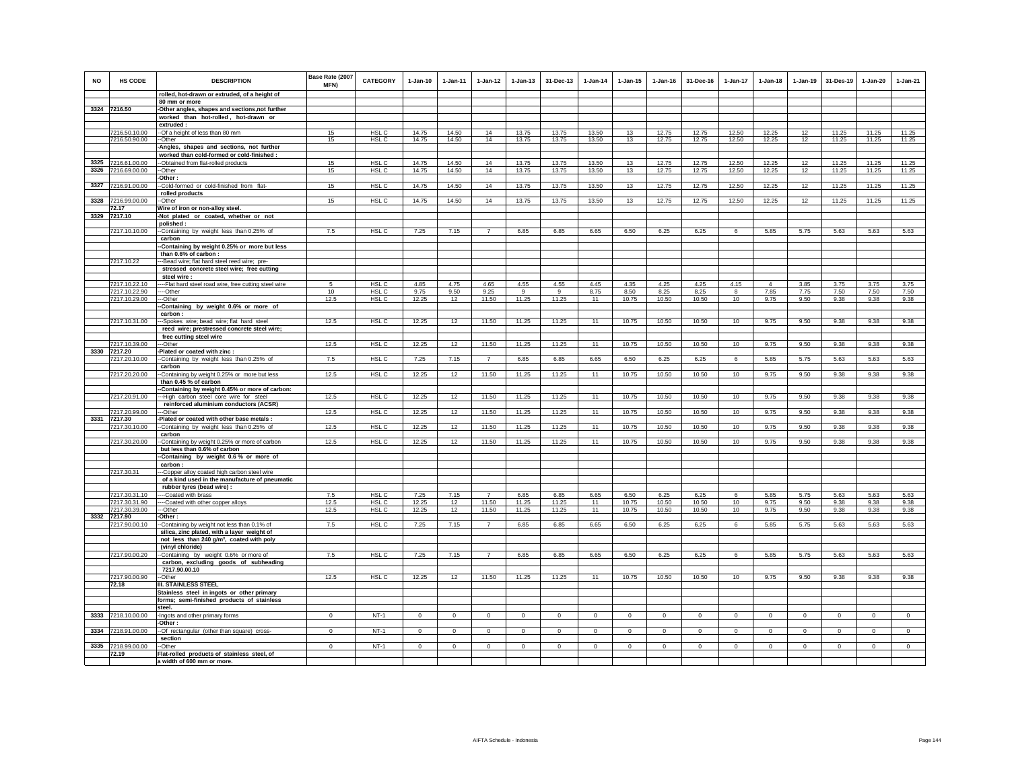| <b>NO</b> | HS CODE                       | <b>DESCRIPTION</b><br>rolled, hot-drawn or extruded, of a height of                       | Base Rate (2007<br><b>MFN)</b> | <b>CATEGORY</b>  | $1 - Jan-10$ | $1 - Jan-11$ | $1 - Jan-12$   | $1 - Jan-13$ | 31-Dec-13    | $1 - Jan-14$ | $1 - Jan-15$ | $1 - Jan-16$ | 31-Dec-16    | $1 - Jan-17$ | $1 - Jan-18$   | $1 - Jan-19$ | 31-Des-19   | 1-Jan-20    | $1-Jan-21$  |
|-----------|-------------------------------|-------------------------------------------------------------------------------------------|--------------------------------|------------------|--------------|--------------|----------------|--------------|--------------|--------------|--------------|--------------|--------------|--------------|----------------|--------------|-------------|-------------|-------------|
|           |                               | 80 mm or more                                                                             |                                |                  |              |              |                |              |              |              |              |              |              |              |                |              |             |             |             |
|           | 3324 7216.50                  | Other angles, shapes and sections, not further                                            |                                |                  |              |              |                |              |              |              |              |              |              |              |                |              |             |             |             |
|           |                               | worked than hot-rolled, hot-drawn or                                                      |                                |                  |              |              |                |              |              |              |              |              |              |              |                |              |             |             |             |
|           |                               | extruded:                                                                                 |                                |                  |              |              |                |              |              |              |              |              |              |              |                |              |             |             |             |
|           | 7216.50.10.00                 | -- Of a height of less than 80 mm                                                         | 15                             | HSL C            | 14.75        | 14.50        | 14             | 13.75        | 13.75        | 13.50        | 13           | 12.75        | 12.75        | 12.50        | 12.25          | 12           | 11.25       | 11.25       | 11.25       |
|           | 7216.50.90.00                 | -Other<br>Angles, shapes and sections, not further                                        | 15                             | HSL C            | 14.75        | 14.50        | 14             | 13.75        | 13.75        | 13.50        | 13           | 12.75        | 12.75        | 12.50        | 12.25          | 12           | 11.25       | 11.25       | 11.25       |
|           |                               | worked than cold-formed or cold-finished :                                                |                                |                  |              |              |                |              |              |              |              |              |              |              |                |              |             |             |             |
|           | 3325 7216.61.00.00            | --Obtained from flat-rolled products                                                      | 15                             | HSL C            | 14.75        | 14.50        | 14             | 13.75        | 13.75        | 13.50        | 13           | 12.75        | 12.75        | 12.50        | 12.25          | 12           | 11.25       | 11.25       | 11.25       |
| 3326      | 7216.69.00.00                 | --Other                                                                                   | 15                             | HSL <sub>C</sub> | 14.75        | 14.50        | 14             | 13.75        | 13.75        | 13.50        | 13           | 12.75        | 12.75        | 12.50        | 12.25          | 12           | 11.25       | 11.25       | 11.25       |
|           |                               | -Other:                                                                                   |                                |                  |              |              |                |              |              |              |              |              |              |              |                |              |             |             |             |
| 3327      | 7216.91.00.00                 | -Cold-formed or cold-finished from flat-                                                  | 15                             | HSL C            | 14.75        | 14.50        | 14             | 13.75        | 13.75        | 13.50        | 13           | 12.75        | 12.75        | 12.50        | 12.25          | 12           | 11.25       | 11.25       | 11.25       |
|           |                               | rolled products                                                                           |                                |                  |              |              |                |              |              |              |              |              |              |              |                |              |             |             |             |
|           | 3328 7216.99.00.00<br>72.17   | -Other<br>Wire of iron or non-alloy steel.                                                | 15                             | HSL C            | 14.75        | 14.50        | 14             | 13.75        | 13.75        | 13.50        | 13           | 12.75        | 12.75        | 12.50        | 12.25          | 12           | 11.25       | 11.25       | 11.25       |
|           | 3329 7217.10                  | -Not plated or coated, whether or not                                                     |                                |                  |              |              |                |              |              |              |              |              |              |              |                |              |             |             |             |
|           |                               | polished:                                                                                 |                                |                  |              |              |                |              |              |              |              |              |              |              |                |              |             |             |             |
|           | 7217.10.10.00                 | -Containing by weight less than 0.25% of                                                  | 7.5                            | HSL C            | 7.25         | 7.15         | $\overline{7}$ | 6.85         | 6.85         | 6.65         | 6.50         | 6.25         | 6.25         | 6            | 5.85           | 5.75         | 5.63        | 5.63        | 5.63        |
|           |                               | carbon                                                                                    |                                |                  |              |              |                |              |              |              |              |              |              |              |                |              |             |             |             |
|           |                               | -Containing by weight 0.25% or more but less                                              |                                |                  |              |              |                |              |              |              |              |              |              |              |                |              |             |             |             |
|           | 7217.10.22                    | than 0.6% of carbon:                                                                      |                                |                  |              |              |                |              |              |              |              |              |              |              |                |              |             |             |             |
|           |                               | -Bead wire; flat hard steel reed wire; pre-<br>stressed concrete steel wire; free cutting |                                |                  |              |              |                |              |              |              |              |              |              |              |                |              |             |             |             |
|           |                               | steel wire:                                                                               |                                |                  |              |              |                |              |              |              |              |              |              |              |                |              |             |             |             |
|           | 7217.10.22.10                 | --Flat hard steel road wire, free cutting steel wire                                      | -5                             | HSL C            | 4.85         | 4.75         | 4.65           | 4.55         | 4.55         | 4.45         | 4.35         | 4.25         | 4.25         | 4.15         | $\overline{4}$ | 3.85         | 3.75        | 3.75        | 3.75        |
|           | 7217.10.22.90                 | --Other                                                                                   | 10                             | HSL <sub>C</sub> | 9.75         | 9.50         | 9.25           | 9            | 9            | 8.75         | 8.50         | 8.25         | 8.25         | 8            | 7.85           | 7.75         | 7.50        | 7.50        | 7.50        |
|           | 7217.10.29.00                 | -Other                                                                                    | 12.5                           | HSL C            | 12.25        | 12           | 11.50          | 11.25        | 11.25        | 11           | 10.75        | 10.50        | 10.50        | 10           | 9.75           | 9.50         | 9.38        | 9.38        | 9.38        |
|           |                               | -Containing by weight 0.6% or more of                                                     |                                |                  |              |              |                |              |              |              |              |              |              |              |                |              |             |             |             |
|           | 7217.10.31.00                 | carbon:<br>--Spokes wire; bead wire; flat hard steel                                      | 12.5                           | HSL C            | 12.25        | 12           | 11.50          | 11.25        | 11.25        | 11           | 10.75        | 10.50        | 10.50        | 10           | 9.75           | 9.50         | 9.38        | 9.38        | 9.38        |
|           |                               | reed wire; prestressed concrete steel wire;                                               |                                |                  |              |              |                |              |              |              |              |              |              |              |                |              |             |             |             |
|           |                               | free cutting steel wire                                                                   |                                |                  |              |              |                |              |              |              |              |              |              |              |                |              |             |             |             |
|           | 7217.10.39.00                 | --Other                                                                                   | 12.5                           | HSL C            | 12.25        | 12           | 11.50          | 11.25        | 11.25        | 11           | 10.75        | 10.50        | 10.50        | 10           | 9.75           | 9.50         | 9.38        | 9.38        | 9.38        |
|           | 3330 7217.20                  | -Plated or coated with zinc :                                                             |                                |                  |              |              |                |              |              |              |              |              |              |              |                |              |             |             |             |
|           | 7217.20.10.00                 | -Containing by weight less than 0.25% of                                                  | 7.5                            | HSL C            | 7.25         | 7.15         | $\overline{7}$ | 6.85         | 6.85         | 6.65         | 6.50         | 6.25         | 6.25         | 6            | 5.85           | 5.75         | 5.63        | 5.63        | 5.63        |
|           | 7217.20.20.00                 | carbon<br>-Containing by weight 0.25% or more but less                                    | 12.5                           | HSL C            | 12.25        | 12           | 11.50          | 11.25        | 11.25        | 11           | 10.75        | 10.50        | 10.50        | 10           | 9.75           | 9.50         | 9.38        | 9.38        | 9.38        |
|           |                               | than 0.45 % of carbon                                                                     |                                |                  |              |              |                |              |              |              |              |              |              |              |                |              |             |             |             |
|           |                               | -Containing by weight 0.45% or more of carbon:                                            |                                |                  |              |              |                |              |              |              |              |              |              |              |                |              |             |             |             |
|           | 7217.20.91.00                 | --High carbon steel core wire for steel                                                   | 12.5                           | HSL C            | 12.25        | 12           | 11.50          | 11.25        | 11.25        | 11           | 10.75        | 10.50        | 10.50        | 10           | 9.75           | 9.50         | 9.38        | 9.38        | 9.38        |
|           |                               | reinforced aluminium conductors (ACSR)                                                    |                                |                  |              |              |                |              |              |              |              |              |              |              |                |              |             |             |             |
|           | 7217.20.99.00<br>3331 7217.30 | -Other<br>Plated or coated with other base metals :                                       | 12.5                           | HSL C            | 12.25        | 12           | 11.50          | 11.25        | 11.25        | 11           | 10.75        | 10.50        | 10.50        | 10           | 9.75           | 9.50         | 9.38        | 9.38        | 9.38        |
|           | 7217.30.10.00                 | -Containing by weight less than 0.25% of                                                  | 12.5                           | HSL C            | 12.25        | 12           | 11.50          | 11.25        | 11.25        | 11           | 10.75        | 10.50        | 10.50        | 10           | 9.75           | 9.50         | 9.38        | 9.38        | 9.38        |
|           |                               | carbon                                                                                    |                                |                  |              |              |                |              |              |              |              |              |              |              |                |              |             |             |             |
|           | 7217.30.20.00                 | -Containing by weight 0.25% or more of carbon                                             | 12.5                           | HSL C            | 12.25        | 12           | 11.50          | 11.25        | 11.25        | 11           | 10.75        | 10.50        | 10.50        | 10           | 9.75           | 9.50         | 9.38        | 9.38        | 9.38        |
|           |                               | but less than 0.6% of carbon                                                              |                                |                  |              |              |                |              |              |              |              |              |              |              |                |              |             |             |             |
|           |                               | -Containing by weight 0.6% or more of<br>carbon:                                          |                                |                  |              |              |                |              |              |              |              |              |              |              |                |              |             |             |             |
|           | 7217.30.31                    | -Copper alloy coated high carbon steel wire                                               |                                |                  |              |              |                |              |              |              |              |              |              |              |                |              |             |             |             |
|           |                               | of a kind used in the manufacture of pneumatic                                            |                                |                  |              |              |                |              |              |              |              |              |              |              |                |              |             |             |             |
|           |                               | rubber tyres (bead wire) :                                                                |                                |                  |              |              |                |              |              |              |              |              |              |              |                |              |             |             |             |
|           | 7217.30.31.10                 | -Coated with brass                                                                        | 7.5                            | HSL C            | 7.25         | 7.15         | 7              | 6.85         | 6.85         | 6.65         | 6.50         | 6.25         | 6.25         | 6            | 5.85           | 5.75         | 5.63        | 5.63        | 5.63        |
|           | 7217.30.31.90                 | --Coated with other copper alloys                                                         | 12.5                           | HSL <sub>C</sub> | 12.25        | 12           | 11.50          | 11.25        | 11.25        | 11           | 10.75        | 10.50        | 10.50        | 10           | 9.75           | 9.50         | 9.38        | 9.38        | 9.38        |
|           | 7217.30.39.00<br>3332 7217.90 | --Other                                                                                   | 12.5                           | HSL C            | 12.25        | 12           | 11.50          | 11.25        | 11.25        | 11           | 10.75        | 10.50        | 10.50        | 10           | 9.75           | 9.50         | 9.38        | 9.38        | 9.38        |
|           | 7217.90.00.10                 | -Other:<br>--Containing by weight not less than 0.1% of                                   | 7.5                            | HSL C            | 7.25         | 7.15         | $\overline{7}$ | 6.85         | 6.85         | 6.65         | 6.50         | 6.25         | 6.25         | 6            | 5.85           | 5.75         | 5.63        | 5.63        | 5.63        |
|           |                               | silica, zinc plated, with a layer weight of                                               |                                |                  |              |              |                |              |              |              |              |              |              |              |                |              |             |             |             |
|           |                               | not less than 240 g/m <sup>2</sup> , coated with poly                                     |                                |                  |              |              |                |              |              |              |              |              |              |              |                |              |             |             |             |
|           |                               | (vinyl chloride)                                                                          |                                |                  |              |              |                |              |              |              |              |              |              |              |                |              |             |             |             |
|           | 7217.90.00.20                 | -Containing by weight 0.6% or more of                                                     | 7.5                            | HSL <sub>C</sub> | 7.25         | 7.15         | $\overline{7}$ | 6.85         | 6.85         | 6.65         | 6.50         | 6.25         | 6.25         | 6            | 5.85           | 5.75         | 5.63        | 5.63        | 5.63        |
|           |                               | carbon, excluding goods of subheading                                                     |                                |                  |              |              |                |              |              |              |              |              |              |              |                |              |             |             |             |
|           | 7217.90.00.90                 | 7217.90.00.10<br>-Other                                                                   | 12.5                           | HSL C            | 12.25        | 12           | 11.50          | 11.25        | 11.25        | 11           | 10.75        | 10.50        | 10.50        | 10           | 9.75           | 9.50         | 9.38        | 9.38        | 9.38        |
|           | 72.18                         | <b>III. STAINLESS STEEL</b>                                                               |                                |                  |              |              |                |              |              |              |              |              |              |              |                |              |             |             |             |
|           |                               | Stainless steel in ingots or other primary                                                |                                |                  |              |              |                |              |              |              |              |              |              |              |                |              |             |             |             |
|           |                               | forms; semi-finished products of stainless                                                |                                |                  |              |              |                |              |              |              |              |              |              |              |                |              |             |             |             |
|           |                               | steel.                                                                                    |                                |                  |              |              |                |              |              |              |              |              |              |              |                |              |             |             |             |
| 3333      | 7218.10.00.00                 | -Ingots and other primary forms                                                           | $\Omega$                       | $NT-1$           | $\mathbf 0$  | $\mathbf 0$  | $\mathbf 0$    | $\mathsf 0$  | $\mathbf 0$  | $\Omega$     | $\mathsf 0$  | $\mathsf 0$  | $\mathsf 0$  | $\mathbf 0$  | $\mathbf 0$    | $\circ$      | $\circ$     | $\mathsf 0$ | $\mathbf 0$ |
|           |                               | -Other:                                                                                   |                                |                  |              |              |                |              |              |              |              |              |              |              |                |              |             |             |             |
| 3334      | 7218.91.00.00                 | -Of rectangular (other than square) cross-<br>section                                     | $^{\circ}$                     | $NT-1$           | $^{\circ}$   | $^{\circ}$   | $\circ$        | $\mathbf 0$  | $\mathbf 0$  | $^{\circ}$   | $^{\circ}$   | $^{\circ}$   | $\mathbf 0$  | $\circ$      | $\mathbf 0$    | $\mathbf 0$  | $\mathbf 0$ | $^{\circ}$  | $\circ$     |
|           | 3335 7218.99.00.00            | -Other                                                                                    | $\mathbf 0$                    | $NT-1$           | $\Omega$     | $\mathbf{0}$ | $\mathbf{0}$   | $\mathbf{0}$ | $\mathbf{0}$ | $\circ$      | $\circ$      | $\circ$      | $\mathbf{0}$ | $\circ$      | $\mathbf 0$    | $\circ$      | $\circ$     | $\circ$     | $\circ$     |
|           | 72.19                         | Flat-rolled products of stainless steel, of                                               |                                |                  |              |              |                |              |              |              |              |              |              |              |                |              |             |             |             |
|           |                               | a width of 600 mm or more.                                                                |                                |                  |              |              |                |              |              |              |              |              |              |              |                |              |             |             |             |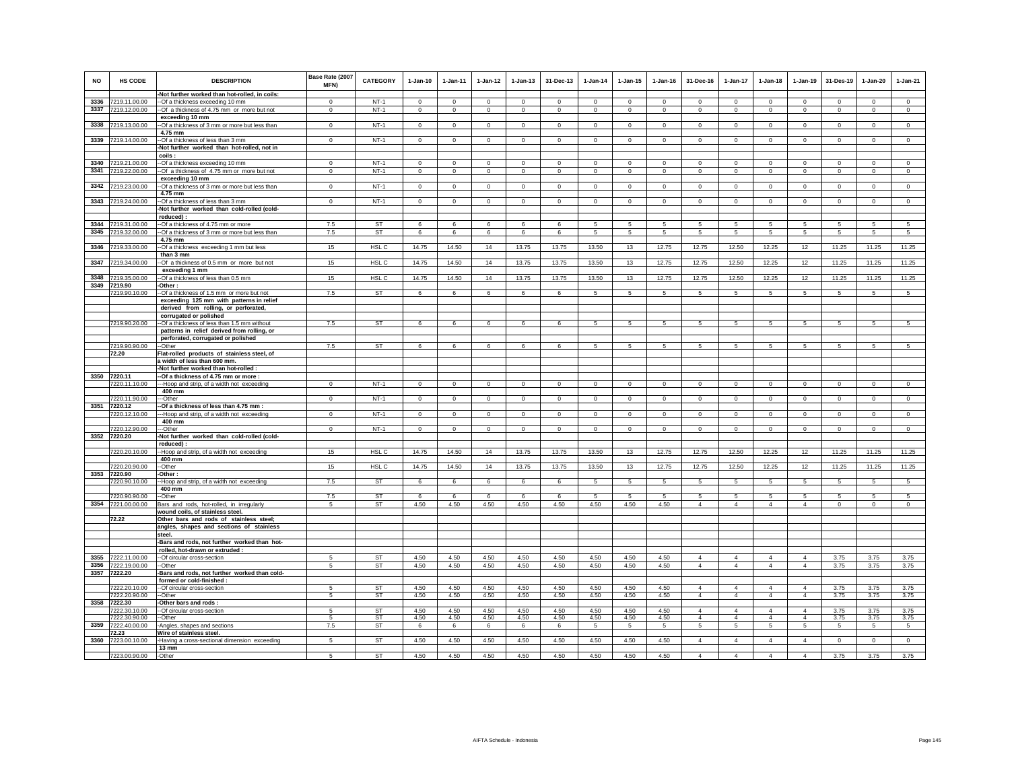| <b>NO</b> | HS CODE                        | <b>DESCRIPTION</b>                                                                  | Base Rate (2007<br>MFN) | <b>CATEGORY</b>  | $1-Jan-10$           | $1-Jan-11$           | $1-Jan-12$          | $1-Jan-13$              | 31-Dec-13                   | $1-Jan-14$  | $1-Jan-15$           | $1 - Jan-16$         | 31-Dec-16                        | $1 - Jan-17$         | $1-Jan-18$           | $1-Jan-19$           | 31-Des-19           | $1-Jan-20$           | $1-Jan-21$             |
|-----------|--------------------------------|-------------------------------------------------------------------------------------|-------------------------|------------------|----------------------|----------------------|---------------------|-------------------------|-----------------------------|-------------|----------------------|----------------------|----------------------------------|----------------------|----------------------|----------------------|---------------------|----------------------|------------------------|
|           |                                | -Not further worked than hot-rolled, in coils:                                      |                         |                  |                      |                      |                     |                         |                             |             |                      |                      |                                  |                      |                      |                      |                     |                      |                        |
| 3336      | 7219.11.00.00<br>7219.12.00.00 | --Of a thickness exceeding 10 mm<br>--Of a thickness of 4.75 mm or more but not     | $\Omega$<br>$\Omega$    | $NT-1$<br>$NT-1$ | $\Omega$<br>$\Omega$ | $\Omega$<br>$\Omega$ | $\Omega$<br>$\circ$ | $\mathbf 0$<br>$\Omega$ | $\mathbf 0$<br>$\mathbf{0}$ | $\Omega$    | $\Omega$<br>$\Omega$ | $\Omega$<br>$\Omega$ | $\Omega$<br>$\Omega$             | $\Omega$<br>$\Omega$ | $\Omega$<br>$\Omega$ | $\Omega$<br>$\Omega$ | $\Omega$<br>$\circ$ | $\Omega$<br>$\Omega$ | $\circ$<br>$\mathsf 0$ |
| 3337      |                                | exceeding 10 mm                                                                     |                         |                  |                      |                      |                     |                         |                             | $\mathbf 0$ |                      |                      |                                  |                      |                      |                      |                     |                      |                        |
| 3338      | 7219.13.00.00                  | --Of a thickness of 3 mm or more but less than                                      | $\overline{0}$          | NT-1             | $\mathbf 0$          | $\circ$              | $\mathbf 0$         | $\mathbf 0$             | $\mathbf 0$                 | $\mathbf 0$ | $\mathbf 0$          | $\mathbf 0$          | $\mathbf 0$                      | $\mathbf 0$          | $\mathbf 0$          | $\mathbf 0$          | $\mathbf 0$         | $\mathbf 0$          | $\mathbf 0$            |
|           |                                | 4.75 mm                                                                             |                         |                  |                      |                      |                     |                         |                             |             |                      |                      |                                  |                      |                      |                      |                     |                      |                        |
|           | 3339 7219.14.00.00             | --Of a thickness of less than 3 mm                                                  | $^{\circ}$              | $NT-1$           | $\mathbf{0}$         | $\circ$              | $\circ$             | $\mathbf 0$             | $\mathbf 0$                 | $\mathbf 0$ | 0                    | $\,0\,$              | $^{\circ}$                       | $\mathbf 0$          | $\mathbf 0$          | $\circ$              | $\circ$             | $\mathbf 0$          | $\mathbf 0$            |
|           |                                | -Not further worked than hot-rolled, not in                                         |                         |                  |                      |                      |                     |                         |                             |             |                      |                      |                                  |                      |                      |                      |                     |                      |                        |
|           |                                | coils :                                                                             |                         |                  |                      |                      |                     |                         |                             |             |                      |                      |                                  |                      |                      |                      |                     |                      |                        |
| 3340      | 7219.21.00.00                  | --Of a thickness exceeding 10 mm                                                    | $^{\circ}$              | $NT-1$           | $\Omega$             | $\mathbf 0$          | $\mathbf 0$         | $\mathbf 0$             | $\mathbf 0$                 | $\mathbf 0$ | $\mathbf 0$          | $\mathbf 0$          | $^{\circ}$                       | $\mathbf 0$          | $\mathbf 0$          | $\mathbf 0$          | $\mathbf 0$         | $\mathbf 0$          | $\mathbf 0$            |
| 3341      | 7219.22.00.00                  | -Of a thickness of 4.75 mm or more but not                                          | $\mathsf 0$             | $NT-1$           | $\mathsf 0$          | $\mathsf 0$          | $\mathbf 0$         | $\mathbf 0$             | $\mathbf 0$                 | $\mathbf 0$ | $\mathbf 0$          | $\mathbf 0$          | $\mathbf 0$                      | $\mathbf 0$          | $\mathbf 0$          | $\mathbf 0$          | $\mathbf 0$         | $\mathbf 0$          | $\mathsf 0$            |
|           |                                | exceeding 10 mm                                                                     |                         |                  |                      |                      |                     |                         |                             |             |                      |                      |                                  |                      |                      |                      |                     |                      |                        |
| 3342      | 7219.23.00.00                  | --Of a thickness of 3 mm or more but less than                                      | $\mathbf 0$             | $NT-1$           | $\mathbf 0$          | $\mathbf 0$          | $\mathsf 0$         | $\mathbf 0$             | $\mathbf 0$                 | $\mathbf 0$ | $\mathbf 0$          | $\,0\,$              | $\mathbf 0$                      | $\mathbf 0$          | $\mathbf{0}$         | $\mathbf 0$          | $\,0\,$             | $\mathbf 0$          | $\mathsf 0$            |
| 3343      | 7219.24.00.00                  | 4.75 mm<br>--Of a thickness of less than 3 mm                                       | $\overline{0}$          | $NT-1$           | $\mathsf 0$          | $\mathbf 0$          | $\mathbf 0$         | $\mathbf 0$             | $\mathbf{0}$                | $\mathbf 0$ | $\mathbf 0$          | $\mathbb O$          | $\mathbf 0$                      | $\circ$              | $\mathsf 0$          | $\mathbf 0$          | $\overline{0}$      | $\mathsf 0$          | $\overline{0}$         |
|           |                                | -Not further worked than cold-rolled (cold-                                         |                         |                  |                      |                      |                     |                         |                             |             |                      |                      |                                  |                      |                      |                      |                     |                      |                        |
|           |                                | reduced) :                                                                          |                         |                  |                      |                      |                     |                         |                             |             |                      |                      |                                  |                      |                      |                      |                     |                      |                        |
| 3344      | 7219.31.00.00                  | --Of a thickness of 4.75 mm or more                                                 | 7.5                     | ST               | 6                    | 6                    | 6.                  | 6                       | 6                           | 5           | 5                    | 5                    | 5                                | 5                    | 5                    | 5                    | 5                   | 5                    | 5                      |
| 3345      | 7219.32.00.00                  | -- Of a thickness of 3 mm or more but less than                                     | 7.5                     | ST               | 6                    | 6                    | 6                   | 6                       | 6                           | 5           | 5                    | 5                    | 5                                | 5                    | 5                    | $\,$ 5 $\,$          | $\sqrt{5}$          | 5                    | 5                      |
|           |                                | 4.75 mm                                                                             |                         |                  |                      |                      |                     |                         |                             |             |                      |                      |                                  |                      |                      |                      |                     |                      |                        |
| 3346      | 7219.33.00.00                  | --Of a thickness exceeding 1 mm but less                                            | 15                      | HSL <sub>C</sub> | 14.75                | 14.50                | 14                  | 13.75                   | 13.75                       | 13.50       | 13                   | 12.75                | 12.75                            | 12.50                | 12.25                | 12                   | 11.25               | 11.25                | 11.25                  |
|           |                                | than 3 mm                                                                           |                         |                  |                      |                      |                     |                         |                             |             |                      |                      |                                  |                      |                      |                      |                     |                      |                        |
| 3347      | 7219.34.00.00                  | -Of a thickness of 0.5 mm or more but not                                           | 15                      | HSL <sub>C</sub> | 14.75                | 14.50                | 14                  | 13.75                   | 13.75                       | 13.50       | 13                   | 12.75                | 12.75                            | 12.50                | 12.25                | 12                   | 11.25               | 11.25                | 11.25                  |
| 3348      | 7219.35.00.00                  | exceeding 1 mm<br>-Of a thickness of less than 0.5 mm                               | 15                      | HSL <sub>C</sub> | 14.75                | 14.50                | 14                  | 13.75                   | 13.75                       | 13.50       | 13                   | 12.75                | 12.75                            | 12.50                | 12.25                | 12                   | 11.25               | 11.25                | 11.25                  |
|           | 3349 7219.90                   | Other:                                                                              |                         |                  |                      |                      |                     |                         |                             |             |                      |                      |                                  |                      |                      |                      |                     |                      |                        |
|           | 7219.90.10.00                  | -Of a thickness of 1.5 mm or more but not                                           | 7.5                     | <b>ST</b>        | 6                    | 6                    | 6                   | 6                       | 6                           | 5           | 5                    | 5                    | $5\overline{5}$                  | 5                    | 5                    | 5                    | 5                   | 5                    | 5                      |
|           |                                | exceeding 125 mm with patterns in relief                                            |                         |                  |                      |                      |                     |                         |                             |             |                      |                      |                                  |                      |                      |                      |                     |                      |                        |
|           |                                | derived from rolling, or perforated,                                                |                         |                  |                      |                      |                     |                         |                             |             |                      |                      |                                  |                      |                      |                      |                     |                      |                        |
|           |                                | corrugated or polished                                                              |                         |                  |                      |                      |                     |                         |                             |             |                      |                      |                                  |                      |                      |                      |                     |                      |                        |
|           | 7219.90.20.00                  | --Of a thickness of less than 1.5 mm without                                        | 7.5                     | ST               | 6                    | 6                    | 6                   | 6                       | 6                           | 5           | 5                    | -5                   | 5                                | 5                    | 5                    | 5                    | 5                   | 5                    | $\sqrt{5}$             |
|           |                                | patterns in relief derived from rolling, or                                         |                         |                  |                      |                      |                     |                         |                             |             |                      |                      |                                  |                      |                      |                      |                     |                      |                        |
|           | 7219.90.90.00                  | perforated, corrugated or polished<br>--Other                                       | 7.5                     | <b>ST</b>        | 6                    | 6                    | 6                   | 6                       | 6                           | 5           | 5                    | 5                    | 5                                | 5                    | 5                    | 5                    | 5                   | 5                    | -5                     |
|           | 72.20                          | Flat-rolled products of stainless steel, of                                         |                         |                  |                      |                      |                     |                         |                             |             |                      |                      |                                  |                      |                      |                      |                     |                      |                        |
|           |                                | a width of less than 600 mm.                                                        |                         |                  |                      |                      |                     |                         |                             |             |                      |                      |                                  |                      |                      |                      |                     |                      |                        |
|           |                                | -Not further worked than hot-rolled :                                               |                         |                  |                      |                      |                     |                         |                             |             |                      |                      |                                  |                      |                      |                      |                     |                      |                        |
| 3350      | 7220.11                        | -Of a thickness of 4.75 mm or more :                                                |                         |                  |                      |                      |                     |                         |                             |             |                      |                      |                                  |                      |                      |                      |                     |                      |                        |
|           | 7220.11.10.00                  | ---Hoop and strip, of a width not exceeding                                         | $\mathbf 0$             | $NT-1$           | $\mathbf 0$          | $\circ$              | $\circ$             | $\circ$                 | $\mathbf 0$                 | $\circ$     | $\mathbf 0$          | $^{\circ}$           | $\mathbf 0$                      | $\mathbf 0$          | $\circ$              | $\mathbf 0$          | $\circ$             | $\mathbf 0$          | $\circ$                |
|           |                                | 400 mm                                                                              |                         |                  |                      |                      |                     |                         |                             |             |                      |                      |                                  |                      |                      |                      |                     |                      |                        |
| 3351      | 7220.11.90.00<br>7220.12       | ---Other<br>-- Of a thickness of less than 4.75 mm :                                | $\mathbf 0$             | $NT-1$           | $\mathsf 0$          | $\mathbf 0$          | $\mathbf 0$         | $\circ$                 | $\mathbf 0$                 | $\mathsf 0$ | $\Omega$             | $\mathbf 0$          | $\Omega$                         | $\mathbf 0$          | $\circ$              | $\mathbf 0$          | $\mathbf 0$         | $\mathbf 0$          | $\mathsf 0$            |
|           | 7220.12.10.00                  | ---Hoop and strip, of a width not exceeding                                         | $\mathbf 0$             | $NT-1$           | $^{\circ}$           | $\circ$              | $\circ$             | $\circ$                 | $\mathbf 0$                 | $\circ$     | $^{\circ}$           | $^{\circ}$           | $^{\circ}$                       | $\mathbf{0}$         | $\circ$              | $\circ$              | $\mathbf{0}$        | $\mathbf 0$          | $\circ$                |
|           |                                | 400 mm                                                                              |                         |                  |                      |                      |                     |                         |                             |             |                      |                      |                                  |                      |                      |                      |                     |                      |                        |
|           | 7220.12.90.00                  | --Other                                                                             | $^{\circ}$              | $NT-1$           | $\circ$              | $\overline{0}$       | $\mathbf{0}$        | $\circ$                 | $\mathbf{0}$                | $\circ$     | $^{\circ}$           | $\mathbf 0$          | $\Omega$                         | $\circ$              | $\circ$              | $\circ$              | $\mathbf{0}$        | $\circ$              | $\circ$                |
| 3352      | 7220.20                        | -Not further worked than cold-rolled (cold-                                         |                         |                  |                      |                      |                     |                         |                             |             |                      |                      |                                  |                      |                      |                      |                     |                      |                        |
|           |                                | reduced) :                                                                          |                         |                  |                      |                      |                     |                         |                             |             |                      |                      |                                  |                      |                      |                      |                     |                      |                        |
|           | 7220.20.10.00                  | -Hoop and strip, of a width not exceeding                                           | 15                      | HSL C            | 14.75                | 14.50                | 14                  | 13.75                   | 13.75                       | 13.50       | 13                   | 12.75                | 12.75                            | 12.50                | 12.25                | 12                   | 11.25               | 11.25                | 11.25                  |
|           | 7220.20.90.00                  | 400 mm<br>--Other                                                                   | 15                      | HSL C            | 14.75                | 14.50                | 14                  | 13.75                   | 13.75                       | 13.50       | 13                   | 12.75                | 12.75                            | 12.50                | 12.25                | 12                   | 11.25               | 11.25                | 11.25                  |
| 3353      | 7220.90                        | -Other:                                                                             |                         |                  |                      |                      |                     |                         |                             |             |                      |                      |                                  |                      |                      |                      |                     |                      |                        |
|           | 7220.90.10.00                  | --Hoop and strip, of a width not exceeding                                          | 7.5                     | <b>ST</b>        | 6                    | 6                    | 6                   | 6                       | 6                           | 5           | 5                    | 5                    | 5                                | 5                    | 5                    | 5                    | 5                   | 5                    | 5                      |
|           |                                | 400 mm                                                                              |                         |                  |                      |                      |                     |                         |                             |             |                      |                      |                                  |                      |                      |                      |                     |                      |                        |
|           | 7220.90.90.00                  | --Other                                                                             | 7.5                     | <b>ST</b>        | 6                    | 6                    | 6                   | 6                       | 6                           | 5           | 5                    | 5                    | 5                                | 5                    | $\sqrt{5}$           | 5                    | 5                   | $\sqrt{5}$           | 5                      |
|           | 3354 7221.00.00.00             | Bars and rods, hot-rolled, in irregularly                                           | 5                       | ST               | 4.50                 | 4.50                 | 4.50                | 4.50                    | 4.50                        | 4.50        | 4.50                 | 4.50                 | $\overline{4}$                   | $\overline{4}$       | $\overline{4}$       | $\overline{4}$       | $\mathbf{0}$        | $\circ$              | $\mathbf 0$            |
|           |                                | wound coils, of stainless steel.                                                    |                         |                  |                      |                      |                     |                         |                             |             |                      |                      |                                  |                      |                      |                      |                     |                      |                        |
|           | 72.22                          | Other bars and rods of stainless steel;<br>angles, shapes and sections of stainless |                         |                  |                      |                      |                     |                         |                             |             |                      |                      |                                  |                      |                      |                      |                     |                      |                        |
|           |                                | steel.                                                                              |                         |                  |                      |                      |                     |                         |                             |             |                      |                      |                                  |                      |                      |                      |                     |                      |                        |
|           |                                | -Bars and rods, not further worked than hot-                                        |                         |                  |                      |                      |                     |                         |                             |             |                      |                      |                                  |                      |                      |                      |                     |                      |                        |
|           |                                | rolled, hot-drawn or extruded :                                                     |                         |                  |                      |                      |                     |                         |                             |             |                      |                      |                                  |                      |                      |                      |                     |                      |                        |
| 3355      | 7222.11.00.00                  | --Of circular cross-section                                                         | $\sqrt{5}$              | <b>ST</b>        | 4.50                 | 4.50                 | 4.50                | 4.50                    | 4.50                        | 4.50        | 4.50                 | 4.50                 | $\overline{4}$                   | $\overline{4}$       | $\overline{4}$       | $\overline{4}$       | 3.75                | 3.75                 | 3.75                   |
| 3356      | 7222.19.00.00                  | --Other                                                                             | 5                       | <b>ST</b>        | 4.50                 | 4.50                 | 4.50                | 4.50                    | 4.50                        | 4.50        | 4.50                 | 4.50                 | $\overline{4}$                   | $\overline{4}$       | $\Delta$             | $\overline{4}$       | 3.75                | 3.75                 | 3.75                   |
| 3357      | 7222.20                        | -Bars and rods, not further worked than cold-                                       |                         |                  |                      |                      |                     |                         |                             |             |                      |                      |                                  |                      |                      |                      |                     |                      |                        |
|           |                                | formed or cold-finished :                                                           |                         |                  |                      |                      |                     |                         |                             |             |                      |                      |                                  |                      |                      |                      |                     |                      |                        |
|           | 7222.20.10.00                  | --Of circular cross-section                                                         | 5                       | ST               | 4.50                 | 4.50                 | 4.50                | 4.50                    | 4.50                        | 4.50        | 4.50                 | 4.50                 | $\overline{4}$<br>$\overline{4}$ | $\overline{4}$       | $\overline{4}$       | $\overline{4}$       | 3.75                | 3.75                 | 3.75                   |
| 3358      | 7222.20.90.00<br>7222.30       | --Other<br>-Other bars and rods :                                                   | 5                       | ST               | 4.50                 | 4.50                 | 4.50                | 4.50                    | 4.50                        | 4.50        | 4.50                 | 4.50                 |                                  | $\overline{4}$       | $\overline{4}$       | $\overline{4}$       | 3.75                | 3.75                 | 3.75                   |
|           | 7222.30.10.00                  | --Of circular cross-section                                                         | -5                      | <b>ST</b>        | 4.50                 | 4.50                 | 4.50                | 4.50                    | 4.50                        | 4.50        | 4.50                 | 4.50                 | $\overline{4}$                   | $\overline{4}$       | $\overline{4}$       | $\overline{4}$       | 3.75                | 3.75                 | 3.75                   |
|           | 7222.30.90.00                  | --Other                                                                             | 5                       | <b>ST</b>        | 4.50                 | 4.50                 | 4.50                | 4.50                    | 4.50                        | 4.50        | 4.50                 | 4.50                 | $\overline{4}$                   | $\overline{4}$       | $\overline{4}$       | $\overline{4}$       | 3.75                | 3.75                 | 3.75                   |
| 3359      | 7222.40.00.00                  | -Angles, shapes and sections                                                        | 7.5                     | ST               | 6                    | 6                    | 6                   | 6                       | 6                           | 5           | 5                    | -5                   | 5                                | 5                    | 5                    | 5                    | 5                   | 5                    | 5                      |
|           | 72.23                          | Wire of stainless steel.                                                            |                         |                  |                      |                      |                     |                         |                             |             |                      |                      |                                  |                      |                      |                      |                     |                      |                        |
| 3360      | 7223.00.10.00                  | -Having a cross-sectional dimension exceeding                                       | 5                       | ST               | 4.50                 | 4.50                 | 4.50                | 4.50                    | 4.50                        | 4.50        | 4.50                 | 4.50                 | $\Delta$                         | $\overline{4}$       | $\Delta$             | $\overline{4}$       | $\mathbf 0$         | $\mathbf 0$          | $\circ$                |
|           |                                | 13 mm                                                                               |                         |                  |                      |                      |                     |                         |                             |             |                      |                      |                                  |                      |                      |                      |                     |                      |                        |
|           | 7223.00.90.00                  | -Other                                                                              | 5                       | <b>ST</b>        | 4.50                 | 4.50                 | 4.50                | 4.50                    | 4.50                        | 4.50        | 4.50                 | 4.50                 | $\Delta$                         | $\Delta$             | $\Delta$             | $\Delta$             | 3.75                | 3.75                 | 3.75                   |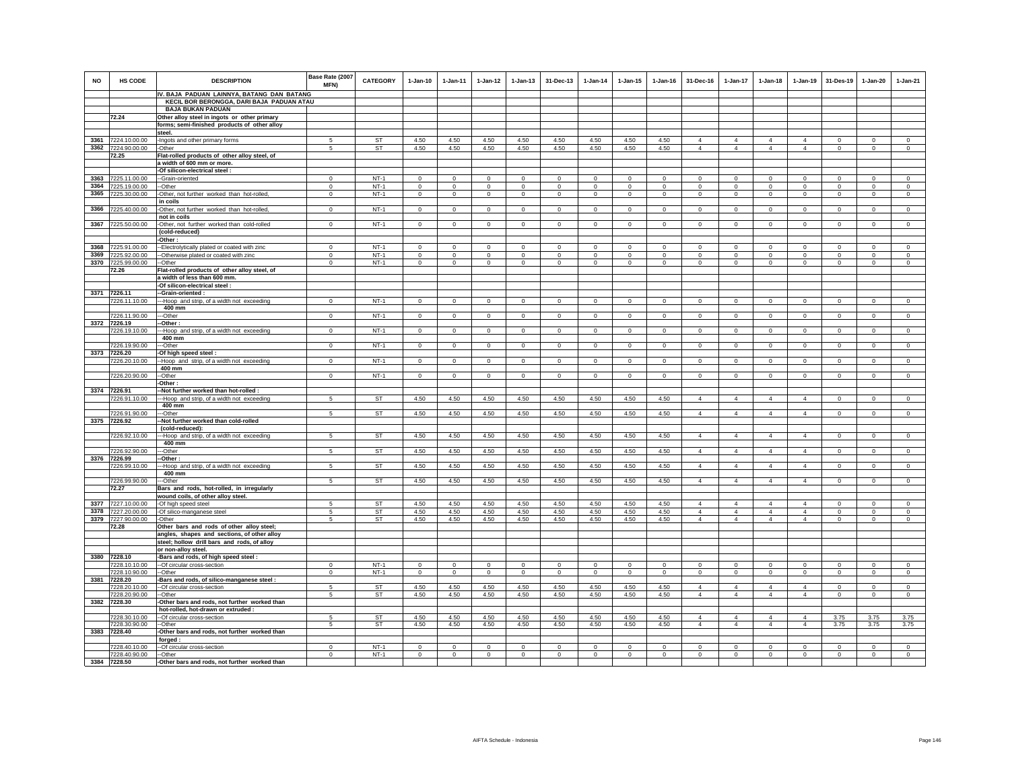| <b>NO</b> | HS CODE                        | <b>DESCRIPTION</b>                                                            | Base Rate (2007<br><b>MFN)</b> | <b>CATEGORY</b>  | $1 - Jan-10$            | $1 - Jan-11$            | $1 - Jan-12$               | $1 - Jan-13$            | 31-Dec-13               | $1 - Jan-14$            | $1 - Jan-15$            | $1 - Jan-16$            | 31-Dec-16               | $1 - Jan-17$        | $1-Jan-18$          | $1-Jan-19$                       | 31-Des-19                  | $1 - Jan-20$            | $1-Jan-21$              |
|-----------|--------------------------------|-------------------------------------------------------------------------------|--------------------------------|------------------|-------------------------|-------------------------|----------------------------|-------------------------|-------------------------|-------------------------|-------------------------|-------------------------|-------------------------|---------------------|---------------------|----------------------------------|----------------------------|-------------------------|-------------------------|
|           |                                | IV. BAJA PADUAN LAINNYA, BATANG DAN BATANG                                    |                                |                  |                         |                         |                            |                         |                         |                         |                         |                         |                         |                     |                     |                                  |                            |                         |                         |
|           |                                | KECIL BOR BERONGGA, DARI BAJA PADUAN ATAU<br><b>BAJA BUKAN PADUAN</b>         |                                |                  |                         |                         |                            |                         |                         |                         |                         |                         |                         |                     |                     |                                  |                            |                         |                         |
|           | 72.24                          | Other alloy steel in ingots or other primary                                  |                                |                  |                         |                         |                            |                         |                         |                         |                         |                         |                         |                     |                     |                                  |                            |                         |                         |
|           |                                | forms; semi-finished products of other alloy                                  |                                |                  |                         |                         |                            |                         |                         |                         |                         |                         |                         |                     |                     |                                  |                            |                         |                         |
|           |                                | steel.                                                                        |                                |                  |                         |                         |                            |                         |                         |                         |                         |                         |                         |                     |                     |                                  |                            |                         |                         |
|           | 3361 7224.10.00.00             | Ingots and other primary forms                                                | 5                              | <b>ST</b>        | 4.50                    | 4.50                    | 4.50                       | 4.50                    | 4.50                    | 4.50                    | 4.50                    | 4.50                    | $\overline{4}$          | $\overline{4}$      | $\overline{4}$      | $\overline{4}$                   | $\mathbf 0$                | $\mathsf 0$             | $\mathsf 0$             |
| 3362      | 7224.90.00.00                  | -Other                                                                        | 5                              | ST               | 4.50                    | 4.50                    | 4.50                       | 4.50                    | 4.50                    | 4.50                    | 4.50                    | 4.50                    | $\overline{4}$          | $\overline{4}$      | $\overline{4}$      | $\overline{4}$                   | $\mathbf 0$                | $\mathbf 0$             | $\mathbf 0$             |
|           | 72.25                          | Flat-rolled products of other alloy steel, of                                 |                                |                  |                         |                         |                            |                         |                         |                         |                         |                         |                         |                     |                     |                                  |                            |                         |                         |
|           |                                | a width of 600 mm or more.                                                    |                                |                  |                         |                         |                            |                         |                         |                         |                         |                         |                         |                     |                     |                                  |                            |                         |                         |
|           |                                | -Of silicon-electrical steel :                                                |                                |                  |                         |                         |                            |                         |                         |                         |                         |                         |                         |                     |                     |                                  |                            |                         |                         |
| 3363      | 7225.11.00.00                  | --Grain-oriented                                                              | $\Omega$                       | $NT-1$           | $\Omega$                | $\Omega$                | $\Omega$                   | $\Omega$                | $\Omega$                | $\Omega$                | $\Omega$                | $\Omega$                | $\Omega$                | $\Omega$            | $\Omega$            | $\Omega$                         | $\Omega$                   | $\Omega$                | $\circ$                 |
| 3364      | 7225.19.00.00                  | --Other                                                                       | $\mathbf 0$                    | $NT-1$           | $\mathsf 0$             | $\mathsf 0$             | $\circ$                    | $\mathsf 0$             | $\mathsf 0$             | $\mathsf 0$             | $\mathsf 0$             | $\mathbf 0$             | $\mathbf 0$             | $\mathbf 0$         | $\mathbf 0$         | $\mathbf 0$                      | $\mathbf 0$                | $\mathsf 0$             | $\mathsf 0$             |
| 3365      | 7225.30.00.00                  | -Other, not further worked than hot-rolled,<br>in coils                       | $\Omega$                       | $NT-1$           | $\Omega$                | $\Omega$                | $\Omega$                   | $\mathbf 0$             | $\mathbf{0}$            | $\circ$                 | $\mathbf 0$             | $\Omega$                | $\Omega$                | $\mathbf 0$         | $\Omega$            | $\mathbf 0$                      | $\mathbf 0$                | $\Omega$                | $\circ$                 |
| 3366      | 7225.40.00.00                  | -Other, not further worked than hot-rolled,<br>not in coils                   | $\mathbf{0}$                   | $NT-1$           | $\circ$                 | $\circ$                 | $\overline{0}$             | $\circ$                 | $\overline{0}$          | $\overline{0}$          | $\mathbf 0$             | $\mathbf 0$             | $\mathbf{0}$            | $\overline{0}$      | $\mathbf{0}$        | $\overline{0}$                   | $\overline{0}$             | $\circ$                 | $\mathbf 0$             |
| 3367      | 7225.50.00.00                  | -Other, not further worked than cold-rolled                                   | $^{\circ}$                     | $NT-1$           | $\mathbf{0}$            | $\circ$                 | $\circ$                    | $\mathbf 0$             | $\Omega$                | $\circ$                 | $^{\circ}$              | $\circ$                 | $^{\circ}$              | $\mathbf{0}$        | $\circ$             | $\mathbf{0}$                     | $\circ$                    | $\mathbf{0}$            | $\circ$                 |
|           |                                | (cold-reduced)                                                                |                                |                  |                         |                         |                            |                         |                         |                         |                         |                         |                         |                     |                     |                                  |                            |                         |                         |
|           |                                | Other:                                                                        |                                |                  |                         |                         |                            |                         |                         |                         |                         |                         |                         |                     |                     |                                  |                            |                         |                         |
| 3368      | 7225.91.00.00                  | -Electrolytically plated or coated with zinc                                  | $\mathbf 0$                    | $NT-1$           | $^{\circ}$              | $\mathbf 0$             | $\mathbf 0$                | $\mathbf 0$             | $\mathbf 0$             | $\mathbf 0$             | $\mathbf 0$             | $^{\circ}$              | $\circ$                 | $\mathbf 0$         | $\mathbf 0$         | $^{\circ}$                       | $^{\circ}$                 | $\mathbf 0$             | $\mathbf 0$             |
| 3369      | 7225.92.00.00                  | -Otherwise plated or coated with zinc                                         | $\,0\,$                        | $NT-1$           | $\mathsf 0$             | $\mathbf 0$             | $\mathbf 0$                | $\mathsf 0$             | $\mathbf 0$             | $\mathsf 0$             | $\mathsf 0$             | $\mathbf 0$             | $\mathbf{0}$            | $\mathbf 0$         | $\mathbf{0}$        | $\mathbf 0$                      | $\mathbf 0$                | $\mathbf 0$             | $\mathbb O$             |
|           | 3370 7225.99.00.00             | -Other                                                                        | $\mathbf 0$                    | $NT-1$           | $\circ$                 | $\mathsf 0$             | $\overline{0}$             | $\mathsf 0$             | $\mathsf 0$             | $\circ$                 | $\mathbf{0}$            | $\mathbf 0$             | $\circ$                 | $\mathbf 0$         | $\mathbf 0$         | $\Omega$                         | $\mathbf 0$                | $\mathbf{0}$            | $\Omega$                |
|           | 72.26                          | Flat-rolled products of other alloy steel, of<br>a width of less than 600 mm. |                                |                  |                         |                         |                            |                         |                         |                         |                         |                         |                         |                     |                     |                                  |                            |                         |                         |
|           |                                | -Of silicon-electrical steel                                                  |                                |                  |                         |                         |                            |                         |                         |                         |                         |                         |                         |                     |                     |                                  |                            |                         |                         |
|           | 3371 7226.11                   | -Grain-oriented:                                                              |                                |                  |                         |                         |                            |                         |                         |                         |                         |                         |                         |                     |                     |                                  |                            |                         |                         |
|           | 7226.11.10.00                  | -- Hoop and strip, of a width not exceeding<br>400 mm                         | $^{\circ}$                     | $NT-1$           | $^{\circ}$              | $\mathbf 0$             | $\circ$                    | $\mathbf 0$             | $\mathbf 0$             | $\mathbf 0$             | $\mathbf 0$             | $\mathbf{0}$            | $\circ$                 | $\mathbf 0$         | $\mathbf{0}$        | $^{\circ}$                       | $\mathbf 0$                | $\mathbf 0$             | $\mathbf 0$             |
|           | 7226.11.90.00                  | -Other                                                                        | $\mathbf 0$                    | $NT-1$           | $\mathsf 0$             | $\mathsf 0$             | $\circ$                    | $\mathsf 0$             | $\mathsf 0$             | $\circ$                 | $\mathsf 0$             | $\circ$                 | $\mathsf 0$             | $\mathbf 0$         | $\mathbf 0$         | $\mathbf 0$                      | $\mathbf 0$                | $\mathsf 0$             | $\circ$                 |
| 3372      | 7226.19                        | -Other:                                                                       |                                |                  |                         |                         |                            |                         |                         |                         |                         |                         |                         |                     |                     |                                  |                            |                         |                         |
|           | 7226.19.10.00                  | -Hoop and strip, of a width not exceeding<br>400 mm                           | $\mathbf 0$                    | $NT-1$           | $\mathsf 0$             | $\circ$                 | $\circ$                    | $\mathbf 0$             | $\circ$                 | $\circ$                 | $\mathbf 0$             | $\circ$                 | $\circ$                 | $\circ$             | $\mathbf 0$         | $\mathbf 0$                      | $\mathbf 0$                | $\circ$                 | $\mathsf 0$             |
|           | 7226.19.90.00                  | -Other                                                                        | $\circ$                        | $NT-1$           | $\circ$                 | $\mathbf{0}$            | $\circ$                    | $\mathbf{0}$            | $\mathbf{0}$            | $\circ$                 | $\mathbf{0}$            | $\circ$                 | $\circ$                 | $\mathbf{0}$        | $\circ$             | $\mathbf 0$                      | $\circ$                    | $\mathbf{0}$            | $\circ$                 |
| 3373      | 7226.20                        | -Of high speed steel:                                                         |                                | $NT-1$           |                         |                         |                            |                         |                         |                         |                         |                         |                         |                     |                     |                                  |                            |                         |                         |
|           | 7226.20.10.00                  | -Hoop and strip, of a width not exceeding<br>400 mm                           | $\mathbf 0$                    |                  | $\circ$                 | $\circ$                 | $\overline{0}$             | $\circ$                 | $\overline{0}$          | $\overline{0}$          | $\mathbf 0$             | $\mathbf 0$             | $\circ$                 | $\overline{0}$      | $\circ$             | $\overline{0}$                   | $\overline{0}$             | $\circ$                 | $\mathbf 0$             |
|           | 7226.20.90.00                  | -Other                                                                        | $\overline{0}$                 | $NT-1$           | $\overline{0}$          | $\overline{0}$          | $\overline{0}$             | $\overline{0}$          | $\overline{0}$          | $\overline{0}$          | $\overline{0}$          | $\overline{0}$          | $\overline{0}$          | $\overline{0}$      | $\overline{0}$      | $\overline{0}$                   | $\overline{0}$             | $\overline{0}$          | $\overline{0}$          |
|           |                                | Other:                                                                        |                                |                  |                         |                         |                            |                         |                         |                         |                         |                         |                         |                     |                     |                                  |                            |                         |                         |
|           | 3374 7226.91                   | -Not further worked than hot-rolled :                                         |                                |                  |                         |                         |                            |                         |                         |                         |                         |                         |                         |                     |                     |                                  |                            |                         |                         |
|           | 7226.91.10.00                  | -Hoop and strip, of a width not exceeding                                     | 5                              | ST               | 4.50                    | 4.50                    | 4.50                       | 4.50                    | 4.50                    | 4.50                    | 4.50                    | 4.50                    | $\overline{4}$          | $\overline{4}$      | $\overline{4}$      | $\overline{4}$                   | $\,0\,$                    | $\mathbf{0}$            | $\mathsf 0$             |
|           |                                | 400 mm                                                                        |                                |                  |                         |                         |                            |                         |                         |                         |                         |                         |                         |                     |                     |                                  |                            |                         |                         |
|           | 7226.91.90.00                  | -Other                                                                        | $\sqrt{5}$                     | ST               | 4.50                    | 4.50                    | 4.50                       | 4.50                    | 4.50                    | 4.50                    | 4.50                    | 4.50                    | $\overline{4}$          | $\overline{4}$      | $\overline{4}$      | $\overline{4}$                   | $\Omega$                   | $\Omega$                | $\Omega$                |
|           | 3375 7226.92                   | -Not further worked than cold-rolled<br>(cold-reduced):                       |                                |                  |                         |                         |                            |                         |                         |                         |                         |                         |                         |                     |                     |                                  |                            |                         |                         |
|           | 7226.92.10.00                  | --Hoop and strip, of a width not exceeding                                    | 5                              | <b>ST</b>        | 4.50                    | 4.50                    | 4.50                       | 4.50                    | 4.50                    | 4.50                    | 4.50                    | 4.50                    | $\overline{4}$          | $\overline{4}$      | $\overline{4}$      | $\overline{4}$                   | $\mathbf{0}$               | $\Omega$                | $\circ$                 |
|           |                                | 400 mm                                                                        |                                |                  |                         |                         |                            |                         |                         |                         |                         |                         |                         |                     |                     |                                  |                            |                         |                         |
|           | 7226.92.90.00                  | -Other                                                                        | -5                             | ST               | 4.50                    | 4.50                    | 4.50                       | 4.50                    | 4.50                    | 4.50                    | 4.50                    | 4.50                    | $\overline{4}$          | $\overline{4}$      | $\overline{4}$      | $\overline{4}$                   | $\mathbf 0$                | $\mathbf 0$             | $\Omega$                |
|           | 3376 7226.99                   | -Other :                                                                      |                                |                  |                         |                         |                            |                         |                         |                         |                         |                         |                         |                     |                     |                                  |                            |                         |                         |
|           | 7226.99.10.00                  | --Hoop and strip, of a width not exceeding                                    | 5                              | <b>ST</b>        | 4.50                    | 4.50                    | 4.50                       | 4.50                    | 4.50                    | 4.50                    | 4.50                    | 4.50                    | $\overline{4}$          | $\overline{4}$      | $\overline{4}$      | $\overline{4}$                   | $\overline{0}$             | $\mathsf 0$             | $\overline{0}$          |
|           |                                | 400 mm                                                                        |                                |                  |                         |                         |                            |                         |                         |                         |                         |                         |                         |                     |                     |                                  |                            |                         |                         |
|           | 7226.99.90.00<br>72.27         | -Other<br>Bars and rods, hot-rolled, in irregularly                           | 5                              | <b>ST</b>        | 4.50                    | 4.50                    | 4.50                       | 4.50                    | 4.50                    | 4.50                    | 4.50                    | 4.50                    | $\overline{4}$          | $\overline{4}$      | $\overline{4}$      | $\overline{4}$                   | $\mathbf 0$                | $\mathsf 0$             | $\circ$                 |
|           |                                | wound coils, of other alloy steel.                                            |                                |                  |                         |                         |                            |                         |                         |                         |                         |                         |                         |                     |                     |                                  |                            |                         |                         |
| 3377      | 7227.10.00.00                  | -Of high speed steel                                                          | 5                              | ST               | 4.50                    | 4.50                    | 4.50                       | 4.50                    | 4.50                    | 4.50                    | 4.50                    | 4.50                    | $\overline{4}$          | $\overline{4}$      | $\overline{4}$      | $\overline{4}$                   | $\mathbf 0$                | $\mathbf 0$             | $\mathbf 0$             |
| 3378      | 7227.20.00.00                  | -Of silico-manganese steel                                                    | 5                              | ST               | 4.50                    | 4.50                    | 4.50                       | 4.50                    | 4.50                    | 4.50                    | 4.50                    | 4.50                    | $\overline{4}$          | $\overline{4}$      | $\overline{4}$      | $\overline{4}$                   | $\overline{\mathbf{0}}$    | 0                       | 0                       |
|           | 3379 7227.90.00.00             | -Other                                                                        | -5                             | ST               | 4.50                    | 4.50                    | 4.50                       | 4.50                    | 4.50                    | 4.50                    | 4.50                    | 4.50                    | $\overline{4}$          | $\overline{4}$      | $\overline{4}$      | $\overline{4}$                   | $\circ$                    | $\mathbf 0$             | $\circ$                 |
|           | 72.28                          | Other bars and rods of other alloy steel;                                     |                                |                  |                         |                         |                            |                         |                         |                         |                         |                         |                         |                     |                     |                                  |                            |                         |                         |
|           |                                | angles, shapes and sections, of other alloy                                   |                                |                  |                         |                         |                            |                         |                         |                         |                         |                         |                         |                     |                     |                                  |                            |                         |                         |
|           |                                | steel; hollow drill bars and rods, of alloy                                   |                                |                  |                         |                         |                            |                         |                         |                         |                         |                         |                         |                     |                     |                                  |                            |                         |                         |
|           | 3380 7228.10                   | or non-alloy steel.                                                           |                                |                  |                         |                         |                            |                         |                         |                         |                         |                         |                         |                     |                     |                                  |                            |                         |                         |
|           | 7228.10.10.00                  | -Bars and rods, of high speed steel:                                          | $\Omega$                       | $NT-1$           | $\Omega$                | $\Omega$                | $\Omega$                   | $\Omega$                | $\Omega$                | $\Omega$                | $\Omega$                | $\Omega$                | $\Omega$                | $\Omega$            | $\Omega$            | $\Omega$                         | $\Omega$                   | $\Omega$                | $\Omega$                |
|           | 7228.10.90.00                  | -- Of circular cross-section<br>-Other                                        | $\mathbf 0$                    | $NT-1$           | $\mathbf 0$             | $\circ$                 | $\circ$                    | $\mathbf 0$             | $\mathbf 0$             | $\overline{0}$          | $\mathbf 0$             | $\mathbf 0$             | $\mathbf 0$             | $\circ$             | $\mathbf 0$         | $\overline{0}$                   | $\circ$                    | $\circ$                 | $\mathbf 0$             |
|           | 3381 7228.20                   | Bars and rods, of silico-manganese steel :                                    |                                |                  |                         |                         |                            |                         |                         |                         |                         |                         |                         |                     |                     |                                  |                            |                         |                         |
|           | 7228.20.10.00                  | -Of circular cross-section                                                    | -5                             | <b>ST</b>        | 4.50                    | 4.50                    | 4.50                       | 4.50                    | 4.50                    | 4.50                    | 4.50                    | 4.50                    | $\overline{4}$          | $\overline{4}$      | $\overline{4}$      | $\overline{4}$                   | $\Omega$                   | $\Omega$                | $\Omega$                |
|           | 7228.20.90.00                  | -Other                                                                        | 5                              | ST               | 4.50                    | 4.50                    | 4.50                       | 4.50                    | 4.50                    | 4.50                    | 4.50                    | 4.50                    | $\overline{4}$          | $\overline{4}$      | $\overline{4}$      | $\overline{4}$                   | $^{\circ}$                 | $\mathbf 0$             | $\mathbf 0$             |
| 3382      | 7228.30                        | -Other bars and rods, not further worked than                                 |                                |                  |                         |                         |                            |                         |                         |                         |                         |                         |                         |                     |                     |                                  |                            |                         |                         |
|           |                                | hot-rolled, hot-drawn or extruded :                                           |                                |                  |                         |                         |                            |                         |                         |                         |                         |                         |                         |                     |                     |                                  |                            |                         |                         |
|           | 7228.30.10.00                  | -- Of circular cross-section                                                  | -5                             | <b>ST</b>        | 4.50                    | 4.50                    | 4.50                       | 4.50                    | 4.50                    | 4.50                    | 4.50                    | 4.50                    | $\overline{4}$<br>4     | 4<br>$\overline{4}$ | $\overline{4}$<br>4 | $\overline{4}$<br>$\overline{4}$ | 3.75                       | 3.75                    | 3.75                    |
|           | 7228.30.90.00<br>3383 7228.40  | --Other<br>Other bars and rods, not further worked than                       | 5                              | ST               | 4.50                    | 4.50                    | 4.50                       | 4.50                    | 4.50                    | 4.50                    | 4.50                    | 4.50                    |                         |                     |                     |                                  | 3.75                       | 3.75                    | 3.75                    |
|           |                                | forged:                                                                       |                                |                  |                         |                         |                            |                         |                         |                         |                         |                         |                         |                     |                     |                                  |                            |                         |                         |
|           | 7228.40.10.00<br>7228.40.90.00 | --Of circular cross-section<br>--Other                                        | $\Omega$<br>$^{\circ}$         | $NT-1$<br>$NT-1$ | $\Omega$<br>$\mathbf 0$ | $\Omega$<br>$\mathbf 0$ | $\Omega$<br>$\overline{0}$ | $\Omega$<br>$\mathbf 0$ | $\Omega$<br>$\mathbf 0$ | $\Omega$<br>$\mathbf 0$ | $\Omega$<br>$\mathbf 0$ | $\Omega$<br>$\mathbf 0$ | $\Omega$<br>$\mathbf 0$ | $\Omega$<br>0       | $\Omega$<br>0       | $\Omega$<br>$\mathbf 0$          | $\Omega$<br>$\overline{0}$ | $\Omega$<br>$\mathbf 0$ | $\Omega$<br>$\mathbf 0$ |
|           | 3384 7228.50                   | -Other bars and rods, not further worked than                                 |                                |                  |                         |                         |                            |                         |                         |                         |                         |                         |                         |                     |                     |                                  |                            |                         |                         |
|           |                                |                                                                               |                                |                  |                         |                         |                            |                         |                         |                         |                         |                         |                         |                     |                     |                                  |                            |                         |                         |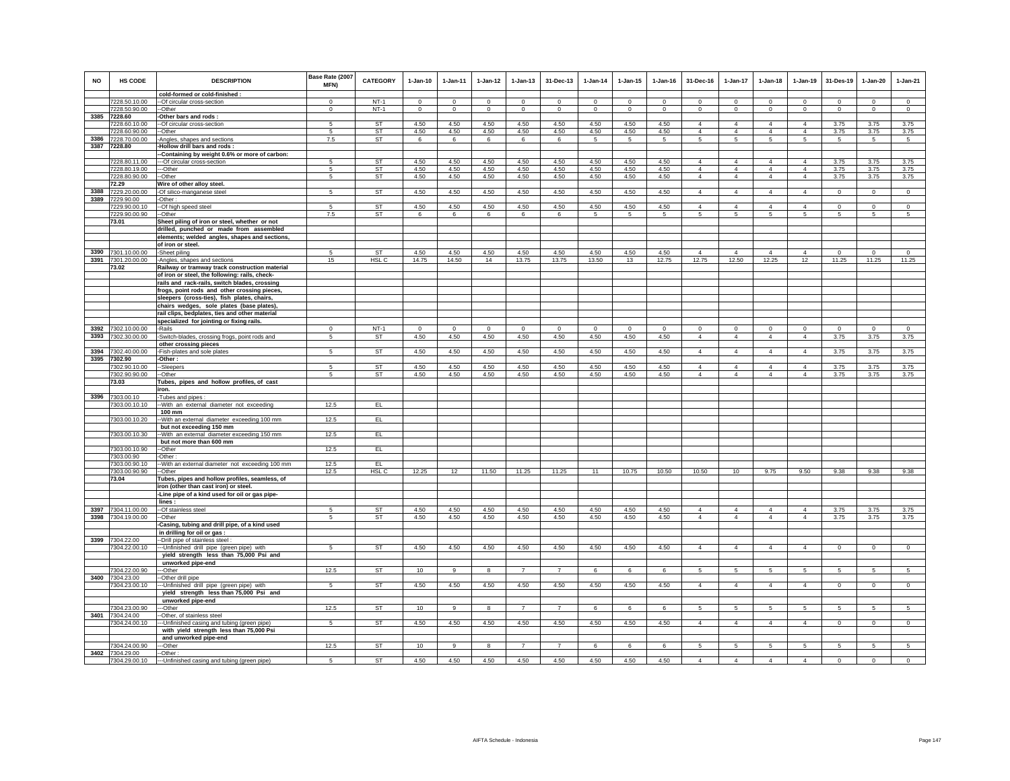| <b>NO</b> | HS CODE                        | <b>DESCRIPTION</b>                                                                               | Base Rate (2007<br>MFN)  | <b>CATEGORY</b>  | $1-Jan-10$          | $1-Jan-11$          | $1 - Jan-12$            | $1-Jan-13$              | 31-Dec-13               | $1-Jan-14$          | $1 - Jan-15$            | $1-Jan-16$          | 31-Dec-16           | 1-Jan-17                | $1-Jan-18$          | $1-Jan-19$              | 31-Des-19               | $1-Jan-20$                 | $1-Jan-21$          |
|-----------|--------------------------------|--------------------------------------------------------------------------------------------------|--------------------------|------------------|---------------------|---------------------|-------------------------|-------------------------|-------------------------|---------------------|-------------------------|---------------------|---------------------|-------------------------|---------------------|-------------------------|-------------------------|----------------------------|---------------------|
|           |                                | cold-formed or cold-finished :                                                                   |                          |                  |                     |                     |                         |                         |                         |                     |                         |                     |                     |                         |                     |                         |                         |                            |                     |
|           | 7228.50.10.00<br>7228.50.90.00 | -- Of circular cross-section<br>--Other                                                          | $\Omega$<br>$\mathbf{0}$ | $NT-1$<br>$NT-1$ | $\Omega$<br>$\circ$ | $\Omega$<br>$\circ$ | $\Omega$<br>$\mathbf 0$ | $\Omega$<br>$\mathbf 0$ | $\Omega$<br>$\mathbf 0$ | $\Omega$<br>$\circ$ | $\Omega$<br>$\mathbf 0$ | $\Omega$<br>$\circ$ | $\Omega$<br>$\circ$ | $\Omega$<br>$\mathbf 0$ | $\Omega$<br>$\circ$ | $\Omega$<br>$\mathbf 0$ | $\Omega$<br>$\mathbf 0$ | $\mathbf 0$<br>$\mathbf 0$ | $\Omega$<br>$\circ$ |
| 3385      | 7228.60                        | Other bars and rods:                                                                             |                          |                  |                     |                     |                         |                         |                         |                     |                         |                     |                     |                         |                     |                         |                         |                            |                     |
|           | 7228.60.10.00                  | --Of circular cross-section                                                                      | 5                        | <b>ST</b>        | 4.50                | 4.50                | 4.50                    | 4.50                    | 4.50                    | 4.50                | 4.50                    | 4.50                | $\overline{4}$      | $\overline{4}$          | $\Delta$            | $\overline{4}$          | 3.75                    | 3.75                       | 3.75                |
|           | 7228.60.90.00                  | -Other                                                                                           | -5                       | ST               | 4.50                | 4.50                | 4.50                    | 4.50                    | 4.50                    | 4.50                | 4.50                    | 4.50                | $\overline{4}$      | $\overline{4}$          | $\overline{4}$      | $\overline{4}$          | 3.75                    | 3.75                       | 3.75                |
| 3386      | 7228.70.00.00                  | Angles, shapes and sections                                                                      | 7.5                      | ST               | 6                   | 6                   | 6                       | 6                       | 6                       | 5                   | 5                       | 5                   | 5                   | 5                       | 5                   | 5                       | 5                       | 5                          | 5                   |
| 3387      | 7228.80                        | Hollow drill bars and rods:                                                                      |                          |                  |                     |                     |                         |                         |                         |                     |                         |                     |                     |                         |                     |                         |                         |                            |                     |
|           |                                | -Containing by weight 0.6% or more of carbon:                                                    |                          |                  |                     |                     |                         |                         |                         |                     |                         |                     |                     |                         |                     |                         |                         |                            |                     |
|           | 7228.80.11.00                  | --- Of circular cross-section                                                                    | -5                       | <b>ST</b>        | 4.50                | 4.50                | 4.50                    | 4.50                    | 4.50                    | 4.50                | 4.50                    | 4.50                | $\overline{4}$      | $\overline{4}$          | $\overline{4}$      | $\overline{4}$          | 3.75                    | 3.75                       | 3.75                |
|           | 7228.80.19.00                  | ---Other                                                                                         | 5                        | <b>ST</b>        | 4.50                | 4.50                | 4.50                    | 4.50                    | 4.50                    | 4.50                | 4.50                    | 4.50                | $\overline{4}$      | 4                       | $\overline{4}$      | $\overline{4}$          | 3.75                    | 3.75                       | 3.75                |
|           | 7228.80.90.00<br>72.29         | --Other                                                                                          | $\sqrt{5}$               | ST               | 4.50                | 4.50                | 4.50                    | 4.50                    | 4.50                    | 4.50                | 4.50                    | 4.50                | $\overline{4}$      | 4                       | $\overline{4}$      | $\overline{4}$          | 3.75                    | 3.75                       | 3.75                |
| 3388      | 7229.20.00.00                  | Wire of other alloy steel.<br>-Of silico-manganese steel                                         | 5                        | ST               | 4.50                | 4.50                | 4.50                    | 4.50                    | 4.50                    | 4.50                | 4.50                    | 4.50                | $\overline{4}$      | $\overline{4}$          | $\overline{4}$      | $\overline{4}$          | $\circ$                 | $\mathbf 0$                | $\mathbf{0}$        |
| 3389      | 7229.90.00                     | Other:                                                                                           |                          |                  |                     |                     |                         |                         |                         |                     |                         |                     |                     |                         |                     |                         |                         |                            |                     |
|           | 7229.90.00.10                  | -Of high speed steel                                                                             | -5                       | ST               | 4.50                | 4.50                | 4.50                    | 4.50                    | 4.50                    | 4.50                | 4.50                    | 4.50                | 4                   | $\overline{4}$          | 4                   | $\overline{4}$          | $\mathbf 0$             | $\mathbf 0$                | $\mathbf 0$         |
|           | 7229.90.00.90                  | -Other                                                                                           | 7.5                      | ST               | 6                   | 6                   | 6                       | 6                       | 6                       | 5                   | 5                       | 5                   | 5                   | 5                       | 5                   | 5                       | $\overline{5}$          | 5                          | -5                  |
|           | 73.01                          | Sheet piling of iron or steel, whether or not                                                    |                          |                  |                     |                     |                         |                         |                         |                     |                         |                     |                     |                         |                     |                         |                         |                            |                     |
|           |                                | drilled, punched or made from assembled                                                          |                          |                  |                     |                     |                         |                         |                         |                     |                         |                     |                     |                         |                     |                         |                         |                            |                     |
|           |                                | elements; welded angles, shapes and sections,                                                    |                          |                  |                     |                     |                         |                         |                         |                     |                         |                     |                     |                         |                     |                         |                         |                            |                     |
|           |                                | of iron or steel.                                                                                |                          |                  |                     |                     |                         |                         |                         |                     |                         |                     |                     |                         |                     |                         |                         |                            |                     |
|           | 3390 7301.10.00.00             | -Sheet piling                                                                                    | 5                        | ST               | 4.50                | 4.50                | 4.50                    | 4.50                    | 4.50                    | 4.50                | 4.50                    | 4.50                | $\overline{4}$      | $\overline{4}$          | $\overline{4}$      | $\overline{4}$          | $\circ$                 | $\mathbf 0$                | $\circ$             |
|           | 3391 7301.20.00.00             | Angles, shapes and sections                                                                      | 15                       | HSL C            | 14.75               | 14.50               | 14                      | 13.75                   | 13.75                   | 13.50               | 13                      | 12.75               | 12.75               | 12.50                   | 12.25               | 12                      | 11.25                   | 11.25                      | 11.25               |
|           | 73.02                          | Railway or tramway track construction material<br>of iron or steel, the following: rails, check- |                          |                  |                     |                     |                         |                         |                         |                     |                         |                     |                     |                         |                     |                         |                         |                            |                     |
|           |                                | rails and rack-rails, switch blades, crossing                                                    |                          |                  |                     |                     |                         |                         |                         |                     |                         |                     |                     |                         |                     |                         |                         |                            |                     |
|           |                                | frogs, point rods and other crossing pieces,                                                     |                          |                  |                     |                     |                         |                         |                         |                     |                         |                     |                     |                         |                     |                         |                         |                            |                     |
|           |                                | sleepers (cross-ties), fish plates, chairs,                                                      |                          |                  |                     |                     |                         |                         |                         |                     |                         |                     |                     |                         |                     |                         |                         |                            |                     |
|           |                                | chairs wedges, sole plates (base plates)                                                         |                          |                  |                     |                     |                         |                         |                         |                     |                         |                     |                     |                         |                     |                         |                         |                            |                     |
|           |                                | rail clips, bedplates, ties and other material                                                   |                          |                  |                     |                     |                         |                         |                         |                     |                         |                     |                     |                         |                     |                         |                         |                            |                     |
|           |                                | specialized for jointing or fixing rails.                                                        |                          |                  |                     |                     |                         |                         |                         |                     |                         |                     |                     |                         |                     |                         |                         |                            |                     |
| 3392      | 7302.10.00.00                  | -Rails                                                                                           | $\Omega$                 | $NT-1$           | $\mathbf{0}$        | $\Omega$            | $\mathsf 0$             | $\mathbf 0$             | $\mathbf 0$             | $\Omega$            | $\Omega$                | $\Omega$            | $\mathbf 0$         | $\mathbf 0$             | $\mathbf{0}$        | $\mathbf 0$             | $\mathbf 0$             | $\circ$                    | $\mathsf 0$         |
| 3393      | 7302.30.00.00                  | -Switch-blades, crossing frogs, point rods and                                                   | -5                       | ST               | 4.50                | 4.50                | 4.50                    | 4.50                    | 4.50                    | 4.50                | 4.50                    | 4.50                | $\overline{4}$      | $\overline{4}$          | $\overline{4}$      | $\overline{4}$          | 3.75                    | 3.75                       | 3.75                |
|           |                                | other crossing pieces                                                                            |                          |                  |                     |                     |                         |                         |                         |                     |                         |                     |                     |                         |                     |                         |                         |                            |                     |
| 3394      | 7302.40.00.00                  | -Fish-plates and sole plates                                                                     | 5                        | <b>ST</b>        | 4.50                | 4.50                | 4.50                    | 4.50                    | 4.50                    | 4.50                | 4.50                    | 4.50                | $\overline{4}$      | $\overline{4}$          | $\overline{4}$      | $\overline{4}$          | 3.75                    | 3.75                       | 3.75                |
|           | 3395 7302.90<br>7302.90.10.00  | -Other :                                                                                         |                          | <b>ST</b>        | 4.50                | 4.50                | 4.50                    | 4.50                    | 4.50                    | 4.50                | 4.50                    | 4.50                | $\overline{4}$      | $\overline{4}$          | $\overline{4}$      | $\overline{4}$          | 3.75                    | 3.75                       | 3.75                |
|           | 7302.90.90.00                  | Sleepers<br>-Other                                                                               | 5<br>-5                  | ST               | 4.50                | 4.50                | 4.50                    | 4.50                    | 4.50                    | 4.50                | 4.50                    | 4.50                | 4                   | 4                       | 4                   | $\overline{4}$          | 3.75                    | 3.75                       | 3.75                |
|           | 73.03                          | Tubes, pipes and hollow profiles, of cast                                                        |                          |                  |                     |                     |                         |                         |                         |                     |                         |                     |                     |                         |                     |                         |                         |                            |                     |
|           |                                | iron.                                                                                            |                          |                  |                     |                     |                         |                         |                         |                     |                         |                     |                     |                         |                     |                         |                         |                            |                     |
|           | 3396 7303.00.10                | -Tubes and pipes:                                                                                |                          |                  |                     |                     |                         |                         |                         |                     |                         |                     |                     |                         |                     |                         |                         |                            |                     |
|           | 7303.00.10.10                  | -- With an external diameter not exceeding                                                       | 12.5                     | EL.              |                     |                     |                         |                         |                         |                     |                         |                     |                     |                         |                     |                         |                         |                            |                     |
|           |                                | 100 mm                                                                                           |                          |                  |                     |                     |                         |                         |                         |                     |                         |                     |                     |                         |                     |                         |                         |                            |                     |
|           | 7303.00.10.20                  | -With an external diameter exceeding 100 mm                                                      | 12.5                     | EL.              |                     |                     |                         |                         |                         |                     |                         |                     |                     |                         |                     |                         |                         |                            |                     |
|           | 7303.00.10.30                  | but not exceeding 150 mm<br>-With an external diameter exceeding 150 mm                          | 12.5                     | EL.              |                     |                     |                         |                         |                         |                     |                         |                     |                     |                         |                     |                         |                         |                            |                     |
|           |                                | but not more than 600 mm                                                                         |                          |                  |                     |                     |                         |                         |                         |                     |                         |                     |                     |                         |                     |                         |                         |                            |                     |
|           | 7303.00.10.90                  | -Other                                                                                           | 12.5                     | EL               |                     |                     |                         |                         |                         |                     |                         |                     |                     |                         |                     |                         |                         |                            |                     |
|           | 7303.00.90                     | : Other-                                                                                         |                          |                  |                     |                     |                         |                         |                         |                     |                         |                     |                     |                         |                     |                         |                         |                            |                     |
|           | 7303.00.90.10                  | -With an external diameter not exceeding 100 mm                                                  | 12.5                     | EL               |                     |                     |                         |                         |                         |                     |                         |                     |                     |                         |                     |                         |                         |                            |                     |
|           | 7303.00.90.90                  | -Other                                                                                           | 12.5                     | HSL C            | 12.25               | 12                  | 11.50                   | 11.25                   | 11.25                   | 11                  | 10.75                   | 10.50               | 10.50               | 10                      | 9.75                | 9.50                    | 9.38                    | 9.38                       | 9.38                |
|           | 73.04                          | Tubes, pipes and hollow profiles, seamless, of                                                   |                          |                  |                     |                     |                         |                         |                         |                     |                         |                     |                     |                         |                     |                         |                         |                            |                     |
|           |                                | iron (other than cast iron) or steel.                                                            |                          |                  |                     |                     |                         |                         |                         |                     |                         |                     |                     |                         |                     |                         |                         |                            |                     |
|           |                                | -Line pipe of a kind used for oil or gas pipe-                                                   |                          |                  |                     |                     |                         |                         |                         |                     |                         |                     |                     |                         |                     |                         |                         |                            |                     |
| 3397      | 7304.11.00.00                  | lines:<br>-Of stainless steel                                                                    | 5                        | ST               | 4.50                | 4.50                | 4.50                    | 4.50                    | 4.50                    | 4.50                | 4.50                    | 4.50                | $\overline{4}$      | $\overline{4}$          | $\overline{4}$      | $\overline{4}$          | 3.75                    | 3.75                       | 3.75                |
| 3398      | 7304.19.00.00                  | -Other                                                                                           | 5                        | ST               | 4.50                | 4.50                | 4.50                    | 4.50                    | 4.50                    | 4.50                | 4.50                    | 4.50                | $\overline{4}$      | $\overline{4}$          | $\overline{4}$      | $\overline{4}$          | 3.75                    | 3.75                       | 3.75                |
|           |                                | -Casing, tubing and drill pipe, of a kind used                                                   |                          |                  |                     |                     |                         |                         |                         |                     |                         |                     |                     |                         |                     |                         |                         |                            |                     |
|           |                                | in drilling for oil or gas                                                                       |                          |                  |                     |                     |                         |                         |                         |                     |                         |                     |                     |                         |                     |                         |                         |                            |                     |
| 3399      | 7304.22.00                     | -Drill pipe of stainless steel                                                                   |                          |                  |                     |                     |                         |                         |                         |                     |                         |                     |                     |                         |                     |                         |                         |                            |                     |
|           | 7304.22.00.10                  | -- Unfinished drill pipe (green pipe) with                                                       | $5^{\circ}$              | <b>ST</b>        | 4.50                | 4.50                | 4.50                    | 4.50                    | 4.50                    | 4.50                | 4.50                    | 4.50                | $\overline{4}$      | $\overline{4}$          | $\overline{4}$      | $\overline{4}$          | $\mathbf 0$             | $\mathbf 0$                | $\mathsf 0$         |
|           |                                | yield strength less than 75,000 Psi and                                                          |                          |                  |                     |                     |                         |                         |                         |                     |                         |                     |                     |                         |                     |                         |                         |                            |                     |
|           |                                | unworked pipe-end                                                                                |                          |                  |                     |                     |                         |                         |                         |                     |                         |                     |                     |                         |                     |                         |                         |                            |                     |
|           | 7304.22.00.90                  | --Other                                                                                          | 12.5                     | ST               | 10                  | 9                   | 8                       | $\overline{7}$          | $\overline{7}$          | 6                   | 6                       | 6                   | 5                   | $5^{\circ}$             | $5\phantom{.0}$     | 5                       | $5\phantom{.0}$         | $\sqrt{5}$                 | 5                   |
| 3400      | 7304.23.00                     | -Other drill pipe                                                                                |                          |                  |                     |                     |                         |                         |                         |                     |                         |                     |                     |                         |                     |                         |                         |                            |                     |
|           | 7304.23.00.10                  | -Unfinished drill pipe (green pipe) with                                                         | 5                        | ST               | 4.50                | 4.50                | 4.50                    | 4.50                    | 4.50                    | 4.50                | 4.50                    | 4.50                | $\overline{4}$      | 4                       | $\overline{4}$      | $\overline{4}$          | $\circ$                 | $\mathbf 0$                | $\mathsf 0$         |
|           |                                | yield strength less than 75,000 Psi and<br>unworked pipe-end                                     |                          |                  |                     |                     |                         |                         |                         |                     |                         |                     |                     |                         |                     |                         |                         |                            |                     |
|           | 7304.23.00.90                  | --Other                                                                                          | 12.5                     | <b>ST</b>        | 10                  | 9                   | 8                       | $\overline{7}$          | $\overline{7}$          | 6                   | 6                       | 6                   | $5\overline{5}$     | $5\overline{)}$         | $5\overline{5}$     | $5\overline{)}$         | $\overline{5}$          | $\overline{5}$             | $5\overline{)}$     |
| 3401      | 7304.24.00                     | -Other, of stainless steel                                                                       |                          |                  |                     |                     |                         |                         |                         |                     |                         |                     |                     |                         |                     |                         |                         |                            |                     |
|           | 7304.24.00.10                  | -- Unfinished casing and tubing (green pipe)                                                     | 5                        | ST               | 4.50                | 4.50                | 4.50                    | 4.50                    | 4.50                    | 4.50                | 4.50                    | 4.50                | $\overline{4}$      | $\overline{4}$          | $\overline{4}$      | $\overline{4}$          | $\circ$                 | $\mathbf 0$                | $\Omega$            |
|           |                                | with yield strength less than 75,000 Psi                                                         |                          |                  |                     |                     |                         |                         |                         |                     |                         |                     |                     |                         |                     |                         |                         |                            |                     |
|           |                                | and unworked pipe-end                                                                            |                          |                  |                     |                     |                         |                         |                         |                     |                         |                     |                     |                         |                     |                         |                         |                            |                     |
|           | 7304.24.00.90                  | --Other                                                                                          | 12.5                     | <b>ST</b>        | 10                  | 9                   | 8                       | $\overline{7}$          | $\overline{7}$          | 6                   | 6                       | 6                   | 5.                  | 5                       | 5                   | 5                       | 5                       | 5                          | 5                   |
| 3402      | 7304.29.00                     | -Other:                                                                                          |                          |                  |                     |                     |                         |                         |                         |                     |                         |                     |                     |                         |                     |                         |                         |                            |                     |
|           | 7304.29.00.10                  | --- Unfinished casing and tubing (green pipe)                                                    | 5                        | <b>ST</b>        | 4.50                | 4.50                | 4.50                    | 4.50                    | 4.50                    | 4.50                | 4.50                    | 4.50                | $\Delta$            | $\overline{4}$          | $\Delta$            | $\Delta$                | $\mathbf 0$             | $\Omega$                   | $\Omega$            |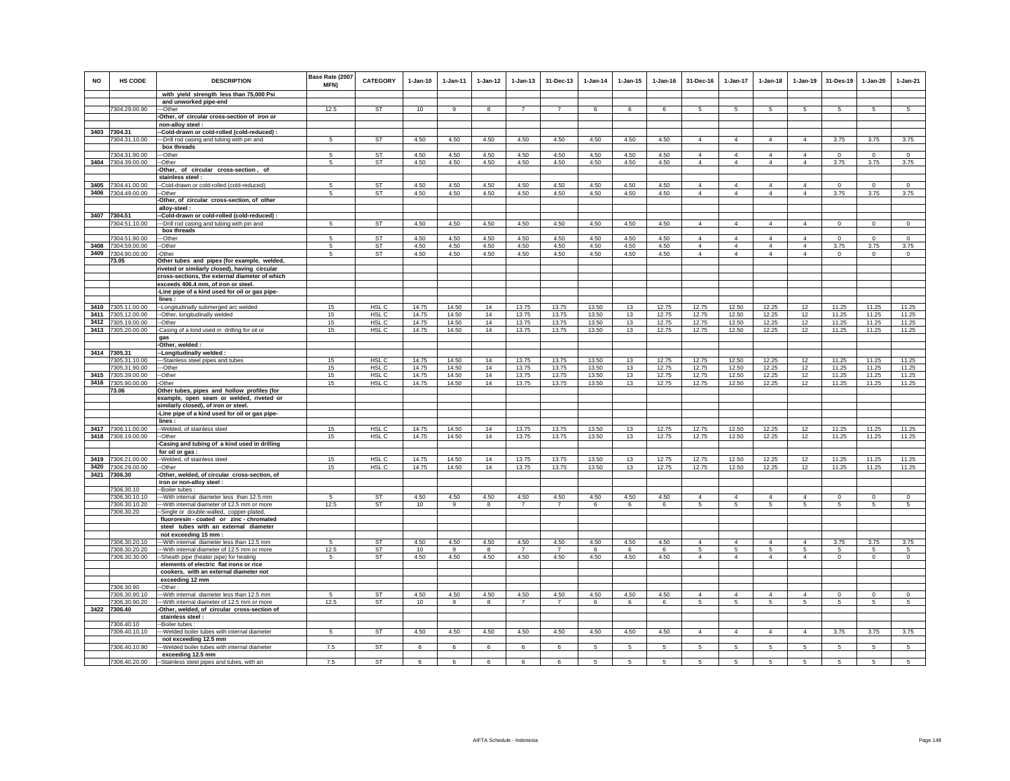| <b>NO</b> | <b>HS CODE</b>                           | <b>DESCRIPTION</b>                                                                            | Base Rate (2007<br><b>MFN)</b> | <b>CATEGORY</b>        | $1-Jan-10$     | $1-Jan-11$     | $1-Jan-12$   | $1 - Jan-13$           | 31-Dec-13              | $1-Jan-14$     | $1 - Jan-15$ | $1 - Jan-16$   | 31-Dec-16      | $1-Jan-17$                        | $1-Jan-18$      | $1-Jan-19$          | 31-Des-19       | $1-Jan-20$          | $1-Jan-21$          |
|-----------|------------------------------------------|-----------------------------------------------------------------------------------------------|--------------------------------|------------------------|----------------|----------------|--------------|------------------------|------------------------|----------------|--------------|----------------|----------------|-----------------------------------|-----------------|---------------------|-----------------|---------------------|---------------------|
|           |                                          | with yield strength less than 75,000 Psi                                                      |                                |                        |                |                |              |                        |                        |                |              |                |                |                                   |                 |                     |                 |                     |                     |
|           | 7304.29.00.90                            | and unworked pipe-end                                                                         | 12.5                           | ST                     |                |                |              |                        |                        | 6              | 6            | 6              |                | 5                                 | 5               | 5                   |                 | 5                   | 5                   |
|           |                                          | ---Other<br>-Other, of circular cross-section of iron or                                      |                                |                        | 10             |                |              |                        |                        |                |              |                |                |                                   |                 |                     |                 |                     |                     |
|           |                                          | non-alloy steel :                                                                             |                                |                        |                |                |              |                        |                        |                |              |                |                |                                   |                 |                     |                 |                     |                     |
|           | 3403 7304.31                             | -Cold-drawn or cold-rolled (cold-reduced) :                                                   |                                |                        |                |                |              |                        |                        |                |              |                |                |                                   |                 |                     |                 |                     |                     |
|           | 7304.31.10.00                            | -Drill rod casing and tubing with pin and                                                     | 5                              | <b>ST</b>              | 4.50           | 4.50           | 4.50         | 4.50                   | 4.50                   | 4.50           | 4.50         | 4.50           | $\overline{4}$ | $\overline{4}$                    | $\overline{4}$  | $\overline{4}$      | 3.75            | 3.75                | 3.75                |
|           | 7304.31.90.00                            | box threads<br>---Other                                                                       | 5                              | <b>ST</b>              | 4.50           | 4.50           | 4.50         | 4.50                   | 4.50                   | 4.50           | 4.50         | 4.50           | $\overline{4}$ | $\overline{4}$                    | $\Delta$        | $\overline{4}$      | $\Omega$        | $\mathbf 0$         | $\mathbf 0$         |
|           | 3404 7304.39.00.00                       | -Other                                                                                        | 5                              | <b>ST</b>              | 4.50           | 4.50           | 4.50         | 4.50                   | 4.50                   | 4.50           | 4.50         | 4.50           | $\overline{4}$ | $\overline{4}$                    | $\overline{4}$  | $\overline{4}$      | 3.75            | 3.75                | 3.75                |
|           |                                          | -Other, of circular cross-section, of                                                         |                                |                        |                |                |              |                        |                        |                |              |                |                |                                   |                 |                     |                 |                     |                     |
|           |                                          | stainless steel :                                                                             |                                |                        |                |                |              |                        |                        |                |              |                |                |                                   |                 |                     |                 |                     |                     |
|           | 3405 7304.41.00.00                       | --Cold-drawn or cold-rolled (cold-reduced)                                                    | 5                              | ST                     | 4.50           | 4.50           | 4.50         | 4.50                   | 4.50                   | 4.50           | 4.50         | 4.50           | $\overline{4}$ | $\overline{4}$                    | $\overline{4}$  | $\overline{4}$      | $\mathbf 0$     | $\mathbf 0$         | $\circ$             |
|           | 3406 7304.49.00.00                       | --Other<br>-Other, of circular cross-section, of other                                        | 5                              | ST                     | 4.50           | 4.50           | 4.50         | 4.50                   | 4.50                   | 4.50           | 4.50         | 4.50           | $\overline{4}$ | $\overline{4}$                    | $\overline{4}$  | $\overline{4}$      | 3.75            | 3.75                | 3.75                |
|           |                                          | alloy-steel:                                                                                  |                                |                        |                |                |              |                        |                        |                |              |                |                |                                   |                 |                     |                 |                     |                     |
| 3407      | 7304.51                                  | -Cold-drawn or cold-rolled (cold-reduced) :                                                   |                                |                        |                |                |              |                        |                        |                |              |                |                |                                   |                 |                     |                 |                     |                     |
|           | 7304.51.10.00                            | -- Drill rod casing and tubing with pin and                                                   | 5                              | ST                     | 4.50           | 4.50           | 4.50         | 4.50                   | 4.50                   | 4.50           | 4.50         | 4.50           | $\overline{4}$ | $\overline{4}$                    | 4               | $\overline{4}$      | $\mathbf 0$     | $\mathbf 0$         | $\mathbf 0$         |
|           |                                          | box threads                                                                                   |                                |                        |                |                |              |                        |                        |                |              |                | $\Delta$       | $\mathbf{A}$                      | $\Delta$        | $\Delta$            | $\Omega$        |                     |                     |
|           | 7304.51.90.00<br>3408 7304.59.00.00      | --Other<br>-Other                                                                             | -5<br>$5^{\circ}$              | <b>ST</b><br><b>ST</b> | 4.50<br>4.50   | 4.50<br>4.50   | 4.50<br>4.50 | 4.50<br>4.50           | 4.50<br>4.50           | 4.50<br>4.50   | 4.50<br>4.50 | 4.50<br>4.50   | $\overline{4}$ | $\overline{4}$                    | $\overline{4}$  | $\overline{4}$      | 3.75            | $\mathbf 0$<br>3.75 | $\mathbf 0$<br>3.75 |
|           | 3409 7304.90.00.00                       | -Other                                                                                        | $5\phantom{.0}$                | ST                     | 4.50           | 4.50           | 4.50         | 4.50                   | 4.50                   | 4.50           | 4.50         | 4.50           | $\Delta$       | $\overline{4}$                    | $\mathbf{A}$    | $\overline{4}$      | $\mathbf 0$     | $\mathbf 0$         | $\mathbf 0$         |
|           | 73.05                                    | Other tubes and pipes (for example, welded,                                                   |                                |                        |                |                |              |                        |                        |                |              |                |                |                                   |                 |                     |                 |                     |                     |
|           |                                          | riveted or similarly closed), having circular                                                 |                                |                        |                |                |              |                        |                        |                |              |                |                |                                   |                 |                     |                 |                     |                     |
|           |                                          | cross-sections, the external diameter of which<br>exceeds 406.4 mm, of iron or steel.         |                                |                        |                |                |              |                        |                        |                |              |                |                |                                   |                 |                     |                 |                     |                     |
|           |                                          | -Line pipe of a kind used for oil or gas pipe-                                                |                                |                        |                |                |              |                        |                        |                |              |                |                |                                   |                 |                     |                 |                     |                     |
|           |                                          | lines:                                                                                        |                                |                        |                |                |              |                        |                        |                |              |                |                |                                   |                 |                     |                 |                     |                     |
|           | 3410 7305.11.00.00                       | --Longitudinally submerged arc welded                                                         | 15                             | HSL C                  | 14.75          | 14.50          | 14           | 13.75                  | 13.75                  | 13.50          | 13           | 12.75          | 12.75          | 12.50                             | 12.25           | 12                  | 11.25           | 11.25               | 11.25               |
|           | 3411 7305.12.00.00                       | -Other, longitudinally welded                                                                 | 15                             | HSL C                  | 14.75          | 14.50          | 14           | 13.75                  | 13.75                  | 13.50          | 13           | 12.75          | 12.75          | 12.50                             | 12.25           | 12                  | 11.25           | 11.25               | 11.25               |
|           | 3412 7305.19.00.00                       | -Other                                                                                        | 15                             | HSL C                  | 14.75          | 14.50          | 14           | 13.75                  | 13.75                  | 13.50          | 13           | 12.75          | 12.75          | 12.50                             | 12.25           | 12                  | 11.25           | 11.25               | 11.25               |
|           | 3413 7305.20.00.00                       | -Casing of a kind used in drilling for oil or<br>aas                                          | 15                             | HSL C                  | 14.75          | 14.50          | 14           | 13.75                  | 13.75                  | 13.50          | 13           | 12.75          | 12.75          | 12.50                             | 12.25           | 12                  | 11.25           | 11.25               | 11.25               |
|           |                                          | -Other, welded :                                                                              |                                |                        |                |                |              |                        |                        |                |              |                |                |                                   |                 |                     |                 |                     |                     |
|           | 3414 7305.31                             | --Longitudinally welded:                                                                      |                                |                        |                |                |              |                        |                        |                |              |                |                |                                   |                 |                     |                 |                     |                     |
|           | 7305.31.10.00                            | ---Stainless steel pipes and tubes                                                            | 15                             | HSL <sub>C</sub>       | 14.75          | 14.50          | 14           | 13.75                  | 13.75                  | 13.50          | 13           | 12.75          | 12.75          | 12.50                             | 12.25           | 12                  | 11.25           | 11.25               | 11.25               |
|           | 7305.31.90.00<br>3415 7305.39.00.00      | --Other<br>-Other                                                                             | 15<br>15                       | HSL C<br>HSL C         | 14.75<br>14.75 | 14.50<br>14.50 | 14<br>14     | 13.75<br>13.75         | 13.75<br>13.75         | 13.50<br>13.50 | 13<br>13     | 12.75<br>12.75 | 12.75<br>12.75 | 12.50<br>12.50                    | 12.25<br>12.25  | 12<br>12            | 11.25<br>11.25  | 11.25<br>11.25      | 11.25<br>11.25      |
|           | 3416 7305.90.00.00                       | -Other                                                                                        | 15                             | HSL C                  | 14.75          | 14.50          | 14           | 13.75                  | 13.75                  | 13.50          | 13           | 12.75          | 12.75          | 12.50                             | 12.25           | 12                  | 11.25           | 11.25               | 11.25               |
|           | 73.06                                    | Other tubes, pipes and hollow profiles (for                                                   |                                |                        |                |                |              |                        |                        |                |              |                |                |                                   |                 |                     |                 |                     |                     |
|           |                                          | example, open seam or welded, riveted or                                                      |                                |                        |                |                |              |                        |                        |                |              |                |                |                                   |                 |                     |                 |                     |                     |
|           |                                          | similarly closed), of iron or steel.                                                          |                                |                        |                |                |              |                        |                        |                |              |                |                |                                   |                 |                     |                 |                     |                     |
|           |                                          | -Line pipe of a kind used for oil or gas pipe-<br>lines:                                      |                                |                        |                |                |              |                        |                        |                |              |                |                |                                   |                 |                     |                 |                     |                     |
|           | 3417 7306.11.00.00                       | -- Welded, of stainless steel                                                                 | 15                             | HSL C                  | 14.75          | 14.50          | 14           | 13.75                  | 13.75                  | 13.50          | 13           | 12.75          | 12.75          | 12.50                             | 12.25           | 12                  | 11.25           | 11.25               | 11.25               |
|           | 3418 7306.19.00.00                       | --Other                                                                                       | 15                             | HSL C                  | 14.75          | 14.50          | 14           | 13.75                  | 13.75                  | 13.50          | 13           | 12.75          | 12.75          | 12.50                             | 12.25           | 12                  | 11.25           | 11.25               | 11.25               |
|           |                                          | Casing and tubing of a kind used in drilling                                                  |                                |                        |                |                |              |                        |                        |                |              |                |                |                                   |                 |                     |                 |                     |                     |
|           |                                          | for oil or gas :                                                                              |                                |                        |                |                |              |                        |                        |                |              |                |                |                                   |                 |                     |                 |                     |                     |
|           | 3419 7306.21.00.00<br>3420 7306.29.00.00 | -Welded, of stainless steel<br>-Other                                                         | 15<br>15                       | HSL C<br>HSL C         | 14.75<br>14.75 | 14.50<br>14.50 | 14<br>14     | 13.75<br>13.75         | 13.75<br>13.75         | 13.50<br>13.50 | 13<br>13     | 12.75<br>12.75 | 12.75<br>12.75 | 12.50<br>12.50                    | 12.25<br>12.25  | 12<br>12            | 11.25<br>11.25  | 11.25<br>11.25      | 11.25<br>11.25      |
|           | 3421 7306.30                             | Other, welded, of circular cross-section, of                                                  |                                |                        |                |                |              |                        |                        |                |              |                |                |                                   |                 |                     |                 |                     |                     |
|           |                                          | iron or non-alloy steel :                                                                     |                                |                        |                |                |              |                        |                        |                |              |                |                |                                   |                 |                     |                 |                     |                     |
|           | 7306.30.10                               | -Boiler tubes :                                                                               |                                |                        |                |                |              |                        |                        |                |              |                |                |                                   |                 |                     |                 |                     |                     |
|           | 7306.30.10.10<br>7306.30.10.20           | --- With internal diameter less than 12.5 mm<br>--- With internal diameter of 12.5 mm or more | -5<br>12.5                     | <b>ST</b><br>ST        | 4.50<br>10     | 4.50<br>9      | 4.50<br>8    | 4.50<br>$\overline{7}$ | 4.50<br>$\overline{7}$ | 4.50<br>6      | 4.50<br>6    | 4.50<br>6      | $\Delta$<br>5  | $\overline{4}$<br>$5\overline{5}$ | $\Delta$<br>5   | $\overline{4}$<br>5 | $\Omega$<br>-5  | $\Omega$<br>5       | $\overline{0}$<br>5 |
|           | 7306.30.20                               | -Single or double-walled, copper-plated,                                                      |                                |                        |                |                |              |                        |                        |                |              |                |                |                                   |                 |                     |                 |                     |                     |
|           |                                          | fluororesin - coated or zinc - chromated                                                      |                                |                        |                |                |              |                        |                        |                |              |                |                |                                   |                 |                     |                 |                     |                     |
|           |                                          | steel tubes with an external diameter                                                         |                                |                        |                |                |              |                        |                        |                |              |                |                |                                   |                 |                     |                 |                     |                     |
|           |                                          | not exceeding 15 mm :                                                                         | 5                              | ST                     | 4.50           | 4.50           | 4.50         | 4.50                   | 4.50                   | 4.50           |              | 4.50           | $\overline{4}$ | $\overline{4}$                    | 4               | 4                   | 3.75            | 3.75                | 3.75                |
|           | 7306.30.20.10<br>7306.30.20.20           | --With internal diameter less than 12.5 mm<br>--- With internal diameter of 12.5 mm or more   | 12.5                           | ST                     | 10             | 9              | 8            | $\overline{7}$         | $\overline{7}$         | -6             | 4.50<br>6    | 6              | 5              | $5\phantom{.0}$                   | $5\phantom{.0}$ | $5\overline{5}$     | 5               | $\sqrt{5}$          | $\sqrt{5}$          |
|           | 7306.30.30.00                            | -Sheath pipe (heater pipe) for heating                                                        | -5                             | <b>ST</b>              | 4.50           | 4.50           | 4.50         | 4.50                   | 4.50                   | 4.50           | 4.50         | 4.50           | $\Delta$       | $\mathbf{A}$                      | $\Delta$        | $\Delta$            | $\mathbf 0$     | $\mathbf 0$         | $\mathbf 0$         |
|           |                                          | elements of electric flat irons or rice                                                       |                                |                        |                |                |              |                        |                        |                |              |                |                |                                   |                 |                     |                 |                     |                     |
|           |                                          | cookers, with an external diameter not                                                        |                                |                        |                |                |              |                        |                        |                |              |                |                |                                   |                 |                     |                 |                     |                     |
|           | 7306.30.90                               | exceeding 12 mm<br>-Other:                                                                    |                                |                        |                |                |              |                        |                        |                |              |                |                |                                   |                 |                     |                 |                     |                     |
|           | 7306.30.90.10                            | -- With internal diameter less than 12.5 mm                                                   | 5                              | <b>ST</b>              | 4.50           | 4.50           | 4.50         | 4.50                   | 4.50                   | 4.50           | 4.50         | 4.50           | $\overline{4}$ | $\overline{4}$                    | $\overline{4}$  | $\overline{4}$      | $\mathbf 0$     | $\mathbb O$         | $\mathbb O$         |
|           | 7306.30.90.20                            | -- With internal diameter of 12.5 mm or more                                                  | 12.5                           | ST                     | 10             | 9              | 8            | $\overline{7}$         | $\overline{7}$         | 6              | 6            | 6              | 5              | 5                                 | 5               | $5\overline{5}$     | 5               | 5                   | 5                   |
|           | 3422 7306.40                             | Other, welded, of circular cross-section of                                                   |                                |                        |                |                |              |                        |                        |                |              |                |                |                                   |                 |                     |                 |                     |                     |
|           | 7306.40.10                               | stainless steel :<br>-Boiler tubes                                                            |                                |                        |                |                |              |                        |                        |                |              |                |                |                                   |                 |                     |                 |                     |                     |
|           | 7306.40.10.10                            | --- Welded boiler tubes with internal diameter                                                | 5                              | ST                     | 4.50           | 4.50           | 4.50         | 4.50                   | 4.50                   | 4.50           | 4.50         | 4.50           | $\overline{4}$ | $\overline{4}$                    | $\overline{4}$  | $\overline{4}$      | 3.75            | 3.75                | 3.75                |
|           |                                          | not exceeding 12.5 mm                                                                         |                                |                        |                |                |              |                        |                        |                |              |                |                |                                   |                 |                     |                 |                     |                     |
|           | 7306.40.10.90                            | --Welded boiler tubes with internal diameter                                                  | 7.5                            | <b>ST</b>              | 6              | 6              | 6            | 6                      | 6                      | 5              | 5            | 5              | 5              | $5\overline{5}$                   | 5               | $5\overline{5}$     | $5\overline{5}$ | $5\overline{5}$     | 5                   |
|           | 7306.40.20.00                            | exceeding 12.5 mm<br>--Stainless steel pipes and tubes, with an                               | 7.5                            | <b>ST</b>              | 6              |                | 6            | 6                      | $6\overline{6}$        | 5              | 5            | 5              | 5              | $\overline{5}$                    | 5               | 5                   | 5               | 5                   | 5                   |
|           |                                          |                                                                                               |                                |                        |                |                |              |                        |                        |                |              |                |                |                                   |                 |                     |                 |                     |                     |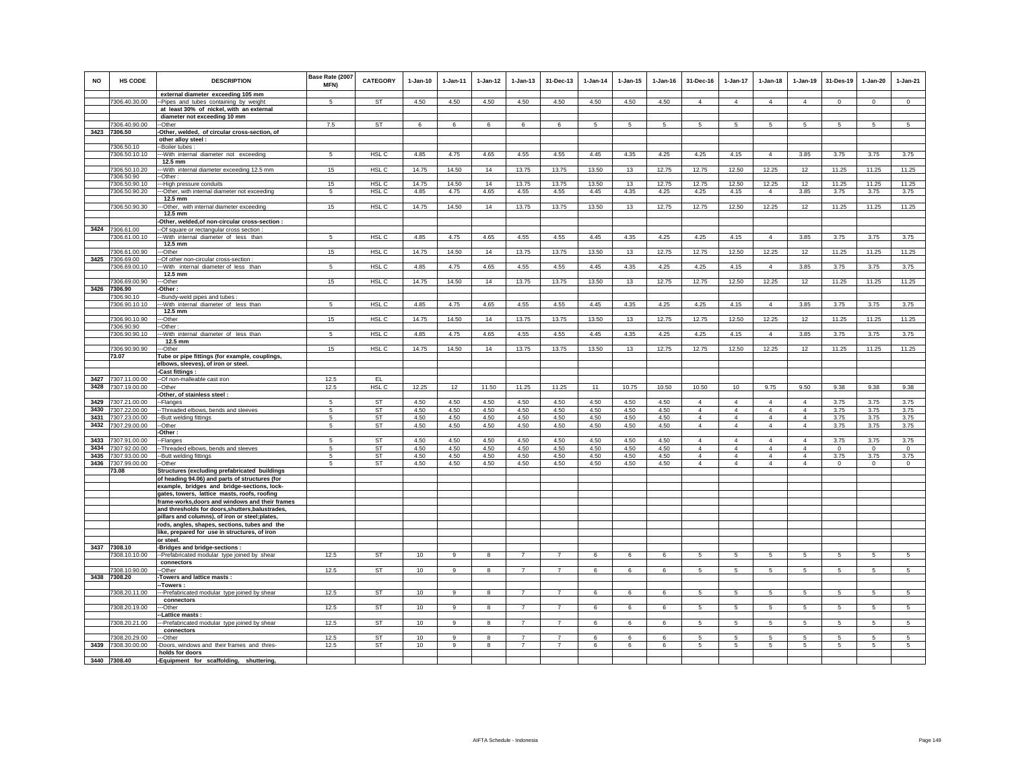| <b>NO</b>    | HS CODE                        | <b>DESCRIPTION</b>                                                                              | Base Rate (2007<br><b>MFN)</b> | <b>CATEGORY</b>  | $1-Jan-10$   | $1-Jan-11$   | $1 - Jan-12$ | $1-Jan-13$     | 31-Dec-13      | $1-Jan-14$   | $1 - Jan-15$ | $1 - Jan-16$ | 31-Dec-16                        | $1-Jan-17$                       | $1-Jan-18$                       | 1-Jan-19                         | 31-Des-19      | $1 - Jan-20$ | $1-Jan-21$      |
|--------------|--------------------------------|-------------------------------------------------------------------------------------------------|--------------------------------|------------------|--------------|--------------|--------------|----------------|----------------|--------------|--------------|--------------|----------------------------------|----------------------------------|----------------------------------|----------------------------------|----------------|--------------|-----------------|
|              | 7306.40.30.00                  | external diameter exceeding 105 mm<br>Pipes and tubes containing by weight                      | 5                              | ST               | 4.50         | 4.50         | 4.50         | 4.50           | 4.50           | 4.50         | 4.50         | 4.50         | $\overline{4}$                   | $\overline{4}$                   | $\overline{4}$                   | $\overline{4}$                   | $\Omega$       | $\Omega$     | $\mathsf 0$     |
|              |                                | at least 30% of nickel, with an external                                                        |                                |                  |              |              |              |                |                |              |              |              |                                  |                                  |                                  |                                  |                |              |                 |
|              |                                | diameter not exceeding 10 mm                                                                    | 7.5                            | <b>ST</b>        |              |              |              |                |                |              |              |              |                                  |                                  |                                  |                                  |                |              |                 |
| 3423         | 7306.40.90.00<br>7306.50       | -Other<br>Other, welded, of circular cross-section, of                                          |                                |                  | 6            | 6            | 6            | 6              | 6              | -5           | 5            | 5            | 5                                | 5                                | 5                                | 5                                | $\sqrt{5}$     | 5            | 5               |
|              |                                | other alloy steel :                                                                             |                                |                  |              |              |              |                |                |              |              |              |                                  |                                  |                                  |                                  |                |              |                 |
|              | 7306.50.10                     | -Boiler tubes:                                                                                  |                                |                  | 4.85         |              |              |                |                |              |              |              |                                  |                                  |                                  |                                  |                |              |                 |
|              | 7306.50.10.10                  | --With internal diameter not exceeding<br>12.5 mm                                               | 5                              | HSL C            |              | 4.75         | 4.65         | 4.55           | 4.55           | 4.45         | 4.35         | 4.25         | 4.25                             | 4.15                             | $\overline{4}$                   | 3.85                             | 3.75           | 3.75         | 3.75            |
|              | 7306.50.10.20                  | -- With internal diameter exceeding 12.5 mm                                                     | 15                             | HSL C            | 14.75        | 14.50        | 14           | 13.75          | 13.75          | 13.50        | 13           | 12.75        | 12.75                            | 12.50                            | 12.25                            | 12                               | 11.25          | 11.25        | 11.25           |
|              | 7306.50.90<br>7306.50.90.10    | -Other:<br>-High pressure conduits                                                              | 15                             | HSL <sub>C</sub> | 14.75        | 14.50        | 14           | 13.75          | 13.75          | 13.50        | 13           | 12.75        | 12.75                            | 12.50                            | 12.25                            | 12                               | 11.25          | 11.25        | 11.25           |
|              | 7306.50.90.20                  | -Other, with internal diameter not exceeding                                                    | 5                              | HSL C            | 4.85         | 4.75         | 4.65         | 4.55           | 4.55           | 4.45         | 4.35         | 4.25         | 4.25                             | 4.15                             | $\overline{4}$                   | 3.85                             | 3.75           | 3.75         | 3.75            |
|              |                                | 12.5 mm                                                                                         |                                |                  |              |              |              |                |                |              |              |              |                                  |                                  |                                  |                                  |                |              |                 |
|              | 7306.50.90.30                  | -Other, with internal diameter exceeding<br>12.5 mm                                             | 15                             | HSL C            | 14.75        | 14.50        | 14           | 13.75          | 13.75          | 13.50        | 13           | 12.75        | 12.75                            | 12.50                            | 12.25                            | 12                               | 11.25          | 11.25        | 11.25           |
|              |                                | -Other, welded, of non-circular cross-section :                                                 |                                |                  |              |              |              |                |                |              |              |              |                                  |                                  |                                  |                                  |                |              |                 |
| 3424         | 7306.61.00                     | -Of square or rectangular cross section                                                         |                                |                  |              |              |              |                |                |              |              |              |                                  |                                  |                                  |                                  |                |              |                 |
|              | 7306.61.00.10                  | -- With internal diameter of less than<br>$12.5$ mm                                             | 5                              | HSL C            | 4.85         | 4.75         | 4.65         | 4.55           | 4.55           | 4.45         | 4.35         | 4.25         | 4.25                             | 4.15                             | $\overline{4}$                   | 3.85                             | 3.75           | 3.75         | 3.75            |
|              | 7306.61.00.90                  | -Other                                                                                          | 15                             | HSL C            | 14.75        | 14.50        | 14           | 13.75          | 13.75          | 13.50        | 13           | 12.75        | 12.75                            | 12.50                            | 12.25                            | 12                               | 11.25          | 11.25        | 11.25           |
| 3425         | 7306.69.00                     | Of other non-circular cross-section :                                                           |                                |                  |              |              |              |                |                |              |              |              |                                  |                                  |                                  |                                  |                |              |                 |
|              | 7306.69.00.10                  | -With internal diameter of less than<br>12.5 mm                                                 | 5                              | HSL C            | 4.85         | 4.75         | 4.65         | 4.55           | 4.55           | 4.45         | 4.35         | 4.25         | 4.25                             | 4.15                             | $\overline{4}$                   | 3.85                             | 3.75           | 3.75         | 3.75            |
|              | 7306.69.00.90                  | --Other                                                                                         | 15                             | HSL <sub>C</sub> | 14.75        | 14.50        | 14           | 13.75          | 13.75          | 13.50        | 13           | 12.75        | 12.75                            | 12.50                            | 12.25                            | 12                               | 11.25          | 11.25        | 11.25           |
| 3426         | 7306.90<br>7306.90.10          | -Other:<br>-Bundy-weld pipes and tubes :                                                        |                                |                  |              |              |              |                |                |              |              |              |                                  |                                  |                                  |                                  |                |              |                 |
|              | 7306.90.10.10                  | -- With internal diameter of less than                                                          | 5                              | HSL C            | 4.85         | 4.75         | 4.65         | 4.55           | 4.55           | 4.45         | 4.35         | 4.25         | 4.25                             | 4.15                             | $\overline{4}$                   | 3.85                             | 3.75           | 3.75         | 3.75            |
|              |                                | $12.5 \text{ mm}$                                                                               |                                |                  |              |              |              |                |                |              |              |              |                                  |                                  |                                  |                                  |                |              |                 |
|              | 7306.90.10.90<br>7306.90.90    | -Other<br>-Other:                                                                               | 15                             | HSL <sub>C</sub> | 14.75        | 14.50        | 14           | 13.75          | 13.75          | 13.50        | 13           | 12.75        | 12.75                            | 12.50                            | 12.25                            | 12                               | 11.25          | 11.25        | 11.25           |
|              | 7306.90.90.10                  | -- With internal diameter of less than                                                          | 5                              | HSL C            | 4.85         | 4.75         | 4.65         | 4.55           | 4.55           | 4.45         | 4.35         | 4.25         | 4.25                             | 4.15                             | $\overline{4}$                   | 3.85                             | 3.75           | 3.75         | 3.75            |
|              | 7306.90.90.90                  | 12.5 mm                                                                                         | 15                             | HSL C            | 14.75        | 14.50        | 14           | 13.75          | 13.75          | 13.50        | 13           | 12.75        | 12.75                            | 12.50                            | 12.25                            | 12                               | 11.25          | 11.25        | 11.25           |
|              | 73.07                          | -Other<br>Tube or pipe fittings (for example, couplings,                                        |                                |                  |              |              |              |                |                |              |              |              |                                  |                                  |                                  |                                  |                |              |                 |
|              |                                | elbows, sleeves), of iron or steel.                                                             |                                |                  |              |              |              |                |                |              |              |              |                                  |                                  |                                  |                                  |                |              |                 |
| 3427         | 7307.11.00.00                  | -Cast fittings :<br>-Of non-malleable cast iron                                                 | 12.5                           | EL               |              |              |              |                |                |              |              |              |                                  |                                  |                                  |                                  |                |              |                 |
| 3428         | 7307.19.00.00                  | -Other                                                                                          | 12.5                           | HSL C            | 12.25        | 12           | 11.50        | 11.25          | 11.25          | 11           | 10.75        | 10.50        | 10.50                            | 10                               | 9.75                             | 9.50                             | 9.38           | 9.38         | 9.38            |
|              |                                | Other, of stainless steel :                                                                     |                                |                  |              |              |              |                |                |              |              |              |                                  |                                  |                                  |                                  |                |              |                 |
| 3429<br>3430 | 7307.21.00.00<br>7307.22.00.00 | -Flanges<br>-Threaded elbows, bends and sleeves                                                 | 5<br>5                         | <b>ST</b><br>ST  | 4.50<br>4.50 | 4.50<br>4.50 | 4.50<br>4.50 | 4.50<br>4.50   | 4.50<br>4.50   | 4.50<br>4.50 | 4.50<br>4.50 | 4.50<br>4.50 | $\overline{4}$<br>$\overline{4}$ | $\overline{4}$<br>$\overline{4}$ | $\overline{4}$<br>$\overline{4}$ | $\overline{4}$<br>$\overline{4}$ | 3.75<br>3.75   | 3.75<br>3.75 | 3.75<br>3.75    |
| 3431         | 7307.23.00.00                  | -Butt welding fittings                                                                          | -5                             | ST               | 4.50         | 4.50         | 4.50         | 4.50           | 4.50           | 4.50         | 4.50         | 4.50         | $\overline{4}$                   | $\overline{4}$                   | $\overline{4}$                   | $\overline{4}$                   | 3.75           | 3.75         | 3.75            |
| 3432         | 7307.29.00.00                  | -Other                                                                                          | 5                              | <b>ST</b>        | 4.50         | 4.50         | 4.50         | 4.50           | 4.50           | 4.50         | 4.50         | 4.50         | $\overline{4}$                   | $\overline{4}$                   | $\overline{4}$                   | $\overline{4}$                   | 3.75           | 3.75         | 3.75            |
| 3433         | 7307.91.00.00                  | -Other :<br>-Flanges                                                                            | 5                              | <b>ST</b>        | 4.50         | 4.50         | 4.50         | 4.50           | 4.50           | 4.50         | 4.50         | 4.50         | $\overline{\mathbf{4}}$          | $\overline{4}$                   | $\overline{4}$                   | $\overline{4}$                   | 3.75           | 3.75         | 3.75            |
| 3434         | 7307.92.00.00                  | -Threaded elbows, bends and sleeves                                                             | 5                              | ST               | 4.50         | 4.50         | 4.50         | 4.50           | 4.50           | 4.50         | 4.50         | 4.50         | $\overline{4}$                   | $\overline{4}$                   | $\overline{4}$                   | $\overline{4}$                   | $\mathbf 0$    | $\circ$      | $\mathbf{0}$    |
|              | 3435 7307.93.00.00             | -Butt welding fittings                                                                          | 5                              | ST               | 4.50         | 4.50         | 4.50         | 4.50           | 4.50           | 4.50         | 4.50         | 4.50         | $\overline{4}$                   | $\overline{4}$                   | $\overline{4}$                   | $\overline{4}$                   | 3.75           | 3.75         | 3.75            |
|              | 3436 7307.99.00.00<br>73.08    | -Other<br>Structures (excluding prefabricated buildings                                         | 5                              | <b>ST</b>        | 4.50         | 4.50         | 4.50         | 4.50           | 4.50           | 4.50         | 4.50         | 4.50         | $\overline{4}$                   | $\overline{4}$                   | $\overline{4}$                   | $\overline{4}$                   | $\circ$        | $\mathbf 0$  | $\overline{0}$  |
|              |                                | of heading 94.06) and parts of structures (for                                                  |                                |                  |              |              |              |                |                |              |              |              |                                  |                                  |                                  |                                  |                |              |                 |
|              |                                | example, bridges and bridge-sections, lock-                                                     |                                |                  |              |              |              |                |                |              |              |              |                                  |                                  |                                  |                                  |                |              |                 |
|              |                                | gates, towers, lattice masts, roofs, roofing<br>frame-works, doors and windows and their frames |                                |                  |              |              |              |                |                |              |              |              |                                  |                                  |                                  |                                  |                |              |                 |
|              |                                | and thresholds for doors, shutters, balustrades,                                                |                                |                  |              |              |              |                |                |              |              |              |                                  |                                  |                                  |                                  |                |              |                 |
|              |                                | pillars and columns), of iron or steel;plates,<br>rods, angles, shapes, sections, tubes and the |                                |                  |              |              |              |                |                |              |              |              |                                  |                                  |                                  |                                  |                |              |                 |
|              |                                | like, prepared for use in structures, of iron                                                   |                                |                  |              |              |              |                |                |              |              |              |                                  |                                  |                                  |                                  |                |              |                 |
|              |                                | or steel.                                                                                       |                                |                  |              |              |              |                |                |              |              |              |                                  |                                  |                                  |                                  |                |              |                 |
|              | 3437 7308.10<br>7308.10.10.00  | -Bridges and bridge-sections :<br>-- Prefabricated modular type joined by shear                 | 12.5                           | <b>ST</b>        | 10           | 9            | 8            | 7              |                | 6            | 6            | 6            | 5                                | 5                                | 5                                | 5                                | -5             | 5            | 5               |
|              |                                | connectors                                                                                      |                                |                  |              |              |              |                |                |              |              |              |                                  |                                  |                                  |                                  |                |              |                 |
|              | 7308.10.90.00                  | -Other                                                                                          | 12.5                           | <b>ST</b>        | 10           | $\mathsf g$  | $\mathbf{a}$ | $\overline{7}$ | $\overline{7}$ | 6            | 6            | 6            | 5                                | 5                                | 5                                | 5                                | $\sqrt{5}$     | 5            | 5               |
| 3438         | 7308.20                        | Towers and lattice masts:<br>-Towers :                                                          |                                |                  |              |              |              |                |                |              |              |              |                                  |                                  |                                  |                                  |                |              |                 |
|              | 7308.20.11.00                  | --Prefabricated modular type joined by shear                                                    | 12.5                           | <b>ST</b>        | 10           | $\mathbf{q}$ | 8            | $\overline{7}$ | $\overline{7}$ | 6            | 6            | 6            | 5                                | $5\overline{)}$                  | 5                                | $5\overline{)}$                  | $\overline{5}$ | 5            | $5\overline{)}$ |
|              |                                | connectors                                                                                      |                                |                  |              |              |              |                |                |              |              |              |                                  |                                  |                                  |                                  |                |              |                 |
|              | 7308.20.19.00                  | --Other<br>Lattice masts :                                                                      | 12.5                           | <b>ST</b>        | 10           | 9            | 8            | $\overline{7}$ | $\overline{7}$ | 6            | 6            | 6            | 5                                | $5\overline{5}$                  | 5                                | 5                                | $\sqrt{5}$     | 5            | 5               |
|              | 7308.20.21.00                  | -Prefabricated modular type joined by shear                                                     | 12.5                           | <b>ST</b>        | 10           | 9            | 8            | $\overline{7}$ | $\overline{7}$ | 6            | 6            | 6            | 5                                | 5                                | 5                                | 5                                | $\sqrt{5}$     | 5            | 5               |
|              | 7308.20.29.00                  | connectors<br>-Other                                                                            | 12.5                           | ST               | 10           | 9            | 8            |                |                | 6            | 6            | 6            | 5                                | 5                                | 5                                | 5                                | 5              | 5            | $\overline{5}$  |
| 3439         | 7308.30.00.00                  | Doors, windows and their frames and thres-                                                      | 12.5                           | ST               | 10           | 9            | 8            | $\overline{7}$ | $\overline{7}$ | 6            | 6            | 6            | 5                                | 5                                | 5                                | 5                                | 5              | 5            | 5               |
|              |                                | holds for doors                                                                                 |                                |                  |              |              |              |                |                |              |              |              |                                  |                                  |                                  |                                  |                |              |                 |
|              | 3440 7308.40                   | -Equipment for scaffolding, shuttering                                                          |                                |                  |              |              |              |                |                |              |              |              |                                  |                                  |                                  |                                  |                |              |                 |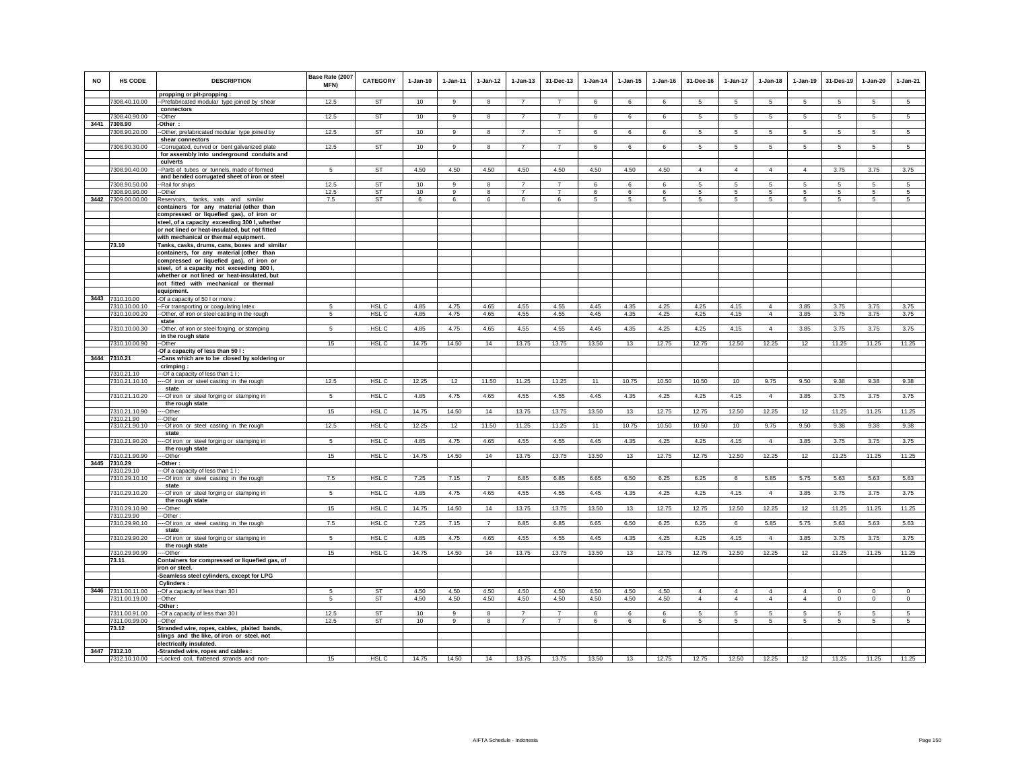| <b>NO</b> | HS CODE                             | <b>DESCRIPTION</b>                                                                         | Base Rate (2007<br>MFN) | CATEGORY         | $1-Jan-10$   | $1 - Jan-11$   | $1 - Jan-12$   | $1 - Jan-13$   | 31-Dec-13      | $1 - Jan-14$ | $1 - Jan-15$ | $1 - Jan-16$ | 31-Dec-16                        | $1 - Jan-17$                     | $1 - Jan-18$                     | 1-Jan-19                         | 31-Des-19                  | $1 - Jan-20$       | $1-Jan-21$             |
|-----------|-------------------------------------|--------------------------------------------------------------------------------------------|-------------------------|------------------|--------------|----------------|----------------|----------------|----------------|--------------|--------------|--------------|----------------------------------|----------------------------------|----------------------------------|----------------------------------|----------------------------|--------------------|------------------------|
|           | 7308.40.10.00                       | propping or pit-propping:<br>--Prefabricated modular type joined by shear                  | 12.5                    | <b>ST</b>        | 10           | $\alpha$       | 8              | $\overline{7}$ | $\overline{7}$ | 6            | 6            | 6            | 5                                | $5 -$                            | 5                                | 5                                | 5                          | 5                  | 5                      |
|           |                                     | connectors                                                                                 |                         |                  |              |                |                | $\overline{7}$ |                |              |              |              |                                  |                                  |                                  |                                  |                            |                    |                        |
|           | 7308.40.90.00<br>3441 7308.90       | -Other<br>-Other:                                                                          | 12.5                    | ST               | 10           | 9              | 8              |                | $\overline{7}$ | 6            | 6            | 6            | 5                                | $5\overline{5}$                  | 5                                | 5                                | 5                          | 5                  | $5\overline{5}$        |
|           | 7308.90.20.00                       | -Other, prefabricated modular type joined by                                               | 12.5                    | <b>ST</b>        | 10           | 9              | 8              | $\overline{7}$ | $\overline{7}$ | 6            | 6            | 6            | 5                                | 5                                | 5                                | $5\overline{5}$                  | 5                          | 5                  | $5\overline{5}$        |
|           |                                     | shear connectors                                                                           |                         |                  |              |                |                | $\overline{7}$ | $\overline{7}$ |              |              |              |                                  | 5                                |                                  |                                  |                            | 5                  |                        |
|           | 7308.90.30.00                       | -Corrugated, curved or bent galvanized plate<br>for assembly into underground conduits and | 12.5                    | ST               | 10           | 9              | 8              |                |                | 6            | 6            | 6            | 5                                |                                  | 5                                | 5                                | 5                          |                    | 5                      |
|           |                                     | culverts                                                                                   |                         |                  |              |                |                |                |                |              |              |              |                                  |                                  |                                  |                                  |                            |                    |                        |
|           | 7308.90.40.00                       | --Parts of tubes or tunnels, made of formed                                                | $\sqrt{5}$              | <b>ST</b>        | 4.50         | 4.50           | 4.50           | 4.50           | 4.50           | 4.50         | 4.50         | 4.50         | $\overline{4}$                   | $\overline{4}$                   | $\overline{4}$                   | $\overline{4}$                   | 3.75                       | 3.75               | 3.75                   |
|           | 7308.90.50.00                       | and bended corrugated sheet of iron or steel<br>-Rail for ships                            | 12.5                    | <b>ST</b>        | 10           | 9              | 8              | $\overline{7}$ | $\overline{7}$ | 6            | 6            | 6            | 5                                | 5                                | 5                                | 5                                | 5                          | 5                  | 5                      |
|           | 7308.90.90.00                       | -Other                                                                                     | 12.5                    | ST               | 10           | 9              | 8              | $\overline{7}$ | $\overline{7}$ | 6            | 6            | 6            | 5                                | 5                                | 5                                | 5                                | 5                          | 5                  | 5                      |
| 3442      | 7309.00.00.00                       | Reservoirs, tanks, vats and similar                                                        | 7.5                     | ST               | 6            | 6              | 6              | 6              | 6              | 5            | 5            | 5            | 5                                | 5                                | 5                                | 5                                | $\sqrt{5}$                 | 5                  | 5                      |
|           |                                     | containers for any material (other than                                                    |                         |                  |              |                |                |                |                |              |              |              |                                  |                                  |                                  |                                  |                            |                    |                        |
|           |                                     | compressed or liquefied gas), of iron or<br>steel, of a capacity exceeding 300 l, whether  |                         |                  |              |                |                |                |                |              |              |              |                                  |                                  |                                  |                                  |                            |                    |                        |
|           |                                     | or not lined or heat-insulated, but not fitted                                             |                         |                  |              |                |                |                |                |              |              |              |                                  |                                  |                                  |                                  |                            |                    |                        |
|           |                                     | with mechanical or thermal equipment.                                                      |                         |                  |              |                |                |                |                |              |              |              |                                  |                                  |                                  |                                  |                            |                    |                        |
|           | 73.10                               | Tanks, casks, drums, cans, boxes and similar                                               |                         |                  |              |                |                |                |                |              |              |              |                                  |                                  |                                  |                                  |                            |                    |                        |
|           |                                     | containers, for any material (other than<br>compressed or liquefied gas), of iron or       |                         |                  |              |                |                |                |                |              |              |              |                                  |                                  |                                  |                                  |                            |                    |                        |
|           |                                     | steel, of a capacity not exceeding 300 l,                                                  |                         |                  |              |                |                |                |                |              |              |              |                                  |                                  |                                  |                                  |                            |                    |                        |
|           |                                     | whether or not lined or heat-insulated, but                                                |                         |                  |              |                |                |                |                |              |              |              |                                  |                                  |                                  |                                  |                            |                    |                        |
|           |                                     | not fitted with mechanical or thermal                                                      |                         |                  |              |                |                |                |                |              |              |              |                                  |                                  |                                  |                                  |                            |                    |                        |
|           | 3443 7310.10.00                     | equipment.<br>-Of a capacity of 50 I or more :                                             |                         |                  |              |                |                |                |                |              |              |              |                                  |                                  |                                  |                                  |                            |                    |                        |
|           | 7310.10.00.10                       | -- For transporting or coagulating latex                                                   | 5                       | HSL C            | 4.85         | 4.75           | 4.65           | 4.55           | 4.55           | 4.45         | 4.35         | 4.25         | 4.25                             | 4.15                             | $\overline{4}$                   | 3.85                             | 3.75                       | 3.75               | 3.75                   |
|           | 7310.10.00.20                       | -Other, of iron or steel casting in the rough                                              | 5                       | HSL C            | 4.85         | 4.75           | 4.65           | 4.55           | 4.55           | 4.45         | 4.35         | 4.25         | 4.25                             | 4.15                             | $\overline{4}$                   | 3.85                             | 3.75                       | 3.75               | 3.75                   |
|           | 7310.10.00.30                       | state<br>-Other, of iron or steel forging or stamping                                      | 5                       | HSL C            | 4.85         | 4.75           | 4.65           | 4.55           | 4.55           | 4.45         | 4.35         | 4.25         | 4.25                             | 4.15                             | $\overline{4}$                   | 3.85                             | 3.75                       | 3.75               | 3.75                   |
|           |                                     | in the rough state                                                                         |                         |                  |              |                |                |                |                |              |              |              |                                  |                                  |                                  |                                  |                            |                    |                        |
|           | 7310.10.00.90                       | --Other                                                                                    | 15                      | HSL C            | 14.75        | 14.50          | 14             | 13.75          | 13.75          | 13.50        | 13           | 12.75        | 12.75                            | 12.50                            | 12.25                            | 12                               | 11.25                      | 11.25              | 11.25                  |
|           | 3444 7310.21                        | -Of a capacity of less than 50 I:<br>-Cans which are to be closed by soldering or          |                         |                  |              |                |                |                |                |              |              |              |                                  |                                  |                                  |                                  |                            |                    |                        |
|           |                                     | crimping:                                                                                  |                         |                  |              |                |                |                |                |              |              |              |                                  |                                  |                                  |                                  |                            |                    |                        |
|           | 7310.21.10                          | --Of a capacity of less than 1 I:                                                          |                         |                  |              |                |                |                |                |              |              |              |                                  |                                  |                                  |                                  |                            |                    |                        |
|           | 7310.21.10.10                       | --Of iron or steel casting in the rough<br>state                                           | 12.5                    | HSL <sub>C</sub> | 12.25        | 12             | 11.50          | 11.25          | 11.25          | 11           | 10.75        | 10.50        | 10.50                            | 10                               | 9.75                             | 9.50                             | 9.38                       | 9.38               | 9.38                   |
|           | 7310.21.10.20                       | --Of iron or steel forging or stamping in                                                  | 5                       | HSL <sub>C</sub> | 4.85         | 4.75           | 4.65           | 4.55           | 4.55           | 4.45         | 4.35         | 4.25         | 4.25                             | 4.15                             | $\overline{4}$                   | 3.85                             | 3.75                       | 3.75               | 3.75                   |
|           |                                     | the rough state                                                                            |                         |                  |              |                |                |                |                |              |              |              |                                  |                                  |                                  |                                  |                            |                    |                        |
|           | 7310.21.10.90<br>7310.21.90         | --Other<br>-Other                                                                          | 15                      | HSL C            | 14.75        | 14.50          | 14             | 13.75          | 13.75          | 13.50        | 13           | 12.75        | 12.75                            | 12.50                            | 12.25                            | 12                               | 11.25                      | 11.25              | 11.25                  |
|           | 7310.21.90.10                       | --- Of iron or steel casting in the rough                                                  | 12.5                    | HSL C            | 12.25        | 12             | 11.50          | 11.25          | 11.25          | 11           | 10.75        | 10.50        | 10.50                            | 10                               | 9.75                             | 9.50                             | 9.38                       | 9.38               | 9.38                   |
|           |                                     | state                                                                                      |                         |                  |              |                |                |                |                |              |              |              |                                  |                                  |                                  |                                  |                            |                    |                        |
|           | 7310.21.90.20                       | -- Of iron or steel forging or stamping in<br>the rough state                              | 5                       | HSL C            | 4.85         | 4.75           | 4.65           | 4.55           | 4.55           | 4.45         | 4.35         | 4.25         | 4.25                             | 4.15                             | $\overline{4}$                   | 3.85                             | 3.75                       | 3.75               | 3.75                   |
|           | 7310.21.90.90                       | -Other                                                                                     | 15                      | HSL C            | 14.75        | 14.50          | 14             | 13.75          | 13.75          | 13.50        | 13           | 12.75        | 12.75                            | 12.50                            | 12.25                            | 12                               | 11.25                      | 11.25              | 11.25                  |
| 3445      | 7310.29                             | -Other:                                                                                    |                         |                  |              |                |                |                |                |              |              |              |                                  |                                  |                                  |                                  |                            |                    |                        |
|           | 7310.29.10<br>7310.29.10.10         | --Of a capacity of less than 1 I:<br>-- Of iron or steel casting in the rough              | 7.5                     | HSL <sub>C</sub> | 7.25         | 7.15           | $\overline{7}$ | 6.85           | 6.85           | 6.65         | 6.50         | 6.25         | 6.25                             | 6                                | 5.85                             | 5.75                             | 5.63                       | 5.63               | 5.63                   |
|           |                                     | state                                                                                      |                         |                  |              |                |                |                |                |              |              |              |                                  |                                  |                                  |                                  |                            |                    |                        |
|           | 7310.29.10.20                       | -- Of iron or steel forging or stamping in                                                 | 5                       | HSL C            | 4.85         | 4.75           | 4.65           | 4.55           | 4.55           | 4.45         | 4.35         | 4.25         | 4.25                             | 4.15                             | $\overline{4}$                   | 3.85                             | 3.75                       | 3.75               | 3.75                   |
|           | 7310.29.10.90                       | the rough state<br>--Other                                                                 | 15                      | HSL <sub>C</sub> | 14.75        | 14.50          | 14             | 13.75          | 13.75          | 13.50        | 13           | 12.75        | 12.75                            | 12.50                            | 12.25                            | 12                               | 11.25                      | 11.25              | 11.25                  |
|           | 7310.29.90                          | -Other                                                                                     |                         |                  |              |                |                |                |                |              |              |              |                                  |                                  |                                  |                                  |                            |                    |                        |
|           | 7310.29.90.10                       | -- Of iron or steel casting in the rough<br>state                                          | 7.5                     | HSL C            | 7.25         | 7.15           | $\overline{7}$ | 6.85           | 6.85           | 6.65         | 6.50         | 6.25         | 6.25                             | 6                                | 5.85                             | 5.75                             | 5.63                       | 5.63               | 5.63                   |
|           | 7310.29.90.20                       | -- Of iron or steel forging or stamping in                                                 | 5                       | HSL C            | 4.85         | 4.75           | 4.65           | 4.55           | 4.55           | 4.45         | 4.35         | 4.25         | 4.25                             | 4.15                             | $\overline{4}$                   | 3.85                             | 3.75                       | 3.75               | 3.75                   |
|           |                                     | the rough state                                                                            |                         |                  |              |                |                |                |                |              |              |              |                                  |                                  |                                  |                                  |                            |                    |                        |
|           | 7310.29.90.90<br>73.11              | --Other<br>Containers for compressed or liquefied gas, of                                  | 15                      | HSL C            | 14.75        | 14.50          | 14             | 13.75          | 13.75          | 13.50        | 13           | 12.75        | 12.75                            | 12.50                            | 12.25                            | 12                               | 11.25                      | 11.25              | 11.25                  |
|           |                                     | iron or steel.                                                                             |                         |                  |              |                |                |                |                |              |              |              |                                  |                                  |                                  |                                  |                            |                    |                        |
|           |                                     | -Seamless steel cylinders, except for LPG                                                  |                         |                  |              |                |                |                |                |              |              |              |                                  |                                  |                                  |                                  |                            |                    |                        |
|           |                                     | Cylinders:                                                                                 |                         |                  |              |                |                |                |                |              |              |              |                                  |                                  |                                  |                                  |                            |                    |                        |
|           | 3446 7311.00.11.00<br>7311.00.19.00 | -- Of a capacity of less than 30 I<br>-Other                                               | -5<br>5                 | ST<br>ST         | 4.50<br>4.50 | 4.50<br>4.50   | 4.50<br>4.50   | 4.50<br>4.50   | 4.50<br>4.50   | 4.50<br>4.50 | 4.50<br>4.50 | 4.50<br>4.50 | $\overline{4}$<br>$\overline{4}$ | $\overline{4}$<br>$\overline{4}$ | $\overline{4}$<br>$\overline{4}$ | $\overline{4}$<br>$\overline{4}$ | $\mathbf 0$<br>$\mathbf 0$ | $\circ$<br>$\circ$ | $\mathsf 0$<br>$\circ$ |
|           |                                     | Other:                                                                                     |                         |                  |              |                |                |                |                |              |              |              |                                  |                                  |                                  |                                  |                            |                    |                        |
|           | 7311.00.91.00                       | -Of a capacity of less than 30 I                                                           | 12.5                    | <b>ST</b>        | 10           | 9              | 8              | $\overline{7}$ | $\overline{7}$ | 6            | 6            | 6            | 5                                | 5                                | 5                                | 5                                | 5                          | 5                  | 5                      |
|           | 7311.00.99.00<br>73.12              | --Other<br>Stranded wire, ropes, cables, plaited bands,                                    | 12.5                    | <b>ST</b>        | 10           | $\overline{9}$ | 8              | $\overline{7}$ | $\overline{7}$ | 6            | 6            | 6            | $5\phantom{.0}$                  | $5\overline{)}$                  | $5\overline{)}$                  | -5                               | $\sqrt{5}$                 | 5                  | $5\overline{)}$        |
|           |                                     | slings and the like, of iron or steel, not                                                 |                         |                  |              |                |                |                |                |              |              |              |                                  |                                  |                                  |                                  |                            |                    |                        |
|           |                                     | electrically insulated.                                                                    |                         |                  |              |                |                |                |                |              |              |              |                                  |                                  |                                  |                                  |                            |                    |                        |
|           | 3447 7312.10                        | -Stranded wire, ropes and cables :                                                         |                         |                  |              | 14.50          |                |                |                | 13.50        |              |              | 12.75                            | 12.50                            | 12.25                            |                                  | 11.25                      | 11.25              | 11.25                  |
|           | 7312.10.10.00                       | -Locked coil, flattened strands and non-                                                   | 15                      | HSL C            | 14.75        |                | 14             | 13.75          | 13.75          |              | 13           | 12.75        |                                  |                                  |                                  | 12                               |                            |                    |                        |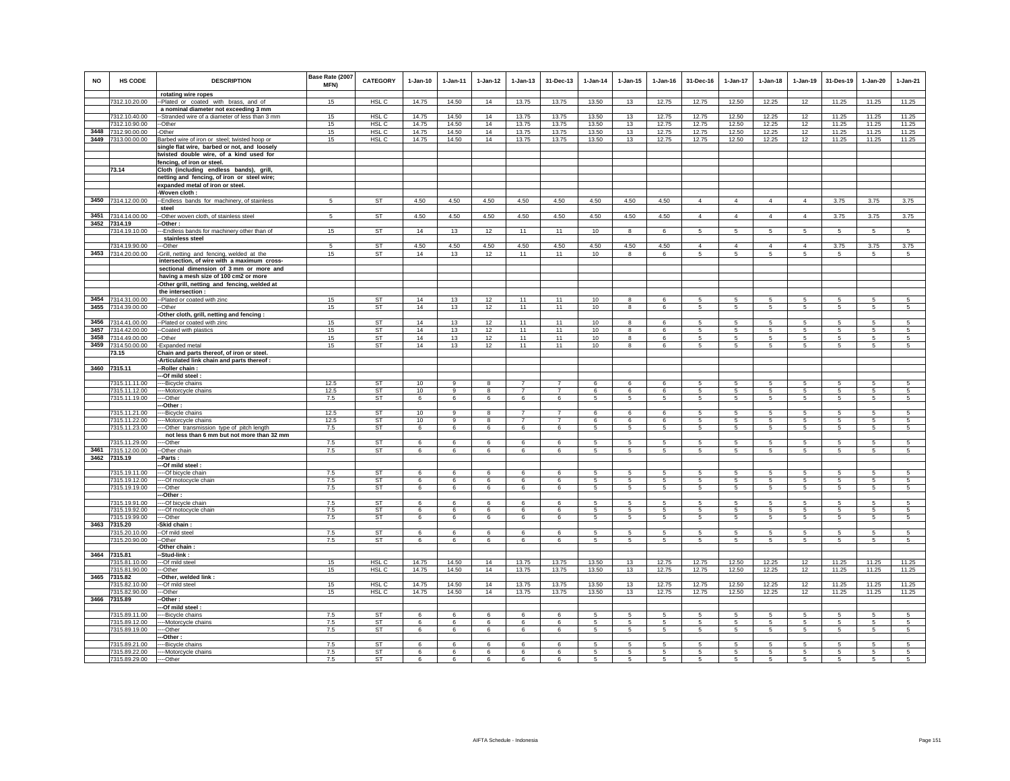| <b>NO</b> | HS CODE                             | <b>DESCRIPTION</b>                                                                    | Base Rate (2007<br><b>MFN)</b> | CATEGORY               | $1-Jan-10$     | 1-Jan-11       | $1 - Jan-12$ | $1 - Jan-13$   | 31-Dec-13      | $1-Jan-14$     | $1 - Jan-15$            | $1 - Jan-16$   | 31-Dec-16                   | $1-Jan-17$                        | $1-Jan-18$                  | $1-Jan-19$                 | 31-Des-19              | $1-Jan-20$             | $1-Jan-21$             |
|-----------|-------------------------------------|---------------------------------------------------------------------------------------|--------------------------------|------------------------|----------------|----------------|--------------|----------------|----------------|----------------|-------------------------|----------------|-----------------------------|-----------------------------------|-----------------------------|----------------------------|------------------------|------------------------|------------------------|
|           | 7312.10.20.00                       | rotating wire ropes<br>Plated or coated with brass, and of                            | 15                             | HSL C                  | 14.75          | 14.50          | 14           | 13.75          | 13.75          | 13.50          | 13                      | 12.75          | 12.75                       | 12.50                             | 12.25                       | 12                         | 11.25                  | 11.25                  | 11.25                  |
|           |                                     | a nominal diameter not exceeding 3 mm                                                 |                                |                        |                |                |              |                |                |                |                         |                |                             |                                   |                             |                            |                        |                        |                        |
|           | 7312.10.40.00<br>7312.10.90.00      | -Stranded wire of a diameter of less than 3 mm<br>-Other                              | 15<br>15                       | HSL C<br>HSL C         | 14.75<br>14.75 | 14.50<br>14.50 | 14<br>14     | 13.75<br>13.75 | 13.75<br>13.75 | 13.50<br>13.50 | 13<br>13                | 12.75<br>12.75 | 12.75<br>12.75              | 12.50<br>12.50                    | 12.25<br>12.25              | 12<br>12                   | 11.25<br>11.25         | 11.25<br>11.25         | 11.25<br>11.25         |
| 3448      | 7312.90.00.00                       | Other                                                                                 | 15                             | HSL C                  | 14.75          | 14.50          | 14           | 13.75          | 13.75          | 13.50          | 13                      | 12.75          | 12.75                       | 12.50                             | 12.25                       | 12                         | 11.25                  | 11.25                  | 11.25                  |
| 3449      | 7313.00.00.00                       | Barbed wire of iron or steel; twisted hoop or                                         | 15                             | HSL C                  | 14.75          | 14.50          | 14           | 13.75          | 13.75          | 13.50          | 13                      | 12.75          | 12.75                       | 12.50                             | 12.25                       | 12                         | 11.25                  | 11.25                  | 11.25                  |
|           |                                     | single flat wire, barbed or not, and loosely                                          |                                |                        |                |                |              |                |                |                |                         |                |                             |                                   |                             |                            |                        |                        |                        |
|           |                                     | twisted double wire, of a kind used for<br>fencing, of iron or steel.                 |                                |                        |                |                |              |                |                |                |                         |                |                             |                                   |                             |                            |                        |                        |                        |
|           | 73.14                               | Cloth (including endless bands), grill,                                               |                                |                        |                |                |              |                |                |                |                         |                |                             |                                   |                             |                            |                        |                        |                        |
|           |                                     | netting and fencing, of iron or steel wire;                                           |                                |                        |                |                |              |                |                |                |                         |                |                             |                                   |                             |                            |                        |                        |                        |
|           |                                     | expanded metal of iron or steel.<br>-Woven cloth:                                     |                                |                        |                |                |              |                |                |                |                         |                |                             |                                   |                             |                            |                        |                        |                        |
|           | 3450 7314.12.00.00                  | -Endless bands for machinery, of stainless                                            | $5\overline{5}$                | <b>ST</b>              | 4.50           | 4.50           | 4.50         | 4.50           | 4.50           | 4.50           | 4.50                    | 4.50           | $\overline{4}$              | $\overline{4}$                    | $\overline{4}$              | $\overline{4}$             | 3.75                   | 3.75                   | 3.75                   |
|           |                                     | steel                                                                                 |                                |                        |                |                |              |                |                |                |                         |                |                             |                                   |                             |                            |                        |                        |                        |
|           | 3451 7314.14.00.00<br>3452 7314.19  | -Other woven cloth, of stainless steel<br>-Other:                                     | $\sqrt{5}$                     | ST                     | 4.50           | 4.50           | 4.50         | 4.50           | 4.50           | 4.50           | 4.50                    | 4.50           | $\overline{4}$              | $\overline{4}$                    | $\overline{4}$              | $\overline{4}$             | 3.75                   | 3.75                   | 3.75                   |
|           | 7314.19.10.00                       | -Endless bands for machinery other than of                                            | 15                             | ST                     | 14             | 13             | 12           | 11             | 11             | 10             | 8                       | 6              | -5                          | 5                                 | 5                           | 5                          | 5                      | 5                      | 5                      |
|           |                                     | stainless steel                                                                       |                                |                        |                |                |              |                |                |                |                         |                |                             |                                   |                             |                            |                        |                        |                        |
|           | 7314.19.90.00<br>3453 7314.20.00.00 | -Other<br>-Grill, netting and fencing, welded at the                                  | 5<br>15                        | <b>ST</b><br><b>ST</b> | 4.50<br>14     | 4.50<br>13     | 4.50<br>12   | 4.50<br>11     | 4.50<br>11     | 4.50<br>10     | 4.50<br>8               | 4.50<br>6      | $\Delta$<br>$5\overline{5}$ | $\overline{4}$<br>$5\overline{)}$ | $\Delta$<br>$5\overline{5}$ | $\Delta$<br>$\overline{5}$ | 3.75<br>$\overline{5}$ | 3.75<br>$\overline{5}$ | 3.75<br>$\overline{5}$ |
|           |                                     | intersection, of wire with a maximum cross-                                           |                                |                        |                |                |              |                |                |                |                         |                |                             |                                   |                             |                            |                        |                        |                        |
|           |                                     | sectional dimension of 3 mm or more and                                               |                                |                        |                |                |              |                |                |                |                         |                |                             |                                   |                             |                            |                        |                        |                        |
|           |                                     | having a mesh size of 100 cm2 or more<br>-Other grill, netting and fencing, welded at |                                |                        |                |                |              |                |                |                |                         |                |                             |                                   |                             |                            |                        |                        |                        |
|           |                                     | the intersection :                                                                    |                                |                        |                |                |              |                |                |                |                         |                |                             |                                   |                             |                            |                        |                        |                        |
|           | 3454 7314.31.00.00                  | -Plated or coated with zinc                                                           | 15                             | <b>ST</b>              | 14             | 13             | 12           | 11             | 11             | 10             | 8                       | 6              | 5                           | 5                                 | 5                           | 5                          | $\sqrt{5}$             | 5                      | 5                      |
| 3455      | 7314.39.00.00                       | -Other<br>Other cloth, grill, netting and fencing:                                    | 15                             | ST                     | 14             | 13             | 12           | 11             | 11             | 10             | 8                       | 6              | 5                           | 5                                 | 5                           | 5                          | 5                      | 5                      | 5                      |
| 3456      | 7314.41.00.00                       | -Plated or coated with zinc                                                           | 15                             | <b>ST</b>              | 14             | 13             | 12           | 11             | 11             | $10$           | 8                       | 6              | 5                           | 5                                 | 5                           | 5                          | 5                      | 5                      | 5                      |
| 3457      | 7314.42.00.00                       | -Coated with plastics                                                                 | 15                             | ST                     | 14             | 13             | 12           | 11             | 11             | 10             | 8                       | 6              | 5                           | 5                                 | 5                           | 5                          | 5                      | 5                      | 5                      |
| 3458      | 7314.49.00.00                       | -Other                                                                                | 15                             | <b>ST</b>              | 14             | 13             | 12           | 11             | 11             | 10             | $\overline{\mathbf{8}}$ | 6              | 5                           | $5\overline{)}$                   | $5\overline{5}$             | 5                          | $\sqrt{5}$             | 5                      | 5                      |
| 3459      | 7314.50.00.00<br>73.15              | -Expanded metal<br>Chain and parts thereof, of iron or steel.                         | 15                             | <b>ST</b>              | 14             | 13             | 12           | 11             | 11             | 10             | $\overline{\mathbf{8}}$ | 6              | 5                           | $5\overline{)}$                   | 5                           | $\,$ 5 $\,$                | $\sqrt{5}$             | 5                      | 5                      |
|           |                                     | -Articulated link chain and parts thereof                                             |                                |                        |                |                |              |                |                |                |                         |                |                             |                                   |                             |                            |                        |                        |                        |
|           | 3460 7315.11                        | -Roller chain:                                                                        |                                |                        |                |                |              |                |                |                |                         |                |                             |                                   |                             |                            |                        |                        |                        |
|           | 7315.11.11.00                       | -Of mild steel<br>--Bicycle chains                                                    | 12.5                           | ST                     | 10             | 9              | 8            | $\overline{7}$ | $\overline{7}$ | 6              | 6                       | 6              | 5                           | 5                                 | 5                           | 5                          | $5\phantom{.0}$        | 5                      | 5                      |
|           | 7315.11.12.00                       | -Motorcycle chains                                                                    | 12.5                           | ST                     | 10             | 9              | 8            | $\overline{7}$ | $\overline{7}$ | 6              | 6                       | 6              | 5                           | 5                                 | 5                           | 5                          | 5                      | 5                      | $\sqrt{5}$             |
|           | 7315.11.19.00                       | --Other                                                                               | 7.5                            | ST                     | 6              | 6              | 6            | 6              | 6              | $\mathbf 5$    | 5                       | 5              | 5                           | 5                                 | 5                           | $\,$ 5 $\,$                | 5                      | $\sqrt{5}$             | 5                      |
|           | 7315.11.21.00                       | -Other<br>--Bicycle chains                                                            | 12.5                           | <b>ST</b>              | 10             | $\mathbf{q}$   | 8            | $\overline{7}$ | $\overline{7}$ | -6             | 6                       | 6              | -5                          | 5                                 | -5                          | -5                         | -5                     | 5                      | -5                     |
|           | 7315.11.22.00                       | -- Motorcycle chains                                                                  | 12.5                           | ST                     | 10             | 9              | 8            | $\overline{7}$ | $\overline{7}$ | 6              | 6                       | 6              | 5                           | 5                                 | 5                           | 5                          | 5                      | 5                      | 5                      |
|           | 7315.11.23.00                       | --Other transmission type of pitch length                                             | 7.5                            | ST                     | 6              | 6              | 6            | 6              | 6              | 5              | 5                       | 5              | $5\overline{5}$             | 5                                 | $5\overline{5}$             | 5                          | 5                      | 5                      | 5                      |
|           | 7315.11.29.00                       | not less than 6 mm but not more than 32 mm<br>--Other                                 | 7.5                            | <b>ST</b>              | $\epsilon$     | $\epsilon$     | 6            | 6              | 6              | 5              | 5                       | 5              | 5                           | 5                                 | -5                          | -5                         | 5                      | 5                      | 5                      |
| 3461      | 7315.12.00.00                       | -Other chair                                                                          | 7.5                            | ST                     | 6              | 6              | 6            | 6              | 6              | 5              | 5                       | 5              | -5                          | 5                                 | 5                           | 5                          | 5                      | 5                      | 5                      |
| 3462      | 7315.19                             | Parts:                                                                                |                                |                        |                |                |              |                |                |                |                         |                |                             |                                   |                             |                            |                        |                        |                        |
|           | 7315.19.11.00                       | -Of mild steel:<br>--Of bicycle chain                                                 | 7.5                            | <b>ST</b>              | $\epsilon$     | 6              | 6            | 6              | 6              | 5              | 5                       | 5              | 5.                          | 5                                 | -5                          | -5                         | $\overline{5}$         | 5                      | $\overline{5}$         |
|           | 7315.19.12.00                       | --Of motocycle chain                                                                  | 7.5                            | ST                     | 6              | 6              | 6            | 6              | 6              | 5              | 5                       | 5              | 5                           | 5                                 | 5                           | 5                          | 5                      | 5                      | 5                      |
|           | 7315.19.19.00                       | --Other<br>-Other                                                                     | 7.5                            | ST                     | 6              | 6              | 6            | 6              | 6              | 5              | 5                       | 5              | 5                           | 5                                 | 5                           | 5                          | 5                      | 5                      | 5                      |
|           | 7315.19.91.00                       | --Of bicycle chain                                                                    | 7.5                            | <b>ST</b>              | 6              | 6              | 6            | 6              | 6              | 5              | 5                       | 5              | -5                          | 5                                 | -5                          | 5                          | 5                      | 5                      | -5                     |
|           | 7315.19.92.00                       | -Of motocycle chain                                                                   | 7.5                            | <b>ST</b>              | 6              | 6              | 6            | 6              | 6              | 5              | 5                       | 5              | 5                           | 5                                 | 5                           | 5                          | 5                      | 5                      | 5                      |
|           | 7315.19.99.00<br>3463 7315.20       | --Other<br>-Skid chain                                                                | 7.5                            | <b>ST</b>              | 6              | 6              | 6            | 6              | 6              | 5              | 5                       | 5              | 5                           | 5                                 | 5                           | 5                          | 5                      | 5                      | 5                      |
|           | 7315.20.10.00                       | --Of mild steel                                                                       | 7.5                            | <b>ST</b>              | 6              | 6              | 6            | 6              | $6^{\circ}$    | 5              | 5                       | 5              | 5                           | 5                                 | $\sqrt{5}$                  | 5                          | 5                      | $\overline{5}$         | $\overline{5}$         |
|           | 7315.20.90.00                       | -Other                                                                                | 7.5                            | <b>ST</b>              | 6              | 6              | 6            | 6              | 6              | 5              | 5                       | 5              | $5 -$                       | 5                                 | 5                           | -5                         | 5                      | 5                      | $\sqrt{5}$             |
|           | 3464 7315.81                        | Other chain<br>-Stud-link :                                                           |                                |                        |                |                |              |                |                |                |                         |                |                             |                                   |                             |                            |                        |                        |                        |
|           | 7315.81.10.00                       | --Of mild steel                                                                       | 15                             | H <sub>SL</sub> C      | 14.75          | 14.50          | 14           | 13.75          | 13.75          | 13.50          | 13                      | 12.75          | 12.75                       | 12.50                             | 12.25                       | 12                         | 11.25                  | 11.25                  | 11.25                  |
|           | 7315.81.90.00                       | -Other                                                                                | 15                             | HSL C                  | 14.75          | 14.50          | 14           | 13.75          | 13.75          | 13.50          | 13                      | 12.75          | 12.75                       | 12.50                             | 12.25                       | 12                         | 11.25                  | 11.25                  | 11.25                  |
| 3465      | 7315.82<br>7315.82.10.00            | Other, welded link :<br>-Of mild steel                                                | 15                             | HSL C                  | 14.75          | 14.50          | 14           | 13.75          | 13.75          | 13.50          | 13                      | 12.75          | 12.75                       | 12.50                             | 12.25                       | 12                         | 11.25                  | 11.25                  | 11.25                  |
|           | 7315.82.90.00                       | --Other                                                                               | 15                             | HSL <sub>C</sub>       | 14.75          | 14.50          | 14           | 13.75          | 13.75          | 13.50          | 13                      | 12.75          | 12.75                       | 12.50                             | 12.25                       | 12                         | 11.25                  | 11.25                  | 11.25                  |
| 3466      | 7315.89                             | -Other:                                                                               |                                |                        |                |                |              |                |                |                |                         |                |                             |                                   |                             |                            |                        |                        |                        |
|           | 7315.89.11.00                       | -Of mild steel :<br>--Bicycle chains                                                  | 7.5                            | ST                     | 6              | 6              | 6            | 6              | 6              | 5              | 5                       | 5              | $5\phantom{.0}$             | 5                                 | $5\phantom{.0}$             | 5                          | 5                      | $\overline{5}$         | 5                      |
|           | 7315.89.12.00                       | -- Motorcycle chains                                                                  | 7.5                            | ST                     | 6              | 6              | 6            | 6              | 6              | 5              | 5                       | 5              | 5                           | $5\phantom{.0}$                   | 5                           | 5                          | 5                      | 5                      | 5                      |
|           | 7315.89.19.00                       | --Other                                                                               | 7.5                            | <b>ST</b>              | 6              | 6              | 6            | 6              | 6              | 5              | 5                       | 5              | 5                           | 5                                 | 5                           | 5                          | 5                      | 5                      | 5                      |
|           | 7315.89.21.00                       | -Other:<br>--Bicycle chains                                                           | 7.5                            | <b>ST</b>              | $\epsilon$     | 6              | 6            | 6              | 6              | 5              | 5                       | 5              | -5                          | 5                                 | 5                           | 5                          | 5                      | 5                      | 5                      |
|           | 7315.89.22.00                       | ---Motorcycle chains                                                                  | 7.5                            | <b>ST</b>              | 6              | 6              | 6            | 6              | 6              | 5              | 5                       | 5              | 5                           | 5                                 | 5                           | 5                          | 5                      | 5                      | $\overline{5}$         |
|           | 7315.89.29.00                       | --Other                                                                               | 7.5                            | <b>ST</b>              | 6              | 6              | 6            | 6              | 6              | 5              | 5                       | 5              | 5                           | 5                                 | 5                           | -5                         | 5                      | 5                      | 5                      |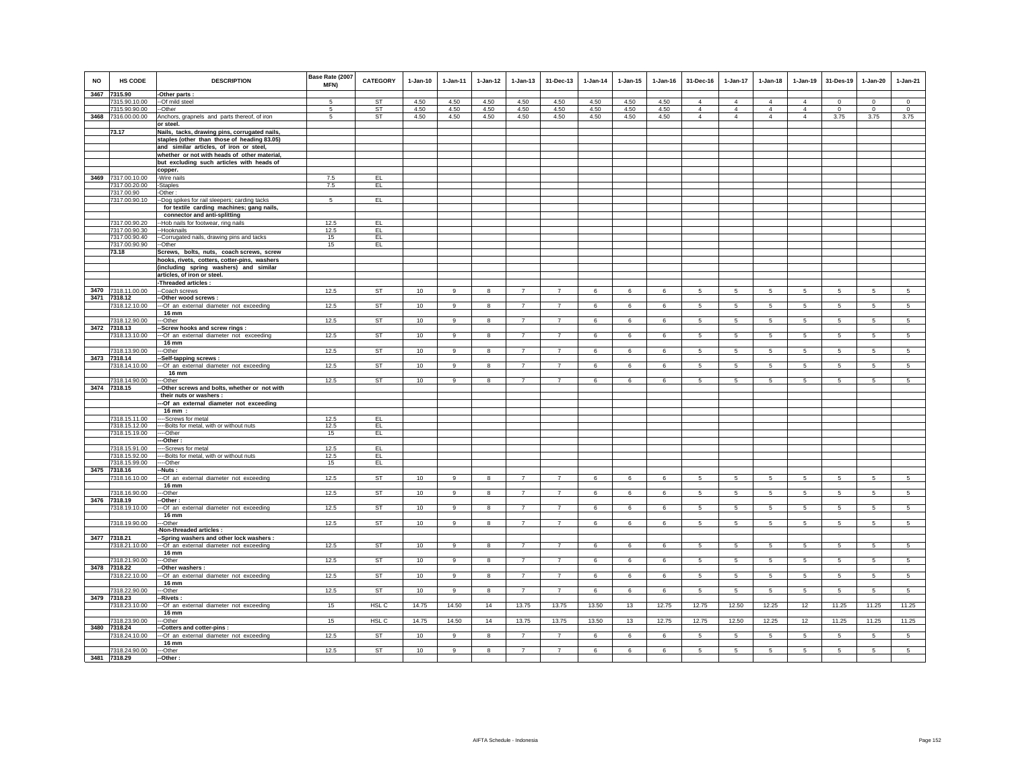| <b>NO</b> | HS CODE<br>3467 7315.90        | <b>DESCRIPTION</b>                                                                         | Base Rate (2007<br>MFN) | <b>CATEGORY</b> | $1-Jan-10$       | $1-Jan-11$     | $1-Jan-12$              | $1 - Jan-13$   | 31-Dec-13      | $1-Jan-14$   | $1 - Jan-15$ | $1-Jan-16$   | 31-Dec-16       | 1-Jan-17        | $1 - Jan-18$    | $1-Jan-19$      | 31-Des-19       | $1-Jan-20$      | $1-Jan-21$      |
|-----------|--------------------------------|--------------------------------------------------------------------------------------------|-------------------------|-----------------|------------------|----------------|-------------------------|----------------|----------------|--------------|--------------|--------------|-----------------|-----------------|-----------------|-----------------|-----------------|-----------------|-----------------|
|           |                                | -Other parts :                                                                             |                         |                 |                  |                |                         |                |                |              |              |              | $\overline{4}$  | $\overline{4}$  | $\overline{4}$  | $\overline{4}$  | $\Omega$        | $\Omega$        | $\Omega$        |
|           | 7315.90.10.00<br>7315.90.90.00 | --Of mild steel<br>--Other                                                                 | 5                       | ST<br>ST        | 4.50<br>4.50     | 4.50<br>4.50   | 4.50<br>4.50            | 4.50<br>4.50   | 4.50<br>4.50   | 4.50<br>4.50 | 4.50<br>4.50 | 4.50<br>4.50 | $\overline{4}$  | $\overline{4}$  | $\overline{4}$  | $\overline{4}$  | $\,0\,$         | $\mathbf{0}$    | $\overline{0}$  |
|           | 3468 7316.00.00.00             | Anchors, grapnels and parts thereof, of iron                                               | 5                       | <b>ST</b>       | 4.50             | 4.50           | 4.50                    | 4.50           | 4.50           | 4.50         | 4.50         | 4.50         | $\overline{4}$  | $\overline{4}$  | $\overline{4}$  | $\overline{4}$  | 3.75            | 3.75            | 3.75            |
|           |                                | or steel.                                                                                  |                         |                 |                  |                |                         |                |                |              |              |              |                 |                 |                 |                 |                 |                 |                 |
|           | 73.17                          | Nails, tacks, drawing pins, corrugated nails,                                              |                         |                 |                  |                |                         |                |                |              |              |              |                 |                 |                 |                 |                 |                 |                 |
|           |                                | staples (other than those of heading 83.05)                                                |                         |                 |                  |                |                         |                |                |              |              |              |                 |                 |                 |                 |                 |                 |                 |
|           |                                | and similar articles, of iron or steel,                                                    |                         |                 |                  |                |                         |                |                |              |              |              |                 |                 |                 |                 |                 |                 |                 |
|           |                                |                                                                                            |                         |                 |                  |                |                         |                |                |              |              |              |                 |                 |                 |                 |                 |                 |                 |
|           |                                | whether or not with heads of other material,<br>but excluding such articles with heads of  |                         |                 |                  |                |                         |                |                |              |              |              |                 |                 |                 |                 |                 |                 |                 |
|           |                                |                                                                                            |                         |                 |                  |                |                         |                |                |              |              |              |                 |                 |                 |                 |                 |                 |                 |
|           |                                | copper.                                                                                    |                         |                 |                  |                |                         |                |                |              |              |              |                 |                 |                 |                 |                 |                 |                 |
| 3469      | 7317.00.10.00                  | -Wire nails                                                                                | 7.5                     | EL.             |                  |                |                         |                |                |              |              |              |                 |                 |                 |                 |                 |                 |                 |
|           | 7317.00.20.00                  | -Staples                                                                                   | 7.5                     | EL              |                  |                |                         |                |                |              |              |              |                 |                 |                 |                 |                 |                 |                 |
|           | 7317.00.90                     | -Other:                                                                                    |                         | EL              |                  |                |                         |                |                |              |              |              |                 |                 |                 |                 |                 |                 |                 |
|           | 7317.00.90.10                  | --Dog spikes for rail sleepers; carding tacks<br>for textile carding machines; gang nails, | 5                       |                 |                  |                |                         |                |                |              |              |              |                 |                 |                 |                 |                 |                 |                 |
|           |                                |                                                                                            |                         |                 |                  |                |                         |                |                |              |              |              |                 |                 |                 |                 |                 |                 |                 |
|           |                                | connector and anti-splitting                                                               | 12.5                    | EL              |                  |                |                         |                |                |              |              |              |                 |                 |                 |                 |                 |                 |                 |
|           | 7317.00.90.20                  | --Hob nails for footwear, ring nails                                                       | 12.5                    | EL              |                  |                |                         |                |                |              |              |              |                 |                 |                 |                 |                 |                 |                 |
|           | 7317.00.90.30<br>7317.00.90.40 | --Hooknails                                                                                | 15                      | EL.             |                  |                |                         |                |                |              |              |              |                 |                 |                 |                 |                 |                 |                 |
|           | 7317.00.90.90                  | --Corrugated nails, drawing pins and tacks                                                 | 15                      | EL.             |                  |                |                         |                |                |              |              |              |                 |                 |                 |                 |                 |                 |                 |
|           |                                | --Other                                                                                    |                         |                 |                  |                |                         |                |                |              |              |              |                 |                 |                 |                 |                 |                 |                 |
|           | 73.18                          | Screws, bolts, nuts, coach screws, screw                                                   |                         |                 |                  |                |                         |                |                |              |              |              |                 |                 |                 |                 |                 |                 |                 |
|           |                                | hooks, rivets, cotters, cotter-pins, washers                                               |                         |                 |                  |                |                         |                |                |              |              |              |                 |                 |                 |                 |                 |                 |                 |
|           |                                | (including spring washers) and similar                                                     |                         |                 |                  |                |                         |                |                |              |              |              |                 |                 |                 |                 |                 |                 |                 |
|           |                                | articles, of iron or steel.                                                                |                         |                 |                  |                |                         |                |                |              |              |              |                 |                 |                 |                 |                 |                 |                 |
|           |                                | -Threaded articles :                                                                       |                         |                 |                  |                |                         |                | $\overline{7}$ |              |              |              |                 |                 |                 |                 |                 |                 |                 |
| 3470      | 7318.11.00.00                  | --Coach screws                                                                             | 12.5                    | ST              | 10               | $\mathsf g$    | 8                       | $\overline{7}$ |                | 6            | 6            | 6            | 5               | 5               | 5               | $\sqrt{5}$      | $\,$ 5 $\,$     | $5\phantom{.0}$ | $5\phantom{.0}$ |
| 3471      | 7318.12                        | -Other wood screws :                                                                       |                         | <b>ST</b>       | 10               |                |                         | $\overline{7}$ | $\overline{7}$ |              |              |              | $5\phantom{.0}$ | $\overline{5}$  |                 | $\overline{5}$  |                 |                 | $5\overline{)}$ |
|           | 7318.12.10.00                  | --- Of an external diameter not exceeding<br>16 mm                                         | 12.5                    |                 |                  | 9              | $\bf{8}$                |                |                | 6            | 6            | 6            |                 |                 | 5               |                 | $5\phantom{.0}$ | $5\phantom{.0}$ |                 |
|           | 7318.12.90.00                  | ---Other                                                                                   | 12.5                    | <b>ST</b>       | 10               | $\overline{9}$ | $\overline{\mathbf{8}}$ | $\overline{7}$ | $\overline{7}$ | 6            | 6            | 6            | $5\phantom{.0}$ | 5 <sup>5</sup>  | $5\phantom{.0}$ | $5\overline{)}$ | 5               | 5               | $5\overline{)}$ |
| 3472      | 7318.13                        | -Screw hooks and screw rings:                                                              |                         |                 |                  |                |                         |                |                |              |              |              |                 |                 |                 |                 |                 |                 |                 |
|           | 7318.13.10.00                  | --- Of an external diameter not exceeding                                                  | 12.5                    | <b>ST</b>       | 10               | 9              | 8                       | $\overline{7}$ | $\overline{7}$ | 6            | 6            | 6            | $5\overline{5}$ | $5\overline{5}$ | $5\overline{5}$ | 5               | $5\phantom{.0}$ | $5\phantom{.0}$ | $5\overline{5}$ |
|           |                                | 16 mm                                                                                      |                         |                 |                  |                |                         |                |                |              |              |              |                 |                 |                 |                 |                 |                 |                 |
|           | 7318.13.90.00                  | ---Other                                                                                   | 12.5                    | <b>ST</b>       | 10               | 9              | 8                       | $\overline{7}$ | $\overline{7}$ | 6            | 6            | 6            | $5\overline{5}$ | $5\overline{5}$ | $5\overline{5}$ | $5\phantom{.0}$ | $5\phantom{.0}$ | $5^{\circ}$     | 5 <sub>5</sub>  |
|           | 3473 7318.14                   | Self-tapping screws:                                                                       |                         |                 |                  |                |                         |                |                |              |              |              |                 |                 |                 |                 |                 |                 |                 |
|           | 7318.14.10.00                  | --- Of an external diameter not exceeding                                                  | 12.5                    | <b>ST</b>       | 10               | 9              | 8                       | $\overline{7}$ | $\overline{7}$ | 6            | 6            | 6            | 5               | 5               | 5               | 5               | 5               | $5\phantom{.0}$ | 5               |
|           |                                | 16 mm                                                                                      |                         |                 |                  |                |                         |                |                |              |              |              |                 |                 |                 |                 |                 |                 |                 |
|           | 7318.14.90.00                  | ---Other                                                                                   | 12.5                    | <b>ST</b>       | 10               | $\alpha$       | 8                       | $\overline{7}$ | $\overline{7}$ | 6            | $\epsilon$   | 6            | 5.              | 5               | 5               | $\sqrt{5}$      | 5               | 5               | $\overline{5}$  |
|           | 3474 7318.15                   | -- Other screws and bolts, whether or not with                                             |                         |                 |                  |                |                         |                |                |              |              |              |                 |                 |                 |                 |                 |                 |                 |
|           |                                | their nuts or washers :                                                                    |                         |                 |                  |                |                         |                |                |              |              |              |                 |                 |                 |                 |                 |                 |                 |
|           |                                | -- Of an external diameter not exceeding                                                   |                         |                 |                  |                |                         |                |                |              |              |              |                 |                 |                 |                 |                 |                 |                 |
|           |                                | 16 mm :                                                                                    |                         |                 |                  |                |                         |                |                |              |              |              |                 |                 |                 |                 |                 |                 |                 |
|           | 7318.15.11.00                  | ---Screws for metal                                                                        | 12.5                    | EL.             |                  |                |                         |                |                |              |              |              |                 |                 |                 |                 |                 |                 |                 |
|           | 7318.15.12.00                  | ---Bolts for metal, with or without nuts                                                   | 12.5                    | EL              |                  |                |                         |                |                |              |              |              |                 |                 |                 |                 |                 |                 |                 |
|           | 7318.15.19.00                  | --Other                                                                                    | 15                      | EL.             |                  |                |                         |                |                |              |              |              |                 |                 |                 |                 |                 |                 |                 |
|           |                                | --Other:                                                                                   |                         |                 |                  |                |                         |                |                |              |              |              |                 |                 |                 |                 |                 |                 |                 |
|           | 7318.15.91.00                  | ----Screws for metal                                                                       | 12.5<br>12.5            | EL<br>EL        |                  |                |                         |                |                |              |              |              |                 |                 |                 |                 |                 |                 |                 |
|           | 7318.15.92.00                  | ---- Bolts for metal, with or without nuts                                                 |                         |                 |                  |                |                         |                |                |              |              |              |                 |                 |                 |                 |                 |                 |                 |
|           | 7318.15.99.00<br>3475 7318.16  | ----Other                                                                                  | 15                      | EL.             |                  |                |                         |                |                |              |              |              |                 |                 |                 |                 |                 |                 |                 |
|           | 7318.16.10.00                  | --Nuts :<br>--- Of an external diameter not exceeding                                      | 12.5                    | <b>ST</b>       | 10               | $\mathsf g$    | $\bf8$                  | $\overline{7}$ | $\overline{7}$ | 6            | 6            | 6            | $\sqrt{5}$      | 5               | $\sqrt{5}$      | $\sqrt{5}$      | $\overline{5}$  | $5\phantom{.0}$ | $\overline{5}$  |
|           |                                | 16 mm                                                                                      |                         |                 |                  |                |                         |                |                |              |              |              |                 |                 |                 |                 |                 |                 |                 |
|           | 7318.16.90.00                  | -Other                                                                                     | 12.5                    | <b>ST</b>       | 10               | $\overline{9}$ | 8                       | $\overline{7}$ | $\overline{7}$ | 6            | 6            | 6            | 5               | 5               | 5               | $5\overline{)}$ | 5               | 5               | $5\overline{5}$ |
|           | 3476 7318.19                   | -Other:                                                                                    |                         |                 |                  |                |                         |                |                |              |              |              |                 |                 |                 |                 |                 |                 |                 |
|           | 7318.19.10.00                  | --- Of an external diameter not exceeding                                                  | 12.5                    | <b>ST</b>       | 10               | 9              | 8                       | $\overline{7}$ | $\overline{7}$ | 6            | 6            | 6            | 5               | 5               | 5               | $\sqrt{5}$      | $5\phantom{.0}$ | 5               | 5               |
|           |                                | 16 mm                                                                                      |                         |                 |                  |                |                         |                |                |              |              |              |                 |                 |                 |                 |                 |                 |                 |
|           | 7318.19.90.00                  | ---Other                                                                                   | 12.5                    | ST              | 10               | $_{9}$         | 8                       | $\overline{7}$ | $\overline{7}$ | 6            | 6            | 6            | 5               | $5 -$           | 5               | 5               | 5               | $5\overline{5}$ | 5               |
|           |                                | -Non-threaded articles :                                                                   |                         |                 |                  |                |                         |                |                |              |              |              |                 |                 |                 |                 |                 |                 |                 |
|           | 3477 7318.21                   | -- Spring washers and other lock washers :                                                 |                         |                 |                  |                |                         |                |                |              |              |              |                 |                 |                 |                 |                 |                 |                 |
|           | 7318.21.10.00                  | --- Of an external diameter not exceeding                                                  | 12.5                    | <b>ST</b>       | 10               | 9              | 8                       | $\overline{7}$ | $\overline{7}$ | 6            | 6            | 6            | 5               | 5               | 5               | $\sqrt{5}$      | $\sqrt{5}$      | $5\phantom{.0}$ | 5               |
|           |                                | 16 mm                                                                                      |                         |                 |                  |                |                         |                |                |              |              |              |                 |                 |                 |                 |                 |                 |                 |
|           | 7318.21.90.00                  | --Other                                                                                    | 12.5                    | <b>ST</b>       | 10               | $\overline{9}$ | 8                       | $\overline{7}$ | $\overline{7}$ | 6            | 6            | 6            | 5               | 5               | 5               | $\overline{5}$  | 5               | $5\overline{5}$ | $\overline{5}$  |
| 3478      | 7318.22                        | -Other washers:                                                                            |                         |                 |                  |                |                         |                |                |              |              |              |                 |                 |                 |                 |                 |                 |                 |
|           | 7318.22.10.00                  | --- Of an external diameter not exceeding                                                  | 12.5                    | <b>ST</b>       | 10               | $\overline{9}$ | $\overline{\mathbf{8}}$ | $\overline{7}$ | $\overline{7}$ | 6            | 6            | 6            | 5               | $5\overline{)}$ | $\overline{5}$  | $\overline{5}$  | $5\overline{)}$ | $5\overline{5}$ | $5\overline{)}$ |
|           |                                | 16 mm                                                                                      |                         |                 |                  |                |                         |                |                |              |              |              |                 |                 |                 |                 |                 |                 |                 |
|           | 7318.22.90.00                  | --Other                                                                                    | 12.5                    | <b>ST</b>       | 10 <sup>10</sup> | 9              | 8                       | $\overline{7}$ | $\overline{7}$ | 6            | 6            | 6            | 5               | 5               | 5               | 5               | 5               | 5               | 5               |
| 3479      | 7318.23                        | -Rivets:                                                                                   |                         |                 |                  |                |                         |                |                |              |              |              |                 |                 |                 |                 |                 |                 |                 |
|           | 7318.23.10.00                  | --- Of an external diameter not exceeding<br>16 mm                                         | 15                      | HSL C           | 14.75            | 14.50          | 14                      | 13.75          | 13.75          | 13.50        | 13           | 12.75        | 12.75           | 12.50           | 12.25           | 12              | 11.25           | 11.25           | 11.25           |
|           | 7318.23.90.00                  | -Other                                                                                     | 15                      | HSL C           | 14.75            | 14.50          | 14                      | 13.75          | 13.75          | 13.50        | 13           | 12.75        | 12.75           | 12.50           | 12.25           | 12              | 11.25           | 11.25           | 11.25           |
| 3480      | 7318.24                        | -Cotters and cotter-pins :                                                                 |                         |                 |                  |                |                         |                |                |              |              |              |                 |                 |                 |                 |                 |                 |                 |
|           | 7318.24.10.00                  | -- Of an external diameter not exceeding                                                   | 12.5                    | <b>ST</b>       | 10               | 9              | 8                       | $\overline{7}$ | $\overline{7}$ | 6            | 6            | 6            | 5               | 5               | 5               | $\sqrt{5}$      | 5               | 5               | 5               |
|           |                                | 16 mm                                                                                      |                         |                 |                  |                |                         |                |                |              |              |              |                 |                 |                 |                 |                 |                 |                 |
|           | 7318.24.90.00                  | ---Other                                                                                   | 12.5                    | <b>ST</b>       | 10               | $\overline{9}$ | $\overline{8}$          | $\overline{7}$ | $\overline{7}$ | 6            | 6            | 6            | 5               | $5\overline{)}$ | 5               | 5               | 5               | $\overline{5}$  | $\overline{5}$  |
|           | 3481 7318.29                   | --Other:                                                                                   |                         |                 |                  |                |                         |                |                |              |              |              |                 |                 |                 |                 |                 |                 |                 |
|           |                                |                                                                                            |                         |                 |                  |                |                         |                |                |              |              |              |                 |                 |                 |                 |                 |                 |                 |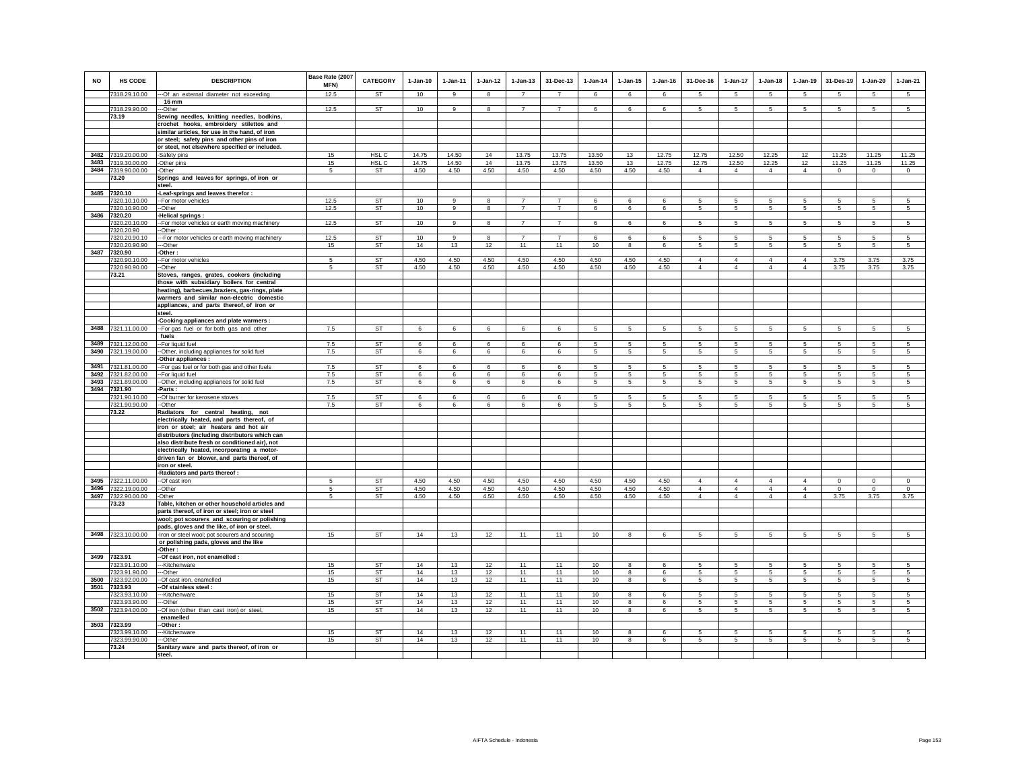| NO           | <b>HS CODE</b>                 | <b>DESCRIPTION</b>                                                                               | Base Rate (2007<br>MFN) | CATEGORY                  | $1-Jan-10$             | $1 - Jan-11$   | $1 - Jan-12$ | $1 - Jan-13$                     | 31-Dec-13                        | $1 - Jan-14$     | $1 - Jan-15$         | $1 - Jan-16$        | 31-Dec-16           | $1 - Jan-17$        | $1 - Jan-18$    | $1-Jan-19$          | 31-Des-19       | $1 - Jan-20$    | 1-Jan-21            |
|--------------|--------------------------------|--------------------------------------------------------------------------------------------------|-------------------------|---------------------------|------------------------|----------------|--------------|----------------------------------|----------------------------------|------------------|----------------------|---------------------|---------------------|---------------------|-----------------|---------------------|-----------------|-----------------|---------------------|
|              | 7318.29.10.00                  | -- Of an external diameter not exceeding                                                         | 12.5                    | <b>ST</b>                 | 10                     | $\alpha$       | $\mathbf{R}$ | $\overline{7}$                   | $\overline{7}$                   | 6                | -6                   | $\epsilon$          | 5                   | -5                  | 5               | 5                   | -5              | -5              | 5                   |
|              | 7318.29.90.00                  | 16 mm<br>--Other                                                                                 | 12.5                    | ST                        | 10 <sup>10</sup>       | 9              | 8            | $\overline{7}$                   | $\overline{7}$                   | 6                | 6                    | 6                   | 5                   | 5                   | 5               | 5                   | -5              | 5               | 5                   |
|              | 73.19                          | Sewing needles, knitting needles, bodkins,                                                       |                         |                           |                        |                |              |                                  |                                  |                  |                      |                     |                     |                     |                 |                     |                 |                 |                     |
|              |                                | crochet hooks, embroidery stilettos and                                                          |                         |                           |                        |                |              |                                  |                                  |                  |                      |                     |                     |                     |                 |                     |                 |                 |                     |
|              |                                | similar articles, for use in the hand, of iron                                                   |                         |                           |                        |                |              |                                  |                                  |                  |                      |                     |                     |                     |                 |                     |                 |                 |                     |
|              |                                | or steel; safety pins and other pins of iron                                                     |                         |                           |                        |                |              |                                  |                                  |                  |                      |                     |                     |                     |                 |                     |                 |                 |                     |
|              |                                | or steel, not elsewhere specified or included.                                                   |                         |                           |                        |                |              |                                  |                                  |                  |                      |                     |                     |                     |                 |                     |                 |                 |                     |
| 3482<br>3483 | 7319.20.00.00<br>7319.30.00.00 | -Safety pins<br>-Other pins                                                                      | 15<br>15                | HSL C<br>HSL <sub>C</sub> | 14.75<br>14.75         | 14.50<br>14.50 | 14<br>14     | 13.75<br>13.75                   | 13.75<br>13.75                   | 13.50<br>13.50   | 13<br>13             | 12.75<br>12.75      | 12.75<br>12.75      | 12.50<br>12.50      | 12.25<br>12.25  | 12<br>12            | 11.25<br>11.25  | 11.25<br>11.25  | 11.25<br>11.25      |
| 3484         | 7319.90.00.00                  | -Other                                                                                           | 5                       | ST                        | 4.50                   | 4.50           | 4.50         | 4.50                             | 4.50                             | 4.50             | 4.50                 | 4.50                | $\overline{4}$      | $\overline{4}$      | $\overline{4}$  | $\overline{4}$      | $\circ$         | $\circ$         | $\circ$             |
|              | 73.20                          | Springs and leaves for springs, of iron or                                                       |                         |                           |                        |                |              |                                  |                                  |                  |                      |                     |                     |                     |                 |                     |                 |                 |                     |
|              |                                | steel.                                                                                           |                         |                           |                        |                |              |                                  |                                  |                  |                      |                     |                     |                     |                 |                     |                 |                 |                     |
|              | 3485 7320.10                   | -Leaf-springs and leaves therefor :                                                              |                         |                           |                        |                |              |                                  |                                  |                  |                      |                     |                     |                     |                 |                     |                 |                 |                     |
|              | 7320.10.10.00<br>7320.10.90.00 | -- For motor vehicles<br>--Other                                                                 | 12.5<br>12.5            | <b>ST</b><br><b>ST</b>    | 10<br>10 <sup>10</sup> | 9<br>9         | 8<br>8       | $\overline{7}$<br>$\overline{7}$ | $\overline{7}$<br>$\overline{7}$ | 6<br>6           | 6<br>6               | 6<br>6              | 5<br>5              | 5<br>5              | 5<br>5          | 5<br>5              | -5<br>5         | 5<br>5          | 5<br>5              |
| 3486         | 7320.20                        | -Helical springs :                                                                               |                         |                           |                        |                |              |                                  |                                  |                  |                      |                     |                     |                     |                 |                     |                 |                 |                     |
|              | 7320.20.10.00                  | -For motor vehicles or earth moving machinery                                                    | 12.5                    | <b>ST</b>                 | 10                     | 9              | 8            | $\overline{7}$                   | $\overline{7}$                   | 6                | 6                    | 6                   | $5\overline{5}$     | $5\overline{5}$     | 5               | $5\overline{5}$     | 5               | $5\overline{5}$ | $5\overline{5}$     |
|              | 7320.20.90                     | -Other:                                                                                          |                         |                           |                        |                |              |                                  |                                  |                  |                      |                     |                     |                     |                 |                     |                 |                 |                     |
|              | 7320.20.90.10                  | -For motor vehicles or earth moving machinery                                                    | 12.5                    | <b>ST</b>                 | 10                     | 9              | 8            | $\overline{7}$                   | $\overline{7}$                   | 6                | 6                    | 6                   | 5                   | 5                   | 5               | 5                   | -5              | 5               | 5                   |
|              | 7320.20.90.90<br>3487 7320.90  | --Other<br>-Other :                                                                              | 15                      | <b>ST</b>                 | 14                     | 13             | 12           | 11                               | 11                               | 10               | 8                    | 6                   | 5                   | 5                   | 5               | 5                   | 5               | 5               | $5\phantom{.0}$     |
|              | 7320.90.10.00                  | -- For motor vehicles                                                                            | $\sqrt{5}$              | ST                        | 4.50                   | 4.50           | 4.50         | 4.50                             | 4.50                             | 4.50             | 4.50                 | 4.50                | $\overline{4}$      | $\overline{4}$      | $\overline{4}$  | $\overline{4}$      | 3.75            | 3.75            | 3.75                |
|              | 7320.90.90.00                  | -Other                                                                                           | 5                       | ST                        | 4.50                   | 4.50           | 4.50         | 4.50                             | 4.50                             | 4.50             | 4.50                 | 4.50                | $\overline{4}$      | $\overline{4}$      | $\overline{4}$  | $\overline{4}$      | 3.75            | 3.75            | 3.75                |
|              | 73.21                          | Stoves, ranges, grates, cookers (including                                                       |                         |                           |                        |                |              |                                  |                                  |                  |                      |                     |                     |                     |                 |                     |                 |                 |                     |
|              |                                | those with subsidiary boilers for central                                                        |                         |                           |                        |                |              |                                  |                                  |                  |                      |                     |                     |                     |                 |                     |                 |                 |                     |
|              |                                | heating), barbecues, braziers, gas-rings, plate<br>warmers and similar non-electric domestic     |                         |                           |                        |                |              |                                  |                                  |                  |                      |                     |                     |                     |                 |                     |                 |                 |                     |
|              |                                | appliances, and parts thereof, of iron or                                                        |                         |                           |                        |                |              |                                  |                                  |                  |                      |                     |                     |                     |                 |                     |                 |                 |                     |
|              |                                | steel.                                                                                           |                         |                           |                        |                |              |                                  |                                  |                  |                      |                     |                     |                     |                 |                     |                 |                 |                     |
|              |                                | Cooking appliances and plate warmers :                                                           |                         |                           |                        |                |              |                                  |                                  |                  |                      |                     |                     |                     |                 |                     |                 |                 |                     |
| 3488         | 7321.11.00.00                  | -For gas fuel or for both gas and other<br>fuels                                                 | 7.5                     | ST                        | 6                      | 6              | 6            | 6                                | 6                                | $\overline{5}$   | 5                    | 5                   | 5                   | 5                   | 5               | 5                   | $\sqrt{5}$      | 5               | 5                   |
| 3489         | 7321.12.00.00                  | -For liquid fuel                                                                                 | 7.5                     | ST                        | 6                      | 6              | 6            | 6                                | 6                                | 5                | 5                    | 5                   | 5                   | 5                   | 5               | 5                   | $\sqrt{5}$      | 5               | 5                   |
| 3490         | 7321.19.00.00                  | -Other, including appliances for solid fuel                                                      | 7.5                     | ST                        | 6                      | 6              | 6            | 6                                | 6                                | 5                | 5                    | 5                   | 5                   | 5                   | 5               | 5                   | 5               | 5               | 5                   |
|              |                                | -Other appliances :                                                                              |                         |                           |                        |                |              |                                  |                                  |                  |                      |                     |                     |                     |                 |                     |                 |                 |                     |
| 3491         | 7321.81.00.00                  | -For gas fuel or for both gas and other fuels                                                    | 7.5                     | ST                        | 6                      | 6              | 6            | 6                                | 6                                | 5                | 5                    | 5                   | 5                   | 5                   | 5               | 5                   | 5               | 5               | 5                   |
| 3492<br>3493 | 7321.82.00.00<br>7321.89.00.00 | -For liquid fuel                                                                                 | $7.5\,$<br>7.5          | ST<br>ST                  | 6<br>$\epsilon$        | 6<br>6         | 6<br>6       | 6<br>6                           | 6<br>6                           | 5<br>5           | 5<br>$5\overline{5}$ | 5<br>$\overline{5}$ | 5<br>5 <sup>1</sup> | $\overline{5}$<br>5 | 5<br>5          | 5<br>5 <sup>1</sup> | -5<br>5         | 5<br>5          | 5<br>5 <sup>1</sup> |
| 3494         | 7321.90                        | -Other, including appliances for solid fuel<br>Parts:                                            |                         |                           |                        |                |              |                                  |                                  |                  |                      |                     |                     |                     |                 |                     |                 |                 |                     |
|              | 7321.90.10.00                  | -- Of burner for kerosene stoves                                                                 | 7.5                     | ST                        | 6                      | 6              | 6            | 6                                | 6                                | 5                | 5                    | 5                   | 5                   | 5                   | 5               | 5                   | -5              | 5               | -5                  |
|              | 7321.90.90.00                  | --Other                                                                                          | 7.5                     | ST                        | 6                      | 6              | 6            | 6                                | 6                                | 5                | 5                    | 5                   | 5                   | $5\overline{5}$     | 5               | 5                   | $\sqrt{5}$      | 5               | $5\phantom{.0}$     |
|              | 73.22                          | Radiators for central heating, not                                                               |                         |                           |                        |                |              |                                  |                                  |                  |                      |                     |                     |                     |                 |                     |                 |                 |                     |
|              |                                | electrically heated, and parts thereof, of<br>iron or steel; air heaters and hot air             |                         |                           |                        |                |              |                                  |                                  |                  |                      |                     |                     |                     |                 |                     |                 |                 |                     |
|              |                                | distributors (including distributors which can                                                   |                         |                           |                        |                |              |                                  |                                  |                  |                      |                     |                     |                     |                 |                     |                 |                 |                     |
|              |                                | also distribute fresh or conditioned air), not                                                   |                         |                           |                        |                |              |                                  |                                  |                  |                      |                     |                     |                     |                 |                     |                 |                 |                     |
|              |                                | electrically heated, incorporating a motor-                                                      |                         |                           |                        |                |              |                                  |                                  |                  |                      |                     |                     |                     |                 |                     |                 |                 |                     |
|              |                                | driven fan or blower, and parts thereof, of                                                      |                         |                           |                        |                |              |                                  |                                  |                  |                      |                     |                     |                     |                 |                     |                 |                 |                     |
|              |                                | iron or steel.<br>-Radiators and parts thereof :                                                 |                         |                           |                        |                |              |                                  |                                  |                  |                      |                     |                     |                     |                 |                     |                 |                 |                     |
| 3495         | 7322.11.00.00                  | --Of cast iron                                                                                   | $\overline{5}$          | ST                        | 4.50                   | 4.50           | 4.50         | 4.50                             | 4.50                             | 4.50             | 4.50                 | 4.50                | $\overline{4}$      | $\mathbf{A}$        | $\overline{4}$  | $\Delta$            | $\,$ 0          | $\Omega$        | $\mathsf 0$         |
| 3496         | 7322.19.00.00                  | --Other                                                                                          | 5                       | ST                        | 4.50                   | 4.50           | 4.50         | 4.50                             | 4.50                             | 4.50             | 4.50                 | 4.50                | $\overline{4}$      | $\overline{4}$      | $\overline{4}$  | $\Delta$            | $\mathbf 0$     | $\mathbf 0$     | $\circ$             |
|              | 3497 7322.90.00.00             | -Other                                                                                           | 5                       | ST                        | 4.50                   | 4.50           | 4.50         | 4.50                             | 4.50                             | 4.50             | 4.50                 | 4.50                | $\Delta$            | $\Delta$            | $\Delta$        | $\Delta$            | 3.75            | 3.75            | 3.75                |
|              | 73.23                          | Table, kitchen or other household articles and<br>parts thereof, of iron or steel; iron or steel |                         |                           |                        |                |              |                                  |                                  |                  |                      |                     |                     |                     |                 |                     |                 |                 |                     |
|              |                                | wool; pot scourers and scouring or polishing                                                     |                         |                           |                        |                |              |                                  |                                  |                  |                      |                     |                     |                     |                 |                     |                 |                 |                     |
|              |                                | pads, gloves and the like, of iron or steel.                                                     |                         |                           |                        |                |              |                                  |                                  |                  |                      |                     |                     |                     |                 |                     |                 |                 |                     |
|              | 3498 7323.10.00.00             | -Iron or steel wool; pot scourers and scouring                                                   | 15                      | <b>ST</b>                 | 14                     | 13             | 12           | 11                               | 11                               | 10               | 8                    | 6                   | 5                   | 5                   | 5               | 5                   | 5               | 5               | 5                   |
|              |                                | or polishing pads, gloves and the like                                                           |                         |                           |                        |                |              |                                  |                                  |                  |                      |                     |                     |                     |                 |                     |                 |                 |                     |
|              | 3499 7323.91                   | -Other :<br>-Of cast iron, not enamelled :                                                       |                         |                           |                        |                |              |                                  |                                  |                  |                      |                     |                     |                     |                 |                     |                 |                 |                     |
|              | 323.91.10.00                   | --Kitchenware                                                                                    | 15                      | <b>ST</b>                 | 14                     | 13             | 12           | 11                               | 11                               | 10               | 8                    | 6                   | 5                   | 5                   | 5               | 5                   | 5               | 5               | 5                   |
|              | 7323.91.90.00                  | -Other                                                                                           | 15                      | ST                        | 14                     | 13             | 12           | 11                               | 11                               | 10               | 8                    | 6                   | 5                   | 5                   | 5               | 5                   | 5               | 5               | $5\overline{5}$     |
| 3500         | 7323.92.00.00                  | -Of cast iron, enamelled                                                                         | 15                      | ST                        | 14                     | 13             | 12           | 11                               | 11                               | 10               | $\bf8$               | 6                   | $5\phantom{.0}$     | $\overline{5}$      | $5\overline{)}$ | $5\phantom{.0}$     | $5\overline{)}$ | $\overline{5}$  | $\overline{5}$      |
| 3501         | 7323.93<br>7323.93.10.00       | -Of stainless steel :<br>--Kitchenware                                                           | 15                      | <b>ST</b>                 | 14                     | 13             | 12           | 11                               | 11                               | 10 <sup>10</sup> | 8                    | 6                   | 5                   | 5                   | 5               | 5                   | 5               | 5               | 5                   |
|              | 7323.93.90.00                  | --Other                                                                                          | 15                      | ST                        | 14                     | 13             | 12           | 11                               | 11                               | 10               | 8                    | 6                   | 5                   | 5                   | 5               | 5                   | -5              | 5               | $5\overline{5}$     |
| 3502         | 7323.94.00.00                  | -Of iron (other than cast iron) or steel,                                                        | 15                      | ST                        | 14                     | 13             | 12           | 11                               | 11                               | 10               | 8                    | 6                   | 5                   | 5                   | 5               | 5                   | $\sqrt{5}$      | 5               | 5                   |
|              |                                | enamelled                                                                                        |                         |                           |                        |                |              |                                  |                                  |                  |                      |                     |                     |                     |                 |                     |                 |                 |                     |
|              | 3503 7323.99<br>7323.99.10.00  | -Other:<br>--Kitchenware                                                                         | 15                      | <b>ST</b>                 | 14                     | 13             | 12           | 11                               | 11                               | 10               | 8                    | -6                  | 5                   | 5                   | 5               | 5                   | -5              | 5               | 5                   |
|              | 7323.99.90.00                  | --Other                                                                                          | 15                      | <b>ST</b>                 | 14                     | 13             | 12           | 11                               | 11                               | 10               | 8                    | 6                   | 5                   | 5                   | 5               | 5                   | 5               | 5               | 5                   |
|              | 73.24                          | Sanitary ware and parts thereof, of iron or                                                      |                         |                           |                        |                |              |                                  |                                  |                  |                      |                     |                     |                     |                 |                     |                 |                 |                     |
|              |                                | steel.                                                                                           |                         |                           |                        |                |              |                                  |                                  |                  |                      |                     |                     |                     |                 |                     |                 |                 |                     |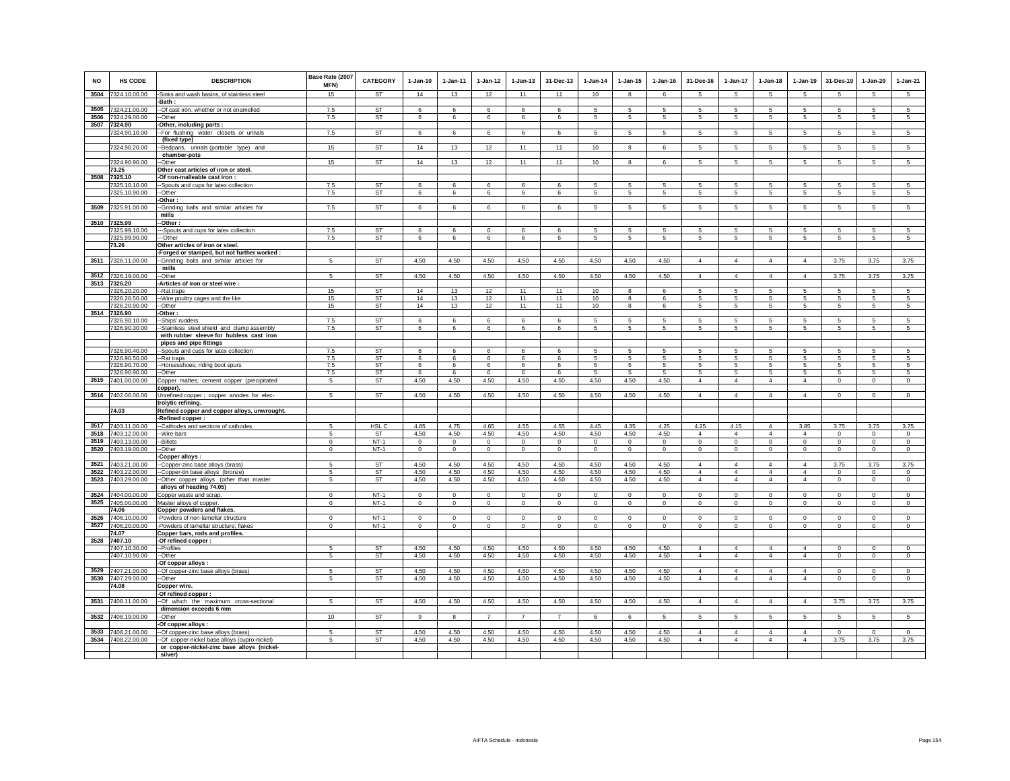| <b>NO</b>    | HS CODE                        | <b>DESCRIPTION</b>                                                                    | Base Rate (2007<br>MFN) | <b>CATEGORY</b> | $1-Jan-10$       | $1 - Jan-11$     | $1-Jan-12$       | $1-Jan-13$          | 31-Dec-13           | 1-Jan-14            | $1 - Jan-15$     | 1-Jan-16         | 31-Dec-16                        | 1-Jan-17                         | $1-Jan-18$                       | $1-Jan-19$                       | 31-Des-19                  | $1-Jan-20$                    | $1-Jan-21$                     |
|--------------|--------------------------------|---------------------------------------------------------------------------------------|-------------------------|-----------------|------------------|------------------|------------------|---------------------|---------------------|---------------------|------------------|------------------|----------------------------------|----------------------------------|----------------------------------|----------------------------------|----------------------------|-------------------------------|--------------------------------|
| 3504         | 7324.10.00.00                  | -Sinks and wash basins, of stainless steel                                            | 15                      | <b>ST</b>       | 14               | 13               | 12               | 11                  | 11                  | 10                  | 8                | 6                | 5                                | 5                                | 5                                | 5                                | 5                          | 5                             | 5                              |
| 3505         | 7324.21.00.00                  | -Bath :<br>-- Of cast iron, whether or not enamelled                                  | 7.5                     | <b>ST</b>       | 6                | 6                | 6                | 6                   | 6                   | 5                   | 5                | 5                | 5                                | 5                                | 5                                | 5                                | 5                          | 5                             | $\overline{5}$                 |
| 3506         | 7324.29.00.00                  | --Other                                                                               | 7.5                     | ST              | 6                | 6                | 6                | 6                   | $6\overline{6}$     | 5                   | 5                | 5                | 5                                | $5\phantom{.0}$                  | 5                                | 5                                | 5                          | 5                             | 5                              |
|              | 3507 7324.90                   | -Other, including parts :                                                             |                         |                 |                  |                  |                  |                     |                     |                     |                  |                  |                                  |                                  |                                  |                                  |                            |                               |                                |
|              | 7324.90.10.00                  | -- For flushing water closets or urinals<br>(fixed type)                              | 7.5                     | ST              | 6                | 6                | 6                | 6                   | 6                   | $\sqrt{5}$          | 5                | 5                | 5                                | 5                                | 5                                | 5                                |                            | 5                             | 5                              |
|              | 7324.90.20.00                  | -Bedpans, urinals (portable type) and<br>chamber-pots                                 | 15                      | <b>ST</b>       | 14               | 13               | 12               | 11                  | 11                  | 10                  | 8                | 6                | 5                                | 5                                | $5\overline{5}$                  | $5\overline{5}$                  | $\sqrt{5}$                 | 5                             | $5\overline{)}$                |
|              | 7324.90.90.00                  | Other                                                                                 | 15                      | <b>ST</b>       | 14               | 13               | 12               | 11                  | 11                  | 10                  | 8                | 6                | 5                                | 5                                | 5                                | 5                                | 5                          | 5                             | 5                              |
|              | 73.25                          | Other cast articles of iron or steel.                                                 |                         |                 |                  |                  |                  |                     |                     |                     |                  |                  |                                  |                                  |                                  |                                  |                            |                               |                                |
| 3508         | 7325.10                        | -Of non-malleable cast iron :                                                         |                         |                 |                  |                  |                  |                     |                     |                     |                  |                  |                                  |                                  |                                  |                                  |                            |                               |                                |
|              | 7325.10.10.00<br>7325.10.90.00 | --Spouts and cups for latex collection<br>--Other                                     | 7.5<br>7.5              | ST<br>ST        | 6<br>6           | 6<br>6           | 6<br>6           | 6<br>6              | 6<br>6              | 5<br>$\overline{5}$ | 5<br>5           | -5<br>5          | 5<br>5                           | 5<br>5                           | 5<br>5                           | 5<br>5                           | -5<br>$\overline{5}$       | $\sqrt{5}$<br>5               | $\sqrt{5}$<br>5                |
|              |                                | -Other:                                                                               |                         |                 |                  |                  |                  |                     |                     |                     |                  |                  |                                  |                                  |                                  |                                  |                            |                               |                                |
| 3509         | 7325.91.00.00                  | -Grinding balls and similar articles for                                              | 7.5                     | ST              | 6                | 6                | 6                | 6                   | 6                   | 5                   | 5                | 5                | 5                                | 5                                | 5                                | $5\phantom{.0}$                  | 5                          | $\sqrt{5}$                    | 5                              |
|              |                                | mills                                                                                 |                         |                 |                  |                  |                  |                     |                     |                     |                  |                  |                                  |                                  |                                  |                                  |                            |                               |                                |
|              | 3510 7325.99<br>7325.99.10.00  | -Other:<br>--Spouts and cups for latex collection                                     | 7.5                     | <b>ST</b>       | 6                | -6               | 6                | 6                   | 6                   | -5                  | 5                | -5               | 5.                               | 5                                | 5                                | 5                                | -5                         | -5                            | 5                              |
|              | 7325.99.90.00                  | --Other                                                                               | 7.5                     | <b>ST</b>       | 6                | 6                | 6                | 6                   | 6                   | 5                   | 5                | 5                | 5                                | 5                                | 5                                | 5                                | 5                          | 5                             | 5                              |
|              | 73.26                          | Other articles of iron or steel.                                                      |                         |                 |                  |                  |                  |                     |                     |                     |                  |                  |                                  |                                  |                                  |                                  |                            |                               |                                |
|              |                                | -Forged or stamped, but not further worked :                                          |                         |                 |                  |                  |                  |                     |                     |                     |                  |                  |                                  |                                  |                                  |                                  |                            |                               |                                |
| 3511         | 7326.11.00.00                  | --Grinding balls and similar articles for                                             | -5                      | ST              | 4.50             | 4.50             | 4.50             | 4.50                | 4.50                | 4.50                | 4.50             | 4.50             | $\Delta$                         | $\overline{4}$                   | $\Delta$                         | $\overline{4}$                   | 3.75                       | 3.75                          | 3.75                           |
|              | 3512 7326.19.00.00             | mills<br>-Other                                                                       | 5                       | <b>ST</b>       | 4.50             | 4.50             | 4.50             | 4.50                | 4.50                | 4.50                | 4.50             | 4.50             | $\Delta$                         | $\overline{4}$                   | $\Delta$                         | $\Delta$                         | 3.75                       | 3.75                          | 3.75                           |
| 3513         | 7326.20                        | -Articles of iron or steel wire :                                                     |                         |                 |                  |                  |                  |                     |                     |                     |                  |                  |                                  |                                  |                                  |                                  |                            |                               |                                |
|              | 7326.20.20.00                  | --Rat traps                                                                           | 15                      | <b>ST</b>       | 14               | 13               | 12               | 11                  | 11                  | 10 <sup>1</sup>     | 8                | 6                | 5                                | 5                                | 5                                | -5                               | -5                         | 5                             | -5                             |
|              | 7326.20.50.00                  | --Wire poultry cages and the like                                                     | 15                      | ST              | 14               | 13               | 12               | 11                  | 11                  | 10                  | 8                | 6                | 5                                | 5                                | 5                                | 5                                | 5                          | 5                             | 5                              |
| 3514         | 7326.20.90.00<br>7326.90       | -Other<br>Other:                                                                      | 15                      | <b>ST</b>       | 14               | 13               | 12               | 11                  | 11                  | 10                  | 8                | 6                | 5                                | $\,$ 5 $\,$                      | $5\phantom{.0}$                  | $5\phantom{.0}$                  | $\sqrt{5}$                 | $\sqrt{5}$                    | $\,$ 5 $\,$                    |
|              | 7326.90.10.00                  | -Ships' rudders                                                                       | 7.5                     | ST              | 6                | 6                | 6                | 6                   | 6                   | 5                   | 5                | 5                | 5                                | 5                                | 5                                | 5                                | 5                          | 5                             | 5                              |
|              | 7326.90.30.00                  | -Stainless steel shield and clamp assembly                                            | 7.5                     | ST              | 6                | 6                | 6                | 6                   | 6                   | 5                   | 5                | -5               | 5                                | 5                                | 5                                | $5\overline{5}$                  | -5                         | 5                             | 5                              |
|              |                                | with rubber sleeve for hubless cast iron                                              |                         |                 |                  |                  |                  |                     |                     |                     |                  |                  |                                  |                                  |                                  |                                  |                            |                               |                                |
|              | 7326.90.40.00                  | pipes and pipe fittings<br>--Spouts and cups for latex collection                     | 7.5                     | ST              | 6                | 6                | 6                | 6                   | 6                   | 5                   | 5                | 5                | 5                                | 5                                | 5                                | 5                                | 5                          | 5                             | 5                              |
|              | 7326.90.50.00                  | --Rat traps                                                                           | 7.5                     | ST              | 6                | 6                | 6                | 6                   | 6                   | 5                   | 5                | 5                | 5                                | 5                                | 5                                | 5                                | 5                          | 5                             | 5                              |
|              | 7326.90.70.00                  | -Horsesshoes; riding boot spurs                                                       | 7.5                     | <b>ST</b>       | 6                | 6                | 6                | 6                   | 6                   | $\sqrt{5}$          | 5                | 5                | 5                                | 5                                | 5                                | 5                                | 5                          | $\sqrt{5}$                    | $\sqrt{5}$                     |
|              | 7326.90.90.00                  | -Other                                                                                | 7.5                     | ST              | 6                | 6                | 6                | 6                   | 6                   | -5                  | -5               | -5               | 5                                | $5\overline{5}$                  | 5                                | 5                                | -5                         | 5                             | 5                              |
| 3515         | 7401.00.00.00                  | Copper mattes; cement copper (precipitated<br>copper).                                | 5                       | <b>ST</b>       | 4.50             | 4.50             | 4.50             | 4.50                | 4.50                | 4.50                | 4.50             | 4.50             | $\overline{4}$                   | $\overline{4}$                   | $\overline{4}$                   | $\overline{4}$                   | $\mathbf 0$                | $\mathbf 0$                   | $\mathbf 0$                    |
|              | 3516 7402.00.00.00             | Unrefined copper ; copper anodes for elec-<br>trolytic refining.                      | 5                       | <b>ST</b>       | 4.50             | 4.50             | 4.50             | 4.50                | 4.50                | 4.50                | 4.50             | 4.50             | 4                                | $\overline{4}$                   | $\overline{4}$                   | $\overline{4}$                   | $\mathbf 0$                | $\mathbf 0$                   | $\mathbf 0$                    |
|              | 74.03                          | Refined copper and copper alloys, unwrought.                                          |                         |                 |                  |                  |                  |                     |                     |                     |                  |                  |                                  |                                  |                                  |                                  |                            |                               |                                |
|              |                                | -Refined copper:                                                                      |                         |                 |                  |                  |                  |                     |                     |                     |                  |                  |                                  |                                  |                                  |                                  |                            |                               |                                |
| 3517         | 7403.11.00.00                  | --Cathodes and sections of cathodes                                                   | 5                       | HSL C           | 4.85             | 4.75             | 4.65             | 4.55                | 4.55                | 4.45                | 4.35             | 4.25             | 4.25                             | 4.15<br>$\overline{4}$           | $\overline{4}$                   | 3.85<br>$\overline{4}$           | 3.75                       | 3.75<br>$\mathbf 0$           | 3.75                           |
| 3518<br>3519 | 7403.12.00.00<br>7403.13.00.00 | -Wire-bars<br>-Billets                                                                | 5<br>$\Omega$           | ST<br>$NT-1$    | 4.50<br>$\Omega$ | 4.50<br>$\Omega$ | 4.50<br>$\Omega$ | 4.50<br>$\mathbf 0$ | 4.50<br>$\mathbf 0$ | 4.50<br>$\Omega$    | 4.50<br>$\Omega$ | 4.50<br>$\Omega$ | $\overline{4}$<br>$\Omega$       | $\Omega$                         | $\overline{4}$<br>$\mathbf 0$    | $\mathbf 0$                      | $\mathbf 0$<br>$\Omega$    | $^{\circ}$                    | $\mathbf 0$<br>$\mathbf 0$     |
| 3520         | 7403.19.00.00                  | -Other                                                                                | $^{\circ}$              | $NT-1$          | $\mathbf 0$      | $\mathbf 0$      | $\mathbf 0$      | $\mathbf 0$         | $^{\circ}$          | $^{\circ}$          | $\mathbf 0$      | $\mathbf 0$      | $\mathbf 0$                      | $\mathbf 0$                      | $\mathbf 0$                      | $\mathbf 0$                      | $\mathbf 0$                | $\mathbf 0$                   | $\mathbf 0$                    |
|              |                                | Copper alloys :                                                                       |                         |                 |                  |                  |                  |                     |                     |                     |                  |                  |                                  |                                  |                                  |                                  |                            |                               |                                |
|              | 3521 7403.21.00.00             | -Copper-zinc base alloys (brass)                                                      | 5                       | ST              | 4.50             | 4.50             | 4.50             | 4.50                | 4.50                | 4.50                | 4.50             | 4.50             | $\overline{4}$                   | $\overline{4}$                   | $\overline{4}$                   | $\overline{4}$                   | 3.75                       | 3.75                          | 3.75                           |
| 3522<br>3523 | 7403.22.00.00<br>7403.29.00.00 | -Copper-tin base alloys (bronze)<br>-Other copper alloys (other than master           | 5<br>5                  | ST<br><b>ST</b> | 4.50<br>4.50     | 4.50<br>4.50     | 4.50<br>4.50     | 4.50<br>4.50        | 4.50<br>4.50        | 4.50<br>4.50        | 4.50<br>4.50     | 4.50<br>4.50     | $\overline{4}$<br>$\overline{4}$ | $\overline{4}$<br>$\overline{4}$ | $\overline{4}$<br>$\overline{4}$ | $\overline{4}$<br>$\overline{4}$ | $^{\circ}$<br>$\mathbb O$  | $\mathbf 0$<br>$\overline{0}$ | $\mathbf{0}$<br>$\overline{0}$ |
|              |                                | alloys of heading 74.05)                                                              |                         |                 |                  |                  |                  |                     |                     |                     |                  |                  |                                  |                                  |                                  |                                  |                            |                               |                                |
| 3524         | 7404.00.00.00                  | Copper waste and scrap.                                                               | $\mathbf 0$             | $NT-1$          | $\mathbf 0$      | $\mathbf 0$      | $\mathbf 0$      | $\mathbf 0$         | $\mathbf 0$         | $\mathbf 0$         | $\mathbf 0$      | $\mathbf 0$      | $\mathbf 0$                      | $\mathbf 0$                      | $\mathbf 0$                      | $\mathbf 0$                      | $\mathbf 0$                | $^{\circ}$                    | $\circ$                        |
| 3525         | 7405.00.00.00                  | Master alloys of copper.                                                              | $\,0\,$                 | $NT-1$          | $\mathbf 0$      | $\mathbf 0$      | $\mathbf 0$      | $\mathbf 0$         | $\mathbf 0$         | $\,0\,$             | 0                | $\mathbf 0$      | $\mathbf 0$                      | $\mathbf 0$                      | $\mathbf 0$                      | $\mathbf 0$                      | $\mathbf 0$                | $^{\circ}$                    | $\mathbf 0$                    |
| 3526         | 74.06<br>7406.10.00.00         | Copper powders and flakes.<br>-Powders of non-lamellar structure                      | $^{\circ}$              | $NT-1$          | $\mathbf{0}$     | $\mathbf 0$      | $\mathbf 0$      | $\mathbf 0$         | $\,0\,$             | $^{\circ}$          | $\mathbf 0$      | $\mathbf 0$      | 0                                | $\,0\,$                          | $\mathbf 0$                      | $\mathbf 0$                      | $\mathbf 0$                | $\,0\,$                       | $\mathbf 0$                    |
| 3527         | 7406.20.00.00                  | -Powders of lamellar structure; flakes                                                | $\mathbf 0$             | $NT-1$          | $\circ$          | $\mathbf 0$      | $\mathbf 0$      | $\mathsf 0$         | $\mathsf 0$         | $\mathbf 0$         | $\mathbf 0$      | $\mathbf 0$      | $\mathbf 0$                      | $\mathbf 0$                      | $\mathbf 0$                      | $\mathbf 0$                      | $\mathbf 0$                | $\mathbf 0$                   | $\mathbf 0$                    |
|              | 74.07                          | Copper bars, rods and profiles.                                                       |                         |                 |                  |                  |                  |                     |                     |                     |                  |                  |                                  |                                  |                                  |                                  |                            |                               |                                |
| 3528         | 7407.10                        | -Of refined copper :                                                                  |                         |                 |                  |                  |                  |                     |                     |                     |                  |                  |                                  |                                  |                                  |                                  |                            |                               |                                |
|              | 7407.10.30.00<br>7407.10.90.00 | --Profiles<br>--Other                                                                 | 5<br>5                  | <b>ST</b><br>ST | 4.50<br>4.50     | 4.50<br>4.50     | 4.50<br>4.50     | 4.50<br>4.50        | 4.50<br>4.50        | 4.50<br>4.50        | 4.50<br>4.50     | 4.50<br>4.50     | 4<br>$\overline{4}$              | $\overline{4}$<br>$\overline{4}$ | $\overline{4}$<br>$\overline{4}$ | $\overline{4}$<br>$\overline{4}$ | $\mathbf 0$<br>$\mathbf 0$ | $\circ$<br>$\circ$            | $\mathbf 0$<br>$\circ$         |
|              |                                | -Of copper alloys :                                                                   |                         |                 |                  |                  |                  |                     |                     |                     |                  |                  |                                  |                                  |                                  |                                  |                            |                               |                                |
|              | 3529 7407.21.00.00             | -Of copper-zinc base alloys (brass)                                                   | 5                       | ST              | 4.50             | 4.50             | 4.50             | 4.50                | 4.50                | 4.50                | 4.50             | 4.50             | $\overline{4}$                   | $\overline{4}$                   | $\overline{4}$                   | $\overline{4}$                   | $^{\circ}$                 | $\mathbf 0$                   | $^{\circ}$                     |
| 3530         | 7407.29.00.00                  | --Other                                                                               | 5                       | <b>ST</b>       | 4.50             | 4.50             | 4.50             | 4.50                | 4.50                | 4.50                | 4.50             | 4.50             | $\overline{4}$                   | $\overline{4}$                   | $\overline{4}$                   | $\overline{4}$                   | $^{\circ}$                 | $\mathbf 0$                   | $\mathbf 0$                    |
|              | 74.08                          | Copper wire.<br>Of refined copper:                                                    |                         |                 |                  |                  |                  |                     |                     |                     |                  |                  |                                  |                                  |                                  |                                  |                            |                               |                                |
| 3531         | 7408.11.00.00                  | --Of which the maximum cross-sectional                                                | 5                       | ST              | 4.50             | 4.50             | 4.50             | 4.50                | 4.50                | 4.50                | 4.50             | 4.50             | $\overline{4}$                   | $\overline{4}$                   | $\overline{4}$                   | $\overline{4}$                   | 3.75                       | 3.75                          | 3.75                           |
|              |                                | dimension exceeds 6 mm                                                                |                         |                 |                  |                  |                  |                     |                     |                     |                  |                  |                                  |                                  |                                  |                                  |                            |                               |                                |
| 3532         | 7408.19.00.00                  | -Other                                                                                | 10                      | ST              | 9                | 8                | $\overline{7}$   | $\overline{7}$      | $\overline{7}$      | 6                   | 6                | 5                | 5                                | $\,$ 5 $\,$                      | 5                                | 5                                | 5                          | 5                             | 5                              |
| 3533         |                                | -Of copper alloys :                                                                   |                         | <b>ST</b>       | 4.50             |                  |                  |                     | 4.50                |                     | 4.50             | 4.50             |                                  |                                  | $\overline{4}$                   |                                  |                            |                               | $\Omega$                       |
| 3534         | 7408.21.00.00<br>7408.22.00.00 | -- Of copper-zinc base alloys (brass)<br>-Of copper-nickel base alloys (cupro-nickel) | -5<br>5                 | ST              | 4.50             | 4.50<br>4.50     | 4.50<br>4.50     | 4.50<br>4.50        | 4.50                | 4.50<br>4.50        | 4.50             | 4.50             | 4<br>$\overline{4}$              | $\overline{4}$<br>$\overline{4}$ | $\overline{4}$                   | $\overline{4}$<br>$\overline{4}$ | $\Omega$<br>3.75           | $\Omega$<br>3.75              | 3.75                           |
|              |                                | or copper-nickel-zinc base alloys (nickel-                                            |                         |                 |                  |                  |                  |                     |                     |                     |                  |                  |                                  |                                  |                                  |                                  |                            |                               |                                |
|              |                                | silver)                                                                               |                         |                 |                  |                  |                  |                     |                     |                     |                  |                  |                                  |                                  |                                  |                                  |                            |                               |                                |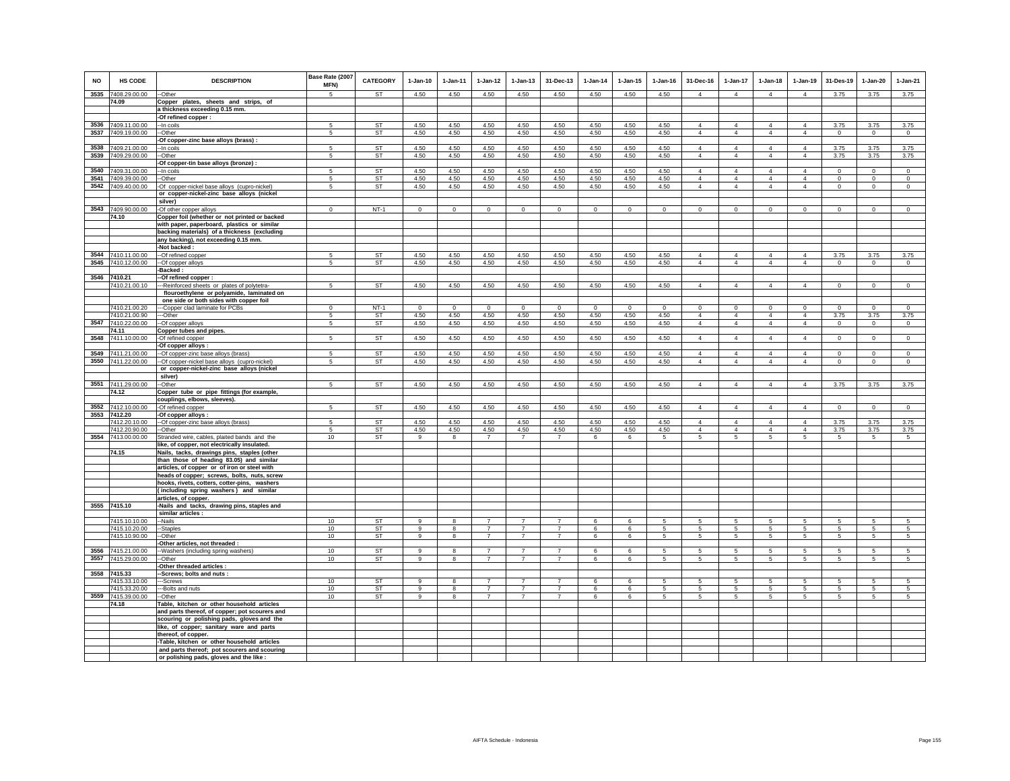| <b>NO</b> | <b>HS CODE</b>                           | <b>DESCRIPTION</b>                                                                           | Base Rate (2007<br>MFN) | <b>CATEGORY</b>        | $1-Jan-10$       | $1-Jan-11$   | $1-Jan-12$                       | $1-Jan-13$                       | 31-Dec-13                        | $1-Jan-14$   | $1-Jan-15$   | $1-Jan-16$      | 31-Dec-16                        | 1-Jan-17                         | $1-Jan-18$                       | $1-Jan-19$                       | 31-Des-19       | $1-Jan-20$       | $1-Jan-21$     |
|-----------|------------------------------------------|----------------------------------------------------------------------------------------------|-------------------------|------------------------|------------------|--------------|----------------------------------|----------------------------------|----------------------------------|--------------|--------------|-----------------|----------------------------------|----------------------------------|----------------------------------|----------------------------------|-----------------|------------------|----------------|
|           | 3535 7408.29.00.00                       | --Other                                                                                      | 5                       | <b>ST</b>              | 4.50             | 4.50         | 4.50                             | 4.50                             | 4.50                             | 4.50         | 4.50         | 4.50            | $\overline{4}$                   | $\overline{4}$                   | $\overline{4}$                   | $\overline{4}$                   | 3.75            | 3.75             | 3.75           |
|           | 74.09                                    | Copper plates, sheets and strips, of                                                         |                         |                        |                  |              |                                  |                                  |                                  |              |              |                 |                                  |                                  |                                  |                                  |                 |                  |                |
|           |                                          | a thickness exceeding 0.15 mm.<br>-Of refined copper :                                       |                         |                        |                  |              |                                  |                                  |                                  |              |              |                 |                                  |                                  |                                  |                                  |                 |                  |                |
|           | 3536 7409.11.00.00                       | -- In coils                                                                                  | 5                       | ST                     | 4.50             | 4.50         | 4.50                             | 4.50                             | 4.50                             | 4.50         | 4.50         | 4.50            | $\overline{4}$                   | $\overline{4}$                   | 4                                | $\overline{4}$                   | 3.75            | 3.75             | 3.75           |
|           | 3537 7409.19.00.00                       | --Other                                                                                      | 5                       | ST                     | 4.50             | 4.50         | 4.50                             | 4.50                             | 4.50                             | 4.50         | 4.50         | 4.50            | $\overline{4}$                   | $\overline{4}$                   | $\overline{4}$                   | $\overline{4}$                   | $\Omega$        | $\mathbf 0$      | $\mathbf 0$    |
|           |                                          | -Of copper-zinc base alloys (brass) :                                                        |                         |                        |                  |              |                                  |                                  |                                  |              |              |                 |                                  |                                  |                                  |                                  |                 |                  |                |
|           | 3538 7409.21.00.00<br>3539 7409.29.00.00 | -- In coils<br>-Other                                                                        | 5<br>5                  | <b>ST</b><br><b>ST</b> | 4.50<br>4.50     | 4.50<br>4.50 | 4.50<br>4.50                     | 4.50<br>4.50                     | 4.50<br>4.50                     | 4.50<br>4.50 | 4.50<br>4.50 | 4.50<br>4.50    | $\overline{4}$<br>$\overline{4}$ | $\overline{4}$<br>$\overline{4}$ | $\overline{4}$<br>$\overline{4}$ | $\overline{4}$<br>$\overline{4}$ | 3.75<br>3.75    | 3.75<br>3.75     | 3.75<br>3.75   |
|           |                                          | Of copper-tin base alloys (bronze) :                                                         |                         |                        |                  |              |                                  |                                  |                                  |              |              |                 |                                  |                                  |                                  |                                  |                 |                  |                |
| 3540      | 7409.31.00.00                            | -In coils                                                                                    | 5                       | <b>ST</b>              | 4.50             | 4.50         | 4.50                             | 4.50                             | 4.50                             | 4.50         | 4.50         | 4.50            | $\overline{4}$                   | $\overline{4}$                   | $\overline{4}$                   | $\overline{4}$                   | $\mathbf 0$     | $\mathbf{0}$     | $\circ$        |
|           | 3541 7409.39.00.00                       | -Other                                                                                       | 5                       | <b>ST</b>              | 4.50             | 4.50         | 4.50                             | 4.50                             | 4.50                             | 4.50         | 4.50         | 4.50            | $\overline{4}$                   | $\overline{4}$                   | $\overline{4}$                   | $\overline{4}$                   | $\circ$         | $\mathbf 0$      | $\circ$        |
| 3542      | 7409.40.00.00                            | -Of copper-nickel base alloys (cupro-nickel)<br>or copper-nickel-zinc base alloys (nickel    | 5                       | ST                     | 4.50             | 4.50         | 4.50                             | 4.50                             | 4.50                             | 4.50         | 4.50         | 4.50            | $\overline{4}$                   | $\overline{4}$                   | $\overline{4}$                   | $\overline{4}$                   | $\,0\,$         | $\mathbf 0$      | $\mathbf 0$    |
|           |                                          | silver)                                                                                      |                         |                        |                  |              |                                  |                                  |                                  |              |              |                 |                                  |                                  |                                  |                                  |                 |                  |                |
|           | 3543 7409.90.00.00                       | -Of other copper alloys                                                                      | $\mathbf{0}$            | $NT-1$                 | $\circ$          | $\circ$      | $\mathbf 0$                      | $\mathsf 0$                      | $\mathsf 0$                      | $\mathbf 0$  | $\mathsf 0$  | $\circ$         | $\Omega$                         | $\mathbf 0$                      | $\circ$                          | $\mathbf 0$                      | $\circ$         | $\mathbf{0}$     | $\overline{0}$ |
|           | 74.10                                    | Copper foil (whether or not printed or backed                                                |                         |                        |                  |              |                                  |                                  |                                  |              |              |                 |                                  |                                  |                                  |                                  |                 |                  |                |
|           |                                          | with paper, paperboard, plastics or similar<br>backing materials) of a thickness (excluding  |                         |                        |                  |              |                                  |                                  |                                  |              |              |                 |                                  |                                  |                                  |                                  |                 |                  |                |
|           |                                          | any backing), not exceeding 0.15 mm.                                                         |                         |                        |                  |              |                                  |                                  |                                  |              |              |                 |                                  |                                  |                                  |                                  |                 |                  |                |
|           |                                          | -Not backed :                                                                                |                         |                        |                  |              |                                  |                                  |                                  |              |              |                 |                                  |                                  |                                  |                                  |                 |                  |                |
|           | 3544 7410.11.00.00                       | --Of refined copper                                                                          | 5                       | ST                     | 4.50             | 4.50         | 4.50                             | 4.50                             | 4.50                             | 4.50         | 4.50         | 4.50            | $\overline{4}$                   | $\overline{4}$                   | $\overline{4}$                   | $\overline{4}$                   | 3.75            | 3.75             | 3.75           |
|           | 3545 7410.12.00.00                       | --Of copper alloys<br>-Backed:                                                               | 5                       | <b>ST</b>              | 4.50             | 4.50         | 4.50                             | 4.50                             | 4.50                             | 4.50         | 4.50         | 4.50            | $\overline{4}$                   | $\overline{4}$                   | $\overline{4}$                   | $\overline{4}$                   | $\overline{0}$  | $\overline{0}$   | $\overline{0}$ |
|           | 3546 7410.21                             | -Of refined copper:                                                                          |                         |                        |                  |              |                                  |                                  |                                  |              |              |                 |                                  |                                  |                                  |                                  |                 |                  |                |
|           | 7410.21.00.10                            | -Reinforced sheets or plates of polytetra-                                                   | 5                       | <b>ST</b>              | 4.50             | 4.50         | 4.50                             | 4.50                             | 4.50                             | 4.50         | 4.50         | 4.50            | $\overline{4}$                   | $\overline{4}$                   | $\overline{4}$                   | $\overline{4}$                   | $\mathbf 0$     | $\mathsf 0$      | $\mathsf 0$    |
|           |                                          | flouroethylene or polyamide, laminated on                                                    |                         |                        |                  |              |                                  |                                  |                                  |              |              |                 |                                  |                                  |                                  |                                  |                 |                  |                |
|           | 7410.21.00.20                            | one side or both sides with copper foil<br>---Copper clad laminate for PCBs                  | $\Omega$                | $NT-1$                 | $\Omega$         | $\Omega$     | $\mathbf 0$                      | $\Omega$                         | $\mathbf 0$                      | $\Omega$     | $\Omega$     | $\Omega$        | $\mathsf 0$                      | $\overline{0}$                   | $\mathbf 0$                      | $\overline{0}$                   | $\mathbf 0$     | $\Omega$         | $\overline{0}$ |
|           | 7410.21.00.90                            | ---Other                                                                                     | 5                       | <b>ST</b>              | 4.50             | 4.50         | 4.50                             | 4.50                             | 4.50                             | 4.50         | 4.50         | 4.50            | $\overline{4}$                   | $\overline{4}$                   | $\overline{4}$                   | $\overline{4}$                   | 3.75            | 3.75             | 3.75           |
|           | 3547 7410.22.00.00                       | --Of copper alloys                                                                           | 5                       | ST                     | 4.50             | 4.50         | 4.50                             | 4.50                             | 4.50                             | 4.50         | 4.50         | 4.50            | $\overline{4}$                   | 4                                | $\overline{4}$                   | 4                                | $\mathbf 0$     | $\mathsf 0$      | $\mathbf 0$    |
|           | 74.11<br>3548 7411.10.00.00              | Copper tubes and pipes.<br>-Of refined copper                                                | $5\phantom{.0}$         | <b>ST</b>              | 4.50             | 4.50         | 4.50                             | 4.50                             | 4.50                             | 4.50         | 4.50         | 4.50            | $\overline{4}$                   | 4                                | $\overline{4}$                   | $\overline{4}$                   | $\overline{0}$  | $\circ$          | $\overline{0}$ |
|           |                                          | -Of copper alloys :                                                                          |                         |                        |                  |              |                                  |                                  |                                  |              |              |                 |                                  |                                  |                                  |                                  |                 |                  |                |
|           | 3549 7411.21.00.00                       | -Of copper-zinc base alloys (brass)                                                          | 5                       | <b>ST</b>              | 4.50             | 4.50         | 4.50                             | 4.50                             | 4.50                             | 4.50         | 4.50         | 4.50            | $\overline{4}$                   | $\overline{4}$                   | $\overline{4}$                   | $\overline{4}$                   | $\mathbf 0$     | $\circ$          | $\mathsf 0$    |
|           | 3550 7411.22.00.00                       | -Of copper-nickel base alloys (cupro-nickel)                                                 | 5                       | ST                     | 4.50             | 4.50         | 4.50                             | 4.50                             | 4.50                             | 4.50         | 4.50         | 4.50            | $\overline{4}$                   | $\overline{4}$                   | $\overline{4}$                   | $\overline{4}$                   | $\circ$         | $\circ$          | $\circ$        |
|           |                                          | or copper-nickel-zinc base alloys (nickel<br>silver)                                         |                         |                        |                  |              |                                  |                                  |                                  |              |              |                 |                                  |                                  |                                  |                                  |                 |                  |                |
| 3551      | 7411.29.00.00                            | --Other                                                                                      | 5                       | <b>ST</b>              | 4.50             | 4.50         | 4.50                             | 4.50                             | 4.50                             | 4.50         | 4.50         | 4.50            | $\overline{4}$                   | $\overline{4}$                   | $\overline{4}$                   | $\overline{4}$                   | 3.75            | 3.75             | 3.75           |
|           | 74.12                                    | Copper tube or pipe fittings (for example,                                                   |                         |                        |                  |              |                                  |                                  |                                  |              |              |                 |                                  |                                  |                                  |                                  |                 |                  |                |
|           | 3552 7412.10.00.00                       | couplings, elbows, sleeves).<br>-Of refined copper                                           | $\overline{5}$          | <b>ST</b>              | 4.50             | 4.50         | 4.50                             | 4.50                             | 4.50                             | 4.50         | 4.50         | 4.50            | $\overline{4}$                   | $\overline{4}$                   | $\overline{4}$                   | $\overline{4}$                   | $\overline{0}$  | $\overline{0}$   | $\overline{0}$ |
| 3553      | 7412.20                                  | -Of copper alloys :                                                                          |                         |                        |                  |              |                                  |                                  |                                  |              |              |                 |                                  |                                  |                                  |                                  |                 |                  |                |
|           | 7412.20.10.00                            | -- Of copper-zinc base alloys (brass)                                                        | 5                       | ST                     | 4.50             | 4.50         | 4.50                             | 4.50                             | 4.50                             | 4.50         | 4.50         | 4.50            | $\overline{4}$                   | $\overline{4}$                   | $\overline{4}$                   | $\overline{4}$                   | 3.75            | 3.75             | 3.75           |
|           | 7412.20.90.00<br>3554 7413.00.00.00      | --Other                                                                                      | 5<br>10                 | ST<br><b>ST</b>        | 4.50             | 4.50         | 4.50                             | 4.50                             | 4.50                             | 4.50         | 4.50         | 4.50            | $\overline{4}$                   | $\overline{4}$                   | $\overline{4}$                   | $\overline{4}$                   | 3.75            | 3.75             | 3.75           |
|           |                                          | Stranded wire, cables, plaited bands and the<br>like, of copper, not electrically insulated. |                         |                        | 9                | 8            | $\overline{7}$                   | $\overline{7}$                   | $\overline{7}$                   | 6            | 6            | 5               | 5                                | $5\phantom{.0}$                  | $5\phantom{.0}$                  | $5\phantom{.0}$                  | $5\overline{5}$ | $5\overline{5}$  | $5^{\circ}$    |
|           | 74.15                                    | Nails, tacks, drawings pins, staples (other                                                  |                         |                        |                  |              |                                  |                                  |                                  |              |              |                 |                                  |                                  |                                  |                                  |                 |                  |                |
|           |                                          | than those of heading 83.05) and similar                                                     |                         |                        |                  |              |                                  |                                  |                                  |              |              |                 |                                  |                                  |                                  |                                  |                 |                  |                |
|           |                                          | articles, of copper or of iron or steel with<br>heads of copper; screws, bolts, nuts, screw  |                         |                        |                  |              |                                  |                                  |                                  |              |              |                 |                                  |                                  |                                  |                                  |                 |                  |                |
|           |                                          | hooks, rivets, cotters, cotter-pins, washers                                                 |                         |                        |                  |              |                                  |                                  |                                  |              |              |                 |                                  |                                  |                                  |                                  |                 |                  |                |
|           |                                          | (including spring washers) and similar                                                       |                         |                        |                  |              |                                  |                                  |                                  |              |              |                 |                                  |                                  |                                  |                                  |                 |                  |                |
|           | 3555 7415.10                             | articles, of copper.                                                                         |                         |                        |                  |              |                                  |                                  |                                  |              |              |                 |                                  |                                  |                                  |                                  |                 |                  |                |
|           |                                          | -Nails and tacks, drawing pins, staples and<br>similar articles :                            |                         |                        |                  |              |                                  |                                  |                                  |              |              |                 |                                  |                                  |                                  |                                  |                 |                  |                |
|           | 7415.10.10.00                            | --Nails                                                                                      | 10                      | <b>ST</b>              | 9                | 8            |                                  | $\overline{7}$                   |                                  | 6            | 6            | 5               | 5                                | 5                                | -5                               | 5                                | 5               | 5                | -5             |
|           | 7415.10.20.00<br>7415.10.90.00           | -Staples<br>-Other                                                                           | 10<br>10                | <b>ST</b><br><b>ST</b> | $\mathsf g$<br>9 | 8<br>8       | $\overline{7}$<br>$\overline{7}$ | $\overline{7}$<br>$\overline{7}$ | $\overline{7}$<br>$\overline{7}$ | 6<br>6       | 6<br>6       | $\sqrt{5}$<br>5 | 5<br>5                           | 5<br>5                           | 5<br>5                           | 5<br>5                           | $\sqrt{5}$<br>5 | $\,$ 5 $\,$<br>5 | 5<br>5         |
|           |                                          | Other articles, not threaded :                                                               |                         |                        |                  |              |                                  |                                  |                                  |              |              |                 |                                  |                                  |                                  |                                  |                 |                  |                |
|           | 3556 7415.21.00.00                       | -Washers (including spring washers)                                                          | $10$                    | <b>ST</b>              | 9                |              | $\overline{7}$                   |                                  | $\overline{7}$                   | 6            | 6            | 5               | 5                                | 5                                | 5                                | 5                                | 5               | 5                | 5              |
|           | 3557 7415.29.00.00                       | -Other                                                                                       | 10                      | ST                     | 9                | 8            | $\overline{7}$                   | $\overline{7}$                   | $\overline{7}$                   | 6            | 6            | 5               | 5                                | 5                                | 5                                | 5                                | 5               | 5                | 5              |
|           | 3558 7415.33                             | -Other threaded articles :<br>-Screws; bolts and nuts:                                       |                         |                        |                  |              |                                  |                                  |                                  |              |              |                 |                                  |                                  |                                  |                                  |                 |                  |                |
|           | 7415.33.10.00                            | --Screws                                                                                     | 10                      | <b>ST</b>              | $\overline{9}$   | 8            | $\overline{7}$                   | $\overline{7}$                   | $\overline{7}$                   | 6            | 6            | 5               | 5                                | 5                                | 5                                | 5                                | 5               | 5                | 5              |
|           | 7415.33.20.00                            | --Bolts and nuts                                                                             | 10                      | ST                     | 9                | 8            | $\overline{7}$                   | $\overline{7}$                   | $\overline{7}$                   | 6            | 6            |                 | 5                                | 5                                | 5                                | 5                                | 5               | 5                | 5              |
|           | 3559 7415.39.00.00                       | -Other                                                                                       | 10                      | ST                     | 9                | 8            | $\overline{7}$                   | $\overline{7}$                   | $\overline{7}$                   | 6            | 6            | 5               | $5\phantom{.0}$                  | 5                                | 5                                | 5                                | 5               | 5                | 5              |
|           | 74.18                                    | Table, kitchen or other household articles<br>and parts thereof, of copper; pot scourers and |                         |                        |                  |              |                                  |                                  |                                  |              |              |                 |                                  |                                  |                                  |                                  |                 |                  |                |
|           |                                          | scouring or polishing pads, gloves and the                                                   |                         |                        |                  |              |                                  |                                  |                                  |              |              |                 |                                  |                                  |                                  |                                  |                 |                  |                |
|           |                                          | like, of copper; sanitary ware and parts                                                     |                         |                        |                  |              |                                  |                                  |                                  |              |              |                 |                                  |                                  |                                  |                                  |                 |                  |                |
|           |                                          | thereof, of copper.                                                                          |                         |                        |                  |              |                                  |                                  |                                  |              |              |                 |                                  |                                  |                                  |                                  |                 |                  |                |
|           |                                          | -Table, kitchen or other household articles<br>and parts thereof; pot scourers and scouring  |                         |                        |                  |              |                                  |                                  |                                  |              |              |                 |                                  |                                  |                                  |                                  |                 |                  |                |
|           |                                          | or polishing pads, gloves and the like :                                                     |                         |                        |                  |              |                                  |                                  |                                  |              |              |                 |                                  |                                  |                                  |                                  |                 |                  |                |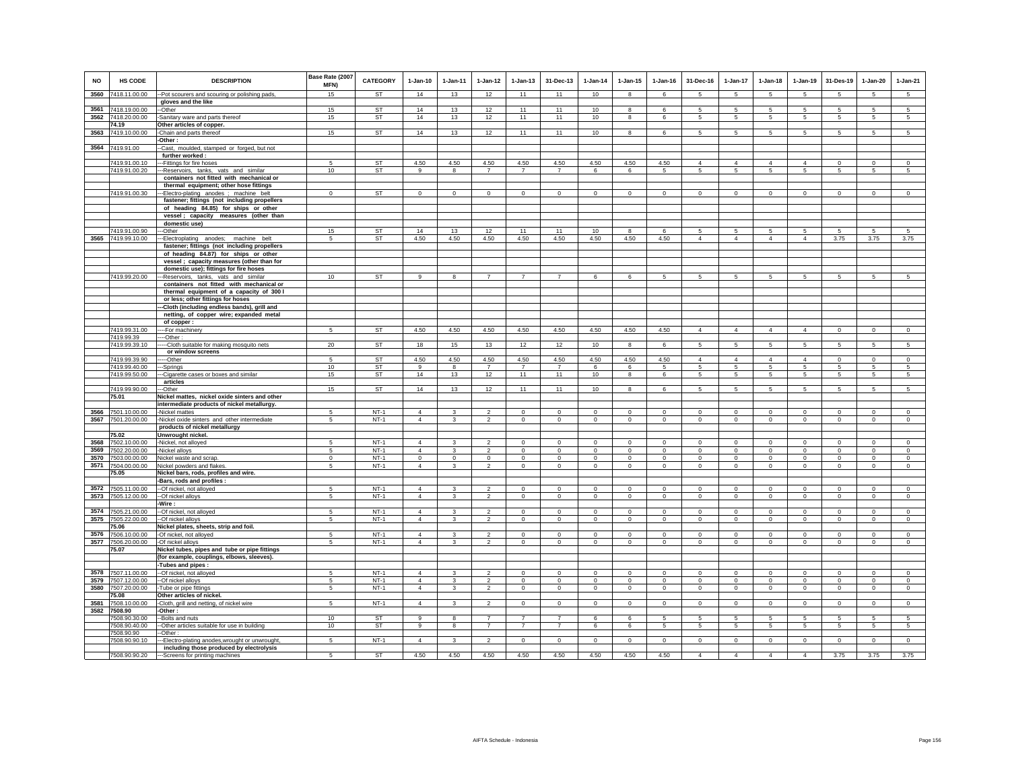| <b>NO</b>    | <b>HS CODE</b>                      | <b>DESCRIPTION</b>                                                            | Base Rate (2007<br>MFN) | <b>CATEGORY</b>  | $1-Jan-10$                 | $1-Jan-11$              | $1 - Jan-12$                  | $1-Jan-13$                  | 31-Dec-13      | $1-Jan-14$              | $1-Jan-15$           | $1-Jan-16$           | 31-Dec-16            | 1-Jan-17                   | $1-Jan-18$           | $1-Jan-19$     | 31-Des-19              | $1-Jan-20$      | $1-Jan-21$         |
|--------------|-------------------------------------|-------------------------------------------------------------------------------|-------------------------|------------------|----------------------------|-------------------------|-------------------------------|-----------------------------|----------------|-------------------------|----------------------|----------------------|----------------------|----------------------------|----------------------|----------------|------------------------|-----------------|--------------------|
| 3560         | 7418.11.00.00                       | -Pot scourers and scouring or polishing pads                                  | 15                      | <b>ST</b>        | 14                         | 13                      | 12                            | 11                          | 11             | 10                      | 8                    | 6                    | 5                    | $5\phantom{.0}$            | $5\phantom{.0}$      | 5              | $5\phantom{.0}$        | $\sqrt{5}$      | $5\phantom{.0}$    |
| 3561         |                                     | gloves and the like                                                           | 15                      | <b>ST</b>        | 14                         | 13                      | 12                            | 11                          | 11             | 10                      | 8                    | 6                    | -5                   | 5                          | $\sqrt{5}$           | 5              | 5                      | 5               | $\overline{5}$     |
|              | 7418.19.00.00<br>3562 7418.20.00.00 | --Other                                                                       | 15                      | ST               | 14                         | 13                      |                               | 11                          | 11             | 10                      | 8                    | 6                    | 5                    | 5                          | 5                    | 5              | 5                      | 5               | 5                  |
|              |                                     | -Sanitary ware and parts thereof                                              |                         |                  |                            |                         | 12                            |                             |                |                         |                      |                      |                      |                            |                      |                |                        |                 |                    |
|              | 74.19                               | Other articles of copper.                                                     |                         |                  |                            |                         |                               |                             |                |                         |                      |                      |                      |                            |                      |                |                        |                 |                    |
| 3563         | 7419.10.00.00                       | -Chain and parts thereof<br>-Other:                                           | 15                      | ST               | 14                         | 13                      | 12                            | 11                          | 11             | 10                      | 8                    | 6                    | -5                   | 5                          | 5                    | 5              | 5                      | 5               | $\sqrt{5}$         |
|              | 3564 7419.91.00                     | -Cast, moulded, stamped or forged, but not                                    |                         |                  |                            |                         |                               |                             |                |                         |                      |                      |                      |                            |                      |                |                        |                 |                    |
|              |                                     | further worked:                                                               |                         |                  |                            |                         |                               |                             |                |                         |                      |                      |                      |                            |                      |                |                        |                 |                    |
|              | 7419.91.00.10                       | -Fittings for fire hoses                                                      | 5                       | ST               | 4.50                       | 4.50                    | 4.50                          | 4.50                        | 4.50           | 4.50                    | 4.50                 | 4.50                 | $\overline{4}$       | $\overline{4}$             | $\Delta$             | $\overline{4}$ | $\mathbf 0$            | $^{\circ}$      | $\circ$            |
|              | 7419.91.00.20                       | -Reservoirs, tanks, vats and similar                                          | 10                      | <b>ST</b>        | 9                          | 8                       | $\overline{7}$                | $\overline{7}$              | $\overline{7}$ | 6                       | 6                    | 5                    | 5                    | $5\overline{5}$            | 5                    | 5              | 5                      | 5               | 5                  |
|              |                                     | containers not fitted with mechanical or                                      |                         |                  |                            |                         |                               |                             |                |                         |                      |                      |                      |                            |                      |                |                        |                 |                    |
|              |                                     | thermal equipment; other hose fittings                                        |                         |                  |                            |                         |                               |                             |                |                         |                      |                      |                      |                            |                      |                |                        |                 |                    |
|              | 7419.91.00.30                       | -Electro-plating anodes ; machine belt                                        | $\Omega$                | <b>ST</b>        | $\Omega$                   | $\circ$                 | $\mathbf 0$                   | $\Omega$                    | $\mathbf 0$    | $\Omega$                | $\Omega$             | $\Omega$             | $\Omega$             | $\mathbf 0$                | $\Omega$             | $\mathbf 0$    | $^{\circ}$             | $\Omega$        | $\overline{0}$     |
|              |                                     | fastener; fittings (not including propellers                                  |                         |                  |                            |                         |                               |                             |                |                         |                      |                      |                      |                            |                      |                |                        |                 |                    |
|              |                                     | of heading 84.85) for ships or other                                          |                         |                  |                            |                         |                               |                             |                |                         |                      |                      |                      |                            |                      |                |                        |                 |                    |
|              |                                     | vessel; capacity measures (other than                                         |                         |                  |                            |                         |                               |                             |                |                         |                      |                      |                      |                            |                      |                |                        |                 |                    |
|              |                                     | domestic use)                                                                 |                         |                  |                            |                         |                               |                             |                |                         |                      |                      |                      |                            |                      |                |                        |                 |                    |
|              | 7419.91.00.90                       | --Other                                                                       | 15                      | ST               | 14                         | 13                      | 12                            | 11                          | 11             | 10                      | 8                    | 6                    | 5                    | 5                          | 5                    | 5              | 5                      | 5               | -5                 |
|              | 3565 7419.99.10.00                  | -Electroplating anodes; machine belt                                          | 5                       | ST               | 4.50                       | 4.50                    | 4.50                          | 4.50                        | 4.50           | 4.50                    | 4.50                 | 4.50                 | $\overline{4}$       | $\overline{4}$             | $\overline{4}$       | $\overline{4}$ | 3.75                   | 3.75            | 3.75               |
|              |                                     | fastener; fittings (not including propellers                                  |                         |                  |                            |                         |                               |                             |                |                         |                      |                      |                      |                            |                      |                |                        |                 |                    |
|              |                                     | of heading 84.87) for ships or other                                          |                         |                  |                            |                         |                               |                             |                |                         |                      |                      |                      |                            |                      |                |                        |                 |                    |
|              |                                     | vessel ; capacity measures (other than for                                    |                         |                  |                            |                         |                               |                             |                |                         |                      |                      |                      |                            |                      |                |                        |                 |                    |
|              |                                     | domestic use); fittings for fire hoses                                        |                         |                  |                            |                         |                               |                             |                |                         |                      |                      |                      |                            |                      |                |                        |                 |                    |
|              | 7419.99.20.00                       | -Reservoirs, tanks, vats and similar                                          | 10                      | <b>ST</b>        | 9                          | 8                       | $\overline{7}$                | $\overline{7}$              |                | 6                       | 6                    | 5                    | 5                    | 5                          | 5                    | 5              | 5                      | 5               | 5                  |
|              |                                     | containers not fitted with mechanical or                                      |                         |                  |                            |                         |                               |                             |                |                         |                      |                      |                      |                            |                      |                |                        |                 |                    |
|              |                                     | thermal equipment of a capacity of 300 l<br>or less; other fittings for hoses |                         |                  |                            |                         |                               |                             |                |                         |                      |                      |                      |                            |                      |                |                        |                 |                    |
|              |                                     | -Cloth (including endless bands), grill and                                   |                         |                  |                            |                         |                               |                             |                |                         |                      |                      |                      |                            |                      |                |                        |                 |                    |
|              |                                     | netting, of copper wire; expanded metal                                       |                         |                  |                            |                         |                               |                             |                |                         |                      |                      |                      |                            |                      |                |                        |                 |                    |
|              |                                     | of copper:                                                                    |                         |                  |                            |                         |                               |                             |                |                         |                      |                      |                      |                            |                      |                |                        |                 |                    |
|              | 7419.99.31.00                       | --For machinery                                                               | 5                       | ST               | 4.50                       | 4.50                    | 4.50                          | 4.50                        | 4.50           | 4.50                    | 4.50                 | 4.50                 | $\overline{4}$       | $\overline{4}$             | $\overline{4}$       | $\overline{4}$ | $\overline{0}$         | $\circ$         | $\overline{0}$     |
|              | 7419.99.39                          | --Other:                                                                      |                         |                  |                            |                         |                               |                             |                |                         |                      |                      |                      |                            |                      |                |                        |                 |                    |
|              | 7419.99.39.10                       | -- Cloth suitable for making mosquito nets                                    | 20                      | <b>ST</b>        | 18                         | 15                      | 13                            | 12                          | 12             | 10                      | 8                    | 6                    | 5                    | 5 <sup>5</sup>             | 5                    | $\overline{5}$ | $\overline{5}$         | $\overline{5}$  | $\overline{5}$     |
|              |                                     | or window screens                                                             |                         |                  |                            |                         |                               |                             |                |                         |                      |                      |                      |                            |                      |                |                        |                 |                    |
|              | 7419.99.39.90                       | --Other                                                                       | 5                       | ST               | 4.50                       | 4.50                    | 4.50                          | 4.50                        | 4.50           | 4.50                    | 4.50                 | 4.50                 | $\overline{4}$       | $\overline{4}$             | $\Delta$             | $\overline{4}$ | $\overline{0}$         | $\circ$         | $\overline{0}$     |
|              | 7419.99.40.00                       | -Springs                                                                      | 10 <sup>1</sup>         | <b>ST</b>        | $\alpha$                   | $\mathbf{R}$            | $\overline{7}$                | $\overline{7}$              | $\overline{7}$ | 6                       | $\epsilon$           | 5                    | 5                    | 5                          | 5                    | 5              | -5                     | 5               | 5                  |
|              | 7419.99.50.00                       | -Cigarette cases or boxes and similar                                         | 15                      | <b>ST</b>        | 14                         | 13                      | 12                            | 11                          | 11             | 10                      | 8                    | 6                    | $5\overline{5}$      | 5                          | $5\overline{5}$      | 5              | 5                      | 5               | 5                  |
|              |                                     | articles                                                                      |                         |                  |                            |                         |                               |                             |                |                         |                      |                      |                      |                            |                      |                |                        |                 |                    |
|              | 7419.99.90.00                       | --Other                                                                       | 15                      | <b>ST</b>        | 14                         | 13                      | 12                            | 11                          | 11             | 10                      | 8                    | 6                    | $5\overline{5}$      | $5\overline{5}$            | $5\overline{5}$      | 5              | 5                      | 5               | 5                  |
|              | 75.01                               | Nickel mattes, nickel oxide sinters and other                                 |                         |                  |                            |                         |                               |                             |                |                         |                      |                      |                      |                            |                      |                |                        |                 |                    |
|              |                                     | intermediate products of nickel metallurgy.                                   |                         |                  |                            |                         |                               |                             |                |                         |                      |                      |                      |                            |                      |                |                        |                 |                    |
|              | 3566 7501.10.00.00                  | Nickel mattes                                                                 | -5                      | $NT-1$           | $\Delta$                   | 3                       | $\mathbf 2$<br>$\mathfrak{p}$ | $\mathbf 0$                 | $\mathsf 0$    | $\circ$                 | $\Omega$             | $\circ$              | $\Omega$             | $\mathbf 0$                | $\mathbf 0$          | $\mathbf 0$    | $\circ$                | $\mathsf 0$     | $\circ$            |
|              | 3567 7501.20.00.00                  | -Nickel oxide sinters and other intermediate<br>products of nickel metallurgy | -5                      | $NT-1$           | $\overline{4}$             | 3                       |                               | $\mathbf 0$                 | $\circ$        | $\circ$                 | $\mathsf 0$          | $\circ$              | $\circ$              | $\mathbf 0$                | $\mathbf 0$          | $\mathbf 0$    | $\circ$                | $\circ$         | $\circ$            |
|              | 75.02                               | Unwrought nickel.                                                             |                         |                  |                            |                         |                               |                             |                |                         |                      |                      |                      |                            |                      |                |                        |                 |                    |
| 3568         | 7502.10.00.00                       | -Nickel, not alloyed                                                          | 5                       | $NT-1$           | $\overline{4}$             | $\mathbf{3}$            | $\mathfrak{p}$                | $\mathsf 0$                 | $\mathbf 0$    | $\mathbb O$             | $\mathsf 0$          | $\circ$              | $\mathsf 0$          | $\mathbf 0$                | $\mathbf 0$          | $\mathbf 0$    | $\mathbf 0$            | $\circ$         | $\mathbb O$        |
| 3569         | 7502.20.00.00                       | -Nickel alloys                                                                | 5                       | $NT-1$           | $\Delta$                   | $\mathbf{3}$            | $\overline{2}$                | $\mathbf 0$                 | $\circ$        | $\circ$                 | $\mathsf 0$          | $\circ$              | $\circ$              | $\mathbf 0$                | $\mathbf 0$          | $\mathbf 0$    | $\mathbf 0$            | $\circ$         | $\circ$            |
| 3570         | 7503.00.00.00                       | Nickel waste and scrap.                                                       | $\mathbf 0$             | $NT-1$           | $\mathbf 0$                | $\mathsf 0$             | $\mathbf 0$                   | $\mathbf 0$                 | $\mathbf 0$    | $\mathsf 0$             | $\mathsf 0$          | $\mathsf 0$          | $\mathbf 0$          | $\mathsf{O}$               | $\mathbf 0$          | $\mathbf 0$    | $\,0\,$                | $\mathbf 0$     | $\mathsf 0$        |
|              | 3571 7504.00.00.00                  | Nickel powders and flakes                                                     | -5                      | $NT-1$           | $\Delta$                   | $\overline{\mathbf{3}}$ | $\overline{a}$                | $\mathbf{0}$                | $\mathbf 0$    | $\mathbf{0}$            | $\mathbf{0}$         | $\Omega$             | $\circ$              | $\mathsf{O}$               | $\circ$              | $\circ$        | $\circ$                | $\circ$         | $\circ$            |
|              | 75.05                               | Nickel bars, rods, profiles and wire.                                         |                         |                  |                            |                         |                               |                             |                |                         |                      |                      |                      |                            |                      |                |                        |                 |                    |
|              |                                     | -Bars, rods and profiles :                                                    |                         |                  |                            |                         |                               |                             |                |                         |                      |                      |                      |                            |                      |                |                        |                 |                    |
| 3572         | 7505.11.00.00                       | -- Of nickel, not alloyed                                                     | 5                       | $NT-1$           | $\overline{4}$             | $\mathbf{3}$            | $\mathfrak{p}$                | $\mathsf 0$                 | $\mathbf 0$    | $\Omega$                | $\mathsf 0$          | $\Omega$             | $\Omega$             | $\mathbf 0$                | $\Omega$             | $\mathbf 0$    | $\mathbf 0$            | $\mathsf 0$     | $\Omega$           |
|              | 3573 7505.12.00.00                  | --Of nickel alloys                                                            | -5                      | $NT-1$           | $\overline{4}$             | $\mathbf{3}$            | $\overline{2}$                | $\mathbf 0$                 | $\mathsf 0$    | $\circ$                 | $\mathbf 0$          | $\circ$              | $\circ$              | $\mathbf 0$                | $\circ$              | $\mathbf 0$    | $\mathbf 0$            | $\mathbf 0$     | $\mathsf 0$        |
|              |                                     | Wire :                                                                        |                         |                  |                            |                         |                               |                             |                |                         |                      |                      |                      |                            |                      |                |                        |                 |                    |
|              | 3574 7505.21.00.00                  | -Of nickel, not alloyed                                                       | 5                       | $NT-1$           | $\overline{4}$             | 3                       | $\mathfrak{p}$                | $\mathbf 0$                 | $\mathbf 0$    | $\mathbf 0$             | $\mathbf 0$          | $\mathbf 0$          | $\circ$              | $\mathbf 0$                | $\Omega$             | $\mathbf 0$    | $\mathbf 0$            | $\mathbf 0$     | $\circ$            |
| 3575         | 7505.22.00.00                       | -Of nickel alloys                                                             | 5                       | $NT-1$           | $\overline{4}$             | 3                       | $\overline{a}$                | 0                           | $\mathbf 0$    | $\mathbf{0}$            | 0                    | $\mathbf{0}$         | $^{\circ}$           | 0                          | 0                    | $\circ$        | $\mathbf 0$            | 0               | $\mathbf{0}$       |
|              | 75.06                               | Nickel plates, sheets, strip and foil.                                        |                         |                  |                            |                         |                               |                             |                |                         |                      |                      |                      |                            |                      |                |                        |                 |                    |
| 3576         | 7506.10.00.00                       | -Of nickel, not alloyed                                                       | -5                      | $NT-1$           | $\overline{4}$             | 3                       | $\overline{2}$                | $\mathbf 0$                 | $\mathbf 0$    | $\Omega$                | $\mathbf 0$          | $\mathbf 0$          | $\Omega$             | $\mathbf 0$                | $\Omega$             | $\Omega$       | $\mathbf 0$            | $\mathbf 0$     | $\mathsf 0$        |
| 3577         | 7506.20.00.00                       | -Of nickel alloys                                                             | 5                       | $NT-1$           | $\overline{4}$             | $\mathbf{3}$            | $\boldsymbol{2}$              | $\mathsf 0$                 | $\mathbf 0$    | $\mathsf 0$             | $\mathsf 0$          | $\mathsf 0$          | $\mathsf 0$          | $\mathsf 0$                | $\mathbf 0$          | $\mathbf 0$    | $\mathbf 0$            | $\mathsf 0$     | $\mathsf 0$        |
|              | 75.07                               | Nickel tubes, pipes and tube or pipe fittings                                 |                         |                  |                            |                         |                               |                             |                |                         |                      |                      |                      |                            |                      |                |                        |                 |                    |
|              |                                     | (for example, couplings, elbows, sleeves).                                    |                         |                  |                            |                         |                               |                             |                |                         |                      |                      |                      |                            |                      |                |                        |                 |                    |
|              |                                     | -Tubes and pipes:                                                             |                         |                  | $\Delta$                   | $\mathbf{3}$            | $\mathfrak{p}$                |                             |                | $\Omega$                |                      |                      |                      |                            | $\Omega$             |                |                        |                 |                    |
| 3578<br>3579 | 7507.11.00.00                       | --Of nickel, not alloyed                                                      | $\sqrt{5}$              | $NT-1$           |                            |                         |                               | $\mathsf 0$                 | $\mathbf 0$    |                         | $\mathsf 0$          | $\Omega$             | $\mathbf 0$          | $\mathbf 0$                |                      | $\mathbf 0$    | $\mathbf 0$            | $\circ$         | $\mathsf 0$        |
| 3580         | 7507.12.00.00                       | -Of nickel alloys                                                             | 5                       | $NT-1$<br>$NT-1$ | $\Delta$<br>$\overline{4}$ | 3                       | $\overline{2}$<br>2           | $\mathbf 0$<br>$\mathbf{0}$ | $\mathbf 0$    | $\mathbf 0$<br>$\Omega$ | $\Omega$<br>$\Omega$ | $\Omega$<br>$\Omega$ | $\Omega$<br>$\Omega$ | $\mathbf 0$<br>$\mathbf 0$ | $\Omega$<br>$\Omega$ | $^{\circ}$     | $^{\circ}$<br>$\Omega$ | $^{\circ}$      | $\circ$<br>$\circ$ |
|              | 7507.20.00.00<br>75.08              | Tube or pipe fittings<br>Other articles of nickel.                            | 5                       |                  |                            | $\mathbf{3}$            |                               |                             | $\mathsf 0$    |                         |                      |                      |                      |                            |                      | $\mathbf 0$    |                        | $\mathsf 0$     |                    |
| 3581         | 7508.10.00.00                       |                                                                               | 5                       | $NT-1$           | $\overline{4}$             | $\mathbf{3}$            | $\overline{2}$                | $\mathbf 0$                 | $\mathbf 0$    | $\mathsf 0$             | $\mathsf 0$          | $\mathbf 0$          | $\mathsf 0$          | $\mathbf 0$                | $\mathbf 0$          | $\mathbf 0$    | $\mathbf 0$            | $\mathsf 0$     | $\mathsf 0$        |
|              | 3582 7508.90                        | -Cloth, grill and netting, of nickel wire<br>-Other:                          |                         |                  |                            |                         |                               |                             |                |                         |                      |                      |                      |                            |                      |                |                        |                 |                    |
|              | 7508.90.30.00                       | -Bolts and nuts                                                               | 10                      | ST               | 9                          | 8                       | $\overline{7}$                | $\overline{7}$              | $\overline{7}$ | 6                       | 6                    | 5                    | $5\phantom{.0}$      | $5^{\circ}$                | $5\phantom{.0}$      | 5              | 5                      | $5\phantom{.0}$ | 5                  |
|              | 7508.90.40.00                       | -Other articles suitable for use in building                                  | 10                      | ST               | 9                          | 8                       | $\overline{7}$                | $\overline{7}$              | $\overline{7}$ | 6                       | 6                    | 5                    | -5                   | 5                          | $5\overline{5}$      | 5              | 5                      | 5               | 5                  |
|              | 7508.90.90                          | Other:                                                                        |                         |                  |                            |                         |                               |                             |                |                         |                      |                      |                      |                            |                      |                |                        |                 |                    |
|              | 7508.90.90.10                       | -Electro-plating anodes, wrought or unwrought,                                | 5                       | $NT-1$           | $\overline{4}$             | 3                       | $\mathfrak{p}$                | $\mathbf 0$                 | $\mathbf 0$    | $\mathbf 0$             | $\mathbf 0$          | $\mathbf 0$          | $\circ$              | $\mathbf 0$                | $\circ$              | $\mathbf 0$    | $\mathbf 0$            | $\mathbf 0$     | $\mathsf 0$        |
|              |                                     | including those produced by electrolysis                                      |                         |                  |                            |                         |                               |                             |                |                         |                      |                      |                      |                            |                      |                |                        |                 |                    |
|              | 7508.90.90.20                       | ---Screens for printing machines                                              | 5                       | <b>ST</b>        | 4.50                       | 4.50                    | 4.50                          | 4.50                        | 4.50           | 4.50                    | 4.50                 | 4.50                 | $\overline{4}$       | $\overline{4}$             | $\overline{4}$       | $\overline{4}$ | 3.75                   | 3.75            | 3.75               |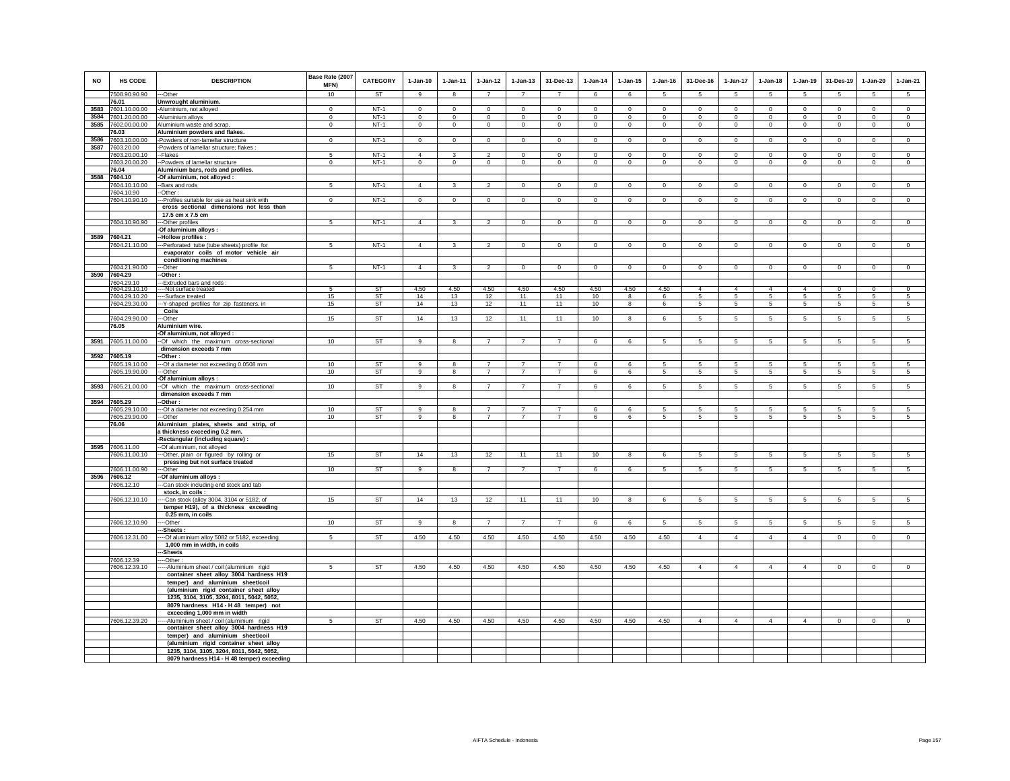| <b>NO</b>    | HS CODE                        | <b>DESCRIPTION</b>                                                                | Base Rate (2007<br><b>MFN)</b> | <b>CATEGORY</b>  | $1-Jan-10$                 | $1 - Jan-11$                   | $1-Jan-12$                       | $1 - Jan-13$               | 31-Dec-13                     | $1-Jan-14$                 | $1 - Jan-15$               | $1 - Jan-16$                  | 31-Dec-16                  | $1-Jan-17$                 | $1-Jan-18$                 | $1-Jan-19$                    | 31-Des-19                     | $1-Jan-20$                 | $1-Jan-21$                    |
|--------------|--------------------------------|-----------------------------------------------------------------------------------|--------------------------------|------------------|----------------------------|--------------------------------|----------------------------------|----------------------------|-------------------------------|----------------------------|----------------------------|-------------------------------|----------------------------|----------------------------|----------------------------|-------------------------------|-------------------------------|----------------------------|-------------------------------|
|              | 7508.90.90.90                  | ---Other                                                                          | 10                             | <b>ST</b>        | 9                          | $\mathbf{g}$                   | $\overline{7}$                   | $\overline{7}$             | $\overline{7}$                | 6                          | 6                          | 5                             | 5                          | 5                          | 5                          | 5                             | 5                             | 5                          | 5                             |
|              | 76.01                          | Unwrought aluminium.                                                              |                                |                  |                            |                                |                                  |                            |                               |                            |                            |                               |                            |                            |                            |                               |                               |                            |                               |
| 3583<br>3584 | 7601.10.00.00<br>7601.20.00.00 | -Aluminium, not alloyed<br>-Aluminium alloys                                      | $\mathbf 0$<br>$\mathbf 0$     | $NT-1$<br>$NT-1$ | $\mathsf 0$<br>$\mathbf 0$ | $\mathbf 0$<br>$\mathbf 0$     | $\mathsf 0$<br>$\circ$           | $\mathsf 0$<br>$\mathbf 0$ | $\mathsf 0$<br>$\mathbf 0$    | $\mathbb O$<br>$\,0\,$     | $\mathsf 0$<br>$\mathbf 0$ | $\mathbf 0$<br>$\mathbf 0$    | $\mathsf 0$<br>$\mathbf 0$ | $\mathbf 0$<br>0           | $\mathbf 0$<br>$\mathbf 0$ | $\mathbf 0$<br>$\mathbf 0$    | $\mathbf 0$<br>$\mathbf 0$    | $\mathsf 0$<br>$\mathbf 0$ | $\mathsf 0$<br>$\mathbf 0$    |
| 3585         | 7602.00.00.00                  | Aluminium waste and scrap.                                                        | $\mathbf 0$                    | $NT-1$           | $^{\circ}$                 | $\circ$                        | $\circ$                          | $\mathbf 0$                | $\mathbf 0$                   | $\mathbf{0}$               | 0                          | $\mathbf 0$                   | $\mathbf{0}$               | $\mathbf 0$                | $\mathbf{0}$               | $\circ$                       | $\circ$                       | 0                          | $\mathbf{0}$                  |
|              | 76.03                          | Aluminium powders and flakes.                                                     |                                |                  |                            |                                |                                  |                            |                               |                            |                            |                               |                            |                            |                            |                               |                               |                            |                               |
| 3586         | 7603.10.00.00                  | -Powders of non-lamellar structure                                                | $\mathbf 0$                    | $NT-1$           | $\circ$                    | $\circ$                        | $\circ$                          | $\mathsf 0$                | $\mathsf 0$                   | $\circ$                    | $\mathsf 0$                | $\circ$                       | $\circ$                    | $\circ$                    | $\circ$                    | $\circ$                       | $\circ$                       | $\mathsf 0$                | $\mathsf 0$                   |
| 3587         | 7603.20.00                     | Powders of lamellar structure; flakes :                                           |                                |                  |                            |                                |                                  |                            |                               |                            |                            |                               |                            |                            |                            |                               |                               |                            |                               |
|              | 7603.20.00.10<br>7603.20.00.20 | -Flakes<br>--Powders of lamellar structure                                        | 5<br>$\mathbf{0}$              | $NT-1$<br>$NT-1$ | $\Delta$<br>$\overline{0}$ | $\mathbf{3}$<br>$\overline{0}$ | $\overline{2}$<br>$\overline{0}$ | $\Omega$<br>$\overline{0}$ | $\mathbf 0$<br>$\overline{0}$ | $\Omega$<br>$\overline{0}$ | $\Omega$<br>$\overline{0}$ | $\mathbf 0$<br>$\overline{0}$ | $\circ$<br>$\Omega$        | $\Omega$<br>$\overline{0}$ | $\Omega$<br>$\overline{0}$ | $\mathbf 0$<br>$\overline{0}$ | $\mathbf 0$<br>$\overline{0}$ | $\mathbf 0$<br>$\Omega$    | $\mathsf 0$<br>$\overline{0}$ |
|              | 76.04                          | Aluminium bars, rods and profiles.                                                |                                |                  |                            |                                |                                  |                            |                               |                            |                            |                               |                            |                            |                            |                               |                               |                            |                               |
| 3588         | 7604.10                        | -Of aluminium, not alloyed :                                                      |                                |                  |                            |                                |                                  |                            |                               |                            |                            |                               |                            |                            |                            |                               |                               |                            |                               |
|              | 7604.10.10.00                  | --Bars and rods                                                                   | 5                              | $NT-1$           | $\overline{4}$             | $\mathbf{3}$                   | $\overline{2}$                   | $\mathbf 0$                | $\mathsf 0$                   | $\circ$                    | $\mathsf 0$                | $\mathsf 0$                   | $\circ$                    | $\circ$                    | $\mathbf 0$                | $\mathbf 0$                   | $\circ$                       | $\circ$                    | $\circ$                       |
|              | 7604.10.90<br>7604.10.90.10    | $-Other:$<br>-Profiles suitable for use as heat sink with                         | $\overline{0}$                 | $NT-1$           | $\overline{0}$             | $\overline{0}$                 | $\overline{0}$                   | $\overline{0}$             | $\overline{0}$                | $\overline{0}$             | $\overline{0}$             | $\overline{0}$                | $\overline{0}$             | $\overline{0}$             | $\overline{0}$             | $\overline{0}$                | $\overline{0}$                | $\overline{0}$             | $\overline{0}$                |
|              |                                | cross sectional dimensions not less than                                          |                                |                  |                            |                                |                                  |                            |                               |                            |                            |                               |                            |                            |                            |                               |                               |                            |                               |
|              |                                | 17.5 cm x 7.5 cm                                                                  |                                |                  |                            |                                |                                  |                            |                               |                            |                            |                               |                            |                            |                            |                               |                               |                            |                               |
|              | 7604.10.90.90                  | --Other profiles                                                                  | $\overline{5}$                 | $NT-1$           | $\overline{4}$             | 3                              | $\overline{2}$                   | $\mathbf 0$                | $\mathsf 0$                   | $\mathsf 0$                | $\mathsf 0$                | $\mathsf 0$                   | $\circ$                    | $\mathbf 0$                | $\mathbf{0}$               | $\mathbf 0$                   | $\mathbf 0$                   | $\mathsf 0$                | $\Omega$                      |
|              |                                | -Of aluminium alloys :                                                            |                                |                  |                            |                                |                                  |                            |                               |                            |                            |                               |                            |                            |                            |                               |                               |                            |                               |
|              | 3589 7604.21<br>7604.21.10.00  | -Hollow profiles :<br>--Perforated tube (tube sheets) profile for                 | 5                              | $NT-1$           | $\overline{4}$             | 3                              | $\mathfrak{p}$                   | $\Omega$                   | $\mathbf{0}$                  | $\Omega$                   | $\Omega$                   | $\Omega$                      | $\Omega$                   | $\Omega$                   | $\Omega$                   | $\Omega$                      | $\mathbf 0$                   | $\Omega$                   | $\Omega$                      |
|              |                                | evaporator coils of motor vehicle air                                             |                                |                  |                            |                                |                                  |                            |                               |                            |                            |                               |                            |                            |                            |                               |                               |                            |                               |
|              |                                | conditioning machines                                                             |                                |                  |                            |                                |                                  |                            |                               |                            |                            |                               |                            |                            |                            |                               |                               |                            |                               |
|              | 7604.21.90.00                  | -Other                                                                            | -5                             | $NT-1$           | $\overline{4}$             | $\mathbf{3}$                   | $\mathfrak{p}$                   | $\Omega$                   | $\Omega$                      | $\circ$                    | $\Omega$                   | $\Omega$                      | $\Omega$                   | $\overline{0}$             | $\Omega$                   | $\overline{0}$                | $\overline{0}$                | $\Omega$                   | $\overline{0}$                |
|              | 3590 7604.29                   | -Other:                                                                           |                                |                  |                            |                                |                                  |                            |                               |                            |                            |                               |                            |                            |                            |                               |                               |                            |                               |
|              | 7604.29.10<br>7604.29.10.10    | -Extruded bars and rods<br>--Not surface treated                                  |                                | <b>ST</b>        | 4.50                       | 4.50                           | 4.50                             | 4.50                       | 4.50                          | 4.50                       | 4.50                       | 4.50                          | $\overline{4}$             | $\overline{4}$             | $\overline{4}$             | $\overline{4}$                | $\overline{0}$                | $\overline{0}$             | $\overline{0}$                |
|              | 7604.29.10.20                  | --Surface treated                                                                 | 15                             | ST               | 14                         | 13                             | 12                               | 11                         | 11                            | 10                         | 8                          | 6                             | $5\overline{5}$            | $5\overline{5}$            | $5\overline{5}$            | 5                             | 5                             | 5                          | 5                             |
|              | 7604.29.30.00                  | -- Y-shaped profiles for zip fasteners, in                                        | 15                             | <b>ST</b>        | 14                         | 13                             | 12                               | 11                         | 11                            | 10                         | 8                          | 6                             | 5                          | $5\overline{)}$            | 5                          | 5                             | 5                             | 5                          | $\sqrt{5}$                    |
|              | 7604.29.90.00                  | Coils<br>-Other                                                                   | 15                             | ST               | 14                         | 13                             | 12                               | 11                         | 11                            | 10                         | 8                          | 6                             | 5                          | 5                          | 5                          | 5                             | 5                             | 5                          | 5                             |
|              | 76.05                          | Aluminium wire.                                                                   |                                |                  |                            |                                |                                  |                            |                               |                            |                            |                               |                            |                            |                            |                               |                               |                            |                               |
|              |                                | -Of aluminium, not alloyed :                                                      |                                |                  |                            |                                |                                  |                            |                               |                            |                            |                               |                            |                            |                            |                               |                               |                            |                               |
| 3591         | 7605.11.00.00                  | --Of which the maximum cross-sectional                                            | 10                             | <b>ST</b>        | $\overline{9}$             | 8                              | $\overline{7}$                   | $\overline{7}$             | $\overline{7}$                | 6                          | 6                          | 5                             | 5                          | 5                          | $\overline{5}$             | 5                             | 5                             | 5                          | $5\overline{5}$               |
|              | 3592 7605.19                   | dimension exceeds 7 mm<br>-Other:                                                 |                                |                  |                            |                                |                                  |                            |                               |                            |                            |                               |                            |                            |                            |                               |                               |                            |                               |
|              | 7605.19.10.00                  | --- Of a diameter not exceeding 0.0508 mm                                         | 10                             | ST               | 9                          | 8                              | $\overline{ }$                   | $\overline{z}$             | $\overline{z}$                | 6                          | 6                          | 5                             | 5                          | 5                          | 5                          | 5                             | 5                             | 5                          | 5                             |
|              | 7605.19.90.00                  | ---Other                                                                          | 10                             | <b>ST</b>        | 9                          | 8                              | $\overline{7}$                   | Ī                          | $\overline{7}$                | 6                          | 6                          | 5                             | 5                          | $5\overline{5}$            | 5                          | 5                             | 5                             | 5                          | $5\overline{5}$               |
|              |                                | -Of aluminium alloys:                                                             |                                |                  |                            |                                |                                  |                            |                               |                            |                            |                               |                            |                            |                            |                               |                               |                            |                               |
|              | 3593 7605.21.00.00             | -Of which the maximum cross-sectional                                             | 10                             | <b>ST</b>        | 9                          | 8                              | $\overline{7}$                   | $\overline{7}$             | $\overline{7}$                | 6                          | 6                          | -5                            | 5                          | 5                          | 5                          | 5                             | 5                             | 5                          | 5                             |
| 3594         | 7605.29                        | dimension exceeds 7 mm<br>-Other:                                                 |                                |                  |                            |                                |                                  |                            |                               |                            |                            |                               |                            |                            |                            |                               |                               |                            |                               |
|              | 7605.29.10.00                  | --Of a diameter not exceeding 0.254 mm                                            | 10                             | <b>ST</b>        | $\mathbf{q}$               | 8                              | $\overline{7}$                   | $\overline{7}$             | $\overline{7}$                | 6                          | 6                          | 5                             | 5                          | 5                          | 5                          | 5                             | 5                             | 5                          | 5                             |
|              | 7605.29.90.00                  | --Other                                                                           | 10                             | <b>ST</b>        | $\overline{9}$             | 8                              | $\overline{7}$                   | $\overline{7}$             | $\overline{7}$                | $6\overline{6}$            | $6\overline{6}$            | -5                            | 5                          | $\sqrt{5}$                 | $5\overline{5}$            | $\overline{5}$                | $\overline{5}$                | $\overline{5}$             | $5\overline{)}$               |
|              | 76.06                          | Aluminium plates, sheets and strip, of                                            |                                |                  |                            |                                |                                  |                            |                               |                            |                            |                               |                            |                            |                            |                               |                               |                            |                               |
|              |                                | a thickness exceeding 0.2 mm.<br>-Rectangular (including square) :                |                                |                  |                            |                                |                                  |                            |                               |                            |                            |                               |                            |                            |                            |                               |                               |                            |                               |
| 3595         | 7606.11.00                     | --Of aluminium, not alloyed                                                       |                                |                  |                            |                                |                                  |                            |                               |                            |                            |                               |                            |                            |                            |                               |                               |                            |                               |
|              | 7606.11.00.10                  | -- Other, plain or figured by rolling or                                          | 15                             | ST               | 14                         | 13                             | 12                               | 11                         | 11                            | 10                         | 8                          | 6                             | $5\phantom{.0}$            | 5 <sub>5</sub>             | $5\phantom{.0}$            | 5                             | $5\overline{5}$               | $\overline{5}$             | $5\overline{5}$               |
|              |                                | pressing but not surface treated                                                  |                                |                  |                            |                                | $\overline{7}$                   |                            | $\overline{7}$                |                            |                            |                               |                            |                            |                            |                               |                               |                            |                               |
|              | 7606.11.00.90<br>3596 7606.12  | -Other<br>-Of aluminium alloys:                                                   | 10                             | <b>ST</b>        | 9                          | 8                              |                                  | $\overline{7}$             |                               | 6                          | 6                          | 5                             | 5                          | 5                          | 5                          | 5                             | 5                             | 5                          | $5\overline{)}$               |
|              | 7606.12.10                     | -Can stock including end stock and tab                                            |                                |                  |                            |                                |                                  |                            |                               |                            |                            |                               |                            |                            |                            |                               |                               |                            |                               |
|              |                                | stock, in coils :                                                                 |                                |                  |                            |                                |                                  |                            |                               |                            |                            |                               |                            |                            |                            |                               |                               |                            |                               |
|              | 7606.12.10.10                  | -Can stock (alloy 3004, 3104 or 5182, of<br>temper H19), of a thickness exceeding | 15                             | <b>ST</b>        | 14                         | 13                             | 12                               | 11                         | 11                            | 10                         | 8                          | -6                            | 5                          | 5                          | 5                          | 5                             | 5                             | 5                          | 5                             |
|              |                                | 0.25 mm, in coils                                                                 |                                |                  |                            |                                |                                  |                            |                               |                            |                            |                               |                            |                            |                            |                               |                               |                            |                               |
|              | 7606.12.10.90                  | --Other                                                                           | 10                             | ST               | 9                          | 8                              | $\overline{7}$                   | $\overline{7}$             | $\overline{7}$                | 6                          | 6                          | 5                             | 5                          | $5\phantom{.0}$            | $5\phantom{.0}$            | 5                             | 5                             | 5                          | 5                             |
|              |                                | -Sheets:                                                                          |                                |                  |                            |                                |                                  |                            |                               |                            |                            |                               |                            |                            |                            |                               |                               |                            |                               |
|              | 7606.12.31.00                  | --Of aluminium alloy 5082 or 5182, exceeding                                      | $5\overline{)}$                | <b>ST</b>        | 4.50                       | 4.50                           | 4.50                             | 4.50                       | 4.50                          | 4.50                       | 4.50                       | 4.50                          | $\overline{4}$             | $\overline{4}$             | $\overline{4}$             | $\overline{4}$                | $\overline{0}$                | $\overline{0}$             | $\overline{0}$                |
|              |                                | 1,000 mm in width, in coils<br>-Sheets                                            |                                |                  |                            |                                |                                  |                            |                               |                            |                            |                               |                            |                            |                            |                               |                               |                            |                               |
|              | 7606.12.39                     | -Other:                                                                           |                                |                  |                            |                                |                                  |                            |                               |                            |                            |                               |                            |                            |                            |                               |                               |                            |                               |
|              | 7606.12.39.10                  | -Aluminium sheet / coil (aluminium rigid                                          | 5                              | <b>ST</b>        | 4.50                       | 4.50                           | 4.50                             | 4.50                       | 4.50                          | 4.50                       | 4.50                       | 4.50                          | $\overline{4}$             | $\overline{4}$             | $\overline{4}$             | $\overline{4}$                | $\mathbf 0$                   | $\mathbf{0}$               | $\circ$                       |
|              |                                | container sheet alloy 3004 hardness H19                                           |                                |                  |                            |                                |                                  |                            |                               |                            |                            |                               |                            |                            |                            |                               |                               |                            |                               |
|              |                                | temper) and aluminium sheet/coil<br>(aluminium rigid container sheet alloy        |                                |                  |                            |                                |                                  |                            |                               |                            |                            |                               |                            |                            |                            |                               |                               |                            |                               |
|              |                                | 1235, 3104, 3105, 3204, 8011, 5042, 5052,                                         |                                |                  |                            |                                |                                  |                            |                               |                            |                            |                               |                            |                            |                            |                               |                               |                            |                               |
|              |                                | 8079 hardness H14 - H48 temper) not                                               |                                |                  |                            |                                |                                  |                            |                               |                            |                            |                               |                            |                            |                            |                               |                               |                            |                               |
|              |                                | exceeding 1,000 mm in width                                                       |                                |                  |                            |                                |                                  |                            |                               |                            |                            |                               |                            |                            |                            |                               |                               |                            |                               |
|              | 7606.12.39.20                  | -Aluminium sheet / coil (aluminium rigid                                          | -5                             | <b>ST</b>        | 4.50                       | 4.50                           | 4.50                             | 4.50                       | 4.50                          | 4.50                       | 4.50                       | 4.50                          | $\overline{4}$             | 4                          | 4                          | $\overline{4}$                | $\overline{0}$                | $\mathbf 0$                | $\overline{0}$                |
|              |                                | container sheet alloy 3004 hardness H19                                           |                                |                  |                            |                                |                                  |                            |                               |                            |                            |                               |                            |                            |                            |                               |                               |                            |                               |
|              |                                | temper) and aluminium sheet/coil<br>(aluminium rigid container sheet alloy        |                                |                  |                            |                                |                                  |                            |                               |                            |                            |                               |                            |                            |                            |                               |                               |                            |                               |
|              |                                | 1235, 3104, 3105, 3204, 8011, 5042, 5052,                                         |                                |                  |                            |                                |                                  |                            |                               |                            |                            |                               |                            |                            |                            |                               |                               |                            |                               |
|              |                                | 8079 hardness H14 - H 48 temper) exceeding                                        |                                |                  |                            |                                |                                  |                            |                               |                            |                            |                               |                            |                            |                            |                               |                               |                            |                               |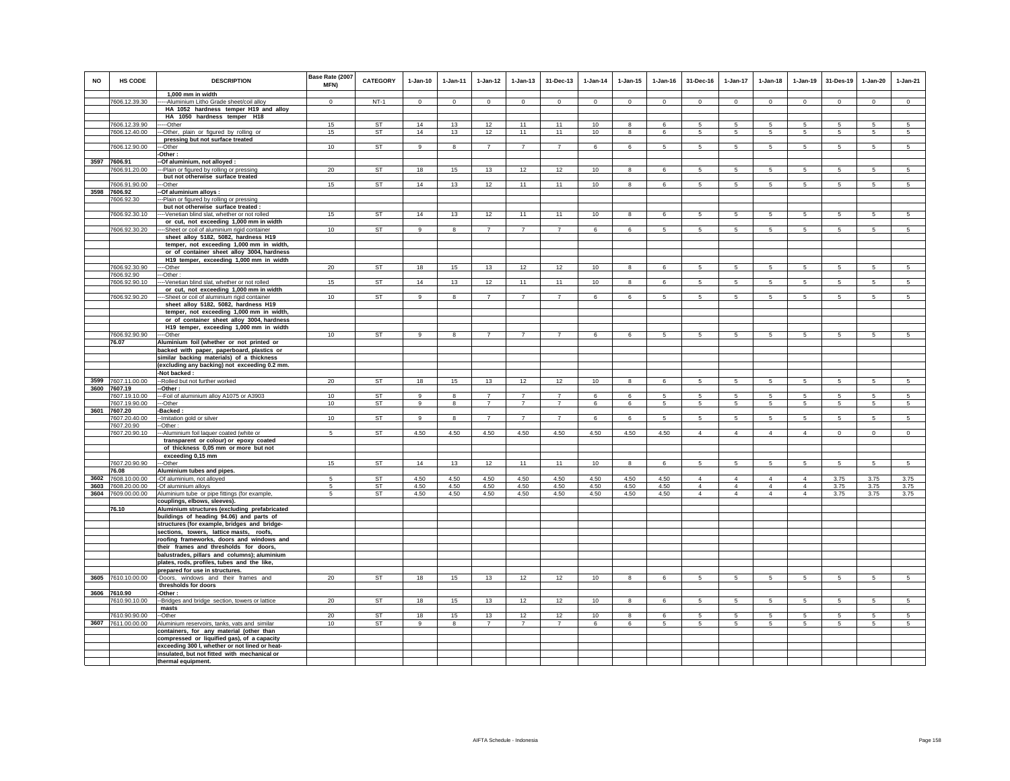| <b>NO</b> | <b>HS CODE</b>                           | <b>DESCRIPTION</b>                                                                         | Base Rate (2007<br><b>MFN)</b> | <b>CATEGORY</b>        | $1-Jan-10$   | $1-Jan-11$   | $1 - Jan-12$                     | $1 - Jan-13$                     | 31-Dec-13                        | $1 - Jan-14$ | $1 - Jan-15$            | $1 - Jan-16$ | 31-Dec-16                  | 1-Jan-17            | $1-Jan-18$                       | $1-Jan-19$                       | 31-Des-19       | 1-Jan-20            | $1-Jan-21$      |
|-----------|------------------------------------------|--------------------------------------------------------------------------------------------|--------------------------------|------------------------|--------------|--------------|----------------------------------|----------------------------------|----------------------------------|--------------|-------------------------|--------------|----------------------------|---------------------|----------------------------------|----------------------------------|-----------------|---------------------|-----------------|
|           | 7606.12.39.30                            | 1.000 mm in width<br>-- Aluminium Litho Grade sheet/coil alloy                             | $\Omega$                       | $NT-1$                 | $\mathbf 0$  | $\Omega$     | $\Omega$                         | $\mathsf 0$                      | $\mathbf 0$                      | $\mathbf 0$  | $\mathsf 0$             | $\mathbf 0$  | $\mathbf 0$                | $\mathbf 0$         | $\mathbf 0$                      | $\Omega$                         | $\mathbf 0$     | $\mathsf 0$         | $\mathsf 0$     |
|           |                                          | HA 1052 hardness temper H19 and alloy                                                      |                                |                        |              |              |                                  |                                  |                                  |              |                         |              |                            |                     |                                  |                                  |                 |                     |                 |
|           |                                          | HA 1050 hardness temper H18                                                                |                                |                        |              |              |                                  |                                  |                                  |              |                         |              |                            |                     |                                  |                                  |                 |                     |                 |
|           | 7606.12.39.90                            | ---Other                                                                                   | 15                             | <b>ST</b>              | 14           | 13           | 12                               | 11                               | 11                               | 10           | 8                       | 6            | 5                          | 5                   | 5                                | 5                                | $\sqrt{5}$      | 5                   | 5               |
|           | 7606.12.40.00                            | --Other, plain or figured by rolling or                                                    | 15                             | <b>ST</b>              | 14           | 13           | 12                               | 11                               | 11                               | 10           | 8                       | 6            | 5                          | 5                   | 5                                | 5                                | 5               | 5                   | 5               |
|           | 7606.12.90.00                            | pressing but not surface treated<br>-Other                                                 | 10                             | ST                     | 9            | 8            | $\overline{7}$                   | $\overline{7}$                   | $\overline{7}$                   | 6            | 6                       | $\sqrt{5}$   | 5                          | $5\phantom{.0}$     | 5                                | 5                                | 5               | 5                   | 5               |
|           |                                          | -Other:                                                                                    |                                |                        |              |              |                                  |                                  |                                  |              |                         |              |                            |                     |                                  |                                  |                 |                     |                 |
|           | 3597 7606.91                             | -- Of aluminium, not alloyed :                                                             |                                |                        |              |              |                                  |                                  |                                  |              |                         |              |                            |                     |                                  |                                  |                 |                     |                 |
|           | 7606.91.20.00                            | ---Plain or figured by rolling or pressing                                                 | 20                             | ST                     | 18           | 15           | 13                               | 12                               | 12                               | 10           | 8                       | 6            | 5                          | $5\phantom{.0}$     | 5                                | 5                                | 5               | 5                   | 5               |
|           |                                          | but not otherwise surface treated<br>--Other                                               |                                | <b>ST</b>              |              |              |                                  | 11                               | 11                               |              |                         |              |                            |                     |                                  |                                  |                 |                     |                 |
| 3598      | 7606.91.90.00<br>7606.92                 | -Of aluminium alloys:                                                                      | 15                             |                        | 14           | 13           | 12                               |                                  |                                  | 10           | 8                       | 6            | 5                          | $5\overline{5}$     | 5                                | $5\overline{5}$                  | $5\overline{5}$ | $5\overline{5}$     | 5 <sub>5</sub>  |
|           | 7606.92.30                               | -Plain or figured by rolling or pressing                                                   |                                |                        |              |              |                                  |                                  |                                  |              |                         |              |                            |                     |                                  |                                  |                 |                     |                 |
|           |                                          | but not otherwise surface treated :                                                        |                                |                        |              |              |                                  |                                  |                                  |              |                         |              |                            |                     |                                  |                                  |                 |                     |                 |
|           | 7606.92.30.10                            | ---Venetian blind slat, whether or not rolled                                              | 15                             | <b>ST</b>              | 14           | 13           | 12                               | 11                               | 11                               | 10           | 8                       | $\mathbf{f}$ | 5                          | 5                   | 5                                | 5                                | $\overline{5}$  | 5                   | $\overline{5}$  |
|           |                                          | or cut, not exceeding 1,000 mm in width                                                    | 10                             | <b>ST</b>              | 9            | 8            |                                  |                                  |                                  | 6            | 6                       | 5            | 5                          | 5                   | 5                                | 5                                | 5               | 5                   | 5               |
|           | 7606.92.30.20                            | ----Sheet or coil of aluminium rigid container<br>sheet alloy 5182, 5082, hardness H19     |                                |                        |              |              |                                  |                                  |                                  |              |                         |              |                            |                     |                                  |                                  |                 |                     |                 |
|           |                                          | temper, not exceeding 1,000 mm in width,                                                   |                                |                        |              |              |                                  |                                  |                                  |              |                         |              |                            |                     |                                  |                                  |                 |                     |                 |
|           |                                          | or of container sheet alloy 3004, hardness                                                 |                                |                        |              |              |                                  |                                  |                                  |              |                         |              |                            |                     |                                  |                                  |                 |                     |                 |
|           |                                          | H19 temper, exceeding 1,000 mm in width                                                    |                                |                        |              |              |                                  |                                  |                                  |              |                         |              |                            |                     |                                  |                                  |                 |                     |                 |
|           | 7606.92.30.90                            | -Other                                                                                     | 20                             | <b>ST</b>              | 18           | 15           | 13                               | 12                               | 12                               | 10           | 8                       | 6            | 5                          | 5                   | 5                                | 5                                | 5               | 5                   | 5               |
|           | 7606.92.90<br>7606.92.90.10              | -Other:<br>---Venetian blind slat, whether or not rolled                                   | 15                             | ST                     | 14           | 13           | 12                               | 11                               | 11                               | 10           | 8                       | -6           | $5\overline{5}$            | $5\phantom{.0}$     | 5                                | $\overline{5}$                   | $\sqrt{5}$      | 5                   | 5               |
|           |                                          | or cut, not exceeding 1,000 mm in width                                                    |                                |                        |              |              |                                  |                                  |                                  |              |                         |              |                            |                     |                                  |                                  |                 |                     |                 |
|           | 7606.92.90.20                            | ---Sheet or coil of aluminium rigid container                                              | 10                             | ST                     | 9            | 8            | $\overline{7}$                   | $\overline{7}$                   | $\overline{7}$                   | - 6          | 6                       | 5            | 5                          | -5                  | 5                                | -5                               | -5              | 5                   | 5               |
|           |                                          | sheet alloy 5182, 5082, hardness H19                                                       |                                |                        |              |              |                                  |                                  |                                  |              |                         |              |                            |                     |                                  |                                  |                 |                     |                 |
|           |                                          | temper, not exceeding 1,000 mm in width,<br>or of container sheet alloy 3004, hardness     |                                |                        |              |              |                                  |                                  |                                  |              |                         |              |                            |                     |                                  |                                  |                 |                     |                 |
|           |                                          | H19 temper, exceeding 1,000 mm in width                                                    |                                |                        |              |              |                                  |                                  |                                  |              |                         |              |                            |                     |                                  |                                  |                 |                     |                 |
|           | 7606.92.90.90                            | ---Other                                                                                   | 10                             | <b>ST</b>              | 9            | 8            | $\overline{7}$                   | $\overline{7}$                   | $\overline{7}$                   | 6            | 6                       | 5            | 5                          | 5                   | $5\phantom{.0}$                  | 5                                | 5               | 5                   | 5               |
|           | 76.07                                    | Aluminium foil (whether or not printed or                                                  |                                |                        |              |              |                                  |                                  |                                  |              |                         |              |                            |                     |                                  |                                  |                 |                     |                 |
|           |                                          | backed with paper, paperboard, plastics or                                                 |                                |                        |              |              |                                  |                                  |                                  |              |                         |              |                            |                     |                                  |                                  |                 |                     |                 |
|           |                                          | similar backing materials) of a thickness<br>(excluding any backing) not exceeding 0.2 mm. |                                |                        |              |              |                                  |                                  |                                  |              |                         |              |                            |                     |                                  |                                  |                 |                     |                 |
|           |                                          | -Not backed:                                                                               |                                |                        |              |              |                                  |                                  |                                  |              |                         |              |                            |                     |                                  |                                  |                 |                     |                 |
|           | 3599 7607.11.00.00                       | -- Rolled but not further worked                                                           | 20                             | <b>ST</b>              | 18           | 15           | 13                               | 12                               | 12                               | 10           | 8                       | 6            | 5                          | 5                   | 5                                | 5                                | 5               | 5                   | 5               |
|           | 3600 7607.19                             | -Other :                                                                                   |                                |                        |              |              |                                  |                                  |                                  |              |                         |              |                            |                     |                                  |                                  |                 |                     |                 |
|           | 7607.19.10.00<br>7607.19.90.00           | -- Foil of aluminium alloy A1075 or A3903<br>--Other                                       | 10                             | <b>ST</b>              | 9<br>9       | 8<br>8       | $\overline{7}$<br>$\overline{7}$ | $\overline{7}$<br>$\overline{7}$ | $\overline{7}$<br>$\overline{7}$ | 6            | 6                       | $\sqrt{5}$   | 5<br>5                     | $5\phantom{.0}$     | 5                                | 5                                | $\sqrt{5}$      | $\overline{5}$<br>5 | $\overline{5}$  |
| 3601      | 7607.20                                  | Backed:                                                                                    | 10                             | ST                     |              |              |                                  |                                  |                                  | 6            | 6                       | 5            |                            | $5\phantom{.0}$     | 5                                | $5\phantom{.0}$                  | 5               |                     | 5               |
|           | 7607.20.40.00                            | -Imitation gold or silver                                                                  | 10                             | ST                     | 9            | 8            | $\overline{7}$                   | $\overline{7}$                   | $\overline{7}$                   | 6            | 6                       | 5            | 5                          | $5\overline{)}$     | 5                                | $\sqrt{5}$                       | 5               | $\overline{5}$      | $\sqrt{5}$      |
|           | 7607.20.90                               | --Other:                                                                                   |                                |                        |              |              |                                  |                                  |                                  |              |                         |              |                            |                     |                                  |                                  |                 |                     |                 |
|           | 7607.20.90.10                            | --Aluminium foil laquer coated (white or                                                   | 5                              | <b>ST</b>              | 4.50         | 4.50         | 4.50                             | 4.50                             | 4.50                             | 4.50         | 4.50                    | 4.50         | $\overline{4}$             | $\overline{4}$      | $\overline{4}$                   | $\overline{4}$                   | $\circ$         | $\mathsf 0$         | $\overline{0}$  |
|           |                                          | transparent or colour) or epoxy coated<br>of thickness 0,05 mm or more but not             |                                |                        |              |              |                                  |                                  |                                  |              |                         |              |                            |                     |                                  |                                  |                 |                     |                 |
|           |                                          | exceeding 0,15 mm                                                                          |                                |                        |              |              |                                  |                                  |                                  |              |                         |              |                            |                     |                                  |                                  |                 |                     |                 |
|           | 7607.20.90.90                            | --Other                                                                                    | 15                             | ST                     | 14           | 13           | 12                               | 11                               | 11                               | 10           | $\overline{\mathbf{8}}$ | 6            | 5                          | 5                   | 5                                | $5\overline{5}$                  | 5               | 5                   | $5\overline{)}$ |
|           | 76.08                                    | Aluminium tubes and pipes.                                                                 |                                |                        |              |              |                                  |                                  |                                  |              |                         |              |                            |                     |                                  |                                  |                 |                     |                 |
|           | 3602 7608.10.00.00                       | -Of aluminium, not alloyed                                                                 | 5                              | <b>ST</b>              | 4.50         | 4.50         | 4.50                             | 4.50                             | 4.50                             | 4.50         | 4.50                    | 4.50         | $\overline{4}$             | $\overline{4}$      | $\overline{4}$                   | $\overline{4}$                   | 3.75            | 3.75                | 3.75            |
|           | 3603 7608.20.00.00<br>3604 7609.00.00.00 | -Of aluminium alloys<br>Aluminium tube or pipe fittings (for example,                      | 5<br>5                         | <b>ST</b><br><b>ST</b> | 4.50<br>4.50 | 4.50<br>4.50 | 4.50<br>4.50                     | 4.50<br>4.50                     | 4.50<br>4.50                     | 4.50<br>4.50 | 4.50<br>4.50            | 4.50<br>4.50 | $\overline{4}$<br>$\Delta$ | 4<br>$\overline{4}$ | $\overline{4}$<br>$\overline{4}$ | $\overline{4}$<br>$\overline{4}$ | 3.75<br>3.75    | 3.75<br>3.75        | 3.75<br>3.75    |
|           |                                          | couplings, elbows, sleeves).                                                               |                                |                        |              |              |                                  |                                  |                                  |              |                         |              |                            |                     |                                  |                                  |                 |                     |                 |
|           | 76.10                                    | Aluminium structures (excluding prefabricated                                              |                                |                        |              |              |                                  |                                  |                                  |              |                         |              |                            |                     |                                  |                                  |                 |                     |                 |
|           |                                          | buildings of heading 94.06) and parts of                                                   |                                |                        |              |              |                                  |                                  |                                  |              |                         |              |                            |                     |                                  |                                  |                 |                     |                 |
|           |                                          | structures (for example, bridges and bridge-<br>sections, towers, lattice masts, roofs,    |                                |                        |              |              |                                  |                                  |                                  |              |                         |              |                            |                     |                                  |                                  |                 |                     |                 |
|           |                                          | roofing frameworks, doors and windows and                                                  |                                |                        |              |              |                                  |                                  |                                  |              |                         |              |                            |                     |                                  |                                  |                 |                     |                 |
|           |                                          | their frames and thresholds for doors,                                                     |                                |                        |              |              |                                  |                                  |                                  |              |                         |              |                            |                     |                                  |                                  |                 |                     |                 |
|           |                                          | balustrades, pillars and columns); aluminium                                               |                                |                        |              |              |                                  |                                  |                                  |              |                         |              |                            |                     |                                  |                                  |                 |                     |                 |
|           |                                          | plates, rods, profiles, tubes and the like,                                                |                                |                        |              |              |                                  |                                  |                                  |              |                         |              |                            |                     |                                  |                                  |                 |                     |                 |
|           |                                          | prepared for use in structures.                                                            |                                | <b>ST</b>              |              |              |                                  |                                  |                                  |              |                         |              |                            |                     |                                  |                                  |                 |                     |                 |
|           | 3605 7610.10.00.00                       | -Doors, windows and their frames and<br>thresholds for doors                               | 20                             |                        | 18           | 15           | 13                               | 12                               | 12                               | 10           | 8                       | 6            | 5                          | 5                   | 5                                | 5                                | 5               | 5                   | 5               |
|           | 3606 7610.90                             | -Other:                                                                                    |                                |                        |              |              |                                  |                                  |                                  |              |                         |              |                            |                     |                                  |                                  |                 |                     |                 |
|           | 7610.90.10.00                            | -Bridges and bridge section, towers or lattice                                             | 20                             | <b>ST</b>              | 18           | 15           | 13                               | 12                               | 12                               | 10           | 8                       | 6            | 5                          | 5                   | 5                                | 5                                | 5               | 5                   | 5               |
|           |                                          | masts                                                                                      |                                |                        |              |              |                                  |                                  |                                  |              |                         |              |                            |                     |                                  |                                  |                 |                     |                 |
|           | 7610.90.90.00                            | -Other                                                                                     | 20 <sub>1</sub>                | <b>ST</b>              | 18           | 15           | 13                               | 12                               | 12                               | 10           | 8                       | 6            | 5                          | 5                   | $5\overline{5}$                  | $5\overline{5}$                  | 5               | 5                   | 5               |
|           | 3607 7611.00.00.00                       | Aluminium reservoirs, tanks, vats and similar<br>containers, for any material (other than  | 10                             | <b>ST</b>              | 9            | 8            | 7                                | $\overline{7}$                   | $\overline{7}$                   | 6            | 6                       | 5            | 5                          | $5\phantom{.0}$     | $5\phantom{.0}$                  | 5                                | 5               | 5                   | $\sqrt{5}$      |
|           |                                          | compressed or liquified gas), of a capacity                                                |                                |                        |              |              |                                  |                                  |                                  |              |                         |              |                            |                     |                                  |                                  |                 |                     |                 |
|           |                                          | exceeding 300 I, whether or not lined or heat-                                             |                                |                        |              |              |                                  |                                  |                                  |              |                         |              |                            |                     |                                  |                                  |                 |                     |                 |
|           |                                          | insulated, but not fitted with mechanical or                                               |                                |                        |              |              |                                  |                                  |                                  |              |                         |              |                            |                     |                                  |                                  |                 |                     |                 |
|           |                                          | thermal equipment.                                                                         |                                |                        |              |              |                                  |                                  |                                  |              |                         |              |                            |                     |                                  |                                  |                 |                     |                 |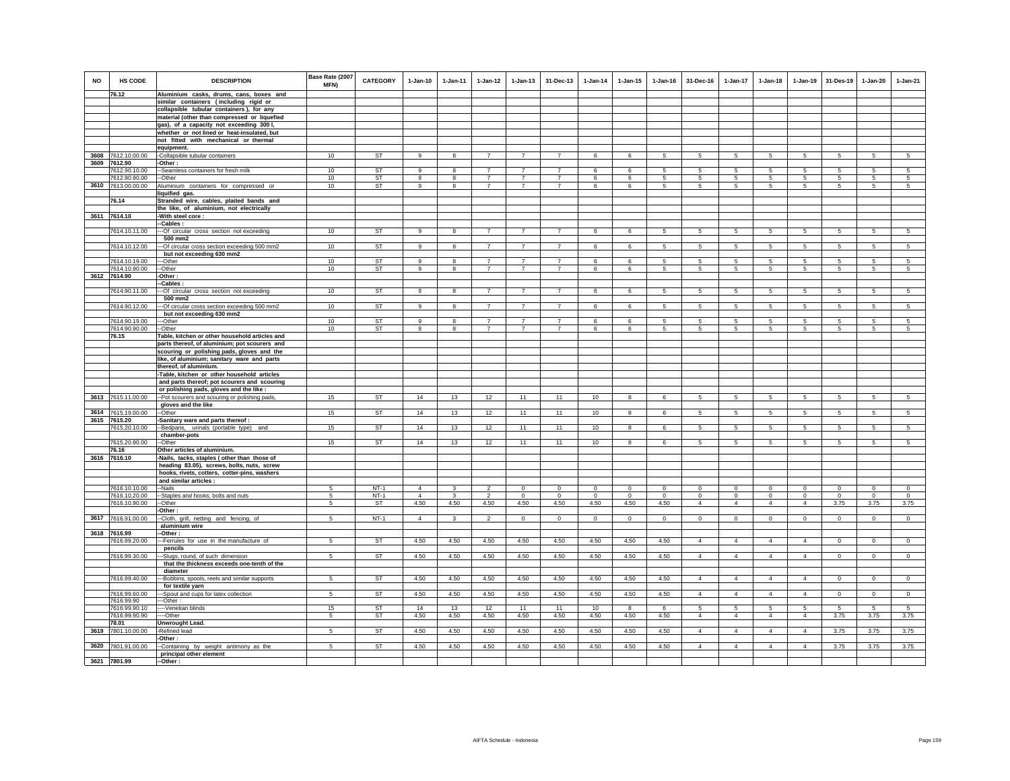| <b>NO</b> | HS CODE                     | <b>DESCRIPTION</b>                                                                       | Base Rate (2007<br><b>MFN)</b> | <b>CATEGORY</b> | $1-Jan-10$     | $1 - Jan-11$            | $1-Jan-12$     | $1 - Jan-13$   | 31-Dec-13      | $1-Jan-14$      | $1 - Jan-15$    | $1 - Jan-16$   | 31-Dec-16       | $1 - Jan-17$    | $1-Jan-18$      | $1-Jan-19$     | 31-Des-19       | $1 - Jan-20$    | $1-Jan-21$      |
|-----------|-----------------------------|------------------------------------------------------------------------------------------|--------------------------------|-----------------|----------------|-------------------------|----------------|----------------|----------------|-----------------|-----------------|----------------|-----------------|-----------------|-----------------|----------------|-----------------|-----------------|-----------------|
|           | 76.12                       | Aluminium casks, drums, cans, boxes and                                                  |                                |                 |                |                         |                |                |                |                 |                 |                |                 |                 |                 |                |                 |                 |                 |
|           |                             | similar containers (including rigid or                                                   |                                |                 |                |                         |                |                |                |                 |                 |                |                 |                 |                 |                |                 |                 |                 |
|           |                             | collapsible tubular containers), for any                                                 |                                |                 |                |                         |                |                |                |                 |                 |                |                 |                 |                 |                |                 |                 |                 |
|           |                             | material (other than compressed or liquefied<br>gas), of a capacity not exceeding 300 l, |                                |                 |                |                         |                |                |                |                 |                 |                |                 |                 |                 |                |                 |                 |                 |
|           |                             | whether or not lined or heat-insulated, but                                              |                                |                 |                |                         |                |                |                |                 |                 |                |                 |                 |                 |                |                 |                 |                 |
|           |                             | not fitted with mechanical or thermal                                                    |                                |                 |                |                         |                |                |                |                 |                 |                |                 |                 |                 |                |                 |                 |                 |
|           |                             | equipment.                                                                               |                                |                 |                |                         |                |                |                |                 |                 |                |                 |                 |                 |                |                 |                 |                 |
| 3608      | 7612.10.00.00               | -Collapsible tubular containers                                                          | 10                             | ST              | 9              | 8                       | $\overline{7}$ | $\overline{7}$ | $\overline{7}$ | 6               | 6               | 5              | 5               | 5               | 5               | $\,$ 5 $\,$    | $\,$ 5 $\,$     | 5               | $\sqrt{5}$      |
| 3609      | 7612.90                     | -Other :                                                                                 |                                |                 |                |                         |                |                |                |                 |                 |                |                 |                 |                 |                |                 |                 |                 |
|           | 7612.90.10.00               | --Seamless containers for fresh milk                                                     | 10                             | <b>ST</b>       | $\alpha$       | 8                       | $\overline{7}$ | $\overline{7}$ | $\overline{7}$ | 6               | 6               | 5              | 5.              | 5               | -5              | 5              | 5               | 5               | 5               |
|           | 7612.90.90.00               | --Other                                                                                  | 10                             | <b>ST</b>       | 9              | 8                       | $\overline{7}$ | $\overline{7}$ | $\overline{7}$ | 6               | 6               | 5              | 5               | 5               | 5               | 5              | 5               | 5               | 5               |
| 3610      | 7613.00.00.00               | Aluminium containers for compressed or                                                   | 10                             | ST              | 9              | 8                       | $\overline{7}$ | $\overline{7}$ | $\overline{7}$ | 6               | 6               | 5              | $5 -$           | 5               | -5              | -5             | 5               | 5               | $\sqrt{5}$      |
|           |                             | liquified gas.                                                                           |                                |                 |                |                         |                |                |                |                 |                 |                |                 |                 |                 |                |                 |                 |                 |
|           | 76.14                       | Stranded wire, cables, plaited bands and                                                 |                                |                 |                |                         |                |                |                |                 |                 |                |                 |                 |                 |                |                 |                 |                 |
|           |                             | the like, of aluminium, not electrically                                                 |                                |                 |                |                         |                |                |                |                 |                 |                |                 |                 |                 |                |                 |                 |                 |
|           | 3611 7614.10                | -With steel core:                                                                        |                                |                 |                |                         |                |                |                |                 |                 |                |                 |                 |                 |                |                 |                 |                 |
|           |                             | -Cables:                                                                                 |                                |                 |                |                         |                |                |                |                 |                 |                |                 |                 |                 |                |                 |                 |                 |
|           | 7614.10.11.00               | --- Of circular cross section not exceeding                                              | 10                             | ST              | 9              | 8                       | $\overline{7}$ | $\overline{7}$ |                | 6               | 6               | 5              | 5               | 5               | 5               | 5              | $\sqrt{5}$      | 5               | 5               |
|           |                             | 500 mm2                                                                                  |                                |                 |                |                         |                |                |                |                 |                 |                |                 |                 |                 |                |                 |                 |                 |
|           | 7614.10.12.00               | -Of circular cross section exceeding 500 mm2<br>but not exceeding 630 mm2                | 10                             | <b>ST</b>       | $\alpha$       | $\mathbf{R}$            | $\overline{7}$ | $\overline{7}$ | $\overline{7}$ | $\mathbf{f}$    | 6               | 5              | 5.              | 5               | 5               | 5              | 5               | $\overline{5}$  | 5 <sup>5</sup>  |
|           | 7614.10.19.00               | --Other                                                                                  | 10                             | ST              | 9              | 8                       | $\overline{7}$ | $\overline{z}$ | $\overline{7}$ | 6               | 6               | 5              | 5               | 5               | 5               | -5             | 5               | 5               | 5               |
|           | 7614.10.90.00               | --Other                                                                                  | 10                             | <b>ST</b>       | 9              | 8                       | $\overline{7}$ | $\overline{7}$ | $\overline{7}$ | 6               | 6               | 5              | $5\phantom{.0}$ | $5^{\circ}$     | $5\phantom{.0}$ | 5              | 5               | $\sqrt{5}$      | 5               |
|           | 3612 7614.90                | -Other :<br>-Cables :                                                                    |                                |                 |                |                         |                |                |                |                 |                 |                |                 |                 |                 |                |                 |                 |                 |
|           | 7614.90.11.00               | -Of circular cross section not exceeding                                                 | 10                             | <b>ST</b>       | 9              | 8                       | $\overline{7}$ | $\overline{7}$ | $\overline{7}$ | 6               | 6               | 5              | 5               | 5               | 5               | 5              | 5               | 5               | 5               |
|           |                             | 500 mm2                                                                                  |                                |                 |                |                         |                |                |                |                 |                 |                |                 |                 |                 |                |                 |                 |                 |
|           | 7614.90.12.00               | -Of circular cross section exceeding 500 mm2                                             | 10                             | <b>ST</b>       | $\overline{9}$ | $\overline{\mathbf{8}}$ | $\overline{7}$ | $\overline{7}$ | $\overline{7}$ | $6\overline{6}$ | $6\overline{6}$ | $\overline{5}$ | 5               | $5\overline{)}$ | $5\overline{5}$ | $\overline{5}$ | $\overline{5}$  | $\overline{5}$  | $\overline{5}$  |
|           |                             | but not exceeding 630 mm2                                                                |                                |                 |                |                         |                |                |                |                 |                 |                |                 |                 |                 |                |                 |                 |                 |
|           | 7614.90.19.00               | -Other                                                                                   | 10                             | <b>ST</b>       | 9              | 8                       | $\overline{7}$ | $\overline{7}$ |                | 6               | 6               | 5              | -5              | 5               | 5               | 5              | 5               | 5               | 5               |
|           | 7614.90.90.00               | --Other                                                                                  | 10                             | ST              | 9              | 8                       | $\overline{7}$ | $\overline{7}$ | $\overline{7}$ | 6               | 6               | 5              | 5               | 5               | 5               | 5              | 5               | 5               | 5               |
|           | 76.15                       | Table, kitchen or other household articles and                                           |                                |                 |                |                         |                |                |                |                 |                 |                |                 |                 |                 |                |                 |                 |                 |
|           |                             | parts thereof, of aluminium; pot scourers and                                            |                                |                 |                |                         |                |                |                |                 |                 |                |                 |                 |                 |                |                 |                 |                 |
|           |                             | scouring or polishing pads, gloves and the                                               |                                |                 |                |                         |                |                |                |                 |                 |                |                 |                 |                 |                |                 |                 |                 |
|           |                             | like, of aluminium; sanitary ware and parts                                              |                                |                 |                |                         |                |                |                |                 |                 |                |                 |                 |                 |                |                 |                 |                 |
|           |                             | thereof, of aluminium.                                                                   |                                |                 |                |                         |                |                |                |                 |                 |                |                 |                 |                 |                |                 |                 |                 |
|           |                             | -Table, kitchen or other household articles                                              |                                |                 |                |                         |                |                |                |                 |                 |                |                 |                 |                 |                |                 |                 |                 |
|           |                             | and parts thereof; pot scourers and scouring                                             |                                |                 |                |                         |                |                |                |                 |                 |                |                 |                 |                 |                |                 |                 |                 |
|           |                             | or polishing pads, gloves and the like :                                                 |                                |                 |                |                         |                |                |                |                 |                 |                |                 |                 |                 |                |                 |                 |                 |
| 3613      | 7615.11.00.00               | -Pot scourers and scouring or polishing pads,                                            | 15                             | ST              | 14             | 13                      | 12             | 11             | 11             | $10$            | 8               |                | 5               | 5               | 5               | 5              | 5               | 5               | 5               |
|           |                             | gloves and the like                                                                      |                                |                 |                |                         |                |                |                |                 |                 |                |                 |                 |                 |                |                 |                 |                 |
| 3614      | 7615.19.00.00               | --Other                                                                                  | 15                             | ST              | 14             | 13                      | 12             | 11             | 11             | 10              | 8               | $\epsilon$     | 5               | 5               | 5               | 5              | 5               | 5               | 5               |
|           | 3615 7615.20                | Sanitary ware and parts thereof :                                                        |                                |                 |                |                         |                |                |                |                 |                 |                |                 |                 |                 |                |                 |                 |                 |
|           | 7615.20.10.00               | -Bedpans, urinals (portable type) and                                                    | 15                             | ST              | 14             | 13                      | 12             | 11             | 11             | 10              | 8               | 6              | $5\phantom{.0}$ | $5\overline{5}$ | $5^{\circ}$     | 5              | $5\overline{5}$ | $5\overline{5}$ | $5\overline{5}$ |
|           | 7615.20.90.00               | chamber-pots<br>-Other                                                                   | 15                             | <b>ST</b>       | 14             | 13                      | 12             | 11             | 11             | 10              | 8               | 6              | 5               | 5               | 5               | -5             | 5               | 5               | 5               |
|           | 76.16                       | Other articles of aluminium.                                                             |                                |                 |                |                         |                |                |                |                 |                 |                |                 |                 |                 |                |                 |                 |                 |
| 3616      | 7616.10                     | Nails, tacks, staples (other than those of                                               |                                |                 |                |                         |                |                |                |                 |                 |                |                 |                 |                 |                |                 |                 |                 |
|           |                             | heading 83.05), screws, bolts, nuts, screw                                               |                                |                 |                |                         |                |                |                |                 |                 |                |                 |                 |                 |                |                 |                 |                 |
|           |                             | hooks, rivets, cotters, cotter-pins, washers                                             |                                |                 |                |                         |                |                |                |                 |                 |                |                 |                 |                 |                |                 |                 |                 |
|           |                             | and similar articles :                                                                   |                                |                 |                |                         |                |                |                |                 |                 |                |                 |                 |                 |                |                 |                 |                 |
|           | 7616.10.10.00               | --Nails                                                                                  | 5                              | $NT-1$          | $\overline{4}$ | $\mathbf{3}$            | $\mathfrak{p}$ | $\mathsf 0$    | $\mathsf 0$    | $\mathsf 0$     | $\mathsf 0$     | $\Omega$       | $\mathsf 0$     | $\mathbf 0$     | $\mathbf 0$     | $\mathbf 0$    | $\mathbf 0$     | $\mathsf 0$     | $\mathsf 0$     |
|           | 7616.10.20.00               | --Staples and hooks; bolts and nuts                                                      | 5                              | $NT-1$          | $\overline{4}$ | 3                       | $\overline{2}$ | $\mathbf 0$    | $\mathbf 0$    | $\circ$         | $\mathbf 0$     | $^{\circ}$     | $\circ$         | $\mathbf 0$     | $\circ$         | $\mathbf 0$    | $\circ$         | $\mathbf 0$     | $\mathbf 0$     |
|           | 7616.10.90.00               | --Other                                                                                  | 5                              | <b>ST</b>       | 4.50           | 4.50                    | 4.50           | 4.50           | 4.50           | 4.50            | 4.50            | 4.50           | $\overline{4}$  | $\overline{4}$  | $\overline{4}$  | $\overline{4}$ | 3.75            | 3.75            | 3.75            |
|           |                             | Other:                                                                                   |                                |                 |                |                         |                |                |                |                 |                 |                |                 |                 |                 |                |                 |                 |                 |
|           | 3617 7616.91.00.00          | -Cloth, grill, netting and fencing, of                                                   | 5                              | $NT-1$          | $\overline{4}$ | 3                       | $\overline{a}$ | $\mathbf 0$    | $\mathbf 0$    | $\circ$         | $\mathbf 0$     | $\circ$        | $\Omega$        | $\mathsf{O}$    | $\circ$         | $\circ$        | $\Omega$        | $\mathbf 0$     | $\mathsf 0$     |
|           |                             | aluminium wire                                                                           |                                |                 |                |                         |                |                |                |                 |                 |                |                 |                 |                 |                |                 |                 |                 |
|           | 3618 7616.99                | -Other:                                                                                  |                                |                 |                |                         |                |                |                |                 |                 |                |                 |                 |                 |                |                 |                 |                 |
|           | 7616.99.20.00               | --Ferrules for use in the manufacture of<br>pencils                                      | 5                              | ST              | 4.50           | 4.50                    | 4.50           | 4.50           | 4.50           | 4.50            | 4.50            | 4.50           | $\overline{4}$  | $\overline{4}$  | $\overline{4}$  | $\overline{4}$ | $\overline{0}$  | $\mathbf 0$     | $\overline{0}$  |
|           | 7616.99.30.00               | -Slugs, round, of such dimension                                                         | $\sqrt{5}$                     | ST              | 4.50           | 4.50                    | 4.50           | 4.50           | 4.50           | 4.50            | 4.50            | 4.50           | $\overline{4}$  | $\overline{4}$  | $\overline{4}$  | $\overline{4}$ | $\mathbf 0$     | $\mathbf 0$     | $\circ$         |
|           |                             | that the thickness exceeds one-tenth of the                                              |                                |                 |                |                         |                |                |                |                 |                 |                |                 |                 |                 |                |                 |                 |                 |
|           |                             | diameter                                                                                 |                                |                 |                |                         |                |                |                |                 |                 |                |                 |                 |                 |                |                 |                 |                 |
|           | 7616.99.40.00               | -Bobbins, spools, reels and similar supports<br>for textile yarn                         | 5                              | <b>ST</b>       | 4.50           | 4.50                    | 4.50           | 4.50           | 4.50           | 4.50            | 4.50            | 4.50           | $\overline{4}$  | $\overline{4}$  | $\overline{4}$  | $\overline{4}$ | $\mathbf 0$     | $\mathbf{0}$    | $\mathbf 0$     |
|           | 7616.99.60.00               | -Spout and cups for latex collection                                                     | 5                              | ST              | 4.50           | 4.50                    | 4.50           | 4.50           | 4.50           | 4.50            | 4.50            | 4.50           | $\overline{4}$  | $\overline{4}$  | $\overline{4}$  | $\overline{4}$ | $\mathbf 0$     | $\mathsf 0$     | $\mathsf 0$     |
|           | 7616.99.90<br>7616.99.90.10 | -Other:                                                                                  | 15                             | <b>ST</b>       | 14             | 13                      |                | 11             | 11             | 10              | $\mathbf{R}$    | 6              | 5.              | 5               | $\mathbf{5}$    | 5              | 5               | 5               | 5               |
|           | 7616.99.90.90               | -- Venetian blinds<br>--Other                                                            | 5                              | ST              | 4.50           | 4.50                    | 12<br>4.50     | 4.50           | 4.50           | 4.50            | 4.50            | 4.50           | $\overline{4}$  | $\overline{4}$  | $\overline{4}$  | $\overline{4}$ | 3.75            | 3.75            | 3.75            |
|           | 78.01                       | Unwrought Lead.                                                                          |                                |                 |                |                         |                |                |                |                 |                 |                |                 |                 |                 |                |                 |                 |                 |
|           | 3619 7801.10.00.00          | -Refined lead                                                                            | 5                              | ST              | 4.50           | 4.50                    | 4.50           | 4.50           | 4.50           | 4.50            | 4.50            | 4.50           | $\overline{4}$  | $\overline{4}$  | $\overline{4}$  | $\overline{4}$ | 3.75            | 3.75            | 3.75            |
|           |                             | -Other:                                                                                  |                                |                 |                |                         |                |                |                |                 |                 |                |                 |                 |                 |                |                 |                 |                 |
| 3620      | 7801.91.00.00               | -Containing by weight antimony as the                                                    | 5                              | <b>ST</b>       | 4.50           | 4.50                    | 4.50           | 4.50           | 4.50           | 4.50            | 4.50            | 4.50           | $\overline{4}$  | $\overline{4}$  | $\overline{4}$  | $\overline{4}$ | 3.75            | 3.75            | 3.75            |
|           |                             | principal other element                                                                  |                                |                 |                |                         |                |                |                |                 |                 |                |                 |                 |                 |                |                 |                 |                 |
| 3621      | 7801.99                     | -Other:                                                                                  |                                |                 |                |                         |                |                |                |                 |                 |                |                 |                 |                 |                |                 |                 |                 |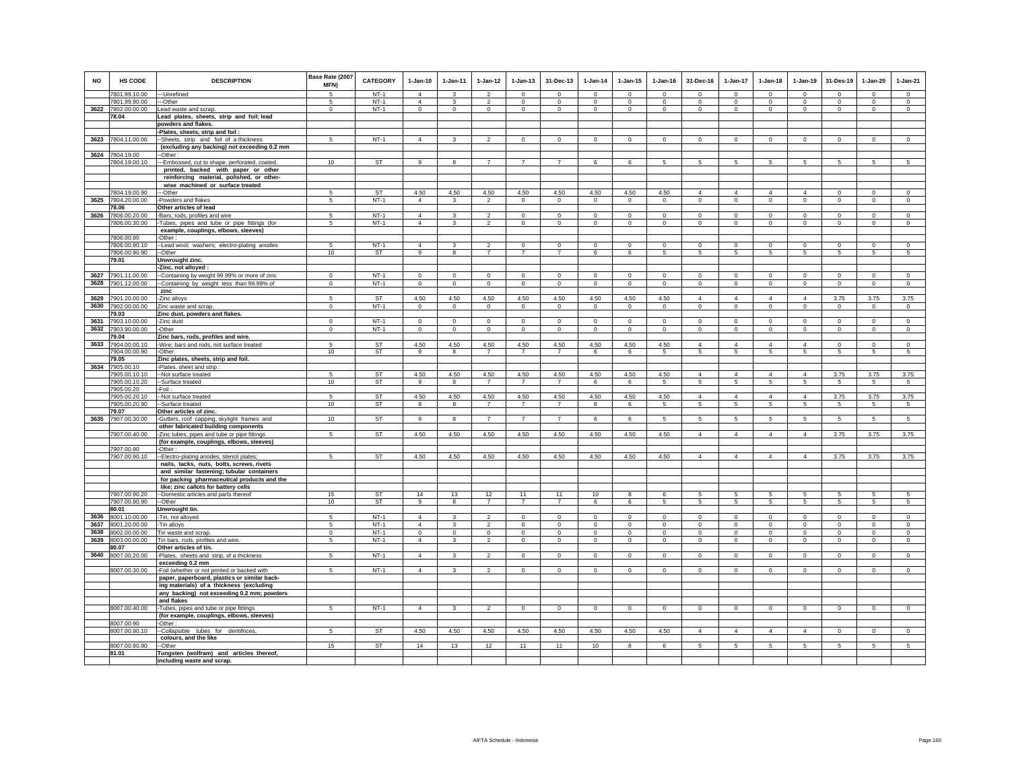| <b>NO</b>    | HS CODE                        | <b>DESCRIPTION</b>                                                                           | Base Rate (2007<br><b>MFN)</b> | <b>CATEGORY</b>     | $1-Jan-10$                       | $1-Jan-11$               | $1 - Jan-12$                    | $1 - Jan-13$                | 31-Dec-13                  | $1 - Jan-14$            | $1 - Jan-15$            | $1 - Jan-16$            | 31-Dec-16                      | 1-Jan-17                          | $1-Jan-18$                    | $1-Jan-19$                       | 31-Des-19                  | $1-Jan-20$              | $1-Jan-21$         |
|--------------|--------------------------------|----------------------------------------------------------------------------------------------|--------------------------------|---------------------|----------------------------------|--------------------------|---------------------------------|-----------------------------|----------------------------|-------------------------|-------------------------|-------------------------|--------------------------------|-----------------------------------|-------------------------------|----------------------------------|----------------------------|-------------------------|--------------------|
|              | 7801.99.10.00                  | ---Unrefined                                                                                 | 5                              | $NT-1$              | $\overline{4}$                   | $\mathcal{R}$            | $\overline{\phantom{a}}$        | $\Omega$                    | $\Omega$                   | $\Omega$                | $\Omega$                | $\Omega$                | $\Omega$                       | $\overline{0}$                    | $\Omega$                      | $\Omega$                         | $\Omega$                   | $\Omega$                | $\Omega$           |
|              | 7801.99.90.00                  | --Other                                                                                      | 5                              | $NT-1$              | $\overline{4}$                   | 3                        | $\overline{2}$                  | $\mathbf 0$                 | $^{\circ}$                 | $^{\circ}$              | $\mathbf 0$             | $\mathbf 0$             | $\mathbf 0$                    | $\circ$                           | $\mathbf 0$                   | $\mathbf{0}$                     | $\mathbf 0$                | $\mathbf 0$             | $\circ$            |
|              | 3622 7802.00.00.00             | Lead waste and scrap.                                                                        | $\mathbf 0$                    | $NT-1$              | $\circ$                          | $\circ$                  | $\circ$                         | $\mathbf 0$                 | $\mathbf 0$                | $\mathbf 0$             | $\mathbf 0$             | $\circ$                 | $\mathbf 0$                    | $\circ$                           | $\mathbf 0$                   | $\circ$                          | $\mathbf 0$                | $\circ$                 | $\circ$            |
|              | 78.04                          | Lead plates, sheets, strip and foil; lead                                                    |                                |                     |                                  |                          |                                 |                             |                            |                         |                         |                         |                                |                                   |                               |                                  |                            |                         |                    |
|              |                                | powders and flakes.<br>Plates, sheets, strip and foil:                                       |                                |                     |                                  |                          |                                 |                             |                            |                         |                         |                         |                                |                                   |                               |                                  |                            |                         |                    |
| 3623         | 7804.11.00.00                  | -Sheets, strip and foil of a thickness                                                       | 5                              | $NT-1$              | $\overline{4}$                   | $\mathbf{3}$             | $\overline{2}$                  | $\mathsf 0$                 | $\overline{0}$             | $\circ$                 | $\mathsf 0$             | $\mathsf 0$             | $\mathsf 0$                    | $\circ$                           | $\mathsf 0$                   | $\mathsf 0$                      | $\mathsf 0$                | $\circ$                 | $\overline{0}$     |
|              |                                | (excluding any backing) not exceeding 0.2 mm                                                 |                                |                     |                                  |                          |                                 |                             |                            |                         |                         |                         |                                |                                   |                               |                                  |                            |                         |                    |
| 3624         | 7804.19.00                     | -Other:                                                                                      |                                |                     |                                  |                          |                                 |                             |                            |                         |                         |                         |                                |                                   |                               |                                  |                            |                         |                    |
|              | 7804.19.00.10                  | ---Embossed, cut to shape, perforated, coated,                                               | 10                             | ST                  | 9                                | 8                        | $\overline{7}$                  | $\overline{7}$              | $\overline{7}$             | 6                       | 6                       | 5                       | 5                              | $5\overline{)}$                   | $\overline{5}$                | $5\overline{)}$                  | 5                          | 5                       | $\overline{5}$     |
|              |                                | printed, backed with paper or other<br>reinforcing material, polished, or other-             |                                |                     |                                  |                          |                                 |                             |                            |                         |                         |                         |                                |                                   |                               |                                  |                            |                         |                    |
|              |                                | wise machined or surface treated                                                             |                                |                     |                                  |                          |                                 |                             |                            |                         |                         |                         |                                |                                   |                               |                                  |                            |                         |                    |
|              | 7804.19.00.90                  | --Other                                                                                      | 5                              | ST                  | 4.50                             | 4.50                     | 4.50                            | 4.50                        | 4.50                       | 4.50                    | 4.50                    | 4.50                    | $\overline{4}$                 | $\overline{4}$                    | $\overline{4}$                | $\overline{4}$                   | $\mathbf 0$                | $\mathbf 0$             | $\circ$            |
| 3625         | 7804.20.00.00                  | -Powders and flakes                                                                          | 5                              | $NT-1$              | $\overline{4}$                   | 3                        | $\overline{\mathbf{2}}$         | $\mathbf 0$                 | $\overline{0}$             | $\mathbf 0$             | $\mathbf{0}$            | $\mathbf 0$             | $\mathbf 0$                    | $\circ$                           | 0                             | $\mathbf 0$                      | $\mathbf{0}$               | $\mathbf{0}$            | $\circ$            |
|              | 78.06                          | Other articles of lead                                                                       |                                |                     |                                  |                          |                                 |                             |                            |                         |                         |                         |                                |                                   |                               |                                  |                            |                         |                    |
| 3626         | 7806.00.20.00<br>7806.00.30.00 | Bars, rods, profiles and wire<br>Tubes, pipes and tube or pipe fittings (for                 | 5<br>5                         | $NT-1$<br>$NT-1$    | $\overline{4}$<br>$\overline{4}$ | $\mathbf{R}$<br>3        | $\mathcal{L}$<br>$\overline{2}$ | $\mathbf{0}$<br>$\mathbf 0$ | $\Omega$<br>$\mathbf 0$    | $\Omega$<br>$\mathbf 0$ | $\Omega$<br>$\mathbf 0$ | $\Omega$<br>$\mathbf 0$ | $\Omega$<br>$\mathbf 0$        | $\mathbf{0}$<br>$\circ$           | $\mathbf{0}$<br>$\mathbf 0$   | $\mathbf{0}$<br>$\circ$          | $\mathbf 0$<br>$\mathbf 0$ | $\Omega$<br>$\mathbf 0$ | $\circ$<br>$\circ$ |
|              |                                | example, couplings, elbows, sleeves)                                                         |                                |                     |                                  |                          |                                 |                             |                            |                         |                         |                         |                                |                                   |                               |                                  |                            |                         |                    |
|              | 7806.00.90                     | -Other:                                                                                      |                                |                     |                                  |                          |                                 |                             |                            |                         |                         |                         |                                |                                   |                               |                                  |                            |                         |                    |
|              | 7806.00.90.10                  | -- Lead wool; washers; electro-plating anodes                                                |                                | $NT-1$              | $\overline{4}$                   |                          | $\mathfrak{p}$                  | $\Omega$                    | $\Omega$                   | $\Omega$                | $\Omega$                | $\Omega$                | $\Omega$                       | $\Omega$                          | $\Omega$                      | $\Omega$                         | $\Omega$                   | $\Omega$                | $\mathsf 0$        |
|              | 7806.00.90.90<br>79.01         | --Other<br>Unwrought zinc.                                                                   | 10                             | ST                  | 9                                | 8                        | $\overline{7}$                  | $\overline{7}$              | $\overline{7}$             | 6                       | 6                       | $\sqrt{5}$              | 5                              | $5\overline{5}$                   | 5                             | 5                                | $\sqrt{5}$                 | 5                       | $5\phantom{.0}$    |
|              |                                | -Zinc, not alloyed :                                                                         |                                |                     |                                  |                          |                                 |                             |                            |                         |                         |                         |                                |                                   |                               |                                  |                            |                         |                    |
| 3627         | 7901.11.00.00                  | -Containing by weight 99.99% or more of zinc                                                 | $\mathbf{0}$                   | $NT-1$              | $\Omega$                         | $\Omega$                 | $\Omega$                        | $\mathbf{0}$                | $\mathbf{0}$               | $\Omega$                | $\Omega$                | $\Omega$                | $\mathbf{0}$                   | $\mathbf{0}$                      | $\mathbf{0}$                  | $\circ$                          | $\mathbf 0$                | $\circ$                 | $\circ$            |
| 3628         | 7901.12.00.00                  | -Containing by weight less than 99.99% of                                                    | $\mathbf 0$                    | $NT-1$              | $\circ$                          | $\mathbf 0$              | $\circ$                         | $\mathbf 0$                 | $\mathbf 0$                | $\mathbf 0$             | $\mathbf 0$             | $\circ$                 | $\circ$                        | $\circ$                           | $\mathbf 0$                   | $\mathsf 0$                      | $\mathbf 0$                | $\circ$                 | $\mathbf 0$        |
|              |                                | zinc                                                                                         |                                |                     |                                  |                          |                                 |                             |                            |                         |                         |                         |                                |                                   |                               |                                  |                            |                         |                    |
| 3629<br>3630 | 7901.20.00.00<br>7902.00.00.00 | -Zinc alloys<br>Zinc waste and scrap.                                                        | 5<br>$\mathbf{0}$              | <b>ST</b><br>$NT-1$ | 4.50<br>$\Omega$                 | 4.50<br>$\circ$          | 4.50<br>$\circ$                 | 4.50<br>$\mathbf 0$         | 4.50<br>$\mathbf{0}$       | 4.50<br>$\mathbf 0$     | 4.50<br>$\mathbf 0$     | 4.50<br>$\Omega$        | $\overline{4}$<br>$\mathbf{0}$ | $\overline{4}$<br>$\circ$         | $\overline{4}$<br>$\mathbf 0$ | $\overline{4}$<br>$\mathsf 0$    | 3.75<br>$\circ$            | 3.75<br>$\circ$         | 3.75<br>$\circ$    |
|              | 79.03                          | Zinc dust, powders and flakes.                                                               |                                |                     |                                  |                          |                                 |                             |                            |                         |                         |                         |                                |                                   |                               |                                  |                            |                         |                    |
| 3631         | 7903.10.00.00                  | -Zinc dust                                                                                   | $\Omega$                       | $NT-1$              | $\Omega$                         | $\Omega$                 | $\Omega$                        | $\mathbf{0}$                | $\mathbf{0}$               | $\Omega$                | $\Omega$                | $\Omega$                | $\Omega$                       | $\mathbf{0}$                      | $\Omega$                      | $\circ$                          | $\Omega$                   | $\mathbf{0}$            | $\circ$            |
| 3632         | 7903.90.00.00                  | -Other                                                                                       | $\mathbf 0$                    | $NT-1$              | $\circ$                          | $\circ$                  | $\mathbf 0$                     | $\mathbf 0$                 | $\mathbf 0$                | $\mathbf 0$             | $\mathbf 0$             | $\mathbf 0$             | $\mathbf 0$                    | $\mathbf{0}$                      | $\mathbf 0$                   | $\circ$                          | $\mathbf 0$                | $\mathbf 0$             | $\circ$            |
| 3633         | 79.04<br>7904.00.00.10         | Zinc bars, rods, profiles and wire.                                                          | 5                              | ST                  | 4.50                             | 4.50                     | 4.50                            | 4.50                        | 4.50                       | 4.50                    | 4.50                    | 4.50                    | $\overline{4}$                 | $\overline{4}$                    | $\overline{4}$                | $\overline{4}$                   | $\circ$                    | $\circ$                 | $\circ$            |
|              | 7904.00.00.90                  | -Wire; bars and rods, not surface treated<br>-Other                                          | 10                             | <b>ST</b>           | $\overline{9}$                   | 8                        | $\overline{7}$                  | $\overline{7}$              | $\overline{7}$             | $6\overline{6}$         | 6                       | $\sqrt{5}$              | 5                              | $\sqrt{5}$                        | 5                             | $\sqrt{5}$                       | 5                          | 5                       | $\overline{5}$     |
|              | 79.05                          | Zinc plates, sheets, strip and foil.                                                         |                                |                     |                                  |                          |                                 |                             |                            |                         |                         |                         |                                |                                   |                               |                                  |                            |                         |                    |
| 3634         | 7905.00.10                     | Plates, sheet and strip                                                                      |                                |                     |                                  |                          |                                 |                             |                            |                         |                         |                         |                                |                                   |                               |                                  |                            |                         |                    |
|              | 7905.00.10.10                  | -Not surface treated                                                                         | 5<br>10                        | ST<br><b>ST</b>     | 4.50<br>$\alpha$                 | 4.50<br>$\mathbf{R}$     | 4.50<br>$\overline{7}$          | 4.50<br>$\overline{7}$      | 4.50<br>$\overline{7}$     | 4.50<br>6               | 4.50<br>6               | 4.50<br>5               | $\overline{4}$<br>5            | $\overline{4}$<br>$5\overline{)}$ | $\overline{4}$<br>5           | $\overline{4}$<br>$\overline{5}$ | 3.75<br>5                  | 3.75<br>$\sqrt{5}$      | 3.75<br>5          |
|              | 7905.00.10.20<br>7905.00.20    | --Surface treated<br>-Foil                                                                   |                                |                     |                                  |                          |                                 |                             |                            |                         |                         |                         |                                |                                   |                               |                                  |                            |                         |                    |
|              | 7905.00.20.10                  | -Not surface treated                                                                         | 5                              | <b>ST</b>           | 4.50                             | 4.50                     | 4.50                            | 4.50                        | 4.50                       | 4.50                    | 4.50                    | 4.50                    | $\overline{4}$                 | $\overline{4}$                    | $\overline{4}$                | $\overline{4}$                   | 3.75                       | 3.75                    | 3.75               |
|              | 7905.00.20.90                  | -Surface treated                                                                             | 10                             | ST                  | 9                                | 8                        | $\overline{7}$                  | $\overline{7}$              | $\overline{7}$             | 6                       | 6                       | 5                       | $\sqrt{5}$                     | $5\overline{5}$                   | 5                             | 5                                | 5                          | 5                       | 5                  |
| 3635         | 79.07<br>7907.00.30.00         | Other articles of zinc.<br>-Gutters, roof capping, skylight frames and                       | 10                             | <b>ST</b>           | 9                                | 8                        | $\overline{7}$                  | $\overline{7}$              | $\overline{7}$             | 6                       | 6                       | 5                       | 5                              | $5\phantom{.0}$                   | 5                             | $5\overline{)}$                  | 5                          | $5\overline{)}$         | $\overline{5}$     |
|              |                                | other fabricated building components                                                         |                                |                     |                                  |                          |                                 |                             |                            |                         |                         |                         |                                |                                   |                               |                                  |                            |                         |                    |
|              | 7907.00.40.00                  | -Zinc tubes, pipes and tube or pipe fittings                                                 | 5                              | <b>ST</b>           | 4.50                             | 4.50                     | 4.50                            | 4.50                        | 4.50                       | 4.50                    | 4.50                    | 4.50                    | $\overline{4}$                 | $\overline{4}$                    | $\overline{4}$                | $\overline{4}$                   | 3.75                       | 3.75                    | 3.75               |
|              |                                | (for example, couplings, elbows, sleeves)                                                    |                                |                     |                                  |                          |                                 |                             |                            |                         |                         |                         |                                |                                   |                               |                                  |                            |                         |                    |
|              | 7907.00.90<br>7907.00.90.10    | -Other<br>--Electro-plating anodes; stencil plates;                                          | 5                              | ST                  | 4.50                             | 4.50                     | 4.50                            | 4.50                        | 4.50                       | 4.50                    | 4.50                    | 4.50                    | $\overline{4}$                 | $\overline{4}$                    | $\overline{4}$                | $\overline{4}$                   | 3.75                       | 3.75                    | 3.75               |
|              |                                | nails, tacks, nuts, bolts, screws, rivets                                                    |                                |                     |                                  |                          |                                 |                             |                            |                         |                         |                         |                                |                                   |                               |                                  |                            |                         |                    |
|              |                                | and similar fastening; tubular containers                                                    |                                |                     |                                  |                          |                                 |                             |                            |                         |                         |                         |                                |                                   |                               |                                  |                            |                         |                    |
|              |                                | for packing pharmaceutical products and the                                                  |                                |                     |                                  |                          |                                 |                             |                            |                         |                         |                         |                                |                                   |                               |                                  |                            |                         |                    |
|              | 7907.00.90.20                  | like; zinc callots for battery cells                                                         | 15                             |                     | 14                               | 13                       | 12                              | 11                          | 11                         | 10                      | 8                       | 6                       | 5                              | 5                                 |                               | 5                                | 5                          | 5                       | 5                  |
|              | 7907.00.90.90                  | -Domestic articles and parts thereof<br>--Other                                              | 10                             | ST<br>ST            | 9                                | 8                        | $\overline{7}$                  | $\overline{7}$              | $\overline{7}$             | 6                       | 6                       | 5                       | 5                              | $5\phantom{.0}$                   | 5                             | 5                                | $\sqrt{5}$                 | 5                       | $\overline{5}$     |
|              | 80.01                          | Unwrought tin.                                                                               |                                |                     |                                  |                          |                                 |                             |                            |                         |                         |                         |                                |                                   |                               |                                  |                            |                         |                    |
| 3636         | 8001.10.00.00                  | -Tin, not alloyed                                                                            | $\overline{5}$                 | $NT-1$              | $\overline{4}$                   | 3                        | $\mathcal{P}$                   | $\mathbf{0}$                | $\mathbf 0$                | $\Omega$                | $\Omega$                | $\Omega$                | $\Omega$                       | $\mathbf{0}$                      | $\mathbf{0}$                  | $\circ$                          | $\Omega$                   | $\mathbf 0$             | $\circ$            |
| 3637<br>3638 | 8001.20.00.00<br>8002.00.00.00 | Tin alloys                                                                                   | 5<br>$\Omega$                  | $NT-1$<br>$NT-1$    | $\overline{4}$<br>$\Omega$       | $\mathbf{3}$<br>$\Omega$ | $\overline{2}$<br>$\mathbf 0$   | $\mathsf 0$                 | $\mathsf 0$<br>$\mathbf 0$ | $\mathbf 0$<br>$\Omega$ | $\mathbf 0$<br>$\Omega$ | $\mathbf 0$<br>$\Omega$ | $\mathsf 0$                    | $\mathbf 0$                       | $\mathsf 0$                   | $\mathsf 0$                      | $\mathbf 0$<br>$\Omega$    | $\circ$<br>$\mathbf 0$  | $\mathsf 0$        |
| 3639         | 8003.00.00.00                  | Tin waste and scrap.<br>Tin bars, rods, profiles and wire.                                   | 5                              | $NT-1$              | $\overline{4}$                   | $\mathbf{3}$             | $\overline{2}$                  | $\mathbf 0$<br>$\mathbf 0$  | $\mathbf 0$                | $^{\circ}$              | $\mathbf 0$             | $^{\circ}$              | $\mathbf 0$<br>$\mathbf 0$     | $\mathbf 0$<br>$\circ$            | $\mathbf 0$<br>$\mathbf 0$    | $\mathbf 0$<br>$\mathbf 0$       | $\mathbf 0$                | $\mathbf 0$             | $\circ$<br>$\circ$ |
|              | 80.07                          | Other articles of tin.                                                                       |                                |                     |                                  |                          |                                 |                             |                            |                         |                         |                         |                                |                                   |                               |                                  |                            |                         |                    |
|              | 3640 8007.00.20.00             | -Plates, sheets and strip, of a thickness                                                    | 5                              | $NT-1$              | $\overline{4}$                   | 3                        | $\overline{2}$                  | $\circ$                     | $\mathbf{0}$               | $\mathbf 0$             | $^{\circ}$              | $^{\circ}$              | $^{\circ}$                     | $\circ$                           | $\circ$                       | $\mathbf 0$                      | $\mathbf{0}$               | $\mathbf 0$             | $\circ$            |
|              |                                | exceeding 0.2 mm                                                                             |                                |                     |                                  |                          |                                 |                             |                            |                         |                         |                         |                                |                                   |                               |                                  |                            |                         |                    |
|              | 8007.00.30.00                  | -Foil (whether or not printed or backed with<br>paper, paperboard, plastics or similar back- | 5                              | $NT-1$              | $\overline{4}$                   | 3                        | $\overline{2}$                  | $\overline{0}$              | $\overline{0}$             | $\mathbf 0$             | $\mathbf 0$             | $\mathbf 0$             | $\mathbf 0$                    | $\overline{0}$                    | $\overline{0}$                | $\overline{0}$                   | $\overline{0}$             | $\overline{0}$          | $\overline{0}$     |
|              |                                | ing materials) of a thickness (excluding                                                     |                                |                     |                                  |                          |                                 |                             |                            |                         |                         |                         |                                |                                   |                               |                                  |                            |                         |                    |
|              |                                | any backing) not exceeding 0.2 mm; powders                                                   |                                |                     |                                  |                          |                                 |                             |                            |                         |                         |                         |                                |                                   |                               |                                  |                            |                         |                    |
|              |                                | and flakes                                                                                   |                                |                     |                                  |                          |                                 |                             |                            |                         |                         |                         |                                |                                   |                               |                                  |                            |                         |                    |
|              | 8007.00.40.00                  | -Tubes, pipes and tube or pipe fittings                                                      | 5                              | $NT-1$              | $\overline{4}$                   | $\mathbf{3}$             | $\overline{2}$                  | $\mathsf 0$                 | $\mathbf 0$                | $\mathbf 0$             | $\mathsf 0$             | $\mathbf 0$             | $\mathbf 0$                    | $\circ$                           | $\mathbf 0$                   | $\mathsf 0$                      | $\mathbf 0$                | $\mathsf 0$             | $\mathbf 0$        |
|              | 8007.00.90                     | (for example, couplings, elbows, sleeves)<br>-Other:                                         |                                |                     |                                  |                          |                                 |                             |                            |                         |                         |                         |                                |                                   |                               |                                  |                            |                         |                    |
|              | 8007.00.90.10                  | -- Collapsible tubes for dentifrices,                                                        | 5                              | <b>ST</b>           | 4.50                             | 4.50                     | 4.50                            | 4.50                        | 4.50                       | 4.50                    | 4.50                    | 4.50                    | $\overline{4}$                 | $\overline{4}$                    | $\overline{4}$                | $\overline{4}$                   | $\mathbf{0}$               | $\circ$                 | $\circ$            |
|              |                                | colours, and the like                                                                        |                                |                     |                                  |                          |                                 |                             |                            |                         |                         |                         |                                |                                   |                               |                                  |                            |                         |                    |
|              | 8007.00.90.90<br>81.01         | -Other<br>Tungsten (wolfram) and articles thereof,                                           | 15                             | <b>ST</b>           | 14                               | 13                       | 12                              | 11                          | 11                         | 10                      | 8                       | 6                       | 5                              | 5                                 | 5                             | 5                                | -5                         | 5                       | -5                 |
|              |                                | including waste and scrap.                                                                   |                                |                     |                                  |                          |                                 |                             |                            |                         |                         |                         |                                |                                   |                               |                                  |                            |                         |                    |
|              |                                |                                                                                              |                                |                     |                                  |                          |                                 |                             |                            |                         |                         |                         |                                |                                   |                               |                                  |                            |                         |                    |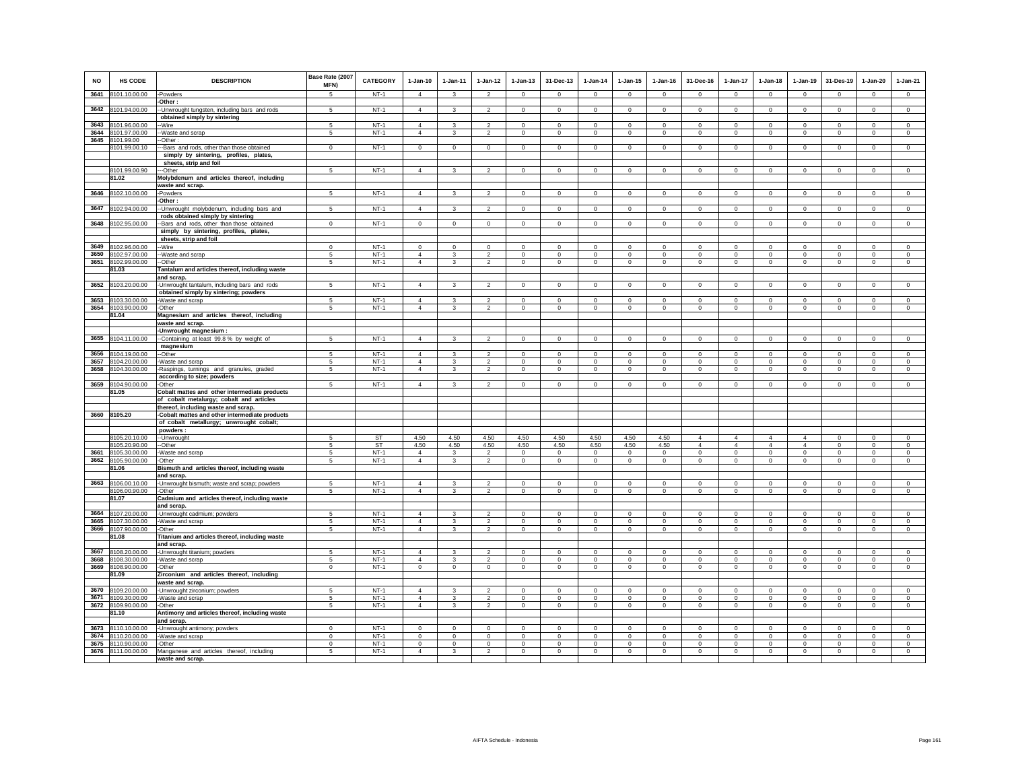| <b>NO</b>    | <b>HS CODE</b>                           | <b>DESCRIPTION</b>                                                                    | Base Rate (2007<br>MFN)     | CATEGORY              | $1-Jan-10$                       | 1-Jan-11                     | $1 - Jan-12$                     | $1 - Jan-13$               | 31-Dec-13                  | $1-Jan-14$                  | $1-Jan-15$                 | $1 - Jan-16$                | 31-Dec-16                        | $1-Jan-17$                                | $1-Jan-18$                 | $1-Jan-19$                       | 31-Des-19                  | $1-Jan-20$                 | $1-Jan-21$                 |
|--------------|------------------------------------------|---------------------------------------------------------------------------------------|-----------------------------|-----------------------|----------------------------------|------------------------------|----------------------------------|----------------------------|----------------------------|-----------------------------|----------------------------|-----------------------------|----------------------------------|-------------------------------------------|----------------------------|----------------------------------|----------------------------|----------------------------|----------------------------|
| 3641         | 8101.10.00.00                            | -Powders<br>-Other:                                                                   | 5                           | $NT-1$                | $\overline{4}$                   | $\mathbf{3}$                 | $\overline{2}$                   | $\Omega$                   | $\Omega$                   | $\Omega$                    | $\Omega$                   | $\Omega$                    | $\Omega$                         | $\circ$                                   | $\Omega$                   | $\mathbf 0$                      | $\overline{0}$             | $\Omega$                   | $\overline{0}$             |
|              | 3642 8101.94.00.00                       | -Unwrought tungsten, including bars and rods                                          | -5                          | $NT-1$                | $\overline{4}$                   | $\mathbf{3}$                 | $\overline{2}$                   | $\mathbf 0$                | $\mathbf 0$                | $\mathbf 0$                 | $\mathbf 0$                | $\Omega$                    | $\circ$                          | $\mathbf 0$                               | $\circ$                    | $\mathbf 0$                      | $\mathbf 0$                | $\mathbf 0$                | $\circ$                    |
|              |                                          | obtained simply by sintering                                                          |                             |                       |                                  |                              |                                  |                            |                            |                             |                            |                             |                                  |                                           |                            |                                  |                            |                            |                            |
|              | 3643 8101.96.00.00<br>3644 8101.97.00.00 | -Wire<br>-Waste and scrap                                                             | 5<br>5                      | <b>NT-1</b><br>$NT-1$ | $\Delta$<br>$\overline{4}$       | 3<br>3                       | $\overline{2}$<br>$\overline{2}$ | $\mathbf 0$<br>$\mathbf 0$ | $\mathbf 0$<br>$\mathbf 0$ | $\mathbf 0$<br>$\mathbf{0}$ | $\mathbf 0$<br>0           | $\mathbf 0$<br>$\mathbf{0}$ | $\Omega$<br>$\mathbf 0$          | $\mathbf 0$<br>$\mathbf 0$                | $\Omega$<br>$\mathbf 0$    | $\mathbf 0$<br>$\circ$           | $\circ$<br>$\circ$         | $\mathbf 0$<br>$\circ$     | $\circ$<br>$\mathbf 0$     |
| 3645         | 8101.99.00                               | -Other:                                                                               |                             |                       |                                  |                              |                                  |                            |                            |                             |                            |                             |                                  |                                           |                            |                                  |                            |                            |                            |
|              | 9101.99.00.10                            | -Bars and rods, other than those obtained                                             | $\Omega$                    | $NT-1$                | $\Omega$                         | $\Omega$                     | $\mathbf 0$                      | $\mathbf 0$                | $\mathbf 0$                | $\Omega$                    | $^{\circ}$                 | $\Omega$                    | $\Omega$                         | $\mathbf 0$                               | $\Omega$                   | $\Omega$                         | $\mathbf 0$                | $\mathbf 0$                | $\circ$                    |
|              |                                          | simply by sintering, profiles, plates,<br>sheets, strip and foil                      |                             |                       |                                  |                              |                                  |                            |                            |                             |                            |                             |                                  |                                           |                            |                                  |                            |                            |                            |
|              | 8101.99.00.90                            | -Other                                                                                | 5                           | $NT-1$                | $\Delta$                         | $\overline{\mathbf{3}}$      | $\overline{2}$                   | $\mathsf 0$                | $\mathbf 0$                | $\mathsf 0$                 | $\mathbf 0$                | $\Omega$                    | $\circ$                          | $\mathbf 0$                               | $\mathbf 0$                | $\mathbf 0$                      | $\mathbf 0$                | $\mathbf 0$                | $\circ$                    |
|              | 81.02                                    | Molybdenum and articles thereof, including<br>waste and scrap.                        |                             |                       |                                  |                              |                                  |                            |                            |                             |                            |                             |                                  |                                           |                            |                                  |                            |                            |                            |
|              | 3646 8102.10.00.00                       | -Powders                                                                              | 5                           | $NT-1$                | $\overline{4}$                   | $\mathbf{3}$                 | $\overline{2}$                   | $\mathbf 0$                | $\mathbf 0$                | $\circ$                     | $\mathsf 0$                | $\mathsf 0$                 | $\mathbf 0$                      | $\mathbf 0$                               | $\mathbf 0$                | $\mathbf 0$                      | $\mathbf 0$                | $\mathsf 0$                | $\mathsf 0$                |
|              |                                          | -Other:                                                                               |                             |                       |                                  |                              |                                  |                            |                            |                             |                            |                             |                                  |                                           |                            |                                  |                            |                            |                            |
| 3647         | 8102.94.00.00                            | -Unwrought molybdenum, including bars and<br>rods obtained simply by sintering        | 5                           | $NT-1$                | $\overline{4}$                   | 3                            | $\overline{2}$                   | $\mathbf 0$                | $\mathbf 0$                | $\circ$                     | $\mathbf 0$                | $^{\circ}$                  | $\circ$                          | $\mathbf{0}$                              | $\circ$                    | $\mathbf 0$                      | $\mathbf{0}$               | $\mathbf 0$                | $\circ$                    |
|              | 3648 8102.95.00.00                       | -Bars and rods, other than those obtained                                             | $^{\circ}$                  | $NT-1$                | $\circ$                          | $\circ$                      | $\overline{0}$                   | $\mathbf{0}$               | $\mathbf 0$                | $\mathbf{0}$                | $^{\circ}$                 | $^{\circ}$                  | $\circ$                          | $\circ$                                   | $\circ$                    | $\mathbf{0}$                     | $\mathbf{0}$               | $^{\circ}$                 | $^{\circ}$                 |
|              |                                          | simply by sintering, profiles, plates,                                                |                             |                       |                                  |                              |                                  |                            |                            |                             |                            |                             |                                  |                                           |                            |                                  |                            |                            |                            |
| 3649         | 8102.96.00.00                            | sheets, strip and foil<br>-Wire                                                       | $\mathbf 0$                 | $NT-1$                | $\mathbf 0$                      | $\mathbf 0$                  | $\mathbf 0$                      | $\mathbf 0$                | $\mathbf 0$                | $\mathbf 0$                 | $\mathbf 0$                | $\mathbf 0$                 | $\mathbf 0$                      | $\mathbf 0$                               | $\mathbf 0$                | $\mathbf 0$                      | $\circ$                    | $\mathbf 0$                | $\Omega$                   |
| 3650         | 8102.97.00.00                            | -Waste and scrap                                                                      | 5                           | $NT-1$                | $\overline{4}$                   | $\mathbf{3}$                 | $\overline{2}$                   | $\mathsf 0$                | $\mathbf 0$                | $\mathbf 0$                 | $\mathbf 0$                | $\mathbf 0$                 | $\mathsf 0$                      | $\mathsf 0$                               | $\mathbf 0$                | $\mathbf 0$                      | $\mathbf 0$                | $\mathbf 0$                | $\mathbf 0$                |
|              | 3651 8102.99.00.00                       | -Other                                                                                | 5                           | $NT-1$                | $\overline{4}$                   | 3                            | $\overline{a}$                   | $\mathbf 0$                | $\mathbf 0$                | $\mathbf 0$                 | $\mathbf 0$                | $\mathbf 0$                 | $\circ$                          | $\mathbf 0$                               | $\circ$                    | $\mathbf 0$                      | $\circ$                    | $\mathbf 0$                | $\mathbf 0$                |
|              | 81.03                                    | Tantalum and articles thereof, including waste<br>and scrap.                          |                             |                       |                                  |                              |                                  |                            |                            |                             |                            |                             |                                  |                                           |                            |                                  |                            |                            |                            |
|              | 3652 8103.20.00.00                       | -Unwrought tantalum, including bars and rods                                          | 5                           | $NT-1$                | $\overline{4}$                   | $\mathbf{3}$                 | $\mathfrak{p}$                   | $\mathbf{0}$               | $\Omega$                   | $\Omega$                    | $\mathbf{0}$               | $\mathbf 0$                 | $\Omega$                         | $\Omega$                                  | $\mathbf 0$                | $\mathbf 0$                      | $\Omega$                   | $\mathbf{0}$               | $\circ$                    |
|              |                                          | obtained simply by sintering; powders                                                 |                             |                       |                                  |                              |                                  |                            |                            |                             |                            |                             |                                  |                                           |                            |                                  |                            |                            |                            |
| 3653         | 8103.30.00.00<br>3654 8103.90.00.00      | Waste and scrap<br>-Other                                                             | -5<br>5                     | $NT-1$<br>$NT-1$      | $\overline{4}$<br>$\overline{4}$ | 3<br>3                       | $\mathfrak{p}$<br>$\overline{2}$ | $\Omega$<br>$\mathbf 0$    | $\Omega$<br>$\mathbf 0$    | $\Omega$<br>$^{\circ}$      | $\Omega$<br>$\mathbf 0$    | $\Omega$<br>$^{\circ}$      | $\Omega$<br>$\circ$              | $\Omega$<br>$\mathbf 0$                   | $\Omega$<br>$\circ$        | $\Omega$<br>$\mathbf 0$          | $\Omega$<br>$\circ$        | $\Omega$<br>$\mathbf 0$    | $\Omega$<br>$\circ$        |
|              | 81.04                                    | Magnesium and articles thereof, including                                             |                             |                       |                                  |                              |                                  |                            |                            |                             |                            |                             |                                  |                                           |                            |                                  |                            |                            |                            |
|              |                                          | waste and scrap.                                                                      |                             |                       |                                  |                              |                                  |                            |                            |                             |                            |                             |                                  |                                           |                            |                                  |                            |                            |                            |
| 3655         | 8104.11.00.00                            | Unwrought magnesium :<br>-Containing at least 99.8% by weight of                      | 5                           | $NT-1$                | $\overline{4}$                   | 3                            | $\mathfrak{p}$                   | $\mathsf 0$                | $\Omega$                   | $\mathsf 0$                 | $\mathsf 0$                | $\mathsf 0$                 | $\mathsf 0$                      | $\mathbf 0$                               | $\mathbf 0$                | $\mathbf 0$                      | $\mathbf 0$                | $\Omega$                   | $\mathsf 0$                |
|              |                                          | magnesium                                                                             |                             |                       |                                  |                              |                                  |                            |                            |                             |                            |                             |                                  |                                           |                            |                                  |                            |                            |                            |
| 3656<br>3657 | 8104.19.00.00<br>8104.20.00.00           | -Other                                                                                | 5<br>-5                     | $NT-1$<br>$NT-1$      | $\Delta$<br>$\Delta$             | $\mathbf{3}$<br>$\mathbf{R}$ | $\mathfrak{p}$<br>$\mathcal{L}$  | $\mathsf 0$<br>$\mathbf 0$ | $\mathbf 0$<br>$\Omega$    | $\mathbf 0$<br>$\Omega$     | $\mathsf 0$<br>$\mathbf 0$ | $\circ$<br>$\Omega$         | $\mathsf 0$<br>$\circ$           | $\mathbf 0$<br>$\mathbf 0$                | $\mathbf 0$<br>$\Omega$    | $\mathbf 0$<br>$\Omega$          | $\mathbf 0$<br>$\mathbf 0$ | $\circ$<br>$\Omega$        | $\mathsf 0$<br>$\Omega$    |
| 3658         | 8104.30.00.00                            | Waste and scrap<br>Raspings, turnings and granules, graded                            | 5                           | $NT-1$                | $\overline{4}$                   | 3                            | $\overline{a}$                   | $\mathbf 0$                | 0                          | $\mathbf 0$                 | $\mathbf 0$                | $\mathbf 0$                 | $\circ$                          | $\mathbf 0$                               | $\mathbf 0$                | $\mathbf 0$                      | 0                          | $^{\circ}$                 | $\circ$                    |
|              |                                          | according to size; powders                                                            |                             |                       |                                  |                              |                                  |                            |                            |                             |                            |                             |                                  |                                           |                            |                                  |                            |                            |                            |
| 3659         | 8104.90.00.00<br>81.05                   | -Other<br>Cobalt mattes and other intermediate products                               | 5                           | $NT-1$                | $\Delta$                         | $\mathbf{R}$                 | $\mathcal{L}$                    | $\mathbf{0}$               | $\Omega$                   | $\circ$                     | $\mathbf{0}$               | $\mathbf 0$                 | $\circ$                          | $\mathbf 0$                               | $\mathbf 0$                | $\Omega$                         | $\Omega$                   | $\Omega$                   | $\Omega$                   |
|              |                                          | of cobalt metalurgy; cobalt and articles                                              |                             |                       |                                  |                              |                                  |                            |                            |                             |                            |                             |                                  |                                           |                            |                                  |                            |                            |                            |
|              | 3660 8105.20                             | thereof, including waste and scrap.<br>-Cobalt mattes and other intermediate products |                             |                       |                                  |                              |                                  |                            |                            |                             |                            |                             |                                  |                                           |                            |                                  |                            |                            |                            |
|              |                                          | of cobalt metallurgy; unwrought cobalt;                                               |                             |                       |                                  |                              |                                  |                            |                            |                             |                            |                             |                                  |                                           |                            |                                  |                            |                            |                            |
|              |                                          | powders                                                                               |                             |                       |                                  |                              |                                  |                            |                            |                             |                            |                             |                                  |                                           |                            |                                  |                            |                            |                            |
|              | 8105.20.10.00<br>8105.20.90.00           | -Unwrought<br>-Other                                                                  | 5                           | ST<br><b>ST</b>       | 4.50<br>4.50                     | 4.50<br>4.50                 | 4.50<br>4.50                     | 4.50<br>4.50               | 4.50<br>4.50               | 4.50<br>4.50                | 4.50<br>4.50               | 4.50<br>4.50                | $\overline{4}$<br>$\overline{4}$ | $\overline{\mathbf{4}}$<br>$\overline{4}$ | 4<br>$\overline{4}$        | $\overline{4}$<br>$\overline{4}$ | $\Omega$<br>$\mathbf 0$    | $\circ$<br>$\mathbf 0$     | $\Omega$<br>$\mathbf 0$    |
| 3661         | 8105.30.00.00                            | Waste and scrap                                                                       | 5                           | $NT-1$                | $\overline{4}$                   | $\mathbf{3}$                 | $\overline{a}$                   | $\mathbf 0$                | $\mathbf{0}$               | $\mathbf 0$                 | $\mathbf 0$                | $\mathbf{0}$                | $\circ$                          | $\mathsf{O}$                              | $\mathbf{0}$               | $\mathbf 0$                      | $\mathbf 0$                | $\mathbf 0$                | $\mathbf 0$                |
| 3662         | 8105.90.00.00<br>81.06                   | -Other<br>Bismuth and articles thereof, including waste                               | 5                           | $NT-1$                | $\Delta$                         | $\overline{\mathbf{3}}$      | $\overline{2}$                   | $\mathbf{0}$               | $\Omega$                   | $\circ$                     | $\Omega$                   | $\Omega$                    | $\Omega$                         | $\circ$                                   | $\Omega$                   | $\Omega$                         | $\Omega$                   | $\Omega$                   | $\Omega$                   |
|              |                                          | and scrap.                                                                            |                             |                       |                                  |                              |                                  |                            |                            |                             |                            |                             |                                  |                                           |                            |                                  |                            |                            |                            |
|              | 3663 8106.00.10.00                       | -Unwrought bismuth; waste and scrap; powders                                          |                             | $NT-1$                | $\overline{4}$                   |                              | $\mathfrak{p}$                   | $\mathbf 0$                | $\Omega$                   | $\Omega$                    | $\Omega$                   | $\Omega$                    | $\Omega$                         | $\Omega$                                  | $\Omega$                   | $\Omega$                         | $^{\circ}$                 | $\Omega$                   | $\Omega$                   |
|              | 8106.00.90.00<br>81.07                   | -Other<br>Cadmium and articles thereof, including waste                               | 5                           | $NT-1$                | $\overline{4}$                   | 3                            | $\overline{2}$                   | $\mathbf 0$                | $\mathbf 0$                | $\mathbf 0$                 | $\mathbf 0$                | $\mathbf 0$                 | $\mathbf 0$                      | $\mathbf 0$                               | $\mathbf{0}$               | $\mathbf 0$                      | $\mathbf 0$                | $\mathbf 0$                | $\mathbf 0$                |
|              |                                          | and scrap.                                                                            |                             |                       |                                  |                              |                                  |                            |                            |                             |                            |                             |                                  |                                           |                            |                                  |                            |                            |                            |
| 3664         | 8107.20.00.00                            | -Unwrought cadmium; powders                                                           | 5                           | $NT-1$                | $\overline{4}$                   | 3                            | $\mathfrak{p}$                   | $\mathsf 0$                | $\mathbf 0$                | $\circ$                     | $\mathsf 0$                | $\mathsf 0$                 | $\mathsf 0$                      | $\mathbf 0$                               | $\mathbf 0$                | $\mathbf 0$                      | $\mathbf 0$                | $\circ$                    | $\mathsf 0$                |
| 3665<br>3666 | 8107.30.00.00<br>8107.90.00.00           | Waste and scrap<br>Other                                                              | 5<br>$\sqrt{5}$             | $NT-1$<br>$NT-1$      | $\overline{4}$<br>$\overline{4}$ | 3<br>$\mathbf{3}$            | $\overline{2}$<br>$\overline{a}$ | $\mathbf 0$<br>$\mathbf 0$ | $\mathbf 0$<br>$\mathbf 0$ | $\mathbf 0$<br>$\mathsf 0$  | $\mathbf 0$<br>$\mathsf 0$ | $\mathbf 0$<br>$\mathsf 0$  | $\circ$<br>$\mathbf 0$           | $\mathbf 0$<br>$\mathsf 0$                | $\mathbf 0$<br>$\mathsf 0$ | $\mathbf 0$<br>$\mathbf 0$       | $^{\circ}$<br>$\,0\,$      | $\mathbf 0$<br>$\mathsf 0$ | $\mathbf 0$<br>$\mathsf 0$ |
|              | 81.08                                    | Titanium and articles thereof, including waste                                        |                             |                       |                                  |                              |                                  |                            |                            |                             |                            |                             |                                  |                                           |                            |                                  |                            |                            |                            |
| 3667         | 8108.20.00.00                            | and scrap.                                                                            | -5                          | $NT-1$                | $\overline{4}$                   | $\mathbf{3}$                 | $\mathfrak{p}$                   | $\Omega$                   | $\Omega$                   | $\Omega$                    | $\Omega$                   | $\Omega$                    | $\Omega$                         | $\mathbf 0$                               | $\Omega$                   | $\Omega$                         | $\mathbf 0$                | $\Omega$                   | $\Omega$                   |
| 3668         | 8108.30.00.00                            | -Unwrought titanium; powders<br>-Waste and scrap                                      | 5                           | $NT-1$                | $\overline{4}$                   | $\overline{\mathbf{3}}$      | $\mathfrak{p}$                   | $\mathbf{0}$               | $\Omega$                   | $\mathbf{0}$                | $\Omega$                   | $\Omega$                    | $\Omega$                         | $\mathbf{0}$                              | $\Omega$                   | $\Omega$                         | $\Omega$                   | $\Omega$                   | $\circ$                    |
| 3669         | 8108.90.00.00                            | -Other                                                                                | $\mathbf 0$                 | $NT-1$                | $\mathsf 0$                      | $\mathsf 0$                  | $\mathbf 0$                      | $\mathbf 0$                | $\mathbf 0$                | $\mathsf 0$                 | $\mathsf 0$                | $\circ$                     | $\mathbf 0$                      | $\mathbf 0$                               | $\mathbf 0$                | $\mathbf 0$                      | $\mathbf 0$                | $\mathsf 0$                | $\mathsf 0$                |
|              | 81.09                                    | Zirconium and articles thereof, including<br>waste and scrap.                         |                             |                       |                                  |                              |                                  |                            |                            |                             |                            |                             |                                  |                                           |                            |                                  |                            |                            |                            |
|              | 3670 8109.20.00.00                       | -Unwrought zirconium; powders                                                         | 5                           | $NT-1$                | $\overline{4}$                   | 3                            | $\overline{2}$                   | $\mathbf 0$                | $\mathbf{0}$               | $\mathbf 0$                 | $\mathbf 0$                | $\mathbf 0$                 | $\circ$                          | $\mathbf 0$                               | $\mathbf{0}$               | $\mathbf 0$                      | $\mathbf 0$                | $\mathbf 0$                | $\mathbf 0$                |
| 3671         | 8109.30.00.00                            | Waste and scrap                                                                       | -5                          | $NT-1$                | $\Delta$                         | 3                            | $\overline{2}$                   | $\mathbf 0$                | $\mathbf 0$                | $^{\circ}$                  | $^{\circ}$                 | $\circ$                     | $\Omega$                         | $\mathbf 0$                               | $\circ$                    | $\circ$                          | $\mathbf 0$                | $^{\circ}$                 | $^{\circ}$                 |
| 3672         | 8109.90.00.00<br>B1.10                   | -Other<br>Antimony and articles thereof, including waste                              | 5                           | $NT-1$                | $\overline{4}$                   | 3                            | $\overline{2}$                   | $\mathbf 0$                | $\mathbf 0$                | $\circ$                     | $\mathbf 0$                | $\circ$                     | $\circ$                          | $\circ$                                   | $\circ$                    | $\circ$                          | $\circ$                    | $\mathbf{0}$               | $\circ$                    |
|              |                                          | and scrap.                                                                            |                             |                       |                                  |                              |                                  |                            |                            |                             |                            |                             |                                  |                                           |                            |                                  |                            |                            |                            |
| 3673         | 8110.10.00.00                            | -Unwrought antimony; powders                                                          | $\mathbf 0$                 | $NT-1$                | $\mathbf 0$                      | $\circ$                      | $\circ$                          | $\mathbf 0$                | $\mathbf 0$                | $\circ$                     | 0                          | $\mathbf 0$                 | $\mathbf 0$                      | $\mathbf 0$                               | $\mathbf 0$                | $\mathbf 0$                      | $\mathbf 0$                | $\mathbf 0$                | $\mathbb O$                |
| 3674         | 8110.20.00.00<br>3675 8110.90.00.00      | -Waste and scrap<br>-Other                                                            | $\mathbf{0}$<br>$\mathbf 0$ | $NT-1$<br>$NT-1$      | $\circ$<br>$\circ$               | $\circ$<br>$\mathsf 0$       | $\circ$<br>$\circ$               | $\mathbf 0$<br>$\mathsf 0$ | $\mathbf 0$<br>$\mathbf 0$ | $\mathbf 0$<br>$\mathsf 0$  | $\mathbf 0$<br>$\mathsf 0$ | $\circ$<br>$\Omega$         | $\circ$<br>$\Omega$              | $\mathbf 0$<br>$\mathsf 0$                | $\circ$<br>$\mathbf 0$     | $\mathbf 0$<br>$\mathbf 0$       | $\circ$<br>$\mathbf 0$     | $\mathbf 0$<br>$\mathbf 0$ | $\circ$<br>$\Omega$        |
|              | 3676 8111.00.00.00                       | Manganese and articles thereof, including                                             | 5                           | $NT-1$                | $\overline{4}$                   | $\mathbf{3}$                 | $\overline{2}$                   | $\mathsf 0$                | $\Omega$                   | $\overline{0}$              | $\Omega$                   | $\Omega$                    | $\Omega$                         | $\overline{0}$                            | $\mathbf 0$                | $\mathbf 0$                      | $\overline{0}$             | $\Omega$                   | $\overline{0}$             |
|              |                                          | waste and scrap.                                                                      |                             |                       |                                  |                              |                                  |                            |                            |                             |                            |                             |                                  |                                           |                            |                                  |                            |                            |                            |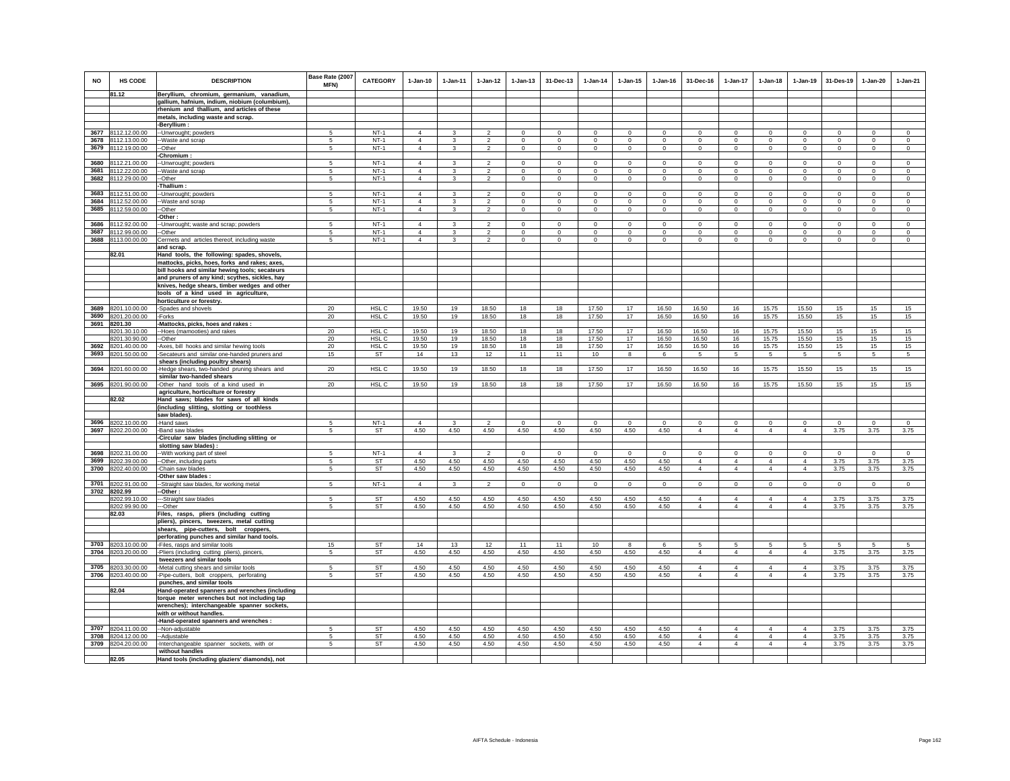| <b>NO</b>    | HS CODE                             | <b>DESCRIPTION</b>                                                                            | Base Rate (2007<br><b>MFN)</b> | <b>CATEGORY</b>     | $1-Jan-10$                       | $1 - Jan-11$      | $1-Jan-12$                                | $1-Jan-13$                  | 31-Dec-13                 | $1 - Jan-14$           | $1 - Jan-15$           | $1 - Jan-16$           | 31-Dec-16                   | $1-Jan-17$           | $1-Jan-18$                  | $1-Jan-19$                    | 31-Des-19                  | $1 - Jan-20$               | $1-Jan-21$             |
|--------------|-------------------------------------|-----------------------------------------------------------------------------------------------|--------------------------------|---------------------|----------------------------------|-------------------|-------------------------------------------|-----------------------------|---------------------------|------------------------|------------------------|------------------------|-----------------------------|----------------------|-----------------------------|-------------------------------|----------------------------|----------------------------|------------------------|
|              | 81.12                               | Beryllium, chromium, germanium, vanadium,                                                     |                                |                     |                                  |                   |                                           |                             |                           |                        |                        |                        |                             |                      |                             |                               |                            |                            |                        |
|              |                                     | gallium, hafnium, indium, niobium (columbium),<br>rhenium and thallium, and articles of these |                                |                     |                                  |                   |                                           |                             |                           |                        |                        |                        |                             |                      |                             |                               |                            |                            |                        |
|              |                                     | metals, including waste and scrap.                                                            |                                |                     |                                  |                   |                                           |                             |                           |                        |                        |                        |                             |                      |                             |                               |                            |                            |                        |
|              |                                     | -Beryllium :                                                                                  |                                |                     |                                  |                   |                                           |                             |                           |                        |                        |                        |                             |                      |                             |                               |                            |                            |                        |
| 3677         | 8112.12.00.00                       | -Unwrought; powders                                                                           | -5                             | $NT-1$<br>$NT-1$    | $\overline{4}$<br>$\overline{4}$ | 3                 | $\overline{2}$                            | $^{\circ}$                  | $^{\circ}$                | $^{\circ}$             | $^{\circ}$             | $^{\circ}$             | $\Omega$                    | $\mathbf 0$          | $\circ$                     | $^{\circ}$                    | $^{\circ}$                 | $\mathbf 0$                | $\Omega$               |
| 3678         | 8112.13.00.00<br>3679 8112.19.00.00 | -Waste and scrap<br>-Other                                                                    | 5<br>5                         | $NT-1$              | $\overline{4}$                   | 3<br>$\mathbf{3}$ | $\overline{\mathbf{2}}$<br>$\mathfrak{p}$ | $\mathbf 0$<br>$\mathbf{0}$ | $^{\circ}$<br>$\mathbf 0$ | $^{\circ}$<br>$\Omega$ | $^{\circ}$<br>$\Omega$ | $^{\circ}$<br>$\Omega$ | $\mathbf 0$<br>$\mathbf{0}$ | 0<br>$\mathbf{0}$    | $\mathbf 0$<br>$\mathbf{0}$ | $\mathbf 0$<br>$\mathsf 0$    | $\mathbf 0$<br>$\mathbf 0$ | $\mathbf 0$<br>$\mathsf 0$ | $\mathbf 0$<br>$\circ$ |
|              |                                     | Chromium:                                                                                     |                                |                     |                                  |                   |                                           |                             |                           |                        |                        |                        |                             |                      |                             |                               |                            |                            |                        |
| 3680         | 8112.21.00.00                       | -Unwrought; powders                                                                           | 5                              | $NT-1$              | $\overline{4}$                   | $\mathbf{R}$      | $\overline{2}$                            | $\mathbf 0$                 | $\mathbf 0$               | $^{\circ}$             | $\circ$                | $\mathbf 0$            | $\mathbf 0$                 | $\circ$              | $\mathbf 0$                 | $\mathsf 0$                   | $\mathbf 0$                | $\circ$                    | $\mathsf 0$            |
| 3681         | 8112.22.00.00                       | Waste and scrap                                                                               | 5                              | $NT-1$              | $\overline{4}$                   | 3                 | $\overline{2}$                            | $\mathbf 0$                 | $\mathbf 0$               | $^{\circ}$             | $\mathbf 0$            | $\mathbf 0$            | $\mathbf 0$                 | $\circ$              | $\mathbf 0$                 | $\circ$                       | $\mathbf 0$                | $\overline{0}$             | $\circ$                |
| 3682         | 8112.29.00.00                       | -Other                                                                                        | 5                              | $NT-1$              | $\overline{4}$                   | $\mathbf{3}$      | $\overline{2}$                            | $\mathsf 0$                 | $\overline{0}$            | $\circ$                | $\mathsf 0$            | $\mathsf 0$            | $\circ$                     | $\overline{0}$       | $\mathbf 0$                 | $\overline{0}$                | $\mathsf 0$                | $\mathbf 0$                | $\circ$                |
| 3683         | 8112.51.00.00                       | Thallium                                                                                      | 5                              | $NT-1$              | $\overline{4}$                   | 3                 | $\mathcal{P}$                             | $\Omega$                    | $\Omega$                  | $\Omega$               | $\Omega$               | $\Omega$               | $\Omega$                    | $\Omega$             | $\Omega$                    | $\mathbf{0}$                  | $\Omega$                   | $\Omega$                   | $\Omega$               |
| 3684         | 8112.52.00.00                       | -Unwrought; powders<br>Waste and scrap                                                        | 5                              | $NT-1$              | $\overline{4}$                   | 3                 | $\mathfrak{p}$                            | $\mathsf 0$                 | $\mathbf 0$               | $\Omega$               | $\Omega$               | $\Omega$               | $\mathsf 0$                 | $\mathbf 0$          | $\mathsf 0$                 | $\mathsf 0$                   | $\mathbf 0$                | $\mathbf 0$                | $\mathsf 0$            |
| 3685         | 8112.59.00.00                       | -Other                                                                                        | 5                              | $NT-1$              | $\overline{4}$                   | 3                 | $\mathfrak{p}$                            | $\Omega$                    | $\Omega$                  | $\Omega$               | $\Omega$               | $\Omega$               | $\Omega$                    | $\Omega$             | $\Omega$                    | $\Omega$                      | $\Omega$                   | $\mathbf 0$                | $\circ$                |
|              |                                     | Other                                                                                         |                                |                     |                                  |                   |                                           |                             |                           |                        |                        |                        |                             |                      |                             |                               |                            |                            |                        |
| 3686         | 8112.92.00.00                       | -Unwrought; waste and scrap; powders                                                          | 5                              | $NT-1$              | $\overline{4}$                   | 3                 | $\overline{2}$                            | $\mathbf 0$                 | $\mathbf{0}$              | $^{\circ}$             | $\mathbf 0$            | $\mathbf 0$            | $\mathbf 0$                 | $\mathbf 0$          | $\mathbf{0}$                | $\mathbf 0$                   | $\mathbf 0$                | $\circ$                    | $\circ$                |
| 3687         | 8112.99.00.00                       | -Other                                                                                        | 5                              | $NT-1$              | $\overline{4}$                   | 3                 | $\overline{2}$                            | $\circ$                     | $\mathbf{0}$              | $^{\circ}$             | $^{\circ}$             | $^{\circ}$             | $\Omega$                    | $\mathbf{0}$         | $\circ$                     | $\circ$                       | $^{\circ}$                 | $\circ$                    | $\Omega$               |
| 3688         | 8113.00.00.00                       | Cermets and articles thereof, including waste<br>and scrap.                                   | 5                              | $NT-1$              | $\overline{4}$                   | 3                 | $\mathfrak{p}$                            | $\mathsf 0$                 | $\overline{0}$            | $\mathbf 0$            | $\mathbf 0$            | $\Omega$               | $\Omega$                    | $\mathsf 0$          | $\mathsf 0$                 | $\mathbf 0$                   | $\mathbf 0$                | $\mathbf 0$                | $\Omega$               |
|              | 82.01                               | Hand tools, the following: spades, shovels,                                                   |                                |                     |                                  |                   |                                           |                             |                           |                        |                        |                        |                             |                      |                             |                               |                            |                            |                        |
|              |                                     | mattocks, picks, hoes, forks and rakes; axes,                                                 |                                |                     |                                  |                   |                                           |                             |                           |                        |                        |                        |                             |                      |                             |                               |                            |                            |                        |
|              |                                     | bill hooks and similar hewing tools; secateurs                                                |                                |                     |                                  |                   |                                           |                             |                           |                        |                        |                        |                             |                      |                             |                               |                            |                            |                        |
|              |                                     | and pruners of any kind; scythes, sickles, hay                                                |                                |                     |                                  |                   |                                           |                             |                           |                        |                        |                        |                             |                      |                             |                               |                            |                            |                        |
|              |                                     | knives, hedge shears, timber wedges and other                                                 |                                |                     |                                  |                   |                                           |                             |                           |                        |                        |                        |                             |                      |                             |                               |                            |                            |                        |
|              |                                     | tools of a kind used in agriculture,<br>horticulture or forestry.                             |                                |                     |                                  |                   |                                           |                             |                           |                        |                        |                        |                             |                      |                             |                               |                            |                            |                        |
| 3689         | 8201.10.00.00                       | -Spades and shovels                                                                           | 20                             | HSL C               | 19.50                            | 19                | 18.50                                     | 18                          | 18                        | 17.50                  | 17                     | 16.50                  | 16.50                       | 16                   | 15.75                       | 15.50                         | 15                         | 15                         | 15                     |
| 3690         | 8201.20.00.00                       | -Forks                                                                                        | 20                             | HSL C               | 19.50                            | 19                | 18.50                                     | 18                          | 18                        | 17.50                  | 17                     | 16.50                  | 16.50                       | 16                   | 15.75                       | 15.50                         | 15                         | 15                         | 15                     |
|              | 3691 8201.30                        | Mattocks, picks, hoes and rakes:                                                              |                                |                     |                                  |                   |                                           |                             |                           |                        |                        |                        |                             |                      |                             |                               |                            |                            |                        |
|              | 8201.30.10.00                       | -Hoes (mamooties) and rakes                                                                   | 20                             | HSL C               | 19.50                            | 19                | 18.50                                     | 18                          | 18                        | 17.50                  | 17                     | 16.50                  | 16.50                       | 16                   | 15.75                       | 15.50                         | 15                         | 15                         | 15                     |
| 3692         | 8201.30.90.00<br>8201.40.00.00      | -Other<br>-Axes, bill hooks and similar hewing tools                                          | 20<br>20                       | HSL C<br>HSL C      | 19.50<br>19.50                   | 19<br>19          | 18.50<br>18.50                            | 18<br>18                    | 18<br>18                  | 17.50<br>17.50         | 17<br>17               | 16.50<br>16.50         | 16.50<br>16.50              | 16<br>16             | 15.75<br>15.75              | 15.50<br>15.50                | 15<br>15                   | 15<br>15                   | 15<br>15               |
| 3693         | 8201.50.00.00                       | Secateurs and similar one-handed pruners and                                                  | 15                             | ST                  | 14                               | 13                | 12                                        | 11                          | 11                        | 10                     | 8                      | 6                      | 5                           | $5\overline{5}$      | 5                           | 5                             | 5                          | 5                          | 5                      |
|              |                                     | shears (including poultry shears)                                                             |                                |                     |                                  |                   |                                           |                             |                           |                        |                        |                        |                             |                      |                             |                               |                            |                            |                        |
| 3694         | 8201.60.00.00                       | Hedge shears, two-handed pruning shears and                                                   | 20                             | HSL C               | 19.50                            | 19                | 18.50                                     | 18                          | 18                        | 17.50                  | 17                     | 16.50                  | 16.50                       | 16                   | 15.75                       | 15.50                         | 15                         | 15                         | 15                     |
| 3695         | 8201.90.00.00                       | similar two-handed shears<br>-Other hand tools of a kind used in                              | 20                             | HSL C               | 19.50                            | 19                | 18.50                                     | 18                          | 18                        | 17.50                  | 17                     | 16.50                  | 16.50                       | 16                   | 15.75                       | 15.50                         | 15                         | 15                         | 15                     |
|              |                                     | agriculture, horticulture or forestry                                                         |                                |                     |                                  |                   |                                           |                             |                           |                        |                        |                        |                             |                      |                             |                               |                            |                            |                        |
|              | 82.02                               | Hand saws; blades for saws of all kinds                                                       |                                |                     |                                  |                   |                                           |                             |                           |                        |                        |                        |                             |                      |                             |                               |                            |                            |                        |
|              |                                     | (including slitting, slotting or toothless                                                    |                                |                     |                                  |                   |                                           |                             |                           |                        |                        |                        |                             |                      |                             |                               |                            |                            |                        |
|              |                                     | saw blades).                                                                                  |                                |                     |                                  |                   |                                           |                             |                           |                        |                        |                        |                             |                      |                             |                               |                            |                            |                        |
| 3696<br>3697 | 8202.10.00.00<br>8202.20.00.00      | -Hand saws<br>-Band saw blades                                                                | 5<br>5                         | $NT-1$<br><b>ST</b> | $\overline{4}$<br>4.50           | 3<br>4.50         | $\mathcal{P}$<br>4.50                     | $\Omega$<br>4.50            | $\mathbf 0$<br>4.50       | $\Omega$<br>4.50       | $\Omega$<br>4.50       | $\Omega$<br>4.50       | $\Omega$<br>$\overline{4}$  | $\Omega$<br>$\Delta$ | $\Omega$<br>$\overline{4}$  | $\mathbf 0$<br>$\overline{4}$ | $\Omega$<br>3.75           | $\circ$<br>3.75            | $\Omega$<br>3.75       |
|              |                                     | Circular saw blades (including slitting or                                                    |                                |                     |                                  |                   |                                           |                             |                           |                        |                        |                        |                             |                      |                             |                               |                            |                            |                        |
|              |                                     | slotting saw blades)                                                                          |                                |                     |                                  |                   |                                           |                             |                           |                        |                        |                        |                             |                      |                             |                               |                            |                            |                        |
| 3698         | 8202.31.00.00                       | -- With working part of steel                                                                 | 5                              | $NT-1$              | $\overline{4}$                   | $\mathbf{3}$      | $\overline{2}$                            | $\mathbf 0$                 | $\mathsf 0$               | $\mathbf 0$            | $\Omega$               | $\Omega$               | $\mathbf 0$                 | $\mathsf 0$          | $\mathbf{0}$                | $\mathbf 0$                   | $\mathbf 0$                | $\mathbf 0$                | $\mathbf 0$            |
| 3699         | 8202.39.00.00                       | -Other, including parts                                                                       | 5                              | <b>ST</b>           | 4.50                             | 4.50              | 4.50                                      | 4.50                        | 4.50                      | 4.50                   | 4.50                   | 4.50                   | $\overline{4}$              | $\overline{4}$       | $\overline{4}$              | $\overline{4}$                | 3.75                       | 3.75                       | 3.75                   |
| 3700         | 8202.40.00.00                       | Chain saw blades<br>Other saw blades:                                                         | 5                              | ST                  | 4.50                             | 4.50              | 4.50                                      | 4.50                        | 4.50                      | 4.50                   | 4.50                   | 4.50                   | $\overline{4}$              | $\overline{4}$       | $\overline{4}$              | $\overline{4}$                | 3.75                       | 3.75                       | 3.75                   |
| 3701         | 8202.91.00.00                       | -Straight saw blades, for working metal                                                       | 5                              | NT-1                | $\overline{4}$                   | 3                 | $\mathcal{P}$                             | $\Omega$                    | $\mathsf 0$               | $\mathbf 0$            | $\mathbf 0$            | $\mathbf 0$            | $\mathbf 0$                 | $\mathsf 0$          | $\mathsf 0$                 | $\mathbf 0$                   | $\mathbf 0$                | $\mathsf 0$                | $\mathsf 0$            |
|              | 3702 8202.99                        | -Other:                                                                                       |                                |                     |                                  |                   |                                           |                             |                           |                        |                        |                        |                             |                      |                             |                               |                            |                            |                        |
|              | 8202.99.10.00                       | --Straight saw blades                                                                         | -5                             | <b>ST</b>           | 4.50                             | 4.50              | 4.50                                      | 4.50                        | 4.50                      | 4.50                   | 4.50                   | 4.50                   | $\overline{4}$              | $\overline{4}$       | $\overline{4}$              | $\overline{4}$                | 3.75                       | 3.75                       | 3.75                   |
|              | 8202.99.90.00<br>82.03              | --Other<br>Files, rasps, pliers (including cutting                                            | -5                             | <b>ST</b>           | 4.50                             | 4.50              | 4.50                                      | 4.50                        | 4.50                      | 4.50                   | 4.50                   | 4.50                   | $\overline{4}$              | $\overline{4}$       | $\overline{4}$              | $\overline{4}$                | 3.75                       | 3.75                       | 3.75                   |
|              |                                     | pliers), pincers, tweezers, metal cutting                                                     |                                |                     |                                  |                   |                                           |                             |                           |                        |                        |                        |                             |                      |                             |                               |                            |                            |                        |
|              |                                     | shears, pipe-cutters, bolt croppers,                                                          |                                |                     |                                  |                   |                                           |                             |                           |                        |                        |                        |                             |                      |                             |                               |                            |                            |                        |
|              |                                     | perforating punches and similar hand tools.                                                   |                                |                     |                                  |                   |                                           |                             |                           |                        |                        |                        |                             |                      |                             |                               |                            |                            |                        |
| 3703         | 8203.10.00.00                       | -Files, rasps and similar tools                                                               | 15                             | ST                  | 14                               | 13                | 12                                        | 11                          | 11                        | 10                     | $\mathbf{g}$           | 6                      | 5                           | 5                    | 5                           | 5                             | $\sqrt{5}$                 | 5                          | $\overline{5}$         |
| 3704         | 8203.20.00.00                       | -Pliers (including cutting pliers), pincers,<br>tweezers and similar tools                    | $\mathbf{5}$                   | <b>ST</b>           | 4.50                             | 4.50              | 4.50                                      | 4.50                        | 4.50                      | 4.50                   | 4.50                   | 4.50                   | $\Delta$                    | $\overline{4}$       | $\overline{4}$              | $\Delta$                      | 3.75                       | 3.75                       | 3.75                   |
| 3705         | 8203.30.00.00                       | -Metal cutting shears and similar tools                                                       | 5                              | ST                  | 4.50                             | 4.50              | 4.50                                      | 4.50                        | 4.50                      | 4.50                   | 4.50                   | 4.50                   | $\overline{4}$              | $\overline{4}$       | $\overline{4}$              | $\overline{4}$                | 3.75                       | 3.75                       | 3.75                   |
| 3706         | 8203.40.00.00                       | -Pipe-cutters, bolt croppers, perforating                                                     | 5                              | ST                  | 4.50                             | 4.50              | 4.50                                      | 4.50                        | 4.50                      | 4.50                   | 4.50                   | 4.50                   | $\overline{4}$              | $\overline{4}$       | $\overline{4}$              | $\overline{4}$                | 3.75                       | 3.75                       | 3.75                   |
|              |                                     | punches, and similar tools                                                                    |                                |                     |                                  |                   |                                           |                             |                           |                        |                        |                        |                             |                      |                             |                               |                            |                            |                        |
|              | 82.04                               | Hand-operated spanners and wrenches (including                                                |                                |                     |                                  |                   |                                           |                             |                           |                        |                        |                        |                             |                      |                             |                               |                            |                            |                        |
|              |                                     | torque meter wrenches but not including tap                                                   |                                |                     |                                  |                   |                                           |                             |                           |                        |                        |                        |                             |                      |                             |                               |                            |                            |                        |
|              |                                     | wrenches); interchangeable spanner sockets,<br>with or without handles.                       |                                |                     |                                  |                   |                                           |                             |                           |                        |                        |                        |                             |                      |                             |                               |                            |                            |                        |
|              |                                     | -Hand-operated spanners and wrenches :                                                        |                                |                     |                                  |                   |                                           |                             |                           |                        |                        |                        |                             |                      |                             |                               |                            |                            |                        |
| 3707         | 8204.11.00.00                       | --Non-adjustable                                                                              | 5                              | <b>ST</b>           | 4.50                             | 4.50              | 4.50                                      | 4.50                        | 4.50                      | 4.50                   | 4.50                   | 4.50                   | $\overline{4}$              | $\overline{4}$       | $\overline{4}$              | $\overline{4}$                | 3.75                       | 3.75                       | 3.75                   |
| 3708         | 8204.12.00.00                       | -Adjustable                                                                                   | 5                              | ST                  | 4.50                             | 4.50              | 4.50                                      | 4.50                        | 4.50                      | 4.50                   | 4.50                   | 4.50                   | $\overline{4}$              | $\overline{4}$       | $\overline{4}$              | $\overline{4}$                | 3.75                       | 3.75                       | 3.75                   |
|              | 3709 8204.20.00.00                  | -Interchangeable spanner sockets, with or                                                     | 5                              | <b>ST</b>           | 4.50                             | 4.50              | 4.50                                      | 4.50                        | 4.50                      | 4.50                   | 4.50                   | 4.50                   | $\overline{4}$              | $\overline{4}$       | $\overline{4}$              | $\overline{4}$                | 3.75                       | 3.75                       | 3.75                   |
|              | 82.05                               | without handles                                                                               |                                |                     |                                  |                   |                                           |                             |                           |                        |                        |                        |                             |                      |                             |                               |                            |                            |                        |
|              |                                     | Hand tools (including glaziers' diamonds), not                                                |                                |                     |                                  |                   |                                           |                             |                           |                        |                        |                        |                             |                      |                             |                               |                            |                            |                        |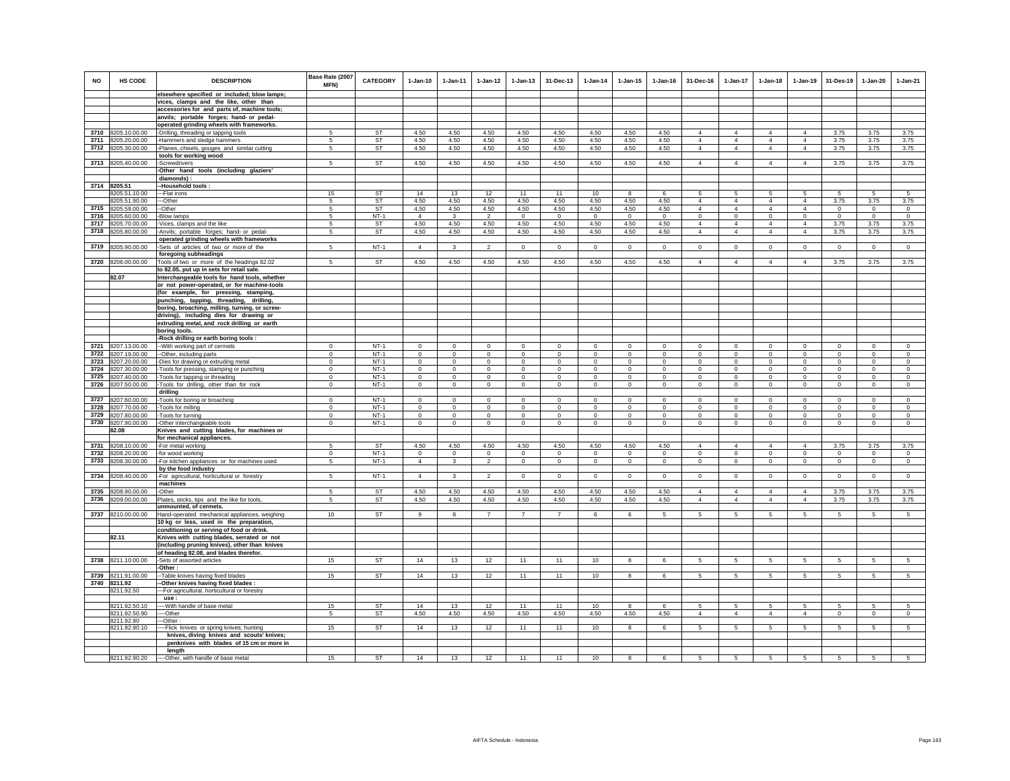| <b>NO</b>    | <b>HS CODE</b>                 | <b>DESCRIPTION</b>                                                                      | Base Rate (2007<br>MFN) | <b>CATEGORY</b>        | $1-Jan-10$                    | 1-Jan-11                | $1 - Jan-12$                  | $1 - Jan-13$               | 31-Dec-13                     | $1-Jan-14$             | $1 - Jan-15$               | $1 - Jan-16$           | 31-Dec-16                        | $1-Jan-17$                       | $1-Jan-18$                       | $1 - Jan-19$                     | 31-Des-19                   | $1-Jan-20$                 | $1-Jan-21$                 |
|--------------|--------------------------------|-----------------------------------------------------------------------------------------|-------------------------|------------------------|-------------------------------|-------------------------|-------------------------------|----------------------------|-------------------------------|------------------------|----------------------------|------------------------|----------------------------------|----------------------------------|----------------------------------|----------------------------------|-----------------------------|----------------------------|----------------------------|
|              |                                | elsewhere specified or included; blow lamps;<br>vices, clamps and the like, other than  |                         |                        |                               |                         |                               |                            |                               |                        |                            |                        |                                  |                                  |                                  |                                  |                             |                            |                            |
|              |                                | accessories for and parts of, machine tools;                                            |                         |                        |                               |                         |                               |                            |                               |                        |                            |                        |                                  |                                  |                                  |                                  |                             |                            |                            |
|              |                                | anvils; portable forges; hand- or pedal-                                                |                         |                        |                               |                         |                               |                            |                               |                        |                            |                        |                                  |                                  |                                  |                                  |                             |                            |                            |
|              |                                | operated grinding wheels with frameworks.                                               |                         |                        |                               |                         |                               |                            |                               |                        |                            |                        |                                  |                                  |                                  |                                  |                             |                            |                            |
|              | 3710 8205.10.00.00             | -Drilling, threading or tapping tools                                                   | 5                       | ST                     | 4.50                          | 4.50                    | 4.50                          | 4.50                       | 4.50                          | 4.50                   | 4.50                       | 4.50                   | $\overline{4}$                   | $\overline{4}$                   | $\overline{4}$                   | $\overline{4}$                   | 3.75                        | 3.75                       | 3.75                       |
| 3711         | 8205.20.00.00                  | -Hammers and sledge hammers                                                             | 5                       | ST                     | 4.50                          | 4.50                    | 4.50                          | 4.50                       | 4.50                          | 4.50                   | 4.50                       | 4.50                   | $\overline{4}$                   | 4                                | $\overline{4}$                   | $\overline{4}$                   | 3.75                        | 3.75                       | 3.75                       |
| 3712         | 8205.30.00.00                  | -Planes, chisels, gouges and similar cutting                                            | 5                       | <b>ST</b>              | 4.50                          | 4.50                    | 4.50                          | 4.50                       | 4.50                          | 4.50                   | 4.50                       | 4.50                   | $\overline{4}$                   | $\overline{4}$                   | $\overline{4}$                   | $\overline{4}$                   | 3.75                        | 3.75                       | 3.75                       |
|              |                                | tools for working wood                                                                  |                         |                        |                               |                         |                               |                            |                               |                        |                            |                        |                                  |                                  |                                  |                                  |                             |                            |                            |
|              | 3713 8205.40.00.00             | -Screwdrivers<br>Other hand tools (including glaziers'                                  | 5                       | <b>ST</b>              | 4.50                          | 4.50                    | 4.50                          | 4.50                       | 4.50                          | 4.50                   | 4.50                       | 4.50                   | $\overline{4}$                   | $\overline{4}$                   | $\overline{4}$                   | $\overline{4}$                   | 3.75                        | 3.75                       | 3.75                       |
|              |                                | diamonds):                                                                              |                         |                        |                               |                         |                               |                            |                               |                        |                            |                        |                                  |                                  |                                  |                                  |                             |                            |                            |
|              | 3714 8205.51                   | Household tools:                                                                        |                         |                        |                               |                         |                               |                            |                               |                        |                            |                        |                                  |                                  |                                  |                                  |                             |                            |                            |
|              | 8205.51.10.00                  | --Flat irons                                                                            | 15                      | <b>ST</b>              | 14                            | 13                      | 12                            | 11                         | 11                            | 10                     | 8                          | 6                      | 5                                | $5\phantom{.0}$                  | 5                                | 5                                | 5                           | 5                          | 5                          |
|              | 8205.51.90.00                  | --Other                                                                                 | 5                       | <b>ST</b>              | 4.50                          | 4.50                    | 4.50                          | 4.50                       | 4.50                          | 4.50                   | 4.50                       | 4.50                   | $\overline{4}$                   | $\overline{4}$                   | $\overline{4}$                   | $\overline{4}$                   | 3.75                        | 3.75                       | 3.75                       |
| 3715         | 8205.59.00.00                  | -Other                                                                                  | 5                       | <b>ST</b>              | 4.50                          | 4.50                    | 4.50                          | 4.50                       | 4.50                          | 4.50                   | 4.50                       | 4.50                   | $\overline{4}$                   | $\overline{4}$                   | $\overline{4}$                   | $\overline{4}$                   | $\mathbf 0$                 | $\mathsf 0$                | $\mathbf 0$                |
| 3716<br>3717 | 8205.60.00.00                  | -Blow lamps                                                                             | -5                      | $NT-1$                 | $\overline{4}$                | $\mathbf{3}$            | $\overline{2}$                | $\mathbf 0$                | $\mathsf 0$                   | $\Omega$               | $\Omega$                   | $\Omega$               | $\Omega$                         | $\mathbf{0}$                     | $\Omega$                         | $\mathbf 0$                      | $\circ$                     | $\Omega$                   | $\Omega$                   |
| 3718         | 8205.70.00.00<br>8205.80.00.00 | Vices, clamps and the like<br>-Anvils; portable forges; hand- or pedal-                 | 5<br>5                  | ST<br>ST               | 4.50<br>4.50                  | 4.50<br>4.50            | 4.50<br>4.50                  | 4.50<br>4.50               | 4.50<br>4.50                  | 4.50<br>4.50           | 4.50<br>4.50               | 4.50<br>4.50           | $\overline{4}$<br>$\overline{4}$ | $\overline{4}$<br>$\overline{4}$ | $\overline{4}$<br>$\overline{4}$ | $\overline{4}$<br>$\overline{4}$ | 3.75<br>3.75                | 3.75<br>3.75               | 3.75<br>3.75               |
|              |                                | operated grinding wheels with frameworks                                                |                         |                        |                               |                         |                               |                            |                               |                        |                            |                        |                                  |                                  |                                  |                                  |                             |                            |                            |
| 3719         | 8205.90.00.00                  | -Sets of articles of two or more of the                                                 | 5                       | $NT-1$                 | $\overline{4}$                | $\mathbf{3}$            | $\overline{2}$                | $\mathbf 0$                | $\mathbf{0}$                  | $\mathbf 0$            | 0                          | $\mathbf 0$            | $\circ$                          | $\mathbf{0}$                     | $\mathbf 0$                      | $\overline{0}$                   | $\overline{0}$              | $\circ$                    | $\mathbf 0$                |
|              |                                | foregoing subheadings                                                                   |                         |                        |                               |                         |                               |                            |                               |                        |                            |                        |                                  |                                  |                                  |                                  |                             |                            |                            |
| 3720         | 8206.00.00.00                  | Tools of two or more of the headings 82.02                                              | 5                       | <b>ST</b>              | 4.50                          | 4.50                    | 4.50                          | 4.50                       | 4.50                          | 4.50                   | 4.50                       | 4.50                   | $\overline{4}$                   | $\overline{4}$                   | $\overline{4}$                   | $\overline{4}$                   | 3.75                        | 3.75                       | 3.75                       |
|              |                                | to 82.05, put up in sets for retail sale.                                               |                         |                        |                               |                         |                               |                            |                               |                        |                            |                        |                                  |                                  |                                  |                                  |                             |                            |                            |
|              | 82.07                          | Interchangeable tools for hand tools, whether                                           |                         |                        |                               |                         |                               |                            |                               |                        |                            |                        |                                  |                                  |                                  |                                  |                             |                            |                            |
|              |                                | or not power-operated, or for machine-tools<br>(for example, for pressing, stamping,    |                         |                        |                               |                         |                               |                            |                               |                        |                            |                        |                                  |                                  |                                  |                                  |                             |                            |                            |
|              |                                | punching, tapping, threading, drilling,                                                 |                         |                        |                               |                         |                               |                            |                               |                        |                            |                        |                                  |                                  |                                  |                                  |                             |                            |                            |
|              |                                | boring, broaching, milling, turning, or screw-                                          |                         |                        |                               |                         |                               |                            |                               |                        |                            |                        |                                  |                                  |                                  |                                  |                             |                            |                            |
|              |                                | driving), including dies for drawing or                                                 |                         |                        |                               |                         |                               |                            |                               |                        |                            |                        |                                  |                                  |                                  |                                  |                             |                            |                            |
|              |                                | extruding metal, and rock drilling or earth                                             |                         |                        |                               |                         |                               |                            |                               |                        |                            |                        |                                  |                                  |                                  |                                  |                             |                            |                            |
|              |                                | boring tools.                                                                           |                         |                        |                               |                         |                               |                            |                               |                        |                            |                        |                                  |                                  |                                  |                                  |                             |                            |                            |
|              | 3721 8207.13.00.00             | -Rock drilling or earth boring tools :                                                  | $^{\circ}$              | $NT-1$                 | $\mathbf 0$                   | $\mathbf 0$             | $\mathbf 0$                   | $\mathbf 0$                | $\mathbf 0$                   | $\bf{0}$               | $\mathbf 0$                | $\mathbf 0$            | $^{\circ}$                       | $\mathbf 0$                      | $^{\circ}$                       | $^{\circ}$                       | $\mathbf 0$                 | $\mathbf 0$                | $\mathbf 0$                |
| 3722         | 8207.19.00.00                  | -With working part of cermets<br>--Other, including parts                               | $^{\circ}$              | $NT-1$                 | $\Omega$                      | $^{\circ}$              | $\mathbf 0$                   | $\mathbf 0$                | $\mathbf 0$                   | 0                      | 0                          | $\mathbf 0$            | $\Omega$                         | $\mathbf 0$                      | $\mathbf 0$                      | $\circ$                          | $\mathbf 0$                 | $\circ$                    | $\circ$                    |
| 3723         | 8207.20.00.00                  | Dies for drawing or extruding metal                                                     | $\Omega$                | $NT-1$                 | $\circ$                       | $\Omega$                | $\mathbf{0}$                  | $\Omega$                   | $\mathbf 0$                   | $\Omega$               | $\mathbf 0$                | $\circ$                | $\Omega$                         | $\Omega$                         | $\Omega$                         | $\Omega$                         | $\circ$                     | $\mathbf 0$                | $\circ$                    |
| 3724         | 8207.30.00.00                  | Tools for pressing, stamping or punching                                                | $\mathbf 0$             | $NT-1$                 | $\mathsf 0$                   | $\mathbf 0$             | $\Omega$                      | $\mathsf 0$                | $\mathsf 0$                   | $\Omega$               | $\Omega$                   | $\mathsf 0$            | $\mathsf 0$                      | $\mathbf 0$                      | $\Omega$                         | $\mathbf 0$                      | $\Omega$                    | $\Omega$                   | $\Omega$                   |
| 3725         | 8207.40.00.00                  | Tools for tapping or threading                                                          | $\Omega$                | $NT-1$                 | $\mathbf 0$                   | $\mathbf 0$             | $\mathsf 0$                   | $\mathbf 0$                | $\mathbf 0$                   | $\mathbf 0$            | $\mathbf 0$                | $\mathbf 0$            | $\circ$                          | $\mathbf 0$                      | $\mathbf 0$                      | $\mathbf 0$                      | $^{\circ}$                  | $\mathbf 0$                | $\mathbf 0$                |
| 3726         | 8207.50.00.00                  | Tools for drilling, other than for rock                                                 | $\mathbf 0$             | $NT-1$                 | $\circ$                       | $\mathsf 0$             | $\circ$                       | $\mathsf 0$                | $\mathbf 0$                   | $\mathsf 0$            | $\mathsf 0$                | $\mathsf 0$            | $\circ$                          | $\mathsf 0$                      | $\mathbf 0$                      | $\mathbf 0$                      | $\mathbf 0$                 | $\mathsf 0$                | $\mathsf 0$                |
| 3727         |                                | drilling                                                                                | $^{\circ}$              | $NT-1$                 | $\Omega$                      | $\mathbf 0$             | $\mathbf 0$                   | $\mathsf 0$                | $\mathbf 0$                   | $\circ$                | $\mathsf 0$                | $\Omega$               | $^{\circ}$                       | $\mathbf{0}$                     | $\Omega$                         | $\mathbf 0$                      | $\mathbf 0$                 | $\circ$                    | $\mathbb O$                |
| 3728         | 8207.60.00.00<br>8207.70.00.00 | Tools for boring or broaching<br>Tools for milling                                      | $\Omega$                | $NT-1$                 | $\Omega$                      | $\Omega$                | $\mathsf 0$                   | $\mathbf{0}$               | $\Omega$                      | $\Omega$               | $\Omega$                   | $\Omega$               | $\Omega$                         | $\Omega$                         | $\Omega$                         | $\Omega$                         | $\Omega$                    | $\Omega$                   | $\Omega$                   |
| 3729         | 8207.80.00.00                  | -Tools for turning                                                                      | $\Omega$                | $NT-1$                 | $\Omega$                      | $\Omega$                | $\Omega$                      | $\Omega$                   | $\Omega$                      | $\Omega$               | $\Omega$                   | $\Omega$               | $\Omega$                         | $\mathbf 0$                      | $\Omega$                         | $\Omega$                         | $\Omega$                    | $\Omega$                   | $\Omega$                   |
| 3730         | 8207.90.00.00                  | -Other interchangeable tools                                                            | $\mathbf 0$             | $NT-1$                 | $\circ$                       | $\circ$                 | $\circ$                       | $\mathbf{0}$               | $\mathbf{0}$                  | $\circ$                | $\mathbf{0}$               | $\mathbf 0$            | $\circ$                          | $\circ$                          | $\mathbf 0$                      | $\mathbf 0$                      | $\mathbf 0$                 | $\mathbf{0}$               | $\circ$                    |
|              | 82.08                          | Knives and cutting blades, for machines or                                              |                         |                        |                               |                         |                               |                            |                               |                        |                            |                        |                                  |                                  |                                  |                                  |                             |                            |                            |
|              |                                | for mechanical appliances.                                                              |                         |                        |                               |                         |                               |                            |                               |                        |                            |                        |                                  |                                  |                                  |                                  |                             |                            |                            |
|              | 3731 8208.10.00.00             | -For metal working                                                                      | 5                       | ST                     | 4.50                          | 4.50                    | 4.50                          | 4.50                       | 4.50                          | 4.50                   | 4.50                       | 4.50                   | $\overline{4}$                   | $\overline{4}$                   | $\overline{4}$                   | $\overline{4}$                   | 3.75                        | 3.75                       | 3.75                       |
| 3732<br>3733 | 8208.20.00.00<br>8208.30.00.00 | -for wood working<br>-For kitchen appliances or for machines used                       | $\mathbf 0$<br>5        | $NT-1$<br>$NT-1$       | $\mathbf 0$<br>$\overline{4}$ | $\mathbf 0$<br>3        | $\mathbf 0$<br>$\overline{a}$ | $\mathbf 0$<br>$\mathbf 0$ | $\overline{0}$<br>$\mathbf 0$ | $\circ$<br>$\mathbf 0$ | $\mathbf 0$<br>$\mathbf 0$ | $\mathbf 0$<br>$\circ$ | $\mathbf 0$<br>$\circ$           | 0<br>$\mathbf 0$                 | $\mathbf 0$<br>$\circ$           | $\mathbf 0$<br>$\overline{0}$    | $\mathbf 0$<br>$\mathbf{0}$ | $\mathbf 0$<br>$\mathbf 0$ | $\mathbf 0$<br>$\mathbf 0$ |
|              |                                | by the food industry                                                                    |                         |                        |                               |                         |                               |                            |                               |                        |                            |                        |                                  |                                  |                                  |                                  |                             |                            |                            |
| 3734         | 8208.40.00.00                  | -For agricultural, horticultural or forestry                                            | 5                       | $NT-1$                 | $\overline{4}$                | $\overline{\mathbf{3}}$ | $\overline{2}$                | $\mathbf 0$                | $\mathsf 0$                   | $\circ$                | $\mathsf 0$                | $\circ$                | $\circ$                          | $\mathbf 0$                      | $\circ$                          | $\circ$                          | $\mathbf 0$                 | $\mathsf 0$                | $\circ$                    |
|              |                                | machines                                                                                |                         |                        |                               |                         |                               |                            |                               |                        |                            |                        |                                  |                                  |                                  |                                  |                             |                            |                            |
| 3735         | 8208.90.00.00                  | -Other                                                                                  | 5                       | <b>ST</b><br><b>ST</b> | 4.50                          | 4.50                    | 4.50                          | 4.50                       | 4.50                          | 4.50                   | 4.50                       | 4.50                   | $\overline{4}$                   | $\overline{4}$<br>$\overline{4}$ | 4                                | $\overline{4}$                   | 3.75                        | 3.75                       | 3.75                       |
|              | 3736 8209.00.00.00             | Plates, sticks, tips and the like for tools,<br>unmounted, of cermets.                  | 5                       |                        | 4.50                          | 4.50                    | 4.50                          | 4.50                       | 4.50                          | 4.50                   | 4.50                       | 4.50                   | $\overline{4}$                   |                                  | $\overline{4}$                   | $\overline{4}$                   | 3.75                        | 3.75                       | 3.75                       |
|              | 3737 8210.00.00.00             | Hand-operated mechanical appliances, weighing                                           | 10                      | ST                     | $\alpha$                      | 8                       | $\overline{7}$                | $\overline{7}$             | $\overline{7}$                | 6                      | 6                          | 5                      | 5                                | 5                                | 5                                | 5                                | 5                           | 5                          | 5                          |
|              |                                | 10 kg or less, used in the preparation,                                                 |                         |                        |                               |                         |                               |                            |                               |                        |                            |                        |                                  |                                  |                                  |                                  |                             |                            |                            |
|              |                                | conditioning or serving of food or drink.                                               |                         |                        |                               |                         |                               |                            |                               |                        |                            |                        |                                  |                                  |                                  |                                  |                             |                            |                            |
|              | 82.11                          | Knives with cutting blades, serrated or not                                             |                         |                        |                               |                         |                               |                            |                               |                        |                            |                        |                                  |                                  |                                  |                                  |                             |                            |                            |
|              |                                | (including pruning knives), other than knives<br>of heading 82.08, and blades therefor. |                         |                        |                               |                         |                               |                            |                               |                        |                            |                        |                                  |                                  |                                  |                                  |                             |                            |                            |
|              | 3738 8211.10.00.00             | -Sets of assorted articles                                                              | 15                      | ST                     | 14                            | 13                      | 12                            | 11                         | 11                            | 10                     | 8                          | 6                      | 5                                | 5                                | 5                                | 5                                | 5                           | 5                          | 5                          |
|              |                                | -Other :                                                                                |                         |                        |                               |                         |                               |                            |                               |                        |                            |                        |                                  |                                  |                                  |                                  |                             |                            |                            |
|              | 3739 8211.91.00.00             | -Table knives having fixed blades                                                       | 15                      | ST                     | 14                            | 13                      | 12                            | 11                         | 11                            | 10                     | 8                          | 6                      | 5                                | 5                                | 5                                | 5                                | 5                           | 5                          | 5                          |
|              | 3740 8211.92                   | Other knives having fixed blades :                                                      |                         |                        |                               |                         |                               |                            |                               |                        |                            |                        |                                  |                                  |                                  |                                  |                             |                            |                            |
|              | 8211.92.50                     | -For agricultural, horticultural or forestry                                            |                         |                        |                               |                         |                               |                            |                               |                        |                            |                        |                                  |                                  |                                  |                                  |                             |                            |                            |
|              | 8211.92.50.10                  | use:<br>-- With handle of base metal                                                    | 15                      | ST                     | 14                            | 13                      | 12                            | 11                         | 11                            | 10                     | 8                          | -6                     | 5                                | $5\phantom{.0}$                  | 5                                | 5                                | 5                           | 5                          | 5                          |
|              | 8211.92.50.90                  | --Other                                                                                 | 5                       | ST                     | 4.50                          | 4.50                    | 4.50                          | 4.50                       | 4.50                          | 4.50                   | 4.50                       | 4.50                   | $\overline{4}$                   | $\overline{4}$                   | $\overline{4}$                   | $\overline{4}$                   | $\mathbf 0$                 | $\mathbf{0}$               | $\circ$                    |
|              | 8211.92.90                     | --Other                                                                                 |                         |                        |                               |                         |                               |                            |                               |                        |                            |                        |                                  |                                  |                                  |                                  |                             |                            |                            |
|              | 8211.92.90.10                  | --Flick knives or spring knives; hunting                                                | 15                      | <b>ST</b>              | 14                            | 13                      | 12                            | 11                         | 11                            | 10                     | 8                          | 6                      | $5\overline{5}$                  | 5                                | $5\overline{5}$                  | $5\overline{5}$                  | 5                           | 5                          | -5                         |
|              |                                | knives, diving knives and scouts' knives;                                               |                         |                        |                               |                         |                               |                            |                               |                        |                            |                        |                                  |                                  |                                  |                                  |                             |                            |                            |
|              |                                | penknives with blades of 15 cm or more in<br>length                                     |                         |                        |                               |                         |                               |                            |                               |                        |                            |                        |                                  |                                  |                                  |                                  |                             |                            |                            |
|              | 8211.92.90.20                  | ---- Other, with handle of base metal                                                   | 15                      | <b>ST</b>              | 14                            | 13                      | 12                            | 11                         | 11                            | 10                     | 8                          |                        | 5                                | 5                                | 5                                | 5                                | 5                           | 5                          |                            |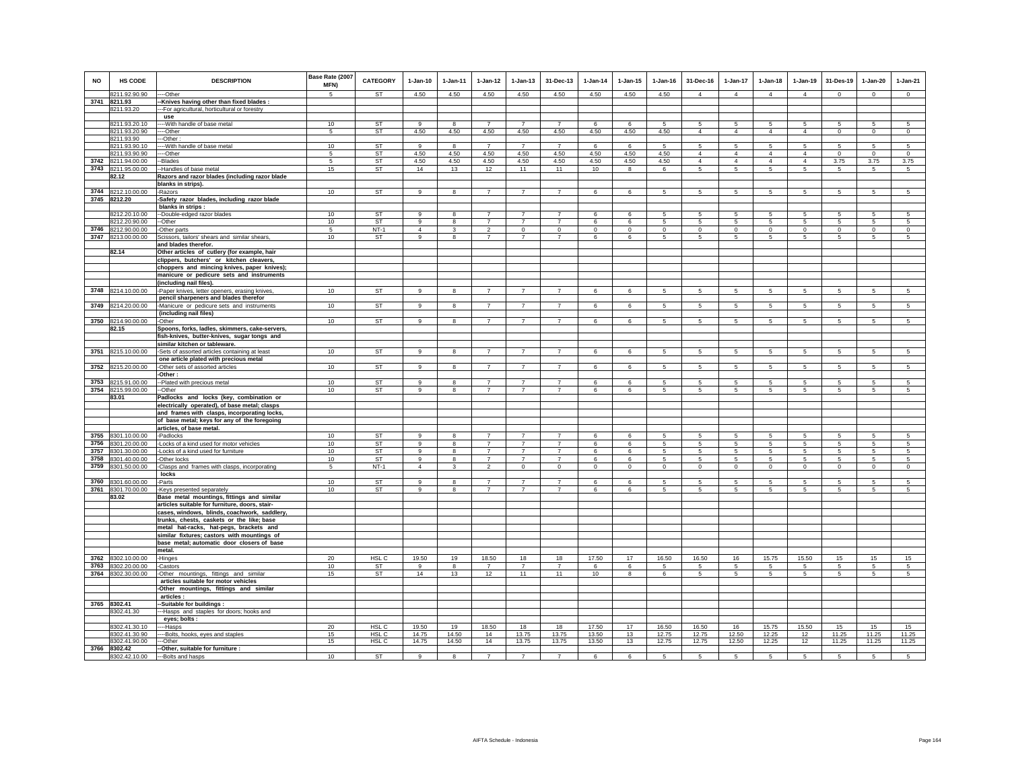| NO   | HS CODE                            | <b>DESCRIPTION</b>                                                                           | Base Rate (2007<br>MFN) | <b>CATEGORY</b>  | $1-Jan-10$     | $1-Jan-11$              | 1-Jan-12       | $1-Jan-13$     | 31-Dec-13      | $1-Jan-14$     | $1-Jan-15$      | $1-Jan-16$     | 31-Dec-16       | 1-Jan-17        | $1-Jan-18$      | $1-Jan-19$          | 31-Des-19      | $1-Jan-20$     | $1-Jan-21$      |
|------|------------------------------------|----------------------------------------------------------------------------------------------|-------------------------|------------------|----------------|-------------------------|----------------|----------------|----------------|----------------|-----------------|----------------|-----------------|-----------------|-----------------|---------------------|----------------|----------------|-----------------|
|      | 8211.92.90.90                      | --Other                                                                                      | 5                       | ST               | 4.50           | 4.50                    | 4.50           | 4.50           | 4.50           | 4.50           | 4.50            | 4.50           | $\overline{4}$  | $\overline{4}$  | $\overline{4}$  | $\overline{4}$      | $\mathbf{0}$   | $\mathbf 0$    | $\mathsf 0$     |
|      | 3741 8211.93                       | -Knives having other than fixed blades :                                                     |                         |                  |                |                         |                |                |                |                |                 |                |                 |                 |                 |                     |                |                |                 |
|      | 8211.93.20                         | -For agricultural, horticultural or forestry                                                 |                         |                  |                |                         |                |                |                |                |                 |                |                 |                 |                 |                     |                |                |                 |
|      | 8211.93.20.10                      | use<br>-- With handle of base metal                                                          | 10                      | ST               | 9              | 8                       | $\overline{7}$ | $\overline{7}$ | $\overline{7}$ | 6              | 6               | 5              | 5               | 5               | 5               |                     | 5              | 5              | 5               |
|      | 8211.93.20.90                      | --Other                                                                                      | 5                       | <b>ST</b>        | 4.50           | 4.50                    | 4.50           | 4.50           | 4.50           | 4.50           | 4.50            | 4.50           | $\overline{4}$  | $\overline{4}$  | $\overline{4}$  | 5<br>$\overline{4}$ | $\,0\,$        | $\circ$        | $\mathbf 0$     |
|      | 8211.93.90                         | -Other                                                                                       |                         |                  |                |                         |                |                |                |                |                 |                |                 |                 |                 |                     |                |                |                 |
|      | 8211.93.90.10                      | -- With handle of base metal                                                                 | 10                      | <b>ST</b>        | $\mathbf{q}$   | 8                       | $\overline{7}$ | $\overline{7}$ | $\overline{7}$ | 6              | 6               | 5              | 5               | 5               | 5               | 5                   | 5              | 5              | -5              |
|      | 8211.93.90.90                      | --Other                                                                                      | 5                       | <b>ST</b>        | 4.50           | 4.50                    | 4.50           | 4.50           | 4.50           | 4.50           | 4.50            | 4.50           | $\overline{4}$  | $\overline{4}$  | $\Delta$        | $\overline{4}$      | $\mathbf 0$    | $\mathbf 0$    | $\mathbb O$     |
|      | 3742 8211.94.00.00                 | -Blades                                                                                      | 5                       | ST               | 4.50           | 4.50                    | 4.50           | 4.50           | 4.50           | 4.50           | 4.50            | 4.50           | $\Delta$        | $\Delta$        | $\Delta$        | $\Delta$            | 3.75           | 3.75           | 3.75            |
| 3743 | 8211.95.00.00                      | -Handles of base metal                                                                       | 15                      | ST               | 14             | 13                      | 12             | 11             | 11             | 10             | 8               | 6              | 5 <sub>1</sub>  | 5               | 5               | 5                   | -5             | 5              | $\sqrt{5}$      |
|      | 82.12                              | Razors and razor blades (including razor blade                                               |                         |                  |                |                         |                |                |                |                |                 |                |                 |                 |                 |                     |                |                |                 |
|      |                                    | blanks in strips).                                                                           |                         |                  |                |                         |                |                |                |                |                 |                |                 |                 |                 |                     |                |                |                 |
|      | 3744 8212.10.00.00<br>3745 8212.20 | -Razors                                                                                      | 10                      | ST               | 9              | 8                       | $\overline{7}$ | $\overline{7}$ | $\overline{7}$ | 6              | 6               | -5             | $5 -$           | $5\phantom{.0}$ | 5               | $\,$ 5 $\,$         | $\sqrt{5}$     | 5              | $\sqrt{5}$      |
|      |                                    | -Safety razor blades, including razor blade<br>blanks in strips :                            |                         |                  |                |                         |                |                |                |                |                 |                |                 |                 |                 |                     |                |                |                 |
|      | 8212.20.10.00                      | -Double-edged razor blades                                                                   | 10                      | <b>ST</b>        | 9              | 8                       | $\overline{7}$ | $\overline{7}$ | $\overline{7}$ | 6              | 6               | 5              | -5              | 5               | -5              | 5                   | 5              | 5              | 5               |
|      | 8212.20.90.00                      | -Other                                                                                       | 10                      | <b>ST</b>        | $\overline{9}$ | $\overline{\mathbf{8}}$ | $\overline{7}$ | $\overline{7}$ | $\overline{7}$ | 6              | $6\overline{6}$ | 5              | 5               | 5               | 5               | $\sqrt{5}$          | 5              | $\sqrt{5}$     | 5               |
| 3746 | 8212.90.00.00                      | -Other parts                                                                                 | 5                       | $NT-1$           | $\overline{4}$ | 3                       | $\overline{2}$ | $\mathbf 0$    | $\mathbf 0$    | $\mathbf 0$    | $\mathbf 0$     | $\mathbf 0$    | $\circ$         | $\circ$         | $\circ$         | $\mathbf 0$         | $\mathbf 0$    | $\mathbf 0$    | $\mathbf 0$     |
|      | 3747 8213.00.00.00                 | Scissors, tailors' shears and similar shears,                                                | 10                      | <b>ST</b>        | 9              | $\bf{8}$                | $\overline{7}$ | $\overline{7}$ | $\overline{7}$ | 6              | 6               | 5              | 5               | $\overline{5}$  | 5               | 5                   | 5              | $\sqrt{5}$     | 5               |
|      |                                    | and blades therefor.                                                                         |                         |                  |                |                         |                |                |                |                |                 |                |                 |                 |                 |                     |                |                |                 |
|      | 82.14                              | Other articles of cutlery (for example, hair                                                 |                         |                  |                |                         |                |                |                |                |                 |                |                 |                 |                 |                     |                |                |                 |
|      |                                    | clippers, butchers' or kitchen cleavers,                                                     |                         |                  |                |                         |                |                |                |                |                 |                |                 |                 |                 |                     |                |                |                 |
|      |                                    | choppers and mincing knives, paper knives);<br>manicure or pedicure sets and instruments     |                         |                  |                |                         |                |                |                |                |                 |                |                 |                 |                 |                     |                |                |                 |
|      |                                    | (including nail files).                                                                      |                         |                  |                |                         |                |                |                |                |                 |                |                 |                 |                 |                     |                |                |                 |
|      | 3748 8214.10.00.00                 | -Paper knives, letter openers, erasing knives,                                               | 10                      | <b>ST</b>        | 9              | 8                       | $\overline{7}$ | $\overline{7}$ | $\overline{7}$ | 6              | 6               | 5              | $5\overline{5}$ | $5\overline{5}$ | $5\overline{5}$ | 5                   | 5              | 5              | 5               |
|      |                                    | pencil sharpeners and blades therefor                                                        |                         |                  |                |                         |                |                |                |                |                 |                |                 |                 |                 |                     |                |                |                 |
|      | 3749 8214.20.00.00                 | -Manicure or pedicure sets and instruments                                                   | 10                      | <b>ST</b>        | $\alpha$       | 8                       | $\overline{7}$ | $\overline{7}$ | $\overline{7}$ | 6              | 6               | 5              | 5               | $5\phantom{.0}$ | 5               | $\sqrt{5}$          | $\sqrt{5}$     | 5              | $\sqrt{5}$      |
|      |                                    | (including nail files)                                                                       |                         |                  |                |                         |                |                |                |                |                 |                |                 |                 |                 |                     |                |                |                 |
|      | 3750 8214.90.00.00                 | Other                                                                                        | 10                      | <b>ST</b>        | 9              | 8                       | $\overline{7}$ | $\overline{7}$ | $\overline{7}$ | 6              | 6               | 5              | 5               | 5               | 5               | 5                   | 5              | 5              | 5               |
|      | 82.15                              | Spoons, forks, ladles, skimmers, cake-servers,                                               |                         |                  |                |                         |                |                |                |                |                 |                |                 |                 |                 |                     |                |                |                 |
|      |                                    | fish-knives, butter-knives, sugar tongs and                                                  |                         |                  |                |                         |                |                |                |                |                 |                |                 |                 |                 |                     |                |                |                 |
| 3751 | 8215.10.00.00                      | similar kitchen or tableware.                                                                | 10                      | <b>ST</b>        | 9              | 8                       | $\overline{7}$ | $\overline{7}$ | $\overline{7}$ | 6              | 6               | 5              | 5               | $\overline{5}$  | $5\overline{5}$ | $\overline{5}$      | $\overline{5}$ | $\overline{5}$ | $5\overline{)}$ |
|      |                                    | -Sets of assorted articles containing at least<br>one article plated with precious metal     |                         |                  |                |                         |                |                |                |                |                 |                |                 |                 |                 |                     |                |                |                 |
| 3752 | 8215.20.00.00                      | -Other sets of assorted articles                                                             | 10                      | <b>ST</b>        | $\overline{9}$ | $\overline{\mathbf{8}}$ | $\overline{7}$ | $\overline{7}$ | $\overline{7}$ | 6              | $6\overline{6}$ | 5              | -5              | $5\overline{)}$ | 5               | $\overline{5}$      | $\overline{5}$ | 5              | $5\overline{)}$ |
|      |                                    | -Other:                                                                                      |                         |                  |                |                         |                |                |                |                |                 |                |                 |                 |                 |                     |                |                |                 |
| 3753 | 8215.91.00.00                      | -Plated with precious metal                                                                  | 10                      | ST               | 9              | 8                       | $\overline{7}$ | $\overline{7}$ | $\overline{7}$ | 6              | 6               | 5              | -5              | 5               | -5              | -5                  | 5              | 5              | 5               |
|      | 3754 8215.99.00.00                 | -Other                                                                                       | 10                      | ST               | 9              | 8                       | $\overline{7}$ | $\overline{7}$ | $\overline{7}$ | 6              | 6               | 5              | $5 -$           | 5               | 5               | 5                   | -5             | 5              | $\sqrt{5}$      |
|      | 83.01                              | Padlocks and locks (key, combination or                                                      |                         |                  |                |                         |                |                |                |                |                 |                |                 |                 |                 |                     |                |                |                 |
|      |                                    | electrically operated), of base metal; clasps                                                |                         |                  |                |                         |                |                |                |                |                 |                |                 |                 |                 |                     |                |                |                 |
|      |                                    | and frames with clasps, incorporating locks,<br>of base metal; keys for any of the foregoing |                         |                  |                |                         |                |                |                |                |                 |                |                 |                 |                 |                     |                |                |                 |
|      |                                    | articles, of base metal.                                                                     |                         |                  |                |                         |                |                |                |                |                 |                |                 |                 |                 |                     |                |                |                 |
| 3755 | 8301.10.00.00                      | -Padlocks                                                                                    | 10                      | <b>ST</b>        | 9              | 8                       | $\overline{7}$ | $\overline{7}$ | $\overline{7}$ | 6              | 6               | 5              | 5               | 5               | 5               | 5                   | 5              | 5              | 5               |
| 3756 | 8301.20.00.00                      | Locks of a kind used for motor vehicles                                                      | 10                      | <b>ST</b>        | 9              | 8                       | $\overline{7}$ | $\overline{7}$ | $\overline{7}$ | 6              | 6               | 5              | 5               | 5               | 5               | 5                   | 5              | 5              | 5               |
| 3757 | 8301.30.00.00                      | Locks of a kind used for furniture                                                           | 10                      | <b>ST</b>        | 9              | 8                       | $\overline{7}$ | $\overline{7}$ | $\overline{7}$ | 6              | 6               | 5              | 5               | 5               | 5               | 5                   | 5              | 5              | 5               |
| 3758 | 8301.40.00.00                      | -Other locks                                                                                 | 10                      | <b>ST</b>        | 9              | 8                       | $\overline{7}$ | $\overline{7}$ | $\overline{7}$ | 6              | 6               | 5              | $5\overline{5}$ | 5               | $5\overline{5}$ | 5                   | 5              | 5              | 5               |
| 3759 | 8301.50.00.00                      | Clasps and frames with clasps, incorporating                                                 | $5\overline{)}$         | $NT-1$           | $\overline{4}$ | $\overline{3}$          | $\overline{2}$ | $\overline{0}$ | $\mathbf{0}$   | $\overline{0}$ | $\overline{0}$  | $\overline{0}$ | $\circ$         | $\overline{0}$  | $\overline{0}$  | $\mathbf 0$         | $\overline{0}$ | $\mathbf 0$    | $\overline{0}$  |
| 3760 | 8301.60.00.00                      | locks<br>-Parts                                                                              | 10                      | <b>ST</b>        | $\overline{9}$ | 8                       | $\overline{7}$ | $\overline{7}$ | $\overline{7}$ | 6              | 6               | 5              | -5              | 5               | -5              | -5                  | 5              | 5              | 5               |
|      | 3761 8301.70.00.00                 | Keys presented separately                                                                    | 10                      | ST               | 9              | 8                       | $\overline{7}$ | $\overline{7}$ | $\overline{7}$ | 6              | 6               | 5              | 5               | 5               | 5               | 5                   | 5              | 5              | 5               |
|      | 83.02                              | Base metal mountings, fittings and similar                                                   |                         |                  |                |                         |                |                |                |                |                 |                |                 |                 |                 |                     |                |                |                 |
|      |                                    | articles suitable for furniture, doors, stair-                                               |                         |                  |                |                         |                |                |                |                |                 |                |                 |                 |                 |                     |                |                |                 |
|      |                                    | cases, windows, blinds, coachwork, saddlery,                                                 |                         |                  |                |                         |                |                |                |                |                 |                |                 |                 |                 |                     |                |                |                 |
|      |                                    | trunks, chests, caskets or the like; base                                                    |                         |                  |                |                         |                |                |                |                |                 |                |                 |                 |                 |                     |                |                |                 |
|      |                                    | metal hat-racks, hat-pegs, brackets and                                                      |                         |                  |                |                         |                |                |                |                |                 |                |                 |                 |                 |                     |                |                |                 |
|      |                                    | similar fixtures; castors with mountings of                                                  |                         |                  |                |                         |                |                |                |                |                 |                |                 |                 |                 |                     |                |                |                 |
|      |                                    | base metal; automatic door closers of base<br>metal.                                         |                         |                  |                |                         |                |                |                |                |                 |                |                 |                 |                 |                     |                |                |                 |
| 3762 | 8302.10.00.00                      | -Hinges                                                                                      | 20                      | HSL C            | 19.50          | 19                      | 18.50          | 18             | 18             | 17.50          | 17              | 16.50          | 16.50           | 16              | 15.75           | 15.50               | 15             | 15             | 15              |
| 3763 | 8302.20.00.00                      | -Castors                                                                                     | 10                      | ST               | 9              | 8                       | $\overline{7}$ | $\overline{7}$ | $\overline{7}$ | 6              | 6               | 5              | 5               | 5               | 5               | 5                   | 5              | 5              | -5              |
| 3764 | 8302.30.00.00                      | -Other mountings, fittings and similar                                                       | 15                      | <b>ST</b>        | 14             | 13                      | 12             | 11             | 11             | 10             | 8               | 6              | $\sqrt{5}$      | $5\phantom{.0}$ | $5\phantom{.0}$ | 5                   | 5              | 5              | 5               |
|      |                                    | articles suitable for motor vehicles                                                         |                         |                  |                |                         |                |                |                |                |                 |                |                 |                 |                 |                     |                |                |                 |
|      |                                    | -Other mountings, fittings and similar                                                       |                         |                  |                |                         |                |                |                |                |                 |                |                 |                 |                 |                     |                |                |                 |
|      |                                    | articles :                                                                                   |                         |                  |                |                         |                |                |                |                |                 |                |                 |                 |                 |                     |                |                |                 |
|      | 3765 8302.41                       | -Suitable for buildings :                                                                    |                         |                  |                |                         |                |                |                |                |                 |                |                 |                 |                 |                     |                |                |                 |
|      | 3302.41.30                         | -Hasps and staples for doors; hooks and                                                      |                         |                  |                |                         |                |                |                |                |                 |                |                 |                 |                 |                     |                |                |                 |
|      | 8302.41.30.10                      | eyes; bolts :<br>--Hasps                                                                     | 20 <sup>°</sup>         | HSL C            | 19.50          | 19                      | 18.50          | 18             | 18             | 17.50          | 17              | 16.50          | 16.50           | 16              | 15.75           | 15.50               | 15             | 15             | 15              |
|      | 8302.41.30.90                      | -- Bolts, hooks, eyes and staples                                                            | 15                      | HSL <sub>C</sub> | 14.75          | 14.50                   | 14             | 13.75          | 13.75          | 13.50          | 13              | 12.75          | 12.75           | 12.50           | 12.25           | 12                  | 11.25          | 11.25          | 11.25           |
|      | 8302.41.90.00                      | -Other                                                                                       | 15                      | HSL C            | 14.75          | 14.50                   | 14             | 13.75          | 13.75          | 13.50          | 13              | 12.75          | 12.75           | 12.50           | 12.25           | 12                  | 11.25          | 11.25          | 11.25           |
| 3766 | 8302.42                            | -Other, suitable for furniture :                                                             |                         |                  |                |                         |                |                |                |                |                 |                |                 |                 |                 |                     |                |                |                 |
|      | 8302.42.10.00                      | ---Bolts and hasps                                                                           | 10                      | ST               | $\alpha$       | $\mathbf{R}$            | $\overline{7}$ | $\overline{7}$ | $\overline{7}$ | 6              | 6               | 5              | 5.              | 5               | 5               | 5                   | 5              | 5              | 5 <sup>7</sup>  |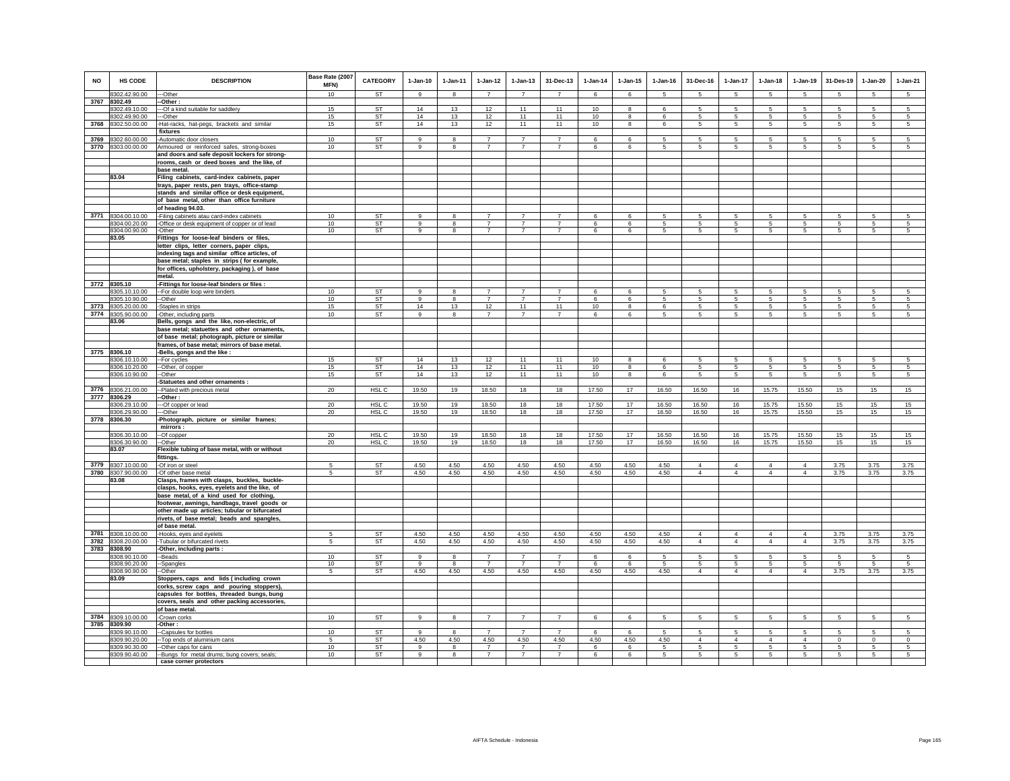| <b>NO</b> | HS CODE                        | <b>DESCRIPTION</b>                                                                            | Base Rate (2007<br><b>MFN)</b> | <b>CATEGORY</b>        | $1-Jan-10$        | 1-Jan-11     | $1 - Jan-12$                     | $1-Jan-13$                       | 31-Dec-13      | $1-Jan-14$ | $1-Jan-15$              | $1 - Jan-16$ | 31-Dec-16                    | 1-Jan-17             | $1-Jan-18$                        | $1-Jan-19$          | 31-Des-19    | $1-Jan-20$            | $1-Jan-21$     |
|-----------|--------------------------------|-----------------------------------------------------------------------------------------------|--------------------------------|------------------------|-------------------|--------------|----------------------------------|----------------------------------|----------------|------------|-------------------------|--------------|------------------------------|----------------------|-----------------------------------|---------------------|--------------|-----------------------|----------------|
|           | 8302.42.90.00                  | --Other                                                                                       | 10                             | <b>ST</b>              | 9                 | 8            | $\overline{7}$                   | $\overline{7}$                   | $\overline{7}$ | 6          | 6                       | 5            | $5 -$                        | 5                    | 5                                 | -5                  | 5            | 5                     | 5              |
|           | 3767 8302.49                   | -Other:                                                                                       |                                |                        |                   |              |                                  |                                  |                |            |                         |              |                              |                      |                                   |                     |              |                       |                |
|           | 8302.49.10.00                  | --Of a kind suitable for saddlery                                                             | 15                             | <b>ST</b>              | 14                | 13           | 12                               | 11                               | 11             | 10         | 8                       | 6            | 5                            | 5                    | $5\overline{5}$                   | 5                   | 5            | 5                     | 5              |
| 3768      | 8302.49.90.00<br>8302.50.00.00 | --Other<br>Hat-racks, hat-pegs, brackets and similar                                          | 15<br>15                       | <b>ST</b><br><b>ST</b> | 14<br>14          | 13<br>13     | 12<br>12                         | 11<br>11                         | 11<br>11       | 10<br>10   | 8<br>8                  | -6<br>6      | -5<br>5                      | 5<br>$5\overline{5}$ | $5\overline{5}$<br>5              | 5<br>5              | 5<br>5       | 5<br>5                | -5<br>5        |
|           |                                | fixtures                                                                                      |                                |                        |                   |              |                                  |                                  |                |            |                         |              |                              |                      |                                   |                     |              |                       |                |
| 3769      | 8302.60.00.00                  | -Automatic door closers                                                                       | 10                             | <b>ST</b>              | 9                 | 8            | $\overline{7}$                   | $\overline{7}$                   | $\overline{7}$ | 6          | 6                       | 5            | 5                            | 5                    | 5                                 | 5                   | 5            | 5                     | 5              |
|           | 3770 8303.00.00.00             | Armoured or reinforced safes, strong-boxes                                                    | 10                             | ST                     | 9                 | 8            | $\overline{7}$                   | $\overline{7}$                   | $\overline{7}$ | 6          | 6                       | 5            | 5                            | $5\phantom{.0}$      | 5                                 | 5                   | 5            | 5                     | 5              |
|           |                                | and doors and safe deposit lockers for strong-                                                |                                |                        |                   |              |                                  |                                  |                |            |                         |              |                              |                      |                                   |                     |              |                       |                |
|           |                                | rooms, cash or deed boxes and the like, of                                                    |                                |                        |                   |              |                                  |                                  |                |            |                         |              |                              |                      |                                   |                     |              |                       |                |
|           |                                | base metal.                                                                                   |                                |                        |                   |              |                                  |                                  |                |            |                         |              |                              |                      |                                   |                     |              |                       |                |
|           | 83.04                          | Filing cabinets, card-index cabinets, paper                                                   |                                |                        |                   |              |                                  |                                  |                |            |                         |              |                              |                      |                                   |                     |              |                       |                |
|           |                                | trays, paper rests, pen trays, office-stamp                                                   |                                |                        |                   |              |                                  |                                  |                |            |                         |              |                              |                      |                                   |                     |              |                       |                |
|           |                                | stands and similar office or desk equipment,                                                  |                                |                        |                   |              |                                  |                                  |                |            |                         |              |                              |                      |                                   |                     |              |                       |                |
|           |                                | of base metal, other than office furniture                                                    |                                |                        |                   |              |                                  |                                  |                |            |                         |              |                              |                      |                                   |                     |              |                       |                |
|           | 3771 8304.00.10.00             | of heading 94.03.<br>-Filing cabinets atau card-index cabinets                                | 10                             | <b>ST</b>              | $\mathsf g$       | 8            | $\overline{7}$                   | $\overline{7}$                   | $\overline{7}$ | 6          | 6                       | 5            | 5                            | 5                    | 5                                 | 5                   | 5            | 5                     | 5              |
|           | 8304.00.20.00                  | -Office or desk equipment of copper or of lead                                                | 10                             | ST                     | 9                 | 8            | $\overline{7}$                   | $\overline{7}$                   | $\overline{7}$ | 6          | 6                       | 5            | 5                            | 5                    | 5                                 | 5                   | 5            | 5                     | -5             |
|           | 8304.00.90.00                  | -Other                                                                                        | 10                             | <b>ST</b>              | 9                 | 8            | $\overline{7}$                   | $\overline{7}$                   | $\overline{7}$ | 6          | 6                       | 5            | 5                            | $5\overline{5}$      | 5                                 | 5                   | 5            | 5                     | 5 <sup>5</sup> |
|           | 83.05                          | Fittings for loose-leaf binders or files,                                                     |                                |                        |                   |              |                                  |                                  |                |            |                         |              |                              |                      |                                   |                     |              |                       |                |
|           |                                | letter clips, letter corners, paper clips,                                                    |                                |                        |                   |              |                                  |                                  |                |            |                         |              |                              |                      |                                   |                     |              |                       |                |
|           |                                | indexing tags and similar office articles, of                                                 |                                |                        |                   |              |                                  |                                  |                |            |                         |              |                              |                      |                                   |                     |              |                       |                |
|           |                                | base metal; staples in strips (for example,                                                   |                                |                        |                   |              |                                  |                                  |                |            |                         |              |                              |                      |                                   |                     |              |                       |                |
|           |                                | for offices, upholstery, packaging), of base                                                  |                                |                        |                   |              |                                  |                                  |                |            |                         |              |                              |                      |                                   |                     |              |                       |                |
|           | 3772 8305.10                   | metal.<br>-Fittings for loose-leaf binders or files :                                         |                                |                        |                   |              |                                  |                                  |                |            |                         |              |                              |                      |                                   |                     |              |                       |                |
|           | 3305.10.10.00                  | -For double loop wire binders                                                                 | 10                             | <b>ST</b>              | 9                 | 8            |                                  |                                  |                | 6          | 6                       | 5            | 5                            | 5                    | 5                                 | 5                   | 5            | 5                     | 5              |
|           | 8305.10.90.00                  | --Other                                                                                       | 10                             | <b>ST</b>              | 9                 | 8            | $\overline{7}$                   | $\overline{7}$                   | $\overline{7}$ | 6          | 6                       | 5            | $5\overline{5}$              | $5\overline{5}$      | $5\overline{5}$                   | 5                   | 5            | 5                     | 5              |
| 3773      | 8305.20.00.00                  | -Staples in strips                                                                            | 15                             | ST                     | 14                | 13           | 12                               | 11                               | 11             | 10         | 8                       | 6            | 5                            | $\mathbf 5$          | 5                                 | 5                   | 5            | 5                     | 5              |
| 3774      | 8305.90.00.00                  | -Other, including parts                                                                       | 10                             | ST                     | $\alpha$          | $\mathbf{R}$ | $\overline{7}$                   | $\overline{7}$                   | $\overline{7}$ | ĥ.         | 6                       | 5            | 5                            | 5                    | 5                                 | 5.                  | 5            | 5                     | 5              |
|           | 83.06                          | Bells, gongs and the like, non-electric, of                                                   |                                |                        |                   |              |                                  |                                  |                |            |                         |              |                              |                      |                                   |                     |              |                       |                |
|           |                                | base metal; statuettes and other ornaments,                                                   |                                |                        |                   |              |                                  |                                  |                |            |                         |              |                              |                      |                                   |                     |              |                       |                |
|           |                                | of base metal; photograph, picture or similar                                                 |                                |                        |                   |              |                                  |                                  |                |            |                         |              |                              |                      |                                   |                     |              |                       |                |
|           |                                | frames, of base metal; mirrors of base metal.                                                 |                                |                        |                   |              |                                  |                                  |                |            |                         |              |                              |                      |                                   |                     |              |                       |                |
|           | 3775 8306.10<br>8306.10.10.00  | -Bells, gongs and the like :                                                                  | 15                             | <b>ST</b>              | 14                | 13           | 12                               | 11                               | 11             | 10         | 8                       | 6            | 5                            | 5                    | 5                                 | 5                   | 5            | 5                     | 5              |
|           | 8306.10.20.00                  | -For cycles<br>-Other, of copper                                                              | 15                             | ST                     | 14                | 13           | 12                               | 11                               | 11             | 10         | 8                       | 6            | $5\overline{5}$              | $5\overline{5}$      | $5\overline{5}$                   | 5                   | 5            | 5                     | 5              |
|           | 8306.10.90.00                  | -Other                                                                                        | 15                             | ST                     | 14                | 13           | 12                               | 11                               | 11             | 10         | $\overline{\mathbf{8}}$ | 6            | $5\overline{5}$              | $5\overline{)}$      | $5\overline{5}$                   | $\overline{5}$      | 5            | $\overline{5}$        | 5              |
|           |                                | Statuetes and other ornaments :                                                               |                                |                        |                   |              |                                  |                                  |                |            |                         |              |                              |                      |                                   |                     |              |                       |                |
| 3776      | 8306.21.00.00                  | --Plated with precious metal                                                                  | 20                             | HSL C                  | 19.50             | 19           | 18.50                            | 18                               | 18             | 17.50      | 17                      | 16.50        | 16.50                        | 16                   | 15.75                             | 15.50               | 15           | 15                    | 15             |
|           | 3777 8306.29                   | -Other:                                                                                       |                                |                        |                   |              |                                  |                                  |                |            |                         |              |                              |                      |                                   |                     |              |                       |                |
|           | 8306.29.10.00                  | --Of copper or lead                                                                           | 20 <sup>°</sup>                | HSL C                  | 19.50             | 19           | 18.50                            | 18                               | 18             | 17.50      | 17                      | 16.50        | 16.50                        | 16                   | 15.75                             | 15.50               | 15           | 15                    | 15             |
| 3778      | 8306.29.90.00<br>8306.30       | --Other                                                                                       | 20                             | HSL C                  | 19.50             | 19           | 18.50                            | 18                               | 18             | 17.50      | 17                      | 16.50        | 16.50                        | 16                   | 15.75                             | 15.50               | 15           | 15                    | 15             |
|           |                                | Photograph, picture or similar frames;<br>mirrors:                                            |                                |                        |                   |              |                                  |                                  |                |            |                         |              |                              |                      |                                   |                     |              |                       |                |
|           | 8306.30.10.00                  | --Of copper                                                                                   | 20                             | HSL C                  | 19.50             | 19           | 18.50                            | 18                               | 18             | 17.50      | 17                      | 16.50        | 16.50                        | 16                   | 15.75                             | 15.50               | 15           | 15                    | 15             |
|           | 8306.30.90.00                  | --Other                                                                                       | 20                             | HSL C                  | 19.50             | 19           | 18.50                            | 18                               | 18             | 17.50      | 17                      | 16.50        | 16.50                        | 16                   | 15.75                             | 15.50               | 15           | 15                    | 15             |
|           | 83.07                          | Flexible tubing of base metal, with or without                                                |                                |                        |                   |              |                                  |                                  |                |            |                         |              |                              |                      |                                   |                     |              |                       |                |
|           |                                | fittings.                                                                                     |                                |                        |                   |              |                                  |                                  |                |            |                         |              |                              |                      |                                   |                     |              |                       |                |
| 3779      | 8307.10.00.00                  | -Of iron or steel                                                                             | 5                              | ST                     | 4.50              | 4.50         | 4.50                             | 4.50                             | 4.50           | 4.50       | 4.50                    | 4.50         | $\overline{4}$               | $\overline{4}$       | $\overline{4}$                    | $\overline{4}$      | 3.75         | 3.75                  | 3.75           |
|           | 3780 8307.90.00.00             | -Of other base metal                                                                          | 5                              | ST                     | 4.50              | 4.50         | 4.50                             | 4.50                             | 4.50           | 4.50       | 4.50                    | 4.50         | $\overline{4}$               | $\overline{4}$       | $\overline{4}$                    | $\overline{4}$      | 3.75         | 3.75                  | 3.75           |
|           | 83.08                          | Clasps, frames with clasps, buckles, buckle-<br>clasps, hooks, eyes, eyelets and the like, of |                                |                        |                   |              |                                  |                                  |                |            |                         |              |                              |                      |                                   |                     |              |                       |                |
|           |                                | base metal, of a kind used for clothing,                                                      |                                |                        |                   |              |                                  |                                  |                |            |                         |              |                              |                      |                                   |                     |              |                       |                |
|           |                                | footwear, awnings, handbags, travel goods or                                                  |                                |                        |                   |              |                                  |                                  |                |            |                         |              |                              |                      |                                   |                     |              |                       |                |
|           |                                | other made up articles; tubular or bifurcated                                                 |                                |                        |                   |              |                                  |                                  |                |            |                         |              |                              |                      |                                   |                     |              |                       |                |
|           |                                | rivets, of base metal; beads and spangles,                                                    |                                |                        |                   |              |                                  |                                  |                |            |                         |              |                              |                      |                                   |                     |              |                       |                |
|           |                                | of base metal.                                                                                |                                |                        |                   |              |                                  |                                  |                |            |                         |              |                              |                      |                                   |                     |              |                       |                |
| 3781      | 8308.10.00.00                  | -Hooks, eyes and eyelets                                                                      | 5                              | <b>ST</b>              | 4.50              | 4.50         | 4.50                             | 4.50                             | 4.50           | 4.50       | 4.50                    | 4.50         | $\overline{4}$               | $\overline{4}$       | $\overline{4}$                    | $\overline{4}$      | 3.75         | 3.75                  | 3.75           |
|           | 3782 8308.20.00.00             | Tubular or bifurcated rivets                                                                  | 5                              | <b>ST</b>              | 4.50              | 4.50         | 4.50                             | 4.50                             | 4.50           | 4.50       | 4.50                    | 4.50         | $\overline{4}$               | $\overline{4}$       | $\overline{4}$                    | $\overline{4}$      | 3.75         | 3.75                  | 3.75           |
| 3783      | 8308.90                        | Other, including parts :                                                                      |                                | <b>ST</b>              |                   |              |                                  |                                  | $\overline{7}$ |            |                         |              |                              |                      |                                   |                     |              |                       |                |
|           | 8308.90.10.00<br>8308.90.20.00 | -Beads                                                                                        | 10<br>10                       | ST                     | 9<br>$\mathbf{q}$ | 8<br>8       | $\overline{7}$<br>$\overline{7}$ | $\overline{7}$<br>$\overline{7}$ | $\overline{7}$ | 6<br>6     | 6<br>6                  | 5<br>5       | 5<br>5                       | 5<br>5               | 5<br>5                            | 5<br>5              | 5<br>5       | 5<br>5                | -5<br>5        |
|           | 8308.90.90.00                  | -Spangles<br>-Other                                                                           | -5                             | <b>ST</b>              | 4.50              | 4.50         | 4.50                             | 4.50                             | 4.50           | 4.50       | 4.50                    | 4.50         | $\overline{4}$               | $\overline{4}$       | 4                                 | $\overline{4}$      | 3.75         | 3.75                  | 3.75           |
|           | 83.09                          | Stoppers, caps and lids (including crown                                                      |                                |                        |                   |              |                                  |                                  |                |            |                         |              |                              |                      |                                   |                     |              |                       |                |
|           |                                | corks, screw caps and pouring stoppers),                                                      |                                |                        |                   |              |                                  |                                  |                |            |                         |              |                              |                      |                                   |                     |              |                       |                |
|           |                                | capsules for bottles, threaded bungs, bung                                                    |                                |                        |                   |              |                                  |                                  |                |            |                         |              |                              |                      |                                   |                     |              |                       |                |
|           |                                | covers, seals and other packing accessories,                                                  |                                |                        |                   |              |                                  |                                  |                |            |                         |              |                              |                      |                                   |                     |              |                       |                |
|           |                                | of base metal.                                                                                |                                |                        |                   |              |                                  |                                  |                |            |                         |              |                              |                      |                                   |                     |              |                       |                |
| 3784      | 8309.10.00.00                  | -Crown corks                                                                                  | 10                             | ST                     | 9                 | 8            | $\overline{7}$                   | $\overline{7}$                   | $\overline{7}$ | 6          | 6                       | 5            | 5                            | 5                    | $5\overline{5}$                   | 5                   | 5            | 5                     | 5              |
| 3785      | 8309.90                        | -Other :                                                                                      |                                |                        | 9                 |              |                                  | $\overline{7}$                   | $\overline{7}$ |            |                         |              |                              |                      |                                   |                     |              |                       |                |
|           | 8309.90.10.00<br>3309.90.20.00 | -Capsules for bottles<br>Top ends of aluminium cans                                           | 10<br>-5                       | <b>ST</b><br>ST        | 4.50              | 8<br>4.50    | $\overline{7}$<br>4.50           | 4.50                             | 4.50           | 6<br>4.50  | 6<br>4.50               | 5<br>4.50    | $\sqrt{5}$<br>$\overline{4}$ | 5<br>$\overline{4}$  | $5\phantom{.0}$<br>$\overline{4}$ | 5<br>$\overline{4}$ | 5<br>$\circ$ | $\sqrt{5}$<br>$\circ$ | 5<br>$\circ$   |
|           | 8309.90.30.00                  | -Other caps for cans                                                                          | 10                             | <b>ST</b>              | $\overline{9}$    | 8            | $\overline{7}$                   | $\overline{7}$                   | $\overline{7}$ | 6          | $6\overline{6}$         | 5            | 5                            | 5 <sup>5</sup>       | 5                                 | 5                   | 5            | 5                     | 5              |
|           | 8309.90.40.00                  | -Bungs for metal drums; bung covers; seals;                                                   | 10                             | <b>ST</b>              | 9                 | 8            | $\overline{7}$                   | $\overline{7}$                   | $\overline{7}$ | 6          | 6                       | 5            | -5                           | 5                    | 5 <sup>1</sup>                    | 5                   | 5            | 5                     | $\mathbf{r}$   |
|           |                                | case corner protectors                                                                        |                                |                        |                   |              |                                  |                                  |                |            |                         |              |                              |                      |                                   |                     |              |                       |                |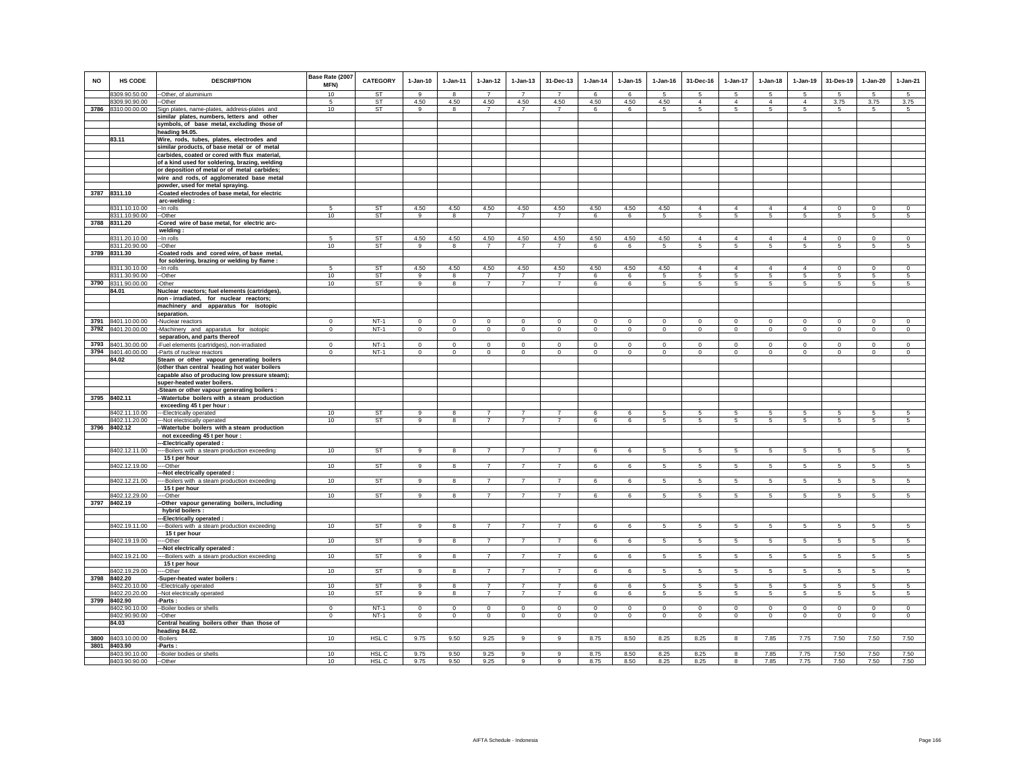| <b>NO</b> | HS CODE                        | <b>DESCRIPTION</b>                                                                 | Base Rate (2007<br>MFN) | CATEGORY         | $1-Jan-10$     | 1-Jan-11                | $1 - Jan-12$                     | $1 - Jan-13$                     | 31-Dec-13                        | $1-Jan-14$  | $1 - Jan-15$    | $1 - Jan-16$ | 31-Dec-16       | $1-Jan-17$                 | $1-Jan-18$      | $1-Jan-19$     | 31-Des-19       | $1-Jan-20$       | $1-Jan-21$      |
|-----------|--------------------------------|------------------------------------------------------------------------------------|-------------------------|------------------|----------------|-------------------------|----------------------------------|----------------------------------|----------------------------------|-------------|-----------------|--------------|-----------------|----------------------------|-----------------|----------------|-----------------|------------------|-----------------|
|           | 8309.90.50.00                  | -- Other, of aluminium                                                             | 10                      | <b>ST</b>        | 9              | -8                      | $\overline{7}$                   | $\overline{7}$                   | $\overline{7}$                   | - 6         | -6              | -5           | -5              | 5                          | 5               | -5             | -5              | $\overline{5}$   | $\overline{5}$  |
|           | 8309.90.90.00                  | -Other                                                                             | -5                      | ST               | 4.50           | 4.50                    | 4.50                             | 4.50                             | 4.50                             | 4.50        | 4.50            | 4.50         | $\overline{4}$  | $\overline{4}$             | $\overline{4}$  | $\overline{4}$ | 3.75            | 3.75             | 3.75            |
|           | 3786 8310.00.00.00             | Sign plates, name-plates, address-plates and                                       | 10                      | ST               | 9              | 8                       | $\overline{7}$                   | $\overline{7}$                   | $\overline{7}$                   | 6           | 6               | 5            | $5\overline{5}$ | 5                          | $5\overline{5}$ | 5              | $\sqrt{5}$      | 5                | $5\overline{5}$ |
|           |                                | similar plates, numbers, letters and other                                         |                         |                  |                |                         |                                  |                                  |                                  |             |                 |              |                 |                            |                 |                |                 |                  |                 |
|           |                                | symbols, of base metal, excluding those of                                         |                         |                  |                |                         |                                  |                                  |                                  |             |                 |              |                 |                            |                 |                |                 |                  |                 |
|           | 83.11                          | heading 94.05.<br>Wire, rods, tubes, plates, electrodes and                        |                         |                  |                |                         |                                  |                                  |                                  |             |                 |              |                 |                            |                 |                |                 |                  |                 |
|           |                                | similar products, of base metal or of metal                                        |                         |                  |                |                         |                                  |                                  |                                  |             |                 |              |                 |                            |                 |                |                 |                  |                 |
|           |                                | carbides, coated or cored with flux material,                                      |                         |                  |                |                         |                                  |                                  |                                  |             |                 |              |                 |                            |                 |                |                 |                  |                 |
|           |                                | of a kind used for soldering, brazing, welding                                     |                         |                  |                |                         |                                  |                                  |                                  |             |                 |              |                 |                            |                 |                |                 |                  |                 |
|           |                                | or deposition of metal or of metal carbides;                                       |                         |                  |                |                         |                                  |                                  |                                  |             |                 |              |                 |                            |                 |                |                 |                  |                 |
|           |                                | wire and rods, of agglomerated base metal                                          |                         |                  |                |                         |                                  |                                  |                                  |             |                 |              |                 |                            |                 |                |                 |                  |                 |
|           | 3787 8311.10                   | powder, used for metal spraying.<br>-Coated electrodes of base metal, for electric |                         |                  |                |                         |                                  |                                  |                                  |             |                 |              |                 |                            |                 |                |                 |                  |                 |
|           |                                | arc-welding:                                                                       |                         |                  |                |                         |                                  |                                  |                                  |             |                 |              |                 |                            |                 |                |                 |                  |                 |
|           | 8311.10.10.00                  | -- In rolls                                                                        | 5                       | <b>ST</b>        | 4.50           | 4.50                    | 4.50                             | 4.50                             | 4.50                             | 4.50        | 4.50            | 4.50         | $\overline{4}$  | $\overline{4}$             | $\overline{4}$  | $\overline{4}$ | $\circ$         | $\circ$          | $\mathbf{0}$    |
|           | 8311.10.90.00                  | --Other                                                                            | 10                      | <b>ST</b>        | 9              | 8                       | $\overline{7}$                   | $\overline{7}$                   | $\overline{7}$                   | 6           | 6               | $\sqrt{5}$   | 5               | $\overline{5}$             | $5\phantom{.0}$ | $\sqrt{5}$     | $\overline{5}$  | 5                | 5               |
| 3788      | 8311.20                        | Cored wire of base metal, for electric arc-                                        |                         |                  |                |                         |                                  |                                  |                                  |             |                 |              |                 |                            |                 |                |                 |                  |                 |
|           |                                | welding:                                                                           | 5                       | ST               | 4.50           | 4.50                    | 4.50                             | 4.50                             | 4.50                             | 4.50        | 4.50            | 4.50         | $\overline{4}$  | $\overline{4}$             | $\overline{4}$  | $\overline{4}$ | $\mathbf 0$     |                  | $\mathsf 0$     |
|           | 8311.20.10.00<br>8311.20.90.00 | --In rolls<br>--Other                                                              | 10                      | <b>ST</b>        | $\overline{9}$ | 8                       | $\overline{7}$                   | $\overline{7}$                   | $\overline{7}$                   | 6           | 6               | -5           | 5               | 5                          | 5               | -5             | -5              | $\mathbf 0$<br>5 | 5               |
| 3789      | 8311.30                        | Coated rods and cored wire, of base metal,                                         |                         |                  |                |                         |                                  |                                  |                                  |             |                 |              |                 |                            |                 |                |                 |                  |                 |
|           |                                | for soldering, brazing or welding by flame :                                       |                         |                  |                |                         |                                  |                                  |                                  |             |                 |              |                 |                            |                 |                |                 |                  |                 |
|           | 8311.30.10.00                  | --In rolls                                                                         | -5                      | ST               | 4.50           | 4.50                    | 4.50                             | 4.50                             | 4.50                             | 4.50        | 4.50            | 4.50         | $\overline{4}$  | $\overline{4}$             | $\overline{4}$  | $\overline{4}$ | $^{\circ}$      | $^{\circ}$       | $\Omega$        |
|           | 8311.30.90.00                  | --Other<br>-Other                                                                  | 10<br>10                | ST               | 9<br>9         | 8<br>8                  | $\overline{7}$<br>$\overline{7}$ | $\overline{7}$<br>$\overline{7}$ | $\overline{7}$<br>$\overline{7}$ | 6           | 6               | 5<br>-5      | 5<br>5          | 5                          | 5<br>5          | 5<br>5         | $\sqrt{5}$      | 5<br>5           | 5<br>5          |
|           | 3790 8311.90.00.00<br>84.01    | Nuclear reactors; fuel elements (cartridges),                                      |                         | ST               |                |                         |                                  |                                  |                                  | 6           | 6               |              |                 | 5                          |                 |                | 5               |                  |                 |
|           |                                | non-irradiated, for nuclear reactors;                                              |                         |                  |                |                         |                                  |                                  |                                  |             |                 |              |                 |                            |                 |                |                 |                  |                 |
|           |                                | machinery and apparatus for isotopic                                               |                         |                  |                |                         |                                  |                                  |                                  |             |                 |              |                 |                            |                 |                |                 |                  |                 |
|           |                                | separation.                                                                        |                         |                  |                |                         |                                  |                                  |                                  |             |                 |              |                 |                            |                 |                |                 |                  |                 |
|           | 3791 8401.10.00.00             | -Nuclear reactors                                                                  | $\Omega$                | $NT-1$           | $\Omega$       | $\mathbf 0$             | $\mathsf 0$                      | $\mathsf 0$                      | $\Omega$                         | $\mathsf 0$ | $\mathsf 0$     | $\mathbf 0$  | $\Omega$        | $\mathsf 0$                | $\mathbf 0$     | $\mathbf 0$    | $\mathbf 0$     | $\mathsf 0$      | $\overline{0}$  |
| 3792      | 8401.20.00.00                  | -Machinery and apparatus for isotopic<br>separation, and parts thereof             | $\mathbf 0$             | $NT-1$           | $\mathsf 0$    | $\circ$                 | $\mathbf 0$                      | $\mathbf 0$                      | $\mathbf 0$                      | $\mathsf 0$ | $\mathbf 0$     | $\mathsf 0$  | $\circ$         | $\mathsf 0$                | $\circ$         | $\circ$        | $\mathbf 0$     | $\mathsf 0$      | $\mathsf 0$     |
| 3793      | 8401.30.00.00                  | -Fuel elements (cartridges), non-irradiated                                        | $\Omega$                | $NT-1$           | $\Omega$       | $\Omega$                | $\Omega$                         | $\mathbf 0$                      | $\Omega$                         | $\Omega$    | $\Omega$        | $\Omega$     | $\Omega$        | $\Omega$                   | $\Omega$        | $\Omega$       | $\Omega$        | $\Omega$         | $\Omega$        |
|           | 3794 8401.40.00.00             | -Parts of nuclear reactors                                                         | $\mathbf{0}$            | $NT-1$           | $^{\circ}$     | $\mathbf 0$             | $\circ$                          | $\mathbf 0$                      | $\mathbf 0$                      | $^{\circ}$  | $^{\circ}$      | $^{\circ}$   | $\circ$         | $\mathbf 0$                | $\circ$         | $\mathbf 0$    | $\circ$         | $\circ$          | $\mathbf 0$     |
|           | 84.02                          | Steam or other vapour generating boilers                                           |                         |                  |                |                         |                                  |                                  |                                  |             |                 |              |                 |                            |                 |                |                 |                  |                 |
|           |                                | (other than central heating hot water boilers                                      |                         |                  |                |                         |                                  |                                  |                                  |             |                 |              |                 |                            |                 |                |                 |                  |                 |
|           |                                | capable also of producing low pressure steam);                                     |                         |                  |                |                         |                                  |                                  |                                  |             |                 |              |                 |                            |                 |                |                 |                  |                 |
|           |                                | super-heated water boilers.<br>-Steam or other vapour generating boilers :         |                         |                  |                |                         |                                  |                                  |                                  |             |                 |              |                 |                            |                 |                |                 |                  |                 |
|           | 3795 8402.11                   | -Watertube boilers with a steam production                                         |                         |                  |                |                         |                                  |                                  |                                  |             |                 |              |                 |                            |                 |                |                 |                  |                 |
|           |                                | exceeding 45 t per hour :                                                          |                         |                  |                |                         |                                  |                                  |                                  |             |                 |              |                 |                            |                 |                |                 |                  |                 |
|           | 8402.11.10.00                  | ---Electrically operated                                                           | 10                      | <b>ST</b>        | 9              | 8                       | $\overline{7}$                   | $\overline{7}$                   | $\overline{7}$                   | -6          | 6               | -5           | -5              | $5\overline{5}$            | 5               | -5             | 5               | 5                | 5               |
|           | 8402.11.20.00                  | -- Not electrically operated                                                       | 10                      | ST               | 9              | 8                       | $\overline{7}$                   | $\overline{7}$                   | $\overline{7}$                   | 6           | 6               | 5            | 5               | $5\phantom{.0}$            | 5               | 5              | 5               | 5                | 5               |
|           | 3796 8402.12                   | Watertube boilers with a steam production<br>not exceeding 45 t per hour :         |                         |                  |                |                         |                                  |                                  |                                  |             |                 |              |                 |                            |                 |                |                 |                  |                 |
|           |                                | -Electrically operated :                                                           |                         |                  |                |                         |                                  |                                  |                                  |             |                 |              |                 |                            |                 |                |                 |                  |                 |
|           | 8402.12.11.00                  | -- Boilers with a steam production exceeding                                       | 10                      | ST               | 9              | 8                       | $\overline{7}$                   | $\overline{7}$                   | $\overline{7}$                   | 6           | 6               | 5            | 5               | $5\phantom{.0}$            | $5\phantom{.0}$ | 5              | $\sqrt{5}$      | 5                | $\sqrt{5}$      |
|           |                                | 15 t per hour                                                                      |                         |                  |                |                         |                                  |                                  |                                  |             |                 |              |                 |                            |                 |                |                 |                  |                 |
|           | 8402.12.19.00                  | --Other                                                                            | 10                      | ST               | 9              | 8                       | $\overline{7}$                   | $\overline{7}$                   | $\overline{7}$                   | 6           | 6               | 5            | 5               | 5                          | 5               | 5              | 5               | 5                | 5               |
|           | 8402.12.21.00                  | -Not electrically operated :<br>-- Boilers with a steam production exceeding       | 10                      | <b>ST</b>        | 9              | 8                       | $\overline{7}$                   | $\overline{7}$                   | $\overline{7}$                   | 6           | 6               | -5           | 5 <sub>1</sub>  | 5                          | 5               | $\overline{5}$ | $\overline{5}$  | $\overline{5}$   | $\overline{5}$  |
|           |                                | 15 t per hour                                                                      |                         |                  |                |                         |                                  |                                  |                                  |             |                 |              |                 |                            |                 |                |                 |                  |                 |
|           | 8402.12.29.00                  | --Other                                                                            | 10                      | ST               | 9              | 8                       | $\overline{7}$                   | $\overline{7}$                   | $\overline{7}$                   | 6           | 6               | 5            | 5               | 5                          | $5\phantom{.0}$ | $\,$ 5 $\,$    | $\sqrt{5}$      | 5                | 5               |
|           | 3797 8402.19                   | Other vapour generating boilers, including                                         |                         |                  |                |                         |                                  |                                  |                                  |             |                 |              |                 |                            |                 |                |                 |                  |                 |
|           |                                | hybrid boilers :                                                                   |                         |                  |                |                         |                                  |                                  |                                  |             |                 |              |                 |                            |                 |                |                 |                  |                 |
|           | 8402.19.11.00                  | -Electrically operated :<br>-Boilers with a steam production exceeding             | 10                      | <b>ST</b>        | 9              | 8                       | $\overline{7}$                   | $\overline{7}$                   | $\overline{7}$                   | 6           | 6               | 5            | 5               | 5                          | 5               | 5              | 5               | 5                | 5               |
|           |                                | 15 t per hour                                                                      |                         |                  |                |                         |                                  |                                  |                                  |             |                 |              |                 |                            |                 |                |                 |                  |                 |
|           | 8402.19.19.00                  | --Other                                                                            | 10                      | <b>ST</b>        | 9              | 8                       | $\overline{7}$                   | $\overline{7}$                   | $\overline{7}$                   | 6           | 6               | 5            | $5\phantom{.0}$ | $5\phantom{.0}$            | $5\phantom{.0}$ | $\,$ 5 $\,$    | $\sqrt{5}$      | $\sqrt{5}$       | $\sqrt{5}$      |
|           |                                | -Not electrically operated :                                                       |                         |                  |                |                         |                                  |                                  |                                  |             |                 |              |                 |                            |                 |                |                 |                  |                 |
|           | 8402.19.21.00                  | -- Boilers with a steam production exceeding<br>15 t per hour                      | 10                      | ST               | $\overline{9}$ | $\overline{\mathbf{8}}$ | $\overline{7}$                   | $\overline{7}$                   | $\overline{7}$                   | 6           | 6               | 5            | 5               | $5\overline{)}$            | 5               | 5              | $5\overline{5}$ | 5                | 5               |
|           | 8402.19.29.00                  | --Other                                                                            | 10                      | ST               | 9              | 8                       | $\overline{7}$                   | $\overline{7}$                   | $\overline{7}$                   | 6           | 6               | 5            | $5\overline{5}$ | $5\overline{5}$            | $5\overline{5}$ | 5              | 5               | 5                | 5               |
| 3798      | 8402.20                        | Super-heated water boilers:                                                        |                         |                  |                |                         |                                  |                                  |                                  |             |                 |              |                 |                            |                 |                |                 |                  |                 |
|           | 8402.20.10.00                  | --Electrically operated                                                            | 10                      | <b>ST</b>        | 9              | 8                       | $\overline{7}$                   | $\overline{7}$                   | $\overline{7}$                   | 6           | 6               | 5            | -5              | 5                          | 5               | 5              | 5               | 5                | 5               |
|           | 8402.20.20.00                  | -Not electrically operated                                                         | 10                      | <b>ST</b>        | $\overline{9}$ | $\overline{\mathbf{8}}$ | $\overline{7}$                   | $\overline{7}$                   | $\overline{7}$                   | 6           | $6\overline{6}$ | 5            | $\sqrt{5}$      | 5                          | 5               | $\sqrt{5}$     | $\sqrt{5}$      | 5                | $\sqrt{5}$      |
| 3799      | 8402.90                        | -Parts :                                                                           | $\Omega$                | $NT-1$           | $\Omega$       |                         | $\Omega$                         | $\Omega$                         | $\Omega$                         | $\Omega$    | $\Omega$        | $\Omega$     | $\Omega$        |                            | $\Omega$        | $\Omega$       | $\mathbf 0$     | $\Omega$         | $\circ$         |
|           | 8402.90.10.00<br>8402.90.90.00 | -Boiler bodies or shells<br>-Other                                                 | $\mathbf 0$             | $NT-1$           | $\mathsf 0$    | $^{\circ}$<br>$\circ$   | $\circ$                          | $\mathbf 0$                      | $\mathbf 0$                      | $\mathsf 0$ | $\mathsf 0$     | $\mathsf 0$  | $\mathbf 0$     | $\mathbf 0$<br>$\mathbf 0$ | $\mathbf 0$     | $\mathbf 0$    | $\mathbf 0$     | $\mathsf 0$      | $\mathsf 0$     |
|           | 84.03                          | Central heating boilers other than those of                                        |                         |                  |                |                         |                                  |                                  |                                  |             |                 |              |                 |                            |                 |                |                 |                  |                 |
|           |                                | heading 84.02.                                                                     |                         |                  |                |                         |                                  |                                  |                                  |             |                 |              |                 |                            |                 |                |                 |                  |                 |
|           | 3800 8403.10.00.00             | -Boilers                                                                           | 10                      | HSL C            | 9.75           | 9.50                    | 9.25                             | 9                                | 9                                | 8.75        | 8.50            | 8.25         | 8.25            | 8                          | 7.85            | 7.75           | 7.50            | 7.50             | 7.50            |
| 3801      | 8403.90<br>8403.90.10.00       | -Parts :                                                                           | 10 <sup>1</sup>         | HSL <sub>C</sub> | 9.75           | 9.50                    | 9.25                             | 9                                | $\overline{9}$                   | 8.75        | 8.50            | 8.25         | 8.25            | 8                          | 7.85            | 7.75           | 7.50            | 7.50             | 7.50            |
|           | 8403.90.90.00                  | -Boiler bodies or shells<br>--Other                                                | 10                      | HSL C            | 9.75           | 9.50                    | 9.25                             | 9                                | $\mathbf{q}$                     | 8.75        | 8.50            | 8.25         | 8.25            | 8                          | 7.85            | 7.75           | 7.50            | 7.50             | 7.50            |
|           |                                |                                                                                    |                         |                  |                |                         |                                  |                                  |                                  |             |                 |              |                 |                            |                 |                |                 |                  |                 |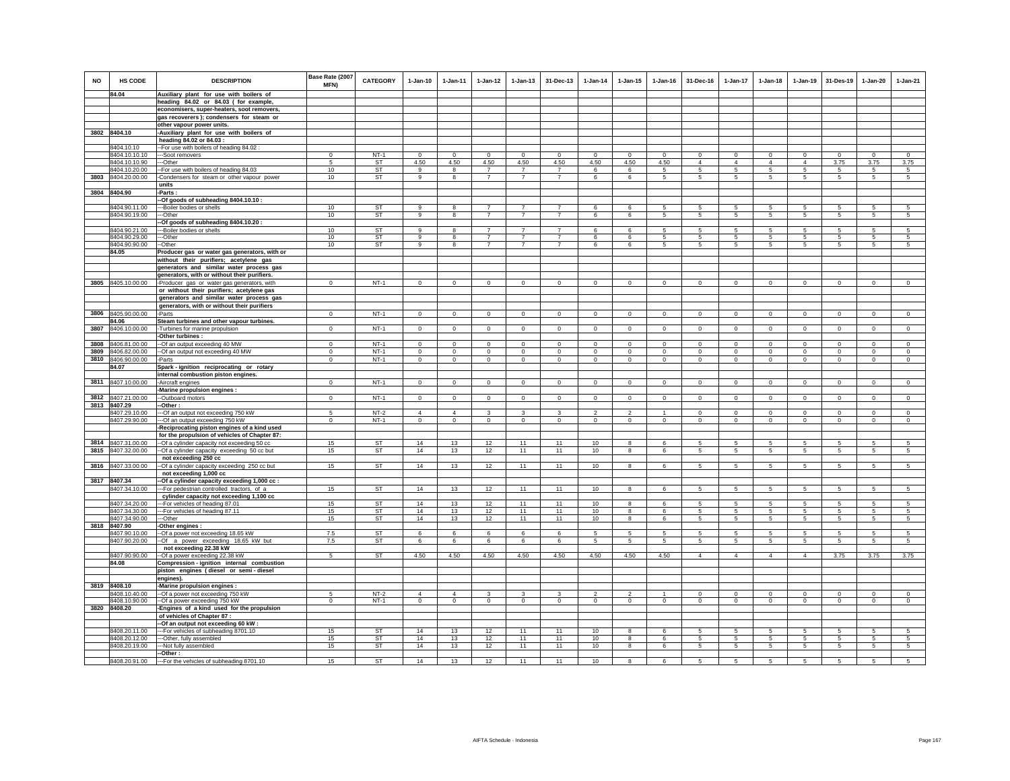| <b>NO</b> | HS CODE                        | <b>DESCRIPTION</b>                                                                           | Base Rate (2007<br><b>MFN)</b> | <b>CATEGORY</b> | $1-Jan-10$     | $1 - Jan-11$    | $1 - Jan-12$    | $1 - Jan-13$   | 31-Dec-13      | $1-Jan-14$     | $1 - Jan-15$   | $1$ -Jan-16  | 31-Dec-16       | $1-Jan-17$      | $1 - Jan-18$    | $1-Jan-19$     | 31-Des-19      | 1-Jan-20       | $1-Jan-21$     |
|-----------|--------------------------------|----------------------------------------------------------------------------------------------|--------------------------------|-----------------|----------------|-----------------|-----------------|----------------|----------------|----------------|----------------|--------------|-----------------|-----------------|-----------------|----------------|----------------|----------------|----------------|
|           | 84.04                          | Auxiliary plant for use with boilers of                                                      |                                |                 |                |                 |                 |                |                |                |                |              |                 |                 |                 |                |                |                |                |
|           |                                | heading 84.02 or 84.03 ( for example,                                                        |                                |                 |                |                 |                 |                |                |                |                |              |                 |                 |                 |                |                |                |                |
|           |                                | economisers, super-heaters, soot removers,                                                   |                                |                 |                |                 |                 |                |                |                |                |              |                 |                 |                 |                |                |                |                |
|           |                                | gas recoverers); condensers for steam or<br>other vapour power units.                        |                                |                 |                |                 |                 |                |                |                |                |              |                 |                 |                 |                |                |                |                |
|           | 3802 8404.10                   | -Auxiliary plant for use with boilers of                                                     |                                |                 |                |                 |                 |                |                |                |                |              |                 |                 |                 |                |                |                |                |
|           |                                | heading 84.02 or 84.03 :                                                                     |                                |                 |                |                 |                 |                |                |                |                |              |                 |                 |                 |                |                |                |                |
|           | 8404.10.10                     | -For use with boilers of heading 84.02 :                                                     |                                |                 |                |                 |                 |                |                |                |                |              |                 |                 |                 |                |                |                |                |
|           | 8404.10.10.10                  | --Soot removers                                                                              | $\Omega$                       | $NT-1$          | $\Omega$       | $\Omega$        | $\mathbf 0$     | $\Omega$       | $\Omega$       | $\Omega$       | $\Omega$       | $\Omega$     | $^{\circ}$      | $\mathbf 0$     | $\Omega$        | $^{\circ}$     | $\overline{0}$ | $\Omega$       | $\Omega$       |
|           | 8404.10.10.90                  | ---Other                                                                                     | 5                              | <b>ST</b>       | 4.50           | 4.50            | 4.50            | 4.50           | 4.50           | 4.50           | 4.50           | 4.50         | $\overline{4}$  | $\overline{4}$  | $\overline{4}$  | $\overline{4}$ | 3.75           | 3.75           | 3.75           |
|           | 8404.10.20.00                  | -- For use with boilers of heading 84.03                                                     | 10                             | <b>ST</b>       | $\mathbf{9}$   | 8               | $\overline{7}$  | $\overline{7}$ | $\overline{7}$ | 6              | 6              | 5            | 5               | 5               | 5               | 5              | 5              | 5              | 5              |
|           | 3803 8404.20.00.00             | Condensers for steam or other vapour power                                                   | 10 <sup>1</sup>                | ST              | 9              | 8               | $\overline{7}$  | $\overline{7}$ | $\overline{7}$ | 6              | 6              | 5            | $5 -$           | $5\phantom{.0}$ | 5               | 5              | -5             | 5              | $\sqrt{5}$     |
|           |                                | units                                                                                        |                                |                 |                |                 |                 |                |                |                |                |              |                 |                 |                 |                |                |                |                |
|           | 3804 8404.90                   | Parts:                                                                                       |                                |                 |                |                 |                 |                |                |                |                |              |                 |                 |                 |                |                |                |                |
|           |                                | -Of goods of subheading 8404.10.10:                                                          |                                |                 |                |                 |                 |                |                |                |                |              |                 |                 |                 |                |                |                |                |
|           | 8404.90.11.00                  | --Boiler bodies or shells                                                                    | 10                             | <b>ST</b>       | 9              | 8               | $\overline{7}$  | $\overline{7}$ | $\overline{7}$ | 6              | 6              | 5            | 5               | 5               | 5               | 5              | 5              | 5              | 5              |
|           | 8404.90.19.00                  | -Other                                                                                       | 10                             | <b>ST</b>       | 9              | 8               | $\overline{7}$  | $\overline{7}$ | $\overline{7}$ | 6              | 6              | 5            | -5              | 5               | -5              | 5              | 5              | 5              | 5              |
|           |                                | -Of goods of subheading 8404.10.20 :                                                         | 10                             | <b>ST</b>       | 9              | $\mathbf{g}$    | $\overline{7}$  | $\overline{7}$ | $\overline{7}$ | 6              | 6              |              | 5               | $\sqrt{5}$      | 5               | 5              | -5             | $\overline{5}$ | $\sqrt{5}$     |
|           | 8404.90.21.00<br>8404.90.29.00 | ---Boiler bodies or shells<br>--Other                                                        | 10 <sup>1</sup>                | ST              | 9              | 8               | $\overline{7}$  | $\overline{7}$ | $\overline{7}$ | 6              | 6              | 5<br>5       | -5              | 5               | -5              | -5             | -5             | 5              | $\sqrt{5}$     |
|           | 8404.90.90.00                  | --Other                                                                                      | 10                             | <b>ST</b>       | 9              | 8               | $\overline{7}$  | $\overline{7}$ | 7              | 6              | 6              | 5            | 5               | $5\overline{5}$ | 5               | 5              | 5              | 5              | 5              |
|           | 84.05                          | Producer gas or water gas generators, with or                                                |                                |                 |                |                 |                 |                |                |                |                |              |                 |                 |                 |                |                |                |                |
|           |                                | without their purifiers; acetylene gas                                                       |                                |                 |                |                 |                 |                |                |                |                |              |                 |                 |                 |                |                |                |                |
|           |                                | generators and similar water process gas                                                     |                                |                 |                |                 |                 |                |                |                |                |              |                 |                 |                 |                |                |                |                |
|           |                                | generators, with or without their purifiers.                                                 |                                |                 |                |                 |                 |                |                |                |                |              |                 |                 |                 |                |                |                |                |
| 3805      | 8405.10.00.00                  | -Producer gas or water gas generators, with                                                  | $\mathbf 0$                    | $NT-1$          | $\mathbf 0$    | $\mathbf 0$     | $\circ$         | $\mathbf 0$    | $\mathbf 0$    | $\mathbf 0$    | $\mathbf 0$    | $\mathbf 0$  | $\circ$         | 0               | $\mathbf 0$     | $\mathbf 0$    | $\mathbf 0$    | $\mathbf 0$    | $\circ$        |
|           |                                | or without their purifiers; acetylene gas                                                    |                                |                 |                |                 |                 |                |                |                |                |              |                 |                 |                 |                |                |                |                |
|           |                                | generators and similar water process gas                                                     |                                |                 |                |                 |                 |                |                |                |                |              |                 |                 |                 |                |                |                |                |
|           |                                | generators, with or without their purifiers                                                  |                                |                 |                |                 |                 |                |                |                |                |              |                 |                 |                 |                |                |                |                |
|           | 3806 8405.90.00.00             | -Parts                                                                                       | $\circ$                        | $NT-1$          | $\circ$        | $\overline{0}$  | $\circ$         | $\mathbf{0}$   | $\mathbf{0}$   | $\circ$        | $\mathbf{0}$   | $\circ$      | $\circ$         | $\overline{0}$  | $\circ$         | $\circ$        | $\circ$        | $\mathbf{0}$   | $\circ$        |
| 3807      | 84.06<br>8406.10.00.00         | Steam turbines and other vapour turbines.                                                    | $\mathbf{0}$                   | $NT-1$          | $\mathbf{0}$   | $\mathbf{0}$    | $\mathbf 0$     | $\mathbf 0$    | $\mathbf 0$    |                |                | $\mathbf 0$  | $^{\circ}$      | $\mathbf 0$     | $\mathbf{0}$    | $\mathbf 0$    | $\mathbf 0$    |                | $\mathsf 0$    |
|           |                                | Turbines for marine propulsion<br>-Other turbines:                                           |                                |                 |                |                 |                 |                |                | $\mathbf 0$    | $\mathbf 0$    |              |                 |                 |                 |                |                | $\mathbf 0$    |                |
| 3808      | 8406.81.00.00                  | -Of an output exceeding 40 MW                                                                | $^{\circ}$                     | $NT-1$          | $^{\circ}$     | $^{\circ}$      | $\mathbf{0}$    | $\mathbf{0}$   | $\mathsf 0$    | $^{\circ}$     | $^{\circ}$     | $^{\circ}$   | $\circ$         | $\mathbf 0$     | $^{\circ}$      | $\mathbf{0}$   | $\mathbf 0$    | $^{\circ}$     | $^{\circ}$     |
| 3809      | 8406.82.00.00                  | -Of an output not exceeding 40 MW                                                            | $\Omega$                       | $NT-1$          | $\Omega$       | $\mathbf 0$     | $\mathbf 0$     | $\mathbf 0$    | $\circ$        | $\mathbf 0$    | $\mathbf 0$    | $\Omega$     | $\Omega$        | $\mathbf 0$     | $\Omega$        | $\Omega$       | $\,0\,$        | $\Omega$       | $\mathbf 0$    |
|           | 3810 8406.90.00.00             | -Parts                                                                                       | $\mathbf 0$                    | $NT-1$          | $\circ$        | $\circ$         | $\mathbf 0$     | $\mathbf 0$    | $\mathsf 0$    | $\mathbf 0$    | $\mathbf 0$    | $\mathsf 0$  | $\circ$         | $\mathbf 0$     | $\circ$         | $\mathbf 0$    | $\circ$        | $\mathbf 0$    | $\mathsf 0$    |
|           | 84.07                          | Spark - ignition reciprocating or rotary                                                     |                                |                 |                |                 |                 |                |                |                |                |              |                 |                 |                 |                |                |                |                |
|           |                                | internal combustion piston engines.                                                          |                                |                 |                |                 |                 |                |                |                |                |              |                 |                 |                 |                |                |                |                |
|           | 3811 8407.10.00.00             | -Aircraft engines                                                                            | $\mathbf 0$                    | $NT-1$          | $\circ$        | $\circ$         | $\circ$         | $\mathbf 0$    | $\mathbf 0$    | $\mathbf 0$    | $\mathbf 0$    | $\mathbf 0$  | $\circ$         | 0               | $\circ$         | $\mathbf 0$    | $\mathbf 0$    | $\mathbf 0$    | $\circ$        |
|           |                                | Marine propulsion engines :                                                                  |                                |                 |                |                 |                 |                |                |                |                |              |                 |                 |                 |                |                |                |                |
| 3812      | 8407.21.00.00                  | --Outboard motors                                                                            | $\Omega$                       | $NT-1$          | $\circ$        | $\Omega$        | $\circ$         | $\mathbf{0}$   | $\circ$        | $\mathsf 0$    | $\Omega$       | $\Omega$     | $\Omega$        | $\mathbf 0$     | $\circ$         | $\mathbf 0$    | $\circ$        | $\circ$        | $\overline{0}$ |
|           | 3813 8407.29                   | -Other :                                                                                     |                                |                 |                |                 |                 |                |                |                |                |              |                 |                 |                 |                |                |                |                |
|           | 8407.29.10.00                  | -- Of an output not exceeding 750 kW                                                         | -5                             | $NT-2$          | $\Delta$       | $\Delta$        | 3               | 3              | 3              | <sup>2</sup>   | $\mathfrak{D}$ |              | $\Omega$        | $\Omega$        | $\Omega$        | $\Omega$       | $\Omega$       | $\Omega$       | $\Omega$       |
|           | 8407.29.90.00                  | --Of an output exceeding 750 kW                                                              | $\mathbf{0}$                   | $NT-1$          | $\mathbf{0}$   | $\circ$         | $\circ$         | $\mathbf 0$    | $\mathbf 0$    | $\circ$        | $\mathbf 0$    | $\circ$      | $\circ$         | $\circ$         | $\circ$         | $\mathbf 0$    | $\circ$        | $\mathbf 0$    | $\circ$        |
|           |                                | Reciprocating piston engines of a kind used<br>for the propulsion of vehicles of Chapter 87: |                                |                 |                |                 |                 |                |                |                |                |              |                 |                 |                 |                |                |                |                |
|           | 3814 8407.31.00.00             | -Of a cylinder capacity not exceeding 50 cc                                                  | 15                             | <b>ST</b>       | 14             | 13              | 12              | 11             | 11             | 10             | 8              | 6            | -5              | 5               | 5               | 5              | 5              | 5              | 5              |
|           | 3815 8407.32.00.00             | -Of a cylinder capacity exceeding 50 cc but                                                  | 15                             | ST              | 14             | 13              | 12              | 11             | 11             | 10             | 8              | 6            | 5               | $5\phantom{.0}$ | $5\phantom{.0}$ | $\sqrt{5}$     | $\sqrt{5}$     | $\sqrt{5}$     | 5              |
|           |                                | not exceeding 250 cc                                                                         |                                |                 |                |                 |                 |                |                |                |                |              |                 |                 |                 |                |                |                |                |
| 3816      | 8407.33.00.00                  | -Of a cylinder capacity exceeding 250 cc but                                                 | 15                             | <b>ST</b>       | 14             | 13              | 12              | 11             | 11             | 10             | 8              | 6            | 5               | 5               | 5               | 5              | 5              | 5              | 5              |
|           |                                | not exceeding 1,000 cc                                                                       |                                |                 |                |                 |                 |                |                |                |                |              |                 |                 |                 |                |                |                |                |
|           | 3817 8407.34                   | -Of a cylinder capacity exceeding 1,000 cc :                                                 |                                |                 |                |                 |                 |                |                |                |                |              |                 |                 |                 |                |                |                |                |
|           | 8407.34.10.00                  | -- For pedestrian controlled tractors, of a                                                  | 15                             | <b>ST</b>       | 14             | 13              | 12              | 11             | 11             | 10             | $\mathbf{R}$   | $\epsilon$   | 5               | 5               | 5               | 5              | 5              | 5              | 5 <sup>1</sup> |
|           |                                | cylinder capacity not exceeding 1,100 cc                                                     | 15                             | <b>ST</b>       | 14             | 13              | 12              | 11             | 11             | 10             | 8              | 6            | 5               | 5               | 5               | 5              | 5              | 5              | 5              |
|           | 8407.34.20.00<br>8407.34.30.00 | --For vehicles of heading 87.01<br>--For vehicles of heading 87.11                           | 15                             | ST              | 14             | 13              | 12              | 11             | 11             | 10             | 8              | 6            | $5\overline{5}$ | 5               | $5\overline{5}$ | 5              | 5              | 5              | 5              |
|           | 8407.34.90.00                  | --Other                                                                                      | 15                             | <b>ST</b>       | 14             | 13              | 12              | 11             | 11             | 10             | 8              | 6            | $5\overline{5}$ | 5               | $5\phantom{.0}$ | 5              | $\overline{5}$ | 5              | 5              |
| 3818      | 8407.90                        | Other engines :                                                                              |                                |                 |                |                 |                 |                |                |                |                |              |                 |                 |                 |                |                |                |                |
|           | 8407.90.10.00                  | -Of a power not exceeding 18.65 kW                                                           | 7.5                            | <b>ST</b>       | 6              | 6               | 6               | 6              | 6              | 5              | 5              | 5            | 5               | 5               | 5.              | 5              | 5              | 5              | -5             |
|           | 8407.90.20.00                  | --Of a power exceeding 18.65 kW but                                                          | 7.5                            | ST              | 6              | $6\overline{6}$ | $6\overline{6}$ | 6              | 6              | $\overline{5}$ | $\overline{5}$ | 5            | 5               | $5\overline{)}$ | 5               | 5              | 5              | $\overline{5}$ | 5              |
|           |                                | not exceeding 22.38 kW                                                                       |                                |                 |                |                 |                 |                |                |                |                |              |                 |                 |                 |                |                |                |                |
|           | 8407.90.90.00                  | -Of a power exceeding 22.38 kW                                                               | 5                              | <b>ST</b>       | 4.50           | 4.50            | 4.50            | 4.50           | 4.50           | 4.50           | 4.50           | 4.50         | 4               | $\overline{4}$  | $\overline{4}$  | $\overline{4}$ | 3.75           | 3.75           | 3.75           |
|           | 84.08                          | Compression - ignition internal combustion                                                   |                                |                 |                |                 |                 |                |                |                |                |              |                 |                 |                 |                |                |                |                |
|           |                                | piston engines (diesel or semi-diesel                                                        |                                |                 |                |                 |                 |                |                |                |                |              |                 |                 |                 |                |                |                |                |
|           | 3819 8408.10                   | engines).<br>Marine propulsion engines :                                                     |                                |                 |                |                 |                 |                |                |                |                |              |                 |                 |                 |                |                |                |                |
|           | 8408.10.40.00                  | --Of a power not exceeding 750 kW                                                            | 5                              | $NT-2$          | $\overline{4}$ | $\overline{4}$  | 3               | 3              | 3              | $\overline{2}$ | $\overline{2}$ | $\mathbf{1}$ | $\circ$         | $\mathbf 0$     | $\mathbf 0$     | $\mathbf 0$    | $\circ$        | $\mathbf 0$    | $\circ$        |
|           | 8408.10.90.00                  | -Of a power exceeding 750 kW                                                                 | $\mathbf 0$                    | $NT-1$          | $\mathbf 0$    | $\mathbf 0$     | $\overline{0}$  | $\mathbf 0$    | $\mathbf 0$    | $\circ$        | $\mathbf 0$    | $\mathbf 0$  | $\circ$         | $\mathbf 0$     | $\mathbf 0$     | $\mathbf 0$    | $\mathbf 0$    | $\mathbf 0$    | $\mathbf 0$    |
|           | 3820 8408.20                   | Engines of a kind used for the propulsion                                                    |                                |                 |                |                 |                 |                |                |                |                |              |                 |                 |                 |                |                |                |                |
|           |                                | of vehicles of Chapter 87 :                                                                  |                                |                 |                |                 |                 |                |                |                |                |              |                 |                 |                 |                |                |                |                |
|           |                                | -Of an output not exceeding 60 kW :                                                          |                                |                 |                |                 |                 |                |                |                |                |              |                 |                 |                 |                |                |                |                |
|           | 8408.20.11.00                  | ---For vehicles of subheading 8701.10                                                        | 15                             | ST              | 14             | 13              | 12              | 11             | 11             | 10             | 8              | 6            | 5               | 5               | 5               | 5              | 5              | 5              |                |
|           | 8408.20.12.00                  | ---Other, fully assembled                                                                    | 15                             | ST              | 14             | 13              | 12              | 11             | 11             | 10             | 8              | 6            | $5\phantom{.0}$ | $5\phantom{.0}$ | $5\phantom{.0}$ | 5              | 5              | $\sqrt{5}$     | 5              |
|           | 8408.20.19.00                  | ---Not fully assembled                                                                       | 15                             | ST              | 14             | 13              | 12              | 11             | 11             | 10             | 8              | 6            | $5\overline{5}$ | $5\phantom{.0}$ | $5\overline{5}$ | 5              | 5              | 5              | 5              |
|           | 8408.20.91.00                  | -Other:<br>--- For the vehicles of subheading 8701.10                                        | 15                             | <b>ST</b>       | 14             | 13              | 12              | 11             | 11             | 10             | 8              |              |                 | 5               |                 | 5              | 5              | 5              |                |
|           |                                |                                                                                              |                                |                 |                |                 |                 |                |                |                |                |              |                 |                 |                 |                |                |                |                |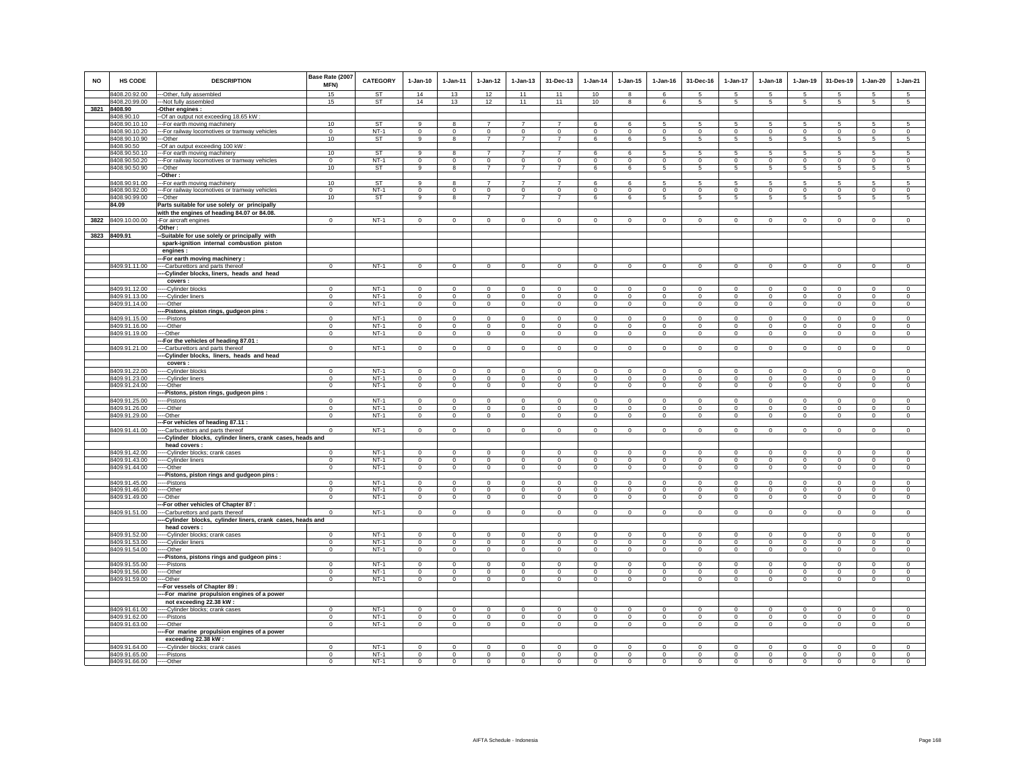| <b>NO</b> | HS CODE                        | <b>DESCRIPTION</b>                                                            | Base Rate (2007<br><b>MFN)</b> | <b>CATEGORY</b>  | $1-Jan-10$           | $1 - Jan-11$         | $1 - Jan-12$        | $1 - Jan-13$         | 31-Dec-13               | $1 - Jan-14$         | $1 - Jan-15$               | $1 - Jan-16$         | 31-Dec-16              | $1-Jan-17$                  | $1 - Jan-18$         | 1-Jan-19            | 31-Des-19               | $1 - Jan-20$            | $1-Jan-21$           |
|-----------|--------------------------------|-------------------------------------------------------------------------------|--------------------------------|------------------|----------------------|----------------------|---------------------|----------------------|-------------------------|----------------------|----------------------------|----------------------|------------------------|-----------------------------|----------------------|---------------------|-------------------------|-------------------------|----------------------|
|           | 8408.20.92.00                  | --Other, fully assembled                                                      | 15                             | <b>ST</b>        | 14                   | 13                   | 12                  | 11                   | 11                      | 10                   | 8                          | 6                    | 5                      | 5                           | 5                    | 5                   | -5                      | 5                       | 5                    |
|           | 8408.20.99.00                  | --Not fully assembled                                                         | 15                             | ST               | 14                   | 13                   | 12                  | 11                   | 11                      | 10                   | 8                          | 6                    | 5                      | $\sqrt{5}$                  | 5                    | 5                   | $\sqrt{5}$              | 5                       | $5\phantom{.0}$      |
| 3821      | 8408.90<br>8408.90.10          | -Other engines :                                                              |                                |                  |                      |                      |                     |                      |                         |                      |                            |                      |                        |                             |                      |                     |                         |                         |                      |
|           | 8408.90.10.10                  | --Of an output not exceeding 18.65 kW :                                       | 10                             | ST               | 9                    | 8                    |                     |                      | $\overline{7}$          | 6                    | 6                          |                      | 5                      | 5                           | 5                    | 5                   | 5                       | 5                       | 5                    |
|           | 8408.90.10.20                  | -For earth moving machinery<br>-- For railway locomotives or tramway vehicles | $\mathbf 0$                    | $NT-1$           | $\circ$              | $\mathbf 0$          | $\circ$             | $\mathbf 0$          | $^{\circ}$              | $\mathbf 0$          | $\mathbf 0$                | 5<br>$\mathbf 0$     | $\mathbf 0$            | $\mathbf 0$                 | $\mathbf 0$          | $\mathbf 0$         | $\mathbf 0$             | $\mathbf 0$             | $\circ$              |
|           | 8408.90.10.90                  | ---Other                                                                      | 10                             | <b>ST</b>        | $\overline{9}$       | 8                    | $\overline{7}$      | $\overline{7}$       | $\overline{7}$          | 6                    | $6\overline{6}$            | 5                    | $\overline{5}$         | 5                           | $\overline{5}$       | $\overline{5}$      | 5                       | $\overline{5}$          | $\overline{5}$       |
|           | 8408.90.50                     | -- Of an output exceeding 100 kW                                              |                                |                  |                      |                      |                     |                      |                         |                      |                            |                      |                        |                             |                      |                     |                         |                         |                      |
|           | 8408.90.50.10                  | --For earth moving machinery                                                  | 10                             | <b>ST</b>        | 9                    | 8                    | 7                   | $\overline{7}$       | $\overline{7}$          | 6                    | 6                          | 5                    | 5                      | 5                           | 5                    | 5                   | 5                       | 5                       | 5                    |
|           | 8408.90.50.20                  | -- For railway locomotives or tramway vehicles                                | $\Omega$                       | $NT-1$           | $\overline{0}$       | $\Omega$             | $\overline{0}$      | $\Omega$             | $\overline{0}$          | $\Omega$             | $\Omega$                   | $\Omega$             | $\overline{0}$         | $\overline{0}$              | $\Omega$             | $\overline{0}$      | $\overline{0}$          | $\overline{0}$          | $\overline{0}$       |
|           | 8408.90.50.90                  | -Other                                                                        | 10                             | <b>ST</b>        | 9                    | 8                    | $\overline{7}$      | $\overline{7}$       | $\overline{7}$          | 6                    | 6                          | 5                    | 5                      | 5                           | 5                    | 5                   | $\sqrt{5}$              | 5                       | 5                    |
|           |                                | -Other:                                                                       |                                |                  |                      |                      |                     |                      |                         |                      |                            |                      |                        |                             |                      |                     |                         |                         |                      |
|           | 8408.90.91.00                  | --For earth moving machinery                                                  | 10                             | ST               | 9                    | 8                    | $\overline{7}$      | $\overline{7}$       | $\overline{7}$          | 6                    | 6                          | 5                    | 5                      | 5                           | 5                    | 5                   | $\sqrt{5}$              | $\sqrt{5}$              | $5\overline{)}$      |
|           | 8408.90.92.00                  | -- For railway locomotives or tramway vehicles                                | $\Omega$                       | $NT-1$           | $\Omega$             | $\Omega$             | $\Omega$            | $\Omega$             | $\Omega$                | $\Omega$             | $\Omega$                   | $\Omega$             | $\Omega$               | $\overline{0}$              | $\Omega$             | $\Omega$            | $\Omega$                | $\Omega$                | $\overline{0}$       |
|           | 8408.90.99.00                  | --Other                                                                       | 10                             | ST               | 9                    | 8                    | $\overline{7}$      | $\overline{7}$       | $\overline{7}$          | 6                    | 6                          | 5                    | 5                      | 5                           | 5                    | 5                   | -5                      | 5                       | -5                   |
|           | 84.09                          | Parts suitable for use solely or principally                                  |                                |                  |                      |                      |                     |                      |                         |                      |                            |                      |                        |                             |                      |                     |                         |                         |                      |
|           |                                | with the engines of heading 84.07 or 84.08.                                   |                                |                  |                      |                      |                     |                      |                         |                      |                            |                      |                        |                             |                      |                     |                         |                         |                      |
| 3822      | 8409.10.00.00                  | -For aircraft engines                                                         | $^{\circ}$                     | $NT-1$           | $^{\circ}$           | $^{\circ}$           | $^{\circ}$          | $^{\circ}$           | $\mathbf 0$             | 0                    | $^{\circ}$                 | $^{\circ}$           | $^{\circ}$             | $^{\circ}$                  | $^{\circ}$           | $\mathbf{0}$        | $\overline{0}$          | $\mathbf 0$             | $\mathsf 0$          |
|           |                                | -Other:                                                                       |                                |                  |                      |                      |                     |                      |                         |                      |                            |                      |                        |                             |                      |                     |                         |                         |                      |
| 3823      | 8409.91                        | -Suitable for use solely or principally with                                  |                                |                  |                      |                      |                     |                      |                         |                      |                            |                      |                        |                             |                      |                     |                         |                         |                      |
|           |                                | spark-ignition internal combustion piston                                     |                                |                  |                      |                      |                     |                      |                         |                      |                            |                      |                        |                             |                      |                     |                         |                         |                      |
|           |                                | engines :                                                                     |                                |                  |                      |                      |                     |                      |                         |                      |                            |                      |                        |                             |                      |                     |                         |                         |                      |
|           |                                | --For earth moving machinery                                                  |                                |                  |                      |                      |                     |                      |                         |                      |                            |                      |                        |                             |                      |                     |                         |                         |                      |
|           | 8409.91.11.00                  | --Carburettors and parts thereof                                              | $\mathbf{0}$                   | $NT-1$           | $\Omega$             | $\circ$              | $\circ$             | $\mathbf{0}$         | $\mathbf 0$             | $\mathbf 0$          | $\mathbf{0}$               | $\Omega$             | $\circ$                | $\circ$                     | $\mathbf{0}$         | $\circ$             | $\mathbf 0$             | $\circ$                 | $\circ$              |
|           |                                | -Cylinder blocks, liners, heads and head                                      |                                |                  |                      |                      |                     |                      |                         |                      |                            |                      |                        |                             |                      |                     |                         |                         |                      |
|           |                                | covers :                                                                      |                                |                  |                      |                      |                     |                      |                         |                      |                            |                      |                        |                             |                      |                     |                         |                         |                      |
|           | 8409.91.12.00                  | --Cylinder blocks                                                             | $^{\circ}$                     | $NT-1$           | $\mathbf 0$          | $\Omega$             | $^{\circ}$          | $^{\circ}$           | $^{\circ}$              | $^{\circ}$           | $^{\circ}$                 | $^{\circ}$           | $^{\circ}$             | $\mathbf 0$                 | $\circ$              | $\mathbf 0$         | $\mathbf 0$             | $^{\circ}$              | $^{\circ}$           |
|           | 8409.91.13.00                  | ---Cylinder liners                                                            | $\Omega$                       | $NT-1$           | $\Omega$             | $\Omega$             | $^{\circ}$          | $\Omega$             | $\mathbf 0$             | $^{\circ}$           | $^{\circ}$                 | $\Omega$             | $\Omega$               | $^{\circ}$                  | $\circ$              | $^{\circ}$          | $^{\circ}$              | $^{\circ}$              | $^{\circ}$           |
|           | 8409.91.14.00                  | --Other                                                                       | $\mathbf 0$                    | $NT-1$           | $^{\circ}$           | $\mathbf 0$          | $\mathbf 0$         | $\mathbf 0$          | $\overline{0}$          | $\mathbf 0$          | $\mathbf 0$                | $\mathbf 0$          | $\mathbf 0$            | $\overline{0}$              | $\mathbf 0$          | $\overline{0}$      | $\overline{0}$          | $\overline{0}$          | $\overline{0}$       |
|           |                                | -Pistons, piston rings, gudgeon pins :                                        |                                |                  |                      |                      |                     |                      |                         |                      |                            |                      |                        |                             |                      |                     |                         |                         |                      |
|           | 8409.91.15.00                  | --Pistons                                                                     | $\Omega$                       | $NT-1$           | $\Omega$             | $\Omega$             | $^{\circ}$          | $\Omega$             | $^{\circ}$              | $^{\circ}$           | $\Omega$                   | $\Omega$             | $\mathbf 0$            | $\mathsf 0$                 | $\Omega$             | $\Omega$            | $\mathbf 0$             | $\mathbf 0$             | $\mathsf 0$          |
|           | 8409.91.16.00                  | --Other                                                                       | $\mathsf 0$                    | $NT-1$           | $\mathbf 0$          | $\mathbf 0$          | $\mathbf 0$         | $\mathsf 0$          | $\mathsf 0$             | $\mathbf 0$          | $\mathbf 0$<br>$\mathbf 0$ | $\mathbf 0$          | $\mathsf 0$            | $\mathbf 0$                 | $\mathsf 0$          | $\mathsf 0$         | $\mathbf 0$             | $\circ$<br>$\mathbf 0$  | $\mathbf 0$          |
|           | 8409.91.19.00                  | --Other<br>-For the vehicles of heading 87.01 :                               | $\mathbf 0$                    | $NT-1$           | $\circ$              | $\mathbf 0$          | $\mathbf 0$         | $\mathbf 0$          | $\mathbf 0$             | $\mathbf 0$          |                            | $\mathbf 0$          | $\mathbf 0$            | $\mathbf 0$                 | $\mathbf 0$          | $\circ$             | $\mathbf 0$             |                         | $\circ$              |
|           | 8409.91.21.00                  | --Carburettors and parts thereof                                              | $\Omega$                       | $NT-1$           | $\Omega$             | $\Omega$             | $\Omega$            | $\Omega$             | $\mathbf 0$             | $\,0\,$              | $\Omega$                   | $\Omega$             | $\Omega$               | $\overline{0}$              | $\Omega$             | $\mathsf 0$         | $\circ$                 | $\mathbf 0$             | $\circ$              |
|           |                                | -Cylinder blocks, liners, heads and head                                      |                                |                  |                      |                      |                     |                      |                         |                      |                            |                      |                        |                             |                      |                     |                         |                         |                      |
|           |                                | covers :                                                                      |                                |                  |                      |                      |                     |                      |                         |                      |                            |                      |                        |                             |                      |                     |                         |                         |                      |
|           | 8409.91.22.00                  | -Cylinder blocks                                                              | $\mathbf 0$                    | $NT-1$           | $\Omega$             | $\mathbf 0$          | $\mathbf 0$         | $\Omega$             | $\,0\,$                 | $\mathbf 0$          | $\Omega$                   | $\Omega$             | $\Omega$               | $\,0\,$                     | $\Omega$             | $\mathbf 0$         | $\mathbf 0$             | $\mathbf 0$             | $\mathbf 0$          |
|           | 8409.91.23.00                  | --Cylinder liners                                                             | $\Omega$                       | $NT-1$           | $\Omega$             | $\Omega$             | $\mathbf 0$         | $\Omega$             | $\mathbf 0$             | $\Omega$             | $\Omega$                   | $\Omega$             | $^{\circ}$             | $\circ$                     | $\Omega$             | $\Omega$            | $\mathbf 0$             | $\overline{0}$          | $\Omega$             |
|           | 8409.91.24.00                  | --Other                                                                       | $\circ$                        | $NT-1$           | $\mathbf 0$          | $\mathbf 0$          | $\circ$             | $\mathsf 0$          | $\mathbf{0}$            | $\mathbf 0$          | $\mathsf 0$                | $\mathsf 0$          | $\mathbf 0$            | $\circ$                     | $\mathbf 0$          | $\mathsf 0$         | $\mathbf 0$             | $\mathbf 0$             | $\mathbf 0$          |
|           |                                | -Pistons, piston rings, gudgeon pins:                                         |                                |                  |                      |                      |                     |                      |                         |                      |                            |                      |                        |                             |                      |                     |                         |                         |                      |
|           | 8409.91.25.00                  | --Pistons                                                                     | $^{\circ}$                     | $NT-1$           | $\Omega$             | $^{\circ}$           | $^{\circ}$          | $\circ$              | $\mathbf 0$             | $^{\circ}$           | $^{\circ}$                 | $^{\circ}$           | $\circ$                | $^{\circ}$                  | $\circ$              | $\circ$             | $^{\circ}$              | $\circ$                 | $\Omega$             |
|           | 8409.91.26.00                  | --Other                                                                       | $\Omega$                       | $NT-1$           | $\Omega$             | $\Omega$             | $\Omega$            | $\mathbf 0$          | $\mathbf 0$             | $\Omega$             | $\mathbf 0$                | $\Omega$             | $\mathbf{0}$           | $\mathsf 0$                 | $\mathbf 0$          | $\mathbf{0}$        | $\Omega$                | $\mathsf 0$             | $\Omega$             |
|           | 8409.91.29.00                  | --Other                                                                       | $\Omega$                       | $NT-1$           | $\Omega$             | $\Omega$             | $\mathbf 0$         | $\circ$              | $\,0\,$                 | $\Omega$             | $\Omega$                   | $\Omega$             | $\mathbf 0$            | $\circ$                     | $\mathbf 0$          | $\mathsf 0$         | $\,$ 0                  | $\mathsf 0$             | $\mathbf 0$          |
|           |                                | -For vehicles of heading 87.11                                                |                                |                  |                      |                      |                     |                      |                         |                      |                            |                      |                        |                             |                      |                     |                         |                         |                      |
|           | 8409.91.41.00                  | --Carburettors and parts thereof                                              | $\Omega$                       | $NT-1$           | $\Omega$             | $\Omega$             | $\mathbf 0$         | $\mathsf 0$          | $\overline{0}$          | $\mathbf 0$          | $\mathbf 0$                | $\Omega$             | $\mathsf 0$            | $\overline{0}$              | $\mathsf 0$          | $\overline{0}$      | $\mathbf 0$             | $\overline{0}$          | $\overline{0}$       |
|           |                                | -Cylinder blocks, cylinder liners, crank cases, heads and                     |                                |                  |                      |                      |                     |                      |                         |                      |                            |                      |                        |                             |                      |                     |                         |                         |                      |
|           |                                | head covers :                                                                 |                                |                  |                      |                      |                     |                      |                         |                      |                            |                      |                        |                             |                      |                     |                         |                         |                      |
|           | 8409.91.42.00                  | --Cylinder blocks; crank cases                                                | $\mathbf 0$                    | $NT-1$           | $\mathbf 0$          | $\mathbf 0$          | $^{\circ}$          | $\mathbf 0$          | $\mathbf 0$             | $^{\circ}$           | $\circ$                    | $\mathbf 0$          | $\mathbf 0$            | $\mathbb O$                 | $\mathbf 0$          | $\mathsf 0$         | $\mathbf 0$             | $\mathbf 0$             | $\mathsf 0$          |
|           | 8409.91.43.00                  | ---Cylinder liners                                                            | $\Omega$                       | $NT-1$           | $\Omega$             | $\Omega$             | $^{\circ}$          | $\circ$              | $\mathbf 0$             | $^{\circ}$           | $^{\circ}$                 | $^{\circ}$           | $\mathbf 0$            | $\mathbf 0$                 | $\circ$              | $\circ$             | $^{\circ}$              | $\mathbf{0}$            | $\circ$              |
|           | 8409.91.44.00                  | --Other                                                                       | $\mathbf 0$                    | $NT-1$           | $\circ$              | $\mathbf 0$          | $\mathbf 0$         | $\mathbf 0$          | $\mathbf{0}$            | $\mathbf 0$          | $\mathbf 0$                | $\circ$              | $\mathbf 0$            | $\mathbf 0$                 | $\mathbf 0$          | $\circ$             | $\mathbf 0$             | $\circ$                 | $\circ$              |
|           |                                | -Pistons, piston rings and gudgeon pins:                                      |                                |                  |                      |                      |                     |                      |                         |                      |                            |                      |                        |                             |                      |                     |                         |                         |                      |
|           | 8409.91.45.00<br>8409.91.46.00 | ---Pistons                                                                    | $\Omega$<br>$\Omega$           | $NT-1$<br>$NT-1$ | $\Omega$<br>$\Omega$ | $\Omega$<br>$\Omega$ | $\circ$<br>$\Omega$ | $\Omega$<br>$\Omega$ | $\mathbf 0$<br>$\Omega$ | $\Omega$<br>$\Omega$ | $\Omega$<br>$\Omega$       | $\Omega$<br>$\Omega$ | $^{\circ}$<br>$\Omega$ | $\mathbf 0$<br>$\mathbf{0}$ | $\Omega$<br>$\Omega$ | $\Omega$<br>$\circ$ | $\mathbf 0$<br>$\Omega$ | $\mathbf 0$<br>$\Omega$ | $\Omega$<br>$\Omega$ |
|           | 8409.91.49.00                  | ---Other<br>---Other                                                          | $\mathbf 0$                    | $NT-1$           | $\mathbf{0}$         | $\mathbf{0}$         | $\mathbf 0$         | $\mathbf 0$          | $\overline{0}$          | $^{\circ}$           | $\mathbf 0$                | $\mathbf 0$          | $\mathbf 0$            | $\mathbf 0$                 | $\mathbf 0$          | $\overline{0}$      | $\mathbf 0$             | $\mathbf 0$             | $\overline{0}$       |
|           |                                | -For other vehicles of Chapter 87 :                                           |                                |                  |                      |                      |                     |                      |                         |                      |                            |                      |                        |                             |                      |                     |                         |                         |                      |
|           | 8409.91.51.00                  | --Carburettors and parts thereof                                              | $^{\circ}$                     | $NT-1$           | $\Omega$             | $^{\circ}$           | $\overline{0}$      | $\circ$              | $^{\circ}$              | $\mathbf{0}$         | $\circ$                    | $^{\circ}$           | $^{\circ}$             | $\overline{0}$              | $\mathbf 0$          | $\mathbf{0}$        | $\mathbf{0}$            | $\mathbf{0}$            | $^{\circ}$           |
|           |                                | -Cylinder blocks, cylinder liners, crank cases, heads and                     |                                |                  |                      |                      |                     |                      |                         |                      |                            |                      |                        |                             |                      |                     |                         |                         |                      |
|           |                                | head covers:                                                                  |                                |                  |                      |                      |                     |                      |                         |                      |                            |                      |                        |                             |                      |                     |                         |                         |                      |
|           | 8409.91.52.00                  | --Cylinder blocks; crank cases                                                | $\mathbf 0$                    | $NT-1$           | $\circ$              | $\mathbf 0$          | $\mathbf 0$         | $\mathbf 0$          | $^{\circ}$              | $\mathbf 0$          | $\mathbf 0$                | $\mathbf 0$          | $\mathbf 0$            | $\circ$                     | $\mathbf 0$          | $\mathbf 0$         | $\mathbf 0$             | $\mathbf 0$             | $\circ$              |
|           | 8409.91.53.00                  | --- Cylinder liners                                                           | $\mathbf 0$                    | $NT-1$           | $\mathbf{0}$         | $^{\circ}$           | $\mathbf 0$         | $\mathbf 0$          | $\mathbf 0$             | $\mathbf 0$          | $\mathbf 0$                | $\mathbf 0$          | $\mathbf 0$            | $\mathbf 0$                 | $\mathbf 0$          | $\mathbf{0}$        | $\mathbf 0$             | $\mathbf 0$             | $\mathsf 0$          |
|           | 8409.91.54.00                  | --Other                                                                       | $\mathbf{0}$                   | $NT-1$           | $\circ$              | $\circ$              | $\circ$             | $\mathbf{0}$         | $\circ$                 | $\mathbf 0$          | $\Omega$                   | $\mathbf 0$          | $\mathbf{0}$           | $\circ$                     | $\mathbf{0}$         | $\circ$             | $\mathbf 0$             | $\circ$                 | $\circ$              |
|           |                                | -Pistons, pistons rings and gudgeon pins:                                     |                                |                  |                      |                      |                     |                      |                         |                      |                            |                      |                        |                             |                      |                     |                         |                         |                      |
|           | 8409.91.55.00                  | --Pistons                                                                     | $\mathbf 0$                    | $NT-1$           | $\Omega$             | $^{\circ}$           | $^{\circ}$          | $\mathbf 0$          | $\mathbf{0}$            | $\mathbf{0}$         | $\mathbf 0$                | $\mathbf{0}$         | $\mathbf 0$            | $\circ$                     | $\mathbf{0}$         | $\mathbf{0}$        | $\mathbf{0}$            | $\circ$                 | $\mathbf{0}$         |
|           | 8409.91.56.00                  | --Other                                                                       | $^{\circ}$                     | $NT-1$           | $\Omega$             | $\Omega$             | $^{\circ}$          | $^{\circ}$           | $\mathbf 0$             | $^{\circ}$           | $^{\circ}$                 | $^{\circ}$           | $^{\circ}$             | $\mathbf 0$                 | $\circ$              | $\circ$             | $^{\circ}$              | $\mathbf 0$             | $\circ$              |
|           | 8409.91.59.00                  | -Other                                                                        | $\mathbf{0}$                   | $NT-1$           | $\circ$              | $\mathbf 0$          | $\circ$             | $\mathbf 0$          | $\mathbf 0$             | $\mathbf 0$          | $\mathbf 0$                | $\mathbf 0$          | $\circ$                | $\circ$                     | $\mathbf 0$          | $\circ$             | $\mathbf 0$             | $\circ$                 | $\circ$              |
|           |                                | -For vessels of Chapter 89 :                                                  |                                |                  |                      |                      |                     |                      |                         |                      |                            |                      |                        |                             |                      |                     |                         |                         |                      |
|           |                                | --For marine propulsion engines of a power                                    |                                |                  |                      |                      |                     |                      |                         |                      |                            |                      |                        |                             |                      |                     |                         |                         |                      |
|           |                                | not exceeding 22.38 kW:                                                       |                                |                  |                      |                      |                     |                      |                         |                      |                            |                      |                        |                             |                      |                     |                         |                         |                      |
|           | 8409.91.61.00                  | --Cylinder blocks; crank cases                                                | $\Omega$                       | $NT-1$           | $^{\circ}$           | $\Omega$             | $\overline{0}$      | $\overline{0}$       | $\overline{0}$          | $\overline{0}$       | $\overline{0}$             | $\mathbf 0$          | $\mathbf 0$            | $\overline{0}$              | $\overline{0}$       | $\overline{0}$      | $\overline{0}$          | $\overline{0}$          | $\overline{0}$       |
|           | 8409.91.62.00                  | --Pistons                                                                     | $\Omega$                       | $NT-1$           | $\Omega$             | $\Omega$             | $\Omega$            | $\Omega$             | $\Omega$                | $\Omega$             | $\Omega$                   | $\Omega$             | $\Omega$               | $\Omega$                    | $\Omega$             | $\Omega$            | $\Omega$                | $\Omega$                | $\Omega$             |
|           | 8409.91.63.00                  | --Other                                                                       | $\overline{0}$                 | $NT-1$           | $^{\circ}$           | $\mathbf{0}$         | $\mathbf{0}$        | 0                    | $\mathbf{0}$            | $\mathbf 0$          | 0                          | $\circ$              | $\mathbf{0}$           | $\mathbf{0}$                | 0                    | $\mathbf{0}$        | $\mathbf{0}$            | $\mathbf{0}$            | $\mathbf{0}$         |
|           |                                | -For marine propulsion engines of a power                                     |                                |                  |                      |                      |                     |                      |                         |                      |                            |                      |                        |                             |                      |                     |                         |                         |                      |
|           |                                | exceeding 22.38 kW:                                                           |                                |                  |                      |                      |                     |                      |                         |                      |                            |                      |                        |                             |                      |                     |                         |                         |                      |
|           | 8409.91.64.00                  | --Cylinder blocks; crank cases                                                | $\overline{0}$                 | $NT-1$           | $^{\circ}$           | $\overline{0}$       | $\overline{0}$      | $\overline{0}$       | $\overline{0}$          | $\overline{0}$       | $\overline{0}$             | $\overline{0}$       | $\overline{0}$         | $\overline{0}$              | $\overline{0}$       | $\overline{0}$      | $\overline{0}$          | $\overline{0}$          | $\overline{0}$       |
|           | 8409.91.65.00                  | ---Pistons                                                                    | $\overline{0}$                 | $NT-1$           | $\mathbf{0}$         | $\mathbf 0$          | $\mathbf 0$         | $\mathbf 0$          | $\mathbf 0$             | $^{\circ}$           | $\mathbf 0$                | $\mathbf 0$          | $\mathbf 0$            | $\mathsf 0$                 | $\mathbf 0$          | $\mathbf{0}$        | $\mathbf 0$             | $\mathbf 0$             | $\mathbf 0$          |
|           | 8409.91.66.00                  | -----Other                                                                    | $\mathbf{0}$                   | $NT-1$           | $\circ$              | $\mathbf 0$          | $\mathbf{0}$        | $\mathbf{0}$         | $\Omega$                | $\Omega$             | $\Omega$                   | $\Omega$             | $\mathbf{0}$           | $\circ$                     | $\mathbf{0}$         | $\circ$             | $\mathbf 0$             | $\Omega$                | $\circ$              |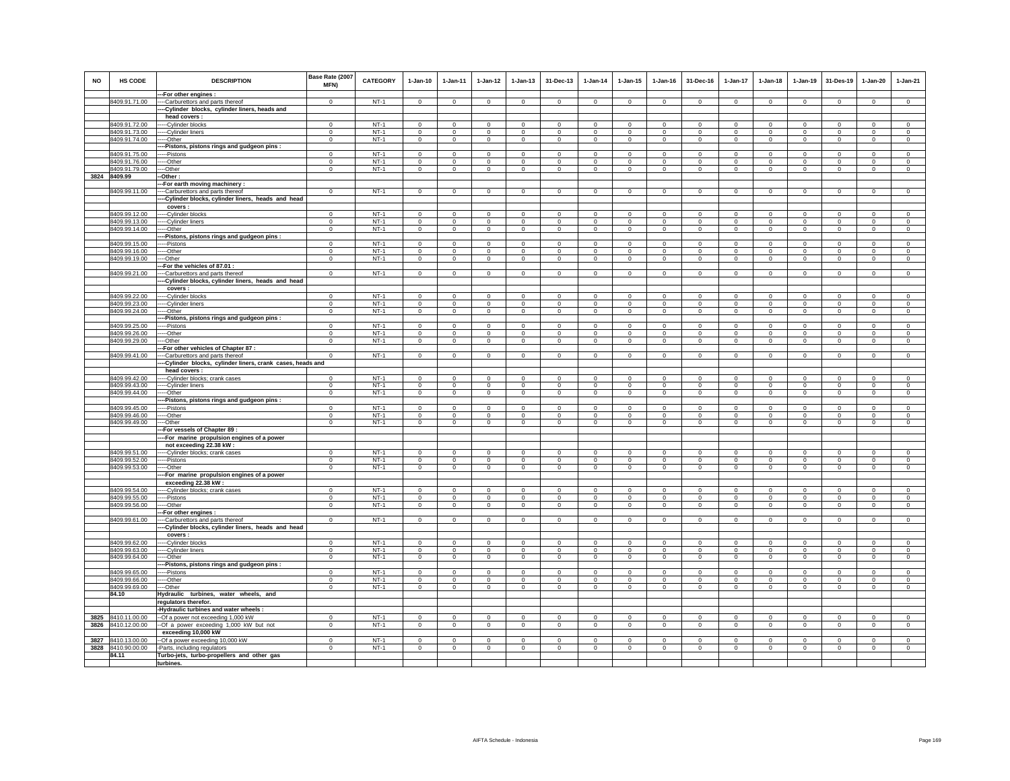| <b>NO</b> | HS CODE                             | <b>DESCRIPTION</b>                                                                    | Base Rate (2007<br><b>MFN)</b> | <b>CATEGORY</b> | $1-Jan-10$     | 1-Jan-11       | 1-Jan-12       | 1-Jan-13       | 31-Dec-13               | $1 - Jan-14$   | 1-Jan-15       | 1-Jan-16       | 31-Dec-16      | 1-Jan-17       | 1-Jan-18       | 1-Jan-19                | 31-Des-19                     | 1-Jan-20       | $1-Jan-21$     |
|-----------|-------------------------------------|---------------------------------------------------------------------------------------|--------------------------------|-----------------|----------------|----------------|----------------|----------------|-------------------------|----------------|----------------|----------------|----------------|----------------|----------------|-------------------------|-------------------------------|----------------|----------------|
|           |                                     | -- For other engines :                                                                |                                |                 |                |                |                |                |                         |                |                |                |                |                |                |                         |                               |                |                |
|           | 8409.91.71.00                       | ---Carburettors and parts thereof<br>--Cylinder blocks, cylinder liners, heads and    | $\mathbf 0$                    | $NT-1$          | $\circ$        | $\mathbf 0$    | $\circ$        | $\mathbf 0$    | $\mathbf 0$             | $\circ$        | $\mathbf 0$    | $\mathbf 0$    | $\circ$        | $\mathbf 0$    | $\Omega$       | $\mathbf 0$             | $\mathbf 0$                   | $\mathbf 0$    | $\circ$        |
|           |                                     | head covers :                                                                         |                                |                 |                |                |                |                |                         |                |                |                |                |                |                |                         |                               |                |                |
|           | 8409.91.72.00                       | --Cylinder blocks                                                                     | $\Omega$                       | $NT-1$          | $\Omega$       | $\Omega$       | $\Omega$       | $\Omega$       | $\Omega$                | $\Omega$       | $\Omega$       | $\Omega$       | $\Omega$       | $\Omega$       | $\Omega$       | $\Omega$                | $\Omega$                      | $\Omega$       | $\Omega$       |
|           | 8409.91.73.00                       | --Cylinder liners                                                                     | $\overline{0}$                 | $NT-1$          | $\overline{0}$ | $\overline{0}$ | $\overline{0}$ | $\overline{0}$ | 0                       | $^{\circ}$     | $\overline{0}$ | $\overline{0}$ | $\overline{0}$ | $\overline{0}$ | $\overline{0}$ | 0                       | $\overline{0}$                | 0              | $\overline{0}$ |
|           | 8409.91.74.00                       | --Other                                                                               | $\overline{0}$                 | $NT-1$          | $\mathbf{0}$   | $\overline{0}$ | $\mathbf 0$    | $\circ$        | $\overline{0}$          | $\mathbf 0$    | $\mathbf 0$    | $\mathbf{0}$   | $\circ$        | $\mathbf 0$    | $\mathbf{0}$   | $\,0\,$                 | $\mathbf 0$                   | $\mathbf 0$    | $\mathsf 0$    |
|           |                                     | --Pistons, pistons rings and gudgeon pins:                                            |                                |                 |                |                |                |                |                         |                |                |                |                |                |                |                         |                               |                |                |
|           | 8409.91.75.00                       | --Pistons                                                                             | $\Omega$                       | $NT-1$          | $\Omega$       | $\Omega$       | $\Omega$       | $\mathbf 0$    | $\Omega$                | $\Omega$       | $\Omega$       | $\Omega$       | $\Omega$       | $\Omega$       | $\Omega$       | $\Omega$                | $\Omega$                      | $\Omega$       | $\Omega$       |
|           | 8409.91.76.00                       | ---Other                                                                              | $\mathbf 0$                    | $NT-1$          | $\mathbf 0$    | $\mathbf 0$    | $\circ$        | $\mathbf 0$    | $\mathbf 0$             | $\mathbf 0$    | $\mathbf 0$    | $\mathbf{0}$   | $\circ$        | 0              | $\mathbf{0}$   | $\mathbf 0$             | $\mathbf 0$                   | $\mathbf 0$    | $\mathbf 0$    |
| 3824      | 8409.91.79.00<br>8409.99            | --Other                                                                               | $^{\circ}$                     | $NT-1$          | $\Omega$       | $\overline{0}$ | $\mathbf 0$    | $\mathbf 0$    | $\,0\,$                 | $\circ$        | $\mathbf 0$    | $\mathbf{0}$   | $\circ$        | $\mathsf 0$    | $\mathbf 0$    | $\mathbf 0$             | $\circ$                       | $\mathbf{0}$   | $\mathsf 0$    |
|           |                                     | Other:<br>-For earth moving machinery :                                               |                                |                 |                |                |                |                |                         |                |                |                |                |                |                |                         |                               |                |                |
|           | 8409.99.11.00                       | -Carburettors and parts thereof                                                       | $\mathbf 0$                    | $NT-1$          | $\mathsf 0$    | $\mathsf 0$    | $\overline{0}$ | $\mathsf 0$    | $\mathsf 0$             | $\overline{0}$ | $\mathsf 0$    | $\mathbf 0$    | $\mathsf 0$    | $\mathbf 0$    | $\mathbf 0$    | $\mathbf 0$             | $\overline{0}$                | $\mathsf 0$    | $\overline{0}$ |
|           |                                     | -Cylinder blocks, cylinder liners, heads and head                                     |                                |                 |                |                |                |                |                         |                |                |                |                |                |                |                         |                               |                |                |
|           |                                     | covers                                                                                |                                |                 |                |                |                |                |                         |                |                |                |                |                |                |                         |                               |                |                |
|           | 8409.99.12.00                       | --Cylinder blocks                                                                     | $\mathbf 0$                    | <b>NT-1</b>     | $\circ$        | $^{\circ}$     | $\mathbf 0$    | $\mathbf 0$    | $\mathbf 0$             | $\mathbf 0$    | $^{\circ}$     | $^{\circ}$     | $^{\circ}$     | 0              | $\Omega$       | $\mathbf 0$             | $^{\circ}$                    | $\mathbf 0$    | $\mathbf 0$    |
|           | 8409.99.13.00                       | --Cylinder liners                                                                     | $^{\circ}$                     | $NT-1$          | $\mathbf{0}$   | $\mathbf 0$    | $\mathbf 0$    | $\mathbf 0$    | $\mathbf 0$             | $\,0\,$        | $\mathbf 0$    | $\mathbf 0$    | $\mathbf 0$    | 0              | $\mathbf 0$    | $\mathbf 0$             | $\mathbf 0$                   | $\mathbf 0$    | $\mathbf 0$    |
|           | 8409.99.14.00                       | --Other                                                                               | $\Omega$                       | $NT-1$          | $\mathsf 0$    | $\Omega$       | $\circ$        | $\mathsf 0$    | $\mathbf 0$             | $\mathbf 0$    | $\mathsf 0$    | $\mathsf 0$    | $\mathbf 0$    | $\mathsf 0$    | $\mathbf 0$    | $\mathbf 0$             | $\circ$                       | $\mathbf 0$    | $\mathsf 0$    |
|           |                                     | -Pistons, pistons rings and gudgeon pins:                                             |                                |                 |                |                |                |                |                         |                |                |                |                |                |                |                         |                               |                |                |
|           | 8409.99.15.00                       | --Pistons                                                                             | $\mathbf 0$                    | $NT-1$          | $\Omega$       | $\mathbf 0$    | $\mathbf 0$    | $\mathbf 0$    | $\mathbf 0$             | $\Omega$       | $\Omega$       | $\Omega$       | $^{\circ}$     | $\Omega$       | $\Omega$       | $\mathbf 0$             | $^{\circ}$                    | $\mathbf 0$    | $\Omega$       |
|           | 8409.99.16.00                       | ---Other                                                                              | $\Omega$                       | $NT-1$          | $\Omega$       | $\Omega$       | $\Omega$       | $\Omega$       | $\Omega$                | $\Omega$       | $\Omega$       | $\Omega$       | $\Omega$       | $\Omega$       | $\Omega$       | $\Omega$                | $\Omega$                      | $\Omega$       | $\Omega$       |
|           | 8409.99.19.00                       | --Other                                                                               | $\mathbf 0$                    | $NT-1$          | $\circ$        | $\circ$        | $\mathbf 0$    | $\mathbf 0$    | $\mathbf 0$             | $\mathbf 0$    | $\mathbf 0$    | $\circ$        | $\circ$        | $\mathbf 0$    | $\circ$        | $\mathbf 0$             | $\circ$                       | $\mathbf 0$    | $\circ$        |
|           | 8409.99.21.00                       | -For the vehicles of 87.01 :                                                          |                                | $NT-1$          | $\mathbf{0}$   |                |                |                |                         |                |                |                | $\circ$        |                | $\mathbf{0}$   |                         |                               |                | $\circ$        |
|           |                                     | --Carburettors and parts thereof<br>-Cylinder blocks, cylinder liners, heads and head | $\mathbf 0$                    |                 |                | $\mathbf 0$    | $\circ$        | $\mathbf 0$    | $\mathbf 0$             | $\mathbf 0$    | $\mathbf 0$    | $\mathbf 0$    |                | 0              |                | $\mathbf 0$             | $\circ$                       | $\mathbf 0$    |                |
|           |                                     | covers:                                                                               |                                |                 |                |                |                |                |                         |                |                |                |                |                |                |                         |                               |                |                |
|           | 8409.99.22.00                       | --Cylinder blocks                                                                     | $\mathbf 0$                    | $NT-1$          | $\mathbf 0$    | $\mathbf 0$    | $\mathbf 0$    | $\mathbf 0$    | $\mathbf 0$             | $^{\circ}$     | $\mathbf 0$    | $^{\circ}$     | $\circ$        | $\mathbf 0$    | $\mathbf 0$    | $\mathbf 0$             | $^{\circ}$                    | $\mathbf 0$    | $\circ$        |
|           | 8409.99.23.00                       | ---Cylinder liners                                                                    | $\overline{0}$                 | $NT-1$          | $\overline{0}$ | $\overline{0}$ | $\overline{0}$ | $\overline{0}$ | $\overline{0}$          | $\overline{0}$ | $\overline{0}$ | $\overline{0}$ | $\overline{0}$ | $\overline{0}$ | $\overline{0}$ | $\overline{0}$          | $\overline{0}$                | $\overline{0}$ | $\overline{0}$ |
|           | 8409.99.24.00                       | --Other                                                                               | $\mathbf 0$                    | $NT-1$          | $\mathsf 0$    | $\mathsf 0$    | $\mathbf 0$    | $\mathsf 0$    | $\mathsf 0$             | $\mathsf 0$    | $\mathsf 0$    | $\mathsf 0$    | $\mathbf 0$    | $\mathbf 0$    | $\mathbf 0$    | $\mathbf 0$             | $\mathbf 0$                   | $\mathsf 0$    | $\mathsf 0$    |
|           |                                     | -Pistons, pistons rings and gudgeon pins :                                            |                                |                 |                |                |                |                |                         |                |                |                |                |                |                |                         |                               |                |                |
|           | 8409.99.25.00                       | --Pistons                                                                             | $\Omega$                       | $NT-1$          | $\Omega$       | $^{\circ}$     | $\circ$        | $\mathbf{0}$   | $\Omega$                | $\mathbf{0}$   | $\Omega$       | $\Omega$       | $\Omega$       | $^{\circ}$     | $\Omega$       | $\Omega$                | $\overline{0}$                | $\Omega$       | $^{\circ}$     |
|           | 8409.99.26.00                       | --Other                                                                               | $^{\circ}$                     | $NT-1$          | $\mathbf{0}$   | $\mathbf 0$    | $\mathbf 0$    | $\mathbf 0$    | $\mathbf 0$             | $\mathbf 0$    | $^{\circ}$     | $\mathbf{0}$   | $\mathbf 0$    | $\mathbf 0$    | $\mathbf 0$    | $\mathbf 0$             | $\overline{0}$                | $\mathbf 0$    | $\circ$        |
|           | 8409.99.29.00                       | --Other                                                                               | $\mathbf 0$                    | $NT-1$          | $\Omega$       | $\mathbf 0$    | $\mathsf 0$    | $\mathsf 0$    | $\mathbf 0$             | $\mathbf 0$    | $\mathsf 0$    | $\mathsf 0$    | $\mathbf 0$    | $\mathbf 0$    | $\mathbf 0$    | $\mathbf 0$             | $\,0\,$                       | $\mathbf 0$    | $\circ$        |
|           |                                     | -For other vehicles of Chapter 87:                                                    |                                |                 |                |                |                |                |                         |                |                |                |                |                |                |                         |                               |                |                |
|           | 8409.99.41.00                       | -Carburettors and parts thereof                                                       | $\Omega$                       | $NT-1$          | $\overline{0}$ | $\circ$        | $\overline{0}$ | $\overline{0}$ | $\mathsf 0$             | $\overline{0}$ | $\overline{0}$ | $\overline{0}$ | $\circ$        | $\overline{0}$ | $\overline{0}$ | $\overline{0}$          | $\overline{0}$                | $\mathsf 0$    | $\overline{0}$ |
|           |                                     | -Cylinder blocks, cylinder liners, crank cases, heads and<br>head covers:             |                                |                 |                |                |                |                |                         |                |                |                |                |                |                |                         |                               |                |                |
|           | 8409.99.42.00                       | --Cylinder blocks; crank cases                                                        | $\mathbf 0$                    | $NT-1$          | $\circ$        | $\circ$        | $\circ$        | $\mathbf 0$    | $\mathbf 0$             | $\circ$        | $\mathbf 0$    | $\mathbf 0$    | $\circ$        | $\mathbf 0$    | $\circ$        | $\mathbf 0$             | $\circ$                       | $\mathbf 0$    | $\circ$        |
|           | 8409.99.43.00                       | ---Cylinder liners                                                                    | $\Omega$                       | $NT-1$          | $\Omega$       | $\Omega$       | $\Omega$       | $\mathbf 0$    | $\Omega$                | $\Omega$       | $\mathbf 0$    | $\Omega$       | $\Omega$       | $\Omega$       | $\Omega$       | $\Omega$                | $\Omega$                      | $\Omega$       | $\Omega$       |
|           | 8409.99.44.00                       | --Other                                                                               | $\mathbf 0$                    | $NT-1$          | $\mathbf{0}$   | $\mathbf 0$    | $\mathsf 0$    | $\mathsf 0$    | $\mathbf 0$             | $\mathbf 0$    | $\mathsf 0$    | $\mathsf 0$    | $\mathbf 0$    | $\mathbf 0$    | $\mathbf 0$    | $\mathbf 0$             | $\,0\,$                       | $\mathsf 0$    | $\mathsf 0$    |
|           |                                     | -Pistons, pistons rings and gudgeon pins :                                            |                                |                 |                |                |                |                |                         |                |                |                |                |                |                |                         |                               |                |                |
|           | 8409.99.45.00                       | --Pistons                                                                             | $^{\circ}$                     | $NT-1$          | $\Omega$       | $\Omega$       | $\circ$        | $\Omega$       | $^{\circ}$              | $\Omega$       | $\Omega$       | $\Omega$       | $\Omega$       | $\Omega$       | $\Omega$       | $^{\circ}$              | $\mathbf 0$                   | $^{\circ}$     | $\Omega$       |
|           | 8409.99.46.00                       | --Other                                                                               | $\mathbf 0$                    | $NT-1$          | $\mathsf 0$    | $\mathsf 0$    | $\mathbf 0$    | $\mathsf 0$    | $\mathbf 0$             | $\mathsf 0$    | $\mathsf 0$    | $\mathbf 0$    | $\mathbf 0$    | $\mathbf 0$    | $\mathbf 0$    | $\mathbf 0$             | $\mathbf 0$                   | $\mathsf 0$    | $\mathsf 0$    |
|           | 8409.99.49.00                       | --Other                                                                               | $\mathbf 0$                    | NT-1            | $\circ$        | $\circ$        | $\circ$        | $\mathbf 0$    | $\mathbf 0$             | $\mathbf 0$    | $\mathbf 0$    | $\mathbf 0$    | $\mathbf 0$    | $\circ$        | $\mathbf 0$    | $\mathbf 0$             | $\circ$                       | $\mathbf 0$    | $\mathbf 0$    |
|           |                                     | -For vessels of Chapter 89 :                                                          |                                |                 |                |                |                |                |                         |                |                |                |                |                |                |                         |                               |                |                |
|           |                                     | --For marine propulsion engines of a power                                            |                                |                 |                |                |                |                |                         |                |                |                |                |                |                |                         |                               |                |                |
|           |                                     | not exceeding 22.38 kW:                                                               | $\Omega$                       | $NT-1$          | $\Omega$       | $\Omega$       | $\Omega$       | $\Omega$       | $\Omega$                | $\Omega$       | $\Omega$       | $\Omega$       | $\Omega$       | $\Omega$       | $\Omega$       |                         | $\mathbf 0$                   | $\Omega$       | $\mathsf 0$    |
|           | 8409.99.51.00<br>8409.99.52.00      | ---Cylinder blocks; crank cases<br>---Pistons                                         | $\Omega$                       | $NT-1$          | $\Omega$       | $\circ$        | $\mathsf 0$    | $\mathsf 0$    | $\Omega$                | $\Omega$       | $\Omega$       | $\Omega$       | $\Omega$       | $\mathbf 0$    | $\Omega$       | $\mathbf 0$<br>$\Omega$ | $\mathbf 0$                   | $\Omega$       | $\circ$        |
|           | 8409.99.53.00                       | ---Other                                                                              | $\overline{0}$                 | $NT-1$          | $\overline{0}$ | $\overline{0}$ | $\overline{0}$ | $\overline{0}$ | $\overline{0}$          | $\overline{0}$ | $\overline{0}$ | $\overline{0}$ | $\overline{0}$ | $\overline{0}$ | $\overline{0}$ | $\overline{0}$          | $\overline{0}$                | $\overline{0}$ | $\overline{0}$ |
|           |                                     | -- For marine propulsion engines of a power                                           |                                |                 |                |                |                |                |                         |                |                |                |                |                |                |                         |                               |                |                |
|           |                                     | exceeding 22.38 kW:                                                                   |                                |                 |                |                |                |                |                         |                |                |                |                |                |                |                         |                               |                |                |
|           | 8409.99.54.00                       | --Cylinder blocks; crank cases                                                        | $\Omega$                       | $NT-1$          | $\Omega$       | $\Omega$       | $\circ$        | $^{\circ}$     | $^{\circ}$              | $\mathbf 0$    | $^{\circ}$     | $\Omega$       | $\Omega$       | $\Omega$       | $\Omega$       | $^{\circ}$              | $^{\circ}$                    | $^{\circ}$     | $\Omega$       |
|           | 8409.99.55.00                       | --Pistons                                                                             | $\mathbf 0$                    | $NT-1$          | $\mathsf 0$    | $\mathsf 0$    | $\mathbf 0$    | $\mathsf 0$    | $\mathsf 0$             | $\mathsf 0$    | $\mathsf 0$    | $\mathsf 0$    | $\mathsf 0$    | $\mathbf 0$    | $\mathbf 0$    | $\mathbf 0$             | $\mathbf 0$                   | $\mathsf 0$    | $\mathsf 0$    |
|           | 8409.99.56.00                       | ---Other                                                                              | $\mathbf 0$                    | $NT-1$          | $\mathbf 0$    | $\mathbf 0$    | $\overline{0}$ | $\mathbf 0$    | $\mathbf 0$             | $\mathbf 0$    | $\mathbf 0$    | $\mathbf 0$    | $\mathbf 0$    | 0              | $\mathbf 0$    | $\mathbf 0$             | $\mathbf 0$                   | $\mathbf 0$    | $\mathbf 0$    |
|           |                                     | --For other engines :                                                                 |                                |                 |                |                |                |                |                         | $\Omega$       |                | $\Omega$       |                |                |                |                         |                               |                |                |
|           | 8409.99.61.00                       | --Carburettors and parts thereof                                                      | $\Omega$                       | $NT-1$          | $\Omega$       | $\Omega$       | $\mathbf{0}$   | $\mathbf{0}$   | $\Omega$                |                | $\Omega$       |                | $\Omega$       | $\Omega$       | $\circ$        | $\mathbf 0$             | $\mathbf 0$                   | $\Omega$       | $\circ$        |
|           |                                     | --Cylinder blocks, cylinder liners, heads and head<br>covers                          |                                |                 |                |                |                |                |                         |                |                |                |                |                |                |                         |                               |                |                |
|           | 8409.99.62.00                       | ---Cylinder blocks                                                                    | $\Omega$                       | $NT-1$          | $\Omega$       | $^{\circ}$     | $^{\circ}$     | $^{\circ}$     | $^{\circ}$              | $^{\circ}$     | $\Omega$       | $\Omega$       | $\Omega$       | $\Omega$       | $\Omega$       | $^{\circ}$              | $^{\circ}$                    | $\Omega$       | $\mathbf 0$    |
|           | 8409.99.63.00                       | ---Cylinder liners                                                                    | $\Omega$                       | $NT-1$          | $\Omega$       | $\Omega$       | $\circ$        | $^{\circ}$     | $\mathbf{0}$            | $^{\circ}$     | $^{\circ}$     | $^{\circ}$     | $\Omega$       | $^{\circ}$     | $^{\circ}$     | $\Omega$                | $\circ$                       | $\circ$        | $\circ$        |
|           | 8409.99.64.00                       | --Other                                                                               | $\mathbf 0$                    | $NT-1$          | $\mathsf 0$    | $\mathbf 0$    | $\mathsf 0$    | $\mathsf 0$    | $\mathbf 0$             | $\mathbf 0$    | $\mathsf 0$    | $\circ$        | $\mathsf 0$    | $\mathsf 0$    | $\mathbf 0$    | $\mathbf 0$             | $\,0\,$                       | $\mathsf 0$    | $\mathsf 0$    |
|           |                                     | -Pistons, pistons rings and gudgeon pins:                                             |                                |                 |                |                |                |                |                         |                |                |                |                |                |                |                         |                               |                |                |
|           | 8409.99.65.00                       | --Pistons                                                                             | $\Omega$                       | $NT-1$          | $\Omega$       | $\Omega$       | $\mathbf{0}$   | $\Omega$       | $\Omega$                | $\mathbf 0$    | $\Omega$       | $\Omega$       | $\Omega$       | $\mathbf{0}$   | $\Omega$       | $\Omega$                | $\Omega$                      | $\Omega$       | $\circ$        |
|           | 8409.99.66.00                       | --Other                                                                               | $\mathbf 0$                    | $NT-1$          | $\Omega$       | $\mathsf 0$    | $\mathbf 0$    | $\mathsf 0$    | $\mathbf 0$             | $\Omega$       | $\mathsf 0$    | $\Omega$       | $\mathsf 0$    | $\mathbf 0$    | $\mathbf 0$    | $\Omega$                | $\mathbf 0$                   | $\Omega$       | $\mathsf 0$    |
|           | 8409.99.69.00                       | --Other                                                                               | $\mathbf 0$                    | $NT-1$          | $\circ$        | $\circ$        | $\circ$        | $\mathbf 0$    | $\overline{0}$          | $\circ$        | $\mathbf 0$    | $\mathbf 0$    | $\circ$        | $\circ$        | $\mathbf 0$    | $\mathbf 0$             | $\circ$                       | $\mathbf 0$    | $\mathbf 0$    |
|           | 84.10                               | Hydraulic turbines, water wheels, and                                                 |                                |                 |                |                |                |                |                         |                |                |                |                |                |                |                         |                               |                |                |
|           |                                     | regulators therefor.                                                                  |                                |                 |                |                |                |                |                         |                |                |                |                |                |                |                         |                               |                |                |
|           |                                     | Hydraulic turbines and water wheels :                                                 |                                |                 |                |                |                |                |                         |                |                |                |                |                |                |                         |                               |                |                |
| 3825      | 8410.11.00.00                       | --Of a power not exceeding 1,000 kW                                                   | $^{\circ}$                     | $NT-1$          | $\mathbf 0$    | $\mathbf 0$    | $\mathbf 0$    | $\mathbf 0$    | $\bf{0}$                | $\mathbf 0$    | $\mathbf 0$    | $\mathbf 0$    | $\mathbf 0$    | 0              | $\mathbf 0$    | $\mathbf 0$             | $\mathbf 0$                   | $\bf{0}$       | $\circ$        |
| 3826      | 8410.12.00.00                       | -Of a power exceeding 1,000 kW but not                                                | $\mathbf 0$                    | $NT-1$          | $\circ$        | $\circ$        | $\mathbf 0$    | $\mathbf 0$    | $\mathbf 0$             | $\mathbf 0$    | $\mathbf 0$    | $\mathbf 0$    | $\circ$        | $\mathbf 0$    | $\mathbf 0$    | $\mathbf 0$             | $^{\circ}$                    | $\mathbf 0$    | $\circ$        |
|           |                                     | exceeding 10,000 kW                                                                   |                                |                 |                |                | $\overline{0}$ |                |                         |                |                |                |                |                |                |                         |                               |                |                |
| 3827      | 8410.13.00.00<br>3828 8410.90.00.00 | -- Of a power exceeding 10,000 kW                                                     | $\Omega$                       | $NT-1$          | $\Omega$       | $\Omega$       |                | $\Omega$       | $\Omega$<br>$\mathbf 0$ | $\overline{0}$ | $\Omega$       | $\Omega$       | $\Omega$       | $\Omega$       | $\Omega$       | $\Omega$                | $\overline{0}$<br>$\mathbf 0$ | $\Omega$       | $\overline{0}$ |
|           | 84.11                               | -Parts, including regulators<br>Turbo-jets, turbo-propellers and other gas            | $\circ$                        | $NT-1$          | $\mathsf 0$    | $\mathsf 0$    | $\mathbf 0$    | $\mathsf 0$    |                         | $\mathsf 0$    | $\mathsf 0$    | $\mathsf 0$    | $\mathbf 0$    | $\mathbf 0$    | $\mathbf 0$    | $\mathbf 0$             |                               | $\mathsf 0$    | $\mathsf 0$    |
|           |                                     | turbines.                                                                             |                                |                 |                |                |                |                |                         |                |                |                |                |                |                |                         |                               |                |                |
|           |                                     |                                                                                       |                                |                 |                |                |                |                |                         |                |                |                |                |                |                |                         |                               |                |                |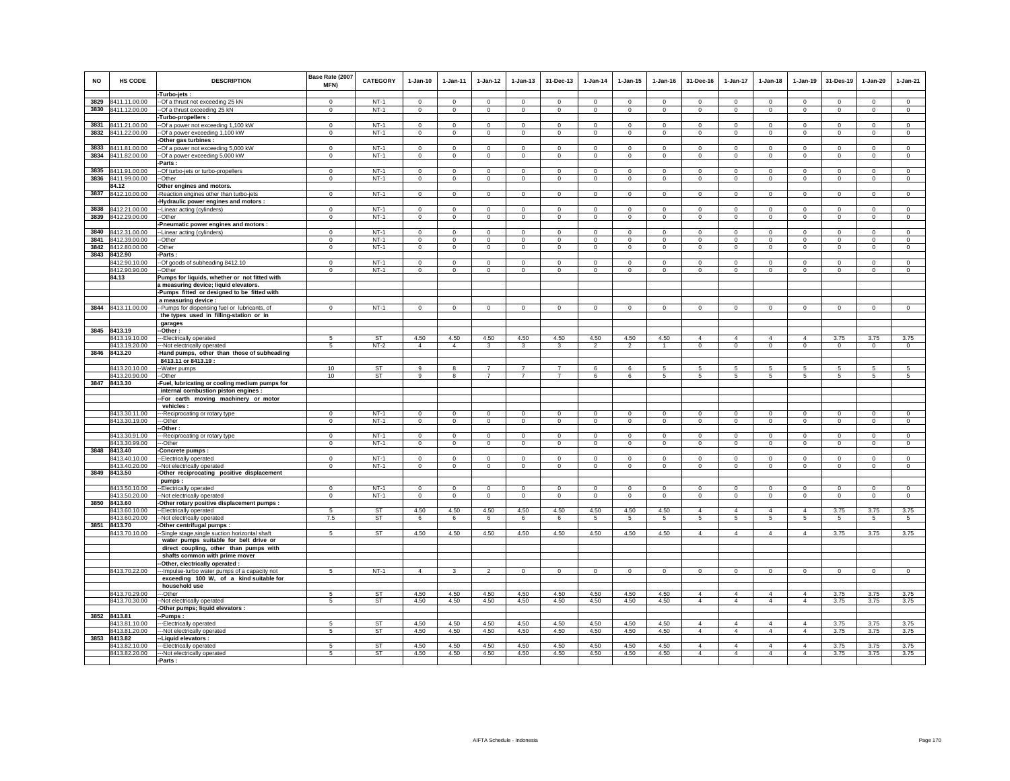| <b>NO</b>    | HS CODE                            | <b>DESCRIPTION</b>                                                                       | Base Rate (2007<br><b>MFN)</b> | <b>CATEGORY</b>        | $1-Jan-10$     | $1 - Jan-11$                  | $1-Jan-12$                       | $1 - Jan-13$                     | 31-Dec-13                   | $1-Jan-14$     | $1 - Jan-15$                 | $1 - Jan-16$ | 31-Dec-16                   | $1-Jan-17$      | $1 - Jan-18$                 | $1-Jan-19$     | 31-Des-19                  | $1-Jan-20$      | $1-Jan-21$     |
|--------------|------------------------------------|------------------------------------------------------------------------------------------|--------------------------------|------------------------|----------------|-------------------------------|----------------------------------|----------------------------------|-----------------------------|----------------|------------------------------|--------------|-----------------------------|-----------------|------------------------------|----------------|----------------------------|-----------------|----------------|
| 3829         | 8411.11.00.00                      | -Turbo-jets:<br>--Of a thrust not exceeding 25 kN                                        | $\mathbf 0$                    | $NT-1$                 | $\mathbf 0$    | $\mathbf 0$                   | $\mathbf 0$                      | $\mathbf 0$                      | $\mathbf 0$                 | $^{\circ}$     | $\mathbf 0$                  | $\mathbf 0$  | $\mathbf 0$                 | $\mathbf 0$     | $\mathbf 0$                  | $\mathbf 0$    | $\mathbf 0$                | $\mathbf 0$     | $\mathsf 0$    |
|              | 3830 8411.12.00.00                 | --Of a thrust exceeding 25 kN                                                            | $\mathbf 0$                    | $NT-1$                 | $\circ$        | $\circ$                       | $\mathbf 0$                      | $\mathbf 0$                      | $\mathbf 0$                 | $\mathbf 0$    | $\mathbf 0$                  | $\circ$      | $\mathbf 0$                 | $\mathbf 0$     | $\mathbf 0$                  | $\circ$        | $\circ$                    | $\circ$         | $\circ$        |
|              |                                    | -Turbo-propellers:                                                                       |                                |                        |                |                               |                                  |                                  |                             |                |                              |              |                             |                 |                              |                |                            |                 |                |
| 3831         | 8411.21.00.00                      | --Of a power not exceeding 1,100 kW                                                      | $^{\circ}$                     | $NT-1$                 | $\mathbf 0$    | $\circ$                       | $\mathbf 0$                      | $\mathbf 0$                      | $\mathbf 0$                 | 0              | $\circ$                      | $^{\circ}$   | $\mathbf 0$                 | $\mathsf 0$     | $\mathbf 0$                  | $\mathsf 0$    | $\mathbf 0$                | $\mathbf 0$     | $^{\circ}$     |
| 3832         | 8411.22.00.00                      | -Of a power exceeding 1,100 kW                                                           | $\Omega$                       | $NT-1$                 | $\circ$        | $\circ$                       | $\circ$                          | $\mathsf 0$                      | $\mathsf 0$                 | $\circ$        | $\mathbf 0$                  | $\mathsf 0$  | $\mathbf{0}$                | $\circ$         | $\mathbf 0$                  | $\mathsf 0$    | $\circ$                    | $\circ$         | $\circ$        |
|              |                                    | Other gas turbines :                                                                     |                                |                        |                |                               |                                  |                                  |                             |                |                              |              |                             |                 |                              |                |                            |                 |                |
| 3833         | 8411.81.00.00                      | -Of a power not exceeding 5,000 kW                                                       | $\Omega$                       | $NT-1$                 | $\Omega$       | $\Omega$                      | $\Omega$                         | $\Omega$                         | $\bf{0}$                    | $\Omega$       | $\Omega$                     | $\Omega$     | $\Omega$                    | $\Omega$        | $\Omega$                     | $\mathbf 0$    | $\Omega$                   | 0               | $\mathbf 0$    |
| 3834         | 8411.82.00.00                      | -Of a power exceeding 5,000 kW                                                           | $\mathbf 0$                    | $NT-1$                 | $\circ$        | $\mathbf 0$                   | $\mathbf 0$                      | $\mathbf 0$                      | $\mathbf 0$                 | $\mathbf 0$    | $\mathbf 0$                  | $\mathbf 0$  | $\mathbf 0$                 | $\mathbf 0$     | $\mathbf 0$                  | $\mathbf 0$    | $\mathbf 0$                | $\mathbf 0$     | $\circ$        |
|              |                                    | -Parts :                                                                                 |                                | $NT-1$                 | $\Omega$       |                               | $\overline{0}$                   |                                  |                             | $\Omega$       |                              | $\Omega$     |                             | $\overline{0}$  |                              | $\overline{0}$ |                            | $\overline{0}$  | $\overline{0}$ |
| 3835<br>3836 | 8411.91.00.00<br>8411.99.00.00     | --Of turbo-jets or turbo-propellers<br>--Other                                           | $\mathbf 0$<br>$\mathsf 0$     | $NT-1$                 | $\circ$        | $\circ$<br>$\mathsf 0$        | $\mathbf 0$                      | $\mathbf{0}$<br>$\mathsf 0$      | $\mathbf{0}$<br>$\mathsf 0$ | $\mathbf{0}$   | $\mathbf{0}$<br>$\mathbf{0}$ | $\circ$      | $\mathbf{0}$<br>$\mathbf 0$ | $\mathbf 0$     | $\mathbf{0}$<br>$\mathbf{0}$ | $\mathsf 0$    | $\mathbf 0$<br>$\mathbf 0$ | $\mathbf 0$     | $\circ$        |
|              | 84.12                              | Other engines and motors.                                                                |                                |                        |                |                               |                                  |                                  |                             |                |                              |              |                             |                 |                              |                |                            |                 |                |
| 3837         | 8412.10.00.00                      | -Reaction engines other than turbo-jets                                                  | $\circ$                        | $NT-1$                 | $\circ$        | $\circ$                       | $\circ$                          | $\mathbf 0$                      | $\mathsf 0$                 | $\circ$        | $\mathsf 0$                  | $\Omega$     | $\mathbf{0}$                | $\circ$         | $\mathbf 0$                  | $\mathsf 0$    | $\circ$                    | $\mathbf 0$     | $\circ$        |
|              |                                    | -Hydraulic power engines and motors :                                                    |                                |                        |                |                               |                                  |                                  |                             |                |                              |              |                             |                 |                              |                |                            |                 |                |
| 3838         | 8412.21.00.00                      | --Linear acting (cylinders)                                                              | $\mathbf{0}$                   | $NT-1$                 | $\circ$        | $\circ$                       | $\circ$                          | $\mathbf 0$                      | $\mathbf 0$                 | $\mathbf 0$    | $\mathbf 0$                  | $\mathbf 0$  | $\mathbf{0}$                | $\mathbf 0$     | $\mathbf{0}$                 | $\mathbf 0$    | $\mathbf{0}$               | $\circ$         | $\circ$        |
| 3839         | 8412.29.00.00                      | --Other                                                                                  | $^{\circ}$                     | $NT-1$                 | $\circ$        | $\circ$                       | $\circ$                          | $\mathbf 0$                      | $\circ$                     | $\circ$        | $\mathbf 0$                  | $\circ$      | $\circ$                     | $\circ$         | $\mathbf 0$                  | $\mathsf 0$    | $\circ$                    | $\mathbf 0$     | $\circ$        |
|              |                                    | Pneumatic power engines and motors :                                                     |                                |                        |                |                               |                                  |                                  |                             |                |                              |              |                             |                 |                              |                |                            |                 |                |
| 3840         | 8412.31.00.00                      | -Linear acting (cylinders)                                                               | $\mathsf 0$                    | $NT-1$                 | $\mathsf 0$    | $\mathbb O$                   | $\mathbf 0$                      | $\mathsf 0$                      | $\mathsf 0$                 | $\circ$        | $\mathsf 0$                  | $\circ$      | $\mathsf 0$                 | $\mathbf 0$     | $\mathsf 0$                  | $\mathsf 0$    | $\mathbf 0$                | $\mathsf 0$     | $\mathsf 0$    |
| 3841         | 8412.39.00.00                      | -Other                                                                                   | $\mathbf 0$                    | $NT-1$                 | $\mathbf{0}$   | $\mathbb O$                   | $\mathsf 0$                      | $\mathsf 0$                      | $\mathbf 0$                 | $\Omega$       | $\mathbf 0$                  | $\mathbf 0$  | $\mathsf 0$                 | $\mathsf 0$     | $\mathsf 0$                  | $\mathsf 0$    | $\mathbf 0$                | $\mathsf 0$     | $\mathsf 0$    |
|              | 3842 8412.80.00.00<br>3843 8412.90 | -Other<br>-Parts:                                                                        | $\mathbf{0}$                   | $NT-1$                 | $\circ$        | $\circ$                       | $\mathbf 0$                      | $\mathbf 0$                      | $\mathbf 0$                 | $\mathbf 0$    | $\mathbf 0$                  | $\mathbf 0$  | $\mathbf 0$                 | $\circ$         | $\mathbf 0$                  | $\mathbf 0$    | $\mathbf 0$                | $\mathbf 0$     | $\circ$        |
|              | 8412.90.10.00                      | --Of goods of subheading 8412.10                                                         | $\Omega$                       | $NT-1$                 | $\Omega$       | $\Omega$                      | $\Omega$                         | $\Omega$                         | $\Omega$                    | $\Omega$       | $\Omega$                     | $\Omega$     | $\Omega$                    | $\Omega$        | $\Omega$                     | $\Omega$       | $\Omega$                   | $\Omega$        | $\Omega$       |
|              | 8412.90.90.00                      | --Other                                                                                  | $\mathbf 0$                    | $NT-1$                 | $\mathsf 0$    | $\mathsf 0$                   | $\circ$                          | $\mathsf 0$                      | $\mathbf 0$                 | $\mathsf 0$    | $\mathsf 0$                  | $\mathbb O$  | $\mathbf 0$                 | $\circ$         | $\mathsf 0$                  | $\mathsf 0$    | $\mathbf 0$                | $\mathbf 0$     | $\mathbf 0$    |
|              | 84.13                              | Pumps for liquids, whether or not fitted with                                            |                                |                        |                |                               |                                  |                                  |                             |                |                              |              |                             |                 |                              |                |                            |                 |                |
|              |                                    | a measuring device; liquid elevators.                                                    |                                |                        |                |                               |                                  |                                  |                             |                |                              |              |                             |                 |                              |                |                            |                 |                |
|              |                                    | -Pumps fitted or designed to be fitted with                                              |                                |                        |                |                               |                                  |                                  |                             |                |                              |              |                             |                 |                              |                |                            |                 |                |
|              |                                    | a measuring device :                                                                     |                                |                        |                |                               |                                  |                                  |                             |                |                              |              |                             |                 |                              |                |                            |                 |                |
|              | 3844 8413.11.00.00                 | --Pumps for dispensing fuel or lubricants, of<br>the types used in filling-station or in | $\Omega$                       | $NT-1$                 | $\circ$        | $\overline{0}$                | $\circ$                          | $\mathbf 0$                      | $\mathbf{0}$                | $\mathbf{0}$   | $\mathbf 0$                  | $\mathsf 0$  | $\circ$                     | $\circ$         | $\mathbf 0$                  | $\circ$        | $\circ$                    | $\circ$         | $\circ$        |
|              |                                    | garages                                                                                  |                                |                        |                |                               |                                  |                                  |                             |                |                              |              |                             |                 |                              |                |                            |                 |                |
|              | 3845 8413.19                       | --Other :                                                                                |                                |                        |                |                               |                                  |                                  |                             |                |                              |              |                             |                 |                              |                |                            |                 |                |
|              | 8413.19.10.00                      | ---Electrically operated                                                                 | -5                             | <b>ST</b>              | 4.50           | 4.50                          | 4.50                             | 4.50                             | 4.50                        | 4.50           | 4.50                         | 4.50         | $\overline{4}$              | $\overline{4}$  | $\overline{4}$               | $\overline{4}$ | 3.75                       | 3.75            | 3.75           |
|              | 8413.19.20.00                      | --- Not electrically operated                                                            | 5                              | $NT-2$                 | $\overline{4}$ | $\overline{4}$                | 3                                | 3                                | $\mathbf{3}$                | $\mathfrak{p}$ | $\mathfrak{p}$               | $\mathbf{1}$ | $\mathbf{0}$                | $\mathbf{0}$    | $\mathbf{0}$                 | $\circ$        | $\circ$                    | $\circ$         | $\circ$        |
|              | 3846 8413.20                       | -Hand pumps, other than those of subheading                                              |                                |                        |                |                               |                                  |                                  |                             |                |                              |              |                             |                 |                              |                |                            |                 |                |
|              |                                    | 8413.11 or 8413.19 :                                                                     |                                |                        |                |                               |                                  |                                  |                             |                |                              |              |                             |                 |                              |                |                            |                 |                |
|              | 8413.20.10.00<br>8413.20.90.00     | --Water pumps<br>--Other                                                                 | 10 <sup>1</sup><br>10          | <b>ST</b><br><b>ST</b> | $\alpha$<br>9  | -8<br>$\overline{\mathbf{8}}$ | $\overline{7}$<br>$\overline{7}$ | $\overline{7}$<br>$\overline{7}$ | $\overline{7}$              | 6<br>6         | 6<br>6                       | -5<br>5      | 5<br>5                      | 5<br>5          | 5<br>5                       | 5<br>5         | -5<br>5                    | 5<br>5          | 5<br>5         |
|              | 3847 8413.30                       | Fuel, lubricating or cooling medium pumps for                                            |                                |                        |                |                               |                                  |                                  |                             |                |                              |              |                             |                 |                              |                |                            |                 |                |
|              |                                    | internal combustion piston engines :                                                     |                                |                        |                |                               |                                  |                                  |                             |                |                              |              |                             |                 |                              |                |                            |                 |                |
|              |                                    | -- For earth moving machinery or motor                                                   |                                |                        |                |                               |                                  |                                  |                             |                |                              |              |                             |                 |                              |                |                            |                 |                |
|              |                                    | vehicles :                                                                               |                                |                        |                |                               |                                  |                                  |                             |                |                              |              |                             |                 |                              |                |                            |                 |                |
|              | 8413.30.11.00                      | --Reciprocating or rotary type                                                           | $\Omega$                       | $NT-1$                 | $\mathbf{0}$   | $\mathbf{0}$                  | $\mathbf{0}$                     | $\mathbf{0}$                     | $\Omega$                    | $\Omega$       | $\Omega$                     | $\Omega$     | $\mathbf{0}$                | $\mathbf{0}$    | $\mathbf{0}$                 | $\mathbf{0}$   | $\mathbf 0$                | $\Omega$        | $\circ$        |
|              | 8413.30.19.00                      | --Other<br>-Other :                                                                      | $\,0\,$                        | $NT-1$                 | $\circ$        | $\mathbf 0$                   | $\mathbf 0$                      | $\mathsf 0$                      | $\mathbf 0$                 | $\mathbf 0$    | $\mathbf 0$                  | $\mathsf 0$  | $\mathbf 0$                 | $\mathbf 0$     | $\mathsf 0$                  | $\mathsf 0$    | $\mathbf 0$                | $\mathsf 0$     | $\mathbf 0$    |
|              | 8413.30.91.00                      | --Reciprocating or rotary type                                                           | $\Omega$                       | $NT-1$                 | $\Omega$       | $\Omega$                      | $\Omega$                         | $\Omega$                         | $\Omega$                    | $\Omega$       | $\Omega$                     | $\Omega$     | $\Omega$                    | $\Omega$        | $\Omega$                     | $\Omega$       | $\Omega$                   | $\Omega$        | $\Omega$       |
|              | 8413.30.99.00                      | -Other                                                                                   | $\mathbf 0$                    | $NT-1$                 | $\mathsf 0$    | $\mathsf 0$                   | $\mathbf 0$                      | $\mathsf 0$                      | $\mathsf 0$                 | $\mathsf 0$    | $\mathsf 0$                  | $\circ$      | $\mathsf 0$                 | $\overline{0}$  | $\mathsf 0$                  | $\circ$        | $\mathbf 0$                | $\mathbf 0$     | $\mathsf 0$    |
| 3848         | 8413.40                            | Concrete pumps:                                                                          |                                |                        |                |                               |                                  |                                  |                             |                |                              |              |                             |                 |                              |                |                            |                 |                |
|              | 8413.40.10.00                      | --Electrically operated                                                                  | $\Omega$                       | $NT-1$                 | $\Omega$       | $\Omega$                      | $\overline{0}$                   | $\overline{0}$                   | $\overline{0}$              | $\Omega$       | $\Omega$                     | $\Omega$     | $\Omega$                    | $\overline{0}$  | $\overline{0}$               | $\overline{0}$ | $\overline{0}$             | $\overline{0}$  | $\overline{0}$ |
|              | 8413.40.20.00                      | -- Not electrically operated                                                             | $^{\circ}$                     | $NT-1$                 | $\Omega$       | $\circ$                       | $\overline{0}$                   | $\mathsf 0$                      | $\Omega$                    | $\Omega$       | $\mathsf 0$                  | $\Omega$     | $\mathbf 0$                 | $\overline{0}$  | $\mathsf 0$                  | $\circ$        | $\Omega$                   | $\Omega$        | $\overline{0}$ |
| 3849         | 8413.50                            | -Other reciprocating positive displacement<br>pumps:                                     |                                |                        |                |                               |                                  |                                  |                             |                |                              |              |                             |                 |                              |                |                            |                 |                |
|              | 8413.50.10.00                      | -- Electrically operated                                                                 | $\,0\,$                        | $NT-1$                 | $\mathbf 0$    | $\,0\,$                       | $\mathbf 0$                      | $\mathbf 0$                      | $\mathbf 0$                 | $\mathbf 0$    | 0                            | $\,0\,$      | 0                           | $\mathbf 0$     | $\mathbf 0$                  | $\mathbf 0$    | $\mathbf 0$                | $\mathbf 0$     | $\mathbf 0$    |
|              | 8413.50.20.00                      | --Not electrically operated                                                              | $\Omega$                       | $NT-1$                 | $\circ$        | $\Omega$                      | $\circ$                          | $\mathsf 0$                      | $\circ$                     | $\mathsf 0$    | $\mathbf 0$                  | $\circ$      | $\mathbf{0}$                | $\mathbf 0$     | $\mathbf{0}$                 | $\circ$        | $\circ$                    | $\circ$         | $\circ$        |
| 3850         | 8413.60                            | -Other rotary positive displacement pumps :                                              |                                |                        |                |                               |                                  |                                  |                             |                |                              |              |                             |                 |                              |                |                            |                 |                |
|              | 8413.60.10.00                      | --Electrically operated                                                                  | -5                             | ST                     | 4.50           | 4.50                          | 4.50                             | 4.50                             | 4.50                        | 4.50           | 4.50                         | 4.50         | $\overline{a}$              | $\overline{4}$  | $\overline{4}$               | $\overline{4}$ | 3.75                       | 3.75            | 3.75           |
|              | 8413.60.20.00<br>3851 8413.70      | --Not electrically operated                                                              | 7.5                            | <b>ST</b>              | -6             | 6                             | 6                                | 6                                | 6                           | 5              | 5                            | -5           | 5                           | $5\phantom{.0}$ | 5                            | -5             | -5                         | $5\overline{5}$ | -5             |
|              | 8413.70.10.00                      | -Other centrifugal pumps :<br>-Single stage, single suction horizontal shaft             | $\overline{5}$                 | <b>ST</b>              | 4.50           | 4.50                          | 4.50                             | 4.50                             | 4.50                        | 4.50           | 4.50                         | 4.50         | $\overline{4}$              | $\overline{4}$  | $\overline{4}$               | $\overline{4}$ | 3.75                       | 3.75            | 3.75           |
|              |                                    | water pumps suitable for belt drive or                                                   |                                |                        |                |                               |                                  |                                  |                             |                |                              |              |                             |                 |                              |                |                            |                 |                |
|              |                                    | direct coupling, other than pumps with                                                   |                                |                        |                |                               |                                  |                                  |                             |                |                              |              |                             |                 |                              |                |                            |                 |                |
|              |                                    | shafts common with prime mover                                                           |                                |                        |                |                               |                                  |                                  |                             |                |                              |              |                             |                 |                              |                |                            |                 |                |
|              |                                    | -Other, electrically operated :                                                          |                                |                        |                |                               |                                  |                                  |                             |                |                              |              |                             |                 |                              |                |                            |                 |                |
|              | 8413.70.22.00                      | -- Impulse-turbo water pumps of a capacity not                                           | 5                              | $NT-1$                 | $\overline{4}$ | $\mathbf{3}$                  | $\overline{2}$                   | $\mathsf 0$                      | $\mathbf 0$                 | $\mathsf 0$    | $\mathsf 0$                  | $\circ$      | $\mathsf 0$                 | $\mathbf 0$     | $\mathsf 0$                  | $\mathsf 0$    | $\mathbf 0$                | $\mathsf 0$     | $\mathsf 0$    |
|              |                                    | exceeding 100 W, of a kind suitable for                                                  |                                |                        |                |                               |                                  |                                  |                             |                |                              |              |                             |                 |                              |                |                            |                 |                |
|              | 8413.70.29.00                      | household use<br>---Other                                                                | 5                              | ST                     | 4.50           | 4.50                          | 4.50                             | 4.50                             | 4.50                        | 4.50           | 4.50                         | 4.50         | $\Delta$                    | $\Delta$        | $\Delta$                     | $\Delta$       | 3.75                       | 3.75            | 3.75           |
|              | 8413.70.30.00                      | --Not electrically operated                                                              | -5                             | <b>ST</b>              | 4.50           | 4.50                          | 4.50                             | 4.50                             | 4.50                        | 4.50           | 4.50                         | 4.50         | $\overline{4}$              | $\overline{4}$  | $\overline{4}$               | $\overline{4}$ | 3.75                       | 3.75            | 3.75           |
|              |                                    | Other pumps; liquid elevators :                                                          |                                |                        |                |                               |                                  |                                  |                             |                |                              |              |                             |                 |                              |                |                            |                 |                |
|              | 3852 8413.81                       | --Pumps:                                                                                 |                                |                        |                |                               |                                  |                                  |                             |                |                              |              |                             |                 |                              |                |                            |                 |                |
|              | 8413.81.10.00                      | --Electrically operated                                                                  | 5                              | ST                     | 4.50           | 4.50                          | 4.50                             | 4.50                             | 4.50                        | 4.50           | 4.50                         | 4.50         | $\overline{4}$              | $\Delta$        | $\overline{4}$               | $\Delta$       | 3.75                       | 3.75            | 3.75           |
|              | 8413.81.20.00                      | --Not electrically operated                                                              | 5                              | <b>ST</b>              | 4.50           | 4.50                          | 4.50                             | 4.50                             | 4.50                        | 4.50           | 4.50                         | 4.50         | $\overline{4}$              | $\overline{4}$  | $\overline{4}$               | $\overline{4}$ | 3.75                       | 3.75            | 3.75           |
| 3853         | 8413.82                            | -Liquid elevators :                                                                      |                                | <b>ST</b>              |                | 4.50                          |                                  | 4.50                             |                             |                |                              |              | $\overline{4}$              | $\overline{4}$  | $\overline{4}$               | $\overline{4}$ | 3.75                       | 3.75            |                |
|              | 8413.82.10.00<br>8413.82.20.00     | ---Electrically operated<br>--- Not electrically operated                                | 5<br>5                         | <b>ST</b>              | 4.50<br>4.50   | 4.50                          | 4.50<br>4.50                     | 4.50                             | 4.50<br>4.50                | 4.50<br>4.50   | 4.50<br>4.50                 | 4.50<br>4.50 | $\overline{4}$              | $\overline{4}$  | $\overline{4}$               | $\overline{4}$ | 3.75                       | 3.75            | 3.75<br>3.75   |
|              |                                    | -Parts:                                                                                  |                                |                        |                |                               |                                  |                                  |                             |                |                              |              |                             |                 |                              |                |                            |                 |                |
|              |                                    |                                                                                          |                                |                        |                |                               |                                  |                                  |                             |                |                              |              |                             |                 |                              |                |                            |                 |                |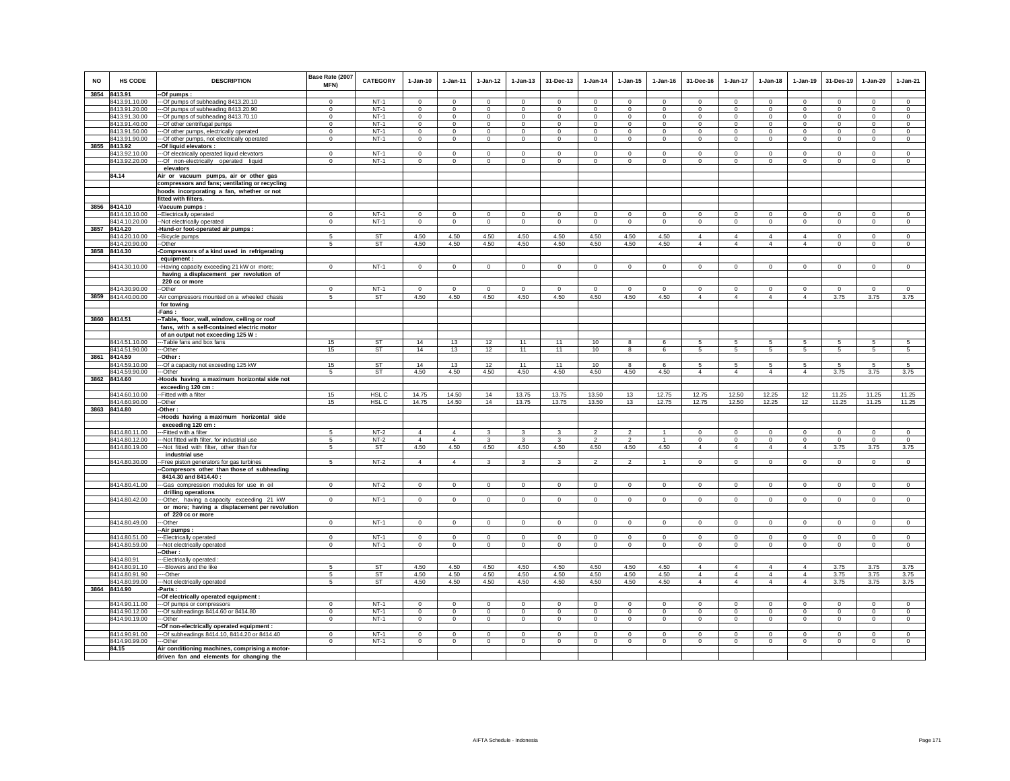| <b>NO</b> | HS CODE            | <b>DESCRIPTION</b>                                        | Base Rate (2007<br>MFN) | <b>CATEGORY</b>  | $1-Jan-10$     | $1 - Jan-11$   | $1 - Jan-12$ | $1 - Jan-13$   | 31-Dec-13      | $1 - Jan-14$             | $1 - Jan-15$   | $1 - Jan-16$   | 31-Dec-16      | 1-Jan-17       | $1-Jan-18$     | $1-Jan-19$     | 31-Des-19    | $1-Jan-20$   | $1-Jan-21$     |
|-----------|--------------------|-----------------------------------------------------------|-------------------------|------------------|----------------|----------------|--------------|----------------|----------------|--------------------------|----------------|----------------|----------------|----------------|----------------|----------------|--------------|--------------|----------------|
|           | 3854 8413.91       | -Of pumps:                                                |                         |                  |                |                |              |                |                |                          |                |                |                |                |                |                |              |              |                |
|           | 8413.91.10.00      | --Of pumps of subheading 8413.20.10                       | $\Omega$                | $NT-1$           | $\mathbf 0$    | $\Omega$       | $\Omega$     | $\Omega$       | $\Omega$       | $\Omega$                 | $\Omega$       | $\Omega$       | $\Omega$       | $\Omega$       | $\Omega$       | $\Omega$       | $\Omega$     | $\Omega$     | $\circ$        |
|           | 8413.91.20.00      | --- Of pumps of subheading 8413.20.90                     | $\mathsf 0$             | $NT-1$           | $\mathbf{0}$   | $\mathbf 0$    | $^{\circ}$   | $\mathsf 0$    | $\mathsf 0$    | $\mathbf 0$              | $\mathsf 0$    | $\circ$        | $\mathbf 0$    | $\mathbf 0$    | $^{\circ}$     | $^{\circ}$     | $\mathbf 0$  | $\mathsf 0$  | $\mathsf 0$    |
|           | 8413.91.30.00      | --- Of pumps of subheading 8413.70.10                     | $\Omega$                | $NT-1$           | $\Omega$       | $\Omega$       | $\circ$      | $\circ$        | $^{\circ}$     | $^{\circ}$               | $\circ$        | $^{\circ}$     | $\Omega$       | $\mathbf{0}$   | $\Omega$       | $^{\circ}$     | $\mathbf{0}$ | $\circ$      | $^{\circ}$     |
|           | 8413.91.40.00      | -- Of other centrifugal pumps                             | $\Omega$                | $NT-1$           | $\Omega$       | $\Omega$       | $\Omega$     | $\Omega$       | $\Omega$       | $\Omega$                 | $\Omega$       | $\Omega$       | $\Omega$       | $\Omega$       | $\Omega$       | $\Omega$       | $\Omega$     | $\Omega$     | $\Omega$       |
|           | 8413.91.50.00      | -- Of other pumps, electrically operated                  | $\Omega$                | $NT-1$           | $\mathbf 0$    | $\Omega$       | $\mathbf 0$  | $\mathbf 0$    | $\mathbf 0$    | $\Omega$                 | 0              | $\mathbf 0$    | $\mathbf 0$    | $\mathbf 0$    | $\mathbf 0$    | $^{\circ}$     | $\Omega$     | $\mathbf 0$  | $\Omega$       |
|           | 8413.91.90.00      | --- Of other pumps, not electrically operated             | $^{\circ}$              | $NT-1$           | $\circ$        | $\circ$        | $\mathbf 0$  | $\mathbf 0$    | $\mathbf{0}$   | $\mathbf 0$              | $\mathbf 0$    | $\circ$        | $\circ$        | $\overline{0}$ | $\mathbf 0$    | $\mathbf 0$    | $\circ$      | $^{\circ}$   | $\circ$        |
|           | 3855 8413.92       | -Of liquid elevators :                                    |                         |                  |                |                |              |                |                |                          |                |                |                |                |                |                |              |              |                |
|           | 8413.92.10.00      | --- Of electrically operated liquid elevators             | $\Omega$                | $NT-1$           | $\Omega$       | $\Omega$       | $\Omega$     | $\Omega$       | $\Omega$       | $\Omega$                 | $\Omega$       | $\Omega$       | $\Omega$       | $\Omega$       | $\Omega$       | $\Omega$       | $\Omega$     | $\Omega$     | $\circ$        |
|           | 8413.92.20.00      | --- Of non-electrically operated liquid                   | $^{\circ}$              | $NT-1$           | $\mathbf{0}$   | $\mathbf{0}$   | $\mathbf{0}$ | $\mathbf 0$    | $^{\circ}$     | $\mathbf 0$              | $\mathbf 0$    | $\circ$        | $\mathbf{0}$   | $\circ$        | $\mathbf{0}$   | $\mathbf 0$    | $\circ$      | $\mathbf 0$  | $\mathbf 0$    |
|           |                    | elevators                                                 |                         |                  |                |                |              |                |                |                          |                |                |                |                |                |                |              |              |                |
|           | 84.14              | Air or vacuum pumps, air or other gas                     |                         |                  |                |                |              |                |                |                          |                |                |                |                |                |                |              |              |                |
|           |                    | compressors and fans; ventilating or recycling            |                         |                  |                |                |              |                |                |                          |                |                |                |                |                |                |              |              |                |
|           |                    | hoods incorporating a fan, whether or not                 |                         |                  |                |                |              |                |                |                          |                |                |                |                |                |                |              |              |                |
|           |                    | fitted with filters.                                      |                         |                  |                |                |              |                |                |                          |                |                |                |                |                |                |              |              |                |
|           | 3856 8414.10       | -Vacuum pumps:                                            |                         |                  |                |                |              |                |                |                          |                |                |                |                |                |                |              |              |                |
|           | 8414.10.10.00      | --Electrically operated                                   | $^{\circ}$              | $NT-1$           | $\mathbf 0$    | $\mathbf 0$    | $\mathbf 0$  | $\mathbf 0$    | $\mathbf 0$    | $^{\circ}$               | $\mathbf 0$    | $\mathbf 0$    | $\mathbf 0$    | $\mathbf 0$    | $\mathbf 0$    | $^{\circ}$     | $\mathbf 0$  | $\mathbf 0$  | $\Omega$       |
|           | 8414.10.20.00      | -Not electrically operated                                | $\Omega$                | $NT-1$           | $\Omega$       | $\circ$        | $\circ$      | $\circ$        | $\mathbf 0$    | $\circ$                  | $\circ$        | $\Omega$       | $\circ$        | $\overline{0}$ | $\Omega$       | $\mathbf 0$    | $\mathbf 0$  | $\circ$      | $\Omega$       |
|           | 3857 8414.20       | Hand-or foot-operated air pumps :                         |                         |                  |                |                |              |                |                |                          |                |                |                |                |                |                |              |              |                |
|           | 8414.20.10.00      | -Bicycle pumps                                            | 5                       | <b>ST</b>        | 4.50           | 4.50           | 4.50         | 4.50           | 4.50           | 4.50                     | 4.50           | 4.50           | $\overline{4}$ | $\overline{4}$ | $\overline{4}$ | $\overline{4}$ | $\Omega$     | $\Omega$     | $\Omega$       |
|           | 8414.20.90.00      | -Other                                                    | 5                       | ST               | 4.50           | 4.50           | 4.50         | 4.50           | 4.50           | 4.50                     | 4.50           | 4.50           | $\overline{4}$ | $\overline{4}$ | $\overline{4}$ | $\overline{4}$ | $\circ$      | $\mathbf 0$  | $\circ$        |
|           | 3858 8414.30       |                                                           |                         |                  |                |                |              |                |                |                          |                |                |                |                |                |                |              |              |                |
|           |                    | Compressors of a kind used in refrigerating<br>equipment: |                         |                  |                |                |              |                |                |                          |                |                |                |                |                |                |              |              |                |
|           | 8414.30.10.00      |                                                           | $\mathsf 0$             | $NT-1$           | $\mathbf 0$    | $\mathbf 0$    | $\mathbf 0$  |                | $\mathbf 0$    | $\mathsf 0$              |                | $\circ$        | $\mathbf 0$    | $\mathbf 0$    | $\mathbf 0$    | $\mathbf 0$    | $\mathsf 0$  | $\mathsf 0$  | $\mathsf 0$    |
|           |                    | -Having capacity exceeding 21 kW or more;                 |                         |                  |                |                |              | $\mathsf 0$    |                |                          | $\mathbf 0$    |                |                |                |                |                |              |              |                |
|           |                    | having a displacement per revolution of                   |                         |                  |                |                |              |                |                |                          |                |                |                |                |                |                |              |              |                |
|           |                    | 220 cc or more                                            |                         |                  |                |                |              |                |                |                          |                |                |                |                |                |                |              |              | $\Omega$       |
|           | 8414.30.90.00      | --Other                                                   | $\Omega$                | $NT-1$           | $\Omega$       | $\Omega$       | $\Omega$     | $\Omega$       | $\Omega$       | $\Omega$                 | $\Omega$       | $\Omega$       | $\Omega$       | $\Omega$       | $\Omega$       | $\Omega$       | $\mathbf 0$  | $\Omega$     |                |
|           | 3859 8414.40.00.00 | -Air compressors mounted on a wheeled chasis              | 5                       | <b>ST</b>        | 4.50           | 4.50           | 4.50         | 4.50           | 4.50           | 4.50                     | 4.50           | 4.50           | $\overline{4}$ | $\overline{4}$ | $\overline{4}$ | $\overline{4}$ | 3.75         | 3.75         | 3.75           |
|           |                    | for towing                                                |                         |                  |                |                |              |                |                |                          |                |                |                |                |                |                |              |              |                |
|           |                    | -Fans:                                                    |                         |                  |                |                |              |                |                |                          |                |                |                |                |                |                |              |              |                |
|           | 3860 8414.51       | -- Table, floor, wall, window, ceiling or roof            |                         |                  |                |                |              |                |                |                          |                |                |                |                |                |                |              |              |                |
|           |                    | fans, with a self-contained electric motor                |                         |                  |                |                |              |                |                |                          |                |                |                |                |                |                |              |              |                |
|           |                    | of an output not exceeding 125 W:                         |                         |                  |                |                |              |                |                |                          |                |                |                |                |                |                |              |              |                |
|           | 8414.51.10.00      | -- Table fans and box fans                                | 15                      | <b>ST</b>        | 14             | 13             | 12           | 11             | 11             | 10                       | 8              | 6              | 5              | 5              | 5              | 5              | $\sqrt{5}$   | 5            | -5             |
|           | 8414.51.90.00      | -Other                                                    | 15                      | ST               | 14             | 13             | 12           | 11             | 11             | 10                       | 8              | 6              | 5              | 5              | 5              | 5              | 5            | 5            | 5              |
|           | 3861 8414.59       | -Other:                                                   |                         |                  |                |                |              |                |                |                          |                |                |                |                |                |                |              |              |                |
|           | 8414.59.10.00      | --- Of a capacity not exceeding 125 kW                    | 15                      | <b>ST</b>        | 14             | 13             | 12           | 11             | 11             | 10                       | $\mathbf{R}$   | 6              | 5              | 5              | -5             | 5              | $\sqrt{5}$   | 5            | 5              |
|           | 8414.59.90.00      | --Other                                                   | $\overline{5}$          | <b>ST</b>        | 4.50           | 4.50           | 4.50         | 4.50           | 4.50           | 4.50                     | 4.50           | 4.50           | $\overline{4}$ | $\overline{4}$ | $\overline{4}$ | $\overline{4}$ | 3.75         | 3.75         | 3.75           |
|           | 3862 8414.60       | -Hoods having a maximum horizontal side not               |                         |                  |                |                |              |                |                |                          |                |                |                |                |                |                |              |              |                |
|           |                    | exceeding 120 cm :                                        |                         |                  |                |                |              |                |                |                          |                |                |                |                |                |                |              |              |                |
|           | 8414.60.10.00      | -Fitted with a filter                                     | 15                      | HSL C            | 14.75          | 14.50          | 14           | 13.75          | 13.75          | 13.50                    | 13             | 12.75          | 12.75          | 12.50          | 12.25          | 12             | 11.25        | 11.25        | 11.25          |
|           | 8414.60.90.00      | -Other                                                    | 15                      | HSL <sub>C</sub> | 14.75          | 14.50          | 14           | 13.75          | 13.75          | 13.50                    | 13             | 12.75          | 12.75          | 12.50          | 12.25          | 12             | 11.25        | 11.25        | 11.25          |
|           | 3863 8414.80       | Other:                                                    |                         |                  |                |                |              |                |                |                          |                |                |                |                |                |                |              |              |                |
|           |                    | Hoods having a maximum horizontal side                    |                         |                  |                |                |              |                |                |                          |                |                |                |                |                |                |              |              |                |
|           |                    | exceeding 120 cm:                                         |                         |                  |                |                |              |                |                |                          |                |                |                |                |                |                |              |              |                |
|           | 8414.80.11.00      | --Fitted with a filter                                    | -5                      | $NT-2$           | $\overline{4}$ | $\Delta$       | 3            | $\mathbf{R}$   | 3              | $\overline{2}$           | $\mathcal{P}$  |                | $\mathbf 0$    | $\Omega$       | $\Omega$       | $\Omega$       | $\mathbf 0$  | $\mathbf 0$  | $\Omega$       |
|           | 8414.80.12.00      | --Not fitted with filter, for industrial use              | 5                       | $NT-2$           | $\overline{4}$ | $\overline{4}$ | $\mathbf{3}$ | $\overline{3}$ | $\mathbf{3}$   | $\overline{\phantom{a}}$ | $\mathcal{P}$  | $\mathbf{1}$   | $\Omega$       | $\overline{0}$ | $\Omega$       | $\Omega$       | $\Omega$     | $\Omega$     | $\overline{0}$ |
|           | 8414.80.19.00      | --Not fitted with filter, other than for                  | 5                       | <b>ST</b>        | 4.50           | 4.50           | 4.50         | 4.50           | 4.50           | 4.50                     | 4.50           | 4.50           | $\overline{4}$ | $\overline{4}$ | $\overline{4}$ | $\overline{4}$ | 3.75         | 3.75         | 3.75           |
|           |                    | industrial use                                            |                         |                  |                |                |              |                |                |                          |                |                |                |                |                |                |              |              |                |
|           | 8414.80.30.00      | -Free piston generators for gas turbines                  | 5                       | $NT-2$           | $\overline{4}$ | $\overline{4}$ | $\mathbf{3}$ | 3              | 3              | $\overline{2}$           | $\overline{a}$ | $\overline{1}$ | $\circ$        | $\circ$        | $\mathbf 0$    | $\circ$        | $\circ$      | $\mathbf 0$  | $\mathbf 0$    |
|           |                    | -Compresors other than those of subheading                |                         |                  |                |                |              |                |                |                          |                |                |                |                |                |                |              |              |                |
|           |                    | 8414.30 and 8414.40 :                                     |                         |                  |                |                |              |                |                |                          |                |                |                |                |                |                |              |              |                |
|           | 8414.80.41.00      | -- Gas compression modules for use in oil                 | $\mathsf 0$             | $NT-2$           | $\mathbf 0$    | $\mathbf 0$    | $\mathbf 0$  | $\mathbf 0$    | $\mathbf 0$    | $\mathbf 0$              | $\mathbf 0$    | $\mathbf 0$    | $\mathbf 0$    | $\mathbf 0$    | $\mathbf 0$    | $\mathbf 0$    | $\mathbf 0$  | $\mathsf 0$  | $\mathsf 0$    |
|           |                    | drilling operations                                       |                         |                  |                |                |              |                |                |                          |                |                |                |                |                |                |              |              |                |
|           |                    |                                                           |                         |                  |                |                |              |                |                |                          |                |                |                |                |                |                |              |              | $\Omega$       |
|           | 8414.80.42.00      | --Other, having a capacity exceeding 21 kW                | $\Omega$                | $NT-1$           | $\Omega$       | $\Omega$       | $\Omega$     | $\Omega$       | $\overline{0}$ | $\mathbf 0$              | $\Omega$       | $\Omega$       | $\Omega$       | $\circ$        | $\Omega$       | $\Omega$       | $\mathbf 0$  | $\Omega$     |                |
|           |                    | or more; having a displacement per revolution             |                         |                  |                |                |              |                |                |                          |                |                |                |                |                |                |              |              |                |
|           |                    | of 220 cc or more                                         |                         |                  |                |                |              |                |                |                          |                |                |                |                |                |                |              |              |                |
|           | 8414.80.49.00      | ---Other                                                  | $\Omega$                | $NT-1$           | $\Omega$       | $\Omega$       | $\Omega$     | $\Omega$       | $\mathbf 0$    | $\mathbf 0$              | $\Omega$       | $\Omega$       | $\Omega$       | $\Omega$       | $\Omega$       | $\Omega$       | $\mathbf 0$  | $\mathbf 0$  | $\Omega$       |
|           |                    | -Air pumps :                                              |                         |                  |                |                |              |                |                |                          |                |                |                |                |                |                |              |              |                |
|           | 8414.80.51.00      | --Electrically operated                                   | $\Omega$                | $NT-1$           | $\Omega$       | $\Omega$       | $^{\circ}$   | $\circ$        | $\mathbf 0$    | $^{\circ}$               | $^{\circ}$     | $^{\circ}$     | $^{\circ}$     | $\circ$        | $\Omega$       | $\mathbf 0$    | $\mathbf 0$  | $^{\circ}$   | $\circ$        |
|           | 8414.80.59.00      | -- Not electrically operated                              | $\Omega$                | $NT-1$           | $\mathbf 0$    | $\mathbf{0}$   | $\mathbf 0$  | $\mathbf 0$    | $\mathbf{0}$   | $\mathbf 0$              | $\mathbf 0$    | $\mathsf 0$    | $\mathbf 0$    | $\mathsf 0$    | $\mathbf 0$    | $\mathbb O$    | $\mathbf 0$  | $\mathbf{0}$ | $\mathsf 0$    |
|           |                    | -Other:                                                   |                         |                  |                |                |              |                |                |                          |                |                |                |                |                |                |              |              |                |
|           | 8414.80.91         | -Electrically operated :                                  |                         |                  |                |                |              |                |                |                          |                |                |                |                |                |                |              |              |                |
|           | 8414.80.91.10      | ----Blowers and the like                                  | 5                       | <b>ST</b>        | 4.50           | 4.50           | 4.50         | 4.50           | 4.50           | 4.50                     | 4.50           | 4.50           | $\Delta$       | $\Delta$       | $\Delta$       | $\overline{4}$ | 3.75         | 3.75         | 3.75           |
|           | 8414.80.91.90      | ---Other                                                  | 5                       | ST               | 4.50           | 4.50           | 4.50         | 4.50           | 4.50           | 4.50                     | 4.50           | 4.50           | $\overline{4}$ | $\overline{4}$ | $\overline{4}$ | $\overline{4}$ | 3.75         | 3.75         | 3.75           |
|           | 8414.80.99.00      | --- Not electrically operated                             | 5                       | ST               | 4.50           | 4.50           | 4.50         | 4.50           | 4.50           | 4.50                     | 4.50           | 4.50           | $\overline{4}$ | 4              | $\overline{4}$ | $\overline{4}$ | 3.75         | 3.75         | 3.75           |
|           | 3864 8414.90       | -Parts:                                                   |                         |                  |                |                |              |                |                |                          |                |                |                |                |                |                |              |              |                |
|           |                    | -Of electrically operated equipment :                     |                         |                  |                |                |              |                |                |                          |                |                |                |                |                |                |              |              |                |
|           | 8414.90.11.00      | --- Of pumps or compressors                               | $^{\circ}$              | $NT-1$           | $\Omega$       | $^{\circ}$     | 0            | 0              | $\mathbf 0$    | $\circ$                  | 0              | $\mathbf{0}$   | $^{\circ}$     | $\mathbf{0}$   | $^{\circ}$     | $^{\circ}$     | $\mathbf{0}$ | $^{\circ}$   | $^{\circ}$     |
|           | 8414.90.12.00      | --Of subheadings 8414.60 or 8414.80                       | $\mathbf 0$             | $NT-1$           | $\mathbf 0$    | $\mathbf 0$    | $\mathbf 0$  | $\mathsf 0$    | $\mathbf{0}$   | $\circ$                  | $\mathsf 0$    | $\mathsf 0$    | $\mathsf 0$    | $\mathbf 0$    | $\mathbf 0$    | $\mathbf 0$    | $\mathbf 0$  | $\mathsf 0$  | $\mathsf 0$    |
|           | 8414.90.19.00      | --Other                                                   | $\mathbf 0$             | $NT-1$           | $\circ$        | $\mathbf 0$    | $\circ$      | $\mathbf 0$    | $\mathbf 0$    | $\mathbf 0$              | $\mathbf 0$    | $\mathbf 0$    | $\mathbf 0$    | $\circ$        | $\circ$        | $\mathbf 0$    | $\circ$      | $\mathbf 0$  | $\mathbf 0$    |
|           |                    | -Of non-electrically operated equipment :                 |                         |                  |                |                |              |                |                |                          |                |                |                |                |                |                |              |              |                |
|           | 8414.90.91.00      | -- Of subheadings 8414.10, 8414.20 or 8414.40             | $\Omega$                | $NT-1$           | $\Omega$       | $\Omega$       | $\Omega$     | $\Omega$       | $\Omega$       | $\Omega$                 | $\Omega$       | $\Omega$       | $\Omega$       | $\Omega$       | $\Omega$       | $\Omega$       | $\Omega$     | $\Omega$     | $\Omega$       |
|           | 8414.90.99.00      | ---Other                                                  | $\mathbf 0$             | $NT-1$           | $\Omega$       | $\Omega$       | $\Omega$     | $\mathbf 0$    | $\mathbf 0$    | $\mathbf 0$              | $\mathbf 0$    | $\mathbf 0$    | $\mathbf 0$    | $\mathbf 0$    | $\Omega$       | $\Omega$       | $\Omega$     | $\mathbf 0$  | $\circ$        |
|           | 84.15              | Air conditioning machines, comprising a motor-            |                         |                  |                |                |              |                |                |                          |                |                |                |                |                |                |              |              |                |
|           |                    | driven fan and elements for changing the                  |                         |                  |                |                |              |                |                |                          |                |                |                |                |                |                |              |              |                |
|           |                    |                                                           |                         |                  |                |                |              |                |                |                          |                |                |                |                |                |                |              |              |                |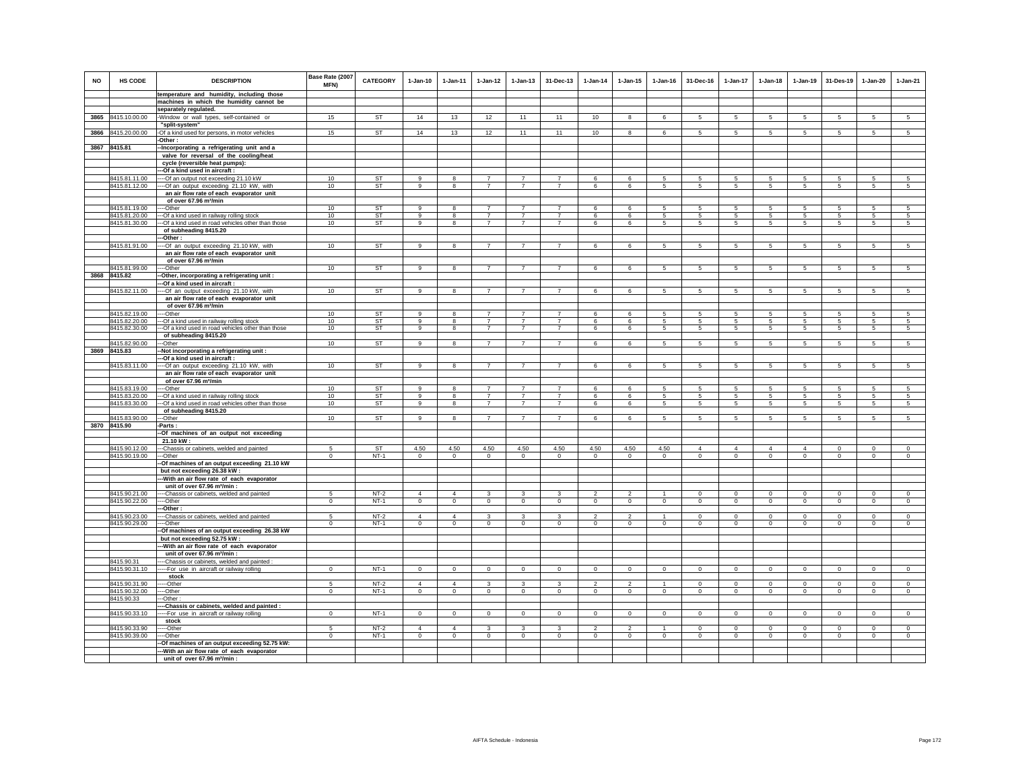| <b>NO</b> | HS CODE                        | <b>DESCRIPTION</b>                                                                     | Base Rate (2007<br><b>MFN)</b> | <b>CATEGORY</b>  | $1-Jan-10$                | $1 - Jan-11$              | $1-Jan-12$                | $1 - Jan-13$      | 31-Dec-13         | $1-Jan-14$                     | $1 - Jan-15$                   | $1 - Jan-16$              | 31-Dec-16                | $1-Jan-17$                | $1-Jan-18$                  | $1 - Jan-19$                  | 31-Des-19                     | $1-Jan-20$                    | $1-Jan-21$                |
|-----------|--------------------------------|----------------------------------------------------------------------------------------|--------------------------------|------------------|---------------------------|---------------------------|---------------------------|-------------------|-------------------|--------------------------------|--------------------------------|---------------------------|--------------------------|---------------------------|-----------------------------|-------------------------------|-------------------------------|-------------------------------|---------------------------|
|           |                                | temperature and humidity, including those                                              |                                |                  |                           |                           |                           |                   |                   |                                |                                |                           |                          |                           |                             |                               |                               |                               |                           |
|           |                                | machines in which the humidity cannot be<br>separately regulated.                      |                                |                  |                           |                           |                           |                   |                   |                                |                                |                           |                          |                           |                             |                               |                               |                               |                           |
|           | 3865 8415.10.00.00             | -Window or wall types, self-contained or                                               | 15                             | <b>ST</b>        | 14                        | 13                        | 12                        | 11                | 11                | 10                             | 8                              | 6                         | 5                        | 5                         | 5                           | 5                             | 5                             | 5                             | 5                         |
|           |                                | "split-system"                                                                         |                                |                  |                           |                           |                           |                   |                   |                                |                                |                           |                          |                           |                             |                               |                               |                               |                           |
|           | 3866 8415.20.00.00             | -Of a kind used for persons, in motor vehicles<br>-Other:                              | 15                             | <b>ST</b>        | 14                        | 13                        | 12                        | 11                | 11                | 10                             | 8                              | 6                         | 5                        | $\overline{5}$            | 5                           | 5                             | $\sqrt{5}$                    | 5                             | $\overline{5}$            |
| 3867      | 8415.81                        | -Incorporating a refrigerating unit and a                                              |                                |                  |                           |                           |                           |                   |                   |                                |                                |                           |                          |                           |                             |                               |                               |                               |                           |
|           |                                | valve for reversal of the cooling/heat                                                 |                                |                  |                           |                           |                           |                   |                   |                                |                                |                           |                          |                           |                             |                               |                               |                               |                           |
|           |                                | cycle (reversible heat pumps):                                                         |                                |                  |                           |                           |                           |                   |                   |                                |                                |                           |                          |                           |                             |                               |                               |                               |                           |
|           |                                | --- Of a kind used in aircraft:                                                        |                                |                  |                           |                           |                           |                   |                   |                                |                                |                           |                          |                           |                             |                               |                               |                               |                           |
|           | 8415.81.11.00                  | ---- Of an output not exceeding 21.10 kW                                               | 10                             | <b>ST</b>        | $\alpha$                  | $\mathbf{R}$              | $\overline{7}$            | $\overline{7}$    | $\overline{7}$    | $\epsilon$                     | $\epsilon$                     | 5                         | 5                        | 5                         | 5                           | 5                             | 5                             | $\overline{5}$                | 5 <sup>7</sup>            |
|           | 8415.81.12.00                  | ---- Of an output exceeding 21.10 kW, with<br>an air flow rate of each evaporator unit | 10                             | <b>ST</b>        | 9                         | 8                         | $\overline{7}$            | $\overline{7}$    | $\overline{7}$    | 6                              | 6                              | 5                         | $5\phantom{.0}$          | 5                         | 5                           | 5                             | 5                             | 5                             | $5\overline{5}$           |
|           |                                | of over 67.96 m <sup>3</sup> /min                                                      |                                |                  |                           |                           |                           |                   |                   |                                |                                |                           |                          |                           |                             |                               |                               |                               |                           |
|           | 8415.81.19.00                  | ----Other                                                                              | 10                             | <b>ST</b>        | $\alpha$                  | -8                        | $\overline{7}$            | $\overline{7}$    | $\overline{7}$    | 6                              | 6                              | -5                        | 5                        | 5                         | 5                           | 5                             | 5                             | 5                             | -5                        |
|           | 8415.81.20.00                  | --- Of a kind used in railway rolling stock                                            | 10                             | <b>ST</b>        | 9                         | -8                        | $\overline{7}$            | $\overline{7}$    | $\overline{7}$    | 6                              | 6                              | 5                         | 5                        | 5                         | 5                           | 5                             | -5                            | 5                             | -5                        |
|           | 8415.81.30.00                  | --- Of a kind used in road vehicles other than those                                   | 10                             | <b>ST</b>        | 9                         | 8                         | $\overline{7}$            | $\overline{7}$    | $\overline{7}$    | 6                              | 6                              | 5                         | 5                        | 5                         | 5                           | 5                             | $\sqrt{5}$                    | 5                             | 5                         |
|           |                                | of subheading 8415.20                                                                  |                                |                  |                           |                           |                           |                   |                   |                                |                                |                           |                          |                           |                             |                               |                               |                               |                           |
|           |                                | --Other :                                                                              |                                |                  |                           |                           |                           |                   |                   |                                |                                |                           |                          |                           |                             |                               |                               |                               |                           |
|           | 8415.81.91.00                  | ---- Of an output exceeding 21.10 kW, with                                             | 10                             | <b>ST</b>        | $\overline{9}$            | $\overline{\mathbf{8}}$   | $\overline{7}$            | $\overline{7}$    | $\overline{7}$    | 6                              | 6                              | 5                         | 5                        | 5                         | 5                           | 5                             | 5                             | 5                             | 5                         |
|           |                                | an air flow rate of each evaporator unit                                               |                                |                  |                           |                           |                           |                   |                   |                                |                                |                           |                          |                           |                             |                               |                               |                               |                           |
|           |                                | of over 67.96 m <sup>3</sup> /min                                                      |                                |                  |                           |                           |                           |                   |                   |                                |                                |                           |                          |                           |                             |                               |                               |                               |                           |
|           | 8415.81.99.00                  | ----Other                                                                              | 10                             | <b>ST</b>        | -9                        | -8                        | $\overline{7}$            | $\overline{7}$    | $\overline{7}$    | 6                              | 6                              | 5                         | 5                        | 5                         | 5                           | 5                             | 5                             | 5                             | 5                         |
|           | 3868 8415.82                   | -Other, incorporating a refrigerating unit:<br>-Of a kind used in aircraft :           |                                |                  |                           |                           |                           |                   |                   |                                |                                |                           |                          |                           |                             |                               |                               |                               |                           |
|           | 8415.82.11.00                  | --Of an output exceeding 21.10 kW, with                                                | 10                             | <b>ST</b>        | 9                         | 8                         | $\overline{7}$            | $\overline{7}$    | $\overline{7}$    | 6                              | 6                              | $\overline{5}$            | 5                        | $\overline{5}$            | $\overline{5}$              | $\overline{5}$                | $\overline{5}$                | 5                             | $5\overline{5}$           |
|           |                                | an air flow rate of each evaporator unit                                               |                                |                  |                           |                           |                           |                   |                   |                                |                                |                           |                          |                           |                             |                               |                               |                               |                           |
|           |                                | of over 67.96 m <sup>3</sup> /min                                                      |                                |                  |                           |                           |                           |                   |                   |                                |                                |                           |                          |                           |                             |                               |                               |                               |                           |
|           | 8415.82.19.00                  | $-$ -Other                                                                             | 10                             | ST               | 9                         | $\overline{8}$            | $\overline{7}$            | $\overline{7}$    | $\overline{7}$    | 6                              | 6                              | -5                        | -5                       | $\overline{5}$            | 5                           | -5                            | 5                             | 5                             | -5                        |
|           | 8415.82.20.00                  | --- Of a kind used in railway rolling stock                                            | 10                             | <b>ST</b>        | 9                         | 8                         | $\overline{7}$            | $\overline{7}$    | $\overline{7}$    | 6                              | 6                              | $\overline{5}$            | 5                        | 5                         | 5                           | 5                             | 5                             | 5                             | 5                         |
|           | 8415.82.30.00                  | --- Of a kind used in road vehicles other than those                                   | 10                             | ST               | 9                         | 8                         | $\overline{7}$            | $\overline{7}$    | $\overline{7}$    | 6                              | 6                              | 5                         | 5                        | 5                         | 5                           | 5                             | $\sqrt{5}$                    | 5                             | $5\phantom{.0}$           |
|           |                                | of subheading 8415.20                                                                  |                                |                  |                           |                           |                           |                   |                   |                                |                                |                           |                          |                           |                             |                               |                               |                               |                           |
|           | 8415.82.90.00<br>3869 8415.83  | --Other                                                                                | 10                             | <b>ST</b>        | -9                        | 8                         | $\overline{7}$            | $\overline{7}$    | $\overline{7}$    | 6                              | 6                              | -5                        | 5                        | 5                         | 5                           | 5                             | 5                             | 5                             | 5                         |
|           |                                | -Not incorporating a refrigerating unit:<br>--Of a kind used in aircraft :             |                                |                  |                           |                           |                           |                   |                   |                                |                                |                           |                          |                           |                             |                               |                               |                               |                           |
|           | 8415.83.11.00                  | --- Of an output exceeding 21.10 kW, with                                              | 10                             | <b>ST</b>        | $\mathbf{9}$              | 8                         | $\overline{7}$            | $\overline{7}$    | $\overline{7}$    | 6                              | 6                              | 5                         | 5                        | 5                         | 5                           | 5                             | $\sqrt{5}$                    | 5                             | 5                         |
|           |                                | an air flow rate of each evaporator unit                                               |                                |                  |                           |                           |                           |                   |                   |                                |                                |                           |                          |                           |                             |                               |                               |                               |                           |
|           |                                | of over 67.96 m <sup>3</sup> /min                                                      |                                |                  |                           |                           |                           |                   |                   |                                |                                |                           |                          |                           |                             |                               |                               |                               |                           |
|           | 8415.83.19.00                  | ----Other                                                                              | 10                             | <b>ST</b>        | 9                         | 8                         | $\overline{7}$            | $\overline{7}$    | $\overline{7}$    | 6                              | 6                              | 5                         | 5                        | 5                         | 5                           | 5                             | 5                             | 5                             | 5                         |
|           | 8415.83.20.00                  | --- Of a kind used in railway rolling stock                                            | 10                             | ST               | 9                         | 8                         | $\overline{7}$            | $\overline{7}$    | $\overline{7}$    | 6                              | 6                              | 5                         | 5                        | 5                         | 5                           | 5                             | 5                             | 5                             | 5                         |
|           | 8415.83.30.00                  | --- Of a kind used in road vehicles other than those<br>of subheading 8415.20          | 10                             | ST               | 9                         | 8                         | $\overline{7}$            | $\overline{7}$    | $\overline{7}$    | 6                              | 6                              | 5                         | 5                        | 5                         | 5                           | 5                             | 5                             | 5                             | 5                         |
|           | 8415.83.90.00                  | -Other                                                                                 | 10                             | <b>ST</b>        | 9                         | $\overline{\mathbf{8}}$   | $\overline{7}$            | $\overline{7}$    | $\overline{7}$    | 6                              | 6                              | 5                         | 5                        | 5                         | 5                           | 5                             | 5                             | 5                             | $\overline{5}$            |
| 3870      | 8415.90                        | -Parts:                                                                                |                                |                  |                           |                           |                           |                   |                   |                                |                                |                           |                          |                           |                             |                               |                               |                               |                           |
|           |                                | -Of machines of an output not exceeding<br>21.10 kW:                                   |                                |                  |                           |                           |                           |                   |                   |                                |                                |                           |                          |                           |                             |                               |                               |                               |                           |
|           | 8415.90.12.00                  | ---Chassis or cabinets, welded and painted                                             | -5                             | <b>ST</b>        | 4.50                      | 4.50                      | 4.50                      | 4.50              | 4.50              | 4.50                           | 4.50                           | 4.50                      | $\Delta$                 | $\mathbf{A}$              | $\Delta$                    | $\Delta$                      | $\Omega$                      | $\Omega$                      | $\circ$                   |
|           | 8415.90.19.00                  | ---Other                                                                               | $\mathbf 0$                    | $NT-1$           | $\circ$                   | $\circ$                   | $\circ$                   | $\mathbf 0$       | $\mathsf 0$       | $\mathsf 0$                    | $\mathbf 0$                    | $\circ$                   | $\mathbf 0$              | $\mathbf 0$               | $\mathbf 0$                 | $\circ$                       | $\mathbf 0$                   | $\circ$                       | $\circ$                   |
|           |                                | --Of machines of an output exceeding 21.10 kW                                          |                                |                  |                           |                           |                           |                   |                   |                                |                                |                           |                          |                           |                             |                               |                               |                               |                           |
|           |                                | but not exceeding 26.38 kW:                                                            |                                |                  |                           |                           |                           |                   |                   |                                |                                |                           |                          |                           |                             |                               |                               |                               |                           |
|           |                                | --- With an air flow rate of each evaporator                                           |                                |                  |                           |                           |                           |                   |                   |                                |                                |                           |                          |                           |                             |                               |                               |                               |                           |
|           |                                | unit of over 67.96 m <sup>3</sup> /min :                                               |                                |                  |                           |                           |                           |                   |                   |                                |                                |                           |                          |                           |                             |                               |                               |                               |                           |
|           | 8415.90.21.00<br>8415.90.22.00 | ---Chassis or cabinets, welded and painted<br>--Other                                  | 5<br>$\circ$                   | $NT-2$<br>$NT-1$ | $\overline{4}$<br>$\circ$ | $\overline{4}$<br>$\circ$ | $\overline{3}$<br>$\circ$ | 3<br>$\mathsf 0$  | 3<br>$\mathsf 0$  | $\overline{2}$<br>$\mathbf 0$  | $\overline{2}$<br>$\mathbf 0$  | $\mathbf{1}$<br>$\Omega$  | $\mathbf{0}$<br>$\circ$  | $\overline{0}$<br>$\circ$ | $\mathbf{0}$<br>$\mathbf 0$ | $\overline{0}$<br>$\mathsf 0$ | $\overline{0}$<br>$\mathbf 0$ | $\overline{0}$<br>$\mathbf 0$ | $\overline{0}$<br>$\circ$ |
|           |                                | --Other:                                                                               |                                |                  |                           |                           |                           |                   |                   |                                |                                |                           |                          |                           |                             |                               |                               |                               |                           |
|           | 8415.90.23.00                  | ---Chassis or cabinets, welded and painted                                             | 5                              | $NT-2$           | $\Delta$                  | $\Delta$                  | $\overline{\mathbf{3}}$   | $\overline{3}$    | $\mathbf{3}$      | $\overline{\phantom{a}}$       | $\overline{2}$                 | $\overline{1}$            | $\mathbf{0}$             | $\overline{0}$            | $\mathbf{0}$                | $\overline{0}$                | $\mathbf 0$                   | $\mathbf 0$                   | $\overline{0}$            |
|           | 8415.90.29.00                  | ---Other                                                                               | $\overline{0}$                 | $NT-1$           | $\overline{0}$            | $\overline{0}$            | $\overline{0}$            | $\overline{0}$    | $\overline{0}$    | $\overline{0}$                 | $\overline{0}$                 | $\overline{0}$            | $\overline{0}$           | $\overline{0}$            | $\overline{0}$              | $\overline{0}$                | $\overline{0}$                | $\overline{0}$                | $\overline{0}$            |
|           |                                | -Of machines of an output exceeding 26.38 kW<br>but not exceeding 52.75 kW:            |                                |                  |                           |                           |                           |                   |                   |                                |                                |                           |                          |                           |                             |                               |                               |                               |                           |
|           |                                | --- With an air flow rate of each evaporator                                           |                                |                  |                           |                           |                           |                   |                   |                                |                                |                           |                          |                           |                             |                               |                               |                               |                           |
|           |                                | unit of over 67.96 m <sup>3</sup> /min :                                               |                                |                  |                           |                           |                           |                   |                   |                                |                                |                           |                          |                           |                             |                               |                               |                               |                           |
|           | 8415.90.31                     | --Chassis or cabinets, welded and painted :                                            |                                |                  |                           |                           |                           |                   |                   |                                |                                |                           |                          |                           |                             |                               |                               |                               |                           |
|           | 8415.90.31.10                  | --- For use in aircraft or railway rolling                                             | $\mathsf 0$                    | $NT-1$           | $\mathsf 0$               | $\mathsf 0$               | $\mathsf 0$               | $\mathsf 0$       | $\mathsf 0$       | $\mathbf 0$                    | $\mathbf 0$                    | $\mathsf 0$               | $\mathsf 0$              | $\mathsf 0$               | $\mathsf 0$                 | $\mathsf 0$                   | $\mathbf 0$                   | $\mathsf 0$                   | $\circ$                   |
|           |                                | stock                                                                                  |                                |                  |                           |                           |                           |                   |                   |                                |                                |                           |                          |                           |                             |                               |                               |                               |                           |
|           | 8415.90.31.90<br>8415.90.32.00 | ---Other                                                                               | -5<br>$\circ$                  | $NT-2$<br>$NT-1$ | $\Delta$<br>$\circ$       | $\overline{4}$<br>$\circ$ | $\mathbf{3}$<br>$\circ$   | 3<br>$\mathbf{0}$ | 3<br>$\mathbf{0}$ | $\overline{2}$<br>$\mathbf{0}$ | $\overline{2}$<br>$\mathbf{0}$ | $\overline{1}$<br>$\circ$ | $\Omega$<br>$\mathbf{0}$ | $\circ$<br>$\circ$        | $\Omega$<br>$\mathbf{0}$    | $\mathsf 0$<br>$\circ$        | $\mathbf 0$<br>$\mathbf 0$    | $\mathsf 0$<br>$\mathbf 0$    | $\circ$<br>$\circ$        |
|           | 8415.90.33                     | ----Other<br>---Other                                                                  |                                |                  |                           |                           |                           |                   |                   |                                |                                |                           |                          |                           |                             |                               |                               |                               |                           |
|           |                                | ---Chassis or cabinets, welded and painted :                                           |                                |                  |                           |                           |                           |                   |                   |                                |                                |                           |                          |                           |                             |                               |                               |                               |                           |
|           | 8415.90.33.10                  | ---- For use in aircraft or railway rolling                                            | $\mathbf{0}$                   | $NT-1$           | $\mathbf{0}$              | $\circ$                   | $\mathbf 0$               | $\mathbf 0$       | $\mathbf 0$       | $\circ$                        | $\mathbf 0$                    | $\mathbf 0$               | $\mathbf{0}$             | $\circ$                   | $\mathbf{0}$                | $\mathsf 0$                   | $\mathbf 0$                   | $\mathbf 0$                   | $\circ$                   |
|           |                                | stock                                                                                  |                                |                  |                           |                           |                           |                   |                   |                                |                                |                           |                          |                           |                             |                               |                               |                               |                           |
|           | 8415.90.33.90                  | ---Other                                                                               | 5                              | $NT-2$           | $\overline{4}$            | $\overline{4}$            | 3                         | 3                 | 3                 | $\mathfrak{p}$                 | $\overline{2}$                 |                           | $\mathbf 0$              | $\mathbf 0$               | $\mathbf 0$                 | $\mathbf 0$                   | $\mathbf 0$                   | $\mathbf 0$                   | $\mathsf 0$               |
|           | 8415.90.39.00                  | ---Other                                                                               | $\overline{0}$                 | $NT-1$           | $\overline{0}$            | $\circ$                   | $\overline{0}$            | $\mathbf 0$       | $\Omega$          | $\overline{0}$                 | $\mathbf 0$                    | $\Omega$                  | $\circ$                  | $\overline{0}$            | $\mathbf 0$                 | $\mathbf 0$                   | $\overline{0}$                | $\mathbf 0$                   | $\overline{0}$            |
|           |                                | --Of machines of an output exceeding 52.75 kW:                                         |                                |                  |                           |                           |                           |                   |                   |                                |                                |                           |                          |                           |                             |                               |                               |                               |                           |
|           |                                | --- With an air flow rate of each evaporator                                           |                                |                  |                           |                           |                           |                   |                   |                                |                                |                           |                          |                           |                             |                               |                               |                               |                           |
|           |                                | unit of over 67.96 m <sup>3</sup> /min:                                                |                                |                  |                           |                           |                           |                   |                   |                                |                                |                           |                          |                           |                             |                               |                               |                               |                           |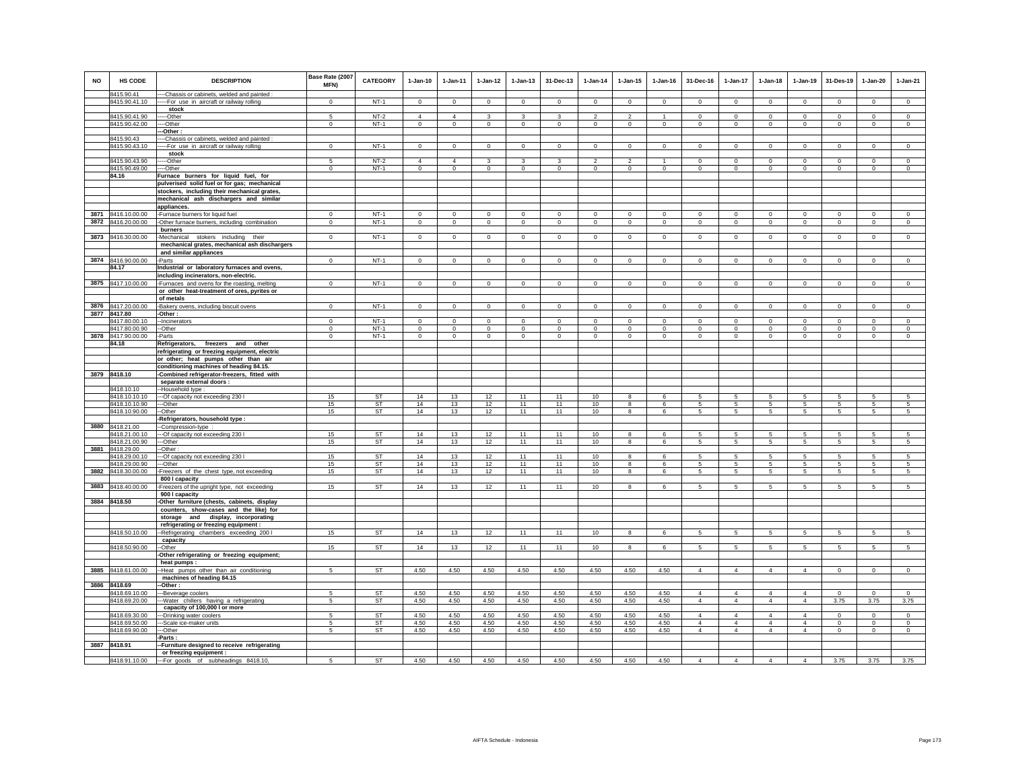| <b>NO</b> | <b>HS CODE</b>                   | <b>DESCRIPTION</b>                                                                                            | Base Rate (2007<br>MFN) | CATEGORY         | $1-Jan-10$                    | 1-Jan-11                           | $1 - Jan-12$            | $1 - Jan-13$            | 31-Dec-13               | $1-Jan-14$              | $1 - Jan-15$            | $1 - Jan-16$         | 31-Dec-16                | $1-Jan-17$              | $1-Jan-18$               | $1-Jan-19$                 | 31-Des-19                     | $1-Jan-20$              | $1-Jan-21$                    |
|-----------|----------------------------------|---------------------------------------------------------------------------------------------------------------|-------------------------|------------------|-------------------------------|------------------------------------|-------------------------|-------------------------|-------------------------|-------------------------|-------------------------|----------------------|--------------------------|-------------------------|--------------------------|----------------------------|-------------------------------|-------------------------|-------------------------------|
|           | 8415.90.41<br>8415.90.41.10      | --Chassis or cabinets, welded and painted :<br>----For use in aircraft or railway rolling                     | $\Omega$                | $NT-1$           | $\Omega$                      | $\Omega$                           | $\Omega$                | $\Omega$                | $\mathbf{0}$            | $\Omega$                | $\Omega$                | $\Omega$             | $\Omega$                 | $\Omega$                | $\Omega$                 | $\Omega$                   | $\Omega$                      | $\Omega$                | $\Omega$                      |
|           |                                  | stock                                                                                                         |                         |                  |                               |                                    |                         |                         |                         |                         |                         |                      |                          |                         |                          |                            |                               |                         |                               |
|           | 8415.90.41.90                    | ---Other                                                                                                      | 5                       | $NT-2$           | $\overline{4}$                | $\overline{4}$                     | 3                       | 3                       | 3                       | $\overline{2}$          | $\overline{c}$          | $\mathbf{1}$         | $^{\circ}$               | $^{\circ}$              | $\Omega$                 | $^{\circ}$                 | $\overline{0}$                | $^{\circ}$              | $^{\circ}$                    |
|           | 8415.90.42.00                    | --Other<br>-Other:                                                                                            | $\Omega$                | $NT-1$           | $\mathbf{0}$                  | $\Omega$                           | $\mathbf{0}$            | $\mathsf 0$             | $\Omega$                | $\Omega$                | $\mathbf 0$             | $\circ$              | $\Omega$                 | $\mathbf 0$             | $\mathbf 0$              | $\Omega$                   | $\Omega$                      | $\Omega$                | $\Omega$                      |
|           | 8415.90.43                       | --Chassis or cabinets, welded and painted                                                                     |                         |                  |                               |                                    |                         |                         |                         |                         |                         |                      |                          |                         |                          |                            |                               |                         |                               |
|           | 8415.90.43.10                    | ---For use in aircraft or railway rolling                                                                     | $\mathbf{0}$            | $NT-1$           | $\Omega$                      | $\mathbf{0}$                       | $\overline{0}$          | $\mathbf 0$             | $\Omega$                | $\overline{0}$          | $\Omega$                | $\Omega$             | $\Omega$                 | $\overline{0}$          | $\Omega$                 | $\circ$                    | $\overline{0}$                | $\Omega$                | $\overline{0}$                |
|           |                                  | stock                                                                                                         |                         |                  |                               |                                    |                         |                         |                         |                         |                         |                      |                          |                         |                          |                            |                               |                         |                               |
|           | 8415.90.43.90<br>8415.90.49.00   | --Other<br>--Other                                                                                            | $\mathbf{0}$            | $NT-2$<br>$NT-1$ | $\overline{4}$<br>$\mathbf 0$ | $\overline{\mathbf{4}}$<br>$\circ$ | 3<br>$\circ$            | 3<br>$\mathbf 0$        | $\mathbf 0$             | $\overline{0}$          | $\mathbf 0$             | $\mathbf 0$          | $\Omega$<br>$\mathbf{0}$ | $\Omega$<br>$\mathbf 0$ | $\Omega$<br>$\mathbf{0}$ | $\Omega$<br>$\overline{0}$ | $\Omega$<br>$\circ$           | $\Omega$<br>$\circ$     | $\Omega$<br>$\mathbf 0$       |
|           | 84.16                            | Furnace burners for liquid fuel, for                                                                          |                         |                  |                               |                                    |                         |                         |                         |                         |                         |                      |                          |                         |                          |                            |                               |                         |                               |
|           |                                  | pulverised solid fuel or for gas; mechanical                                                                  |                         |                  |                               |                                    |                         |                         |                         |                         |                         |                      |                          |                         |                          |                            |                               |                         |                               |
|           |                                  | stockers, including their mechanical grates,                                                                  |                         |                  |                               |                                    |                         |                         |                         |                         |                         |                      |                          |                         |                          |                            |                               |                         |                               |
|           |                                  | mechanical ash dischargers and similar<br>appliances.                                                         |                         |                  |                               |                                    |                         |                         |                         |                         |                         |                      |                          |                         |                          |                            |                               |                         |                               |
|           | 3871 8416.10.00.00               | -Furnace burners for liquid fuel                                                                              | $\Omega$                | $NT-1$           | $\Omega$                      | $\mathbf 0$                        | $\mathbf 0$             | $\mathbf 0$             | $\mathbf 0$             | $\,0\,$                 | $\Omega$                | $\mathbf 0$          | $\mathbf 0$              | $\Omega$                | $\Omega$                 | $\mathbf 0$                | $\mathbf 0$                   | $\Omega$                | $\Omega$                      |
|           | 3872 8416.20.00.00               | -Other furnace burners, including combination                                                                 | $\mathbf 0$             | $NT-1$           | $\mathsf 0$                   | $\mathbf 0$                        | $\overline{0}$          | $\mathbf 0$             | $\mathsf 0$             | $\mathbf 0$             | $\mathsf 0$             | $\mathsf 0$          | $\mathsf 0$              | $\mathsf 0$             | $\mathbf 0$              | $\mathbf 0$                | $\mathbf 0$                   | $\mathsf 0$             | $\circ$                       |
|           |                                  | burners                                                                                                       |                         |                  |                               |                                    |                         |                         |                         |                         |                         |                      |                          |                         |                          |                            |                               |                         |                               |
|           | 3873 8416.30.00.00               | Mechanical stokers including their<br>mechanical grates, mechanical ash dischargers<br>and similar appliances | $\circ$                 | $NT-1$           | $\circ$                       | $\circ$                            | $\mathbf{0}$            | $\mathbf{0}$            | $\mathbf{0}$            | $\mathbf{0}$            | $\mathbf{0}$            | $\circ$              | $\circ$                  | $\mathbf{0}$            | $\circ$                  | $\mathbf 0$                | $\mathbf 0$                   | $\mathbf{0}$            | $\circ$                       |
|           | 3874 8416.90.00.00               | -Parts                                                                                                        | $\mathbf{0}$            | $NT-1$           | $\mathbf{0}$                  | $\mathbf{0}$                       | $\circ$                 | $\mathbf 0$             | $\mathbf 0$             | $\circ$                 | $\mathbf 0$             | $\circ$              | $\circ$                  | $\mathbf{0}$            | $\mathbf{0}$             | $\circ$                    | $\mathbf{0}$                  | $\mathbf{0}$            | $\circ$                       |
|           | 84.17                            | Industrial or laboratory furnaces and ovens,                                                                  |                         |                  |                               |                                    |                         |                         |                         |                         |                         |                      |                          |                         |                          |                            |                               |                         |                               |
|           |                                  | including incinerators, non-electric.                                                                         |                         |                  |                               |                                    |                         |                         |                         |                         |                         |                      |                          |                         |                          |                            |                               |                         |                               |
|           | 3875 8417.10.00.00               | Furnaces and ovens for the roasting, melting<br>or other heat-treatment of ores, pyrites or                   | $\mathbf{0}$            | $NT-1$           | $\circ$                       | $\circ$                            | $\mathbf 0$             | $\mathbf 0$             | $\mathbf 0$             | $\mathbf 0$             | $^{\circ}$              | $\circ$              | $\circ$                  | $\mathbf 0$             | $\circ$                  | $\mathbf 0$                | $\mathbf 0$                   | $\mathbf 0$             | $\circ$                       |
|           |                                  | of metals                                                                                                     |                         |                  |                               |                                    |                         |                         |                         |                         |                         |                      |                          |                         |                          |                            |                               |                         |                               |
|           | 3876 8417.20.00.00               | -Bakery ovens, including biscuit ovens                                                                        | $\mathbf 0$             | $NT-1$           | $\mathsf 0$                   | $\mathbf 0$                        | $\mathsf 0$             | $\mathsf 0$             | $\mathbf 0$             | $\mathbb O$             | 0                       | $\mathbf 0$          | $\mathbf 0$              | $\mathbf 0$             | $\mathbf 0$              | $\mathbf 0$                | $\mathbf 0$                   | $\mathsf 0$             | $\mathsf 0$                   |
|           | 3877 8417.80                     | -Other:                                                                                                       |                         |                  |                               |                                    |                         |                         |                         |                         |                         |                      |                          |                         |                          |                            |                               |                         |                               |
|           | 8417.80.00.10<br>8417.80.00.90   | --Incinerators<br>--Other                                                                                     | $\Omega$<br>$\mathbf 0$ | $NT-1$<br>$NT-1$ | $\Omega$<br>$\mathsf 0$       | $\Omega$<br>$\mathsf 0$            | $\Omega$<br>$\mathbf 0$ | $\Omega$<br>$\mathsf 0$ | $\Omega$<br>$\mathbf 0$ | $\Omega$<br>$\mathsf 0$ | $\Omega$<br>$\mathsf 0$ | $\Omega$<br>$\Omega$ | $\Omega$<br>$\mathsf 0$  | $\Omega$<br>$\mathbf 0$ | $\Omega$<br>$\mathbf 0$  | $\Omega$<br>$\mathbf 0$    | $\overline{0}$<br>$\mathbf 0$ | $\Omega$<br>$\mathsf 0$ | $\overline{0}$<br>$\mathsf 0$ |
|           | 3878 8417.90.00.00               | -Parts                                                                                                        | $\mathbf 0$             | $NT-1$           | $\circ$                       | $\circ$                            | $\circ$                 | $\mathbf 0$             | $\mathbf 0$             | $\circ$                 | $\mathbf 0$             | $\circ$              | $\Omega$                 | $\mathbf 0$             | $\Omega$                 | $\mathbf 0$                | $\mathbf{0}$                  | $\Omega$                | $\circ$                       |
|           | 84.18                            | Refrigerators, freezers and other                                                                             |                         |                  |                               |                                    |                         |                         |                         |                         |                         |                      |                          |                         |                          |                            |                               |                         |                               |
|           |                                  | refrigerating or freezing equipment, electric                                                                 |                         |                  |                               |                                    |                         |                         |                         |                         |                         |                      |                          |                         |                          |                            |                               |                         |                               |
|           |                                  | or other; heat pumps other than air<br>conditioning machines of heading 84.15.                                |                         |                  |                               |                                    |                         |                         |                         |                         |                         |                      |                          |                         |                          |                            |                               |                         |                               |
|           | 3879 8418.10                     | -Combined refrigerator-freezers, fitted with                                                                  |                         |                  |                               |                                    |                         |                         |                         |                         |                         |                      |                          |                         |                          |                            |                               |                         |                               |
|           |                                  | separate external doors :                                                                                     |                         |                  |                               |                                    |                         |                         |                         |                         |                         |                      |                          |                         |                          |                            |                               |                         |                               |
|           | 8418.10.10<br>8418.10.10.10      | -Household type :                                                                                             | 15                      | <b>ST</b>        | 14                            | 13                                 | 12                      | 11                      | 11                      | 10                      | 8                       | 6                    | 5                        | $5\phantom{.0}$         | 5                        |                            | 5                             | 5                       | 5                             |
|           | 8418.10.10.90                    | --- Of capacity not exceeding 230 I<br>--Other                                                                | 15                      | <b>ST</b>        | 14                            | 13                                 | 12                      | 11                      | 11                      | 10                      | 8                       | 6                    | $5\phantom{.0}$          | $5\phantom{.0}$         | 5                        | 5<br>5                     | 5                             | 5                       | $5\overline{5}$               |
|           | 8418.10.90.00                    | -Other                                                                                                        | 15                      | ST               | 14                            | 13                                 | 12                      | 11                      | 11                      | 10                      | 8                       | 6                    | $5\overline{5}$          | $5\overline{5}$         | $5\overline{5}$          | 5                          | 5                             | 5                       | $5\overline{5}$               |
|           |                                  | -Refrigerators, household type :                                                                              |                         |                  |                               |                                    |                         |                         |                         |                         |                         |                      |                          |                         |                          |                            |                               |                         |                               |
|           | 3880 8418.21.00<br>8418.21.00.10 | -Compression-type:<br>-- Of capacity not exceeding 230 I                                                      | 15                      | ST               | 14                            | 13                                 | 12                      | 11                      | 11                      | 10                      | 8                       | 6                    | -5                       | 5                       | -5                       | -5                         | 5                             | 5                       | 5                             |
|           | 8418.21.00.90                    | -Other                                                                                                        | 15                      | ST               | 14                            | 13                                 | 12                      | 11                      | 11                      | 10                      | 8                       | 6                    | 5                        | 5                       | 5                        | $\,$ 5 $\,$                | 5                             | $\,$ 5 $\,$             | $\sqrt{5}$                    |
| 3881      | 8418.29.00                       | Other:                                                                                                        |                         |                  |                               |                                    |                         |                         |                         |                         |                         |                      |                          |                         |                          |                            |                               |                         |                               |
|           | 8418.29.00.10<br>8418.29.00.90   | ---Of capacity not exceeding 230 I<br>--Other                                                                 | 15<br>15                | <b>ST</b><br>ST  | 14<br>14                      | 13<br>13                           | 12<br>12                | 11<br>11                | 11<br>11                | 10<br>10                | 8<br>8                  | - 6<br>6             | -5<br>5                  | 5<br>5                  | -5<br>5                  | 5<br>5                     | 5<br>5                        | 5<br>5                  | 5<br>5                        |
| 3882      | 8418.30.00.00                    | -Freezers of the chest type, not exceeding                                                                    | 15                      | ST               | 14                            | 13                                 | 12                      | 11                      | 11                      | 10                      | 8                       | 6                    | $5\overline{5}$          | 5                       | 5                        | 5                          | 5                             | 5                       | 5                             |
| 3883      | 8418.40.00.00                    | 800 I capacity<br>Freezers of the upright type, not exceeding                                                 | 15                      | ST               | 14                            | 13                                 | 12                      | 11                      | 11                      | 10                      | 8                       | 6                    | 5                        | $5\overline{5}$         | $5\overline{5}$          | 5                          | 5                             | 5                       | 5                             |
|           |                                  | 900 I capacity                                                                                                |                         |                  |                               |                                    |                         |                         |                         |                         |                         |                      |                          |                         |                          |                            |                               |                         |                               |
|           | 3884 8418.50                     | Other furniture (chests, cabinets, display<br>counters, show-cases and the like) for                          |                         |                  |                               |                                    |                         |                         |                         |                         |                         |                      |                          |                         |                          |                            |                               |                         |                               |
|           |                                  | storage and display, incorporating                                                                            |                         |                  |                               |                                    |                         |                         |                         |                         |                         |                      |                          |                         |                          |                            |                               |                         |                               |
|           |                                  | refrigerating or freezing equipment :                                                                         |                         |                  |                               |                                    |                         |                         |                         |                         |                         |                      |                          |                         |                          |                            |                               |                         |                               |
|           | 8418.50.10.00                    | -Refrigerating chambers exceeding 200 l                                                                       | 15                      | <b>ST</b>        | 14                            | 13                                 | 12                      | 11                      | 11                      | 10                      | 8                       | 6                    | $5 -$                    | 5                       | 5                        | 5                          | 5                             | 5                       | 5                             |
|           | 8418.50.90.00                    | capacity<br>-Other                                                                                            | 15                      | <b>ST</b>        | 14                            | 13                                 | 12                      | 11                      | 11                      | 10                      | 8                       | 6                    | 5                        | 5                       | 5                        | -5                         | 5                             | 5                       | 5                             |
|           |                                  | Other refrigerating or freezing equipment;                                                                    |                         |                  |                               |                                    |                         |                         |                         |                         |                         |                      |                          |                         |                          |                            |                               |                         |                               |
|           |                                  | heat pumps :                                                                                                  |                         |                  |                               |                                    |                         |                         |                         |                         |                         |                      |                          |                         |                          |                            |                               |                         |                               |
|           | 3885 8418.61.00.00               | -Heat pumps other than air conditioning                                                                       | 5                       | <b>ST</b>        | 4.50                          | 4.50                               | 4.50                    | 4.50                    | 4.50                    | 4.50                    | 4.50                    | 4.50                 | $\overline{4}$           | $\overline{4}$          | $\overline{4}$           | $\overline{4}$             | $\circ$                       | $\circ$                 | $\circ$                       |
|           | 3886 8418.69                     | machines of heading 84.15<br>-Other:                                                                          |                         |                  |                               |                                    |                         |                         |                         |                         |                         |                      |                          |                         |                          |                            |                               |                         |                               |
|           | 8418.69.10.00                    | -- Beverage coolers                                                                                           |                         | ST               | 4.50                          | 4.50                               | 4.50                    | 4.50                    | 4.50                    | 4.50                    | 4.50                    | 4.50                 | $\overline{4}$           | 4                       | 4                        | $\overline{4}$             | $^{\circ}$                    | $\mathbf 0$             | $\mathbf 0$                   |
|           | 8418.69.20.00                    | --Water chillers having a refrigerating                                                                       | 5                       | ST               | 4.50                          | 4.50                               | 4.50                    | 4.50                    | 4.50                    | 4.50                    | 4.50                    | 4.50                 | $\overline{4}$           | $\overline{4}$          | $\overline{4}$           | $\overline{4}$             | 3.75                          | 3.75                    | 3.75                          |
|           | 8418.69.30.00                    | capacity of 100,000 I or more<br>-- Drinking water coolers                                                    | 5                       | <b>ST</b>        | 4.50                          | 4.50                               | 4.50                    | 4.50                    | 4.50                    | 4.50                    | 4.50                    | 4.50                 | $\overline{4}$           | $\overline{4}$          | $\overline{4}$           | $\overline{4}$             | $\overline{0}$                | $\Omega$                | $\overline{0}$                |
|           | 8418.69.50.00                    | --Scale ice-maker units                                                                                       | 5                       | <b>ST</b>        | 4.50                          | 4.50                               | 4.50                    | 4.50                    | 4.50                    | 4.50                    | 4.50                    | 4.50                 | $\overline{4}$           | 4                       | $\overline{4}$           | $\overline{4}$             | $^{\circ}$                    | $\Omega$                | $\circ$                       |
|           | 8418.69.90.00                    | -Other                                                                                                        | 5                       | ST               | 4.50                          | 4.50                               | 4.50                    | 4.50                    | 4.50                    | 4.50                    | 4.50                    | 4.50                 | $\overline{4}$           | $\overline{4}$          | $\overline{4}$           | $\overline{4}$             | $\overline{0}$                | $\mathbf{0}$            | $\overline{0}$                |
|           |                                  | Parts:                                                                                                        |                         |                  |                               |                                    |                         |                         |                         |                         |                         |                      |                          |                         |                          |                            |                               |                         |                               |
|           | 3887 8418.91                     | -Furniture designed to receive refrigerating<br>or freezing equipment :                                       |                         |                  |                               |                                    |                         |                         |                         |                         |                         |                      |                          |                         |                          |                            |                               |                         |                               |
|           | 8418.91.10.00                    | ---For goods of subheadings 8418.10,                                                                          |                         | <b>ST</b>        | 4.50                          | 4.50                               | 4.50                    | 4.50                    | 4.50                    | 4.50                    | 4.50                    | 4.50                 | $\overline{4}$           | $\overline{4}$          | $\overline{4}$           | $\overline{4}$             | 3.75                          | 3.75                    | 3.75                          |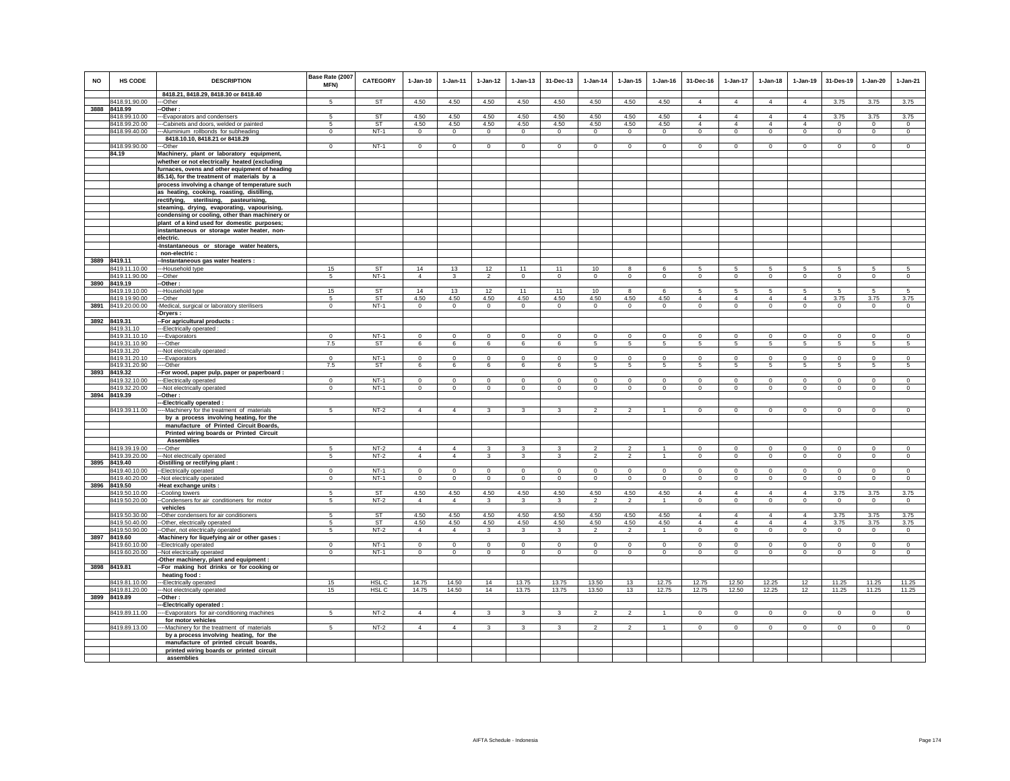| <b>NO</b> | HS CODE                        | <b>DESCRIPTION</b><br>8418.21, 8418.29, 8418.30 or 8418.40                                    | Base Rate (2007<br>MFN)  | CATEGORY               | $1-Jan-10$          | 1-Jan-11                | $1 - Jan-12$            | $1 - Jan-13$                | 31-Dec-13                | $1-Jan-14$                  | $1 - Jan-15$            | $1 - Jan-16$                | 31-Dec-16                        | 1-Jan-17                         | $1 - Jan-18$                     | $1-Jan-19$                       | 31-Des-19                   | 1-Jan-20                | $1-Jan-21$            |
|-----------|--------------------------------|-----------------------------------------------------------------------------------------------|--------------------------|------------------------|---------------------|-------------------------|-------------------------|-----------------------------|--------------------------|-----------------------------|-------------------------|-----------------------------|----------------------------------|----------------------------------|----------------------------------|----------------------------------|-----------------------------|-------------------------|-----------------------|
|           | 8418.91.90.00                  | --Other                                                                                       | 5                        | <b>ST</b>              | 4.50                | 4.50                    | 4.50                    | 4.50                        | 4.50                     | 4.50                        | 4.50                    | 4.50                        | $\Delta$                         | $\overline{4}$                   | $\Delta$                         | $\overline{4}$                   | 3.75                        | 3.75                    | 3.75                  |
|           | 3888 8418.99                   | -Other:                                                                                       |                          |                        |                     |                         |                         |                             |                          |                             |                         |                             |                                  |                                  |                                  |                                  |                             |                         |                       |
|           | 8418.99.10.00<br>8418.99.20.00 | --Evaporators and condensers                                                                  | 5                        | <b>ST</b><br><b>ST</b> | 4.50<br>4.50        | 4.50<br>4.50            | 4.50<br>4.50            | 4.50<br>4.50                | 4.50<br>4.50             | 4.50<br>4.50                | 4.50<br>4.50            | 4.50<br>4.50                | $\overline{4}$<br>$\overline{4}$ | $\overline{4}$<br>$\overline{4}$ | $\overline{4}$<br>$\overline{4}$ | $\overline{4}$<br>$\overline{4}$ | 3.75                        | 3.75<br>$\Omega$        | 3.75                  |
|           | 8418.99.40.00                  | --Cabinets and doors, welded or painted<br>--Aluminium rollbonds for subheading               | 5<br>$\mathsf 0$         | $NT-1$                 | $\mathsf 0$         | $\Omega$                | $\circ$                 | $\mathbf 0$                 | $\mathbf 0$              | $\mathsf 0$                 | $\Omega$                | $\mathbb O$                 | $\mathsf 0$                      | $\mathsf 0$                      | $\mathsf 0$                      | $\mathsf 0$                      | $\mathbf{0}$<br>$\mathsf 0$ | $\mathbf 0$             | $^{\circ}$<br>$\circ$ |
|           |                                | 8418.10.10, 8418.21 or 8418.29                                                                |                          |                        |                     |                         |                         |                             |                          |                             |                         |                             |                                  |                                  |                                  |                                  |                             |                         |                       |
|           | 8418.99.90.00                  | --Other                                                                                       | $\mathsf 0$              | $NT-1$                 | $\mathbf{0}$        | $\mathbf 0$             | $\overline{0}$          | $\mathbf 0$                 | $\mathbf 0$              | $\overline{0}$              | $\mathsf 0$             | $\mathbf 0$                 | $\mathbf{0}$                     | $\mathsf 0$                      | $\mathsf 0$                      | $\,$ 0                           | $\mathsf 0$                 | $\mathbf 0$             | $\mathbf 0$           |
|           | 84.19                          | Machinery, plant or laboratory equipment,                                                     |                          |                        |                     |                         |                         |                             |                          |                             |                         |                             |                                  |                                  |                                  |                                  |                             |                         |                       |
|           |                                | whether or not electrically heated (excluding                                                 |                          |                        |                     |                         |                         |                             |                          |                             |                         |                             |                                  |                                  |                                  |                                  |                             |                         |                       |
|           |                                | furnaces, ovens and other equipment of heading                                                |                          |                        |                     |                         |                         |                             |                          |                             |                         |                             |                                  |                                  |                                  |                                  |                             |                         |                       |
|           |                                | 85.14), for the treatment of materials by a<br>process involving a change of temperature such |                          |                        |                     |                         |                         |                             |                          |                             |                         |                             |                                  |                                  |                                  |                                  |                             |                         |                       |
|           |                                | as heating, cooking, roasting, distilling,                                                    |                          |                        |                     |                         |                         |                             |                          |                             |                         |                             |                                  |                                  |                                  |                                  |                             |                         |                       |
|           |                                | rectifying, sterilising, pasteurising,                                                        |                          |                        |                     |                         |                         |                             |                          |                             |                         |                             |                                  |                                  |                                  |                                  |                             |                         |                       |
|           |                                | steaming, drying, evaporating, vapourising,                                                   |                          |                        |                     |                         |                         |                             |                          |                             |                         |                             |                                  |                                  |                                  |                                  |                             |                         |                       |
|           |                                | condensing or cooling, other than machinery or                                                |                          |                        |                     |                         |                         |                             |                          |                             |                         |                             |                                  |                                  |                                  |                                  |                             |                         |                       |
|           |                                | plant of a kind used for domestic purposes;                                                   |                          |                        |                     |                         |                         |                             |                          |                             |                         |                             |                                  |                                  |                                  |                                  |                             |                         |                       |
|           |                                | instantaneous or storage water heater, non-<br>electric.                                      |                          |                        |                     |                         |                         |                             |                          |                             |                         |                             |                                  |                                  |                                  |                                  |                             |                         |                       |
|           |                                | -Instantaneous or storage water heaters,                                                      |                          |                        |                     |                         |                         |                             |                          |                             |                         |                             |                                  |                                  |                                  |                                  |                             |                         |                       |
|           |                                | non-electric :                                                                                |                          |                        |                     |                         |                         |                             |                          |                             |                         |                             |                                  |                                  |                                  |                                  |                             |                         |                       |
|           | 3889 8419.11                   | -Instantaneous gas water heaters :                                                            |                          |                        |                     |                         |                         |                             |                          |                             |                         |                             |                                  |                                  |                                  |                                  |                             |                         |                       |
|           | 8419.11.10.00                  | ---Household type                                                                             | 15                       | <b>ST</b>              | 14                  | 13                      | 12                      | 11                          | 11                       | 10                          | 8                       | 6                           | 5                                | 5                                | 5                                | 5                                | 5                           | 5                       | 5                     |
|           | 8419.11.90.00                  | --Other                                                                                       | 5                        | $NT-1$                 | $\overline{4}$      | 3                       | $\overline{2}$          | $\mathbf 0$                 | $\mathbf 0$              | $\circ$                     | $\circ$                 | $\Omega$                    | $\Omega$                         | $\mathbf 0$                      | $\circ$                          | $\mathbf 0$                      | $\Omega$                    | $\mathbf 0$             | $\mathbf 0$           |
|           | 3890 8419.19<br>8419.19.10.00  | -Other :<br>---Household type                                                                 | 15                       | <b>ST</b>              | 14                  | 13                      | 12                      | 11                          | 11                       | 10                          | 8                       | 6                           | 5                                | 5                                | -5                               | 5                                | 5                           | 5                       | -5                    |
|           | 8419.19.90.00                  | -Other                                                                                        | 5                        | <b>ST</b>              | 4.50                | 4.50                    | 4.50                    | 4.50                        | 4.50                     | 4.50                        | 4.50                    | 4.50                        | $\overline{4}$                   | $\overline{4}$                   | $\overline{4}$                   | $\overline{4}$                   | 3.75                        | 3.75                    | 3.75                  |
|           | 3891 8419.20.00.00             | -Medical, surgical or laboratory sterilisers                                                  | $\,0\,$                  | $NT-1$                 | $\mathsf 0$         | $\mathbf 0$             | $\mathsf 0$             | $\mathbf 0$                 | $\mathbf 0$              | $\mathbf 0$                 | $\mathbf 0$             | $\mathbf 0$                 | $\mathbf 0$                      | $\mathsf 0$                      | $\mathsf 0$                      | $\,$ 0                           | $\mathbf 0$                 | $\mathbf 0$             | $\mathbf 0$           |
|           |                                | Dryers :                                                                                      |                          |                        |                     |                         |                         |                             |                          |                             |                         |                             |                                  |                                  |                                  |                                  |                             |                         |                       |
|           | 3892 8419.31                   | -For agricultural products :                                                                  |                          |                        |                     |                         |                         |                             |                          |                             |                         |                             |                                  |                                  |                                  |                                  |                             |                         |                       |
|           | 8419.31.10<br>8419.31.10.10    | --Electrically operated<br>---Evaporators                                                     | $\Omega$                 | $NT-1$                 | $\Omega$            | $\Omega$                | $\mathbf 0$             | $\mathbf 0$                 | $\mathbf 0$              | $\Omega$                    | $\circ$                 | $\Omega$                    | $\Omega$                         | $\mathbf 0$                      | $\circ$                          | $\mathbf 0$                      | $\Omega$                    | $\Omega$                | $\circ$               |
|           | 8419.31.10.90                  | ----Other                                                                                     | 7.5                      | ST                     | 6                   | 6                       | 6                       | 6                           | 6                        | 5                           | 5                       | 5                           | 5                                | 5                                | 5                                | $\,$ 5                           | 5                           | 5                       | $5\phantom{.0}$       |
|           | 8419.31.20                     | --Not electrically operated :                                                                 |                          |                        |                     |                         |                         |                             |                          |                             |                         |                             |                                  |                                  |                                  |                                  |                             |                         |                       |
|           | 8419.31.20.10                  | --Evaporators                                                                                 | $\mathbf 0$              | $NT-1$                 | $\mathsf 0$         | $\mathsf 0$             | $\circ$                 | $\mathbf 0$                 | $\mathbf 0$              | $\mathsf 0$                 | $\mathsf 0$             | $\mathbb O$                 | $\mathsf 0$                      | $\mathsf 0$                      | $\mathsf 0$                      | $\mathsf 0$                      | $\mathsf 0$                 | $\mathbf 0$             | $\overline{0}$        |
|           | 8419.31.20.90                  | --Other                                                                                       | 7.5                      | ST                     | 6                   | 6                       | 6                       | 6                           | 6                        | 5                           | 5                       | 5                           | 5                                | 5                                | 5                                | 5                                | 5                           | -5                      | -5                    |
|           | 3893 8419.32<br>8419.32.10.00  | -For wood, paper pulp, paper or paperboard :<br>---Electrically operated                      | $\Omega$                 | $NT-1$                 | $\Omega$            | $\Omega$                | $\mathbf 0$             | $\mathbf{0}$                | $\mathbf 0$              | $\Omega$                    | $\circ$                 | $\Omega$                    | $\Omega$                         | $\mathbf{0}$                     | $\Omega$                         | $\mathbf 0$                      | $\Omega$                    | $\Omega$                | $\mathbf 0$           |
|           | 8419.32.20.00                  | --- Not electrically operated                                                                 | $\overline{0}$           | $NT-1$                 | $\overline{0}$      | $\overline{0}$          | $\overline{0}$          | $\overline{0}$              | $\overline{0}$           | $\overline{0}$              | $\overline{0}$          | $\Omega$                    | $\overline{0}$                   | $\overline{0}$                   | $\overline{0}$                   | $\overline{0}$                   | $\overline{0}$              | $\overline{0}$          | $\overline{0}$        |
|           | 3894 8419.39                   | -Other:                                                                                       |                          |                        |                     |                         |                         |                             |                          |                             |                         |                             |                                  |                                  |                                  |                                  |                             |                         |                       |
|           |                                | --Electrically operated :                                                                     |                          |                        |                     |                         |                         |                             |                          |                             |                         |                             |                                  |                                  |                                  |                                  |                             |                         |                       |
|           | 8419.39.11.00                  | --- Machinery for the treatment of materials<br>by a process involving heating, for the       | 5                        | $NT-2$                 | $\overline{4}$      | $\overline{4}$          | $\mathbf{3}$            | 3                           | 3                        | $\overline{2}$              | $\overline{2}$          | $\overline{1}$              | $\mathbf{0}$                     | $\mathbf 0$                      | $\mathbf 0$                      | $\mathbf 0$                      | $\mathbf{0}$                | $\mathbf{0}$            | $\mathbf 0$           |
|           |                                | manufacture of Printed Circuit Boards,                                                        |                          |                        |                     |                         |                         |                             |                          |                             |                         |                             |                                  |                                  |                                  |                                  |                             |                         |                       |
|           |                                | Printed wiring boards or Printed Circuit                                                      |                          |                        |                     |                         |                         |                             |                          |                             |                         |                             |                                  |                                  |                                  |                                  |                             |                         |                       |
|           |                                | <b>Assemblies</b>                                                                             |                          |                        |                     |                         |                         |                             |                          |                             |                         |                             |                                  |                                  |                                  |                                  |                             |                         |                       |
|           | 8419.39.19.00                  | ---Other                                                                                      | 5                        | $NT-2$                 | $\overline{4}$      | $\overline{4}$          | $\mathbf{3}$            | 3                           | $\mathbf{3}$             | $\mathcal{L}$               | $\mathcal{P}$           | $\overline{1}$              | $\mathbf 0$                      | $\mathbf 0$                      | $\Omega$                         | $\mathbf 0$                      | $\mathbf 0$                 | $\mathbf 0$             | $\mathbf 0$           |
|           | 8419.39.20.00<br>3895 8419.40  | --- Not electrically operated                                                                 | 5                        | $NT-2$                 | $\overline{4}$      | $\overline{4}$          | $\overline{\mathbf{3}}$ | $\overline{\mathbf{3}}$     | 3                        | $\overline{2}$              | $\overline{2}$          | $\overline{1}$              | $\Omega$                         | $\overline{0}$                   | $\overline{0}$                   | $\mathbf 0$                      | $\Omega$                    | $\Omega$                | $\mathbf 0$           |
|           | 8419.40.10.00                  | -Distilling or rectifying plant :<br>--Electrically operated                                  | $\Omega$                 | $NT-1$                 | $\Omega$            | $\Omega$                | $\Omega$                | $\mathbf 0$                 | $\Omega$                 | $\Omega$                    | $\Omega$                | $\Omega$                    | $\Omega$                         | $\mathbf 0$                      | $\Omega$                         | $\mathbf 0$                      | $\Omega$                    | $\Omega$                | $\Omega$              |
|           | 8419.40.20.00                  | -Not electrically operated                                                                    | $\mathbf 0$              | $NT-1$                 | $\circ$             | $\circ$                 | $\overline{0}$          | $\mathbf 0$                 | $\overline{0}$           | $\circ$                     | $\mathbf 0$             | $\,0\,$                     | $\mathbf 0$                      | $\mathbf 0$                      | $\mathbf 0$                      | $\mathbf 0$                      | $\mathbf 0$                 | $\mathbf 0$             | $\circ$               |
|           | 3896 8419.50                   | -Heat exchange units :                                                                        |                          |                        |                     |                         |                         |                             |                          |                             |                         |                             |                                  |                                  |                                  |                                  |                             |                         |                       |
|           | 8419.50.10.00                  | -Cooling towers                                                                               | -5                       | <b>ST</b>              | 4.50                | 4.50                    | 4.50                    | 4.50                        | 4.50                     | 4.50                        | 4.50                    | 4.50                        | $\overline{4}$                   | $\overline{4}$                   | $\overline{4}$                   | $\overline{4}$                   | 3.75                        | 3.75                    | 3.75                  |
|           | 8419.50.20.00                  | --Condensers for air conditioners for motor<br>vehicles                                       | 5                        | $NT-2$                 | $\overline{4}$      | $\overline{4}$          | 3                       | 3                           | 3                        | $\mathfrak{p}$              | $\overline{2}$          |                             | $\Omega$                         | $\mathbf 0$                      | $\mathbf 0$                      | $\mathbf 0$                      | $\mathbf 0$                 | $\mathbf 0$             | $\circ$               |
|           | 8419.50.30.00                  | --Other condensers for air conditioners                                                       | 5                        | <b>ST</b>              | 4.50                | 4.50                    | 4.50                    | 4.50                        | 4.50                     | 4.50                        | 4.50                    | 4.50                        | $\Delta$                         | $\overline{4}$                   | $\Delta$                         | $\overline{4}$                   | 3.75                        | 3.75                    | 3.75                  |
|           | 8419.50.40.00                  | -Other, electrically operated                                                                 | $5 -$                    | <b>ST</b>              | 4.50                | 4.50                    | 4.50                    | 4.50                        | 4.50                     | 4.50                        | 4.50                    | 4.50                        | $\overline{4}$                   | $\overline{4}$                   | $\overline{4}$                   | $\overline{4}$                   | 3.75                        | 3.75                    | 3.75                  |
|           | 8419.50.90.00                  | --Other, not electrically operated                                                            | 5                        | $NT-2$                 | $\overline{4}$      | $\overline{4}$          | $\mathbf{3}$            | $\mathbf{3}$                | $\mathbf{3}$             | $\overline{2}$              | $\overline{2}$          | $\overline{1}$              | $\circ$                          | $\mathsf 0$                      | $\mathsf 0$                      | $\mathsf 0$                      | $\mathbf 0$                 | $\mathbf 0$             | $\circ$               |
|           | 3897 8419.60                   | -Machinery for liquefying air or other gases:                                                 |                          |                        |                     |                         |                         |                             |                          |                             |                         |                             |                                  |                                  |                                  |                                  |                             |                         |                       |
|           | 8419.60.10.00<br>8419.60.20.00 | -Electrically operated<br>-Not electrically operated                                          | $\Omega$<br>$\mathbf{0}$ | $NT-1$<br>$NT-1$       | $\Omega$<br>$\circ$ | $\mathbf 0$<br>$\Omega$ | $\mathsf 0$<br>$\circ$  | $\mathsf 0$<br>$\mathbf{0}$ | $\mathbf{0}$<br>$\Omega$ | $\mathbf 0$<br>$\mathbf{0}$ | $\mathbf 0$<br>$\Omega$ | $\mathbf{0}$<br>$\mathbf 0$ | $\Omega$<br>$\Omega$             | $\mathbf 0$<br>$\mathbf{0}$      | $\mathsf 0$<br>$\mathbf{0}$      | $\mathbf 0$<br>$\mathbf 0$       | $\mathbf 0$<br>$\Omega$     | $\mathbf 0$<br>$\Omega$ | $\circ$<br>$\circ$    |
|           |                                | Other machinery, plant and equipment :                                                        |                          |                        |                     |                         |                         |                             |                          |                             |                         |                             |                                  |                                  |                                  |                                  |                             |                         |                       |
|           | 3898 8419.81                   | -For making hot drinks or for cooking or                                                      |                          |                        |                     |                         |                         |                             |                          |                             |                         |                             |                                  |                                  |                                  |                                  |                             |                         |                       |
|           |                                | heating food:                                                                                 |                          |                        |                     |                         |                         |                             |                          |                             |                         |                             |                                  |                                  |                                  |                                  |                             |                         |                       |
|           | 8419.81.10.00                  | ---Electrically operated                                                                      | 15                       | HSL <sub>C</sub>       | 14.75               | 14.50                   | 14                      | 13.75                       | 13.75                    | 13.50                       | 13                      | 12.75                       | 12.75                            | 12.50                            | 12.25                            | 12                               | 11.25                       | 11.25                   | 11.25                 |
|           | 8419.81.20.00                  | --- Not electrically operated                                                                 | 15                       | HSL C                  | 14.75               | 14.50                   | 14                      | 13.75                       | 13.75                    | 13.50                       | 13                      | 12.75                       | 12.75                            | 12.50                            | 12.25                            | 12                               | 11.25                       | 11.25                   | 11.25                 |
|           | 3899 8419.89                   | -Other:<br>--Electrically operated :                                                          |                          |                        |                     |                         |                         |                             |                          |                             |                         |                             |                                  |                                  |                                  |                                  |                             |                         |                       |
|           | 8419.89.11.00                  | ---Evaporators for air-conditioning machines                                                  | 5                        | $NT-2$                 | $\overline{4}$      | $\overline{4}$          | $\mathbf{3}$            | 3                           | $\mathbf{3}$             | $\overline{c}$              | $\overline{2}$          | $\mathbf{1}$                | $^{\circ}$                       | 0                                | $\mathbf{0}$                     | $\mathbf{0}$                     | $\mathbf{0}$                | $\mathbf{0}$            | $\mathbf{0}$          |
|           |                                | for motor vehicles                                                                            |                          |                        |                     |                         |                         |                             |                          |                             |                         |                             |                                  |                                  |                                  |                                  |                             |                         |                       |
|           | 8419.89.13.00                  | --Machinery for the treatment of materials                                                    | 5                        | $NT-2$                 | $\overline{4}$      | $\overline{4}$          | $\mathbf{3}$            | 3                           | 3                        | $\overline{2}$              | $\overline{2}$          |                             | $\mathbf 0$                      | $\mathbf 0$                      | $\mathbf 0$                      | $\circ$                          | $\circ$                     | $\circ$                 | $\mathbf 0$           |
|           |                                | by a process involving heating, for the                                                       |                          |                        |                     |                         |                         |                             |                          |                             |                         |                             |                                  |                                  |                                  |                                  |                             |                         |                       |
|           |                                | manufacture of printed circuit boards,                                                        |                          |                        |                     |                         |                         |                             |                          |                             |                         |                             |                                  |                                  |                                  |                                  |                             |                         |                       |
|           |                                | printed wiring boards or printed circuit<br>assemblies                                        |                          |                        |                     |                         |                         |                             |                          |                             |                         |                             |                                  |                                  |                                  |                                  |                             |                         |                       |
|           |                                |                                                                                               |                          |                        |                     |                         |                         |                             |                          |                             |                         |                             |                                  |                                  |                                  |                                  |                             |                         |                       |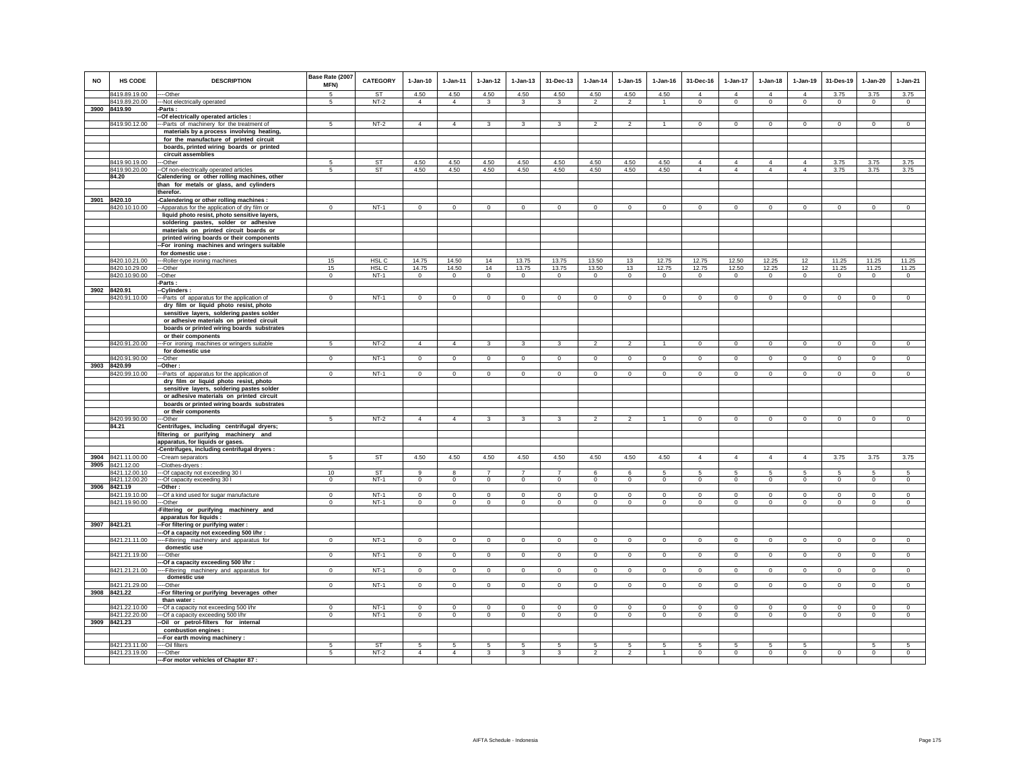| <b>NO</b> | HS CODE                       | <b>DESCRIPTION</b>                                                                       | Base Rate (2007<br>MFN) | <b>CATEGORY</b> | $1-Jan-10$     | 1-Jan-11       | $1 - Jan-12$            | $1 - Jan-13$   | 31-Dec-13               | $1-Jan-14$     | $1-Jan-15$     | $1 - Jan-16$   | 31-Dec-16      | 1-Jan-17       | $1-Jan-18$     | $1-Jan-19$     | 31-Des-19      | $1-Jan-20$     | $1-Jan-21$     |
|-----------|-------------------------------|------------------------------------------------------------------------------------------|-------------------------|-----------------|----------------|----------------|-------------------------|----------------|-------------------------|----------------|----------------|----------------|----------------|----------------|----------------|----------------|----------------|----------------|----------------|
|           | 8419.89.19.00                 | --Other                                                                                  | -5                      | <b>ST</b>       | 4.50           | 4.50           | 4.50                    | 4.50           | 4.50                    | 4.50           | 4.50           | 4.50           | $\overline{4}$ | $\overline{4}$ | $\overline{4}$ | $\overline{4}$ | 3.75           | 3.75           | 3.75           |
|           | 8419.89.20.00                 | --- Not electrically operated                                                            | 5                       | $NT-2$          | $\overline{4}$ | $\overline{4}$ | $\mathbf{3}$            | 3              | 3                       | $\overline{2}$ | $\overline{2}$ | $\overline{1}$ | $\circ$        | $\mathbf 0$    | $\mathbf{0}$   | $\mathbf 0$    | $\overline{0}$ | $\mathbf{0}$   | $\circ$        |
|           | 3900 8419.90                  | $-Parts:$<br>-Of electrically operated articles :                                        |                         |                 |                |                |                         |                |                         |                |                |                |                |                |                |                |                |                |                |
|           | 8419.90.12.00                 | -Parts of machinery for the treatment of                                                 | -5                      | $NT-2$          | $\overline{4}$ | $\overline{4}$ | $\mathbf{3}$            | 3              | 3                       | $\mathcal{P}$  | $\mathfrak{p}$ | -1             | $\Omega$       | $\overline{0}$ | $\overline{0}$ | $\overline{0}$ | $\overline{0}$ | $\overline{0}$ | $\overline{0}$ |
|           |                               | materials by a process involving heating,                                                |                         |                 |                |                |                         |                |                         |                |                |                |                |                |                |                |                |                |                |
|           |                               | for the manufacture of printed circuit                                                   |                         |                 |                |                |                         |                |                         |                |                |                |                |                |                |                |                |                |                |
|           |                               | boards, printed wiring boards or printed                                                 |                         |                 |                |                |                         |                |                         |                |                |                |                |                |                |                |                |                |                |
|           |                               | circuit assemblies                                                                       |                         |                 |                |                |                         |                |                         |                |                |                |                |                |                |                |                |                |                |
|           | 8419.90.19.00                 | ---Other                                                                                 | -5                      | <b>ST</b>       | 4.50           | 4.50           | 4.50                    | 4.50           | 4.50                    | 4.50           | 4.50           | 4.50           | $\overline{4}$ | $\overline{4}$ | $\overline{4}$ | $\overline{4}$ | 3.75           | 3.75           | 3.75           |
|           | 8419.90.20.00<br>84.20        | -- Of non-electrically operated articles<br>Calendering or other rolling machines, other | $\sqrt{5}$              | ST              | 4.50           | 4.50           | 4.50                    | 4.50           | 4.50                    | 4.50           | 4.50           | 4.50           | $\overline{4}$ | $\overline{4}$ | $\overline{4}$ | $\overline{4}$ | 3.75           | 3.75           | 3.75           |
|           |                               | than for metals or glass, and cylinders                                                  |                         |                 |                |                |                         |                |                         |                |                |                |                |                |                |                |                |                |                |
|           |                               | therefor.                                                                                |                         |                 |                |                |                         |                |                         |                |                |                |                |                |                |                |                |                |                |
| 3901      | 8420.10                       | -Calendering or other rolling machines:                                                  |                         |                 |                |                |                         |                |                         |                |                |                |                |                |                |                |                |                |                |
|           | 420.10.10.00                  | -Apparatus for the application of dry film or                                            | $\mathbf 0$             | $NT-1$          | $\mathbf 0$    | $\overline{0}$ | $\overline{0}$          | $\overline{0}$ | $\mathbf 0$             | $\mathbf 0$    | $\mathbf 0$    | $\mathbf 0$    | $\mathbf 0$    | $\overline{0}$ | $\mathbf 0$    | $\mathbf 0$    | $\overline{0}$ | $\mathbf 0$    | $\mathbf 0$    |
|           |                               | liquid photo resist, photo sensitive layers,                                             |                         |                 |                |                |                         |                |                         |                |                |                |                |                |                |                |                |                |                |
|           |                               | soldering pastes, solder or adhesive                                                     |                         |                 |                |                |                         |                |                         |                |                |                |                |                |                |                |                |                |                |
|           |                               | materials on printed circuit boards or<br>printed wiring boards or their components      |                         |                 |                |                |                         |                |                         |                |                |                |                |                |                |                |                |                |                |
|           |                               | -For ironing machines and wringers suitable                                              |                         |                 |                |                |                         |                |                         |                |                |                |                |                |                |                |                |                |                |
|           |                               | for domestic use :                                                                       |                         |                 |                |                |                         |                |                         |                |                |                |                |                |                |                |                |                |                |
|           | 8420.10.21.00                 | --Roller-type ironing machines                                                           | 15                      | HSL C           | 14.75          | 14.50          | 14                      | 13.75          | 13.75                   | 13.50          | 13             | 12.75          | 12.75          | 12.50          | 12.25          | 12             | 11.25          | 11.25          | 11.25          |
|           | 8420.10.29.00                 | --Other                                                                                  | 15                      | HSL C           | 14.75          | 14.50          | 14                      | 13.75          | 13.75                   | 13.50          | 13             | 12.75          | 12.75          | 12.50          | 12.25          | 12             | 11.25          | 11.25          | 11.25          |
|           | 8420.10.90.00                 | -Other<br>Parts:                                                                         | $\mathbf{0}$            | $NT-1$          | $\overline{0}$ | $\circ$        | $\overline{0}$          | $\mathbf 0$    | $\mathbf 0$             | $\circ$        | $\mathbf 0$    | $\circ$        | $\circ$        | $\mathbf 0$    | $\circ$        | $\overline{0}$ | $\circ$        | $\mathbf 0$    | $\circ$        |
|           | 3902 8420.91                  | -Cylinders:                                                                              |                         |                 |                |                |                         |                |                         |                |                |                |                |                |                |                |                |                |                |
|           | 8420.91.10.00                 | --Parts of apparatus for the application of                                              | $\Omega$                | $NT-1$          | $\circ$        | $\mathbf{0}$   | $\circ$                 | $\mathbf{0}$   | $\mathbf{0}$            | $\circ$        | $\Omega$       | $\Omega$       | $\Omega$       | $\circ$        | $\mathbf 0$    | $\circ$        | $\circ$        | $\circ$        | $\overline{0}$ |
|           |                               | dry film or liquid photo resist, photo                                                   |                         |                 |                |                |                         |                |                         |                |                |                |                |                |                |                |                |                |                |
|           |                               | sensitive layers, soldering pastes solder                                                |                         |                 |                |                |                         |                |                         |                |                |                |                |                |                |                |                |                |                |
|           |                               | or adhesive materials on printed circuit<br>boards or printed wiring boards substrates   |                         |                 |                |                |                         |                |                         |                |                |                |                |                |                |                |                |                |                |
|           |                               | or their components                                                                      |                         |                 |                |                |                         |                |                         |                |                |                |                |                |                |                |                |                |                |
|           | 8420.91.20.00                 | -For ironing machines or wringers suitable                                               | -5                      | $NT-2$          | $\overline{4}$ | $\overline{4}$ | $\overline{3}$          | 3              | $\mathbf{3}$            | $\overline{2}$ | $\overline{a}$ | -1             | $\circ$        | $\circ$        | $\mathbf 0$    | $\circ$        | $\circ$        | $\mathsf 0$    | $\mathsf 0$    |
|           |                               | for domestic use                                                                         |                         |                 |                |                |                         |                |                         |                |                |                |                |                |                |                |                |                |                |
|           | 8420.91.90.00<br>3903 8420.99 | --Other                                                                                  | $\mathbf 0$             | $NT-1$          | $\mathsf 0$    | $\mathsf 0$    | $\circ$                 | $\mathsf 0$    | $\mathsf 0$             | $\mathsf 0$    | $\mathsf 0$    | $\Omega$       | $\mathsf 0$    | $\mathbf 0$    | $\Omega$       | $\mathbf 0$    | $\mathbf 0$    | $\mathsf 0$    | $\mathsf 0$    |
|           | 8420.99.10.00                 | -Other :<br>-Parts of apparatus for the application of                                   | $\Omega$                | $NT-1$          | $\overline{0}$ | $\overline{0}$ | $\overline{0}$          | $\overline{0}$ | $\Omega$                | $\overline{0}$ | $\overline{0}$ | $\overline{0}$ | $\overline{0}$ | $\overline{0}$ | $\overline{0}$ | $\Omega$       | $\overline{0}$ | $\Omega$       | $\overline{0}$ |
|           |                               | dry film or liquid photo resist, photo                                                   |                         |                 |                |                |                         |                |                         |                |                |                |                |                |                |                |                |                |                |
|           |                               | sensitive layers, soldering pastes solder                                                |                         |                 |                |                |                         |                |                         |                |                |                |                |                |                |                |                |                |                |
|           |                               | or adhesive materials on printed circuit                                                 |                         |                 |                |                |                         |                |                         |                |                |                |                |                |                |                |                |                |                |
|           |                               | boards or printed wiring boards substrates<br>or their components                        |                         |                 |                |                |                         |                |                         |                |                |                |                |                |                |                |                |                |                |
|           | 8420.99.90.00                 | -Other                                                                                   | 5                       | $NT-2$          | $\overline{4}$ | $\overline{4}$ | $\mathbf{3}$            | 3              | 3                       | $\overline{2}$ | $\overline{a}$ | $\mathbf{1}$   | $\circ$        | $\mathbf 0$    | $\mathbf 0$    | $\mathbf 0$    | $\mathbf 0$    | $\mathsf 0$    | $\overline{0}$ |
|           | 84.21                         | Centrifuges, including centrifugal dryers;                                               |                         |                 |                |                |                         |                |                         |                |                |                |                |                |                |                |                |                |                |
|           |                               | filtering or purifying machinery and                                                     |                         |                 |                |                |                         |                |                         |                |                |                |                |                |                |                |                |                |                |
|           |                               | apparatus, for liquids or gases.                                                         |                         |                 |                |                |                         |                |                         |                |                |                |                |                |                |                |                |                |                |
| 3904      | 8421.11.00.00                 | -Centrifuges, including centrifugal dryers :                                             | 5                       | <b>ST</b>       | 4.50           | 4.50           | 4.50                    | 4.50           | 4.50                    | 4.50           | 4.50           | 4.50           | $\overline{4}$ | $\overline{4}$ | $\overline{4}$ | $\overline{4}$ | 3.75           | 3.75           | 3.75           |
| 3905      | 8421.12.00                    | --Cream separators<br>--Clothes-dryers :                                                 |                         |                 |                |                |                         |                |                         |                |                |                |                |                |                |                |                |                |                |
|           | 8421.12.00.10                 | --Of capacity not exceeding 30 I                                                         | 10                      | ST              | 9              | 8              | $\overline{7}$          | $\overline{7}$ | $\overline{7}$          | 6              | 6              |                | 5              | 5              | 5              | 5              | 5              | 5              | 5              |
|           | 8421.12.00.20                 | --Of capacity exceeding 30 I                                                             | $\overline{0}$          | $NT-1$          | $\circ$        | $\circ$        | $\mathbf 0$             | $\mathbf 0$    | $\,0\,$                 | $\overline{0}$ | $\mathbf 0$    | $\mathbf 0$    | $\circ$        | $\circ$        | $\mathbf{0}$   | $\overline{0}$ | $\mathbf 0$    | $\circ$        | $\mathbf 0$    |
|           | 3906 8421.19<br>8421.19.10.00 | -Other:<br>-- Of a kind used for sugar manufacture                                       | $\mathbf{0}$            | $NT-1$          | $\Omega$       | $\mathbf 0$    | $\mathbf 0$             | $\mathbf 0$    | $\mathbf 0$             | $\mathbf 0$    | $\mathbf 0$    | $\mathbf 0$    | $\circ$        | $\mathbf 0$    | $\mathbf 0$    | $\mathbf 0$    | $^{\circ}$     | $\mathbf 0$    | $\mathbf 0$    |
|           | 8421.19.90.00                 | --Other                                                                                  | $\mathbf 0$             | $NT-1$          | $\mathbf 0$    | $\mathbf 0$    | $\mathsf 0$             | $\mathsf 0$    | $\mathbf 0$             | $\circ$        | $\circ$        | $\mathbf 0$    | $\mathsf 0$    | $\mathbf 0$    | $\mathbf 0$    | $\mathbf 0$    | $\mathbf 0$    | $\mathbf 0$    | $\mathbf 0$    |
|           |                               | -Filtering or purifying machinery and                                                    |                         |                 |                |                |                         |                |                         |                |                |                |                |                |                |                |                |                |                |
|           |                               | apparatus for liquids :                                                                  |                         |                 |                |                |                         |                |                         |                |                |                |                |                |                |                |                |                |                |
|           | 3907 8421.21                  | -For filtering or purifying water:                                                       |                         |                 |                |                |                         |                |                         |                |                |                |                |                |                |                |                |                |                |
|           | 8421.21.11.00                 | -Of a capacity not exceeding 500 l/hr :<br>---Filtering machinery and apparatus for      | $\mathbf 0$             | $NT-1$          | $\circ$        | $\circ$        | $\circ$                 | $\mathbf 0$    | $\mathbf 0$             | $\circ$        | $\mathbf 0$    | $^{\circ}$     | $\circ$        | $\mathbf 0$    | $\circ$        | $\mathbf 0$    | $\mathbf{0}$   | $\mathbf 0$    | $\mathbf 0$    |
|           |                               | domestic use                                                                             |                         |                 |                |                |                         |                |                         |                |                |                |                |                |                |                |                |                |                |
|           | 8421.21.19.00                 | --Other                                                                                  | $\Omega$                | $NT-1$          | $\overline{0}$ | $\overline{0}$ | $\overline{0}$          | $\overline{0}$ | $\overline{0}$          | $\overline{0}$ | $\overline{0}$ | $\overline{0}$ | $\overline{0}$ | $\overline{0}$ | $\overline{0}$ | $\overline{0}$ | $\overline{0}$ | $\overline{0}$ | $\overline{0}$ |
|           |                               | -Of a capacity exceeding 500 l/hr :                                                      |                         |                 |                |                |                         |                |                         |                |                |                |                |                |                |                |                |                |                |
|           | 8421.21.21.00                 | -- Filtering machinery and apparatus for<br>domestic use                                 | $\mathbf 0$             | $NT-1$          | $\mathsf 0$    | $\mathbf 0$    | $\mathbf 0$             | $\mathsf 0$    | $\mathbf 0$             | $\mathsf 0$    | $\mathsf 0$    | $\,$ 0         | $\mathbf 0$    | $\mathsf 0$    | $\mathsf 0$    | $\mathbf 0$    | $\,0\,$        | $\mathbf 0$    | $\mathsf 0$    |
|           | 8421.21.29.00                 | --Other                                                                                  | $\mathbf 0$             | $NT-1$          | $\overline{0}$ | $\circ$        | $\overline{0}$          | $\overline{0}$ | $\overline{0}$          | $\overline{0}$ | $\overline{0}$ | $\overline{0}$ | $\mathbf 0$    | $\overline{0}$ | $\overline{0}$ | $\overline{0}$ | $\overline{0}$ | $\overline{0}$ | $\overline{0}$ |
| 3908      | 8421.22                       | -For filtering or purifying beverages other                                              |                         |                 |                |                |                         |                |                         |                |                |                |                |                |                |                |                |                |                |
|           |                               | than water:                                                                              |                         |                 |                |                |                         |                |                         |                |                |                |                |                |                |                |                |                |                |
|           | 8421.22.10.00                 | --- Of a capacity not exceeding 500 l/hr                                                 | $^{\circ}$              | $NT-1$          | $\mathbf 0$    | $\mathbf 0$    | $\mathbf 0$             | $\mathbf 0$    | $\mathbf 0$             | $\mathbf 0$    | $\mathbf 0$    | $\mathbf 0$    | $\mathbf 0$    | $\mathbf 0$    | $\mathbf 0$    | $\mathbf 0$    | $\overline{0}$ | $\mathbf 0$    | $\mathbf 0$    |
|           | 8421.22.20.00<br>3909 8421.23 | --Of a capacity exceeding 500 l/hr<br>Oil or petrol-filters for internal                 | $^{\circ}$              | $NT-1$          | $^{\circ}$     | $^{\circ}$     | $^{\circ}$              | 0              | $\Omega$                | $^{\circ}$     | 0              | $^{\circ}$     | $^{\circ}$     | $^{\circ}$     | $^{\circ}$     | $\mathbf{0}$   | $\circ$        | $\circ$        | $\circ$        |
|           |                               | combustion engines :                                                                     |                         |                 |                |                |                         |                |                         |                |                |                |                |                |                |                |                |                |                |
|           |                               | -For earth moving machinery :                                                            |                         |                 |                |                |                         |                |                         |                |                |                |                |                |                |                |                |                |                |
|           | 8421.23.11.00                 | --Oil filters                                                                            | -5                      | <b>ST</b>       | $5^{\circ}$    | $\overline{5}$ | 5                       | 5              | 5                       | $\overline{5}$ | 5              | 5              | -5             | $\overline{5}$ | $\overline{5}$ | -5             |                | 5              | $\overline{5}$ |
|           | 8421.23.19.00                 | ---Other                                                                                 | 5                       | $NT-2$          | $\overline{4}$ | $\overline{4}$ | $\overline{\mathbf{3}}$ | $\mathbf{3}$   | $\overline{\mathbf{a}}$ | $\mathfrak{p}$ | $\mathfrak{p}$ | $\overline{1}$ | $\Omega$       | $\overline{0}$ | $\Omega$       | $\Omega$       | $\overline{0}$ | $\Omega$       | $\overline{0}$ |
|           |                               | --- For motor vehicles of Chapter 87 :                                                   |                         |                 |                |                |                         |                |                         |                |                |                |                |                |                |                |                |                |                |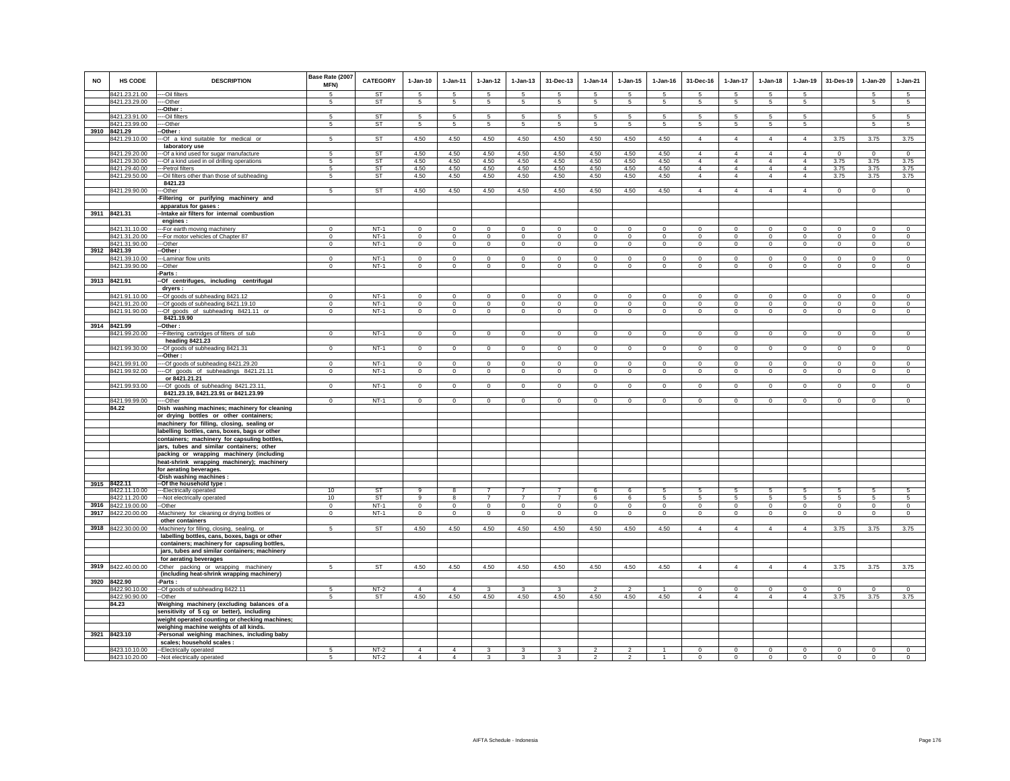| <b>NO</b> | <b>HS CODE</b>                      | <b>DESCRIPTION</b>                                                                            | Base Rate (2007<br>MFN)          | CATEGORY            | $1-Jan-10$               | $1 - Jan-11$       | $1 - Jan-12$           | $1 - Jan-13$               | 31-Dec-13                   | $1 - Jan-14$            | $1 - Jan-15$               | $1 - Jan-16$        | 31-Dec-16                  | $1-Jan-17$             | $1 - Jan-18$               | 1-Jan-19               | 31-Des-19                 | $1 - Jan-20$           | $1-Jan-21$                    |
|-----------|-------------------------------------|-----------------------------------------------------------------------------------------------|----------------------------------|---------------------|--------------------------|--------------------|------------------------|----------------------------|-----------------------------|-------------------------|----------------------------|---------------------|----------------------------|------------------------|----------------------------|------------------------|---------------------------|------------------------|-------------------------------|
|           | 8421.23.21.00<br>8421.23.29.00      | --Oil filters<br>--Other                                                                      | $\overline{5}$<br>$\overline{5}$ | <b>ST</b><br>ST     | -5<br>$5\overline{5}$    | -5<br>5            | -5<br>$5\overline{5}$  | $\overline{5}$<br>5        | 5<br>5                      | $\sqrt{5}$<br>5         | -5<br>5                    | 5<br>5              | 5<br>5                     | $\sqrt{5}$<br>5        | $\sqrt{5}$<br>5            | -5<br>5                |                           | 5<br>$5\overline{5}$   | $\sqrt{5}$<br>$5\overline{5}$ |
|           |                                     | -Other :                                                                                      |                                  |                     |                          |                    |                        |                            |                             |                         |                            |                     |                            |                        |                            |                        |                           |                        |                               |
|           | 8421.23.91.00                       | --Oil filters                                                                                 | 5                                | ST                  | 5                        | 5                  | 5                      | 5                          | 5                           | 5                       | 5                          | 5                   | 5                          | 5                      | 5                          | 5                      |                           | 5                      | 5                             |
|           | 8421.23.99.00                       | --Other                                                                                       | 5                                | <b>ST</b>           | 5                        | 5                  | $\,$ 5 $\,$            | 5                          | 5                           | $\sqrt{5}$              | 5                          | 5                   | 5                          | 5                      | 5                          | $\sqrt{5}$             |                           | 5                      | 5                             |
| 3910      | 8421.29                             | Other:                                                                                        |                                  |                     |                          |                    |                        |                            |                             |                         |                            |                     |                            |                        |                            |                        |                           |                        |                               |
|           | 8421.29.10.00                       | -Of a kind suitable for medical or                                                            | 5                                | ST                  | 4.50                     | 4.50               | 4.50                   | 4.50                       | 4.50                        | 4.50                    | 4.50                       | 4.50                | $\overline{4}$             | $\overline{4}$         | $\overline{4}$             | $\overline{4}$         | 3.75                      | 3.75                   | 3.75                          |
|           | 8421.29.20.00                       | laboratory use<br>-- Of a kind used for sugar manufacture                                     | $\overline{5}$                   | <b>ST</b>           | 4.50                     | 4.50               | 4.50                   | 4.50                       | 4.50                        | 4.50                    | 4.50                       | 4.50                | $\overline{4}$             | $\overline{4}$         | $\overline{4}$             | $\overline{4}$         | $\Omega$                  | $\overline{0}$         | $\overline{0}$                |
|           | 8421.29.30.00                       | --- Of a kind used in oil drilling operations                                                 | 5                                | ST                  | 4.50                     | 4.50               | 4.50                   | 4.50                       | 4.50                        | 4.50                    | 4.50                       | 4.50                | $\overline{4}$             | $\overline{4}$         | $\overline{4}$             | $\overline{4}$         | 3.75                      | 3.75                   | 3.75                          |
|           | 8421.29.40.00                       | --Petrol filters                                                                              | 5                                | ST                  | 4.50                     | 4.50               | 4.50                   | 4.50                       | 4.50                        | 4.50                    | 4.50                       | 4.50                | $\overline{4}$             | $\overline{4}$         | $\overline{4}$             | $\overline{4}$         | 3.75                      | 3.75                   | 3.75                          |
|           | 8421.29.50.00                       | -- Oil filters other than those of subheading                                                 | 5                                | <b>ST</b>           | 4.50                     | 4.50               | 4.50                   | 4.50                       | 4.50                        | 4.50                    | 4.50                       | 4.50                | $\overline{4}$             | $\overline{4}$         | $\overline{4}$             | $\overline{4}$         | 3.75                      | 3.75                   | 3.75                          |
|           |                                     | 8421.23<br>-Other                                                                             | 5                                | <b>ST</b>           |                          |                    |                        | 4.50                       |                             |                         |                            | 4.50                | $\overline{4}$             | $\overline{4}$         | $\overline{4}$             | $\overline{4}$         | $\circ$                   |                        | $\mathbf 0$                   |
|           | 8421.29.90.00                       | -Filtering or purifying machinery and                                                         |                                  |                     | 4.50                     | 4.50               | 4.50                   |                            | 4.50                        | 4.50                    | 4.50                       |                     |                            |                        |                            |                        |                           | $\mathbf 0$            |                               |
|           |                                     | apparatus for gases :                                                                         |                                  |                     |                          |                    |                        |                            |                             |                         |                            |                     |                            |                        |                            |                        |                           |                        |                               |
|           | 3911 8421.31                        | -Intake air filters for internal combustion                                                   |                                  |                     |                          |                    |                        |                            |                             |                         |                            |                     |                            |                        |                            |                        |                           |                        |                               |
|           |                                     | engines :                                                                                     |                                  |                     |                          |                    |                        |                            |                             |                         |                            |                     |                            |                        |                            |                        |                           |                        |                               |
|           | 8421.31.10.00                       | --For earth moving machinery                                                                  | $\mathbf{0}$                     | $NT-1$              | $\Omega$                 | $\mathbf 0$        | $\Omega$               | $\Omega$                   | $\mathbf{0}$                | $\Omega$                | $\Omega$                   | $\Omega$            | $\mathbf{0}$               | $\mathbf{0}$           | $\mathbf{0}$               | $\mathbf{0}$           | $\mathbf 0$               | $\mathbf{0}$           | $\circ$                       |
|           | 8421.31.20.00<br>8421.31.90.00      | --For motor vehicles of Chapter 87<br>--Other                                                 | $\Omega$<br>$\mathbf 0$          | $NT-1$<br>$NT-1$    | $\Omega$<br>$\mathbf{0}$ | $\circ$<br>$\circ$ | $\mathbf 0$<br>$\circ$ | $\mathbf 0$<br>$\mathbf 0$ | $\mathbf 0$<br>$\mathbf{0}$ | $\Omega$<br>$\mathbf 0$ | $\mathbf 0$<br>$\mathbf 0$ | $\Omega$<br>$\circ$ | $\mathbf 0$<br>$\mathbf 0$ | $\mathbf 0$<br>$\circ$ | $\mathbf 0$<br>$\mathbf 0$ | $\mathbf 0$<br>$\circ$ | $\mathbf 0$<br>$\circ$    | $\mathbf 0$<br>$\circ$ | $\circ$<br>$\circ$            |
|           | 3912 8421.39                        | -Other :                                                                                      |                                  |                     |                          |                    |                        |                            |                             |                         |                            |                     |                            |                        |                            |                        |                           |                        |                               |
|           | 8421.39.10.00                       | -Laminar flow units                                                                           | $\mathbf{0}$                     | $NT-1$              | $\Omega$                 | $\circ$            | $\circ$                | $\mathbf{0}$               | $\circ$                     | $\Omega$                | $\Omega$                   | $\Omega$            | $\mathbf{0}$               | $\circ$                | $\mathbf{0}$               | $\circ$                | $\circ$                   | $\circ$                | $\circ$                       |
|           | 8421.39.90.00                       | -Other                                                                                        | $\mathbf 0$                      | $NT-1$              | $\circ$                  | $\circ$            | $\circ$                | $\mathbf 0$                | $\mathbf 0$                 | $\mathbf 0$             | $\mathbf 0$                | $\mathbf 0$         | $\mathbf 0$                | $\circ$                | $\mathbf 0$                | $\circ$                | $\mathbf 0$               | $\mathbf 0$            | $\circ$                       |
|           |                                     | Parts:                                                                                        |                                  |                     |                          |                    |                        |                            |                             |                         |                            |                     |                            |                        |                            |                        |                           |                        |                               |
|           | 3913 8421.91                        | -Of centrifuges, including centrifugal<br>dryers:                                             |                                  |                     |                          |                    |                        |                            |                             |                         |                            |                     |                            |                        |                            |                        |                           |                        |                               |
|           | 8421.91.10.00                       | --Of goods of subheading 8421.12                                                              | $\Omega$                         | $NT-1$              | $\Omega$                 | $\Omega$           | $\Omega$               | $\Omega$                   | $\Omega$                    | $\Omega$                | $\Omega$                   | $\Omega$            | $\Omega$                   | $\mathbf{0}$           | $\Omega$                   | $\mathbf{0}$           | $\Omega$                  | $\Omega$               | $\circ$                       |
|           | 8421.91.20.00                       | --- Of goods of subheading 8421.19.10                                                         | $\mathbf 0$                      | $NT-1$              | $\mathbf{0}$             | $\mathbf 0$        | $\mathbf 0$            | $\mathbf 0$                | $^{\circ}$                  | $^{\circ}$              | $\mathbf 0$                | $\mathbf 0$         | $\mathbf 0$                | $\mathbf 0$            | $\mathbf 0$                | $\overline{0}$         | $\mathbf 0$               | $\mathbf 0$            | $\circ$                       |
|           | 8421.91.90.00                       | --Of goods of subheading 8421.11 or                                                           | $\mathbf 0$                      | $NT-1$              | $\mathbf{0}$             | $\mathbf{0}$       | $\mathbf{0}$           | $\mathbf{0}$               | $\mathbf{0}$                | $\circ$                 | $\mathbf 0$                | $\circ$             | $\mathbf{0}$               | $\mathbf{0}$           | $\mathbf 0$                | $\circ$                | $\circ$                   | $\circ$                | $\circ$                       |
|           |                                     | 8421.19.90<br>-Other:                                                                         |                                  |                     |                          |                    |                        |                            |                             |                         |                            |                     |                            |                        |                            |                        |                           |                        |                               |
|           | 3914 8421.99<br>8421.99.20.00       | -Filtering cartridges of filters of sub                                                       | $\mathbf 0$                      | $NT-1$              | $\circ$                  | $\mathbf{0}$       | $\mathbf{0}$           | $\mathbf{0}$               | $\overline{0}$              | $\circ$                 | $\circ$                    | $\circ$             | $\mathbf{0}$               | $\circ$                | $\mathbf 0$                | $\circ$                | $\circ$                   | $\overline{0}$         | $\overline{0}$                |
|           |                                     | heading 8421.23                                                                               |                                  |                     |                          |                    |                        |                            |                             |                         |                            |                     |                            |                        |                            |                        |                           |                        |                               |
|           | 8421.99.30.00                       | -Of goods of subheading 8421.31                                                               | $\mathbf 0$                      | $NT-1$              | $^{\circ}$               | $^{\circ}$         | $\circ$                | $\mathbf 0$                | $\overline{0}$              | $\mathbf 0$             | $\mathbf 0$                | $\Omega$            | $\circ$                    | $\overline{0}$         | $\mathbf 0$                | $\circ$                | $\mathbf 0$               | $\mathbf 0$            | $\circ$                       |
|           |                                     | --Other :                                                                                     |                                  |                     |                          |                    |                        |                            |                             |                         |                            |                     |                            |                        |                            |                        |                           |                        |                               |
|           | 8421.99.91.00                       | -- Of goods of subheading 8421.29.20                                                          | $\Omega$                         | $NT-1$              | $\Omega$                 | $\Omega$           | $\Omega$               | $\Omega$                   | $\mathbf 0$                 | $\Omega$                | $\Omega$                   | $\Omega$            | $\Omega$                   | $\mathbf{0}$           | $\Omega$                   | $\circ$                | $\Omega$                  | $\mathbf 0$            | $\circ$                       |
|           | 8421.99.92.00                       | ---- Of goods of subheadings 8421.21.11<br>or 8421.21.21                                      | $\mathbf 0$                      | $NT-1$              | $\mathbf{0}$             | $\mathbf{0}$       | $\mathbf 0$            | $\mathbf 0$                | $\mathbf 0$                 | $\,0\,$                 | $\mathbf 0$                | $\mathbf 0$         | $\mathbf 0$                | $\circ$                | $\mathbf 0$                | $\mathsf 0$            | $\mathbf 0$               | $\mathbf 0$            | $\mathsf 0$                   |
|           | 8421.99.93.00                       | --Of goods of subheading 8421.23.11,                                                          | $\mathbf{0}$                     | $NT-1$              | $\mathbf{0}$             | $\mathbf 0$        | $\overline{0}$         | $\mathbf 0$                | $\overline{0}$              | $\,0\,$                 | $\mathbf 0$                | $\mathbf 0$         | $\circ$                    | $\circ$                | $\mathbf 0$                | $\circ$                | $\circ$                   | $\circ$                | $\circ$                       |
|           |                                     | 8421.23.19, 8421.23.91 or 8421.23.99                                                          |                                  |                     |                          |                    |                        |                            |                             |                         |                            |                     |                            |                        |                            |                        |                           |                        |                               |
|           | 8421.99.99.00                       | -Other                                                                                        | $\mathsf 0$                      | $NT-1$              | $\mathbf 0$              | $\mathbf 0$        | $\mathbf 0$            | $\mathsf 0$                | $\mathbf{0}$                | $\mathbf 0$             | $\mathsf 0$                | $\mathsf 0$         | $\mathbf 0$                | $\circ$                | $\mathsf 0$                | $\mathsf 0$            | $\mathsf 0$               | $\mathsf 0$            | $\overline{0}$                |
|           | 84.22                               | Dish washing machines; machinery for cleaning                                                 |                                  |                     |                          |                    |                        |                            |                             |                         |                            |                     |                            |                        |                            |                        |                           |                        |                               |
|           |                                     | or drying bottles or other containers;<br>machinery for filling, closing, sealing or          |                                  |                     |                          |                    |                        |                            |                             |                         |                            |                     |                            |                        |                            |                        |                           |                        |                               |
|           |                                     | labelling bottles, cans, boxes, bags or other                                                 |                                  |                     |                          |                    |                        |                            |                             |                         |                            |                     |                            |                        |                            |                        |                           |                        |                               |
|           |                                     | containers; machinery for capsuling bottles,                                                  |                                  |                     |                          |                    |                        |                            |                             |                         |                            |                     |                            |                        |                            |                        |                           |                        |                               |
|           |                                     | jars, tubes and similar containers; other                                                     |                                  |                     |                          |                    |                        |                            |                             |                         |                            |                     |                            |                        |                            |                        |                           |                        |                               |
|           |                                     | packing or wrapping machinery (including                                                      |                                  |                     |                          |                    |                        |                            |                             |                         |                            |                     |                            |                        |                            |                        |                           |                        |                               |
|           |                                     | heat-shrink wrapping machinery); machinery<br>for aerating beverages.                         |                                  |                     |                          |                    |                        |                            |                             |                         |                            |                     |                            |                        |                            |                        |                           |                        |                               |
|           |                                     | -Dish washing machines :                                                                      |                                  |                     |                          |                    |                        |                            |                             |                         |                            |                     |                            |                        |                            |                        |                           |                        |                               |
| 3915      | 8422.11                             | -Of the household type :                                                                      |                                  |                     |                          |                    |                        |                            |                             |                         |                            |                     |                            |                        |                            |                        |                           |                        |                               |
|           | 3422.11.10.00                       | ---Electrically operated                                                                      | 10                               | <b>ST</b>           | ۹<br>9                   | $\mathbf{R}$       | $\overline{7}$         | $\overline{7}$             | $\overline{7}$              | 6                       | 6                          | 5<br>5              | 5                          | 5                      | 5                          | 5                      | 5                         | 5                      | 5                             |
|           | 8422.11.20.00<br>3916 8422.19.00.00 | --- Not electrically operated<br>--Other                                                      | 10<br>$\Omega$                   | <b>ST</b><br>$NT-1$ | $\Omega$                 | 8<br>$\Omega$      | $\Omega$               | $\Omega$                   | $\mathsf 0$                 | 6<br>$\Omega$           | 6<br>$\Omega$              | $\Omega$            | 5<br>$\mathbf 0$           | 5<br>$\circ$           | 5<br>$\mathbf 0$           | 5<br>$\circ$           | $\sqrt{5}$<br>$\mathbf 0$ | 5<br>$\mathsf 0$       | 5<br>$\circ$                  |
|           | 3917 8422.20.00.00                  | -Machinery for cleaning or drying bottles or                                                  | $\mathbf 0$                      | $NT-1$              | $\circ$                  | $\mathbf 0$        | $\circ$                | $\mathbf 0$                | $\overline{0}$              | $\,0\,$                 | $^{\circ}$                 | $\circ$             | $\circ$                    | $\mathbf{0}$           | $\mathbf 0$                | $\mathbf 0$            | $\mathbf 0$               | $\circ$                | $\circ$                       |
|           |                                     | other containers                                                                              |                                  |                     |                          |                    |                        |                            |                             |                         |                            |                     |                            |                        |                            |                        |                           |                        |                               |
|           | 3918 8422.30.00.00                  | Machinery for filling, closing, sealing, or                                                   | 5                                | ST                  | 4.50                     | 4.50               | 4.50                   | 4.50                       | 4.50                        | 4.50                    | 4.50                       | 4.50                | $\overline{4}$             | $\overline{4}$         | $\overline{4}$             | $\overline{4}$         | 3.75                      | 3.75                   | 3.75                          |
|           |                                     | labelling bottles, cans, boxes, bags or other                                                 |                                  |                     |                          |                    |                        |                            |                             |                         |                            |                     |                            |                        |                            |                        |                           |                        |                               |
|           |                                     | containers; machinery for capsuling bottles,<br>jars, tubes and similar containers; machinery |                                  |                     |                          |                    |                        |                            |                             |                         |                            |                     |                            |                        |                            |                        |                           |                        |                               |
|           |                                     | for aerating beverages                                                                        |                                  |                     |                          |                    |                        |                            |                             |                         |                            |                     |                            |                        |                            |                        |                           |                        |                               |
|           | 3919 8422.40.00.00                  | -Other packing or wrapping machinery                                                          | 5                                | <b>ST</b>           | 4.50                     | 4.50               | 4.50                   | 4.50                       | 4.50                        | 4.50                    | 4.50                       | 4.50                | $\overline{4}$             | $\overline{4}$         | $\overline{4}$             | $\overline{4}$         | 3.75                      | 3.75                   | 3.75                          |
|           |                                     | (including heat-shrink wrapping machinery)                                                    |                                  |                     |                          |                    |                        |                            |                             |                         |                            |                     |                            |                        |                            |                        |                           |                        |                               |
| 3920      | 8422.90                             | -Parts:                                                                                       |                                  |                     |                          |                    |                        |                            |                             |                         |                            |                     |                            |                        |                            |                        |                           |                        |                               |
|           | 8422.90.10.00                       | --Of goods of subheading 8422.11                                                              | 5                                | $NT-2$              | $\overline{4}$           | $\overline{4}$     | $\mathbf{3}$           | $\mathbf{3}$               | $\mathbf{3}$                | $\overline{2}$          | $\mathcal{P}$              | $\overline{1}$      | $\mathbf{0}$               | $\circ$                | $\mathbf{0}$               | $\circ$                | $\mathbf 0$               | $\mathbf 0$            | $\circ$                       |
|           | 8422.90.90.00<br>84.23              | --Other<br>Weighing machinery (excluding balances of a                                        | 5                                | ST                  | 4.50                     | 4.50               | 4.50                   | 4.50                       | 4.50                        | 4.50                    | 4.50                       | 4.50                | $\overline{4}$             | $\overline{4}$         | $\overline{4}$             | $\overline{4}$         | 3.75                      | 3.75                   | 3.75                          |
|           |                                     | sensitivity of 5 cg or better), including                                                     |                                  |                     |                          |                    |                        |                            |                             |                         |                            |                     |                            |                        |                            |                        |                           |                        |                               |
|           |                                     | weight operated counting or checking machines;                                                |                                  |                     |                          |                    |                        |                            |                             |                         |                            |                     |                            |                        |                            |                        |                           |                        |                               |
|           |                                     | weighing machine weights of all kinds.                                                        |                                  |                     |                          |                    |                        |                            |                             |                         |                            |                     |                            |                        |                            |                        |                           |                        |                               |
|           | 3921 8423.10                        | -Personal weighing machines, including baby                                                   |                                  |                     |                          |                    |                        |                            |                             |                         |                            |                     |                            |                        |                            |                        |                           |                        |                               |
|           | 8423.10.10.00                       | scales; household scales :<br>--Electrically operated                                         | 5                                | $NT-2$              | $\overline{4}$           | $\overline{4}$     | 3                      | 3                          | 3                           | $\mathcal{P}$           | $\mathfrak{p}$             |                     | $\mathbf 0$                | $\circ$                | $\mathbf 0$                | $\mathbf 0$            | $\mathbf 0$               | $\mathbf 0$            | $\mathsf 0$                   |
|           |                                     | 8423.10.20.00 -Not electrically operated                                                      | 5                                | $NT-2$              | $\Delta$                 | $\mathbf{A}$       | $\mathbf{3}$           | $\overline{3}$             | 3                           | $\overline{2}$          | $\overline{2}$             | $\overline{1}$      | $\circ$                    | $\mathsf 0$            | $\mathbf{0}$               | $\circ$                | $\mathbf 0$               | $\mathbf 0$            | $\Omega$                      |
|           |                                     |                                                                                               |                                  |                     |                          |                    |                        |                            |                             |                         |                            |                     |                            |                        |                            |                        |                           |                        |                               |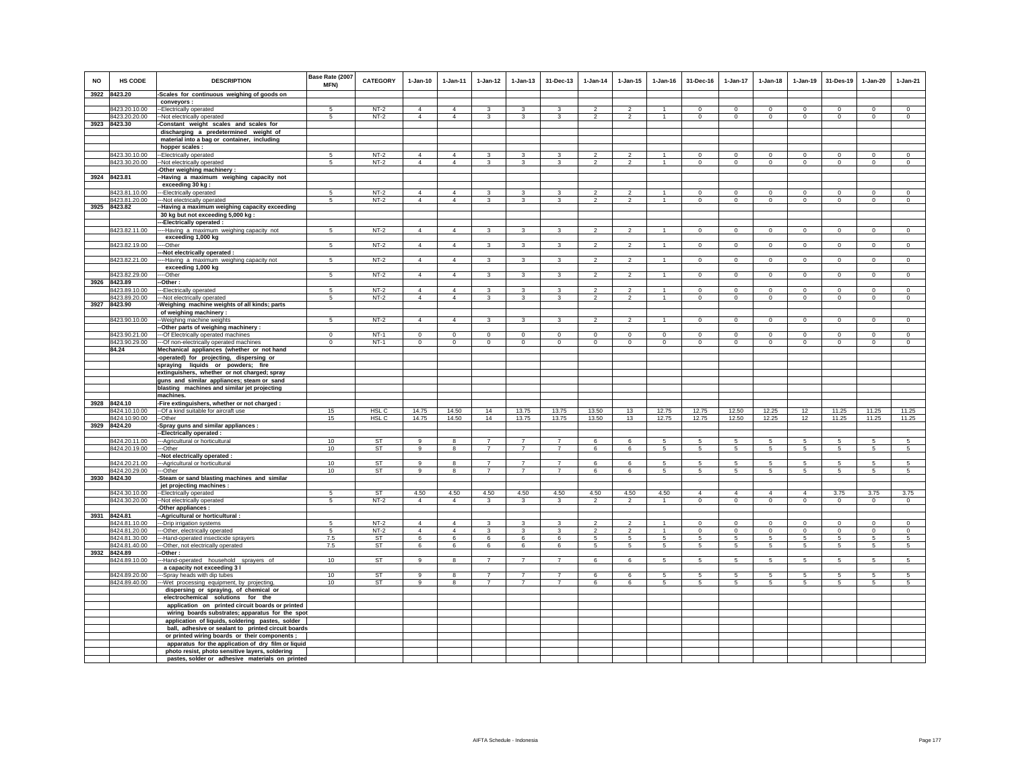| <b>NO</b> | <b>HS CODE</b><br>3922 8423.20 | <b>DESCRIPTION</b><br>-Scales for continuous weighing of goods on                                               | Base Rate (2007<br><b>MFN)</b> | <b>CATEGORY</b>  | $1-Jan-10$                       | $1-Jan-11$                       | $1-Jan-12$                       | $1 - Jan-13$                     | 31-Dec-13                        | $1-Jan-14$               | $1 - Jan-15$             | $1 - Jan-16$   | 31-Dec-16      | $1-Jan-17$      | $1-Jan-18$      | $1-Jan-19$      | 31-Des-19      | $1-Jan-20$     | $1-Jan-21$      |
|-----------|--------------------------------|-----------------------------------------------------------------------------------------------------------------|--------------------------------|------------------|----------------------------------|----------------------------------|----------------------------------|----------------------------------|----------------------------------|--------------------------|--------------------------|----------------|----------------|-----------------|-----------------|-----------------|----------------|----------------|-----------------|
|           |                                | conveyors:                                                                                                      |                                |                  |                                  |                                  |                                  |                                  |                                  |                          |                          |                |                |                 |                 |                 |                |                |                 |
|           | 8423.20.10.00                  | --Electrically operated                                                                                         | -5                             | $NT-2$           | $\overline{4}$                   | $\overline{4}$                   | 3                                | 3                                | 3                                | $\overline{\phantom{a}}$ | $\overline{2}$           |                | $^{\circ}$     | 0               | $^{\circ}$      | $^{\circ}$      | $^{\circ}$     | $^{\circ}$     | $^{\circ}$      |
|           | 8423.20.20.00                  | -Not electrically operated                                                                                      | 5                              | $NT-2$           | $\overline{4}$                   | $\overline{4}$                   | 3                                | 3                                | 3                                | $\overline{\mathbf{2}}$  | $\overline{c}$           | $\overline{1}$ | $\mathbf 0$    | $\mathbf 0$     | $\mathbf 0$     | $\,0\,$         | $\mathbf 0$    | $\Omega$       | $\mathbf 0$     |
|           | 3923 8423.30                   | Constant weight scales and scales for                                                                           |                                |                  |                                  |                                  |                                  |                                  |                                  |                          |                          |                |                |                 |                 |                 |                |                |                 |
|           |                                | discharging a predetermined weight of                                                                           |                                |                  |                                  |                                  |                                  |                                  |                                  |                          |                          |                |                |                 |                 |                 |                |                |                 |
|           |                                | material into a bag or container, including                                                                     |                                |                  |                                  |                                  |                                  |                                  |                                  |                          |                          |                |                |                 |                 |                 |                |                |                 |
|           |                                | hopper scales :                                                                                                 |                                |                  |                                  |                                  |                                  |                                  |                                  |                          |                          |                |                |                 |                 |                 |                |                |                 |
|           | 8423.30.10.00                  | -- Electrically operated                                                                                        | 5                              | $NT-2$           | $\Delta$                         | $\Delta$                         | $\mathbf{3}$                     | 3                                | 3                                | $\overline{\phantom{a}}$ | $\mathcal{P}$            | $\mathbf{1}$   | $\Omega$       | $\Omega$        | $\Omega$        | $\Omega$        | $\overline{0}$ | $\Omega$       | $\overline{0}$  |
|           | 8423.30.20.00                  | -Not electrically operated                                                                                      | 5                              | $NT-2$           | $\overline{4}$                   | $\overline{4}$                   | $\overline{3}$                   | 3                                | $\mathbf{R}$                     | $\mathfrak{D}$           | $\overline{2}$           | $\mathbf{1}$   | $\mathbf{0}$   | $\circ$         | $\mathbf 0$     | $\mathbf 0$     | $\mathbf 0$    | $\Omega$       | $\circ$         |
|           |                                | -Other weighing machinery:                                                                                      |                                |                  |                                  |                                  |                                  |                                  |                                  |                          |                          |                |                |                 |                 |                 |                |                |                 |
|           | 3924 8423.81                   | -Having a maximum weighing capacity not                                                                         |                                |                  |                                  |                                  |                                  |                                  |                                  |                          |                          |                |                |                 |                 |                 |                |                |                 |
|           |                                | exceeding 30 kg:                                                                                                |                                |                  |                                  |                                  |                                  |                                  |                                  |                          |                          |                |                |                 |                 |                 |                |                |                 |
|           | 8423.81.10.00                  | --Electrically operated                                                                                         | 5<br>5                         | $NT-2$           | $\overline{4}$<br>$\overline{4}$ | $\overline{4}$<br>$\overline{4}$ | 3                                | 3                                | 3                                | $\overline{2}$           | $\overline{2}$           | $\mathbf{1}$   | $\Omega$       | $\Omega$        | $\Omega$        | $\Omega$        | $\mathbf 0$    | $\Omega$       | $\Omega$        |
|           | 8423.81.20.00<br>3925 8423.82  | -Not electrically operated                                                                                      |                                | $NT-2$           |                                  |                                  | 3                                | 3                                | 3                                | $\overline{2}$           | $\overline{2}$           | -1             | $\mathbf 0$    | $\mathbf 0$     | $\mathbf 0$     | $\mathbf 0$     | $\circ$        | $\mathbf 0$    | $\mathbf 0$     |
|           |                                | Having a maximum weighing capacity exceeding<br>30 kg but not exceeding 5,000 kg :<br>--Electrically operated : |                                |                  |                                  |                                  |                                  |                                  |                                  |                          |                          |                |                |                 |                 |                 |                |                |                 |
|           | 8423.82.11.00                  | --- Having a maximum weighing capacity not                                                                      | 5                              | $NT-2$           | $\Delta$                         | $\mathbf{A}$                     | $\mathbf{R}$                     | $\mathbf{R}$                     | $\mathbf{R}$                     | $\overline{\phantom{a}}$ | $\overline{2}$           | $\overline{1}$ | $\Omega$       | $\overline{0}$  | $\overline{0}$  | $\overline{0}$  | $\overline{0}$ | $\Omega$       | $\overline{0}$  |
|           |                                | exceeding 1,000 kg                                                                                              |                                |                  |                                  |                                  |                                  |                                  |                                  |                          |                          |                |                |                 |                 |                 |                |                |                 |
|           | 8423.82.19.00                  | ---Other                                                                                                        | 5                              | $NT-2$           | $\overline{4}$                   | $\overline{4}$                   | 3                                | 3                                | 3                                | $\overline{2}$           | $\overline{2}$           |                | $\mathbf 0$    | $\mathbf 0$     | $\mathbf 0$     | $\mathbf 0$     | $\mathbf 0$    | $\mathsf 0$    | $\mathsf 0$     |
|           |                                | -Not electrically operated :                                                                                    |                                |                  |                                  |                                  |                                  |                                  |                                  |                          |                          |                |                |                 |                 |                 |                |                |                 |
|           | 8423.82.21.00                  | ---Having a maximum weighing capacity not                                                                       | 5                              | $NT-2$           | $\overline{4}$                   | $\overline{4}$                   | $\mathbf{3}$                     | 3                                | 3                                | $\overline{2}$           | $\overline{2}$           | $\overline{1}$ | $\mathbf{0}$   | $\overline{0}$  | $\overline{0}$  | $\overline{0}$  | $\overline{0}$ | $\overline{0}$ | $\overline{0}$  |
|           |                                | exceeding 1,000 kg                                                                                              |                                |                  |                                  |                                  |                                  |                                  |                                  |                          |                          |                |                |                 |                 |                 |                |                |                 |
|           | 8423.82.29.00                  | --Other                                                                                                         | 5                              | $NT-2$           | $\overline{4}$                   | $\overline{4}$                   | $\mathbf{3}$                     | 3                                | 3                                | $\overline{2}$           | $\overline{2}$           |                | $\mathbf 0$    | $\mathbf 0$     | $\mathbf 0$     | $\mathbf 0$     | $\mathbf 0$    | $\mathsf 0$    | $\mathsf 0$     |
| 3926      | 8423.89                        | -Other:<br>--Electrically operated                                                                              | 5                              | $NT-2$           | $\Delta$                         | $\Delta$                         | $\mathbf{3}$                     | $\mathbf{3}$                     | 3                                | $\overline{2}$           | $\mathfrak{p}$           | $\mathbf{1}$   | $\Omega$       | $\mathsf 0$     | $\mathbf 0$     | $\mathbf 0$     | $\mathbf 0$    | $\Omega$       | $\overline{0}$  |
|           | 8423.89.10.00<br>8423.89.20.00 | -- Not electrically operated                                                                                    | $\overline{5}$                 | $NT-2$           | $\overline{4}$                   | $\overline{4}$                   | $\overline{\mathbf{3}}$          | $\overline{\mathbf{3}}$          | $\mathbf{3}$                     | $\mathfrak{p}$           | $\overline{\phantom{a}}$ | $\overline{1}$ | $\Omega$       | $\overline{0}$  | $\overline{0}$  | $\Omega$        | $\Omega$       | $\Omega$       | $\overline{0}$  |
|           | 3927 8423.90                   | -Weighing machine weights of all kinds; parts                                                                   |                                |                  |                                  |                                  |                                  |                                  |                                  |                          |                          |                |                |                 |                 |                 |                |                |                 |
|           |                                | of weighing machinery :                                                                                         |                                |                  |                                  |                                  |                                  |                                  |                                  |                          |                          |                |                |                 |                 |                 |                |                |                 |
|           | 8423.90.10.00                  | -- Weighing machine weights<br>-Other parts of weighing machinery :                                             | 5                              | $NT-2$           | $\overline{4}$                   | $\overline{4}$                   | $\mathbf{3}$                     | 3                                | 3                                | $\overline{2}$           | $\overline{a}$           | $\overline{1}$ | $\mathbf 0$    | $\circ$         | $\mathbf 0$     | $\circ$         | $\circ$        | $\mathbf 0$    | $\mathbf 0$     |
|           | 8423.90.21.00                  | -- Of Electrically operated machines                                                                            | $\mathsf 0$                    | $NT-1$           | $\mathbf 0$                      | $\mathbf 0$                      | $\mathbf 0$                      | $\mathsf 0$                      | $\mathbf 0$                      | $\mathbf 0$              | $\mathsf 0$              | $\mathsf 0$    | $\mathbf 0$    | $\mathbf 0$     | $\mathbf 0$     | $\mathbf 0$     | $\mathbf 0$    | $\mathsf 0$    | $\mathsf 0$     |
|           | 8423.90.29.00                  | --- Of non-electrically operated machines                                                                       | $\mathbf{0}$                   | $NT-1$           | $\mathbf 0$                      | $\mathbf 0$                      | $\mathbf 0$                      | $\mathbf 0$                      | $\mathbf 0$                      | $\mathbf 0$              | $\mathbf 0$              | $\mathbf 0$    | $\mathbf 0$    | $\mathbf 0$     | $\mathbf 0$     | $\mathbf 0$     | $^{\circ}$     | $\mathbf 0$    | $\Omega$        |
|           | 84.24                          | Mechanical appliances (whether or not hand                                                                      |                                |                  |                                  |                                  |                                  |                                  |                                  |                          |                          |                |                |                 |                 |                 |                |                |                 |
|           |                                | -operated) for projecting, dispersing or                                                                        |                                |                  |                                  |                                  |                                  |                                  |                                  |                          |                          |                |                |                 |                 |                 |                |                |                 |
|           |                                | spraying liquids or powders; fire                                                                               |                                |                  |                                  |                                  |                                  |                                  |                                  |                          |                          |                |                |                 |                 |                 |                |                |                 |
|           |                                | extinguishers, whether or not charged; spray                                                                    |                                |                  |                                  |                                  |                                  |                                  |                                  |                          |                          |                |                |                 |                 |                 |                |                |                 |
|           |                                | guns and similar appliances; steam or sand<br>blasting machines and similar jet projecting                      |                                |                  |                                  |                                  |                                  |                                  |                                  |                          |                          |                |                |                 |                 |                 |                |                |                 |
|           |                                | machines.                                                                                                       |                                |                  |                                  |                                  |                                  |                                  |                                  |                          |                          |                |                |                 |                 |                 |                |                |                 |
|           | 3928 8424.10                   | -Fire extinguishers, whether or not charged :                                                                   |                                |                  |                                  |                                  |                                  |                                  |                                  |                          |                          |                |                |                 |                 |                 |                |                |                 |
|           | 8424.10.10.00                  | -Of a kind suitable for aircraft use                                                                            | 15                             | HSL C            | 14.75                            | 14.50                            | 14                               | 13.75                            | 13.75                            | 13.50                    | 13                       | 12.75          | 12.75          | 12.50           | 12.25           | 12              | 11.25          | 11.25          | 11.25           |
|           | 8424.10.90.00                  | -Other                                                                                                          | 15                             | HSL <sub>C</sub> | 14.75                            | 14.50                            | 14                               | 13.75                            | 13.75                            | 13.50                    | 13                       | 12.75          | 12.75          | 12.50           | 12.25           | 12              | 11.25          | 11.25          | 11.25           |
|           | 3929 8424.20                   | Spray guns and similar appliances :                                                                             |                                |                  |                                  |                                  |                                  |                                  |                                  |                          |                          |                |                |                 |                 |                 |                |                |                 |
|           |                                | -Electrically operated :                                                                                        |                                |                  |                                  |                                  |                                  |                                  |                                  |                          |                          |                |                |                 |                 |                 |                |                |                 |
|           | 8424.20.11.00                  | --- Agricultural or horticultural                                                                               | 10                             | <b>ST</b>        | $\alpha$                         | 8                                | $\overline{7}$                   | $\overline{7}$                   | $\overline{7}$                   | 6                        | 6                        | 5              | 5              | 5               | -5              | 5               | 5              | 5              | 5               |
|           | 8424.20.19.00                  | ---Other                                                                                                        | 10                             | ST               | 9                                | 8                                | $\overline{7}$                   | $\overline{7}$                   | $\overline{7}$                   | 6                        | 6                        | 5              | 5              | $5\phantom{.0}$ | 5               | $\overline{5}$  | 5              | 5              | $5\phantom{.0}$ |
|           |                                | -Not electrically operated :                                                                                    |                                |                  |                                  |                                  |                                  |                                  |                                  |                          |                          |                |                |                 |                 |                 |                |                |                 |
|           | 8424.20.21.00                  | --- Agricultural or horticultural                                                                               | 10<br>10                       | ST<br><b>ST</b>  | 9<br>$\alpha$                    | 8                                | $\overline{7}$<br>$\overline{7}$ | $\overline{7}$<br>$\overline{7}$ | $\overline{7}$<br>$\overline{7}$ | 6                        | 6                        | 5              | 5              | $5\phantom{.0}$ | 5               | 5               | 5              | $\sqrt{5}$     | $\sqrt{5}$      |
|           | 8424.20.29.00<br>3930 8424.30  | --Other<br>-Steam or sand blasting machines and similar                                                         |                                |                  |                                  | 8                                |                                  |                                  |                                  | 6                        | 6                        | -5             | 5              | 5               | 5               | 5               | 5              | 5              | 5               |
|           |                                | jet projecting machines :                                                                                       |                                |                  |                                  |                                  |                                  |                                  |                                  |                          |                          |                |                |                 |                 |                 |                |                |                 |
|           | 8424.30.10.00                  | -Electrically operated                                                                                          | 5                              | <b>ST</b>        | 4.50                             | 4.50                             | 4.50                             | 4.50                             | 4.50                             | 4.50                     | 4.50                     | 4.50           | $\overline{4}$ | $\overline{4}$  | $\overline{4}$  | $\overline{4}$  | 3.75           | 3.75           | 3.75            |
|           | 8424.30.20.00                  | -Not electrically operated                                                                                      | 5                              | $NT-2$           | $\overline{4}$                   | 4                                | $\mathbf{3}$                     | $\overline{3}$                   | $\overline{\mathbf{3}}$          | $\overline{2}$           | $\overline{2}$           | $\overline{1}$ | $\mathbf 0$    | $\overline{0}$  | $\mathbf 0$     | $\overline{0}$  | $\circ$        | $\mathbf 0$    | $\mathbf 0$     |
|           |                                | -Other appliances :                                                                                             |                                |                  |                                  |                                  |                                  |                                  |                                  |                          |                          |                |                |                 |                 |                 |                |                |                 |
|           | 3931 8424.81                   | -Agricultural or horticultural :                                                                                |                                |                  |                                  |                                  |                                  |                                  |                                  |                          |                          |                |                |                 |                 |                 |                |                |                 |
|           | 8424.81.10.00                  | --- Drip irrigation systems                                                                                     |                                | $NT-2$           | $\overline{4}$                   | $\Delta$                         | 3                                |                                  |                                  |                          |                          |                | $\mathbf 0$    | 0               | $\mathbf 0$     | $^{\circ}$      | $^{\circ}$     | $\circ$        | $\mathbf 0$     |
|           | 8424.81.20.00                  | --Other, electrically operated                                                                                  | -5                             | $NT-2$           | $\overline{4}$                   | $\overline{4}$                   | $\mathbf{3}$                     | 3                                | 3                                | $\overline{2}$           | $\overline{a}$           | $\overline{1}$ | $^{\circ}$     | $^{\circ}$      | $^{\circ}$      | $\circ$         | $\circ$        | $\circ$        | $\circ$         |
|           | 8424.81.30.00                  | --Hand-operated insecticide sprayers                                                                            | 7.5                            | ST               | 6                                | 6                                | 6                                | 6                                | 6                                | $\overline{5}$           | 5                        | 5              | 5              | 5 <sub>5</sub>  | $5\phantom{.0}$ | $\sqrt{5}$      | 5              | 5              | $\sqrt{5}$      |
|           | 8424.81.40.00<br>3932 8424.89  | -Other, not electrically operated<br>-Other:                                                                    | 7.5                            | ST               | 6                                | 6                                | 6                                | 6                                | 6                                | 5                        | 5                        | 5              | 5              | 5               | 5               | 5               | 5              | 5              | 5               |
|           | 8424.89.10.00                  | --Hand-operated household sprayers of                                                                           | 10                             | <b>ST</b>        | $\overline{9}$                   | 8                                | $\overline{7}$                   | $\overline{7}$                   | $\overline{7}$                   | 6                        | $6\overline{6}$          | 5              | $\overline{5}$ | $5\overline{)}$ | 5               | $5\overline{)}$ | $\overline{5}$ | $\overline{5}$ | $\overline{5}$  |
|           |                                | a capacity not exceeding 3 l                                                                                    |                                |                  |                                  |                                  |                                  |                                  |                                  |                          |                          |                |                |                 |                 |                 |                |                |                 |
|           | 8424.89.20.00                  | -Spray heads with dip tubes                                                                                     | 10                             | <b>ST</b>        | 9                                | 8                                | $\overline{7}$                   | $\overline{7}$                   | $\overline{7}$                   | 6                        | 6                        | 5              | 5              | 5               | 5               | 5               | 5              | 5              | 5               |
|           | 8424.89.40.00                  | --Wet processing equipment, by projecting,                                                                      | 10                             | ST               | 9                                | 8                                | $\overline{7}$                   | $\overline{7}$                   | $\overline{7}$                   | 6                        | 6                        | 5              | 5              | 5               | $5\overline{5}$ | 5               | 5              | 5              | 5 <sub>5</sub>  |
|           |                                | dispersing or spraying, of chemical or                                                                          |                                |                  |                                  |                                  |                                  |                                  |                                  |                          |                          |                |                |                 |                 |                 |                |                |                 |
|           |                                | electrochemical solutions for the                                                                               |                                |                  |                                  |                                  |                                  |                                  |                                  |                          |                          |                |                |                 |                 |                 |                |                |                 |
|           |                                | application on printed circuit boards or printed                                                                |                                |                  |                                  |                                  |                                  |                                  |                                  |                          |                          |                |                |                 |                 |                 |                |                |                 |
|           |                                | wiring boards substrates; apparatus for the spot                                                                |                                |                  |                                  |                                  |                                  |                                  |                                  |                          |                          |                |                |                 |                 |                 |                |                |                 |
|           |                                | application of liquids, soldering pastes, solder                                                                |                                |                  |                                  |                                  |                                  |                                  |                                  |                          |                          |                |                |                 |                 |                 |                |                |                 |
|           |                                | ball, adhesive or sealant to printed circuit boards                                                             |                                |                  |                                  |                                  |                                  |                                  |                                  |                          |                          |                |                |                 |                 |                 |                |                |                 |
|           |                                | or printed wiring boards or their components;                                                                   |                                |                  |                                  |                                  |                                  |                                  |                                  |                          |                          |                |                |                 |                 |                 |                |                |                 |
|           |                                | apparatus for the application of dry film or liquid<br>photo resist, photo sensitive layers, soldering          |                                |                  |                                  |                                  |                                  |                                  |                                  |                          |                          |                |                |                 |                 |                 |                |                |                 |
|           |                                | pastes, solder or adhesive materials on printed                                                                 |                                |                  |                                  |                                  |                                  |                                  |                                  |                          |                          |                |                |                 |                 |                 |                |                |                 |
|           |                                |                                                                                                                 |                                |                  |                                  |                                  |                                  |                                  |                                  |                          |                          |                |                |                 |                 |                 |                |                |                 |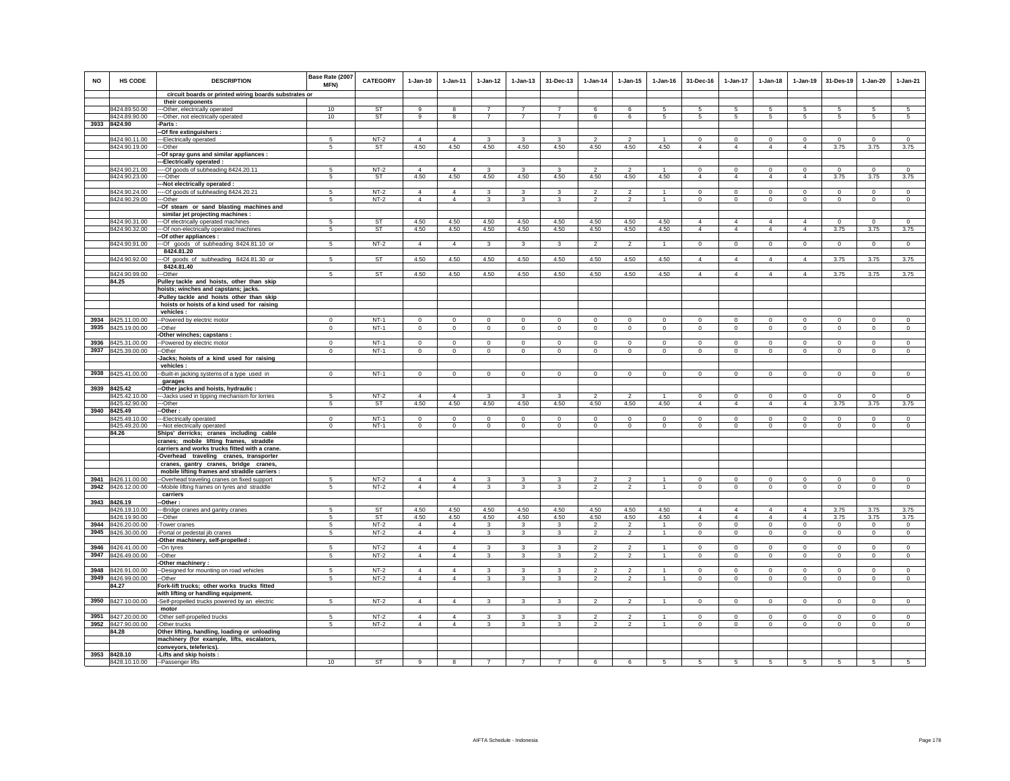| <b>NO</b> | <b>HS CODE</b>                      | <b>DESCRIPTION</b>                                                                          | Base Rate (2007<br>MFN) | <b>CATEGORY</b> | $1-Jan-10$     | $1 - Jan-11$           | $1 - Jan-12$            | $1 - Jan-13$   | 31-Dec-13      | $1 - Jan-14$                     | $1 - Jan-15$                     | $1 - Jan-16$         | 31-Dec-16                  | 1-Jan-17                      | $1-Jan-18$                 | $1-Jan-19$                    | 31-Des-19          | $1-Jan-20$     | $1-Jan-21$         |
|-----------|-------------------------------------|---------------------------------------------------------------------------------------------|-------------------------|-----------------|----------------|------------------------|-------------------------|----------------|----------------|----------------------------------|----------------------------------|----------------------|----------------------------|-------------------------------|----------------------------|-------------------------------|--------------------|----------------|--------------------|
|           |                                     | circuit boards or printed wiring boards substrates or                                       |                         |                 |                |                        |                         |                |                |                                  |                                  |                      |                            |                               |                            |                               |                    |                |                    |
|           |                                     | their components                                                                            |                         |                 |                |                        |                         |                |                |                                  |                                  |                      |                            |                               |                            |                               |                    |                |                    |
|           | 8424.89.50.00                       | --- Other, electrically operated                                                            | 10                      | ST              | 9              |                        | $\overline{7}$          | $\overline{z}$ | $\overline{7}$ | 6                                | 6                                |                      | 5                          | 5                             | 5                          | 5                             | 5                  | 5              |                    |
|           | 8424.89.90.00<br>3933 8424.90       | ---Other, not electrically operated<br>-Parts:                                              | 10                      | ST              | 9              | 8                      | $\overline{7}$          | $\overline{7}$ | $\overline{7}$ | 6                                | 6                                | 5                    | 5                          | 5                             | 5                          | 5                             | 5                  | 5              | 5                  |
|           |                                     | -Of fire extinguishers :                                                                    |                         |                 |                |                        |                         |                |                |                                  |                                  |                      |                            |                               |                            |                               |                    |                |                    |
|           | 8424.90.11.00                       | -- Electrically operated                                                                    | 5                       | $NT-2$          | $\overline{4}$ | $\overline{4}$         | 3                       | 3              | 3              | $\overline{2}$                   | $\overline{2}$                   | $\mathbf{1}$         | $\overline{0}$             | $\overline{0}$                | $\overline{0}$             | $\overline{0}$                | $\overline{0}$     | $\overline{0}$ | $\overline{0}$     |
|           | 8424.90.19.00                       | --Other                                                                                     | 5                       | ST              | 4.50           | 4.50                   | 4.50                    | 4.50           | 4.50           | 4.50                             | 4.50                             | 4.50                 | $\overline{4}$             | $\overline{4}$                | $\overline{4}$             | $\overline{4}$                | 3.75               | 3.75           | 3.75               |
|           |                                     | -Of spray guns and similar appliances :                                                     |                         |                 |                |                        |                         |                |                |                                  |                                  |                      |                            |                               |                            |                               |                    |                |                    |
|           |                                     | ---Electrically operated :                                                                  |                         |                 |                |                        |                         |                |                |                                  |                                  |                      |                            |                               |                            |                               |                    |                |                    |
|           | 8424.90.21.00                       | ---- Of goods of subheading 8424.20.11                                                      | 5                       | $NT-2$          | $\overline{4}$ | $\Delta$               | $\overline{\mathbf{3}}$ | 3              | $\mathbf{3}$   | $\overline{2}$                   | $\mathcal{P}$                    | $\overline{1}$       | $\mathbf 0$                | $\mathbf 0$                   | $\mathbf{0}$               | $\mathbf 0$                   | $\mathbf 0$        | $\mathsf 0$    | $\mathsf 0$        |
|           | 8424.90.23.00                       | ----Other                                                                                   | 5                       | <b>ST</b>       | 4.50           | 4.50                   | 4.50                    | 4.50           | 4.50           | 4.50                             | 4.50                             | 4.50                 | $\overline{4}$             | $\overline{4}$                | $\overline{4}$             | $\overline{4}$                | 3.75               | 3.75           | 3.75               |
|           | 8424.90.24.00                       | -Not electrically operated :<br>--Of goods of subheading 8424.20.21                         | 5                       | $NT-2$          | $\overline{4}$ | $\overline{4}$         | 3                       | 3              | 3              | $\mathfrak{p}$                   | $\mathcal{P}$                    |                      | $\mathsf 0$                | $\mathbf 0$                   | $\mathbf 0$                | $\mathbf 0$                   | $\mathbf 0$        | $\mathsf 0$    | $\Omega$           |
|           | 8424.90.29.00                       | --Other                                                                                     | 5                       | $NT-2$          | $\overline{4}$ | $\overline{4}$         | $\mathbf{3}$            | 3              | 3              | $\overline{2}$                   | $\overline{2}$                   | $\mathbf{1}$         | $\mathbf 0$                | $\circ$                       | $\mathbf 0$                | $\mathbf 0$                   | $\circ$            | $\mathbf 0$    | $\mathbf 0$        |
|           |                                     | -Of steam or sand blasting machines and                                                     |                         |                 |                |                        |                         |                |                |                                  |                                  |                      |                            |                               |                            |                               |                    |                |                    |
|           |                                     | similar jet projecting machines :                                                           |                         |                 |                |                        |                         |                |                |                                  |                                  |                      |                            |                               |                            |                               |                    |                |                    |
|           | 8424.90.31.00                       | --- Of electrically operated machines                                                       | 5                       | <b>ST</b>       | 4.50           | 4.50                   | 4.50                    | 4.50           | 4.50           | 4.50                             | 4.50                             | 4.50                 | $\overline{4}$             | $\overline{4}$                | $\overline{4}$             | $\overline{4}$                | $^{\circ}$         | $\mathbf 0$    | $\circ$            |
|           | 8424.90.32.00                       | --- Of non-electrically operated machines                                                   | 5                       | ST              | 4.50           | 4.50                   | 4.50                    | 4.50           | 4.50           | 4.50                             | 4.50                             | 4.50                 | $\overline{4}$             | 4                             | $\overline{4}$             | $\overline{4}$                | 3.75               | 3.75           | 3.75               |
|           |                                     | -Of other appliances :                                                                      |                         |                 |                |                        |                         |                |                |                                  |                                  |                      |                            |                               |                            |                               |                    |                |                    |
|           | 8424.90.91.00                       | --Of goods of subheading 8424.81.10 or                                                      | 5                       | $NT-2$          | $\overline{4}$ | $\overline{4}$         | $\mathbf{3}$            | 3              | $\mathbf{3}$   | $\overline{2}$                   | $\overline{a}$                   | $\overline{1}$       | $\mathbf 0$                | $\mathsf 0$                   | $\mathbf 0$                | $\circ$                       | $\circ$            | $\circ$        | $\mathbf 0$        |
|           | 8424.90.92.00                       | 8424.81.20                                                                                  | 5                       | <b>ST</b>       | 4.50           | 4.50                   | 4.50                    | 4.50           | 4.50           | 4.50                             | 4.50                             | 4.50                 | $\overline{4}$             | $\overline{4}$                | $\overline{4}$             | $\overline{4}$                | 3.75               | 3.75           | 3.75               |
|           |                                     | --Of goods of subheading 8424.81.30 or<br>8424.81.40                                        |                         |                 |                |                        |                         |                |                |                                  |                                  |                      |                            |                               |                            |                               |                    |                |                    |
|           | 8424.90.99.00                       | --Other                                                                                     | 5                       | <b>ST</b>       | 4.50           | 4.50                   | 4.50                    | 4.50           | 4.50           | 4.50                             | 4.50                             | 4.50                 | $\overline{4}$             | $\overline{4}$                | $\overline{4}$             | $\overline{4}$                | 3.75               | 3.75           | 3.75               |
|           | 84.25                               | Pulley tackle and hoists, other than skip                                                   |                         |                 |                |                        |                         |                |                |                                  |                                  |                      |                            |                               |                            |                               |                    |                |                    |
|           |                                     | hoists; winches and capstans; jacks.                                                        |                         |                 |                |                        |                         |                |                |                                  |                                  |                      |                            |                               |                            |                               |                    |                |                    |
|           |                                     | -Pulley tackle and hoists other than skip                                                   |                         |                 |                |                        |                         |                |                |                                  |                                  |                      |                            |                               |                            |                               |                    |                |                    |
|           |                                     | hoists or hoists of a kind used for raising                                                 |                         |                 |                |                        |                         |                |                |                                  |                                  |                      |                            |                               |                            |                               |                    |                |                    |
|           |                                     | vehicles :                                                                                  |                         |                 |                |                        |                         |                |                |                                  |                                  |                      |                            |                               |                            |                               |                    |                |                    |
|           | 3934 8425.11.00.00                  | -Powered by electric motor                                                                  | $\Omega$                | $NT-1$          | $\Omega$       | $\Omega$               | $\Omega$                | $\mathsf 0$    | $\mathbf{0}$   | $\mathbf 0$                      | $\mathbf 0$                      | $\mathsf 0$          | $\mathsf 0$                | $\mathbf 0$                   | $\Omega$                   | $\mathbb O$                   | $\mathbf 0$        | $\mathsf 0$    | $\mathbf 0$        |
|           | 3935 8425.19.00.00                  | --Other<br>Other winches; capstans :                                                        | $\mathbf 0$             | $NT-1$          | $\mathbf 0$    | $\mathbf 0$            | $\circ$                 | $\mathsf 0$    | $\circ$        | $\circ$                          | $\mathsf 0$                      | $\circ$              | $\circ$                    | $\circ$                       | $\mathbf 0$                | $\mathbf 0$                   | $\circ$            | $\circ$        | $\circ$            |
|           | 3936 8425.31.00.00                  | -Powered by electric motor                                                                  | $\mathsf 0$             | $NT-1$          | $\mathbf 0$    | $\mathbf 0$            | $\mathbf 0$             | $\circ$        | $\mathbf 0$    | $\mathbf 0$                      | $\circ$                          | $\mathbb O$          | $\mathsf 0$                | $\mathsf 0$                   | $\mathbf 0$                | $\mathbf 0$                   | $\mathbf 0$        | $\circ$        | $\mathbf 0$        |
|           | 3937 8425.39.00.00                  | -Other                                                                                      | $\mathbf 0$             | $NT-1$          | $\circ$        | $\Omega$               | $\circ$                 | $\mathsf 0$    | $\mathbf{0}$   | $\mathbf 0$                      | $\mathsf 0$                      | $\mathbb O$          | $\mathsf 0$                | $\mathbf 0$                   | $\mathbf 0$                | $\mathbb O$                   | $\mathbf 0$        | $\mathsf 0$    | $\mathbf 0$        |
|           |                                     | -Jacks; hoists of a kind used for raising                                                   |                         |                 |                |                        |                         |                |                |                                  |                                  |                      |                            |                               |                            |                               |                    |                |                    |
|           |                                     | vehicles :                                                                                  |                         |                 |                |                        |                         |                |                |                                  |                                  |                      |                            |                               |                            |                               |                    |                |                    |
|           | 3938 8425.41.00.00                  | -Built-in jacking systems of a type used in                                                 | $\Omega$                | $NT-1$          | $\mathbf 0$    | $\Omega$               | $\Omega$                | $\mathbf{0}$   | $\mathbf{0}$   | $\Omega$                         | $\mathbf{0}$                     | $\mathbf 0$          | $\mathbf{0}$               | $\circ$                       | $\mathbf 0$                | $\mathbf 0$                   | $\mathbf 0$        | $\mathbf{0}$   | $\circ$            |
|           |                                     | garages                                                                                     |                         |                 |                |                        |                         |                |                |                                  |                                  |                      |                            |                               |                            |                               |                    |                |                    |
|           | 3939 8425.42                        | -Other jacks and hoists, hydraulic :                                                        |                         |                 |                |                        |                         |                |                |                                  |                                  |                      |                            |                               |                            |                               |                    |                |                    |
|           | 8425.42.10.00<br>8425.42.90.00      | --Jacks used in tipping mechanism for lorries                                               | -5                      | $NT-2$          | $\overline{4}$ | $\overline{4}$<br>4.50 | -3<br>4.50              | 3<br>4.50      | 3              | $\overline{2}$<br>4.50           | $\overline{2}$                   | $\mathbf{1}$<br>4.50 | $\Omega$<br>$\overline{4}$ | $\mathbf 0$<br>$\overline{4}$ | $\Omega$<br>$\overline{4}$ | $\mathbf 0$<br>$\overline{4}$ | $\circ$            | $\Omega$       | $\circ$            |
|           | 3940 8425.49                        | --Other<br>-Other:                                                                          | 5                       | <b>ST</b>       | 4.50           |                        |                         |                | 4.50           |                                  | 4.50                             |                      |                            |                               |                            |                               | 3.75               | 3.75           | 3.75               |
|           | 8425.49.10.00                       | --Electrically operated                                                                     | $^{\circ}$              | $NT-1$          | $\mathbf 0$    | $^{\circ}$             | $^{\circ}$              | $\mathbf 0$    | $\mathbf 0$    | $^{\circ}$                       | $\Omega$                         | $^{\circ}$           | $\mathbf 0$                | $\mathbf 0$                   | $\mathbf 0$                | $\mathbf 0$                   | $\circ$            | $\mathbf 0$    | $\mathbf 0$        |
|           | 8425.49.20.00                       | --- Not electrically operated                                                               | $\overline{0}$          | $NT-1$          | $\overline{0}$ | $\overline{0}$         | $\overline{0}$          | $\overline{0}$ | $\overline{0}$ | $\overline{0}$                   | $\overline{0}$                   | $\overline{0}$       | $\overline{0}$             | $\overline{0}$                | $\overline{0}$             | $\overline{0}$                | $\overline{0}$     | $\overline{0}$ | $\overline{0}$     |
|           | 84.26                               | Ships' derricks; cranes including cable                                                     |                         |                 |                |                        |                         |                |                |                                  |                                  |                      |                            |                               |                            |                               |                    |                |                    |
|           |                                     | cranes; mobile lifting frames, straddle                                                     |                         |                 |                |                        |                         |                |                |                                  |                                  |                      |                            |                               |                            |                               |                    |                |                    |
|           |                                     | carriers and works trucks fitted with a crane.                                              |                         |                 |                |                        |                         |                |                |                                  |                                  |                      |                            |                               |                            |                               |                    |                |                    |
|           |                                     | -Overhead traveling cranes, transporter                                                     |                         |                 |                |                        |                         |                |                |                                  |                                  |                      |                            |                               |                            |                               |                    |                |                    |
|           |                                     | cranes, gantry cranes, bridge cranes,                                                       |                         |                 |                |                        |                         |                |                |                                  |                                  |                      |                            |                               |                            |                               |                    |                |                    |
|           | 3941 8426.11.00.00                  | mobile lifting frames and straddle carriers :                                               | 5                       | $NT-2$          | $\overline{4}$ | $\overline{4}$         | $\mathbf{3}$            | $\mathbf{3}$   | 3              | $\mathcal{P}$                    | $\overline{2}$                   | $\mathbf{1}$         | $\mathbf{0}$               | $\circ$                       | $\circ$                    | $\mathbf 0$                   | $\circ$            | $\mathbf{0}$   | $\circ$            |
|           | 3942 8426.12.00.00                  | -Overhead traveling cranes on fixed support<br>-Mobile lifting frames on tyres and straddle | 5                       | $NT-2$          | $\overline{4}$ | $\overline{4}$         | $\mathbf{3}$            | 3              | 3              | $\overline{2}$                   | $\overline{2}$                   | $\mathbf{1}$         | $\circ$                    | $\mathbf 0$                   | $\mathbf 0$                | $\mathbf 0$                   | $\mathbf 0$        | $\mathsf 0$    | $\mathsf 0$        |
|           |                                     | carriers                                                                                    |                         |                 |                |                        |                         |                |                |                                  |                                  |                      |                            |                               |                            |                               |                    |                |                    |
|           | 3943 8426.19                        | -Other:                                                                                     |                         |                 |                |                        |                         |                |                |                                  |                                  |                      |                            |                               |                            |                               |                    |                |                    |
|           | 8426.19.10.00                       | --Bridge cranes and gantry cranes                                                           | 5                       | <b>ST</b>       | 4.50           | 4.50                   | 4.50                    | 4.50           | 4.50           | 4.50                             | 4.50                             | 4.50                 | $\overline{4}$             | $\overline{4}$                | $\overline{4}$             | $\overline{4}$                | 3.75               | 3.75           | 3.75               |
|           | 8426.19.90.00                       | ---Other                                                                                    | $5\phantom{.0}$         | <b>ST</b>       | 4.50           | 4.50                   | 4.50                    | 4.50           | 4.50           | 4.50                             | 4.50                             | 4.50                 | $\overline{4}$             | $\overline{4}$                | $\overline{4}$             | $\overline{4}$                | 3.75               | 3.75           | 3.75               |
|           | 3944 8426.20.00.00                  | -Tower cranes                                                                               | 5                       | $NT-2$          | $\overline{4}$ | $\overline{4}$         | 3                       | 3              | 3              | $\overline{\phantom{a}}$         | $\mathfrak{p}$                   | $\mathbf{1}$         | $\mathbf 0$                | $\mathbf 0$                   | $\circ$                    | $\mathbf 0$                   | $\circ$            | $\mathbf 0$    | $\circ$            |
| 3945      | 8426.30.00.00                       | -Portal or pedestal jib cranes                                                              | 5                       | $NT-2$          | $\overline{4}$ | $\overline{4}$         | $\mathbf{3}$            | 3              | 3              | $\overline{2}$                   | $\overline{2}$                   | $\overline{1}$       | $\mathbf 0$                | $\mathbf{0}$                  | $\circ$                    | $\mathbf 0$                   | $\circ$            | $\mathbf 0$    | $\mathbf 0$        |
|           |                                     | -Other machinery, self-propelled :                                                          | -5                      | $NT-2$          | $\overline{4}$ | $\overline{4}$         |                         |                |                |                                  |                                  | $\mathbf{1}$         | $\Omega$                   | $\Omega$                      | $\Omega$                   | $\Omega$                      |                    | $\Omega$       |                    |
| 3947      | 3946 8426.41.00.00<br>8426.49.00.00 | --On tyres<br>-Other                                                                        | 5                       | $NT-2$          | $\overline{4}$ | $\overline{4}$         | 3<br>$\mathbf{3}$       | 3<br>3         | 3<br>3         | $\overline{2}$<br>$\overline{2}$ | $\overline{2}$<br>$\overline{a}$ | $\overline{1}$       | $\Omega$                   | $\mathbf 0$                   | $\circ$                    | $\mathbf 0$                   | $\circ$<br>$\circ$ | $\mathbf 0$    | $\circ$<br>$\circ$ |
|           |                                     | Other machinery:                                                                            |                         |                 |                |                        |                         |                |                |                                  |                                  |                      |                            |                               |                            |                               |                    |                |                    |
|           | 3948 8426.91.00.00                  | -Designed for mounting on road vehicles                                                     | 5                       | $NT-2$          | $\overline{4}$ | $\overline{4}$         | $\mathbf{3}$            | 3              | 3              | $\mathcal{P}$                    | $\mathcal{P}$                    |                      | $\mathbf 0$                | $\mathbf 0$                   | $\mathbf 0$                | $\mathbf 0$                   | $\mathbf 0$        | $\mathbf 0$    | $\mathbf 0$        |
|           | 3949 8426.99.00.00                  | -Other                                                                                      | 5                       | $NT-2$          | $\overline{4}$ | $\overline{4}$         | $\mathbf{3}$            | 3              | 3              | $\overline{2}$                   | $\overline{2}$                   | $\mathbf{1}$         | $\mathbf 0$                | $\circ$                       | $\mathbf 0$                | $\mathbf 0$                   | $\circ$            | $\mathbf 0$    | $\circ$            |
|           | 84.27                               | Fork-lift trucks; other works trucks fitted                                                 |                         |                 |                |                        |                         |                |                |                                  |                                  |                      |                            |                               |                            |                               |                    |                |                    |
|           |                                     | with lifting or handling equipment.                                                         |                         |                 |                |                        |                         |                |                |                                  |                                  |                      |                            |                               |                            |                               |                    |                |                    |
|           | 3950 8427.10.00.00                  | -Self-propelled trucks powered by an electric                                               | 5                       | $NT-2$          | $\overline{4}$ | $\overline{4}$         | $\mathbf{3}$            | $\mathbf{3}$   | 3              | $\overline{2}$                   | $\overline{2}$                   | $\overline{1}$       | $\mathbf 0$                | $\circ$                       | $\circ$                    | $\mathbb O$                   | $\mathbf 0$        | $\mathsf 0$    | $\mathsf 0$        |
|           |                                     | motor                                                                                       |                         |                 |                |                        |                         |                |                |                                  |                                  |                      |                            |                               |                            |                               |                    |                |                    |
|           | 3951 8427.20.00.00                  | -Other self-propelled trucks                                                                | 5                       | $NT-2$          | $\overline{4}$ | $\overline{4}$         | $\mathbf{3}$            | $\mathbf{3}$   | 3              | $\mathcal{P}$                    | $\mathfrak{p}$                   |                      | $\Omega$                   | $\Omega$                      | $\Omega$                   | $\Omega$                      | $\Omega$           | $\Omega$       | $\Omega$           |
|           | 3952 8427.90.00.00<br>84.28         | -Other trucks                                                                               | 5                       | $NT-2$          | $\overline{4}$ | 4                      | $\mathbf{3}$            | 3              | 3              | $\overline{2}$                   | $\overline{2}$                   | $\overline{1}$       | $\mathbf 0$                | $\circ$                       | $\circ$                    | $\mathbf 0$                   | $\circ$            | $\mathbf 0$    | $\circ$            |
|           |                                     | Other lifting, handling, loading or unloading<br>machinery (for example, lifts, escalators, |                         |                 |                |                        |                         |                |                |                                  |                                  |                      |                            |                               |                            |                               |                    |                |                    |
|           |                                     | conveyors, teleferics).                                                                     |                         |                 |                |                        |                         |                |                |                                  |                                  |                      |                            |                               |                            |                               |                    |                |                    |
|           | 3953 8428.10                        | -Lifts and skip hoists :                                                                    |                         |                 |                |                        |                         |                |                |                                  |                                  |                      |                            |                               |                            |                               |                    |                |                    |
|           | 8428.10.10.00 -Passenger lifts      |                                                                                             | 10                      | <b>ST</b>       | 9              | 8                      | $\overline{7}$          | $\overline{7}$ | $\overline{7}$ | 6                                | 6                                | 5                    | 5                          | 5                             | 5                          | 5                             | 5                  | 5              | 5                  |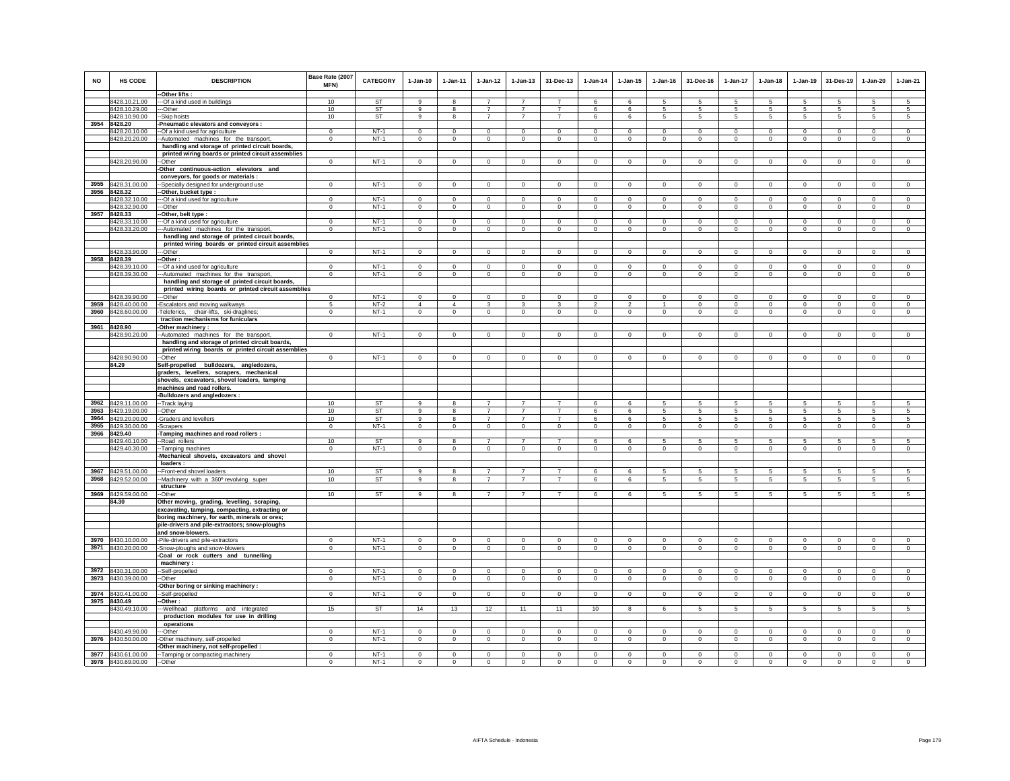| <b>NO</b> | <b>HS CODE</b>                           | <b>DESCRIPTION</b>                                                                       | Base Rate (2007<br><b>MFN)</b> | <b>CATEGORY</b> | $1-Jan-10$             | $1 - Jan-11$ | $1 - Jan-12$   | $1 - Jan-13$               | 31-Dec-13      | $1 - Jan-14$   | $1 - Jan-15$   | $1 - Jan-16$   | 31-Dec-16                  | $1 - Jan-17$    | $1-Jan-18$      | $1-Jan-19$                 | 31-Des-19       | 1-Jan-20     | $1-Jan-21$          |
|-----------|------------------------------------------|------------------------------------------------------------------------------------------|--------------------------------|-----------------|------------------------|--------------|----------------|----------------------------|----------------|----------------|----------------|----------------|----------------------------|-----------------|-----------------|----------------------------|-----------------|--------------|---------------------|
|           |                                          | -Other lifts:                                                                            |                                |                 |                        |              |                |                            |                |                |                |                |                            |                 |                 |                            |                 |              |                     |
|           | 8428.10.21.00                            | --- Of a kind used in buildings                                                          | 10                             | ST              | $\mathbf{q}$           | 8            | $\overline{7}$ | $\overline{7}$             | $\overline{7}$ | 6              | 6              | 5              | 5                          | 5               | 5               | 5                          | 5               | 5            | 5                   |
|           | 8428.10.29.00                            | --Other                                                                                  | 10                             | ST              | 9                      | 8            | $\overline{7}$ | $\overline{7}$             | $\overline{7}$ | 6              | 6              | 5              | 5                          | 5               | $5\phantom{.0}$ | 5                          | 5               | $\sqrt{5}$   | $\sqrt{5}$          |
|           | 8428.10.90.00                            | --Skip hoists                                                                            | 10                             | <b>ST</b>       | 9                      | 8            | $\overline{7}$ | $\overline{7}$             | $\overline{7}$ | 6              | 6              | 5              | 5                          | $5\overline{5}$ | $5\overline{5}$ | 5                          | 5               | 5            | 5                   |
| 3954      | 8428.20                                  | Pneumatic elevators and conveyors :                                                      |                                |                 |                        |              |                |                            |                |                |                |                |                            |                 |                 |                            |                 |              |                     |
|           | 8428.20.10.00                            | -Of a kind used for agriculture                                                          | $\Omega$                       | $NT-1$          | $\Omega$               | $\Omega$     | $\Omega$       | $\Omega$                   | $\Omega$       | $\Omega$       | $\Omega$       | $\Omega$       | $\Omega$                   | $\Omega$        | $\Omega$        | $\Omega$                   | $\Omega$        | $\Omega$     | $\circ$             |
|           | 8428.20.20.00                            | -Automated machines for the transport,                                                   | $\mathbf 0$                    | $NT-1$          | $\mathbf 0$            | $\mathbf 0$  | $\circ$        | $\mathsf 0$                | $\mathbf 0$    | $\mathbf 0$    | $\mathbf 0$    | $\Omega$       | $\mathbf 0$                | $\mathsf 0$     | $\circ$         | $\mathbf 0$                | $\circ$         | $\mathbf 0$  | $\circ$             |
|           |                                          | handling and storage of printed circuit boards,                                          |                                |                 |                        |              |                |                            |                |                |                |                |                            |                 |                 |                            |                 |              |                     |
|           | 8428.20.90.00                            | printed wiring boards or printed circuit assemblies<br>--Other                           | $\mathbf 0$                    | $NT-1$          | $\circ$                | $^{\circ}$   | $^{\circ}$     | $\mathbf 0$                | $\mathbf{0}$   | $\circ$        | $\mathbf 0$    | $^{\circ}$     | $\mathbf 0$                | $\circ$         | $\circ$         | $\mathbf 0$                | $\mathbf{0}$    | $\mathbf 0$  | $\circ$             |
|           |                                          | -Other continuous-action elevators and                                                   |                                |                 |                        |              |                |                            |                |                |                |                |                            |                 |                 |                            |                 |              |                     |
|           |                                          | conveyors, for goods or materials :                                                      |                                |                 |                        |              |                |                            |                |                |                |                |                            |                 |                 |                            |                 |              |                     |
| 3955      | 8428.31.00.00                            | -Specially designed for underground use                                                  | $\mathbf 0$                    | $NT-1$          | $\Omega$               | $\circ$      | $\mathbf 0$    | $\mathsf 0$                | $\mathbf{0}$   | $\mathbf 0$    | $\mathbf 0$    | $\mathsf 0$    | $\mathbf{0}$               | $\mathbf 0$     | $\circ$         | $\circ$                    | $\mathsf 0$     | $\mathbf 0$  | $\mathsf 0$         |
|           | 3956 8428.32                             | -Other, bucket type :                                                                    |                                |                 |                        |              |                |                            |                |                |                |                |                            |                 |                 |                            |                 |              |                     |
|           | 8428.32.10.00                            | --Of a kind used for agriculture                                                         | $^{\circ}$                     | $NT-1$          | $^{\circ}$             | $^{\circ}$   | $^{\circ}$     | $\mathbf 0$                | $^{\circ}$     | $^{\circ}$     | $\circ$        | $\mathbf 0$    | $\mathbf 0$                | $\mathbf 0$     | $\mathbf 0$     | $^{\circ}$                 | $^{\circ}$      | $\circ$      | $\mathbf 0$         |
|           | 8428.32.90.00                            | --Other                                                                                  | $\Omega$                       | $NT-1$          | $\mathbf 0$            | $\mathbf 0$  | $\mathbf 0$    | $\mathsf 0$                | $\mathbf 0$    | $\mathbf 0$    | $\mathsf 0$    | $\mathbf 0$    | $\mathsf 0$                | $\mathbf 0$     | $\mathbf 0$     | $\mathbf 0$                | $\mathbf 0$     | $\circ$      | $\circ$             |
| 3957      | 8428.33                                  | -Other, belt type :                                                                      |                                |                 |                        |              |                |                            |                |                |                |                |                            |                 |                 |                            |                 |              |                     |
|           | 8428.33.10.00                            | --- Of a kind used for agriculture                                                       | $^{\circ}$                     | $NT-1$          | $\mathbf 0$            | $\mathbf 0$  | 0              | $\mathbf 0$                | $\mathbf 0$    | $\circ$        | $\mathbf 0$    | $\mathbf 0$    | $\mathbf 0$                | $\mathbf 0$     | $\mathbf 0$     | $^{\circ}$                 | $\circ$         | $\mathbf 0$  | $\mathbf 0$         |
|           | 8428.33.20.00                            | --Automated machines for the transport,                                                  | $\mathbf 0$                    | $NT-1$          | $\circ$                | $\mathbf 0$  | $\circ$        | $\mathbf 0$                | $\mathbf 0$    | $\mathbf 0$    | $\mathbf 0$    | $\circ$        | $\mathbf 0$                | $\circ$         | $\circ$         | $\mathbf 0$                | $\circ$         | $\circ$      | $\circ$             |
|           |                                          | handling and storage of printed circuit boards,                                          |                                |                 |                        |              |                |                            |                |                |                |                |                            |                 |                 |                            |                 |              |                     |
|           |                                          | printed wiring boards or printed circuit assemblies                                      |                                |                 |                        |              |                |                            |                |                |                |                |                            |                 |                 |                            |                 |              |                     |
|           | 8428.33.90.00                            | -Other                                                                                   | $\mathbf 0$                    | $NT-1$          | $\mathbf 0$            | $\Omega$     | $\mathbf 0$    | $\mathbf 0$                | $\mathbf 0$    | $\mathbf 0$    | $\mathbf 0$    | $\mathbf 0$    | $\mathbf 0$                | $\mathbf 0$     | $\mathbf 0$     | $\mathbf 0$                | $^{\circ}$      | $\mathbf 0$  | $\mathbf 0$         |
|           | 3958 8428.39                             | -Other :                                                                                 | $\Omega$                       | $NT-1$          | $^{\circ}$             | $\Omega$     | $\mathbf 0$    | $\mathbf 0$                | $^{\circ}$     | $\overline{0}$ | $\Omega$       | $\Omega$       | $\mathbf 0$                | $\circ$         | $\Omega$        | $\mathbf 0$                | $\overline{0}$  | $\mathbf{0}$ | $\mathsf 0$         |
|           | 8428.39.10.00<br>8428.39.30.00           | -- Of a kind used for agriculture<br>--Automated machines for the transport,             | $\mathbf{0}$                   | $NT-1$          | $\circ$                | $\circ$      | $\mathbf{0}$   | $\mathbf{0}$               | $\mathbf{0}$   | $\mathbf{0}$   | $\mathbf{0}$   | $\circ$        | $\mathbf{0}$               | $\circ$         | $\mathbf 0$     | $\mathbf 0$                | $\mathbf 0$     | $\mathbf{0}$ | $\circ$             |
|           |                                          | handling and storage of printed circuit boards,                                          |                                |                 |                        |              |                |                            |                |                |                |                |                            |                 |                 |                            |                 |              |                     |
|           |                                          | printed wiring boards or printed circuit assemblies                                      |                                |                 |                        |              |                |                            |                |                |                |                |                            |                 |                 |                            |                 |              |                     |
|           | 8428.39.90.00                            | --Other                                                                                  | $\Omega$                       | $NT-1$          | $\Omega$               | $\Omega$     | $\Omega$       | $\Omega$                   | $\mathbf 0$    | $^{\circ}$     | $\Omega$       | $\Omega$       | $\Omega$                   | $\Omega$        | $\Omega$        | $\Omega$                   | $^{\circ}$      | $\Omega$     | $\Omega$            |
|           | 3959 8428.40.00.00                       | -Escalators and moving walkways                                                          | 5                              | $NT-2$          | $\overline{4}$         | 4            | 3              | 3                          | 3              | $\overline{2}$ | $\overline{2}$ | -1             | $\Omega$                   | $\mathbf 0$     | $\mathbf 0$     | $\mathbf 0$                | $\circ$         | $\Omega$     | $\circ$             |
|           | 3960 8428.60.00.00                       | Teleferics, chair-lifts, ski-draglines;                                                  | $\mathbf 0$                    | $NT-1$          | $\mathbf 0$            | $\circ$      | $\mathbf 0$    | $\mathsf 0$                | $\mathbf{0}$   | $\circ$        | $\mathsf 0$    | $\circ$        | $\circ$                    | $\mathbf 0$     | $\mathbf 0$     | $\mathbb O$                | $\mathbf 0$     | $\mathsf 0$  | $\mathsf 0$         |
|           |                                          | traction mechanisms for funiculars                                                       |                                |                 |                        |              |                |                            |                |                |                |                |                            |                 |                 |                            |                 |              |                     |
|           | 3961 8428.90                             | -Other machinery :                                                                       |                                |                 |                        |              |                |                            |                |                |                |                |                            |                 |                 |                            |                 |              |                     |
|           | 8428.90.20.00                            | -Automated machines for the transport                                                    | $\Omega$                       | $NT-1$          | $\mathbf 0$            | $\Omega$     | $\mathbf 0$    | $\mathbf 0$                | $^{\circ}$     | $\mathbf 0$    | $\mathbf 0$    | $\Omega$       | $\mathbf 0$                | $\circ$         | $\mathbf 0$     | $^{\circ}$                 | $^{\circ}$      | $\Omega$     | $\Omega$            |
|           |                                          | handling and storage of printed circuit boards,                                          |                                |                 |                        |              |                |                            |                |                |                |                |                            |                 |                 |                            |                 |              |                     |
|           |                                          | printed wiring boards or printed circuit assemblies                                      |                                |                 |                        |              |                |                            |                |                |                |                |                            |                 |                 |                            |                 |              |                     |
|           | 8428.90.90.00                            | --Other                                                                                  | $^{\circ}$                     | $NT-1$          | $\mathbf{0}$           | $\mathbf 0$  | $\mathbf 0$    | $\mathbf 0$                | $\mathbf 0$    | $^{\circ}$     | $\mathbf 0$    | $\mathbf 0$    | $\mathbf 0$                | $\mathbf 0$     | $\mathbf{0}$    | $\mathbf 0$                | $\mathbf 0$     | $\mathbf 0$  | $\mathbf{0}$        |
|           | 84.29                                    | Self-propelled bulldozers, angledozers,                                                  |                                |                 |                        |              |                |                            |                |                |                |                |                            |                 |                 |                            |                 |              |                     |
|           |                                          | graders, levellers, scrapers, mechanical<br>shovels, excavators, shovel loaders, tamping |                                |                 |                        |              |                |                            |                |                |                |                |                            |                 |                 |                            |                 |              |                     |
|           |                                          | machines and road rollers.                                                               |                                |                 |                        |              |                |                            |                |                |                |                |                            |                 |                 |                            |                 |              |                     |
|           |                                          | -Bulldozers and angledozers :                                                            |                                |                 |                        |              |                |                            |                |                |                |                |                            |                 |                 |                            |                 |              |                     |
| 3962      | 8429.11.00.00                            | --Track laying                                                                           | 10                             | ST              | 9                      | 8            |                |                            |                | 6              | 6              | 5              | 5                          | 5               | 5               | 5                          | 5               | 5            | 5                   |
| 3963      | 8429.19.00.00                            | -Other                                                                                   | 10                             | <b>ST</b>       | 9                      | 8            | $\overline{7}$ | $\overline{7}$             | $\overline{7}$ | 6              | 6              | 5              | 5                          | $\overline{5}$  | 5               | 5                          | $\sqrt{5}$      | 5            | 5                   |
| 3964      | 8429.20.00.00                            | -Graders and levellers                                                                   | 10                             | <b>ST</b>       | $\alpha$               | 8            | $\overline{7}$ | $\overline{7}$             | $\overline{7}$ | 6              | 6              | 5              | 5                          | $5\overline{5}$ | 5               | 5                          | 5               | 5            | $\overline{5}$      |
| 3965      | 8429.30.00.00                            | -Scrapers                                                                                | $\overline{0}$                 | $NT-1$          | $\overline{0}$         | $\mathbf 0$  | $\overline{0}$ | $\overline{0}$             | $\overline{0}$ | $\overline{0}$ | $\overline{0}$ | $\overline{0}$ | $\overline{0}$             | $\overline{0}$  | $\overline{0}$  | $\overline{0}$             | $\overline{0}$  | $\circ$      | $\overline{0}$      |
|           | 3966 8429.40                             | -Tamping machines and road rollers :                                                     |                                |                 |                        |              |                |                            |                |                |                |                |                            |                 |                 |                            |                 |              |                     |
|           | 8429.40.10.00                            | --Road rollers                                                                           | 10                             | <b>ST</b>       | 9                      | 8            | $\overline{7}$ | $\overline{ }$             | $\overline{7}$ | 6              | 6              | 5              | 5                          | 5               | 5               | 5                          | 5               | 5            | 5                   |
|           | 8429.40.30.00                            | --Tamping machines                                                                       | $^{\circ}$                     | $NT-1$          | $\Omega$               | $^{\circ}$   | $\circ$        | $\mathbf 0$                | $\mathbf 0$    | $^{\circ}$     | 0              | $\circ$        | $\mathbf 0$                | $\mathbf 0$     | $\circ$         | $\mathbf 0$                | $\circ$         | $\circ$      | $\mathsf 0$         |
|           |                                          | -Mechanical shovels, excavators and shovel                                               |                                |                 |                        |              |                |                            |                |                |                |                |                            |                 |                 |                            |                 |              |                     |
|           |                                          | loaders:                                                                                 |                                |                 |                        |              |                |                            |                |                |                |                |                            |                 |                 |                            |                 |              |                     |
|           | 3967 8429.51.00.00<br>3968 8429.52.00.00 | -Front-end shovel loaders                                                                | 10                             | ST<br>ST        | 9                      |              | $\overline{7}$ | $\overline{7}$             | $\overline{7}$ | 6              | 6<br>6         |                | 5                          | 5               | 5               | 5                          | 5               | 5            | 5<br>$\overline{5}$ |
|           |                                          | -Machinery with a 360° revolving super<br>structure                                      | 10                             |                 | 9                      | 8            |                |                            |                | 6              |                | $\overline{5}$ | 5                          | 5               | 5               | 5                          | 5               | 5            |                     |
|           | 3969 8429.59.00.00                       | -Other                                                                                   | 10                             | ST              | $\overline{9}$         | R            | $\overline{7}$ | $\overline{7}$             | $\overline{7}$ | 6              | 6              | 5              | 5                          | 5               | 5               | 5                          | 5               | 5            | 5                   |
|           | 84.30                                    | Other moving, grading, levelling, scraping,                                              |                                |                 |                        |              |                |                            |                |                |                |                |                            |                 |                 |                            |                 |              |                     |
|           |                                          | excavating, tamping, compacting, extracting or                                           |                                |                 |                        |              |                |                            |                |                |                |                |                            |                 |                 |                            |                 |              |                     |
|           |                                          | boring machinery, for earth, minerals or ores;                                           |                                |                 |                        |              |                |                            |                |                |                |                |                            |                 |                 |                            |                 |              |                     |
|           |                                          | pile-drivers and pile-extractors; snow-ploughs                                           |                                |                 |                        |              |                |                            |                |                |                |                |                            |                 |                 |                            |                 |              |                     |
|           |                                          | and snow-blowers                                                                         |                                |                 |                        |              |                |                            |                |                |                |                |                            |                 |                 |                            |                 |              |                     |
|           | 3970 8430.10.00.00                       | -Pile-drivers and pile-extractors                                                        | $\Omega$                       | $NT-1$          | $\Omega$               | $\Omega$     | $\Omega$       | $\Omega$                   | $\Omega$       | $^{\circ}$     | $^{\circ}$     | $^{\circ}$     | $\Omega$                   | $\Omega$        | $\Omega$        | $\Omega$                   | $\mathbf 0$     | $\Omega$     | $\Omega$            |
|           | 3971 8430.20.00.00                       | -Snow-ploughs and snow-blowers                                                           | $\Omega$                       | $NT-1$          | $\Omega$               | $\Omega$     | $\Omega$       | $\circ$                    | $\mathbf{0}$   | $\Omega$       | $\circ$        | $\circ$        | $\mathbf 0$                | $\circ$         | $\circ$         | $\mathbf 0$                | $\Omega$        | $^{\circ}$   | $\Omega$            |
|           |                                          | Coal or rock cutters and tunnelling                                                      |                                |                 |                        |              |                |                            |                |                |                |                |                            |                 |                 |                            |                 |              |                     |
|           |                                          | machinery:                                                                               |                                |                 |                        |              |                |                            |                |                |                |                |                            |                 |                 |                            |                 |              |                     |
|           | 3972 8430.31.00.00                       | -Self-propelled                                                                          | $^{\circ}$                     | $NT-1$          | $\mathbf 0$            | $^{\circ}$   | $^{\circ}$     | $\mathbf 0$                | $^{\circ}$     | $^{\circ}$     | $\mathbf 0$    | $\mathbf 0$    | $\mathbf 0$                | $\circ$         | $\mathbf 0$     | $^{\circ}$                 | $\mathbf 0$     | $\circ$      | $\mathbf 0$         |
| 3973      | 8430.39.00.00                            | -Other                                                                                   | $\mathbf{0}$                   | $NT-1$          | $\mathbf 0$            | $\mathbf 0$  | $\mathsf 0$    | $\mathsf 0$                | $\mathbf 0$    | $\mathbf 0$    | $\mathsf 0$    | $\mathbf 0$    | $\mathsf 0$                | $\mathbf 0$     | $\mathbf 0$     | $\mathbf 0$                | $\,0\,$         | $\mathbf 0$  | $\mathsf 0$         |
|           |                                          | -Other boring or sinking machinery :                                                     |                                |                 |                        |              |                |                            |                |                |                |                |                            |                 |                 |                            |                 |              |                     |
|           | 3974 8430.41.00.00                       | -Self-propelled                                                                          | $\mathbf{0}$                   | $NT-1$          | $\Omega$               | $\Omega$     | $\Omega$       | $\mathbf{0}$               | $\mathbf{0}$   | $\mathbf 0$    | $\Omega$       | $\mathbf 0$    | $\Omega$                   | $\circ$         | $\circ$         | $\mathbf 0$                | $\circ$         | $\mathbf{0}$ | $\circ$             |
|           | 3975 8430.49                             | -Other:                                                                                  |                                |                 |                        |              |                |                            |                |                |                |                |                            |                 |                 |                            |                 |              |                     |
|           | 8430.49.10.00                            | --Wellhead platforms and integrated                                                      | 15                             | ST              | 14                     | 13           | 12             | 11                         | 11             | 10             | 8              | 6              | 5                          | $5^{\circ}$     | $5^{\circ}$     | $5\phantom{.0}$            | $5\overline{5}$ | $\sqrt{5}$   | $5^{\circ}$         |
|           |                                          | production modules for use in drilling<br>operations                                     |                                |                 |                        |              |                |                            |                |                |                |                |                            |                 |                 |                            |                 |              |                     |
|           | 8430.49.90.00                            |                                                                                          | $\Omega$                       | $NT-1$          |                        | $\Omega$     | 0              |                            | $\mathbf 0$    | $\circ$        | $\mathbf 0$    | $\mathbf 0$    |                            | $\mathbf 0$     | $\mathbf 0$     |                            | $\circ$         | $\mathbf 0$  | $\mathbf 0$         |
|           | 3976 8430.50.00.00                       | --Other<br>-Other machinery, self-propelled                                              | $\mathbf 0$                    | $NT-1$          | $\mathbf 0$<br>$\circ$ | $\mathbf 0$  | $\circ$        | $\mathbf 0$<br>$\mathbf 0$ | $\mathbf 0$    | $\mathbf 0$    | $\mathbf 0$    | $\mathbf 0$    | $\mathbf 0$<br>$\mathbf 0$ | $\circ$         | $\mathbf 0$     | $\mathbf 0$<br>$\mathbf 0$ | $\mathbf 0$     | $\mathbf 0$  | $\circ$             |
|           |                                          | Other machinery, not self-propelled :                                                    |                                |                 |                        |              |                |                            |                |                |                |                |                            |                 |                 |                            |                 |              |                     |
|           | 3977 8430.61.00.00                       | -- Tamping or compacting machinery                                                       | $\Omega$                       | $NT-1$          | $\Omega$               | $\Omega$     | 0              | $\Omega$                   | $\mathbf 0$    | $\Omega$       | $\Omega$       | $\Omega$       | $\Omega$                   | $\mathbf 0$     | $\Omega$        | $\Omega$                   | $\mathbf 0$     | $\Omega$     | $\Omega$            |
|           | 3978 8430.69.00.00                       | --Other                                                                                  | $\mathbf{0}$                   | $NT-1$          | $\Omega$               | $\mathbf 0$  | $\Omega$       | $\Omega$                   | $\Omega$       | $\Omega$       | $\Omega$       | $\Omega$       | $\mathbf{0}$               | $\Omega$        | $\Omega$        | $\Omega$                   | $\Omega$        | $\Omega$     | $\Omega$            |
|           |                                          |                                                                                          |                                |                 |                        |              |                |                            |                |                |                |                |                            |                 |                 |                            |                 |              |                     |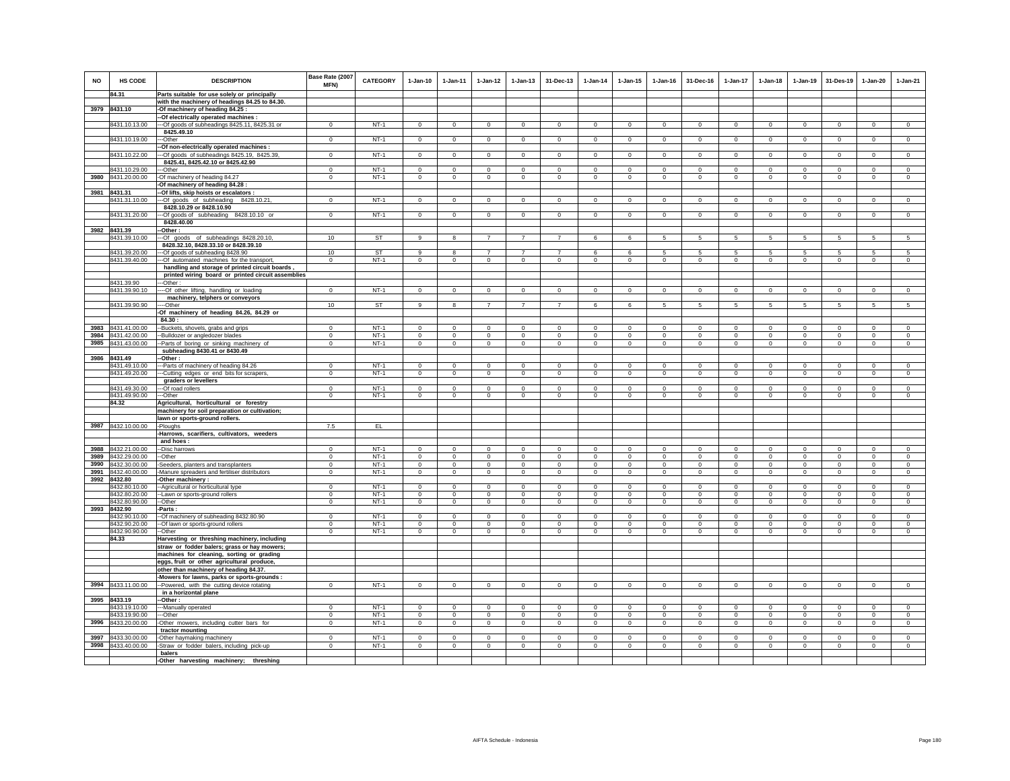| <b>NO</b> | HS CODE                        | <b>DESCRIPTION</b>                                                                                   | Base Rate (2007<br><b>MFN)</b> | <b>CATEGORY</b>  | $1-Jan-10$             | $1-Jan-11$                | $1 - Jan-12$               | $1-Jan-13$                 | 31-Dec-13                  | $1-Jan-14$                 | $1-Jan-15$                 | 1-Jan-16                   | 31-Dec-16               | $1-Jan-17$                 | $1-Jan-18$                | $1 - Jan-19$               | 31-Des-19                 | 1-Jan-20                  | $1-Jan-21$              |
|-----------|--------------------------------|------------------------------------------------------------------------------------------------------|--------------------------------|------------------|------------------------|---------------------------|----------------------------|----------------------------|----------------------------|----------------------------|----------------------------|----------------------------|-------------------------|----------------------------|---------------------------|----------------------------|---------------------------|---------------------------|-------------------------|
|           | 84.31                          | Parts suitable for use solely or principally                                                         |                                |                  |                        |                           |                            |                            |                            |                            |                            |                            |                         |                            |                           |                            |                           |                           |                         |
|           |                                | with the machinery of headings 84.25 to 84.30.                                                       |                                |                  |                        |                           |                            |                            |                            |                            |                            |                            |                         |                            |                           |                            |                           |                           |                         |
|           | 3979 8431.10                   | -Of machinery of heading 84.25 :<br>-Of electrically operated machines :                             |                                |                  |                        |                           |                            |                            |                            |                            |                            |                            |                         |                            |                           |                            |                           |                           |                         |
|           | 8431.10.13.00                  | --Of goods of subheadings 8425.11, 8425.31 or                                                        | $\mathbf{0}$                   | $NT-1$           | $\mathbf{0}$           | $\mathbf 0$               | $\circ$                    | $\mathbf 0$                | $\mathbf 0$                | $\mathbf 0$                | $\mathbf 0$                | $\mathbf 0$                | $\circ$                 | $\mathbf 0$                | $\mathbf 0$               | $\mathbf 0$                | $\circ$                   | $\mathbf 0$               | $\mathsf 0$             |
|           |                                | 8425.49.10                                                                                           |                                |                  |                        |                           |                            |                            |                            |                            |                            |                            |                         |                            |                           |                            |                           |                           |                         |
|           | 8431.10.19.00                  | --Other                                                                                              | $\mathbf{0}$                   | $NT-1$           | $\circ$                | $\circ$                   | $\circ$                    | $\mathbf 0$                | $\mathsf 0$                | $\circ$                    | $\mathbf 0$                | $\circ$                    | $\circ$                 | $\mathbf 0$                | $\circ$                   | $\circ$                    | $\circ$                   | $\circ$                   | $\mathsf 0$             |
|           |                                | -Of non-electrically operated machines :                                                             |                                |                  |                        |                           |                            |                            |                            |                            |                            |                            |                         |                            |                           |                            |                           |                           |                         |
|           | 8431.10.22.00                  | --Of goods of subheadings 8425.19, 8425.39,                                                          | $\mathbf 0$                    | $NT-1$           | $\mathbf{0}$           | $\circ$                   | $\overline{0}$             | $\overline{0}$             | $\mathbf 0$                | $\overline{0}$             | $\mathbf 0$                | $\mathbf{0}$               | $\circ$                 | $\circ$                    | $\mathbf{0}$              | $\overline{0}$             | $\overline{0}$            | $\mathbf{0}$              | $\overline{0}$          |
|           | 8431.10.29.00                  | 8425.41, 8425.42.10 or 8425.42.90<br>--Other                                                         | $\Omega$                       | $NT-1$           | $\Omega$               | $\Omega$                  | $\mathsf 0$                | $\mathsf 0$                | $\mathbf 0$                | $\Omega$                   | $\mathsf 0$                | $\Omega$                   | $\Omega$                | $\mathbf 0$                | $\Omega$                  | $\mathbf 0$                | $\Omega$                  | $\mathsf 0$               | $\mathsf 0$             |
|           | 3980 8431.20.00.00             | -Of machinery of heading 84.27                                                                       | $\mathbf 0$                    | $NT-1$           | $\mathbf 0$            | $\mathbf 0$               | $\circ$                    | $\mathbf 0$                | $\mathbf 0$                | $\mathbf 0$                | $\mathbf 0$                | $\mathbf 0$                | $\circ$                 | $\mathbf 0$                | $\mathbf{0}$              | $\mathbf 0$                | $\mathbf 0$               | $\mathbf 0$               | $\mathsf 0$             |
|           |                                | -Of machinery of heading 84.28                                                                       |                                |                  |                        |                           |                            |                            |                            |                            |                            |                            |                         |                            |                           |                            |                           |                           |                         |
|           | 3981 8431.31                   | -Of lifts, skip hoists or escalators :                                                               |                                |                  |                        |                           |                            |                            |                            |                            |                            |                            |                         |                            |                           |                            |                           |                           |                         |
|           | 8431.31.10.00                  | -Of goods of subheading 8428.10.21,                                                                  | $\mathbf 0$                    | $NT-1$           | $\mathsf 0$            | $\circ$                   | $\circ$                    | $\mathbf 0$                | $\mathbf{0}$               | $\circ$                    | $\mathbf 0$                | $\circ$                    | $\mathbf 0$             | $\circ$                    | $\mathbf 0$               | $\circ$                    | $\circ$                   | $\circ$                   | $\circ$                 |
|           |                                | 8428.10.29 or 8428.10.90                                                                             |                                |                  |                        |                           |                            |                            |                            |                            |                            |                            |                         |                            |                           |                            |                           |                           |                         |
|           | 8431.31.20.00                  | -Of goods of subheading 8428.10.10 or<br>8428.40.00                                                  | $\mathbf{0}$                   | $NT-1$           | $\Omega$               | $\circ$                   | $\circ$                    | $\mathbf 0$                | $\mathbf 0$                | $\mathbf 0$                | $^{\circ}$                 | $^{\circ}$                 | $^{\circ}$              | 0                          | $^{\circ}$                | $\mathbf 0$                | $\overline{0}$            | $\circ$                   | $\Omega$                |
|           | 3982 8431.39                   | -Other:                                                                                              |                                |                  |                        |                           |                            |                            |                            |                            |                            |                            |                         |                            |                           |                            |                           |                           |                         |
|           | 8431.39.10.00                  | --Of goods of subheadings 8428.20.10,                                                                | 10                             | ST               | 9                      |                           |                            |                            |                            | 6                          | 6                          | 5                          | 5                       | 5                          | 5.                        | -5                         | 5                         | 5                         |                         |
|           |                                | 8428.32.10, 8428.33.10 or 8428.39.10                                                                 |                                |                  |                        |                           |                            |                            |                            |                            |                            |                            |                         |                            |                           |                            |                           |                           |                         |
|           | 8431.39.20.00                  | -Of goods of subheading 8428.90                                                                      | 10 <sup>1</sup>                | ST               | $\alpha$               | 8                         | $\overline{7}$             | $\overline{7}$             | $\overline{7}$             | 6                          | 6                          | -5                         | -5                      | 5                          | -5                        | 5                          | -5                        | 5                         | -5                      |
|           | 8431.39.40.00                  | -Of automated machines for the transport,                                                            | $\mathbf 0$                    | $NT-1$           | $\circ$                | $\circ$                   | $\circ$                    | $\mathbf 0$                | $\mathbf 0$                | $\mathbf 0$                | $\mathbf 0$                | $\circ$                    | $\circ$                 | $\circ$                    | $\circ$                   | $\mathbf 0$                | $\circ$                   | $\circ$                   | $\circ$                 |
|           |                                | handling and storage of printed circuit boards<br>printed wiring board or printed circuit assemblies |                                |                  |                        |                           |                            |                            |                            |                            |                            |                            |                         |                            |                           |                            |                           |                           |                         |
|           | 8431.39.90                     | --Other:                                                                                             |                                |                  |                        |                           |                            |                            |                            |                            |                            |                            |                         |                            |                           |                            |                           |                           |                         |
|           | 8431.39.90.10                  | --- Of other lifting, handling or loading                                                            | $\mathbf 0$                    | $NT-1$           | $\mathsf 0$            | $\mathsf 0$               | $\circ$                    | $\mathbf 0$                | $\mathbf 0$                | $\circ$                    | $\mathsf 0$                | $\circ$                    | $\mathbf 0$             | $\mathbf 0$                | $\mathbf 0$               | $\mathbf 0$                | $\mathsf 0$               | $\mathsf 0$               | $\circ$                 |
|           |                                | machinery, telphers or conveyors                                                                     |                                |                  |                        |                           |                            |                            |                            |                            |                            |                            |                         |                            |                           |                            |                           |                           |                         |
|           | 8431.39.90.90                  | ---Other<br>-Of machinery of heading 84.26, 84.29 or                                                 | 10                             | ST               | 9                      | 8                         | $\overline{7}$             | $\overline{7}$             | $\overline{7}$             | 6                          | 6                          | -5                         | $5\overline{5}$         | $5\overline{5}$            | $5\overline{5}$           | 5                          | 5                         | 5                         | 5                       |
|           |                                | 84.30:                                                                                               |                                |                  |                        |                           |                            |                            |                            |                            |                            |                            |                         |                            |                           |                            |                           |                           |                         |
| 3983      | 8431.41.00.00                  | -Buckets, shovels, grabs and grips                                                                   | $\Omega$                       | $NT-1$           | $\Omega$               | $\Omega$                  | $\Omega$                   | $\Omega$                   | $\Omega$                   | $\Omega$                   | $\Omega$                   | $\Omega$                   | $\Omega$                | $\Omega$                   | $\Omega$                  | $\Omega$                   | $\circ$                   | $\Omega$                  | $\circ$                 |
| 3984      | 8431.42.00.00                  | -Bulldozer or angledozer blades                                                                      | $\mathbf 0$                    | $NT-1$           | $\mathsf 0$            | $\mathsf 0$               | $\mathbf 0$                | $\mathsf 0$                | $\mathbf 0$                | $\mathsf 0$                | $\mathsf 0$                | $\mathsf 0$                | $\mathsf 0$             | $\mathbf 0$                | $\mathbf 0$               | $\mathbf 0$                | $\mathbf 0$               | $\mathsf 0$               | $\mathsf 0$             |
| 3985      | 8431.43.00.00                  | -Parts of boring or sinking machinery of                                                             | $\mathbf 0$                    | $NT-1$           | $\circ$                | $\circ$                   | $\circ$                    | $\mathbf 0$                | $\circ$                    | $\mathsf 0$                | $\mathsf 0$                | $\mathsf 0$                | $\mathbf 0$             | $\mathsf 0$                | $\mathbf 0$               | $\mathbf 0$                | $\mathbf 0$               | $\mathsf 0$               | $\mathsf 0$             |
|           | 3986 8431.49                   | subheading 8430.41 or 8430.49<br>-Other:                                                             |                                |                  |                        |                           |                            |                            |                            |                            |                            |                            |                         |                            |                           |                            |                           |                           |                         |
|           | 8431.49.10.00                  | --Parts of machinery of heading 84.26                                                                | $\Omega$                       | $NT-1$           | $\Omega$               | $\Omega$                  | $\Omega$                   | $\mathbf 0$                | $\Omega$                   | $\Omega$                   | $\circ$                    | $\Omega$                   | $\Omega$                | $\Omega$                   | $\Omega$                  | $\Omega$                   | $\Omega$                  | $\Omega$                  | $\Omega$                |
|           | 8431.49.20.00                  | --Cutting edges or end bits for scrapers,                                                            | $\mathbf 0$                    | $NT-1$           | $\circ$                | $\circ$                   | $\circ$                    | $\mathbf 0$                | $\mathbf 0$                | $\circ$                    | $\mathbf 0$                | $\circ$                    | $\circ$                 | $\mathbf 0$                | $\circ$                   | $\mathbf 0$                | $\circ$                   | $\mathbf 0$               | $\mathbf 0$             |
|           |                                | graders or levellers                                                                                 |                                |                  |                        |                           |                            |                            |                            |                            |                            |                            |                         |                            |                           |                            |                           |                           |                         |
|           | 8431.49.30.00                  | ---Of road rollers                                                                                   | $\Omega$                       | $NT-1$           | $\Omega$               | $\Omega$                  | $\mathbf 0$                | $^{\circ}$                 | $^{\circ}$                 | $^{\circ}$                 | $^{\circ}$                 | $\Omega$                   | $\Omega$                | $\Omega$                   | $\Omega$                  | $\Omega$                   | $\Omega$                  | $\Omega$                  | $\circ$                 |
|           | 8431.49.90.00<br>84.32         | --Other<br>Agricultural, horticultural or forestry                                                   | $\mathbf 0$                    | $NT-1$           | $\mathbf 0$            | $\mathbf 0$               | $\mathbf 0$                | $\mathbf 0$                | $\mathbf 0$                | $\mathbf 0$                | $\mathbf 0$                | $\mathbf 0$                | $\circ$                 | $\mathbf 0$                | $\mathbf 0$               | $\mathbf 0$                | $^{\circ}$                | $\mathbf 0$               | $\mathbf 0$             |
|           |                                | machinery for soil preparation or cultivation;                                                       |                                |                  |                        |                           |                            |                            |                            |                            |                            |                            |                         |                            |                           |                            |                           |                           |                         |
|           |                                | lawn or sports-ground rollers.                                                                       |                                |                  |                        |                           |                            |                            |                            |                            |                            |                            |                         |                            |                           |                            |                           |                           |                         |
| 3987      | 8432.10.00.00                  | -Ploughs                                                                                             | 7.5                            | EL               |                        |                           |                            |                            |                            |                            |                            |                            |                         |                            |                           |                            |                           |                           |                         |
|           |                                | -Harrows, scarifiers, cultivators, weeders                                                           |                                |                  |                        |                           |                            |                            |                            |                            |                            |                            |                         |                            |                           |                            |                           |                           |                         |
| 3988      | 8432.21.00.00                  | and hoes<br>-Disc harrows                                                                            | $\mathbf 0$                    | $NT-1$           | $\circ$                | $\mathbf 0$               | $\circ$                    | $\mathbf 0$                | $^{\circ}$                 | $^{\circ}$                 | $^{\circ}$                 | $^{\circ}$                 | $^{\circ}$              | 0                          | $\circ$                   | $^{\circ}$                 | $\mathbf 0$               | $^{\circ}$                | $^{\circ}$              |
| 3989      | 8432.29.00.00                  | -Other                                                                                               | $^{\circ}$                     | $NT-1$           | $\mathbf{0}$           | $\mathbf 0$               | $\circ$                    | $\mathbf 0$                | $\mathbf{0}$               | $\circ$                    | $\mathbf 0$                | $\mathbf{0}$               | $\circ$                 | $\mathbf 0$                | $\mathbf{0}$              | $\mathbf 0$                | $\circ$                   | $\mathbf{0}$              | $\mathbf 0$             |
| 3990      | 8432.30.00.00                  | Seeders, planters and transplanters                                                                  | $\Omega$                       | $NT-1$           | $^{\circ}$             | $^{\circ}$                | $\mathbf 0$                | $\mathbf 0$                | $\overline{0}$             | $\bf{0}$                   | $^{\circ}$                 | $^{\circ}$                 | $\Omega$                | $\mathbf 0$                | $^{\circ}$                | $\mathbf 0$                | $\,0\,$                   | $^{\circ}$                | $^{\circ}$              |
| 3991      | 8432.40.00.00                  | Manure spreaders and fertiliser distributors                                                         | $^{\circ}$                     | $NT-1$           | $\Omega$               | $\circ$                   | $\mathbf 0$                | $\mathbf 0$                | $\mathbf 0$                | $^{\circ}$                 | $\mathbf 0$                | $\circ$                    | $\Omega$                | $\circ$                    | $\circ$                   | $\circ$                    | $\circ$                   | $\mathbf 0$               | $\circ$                 |
| 3992      | 8432.80                        | Other machinery:                                                                                     |                                |                  | $\mathbf 0$            |                           | $\mathbf 0$                |                            | $\mathbf 0$                | $^{\circ}$                 | $\mathbf 0$                | $\mathbf 0$                |                         | $\mathbf 0$                | $\Omega$                  |                            | $^{\circ}$                | $\mathbf 0$               | $\Omega$                |
|           | 8432.80.10.00<br>8432.80.20.00 | -Agricultural or horticultural type<br>-Lawn or sports-ground rollers                                | $\mathbf 0$<br>$^{\circ}$      | $NT-1$<br>$NT-1$ | $\Omega$               | $\mathbf 0$<br>$^{\circ}$ | $\circ$                    | $\mathbf 0$<br>$\mathbf 0$ | $\mathbf 0$                | $\mathbf 0$                | $\mathbf 0$                | $^{\circ}$                 | $\mathbf 0$<br>$\Omega$ | $\mathbf 0$                | $\Omega$                  | $\mathbf 0$<br>$^{\circ}$  | $^{\circ}$                | $\circ$                   | $\Omega$                |
|           | 8432.80.90.00                  | --Other                                                                                              | $\mathbf 0$                    | $NT-1$           | $\circ$                | $\circ$                   | $\circ$                    | $\mathbf 0$                | $\mathsf 0$                | $\circ$                    | $\mathbf 0$                | $\mathsf 0$                | $\mathbf 0$             | $\circ$                    | $\mathbf 0$               | $\mathbf 0$                | $\mathbf 0$               | $\mathsf 0$               | $\mathsf 0$             |
| 3993      | 8432.90                        | -Parts :                                                                                             |                                |                  |                        |                           |                            |                            |                            |                            |                            |                            |                         |                            |                           |                            |                           |                           |                         |
|           | 8432.90.10.00                  | -Of machinery of subheading 8432.80.90                                                               | $\Omega$<br>$\Omega$           | $NT-1$<br>$NT-1$ | $\Omega$<br>$\Omega$   | $^{\circ}$                | $^{\circ}$<br>$\Omega$     | $\Omega$<br>$\Omega$       | $\Omega$<br>$\Omega$       | $^{\circ}$                 | $\Omega$                   | $^{\circ}$<br>$\Omega$     | $\Omega$<br>$\Omega$    | $\Omega$<br>$\Omega$       | $\Omega$<br>$\Omega$      | $^{\circ}$<br>$\Omega$     | $^{\circ}$<br>$\Omega$    | $\Omega$<br>$\Omega$      | $^{\circ}$<br>$\Omega$  |
|           | 8432.90.20.00<br>8432.90.90.00 | -Of lawn or sports-ground rollers<br>-Other                                                          | $\mathbf 0$                    | $NT-1$           | $\Omega$               | $\Omega$<br>$\mathbf 0$   | $\mathsf 0$                | $\mathbf 0$                | $\mathbf 0$                | $^{\circ}$<br>$\mathbf 0$  | $^{\circ}$<br>$\mathbf 0$  | $\mathbf 0$                | $\mathbf 0$             | 0                          | $\mathbf 0$               | $\mathbf 0$                | $\Omega$                  | $\mathbf 0$               | $\Omega$                |
|           | 84.33                          | Harvesting or threshing machinery, including                                                         |                                |                  |                        |                           |                            |                            |                            |                            |                            |                            |                         |                            |                           |                            |                           |                           |                         |
|           |                                | straw or fodder balers; grass or hay mowers;                                                         |                                |                  |                        |                           |                            |                            |                            |                            |                            |                            |                         |                            |                           |                            |                           |                           |                         |
|           |                                | machines for cleaning, sorting or grading                                                            |                                |                  |                        |                           |                            |                            |                            |                            |                            |                            |                         |                            |                           |                            |                           |                           |                         |
|           |                                | eggs, fruit or other agricultural produce,                                                           |                                |                  |                        |                           |                            |                            |                            |                            |                            |                            |                         |                            |                           |                            |                           |                           |                         |
|           |                                | other than machinery of heading 84.37.<br>-Mowers for lawns, parks or sports-grounds :               |                                |                  |                        |                           |                            |                            |                            |                            |                            |                            |                         |                            |                           |                            |                           |                           |                         |
|           | 3994 8433.11.00.00             | --Powered, with the cutting device rotating                                                          | $\mathbf{0}$                   | NT-1             | $\mathbf{0}$           | $\mathbf{0}$              | $\circ$                    | $\mathbf 0$                | $\mathbf 0$                | $\circ$                    | $\mathbf 0$                | $\circ$                    | $\mathbf{0}$            | $\mathbf{0}$               | $\circ$                   | $\circ$                    | $\mathbf{0}$              | $\mathbf 0$               | $\circ$                 |
|           |                                | in a horizontal plane                                                                                |                                |                  |                        |                           |                            |                            |                            |                            |                            |                            |                         |                            |                           |                            |                           |                           |                         |
| 3995      | 8433.19                        | -Other:                                                                                              |                                |                  |                        |                           |                            |                            |                            |                            |                            |                            |                         |                            |                           |                            |                           |                           |                         |
|           | 8433.19.10.00                  | -Manually operated                                                                                   | $\Omega$                       | $NT-1$           | $\Omega$               | $\Omega$                  | $\Omega$                   | $\Omega$                   | $\Omega$                   | $\Omega$                   | $\Omega$                   | $\Omega$                   | $\Omega$                | $\Omega$                   | $\Omega$                  | $\Omega$                   | $\Omega$                  | $\Omega$                  | $\Omega$                |
| 3996      | 8433.19.90.00<br>8433.20.00.00 | --Other<br>-Other mowers, including cutter bars for                                                  | $\mathbf 0$<br>$\mathbf 0$     | $NT-1$<br>$NT-1$ | $\circ$<br>$\mathsf 0$ | $\circ$<br>$\circ$        | $\mathbf 0$<br>$\mathbf 0$ | $\mathbf 0$<br>$\mathbf 0$ | $\mathbf 0$<br>$\mathbf 0$ | $\mathbf 0$<br>$\mathsf 0$ | $\mathbf 0$<br>$\mathsf 0$ | $^{\circ}$<br>$\mathbf{0}$ | $\circ$<br>$^{\circ}$   | $\mathbf 0$<br>$\mathsf 0$ | $\mathbf 0$<br>$^{\circ}$ | $\mathbf 0$<br>$\mathbf 0$ | $^{\circ}$<br>$\mathbf 0$ | $^{\circ}$<br>$\mathbf 0$ | $\Omega$<br>$\mathsf 0$ |
|           |                                | tractor mounting                                                                                     |                                |                  |                        |                           |                            |                            |                            |                            |                            |                            |                         |                            |                           |                            |                           |                           |                         |
| 3997      | 8433.30.00.00                  | -Other haymaking machinery                                                                           | $\Omega$                       | $NT-1$           | $\Omega$               | $\Omega$                  | $\Omega$                   | $\Omega$                   | $\Omega$                   | $\Omega$                   | $\Omega$                   | $\Omega$                   | $\Omega$                | $\Omega$                   | $\Omega$                  | $\Omega$                   | $\Omega$                  | $\Omega$                  | $\Omega$                |
| 3998      | 8433.40.00.00                  | -Straw or fodder balers, including pick-up                                                           | $\mathbf 0$                    | $NT-1$           | $\mathsf 0$            | $\mathsf 0$               | $\mathbf 0$                | $\mathsf 0$                | $\mathsf 0$                | $\mathsf 0$                | $\mathsf 0$                | $\mathsf 0$                | $\mathbf 0$             | $\mathbf 0$                | $\mathbf 0$               | $\mathbf 0$                | $\mathbf 0$               | $\mathsf 0$               | $\mathsf 0$             |
|           |                                | balers                                                                                               |                                |                  |                        |                           |                            |                            |                            |                            |                            |                            |                         |                            |                           |                            |                           |                           |                         |
|           |                                | -Other harvesting machinery; threshing                                                               |                                |                  |                        |                           |                            |                            |                            |                            |                            |                            |                         |                            |                           |                            |                           |                           |                         |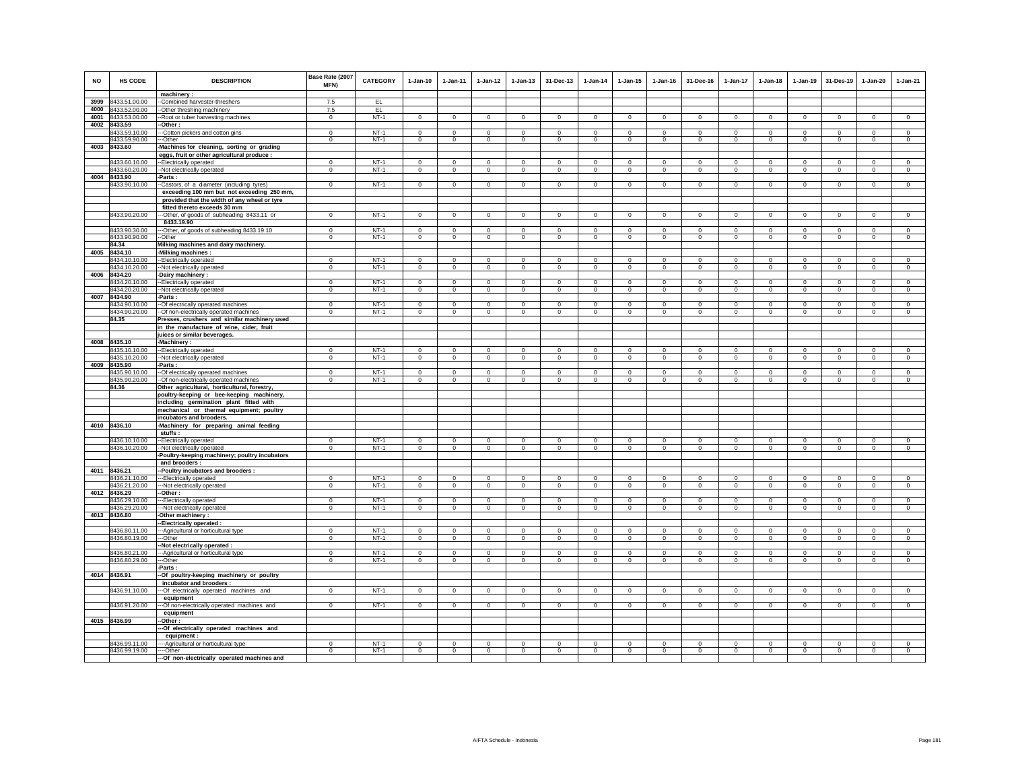| <b>NO</b> | HS CODE                        | <b>DESCRIPTION</b><br>$machinery$ :                                                     | Base Rate (2007<br>MFN)    | CATEGORY         | $1-Jan-10$             | $1 - Jan-11$           | $1 - Jan-12$                 | $1 - Jan-13$               | 31-Dec-13                  | $1-Jan-14$            | $1 - Jan-15$               | $1$ -Jan-16            | 31-Dec-16              | $1-Jan-17$                 | $1-Jan-18$             | 1-Jan-19                   | 31-Des-19               | 1-Jan-20                   | $1-Jan-21$             |
|-----------|--------------------------------|-----------------------------------------------------------------------------------------|----------------------------|------------------|------------------------|------------------------|------------------------------|----------------------------|----------------------------|-----------------------|----------------------------|------------------------|------------------------|----------------------------|------------------------|----------------------------|-------------------------|----------------------------|------------------------|
| 3999      | 8433.51.00.00                  | -Combined harvester-threshers                                                           | 7.5                        | EL.              |                        |                        |                              |                            |                            |                       |                            |                        |                        |                            |                        |                            |                         |                            |                        |
| 4000      | 8433.52.00.00                  | -Other threshing machinery                                                              | 7.5                        | EL.              |                        |                        |                              |                            |                            |                       |                            |                        |                        |                            |                        |                            |                         |                            |                        |
|           | 4001 8433.53.00.00             | -Root or tuber harvesting machines                                                      | $\mathbf 0$                | $NT-1$           | $\circ$                | $\mathbf 0$            | $\circ$                      | $\mathbf 0$                | $\mathbf 0$                | $\circ$               | $\mathbf 0$                | $\circ$                | $\circ$                | $\mathbf 0$                | $\circ$                | $\mathbf 0$                | $\circ$                 | $\mathbf 0$                | $\circ$                |
|           | 4002 8433.59                   | -Other :                                                                                |                            |                  |                        |                        |                              |                            |                            |                       |                            |                        |                        |                            |                        |                            |                         |                            |                        |
|           | 8433.59.10.00                  | --Cotton pickers and cotton gins                                                        | $\Omega$                   | $NT-1$           | $\Omega$               | $^{\circ}$             | $\circ$                      | $^{\circ}$                 | $\mathbf{0}$               | $\mathbf 0$           | $^{\circ}$                 | $^{\circ}$             | $\Omega$               | $\Omega$                   | $\Omega$               | $\circ$                    | $\overline{0}$          | $\Omega$                   | $\circ$                |
|           | 8433.59.90.00                  | -Other                                                                                  | $\mathbf 0$                | $NT-1$           | $\circ$                | $\circ$                | $\circ$                      | $\mathbf 0$                | $\mathbf 0$                | $\circ$               | $\mathbf 0$                | $\circ$                | $\circ$                | $\circ$                    | $\circ$                | $\mathbf 0$                | $\circ$                 | $\mathbf 0$                | $\circ$                |
|           | 4003 8433.60                   | Machines for cleaning, sorting or grading                                               |                            |                  |                        |                        |                              |                            |                            |                       |                            |                        |                        |                            |                        |                            |                         |                            |                        |
|           | 8433.60.10.00                  | eggs, fruit or other agricultural produce :<br>--Electrically operated                  | $\Omega$                   | $NT-1$           | $\Omega$               | $\Omega$               | $\overline{0}$               | $\Omega$                   | $\Omega$                   | $\overline{0}$        | $\Omega$                   | $\Omega$               | $\Omega$               | $\overline{0}$             | $\Omega$               | $\Omega$                   | $\Omega$                | $\Omega$                   | $\overline{0}$         |
|           | 8433.60.20.00                  | -Not electrically operated                                                              | $\mathbf 0$                | $NT-1$           | $\circ$                | $\circ$                | $\mathbf{0}$                 | $\mathbf{0}$               | $\Omega$                   | $\circ$               | $\mathbf{0}$               | $\circ$                | $\circ$                | $\mathbf{0}$               | $\mathbf 0$            | $\mathbf 0$                | $\mathbf 0$             | $\Omega$                   | $\circ$                |
|           | 4004 8433.90                   | -Parts :                                                                                |                            |                  |                        |                        |                              |                            |                            |                       |                            |                        |                        |                            |                        |                            |                         |                            |                        |
|           | 8433.90.10.00                  | -Castors, of a diameter (including tyres)                                               | $\overline{0}$             | $NT-1$           | $\circ$                | $\circ$                | $\overline{0}$               | $\mathbf 0$                | $\mathbf 0$                | $\overline{0}$        | $\mathbf 0$                | $\mathbf 0$            | $\circ$                | $\circ$                    | $\mathbf 0$            | $\mathbf 0$                | $\circ$                 | $\mathbf 0$                | $\mathbf 0$            |
|           |                                | exceeding 100 mm but not exceeding 250 mm,                                              |                            |                  |                        |                        |                              |                            |                            |                       |                            |                        |                        |                            |                        |                            |                         |                            |                        |
|           |                                | provided that the width of any wheel or tyre                                            |                            |                  |                        |                        |                              |                            |                            |                       |                            |                        |                        |                            |                        |                            |                         |                            |                        |
|           | 8433.90.20.00                  | fitted thereto exceeds 30 mm<br>--Other, of goods of subheading 8433.11 or              | $\overline{0}$             | $NT-1$           | $\overline{0}$         | $\overline{0}$         | $\overline{0}$               | $\overline{0}$             | $\overline{0}$             | $\overline{0}$        | $\overline{0}$             | $\overline{0}$         | $\overline{0}$         | $\overline{0}$             | $\overline{0}$         | $\mathbf 0$                | $\overline{\mathbf{0}}$ | $\overline{0}$             | $\overline{0}$         |
|           |                                | 8433.19.90                                                                              |                            |                  |                        |                        |                              |                            |                            |                       |                            |                        |                        |                            |                        |                            |                         |                            |                        |
|           | 8433.90.30.00                  | -Other, of goods of subheading 8433.19.10                                               | $^{\circ}$                 | $NT-1$           | $\Omega$               | $^{\circ}$             | $\circ$                      | $\Omega$                   | $^{\circ}$                 | $\mathbf 0$           | $\Omega$                   | $\Omega$               | $\Omega$               | 0                          | $\Omega$               | $^{\circ}$                 | $^{\circ}$              | $^{\circ}$                 | $\Omega$               |
|           | 8433.90.90.00                  | --Other                                                                                 | $\mathbf 0$                | $NT-1$           | $\circ$                | $\circ$                | $\circ$                      | $\mathbf{0}$               | $\mathbf{0}$               | $\circ$               | $\mathbf{0}$               | $\circ$                | $\circ$                | $\circ$                    | $\mathbf 0$            | $\mathbf 0$                | $\Omega$                | $\mathbf{0}$               | $\circ$                |
|           | 84.34                          | Milking machines and dairy machinery.                                                   |                            |                  |                        |                        |                              |                            |                            |                       |                            |                        |                        |                            |                        |                            |                         |                            |                        |
| 4005      | 8434.10                        | -Milking machines :                                                                     |                            |                  |                        |                        |                              |                            |                            |                       |                            |                        |                        |                            |                        |                            |                         |                            |                        |
|           | 8434.10.10.00                  | --Electrically operated                                                                 | $\Omega$<br>$\Omega$       | $NT-1$<br>$NT-1$ | $^{\circ}$<br>$\Omega$ | $^{\circ}$             | $^{\circ}$<br>$\overline{0}$ | $^{\circ}$                 | $^{\circ}$                 | $^{\circ}$            | $^{\circ}$                 | $^{\circ}$             | $\Omega$<br>$\Omega$   | $\Omega$                   | $\Omega$               | $^{\circ}$                 | $^{\circ}$              | $\circ$                    | $^{\circ}$             |
| 4006      | 8434.10.20.00<br>8434.20       | -Not electrically operated<br>Dairy machinery:                                          |                            |                  |                        | $\mathbf{0}$           |                              | $\mathsf 0$                | $\mathsf 0$                | $\mathsf 0$           | $\mathbf 0$                | $\mathsf 0$            |                        | $\mathbf 0$                | $\mathbf 0$            | $\circ$                    | $\mathbf 0$             | $\mathbf{0}$               | $\mathsf 0$            |
|           | 8434.20.10.00                  | -Electrically operated                                                                  | $\mathbf 0$                | $NT-1$           | $\mathbf 0$            | $\mathbf 0$            | $\mathbb O$                  | $\mathsf 0$                | $\mathbf 0$                | $\mathbb O$           | $\mathsf 0$                | $\circ$                | $\mathsf 0$            | $\mathsf 0$                | $\mathbf 0$            | $\mathbf 0$                | $\mathbf 0$             | $\circ$                    | $\mathbb O$            |
|           | 8434.20.20.00                  | -Not electrically operated                                                              | $\mathbf{0}$               | $NT-1$           | $\circ$                | $\mathbf{0}$           | $\circ$                      | $\mathbf 0$                | $\circ$                    | $\circ$               | $\mathbf 0$                | $\Omega$               | $\circ$                | $\circ$                    | $\Omega$               | $\mathbf 0$                | $\mathbf 0$             | $\circ$                    | $\circ$                |
|           | 4007 8434.90                   | -Parts :                                                                                |                            |                  |                        |                        |                              |                            |                            |                       |                            |                        |                        |                            |                        |                            |                         |                            |                        |
|           | 8434.90.10.00                  | -- Of electrically operated machines                                                    | $\Omega$                   | $NT-1$           | $\Omega$               | $\Omega$               | $\mathsf 0$                  | $\mathsf 0$                | $\mathbf 0$                | $\Omega$              | $\mathbf 0$                | $\Omega$               | $\mathbf 0$            | $\mathbf 0$                | $\mathbf 0$            | $\Omega$                   | $\Omega$                | $\mathbf 0$                | $\mathsf 0$            |
|           | 8434.90.20.00<br>84.35         | --Of non-electrically operated machines<br>Presses, crushers and similar machinery used | $\mathbf 0$                | $NT-1$           | $\circ$                | $\circ$                | $\circ$                      | $\mathbf 0$                | $\mathbf 0$                | $^{\circ}$            | $\mathbf 0$                | $\circ$                | $\circ$                | $\mathbf 0$                | $\circ$                | $\mathbf 0$                | $\circ$                 | $\mathbf 0$                | $\circ$                |
|           |                                | in the manufacture of wine, cider, fruit                                                |                            |                  |                        |                        |                              |                            |                            |                       |                            |                        |                        |                            |                        |                            |                         |                            |                        |
|           |                                | juices or similar beverages.                                                            |                            |                  |                        |                        |                              |                            |                            |                       |                            |                        |                        |                            |                        |                            |                         |                            |                        |
| 4008      | 8435.10                        | -Machinery:                                                                             |                            |                  |                        |                        |                              |                            |                            |                       |                            |                        |                        |                            |                        |                            |                         |                            |                        |
|           | 8435.10.10.00                  | -Electrically operated                                                                  | $\Omega$                   | $NT-1$           | $\Omega$               | $\Omega$               | $\mathbf 0$                  | $\mathbf 0$                | $\mathbf 0$                | $\mathbf 0$           | $\mathbf 0$                | $\mathbf 0$            | $\Omega$               | 0                          | $\Omega$               | $\mathbf 0$                | $\circ$                 | $\Omega$                   | $\Omega$               |
|           | 8435.10.20.00<br>4009 8435.90  | -- Not electrically operated<br>-Parts :                                                | $\mathbf 0$                | $NT-1$           | $\mathbf 0$            | $\mathbf 0$            | $\mathbf 0$                  | $\mathbf 0$                | $\mathbf{0}$               | $\mathsf 0$           | $\mathbf 0$                | $\mathbf 0$            | $\circ$                | $\mathsf 0$                | $\mathbf 0$            | $\mathbf 0$                | $\,0\,$                 | $\mathbf 0$                | $\mathbf 0$            |
|           | 8435.90.10.00                  | -- Of electrically operated machines                                                    | $\overline{0}$             | $NT-1$           | $\overline{0}$         | $\overline{0}$         | $\overline{0}$               | $\overline{0}$             | $\overline{0}$             | $\overline{0}$        | $\overline{0}$             | $\overline{0}$         | $\overline{0}$         | $\overline{0}$             | $\overline{0}$         | $\overline{0}$             | $\overline{0}$          | $\overline{0}$             | $\overline{0}$         |
|           | 8435.90.20.00                  | -- Of non-electrically operated machines                                                | $\mathbf 0$                | $NT-1$           | $\Omega$               | $\Omega$               | $\Omega$                     | $\Omega$                   | $\Omega$                   | $\mathbf 0$           | $\Omega$                   | $\Omega$               | $\Omega$               | $\Omega$                   | $\Omega$               | $\Omega$                   | $\Omega$                | $\Omega$                   | $\Omega$               |
|           | 84.36                          | Other agricultural, horticultural, forestry,                                            |                            |                  |                        |                        |                              |                            |                            |                       |                            |                        |                        |                            |                        |                            |                         |                            |                        |
|           |                                | poultry-keeping or bee-keeping machinery,                                               |                            |                  |                        |                        |                              |                            |                            |                       |                            |                        |                        |                            |                        |                            |                         |                            |                        |
|           |                                | including germination plant fitted with<br>mechanical or thermal equipment; poultry     |                            |                  |                        |                        |                              |                            |                            |                       |                            |                        |                        |                            |                        |                            |                         |                            |                        |
|           |                                | incubators and brooders.                                                                |                            |                  |                        |                        |                              |                            |                            |                       |                            |                        |                        |                            |                        |                            |                         |                            |                        |
| 4010      | 8436.10                        | -Machinery for preparing animal feeding                                                 |                            |                  |                        |                        |                              |                            |                            |                       |                            |                        |                        |                            |                        |                            |                         |                            |                        |
|           |                                | stuffs :                                                                                |                            |                  |                        |                        |                              |                            |                            |                       |                            |                        |                        |                            |                        |                            |                         |                            |                        |
|           | 8436.10.10.00                  | --Electrically operated                                                                 | $^{\circ}$                 | $NT-1$           | $\mathbf 0$            | $\mathbf 0$            | $\circ$                      | $\mathsf 0$                | $\mathbf 0$                | $\circ$               | $\Omega$                   | $\mathbf 0$            | $\mathbf{0}$           | $^{\circ}$                 | $^{\circ}$             | $^{\circ}$                 | $\mathbf 0$             | $\Omega$                   | $\Omega$               |
|           | 8436.10.20.00                  | -Not electrically operated<br>Poultry-keeping machinery; poultry incubators             | $\Omega$                   | $NT-1$           | $\Omega$               | $\Omega$               | $\overline{0}$               | $\overline{0}$             | $\Omega$                   | $\overline{0}$        | $\overline{0}$             | $\overline{0}$         | $\Omega$               | $\overline{0}$             | $\Omega$               | $\Omega$                   | $\overline{0}$          | $\Omega$                   | $\overline{0}$         |
|           |                                | and brooders :                                                                          |                            |                  |                        |                        |                              |                            |                            |                       |                            |                        |                        |                            |                        |                            |                         |                            |                        |
|           | 4011 8436.21                   | -Poultry incubators and brooders :                                                      |                            |                  |                        |                        |                              |                            |                            |                       |                            |                        |                        |                            |                        |                            |                         |                            |                        |
|           | 8436.21.10.00                  | -Electrically operated                                                                  | $\mathbf{0}$               | $NT-1$           | $\mathbf{0}$           | $\mathbf 0$            | $\circ$                      | $\mathbf 0$                | $\mathbf 0$                | $\circ$               | $\mathbf 0$                | $\mathbf{0}$           | $\circ$                | $\mathbf 0$                | $\mathbf{0}$           | $^{\circ}$                 | $\mathbf 0$             | $\mathbf 0$                | $\mathbf 0$            |
|           | 8436.21.20.00<br>4012 8436.29  | --Not electrically operated<br>-Other:                                                  | $\mathbf 0$                | $NT-1$           | $\circ$                | $\circ$                | $\mathbf 0$                  | $\mathbf 0$                | $\mathsf 0$                | $\circ$               | $\mathsf 0$                | $\circ$                | $\circ$                | $\mathbf 0$                | $\mathbf 0$            | $\mathbf 0$                | $\circ$                 | $\mathsf 0$                | $\circ$                |
|           | 8436.29.10.00                  | -Electrically operated                                                                  | $\Omega$                   | $NT-1$           | $\Omega$               | $\Omega$               | $\Omega$                     | $\Omega$                   | $\Omega$                   | $\Omega$              | $\Omega$                   | $\Omega$               | $\Omega$               | $\Omega$                   | $\Omega$               | $\mathbf 0$                | $\Omega$                | $\Omega$                   | $\mathbf 0$            |
|           | 8436.29.20.00                  | --Not electrically operated                                                             | $\mathbf{0}$               | $NT-1$           | $\Omega$               | $\circ$                | $\circ$                      | $\mathsf 0$                | $\mathbf 0$                | $\circ$               | $\mathbf 0$                | $\Omega$               | $\Omega$               | $\mathbf 0$                | $\Omega$               | $\circ$                    | $\Omega$                | $\circ$                    | $\Omega$               |
|           | 4013 8436.80                   | -Other machinery :                                                                      |                            |                  |                        |                        |                              |                            |                            |                       |                            |                        |                        |                            |                        |                            |                         |                            |                        |
|           |                                | -Electrically operated :                                                                |                            |                  |                        |                        |                              |                            |                            |                       |                            |                        |                        |                            |                        |                            |                         |                            |                        |
|           | 8436.80.11.00<br>8436.80.19.00 | -- Agricultural or horticultural type<br>-Other                                         | $\mathbf 0$<br>$\mathbf 0$ | $NT-1$<br>$NT-1$ | $\mathbf 0$<br>$\circ$ | $\mathbf 0$<br>$\circ$ | $\mathbf 0$<br>$\circ$       | $\mathbf 0$<br>$\mathbf 0$ | $\mathbf 0$<br>$\mathbf 0$ | $^{\circ}$<br>$\circ$ | $\mathbf 0$<br>$\mathbf 0$ | $\mathbf 0$<br>$\circ$ | $\mathbf 0$<br>$\circ$ | $\mathbf 0$<br>$\mathbf 0$ | $\mathbf 0$<br>$\circ$ | $\mathbf 0$<br>$\mathbf 0$ | $^{\circ}$<br>$\circ$   | $\mathbf 0$<br>$\mathbf 0$ | $\mathbf 0$<br>$\circ$ |
|           |                                | -Not electrically operated :                                                            |                            |                  |                        |                        |                              |                            |                            |                       |                            |                        |                        |                            |                        |                            |                         |                            |                        |
|           | 8436.80.21.00                  | -Agricultural or horticultural type                                                     | $\Omega$                   | $NT-1$           | $\Omega$               | $\Omega$               | $\Omega$                     | $\Omega$                   | $\Omega$                   | $\Omega$              | $\Omega$                   | $\Omega$               | $\Omega$               | $\Omega$                   | $\Omega$               | $\mathbf 0$                | $\Omega$                | $\Omega$                   | $\Omega$               |
|           | 8436.80.29.00                  | -Other                                                                                  | $\mathbf 0$                | $NT-1$           | $\circ$                | $\mathbf 0$            | $\mathsf 0$                  | $\mathsf 0$                | $\mathbf 0$                | $\mathbf 0$           | 0                          | 0                      | $\mathbf 0$            | $\mathsf 0$                | 0                      | 0                          | $\mathbf 0$             | $^{\circ}$                 | $\circ$                |
|           |                                | Parts:                                                                                  |                            |                  |                        |                        |                              |                            |                            |                       |                            |                        |                        |                            |                        |                            |                         |                            |                        |
|           | 4014 8436.91                   | -Of poultry-keeping machinery or poultry                                                |                            |                  |                        |                        |                              |                            |                            |                       |                            |                        |                        |                            |                        |                            |                         |                            |                        |
|           | 8436.91.10.00                  | incubator and brooders :<br>-- Of electrically operated machines and                    | $\mathbf 0$                | $NT-1$           | $\circ$                | $\circ$                | $\circ$                      | $\mathbf{0}$               | $\mathbf{0}$               | $\circ$               | $\mathbf{0}$               | $\circ$                | $\circ$                | $\circ$                    | $\circ$                | $\mathbf 0$                | $\mathbf 0$             | $\mathbf{0}$               | $\circ$                |
|           |                                | equipment                                                                               |                            |                  |                        |                        |                              |                            |                            |                       |                            |                        |                        |                            |                        |                            |                         |                            |                        |
|           | 8436.91.20.00                  | --Of non-electrically operated machines and                                             | $\mathbf{0}$               | $NT-1$           | $\circ$                | $\mathbf{0}$           | $\circ$                      | $\mathbf 0$                | $\mathbf 0$                | $\circ$               | $\mathbf 0$                | $\circ$                | $\circ$                | $\mathbf{0}$               | $\circ$                | $\mathbf 0$                | $\mathbf{0}$            | $\mathbf 0$                | $\circ$                |
|           |                                | equipment                                                                               |                            |                  |                        |                        |                              |                            |                            |                       |                            |                        |                        |                            |                        |                            |                         |                            |                        |
|           | 4015 8436.99                   | Other:                                                                                  |                            |                  |                        |                        |                              |                            |                            |                       |                            |                        |                        |                            |                        |                            |                         |                            |                        |
|           |                                | -Of electrically operated machines and<br>equipment :                                   |                            |                  |                        |                        |                              |                            |                            |                       |                            |                        |                        |                            |                        |                            |                         |                            |                        |
|           | 8436.99.11.00                  | -Agricultural or horticultural type                                                     | $^{\circ}$                 | $NT-1$           | $^{\circ}$             | $\mathbf 0$            | $\circ$                      | $\mathbf 0$                | $\mathbf 0$                | $\circ$               | $\mathbf 0$                | $^{\circ}$             | $^{\circ}$             | $\mathbf 0$                | $\mathbf 0$            | $^{\circ}$                 | $^{\circ}$              | $^{\circ}$                 | $\mathbf 0$            |
|           | 8436.99.19.00                  | --Other                                                                                 | $\mathbf 0$                | $NT-1$           | $\mathsf 0$            | $\mathbf 0$            | $\mathsf 0$                  | $\mathsf 0$                | $\Omega$                   | $\mathsf 0$           | $\mathsf 0$                | $\Omega$               | $\Omega$               | $\mathbf 0$                | $\Omega$               | $\Omega$                   | $\Omega$                | $\Omega$                   | $\Omega$               |
|           |                                | --- Of non-electrically operated machines and                                           |                            |                  |                        |                        |                              |                            |                            |                       |                            |                        |                        |                            |                        |                            |                         |                            |                        |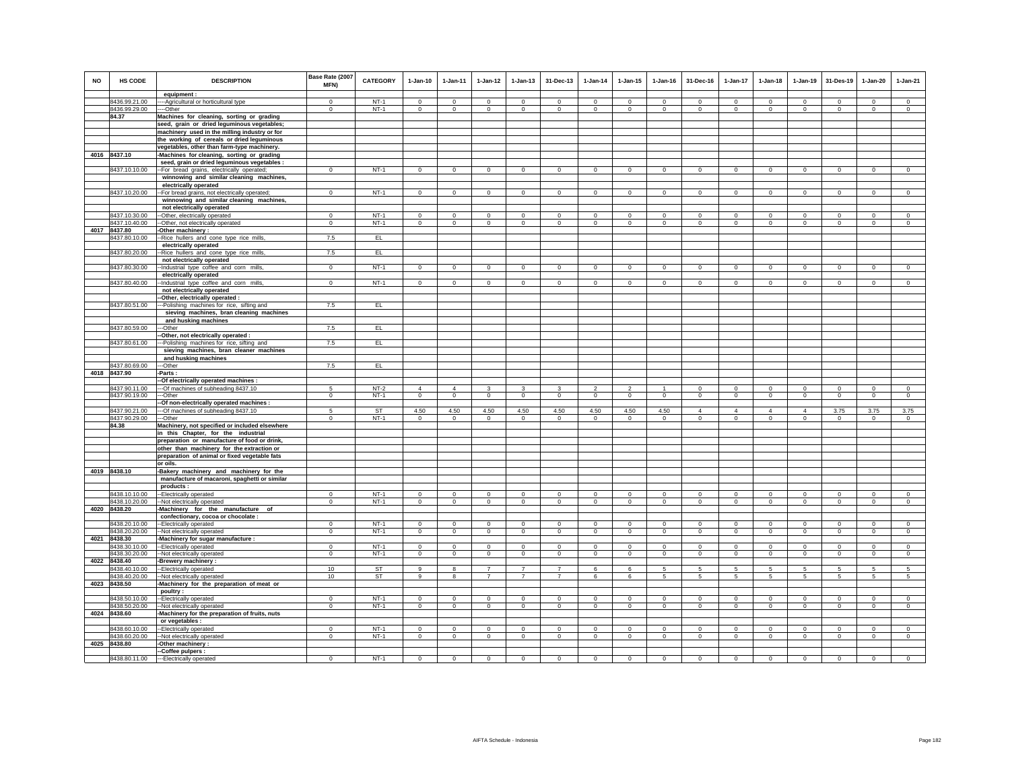| <b>NO</b> | <b>HS CODE</b>                 | <b>DESCRIPTION</b><br>equipment :                                                          | Base Rate (2007<br>MFN)        | <b>CATEGORY</b>  | $1-Jan-10$                | $1-Jan-11$                    | $1 - Jan-12$                   | $1 - Jan-13$       | 31-Dec-13                      | $1-Jan-14$                    | $1 - Jan-15$                   | $1-Jan-16$                    | 31-Dec-16                  | $1-Jan-17$      | $1 - Jan-18$                  | $1-Jan-19$                    | 31-Des-19                     | $1-Jan-20$                     | $1-Jan-21$                |
|-----------|--------------------------------|--------------------------------------------------------------------------------------------|--------------------------------|------------------|---------------------------|-------------------------------|--------------------------------|--------------------|--------------------------------|-------------------------------|--------------------------------|-------------------------------|----------------------------|-----------------|-------------------------------|-------------------------------|-------------------------------|--------------------------------|---------------------------|
|           | 8436.99.21.00                  | ---- Agricultural or horticultural type                                                    | $\Omega$                       | $NT-1$           | $\Omega$                  | $\Omega$                      | $\Omega$                       | $\Omega$           | $\Omega$                       | $\Omega$                      | $\Omega$                       | $\Omega$                      | $\Omega$                   | $\Omega$        | $\Omega$                      | $\Omega$                      | $\Omega$                      | $\Omega$                       | $\Omega$                  |
|           | 8436.99.29.00                  | ---Other                                                                                   | $\mathbf 0$                    | $NT-1$           | $\circ$                   | $\mathbf 0$                   | $\mathbf 0$                    | $\mathbf 0$        | $\mathbf{0}$                   | $\circ$                       | $\mathbf 0$                    | $\mathbf 0$                   | $\mathbf 0$                | $\mathbf 0$     | $\mathbf 0$                   | $\,0\,$                       | $\circ$                       | $\circ$                        | $\mathbf 0$               |
|           | 84.37                          | Machines for cleaning, sorting or grading                                                  |                                |                  |                           |                               |                                |                    |                                |                               |                                |                               |                            |                 |                               |                               |                               |                                |                           |
|           |                                | seed, grain or dried leguminous vegetables;                                                |                                |                  |                           |                               |                                |                    |                                |                               |                                |                               |                            |                 |                               |                               |                               |                                |                           |
|           |                                | machinery used in the milling industry or for                                              |                                |                  |                           |                               |                                |                    |                                |                               |                                |                               |                            |                 |                               |                               |                               |                                |                           |
|           |                                | the working of cereals or dried leguminous                                                 |                                |                  |                           |                               |                                |                    |                                |                               |                                |                               |                            |                 |                               |                               |                               |                                |                           |
|           | 4016 8437.10                   | vegetables, other than farm-type machinery.                                                |                                |                  |                           |                               |                                |                    |                                |                               |                                |                               |                            |                 |                               |                               |                               |                                |                           |
|           |                                | -Machines for cleaning, sorting or grading<br>seed, grain or dried leguminous vegetables : |                                |                  |                           |                               |                                |                    |                                |                               |                                |                               |                            |                 |                               |                               |                               |                                |                           |
|           | 8437.10.10.00                  | -- For bread grains, electrically operated;                                                | $\overline{0}$                 | $NT-1$           | $\Omega$                  | $\Omega$                      | $\overline{0}$                 | $\overline{0}$     | $\overline{0}$                 | $\overline{0}$                | $\overline{0}$                 | $\overline{0}$                | $\Omega$                   | $\overline{0}$  | $\overline{0}$                | $\overline{0}$                | $\overline{0}$                | $\overline{0}$                 | $\overline{0}$            |
|           |                                | winnowing and similar cleaning machines,                                                   |                                |                  |                           |                               |                                |                    |                                |                               |                                |                               |                            |                 |                               |                               |                               |                                |                           |
|           |                                | electrically operated                                                                      |                                |                  |                           |                               |                                |                    |                                |                               |                                |                               |                            |                 |                               |                               |                               |                                |                           |
|           | 8437.10.20.00                  | -- For bread grains, not electrically operated;                                            | $\mathbf{0}$                   | $NT-1$           | $\circ$                   | $\overline{0}$                | $\circ$                        | $\circ$            | $\mathbf{0}$                   | $\circ$                       | $\mathbf 0$                    | $\mathsf 0$                   | $\circ$                    | $\circ$         | $\circ$                       | $\circ$                       | $\circ$                       | $\circ$                        | $\mathsf 0$               |
|           |                                | winnowing and similar cleaning machines,                                                   |                                |                  |                           |                               |                                |                    |                                |                               |                                |                               |                            |                 |                               |                               |                               |                                |                           |
|           |                                | not electrically operated                                                                  |                                |                  |                           |                               |                                |                    |                                |                               |                                |                               |                            |                 |                               |                               |                               |                                |                           |
|           | 8437.10.30.00<br>8437.10.40.00 | -Other, electrically operated                                                              | $\mathbf{0}$<br>$\overline{0}$ | $NT-1$<br>$NT-1$ | $\circ$<br>$\overline{0}$ | $\mathbf 0$<br>$\overline{0}$ | $\mathbf{0}$<br>$\overline{0}$ | $\mathbf{0}$       | $\mathbf{0}$<br>$\overline{0}$ | $\Omega$<br>$\overline{0}$    | $\mathbf{0}$<br>$\overline{0}$ | $\circ$<br>$\overline{0}$     | $\Omega$<br>$\overline{0}$ | $\mathbf{0}$    | $\circ$<br>$\overline{0}$     | $\mathbf 0$<br>$\overline{0}$ | $\mathbf 0$<br>$\overline{0}$ | $\mathbf{0}$<br>$\overline{0}$ | $\circ$<br>$\overline{0}$ |
|           | 4017 8437.80                   | -Other, not electrically operated<br>-Other machinery:                                     |                                |                  |                           |                               |                                | $\overline{0}$     |                                |                               |                                |                               |                            | $\overline{0}$  |                               |                               |                               |                                |                           |
|           | 8437.80.10.00                  | -Rice hullers and cone type rice mills                                                     | 7.5                            | EL               |                           |                               |                                |                    |                                |                               |                                |                               |                            |                 |                               |                               |                               |                                |                           |
|           |                                | electrically operated                                                                      |                                |                  |                           |                               |                                |                    |                                |                               |                                |                               |                            |                 |                               |                               |                               |                                |                           |
|           | 8437.80.20.00                  | -Rice hullers and cone type rice mills,                                                    | 7.5                            | EL.              |                           |                               |                                |                    |                                |                               |                                |                               |                            |                 |                               |                               |                               |                                |                           |
|           |                                | not electrically operated                                                                  |                                |                  |                           |                               |                                |                    |                                |                               |                                |                               |                            |                 |                               |                               |                               |                                |                           |
|           | 8437.80.30.00                  | -Industrial type coffee and corn mills,                                                    | $^{\circ}$                     | $NT-1$           | $\Omega$                  | $^{\circ}$                    | $^{\circ}$                     | $\circ$            | $^{\circ}$                     | 0                             | $\circ$                        | $^{\circ}$                    | $^{\circ}$                 | $\circ$         | $^{\circ}$                    | $^{\circ}$                    | 0                             | $\circ$                        | $^{\circ}$                |
|           |                                | electrically operated                                                                      |                                |                  |                           |                               |                                |                    |                                |                               |                                |                               |                            |                 |                               |                               |                               |                                |                           |
|           | 8437.80.40.00                  | -Industrial type coffee and corn mills,<br>not electrically operated                       | $\mathbf{0}$                   | $NT-1$           | $\circ$                   | $\mathbf 0$                   | $\mathbf{0}$                   | $\mathbf{0}$       | $\mathbf{0}$                   | $\circ$                       | $\Omega$                       | $\circ$                       | $\mathbf{0}$               | $\circ$         | $\circ$                       | $\mathbf 0$                   | $\mathbf 0$                   | $\mathbf{0}$                   | $\circ$                   |
|           |                                | -Other, electrically operated :                                                            |                                |                  |                           |                               |                                |                    |                                |                               |                                |                               |                            |                 |                               |                               |                               |                                |                           |
|           | 8437.80.51.00                  | -- Polishing machines for rice, sifting and                                                | 7.5                            | EL               |                           |                               |                                |                    |                                |                               |                                |                               |                            |                 |                               |                               |                               |                                |                           |
|           |                                | sieving machines, bran cleaning machines                                                   |                                |                  |                           |                               |                                |                    |                                |                               |                                |                               |                            |                 |                               |                               |                               |                                |                           |
|           |                                | and husking machines                                                                       |                                |                  |                           |                               |                                |                    |                                |                               |                                |                               |                            |                 |                               |                               |                               |                                |                           |
|           | 8437.80.59.00                  | --Other                                                                                    | 7.5                            | EL.              |                           |                               |                                |                    |                                |                               |                                |                               |                            |                 |                               |                               |                               |                                |                           |
|           |                                | -Other, not electrically operated :                                                        |                                |                  |                           |                               |                                |                    |                                |                               |                                |                               |                            |                 |                               |                               |                               |                                |                           |
|           | 8437.80.61.00                  | --Polishing machines for rice, sifting and                                                 | 7.5                            | EL.              |                           |                               |                                |                    |                                |                               |                                |                               |                            |                 |                               |                               |                               |                                |                           |
|           |                                | sieving machines, bran cleaner machines<br>and husking machines                            |                                |                  |                           |                               |                                |                    |                                |                               |                                |                               |                            |                 |                               |                               |                               |                                |                           |
|           | 8437.80.69.00                  | --Other                                                                                    | 7.5                            | EL               |                           |                               |                                |                    |                                |                               |                                |                               |                            |                 |                               |                               |                               |                                |                           |
|           | 4018 8437.90                   | -Parts:                                                                                    |                                |                  |                           |                               |                                |                    |                                |                               |                                |                               |                            |                 |                               |                               |                               |                                |                           |
|           |                                | -Of electrically operated machines :                                                       |                                |                  |                           |                               |                                |                    |                                |                               |                                |                               |                            |                 |                               |                               |                               |                                |                           |
|           | 8437.90.11.00                  | --- Of machines of subheading 8437.10                                                      | 5                              | $NT-2$           | $\overline{4}$            | $\overline{4}$                | $\mathbf{3}$                   | 3                  | $\mathbf{3}$                   | $\overline{2}$                | $\overline{2}$                 | $\mathbf{1}$                  | $^{\circ}$                 | $\mathbf 0$     | $^{\circ}$                    | $^{\circ}$                    | $\,0\,$                       | $\circ$                        | $\mathsf 0$               |
|           | 8437.90.19.00                  | ---Other                                                                                   | $\mathbf 0$                    | $NT-1$           | $\circ$                   | $\circ$                       | $\mathbf{0}$                   | $\circ$            | $\circ$                        | $\circ$                       | $\mathbf{0}$                   | $\circ$                       | $\circ$                    | $\circ$         | $\circ$                       | $\mathbf 0$                   | $\mathbf 0$                   | $\circ$                        | $\circ$                   |
|           |                                | -- Of non-electrically operated machines :                                                 | 5                              | <b>ST</b>        |                           |                               |                                |                    |                                |                               |                                |                               | $\Delta$                   | $\Delta$        | $\Delta$                      | $\Delta$                      |                               |                                |                           |
|           | 8437.90.21.00<br>8437.90.29.00 | --- Of machines of subheading 8437.10<br>--Other                                           | $\Omega$                       | $NT-1$           | 4.50<br>$\circ$           | 4.50<br>$^{\circ}$            | 4.50<br>$^{\circ}$             | 4.50<br>$^{\circ}$ | 4.50<br>$\mathbf 0$            | 4.50<br>$\mathbf{0}$          | 4.50<br>$^{\circ}$             | 4.50<br>$\circ$               | $\circ$                    | $\circ$         | $\circ$                       | $\mathbf 0$                   | 3.75<br>$\mathbf{0}$          | 3.75<br>$\mathbf{0}$           | 3.75<br>$\mathbf 0$       |
|           | 84.38                          | Machinery, not specified or included elsewhere                                             |                                |                  |                           |                               |                                |                    |                                |                               |                                |                               |                            |                 |                               |                               |                               |                                |                           |
|           |                                | in this Chapter, for the industrial                                                        |                                |                  |                           |                               |                                |                    |                                |                               |                                |                               |                            |                 |                               |                               |                               |                                |                           |
|           |                                | preparation or manufacture of food or drink,                                               |                                |                  |                           |                               |                                |                    |                                |                               |                                |                               |                            |                 |                               |                               |                               |                                |                           |
|           |                                | other than machinery for the extraction or                                                 |                                |                  |                           |                               |                                |                    |                                |                               |                                |                               |                            |                 |                               |                               |                               |                                |                           |
|           |                                | preparation of animal or fixed vegetable fats                                              |                                |                  |                           |                               |                                |                    |                                |                               |                                |                               |                            |                 |                               |                               |                               |                                |                           |
|           |                                | or oils.                                                                                   |                                |                  |                           |                               |                                |                    |                                |                               |                                |                               |                            |                 |                               |                               |                               |                                |                           |
|           | 4019 8438.10                   | -Bakery machinery and machinery for the                                                    |                                |                  |                           |                               |                                |                    |                                |                               |                                |                               |                            |                 |                               |                               |                               |                                |                           |
|           |                                | manufacture of macaroni, spaghetti or similar<br>products:                                 |                                |                  |                           |                               |                                |                    |                                |                               |                                |                               |                            |                 |                               |                               |                               |                                |                           |
|           | 8438.10.10.00                  | --Electrically operated                                                                    | $\Omega$                       | $NT-1$           | $\Omega$                  | $\Omega$                      | $\Omega$                       | $\Omega$           | $\Omega$                       | $\Omega$                      | $\Omega$                       | $\Omega$                      | $\Omega$                   | $\Omega$        | $\Omega$                      | $\Omega$                      | $\Omega$                      | $\Omega$                       | $\Omega$                  |
|           | 8438.10.20.00                  | --Not electrically operated                                                                | $^{\circ}$                     | $NT-1$           | $^{\circ}$                | $^{\circ}$                    | $^{\circ}$                     | $\mathbf{0}$       | $^{\circ}$                     | $\mathbf 0$                   | 0                              | $\mathbf{0}$                  | $\mathbf{0}$               | $^{\circ}$      | $^{\circ}$                    | $^{\circ}$                    | $\mathbf{0}$                  | $\circ$                        | $\mathbf 0$               |
|           | 4020 8438.20                   | -Machinery for the manufacture of                                                          |                                |                  |                           |                               |                                |                    |                                |                               |                                |                               |                            |                 |                               |                               |                               |                                |                           |
|           |                                | confectionary, cocoa or chocolate :                                                        |                                |                  |                           |                               |                                |                    |                                |                               |                                |                               |                            |                 |                               |                               |                               |                                |                           |
|           | 8438.20.10.00                  | -Electrically operated                                                                     | $\mathsf 0$                    | $NT-1$           | $\mathbf 0$               | $\mathbf 0$                   | $\mathbf 0$                    | $\mathsf 0$        | $\mathsf 0$                    | $\circ$                       | $\mathbf 0$                    | $\circ$                       | $\mathsf 0$                | $\mathbf 0$     | $\mathbf 0$                   | $\mathbf 0$                   | $\mathbf 0$                   | $\mathsf 0$                    | $\circ$                   |
|           | 8438.20.20.00<br>4021 8438.30  | -Not electrically operated                                                                 | $\mathbf 0$                    | $NT-1$           | $\circ$                   | $\circ$                       | $\mathbf{0}$                   | $\mathbf 0$        | $\mathbf{0}$                   | $\mathbf{0}$                  | $\mathbf 0$                    | $\circ$                       | $\circ$                    | $\circ$         | $\circ$                       | $\mathbf 0$                   | $\circ$                       | $\mathbf 0$                    | $\circ$                   |
|           | 8438.30.10.00                  | Machinery for sugar manufacture :<br>-Electrically operated                                | $\Omega$                       | $NT-1$           | $\Omega$                  | $\Omega$                      | $\Omega$                       | $\Omega$           | $\mathbf 0$                    | $\Omega$                      | $\Omega$                       | $\Omega$                      | $\Omega$                   | $\mathbf 0$     | $\Omega$                      | $\Omega$                      | $\Omega$                      | $^{\circ}$                     | $\Omega$                  |
|           | 8438.30.20.00                  | -Not electrically operated                                                                 | $\mathbf 0$                    | $NT-1$           | $\circ$                   | $\mathbf 0$                   | $\mathbf 0$                    | $\mathsf 0$        | $\mathbf{0}$                   | $\mathsf 0$                   | $\mathsf 0$                    | $\mathsf 0$                   | $\mathbf 0$                | $\circ$         | $\mathbf 0$                   | $\mathbf 0$                   | $\mathbf 0$                   | $\mathsf 0$                    | $\mathsf 0$               |
|           | 4022 8438.40                   | -Brewery machinery :                                                                       |                                |                  |                           |                               |                                |                    |                                |                               |                                |                               |                            |                 |                               |                               |                               |                                |                           |
|           | 8438.40.10.00                  | --Electrically operated                                                                    | 10                             | <b>ST</b>        | 9                         | 8                             | $\overline{7}$                 | $\overline{7}$     | $\overline{7}$                 | 6                             | 6                              | -5                            | 5                          | $5\phantom{.0}$ | 5                             | 5                             | $\sqrt{5}$                    | $\overline{5}$                 | 5                         |
|           | 8438.40.20.00                  | -Not electrically operated                                                                 | 10                             | <b>ST</b>        | $\overline{9}$            | $\mathbf{R}$                  | $\overline{7}$                 | $\overline{7}$     | $\overline{7}$                 | 6                             | 6                              | $\sqrt{5}$                    | 5                          | 5               | 5                             | $\overline{5}$                | 5                             | 5                              | 5                         |
|           | 4023 8438.50                   | Machinery for the preparation of meat or                                                   |                                |                  |                           |                               |                                |                    |                                |                               |                                |                               |                            |                 |                               |                               |                               |                                |                           |
|           |                                | poultry:                                                                                   |                                | $NT-1$           |                           |                               |                                | $\mathbf 0$        |                                |                               | $\mathbf 0$                    |                               |                            | $\mathbf 0$     |                               |                               |                               | $\mathbf 0$                    | $\Omega$                  |
|           | 8438.50.10.00<br>8438.50.20.00 | -Electrically operated<br>-Not electrically operated                                       | $\mathbf 0$<br>$\mathbf 0$     | $NT-1$           | $\mathbf 0$<br>$\circ$    | $\mathbf 0$<br>$\mathbf 0$    | $\mathbf 0$<br>$\overline{0}$  | $\overline{0}$     | $\mathbf 0$<br>$\overline{0}$  | $\mathbf 0$<br>$\overline{0}$ | $\overline{0}$                 | $\mathbf 0$<br>$\overline{0}$ | $\mathbf 0$<br>$\circ$     | $\overline{0}$  | $\mathbf 0$<br>$\overline{0}$ | $\mathbf 0$<br>$\mathbb O$    | $\mathbf 0$<br>$\mathbf 0$    | $\mathsf 0$                    | $\overline{0}$            |
|           | 4024 8438.60                   | -Machinery for the preparation of fruits, nuts                                             |                                |                  |                           |                               |                                |                    |                                |                               |                                |                               |                            |                 |                               |                               |                               |                                |                           |
|           |                                | or vegetables :                                                                            |                                |                  |                           |                               |                                |                    |                                |                               |                                |                               |                            |                 |                               |                               |                               |                                |                           |
|           | 8438.60.10.00                  | --Electrically operated                                                                    | $\Omega$                       | $NT-1$           | $\Omega$                  | $\Omega$                      | $\Omega$                       | $\Omega$           | $\Omega$                       | $\Omega$                      | $\Omega$                       | $\Omega$                      | $\Omega$                   | $\Omega$        | $\Omega$                      | $\Omega$                      | $\Omega$                      | $\Omega$                       | $\Omega$                  |
|           | 8438.60.20.00                  | --Not electrically operated                                                                | $\mathbf{0}$                   | $NT-1$           | $\mathbf{0}$              | $\mathbf 0$                   | $\overline{0}$                 | $\circ$            | $\mathbf 0$                    | $\circ$                       | $\mathbf 0$                    | $\mathbf 0$                   | $\overline{0}$             | $\circ$         | $\mathbf 0$                   | $\circ$                       | $\circ$                       | $\circ$                        | $\mathbf 0$               |
|           | 4025 8438.80                   | -Other machinery :                                                                         |                                |                  |                           |                               |                                |                    |                                |                               |                                |                               |                            |                 |                               |                               |                               |                                |                           |
|           |                                | -Coffee pulpers :                                                                          | $\Omega$                       |                  | $\Omega$                  |                               |                                | $\Omega$           | $\Omega$                       | $\Omega$                      | $\Omega$                       |                               | $\Omega$                   | $\Omega$        | $\Omega$                      | $\Omega$                      | $\Omega$                      | $\Omega$                       |                           |
|           | 8438.80.11.00                  | ---Electrically operated                                                                   |                                | $NT-1$           |                           |                               |                                |                    |                                |                               |                                |                               |                            |                 |                               |                               |                               |                                |                           |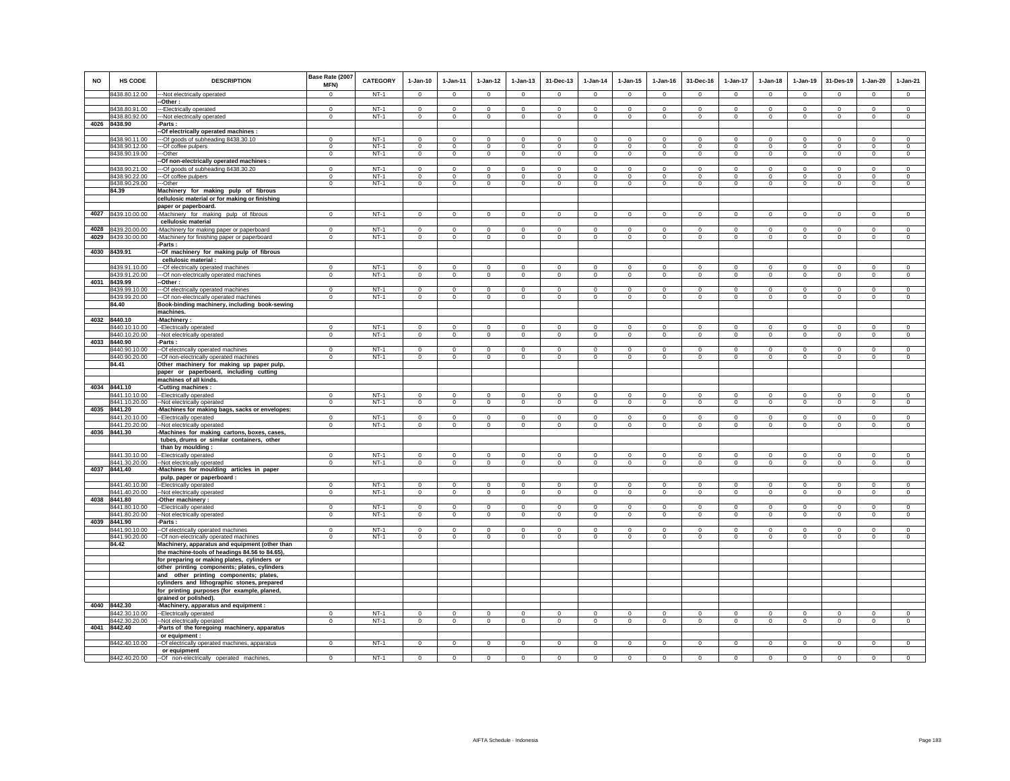| <b>NO</b> | <b>HS CODE</b>                 | <b>DESCRIPTION</b>                                                                     | Base Rate (2007<br>MFN)       | CATEGORY         | $1-Jan-10$                     | $1 - Jan-11$                  | $1 - Jan-12$                  | $1 - Jan-13$                  | 31-Dec-13                        | $1 - Jan-14$                  | $1 - Jan-15$                  | $1 - Jan-16$                  | 31-Dec-16                     | $1-Jan-17$                    | $1-Jan-18$                    | $1-Jan-19$                    | 31-Des-19                     | $1 - Jan-20$               | $1-Jan-21$                     |
|-----------|--------------------------------|----------------------------------------------------------------------------------------|-------------------------------|------------------|--------------------------------|-------------------------------|-------------------------------|-------------------------------|----------------------------------|-------------------------------|-------------------------------|-------------------------------|-------------------------------|-------------------------------|-------------------------------|-------------------------------|-------------------------------|----------------------------|--------------------------------|
|           | 8438.80.12.00                  | --Not electrically operated                                                            | $\Omega$                      | $NT-1$           | $\Omega$                       | $\Omega$                      | $\Omega$                      | $\Omega$                      | $\Omega$                         | $\Omega$                      | $\Omega$                      | $\Omega$                      | $\Omega$                      | $\Omega$                      | $\Omega$                      | $\Omega$                      | $\Omega$                      | $\Omega$                   | $\Omega$                       |
|           |                                | -Other:                                                                                |                               |                  |                                |                               |                               |                               |                                  |                               |                               |                               |                               |                               |                               |                               |                               |                            |                                |
|           | 8438.80.91.00<br>8438.80.92.00 | --Electrically operated<br>--- Not electrically operated                               | $^{\circ}$<br>$\Omega$        | $NT-1$<br>$NT-1$ | $^{\circ}$<br>$\Omega$         | $^{\circ}$<br>$^{\circ}$      | $^{\circ}$<br>$^{\circ}$      | $\mathsf 0$<br>$\circ$        | $\mathbf 0$<br>$^{\circ}$        | $^{\circ}$<br>$^{\circ}$      | $^{\circ}$<br>$\circ$         | $^{\circ}$<br>$^{\circ}$      | $\mathsf 0$<br>$\mathbf{0}$   | $\mathbb O$<br>$^{\circ}$     | $\mathsf 0$<br>$\circ$        | $\mathsf 0$<br>$^{\circ}$     | $\mathbf 0$<br>$^{\circ}$     | $\mathbf 0$<br>$\circ$     | $\mathsf 0$<br>$^{\circ}$      |
|           | 4026 8438.90                   | -Parts:                                                                                |                               |                  |                                |                               |                               |                               |                                  |                               |                               |                               |                               |                               |                               |                               |                               |                            |                                |
|           |                                | -Of electrically operated machines :                                                   |                               |                  |                                |                               |                               |                               |                                  |                               |                               |                               |                               |                               |                               |                               |                               |                            |                                |
|           | 8438.90.11.00                  | --Of goods of subheading 8438.30.10                                                    | $\Omega$                      | $NT-1$           | $\Omega$                       | $\Omega$                      | $\Omega$                      | $\Omega$                      | $\Omega$                         | $\Omega$                      |                               | $\Omega$                      | $\Omega$                      | $\Omega$                      | $\Omega$                      | $\Omega$                      | $\mathbf 0$                   | $\Omega$                   | $\Omega$                       |
|           | 8438.90.12.00<br>8438.90.19.00 | --Of coffee pulpers<br>---Other                                                        | $\mathbf 0$<br>$\overline{0}$ | $NT-1$<br>$NT-1$ | $\circ$<br>$\overline{0}$      | $\mathbf 0$<br>$\overline{0}$ | $\,0\,$<br>$\overline{0}$     | $\mathsf 0$<br>$\overline{0}$ | $\mathbf 0$<br>$\overline{0}$    | $\mathbb O$<br>$\overline{0}$ | $\mathsf 0$<br>$\overline{0}$ | $\mathbf 0$<br>$\overline{0}$ | $\mathbf 0$<br>$\overline{0}$ | $\mathsf 0$<br>$\overline{0}$ | $\mathsf 0$<br>$\overline{0}$ | $\mathsf 0$<br>$\overline{0}$ | $\,$ 0<br>$\overline{0}$      | $\,$ 0<br>$\overline{0}$   | $\mathsf 0$<br>$\overline{0}$  |
|           |                                | -Of non-electrically operated machines :                                               |                               |                  |                                |                               |                               |                               |                                  |                               |                               |                               |                               |                               |                               |                               |                               |                            |                                |
|           | 8438.90.21.00                  | --Of goods of subheading 8438.30.20                                                    | $\Omega$                      | $NT-1$           | $\Omega$                       | $\Omega$                      | $\Omega$                      | $\Omega$                      | $\Omega$                         | $\Omega$                      | $\Omega$                      | $\Omega$                      | $\Omega$                      | $\Omega$                      | $\Omega$                      | $\Omega$                      | $\Omega$                      | $\Omega$                   | $\Omega$                       |
|           | 8438.90.22.00                  | --Of coffee pulpers                                                                    | $^{\circ}$                    | $NT-1$           | $\Omega$                       | $^{\circ}$                    | $^{\circ}$                    | $\circ$                       | $\mathbf 0$                      | $^{\circ}$                    | $^{\circ}$                    | $^{\circ}$                    | $\circ$                       | $\mathbf{0}$                  | 0                             | $\mathbf{0}$                  | $\mathbf 0$                   | $\mathbf 0$                | $^{\circ}$                     |
|           | 8438.90.29.00                  | --Other                                                                                | $\mathbf 0$                   | $NT-1$           | $\mathbf{0}$                   | $\overline{0}$                | $\overline{0}$                | $\overline{0}$                | $\overline{0}$                   | $\mathbf 0$                   | $\mathbf 0$                   | $\mathbf 0$                   | $\overline{0}$                | $\overline{0}$                | $\overline{0}$                | $\overline{0}$                | $\overline{0}$                | $\overline{0}$             | $\overline{0}$                 |
|           | 84.39                          | Machinery for making pulp of fibrous<br>cellulosic material or for making or finishing |                               |                  |                                |                               |                               |                               |                                  |                               |                               |                               |                               |                               |                               |                               |                               |                            |                                |
|           |                                | paper or paperboard.                                                                   |                               |                  |                                |                               |                               |                               |                                  |                               |                               |                               |                               |                               |                               |                               |                               |                            |                                |
|           | 4027 8439.10.00.00             | -Machinery for making pulp of fibrous                                                  | $\mathbf{0}$                  | $NT-1$           | $\mathbf 0$                    | $\mathbf 0$                   | $\mathbf 0$                   | $\mathbf{0}$                  | $\mathbf 0$                      | $\mathbb O$                   | $\mathsf 0$                   | $\mathbf 0$                   | $\mathbf 0$                   | $\mathsf 0$                   | $\mathbf{0}$                  | $\mathsf 0$                   | $\mathbf 0$                   | $\circ$                    | $\overline{0}$                 |
|           |                                | cellulosic material                                                                    |                               |                  |                                |                               |                               |                               |                                  |                               |                               |                               |                               |                               |                               |                               |                               |                            |                                |
| 4028      | 8439.20.00.00                  | -Machinery for making paper or paperboard                                              | $\mathbf{0}$                  | $NT-1$           | $\mathbf 0$                    | $\mathbf 0$                   | $\Omega$                      | $\Omega$                      | $\mathbf 0$                      | $\Omega$                      | $\Omega$                      | $\mathbf 0$                   | $\mathbf{0}$                  | $\Omega$                      | $\mathbf{0}$                  | $\circ$                       | $\mathbf 0$                   | $\mathbf 0$                | $\circ$                        |
|           | 4029 8439.30.00.00             | -Machinery for finishing paper or paperboard                                           | $\mathsf 0$                   | $NT-1$           | $\mathbf 0$                    | $\mathbf 0$                   | $\mathbf 0$                   | $\mathsf 0$                   | $\mathsf 0$                      | $\mathbf 0$                   | $\mathsf 0$                   | $\mathbf 0$                   | $\mathsf 0$                   | $\circ$                       | $\mathsf 0$                   | $\circ$                       | $\mathbf 0$                   | $\mathsf 0$                | $\mathbf 0$                    |
|           | 4030 8439.91                   | Parts:<br>-Of machinery for making pulp of fibrous                                     |                               |                  |                                |                               |                               |                               |                                  |                               |                               |                               |                               |                               |                               |                               |                               |                            |                                |
|           |                                | cellulosic material :                                                                  |                               |                  |                                |                               |                               |                               |                                  |                               |                               |                               |                               |                               |                               |                               |                               |                            |                                |
|           | 8439.91.10.00                  | -Of electrically operated machines                                                     | $\Omega$                      | $NT-1$           | $\Omega$                       | $\Omega$                      | $^{\circ}$                    | $^{\circ}$                    | $\mathbf 0$                      | 0                             | $^{\circ}$                    | $^{\circ}$                    | $^{\circ}$                    | $\mathbf{0}$                  | $\circ$                       | $\mathbf{0}$                  | $\mathbf 0$                   | $\mathbf 0$                | $^{\circ}$                     |
|           | 8439.91.20.00                  | -Of non-electrically operated machines                                                 | $\mathsf 0$                   | $NT-1$           | $\mathbf 0$                    | $\mathbf 0$                   | $\mathbf 0$                   | $\mathsf 0$                   | $\mathbf{0}$                     | $\mathbf 0$                   | $\mathsf 0$                   | $\mathsf 0$                   | $\mathsf 0$                   | $\circ$                       | $\mathsf 0$                   | $\circ$                       | $\circ$                       | $\circ$                    | $\mathbf 0$                    |
| 4031      | 8439.99                        | -Other:                                                                                |                               |                  |                                |                               | $\mathbf 0$                   | $\circ$                       | $\mathbf 0$                      | $\mathbf 0$                   |                               |                               |                               |                               | $\circ$                       | $\circ$                       |                               | $\circ$                    |                                |
|           | 8439.99.10.00<br>8439.99.20.00 | -- Of electrically operated machines<br>--Of non-electrically operated machines        | $^{\circ}$<br>$\Omega$        | $NT-1$<br>$NT-1$ | $\mathbf 0$<br>$\Omega$        | $\mathbf 0$<br>$\Omega$       | $\Omega$                      | $\Omega$                      | $\Omega$                         | $\Omega$                      | $\circ$<br>$\Omega$           | $\mathbf 0$<br>$\Omega$       | $\circ$<br>$\Omega$           | $\mathbb O$<br>$\circ$        | $\Omega$                      | $\circ$                       | $\mathbf 0$<br>$\Omega$       | $\Omega$                   | $\mathsf 0$<br>$\Omega$        |
|           | 84.40                          | Book-binding machinery, including book-sewing                                          |                               |                  |                                |                               |                               |                               |                                  |                               |                               |                               |                               |                               |                               |                               |                               |                            |                                |
|           |                                | machines.                                                                              |                               |                  |                                |                               |                               |                               |                                  |                               |                               |                               |                               |                               |                               |                               |                               |                            |                                |
|           | 4032 8440.10                   | -Machinery:                                                                            |                               |                  |                                |                               |                               |                               |                                  |                               |                               |                               |                               |                               |                               |                               |                               |                            |                                |
|           | 8440.10.10.00<br>8440.10.20.00 | -Electrically operated                                                                 | $\mathbf 0$<br>$^{\circ}$     | $NT-1$<br>$NT-1$ | $\Omega$<br>$\Omega$           | $\mathbf 0$<br>$^{\circ}$     | $\mathbf{0}$                  | $\mathbf 0$                   | $\overline{0}$                   | $\mathbf{0}$                  | $\mathbf 0$                   | $\mathbf{0}$<br>$\mathbf 0$   | $\mathbf 0$<br>$\circ$        | $\circ$                       | $\mathbf{0}$                  | $\mathbf 0$                   | $\mathbf 0$                   | $\mathbf 0$                | $\circ$<br>$\circ$             |
| 4033      | 8440.90                        | --Not electrically operated<br>Parts:                                                  |                               |                  |                                |                               | $\mathbf 0$                   | $\mathbf 0$                   | $\mathbf 0$                      | $\mathbf 0$                   | $\mathbf 0$                   |                               |                               | $\circ$                       | $\mathbf 0$                   | $\mathbf 0$                   | $\circ$                       | $\circ$                    |                                |
|           | 8440.90.10.00                  | -- Of electrically operated machines                                                   | $\Omega$                      | $NT-1$           | $\mathbf 0$                    | $\Omega$                      | $\Omega$                      | $\mathbf 0$                   | $\mathbf 0$                      | $\Omega$                      | $\Omega$                      | $\Omega$                      | $\circ$                       | $\circ$                       | $\mathbf 0$                   | $\mathbf 0$                   | $\mathbf 0$                   | $\circ$                    | $\mathbf 0$                    |
|           | 8440.90.20.00                  | --Of non-electrically operated machines                                                | $\mathbf{0}$                  | $NT-1$           | $^{\circ}$                     | $\mathbf{0}$                  | $^{\circ}$                    | $\mathbf 0$                   | $\overline{0}$                   | $^{\circ}$                    | $^{\circ}$                    | $\Omega$                      | $^{\circ}$                    | $\circ$                       | $\mathbf 0$                   | $\circ$                       | $\mathbf 0$                   | $\circ$                    | $\circ$                        |
|           | 84.41                          | Other machinery for making up paper pulp,                                              |                               |                  |                                |                               |                               |                               |                                  |                               |                               |                               |                               |                               |                               |                               |                               |                            |                                |
|           |                                | paper or paperboard, including cutting<br>machines of all kinds.                       |                               |                  |                                |                               |                               |                               |                                  |                               |                               |                               |                               |                               |                               |                               |                               |                            |                                |
|           | 4034 8441.10                   | -Cutting machines                                                                      |                               |                  |                                |                               |                               |                               |                                  |                               |                               |                               |                               |                               |                               |                               |                               |                            |                                |
|           | 8441.10.10.00                  | --Electrically operated                                                                | $\Omega$                      | $NT-1$           | $\mathbf 0$                    | $^{\circ}$                    | $^{\circ}$                    | $^{\circ}$                    | $^{\circ}$                       | $^{\circ}$                    | $^{\circ}$                    | $^{\circ}$                    | $^{\circ}$                    | $\mathbf 0$                   | $\circ$                       | $^{\circ}$                    | $\mathbf 0$                   | $^{\circ}$                 | $\circ$                        |
|           | 8441.10.20.00                  | -Not electrically operated                                                             | $\Omega$                      | $NT-1$           | $\Omega$                       | $\mathbf 0$                   | $\mathbf 0$                   | $\mathbf 0$                   | $\overline{0}$                   | $\bf{0}$                      | $\bf{0}$                      | $\bf{0}$                      | $\mathbf 0$                   | $\circ$                       | $\mathbf 0$                   | $\mathbf 0$                   | $\mathbf 0$                   | $\,0\,$                    | $\mathbf 0$                    |
| 4035      | 8441.20<br>3441.20.10.00       | Machines for making bags, sacks or envelopes:<br>-Electrically operated                | $\mathbf 0$                   | $NT-1$           | $\mathbf 0$                    | $\mathbf 0$                   | $\circ$                       | $\mathbf 0$                   | 0                                | $\circ$                       | $\circ$                       | $\mathbf 0$                   | $\mathbf 0$                   | $\overline{0}$                | $\mathbf 0$                   | $\overline{0}$                | $\mathbf 0$                   | 0                          | $\overline{0}$                 |
|           | 8441.20.20.00                  | -Not electrically operated                                                             | $\mathbf 0$                   | $NT-1$           | $\circ$                        | $\mathbf 0$                   | $\circ$                       | $\mathbf 0$                   | $\mathbf 0$                      | $\mathbf 0$                   | $\mathbf 0$                   | $\Omega$                      | $\mathbf 0$                   | $\circ$                       | $\mathbf 0$                   | $\circ$                       | $\mathbf 0$                   | $\mathbf 0$                | $\circ$                        |
|           | 4036 8441.30                   | -Machines for making cartons, boxes, cases,                                            |                               |                  |                                |                               |                               |                               |                                  |                               |                               |                               |                               |                               |                               |                               |                               |                            |                                |
|           |                                | tubes, drums or similar containers, other                                              |                               |                  |                                |                               |                               |                               |                                  |                               |                               |                               |                               |                               |                               |                               |                               |                            |                                |
|           | 8441.30.10.00                  | than by moulding:                                                                      | $\mathbf 0$                   | $NT-1$           | $\mathbf 0$                    | $\mathbf 0$                   | $\circ$                       | $\mathbf 0$                   | $\mathbf 0$                      | $\circ$                       | $\circ$                       | $\mathbf 0$                   | $\mathbf 0$                   | $\mathbf 0$                   | $\mathbf 0$                   | $\mathbf 0$                   | $\mathbf 0$                   | $\mathbf 0$                | $\mathbf 0$                    |
|           | 8441.30.20.00                  | --Electrically operated<br>--Not electrically operated                                 | $\mathbf 0$                   | $NT-1$           | $\circ$                        | $\circ$                       | $\circ$                       | $\mathbf 0$                   | $\mathbf 0$                      | $\mathbf 0$                   | $\mathbf 0$                   | $\circ$                       | $\mathbf{0}$                  | $\circ$                       | $\mathbf 0$                   | $\circ$                       | $\circ$                       | $\circ$                    | $\circ$                        |
|           | 4037 8441.40                   | -Machines for moulding articles in paper                                               |                               |                  |                                |                               |                               |                               |                                  |                               |                               |                               |                               |                               |                               |                               |                               |                            |                                |
|           |                                | pulp, paper or paperboard :                                                            |                               |                  |                                |                               |                               |                               |                                  |                               |                               |                               |                               |                               |                               |                               |                               |                            |                                |
|           | 8441.40.10.00<br>8441.40.20.00 | -Electrically operated                                                                 | $\mathbf 0$<br>$\mathbf 0$    | $NT-1$<br>$NT-1$ | $\mathbf 0$<br>$\mathbf 0$     | $\Omega$<br>$\mathbf 0$       | 0<br>$\mathbf 0$              | $\mathbf 0$<br>$\mathbf 0$    | $\mathbf 0$<br>$\mathbf 0$       | $\circ$<br>$\mathbf 0$        | $\circ$<br>$\mathbf 0$        | $^{\circ}$<br>$\mathbf 0$     | $^{\circ}$<br>$\mathbf 0$     | $\mathbf 0$<br>$\circ$        | $\mathbf 0$<br>$\mathbf 0$    | $\mathbf 0$<br>$\mathbf 0$    | $\mathbf 0$<br>$\mathbf 0$    | $\mathbf 0$<br>$\mathbf 0$ | $\circ$<br>$\mathbf 0$         |
| 4038      | 8441.80                        | -Not electrically operated<br>-Other machinery :                                       |                               |                  |                                |                               |                               |                               |                                  |                               |                               |                               |                               |                               |                               |                               |                               |                            |                                |
|           | 8441.80.10.00                  | -- Electrically operated                                                               | $\Omega$                      | $NT-1$           | $\Omega$                       | $\Omega$                      | $\Omega$                      | $\Omega$                      | $\Omega$                         | $\Omega$                      | $\Omega$                      | $\Omega$                      | $\Omega$                      | $\Omega$                      | $\Omega$                      | $\Omega$                      | $\Omega$                      | $\Omega$                   | $\Omega$                       |
|           | 8441.80.20.00                  | -Not electrically operated                                                             | $\mathbf 0$                   | $NT-1$           | $\Omega$                       | $\Omega$                      | $\Omega$                      | $\Omega$                      | $\mathbf 0$                      | $^{\circ}$                    | $\Omega$                      | $\Omega$                      | $\mathbf 0$                   | $\mathbf 0$                   | $\Omega$                      | $\mathbf 0$                   | $\Omega$                      | $\mathbf 0$                | $\Omega$                       |
|           | 4039 8441.90                   | -Parts :                                                                               | $\Omega$                      | $NT-1$           | $\Omega$                       | $\Omega$                      |                               | $\Omega$                      |                                  |                               | $\Omega$                      | $\Omega$                      | $\Omega$                      |                               | $\Omega$                      |                               |                               |                            | $\Omega$                       |
|           | 8441.90.10.00<br>8441.90.20.00 | --Of electrically operated machines<br>--Of non-electrically operated machines         | $\Omega$                      | $NT-1$           | $\Omega$                       | $\Omega$                      | $^{\circ}$<br>$\circ$         | $\circ$                       | $\mathbf 0$<br>$\mathbf 0$       | $^{\circ}$<br>$\Omega$        | $^{\circ}$                    | $^{\circ}$                    | $\circ$                       | $\mathbf 0$<br>$\circ$        | $\mathbf 0$                   | $\circ$<br>$\circ$            | $\mathbf 0$<br>$\Omega$       | $\circ$<br>$\mathbf{0}$    | $\Omega$                       |
|           | 84.42                          | Machinery, apparatus and equipment (other than                                         |                               |                  |                                |                               |                               |                               |                                  |                               |                               |                               |                               |                               |                               |                               |                               |                            |                                |
|           |                                | the machine-tools of headings 84.56 to 84.65),                                         |                               |                  |                                |                               |                               |                               |                                  |                               |                               |                               |                               |                               |                               |                               |                               |                            |                                |
|           |                                | for preparing or making plates, cylinders or                                           |                               |                  |                                |                               |                               |                               |                                  |                               |                               |                               |                               |                               |                               |                               |                               |                            |                                |
|           |                                | other printing components; plates, cylinders                                           |                               |                  |                                |                               |                               |                               |                                  |                               |                               |                               |                               |                               |                               |                               |                               |                            |                                |
|           |                                | and other printing components; plates,<br>cylinders and lithographic stones, prepared  |                               |                  |                                |                               |                               |                               |                                  |                               |                               |                               |                               |                               |                               |                               |                               |                            |                                |
|           |                                | for printing purposes (for example, planed,                                            |                               |                  |                                |                               |                               |                               |                                  |                               |                               |                               |                               |                               |                               |                               |                               |                            |                                |
|           |                                | grained or polished).                                                                  |                               |                  |                                |                               |                               |                               |                                  |                               |                               |                               |                               |                               |                               |                               |                               |                            |                                |
|           | 4040 8442.30                   | -Machinery, apparatus and equipment :                                                  |                               |                  |                                |                               |                               |                               |                                  |                               |                               |                               |                               |                               |                               |                               |                               |                            |                                |
|           | 8442.30.10.00<br>8442.30.20.00 | --Electrically operated<br>--Not electrically operated                                 | $\mathbf 0$<br>$\Omega$       | $NT-1$<br>$NT-1$ | $\mathbf{0}$<br>$\overline{0}$ | $\mathbf 0$<br>$\circ$        | $\mathbf 0$<br>$\overline{0}$ | $\mathbf 0$<br>$\circ$        | $\overline{0}$<br>$\overline{0}$ | $\mathbf{0}$<br>$\Omega$      | $\mathbf 0$<br>$\circ$        | $\mathbf 0$<br>$\circ$        | $\mathbf 0$<br>$\overline{0}$ | $\circ$<br>$\overline{0}$     | $\mathbf 0$<br>$\circ$        | $\mathbf 0$<br>$\overline{0}$ | $\mathbf 0$<br>$\overline{0}$ | $\circ$<br>$\overline{0}$  | $\mathbf{0}$<br>$\overline{0}$ |
|           | 4041 8442.40                   | Parts of the foregoing machinery, apparatus                                            |                               |                  |                                |                               |                               |                               |                                  |                               |                               |                               |                               |                               |                               |                               |                               |                            |                                |
|           |                                | or equipment :                                                                         |                               |                  |                                |                               |                               |                               |                                  |                               |                               |                               |                               |                               |                               |                               |                               |                            |                                |
|           | 8442.40.10.00                  | --Of electrically operated machines, apparatus                                         | $\Omega$                      | $NT-1$           | $\Omega$                       | $\Omega$                      | $\Omega$                      | $\Omega$                      | $\Omega$                         | $^{\circ}$                    | $\Omega$                      | $\Omega$                      | $\Omega$                      | $\Omega$                      | $\Omega$                      | $\Omega$                      | $\mathbf 0$                   | $\mathbf 0$                | $\circ$                        |
|           |                                | or equipment                                                                           | $\mathbf{0}$                  | $NT-1$           | $\mathbf 0$                    | $\mathbf 0$                   | $\Omega$                      | $\Omega$                      | $\Omega$                         | $\Omega$                      | $\Omega$                      | $\Omega$                      | $\Omega$                      | $\Omega$                      | $\mathbf{0}$                  | $\Omega$                      | $\Omega$                      | $\Omega$                   | $\circ$                        |
|           | 8442.40.20.00                  | --Of non-electrically operated machines                                                |                               |                  |                                |                               |                               |                               |                                  |                               |                               |                               |                               |                               |                               |                               |                               |                            |                                |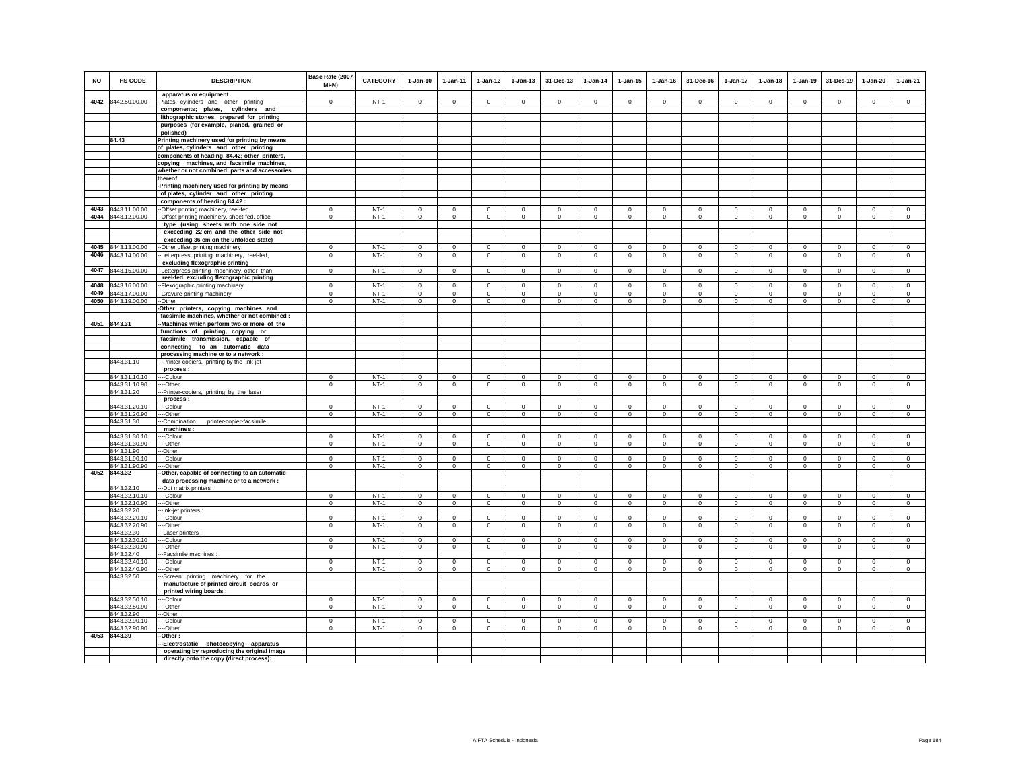| 4042 8442.50.00.00<br>$NT-1$<br>-Plates, cylinders and other printing<br>$\Omega$<br>$\Omega$<br>$\Omega$<br>$\Omega$<br>$\Omega$<br>$\Omega$<br>$\Omega$<br>$\Omega$<br>$\Omega$<br>$\Omega$<br>$\Omega$<br>$\Omega$<br>components; plates, cylinders and<br>lithographic stones, prepared for printing<br>purposes (for example, planed, grained or<br>polished)<br>84.43<br>Printing machinery used for printing by means<br>of plates, cylinders and other printing<br>components of heading 84.42; other printers,<br>copying machines, and facsimile machines,<br>whether or not combined; parts and accessories<br>thereof<br>-Printing machinery used for printing by means<br>of plates, cylinder and other printing<br>components of heading 84.42<br>4043<br>8443.11.00.00<br>--Offset printing machinery, reel-fed<br>$NT-1$<br>$\mathbf 0$<br>$^{\circ}$<br>$\mathbf 0$<br>$\mathbf 0$<br>$\mathbf 0$<br>$\mathbf{0}$<br>$^{\circ}$<br>$\mathbf 0$<br>$\mathbf 0$<br>$\mathbf 0$<br>$\mathbf 0$<br>$\mathbf 0$<br>4044 8443.12.00.00<br>$NT-1$<br>--Offset printing machinery, sheet-fed, office<br>$\overline{0}$<br>$\circ$<br>$\circ$<br>$\mathbf 0$<br>$\circ$<br>$\mathbf{0}$<br>$\mathbf 0$<br>$\circ$<br>$\mathbf 0$<br>$\circ$<br>$\mathbf 0$<br>$\circ$<br>type (using sheets with one side not<br>exceeding 22 cm and the other side not<br>exceeding 36 cm on the unfolded state)<br>$NT-1$<br>4045<br>8443.13.00.00<br>-Other offset printing machinery<br>$\mathbf 0$<br>$\mathbf 0$<br>$\mathbf 0$<br>$\mathsf 0$<br>$\mathsf 0$<br>$\mathsf 0$<br>$\mathbf 0$<br>$\circ$<br>$\mathsf 0$<br>$\mathsf 0$<br>$\mathsf 0$<br>$\mathbf 0$<br>8443.14.00.00<br>$\mathbf{0}$<br>$NT-1$<br>$\mathbf 0$<br>$\mathbf 0$<br>$\mathsf 0$<br>$\circ$<br>$\mathsf 0$<br>$\mathbf 0$<br>$\mathbf{0}$<br>$\mathsf 0$<br>$\mathsf 0$<br>4046<br>--Letterpress printing machinery, reel-fed,<br>$\mathbf 0$<br>$\mathbf 0$<br>excluding flexographic printing<br>$NT-1$<br>4047 8443.15.00.00<br>$\circ$<br>$\mathbf 0$<br>$\mathbf 0$<br>-- Letterpress printing machinery, other than<br>$\mathbf 0$<br>$\mathbf 0$<br>$\mathbf 0$<br>$\overline{0}$<br>$\mathbf 0$<br>$\mathbf 0$<br>$\mathbf 0$<br>$\circ$<br>$\mathbf 0$<br>reel-fed, excluding flexographic printing<br>8443.16.00.00<br>$\overline{0}$<br>$NT-1$<br>$\overline{0}$<br>4048<br>$\Omega$<br>$\Omega$<br>$\Omega$<br>$\Omega$<br>$\Omega$<br>$\Omega$<br>$\Omega$<br>$\Omega$<br>$\Omega$<br>$\Omega$<br>-- Flexographic printing machinery<br>4049<br>8443.17.00.00<br>--Gravure printing machinery<br>$\mathbf{0}$<br>$NT-1$<br>$\circ$<br>$\mathbf{0}$<br>$\mathbf{0}$<br>$\circ$<br>$\mathbf{0}$<br>$\Omega$<br>$\mathbf 0$<br>$\mathbf 0$<br>$\circ$<br>$\mathbf{0}$<br>$\circ$<br>8443.19.00.00<br>$NT-1$<br>4050<br>--Other<br>$\Omega$<br>$\Omega$<br>$\Omega$<br>$\mathbf 0$<br>$\circ$<br>$\mathbf 0$<br>$\mathbf 0$<br>$\circ$<br>$\Omega$<br>$\circ$<br>$\mathbf 0$<br>$\circ$<br>-Other printers, copying machines and<br>facsimile machines, whether or not combined :<br>4051 8443.31<br>-- Machines which perform two or more of the<br>functions of printing, copying or<br>facsimile transmission, capable of<br>connecting to an automatic data<br>processing machine or to a network :<br>8443.31.10<br>--Printer-copiers, printing by the ink-jet<br>process:<br>8443.31.10.10<br>$NT-1$<br>$\Omega$<br>$\circ$<br>$\mathbf{0}$<br>$\Omega$<br>$\Omega$<br>$\Omega$<br>$\Omega$<br>$\Omega$<br>$\Omega$<br>$\Omega$<br>$\Omega$<br>$\Omega$<br>---Colour<br>8443.31.10.90<br>$NT-1$<br>$\mathbf 0$<br>$\mathsf 0$<br>$\mathbf 0$<br>----Other<br>$^{\circ}$<br>$^{\circ}$<br>$\mathbf 0$<br>$\mathbf{0}$<br>$\mathbf 0$<br>$\mathbf 0$<br>$\mathbf 0$<br>$\mathbf{0}$<br>$\mathbf 0$<br>8443.31.20<br>--Printer-copiers, printing by the laser<br>process:<br>$NT-1$<br>8443.31.20.10<br>$\mathbf{0}$<br>$\circ$<br>$\circ$<br>$\mathbf{0}$<br>$\mathbf{0}$<br>$\mathbf{0}$<br>$\circ$<br>---Colour<br>$\Omega$<br>$\Omega$<br>$\Omega$<br>$\Omega$<br>$\Omega$<br>8443.31.20.90<br>$\mathbf{0}$<br>$NT-1$<br>$\circ$<br>$\mathbf 0$<br>$\mathbf 0$<br>$\circ$<br>$\mathbf 0$<br>$\mathbf 0$<br>$\mathbf 0$<br>$\circ$<br>$\mathbf 0$<br>$\mathbf 0$<br>---Other<br>0<br>8443.31.30<br>-Combination<br>printer-copier-facsimile<br>machines:<br>$NT-1$<br>8443.31.30.10<br>---Colour<br>$\mathbf 0$<br>$\Omega$<br>$\Omega$<br>$\mathsf 0$<br>$\mathsf 0$<br>$\mathsf 0$<br>$\Omega$<br>$\mathbf 0$<br>$\Omega$<br>$\mathbf 0$<br>$\Omega$<br>$\mathbf 0$<br>8443.31.30.90<br>---Other<br>$\mathbf 0$<br>$NT-1$<br>$\mathbf 0$<br>$\mathbf 0$<br>$\mathbf 0$<br>$\circ$<br>$\mathbf{0}$<br>$\mathbf 0$<br>$\mathbf 0$<br>$\circ$<br>$\mathbf 0$<br>$^{\circ}$<br>$^{\circ}$<br>8443.31.90<br>-Other:<br>$NT-1$<br>8443.31.90.10<br>--Colour<br>$\circ$<br>$\mathbf 0$<br>$\Omega$<br>$\mathbf{0}$<br>$\circ$<br>$\mathbf{0}$<br>$\Omega$<br>$\circ$<br>$\mathbf 0$<br>$\circ$<br>$\mathbf{0}$<br>$\circ$<br>$NT-1$<br>8443.31.90.90<br>--Other<br>$\mathbf{0}$<br>$\mathbf 0$<br>$\mathbf 0$<br>$\mathbf 0$<br>$\mathbf 0$<br>$\mathbf 0$<br>$\mathbf 0$<br>$\mathbf 0$<br>$\mathbf 0$<br>$\mathbf 0$<br>$\mathbf 0$<br>$\mathbf 0$<br>4052<br>8443.32<br>-Other, capable of connecting to an automatic<br>data processing machine or to a network :<br>8443.32.10<br>---Dot matrix printers<br>8443.32.10.10<br>$NT-1$<br>$\mathbf 0$<br>----Colour<br>$\Omega$<br>$\Omega$<br>$\Omega$<br>$\Omega$<br>$\Omega$<br>$\Omega$<br>$\Omega$<br>$\Omega$<br>$\Omega$<br>$\Omega$<br>$\Omega$<br>8443.32.10.90<br>----Other<br>$\overline{0}$<br>$NT-1$<br>$\circ$<br>$\circ$<br>$\mathbf{0}$<br>$\circ$<br>$\mathbf{0}$<br>$\mathbf 0$<br>$\circ$<br>$\circ$<br>$\circ$<br>$\mathbf 0$<br>$\circ$<br>8443.32.20<br>--Ink-jet printers :<br>$NT-1$<br>8443.32.20.10<br>--Colour<br>$\mathbf 0$<br>$\mathbf 0$<br>$\mathbf 0$<br>$\mathbf 0$<br>$\mathbf 0$<br>$\mathbf 0$<br>$\mathbf 0$<br>$\mathbf 0$<br>$\mathbf 0$<br>$\mathbf 0$<br>$\mathbf 0$<br>$\mathbf 0$<br>8443.32.20.90<br>$\mathbf 0$<br>$NT-1$<br>$\mathbf 0$<br>$\mathbf 0$<br>$\mathsf 0$<br>$\mathbf 0$<br>$\mathbf 0$<br>$\mathbf 0$<br>$\mathbf 0$<br>$\mathbf 0$<br>$\mathsf 0$<br>---Other<br>$\circ$<br>$\mathbf 0$<br>8443.32.30<br>---Laser printers :<br>$NT-1$<br>8443.32.30.10<br>$\Omega$<br>$\overline{0}$<br>$\overline{0}$<br>$\overline{0}$<br>$\overline{0}$<br>$\overline{0}$<br>$\overline{0}$<br>$\overline{0}$<br>$\overline{0}$<br>$\overline{0}$<br>$\overline{0}$<br>$\overline{0}$<br>---Colour<br>8443.32.30.90<br>$\Omega$<br>$NT-1$<br>$\mathsf 0$<br>---Other<br>$\Omega$<br>$\Omega$<br>$\Omega$<br>$\Omega$<br>$\Omega$<br>$\Omega$<br>$\mathbf 0$<br>$\Omega$<br>$\Omega$<br>$\Omega$<br>--Facsimile machines :<br>8443.32.40<br>$NT-1$<br>8443.32.40.10<br>$\Omega$<br>$\Omega$<br>$\Omega$<br>$\Omega$<br>$\Omega$<br>$\Omega$<br>$\mathbf{0}$<br>$\Omega$<br>$\Omega$<br>$\mathbf 0$<br>$\Omega$<br>---Colour<br>$\Omega$<br>$NT-1$<br>8443.32.40.90<br>---Other<br>$\mathbf 0$<br>$\mathbf 0$<br>$\mathbf 0$<br>$\mathbf 0$<br>$\mathbf 0$<br>$\mathbf 0$<br>$\mathbf 0$<br>$\mathbf 0$<br>$\mathbf 0$<br>$\mathbf 0$<br>$\mathbf 0$<br>$\mathbf 0$<br>8443.32.50<br>-Screen printing machinery for the<br>manufacture of printed circuit boards or<br>printed wiring boards: | HS CODE<br><b>NO</b> | <b>DESCRIPTION</b><br>apparatus or equipment | Base Rate (2007<br>MFN) | <b>CATEGORY</b> | $1-Jan-10$  | $1-Jan-11$ | $1-Jan-12$  | $1-Jan-13$  | 31-Dec-13   | $1-Jan-14$ | $1 - Jan-15$ | $1-Jan-16$ | 31-Dec-16 | 1-Jan-17    | $1 - Jan-18$ | $1-Jan-19$        | 31-Des-19                  | $1-Jan-20$                 | $1-Jan-21$             |
|----------------------------------------------------------------------------------------------------------------------------------------------------------------------------------------------------------------------------------------------------------------------------------------------------------------------------------------------------------------------------------------------------------------------------------------------------------------------------------------------------------------------------------------------------------------------------------------------------------------------------------------------------------------------------------------------------------------------------------------------------------------------------------------------------------------------------------------------------------------------------------------------------------------------------------------------------------------------------------------------------------------------------------------------------------------------------------------------------------------------------------------------------------------------------------------------------------------------------------------------------------------------------------------------------------------------------------------------------------------------------------------------------------------------------------------------------------------------------------------------------------------------------------------------------------------------------------------------------------------------------------------------------------------------------------------------------------------------------------------------------------------------------------------------------------------------------------------------------------------------------------------------------------------------------------------------------------------------------------------------------------------------------------------------------------------------------------------------------------------------------------------------------------------------------------------------------------------------------------------------------------------------------------------------------------------------------------------------------------------------------------------------------------------------------------------------------------------------------------------------------------------------------------------------------------------------------------------------------------------------------------------------------------------------------------------------------------------------------------------------------------------------------------------------------------------------------------------------------------------------------------------------------------------------------------------------------------------------------------------------------------------------------------------------------------------------------------------------------------------------------------------------------------------------------------------------------------------------------------------------------------------------------------------------------------------------------------------------------------------------------------------------------------------------------------------------------------------------------------------------------------------------------------------------------------------------------------------------------------------------------------------------------------------------------------------------------------------------------------------------------------------------------------------------------------------------------------------------------------------------------------------------------------------------------------------------------------------------------------------------------------------------------------------------------------------------------------------------------------------------------------------------------------------------------------------------------------------------------------------------------------------------------------------------------------------------------------------------------------------------------------------------------------------------------------------------------------------------------------------------------------------------------------------------------------------------------------------------------------------------------------------------------------------------------------------------------------------------------------------------------------------------------------------------------------------------------------------------------------------------------------------------------------------------------------------------------------------------------------------------------------------------------------------------------------------------------------------------------------------------------------------------------------------------------------------------------------------------------------------------------------------------------------------------------------------------------------------------------------------------------------------------------------------------------------------------------------------------------------------------------------------------------------------------------------------------------------------------------------------------------------------------------------------------------------------------------------------------------------------------------------------------------------------------------------------------------------------------------------------------------------------------------------------------------------------------------------------------------------------------------------------------------------------------------------------------------------------------------------------------------------------------------------------------------------------------------------------------------------------------------------------------------------------------------------------------------------------------------------------------------------------------------------------------------------------------------------------------------------------------------------------------------------------------------------------------------------------------------------------------------------------------------------------------------------------------------------------------------------------------------------------------------------------------------------------------------------------------------------------------------------------------------------------------------------------------------------------------------------------------------------------------------------------------------------------------------------------------------------------------------------------------------------------------------------------------------------------------------------------------------------------------------------------------------------------------------------------------------------------------------------|----------------------|----------------------------------------------|-------------------------|-----------------|-------------|------------|-------------|-------------|-------------|------------|--------------|------------|-----------|-------------|--------------|-------------------|----------------------------|----------------------------|------------------------|
|                                                                                                                                                                                                                                                                                                                                                                                                                                                                                                                                                                                                                                                                                                                                                                                                                                                                                                                                                                                                                                                                                                                                                                                                                                                                                                                                                                                                                                                                                                                                                                                                                                                                                                                                                                                                                                                                                                                                                                                                                                                                                                                                                                                                                                                                                                                                                                                                                                                                                                                                                                                                                                                                                                                                                                                                                                                                                                                                                                                                                                                                                                                                                                                                                                                                                                                                                                                                                                                                                                                                                                                                                                                                                                                                                                                                                                                                                                                                                                                                                                                                                                                                                                                                                                                                                                                                                                                                                                                                                                                                                                                                                                                                                                                                                                                                                                                                                                                                                                                                                                                                                                                                                                                                                                                                                                                                                                                                                                                                                                                                                                                                                                                                                                                                                                                                                                                                                                                                                                                                                                                                                                                                                                                                                                                                                                                                                                                                                                                                                                                                                                                                                                                                                                                                                                                                                                                                                                                                                                                                                                                                                                                                                                                                                                                                                                                                                                                  |                      |                                              |                         |                 |             |            |             |             |             |            |              |            |           |             |              | $\Omega$          | $\Omega$                   | $\Omega$                   | $\Omega$               |
|                                                                                                                                                                                                                                                                                                                                                                                                                                                                                                                                                                                                                                                                                                                                                                                                                                                                                                                                                                                                                                                                                                                                                                                                                                                                                                                                                                                                                                                                                                                                                                                                                                                                                                                                                                                                                                                                                                                                                                                                                                                                                                                                                                                                                                                                                                                                                                                                                                                                                                                                                                                                                                                                                                                                                                                                                                                                                                                                                                                                                                                                                                                                                                                                                                                                                                                                                                                                                                                                                                                                                                                                                                                                                                                                                                                                                                                                                                                                                                                                                                                                                                                                                                                                                                                                                                                                                                                                                                                                                                                                                                                                                                                                                                                                                                                                                                                                                                                                                                                                                                                                                                                                                                                                                                                                                                                                                                                                                                                                                                                                                                                                                                                                                                                                                                                                                                                                                                                                                                                                                                                                                                                                                                                                                                                                                                                                                                                                                                                                                                                                                                                                                                                                                                                                                                                                                                                                                                                                                                                                                                                                                                                                                                                                                                                                                                                                                                                  |                      |                                              |                         |                 |             |            |             |             |             |            |              |            |           |             |              |                   |                            |                            |                        |
|                                                                                                                                                                                                                                                                                                                                                                                                                                                                                                                                                                                                                                                                                                                                                                                                                                                                                                                                                                                                                                                                                                                                                                                                                                                                                                                                                                                                                                                                                                                                                                                                                                                                                                                                                                                                                                                                                                                                                                                                                                                                                                                                                                                                                                                                                                                                                                                                                                                                                                                                                                                                                                                                                                                                                                                                                                                                                                                                                                                                                                                                                                                                                                                                                                                                                                                                                                                                                                                                                                                                                                                                                                                                                                                                                                                                                                                                                                                                                                                                                                                                                                                                                                                                                                                                                                                                                                                                                                                                                                                                                                                                                                                                                                                                                                                                                                                                                                                                                                                                                                                                                                                                                                                                                                                                                                                                                                                                                                                                                                                                                                                                                                                                                                                                                                                                                                                                                                                                                                                                                                                                                                                                                                                                                                                                                                                                                                                                                                                                                                                                                                                                                                                                                                                                                                                                                                                                                                                                                                                                                                                                                                                                                                                                                                                                                                                                                                                  |                      |                                              |                         |                 |             |            |             |             |             |            |              |            |           |             |              |                   |                            |                            |                        |
|                                                                                                                                                                                                                                                                                                                                                                                                                                                                                                                                                                                                                                                                                                                                                                                                                                                                                                                                                                                                                                                                                                                                                                                                                                                                                                                                                                                                                                                                                                                                                                                                                                                                                                                                                                                                                                                                                                                                                                                                                                                                                                                                                                                                                                                                                                                                                                                                                                                                                                                                                                                                                                                                                                                                                                                                                                                                                                                                                                                                                                                                                                                                                                                                                                                                                                                                                                                                                                                                                                                                                                                                                                                                                                                                                                                                                                                                                                                                                                                                                                                                                                                                                                                                                                                                                                                                                                                                                                                                                                                                                                                                                                                                                                                                                                                                                                                                                                                                                                                                                                                                                                                                                                                                                                                                                                                                                                                                                                                                                                                                                                                                                                                                                                                                                                                                                                                                                                                                                                                                                                                                                                                                                                                                                                                                                                                                                                                                                                                                                                                                                                                                                                                                                                                                                                                                                                                                                                                                                                                                                                                                                                                                                                                                                                                                                                                                                                                  |                      |                                              |                         |                 |             |            |             |             |             |            |              |            |           |             |              |                   |                            |                            |                        |
|                                                                                                                                                                                                                                                                                                                                                                                                                                                                                                                                                                                                                                                                                                                                                                                                                                                                                                                                                                                                                                                                                                                                                                                                                                                                                                                                                                                                                                                                                                                                                                                                                                                                                                                                                                                                                                                                                                                                                                                                                                                                                                                                                                                                                                                                                                                                                                                                                                                                                                                                                                                                                                                                                                                                                                                                                                                                                                                                                                                                                                                                                                                                                                                                                                                                                                                                                                                                                                                                                                                                                                                                                                                                                                                                                                                                                                                                                                                                                                                                                                                                                                                                                                                                                                                                                                                                                                                                                                                                                                                                                                                                                                                                                                                                                                                                                                                                                                                                                                                                                                                                                                                                                                                                                                                                                                                                                                                                                                                                                                                                                                                                                                                                                                                                                                                                                                                                                                                                                                                                                                                                                                                                                                                                                                                                                                                                                                                                                                                                                                                                                                                                                                                                                                                                                                                                                                                                                                                                                                                                                                                                                                                                                                                                                                                                                                                                                                                  |                      |                                              |                         |                 |             |            |             |             |             |            |              |            |           |             |              |                   |                            |                            |                        |
|                                                                                                                                                                                                                                                                                                                                                                                                                                                                                                                                                                                                                                                                                                                                                                                                                                                                                                                                                                                                                                                                                                                                                                                                                                                                                                                                                                                                                                                                                                                                                                                                                                                                                                                                                                                                                                                                                                                                                                                                                                                                                                                                                                                                                                                                                                                                                                                                                                                                                                                                                                                                                                                                                                                                                                                                                                                                                                                                                                                                                                                                                                                                                                                                                                                                                                                                                                                                                                                                                                                                                                                                                                                                                                                                                                                                                                                                                                                                                                                                                                                                                                                                                                                                                                                                                                                                                                                                                                                                                                                                                                                                                                                                                                                                                                                                                                                                                                                                                                                                                                                                                                                                                                                                                                                                                                                                                                                                                                                                                                                                                                                                                                                                                                                                                                                                                                                                                                                                                                                                                                                                                                                                                                                                                                                                                                                                                                                                                                                                                                                                                                                                                                                                                                                                                                                                                                                                                                                                                                                                                                                                                                                                                                                                                                                                                                                                                                                  |                      |                                              |                         |                 |             |            |             |             |             |            |              |            |           |             |              |                   |                            |                            |                        |
|                                                                                                                                                                                                                                                                                                                                                                                                                                                                                                                                                                                                                                                                                                                                                                                                                                                                                                                                                                                                                                                                                                                                                                                                                                                                                                                                                                                                                                                                                                                                                                                                                                                                                                                                                                                                                                                                                                                                                                                                                                                                                                                                                                                                                                                                                                                                                                                                                                                                                                                                                                                                                                                                                                                                                                                                                                                                                                                                                                                                                                                                                                                                                                                                                                                                                                                                                                                                                                                                                                                                                                                                                                                                                                                                                                                                                                                                                                                                                                                                                                                                                                                                                                                                                                                                                                                                                                                                                                                                                                                                                                                                                                                                                                                                                                                                                                                                                                                                                                                                                                                                                                                                                                                                                                                                                                                                                                                                                                                                                                                                                                                                                                                                                                                                                                                                                                                                                                                                                                                                                                                                                                                                                                                                                                                                                                                                                                                                                                                                                                                                                                                                                                                                                                                                                                                                                                                                                                                                                                                                                                                                                                                                                                                                                                                                                                                                                                                  |                      |                                              |                         |                 |             |            |             |             |             |            |              |            |           |             |              |                   |                            |                            |                        |
|                                                                                                                                                                                                                                                                                                                                                                                                                                                                                                                                                                                                                                                                                                                                                                                                                                                                                                                                                                                                                                                                                                                                                                                                                                                                                                                                                                                                                                                                                                                                                                                                                                                                                                                                                                                                                                                                                                                                                                                                                                                                                                                                                                                                                                                                                                                                                                                                                                                                                                                                                                                                                                                                                                                                                                                                                                                                                                                                                                                                                                                                                                                                                                                                                                                                                                                                                                                                                                                                                                                                                                                                                                                                                                                                                                                                                                                                                                                                                                                                                                                                                                                                                                                                                                                                                                                                                                                                                                                                                                                                                                                                                                                                                                                                                                                                                                                                                                                                                                                                                                                                                                                                                                                                                                                                                                                                                                                                                                                                                                                                                                                                                                                                                                                                                                                                                                                                                                                                                                                                                                                                                                                                                                                                                                                                                                                                                                                                                                                                                                                                                                                                                                                                                                                                                                                                                                                                                                                                                                                                                                                                                                                                                                                                                                                                                                                                                                                  |                      |                                              |                         |                 |             |            |             |             |             |            |              |            |           |             |              |                   |                            |                            |                        |
|                                                                                                                                                                                                                                                                                                                                                                                                                                                                                                                                                                                                                                                                                                                                                                                                                                                                                                                                                                                                                                                                                                                                                                                                                                                                                                                                                                                                                                                                                                                                                                                                                                                                                                                                                                                                                                                                                                                                                                                                                                                                                                                                                                                                                                                                                                                                                                                                                                                                                                                                                                                                                                                                                                                                                                                                                                                                                                                                                                                                                                                                                                                                                                                                                                                                                                                                                                                                                                                                                                                                                                                                                                                                                                                                                                                                                                                                                                                                                                                                                                                                                                                                                                                                                                                                                                                                                                                                                                                                                                                                                                                                                                                                                                                                                                                                                                                                                                                                                                                                                                                                                                                                                                                                                                                                                                                                                                                                                                                                                                                                                                                                                                                                                                                                                                                                                                                                                                                                                                                                                                                                                                                                                                                                                                                                                                                                                                                                                                                                                                                                                                                                                                                                                                                                                                                                                                                                                                                                                                                                                                                                                                                                                                                                                                                                                                                                                                                  |                      |                                              |                         |                 |             |            |             |             |             |            |              |            |           |             |              |                   |                            |                            |                        |
|                                                                                                                                                                                                                                                                                                                                                                                                                                                                                                                                                                                                                                                                                                                                                                                                                                                                                                                                                                                                                                                                                                                                                                                                                                                                                                                                                                                                                                                                                                                                                                                                                                                                                                                                                                                                                                                                                                                                                                                                                                                                                                                                                                                                                                                                                                                                                                                                                                                                                                                                                                                                                                                                                                                                                                                                                                                                                                                                                                                                                                                                                                                                                                                                                                                                                                                                                                                                                                                                                                                                                                                                                                                                                                                                                                                                                                                                                                                                                                                                                                                                                                                                                                                                                                                                                                                                                                                                                                                                                                                                                                                                                                                                                                                                                                                                                                                                                                                                                                                                                                                                                                                                                                                                                                                                                                                                                                                                                                                                                                                                                                                                                                                                                                                                                                                                                                                                                                                                                                                                                                                                                                                                                                                                                                                                                                                                                                                                                                                                                                                                                                                                                                                                                                                                                                                                                                                                                                                                                                                                                                                                                                                                                                                                                                                                                                                                                                                  |                      |                                              |                         |                 |             |            |             |             |             |            |              |            |           |             |              |                   |                            |                            |                        |
|                                                                                                                                                                                                                                                                                                                                                                                                                                                                                                                                                                                                                                                                                                                                                                                                                                                                                                                                                                                                                                                                                                                                                                                                                                                                                                                                                                                                                                                                                                                                                                                                                                                                                                                                                                                                                                                                                                                                                                                                                                                                                                                                                                                                                                                                                                                                                                                                                                                                                                                                                                                                                                                                                                                                                                                                                                                                                                                                                                                                                                                                                                                                                                                                                                                                                                                                                                                                                                                                                                                                                                                                                                                                                                                                                                                                                                                                                                                                                                                                                                                                                                                                                                                                                                                                                                                                                                                                                                                                                                                                                                                                                                                                                                                                                                                                                                                                                                                                                                                                                                                                                                                                                                                                                                                                                                                                                                                                                                                                                                                                                                                                                                                                                                                                                                                                                                                                                                                                                                                                                                                                                                                                                                                                                                                                                                                                                                                                                                                                                                                                                                                                                                                                                                                                                                                                                                                                                                                                                                                                                                                                                                                                                                                                                                                                                                                                                                                  |                      |                                              |                         |                 |             |            |             |             |             |            |              |            |           |             |              |                   |                            |                            |                        |
|                                                                                                                                                                                                                                                                                                                                                                                                                                                                                                                                                                                                                                                                                                                                                                                                                                                                                                                                                                                                                                                                                                                                                                                                                                                                                                                                                                                                                                                                                                                                                                                                                                                                                                                                                                                                                                                                                                                                                                                                                                                                                                                                                                                                                                                                                                                                                                                                                                                                                                                                                                                                                                                                                                                                                                                                                                                                                                                                                                                                                                                                                                                                                                                                                                                                                                                                                                                                                                                                                                                                                                                                                                                                                                                                                                                                                                                                                                                                                                                                                                                                                                                                                                                                                                                                                                                                                                                                                                                                                                                                                                                                                                                                                                                                                                                                                                                                                                                                                                                                                                                                                                                                                                                                                                                                                                                                                                                                                                                                                                                                                                                                                                                                                                                                                                                                                                                                                                                                                                                                                                                                                                                                                                                                                                                                                                                                                                                                                                                                                                                                                                                                                                                                                                                                                                                                                                                                                                                                                                                                                                                                                                                                                                                                                                                                                                                                                                                  |                      |                                              |                         |                 |             |            |             |             |             |            |              |            |           |             |              |                   |                            |                            |                        |
|                                                                                                                                                                                                                                                                                                                                                                                                                                                                                                                                                                                                                                                                                                                                                                                                                                                                                                                                                                                                                                                                                                                                                                                                                                                                                                                                                                                                                                                                                                                                                                                                                                                                                                                                                                                                                                                                                                                                                                                                                                                                                                                                                                                                                                                                                                                                                                                                                                                                                                                                                                                                                                                                                                                                                                                                                                                                                                                                                                                                                                                                                                                                                                                                                                                                                                                                                                                                                                                                                                                                                                                                                                                                                                                                                                                                                                                                                                                                                                                                                                                                                                                                                                                                                                                                                                                                                                                                                                                                                                                                                                                                                                                                                                                                                                                                                                                                                                                                                                                                                                                                                                                                                                                                                                                                                                                                                                                                                                                                                                                                                                                                                                                                                                                                                                                                                                                                                                                                                                                                                                                                                                                                                                                                                                                                                                                                                                                                                                                                                                                                                                                                                                                                                                                                                                                                                                                                                                                                                                                                                                                                                                                                                                                                                                                                                                                                                                                  |                      |                                              |                         |                 |             |            |             |             |             |            |              |            |           |             |              |                   |                            |                            |                        |
|                                                                                                                                                                                                                                                                                                                                                                                                                                                                                                                                                                                                                                                                                                                                                                                                                                                                                                                                                                                                                                                                                                                                                                                                                                                                                                                                                                                                                                                                                                                                                                                                                                                                                                                                                                                                                                                                                                                                                                                                                                                                                                                                                                                                                                                                                                                                                                                                                                                                                                                                                                                                                                                                                                                                                                                                                                                                                                                                                                                                                                                                                                                                                                                                                                                                                                                                                                                                                                                                                                                                                                                                                                                                                                                                                                                                                                                                                                                                                                                                                                                                                                                                                                                                                                                                                                                                                                                                                                                                                                                                                                                                                                                                                                                                                                                                                                                                                                                                                                                                                                                                                                                                                                                                                                                                                                                                                                                                                                                                                                                                                                                                                                                                                                                                                                                                                                                                                                                                                                                                                                                                                                                                                                                                                                                                                                                                                                                                                                                                                                                                                                                                                                                                                                                                                                                                                                                                                                                                                                                                                                                                                                                                                                                                                                                                                                                                                                                  |                      |                                              |                         |                 |             |            |             |             |             |            |              |            |           |             |              | $\circ$           | $\mathbf 0$                | $\mathbf 0$                | $\mathbf 0$            |
|                                                                                                                                                                                                                                                                                                                                                                                                                                                                                                                                                                                                                                                                                                                                                                                                                                                                                                                                                                                                                                                                                                                                                                                                                                                                                                                                                                                                                                                                                                                                                                                                                                                                                                                                                                                                                                                                                                                                                                                                                                                                                                                                                                                                                                                                                                                                                                                                                                                                                                                                                                                                                                                                                                                                                                                                                                                                                                                                                                                                                                                                                                                                                                                                                                                                                                                                                                                                                                                                                                                                                                                                                                                                                                                                                                                                                                                                                                                                                                                                                                                                                                                                                                                                                                                                                                                                                                                                                                                                                                                                                                                                                                                                                                                                                                                                                                                                                                                                                                                                                                                                                                                                                                                                                                                                                                                                                                                                                                                                                                                                                                                                                                                                                                                                                                                                                                                                                                                                                                                                                                                                                                                                                                                                                                                                                                                                                                                                                                                                                                                                                                                                                                                                                                                                                                                                                                                                                                                                                                                                                                                                                                                                                                                                                                                                                                                                                                                  |                      |                                              |                         |                 |             |            |             |             |             |            |              |            |           |             |              | $\circ$           | $\circ$                    | $\circ$                    | $\circ$                |
|                                                                                                                                                                                                                                                                                                                                                                                                                                                                                                                                                                                                                                                                                                                                                                                                                                                                                                                                                                                                                                                                                                                                                                                                                                                                                                                                                                                                                                                                                                                                                                                                                                                                                                                                                                                                                                                                                                                                                                                                                                                                                                                                                                                                                                                                                                                                                                                                                                                                                                                                                                                                                                                                                                                                                                                                                                                                                                                                                                                                                                                                                                                                                                                                                                                                                                                                                                                                                                                                                                                                                                                                                                                                                                                                                                                                                                                                                                                                                                                                                                                                                                                                                                                                                                                                                                                                                                                                                                                                                                                                                                                                                                                                                                                                                                                                                                                                                                                                                                                                                                                                                                                                                                                                                                                                                                                                                                                                                                                                                                                                                                                                                                                                                                                                                                                                                                                                                                                                                                                                                                                                                                                                                                                                                                                                                                                                                                                                                                                                                                                                                                                                                                                                                                                                                                                                                                                                                                                                                                                                                                                                                                                                                                                                                                                                                                                                                                                  |                      |                                              |                         |                 |             |            |             |             |             |            |              |            |           |             |              |                   |                            |                            |                        |
|                                                                                                                                                                                                                                                                                                                                                                                                                                                                                                                                                                                                                                                                                                                                                                                                                                                                                                                                                                                                                                                                                                                                                                                                                                                                                                                                                                                                                                                                                                                                                                                                                                                                                                                                                                                                                                                                                                                                                                                                                                                                                                                                                                                                                                                                                                                                                                                                                                                                                                                                                                                                                                                                                                                                                                                                                                                                                                                                                                                                                                                                                                                                                                                                                                                                                                                                                                                                                                                                                                                                                                                                                                                                                                                                                                                                                                                                                                                                                                                                                                                                                                                                                                                                                                                                                                                                                                                                                                                                                                                                                                                                                                                                                                                                                                                                                                                                                                                                                                                                                                                                                                                                                                                                                                                                                                                                                                                                                                                                                                                                                                                                                                                                                                                                                                                                                                                                                                                                                                                                                                                                                                                                                                                                                                                                                                                                                                                                                                                                                                                                                                                                                                                                                                                                                                                                                                                                                                                                                                                                                                                                                                                                                                                                                                                                                                                                                                                  |                      |                                              |                         |                 |             |            |             |             |             |            |              |            |           |             |              |                   |                            |                            |                        |
|                                                                                                                                                                                                                                                                                                                                                                                                                                                                                                                                                                                                                                                                                                                                                                                                                                                                                                                                                                                                                                                                                                                                                                                                                                                                                                                                                                                                                                                                                                                                                                                                                                                                                                                                                                                                                                                                                                                                                                                                                                                                                                                                                                                                                                                                                                                                                                                                                                                                                                                                                                                                                                                                                                                                                                                                                                                                                                                                                                                                                                                                                                                                                                                                                                                                                                                                                                                                                                                                                                                                                                                                                                                                                                                                                                                                                                                                                                                                                                                                                                                                                                                                                                                                                                                                                                                                                                                                                                                                                                                                                                                                                                                                                                                                                                                                                                                                                                                                                                                                                                                                                                                                                                                                                                                                                                                                                                                                                                                                                                                                                                                                                                                                                                                                                                                                                                                                                                                                                                                                                                                                                                                                                                                                                                                                                                                                                                                                                                                                                                                                                                                                                                                                                                                                                                                                                                                                                                                                                                                                                                                                                                                                                                                                                                                                                                                                                                                  |                      |                                              |                         |                 |             |            |             |             |             |            |              |            |           |             |              | $\mathbf 0$       | $\mathbf 0$                | $\mathbf 0$                | $\mathbf 0$            |
|                                                                                                                                                                                                                                                                                                                                                                                                                                                                                                                                                                                                                                                                                                                                                                                                                                                                                                                                                                                                                                                                                                                                                                                                                                                                                                                                                                                                                                                                                                                                                                                                                                                                                                                                                                                                                                                                                                                                                                                                                                                                                                                                                                                                                                                                                                                                                                                                                                                                                                                                                                                                                                                                                                                                                                                                                                                                                                                                                                                                                                                                                                                                                                                                                                                                                                                                                                                                                                                                                                                                                                                                                                                                                                                                                                                                                                                                                                                                                                                                                                                                                                                                                                                                                                                                                                                                                                                                                                                                                                                                                                                                                                                                                                                                                                                                                                                                                                                                                                                                                                                                                                                                                                                                                                                                                                                                                                                                                                                                                                                                                                                                                                                                                                                                                                                                                                                                                                                                                                                                                                                                                                                                                                                                                                                                                                                                                                                                                                                                                                                                                                                                                                                                                                                                                                                                                                                                                                                                                                                                                                                                                                                                                                                                                                                                                                                                                                                  |                      |                                              |                         |                 |             |            |             |             |             |            |              |            |           |             |              | $\mathbf 0$       | $\mathbf 0$                | $\mathbf 0$                | $\mathbf 0$            |
|                                                                                                                                                                                                                                                                                                                                                                                                                                                                                                                                                                                                                                                                                                                                                                                                                                                                                                                                                                                                                                                                                                                                                                                                                                                                                                                                                                                                                                                                                                                                                                                                                                                                                                                                                                                                                                                                                                                                                                                                                                                                                                                                                                                                                                                                                                                                                                                                                                                                                                                                                                                                                                                                                                                                                                                                                                                                                                                                                                                                                                                                                                                                                                                                                                                                                                                                                                                                                                                                                                                                                                                                                                                                                                                                                                                                                                                                                                                                                                                                                                                                                                                                                                                                                                                                                                                                                                                                                                                                                                                                                                                                                                                                                                                                                                                                                                                                                                                                                                                                                                                                                                                                                                                                                                                                                                                                                                                                                                                                                                                                                                                                                                                                                                                                                                                                                                                                                                                                                                                                                                                                                                                                                                                                                                                                                                                                                                                                                                                                                                                                                                                                                                                                                                                                                                                                                                                                                                                                                                                                                                                                                                                                                                                                                                                                                                                                                                                  |                      |                                              |                         |                 |             |            |             |             |             |            |              |            |           |             |              |                   |                            |                            |                        |
|                                                                                                                                                                                                                                                                                                                                                                                                                                                                                                                                                                                                                                                                                                                                                                                                                                                                                                                                                                                                                                                                                                                                                                                                                                                                                                                                                                                                                                                                                                                                                                                                                                                                                                                                                                                                                                                                                                                                                                                                                                                                                                                                                                                                                                                                                                                                                                                                                                                                                                                                                                                                                                                                                                                                                                                                                                                                                                                                                                                                                                                                                                                                                                                                                                                                                                                                                                                                                                                                                                                                                                                                                                                                                                                                                                                                                                                                                                                                                                                                                                                                                                                                                                                                                                                                                                                                                                                                                                                                                                                                                                                                                                                                                                                                                                                                                                                                                                                                                                                                                                                                                                                                                                                                                                                                                                                                                                                                                                                                                                                                                                                                                                                                                                                                                                                                                                                                                                                                                                                                                                                                                                                                                                                                                                                                                                                                                                                                                                                                                                                                                                                                                                                                                                                                                                                                                                                                                                                                                                                                                                                                                                                                                                                                                                                                                                                                                                                  |                      |                                              |                         |                 |             |            |             |             |             |            |              |            |           |             |              | $\mathbf 0$       | $\,0\,$                    | $\mathbf 0$                | $\,0\,$                |
|                                                                                                                                                                                                                                                                                                                                                                                                                                                                                                                                                                                                                                                                                                                                                                                                                                                                                                                                                                                                                                                                                                                                                                                                                                                                                                                                                                                                                                                                                                                                                                                                                                                                                                                                                                                                                                                                                                                                                                                                                                                                                                                                                                                                                                                                                                                                                                                                                                                                                                                                                                                                                                                                                                                                                                                                                                                                                                                                                                                                                                                                                                                                                                                                                                                                                                                                                                                                                                                                                                                                                                                                                                                                                                                                                                                                                                                                                                                                                                                                                                                                                                                                                                                                                                                                                                                                                                                                                                                                                                                                                                                                                                                                                                                                                                                                                                                                                                                                                                                                                                                                                                                                                                                                                                                                                                                                                                                                                                                                                                                                                                                                                                                                                                                                                                                                                                                                                                                                                                                                                                                                                                                                                                                                                                                                                                                                                                                                                                                                                                                                                                                                                                                                                                                                                                                                                                                                                                                                                                                                                                                                                                                                                                                                                                                                                                                                                                                  |                      |                                              |                         |                 |             |            |             |             |             |            |              |            |           |             |              |                   |                            |                            |                        |
|                                                                                                                                                                                                                                                                                                                                                                                                                                                                                                                                                                                                                                                                                                                                                                                                                                                                                                                                                                                                                                                                                                                                                                                                                                                                                                                                                                                                                                                                                                                                                                                                                                                                                                                                                                                                                                                                                                                                                                                                                                                                                                                                                                                                                                                                                                                                                                                                                                                                                                                                                                                                                                                                                                                                                                                                                                                                                                                                                                                                                                                                                                                                                                                                                                                                                                                                                                                                                                                                                                                                                                                                                                                                                                                                                                                                                                                                                                                                                                                                                                                                                                                                                                                                                                                                                                                                                                                                                                                                                                                                                                                                                                                                                                                                                                                                                                                                                                                                                                                                                                                                                                                                                                                                                                                                                                                                                                                                                                                                                                                                                                                                                                                                                                                                                                                                                                                                                                                                                                                                                                                                                                                                                                                                                                                                                                                                                                                                                                                                                                                                                                                                                                                                                                                                                                                                                                                                                                                                                                                                                                                                                                                                                                                                                                                                                                                                                                                  |                      |                                              |                         |                 |             |            |             |             |             |            |              |            |           |             |              | $\mathbf 0$       | $\Omega$                   | $\Omega$                   | $\Omega$               |
|                                                                                                                                                                                                                                                                                                                                                                                                                                                                                                                                                                                                                                                                                                                                                                                                                                                                                                                                                                                                                                                                                                                                                                                                                                                                                                                                                                                                                                                                                                                                                                                                                                                                                                                                                                                                                                                                                                                                                                                                                                                                                                                                                                                                                                                                                                                                                                                                                                                                                                                                                                                                                                                                                                                                                                                                                                                                                                                                                                                                                                                                                                                                                                                                                                                                                                                                                                                                                                                                                                                                                                                                                                                                                                                                                                                                                                                                                                                                                                                                                                                                                                                                                                                                                                                                                                                                                                                                                                                                                                                                                                                                                                                                                                                                                                                                                                                                                                                                                                                                                                                                                                                                                                                                                                                                                                                                                                                                                                                                                                                                                                                                                                                                                                                                                                                                                                                                                                                                                                                                                                                                                                                                                                                                                                                                                                                                                                                                                                                                                                                                                                                                                                                                                                                                                                                                                                                                                                                                                                                                                                                                                                                                                                                                                                                                                                                                                                                  |                      |                                              |                         |                 |             |            |             |             |             |            |              |            |           |             |              | $\mathbf 0$       | $\Omega$                   | $\circ$                    | $\mathbf 0$            |
|                                                                                                                                                                                                                                                                                                                                                                                                                                                                                                                                                                                                                                                                                                                                                                                                                                                                                                                                                                                                                                                                                                                                                                                                                                                                                                                                                                                                                                                                                                                                                                                                                                                                                                                                                                                                                                                                                                                                                                                                                                                                                                                                                                                                                                                                                                                                                                                                                                                                                                                                                                                                                                                                                                                                                                                                                                                                                                                                                                                                                                                                                                                                                                                                                                                                                                                                                                                                                                                                                                                                                                                                                                                                                                                                                                                                                                                                                                                                                                                                                                                                                                                                                                                                                                                                                                                                                                                                                                                                                                                                                                                                                                                                                                                                                                                                                                                                                                                                                                                                                                                                                                                                                                                                                                                                                                                                                                                                                                                                                                                                                                                                                                                                                                                                                                                                                                                                                                                                                                                                                                                                                                                                                                                                                                                                                                                                                                                                                                                                                                                                                                                                                                                                                                                                                                                                                                                                                                                                                                                                                                                                                                                                                                                                                                                                                                                                                                                  |                      |                                              |                         |                 |             |            |             |             |             |            |              |            |           |             |              | $\mathbf 0$       | $\mathbf 0$                | $\circ$                    | $\circ$                |
|                                                                                                                                                                                                                                                                                                                                                                                                                                                                                                                                                                                                                                                                                                                                                                                                                                                                                                                                                                                                                                                                                                                                                                                                                                                                                                                                                                                                                                                                                                                                                                                                                                                                                                                                                                                                                                                                                                                                                                                                                                                                                                                                                                                                                                                                                                                                                                                                                                                                                                                                                                                                                                                                                                                                                                                                                                                                                                                                                                                                                                                                                                                                                                                                                                                                                                                                                                                                                                                                                                                                                                                                                                                                                                                                                                                                                                                                                                                                                                                                                                                                                                                                                                                                                                                                                                                                                                                                                                                                                                                                                                                                                                                                                                                                                                                                                                                                                                                                                                                                                                                                                                                                                                                                                                                                                                                                                                                                                                                                                                                                                                                                                                                                                                                                                                                                                                                                                                                                                                                                                                                                                                                                                                                                                                                                                                                                                                                                                                                                                                                                                                                                                                                                                                                                                                                                                                                                                                                                                                                                                                                                                                                                                                                                                                                                                                                                                                                  |                      |                                              |                         |                 |             |            |             |             |             |            |              |            |           |             |              |                   |                            |                            |                        |
|                                                                                                                                                                                                                                                                                                                                                                                                                                                                                                                                                                                                                                                                                                                                                                                                                                                                                                                                                                                                                                                                                                                                                                                                                                                                                                                                                                                                                                                                                                                                                                                                                                                                                                                                                                                                                                                                                                                                                                                                                                                                                                                                                                                                                                                                                                                                                                                                                                                                                                                                                                                                                                                                                                                                                                                                                                                                                                                                                                                                                                                                                                                                                                                                                                                                                                                                                                                                                                                                                                                                                                                                                                                                                                                                                                                                                                                                                                                                                                                                                                                                                                                                                                                                                                                                                                                                                                                                                                                                                                                                                                                                                                                                                                                                                                                                                                                                                                                                                                                                                                                                                                                                                                                                                                                                                                                                                                                                                                                                                                                                                                                                                                                                                                                                                                                                                                                                                                                                                                                                                                                                                                                                                                                                                                                                                                                                                                                                                                                                                                                                                                                                                                                                                                                                                                                                                                                                                                                                                                                                                                                                                                                                                                                                                                                                                                                                                                                  |                      |                                              |                         |                 |             |            |             |             |             |            |              |            |           |             |              |                   |                            |                            |                        |
|                                                                                                                                                                                                                                                                                                                                                                                                                                                                                                                                                                                                                                                                                                                                                                                                                                                                                                                                                                                                                                                                                                                                                                                                                                                                                                                                                                                                                                                                                                                                                                                                                                                                                                                                                                                                                                                                                                                                                                                                                                                                                                                                                                                                                                                                                                                                                                                                                                                                                                                                                                                                                                                                                                                                                                                                                                                                                                                                                                                                                                                                                                                                                                                                                                                                                                                                                                                                                                                                                                                                                                                                                                                                                                                                                                                                                                                                                                                                                                                                                                                                                                                                                                                                                                                                                                                                                                                                                                                                                                                                                                                                                                                                                                                                                                                                                                                                                                                                                                                                                                                                                                                                                                                                                                                                                                                                                                                                                                                                                                                                                                                                                                                                                                                                                                                                                                                                                                                                                                                                                                                                                                                                                                                                                                                                                                                                                                                                                                                                                                                                                                                                                                                                                                                                                                                                                                                                                                                                                                                                                                                                                                                                                                                                                                                                                                                                                                                  |                      |                                              |                         |                 |             |            |             |             |             |            |              |            |           |             |              |                   |                            |                            |                        |
|                                                                                                                                                                                                                                                                                                                                                                                                                                                                                                                                                                                                                                                                                                                                                                                                                                                                                                                                                                                                                                                                                                                                                                                                                                                                                                                                                                                                                                                                                                                                                                                                                                                                                                                                                                                                                                                                                                                                                                                                                                                                                                                                                                                                                                                                                                                                                                                                                                                                                                                                                                                                                                                                                                                                                                                                                                                                                                                                                                                                                                                                                                                                                                                                                                                                                                                                                                                                                                                                                                                                                                                                                                                                                                                                                                                                                                                                                                                                                                                                                                                                                                                                                                                                                                                                                                                                                                                                                                                                                                                                                                                                                                                                                                                                                                                                                                                                                                                                                                                                                                                                                                                                                                                                                                                                                                                                                                                                                                                                                                                                                                                                                                                                                                                                                                                                                                                                                                                                                                                                                                                                                                                                                                                                                                                                                                                                                                                                                                                                                                                                                                                                                                                                                                                                                                                                                                                                                                                                                                                                                                                                                                                                                                                                                                                                                                                                                                                  |                      |                                              |                         |                 |             |            |             |             |             |            |              |            |           |             |              |                   |                            |                            |                        |
|                                                                                                                                                                                                                                                                                                                                                                                                                                                                                                                                                                                                                                                                                                                                                                                                                                                                                                                                                                                                                                                                                                                                                                                                                                                                                                                                                                                                                                                                                                                                                                                                                                                                                                                                                                                                                                                                                                                                                                                                                                                                                                                                                                                                                                                                                                                                                                                                                                                                                                                                                                                                                                                                                                                                                                                                                                                                                                                                                                                                                                                                                                                                                                                                                                                                                                                                                                                                                                                                                                                                                                                                                                                                                                                                                                                                                                                                                                                                                                                                                                                                                                                                                                                                                                                                                                                                                                                                                                                                                                                                                                                                                                                                                                                                                                                                                                                                                                                                                                                                                                                                                                                                                                                                                                                                                                                                                                                                                                                                                                                                                                                                                                                                                                                                                                                                                                                                                                                                                                                                                                                                                                                                                                                                                                                                                                                                                                                                                                                                                                                                                                                                                                                                                                                                                                                                                                                                                                                                                                                                                                                                                                                                                                                                                                                                                                                                                                                  |                      |                                              |                         |                 |             |            |             |             |             |            |              |            |           |             |              |                   |                            |                            |                        |
|                                                                                                                                                                                                                                                                                                                                                                                                                                                                                                                                                                                                                                                                                                                                                                                                                                                                                                                                                                                                                                                                                                                                                                                                                                                                                                                                                                                                                                                                                                                                                                                                                                                                                                                                                                                                                                                                                                                                                                                                                                                                                                                                                                                                                                                                                                                                                                                                                                                                                                                                                                                                                                                                                                                                                                                                                                                                                                                                                                                                                                                                                                                                                                                                                                                                                                                                                                                                                                                                                                                                                                                                                                                                                                                                                                                                                                                                                                                                                                                                                                                                                                                                                                                                                                                                                                                                                                                                                                                                                                                                                                                                                                                                                                                                                                                                                                                                                                                                                                                                                                                                                                                                                                                                                                                                                                                                                                                                                                                                                                                                                                                                                                                                                                                                                                                                                                                                                                                                                                                                                                                                                                                                                                                                                                                                                                                                                                                                                                                                                                                                                                                                                                                                                                                                                                                                                                                                                                                                                                                                                                                                                                                                                                                                                                                                                                                                                                                  |                      |                                              |                         |                 |             |            |             |             |             |            |              |            |           |             |              |                   |                            |                            |                        |
|                                                                                                                                                                                                                                                                                                                                                                                                                                                                                                                                                                                                                                                                                                                                                                                                                                                                                                                                                                                                                                                                                                                                                                                                                                                                                                                                                                                                                                                                                                                                                                                                                                                                                                                                                                                                                                                                                                                                                                                                                                                                                                                                                                                                                                                                                                                                                                                                                                                                                                                                                                                                                                                                                                                                                                                                                                                                                                                                                                                                                                                                                                                                                                                                                                                                                                                                                                                                                                                                                                                                                                                                                                                                                                                                                                                                                                                                                                                                                                                                                                                                                                                                                                                                                                                                                                                                                                                                                                                                                                                                                                                                                                                                                                                                                                                                                                                                                                                                                                                                                                                                                                                                                                                                                                                                                                                                                                                                                                                                                                                                                                                                                                                                                                                                                                                                                                                                                                                                                                                                                                                                                                                                                                                                                                                                                                                                                                                                                                                                                                                                                                                                                                                                                                                                                                                                                                                                                                                                                                                                                                                                                                                                                                                                                                                                                                                                                                                  |                      |                                              |                         |                 |             |            |             |             |             |            |              |            |           |             |              |                   |                            |                            |                        |
|                                                                                                                                                                                                                                                                                                                                                                                                                                                                                                                                                                                                                                                                                                                                                                                                                                                                                                                                                                                                                                                                                                                                                                                                                                                                                                                                                                                                                                                                                                                                                                                                                                                                                                                                                                                                                                                                                                                                                                                                                                                                                                                                                                                                                                                                                                                                                                                                                                                                                                                                                                                                                                                                                                                                                                                                                                                                                                                                                                                                                                                                                                                                                                                                                                                                                                                                                                                                                                                                                                                                                                                                                                                                                                                                                                                                                                                                                                                                                                                                                                                                                                                                                                                                                                                                                                                                                                                                                                                                                                                                                                                                                                                                                                                                                                                                                                                                                                                                                                                                                                                                                                                                                                                                                                                                                                                                                                                                                                                                                                                                                                                                                                                                                                                                                                                                                                                                                                                                                                                                                                                                                                                                                                                                                                                                                                                                                                                                                                                                                                                                                                                                                                                                                                                                                                                                                                                                                                                                                                                                                                                                                                                                                                                                                                                                                                                                                                                  |                      |                                              |                         |                 |             |            |             |             |             |            |              |            |           |             |              | $\mathbf 0$       | $\Omega$                   | $\mathbf 0$                | $\circ$                |
|                                                                                                                                                                                                                                                                                                                                                                                                                                                                                                                                                                                                                                                                                                                                                                                                                                                                                                                                                                                                                                                                                                                                                                                                                                                                                                                                                                                                                                                                                                                                                                                                                                                                                                                                                                                                                                                                                                                                                                                                                                                                                                                                                                                                                                                                                                                                                                                                                                                                                                                                                                                                                                                                                                                                                                                                                                                                                                                                                                                                                                                                                                                                                                                                                                                                                                                                                                                                                                                                                                                                                                                                                                                                                                                                                                                                                                                                                                                                                                                                                                                                                                                                                                                                                                                                                                                                                                                                                                                                                                                                                                                                                                                                                                                                                                                                                                                                                                                                                                                                                                                                                                                                                                                                                                                                                                                                                                                                                                                                                                                                                                                                                                                                                                                                                                                                                                                                                                                                                                                                                                                                                                                                                                                                                                                                                                                                                                                                                                                                                                                                                                                                                                                                                                                                                                                                                                                                                                                                                                                                                                                                                                                                                                                                                                                                                                                                                                                  |                      |                                              |                         |                 |             |            |             |             |             |            |              |            |           |             |              | $\mathbf 0$       | $^{\circ}$                 | $\mathbf{0}$               | $\mathsf 0$            |
|                                                                                                                                                                                                                                                                                                                                                                                                                                                                                                                                                                                                                                                                                                                                                                                                                                                                                                                                                                                                                                                                                                                                                                                                                                                                                                                                                                                                                                                                                                                                                                                                                                                                                                                                                                                                                                                                                                                                                                                                                                                                                                                                                                                                                                                                                                                                                                                                                                                                                                                                                                                                                                                                                                                                                                                                                                                                                                                                                                                                                                                                                                                                                                                                                                                                                                                                                                                                                                                                                                                                                                                                                                                                                                                                                                                                                                                                                                                                                                                                                                                                                                                                                                                                                                                                                                                                                                                                                                                                                                                                                                                                                                                                                                                                                                                                                                                                                                                                                                                                                                                                                                                                                                                                                                                                                                                                                                                                                                                                                                                                                                                                                                                                                                                                                                                                                                                                                                                                                                                                                                                                                                                                                                                                                                                                                                                                                                                                                                                                                                                                                                                                                                                                                                                                                                                                                                                                                                                                                                                                                                                                                                                                                                                                                                                                                                                                                                                  |                      |                                              |                         |                 |             |            |             |             |             |            |              |            |           |             |              |                   |                            |                            |                        |
|                                                                                                                                                                                                                                                                                                                                                                                                                                                                                                                                                                                                                                                                                                                                                                                                                                                                                                                                                                                                                                                                                                                                                                                                                                                                                                                                                                                                                                                                                                                                                                                                                                                                                                                                                                                                                                                                                                                                                                                                                                                                                                                                                                                                                                                                                                                                                                                                                                                                                                                                                                                                                                                                                                                                                                                                                                                                                                                                                                                                                                                                                                                                                                                                                                                                                                                                                                                                                                                                                                                                                                                                                                                                                                                                                                                                                                                                                                                                                                                                                                                                                                                                                                                                                                                                                                                                                                                                                                                                                                                                                                                                                                                                                                                                                                                                                                                                                                                                                                                                                                                                                                                                                                                                                                                                                                                                                                                                                                                                                                                                                                                                                                                                                                                                                                                                                                                                                                                                                                                                                                                                                                                                                                                                                                                                                                                                                                                                                                                                                                                                                                                                                                                                                                                                                                                                                                                                                                                                                                                                                                                                                                                                                                                                                                                                                                                                                                                  |                      |                                              |                         |                 |             |            |             |             |             |            |              |            |           |             |              |                   |                            |                            |                        |
|                                                                                                                                                                                                                                                                                                                                                                                                                                                                                                                                                                                                                                                                                                                                                                                                                                                                                                                                                                                                                                                                                                                                                                                                                                                                                                                                                                                                                                                                                                                                                                                                                                                                                                                                                                                                                                                                                                                                                                                                                                                                                                                                                                                                                                                                                                                                                                                                                                                                                                                                                                                                                                                                                                                                                                                                                                                                                                                                                                                                                                                                                                                                                                                                                                                                                                                                                                                                                                                                                                                                                                                                                                                                                                                                                                                                                                                                                                                                                                                                                                                                                                                                                                                                                                                                                                                                                                                                                                                                                                                                                                                                                                                                                                                                                                                                                                                                                                                                                                                                                                                                                                                                                                                                                                                                                                                                                                                                                                                                                                                                                                                                                                                                                                                                                                                                                                                                                                                                                                                                                                                                                                                                                                                                                                                                                                                                                                                                                                                                                                                                                                                                                                                                                                                                                                                                                                                                                                                                                                                                                                                                                                                                                                                                                                                                                                                                                                                  |                      |                                              |                         |                 |             |            |             |             |             |            |              |            |           |             |              | $\circ$           | $\circ$                    | $\Omega$                   | $\circ$                |
|                                                                                                                                                                                                                                                                                                                                                                                                                                                                                                                                                                                                                                                                                                                                                                                                                                                                                                                                                                                                                                                                                                                                                                                                                                                                                                                                                                                                                                                                                                                                                                                                                                                                                                                                                                                                                                                                                                                                                                                                                                                                                                                                                                                                                                                                                                                                                                                                                                                                                                                                                                                                                                                                                                                                                                                                                                                                                                                                                                                                                                                                                                                                                                                                                                                                                                                                                                                                                                                                                                                                                                                                                                                                                                                                                                                                                                                                                                                                                                                                                                                                                                                                                                                                                                                                                                                                                                                                                                                                                                                                                                                                                                                                                                                                                                                                                                                                                                                                                                                                                                                                                                                                                                                                                                                                                                                                                                                                                                                                                                                                                                                                                                                                                                                                                                                                                                                                                                                                                                                                                                                                                                                                                                                                                                                                                                                                                                                                                                                                                                                                                                                                                                                                                                                                                                                                                                                                                                                                                                                                                                                                                                                                                                                                                                                                                                                                                                                  |                      |                                              |                         |                 |             |            |             |             |             |            |              |            |           |             |              | $\mathbf 0$       | $\mathbf 0$                | $\circ$                    | $\mathbf 0$            |
|                                                                                                                                                                                                                                                                                                                                                                                                                                                                                                                                                                                                                                                                                                                                                                                                                                                                                                                                                                                                                                                                                                                                                                                                                                                                                                                                                                                                                                                                                                                                                                                                                                                                                                                                                                                                                                                                                                                                                                                                                                                                                                                                                                                                                                                                                                                                                                                                                                                                                                                                                                                                                                                                                                                                                                                                                                                                                                                                                                                                                                                                                                                                                                                                                                                                                                                                                                                                                                                                                                                                                                                                                                                                                                                                                                                                                                                                                                                                                                                                                                                                                                                                                                                                                                                                                                                                                                                                                                                                                                                                                                                                                                                                                                                                                                                                                                                                                                                                                                                                                                                                                                                                                                                                                                                                                                                                                                                                                                                                                                                                                                                                                                                                                                                                                                                                                                                                                                                                                                                                                                                                                                                                                                                                                                                                                                                                                                                                                                                                                                                                                                                                                                                                                                                                                                                                                                                                                                                                                                                                                                                                                                                                                                                                                                                                                                                                                                                  |                      |                                              |                         |                 |             |            |             |             |             |            |              |            |           |             |              |                   |                            |                            |                        |
|                                                                                                                                                                                                                                                                                                                                                                                                                                                                                                                                                                                                                                                                                                                                                                                                                                                                                                                                                                                                                                                                                                                                                                                                                                                                                                                                                                                                                                                                                                                                                                                                                                                                                                                                                                                                                                                                                                                                                                                                                                                                                                                                                                                                                                                                                                                                                                                                                                                                                                                                                                                                                                                                                                                                                                                                                                                                                                                                                                                                                                                                                                                                                                                                                                                                                                                                                                                                                                                                                                                                                                                                                                                                                                                                                                                                                                                                                                                                                                                                                                                                                                                                                                                                                                                                                                                                                                                                                                                                                                                                                                                                                                                                                                                                                                                                                                                                                                                                                                                                                                                                                                                                                                                                                                                                                                                                                                                                                                                                                                                                                                                                                                                                                                                                                                                                                                                                                                                                                                                                                                                                                                                                                                                                                                                                                                                                                                                                                                                                                                                                                                                                                                                                                                                                                                                                                                                                                                                                                                                                                                                                                                                                                                                                                                                                                                                                                                                  |                      |                                              |                         |                 |             |            |             |             |             |            |              |            |           |             |              | $\mathbf 0$       | $\Omega$                   | $\mathbf 0$                | $\mathbf 0$            |
|                                                                                                                                                                                                                                                                                                                                                                                                                                                                                                                                                                                                                                                                                                                                                                                                                                                                                                                                                                                                                                                                                                                                                                                                                                                                                                                                                                                                                                                                                                                                                                                                                                                                                                                                                                                                                                                                                                                                                                                                                                                                                                                                                                                                                                                                                                                                                                                                                                                                                                                                                                                                                                                                                                                                                                                                                                                                                                                                                                                                                                                                                                                                                                                                                                                                                                                                                                                                                                                                                                                                                                                                                                                                                                                                                                                                                                                                                                                                                                                                                                                                                                                                                                                                                                                                                                                                                                                                                                                                                                                                                                                                                                                                                                                                                                                                                                                                                                                                                                                                                                                                                                                                                                                                                                                                                                                                                                                                                                                                                                                                                                                                                                                                                                                                                                                                                                                                                                                                                                                                                                                                                                                                                                                                                                                                                                                                                                                                                                                                                                                                                                                                                                                                                                                                                                                                                                                                                                                                                                                                                                                                                                                                                                                                                                                                                                                                                                                  |                      |                                              |                         |                 |             |            |             |             |             |            |              |            |           |             |              | $\circ$           | $\mathbf 0$                | $\circ$                    | $\mathbf 0$            |
|                                                                                                                                                                                                                                                                                                                                                                                                                                                                                                                                                                                                                                                                                                                                                                                                                                                                                                                                                                                                                                                                                                                                                                                                                                                                                                                                                                                                                                                                                                                                                                                                                                                                                                                                                                                                                                                                                                                                                                                                                                                                                                                                                                                                                                                                                                                                                                                                                                                                                                                                                                                                                                                                                                                                                                                                                                                                                                                                                                                                                                                                                                                                                                                                                                                                                                                                                                                                                                                                                                                                                                                                                                                                                                                                                                                                                                                                                                                                                                                                                                                                                                                                                                                                                                                                                                                                                                                                                                                                                                                                                                                                                                                                                                                                                                                                                                                                                                                                                                                                                                                                                                                                                                                                                                                                                                                                                                                                                                                                                                                                                                                                                                                                                                                                                                                                                                                                                                                                                                                                                                                                                                                                                                                                                                                                                                                                                                                                                                                                                                                                                                                                                                                                                                                                                                                                                                                                                                                                                                                                                                                                                                                                                                                                                                                                                                                                                                                  |                      |                                              |                         |                 |             |            |             |             |             |            |              |            |           |             |              |                   |                            |                            |                        |
|                                                                                                                                                                                                                                                                                                                                                                                                                                                                                                                                                                                                                                                                                                                                                                                                                                                                                                                                                                                                                                                                                                                                                                                                                                                                                                                                                                                                                                                                                                                                                                                                                                                                                                                                                                                                                                                                                                                                                                                                                                                                                                                                                                                                                                                                                                                                                                                                                                                                                                                                                                                                                                                                                                                                                                                                                                                                                                                                                                                                                                                                                                                                                                                                                                                                                                                                                                                                                                                                                                                                                                                                                                                                                                                                                                                                                                                                                                                                                                                                                                                                                                                                                                                                                                                                                                                                                                                                                                                                                                                                                                                                                                                                                                                                                                                                                                                                                                                                                                                                                                                                                                                                                                                                                                                                                                                                                                                                                                                                                                                                                                                                                                                                                                                                                                                                                                                                                                                                                                                                                                                                                                                                                                                                                                                                                                                                                                                                                                                                                                                                                                                                                                                                                                                                                                                                                                                                                                                                                                                                                                                                                                                                                                                                                                                                                                                                                                                  |                      |                                              |                         |                 |             |            |             |             |             |            |              |            |           |             |              | $\circ$           | $\mathbf 0$                | $\mathbf 0$                | $\circ$                |
|                                                                                                                                                                                                                                                                                                                                                                                                                                                                                                                                                                                                                                                                                                                                                                                                                                                                                                                                                                                                                                                                                                                                                                                                                                                                                                                                                                                                                                                                                                                                                                                                                                                                                                                                                                                                                                                                                                                                                                                                                                                                                                                                                                                                                                                                                                                                                                                                                                                                                                                                                                                                                                                                                                                                                                                                                                                                                                                                                                                                                                                                                                                                                                                                                                                                                                                                                                                                                                                                                                                                                                                                                                                                                                                                                                                                                                                                                                                                                                                                                                                                                                                                                                                                                                                                                                                                                                                                                                                                                                                                                                                                                                                                                                                                                                                                                                                                                                                                                                                                                                                                                                                                                                                                                                                                                                                                                                                                                                                                                                                                                                                                                                                                                                                                                                                                                                                                                                                                                                                                                                                                                                                                                                                                                                                                                                                                                                                                                                                                                                                                                                                                                                                                                                                                                                                                                                                                                                                                                                                                                                                                                                                                                                                                                                                                                                                                                                                  |                      |                                              |                         |                 |             |            |             |             |             |            |              |            |           |             |              | $\mathbf 0$       | $\mathbf 0$                | $\mathbf 0$                | $\mathbf 0$            |
|                                                                                                                                                                                                                                                                                                                                                                                                                                                                                                                                                                                                                                                                                                                                                                                                                                                                                                                                                                                                                                                                                                                                                                                                                                                                                                                                                                                                                                                                                                                                                                                                                                                                                                                                                                                                                                                                                                                                                                                                                                                                                                                                                                                                                                                                                                                                                                                                                                                                                                                                                                                                                                                                                                                                                                                                                                                                                                                                                                                                                                                                                                                                                                                                                                                                                                                                                                                                                                                                                                                                                                                                                                                                                                                                                                                                                                                                                                                                                                                                                                                                                                                                                                                                                                                                                                                                                                                                                                                                                                                                                                                                                                                                                                                                                                                                                                                                                                                                                                                                                                                                                                                                                                                                                                                                                                                                                                                                                                                                                                                                                                                                                                                                                                                                                                                                                                                                                                                                                                                                                                                                                                                                                                                                                                                                                                                                                                                                                                                                                                                                                                                                                                                                                                                                                                                                                                                                                                                                                                                                                                                                                                                                                                                                                                                                                                                                                                                  |                      |                                              |                         |                 |             |            |             |             |             |            |              |            |           |             |              |                   |                            |                            |                        |
|                                                                                                                                                                                                                                                                                                                                                                                                                                                                                                                                                                                                                                                                                                                                                                                                                                                                                                                                                                                                                                                                                                                                                                                                                                                                                                                                                                                                                                                                                                                                                                                                                                                                                                                                                                                                                                                                                                                                                                                                                                                                                                                                                                                                                                                                                                                                                                                                                                                                                                                                                                                                                                                                                                                                                                                                                                                                                                                                                                                                                                                                                                                                                                                                                                                                                                                                                                                                                                                                                                                                                                                                                                                                                                                                                                                                                                                                                                                                                                                                                                                                                                                                                                                                                                                                                                                                                                                                                                                                                                                                                                                                                                                                                                                                                                                                                                                                                                                                                                                                                                                                                                                                                                                                                                                                                                                                                                                                                                                                                                                                                                                                                                                                                                                                                                                                                                                                                                                                                                                                                                                                                                                                                                                                                                                                                                                                                                                                                                                                                                                                                                                                                                                                                                                                                                                                                                                                                                                                                                                                                                                                                                                                                                                                                                                                                                                                                                                  |                      |                                              |                         |                 |             |            |             |             |             |            |              |            |           |             |              |                   |                            |                            |                        |
|                                                                                                                                                                                                                                                                                                                                                                                                                                                                                                                                                                                                                                                                                                                                                                                                                                                                                                                                                                                                                                                                                                                                                                                                                                                                                                                                                                                                                                                                                                                                                                                                                                                                                                                                                                                                                                                                                                                                                                                                                                                                                                                                                                                                                                                                                                                                                                                                                                                                                                                                                                                                                                                                                                                                                                                                                                                                                                                                                                                                                                                                                                                                                                                                                                                                                                                                                                                                                                                                                                                                                                                                                                                                                                                                                                                                                                                                                                                                                                                                                                                                                                                                                                                                                                                                                                                                                                                                                                                                                                                                                                                                                                                                                                                                                                                                                                                                                                                                                                                                                                                                                                                                                                                                                                                                                                                                                                                                                                                                                                                                                                                                                                                                                                                                                                                                                                                                                                                                                                                                                                                                                                                                                                                                                                                                                                                                                                                                                                                                                                                                                                                                                                                                                                                                                                                                                                                                                                                                                                                                                                                                                                                                                                                                                                                                                                                                                                                  |                      |                                              |                         |                 |             |            |             |             |             |            |              |            |           |             |              | $\circ$           | $\Omega$                   | $\Omega$                   | $\Omega$               |
|                                                                                                                                                                                                                                                                                                                                                                                                                                                                                                                                                                                                                                                                                                                                                                                                                                                                                                                                                                                                                                                                                                                                                                                                                                                                                                                                                                                                                                                                                                                                                                                                                                                                                                                                                                                                                                                                                                                                                                                                                                                                                                                                                                                                                                                                                                                                                                                                                                                                                                                                                                                                                                                                                                                                                                                                                                                                                                                                                                                                                                                                                                                                                                                                                                                                                                                                                                                                                                                                                                                                                                                                                                                                                                                                                                                                                                                                                                                                                                                                                                                                                                                                                                                                                                                                                                                                                                                                                                                                                                                                                                                                                                                                                                                                                                                                                                                                                                                                                                                                                                                                                                                                                                                                                                                                                                                                                                                                                                                                                                                                                                                                                                                                                                                                                                                                                                                                                                                                                                                                                                                                                                                                                                                                                                                                                                                                                                                                                                                                                                                                                                                                                                                                                                                                                                                                                                                                                                                                                                                                                                                                                                                                                                                                                                                                                                                                                                                  |                      |                                              |                         |                 |             |            |             |             |             |            |              |            |           |             |              | $\circ$           | $\circ$                    | $\circ$                    | $\overline{0}$         |
|                                                                                                                                                                                                                                                                                                                                                                                                                                                                                                                                                                                                                                                                                                                                                                                                                                                                                                                                                                                                                                                                                                                                                                                                                                                                                                                                                                                                                                                                                                                                                                                                                                                                                                                                                                                                                                                                                                                                                                                                                                                                                                                                                                                                                                                                                                                                                                                                                                                                                                                                                                                                                                                                                                                                                                                                                                                                                                                                                                                                                                                                                                                                                                                                                                                                                                                                                                                                                                                                                                                                                                                                                                                                                                                                                                                                                                                                                                                                                                                                                                                                                                                                                                                                                                                                                                                                                                                                                                                                                                                                                                                                                                                                                                                                                                                                                                                                                                                                                                                                                                                                                                                                                                                                                                                                                                                                                                                                                                                                                                                                                                                                                                                                                                                                                                                                                                                                                                                                                                                                                                                                                                                                                                                                                                                                                                                                                                                                                                                                                                                                                                                                                                                                                                                                                                                                                                                                                                                                                                                                                                                                                                                                                                                                                                                                                                                                                                                  |                      |                                              |                         |                 |             |            |             |             |             |            |              |            |           |             |              |                   |                            |                            |                        |
|                                                                                                                                                                                                                                                                                                                                                                                                                                                                                                                                                                                                                                                                                                                                                                                                                                                                                                                                                                                                                                                                                                                                                                                                                                                                                                                                                                                                                                                                                                                                                                                                                                                                                                                                                                                                                                                                                                                                                                                                                                                                                                                                                                                                                                                                                                                                                                                                                                                                                                                                                                                                                                                                                                                                                                                                                                                                                                                                                                                                                                                                                                                                                                                                                                                                                                                                                                                                                                                                                                                                                                                                                                                                                                                                                                                                                                                                                                                                                                                                                                                                                                                                                                                                                                                                                                                                                                                                                                                                                                                                                                                                                                                                                                                                                                                                                                                                                                                                                                                                                                                                                                                                                                                                                                                                                                                                                                                                                                                                                                                                                                                                                                                                                                                                                                                                                                                                                                                                                                                                                                                                                                                                                                                                                                                                                                                                                                                                                                                                                                                                                                                                                                                                                                                                                                                                                                                                                                                                                                                                                                                                                                                                                                                                                                                                                                                                                                                  |                      |                                              |                         |                 |             |            |             |             |             |            |              |            |           |             |              | $\circ$<br>$\,$ 0 | $\mathbf 0$<br>$\mathbf 0$ | $\mathbf 0$<br>$\mathbf 0$ | $\circ$<br>$\mathbf 0$ |
|                                                                                                                                                                                                                                                                                                                                                                                                                                                                                                                                                                                                                                                                                                                                                                                                                                                                                                                                                                                                                                                                                                                                                                                                                                                                                                                                                                                                                                                                                                                                                                                                                                                                                                                                                                                                                                                                                                                                                                                                                                                                                                                                                                                                                                                                                                                                                                                                                                                                                                                                                                                                                                                                                                                                                                                                                                                                                                                                                                                                                                                                                                                                                                                                                                                                                                                                                                                                                                                                                                                                                                                                                                                                                                                                                                                                                                                                                                                                                                                                                                                                                                                                                                                                                                                                                                                                                                                                                                                                                                                                                                                                                                                                                                                                                                                                                                                                                                                                                                                                                                                                                                                                                                                                                                                                                                                                                                                                                                                                                                                                                                                                                                                                                                                                                                                                                                                                                                                                                                                                                                                                                                                                                                                                                                                                                                                                                                                                                                                                                                                                                                                                                                                                                                                                                                                                                                                                                                                                                                                                                                                                                                                                                                                                                                                                                                                                                                                  |                      |                                              |                         |                 |             |            |             |             |             |            |              |            |           |             |              |                   |                            |                            |                        |
|                                                                                                                                                                                                                                                                                                                                                                                                                                                                                                                                                                                                                                                                                                                                                                                                                                                                                                                                                                                                                                                                                                                                                                                                                                                                                                                                                                                                                                                                                                                                                                                                                                                                                                                                                                                                                                                                                                                                                                                                                                                                                                                                                                                                                                                                                                                                                                                                                                                                                                                                                                                                                                                                                                                                                                                                                                                                                                                                                                                                                                                                                                                                                                                                                                                                                                                                                                                                                                                                                                                                                                                                                                                                                                                                                                                                                                                                                                                                                                                                                                                                                                                                                                                                                                                                                                                                                                                                                                                                                                                                                                                                                                                                                                                                                                                                                                                                                                                                                                                                                                                                                                                                                                                                                                                                                                                                                                                                                                                                                                                                                                                                                                                                                                                                                                                                                                                                                                                                                                                                                                                                                                                                                                                                                                                                                                                                                                                                                                                                                                                                                                                                                                                                                                                                                                                                                                                                                                                                                                                                                                                                                                                                                                                                                                                                                                                                                                                  |                      |                                              |                         |                 |             |            |             |             |             |            |              |            |           |             |              | $\overline{0}$    | $\overline{0}$             | $\overline{0}$             | $\overline{0}$         |
|                                                                                                                                                                                                                                                                                                                                                                                                                                                                                                                                                                                                                                                                                                                                                                                                                                                                                                                                                                                                                                                                                                                                                                                                                                                                                                                                                                                                                                                                                                                                                                                                                                                                                                                                                                                                                                                                                                                                                                                                                                                                                                                                                                                                                                                                                                                                                                                                                                                                                                                                                                                                                                                                                                                                                                                                                                                                                                                                                                                                                                                                                                                                                                                                                                                                                                                                                                                                                                                                                                                                                                                                                                                                                                                                                                                                                                                                                                                                                                                                                                                                                                                                                                                                                                                                                                                                                                                                                                                                                                                                                                                                                                                                                                                                                                                                                                                                                                                                                                                                                                                                                                                                                                                                                                                                                                                                                                                                                                                                                                                                                                                                                                                                                                                                                                                                                                                                                                                                                                                                                                                                                                                                                                                                                                                                                                                                                                                                                                                                                                                                                                                                                                                                                                                                                                                                                                                                                                                                                                                                                                                                                                                                                                                                                                                                                                                                                                                  |                      |                                              |                         |                 |             |            |             |             |             |            |              |            |           |             |              | $\mathbf 0$       | $\Omega$                   | $\Omega$                   | $\mathbf 0$            |
|                                                                                                                                                                                                                                                                                                                                                                                                                                                                                                                                                                                                                                                                                                                                                                                                                                                                                                                                                                                                                                                                                                                                                                                                                                                                                                                                                                                                                                                                                                                                                                                                                                                                                                                                                                                                                                                                                                                                                                                                                                                                                                                                                                                                                                                                                                                                                                                                                                                                                                                                                                                                                                                                                                                                                                                                                                                                                                                                                                                                                                                                                                                                                                                                                                                                                                                                                                                                                                                                                                                                                                                                                                                                                                                                                                                                                                                                                                                                                                                                                                                                                                                                                                                                                                                                                                                                                                                                                                                                                                                                                                                                                                                                                                                                                                                                                                                                                                                                                                                                                                                                                                                                                                                                                                                                                                                                                                                                                                                                                                                                                                                                                                                                                                                                                                                                                                                                                                                                                                                                                                                                                                                                                                                                                                                                                                                                                                                                                                                                                                                                                                                                                                                                                                                                                                                                                                                                                                                                                                                                                                                                                                                                                                                                                                                                                                                                                                                  |                      |                                              |                         |                 |             |            |             |             |             |            |              |            |           |             |              |                   |                            |                            |                        |
|                                                                                                                                                                                                                                                                                                                                                                                                                                                                                                                                                                                                                                                                                                                                                                                                                                                                                                                                                                                                                                                                                                                                                                                                                                                                                                                                                                                                                                                                                                                                                                                                                                                                                                                                                                                                                                                                                                                                                                                                                                                                                                                                                                                                                                                                                                                                                                                                                                                                                                                                                                                                                                                                                                                                                                                                                                                                                                                                                                                                                                                                                                                                                                                                                                                                                                                                                                                                                                                                                                                                                                                                                                                                                                                                                                                                                                                                                                                                                                                                                                                                                                                                                                                                                                                                                                                                                                                                                                                                                                                                                                                                                                                                                                                                                                                                                                                                                                                                                                                                                                                                                                                                                                                                                                                                                                                                                                                                                                                                                                                                                                                                                                                                                                                                                                                                                                                                                                                                                                                                                                                                                                                                                                                                                                                                                                                                                                                                                                                                                                                                                                                                                                                                                                                                                                                                                                                                                                                                                                                                                                                                                                                                                                                                                                                                                                                                                                                  |                      |                                              |                         |                 |             |            |             |             |             |            |              |            |           |             |              | $\mathbf 0$       | $\Omega$                   | $\Omega$                   | $\overline{0}$         |
|                                                                                                                                                                                                                                                                                                                                                                                                                                                                                                                                                                                                                                                                                                                                                                                                                                                                                                                                                                                                                                                                                                                                                                                                                                                                                                                                                                                                                                                                                                                                                                                                                                                                                                                                                                                                                                                                                                                                                                                                                                                                                                                                                                                                                                                                                                                                                                                                                                                                                                                                                                                                                                                                                                                                                                                                                                                                                                                                                                                                                                                                                                                                                                                                                                                                                                                                                                                                                                                                                                                                                                                                                                                                                                                                                                                                                                                                                                                                                                                                                                                                                                                                                                                                                                                                                                                                                                                                                                                                                                                                                                                                                                                                                                                                                                                                                                                                                                                                                                                                                                                                                                                                                                                                                                                                                                                                                                                                                                                                                                                                                                                                                                                                                                                                                                                                                                                                                                                                                                                                                                                                                                                                                                                                                                                                                                                                                                                                                                                                                                                                                                                                                                                                                                                                                                                                                                                                                                                                                                                                                                                                                                                                                                                                                                                                                                                                                                                  |                      |                                              |                         |                 |             |            |             |             |             |            |              |            |           |             |              | $\mathbf 0$       | $\mathbf 0$                | $\Omega$                   | $\mathbf 0$            |
|                                                                                                                                                                                                                                                                                                                                                                                                                                                                                                                                                                                                                                                                                                                                                                                                                                                                                                                                                                                                                                                                                                                                                                                                                                                                                                                                                                                                                                                                                                                                                                                                                                                                                                                                                                                                                                                                                                                                                                                                                                                                                                                                                                                                                                                                                                                                                                                                                                                                                                                                                                                                                                                                                                                                                                                                                                                                                                                                                                                                                                                                                                                                                                                                                                                                                                                                                                                                                                                                                                                                                                                                                                                                                                                                                                                                                                                                                                                                                                                                                                                                                                                                                                                                                                                                                                                                                                                                                                                                                                                                                                                                                                                                                                                                                                                                                                                                                                                                                                                                                                                                                                                                                                                                                                                                                                                                                                                                                                                                                                                                                                                                                                                                                                                                                                                                                                                                                                                                                                                                                                                                                                                                                                                                                                                                                                                                                                                                                                                                                                                                                                                                                                                                                                                                                                                                                                                                                                                                                                                                                                                                                                                                                                                                                                                                                                                                                                                  |                      |                                              |                         |                 |             |            |             |             |             |            |              |            |           |             |              |                   |                            |                            |                        |
|                                                                                                                                                                                                                                                                                                                                                                                                                                                                                                                                                                                                                                                                                                                                                                                                                                                                                                                                                                                                                                                                                                                                                                                                                                                                                                                                                                                                                                                                                                                                                                                                                                                                                                                                                                                                                                                                                                                                                                                                                                                                                                                                                                                                                                                                                                                                                                                                                                                                                                                                                                                                                                                                                                                                                                                                                                                                                                                                                                                                                                                                                                                                                                                                                                                                                                                                                                                                                                                                                                                                                                                                                                                                                                                                                                                                                                                                                                                                                                                                                                                                                                                                                                                                                                                                                                                                                                                                                                                                                                                                                                                                                                                                                                                                                                                                                                                                                                                                                                                                                                                                                                                                                                                                                                                                                                                                                                                                                                                                                                                                                                                                                                                                                                                                                                                                                                                                                                                                                                                                                                                                                                                                                                                                                                                                                                                                                                                                                                                                                                                                                                                                                                                                                                                                                                                                                                                                                                                                                                                                                                                                                                                                                                                                                                                                                                                                                                                  |                      |                                              |                         |                 |             |            |             |             |             |            |              |            |           |             |              |                   |                            |                            |                        |
|                                                                                                                                                                                                                                                                                                                                                                                                                                                                                                                                                                                                                                                                                                                                                                                                                                                                                                                                                                                                                                                                                                                                                                                                                                                                                                                                                                                                                                                                                                                                                                                                                                                                                                                                                                                                                                                                                                                                                                                                                                                                                                                                                                                                                                                                                                                                                                                                                                                                                                                                                                                                                                                                                                                                                                                                                                                                                                                                                                                                                                                                                                                                                                                                                                                                                                                                                                                                                                                                                                                                                                                                                                                                                                                                                                                                                                                                                                                                                                                                                                                                                                                                                                                                                                                                                                                                                                                                                                                                                                                                                                                                                                                                                                                                                                                                                                                                                                                                                                                                                                                                                                                                                                                                                                                                                                                                                                                                                                                                                                                                                                                                                                                                                                                                                                                                                                                                                                                                                                                                                                                                                                                                                                                                                                                                                                                                                                                                                                                                                                                                                                                                                                                                                                                                                                                                                                                                                                                                                                                                                                                                                                                                                                                                                                                                                                                                                                                  | 8443.32.50.10        | ----Colour                                   | $\Omega$                | $NT-1$          | $\mathbf 0$ | $\Omega$   | $\mathsf 0$ | $\mathsf 0$ | $\mathsf 0$ | $\Omega$   | $\mathbf 0$  | $\Omega$   | $\Omega$  | $\mathbf 0$ | $\Omega$     | $\mathbf 0$       | $\Omega$                   | $\mathbf 0$                | $\mathbf 0$            |
| 8443.32.50.90<br>----Other<br>$\mathbf{0}$<br>$NT-1$<br>$\circ$<br>$\circ$<br>$\mathbf{0}$<br>$\circ$<br>$\mathbf{0}$<br>$\mathbf 0$<br>$\circ$<br>$\circ$<br>$\circ$<br>$\mathbf 0$<br>$\circ$                                                                                                                                                                                                                                                                                                                                                                                                                                                                                                                                                                                                                                                                                                                                                                                                                                                                                                                                                                                                                                                                                                                                                                                                                                                                                                                                                                                                                                                                                                                                                                                                                                                                                                                                                                                                                                                                                                                                                                                                                                                                                                                                                                                                                                                                                                                                                                                                                                                                                                                                                                                                                                                                                                                                                                                                                                                                                                                                                                                                                                                                                                                                                                                                                                                                                                                                                                                                                                                                                                                                                                                                                                                                                                                                                                                                                                                                                                                                                                                                                                                                                                                                                                                                                                                                                                                                                                                                                                                                                                                                                                                                                                                                                                                                                                                                                                                                                                                                                                                                                                                                                                                                                                                                                                                                                                                                                                                                                                                                                                                                                                                                                                                                                                                                                                                                                                                                                                                                                                                                                                                                                                                                                                                                                                                                                                                                                                                                                                                                                                                                                                                                                                                                                                                                                                                                                                                                                                                                                                                                                                                                                                                                                                                  |                      |                                              |                         |                 |             |            |             |             |             |            |              |            |           |             |              | $\circ$           | $\mathbf 0$                | $\circ$                    | $\mathbf{0}$           |
| 8443.32.90<br>---Other                                                                                                                                                                                                                                                                                                                                                                                                                                                                                                                                                                                                                                                                                                                                                                                                                                                                                                                                                                                                                                                                                                                                                                                                                                                                                                                                                                                                                                                                                                                                                                                                                                                                                                                                                                                                                                                                                                                                                                                                                                                                                                                                                                                                                                                                                                                                                                                                                                                                                                                                                                                                                                                                                                                                                                                                                                                                                                                                                                                                                                                                                                                                                                                                                                                                                                                                                                                                                                                                                                                                                                                                                                                                                                                                                                                                                                                                                                                                                                                                                                                                                                                                                                                                                                                                                                                                                                                                                                                                                                                                                                                                                                                                                                                                                                                                                                                                                                                                                                                                                                                                                                                                                                                                                                                                                                                                                                                                                                                                                                                                                                                                                                                                                                                                                                                                                                                                                                                                                                                                                                                                                                                                                                                                                                                                                                                                                                                                                                                                                                                                                                                                                                                                                                                                                                                                                                                                                                                                                                                                                                                                                                                                                                                                                                                                                                                                                           |                      |                                              |                         |                 |             |            |             |             |             |            |              |            |           |             |              |                   |                            |                            |                        |
| $NT-1$<br>8443.32.90.10<br>---Colour<br>$\Omega$<br>$\Omega$<br>$\Omega$<br>$\Omega$<br>$\Omega$<br>$\Omega$<br>$\Omega$<br>$\Omega$<br>$\Omega$<br>$\Omega$<br>$\Omega$<br>$\Omega$                                                                                                                                                                                                                                                                                                                                                                                                                                                                                                                                                                                                                                                                                                                                                                                                                                                                                                                                                                                                                                                                                                                                                                                                                                                                                                                                                                                                                                                                                                                                                                                                                                                                                                                                                                                                                                                                                                                                                                                                                                                                                                                                                                                                                                                                                                                                                                                                                                                                                                                                                                                                                                                                                                                                                                                                                                                                                                                                                                                                                                                                                                                                                                                                                                                                                                                                                                                                                                                                                                                                                                                                                                                                                                                                                                                                                                                                                                                                                                                                                                                                                                                                                                                                                                                                                                                                                                                                                                                                                                                                                                                                                                                                                                                                                                                                                                                                                                                                                                                                                                                                                                                                                                                                                                                                                                                                                                                                                                                                                                                                                                                                                                                                                                                                                                                                                                                                                                                                                                                                                                                                                                                                                                                                                                                                                                                                                                                                                                                                                                                                                                                                                                                                                                                                                                                                                                                                                                                                                                                                                                                                                                                                                                                             |                      |                                              |                         |                 |             |            |             |             |             |            |              |            |           |             |              | $\Omega$          | $\Omega$                   | $\Omega$                   | $\Omega$               |
| 8443.32.90.90<br>---Other<br>$\circ$<br>$NT-1$<br>$\mathbf 0$<br>$\circ$<br>$\mathsf 0$<br>$\mathsf 0$<br>$\mathsf 0$<br>$\mathsf 0$<br>$\mathbf 0$<br>$\mathbf 0$<br>$\mathbf 0$<br>$\mathbf 0$<br>$\mathsf 0$<br>4053 8443.39<br>--Other :                                                                                                                                                                                                                                                                                                                                                                                                                                                                                                                                                                                                                                                                                                                                                                                                                                                                                                                                                                                                                                                                                                                                                                                                                                                                                                                                                                                                                                                                                                                                                                                                                                                                                                                                                                                                                                                                                                                                                                                                                                                                                                                                                                                                                                                                                                                                                                                                                                                                                                                                                                                                                                                                                                                                                                                                                                                                                                                                                                                                                                                                                                                                                                                                                                                                                                                                                                                                                                                                                                                                                                                                                                                                                                                                                                                                                                                                                                                                                                                                                                                                                                                                                                                                                                                                                                                                                                                                                                                                                                                                                                                                                                                                                                                                                                                                                                                                                                                                                                                                                                                                                                                                                                                                                                                                                                                                                                                                                                                                                                                                                                                                                                                                                                                                                                                                                                                                                                                                                                                                                                                                                                                                                                                                                                                                                                                                                                                                                                                                                                                                                                                                                                                                                                                                                                                                                                                                                                                                                                                                                                                                                                                                     |                      |                                              |                         |                 |             |            |             |             |             |            |              |            |           |             |              | $\mathsf 0$       | $\mathbf 0$                | $\mathsf 0$                | $\mathsf 0$            |
| --Electrostatic photocopying apparatus                                                                                                                                                                                                                                                                                                                                                                                                                                                                                                                                                                                                                                                                                                                                                                                                                                                                                                                                                                                                                                                                                                                                                                                                                                                                                                                                                                                                                                                                                                                                                                                                                                                                                                                                                                                                                                                                                                                                                                                                                                                                                                                                                                                                                                                                                                                                                                                                                                                                                                                                                                                                                                                                                                                                                                                                                                                                                                                                                                                                                                                                                                                                                                                                                                                                                                                                                                                                                                                                                                                                                                                                                                                                                                                                                                                                                                                                                                                                                                                                                                                                                                                                                                                                                                                                                                                                                                                                                                                                                                                                                                                                                                                                                                                                                                                                                                                                                                                                                                                                                                                                                                                                                                                                                                                                                                                                                                                                                                                                                                                                                                                                                                                                                                                                                                                                                                                                                                                                                                                                                                                                                                                                                                                                                                                                                                                                                                                                                                                                                                                                                                                                                                                                                                                                                                                                                                                                                                                                                                                                                                                                                                                                                                                                                                                                                                                                           |                      |                                              |                         |                 |             |            |             |             |             |            |              |            |           |             |              |                   |                            |                            |                        |
| operating by reproducing the original image                                                                                                                                                                                                                                                                                                                                                                                                                                                                                                                                                                                                                                                                                                                                                                                                                                                                                                                                                                                                                                                                                                                                                                                                                                                                                                                                                                                                                                                                                                                                                                                                                                                                                                                                                                                                                                                                                                                                                                                                                                                                                                                                                                                                                                                                                                                                                                                                                                                                                                                                                                                                                                                                                                                                                                                                                                                                                                                                                                                                                                                                                                                                                                                                                                                                                                                                                                                                                                                                                                                                                                                                                                                                                                                                                                                                                                                                                                                                                                                                                                                                                                                                                                                                                                                                                                                                                                                                                                                                                                                                                                                                                                                                                                                                                                                                                                                                                                                                                                                                                                                                                                                                                                                                                                                                                                                                                                                                                                                                                                                                                                                                                                                                                                                                                                                                                                                                                                                                                                                                                                                                                                                                                                                                                                                                                                                                                                                                                                                                                                                                                                                                                                                                                                                                                                                                                                                                                                                                                                                                                                                                                                                                                                                                                                                                                                                                      |                      |                                              |                         |                 |             |            |             |             |             |            |              |            |           |             |              |                   |                            |                            |                        |
| directly onto the copy (direct process):                                                                                                                                                                                                                                                                                                                                                                                                                                                                                                                                                                                                                                                                                                                                                                                                                                                                                                                                                                                                                                                                                                                                                                                                                                                                                                                                                                                                                                                                                                                                                                                                                                                                                                                                                                                                                                                                                                                                                                                                                                                                                                                                                                                                                                                                                                                                                                                                                                                                                                                                                                                                                                                                                                                                                                                                                                                                                                                                                                                                                                                                                                                                                                                                                                                                                                                                                                                                                                                                                                                                                                                                                                                                                                                                                                                                                                                                                                                                                                                                                                                                                                                                                                                                                                                                                                                                                                                                                                                                                                                                                                                                                                                                                                                                                                                                                                                                                                                                                                                                                                                                                                                                                                                                                                                                                                                                                                                                                                                                                                                                                                                                                                                                                                                                                                                                                                                                                                                                                                                                                                                                                                                                                                                                                                                                                                                                                                                                                                                                                                                                                                                                                                                                                                                                                                                                                                                                                                                                                                                                                                                                                                                                                                                                                                                                                                                                         |                      |                                              |                         |                 |             |            |             |             |             |            |              |            |           |             |              |                   |                            |                            |                        |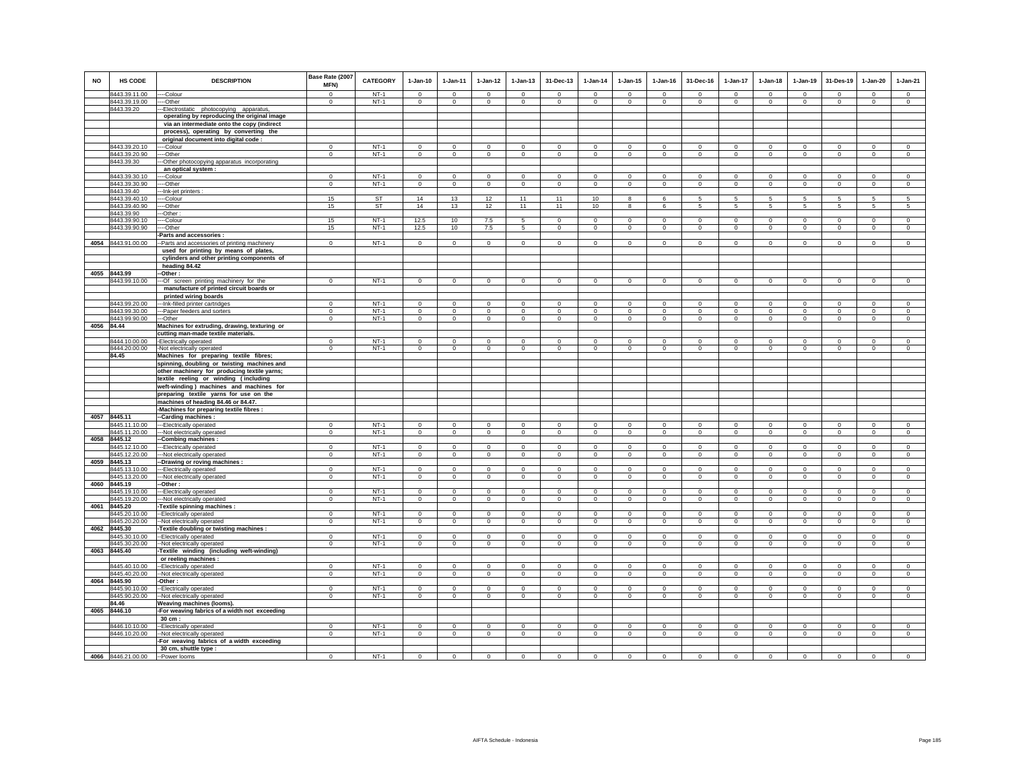| <b>NO</b>  | <b>HS CODE</b>                 | <b>DESCRIPTION</b>                                                                          | Base Rate (2007<br>MFN)     | <b>CATEGORY</b>  | $1-Jan-10$                | 1-Jan-11                    | $1 - Jan-12$                  | $1 - Jan-13$                | 31-Dec-13                     | $1-Jan-14$                    | $1 - Jan-15$                | $1 - Jan-16$                | 31-Dec-16              | $1-Jan-17$        | $1-Jan-18$                  | $1 - Jan-19$                 | 31-Des-19             | $1-Jan-20$        | 1-Jan-21                   |
|------------|--------------------------------|---------------------------------------------------------------------------------------------|-----------------------------|------------------|---------------------------|-----------------------------|-------------------------------|-----------------------------|-------------------------------|-------------------------------|-----------------------------|-----------------------------|------------------------|-------------------|-----------------------------|------------------------------|-----------------------|-------------------|----------------------------|
|            | 8443.39.11.00                  | --Colour                                                                                    | $^{\circ}$                  | $NT-1$           | $\Omega$                  | $\Omega$                    | $\Omega$                      | $\Omega$                    | $\Omega$                      | $\overline{0}$                | $\Omega$                    | $\Omega$                    | $\Omega$               | $\Omega$          | $\Omega$                    | $\Omega$                     | $\Omega$              | $\Omega$          | $\Omega$                   |
|            | 8443.39.19.00                  | -Other                                                                                      | $\mathbf 0$                 | $NT-1$           | $\circ$                   | $\circ$                     | $\mathbf 0$                   | $\mathbf 0$                 | $\mathbf 0$                   | $\circ$                       | $\mathbf 0$                 | $\mathbf 0$                 | $\circ$                | $\mathbf 0$       | $\mathbf 0$                 | $\Omega$                     | $\mathbf 0$           | $\mathbf 0$       | $\circ$                    |
|            | 8443.39.20                     | -Electrostatic photocopying apparatus,<br>operating by reproducing the original image       |                             |                  |                           |                             |                               |                             |                               |                               |                             |                             |                        |                   |                             |                              |                       |                   |                            |
|            |                                | via an intermediate onto the copy (indirect                                                 |                             |                  |                           |                             |                               |                             |                               |                               |                             |                             |                        |                   |                             |                              |                       |                   |                            |
|            |                                | process), operating by converting the                                                       |                             |                  |                           |                             |                               |                             |                               |                               |                             |                             |                        |                   |                             |                              |                       |                   |                            |
|            |                                | original document into digital code :                                                       |                             |                  |                           |                             |                               |                             |                               |                               |                             |                             |                        |                   |                             |                              |                       |                   |                            |
|            | 8443.39.20.10                  | --Colour                                                                                    | $\Omega$                    | $NT-1$           | $\Omega$                  | $\Omega$                    | $\mathbf 0$                   | $\mathbf 0$                 | $\mathbf 0$                   | $\Omega$                      | $\Omega$                    | $\mathbf 0$                 | $\circ$                | $\Omega$          | $\mathbf 0$                 | $\mathbf 0$                  | $^{\circ}$            | $\Omega$          | $\circ$                    |
|            | 8443.39.20.90                  | --Other                                                                                     | $\mathbf 0$                 | $NT-1$           | $\mathbf 0$               | $\mathbf 0$                 | $\mathbf 0$                   | $\mathbf 0$                 | $\overline{0}$                | $\overline{0}$                | $\mathbf 0$                 | $\mathbf 0$                 | $\overline{0}$         | $\mathbf 0$       | $\mathbf 0$                 | $\mathbf 0$                  | $\mathbf 0$           | $\mathbf 0$       | $\mathbf 0$                |
|            | 8443.39.30                     | -Other photocopying apparatus incorporating                                                 |                             |                  |                           |                             |                               |                             |                               |                               |                             |                             |                        |                   |                             |                              |                       |                   |                            |
|            |                                | an optical system :                                                                         |                             |                  |                           |                             |                               |                             |                               |                               |                             |                             |                        |                   |                             |                              |                       |                   |                            |
|            | 8443.39.30.10<br>8443.39.30.90 | --Colour<br>--Other                                                                         | $\mathbf 0$<br>$\mathbf{0}$ | $NT-1$<br>$NT-1$ | $\mathbf 0$<br>$^{\circ}$ | $\mathbf 0$<br>$\mathbf{0}$ | $\mathbf 0$<br>$\overline{0}$ | $\mathbf 0$<br>$\mathbf{0}$ | $\mathbf 0$<br>$\overline{0}$ | $\mathbf 0$<br>$\overline{0}$ | $\mathbf 0$<br>$\mathbf{0}$ | $\mathbf 0$<br>$\mathbf{0}$ | $\mathbf 0$<br>$\circ$ | 0<br>$\mathbf{0}$ | $\mathbf 0$<br>$\mathbf{0}$ | $^{\circ}$<br>$\overline{0}$ | $^{\circ}$<br>$\circ$ | 0<br>$\mathbf{0}$ | $\mathbf 0$<br>$\mathbf 0$ |
|            | 8443.39.40                     | -Ink-jet printers :                                                                         |                             |                  |                           |                             |                               |                             |                               |                               |                             |                             |                        |                   |                             |                              |                       |                   |                            |
|            | 8443.39.40.10                  | -Colour                                                                                     | 15                          | ST               | 14                        | 13                          | 12                            | 11                          | 11                            | 10                            | 8                           | 6                           | 5                      | 5                 | 5                           | 5                            | 5                     | 5                 | 5                          |
|            | 8443.39.40.90                  | --Other                                                                                     | 15                          | ST               | 14                        | 13                          | 12                            | 11                          | 11                            | 10                            | 8                           | 6                           | $5\phantom{.0}$        | $5\phantom{.0}$   | $5\phantom{.0}$             | $\,$ 5 $\,$                  | 5                     | $\sqrt{5}$        | $\sqrt{5}$                 |
|            | 8443.39.90                     | -Other                                                                                      |                             |                  |                           |                             |                               |                             |                               |                               |                             |                             |                        |                   |                             |                              |                       |                   |                            |
|            | 8443.39.90.10                  | --Colour                                                                                    | 15                          | $NT-1$           | 12.5                      | 10                          | 7.5                           | 5                           | $\mathbf 0$                   | $\Omega$                      | $\mathsf 0$                 | $\Omega$                    | $\Omega$               | $\mathbf 0$       | $\Omega$                    | $\Omega$                     | $\Omega$              | $\mathsf 0$       | $\mathbf 0$                |
|            | 8443.39.90.90                  | ---Other                                                                                    | 15                          | $NT-1$           | 12.5                      | 10                          | 7.5                           | 5                           | $\mathbf 0$                   | $\circ$                       | $\mathbf 0$                 | $\mathbf 0$                 | $\circ$                | $\mathbf 0$       | $\circ$                     | $\mathbf 0$                  | $\circ$               | $\mathbf 0$       | $\circ$                    |
|            | 4054 8443.91.00.00             | Parts and accessories<br>-Parts and accessories of printing machinery                       | $\mathbf{0}$                | $NT-1$           | $\circ$                   | $\mathbf{0}$                | $\circ$                       | $\mathbf 0$                 | $\mathbf 0$                   | $\circ$                       | $\mathbf 0$                 | $\circ$                     | $\circ$                | $\circ$           | $\circ$                     | $\circ$                      | $\mathsf 0$           | $\circ$           | $\mathsf 0$                |
|            |                                | used for printing by means of plates,                                                       |                             |                  |                           |                             |                               |                             |                               |                               |                             |                             |                        |                   |                             |                              |                       |                   |                            |
|            |                                | cylinders and other printing components of                                                  |                             |                  |                           |                             |                               |                             |                               |                               |                             |                             |                        |                   |                             |                              |                       |                   |                            |
|            |                                | heading 84.42                                                                               |                             |                  |                           |                             |                               |                             |                               |                               |                             |                             |                        |                   |                             |                              |                       |                   |                            |
| 4055       | 8443.99                        | -Other:                                                                                     |                             |                  |                           |                             |                               |                             |                               |                               |                             |                             |                        |                   |                             |                              |                       |                   |                            |
|            | 8443.99.10.00                  | -Of screen printing machinery for the                                                       | $\mathbf 0$                 | $NT-1$           | $\circ$                   | $\circ$                     | $\circ$                       | $\mathbf 0$                 | $\mathbf 0$                   | $\mathbf{0}$                  | $\mathbf 0$                 | $\circ$                     | $\circ$                | $\circ$           | $\circ$                     | $\mathbf 0$                  | $\circ$               | $\mathbf 0$       | $\circ$                    |
|            |                                | manufacture of printed circuit boards or                                                    |                             |                  |                           |                             |                               |                             |                               |                               |                             |                             |                        |                   |                             |                              |                       |                   |                            |
|            | 8443.99.20.00                  | printed wiring boards<br>-- Ink-filled printer cartridges                                   | $\mathbf 0$                 | $NT-1$           | $\mathsf 0$               | $\mathbf 0$                 | $\mathsf 0$                   | $\mathsf 0$                 | $\mathbf 0$                   | $\Omega$                      | $\mathsf 0$                 | $\Omega$                    | $\mathsf 0$            | $\mathbf 0$       | $\mathbf 0$                 | $\mathbf 0$                  | $\mathbf 0$           | $\mathsf 0$       | $\circ$                    |
|            | 8443.99.30.00                  | --Paper feeders and sorters                                                                 | $\mathbf 0$                 | NT-1             | $\circ$                   | $\mathbf 0$                 | $\mathbf 0$                   | $\mathbf 0$                 | $\mathbf 0$                   | $^{\circ}$                    | $\mathbf 0$                 | $\mathbf 0$                 | $\circ$                | $\mathbf 0$       | $\circ$                     | $\mathbf 0$                  | $\circ$               | $\mathbf 0$       | $\circ$                    |
|            | 8443.99.90.00                  | --Other                                                                                     | $\mathbf 0$                 | $NT-1$           | $\mathbf{0}$              | $\circ$                     | $\circ$                       | $\mathbf 0$                 | $\mathbf{0}$                  | $\circ$                       | $\mathbf 0$                 | $\mathbf 0$                 | $\circ$                | $\circ$           | $\mathbf{0}$                | $\overline{0}$               | $\mathbf 0$           | $\mathbf 0$       | $\circ$                    |
| 4056 84.44 |                                | Machines for extruding, drawing, texturing or                                               |                             |                  |                           |                             |                               |                             |                               |                               |                             |                             |                        |                   |                             |                              |                       |                   |                            |
|            |                                | cutting man-made textile materials.                                                         |                             |                  |                           |                             |                               |                             |                               |                               |                             |                             |                        |                   |                             |                              |                       |                   |                            |
|            | 8444.10.00.00                  | -Electrically operated                                                                      | $\mathbf 0$                 | $NT-1$           | $\mathbf 0$               | $\mathbf 0$                 | $\mathbf 0$                   | $\mathbf 0$                 | $\mathbf 0$                   | $\mathbf 0$                   | $\mathbf 0$                 | $\mathbf 0$                 | $\mathbf 0$            | $\mathbf 0$       | $\mathbf 0$                 | $\mathbf 0$                  | $^{\circ}$            | $\mathbf 0$       | $\mathbb O$                |
|            | 8444.20.00.00                  | -Not electrically operated                                                                  | $\mathbf{0}$                | $NT-1$           | $\circ$                   | $\circ$                     | $\overline{0}$                | $\mathbf 0$                 | $\mathbf 0$                   | $\mathbf 0$                   | $^{\circ}$                  | $^{\circ}$                  | $^{\circ}$             | $\mathbf 0$       | $\mathbf 0$                 | $^{\circ}$                   | $\mathbf 0$           | $^{\circ}$        | $\Omega$                   |
|            | 84.45                          | Machines for preparing textile fibres;                                                      |                             |                  |                           |                             |                               |                             |                               |                               |                             |                             |                        |                   |                             |                              |                       |                   |                            |
|            |                                | spinning, doubling or twisting machines and<br>other machinery for producing textile yarns; |                             |                  |                           |                             |                               |                             |                               |                               |                             |                             |                        |                   |                             |                              |                       |                   |                            |
|            |                                | textile reeling or winding (including                                                       |                             |                  |                           |                             |                               |                             |                               |                               |                             |                             |                        |                   |                             |                              |                       |                   |                            |
|            |                                | weft-winding) machines and machines for                                                     |                             |                  |                           |                             |                               |                             |                               |                               |                             |                             |                        |                   |                             |                              |                       |                   |                            |
|            |                                | preparing textile yarns for use on the                                                      |                             |                  |                           |                             |                               |                             |                               |                               |                             |                             |                        |                   |                             |                              |                       |                   |                            |
|            |                                | machines of heading 84.46 or 84.47.                                                         |                             |                  |                           |                             |                               |                             |                               |                               |                             |                             |                        |                   |                             |                              |                       |                   |                            |
|            |                                | -Machines for preparing textile fibres :                                                    |                             |                  |                           |                             |                               |                             |                               |                               |                             |                             |                        |                   |                             |                              |                       |                   |                            |
|            | 4057 8445.11<br>8445.11.10.00  | -Carding machines:                                                                          | $\Omega$                    | $NT-1$           | $\Omega$                  | $\Omega$                    | $\Omega$                      | $\mathbf 0$                 | $\mathbf 0$                   | $\Omega$                      | 0                           | $\mathbf 0$                 | $\Omega$               | $\Omega$          | $\Omega$                    | $\Omega$                     | $\Omega$              | $\Omega$          | $\mathsf 0$                |
|            | 8445.11.20.00                  | --Electrically operated<br>-Not electrically operated                                       | $\mathbf 0$                 | $NT-1$           | $\circ$                   | $\circ$                     | $\circ$                       | $\mathbf 0$                 | $\mathbf 0$                   | $\circ$                       | $\mathbf 0$                 | $\mathbf 0$                 | $\circ$                | $\mathbf 0$       | $\mathbf 0$                 | $\mathbf 0$                  | $\circ$               | $\mathbf 0$       | $\circ$                    |
| 4058       | 8445.12                        | -Combing machines :                                                                         |                             |                  |                           |                             |                               |                             |                               |                               |                             |                             |                        |                   |                             |                              |                       |                   |                            |
|            | 8445.12.10.00                  | --Electrically operated                                                                     | $\mathbf{0}$                | $NT-1$           | $\Omega$                  | $^{\circ}$                  | $\mathbf 0$                   | $\mathbf 0$                 | $\mathbf 0$                   | $\Omega$                      | $\mathbf 0$                 | $\Omega$                    | $\Omega$               | $\mathbf 0$       | $\Omega$                    | $\mathbf 0$                  | $\mathbf 0$           | $\mathbf 0$       | $\circ$                    |
|            | 8445.12.20.00                  | -Not electrically operated                                                                  | $\mathbf 0$                 | $NT-1$           | $\circ$                   | $\circ$                     | $\mathbf 0$                   | $\mathbf 0$                 | $\mathsf 0$                   | $\circ$                       | $\mathsf 0$                 | $\circ$                     | $\mathbf 0$            | $\mathbf 0$       | $\mathbf 0$                 | $\mathbf 0$                  | $\mathbf 0$           | $\mathsf 0$       | $\circ$                    |
| 4059       | 8445.13                        | -Drawing or roving machines :                                                               |                             |                  |                           |                             |                               |                             |                               |                               |                             |                             |                        |                   |                             |                              |                       |                   |                            |
|            | 8445.13.10.00                  | -Electrically operated                                                                      | $\mathbf{0}$                | $NT-1$<br>$NT-1$ | $\mathbf{0}$              | $\circ$                     | $\circ$                       | $\mathbf 0$                 | $\mathbf{0}$                  | $\mathbf 0$                   | $\mathbf 0$                 | $\mathbf{0}$                | $\circ$                | $\mathbf{0}$      | $\mathbf{0}$                | $\mathbf 0$                  | $\circ$               | $\mathbf 0$       | $\mathbf 0$                |
| 4060       | 8445.13.20.00<br>8445.19       | -Not electrically operated<br>-Other:                                                       | $\mathbf 0$                 |                  | $\circ$                   | $\mathbf 0$                 | $\circ$                       | $\mathbf 0$                 | $\mathbf 0$                   | $\mathbf{0}$                  | $\mathbf 0$                 | $\mathbf 0$                 | $\circ$                | 0                 | $\mathbf 0$                 | $\mathbf 0$                  | $\mathbf 0$           | $\mathbf 0$       | $\mathbf 0$                |
|            | 3445.19.10.00                  | -Electrically operated                                                                      | $\mathbf 0$                 | $NT-1$           | $\Omega$                  | $\mathbf 0$                 | $\mathbf 0$                   | $\mathbf 0$                 | $\mathbf 0$                   | $\Omega$                      | $\mathbf 0$                 | $\Omega$                    | $\mathbf 0$            | $\Omega$          | $\Omega$                    | $\mathbf 0$                  | $^{\circ}$            | $\mathbf 0$       | $\mathbf 0$                |
|            | 8445.19.20.00                  | --Not electrically operated                                                                 | $\mathbf 0$                 | $NT-1$           | $\mathbf 0$               | $\mathsf 0$                 | $\overline{0}$                | $\overline{0}$              | $\,0\,$                       | $\overline{0}$                | $\overline{0}$              | $\,$ 0                      | $\mathbf 0$            | $\overline{0}$    | $\mathsf 0$                 | $\mathbf 0$                  | $\overline{0}$        | $\mathbf 0$       | $\overline{0}$             |
|            | 4061 8445.20                   | -Textile spinning machines :                                                                |                             |                  |                           |                             |                               |                             |                               |                               |                             |                             |                        |                   |                             |                              |                       |                   |                            |
|            | 3445.20.10.00                  | --Electrically operated                                                                     | $\Omega$                    | $NT-1$           | $\Omega$                  | $\Omega$                    | $\mathbf{0}$                  | $\Omega$                    | $\Omega$                      | $\mathbf 0$                   | $\Omega$                    | $\Omega$                    | $\Omega$               | $\Omega$          | $\Omega$                    | $\Omega$                     | $\Omega$              | $\Omega$          | $\circ$                    |
| 4062       | 8445.20.20.00<br>8445.30       | -Not electrically operated                                                                  | $\Omega$                    | $NT-1$           | $\Omega$                  | $\mathbf 0$                 | $\mathsf 0$                   | $\mathsf 0$                 | $\mathbf 0$                   | $\mathbf 0$                   | $\mathbf 0$                 | $\Omega$                    | $\Omega$               | $\mathbf 0$       | $\Omega$                    | $\Omega$                     | $\mathbf 0$           | $\mathsf 0$       | $\mathsf 0$                |
|            | 8445.30.10.00                  | Textile doubling or twisting machines :<br>--Electrically operated                          | $^{\circ}$                  | $NT-1$           | $^{\circ}$                | $\mathbf 0$                 | $\mathbf 0$                   | $^{\circ}$                  | $^{\circ}$                    | $\mathbf{0}$                  | $^{\circ}$                  | $^{\circ}$                  | $^{\circ}$             | $^{\circ}$        | $^{\circ}$                  | $\mathbf{0}$                 | $\mathbf 0$           | $^{\circ}$        | $\mathbf{0}$               |
|            | 8445.30.20.00                  | -Not electrically operated                                                                  | $\Omega$                    | $NT-1$           | $\circ$                   | $\Omega$                    | $\overline{0}$                | $\mathbf 0$                 | $\mathbf 0$                   | $\mathbf 0$                   | $\mathbf 0$                 | $\circ$                     | $\Omega$               | $\mathbf 0$       | $\mathbf 0$                 | $\mathbf 0$                  | $\mathbf 0$           | $\mathbf 0$       | $\Omega$                   |
| 4063       | 8445.40                        | Textile winding (including weft-winding)                                                    |                             |                  |                           |                             |                               |                             |                               |                               |                             |                             |                        |                   |                             |                              |                       |                   |                            |
|            |                                | or reeling machines :                                                                       |                             |                  |                           |                             |                               |                             |                               |                               |                             |                             |                        |                   |                             |                              |                       |                   |                            |
|            | 8445.40.10.00                  | --Electrically operated                                                                     | $\mathbf 0$                 | $NT-1$           | $\mathbf 0$               | $\mathbf 0$                 | $\mathsf 0$                   | $\mathsf 0$                 | $\mathbf 0$                   | $\mathbb O$                   | $\mathbf 0$                 | $\mathbf 0$                 | $^{\circ}$             | $\mathbf 0$       | $\mathbf 0$                 | $\mathbf 0$                  | $\mathbf 0$           | $\mathbf 0$       | $\overline{0}$             |
|            | 8445.40.20.00                  | -Not electrically operated                                                                  | $\mathbf{0}$                | $NT-1$           | $\circ$                   | $\mathsf 0$                 | $\circ$                       | $\mathsf 0$                 | $\mathbf{0}$                  | $\circ$                       | $\mathbf{0}$                | $\mathbf 0$                 | $\Omega$               | $\mathbf 0$       | $\mathbf 0$                 | $\mathbf 0$                  | $\mathbf{0}$          | $\mathbf 0$       | $\circ$                    |
| 4064       | 8445.90                        | -Other:                                                                                     | $\Omega$                    | $NT-1$           | $\Omega$                  | $\Omega$                    |                               |                             | $\Omega$                      | $\Omega$                      | $\Omega$                    | $\Omega$                    | $\Omega$               | $\Omega$          | $\Omega$                    | $\Omega$                     | $^{\circ}$            | $\Omega$          | $\Omega$                   |
|            | 8445.90.10.00<br>8445.90.20.00 | -- Electrically operated<br>-Not electrically operated                                      | $\mathbf{0}$                | $NT-1$           | $\mathbf{0}$              | $\mathbf{0}$                | $\mathbf 0$<br>$\mathbf{0}$   | $\mathbf 0$<br>$\mathbf{0}$ | $\mathbf 0$                   | $\overline{0}$                | 0                           | $\mathbf{0}$                | $^{\circ}$             | $\mathbf{0}$      | $\mathbf{0}$                | $\overline{0}$               | $\mathbf{0}$          | $\mathbf{0}$      | $\mathbf{0}$               |
|            | 84.46                          | Weaving machines (looms).                                                                   |                             |                  |                           |                             |                               |                             |                               |                               |                             |                             |                        |                   |                             |                              |                       |                   |                            |
|            | 4065 8446.10                   | -For weaving fabrics of a width not exceeding                                               |                             |                  |                           |                             |                               |                             |                               |                               |                             |                             |                        |                   |                             |                              |                       |                   |                            |
|            |                                | 30 cm :                                                                                     |                             |                  |                           |                             |                               |                             |                               |                               |                             |                             |                        |                   |                             |                              |                       |                   |                            |
|            | 8446.10.10.00                  | -- Electrically operated                                                                    | $\mathbf 0$                 | $NT-1$           | $\Omega$                  | $\mathbf 0$                 | $\mathbf 0$                   | $\mathbf 0$                 | $\mathbf 0$                   | $\mathbf 0$                   | $\mathbf 0$                 | $\mathbf 0$                 | $\circ$                | $\mathbf 0$       | $\mathbf 0$                 | $\mathbf 0$                  | $^{\circ}$            | $\mathbf 0$       | $\Omega$                   |
|            | 8446.10.20.00                  | -- Not electrically operated                                                                | $\mathbf{0}$                | $NT-1$           | $\mathsf 0$               | $\mathbf 0$                 | $\mathbf 0$                   | $\mathbf 0$                 | $\mathbf 0$                   | $\mathsf 0$                   | $\mathsf 0$                 | $\mathbf 0$                 | $\circ$                | $\mathbf 0$       | $\mathbf 0$                 | $\mathbf 0$                  | $\,0\,$               | $\mathbf{0}$      | $\Omega$                   |
|            |                                | -For weaving fabrics of a width exceeding                                                   |                             |                  |                           |                             |                               |                             |                               |                               |                             |                             |                        |                   |                             |                              |                       |                   |                            |
|            |                                | 30 cm, shuttle type :                                                                       | $\mathbf 0$                 | $NT-1$           | $\Omega$                  | $\Omega$                    | $\Omega$                      | $\Omega$                    | $\Omega$                      | $\Omega$                      | $\Omega$                    | $\Omega$                    | $\Omega$               | $\Omega$          | $\Omega$                    | $\Omega$                     | $\Omega$              | $\Omega$          | $\Omega$                   |
|            | 4066 8446.21.00.00             | --Power looms                                                                               |                             |                  |                           |                             |                               |                             |                               |                               |                             |                             |                        |                   |                             |                              |                       |                   |                            |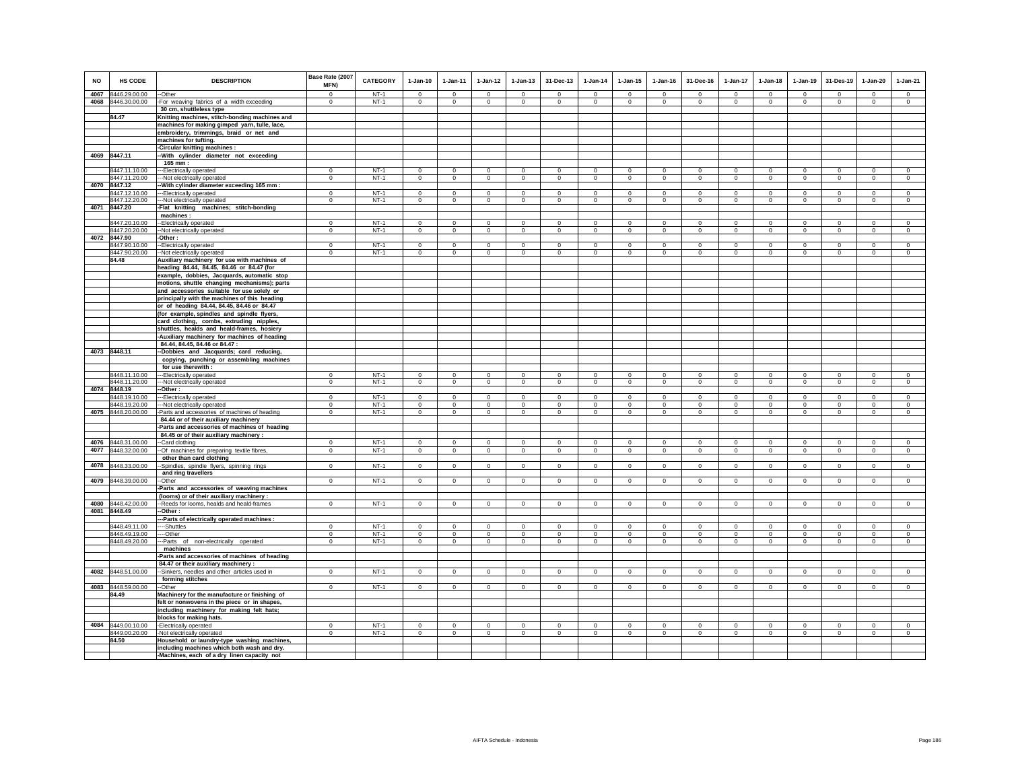| <b>NO</b> | HS CODE<br>4067 8446.29.00.00       | <b>DESCRIPTION</b>                                                                         | Base Rate (2007<br>MFN)<br>$\Omega$ | <b>CATEGORY</b><br>$NT-1$ | $1-Jan-10$<br>$\Omega$     | $1-Jan-11$<br>$\Omega$  | $1 - Jan-12$<br>$\Omega$    | $1 - Jan-13$<br>$\Omega$   | 31-Dec-13<br>$\Omega$      | $1-Jan-14$<br>$\Omega$  | $1 - Jan-15$<br>$\Omega$    | $1 - Jan-16$<br>$\Omega$ | 31-Dec-16<br>$\Omega$       | $1-Jan-17$<br>$\Omega$    | $1-Jan-18$                  | $1-Jan-19$<br>$\Omega$    | 31-Des-19<br>$\Omega$      | $1-Jan-20$<br>$\Omega$     | $1-Jan-21$                    |
|-----------|-------------------------------------|--------------------------------------------------------------------------------------------|-------------------------------------|---------------------------|----------------------------|-------------------------|-----------------------------|----------------------------|----------------------------|-------------------------|-----------------------------|--------------------------|-----------------------------|---------------------------|-----------------------------|---------------------------|----------------------------|----------------------------|-------------------------------|
|           | 4068 8446.30.00.00                  | -Other<br>-For weaving fabrics of a width exceeding                                        | $\Omega$                            | $NT-1$                    | $\circ$                    | $\mathbf 0$             | $\Omega$                    | $\mathbf 0$                | $\Omega$                   | $\mathbf 0$             | $\mathbf 0$                 | $\mathbf 0$              | $\mathbf 0$                 | $\mathbf 0$               | $\mathbf{0}$<br>$\mathbf 0$ | $\Omega$                  | $\mathbf 0$                | $\circ$                    | $\circ$<br>$\circ$            |
|           |                                     | 30 cm, shuttleless type                                                                    |                                     |                           |                            |                         |                             |                            |                            |                         |                             |                          |                             |                           |                             |                           |                            |                            |                               |
|           | 84.47                               | Knitting machines, stitch-bonding machines and                                             |                                     |                           |                            |                         |                             |                            |                            |                         |                             |                          |                             |                           |                             |                           |                            |                            |                               |
|           |                                     | machines for making gimped yarn, tulle, lace,                                              |                                     |                           |                            |                         |                             |                            |                            |                         |                             |                          |                             |                           |                             |                           |                            |                            |                               |
|           |                                     | embroidery, trimmings, braid or net and                                                    |                                     |                           |                            |                         |                             |                            |                            |                         |                             |                          |                             |                           |                             |                           |                            |                            |                               |
|           |                                     | machines for tufting.                                                                      |                                     |                           |                            |                         |                             |                            |                            |                         |                             |                          |                             |                           |                             |                           |                            |                            |                               |
|           |                                     | -Circular knitting machines :                                                              |                                     |                           |                            |                         |                             |                            |                            |                         |                             |                          |                             |                           |                             |                           |                            |                            |                               |
| 4069      | 8447.11                             | With cylinder diameter not exceeding<br>165 mm :                                           |                                     |                           |                            |                         |                             |                            |                            |                         |                             |                          |                             |                           |                             |                           |                            |                            |                               |
|           | 8447.11.10.00                       | --Electrically operated                                                                    | $^{\circ}$                          | $NT-1$                    | $\mathbf 0$                | $\mathbf 0$             | $\mathbf 0$                 | $\mathbf 0$                | $\mathbf 0$                | $^{\circ}$              | $\mathbf 0$                 | $\mathbf 0$              | $\mathbf 0$                 | $\mathbf 0$               | $\mathbf 0$                 | $\mathsf 0$               | $\,$ 0                     | $\mathbf 0$                | $\mathsf 0$                   |
|           | 8447.11.20.00                       | --Not electrically operated                                                                | $\Omega$                            | $NT-1$                    | $\circ$                    | $\circ$                 | $\mathbf 0$                 | $\mathsf 0$                | $\mathbf{0}$               | $\Omega$                | $\mathsf 0$                 | $\mathbf 0$              | $\Omega$                    | $\circ$                   | $\mathsf 0$                 | $\overline{0}$            | $\mathbf 0$                | $\circ$                    | $\circ$                       |
| 4070      | 8447.12                             | -With cylinder diameter exceeding 165 mm :                                                 |                                     |                           |                            |                         |                             |                            |                            |                         |                             |                          |                             |                           |                             |                           |                            |                            |                               |
|           | 8447.12.10.00                       | --Electrically operated                                                                    | $\Omega$                            | $NT-1$                    | $\Omega$                   | $\Omega$                | $\Omega$                    | $\mathbf 0$                | $\Omega$                   | $\Omega$                | $\Omega$                    | $\Omega$                 | $\mathbf 0$                 | $\Omega$                  | $\mathbf 0$                 | $\mathbf 0$               | $\mathbf 0$                | $\mathbf 0$                | $\circ$                       |
|           | 8447.12.20.00<br>4071 8447.20       | --Not electrically operated<br>-Flat knitting machines; stitch-bonding                     | $\mathbf 0$                         | $NT-1$                    | $\mathbf 0$                | $\mathbf 0$             | $\mathbf 0$                 | $\mathbf 0$                | $\mathbf 0$                | $^{\circ}$              | $\circ$                     | $\mathbf 0$              | $\mathbf 0$                 | $\mathbf 0$               | $\mathbf 0$                 | $\mathsf 0$               | $\mathbf 0$                | $\mathbf 0$                | $\mathbf 0$                   |
|           |                                     | machines:                                                                                  |                                     |                           |                            |                         |                             |                            |                            |                         |                             |                          |                             |                           |                             |                           |                            |                            |                               |
|           | 8447.20.10.00                       | -Electrically operated                                                                     | $\mathbf 0$                         | $NT-1$                    | $\Omega$                   | $\Omega$                | $\Omega$                    | $\Omega$                   | $\circ$                    | $\Omega$                | $\Omega$                    | $\Omega$                 | $\Omega$                    | $\circ$                   | $\Omega$                    | $\circ$                   | $\Omega$                   | $\circ$                    | $\circ$                       |
|           | 8447.20.20.00                       | -Not electrically operated                                                                 | $\mathbf 0$                         | $NT-1$                    | $\mathbf{0}$               | $\overline{0}$          | $\overline{0}$              | $\overline{0}$             | $\overline{0}$             | $\overline{0}$          | $\overline{0}$              | $\mathbf 0$              | $\overline{0}$              | $\overline{0}$            | $\overline{0}$              | $\overline{0}$            | $\overline{0}$             | $\overline{0}$             | $\overline{0}$                |
|           | 4072 8447.90                        | -Other:                                                                                    |                                     |                           |                            |                         |                             |                            |                            |                         |                             |                          |                             |                           |                             |                           |                            |                            |                               |
|           | 8447.90.10.00<br>8447.90.20.00      | -Electrically operated<br>--Not electrically operated                                      | $\mathbf 0$<br>$\circ$              | $NT-1$<br>$NT-1$          | $\Omega$<br>$\circ$        | $\Omega$<br>$\circ$     | $\mathbf 0$<br>$\mathbf{0}$ | $\Omega$<br>$\mathbf{0}$   | $\mathbf 0$<br>$\mathbf 0$ | $^{\circ}$<br>$\circ$   | $\mathbf 0$<br>$\mathbf{0}$ | $\Omega$<br>$\mathbf 0$  | $\mathbf 0$<br>$\mathbf{0}$ | $\mathbf 0$<br>$\circ$    | $\Omega$<br>$\mathbf{0}$    | $\mathbf 0$<br>$\circ$    | $\mathbf 0$<br>$\mathbf 0$ | $\mathbf 0$<br>$\circ$     | $\mathbf 0$<br>$\circ$        |
|           | 84.48                               | Auxiliary machinery for use with machines of                                               |                                     |                           |                            |                         |                             |                            |                            |                         |                             |                          |                             |                           |                             |                           |                            |                            |                               |
|           |                                     | heading 84.44, 84.45, 84.46 or 84.47 (for                                                  |                                     |                           |                            |                         |                             |                            |                            |                         |                             |                          |                             |                           |                             |                           |                            |                            |                               |
|           |                                     | example, dobbies, Jacquards, automatic stop                                                |                                     |                           |                            |                         |                             |                            |                            |                         |                             |                          |                             |                           |                             |                           |                            |                            |                               |
|           |                                     | motions, shuttle changing mechanisms); parts<br>and accessories suitable for use solely or |                                     |                           |                            |                         |                             |                            |                            |                         |                             |                          |                             |                           |                             |                           |                            |                            |                               |
|           |                                     | principally with the machines of this heading                                              |                                     |                           |                            |                         |                             |                            |                            |                         |                             |                          |                             |                           |                             |                           |                            |                            |                               |
|           |                                     | or of heading 84.44, 84.45, 84.46 or 84.47                                                 |                                     |                           |                            |                         |                             |                            |                            |                         |                             |                          |                             |                           |                             |                           |                            |                            |                               |
|           |                                     | (for example, spindles and spindle flyers,                                                 |                                     |                           |                            |                         |                             |                            |                            |                         |                             |                          |                             |                           |                             |                           |                            |                            |                               |
|           |                                     | card clothing, combs, extruding nipples,                                                   |                                     |                           |                            |                         |                             |                            |                            |                         |                             |                          |                             |                           |                             |                           |                            |                            |                               |
|           |                                     | shuttles, healds and heald-frames, hosiery<br>-Auxiliary machinery for machines of heading |                                     |                           |                            |                         |                             |                            |                            |                         |                             |                          |                             |                           |                             |                           |                            |                            |                               |
|           |                                     | 84.44, 84.45, 84.46 or 84.47 :                                                             |                                     |                           |                            |                         |                             |                            |                            |                         |                             |                          |                             |                           |                             |                           |                            |                            |                               |
|           | 4073 8448.11                        | --Dobbies and Jacquards; card reducing,                                                    |                                     |                           |                            |                         |                             |                            |                            |                         |                             |                          |                             |                           |                             |                           |                            |                            |                               |
|           |                                     | copying, punching or assembling machines                                                   |                                     |                           |                            |                         |                             |                            |                            |                         |                             |                          |                             |                           |                             |                           |                            |                            |                               |
|           |                                     | for use therewith :                                                                        | $\Omega$                            | $NT-1$                    | $\Omega$                   | $\Omega$                | $\Omega$                    | $\Omega$                   | $\Omega$                   | $\Omega$                | $\Omega$                    | $\Omega$                 | $\Omega$                    | $\Omega$                  | $\Omega$                    | $\Omega$                  | $\Omega$                   | $\Omega$                   | $\Omega$                      |
|           | 8448.11.10.00<br>8448.11.20.00      | ---Electrically operated<br>--Not electrically operated                                    | $^{\circ}$                          | $NT-1$                    | $\circ$                    | $\circ$                 | $^{\circ}$                  | $\mathbf 0$                | $\mathbf 0$                | $^{\circ}$              | $\circ$                     | $\mathbf 0$              | $\mathbf 0$                 | $\circ$                   | $\mathbf 0$                 | $\mathbf 0$               | $\mathbf 0$                | $\mathbf 0$                | $\circ$                       |
|           | 4074 8448.19                        | -Other :                                                                                   |                                     |                           |                            |                         |                             |                            |                            |                         |                             |                          |                             |                           |                             |                           |                            |                            |                               |
|           | 8448.19.10.00                       | --Electrically operated                                                                    | $\Omega$                            | $NT-1$                    | $\Omega$                   | $\Omega$                | $\circ$                     | $\mathbf{0}$               | $\overline{0}$             | $^{\circ}$              | $\circ$                     | $\Omega$                 | $\Omega$                    | $\mathbf{0}$              | $\mathbf 0$                 | $\overline{0}$            | $\circ$                    | $\overline{0}$             | $\Omega$                      |
|           | 8448.19.20.00                       | -- Not electrically operated                                                               | $\mathbf{0}$                        | $NT-1$                    | $\Omega$                   | $\mathbf 0$             | $\Omega$                    | $\mathbf{0}$               | $\mathbf 0$                | $\Omega$                | $\Omega$                    | $\Omega$                 | $\mathbf{0}$                | $\circ$                   | $\mathbf{0}$                | $\circ$                   | $\circ$                    | $\circ$                    | $\circ$                       |
| 4075      | 8448.20.00.00                       | Parts and accessories of machines of heading<br>84.44 or of their auxiliary machinery      | $\mathsf 0$                         | $NT-1$                    | $\Omega$                   | $\mathbf 0$             | $\circ$                     | $\mathbf 0$                | $\mathbf 0$                | $\mathbf 0$             | $\mathbf 0$                 | $\mathbf 0$              | $\mathbf 0$                 | $\circ$                   | $\mathbf 0$                 | $\mathsf 0$               | $\mathsf 0$                | $\mathsf 0$                | $\circ$                       |
|           |                                     | Parts and accessories of machines of heading                                               |                                     |                           |                            |                         |                             |                            |                            |                         |                             |                          |                             |                           |                             |                           |                            |                            |                               |
|           |                                     | 84.45 or of their auxiliary machinery :                                                    |                                     |                           |                            |                         |                             |                            |                            |                         |                             |                          |                             |                           |                             |                           |                            |                            |                               |
| 4076      | 8448.31.00.00                       | -Card clothing                                                                             | $\Omega$                            | $NT-1$                    | $\mathbf 0$                | $\Omega$                | $\Omega$                    | $\Omega$                   | $\mathbf 0$                | $\mathbf 0$             | $\Omega$                    | $\Omega$                 | $\Omega$                    | $\mathbf{0}$              | $\mathbf{0}$                | $\Omega$                  | $\mathbf 0$                | $\circ$                    | $\circ$                       |
|           | 4077 8448.32.00.00                  | -- Of machines for preparing textile fibres,                                               | $\Omega$                            | $NT-1$                    | $\Omega$                   | $\Omega$                | $\Omega$                    | $\Omega$                   | $\Omega$                   | $\Omega$                | $\Omega$                    | $\Omega$                 | $\Omega$                    | $\Omega$                  | $\Omega$                    | $\Omega$                  | $\Omega$                   | $\Omega$                   | $\Omega$                      |
| 4078      | 8448.33.00.00                       | other than card clothing<br>-Spindles, spindle flyers, spinning rings                      | $\Omega$                            | NT-1                      | $\Omega$                   | $\Omega$                | $\Omega$                    | $\Omega$                   | $\Omega$                   | $\Omega$                | $\Omega$                    | $\Omega$                 | $\Omega$                    | $\Omega$                  | $\Omega$                    | $\Omega$                  | $\Omega$                   | $\Omega$                   | $\mathsf 0$                   |
|           |                                     | and ring travellers                                                                        |                                     |                           |                            |                         |                             |                            |                            |                         |                             |                          |                             |                           |                             |                           |                            |                            |                               |
|           | 4079 8448.39.00.00                  | -Other                                                                                     | $\mathsf 0$                         | $NT-1$                    | $\mathbf{0}$               | $\mathbf 0$             | $\mathbf 0$                 | $\mathsf 0$                | $\mathsf 0$                | $\,$ 0                  | $\mathbf 0$                 | $\mathbf 0$              | $\mathsf 0$                 | $\mathsf 0$               | $\mathsf 0$                 | $\mathsf 0$               | $\,$ 0                     | $\mathbf 0$                | $\mathsf 0$                   |
|           |                                     | Parts and accessories of weaving machines                                                  |                                     |                           |                            |                         |                             |                            |                            |                         |                             |                          |                             |                           |                             |                           |                            |                            |                               |
| 4080      | 8448.42.00.00                       | (looms) or of their auxiliary machinery :                                                  | $\Omega$                            | $NT-1$                    | $\Omega$                   |                         |                             |                            | $\mathbf 0$                |                         |                             |                          |                             | $\circ$                   |                             | $\mathsf 0$               |                            | $\circ$                    | $\circ$                       |
|           | 4081 8448.49                        | -Reeds for looms, healds and heald-frames<br>-Other :                                      |                                     |                           |                            | $\circ$                 | $\circ$                     | $\mathbf 0$                |                            | $\circ$                 | $^{\circ}$                  | $\circ$                  | $\circ$                     |                           | $\mathbf 0$                 |                           | $\circ$                    |                            |                               |
|           |                                     | -Parts of electrically operated machines :                                                 |                                     |                           |                            |                         |                             |                            |                            |                         |                             |                          |                             |                           |                             |                           |                            |                            |                               |
|           | 8448.49.11.00                       | --Shuttles                                                                                 | $\mathbf 0$                         | $NT-1$                    | $\mathbf 0$                | $\mathbf 0$             | $^{\circ}$                  | $\circ$                    | $\mathbf 0$                | $^{\circ}$              | $\circ$                     | $\mathbf 0$              | $\circ$                     | $\mathbb O$               | $\mathbf 0$                 | $\mathsf 0$               | $\mathbf 0$                | $\mathbf 0$                | $\mathsf 0$                   |
|           | 8448.49.19.00<br>8448.49.20.00      | --Other                                                                                    | $\Omega$<br>$\Omega$                | $NT-1$<br>$NT-1$          | $\Omega$<br>$\overline{0}$ | $\Omega$<br>$\Omega$    | $\circ$<br>$\overline{0}$   | $\Omega$<br>$\overline{0}$ | $\Omega$<br>$\overline{0}$ | $\Omega$<br>$\Omega$    | $\Omega$<br>$\Omega$        | $\Omega$<br>$\Omega$     | $\Omega$                    | $\circ$<br>$\overline{0}$ | $\Omega$<br>$\overline{0}$  | $\circ$<br>$\overline{0}$ | $\Omega$                   | $\Omega$<br>$\overline{0}$ | $\Omega$<br>$\Omega$          |
|           |                                     | --Parts of non-electrically operated<br>machines                                           |                                     |                           |                            |                         |                             |                            |                            |                         |                             |                          | $\mathsf 0$                 |                           |                             |                           | $\mathbf 0$                |                            |                               |
|           |                                     | Parts and accessories of machines of heading                                               |                                     |                           |                            |                         |                             |                            |                            |                         |                             |                          |                             |                           |                             |                           |                            |                            |                               |
|           |                                     | 84.47 or their auxiliary machinery :                                                       |                                     |                           |                            |                         |                             |                            |                            |                         |                             |                          |                             |                           |                             |                           |                            |                            |                               |
|           | 4082 8448.51.00.00                  | --Sinkers, needles and other articles used in                                              | $\mathsf 0$                         | $NT-1$                    | $\circ$                    | $\mathbf 0$             | $\circ$                     | $\mathbf 0$                | $\mathbf{0}$               | $\circ$                 | $\mathsf 0$                 | $\mathsf 0$              | $\circ$                     | $\circ$                   | $\mathbf 0$                 | $\mathsf 0$               | $\mathsf 0$                | $\circ$                    | $\circ$                       |
|           | 4083 8448.59.00.00                  | forming stitches<br>-Other                                                                 | $\mathbf{0}$                        | $NT-1$                    | $\mathbf{0}$               | $\mathbf{0}$            |                             | $\mathbf 0$                | $\mathbf 0$                |                         |                             |                          |                             | $\circ$                   |                             |                           | $\mathbf 0$                | $\mathbf 0$                | $\circ$                       |
|           | 84.49                               | Machinery for the manufacture or finishing of                                              |                                     |                           |                            |                         | $\circ$                     |                            |                            | $\circ$                 | $\mathbf 0$                 | $\mathbf 0$              | $\mathbf 0$                 |                           | $\mathbf 0$                 | $\mathbf 0$               |                            |                            |                               |
|           |                                     | felt or nonwovens in the piece or in shapes,                                               |                                     |                           |                            |                         |                             |                            |                            |                         |                             |                          |                             |                           |                             |                           |                            |                            |                               |
|           |                                     | including machinery for making felt hats;                                                  |                                     |                           |                            |                         |                             |                            |                            |                         |                             |                          |                             |                           |                             |                           |                            |                            |                               |
|           |                                     | blocks for making hats.                                                                    |                                     |                           |                            |                         |                             |                            |                            |                         |                             |                          |                             |                           |                             |                           |                            |                            |                               |
|           | 4084 8449.00.10.00<br>8449.00.20.00 | Electrically operated<br>-Not electrically operated                                        | $\Omega$<br>$\circ$                 | $NT-1$<br>$NT-1$          | $\Omega$<br>$\circ$        | $\Omega$<br>$\mathbf 0$ | $\Omega$<br>$\Omega$        | $\Omega$<br>$\Omega$       | $\Omega$<br>$\Omega$       | $\Omega$<br>$\mathbf 0$ | $\Omega$<br>$\Omega$        | $\Omega$<br>$\Omega$     | $\Omega$<br>$\circ$         | $\Omega$<br>$\Omega$      | $\Omega$<br>$\mathbf 0$     | $\mathbf 0$<br>$\Omega$   | $\mathbf 0$<br>$\mathsf 0$ | $\mathbf 0$<br>$\circ$     | $\mathsf 0$<br>$\overline{0}$ |
|           | 84.50                               | Household or laundry-type washing machines,                                                |                                     |                           |                            |                         |                             |                            |                            |                         |                             |                          |                             |                           |                             |                           |                            |                            |                               |
|           |                                     | including machines which both wash and dry.                                                |                                     |                           |                            |                         |                             |                            |                            |                         |                             |                          |                             |                           |                             |                           |                            |                            |                               |
|           |                                     | -Machines, each of a dry linen capacity not                                                |                                     |                           |                            |                         |                             |                            |                            |                         |                             |                          |                             |                           |                             |                           |                            |                            |                               |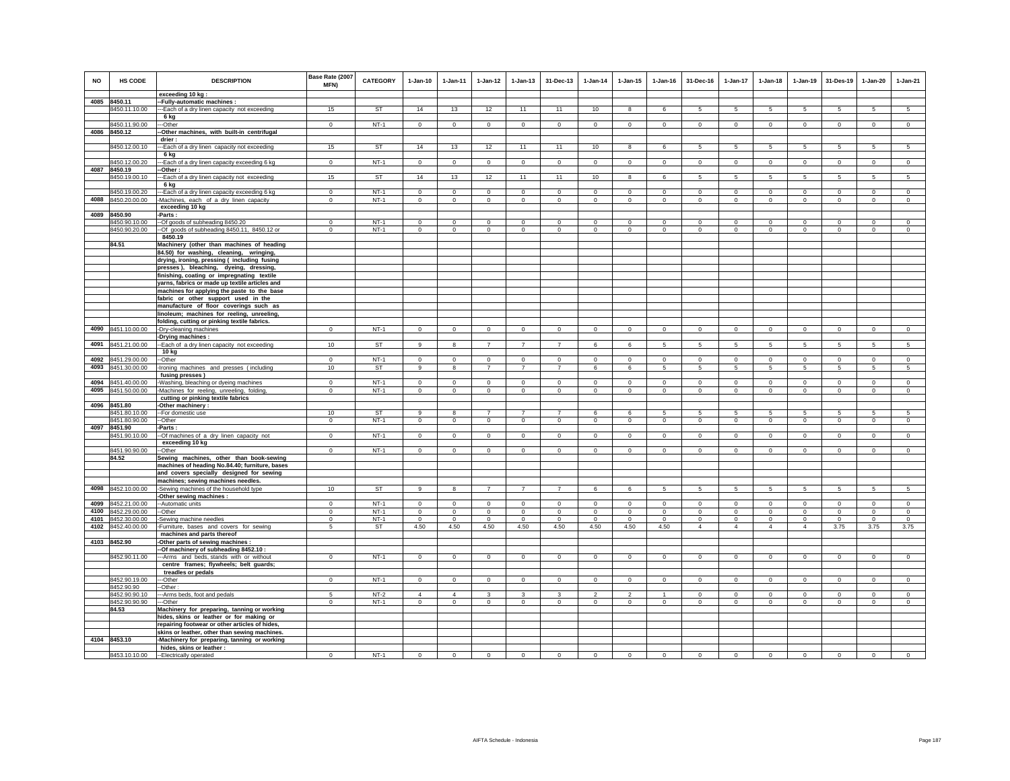| NO   | <b>HS CODE</b>                | <b>DESCRIPTION</b>                                                                 | Base Rate (2007<br>MFN) | <b>CATEGORY</b> | $1-Jan-10$     | $1-Jan-11$     | $1-Jan-12$     | $1 - Jan-13$   | 31-Dec-13      | $1-Jan-14$     | $1 - Jan-15$            | $1 - Jan-16$ | 31-Dec-16       | $1-Jan-17$      | $1-Jan-18$      | $1-Jan-19$      | 31-Des-19      | $1-Jan-20$      | $1-Jan-21$     |
|------|-------------------------------|------------------------------------------------------------------------------------|-------------------------|-----------------|----------------|----------------|----------------|----------------|----------------|----------------|-------------------------|--------------|-----------------|-----------------|-----------------|-----------------|----------------|-----------------|----------------|
|      |                               | exceeding 10 kg                                                                    |                         |                 |                |                |                |                |                |                |                         |              |                 |                 |                 |                 |                |                 |                |
|      | 4085 8450.11                  | -- Fully-automatic machines :                                                      |                         |                 |                |                |                |                |                |                |                         |              |                 |                 |                 |                 |                |                 |                |
|      | 3450.11.10.00                 | -- Each of a dry linen capacity not exceeding                                      | 15                      | <b>ST</b>       | 14             | 13             | 12             | 11             | 11             | 10             | 8                       | 6            | 5               | 5               | 5               | 5               | 5              | 5               | 5              |
|      |                               | 6 kg                                                                               |                         | $NT-1$          |                |                |                |                |                |                |                         |              |                 |                 |                 |                 |                |                 |                |
|      | 8450.11.90.00<br>4086 8450.12 | --Other<br>-Other machines, with built-in centrifugal                              | $\mathbf{0}$            |                 | $\circ$        | $\circ$        | $\circ$        | $\mathbf 0$    | $\mathbf 0$    | $\circ$        | $\mathbf 0$             | $\circ$      | $\circ$         | $\mathbf 0$     | $\circ$         | $\circ$         | $\mathbf{0}$   | $\mathbf{0}$    | $\circ$        |
|      |                               | drier:                                                                             |                         |                 |                |                |                |                |                |                |                         |              |                 |                 |                 |                 |                |                 |                |
|      | 8450.12.00.10                 | -- Each of a dry linen capacity not exceeding                                      | 15                      | <b>ST</b>       | 14             | 13             | 12             | 11             | 11             | 10             | 8                       | 6            | -5              | 5               | $5\overline{5}$ | 5               | 5              | 5               | 5              |
|      |                               | 6 kg                                                                               |                         |                 |                |                |                |                |                |                |                         |              |                 |                 |                 |                 |                |                 |                |
|      | 8450.12.00.20                 | -Each of a dry linen capacity exceeding 6 kg                                       | $\mathbf 0$             | $NT-1$          | $\circ$        | $\mathbf 0$    | $\circ$        | $\mathsf 0$    | $\mathsf 0$    | $\mathsf 0$    | $\mathbf 0$             | $\mathbf 0$  | $\circ$         | $\mathbf 0$     | $\mathbf 0$     | $\mathbf 0$     | $\mathbf 0$    | $\mathbf 0$     | $\mathsf 0$    |
| 4087 | 8450.19                       | -Other :                                                                           |                         |                 |                |                |                |                |                |                |                         |              |                 |                 |                 |                 |                |                 |                |
|      | 8450.19.00.10                 | --Each of a dry linen capacity not exceeding                                       | 15                      | <b>ST</b>       | 14             | 13             | 12             | 11             | 11             | 10             | $\overline{\mathbf{8}}$ | 6            | 5               | $5\overline{)}$ | $5\overline{5}$ | $5\overline{)}$ | $\overline{5}$ | $\overline{5}$  | 5              |
|      |                               | 6 kg                                                                               |                         |                 |                |                |                |                |                |                |                         |              |                 |                 |                 |                 |                |                 |                |
|      | 8450.19.00.20                 | -Each of a dry linen capacity exceeding 6 kg                                       | $\mathbf 0$             | $NT-1$          | $\circ$        | $\circ$        | $\circ$        | $\mathbf 0$    | $\mathbf 0$    | $\circ$        | $\mathbf 0$             | $\Omega$     | $\circ$         | $\mathbf 0$     | $\circ$         | $\mathbf 0$     | $\mathbf 0$    | $\mathbf 0$     | $\circ$        |
| 4088 | 8450.20.00.00                 | -Machines, each of a dry linen capacity                                            | $\Omega$                | $NT-1$          | $\circ$        | $\circ$        | $\circ$        | $\mathbf 0$    | $\mathbf 0$    | $\circ$        | $\mathbf 0$             | $\circ$      | $\mathbf 0$     | $\circ$         | $\mathbf 0$     | $\mathbf 0$     | $\circ$        | $\mathbf 0$     | $\circ$        |
|      |                               | exceeding 10 kg                                                                    |                         |                 |                |                |                |                |                |                |                         |              |                 |                 |                 |                 |                |                 |                |
|      | 4089 8450.90                  | Parts:                                                                             |                         |                 |                |                |                |                |                |                |                         |              |                 |                 |                 |                 |                |                 |                |
|      | 8450.90.10.00                 | -Of goods of subheading 8450.20                                                    | $^{\circ}$              | NT-1            | $^{\circ}$     | $\mathbf 0$    | $\mathbf{0}$   | $\mathbf 0$    | $^{\circ}$     | $\mathbf{0}$   | $^{\circ}$              | $^{\circ}$   | $\circ$         | $^{\circ}$      | $^{\circ}$      | $^{\circ}$      | $\circ$        | 0               | $\mathbf{0}$   |
|      | 8450.90.20.00                 | -Of goods of subheading 8450.11, 8450.12 or                                        | $\circ$                 | $NT-1$          | $\circ$        | $\circ$        | $\mathbf 0$    | $\mathbf 0$    | $\mathbf 0$    | $\mathbf 0$    | $\mathbf 0$             | $\mathsf 0$  | $\circ$         | $\mathbf 0$     | $\mathbf 0$     | $\mathbf 0$     | $\circ$        | $\mathbf{0}$    | $\mathsf 0$    |
|      |                               | 8450.19                                                                            |                         |                 |                |                |                |                |                |                |                         |              |                 |                 |                 |                 |                |                 |                |
|      | 84.51                         | Machinery (other than machines of heading                                          |                         |                 |                |                |                |                |                |                |                         |              |                 |                 |                 |                 |                |                 |                |
|      |                               | 84.50) for washing, cleaning, wringing,                                            |                         |                 |                |                |                |                |                |                |                         |              |                 |                 |                 |                 |                |                 |                |
|      |                               | drying, ironing, pressing ( including fusing                                       |                         |                 |                |                |                |                |                |                |                         |              |                 |                 |                 |                 |                |                 |                |
|      |                               | presses), bleaching, dyeing, dressing,                                             |                         |                 |                |                |                |                |                |                |                         |              |                 |                 |                 |                 |                |                 |                |
|      |                               | finishing, coating or impregnating textile                                         |                         |                 |                |                |                |                |                |                |                         |              |                 |                 |                 |                 |                |                 |                |
|      |                               | yarns, fabrics or made up textile articles and                                     |                         |                 |                |                |                |                |                |                |                         |              |                 |                 |                 |                 |                |                 |                |
|      |                               | machines for applying the paste to the base<br>fabric or other support used in the |                         |                 |                |                |                |                |                |                |                         |              |                 |                 |                 |                 |                |                 |                |
|      |                               | manufacture of floor coverings such as                                             |                         |                 |                |                |                |                |                |                |                         |              |                 |                 |                 |                 |                |                 |                |
|      |                               | linoleum; machines for reeling, unreeling,                                         |                         |                 |                |                |                |                |                |                |                         |              |                 |                 |                 |                 |                |                 |                |
|      |                               | folding, cutting or pinking textile fabrics.                                       |                         |                 |                |                |                |                |                |                |                         |              |                 |                 |                 |                 |                |                 |                |
|      | 4090 8451.10.00.00            | -Dry-cleaning machines                                                             | $\mathbf{0}$            | $NT-1$          | $\circ$        | $\circ$        | $\circ$        | $\mathbf 0$    | $\mathbf 0$    | $\circ$        | $\mathbf 0$             | $\circ$      | $\circ$         | $\mathbf 0$     | $\circ$         | $\circ$         | $\mathbf{0}$   | $\mathbf{0}$    | $\circ$        |
|      |                               | -Drying machines:                                                                  |                         |                 |                |                |                |                |                |                |                         |              |                 |                 |                 |                 |                |                 |                |
|      | 4091 8451.21.00.00            | -Each of a dry linen capacity not exceeding                                        | 10                      | <b>ST</b>       | 9              | 8              | $\overline{7}$ | $\overline{7}$ | $\overline{7}$ | 6              | 6                       | 5            | $5\overline{5}$ | $5\phantom{.0}$ | $5\overline{5}$ | 5               | $\sqrt{5}$     | $5\phantom{.0}$ | 5              |
|      |                               | 10 kg                                                                              |                         |                 |                |                |                |                |                |                |                         |              |                 |                 |                 |                 |                |                 |                |
| 4092 | 8451.29.00.00                 | -Other                                                                             | $\Omega$                | $NT-1$          | $\Omega$       | $\mathbf 0$    | $\mathsf 0$    | $\mathbf 0$    | $\mathbf 0$    | $\mathbf 0$    | $\mathbf 0$             | $\circ$      | $\Omega$        | $\mathbf 0$     | $\Omega$        | $\mathbf 0$     | $\mathbf 0$    | $\Omega$        | $\circ$        |
| 4093 | 8451.30.00.00                 | Ironing machines and presses (including                                            | 10                      | <b>ST</b>       | 9              | 8              | $\overline{7}$ | $\overline{7}$ | $\overline{7}$ | 6              | 6                       | 5            | 5               | 5               | 5               | 5               | 5              | 5               | 5              |
|      |                               | fusing presses)                                                                    |                         |                 |                |                |                |                |                |                |                         |              |                 |                 |                 |                 |                |                 |                |
| 4094 | 8451.40.00.00                 | Washing, bleaching or dyeing machines                                              | $\mathbf 0$             | $NT-1$          | $\Omega$       | $\mathbf 0$    | $\circ$        | $\mathsf 0$    | $\mathbf 0$    | $\mathbb O$    | $\mathbf 0$             | $\mathbf 0$  | $\circ$         | $\mathbf 0$     | $\mathbf 0$     | $\mathbf 0$     | $\mathbf 0$    | $\mathsf 0$     | $\circ$        |
| 4095 | 8451.50.00.00                 | Machines for reeling, unreeling, folding                                           | $\mathbf 0$             | $NT-1$          | $\mathsf 0$    | $\mathbf 0$    | $\mathbf 0$    | $\mathsf 0$    | $\mathbf 0$    | $\mathsf 0$    | $\mathsf 0$             | $\mathsf 0$  | $\mathbf 0$     | $\mathbf 0$     | $\mathsf 0$     | $\mathbf 0$     | $\mathbf 0$    | $\mathsf 0$     | $\circ$        |
|      |                               | cutting or pinking textile fabrics                                                 |                         |                 |                |                |                |                |                |                |                         |              |                 |                 |                 |                 |                |                 |                |
| 4096 | 8451.80<br>8451.80.10.00      | -Other machinery :<br>-- For domestic use                                          | 10                      | <b>ST</b>       | $\mathbf{q}$   | 8              | $\overline{7}$ | $\overline{7}$ | $\overline{7}$ | 6              | 6                       | 5            | -5              | 5               | -5              | -5              | -5             | 5               | 5              |
|      | 8451.80.90.00                 | --Other                                                                            | $\mathbf 0$             | $NT-1$          | $\mathsf 0$    | $\circ$        | $\circ$        | $\mathbf 0$    | $\mathbf 0$    | $\circ$        | $\mathsf 0$             | $\circ$      | $\mathbf 0$     | $\mathbf 0$     | $\mathbf 0$     | $\mathbf 0$     | $\mathbf 0$    | $\mathsf 0$     | $\circ$        |
|      | 4097 8451.90                  | -Parts :                                                                           |                         |                 |                |                |                |                |                |                |                         |              |                 |                 |                 |                 |                |                 |                |
|      | 8451.90.10.00                 | -Of machines of a dry linen capacity not                                           | $\mathbf{0}$            | $NT-1$          | $\mathbf{0}$   | $\mathbf{0}$   | $\overline{0}$ | $\mathbf 0$    | $\mathbf{0}$   | $\circ$        | $\mathbf 0$             | $\circ$      | $\mathbf{0}$    | $\mathbf{0}$    | $\mathbf{0}$    | $\mathbf{0}$    | $\mathbf{0}$   | $\mathbf{0}$    | $\circ$        |
|      |                               | exceeding 10 kg                                                                    |                         |                 |                |                |                |                |                |                |                         |              |                 |                 |                 |                 |                |                 |                |
|      | 8451.90.90.00                 | -Other                                                                             | $\mathbf{0}$            | $NT-1$          | $\mathbf{0}$   | $\mathbf{0}$   | $\circ$        | $\mathbf 0$    | $\mathbf{0}$   | $\mathbf{0}$   | $\mathbf 0$             | $\circ$      | $\Omega$        | $\circ$         | $\circ$         | $\circ$         | $\circ$        | $\circ$         | $\circ$        |
|      | 84.52                         | Sewing machines, other than book-sewing                                            |                         |                 |                |                |                |                |                |                |                         |              |                 |                 |                 |                 |                |                 |                |
|      |                               | machines of heading No.84.40; furniture, bases                                     |                         |                 |                |                |                |                |                |                |                         |              |                 |                 |                 |                 |                |                 |                |
|      |                               | and covers specially designed for sewing                                           |                         |                 |                |                |                |                |                |                |                         |              |                 |                 |                 |                 |                |                 |                |
|      |                               | machines; sewing machines needles.                                                 |                         |                 |                |                |                |                |                |                |                         |              |                 |                 |                 |                 |                |                 |                |
| 4098 | 8452.10.00.00                 | Sewing machines of the household type                                              | 10                      | <b>ST</b>       | 9              | 8              | $\overline{7}$ | $\overline{7}$ | $\overline{7}$ | 6              | 6                       | 5            | 5               | 5               | 5               | 5               | 5              | 5               | 5              |
|      |                               | -Other sewing machines :                                                           |                         |                 |                |                |                |                |                |                |                         |              |                 |                 |                 |                 |                |                 |                |
| 4099 | 8452.21.00.00                 | -- Automatic units                                                                 | $\Omega$                | $NT-1$          | $\Omega$       | $\Omega$       | $\mathsf 0$    | $\mathsf 0$    | $\mathbf 0$    | $\Omega$       | $\mathsf 0$             | $\Omega$     | $\Omega$        | $\mathbf 0$     | $\mathbf 0$     | $\mathbf 0$     | $\mathbf 0$    | $\mathsf 0$     | $\mathbb O$    |
| 4100 | 8452.29.00.00                 | --Other                                                                            | $\mathbf 0$             | $NT-1$          | $\Omega$       | $\circ$        | $\mathbf 0$    | $\mathbf 0$    | $\mathbf 0$    | $\mathbf 0$    | $\mathbf 0$             | $\Omega$     | $\Omega$        | $\mathbf 0$     | $\Omega$        | $\mathbf 0$     | $\mathbf 0$    | $\mathbf 0$     | $\circ$        |
|      | 4101 8452.30.00.00            | -Sewing machine needles                                                            | $\Omega$                | $NT-1$          | $\Omega$       | $\Omega$       | $\circ$        | $\Omega$       | $\Omega$       | $\Omega$       | $\Omega$                | $\Omega$     | $\Omega$        | $\circ$         | $\Omega$        | $\Omega$        | $\Omega$       | $\Omega$        | $\circ$        |
| 4102 | 8452.40.00.00                 | Furniture, bases and covers for sewing                                             | 5                       | ST              | 4.50           | 4.50           | 4.50           | 4.50           | 4.50           | 4.50           | 4.50                    | 4.50         | $\overline{4}$  | $\overline{4}$  | $\overline{4}$  | $\overline{4}$  | 3.75           | 3.75            | 3.75           |
|      | 4103 8452.90                  | machines and parts thereof<br>Other parts of sewing machines :                     |                         |                 |                |                |                |                |                |                |                         |              |                 |                 |                 |                 |                |                 |                |
|      |                               | -Of machinery of subheading 8452.10 :                                              |                         |                 |                |                |                |                |                |                |                         |              |                 |                 |                 |                 |                |                 |                |
|      | 8452.90.11.00                 | -- Arms and beds, stands with or without                                           | $^{\circ}$              | $NT-1$          | $\mathbf{0}$   | $\mathbf 0$    | $\overline{0}$ | $\mathbf{0}$   | $\mathbf{0}$   | $\overline{0}$ | $\mathbf 0$             | $\mathbf{0}$ | $\mathbf{0}$    | $\mathbf{0}$    | $\mathbf{0}$    | $\circ$         | $\mathbf{0}$   | $\mathbf{0}$    | $\circ$        |
|      |                               | centre frames; flywheels; belt guards;                                             |                         |                 |                |                |                |                |                |                |                         |              |                 |                 |                 |                 |                |                 |                |
|      |                               | treadles or pedals                                                                 |                         |                 |                |                |                |                |                |                |                         |              |                 |                 |                 |                 |                |                 |                |
|      | 8452.90.19.00                 | -Other                                                                             | $\mathbf 0$             | $NT-1$          | $\circ$        | $\mathbf 0$    | $\circ$        | $\mathsf 0$    | $\mathbf 0$    | $\circ$        | $\mathbf 0$             | $\circ$      | $\circ$         | $\mathbf 0$     | $\mathbf 0$     | $\mathbf 0$     | $\mathbf 0$    | $\mathbf 0$     | $\mathsf 0$    |
|      | 8452.90.90                    | -Other                                                                             |                         |                 |                |                |                |                |                |                |                         |              |                 |                 |                 |                 |                |                 |                |
|      | 8452.90.90.10                 | --Arms beds, foot and pedals                                                       | 5                       | $NT-2$          | $\overline{4}$ | $\overline{4}$ | 3              | 3              | $\mathbf{3}$   | $\overline{2}$ | $\overline{2}$          | $\mathbf{1}$ | $^{\circ}$      | $\circ$         | $\mathbf 0$     | $\mathbf 0$     | $\mathbf 0$    | $\circ$         | $\mathsf 0$    |
|      | 8452.90.90.90                 | ---Other                                                                           | $\overline{0}$          | $NT-1$          | $\Omega$       | $\Omega$       | $\overline{0}$ | $\overline{0}$ | $\Omega$       | $\overline{0}$ | $\Omega$                | $\Omega$     | $\Omega$        | $\overline{0}$  | $\Omega$        | $\Omega$        | $\overline{0}$ | $\Omega$        | $\overline{0}$ |
|      | 84.53                         | Machinery for preparing, tanning or working                                        |                         |                 |                |                |                |                |                |                |                         |              |                 |                 |                 |                 |                |                 |                |
|      |                               | hides, skins or leather or for making or                                           |                         |                 |                |                |                |                |                |                |                         |              |                 |                 |                 |                 |                |                 |                |
|      |                               | repairing footwear or other articles of hides,                                     |                         |                 |                |                |                |                |                |                |                         |              |                 |                 |                 |                 |                |                 |                |
|      |                               | skins or leather, other than sewing machines.                                      |                         |                 |                |                |                |                |                |                |                         |              |                 |                 |                 |                 |                |                 |                |
|      | 4104 8453.10                  | -Machinery for preparing, tanning or working                                       |                         |                 |                |                |                |                |                |                |                         |              |                 |                 |                 |                 |                |                 |                |
|      |                               | hides, skins or leather :                                                          |                         |                 |                |                |                |                |                |                |                         |              |                 |                 |                 |                 |                |                 |                |
|      | 8453.10.10.00                 | --Electrically operated                                                            | $^{\circ}$              | $NT-1$          | $^{\circ}$     | $^{\circ}$     | $\mathbf{0}$   | $\mathbf{0}$   | $\mathbf{0}$   | $\mathbf{0}$   | $\mathbf{0}$            | $\mathbf{0}$ | $\circ$         | $^{\circ}$      | $\mathbf{0}$    | $\mathbf{0}$    | $\mathbf{0}$   | $\mathbf{0}$    | $^{\circ}$     |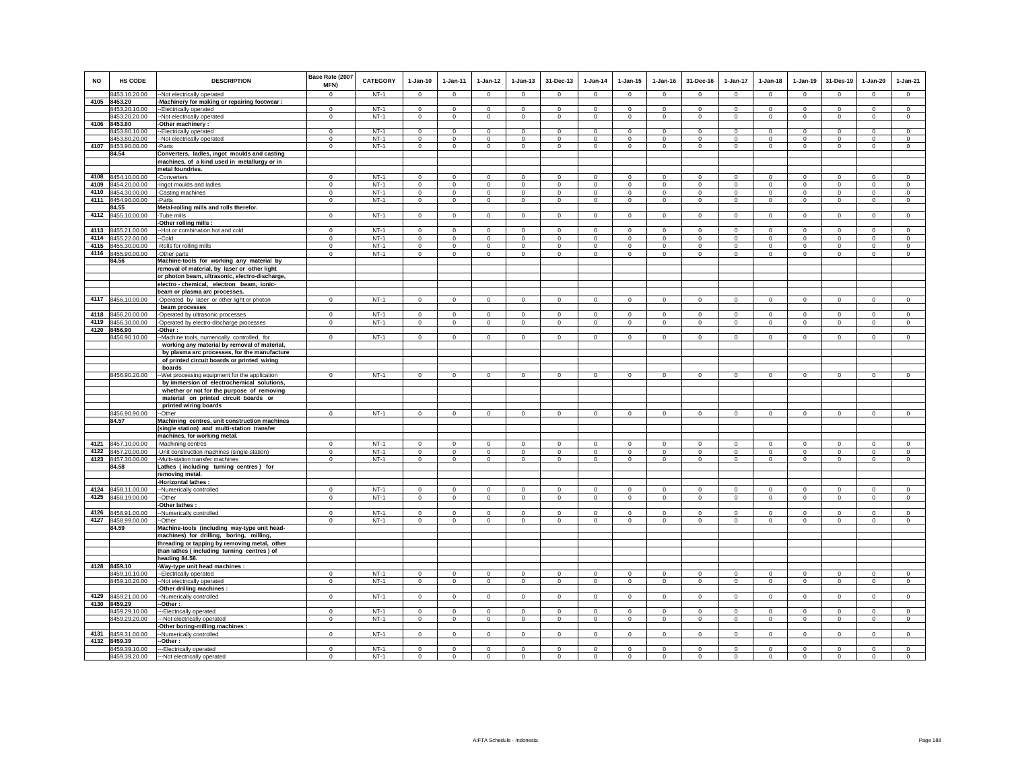| <b>NO</b> | <b>HS CODE</b>                | <b>DESCRIPTION</b>                                                                             | Base Rate (2007<br>MFN) | CATEGORY | $1-Jan-10$   | 1-Jan-11     | $1 - Jan-12$                  | $1 - Jan-13$   | 31-Dec-13   | $1-Jan-14$     | $1-Jan-15$   | $1 - Jan-16$   | 31-Dec-16   | $1-Jan-17$     | $1-Jan-18$   | $1-Jan-19$     | 31-Des-19      | $1-Jan-20$   | $1-Jan-21$                 |
|-----------|-------------------------------|------------------------------------------------------------------------------------------------|-------------------------|----------|--------------|--------------|-------------------------------|----------------|-------------|----------------|--------------|----------------|-------------|----------------|--------------|----------------|----------------|--------------|----------------------------|
|           | 8453.10.20.00                 | -Not electrically operated                                                                     | $\Omega$                | $NT-1$   | $\Omega$     | $\Omega$     | $\Omega$                      | $\Omega$       | $\Omega$    | $\Omega$       | $\Omega$     | $\Omega$       | $\Omega$    | $\Omega$       | $\Omega$     | $\Omega$       | $\Omega$       | $\Omega$     | $\Omega$                   |
| 4105      | 8453.20                       | -Machinery for making or repairing footwear :                                                  |                         |          |              |              |                               |                |             |                |              |                |             |                |              |                |                |              |                            |
|           | 8453.20.10.00                 | --Electrically operated                                                                        | $^{\circ}$              | $NT-1$   | $\mathbf 0$  | $\mathbf 0$  | $\mathbb O$                   | $\mathbf 0$    | $\mathbf 0$ | $\mathbf 0$    | $\mathbf 0$  | $\mathbf 0$    | $\mathbf 0$ | $\mathbf 0$    | $\mathbf 0$  | $\mathbf 0$    | $^{\circ}$     | $\mathsf 0$  | $\circ$                    |
| 4106      | 8453.20.20.00<br>8453.80      | --Not electrically operated                                                                    | $^{\circ}$              | $NT-1$   | $^{\circ}$   | $^{\circ}$   | $\mathbf{0}$                  | $^{\circ}$     | $^{\circ}$  | $\mathbf{0}$   | 0            | $^{\circ}$     | $\circ$     | $^{\circ}$     | $^{\circ}$   | $^{\circ}$     | $^{\circ}$     | $\circ$      | $^{\circ}$                 |
|           | 8453.80.10.00                 | -Other machinery :                                                                             | $\Omega$                | $NT-1$   | $\Omega$     | $\Omega$     | $\Omega$                      | $\Omega$       | $\Omega$    | $\Omega$       | $\Omega$     | $\Omega$       | $\Omega$    | $\Omega$       | $\Omega$     | $\mathbf 0$    | $\Omega$       | $\Omega$     | $\Omega$                   |
|           | 8453.80.20.00                 | -Electrically operated<br>-Not electrically operated                                           | $\mathbf 0$             | $NT-1$   | $^{\circ}$   | $^{\circ}$   | $\mathbf 0$                   | $\mathbf 0$    | $^{\circ}$  | $\mathbf 0$    | $\mathbf 0$  | $^{\circ}$     | $^{\circ}$  | $\mathbf 0$    | 0            | $^{\circ}$     | $^{\circ}$     | $^{\circ}$   | $^{\circ}$                 |
|           | 4107 8453.90.00.00            | Parts                                                                                          | $\mathbf 0$             | $NT-1$   | $\mathbf 0$  | $\mathbf 0$  | $\overline{0}$                | $\mathsf 0$    | $\,0\,$     | $\mathsf 0$    | $\mathsf 0$  | $\mathsf 0$    | $\circ$     | $\overline{0}$ | $\mathbf 0$  | $\mathbf 0$    | $\mathbf 0$    | $\mathbf 0$  | $\circ$                    |
|           | 84.54                         | Converters, ladles, ingot moulds and casting                                                   |                         |          |              |              |                               |                |             |                |              |                |             |                |              |                |                |              |                            |
|           |                               | machines, of a kind used in metallurgy or in                                                   |                         |          |              |              |                               |                |             |                |              |                |             |                |              |                |                |              |                            |
|           |                               | metal foundries.                                                                               |                         |          |              |              |                               |                |             |                |              |                |             |                |              |                |                |              |                            |
| 4108      | 8454.10.00.00                 | -Converters                                                                                    | $\Omega$                | $NT-1$   | $\Omega$     | $\Omega$     | $\mathbf 0$                   | $\mathbf 0$    | $\Omega$    | $\Omega$       | $\mathbf 0$  | $\Omega$       | $\Omega$    | $\Omega$       | $\Omega$     | $\Omega$       | $\Omega$       | $\Omega$     | $\Omega$                   |
| 4109      | 8454.20.00.00                 | -Ingot moulds and ladles                                                                       | $^{\circ}$              | $NT-1$   | $\mathbf 0$  | $\mathbf 0$  | $\mathbf 0$                   | $\mathsf 0$    | $\mathbf 0$ | $\mathbf 0$    | $\mathbf 0$  | $\mathbf 0$    | $\mathbf 0$ | $\mathbf 0$    | $\mathbf 0$  | $\mathbf 0$    | $\overline{0}$ | $\mathbf 0$  | $\circ$                    |
|           | 4110 8454.30.00.00            | -Casting machines                                                                              | $\mathbf 0$             | $NT-1$   | $\circ$      | $\circ$      | $\circ$                       | $\mathbf 0$    | $\mathbf 0$ | $\circ$        | $\mathbf 0$  | $\mathbf 0$    | $\circ$     | $\mathbf 0$    | $\circ$      | $\mathbf 0$    | $\circ$        | $\mathbf 0$  | $\circ$                    |
|           | 4111 8454.90.00.00            | -Parts                                                                                         | $\mathbf 0$             | $NT-1$   | $\circ$      | $\circ$      | $\circ$                       | $\mathbf 0$    | $\mathbf 0$ | $\overline{0}$ | $\mathbf 0$  | $\mathbf 0$    | $\circ$     | $\circ$        | $\mathbf 0$  | $\overline{0}$ | $\overline{0}$ | $\mathbf 0$  | $\mathbf 0$                |
|           | 84.55                         | Metal-rolling mills and rolls therefor.                                                        |                         |          |              |              |                               |                |             |                |              |                |             |                |              |                |                |              |                            |
|           | 4112 8455.10.00.00            | Tube mills                                                                                     | $^{\circ}$              | $NT-1$   | $\mathsf 0$  | $\circ$      | $\mathbf 0$                   | $\mathbf 0$    | $\mathbf 0$ | $\mathbf 0$    | $\mathbf 0$  | $\mathbf 0$    | $\circ$     | $\mathbf{0}$   | $\mathbf{0}$ | $\overline{0}$ | $\mathbf 0$    | $\mathbf 0$  | $\mathsf 0$                |
|           |                               | Other rolling mills:                                                                           |                         |          |              |              |                               |                |             |                |              |                |             |                |              |                |                |              |                            |
| 4113      | 8455.21.00.00                 | -Hot or combination hot and cold                                                               | $\mathbf 0$             | $NT-1$   | $\Omega$     | $\mathbf 0$  | $\mathbf 0$                   | $\mathbf 0$    | $\mathbf 0$ | $\mathbf 0$    | $\mathbf 0$  | $\mathbf 0$    | $\mathbf 0$ | $\mathbf 0$    | $\mathbf 0$  | $\mathbf 0$    | $^{\circ}$     | $\mathbf 0$  | $\Omega$                   |
| 4114      | 8455.22.00.00                 | -Cold                                                                                          | $\mathbf 0$             | $NT-1$   | $\mathbf 0$  | $\mathbf 0$  | $\mathsf 0$                   | $\mathsf 0$    | $\mathbf 0$ | $\circ$        | $\mathbf 0$  | $\mathbf 0$    | $\mathbf 0$ | $\mathsf 0$    | $\mathbf 0$  | $\mathbf 0$    | $\mathbf 0$    | $\mathbf 0$  | $\mathbb O$                |
|           | 4115 8455.30.00.00            | -Rolls for rolling mills                                                                       | $\mathbf 0$             | $NT-1$   | $\circ$      | $\mathbf 0$  | $\circ$                       | $\mathbf 0$    | $\mathbf 0$ | $\circ$        | $\mathbf 0$  | $\mathbf 0$    | $\circ$     | $\mathbf 0$    | $\mathbf 0$  | $\mathbf 0$    | $\mathbf 0$    | $\mathbf 0$  | $\mathbf 0$                |
|           | 4116 8455.90.00.00            | -Other parts                                                                                   | $\mathbf 0$             | $NT-1$   | $\mathbf 0$  | $\mathbf 0$  | $\mathbf 0$                   | $\mathbf 0$    | $\mathbf 0$ | $\mathsf 0$    | $\mathsf 0$  | $\mathbf{0}$   | $\circ$     | $\mathsf 0$    | $\mathbf 0$  | $\mathbf 0$    | $\mathbf 0$    | $\mathbf 0$  | $\mathbf 0$                |
|           | 84.56                         | Machine-tools for working any material by                                                      |                         |          |              |              |                               |                |             |                |              |                |             |                |              |                |                |              |                            |
|           |                               | removal of material, by laser or other light<br>or photon beam, ultrasonic, electro-discharge, |                         |          |              |              |                               |                |             |                |              |                |             |                |              |                |                |              |                            |
|           |                               |                                                                                                |                         |          |              |              |                               |                |             |                |              |                |             |                |              |                |                |              |                            |
|           |                               | electro-chemical, electron beam, ionic-<br>beam or plasma arc processes.                       |                         |          |              |              |                               |                |             |                |              |                |             |                |              |                |                |              |                            |
|           | 4117 8456.10.00.00            | -Operated by laser or other light or photon                                                    | $\mathbf 0$             | NT-1     | $\circ$      | $\circ$      | $\circ$                       | $\mathbf 0$    | $\mathbf 0$ | $\circ$        | $\mathbf 0$  | $\circ$        | $\circ$     | $\mathbf 0$    | $\circ$      | $\mathbf 0$    | $\mathbf{0}$   | $\mathbf 0$  | $\circ$                    |
|           |                               | beam processes                                                                                 |                         |          |              |              |                               |                |             |                |              |                |             |                |              |                |                |              |                            |
|           | 4118 8456.20.00.00            | -Operated by ultrasonic processes                                                              | $\Omega$                | $NT-1$   | $\Omega$     | $^{\circ}$   | $\mathbf 0$                   | $^{\circ}$     | $\Omega$    | $^{\circ}$     | $^{\circ}$   | $^{\circ}$     | $\Omega$    | $\mathbf 0$    | $\Omega$     | $^{\circ}$     | $\overline{0}$ | $\Omega$     | $\Omega$                   |
| 4119      | 8456.30.00.00                 | -Operated by electro-discharge processes                                                       | $\mathbf{0}$            | $NT-1$   | $\circ$      | $^{\circ}$   | $\mathbf 0$                   | $\mathbf 0$    | $\mathbf 0$ | 0              | $^{\circ}$   | $\mathbf 0$    | $^{\circ}$  | $\mathbf 0$    | $\mathbf 0$  | $\mathbf 0$    | $\mathbf 0$    | $\circ$      | $\circ$                    |
|           | 4120 8456.90                  | -Other:                                                                                        |                         |          |              |              |                               |                |             |                |              |                |             |                |              |                |                |              |                            |
|           | 8456.90.10.00                 | -Machine tools, numerically controlled, for                                                    | $\mathbf 0$             | $NT-1$   | $^{\circ}$   | $\mathbf 0$  | $\mathbf 0$                   | $\mathbf 0$    | $\mathbf 0$ | $\circ$        | $^{\circ}$   | $^{\circ}$     | $^{\circ}$  | $\mathbf 0$    | $\mathbf 0$  | $\mathbf 0$    | $^{\circ}$     | $^{\circ}$   | $\mathbf 0$                |
|           |                               | working any material by removal of material,                                                   |                         |          |              |              |                               |                |             |                |              |                |             |                |              |                |                |              |                            |
|           |                               | by plasma arc processes, for the manufacture                                                   |                         |          |              |              |                               |                |             |                |              |                |             |                |              |                |                |              |                            |
|           |                               | of printed circuit boards or printed wiring                                                    |                         |          |              |              |                               |                |             |                |              |                |             |                |              |                |                |              |                            |
|           |                               | boards                                                                                         |                         |          |              |              |                               |                |             |                |              |                |             |                |              |                |                |              |                            |
|           | 8456.90.20.00                 | -Wet processing equipment for the application                                                  | $\Omega$                | $NT-1$   | $\Omega$     | $\circ$      | $\circ$                       | $\mathbf 0$    | $\mathbf 0$ | $\circ$        | $\mathbf 0$  | $\Omega$       | $\circ$     | $\mathbf 0$    | $\Omega$     | $\Omega$       | $\mathbf 0$    | $\mathbf 0$  | $\mathbf 0$                |
|           |                               | by immersion of electrochemical solutions,                                                     |                         |          |              |              |                               |                |             |                |              |                |             |                |              |                |                |              |                            |
|           |                               | whether or not for the purpose of removing<br>material on printed circuit boards or            |                         |          |              |              |                               |                |             |                |              |                |             |                |              |                |                |              |                            |
|           |                               | printed wiring boards                                                                          |                         |          |              |              |                               |                |             |                |              |                |             |                |              |                |                |              |                            |
|           | 8456.90.90.00                 | -Other                                                                                         | $\mathbf 0$             | $NT-1$   | $\mathsf 0$  | $\circ$      | $\circ$                       | $\mathbf 0$    | $\circ$     | $\circ$        | $\mathsf 0$  | $\mathsf 0$    | $\mathbf 0$ | $\circ$        | $\mathbf 0$  | $\circ$        | $\circ$        | $\mathsf 0$  | $\mathsf 0$                |
|           | 84.57                         | Machining centres, unit construction machines                                                  |                         |          |              |              |                               |                |             |                |              |                |             |                |              |                |                |              |                            |
|           |                               | (single station) and multi-station transfer                                                    |                         |          |              |              |                               |                |             |                |              |                |             |                |              |                |                |              |                            |
|           |                               | machines, for working metal.                                                                   |                         |          |              |              |                               |                |             |                |              |                |             |                |              |                |                |              |                            |
|           | 4121 8457.10.00.00            | -Machining centres                                                                             | $\Omega$                | $NT-1$   | $\Omega$     | $\Omega$     | $\mathbf 0$                   | $\Omega$       | $\mathbf 0$ | $\mathbf 0$    | $\Omega$     | $\Omega$       | $\Omega$    | $\mathbf 0$    | $\Omega$     | $\Omega$       | $\mathbf 0$    | $\Omega$     | $\Omega$                   |
|           | 4122 8457.20.00.00            | -Unit construction machines (single-station)                                                   | $\mathbf 0$             | $NT-1$   | $\Omega$     | $\mathsf 0$  | $\overline{0}$                | $\overline{0}$ | $\mathsf 0$ | $\overline{0}$ | $\mathsf 0$  | $\Omega$       | $\Omega$    | $\overline{0}$ | $\Omega$     | $\Omega$       | $\mathbf 0$    | $\Omega$     | $\Omega$                   |
|           | 4123 8457,30,00,00            | -Multi-station transfer machines                                                               | $\circ$                 | $NT-1$   | $\circ$      | $\circ$      | $\mathbf{0}$                  | $\mathbf{0}$   | $\Omega$    | $\mathbf{0}$   | $\mathbf{0}$ | $\mathbf 0$    | $\circ$     | $\circ$        | $\circ$      | $\mathbf 0$    | $\Omega$       | $\mathbf{0}$ | $\circ$                    |
|           | 84.58                         | Lathes (including turning centres) for                                                         |                         |          |              |              |                               |                |             |                |              |                |             |                |              |                |                |              |                            |
|           |                               | removing metal.                                                                                |                         |          |              |              |                               |                |             |                |              |                |             |                |              |                |                |              |                            |
|           | 4124 8458.11.00.00            | -Horizontal lathes :                                                                           | $\Omega$                | $NT-1$   | $\mathbf{0}$ | $\mathbf 0$  |                               | $\mathbf 0$    | $\mathbf 0$ |                | $\mathbf 0$  | $\mathbf{0}$   | $\mathbf 0$ | $\mathbf 0$    | $\mathbf{0}$ | $\mathbf 0$    | $\overline{0}$ | $\mathbf 0$  |                            |
|           | 4125 8458.19.00.00            | -Numerically controlled<br>-Other                                                              | $^{\circ}$              | $NT-1$   | $\circ$      | $^{\circ}$   | $\mathbf 0$<br>$\overline{0}$ | $\mathbf 0$    | $\mathbf 0$ | $\,0\,$        |              | $\mathbf 0$    | $\circ$     | $\mathbf 0$    | $\circ$      | $\mathbf 0$    | $\mathbf 0$    | $\circ$      | $\mathbf 0$<br>$\mathbf 0$ |
|           |                               | Other lathes:                                                                                  |                         |          |              |              |                               |                |             | $\mathbf{0}$   | 0            |                |             |                |              |                |                |              |                            |
|           | 4126 8458.91.00.00            | -Numerically controlled                                                                        | $\Omega$                | $NT-1$   | $\Omega$     | $\Omega$     | $\mathbf{0}$                  | $\Omega$       | $\Omega$    | $\Omega$       | $\Omega$     | $\Omega$       | $\Omega$    | $\Omega$       | $\Omega$     | $\Omega$       | $\circ$        | $\Omega$     | $\Omega$                   |
| 4127      | 8458.99.00.00                 | -Other                                                                                         | $\mathbf 0$             | $NT-1$   | $\circ$      | $\circ$      | $\circ$                       | $\mathbf 0$    | $\mathbf 0$ | $\mathbf 0$    | $\mathbf 0$  | $\circ$        | $\circ$     | $\circ$        | $\mathbf 0$  | $\mathbf 0$    | $\mathbf 0$    | $\mathbf 0$  | $\mathbf 0$                |
|           | 84.59                         | Machine-tools (including way-type unit head-                                                   |                         |          |              |              |                               |                |             |                |              |                |             |                |              |                |                |              |                            |
|           |                               | machines) for drilling, boring, milling,                                                       |                         |          |              |              |                               |                |             |                |              |                |             |                |              |                |                |              |                            |
|           |                               | threading or tapping by removing metal, other                                                  |                         |          |              |              |                               |                |             |                |              |                |             |                |              |                |                |              |                            |
|           |                               | than lathes (including turning centres) of                                                     |                         |          |              |              |                               |                |             |                |              |                |             |                |              |                |                |              |                            |
|           |                               | heading 84.58.                                                                                 |                         |          |              |              |                               |                |             |                |              |                |             |                |              |                |                |              |                            |
| 4128      | 8459.10                       | -Way-type unit head machines :                                                                 |                         |          |              |              |                               |                |             |                |              |                |             |                |              |                |                |              |                            |
|           | 8459.10.10.00                 | --Electrically operated                                                                        | $^{\circ}$              | $NT-1$   | $^{\circ}$   | $^{\circ}$   | $^{\circ}$                    | $^{\circ}$     | $^{\circ}$  | $^{\circ}$     | $^{\circ}$   | $^{\circ}$     | 0           | 0              | 0            | $^{\circ}$     | $^{\circ}$     | 0            | $^{\circ}$                 |
|           | 8459.10.20.00                 | -- Not electrically operated                                                                   | $\mathbf 0$             | $NT-1$   | $\mathbf 0$  | $\mathbf 0$  | $\circ$                       | $\mathbf 0$    | $\mathbf 0$ | $\overline{0}$ | $\mathbf 0$  | $\mathbf 0$    | $\mathbf 0$ | $\mathbf 0$    | $\mathbf 0$  | $\mathbf 0$    | $\circ$        | $\mathbf 0$  | $\mathbf 0$                |
|           |                               | Other drilling machines :                                                                      |                         |          |              |              |                               |                |             |                |              |                |             |                |              |                |                |              |                            |
| 4130      | 4129 8459.21.00.00<br>8459.29 | -Numerically controlled                                                                        | $\mathbf{0}$            | $NT-1$   | $\mathsf 0$  | $\mathbf{0}$ | $\circ$                       | $\mathbf 0$    | $\mathbf 0$ | $\mathsf 0$    | $\mathbf 0$  | $\mathsf 0$    | $\mathbf 0$ | $\mathsf 0$    | $\mathbf 0$  | $\overline{0}$ | $\circ$        | $\mathbf 0$  | $\mathsf 0$                |
|           | 8459.29.10.00                 | Other:<br>-Electrically operated                                                               | $\mathbf 0$             | $NT-1$   | $\mathbf 0$  | $\mathbf 0$  | $\circ$                       | $\mathsf 0$    | $\mathbf 0$ | $\overline{0}$ | $\mathbf 0$  | $\mathbf 0$    | $\mathbf 0$ | $\mathbf 0$    | $\mathbf 0$  | $\mathbf 0$    | $\mathbf 0$    | $\circ$      | $\mathbb O$                |
|           | 8459.29.20.00                 | -Not electrically operated                                                                     | $\Omega$                | $NT-1$   | $\Omega$     | $\circ$      | $\circ$                       | $\mathbf 0$    | $\mathbf 0$ | $\circ$        | $\mathbf 0$  | $\Omega$       | $\circ$     | $\mathbf 0$    | $\Omega$     | $\mathbf 0$    | $^{\circ}$     | $\mathbf 0$  | $\Omega$                   |
|           |                               | -Other boring-milling machines                                                                 |                         |          |              |              |                               |                |             |                |              |                |             |                |              |                |                |              |                            |
|           | 4131 8459.31.00.00            | -Numerically controlled                                                                        | $\Omega$                | $NT-1$   | $\Omega$     | $\Omega$     | $\Omega$                      | $\Omega$       | $\Omega$    | $\Omega$       | $\Omega$     | $\Omega$       | $\Omega$    | $\Omega$       | $\Omega$     | $\Omega$       | $\Omega$       | $\Omega$     | $\Omega$                   |
|           | 4132 8459.39                  | -Other :                                                                                       |                         |          |              |              |                               |                |             |                |              |                |             |                |              |                |                |              |                            |
|           | 8459.39.10.00                 | ---Electrically operated                                                                       | $^{\circ}$              | $NT-1$   | $\mathbf 0$  | $\mathbf 0$  | $\mathbf 0$                   | $\mathbf 0$    | $\mathbf 0$ | $\mathbf 0$    | $\mathbf 0$  | $\mathbf 0$    | $^{\circ}$  | $\mathbf 0$    | $^{\circ}$   | $^{\circ}$     | $^{\circ}$     | $\mathbf 0$  | $\mathbf 0$                |
|           |                               | 8459.39.20.00 --- Not electrically operated                                                    | $\mathbf{0}$            | $NT-1$   | $^{\circ}$   | 0            | 0                             | $^{\circ}$     | $^{\circ}$  | 0              | $^{\circ}$   | $\overline{0}$ | $^{\circ}$  | 0              | $^{\circ}$   | 0              | $\mathbf 0$    | $\mathbf 0$  | $\circ$                    |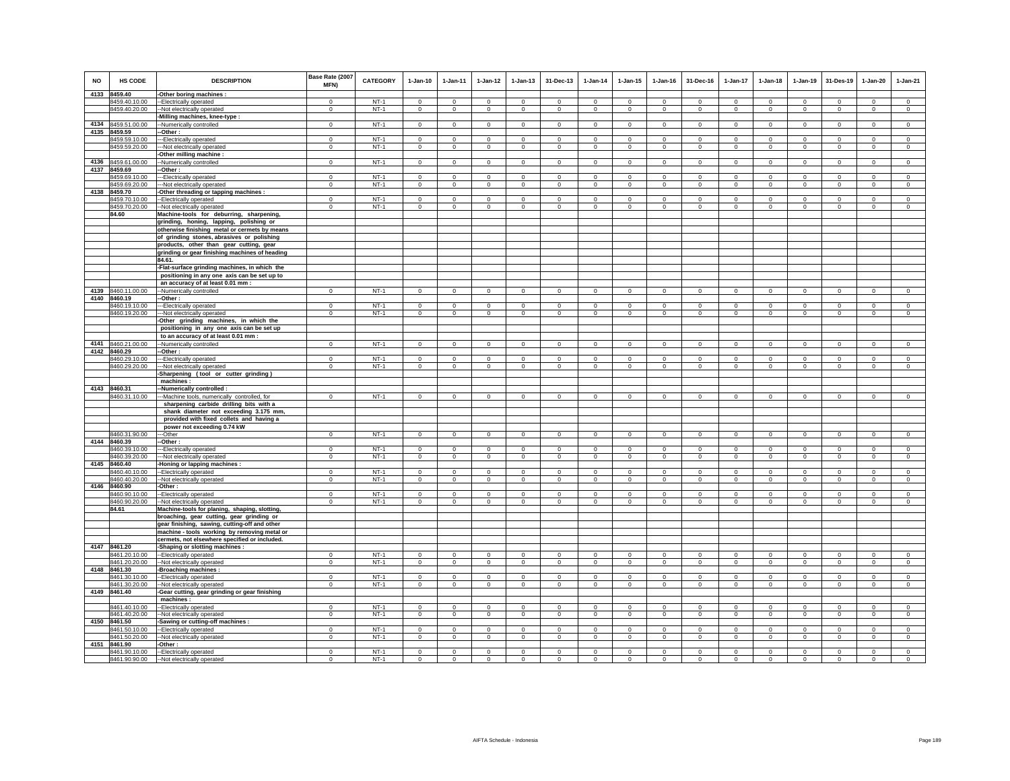| <b>NO</b>    | HS CODE                        | <b>DESCRIPTION</b>                                                                 | Base Rate (2007<br>MFN)    | <b>CATEGORY</b>  | $1-Jan-10$                 | 1-Jan-11                | $1 - Jan-12$               | $1 - Jan-13$                | 31-Dec-13                  | $1-Jan-14$                 | $1 - Jan-15$              | $1 - Jan-16$             | 31-Dec-16                 | 1-Jan-17                   | $1 - Jan-18$                | $1-Jan-19$                 | 31-Des-19                  | $1-Jan-20$                 | $1-Jan-21$                 |
|--------------|--------------------------------|------------------------------------------------------------------------------------|----------------------------|------------------|----------------------------|-------------------------|----------------------------|-----------------------------|----------------------------|----------------------------|---------------------------|--------------------------|---------------------------|----------------------------|-----------------------------|----------------------------|----------------------------|----------------------------|----------------------------|
| 4133         | 8459.40                        | -Other boring machines :                                                           |                            |                  |                            |                         |                            |                             |                            |                            |                           |                          |                           |                            |                             |                            |                            |                            |                            |
|              | 8459.40.10.00                  | -- Electrically operated                                                           | $\Omega$                   | $NT-1$           | $\Omega$                   | $\Omega$                | $\Omega$                   | $\mathbf 0$                 | $\mathbf 0$                | $\Omega$                   | $\mathbf 0$               | $\Omega$                 | $\Omega$                  | $\Omega$                   | $\Omega$                    | $\Omega$                   | $\Omega$                   | $\Omega$                   | $\mathsf 0$                |
|              | 8459.40.20.00                  | --Not electrically operated                                                        | $\mathbf 0$                | $NT-1$           | $\mathbf 0$                | $\circ$                 | $\mathbf 0$                | $\circ$                     | $\mathbf 0$                | $\mathbf 0$                | $\mathbf 0$               | $^{\circ}$               | $\circ$                   | $\mathbf 0$                | $\mathbf 0$                 | $\mathbf 0$                | $\circ$                    | $\mathbf 0$                | $\mathbf 0$                |
|              |                                | -Milling machines, knee-type :                                                     |                            |                  |                            |                         |                            |                             |                            |                            |                           |                          |                           |                            |                             |                            |                            |                            |                            |
| 4134         | 8459.51.00.00                  | -Numerically controlled                                                            | $\mathbf 0$                | $NT-1$           | $\circ$                    | $\circ$                 | $\circ$                    | $\circ$                     | $\mathbf{0}$               | $\mathbf 0$                | $^{\circ}$                | $\mathbf 0$              | $^{\circ}$                | $\circ$                    | $\circ$                     | $\mathbf{0}$               | $\circ$                    | $^{\circ}$                 | $\circ$                    |
| 4135         | 8459.59                        | -Other:                                                                            |                            |                  |                            |                         |                            |                             |                            |                            |                           |                          |                           |                            |                             |                            |                            |                            |                            |
|              | 8459.59.10.00                  | --Electrically operated                                                            | $\mathbf 0$                | $NT-1$           | $\mathbf 0$                | $\mathbf 0$             | 0                          | $\mathbf 0$                 | $\overline{0}$             | 0                          | $\mathbf 0$               | $\mathbf 0$              | $\mathbf 0$               | $\mathbf 0$                | $\mathbf 0$                 | $\mathbf 0$                | $\bf{0}$                   | $\mathbf 0$                | $\mathbf 0$                |
|              | 8459.59.20.00                  | -Not electrically operated                                                         | $\mathbf 0$                | $NT-1$           | $\circ$                    | $\circ$                 | $\mathbf 0$                | $\mathbf 0$                 | $\mathbf 0$                | $\circ$                    | $\mathbf 0$               | $\mathbf 0$              | $\mathbf 0$               | $\mathbf 0$                | $\mathbf 0$                 | $\mathbf 0$                | $\mathbf 0$                | $\mathbf 0$                | $\mathbf 0$                |
| 4136         | 8459.61.00.00                  | -Other milling machine<br>-Numerically controlled                                  | $\,0\,$                    | $NT-1$           | $\circ$                    | $\circ$                 | $\mathsf{O}$               | $\mathbf 0$                 | $\mathsf 0$                | $\Omega$                   | $\mathbf 0$               | $\mathbf 0$              | $\Omega$                  | $\mathsf{O}$               | $\circ$                     | $\,0\,$                    | $\mathbf{0}$               | $\circ$                    | $\circ$                    |
| 4137         | 8459.69                        | --Other:                                                                           |                            |                  |                            |                         |                            |                             |                            |                            |                           |                          |                           |                            |                             |                            |                            |                            |                            |
|              | 8459.69.10.00                  | ---Electrically operated                                                           | $^{\circ}$                 | $NT-1$           | $\mathbf 0$                | $\mathbf 0$             | $\mathbf 0$                | $^{\circ}$                  | $\mathbf 0$                | $\circ$                    | $^{\circ}$                | $^{\circ}$               | $\mathbf 0$               | $\mathbf 0$                | $\mathbf 0$                 | $\mathbf 0$                | $\overline{0}$             | $\mathbf 0$                | $\mathbf 0$                |
|              | 8459.69.20.00                  | --- Not electrically operated                                                      | $^{\circ}$                 | $NT-1$           | $^{\circ}$                 | $\mathbf{0}$            | $\mathbf{0}$               | $^{\circ}$                  | $\mathbf{0}$               | $\mathbf{0}$               | $^{\circ}$                | $^{\circ}$               | $^{\circ}$                | $\mathbf{0}$               | $\circ$                     | $\mathbf{0}$               | $\overline{0}$             | $\circ$                    | $\mathbf{0}$               |
|              | 4138 8459.70                   | -Other threading or tapping machines :                                             |                            |                  |                            |                         |                            |                             |                            |                            |                           |                          |                           |                            |                             |                            |                            |                            |                            |
|              | 8459.70.10.00                  | -Electrically operated                                                             | $\mathbf 0$                | $NT-1$           | $\Omega$                   | $\Omega$                | $\mathbf 0$                | $\Omega$                    | $\mathbf 0$                | $\Omega$                   | $\Omega$                  | $\Omega$                 | $\Omega$                  | $\Omega$                   | $\Omega$                    | $\Omega$                   | $\mathbf 0$                | $\Omega$                   | $\Omega$                   |
|              | 8459.70.20.00                  | -- Not electrically operated                                                       | $\mathbf 0$                | $NT-1$           | $\circ$                    | $\circ$                 | $\circ$                    | $\mathbf 0$                 | $\mathbf 0$                | $\mathbf 0$                | $\mathbf 0$               | $^{\circ}$               | $\mathbf 0$               | $\mathbf 0$                | $\mathbf 0$                 | $\mathbf 0$                | $\mathbf 0$                | $\mathbf 0$                | $\mathbf 0$                |
|              | 84.60                          | Machine-tools for deburring, sharpening,                                           |                            |                  |                            |                         |                            |                             |                            |                            |                           |                          |                           |                            |                             |                            |                            |                            |                            |
|              |                                | grinding, honing, lapping, polishing or                                            |                            |                  |                            |                         |                            |                             |                            |                            |                           |                          |                           |                            |                             |                            |                            |                            |                            |
|              |                                | otherwise finishing metal or cermets by means                                      |                            |                  |                            |                         |                            |                             |                            |                            |                           |                          |                           |                            |                             |                            |                            |                            |                            |
|              |                                | of grinding stones, abrasives or polishing                                         |                            |                  |                            |                         |                            |                             |                            |                            |                           |                          |                           |                            |                             |                            |                            |                            |                            |
|              |                                | products, other than gear cutting, gear                                            |                            |                  |                            |                         |                            |                             |                            |                            |                           |                          |                           |                            |                             |                            |                            |                            |                            |
|              |                                | grinding or gear finishing machines of heading                                     |                            |                  |                            |                         |                            |                             |                            |                            |                           |                          |                           |                            |                             |                            |                            |                            |                            |
|              |                                | 84.61.                                                                             |                            |                  |                            |                         |                            |                             |                            |                            |                           |                          |                           |                            |                             |                            |                            |                            |                            |
|              |                                | -Flat-surface grinding machines, in which the                                      |                            |                  |                            |                         |                            |                             |                            |                            |                           |                          |                           |                            |                             |                            |                            |                            |                            |
|              |                                | positioning in any one axis can be set up to                                       |                            |                  |                            |                         |                            |                             |                            |                            |                           |                          |                           |                            |                             |                            |                            |                            |                            |
|              |                                | an accuracy of at least 0.01 mm :                                                  |                            |                  |                            |                         |                            |                             |                            |                            |                           |                          |                           |                            |                             |                            |                            |                            |                            |
| 4139<br>4140 | 8460.11.00.00<br>8460.19       | --Numerically controlled<br>-Other :                                               | $\mathbf 0$                | $NT-1$           | $\circ$                    | $\circ$                 | $\circ$                    | $\mathbf 0$                 | $\mathbf{0}$               | $\circ$                    | $\mathbf 0$               | $\mathbf 0$              | $\mathbf 0$               | $\mathbf 0$                | $\circ$                     | $\mathbf 0$                | $\mathbf 0$                | $\mathbf 0$                | $\mathsf 0$                |
|              | 8460.19.10.00                  | ---Electrically operated                                                           | $\mathbf{0}$               | $NT-1$           | $\Omega$                   | $^{\circ}$              | $\Omega$                   | $\Omega$                    | $\Omega$                   | $\Omega$                   | $\Omega$                  | $\Omega$                 | $\Omega$                  | $\Omega$                   | $\Omega$                    | $^{\circ}$                 | $\mathbf 0$                | $\Omega$                   | $\Omega$                   |
|              | 8460.19.20.00                  | --- Not electrically operated                                                      | $\Omega$                   | $NT-1$           | $\Omega$                   | $\Omega$                | $\overline{0}$             | $\overline{0}$              | $\Omega$                   | $\overline{0}$             | $\Omega$                  | $\Omega$                 | $\Omega$                  | $\overline{0}$             | $\Omega$                    | $\Omega$                   | $\overline{0}$             | $\Omega$                   | $\overline{0}$             |
|              |                                | -Other grinding machines, in which the                                             |                            |                  |                            |                         |                            |                             |                            |                            |                           |                          |                           |                            |                             |                            |                            |                            |                            |
|              |                                | positioning in any one axis can be set up                                          |                            |                  |                            |                         |                            |                             |                            |                            |                           |                          |                           |                            |                             |                            |                            |                            |                            |
|              |                                | to an accuracy of at least 0.01 mm :                                               |                            |                  |                            |                         |                            |                             |                            |                            |                           |                          |                           |                            |                             |                            |                            |                            |                            |
| 4141         | 8460.21.00.00                  | --Numerically controlled                                                           | $\mathbf 0$                | $NT-1$           | $\circ$                    | $\circ$                 | $\mathbf 0$                | $\circ$                     | $\mathbf{0}$               | $\circ$                    | $\mathbf 0$               | $\mathbf 0$              | $\mathbf 0$               | $\mathbf 0$                | $\circ$                     | $\mathbf 0$                | $\circ$                    | $\mathbf 0$                | $\circ$                    |
| 4142         | 8460.29                        | -Other :                                                                           |                            |                  |                            |                         |                            |                             |                            |                            |                           |                          |                           |                            |                             |                            |                            |                            |                            |
|              | 8460.29.10.00                  | -Electrically operated                                                             | $\mathbf 0$                | $NT-1$           | $\circ$                    | $\circ$                 | $\mathbf{0}$               | $\mathbf 0$                 | $\mathbf 0$                | $\mathbf 0$                | $\mathbf 0$               | $\mathbf 0$              | $\mathbf{0}$              | $\mathbf 0$                | $\mathsf 0$                 | $\mathsf 0$                | $\circ$                    | $\mathsf 0$                | $\mathsf 0$                |
|              | 8460.29.20.00                  | -- Not electrically operated                                                       | $\mathbf 0$                | $NT-1$           | $\mathbf 0$                | $\circ$                 | $\mathbf 0$                | $\circ$                     | $\mathbf 0$                | $\circ$                    | $\mathbf 0$               | $\mathbf 0$              | $\mathbf 0$               | $\mathbf 0$                | $\circ$                     | $\mathbf 0$                | $\circ$                    | $\mathbf 0$                | $\Omega$                   |
|              |                                | -Sharpening (tool or cutter grinding)                                              |                            |                  |                            |                         |                            |                             |                            |                            |                           |                          |                           |                            |                             |                            |                            |                            |                            |
|              |                                | machines:                                                                          |                            |                  |                            |                         |                            |                             |                            |                            |                           |                          |                           |                            |                             |                            |                            |                            |                            |
|              | 4143 8460.31                   | -Numerically controlled :                                                          |                            |                  |                            |                         |                            |                             |                            |                            |                           |                          |                           |                            |                             |                            |                            |                            |                            |
|              | 8460.31.10.00                  | --Machine tools, numerically controlled, for                                       | $\mathbf 0$                | $NT-1$           | $\mathsf 0$                | $\Omega$                | $\mathbf 0$                | $\mathbf 0$                 | $\mathsf 0$                | $\mathbf 0$                | $\mathbf 0$               | $\Omega$                 | $\Omega$                  | $\mathbf 0$                | $\mathsf 0$                 | $\mathbf 0$                | $\circ$                    | $\mathsf 0$                | $\Omega$                   |
|              |                                | sharpening carbide drilling bits with a                                            |                            |                  |                            |                         |                            |                             |                            |                            |                           |                          |                           |                            |                             |                            |                            |                            |                            |
|              |                                | shank diameter not exceeding 3.175 mm,<br>provided with fixed collets and having a |                            |                  |                            |                         |                            |                             |                            |                            |                           |                          |                           |                            |                             |                            |                            |                            |                            |
|              |                                | power not exceeding 0.74 kW                                                        |                            |                  |                            |                         |                            |                             |                            |                            |                           |                          |                           |                            |                             |                            |                            |                            |                            |
|              | 8460.31.90.00                  | -Other                                                                             | $\mathsf 0$                | $NT-1$           | $\mathsf 0$                | $\mathsf 0$             | $\mathbf 0$                | $\mathbf 0$                 | $\mathbf 0$                | $\circ$                    | $\mathbf 0$               | $\mathbb O$              | $\mathbf 0$               | $\mathbf 0$                | $\mathsf 0$                 | $\mathbf 0$                | $\circ$                    | $\mathsf 0$                | $\mathsf 0$                |
| 4144         | 8460.39                        | Other:                                                                             |                            |                  |                            |                         |                            |                             |                            |                            |                           |                          |                           |                            |                             |                            |                            |                            |                            |
|              | 8460.39.10.00                  | --Electrically operated                                                            | $\mathbf 0$                | $NT-1$           | $\Omega$                   | $\mathbf 0$             | $\mathbf 0$                | $\mathbf 0$                 | $\mathbf 0$                | $\Omega$                   | $\mathbf 0$               | $\Omega$                 | $^{\circ}$                | $\mathbf 0$                | $\Omega$                    | $\mathbf 0$                | $^{\circ}$                 | $\mathbf 0$                | $\Omega$                   |
|              | 8460.39.20.00                  | --Not electrically operated                                                        | $\,0\,$                    | $NT-1$           | $\mathsf 0$                | $\mathsf 0$             | $\overline{0}$             | $\mathbf 0$                 | $\mathbf 0$                | $\mathsf 0$                | $\mathbf 0$               | $\mathbf 0$              | $\mathbf 0$               | $\overline{0}$             | $\mathsf 0$                 | $\,0\,$                    | $\mathbf 0$                | $\mathsf 0$                | $\mathsf 0$                |
| 4145         | 8460.40                        | -Honing or lapping machines                                                        |                            |                  |                            |                         |                            |                             |                            |                            |                           |                          |                           |                            |                             |                            |                            |                            |                            |
|              | 8460.40.10.00                  | --Electrically operated                                                            | $\overline{0}$             | $NT-1$           | $\mathbf 0$                | $\mathbf 0$             | $\overline{0}$             | $^{\circ}$                  | $\overline{0}$             | $\mathbf 0$                | $\mathbf 0$               | $^{\circ}$               | $\mathbf 0$               | $\overline{0}$             | $\mathbf 0$                 | $\overline{0}$             | $^{\circ}$                 | $\mathbf 0$                | $\mathbf 0$                |
|              | 8460.40.20.00                  | -- Not electrically operated                                                       | $\,0\,$                    | $NT-1$           | $\mathbf 0$                | $\mathbf 0$             | $\mathbf 0$                | $\mathbf 0$                 | $\mathbf 0$                | $\mathbf 0$                | $\mathbf 0$               | $\,0\,$                  | $\mathbf 0$               | $\mathbf 0$                | $\mathbf 0$                 | $\mathbf 0$                | $\mathbf 0$                | $\mathbf 0$                | $\mathbf 0$                |
| 4146         | 8460.90                        | -Other :                                                                           |                            |                  |                            |                         |                            |                             |                            |                            |                           |                          |                           |                            |                             |                            |                            |                            |                            |
|              | 8460.90.10.00<br>8460.90.20.00 | -- Electrically operated<br>--Not electrically operated                            | $\mathsf 0$<br>$\mathbf 0$ | $NT-1$<br>$NT-1$ | $\mathbf 0$<br>$\mathbf 0$ | $\mathbf{0}$<br>$\circ$ | $\mathbf 0$<br>$\mathbf 0$ | $\mathbf{0}$<br>$\mathbf 0$ | $\mathbf 0$<br>$\mathbf 0$ | $\mathbf 0$<br>$\mathbf 0$ | $^{\circ}$<br>$\mathbf 0$ | $^{\circ}$<br>$^{\circ}$ | $^{\circ}$<br>$\mathbf 0$ | $\mathbf 0$<br>$\mathbf 0$ | $\mathbf{0}$<br>$\mathbf 0$ | $\mathbf 0$<br>$\mathbf 0$ | $\mathbf 0$<br>$\mathbf 0$ | $\mathbf 0$<br>$\mathbf 0$ | $\mathsf 0$<br>$\mathbf 0$ |
|              | 84.61                          | Machine-tools for planing, shaping, slotting                                       |                            |                  |                            |                         |                            |                             |                            |                            |                           |                          |                           |                            |                             |                            |                            |                            |                            |
|              |                                | broaching, gear cutting, gear grinding or                                          |                            |                  |                            |                         |                            |                             |                            |                            |                           |                          |                           |                            |                             |                            |                            |                            |                            |
|              |                                | gear finishing, sawing, cutting-off and other                                      |                            |                  |                            |                         |                            |                             |                            |                            |                           |                          |                           |                            |                             |                            |                            |                            |                            |
|              |                                | machine - tools working by removing metal or                                       |                            |                  |                            |                         |                            |                             |                            |                            |                           |                          |                           |                            |                             |                            |                            |                            |                            |
|              |                                | cermets, not elsewhere specified or included.                                      |                            |                  |                            |                         |                            |                             |                            |                            |                           |                          |                           |                            |                             |                            |                            |                            |                            |
|              | 4147 8461.20                   | -Shaping or slotting machines :                                                    |                            |                  |                            |                         |                            |                             |                            |                            |                           |                          |                           |                            |                             |                            |                            |                            |                            |
|              | 8461.20.10.00                  | --Electrically operated                                                            | $^{\circ}$                 | $NT-1$           | $\mathbf 0$                | $\mathbf 0$             | $\mathbf 0$                | $^{\circ}$                  | $\mathbf 0$                | $\mathbf 0$                | $^{\circ}$                | $^{\circ}$               | $^{\circ}$                | $\mathbf 0$                | $^{\circ}$                  | $\mathbf 0$                | $\mathbf 0$                | $\mathbf 0$                | $\mathbf 0$                |
|              | 8461.20.20.00                  | -- Not electrically operated                                                       | $\Omega$                   | $NT-1$           | $\circ$                    | $\circ$                 | $\mathbf 0$                | $\circ$                     | $\mathbf 0$                | $\circ$                    | $\mathbf 0$               | $\mathbf 0$              | $\Omega$                  | $\mathbf 0$                | $\circ$                     | $\circ$                    | $\circ$                    | $\mathsf 0$                | $\mathsf 0$                |
| 4148         | 8461.30                        | -Broaching machines :                                                              |                            |                  |                            |                         |                            |                             |                            |                            |                           |                          |                           |                            |                             |                            |                            |                            |                            |
|              | 8461.30.10.00                  | --Electrically operated                                                            | $\Omega$                   | $NT-1$           | $\Omega$                   | $\Omega$                | $\Omega$                   | $\Omega$                    | $\mathbf 0$                | $\Omega$                   | $\Omega$                  | $\Omega$                 | $\Omega$                  | $\Omega$                   | $\Omega$                    | $\mathbf 0$                | $\mathbf 0$                | $\Omega$                   | $\mathbb O$                |
|              | 8461.30.20.00                  | --Not electrically operated                                                        | $\mathbf 0$                | $NT-1$           | $\circ$                    | $\circ$                 | $\circ$                    | $\mathbf 0$                 | $\mathbf{0}$               | $\circ$                    | $\mathbf 0$               | $\Omega$                 | $\Omega$                  | $\mathbf 0$                | $\Omega$                    | $\circ$                    | $\mathbf 0$                | $\circ$                    | $\Omega$                   |
| 4149         | 8461.40                        | -Gear cutting, gear grinding or gear finishing                                     |                            |                  |                            |                         |                            |                             |                            |                            |                           |                          |                           |                            |                             |                            |                            |                            |                            |
|              |                                | machines:                                                                          |                            |                  |                            |                         |                            |                             |                            |                            |                           |                          |                           |                            |                             |                            |                            |                            |                            |
|              | 8461.40.10.00                  | --Electrically operated                                                            | $\mathbf 0$                | $NT-1$<br>$NT-1$ | $^{\circ}$                 | $^{\circ}$              | $\mathbf 0$                | $^{\circ}$                  | $^{\circ}$                 | $\mathbf 0$                | 0                         | $^{\circ}$               | 0                         | $^{\circ}$                 | $^{\circ}$                  | $^{\circ}$                 | $^{\circ}$                 | $^{\circ}$                 | $^{\circ}$                 |
| 4150         | 8461.40.20.00<br>8461.50       | -- Not electrically operated<br>-Sawing or cutting-off machines :                  | $\mathbf 0$                |                  | $\mathbf 0$                | $\circ$                 | $\mathbf 0$                | $\mathbf 0$                 | $\mathbf{0}$               | $\circ$                    | $\mathbf 0$               | $\,0\,$                  | $\mathbf 0$               | $\mathbf 0$                | $\mathbf 0$                 | $\mathbf 0$                | $\circ$                    | $\mathbf 0$                | $\mathbf 0$                |
|              | 8461.50.10.00                  | -- Electrically operated                                                           | $\mathbf 0$                | $NT-1$           | $\mathsf 0$                | $^{\circ}$              | $\mathbf 0$                | $\mathbf 0$                 | $\mathbf 0$                | $\mathbf 0$                | $^{\circ}$                | $^{\circ}$               | $\mathbf 0$               | $\mathbf 0$                | $\mathbf 0$                 | $\mathbf 0$                | $\mathbf 0$                | $\circ$                    | $\circ$                    |
|              | 8461.50.20.00                  | --Not electrically operated                                                        | $\mathbf 0$                | $NT-1$           | $\circ$                    | $\circ$                 | $\circ$                    | $\circ$                     | $\mathbf{0}$               | $\circ$                    | $\mathbf 0$               | $\mathbf 0$              | $\circ$                   | $\mathbf 0$                | $\Omega$                    | $\mathbf 0$                | $\circ$                    | $\circ$                    | $\circ$                    |
| 4151         | 8461.90                        | -Other:                                                                            |                            |                  |                            |                         |                            |                             |                            |                            |                           |                          |                           |                            |                             |                            |                            |                            |                            |
|              | 8461.90.10.00                  | --Electrically operated                                                            | $\Omega$                   | $NT-1$           | $\Omega$                   | $\Omega$                | $\Omega$                   | $\Omega$                    | $\Omega$                   | $\Omega$                   | $\Omega$                  | $\Omega$                 | $\Omega$                  | $\Omega$                   | $\Omega$                    | $\Omega$                   | $\Omega$                   | $\Omega$                   | $\Omega$                   |
|              | 8461.90.90.00                  | --Not electrically operated                                                        | $^{\circ}$                 | $NT-1$           | $\Omega$                   | $\Omega$                | $\mathbf 0$                | $\Omega$                    | $\mathbf 0$                | $\Omega$                   | $\mathbf 0$               | $\Omega$                 | $\Omega$                  | $\mathbf 0$                | $\Omega$                    | $\Omega$                   | $\Omega$                   | $\Omega$                   | $\Omega$                   |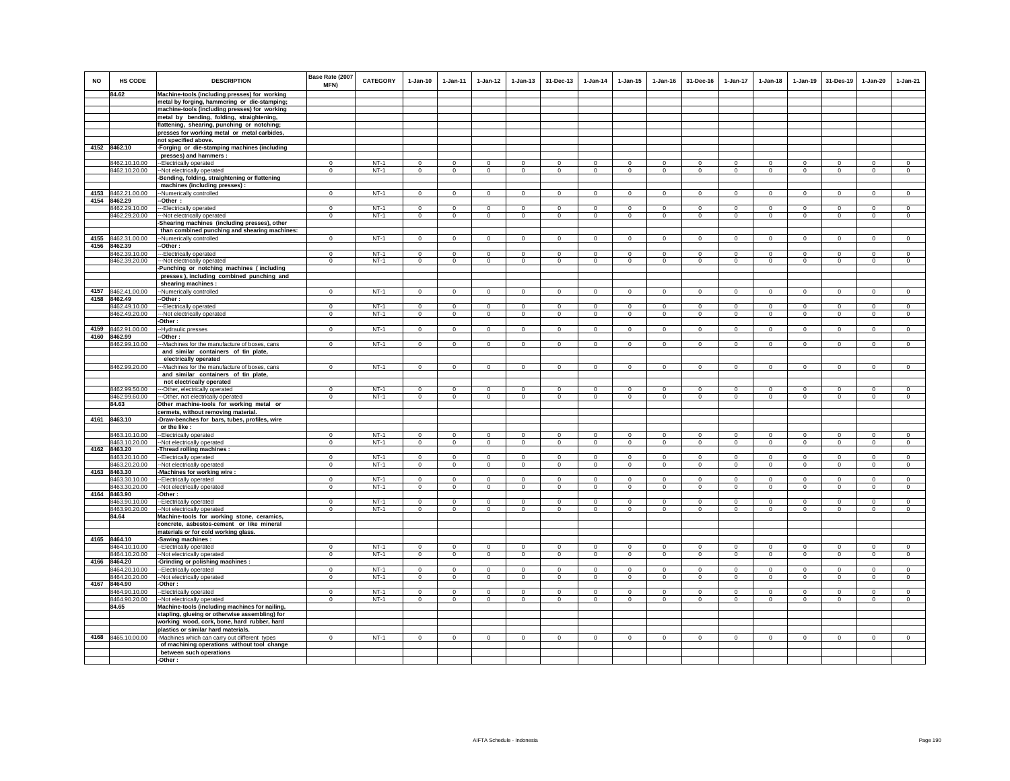| <b>NO</b> | HS CODE                        | <b>DESCRIPTION</b>                                                                          | Base Rate (2007<br><b>MFN)</b> | <b>CATEGORY</b>  | $1-Jan-10$              | $1 - Jan-11$               | $1 - Jan-12$               | $1 - Jan-13$               | 31-Dec-13                  | $1-Jan-14$                 | $1 - Jan-15$               | $1$ -Jan-16               | 31-Dec-16              | $1-Jan-17$                 | $1 - Jan-18$               | $1 - Jan-19$               | 31-Des-19              | 1-Jan-20                  | $1-Jan-21$                 |
|-----------|--------------------------------|---------------------------------------------------------------------------------------------|--------------------------------|------------------|-------------------------|----------------------------|----------------------------|----------------------------|----------------------------|----------------------------|----------------------------|---------------------------|------------------------|----------------------------|----------------------------|----------------------------|------------------------|---------------------------|----------------------------|
|           | 84.62                          | Machine-tools (including presses) for working                                               |                                |                  |                         |                            |                            |                            |                            |                            |                            |                           |                        |                            |                            |                            |                        |                           |                            |
|           |                                | metal by forging, hammering or die-stamping;                                                |                                |                  |                         |                            |                            |                            |                            |                            |                            |                           |                        |                            |                            |                            |                        |                           |                            |
|           |                                | machine-tools (including presses) for working                                               |                                |                  |                         |                            |                            |                            |                            |                            |                            |                           |                        |                            |                            |                            |                        |                           |                            |
|           |                                | metal by bending, folding, straightening,                                                   |                                |                  |                         |                            |                            |                            |                            |                            |                            |                           |                        |                            |                            |                            |                        |                           |                            |
|           |                                | flattening, shearing, punching or notching;<br>presses for working metal or metal carbides, |                                |                  |                         |                            |                            |                            |                            |                            |                            |                           |                        |                            |                            |                            |                        |                           |                            |
|           |                                | not specified above.                                                                        |                                |                  |                         |                            |                            |                            |                            |                            |                            |                           |                        |                            |                            |                            |                        |                           |                            |
|           | 4152 8462.10                   | Forging or die-stamping machines (including                                                 |                                |                  |                         |                            |                            |                            |                            |                            |                            |                           |                        |                            |                            |                            |                        |                           |                            |
|           |                                | presses) and hammers :                                                                      |                                |                  |                         |                            |                            |                            |                            |                            |                            |                           |                        |                            |                            |                            |                        |                           |                            |
|           | 8462.10.10.00                  | -Electrically operated                                                                      | $\mathbf 0$                    | $NT-1$           | $\Omega$                | $\mathbf 0$                | $\mathbf 0$                | $\mathbf 0$                | $\mathbf 0$                | $\mathbf 0$                | $\mathbf 0$                | $\mathbf 0$               | $\circ$                | $\mathbf 0$                | $\mathbf 0$                | $^{\circ}$                 | $^{\circ}$             | $^{\circ}$                | $\circ$                    |
|           | 8462.10.20.00                  | -Not electrically operated                                                                  | $\Omega$                       | $NT-1$           | $\Omega$                | $\mathbf{0}$               | $\overline{0}$             | $\overline{0}$             | $\Omega$                   | $\overline{0}$             | $\mathbf 0$                | $\Omega$                  | $\Omega$               | $\overline{0}$             | $\circ$                    | $\circ$                    | $\circ$                | $\Omega$                  | $\overline{0}$             |
|           |                                | -Bending, folding, straightening or flattening                                              |                                |                  |                         |                            |                            |                            |                            |                            |                            |                           |                        |                            |                            |                            |                        |                           |                            |
|           |                                | machines (including presses) :                                                              |                                |                  |                         |                            |                            |                            |                            |                            |                            |                           |                        |                            |                            |                            |                        |                           |                            |
|           | 4153 8462.21.00.00             | -Numerically controlled                                                                     | $\mathbf 0$                    | $NT-1$           | $\mathbf 0$             | $\mathbf{0}$               | $\mathbf 0$                | $\mathsf 0$                | $\mathbf 0$                | $\circ$                    | $\mathbf 0$                | $\mathbf 0$               | $\mathbf 0$            | $\mathbf 0$                | $\mathbf{0}$               | $\mathbf 0$                | $\mathbf 0$            | $\mathsf 0$               | $\circ$                    |
|           | 4154 8462.29                   | -Other:                                                                                     |                                |                  |                         |                            |                            |                            |                            |                            |                            |                           |                        |                            |                            |                            |                        |                           |                            |
|           | 8462.29.10.00                  | -- Electrically operated                                                                    | $\Omega$                       | $NT-1$           | $\Omega$                | $\Omega$                   | $\Omega$                   | $\Omega$                   | $\Omega$                   | $\Omega$                   | $\Omega$                   | $\Omega$                  | $\Omega$               | $\Omega$                   | $\Omega$                   | $\Omega$                   | $\Omega$               | $\Omega$                  | $\Omega$                   |
|           | 8462.29.20.00                  | -Not electrically operated                                                                  | $\mathbf 0$                    | $NT-1$           | $\mathsf 0$             | $\mathsf 0$                | $\mathbf 0$                | $\mathsf 0$                | $\mathbf 0$                | $\mathsf 0$                | $\mathsf 0$                | $\mathsf 0$               | $\mathsf 0$            | $\mathbf 0$                | $\mathbf 0$                | $\mathbf 0$                | $\mathbf 0$            | $\mathsf 0$               | $\mathsf 0$                |
|           |                                | Shearing machines (including presses), other                                                |                                |                  |                         |                            |                            |                            |                            |                            |                            |                           |                        |                            |                            |                            |                        |                           |                            |
|           | 4155 8462.31.00.00             | than combined punching and shearing machines:                                               | $\mathbf 0$                    | $NT-1$           | $\circ$                 | $\Omega$                   | $\mathbf{0}$               | $\mathbf{0}$               | $\mathbf 0$                | $\mathsf 0$                | $\mathbf{0}$               | $\Omega$                  | $\Omega$               | $\mathbf{0}$               | $\mathbf 0$                | $\mathbf 0$                | $\Omega$               |                           | $\circ$                    |
|           | 4156 8462.39                   | -Numerically controlled<br>--Other :                                                        |                                |                  |                         |                            |                            |                            |                            |                            |                            |                           |                        |                            |                            |                            |                        | $\mathbf 0$               |                            |
|           | 8462.39.10.00                  | --Electrically operated                                                                     | $\mathbf 0$                    | $NT-1$           | $\mathsf 0$             | $\mathbf 0$                | $\mathbf 0$                | $\mathsf 0$                | $\mathbf 0$                | $\circ$                    | $\mathsf 0$                | $\Omega$                  | $\mathsf 0$            | $\mathbf 0$                | $\mathbf 0$                | $\mathbf 0$                | $\mathbf 0$            | $\mathsf 0$               | $\mathsf 0$                |
|           | 8462.39.20.00                  | --Not electrically operated                                                                 | $\mathbf 0$                    | $NT-1$           | $\circ$                 | $\circ$                    | $\circ$                    | $\mathbf 0$                | $\mathbf 0$                | $\mathbf 0$                | $\mathbf 0$                | $\mathbf 0$               | $\circ$                | $\mathbf 0$                | $\circ$                    | $\mathbf 0$                | $\circ$                | $\mathbf 0$               | $\circ$                    |
|           |                                | Punching or notching machines (including                                                    |                                |                  |                         |                            |                            |                            |                            |                            |                            |                           |                        |                            |                            |                            |                        |                           |                            |
|           |                                | presses), including combined punching and                                                   |                                |                  |                         |                            |                            |                            |                            |                            |                            |                           |                        |                            |                            |                            |                        |                           |                            |
|           |                                | shearing machines :                                                                         |                                |                  |                         |                            |                            |                            |                            |                            |                            |                           |                        |                            |                            |                            |                        |                           |                            |
|           | 4157 8462.41.00.00             | Numerically controlled                                                                      | $\mathbf 0$                    | $NT-1$           | $\mathsf 0$             | $\mathsf 0$                | $\circ$                    | $\mathsf 0$                | $\mathsf 0$                | $\circ$                    | $\mathsf 0$                | $\mathsf 0$               | $\mathsf 0$            | $\mathbf 0$                | $\mathbf 0$                | $\mathbf 0$                | $\circ$                | $\mathsf 0$               | $\overline{0}$             |
| 4158      | 8462.49                        | Other:                                                                                      |                                |                  |                         |                            |                            |                            |                            |                            |                            |                           |                        |                            |                            |                            |                        |                           |                            |
|           | 8462.49.10.00                  | -Electrically operated                                                                      | $\mathbf 0$                    | $NT-1$           | $^{\circ}$              | $\mathbf 0$                | $\mathsf 0$                | $\mathsf 0$                | $\mathbf 0$                | $\mathbb O$                | $\mathsf 0$                | $^{\circ}$                | $\mathsf 0$            | $\mathbf 0$                | $\mathbf 0$                | $\mathbf 0$                | $\mathbf 0$            | $\circ$                   | $\mathbb O$                |
|           | 8462.49.20.00                  | --Not electrically operated                                                                 | $\Omega$                       | $NT-1$           | $\circ$                 | $\mathbf 0$                | $\overline{0}$             | $\mathsf 0$                | $\mathbf 0$                | $\circ$                    | $\mathbf{0}$               | $\circ$                   | $\circ$                | $\overline{0}$             | $\mathbf 0$                | $\circ$                    | $\mathbf{0}$           | $\circ$                   | $\circ$                    |
|           | 4159 8462.91.00.00             | -Other:<br>-Hydraulic presses                                                               | $\mathbf 0$                    | $NT-1$           | $\mathsf 0$             | $\mathsf 0$                | $\circ$                    | $\mathbf 0$                | $\mathsf 0$                | $\mathsf 0$                | $\mathsf 0$                | $\circ$                   | $\mathsf 0$            | $\mathbf 0$                | $\mathbf 0$                | $\mathbf 0$                | $\mathbf 0$            | $\mathsf 0$               | $\mathsf 0$                |
|           | 4160 8462.99                   | -Other :                                                                                    |                                |                  |                         |                            |                            |                            |                            |                            |                            |                           |                        |                            |                            |                            |                        |                           |                            |
|           | 8462.99.10.00                  | -Machines for the manufacture of boxes, cans                                                | $\overline{0}$                 | $NT-1$           | $\mathbf 0$             | $\mathbf{0}$               | $\mathbf{0}$               | $\mathbf 0$                | $\mathbf{0}$               | $\overline{0}$             | $\mathbf 0$                | $\mathbf{0}$              | $\circ$                | $\mathbf{0}$               | $\mathbf{0}$               | $\overline{0}$             | $\overline{0}$         | $\mathbf{0}$              | $\mathbf{0}$               |
|           |                                | and similar containers of tin plate,                                                        |                                |                  |                         |                            |                            |                            |                            |                            |                            |                           |                        |                            |                            |                            |                        |                           |                            |
|           |                                | electrically operated                                                                       |                                |                  |                         |                            |                            |                            |                            |                            |                            |                           |                        |                            |                            |                            |                        |                           |                            |
|           | 8462.99.20.00                  | -Machines for the manufacture of boxes, cans                                                | $\mathbf 0$                    | $NT-1$           | $\mathsf 0$             | $\mathsf 0$                | $\mathsf 0$                | $\mathsf 0$                | $\mathsf 0$                | $\mathsf 0$                | $\mathsf 0$                | $\mathsf 0$               | $\mathsf 0$            | $\mathbf 0$                | $\mathbf 0$                | $\mathbf 0$                | $\mathbf 0$            | $\mathsf 0$               | $\mathsf 0$                |
|           |                                | and similar containers of tin plate,                                                        |                                |                  |                         |                            |                            |                            |                            |                            |                            |                           |                        |                            |                            |                            |                        |                           |                            |
|           |                                | not electrically operated                                                                   |                                |                  |                         |                            |                            |                            |                            |                            |                            |                           |                        |                            |                            |                            |                        |                           |                            |
|           | 8462.99.50.00                  | --Other, electrically operated                                                              | $\mathbf 0$                    | $NT-1$           | $\Omega$                | $\mathbf 0$                | $\overline{0}$             | $\mathsf 0$                | $\mathsf 0$                | $\overline{0}$             | $\Omega$                   | $\Omega$                  | $\Omega$               | $\Omega$                   | $\Omega$                   | $\Omega$                   | $\mathbf 0$            | $\Omega$                  | $\Omega$                   |
|           | 8462.99.60.00                  | -Other, not electrically operated                                                           | $\circ$                        | $NT-1$           | $\circ$                 | $\mathbf{0}$               | $\mathbf{0}$               | $\mathbf{0}$               | $\Omega$                   | $\mathbf{0}$               | $\mathbf{0}$               | $\mathbf 0$               | $\circ$                | $\Omega$                   | $\mathbf 0$                | $\Omega$                   | $\Omega$               | $\Omega$                  | $\Omega$                   |
|           | 84.63                          | Other machine-tools for working metal or<br>cermets, without removing material.             |                                |                  |                         |                            |                            |                            |                            |                            |                            |                           |                        |                            |                            |                            |                        |                           |                            |
|           | 4161 8463.10                   | -Draw-benches for bars, tubes, profiles, wire                                               |                                |                  |                         |                            |                            |                            |                            |                            |                            |                           |                        |                            |                            |                            |                        |                           |                            |
|           |                                | or the like :                                                                               |                                |                  |                         |                            |                            |                            |                            |                            |                            |                           |                        |                            |                            |                            |                        |                           |                            |
|           | 8463.10.10.00                  | -Electrically operated                                                                      | $\Omega$                       | $NT-1$           | $\Omega$                | $\Omega$                   | $\Omega$                   | $\Omega$                   | $\Omega$                   | $\Omega$                   | $\Omega$                   | $\Omega$                  | $\Omega$               | $\Omega$                   | $\Omega$                   | $\Omega$                   | $\Omega$               | $\Omega$                  | $\Omega$                   |
|           | 8463.10.20.00                  | -Not electrically operated                                                                  | $\mathbf 0$                    | $NT-1$           | $\mathsf 0$             | $\mathbf 0$                | $\mathsf 0$                | $\mathsf 0$                | $\mathbf 0$                | $\mathbf 0$                | $\mathsf 0$                | $\mathsf 0$               | $\mathbf 0$            | $\mathsf 0$                | $\mathbf 0$                | $\mathbf 0$                | $\mathbf 0$            | $\mathsf 0$               | $\mathsf 0$                |
| 4162      | 8463.20                        | Thread rolling machines :                                                                   |                                |                  |                         |                            |                            |                            |                            |                            |                            |                           |                        |                            |                            |                            |                        |                           |                            |
|           | 8463.20.10.00                  | --Electrically operated                                                                     | $^{\circ}$                     | $NT-1$           | $\Omega$                | $^{\circ}$                 | $\circ$                    | $\Omega$                   | $^{\circ}$                 | $\Omega$                   | $\Omega$                   | $\Omega$                  | $\Omega$               | $\circ$                    | $\Omega$                   | $\mathbf 0$                | $\mathbf 0$            | $\circ$                   | $\Omega$                   |
|           | 8463.20.20.00                  | -Not electrically operated                                                                  | $\mathbf 0$                    | $NT-1$           | $\mathsf 0$             | $\mathsf 0$                | $\circ$                    | $\mathbf 0$                | $\mathsf 0$                | $\circ$                    | $\mathsf 0$                | $\mathsf 0$               | $\mathbf 0$            | $\mathbf 0$                | $\mathbf 0$                | $\mathbf 0$                | $\mathbf 0$            | $\mathsf 0$               | $\mathsf 0$                |
| 4163      | 8463.30                        | -Machines for working wire:                                                                 | $\mathbf{0}$                   | $NT-1$           | $\mathbf{0}$            |                            |                            | $\mathbf{0}$               |                            |                            | $\mathbf 0$                | $\mathbf{0}$              | $\circ$                | $\mathbf{0}$               | $\mathbf{0}$               |                            |                        |                           |                            |
|           | 8463.30.10.00<br>8463.30.20.00 | -Electrically operated<br>-Not electrically operated                                        | $\Omega$                       | $NT-1$           | $\Omega$                | $\circ$<br>$\Omega$        | $\circ$<br>$\circ$         | $\Omega$                   | $\mathbf 0$<br>$\circ$     | $\mathbf 0$<br>$\Omega$    | $\mathbf 0$                | $\Omega$                  | $\Omega$               | $\circ$                    | $\Omega$                   | $\mathbf 0$<br>$\circ$     | $\circ$<br>$\circ$     | $\mathbf 0$<br>$\Omega$   | $\mathbf 0$<br>$\Omega$    |
| 4164      | 8463.90                        | Other:                                                                                      |                                |                  |                         |                            |                            |                            |                            |                            |                            |                           |                        |                            |                            |                            |                        |                           |                            |
|           | 8463.90.10.00                  | -Electrically operated                                                                      | $^{\circ}$                     | $NT-1$           | $\mathbf 0$             | $\mathbf 0$                | $\circ$                    | 0                          | $\pmb{0}$                  | $\mathbf 0$                | 0                          | $\mathbf 0$               | $\mathbf 0$            | $\mathbf 0$                | $\mathbf 0$                | $^{\circ}$                 | $\mathbf 0$            | $\bf{0}$                  | $\mathbf 0$                |
|           | 8463.90.20.00                  | --Not electrically operated                                                                 | $\Omega$                       | $NT-1$           | $\Omega$                | $\Omega$                   | $\overline{0}$             | $\Omega$                   | $\Omega$                   | $\Omega$                   | $\Omega$                   | $\Omega$                  | $\Omega$               | $\overline{0}$             | $\Omega$                   | $\Omega$                   | $\Omega$               | $\mathbf 0$               | $\Omega$                   |
|           | 84.64                          | Machine-tools for working stone, ceramics,                                                  |                                |                  |                         |                            |                            |                            |                            |                            |                            |                           |                        |                            |                            |                            |                        |                           |                            |
|           |                                | concrete, asbestos-cement or like mineral                                                   |                                |                  |                         |                            |                            |                            |                            |                            |                            |                           |                        |                            |                            |                            |                        |                           |                            |
|           |                                | materials or for cold working glass.                                                        |                                |                  |                         |                            |                            |                            |                            |                            |                            |                           |                        |                            |                            |                            |                        |                           |                            |
|           | 4165 8464.10                   | -Sawing machines                                                                            |                                |                  |                         |                            |                            |                            |                            |                            |                            |                           |                        |                            |                            |                            |                        |                           |                            |
|           | 8464.10.10.00<br>8464.10.20.00 | -Electrically operated                                                                      | $\Omega$<br>$^{\circ}$         | $NT-1$<br>$NT-1$ | $\Omega$<br>$\mathbf 0$ | $\mathbf 0$<br>$\mathbf 0$ | $\mathbf 0$<br>$\mathsf 0$ | $\mathbf 0$<br>$\mathsf 0$ | $\mathbf 0$<br>$\mathbf 0$ | $\mathbf 0$<br>$\mathbf 0$ | $\mathbf 0$<br>$\mathbf 0$ | $^{\circ}$<br>$\mathsf 0$ | $\circ$<br>$\mathbf 0$ | $\mathbf 0$<br>$\mathbf 0$ | $\mathbf 0$<br>$\mathbf 0$ | $\mathbf 0$<br>$\mathbf 0$ | $\mathbf 0$<br>$\,0\,$ | $^{\circ}$<br>$\mathbf 0$ | $\mathbf 0$<br>$\mathsf 0$ |
| 4166      | 8464.20                        | -Not electrically operated<br>-Grinding or polishing machines :                             |                                |                  |                         |                            |                            |                            |                            |                            |                            |                           |                        |                            |                            |                            |                        |                           |                            |
|           | 8464.20.10.00                  | -Electrically operated                                                                      | $\Omega$                       | $NT-1$           | $\Omega$                | $\Omega$                   | $\mathbf 0$                | $\mathbf 0$                | $\mathbf 0$                | $\Omega$                   | $\mathbf 0$                | $\Omega$                  | $\Omega$               | 0                          | $\Omega$                   | $\mathbf 0$                | $\circ$                | $\circ$                   | $\Omega$                   |
|           | 8464.20.20.00                  | -Not electrically operated                                                                  | $\mathbf 0$                    | $NT-1$           | $\circ$                 | $\circ$                    | $\mathbf 0$                | $\mathbf 0$                | $\mathbf 0$                | $\mathbf 0$                | $\mathbf 0$                | $\mathbf{0}$              | $\mathbf 0$            | $\mathsf 0$                | $\mathbf 0$                | $\mathbf 0$                | $\mathbf 0$            | $\mathbf 0$               | $\mathbf 0$                |
|           | 4167 8464.90                   | -Other:                                                                                     |                                |                  |                         |                            |                            |                            |                            |                            |                            |                           |                        |                            |                            |                            |                        |                           |                            |
|           | 8464.90.10.00                  | -Electrically operated                                                                      | $\Omega$                       | $NT-1$           | $\Omega$                | $\Omega$                   | $\mathbf 0$                | $\mathsf 0$                | $\Omega$                   | $\Omega$                   | $\mathsf 0$                | $\Omega$                  | $\Omega$               | $\mathbf 0$                | $\Omega$                   | $\Omega$                   | $\Omega$               | $\Omega$                  | $\mathsf 0$                |
|           | 8464.90.20.00                  | -Not electrically operated                                                                  | $\mathbf 0$                    | $NT-1$           | $\mathbf 0$             | $\circ$                    | $\mathbf 0$                | $\mathbf 0$                | $\Omega$                   | $\Omega$                   | $\mathbf 0$                | $\Omega$                  | $\Omega$               | $\mathbf 0$                | $\Omega$                   | $\mathbf 0$                | $\mathbf 0$            | $\Omega$                  | $\Omega$                   |
|           | 84.65                          | Machine-tools (including machines for nailing,                                              |                                |                  |                         |                            |                            |                            |                            |                            |                            |                           |                        |                            |                            |                            |                        |                           |                            |
|           |                                | stapling, glueing or otherwise assembling) for                                              |                                |                  |                         |                            |                            |                            |                            |                            |                            |                           |                        |                            |                            |                            |                        |                           |                            |
|           |                                | working wood, cork, bone, hard rubber, hard                                                 |                                |                  |                         |                            |                            |                            |                            |                            |                            |                           |                        |                            |                            |                            |                        |                           |                            |
|           | 4168 8465.10.00.00             | plastics or similar hard materials.                                                         | $\Omega$                       | $NT-1$           | $\Omega$                | $\mathbf 0$                | $\Omega$                   | $\mathsf 0$                | $\Omega$                   | $\Omega$                   | $\mathsf 0$                | $\Omega$                  | $\mathsf 0$            | $\Omega$                   | $\mathbf 0$                | $\mathbf 0$                | $\mathbf 0$            | $\mathsf 0$               | $\Omega$                   |
|           |                                | Machines which can carry out different types<br>of machining operations without tool change |                                |                  |                         |                            |                            |                            |                            |                            |                            |                           |                        |                            |                            |                            |                        |                           |                            |
|           |                                | between such operations                                                                     |                                |                  |                         |                            |                            |                            |                            |                            |                            |                           |                        |                            |                            |                            |                        |                           |                            |
|           |                                | -Other:                                                                                     |                                |                  |                         |                            |                            |                            |                            |                            |                            |                           |                        |                            |                            |                            |                        |                           |                            |
|           |                                |                                                                                             |                                |                  |                         |                            |                            |                            |                            |                            |                            |                           |                        |                            |                            |                            |                        |                           |                            |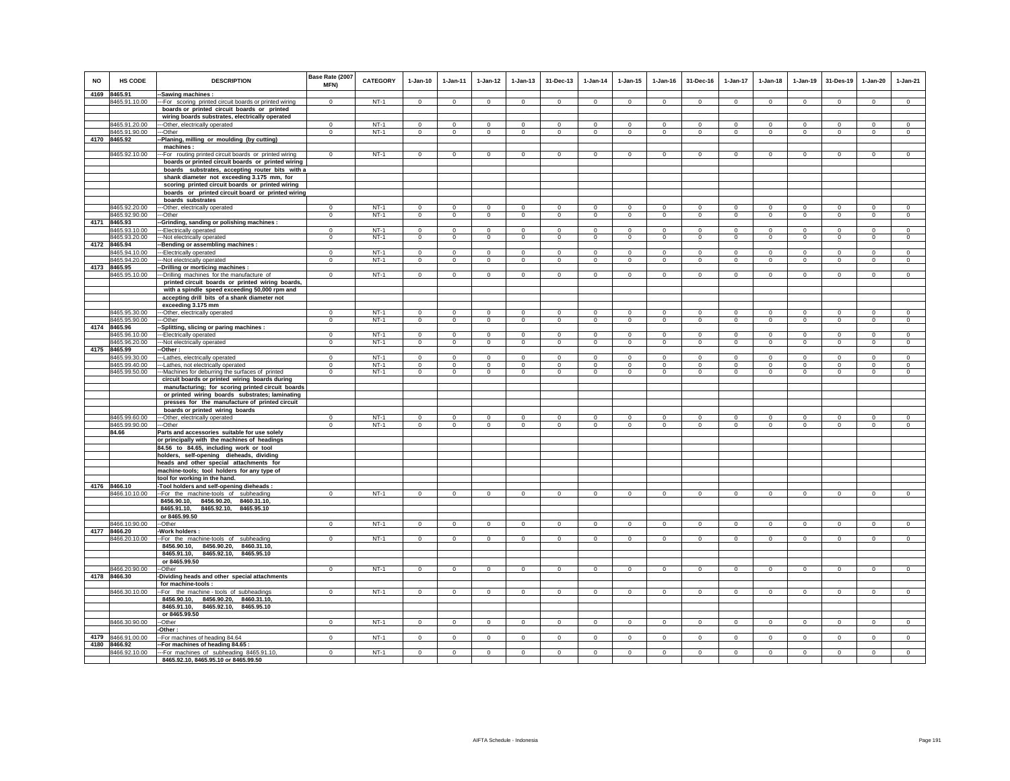| NO   | <b>HS CODE</b>                 | <b>DESCRIPTION</b>                                                                                    | Base Rate (2007<br>MFN)        | <b>CATEGORY</b>  | $1-Jan-10$                  | $1-Jan-11$                | $1 - Jan-12$              | $1-Jan-13$                    | 31-Dec-13                     | $1-Jan-14$                    | $1 - Jan-15$                | $1 - Jan-16$               | 31-Dec-16                  | 1-Jan-17                      | $1-Jan-18$                 | $1-Jan-19$                    | 31-Des-19                  | $1-Jan-20$                  | $1-Jan-21$                    |
|------|--------------------------------|-------------------------------------------------------------------------------------------------------|--------------------------------|------------------|-----------------------------|---------------------------|---------------------------|-------------------------------|-------------------------------|-------------------------------|-----------------------------|----------------------------|----------------------------|-------------------------------|----------------------------|-------------------------------|----------------------------|-----------------------------|-------------------------------|
|      | 4169 8465.91                   | -Sawing machines :                                                                                    |                                |                  |                             |                           |                           |                               |                               |                               |                             |                            |                            |                               |                            |                               |                            |                             |                               |
|      | 8465.91.10.00                  | -- For scoring printed circuit boards or printed wiring                                               | $\Omega$                       | $NT-1$           | $\Omega$                    | $\mathbf 0$               | $\Omega$                  | $\Omega$                      | $\Omega$                      | $\Omega$                      | $\Omega$                    | $\Omega$                   | $\Omega$                   | $\Omega$                      | $\Omega$                   | $\mathbf 0$                   | $\Omega$                   | $\Omega$                    | $\Omega$                      |
|      |                                | boards or printed circuit boards or printed<br>wiring boards substrates, electrically operated        |                                |                  |                             |                           |                           |                               |                               |                               |                             |                            |                            |                               |                            |                               |                            |                             |                               |
|      | 8465.91.20.00                  | -Other, electrically operated                                                                         | $\mathbf 0$                    | $NT-1$           | $\mathbf 0$                 | $\mathbf 0$               | 0                         | $\Omega$                      | $\mathbf 0$                   | 0                             | $\Omega$                    | 0                          | $\Omega$                   | $\mathbf 0$                   | $\mathbf 0$                | $\mathbf 0$                   | $\mathbf 0$                | $\Omega$                    | $\mathbf 0$                   |
|      | 8465.91.90.00                  | --Other                                                                                               | $\Omega$                       | $NT-1$           | $\Omega$                    | $\circ$                   | $\circ$                   | $\circ$                       | $\Omega$                      | $^{\circ}$                    | $^{\circ}$                  | $\Omega$                   | $\Omega$                   | $\mathbf 0$                   | $\circ$                    | $\circ$                       | $\Omega$                   | $\Omega$                    | $\mathbf{0}$                  |
|      | 4170 8465.92                   | Planing, milling or moulding (by cutting)                                                             |                                |                  |                             |                           |                           |                               |                               |                               |                             |                            |                            |                               |                            |                               |                            |                             |                               |
|      | 8465.92.10.00                  | machines:<br>-For routing printed circuit boards or printed wiring                                    | $\mathbf{0}$                   | $NT-1$           | $\circ$                     | $\circ$                   | $\circ$                   | $\mathbf 0$                   | $\mathbf 0$                   | $\mathbf 0$                   | $\mathbf 0$                 | $^{\circ}$                 | $^{\circ}$                 | $\mathbf 0$                   | $\mathbf 0$                | $\mathbf 0$                   | $\mathbf 0$                | $\mathbf 0$                 | $\mathbf 0$                   |
|      |                                | boards or printed circuit boards or printed wiring                                                    |                                |                  |                             |                           |                           |                               |                               |                               |                             |                            |                            |                               |                            |                               |                            |                             |                               |
|      |                                | boards substrates, accepting router bits with a                                                       |                                |                  |                             |                           |                           |                               |                               |                               |                             |                            |                            |                               |                            |                               |                            |                             |                               |
|      |                                | shank diameter not exceeding 3.175 mm, for                                                            |                                |                  |                             |                           |                           |                               |                               |                               |                             |                            |                            |                               |                            |                               |                            |                             |                               |
|      |                                | scoring printed circuit boards or printed wiring<br>boards or printed circuit board or printed wiring |                                |                  |                             |                           |                           |                               |                               |                               |                             |                            |                            |                               |                            |                               |                            |                             |                               |
|      |                                | boards substrates                                                                                     |                                |                  |                             |                           |                           |                               |                               |                               |                             |                            |                            |                               |                            |                               |                            |                             |                               |
|      | 8465.92.20.00                  | -Other, electrically operated                                                                         | $^{\circ}$                     | $NT-1$           | $\Omega$                    | $^{\circ}$                | 0                         | $\Omega$                      | $\Omega$                      | $\Omega$                      | $\Omega$                    | $\Omega$                   | $\Omega$                   | $\circ$                       | $^{\circ}$                 | $^{\circ}$                    | $^{\circ}$                 | $\Omega$                    | $^{\circ}$                    |
|      | 8465.92.90.00                  | -Other                                                                                                | $\mathbf 0$                    | $NT-1$           | $\mathbf 0$                 | $\mathbf 0$               | $\mathbf 0$               | $\mathbf 0$                   | $\mathbf 0$                   | $\mathbf 0$                   | $\mathbf 0$                 | $\mathbf 0$                | $\mathbf 0$                | $\mathbf 0$                   | $\overline{0}$             | $\overline{0}$                | $\mathbf 0$                | $\circ$                     | $\circ$                       |
| 4171 | 8465.93<br>8465.93.10.00       | -Grinding, sanding or polishing machines :<br>-Electrically operated                                  | $\mathbf 0$                    | $NT-1$           | $\mathbf 0$                 | $\mathbf 0$               | $\mathbf 0$               | $\mathbf 0$                   | $\mathbf 0$                   | $\mathbf 0$                   | $\Omega$                    | $^{\circ}$                 | $\Omega$                   | $\mathbf 0$                   | $\Omega$                   | $\mathbf 0$                   | $\mathbf 0$                | $\mathbf 0$                 | $\mathbf 0$                   |
|      | 8465.93.20.00                  | -Not electrically operated                                                                            | $\mathbf{0}$                   | $NT-1$           | $\overline{0}$              | $\circ$                   | $\overline{0}$            | $\circ$                       | $\mathbf{0}$                  | $\overline{0}$                | $\Omega$                    | $\circ$                    | $\Omega$                   | $\overline{0}$                | $\overline{0}$             | $\mathbf 0$                   | $\overline{0}$             | $\circ$                     | $\overline{0}$                |
| 4172 | 8465.94                        | -Bending or assembling machines :                                                                     |                                |                  |                             |                           |                           |                               |                               |                               |                             |                            |                            |                               |                            |                               |                            |                             |                               |
|      | 8465.94.10.00                  | -Electrically operated                                                                                | $\Omega$                       | NT-1             | $\mathbf 0$<br>$\mathbf{0}$ | $\mathbf 0$               | $\mathbf 0$               | $\mathbf 0$<br>$\mathbf{0}$   | $\mathbf 0$                   | $\mathbf 0$                   | $\mathbf 0$<br>$\mathbf{0}$ | $\Omega$<br>$\circ$        | $^{\circ}$<br>$\mathbf{0}$ | $\mathbf 0$                   | $\mathbf 0$                | $\mathbf 0$                   | $\mathbf 0$<br>$\circ$     | $\mathbf 0$<br>$\mathbf{0}$ | $\mathbf 0$                   |
|      | 8465.94.20.00<br>4173 8465.95  | -Not electrically operated<br>Drilling or morticing machines :                                        | $\overline{0}$                 | $NT-1$           |                             | $\overline{0}$            | $\circ$                   |                               | $\overline{0}$                | $\mathbf 0$                   |                             |                            |                            | $\circ$                       | $\mathbf 0$                | $\circ$                       |                            |                             | $\overline{0}$                |
|      | 8465.95.10.00                  | -Drilling machines for the manufacture of                                                             | $\mathbf 0$                    | $NT-1$           | $\mathsf 0$                 | $\mathsf 0$               | $\mathbf 0$               | $\mathbf 0$                   | $\mathbf 0$                   | $\mathbf 0$                   | $\mathbf 0$                 | $\mathbf 0$                | $\circ$                    | $\mathsf 0$                   | $\mathsf 0$                | $\mathbf 0$                   | $\mathbf 0$                | $\mathbf 0$                 | $\mathbf 0$                   |
|      |                                | printed circuit boards or printed wiring boards,                                                      |                                |                  |                             |                           |                           |                               |                               |                               |                             |                            |                            |                               |                            |                               |                            |                             |                               |
|      |                                | with a spindle speed exceeding 50,000 rpm and                                                         |                                |                  |                             |                           |                           |                               |                               |                               |                             |                            |                            |                               |                            |                               |                            |                             |                               |
|      |                                | accepting drill bits of a shank diameter not<br>exceeding 3.175 mm                                    |                                |                  |                             |                           |                           |                               |                               |                               |                             |                            |                            |                               |                            |                               |                            |                             |                               |
|      | 8465.95.30.00                  | -- Other, electrically operated                                                                       | $\Omega$                       | $NT-1$           | $\Omega$                    | $\Omega$                  | $\Omega$                  | $\Omega$                      | $\Omega$                      | $\Omega$                      | $\Omega$                    | $\Omega$                   | $\Omega$                   | $\Omega$                      | $\Omega$                   | $\Omega$                      | $\Omega$                   | $\Omega$                    | $\mathbf 0$                   |
|      | 8465.95.90.00                  | --Other                                                                                               | $\mathbf 0$                    | $NT-1$           | $\mathbf 0$                 | $\overline{0}$            | $\circ$                   | $\mathbf 0$                   | $\mathbf 0$                   | $\circ$                       | $\mathbf 0$                 | $\,0\,$                    | $\circ$                    | $\mathbf 0$                   | $\mathsf 0$                | $\mathsf 0$                   | $\circ$                    | $\mathbf 0$                 | $\circ$                       |
|      | 4174 8465.96<br>8465.96.10.00  | -Splitting, slicing or paring machines :<br>--Electrically operated                                   | $\mathbf{0}$                   | $NT-1$           | $\circ$                     | $\circ$                   | $\circ$                   | $\circ$                       | $\Omega$                      | $\circ$                       | $\Omega$                    | $\circ$                    | $\Omega$                   | $\mathbf 0$                   | $\circ$                    | $\circ$                       | $\circ$                    | $\Omega$                    | $\circ$                       |
|      | 8465.96.20.00                  | -Not electrically operated                                                                            | $\mathsf 0$                    | $NT-1$           | $\Omega$                    | $\mathsf 0$               | $\mathbf 0$               | $\mathbf 0$                   | $\mathsf 0$                   | $\mathbf 0$                   | $\mathbf 0$                 | $\mathbf 0$                | $\circ$                    | $\mathsf 0$                   | $\mathsf 0$                | $\mathsf 0$                   | $\mathbf 0$                | $\mathbf 0$                 | $\mathbf 0$                   |
|      | 4175 8465.99                   | Other:                                                                                                |                                |                  |                             |                           |                           |                               |                               |                               |                             |                            |                            |                               |                            |                               |                            |                             |                               |
|      | 8465.99.30.00                  | -Lathes, electrically operated                                                                        | $\Omega$                       | $NT-1$           | $\Omega$                    | $\circ$                   | $\circ$                   | $\Omega$                      | $\mathbf{0}$                  | $\Omega$                      | $\Omega$                    | $^{\circ}$                 | $\Omega$                   | $\Omega$                      | $\Omega$                   | $\mathbf 0$                   | $\mathbf 0$                | $\Omega$                    | $\mathbf 0$                   |
|      | 8465.99.40.00<br>8465.99.50.00 | -Lathes, not electrically operated<br>-Machines for deburring the surfaces of printed                 | $\overline{0}$<br>$\mathbf{0}$ | $NT-1$<br>$NT-1$ | $\overline{0}$<br>$\circ$   | $\overline{0}$<br>$\circ$ | $\overline{0}$<br>$\circ$ | $\overline{0}$<br>$\mathbf 0$ | $\overline{0}$<br>$\mathbf 0$ | $\overline{0}$<br>$\mathbf 0$ | $\overline{0}$<br>$\Omega$  | $\overline{0}$<br>$\Omega$ | $\overline{0}$<br>$\Omega$ | $\overline{0}$<br>$\mathbf 0$ | $\overline{0}$<br>$\Omega$ | $\overline{0}$<br>$\mathbf 0$ | $\overline{0}$<br>$\Omega$ | $\overline{0}$<br>$\Omega$  | $\overline{0}$<br>$\mathbf 0$ |
|      |                                | circuit boards or printed wiring boards during                                                        |                                |                  |                             |                           |                           |                               |                               |                               |                             |                            |                            |                               |                            |                               |                            |                             |                               |
|      |                                | manufacturing; for scoring printed circuit boards                                                     |                                |                  |                             |                           |                           |                               |                               |                               |                             |                            |                            |                               |                            |                               |                            |                             |                               |
|      |                                | or printed wiring boards substrates; laminating                                                       |                                |                  |                             |                           |                           |                               |                               |                               |                             |                            |                            |                               |                            |                               |                            |                             |                               |
|      |                                | presses for the manufacture of printed circuit<br>boards or printed wiring boards                     |                                |                  |                             |                           |                           |                               |                               |                               |                             |                            |                            |                               |                            |                               |                            |                             |                               |
|      | 8465.99.60.00                  | --Other, electrically operated                                                                        | $^{\circ}$                     | $NT-1$           | $^{\circ}$                  | $\mathbf 0$               | $\mathbf 0$               | $\mathbf 0$                   | $^{\circ}$                    | $\mathbf 0$                   | 0                           | $^{\circ}$                 | $^{\circ}$                 | $^{\circ}$                    | $\mathbf 0$                | $\mathbf 0$                   | $\circ$                    | $\mathbf 0$                 | $\mathbf 0$                   |
|      | 8465.99.90.00                  | ---Other                                                                                              | $\overline{0}$                 | $NT-1$           | $\overline{0}$              | $\overline{0}$            | $\overline{0}$            | $\overline{0}$                | $\mathbf{0}$                  | $\overline{0}$                | $\mathbf{0}$                | $\circ$                    | $\overline{0}$             | $\overline{0}$                | $\overline{0}$             | $\overline{0}$                | $\overline{0}$             | $\circ$                     | $\overline{0}$                |
|      | 84.66                          | Parts and accessories suitable for use solely<br>or principally with the machines of headings         |                                |                  |                             |                           |                           |                               |                               |                               |                             |                            |                            |                               |                            |                               |                            |                             |                               |
|      |                                | 84.56 to 84.65, including work or tool                                                                |                                |                  |                             |                           |                           |                               |                               |                               |                             |                            |                            |                               |                            |                               |                            |                             |                               |
|      |                                | holders, self-opening dieheads, dividing                                                              |                                |                  |                             |                           |                           |                               |                               |                               |                             |                            |                            |                               |                            |                               |                            |                             |                               |
|      |                                | heads and other special attachments for                                                               |                                |                  |                             |                           |                           |                               |                               |                               |                             |                            |                            |                               |                            |                               |                            |                             |                               |
|      |                                | machine-tools; tool holders for any type of                                                           |                                |                  |                             |                           |                           |                               |                               |                               |                             |                            |                            |                               |                            |                               |                            |                             |                               |
|      | 4176 8466.10                   | tool for working in the hand.<br>Tool holders and self-opening dieheads :                             |                                |                  |                             |                           |                           |                               |                               |                               |                             |                            |                            |                               |                            |                               |                            |                             |                               |
|      | 8466.10.10.00                  | -For the machine-tools of subheading                                                                  | $\Omega$                       | $NT-1$           | $\Omega$                    | $\mathbf 0$               | $\Omega$                  | $\mathbf 0$                   | $\mathbf 0$                   | $\Omega$                      | $\Omega$                    | $\Omega$                   |                            | $\mathbf 0$                   | $\Omega$                   | $\mathbf 0$                   | $\Omega$                   | $\Omega$                    |                               |
|      |                                | 8456.90.10,<br>8456.90.20, 8460.31.10,                                                                |                                |                  |                             |                           |                           |                               |                               |                               |                             |                            |                            |                               |                            |                               |                            |                             |                               |
|      |                                | 8465.92.10, 8465.95.10<br>8465.91.10,<br>or 8465.99.50                                                |                                |                  |                             |                           |                           |                               |                               |                               |                             |                            |                            |                               |                            |                               |                            |                             |                               |
|      | 8466.10.90.00                  | -Other                                                                                                | $\Omega$                       | $NT-1$           | $\Omega$                    | $\Omega$                  | $\Omega$                  | $\mathbf 0$                   | $\mathsf 0$                   | $\Omega$                      | $\Omega$                    | $\Omega$                   | $\Omega$                   | $\mathsf 0$                   | $\Omega$                   | $\circ$                       | $\Omega$                   | $\Omega$                    | $\Omega$                      |
| 4177 | 8466.20                        | Work holders                                                                                          |                                |                  |                             |                           |                           |                               |                               |                               |                             |                            |                            |                               |                            |                               |                            |                             |                               |
|      | 8466.20.10.00                  | -For the machine-tools of subheading                                                                  | $\mathbf 0$                    | $NT-1$           | $\circ$                     | $\circ$                   | $\circ$                   | $\circ$                       | $\mathbf 0$                   | $\mathbf 0$                   | $\circ$                     | $\mathbf 0$                | $^{\circ}$                 | $\mathbf 0$                   | $\circ$                    | $\circ$                       | $\mathbf 0$                | $\circ$                     | $\mathbf 0$                   |
|      |                                | 8456.90.10, 8456.90.20, 8460.31.10,<br>8465.91.10, 8465.92.10, 8465.95.10                             |                                |                  |                             |                           |                           |                               |                               |                               |                             |                            |                            |                               |                            |                               |                            |                             |                               |
|      |                                | or 8465.99.50                                                                                         |                                |                  |                             |                           |                           |                               |                               |                               |                             |                            |                            |                               |                            |                               |                            |                             |                               |
|      | 8466.20.90.00                  | -Other                                                                                                | $\mathsf 0$                    | $NT-1$           | $\mathsf 0$                 | $\mathsf 0$               | $\mathsf 0$               | $\mathbf 0$                   | $\mathsf 0$                   | $\mathbf 0$                   | $^{\circ}$                  | $^{\circ}$                 | $\mathbf 0$                | $\mathbf 0$                   | $\mathsf 0$                | $\,$ 0                        | $\mathbf 0$                | $\mathbf 0$                 | $\mathbf 0$                   |
| 4178 | 8466.30                        | -Dividing heads and other special attachments                                                         |                                |                  |                             |                           |                           |                               |                               |                               |                             |                            |                            |                               |                            |                               |                            |                             |                               |
|      | 8466.30.10.00                  | for machine-tools:<br>-For the machine - tools of subheadings                                         | $\mathbf{0}$                   | $NT-1$           | $\circ$                     | $\circ$                   | $\circ$                   | $\mathbf 0$                   | $\mathbf 0$                   | $\mathbf 0$                   | $\mathbf 0$                 | $\mathbf 0$                | $\mathsf 0$                | $\mathbf 0$                   | $\mathsf 0$                | $\mathsf 0$                   | $\circ$                    | $\mathbf 0$                 | $\circ$                       |
|      |                                | 8456.90.20, 8460.31.10,<br>8456.90.10,                                                                |                                |                  |                             |                           |                           |                               |                               |                               |                             |                            |                            |                               |                            |                               |                            |                             |                               |
|      |                                | 8465.91.10,<br>8465.92.10, 8465.95.10                                                                 |                                |                  |                             |                           |                           |                               |                               |                               |                             |                            |                            |                               |                            |                               |                            |                             |                               |
|      |                                | or 8465.99.50                                                                                         |                                |                  |                             |                           |                           |                               |                               |                               |                             |                            |                            |                               |                            |                               |                            |                             |                               |
|      | 8466.30.90.00                  | -Other<br>Other:                                                                                      | $^{\circ}$                     | $NT-1$           | $^{\circ}$                  | $\circ$                   | $\circ$                   | $^{\circ}$                    | $\overline{0}$                | $^{\circ}$                    | $^{\circ}$                  | $\mathbf{0}$               | $^{\circ}$                 | $\mathbf{0}$                  | $\mathbf 0$                | $\circ$                       | $\,0\,$                    | $^{\circ}$                  | $\circ$                       |
| 4179 | 8466.91.00.00                  | For machines of heading 84.64                                                                         | $\mathbf 0$                    | $NT-1$           | $\mathbf{0}$                | $\mathbf{0}$              | $\circ$                   | $\circ$                       | $\mathsf 0$                   | $\mathbf 0$                   | $\mathbf 0$                 | $\mathbf 0$                | $\Omega$                   | $\mathbf{0}$                  | $\mathbf{0}$               | $\circ$                       | $\mathbf 0$                | $\mathbf 0$                 | $\circ$                       |
|      | 4180 8466.92                   | For machines of heading 84.65                                                                         |                                |                  |                             |                           |                           |                               |                               |                               |                             |                            |                            |                               |                            |                               |                            |                             |                               |
|      | 8466.92.10.00                  | --For machines of subheading 8465.91.10,<br>8465.92.10, 8465.95.10 or 8465.99.50                      | $\mathbf{0}$                   | $NT-1$           | $\Omega$                    | $\Omega$                  | $\Omega$                  | $\Omega$                      | $\Omega$                      | $\Omega$                      | $\Omega$                    | $\Omega$                   | $\Omega$                   | $\Omega$                      | $\Omega$                   | $\mathbf 0$                   | $\Omega$                   | $\Omega$                    | $\Omega$                      |
|      |                                |                                                                                                       |                                |                  |                             |                           |                           |                               |                               |                               |                             |                            |                            |                               |                            |                               |                            |                             |                               |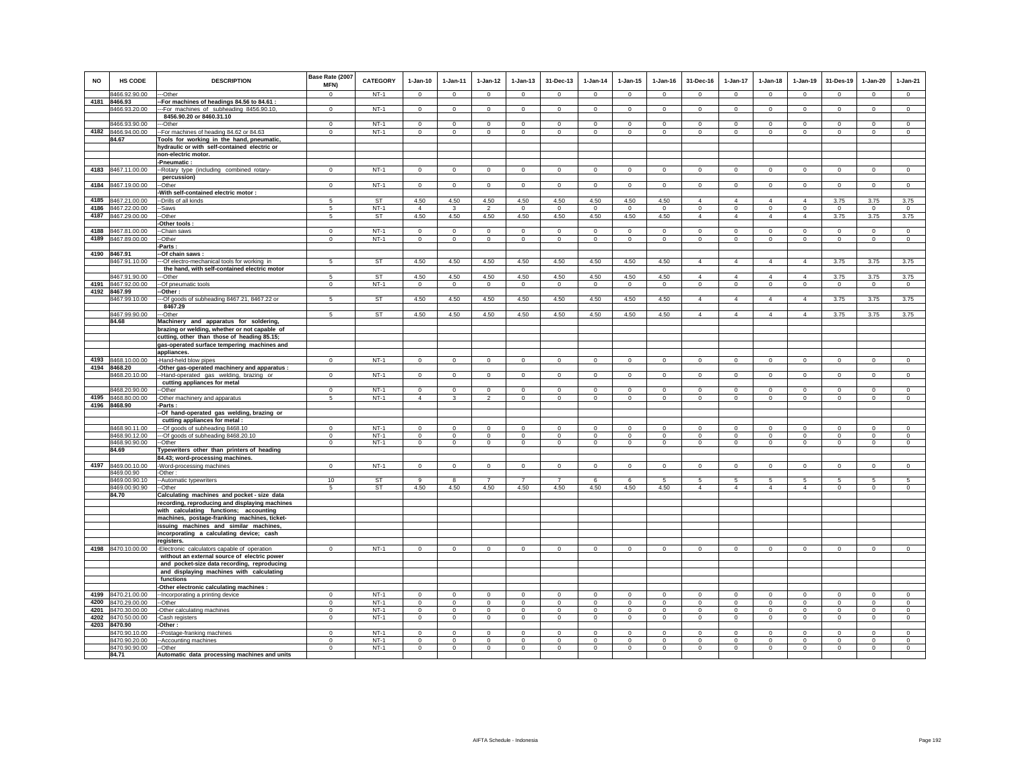| NO   | HS CODE                        | <b>DESCRIPTION</b>                                                                           | Base Rate (2007<br>MFN)  | CATEGORY         | $1-Jan-10$              | 1-Jan-11                 | $1 - Jan-12$   | $1 - Jan-13$   | 31-Dec-13      | $1-Jan-14$     | $1-Jan-15$   | $1 - Jan-16$ | 31-Dec-16            | $1-Jan-17$     | $1-Jan-18$     | $1-Jan-19$     | 31-Des-19          | $1-Jan-20$   | $1-Jan-21$          |
|------|--------------------------------|----------------------------------------------------------------------------------------------|--------------------------|------------------|-------------------------|--------------------------|----------------|----------------|----------------|----------------|--------------|--------------|----------------------|----------------|----------------|----------------|--------------------|--------------|---------------------|
|      | 8466.92.90.00                  | --Other                                                                                      | $\Omega$                 | $NT-1$           | $\Omega$                | $\Omega$                 | $\Omega$       | $\Omega$       | $\Omega$       | $\Omega$       | $\Omega$     | $\Omega$     | $\Omega$             | $\Omega$       | $\Omega$       | $\Omega$       | $\mathbf 0$        | $\Omega$     | $\Omega$            |
|      | 4181 8466.93                   | For machines of headings 84.56 to 84.61 :                                                    |                          |                  |                         |                          |                |                |                |                |              |              |                      |                |                |                |                    |              |                     |
|      | 8466.93.20.00                  | -- For machines of subheading 8456.90.10,                                                    | $\Omega$                 | $NT-1$           | $\Omega$                | $\Omega$                 | $\Omega$       | $\Omega$       | $\Omega$       | $\Omega$       | $\mathbf 0$  | $\Omega$     | $\Omega$             | $\Omega$       | $\Omega$       | $\Omega$       | $\Omega$           | $\Omega$     | $\Omega$            |
|      |                                | 8456.90.20 or 8460.31.10                                                                     |                          |                  |                         |                          |                |                |                |                |              |              |                      |                |                |                |                    |              |                     |
|      | 8466.93.90.00                  | -Other                                                                                       | $\Omega$                 | $NT-1$           | $\Omega$                | $^{\circ}$               | $\circ$        | $\Omega$       | $\Omega$       | $^{\circ}$     | $\Omega$     | $\Omega$     | $\Omega$             | $\Omega$       | $\Omega$       | $^{\circ}$     | $^{\circ}$         | $\Omega$     | $^{\circ}$          |
| 4182 | 8466.94.00.00                  | -For machines of heading 84.62 or 84.63                                                      | $\mathbf{0}$             | $NT-1$           | $\mathsf 0$             | $\mathbf{0}$             | $\mathsf 0$    | $\mathsf 0$    | $\mathsf 0$    | $\mathbf 0$    | $\mathbf 0$  | $\mathbf 0$  | $\Omega$             | $\mathbf 0$    | $\mathbf 0$    | $\mathbf 0$    | $\mathbf 0$        | $\mathbf 0$  | $\mathbf 0$         |
|      | 84.67                          | Tools for working in the hand, pneumatic,                                                    |                          |                  |                         |                          |                |                |                |                |              |              |                      |                |                |                |                    |              |                     |
|      |                                | hydraulic or with self-contained electric or                                                 |                          |                  |                         |                          |                |                |                |                |              |              |                      |                |                |                |                    |              |                     |
|      |                                | non-electric motor.                                                                          |                          |                  |                         |                          |                |                |                |                |              |              |                      |                |                |                |                    |              |                     |
|      |                                | Pneumatic:                                                                                   |                          |                  |                         |                          |                |                |                |                |              |              |                      |                |                |                |                    |              |                     |
| 4183 | 8467.11.00.00                  | -Rotary type (including combined rotary-                                                     | $\mathbf 0$              | $NT-1$           | $\circ$                 | $\circ$                  | $\circ$        | $\mathbf 0$    | $\mathbf 0$    | $\circ$        | $\mathbf 0$  | $\circ$      | $\circ$              | 0              | $\circ$        | $\mathbf 0$    | $\circ$            | $\mathbf 0$  | $\mathbf 0$         |
|      |                                | percussion)                                                                                  |                          |                  |                         |                          |                |                |                |                |              |              |                      |                |                |                |                    |              |                     |
| 4184 | 8467.19.00.00                  | -Other                                                                                       | $\mathbf 0$              | $NT-1$           | $\circ$                 | $\mathsf 0$              | $\overline{0}$ | $\mathbf 0$    | $\mathsf 0$    | $\mathbf 0$    | $\mathsf 0$  | $\circ$      | $\Omega$             | $\overline{0}$ | $\circ$        | $\mathbf 0$    | $\overline{0}$     | $\mathsf 0$  | $\overline{0}$      |
| 4185 | 8467.21.00.00                  | With self-contained electric motor :<br>-Drills of all kinds                                 | 5                        | <b>ST</b>        | 4.50                    | 4.50                     | 4.50           | 4.50           | 4.50           | 4.50           | 4.50         | 4.50         | $\overline{4}$       | $\overline{4}$ | $\overline{4}$ | $\overline{4}$ | 3.75               | 3.75         | 3.75                |
| 4186 | 8467.22.00.00                  | -Saws                                                                                        | 5                        | $NT-1$           | $\Delta$                | $\mathbf{3}$             | $\mathfrak{p}$ | $\mathbf{0}$   | $\mathbf{0}$   | $\mathbf 0$    | $\mathbf{0}$ | $\mathbf 0$  | $\circ$              | $\mathbf{0}$   | $\mathbf 0$    | $\mathbf 0$    | $\circ$            | $\circ$      | $\circ$             |
| 4187 | 8467.29.00.00                  | -Other                                                                                       | 5                        | ST               | 4.50                    | 4.50                     | 4.50           | 4.50           | 4.50           | 4.50           | 4.50         | 4.50         | $\overline{4}$       | $\overline{4}$ | $\overline{4}$ | $\overline{4}$ | 3.75               | 3.75         | 3.75                |
|      |                                | Other tools:                                                                                 |                          |                  |                         |                          |                |                |                |                |              |              |                      |                |                |                |                    |              |                     |
| 4188 | 8467.81.00.00                  | -Chain saws                                                                                  | $\mathbf 0$              | $NT-1$           | $^{\circ}$              | $\circ$                  | $\circ$        | $\mathbf 0$    | $\mathbf 0$    | $^{\circ}$     | $\mathbf 0$  | $^{\circ}$   | $\circ$              | $\mathbf 0$    | $\circ$        | $\mathbf 0$    | $\circ$            | $\mathbf 0$  | $\circ$             |
| 4189 | 8467.89.00.00                  | -Other                                                                                       | $\mathbf 0$              | $NT-1$           | $\mathbf{0}$            | $\mathbf{0}$             | $\circ$        | $\mathbf 0$    | $\mathbf 0$    | $\circ$        | $\mathbf 0$  | $\circ$      | $\circ$              | $\mathbf 0$    | $\circ$        | $\mathbf 0$    | $\mathbf{0}$       | $\mathbf 0$  | $\circ$             |
|      |                                | -Parts :                                                                                     |                          |                  |                         |                          |                |                |                |                |              |              |                      |                |                |                |                    |              |                     |
|      | 4190 8467.91                   | -Of chain saws:                                                                              |                          |                  |                         |                          |                |                |                |                |              |              |                      |                |                |                |                    |              |                     |
|      | 8467.91.10.00                  | -Of electro-mechanical tools for working in                                                  | 5                        | ST               | 4.50                    | 4.50                     | 4.50           | 4.50           | 4.50           | 4.50           | 4.50         | 4.50         | $\overline{4}$       | $\overline{4}$ | $\overline{4}$ | $\overline{4}$ | 3.75               | 3.75         | 3.75                |
|      |                                | the hand, with self-contained electric motor                                                 |                          |                  |                         |                          |                |                |                |                |              |              |                      |                |                |                |                    |              |                     |
|      | 8467.91.90.00                  | -Other                                                                                       | 5                        | ST               | 4.50                    | 4.50                     | 4.50           | 4.50           | 4.50           | 4.50           | 4.50         | 4.50         | $\overline{4}$       | $\overline{4}$ | $\overline{4}$ | $\overline{4}$ | 3.75               | 3.75         | 3.75                |
|      | 4191 8467.92.00.00             | -Of pneumatic tools                                                                          | $\mathbf{0}$             | $NT-1$           | $\circ$                 | $\mathbf{0}$             | $\circ$        | $\mathbf 0$    | $\mathbf{0}$   | $\mathbf{0}$   | $\mathbf 0$  | $\circ$      | $\circ$              | $\mathbf 0$    | $\circ$        | $\mathbf 0$    | $\mathbf{0}$       | $\circ$      | $\circ$             |
| 4192 | 8467.99                        | -Other :                                                                                     |                          |                  |                         |                          |                |                |                |                |              |              |                      |                |                |                |                    |              |                     |
|      | 8467.99.10.00                  | --Of goods of subheading 8467.21, 8467.22 or                                                 | 5                        | ST               | 4.50                    | 4.50                     | 4.50           | 4.50           | 4.50           | 4.50           | 4.50         | 4.50         | $\overline{4}$       | $\overline{4}$ | $\overline{4}$ | $\overline{4}$ | 3.75               | 3.75         | 3.75                |
|      |                                | 8467.29                                                                                      |                          |                  |                         |                          |                |                |                |                |              |              |                      |                |                |                |                    |              |                     |
|      | 8467.99.90.00                  | -Other                                                                                       |                          | ST               | 4.50                    | 4.50                     | 4.50           | 4.50           | 4.50           | 4.50           | 4.50         | 4.50         | $\overline{4}$       | 4              | 4              | $\overline{4}$ | 3.75               | 3.75         | 3.75                |
|      | 84.68                          | Machinery and apparatus for soldering,                                                       |                          |                  |                         |                          |                |                |                |                |              |              |                      |                |                |                |                    |              |                     |
|      |                                | brazing or welding, whether or not capable of<br>cutting, other than those of heading 85.15; |                          |                  |                         |                          |                |                |                |                |              |              |                      |                |                |                |                    |              |                     |
|      |                                | gas-operated surface tempering machines and                                                  |                          |                  |                         |                          |                |                |                |                |              |              |                      |                |                |                |                    |              |                     |
|      |                                | appliances.                                                                                  |                          |                  |                         |                          |                |                |                |                |              |              |                      |                |                |                |                    |              |                     |
| 4193 | 8468.10.00.00                  | -Hand-held blow pipes                                                                        | $\mathbf 0$              | $NT-1$           | $\Omega$                | $\Omega$                 | $\mathbf 0$    | $\mathsf 0$    | $\mathbf 0$    | $\mathbf 0$    | $\mathbf 0$  | $\circ$      | $\circ$              | $\mathbf 0$    | $\mathbf 0$    | $\circ$        | $\mathbf 0$        | $\Omega$     | $\mathbf 0$         |
| 4194 | 8468.20                        | Other gas-operated machinery and apparatus :                                                 |                          |                  |                         |                          |                |                |                |                |              |              |                      |                |                |                |                    |              |                     |
|      | 8468.20.10.00                  | -Hand-operated gas welding, brazing or                                                       | $\mathbf 0$              | $NT-1$           | $\circ$                 | $\mathbf 0$              | $\circ$        | $\mathbf 0$    | $\mathbf 0$    | $\mathbf 0$    | $\mathbf 0$  | $\circ$      | $\circ$              | $\mathbf 0$    | $\circ$        | $\mathbf 0$    | $\circ$            | $\mathbf 0$  | $\circ$             |
|      |                                | cutting appliances for metal                                                                 |                          |                  |                         |                          |                |                |                |                |              |              |                      |                |                |                |                    |              |                     |
|      | 8468.20.90.00                  | --Other                                                                                      | $\overline{0}$           | $NT-1$           | $\Omega$                | $\overline{0}$           | $\overline{0}$ | $\overline{0}$ | $\Omega$       | $\overline{0}$ | $\Omega$     | $\Omega$     | $\Omega$             | $\overline{0}$ | $\Omega$       | $\overline{0}$ | $\overline{0}$     | $\Omega$     | $\overline{0}$      |
| 4195 | 8468.80.00.00                  | -Other machinery and apparatus                                                               | 5                        | $NT-1$           | $\overline{4}$          | $\overline{\mathbf{3}}$  | $\overline{2}$ | $\mathbf{0}$   | $\Omega$       | $\mathbf{0}$   | $\mathbf{0}$ | $\circ$      | $\circ$              | $\circ$        | $\circ$        | $\mathbf 0$    | $\Omega$           | $\mathbf{0}$ | $\circ$             |
|      | 4196 8468.90                   | -Parts:                                                                                      |                          |                  |                         |                          |                |                |                |                |              |              |                      |                |                |                |                    |              |                     |
|      |                                | -Of hand-operated gas welding, brazing or                                                    |                          |                  |                         |                          |                |                |                |                |              |              |                      |                |                |                |                    |              |                     |
|      |                                | cutting appliances for metal :                                                               |                          |                  |                         |                          |                |                |                |                |              |              |                      |                |                |                |                    |              |                     |
|      | 8468.90.11.00                  | --Of goods of subheading 8468.10                                                             | $\mathbf 0$              | $NT-1$           | $\circ$                 | $\mathbf 0$              | $\mathbf 0$    | $\mathbf 0$    | $\mathbf 0$    | $\circ$        | $\mathbf 0$  | $\mathbf 0$  | $\circ$              | $\mathbf 0$    | $\circ$        | $\mathbf 0$    | $\circ$            | $\circ$      | $\circ$             |
|      | 8468.90.12.00<br>8468.90.90.00 | --Of goods of subheading 8468.20.10                                                          | $\mathbf{0}$<br>$\Omega$ | $NT-1$<br>$NT-1$ | $\mathbf{0}$<br>$\circ$ | $\mathbf{0}$<br>$\Omega$ | $\mathbf 0$    | $\mathbf{0}$   | $\circ$        | $\mathbf 0$    | $\mathbf 0$  | $\mathbf{0}$ | $\Omega$<br>$\Omega$ | $\mathbf{0}$   | $\mathbf{0}$   | $\circ$        | $\,0\,$<br>$\circ$ | $\mathsf 0$  | $\circ$<br>$\Omega$ |
|      | 84.69                          | $-Other$<br>Typewriters other than printers of heading                                       |                          |                  |                         |                          | $\circ$        | $\mathsf 0$    | $\mathbf 0$    | $\circ$        | $\mathbf 0$  | $\mathsf 0$  |                      | $\mathbf 0$    | $\mathbf 0$    | $\mathbf 0$    |                    | $\mathbf 0$  |                     |
|      |                                | 84.43; word-processing machines.                                                             |                          |                  |                         |                          |                |                |                |                |              |              |                      |                |                |                |                    |              |                     |
| 4197 | 8469.00.10.00                  | -Word-processing machines                                                                    | $\mathbf 0$              | $NT-1$           | $\mathsf 0$             | $\mathsf 0$              | $\circ$        | $\mathsf 0$    | $\mathsf 0$    | $\mathbb O$    | $\mathsf 0$  | $\mathbf 0$  | $\mathsf 0$          | $\mathbf 0$    | $\mathbf 0$    | $\mathbf 0$    | $\mathbf 0$        | $\mathsf 0$  | $\mathsf 0$         |
|      | 8469.00.90                     | -Other:                                                                                      |                          |                  |                         |                          |                |                |                |                |              |              |                      |                |                |                |                    |              |                     |
|      | 8469.00.90.10                  | -- Automatic typewriters                                                                     | 10                       | <b>ST</b>        | $\overline{9}$          | 8                        | $\overline{7}$ | $\overline{7}$ | $\overline{7}$ | 6              | 6            | 5            | 5                    | 5              | 5              | 5              | 5                  | 5            | 5                   |
|      | 8469.00.90.90                  | -Other                                                                                       | $5\overline{5}$          | ST               | 4.50                    | 4.50                     | 4.50           | 4.50           | 4.50           | 4.50           | 4.50         | 4.50         | $\overline{4}$       | 4              | $\overline{4}$ | $\overline{4}$ | $\Omega$           | $\Omega$     | $\Omega$            |
|      | 84.70                          | Calculating machines and pocket - size data                                                  |                          |                  |                         |                          |                |                |                |                |              |              |                      |                |                |                |                    |              |                     |
|      |                                | recording, reproducing and displaying machines                                               |                          |                  |                         |                          |                |                |                |                |              |              |                      |                |                |                |                    |              |                     |
|      |                                | with calculating functions; accounting                                                       |                          |                  |                         |                          |                |                |                |                |              |              |                      |                |                |                |                    |              |                     |
|      |                                | machines, postage-franking machines, ticket-                                                 |                          |                  |                         |                          |                |                |                |                |              |              |                      |                |                |                |                    |              |                     |
|      |                                | issuing machines and similar machines,                                                       |                          |                  |                         |                          |                |                |                |                |              |              |                      |                |                |                |                    |              |                     |
|      |                                | incorporating a calculating device; cash<br>registers.                                       |                          |                  |                         |                          |                |                |                |                |              |              |                      |                |                |                |                    |              |                     |
|      | 4198 8470.10.00.00             | Electronic calculators capable of operation                                                  | $\Omega$                 | $NT-1$           | $\Omega$                | $\mathbf 0$              | $\mathbf 0$    | $\mathsf 0$    | $\Omega$       | $\mathbf 0$    | $\mathsf 0$  | $\mathbf 0$  | $\mathsf 0$          | $\mathbf 0$    | $\mathbf 0$    | $\mathbf 0$    | $\mathbf 0$        | $\Omega$     | $\Omega$            |
|      |                                | without an external source of electric power                                                 |                          |                  |                         |                          |                |                |                |                |              |              |                      |                |                |                |                    |              |                     |
|      |                                | and pocket-size data recording, reproducing                                                  |                          |                  |                         |                          |                |                |                |                |              |              |                      |                |                |                |                    |              |                     |
|      |                                | and displaying machines with calculating                                                     |                          |                  |                         |                          |                |                |                |                |              |              |                      |                |                |                |                    |              |                     |
|      |                                | functions                                                                                    |                          |                  |                         |                          |                |                |                |                |              |              |                      |                |                |                |                    |              |                     |
|      |                                | -Other electronic calculating machines :                                                     |                          |                  |                         |                          |                |                |                |                |              |              |                      |                |                |                |                    |              |                     |
| 4199 | 8470.21.00.00                  | -Incorporating a printing device                                                             | $\Omega$                 | $NT-1$           | $\Omega$                | $\Omega$                 | $\Omega$       | $\Omega$       | $\Omega$       | $\Omega$       | $\Omega$     | $\Omega$     | $\Omega$             | $\Omega$       | $\Omega$       | $\Omega$       | $\Omega$           | $\Omega$     | $\mathbf{0}$        |
| 4200 | 8470.29.00.00                  | -Other                                                                                       | $\mathbf 0$              | $NT-1$           | $\circ$                 | $\circ$                  | $\mathbf{0}$   | $\mathbf{0}$   | $\mathbf{0}$   | $\mathbf{0}$   | $\mathbf{0}$ | $\mathbf 0$  | $\circ$              | $\mathbf{0}$   | $\mathbf 0$    | $\mathbf 0$    | $\circ$            | $\Omega$     | $\circ$             |
| 4201 | 8470.30.00.00                  | Other calculating machines                                                                   | $\mathbf 0$              | $NT-1$           | $\mathsf 0$             | $\mathsf 0$              | $\mathsf 0$    | $\mathsf 0$    | $\mathsf 0$    | $\mathsf 0$    | $\mathsf 0$  | $\mathbf 0$  | $\mathsf 0$          | $\mathbf 0$    | $\mathbf 0$    | $\mathbf 0$    | $\mathbf 0$        | $\mathsf 0$  | $\mathsf 0$         |
| 4202 | 8470.50.00.00                  | Cash registers                                                                               | $\mathbf 0$              | <b>NT-1</b>      | $\circ$                 | $\circ$                  | $\circ$        | $\mathbf 0$    | $\mathbf 0$    | $\circ$        | $\mathbf 0$  | $\circ$      | $\circ$              | $\mathbf 0$    | $\circ$        | $\circ$        | $\circ$            | $\mathbf 0$  | $\circ$             |
|      | 4203 8470.90                   | -Other:                                                                                      |                          |                  |                         |                          |                |                |                |                |              |              |                      |                |                |                |                    |              |                     |
|      | 8470.90.10.00                  | -Postage-franking machines                                                                   | $^{\circ}$               | $NT-1$           | $\Omega$                | $^{\circ}$               | 0              | $^{\circ}$     | $^{\circ}$     | $^{\circ}$     | $^{\circ}$   | $^{\circ}$   | $\Omega$             | 0              | $\Omega$       | $^{\circ}$     | $^{\circ}$         | $\circ$      | $^{\circ}$          |
|      | 8470.90.20.00                  | -Accounting machines                                                                         | $\Omega$                 | $NT-1$           | $\overline{0}$          | $\Omega$                 | $\overline{0}$ | $\Omega$       | $\overline{0}$ | $\Omega$       | $\Omega$     | $\Omega$     | $\Omega$             | $\overline{0}$ | $\Omega$       | $\overline{0}$ | $\overline{0}$     | $\Omega$     | $\Omega$            |
|      | 8470.90.90.00                  | -Other                                                                                       | $\mathbf 0$              | $NT-1$           | $\Omega$                | $\mathbf 0$              | $\mathbf 0$    | $\mathbf 0$    | $\Omega$       | $\mathbf 0$    | $\mathbf 0$  | $\mathbf 0$  | $\mathbf 0$          | $\mathbf 0$    | $\mathbf 0$    | $^{\circ}$     | $^{\circ}$         | 0            |                     |
|      | 84.71                          | Automatic data processing machines and units                                                 |                          |                  |                         |                          |                |                |                |                |              |              |                      |                |                |                |                    |              |                     |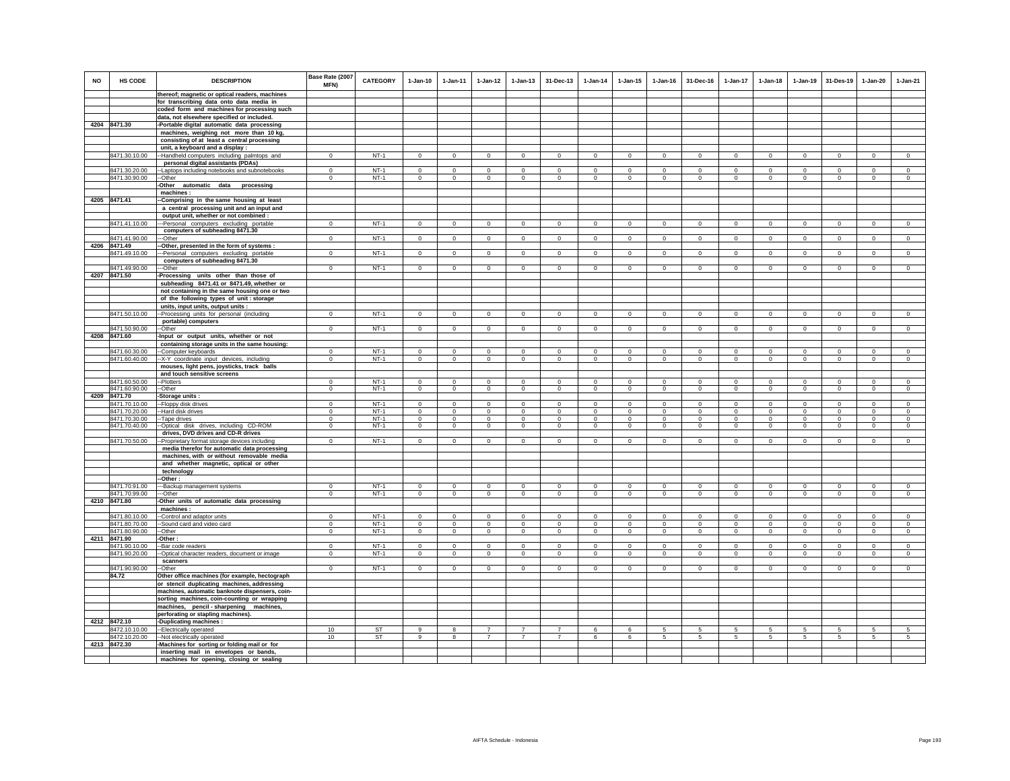| <b>NO</b> | HS CODE                        | <b>DESCRIPTION</b>                                                                            | Base Rate (2007<br><b>MFN)</b> | <b>CATEGORY</b>  | $1-Jan-10$              | $1 - Jan-11$            | $1 - Jan-12$               | $1 - Jan-13$            | 31-Dec-13                   | $1-Jan-14$                 | $1 - Jan-15$            | $1 - Jan-16$            | 31-Dec-16               | $1 - Jan-17$               | $1-Jan-18$              | $1 - Jan-19$               | 31-Des-19                  | $1 - Jan-20$            | $1-Jan-21$                |
|-----------|--------------------------------|-----------------------------------------------------------------------------------------------|--------------------------------|------------------|-------------------------|-------------------------|----------------------------|-------------------------|-----------------------------|----------------------------|-------------------------|-------------------------|-------------------------|----------------------------|-------------------------|----------------------------|----------------------------|-------------------------|---------------------------|
|           |                                | thereof; magnetic or optical readers, machines                                                |                                |                  |                         |                         |                            |                         |                             |                            |                         |                         |                         |                            |                         |                            |                            |                         |                           |
|           |                                | for transcribing data onto data media in<br>coded form and machines for processing such       |                                |                  |                         |                         |                            |                         |                             |                            |                         |                         |                         |                            |                         |                            |                            |                         |                           |
|           |                                | data, not elsewhere specified or included.                                                    |                                |                  |                         |                         |                            |                         |                             |                            |                         |                         |                         |                            |                         |                            |                            |                         |                           |
|           | 4204 8471.30                   | -Portable digital automatic data processing                                                   |                                |                  |                         |                         |                            |                         |                             |                            |                         |                         |                         |                            |                         |                            |                            |                         |                           |
|           |                                | machines, weighing not more than 10 kg,                                                       |                                |                  |                         |                         |                            |                         |                             |                            |                         |                         |                         |                            |                         |                            |                            |                         |                           |
|           |                                | consisting of at least a central processing                                                   |                                |                  |                         |                         |                            |                         |                             |                            |                         |                         |                         |                            |                         |                            |                            |                         |                           |
|           |                                | unit, a keyboard and a display :                                                              |                                |                  |                         |                         |                            |                         |                             |                            |                         |                         |                         |                            |                         |                            |                            |                         |                           |
|           | 8471.30.10.00                  | -Handheld computers including palmtops and                                                    | $\mathbf 0$                    | $NT-1$           | $\mathbf 0$             | $\mathbf 0$             | $\mathbf 0$                | $\mathbf 0$             | $\mathbf 0$                 | $\circ$                    | $\mathbf 0$             | $\mathbf 0$             | $\mathbf 0$             | $\Omega$                   | $\mathbf 0$             | $^{\circ}$                 | $\mathbf 0$                | $\circ$                 | $\mathsf 0$               |
|           |                                | personal digital assistants (PDAs)                                                            |                                |                  |                         |                         |                            |                         |                             |                            |                         |                         |                         |                            |                         |                            |                            |                         |                           |
|           | 8471.30.20.00<br>8471.30.90.00 | -- Laptops including notebooks and subnotebooks<br>-Other                                     | $\Omega$<br>$\Omega$           | $NT-1$<br>$NT-1$ | $\Omega$<br>$\Omega$    | $\Omega$<br>$\Omega$    | $\overline{0}$<br>$\Omega$ | $\Omega$<br>$\mathbf 0$ | $\Omega$<br>$\Omega$        | $\Omega$<br>$\mathbf 0$    | $\Omega$<br>$\mathbf 0$ | $\Omega$<br>$\Omega$    | $\Omega$<br>$\Omega$    | $\Omega$<br>$\overline{0}$ | $\Omega$<br>$\Omega$    | $\Omega$<br>$\Omega$       | $\overline{0}$<br>$\Omega$ | $\Omega$<br>$\Omega$    | $\overline{0}$<br>$\circ$ |
|           |                                | -Other automatic data processing                                                              |                                |                  |                         |                         |                            |                         |                             |                            |                         |                         |                         |                            |                         |                            |                            |                         |                           |
|           |                                | machines:                                                                                     |                                |                  |                         |                         |                            |                         |                             |                            |                         |                         |                         |                            |                         |                            |                            |                         |                           |
|           | 4205 8471.41                   | -Comprising in the same housing at least                                                      |                                |                  |                         |                         |                            |                         |                             |                            |                         |                         |                         |                            |                         |                            |                            |                         |                           |
|           |                                | a central processing unit and an input and                                                    |                                |                  |                         |                         |                            |                         |                             |                            |                         |                         |                         |                            |                         |                            |                            |                         |                           |
|           |                                | output unit, whether or not combined :                                                        |                                |                  |                         |                         |                            |                         |                             |                            |                         |                         |                         |                            |                         |                            |                            |                         |                           |
|           | 8471.41.10.00                  | --Personal computers excluding portable                                                       | $\Omega$                       | $NT-1$           | $\Omega$                | $\mathbf 0$             | $\overline{0}$             | $\mathbf 0$             | $\mathbf 0$                 | $\overline{0}$             | $\mathbf 0$             | $\mathbf 0$             | $\Omega$                | $\mathbf 0$                | $\mathbf 0$             | $\mathbf 0$                | $\overline{0}$             | $\mathbf 0$             | $\overline{0}$            |
|           |                                | computers of subheading 8471.30                                                               |                                | $NT-1$           | $\Omega$                |                         | $\overline{0}$             |                         |                             | $\overline{0}$             |                         |                         |                         |                            |                         |                            | $\overline{0}$             |                         | $\overline{0}$            |
|           | 8471.41.90.00<br>4206 8471.49  | --Other<br>-Other, presented in the form of systems :                                         | $\Omega$                       |                  |                         | $\circ$                 |                            | $\mathbf{0}$            | $\mathbf{0}$                |                            | $\mathbf{0}$            | $\mathbf 0$             | $\circ$                 | $\overline{0}$             | $\circ$                 | $\mathbf 0$                |                            | $\circ$                 |                           |
|           | 8471.49.10.00                  | ---Personal computers excluding portable                                                      | $\Omega$                       | $NT-1$           | $\Omega$                | $\Omega$                | $\Omega$                   | $\Omega$                | $\Omega$                    | $\Omega$                   | $\Omega$                | $\Omega$                | $\Omega$                | $\Omega$                   | $\Omega$                | $\Omega$                   | $\Omega$                   | $\Omega$                | $\Omega$                  |
|           |                                | computers of subheading 8471.30                                                               |                                |                  |                         |                         |                            |                         |                             |                            |                         |                         |                         |                            |                         |                            |                            |                         |                           |
|           | 8471.49.90.00                  | --Other                                                                                       | $\Omega$                       | $NT-1$           | $\Omega$                | $\mathbf 0$             | $\circ$                    | $\mathbf 0$             | $\Omega$                    | $\mathbf 0$                | $\mathbf 0$             | $\Omega$                | $\Omega$                | $\Omega$                   | $\Omega$                | $\mathbf 0$                | $\mathbf 0$                | $\Omega$                | $\Omega$                  |
|           | 4207 8471.50                   | Processing units other than those of                                                          |                                |                  |                         |                         |                            |                         |                             |                            |                         |                         |                         |                            |                         |                            |                            |                         |                           |
|           |                                | subheading 8471.41 or 8471.49, whether or                                                     |                                |                  |                         |                         |                            |                         |                             |                            |                         |                         |                         |                            |                         |                            |                            |                         |                           |
|           |                                | not containing in the same housing one or two                                                 |                                |                  |                         |                         |                            |                         |                             |                            |                         |                         |                         |                            |                         |                            |                            |                         |                           |
|           |                                | of the following types of unit: storage                                                       |                                |                  |                         |                         |                            |                         |                             |                            |                         |                         |                         |                            |                         |                            |                            |                         |                           |
|           | 8471.50.10.00                  | units, input units, output units :<br>--Processing units for personal (including              | $\Omega$                       | $NT-1$           | $\Omega$                | $\mathsf 0$             | $\mathsf 0$                | $\mathsf 0$             | $\mathsf 0$                 | $\mathsf 0$                | $\Omega$                | $\mathbf 0$             | $\Omega$                | $\mathbf 0$                | $\mathbf 0$             | $\mathbf 0$                | $\mathbf 0$                | $\Omega$                | $\circ$                   |
|           |                                | portable) computers                                                                           |                                |                  |                         |                         |                            |                         |                             |                            |                         |                         |                         |                            |                         |                            |                            |                         |                           |
|           | 8471.50.90.00                  | --Other                                                                                       | $\Omega$                       | $NT-1$           | $\Omega$                | $\Omega$                | $\overline{0}$             | $\overline{0}$          | $\mathbf 0$                 | $\circ$                    | $\mathbf 0$             | $\Omega$                | $\Omega$                | $\overline{0}$             | $\Omega$                | $\mathbf 0$                | $\Omega$                   | $\Omega$                | $\Omega$                  |
|           | 4208 8471.60                   | -Input or output units, whether or not                                                        |                                |                  |                         |                         |                            |                         |                             |                            |                         |                         |                         |                            |                         |                            |                            |                         |                           |
|           |                                | containing storage units in the same housing:                                                 |                                |                  |                         |                         |                            |                         |                             |                            |                         |                         |                         |                            |                         |                            |                            |                         |                           |
|           | 8471.60.30.00                  | --Computer keyboards                                                                          | $\mathbf{0}$                   | $NT-1$           | $^{\circ}$              | $^{\circ}$              | $\mathbf{0}$               | 0                       | $^{\circ}$                  | $\mathbf 0$                | $^{\circ}$              | $^{\circ}$              | $\Omega$                | 0                          | $^{\circ}$              | $^{\circ}$                 | $\overline{\phantom{0}}$   | $^{\circ}$              | $^{\circ}$                |
|           | 8471.60.40.00                  | -- X-Y coordinate input devices, including<br>mouses, light pens, joysticks, track balls      | $\mathbf 0$                    | $NT-1$           | $\mathsf 0$             | $\mathsf 0$             | $\circ$                    | $\mathbf 0$             | $\circ$                     | $\circ$                    | $\mathsf 0$             | $\mathsf 0$             | $\mathbf 0$             | $\circ$                    | $\mathbf 0$             | $\mathbf 0$                | $\circ$                    | $\mathsf 0$             | $\mathsf 0$               |
|           |                                | and touch sensitive screens                                                                   |                                |                  |                         |                         |                            |                         |                             |                            |                         |                         |                         |                            |                         |                            |                            |                         |                           |
|           | 8471.60.50.00                  | -Plotters                                                                                     | $\Omega$                       | $NT-1$           | $\Omega$                | $\Omega$                | $\mathbf{0}$               | $\Omega$                | $\mathbf 0$                 | $\mathbf 0$                | $\Omega$                | $\Omega$                | $\Omega$                | $\Omega$                   | $\Omega$                | $\Omega$                   | $\Omega$                   | $\mathbf 0$             | $\Omega$                  |
|           | 8471.60.90.00                  | --Other                                                                                       | $\mathbf 0$                    | $NT-1$           | $\circ$                 | $\circ$                 | $\circ$                    | $\mathbf{0}$            | $\mathbf 0$                 | $\circ$                    | $\mathbf{0}$            | $\circ$                 | $\circ$                 | $\circ$                    | $\mathbf 0$             | $\mathbf 0$                | $\mathbf 0$                | $\circ$                 | $\circ$                   |
| 4209      | 8471.70                        | Storage units:                                                                                |                                |                  |                         |                         |                            |                         |                             |                            |                         |                         |                         |                            |                         |                            |                            |                         |                           |
|           | 8471.70.10.00                  | -Floppy disk drives                                                                           | $\mathbf 0$                    | $NT-1$           | $^{\circ}$              | $\mathbf 0$             | $\mathbf 0$                | $\mathbf 0$             | $\mathbf 0$                 | $\mathbf 0$                | $\mathbf 0$             | $\mathbf 0$             | $\Omega$                | $\Omega$                   | $\Omega$                | $\mathbf 0$                | $^{\circ}$                 | $\mathbf 0$             | $\mathbf 0$               |
|           | 8471.70.20.00<br>8471.70.30.00 | -Hard disk drives<br>Tape drives                                                              | $^{\circ}$<br>$\Omega$         | $NT-1$<br>$NT-1$ | $\Omega$<br>$\Omega$    | $\mathbf 0$<br>$\Omega$ | $\mathbf 0$<br>$\Omega$    | $\mathbf 0$<br>$\Omega$ | $\mathbf 0$<br>$\Omega$     | $\mathbf 0$<br>$\Omega$    | $\mathbf 0$<br>$\Omega$ | $\mathbf 0$<br>$\Omega$ | $\Omega$<br>$\Omega$    | $\mathbf 0$<br>$\Omega$    | $\mathbf 0$<br>$\Omega$ | $\mathbf 0$<br>$\Omega$    | $\overline{0}$<br>$\Omega$ | $\mathbf 0$<br>$\Omega$ | $\circ$<br>$\Omega$       |
|           | 8471.70.40.00                  | -Optical disk drives, including CD-ROM                                                        | $\overline{0}$                 | $NT-1$           | $\overline{0}$          | $\overline{0}$          | $\overline{0}$             | $\overline{0}$          | $\overline{0}$              | $\overline{0}$             | $\overline{0}$          | $\overline{0}$          | $\overline{0}$          | $\overline{0}$             | $\overline{0}$          | $\overline{0}$             | $\overline{0}$             | 0                       | $\overline{0}$            |
|           |                                | drives, DVD drives and CD-R drives                                                            |                                |                  |                         |                         |                            |                         |                             |                            |                         |                         |                         |                            |                         |                            |                            |                         |                           |
|           | 8471.70.50.00                  | -Proprietary format storage devices including                                                 | $\Omega$                       | $NT-1$           | $\Omega$                | $\circ$                 | $\circ$                    | $\mathbf{0}$            | $\mathbf 0$                 | $\circ$                    | $\mathbf 0$             | $\Omega$                | $\Omega$                | $\mathbf 0$                | $\circ$                 | $\mathbf 0$                | $\Omega$                   | $\mathbf 0$             | $\circ$                   |
|           |                                | media therefor for automatic data processing                                                  |                                |                  |                         |                         |                            |                         |                             |                            |                         |                         |                         |                            |                         |                            |                            |                         |                           |
|           |                                | machines, with or without removable media                                                     |                                |                  |                         |                         |                            |                         |                             |                            |                         |                         |                         |                            |                         |                            |                            |                         |                           |
|           |                                | and whether magnetic, optical or other                                                        |                                |                  |                         |                         |                            |                         |                             |                            |                         |                         |                         |                            |                         |                            |                            |                         |                           |
|           |                                | technology<br>-Other:                                                                         |                                |                  |                         |                         |                            |                         |                             |                            |                         |                         |                         |                            |                         |                            |                            |                         |                           |
|           | 8471.70.91.00                  | -Backup management systems                                                                    | $^{\circ}$                     | $NT-1$           | $\Omega$                | $\mathbf{0}$            | $\mathsf 0$                | $\mathbf 0$             | $\mathbf{0}$                | $\mathbf 0$                | $\mathbf 0$             | $\mathbf{0}$            | $\Omega$                | $\mathbf 0$                | $\mathbf 0$             | $\mathbf 0$                | $\mathbf 0$                | $\mathbf 0$             | $\mathsf 0$               |
|           | 8471.70.99.00                  | --Other                                                                                       | $\Omega$                       | $NT-1$           | $\Omega$                | $\Omega$                | $\Omega$                   | $\mathbf 0$             | $\mathbf 0$                 | $\mathbf 0$                | $\mathbf 0$             | $\Omega$                | $\Omega$                | $\Omega$                   | $\Omega$                | $\Omega$                   | $^{\circ}$                 | $\mathbf 0$             | $\Omega$                  |
|           | 4210 8471.80                   | Other units of automatic data processing                                                      |                                |                  |                         |                         |                            |                         |                             |                            |                         |                         |                         |                            |                         |                            |                            |                         |                           |
|           |                                | machines:                                                                                     |                                |                  |                         |                         |                            |                         |                             |                            |                         |                         |                         |                            |                         |                            |                            |                         |                           |
|           | 8471.80.10.00<br>8471.80.70.00 | -Control and adaptor units                                                                    | $\Omega$<br>$\mathbf 0$        | $NT-1$<br>$NT-1$ | $\Omega$<br>$\mathsf 0$ | $\Omega$<br>$\circ$     | $\circ$<br>$\mathbf 0$     | $\Omega$<br>$\mathbf 0$ | $\mathbf{0}$<br>$\mathbf 0$ | $\mathbf 0$<br>$\mathsf 0$ | $\Omega$<br>$\mathsf 0$ | $\Omega$<br>$\mathsf 0$ | $\Omega$<br>$\mathbf 0$ | $\Omega$<br>$\mathbf 0$    | $\Omega$<br>$\mathbf 0$ | $\mathbf 0$<br>$\mathbf 0$ | $\mathbf 0$<br>$\mathbf 0$ | $\Omega$<br>$\mathsf 0$ | $\Omega$<br>$\mathsf 0$   |
|           | 8471.80.90.00                  | -Sound card and video card<br>-Other                                                          | $\mathbf 0$                    | $NT-1$           | $\Omega$                | $\circ$                 | $\circ$                    | $\mathbf 0$             | $\mathbf 0$                 | $\circ$                    | $\mathbf 0$             | $\Omega$                | $\Omega$                | $\mathbf 0$                | $\Omega$                | $\mathbf 0$                | $\Omega$                   | $\mathbf 0$             | $\circ$                   |
|           | 4211 8471.90                   | -Other:                                                                                       |                                |                  |                         |                         |                            |                         |                             |                            |                         |                         |                         |                            |                         |                            |                            |                         |                           |
|           | 8471.90.10.00                  | -Bar code readers                                                                             | $\Omega$                       | $NT-1$           | $\Omega$                | $^{\circ}$              | $\circ$                    | $^{\circ}$              | $\Omega$                    | $^{\circ}$                 | $^{\circ}$              | $\Omega$                | $\Omega$                | $\Omega$                   | $\Omega$                | $\Omega$                   | $\Omega$                   | $\Omega$                | $\circ$                   |
|           | 8471.90.20.00                  | -Optical character readers, document or image                                                 | $\mathbf 0$                    | $NT-1$           | $\circ$                 | $\circ$                 | $\mathbf 0$                | $\mathbf 0$             | $\mathbf 0$                 | $\circ$                    | $\mathbf 0$             | $\circ$                 | $\circ$                 | $\circ$                    | $\circ$                 | $\mathbf 0$                | $\mathbf 0$                | $\mathbf 0$             | $\circ$                   |
|           |                                | scanners                                                                                      |                                |                  |                         |                         |                            |                         |                             |                            |                         |                         |                         |                            |                         |                            |                            |                         |                           |
|           | 8471.90.90.00                  | --Other                                                                                       | $\mathbf{0}$                   | $NT-1$           | $\Omega$                | $\circ$                 | $\circ$                    | $\mathbf 0$             | $\mathbf 0$                 | $\circ$                    | $\mathbf 0$             | $\mathbf 0$             | $\circ$                 | $\mathbf 0$                | $\Omega$                | $\mathbf 0$                | $\mathbf 0$                | $\mathbf 0$             | $\Omega$                  |
|           | 84.72                          | Other office machines (for example, hectograph                                                |                                |                  |                         |                         |                            |                         |                             |                            |                         |                         |                         |                            |                         |                            |                            |                         |                           |
|           |                                | or stencil duplicating machines, addressing<br>machines, automatic banknote dispensers, coin- |                                |                  |                         |                         |                            |                         |                             |                            |                         |                         |                         |                            |                         |                            |                            |                         |                           |
|           |                                | sorting machines, coin-counting or wrapping                                                   |                                |                  |                         |                         |                            |                         |                             |                            |                         |                         |                         |                            |                         |                            |                            |                         |                           |
|           |                                | machines, pencil-sharpening machines,                                                         |                                |                  |                         |                         |                            |                         |                             |                            |                         |                         |                         |                            |                         |                            |                            |                         |                           |
|           |                                | perforating or stapling machines).                                                            |                                |                  |                         |                         |                            |                         |                             |                            |                         |                         |                         |                            |                         |                            |                            |                         |                           |
|           | 4212 8472.10                   | -Duplicating machines :                                                                       |                                |                  |                         |                         |                            |                         |                             |                            |                         |                         |                         |                            |                         |                            |                            |                         |                           |
|           | 8472.10.10.00                  | -Electrically operated                                                                        | 10 <sup>1</sup>                | <b>ST</b>        | 9                       | 8                       | $\overline{7}$             | $\overline{7}$          | $\overline{7}$              | 6                          | 6                       | -5                      | -5                      | 5                          | 5                       | 5                          | 5                          | 5                       | 5                         |
|           | 8472.10.20.00                  | -- Not electrically operated                                                                  | 10                             | ST               | 9                       | 8                       | $\overline{7}$             | $\overline{7}$          | $\overline{7}$              | 6                          | 6                       | 5                       | 5                       | 5                          | 5                       | 5                          | 5                          | 5                       | 5                         |
|           | 4213 8472.30                   | -Machines for sorting or folding mail or for                                                  |                                |                  |                         |                         |                            |                         |                             |                            |                         |                         |                         |                            |                         |                            |                            |                         |                           |
|           |                                | inserting mail in envelopes or bands,<br>machines for opening, closing or sealing             |                                |                  |                         |                         |                            |                         |                             |                            |                         |                         |                         |                            |                         |                            |                            |                         |                           |
|           |                                |                                                                                               |                                |                  |                         |                         |                            |                         |                             |                            |                         |                         |                         |                            |                         |                            |                            |                         |                           |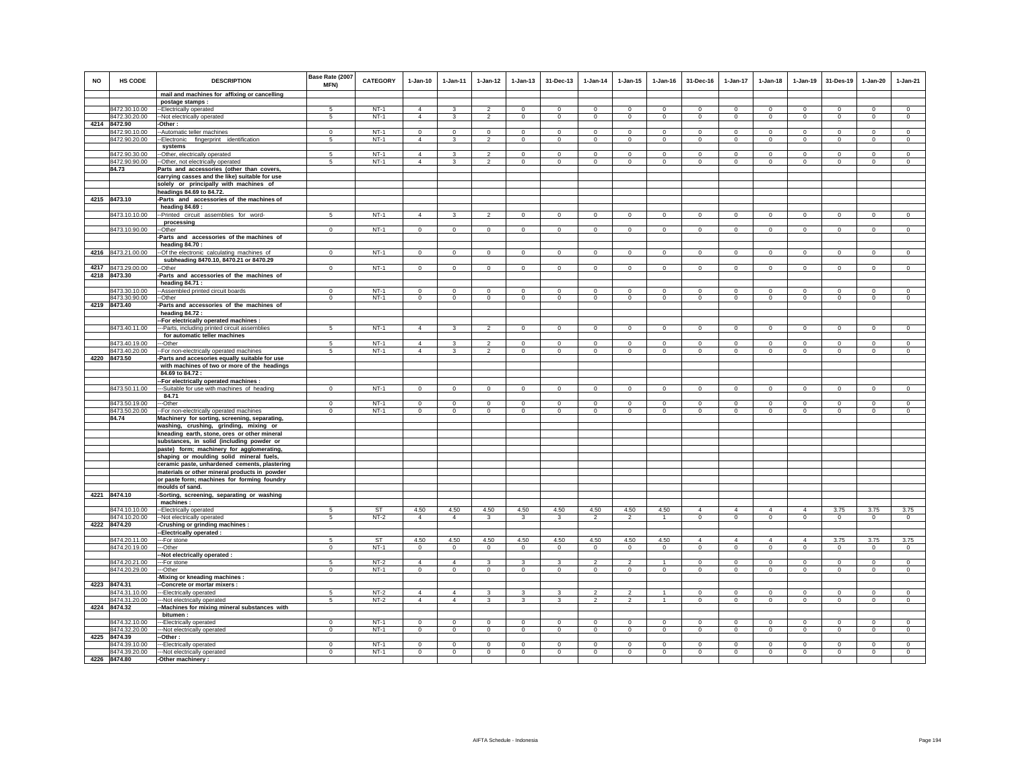| <b>NO</b> | <b>HS CODE</b>                 | <b>DESCRIPTION</b>                                                             | Base Rate (2007<br><b>MFN)</b> | <b>CATEGORY</b>  | $1-Jan-10$                 | $1 - Jan-11$               | $1-Jan-12$                    | $1 - Jan-13$                | 31-Dec-13                  | $1-Jan-14$                 | $1 - Jan-15$               | $1 - Jan-16$            | 31-Dec-16              | $1-Jan-17$                    | $1-Jan-18$             | $1 - Jan-19$               | 31-Des-19                    | $1 - Jan-20$                | $1-Jan-21$                 |
|-----------|--------------------------------|--------------------------------------------------------------------------------|--------------------------------|------------------|----------------------------|----------------------------|-------------------------------|-----------------------------|----------------------------|----------------------------|----------------------------|-------------------------|------------------------|-------------------------------|------------------------|----------------------------|------------------------------|-----------------------------|----------------------------|
|           |                                | mail and machines for affixing or cancelling                                   |                                |                  |                            |                            |                               |                             |                            |                            |                            |                         |                        |                               |                        |                            |                              |                             |                            |
|           |                                | postage stamps:                                                                |                                |                  |                            |                            |                               |                             |                            |                            |                            |                         |                        |                               |                        |                            |                              |                             |                            |
|           | 8472.30.10.00                  | --Electrically operated                                                        | 5                              | $NT-1$           | $\overline{4}$             | 3                          | $\mathfrak{p}$                | $\mathbf 0$                 | $\mathbf 0$                | $\mathbf 0$                | $\mathbf 0$                | $^{\circ}$              | $\circ$                | $\mathbf 0$                   | $\circ$                | $\mathbf 0$                | $\circ$                      | $\mathbf 0$                 | $\circ$                    |
|           | 8472.30.20.00                  | -Not electrically operated                                                     | 5                              | $NT-1$           | $\overline{4}$             | 3                          | $\overline{2}$                | $\mathsf 0$                 | $\mathbf 0$                | $\mathbf 0$                | $\mathbf 0$                | $\mathsf 0$             | $\mathsf 0$            | $\mathsf 0$                   | $\mathbf 0$            | $\mathbf 0$                | $\,0\,$                      | $\mathsf 0$                 | $\mathsf 0$                |
| 4214      | 8472.90                        | -Other:                                                                        |                                |                  | $\overline{0}$             |                            | $\overline{0}$                |                             | $\overline{0}$             | $\overline{0}$             |                            |                         |                        | $\overline{0}$                | $\overline{0}$         |                            | $\overline{0}$               | $\overline{0}$              |                            |
|           | 8472.90.10.00                  | -Automatic teller machines                                                     | $\overline{0}$<br>5            | $NT-1$<br>$NT-1$ | $\overline{4}$             | $\overline{0}$             | $\overline{2}$                | $\overline{0}$              |                            |                            | $\mathbf 0$                | $\mathbf 0$             | $^{\circ}$             | $\mathbf 0$                   |                        | $\overline{0}$             |                              |                             | $\overline{0}$             |
|           | 8472.90.20.00                  | -Electronic fingerprint identification<br>systems                              |                                |                  |                            | 3                          |                               | $\mathbf 0$                 | $\mathbf 0$                | $\circ$                    | $\mathbf 0$                | $\circ$                 | $\circ$                |                               | $\circ$                | $\circ$                    | $\circ$                      | $\circ$                     | $\circ$                    |
|           | 8472.90.30.00                  | --Other, electrically operated                                                 | 5                              | $NT-1$           | $\overline{4}$             | $\mathbf{3}$               | $\overline{2}$                | $\mathsf 0$                 | $\mathbf 0$                | $\Omega$                   | $\mathsf 0$                | $\Omega$                | $\mathsf 0$            | $\mathbf 0$                   | $\mathbf 0$            | $\mathbf 0$                | $\mathbf 0$                  | $\mathsf 0$                 | $\mathsf 0$                |
|           | 8472.90.90.00                  | --Other, not electrically operated                                             | 5                              | <b>NT-1</b>      | $\overline{4}$             | 3                          | $\overline{2}$                | $\mathbf 0$                 | $^{\circ}$                 | $^{\circ}$                 | $^{\circ}$                 | $^{\circ}$              | $\Omega$               | $\mathbf 0$                   | $^{\circ}$             | $\mathbf 0$                | $\circ$                      | $\circ$                     | $\circ$                    |
|           | 84.73                          | Parts and accessories (other than covers,                                      |                                |                  |                            |                            |                               |                             |                            |                            |                            |                         |                        |                               |                        |                            |                              |                             |                            |
|           |                                | carrying casses and the like) suitable for use                                 |                                |                  |                            |                            |                               |                             |                            |                            |                            |                         |                        |                               |                        |                            |                              |                             |                            |
|           |                                | solely or principally with machines of                                         |                                |                  |                            |                            |                               |                             |                            |                            |                            |                         |                        |                               |                        |                            |                              |                             |                            |
|           |                                | headings 84.69 to 84.72.                                                       |                                |                  |                            |                            |                               |                             |                            |                            |                            |                         |                        |                               |                        |                            |                              |                             |                            |
|           | 4215 8473.10                   | Parts and accessories of the machines of                                       |                                |                  |                            |                            |                               |                             |                            |                            |                            |                         |                        |                               |                        |                            |                              |                             |                            |
|           |                                | heading 84.69 :                                                                |                                |                  |                            |                            |                               |                             |                            |                            |                            |                         |                        |                               |                        |                            |                              |                             |                            |
|           | 8473.10.10.00                  | -Printed circuit assemblies for word-                                          | 5 <sup>1</sup>                 | $NT-1$           | $\Delta$                   | $\mathcal{R}$              | $\mathcal{P}$                 | $\mathbf 0$                 | $\mathsf 0$                | $\mathsf 0$                | $\Omega$                   | $\Omega$                | $\Omega$               | $\mathbf 0$                   | $\Omega$               | $\Omega$                   | $\mathbf 0$                  | $\Omega$                    | $\mathsf 0$                |
|           |                                | processing                                                                     |                                |                  |                            |                            |                               |                             |                            |                            |                            |                         |                        |                               |                        |                            |                              |                             |                            |
|           | 8473.10.90.00                  | --Other                                                                        | $\Omega$                       | $NT-1$           | $\mathsf 0$                | $\mathsf 0$                | $\circ$                       | $\mathbf 0$                 | $\mathbf 0$                | $\mathsf 0$                | $\mathsf 0$                | $\mathbf 0$             | $\mathsf 0$            | $\mathbf 0$                   | $\mathbf 0$            | $\mathbf 0$                | $\mathbf 0$                  | $\mathsf 0$                 | $\mathsf 0$                |
|           |                                | -Parts and accessories of the machines of                                      |                                |                  |                            |                            |                               |                             |                            |                            |                            |                         |                        |                               |                        |                            |                              |                             |                            |
|           | 4216 8473.21.00.00             | heading 84.70:<br>-Of the electronic calculating machines of                   | $\mathbf{0}$                   | $NT-1$           |                            |                            |                               |                             |                            |                            |                            |                         | $\circ$                | $\mathbf{0}$                  |                        |                            |                              |                             |                            |
|           |                                | subheading 8470.10, 8470.21 or 8470.29                                         |                                |                  | $\mathbf 0$                | $\mathbf 0$                | $\circ$                       | $\mathbf 0$                 | $\mathbf 0$                | $\mathbf 0$                | $\mathbf 0$                | $\mathbf 0$             |                        |                               | $\mathbf 0$            | $\mathbf 0$                | $\circ$                      | $\circ$                     | $\mathbf 0$                |
|           | 4217 8473.29.00.00             | -Other                                                                         | $\mathbf 0$                    | $NT-1$           | $\mathsf 0$                | $\circ$                    | $\circ$                       | $\mathbf 0$                 | $\circ$                    | $\circ$                    | $\mathbf 0$                | $\mathsf 0$             | $\mathbf 0$            | $\circ$                       | $\mathbf 0$            | $\circ$                    | $\overline{0}$               | $\circ$                     | $\mathsf 0$                |
| 4218      | 8473.30                        | Parts and accessories of the machines of                                       |                                |                  |                            |                            |                               |                             |                            |                            |                            |                         |                        |                               |                        |                            |                              |                             |                            |
|           |                                | heading 84.71 :                                                                |                                |                  |                            |                            |                               |                             |                            |                            |                            |                         |                        |                               |                        |                            |                              |                             |                            |
|           | 8473.30.10.00                  | -Assembled printed circuit boards                                              | $^{\circ}$                     | $NT-1$           | $\mathbf 0$                | $\mathbf 0$                | $\mathbf 0$                   | $\mathbf 0$                 | $\bf{0}$                   | $\bf{0}$                   | $\mathbf 0$                | $\mathbf 0$             | $\mathbf 0$            | 0                             | $^{\circ}$             | $\mathbf 0$                | $\mathbf 0$                  | $\mathbf 0$                 | $\,0\,$                    |
|           | 8473.30.90.00                  | --Other                                                                        | $\mathbf 0$                    | $NT-1$           | $\Omega$                   | $\mathbf{0}$               | $\circ$                       | $\mathsf 0$                 | $\mathbf 0$                | $\circ$                    | $\mathbf 0$                | $\circ$                 | $\circ$                | $\mathsf 0$                   | $\circ$                | $\circ$                    | $\mathbf 0$                  | $\circ$                     | $\mathsf 0$                |
|           | 4219 8473.40                   | -Parts and accessories of the machines of                                      |                                |                  |                            |                            |                               |                             |                            |                            |                            |                         |                        |                               |                        |                            |                              |                             |                            |
|           |                                | heading 84.72:                                                                 |                                |                  |                            |                            |                               |                             |                            |                            |                            |                         |                        |                               |                        |                            |                              |                             |                            |
|           |                                | -For electrically operated machines :                                          |                                |                  |                            |                            |                               |                             |                            |                            |                            |                         |                        |                               |                        |                            |                              |                             |                            |
|           | 8473.40.11.00                  | --Parts, including printed circuit assemblies<br>for automatic teller machines | $5\overline{5}$                | $NT-1$           | $\overline{4}$             | $\mathbf{3}$               | $\overline{2}$                | $\circ$                     | $\overline{0}$             | $\overline{0}$             | $\mathbf 0$                | $\mathbf 0$             | $\mathbf{0}$           | $\circ$                       | $\circ$                | $\overline{0}$             | $\overline{0}$               | $\circ$                     | $\circ$                    |
|           | 8473.40.19.00                  | --Other                                                                        | 5                              | $NT-1$           | $\overline{4}$             | 3                          | $\overline{\mathbf{c}}$       | $\mathbf 0$                 | $\mathbf 0$                | $\circ$                    | $\mathbf 0$                | $\mathbf 0$             | $\Omega$               | $\mathbf 0$                   | $\Omega$               | $\mathbf{0}$               | $\mathbf 0$                  | $\mathbf 0$                 | $\mathsf 0$                |
|           | 8473.40.20.00                  | -For non-electrically operated machines                                        | 5                              | $NT-1$           | $\overline{4}$             | $\mathbf{3}$               | $\mathfrak{D}$                | $\mathsf 0$                 | $\mathbf{0}$               | $\mathbf 0$                | $\mathbf{0}$               | $\mathbf{0}$            | $\Omega$               | $\mathbf 0$                   | $\Omega$               | $\mathbf 0$                | $\circ$                      | $\circ$                     | $\Omega$                   |
|           | 4220 8473.50                   | -Parts and accesories equally suitable for use                                 |                                |                  |                            |                            |                               |                             |                            |                            |                            |                         |                        |                               |                        |                            |                              |                             |                            |
|           |                                | with machines of two or more of the headings                                   |                                |                  |                            |                            |                               |                             |                            |                            |                            |                         |                        |                               |                        |                            |                              |                             |                            |
|           |                                | 84.69 to 84.72 :                                                               |                                |                  |                            |                            |                               |                             |                            |                            |                            |                         |                        |                               |                        |                            |                              |                             |                            |
|           |                                | -For electrically operated machines :                                          |                                |                  |                            |                            |                               |                             |                            |                            |                            |                         |                        |                               |                        |                            |                              |                             |                            |
|           | 8473.50.11.00                  | --Suitable for use with machines of heading                                    | $\Omega$                       | $NT-1$           | $\Omega$                   | $\Omega$                   | $\Omega$                      | $\mathbf{0}$                | $\mathbf{0}$               | $\Omega$                   | $\Omega$                   | $\Omega$                | $\Omega$               | $\mathbf{0}$                  | $\Omega$               | $\mathbf 0$                | $\mathbf 0$                  | $\Omega$                    | $\mathsf 0$                |
|           |                                | 84.71                                                                          |                                |                  |                            |                            |                               |                             |                            |                            |                            |                         |                        |                               |                        |                            |                              |                             |                            |
|           | 8473.50.19.00<br>8473.50.20.00 | -Other<br>-- For non-electrically operated machines                            | $^{\circ}$<br>$\Omega$         | $NT-1$<br>$NT-1$ | $\mathbf 0$<br>$\circ$     | $\mathbf 0$<br>$\Omega$    | $\mathbf 0$<br>$\circ$        | $\mathbf 0$<br>$\mathbf{0}$ | $\mathbf 0$<br>$\Omega$    | $\mathbf 0$<br>$\circ$     | $\mathbf 0$<br>$\Omega$    | $\mathbf 0$<br>$\circ$  | $\mathbf 0$<br>$\circ$ | 0<br>$\circ$                  | $\mathbf 0$<br>$\circ$ | $\mathbf 0$<br>$\circ$     | $\mathbf 0$<br>$\circ$       | $\mathbf 0$<br>$\mathbf{0}$ | $\mathbf 0$<br>$\circ$     |
|           | 84.74                          | Machinery for sorting, screening, separating,                                  |                                |                  |                            |                            |                               |                             |                            |                            |                            |                         |                        |                               |                        |                            |                              |                             |                            |
|           |                                | washing, crushing, grinding, mixing or                                         |                                |                  |                            |                            |                               |                             |                            |                            |                            |                         |                        |                               |                        |                            |                              |                             |                            |
|           |                                | kneading earth, stone, ores or other mineral                                   |                                |                  |                            |                            |                               |                             |                            |                            |                            |                         |                        |                               |                        |                            |                              |                             |                            |
|           |                                | substances, in solid (including powder or                                      |                                |                  |                            |                            |                               |                             |                            |                            |                            |                         |                        |                               |                        |                            |                              |                             |                            |
|           |                                | paste) form; machinery for agglomerating,                                      |                                |                  |                            |                            |                               |                             |                            |                            |                            |                         |                        |                               |                        |                            |                              |                             |                            |
|           |                                | shaping or moulding solid mineral fuels,                                       |                                |                  |                            |                            |                               |                             |                            |                            |                            |                         |                        |                               |                        |                            |                              |                             |                            |
|           |                                | ceramic paste, unhardened cements, plastering                                  |                                |                  |                            |                            |                               |                             |                            |                            |                            |                         |                        |                               |                        |                            |                              |                             |                            |
|           |                                | materials or other mineral products in powder                                  |                                |                  |                            |                            |                               |                             |                            |                            |                            |                         |                        |                               |                        |                            |                              |                             |                            |
|           |                                | or paste form; machines for forming foundry                                    |                                |                  |                            |                            |                               |                             |                            |                            |                            |                         |                        |                               |                        |                            |                              |                             |                            |
|           | 4221 8474.10                   | moulds of sand.<br>-Sorting, screening, separating or washing                  |                                |                  |                            |                            |                               |                             |                            |                            |                            |                         |                        |                               |                        |                            |                              |                             |                            |
|           |                                | machines:                                                                      |                                |                  |                            |                            |                               |                             |                            |                            |                            |                         |                        |                               |                        |                            |                              |                             |                            |
|           | 8474.10.10.00                  | -Electrically operated                                                         | 5                              | ST               | 4.50                       | 4.50                       | 4.50                          | 4.50                        | 4.50                       | 4.50                       | 4.50                       | 4.50                    | $\overline{4}$         | $\overline{4}$                | $\overline{4}$         | $\overline{4}$             | 3.75                         | 3.75                        | 3.75                       |
|           | 8474.10.20.00                  | -Not electrically operated                                                     | 5                              | $NT-2$           | $\overline{4}$             | $\overline{4}$             | $\mathbf{3}$                  | 3                           | $\mathbf{3}$               | $\overline{2}$             | $\overline{2}$             | $\overline{1}$          | $\circ$                | $\mathbf 0$                   | $\mathbf 0$            | $\mathbf 0$                | $\circ$                      | $\circ$                     | $\mathsf 0$                |
|           | 4222 8474.20                   | -Crushing or grinding machines :                                               |                                |                  |                            |                            |                               |                             |                            |                            |                            |                         |                        |                               |                        |                            |                              |                             |                            |
|           |                                | -Electrically operated :                                                       |                                |                  |                            |                            |                               |                             |                            |                            |                            |                         |                        |                               |                        |                            |                              |                             |                            |
|           | 8474.20.11.00                  | --For stone                                                                    | 5                              | <b>ST</b>        | 4.50                       | 4.50                       | 4.50                          | 4.50                        | 4.50                       | 4.50                       | 4.50                       | 4.50                    | $\overline{4}$         | $\overline{4}$                | $\overline{4}$         | $\overline{4}$             | 3.75                         | 3.75                        | 3.75                       |
|           | 8474.20.19.00                  | --Other                                                                        | $\mathbf 0$                    | $NT-1$           | $\circ$                    | $^{\circ}$                 | $\circ$                       | $\mathbf 0$                 | $\mathbf 0$                | $^{\circ}$                 | $\mathbf 0$                | $\circ$                 | $\circ$                | $\mathbf 0$                   | $\circ$                | $\mathbf 0$                | $\circ$                      | $\mathbf 0$                 | $\circ$                    |
|           |                                | -Not electrically operated :                                                   |                                |                  |                            |                            |                               |                             |                            |                            |                            |                         |                        |                               |                        |                            |                              |                             |                            |
|           | 8474.20.21.00                  | --For stone                                                                    | -5                             | $NT-2$           | $\Delta$                   | $\Delta$                   | 3                             | 3                           | 3                          | $\overline{2}$             | $\overline{2}$             | $\mathbf{1}$            | $\Omega$               | $\Omega$                      | $\Omega$               | $\Omega$                   | $\Omega$                     | $\Omega$                    | $\Omega$                   |
|           | 8474.20.29.00                  | -Other                                                                         | $\mathbf 0$                    | $NT-1$           | $\circ$                    | $\mathbf 0$                | $\circ$                       | $\mathbf 0$                 | $\mathbf 0$                | $\mathbf 0$                | $\mathbf 0$                | $\mathsf 0$             | $\circ$                | $\mathbf 0$                   | $\mathbf 0$            | $\mathbf 0$                | $\circ$                      | $\mathbf 0$                 | $\mathbf 0$                |
|           | 4223 8474.31                   | Mixing or kneading machines :<br>-Concrete or mortar mixers :                  |                                |                  |                            |                            |                               |                             |                            |                            |                            |                         |                        |                               |                        |                            |                              |                             |                            |
|           | 8474.31.10.00                  | --Electrically operated                                                        | -5                             | $NT-2$           | $\mathbf{A}$               | $\overline{4}$             | $\mathbf{3}$                  | 3                           | 3                          | $\overline{2}$             | $\overline{2}$             | $\overline{1}$          | $^{\circ}$             | $\mathbf 0$                   | $\Omega$               | $^{\circ}$                 | $\mathbf 0$                  | $^{\circ}$                  | $\circ$                    |
|           | 8474.31.20.00                  | --Not electrically operated                                                    | 5                              | $NT-2$           | $\overline{4}$             | $\overline{4}$             | $\overline{3}$                | 3                           | $\mathbf{3}$               | $\mathfrak{p}$             | $\overline{2}$             | $\mathbf{1}$            | $\circ$                | $\circ$                       | $\circ$                | $\mathbf 0$                | $\circ$                      | $\mathbf{0}$                | $\circ$                    |
|           | 4224 8474.32                   | -Machines for mixing mineral substances with                                   |                                |                  |                            |                            |                               |                             |                            |                            |                            |                         |                        |                               |                        |                            |                              |                             |                            |
|           |                                | bitumen :                                                                      |                                |                  |                            |                            |                               |                             |                            |                            |                            |                         |                        |                               |                        |                            |                              |                             |                            |
|           | 8474.32.10.00                  | --Electrically operated                                                        | $\mathbf{0}$                   | $NT-1$           | $\Omega$                   | $^{\circ}$                 | $\circ$                       | $^{\circ}$                  | $\Omega$                   | $\circ$                    | $\Omega$                   | $\circ$                 | $\Omega$               | $\Omega$                      | $\Omega$               | $\mathbf 0$                | $\circ$                      | $\circ$                     | $\circ$                    |
|           | 8474.32.20.00                  | -Not electrically operated                                                     | $\Omega$                       | $NT-1$           | $\Omega$                   | $\Omega$                   | $\overline{0}$                | $\overline{0}$              | $\circ$                    | $\circ$                    | $\mathsf 0$                | $\overline{0}$          | $\overline{0}$         | $\overline{0}$                | $\mathbf 0$            | $\mathbf 0$                | $\overline{0}$               | $\mathsf 0$                 | $\mathsf 0$                |
| 4225      | 8474.39                        | Other:                                                                         |                                |                  |                            |                            |                               |                             |                            |                            |                            |                         |                        |                               |                        |                            |                              |                             |                            |
|           | 8474.39.10.00<br>8474.39.20.00 | -Electrically operated<br>--- Not electrically operated                        | $\mathbf 0$<br>$\circ$         | $NT-1$<br>$NT-1$ | $\Omega$<br>$\overline{0}$ | $\mathbf 0$<br>$\mathsf 0$ | $\mathbf 0$<br>$\overline{0}$ | $\Omega$<br>$\overline{0}$  | $\mathbf 0$<br>$\mathsf 0$ | $\Omega$<br>$\overline{0}$ | $\mathbf 0$<br>$\mathsf 0$ | $\Omega$<br>$\mathbf 0$ | $\circ$<br>$\Omega$    | $\mathbf 0$<br>$\overline{0}$ | $\Omega$<br>$\Omega$   | $\mathbf 0$<br>$\mathbf 0$ | $^{\circ}$<br>$\overline{0}$ | $\mathbf 0$<br>$\mathsf 0$  | $\Omega$<br>$\overline{0}$ |
|           | 4226 8474.80                   | -Other machinery:                                                              |                                |                  |                            |                            |                               |                             |                            |                            |                            |                         |                        |                               |                        |                            |                              |                             |                            |
|           |                                |                                                                                |                                |                  |                            |                            |                               |                             |                            |                            |                            |                         |                        |                               |                        |                            |                              |                             |                            |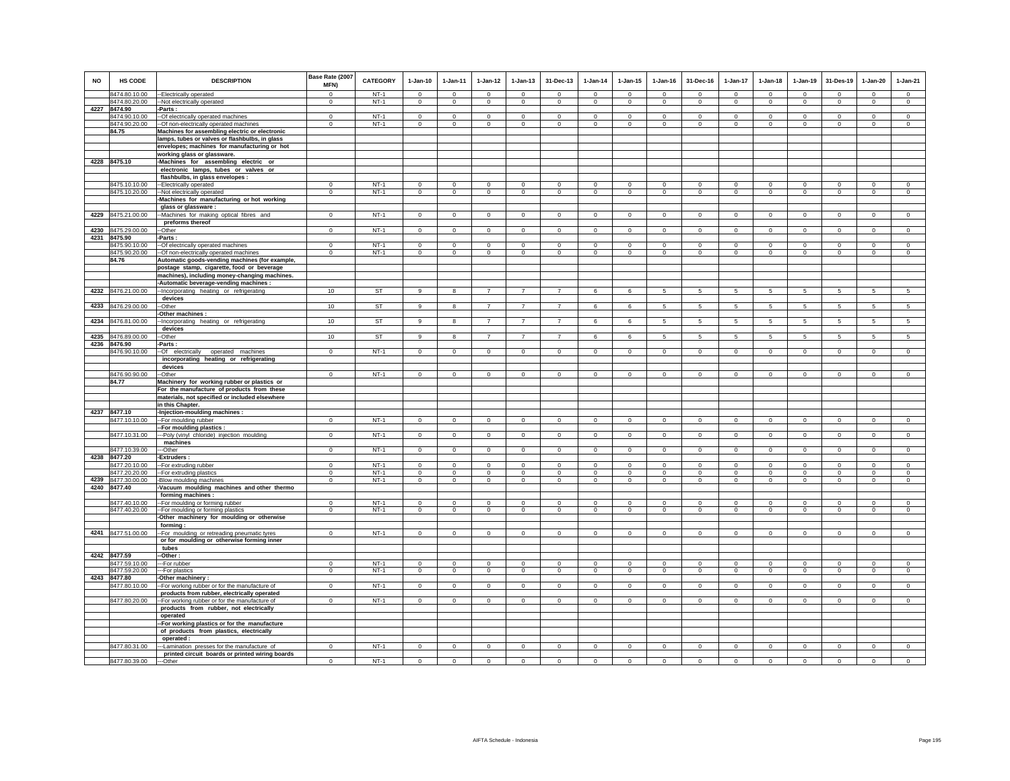| <b>NO</b> | <b>HS CODE</b>                      | <b>DESCRIPTION</b>                                                                         | Base Rate (2007<br>MFN)    | <b>CATEGORY</b>  | $1-Jan-10$             | 1-Jan-11                | $1 - Jan-12$               | $1 - Jan-13$               | 31-Dec-13                  | $1 - Jan-14$            | $1 - Jan-15$            | $1 - Jan-16$         | 31-Dec-16               | 1-Jan-17                   | $1-Jan-18$                 | $1-Jan-19$             | 31-Des-19                  | $1-Jan-20$              | $1-Jan-21$             |
|-----------|-------------------------------------|--------------------------------------------------------------------------------------------|----------------------------|------------------|------------------------|-------------------------|----------------------------|----------------------------|----------------------------|-------------------------|-------------------------|----------------------|-------------------------|----------------------------|----------------------------|------------------------|----------------------------|-------------------------|------------------------|
|           | 8474.80.10.00                       | -- Electrically operated                                                                   | $\Omega$                   | $NT-1$           | $\Omega$               | $\Omega$                | $\Omega$                   | $\Omega$                   | $\Omega$                   | $\Omega$                | $\Omega$                | $\Omega$             | $\Omega$                | $\Omega$                   | $\Omega$                   | $\Omega$               | $\overline{0}$             | $\Omega$                | $\overline{0}$         |
|           | 8474.80.20.00                       | --Not electrically operated                                                                | $^{\circ}$                 | $NT-1$           | $\mathbf{0}$           | $\mathbf{0}$            | $\mathbf 0$                | $\mathbf 0$                | $\mathbf 0$                | $\mathbf 0$             | $\mathbf 0$             | $^{\circ}$           | $^{\circ}$              | $\mathbf 0$                | $\mathbf{0}$               | $\mathbf 0$            | $\mathbf 0$                | $\mathbf 0$             | $\circ$                |
|           | 4227 8474.90                        | -Parts :                                                                                   |                            |                  |                        |                         |                            |                            |                            |                         |                         |                      |                         |                            |                            |                        |                            |                         |                        |
|           | 8474.90.10.00                       | -- Of electrically operated machines                                                       | $\Omega$                   | $NT-1$           | $\Omega$               | $^{\circ}$<br>$\Omega$  | $\circ$<br>$\Omega$        | $\Omega$                   | $\Omega$                   | $^{\circ}$<br>$\Omega$  | $\Omega$<br>$\Omega$    | $^{\circ}$           | $\Omega$<br>$\Omega$    | $\Omega$<br>$\Omega$       | $\Omega$<br>$\Omega$       | $^{\circ}$<br>$\Omega$ | $\overline{0}$<br>$\Omega$ | $\Omega$<br>$\Omega$    | $\circ$<br>$\Omega$    |
|           | 8474.90.20.00<br>84.75              | -- Of non-electrically operated machines<br>Machines for assembling electric or electronic | $\mathsf 0$                | $NT-1$           | $\mathsf 0$            |                         |                            | $\mathbf 0$                | $\mathbf 0$                |                         |                         | $\mathbf 0$          |                         |                            |                            |                        |                            |                         |                        |
|           |                                     | lamps, tubes or valves or flashbulbs, in glass                                             |                            |                  |                        |                         |                            |                            |                            |                         |                         |                      |                         |                            |                            |                        |                            |                         |                        |
|           |                                     | envelopes; machines for manufacturing or hot                                               |                            |                  |                        |                         |                            |                            |                            |                         |                         |                      |                         |                            |                            |                        |                            |                         |                        |
|           |                                     | working glass or glassware.                                                                |                            |                  |                        |                         |                            |                            |                            |                         |                         |                      |                         |                            |                            |                        |                            |                         |                        |
|           | 4228 8475.10                        | -Machines for assembling electric or                                                       |                            |                  |                        |                         |                            |                            |                            |                         |                         |                      |                         |                            |                            |                        |                            |                         |                        |
|           |                                     | electronic lamps, tubes or valves or                                                       |                            |                  |                        |                         |                            |                            |                            |                         |                         |                      |                         |                            |                            |                        |                            |                         |                        |
|           |                                     | flashbulbs, in glass envelopes :                                                           |                            |                  |                        |                         |                            |                            |                            |                         |                         |                      |                         |                            |                            |                        |                            |                         |                        |
|           | 8475.10.10.00                       | -- Electrically operated                                                                   | $\mathbf{0}$               | $NT-1$           | $\mathbf 0$            | $\mathbf 0$             | 0                          | $\mathbf{0}$               | $\mathbf 0$                | $\mathbf 0$             | $^{\circ}$              | $^{\circ}$           | $^{\circ}$              | $\mathbf 0$                | $\mathbf{0}$               | $\mathbf 0$            | $\circ$                    | $\mathbf 0$             | $\mathbf 0$            |
|           | 8475.10.20.00                       | --Not electrically operated                                                                | $\Omega$                   | $NT-1$           | $\Omega$               | $\Omega$                | $\overline{0}$             | $\circ$                    | $\Omega$                   | $\circ$                 | $^{\circ}$              | $\Omega$             | $\Omega$                | $\mathbf 0$                | $\circ$                    | $\circ$                | $\overline{0}$             | $\Omega$                | $\overline{0}$         |
|           |                                     | -Machines for manufacturing or hot working                                                 |                            |                  |                        |                         |                            |                            |                            |                         |                         |                      |                         |                            |                            |                        |                            |                         |                        |
|           |                                     | glass or glassware :                                                                       |                            |                  |                        |                         |                            |                            |                            |                         |                         |                      |                         |                            |                            |                        |                            |                         |                        |
| 4229      | 8475.21.00.00                       | --Machines for making optical fibres and                                                   | $\mathbf 0$                | $NT-1$           | $\mathbf 0$            | $\circ$                 | $\mathbf 0$                | $\circ$                    | $\mathbf 0$                | $\circ$                 | $\mathbf 0$             | $\mathbf 0$          | $\mathbf 0$             | $\mathbf 0$                | $\mathbf 0$                | $\mathbf 0$            | $\circ$                    | $\mathbf 0$             | $\circ$                |
|           |                                     | preforms thereof                                                                           |                            |                  |                        |                         |                            |                            |                            |                         |                         |                      |                         |                            |                            |                        |                            |                         |                        |
| 4230      | 8475.29.00.00                       | --Other                                                                                    | $\mathsf 0$                | $NT-1$           | $\Omega$               | $\mathbf 0$             | $\mathbf 0$                | $\mathbf 0$                | $\mathbf 0$                | $\mathbf 0$             | $\mathbf 0$             | $\Omega$             | $\Omega$                | $\mathbf 0$                | $\Omega$                   | $\mathbf 0$            | $\overline{0}$             | $\mathsf 0$             | $\overline{0}$         |
|           | 4231 8475.90                        | -Parts:                                                                                    | $\Omega$                   | $NT-1$           | $\Omega$               | $\Omega$                | $\Omega$                   | $\Omega$                   | $\Omega$                   | $\Omega$                | $\Omega$                | $\Omega$             |                         | $\Omega$                   | $\Omega$                   | $\Omega$               | $\Omega$                   | $\Omega$                | $\Omega$               |
|           | 8475.90.10.00<br>8475.90.20.00      | -- Of electrically operated machines                                                       | $\mathbf 0$                | $NT-1$           | $\circ$                | $\circ$                 | $\mathbf 0$                | $\mathbf 0$                | $\mathbf 0$                | $\mathbf 0$             | $\mathbf 0$             | $\,0\,$              | $\mathbf 0$             | $\mathbf 0$                | $\mathbf 0$                | $\mathbf 0$            | $\circ$                    | $\mathbf 0$             | $\mathbf 0$            |
|           | 84.76                               | --Of non-electrically operated machines<br>Automatic goods-vending machines (for example,  |                            |                  |                        |                         |                            |                            |                            |                         |                         |                      |                         |                            |                            |                        |                            |                         |                        |
|           |                                     | postage stamp, cigarette, food or beverage                                                 |                            |                  |                        |                         |                            |                            |                            |                         |                         |                      |                         |                            |                            |                        |                            |                         |                        |
|           |                                     | machines), including money-changing machines.                                              |                            |                  |                        |                         |                            |                            |                            |                         |                         |                      |                         |                            |                            |                        |                            |                         |                        |
|           |                                     | -Automatic beverage-vending machines :                                                     |                            |                  |                        |                         |                            |                            |                            |                         |                         |                      |                         |                            |                            |                        |                            |                         |                        |
| 4232      | 8476.21.00.00                       | -Incorporating heating or refrigerating                                                    | 10                         | ST               | 9                      | 8                       | $\overline{7}$             | $\overline{7}$             | $\overline{7}$             | 6                       | 6                       | 5                    | 5                       | 5                          | $\overline{5}$             | $\,$ 5 $\,$            | $\sqrt{5}$                 | $\mathbf 5$             | $\sqrt{5}$             |
|           |                                     | devices                                                                                    |                            |                  |                        |                         |                            |                            |                            |                         |                         |                      |                         |                            |                            |                        |                            |                         |                        |
| 4233      | 8476.29.00.00                       | --Other                                                                                    | 10                         | ST               | 9                      | 8                       | $\overline{7}$             | $\overline{7}$             | $\overline{7}$             | 6                       | 6                       | -5                   | 5                       | $\overline{5}$             | 5                          | 5                      | 5                          | 5                       | $5\overline{5}$        |
|           |                                     | -Other machines :                                                                          |                            |                  |                        |                         |                            |                            |                            |                         |                         |                      |                         |                            |                            |                        |                            |                         |                        |
| 4234      | 8476.81.00.00                       | -Incorporating heating or refrigerating                                                    | 10                         | <b>ST</b>        | 9                      | 8                       | $\overline{7}$             | $\overline{7}$             | $\overline{7}$             | 6                       | 6                       | 5                    | 5                       | 5 <sub>5</sub>             | 5                          | 5                      | 5                          | 5                       | 5                      |
| 4235      | 8476.89.00.00                       | devices<br>-Other                                                                          | 10                         | ST               | 9                      | 8                       | $\overline{7}$             | $\overline{7}$             | $\overline{7}$             | 6                       | 6                       | 5                    | 5                       | $5\phantom{.0}$            | 5                          | $\sqrt{5}$             | $\sqrt{5}$                 | 5                       | 5                      |
|           | 4236 8476.90                        | -Parts :                                                                                   |                            |                  |                        |                         |                            |                            |                            |                         |                         |                      |                         |                            |                            |                        |                            |                         |                        |
|           | 8476.90.10.00                       | -- Of electrically operated machines                                                       | $^{\circ}$                 | $NT-1$           | $^{\circ}$             | $^{\circ}$              | $\overline{0}$             | $^{\circ}$                 | $^{\circ}$                 | $^{\circ}$              | $^{\circ}$              | $^{\circ}$           | $^{\circ}$              | $^{\circ}$                 | $^{\circ}$                 | $\overline{0}$         | $\overline{0}$             | $\mathbf{0}$            | $\overline{0}$         |
|           |                                     | incorporating heating or refrigerating                                                     |                            |                  |                        |                         |                            |                            |                            |                         |                         |                      |                         |                            |                            |                        |                            |                         |                        |
|           |                                     | devices                                                                                    |                            |                  |                        |                         |                            |                            |                            |                         |                         |                      |                         |                            |                            |                        |                            |                         |                        |
|           | 8476.90.90.00                       | --Other                                                                                    | $\mathbf 0$                | $NT-1$           | $\mathbf 0$            | $\mathbf 0$             | $\mathbf 0$                | $\mathbf 0$                | $\mathbf 0$                | $\mathbf 0$             | $\mathbf 0$             | $^{\circ}$           | $^{\circ}$              | $\mathbf 0$                | $\mathbf 0$                | $^{\circ}$             | $\mathbf 0$                | $\mathbf 0$             | $\Omega$               |
|           | 84.77                               | Machinery for working rubber or plastics or                                                |                            |                  |                        |                         |                            |                            |                            |                         |                         |                      |                         |                            |                            |                        |                            |                         |                        |
|           |                                     | For the manufacture of products from these                                                 |                            |                  |                        |                         |                            |                            |                            |                         |                         |                      |                         |                            |                            |                        |                            |                         |                        |
|           |                                     | materials, not specified or included elsewhere                                             |                            |                  |                        |                         |                            |                            |                            |                         |                         |                      |                         |                            |                            |                        |                            |                         |                        |
|           | 4237 8477.10                        | in this Chapter.<br>-Injection-moulding machines :                                         |                            |                  |                        |                         |                            |                            |                            |                         |                         |                      |                         |                            |                            |                        |                            |                         |                        |
|           | 8477.10.10.00                       | -- For moulding rubber                                                                     | $\mathbf{0}$               | $NT-1$           | $\circ$                | $\overline{0}$          | $\circ$                    | $\circ$                    | $\mathbf{0}$               | $\circ$                 | $\mathbf 0$             | $\,0\,$              | $\mathbf 0$             | $\circ$                    | $\mathbf 0$                | $\overline{0}$         | $\overline{0}$             | $\circ$                 | $\circ$                |
|           |                                     | -- For moulding plastics                                                                   |                            |                  |                        |                         |                            |                            |                            |                         |                         |                      |                         |                            |                            |                        |                            |                         |                        |
|           | 8477.10.31.00                       | ---Poly (vinyl chloride) injection moulding                                                | $\mathbf 0$                | $NT-1$           | $\circ$                | $\circ$                 | $\mathbf 0$                | $\circ$                    | $\mathbf 0$                | $\mathbf 0$             | $^{\circ}$              | $\mathbf 0$          | $^{\circ}$              | $\circ$                    | $\circ$                    | $\circ$                | $\circ$                    | 0                       | $\mathsf 0$            |
|           |                                     | machines                                                                                   |                            |                  |                        |                         |                            |                            |                            |                         |                         |                      |                         |                            |                            |                        |                            |                         |                        |
|           | 8477.10.39.00                       | --Other                                                                                    | $\mathbf 0$                | $NT-1$           | $\circ$                | $\circ$                 | $\circ$                    | $\circ$                    | $\mathbf{0}$               | $\circ$                 | $\mathbf 0$             | $\mathbf 0$          | $\circ$                 | $\mathbf 0$                | $\circ$                    | $\mathbf 0$            | $\circ$                    | $\mathbf 0$             | $\mathsf 0$            |
| 4238      | 8477.20                             | -Extruders:                                                                                |                            |                  |                        |                         |                            |                            |                            |                         |                         |                      |                         |                            |                            |                        |                            |                         |                        |
|           | 8477.20.10.00                       | -- For extruding rubber                                                                    | $\mathbf 0$                | $NT-1$<br>$NT-1$ | $\mathsf 0$            | $\mathbf 0$<br>$\Omega$ | $\mathbf 0$<br>$\mathbf 0$ | $\mathbf 0$                | $\mathsf 0$                | $\mathbf 0$<br>$\Omega$ | $\mathbf 0$<br>$\Omega$ | $\Omega$<br>$\Omega$ | $\mathbf 0$<br>$\Omega$ | $\mathbf 0$                | $\mathsf 0$<br>$\mathbf 0$ | $\mathbf 0$            | $\mathbf 0$<br>$^{\circ}$  | $\mathsf 0$<br>$\Omega$ | $\mathsf 0$            |
|           | 8477.20.20.00<br>4239 8477.30.00.00 | -- For extruding plastics<br>-Blow moulding machines                                       | $\mathbf 0$<br>$\mathbf 0$ | $NT-1$           | $\mathbf 0$<br>$\circ$ | $\circ$                 | $\circ$                    | $\mathbf 0$<br>$\mathbf 0$ | $\mathbf 0$<br>$\mathbf 0$ | $\mathsf 0$             | $\mathbf 0$             | $\mathbb O$          | $\circ$                 | $\mathbf 0$<br>$\mathbf 0$ | $\mathsf 0$                | $\mathbf 0$<br>$\,0\,$ | $\mathbf 0$                | $\mathsf 0$             | $\circ$<br>$\mathsf 0$ |
|           | 4240 8477.40                        | -Vacuum moulding machines and other thermo                                                 |                            |                  |                        |                         |                            |                            |                            |                         |                         |                      |                         |                            |                            |                        |                            |                         |                        |
|           |                                     | forming machines :                                                                         |                            |                  |                        |                         |                            |                            |                            |                         |                         |                      |                         |                            |                            |                        |                            |                         |                        |
|           | 8477.40.10.00                       | -- For moulding or forming rubber                                                          | $\mathsf 0$                | $NT-1$           | $\mathsf 0$            | $\mathbf 0$             | $\mathbf 0$                | $\mathbf 0$                | $\mathbf 0$                | $\mathbf 0$             | $\mathbf 0$             | $\mathbf 0$          | $\mathbf 0$             | $\mathbf 0$                | $\mathbf 0$                | $\mathbf 0$            | $\mathbf 0$                | $\mathsf 0$             | $\circ$                |
|           | 8477.40.20.00                       | -- For moulding or forming plastics                                                        | $\mathbf 0$                | $NT-1$           | $\mathbf 0$            | $\circ$                 | $\mathbf 0$                | $\mathbf 0$                | $\mathbf 0$                | $\mathbf 0$             | $\mathbf 0$             | $^{\circ}$           | $\mathbf 0$             | $\mathbf 0$                | $\mathbf 0$                | $\mathbf 0$            | $\mathbf 0$                | $\mathbf 0$             | $\mathbf 0$            |
|           |                                     | -Other machinery for moulding or otherwise                                                 |                            |                  |                        |                         |                            |                            |                            |                         |                         |                      |                         |                            |                            |                        |                            |                         |                        |
|           |                                     | forming:                                                                                   |                            |                  |                        |                         |                            |                            |                            |                         |                         |                      |                         |                            |                            |                        |                            |                         |                        |
|           | 4241 8477.51.00.00                  | -- For moulding or retreading pneumatic tyres                                              | $\Omega$                   | $NT-1$           | $\mathbf{0}$           | $\Omega$                | $\Omega$                   | $\Omega$                   | $\mathbf{0}$               | $\Omega$                | $\Omega$                | $\Omega$             | $\Omega$                | $\Omega$                   | $\Omega$                   | $\Omega$               | $\Omega$                   | $\mathbf{0}$            | $\circ$                |
|           |                                     | or for moulding or otherwise forming inner<br>tubes                                        |                            |                  |                        |                         |                            |                            |                            |                         |                         |                      |                         |                            |                            |                        |                            |                         |                        |
|           | 4242 8477.59                        | -Other:                                                                                    |                            |                  |                        |                         |                            |                            |                            |                         |                         |                      |                         |                            |                            |                        |                            |                         |                        |
|           | 8477.59.10.00                       | --For rubber                                                                               | $\mathbf 0$                | $NT-1$           | $^{\circ}$             | $\overline{0}$          | $\mathbf 0$                | $^{\circ}$                 | $^{\circ}$                 | $\circ$                 | $^{\circ}$              | $^{\circ}$           | $\Omega$                | $^{\circ}$                 | $^{\circ}$                 | 0                      | $\overline{\phantom{0}}$   | $^{\circ}$              | $\mathbf 0$            |
|           | 8477.59.20.00                       | ---For plastics                                                                            | $\mathbf 0$                | $NT-1$           | $\mathsf 0$            | $\mathsf 0$             | $\mathbf 0$                | $\mathsf 0$                | $\mathbf 0$                | $\mathbf 0$             | $\mathbf 0$             | $\mathbb O$          | $\mathbf 0$             | $\mathsf 0$                | $\mathbf 0$                | $\,0\,$                | $\mathbf 0$                | $\mathbf 0$             | $\mathsf 0$            |
| 4243      | 8477.80                             | Other machinery:                                                                           |                            |                  |                        |                         |                            |                            |                            |                         |                         |                      |                         |                            |                            |                        |                            |                         |                        |
|           | 8477.80.10.00                       | -- For working rubber or for the manufacture of                                            | $\mathbf 0$                | $NT-1$           | $\mathbf{0}$           | $\mathbf 0$             | $\mathbf 0$                | $\mathbf 0$                | $\mathbf 0$                | $\mathbf 0$             | $\mathbf 0$             | $^{\circ}$           | $\mathbf 0$             | $\mathbf 0$                | $\mathbf 0$                | $\mathbf 0$            | $\overline{0}$             | $\mathbf 0$             | $\overline{0}$         |
|           |                                     | products from rubber, electrically operated                                                |                            |                  |                        |                         |                            |                            |                            |                         |                         |                      |                         |                            |                            |                        |                            |                         |                        |
|           | 8477.80.20.00                       | -- For working rubber or for the manufacture of                                            | $\mathbf 0$                | $NT-1$           | $\circ$                | $\circ$                 | $\circ$                    | $\circ$                    | $\mathbf{0}$               | $\circ$                 | $\mathbf 0$             | $\mathbf 0$          | $\Omega$                | $\mathbf{0}$               | $\circ$                    | $\mathbf 0$            | $\mathbf 0$                | $\mathbf{0}$            | $\circ$                |
|           |                                     | products from rubber, not electrically<br>operated                                         |                            |                  |                        |                         |                            |                            |                            |                         |                         |                      |                         |                            |                            |                        |                            |                         |                        |
|           |                                     |                                                                                            |                            |                  |                        |                         |                            |                            |                            |                         |                         |                      |                         |                            |                            |                        |                            |                         |                        |
|           |                                     | -- For working plastics or for the manufacture<br>of products from plastics, electrically  |                            |                  |                        |                         |                            |                            |                            |                         |                         |                      |                         |                            |                            |                        |                            |                         |                        |
|           |                                     | operated:                                                                                  |                            |                  |                        |                         |                            |                            |                            |                         |                         |                      |                         |                            |                            |                        |                            |                         |                        |
|           | 8477.80.31.00                       | --Lamination presses for the manufacture of                                                | $\mathbf 0$                | $NT-1$           | $\circ$                | $\circ$                 | $\circ$                    | $\circ$                    | $\mathbf{0}$               | $\circ$                 | $\mathbf 0$             | $\mathbf 0$          | $\circ$                 | $\mathbf 0$                | $\circ$                    | $\mathbf 0$            | $\mathbf{0}$               | $\mathbf 0$             | $\mathsf 0$            |
|           |                                     | printed circuit boards or printed wiring boards                                            |                            |                  |                        |                         |                            |                            |                            |                         |                         |                      |                         |                            |                            |                        |                            |                         |                        |
|           | 8477.80.39.00                       | ---Other                                                                                   | $^{\circ}$                 | $NT-1$           | $\mathbf 0$            | $\circ$                 | $\mathbf 0$                | $\mathbf 0$                | $\mathbf 0$                | $\Omega$                | $\Omega$                | $\Omega$             | $\Omega$                | $\Omega$                   | $\circ$                    | $\mathbf 0$            | $\mathbf 0$                | $\mathbf 0$             | $\circ$                |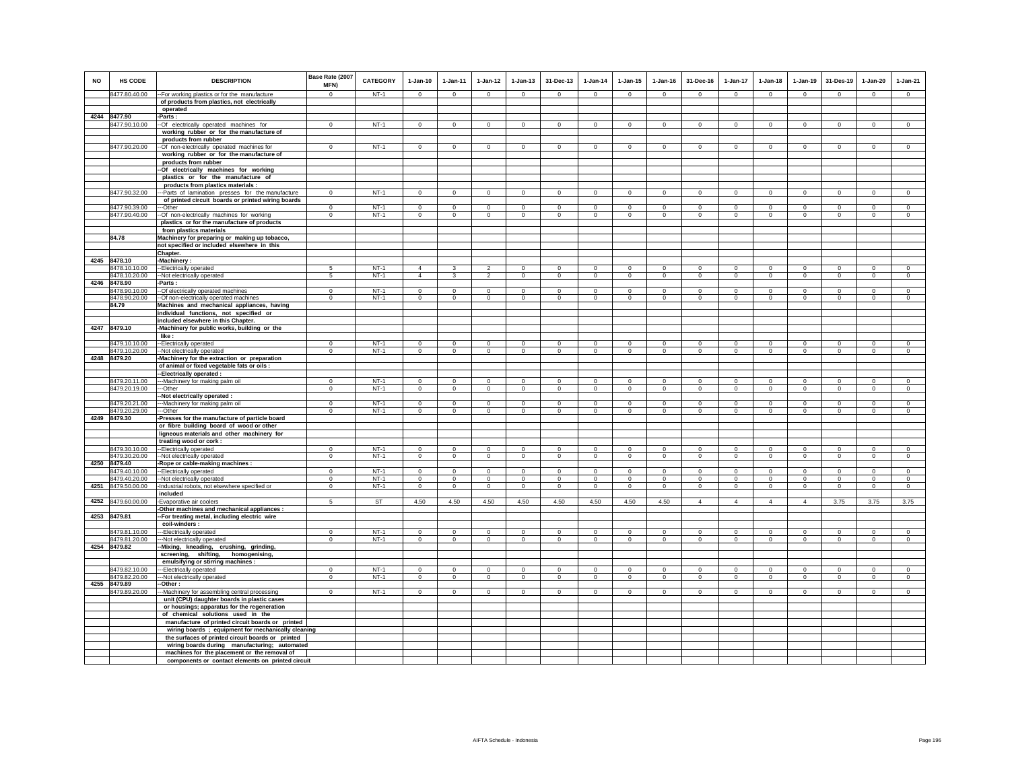| <b>NO</b> | <b>HS CODE</b>                 | <b>DESCRIPTION</b>                                                                           | Base Rate (2007<br><b>MFN)</b> | <b>CATEGORY</b>  | $1-Jan-10$         | $1 - Jan-11$               | $1-Jan-12$                  | $1 - Jan-13$                | 31-Dec-13                      | $1-Jan-14$                 | $1 - Jan-15$                | $1 - Jan-16$           | 31-Dec-16                   | $1-Jan-17$                  | $1-Jan-18$             | $1-Jan-19$                 | 31-Des-19                  | $1-Jan-20$                  | $1-Jan-21$                 |
|-----------|--------------------------------|----------------------------------------------------------------------------------------------|--------------------------------|------------------|--------------------|----------------------------|-----------------------------|-----------------------------|--------------------------------|----------------------------|-----------------------------|------------------------|-----------------------------|-----------------------------|------------------------|----------------------------|----------------------------|-----------------------------|----------------------------|
|           | 8477.80.40.00                  | -- For working plastics or for the manufacture                                               | $\Omega$                       | $NT-1$           | $\Omega$           | $\Omega$                   | $\Omega$                    | $\mathsf 0$                 | $\mathsf 0$                    | $\Omega$                   | $\Omega$                    | $\Omega$               | $\mathsf 0$                 | $\mathbf 0$                 | $\Omega$               | $\Omega$                   | $\Omega$                   | $\mathsf 0$                 | $\mathsf 0$                |
|           |                                | of products from plastics, not electrically                                                  |                                |                  |                    |                            |                             |                             |                                |                            |                             |                        |                             |                             |                        |                            |                            |                             |                            |
|           | 4244 8477.90                   | operated<br>Parts :                                                                          |                                |                  |                    |                            |                             |                             |                                |                            |                             |                        |                             |                             |                        |                            |                            |                             |                            |
|           | 8477.90.10.00                  | -Of electrically operated machines for                                                       | $\mathbf{0}$                   | $NT-1$           | $\circ$            | $\circ$                    | $\circ$                     | $\mathbf{0}$                | $\circ$                        | $\circ$                    | $\mathbf{0}$                | $\mathsf 0$            | $\circ$                     | $\circ$                     | $\circ$                | $\mathbf 0$                | $\circ$                    | $\mathbf{0}$                | $\circ$                    |
|           |                                | working rubber or for the manufacture of                                                     |                                |                  |                    |                            |                             |                             |                                |                            |                             |                        |                             |                             |                        |                            |                            |                             |                            |
|           |                                | products from rubber                                                                         |                                |                  |                    |                            |                             |                             |                                |                            |                             |                        |                             |                             |                        |                            |                            |                             |                            |
|           | 8477.90.20.00                  | -- Of non-electrically operated machines for                                                 | $\Omega$                       | $NT-1$           | $\Omega$           | $\Omega$                   | $\mathbf 0$                 | $\Omega$                    | $\mathbf 0$                    | $\mathbf 0$                | $\Omega$                    | $\Omega$               | $\Omega$                    | $\overline{0}$              | $\Omega$               | $\Omega$                   | $\overline{0}$             | $\Omega$                    | $\Omega$                   |
|           |                                | working rubber or for the manufacture of                                                     |                                |                  |                    |                            |                             |                             |                                |                            |                             |                        |                             |                             |                        |                            |                            |                             |                            |
|           |                                | products from rubber                                                                         |                                |                  |                    |                            |                             |                             |                                |                            |                             |                        |                             |                             |                        |                            |                            |                             |                            |
|           |                                | --Of electrically machines for working                                                       |                                |                  |                    |                            |                             |                             |                                |                            |                             |                        |                             |                             |                        |                            |                            |                             |                            |
|           |                                | plastics or for the manufacture of                                                           |                                |                  |                    |                            |                             |                             |                                |                            |                             |                        |                             |                             |                        |                            |                            |                             |                            |
|           | 8477.90.32.00                  | products from plastics materials :<br>--Parts of lamination presses for the manufacture      | $\Omega$                       | $NT-1$           | $\Omega$           | $\Omega$                   | $\circ$                     | $\mathbf 0$                 | $\mathbf 0$                    | $\overline{0}$             | $^{\circ}$                  | $^{\circ}$             | $\circ$                     | $\circ$                     | $\circ$                | $\mathbf 0$                | $\circ$                    | $^{\circ}$                  | $\circ$                    |
|           |                                | of printed circuit boards or printed wiring boards                                           |                                |                  |                    |                            |                             |                             |                                |                            |                             |                        |                             |                             |                        |                            |                            |                             |                            |
|           | 8477.90.39.00                  | ---Other                                                                                     | $\Omega$                       | $NT-1$           | $\mathbf 0$        | $\Omega$                   | $\Omega$                    | $\mathbf 0$                 | $\mathbf 0$                    | $\Omega$                   | $\Omega$                    | $\Omega$               | $\mathbf 0$                 | $\mathbf 0$                 | $\mathbf 0$            | $\mathbf 0$                | $\mathbf 0$                | $\circ$                     | $\mathbf 0$                |
|           | 8477.90.40.00                  | -- Of non-electrically machines for working                                                  | $\mathbf 0$                    | $NT-1$           | $^{\circ}$         | $^{\circ}$                 | $\circ$                     | $\mathbf 0$                 | $\mathbf 0$                    | $\mathbf 0$                | $\circ$                     | $\Omega$               | $^{\circ}$                  | $\circ$                     | $\mathbf 0$            | $^{\circ}$                 | $\circ$                    | $^{\circ}$                  | $\Omega$                   |
|           |                                | plastics or for the manufacture of products                                                  |                                |                  |                    |                            |                             |                             |                                |                            |                             |                        |                             |                             |                        |                            |                            |                             |                            |
|           |                                | from plastics materials                                                                      |                                |                  |                    |                            |                             |                             |                                |                            |                             |                        |                             |                             |                        |                            |                            |                             |                            |
|           | 84.78                          | Machinery for preparing or making up tobacco,<br>not specified or included elsewhere in this |                                |                  |                    |                            |                             |                             |                                |                            |                             |                        |                             |                             |                        |                            |                            |                             |                            |
|           |                                | Chapter.                                                                                     |                                |                  |                    |                            |                             |                             |                                |                            |                             |                        |                             |                             |                        |                            |                            |                             |                            |
|           | 4245 8478.10                   | -Machinery:                                                                                  |                                |                  |                    |                            |                             |                             |                                |                            |                             |                        |                             |                             |                        |                            |                            |                             |                            |
|           | 8478.10.10.00                  | -- Electrically operated                                                                     | -5                             | $NT-1$           | $\Delta$           | 3                          | $\overline{2}$              | $\Omega$                    | $\Omega$                       | $^{\circ}$                 | $\Omega$                    | $^{\circ}$             | $\Omega$                    | $\Omega$                    | $\Omega$               | $\Omega$                   | $\mathbf 0$                | $\Omega$                    | $\mathbf 0$                |
|           | 8478.10.20.00                  | -Not electrically operated                                                                   | 5                              | $NT-1$           | $\overline{4}$     | 3                          | $\overline{2}$              | $\mathsf 0$                 | $\mathbf{0}$                   | $\mathbf 0$                | $\mathbf 0$                 | $\circ$                | $\circ$                     | $\mathbf 0$                 | $\mathbf 0$            | $\mathbf 0$                | $\mathbf 0$                | $\circ$                     | $\circ$                    |
|           | 4246 8478.90                   | -Parts :                                                                                     |                                |                  |                    |                            |                             |                             |                                |                            |                             |                        |                             |                             |                        |                            |                            |                             |                            |
|           | 8478.90.10.00                  | -- Of electrically operated machines                                                         | $\Omega$                       | $NT-1$           | $\Omega$           | $\Omega$                   | $\Omega$                    | $\Omega$                    | $\Omega$                       | $\Omega$                   | $\Omega$                    | $\Omega$               | $\Omega$                    | $\Omega$                    | $\Omega$               | $\Omega$                   | $\Omega$                   | $\Omega$                    | $\Omega$                   |
|           | 8478.90.20.00                  | -- Of non-electrically operated machines                                                     | $\Omega$                       | $NT-1$           | $\overline{0}$     | $\Omega$                   | $\overline{0}$              | $\overline{0}$              | $\overline{0}$                 | $\overline{0}$             | $\overline{0}$              | $\overline{0}$         | $\overline{0}$              | $\overline{0}$              | $\overline{0}$         | $\overline{0}$             | $\overline{0}$             | $\Omega$                    | $\overline{0}$             |
|           | 84.79                          | Machines and mechanical appliances, having<br>individual functions, not specified or         |                                |                  |                    |                            |                             |                             |                                |                            |                             |                        |                             |                             |                        |                            |                            |                             |                            |
|           |                                | included elsewhere in this Chapter.                                                          |                                |                  |                    |                            |                             |                             |                                |                            |                             |                        |                             |                             |                        |                            |                            |                             |                            |
|           | 4247 8479.10                   | -Machinery for public works, building or the                                                 |                                |                  |                    |                            |                             |                             |                                |                            |                             |                        |                             |                             |                        |                            |                            |                             |                            |
|           |                                | like:                                                                                        |                                |                  |                    |                            |                             |                             |                                |                            |                             |                        |                             |                             |                        |                            |                            |                             |                            |
|           | 8479.10.10.00                  | -Electrically operated                                                                       | $\mathbf 0$                    | $NT-1$           | $\mathbf 0$        | $\mathbf 0$                | $\mathbf 0$                 | $\mathsf 0$                 | $\mathbf{0}$                   | $\mathbf 0$                | $\mathsf 0$                 | $\mathsf 0$            | $\mathbf 0$                 | $\mathbf 0$                 | $\mathbf 0$            | $\mathbf 0$                | $\mathbf 0$                | $\mathsf 0$                 | $\mathsf 0$                |
|           | 8479.10.20.00                  | -Not electrically operated                                                                   | $\mathbf 0$                    | $NT-1$           | $\mathbf 0$        | $\Omega$                   | $\mathbf 0$                 | $\circ$                     | $\mathbf 0$                    | $\Omega$                   | $\mathbf 0$                 | $\Omega$               | $\mathbf{0}$                | $\Omega$                    | $\Omega$               | $\mathbf 0$                | $\mathbf 0$                | $\mathbf 0$                 | $\Omega$                   |
|           | 4248 8479.20                   | -Machinery for the extraction or preparation                                                 |                                |                  |                    |                            |                             |                             |                                |                            |                             |                        |                             |                             |                        |                            |                            |                             |                            |
|           |                                | of animal or fixed vegetable fats or oils :<br>-Electrically operated :                      |                                |                  |                    |                            |                             |                             |                                |                            |                             |                        |                             |                             |                        |                            |                            |                             |                            |
|           | 8479.20.11.00                  | --- Machinery for making palm oil                                                            | $\Omega$                       | $NT-1$           | $\Omega$           | $\Omega$                   | $\Omega$                    | $\Omega$                    | $\mathbf 0$                    | $\Omega$                   | $\mathsf 0$                 | $\Omega$               | $\mathsf 0$                 | $\mathbf 0$                 | $\Omega$               | $\Omega$                   | $\Omega$                   | $\mathsf 0$                 | $\mathsf 0$                |
|           | 8479.20.19.00                  | --Other                                                                                      | $\mathbf 0$                    | $NT-1$           | $\circ$            | $\mathbf 0$                | $\circ$                     | $\mathbf 0$                 | $\mathbf{0}$                   | $\circ$                    | $\mathbf 0$                 | $\mathbf 0$            | $\mathbf 0$                 | $\mathbf 0$                 | $\mathbf 0$            | $\circ$                    | $\circ$                    | $\circ$                     | $\circ$                    |
|           |                                | -Not electrically operated :                                                                 |                                |                  |                    |                            |                             |                             |                                |                            |                             |                        |                             |                             |                        |                            |                            |                             |                            |
|           | 8479.20.21.00                  | --Machinery for making palm oil                                                              | $\Omega$                       | $NT-1$           | $\Omega$           | $\Omega$                   | $\Omega$                    | $\Omega$                    | $\mathbf{0}$                   | $\Omega$                   | $\circ$                     | $\Omega$               | $\Omega$                    | $\Omega$                    | $\Omega$               | $\Omega$                   | $\Omega$                   | $\Omega$                    | $\mathsf 0$                |
|           | 8479.20.29.00                  | --Other                                                                                      | $\mathbf 0$                    | $NT-1$           | $\circ$            | $\mathbf 0$                | $\circ$                     | $\mathbf 0$                 | $\mathbf 0$                    | $\mathbf 0$                | $\mathbf 0$                 | $\mathbf 0$            | $\mathbf 0$                 | $\circ$                     | $\mathbf 0$            | $\mathbf 0$                | $\circ$                    | $\mathbf 0$                 | $\mathbf 0$                |
|           | 4249 8479.30                   | -Presses for the manufacture of particle board<br>or fibre building board of wood or other   |                                |                  |                    |                            |                             |                             |                                |                            |                             |                        |                             |                             |                        |                            |                            |                             |                            |
|           |                                | ligneous materials and other machinery for                                                   |                                |                  |                    |                            |                             |                             |                                |                            |                             |                        |                             |                             |                        |                            |                            |                             |                            |
|           |                                | treating wood or cork :                                                                      |                                |                  |                    |                            |                             |                             |                                |                            |                             |                        |                             |                             |                        |                            |                            |                             |                            |
|           | 8479.30.10.00                  | --Electrically operated                                                                      | $^{\circ}$                     | $NT-1$           | $\mathbf 0$        | $\mathbf 0$                | 0                           | $\mathbf 0$                 | $\mathbf 0$                    | $\mathbf 0$                | 0                           | $\mathbf 0$            | $\mathbf 0$                 | $\mathbf 0$                 | $\mathbf 0$            | $\mathbf 0$                | $\mathbf 0$                | 0                           | $\mathbf 0$                |
|           | 8479.30.20.00                  | -- Not electrically operated                                                                 | $\mathbf 0$                    | $NT-1$           | $\circ$            | $\circ$                    | $\mathbf{0}$                | $\mathbf 0$                 | $\mathbf{0}$                   | $\mathbf{0}$               | $\mathbf 0$                 | $\circ$                | $\circ$                     | $\circ$                     | $\circ$                | $\mathbf 0$                | $\mathbf{0}$               | $\circ$                     | $\mathbf{0}$               |
|           | 4250 8479.40                   | -Rope or cable-making machines :                                                             |                                |                  |                    |                            |                             |                             |                                |                            |                             |                        |                             |                             |                        |                            |                            |                             |                            |
|           | 8479.40.10.00<br>8479.40.20.00 | -Electrically operated<br>-- Not electrically operated                                       | $\mathbf 0$<br>$\mathbf 0$     | $NT-1$<br>$NT-1$ | $\circ$<br>$\circ$ | $\mathbf 0$<br>$\mathbf 0$ | $\mathbf{0}$<br>$\mathbf 0$ | $\mathbf{0}$<br>$\mathbf 0$ | $\mathbf{0}$<br>$^{\circ}$     | $\mathbf 0$<br>$^{\circ}$  | $\mathbf{0}$<br>$\mathbf 0$ | $\circ$<br>$\mathbf 0$ | $\mathbf{0}$<br>$\mathbf 0$ | $\mathbf{0}$<br>$\mathbf 0$ | $\circ$<br>$\mathbf 0$ | $\mathbf 0$<br>$\mathbf 0$ | $\mathbf 0$<br>$\mathbf 0$ | $\mathbf{0}$<br>$\mathbf 0$ | $\circ$<br>$\mathbf 0$     |
|           | 4251 8479.50.00.00             | -Industrial robots, not elsewhere specified or                                               | $\mathbf 0$                    | $NT-1$           | $\circ$            | $\mathbf 0$                | $\mathbf 0$                 | $\mathsf 0$                 | $\overline{0}$                 | $\mathbf 0$                | $\mathsf 0$                 | $\mathsf 0$            | $\mathbf 0$                 | $\overline{0}$              | $\mathsf 0$            | $\mathbf 0$                | $\,0\,$                    | $\mathbf 0$                 | $\mathsf 0$                |
|           |                                | included                                                                                     |                                |                  |                    |                            |                             |                             |                                |                            |                             |                        |                             |                             |                        |                            |                            |                             |                            |
|           | 4252 8479.60.00.00             | -Evaporative air coolers                                                                     | $\overline{5}$                 | <b>ST</b>        | 4.50               | 4.50                       | 4.50                        | 4.50                        | 4.50                           | 4.50                       | 4.50                        | 4.50                   | $\overline{4}$              | $\overline{4}$              | $\overline{4}$         | $\overline{4}$             | 3.75                       | 3.75                        | 3.75                       |
|           |                                | -Other machines and mechanical appliances :                                                  |                                |                  |                    |                            |                             |                             |                                |                            |                             |                        |                             |                             |                        |                            |                            |                             |                            |
|           | 4253 8479.81                   | -- For treating metal, including electric wire                                               |                                |                  |                    |                            |                             |                             |                                |                            |                             |                        |                             |                             |                        |                            |                            |                             |                            |
|           |                                | coil-winders :                                                                               | $\Omega$                       | $NT-1$           | $\Omega$           | $\Omega$                   |                             |                             |                                |                            |                             |                        |                             |                             |                        |                            |                            |                             |                            |
|           | 8479.81.10.00<br>8479.81.20.00 | --Electrically operated<br>-Not electrically operated                                        | $\Omega$                       | $NT-1$           | $\circ$            | $\Omega$                   | $\mathbf 0$<br>$\mathbf 0$  | $\mathbf 0$<br>$\mathbf 0$  | $\mathbf{0}$<br>$\overline{0}$ | $\mathbf 0$<br>$\mathbf 0$ | $\mathbf 0$<br>$\Omega$     | $\,0\,$<br>$\circ$     | $\mathbf 0$<br>$\Omega$     | $\mathbf 0$<br>$\mathbf 0$  | $\mathbf 0$<br>$\circ$ | $\mathbf 0$<br>$\mathbf 0$ | $\mathbf 0$<br>$\mathbf 0$ | $\mathbf 0$<br>$\Omega$     | $\mathbf 0$<br>$\mathsf 0$ |
|           | 4254 8479.82                   | Mixing, kneading, crushing, grinding,                                                        |                                |                  |                    |                            |                             |                             |                                |                            |                             |                        |                             |                             |                        |                            |                            |                             |                            |
|           |                                | screening, shifting, homogenising,                                                           |                                |                  |                    |                            |                             |                             |                                |                            |                             |                        |                             |                             |                        |                            |                            |                             |                            |
|           |                                | emulsifying or stirring machines :                                                           |                                |                  |                    |                            |                             |                             |                                |                            |                             |                        |                             |                             |                        |                            |                            |                             |                            |
|           | 8479.82.10.00                  | --Electrically operated                                                                      | $^{\circ}$                     | $NT-1$           | $\mathbf 0$        | $\mathbf 0$                | $\mathbf 0$                 | $\mathbf 0$                 | $\mathbf 0$                    | $\mathbf 0$                | $\mathbf 0$                 | $\Omega$               | $\mathbf 0$                 | $\mathbf 0$                 | $\mathbf 0$            | $\mathbf 0$                | $\mathbf 0$                | $\mathbf 0$                 | $\mathsf 0$                |
|           | 8479.82.20.00                  | -- Not electrically operated                                                                 | $\mathbf{0}$                   | $NT-1$           | $\circ$            | $\circ$                    | $\circ$                     | $\mathbf{0}$                | $\circ$                        | $\circ$                    | $\mathbf{0}$                | $\circ$                | $\mathbf{0}$                | $\circ$                     | $\circ$                | $\mathbf 0$                | $\circ$                    | $\mathbf{0}$                | $\circ$                    |
|           | 4255 8479.89                   | -Other:                                                                                      |                                | $NT-1$           |                    |                            |                             |                             |                                |                            |                             |                        |                             |                             |                        |                            |                            |                             |                            |
|           | 8479.89.20.00                  | --Machinery for assembling central processing<br>unit (CPU) daughter boards in plastic cases | $\overline{0}$                 |                  | $\circ$            | $\circ$                    | $\overline{0}$              | $\mathbf 0$                 | $\mathbf{0}$                   | $\overline{0}$             | $\mathbf 0$                 | $\mathbf 0$            | $\overline{0}$              | $\circ$                     | $\circ$                | $\mathbf 0$                | $\overline{0}$             | $\circ$                     | $\mathbf 0$                |
|           |                                | or housings; apparatus for the regeneration                                                  |                                |                  |                    |                            |                             |                             |                                |                            |                             |                        |                             |                             |                        |                            |                            |                             |                            |
|           |                                | of chemical solutions used in the                                                            |                                |                  |                    |                            |                             |                             |                                |                            |                             |                        |                             |                             |                        |                            |                            |                             |                            |
|           |                                | manufacture of printed circuit boards or printed                                             |                                |                  |                    |                            |                             |                             |                                |                            |                             |                        |                             |                             |                        |                            |                            |                             |                            |
|           |                                | wiring boards; equipment for mechanically cleaning                                           |                                |                  |                    |                            |                             |                             |                                |                            |                             |                        |                             |                             |                        |                            |                            |                             |                            |
|           |                                | the surfaces of printed circuit boards or printed                                            |                                |                  |                    |                            |                             |                             |                                |                            |                             |                        |                             |                             |                        |                            |                            |                             |                            |
|           |                                | wiring boards during manufacturing; automated                                                |                                |                  |                    |                            |                             |                             |                                |                            |                             |                        |                             |                             |                        |                            |                            |                             |                            |
|           |                                | machines for the placement or the removal of                                                 |                                |                  |                    |                            |                             |                             |                                |                            |                             |                        |                             |                             |                        |                            |                            |                             |                            |
|           |                                | components or contact elements on printed circuit                                            |                                |                  |                    |                            |                             |                             |                                |                            |                             |                        |                             |                             |                        |                            |                            |                             |                            |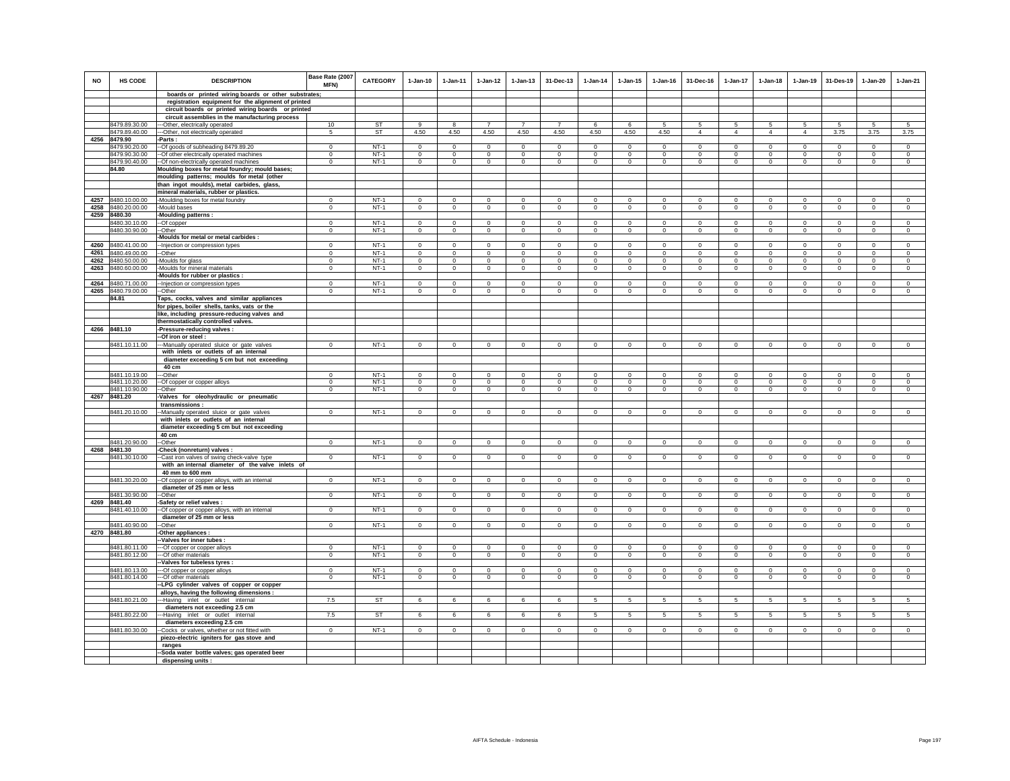| <b>NO</b> | <b>HS CODE</b>                           | <b>DESCRIPTION</b>                                                                                        | Base Rate (2007<br><b>MFN)</b> | <b>CATEGORY</b>       | $1-Jan-10$               | $1 - Jan-11$               | $1 - Jan-12$            | $1 - Jan-13$                | 31-Dec-13                  | $1 - Jan-14$              | $1 - Jan-15$                | 1-Jan-16                | 31-Dec-16                   | $1 - Jan-17$            | 1-Jan-18                   | $1 - Jan-19$               | 31-Des-19                  | 1-Jan-20                    | 1-Jan-21                |
|-----------|------------------------------------------|-----------------------------------------------------------------------------------------------------------|--------------------------------|-----------------------|--------------------------|----------------------------|-------------------------|-----------------------------|----------------------------|---------------------------|-----------------------------|-------------------------|-----------------------------|-------------------------|----------------------------|----------------------------|----------------------------|-----------------------------|-------------------------|
|           |                                          | boards or printed wiring boards or other substrates;                                                      |                                |                       |                          |                            |                         |                             |                            |                           |                             |                         |                             |                         |                            |                            |                            |                             |                         |
|           |                                          | registration equipment for the alignment of printed<br>circuit boards or printed wiring boards or printed |                                |                       |                          |                            |                         |                             |                            |                           |                             |                         |                             |                         |                            |                            |                            |                             |                         |
|           |                                          | circuit assemblies in the manufacturing process                                                           |                                |                       |                          |                            |                         |                             |                            |                           |                             |                         |                             |                         |                            |                            |                            |                             |                         |
|           | 8479.89.30.00                            | -Other, electrically operated                                                                             | 10                             | ST                    | 9                        | 8                          | $\overline{7}$          | $\overline{7}$              | $\overline{7}$             | 6                         | 6                           | 5                       | 5                           | 5                       | 5                          | 5                          | 5                          | 5                           | 5                       |
|           | 8479.89.40.00                            | --Other, not electrically operated                                                                        | -5                             | ST                    | 4.50                     | 4.50                       | 4.50                    | 4.50                        | 4.50                       | 4.50                      | 4.50                        | 4.50                    | $\overline{4}$              | 4                       | $\overline{4}$             | $\overline{4}$             | 3.75                       | 3.75                        | 3.75                    |
| 4256      | 8479.90                                  | -Parts :                                                                                                  |                                |                       |                          |                            |                         |                             |                            |                           |                             |                         |                             |                         |                            |                            |                            |                             |                         |
|           | 8479.90.20.00                            | --Of goods of subheading 8479.89.20                                                                       | $^{\circ}$                     | $NT-1$                | $\mathbf 0$              | $^{\circ}$                 | $^{\circ}$              | $\mathbf 0$                 | $\mathbf 0$                | $^{\circ}$                | $^{\circ}$                  | $\mathbf 0$             | $\mathbf 0$                 | $\mathbf 0$             | $\mathbf 0$                | $\mathbf 0$                | $^{\circ}$                 | $\mathbf 0$                 | $\mathbf 0$             |
|           | 8479.90.30.00<br>8479.90.40.00           | -Of other electrically operated machines<br>-- Of non-electrically operated machines                      | $\mathbf{0}$<br>$\mathbf 0$    | $NT-1$<br>$NT-1$      | $\mathbf 0$<br>$\circ$   | $\mathbf 0$<br>$\mathbf 0$ | $\mathbf 0$<br>$\circ$  | $\mathbf 0$<br>$\mathbf{0}$ | $\mathbf{0}$<br>$\Omega$   | $^{\circ}$<br>$\Omega$    | $\mathbf 0$<br>$\mathbf{0}$ | $\Omega$<br>$\circ$     | $\mathbf 0$<br>$\mathbf{0}$ | $\mathbf 0$<br>$\circ$  | $\Omega$<br>$\mathbf 0$    | $\mathbf 0$<br>$\mathbf 0$ | $\overline{0}$<br>$\Omega$ | $\mathbf 0$<br>$\mathbf{0}$ | $\Omega$<br>$\circ$     |
|           | 84.80                                    | Moulding boxes for metal foundry; mould bases;                                                            |                                |                       |                          |                            |                         |                             |                            |                           |                             |                         |                             |                         |                            |                            |                            |                             |                         |
|           |                                          | moulding patterns; moulds for metal (other                                                                |                                |                       |                          |                            |                         |                             |                            |                           |                             |                         |                             |                         |                            |                            |                            |                             |                         |
|           |                                          | than ingot moulds), metal carbides, glass,                                                                |                                |                       |                          |                            |                         |                             |                            |                           |                             |                         |                             |                         |                            |                            |                            |                             |                         |
|           |                                          | mineral materials, rubber or plastics.                                                                    |                                |                       |                          |                            |                         |                             |                            |                           |                             |                         |                             |                         |                            |                            |                            |                             |                         |
| 4257      | 8480.10.00.00                            | -Moulding boxes for metal foundry                                                                         | $^{\circ}$                     | $NT-1$                | $\Omega$                 | $^{\circ}$                 | 0                       | 0                           | $\mathbf 0$                | 0                         | $\circ$                     | $\mathbf 0$             | $^{\circ}$                  | 0                       | $^{\circ}$                 | $^{\circ}$                 | $\mathbf 0$                | $\circ$                     | $\mathbf 0$             |
| 4258      | 8480.20.00.00                            | -Mould bases                                                                                              | $\Omega$                       | $NT-1$                | $\circ$                  | $\Omega$                   | $\mathbf 0$             | $\mathsf 0$                 | $\mathbf{0}$               | $\circ$                   | $\mathbf 0$                 | $\mathsf 0$             | $\mathbf{0}$                | $\mathbf 0$             | $\circ$                    | $\mathbb O$                | $\circ$                    | $\mathsf 0$                 | $\mathsf 0$             |
|           | 4259 8480.30                             | Moulding patterns :                                                                                       |                                |                       |                          |                            |                         |                             |                            |                           |                             |                         |                             |                         |                            |                            |                            |                             |                         |
|           | 8480.30.10.00<br>8480.30.90.00           | --Of copper<br>-Other                                                                                     | $^{\circ}$<br>$^{\circ}$       | $NT-1$<br>$NT-1$      | $\mathbf 0$<br>$\circ$   | $^{\circ}$<br>$\circ$      | $^{\circ}$<br>$\circ$   | $\mathbf 0$<br>$\mathbf 0$  | $\mathbf 0$<br>$\mathbf 0$ | $^{\circ}$<br>$\mathbf 0$ | 0<br>$\circ$                | $^{\circ}$<br>$\Omega$  | $\mathbf 0$<br>$^{\circ}$   | $\mathbf 0$<br>$\circ$  | $\mathbf 0$<br>$\mathbf 0$ | $^{\circ}$<br>$\mathbf 0$  | $^{\circ}$<br>$\mathbf 0$  | $\mathbf 0$<br>$^{\circ}$   | $\mathbf 0$<br>$\Omega$ |
|           |                                          | -Moulds for metal or metal carbides                                                                       |                                |                       |                          |                            |                         |                             |                            |                           |                             |                         |                             |                         |                            |                            |                            |                             |                         |
|           | 4260 8480.41.00.00                       | -- Injection or compression types                                                                         | $\Omega$                       | $NT-1$                | $\Omega$                 | $\Omega$                   | $\Omega$                | $\Omega$                    | $\Omega$                   | $\Omega$                  | $\Omega$                    | $\Omega$                | $\Omega$                    | $\Omega$                | $\Omega$                   | $\Omega$                   | $\Omega$                   | $\Omega$                    | $\Omega$                |
|           | 4261 8480.49.00.00                       | --Other                                                                                                   | $\Omega$                       | $NT-1$                | $\mathbf 0$              | $\Omega$                   | $\mathbf 0$             | $\circ$                     | $\mathbf 0$                | $\mathbf 0$               | $\circ$                     | $\mathbb O$             | $\mathsf 0$                 | $\mathbf 0$             | $\mathbf 0$                | $\mathbf 0$                | $\mathbf 0$                | $\circ$                     | $\mathsf 0$             |
|           | 4262 8480.50.00.00                       | -Moulds for glass                                                                                         | $^{\circ}$                     | $NT-1$                | $\mathbf 0$              | $\mathbf 0$                | $\mathbf 0$             | $\mathbf 0$                 | $\mathbf 0$                | $^{\circ}$                | $\mathbf 0$                 | $\mathbf 0$             | $\mathbf 0$                 | 0                       | $\mathbf 0$                | $\mathbf 0$                | $\mathbf 0$                | $\mathbf 0$                 | $\mathbf 0$             |
|           | 4263 8480.60.00.00                       | -Moulds for mineral materials                                                                             | $\mathbf 0$                    | $NT-1$                | $\circ$                  | $\circ$                    | $\circ$                 | $\circ$                     | $\mathbf{0}$               | $\circ$                   | $\circ$                     | $\circ$                 | $\circ$                     | $\circ$                 | $\circ$                    | $\mathbf 0$                | $\circ$                    | $\circ$                     | $\circ$                 |
|           |                                          | -Moulds for rubber or plastics :                                                                          | $\Omega$                       | $NT-1$                | $\Omega$                 | $\Omega$                   |                         |                             | $\Omega$                   |                           |                             |                         |                             | $\Omega$                | $\Omega$                   | $\Omega$                   | $\Omega$                   |                             | $\Omega$                |
|           | 4264 8480.71.00.00<br>4265 8480.79.00.00 | -Injection or compression types<br>--Other                                                                | $\Omega$                       | $NT-1$                | $\Omega$                 | $\Omega$                   | $\Omega$<br>$\Omega$    | $\Omega$<br>$\circ$         | $\mathbf 0$                | $\Omega$<br>$\Omega$      | $\Omega$<br>$\circ$         | $\Omega$<br>$^{\circ}$  | $\Omega$<br>$\Omega$        | $\circ$                 | $\mathbf 0$                | $^{\circ}$                 | $\Omega$                   | $\Omega$<br>$^{\circ}$      | $\Omega$                |
|           | 84.81                                    | Taps, cocks, valves and similar appliances                                                                |                                |                       |                          |                            |                         |                             |                            |                           |                             |                         |                             |                         |                            |                            |                            |                             |                         |
|           |                                          | for pipes, boiler shells, tanks, vats or the                                                              |                                |                       |                          |                            |                         |                             |                            |                           |                             |                         |                             |                         |                            |                            |                            |                             |                         |
|           |                                          | like, including pressure-reducing valves and                                                              |                                |                       |                          |                            |                         |                             |                            |                           |                             |                         |                             |                         |                            |                            |                            |                             |                         |
|           |                                          | thermostatically controlled valves.                                                                       |                                |                       |                          |                            |                         |                             |                            |                           |                             |                         |                             |                         |                            |                            |                            |                             |                         |
|           | 4266 8481.10                             | -Pressure-reducing valves :                                                                               |                                |                       |                          |                            |                         |                             |                            |                           |                             |                         |                             |                         |                            |                            |                            |                             |                         |
|           | 8481.10.11.00                            | --Of iron or steel:<br>---Manually operated sluice or gate valves                                         | $\Omega$                       | $NT-1$                | $\circ$                  | $\Omega$                   | $\Omega$                | $\mathbf 0$                 | $\mathbf 0$                | $\Omega$                  | $\mathbf 0$                 | $\circ$                 | $\mathbf 0$                 | $\mathbf 0$             | $\circ$                    | $\Omega$                   | $\mathbf 0$                | $\Omega$                    | $\mathsf 0$             |
|           |                                          | with inlets or outlets of an internal                                                                     |                                |                       |                          |                            |                         |                             |                            |                           |                             |                         |                             |                         |                            |                            |                            |                             |                         |
|           |                                          | diameter exceeding 5 cm but not exceeding                                                                 |                                |                       |                          |                            |                         |                             |                            |                           |                             |                         |                             |                         |                            |                            |                            |                             |                         |
|           |                                          | 40 cm                                                                                                     |                                |                       |                          |                            |                         |                             |                            |                           |                             |                         |                             |                         |                            |                            |                            |                             |                         |
|           | 8481.10.19.00                            | --Other                                                                                                   | $\overline{0}$                 | $NT-1$                | $^{\circ}$               | $^{\circ}$                 | $\overline{0}$          | $\overline{0}$              | $\overline{0}$             | $\overline{0}$            | $\mathbf 0$                 | $\mathbf 0$             | $\mathbf 0$                 | $\overline{0}$          | $^{\circ}$                 | $\overline{0}$             | $\overline{0}$             | $\overline{0}$              | $\overline{0}$          |
|           | 8481.10.20.00                            | -- Of copper or copper alloys                                                                             | $\Omega$                       | $NT-1$                | $\Omega$                 | $\Omega$                   | $\Omega$                | $\mathbf 0$                 | $\mathbf 0$                | $\Omega$                  | $\bf{0}$                    | $\Omega$                | $\mathbf 0$                 | 0                       | 0                          | $\mathbf 0$                | $\mathbf 0$                | $\bf{0}$                    | $\Omega$                |
|           | 8481.10.90.00<br>4267 8481.20            | --Other                                                                                                   | $\Omega$                       | $NT-1$                | $\circ$                  | $\circ$                    | $\circ$                 | $\mathsf 0$                 | $\mathbf{0}$               | $\mathbf{0}$              | $\mathsf 0$                 | $\Omega$                | $\circ$                     | $\circ$                 | $\mathbf 0$                | $\mathbf 0$                | $\mathbf 0$                | $\mathbf{0}$                | $\Omega$                |
|           |                                          | -Valves for oleohydraulic or pneumatic<br>transmissions:                                                  |                                |                       |                          |                            |                         |                             |                            |                           |                             |                         |                             |                         |                            |                            |                            |                             |                         |
|           | 8481.20.10.00                            | -Manually operated sluice or gate valves                                                                  | $\Omega$                       | $NT-1$                | $\Omega$                 | $\Omega$                   | $\Omega$                | $\Omega$                    | $\Omega$                   | $\Omega$                  | $\Omega$                    | $\Omega$                | $\Omega$                    | $\mathbf 0$             | $\Omega$                   | $\Omega$                   | $\Omega$                   | $\Omega$                    | $\Omega$                |
|           |                                          | with inlets or outlets of an internal                                                                     |                                |                       |                          |                            |                         |                             |                            |                           |                             |                         |                             |                         |                            |                            |                            |                             |                         |
|           |                                          | diameter exceeding 5 cm but not exceeding                                                                 |                                |                       |                          |                            |                         |                             |                            |                           |                             |                         |                             |                         |                            |                            |                            |                             |                         |
|           |                                          | 40 cm                                                                                                     |                                |                       |                          |                            |                         |                             |                            |                           |                             |                         |                             |                         |                            |                            |                            |                             |                         |
|           | 8481.20.90.00<br>4268 8481.30            | -Other<br>Check (nonreturn) valves :                                                                      | $\Omega$                       | $NT-1$                | $\Omega$                 | $\Omega$                   | $\Omega$                | $\mathbf 0$                 | $\mathbf{0}$               | $\circ$                   | $\circ$                     | $\circ$                 | $\mathbf 0$                 | $\circ$                 | $\circ$                    | $\mathbb O$                | $\circ$                    | $\mathbf 0$                 | $\mathsf 0$             |
|           | 8481.30.10.00                            | -Cast iron valves of swing check-valve type                                                               | $\mathbf{0}$                   | $NT-1$                | $\circ$                  | $\mathbf 0$                | $\overline{0}$          | $\mathbf 0$                 | $\overline{0}$             | $\circ$                   | $\mathbf 0$                 | $\mathbf 0$             | $\mathbf 0$                 | $\mathbf 0$             | $\mathbf 0$                | $\mathbf 0$                | $\mathbf 0$                | $\mathbf 0$                 | $\mathbf 0$             |
|           |                                          | with an internal diameter of the valve inlets of                                                          |                                |                       |                          |                            |                         |                             |                            |                           |                             |                         |                             |                         |                            |                            |                            |                             |                         |
|           |                                          | 40 mm to 600 mm                                                                                           |                                |                       |                          |                            |                         |                             |                            |                           |                             |                         |                             |                         |                            |                            |                            |                             |                         |
|           | 8481.30.20.00                            | -- Of copper or copper alloys, with an internal                                                           | $^{\circ}$                     | $NT-1$                | $\mathbf{0}$             | $\mathbf 0$                | $\circ$                 | $\mathsf 0$                 | $\mathbf{0}$               | $\mathsf 0$               | $\mathbf 0$                 | $\circ$                 | $\mathbf{0}$                | $\circ$                 | $\mathbf{0}$               | $\mathbf 0$                | $\mathsf 0$                | $\mathsf 0$                 | $\mathsf 0$             |
|           |                                          | diameter of 25 mm or less                                                                                 |                                |                       |                          |                            |                         |                             |                            |                           |                             |                         |                             |                         |                            |                            |                            |                             |                         |
|           | 8481.30.90.00<br>4269 8481.40            | -Other<br>-Safety or relief valves :                                                                      | $\overline{0}$                 | $NT-1$                | $\mathbf{0}$             | $\circ$                    | $\overline{0}$          | $\mathbf 0$                 | $\overline{0}$             | $\circ$                   | $\circ$                     | $\mathbf 0$             | $\overline{0}$              | $\circ$                 | $\circ$                    | $\circ$                    | $\overline{0}$             | $\circ$                     | $\circ$                 |
|           | 8481.40.10.00                            | -- Of copper or copper alloys, with an internal                                                           | $\mathbf 0$                    | $NT-1$                | $\circ$                  | $\mathbf{0}$               | $\mathbf{0}$            | $\mathbf{0}$                | $\mathbf{0}$               | $\circ$                   | $\mathbf 0$                 | $\circ$                 | $\mathbf 0$                 | $\mathbf{0}$            | $\circ$                    | $\circ$                    | $\mathbf{0}$               | $\circ$                     | $\circ$                 |
|           |                                          | diameter of 25 mm or less                                                                                 |                                |                       |                          |                            |                         |                             |                            |                           |                             |                         |                             |                         |                            |                            |                            |                             |                         |
|           | 8481.40.90.00                            | -Other                                                                                                    | $\mathbf 0$                    | $NT-1$                | $\circ$                  | $\mathbf 0$                | $\circ$                 | $\mathbf 0$                 | $\mathbf{0}$               | $\mathbf 0$               | $\mathbf 0$                 | $\mathbf 0$             | $\mathbf 0$                 | $\circ$                 | $\circ$                    | $\mathbf 0$                | $\circ$                    | $\circ$                     | $\circ$                 |
|           | 4270 8481.80                             | -Other appliances :                                                                                       |                                |                       |                          |                            |                         |                             |                            |                           |                             |                         |                             |                         |                            |                            |                            |                             |                         |
|           |                                          | -Valves for inner tubes                                                                                   |                                |                       |                          |                            |                         |                             |                            |                           |                             |                         |                             |                         |                            |                            |                            |                             |                         |
|           | 8481.80.11.00<br>8481.80.12.00           | --- Of copper or copper alloys<br>--- Of other materials                                                  | $\Omega$<br>$^{\circ}$         | $NT-1$<br><b>NT-1</b> | $\Omega$<br>$\mathbf{0}$ | $\Omega$<br>$\mathbf 0$    | $\Omega$<br>$\mathbf 0$ | $\Omega$<br>$\mathbf 0$     | $\Omega$<br>$\mathbf 0$    | $\Omega$<br>$\mathbf 0$   | $\Omega$<br>$\mathbf 0$     | $\Omega$<br>$\mathbf 0$ | $\Omega$<br>$\mathbf 0$     | $\Omega$<br>$\mathbf 0$ | $\Omega$<br>$\mathbf 0$    | $\Omega$<br>$\mathbf 0$    | $\Omega$<br>$\mathbf 0$    | $\mathbf 0$<br>$\mathbf 0$  | $\circ$<br>$\mathbf 0$  |
|           |                                          | -Valves for tubeless tyres :                                                                              |                                |                       |                          |                            |                         |                             |                            |                           |                             |                         |                             |                         |                            |                            |                            |                             |                         |
|           | 8481.80.13.00                            | -- Of copper or copper alloys                                                                             | $\Omega$                       | $NT-1$                | $^{\circ}$               | $\Omega$                   | $\Omega$                | $\circ$                     | $^{\circ}$                 | $\Omega$                  | $^{\circ}$                  | $^{\circ}$              | $^{\circ}$                  | $\circ$                 | $\Omega$                   | $\Omega$                   | $\Omega$                   | $^{\circ}$                  | $^{\circ}$              |
|           | 8481.80.14.00                            | --Of other materials                                                                                      | $\mathbf 0$                    | $NT-1$                | $\mathsf 0$              | $\mathbf 0$                | $\mathbf 0$             | $\mathbf 0$                 | $\overline{0}$             | $\mathbf 0$               | $\mathbf 0$                 | $\mathbf 0$             | $\mathbf 0$                 | $\mathsf 0$             | $\mathbf 0$                | $\mathbf 0$                | $\mathbf 0$                | $\mathbf 0$                 | $\mathbf 0$             |
|           |                                          | -LPG cylinder valves of copper or copper                                                                  |                                |                       |                          |                            |                         |                             |                            |                           |                             |                         |                             |                         |                            |                            |                            |                             |                         |
|           |                                          | alloys, having the following dimensions :                                                                 |                                |                       |                          |                            |                         |                             |                            |                           |                             |                         |                             |                         |                            |                            |                            |                             |                         |
|           | 8481.80.21.00                            | ---Having inlet or outlet internal                                                                        | 7.5                            | <b>ST</b>             | 6                        | 6                          | 6                       | 6                           | 6                          | 5                         | 5                           | 5                       | 5                           | 5                       | -5                         | 5                          | $\sqrt{5}$                 | 5                           | 5                       |
|           | 8481.80.22.00                            | diameters not exceeding 2.5 cm<br>---Having inlet or outlet internal                                      | 7.5                            | ST                    | 6                        | 6                          | 6                       | 6                           | 6                          | 5                         | 5                           | 5                       | 5                           | 5                       | 5                          | 5                          | 5                          | 5                           | 5                       |
|           |                                          | diameters exceeding 2.5 cm                                                                                |                                |                       |                          |                            |                         |                             |                            |                           |                             |                         |                             |                         |                            |                            |                            |                             |                         |
|           | 8481.80.30.00                            | -Cocks or valves, whether or not fitted with                                                              | $\mathbf{0}$                   | $NT-1$                | $\circ$                  | $\mathbf{0}$               | $\circ$                 | $\circ$                     | $\mathbf{0}$               | $\mathbf 0$               | $\mathbf{0}$                | $\mathbf 0$             | $\mathbf{0}$                | $\mathbf{0}$            | $\mathbf{0}$               | $\circ$                    | $\overline{0}$             | $\circ$                     | $\mathbf 0$             |
|           |                                          | piezo-electric igniters for gas stove and                                                                 |                                |                       |                          |                            |                         |                             |                            |                           |                             |                         |                             |                         |                            |                            |                            |                             |                         |
|           |                                          | ranges                                                                                                    |                                |                       |                          |                            |                         |                             |                            |                           |                             |                         |                             |                         |                            |                            |                            |                             |                         |
|           |                                          | -Soda water bottle valves; gas operated beer                                                              |                                |                       |                          |                            |                         |                             |                            |                           |                             |                         |                             |                         |                            |                            |                            |                             |                         |
|           |                                          | dispensing units :                                                                                        |                                |                       |                          |                            |                         |                             |                            |                           |                             |                         |                             |                         |                            |                            |                            |                             |                         |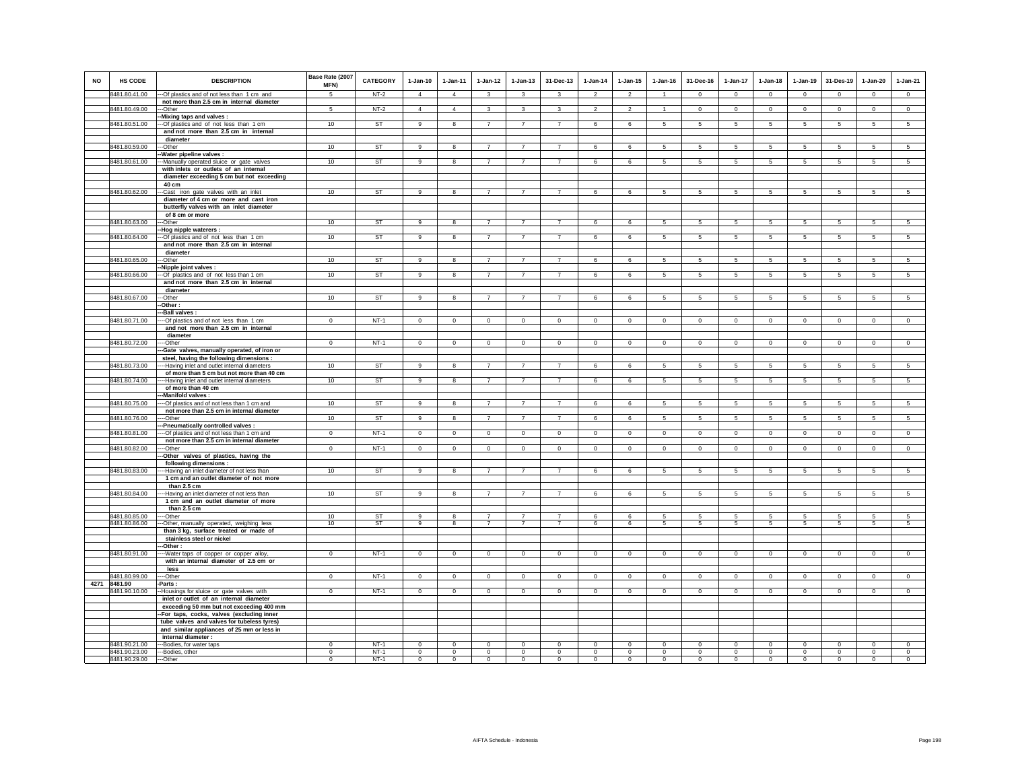| <b>NO</b> | <b>HS CODE</b>         | <b>DESCRIPTION</b>                                                              | Base Rate (2007<br><b>MFN)</b> | <b>CATEGORY</b> | $1-Jan-10$                    | $1-Jan-11$              | $1-Jan-12$              | $1 - Jan-13$               | 31-Dec-13               | $1 - Jan-14$   | $1 - Jan-15$   | $1 - Jan-16$   | 31-Dec-16                     | $1-Jan-17$      | $1-Jan-18$                 | 1-Jan-19               | 31-Des-19       | $1-Jan-20$      | $1-Jan-21$      |
|-----------|------------------------|---------------------------------------------------------------------------------|--------------------------------|-----------------|-------------------------------|-------------------------|-------------------------|----------------------------|-------------------------|----------------|----------------|----------------|-------------------------------|-----------------|----------------------------|------------------------|-----------------|-----------------|-----------------|
|           | 8481.80.41.00          | --- Of plastics and of not less than 1 cm and                                   | $\sqrt{5}$                     | $NT-2$          | $\overline{4}$                | $\overline{4}$          | $\overline{\mathbf{3}}$ | $\overline{\mathbf{3}}$    | $\overline{\mathbf{3}}$ | $\overline{2}$ | $\overline{2}$ | $\overline{1}$ | $\Omega$                      | $\overline{0}$  | $\overline{0}$             | $\Omega$               | $\overline{0}$  | $\Omega$        | $\overline{0}$  |
|           |                        | not more than 2.5 cm in internal diameter                                       |                                |                 |                               |                         |                         |                            |                         |                |                |                |                               |                 |                            |                        |                 |                 |                 |
|           | 8481.80.49.00          | --Other<br>-Mixing taps and valves :                                            | 5                              | $NT-2$          | $\overline{4}$                | $\overline{4}$          | $\mathbf{3}$            | 3                          | 3                       | $\overline{2}$ | $\overline{2}$ | $\mathbf{1}$   | $\mathbf 0$                   | $\circ$         | $\circ$                    | $\mathbf 0$            | $\circ$         | $\mathbf 0$     | $\mathbf 0$     |
|           | 8481.80.51.00          | --Of plastics and of not less than 1 cm                                         | 10                             | <b>ST</b>       | $\overline{9}$                | 8                       | $\overline{7}$          | $\overline{7}$             | $\overline{7}$          | 6              | 6              | $\sqrt{5}$     | 5                             | 5               | 5                          | 5                      | 5               | 5               | 5               |
|           |                        | and not more than 2.5 cm in internal                                            |                                |                 |                               |                         |                         |                            |                         |                |                |                |                               |                 |                            |                        |                 |                 |                 |
|           |                        | diameter                                                                        |                                |                 |                               |                         |                         |                            |                         |                |                |                |                               |                 |                            |                        |                 |                 |                 |
|           | 8481.80.59.00          | --Other                                                                         | 10                             | ST              | 9                             | 8                       | $\overline{7}$          | $\overline{7}$             | $\overline{7}$          | 6              | 6              | -5             | 5                             | $5\overline{5}$ | $5\overline{5}$            | 5                      | 5               | 5               | 5               |
|           |                        | -Water pipeline valves :                                                        |                                |                 |                               |                         |                         |                            |                         |                |                |                |                               |                 |                            |                        |                 |                 |                 |
|           | 8481.80.61.00          | --Manually operated sluice or gate valves                                       | 10                             | <b>ST</b>       | 9                             | 8                       | $\overline{7}$          | $\overline{7}$             | $\overline{7}$          | 6              | 6              | 5              | 5                             | 5               | 5                          | 5                      | 5               | 5               | 5               |
|           |                        | with inlets or outlets of an internal                                           |                                |                 |                               |                         |                         |                            |                         |                |                |                |                               |                 |                            |                        |                 |                 |                 |
|           |                        | diameter exceeding 5 cm but not exceeding                                       |                                |                 |                               |                         |                         |                            |                         |                |                |                |                               |                 |                            |                        |                 |                 |                 |
|           |                        | 40 cm                                                                           |                                |                 |                               |                         |                         |                            |                         |                |                |                |                               |                 |                            |                        |                 |                 |                 |
|           | 8481.80.62.00          | --Cast iron gate valves with an inlet<br>diameter of 4 cm or more and cast iron | 10                             | <b>ST</b>       | $\overline{9}$                | 8                       | $\overline{7}$          | $\overline{7}$             | $\overline{7}$          | 6              | 6              | 5              | $5\overline{)}$               | $5\overline{)}$ | 5                          | $5\overline{)}$        | $5\overline{5}$ | $5\overline{)}$ | $\sqrt{5}$      |
|           |                        | butterfly valves with an inlet diameter                                         |                                |                 |                               |                         |                         |                            |                         |                |                |                |                               |                 |                            |                        |                 |                 |                 |
|           |                        | of 8 cm or more                                                                 |                                |                 |                               |                         |                         |                            |                         |                |                |                |                               |                 |                            |                        |                 |                 |                 |
|           | 8481.80.63.00          | --Other                                                                         | 10                             | ST              | 9                             | 8                       | $\overline{7}$          | $\overline{7}$             | $\overline{7}$          | 6              | 6              | $\sqrt{5}$     | 5                             | $5\phantom{.0}$ | $5\overline{5}$            | 5                      | 5               | 5               | 5               |
|           |                        | -Hog nipple waterers :                                                          |                                |                 |                               |                         |                         |                            |                         |                |                |                |                               |                 |                            |                        |                 |                 |                 |
|           | 8481.80.64.00          | --- Of plastics and of not less than 1 cm                                       | 10                             | <b>ST</b>       | 9                             | 8                       | $\overline{7}$          | $\overline{7}$             | $\overline{7}$          | 6              | 6              | 5              | 5                             | 5 <sub>5</sub>  | 5                          | 5                      | 5               | 5               | 5               |
|           |                        | and not more than 2.5 cm in internal                                            |                                |                 |                               |                         |                         |                            |                         |                |                |                |                               |                 |                            |                        |                 |                 |                 |
|           |                        | diameter                                                                        |                                |                 |                               |                         |                         |                            |                         |                |                |                |                               |                 |                            |                        |                 |                 |                 |
|           | 8481.80.65.00          | --Other                                                                         | 10                             | <b>ST</b>       | 9                             | 8                       | $\overline{7}$          | $\overline{7}$             | $\overline{7}$          | 6              | 6              | 5              | -5                            | $5\overline{5}$ | 5                          | 5                      | 5               | 5               | $5^{\circ}$     |
|           |                        | -Nipple joint valves :                                                          |                                |                 |                               |                         |                         |                            |                         |                |                |                |                               |                 |                            |                        |                 |                 |                 |
|           | 8481.80.66.00          | -- Of plastics and of not less than 1 cm                                        | 10                             | <b>ST</b>       | 9                             | 8                       | $\overline{7}$          | $\overline{7}$             | $\overline{7}$          | 6              | 6              | 5              | 5                             | 5               | 5                          | 5                      | 5               | 5               | $\overline{5}$  |
|           |                        | and not more than 2.5 cm in internal                                            |                                |                 |                               |                         |                         |                            |                         |                |                |                |                               |                 |                            |                        |                 |                 |                 |
|           | 8481.80.67.00          | diameter<br>---Other                                                            | 10                             | <b>ST</b>       | 9                             | 8                       | $\overline{7}$          | $\overline{7}$             | $\overline{7}$          | 6              | 6              | 5              | 5                             | 5               | 5                          | 5                      | 5               | 5               | $5\overline{)}$ |
|           |                        | -Other:                                                                         |                                |                 |                               |                         |                         |                            |                         |                |                |                |                               |                 |                            |                        |                 |                 |                 |
|           |                        | --Ball valves :                                                                 |                                |                 |                               |                         |                         |                            |                         |                |                |                |                               |                 |                            |                        |                 |                 |                 |
|           | 8481.80.71.00          | ---- Of plastics and of not less than 1 cm                                      | $\Omega$                       | $NT-1$          | $\circ$                       | $\circ$                 | $\Omega$                | $\mathbf 0$                | $\mathbf 0$             | $\mathbf 0$    | $\mathbf 0$    | $\circ$        | $\mathbf 0$                   | $\mathbf 0$     | $\circ$                    | $\mathbf 0$            | $\mathbf 0$     | $\mathbf 0$     | $\circ$         |
|           |                        | and not more than 2.5 cm in internal                                            |                                |                 |                               |                         |                         |                            |                         |                |                |                |                               |                 |                            |                        |                 |                 |                 |
|           |                        | diameter                                                                        |                                |                 |                               |                         |                         |                            |                         |                |                |                |                               |                 |                            |                        |                 |                 |                 |
|           | 8481.80.72.00          | ---Other                                                                        | $\mathbf 0$                    | $NT-1$          | $\Omega$                      | $\mathbf 0$             | $\circ$                 | $\mathsf 0$                | $\overline{0}$          | $\circ$        | $\mathsf 0$    | $\mathsf 0$    | $\mathbf 0$                   | $\mathbf 0$     | $\mathbf 0$                | $\circ$                | $\overline{0}$  | $\mathsf 0$     | $\overline{0}$  |
|           |                        | -Gate valves, manually operated, of iron or                                     |                                |                 |                               |                         |                         |                            |                         |                |                |                |                               |                 |                            |                        |                 |                 |                 |
|           |                        | steel, having the following dimensions :                                        |                                |                 |                               |                         |                         |                            |                         |                |                |                |                               |                 |                            |                        |                 |                 |                 |
|           | 8481.80.73.00          | ----Having inlet and outlet internal diameters                                  | 10                             | <b>ST</b>       | 9                             | 8                       | $\overline{7}$          | $\overline{7}$             | $\overline{7}$          | $\,6\,$        | 6              | 5              | 5                             | $5\overline{)}$ | $5\overline{5}$            | $5\overline{5}$        | $\sqrt{5}$      | $\sqrt{5}$      | $5\overline{)}$ |
|           |                        | of more than 5 cm but not more than 40 cm                                       | 10                             | <b>ST</b>       | $\overline{9}$                | $\mathbf{R}$            | $\overline{7}$          | $\overline{7}$             | $\overline{7}$          | $\overline{6}$ | $\overline{6}$ | $\overline{5}$ | 5                             | 5               | 5                          | $\overline{5}$         | $\overline{5}$  | $\overline{5}$  | $\overline{5}$  |
|           | 8481.80.74.00          | ---Having inlet and outlet internal diameters<br>of more than 40 cm             |                                |                 |                               |                         |                         |                            |                         |                |                |                |                               |                 |                            |                        |                 |                 |                 |
|           |                        | --Manifold valves:                                                              |                                |                 |                               |                         |                         |                            |                         |                |                |                |                               |                 |                            |                        |                 |                 |                 |
|           | 8481.80.75.00          | --- Of plastics and of not less than 1 cm and                                   | 10                             | <b>ST</b>       | 9                             | 8                       | $\overline{7}$          | $\overline{7}$             | $\overline{7}$          | 6              | 6              | 5              | 5                             | $5\phantom{.0}$ | $5\phantom{.0}$            | $\overline{5}$         | $\sqrt{5}$      | $\sqrt{5}$      | $5\phantom{.0}$ |
|           |                        | not more than 2.5 cm in internal diameter                                       |                                |                 |                               |                         |                         |                            |                         |                |                |                |                               |                 |                            |                        |                 |                 |                 |
|           | 8481.80.76.00          | --Other                                                                         | 10                             | ST              | $\overline{9}$                | $\overline{\mathbf{8}}$ | $\overline{7}$          | $\overline{7}$             | $\overline{7}$          | 6              | 6              | 5              | 5                             | 5 <sup>5</sup>  | 5                          | $5\overline{)}$        | $\overline{5}$  | $\overline{5}$  | $5\overline{)}$ |
|           |                        | -Pneumatically controlled valves :                                              |                                |                 |                               |                         |                         |                            |                         |                |                |                |                               |                 |                            |                        |                 |                 |                 |
|           | 8481.80.81.00          | --- Of plastics and of not less than 1 cm and                                   | $\mathbf 0$                    | $NT-1$          | $\circ$                       | $\mathbf 0$             | $\circ$                 | $\mathsf 0$                | $\mathbf 0$             | $\mathbf 0$    | $\mathbf 0$    | $\circ$        | $\mathbf 0$                   | $\circ$         | $\circ$                    | $\mathbf 0$            | $\mathbf 0$     | $\mathbf 0$     | $\mathsf 0$     |
|           |                        | not more than 2.5 cm in internal diameter                                       |                                |                 |                               |                         |                         |                            |                         |                |                |                |                               |                 |                            |                        |                 |                 |                 |
|           | 8481.80.82.00          | ---Other                                                                        | $\mathbf 0$                    | $NT-1$          | $\circ$                       | $\mathbf{0}$            | $\mathbf{0}$            | $\mathbf{0}$               | $\circ$                 | $\circ$        | $\mathbf{0}$   | $\circ$        | $\mathbf{0}$                  | $\circ$         | $\circ$                    | $\circ$                | $\circ$         | $\mathbf{0}$    | $\overline{0}$  |
|           |                        | ---Other valves of plastics, having the<br>following dimensions :               |                                |                 |                               |                         |                         |                            |                         |                |                |                |                               |                 |                            |                        |                 |                 |                 |
|           | 8481.80.83.00          | ---Having an inlet diameter of not less than                                    | 10                             | <b>ST</b>       | 9                             | 8                       | $\overline{7}$          | $\overline{7}$             | $\overline{7}$          | 6              | 6              | 5              | 5                             | 5               | 5                          | 5                      | 5               | 5               | 5               |
|           |                        | 1 cm and an outlet diameter of not more                                         |                                |                 |                               |                         |                         |                            |                         |                |                |                |                               |                 |                            |                        |                 |                 |                 |
|           |                        | than 2.5 cm                                                                     |                                |                 |                               |                         |                         |                            |                         |                |                |                |                               |                 |                            |                        |                 |                 |                 |
|           | 8481.80.84.00          | ---Having an inlet diameter of not less than                                    | 10                             | <b>ST</b>       | 9                             | 8                       | $\overline{7}$          | $\overline{7}$             | $\overline{7}$          | 6              | 6              | 5              | 5                             | 5               | 5                          | 5                      | 5               | 5               | 5               |
|           |                        | 1 cm and an outlet diameter of more                                             |                                |                 |                               |                         |                         |                            |                         |                |                |                |                               |                 |                            |                        |                 |                 |                 |
|           |                        | than 2.5 cm                                                                     |                                |                 |                               |                         |                         |                            |                         |                |                |                |                               |                 |                            |                        |                 |                 |                 |
|           | 8481.80.85.00          | ----Other                                                                       | 10                             | <b>ST</b>       | $\mathbf{q}$                  | $\mathbf{g}$            | $\overline{7}$          | $\overline{7}$             | $\overline{7}$          | $\overline{6}$ | $\overline{6}$ | 5              | 5                             | 5 <sup>5</sup>  | $\overline{5}$             | $\overline{5}$         | $\overline{5}$  | 5               | $\overline{5}$  |
|           | 8481.80.86.00          | --- Other, manually operated, weighing less                                     | 10                             | <b>ST</b>       | 9                             | $\mathbf{R}$            | $\overline{7}$          | $\overline{7}$             | $\overline{7}$          | 6              | 6              | 5              | 5                             | 5               | 5                          | 5                      | 5               | 5               | 5               |
|           |                        | than 3 kg, surface treated or made of                                           |                                |                 |                               |                         |                         |                            |                         |                |                |                |                               |                 |                            |                        |                 |                 |                 |
|           |                        | stainless steel or nickel                                                       |                                |                 |                               |                         |                         |                            |                         |                |                |                |                               |                 |                            |                        |                 |                 |                 |
|           | 8481.80.91.00          | --Other :<br>--- Water taps of copper or copper alloy,                          | $\overline{0}$                 | $NT-1$          | $\overline{0}$                | $\Omega$                | $\overline{0}$          | $\mathsf 0$                | $\Omega$                | $\mathsf 0$    | $\mathbf 0$    | $\mathsf 0$    | $\mathbf 0$                   | $\mathbf 0$     | $\mathbf 0$                | $\Omega$               | $\overline{0}$  | $\Omega$        | $\overline{0}$  |
|           |                        | with an internal diameter of 2.5 cm or                                          |                                |                 |                               |                         |                         |                            |                         |                |                |                |                               |                 |                            |                        |                 |                 |                 |
|           |                        | less                                                                            |                                |                 |                               |                         |                         |                            |                         |                |                |                |                               |                 |                            |                        |                 |                 |                 |
|           | 8481.80.99.00          | ---Other                                                                        | $\mathbf 0$                    | $NT-1$          | $\circ$                       | $\mathbf 0$             | $\mathbf 0$             | $\mathsf 0$                | $\mathbf 0$             | $\mathbf 0$    | $\mathbf 0$    | $\circ$        | $\circ$                       | $\mathbf 0$     | $\mathbf 0$                | $\mathbf 0$            | $\,0\,$         | $\mathbf 0$     | $\overline{0}$  |
|           | 4271 8481.90           | -Parts:                                                                         |                                |                 |                               |                         |                         |                            |                         |                |                |                |                               |                 |                            |                        |                 |                 |                 |
|           | 8481.90.10.00          | -- Housings for sluice or gate valves with                                      | $\overline{0}$                 | $NT-1$          | $\overline{0}$                | $\Omega$                | $\overline{0}$          | $\overline{0}$             | $\Omega$                | $\overline{0}$ | $\Omega$       | $\overline{0}$ | $\overline{0}$                | $\overline{0}$  | $\overline{0}$             | $\Omega$               | $\overline{0}$  | $\Omega$        | $\overline{0}$  |
|           |                        | inlet or outlet of an internal diameter                                         |                                |                 |                               |                         |                         |                            |                         |                |                |                |                               |                 |                            |                        |                 |                 |                 |
|           |                        | exceeding 50 mm but not exceeding 400 mm                                        |                                |                 |                               |                         |                         |                            |                         |                |                |                |                               |                 |                            |                        |                 |                 |                 |
|           |                        | -- For taps, cocks, valves (excluding inner                                     |                                |                 |                               |                         |                         |                            |                         |                |                |                |                               |                 |                            |                        |                 |                 |                 |
|           |                        | tube valves and valves for tubeless tyres)                                      |                                |                 |                               |                         |                         |                            |                         |                |                |                |                               |                 |                            |                        |                 |                 |                 |
|           |                        | and similar appliances of 25 mm or less in                                      |                                |                 |                               |                         |                         |                            |                         |                |                |                |                               |                 |                            |                        |                 |                 |                 |
|           | 8481.90.21.00          | internal diameter :                                                             | $\Omega$                       | $NT-1$          |                               |                         | $\circ$                 |                            | $\mathbf 0$             | $\mathbf 0$    | $\mathbf 0$    | $\mathbf 0$    |                               | $\mathbf 0$     |                            |                        | $^{\circ}$      | $\mathbf 0$     | $\mathbf 0$     |
|           | 8481.90.23.00          | ---Bodies, for water taps<br>---Bodies, other                                   | $\mathbf 0$                    | $NT-1$          | $\mathbf 0$<br>$\overline{0}$ | $\mathbf 0$<br>$\circ$  | $\overline{0}$          | $\mathbf 0$<br>$\mathbf 0$ | $\overline{0}$          | $\mathbf 0$    | $\mathbf 0$    | $\mathbf 0$    | $\mathbf 0$<br>$\overline{0}$ | $\mathbf 0$     | $\mathbf 0$<br>$\mathbf 0$ | $\mathbf 0$<br>$\,0\,$ | $\,0\,$         | $\overline{0}$  | $\mathsf 0$     |
|           | 8481.90.29.00 -- Other |                                                                                 | $\mathbf 0$                    | $NT-1$          | $\circ$                       | $\circ$                 | $\circ$                 | $\Omega$                   | $\Omega$                | $\Omega$       | $\Omega$       | $\Omega$       | $\Omega$                      | $\circ$         | $\Omega$                   | $\Omega$               | $\Omega$        | $\Omega$        | $\Omega$        |
|           |                        |                                                                                 |                                |                 |                               |                         |                         |                            |                         |                |                |                |                               |                 |                            |                        |                 |                 |                 |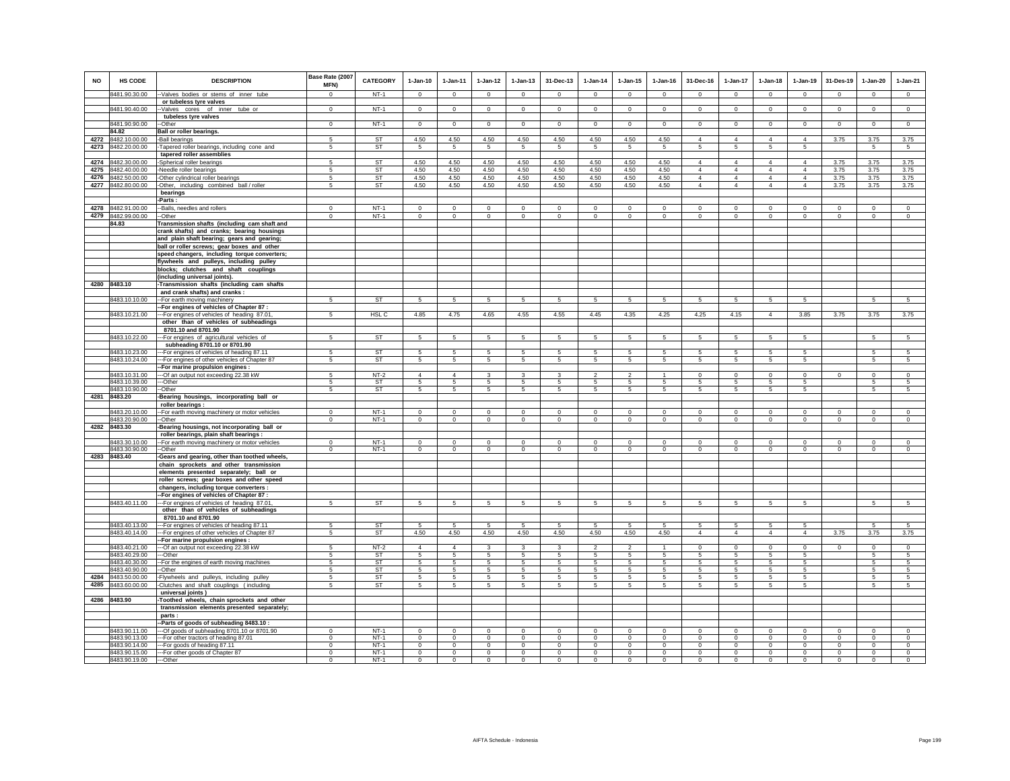|      |                                |                                                                                        | Base Rate (2007      |                  |                      |                      |                 |                 |                 |                 |                            |                        |                 |                 |                 |                 |                |                 |                 |
|------|--------------------------------|----------------------------------------------------------------------------------------|----------------------|------------------|----------------------|----------------------|-----------------|-----------------|-----------------|-----------------|----------------------------|------------------------|-----------------|-----------------|-----------------|-----------------|----------------|-----------------|-----------------|
| NO   | <b>HS CODE</b>                 | <b>DESCRIPTION</b>                                                                     | MFN)                 | <b>CATEGORY</b>  | $1-Jan-10$           | $1-Jan-11$           | $1-Jan-12$      | $1-Jan-13$      | 31-Dec-13       | $1-Jan-14$      | $1-Jan-15$                 | $1-Jan-16$             | 31-Dec-16       | 1-Jan-17        | $1-Jan-18$      | $1-Jan-19$      | 31-Des-19      | $1-Jan-20$      | $1-Jan-21$      |
|      | 8481.90.30.00                  | -Valves bodies or stems of inner tube                                                  | $\Omega$             | $NT-1$           | $\Omega$             | $^{\circ}$           | $\circ$         | $\circ$         | $\mathbf{0}$    | $\circ$         | $\circ$                    | $^{\circ}$             | $^{\circ}$      | $\mathbf{0}$    | $\mathbf 0$     | $\circ$         | $\circ$        | $\circ$         | $\circ$         |
|      |                                | or tubeless tyre valves                                                                |                      |                  |                      |                      |                 |                 |                 |                 |                            |                        |                 |                 |                 |                 |                |                 |                 |
|      | 8481.90.40.00                  | -Valves cores of inner tube or                                                         | $\Omega$             | $NT-1$           | $\Omega$             | $\Omega$             | $\Omega$        | $\mathbf 0$     | $\mathsf 0$     | $\Omega$        | $\Omega$                   | $\Omega$               | $\Omega$        | $\Omega$        | $\mathbf 0$     | $\mathsf 0$     | $\circ$        | $\mathbf 0$     | $\circ$         |
|      |                                | tubeless tyre valves                                                                   |                      |                  |                      |                      |                 |                 |                 |                 |                            |                        |                 |                 |                 |                 |                |                 |                 |
|      | 8481.90.90.00                  | -Other                                                                                 | $\Omega$             | $NT-1$           | $\Omega$             | $\Omega$             | $\circ$         | $\mathbf 0$     | $\overline{0}$  | $\circ$         | $\circ$                    | $\mathbf 0$            | $\Omega$        | $\circ$         | $\Omega$        | $\overline{0}$  | $\overline{0}$ | $\overline{0}$  | $\circ$         |
|      | 84.82                          | <b>Ball or roller bearings.</b>                                                        |                      |                  |                      |                      |                 |                 |                 |                 |                            |                        |                 |                 |                 |                 |                |                 |                 |
| 4272 | 8482.10.00.00                  | -Ball bearings                                                                         | 5                    | <b>ST</b>        | 4.50                 | 4.50                 | 4.50            | 4.50            | 4.50            | 4.50            | 4.50                       | 4.50                   | $\overline{4}$  | $\overline{4}$  | $\overline{4}$  | $\overline{4}$  | 3.75           | 3.75            | 3.75            |
| 4273 | 8482.20.00.00                  | Tapered roller bearings, including cone and<br>tapered roller assemblies               | 5                    | ST               | 5                    | 5                    | 5               | 5               | 5               | 5               | 5                          | 5                      | 5               | 5               | 5               | 5               |                | 5               | 5               |
| 4274 | 8482.30.00.00                  | -Spherical roller bearings                                                             | $\overline{5}$       | ST               | 4.50                 | 4.50                 | 4.50            | 4.50            | 4.50            | 4.50            | 4.50                       | 4.50                   | $\overline{4}$  | $\overline{4}$  | $\overline{4}$  | $\overline{4}$  | 3.75           | 3.75            | 3.75            |
| 4275 | 8482.40.00.00                  | -Needle roller bearings                                                                | $\overline{5}$       | <b>ST</b>        | 4.50                 | 4.50                 | 4.50            | 4.50            | 4.50            | 4.50            | 4.50                       | 4.50                   | $\Delta$        | $\overline{4}$  | $\Delta$        | $\Delta$        | 3.75           | 3.75            | 3.75            |
| 4276 | 8482.50.00.00                  | -Other cylindrical roller bearings                                                     | $\overline{5}$       | <b>ST</b>        | 4.50                 | 4.50                 | 4.50            | 4.50            | 4.50            | 4.50            | 4.50                       | 4.50                   | $\overline{4}$  | $\overline{4}$  | $\overline{4}$  | $\overline{4}$  | 3.75           | 3.75            | 3.75            |
|      | 4277 8482.80.00.00             | -Other, including combined ball / roller                                               | 5                    | ST               | 4.50                 | 4.50                 | 4.50            | 4.50            | 4.50            | 4.50            | 4.50                       | 4.50                   | $\overline{4}$  | $\overline{4}$  | $\overline{4}$  | $\overline{4}$  | 3.75           | 3.75            | 3.75            |
|      |                                | bearings                                                                               |                      |                  |                      |                      |                 |                 |                 |                 |                            |                        |                 |                 |                 |                 |                |                 |                 |
|      |                                | Parts:                                                                                 |                      |                  |                      |                      |                 |                 |                 |                 |                            |                        |                 |                 |                 |                 |                |                 |                 |
|      | 4278 8482.91.00.00             | -Balls, needles and rollers                                                            | $\Omega$<br>$\Omega$ | $NT-1$<br>$NT-1$ | $\Omega$<br>$\Omega$ | $\Omega$<br>$\Omega$ | $\mathbf 0$     | $\mathbf 0$     | $\mathbf{0}$    | $\mathbf 0$     | $\mathbf 0$                | $\mathbf 0$            | $\mathbf 0$     | $\mathbf 0$     | $\mathbf 0$     | $\mathbf 0$     | $\mathbf 0$    | $\mathbf 0$     | $\mathbf 0$     |
|      | 4279 8482.99.00.00<br>84.83    | -Other<br>Transmission shafts (including cam shaft and                                 |                      |                  |                      |                      | $\mathbf{0}$    | $\mathbf{0}$    | $\circ$         | $^{\circ}$      | $^{\circ}$                 | $\circ$                | $\mathbf{0}$    | $\circ$         | $\circ$         | $\circ$         | $\circ$        | $\circ$         | $\circ$         |
|      |                                | crank shafts) and cranks; bearing housings                                             |                      |                  |                      |                      |                 |                 |                 |                 |                            |                        |                 |                 |                 |                 |                |                 |                 |
|      |                                | and plain shaft bearing; gears and gearing;                                            |                      |                  |                      |                      |                 |                 |                 |                 |                            |                        |                 |                 |                 |                 |                |                 |                 |
|      |                                | ball or roller screws; gear boxes and other                                            |                      |                  |                      |                      |                 |                 |                 |                 |                            |                        |                 |                 |                 |                 |                |                 |                 |
|      |                                | speed changers, including torque converters;                                           |                      |                  |                      |                      |                 |                 |                 |                 |                            |                        |                 |                 |                 |                 |                |                 |                 |
|      |                                | flywheels and pulleys, including pulley                                                |                      |                  |                      |                      |                 |                 |                 |                 |                            |                        |                 |                 |                 |                 |                |                 |                 |
|      |                                | blocks; clutches and shaft couplings                                                   |                      |                  |                      |                      |                 |                 |                 |                 |                            |                        |                 |                 |                 |                 |                |                 |                 |
|      | 4280 8483.10                   | (including universal joints).                                                          |                      |                  |                      |                      |                 |                 |                 |                 |                            |                        |                 |                 |                 |                 |                |                 |                 |
|      |                                | -Transmission shafts (including cam shafts<br>and crank shafts) and cranks :           |                      |                  |                      |                      |                 |                 |                 |                 |                            |                        |                 |                 |                 |                 |                |                 |                 |
|      | 8483.10.10.00                  | -For earth moving machinery                                                            | 5                    | <b>ST</b>        | $5\overline{5}$      | $5\overline{5}$      | 5               | 5               | $5\overline{5}$ | 5               | 5                          | 5                      | 5               | $5\overline{5}$ | 5               | 5               |                | 5               | $5\overline{5}$ |
|      |                                | -For engines of vehicles of Chapter 87 :                                               |                      |                  |                      |                      |                 |                 |                 |                 |                            |                        |                 |                 |                 |                 |                |                 |                 |
|      | 8483.10.21.00                  | -For engines of vehicles of heading 87.01,                                             | 5                    | HSL C            | 4.85                 | 4.75                 | 4.65            | 4.55            | 4.55            | 4.45            | 4.35                       | 4.25                   | 4.25            | 4.15            | $\overline{4}$  | 3.85            | 3.75           | 3.75            | 3.75            |
|      |                                | other than of vehicles of subheadings                                                  |                      |                  |                      |                      |                 |                 |                 |                 |                            |                        |                 |                 |                 |                 |                |                 |                 |
|      |                                | 8701.10 and 8701.90                                                                    |                      |                  |                      |                      |                 |                 |                 |                 |                            |                        |                 |                 |                 |                 |                |                 |                 |
|      | 8483.10.22.00                  | --For engines of agricultural vehicles of                                              | 5                    | <b>ST</b>        | $5 -$                | 5                    | $5\overline{)}$ | 5               | $5\overline{)}$ | 5               | 5                          | 5                      | 5               | 5               | 5               | 5               |                | $5\overline{5}$ | 5               |
|      | 8483.10.23.00                  | subheading 8701.10 or 8701.90<br>-For engines of vehicles of heading 87.11             | 5                    | <b>ST</b>        | 5                    | 5                    | 5               | 5               | 5               | 5               | 5                          | 5                      | 5               | 5               | 5               | 5               |                | 5               | 5               |
|      | 8483.10.24.00                  | --For engines of other vehicles of Chapter 87                                          | 5                    | ST               | $5\overline{5}$      | $5\overline{5}$      | 5               | 5               | 5               | $5\overline{5}$ | 5                          | 5                      | $5\overline{5}$ | $5\overline{5}$ | 5               | 5               |                | 5               | 5               |
|      |                                | -For marine propulsion engines :                                                       |                      |                  |                      |                      |                 |                 |                 |                 |                            |                        |                 |                 |                 |                 |                |                 |                 |
|      | 8483.10.31.00                  | --Of an output not exceeding 22.38 kW                                                  | $5 -$                | $NT-2$           | $\overline{4}$       | $\Delta$             | 3               | 3               | 3               | $\mathfrak{p}$  | $\overline{\phantom{a}}$   |                        | $\Omega$        | $\overline{0}$  | $\overline{0}$  | $\overline{0}$  | $\overline{0}$ | $\overline{0}$  | $\overline{0}$  |
|      | 8483.10.39.00                  | --Other                                                                                | 5                    | <b>ST</b>        | 5                    | 5                    | 5               | 5               | 5               | 5               | 5                          | 5                      | 5               | 5               | 5               | 5               |                | 5               | 5               |
|      | 8483.10.90.00                  | --Other                                                                                | 5                    | <b>ST</b>        | $5\phantom{.0}$      | $5^{\circ}$          | $5\phantom{.0}$ | 5               | 5               | $5\phantom{.0}$ | 5                          | 5                      | 5               | $5\phantom{.0}$ | 5               | 5               |                | 5               | 5               |
|      | 4281 8483.20                   | Bearing housings, incorporating ball or<br>roller bearings :                           |                      |                  |                      |                      |                 |                 |                 |                 |                            |                        |                 |                 |                 |                 |                |                 |                 |
|      | 8483.20.10.00                  | For earth moving machinery or motor vehicles                                           | $\Omega$             | $NT-1$           | $\Omega$             | $\Omega$             | $\Omega$        | $\Omega$        | $\Omega$        | $\Omega$        | $\Omega$                   | $\Omega$               | $\Omega$        | $\Omega$        | $\mathsf 0$     | $\Omega$        | $\Omega$       | $\mathbf 0$     | $\mathsf 0$     |
|      | 8483.20.90.00                  | -Other                                                                                 | $\mathbf 0$          | $NT-1$           | $\circ$              | $\circ$              | $\circ$         | $\mathbf 0$     | $\mathbf 0$     | $\circ$         | $\mathbf 0$                | $\circ$                | $\circ$         | $\circ$         | $\mathbf 0$     | $\circ$         | $\circ$        | $\circ$         | $\circ$         |
|      | 4282 8483.30                   | Bearing housings, not incorporating ball or                                            |                      |                  |                      |                      |                 |                 |                 |                 |                            |                        |                 |                 |                 |                 |                |                 |                 |
|      |                                | roller bearings, plain shaft bearings :                                                |                      |                  |                      |                      |                 |                 |                 |                 |                            |                        |                 |                 |                 |                 |                |                 |                 |
|      | 8483.30.10.00                  | -For earth moving machinery or motor vehicles                                          | $\Omega$             | $NT-1$           | $\mathbf 0$          | $\Omega$             | $^{\circ}$      | $\mathbf 0$     | $\mathbf 0$     | $^{\circ}$      | $\mathbf 0$<br>$\mathbf 0$ | $\mathbf 0$<br>$\circ$ | $\mathbf 0$     | $\mathbf 0$     | $\mathbf 0$     | $\mathbf 0$     | $\mathbf 0$    | $\circ$         | $\circ$         |
| 4283 | 8483.30.90.00<br>8483.40       | -Other<br>-Gears and gearing, other than toothed wheels,                               | $\mathsf 0$          | $NT-1$           | $\mathbf 0$          | $\mathbf 0$          | $\circ$         | $\mathsf 0$     | $\mathsf 0$     | $\mathbf 0$     |                            |                        | $\mathsf 0$     | $\circ$         | $\mathsf 0$     | $\mathsf 0$     | $\mathbf 0$    | $\mathbf 0$     | $\mathsf 0$     |
|      |                                | chain sprockets and other transmission                                                 |                      |                  |                      |                      |                 |                 |                 |                 |                            |                        |                 |                 |                 |                 |                |                 |                 |
|      |                                | elements presented separately; ball or                                                 |                      |                  |                      |                      |                 |                 |                 |                 |                            |                        |                 |                 |                 |                 |                |                 |                 |
|      |                                | roller screws; gear boxes and other speed                                              |                      |                  |                      |                      |                 |                 |                 |                 |                            |                        |                 |                 |                 |                 |                |                 |                 |
|      |                                | changers, including torque converters :                                                |                      |                  |                      |                      |                 |                 |                 |                 |                            |                        |                 |                 |                 |                 |                |                 |                 |
|      |                                | -For engines of vehicles of Chapter 87 :                                               |                      |                  |                      |                      |                 |                 |                 |                 |                            |                        |                 |                 |                 |                 |                |                 |                 |
|      | 8483.40.11.00                  | --For engines of vehicles of heading 87.01<br>other than of vehicles of subheadings    | 5                    | <b>ST</b>        | 5                    | $5\overline{5}$      | $5\overline{5}$ | $5\overline{5}$ | 5               | $5\overline{5}$ | 5                          | 5                      | $5\overline{5}$ | $5\overline{5}$ | $5\overline{5}$ | $5\overline{5}$ |                | $5\overline{5}$ | 5               |
|      |                                | 8701.10 and 8701.90                                                                    |                      |                  |                      |                      |                 |                 |                 |                 |                            |                        |                 |                 |                 |                 |                |                 |                 |
|      | 8483.40.13.00                  | --For engines of vehicles of heading 87.11                                             | 5                    | <b>ST</b>        | 5                    | 5                    | 5               | 5               | 5               | 5               | 5                          | 5                      | 5               | 5               | 5               | 5               |                | 5               | 5               |
|      | 8483.40.14.00                  | -- For engines of other vehicles of Chapter 87                                         | 5                    | ST               | 4.50                 | 4.50                 | 4.50            | 4.50            | 4.50            | 4.50            | 4.50                       | 4.50                   | $\overline{4}$  | $\overline{4}$  | $\overline{4}$  | $\overline{4}$  | 3.75           | 3.75            | 3.75            |
|      |                                | -For marine propulsion engines :                                                       |                      |                  |                      |                      |                 |                 |                 |                 |                            |                        |                 |                 |                 |                 |                |                 |                 |
|      | 8483.40.21.00                  | --Of an output not exceeding 22.38 kW                                                  | 5                    | $NT-2$           | $\overline{4}$       | $\overline{4}$       | $\mathbf{3}$    | 3               | $\mathbf{3}$    | $\mathcal{P}$   | $\mathcal{P}$              |                        | $\Omega$        | $\Omega$        | $\mathsf 0$     | $\mathsf 0$     | $\Omega$       | $\mathbf 0$     | $\mathsf 0$     |
|      | 8483.40.29.00<br>8483.40.30.00 | --Other                                                                                | 5<br>5               | ST<br><b>ST</b>  | 5<br>5               | -5<br>5              | 5               | 5               | 5               | 5               | 5<br>5                     | 5<br>5                 | 5               | 5               | 5               | 5               |                | 5               | -5<br>5         |
|      | 8483.40.90.00                  | -For the engines of earth moving machines<br>-Other                                    | 5                    | ST               | 5                    | 5                    | 5<br>5          | 5<br>5          | $\sqrt{5}$<br>5 | 5<br>5          | 5                          | 5                      | 5<br>5          | 5<br>5          | 5<br>5          | 5<br>5          |                | $\sqrt{5}$<br>5 | 5               |
| 4284 | 8483.50.00.00                  | Flywheels and pulleys, including pulley                                                | 5                    | ST               | -5                   | -5                   | 5               | 5               | 5               | 5               | 5                          | 5                      | 5               | 5               | 5               | 5               |                | 5               | -5              |
| 4285 | 8483.60.00.00                  | Clutches and shaft couplings (including                                                | 5                    | ST               | $5\overline{5}$      | $5\overline{5}$      | 5               | 5               | 5               | 5               | 5                          | 5                      | 5               | $5\overline{5}$ | 5               | 5               |                | 5               | 5               |
|      |                                | universal joints)                                                                      |                      |                  |                      |                      |                 |                 |                 |                 |                            |                        |                 |                 |                 |                 |                |                 |                 |
|      | 4286 8483.90                   | -Toothed wheels, chain sprockets and other                                             |                      |                  |                      |                      |                 |                 |                 |                 |                            |                        |                 |                 |                 |                 |                |                 |                 |
|      |                                | transmission elements presented separately;                                            |                      |                  |                      |                      |                 |                 |                 |                 |                            |                        |                 |                 |                 |                 |                |                 |                 |
|      |                                | parts:                                                                                 |                      |                  |                      |                      |                 |                 |                 |                 |                            |                        |                 |                 |                 |                 |                |                 |                 |
|      | 8483.90.11.00                  | -Parts of goods of subheading 8483.10 :<br>--Of goods of subheading 8701.10 or 8701.90 | $\Omega$             | $NT-1$           | $\mathbf 0$          | $\mathbf 0$          | $\mathbf 0$     | $\mathbf 0$     | $\mathbf 0$     | $\mathbf 0$     | $\mathbf 0$                | $\mathbf 0$            | $\mathbf 0$     | $\mathbf 0$     | $\mathbf 0$     | $\mathbf 0$     | $\mathbf 0$    | $\mathbf 0$     | $\mathbf 0$     |
|      | 8483.90.13.00                  | -- For other tractors of heading 87.01                                                 | $^{\circ}$           | $NT-1$           | $\Omega$             | $\Omega$             | $^{\circ}$      | $^{\circ}$      | $\mathbf{0}$    | $\mathbf 0$     | $^{\circ}$                 | $^{\circ}$             | $\mathbf 0$     | $\overline{0}$  | $\mathbf{0}$    | $\overline{0}$  | $\mathbf 0$    | $\mathbf{0}$    | $\mathbf 0$     |
|      | 8483.90.14.00                  | -- For goods of heading 87.11                                                          | $\mathbf 0$          | $NT-1$           | $\circ$              | $\circ$              | $\circ$         | $\mathsf 0$     | $\mathbf 0$     | $^{\circ}$      | $\mathbf 0$                | $\mathbf 0$            | $\mathsf 0$     | $\mathsf 0$     | $\mathsf 0$     | $\mathsf 0$     | $\mathbf 0$    | $\circ$         | $\mathbf 0$     |
|      | 8483.90.15.00                  | --- For other goods of Chapter 87                                                      | $\mathsf 0$          | $NT-1$           | $\mathbf 0$          | $\mathbf 0$          | $\mathbf 0$     | $\mathbf 0$     | $\mathsf 0$     | $^{\circ}$      | $\mathbf 0$                | $\mathbf 0$            | $\mathbf 0$     | $\mathsf 0$     | $\mathsf 0$     | $\mathsf 0$     | $\mathbf 0$    | $\mathbf 0$     | $\mathsf 0$     |
|      | 8483.90.19.00                  | ---Other                                                                               | $\Omega$             | $NT-1$           | $\Omega$             | $\Omega$             | $\circ$         | $\mathbf{0}$    | $\Omega$        | $\Omega$        | $\Omega$                   | $\Omega$               | $\Omega$        | $\circ$         | $\mathbf{0}$    | $\circ$         | $\Omega$       | $\Omega$        | $\Omega$        |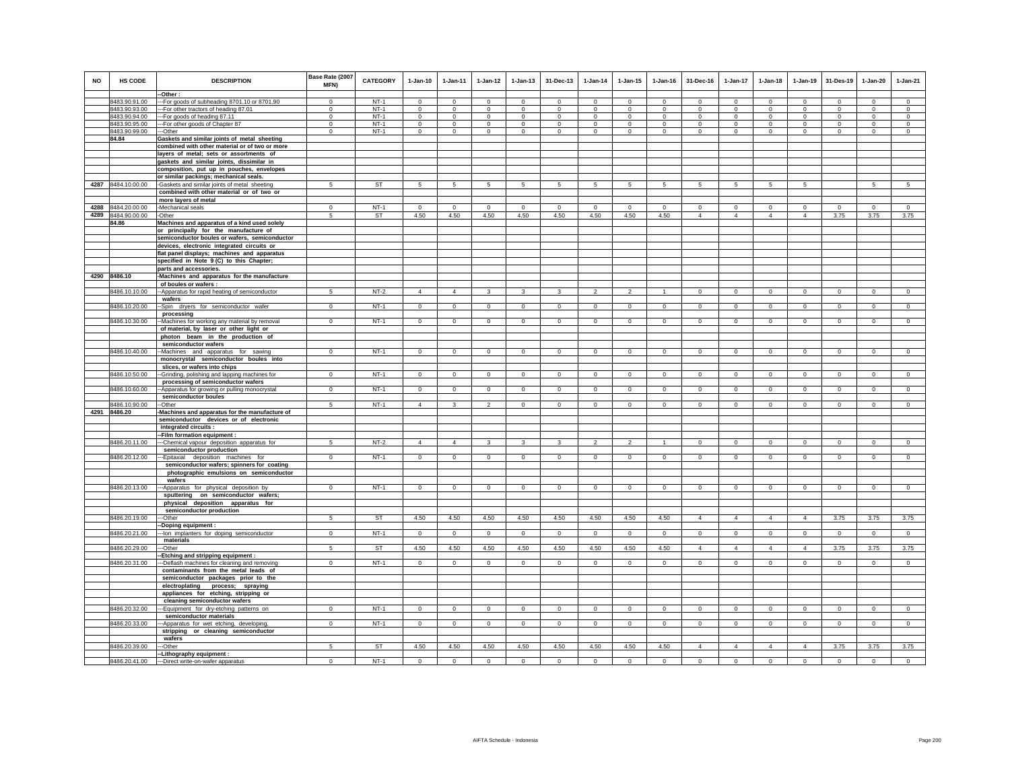|           |                    |                                                                                           | Base Rate (2007 |           |                |                |                         |              |                         |                |                |                |                 |                 |                 |                 |                |              |                |
|-----------|--------------------|-------------------------------------------------------------------------------------------|-----------------|-----------|----------------|----------------|-------------------------|--------------|-------------------------|----------------|----------------|----------------|-----------------|-----------------|-----------------|-----------------|----------------|--------------|----------------|
| <b>NO</b> | HS CODE            | <b>DESCRIPTION</b>                                                                        | MFN)            | CATEGORY  | $1-Jan-10$     | 1-Jan-11       | $1 - Jan-12$            | $1 - Jan-13$ | 31-Dec-13               | $1-Jan-14$     | $1 - Jan-15$   | $1 - Jan-16$   | 31-Dec-16       | $1-Jan-17$      | $1-Jan-18$      | $1-Jan-19$      | 31-Des-19      | 1-Jan-20     | $1-Jan-21$     |
|           |                    | --Other:                                                                                  |                 |           |                |                |                         |              |                         |                |                |                |                 |                 |                 |                 |                |              |                |
|           | 8483.90.91.00      | -- For goods of subheading 8701.10 or 8701.90                                             | $\Omega$        | $NT-1$    | $\Omega$       | $\Omega$       | $\Omega$                | $\mathbf{0}$ | $\Omega$                | $\mathbf 0$    | $\mathbf{0}$   | $\Omega$       | $\Omega$        | $\Omega$        | $\Omega$        | $\Omega$        | $\Omega$       | $\Omega$     | $\circ$        |
|           | 8483.90.93.00      | --- For other tractors of heading 87.01                                                   | $\mathbf 0$     | $NT-1$    | $\circ$        | $\circ$        | $\circ$                 | $\mathbf 0$  | $\mathbf 0$             | $\circ$        | $\mathbf 0$    | $\circ$        | $\circ$         | $\mathbf 0$     | $\circ$         | $\mathbf 0$     | $\circ$        | $\mathbf 0$  | $\circ$        |
|           | 8483.90.94.00      | --- For goods of heading 87.11                                                            | $^{\circ}$      | $NT-1$    | $^{\circ}$     | $\circ$        | $\mathbf{0}$            | $\mathbf{0}$ | $^{\circ}$              | $^{\circ}$     | $^{\circ}$     | $^{\circ}$     | $^{\circ}$      | $^{\circ}$      | $\Omega$        | $^{\circ}$      | $\overline{0}$ | $\circ$      | $\mathbf{0}$   |
|           | 8483.90.95.00      | -- For other goods of Chapter 87                                                          | $\Omega$        | $NT-1$    | $\Omega$       | $\Omega$       | $\Omega$                | $\Omega$     | $\Omega$                | $\Omega$       | $\Omega$       | $\Omega$       | $\Omega$        | $\Omega$        | $\Omega$        | $\Omega$        | $\Omega$       | $\Omega$     | $\Omega$       |
|           | 8483.90.99.00      | --Other                                                                                   | $\mathbf 0$     | $NT-1$    | $\mathbf 0$    | $\mathbf 0$    | $\mathsf 0$             | $\mathsf 0$  | $\mathbf 0$             | $\circ$        | $\mathbf 0$    | $\mathbf 0$    | $^{\circ}$      | $\mathsf 0$     | $\mathbf 0$     | $\mathbf 0$     | $^{\circ}$     | $\mathbf 0$  | $\mathbf 0$    |
|           | 84.84              | Gaskets and similar joints of metal sheeting                                              |                 |           |                |                |                         |              |                         |                |                |                |                 |                 |                 |                 |                |              |                |
|           |                    | combined with other material or of two or more<br>layers of metal; sets or assortments of |                 |           |                |                |                         |              |                         |                |                |                |                 |                 |                 |                 |                |              |                |
|           |                    | gaskets and similar joints, dissimilar in                                                 |                 |           |                |                |                         |              |                         |                |                |                |                 |                 |                 |                 |                |              |                |
|           |                    | composition, put up in pouches, envelopes                                                 |                 |           |                |                |                         |              |                         |                |                |                |                 |                 |                 |                 |                |              |                |
|           |                    | or similar packings; mechanical seals.                                                    |                 |           |                |                |                         |              |                         |                |                |                |                 |                 |                 |                 |                |              |                |
|           | 4287 8484.10.00.00 | -Gaskets and similar joints of metal sheeting                                             | 5               | ST        | 5              | 5              | $5\overline{5}$         | 5            | 5                       | 5              | 5              | 5              | $5\overline{5}$ | $5\overline{5}$ | $5\overline{5}$ | $5\overline{5}$ |                | 5            | 5              |
|           |                    | combined with other material or of two or                                                 |                 |           |                |                |                         |              |                         |                |                |                |                 |                 |                 |                 |                |              |                |
|           |                    | more layers of metal                                                                      |                 |           |                |                |                         |              |                         |                |                |                |                 |                 |                 |                 |                |              |                |
|           | 4288 8484.20.00.00 | -Mechanical seals                                                                         | $\Omega$        | $NT-1$    | $\Omega$       | $^{\circ}$     | $^{\circ}$              | $\Omega$     | $\Omega$                | $\Omega$       | $\Omega$       | $\Omega$       | $^{\circ}$      | $\Omega$        | $\Omega$        | $\Omega$        | $\circ$        | $\Omega$     | $\circ$        |
| 4289      | 8484.90.00.00      | -Other                                                                                    | 5               | <b>ST</b> | 4.50           | 4.50           | 4.50                    | 4.50         | 4.50                    | 4.50           | 4.50           | 4.50           | $\overline{4}$  | $\overline{4}$  | $\overline{4}$  | $\overline{4}$  | 3.75           | 3.75         | 3.75           |
|           | 84.86              | Machines and apparatus of a kind used solely                                              |                 |           |                |                |                         |              |                         |                |                |                |                 |                 |                 |                 |                |              |                |
|           |                    | or principally for the manufacture of                                                     |                 |           |                |                |                         |              |                         |                |                |                |                 |                 |                 |                 |                |              |                |
|           |                    | semiconductor boules or wafers, semiconductor                                             |                 |           |                |                |                         |              |                         |                |                |                |                 |                 |                 |                 |                |              |                |
|           |                    | devices, electronic integrated circuits or                                                |                 |           |                |                |                         |              |                         |                |                |                |                 |                 |                 |                 |                |              |                |
|           |                    | flat panel displays; machines and apparatus                                               |                 |           |                |                |                         |              |                         |                |                |                |                 |                 |                 |                 |                |              |                |
|           |                    | specified in Note 9(C) to this Chapter;                                                   |                 |           |                |                |                         |              |                         |                |                |                |                 |                 |                 |                 |                |              |                |
|           |                    | parts and accessories.                                                                    |                 |           |                |                |                         |              |                         |                |                |                |                 |                 |                 |                 |                |              |                |
|           | 4290 8486.10       | -Machines and apparatus for the manufacture                                               |                 |           |                |                |                         |              |                         |                |                |                |                 |                 |                 |                 |                |              |                |
|           | 8486.10.10.00      | of boules or wafers :<br>-- Apparatus for rapid heating of semiconductor                  | -5              | $NT-2$    | $\overline{4}$ | $\overline{4}$ | $\overline{\mathbf{3}}$ | $\mathbf{3}$ | $\overline{\mathbf{3}}$ | $\overline{2}$ | $\overline{a}$ | $\overline{1}$ | $\mathbf{0}$    | $\overline{0}$  | $\overline{0}$  | $\overline{0}$  | $\overline{0}$ | $\circ$      | $\overline{0}$ |
|           |                    | wafers                                                                                    |                 |           |                |                |                         |              |                         |                |                |                |                 |                 |                 |                 |                |              |                |
|           | 8486.10.20.00      | -Spin dryers for semiconductor wafer                                                      | $\mathbf{0}$    | $NT-1$    | $\circ$        | $\circ$        | $\circ$                 | $\mathbf 0$  | $\mathbf 0$             | $\circ$        | $\mathbf 0$    | $\circ$        | $\circ$         | $\circ$         | $\circ$         | $\circ$         | $\circ$        | $\circ$      | $\circ$        |
|           |                    | processing                                                                                |                 |           |                |                |                         |              |                         |                |                |                |                 |                 |                 |                 |                |              |                |
|           | 8486.10.30.00      | --Machines for working any material by removal                                            | $\Omega$        | $NT-1$    | $\Omega$       | $\mathbf{0}$   | $\circ$                 | $\mathbf 0$  | $\mathbf{0}$            | $\circ$        | $\mathbf 0$    | $\circ$        | $\circ$         | $\circ$         | $\circ$         | $\mathbf 0$     | $\mathbf 0$    | $\circ$      | $\circ$        |
|           |                    | of material, by laser or other light or                                                   |                 |           |                |                |                         |              |                         |                |                |                |                 |                 |                 |                 |                |              |                |
|           |                    | photon beam in the production of                                                          |                 |           |                |                |                         |              |                         |                |                |                |                 |                 |                 |                 |                |              |                |
|           |                    | semiconductor wafers                                                                      |                 |           |                |                |                         |              |                         |                |                |                |                 |                 |                 |                 |                |              |                |
|           | 8486.10.40.00      | -Machines and apparatus for sawing                                                        | $\mathbf 0$     | $NT-1$    | $\mathbf 0$    | $\circ$        | $\circ$                 | $\mathbf 0$  | $\mathbf 0$             | $\mathbf 0$    | $\mathbf 0$    | $\mathbf 0$    | $\circ$         | $\mathbf{0}$    | $\mathbf 0$     | $\mathbf 0$     | $\circ$        | $\mathbf 0$  | $\mathbf 0$    |
|           |                    | monocrystal semiconductor boules into                                                     |                 |           |                |                |                         |              |                         |                |                |                |                 |                 |                 |                 |                |              |                |
|           |                    | slices, or wafers into chips                                                              | $\Omega$        | $NT-1$    | $\circ$        | $\Omega$       | $\circ$                 |              |                         | $\circ$        |                | $\Omega$       | $\Omega$        |                 | $\Omega$        | $\circ$         | $\circ$        |              | $\circ$        |
|           | 8486.10.50.00      | -Grinding, polishing and lapping machines for<br>processing of semiconductor wafers       |                 |           |                |                |                         | $\mathbf 0$  | $\mathsf 0$             |                | $\mathbf 0$    |                |                 | $\mathbf 0$     |                 |                 |                | $\mathbf{0}$ |                |
|           | 8486.10.60.00      | -Apparatus for growing or pulling monocrystal                                             | $\mathbf 0$     | $NT-1$    | $\mathbf 0$    | $\circ$        | $\mathbf 0$             | $\mathbf 0$  | $\mathbf 0$             | $\mathbf 0$    | $\mathbf 0$    | $\mathbf 0$    | $\circ$         | $\mathbf{0}$    | $\mathbf{0}$    | $\mathbf 0$     | $\circ$        | $\mathbf 0$  | $\mathsf 0$    |
|           |                    | semiconductor boules                                                                      |                 |           |                |                |                         |              |                         |                |                |                |                 |                 |                 |                 |                |              |                |
|           | 8486.10.90.00      | --Other                                                                                   | 5               | $NT-1$    | $\overline{4}$ | $\mathbf{3}$   | $\mathfrak{D}$          | $\Omega$     | $\Omega$                | $\overline{0}$ | $\Omega$       | $\Omega$       | $\Omega$        | $\Omega$        | $\Omega$        | $\Omega$        | $\overline{0}$ | $\Omega$     | $\overline{0}$ |
|           | 4291 8486.20       | Machines and apparatus for the manufacture of                                             |                 |           |                |                |                         |              |                         |                |                |                |                 |                 |                 |                 |                |              |                |
|           |                    | semiconductor devices or of electronic                                                    |                 |           |                |                |                         |              |                         |                |                |                |                 |                 |                 |                 |                |              |                |
|           |                    | integrated circuits :                                                                     |                 |           |                |                |                         |              |                         |                |                |                |                 |                 |                 |                 |                |              |                |
|           |                    | -Film formation equipment :                                                               |                 |           |                |                |                         |              |                         |                |                |                |                 |                 |                 |                 |                |              |                |
|           | 8486.20.11.00      | -Chemical vapour deposition apparatus for                                                 | -5              | $NT-2$    | $\overline{4}$ | $\overline{4}$ | 3                       | 3            | 3                       | $\overline{2}$ | $\overline{2}$ | -1             | $^{\circ}$      | $\mathbf{0}$    | $\mathbf 0$     | $\mathbf 0$     | $\circ$        | $\mathbf 0$  | $\overline{0}$ |
|           |                    | semiconductor production                                                                  | $\mathbf 0$     | $NT-1$    | $\circ$        | $\circ$        | $\circ$                 | $\mathbf 0$  | $\mathbf 0$             | $\mathbf 0$    | $\mathbf 0$    | $\circ$        | $\circ$         | $\mathbf 0$     | $\circ$         | $\mathbf 0$     | $\circ$        | $\mathbf 0$  | $\circ$        |
|           | 8486.20.12.00      | -Epitaxial deposition machines for<br>semiconductor wafers; spinners for coating          |                 |           |                |                |                         |              |                         |                |                |                |                 |                 |                 |                 |                |              |                |
|           |                    | photographic emulsions on semiconductor                                                   |                 |           |                |                |                         |              |                         |                |                |                |                 |                 |                 |                 |                |              |                |
|           |                    | wafers                                                                                    |                 |           |                |                |                         |              |                         |                |                |                |                 |                 |                 |                 |                |              |                |
|           | 8486.20.13.00      | -Apparatus for physical deposition by                                                     | $\circ$         | $NT-1$    | $\mathsf 0$    | $\circ$        | $\circ$                 | $\mathbf 0$  | $\mathbf 0$             | $\circ$        | $\mathsf 0$    | $\mathsf 0$    | $\mathbf 0$     | $\mathbf 0$     | $\mathbf 0$     | $\mathbf 0$     | $\mathbf 0$    | $\mathsf 0$  | $\mathsf 0$    |
|           |                    | sputtering on semiconductor wafers;                                                       |                 |           |                |                |                         |              |                         |                |                |                |                 |                 |                 |                 |                |              |                |
|           |                    | physical deposition apparatus for                                                         |                 |           |                |                |                         |              |                         |                |                |                |                 |                 |                 |                 |                |              |                |
|           |                    | semiconductor production                                                                  |                 |           |                |                |                         |              |                         |                |                |                |                 |                 |                 |                 |                |              |                |
|           | 8486.20.19.00      | -Other                                                                                    | 5               | <b>ST</b> | 4.50           | 4.50           | 4.50                    | 4.50         | 4.50                    | 4.50           | 4.50           | 4.50           | $\overline{4}$  | 4               | $\overline{4}$  | $\overline{4}$  | 3.75           | 3.75         | 3.75           |
|           | 8486.20.21.00      | Doping equipment :<br>-Ion implanters for doping semiconductor                            | $\mathbf 0$     | $NT-1$    | $\mathbf 0$    | $\mathbf 0$    | $\mathbf 0$             | $\mathbf 0$  | $\mathbf 0$             | $\mathbf 0$    | $\mathbf 0$    | $\mathbf 0$    | $\circ$         | $\mathbf 0$     | $\circ$         | $\mathbf 0$     | $\circ$        | $\mathbf 0$  | $\circ$        |
|           |                    | materials                                                                                 |                 |           |                |                |                         |              |                         |                |                |                |                 |                 |                 |                 |                |              |                |
|           | 8486.20.29.00      | --Other                                                                                   | 5               | <b>ST</b> | 4.50           | 4.50           | 4.50                    | 4.50         | 4.50                    | 4.50           | 4.50           | 4.50           | $\Delta$        | $\overline{4}$  | $\Delta$        | $\Delta$        | 3.75           | 3.75         | 3.75           |
|           |                    | -Etching and stripping equipment:                                                         |                 |           |                |                |                         |              |                         |                |                |                |                 |                 |                 |                 |                |              |                |
|           | 8486.20.31.00      | -Deflash machines for cleaning and removing                                               | $^{\circ}$      | $NT-1$    | $\mathbf 0$    | $\mathbf 0$    | $\circ$                 | $\mathbf 0$  | $\mathbf 0$             | $\mathbf 0$    | $\mathbf 0$    | $\mathbf 0$    | $\mathbf 0$     | $\mathbf 0$     | $\mathbf{0}$    | $\mathbf 0$     | $\mathbf 0$    | $\mathbf 0$  | $\mathsf 0$    |
|           |                    | contaminants from the metal leads of                                                      |                 |           |                |                |                         |              |                         |                |                |                |                 |                 |                 |                 |                |              |                |
|           |                    | semiconductor packages prior to the                                                       |                 |           |                |                |                         |              |                         |                |                |                |                 |                 |                 |                 |                |              |                |
|           |                    | electroplating process; spraying                                                          |                 |           |                |                |                         |              |                         |                |                |                |                 |                 |                 |                 |                |              |                |
|           |                    | appliances for etching, stripping or                                                      |                 |           |                |                |                         |              |                         |                |                |                |                 |                 |                 |                 |                |              |                |
|           |                    | cleaning semiconductor wafers                                                             |                 |           |                |                |                         |              |                         |                |                |                |                 |                 |                 |                 |                |              |                |
|           | 8486.20.32.00      | -Equipment for dry-etching patterns on<br>semiconductor materials                         | $\mathbf 0$     | $NT-1$    | $\circ$        | $\mathbf 0$    | $\circ$                 | $\mathbf 0$  | $\mathbf 0$             | $\mathbf 0$    | $\mathbf 0$    | $\circ$        | $\circ$         | 0               | $\circ$         | $\mathbf 0$     | $\circ$        | $\mathbf 0$  | $\mathbf 0$    |
|           | 8486.20.33.00      | --Apparatus for wet etching, developing,                                                  | $\Omega$        | $NT-1$    | $\Omega$       | $\Omega$       | $\Omega$                | $\mathbf{0}$ | $\Omega$                | $\Omega$       | $\Omega$       | $\Omega$       | $\Omega$        | $\Omega$        | $\Omega$        | $\Omega$        | $\circ$        | $\Omega$     | $\Omega$       |
|           |                    | stripping or cleaning semiconductor                                                       |                 |           |                |                |                         |              |                         |                |                |                |                 |                 |                 |                 |                |              |                |
|           |                    | wafers                                                                                    |                 |           |                |                |                         |              |                         |                |                |                |                 |                 |                 |                 |                |              |                |
|           | 8486.20.39.00      | ---Other                                                                                  | 5               | ST        | 4.50           | 4.50           | 4.50                    | 4.50         | 4.50                    | 4.50           | 4.50           | 4.50           | $\overline{4}$  | $\overline{4}$  | $\overline{4}$  | $\overline{4}$  | 3.75           | 3.75         | 3.75           |
|           |                    | --Lithography equipment :                                                                 |                 |           |                |                |                         |              |                         |                |                |                |                 |                 |                 |                 |                |              |                |
|           | 8486.20.41.00      | ---Direct write-on-wafer apparatus                                                        | $^{\circ}$      | $NT-1$    | $\Omega$       | $^{\circ}$     | $^{\circ}$              | $\mathbf{0}$ | $^{\circ}$              | $^{\circ}$     | $\mathbf{0}$   | $^{\circ}$     | $\Omega$        | $\mathbf 0$     | $^{\circ}$      | $^{\circ}$      | $\overline{0}$ | $^{\circ}$   | $^{\circ}$     |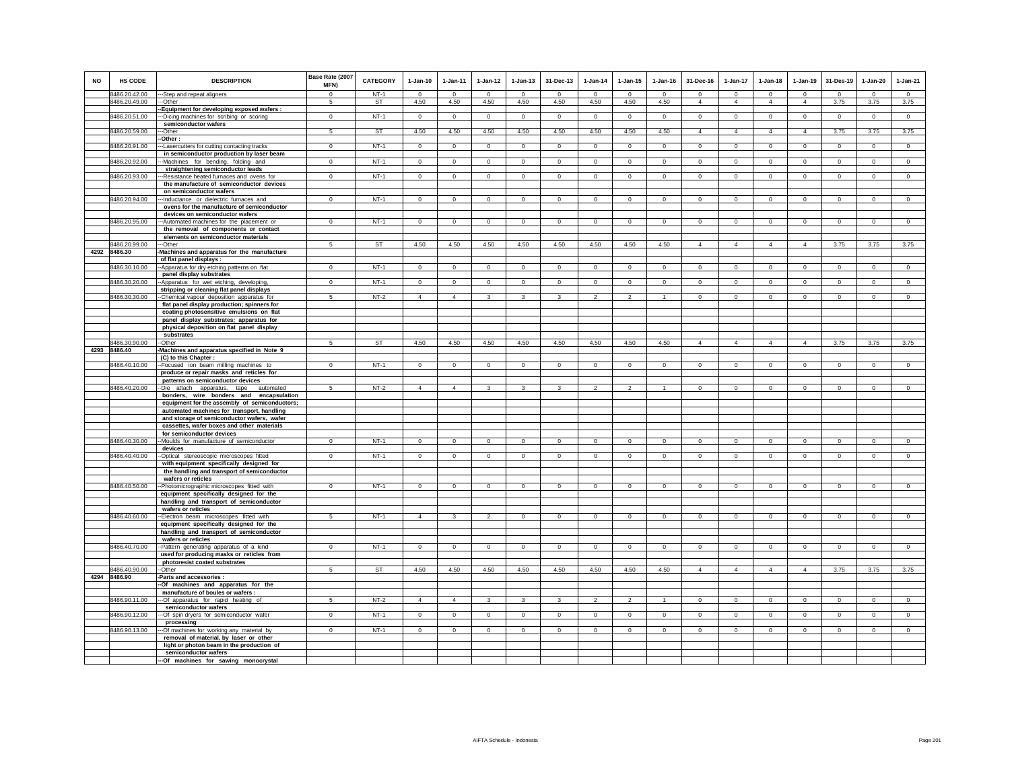| <b>NO</b> | <b>HS CODE</b>                 | <b>DESCRIPTION</b>                                                                       | Base Rate (2007<br>MFN) | <b>CATEGORY</b> | $1-Jan-10$       | $1-Jan-11$       | $1-Jan-12$       | $1-Jan-13$       | 31-Dec-13        | $1-Jan-14$       | $1-Jan-15$       | $1-Jan-16$       | 31-Dec-16                  | 1-Jan-17                  | $1-Jan-18$                 | $1-Jan-19$                 | 31-Des-19        | $1-Jan-20$       | $1-Jan-21$       |
|-----------|--------------------------------|------------------------------------------------------------------------------------------|-------------------------|-----------------|------------------|------------------|------------------|------------------|------------------|------------------|------------------|------------------|----------------------------|---------------------------|----------------------------|----------------------------|------------------|------------------|------------------|
|           | 8486.20.42.00<br>8486.20.49.00 | -Step and repeat aligners<br>--Other                                                     | $\Omega$<br>5           | $NT-1$<br>ST    | $\Omega$<br>4.50 | $\Omega$<br>4.50 | $\Omega$<br>4.50 | $\Omega$<br>4.50 | $\Omega$<br>4.50 | $\Omega$<br>4.50 | $\Omega$<br>4.50 | $\Omega$<br>4.50 | $\Omega$<br>$\overline{4}$ | $\circ$<br>$\overline{4}$ | $\Omega$<br>$\overline{4}$ | $\Omega$<br>$\overline{4}$ | $\Omega$<br>3.75 | $\Omega$<br>3.75 | $\Omega$<br>3.75 |
|           |                                | -- Equipment for developing exposed wafers :                                             |                         |                 |                  |                  |                  |                  |                  |                  |                  |                  |                            |                           |                            |                            |                  |                  |                  |
|           | 8486.20.51.00                  | ---Dicing machines for scribing or scoring                                               | $\mathbf 0$             | $NT-1$          | $\mathbf{0}$     | $\mathbf{0}$     | $\overline{0}$   | $\mathbf{0}$     | $\overline{0}$   | $\overline{0}$   | $\mathbf 0$      | $\mathbf 0$      | $\overline{0}$             | $\circ$                   | $\mathbf{0}$               | $\circ$                    | $\overline{0}$   | $\circ$          | $\circ$          |
|           | 8486.20.59.00                  | semiconductor wafers<br>-Other                                                           | 5                       | <b>ST</b>       | 4.50             | 4.50             | 4.50             | 4.50             | 4.50             | 4.50             | 4.50             | 4.50             | $\overline{4}$             | $\overline{4}$            | $\overline{4}$             | $\overline{4}$             | 3.75             | 3.75             | 3.75             |
|           |                                | -Other:                                                                                  |                         |                 |                  |                  |                  |                  |                  |                  |                  |                  |                            |                           |                            |                            |                  |                  |                  |
|           | 8486.20.91.00                  | -- Lasercutters for cutting contacting tracks                                            | $\mathbf 0$             | $NT-1$          | $\mathbf 0$      | $\mathbf 0$      | $\overline{0}$   | $\mathbf 0$      | $\mathbf 0$      | $\mathbf 0$      | $\mathbf 0$      | $\,0\,$          | $\mathbf 0$                | $\mathsf 0$               | $\mathbf 0$                | $\mathbf 0$                | $\mathbf 0$      | $\mathbf 0$      | $\mathbf 0$      |
|           | 8486.20.92.00                  | in semiconductor production by laser beam<br>--Machines for bending, folding and         | $\overline{0}$          | $NT-1$          | $\overline{0}$   | $\overline{0}$   | $\overline{0}$   | $\overline{0}$   | $\overline{0}$   | $\overline{0}$   | $\overline{0}$   | $\overline{0}$   | $\overline{0}$             | $\overline{0}$            | $\overline{0}$             | $\overline{0}$             | $\overline{0}$   | $\overline{0}$   | $\overline{0}$   |
|           |                                | straightening semiconductor leads                                                        |                         |                 |                  |                  |                  |                  |                  |                  |                  |                  |                            |                           |                            |                            |                  |                  |                  |
|           | 8486.20.93.00                  | --Resistance heated furnaces and ovens for                                               | $\mathbf{0}$            | $NT-1$          | $\circ$          | $\mathbf{0}$     | $\mathbf{0}$     | $\mathbf{0}$     | $\mathbf{0}$     | $\mathbf{0}$     | $\mathbf 0$      | $\circ$          | $\mathbf 0$                | $\circ$                   | $\circ$                    | $\mathbf 0$                | $\mathbf{0}$     | $\circ$          | $\circ$          |
|           |                                | the manufacture of semiconductor devices                                                 |                         |                 |                  |                  |                  |                  |                  |                  |                  |                  |                            |                           |                            |                            |                  |                  |                  |
|           | 8486.20.94.00                  | on semiconductor wafers<br>-Inductance or dielectric furnaces and                        | $\overline{0}$          | $NT-1$          | $\circ$          | $\circ$          | $\circ$          | $\overline{0}$   | $\overline{0}$   | $\circ$          | $\mathbf 0$      | $\circ$          | $\mathbf 0$                | $\overline{0}$            | $\circ$                    | $\mathbf 0$                | $\circ$          | $\circ$          | $\overline{0}$   |
|           |                                | ovens for the manufacture of semiconductor                                               |                         |                 |                  |                  |                  |                  |                  |                  |                  |                  |                            |                           |                            |                            |                  |                  |                  |
|           |                                | devices on semiconductor wafers                                                          |                         |                 |                  |                  |                  |                  |                  |                  |                  |                  |                            |                           |                            |                            |                  |                  |                  |
|           | 8486.20.95.00                  | -- Automated machines for the placement or                                               | $\overline{0}$          | $NT-1$          | $\overline{0}$   | $\overline{0}$   | $\overline{0}$   | $\overline{0}$   | $\overline{0}$   | $\overline{0}$   | $\overline{0}$   | $\overline{0}$   | $\overline{0}$             | $\overline{0}$            | $\overline{0}$             | $\overline{0}$             | $\overline{0}$   | $\overline{0}$   | $\overline{0}$   |
|           |                                | the removal of components or contact                                                     |                         |                 |                  |                  |                  |                  |                  |                  |                  |                  |                            |                           |                            |                            |                  |                  |                  |
|           | 8486.20.99.00                  | elements on semiconductor materials<br>---Other                                          | 5                       | <b>ST</b>       | 4.50             | 4.50             | 4.50             | 4.50             | 4.50             | 4.50             | 4.50             | 4.50             | $\overline{4}$             | $\overline{4}$            | $\overline{4}$             | $\overline{4}$             | 3.75             | 3.75             | 3.75             |
|           | 4292 8486.30                   | -Machines and apparatus for the manufacture                                              |                         |                 |                  |                  |                  |                  |                  |                  |                  |                  |                            |                           |                            |                            |                  |                  |                  |
|           |                                | of flat panel displays :                                                                 |                         |                 |                  |                  |                  |                  |                  |                  |                  |                  |                            |                           |                            |                            |                  |                  |                  |
|           | 8486.30.10.00                  | -Apparatus for dry etching patterns on flat                                              | $\mathbf{0}$            | $NT-1$          | $\mathbf 0$      | $\mathbf 0$      | $\mathbf 0$      | $\mathsf 0$      | $\mathbf{0}$     | $\circ$          | $\mathsf 0$      | $\circ$          | $\circ$                    | $\overline{0}$            | $\mathbf 0$                | $\overline{0}$             | $\circ$          | $\mathsf 0$      | $\overline{0}$   |
|           | 8486.30.20.00                  | panel display substrates<br>--Apparatus for wet etching, developing,                     | $\mathbf 0$             | $NT-1$          | $\circ$          | $\mathbf 0$      | $\circ$          | $\mathbf 0$      | $\mathbf 0$      | $\circ$          | $\mathbf 0$      | $\mathbf 0$      | $\mathbf 0$                | $\circ$                   | $\circ$                    | $\mathbf 0$                | $\circ$          | $\mathbf 0$      | $\mathsf 0$      |
|           |                                | stripping or cleaning flat panel displays                                                |                         |                 |                  |                  |                  |                  |                  |                  |                  |                  |                            |                           |                            |                            |                  |                  |                  |
|           | 8486.30.30.00                  | -Chemical vapour deposition apparatus for                                                | 5                       | $NT-2$          | $\overline{4}$   | $\mathbf{A}$     | $\mathbf{3}$     | 3                | $\mathbf{R}$     | $\mathcal{L}$    | $\overline{2}$   | $\mathbf{1}$     | $\mathbf{0}$               | $\circ$                   | $\circ$                    | $\mathbf 0$                | $\circ$          | $\mathbf{0}$     | $\circ$          |
|           |                                | flat panel display production; spinners for                                              |                         |                 |                  |                  |                  |                  |                  |                  |                  |                  |                            |                           |                            |                            |                  |                  |                  |
|           |                                | coating photosensitive emulsions on flat<br>panel display substrates; apparatus for      |                         |                 |                  |                  |                  |                  |                  |                  |                  |                  |                            |                           |                            |                            |                  |                  |                  |
|           |                                | physical deposition on flat panel display                                                |                         |                 |                  |                  |                  |                  |                  |                  |                  |                  |                            |                           |                            |                            |                  |                  |                  |
|           |                                | substrates                                                                               |                         |                 |                  |                  |                  |                  |                  |                  |                  |                  |                            |                           |                            |                            |                  |                  |                  |
|           | 8486.30.90.00                  | -Other                                                                                   | 5                       | ST              | 4.50             | 4.50             | 4.50             | 4.50             | 4.50             | 4.50             | 4.50             | 4.50             | $\overline{4}$             | $\overline{4}$            | 4                          | $\overline{4}$             | 3.75             | 3.75             | 3.75             |
|           | 4293 8486.40                   | -Machines and apparatus specified in Note 9<br>(C) to this Chapter :                     |                         |                 |                  |                  |                  |                  |                  |                  |                  |                  |                            |                           |                            |                            |                  |                  |                  |
|           | 8486.40.10.00                  | --Focused ion beam milling machines to                                                   | $\Omega$                | $NT-1$          | $\Omega$         | $\Omega$         | $\Omega$         | $\Omega$         | $\Omega$         | $\Omega$         | $\Omega$         | $\Omega$         | $\Omega$                   | $\Omega$                  | $\Omega$                   | $\Omega$                   | $\Omega$         | $\Omega$         | $\Omega$         |
|           |                                | produce or repair masks and reticles for                                                 |                         |                 |                  |                  |                  |                  |                  |                  |                  |                  |                            |                           |                            |                            |                  |                  |                  |
|           |                                | patterns on semiconductor devices                                                        |                         |                 |                  |                  |                  |                  |                  |                  |                  |                  |                            |                           |                            |                            |                  |                  |                  |
|           | 8486.40.20.00                  | --Die attach apparatus, tape automated                                                   | 5                       | $NT-2$          | $\overline{4}$   | $\overline{4}$   | 3                | 3                | 3                | $\overline{2}$   | $\overline{2}$   |                  | $\mathbf 0$                | 0                         | $\circ$                    | $^{\circ}$                 | $\circ$          | $\circ$          | $\circ$          |
|           |                                | bonders, wire bonders and encapsulation<br>equipment for the assembly of semiconductors; |                         |                 |                  |                  |                  |                  |                  |                  |                  |                  |                            |                           |                            |                            |                  |                  |                  |
|           |                                | automated machines for transport, handling                                               |                         |                 |                  |                  |                  |                  |                  |                  |                  |                  |                            |                           |                            |                            |                  |                  |                  |
|           |                                | and storage of semiconductor wafers, wafer                                               |                         |                 |                  |                  |                  |                  |                  |                  |                  |                  |                            |                           |                            |                            |                  |                  |                  |
|           |                                | cassettes, wafer boxes and other materials                                               |                         |                 |                  |                  |                  |                  |                  |                  |                  |                  |                            |                           |                            |                            |                  |                  |                  |
|           | 8486.40.30.00                  | for semiconductor devices<br>--Moulds for manufacture of semiconductor                   | $\Omega$                | $NT-1$          | $\Omega$         | $\mathbf 0$      | $\mathbf 0$      | $\overline{0}$   | $\mathbf{0}$     | $\mathbf 0$      | $\Omega$         | $\Omega$         | $\Omega$                   | $\circ$                   | $\Omega$                   | $\mathbf 0$                | $\overline{0}$   | $\Omega$         | $\overline{0}$   |
|           |                                | devices                                                                                  |                         |                 |                  |                  |                  |                  |                  |                  |                  |                  |                            |                           |                            |                            |                  |                  |                  |
|           | 8486.40.40.00                  | -Optical stereoscopic microscopes fitted                                                 | $\mathbf{0}$            | $NT-1$          | $\circ$          | $\circ$          | $\circ$          | $\mathbf 0$      | $\mathbf 0$      | $\circ$          | $\mathsf 0$      | $\mathsf 0$      | $\circ$                    | $\circ$                   | $\mathbf 0$                | $\mathbf 0$                | $\mathsf 0$      | $\mathsf 0$      | $\mathsf 0$      |
|           |                                | with equipment specifically designed for                                                 |                         |                 |                  |                  |                  |                  |                  |                  |                  |                  |                            |                           |                            |                            |                  |                  |                  |
|           |                                | the handling and transport of semiconductor<br>wafers or reticles                        |                         |                 |                  |                  |                  |                  |                  |                  |                  |                  |                            |                           |                            |                            |                  |                  |                  |
|           | 8486.40.50.00                  | -Photomicrographic microscopes fitted with                                               | $\mathbf{0}$            | $NT-1$          | $\circ$          | $\circ$          | $\mathbf{0}$     | $\mathbf{0}$     | $\mathbf{0}$     | $\circ$          | $\Omega$         | $\circ$          | $\mathbf{0}$               | $\circ$                   | $\circ$                    | $\circ$                    | $\circ$          | $\mathbf{0}$     | $\mathsf 0$      |
|           |                                | equipment specifically designed for the                                                  |                         |                 |                  |                  |                  |                  |                  |                  |                  |                  |                            |                           |                            |                            |                  |                  |                  |
|           |                                | handling and transport of semiconductor                                                  |                         |                 |                  |                  |                  |                  |                  |                  |                  |                  |                            |                           |                            |                            |                  |                  |                  |
|           | 8486.40.60.00                  | wafers or reticles<br>-- Electron beam microscopes fitted with                           | 5                       | $NT-1$          | $\overline{4}$   | 3                | $\overline{2}$   | $\overline{0}$   | $\overline{0}$   | $\overline{0}$   | $\Omega$         | $\Omega$         | $\Omega$                   | $\overline{0}$            | $\overline{0}$             | $\overline{0}$             | $\overline{0}$   | $\Omega$         | $\overline{0}$   |
|           |                                | equipment specifically designed for the                                                  |                         |                 |                  |                  |                  |                  |                  |                  |                  |                  |                            |                           |                            |                            |                  |                  |                  |
|           |                                | handling and transport of semiconductor                                                  |                         |                 |                  |                  |                  |                  |                  |                  |                  |                  |                            |                           |                            |                            |                  |                  |                  |
|           |                                | wafers or reticles                                                                       |                         |                 |                  |                  |                  |                  |                  |                  |                  |                  |                            |                           |                            |                            |                  |                  |                  |
|           | 8486.40.70.00                  | -Pattern generating apparatus of a kind<br>used for producing masks or reticles from     | $\Omega$                | $NT-1$          | $\mathbf{0}$     | $\mathbf 0$      | $\mathbf 0$      | $\mathbf 0$      | $^{\circ}$       | $\mathbf 0$      | $\mathbf 0$      | $\mathbf 0$      | $\mathbf{0}$               | $\mathbf 0$               | $\mathbf{0}$               | $\mathbf 0$                | $\mathbf 0$      | $\mathbf 0$      | $\mathbf 0$      |
|           |                                | photoresist coated substrates                                                            |                         |                 |                  |                  |                  |                  |                  |                  |                  |                  |                            |                           |                            |                            |                  |                  |                  |
|           | 8486.40.90.00                  | -Other                                                                                   | 5                       | <b>ST</b>       | 4.50             | 4.50             | 4.50             | 4.50             | 4.50             | 4.50             | 4.50             | 4.50             | $\overline{4}$             | $\overline{4}$            | $\overline{4}$             | $\overline{4}$             | 3.75             | 3.75             | 3.75             |
|           | 4294 8486.90                   | Parts and accessories :                                                                  |                         |                 |                  |                  |                  |                  |                  |                  |                  |                  |                            |                           |                            |                            |                  |                  |                  |
|           |                                | -Of machines and apparatus for the                                                       |                         |                 |                  |                  |                  |                  |                  |                  |                  |                  |                            |                           |                            |                            |                  |                  |                  |
|           | 8486.90.11.00                  | manufacture of boules or wafers :<br>--Of apparatus for rapid heating of                 | 5                       | $NT-2$          | $\overline{4}$   | $\overline{4}$   | $\mathbf{3}$     | $\mathbf{3}$     | $\mathbf{R}$     | $\mathcal{L}$    | $\overline{2}$   | $\mathbf{1}$     | $\mathbf{0}$               | $\circ$                   | $\circ$                    | $\mathbf 0$                | $\circ$          | $\Omega$         | $\circ$          |
|           |                                | semiconductor wafers                                                                     |                         |                 |                  |                  |                  |                  |                  |                  |                  |                  |                            |                           |                            |                            |                  |                  |                  |
|           | 8486.90.12.00                  | --- Of spin dryers for semiconductor wafer                                               | $\Omega$                | $NT-1$          | $\circ$          | $\Omega$         | $\mathbf{0}$     | $\mathbf{0}$     | $\mathbf{0}$     | $\mathbf{0}$     | $\circ$          | $\circ$          | $\circ$                    | $\circ$                   | $\circ$                    | $\circ$                    | $\mathbf{0}$     | $\circ$          | $\circ$          |
|           | 8486.90.13.00                  | processing<br>--Of machines for working any material by                                  | $\mathsf 0$             | $NT-1$          | $\circ$          | $\mathbf 0$      | $\circ$          | $\mathsf 0$      | $\mathbf{0}$     | $\circ$          | $\mathsf 0$      | $\circ$          | $\circ$                    | $\circ$                   | $\mathbf 0$                | $\mathbf 0$                | $\circ$          | $\mathsf 0$      | $\mathsf 0$      |
|           |                                | removal of material, by laser or other                                                   |                         |                 |                  |                  |                  |                  |                  |                  |                  |                  |                            |                           |                            |                            |                  |                  |                  |
|           |                                | light or photon beam in the production of                                                |                         |                 |                  |                  |                  |                  |                  |                  |                  |                  |                            |                           |                            |                            |                  |                  |                  |
|           |                                | semiconductor wafers                                                                     |                         |                 |                  |                  |                  |                  |                  |                  |                  |                  |                            |                           |                            |                            |                  |                  |                  |
|           |                                | --- Of machines for sawing monocrystal                                                   |                         |                 |                  |                  |                  |                  |                  |                  |                  |                  |                            |                           |                            |                            |                  |                  |                  |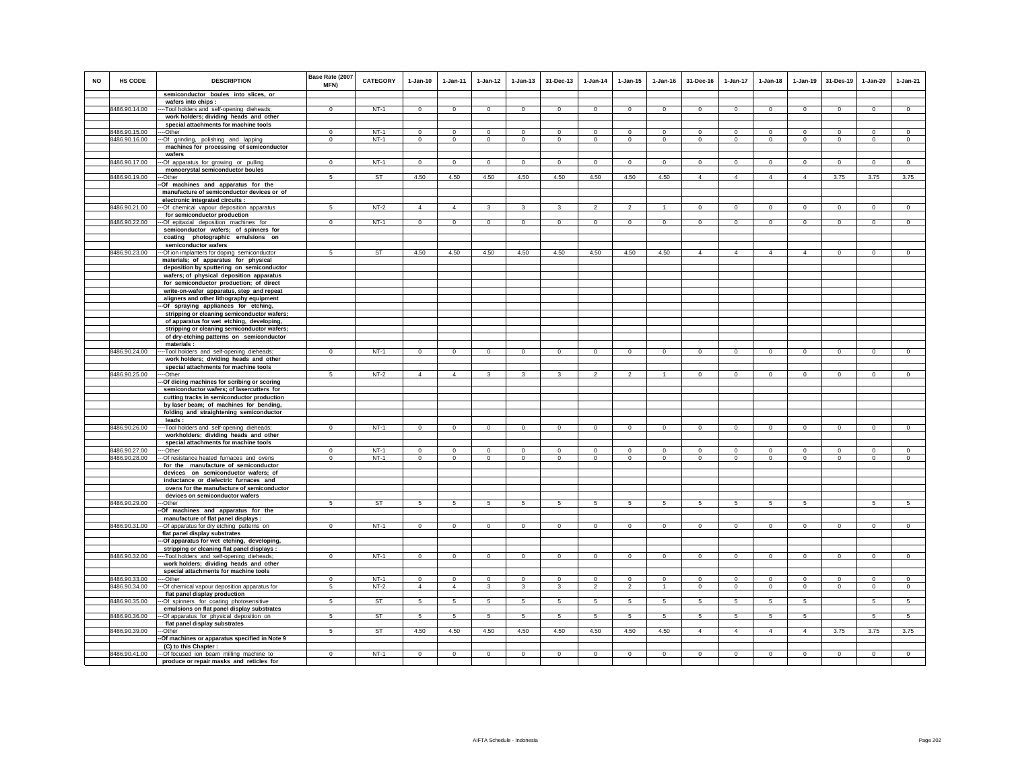| <b>NO</b> | HS CODE       | <b>DESCRIPTION</b>                                                                    | Base Rate (2007<br><b>MFN)</b> | <b>CATEGORY</b> | $1-Jan-10$      | $1 - Jan-11$    | $1-Jan-12$         | $1 - Jan-13$            | 31-Dec-13       | $1-Jan-14$      | $1 - Jan-15$   | $1 - Jan-16$   | 31-Dec-16       | $1 - Jan-17$    | $1-Jan-18$      | $1 - Jan-19$    | 31-Des-19      | $1-Jan-20$     | $1-Jan-21$      |
|-----------|---------------|---------------------------------------------------------------------------------------|--------------------------------|-----------------|-----------------|-----------------|--------------------|-------------------------|-----------------|-----------------|----------------|----------------|-----------------|-----------------|-----------------|-----------------|----------------|----------------|-----------------|
|           |               | semiconductor boules into slices, or                                                  |                                |                 |                 |                 |                    |                         |                 |                 |                |                |                 |                 |                 |                 |                |                |                 |
|           |               | wafers into chips :                                                                   |                                |                 |                 |                 |                    |                         |                 |                 |                |                |                 |                 |                 |                 |                |                |                 |
|           | 8486.90.14.00 | -- Tool holders and self-opening dieheads;                                            | $\Omega$                       | $NT-1$          | $\circ$         | $\circ$         | $\circ$            | $\mathbf 0$             | $\mathbf 0$     | $\mathbf{0}$    | $\mathbf 0$    | $^{\circ}$     | $\circ$         | $\mathbf 0$     | $\circ$         | $\mathbf 0$     | $\mathbf{0}$   | $\mathbf{0}$   | $\circ$         |
|           |               | work holders; dividing heads and other                                                |                                |                 |                 |                 |                    |                         |                 |                 |                |                |                 |                 |                 |                 |                |                |                 |
|           | 8486.90.15.00 | special attachments for machine tools<br>-Other                                       | $\mathbf 0$                    | $NT-1$          | $\mathsf 0$     | $\mathbf 0$     | $\mathsf 0$        | $\mathsf 0$             | $\mathsf 0$     | $\mathsf 0$     | $\mathsf 0$    | $\mathsf 0$    | $\mathsf 0$     | $\mathbf 0$     | $\mathbf 0$     | $\mathbf 0$     | $\mathbf 0$    | $\mathsf 0$    | $\mathsf 0$     |
|           | 8486.90.16.00 | -Of grinding, polishing and lapping                                                   | $\mathbf{0}$                   | NT-1            | $\circ$         | $\mathbf{0}$    | $\circ$            | $\mathbf 0$             | $\mathbf 0$     | $\circ$         | $\mathbf 0$    | $\circ$        | $\circ$         | $\circ$         | $\circ$         | $\mathbf 0$     | $\circ$        | $\circ$        | $\circ$         |
|           |               |                                                                                       |                                |                 |                 |                 |                    |                         |                 |                 |                |                |                 |                 |                 |                 |                |                |                 |
|           |               | machines for processing of semiconductor<br>wafers                                    |                                |                 |                 |                 |                    |                         |                 |                 |                |                |                 |                 |                 |                 |                |                |                 |
|           | 8486.90.17.00 | -Of apparatus for growing or pulling                                                  | $\mathbf{0}$                   | $NT-1$          | $\circ$         | $\mathbf{0}$    | $\circ$            | $\mathbf{0}$            | $\mathbf{0}$    | $\circ$         | $\mathbf{0}$   | $\circ$        | $\circ$         | $\circ$         | $\circ$         | $\mathbf 0$     | $\circ$        | $\mathbf{0}$   | $\circ$         |
|           |               | monocrystal semiconductor boules                                                      |                                |                 |                 |                 |                    |                         |                 |                 |                |                |                 |                 |                 |                 |                |                |                 |
|           | 8486.90.19.00 | --Other                                                                               | $5\overline{5}$                | ST              | 4.50            | 4.50            | 4.50               | 4.50                    | 4.50            | 4.50            | 4.50           | 4.50           | $\overline{4}$  | $\overline{4}$  | $\overline{4}$  | $\overline{4}$  | 3.75           | 3.75           | 3.75            |
|           |               | -Of machines and apparatus for the                                                    |                                |                 |                 |                 |                    |                         |                 |                 |                |                |                 |                 |                 |                 |                |                |                 |
|           |               | manufacture of semiconductor devices or of                                            |                                |                 |                 |                 |                    |                         |                 |                 |                |                |                 |                 |                 |                 |                |                |                 |
|           |               | electronic integrated circuits :                                                      |                                |                 |                 |                 |                    |                         |                 |                 |                |                |                 |                 |                 |                 |                |                |                 |
|           | 8486.90.21.00 | -Of chemical vapour deposition apparatus                                              | 5                              | $NT-2$          | $\overline{4}$  | $\overline{4}$  | 3                  | 3                       | 3               | $\overline{2}$  | $\overline{2}$ | $\mathbf{1}$   | $\overline{0}$  | $\overline{0}$  | $\overline{0}$  | $\overline{0}$  | $\overline{0}$ | $\overline{0}$ | $\overline{0}$  |
|           |               | for semiconductor production                                                          |                                |                 |                 |                 |                    |                         |                 |                 |                |                |                 |                 |                 |                 |                |                |                 |
|           | 8486.90.22.00 | -- Of epitaxial deposition machines for                                               | $\Omega$                       | $NT-1$          | $\Omega$        | $\mathbf{0}$    | $\circ$            | $\mathbf{0}$            | $\Omega$        | $\circ$         | $\Omega$       | $\Omega$       | $\Omega$        | $\circ$         | $\circ$         | $\Omega$        | $\circ$        | $\Omega$       | $\circ$         |
|           |               | semiconductor wafers; of spinners for                                                 |                                |                 |                 |                 |                    |                         |                 |                 |                |                |                 |                 |                 |                 |                |                |                 |
|           |               | coating photographic emulsions on                                                     |                                |                 |                 |                 |                    |                         |                 |                 |                |                |                 |                 |                 |                 |                |                |                 |
|           |               | semiconductor wafers                                                                  |                                |                 |                 |                 |                    |                         |                 |                 |                |                |                 |                 |                 |                 |                |                |                 |
|           | 8486.90.23.00 | -Of ion implanters for doping semiconductor                                           | 5                              | ST              | 4.50            | 4.50            | 4.50               | 4.50                    | 4.50            | 4.50            | 4.50           | 4.50           | $\overline{4}$  | $\overline{4}$  | $\overline{4}$  | $\overline{4}$  | $\circ$        | $\mathbf 0$    | $\mathbf 0$     |
|           |               | materials; of apparatus for physical<br>deposition by sputtering on semiconductor     |                                |                 |                 |                 |                    |                         |                 |                 |                |                |                 |                 |                 |                 |                |                |                 |
|           |               | wafers; of physical deposition apparatus                                              |                                |                 |                 |                 |                    |                         |                 |                 |                |                |                 |                 |                 |                 |                |                |                 |
|           |               | for semiconductor production; of direct                                               |                                |                 |                 |                 |                    |                         |                 |                 |                |                |                 |                 |                 |                 |                |                |                 |
|           |               | write-on-wafer apparatus, step and repeat                                             |                                |                 |                 |                 |                    |                         |                 |                 |                |                |                 |                 |                 |                 |                |                |                 |
|           |               | aligners and other lithography equipment                                              |                                |                 |                 |                 |                    |                         |                 |                 |                |                |                 |                 |                 |                 |                |                |                 |
|           |               | --Of spraying appliances for etching,                                                 |                                |                 |                 |                 |                    |                         |                 |                 |                |                |                 |                 |                 |                 |                |                |                 |
|           |               | stripping or cleaning semiconductor wafers;                                           |                                |                 |                 |                 |                    |                         |                 |                 |                |                |                 |                 |                 |                 |                |                |                 |
|           |               | of apparatus for wet etching, developing,                                             |                                |                 |                 |                 |                    |                         |                 |                 |                |                |                 |                 |                 |                 |                |                |                 |
|           |               | stripping or cleaning semiconductor wafers;                                           |                                |                 |                 |                 |                    |                         |                 |                 |                |                |                 |                 |                 |                 |                |                |                 |
|           |               | of dry-etching patterns on semiconductor                                              |                                |                 |                 |                 |                    |                         |                 |                 |                |                |                 |                 |                 |                 |                |                |                 |
|           |               | materials:                                                                            |                                |                 |                 |                 |                    |                         |                 |                 |                |                |                 |                 |                 |                 |                |                |                 |
|           | 8486.90.24.00 | -- Tool holders and self-opening dieheads;                                            | $\Omega$                       | $NT-1$          | $\Omega$        | $\circ$         | $\circ$            | $\mathbf 0$             | $\Omega$        | $\overline{0}$  | $\Omega$       | $\mathbf 0$    | $\Omega$        | $\Omega$        | $\Omega$        | $\overline{0}$  | $\overline{0}$ | $\Omega$       | $\circ$         |
|           |               | work holders; dividing heads and other                                                |                                |                 |                 |                 |                    |                         |                 |                 |                |                |                 |                 |                 |                 |                |                |                 |
|           |               | special attachments for machine tools                                                 |                                |                 |                 |                 |                    |                         |                 |                 |                |                |                 |                 |                 |                 |                |                |                 |
|           | 8486.90.25.00 | --Other                                                                               | 5                              | $NT-2$          | $\overline{4}$  | $\overline{4}$  | $\mathbf{\hat{z}}$ | $\overline{\mathbf{a}}$ |                 |                 |                |                | $\Omega$        | $\Omega$        | $\Omega$        | $\Omega$        | $\Omega$       | $\Omega$       | $\Omega$        |
|           |               | -Of dicing machines for scribing or scoring                                           |                                |                 |                 |                 |                    |                         |                 |                 |                |                |                 |                 |                 |                 |                |                |                 |
|           |               | semiconductor wafers; of lasercutters for                                             |                                |                 |                 |                 |                    |                         |                 |                 |                |                |                 |                 |                 |                 |                |                |                 |
|           |               | cutting tracks in semiconductor production<br>by laser beam; of machines for bending, |                                |                 |                 |                 |                    |                         |                 |                 |                |                |                 |                 |                 |                 |                |                |                 |
|           |               | folding and straightening semiconductor                                               |                                |                 |                 |                 |                    |                         |                 |                 |                |                |                 |                 |                 |                 |                |                |                 |
|           |               | leads:                                                                                |                                |                 |                 |                 |                    |                         |                 |                 |                |                |                 |                 |                 |                 |                |                |                 |
|           | 8486.90.26.00 | -- Tool holders and self-opening dieheads;                                            | $\mathbf{0}$                   | $NT-1$          | $\circ$         | $\circ$         | $\circ$            | $\mathbf 0$             | $\overline{0}$  | $\overline{0}$  | $\mathbf 0$    | $\mathbf 0$    | $\mathbf{0}$    | $\circ$         | $\mathbf{0}$    | $\overline{0}$  | $\overline{0}$ | $\circ$        | $\circ$         |
|           |               | workholders; dividing heads and other                                                 |                                |                 |                 |                 |                    |                         |                 |                 |                |                |                 |                 |                 |                 |                |                |                 |
|           |               | special attachments for machine tools                                                 |                                |                 |                 |                 |                    |                         |                 |                 |                |                |                 |                 |                 |                 |                |                |                 |
|           | 8486.90.27.00 | --Other                                                                               | $\Omega$                       | $NT-1$          | $\Omega$        | $\Omega$        | $\Omega$           | $\Omega$                | $\Omega$        | $\mathbf{0}$    | $\Omega$       | $\Omega$       | $\Omega$        | $\Omega$        | $\Omega$        | $\Omega$        | $\mathbf 0$    | $\Omega$       | $\mathbf{0}$    |
|           | 8486.90.28.00 | -Of resistance heated furnaces and ovens                                              | $\mathbf 0$                    | $NT-1$          | $\circ$         | $\circ$         | $\circ$            | $\mathbf 0$             | $\mathbf 0$     | $\circ$         | $\mathbf 0$    | $\circ$        | $\circ$         | $\circ$         | $\circ$         | $\mathbf 0$     | $\circ$        | $\mathbf 0$    | $\circ$         |
|           |               | for the manufacture of semiconductor                                                  |                                |                 |                 |                 |                    |                         |                 |                 |                |                |                 |                 |                 |                 |                |                |                 |
|           |               | devices on semiconductor wafers; of                                                   |                                |                 |                 |                 |                    |                         |                 |                 |                |                |                 |                 |                 |                 |                |                |                 |
|           |               | inductance or dielectric furnaces and                                                 |                                |                 |                 |                 |                    |                         |                 |                 |                |                |                 |                 |                 |                 |                |                |                 |
|           |               | ovens for the manufacture of semiconductor                                            |                                |                 |                 |                 |                    |                         |                 |                 |                |                |                 |                 |                 |                 |                |                |                 |
|           | 8486.90.29.00 | devices on semiconductor wafers                                                       |                                | <b>ST</b>       |                 |                 |                    |                         |                 |                 |                |                |                 |                 |                 |                 |                |                |                 |
|           |               | --Other                                                                               | 5                              |                 | $5^{\circ}$     | $5\overline{5}$ | 5                  | 5                       | 5               | 5               | 5              | 5              | $5\overline{5}$ | $5\overline{5}$ | $5\phantom{.0}$ | 5               |                | $\overline{5}$ | $5\overline{5}$ |
|           |               | -Of machines and apparatus for the<br>manufacture of flat panel displays :            |                                |                 |                 |                 |                    |                         |                 |                 |                |                |                 |                 |                 |                 |                |                |                 |
|           | 8486.90.31.00 | -Of apparatus for dry etching patterns on                                             | $\mathbf 0$                    | $NT-1$          | $\mathsf 0$     | $\mathsf 0$     | $\mathbf 0$        | $\mathsf 0$             | $\mathsf 0$     | $\mathsf 0$     | $\mathsf 0$    | $\mathsf 0$    | $\mathsf 0$     | $\mathbf 0$     | $\mathbf 0$     | $\mathbf 0$     | $\mathbf 0$    | $\mathsf 0$    | $\mathsf 0$     |
|           |               | flat panel display substrates                                                         |                                |                 |                 |                 |                    |                         |                 |                 |                |                |                 |                 |                 |                 |                |                |                 |
|           |               | -Of apparatus for wet etching, developing,                                            |                                |                 |                 |                 |                    |                         |                 |                 |                |                |                 |                 |                 |                 |                |                |                 |
|           |               | stripping or cleaning flat panel displays :                                           |                                |                 |                 |                 |                    |                         |                 |                 |                |                |                 |                 |                 |                 |                |                |                 |
|           | 8486.90.32.00 | -- Tool holders and self-opening dieheads;                                            | $\mathbf 0$                    | $NT-1$          | $\circ$         | $\circ$         | $\mathbf{0}$       | $\mathbf{0}$            | $\mathbf{0}$    | $\circ$         | $\mathbf{0}$   | $\circ$        | $\circ$         | $\circ$         | $\circ$         | $\mathbf 0$     | $\Omega$       | $\mathbf{0}$   | $\circ$         |
|           |               | work holders; dividing heads and other                                                |                                |                 |                 |                 |                    |                         |                 |                 |                |                |                 |                 |                 |                 |                |                |                 |
|           |               | special attachments for machine tools                                                 |                                |                 |                 |                 |                    |                         |                 |                 |                |                |                 |                 |                 |                 |                |                |                 |
|           | 8486.90.33.00 | --Other                                                                               | $\mathbf{0}$                   | $NT-1$          | $\mathbf{0}$    | $\circ$         | $\overline{0}$     | $\mathbf{0}$            | $\mathbf{0}$    | $\overline{0}$  | $\mathbf{0}$   | $\mathbf{0}$   | $\circ$         | $\mathbf{0}$    | $\mathbf{0}$    | $\mathbf{0}$    | $\mathbf{0}$   | $\mathbf{0}$   | $\mathbf 0$     |
|           | 8486.90.34.00 | -Of chemical vapour deposition apparatus for                                          | 5                              | $NT-2$          | $\Delta$        | $\overline{4}$  | $\mathbf{3}$       | $\mathbf{3}$            | 3               | $\overline{2}$  | $\overline{2}$ | $\overline{1}$ | $\Omega$        | $\circ$         | $\circ$         | $\circ$         | $\circ$        | $\circ$        | $\circ$         |
|           |               | flat panel display production                                                         |                                |                 |                 |                 |                    |                         |                 |                 |                |                |                 |                 |                 |                 |                |                |                 |
|           | 8486.90.35.00 | -Of spinners for coating photosensitive                                               | $\sqrt{5}$                     | ST              | $\sqrt{5}$      | $\sqrt{5}$      | $\overline{5}$     | 5                       | $\sqrt{5}$      | $\sqrt{5}$      | 5              | 5              | $\sqrt{5}$      | 5               | $5\phantom{.0}$ | $5\phantom{.0}$ |                | $\sqrt{5}$     | $\sqrt{5}$      |
|           | 8486.90.36.00 | emulsions on flat panel display substrates                                            | 5                              | ST              | $5\overline{)}$ | $5\overline{)}$ | $5^{\circ}$        | $\overline{5}$          | $5\overline{)}$ | $5\overline{)}$ | 5              | -5             | 5               | $5\overline{)}$ | $5\overline{)}$ | $5\overline{)}$ |                | $\overline{5}$ | 5               |
|           |               | -- Of apparatus for physical deposition on<br>flat panel display substrates           |                                |                 |                 |                 |                    |                         |                 |                 |                |                |                 |                 |                 |                 |                |                |                 |
|           | 8486.90.39.00 | --Other                                                                               | 5                              | ST              | 4.50            | 4.50            | 4.50               | 4.50                    | 4.50            | 4.50            | 4.50           | 4.50           | $\overline{4}$  | $\overline{4}$  | $\overline{4}$  | $\overline{4}$  | 3.75           | 3.75           | 3.75            |
|           |               | -Of machines or apparatus specified in Note 9                                         |                                |                 |                 |                 |                    |                         |                 |                 |                |                |                 |                 |                 |                 |                |                |                 |
|           |               | (C) to this Chapter :                                                                 |                                |                 |                 |                 |                    |                         |                 |                 |                |                |                 |                 |                 |                 |                |                |                 |
|           | 8486.90.41.00 | --- Of focused ion beam milling machine to                                            | $\mathbf{0}$                   | $NT-1$          | $\Omega$        | $\circ$         | $\mathsf 0$        | $\mathbf 0$             | $\mathbf 0$     | $\mathsf 0$     | $\mathsf 0$    | $\mathsf 0$    | $\mathbf 0$     | $\mathbf 0$     | $\mathbf 0$     | $\mathbf 0$     | $\overline{0}$ | $\mathsf 0$    | $\mathsf 0$     |
|           |               | produce or repair masks and reticles for                                              |                                |                 |                 |                 |                    |                         |                 |                 |                |                |                 |                 |                 |                 |                |                |                 |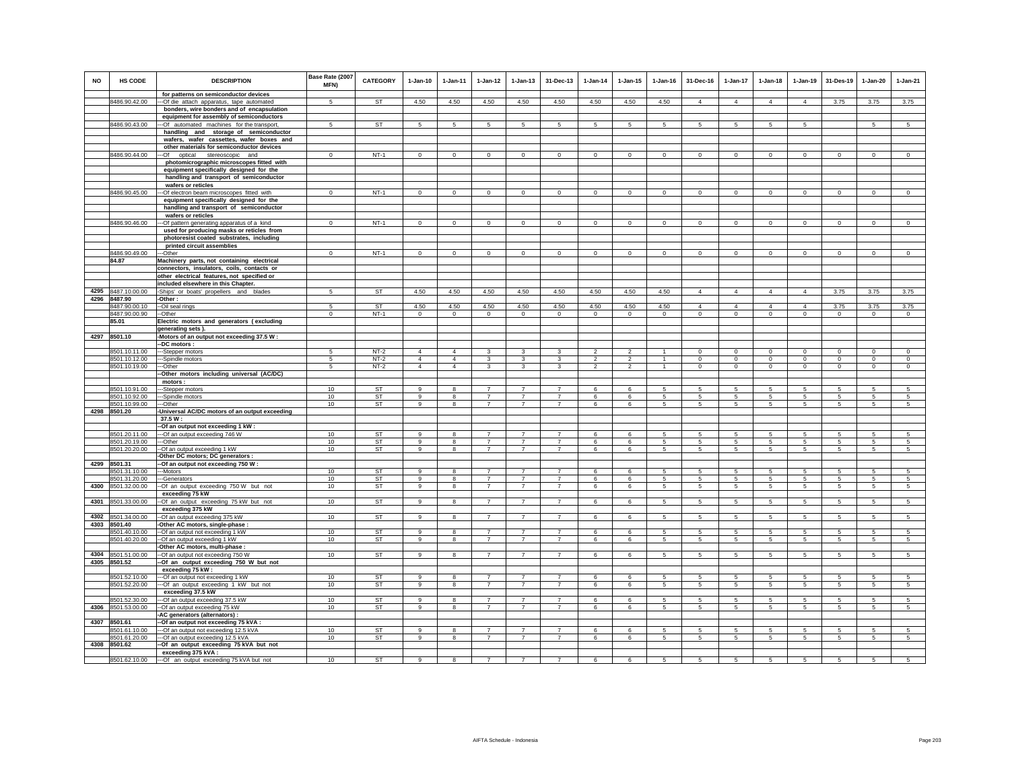| <b>NO</b> | <b>HS CODE</b>                 | <b>DESCRIPTION</b>                                                                 | Base Rate (2007<br>MFN) | CATEGORY         | $1-Jan-10$                       | 1-Jan-11                         | $1 - Jan-12$                     | $1 - Jan-13$                     | 31-Dec-13                        | $1-Jan-14$                       | $1 - Jan-15$                     | $1 - Jan-16$                   | 31-Dec-16              | $1-Jan-17$                  | $1-Jan-18$                | 1-Jan-19           | 31-Des-19              | $1-Jan-20$              | $1-Jan-21$                  |
|-----------|--------------------------------|------------------------------------------------------------------------------------|-------------------------|------------------|----------------------------------|----------------------------------|----------------------------------|----------------------------------|----------------------------------|----------------------------------|----------------------------------|--------------------------------|------------------------|-----------------------------|---------------------------|--------------------|------------------------|-------------------------|-----------------------------|
|           | 8486.90.42.00                  | for patterns on semiconductor devices<br>-Of die attach apparatus, tape automated  | 5                       | <b>ST</b>        | 4.50                             | 4.50                             | 4.50                             | 4.50                             | 4.50                             | 4.50                             | 4.50                             | 4.50                           | $\Delta$               | $\Delta$                    | $\Delta$                  | $\Delta$           | 3.75                   | 3.75                    | 3.75                        |
|           |                                | bonders, wire bonders and of encapsulation                                         |                         |                  |                                  |                                  |                                  |                                  |                                  |                                  |                                  |                                |                        |                             |                           |                    |                        |                         |                             |
|           |                                | equipment for assembly of semiconductors                                           |                         |                  |                                  |                                  |                                  |                                  |                                  |                                  |                                  |                                |                        |                             |                           |                    |                        |                         |                             |
|           | 8486.90.43.00                  | -Of automated machines for the transport,<br>handling and storage of semiconductor | 5                       | <b>ST</b>        | 5                                | 5                                | 5                                | 5                                | 5                                | 5                                | 5                                | -5                             | 5                      | $5\overline{5}$             | 5                         | 5                  |                        | 5                       | 5                           |
|           |                                | wafers, wafer cassettes, wafer boxes and                                           |                         |                  |                                  |                                  |                                  |                                  |                                  |                                  |                                  |                                |                        |                             |                           |                    |                        |                         |                             |
|           |                                | other materials for semiconductor devices                                          |                         |                  |                                  |                                  |                                  |                                  |                                  |                                  |                                  |                                |                        |                             |                           |                    |                        |                         |                             |
|           | 8486.90.44.00                  | optical<br>stereoscopic and<br>-Of                                                 | $^{\circ}$              | $NT-1$           | $\mathbf 0$                      | $\mathbf 0$                      | $\mathbf 0$                      | $\mathbf 0$                      | $\bf{0}$                         | $\mathbf 0$                      | $\mathbf 0$                      | $\mathbf 0$                    | $\mathbf 0$            | 0                           | $\mathbf 0$               | $\mathbf 0$        | $\mathbf 0$            | $\mathbf 0$             | $\mathbf 0$                 |
|           |                                | photomicrographic microscopes fitted with                                          |                         |                  |                                  |                                  |                                  |                                  |                                  |                                  |                                  |                                |                        |                             |                           |                    |                        |                         |                             |
|           |                                | equipment specifically designed for the<br>handling and transport of semiconductor |                         |                  |                                  |                                  |                                  |                                  |                                  |                                  |                                  |                                |                        |                             |                           |                    |                        |                         |                             |
|           |                                | wafers or reticles                                                                 |                         |                  |                                  |                                  |                                  |                                  |                                  |                                  |                                  |                                |                        |                             |                           |                    |                        |                         |                             |
|           | 8486.90.45.00                  | -- Of electron beam microscopes fitted with                                        | $^{\circ}$              | $NT-1$           | $\mathbf{0}$                     | $\mathbf 0$                      | $\mathbf 0$                      | $\mathbf 0$                      | $\mathbf 0$                      | $\circ$                          | $\mathbf 0$                      | $\mathbf 0$                    | $\mathbf 0$            | $\mathbf 0$                 | $\mathbf 0$               | $\mathbf 0$        | $\mathbf 0$            | $\mathbf 0$             | $\circ$                     |
|           |                                | equipment specifically designed for the                                            |                         |                  |                                  |                                  |                                  |                                  |                                  |                                  |                                  |                                |                        |                             |                           |                    |                        |                         |                             |
|           |                                | handling and transport of semiconductor<br>wafers or reticles                      |                         |                  |                                  |                                  |                                  |                                  |                                  |                                  |                                  |                                |                        |                             |                           |                    |                        |                         |                             |
|           | 8486.90.46.00                  | -Of pattern generating apparatus of a kind                                         | $\Omega$                | $NT-1$           | $\circ$                          | $\mathbf 0$                      | $\mathbf 0$                      | $\mathbf 0$                      | $\mathbf 0$                      | $\mathbf 0$                      | $\mathbf 0$                      | $\mathbf 0$                    | $\circ$                | $\mathbf 0$                 | $\mathbf 0$               | $\mathbf 0$        | $\mathbf 0$            | $\mathbf 0$             | $\mathbf{0}$                |
|           |                                | used for producing masks or reticles from                                          |                         |                  |                                  |                                  |                                  |                                  |                                  |                                  |                                  |                                |                        |                             |                           |                    |                        |                         |                             |
|           |                                | photoresist coated substrates, including                                           |                         |                  |                                  |                                  |                                  |                                  |                                  |                                  |                                  |                                |                        |                             |                           |                    |                        |                         |                             |
|           | 8486.90.49.00                  | printed circuit assemblies<br>--Other                                              | $\overline{0}$          | $NT-1$           | $\Omega$                         | $\Omega$                         | $\overline{0}$                   | $\Omega$                         | $\Omega$                         | $\overline{0}$                   | $\mathbf 0$                      | $\overline{0}$                 | $\Omega$               | $\Omega$                    | $\Omega$                  | $\Omega$           | $\overline{0}$         | $\Omega$                | $\overline{0}$              |
|           | 84.87                          | Machinery parts, not containing electrical                                         |                         |                  |                                  |                                  |                                  |                                  |                                  |                                  |                                  |                                |                        |                             |                           |                    |                        |                         |                             |
|           |                                | connectors, insulators, coils, contacts or                                         |                         |                  |                                  |                                  |                                  |                                  |                                  |                                  |                                  |                                |                        |                             |                           |                    |                        |                         |                             |
|           |                                | other electrical features, not specified or                                        |                         |                  |                                  |                                  |                                  |                                  |                                  |                                  |                                  |                                |                        |                             |                           |                    |                        |                         |                             |
|           | 4295 8487.10.00.00             | included elsewhere in this Chapter.                                                | 5                       | <b>ST</b>        | 4.50                             | 4.50                             | 4.50                             | 4.50                             | 4.50                             | 4.50                             | 4.50                             | 4.50                           | $\overline{4}$         | $\overline{4}$              | $\overline{4}$            | $\overline{4}$     | 3.75                   | 3.75                    | 3.75                        |
| 4296      | 8487.90                        | -Ships' or boats' propellers and blades<br>-Other :                                |                         |                  |                                  |                                  |                                  |                                  |                                  |                                  |                                  |                                |                        |                             |                           |                    |                        |                         |                             |
|           | 8487.90.00.10                  | -Oil seal rings                                                                    | 5                       | ST               | 4.50                             | 4.50                             | 4.50                             | 4.50                             | 4.50                             | 4.50                             | 4.50                             | 4.50                           | $\overline{4}$         | 4                           | $\overline{4}$            | $\overline{4}$     | 3.75                   | 3.75                    | 3.75                        |
|           | 8487.90.00.90                  | -Other                                                                             | $\mathbf 0$             | $NT-1$           | $\mathbf 0$                      | $\mathbf 0$                      | $\mathbf 0$                      | $\mathbf 0$                      | $\mathbf 0$                      | $\,0\,$                          | $\mathbf 0$                      | $\mathbf 0$                    | $\mathbf 0$            | 0                           | $\mathbf 0$               | $\mathbf 0$        | $\mathbf 0$            | $\mathbf 0$             | $\mathbf 0$                 |
|           | 85.01                          | Electric motors and generators (excluding<br>generating sets).                     |                         |                  |                                  |                                  |                                  |                                  |                                  |                                  |                                  |                                |                        |                             |                           |                    |                        |                         |                             |
|           | 4297 8501.10                   | -Motors of an output not exceeding 37.5 W:                                         |                         |                  |                                  |                                  |                                  |                                  |                                  |                                  |                                  |                                |                        |                             |                           |                    |                        |                         |                             |
|           |                                | -DC motors :                                                                       |                         |                  |                                  |                                  |                                  |                                  |                                  |                                  |                                  |                                |                        |                             |                           |                    |                        |                         |                             |
|           | 8501.10.11.00                  | --Stepper motors                                                                   | 5                       | $NT-2$           | $\Delta$                         | $\overline{4}$                   | 3                                | 3                                | 3                                | $\overline{2}$                   | $\overline{\mathbf{c}}$          |                                | $^{\circ}$             | 0                           | $\mathbf 0$               | $\mathbf 0$        | $\mathbf 0$            | $\mathbf 0$             | $\mathbf 0$                 |
|           | 8501.10.12.00<br>8501.10.19.00 | -Spindle motors<br>-Other                                                          | 5<br>5                  | $NT-2$<br>$NT-2$ | $\overline{4}$<br>$\overline{4}$ | $\overline{4}$<br>$\overline{4}$ | $\mathbf{3}$<br>$\mathbf{3}$     | 3<br>3                           | 3<br>$\mathbf{3}$                | $\overline{2}$<br>$\overline{2}$ | $\overline{c}$<br>$\overline{2}$ | $\overline{1}$<br>$\mathbf{1}$ | $\circ$<br>$\mathbf 0$ | $\mathbf{0}$<br>$\mathbf 0$ | $^{\circ}$<br>$\mathbf 0$ | $\circ$<br>$\circ$ | $\mathbf 0$<br>$\circ$ | $\mathbf{0}$<br>$\circ$ | $\mathbf{0}$<br>$\mathsf 0$ |
|           |                                | Other motors including universal (AC/DC)                                           |                         |                  |                                  |                                  |                                  |                                  |                                  |                                  |                                  |                                |                        |                             |                           |                    |                        |                         |                             |
|           |                                | motors:                                                                            |                         |                  |                                  |                                  |                                  |                                  |                                  |                                  |                                  |                                |                        |                             |                           |                    |                        |                         |                             |
|           | 8501.10.91.00                  | -Stepper motors                                                                    | 10                      | <b>ST</b>        | $\circ$                          | 8                                | $\overline{7}$                   | $\overline{7}$                   | $\overline{7}$<br>$\overline{7}$ | 6                                | 6                                | 5<br>5                         | 5                      | 5                           | 5                         | 5                  | 5                      | 5                       | 5                           |
|           | 8501.10.92.00<br>8501.10.99.00 | -Spindle motors<br>--Other                                                         | 10<br>10                | <b>ST</b><br>ST  | 9<br>9                           | 8<br>8                           | $\overline{7}$<br>$\overline{7}$ | $\overline{7}$<br>$\overline{7}$ | $\overline{7}$                   | 6<br>6                           | 6<br>6                           | 5                              | 5<br>5                 | 5<br>$5\phantom{.0}$        | 5<br>5                    | 5<br>$\,$ 5 $\,$   | 5<br>5                 | 5<br>5                  | 5<br>5                      |
|           | 4298 8501.20                   | -Universal AC/DC motors of an output exceeding                                     |                         |                  |                                  |                                  |                                  |                                  |                                  |                                  |                                  |                                |                        |                             |                           |                    |                        |                         |                             |
|           |                                | 37.5 W:                                                                            |                         |                  |                                  |                                  |                                  |                                  |                                  |                                  |                                  |                                |                        |                             |                           |                    |                        |                         |                             |
|           | 8501.20.11.00                  | -Of an output not exceeding 1 kW :                                                 | 10 <sup>1</sup>         | ST               | 9                                | 8                                | $\overline{7}$                   | $\overline{7}$                   | 7                                | 6                                | 6                                | 5                              | -5                     | 5.                          | 5.                        | 5                  | 5                      | 5                       | 5                           |
|           | 8501.20.19.00                  | -- Of an output exceeding 746 W<br>--Other                                         | 10                      | ST               | $\mathsf g$                      | 8                                | $\overline{7}$                   | $\overline{7}$                   | $\overline{7}$                   | 6                                | 6                                | 5                              | 5                      | 5                           | 5                         | 5                  | $\sqrt{5}$             | 5                       | 5                           |
|           | 8501.20.20.00                  | -- Of an output exceeding 1 kW                                                     | 10                      | ST               | 9                                | 8                                | $\overline{7}$                   | $\overline{7}$                   | $\overline{7}$                   | 6                                | 6                                | 5                              | 5.                     | 5                           | 5                         | 5                  | 5                      | $\overline{5}$          | 5                           |
|           |                                | -Other DC motors; DC generators                                                    |                         |                  |                                  |                                  |                                  |                                  |                                  |                                  |                                  |                                |                        |                             |                           |                    |                        |                         |                             |
| 4299      | 8501.31<br>8501.31.10.00       | -Of an output not exceeding 750 W:<br>--Motors                                     | 10                      | ST               |                                  |                                  |                                  |                                  |                                  | 6                                | 6                                |                                |                        | 5                           |                           | 5                  | 5                      | 5                       |                             |
|           | 8501.31.20.00                  | --Generators                                                                       | 10                      | ST               | 9                                | 8                                | $\overline{7}$                   | $\overline{7}$                   | $\overline{7}$                   | 6                                | 6                                | 5                              | $5\phantom{.0}$        | $5\phantom{.0}$             | $5\phantom{.0}$           | 5                  | 5                      | $\sqrt{5}$              | 5                           |
|           | 4300 8501.32.00.00             | -Of an output exceeding 750 W but not                                              | 10                      | ST               | 9                                | 8                                | $\overline{7}$                   | $\overline{7}$                   | $\overline{7}$                   | 6                                | 6                                | 5                              | $5\overline{5}$        | $5\overline{5}$             | $5\phantom{.0}$           | 5                  | $5\phantom{.0}$        | $5\phantom{.0}$         | 5                           |
|           | 4301 8501.33.00.00             | exceeding 75 kW                                                                    |                         |                  |                                  |                                  |                                  |                                  |                                  |                                  |                                  |                                |                        |                             |                           |                    |                        |                         |                             |
|           |                                | Of an output exceeding 75 kW but not<br>exceeding 375 kW                           | 10                      | <b>ST</b>        | 9                                | 8                                | $\overline{7}$                   | $\overline{7}$                   | $\overline{7}$                   | 6                                | 6                                | 5                              | 5                      | $5\phantom{.0}$             | 5                         | 5                  | 5                      | $\sqrt{5}$              | $\sqrt{5}$                  |
| 4302      | 8501.34.00.00                  | -Of an output exceeding 375 kW                                                     | 10                      | <b>ST</b>        | 9                                | 8                                | $\overline{7}$                   | $\overline{7}$                   | $\overline{7}$                   | 6                                | 6                                | 5                              | 5                      | 5                           | $5\phantom{.0}$           | $\,$ 5 $\,$        | $\sqrt{5}$             | $\sqrt{5}$              | $\sqrt{5}$                  |
|           | 4303 8501.40                   | -Other AC motors, single-phase :                                                   |                         |                  |                                  |                                  |                                  |                                  |                                  |                                  |                                  |                                |                        |                             |                           |                    |                        |                         |                             |
|           | 8501.40.10.00<br>8501.40.20.00 | --Of an output not exceeding 1 kW<br>-Of an output exceeding 1 kW                  | 10 <sup>1</sup><br>10   | <b>ST</b><br>ST  | 9<br>9                           | 8<br>8                           | $\overline{7}$<br>$\overline{7}$ | $\overline{7}$<br>$\overline{7}$ | $\overline{7}$<br>$\overline{7}$ | 6<br>6                           | 6<br>6                           | 5<br>5                         | -5<br>5                | 5<br>5                      | 5<br>5                    | -5<br>5            | -5<br>5                | 5<br>5                  | 5<br>5                      |
|           |                                | Other AC motors, multi-phase :                                                     |                         |                  |                                  |                                  |                                  |                                  |                                  |                                  |                                  |                                |                        |                             |                           |                    |                        |                         |                             |
|           | 4304 8501.51.00.00             | -Of an output not exceeding 750 W                                                  | 10                      | ST               | 9                                | 8                                | $\overline{7}$                   | $\overline{7}$                   | $\overline{7}$                   | 6                                | 6                                | -5                             | 5                      | 5                           | 5                         | 5                  | 5                      | 5                       | 5                           |
|           | 4305 8501.52                   | -Of an output exceeding 750 W but not                                              |                         |                  |                                  |                                  |                                  |                                  |                                  |                                  |                                  |                                |                        |                             |                           |                    |                        |                         |                             |
|           | 8501.52.10.00                  | exceeding 75 kW:<br>-Of an output not exceeding 1 kW                               | 10                      | ST               | 9                                | 8                                | $\overline{7}$                   | $\overline{7}$                   | $\overline{7}$                   | 6                                | 6                                | 5                              | 5                      | 5                           | 5                         | 5                  | 5                      | 5                       | 5                           |
|           | 8501.52.20.00                  | -Of an output exceeding 1 kW but not                                               | 10                      | ST               | 9                                | 8                                | $\overline{7}$                   | $\overline{7}$                   | $\overline{7}$                   | 6                                | 6                                | 5                              | 5                      | 5                           | 5                         | 5                  | 5                      | 5                       | 5                           |
|           |                                | exceeding 37.5 kW                                                                  |                         |                  |                                  |                                  |                                  |                                  |                                  |                                  |                                  |                                |                        |                             |                           |                    |                        |                         |                             |
|           | 8501.52.30.00                  | --Of an output exceeding 37.5 kW                                                   | 10 <sup>1</sup>         | <b>ST</b>        | $\alpha$                         | $\mathbf{R}$                     | $\overline{7}$                   | $\overline{7}$                   | $\overline{7}$                   | $\epsilon$                       | $\mathbf{f}$                     | 5                              | 5.                     | 5                           | 5.                        | 5                  | 5                      | 5                       | 5 <sup>5</sup>              |
| 4306      | 8501.53.00.00                  | -Of an output exceeding 75 kW<br>-AC generators (alternators) :                    | 10                      | ST               | 9                                | 8                                | $\overline{7}$                   | $\overline{7}$                   | $\overline{7}$                   | 6                                | 6                                | 5                              | -5                     | 5                           | 5                         | -5                 | 5                      | 5                       | 5                           |
|           | 4307 8501.61                   | -Of an output not exceeding 75 kVA :                                               |                         |                  |                                  |                                  |                                  |                                  |                                  |                                  |                                  |                                |                        |                             |                           |                    |                        |                         |                             |
|           | 8501.61.10.00                  | -Of an output not exceeding 12.5 kVA                                               | 10                      | ST               | 9                                | 8                                | $\overline{7}$                   | $\overline{7}$                   | $\overline{7}$                   | 6                                | 6                                | -5                             | 5                      | 5                           | 5                         | 5                  | 5                      | 5                       | -5                          |
|           | 8501.61.20.00                  | --- Of an output exceeding 12.5 kVA                                                | 10                      | <b>ST</b>        | 9                                | 8                                | $\overline{7}$                   | $\overline{7}$                   | $\overline{7}$                   | $6\overline{6}$                  | $6\phantom{.}6$                  | 5                              | 5                      | 5                           | $\overline{5}$            | $\overline{5}$     | $\sqrt{5}$             | 5                       | 5                           |
|           | 4308 8501.62                   | -Of an output exceeding 75 kVA but not<br>exceeding 375 kVA:                       |                         |                  |                                  |                                  |                                  |                                  |                                  |                                  |                                  |                                |                        |                             |                           |                    |                        |                         |                             |
|           | 8501.62.10.00                  | --- Of an output exceeding 75 kVA but not                                          | 10                      | <b>ST</b>        | 9                                | 8                                | $\overline{7}$                   | $\overline{7}$                   | $\overline{7}$                   | 6                                | 6                                | 5                              | 5                      | 5                           | $5\overline{5}$           | 5                  | 5                      | 5                       | 5                           |
|           |                                |                                                                                    |                         |                  |                                  |                                  |                                  |                                  |                                  |                                  |                                  |                                |                        |                             |                           |                    |                        |                         |                             |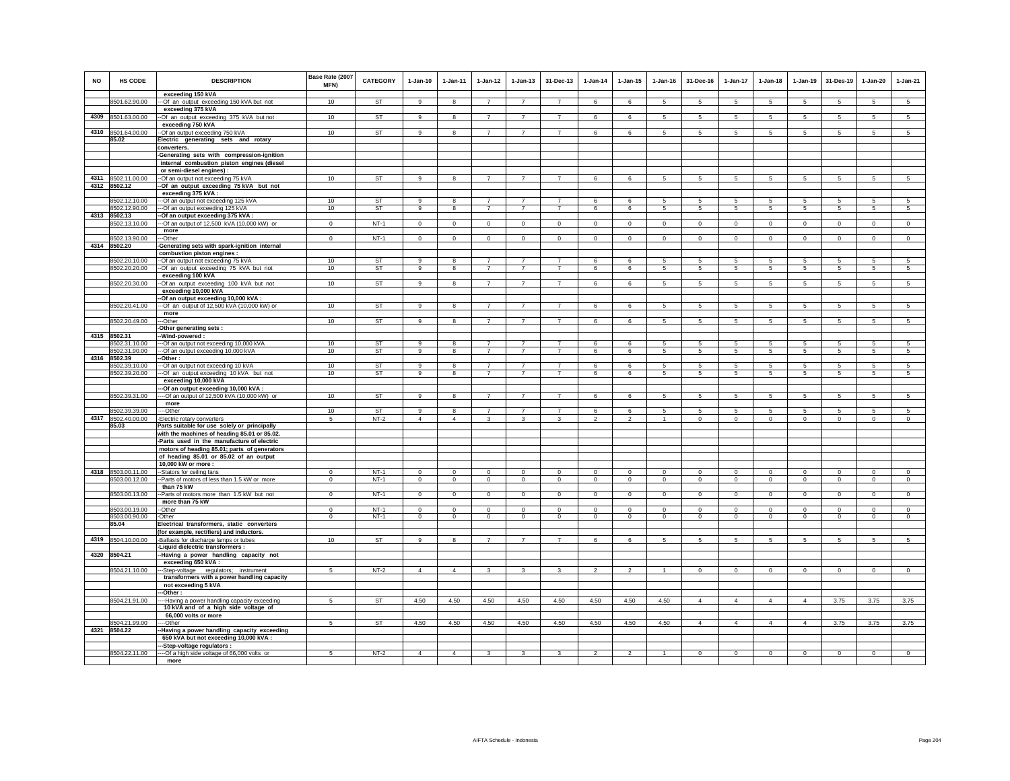| <b>NO</b> | HS CODE                        | <b>DESCRIPTION</b>                                                                           | Base Rate (2007<br><b>MFN)</b> | <b>CATEGORY</b>        | $1-Jan-10$                   | $1-Jan-11$                | 1-Jan-12                         | $1 - Jan-13$                     | 31-Dec-13                        | $1-Jan-14$                   | $1 - Jan-15$                  | $1 - Jan-16$                 | 31-Dec-16                  | 1-Jan-17                           | $1 - Jan-18$              | $1-Jan-19$                    | 31-Des-19                 | $1 - Jan-20$                  | $1-Jan-21$                |
|-----------|--------------------------------|----------------------------------------------------------------------------------------------|--------------------------------|------------------------|------------------------------|---------------------------|----------------------------------|----------------------------------|----------------------------------|------------------------------|-------------------------------|------------------------------|----------------------------|------------------------------------|---------------------------|-------------------------------|---------------------------|-------------------------------|---------------------------|
|           | 8501.62.90.00                  | exceeding 150 kVA<br>-- Of an output exceeding 150 kVA but not                               | 10                             | <b>ST</b>              | 9                            | 8                         | $\overline{7}$                   | $\overline{7}$                   | $\overline{7}$                   | 6                            | 6                             | 5                            | 5                          | 5                                  | 5                         | 5                             | 5                         | 5                             | 5                         |
|           | 4309 8501.63.00.00             | exceeding 375 kVA<br>--Of an output exceeding 375 kVA but not                                | 10                             | ST                     | 9                            | 8                         | $\overline{7}$                   | $\overline{7}$                   | $\overline{7}$                   | 6                            | 6                             | 5                            | 5                          | 5                                  | 5                         | 5                             | 5                         | 5                             | 5                         |
|           |                                | exceeding 750 kVA                                                                            |                                |                        |                              |                           |                                  |                                  |                                  |                              |                               |                              |                            |                                    |                           |                               |                           |                               |                           |
|           | 4310 8501.64.00.00<br>85.02    | -- Of an output exceeding 750 kVA<br>Electric generating sets and rotary                     | 10                             | ST                     | 9                            | 8                         | $\overline{7}$                   | $\overline{7}$                   | $\overline{7}$                   | 6                            | 6                             | 5                            | 5                          | 5                                  | 5                         | 5                             | 5                         | 5                             | 5                         |
|           |                                | converters.                                                                                  |                                |                        |                              |                           |                                  |                                  |                                  |                              |                               |                              |                            |                                    |                           |                               |                           |                               |                           |
|           |                                | -Generating sets with compression-ignition                                                   |                                |                        |                              |                           |                                  |                                  |                                  |                              |                               |                              |                            |                                    |                           |                               |                           |                               |                           |
|           |                                | internal combustion piston engines (diesel<br>or semi-diesel engines) :                      |                                |                        |                              |                           |                                  |                                  |                                  |                              |                               |                              |                            |                                    |                           |                               |                           |                               |                           |
| 4311      | 8502.11.00.00                  | -- Of an output not exceeding 75 kVA                                                         | 10                             | ST                     | $\alpha$                     | 8                         | $\overline{7}$                   | $\overline{7}$                   | $\overline{7}$                   | 6                            | 6                             | 5                            | 5                          | 5                                  | 5                         | 5                             | 5                         | 5                             | 5                         |
|           | 4312 8502.12                   | -Of an output exceeding 75 kVA but not<br>exceeding 375 kVA :                                |                                |                        |                              |                           |                                  |                                  |                                  |                              |                               |                              |                            |                                    |                           |                               |                           |                               |                           |
|           | 8502.12.10.00                  | --- Of an output not exceeding 125 kVA                                                       | 10                             | ST                     | 9                            | 8                         | $\overline{7}$                   | $\overline{7}$                   | $\overline{7}$                   | 6                            | 6                             | 5                            | 5                          | 5                                  | 5                         | 5                             | 5                         | 5                             | -5                        |
| 4313      | 8502.12.90.00<br>8502.13       | --- Of an output exceeding 125 kVA<br>-Of an output exceeding 375 kVA :                      | 10                             | <b>ST</b>              | 9                            | 8                         | $\overline{7}$                   | $\overline{7}$                   | $\overline{7}$                   | 6                            | 6                             | $\sqrt{5}$                   | 5                          | $5\overline{)}$                    | $\sqrt{5}$                | 5                             | $\sqrt{5}$                | 5                             | 5                         |
|           | 8502.13.10.00                  | --Of an output of 12,500 kVA (10,000 kW) or                                                  | $\mathbf 0$                    | $NT-1$                 | $\circ$                      | $\circ$                   | $\circ$                          | $\circ$                          | $\mathbf{0}$                     | $\circ$                      | $\mathbf 0$                   | $\mathbf 0$                  | $\circ$                    | $\mathbf 0$                        | $\circ$                   | $\circ$                       | $\mathbf{0}$              | $\circ$                       | $\circ$                   |
|           | 8502.13.90.00                  | more                                                                                         | $\mathbf{0}$                   | $NT-1$                 | $\circ$                      | $\circ$                   | $\circ$                          | $\mathbf 0$                      | $\mathbf 0$                      | $\circ$                      | $\mathbf 0$                   | $\mathbf 0$                  | $\circ$                    | $\mathbf 0$                        | $\overline{0}$            | $\mathbf 0$                   | $\mathbf 0$               | $\mathsf 0$                   | $\overline{0}$            |
|           | 4314 8502.20                   | --Other<br>-Generating sets with spark-ignition internal                                     |                                |                        |                              |                           |                                  |                                  |                                  |                              |                               |                              |                            |                                    |                           |                               |                           |                               |                           |
|           |                                | combustion piston engines :                                                                  |                                |                        |                              |                           |                                  |                                  |                                  |                              |                               |                              |                            |                                    |                           |                               |                           |                               |                           |
|           | 8502.20.10.00<br>8502.20.20.00 | --Of an output not exceeding 75 kVA<br>-- Of an output exceeding 75 kVA but not              | 10<br>10                       | <b>ST</b><br><b>ST</b> | 9<br>9                       | 8<br>8                    | $\overline{7}$<br>$\overline{7}$ | $\overline{7}$<br>$\overline{7}$ | $\overline{7}$<br>$\overline{7}$ | 6<br>6                       | 6<br>6                        | 5<br>$\sqrt{5}$              | 5<br>5                     | 5<br>$5\phantom{.0}$               | 5<br>$\overline{5}$       | 5<br>$5\phantom{.0}$          | 5<br>$5\phantom{.0}$      | 5<br>$\overline{5}$           | 5<br>5                    |
|           |                                | exceeding 100 kVA                                                                            |                                |                        |                              |                           |                                  |                                  | $\overline{7}$                   |                              |                               |                              |                            |                                    |                           |                               |                           |                               |                           |
|           | 8502.20.30.00                  | -Of an output exceeding 100 kVA but not<br>exceeding 10,000 kVA                              | 10                             | ST                     | 9                            | 8                         | $\overline{7}$                   | $\overline{7}$                   |                                  | 6                            | 6                             | 5                            | 5                          | 5                                  | 5                         | 5                             | 5                         | 5                             | 5                         |
|           | 8502.20.41.00                  | -- Of an output exceeding 10,000 kVA :<br>--- Of an output of 12,500 kVA (10,000 kW) or      | 10                             | <b>ST</b>              | $\overline{9}$               | 8                         | $\overline{7}$                   | $\overline{7}$                   | $\overline{7}$                   | 6                            | 6                             | 5                            | 5                          | $5\overline{)}$                    | 5                         | 5                             | 5                         | $5\overline{5}$               | 5                         |
|           |                                | more                                                                                         |                                |                        |                              |                           |                                  |                                  |                                  |                              |                               |                              |                            |                                    |                           |                               |                           |                               |                           |
|           | 8502.20.49.00                  | ---Other<br>-Other generating sets :                                                         | 10                             | ST                     | 9                            | 8                         | $\overline{7}$                   | $\overline{7}$                   | $\overline{7}$                   | 6                            | 6                             | 5                            | 5                          | 5                                  | 5                         | 5                             | 5                         | 5                             | $\sqrt{5}$                |
|           | 4315 8502.31                   | -Wind-powered:                                                                               |                                | <b>ST</b>              |                              |                           |                                  |                                  |                                  |                              |                               |                              |                            |                                    |                           |                               |                           |                               |                           |
|           | 8502.31.10.00<br>8502.31.90.00 | -Of an output not exceeding 10,000 kVA<br>-Of an output exceeding 10,000 kVA                 | 10<br>10                       | <b>ST</b>              | 9<br>9                       | 8<br>8                    | $\overline{7}$<br>$\overline{7}$ | $\overline{7}$<br>$\overline{7}$ | $\overline{7}$<br>$\overline{7}$ | 6<br>6                       | 6<br>6                        | -5<br>5                      | -5<br>5                    | 5<br>$5\overline{)}$               | 5<br>5                    | 5<br>$\overline{5}$           | 5<br>5                    | 5<br>5                        | 5<br>5                    |
| 4316      | 8502.39                        | -Other:                                                                                      |                                |                        |                              |                           | $\overline{7}$                   | $\overline{7}$                   | $\overline{7}$                   |                              |                               |                              |                            |                                    |                           |                               |                           |                               |                           |
|           | 8502.39.10.00<br>8502.39.20.00 | --- Of an output not exceeding 10 kVA<br>--- Of an output exceeding 10 kVA but not           | 10<br>10                       | <b>ST</b><br><b>ST</b> | 9<br>9                       | 8<br>8                    | $\overline{7}$                   | $\overline{7}$                   | $\overline{7}$                   | 6<br>6                       | 6<br>6                        | 5<br>$\overline{5}$          | 5<br>5                     | $5\phantom{.0}$<br>$5\overline{)}$ | 5<br>5                    | 5<br>5                        | 5<br>5                    | $\overline{5}$<br>5           | 5<br>5                    |
|           |                                | exceeding 10,000 kVA                                                                         |                                |                        |                              |                           |                                  |                                  |                                  |                              |                               |                              |                            |                                    |                           |                               |                           |                               |                           |
|           | 8502.39.31.00                  | --Of an output exceeding 10,000 kVA :<br>---- Of an output of 12,500 kVA (10,000 kW) or      | 10                             | ST                     | 9                            | 8                         | $\overline{7}$                   | $\overline{7}$                   | $\overline{7}$                   | 6                            | 6                             | 5                            | $5\phantom{.0}$            | $5\phantom{.0}$                    | $\overline{5}$            | $\overline{5}$                | $\sqrt{5}$                | $\sqrt{5}$                    | 5                         |
|           | 8502.39.39.00                  | more                                                                                         | 10                             | <b>ST</b>              |                              |                           | $\overline{7}$                   |                                  |                                  |                              |                               |                              |                            |                                    |                           |                               | $\overline{5}$            |                               | $\overline{5}$            |
| 4317      | 8502.40.00.00                  | --Other<br>Electric rotary converters                                                        | 5                              | $NT-2$                 | 9<br>$\overline{4}$          | 8<br>$\overline{4}$       | 3                                | $\overline{7}$<br>$\mathbf{3}$   | $\overline{7}$<br>$\mathsf 3$    | 6<br>$\boldsymbol{2}$        | 6<br>$\overline{\mathbf{c}}$  | 5                            | 5<br>$\mathbf 0$           | 5<br>$\mathbf 0$                   | 5<br>$\mathsf 0$          | 5<br>$\mathbf 0$              | $\mathbf 0$               | 5<br>$\mathbf 0$              | $\mathsf 0$               |
|           | 85.03                          | Parts suitable for use solely or principally<br>with the machines of heading 85.01 or 85.02. |                                |                        |                              |                           |                                  |                                  |                                  |                              |                               |                              |                            |                                    |                           |                               |                           |                               |                           |
|           |                                | -Parts used in the manufacture of electric<br>motors of heading 85.01; parts of generators   |                                |                        |                              |                           |                                  |                                  |                                  |                              |                               |                              |                            |                                    |                           |                               |                           |                               |                           |
|           |                                | of heading 85.01 or 85.02 of an output                                                       |                                |                        |                              |                           |                                  |                                  |                                  |                              |                               |                              |                            |                                    |                           |                               |                           |                               |                           |
|           |                                | 10,000 kW or more :                                                                          |                                |                        |                              |                           |                                  |                                  |                                  |                              |                               |                              |                            |                                    |                           |                               |                           |                               |                           |
| 4318      | 8503.00.11.00<br>8503.00.12.00 | --Stators for ceiling fans<br>--Parts of motors of less than 1.5 kW or more                  | $\mathbf 0$<br>$\overline{0}$  | $NT-1$<br>$NT-1$       | $^{\circ}$<br>$\overline{0}$ | $\circ$<br>$\overline{0}$ | $\mathbf 0$<br>$\overline{0}$    | $\circ$<br>$\overline{0}$        | $\mathbf 0$<br>$\overline{0}$    | $^{\circ}$<br>$\overline{0}$ | $\mathbf 0$<br>$\overline{0}$ | $^{\circ}$<br>$\overline{0}$ | $\Omega$<br>$\overline{0}$ | $\mathbf 0$<br>$\overline{0}$      | $\circ$<br>$\overline{0}$ | $\mathbf 0$<br>$\overline{0}$ | $\circ$<br>$\overline{0}$ | $\mathbf 0$<br>$\overline{0}$ | $\circ$<br>$\overline{0}$ |
|           | 8503.00.13.00                  | than 75 kW<br>--Parts of motors more than 1.5 kW but not                                     | $\mathsf 0$                    | $NT-1$                 | $\mathbf 0$                  | $\mathbf 0$               | $\mathbf 0$                      | $\mathbf 0$                      | $\mathbf 0$                      | $\circ$                      | $\mathbf 0$                   | $\mathbf 0$                  | $\Omega$                   | $\mathbf 0$                        | $\mathbf 0$               | $\mathbf 0$                   | $\mathbf 0$               | $\mathbf 0$                   | $\mathbf 0$               |
|           | 8503.00.19.00                  | more than 75 kW                                                                              | $\mathbf 0$                    | $NT-1$                 | $\circ$                      | $\circ$                   | $\circ$                          | $\mathbf 0$                      | $\circ$                          | $\circ$                      | $\mathbf 0$                   | $\Omega$                     | $\Omega$                   | $\circ$                            | $\Omega$                  | $\mathbf 0$                   | $\mathbf 0$               | $\Omega$                      | $\circ$                   |
|           | 8503.00.90.00                  | --Other<br>-Other                                                                            | $\mathbf{0}$                   | $NT-1$                 | $\mathbf 0$                  | $\circ$                   | $\circ$                          | $\mathbf 0$                      | $\mathbf 0$                      | $\circ$                      | $\mathbf 0$                   | $\mathbf 0$                  | $\mathbf 0$                | $\mathbf 0$                        | $\circ$                   | $\mathbf 0$                   | $\circ$                   | $\mathbf 0$                   | $\circ$                   |
|           | 85.04                          | Electrical transformers, static converters                                                   |                                |                        |                              |                           |                                  |                                  |                                  |                              |                               |                              |                            |                                    |                           |                               |                           |                               |                           |
|           | 4319 8504.10.00.00             | (for example, rectifiers) and inductors.<br>-Ballasts for discharge lamps or tubes           | 10                             | <b>ST</b>              | 9                            | 8                         | $\overline{7}$                   | $\overline{7}$                   | $\overline{7}$                   | 6                            | 6                             | -5                           | 5                          | 5                                  | 5                         | 5                             | -5                        | 5                             | -5                        |
|           |                                | -Liquid dielectric transformers :                                                            |                                |                        |                              |                           |                                  |                                  |                                  |                              |                               |                              |                            |                                    |                           |                               |                           |                               |                           |
|           | 4320 8504.21                   | -Having a power handling capacity not<br>exceeding 650 kVA:                                  |                                |                        |                              |                           |                                  |                                  |                                  |                              |                               |                              |                            |                                    |                           |                               |                           |                               |                           |
|           | 8504.21.10.00                  | --Step-voltage regulators; instrument                                                        | 5                              | $NT-2$                 | $\overline{4}$               | $\overline{4}$            |                                  | 3                                | 3                                |                              |                               |                              | $\mathbf 0$                | $\mathbf 0$                        | $\mathbf 0$               | $\mathbf 0$                   | $\mathbf 0$               | $\mathbf 0$                   | $\mathbf 0$               |
|           |                                | transformers with a power handling capacity<br>not exceeding 5 kVA                           |                                |                        |                              |                           |                                  |                                  |                                  |                              |                               |                              |                            |                                    |                           |                               |                           |                               |                           |
|           | 8504.21.91.00                  | --Other:                                                                                     | 5                              | ST                     | 4.50                         | 4.50                      | 4.50                             | 4.50                             | 4.50                             | 4.50                         | 4.50                          | 4.50                         | $\overline{4}$             | $\overline{4}$                     | $\overline{4}$            | $\overline{4}$                | 3.75                      | 3.75                          | 3.75                      |
|           |                                | ----Having a power handling capacity exceeding<br>10 kVA and of a high side voltage of       |                                |                        |                              |                           |                                  |                                  |                                  |                              |                               |                              |                            |                                    |                           |                               |                           |                               |                           |
|           | 8504.21.99.00                  | 66,000 volts or more<br>--Other                                                              | 5                              | <b>ST</b>              | 4.50                         | 4.50                      | 4.50                             | 4.50                             | 4.50                             | 4.50                         | 4.50                          | 4.50                         | $\overline{4}$             | $\overline{4}$                     | $\overline{4}$            | $\overline{4}$                | 3.75                      | 3.75                          | 3.75                      |
|           | 4321 8504.22                   | -Having a power handling capacity exceeding                                                  |                                |                        |                              |                           |                                  |                                  |                                  |                              |                               |                              |                            |                                    |                           |                               |                           |                               |                           |
|           |                                | 650 kVA but not exceeding 10,000 kVA :<br>-Step-voltage regulators :                         |                                |                        |                              |                           |                                  |                                  |                                  |                              |                               |                              |                            |                                    |                           |                               |                           |                               |                           |
|           | 8504.22.11.00                  | ---- Of a high side voltage of 66,000 volts or                                               | 5                              | $NT-2$                 | $\overline{4}$               | $\overline{4}$            | 3                                | 3                                | $\mathbf{R}$                     | $\mathfrak{p}$               | $\mathfrak{p}$                |                              | $\Omega$                   | $\Omega$                           | $\Omega$                  | $\Omega$                      | $\mathbf 0$               | $\Omega$                      | $\Omega$                  |
|           |                                | more                                                                                         |                                |                        |                              |                           |                                  |                                  |                                  |                              |                               |                              |                            |                                    |                           |                               |                           |                               |                           |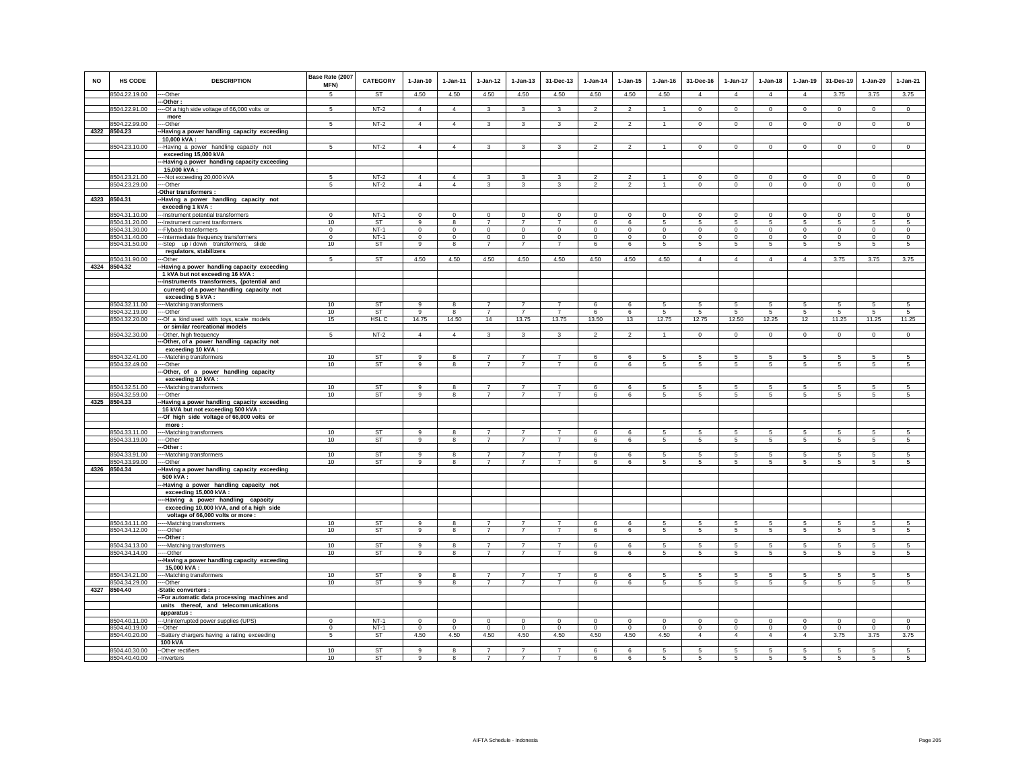| <b>NO</b> | HS CODE                        | <b>DESCRIPTION</b>                                                                     | Base Rate (2007<br>MFN) | <b>CATEGORY</b>        | $1-Jan-10$     | $1 - Jan-11$        | $1 - Jan-12$                     | $1 - Jan-13$                     | 31-Dec-13                        | $1 - Jan-14$   | $1 - Jan-15$        | $1 - Jan-16$   | 31-Dec-16           | $1 - Jan-17$                      | $1 - Jan-18$        | 1-Jan-19            | 31-Des-19              | $1 - Jan-20$    | $1-Jan-21$                        |
|-----------|--------------------------------|----------------------------------------------------------------------------------------|-------------------------|------------------------|----------------|---------------------|----------------------------------|----------------------------------|----------------------------------|----------------|---------------------|----------------|---------------------|-----------------------------------|---------------------|---------------------|------------------------|-----------------|-----------------------------------|
|           | 8504.22.19.00                  | --Other                                                                                | 5                       | <b>ST</b>              | 4.50           | 4.50                | 4.50                             | 4.50                             | 4.50                             | 4.50           | 4.50                | 4.50           | $\overline{4}$      | $\overline{4}$                    | $\overline{4}$      | $\overline{4}$      | 3.75                   | 3.75            | 3.75                              |
|           | 8504.22.91.00                  | -Other:<br>--Of a high side voltage of 66,000 volts or                                 | 5                       | $NT-2$                 | $\overline{4}$ | $\overline{4}$      | $\mathbf{3}$                     | $\mathbf{3}$                     | 3                                | $\overline{2}$ | $\overline{2}$      | $\overline{1}$ | $\mathsf 0$         | $\circ$                           | $\mathbf 0$         | $\mathsf 0$         | $\mathsf 0$            | $\mathsf 0$     | $\circ$                           |
|           |                                | more                                                                                   |                         |                        |                |                     |                                  |                                  |                                  |                |                     |                |                     |                                   |                     |                     |                        |                 |                                   |
|           | 8504.22.99.00                  | --Other                                                                                | 5                       | $NT-2$                 | $\overline{4}$ | $\overline{4}$      | $\mathbf{3}$                     | 3                                | 3                                | $\overline{2}$ | $\overline{2}$      | $\mathbf{1}$   | $\mathbf{0}$        | $\overline{0}$                    | $\circ$             | $\overline{0}$      | $\circ$                | $\overline{0}$  | $\overline{0}$                    |
|           | 4322 8504.23                   | Having a power handling capacity exceeding                                             |                         |                        |                |                     |                                  |                                  |                                  |                |                     |                |                     |                                   |                     |                     |                        |                 |                                   |
|           | 8504.23.10.00                  | 10,000 kVA:<br>-Having a power handling capacity not                                   | 5                       | $NT-2$                 | $\overline{4}$ | $\overline{4}$      | $\mathbf{3}$                     | 3                                | 3                                | $\overline{2}$ | $\mathfrak{p}$      | $\overline{1}$ | $\mathbf 0$         | $\mathbf 0$                       | $\mathsf 0$         | $\mathsf 0$         | $\,$ 0                 | $\mathsf 0$     | $\circ$                           |
|           |                                | exceeding 15,000 kVA                                                                   |                         |                        |                |                     |                                  |                                  |                                  |                |                     |                |                     |                                   |                     |                     |                        |                 |                                   |
|           |                                | -Having a power handling capacity exceeding                                            |                         |                        |                |                     |                                  |                                  |                                  |                |                     |                |                     |                                   |                     |                     |                        |                 |                                   |
|           |                                | 15.000 kVA:                                                                            |                         |                        |                |                     |                                  |                                  |                                  |                |                     |                |                     |                                   |                     |                     |                        |                 |                                   |
|           | 8504.23.21.00                  | --Not exceeding 20,000 kVA                                                             | 5                       | $NT-2$                 | $\overline{4}$ | $\overline{4}$      | 3                                | 3                                | 3                                | $\mathfrak{p}$ | $\overline{2}$      |                | $\mathbf 0$         | $\mathbf 0$                       | $\mathbf 0$         | $\circ$             | $\mathbf 0$            | $\mathbf 0$     | $\circ$                           |
|           | 8504.23.29.00                  | ---Other<br>-Other transformers :                                                      | 5                       | $NT-2$                 | $\overline{4}$ | $\overline{4}$      | $\mathbf{3}$                     | 3                                | 3                                | $\overline{2}$ | $\overline{2}$      | $\overline{1}$ | $\mathbf 0$         | $\mathbf 0$                       | $\mathbf 0$         | $\mathbf 0$         | $\mathbf 0$            | $\mathbf 0$     | $\circ$                           |
|           | 4323 8504.31                   | Having a power handling capacity not                                                   |                         |                        |                |                     |                                  |                                  |                                  |                |                     |                |                     |                                   |                     |                     |                        |                 |                                   |
|           |                                | exceeding 1 kVA:                                                                       |                         |                        |                |                     |                                  |                                  |                                  |                |                     |                |                     |                                   |                     |                     |                        |                 |                                   |
|           | 8504.31.10.00                  | -Instrument potential transformers                                                     | $\mathsf 0$             | $NT-1$                 | $\mathbf 0$    | $\mathbf 0$         | $\mathbf 0$                      | $\mathbf 0$                      | $\mathbf 0$                      | $\mathbf 0$    | $\mathbf 0$         | $\mathbf 0$    | $\mathbf 0$         | $\mathbf 0$                       | $\mathbf 0$         | $\mathsf 0$         | $\mathbf 0$            | $\mathsf 0$     | $\mathsf 0$                       |
|           | 8504.31.20.00<br>8504.31.30.00 | -- Instrument current tranformers<br>---Flyback transformers                           | 10<br>$\Omega$          | ST<br>$NT-1$           | 9<br>$\Omega$  | 8<br>$\overline{0}$ | $\overline{7}$<br>$\overline{0}$ | $\overline{7}$<br>$\overline{0}$ | $\overline{7}$<br>$\overline{0}$ | 6<br>$\Omega$  | 6<br>$\overline{0}$ | 5<br>$\Omega$  | 5<br>$\Omega$       | $5\overline{5}$<br>$\overline{0}$ | 5<br>$\overline{0}$ | 5<br>$\overline{0}$ | 5<br>$\overline{0}$    | 5<br>$\Omega$   | $5\overline{5}$<br>$\overline{0}$ |
|           | 8504.31.40.00                  | -Intermediate frequency transformers                                                   | $\mathbf 0$             | $NT-1$                 | $\circ$        | $\circ$             | $\circ$                          | $\mathbf{0}$                     | $\mathbf{0}$                     | $\mathbf 0$    | $\Omega$            | $\mathbf 0$    | $\mathbf{0}$        | $\circ$                           | $\mathbf{0}$        | $\circ$             | $\mathbf 0$            | $\mathbf{0}$    | $\circ$                           |
|           | 8504.31.50.00                  | --Step up/down transformers, slide                                                     | 10                      | ST                     | 9              | 8                   | $\overline{7}$                   | $\overline{7}$                   | $\overline{7}$                   | 6              | 6                   | 5              | $\sqrt{5}$          | $5\overline{5}$                   | 5                   | 5                   | $\sqrt{5}$             | 5               | $5\phantom{.0}$                   |
|           |                                | regulators, stabilizers                                                                |                         |                        |                |                     |                                  |                                  |                                  |                |                     |                |                     |                                   |                     |                     |                        |                 |                                   |
|           | 8504.31.90.00                  | -Other                                                                                 | 5                       | <b>ST</b>              | 4.50           | 4.50                | 4.50                             | 4.50                             | 4.50                             | 4.50           | 4.50                | 4.50           | $\overline{4}$      | $\overline{4}$                    | $\overline{4}$      | $\overline{4}$      | 3.75                   | 3.75            | 3.75                              |
|           | 4324 8504.32                   | Having a power handling capacity exceeding<br>1 kVA but not exceeding 16 kVA :         |                         |                        |                |                     |                                  |                                  |                                  |                |                     |                |                     |                                   |                     |                     |                        |                 |                                   |
|           |                                | -Instruments transformers, (potential and<br>current) of a power handling capacity not |                         |                        |                |                     |                                  |                                  |                                  |                |                     |                |                     |                                   |                     |                     |                        |                 |                                   |
|           | 8504.32.11.00                  | exceeding 5 kVA:<br>---Matching transformers                                           | 10                      | <b>ST</b>              | 9              | 8                   | $\overline{7}$                   | $\overline{7}$                   | $\overline{7}$                   | 6              | 6                   | 5              | 5                   | 5                                 | 5                   | 5                   | 5                      | 5               | $\overline{5}$                    |
|           | 8504.32.19.00                  | ---Other                                                                               | 10                      | ST                     | 9              | 8                   | $\overline{7}$                   | $\overline{7}$                   | $\overline{7}$                   | 6              | 6                   | 5              | 5                   | 5                                 | 5                   | 5                   | 5                      | 5               | $5\phantom{.0}$                   |
|           | 8504.32.20.00                  | --Of a kind used with toys, scale models                                               | 15                      | HSL C                  | 14.75          | 14.50               | 14                               | 13.75                            | 13.75                            | 13.50          | 13                  | 12.75          | 12.75               | 12.50                             | 12.25               | 12                  | 11.25                  | 11.25           | 11.25                             |
|           |                                | or similar recreational models                                                         |                         |                        |                |                     |                                  |                                  |                                  |                |                     |                |                     |                                   |                     |                     |                        |                 |                                   |
|           | 8504.32.30.00                  | -Other, high frequency<br>-Other, of a power handling capacity not                     | 5                       | $NT-2$                 | $\overline{4}$ | $\overline{4}$      | $\mathbf{3}$                     | $\mathbf{3}$                     | $\mathbf{3}$                     | $\overline{2}$ | $\overline{2}$      | -1             | $\circ$             | $\circ$                           | $\mathbf 0$         | $\overline{0}$      | $\mathbf 0$            | $\mathbf 0$     | $\circ$                           |
|           |                                | exceeding 10 kVA:                                                                      |                         |                        |                |                     |                                  |                                  |                                  |                |                     |                |                     |                                   |                     |                     |                        |                 |                                   |
|           | 8504.32.41.00                  | --Matching transformers                                                                | 10                      | ST                     | 9              | 8                   | $\overline{7}$                   | $\overline{7}$                   | $\overline{7}$                   | 6              | 6                   | 5              | 5                   | $\sqrt{5}$                        | 5                   | 5                   | $\sqrt{5}$             | 5               | $\sqrt{5}$                        |
|           | 8504.32.49.00                  | --Other                                                                                | 10                      | <b>ST</b>              | 9              | 8                   | $\overline{7}$                   | $\overline{7}$                   | $\overline{7}$                   | 6              | 6                   | 5              | 5                   | 5                                 | 5                   | 5                   | $\sqrt{5}$             | 5               | $\overline{5}$                    |
|           |                                | -Other, of a power handling capacity                                                   |                         |                        |                |                     |                                  |                                  |                                  |                |                     |                |                     |                                   |                     |                     |                        |                 |                                   |
|           | 8504.32.51.00                  | exceeding 10 kVA:<br>--Matching transformers                                           | 10                      | <b>ST</b>              | $\mathsf g$    | 8                   | $\overline{7}$                   | $\overline{7}$                   | $\overline{7}$                   | 6              | 6                   | 5              | 5                   | $\overline{5}$                    | 5                   | 5                   | $\sqrt{5}$             | 5               | 5                                 |
|           | 8504.32.59.00                  | --Other                                                                                | 10                      | <b>ST</b>              | 9              | 8                   | $\overline{7}$                   | $\overline{7}$                   | $\overline{7}$                   | 6              | 6                   | 5              | 5                   | 5                                 | 5                   | 5                   | -5                     | 5               | 5                                 |
|           | 4325 8504.33                   | Having a power handling capacity exceeding                                             |                         |                        |                |                     |                                  |                                  |                                  |                |                     |                |                     |                                   |                     |                     |                        |                 |                                   |
|           |                                | 16 kVA but not exceeding 500 kVA :                                                     |                         |                        |                |                     |                                  |                                  |                                  |                |                     |                |                     |                                   |                     |                     |                        |                 |                                   |
|           |                                | -Of high side voltage of 66,000 volts or<br>more:                                      |                         |                        |                |                     |                                  |                                  |                                  |                |                     |                |                     |                                   |                     |                     |                        |                 |                                   |
|           | 8504.33.11.00                  | --Matching transformers                                                                | 10                      | ST                     | 9              | 8                   | $\overline{7}$                   | $\overline{7}$                   | $\overline{7}$                   | 6              | 6                   | 5              | 5                   | 5                                 | 5                   | 5                   | 5                      | 5               | 5                                 |
|           | 8504.33.19.00                  | ---Other                                                                               | 10                      | <b>ST</b>              | 9              | 8                   | $\overline{7}$                   | $\overline{7}$                   | $\overline{7}$                   | 6              | 6                   | $\sqrt{5}$     | $5\phantom{.0}$     | $\overline{5}$                    | $5\overline{)}$     | $\overline{5}$      | $\sqrt{5}$             | $5\overline{)}$ | $5\overline{)}$                   |
|           |                                | -Other                                                                                 |                         |                        |                |                     |                                  |                                  |                                  |                |                     |                |                     |                                   |                     |                     |                        |                 |                                   |
|           | 8504.33.91.00<br>8504.33.99.00 | --Matching transformers<br>--Other                                                     | 10<br>10                | ST<br>ST               | 9<br>9         | 8                   | $\overline{7}$<br>$\overline{7}$ | $\overline{7}$<br>$\overline{7}$ | 7<br>$\overline{7}$              | 6<br>6         | 6<br>6              | 5<br>5         | 5<br>5              | 5<br>5                            | 5<br>5              | 5<br>5              | 5<br>$\sqrt{5}$        | 5<br>5          | 5<br>5                            |
|           | 4326 8504.34                   | Having a power handling capacity exceeding                                             |                         |                        |                |                     |                                  |                                  |                                  |                |                     |                |                     |                                   |                     |                     |                        |                 |                                   |
|           |                                | 500 kVA:                                                                               |                         |                        |                |                     |                                  |                                  |                                  |                |                     |                |                     |                                   |                     |                     |                        |                 |                                   |
|           |                                | -Having a power handling capacity not                                                  |                         |                        |                |                     |                                  |                                  |                                  |                |                     |                |                     |                                   |                     |                     |                        |                 |                                   |
|           |                                | exceeding 15,000 kVA :<br>-Having a power handling capacity                            |                         |                        |                |                     |                                  |                                  |                                  |                |                     |                |                     |                                   |                     |                     |                        |                 |                                   |
|           |                                | exceeding 10,000 kVA, and of a high side                                               |                         |                        |                |                     |                                  |                                  |                                  |                |                     |                |                     |                                   |                     |                     |                        |                 |                                   |
|           |                                | voltage of 66,000 volts or more :                                                      |                         |                        |                |                     |                                  |                                  |                                  |                |                     |                |                     |                                   |                     |                     |                        |                 |                                   |
|           | 8504.34.11.00                  | -Matching transformers                                                                 | 10                      | ST                     | $\overline{9}$ | 8                   | $\overline{7}$                   | $\overline{7}$                   | $\overline{7}$                   | 6              | 6                   | 5              | 5                   | 5                                 | 5                   | 5                   | 5                      | 5               | 5                                 |
|           | 8504.34.12.00                  | --Other                                                                                | 10                      | <b>ST</b>              | 9              | 8                   | $\overline{7}$                   | $\overline{7}$                   | $\overline{7}$                   | 6              | 6                   | 5              | 5                   | 5                                 | 5                   | 5                   | $\sqrt{5}$             | 5               | 5                                 |
|           | 8504.34.13.00                  | -Other:<br>--Matching transformers                                                     | 10                      | <b>ST</b>              | 9              | 8                   | $\overline{7}$                   | $\overline{7}$                   | $\overline{7}$                   | 6              | 6                   | 5              | 5                   | $\sqrt{5}$                        | 5                   | 5                   | $\sqrt{5}$             | 5               | 5                                 |
|           | 8504.34.14.00                  | --Other                                                                                | 10                      | ST                     | 9              | 8                   | $\overline{7}$                   | $\overline{7}$                   | $\overline{7}$                   | 6              | 6                   | 5              | 5                   | 5                                 | 5                   | 5                   | -5                     | 5               | 5                                 |
|           |                                | -Having a power handling capacity exceeding                                            |                         |                        |                |                     |                                  |                                  |                                  |                |                     |                |                     |                                   |                     |                     |                        |                 |                                   |
|           |                                | 15,000 kVA:                                                                            |                         |                        |                |                     |                                  |                                  |                                  |                |                     |                |                     |                                   |                     |                     |                        |                 |                                   |
|           | 8504.34.21.00<br>8504.34.29.00 | --Matching transformers<br>---Other                                                    | 10<br>10                | <b>ST</b><br><b>ST</b> | 9<br>9         | 8<br>8              | $\overline{7}$<br>$\overline{7}$ | $\overline{7}$<br>$\overline{7}$ | $\overline{7}$<br>$\overline{7}$ | 6<br>6         | 6<br>6              | 5<br>5         | 5<br>$\overline{5}$ | 5<br>5 <sup>5</sup>               | 5<br>$\overline{5}$ | 5<br>$\overline{5}$ | 5<br>$\sqrt{5}$        | 5<br>5          | 5<br>$\overline{5}$               |
|           | 4327 8504.40                   | -Static converters :                                                                   |                         |                        |                |                     |                                  |                                  |                                  |                |                     |                |                     |                                   |                     |                     |                        |                 |                                   |
|           |                                | -For automatic data processing machines and                                            |                         |                        |                |                     |                                  |                                  |                                  |                |                     |                |                     |                                   |                     |                     |                        |                 |                                   |
|           |                                | units thereof, and telecommunications                                                  |                         |                        |                |                     |                                  |                                  |                                  |                |                     |                |                     |                                   |                     |                     |                        |                 |                                   |
|           | 8504.40.11.00                  | apparatus :                                                                            | $\Omega$                | $NT-1$                 | $\Omega$       | $\Omega$            | $^{\circ}$                       | $\Omega$                         | $\overline{0}$                   | $^{\circ}$     | $\Omega$            | $\Omega$       | $\Omega$            | $^{\circ}$                        | $\Omega$            | $^{\circ}$          |                        | $\circ$         | $^{\circ}$                        |
|           | 8504.40.19.00                  | --- Uninterrupted power supplies (UPS)<br>--Other                                      | $\Omega$                | $NT-1$                 | $\Omega$       | $\Omega$            | $\circ$                          | $\Omega$                         | $\mathbf{0}$                     | $\Omega$       | $\Omega$            | $\Omega$       | $\Omega$            | $\circ$                           | $\mathbf 0$         | $\circ$             | $\mathbf 0$<br>$\circ$ | $\circ$         | $\circ$                           |
|           | 8504.40.20.00                  | -Battery chargers having a rating exceeding                                            | $\,$ 5 $\,$             | ST                     | 4.50           | 4.50                | 4.50                             | 4.50                             | 4.50                             | 4.50           | 4.50                | 4.50           | $\overline{4}$      | $\overline{4}$                    | $\overline{4}$      | $\overline{4}$      | 3.75                   | 3.75            | 3.75                              |
|           |                                | <b>100 kVA</b>                                                                         |                         |                        |                |                     |                                  |                                  |                                  |                |                     |                |                     |                                   |                     |                     |                        |                 |                                   |
|           | 8504.40.30.00<br>8504.40.40.00 | -- Other rectifiers<br>--Inverters                                                     | 10<br>10                | <b>ST</b><br>ST        | 9<br>9         | 8<br>$\mathbf{R}$   | $\overline{7}$<br>$\overline{7}$ | $\overline{7}$<br>$\overline{7}$ | $\overline{7}$<br>$\overline{7}$ | 6<br>ĥ         | 6<br>6              | 5<br>5         | 5<br>5              | 5<br>5                            | 5<br>5              | 5<br>$\overline{5}$ | 5<br>$\overline{5}$    | 5<br>5          | 5<br>5                            |
|           |                                |                                                                                        |                         |                        |                |                     |                                  |                                  |                                  |                |                     |                |                     |                                   |                     |                     |                        |                 |                                   |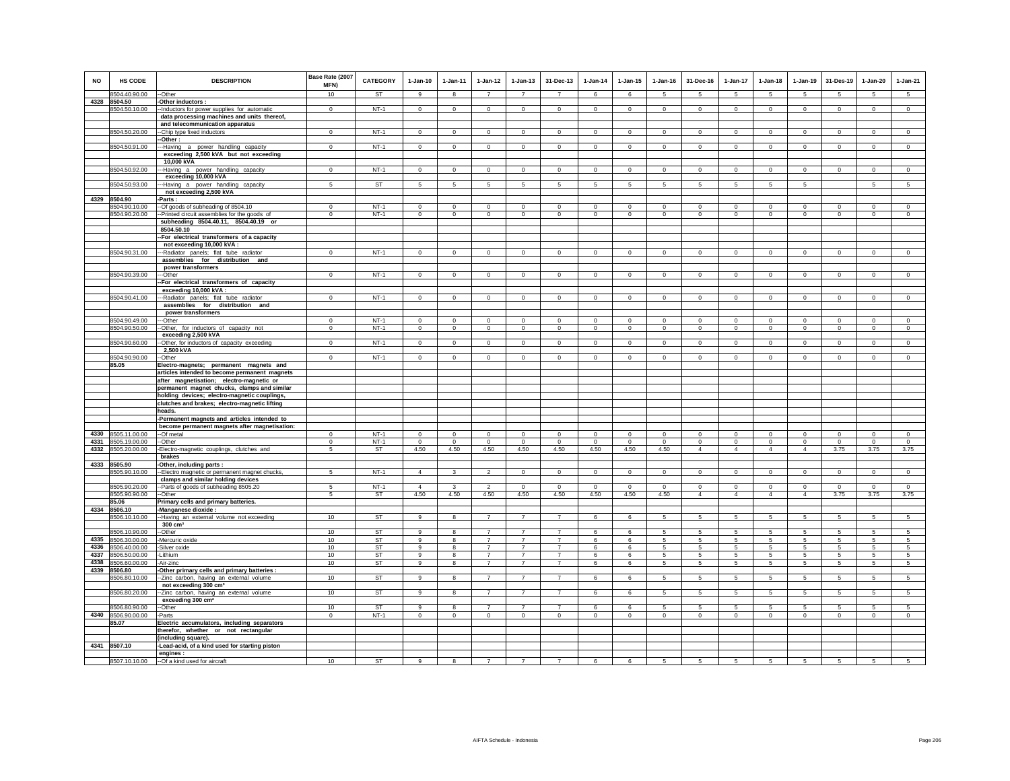| NO           | HS CODE                        | <b>DESCRIPTION</b>                                                                        | Base Rate (2007<br>MFN)  | <b>CATEGORY</b>  | $1-Jan-10$          | $1-Jan-11$              | $1-Jan-12$                       | $1-Jan-13$                       | 31-Dec-13                        | $1-Jan-14$          | $1 - Jan-15$            | $1-Jan-16$          | 31-Dec-16                     | 1-Jan-17                      | $1-Jan-18$                    | $1-Jan-19$                  | 31-Des-19               | 1-Jan-20                       | $1-Jan-21$         |
|--------------|--------------------------------|-------------------------------------------------------------------------------------------|--------------------------|------------------|---------------------|-------------------------|----------------------------------|----------------------------------|----------------------------------|---------------------|-------------------------|---------------------|-------------------------------|-------------------------------|-------------------------------|-----------------------------|-------------------------|--------------------------------|--------------------|
|              | 8504.40.90.00                  | --Other                                                                                   | 10                       | ST               | -9                  | 8                       | $\overline{7}$                   | $\overline{7}$                   | $\overline{7}$                   | 6                   | 6                       | 5                   | 5                             | $5\overline{5}$               | 5                             | -5                          | 5                       | 5                              | $5\overline{5}$    |
| 4328         | 8504.50<br>8504.50.10.00       | -Other inductors :<br>-Inductors for power supplies for automatic                         | $\Omega$                 | $NT-1$           | $\mathbf 0$         | $\Omega$                | $\Omega$                         | $\mathsf 0$                      | $\mathsf 0$                      | $^{\circ}$          | $\mathbf 0$             | $\mathbf 0$         | $\mathbf 0$                   | $\circ$                       | $\mathbf 0$                   | $\circ$                     | $\circ$                 | $\mathbf 0$                    | $\mathbf 0$        |
|              |                                | data processing machines and units thereof,                                               |                          |                  |                     |                         |                                  |                                  |                                  |                     |                         |                     |                               |                               |                               |                             |                         |                                |                    |
|              |                                | and telecommunication apparatus                                                           |                          |                  |                     |                         |                                  |                                  |                                  |                     |                         |                     |                               |                               |                               |                             |                         |                                |                    |
|              | 8504.50.20.00                  | -- Chip type fixed inductors                                                              | $\Omega$                 | $NT-1$           | $\Omega$            | $\Omega$                | $\mathbf{0}$                     | $\Omega$                         | $\overline{0}$                   | $\circ$             | $\Omega$                | $\circ$             | $\Omega$                      | $\overline{0}$                | $\Omega$                      | $\overline{0}$              | $\circ$                 | $\overline{0}$                 | $\overline{0}$     |
|              | 8504.50.91.00                  | -Other:<br>--Having a power handling capacity                                             | $\mathsf 0$              | $NT-1$           | $\mathbf 0$         | $\mathbf 0$             | $\mathbf 0$                      | $\mathbf 0$                      | $\mathsf 0$                      | $\mathbf 0$         | $\mathbf 0$             | $\mathbf 0$         | $\mathbf 0$                   | $\circ$                       | $\mathbf 0$                   | $\mathsf 0$                 | $\mathbf 0$             | $\mathsf 0$                    | $\mathsf 0$        |
|              |                                | exceeding 2,500 kVA but not exceeding                                                     |                          |                  |                     |                         |                                  |                                  |                                  |                     |                         |                     |                               |                               |                               |                             |                         |                                |                    |
|              |                                | 10,000 kVA                                                                                |                          |                  |                     |                         |                                  |                                  |                                  |                     |                         |                     |                               |                               |                               |                             |                         |                                |                    |
|              | 8504.50.92.00                  | ---Having a power handling capacity<br>exceeding 10,000 kVA                               | $\mathbf{0}$             | $NT-1$           | $\circ$             | $\circ$                 | $\mathbf{0}$                     | $\mathbf{0}$                     | $\circ$                          | $\mathbf 0$         | $\mathbf{0}$            | $\circ$             | $\circ$                       | $\circ$                       | $\mathbf{0}$                  | $\circ$                     | $\circ$                 | $\circ$                        | $\circ$            |
|              | 8504.50.93.00                  | --Having a power handling capacity                                                        | 5                        | ST               | $5\phantom{.0}$     | 5                       | 5                                | 5                                | 5                                | $\sqrt{5}$          | 5                       | 5                   | 5                             | 5                             | 5                             | 5                           |                         | 5                              | $\overline{5}$     |
|              |                                | not exceeding 2,500 kVA                                                                   |                          |                  |                     |                         |                                  |                                  |                                  |                     |                         |                     |                               |                               |                               |                             |                         |                                |                    |
|              | 4329 8504.90                   | -Parts :                                                                                  |                          |                  |                     |                         |                                  |                                  |                                  |                     |                         |                     |                               |                               |                               |                             |                         |                                |                    |
|              | 8504.90.10.00<br>8504.90.20.00 | -Of goods of subheading of 8504.10<br>-- Printed circuit assemblies for the goods of      | $\Omega$<br>$\mathbf{0}$ | $NT-1$<br>$NT-1$ | $\Omega$<br>$\circ$ | $\Omega$<br>$\mathbf 0$ | $\Omega$<br>$\mathbf{0}$         | $\Omega$<br>$\mathbf 0$          | $\mathbf{0}$<br>$\mathbf{0}$     | $\Omega$<br>$\circ$ | $\Omega$<br>$\mathbf 0$ | $\Omega$<br>$\circ$ | $\Omega$<br>$\circ$           | $\circ$<br>$\mathbf{0}$       | $\Omega$<br>$\mathbf 0$       | $\mathbf{0}$<br>$\mathbf 0$ | $\Omega$<br>$\mathbf 0$ | $\mathbf{0}$<br>$\overline{0}$ | $\circ$<br>$\circ$ |
|              |                                | subheading 8504.40.11, 8504.40.19 or                                                      |                          |                  |                     |                         |                                  |                                  |                                  |                     |                         |                     |                               |                               |                               |                             |                         |                                |                    |
|              |                                | 8504.50.10                                                                                |                          |                  |                     |                         |                                  |                                  |                                  |                     |                         |                     |                               |                               |                               |                             |                         |                                |                    |
|              |                                | -For electrical transformers of a capacity                                                |                          |                  |                     |                         |                                  |                                  |                                  |                     |                         |                     |                               |                               |                               |                             |                         |                                |                    |
|              | 8504.90.31.00                  | not exceeding 10,000 kVA :<br>--Radiator panels; flat tube radiator                       | $\Omega$                 | $NT-1$           | $\circ$             | $\mathbf 0$             | $\mathbf 0$                      | $\mathbf 0$                      | $\mathbf 0$                      | $\mathbf 0$         | $\mathbf 0$             | $^{\circ}$          | $\mathbf 0$                   | $\circ$                       | $\mathbf 0$                   | $\circ$                     | $\circ$                 | $\mathbf 0$                    | $\circ$            |
|              |                                | assemblies for distribution and                                                           |                          |                  |                     |                         |                                  |                                  |                                  |                     |                         |                     |                               |                               |                               |                             |                         |                                |                    |
|              |                                | power transformers                                                                        |                          |                  |                     |                         |                                  |                                  |                                  |                     |                         |                     |                               |                               |                               |                             |                         |                                |                    |
|              | 8504.90.39.00                  | -Other<br>-For electrical transformers of capacity                                        | $\Omega$                 | $NT-1$           | $\Omega$            | $\Omega$                | $\mathbf{0}$                     | $\Omega$                         | $\mathsf 0$                      | $\mathbf 0$         | $\mathbf 0$             | $\circ$             | $\Omega$                      | $\mathbf{0}$                  | $\Omega$                      | $\circ$                     | $\circ$                 | $\mathbf{0}$                   | $\circ$            |
|              |                                | exceeding 10,000 kVA:                                                                     |                          |                  |                     |                         |                                  |                                  |                                  |                     |                         |                     |                               |                               |                               |                             |                         |                                |                    |
|              | 8504.90.41.00                  | --Radiator panels; flat tube radiator                                                     | $\mathsf 0$              | $NT-1$           | $\mathbf 0$         | $\mathbf 0$             | $\,0\,$                          | $\mathsf 0$                      | $\mathbf 0$                      | $\mathbb O$         | $\mathbf 0$             | $\mathbf 0$         | $\circ$                       | $\mathsf 0$                   | $\mathbf 0$                   | $\mathsf 0$                 | $\mathbf 0$             | $\mathsf 0$                    | $\mathsf 0$        |
|              |                                | assemblies for distribution and                                                           |                          |                  |                     |                         |                                  |                                  |                                  |                     |                         |                     |                               |                               |                               |                             |                         |                                |                    |
|              | 8504.90.49.00                  | power transformers<br>---Other                                                            | $\Omega$                 | $NT-1$           | $\Omega$            | $\Omega$                | $\Omega$                         | $\mathsf 0$                      | $\mathbf 0$                      | $\Omega$            | $\Omega$                | $\Omega$            | $\circ$                       | $\mathsf 0$                   | $\mathsf 0$                   | $\mathsf 0$                 | $\mathbf 0$             | $\Omega$                       | $\mathsf 0$        |
|              | 8504.90.50.00                  | -- Other, for inductors of capacity not                                                   | $\mathbf 0$              | $NT-1$           | $\mathbf 0$         | $\mathbf 0$             | $\circ$                          | $\circ$                          | $\overline{0}$                   | $\circ$             | $\mathbf 0$             | $\mathbf 0$         | $\circ$                       | $\overline{0}$                | $\mathbf 0$                   | $\mathbf 0$                 | $\mathbf 0$             | $\overline{0}$                 | $\circ$            |
|              |                                | exceeding 2,500 kVA                                                                       |                          |                  |                     |                         |                                  |                                  |                                  |                     |                         |                     |                               |                               |                               |                             |                         |                                |                    |
|              | 8504.90.60.00                  | -Other, for inductors of capacity exceeding<br>2,500 kVA                                  | $\mathsf 0$              | $NT-1$           | $\mathbf 0$         | $\mathbf 0$             | $\mathbf 0$                      | $\mathsf 0$                      | $\overline{0}$                   | $\mathbb O$         | $\mathbf 0$             | $\mathsf 0$         | $\mathsf 0$                   | $\circ$                       | $\mathbf 0$                   | $\mathsf 0$                 | $\mathsf 0$             | $\mathbf 0$                    | $\overline{0}$     |
|              | 8504.90.90.00                  | -Other                                                                                    | $\mathbf 0$              | $NT-1$           | $\mathbf 0$         | $\mathbf 0$             | $\circ$                          | $\mathbf 0$                      | $\mathbf 0$                      | $\mathbf 0$         | $\mathbf 0$             | $\Omega$            | $\mathbf 0$                   | $\circ$                       | $\mathbf 0$                   | $\mathbf 0$                 | $\mathbf 0$             | $\mathbf 0$                    | $\circ$            |
|              | 85.05                          | Electro-magnets; permanent magnets and                                                    |                          |                  |                     |                         |                                  |                                  |                                  |                     |                         |                     |                               |                               |                               |                             |                         |                                |                    |
|              |                                | articles intended to become permanent magnets<br>after magnetisation; electro-magnetic or |                          |                  |                     |                         |                                  |                                  |                                  |                     |                         |                     |                               |                               |                               |                             |                         |                                |                    |
|              |                                | permanent magnet chucks, clamps and similar                                               |                          |                  |                     |                         |                                  |                                  |                                  |                     |                         |                     |                               |                               |                               |                             |                         |                                |                    |
|              |                                | holding devices; electro-magnetic couplings,                                              |                          |                  |                     |                         |                                  |                                  |                                  |                     |                         |                     |                               |                               |                               |                             |                         |                                |                    |
|              |                                | clutches and brakes; electro-magnetic lifting                                             |                          |                  |                     |                         |                                  |                                  |                                  |                     |                         |                     |                               |                               |                               |                             |                         |                                |                    |
|              |                                | heads.<br>Permanent magnets and articles intended to                                      |                          |                  |                     |                         |                                  |                                  |                                  |                     |                         |                     |                               |                               |                               |                             |                         |                                |                    |
|              |                                | become permanent magnets after magnetisation:                                             |                          |                  |                     |                         |                                  |                                  |                                  |                     |                         |                     |                               |                               |                               |                             |                         |                                |                    |
| 4330         | 8505.11.00.00                  | -Of metal                                                                                 | $\Omega$                 | $NT-1$           | $\Omega$            | $\Omega$                | $\Omega$                         | $\Omega$                         | $\mathbf{0}$                     | $\Omega$            | $\Omega$                | $\Omega$            | $\Omega$                      | $\mathbf{0}$                  | $\Omega$                      | $\mathbf{0}$                | $\mathbf 0$             | $\Omega$                       | $\circ$            |
| 4331<br>4332 | 8505.19.00.00<br>8505.20.00.00 | -Other<br>Electro-magnetic couplings, clutches and                                        | $\mathbf 0$<br>5         | $NT-1$<br>ST     | $\mathbf 0$<br>4.50 | $\mathbf 0$<br>4.50     | $\mathbf 0$<br>4.50              | $\mathbf 0$<br>4.50              | $\mathbf 0$<br>4.50              | $^{\circ}$<br>4.50  | $\mathbf 0$<br>4.50     | $\mathbf 0$<br>4.50 | $\mathbf 0$<br>$\overline{4}$ | $\mathbf 0$<br>$\overline{4}$ | $\mathbf 0$<br>$\overline{4}$ | $\circ$<br>$\overline{4}$   | $\mathbf 0$<br>3.75     | $\mathbf 0$<br>3.75            | $\circ$<br>3.75    |
|              |                                | brakes                                                                                    |                          |                  |                     |                         |                                  |                                  |                                  |                     |                         |                     |                               |                               |                               |                             |                         |                                |                    |
| 4333         | 8505.90                        | -Other, including parts:                                                                  |                          |                  |                     |                         |                                  |                                  |                                  |                     |                         |                     |                               |                               |                               |                             |                         |                                |                    |
|              | 8505.90.10.00                  | -Electro magnetic or permanent magnet chucks,<br>clamps and similar holding devices       | 5                        | $NT-1$           | $\overline{4}$      | $\mathbf{3}$            | $\overline{2}$                   | $\mathsf 0$                      | $\mathbf{0}$                     | $\circ$             | $\mathsf 0$             | $\mathsf 0$         | $\mathsf 0$                   | $\circ$                       | $\mathbf 0$                   | $\mathsf 0$                 | $\mathbf 0$             | $\mathsf 0$                    | $\circ$            |
|              | 8505.90.20.00                  | -Parts of goods of subheading 8505.20                                                     | 5                        | $NT-1$           | $\overline{4}$      | 3                       | $\overline{2}$                   | $\mathbf{0}$                     | $\overline{0}$                   | $\circ$             | $\mathbf{0}$            | $\mathbf{0}$        | $\circ$                       | $\overline{0}$                | $\mathbf 0$                   | $\circ$                     | $\circ$                 | $\overline{0}$                 | $\mathbf{0}$       |
|              | 8505.90.90.00                  | -Other                                                                                    | 5                        | <b>ST</b>        | 4.50                | 4.50                    | 4.50                             | 4.50                             | 4.50                             | 4.50                | 4.50                    | 4.50                | $\overline{4}$                | $\overline{4}$                | $\overline{4}$                | $\overline{4}$              | 3.75                    | 3.75                           | 3.75               |
| 4334         | 85.06<br>8506.10               | Primary cells and primary batteries.<br>Manganese dioxide :                               |                          |                  |                     |                         |                                  |                                  |                                  |                     |                         |                     |                               |                               |                               |                             |                         |                                |                    |
|              | 8506.10.10.00                  | -Having an external volume not exceeding                                                  | 10                       | <b>ST</b>        | 9                   | 8                       | $\overline{7}$                   | $\overline{7}$                   | $\overline{7}$                   | 6                   | 6                       | 5                   | 5                             | $\overline{5}$                | 5                             | 5                           | $\sqrt{5}$              | 5                              | 5                  |
|              |                                | $300 \text{ cm}^3$                                                                        |                          |                  |                     |                         |                                  |                                  |                                  |                     |                         |                     |                               |                               |                               |                             |                         |                                |                    |
| 4335         | 8506.10.90.00<br>8506.30.00.00 | -Other<br>Mercuric oxide                                                                  | 10<br>10                 | <b>ST</b><br>ST  | $\overline{9}$<br>9 | 8<br>8                  | $\overline{7}$<br>$\overline{7}$ | $\overline{7}$<br>$\overline{7}$ | $\overline{7}$<br>$\overline{7}$ | 6<br>6              | 6<br>6                  | 5<br>5              | 5<br>5                        | 5<br>5                        | 5<br>5                        | 5<br>5                      | 5<br>-5                 | 5<br>5                         | 5<br>$5 -$         |
| 4336         | 8506.40.00.00                  | -Silver oxide                                                                             | 10                       | ST               | 9                   | 8                       | $\overline{7}$                   | $\overline{7}$                   | $\overline{7}$                   | 6                   | 6                       | 5                   | 5                             | $5\phantom{.0}$               | 5                             | 5                           | $\sqrt{5}$              | 5                              | 5                  |
|              | 4337 8506.50.00.00             | -Lithium                                                                                  | 10                       | ST               | 9                   | 8                       | $\overline{7}$                   | $\overline{7}$                   | $\overline{7}$                   | 6                   | 6                       | $\sqrt{5}$          | $\sqrt{5}$                    | 5                             | 5                             | 5                           | $\sqrt{5}$              | 5                              | $5\phantom{.0}$    |
|              | 4338 8506.60.00.00             | -Air-zinc                                                                                 | 10                       | <b>ST</b>        | 9                   | 8                       | $\bar{z}$                        | $\overline{7}$                   | $\overline{7}$                   | 6                   | 6                       | $\sqrt{5}$          | $\sqrt{5}$                    | $5\phantom{.0}$               | 5                             | $\overline{5}$              | 5                       | 5                              | $\overline{5}$     |
| 4339         | 8506.80<br>8506.80.10.00       | Other primary cells and primary batteries :<br>Zinc carbon, having an external volume     | 10                       | <b>ST</b>        | 9                   | 8                       | $\overline{7}$                   | $\overline{7}$                   | $\overline{7}$                   | 6                   | 6                       | 5                   | 5                             | 5                             | 5                             | $5\phantom{.0}$             | 5                       | 5                              | 5                  |
|              |                                | not exceeding 300 cm <sup>3</sup>                                                         |                          |                  |                     |                         |                                  |                                  |                                  |                     |                         |                     |                               |                               |                               |                             |                         |                                |                    |
|              | 8506.80.20.00                  | -Zinc carbon, having an external volume                                                   | 10                       | <b>ST</b>        | 9                   | 8                       | $\overline{7}$                   | $\overline{7}$                   | $\overline{7}$                   | 6                   | 6                       | 5                   | $\sqrt{5}$                    | $5\phantom{.0}$               | 5                             | $\sqrt{5}$                  | $\,$ 5                  | $\overline{5}$                 | $5\overline{)}$    |
|              |                                | exceeding 300 cm <sup>3</sup>                                                             | 10                       | <b>ST</b>        | 9                   | 8                       | $\overline{7}$                   | $\overline{7}$                   | $\overline{7}$                   | 6                   | 6                       | -5                  | 5                             | 5                             | 5                             | 5                           | -5                      | 5                              | $\overline{5}$     |
| 4340         | 8506.80.90.00<br>8506.90.00.00 | -Other<br>-Parts                                                                          | $\mathsf 0$              | $NT-1$           | $\mathbf 0$         | $\mathbf 0$             | $\mathbf 0$                      | $\mathsf 0$                      | $\mathsf 0$                      | $\mathbf 0$         | $\mathsf 0$             | $\mathbf 0$         | $\mathsf 0$                   | $\circ$                       | $\mathsf 0$                   | $\mathsf 0$                 | $\mathbf 0$             | $\mathsf 0$                    | $\mathbf 0$        |
|              | 85.07                          | Electric accumulators, including separators                                               |                          |                  |                     |                         |                                  |                                  |                                  |                     |                         |                     |                               |                               |                               |                             |                         |                                |                    |
|              |                                | therefor, whether or not rectangular                                                      |                          |                  |                     |                         |                                  |                                  |                                  |                     |                         |                     |                               |                               |                               |                             |                         |                                |                    |
|              | 4341 8507.10                   | (including square).<br>-Lead-acid, of a kind used for starting piston                     |                          |                  |                     |                         |                                  |                                  |                                  |                     |                         |                     |                               |                               |                               |                             |                         |                                |                    |
|              |                                | engines :                                                                                 |                          |                  |                     |                         |                                  |                                  |                                  |                     |                         |                     |                               |                               |                               |                             |                         |                                |                    |
|              |                                | 8507.10.10.00 -Of a kind used for aircraft                                                | 10                       | <b>ST</b>        | $\overline{9}$      | 8                       | $\overline{7}$                   | $\overline{7}$                   | $\overline{7}$                   | 6                   | 6                       | 5                   | 5                             | $5\overline{)}$               | 5                             | 5                           | $\overline{5}$          | 5                              | 5                  |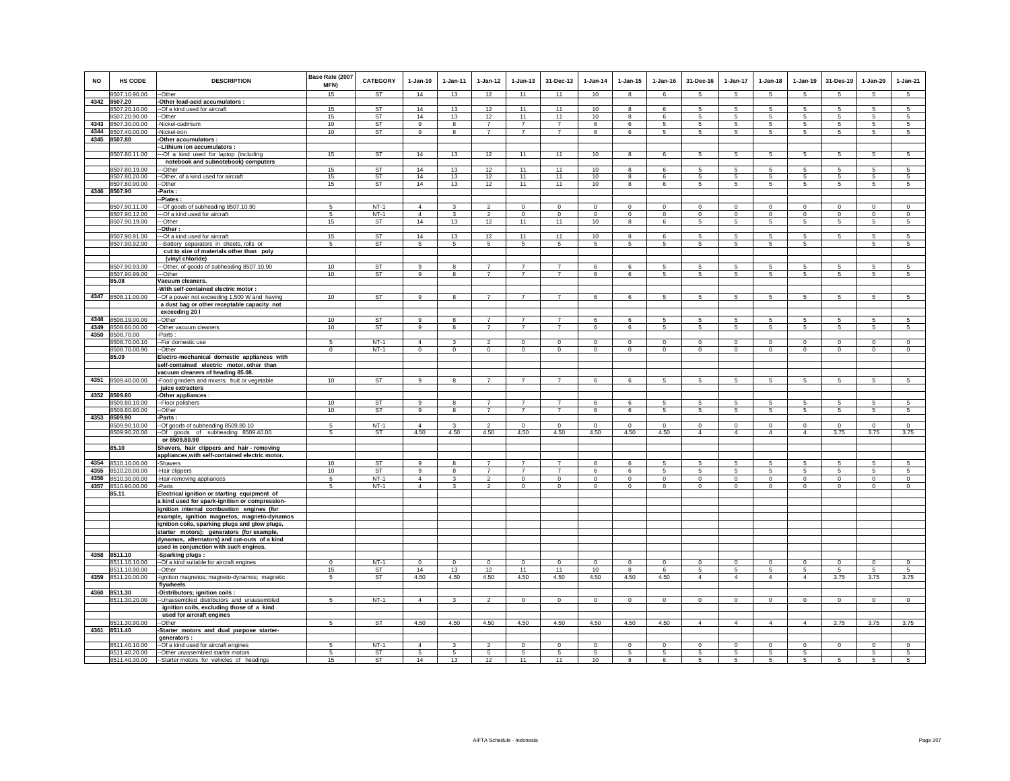| <b>NO</b> | HS CODE                        | <b>DESCRIPTION</b>                                                   | Base Rate (2007<br>MFN) | <b>CATEGORY</b>  | $1-Jan-10$                       | 1-Jan-11                       | $1 - Jan-12$                     | $1-Jan-13$                    | 31-Dec-13                        | $1-Jan-14$                       | $1-Jan-15$                    | $1 - Jan-16$                  | 31-Dec-16                     | $1-Jan-17$                    | $1-Jan-18$                    | $1-Jan-19$                    | 31-Des-19                     | $1-Jan-20$                    | $1-Jan-21$                |
|-----------|--------------------------------|----------------------------------------------------------------------|-------------------------|------------------|----------------------------------|--------------------------------|----------------------------------|-------------------------------|----------------------------------|----------------------------------|-------------------------------|-------------------------------|-------------------------------|-------------------------------|-------------------------------|-------------------------------|-------------------------------|-------------------------------|---------------------------|
|           | 8507.10.90.00                  | --Other                                                              | 15                      | <b>ST</b>        | 14                               | 13                             | 12                               | 11                            | 11                               | 10                               | 8                             | 6                             | -5                            | 5                             | 5                             | -5                            | 5                             | 5                             | 5                         |
| 4342      | 8507.20                        | Other lead-acid accumulators :                                       |                         |                  |                                  |                                |                                  |                               |                                  |                                  |                               |                               |                               |                               |                               |                               |                               |                               |                           |
|           | 8507.20.10.00                  | --Of a kind used for aircraft                                        | 15                      | <b>ST</b>        | 14                               | 13                             | 12                               | 11                            | 11                               | 10                               | 8                             | 6                             | 5                             | 5                             | $5\overline{5}$               | 5                             | 5                             | 5                             | 5                         |
|           | 8507.20.90.00                  | -Other                                                               | 15                      | <b>ST</b>        | 14                               | 13                             | 12                               | 11                            | 11                               | 10                               | 8                             | 6                             | -5                            | 5                             | 5                             | 5                             | 5                             | 5                             | 5                         |
| 4343      | 8507.30.00.00                  | Nickel-cadmium                                                       | 10                      | <b>ST</b>        | 9                                | 8                              | $\overline{7}$                   | $\overline{7}$                | $\overline{7}$                   | 6                                | 6                             | 5                             | 5                             | 5                             | 5                             | 5                             | 5                             | 5                             | 5                         |
| 4344      | 8507.40.00.00                  | Nickel-iron                                                          | 10                      | <b>ST</b>        | 9                                | 8                              | $\overline{7}$                   | $\overline{7}$                | $\overline{7}$                   | 6                                | 6                             | 5                             | 5                             | 5                             | 5                             | 5                             | 5                             | 5                             | 5                         |
|           | 4345 8507.80                   | Other accumulators :                                                 |                         |                  |                                  |                                |                                  |                               |                                  |                                  |                               |                               |                               |                               |                               |                               |                               |                               |                           |
|           | 8507.80.11.00                  | -Lithium ion accumulators<br>--Of a kind used for laptop (including  | 15                      | <b>ST</b>        | 14                               | 13                             | 12                               | 11                            | 11                               | 10                               | 8                             | $\epsilon$                    | -5                            | 5                             | -5                            | 5                             | 5                             | 5                             | 5                         |
|           |                                | notebook and subnotebook) computers                                  |                         |                  |                                  |                                |                                  |                               |                                  |                                  |                               |                               |                               |                               |                               |                               |                               |                               |                           |
|           | 8507.80.19.00                  | --Other                                                              | 15                      | ST               | 14                               | 13                             | 12                               | 11                            | 11                               | 10                               | 8                             | 6                             | 5                             | 5                             | 5                             | 5                             | 5                             | 5                             | 5                         |
|           | 8507.80.20.00                  | --Other, of a kind used for aircraft                                 | 15                      | ST               | 14                               | 13                             | 12                               | 11                            | 11                               | 10                               | 8                             | 6                             | 5                             | 5                             | 5                             | 5                             | 5                             | 5                             | 5                         |
|           | 8507.80.90.00                  | --Other                                                              | 15                      | <b>ST</b>        | 14                               | 13                             | 12                               | 11                            | 11                               | 10                               | 8                             | 6                             | 5                             | 5                             | 5                             | 5                             | $\overline{5}$                | 5                             | 5                         |
| 4346      | 8507.90                        | Parts :                                                              |                         |                  |                                  |                                |                                  |                               |                                  |                                  |                               |                               |                               |                               |                               |                               |                               |                               |                           |
|           |                                | -Plates:                                                             |                         |                  |                                  |                                |                                  |                               |                                  |                                  |                               |                               |                               |                               |                               |                               |                               |                               |                           |
|           | 8507.90.11.00<br>8507.90.12.00 | --Of goods of subheading 8507.10.90<br>--Of a kind used for aircraft | 5<br>5                  | $NT-1$<br>$NT-1$ | $\overline{4}$<br>$\overline{4}$ | $\mathbf{3}$<br>$\overline{3}$ | $\overline{2}$<br>$\overline{2}$ | $\mathsf 0$<br>$\overline{0}$ | $\overline{0}$<br>$\overline{0}$ | $\overline{0}$<br>$\overline{0}$ | $\mathsf 0$<br>$\overline{0}$ | $\mathbf 0$<br>$\overline{0}$ | $\mathsf 0$<br>$\overline{0}$ | $\mathbf 0$<br>$\overline{0}$ | $\mathbf 0$<br>$\overline{0}$ | $\mathbf 0$<br>$\overline{0}$ | $\mathbf 0$<br>$\overline{0}$ | $\mathsf 0$<br>$\overline{0}$ | $\circ$<br>$\overline{0}$ |
|           | 8507.90.19.00                  | --Other                                                              | 15                      | ST               | 14                               | 13                             | 12                               | 11                            | 11                               | 10                               | 8                             | 6                             | 5                             | 5                             | 5                             | 5                             | 5                             | 5                             | 5                         |
|           |                                | -Other:                                                              |                         |                  |                                  |                                |                                  |                               |                                  |                                  |                               |                               |                               |                               |                               |                               |                               |                               |                           |
|           | 8507.90.91.00                  | --Of a kind used for aircraft                                        | 15                      | <b>ST</b>        | 14                               | 13                             | 12                               | 11                            | 11                               | 10                               | 8                             | -6                            | -5                            | 5                             | -5                            | 5                             | 5                             | 5                             | 5                         |
|           | 8507.90.92.00                  | -Battery separators in sheets, rolls or                              | -5                      | ST               | 5                                | 5                              | 5                                | 5                             | 5                                | 5                                | 5                             | 5                             | 5.                            | 5                             | 5                             | 5                             |                               | 5                             | 5                         |
|           |                                | cut to size of materials other than poly                             |                         |                  |                                  |                                |                                  |                               |                                  |                                  |                               |                               |                               |                               |                               |                               |                               |                               |                           |
|           |                                | (vinyl chloride)                                                     |                         |                  |                                  |                                |                                  |                               |                                  |                                  |                               |                               |                               |                               |                               |                               |                               |                               |                           |
|           | 8507.90.93.00                  | ---Other, of goods of subheading 8507.10.90                          | 10                      | <b>ST</b>        | $\alpha$                         | 8                              | $\overline{7}$                   | $\overline{7}$                | $\overline{7}$                   | 6                                | 6                             | 5                             | 5                             | 5                             | 5.                            | 5                             | 5                             | 5                             | $\sqrt{5}$                |
|           | 8507.90.99.00                  | --Other                                                              | 10                      | <b>ST</b>        | 9                                | 8                              | $\overline{7}$                   | $\overline{7}$                | $\overline{7}$                   | 6                                | 6                             | 5                             | 5                             | 5                             | 5                             | 5                             | 5                             | 5                             | $5\overline{5}$           |
|           | 85.08                          | Vacuum cleaners.<br>With self-contained electric motor :             |                         |                  |                                  |                                |                                  |                               |                                  |                                  |                               |                               |                               |                               |                               |                               |                               |                               |                           |
|           | 4347 8508.11.00.00             | -Of a power not exceeding 1,500 W and having                         | 10                      | <b>ST</b>        | 9                                | 8                              | $\overline{7}$                   | $\overline{7}$                | $\overline{7}$                   | 6                                | 6                             | 5                             | $5\phantom{.0}$               | $5^{\circ}$                   | $5\phantom{.0}$               | $5\phantom{.0}$               | $5\phantom{.0}$               | $\sqrt{5}$                    | $5\overline{5}$           |
|           |                                | a dust bag or other receptable capacity not                          |                         |                  |                                  |                                |                                  |                               |                                  |                                  |                               |                               |                               |                               |                               |                               |                               |                               |                           |
|           |                                | exceeding 20 l                                                       |                         |                  |                                  |                                |                                  |                               |                                  |                                  |                               |                               |                               |                               |                               |                               |                               |                               |                           |
| 4348      | 8508.19.00.00                  | -Other                                                               | 10                      | <b>ST</b>        | 9                                | 8                              | $\overline{7}$                   | $\overline{7}$                | $\overline{7}$                   | 6                                | 6                             | 5                             | 5                             | 5                             | 5                             | 5                             | 5                             | 5                             | 5                         |
| 4349      | 8508.60.00.00                  | -Other vacuum cleaners                                               | 10                      | ST               | 9                                | 8                              | $\overline{7}$                   | $\overline{7}$                | $\overline{7}$                   | 6                                | 6                             | 5                             | 5                             | 5                             | 5                             | 5                             | 5                             | 5                             | 5                         |
|           | 4350 8508.70.00                | Parts:                                                               |                         |                  |                                  |                                |                                  |                               |                                  |                                  |                               |                               |                               |                               |                               |                               |                               |                               |                           |
|           | 8508.70.00.10                  | -- For domestic use                                                  | 5                       | $NT-1$           | $\Lambda$                        | $\mathbf{3}$                   | $\overline{2}$                   | $\mathbf 0$                   | $\mathbf 0$                      | $\mathbb O$                      | $\mathbf 0$                   | $\Omega$                      | $\mathbf 0$                   | $\mathbf 0$                   | $\Omega$                      | $\mathbf 0$                   | $\mathbf 0$                   | $\mathbf 0$                   | $\mathbf 0$               |
|           | 8508.70.00.90<br>85.09         | --Other<br>Electro-mechanical domestic appliances with               | $\circ$                 | $NT-1$           | $\circ$                          | $\circ$                        | $\mathbf{0}$                     | $\mathbf{0}$                  | $\Omega$                         | $\mathbf{0}$                     | $\mathbf{0}$                  | $\mathbf 0$                   | $\circ$                       | $\circ$                       | $\mathbf 0$                   | $\mathbf 0$                   | $\Omega$                      | $\mathbf{0}$                  | $\circ$                   |
|           |                                | self-contained electric motor, other than                            |                         |                  |                                  |                                |                                  |                               |                                  |                                  |                               |                               |                               |                               |                               |                               |                               |                               |                           |
|           |                                | vacuum cleaners of heading 85.08.                                    |                         |                  |                                  |                                |                                  |                               |                                  |                                  |                               |                               |                               |                               |                               |                               |                               |                               |                           |
|           | 4351 8509.40.00.00             | -Food grinders and mixers; fruit or vegetable                        | 10                      | <b>ST</b>        | 9                                | 8                              | $\overline{7}$                   | $\overline{7}$                | $\overline{7}$                   | 6                                | 6                             | 5                             | 5                             | $5\phantom{.0}$               | 5                             | 5                             | $5\phantom{.0}$               | $\sqrt{5}$                    | 5                         |
|           |                                | juice extractors                                                     |                         |                  |                                  |                                |                                  |                               |                                  |                                  |                               |                               |                               |                               |                               |                               |                               |                               |                           |
| 4352      | 8509.80                        | -Other appliances :                                                  |                         |                  |                                  |                                |                                  |                               |                                  |                                  |                               |                               |                               |                               |                               |                               |                               |                               |                           |
|           | 8509.80.10.00                  | -Floor polishers                                                     | 10                      | <b>ST</b>        | 9                                | 8                              | $\overline{7}$                   | $\overline{7}$                | $\overline{7}$                   | 6                                | 6                             | 5                             | 5                             | 5                             | 5                             | 5                             | 5                             | 5                             | 5                         |
|           | 8509.80.90.00<br>8509.90       | -Other                                                               | 10                      | <b>ST</b>        | $\alpha$                         | 8                              | $\overline{7}$                   | $\overline{7}$                | $\overline{7}$                   | 6                                | 6                             | 5                             | -5                            | 5                             | 5                             | $\,$ 5 $\,$                   | 5                             | 5                             | 5                         |
| 4353      | 8509.90.10.00                  | -Parts:<br>-Of goods of subheading 8509.80.10                        | 5                       | $NT-1$           | $\overline{4}$                   | $\mathbf{3}$                   | $\overline{2}$                   | $\mathsf 0$                   | $\mathsf 0$                      | $\mathbf 0$                      | $\mathsf 0$                   | $\mathbf 0$                   | $\mathsf 0$                   | $\mathbf 0$                   | $\mathbf 0$                   | $\mathbf 0$                   | $\mathbf 0$                   | $\mathsf 0$                   | $\circ$                   |
|           | 8509.90.20.00                  | --Of goods of subheading 8509.40.00                                  | 5                       | ST               | 4.50                             | 4.50                           | 4.50                             | 4.50                          | 4.50                             | 4.50                             | 4.50                          | 4.50                          | $\overline{4}$                | $\overline{4}$                | $\overline{4}$                | $\overline{4}$                | 3.75                          | 3.75                          | 3.75                      |
|           |                                | or 8509.80.90                                                        |                         |                  |                                  |                                |                                  |                               |                                  |                                  |                               |                               |                               |                               |                               |                               |                               |                               |                           |
|           | 85.10                          | Shavers, hair clippers and hair - removing                           |                         |                  |                                  |                                |                                  |                               |                                  |                                  |                               |                               |                               |                               |                               |                               |                               |                               |                           |
|           |                                | appliances, with self-contained electric motor.                      |                         |                  |                                  |                                |                                  |                               |                                  |                                  |                               |                               |                               |                               |                               |                               |                               |                               |                           |
| 4354      | 8510.10.00.00                  | -Shavers                                                             | 10                      | <b>ST</b>        | 9                                | 8                              | $\overline{7}$                   | $\overline{7}$                | $\overline{7}$                   | 6                                | 6                             | 5                             | 5                             | 5                             | 5                             | 5                             | 5                             | 5                             | 5                         |
| 4355      | 8510.20.00.00                  | -Hair clippers                                                       | 10                      | ST               | 9                                | 8                              | $\overline{7}$                   | $\overline{7}$                | $\overline{7}$                   | 6                                | 6                             | 5                             | 5                             | 5                             | $\,$ 5 $\,$                   | 5                             | $\sqrt{5}$                    | $\,$ 5 $\,$                   | $\overline{5}$            |
| 4356      | 8510.30.00.00                  | -Hair-removing appliances                                            | 5                       | $NT-1$           | $\overline{4}$<br>$\Delta$       | 3                              | $\overline{2}$                   | $\mathbf 0$                   | $\mathbf 0$                      | $\mathbf 0$                      | $\mathbf 0$                   | $\mathbf 0$                   | $\circ$                       | $\mathbf 0$                   | $\circ$                       | $\mathbf 0$                   | $\circ$                       | $\mathbf 0$                   | $\circ$                   |
|           | 4357 8510.90.00.00<br>85.11    | -Parts<br>Electrical ignition or starting equipment of               | 5                       | $NT-1$           |                                  | $\overline{\mathbf{3}}$        | 2                                | $\mathbf 0$                   | $\mathbf 0$                      | $\circ$                          | $\mathbf 0$                   | $\Omega$                      | $\Omega$                      | $\mathbf 0$                   | $\Omega$                      | $\mathbf 0$                   | $\circ$                       | $\circ$                       | $\Omega$                  |
|           |                                | a kind used for spark-ignition or compression-                       |                         |                  |                                  |                                |                                  |                               |                                  |                                  |                               |                               |                               |                               |                               |                               |                               |                               |                           |
|           |                                | ignition internal combustion engines (for                            |                         |                  |                                  |                                |                                  |                               |                                  |                                  |                               |                               |                               |                               |                               |                               |                               |                               |                           |
|           |                                | example, ignition magnetos, magneto-dynamos                          |                         |                  |                                  |                                |                                  |                               |                                  |                                  |                               |                               |                               |                               |                               |                               |                               |                               |                           |
|           |                                | ignition coils, sparking plugs and glow plugs,                       |                         |                  |                                  |                                |                                  |                               |                                  |                                  |                               |                               |                               |                               |                               |                               |                               |                               |                           |
|           |                                | starter motors); generators (for example,                            |                         |                  |                                  |                                |                                  |                               |                                  |                                  |                               |                               |                               |                               |                               |                               |                               |                               |                           |
|           |                                | dynamos, alternators) and cut-outs of a kind                         |                         |                  |                                  |                                |                                  |                               |                                  |                                  |                               |                               |                               |                               |                               |                               |                               |                               |                           |
|           |                                | used in conjunction with such engines.                               |                         |                  |                                  |                                |                                  |                               |                                  |                                  |                               |                               |                               |                               |                               |                               |                               |                               |                           |
| 4358      | 8511.10<br>8511.10.10.00       | -Sparking plugs :<br>-- Of a kind suitable for aircraft engines      | $^{\circ}$              | $NT-1$           | $\mathbf 0$                      | $\mathbf 0$                    | $\mathbf 0$                      | $\mathbf 0$                   | $\mathbf 0$                      | $^{\circ}$                       | $\mathbf 0$                   | $\mathbf 0$                   | $\mathbf 0$                   | $\mathbf 0$                   | $\mathbf 0$                   | $^{\circ}$                    | $\mathbf 0$                   | $\mathbf 0$                   | $\mathbb O$               |
|           | 8511.10.90.00                  | --Other                                                              | 15                      | ST               | 14                               | 13                             | 12                               | 11                            | 11                               | 10                               | $\mathbf{R}$                  | -6                            | 5                             | 5                             | 5                             | -5                            | 5                             | 5                             | 5                         |
| 4359      | 8511.20.00.00                  | -Ignition magnetos; magneto-dynamos; magnetic                        | $5\overline{)}$         | <b>ST</b>        | 4.50                             | 4.50                           | 4.50                             | 4.50                          | 4.50                             | 4.50                             | 4.50                          | 4.50                          | $\overline{4}$                | $\overline{4}$                | $\overline{4}$                | $\overline{4}$                | 3.75                          | 3.75                          | 3.75                      |
|           |                                | flywheels                                                            |                         |                  |                                  |                                |                                  |                               |                                  |                                  |                               |                               |                               |                               |                               |                               |                               |                               |                           |
| 4360      | 8511.30                        | -Distributors; ignition coils :                                      |                         |                  |                                  |                                |                                  |                               |                                  |                                  |                               |                               |                               |                               |                               |                               |                               |                               |                           |
|           | 8511.30.20.00                  | -- Unassembled distributors and unassembled                          | 5                       | $NT-1$           | $\overline{4}$                   | $\mathbf{3}$                   | $\overline{2}$                   | $\mathbf 0$                   | $\mathbf 0$                      | $\mathbf{0}$                     | $\mathbf 0$                   | $\circ$                       | $\circ$                       | $\mathbf 0$                   | $\circ$                       | $\mathbf 0$                   | $\mathbf{0}$                  | $\mathbf 0$                   | $\circ$                   |
|           |                                | ignition coils, excluding those of a kind                            |                         |                  |                                  |                                |                                  |                               |                                  |                                  |                               |                               |                               |                               |                               |                               |                               |                               |                           |
|           |                                | used for aircraft engines                                            |                         |                  |                                  |                                |                                  |                               |                                  |                                  |                               |                               |                               |                               |                               |                               |                               |                               |                           |
|           | 8511.30.90.00                  | -Other                                                               | 5                       | <b>ST</b>        | 4.50                             | 4.50                           | 4.50                             | 4.50                          | 4.50                             | 4.50                             | 4.50                          | 4.50                          | $\overline{4}$                | $\overline{4}$                | $\overline{4}$                | $\overline{4}$                | 3.75                          | 3.75                          | 3.75                      |
|           | 4361 8511.40                   | -Starter motors and dual purpose starter-                            |                         |                  |                                  |                                |                                  |                               |                                  |                                  |                               |                               |                               |                               |                               |                               |                               |                               |                           |
|           | 8511.40.10.00                  | generators :<br>-- Of a kind used for aircraft engines               | 5                       | $NT-1$           | $\overline{4}$                   | $\mathbf{3}$                   | $\overline{\phantom{a}}$         | $\Omega$                      | $\Omega$                         | $\Omega$                         | $\Omega$                      | $\Omega$                      | $\Omega$                      | $\Omega$                      | $\Omega$                      | $\Omega$                      | $\overline{0}$                | $\Omega$                      | $\overline{0}$            |
|           | 8511.40.20.00                  | --Other unassembled starter motors                                   | 5                       | ST               | 5                                | 5                              | 5                                | 5                             | 5                                | 5                                | 5                             | 5                             | 5                             | 5                             | 5                             | 5                             |                               | 5                             | 5                         |
|           |                                | 8511.40.30.00 -Starter motors for vehicles of headings               | 15                      | ST               | 14                               | 13                             | 12                               | 11                            | 11                               | 10                               | 8                             | 6                             | 5                             | 5                             | 5                             | 5                             | 5                             | 5                             | 5                         |
|           |                                |                                                                      |                         |                  |                                  |                                |                                  |                               |                                  |                                  |                               |                               |                               |                               |                               |                               |                               |                               |                           |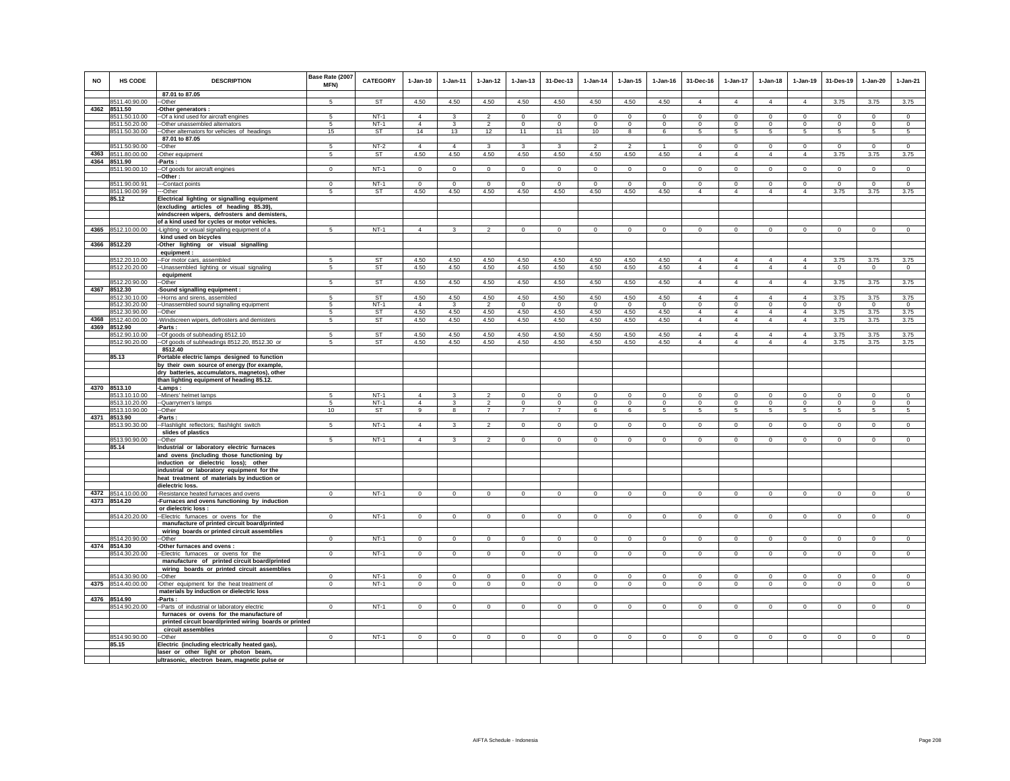| <b>NO</b> | <b>HS CODE</b>                 | <b>DESCRIPTION</b><br>87.01 to 87.05                                                         | Base Rate (2007<br>MFN) | <b>CATEGORY</b>     | $1-Jan-10$                       | $1-Jan-11$           | $1-Jan-12$             | $1-Jan-13$              | 31-Dec-13               | $1-Jan-14$               | $1 - Jan-15$            | $1-Jan-16$       | 31-Dec-16                        | 1-Jan-17                         | $1-Jan-18$                       | $1-Jan-19$                       | 31-Des-19           | $1-Jan-20$              | $1-Jan-21$          |
|-----------|--------------------------------|----------------------------------------------------------------------------------------------|-------------------------|---------------------|----------------------------------|----------------------|------------------------|-------------------------|-------------------------|--------------------------|-------------------------|------------------|----------------------------------|----------------------------------|----------------------------------|----------------------------------|---------------------|-------------------------|---------------------|
|           | 8511.40.90.00                  | $-Other$                                                                                     |                         | <b>ST</b>           | 4.50                             | 4.50                 | 4.50                   | 4.50                    | 4.50                    | 4.50                     | 4.50                    | 4.50             | $\overline{4}$                   | $\overline{4}$                   | $\overline{4}$                   | $\overline{4}$                   | 3.75                | 3.75                    | 3.75                |
|           | 4362 8511.50                   | -Other generators :                                                                          |                         |                     |                                  |                      |                        |                         |                         |                          |                         |                  |                                  |                                  |                                  |                                  |                     |                         |                     |
|           | 8511.50.10.00                  | -- Of a kind used for aircraft engines                                                       | 5<br>-5                 | $NT-1$<br>$NT-1$    | $\overline{4}$<br>$\overline{4}$ | 3                    | $\overline{2}$         | $\mathbf 0$<br>$\Omega$ | $\mathsf 0$<br>$\Omega$ | $^{\circ}$               | $\mathbf 0$<br>$\Omega$ | $\mathbf 0$      | $\mathbf 0$<br>$\Omega$          | $\mathbf 0$                      | $\mathbf 0$<br>$\Omega$          | $\mathbf 0$<br>$\Omega$          | $\overline{0}$      | $\mathbf 0$<br>$\Omega$ | $\mathsf 0$         |
|           | 8511.50.20.00<br>8511.50.30.00 | --Other unassembled alternators<br>-Other alternators for vehicles of headings               | 15                      | ST                  | 14                               | 3<br>13              | $\overline{2}$<br>12   | 11                      | 11                      | $^{\circ}$<br>10         | 8                       | $^{\circ}$<br>6  | 5                                | $\circ$<br>5                     | $5\overline{5}$                  | 5                                | $\mathbf{0}$<br>5   | 5                       | $^{\circ}$<br>5     |
|           |                                | 87.01 to 87.05                                                                               |                         |                     |                                  |                      |                        |                         |                         |                          |                         |                  |                                  |                                  |                                  |                                  |                     |                         |                     |
|           | 8511.50.90.00                  | -Other                                                                                       | 5                       | $NT-2$              | $\overline{4}$                   | $\overline{4}$       | $\mathbf{3}$           | 3                       | 3                       | $\overline{\phantom{a}}$ | $\mathcal{P}$           |                  | $\mathbf 0$                      | $\circ$                          | $\mathbf 0$                      | $\mathbf 0$                      | $\mathbf 0$         | $\mathbf 0$             | $\circ$             |
|           | 4363 8511.80.00.00             | -Other equipment                                                                             | 5                       | ST                  | 4.50                             | 4.50                 | 4.50                   | 4.50                    | 4.50                    | 4.50                     | 4.50                    | 4.50             | $\overline{4}$                   | $\overline{4}$                   | $\overline{4}$                   | $\overline{4}$                   | 3.75                | 3.75                    | 3.75                |
|           | 4364 8511.90<br>8511.90.00.10  | -Parts:<br>--Of goods for aircraft engines                                                   | $\Omega$                | $NT-1$              | $\Omega$                         | $\Omega$             | $\Omega$               | $\mathbf{0}$            | $\overline{0}$          | $\circ$                  | $\mathbf 0$             | $\Omega$         | $\mathbf 0$                      | $\overline{0}$                   | $\circ$                          | $\circ$                          | $\circ$             | $\mathbf 0$             | $\overline{0}$      |
|           |                                | -Other:                                                                                      |                         |                     |                                  |                      |                        |                         |                         |                          |                         |                  |                                  |                                  |                                  |                                  |                     |                         |                     |
|           | 8511.90.00.91                  | --Contact points                                                                             | $\Omega$                | $NT-1$              | $\Omega$                         | $\Omega$             | $\overline{0}$         | $\mathbf 0$             | $\overline{0}$          | $\mathbf 0$              | $\Omega$                | $\,0\,$          | $\mathbf 0$                      | $\mathbf 0$                      | $\mathbf 0$                      | $\mathbf 0$                      | $\circ$             | $\mathbf 0$             | $\mathbf 0$         |
|           | 8511.90.00.99                  | --Other                                                                                      | 5                       | ST                  | 4.50                             | 4.50                 | 4.50                   | 4.50                    | 4.50                    | 4.50                     | 4.50                    | 4.50             | $\overline{4}$                   | $\overline{4}$                   | $\overline{4}$                   | $\overline{4}$                   | 3.75                | 3.75                    | 3.75                |
|           | 85.12                          | Electrical lighting or signalling equipment                                                  |                         |                     |                                  |                      |                        |                         |                         |                          |                         |                  |                                  |                                  |                                  |                                  |                     |                         |                     |
|           |                                | (excluding articles of heading 85.39),                                                       |                         |                     |                                  |                      |                        |                         |                         |                          |                         |                  |                                  |                                  |                                  |                                  |                     |                         |                     |
|           |                                | windscreen wipers, defrosters and demisters,<br>of a kind used for cycles or motor vehicles. |                         |                     |                                  |                      |                        |                         |                         |                          |                         |                  |                                  |                                  |                                  |                                  |                     |                         |                     |
|           | 4365 8512.10.00.00             | -Lighting or visual signalling equipment of a                                                | 5                       | $NT-1$              | $\overline{4}$                   | $\mathbf{3}$         | $\overline{2}$         | $\mathsf 0$             | $\mathbf{0}$            | $\mathbf 0$              | $\mathbf{0}$            | $\circ$          | $\Omega$                         | $\mathbf 0$                      | $\circ$                          | $\mathbf 0$                      | $\mathbf 0$         | $\mathsf 0$             | $\overline{0}$      |
|           |                                | kind used on bicycles                                                                        |                         |                     |                                  |                      |                        |                         |                         |                          |                         |                  |                                  |                                  |                                  |                                  |                     |                         |                     |
|           | 4366 8512.20                   | -Other lighting or visual signalling                                                         |                         |                     |                                  |                      |                        |                         |                         |                          |                         |                  |                                  |                                  |                                  |                                  |                     |                         |                     |
|           |                                | equipment:                                                                                   | 5                       | ST                  |                                  | 4.50                 | 4.50                   |                         |                         | 4.50                     | 4.50                    |                  | $\overline{4}$                   | $\overline{4}$                   | $\overline{4}$                   | $\overline{4}$                   | 3.75                |                         | 3.75                |
|           | 8512.20.10.00<br>8512.20.20.00 | -- For motor cars, assembled<br>-Unassembled lighting or visual signaling                    | 5                       | <b>ST</b>           | 4.50<br>4.50                     | 4.50                 | 4.50                   | 4.50<br>4.50            | 4.50<br>4.50            | 4.50                     | 4.50                    | 4.50<br>4.50     | $\overline{4}$                   | $\overline{4}$                   | $\overline{4}$                   | $\overline{4}$                   | $\mathbf{0}$        | 3.75<br>$\mathbf{0}$    | $\mathbf{0}$        |
|           |                                | equipment                                                                                    |                         |                     |                                  |                      |                        |                         |                         |                          |                         |                  |                                  |                                  |                                  |                                  |                     |                         |                     |
|           | 8512.20.90.00                  | -Other                                                                                       | 5                       | <b>ST</b>           | 4.50                             | 4.50                 | 4.50                   | 4.50                    | 4.50                    | 4.50                     | 4.50                    | 4.50             | $\overline{4}$                   | $\overline{4}$                   | $\overline{4}$                   | $\overline{4}$                   | 3.75                | 3.75                    | 3.75                |
|           | 4367 8512.30                   | Sound signalling equipment :                                                                 |                         |                     |                                  |                      |                        |                         |                         |                          |                         |                  |                                  |                                  |                                  |                                  |                     |                         |                     |
|           | 8512.30.10.00<br>8512.30.20.00 | -Horns and sirens, assembled<br>-Unassembled sound signalling equipment                      | -5<br>5                 | <b>ST</b><br>$NT-1$ | 4.50<br>$\overline{4}$           | 4.50<br>$\mathbf{3}$ | 4.50<br>$\overline{2}$ | 4.50<br>$\mathsf 0$     | 4.50<br>$\mathbf 0$     | 4.50<br>$\Omega$         | 4.50<br>$\Omega$        | 4.50<br>$\Omega$ | 4<br>$\mathbf 0$                 | $\overline{4}$<br>$\mathbf 0$    | $\Delta$<br>$\mathbf 0$          | $\overline{4}$<br>$\mathbf 0$    | 3.75<br>$\mathbf 0$ | 3.75<br>$\mathsf 0$     | 3.75<br>$\mathsf 0$ |
|           | 8512.30.90.00                  | --Other                                                                                      | 5                       | ST                  | 4.50                             | 4.50                 | 4.50                   | 4.50                    | 4.50                    | 4.50                     | 4.50                    | 4.50             | $\overline{4}$                   | $\overline{4}$                   | $\overline{4}$                   | $\overline{4}$                   | 3.75                | 3.75                    | 3.75                |
|           | 4368 8512.40.00.00             | -Windscreen wipers, defrosters and demisters                                                 | 5                       | <b>ST</b>           | 4.50                             | 4.50                 | 4.50                   | 4.50                    | 4.50                    | 4.50                     | 4.50                    | 4.50             | $\overline{4}$                   | $\overline{4}$                   | $\overline{4}$                   | $\overline{4}$                   | 3.75                | 3.75                    | 3.75                |
|           | 4369 8512.90                   | -Parts:                                                                                      |                         |                     |                                  |                      |                        |                         |                         |                          |                         |                  |                                  |                                  |                                  |                                  |                     |                         |                     |
|           | 8512.90.10.00<br>8512.90.20.00 | -Of goods of subheading 8512.10<br>-Of goods of subheadings 8512.20, 8512.30 or              | -5<br>5                 | ST<br>ST            | 4.50<br>4.50                     | 4.50<br>4.50         | 4.50<br>4.50           | 4.50<br>4.50            | 4.50<br>4.50            | 4.50<br>4.50             | 4.50<br>4.50            | 4.50<br>4.50     | $\overline{4}$<br>$\overline{4}$ | $\overline{4}$<br>$\overline{4}$ | $\overline{4}$<br>$\overline{4}$ | $\overline{4}$<br>$\overline{4}$ | 3.75<br>3.75        | 3.75<br>3.75            | 3.75<br>3.75        |
|           |                                | 8512.40                                                                                      |                         |                     |                                  |                      |                        |                         |                         |                          |                         |                  |                                  |                                  |                                  |                                  |                     |                         |                     |
|           | 85.13                          | Portable electric lamps designed to function                                                 |                         |                     |                                  |                      |                        |                         |                         |                          |                         |                  |                                  |                                  |                                  |                                  |                     |                         |                     |
|           |                                | by their own source of energy (for example,                                                  |                         |                     |                                  |                      |                        |                         |                         |                          |                         |                  |                                  |                                  |                                  |                                  |                     |                         |                     |
|           |                                | dry batteries, accumulators, magnetos), other                                                |                         |                     |                                  |                      |                        |                         |                         |                          |                         |                  |                                  |                                  |                                  |                                  |                     |                         |                     |
|           | 4370 8513.10                   | than lighting equipment of heading 85.12.<br>-Lamps:                                         |                         |                     |                                  |                      |                        |                         |                         |                          |                         |                  |                                  |                                  |                                  |                                  |                     |                         |                     |
|           | 8513.10.10.00                  | --Miners' helmet lamps                                                                       | 5                       | $NT-1$              | $\overline{4}$                   | 3                    | $\overline{2}$         | $\circ$                 | $^{\circ}$              | $^{\circ}$               | $\circ$                 | $^{\circ}$       | $\Omega$                         | $\circ$                          | $\Omega$                         | $^{\circ}$                       | $\mathbf{0}$        | $\circ$                 | $^{\circ}$          |
|           | 8513.10.20.00                  | -Quarrymen's lamps                                                                           | -5                      | $NT-1$              | $\overline{4}$                   | 3                    | $\overline{2}$         | $\mathbf{0}$            | $\overline{0}$          | $\mathbf{0}$             | $\circ$                 | $\circ$          | $\Omega$                         | $\circ$                          | $\mathbf{0}$                     | $\mathbf{0}$                     | $\mathbf 0$         | $\Omega$                | $\mathbf{0}$        |
|           | 8513.10.90.00                  | -Other                                                                                       | 10                      | ST                  | 9                                | 8                    | $\overline{7}$         | $\overline{7}$          | $\overline{7}$          | 6                        | 6                       | 5                | 5                                | 5                                | $5\overline{5}$                  | 5                                | 5                   | 5                       | 5                   |
|           | 4371 8513.90<br>8513.90.30.00  | -Parts :<br>--Flashlight reflectors; flashlight switch                                       | 5                       | $NT-1$              | $\overline{4}$                   | 3                    | $\overline{2}$         | $\mathbf 0$             | $\overline{0}$          | $\overline{0}$           | $\mathbf 0$             | $\Omega$         | $\mathbf 0$                      | $\overline{0}$                   | $\mathbf{0}$                     | $\overline{0}$                   | $\overline{0}$      | $\mathbf{0}$            | $\overline{0}$      |
|           |                                | slides of plastics                                                                           |                         |                     |                                  |                      |                        |                         |                         |                          |                         |                  |                                  |                                  |                                  |                                  |                     |                         |                     |
|           | 8513.90.90.00                  | --Other                                                                                      | 5                       | $NT-1$              | $\overline{4}$                   | 3                    | $\mathfrak{p}$         | $\Omega$                | $\Omega$                | $\mathbf 0$              | $\Omega$                | $\Omega$         | $\Omega$                         | $\mathbf 0$                      | $\Omega$                         | $\mathbf 0$                      | $\Omega$            | $\Omega$                | $\Omega$            |
|           | 85.14                          | Industrial or laboratory electric furnaces                                                   |                         |                     |                                  |                      |                        |                         |                         |                          |                         |                  |                                  |                                  |                                  |                                  |                     |                         |                     |
|           |                                | and ovens (including those functioning by                                                    |                         |                     |                                  |                      |                        |                         |                         |                          |                         |                  |                                  |                                  |                                  |                                  |                     |                         |                     |
|           |                                | induction or dielectric loss); other<br>industrial or laboratory equipment for the           |                         |                     |                                  |                      |                        |                         |                         |                          |                         |                  |                                  |                                  |                                  |                                  |                     |                         |                     |
|           |                                | heat treatment of materials by induction or                                                  |                         |                     |                                  |                      |                        |                         |                         |                          |                         |                  |                                  |                                  |                                  |                                  |                     |                         |                     |
|           |                                | dielectric loss.                                                                             |                         |                     |                                  |                      |                        |                         |                         |                          |                         |                  |                                  |                                  |                                  |                                  |                     |                         |                     |
|           | 4372 8514.10.00.00             | -Resistance heated furnaces and ovens                                                        | $\Omega$                | $NT-1$              | $\Omega$                         | $\Omega$             | $\circ$                | $\mathbf 0$             | $\Omega$                | $\mathbf 0$              | $\Omega$                | $\mathbf 0$      | $\Omega$                         | $\mathbf 0$                      | $\mathbf 0$                      | $\mathbf 0$                      | $\circ$             | $\Omega$                | $\Omega$            |
|           | 4373 8514.20                   | -Furnaces and ovens functioning by induction                                                 |                         |                     |                                  |                      |                        |                         |                         |                          |                         |                  |                                  |                                  |                                  |                                  |                     |                         |                     |
|           | 8514.20.20.00                  | or dielectric loss :<br>-- Electric furnaces or ovens for the                                | $\mathbf{0}$            | $NT-1$              | $\Omega$                         | $\mathbf 0$          | $\mathbf{0}$           | $\mathbf{0}$            | $\mathbf{0}$            | $\mathbf 0$              | $\mathbf{0}$            | $\circ$          | $\mathbf{0}$                     | $\mathbf{0}$                     | $\circ$                          | $\mathbf 0$                      | $\mathbf 0$         | $\mathbf{0}$            | $\circ$             |
|           |                                | manufacture of printed circuit board/printed                                                 |                         |                     |                                  |                      |                        |                         |                         |                          |                         |                  |                                  |                                  |                                  |                                  |                     |                         |                     |
|           |                                | wiring boards or printed circuit assemblies                                                  |                         |                     |                                  |                      |                        |                         |                         |                          |                         |                  |                                  |                                  |                                  |                                  |                     |                         |                     |
|           | 8514.20.90.00                  | -Other                                                                                       | $\Omega$                | $NT-1$              | $\circ$                          | $^{\circ}$           | $\circ$                | $\mathbf 0$             | $\mathbf{0}$            | $\circ$                  | $\circ$                 | $\circ$          | $\mathbf 0$                      | $\circ$                          | $\circ$                          | $\mathbf 0$                      | $\mathbf{0}$        | $\mathbf 0$             | $\circ$             |
|           | 4374 8514.30<br>8514.30.20.00  | Other furnaces and ovens:<br>-Electric furnaces or ovens for the                             | $\mathbf{0}$            | $NT-1$              | $\Omega$                         | $\circ$              | $\circ$                | $\mathsf 0$             | $\mathbf{0}$            | $\circ$                  | $\mathbf 0$             | $\Omega$         | $\Omega$                         | $\circ$                          | $\Omega$                         | $\circ$                          | $\circ$             | $\mathbf{0}$            | $\circ$             |
|           |                                | manufacture of printed circuit board/printed                                                 |                         |                     |                                  |                      |                        |                         |                         |                          |                         |                  |                                  |                                  |                                  |                                  |                     |                         |                     |
|           |                                | wiring boards or printed circuit assemblies                                                  |                         |                     |                                  |                      |                        |                         |                         |                          |                         |                  |                                  |                                  |                                  |                                  |                     |                         |                     |
|           | 8514.30.90.00                  | --Other                                                                                      | $\Omega$                | $NT-1$              | $\Omega$                         | $\Omega$             | $\Omega$               | $\Omega$                | $^{\circ}$              | $\Omega$                 | $\Omega$                | $\Omega$         | $\Omega$                         | $\Omega$                         | $\Omega$                         | $\Omega$                         | $\Omega$            | $\Omega$                | $\circ$             |
|           | 4375 8514.40.00.00             | -Other equipment for the heat treatment of                                                   | $\Omega$                | $NT-1$              | $\Omega$                         | $\mathbf 0$          | $\mathbf 0$            | $\overline{0}$          | $\mathbf 0$             | $\mathbf 0$              | $\mathbf 0$             | $\circ$          | $\mathbf 0$                      | $\overline{0}$                   | $\Omega$                         | $\mathbf 0$                      | $\circ$             | $\Omega$                | $\overline{0}$      |
|           | 4376 8514.90                   | materials by induction or dielectric loss<br>-Parts:                                         |                         |                     |                                  |                      |                        |                         |                         |                          |                         |                  |                                  |                                  |                                  |                                  |                     |                         |                     |
|           | 8514.90.20.00                  | -- Parts of industrial or laboratory electric                                                | $\circ$                 | $NT-1$              | $\circ$                          | $\circ$              | $\circ$                | $\circ$                 | $\mathbf{0}$            | $\circ$                  | $\circ$                 | $\mathsf 0$      | $\circ$                          | $\circ$                          | $\circ$                          | $\circ$                          | $\circ$             | $\mathsf 0$             | $\mathsf 0$         |
|           |                                | furnaces or ovens for the manufacture of                                                     |                         |                     |                                  |                      |                        |                         |                         |                          |                         |                  |                                  |                                  |                                  |                                  |                     |                         |                     |
|           |                                | printed circuit board/printed wiring boards or printed                                       |                         |                     |                                  |                      |                        |                         |                         |                          |                         |                  |                                  |                                  |                                  |                                  |                     |                         |                     |
|           |                                | circuit assemblies                                                                           | $\Omega$                | $NT-1$              | $\Omega$                         | $\Omega$             | $\Omega$               | $\Omega$                | $\Omega$                | $\Omega$                 | $\Omega$                | $\Omega$         | $\Omega$                         | $\Omega$                         | $\Omega$                         | $\Omega$                         | $\Omega$            | $\Omega$                | $\circ$             |
|           | 8514.90.90.00<br>85.15         | -Other<br>Electric (including electrically heated gas),                                      |                         |                     |                                  |                      |                        |                         |                         |                          |                         |                  |                                  |                                  |                                  |                                  |                     |                         |                     |
|           |                                | laser or other light or photon beam,                                                         |                         |                     |                                  |                      |                        |                         |                         |                          |                         |                  |                                  |                                  |                                  |                                  |                     |                         |                     |
|           |                                | ultrasonic, electron beam, magnetic pulse or                                                 |                         |                     |                                  |                      |                        |                         |                         |                          |                         |                  |                                  |                                  |                                  |                                  |                     |                         |                     |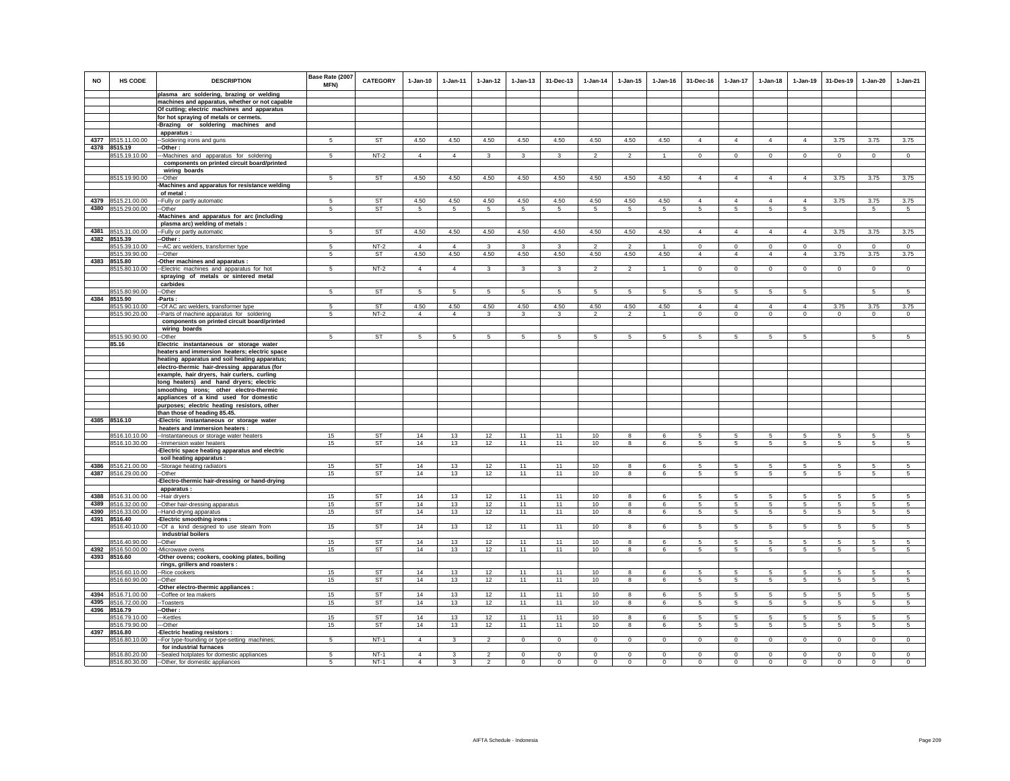| <b>NO</b> | HS CODE                             | <b>DESCRIPTION</b>                                                                       | Base Rate (2007<br><b>MFN)</b> | <b>CATEGORY</b> | $1 - Jan-10$   | $1 - Jan-11$   | $1 - Jan-12$            | $1 - Jan-13$    | 31-Dec-13               | $1 - Jan-14$    | $1 - Jan-15$             | $1 - Jan-16$   | 31-Dec-16           | $1 - Jan-17$                      | $1-Jan-18$                   | $1 - Jan-19$    | 31-Des-19      | $1 - Jan-20$    | $1-Jan-21$      |
|-----------|-------------------------------------|------------------------------------------------------------------------------------------|--------------------------------|-----------------|----------------|----------------|-------------------------|-----------------|-------------------------|-----------------|--------------------------|----------------|---------------------|-----------------------------------|------------------------------|-----------------|----------------|-----------------|-----------------|
|           |                                     | plasma arc soldering, brazing or welding                                                 |                                |                 |                |                |                         |                 |                         |                 |                          |                |                     |                                   |                              |                 |                |                 |                 |
|           |                                     | machines and apparatus, whether or not capable                                           |                                |                 |                |                |                         |                 |                         |                 |                          |                |                     |                                   |                              |                 |                |                 |                 |
|           |                                     | Of cutting; electric machines and apparatus                                              |                                |                 |                |                |                         |                 |                         |                 |                          |                |                     |                                   |                              |                 |                |                 |                 |
|           |                                     | for hot spraying of metals or cermets.                                                   |                                |                 |                |                |                         |                 |                         |                 |                          |                |                     |                                   |                              |                 |                |                 |                 |
|           |                                     | -Brazing or soldering machines and<br>apparatus :                                        |                                |                 |                |                |                         |                 |                         |                 |                          |                |                     |                                   |                              |                 |                |                 |                 |
| 4377      | 8515.11.00.00                       | -Soldering irons and guns                                                                | 5                              | <b>ST</b>       | 4.50           | 4.50           | 4.50                    | 4.50            | 4.50                    | 4.50            | 4.50                     | 4.50           | $\overline{4}$      | $\overline{4}$                    | $\overline{4}$               | $\overline{4}$  | 3.75           | 3.75            | 3.75            |
| 4378      | 8515.19                             | -Other:                                                                                  |                                |                 |                |                |                         |                 |                         |                 |                          |                |                     |                                   |                              |                 |                |                 |                 |
|           | 8515.19.10.00                       | --Machines and apparatus for soldering                                                   | 5                              | $NT-2$          | $\overline{4}$ | $\overline{4}$ | 3                       | 3               | 3                       | $\mathcal{P}$   | $\mathcal{P}$            | $\overline{1}$ | $\mathbf 0$         | $\mathbf 0$                       | $\circ$                      | $\mathbf 0$     | $\circ$        | $\mathbf 0$     | $\circ$         |
|           |                                     | components on printed circuit board/printed                                              |                                |                 |                |                |                         |                 |                         |                 |                          |                |                     |                                   |                              |                 |                |                 |                 |
|           |                                     | wiring boards                                                                            |                                |                 |                |                |                         |                 |                         |                 |                          |                |                     |                                   |                              |                 |                |                 |                 |
|           | 8515.19.90.00                       | ---Other                                                                                 | -5                             | ST              | 4.50           | 4.50           | 4.50                    | 4.50            | 4.50                    | 4.50            | 4.50                     | 4.50           | $\overline{4}$      | $\overline{4}$                    | $\overline{4}$               | $\overline{4}$  | 3.75           | 3.75            | 3.75            |
|           |                                     | -Machines and apparatus for resistance welding                                           |                                |                 |                |                |                         |                 |                         |                 |                          |                |                     |                                   |                              |                 |                |                 |                 |
|           |                                     | of metal :                                                                               |                                |                 |                |                |                         |                 |                         |                 |                          |                |                     |                                   |                              |                 |                |                 |                 |
| 4380      | 4379 8515.21.00.00<br>8515.29.00.00 | -- Fully or partly automatic<br>--Other                                                  | 5                              | ST<br><b>ST</b> | 4.50           | 4.50           | 4.50                    | 4.50            | 4.50                    | 4.50            | 4.50                     | 4.50           | $\overline{4}$<br>5 | $\overline{4}$<br>$5\phantom{.0}$ | $\overline{4}$<br>$\sqrt{5}$ | $\overline{4}$  | 3.75           | 3.75            | 3.75            |
|           |                                     | Machines and apparatus for arc (including                                                | 5                              |                 | 5              | 5              | $\overline{5}$          | $5\phantom{.0}$ | 5                       | 5               | 5                        | $\sqrt{5}$     |                     |                                   |                              | 5               |                | $5\phantom{.0}$ | 5               |
|           |                                     | plasma arc) welding of metals :                                                          |                                |                 |                |                |                         |                 |                         |                 |                          |                |                     |                                   |                              |                 |                |                 |                 |
| 4381      | 8515.31.00.00                       | -- Fully or partly automatic                                                             | 5                              | <b>ST</b>       | 4.50           | 4.50           | 4.50                    | 4.50            | 4.50                    | 4.50            | 4.50                     | 4.50           | $\overline{4}$      | $\overline{4}$                    | $\overline{4}$               | $\overline{4}$  | 3.75           | 3.75            | 3.75            |
|           | 4382 8515.39                        | -Other :                                                                                 |                                |                 |                |                |                         |                 |                         |                 |                          |                |                     |                                   |                              |                 |                |                 |                 |
|           | 8515.39.10.00                       | --- AC arc welders, transformer type                                                     | 5                              | $NT-2$          | $\overline{4}$ | $\overline{4}$ | $\overline{\mathbf{3}}$ | 3               | $\overline{\mathbf{3}}$ | $\overline{2}$  | $\overline{\phantom{a}}$ | $\mathbf{1}$   | $\overline{0}$      | $\overline{0}$                    | $\overline{0}$               | $\overline{0}$  | $\overline{0}$ | $\Omega$        | $\overline{0}$  |
|           | 8515.39.90.00                       | --Other                                                                                  | 5                              | ST              | 4.50           | 4.50           | 4.50                    | 4.50            | 4.50                    | 4.50            | 4.50                     | 4.50           | $\overline{4}$      | $\overline{4}$                    | $\overline{4}$               | $\overline{4}$  | 3.75           | 3.75            | 3.75            |
|           | 4383 8515.80                        | -Other machines and apparatus :                                                          |                                |                 |                |                |                         |                 |                         |                 |                          |                |                     |                                   |                              |                 |                |                 |                 |
|           | 8515.80.10.00                       | -- Electric machines and apparatus for hot                                               | 5                              | $NT-2$          | $\overline{4}$ | $\overline{4}$ | $\mathbf{3}$            | $\mathbf{3}$    | $\mathbf{3}$            | $\overline{2}$  | $\overline{2}$           | $\overline{1}$ | $\mathbf{0}$        | $\mathbf{0}$                      | $\circ$                      | $\overline{0}$  | $\circ$        | $\overline{0}$  | $\overline{0}$  |
|           |                                     | spraying of metals or sintered metal<br>carbides                                         |                                |                 |                |                |                         |                 |                         |                 |                          |                |                     |                                   |                              |                 |                |                 |                 |
|           | 8515.80.90.00                       | -Other                                                                                   | 5                              | <b>ST</b>       | 5              | $\sqrt{5}$     | 5                       | $\sqrt{5}$      | 5                       | 5               | $\sqrt{5}$               | 5              | 5                   | 5                                 | 5                            | $\sqrt{5}$      |                | 5               | $\sqrt{5}$      |
| 4384      | 8515.90                             | Parts:                                                                                   |                                |                 |                |                |                         |                 |                         |                 |                          |                |                     |                                   |                              |                 |                |                 |                 |
|           | 8515.90.10.00                       | --Of AC arc welders, transformer type                                                    | 5                              | <b>ST</b>       | 4.50           | 4.50           | 4.50                    | 4.50            | 4.50                    | 4.50            | 4.50                     | 4.50           | $\Delta$            | $\overline{4}$                    | $\Delta$                     | $\overline{4}$  | 3.75           | 3.75            | 3.75            |
|           | 8515.90.20.00                       | -- Parts of machine apparatus for soldering                                              | 5                              | $NT-2$          | $\overline{4}$ | $\overline{4}$ | 3                       | $\mathbf{3}$    | 3                       | $\overline{2}$  | $\overline{2}$           | $\overline{1}$ | $\mathbf 0$         | $\mathbf 0$                       | $\mathsf 0$                  | $\mathbf 0$     | $\mathbf 0$    | $\mathsf 0$     | $\mathsf 0$     |
|           |                                     | components on printed circuit board/printed                                              |                                |                 |                |                |                         |                 |                         |                 |                          |                |                     |                                   |                              |                 |                |                 |                 |
|           |                                     | wiring boards                                                                            |                                |                 |                |                |                         |                 |                         |                 |                          |                |                     |                                   |                              |                 |                |                 |                 |
|           | 8515.90.90.00                       | --Other                                                                                  | $5\phantom{.0}$                | <b>ST</b>       | -5             | 5              | 5                       | 5               | 5                       | 5               | 5                        | 5              | 5                   | $5^{\circ}$                       | 5                            | $5\phantom{.0}$ |                | $\sqrt{5}$      | 5               |
|           | 85.16                               | Electric instantaneous or storage water<br>heaters and immersion heaters; electric space |                                |                 |                |                |                         |                 |                         |                 |                          |                |                     |                                   |                              |                 |                |                 |                 |
|           |                                     | heating apparatus and soil heating apparatus;                                            |                                |                 |                |                |                         |                 |                         |                 |                          |                |                     |                                   |                              |                 |                |                 |                 |
|           |                                     | electro-thermic hair-dressing apparatus (for                                             |                                |                 |                |                |                         |                 |                         |                 |                          |                |                     |                                   |                              |                 |                |                 |                 |
|           |                                     | example, hair dryers, hair curlers, curling                                              |                                |                 |                |                |                         |                 |                         |                 |                          |                |                     |                                   |                              |                 |                |                 |                 |
|           |                                     | tong heaters) and hand dryers; electric                                                  |                                |                 |                |                |                         |                 |                         |                 |                          |                |                     |                                   |                              |                 |                |                 |                 |
|           |                                     | smoothing irons; other electro-thermic                                                   |                                |                 |                |                |                         |                 |                         |                 |                          |                |                     |                                   |                              |                 |                |                 |                 |
|           |                                     | appliances of a kind used for domestic                                                   |                                |                 |                |                |                         |                 |                         |                 |                          |                |                     |                                   |                              |                 |                |                 |                 |
|           |                                     | purposes; electric heating resistors, other                                              |                                |                 |                |                |                         |                 |                         |                 |                          |                |                     |                                   |                              |                 |                |                 |                 |
|           |                                     | than those of heading 85.45.                                                             |                                |                 |                |                |                         |                 |                         |                 |                          |                |                     |                                   |                              |                 |                |                 |                 |
|           | 4385 8516.10                        | -Electric instantaneous or storage water<br>heaters and immersion heaters :              |                                |                 |                |                |                         |                 |                         |                 |                          |                |                     |                                   |                              |                 |                |                 |                 |
|           | 8516.10.10.00                       | -- Instantaneous or storage water heaters                                                | 15                             | ST              | 14             | 13             | 12                      | 11              | 11                      | 10 <sup>1</sup> | 8                        | 6              | 5.                  | 5                                 | 5                            | -5              | 5              | 5               | 5               |
|           | 8516.10.30.00                       | -- Immersion water heaters                                                               | 15                             | ST              | 14             | 13             | 12                      | 11              | 11                      | 10              | 8                        | 6              | $5\phantom{.0}$     | 5                                 | $\sqrt{5}$                   | $\,$ 5 $\,$     | $\,$ 5 $\,$    | $\mathbf 5$     | 5               |
|           |                                     | Electric space heating apparatus and electric                                            |                                |                 |                |                |                         |                 |                         |                 |                          |                |                     |                                   |                              |                 |                |                 |                 |
|           |                                     | soil heating apparatus :                                                                 |                                |                 |                |                |                         |                 |                         |                 |                          |                |                     |                                   |                              |                 |                |                 |                 |
| 4386      | 8516.21.00.00                       | --Storage heating radiators                                                              | 15                             | <b>ST</b>       | 14             | 13             | 12                      | 11              | 11                      | 10              | $\mathbf{g}$             | 6              | -5                  | 5                                 | 5                            | $\overline{5}$  | 5              | 5               | $\sqrt{5}$      |
| 4387      | 8516.29.00.00                       | --Other                                                                                  | 15                             | <b>ST</b>       | 14             | 13             | 12                      | 11              | 11                      | 10              | 8                        | 6              | 5                   | 5                                 | 5                            | 5               | 5              | 5               | 5               |
|           |                                     | -Electro-thermic hair-dressing or hand-drying                                            |                                |                 |                |                |                         |                 |                         |                 |                          |                |                     |                                   |                              |                 |                |                 |                 |
| 4388      | 8516.31.00.00                       | apparatus:<br>--Hair drvers                                                              | 15                             | ST              | 14             | 13             | 12                      | 11              | 11                      | 10              | 8                        | 6              | $5\overline{5}$     | 5                                 | 5                            | 5               | 5              | 5               | 5               |
| 4389      | 8516.32.00.00                       | --Other hair-dressing apparatus                                                          | 15                             | <b>ST</b>       | 14             | 13             | 12                      | 11              | 11                      | 10              | 8                        | 6              | 5                   | $5\phantom{.0}$                   | $\sqrt{5}$                   | 5               | $\sqrt{5}$     | 5               | 5               |
| 4390      | 8516.33.00.00                       | --Hand-drying apparatus                                                                  | 15                             | <b>ST</b>       | 14             | 13             | 12                      | 11              | 11                      | 10              | 8                        | 6              | $5\phantom{.0}$     | $5\phantom{.0}$                   | $\overline{5}$               | $\overline{5}$  | $\overline{5}$ | $\overline{5}$  | $\sqrt{5}$      |
|           | 4391 8516.40                        | Electric smoothing irons :                                                               |                                |                 |                |                |                         |                 |                         |                 |                          |                |                     |                                   |                              |                 |                |                 |                 |
|           | 8516.40.10.00                       | -Of a kind designed to use steam from                                                    | 15                             | <b>ST</b>       | 14             | 13             | 12                      | 11              | 11                      | 10              | 8                        | 6              | 5                   | 5                                 | 5                            | 5               | 5              | 5               | 5               |
|           |                                     | industrial boilers                                                                       |                                |                 |                |                |                         |                 |                         |                 |                          |                |                     |                                   |                              |                 |                |                 |                 |
|           | 8516.40.90.00                       | --Other                                                                                  | 15                             | <b>ST</b>       | 14             | 13             | 12                      | 11              | 11                      | 10              | 8                        | 6              | 5                   | 5                                 | 5                            | 5               | 5              | $\sqrt{5}$      | 5               |
| 4392      | 8516.50.00.00<br>4393 8516.60       | -Microwave ovens                                                                         | 15                             | ST              | 14             | 13             | 12                      | 11              | 11                      | 10              | 8                        | 6              | 5                   | 5                                 | $5\overline{5}$              | 5               | 5              | 5               | $5\overline{5}$ |
|           |                                     | -Other ovens; cookers, cooking plates, boiling                                           |                                |                 |                |                |                         |                 |                         |                 |                          |                |                     |                                   |                              |                 |                |                 |                 |
|           | 8516.60.10.00                       | rings, grillers and roasters :<br>--Rice cookers                                         | 15                             | <b>ST</b>       | 14             | 13             | 12                      | 11              | 11                      | 10              | 8                        | 6              | 5                   | 5                                 | 5                            | 5               | 5              | $\overline{5}$  | 5               |
|           | 8516.60.90.00                       | --Other                                                                                  | 15                             | ST              | 14             | 13             | 12                      | 11              | 11                      | 10              | 8                        | 6              | 5                   | $5\phantom{.0}$                   | $\overline{5}$               | 5               | 5              | 5               | 5               |
|           |                                     | -Other electro-thermic appliances :                                                      |                                |                 |                |                |                         |                 |                         |                 |                          |                |                     |                                   |                              |                 |                |                 |                 |
| 4394      | 8516.71.00.00                       | --Coffee or tea makers                                                                   | 15                             | ST              | 14             | 13             | 12                      | 11              | 11                      | 10              | 8                        | 6              | 5                   | 5                                 | 5                            | 5               | 5              | 5               | 5               |
| 4395      | 8516.72.00.00                       | -Toasters                                                                                | 15                             | ST              | 14             | 13             | 12                      | 11              | 11                      | 10              | 8                        | 6              | 5                   | 5                                 | 5                            | 5               | 5              | 5               | 5               |
| 4396      | 8516.79                             | -Other:                                                                                  |                                |                 |                |                |                         |                 |                         |                 |                          |                |                     |                                   |                              |                 |                |                 |                 |
|           | 8516.79.10.00                       | ---Kettles                                                                               | 15                             | <b>ST</b>       | 14             | 13             | 12                      | 11              | 11                      | 10              | $\mathbf{R}$             | $\epsilon$     | 5.                  | $5\overline{)}$                   | 5                            | $\overline{5}$  | 5              | $\overline{5}$  | $\overline{5}$  |
|           | 8516.79.90.00                       | ---Other                                                                                 | 15                             | <b>ST</b>       | 14             | 13             | 12                      | 11              | 11                      | 10              | 8                        | 6              | $5\overline{5}$     | 5                                 | 5                            | 5               | 5              | 5               | 5               |
|           | 4397 8516.80<br>8516.80.10.00       | -Electric heating resistors :<br>-- For type-founding or type-setting machines;          | $\sqrt{5}$                     | $NT-1$          | $\Delta$       | $\mathbf{3}$   | $\overline{a}$          | $\Omega$        | $\overline{0}$          | $\mathbf 0$     | $\mathbf 0$              | $\,0\,$        | $\Omega$            | $\mathbf 0$                       | $\mathbf 0$                  | $\mathbf 0$     | $\circ$        | $\mathbf 0$     | $\mathbf 0$     |
|           |                                     | for industrial furnaces                                                                  |                                |                 |                |                |                         |                 |                         |                 |                          |                |                     |                                   |                              |                 |                |                 |                 |
|           | 8516.80.20.00                       | -- Sealed hotplates for domestic appliances                                              | 5                              | $NT-1$          | $\overline{4}$ | 3              | $\overline{2}$          | $\mathbf 0$     | $\mathbf 0$             | $\mathbf 0$     | $\mathbf 0$              | $\mathbf 0$    | $\mathbf 0$         | $\mathbf 0$                       | $\mathbf 0$                  | $\mathbf 0$     | $\mathbf 0$    | $\circ$         | $\circ$         |
|           |                                     | 8516.80.30.00 -Other, for domestic appliances                                            | $\sqrt{5}$                     | $NT-1$          | $\Delta$       | $\mathbf{3}$   | $\mathfrak{p}$          | $\Omega$        | $\Omega$                | $\Omega$        | $\Omega$                 | $\Omega$       | $\Omega$            | $\Omega$                          | $\Omega$                     | $\Omega$        | $\Omega$       | $\Omega$        | $\Omega$        |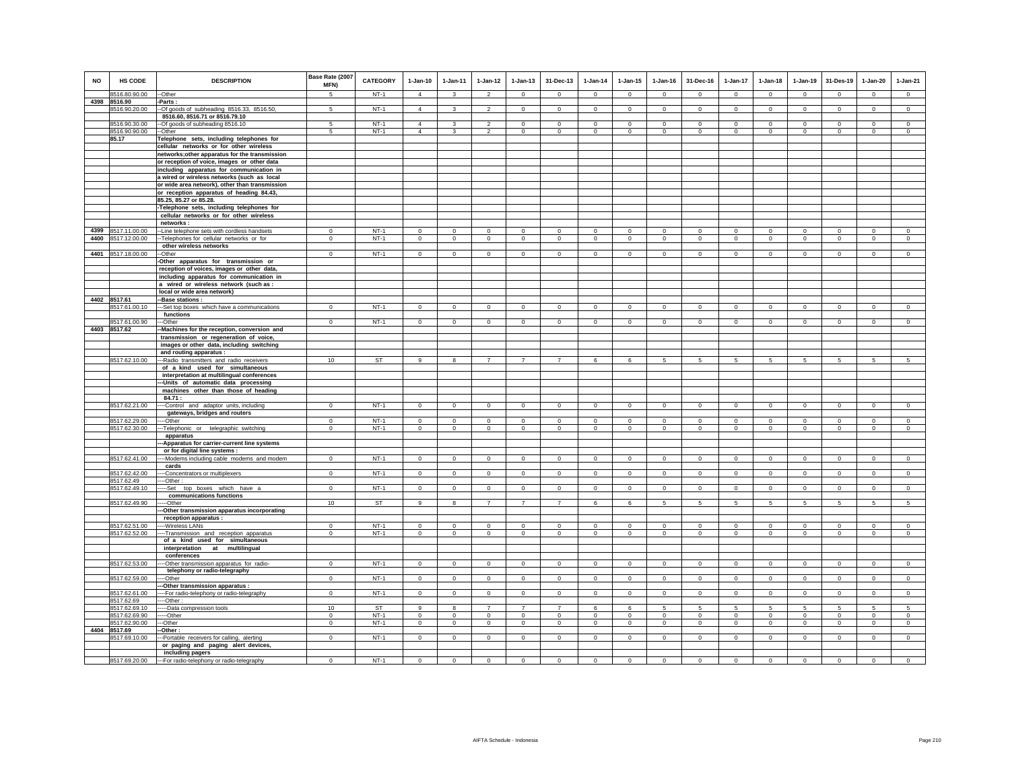| <b>NO</b> | HS CODE                       | <b>DESCRIPTION</b>                                                                   | Base Rate (2007<br>MFN) | CATEGORY  | $1-Jan-10$     | 1-Jan-11       | $1 - Jan-12$             | $1 - Jan-13$   | 31-Dec-13      | $1-Jan-14$     | $1 - Jan-15$   | $1 - Jan-16$   | 31-Dec-16       | 1-Jan-17        | $1 - Jan-18$   | $1-Jan-19$     | 31-Des-19      | $1-Jan-20$     | $1-Jan-21$     |
|-----------|-------------------------------|--------------------------------------------------------------------------------------|-------------------------|-----------|----------------|----------------|--------------------------|----------------|----------------|----------------|----------------|----------------|-----------------|-----------------|----------------|----------------|----------------|----------------|----------------|
|           | 8516.80.90.00                 | --Other                                                                              | $\overline{5}$          | $NT-1$    | $\overline{4}$ | $\mathbf{3}$   | $\overline{2}$           | $\Omega$       | $\Omega$       | $\Omega$       | $\Omega$       | $\Omega$       | $\Omega$        | $\Omega$        | $\Omega$       | $\Omega$       | $\overline{0}$ | $\Omega$       | $\overline{0}$ |
| 4398      | 8516.90                       | -Parts:                                                                              |                         |           |                |                |                          |                |                |                |                |                |                 |                 |                |                |                |                |                |
|           | 8516.90.20.00                 | --Of goods of subheading 8516.33, 8516.50,<br>8516.60, 8516.71 or 8516.79.10         | 5                       | $NT-1$    | $\overline{4}$ | $\mathbf{3}$   | $\overline{2}$           | $\circ$        | $\mathbf 0$    | $\circ$        | $\mathbf 0$    | $\mathbf 0$    | $\circ$         | $\mathbf 0$     | $\circ$        | $\mathbf 0$    | $\circ$        | $\mathbf 0$    | $\circ$        |
|           | 8516.90.30.00                 | --Of goods of subheading 8516.10                                                     | $\sqrt{5}$              | $NT-1$    | $\overline{4}$ | $\mathbf{3}$   | $\overline{\phantom{a}}$ | $\Omega$       | $\overline{0}$ | $\Omega$       | $\Omega$       | $\Omega$       | $\Omega$        | $\Omega$        | $\Omega$       | $\Omega$       | $\overline{0}$ | $\Omega$       | $\overline{0}$ |
|           | 8516.90.90.00                 | --Other                                                                              | 5                       | NT-1      | $\overline{4}$ | 3              | $\overline{2}$           | $\mathbf 0$    | $\mathbf 0$    | $\mathbf 0$    | $\mathbf 0$    | $\mathbf 0$    | $\mathbf 0$     | $\mathbf 0$     | $\mathbf 0$    | $\mathbf 0$    | $^{\circ}$     | $\mathbf 0$    | $\mathbf 0$    |
|           | 85.17                         | Telephone sets, including telephones for                                             |                         |           |                |                |                          |                |                |                |                |                |                 |                 |                |                |                |                |                |
|           |                               | cellular networks or for other wireless                                              |                         |           |                |                |                          |                |                |                |                |                |                 |                 |                |                |                |                |                |
|           |                               | networks; other apparatus for the transmission                                       |                         |           |                |                |                          |                |                |                |                |                |                 |                 |                |                |                |                |                |
|           |                               | or reception of voice, images or other data                                          |                         |           |                |                |                          |                |                |                |                |                |                 |                 |                |                |                |                |                |
|           |                               | including apparatus for communication in                                             |                         |           |                |                |                          |                |                |                |                |                |                 |                 |                |                |                |                |                |
|           |                               | a wired or wireless networks (such as local                                          |                         |           |                |                |                          |                |                |                |                |                |                 |                 |                |                |                |                |                |
|           |                               | or wide area network), other than transmission                                       |                         |           |                |                |                          |                |                |                |                |                |                 |                 |                |                |                |                |                |
|           |                               | or reception apparatus of heading 84.43,                                             |                         |           |                |                |                          |                |                |                |                |                |                 |                 |                |                |                |                |                |
|           |                               | 85.25, 85.27 or 85.28.                                                               |                         |           |                |                |                          |                |                |                |                |                |                 |                 |                |                |                |                |                |
|           |                               | -Telephone sets, including telephones for<br>cellular networks or for other wireless |                         |           |                |                |                          |                |                |                |                |                |                 |                 |                |                |                |                |                |
|           |                               | networks:                                                                            |                         |           |                |                |                          |                |                |                |                |                |                 |                 |                |                |                |                |                |
| 4399      | 8517.11.00.00                 | -- Line telephone sets with cordless handsets                                        | $^{\circ}$              | $NT-1$    | $\Omega$       | $\mathbf 0$    | $\mathbf 0$              | $\mathbf 0$    | $\mathbf 0$    | $\mathbf 0$    | $\mathbf 0$    | $^{\circ}$     | $\Omega$        | $\mathbf 0$     | $\Omega$       | $\mathbf 0$    | $^{\circ}$     | $\mathbf 0$    | $\mathbf 0$    |
| 4400      | 8517.12.00.00                 | -- Telephones for cellular networks or for                                           | $\mathbf{0}$            | $NT-1$    | $\circ$        | $\circ$        | $\circ$                  | $\mathbf 0$    | $\mathbf{0}$   | $\circ$        | $\mathbf 0$    | $\mathbb O$    | $\circ$         | $\mathbf 0$     | $\mathsf 0$    | $\mathbf 0$    | $\mathbf 0$    | $\mathsf 0$    | $\mathsf 0$    |
|           |                               | other wireless networks                                                              |                         |           |                |                |                          |                |                |                |                |                |                 |                 |                |                |                |                |                |
|           | 4401 8517.18.00.00            | -Other                                                                               | $\mathbf{0}$            | $NT-1$    | $\mathsf 0$    | $\circ$        | $\mathbf 0$              | $\mathbf 0$    | $\mathbf{0}$   | $\mathsf 0$    | $\Omega$       | $\Omega$       | $\Omega$        | $\mathbf 0$     | $\circ$        | $\mathbf 0$    | $\mathbf 0$    | $\mathbf 0$    | $\mathbf 0$    |
|           |                               | -Other apparatus for transmission or                                                 |                         |           |                |                |                          |                |                |                |                |                |                 |                 |                |                |                |                |                |
|           |                               | reception of voices, images or other data,                                           |                         |           |                |                |                          |                |                |                |                |                |                 |                 |                |                |                |                |                |
|           |                               | including apparatus for communication in                                             |                         |           |                |                |                          |                |                |                |                |                |                 |                 |                |                |                |                |                |
|           |                               | a wired or wireless network (such as :                                               |                         |           |                |                |                          |                |                |                |                |                |                 |                 |                |                |                |                |                |
|           |                               | local or wide area network)                                                          |                         |           |                |                |                          |                |                |                |                |                |                 |                 |                |                |                |                |                |
|           | 4402 8517.61<br>8517.61.00.10 | -Base stations :<br>--Set top boxes which have a communications                      | $\mathbf 0$             | $NT-1$    | $\circ$        | $\circ$        | $\mathbf 0$              | $\mathbf 0$    | $\mathbf 0$    | $\mathsf 0$    | $\mathbf 0$    | $\mathbb O$    | $\Omega$        | $\Omega$        | $\mathsf 0$    | $\circ$        | $\circ$        | $\mathbf{0}$   | $\mathsf 0$    |
|           |                               | functions                                                                            |                         |           |                |                |                          |                |                |                |                |                |                 |                 |                |                |                |                |                |
|           | 8517.61.00.90                 | --Other                                                                              | $\mathbf 0$             | $NT-1$    | $\mathbf 0$    | $\mathbf 0$    | $\circ$                  | $\mathbf 0$    | $\mathbf 0$    | $\mathbf 0$    | $\mathbf 0$    | $\mathbf 0$    | $\mathbf 0$     | $\mathbf 0$     | $\mathbf 0$    | $\mathbf 0$    | $\mathbf 0$    | $\mathbf 0$    | $\mathbf 0$    |
| 4403      | 8517.62                       | -Machines for the reception, conversion and                                          |                         |           |                |                |                          |                |                |                |                |                |                 |                 |                |                |                |                |                |
|           |                               | transmission or regeneration of voice,                                               |                         |           |                |                |                          |                |                |                |                |                |                 |                 |                |                |                |                |                |
|           |                               | images or other data, including switching                                            |                         |           |                |                |                          |                |                |                |                |                |                 |                 |                |                |                |                |                |
|           |                               | and routing apparatus :                                                              |                         |           |                |                |                          |                |                |                |                |                |                 |                 |                |                |                |                |                |
|           | 8517.62.10.00                 | --- Radio transmitters and radio receivers                                           | 10                      | ST        | 9              | 8              | $\overline{7}$           | $\overline{7}$ | $\overline{7}$ | 6              | 6              | 5              | 5               | 5               | 5              | 5              | 5              | 5              | 5              |
|           |                               | of a kind used for simultaneous                                                      |                         |           |                |                |                          |                |                |                |                |                |                 |                 |                |                |                |                |                |
|           |                               | interpretation at multilingual conferences                                           |                         |           |                |                |                          |                |                |                |                |                |                 |                 |                |                |                |                |                |
|           |                               | -Units of automatic data processing<br>machines other than those of heading          |                         |           |                |                |                          |                |                |                |                |                |                 |                 |                |                |                |                |                |
|           |                               | 84.71 :                                                                              |                         |           |                |                |                          |                |                |                |                |                |                 |                 |                |                |                |                |                |
|           | 8517.62.21.00                 | -Control and adaptor units, including                                                | $\mathbf 0$             | $NT-1$    | $\Omega$       | $\circ$        | $\mathbf 0$              | $\circ$        | $\mathbf{0}$   | $\circ$        | $\mathbf 0$    | $\Omega$       | $\Omega$        | $\Omega$        | $\Omega$       | $\mathbf 0$    | $\mathbf 0$    | $\mathbf 0$    | $\mathsf 0$    |
|           |                               | gateways, bridges and routers                                                        |                         |           |                |                |                          |                |                |                |                |                |                 |                 |                |                |                |                |                |
|           | 8517.62.29.00                 | --Other                                                                              | $\overline{0}$          | $NT-1$    | $\overline{0}$ | $\overline{0}$ | $\overline{0}$           | $\overline{0}$ | $\overline{0}$ | $\overline{0}$ | $\overline{0}$ | $\overline{0}$ | $\overline{0}$  | $\overline{0}$  | $\overline{0}$ | $\overline{0}$ | $\overline{0}$ | $\overline{0}$ | $\overline{0}$ |
|           | 8517.62.30.00                 | -- Telephonic or telegraphic switching                                               | $^{\circ}$              | $NT-1$    | $\mathbf 0$    | $\circ$        | $\mathbf 0$              | $\mathbf 0$    | $\mathbf 0$    | $\mathbf 0$    | $\mathbf 0$    | $\Omega$       | $\Omega$        | $\mathbf 0$     | $\mathbf 0$    | $\mathbf 0$    | $\mathbf 0$    | $\mathbf 0$    | $\Omega$       |
|           |                               | apparatus                                                                            |                         |           |                |                |                          |                |                |                |                |                |                 |                 |                |                |                |                |                |
|           |                               | -- Apparatus for carrier-current line systems                                        |                         |           |                |                |                          |                |                |                |                |                |                 |                 |                |                |                |                |                |
|           | 8517.62.41.00                 | or for digital line systems :<br>-- Modems including cable modems and modem          | $\mathbf 0$             | $NT-1$    | $\mathsf 0$    | $\mathsf 0$    | $\circ$                  | $\mathbf 0$    | $\mathbf{0}$   | $\circ$        | $\mathbf 0$    | $\mathbb O$    | $\mathbf 0$     | $\mathsf 0$     | $\mathsf 0$    | $\circ$        | $\circ$        | $\mathsf 0$    | $\overline{0}$ |
|           |                               | cards                                                                                |                         |           |                |                |                          |                |                |                |                |                |                 |                 |                |                |                |                |                |
|           | 8517.62.42.00                 | -Concentrators or multiplexers                                                       | $\mathbf 0$             | $NT-1$    | $\circ$        | $\circ$        | $\circ$                  | $\circ$        | $\mathbf{0}$   | $\circ$        | $\mathbf 0$    | $\mathbf 0$    | $\mathbf 0$     | $\mathbf 0$     | $\circ$        | $\mathbf 0$    | $\circ$        | $\circ$        | $\mathsf 0$    |
|           | 8517.62.49                    | ---Other:                                                                            |                         |           |                |                |                          |                |                |                |                |                |                 |                 |                |                |                |                |                |
|           | 8517.62.49.10                 | --Set<br>top boxes which have a                                                      | $\mathbf 0$             | $NT-1$    | $\circ$        | $\circ$        | $\mathbf 0$              | $\circ$        | $\mathbf 0$    | $\circ$        | $\mathbf 0$    | $\mathbf 0$    | $\circ$         | $\mathbf 0$     | $\circ$        | $\circ$        | $\circ$        | $\mathbf 0$    | $\circ$        |
|           |                               | communications functions                                                             |                         |           |                |                |                          |                |                |                |                |                |                 |                 |                |                |                |                |                |
|           | 8517.62.49.90                 | ---Other                                                                             | 10                      | <b>ST</b> | 9              | 8              | $\overline{7}$           | $\overline{7}$ | $\overline{7}$ | 6              | 6              | 5              | $5\overline{5}$ | $5\overline{5}$ | 5              | 5              | 5              | 5              | 5              |
|           |                               | -Other transmission apparatus incorporating<br>reception apparatus :                 |                         |           |                |                |                          |                |                |                |                |                |                 |                 |                |                |                |                |                |
|           | 8517.62.51.00                 | --Wireless LANs                                                                      | $\mathsf 0$             | $NT-1$    | $\Omega$       | $\mathbf 0$    | $\mathbf 0$              | $\mathbf 0$    | $\mathbf 0$    | $\mathbf 0$    | $\mathbf 0$    | $^{\circ}$     | $^{\circ}$      | $\mathbf 0$     | $\mathbf 0$    | $\mathbf 0$    | $^{\circ}$     | $\mathbf 0$    | $\mathbf 0$    |
|           | 8517.62.52.00                 | -- Transmission and reception apparatus                                              | $\overline{0}$          | $NT-1$    | $\mathbf{0}$   | $\circ$        | $\overline{0}$           | $\overline{0}$ | $\mathbf{0}$   | $\overline{0}$ | $\mathbf 0$    | $\mathbf 0$    | $\mathbf 0$     | $\overline{0}$  | $\mathbf 0$    | $\overline{0}$ | $\overline{0}$ | $\mathbf 0$    | $\circ$        |
|           |                               | of a kind used for simultaneous                                                      |                         |           |                |                |                          |                |                |                |                |                |                 |                 |                |                |                |                |                |
|           |                               | interpretation at multilingual                                                       |                         |           |                |                |                          |                |                |                |                |                |                 |                 |                |                |                |                |                |
|           |                               | conferences                                                                          |                         |           |                |                |                          |                |                |                |                |                |                 |                 |                |                |                |                |                |
|           | 8517.62.53.00                 | --Other transmission apparatus for radio-                                            | $\Omega$                | $NT-1$    | $\Omega$       | $\mathbf 0$    | $\Omega$                 | $\mathbf 0$    | $\mathbf 0$    | $\Omega$       | $\mathbf 0$    | $\Omega$       | $\Omega$        | $\Omega$        | $\Omega$       | $\mathbf 0$    | $\circ$        | $\mathbf 0$    | $\circ$        |
|           |                               | telephony or radio-telegraphy                                                        |                         |           |                |                |                          |                |                |                |                |                |                 |                 |                |                |                |                |                |
|           | 8517.62.59.00                 | --Other                                                                              | $\mathbf 0$             | $NT-1$    | $\mathbf 0$    | $\circ$        | $\mathbf 0$              | $\mathbf 0$    | $\mathbf{0}$   | $\mathbf 0$    | $\mathbf 0$    | $\,0\,$        | $\mathbf{0}$    | $\mathbf 0$     | $\mathbf 0$    | $\circ$        | $\mathbf 0$    | $\mathbf 0$    | $\,0\,$        |
|           |                               | -Other transmission apparatus :                                                      |                         |           |                |                |                          |                |                |                |                |                |                 |                 |                |                |                |                |                |
|           | 8517.62.61.00                 | ---For radio-telephony or radio-telegraphy<br>--Other:                               | $\overline{0}$          | $NT-1$    | $\overline{0}$ | $\overline{0}$ | $\overline{0}$           | $\overline{0}$ | $\overline{0}$ | $\overline{0}$ | $\overline{0}$ | $\overline{0}$ | $\mathbf 0$     | $\overline{0}$  | $\overline{0}$ | $\overline{0}$ | $\overline{0}$ | $\overline{0}$ | $\overline{0}$ |
|           | 8517.62.69<br>8517.62.69.10   | ---Data compression tools                                                            | 10                      | <b>ST</b> | 9              | 8              | $\overline{7}$           | $\overline{7}$ | $\overline{7}$ | 6              | 6              | $\sqrt{5}$     | -5              | 5               | 5              | 5              | 5              | 5              | 5              |
|           | 8517.62.69.90                 | --Other                                                                              | $\mathbf 0$             | $NT-1$    | $\mathsf 0$    | $\mathsf 0$    | $\mathbf 0$              | $\mathbf 0$    | $\mathsf 0$    | $\mathbf 0$    | $\mathbf 0$    | $\Omega$       | $\mathbf 0$     | $\mathbf 0$     | $\mathbf 0$    | $\mathbf 0$    | $\mathbf 0$    | $\mathbf 0$    | $\mathbf 0$    |
|           | 8517.62.90.00                 | --Other                                                                              | $\mathbf{0}$            | $NT-1$    | $\circ$        | $\circ$        | $\circ$                  | $\circ$        | $\mathbf{0}$   | $\circ$        | $\circ$        | $\mathbf 0$    | $\circ$         | $\mathbf{0}$    | $\circ$        | $\circ$        | $\mathbf{0}$   | $\circ$        | $\circ$        |
|           | 4404 8517.69                  | -Other:                                                                              |                         |           |                |                |                          |                |                |                |                |                |                 |                 |                |                |                |                |                |
|           | 8517.69.10.00                 | -Portable receivers for calling, alerting                                            | $\circ$                 | $NT-1$    | $\circ$        | $\circ$        | $\circ$                  | $\circ$        | $\mathbf{0}$   | $\circ$        | $\circ$        | $\mathbf 0$    | $\circ$         | $\mathbf{0}$    | $\circ$        | $\circ$        | $\circ$        | $\mathsf 0$    | $\circ$        |
|           |                               | or paging and paging alert devices,                                                  |                         |           |                |                |                          |                |                |                |                |                |                 |                 |                |                |                |                |                |
|           |                               | including pagers                                                                     |                         |           |                |                |                          |                |                |                |                |                |                 |                 |                |                |                |                |                |
|           | 8517.69.20.00                 | --- For radio-telephony or radio-telegraphy                                          | $\mathbf 0$             | $NT-1$    | $\mathbf 0$    | $\circ$        | $\circ$                  | $\circ$        | $\mathbf 0$    | $\circ$        | $\mathbf 0$    | $\Omega$       | $\Omega$        | $\mathbf 0$     | $\circ$        | $\mathbf 0$    | $\mathbf 0$    | $\mathbf 0$    | $\mathbf 0$    |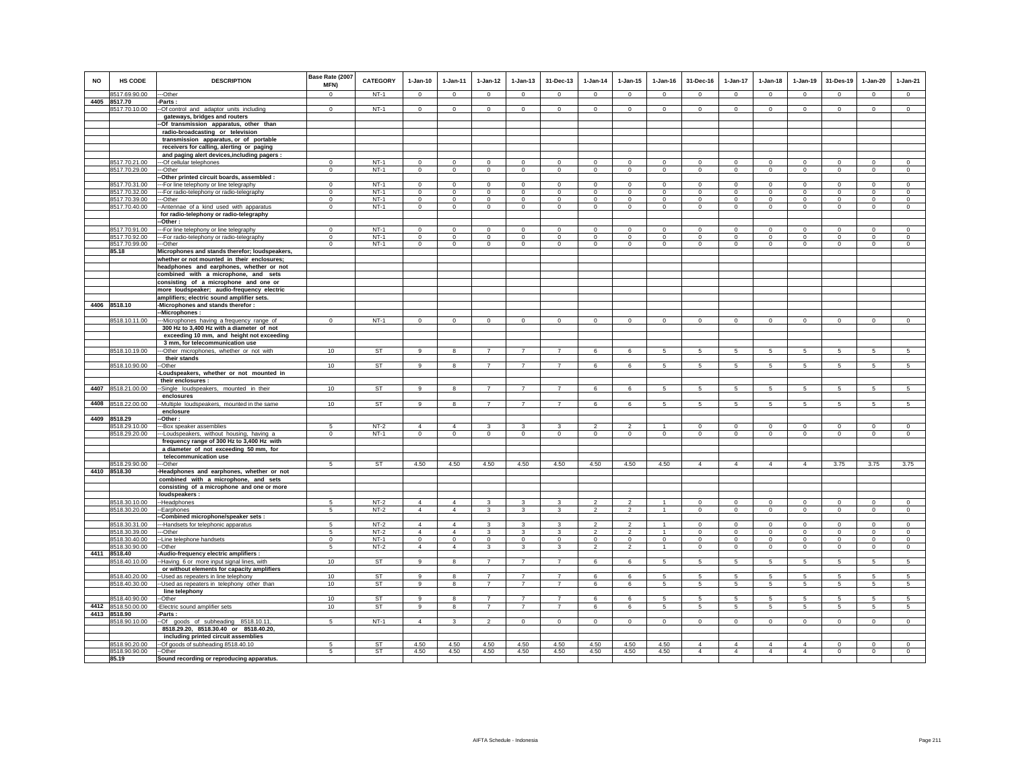| <b>NO</b> | HS CODE                        | <b>DESCRIPTION</b>                                                                      | Base Rate (2007<br>MFN)       | <b>CATEGORY</b>  | $1-Jan-10$                | $1 - Jan-11$              | $1-Jan-12$                     | $1 - Jan-13$                  | 31-Dec-13                    | $1-Jan-14$                 | $1 - Jan-15$               | $1 - Jan-16$               | 31-Dec-16                     | $1-Jan-17$                    | $1-Jan-18$                    | $1-Jan-19$                    | 31-Des-19                     | $1-Jan-20$                    | $1-Jan-21$                |
|-----------|--------------------------------|-----------------------------------------------------------------------------------------|-------------------------------|------------------|---------------------------|---------------------------|--------------------------------|-------------------------------|------------------------------|----------------------------|----------------------------|----------------------------|-------------------------------|-------------------------------|-------------------------------|-------------------------------|-------------------------------|-------------------------------|---------------------------|
|           | 8517.69.90.00                  | ---Other                                                                                | $\Omega$                      | $NT-1$           | $\Omega$                  | $\Omega$                  | $\mathsf 0$                    | $\mathsf 0$                   | $\mathsf 0$                  | $\circ$                    | $\mathsf 0$                | $\mathbb O$                | $\mathsf 0$                   | $\mathbf 0$                   | $\mathsf 0$                   | $\Omega$                      | $\mathbf 0$                   | $\mathsf 0$                   | $\mathsf 0$               |
|           | 4405 8517.70                   | -Parts:                                                                                 |                               | $NT-1$           |                           |                           |                                |                               |                              |                            |                            |                            |                               |                               |                               |                               |                               |                               | $\circ$                   |
|           | 8517.70.10.00                  | -Of control and adaptor units including<br>gateways, bridges and routers                | $\mathbf{0}$                  |                  | $^{\circ}$                | $\mathbf{0}$              | $\circ$                        | $\mathbf 0$                   | $\mathbf 0$                  | $\mathbf{0}$               | 0                          | $^{\circ}$                 | $\mathbf{0}$                  | $\circ$                       | $\mathbf 0$                   | $\circ$                       | $\circ$                       | $\circ$                       |                           |
|           |                                | Of transmission apparatus, other than                                                   |                               |                  |                           |                           |                                |                               |                              |                            |                            |                            |                               |                               |                               |                               |                               |                               |                           |
|           |                                | radio-broadcasting or television                                                        |                               |                  |                           |                           |                                |                               |                              |                            |                            |                            |                               |                               |                               |                               |                               |                               |                           |
|           |                                | transmission apparatus, or of portable                                                  |                               |                  |                           |                           |                                |                               |                              |                            |                            |                            |                               |                               |                               |                               |                               |                               |                           |
|           |                                | receivers for calling, alerting or paging                                               |                               |                  |                           |                           |                                |                               |                              |                            |                            |                            |                               |                               |                               |                               |                               |                               |                           |
|           | 8517.70.21.00                  | and paging alert devices, including pagers :<br>--- Of cellular telephones              | $\Omega$                      | $NT-1$           | $\Omega$                  | $\Omega$                  | $\overline{0}$                 | $\Omega$                      | $\Omega$                     | $\Omega$                   | $\Omega$                   | $\Omega$                   | $\Omega$                      | $\overline{0}$                | $\overline{0}$                | $\overline{0}$                | $\overline{0}$                | $\overline{0}$                | $\overline{0}$            |
|           | 8517.70.29.00                  | ---Other                                                                                | $\mathbf{0}$                  | $NT-1$           | $\circ$                   | $\circ$                   | $\circ$                        | $\mathbf 0$                   | $\mathsf 0$                  | $\circ$                    | $\mathbf 0$                | $\mathsf 0$                | $\mathbf 0$                   | $\overline{0}$                | $\mathbf 0$                   | $\mathsf 0$                   | $\mathsf 0$                   | $\mathbf 0$                   | $\mathbf 0$               |
|           |                                | -Other printed circuit boards, assembled :                                              |                               |                  |                           |                           |                                |                               |                              |                            |                            |                            |                               |                               |                               |                               |                               |                               |                           |
|           | 8517.70.31.00                  | --For line telephony or line telegraphy                                                 | $\mathbf{0}$                  | $NT-1$           | $\Omega$                  | $^{\circ}$                | $\mathbf 0$                    | $\mathbf{0}$                  | $\Omega$                     | $^{\circ}$                 | $\circ$                    | $^{\circ}$                 | $\Omega$                      | $\mathbf 0$                   | $\Omega$                      | $\circ$                       | $\circ$                       | $\circ$                       | $\Omega$                  |
|           | 8517.70.32.00<br>8517.70.39.00 | -- For radio-telephony or radio-telegraphy<br>-Other                                    | $\overline{0}$<br>$\mathbf 0$ | $NT-1$<br>$NT-1$ | $\overline{0}$<br>$\circ$ | $\overline{0}$<br>$\circ$ | $\overline{0}$<br>$\mathbf{0}$ | $\overline{0}$<br>$\mathsf 0$ | $\overline{0}$<br>$^{\circ}$ | $\overline{0}$<br>$\Omega$ | $\mathbf 0$<br>$\Omega$    | $\circ$<br>$\Omega$        | $\overline{0}$<br>$\mathbf 0$ | $\overline{0}$<br>$\mathsf 0$ | $\overline{0}$<br>$\mathsf 0$ | $\overline{0}$<br>$\mathsf 0$ | $\overline{0}$<br>$\mathbf 0$ | $\overline{0}$<br>$\mathbf 0$ | $\overline{0}$<br>$\circ$ |
|           | 8517.70.40.00                  | -- Antennae of a kind used with apparatus                                               | $\mathbf 0$                   | $NT-1$           | $\circ$                   | $\overline{0}$            | $\overline{0}$                 | $\overline{0}$                | $\circ$                      | $\mathsf 0$                | $\overline{0}$             | $\Omega$                   | $\circ$                       | $\overline{0}$                | $\overline{0}$                | $\overline{0}$                | $\mathsf 0$                   | $\circ$                       | $\circ$                   |
|           |                                | for radio-telephony or radio-telegraphy                                                 |                               |                  |                           |                           |                                |                               |                              |                            |                            |                            |                               |                               |                               |                               |                               |                               |                           |
|           |                                | -Other                                                                                  |                               |                  |                           |                           |                                |                               |                              |                            |                            |                            |                               |                               |                               |                               |                               |                               |                           |
|           | 8517.70.91.00                  | --- For line telephony or line telegraphy                                               | $\mathbf 0$                   | $NT-1$           | $\mathbf 0$               | $\mathbf 0$               | $\mathbf 0$                    | $\mathbf 0$                   | $\mathbf 0$                  | $\mathbf 0$                | $\mathbf 0$                | $\mathbf 0$                | $\mathbf 0$                   | $\mathbf 0$                   | $\mathbf 0$                   | $\mathbf 0$                   | $\mathbf 0$                   | $\mathbf 0$                   | $\mathbf 0$               |
|           | 8517.70.92.00<br>8517.70.99.00 | ---For radio-telephony or radio-telegraphy<br>--Other                                   | $\mathbf 0$<br>$^{\circ}$     | $NT-1$<br>$NT-1$ | $\circ$<br>$\mathbf 0$    | $\circ$<br>$^{\circ}$     | $\mathbf 0$<br>$\mathsf 0$     | $\mathbf 0$<br>$\mathbf 0$    | $\mathbf 0$<br>$\mathbf 0$   | $^{\circ}$<br>$\mathbf 0$  | $\mathbf 0$<br>$\mathbf 0$ | $\mathbf 0$<br>$\mathbf 0$ | $\mathbf 0$<br>$\mathbf 0$    | $\mathbf 0$<br>$\mathbf 0$    | $\mathbf 0$<br>$\mathbf 0$    | $\circ$<br>$\mathsf 0$        | $\mathbf 0$<br>$\mathbf 0$    | $\circ$<br>$\mathsf 0$        | $\circ$<br>$\mathbf 0$    |
|           | 85.18                          | Microphones and stands therefor; loudspeakers,                                          |                               |                  |                           |                           |                                |                               |                              |                            |                            |                            |                               |                               |                               |                               |                               |                               |                           |
|           |                                | whether or not mounted in their enclosures;                                             |                               |                  |                           |                           |                                |                               |                              |                            |                            |                            |                               |                               |                               |                               |                               |                               |                           |
|           |                                | headphones and earphones, whether or not                                                |                               |                  |                           |                           |                                |                               |                              |                            |                            |                            |                               |                               |                               |                               |                               |                               |                           |
|           |                                | combined with a microphone, and sets                                                    |                               |                  |                           |                           |                                |                               |                              |                            |                            |                            |                               |                               |                               |                               |                               |                               |                           |
|           |                                | consisting of a microphone and one or<br>more loudspeaker; audio-frequency electric     |                               |                  |                           |                           |                                |                               |                              |                            |                            |                            |                               |                               |                               |                               |                               |                               |                           |
|           |                                | amplifiers; electric sound amplifier sets.                                              |                               |                  |                           |                           |                                |                               |                              |                            |                            |                            |                               |                               |                               |                               |                               |                               |                           |
| 4406      | 8518.10                        | -Microphones and stands therefor :                                                      |                               |                  |                           |                           |                                |                               |                              |                            |                            |                            |                               |                               |                               |                               |                               |                               |                           |
|           |                                | -Microphones:                                                                           |                               |                  |                           |                           |                                |                               |                              |                            |                            |                            |                               |                               |                               |                               |                               |                               |                           |
|           | 8518.10.11.00                  | ---Microphones having a frequency range of<br>300 Hz to 3,400 Hz with a diameter of not | $\mathbf{0}$                  | $NT-1$           | $\circ$                   | $\overline{0}$            | $\circ$                        | $\mathbf 0$                   | $\mathbf 0$                  | $\mathbf{0}$               | $\mathbf 0$                | $\circ$                    | $\overline{0}$                | $\circ$                       | $\mathbf 0$                   | $\circ$                       | $\circ$                       | $\circ$                       | $\circ$                   |
|           |                                | exceeding 10 mm, and height not exceeding                                               |                               |                  |                           |                           |                                |                               |                              |                            |                            |                            |                               |                               |                               |                               |                               |                               |                           |
|           | 8518.10.19.00                  | 3 mm, for telecommunication use<br>-Other microphones, whether or not with              | 10                            | <b>ST</b>        | 9                         | 8                         | $\overline{7}$                 | $\overline{7}$                |                              | 6                          | 6                          |                            | 5                             | 5                             | 5                             | 5                             | 5                             | 5                             | 5                         |
|           |                                | their stands                                                                            |                               |                  |                           |                           |                                |                               |                              |                            |                            |                            |                               |                               |                               |                               |                               |                               |                           |
|           | 8518.10.90.00                  | --Other                                                                                 | 10                            | <b>ST</b>        | $\mathbf{9}$              | $\overline{\mathbf{8}}$   | $\overline{7}$                 | $\overline{7}$                | $\overline{7}$               | 6                          | 6                          | 5                          | 5                             | 5 <sup>5</sup>                | 5                             | 5                             | $\overline{5}$                | 5                             | $5\overline{5}$           |
|           |                                | -Loudspeakers, whether or not mounted in                                                |                               |                  |                           |                           |                                |                               |                              |                            |                            |                            |                               |                               |                               |                               |                               |                               |                           |
|           |                                | their enclosures :                                                                      |                               |                  |                           |                           |                                | $\overline{z}$                | $\overline{7}$               |                            |                            |                            |                               |                               |                               |                               |                               |                               |                           |
|           | 4407 8518.21.00.00             | -Single loudspeakers, mounted in their<br>enclosures                                    | 10                            | ST               | 9                         | 8                         |                                |                               |                              | 6                          | 6                          | 5                          | 5                             | 5                             | 5                             | 5                             | 5                             | 5                             | 5                         |
|           | 4408 8518.22.00.00             | --Multiple loudspeakers, mounted in the same                                            | 10                            | <b>ST</b>        | 9                         | 8                         | $\overline{7}$                 | $\overline{7}$                | $\overline{7}$               | 6                          | 6                          | 5                          | 5                             | $5\overline{5}$               | 5                             | $5\overline{5}$               | 5                             | $5\overline{5}$               | 5                         |
|           |                                | enclosure                                                                               |                               |                  |                           |                           |                                |                               |                              |                            |                            |                            |                               |                               |                               |                               |                               |                               |                           |
|           | 4409 8518.29                   | -Other :                                                                                |                               |                  |                           |                           |                                |                               |                              |                            |                            |                            |                               |                               |                               |                               |                               |                               |                           |
|           | 8518.29.10.00<br>8518.29.20.00 | -Box speaker assemblies<br>-Loudspeakers, without housing, having a                     | 5<br>$\mathbf{0}$             | $NT-2$<br>$NT-1$ | $\overline{4}$<br>$\circ$ | $\overline{4}$<br>$\circ$ | 3<br>$\circ$                   | 3<br>$\mathbf 0$              | $\mathsf 3$<br>$\mathbf 0$   | $\overline{2}$<br>$\circ$  | 2<br>$\mathbf 0$           | $\circ$                    | $\mathbf 0$<br>$\circ$        | $\mathbf 0$<br>$\circ$        | $\mathbf 0$<br>$\mathbf 0$    | $\mathsf 0$<br>$\circ$        | $\mathbf{0}$<br>$\circ$       | $\mathsf 0$<br>$\circ$        | $\mathsf 0$<br>$\circ$    |
|           |                                | frequency range of 300 Hz to 3,400 Hz with                                              |                               |                  |                           |                           |                                |                               |                              |                            |                            |                            |                               |                               |                               |                               |                               |                               |                           |
|           |                                | a diameter of not exceeding 50 mm, for                                                  |                               |                  |                           |                           |                                |                               |                              |                            |                            |                            |                               |                               |                               |                               |                               |                               |                           |
|           |                                | telecommunication use                                                                   |                               |                  |                           |                           |                                |                               |                              |                            |                            |                            |                               |                               |                               |                               |                               |                               |                           |
|           | 8518.29.90.00                  | ---Other                                                                                | 5                             | <b>ST</b>        | 4.50                      | 4.50                      | 4.50                           | 4.50                          | 4.50                         | 4.50                       | 4.50                       | 4.50                       | $\overline{4}$                | $\overline{4}$                | $\overline{4}$                | $\overline{4}$                | 3.75                          | 3.75                          | 3.75                      |
|           | 4410 8518.30                   | -Headphones and earphones, whether or not<br>combined with a microphone, and sets       |                               |                  |                           |                           |                                |                               |                              |                            |                            |                            |                               |                               |                               |                               |                               |                               |                           |
|           |                                | consisting of a microphone and one or more                                              |                               |                  |                           |                           |                                |                               |                              |                            |                            |                            |                               |                               |                               |                               |                               |                               |                           |
|           |                                | loudspeakers:                                                                           |                               |                  |                           |                           |                                |                               |                              |                            |                            |                            |                               |                               |                               |                               |                               |                               |                           |
|           | 8518.30.10.00                  | --Headphones                                                                            | 5                             | $NT-2$           | $\overline{4}$            | $\overline{4}$            | 3                              | 3                             | 3                            | $\mathfrak{p}$             | $\overline{2}$             |                            | $\mathsf 0$                   | $\mathbf 0$                   | $\mathsf 0$                   | $\mathsf 0$                   | $\mathbf 0$                   | $\mathsf 0$                   | $\mathsf 0$               |
|           | 8518.30.20.00                  | --Earphones<br>-- Combined microphone/speaker sets :                                    | 5                             | $NT-2$           | $\overline{4}$            | $\overline{4}$            | $\mathbf{3}$                   | 3                             | 3                            | $\mathfrak{p}$             | $\mathfrak{p}$             |                            | $\mathbf 0$                   | $\mathbf 0$                   | $\mathbf 0$                   | $\mathbf 0$                   | $\mathbf 0$                   | $\circ$                       | $\circ$                   |
|           | 8518.30.31.00                  | ---Handsets for telephonic apparatus                                                    | 5                             | $NT-2$           | $\overline{4}$            | $\overline{4}$            | 3                              | 3                             | 3                            | $\overline{\phantom{a}}$   | $\overline{2}$             | $\overline{1}$             | $\overline{0}$                | $\overline{0}$                | $\overline{0}$                | $\overline{0}$                | $\overline{0}$                | $\overline{0}$                | $\overline{0}$            |
|           | 8518.30.39.00                  | --Other                                                                                 | 5                             | $NT-2$           | $\overline{4}$            | $\overline{4}$            | 3                              | 3                             | 3                            | $\mathfrak{p}$             | $\overline{2}$             |                            | $\mathbf 0$                   | $\mathbf 0$                   | $\mathbf 0$                   | $\Omega$                      | $\Omega$                      | $\mathbf 0$                   | $\circ$                   |
|           | 8518.30.40.00                  | --Line telephone handsets                                                               | $\mathbf 0$                   | $NT-1$           | $\circ$                   | $\circ$                   | $\circ$                        | $\mathbf 0$                   | $\mathbf 0$                  | $\mathbf 0$                | $\mathbf 0$                | $\mathbf 0$                | $\mathbf 0$                   | $\circ$                       | $\mathbf 0$                   | $\mathbf 0$                   | $\mathbf 0$                   | $\circ$                       | $\mathbf 0$               |
| 4411      | 8518.30.90.00<br>8518.40       | -Other                                                                                  | 5                             | $NT-2$           | $\overline{4}$            | $\overline{4}$            | $\mathbf{3}$                   | 3                             | 3                            | $\overline{2}$             | $\overline{2}$             | $\overline{1}$             | $\circ$                       | $\mathbf 0$                   | $\mathbf 0$                   | $\mathbf 0$                   | $\mathbf 0$                   | $\circ$                       | $\circ$                   |
|           | 8518.40.10.00                  | Audio-frequency electric amplifiers :<br>-Having 6 or more input signal lines, with     | 10                            | ST               | 9                         | 8                         | $\overline{7}$                 | $\overline{7}$                | $\overline{7}$               | 6                          | 6                          | 5                          | 5                             | 5                             | 5                             | 5                             | 5                             | 5                             | 5                         |
|           |                                | or without elements for capacity amplifiers                                             |                               |                  |                           |                           |                                |                               |                              |                            |                            |                            |                               |                               |                               |                               |                               |                               |                           |
|           | 8518.40.20.00                  | -- Used as repeaters in line telephony                                                  | 10                            | <b>ST</b>        | 9                         | 8                         | $\overline{7}$                 | $\overline{7}$                | $\overline{7}$               | 6                          | 6                          | -5                         | 5                             | 5                             | 5                             | 5                             | $\sqrt{5}$                    | 5                             | $5\overline{)}$           |
|           | 8518.40.30.00                  | -Used as repeaters in telephony other than                                              | 10                            | ST               | 9                         | 8                         | $\overline{7}$                 | $\overline{7}$                | $\overline{7}$               | 6                          | 6                          | 5                          | 5                             | 5                             | 5                             | 5                             | 5                             | 5                             | 5                         |
|           | 8518.40.90.00                  | line telephony<br>-Other                                                                | 10                            | <b>ST</b>        | 9                         | 8                         | $\overline{7}$                 | $\overline{7}$                | $\overline{7}$               | 6                          | 6                          | 5                          | 5                             | 5                             | 5                             | 5                             | 5                             | 5                             | 5                         |
|           | 4412 8518.50.00.00             | -Electric sound amplifier sets                                                          | 10                            | ST               | 9                         | 8                         | $\overline{7}$                 | $\overline{7}$                | $\overline{7}$               | 6                          | 6                          | 5                          | 5                             | 5                             | 5                             | 5                             | $\sqrt{5}$                    | 5                             | $\sqrt{5}$                |
|           | 4413 8518.90                   | Parts:                                                                                  |                               |                  |                           |                           |                                |                               |                              |                            |                            |                            |                               |                               |                               |                               |                               |                               |                           |
|           | 8518.90.10.00                  | -Of goods of subheading 8518.10.11,                                                     | 5                             | $NT-1$           | $\overline{4}$            | $\mathbf{3}$              | $\overline{2}$                 | $\mathsf 0$                   | $\mathsf 0$                  | $\circ$                    | $\mathbf 0$                | $\circ$                    | $\mathbf 0$                   | $\mathbf 0$                   | $\mathbf 0$                   | $\mathsf 0$                   | $\mathsf 0$                   | $\circ$                       | $\mathbf 0$               |
|           |                                | 8518.29.20, 8518.30.40 or 8518.40.20,                                                   |                               |                  |                           |                           |                                |                               |                              |                            |                            |                            |                               |                               |                               |                               |                               |                               |                           |
|           | 8518.90.20.00                  | including printed circuit assemblies<br>-- Of goods of subheading 8518.40.10            | 5                             | <b>ST</b>        | 4.50                      | 4.50                      | 4.50                           | 4.50                          | 4.50                         | 4.50                       | 4.50                       | 4.50                       | $\Delta$                      | $\Delta$                      | $\Delta$                      | $\Delta$                      | $\mathbf 0$                   | $\mathsf 0$                   | $\mathsf 0$               |
|           | 8518.90.90.00                  | --Other                                                                                 | 5                             | <b>ST</b>        | 4.50                      | 4.50                      | 4.50                           | 4.50                          | 4.50                         | 4.50                       | 4.50                       | 4.50                       | $\overline{4}$                | $\overline{4}$                | $\overline{4}$                | $\overline{4}$                | $\mathbf 0$                   | $\mathsf 0$                   | $\mathbf 0$               |
|           | 85.19                          | Sound recording or reproducing apparatus.                                               |                               |                  |                           |                           |                                |                               |                              |                            |                            |                            |                               |                               |                               |                               |                               |                               |                           |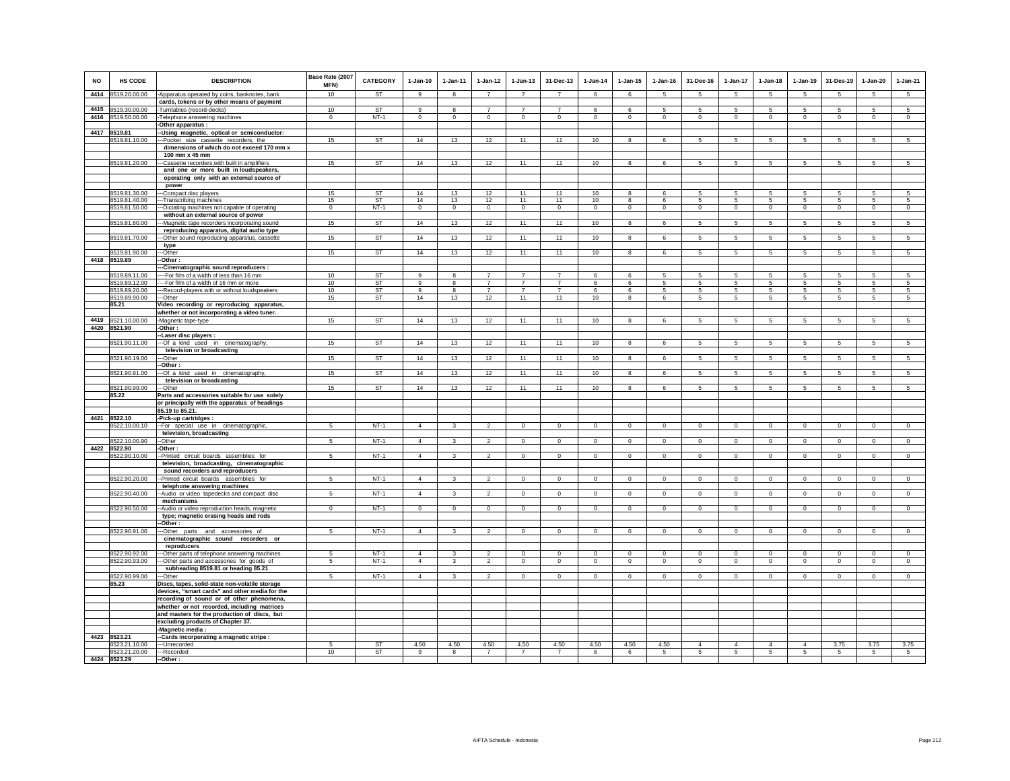| <b>NO</b> | HS CODE                        | <b>DESCRIPTION</b>                                                                       | Base Rate (2007<br>MFN) | <b>CATEGORY</b> | $1-Jan-10$     | 1-Jan-11     | $1 - Jan-12$   | $1 - Jan-13$   | 31-Dec-13      | $1 - Jan-14$   | $1-Jan-15$  | $1 - Jan-16$   | 31-Dec-16       | $1-Jan-17$      | $1-Jan-18$      | $1-Jan-19$     | 31-Des-19       | $1-Jan-20$      | $1-Jan-21$      |
|-----------|--------------------------------|------------------------------------------------------------------------------------------|-------------------------|-----------------|----------------|--------------|----------------|----------------|----------------|----------------|-------------|----------------|-----------------|-----------------|-----------------|----------------|-----------------|-----------------|-----------------|
| 4414      | 8519.20.00.00                  | -Apparatus operated by coins, banknotes, bank                                            | 10                      | <b>ST</b>       | 9              | 8            | $\overline{7}$ | $\overline{7}$ | $\overline{7}$ | 6              | 6           | 5              | 5               | $5\phantom{.0}$ | 5               | 5              | 5               | 5               | $5\overline{)}$ |
|           |                                | cards, tokens or by other means of payment                                               |                         |                 |                |              |                |                |                |                |             |                |                 |                 |                 |                |                 |                 |                 |
| 4415      | 8519.30.00.00                  | Turntables (record-decks)                                                                | 10                      | <b>ST</b>       | 9              | 8            | $\overline{7}$ | $\overline{7}$ | $\overline{7}$ | 6              | 6           | 5              | 5               | 5               | 5               | -5             | 5               | 5               | 5               |
| 4416      | 8519.50.00.00                  | Telephone answering machines                                                             | $\Omega$                | $NT-1$          | $\mathbf 0$    | $\Omega$     | $\mathbf 0$    | $\mathbf 0$    | $\Omega$       | $\mathbf 0$    | $\mathbf 0$ | $\Omega$       | $\Omega$        | 0               | $\mathbf 0$     | $\Omega$       | $\mathbf 0$     | $\mathbf 0$     | $\mathbf 0$     |
|           | 4417 8519.81                   | Other apparatus :                                                                        |                         |                 |                |              |                |                |                |                |             |                |                 |                 |                 |                |                 |                 |                 |
|           | 8519.81.10.00                  | -Using magnetic, optical or semiconductor:<br>-Pocket size cassette recorders, the       | 15                      | <b>ST</b>       | 14             | 13           | 12             | 11             | 11             | 10             | 8           | 6              | -5              | 5               | 5               | 5              | 5               | 5               | 5               |
|           |                                | dimensions of which do not exceed 170 mm x                                               |                         |                 |                |              |                |                |                |                |             |                |                 |                 |                 |                |                 |                 |                 |
|           |                                | 100 mm x 45 mm                                                                           |                         |                 |                |              |                |                |                |                |             |                |                 |                 |                 |                |                 |                 |                 |
|           | 8519.81.20.00                  | -Cassette recorders, with built in amplifiers                                            | 15                      | <b>ST</b>       | 14             | 13           | 12             | 11             | 11             | 10             | 8           | 6              | 5               | 5               | 5               | 5              | 5               | 5               | 5               |
|           |                                | and one or more built in loudspeakers,                                                   |                         |                 |                |              |                |                |                |                |             |                |                 |                 |                 |                |                 |                 |                 |
|           |                                | operating only with an external source of                                                |                         |                 |                |              |                |                |                |                |             |                |                 |                 |                 |                |                 |                 |                 |
|           |                                | power                                                                                    |                         |                 |                |              |                |                |                |                | 8           | 6              | 5               |                 | 5               | -5             | 5               | 5               | 5               |
|           | 8519.81.30.00<br>8519.81.40.00 | --Compact disc players<br>--Transcribing machines                                        | 15<br>15                | <b>ST</b><br>ST | 14<br>14       | 13<br>13     | 12<br>12       | 11<br>11       | 11<br>11       | 10<br>10       | 8           | 6              | 5               | 5<br>5          | 5               | 5              | -5              | 5               | -5              |
|           | 8519.81.50.00                  | -Dictating machines not capable of operating                                             | $\mathbf{0}$            | $NT-1$          | $\mathbf 0$    | $\mathbf{0}$ | $\circ$        | $\mathbf 0$    | $\mathbf{0}$   | $\circ$        | 0           | $\mathbf 0$    | $\Omega$        | $\mathbf 0$     | $\mathbf 0$     | $\mathbf 0$    | $\circ$         | $\mathbf 0$     | $\mathbf 0$     |
|           |                                | without an external source of power                                                      |                         |                 |                |              |                |                |                |                |             |                |                 |                 |                 |                |                 |                 |                 |
|           | 8519.81.60.00                  | -Magnetic tape recorders incorporating sound                                             | 15                      | ST              | 14             | 13           | 12             | 11             | 11             | 10             | 8           | 6              | 5               | 5               | 5               | $\sqrt{5}$     | $\sqrt{5}$      | 5               | 5               |
|           |                                | reproducing apparatus, digital audio type                                                |                         |                 |                |              |                |                |                |                |             |                |                 |                 |                 |                |                 |                 |                 |
|           | 8519.81.70.00                  | -Other sound reproducing apparatus, cassette                                             | 15                      | ST              | 14             | 13           | 12             | 11             | 11             | 10             | 8           | 6              | 5               | $5\overline{)}$ | 5               | $\overline{5}$ | $\sqrt{5}$      | $\sqrt{5}$      | $5\overline{)}$ |
|           | 8519.81.90.00                  | type<br>--Other                                                                          | 15                      | ST              | 14             | 13           | 12             | 11             | 11             | 10             | 8           | 6              | $5\overline{5}$ | 5               | $5\overline{5}$ | 5              | 5               | 5               | 5               |
|           | 4418 8519.89                   | -Other:                                                                                  |                         |                 |                |              |                |                |                |                |             |                |                 |                 |                 |                |                 |                 |                 |
|           |                                | -Cinematographic sound reproducers :                                                     |                         |                 |                |              |                |                |                |                |             |                |                 |                 |                 |                |                 |                 |                 |
|           | 8519.89.11.00                  | ---For film of a width of less than 16 mm                                                | 10 <sup>1</sup>         | <b>ST</b>       | $\mathbf{q}$   | 8            | $\overline{7}$ | $\overline{7}$ | $\overline{7}$ | 6              | 6           | 5              | -5              | 5               | 5               | 5              | 5               | 5               | 5               |
|           | 8519.89.12.00                  | --For film of a width of 16 mm or more                                                   | 10                      | ST              | $\mathsf q$    | 8            | $\overline{7}$ | $\overline{7}$ | $\overline{7}$ | 6.             | 6           | 5              | -5              | 5               | 5               | -5             | 5               | 5               | 5               |
|           | 8519.89.20.00                  | -Record-players with or without loudspeakers                                             | 10                      | ST              | 9              | 8            | $\overline{7}$ | $\overline{7}$ | $\overline{7}$ | 6              | 6           | 5              | 5               | 5               | 5               | 5              | 5               | 5               | 5               |
|           | 8519.89.90.00<br>85.21         | -Other                                                                                   | 15                      | <b>ST</b>       | 14             | 13           | 12             | 11             | 11             | 10             | 8           | $\epsilon$     | -5              | 5               | 5               | 5              | -5              | 5               | 5.              |
|           |                                | Video recording or reproducing apparatus,<br>whether or not incorporating a video tuner. |                         |                 |                |              |                |                |                |                |             |                |                 |                 |                 |                |                 |                 |                 |
| 4419      | 8521.10.00.00                  | -Magnetic tape-type                                                                      | 15                      | ST              | 14             | 13           | 12             | 11             | 11             | 10             | 8           | $\epsilon$     | 5               | 5               | 5               | 5              | 5               | 5               | 5               |
|           | 4420 8521.90                   | -Other:                                                                                  |                         |                 |                |              |                |                |                |                |             |                |                 |                 |                 |                |                 |                 |                 |
|           |                                | -Laser disc players :                                                                    |                         |                 |                |              |                |                |                |                |             |                |                 |                 |                 |                |                 |                 |                 |
|           | 8521.90.11.00                  | -Of a kind used in cinematography,                                                       | 15                      | <b>ST</b>       | 14             | 13           | 12             | 11             | 11             | 10             | 8           | 6              | 5               | $5\overline{5}$ | 5               | 5              | $5\phantom{.0}$ | $5\overline{5}$ | $5\overline{5}$ |
|           |                                | television or broadcasting                                                               |                         |                 |                |              |                |                |                |                |             |                |                 |                 |                 |                |                 |                 |                 |
|           | 8521.90.19.00                  | -Other                                                                                   | 15                      | ST              | 14             | 13           | 12             | 11             | 11             | 10             | 8           | 6              | 5               | 5               | $5\overline{5}$ | 5              | 5               | 5               | 5               |
|           | 8521.90.91.00                  | Other:<br>-Of a kind used in cinematography,                                             | 15                      | <b>ST</b>       | 14             | 13           | 12             | 11             | 11             | 10             | 8           | 6              | 5               | 5               | $5\overline{5}$ | 5              | 5               | 5               | 5               |
|           |                                | television or broadcasting                                                               |                         |                 |                |              |                |                |                |                |             |                |                 |                 |                 |                |                 |                 |                 |
|           | 8521.90.99.00                  | -Other                                                                                   | 15                      | <b>ST</b>       | 14             | 13           | 12             | 11             | 11             | 10             | 8           | 6              | 5               | 5               | 5               | 5              | 5               | 5               | 5               |
|           | 85.22                          | Parts and accessories suitable for use solely                                            |                         |                 |                |              |                |                |                |                |             |                |                 |                 |                 |                |                 |                 |                 |
|           |                                | or principally with the apparatus of headings                                            |                         |                 |                |              |                |                |                |                |             |                |                 |                 |                 |                |                 |                 |                 |
|           | 4421 8522.10                   | 85.19 to 85.21.<br>-Pick-up cartridges :                                                 |                         |                 |                |              |                |                |                |                |             |                |                 |                 |                 |                |                 |                 |                 |
|           | 8522.10.00.10                  | -For special use in cinematographic,                                                     | -5                      | $NT-1$          | $\overline{4}$ | $\mathbf{3}$ | $\mathfrak{p}$ | $\overline{0}$ | $\overline{0}$ | $\overline{0}$ | $\Omega$    | $\overline{0}$ | $\Omega$        | $\overline{0}$  | $\Omega$        | $\overline{0}$ | $\overline{0}$  | $\Omega$        | $\overline{0}$  |
|           |                                | television, broadcasting                                                                 |                         |                 |                |              |                |                |                |                |             |                |                 |                 |                 |                |                 |                 |                 |
|           | 8522.10.00.90                  | -Other                                                                                   | 5                       | $NT-1$          | $\overline{4}$ | 3            | $\mathcal{P}$  | $\mathsf 0$    | $\mathbf 0$    | $\mathsf 0$    | $\mathbf 0$ | $\mathsf 0$    | $\mathbf 0$     | $\mathsf 0$     | $\mathbf 0$     | $\mathbf 0$    | $\,0\,$         | $\mathbf 0$     | $\mathsf 0$     |
| 4422      | 8522.90                        | -Other :                                                                                 |                         |                 |                |              |                |                |                |                |             |                |                 |                 |                 |                |                 |                 |                 |
|           | 8522.90.10.00                  | -Printed circuit boards assemblies for                                                   | 5                       | $NT-1$          | $\overline{4}$ | $\mathbf{3}$ | $\overline{2}$ | $\mathbf 0$    | $\circ$        | $\overline{0}$ | $\mathbf 0$ | $\overline{0}$ | $\mathbf 0$     | $\overline{0}$  | $\overline{0}$  | $\mathbf 0$    | $\overline{0}$  | $\mathsf 0$     | $\overline{0}$  |
|           |                                | television, broadcasting, cinematographic<br>sound recorders and reproducers             |                         |                 |                |              |                |                |                |                |             |                |                 |                 |                 |                |                 |                 |                 |
|           | 8522.90.20.00                  | -- Printed circuit boards assemblies for                                                 | 5                       | $NT-1$          | $\overline{4}$ | 3            | $\overline{2}$ | $\mathbf 0$    | $\mathbf 0$    | $\circ$        | $\mathbf 0$ | $\mathbf 0$    | $\circ$         | $\mathbf 0$     | $\circ$         | $\mathbf 0$    | $\mathbf{0}$    | $\mathbf 0$     | $\circ$         |
|           |                                | telephone answering machines                                                             |                         |                 |                |              |                |                |                |                |             |                |                 |                 |                 |                |                 |                 |                 |
|           | 8522.90.40.00                  | -Audio or video tapedecks and compact disc                                               | $\sqrt{5}$              | $NT-1$          | $\overline{4}$ | $\mathbf{3}$ | $\overline{2}$ | $\mathbf 0$    | $\mathbf 0$    | $\circ$        | $\mathbf 0$ | $\mathbf 0$    | $\circ$         | $\mathbf 0$     | $\mathbf 0$     | $\overline{0}$ | $\mathbf 0$     | $\mathbf 0$     | $\mathsf 0$     |
|           |                                | mechanisms                                                                               |                         |                 |                |              |                |                |                |                |             |                |                 |                 |                 |                |                 |                 |                 |
|           | 8522.90.50.00                  | -Audio or video reproduction heads, magnetic                                             | $\mathbf 0$             | $NT-1$          | $\mathsf 0$    | $\mathsf 0$  | $\mathbf 0$    | $\mathbf 0$    | $\mathbf 0$    | $\mathbf 0$    | $\mathsf 0$ | $\mathsf 0$    | $\mathsf 0$     | $\mathbf 0$     | $\mathsf 0$     | $\mathbf 0$    | $\,0\,$         | $\mathsf 0$     | $\mathsf 0$     |
|           |                                | type; magnetic erasing heads and rods                                                    |                         |                 |                |              |                |                |                |                |             |                |                 |                 |                 |                |                 |                 |                 |
|           | 8522.90.91.00                  | -Other :<br>--Other parts and accessories of                                             | 5                       | $NT-1$          | $\Delta$       | $\mathbf{R}$ | $\mathfrak{D}$ | $\mathbf{0}$   | $\Omega$       | $\Omega$       | $\Omega$    | $\Omega$       | $\Omega$        | $\Omega$        | $\Omega$        | $\Omega$       | $\overline{0}$  | $\mathbf{0}$    | $\overline{0}$  |
|           |                                | cinematographic sound recorders or                                                       |                         |                 |                |              |                |                |                |                |             |                |                 |                 |                 |                |                 |                 |                 |
|           |                                | reproducers                                                                              |                         |                 |                |              |                |                |                |                |             |                |                 |                 |                 |                |                 |                 |                 |
|           | 8522.90.92.00                  | --Other parts of telephone answering machines                                            | 5                       | $NT-1$          | $\Delta$       | 3            | $\mathfrak{p}$ | $\mathbf 0$    | $\mathbf 0$    | $\mathbf 0$    | $^{\circ}$  | $^{\circ}$     | $\circ$         | $\mathbf 0$     | $\mathbf 0$     | $\mathbf 0$    | $\mathbf 0$     | $\circ$         | $\circ$         |
|           | 8522.90.93.00                  | --Other parts and accessories for goods of                                               | 5                       | $NT-1$          | $\overline{4}$ | $\mathbf{3}$ | $\overline{2}$ | $\mathbf 0$    | $\circ$        | $\mathbf 0$    | $\mathbf 0$ | $\mathbf{0}$   | $\circ$         | $\circ$         | $\mathbf 0$     | $\overline{0}$ | $\mathbf 0$     | $\circ$         | $\mathsf 0$     |
|           |                                | subheading 8519.81 or heading 85.21                                                      |                         |                 |                |              | $\mathfrak{p}$ |                |                |                |             |                |                 |                 |                 |                |                 |                 |                 |
|           | 8522.90.99.00<br>85.23         | -Other<br>Discs, tapes, solid-state non-volatile storage                                 | 5                       | $NT-1$          | $\overline{4}$ | 3            |                | $\mathbf 0$    | $\mathbf 0$    | $\mathbf 0$    | $\mathbf 0$ | $\mathbf 0$    | $\circ$         | $\mathbf 0$     | $\mathbf 0$     | $\mathbf 0$    | $^{\circ}$      | $\mathbf 0$     | $\mathsf 0$     |
|           |                                | devices, "smart cards" and other media for the                                           |                         |                 |                |              |                |                |                |                |             |                |                 |                 |                 |                |                 |                 |                 |
|           |                                | recording of sound or of other phenomena,                                                |                         |                 |                |              |                |                |                |                |             |                |                 |                 |                 |                |                 |                 |                 |
|           |                                | whether or not recorded, including matrices                                              |                         |                 |                |              |                |                |                |                |             |                |                 |                 |                 |                |                 |                 |                 |
|           |                                | and masters for the production of discs, but                                             |                         |                 |                |              |                |                |                |                |             |                |                 |                 |                 |                |                 |                 |                 |
|           |                                | excluding products of Chapter 37.                                                        |                         |                 |                |              |                |                |                |                |             |                |                 |                 |                 |                |                 |                 |                 |
|           |                                | -Magnetic media :                                                                        |                         |                 |                |              |                |                |                |                |             |                |                 |                 |                 |                |                 |                 |                 |
|           | 4423 8523.21<br>8523.21.10.00  | -Cards incorporating a magnetic stripe :<br>--Unrecorded                                 | -5                      | ST              | 4.50           | 4.50         | 4.50           | 4.50           | 4.50           | 4.50           | 4.50        | 4.50           | $\Delta$        | $\Delta$        | $\Delta$        | $\Delta$       | 3.75            | 3.75            | 3.75            |
|           | 8523.21.20.00                  | -Recorded                                                                                | 10                      | <b>ST</b>       | $\overline{9}$ | 8            | $\overline{7}$ | $\overline{7}$ | $\overline{7}$ | 6              | 6           | 5              | 5               | 5               | 5               | 5              | 5               | 5               | 5               |
| 4424      | 8523.29                        | -Other:                                                                                  |                         |                 |                |              |                |                |                |                |             |                |                 |                 |                 |                |                 |                 |                 |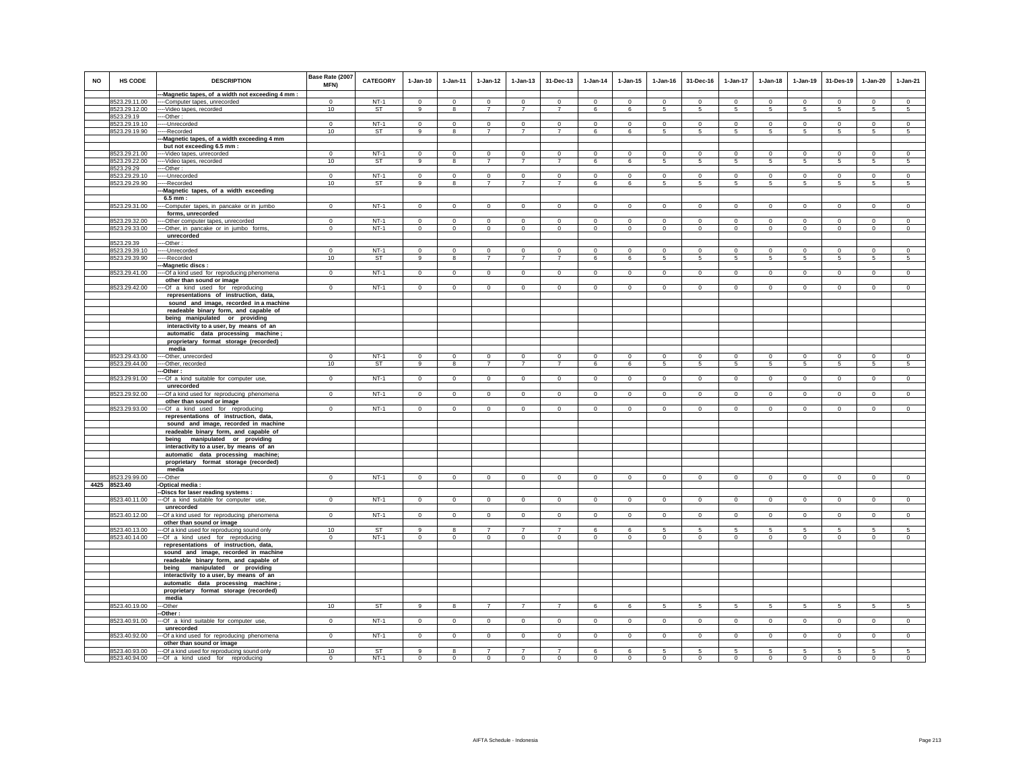| <b>NO</b> | <b>HS CODE</b> | <b>DESCRIPTION</b>                                                        | Base Rate (2007<br>MFN) | CATEGORY  | $1-Jan-10$     | $1 - Jan-11$   | $1-Jan-12$     | $1-Jan-13$     | 31-Dec-13      | $1-Jan-14$     | $1 - Jan-15$   | $1 - Jan-16$   | 31-Dec-16       | $1-Jan-17$      | $1-Jan-18$      | 1-Jan-19       | 31-Des-19      | $1-Jan-20$     | $1-Jan-21$      |
|-----------|----------------|---------------------------------------------------------------------------|-------------------------|-----------|----------------|----------------|----------------|----------------|----------------|----------------|----------------|----------------|-----------------|-----------------|-----------------|----------------|----------------|----------------|-----------------|
|           |                | -Magnetic tapes, of a width not exceeding 4 mm :                          |                         |           |                |                |                |                |                |                |                |                |                 |                 |                 |                |                |                |                 |
|           | 8523.29.11.00  | --Computer tapes, unrecorded                                              | $\Omega$                | $NT-1$    | $\Omega$       | $\Omega$       | $\Omega$       | $\Omega$       | $\Omega$       | $\Omega$       | $\Omega$       | $\Omega$       | $\Omega$        | $\Omega$        | $\Omega$        | $\Omega$       | $\Omega$       | $\Omega$       | $\Omega$        |
|           | 8523.29.12.00  | -- Video tapes, recorded                                                  | 10                      | ST        | 9              | 8              | $\overline{7}$ | $\overline{7}$ | $\overline{7}$ | 6              | 6              | 5              | $5\phantom{.0}$ | $5\phantom{.0}$ | $5\phantom{.0}$ | 5              | $\sqrt{5}$     | $\sqrt{5}$     | $5\phantom{.0}$ |
|           | 8523.29.19     | -Other:                                                                   |                         |           |                |                |                |                |                |                |                |                |                 |                 |                 |                |                |                |                 |
|           | 8523.29.19.10  | --Unrecorded                                                              | $\mathbf 0$             | $NT-1$    | $\mathbf 0$    | $\mathbf 0$    | $\mathbf 0$    | $\mathbf 0$    | $\mathbf 0$    | $\mathbf 0$    | $\mathbf 0$    | $\mathbf 0$    | $\circ$         | $\mathbf 0$     | $\mathbf 0$     | $\mathbf 0$    | $^{\circ}$     | $\mathbf 0$    | $\circ$         |
|           | 8523.29.19.90  | --Recorded                                                                | 10                      | ST        | 9              | 8              | $\overline{7}$ | $\overline{7}$ | $\overline{7}$ | 6              | 6              | 5              | $5\overline{5}$ | $5\overline{5}$ | $5\overline{5}$ | 5              | 5              | 5              | 5               |
|           |                | -Magnetic tapes, of a width exceeding 4 mm                                |                         |           |                |                |                |                |                |                |                |                |                 |                 |                 |                |                |                |                 |
|           |                | but not exceeding 6.5 mm :                                                |                         |           |                |                |                |                |                |                |                |                |                 |                 |                 |                |                |                |                 |
|           | 8523.29.21.00  | --- Video tapes, unrecorded                                               | $\Omega$                | $NT-1$    | $\Omega$       | $\Omega$       | $\mathbf 0$    | $\mathbf 0$    | $\Omega$       | $\Omega$       | $\mathbf 0$    | $\Omega$       | $\Omega$        | $\Omega$        | $\mathbf 0$     | $\mathbf 0$    | $\mathbf 0$    | $\mathbf 0$    | $\circ$         |
|           | 8523.29.22.00  | --- Video tapes, recorded                                                 | 10                      | ST        | 9              | 8              | $\overline{7}$ | $\overline{7}$ | $\overline{7}$ | 6              | 6              | 5              | 5               | $5\phantom{.0}$ | 5               | $\,$ 5 $\,$    | $\sqrt{5}$     | 5              | $\sqrt{5}$      |
|           | 8523.29.29     | --Other:                                                                  |                         |           |                |                |                |                |                |                |                |                |                 |                 |                 |                |                |                |                 |
|           | 8523.29.29.10  | --Unrecorded                                                              | $\overline{0}$          | $NT-1$    | $\overline{0}$ | $\overline{0}$ | $\overline{0}$ | $\overline{0}$ | $\overline{0}$ | $\overline{0}$ | $\overline{0}$ | $\overline{0}$ | $\overline{0}$  | $\overline{0}$  | $\overline{0}$  | $\overline{0}$ | $\overline{0}$ | $\overline{0}$ | $\overline{0}$  |
|           | 8523.29.29.90  | --Recorded                                                                | 10                      | <b>ST</b> | 9              | 8              | $\overline{7}$ | $\overline{7}$ | $\overline{7}$ | 6              | 6              | 5              | 5               | 5               | 5               | 5              | 5              | 5              | 5               |
|           |                | -Magnetic tapes, of a width exceeding                                     |                         |           |                |                |                |                |                |                |                |                |                 |                 |                 |                |                |                |                 |
|           |                | 6.5 mm :                                                                  |                         |           |                |                |                |                |                |                |                |                |                 |                 |                 |                |                |                |                 |
|           | 8523.29.31.00  | -Computer tapes, in pancake or in jumbo                                   | $\mathbf 0$             | $NT-1$    | $\circ$        | $\mathbf 0$    | $\mathbf{0}$   | $\mathbf{0}$   | $\mathbf{0}$   | $\mathbf 0$    | $\mathbf{0}$   | $\mathbf 0$    | $\circ$         | $\mathbf{0}$    | $\mathbf 0$     | $\mathbf 0$    | $\Omega$       | $\mathbf{0}$   | $\circ$         |
|           |                | forms, unrecorded                                                         |                         |           |                |                |                |                |                |                |                |                |                 |                 |                 |                |                |                |                 |
|           | 8523.29.32.00  | --Other computer tapes, unrecorded                                        | $\Omega$                | $NT-1$    | $\Omega$       | $\Omega$       | $\Omega$       | $\Omega$       | $\Omega$       | $\Omega$       | $\Omega$       | $\Omega$       | $\Omega$        | $\Omega$        | $\Omega$        | $\Omega$       | $\Omega$       | $\Omega$       | $\Omega$        |
|           | 8523.29.33.00  | --Other, in pancake or in jumbo forms,                                    | $\mathbf 0$             | $NT-1$    | $\mathbf{0}$   | $\mathbf 0$    | $\overline{0}$ | $\mathbf 0$    | $\mathbf 0$    | $\circ$        | $\mathbf 0$    | $\mathbf 0$    | $\mathbf 0$     | $\mathbf 0$     | $\mathbf 0$     | $\mathbf 0$    | $\mathbf 0$    | $\mathbf 0$    | $\mathbf 0$     |
|           |                | unrecorded                                                                |                         |           |                |                |                |                |                |                |                |                |                 |                 |                 |                |                |                |                 |
|           | 8523.29.39     | -Other:                                                                   |                         |           |                |                |                |                |                |                |                |                |                 |                 |                 |                |                |                |                 |
|           | 8523.29.39.10  | --Unrecorded                                                              | $\Omega$                | $NT-1$    | $\Omega$       | $\mathbf 0$    | $\mathbf 0$    | $\mathbf 0$    | $\mathbf 0$    | $\Omega$       | $\mathbf 0$    | $\mathbf 0$    | $\mathbf 0$     | $\Omega$        | $\mathbf 0$     | $\mathbf 0$    | $\mathbf 0$    | $\Omega$       | $\circ$         |
|           | 8523.29.39.90  | --Recorded                                                                | 10                      | ST        | 9              | 8              | $\overline{7}$ | $\overline{7}$ | $\overline{7}$ | 6              | 6              | -5             | $5 -$           | $\overline{5}$  | 5               | 5              | 5              | 5              | 5               |
|           |                | -Magnetic discs:                                                          |                         |           |                |                |                |                |                |                |                |                |                 |                 |                 |                |                |                |                 |
|           | 8523.29.41.00  | --Of a kind used for reproducing phenomena                                | $\Omega$                | $NT-1$    | $\Omega$       | $\mathbf{0}$   | $\circ$        | $\mathbf 0$    | $\mathbf 0$    | $\circ$        | $\mathbf 0$    | $\Omega$       | $\circ$         | $\overline{0}$  | $\circ$         | $\circ$        | $\circ$        | $\mathbf 0$    | $\circ$         |
|           |                | other than sound or image                                                 |                         |           |                |                |                |                |                |                |                |                |                 |                 |                 |                |                |                |                 |
|           | 8523.29.42.00  | --Of a kind used for reproducing<br>representations of instruction, data, | $\mathbf{0}$            | $NT-1$    | $\mathbf{0}$   | $\mathbf{0}$   | $\circ$        | $\mathbf 0$    | $\mathbf 0$    | $\mathbf{0}$   | $\mathbf 0$    | $\circ$        | $\mathbf{0}$    | $\mathbf{0}$    | $\circ$         | $\circ$        | $\mathbf{0}$   | $\circ$        | $\circ$         |
|           |                | sound and image, recorded in a machine                                    |                         |           |                |                |                |                |                |                |                |                |                 |                 |                 |                |                |                |                 |
|           |                | readeable binary form, and capable of                                     |                         |           |                |                |                |                |                |                |                |                |                 |                 |                 |                |                |                |                 |
|           |                | being manipulated or providing                                            |                         |           |                |                |                |                |                |                |                |                |                 |                 |                 |                |                |                |                 |
|           |                | interactivity to a user, by means of an                                   |                         |           |                |                |                |                |                |                |                |                |                 |                 |                 |                |                |                |                 |
|           |                | automatic data processing machine;                                        |                         |           |                |                |                |                |                |                |                |                |                 |                 |                 |                |                |                |                 |
|           |                | proprietary format storage (recorded)                                     |                         |           |                |                |                |                |                |                |                |                |                 |                 |                 |                |                |                |                 |
|           |                | media                                                                     |                         |           |                |                |                |                |                |                |                |                |                 |                 |                 |                |                |                |                 |
|           | 8523.29.43.00  | -Other, unrecorded                                                        | $\mathbf 0$             | $NT-1$    | $\circ$        | $\circ$        | $\circ$        | $\mathbf{0}$   | $\Omega$       | $\mathbf 0$    | $\mathbf{0}$   | $\mathbf 0$    | $\circ$         | $\Omega$        | $\mathbf 0$     | $\mathbf 0$    | $\Omega$       | $\mathbf{0}$   | $\circ$         |
|           | 8523.29.44.00  | --Other, recorded                                                         | 10                      | ST        | 9              | 8              | $\overline{7}$ | $\overline{7}$ | $\overline{7}$ | 6              | 6              | -5             | $5\overline{5}$ | 5               | 5               | 5              | 5              | 5              | 5               |
|           |                | -Other:                                                                   |                         |           |                |                |                |                |                |                |                |                |                 |                 |                 |                |                |                |                 |
|           | 8523.29.91.00  | --Of a kind suitable for computer use,                                    | $^{\circ}$              | $NT-1$    | $\Omega$       | $^{\circ}$     | $\circ$        | $\mathbf 0$    | $\mathbf{0}$   | $\circ$        | $^{\circ}$     | $\circ$        | $\circ$         | $\circ$         | $\circ$         | $\mathbf 0$    | $\mathbf 0$    | $^{\circ}$     | $\mathbf 0$     |
|           |                | unrecorded                                                                |                         |           |                |                |                |                |                |                |                |                |                 |                 |                 |                |                |                |                 |
|           | 8523.29.92.00  | -Of a kind used for reproducing phenomena                                 | $\mathbf 0$             | $NT-1$    | $\circ$        | $\mathbf 0$    | $\mathsf 0$    | $\mathsf 0$    | $\mathsf 0$    | $\mathsf 0$    | $\mathbf 0$    | $\circ$        | $\circ$         | $\mathbf 0$     | $\mathbf 0$     | $\mathbf 0$    | $\mathbf 0$    | $\mathsf 0$    | $\mathsf 0$     |
|           |                | other than sound or image                                                 |                         |           |                |                |                |                |                |                |                |                |                 |                 |                 |                |                |                |                 |
|           | 8523.29.93.00  | -- Of a kind used for reproducing                                         | $\Omega$                | $NT-1$    | $\Omega$       | $\circ$        | $\circ$        | $\mathbf 0$    | $\Omega$       | $\circ$        | $\Omega$       | $\Omega$       | $\circ$         | $\mathbf 0$     | $\Omega$        | $\mathbf 0$    | $\mathbf 0$    | $\Omega$       | $\circ$         |
|           |                | representations of instruction, data,                                     |                         |           |                |                |                |                |                |                |                |                |                 |                 |                 |                |                |                |                 |
|           |                | sound and image, recorded in machine                                      |                         |           |                |                |                |                |                |                |                |                |                 |                 |                 |                |                |                |                 |
|           |                | readeable binary form, and capable of                                     |                         |           |                |                |                |                |                |                |                |                |                 |                 |                 |                |                |                |                 |
|           |                | being manipulated or providing                                            |                         |           |                |                |                |                |                |                |                |                |                 |                 |                 |                |                |                |                 |
|           |                | interactivity to a user, by means of an                                   |                         |           |                |                |                |                |                |                |                |                |                 |                 |                 |                |                |                |                 |
|           |                | automatic data processing machine;                                        |                         |           |                |                |                |                |                |                |                |                |                 |                 |                 |                |                |                |                 |
|           |                | proprietary format storage (recorded)<br>media                            |                         |           |                |                |                |                |                |                |                |                |                 |                 |                 |                |                |                |                 |
|           | 3523.29.99.00  | --Other                                                                   | $\mathbf{0}$            | $NT-1$    | $\mathsf 0$    | $\circ$        | $\mathbf 0$    | $\mathbf 0$    | $\mathsf 0$    | $\mathsf 0$    | $\mathsf 0$    | $\mathsf 0$    | $\mathbf 0$     | $\mathsf 0$     | $\mathbf 0$     | $\circ$        | $\circ$        | $\mathsf 0$    | $\mathsf 0$     |
|           | 4425 8523.40   | Optical media :                                                           |                         |           |                |                |                |                |                |                |                |                |                 |                 |                 |                |                |                |                 |
|           |                | -Discs for laser reading systems :                                        |                         |           |                |                |                |                |                |                |                |                |                 |                 |                 |                |                |                |                 |
|           | 8523.40.11.00  | ---Of a kind suitable for computer use,                                   | $\Omega$                | $NT-1$    | $\circ$        | $\Omega$       | $\circ$        | $\mathbf{0}$   | $\mathsf 0$    | $\mathsf 0$    | $\mathbf{0}$   | $\mathbf 0$    | $\Omega$        | $\mathbf{0}$    | $\circ$         | $\mathbf 0$    | $\mathbf 0$    | $\mathsf 0$    | $\overline{0}$  |
|           |                | unrecorded                                                                |                         |           |                |                |                |                |                |                |                |                |                 |                 |                 |                |                |                |                 |
|           | 8523.40.12.00  | -Of a kind used for reproducing phenomena                                 | $\circ$                 | $NT-1$    | $\mathbf{0}$   | $\mathbf{0}$   | $\mathbf{0}$   | $\mathbf{0}$   | $\mathbf{0}$   | $\mathbf{0}$   | $\mathbf{0}$   | $\Omega$       | $\Omega$        | $\mathbf{0}$    | $\Omega$        | $\mathbf 0$    | $\mathbf 0$    | $\mathbf{0}$   | $\circ$         |
|           |                | other than sound or image                                                 |                         |           |                |                |                |                |                |                |                |                |                 |                 |                 |                |                |                |                 |
|           | 8523.40.13.00  | -Of a kind used for reproducing sound only                                | 10                      | ST        | 9              | 8              | $\overline{7}$ | $\overline{7}$ | $\overline{7}$ | 6              | 6              | 5              | $\sqrt{5}$      | 5               | 5               | 5              | 5              | 5              | 5               |
|           | 8523.40.14.00  | -Of a kind used for reproducing                                           | $\Omega$                | $NT-1$    | $\circ$        | $\circ$        | $\circ$        | $\Omega$       | $\Omega$       | $\mathbf 0$    | $\mathbf 0$    | $\mathsf 0$    | $\Omega$        | $\mathbf 0$     | $\mathbf 0$     | $\circ$        | $\circ$        | $\Omega$       | $\mathsf 0$     |
|           |                | representations of instruction, data,                                     |                         |           |                |                |                |                |                |                |                |                |                 |                 |                 |                |                |                |                 |
|           |                | sound and image, recorded in machine                                      |                         |           |                |                |                |                |                |                |                |                |                 |                 |                 |                |                |                |                 |
|           |                | readeable binary form, and capable of                                     |                         |           |                |                |                |                |                |                |                |                |                 |                 |                 |                |                |                |                 |
|           |                | manipulated or providing<br>being                                         |                         |           |                |                |                |                |                |                |                |                |                 |                 |                 |                |                |                |                 |
|           |                | interactivity to a user, by means of an                                   |                         |           |                |                |                |                |                |                |                |                |                 |                 |                 |                |                |                |                 |
|           |                | automatic data processing machine                                         |                         |           |                |                |                |                |                |                |                |                |                 |                 |                 |                |                |                |                 |
|           |                | proprietary format storage (recorded)                                     |                         |           |                |                |                |                |                |                |                |                |                 |                 |                 |                |                |                |                 |
|           |                | media                                                                     |                         |           |                |                |                |                |                |                |                |                |                 |                 |                 |                |                |                |                 |
|           | 8523.40.19.00  | --Other                                                                   | 10                      | ST        | 9              | 8              | $\overline{7}$ | $\overline{7}$ | $\overline{7}$ | 6              | 6              | 5              | -5              | 5               | -5              | -5             | 5              | 5              | -5              |
|           | 8523.40.91.00  | -Other :                                                                  |                         | $NT-1$    | $\Omega$       |                |                |                |                |                |                |                | $\Omega$        |                 |                 |                |                |                |                 |
|           |                | -Of a kind suitable for computer use,<br>unrecorded                       | $\overline{0}$          |           |                | $\circ$        | $\circ$        | $\circ$        | $\overline{0}$ | $\overline{0}$ | $\circ$        | $\mathsf 0$    |                 | $\circ$         | $\mathbf 0$     | $\overline{0}$ | $\overline{0}$ | $\overline{0}$ | $\circ$         |
|           | 8523.40.92.00  | -Of a kind used for reproducing phenomena                                 | $^{\circ}$              | $NT-1$    | $\overline{0}$ | $\overline{0}$ | $\overline{0}$ | $\overline{0}$ | $\overline{0}$ | $\overline{0}$ | $\overline{0}$ | $\overline{0}$ | $\overline{0}$  | $\overline{0}$  | $\overline{0}$  | $\overline{0}$ | $\overline{0}$ | $\overline{0}$ | $\overline{0}$  |
|           |                | other than sound or image                                                 |                         |           |                |                |                |                |                |                |                |                |                 |                 |                 |                |                |                |                 |
|           | 8523.40.93.00  | --- Of a kind used for reproducing sound only                             | 10                      | <b>ST</b> | $\mathbf{q}$   | 8              | $\overline{7}$ | $\overline{7}$ | $\overline{7}$ | 6              | 6              | 5              | 5               | 5               | 5               | 5              | 5              | 5              | 5               |
|           | 8523.40.94.00  | --- Of a kind used for reproducing                                        | $\mathbf 0$             | $NT-1$    | $\circ$        | $\circ$        | $\mathbf{0}$   | $\mathbf{0}$   | $\Omega$       | $\mathbf{0}$   | $\mathbf{0}$   | $\circ$        | $\circ$         | $\mathbf{0}$    | $\mathbf 0$     | $\Omega$       | $\Omega$       | $\Omega$       | $\mathbf{0}$    |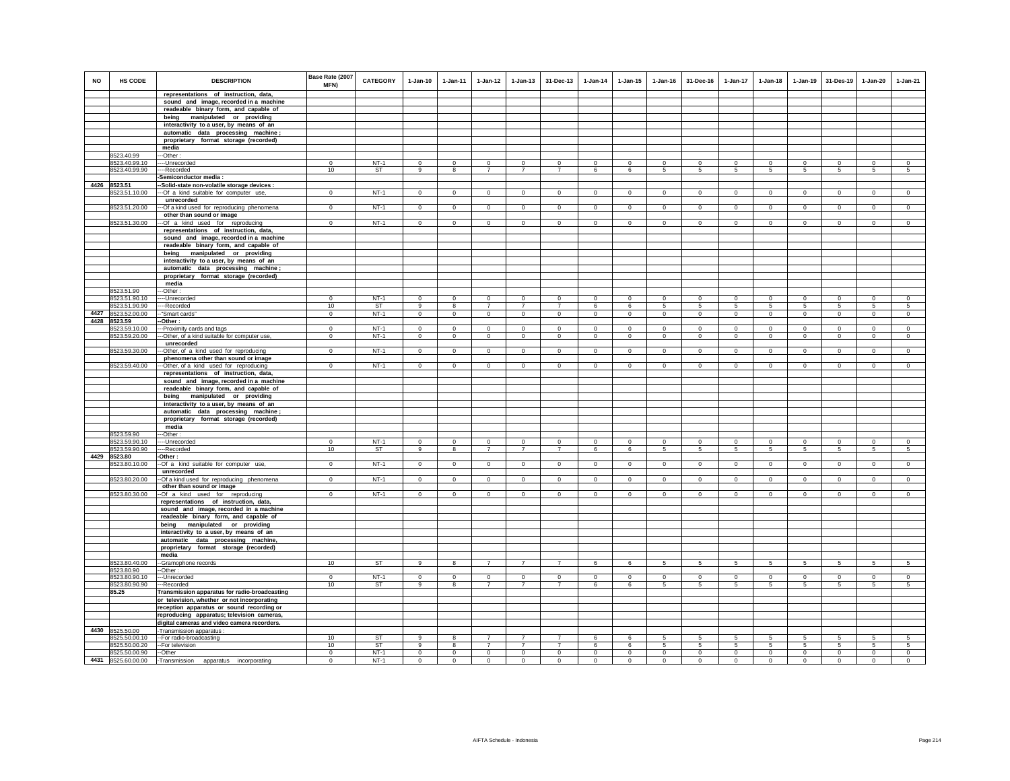| sound and image, recorded in a machine<br>readeable binary form, and capable of<br>being manipulated or providing<br>interactivity to a user, by means of an<br>automatic data processing machine;<br>proprietary format storage (recorded)<br>media<br>8523.40.99<br>--Other:<br>$NT-1$<br>8523.40.99.10<br>----Unrecorded<br>$\Omega$<br>$\mathsf 0$<br>$\Omega$<br>$\Omega$<br>$\Omega$<br>$\Omega$<br>$\mathbf 0$<br>$\Omega$<br>$\Omega$<br>$\mathbf 0$<br>$\Omega$<br>$\Omega$<br>$\Omega$<br>$\Omega$<br>$\Omega$<br>$\Omega$<br>8523.40.99.90<br>10<br><b>ST</b><br>5<br>---Recorded<br>9<br>8<br>$\overline{7}$<br>$\overline{7}$<br>$\overline{7}$<br>6<br>6<br>5<br>$5\overline{5}$<br>5<br>5<br>5<br>5<br>$5\overline{5}$<br>Semiconductor media :<br>4426 8523.51<br>-Solid-state non-volatile storage devices :<br>$NT-1$<br>8523.51.10.00<br>$\circ$<br>$\mathbf{0}$<br>$\circ$<br>$\mathbf{0}$<br>$\circ$<br>$\mathbf 0$<br>$\mathbf{0}$<br>$\circ$<br>$\overline{0}$<br>$\overline{0}$<br>---Of a kind suitable for computer use,<br>$^{\circ}$<br>$^{\circ}$<br>$^{\circ}$<br>$\Omega$<br>$\mathbf{0}$<br>$\mathbf{0}$<br>unrecorded<br>8523.51.20.00<br>-- Of a kind used for reproducing phenomena<br>$\mathbf 0$<br>$NT-1$<br>$\mathsf 0$<br>$\circ$<br>$\mathbf 0$<br>$\mathbf 0$<br>$\mathsf 0$<br>$\mathsf 0$<br>$\mathbf 0$<br>$\mathbf 0$<br>$\mathbf 0$<br>$\mathbf 0$<br>$\mathsf 0$<br>$\mathsf 0$<br>$\circ$<br>$\mathsf 0$<br>$\mathsf 0$<br>other than sound or image<br>8523.51.30.00<br>$NT-1$<br>$\overline{0}$<br>$\overline{0}$<br>$\overline{0}$<br>$\overline{0}$<br>$\overline{0}$<br>$\overline{0}$<br>$\overline{0}$<br>$\overline{0}$<br>$\overline{0}$<br>$\overline{0}$<br>$\overline{0}$<br>$\overline{0}$<br>--- Of a kind used for reproducing<br>$\Omega$<br>$\Omega$<br>$\Omega$<br>$\circ$<br>representations of instruction, data,<br>sound and image, recorded in a machine<br>readeable binary form, and capable of<br>being manipulated or providing<br>interactivity to a user, by means of an<br>automatic data processing machine;<br>proprietary format storage (recorded)<br>media<br>8523.51.90<br>-Other<br>$NT-1$<br>8523.51.90.10<br>$\mathbf 0$<br>$\mathsf 0$<br>$\mathbf 0$<br>$\circ$<br>$\mathbf 0$<br>$\Omega$<br>$\mathbf 0$<br>$\mathbf 0$<br>$\mathbf 0$<br>$\mathbf 0$<br>$\Omega$<br>$\Omega$<br>$\Omega$<br>$\Omega$<br>$\mathbf 0$<br>$\Omega$<br>----Unrecorded<br>8523.51.90.90<br>10<br><b>ST</b><br>9<br>$\overline{\mathbf{8}}$<br>$\overline{7}$<br>$\overline{7}$<br>$\overline{7}$<br>6<br>6<br>5<br>5<br>5<br>5<br>5<br>5<br>5<br>5<br>----Recorded<br>4427<br>8523.52.00.00<br>$NT-1$<br>$\mathbf 0$<br>--"Smart cards"<br>$^{\circ}$<br>$\Omega$<br>$\circ$<br>$\mathbf 0$<br>$\circ$<br>$\mathbf 0$<br>$\circ$<br>$\mathbf 0$<br>$\Omega$<br>$\Omega$<br>$\circ$<br>$\mathbf 0$<br>$\circ$<br>$\mathbf 0$<br>$\circ$<br>4428<br>8523.59<br>-Other:<br>$NT-1$<br>8523.59.10.00<br>--- Proximity cards and tags<br>$\Omega$<br>$\Omega$<br>$\mathbf 0$<br>0<br>$\Omega$<br>$\mathbf 0$<br>$\mathbf 0$<br>$\mathbf 0$<br>$\Omega$<br>$\Omega$<br>$\mathbf 0$<br>$\mathbf 0$<br>$\mathbf 0$<br>$\mathbf 0$<br>$\mathbf 0$<br>$\,0\,$<br>--Other, of a kind suitable for computer use,<br>$NT-1$<br>$\mathbf 0$<br>$\circ$<br>8523.59.20.00<br>$\mathbf 0$<br>$\Omega$<br>$\circ$<br>$\circ$<br>$\circ$<br>$\mathbf 0$<br>$\mathbf 0$<br>$\mathbf 0$<br>$\circ$<br>$\mathbf 0$<br>$\circ$<br>$\mathbf{0}$<br>$\mathbf 0$<br>$\circ$<br>unrecorded<br>8523.59.30.00<br>-Other, of a kind used for reproducing<br>$\mathbf 0$<br>$NT-1$<br>$\mathbf{0}$<br>$\circ$<br>$\mathbf 0$<br>$\mathbf 0$<br>$\mathbf 0$<br>$\mathsf 0$<br>$\mathbf 0$<br>$\mathbf 0$<br>$\mathbf 0$<br>$\mathsf 0$<br>$\circ$<br>$\mathbf 0$<br>$\mathbf 0$<br>$\Omega$<br>$\mathbf 0$<br>phenomena other than sound or image<br>8523.59.40.00<br>$\overline{0}$<br>$NT-1$<br>$\overline{0}$<br>$\overline{0}$<br>$\overline{0}$<br>$\overline{0}$<br>$\overline{0}$<br>$\overline{0}$<br>$\overline{0}$<br>$\overline{0}$<br>$\Omega$<br>$\Omega$<br>$\Omega$<br>$\Omega$<br>$\Omega$<br>$\Omega$<br>$\Omega$<br>--Other, of a kind used for reproducing<br>representations of instruction, data,<br>sound and image, recorded in a machine<br>readeable binary form, and capable of<br>being manipulated or providing<br>interactivity to a user, by means of an<br>automatic data processing machine;<br>proprietary format storage (recorded)<br>media<br>8523.59.90<br>-Other:<br>$NT-1$<br>8523.59.90.10<br>$\circ$<br>$\circ$<br>$\circ$<br>$\circ$<br>$\circ$<br>$\circ$<br>$\circ$<br>$\mathbf 0$<br>$\circ$<br>----Unrecorded<br>$^{\circ}$<br>$^{\circ}$<br>$^{\circ}$<br>$^{\circ}$<br>$^{\circ}$<br>$^{\circ}$<br>$^{\circ}$<br>$\overline{7}$<br>$5\overline{)}$<br>8523.59.90.90<br>----Recorded<br>10<br>ST<br>9<br>8<br>$\overline{7}$<br>$\overline{7}$<br>6<br>6<br>$\overline{5}$<br>5<br>5<br>5<br>5<br>5<br>5<br>4429<br>8523.80<br>-Other:<br>$NT-1$<br>--Of a kind suitable for computer use,<br>8523.80.10.00<br>$\mathbf{0}$<br>$\circ$<br>$\overline{0}$<br>$\overline{0}$<br>$\circ$<br>$\overline{0}$<br>$\overline{0}$<br>$\mathbf 0$<br>$\circ$<br>$\mathbf{0}$<br>$\overline{0}$<br>$\circ$<br>$\overline{0}$<br>$\overline{0}$<br>$\circ$<br>$\circ$<br>unrecorded<br>$NT-1$<br>8523.80.20.00<br>$\mathbf 0$<br>$\circ$<br>$\circ$<br>$\circ$<br>$\circ$<br>$\mathbf 0$<br>$\circ$<br>$\mathsf 0$<br>$\circ$<br>$\circ$<br>-Of a kind used for reproducing phenomena<br>$\circ$<br>$\mathbf{0}$<br>$\circ$<br>$\Omega$<br>$\mathbf{0}$<br>$\mathbf{0}$<br>other than sound or image<br>8523.80.30.00<br>$NT-1$<br>--Of a kind used for reproducing<br>$\mathbf 0$<br>$\mathbf 0$<br>$\circ$<br>$\circ$<br>$\circ$<br>$\mathbf 0$<br>$\mathbf 0$<br>$\mathbf 0$<br>$^{\circ}$<br>$\mathbf 0$<br>$\mathbf 0$<br>$\circ$<br>$\mathbf 0$<br>$\circ$<br>$\mathbf 0$<br>$\Omega$<br>representations of instruction, data,<br>sound and image, recorded in a machine<br>readeable binary form, and capable of<br>being manipulated or providing<br>interactivity to a user, by means of an<br>automatic data processing machine,<br>proprietary format storage (recorded)<br>media<br>10<br><b>ST</b><br>8523.80.40.00<br>-Gramophone records<br>9<br>8<br>$\overline{7}$<br>$\overline{7}$<br>6<br>6<br>5<br>5<br>5<br>5<br>5<br>5<br>5<br>5<br>$\overline{7}$<br>8523.80.90<br>-Other:<br>$NT-1$<br>$\circ$<br>$\circ$<br>$\circ$<br>$\Omega$<br>$\circ$<br>$\circ$<br>8523.80.90.10<br>$\Omega$<br>$\Omega$<br>$\circ$<br>$\Omega$<br>$\Omega$<br>$\Omega$<br>$\Omega$<br>$\Omega$<br>$\Omega$<br>$\Omega$<br>---Unrecorded<br>8523.80.90.90<br>10<br><b>ST</b><br>$\overline{7}$<br>$\overline{7}$<br>6<br>5<br>9<br>8<br>$\overline{7}$<br>6<br>5<br>5<br>5<br>5<br>5<br>5<br>$\sqrt{5}$<br>---Recorded<br>85.25<br>Transmission apparatus for radio-broadcasting<br>or television, whether or not incorporating<br>reception apparatus or sound recording or<br>reproducing apparatus; television cameras,<br>digital cameras and video camera recorders.<br>4430<br>8525.50.00<br>-Transmission apparatus :<br>8525.50.00.10<br>-- For radio-broadcasting<br>10<br>ST<br>8<br>$\overline{7}$<br>$\overline{7}$<br>$\overline{7}$<br>6<br>6<br>5<br>5<br>5<br><b>ST</b><br>$\overline{7}$<br>$\overline{7}$<br>-- For television<br>10<br>8<br>$\overline{7}$<br>6<br>5<br>5<br>5<br>5<br>8525.50.00.20<br>9<br>6<br>-5<br>5<br>5<br>$\sqrt{5}$<br>$NT-1$<br>$\overline{0}$<br>$\overline{0}$<br>8525.50.00.90<br>--Other<br>$\Omega$<br>$\Omega$<br>$\Omega$<br>$\Omega$<br>$\Omega$<br>$\Omega$<br>$\Omega$<br>$\Omega$<br>$\Omega$<br>$\Omega$<br>$\Omega$<br>$\Omega$<br>$\Omega$<br>$\Omega$<br>4431 8525.60.00.00<br>-Transmission<br>$\mathbf 0$<br>$NT-1$<br>$\mathbf{0}$<br>$\circ$<br>$\circ$<br>$\mathbf 0$<br>$\mathbf{0}$<br>$\Omega$<br>$\mathbf 0$<br>$\Omega$<br>$\mathbf{0}$<br>$\mathbf 0$<br>$\mathbf 0$<br>$\mathbf 0$<br>$\mathbf{0}$<br>$\Omega$<br>$\Omega$<br>apparatus incorporating | <b>NO</b> | HS CODE | <b>DESCRIPTION</b>                    | Base Rate (2007<br><b>MFN)</b> | <b>CATEGORY</b> | $1-Jan-10$ | $1 - Jan-11$ | $1-Jan-12$ | $1 - Jan-13$ | 31-Dec-13 | $1-Jan-14$ | $1 - Jan-15$ | $1 - Jan-16$ | 31-Dec-16 | 1-Jan-17 | $1-Jan-18$ | $1 - Jan-19$ | 31-Des-19 | $1 - Jan-20$ | $1-Jan-21$ |
|---------------------------------------------------------------------------------------------------------------------------------------------------------------------------------------------------------------------------------------------------------------------------------------------------------------------------------------------------------------------------------------------------------------------------------------------------------------------------------------------------------------------------------------------------------------------------------------------------------------------------------------------------------------------------------------------------------------------------------------------------------------------------------------------------------------------------------------------------------------------------------------------------------------------------------------------------------------------------------------------------------------------------------------------------------------------------------------------------------------------------------------------------------------------------------------------------------------------------------------------------------------------------------------------------------------------------------------------------------------------------------------------------------------------------------------------------------------------------------------------------------------------------------------------------------------------------------------------------------------------------------------------------------------------------------------------------------------------------------------------------------------------------------------------------------------------------------------------------------------------------------------------------------------------------------------------------------------------------------------------------------------------------------------------------------------------------------------------------------------------------------------------------------------------------------------------------------------------------------------------------------------------------------------------------------------------------------------------------------------------------------------------------------------------------------------------------------------------------------------------------------------------------------------------------------------------------------------------------------------------------------------------------------------------------------------------------------------------------------------------------------------------------------------------------------------------------------------------------------------------------------------------------------------------------------------------------------------------------------------------------------------------------------------------------------------------------------------------------------------------------------------------------------------------------------------------------------------------------------------------------------------------------------------------------------------------------------------------------------------------------------------------------------------------------------------------------------------------------------------------------------------------------------------------------------------------------------------------------------------------------------------------------------------------------------------------------------------------------------------------------------------------------------------------------------------------------------------------------------------------------------------------------------------------------------------------------------------------------------------------------------------------------------------------------------------------------------------------------------------------------------------------------------------------------------------------------------------------------------------------------------------------------------------------------------------------------------------------------------------------------------------------------------------------------------------------------------------------------------------------------------------------------------------------------------------------------------------------------------------------------------------------------------------------------------------------------------------------------------------------------------------------------------------------------------------------------------------------------------------------------------------------------------------------------------------------------------------------------------------------------------------------------------------------------------------------------------------------------------------------------------------------------------------------------------------------------------------------------------------------------------------------------------------------------------------------------------------------------------------------------------------------------------------------------------------------------------------------------------------------------------------------------------------------------------------------------------------------------------------------------------------------------------------------------------------------------------------------------------------------------------------------------------------------------------------------------------------------------------------------------------------------------------------------------------------------------------------------------------------------------------------------------------------------------------------------------------------------------------------------------------------------------------------------------------------------------------------------------------------------------------------------------------------------------------------------------------------------------------------------------------------------------------------------------------------------------------------------------------------------------------------------------------------------------------------------------------------------------------------------------------------------------------------------------------------------------------------------------------------------------------------------------------------------------------------------------------------------------------------------------------------------------------------------------------------------------------------------------------------------------------------------------------------------------------------------------------------------------------------------------------------------------------------------------------------------------------------------------------------------------------------------------------------------------------------------------------------------------------------------------------------------------------------------------------------------------------------------------------------------------------------------------------------------------------------------------------------------------------------------------------------------------------------------------------------------------------------------------------------------------------------------------------------------------------------------------------------------------------------------------------------------------------------------------------------------------------------------------------------------------------------------------------------------------------------------------------------------------------|-----------|---------|---------------------------------------|--------------------------------|-----------------|------------|--------------|------------|--------------|-----------|------------|--------------|--------------|-----------|----------|------------|--------------|-----------|--------------|------------|
|                                                                                                                                                                                                                                                                                                                                                                                                                                                                                                                                                                                                                                                                                                                                                                                                                                                                                                                                                                                                                                                                                                                                                                                                                                                                                                                                                                                                                                                                                                                                                                                                                                                                                                                                                                                                                                                                                                                                                                                                                                                                                                                                                                                                                                                                                                                                                                                                                                                                                                                                                                                                                                                                                                                                                                                                                                                                                                                                                                                                                                                                                                                                                                                                                                                                                                                                                                                                                                                                                                                                                                                                                                                                                                                                                                                                                                                                                                                                                                                                                                                                                                                                                                                                                                                                                                                                                                                                                                                                                                                                                                                                                                                                                                                                                                                                                                                                                                                                                                                                                                                                                                                                                                                                                                                                                                                                                                                                                                                                                                                                                                                                                                                                                                                                                                                                                                                                                                                                                                                                                                                                                                                                                                                                                                                                                                                                                                                                                                                                                                                                                                                                                                                                                                                                                                                                                                                                                                                                                                                                                                                                                                                                                                                                                                                                                                                                                                                                                                                                                                                                                                                                                                                                                                                                                                                                                                                                                                                                                                                                                                                                                                         |           |         | representations of instruction, data, |                                |                 |            |              |            |              |           |            |              |              |           |          |            |              |           |              |            |
|                                                                                                                                                                                                                                                                                                                                                                                                                                                                                                                                                                                                                                                                                                                                                                                                                                                                                                                                                                                                                                                                                                                                                                                                                                                                                                                                                                                                                                                                                                                                                                                                                                                                                                                                                                                                                                                                                                                                                                                                                                                                                                                                                                                                                                                                                                                                                                                                                                                                                                                                                                                                                                                                                                                                                                                                                                                                                                                                                                                                                                                                                                                                                                                                                                                                                                                                                                                                                                                                                                                                                                                                                                                                                                                                                                                                                                                                                                                                                                                                                                                                                                                                                                                                                                                                                                                                                                                                                                                                                                                                                                                                                                                                                                                                                                                                                                                                                                                                                                                                                                                                                                                                                                                                                                                                                                                                                                                                                                                                                                                                                                                                                                                                                                                                                                                                                                                                                                                                                                                                                                                                                                                                                                                                                                                                                                                                                                                                                                                                                                                                                                                                                                                                                                                                                                                                                                                                                                                                                                                                                                                                                                                                                                                                                                                                                                                                                                                                                                                                                                                                                                                                                                                                                                                                                                                                                                                                                                                                                                                                                                                                                                         |           |         |                                       |                                |                 |            |              |            |              |           |            |              |              |           |          |            |              |           |              |            |
|                                                                                                                                                                                                                                                                                                                                                                                                                                                                                                                                                                                                                                                                                                                                                                                                                                                                                                                                                                                                                                                                                                                                                                                                                                                                                                                                                                                                                                                                                                                                                                                                                                                                                                                                                                                                                                                                                                                                                                                                                                                                                                                                                                                                                                                                                                                                                                                                                                                                                                                                                                                                                                                                                                                                                                                                                                                                                                                                                                                                                                                                                                                                                                                                                                                                                                                                                                                                                                                                                                                                                                                                                                                                                                                                                                                                                                                                                                                                                                                                                                                                                                                                                                                                                                                                                                                                                                                                                                                                                                                                                                                                                                                                                                                                                                                                                                                                                                                                                                                                                                                                                                                                                                                                                                                                                                                                                                                                                                                                                                                                                                                                                                                                                                                                                                                                                                                                                                                                                                                                                                                                                                                                                                                                                                                                                                                                                                                                                                                                                                                                                                                                                                                                                                                                                                                                                                                                                                                                                                                                                                                                                                                                                                                                                                                                                                                                                                                                                                                                                                                                                                                                                                                                                                                                                                                                                                                                                                                                                                                                                                                                                                         |           |         |                                       |                                |                 |            |              |            |              |           |            |              |              |           |          |            |              |           |              |            |
|                                                                                                                                                                                                                                                                                                                                                                                                                                                                                                                                                                                                                                                                                                                                                                                                                                                                                                                                                                                                                                                                                                                                                                                                                                                                                                                                                                                                                                                                                                                                                                                                                                                                                                                                                                                                                                                                                                                                                                                                                                                                                                                                                                                                                                                                                                                                                                                                                                                                                                                                                                                                                                                                                                                                                                                                                                                                                                                                                                                                                                                                                                                                                                                                                                                                                                                                                                                                                                                                                                                                                                                                                                                                                                                                                                                                                                                                                                                                                                                                                                                                                                                                                                                                                                                                                                                                                                                                                                                                                                                                                                                                                                                                                                                                                                                                                                                                                                                                                                                                                                                                                                                                                                                                                                                                                                                                                                                                                                                                                                                                                                                                                                                                                                                                                                                                                                                                                                                                                                                                                                                                                                                                                                                                                                                                                                                                                                                                                                                                                                                                                                                                                                                                                                                                                                                                                                                                                                                                                                                                                                                                                                                                                                                                                                                                                                                                                                                                                                                                                                                                                                                                                                                                                                                                                                                                                                                                                                                                                                                                                                                                                                         |           |         |                                       |                                |                 |            |              |            |              |           |            |              |              |           |          |            |              |           |              |            |
|                                                                                                                                                                                                                                                                                                                                                                                                                                                                                                                                                                                                                                                                                                                                                                                                                                                                                                                                                                                                                                                                                                                                                                                                                                                                                                                                                                                                                                                                                                                                                                                                                                                                                                                                                                                                                                                                                                                                                                                                                                                                                                                                                                                                                                                                                                                                                                                                                                                                                                                                                                                                                                                                                                                                                                                                                                                                                                                                                                                                                                                                                                                                                                                                                                                                                                                                                                                                                                                                                                                                                                                                                                                                                                                                                                                                                                                                                                                                                                                                                                                                                                                                                                                                                                                                                                                                                                                                                                                                                                                                                                                                                                                                                                                                                                                                                                                                                                                                                                                                                                                                                                                                                                                                                                                                                                                                                                                                                                                                                                                                                                                                                                                                                                                                                                                                                                                                                                                                                                                                                                                                                                                                                                                                                                                                                                                                                                                                                                                                                                                                                                                                                                                                                                                                                                                                                                                                                                                                                                                                                                                                                                                                                                                                                                                                                                                                                                                                                                                                                                                                                                                                                                                                                                                                                                                                                                                                                                                                                                                                                                                                                                         |           |         |                                       |                                |                 |            |              |            |              |           |            |              |              |           |          |            |              |           |              |            |
|                                                                                                                                                                                                                                                                                                                                                                                                                                                                                                                                                                                                                                                                                                                                                                                                                                                                                                                                                                                                                                                                                                                                                                                                                                                                                                                                                                                                                                                                                                                                                                                                                                                                                                                                                                                                                                                                                                                                                                                                                                                                                                                                                                                                                                                                                                                                                                                                                                                                                                                                                                                                                                                                                                                                                                                                                                                                                                                                                                                                                                                                                                                                                                                                                                                                                                                                                                                                                                                                                                                                                                                                                                                                                                                                                                                                                                                                                                                                                                                                                                                                                                                                                                                                                                                                                                                                                                                                                                                                                                                                                                                                                                                                                                                                                                                                                                                                                                                                                                                                                                                                                                                                                                                                                                                                                                                                                                                                                                                                                                                                                                                                                                                                                                                                                                                                                                                                                                                                                                                                                                                                                                                                                                                                                                                                                                                                                                                                                                                                                                                                                                                                                                                                                                                                                                                                                                                                                                                                                                                                                                                                                                                                                                                                                                                                                                                                                                                                                                                                                                                                                                                                                                                                                                                                                                                                                                                                                                                                                                                                                                                                                                         |           |         |                                       |                                |                 |            |              |            |              |           |            |              |              |           |          |            |              |           |              |            |
|                                                                                                                                                                                                                                                                                                                                                                                                                                                                                                                                                                                                                                                                                                                                                                                                                                                                                                                                                                                                                                                                                                                                                                                                                                                                                                                                                                                                                                                                                                                                                                                                                                                                                                                                                                                                                                                                                                                                                                                                                                                                                                                                                                                                                                                                                                                                                                                                                                                                                                                                                                                                                                                                                                                                                                                                                                                                                                                                                                                                                                                                                                                                                                                                                                                                                                                                                                                                                                                                                                                                                                                                                                                                                                                                                                                                                                                                                                                                                                                                                                                                                                                                                                                                                                                                                                                                                                                                                                                                                                                                                                                                                                                                                                                                                                                                                                                                                                                                                                                                                                                                                                                                                                                                                                                                                                                                                                                                                                                                                                                                                                                                                                                                                                                                                                                                                                                                                                                                                                                                                                                                                                                                                                                                                                                                                                                                                                                                                                                                                                                                                                                                                                                                                                                                                                                                                                                                                                                                                                                                                                                                                                                                                                                                                                                                                                                                                                                                                                                                                                                                                                                                                                                                                                                                                                                                                                                                                                                                                                                                                                                                                                         |           |         |                                       |                                |                 |            |              |            |              |           |            |              |              |           |          |            |              |           |              |            |
|                                                                                                                                                                                                                                                                                                                                                                                                                                                                                                                                                                                                                                                                                                                                                                                                                                                                                                                                                                                                                                                                                                                                                                                                                                                                                                                                                                                                                                                                                                                                                                                                                                                                                                                                                                                                                                                                                                                                                                                                                                                                                                                                                                                                                                                                                                                                                                                                                                                                                                                                                                                                                                                                                                                                                                                                                                                                                                                                                                                                                                                                                                                                                                                                                                                                                                                                                                                                                                                                                                                                                                                                                                                                                                                                                                                                                                                                                                                                                                                                                                                                                                                                                                                                                                                                                                                                                                                                                                                                                                                                                                                                                                                                                                                                                                                                                                                                                                                                                                                                                                                                                                                                                                                                                                                                                                                                                                                                                                                                                                                                                                                                                                                                                                                                                                                                                                                                                                                                                                                                                                                                                                                                                                                                                                                                                                                                                                                                                                                                                                                                                                                                                                                                                                                                                                                                                                                                                                                                                                                                                                                                                                                                                                                                                                                                                                                                                                                                                                                                                                                                                                                                                                                                                                                                                                                                                                                                                                                                                                                                                                                                                                         |           |         |                                       |                                |                 |            |              |            |              |           |            |              |              |           |          |            |              |           |              |            |
|                                                                                                                                                                                                                                                                                                                                                                                                                                                                                                                                                                                                                                                                                                                                                                                                                                                                                                                                                                                                                                                                                                                                                                                                                                                                                                                                                                                                                                                                                                                                                                                                                                                                                                                                                                                                                                                                                                                                                                                                                                                                                                                                                                                                                                                                                                                                                                                                                                                                                                                                                                                                                                                                                                                                                                                                                                                                                                                                                                                                                                                                                                                                                                                                                                                                                                                                                                                                                                                                                                                                                                                                                                                                                                                                                                                                                                                                                                                                                                                                                                                                                                                                                                                                                                                                                                                                                                                                                                                                                                                                                                                                                                                                                                                                                                                                                                                                                                                                                                                                                                                                                                                                                                                                                                                                                                                                                                                                                                                                                                                                                                                                                                                                                                                                                                                                                                                                                                                                                                                                                                                                                                                                                                                                                                                                                                                                                                                                                                                                                                                                                                                                                                                                                                                                                                                                                                                                                                                                                                                                                                                                                                                                                                                                                                                                                                                                                                                                                                                                                                                                                                                                                                                                                                                                                                                                                                                                                                                                                                                                                                                                                                         |           |         |                                       |                                |                 |            |              |            |              |           |            |              |              |           |          |            |              |           |              |            |
|                                                                                                                                                                                                                                                                                                                                                                                                                                                                                                                                                                                                                                                                                                                                                                                                                                                                                                                                                                                                                                                                                                                                                                                                                                                                                                                                                                                                                                                                                                                                                                                                                                                                                                                                                                                                                                                                                                                                                                                                                                                                                                                                                                                                                                                                                                                                                                                                                                                                                                                                                                                                                                                                                                                                                                                                                                                                                                                                                                                                                                                                                                                                                                                                                                                                                                                                                                                                                                                                                                                                                                                                                                                                                                                                                                                                                                                                                                                                                                                                                                                                                                                                                                                                                                                                                                                                                                                                                                                                                                                                                                                                                                                                                                                                                                                                                                                                                                                                                                                                                                                                                                                                                                                                                                                                                                                                                                                                                                                                                                                                                                                                                                                                                                                                                                                                                                                                                                                                                                                                                                                                                                                                                                                                                                                                                                                                                                                                                                                                                                                                                                                                                                                                                                                                                                                                                                                                                                                                                                                                                                                                                                                                                                                                                                                                                                                                                                                                                                                                                                                                                                                                                                                                                                                                                                                                                                                                                                                                                                                                                                                                                                         |           |         |                                       |                                |                 |            |              |            |              |           |            |              |              |           |          |            |              |           |              |            |
|                                                                                                                                                                                                                                                                                                                                                                                                                                                                                                                                                                                                                                                                                                                                                                                                                                                                                                                                                                                                                                                                                                                                                                                                                                                                                                                                                                                                                                                                                                                                                                                                                                                                                                                                                                                                                                                                                                                                                                                                                                                                                                                                                                                                                                                                                                                                                                                                                                                                                                                                                                                                                                                                                                                                                                                                                                                                                                                                                                                                                                                                                                                                                                                                                                                                                                                                                                                                                                                                                                                                                                                                                                                                                                                                                                                                                                                                                                                                                                                                                                                                                                                                                                                                                                                                                                                                                                                                                                                                                                                                                                                                                                                                                                                                                                                                                                                                                                                                                                                                                                                                                                                                                                                                                                                                                                                                                                                                                                                                                                                                                                                                                                                                                                                                                                                                                                                                                                                                                                                                                                                                                                                                                                                                                                                                                                                                                                                                                                                                                                                                                                                                                                                                                                                                                                                                                                                                                                                                                                                                                                                                                                                                                                                                                                                                                                                                                                                                                                                                                                                                                                                                                                                                                                                                                                                                                                                                                                                                                                                                                                                                                                         |           |         |                                       |                                |                 |            |              |            |              |           |            |              |              |           |          |            |              |           |              |            |
|                                                                                                                                                                                                                                                                                                                                                                                                                                                                                                                                                                                                                                                                                                                                                                                                                                                                                                                                                                                                                                                                                                                                                                                                                                                                                                                                                                                                                                                                                                                                                                                                                                                                                                                                                                                                                                                                                                                                                                                                                                                                                                                                                                                                                                                                                                                                                                                                                                                                                                                                                                                                                                                                                                                                                                                                                                                                                                                                                                                                                                                                                                                                                                                                                                                                                                                                                                                                                                                                                                                                                                                                                                                                                                                                                                                                                                                                                                                                                                                                                                                                                                                                                                                                                                                                                                                                                                                                                                                                                                                                                                                                                                                                                                                                                                                                                                                                                                                                                                                                                                                                                                                                                                                                                                                                                                                                                                                                                                                                                                                                                                                                                                                                                                                                                                                                                                                                                                                                                                                                                                                                                                                                                                                                                                                                                                                                                                                                                                                                                                                                                                                                                                                                                                                                                                                                                                                                                                                                                                                                                                                                                                                                                                                                                                                                                                                                                                                                                                                                                                                                                                                                                                                                                                                                                                                                                                                                                                                                                                                                                                                                                                         |           |         |                                       |                                |                 |            |              |            |              |           |            |              |              |           |          |            |              |           |              |            |
|                                                                                                                                                                                                                                                                                                                                                                                                                                                                                                                                                                                                                                                                                                                                                                                                                                                                                                                                                                                                                                                                                                                                                                                                                                                                                                                                                                                                                                                                                                                                                                                                                                                                                                                                                                                                                                                                                                                                                                                                                                                                                                                                                                                                                                                                                                                                                                                                                                                                                                                                                                                                                                                                                                                                                                                                                                                                                                                                                                                                                                                                                                                                                                                                                                                                                                                                                                                                                                                                                                                                                                                                                                                                                                                                                                                                                                                                                                                                                                                                                                                                                                                                                                                                                                                                                                                                                                                                                                                                                                                                                                                                                                                                                                                                                                                                                                                                                                                                                                                                                                                                                                                                                                                                                                                                                                                                                                                                                                                                                                                                                                                                                                                                                                                                                                                                                                                                                                                                                                                                                                                                                                                                                                                                                                                                                                                                                                                                                                                                                                                                                                                                                                                                                                                                                                                                                                                                                                                                                                                                                                                                                                                                                                                                                                                                                                                                                                                                                                                                                                                                                                                                                                                                                                                                                                                                                                                                                                                                                                                                                                                                                                         |           |         |                                       |                                |                 |            |              |            |              |           |            |              |              |           |          |            |              |           |              |            |
|                                                                                                                                                                                                                                                                                                                                                                                                                                                                                                                                                                                                                                                                                                                                                                                                                                                                                                                                                                                                                                                                                                                                                                                                                                                                                                                                                                                                                                                                                                                                                                                                                                                                                                                                                                                                                                                                                                                                                                                                                                                                                                                                                                                                                                                                                                                                                                                                                                                                                                                                                                                                                                                                                                                                                                                                                                                                                                                                                                                                                                                                                                                                                                                                                                                                                                                                                                                                                                                                                                                                                                                                                                                                                                                                                                                                                                                                                                                                                                                                                                                                                                                                                                                                                                                                                                                                                                                                                                                                                                                                                                                                                                                                                                                                                                                                                                                                                                                                                                                                                                                                                                                                                                                                                                                                                                                                                                                                                                                                                                                                                                                                                                                                                                                                                                                                                                                                                                                                                                                                                                                                                                                                                                                                                                                                                                                                                                                                                                                                                                                                                                                                                                                                                                                                                                                                                                                                                                                                                                                                                                                                                                                                                                                                                                                                                                                                                                                                                                                                                                                                                                                                                                                                                                                                                                                                                                                                                                                                                                                                                                                                                                         |           |         |                                       |                                |                 |            |              |            |              |           |            |              |              |           |          |            |              |           |              |            |
|                                                                                                                                                                                                                                                                                                                                                                                                                                                                                                                                                                                                                                                                                                                                                                                                                                                                                                                                                                                                                                                                                                                                                                                                                                                                                                                                                                                                                                                                                                                                                                                                                                                                                                                                                                                                                                                                                                                                                                                                                                                                                                                                                                                                                                                                                                                                                                                                                                                                                                                                                                                                                                                                                                                                                                                                                                                                                                                                                                                                                                                                                                                                                                                                                                                                                                                                                                                                                                                                                                                                                                                                                                                                                                                                                                                                                                                                                                                                                                                                                                                                                                                                                                                                                                                                                                                                                                                                                                                                                                                                                                                                                                                                                                                                                                                                                                                                                                                                                                                                                                                                                                                                                                                                                                                                                                                                                                                                                                                                                                                                                                                                                                                                                                                                                                                                                                                                                                                                                                                                                                                                                                                                                                                                                                                                                                                                                                                                                                                                                                                                                                                                                                                                                                                                                                                                                                                                                                                                                                                                                                                                                                                                                                                                                                                                                                                                                                                                                                                                                                                                                                                                                                                                                                                                                                                                                                                                                                                                                                                                                                                                                                         |           |         |                                       |                                |                 |            |              |            |              |           |            |              |              |           |          |            |              |           |              |            |
|                                                                                                                                                                                                                                                                                                                                                                                                                                                                                                                                                                                                                                                                                                                                                                                                                                                                                                                                                                                                                                                                                                                                                                                                                                                                                                                                                                                                                                                                                                                                                                                                                                                                                                                                                                                                                                                                                                                                                                                                                                                                                                                                                                                                                                                                                                                                                                                                                                                                                                                                                                                                                                                                                                                                                                                                                                                                                                                                                                                                                                                                                                                                                                                                                                                                                                                                                                                                                                                                                                                                                                                                                                                                                                                                                                                                                                                                                                                                                                                                                                                                                                                                                                                                                                                                                                                                                                                                                                                                                                                                                                                                                                                                                                                                                                                                                                                                                                                                                                                                                                                                                                                                                                                                                                                                                                                                                                                                                                                                                                                                                                                                                                                                                                                                                                                                                                                                                                                                                                                                                                                                                                                                                                                                                                                                                                                                                                                                                                                                                                                                                                                                                                                                                                                                                                                                                                                                                                                                                                                                                                                                                                                                                                                                                                                                                                                                                                                                                                                                                                                                                                                                                                                                                                                                                                                                                                                                                                                                                                                                                                                                                                         |           |         |                                       |                                |                 |            |              |            |              |           |            |              |              |           |          |            |              |           |              |            |
|                                                                                                                                                                                                                                                                                                                                                                                                                                                                                                                                                                                                                                                                                                                                                                                                                                                                                                                                                                                                                                                                                                                                                                                                                                                                                                                                                                                                                                                                                                                                                                                                                                                                                                                                                                                                                                                                                                                                                                                                                                                                                                                                                                                                                                                                                                                                                                                                                                                                                                                                                                                                                                                                                                                                                                                                                                                                                                                                                                                                                                                                                                                                                                                                                                                                                                                                                                                                                                                                                                                                                                                                                                                                                                                                                                                                                                                                                                                                                                                                                                                                                                                                                                                                                                                                                                                                                                                                                                                                                                                                                                                                                                                                                                                                                                                                                                                                                                                                                                                                                                                                                                                                                                                                                                                                                                                                                                                                                                                                                                                                                                                                                                                                                                                                                                                                                                                                                                                                                                                                                                                                                                                                                                                                                                                                                                                                                                                                                                                                                                                                                                                                                                                                                                                                                                                                                                                                                                                                                                                                                                                                                                                                                                                                                                                                                                                                                                                                                                                                                                                                                                                                                                                                                                                                                                                                                                                                                                                                                                                                                                                                                                         |           |         |                                       |                                |                 |            |              |            |              |           |            |              |              |           |          |            |              |           |              |            |
|                                                                                                                                                                                                                                                                                                                                                                                                                                                                                                                                                                                                                                                                                                                                                                                                                                                                                                                                                                                                                                                                                                                                                                                                                                                                                                                                                                                                                                                                                                                                                                                                                                                                                                                                                                                                                                                                                                                                                                                                                                                                                                                                                                                                                                                                                                                                                                                                                                                                                                                                                                                                                                                                                                                                                                                                                                                                                                                                                                                                                                                                                                                                                                                                                                                                                                                                                                                                                                                                                                                                                                                                                                                                                                                                                                                                                                                                                                                                                                                                                                                                                                                                                                                                                                                                                                                                                                                                                                                                                                                                                                                                                                                                                                                                                                                                                                                                                                                                                                                                                                                                                                                                                                                                                                                                                                                                                                                                                                                                                                                                                                                                                                                                                                                                                                                                                                                                                                                                                                                                                                                                                                                                                                                                                                                                                                                                                                                                                                                                                                                                                                                                                                                                                                                                                                                                                                                                                                                                                                                                                                                                                                                                                                                                                                                                                                                                                                                                                                                                                                                                                                                                                                                                                                                                                                                                                                                                                                                                                                                                                                                                                                         |           |         |                                       |                                |                 |            |              |            |              |           |            |              |              |           |          |            |              |           |              |            |
|                                                                                                                                                                                                                                                                                                                                                                                                                                                                                                                                                                                                                                                                                                                                                                                                                                                                                                                                                                                                                                                                                                                                                                                                                                                                                                                                                                                                                                                                                                                                                                                                                                                                                                                                                                                                                                                                                                                                                                                                                                                                                                                                                                                                                                                                                                                                                                                                                                                                                                                                                                                                                                                                                                                                                                                                                                                                                                                                                                                                                                                                                                                                                                                                                                                                                                                                                                                                                                                                                                                                                                                                                                                                                                                                                                                                                                                                                                                                                                                                                                                                                                                                                                                                                                                                                                                                                                                                                                                                                                                                                                                                                                                                                                                                                                                                                                                                                                                                                                                                                                                                                                                                                                                                                                                                                                                                                                                                                                                                                                                                                                                                                                                                                                                                                                                                                                                                                                                                                                                                                                                                                                                                                                                                                                                                                                                                                                                                                                                                                                                                                                                                                                                                                                                                                                                                                                                                                                                                                                                                                                                                                                                                                                                                                                                                                                                                                                                                                                                                                                                                                                                                                                                                                                                                                                                                                                                                                                                                                                                                                                                                                                         |           |         |                                       |                                |                 |            |              |            |              |           |            |              |              |           |          |            |              |           |              |            |
|                                                                                                                                                                                                                                                                                                                                                                                                                                                                                                                                                                                                                                                                                                                                                                                                                                                                                                                                                                                                                                                                                                                                                                                                                                                                                                                                                                                                                                                                                                                                                                                                                                                                                                                                                                                                                                                                                                                                                                                                                                                                                                                                                                                                                                                                                                                                                                                                                                                                                                                                                                                                                                                                                                                                                                                                                                                                                                                                                                                                                                                                                                                                                                                                                                                                                                                                                                                                                                                                                                                                                                                                                                                                                                                                                                                                                                                                                                                                                                                                                                                                                                                                                                                                                                                                                                                                                                                                                                                                                                                                                                                                                                                                                                                                                                                                                                                                                                                                                                                                                                                                                                                                                                                                                                                                                                                                                                                                                                                                                                                                                                                                                                                                                                                                                                                                                                                                                                                                                                                                                                                                                                                                                                                                                                                                                                                                                                                                                                                                                                                                                                                                                                                                                                                                                                                                                                                                                                                                                                                                                                                                                                                                                                                                                                                                                                                                                                                                                                                                                                                                                                                                                                                                                                                                                                                                                                                                                                                                                                                                                                                                                                         |           |         |                                       |                                |                 |            |              |            |              |           |            |              |              |           |          |            |              |           |              |            |
|                                                                                                                                                                                                                                                                                                                                                                                                                                                                                                                                                                                                                                                                                                                                                                                                                                                                                                                                                                                                                                                                                                                                                                                                                                                                                                                                                                                                                                                                                                                                                                                                                                                                                                                                                                                                                                                                                                                                                                                                                                                                                                                                                                                                                                                                                                                                                                                                                                                                                                                                                                                                                                                                                                                                                                                                                                                                                                                                                                                                                                                                                                                                                                                                                                                                                                                                                                                                                                                                                                                                                                                                                                                                                                                                                                                                                                                                                                                                                                                                                                                                                                                                                                                                                                                                                                                                                                                                                                                                                                                                                                                                                                                                                                                                                                                                                                                                                                                                                                                                                                                                                                                                                                                                                                                                                                                                                                                                                                                                                                                                                                                                                                                                                                                                                                                                                                                                                                                                                                                                                                                                                                                                                                                                                                                                                                                                                                                                                                                                                                                                                                                                                                                                                                                                                                                                                                                                                                                                                                                                                                                                                                                                                                                                                                                                                                                                                                                                                                                                                                                                                                                                                                                                                                                                                                                                                                                                                                                                                                                                                                                                                                         |           |         |                                       |                                |                 |            |              |            |              |           |            |              |              |           |          |            |              |           |              |            |
|                                                                                                                                                                                                                                                                                                                                                                                                                                                                                                                                                                                                                                                                                                                                                                                                                                                                                                                                                                                                                                                                                                                                                                                                                                                                                                                                                                                                                                                                                                                                                                                                                                                                                                                                                                                                                                                                                                                                                                                                                                                                                                                                                                                                                                                                                                                                                                                                                                                                                                                                                                                                                                                                                                                                                                                                                                                                                                                                                                                                                                                                                                                                                                                                                                                                                                                                                                                                                                                                                                                                                                                                                                                                                                                                                                                                                                                                                                                                                                                                                                                                                                                                                                                                                                                                                                                                                                                                                                                                                                                                                                                                                                                                                                                                                                                                                                                                                                                                                                                                                                                                                                                                                                                                                                                                                                                                                                                                                                                                                                                                                                                                                                                                                                                                                                                                                                                                                                                                                                                                                                                                                                                                                                                                                                                                                                                                                                                                                                                                                                                                                                                                                                                                                                                                                                                                                                                                                                                                                                                                                                                                                                                                                                                                                                                                                                                                                                                                                                                                                                                                                                                                                                                                                                                                                                                                                                                                                                                                                                                                                                                                                                         |           |         |                                       |                                |                 |            |              |            |              |           |            |              |              |           |          |            |              |           |              |            |
|                                                                                                                                                                                                                                                                                                                                                                                                                                                                                                                                                                                                                                                                                                                                                                                                                                                                                                                                                                                                                                                                                                                                                                                                                                                                                                                                                                                                                                                                                                                                                                                                                                                                                                                                                                                                                                                                                                                                                                                                                                                                                                                                                                                                                                                                                                                                                                                                                                                                                                                                                                                                                                                                                                                                                                                                                                                                                                                                                                                                                                                                                                                                                                                                                                                                                                                                                                                                                                                                                                                                                                                                                                                                                                                                                                                                                                                                                                                                                                                                                                                                                                                                                                                                                                                                                                                                                                                                                                                                                                                                                                                                                                                                                                                                                                                                                                                                                                                                                                                                                                                                                                                                                                                                                                                                                                                                                                                                                                                                                                                                                                                                                                                                                                                                                                                                                                                                                                                                                                                                                                                                                                                                                                                                                                                                                                                                                                                                                                                                                                                                                                                                                                                                                                                                                                                                                                                                                                                                                                                                                                                                                                                                                                                                                                                                                                                                                                                                                                                                                                                                                                                                                                                                                                                                                                                                                                                                                                                                                                                                                                                                                                         |           |         |                                       |                                |                 |            |              |            |              |           |            |              |              |           |          |            |              |           |              |            |
|                                                                                                                                                                                                                                                                                                                                                                                                                                                                                                                                                                                                                                                                                                                                                                                                                                                                                                                                                                                                                                                                                                                                                                                                                                                                                                                                                                                                                                                                                                                                                                                                                                                                                                                                                                                                                                                                                                                                                                                                                                                                                                                                                                                                                                                                                                                                                                                                                                                                                                                                                                                                                                                                                                                                                                                                                                                                                                                                                                                                                                                                                                                                                                                                                                                                                                                                                                                                                                                                                                                                                                                                                                                                                                                                                                                                                                                                                                                                                                                                                                                                                                                                                                                                                                                                                                                                                                                                                                                                                                                                                                                                                                                                                                                                                                                                                                                                                                                                                                                                                                                                                                                                                                                                                                                                                                                                                                                                                                                                                                                                                                                                                                                                                                                                                                                                                                                                                                                                                                                                                                                                                                                                                                                                                                                                                                                                                                                                                                                                                                                                                                                                                                                                                                                                                                                                                                                                                                                                                                                                                                                                                                                                                                                                                                                                                                                                                                                                                                                                                                                                                                                                                                                                                                                                                                                                                                                                                                                                                                                                                                                                                                         |           |         |                                       |                                |                 |            |              |            |              |           |            |              |              |           |          |            |              |           |              |            |
|                                                                                                                                                                                                                                                                                                                                                                                                                                                                                                                                                                                                                                                                                                                                                                                                                                                                                                                                                                                                                                                                                                                                                                                                                                                                                                                                                                                                                                                                                                                                                                                                                                                                                                                                                                                                                                                                                                                                                                                                                                                                                                                                                                                                                                                                                                                                                                                                                                                                                                                                                                                                                                                                                                                                                                                                                                                                                                                                                                                                                                                                                                                                                                                                                                                                                                                                                                                                                                                                                                                                                                                                                                                                                                                                                                                                                                                                                                                                                                                                                                                                                                                                                                                                                                                                                                                                                                                                                                                                                                                                                                                                                                                                                                                                                                                                                                                                                                                                                                                                                                                                                                                                                                                                                                                                                                                                                                                                                                                                                                                                                                                                                                                                                                                                                                                                                                                                                                                                                                                                                                                                                                                                                                                                                                                                                                                                                                                                                                                                                                                                                                                                                                                                                                                                                                                                                                                                                                                                                                                                                                                                                                                                                                                                                                                                                                                                                                                                                                                                                                                                                                                                                                                                                                                                                                                                                                                                                                                                                                                                                                                                                                         |           |         |                                       |                                |                 |            |              |            |              |           |            |              |              |           |          |            |              |           |              |            |
|                                                                                                                                                                                                                                                                                                                                                                                                                                                                                                                                                                                                                                                                                                                                                                                                                                                                                                                                                                                                                                                                                                                                                                                                                                                                                                                                                                                                                                                                                                                                                                                                                                                                                                                                                                                                                                                                                                                                                                                                                                                                                                                                                                                                                                                                                                                                                                                                                                                                                                                                                                                                                                                                                                                                                                                                                                                                                                                                                                                                                                                                                                                                                                                                                                                                                                                                                                                                                                                                                                                                                                                                                                                                                                                                                                                                                                                                                                                                                                                                                                                                                                                                                                                                                                                                                                                                                                                                                                                                                                                                                                                                                                                                                                                                                                                                                                                                                                                                                                                                                                                                                                                                                                                                                                                                                                                                                                                                                                                                                                                                                                                                                                                                                                                                                                                                                                                                                                                                                                                                                                                                                                                                                                                                                                                                                                                                                                                                                                                                                                                                                                                                                                                                                                                                                                                                                                                                                                                                                                                                                                                                                                                                                                                                                                                                                                                                                                                                                                                                                                                                                                                                                                                                                                                                                                                                                                                                                                                                                                                                                                                                                                         |           |         |                                       |                                |                 |            |              |            |              |           |            |              |              |           |          |            |              |           |              |            |
|                                                                                                                                                                                                                                                                                                                                                                                                                                                                                                                                                                                                                                                                                                                                                                                                                                                                                                                                                                                                                                                                                                                                                                                                                                                                                                                                                                                                                                                                                                                                                                                                                                                                                                                                                                                                                                                                                                                                                                                                                                                                                                                                                                                                                                                                                                                                                                                                                                                                                                                                                                                                                                                                                                                                                                                                                                                                                                                                                                                                                                                                                                                                                                                                                                                                                                                                                                                                                                                                                                                                                                                                                                                                                                                                                                                                                                                                                                                                                                                                                                                                                                                                                                                                                                                                                                                                                                                                                                                                                                                                                                                                                                                                                                                                                                                                                                                                                                                                                                                                                                                                                                                                                                                                                                                                                                                                                                                                                                                                                                                                                                                                                                                                                                                                                                                                                                                                                                                                                                                                                                                                                                                                                                                                                                                                                                                                                                                                                                                                                                                                                                                                                                                                                                                                                                                                                                                                                                                                                                                                                                                                                                                                                                                                                                                                                                                                                                                                                                                                                                                                                                                                                                                                                                                                                                                                                                                                                                                                                                                                                                                                                                         |           |         |                                       |                                |                 |            |              |            |              |           |            |              |              |           |          |            |              |           |              |            |
|                                                                                                                                                                                                                                                                                                                                                                                                                                                                                                                                                                                                                                                                                                                                                                                                                                                                                                                                                                                                                                                                                                                                                                                                                                                                                                                                                                                                                                                                                                                                                                                                                                                                                                                                                                                                                                                                                                                                                                                                                                                                                                                                                                                                                                                                                                                                                                                                                                                                                                                                                                                                                                                                                                                                                                                                                                                                                                                                                                                                                                                                                                                                                                                                                                                                                                                                                                                                                                                                                                                                                                                                                                                                                                                                                                                                                                                                                                                                                                                                                                                                                                                                                                                                                                                                                                                                                                                                                                                                                                                                                                                                                                                                                                                                                                                                                                                                                                                                                                                                                                                                                                                                                                                                                                                                                                                                                                                                                                                                                                                                                                                                                                                                                                                                                                                                                                                                                                                                                                                                                                                                                                                                                                                                                                                                                                                                                                                                                                                                                                                                                                                                                                                                                                                                                                                                                                                                                                                                                                                                                                                                                                                                                                                                                                                                                                                                                                                                                                                                                                                                                                                                                                                                                                                                                                                                                                                                                                                                                                                                                                                                                                         |           |         |                                       |                                |                 |            |              |            |              |           |            |              |              |           |          |            |              |           |              |            |
|                                                                                                                                                                                                                                                                                                                                                                                                                                                                                                                                                                                                                                                                                                                                                                                                                                                                                                                                                                                                                                                                                                                                                                                                                                                                                                                                                                                                                                                                                                                                                                                                                                                                                                                                                                                                                                                                                                                                                                                                                                                                                                                                                                                                                                                                                                                                                                                                                                                                                                                                                                                                                                                                                                                                                                                                                                                                                                                                                                                                                                                                                                                                                                                                                                                                                                                                                                                                                                                                                                                                                                                                                                                                                                                                                                                                                                                                                                                                                                                                                                                                                                                                                                                                                                                                                                                                                                                                                                                                                                                                                                                                                                                                                                                                                                                                                                                                                                                                                                                                                                                                                                                                                                                                                                                                                                                                                                                                                                                                                                                                                                                                                                                                                                                                                                                                                                                                                                                                                                                                                                                                                                                                                                                                                                                                                                                                                                                                                                                                                                                                                                                                                                                                                                                                                                                                                                                                                                                                                                                                                                                                                                                                                                                                                                                                                                                                                                                                                                                                                                                                                                                                                                                                                                                                                                                                                                                                                                                                                                                                                                                                                                         |           |         |                                       |                                |                 |            |              |            |              |           |            |              |              |           |          |            |              |           |              |            |
|                                                                                                                                                                                                                                                                                                                                                                                                                                                                                                                                                                                                                                                                                                                                                                                                                                                                                                                                                                                                                                                                                                                                                                                                                                                                                                                                                                                                                                                                                                                                                                                                                                                                                                                                                                                                                                                                                                                                                                                                                                                                                                                                                                                                                                                                                                                                                                                                                                                                                                                                                                                                                                                                                                                                                                                                                                                                                                                                                                                                                                                                                                                                                                                                                                                                                                                                                                                                                                                                                                                                                                                                                                                                                                                                                                                                                                                                                                                                                                                                                                                                                                                                                                                                                                                                                                                                                                                                                                                                                                                                                                                                                                                                                                                                                                                                                                                                                                                                                                                                                                                                                                                                                                                                                                                                                                                                                                                                                                                                                                                                                                                                                                                                                                                                                                                                                                                                                                                                                                                                                                                                                                                                                                                                                                                                                                                                                                                                                                                                                                                                                                                                                                                                                                                                                                                                                                                                                                                                                                                                                                                                                                                                                                                                                                                                                                                                                                                                                                                                                                                                                                                                                                                                                                                                                                                                                                                                                                                                                                                                                                                                                                         |           |         |                                       |                                |                 |            |              |            |              |           |            |              |              |           |          |            |              |           |              |            |
|                                                                                                                                                                                                                                                                                                                                                                                                                                                                                                                                                                                                                                                                                                                                                                                                                                                                                                                                                                                                                                                                                                                                                                                                                                                                                                                                                                                                                                                                                                                                                                                                                                                                                                                                                                                                                                                                                                                                                                                                                                                                                                                                                                                                                                                                                                                                                                                                                                                                                                                                                                                                                                                                                                                                                                                                                                                                                                                                                                                                                                                                                                                                                                                                                                                                                                                                                                                                                                                                                                                                                                                                                                                                                                                                                                                                                                                                                                                                                                                                                                                                                                                                                                                                                                                                                                                                                                                                                                                                                                                                                                                                                                                                                                                                                                                                                                                                                                                                                                                                                                                                                                                                                                                                                                                                                                                                                                                                                                                                                                                                                                                                                                                                                                                                                                                                                                                                                                                                                                                                                                                                                                                                                                                                                                                                                                                                                                                                                                                                                                                                                                                                                                                                                                                                                                                                                                                                                                                                                                                                                                                                                                                                                                                                                                                                                                                                                                                                                                                                                                                                                                                                                                                                                                                                                                                                                                                                                                                                                                                                                                                                                                         |           |         |                                       |                                |                 |            |              |            |              |           |            |              |              |           |          |            |              |           |              |            |
|                                                                                                                                                                                                                                                                                                                                                                                                                                                                                                                                                                                                                                                                                                                                                                                                                                                                                                                                                                                                                                                                                                                                                                                                                                                                                                                                                                                                                                                                                                                                                                                                                                                                                                                                                                                                                                                                                                                                                                                                                                                                                                                                                                                                                                                                                                                                                                                                                                                                                                                                                                                                                                                                                                                                                                                                                                                                                                                                                                                                                                                                                                                                                                                                                                                                                                                                                                                                                                                                                                                                                                                                                                                                                                                                                                                                                                                                                                                                                                                                                                                                                                                                                                                                                                                                                                                                                                                                                                                                                                                                                                                                                                                                                                                                                                                                                                                                                                                                                                                                                                                                                                                                                                                                                                                                                                                                                                                                                                                                                                                                                                                                                                                                                                                                                                                                                                                                                                                                                                                                                                                                                                                                                                                                                                                                                                                                                                                                                                                                                                                                                                                                                                                                                                                                                                                                                                                                                                                                                                                                                                                                                                                                                                                                                                                                                                                                                                                                                                                                                                                                                                                                                                                                                                                                                                                                                                                                                                                                                                                                                                                                                                         |           |         |                                       |                                |                 |            |              |            |              |           |            |              |              |           |          |            |              |           |              |            |
|                                                                                                                                                                                                                                                                                                                                                                                                                                                                                                                                                                                                                                                                                                                                                                                                                                                                                                                                                                                                                                                                                                                                                                                                                                                                                                                                                                                                                                                                                                                                                                                                                                                                                                                                                                                                                                                                                                                                                                                                                                                                                                                                                                                                                                                                                                                                                                                                                                                                                                                                                                                                                                                                                                                                                                                                                                                                                                                                                                                                                                                                                                                                                                                                                                                                                                                                                                                                                                                                                                                                                                                                                                                                                                                                                                                                                                                                                                                                                                                                                                                                                                                                                                                                                                                                                                                                                                                                                                                                                                                                                                                                                                                                                                                                                                                                                                                                                                                                                                                                                                                                                                                                                                                                                                                                                                                                                                                                                                                                                                                                                                                                                                                                                                                                                                                                                                                                                                                                                                                                                                                                                                                                                                                                                                                                                                                                                                                                                                                                                                                                                                                                                                                                                                                                                                                                                                                                                                                                                                                                                                                                                                                                                                                                                                                                                                                                                                                                                                                                                                                                                                                                                                                                                                                                                                                                                                                                                                                                                                                                                                                                                                         |           |         |                                       |                                |                 |            |              |            |              |           |            |              |              |           |          |            |              |           |              |            |
|                                                                                                                                                                                                                                                                                                                                                                                                                                                                                                                                                                                                                                                                                                                                                                                                                                                                                                                                                                                                                                                                                                                                                                                                                                                                                                                                                                                                                                                                                                                                                                                                                                                                                                                                                                                                                                                                                                                                                                                                                                                                                                                                                                                                                                                                                                                                                                                                                                                                                                                                                                                                                                                                                                                                                                                                                                                                                                                                                                                                                                                                                                                                                                                                                                                                                                                                                                                                                                                                                                                                                                                                                                                                                                                                                                                                                                                                                                                                                                                                                                                                                                                                                                                                                                                                                                                                                                                                                                                                                                                                                                                                                                                                                                                                                                                                                                                                                                                                                                                                                                                                                                                                                                                                                                                                                                                                                                                                                                                                                                                                                                                                                                                                                                                                                                                                                                                                                                                                                                                                                                                                                                                                                                                                                                                                                                                                                                                                                                                                                                                                                                                                                                                                                                                                                                                                                                                                                                                                                                                                                                                                                                                                                                                                                                                                                                                                                                                                                                                                                                                                                                                                                                                                                                                                                                                                                                                                                                                                                                                                                                                                                                         |           |         |                                       |                                |                 |            |              |            |              |           |            |              |              |           |          |            |              |           |              |            |
|                                                                                                                                                                                                                                                                                                                                                                                                                                                                                                                                                                                                                                                                                                                                                                                                                                                                                                                                                                                                                                                                                                                                                                                                                                                                                                                                                                                                                                                                                                                                                                                                                                                                                                                                                                                                                                                                                                                                                                                                                                                                                                                                                                                                                                                                                                                                                                                                                                                                                                                                                                                                                                                                                                                                                                                                                                                                                                                                                                                                                                                                                                                                                                                                                                                                                                                                                                                                                                                                                                                                                                                                                                                                                                                                                                                                                                                                                                                                                                                                                                                                                                                                                                                                                                                                                                                                                                                                                                                                                                                                                                                                                                                                                                                                                                                                                                                                                                                                                                                                                                                                                                                                                                                                                                                                                                                                                                                                                                                                                                                                                                                                                                                                                                                                                                                                                                                                                                                                                                                                                                                                                                                                                                                                                                                                                                                                                                                                                                                                                                                                                                                                                                                                                                                                                                                                                                                                                                                                                                                                                                                                                                                                                                                                                                                                                                                                                                                                                                                                                                                                                                                                                                                                                                                                                                                                                                                                                                                                                                                                                                                                                                         |           |         |                                       |                                |                 |            |              |            |              |           |            |              |              |           |          |            |              |           |              |            |
|                                                                                                                                                                                                                                                                                                                                                                                                                                                                                                                                                                                                                                                                                                                                                                                                                                                                                                                                                                                                                                                                                                                                                                                                                                                                                                                                                                                                                                                                                                                                                                                                                                                                                                                                                                                                                                                                                                                                                                                                                                                                                                                                                                                                                                                                                                                                                                                                                                                                                                                                                                                                                                                                                                                                                                                                                                                                                                                                                                                                                                                                                                                                                                                                                                                                                                                                                                                                                                                                                                                                                                                                                                                                                                                                                                                                                                                                                                                                                                                                                                                                                                                                                                                                                                                                                                                                                                                                                                                                                                                                                                                                                                                                                                                                                                                                                                                                                                                                                                                                                                                                                                                                                                                                                                                                                                                                                                                                                                                                                                                                                                                                                                                                                                                                                                                                                                                                                                                                                                                                                                                                                                                                                                                                                                                                                                                                                                                                                                                                                                                                                                                                                                                                                                                                                                                                                                                                                                                                                                                                                                                                                                                                                                                                                                                                                                                                                                                                                                                                                                                                                                                                                                                                                                                                                                                                                                                                                                                                                                                                                                                                                                         |           |         |                                       |                                |                 |            |              |            |              |           |            |              |              |           |          |            |              |           |              |            |
|                                                                                                                                                                                                                                                                                                                                                                                                                                                                                                                                                                                                                                                                                                                                                                                                                                                                                                                                                                                                                                                                                                                                                                                                                                                                                                                                                                                                                                                                                                                                                                                                                                                                                                                                                                                                                                                                                                                                                                                                                                                                                                                                                                                                                                                                                                                                                                                                                                                                                                                                                                                                                                                                                                                                                                                                                                                                                                                                                                                                                                                                                                                                                                                                                                                                                                                                                                                                                                                                                                                                                                                                                                                                                                                                                                                                                                                                                                                                                                                                                                                                                                                                                                                                                                                                                                                                                                                                                                                                                                                                                                                                                                                                                                                                                                                                                                                                                                                                                                                                                                                                                                                                                                                                                                                                                                                                                                                                                                                                                                                                                                                                                                                                                                                                                                                                                                                                                                                                                                                                                                                                                                                                                                                                                                                                                                                                                                                                                                                                                                                                                                                                                                                                                                                                                                                                                                                                                                                                                                                                                                                                                                                                                                                                                                                                                                                                                                                                                                                                                                                                                                                                                                                                                                                                                                                                                                                                                                                                                                                                                                                                                                         |           |         |                                       |                                |                 |            |              |            |              |           |            |              |              |           |          |            |              |           |              |            |
|                                                                                                                                                                                                                                                                                                                                                                                                                                                                                                                                                                                                                                                                                                                                                                                                                                                                                                                                                                                                                                                                                                                                                                                                                                                                                                                                                                                                                                                                                                                                                                                                                                                                                                                                                                                                                                                                                                                                                                                                                                                                                                                                                                                                                                                                                                                                                                                                                                                                                                                                                                                                                                                                                                                                                                                                                                                                                                                                                                                                                                                                                                                                                                                                                                                                                                                                                                                                                                                                                                                                                                                                                                                                                                                                                                                                                                                                                                                                                                                                                                                                                                                                                                                                                                                                                                                                                                                                                                                                                                                                                                                                                                                                                                                                                                                                                                                                                                                                                                                                                                                                                                                                                                                                                                                                                                                                                                                                                                                                                                                                                                                                                                                                                                                                                                                                                                                                                                                                                                                                                                                                                                                                                                                                                                                                                                                                                                                                                                                                                                                                                                                                                                                                                                                                                                                                                                                                                                                                                                                                                                                                                                                                                                                                                                                                                                                                                                                                                                                                                                                                                                                                                                                                                                                                                                                                                                                                                                                                                                                                                                                                                                         |           |         |                                       |                                |                 |            |              |            |              |           |            |              |              |           |          |            |              |           |              |            |
|                                                                                                                                                                                                                                                                                                                                                                                                                                                                                                                                                                                                                                                                                                                                                                                                                                                                                                                                                                                                                                                                                                                                                                                                                                                                                                                                                                                                                                                                                                                                                                                                                                                                                                                                                                                                                                                                                                                                                                                                                                                                                                                                                                                                                                                                                                                                                                                                                                                                                                                                                                                                                                                                                                                                                                                                                                                                                                                                                                                                                                                                                                                                                                                                                                                                                                                                                                                                                                                                                                                                                                                                                                                                                                                                                                                                                                                                                                                                                                                                                                                                                                                                                                                                                                                                                                                                                                                                                                                                                                                                                                                                                                                                                                                                                                                                                                                                                                                                                                                                                                                                                                                                                                                                                                                                                                                                                                                                                                                                                                                                                                                                                                                                                                                                                                                                                                                                                                                                                                                                                                                                                                                                                                                                                                                                                                                                                                                                                                                                                                                                                                                                                                                                                                                                                                                                                                                                                                                                                                                                                                                                                                                                                                                                                                                                                                                                                                                                                                                                                                                                                                                                                                                                                                                                                                                                                                                                                                                                                                                                                                                                                                         |           |         |                                       |                                |                 |            |              |            |              |           |            |              |              |           |          |            |              |           |              |            |
|                                                                                                                                                                                                                                                                                                                                                                                                                                                                                                                                                                                                                                                                                                                                                                                                                                                                                                                                                                                                                                                                                                                                                                                                                                                                                                                                                                                                                                                                                                                                                                                                                                                                                                                                                                                                                                                                                                                                                                                                                                                                                                                                                                                                                                                                                                                                                                                                                                                                                                                                                                                                                                                                                                                                                                                                                                                                                                                                                                                                                                                                                                                                                                                                                                                                                                                                                                                                                                                                                                                                                                                                                                                                                                                                                                                                                                                                                                                                                                                                                                                                                                                                                                                                                                                                                                                                                                                                                                                                                                                                                                                                                                                                                                                                                                                                                                                                                                                                                                                                                                                                                                                                                                                                                                                                                                                                                                                                                                                                                                                                                                                                                                                                                                                                                                                                                                                                                                                                                                                                                                                                                                                                                                                                                                                                                                                                                                                                                                                                                                                                                                                                                                                                                                                                                                                                                                                                                                                                                                                                                                                                                                                                                                                                                                                                                                                                                                                                                                                                                                                                                                                                                                                                                                                                                                                                                                                                                                                                                                                                                                                                                                         |           |         |                                       |                                |                 |            |              |            |              |           |            |              |              |           |          |            |              |           |              |            |
|                                                                                                                                                                                                                                                                                                                                                                                                                                                                                                                                                                                                                                                                                                                                                                                                                                                                                                                                                                                                                                                                                                                                                                                                                                                                                                                                                                                                                                                                                                                                                                                                                                                                                                                                                                                                                                                                                                                                                                                                                                                                                                                                                                                                                                                                                                                                                                                                                                                                                                                                                                                                                                                                                                                                                                                                                                                                                                                                                                                                                                                                                                                                                                                                                                                                                                                                                                                                                                                                                                                                                                                                                                                                                                                                                                                                                                                                                                                                                                                                                                                                                                                                                                                                                                                                                                                                                                                                                                                                                                                                                                                                                                                                                                                                                                                                                                                                                                                                                                                                                                                                                                                                                                                                                                                                                                                                                                                                                                                                                                                                                                                                                                                                                                                                                                                                                                                                                                                                                                                                                                                                                                                                                                                                                                                                                                                                                                                                                                                                                                                                                                                                                                                                                                                                                                                                                                                                                                                                                                                                                                                                                                                                                                                                                                                                                                                                                                                                                                                                                                                                                                                                                                                                                                                                                                                                                                                                                                                                                                                                                                                                                                         |           |         |                                       |                                |                 |            |              |            |              |           |            |              |              |           |          |            |              |           |              |            |
|                                                                                                                                                                                                                                                                                                                                                                                                                                                                                                                                                                                                                                                                                                                                                                                                                                                                                                                                                                                                                                                                                                                                                                                                                                                                                                                                                                                                                                                                                                                                                                                                                                                                                                                                                                                                                                                                                                                                                                                                                                                                                                                                                                                                                                                                                                                                                                                                                                                                                                                                                                                                                                                                                                                                                                                                                                                                                                                                                                                                                                                                                                                                                                                                                                                                                                                                                                                                                                                                                                                                                                                                                                                                                                                                                                                                                                                                                                                                                                                                                                                                                                                                                                                                                                                                                                                                                                                                                                                                                                                                                                                                                                                                                                                                                                                                                                                                                                                                                                                                                                                                                                                                                                                                                                                                                                                                                                                                                                                                                                                                                                                                                                                                                                                                                                                                                                                                                                                                                                                                                                                                                                                                                                                                                                                                                                                                                                                                                                                                                                                                                                                                                                                                                                                                                                                                                                                                                                                                                                                                                                                                                                                                                                                                                                                                                                                                                                                                                                                                                                                                                                                                                                                                                                                                                                                                                                                                                                                                                                                                                                                                                                         |           |         |                                       |                                |                 |            |              |            |              |           |            |              |              |           |          |            |              |           |              |            |
|                                                                                                                                                                                                                                                                                                                                                                                                                                                                                                                                                                                                                                                                                                                                                                                                                                                                                                                                                                                                                                                                                                                                                                                                                                                                                                                                                                                                                                                                                                                                                                                                                                                                                                                                                                                                                                                                                                                                                                                                                                                                                                                                                                                                                                                                                                                                                                                                                                                                                                                                                                                                                                                                                                                                                                                                                                                                                                                                                                                                                                                                                                                                                                                                                                                                                                                                                                                                                                                                                                                                                                                                                                                                                                                                                                                                                                                                                                                                                                                                                                                                                                                                                                                                                                                                                                                                                                                                                                                                                                                                                                                                                                                                                                                                                                                                                                                                                                                                                                                                                                                                                                                                                                                                                                                                                                                                                                                                                                                                                                                                                                                                                                                                                                                                                                                                                                                                                                                                                                                                                                                                                                                                                                                                                                                                                                                                                                                                                                                                                                                                                                                                                                                                                                                                                                                                                                                                                                                                                                                                                                                                                                                                                                                                                                                                                                                                                                                                                                                                                                                                                                                                                                                                                                                                                                                                                                                                                                                                                                                                                                                                                                         |           |         |                                       |                                |                 |            |              |            |              |           |            |              |              |           |          |            |              |           |              |            |
|                                                                                                                                                                                                                                                                                                                                                                                                                                                                                                                                                                                                                                                                                                                                                                                                                                                                                                                                                                                                                                                                                                                                                                                                                                                                                                                                                                                                                                                                                                                                                                                                                                                                                                                                                                                                                                                                                                                                                                                                                                                                                                                                                                                                                                                                                                                                                                                                                                                                                                                                                                                                                                                                                                                                                                                                                                                                                                                                                                                                                                                                                                                                                                                                                                                                                                                                                                                                                                                                                                                                                                                                                                                                                                                                                                                                                                                                                                                                                                                                                                                                                                                                                                                                                                                                                                                                                                                                                                                                                                                                                                                                                                                                                                                                                                                                                                                                                                                                                                                                                                                                                                                                                                                                                                                                                                                                                                                                                                                                                                                                                                                                                                                                                                                                                                                                                                                                                                                                                                                                                                                                                                                                                                                                                                                                                                                                                                                                                                                                                                                                                                                                                                                                                                                                                                                                                                                                                                                                                                                                                                                                                                                                                                                                                                                                                                                                                                                                                                                                                                                                                                                                                                                                                                                                                                                                                                                                                                                                                                                                                                                                                                         |           |         |                                       |                                |                 |            |              |            |              |           |            |              |              |           |          |            |              |           |              |            |
|                                                                                                                                                                                                                                                                                                                                                                                                                                                                                                                                                                                                                                                                                                                                                                                                                                                                                                                                                                                                                                                                                                                                                                                                                                                                                                                                                                                                                                                                                                                                                                                                                                                                                                                                                                                                                                                                                                                                                                                                                                                                                                                                                                                                                                                                                                                                                                                                                                                                                                                                                                                                                                                                                                                                                                                                                                                                                                                                                                                                                                                                                                                                                                                                                                                                                                                                                                                                                                                                                                                                                                                                                                                                                                                                                                                                                                                                                                                                                                                                                                                                                                                                                                                                                                                                                                                                                                                                                                                                                                                                                                                                                                                                                                                                                                                                                                                                                                                                                                                                                                                                                                                                                                                                                                                                                                                                                                                                                                                                                                                                                                                                                                                                                                                                                                                                                                                                                                                                                                                                                                                                                                                                                                                                                                                                                                                                                                                                                                                                                                                                                                                                                                                                                                                                                                                                                                                                                                                                                                                                                                                                                                                                                                                                                                                                                                                                                                                                                                                                                                                                                                                                                                                                                                                                                                                                                                                                                                                                                                                                                                                                                                         |           |         |                                       |                                |                 |            |              |            |              |           |            |              |              |           |          |            |              |           |              |            |
|                                                                                                                                                                                                                                                                                                                                                                                                                                                                                                                                                                                                                                                                                                                                                                                                                                                                                                                                                                                                                                                                                                                                                                                                                                                                                                                                                                                                                                                                                                                                                                                                                                                                                                                                                                                                                                                                                                                                                                                                                                                                                                                                                                                                                                                                                                                                                                                                                                                                                                                                                                                                                                                                                                                                                                                                                                                                                                                                                                                                                                                                                                                                                                                                                                                                                                                                                                                                                                                                                                                                                                                                                                                                                                                                                                                                                                                                                                                                                                                                                                                                                                                                                                                                                                                                                                                                                                                                                                                                                                                                                                                                                                                                                                                                                                                                                                                                                                                                                                                                                                                                                                                                                                                                                                                                                                                                                                                                                                                                                                                                                                                                                                                                                                                                                                                                                                                                                                                                                                                                                                                                                                                                                                                                                                                                                                                                                                                                                                                                                                                                                                                                                                                                                                                                                                                                                                                                                                                                                                                                                                                                                                                                                                                                                                                                                                                                                                                                                                                                                                                                                                                                                                                                                                                                                                                                                                                                                                                                                                                                                                                                                                         |           |         |                                       |                                |                 |            |              |            |              |           |            |              |              |           |          |            |              |           |              |            |
|                                                                                                                                                                                                                                                                                                                                                                                                                                                                                                                                                                                                                                                                                                                                                                                                                                                                                                                                                                                                                                                                                                                                                                                                                                                                                                                                                                                                                                                                                                                                                                                                                                                                                                                                                                                                                                                                                                                                                                                                                                                                                                                                                                                                                                                                                                                                                                                                                                                                                                                                                                                                                                                                                                                                                                                                                                                                                                                                                                                                                                                                                                                                                                                                                                                                                                                                                                                                                                                                                                                                                                                                                                                                                                                                                                                                                                                                                                                                                                                                                                                                                                                                                                                                                                                                                                                                                                                                                                                                                                                                                                                                                                                                                                                                                                                                                                                                                                                                                                                                                                                                                                                                                                                                                                                                                                                                                                                                                                                                                                                                                                                                                                                                                                                                                                                                                                                                                                                                                                                                                                                                                                                                                                                                                                                                                                                                                                                                                                                                                                                                                                                                                                                                                                                                                                                                                                                                                                                                                                                                                                                                                                                                                                                                                                                                                                                                                                                                                                                                                                                                                                                                                                                                                                                                                                                                                                                                                                                                                                                                                                                                                                         |           |         |                                       |                                |                 |            |              |            |              |           |            |              |              |           |          |            |              |           |              |            |
|                                                                                                                                                                                                                                                                                                                                                                                                                                                                                                                                                                                                                                                                                                                                                                                                                                                                                                                                                                                                                                                                                                                                                                                                                                                                                                                                                                                                                                                                                                                                                                                                                                                                                                                                                                                                                                                                                                                                                                                                                                                                                                                                                                                                                                                                                                                                                                                                                                                                                                                                                                                                                                                                                                                                                                                                                                                                                                                                                                                                                                                                                                                                                                                                                                                                                                                                                                                                                                                                                                                                                                                                                                                                                                                                                                                                                                                                                                                                                                                                                                                                                                                                                                                                                                                                                                                                                                                                                                                                                                                                                                                                                                                                                                                                                                                                                                                                                                                                                                                                                                                                                                                                                                                                                                                                                                                                                                                                                                                                                                                                                                                                                                                                                                                                                                                                                                                                                                                                                                                                                                                                                                                                                                                                                                                                                                                                                                                                                                                                                                                                                                                                                                                                                                                                                                                                                                                                                                                                                                                                                                                                                                                                                                                                                                                                                                                                                                                                                                                                                                                                                                                                                                                                                                                                                                                                                                                                                                                                                                                                                                                                                                         |           |         |                                       |                                |                 |            |              |            |              |           |            |              |              |           |          |            |              |           |              |            |
|                                                                                                                                                                                                                                                                                                                                                                                                                                                                                                                                                                                                                                                                                                                                                                                                                                                                                                                                                                                                                                                                                                                                                                                                                                                                                                                                                                                                                                                                                                                                                                                                                                                                                                                                                                                                                                                                                                                                                                                                                                                                                                                                                                                                                                                                                                                                                                                                                                                                                                                                                                                                                                                                                                                                                                                                                                                                                                                                                                                                                                                                                                                                                                                                                                                                                                                                                                                                                                                                                                                                                                                                                                                                                                                                                                                                                                                                                                                                                                                                                                                                                                                                                                                                                                                                                                                                                                                                                                                                                                                                                                                                                                                                                                                                                                                                                                                                                                                                                                                                                                                                                                                                                                                                                                                                                                                                                                                                                                                                                                                                                                                                                                                                                                                                                                                                                                                                                                                                                                                                                                                                                                                                                                                                                                                                                                                                                                                                                                                                                                                                                                                                                                                                                                                                                                                                                                                                                                                                                                                                                                                                                                                                                                                                                                                                                                                                                                                                                                                                                                                                                                                                                                                                                                                                                                                                                                                                                                                                                                                                                                                                                                         |           |         |                                       |                                |                 |            |              |            |              |           |            |              |              |           |          |            |              |           |              |            |
|                                                                                                                                                                                                                                                                                                                                                                                                                                                                                                                                                                                                                                                                                                                                                                                                                                                                                                                                                                                                                                                                                                                                                                                                                                                                                                                                                                                                                                                                                                                                                                                                                                                                                                                                                                                                                                                                                                                                                                                                                                                                                                                                                                                                                                                                                                                                                                                                                                                                                                                                                                                                                                                                                                                                                                                                                                                                                                                                                                                                                                                                                                                                                                                                                                                                                                                                                                                                                                                                                                                                                                                                                                                                                                                                                                                                                                                                                                                                                                                                                                                                                                                                                                                                                                                                                                                                                                                                                                                                                                                                                                                                                                                                                                                                                                                                                                                                                                                                                                                                                                                                                                                                                                                                                                                                                                                                                                                                                                                                                                                                                                                                                                                                                                                                                                                                                                                                                                                                                                                                                                                                                                                                                                                                                                                                                                                                                                                                                                                                                                                                                                                                                                                                                                                                                                                                                                                                                                                                                                                                                                                                                                                                                                                                                                                                                                                                                                                                                                                                                                                                                                                                                                                                                                                                                                                                                                                                                                                                                                                                                                                                                                         |           |         |                                       |                                |                 |            |              |            |              |           |            |              |              |           |          |            |              |           |              |            |
|                                                                                                                                                                                                                                                                                                                                                                                                                                                                                                                                                                                                                                                                                                                                                                                                                                                                                                                                                                                                                                                                                                                                                                                                                                                                                                                                                                                                                                                                                                                                                                                                                                                                                                                                                                                                                                                                                                                                                                                                                                                                                                                                                                                                                                                                                                                                                                                                                                                                                                                                                                                                                                                                                                                                                                                                                                                                                                                                                                                                                                                                                                                                                                                                                                                                                                                                                                                                                                                                                                                                                                                                                                                                                                                                                                                                                                                                                                                                                                                                                                                                                                                                                                                                                                                                                                                                                                                                                                                                                                                                                                                                                                                                                                                                                                                                                                                                                                                                                                                                                                                                                                                                                                                                                                                                                                                                                                                                                                                                                                                                                                                                                                                                                                                                                                                                                                                                                                                                                                                                                                                                                                                                                                                                                                                                                                                                                                                                                                                                                                                                                                                                                                                                                                                                                                                                                                                                                                                                                                                                                                                                                                                                                                                                                                                                                                                                                                                                                                                                                                                                                                                                                                                                                                                                                                                                                                                                                                                                                                                                                                                                                                         |           |         |                                       |                                |                 |            |              |            |              |           |            |              |              |           |          |            |              |           |              |            |
|                                                                                                                                                                                                                                                                                                                                                                                                                                                                                                                                                                                                                                                                                                                                                                                                                                                                                                                                                                                                                                                                                                                                                                                                                                                                                                                                                                                                                                                                                                                                                                                                                                                                                                                                                                                                                                                                                                                                                                                                                                                                                                                                                                                                                                                                                                                                                                                                                                                                                                                                                                                                                                                                                                                                                                                                                                                                                                                                                                                                                                                                                                                                                                                                                                                                                                                                                                                                                                                                                                                                                                                                                                                                                                                                                                                                                                                                                                                                                                                                                                                                                                                                                                                                                                                                                                                                                                                                                                                                                                                                                                                                                                                                                                                                                                                                                                                                                                                                                                                                                                                                                                                                                                                                                                                                                                                                                                                                                                                                                                                                                                                                                                                                                                                                                                                                                                                                                                                                                                                                                                                                                                                                                                                                                                                                                                                                                                                                                                                                                                                                                                                                                                                                                                                                                                                                                                                                                                                                                                                                                                                                                                                                                                                                                                                                                                                                                                                                                                                                                                                                                                                                                                                                                                                                                                                                                                                                                                                                                                                                                                                                                                         |           |         |                                       |                                |                 |            |              |            |              |           |            |              |              |           |          |            |              |           |              |            |
|                                                                                                                                                                                                                                                                                                                                                                                                                                                                                                                                                                                                                                                                                                                                                                                                                                                                                                                                                                                                                                                                                                                                                                                                                                                                                                                                                                                                                                                                                                                                                                                                                                                                                                                                                                                                                                                                                                                                                                                                                                                                                                                                                                                                                                                                                                                                                                                                                                                                                                                                                                                                                                                                                                                                                                                                                                                                                                                                                                                                                                                                                                                                                                                                                                                                                                                                                                                                                                                                                                                                                                                                                                                                                                                                                                                                                                                                                                                                                                                                                                                                                                                                                                                                                                                                                                                                                                                                                                                                                                                                                                                                                                                                                                                                                                                                                                                                                                                                                                                                                                                                                                                                                                                                                                                                                                                                                                                                                                                                                                                                                                                                                                                                                                                                                                                                                                                                                                                                                                                                                                                                                                                                                                                                                                                                                                                                                                                                                                                                                                                                                                                                                                                                                                                                                                                                                                                                                                                                                                                                                                                                                                                                                                                                                                                                                                                                                                                                                                                                                                                                                                                                                                                                                                                                                                                                                                                                                                                                                                                                                                                                                                         |           |         |                                       |                                |                 |            |              |            |              |           |            |              |              |           |          |            |              |           |              |            |
|                                                                                                                                                                                                                                                                                                                                                                                                                                                                                                                                                                                                                                                                                                                                                                                                                                                                                                                                                                                                                                                                                                                                                                                                                                                                                                                                                                                                                                                                                                                                                                                                                                                                                                                                                                                                                                                                                                                                                                                                                                                                                                                                                                                                                                                                                                                                                                                                                                                                                                                                                                                                                                                                                                                                                                                                                                                                                                                                                                                                                                                                                                                                                                                                                                                                                                                                                                                                                                                                                                                                                                                                                                                                                                                                                                                                                                                                                                                                                                                                                                                                                                                                                                                                                                                                                                                                                                                                                                                                                                                                                                                                                                                                                                                                                                                                                                                                                                                                                                                                                                                                                                                                                                                                                                                                                                                                                                                                                                                                                                                                                                                                                                                                                                                                                                                                                                                                                                                                                                                                                                                                                                                                                                                                                                                                                                                                                                                                                                                                                                                                                                                                                                                                                                                                                                                                                                                                                                                                                                                                                                                                                                                                                                                                                                                                                                                                                                                                                                                                                                                                                                                                                                                                                                                                                                                                                                                                                                                                                                                                                                                                                                         |           |         |                                       |                                |                 |            |              |            |              |           |            |              |              |           |          |            |              |           |              |            |
|                                                                                                                                                                                                                                                                                                                                                                                                                                                                                                                                                                                                                                                                                                                                                                                                                                                                                                                                                                                                                                                                                                                                                                                                                                                                                                                                                                                                                                                                                                                                                                                                                                                                                                                                                                                                                                                                                                                                                                                                                                                                                                                                                                                                                                                                                                                                                                                                                                                                                                                                                                                                                                                                                                                                                                                                                                                                                                                                                                                                                                                                                                                                                                                                                                                                                                                                                                                                                                                                                                                                                                                                                                                                                                                                                                                                                                                                                                                                                                                                                                                                                                                                                                                                                                                                                                                                                                                                                                                                                                                                                                                                                                                                                                                                                                                                                                                                                                                                                                                                                                                                                                                                                                                                                                                                                                                                                                                                                                                                                                                                                                                                                                                                                                                                                                                                                                                                                                                                                                                                                                                                                                                                                                                                                                                                                                                                                                                                                                                                                                                                                                                                                                                                                                                                                                                                                                                                                                                                                                                                                                                                                                                                                                                                                                                                                                                                                                                                                                                                                                                                                                                                                                                                                                                                                                                                                                                                                                                                                                                                                                                                                                         |           |         |                                       |                                |                 |            |              |            |              |           |            |              |              |           |          |            |              |           |              |            |
|                                                                                                                                                                                                                                                                                                                                                                                                                                                                                                                                                                                                                                                                                                                                                                                                                                                                                                                                                                                                                                                                                                                                                                                                                                                                                                                                                                                                                                                                                                                                                                                                                                                                                                                                                                                                                                                                                                                                                                                                                                                                                                                                                                                                                                                                                                                                                                                                                                                                                                                                                                                                                                                                                                                                                                                                                                                                                                                                                                                                                                                                                                                                                                                                                                                                                                                                                                                                                                                                                                                                                                                                                                                                                                                                                                                                                                                                                                                                                                                                                                                                                                                                                                                                                                                                                                                                                                                                                                                                                                                                                                                                                                                                                                                                                                                                                                                                                                                                                                                                                                                                                                                                                                                                                                                                                                                                                                                                                                                                                                                                                                                                                                                                                                                                                                                                                                                                                                                                                                                                                                                                                                                                                                                                                                                                                                                                                                                                                                                                                                                                                                                                                                                                                                                                                                                                                                                                                                                                                                                                                                                                                                                                                                                                                                                                                                                                                                                                                                                                                                                                                                                                                                                                                                                                                                                                                                                                                                                                                                                                                                                                                                         |           |         |                                       |                                |                 |            |              |            |              |           |            |              |              |           |          |            |              |           |              |            |
|                                                                                                                                                                                                                                                                                                                                                                                                                                                                                                                                                                                                                                                                                                                                                                                                                                                                                                                                                                                                                                                                                                                                                                                                                                                                                                                                                                                                                                                                                                                                                                                                                                                                                                                                                                                                                                                                                                                                                                                                                                                                                                                                                                                                                                                                                                                                                                                                                                                                                                                                                                                                                                                                                                                                                                                                                                                                                                                                                                                                                                                                                                                                                                                                                                                                                                                                                                                                                                                                                                                                                                                                                                                                                                                                                                                                                                                                                                                                                                                                                                                                                                                                                                                                                                                                                                                                                                                                                                                                                                                                                                                                                                                                                                                                                                                                                                                                                                                                                                                                                                                                                                                                                                                                                                                                                                                                                                                                                                                                                                                                                                                                                                                                                                                                                                                                                                                                                                                                                                                                                                                                                                                                                                                                                                                                                                                                                                                                                                                                                                                                                                                                                                                                                                                                                                                                                                                                                                                                                                                                                                                                                                                                                                                                                                                                                                                                                                                                                                                                                                                                                                                                                                                                                                                                                                                                                                                                                                                                                                                                                                                                                                         |           |         |                                       |                                |                 |            |              |            |              |           |            |              |              |           |          |            |              |           |              |            |
|                                                                                                                                                                                                                                                                                                                                                                                                                                                                                                                                                                                                                                                                                                                                                                                                                                                                                                                                                                                                                                                                                                                                                                                                                                                                                                                                                                                                                                                                                                                                                                                                                                                                                                                                                                                                                                                                                                                                                                                                                                                                                                                                                                                                                                                                                                                                                                                                                                                                                                                                                                                                                                                                                                                                                                                                                                                                                                                                                                                                                                                                                                                                                                                                                                                                                                                                                                                                                                                                                                                                                                                                                                                                                                                                                                                                                                                                                                                                                                                                                                                                                                                                                                                                                                                                                                                                                                                                                                                                                                                                                                                                                                                                                                                                                                                                                                                                                                                                                                                                                                                                                                                                                                                                                                                                                                                                                                                                                                                                                                                                                                                                                                                                                                                                                                                                                                                                                                                                                                                                                                                                                                                                                                                                                                                                                                                                                                                                                                                                                                                                                                                                                                                                                                                                                                                                                                                                                                                                                                                                                                                                                                                                                                                                                                                                                                                                                                                                                                                                                                                                                                                                                                                                                                                                                                                                                                                                                                                                                                                                                                                                                                         |           |         |                                       |                                |                 |            |              |            |              |           |            |              |              |           |          |            |              |           |              |            |
|                                                                                                                                                                                                                                                                                                                                                                                                                                                                                                                                                                                                                                                                                                                                                                                                                                                                                                                                                                                                                                                                                                                                                                                                                                                                                                                                                                                                                                                                                                                                                                                                                                                                                                                                                                                                                                                                                                                                                                                                                                                                                                                                                                                                                                                                                                                                                                                                                                                                                                                                                                                                                                                                                                                                                                                                                                                                                                                                                                                                                                                                                                                                                                                                                                                                                                                                                                                                                                                                                                                                                                                                                                                                                                                                                                                                                                                                                                                                                                                                                                                                                                                                                                                                                                                                                                                                                                                                                                                                                                                                                                                                                                                                                                                                                                                                                                                                                                                                                                                                                                                                                                                                                                                                                                                                                                                                                                                                                                                                                                                                                                                                                                                                                                                                                                                                                                                                                                                                                                                                                                                                                                                                                                                                                                                                                                                                                                                                                                                                                                                                                                                                                                                                                                                                                                                                                                                                                                                                                                                                                                                                                                                                                                                                                                                                                                                                                                                                                                                                                                                                                                                                                                                                                                                                                                                                                                                                                                                                                                                                                                                                                                         |           |         |                                       |                                |                 |            |              |            |              |           |            |              |              |           |          |            |              |           |              |            |
|                                                                                                                                                                                                                                                                                                                                                                                                                                                                                                                                                                                                                                                                                                                                                                                                                                                                                                                                                                                                                                                                                                                                                                                                                                                                                                                                                                                                                                                                                                                                                                                                                                                                                                                                                                                                                                                                                                                                                                                                                                                                                                                                                                                                                                                                                                                                                                                                                                                                                                                                                                                                                                                                                                                                                                                                                                                                                                                                                                                                                                                                                                                                                                                                                                                                                                                                                                                                                                                                                                                                                                                                                                                                                                                                                                                                                                                                                                                                                                                                                                                                                                                                                                                                                                                                                                                                                                                                                                                                                                                                                                                                                                                                                                                                                                                                                                                                                                                                                                                                                                                                                                                                                                                                                                                                                                                                                                                                                                                                                                                                                                                                                                                                                                                                                                                                                                                                                                                                                                                                                                                                                                                                                                                                                                                                                                                                                                                                                                                                                                                                                                                                                                                                                                                                                                                                                                                                                                                                                                                                                                                                                                                                                                                                                                                                                                                                                                                                                                                                                                                                                                                                                                                                                                                                                                                                                                                                                                                                                                                                                                                                                                         |           |         |                                       |                                |                 |            |              |            |              |           |            |              |              |           |          |            |              |           |              |            |
|                                                                                                                                                                                                                                                                                                                                                                                                                                                                                                                                                                                                                                                                                                                                                                                                                                                                                                                                                                                                                                                                                                                                                                                                                                                                                                                                                                                                                                                                                                                                                                                                                                                                                                                                                                                                                                                                                                                                                                                                                                                                                                                                                                                                                                                                                                                                                                                                                                                                                                                                                                                                                                                                                                                                                                                                                                                                                                                                                                                                                                                                                                                                                                                                                                                                                                                                                                                                                                                                                                                                                                                                                                                                                                                                                                                                                                                                                                                                                                                                                                                                                                                                                                                                                                                                                                                                                                                                                                                                                                                                                                                                                                                                                                                                                                                                                                                                                                                                                                                                                                                                                                                                                                                                                                                                                                                                                                                                                                                                                                                                                                                                                                                                                                                                                                                                                                                                                                                                                                                                                                                                                                                                                                                                                                                                                                                                                                                                                                                                                                                                                                                                                                                                                                                                                                                                                                                                                                                                                                                                                                                                                                                                                                                                                                                                                                                                                                                                                                                                                                                                                                                                                                                                                                                                                                                                                                                                                                                                                                                                                                                                                                         |           |         |                                       |                                |                 |            |              |            |              |           |            |              |              |           |          |            |              |           |              |            |
|                                                                                                                                                                                                                                                                                                                                                                                                                                                                                                                                                                                                                                                                                                                                                                                                                                                                                                                                                                                                                                                                                                                                                                                                                                                                                                                                                                                                                                                                                                                                                                                                                                                                                                                                                                                                                                                                                                                                                                                                                                                                                                                                                                                                                                                                                                                                                                                                                                                                                                                                                                                                                                                                                                                                                                                                                                                                                                                                                                                                                                                                                                                                                                                                                                                                                                                                                                                                                                                                                                                                                                                                                                                                                                                                                                                                                                                                                                                                                                                                                                                                                                                                                                                                                                                                                                                                                                                                                                                                                                                                                                                                                                                                                                                                                                                                                                                                                                                                                                                                                                                                                                                                                                                                                                                                                                                                                                                                                                                                                                                                                                                                                                                                                                                                                                                                                                                                                                                                                                                                                                                                                                                                                                                                                                                                                                                                                                                                                                                                                                                                                                                                                                                                                                                                                                                                                                                                                                                                                                                                                                                                                                                                                                                                                                                                                                                                                                                                                                                                                                                                                                                                                                                                                                                                                                                                                                                                                                                                                                                                                                                                                                         |           |         |                                       |                                |                 |            |              |            |              |           |            |              |              |           |          |            |              |           |              |            |
|                                                                                                                                                                                                                                                                                                                                                                                                                                                                                                                                                                                                                                                                                                                                                                                                                                                                                                                                                                                                                                                                                                                                                                                                                                                                                                                                                                                                                                                                                                                                                                                                                                                                                                                                                                                                                                                                                                                                                                                                                                                                                                                                                                                                                                                                                                                                                                                                                                                                                                                                                                                                                                                                                                                                                                                                                                                                                                                                                                                                                                                                                                                                                                                                                                                                                                                                                                                                                                                                                                                                                                                                                                                                                                                                                                                                                                                                                                                                                                                                                                                                                                                                                                                                                                                                                                                                                                                                                                                                                                                                                                                                                                                                                                                                                                                                                                                                                                                                                                                                                                                                                                                                                                                                                                                                                                                                                                                                                                                                                                                                                                                                                                                                                                                                                                                                                                                                                                                                                                                                                                                                                                                                                                                                                                                                                                                                                                                                                                                                                                                                                                                                                                                                                                                                                                                                                                                                                                                                                                                                                                                                                                                                                                                                                                                                                                                                                                                                                                                                                                                                                                                                                                                                                                                                                                                                                                                                                                                                                                                                                                                                                                         |           |         |                                       |                                |                 |            |              |            |              |           |            |              |              |           |          |            |              |           |              |            |
|                                                                                                                                                                                                                                                                                                                                                                                                                                                                                                                                                                                                                                                                                                                                                                                                                                                                                                                                                                                                                                                                                                                                                                                                                                                                                                                                                                                                                                                                                                                                                                                                                                                                                                                                                                                                                                                                                                                                                                                                                                                                                                                                                                                                                                                                                                                                                                                                                                                                                                                                                                                                                                                                                                                                                                                                                                                                                                                                                                                                                                                                                                                                                                                                                                                                                                                                                                                                                                                                                                                                                                                                                                                                                                                                                                                                                                                                                                                                                                                                                                                                                                                                                                                                                                                                                                                                                                                                                                                                                                                                                                                                                                                                                                                                                                                                                                                                                                                                                                                                                                                                                                                                                                                                                                                                                                                                                                                                                                                                                                                                                                                                                                                                                                                                                                                                                                                                                                                                                                                                                                                                                                                                                                                                                                                                                                                                                                                                                                                                                                                                                                                                                                                                                                                                                                                                                                                                                                                                                                                                                                                                                                                                                                                                                                                                                                                                                                                                                                                                                                                                                                                                                                                                                                                                                                                                                                                                                                                                                                                                                                                                                                         |           |         |                                       |                                |                 |            |              |            |              |           |            |              |              |           |          |            |              |           |              |            |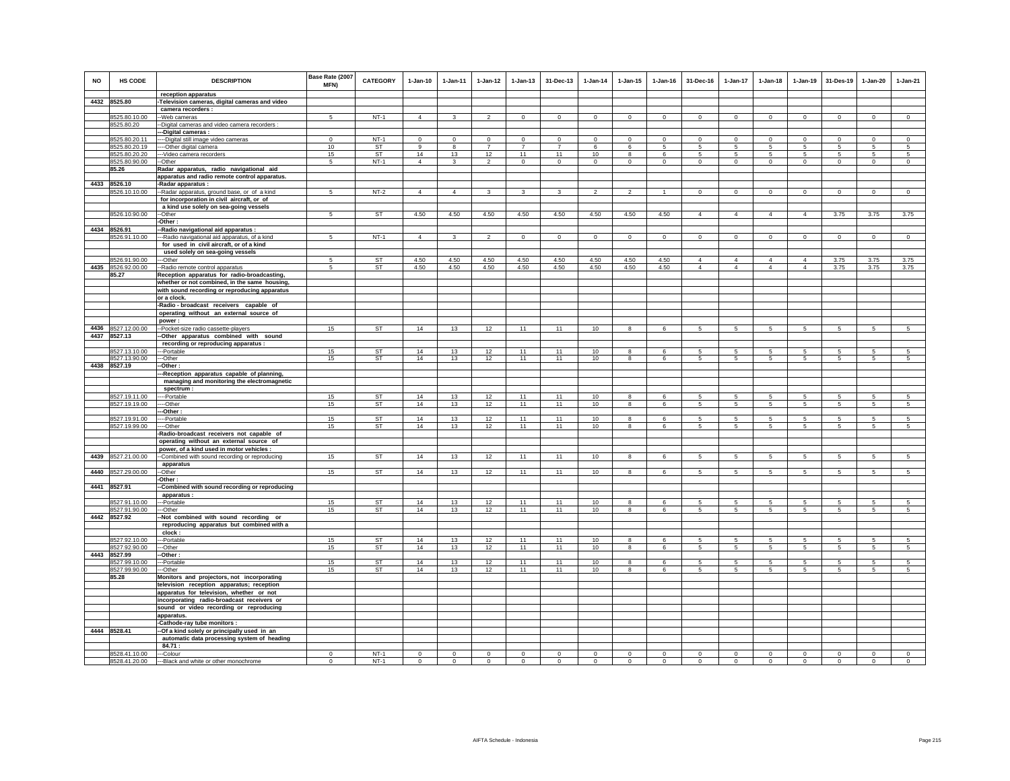| <b>NO</b> | HS CODE                        | <b>DESCRIPTION</b><br>reception apparatus                                                | Base Rate (2007<br><b>MFN)</b> | <b>CATEGORY</b>     | $1 - Jan-10$   | $1 - Jan-11$  | $1-Jan-12$                 | $1-Jan-13$                 | 31-Dec-13                  | $1 - Jan-14$   | $1 - Jan-15$            | $1 - Jan-16$   | 31-Dec-16      | $1 - Jan-17$   | $1 - Jan-18$    | $1 - Jan-19$   | 31-Des-19       | $1-Jan-20$                 | $1-Jan-21$     |
|-----------|--------------------------------|------------------------------------------------------------------------------------------|--------------------------------|---------------------|----------------|---------------|----------------------------|----------------------------|----------------------------|----------------|-------------------------|----------------|----------------|----------------|-----------------|----------------|-----------------|----------------------------|----------------|
|           | 4432 8525.80                   | -Television cameras, digital cameras and video                                           |                                |                     |                |               |                            |                            |                            |                |                         |                |                |                |                 |                |                 |                            |                |
|           |                                | camera recorders :                                                                       |                                |                     |                |               |                            |                            |                            |                |                         |                |                |                |                 |                |                 |                            |                |
|           | 8525.80.10.00                  | -Web cameras                                                                             | -5                             | $NT-1$              | $\Delta$       | $\mathbf{R}$  |                            | $\Omega$                   | $\Omega$                   | $\Omega$       | $\Omega$                | $\circ$        | $\Omega$       | $\Omega$       | $\Omega$        | $\Omega$       | $\Omega$        | $\Omega$                   | $\circ$        |
|           | 8525.80.20                     | -Digital cameras and video camera recorders :                                            |                                |                     |                |               |                            |                            |                            |                |                         |                |                |                |                 |                |                 |                            |                |
|           |                                | --Digital cameras :                                                                      |                                |                     |                |               |                            |                            |                            |                |                         |                |                |                |                 |                |                 |                            |                |
|           | 8525.80.20.11<br>8525.80.20.19 | ----Digital still image video cameras                                                    | $\,0\,$<br>10                  | $NT-1$<br><b>ST</b> | $\Omega$<br>9  | $\Omega$<br>8 | $\Omega$<br>$\overline{7}$ | $\Omega$<br>$\overline{7}$ | $\Omega$<br>$\overline{7}$ | $\Omega$<br>6  | $\Omega$<br>6           | $\Omega$<br>5  | $\Omega$<br>5  | $\Omega$<br>5  | $\Omega$<br>5   | $\Omega$<br>5  | $\Omega$<br>5   | $\Omega$<br>$\overline{5}$ | $\Omega$<br>5  |
|           | 8525.80.20.20                  | ---- Other digital camera<br>--- Video camera recorders                                  | 15                             | ST                  | 14             | 13            | 12                         | 11                         | 11                         | 10             | $\bf{8}$                | 6              | 5              | 5              | 5               | 5              | 5               | 5                          | $\,$ 5 $\,$    |
|           | 8525.80.90.00                  | $-Other$                                                                                 | 5                              | $NT-1$              | $\overline{4}$ | 3             | $\overline{2}$             | $\mathbf 0$                | $\mathbf{0}$               | $\mathbf{0}$   | $\mathbf{0}$            | $\mathbf{0}$   | $\circ$        | $\mathbf 0$    | $\circ$         | $\circ$        | $^{\circ}$      | $^{\circ}$                 | $\mathbf 0$    |
|           | 85.26                          | Radar apparatus, radio navigational aid                                                  |                                |                     |                |               |                            |                            |                            |                |                         |                |                |                |                 |                |                 |                            |                |
|           |                                | apparatus and radio remote control apparatus.                                            |                                |                     |                |               |                            |                            |                            |                |                         |                |                |                |                 |                |                 |                            |                |
|           | 4433 8526.10                   | -Radar apparatus :                                                                       |                                |                     |                |               |                            |                            |                            |                |                         |                |                |                |                 |                |                 |                            |                |
|           | 8526.10.10.00                  | -Radar apparatus, ground base, or of a kind                                              | 5                              | $NT-2$              | $\overline{4}$ | $\Delta$      | $\mathbf{R}$               | $\mathbf{R}$               | $\mathbf{R}$               | $\mathcal{L}$  | $\overline{2}$          | $\overline{1}$ | $\mathbf 0$    | $\mathbf 0$    | $\Omega$        | $\Omega$       | $\Omega$        | $\Omega$                   | $\mathbf 0$    |
|           |                                | for incorporation in civil aircraft, or of                                               |                                |                     |                |               |                            |                            |                            |                |                         |                |                |                |                 |                |                 |                            |                |
|           | 8526.10.90.00                  | a kind use solely on sea-going vessels                                                   | 5                              | ST                  | 4.50           | 4.50          | 4.50                       | 4.50                       | 4.50                       | 4.50           | 4.50                    | 4.50           | $\overline{4}$ | $\overline{4}$ | $\overline{4}$  | $\overline{4}$ | 3.75            | 3.75                       | 3.75           |
|           |                                | --Other<br>-Other:                                                                       |                                |                     |                |               |                            |                            |                            |                |                         |                |                |                |                 |                |                 |                            |                |
|           | 4434 8526.91                   | -Radio navigational aid apparatus :                                                      |                                |                     |                |               |                            |                            |                            |                |                         |                |                |                |                 |                |                 |                            |                |
|           | 8526.91.10.00                  | --Radio navigational aid apparatus, of a kind                                            | 5                              | $NT-1$              | $\overline{4}$ | 3             | $\overline{2}$             | $\overline{0}$             | $\overline{0}$             | $\overline{0}$ | $\overline{0}$          | $\overline{0}$ | $\overline{0}$ | $\overline{0}$ | $\overline{0}$  | $\mathbf 0$    | $\overline{0}$  | $\overline{0}$             | $\overline{0}$ |
|           |                                | for used in civil aircraft, or of a kind                                                 |                                |                     |                |               |                            |                            |                            |                |                         |                |                |                |                 |                |                 |                            |                |
|           |                                | used solely on sea-going vessels                                                         |                                |                     |                |               |                            |                            |                            |                |                         |                |                |                |                 |                |                 |                            |                |
|           | 8526.91.90.00                  | --Other                                                                                  | 5                              | <b>ST</b>           | 4.50           | 4.50          | 4.50                       | 4.50                       | 4.50                       | 4.50           | 4.50                    | 4.50           | $\overline{4}$ | $\Delta$       | $\overline{4}$  | $\overline{4}$ | 3.75            | 3.75                       | 3.75           |
|           | 4435 8526.92.00.00             | -Radio remote control apparatus                                                          | 5                              | ST                  | 4.50           | 4.50          | 4.50                       | 4.50                       | 4.50                       | 4.50           | 4.50                    | 4.50           | $\overline{4}$ | $\overline{4}$ | $\overline{4}$  | $\overline{4}$ | 3.75            | 3.75                       | 3.75           |
|           | 85.27                          | Reception apparatus for radio-broadcasting,                                              |                                |                     |                |               |                            |                            |                            |                |                         |                |                |                |                 |                |                 |                            |                |
|           |                                | whether or not combined, in the same housing,                                            |                                |                     |                |               |                            |                            |                            |                |                         |                |                |                |                 |                |                 |                            |                |
|           |                                | with sound recording or reproducing apparatus<br>or a clock.                             |                                |                     |                |               |                            |                            |                            |                |                         |                |                |                |                 |                |                 |                            |                |
|           |                                | -Radio - broadcast receivers capable of                                                  |                                |                     |                |               |                            |                            |                            |                |                         |                |                |                |                 |                |                 |                            |                |
|           |                                | operating without an external source of                                                  |                                |                     |                |               |                            |                            |                            |                |                         |                |                |                |                 |                |                 |                            |                |
|           |                                | power:                                                                                   |                                |                     |                |               |                            |                            |                            |                |                         |                |                |                |                 |                |                 |                            |                |
|           | 4436 8527.12.00.00             | --Pocket-size radio cassette-players                                                     | 15                             | <b>ST</b>           | 14             | 13            | 12                         | 11                         | 11                         | 10             | $\mathbf{R}$            |                | 5              | 5              |                 |                |                 |                            | 5              |
|           | 4437 8527.13                   | -Other apparatus combined with sound                                                     |                                |                     |                |               |                            |                            |                            |                |                         |                |                |                |                 |                |                 |                            |                |
|           |                                | recording or reproducing apparatus :                                                     |                                |                     |                |               |                            |                            |                            |                |                         |                |                |                |                 |                |                 |                            |                |
|           | 8527.13.10.00                  | --Portable                                                                               | 15                             | ST                  | 14             | 13            | 12                         | 11                         | 11                         | 10             | 8                       | $\epsilon$     | 5              | 5              | 5               | 5              | 5.              | 5                          | 5              |
|           | 8527.13.90.00                  | ---Other                                                                                 | 15                             | ST                  | 14             | 13            | 12                         | 11                         | 11                         | 10             | 8                       | 6              | 5              | 5              | 5               | 5              | 5               |                            | 5              |
|           | 4438 8527.19                   | -Other :                                                                                 |                                |                     |                |               |                            |                            |                            |                |                         |                |                |                |                 |                |                 |                            |                |
|           |                                | -Reception apparatus capable of planning,<br>managing and monitoring the electromagnetic |                                |                     |                |               |                            |                            |                            |                |                         |                |                |                |                 |                |                 |                            |                |
|           |                                | spectrum:                                                                                |                                |                     |                |               |                            |                            |                            |                |                         |                |                |                |                 |                |                 |                            |                |
|           | 8527.19.11.00                  | ---Portable                                                                              | 15                             | <b>ST</b>           | 14             | 13            | 12                         | 11                         | 11                         | 10             | 8                       | 6              | 5              | 5              | 5               | 5              | 5               | 5                          | 5              |
|           | 8527.19.19.00                  | $-$ -Other                                                                               | 15                             | <b>ST</b>           | $14$           | 13            | 12                         | 11                         | 11                         | 10             | $\overline{\mathbf{8}}$ | 6              | $\overline{5}$ | 5              | $5\overline{)}$ | $\overline{5}$ | $5\overline{5}$ | $\overline{5}$             | $\overline{5}$ |
|           |                                | --Other:                                                                                 |                                |                     |                |               |                            |                            |                            |                |                         |                |                |                |                 |                |                 |                            |                |
|           | 8527.19.91.00                  | ---Portable                                                                              | 15                             | ST                  | 14             | 13            | 12                         | 11                         | 11                         | 10             | 8                       | 6              | 5              | 5              | 5               | 5              | 5               |                            | 5              |
|           | 8527.19.99.00                  | ---Other                                                                                 | 15                             | ST                  | 14             | 13            | 12                         | 11                         | 11                         | 10             | 8                       | 6              | 5              | 5              | 5               | $\sqrt{5}$     | $5\phantom{.0}$ | 5                          | 5              |
|           |                                | -Radio-broadcast receivers not capable of<br>operating without an external source of     |                                |                     |                |               |                            |                            |                            |                |                         |                |                |                |                 |                |                 |                            |                |
|           |                                | power, of a kind used in motor vehicles :                                                |                                |                     |                |               |                            |                            |                            |                |                         |                |                |                |                 |                |                 |                            |                |
| 4439      | 8527.21.00.00                  | -Combined with sound recording or reproducing                                            | 15                             | ST                  | 14             | 13            | 12                         | 11                         | 11                         | 10             | $\bf{8}$                | 6              | $\sqrt{5}$     | 5              | 5               | 5              | $\,$ 5 $\,$     | 5                          | $\,$ 5 $\,$    |
|           |                                | apparatus                                                                                |                                |                     |                |               |                            |                            |                            |                |                         |                |                |                |                 |                |                 |                            |                |
|           | 4440 8527.29.00.00             | --Other                                                                                  | 15                             | <b>ST</b>           | 14             | 13            | 12                         | 11                         | 11                         | 10             | $\overline{\mathbf{8}}$ | $\epsilon$     | 5              | 5              | 5               | 5              | 5               | 5.                         | 5              |
|           |                                | -Other:                                                                                  |                                |                     |                |               |                            |                            |                            |                |                         |                |                |                |                 |                |                 |                            |                |
|           | 4441 8527.91                   | -Combined with sound recording or reproducing                                            |                                |                     |                |               |                            |                            |                            |                |                         |                |                |                |                 |                |                 |                            |                |
|           |                                | apparatus :                                                                              |                                |                     |                |               |                            |                            |                            |                |                         |                |                |                |                 |                |                 |                            |                |
|           | 8527.91.10.00                  | ---Portable                                                                              | 15                             | <b>ST</b>           | 14             | 13            | 12                         | 11                         | 11                         | 10             | 8                       | 6              | 5              | 5              | 5               | 5              | 5               | 5                          | 5              |
|           | 8527.91.90.00<br>4442 8527.92  | --Other<br>-Not combined with sound recording or                                         | 15                             | ST                  | 14             | 13            | 12                         | 11                         | 11                         | 10             | 8                       | 6              | 5              | 5              | 5               | 5              | 5               | 5                          | 5              |
|           |                                | reproducing apparatus but combined with a                                                |                                |                     |                |               |                            |                            |                            |                |                         |                |                |                |                 |                |                 |                            |                |
|           |                                | clock:                                                                                   |                                |                     |                |               |                            |                            |                            |                |                         |                |                |                |                 |                |                 |                            |                |
|           | 8527.92.10.00                  | ---Portable                                                                              | 15                             | ST                  | 14             | 13            | 12                         | 11                         | 11                         | 10             | $\mathbf{R}$            | $\epsilon$     | $\overline{5}$ | 5              | 5               | 5              | 5               | 5                          | 5              |
|           | 8527.92.90.00                  | ---Other                                                                                 | 15                             | <b>ST</b>           | 14             | 13            | 12                         | 11                         | 11                         | 10             | 8                       | 6              | 5              | 5              | 5               | 5              | 5               | 5                          | 5              |
|           | 4443 8527.99                   | -Other:                                                                                  |                                |                     |                |               |                            |                            |                            |                |                         |                |                |                |                 |                |                 |                            |                |
|           | 8527.99.10.00                  | --Portable                                                                               | 15                             | ST                  | 14             | 13            | 12                         | 11                         | 11                         | 10             | 8                       | 6              | $\sqrt{5}$     | 5              | 5               | 5              | 5               | 5                          | 5              |
|           | 8527.99.90.00                  | --Other                                                                                  | 15                             | <b>ST</b>           | 14             | 13            | 12                         | 11                         | 11                         | 10             | 8                       | 6              | 5              | 5              | 5               | 5              | 5               | $\sqrt{5}$                 | 5              |
|           | 85.28                          | Monitors and projectors, not incorporating                                               |                                |                     |                |               |                            |                            |                            |                |                         |                |                |                |                 |                |                 |                            |                |
|           |                                | television reception apparatus; reception<br>apparatus for television, whether or not    |                                |                     |                |               |                            |                            |                            |                |                         |                |                |                |                 |                |                 |                            |                |
|           |                                | incorporating radio-broadcast receivers or                                               |                                |                     |                |               |                            |                            |                            |                |                         |                |                |                |                 |                |                 |                            |                |
|           |                                | sound or video recording or reproducing                                                  |                                |                     |                |               |                            |                            |                            |                |                         |                |                |                |                 |                |                 |                            |                |
|           |                                | apparatus.                                                                               |                                |                     |                |               |                            |                            |                            |                |                         |                |                |                |                 |                |                 |                            |                |
|           |                                | -Cathode-ray tube monitors :                                                             |                                |                     |                |               |                            |                            |                            |                |                         |                |                |                |                 |                |                 |                            |                |
|           | 4444 8528.41                   | --Of a kind solely or principally used in an                                             |                                |                     |                |               |                            |                            |                            |                |                         |                |                |                |                 |                |                 |                            |                |
|           |                                | automatic data processing system of heading                                              |                                |                     |                |               |                            |                            |                            |                |                         |                |                |                |                 |                |                 |                            |                |
|           |                                | 84.71:                                                                                   |                                |                     |                |               |                            |                            |                            |                |                         |                |                |                |                 |                |                 |                            |                |
|           | 8528.41.10.00                  | --Colour                                                                                 | $\Omega$                       | $NT-1$              | $\Omega$       | $\Omega$      | $\Omega$                   | $\Omega$                   |                            | $\Omega$       |                         | $\Omega$       | $\Omega$       | $\Omega$       | $\Omega$        | $\Omega$       | $\Omega$        | $\Omega$                   | $\Omega$       |
|           | 8528.41.20.00                  | --- Black and white or other monochrome                                                  | $\mathbf 0$                    | $NT-1$              | $\mathsf 0$    | $\Omega$      |                            |                            |                            |                |                         |                |                | $\Omega$       |                 |                | $\Omega$        |                            |                |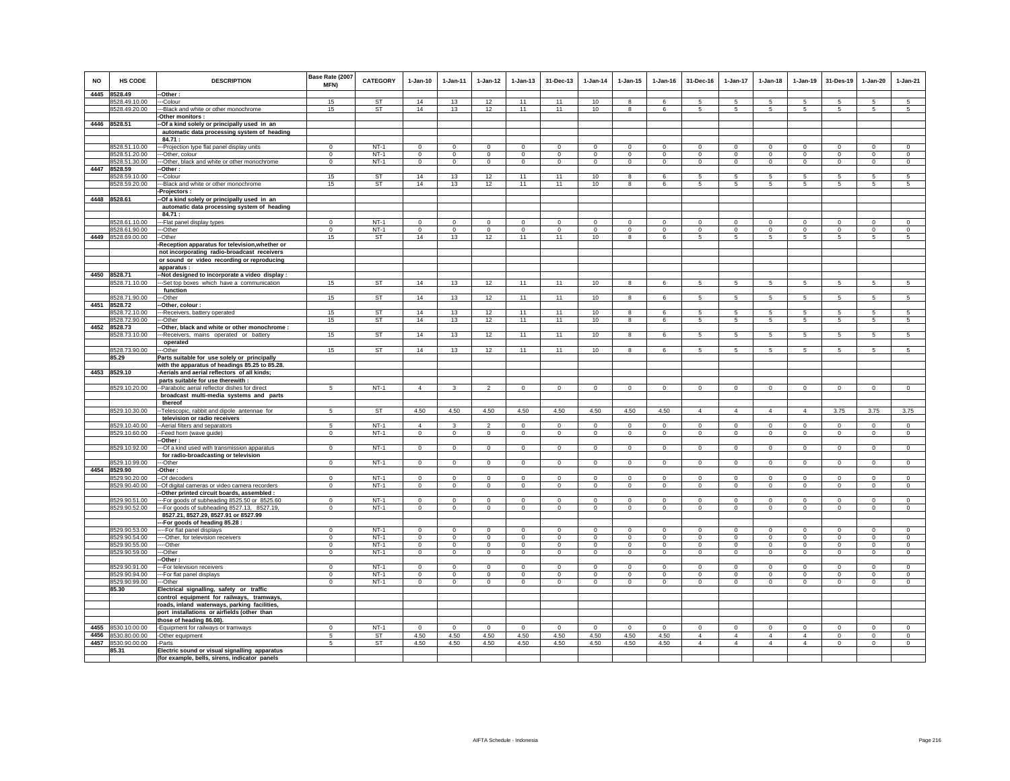| <b>NO</b> | <b>HS CODE</b>                 | <b>DESCRIPTION</b>                                                                     | Base Rate (2007<br><b>MFN)</b> | <b>CATEGORY</b>        | $1-Jan-10$     | $1-Jan-11$     | $1 - Jan-12$   | $1 - Jan-13$   | 31-Dec-13      | $1 - Jan-14$   | $1 - Jan-15$   | $1 - Jan-16$    | 31-Dec-16      | 1-Jan-17        | $1-Jan-18$           | 1-Jan-19        | 31-Des-19       | 1-Jan-20       | $1-Jan-21$      |
|-----------|--------------------------------|----------------------------------------------------------------------------------------|--------------------------------|------------------------|----------------|----------------|----------------|----------------|----------------|----------------|----------------|-----------------|----------------|-----------------|----------------------|-----------------|-----------------|----------------|-----------------|
|           | 4445 8528.49                   | -Other:                                                                                |                                |                        |                |                |                |                |                |                | $\mathbf{R}$   |                 |                |                 |                      |                 |                 |                |                 |
|           | 8528.49.10.00                  | -Colour                                                                                | 15                             | <b>ST</b><br>ST        | 14<br>14       | 13             | 12<br>12       | 11<br>11       | 11<br>11       | 10             | 8              | $\epsilon$<br>6 | 5<br>5         | 5               | 5<br>$5\overline{5}$ | 5<br>5          | 5<br>5          | 5<br>5         | 5               |
|           | 8528.49.20.00                  | --Black and white or other monochrome<br>-Other monitors:                              | 15                             |                        |                | 13             |                |                |                | 10             |                |                 |                | 5               |                      |                 |                 |                | 5               |
|           | 4446 8528.51                   | -Of a kind solely or principally used in an                                            |                                |                        |                |                |                |                |                |                |                |                 |                |                 |                      |                 |                 |                |                 |
|           |                                | automatic data processing system of heading                                            |                                |                        |                |                |                |                |                |                |                |                 |                |                 |                      |                 |                 |                |                 |
|           |                                | 84.71:                                                                                 |                                |                        |                |                |                |                |                |                |                |                 |                |                 |                      |                 |                 |                |                 |
|           | 8528.51.10.00                  | -- Projection type flat panel display units                                            | $\mathbf 0$                    | $NT-1$                 | $\mathbf 0$    | $^{\circ}$     | $\mathbf 0$    | $\mathbf 0$    | $\mathbf 0$    | $^{\circ}$     | $^{\circ}$     | $\mathbf 0$     | $\mathbf 0$    | $\mathbf 0$     | $\mathbf 0$          | $\mathbf 0$     | $\mathbf 0$     | $^{\circ}$     | $\mathbf 0$     |
|           | 8528.51.20.00                  | --Other, colour                                                                        | $\mathbf{0}$                   | $NT-1$                 | $\circ$        | $\mathbf 0$    | $\mathsf 0$    | $\mathsf 0$    | $\mathbf{0}$   | $\mathbf 0$    | $\mathbf 0$    | $\Omega$        | $\mathbf{0}$   | $\mathbf 0$     | $\mathbf 0$          | $\mathbf 0$     | $\circ$         | $\mathbf{0}$   | $\Omega$        |
|           | 8528.51.30.00                  | --Other, black and white or other monochrome                                           | $\mathbf 0$                    | $NT-1$                 | $\circ$        | $\mathbf 0$    | $\circ$        | $\circ$        | $\mathbf 0$    | $\circ$        | $\mathbf{0}$   | $\circ$         | $\mathbf{0}$   | $\circ$         | $\circ$              | $\mathbf 0$     | $\circ$         | $\circ$        | $\circ$         |
|           | 4447 8528.59                   | -- Other:                                                                              |                                |                        |                |                |                |                |                |                |                |                 |                |                 |                      |                 |                 |                |                 |
|           | 8528.59.10.00<br>8528.59.20.00 | ---Colour                                                                              | 15<br>15                       | <b>ST</b><br><b>ST</b> | 14<br>14       | 13             | 12             | 11<br>11       | 11<br>11       | 10             | 8<br>8         | 6<br>6          | 5<br>5         | 5<br>5          | 5<br>5               | -5              | $\sqrt{5}$      | 5<br>5         | 5<br>5          |
|           |                                | --- Black and white or other monochrome<br>-Proiectors:                                |                                |                        |                | 13             | 12             |                |                | 10             |                |                 |                |                 |                      | 5               | $\sqrt{5}$      |                |                 |
|           | 4448 8528.61                   | -Of a kind solely or principally used in an                                            |                                |                        |                |                |                |                |                |                |                |                 |                |                 |                      |                 |                 |                |                 |
|           |                                | automatic data processing system of heading                                            |                                |                        |                |                |                |                |                |                |                |                 |                |                 |                      |                 |                 |                |                 |
|           |                                | 84.71 :                                                                                |                                |                        |                |                |                |                |                |                |                |                 |                |                 |                      |                 |                 |                |                 |
|           | 8528.61.10.00                  | ---Flat panel display types                                                            | $\mathbf{0}$                   | $NT-1$                 | $\Omega$       | $\Omega$       | $\Omega$       | $\Omega$       | $\mathbf 0$    | $\Omega$       | $\Omega$       | $\mathbf 0$     | $\Omega$       | $\circ$         | $\Omega$             | $\Omega$        | $\mathbf 0$     | $\Omega$       | $\mathbf 0$     |
|           | 8528.61.90.00                  | ---Other                                                                               | $\overline{0}$                 | $NT-1$                 | $\overline{0}$ | $\overline{0}$ | $\overline{0}$ | $\overline{0}$ | $\overline{0}$ | $\overline{0}$ | $\overline{0}$ | $\overline{0}$  | $\overline{0}$ | $\overline{0}$  | $\overline{0}$       | $\overline{0}$  | $\overline{0}$  | $\overline{0}$ | $\overline{0}$  |
|           | 4449 8528.69.00.00             | --Other                                                                                | 15                             | ST                     | 14             | 13             | 12             | 11             | 11             | 10             | 8              | 6               | 5              | 5               | 5                    | -5              | 5               | 5              | 5               |
|           |                                | -Reception apparatus for television, whether or                                        |                                |                        |                |                |                |                |                |                |                |                 |                |                 |                      |                 |                 |                |                 |
|           |                                | not incorporating radio-broadcast receivers                                            |                                |                        |                |                |                |                |                |                |                |                 |                |                 |                      |                 |                 |                |                 |
|           |                                | or sound or video recording or reproducing<br>apparatus:                               |                                |                        |                |                |                |                |                |                |                |                 |                |                 |                      |                 |                 |                |                 |
|           | 4450 8528.71                   | Not designed to incorporate a video display :                                          |                                |                        |                |                |                |                |                |                |                |                 |                |                 |                      |                 |                 |                |                 |
|           | 8528.71.10.00                  | -Set top boxes which have a communication                                              | 15                             | ST                     | 14             | 13             | 12             | 11             | 11             | 10             | 8              | 6               | 5              | 5               | 5                    | 5               | 5               | 5              | 5               |
|           |                                | function                                                                               |                                |                        |                |                |                |                |                |                |                |                 |                |                 |                      |                 |                 |                |                 |
|           | 8528.71.90.00                  | --Other                                                                                | 15                             | <b>ST</b>              | 14             | 13             | 12             | 11             | 11             | 10             | 8              | 6               | 5              | 5               | 5                    | $5\phantom{.0}$ | $\overline{5}$  | 5              | $5\overline{)}$ |
| 4451      | 8528.72                        | -Other, colour :                                                                       |                                |                        |                |                |                |                |                |                |                |                 |                |                 |                      |                 |                 |                |                 |
|           | 8528.72.10.00                  | -- Receivers, battery operated                                                         | 15                             | <b>ST</b>              | 14             | 13             | 12             | 11             | 11             | 10             | 8              | 6               | 5              | 5               | 5                    | 5               | 5               | 5              | 5               |
|           | 8528.72.90.00<br>4452 8528.73  | --Other                                                                                | 15                             | ST                     | 14             | 13             | 12             | 11             | 11             | 10             | 8              | 6               | 5              | $5\phantom{.0}$ | $5\overline{5}$      | $\sqrt{5}$      | $5\phantom{.0}$ | 5              | $\sqrt{5}$      |
|           | 8528.73.10.00                  | -Other, black and white or other monochrome :<br>-Receivers, mains operated or battery | 15                             | <b>ST</b>              | 14             | 13             | 12             | 11             | 11             | 10             | 8              | 6               | 5              | 5               | $5\overline{5}$      | 5               | 5               | 5              | 5               |
|           |                                | operated                                                                               |                                |                        |                |                |                |                |                |                |                |                 |                |                 |                      |                 |                 |                |                 |
|           | 8528.73.90.00                  | ---Other                                                                               | 15                             | <b>ST</b>              | 14             | 13             | 12             | 11             | 11             | 10             | 8              | 6               | 5              | 5               | 5                    | 5               | 5               | 5              | 5               |
|           | 85.29                          | Parts suitable for use solely or principally                                           |                                |                        |                |                |                |                |                |                |                |                 |                |                 |                      |                 |                 |                |                 |
|           |                                | with the apparatus of headings 85.25 to 85.28.                                         |                                |                        |                |                |                |                |                |                |                |                 |                |                 |                      |                 |                 |                |                 |
|           | 4453 8529.10                   | -Aerials and aerial reflectors of all kinds;                                           |                                |                        |                |                |                |                |                |                |                |                 |                |                 |                      |                 |                 |                |                 |
|           |                                | parts suitable for use therewith :                                                     |                                |                        |                |                |                |                |                |                |                |                 |                |                 |                      |                 |                 |                |                 |
|           | 8529.10.20.00                  | -- Parabolic aerial reflector dishes for direct                                        | 5                              | $NT-1$                 | $\overline{4}$ | 3              | $\mathfrak{D}$ | $\mathbf{0}$   | $\Omega$       | $\Omega$       | $\Omega$       | $\Omega$        | $\Omega$       | $\mathbf{0}$    | $\circ$              | $\mathbf 0$     | $\circ$         | $\Omega$       | $\mathbf 0$     |
|           |                                | broadcast multi-media systems and parts<br>thereof                                     |                                |                        |                |                |                |                |                |                |                |                 |                |                 |                      |                 |                 |                |                 |
|           | 8529.10.30.00                  | -Telescopic, rabbit and dipole antennae for                                            | 5                              | <b>ST</b>              | 4.50           | 4.50           | 4.50           | 4.50           | 4.50           | 4.50           | 4.50           | 4.50            | $\overline{4}$ | $\overline{4}$  | $\overline{4}$       | $\overline{4}$  | 3.75            | 3.75           | 3.75            |
|           |                                | television or radio receivers                                                          |                                |                        |                |                |                |                |                |                |                |                 |                |                 |                      |                 |                 |                |                 |
|           | 8529.10.40.00                  | -- Aerial filters and separators                                                       |                                | $NT-1$                 | 4              |                |                | 0              | $\mathbf 0$    | $\bf{0}$       | $\Omega$       | $\mathbf 0$     | 0              | 0               | 0                    | $\mathbf 0$     | $\mathbf 0$     | $\bf{0}$       | $\mathbf 0$     |
|           | 8529.10.60.00                  | --Feed horn (wave guide)                                                               | $^{\circ}$                     | $NT-1$                 | $\Omega$       | $\circ$        | $\circ$        | $\mathbf{0}$   | $\mathbf{0}$   | $\mathbf{0}$   | $\circ$        | $\circ$         | $\circ$        | $\circ$         | $\mathbf 0$          | $\circ$         | $\circ$         | $\mathbf{0}$   | $\circ$         |
|           |                                | --Other:                                                                               |                                |                        |                |                |                |                |                |                |                |                 |                |                 |                      |                 |                 |                |                 |
|           | 8529.10.92.00                  | --Of a kind used with transmission apparatus                                           | $\Omega$                       | $NT-1$                 | $\Omega$       | $\Omega$       | $\mathbf 0$    | $\mathbf 0$    | $\mathbf 0$    | $\mathbf 0$    | $\mathbf 0$    | $\circ$         | $\mathbf 0$    | $\overline{0}$  | $\circ$              | $\circ$         | $\circ$         | $\mathbf 0$    | $\circ$         |
|           |                                | for radio-broadcasting or television                                                   |                                |                        |                |                |                |                |                |                |                |                 |                |                 |                      |                 |                 |                |                 |
|           | 8529.10.99.00<br>4454 8529.90  | --Other<br>-Other:                                                                     | $\mathbf 0$                    | $NT-1$                 | $\circ$        | $\circ$        | $\overline{0}$ | $\mathbf 0$    | $\overline{0}$ | $\overline{0}$ | $\mathbf 0$    | $\mathbf 0$     | $\circ$        | $\circ$         | $\circ$              | $\circ$         | $\overline{0}$  | $\circ$        | $\mathbf 0$     |
|           | 8529.90.20.00                  | -Of decoders                                                                           | $\mathbf 0$                    | $NT-1$                 | $\mathbf 0$    | $\mathbf 0$    | $\mathbf 0$    | $\mathsf 0$    | $\mathbf 0$    | $\mathbf 0$    | $\mathsf 0$    | $\circ$         | $\mathbf 0$    | $\mathbf 0$     | $\mathbf 0$          | $\mathbf 0$     | $\mathbf 0$     | $\mathsf 0$    | $\mathsf 0$     |
|           | 8529.90.40.00                  | -Of digital cameras or video camera recorders                                          | $\Omega$                       | $NT-1$                 | $\Omega$       | $\mathbf 0$    | $\Omega$       | $\mathbf 0$    | $^{\circ}$     | $\mathbf 0$    | $\mathbf 0$    | $\mathbf 0$     | $\mathbf 0$    | $\mathbf 0$     | $\mathbf 0$          | $\mathbf 0$     | $^{\circ}$      | $\mathbf 0$    | $\Omega$        |
|           |                                | -Other printed circuit boards, assembled :                                             |                                |                        |                |                |                |                |                |                |                |                 |                |                 |                      |                 |                 |                |                 |
|           | 8529.90.51.00                  | -- For goods of subheading 8525.50 or 8525.60                                          | $\Omega$                       | $NT-1$                 | $\Omega$       | $\Omega$       | $\Omega$       | $\Omega$       | $\Omega$       | $\Omega$       | $\Omega$       | $\Omega$        | $\Omega$       | $\Omega$        | $\Omega$             | $\Omega$        | $\Omega$        | $\Omega$       | $\Omega$        |
|           | 8529.90.52.00                  | --- For goods of subheading 8527.13, 8527.19,                                          | $\mathbf 0$                    | $NT-1$                 | $\circ$        | $\Omega$       | $\Omega$       | $\mathbf 0$    | $\mathbf 0$    | $\mathbf 0$    | $\mathbf 0$    | $\mathbf 0$     | $\mathbf 0$    | $\circ$         | $\Omega$             | $\mathbf 0$     | $\Omega$        | $\mathbf 0$    | $\circ$         |
|           |                                | 8527.21, 8527.29, 8527.91 or 8527.99                                                   |                                |                        |                |                |                |                |                |                |                |                 |                |                 |                      |                 |                 |                |                 |
|           |                                | --For goods of heading 85.28:                                                          | $\Omega$                       | $NT-1$                 | $\Omega$       | $\Omega$       | $^{\circ}$     | $\Omega$       | $^{\circ}$     | $^{\circ}$     | $\Omega$       | $^{\circ}$      | $\Omega$       | $\circ$         | $\Omega$             | $^{\circ}$      | $^{\circ}$      | $\circ$        | $^{\circ}$      |
|           | 8529.90.53.00<br>8529.90.54.00 | --- For flat panel displays<br>--Other, for television receivers                       | $\mathsf 0$                    | $NT-1$                 | $\mathbf 0$    | $\Omega$       | $\Omega$       | $\Omega$       | $\Omega$       | $\Omega$       | $\Omega$       | $\Omega$        | $\mathsf 0$    | $\Omega$        | $\Omega$             | $\mathbf 0$     | $\Omega$        | $\Omega$       | $\Omega$        |
|           | 8529.90.55.00                  | --Other                                                                                | $\mathbf 0$                    | $NT-1$                 | $\circ$        | $\mathbf 0$    | $\mathbf 0$    | $\mathbf 0$    | $^{\circ}$     | $\mathbf 0$    | $^{\circ}$     | $\mathbf 0$     | $\mathbf 0$    | $\mathbf 0$     | $\mathbf 0$          | $\mathbf 0$     | $^{\circ}$      | $\mathbf 0$    | $^{\circ}$      |
|           | 8529.90.59.00                  | --Other                                                                                | $\mathbf 0$                    | $NT-1$                 | $\circ$        | $\mathbf 0$    | $\overline{0}$ | $\mathbf 0$    | $\overline{0}$ | $\mathbf 0$    | $\mathsf 0$    | $\mathsf 0$     | $\mathbf 0$    | $\overline{0}$  | $\mathbf 0$          | $\mathbf 0$     | $\,0\,$         | $\mathbf 0$    | $\mathbf{0}$    |
|           |                                | -Other:                                                                                |                                |                        |                |                |                |                |                |                |                |                 |                |                 |                      |                 |                 |                |                 |
|           | 8529.90.91.00                  | --For television receivers                                                             | $\Omega$                       | $NT-1$                 | $\Omega$       | $\Omega$       | $\Omega$       | $\Omega$       | $\Omega$       | $\Omega$       | $\Omega$       | $\Omega$        | $\mathsf 0$    | $\mathbf 0$     | $\mathbf 0$          | $\Omega$        | $\Omega$        | $\Omega$       | $\Omega$        |
|           | 8529.90.94.00                  | ---For flat panel displays                                                             | $\mathbf 0$                    | $NT-1$                 | $\Omega$       | $\mathbf 0$    | $\mathbf 0$    | $\mathbf 0$    | $\mathbf 0$    | $^{\circ}$     | $\mathbf 0$    | $\,0\,$         | $\mathbf 0$    | $\mathbf 0$     | $\mathbf 0$          | $\mathbf 0$     | $\mathbf 0$     | $\mathbf 0$    | $\mathbf 0$     |
|           | 8529.90.99.00                  | --Other                                                                                | $\Omega$                       | $NT-1$                 | $\Omega$       | $^{\circ}$     | $^{\circ}$     | $\circ$        | $\mathbf 0$    | 0              | 0              | $^{\circ}$      | $\mathbf{0}$   | $\circ$         | $\circ$              | $^{\circ}$      | $\circ$         | $^{\circ}$     | $\circ$         |
|           | 85.30                          | Electrical signalling, safety or traffic<br>control equipment for railways, tramways,  |                                |                        |                |                |                |                |                |                |                |                 |                |                 |                      |                 |                 |                |                 |
|           |                                | roads, inland waterways, parking facilities,                                           |                                |                        |                |                |                |                |                |                |                |                 |                |                 |                      |                 |                 |                |                 |
|           |                                | port installations or airfields (other than                                            |                                |                        |                |                |                |                |                |                |                |                 |                |                 |                      |                 |                 |                |                 |
|           |                                | those of heading 86.08).                                                               |                                |                        |                |                |                |                |                |                |                |                 |                |                 |                      |                 |                 |                |                 |
| 4455      | 8530.10.00.00                  | -Equipment for railways or tramways                                                    | $^{\circ}$                     | $NT-1$                 | $^{\circ}$     | $^{\circ}$     | $\bf{0}$       | $\circ$        | $\mathbf 0$    | $\mathbf 0$    | $\Omega$       | $\Omega$        | $\mathsf 0$    | $\mathbf 0$     | $\mathbf 0$          | $\Omega$        | $\mathbf 0$     | $\mathbf 0$    | $\mathbf{0}$    |
|           | 4456 8530.80.00.00             | -Other equipment                                                                       | 5                              | ST                     | 4.50           | 4.50           | 4.50           | 4.50           | 4.50           | 4.50           | 4.50           | 4.50            | $\Delta$       | $\Delta$        | $\Delta$             | $\Delta$        | $\mathbf 0$     | $\Omega$       | $\Omega$        |
|           | 4457 8530.90.00.00             | -Parts                                                                                 | $5\phantom{.0}$                | ST                     | 4.50           | 4.50           | 4.50           | 4.50           | 4.50           | 4.50           | 4.50           | 4.50            | $\overline{4}$ | $\overline{4}$  | $\overline{4}$       | $\overline{4}$  | $\Omega$        | $\Omega$       | $\Omega$        |
|           | 85.31                          | Electric sound or visual signalling apparatus                                          |                                |                        |                |                |                |                |                |                |                |                 |                |                 |                      |                 |                 |                |                 |
|           |                                | (for example, bells, sirens, indicator panels                                          |                                |                        |                |                |                |                |                |                |                |                 |                |                 |                      |                 |                 |                |                 |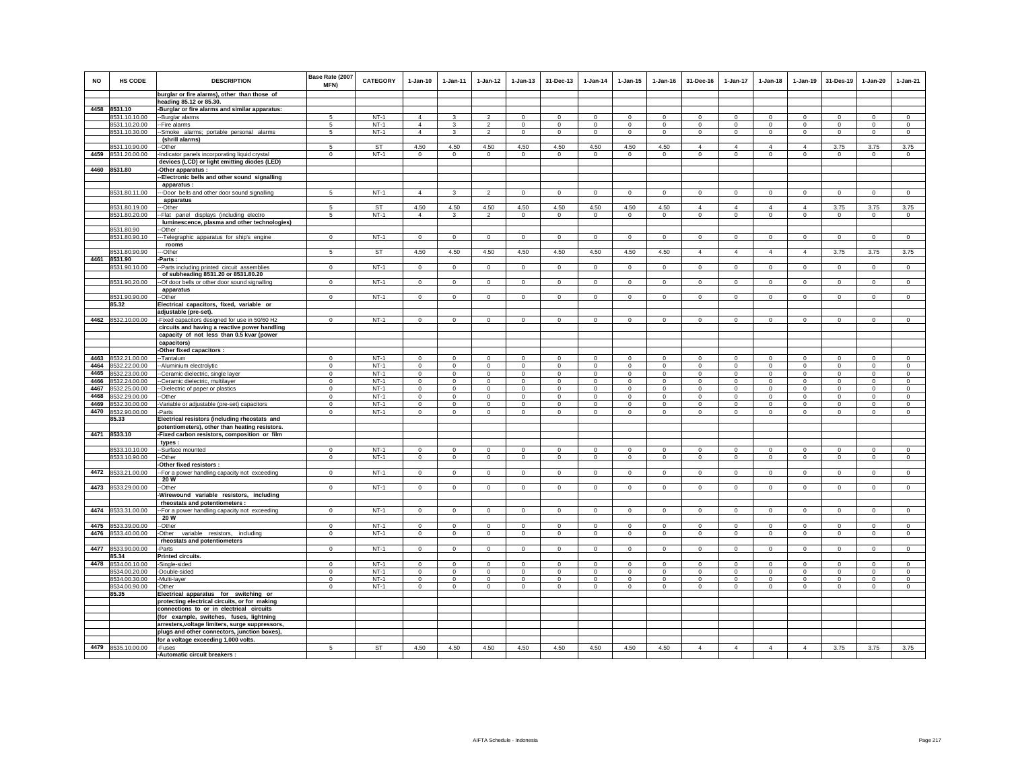| NO           | HS CODE                        | <b>DESCRIPTION</b>                                                        | Base Rate (2007<br>MFN)    | <b>CATEGORY</b>  | $1-Jan-10$                  | $1-Jan-11$                   | $1-Jan-12$           | $1-Jan-13$                 | 31-Dec-13                  | $1-Jan-14$              | $1 - Jan-15$               | $1 - Jan-16$         | 31-Dec-16               | 1-Jan-17                   | $1-Jan-18$              | $1-Jan-19$              | 31-Des-19               | $1-Jan-20$                 | $1-Jan-21$             |
|--------------|--------------------------------|---------------------------------------------------------------------------|----------------------------|------------------|-----------------------------|------------------------------|----------------------|----------------------------|----------------------------|-------------------------|----------------------------|----------------------|-------------------------|----------------------------|-------------------------|-------------------------|-------------------------|----------------------------|------------------------|
|              |                                | burglar or fire alarms), other than those of                              |                            |                  |                             |                              |                      |                            |                            |                         |                            |                      |                         |                            |                         |                         |                         |                            |                        |
|              |                                | heading 85.12 or 85.30.                                                   |                            |                  |                             |                              |                      |                            |                            |                         |                            |                      |                         |                            |                         |                         |                         |                            |                        |
|              | 4458 8531.10                   | -Burglar or fire alarms and similar apparatus:                            |                            |                  | $\overline{4}$              |                              | $\mathfrak{p}$       |                            |                            | $\Omega$                |                            | $\Omega$             |                         |                            | $\Omega$                | $\Omega$                | $\Omega$                |                            |                        |
|              | 8531.10.10.00<br>8531.10.20.00 | --Burglar alarms<br>-- Fire alarms                                        | 5<br>5                     | $NT-1$<br>$NT-1$ | $\overline{4}$              | $\mathbf{3}$<br>$\mathbf{3}$ | $\overline{2}$       | $\mathbf 0$<br>$\circ$     | $\mathbf 0$<br>$\mathbf 0$ | $\circ$                 | $\mathbf 0$<br>$\mathbf 0$ | $\mathbf 0$          | $\Omega$<br>$\circ$     | $\mathbf 0$<br>$\mathbf 0$ | $\circ$                 | $\mathbf 0$             | $\circ$                 | $\mathsf 0$<br>$\mathbf 0$ | $\mathsf 0$<br>$\circ$ |
|              | 8531.10.30.00                  | --Smoke alarms; portable personal alarms                                  | 5                          | $NT-1$           | $\overline{4}$              | 3                            | $\overline{2}$       | $^{\circ}$                 | $\mathbf{0}$               | $^{\circ}$              | $^{\circ}$                 | $^{\circ}$           | $\Omega$                | $\circ$                    | $^{\circ}$              | $\mathbf{0}$            | $\mathbf{0}$            | $^{\circ}$                 | $\circ$                |
|              |                                | (shrill alarms)                                                           |                            |                  |                             |                              |                      |                            |                            |                         |                            |                      |                         |                            |                         |                         |                         |                            |                        |
|              | 8531.10.90.00                  | --Other                                                                   | 5                          | <b>ST</b>        | 4.50                        | 4.50                         | 4.50                 | 4.50                       | 4.50                       | 4.50                    | 4.50                       | 4.50                 | $\overline{4}$          | $\overline{4}$             | $\overline{4}$          | $\overline{4}$          | 3.75                    | 3.75                       | 3.75                   |
| 4459         | 8531.20.00.00                  | -Indicator panels incorporating liquid crystal                            | $\mathsf 0$                | $NT-1$           | $\mathsf 0$                 | $\mathsf 0$                  | $\mathbf 0$          | $\mathbf 0$                | $\mathbf 0$                | $\mathbf 0$             | $\mathbf 0$                | $\mathbf 0$          | $\mathbf 0$             | $\mathbf 0$                | $\mathbf 0$             | $\mathbf 0$             | $\mathbf 0$             | $\circ$                    | $\mathsf 0$            |
|              |                                | devices (LCD) or light emitting diodes (LED)                              |                            |                  |                             |                              |                      |                            |                            |                         |                            |                      |                         |                            |                         |                         |                         |                            |                        |
|              | 4460 8531.80                   | -Other apparatus :                                                        |                            |                  |                             |                              |                      |                            |                            |                         |                            |                      |                         |                            |                         |                         |                         |                            |                        |
|              |                                | --Electronic bells and other sound signalling                             |                            |                  |                             |                              |                      |                            |                            |                         |                            |                      |                         |                            |                         |                         |                         |                            |                        |
|              |                                | apparatus :                                                               |                            |                  |                             |                              |                      |                            |                            |                         |                            |                      |                         |                            |                         |                         |                         |                            |                        |
|              | 8531.80.11.00                  | --- Door bells and other door sound signalling                            | 5                          | $NT-1$           | $\overline{4}$              | $\mathbf{3}$                 | $\overline{2}$       | $\Omega$                   | $\mathbf{0}$               | $\circ$                 | $\Omega$                   | $\Omega$             | $\Omega$                | $\circ$                    | $\circ$                 | $\mathbf 0$             | $\circ$                 | $\mathbf{0}$               | $\mathsf 0$            |
|              |                                | apparatus                                                                 |                            |                  |                             |                              |                      |                            |                            |                         |                            |                      |                         |                            |                         |                         |                         |                            |                        |
|              | 8531.80.19.00                  | ---Other                                                                  | 5                          | <b>ST</b>        | 4.50                        | 4.50                         | 4.50                 | 4.50                       | 4.50                       | 4.50                    | 4.50                       | 4.50                 | $\overline{4}$          | $\overline{4}$             | $\overline{4}$          | $\overline{4}$          | 3.75                    | 3.75                       | 3.75                   |
|              | 8531.80.20.00                  | -- Flat panel displays (including electro                                 | 5                          | $NT-1$           | $\overline{4}$              | $\mathbf{3}$                 | $\overline{2}$       | $\circ$                    | $\mathbf{0}$               | $\circ$                 | $\circ$                    | $\mathbf 0$          | $\circ$                 | $\mathbf 0$                | $\circ$                 | $\circ$                 | $\mathbf{0}$            | $\circ$                    | $\circ$                |
|              |                                | luminescence, plasma and other technologies)                              |                            |                  |                             |                              |                      |                            |                            |                         |                            |                      |                         |                            |                         |                         |                         |                            |                        |
|              | 8531.80.90                     | -Other:                                                                   |                            |                  |                             |                              |                      |                            |                            |                         |                            |                      |                         |                            |                         |                         |                         |                            |                        |
|              | 8531.80.90.10                  | --- Telegraphic apparatus for ship's engine                               | $\overline{0}$             | $NT-1$           | $\overline{0}$              | $\overline{0}$               | $\overline{0}$       | $\overline{0}$             | $\overline{0}$             | $\overline{0}$          | $\overline{0}$             | $\,0\,$              | $\overline{0}$          | $\overline{0}$             | $\overline{0}$          | $\overline{0}$          | $\overline{0}$          | $\overline{0}$             | $\overline{0}$         |
|              |                                | rooms                                                                     |                            |                  |                             |                              |                      |                            |                            |                         |                            |                      |                         |                            |                         |                         |                         |                            |                        |
| 4461         | 8531.80.90.90<br>8531.90       | -Other<br>-Parts :                                                        | 5                          | <b>ST</b>        | 4.50                        | 4.50                         | 4.50                 | 4.50                       | 4.50                       | 4.50                    | 4.50                       | 4.50                 | $\overline{4}$          | $\overline{4}$             | $\overline{4}$          | $\overline{4}$          | 3.75                    | 3.75                       | 3.75                   |
|              | 8531.90.10.00                  | -- Parts including printed circuit assemblies                             | $\Omega$                   | $NT-1$           | $\circ$                     | $\circ$                      | $\circ$              | $\mathbf 0$                | $\circ$                    | $\circ$                 | $\mathbf 0$                | $\mathbf 0$          | $\mathbf 0$             | $\mathbf{0}$               | $\circ$                 | $\mathbf 0$             | $\circ$                 | $\mathbf{0}$               | $\circ$                |
|              |                                | of subheading 8531.20 or 8531.80.20                                       |                            |                  |                             |                              |                      |                            |                            |                         |                            |                      |                         |                            |                         |                         |                         |                            |                        |
|              | 8531.90.20.00                  | -- Of door bells or other door sound signalling                           | $\Omega$                   | $NT-1$           | $\Omega$                    | $\Omega$                     | $\Omega$             | $\Omega$                   | $\mathbf 0$                | $\Omega$                | $\Omega$                   | $\Omega$             | $\Omega$                | $\Omega$                   | $\Omega$                | $\Omega$                | $\Omega$                | $\Omega$                   | $\Omega$               |
|              |                                | apparatus                                                                 |                            |                  |                             |                              |                      |                            |                            |                         |                            |                      |                         |                            |                         |                         |                         |                            |                        |
|              | 8531.90.90.00                  | --Other                                                                   | $\Omega$                   | $NT-1$           | $\Omega$                    | $\circ$                      | $\circ$              | $\circ$                    | $\mathbf{0}$               | $\circ$                 | $\mathbf 0$                | $\mathbf 0$          | $\Omega$                | $\circ$                    | $\circ$                 | $\circ$                 | $\mathbf 0$             | $\circ$                    | $\mathsf 0$            |
|              | 85.32                          | Electrical capacitors, fixed, variable or                                 |                            |                  |                             |                              |                      |                            |                            |                         |                            |                      |                         |                            |                         |                         |                         |                            |                        |
|              |                                | adjustable (pre-set).                                                     |                            |                  |                             |                              |                      |                            |                            |                         |                            |                      |                         |                            |                         |                         |                         |                            |                        |
| 4462         | 8532.10.00.00                  | -Fixed capacitors designed for use in 50/60 Hz                            | $\mathsf 0$                | $NT-1$           | $\mathsf 0$                 | $\mathsf 0$                  | $\mathsf 0$          | $\mathbf 0$                | $\mathbf 0$                | $\mathsf 0$             | $\mathbf 0$                | $\mathbb O$          | $\mathbf 0$             | $\mathbf 0$                | $\mathbf 0$             | $\mathbf 0$             | $\mathbf 0$             | $\circ$                    | $\mathsf 0$            |
|              |                                | circuits and having a reactive power handling                             |                            |                  |                             |                              |                      |                            |                            |                         |                            |                      |                         |                            |                         |                         |                         |                            |                        |
|              |                                | capacity of not less than 0.5 kvar (power                                 |                            |                  |                             |                              |                      |                            |                            |                         |                            |                      |                         |                            |                         |                         |                         |                            |                        |
|              |                                | capacitors)                                                               |                            |                  |                             |                              |                      |                            |                            |                         |                            |                      |                         |                            |                         |                         |                         |                            |                        |
|              |                                | -Other fixed capacitors :                                                 |                            |                  |                             |                              |                      |                            |                            |                         |                            |                      |                         |                            |                         |                         |                         |                            |                        |
| 4463         | 8532.21.00.00                  | --Tantalum                                                                | $^{\circ}$                 | $NT-1$           | $\Omega$                    | $^{\circ}$                   | $\Omega$             | $\Omega$                   | $^{\circ}$                 | $\Omega$                | $\Omega$                   | $\Omega$             | $\Omega$                | $\Omega$                   | $\Omega$                | $^{\circ}$              | $^{\circ}$              | $\Omega$                   | $\mathbf 0$            |
| 4464         | 8532.22.00.00                  | --Aluminium electrolytic                                                  | $\Omega$                   | $NT-1$           | $\Omega$                    | $\Omega$                     | $\Omega$             | $\Omega$                   | $\Omega$                   | $\Omega$                | $\Omega$                   | $\Omega$             | $\Omega$                | $\Omega$                   | $\Omega$                | $\Omega$                | $\Omega$                | $\Omega$                   | $\Omega$               |
| 4465         | 8532.23.00.00                  | --Ceramic dielectric, single layer                                        | $\Omega$                   | $NT-1$           | $\Omega$                    | $\Omega$                     | $\Omega$<br>$\Omega$ | $\Omega$                   | $\Omega$                   | $\Omega$                | $\Omega$                   | $\Omega$<br>$\Omega$ | $\Omega$                | $\Omega$<br>$\Omega$       | $\Omega$                | $\Omega$                | $\Omega$                | $\Omega$                   | $\Omega$               |
| 4466<br>4467 | 8532.24.00.00<br>8532.25.00.00 | --Ceramic dielectric, multilayer                                          | $\mathbf 0$<br>$\mathsf 0$ | $NT-1$<br>$NT-1$ | $\mathbf{0}$<br>$\mathsf 0$ | $\Omega$<br>$\mathsf 0$      | $\mathbf 0$          | $\mathbf 0$<br>$\mathbf 0$ | $\Omega$<br>$\mathbf 0$    | $\Omega$<br>$\mathbf 0$ | $\mathbf 0$<br>$\mathbf 0$ | $\Omega$             | $\Omega$<br>$\mathbf 0$ | $\mathbf 0$                | $\Omega$<br>$\mathbf 0$ | $\Omega$<br>$\mathbf 0$ | $\Omega$<br>$\mathbf 0$ | $\Omega$<br>$\mathsf 0$    | $\Omega$<br>$\Omega$   |
| 4468         | 8532.29.00.00                  | -- Dielectric of paper or plastics<br>--Other                             | $\mathbf 0$                | $NT-1$           | $\mathbf 0$                 | $\circ$                      | $\mathbf 0$          | $\mathbf 0$                | $\mathbf 0$                | $\mathbf 0$             | $\mathbf 0$                | $\Omega$             | $\Omega$                | $\mathbf 0$                | $\Omega$                | $\mathbf 0$             | $^{\circ}$              | $\mathbf 0$                | $\circ$                |
| 4469         | 8532.30.00.00                  | -Variable or adjustable (pre-set) capacitors                              | $\mathsf 0$                | $NT-1$           | $\mathbf{0}$                | $\mathsf 0$                  | $\mathbf 0$          | $\mathbf 0$                | $\mathbf 0$                | $\mathbf 0$             | $\mathbf 0$                | $^{\circ}$           | $\mathbf 0$             | $\mathbf 0$                | $\mathbf 0$             | $\mathbf 0$             | $\overline{0}$          | $\mathbf 0$                | $\circ$                |
| 4470         | 8532.90.00.00                  | -Parts                                                                    | $\mathbf 0$                | $NT-1$           | $\circ$                     | $\circ$                      | $\circ$              | $\circ$                    | $\mathbf{0}$               | $^{\circ}$              | $\mathbf 0$                | $^{\circ}$           | $\circ$                 | $\mathbf 0$                | $\circ$                 | $\mathbf 0$             | $\circ$                 | $\mathbf 0$                | $\circ$                |
|              | 85.33                          | Electrical resistors (including rheostats and                             |                            |                  |                             |                              |                      |                            |                            |                         |                            |                      |                         |                            |                         |                         |                         |                            |                        |
|              |                                | potentiometers), other than heating resistors.                            |                            |                  |                             |                              |                      |                            |                            |                         |                            |                      |                         |                            |                         |                         |                         |                            |                        |
|              | 4471 8533.10                   | -Fixed carbon resistors, composition or film                              |                            |                  |                             |                              |                      |                            |                            |                         |                            |                      |                         |                            |                         |                         |                         |                            |                        |
|              |                                | types :                                                                   |                            |                  |                             |                              |                      |                            |                            |                         |                            |                      |                         |                            |                         |                         |                         |                            |                        |
|              | 8533.10.10.00                  | --Surface mounted                                                         | $\Omega$                   | $NT-1$           | $\Omega$                    | $\mathbf 0$                  | $\mathbf 0$          | $\mathbf 0$                | $\mathbf 0$                | $\mathbf 0$             | $\mathbf 0$                | $\Omega$             | $^{\circ}$              | $\mathbf 0$                | $\mathbf 0$             | $\mathbf 0$             | $^{\circ}$              | $\mathbf 0$                | $\Omega$               |
|              | 8533.10.90.00                  | --Other                                                                   | $\mathsf 0$                | $NT-1$           | $\mathsf 0$                 | $\mathsf 0$                  | $\mathbf 0$          | $\mathbf 0$                | $\mathbf 0$                | $\mathbf 0$             | $\mathbf 0$                | $\mathbf 0$          | $\mathbf 0$             | $\mathbf 0$                | $\mathbf 0$             | $\mathbf 0$             | $\mathbf 0$             | $\mathbf 0$                | $\mathbb O$            |
|              |                                | -Other fixed resistors :                                                  |                            |                  |                             |                              |                      |                            |                            |                         |                            |                      |                         |                            |                         |                         |                         |                            |                        |
| 4472         | 8533.21.00.00                  | -- For a power handling capacity not exceeding                            | $\,0\,$                    | $NT-1$           | $\mathsf 0$                 | $\mathbf 0$                  | $\mathsf 0$          | $\mathbf 0$                | $\mathbf 0$                | $\mathbf 0$             | $\mathbf 0$                | $\mathbf 0$          | $\mathbf 0$             | $\mathbf 0$                | $\mathsf 0$             | $\mathbf 0$             | $\,0\,$                 | $\mathsf 0$                | $\mathsf 0$            |
|              |                                | 20 W                                                                      |                            |                  |                             |                              |                      |                            |                            |                         |                            |                      |                         |                            |                         |                         |                         |                            |                        |
|              | 4473 8533.29.00.00             | --Other                                                                   | $\Omega$                   | $NT-1$           | $\Omega$                    | $\Omega$                     | $\Omega$             | $\Omega$                   | $\Omega$                   | $\Omega$                | $\Omega$                   | $\Omega$             | $\Omega$                | $\Omega$                   | $\Omega$                | $\Omega$                | $\Omega$                | $\Omega$                   | $\circ$                |
|              |                                | Wirewound variable resistors, including<br>rheostats and potentiometers : |                            |                  |                             |                              |                      |                            |                            |                         |                            |                      |                         |                            |                         |                         |                         |                            |                        |
| 4474         | 8533.31.00.00                  |                                                                           | $^{\circ}$                 | $NT-1$           | $\Omega$                    | $\Omega$                     | $\mathbf 0$          | $\mathbf 0$                | $\mathbf 0$                | $\mathbf 0$             | $\mathbf 0$                | $\Omega$             | $\Omega$                | $\Omega$                   | $\Omega$                | $\mathbf 0$             | $\Omega$                | $\mathbf 0$                | $\Omega$               |
|              |                                | -- For a power handling capacity not exceeding<br>20 W                    |                            |                  |                             |                              |                      |                            |                            |                         |                            |                      |                         |                            |                         |                         |                         |                            |                        |
| 4475         | 8533.39.00.00                  | --Other                                                                   | $\mathbf 0$                | $NT-1$           | $^{\circ}$                  | $\circ$                      | $\circ$              | $\circ$                    | $\mathbf 0$                | $^{\circ}$              | $\mathbf 0$                | $^{\circ}$           | $\mathbf 0$             | $\mathbf 0$                | $\circ$                 | $\mathbf 0$             | $\mathbf 0$             | $\mathbf 0$                | $\circ$                |
| 4476         | 8533.40.00.00                  | -Other variable resistors, including                                      | $\mathbf 0$                | $NT-1$           | $\circ$                     | $\circ$                      | $\circ$              | $\circ$                    | $\mathbf 0$                | $\circ$                 | $\mathbf 0$                | $\mathbf 0$          | $\circ$                 | $\circ$                    | $\circ$                 | $\mathbf 0$             | $\circ$                 | $\circ$                    | $\circ$                |
|              |                                | rheostats and potentiometers                                              |                            |                  |                             |                              |                      |                            |                            |                         |                            |                      |                         |                            |                         |                         |                         |                            |                        |
| 4477         | 8533.90.00.00                  | -Parts                                                                    | $\mathbf 0$                | $NT-1$           | $\circ$                     | $\circ$                      | $\mathbf 0$          | $\circ$                    | $\mathbf 0$                | $\mathbf 0$             | $\mathbf 0$                | $\,0\,$              | $^{\circ}$              | $\mathbf 0$                | $\circ$                 | $\circ$                 | $\mathbf{0}$            | $\mathbf 0$                | $\mathsf 0$            |
|              | 85.34                          | <b>Printed circuits.</b>                                                  |                            |                  |                             |                              |                      |                            |                            |                         |                            |                      |                         |                            |                         |                         |                         |                            |                        |
| 4478         | 8534.00.10.00                  | -Single-sided                                                             | $\Omega$                   | $NT-1$           | $\Omega$                    | $\Omega$                     | $\Omega$             | $\Omega$                   | $\Omega$                   | $\Omega$                | $\Omega$                   | $\Omega$             | $\Omega$                | $\Omega$                   | $\Omega$                | $\Omega$                | $\Omega$                | $\Omega$                   | $\Omega$               |
|              | 8534.00.20.00                  | -Double-sided                                                             | $\,0\,$                    | $NT-1$           | $\Omega$                    | $\mathbf 0$                  | 0                    | $\mathbf 0$                | $\mathbf 0$                | 0                       | $\mathbf 0$                | $\Omega$             | $\mathbf 0$             | $\mathbf 0$                | $\Omega$                | $\mathbf 0$             | $\mathbf 0$             | $\mathbf 0$                | $\Omega$               |
|              | 8534.00.30.00                  | -Multi-layer                                                              | $\mathbf 0$                | $NT-1$           | $\Omega$                    | $\circ$                      | $\mathbf 0$          | $^{\circ}$                 | $\Omega$                   | $\circ$                 | $\Omega$                   | $^{\circ}$           | $\Omega$                | $\mathbf 0$                | $\Omega$                | $^{\circ}$              | $\circ$                 | $\Omega$                   | $\Omega$               |
|              | 8534.00.90.00                  | -Other                                                                    | $\mathbf 0$                | $NT-1$           | $\circ$                     | $\circ$                      | $\mathsf 0$          | $\mathbf 0$                | $\mathbf 0$                | $\mathbf 0$             | $\mathbf 0$                | $\mathbf 0$          | $\Omega$                | $\mathbf 0$                | $\mathbf 0$             | $^{\circ}$              | $\mathbf 0$             | $\mathbf 0$                | $\Omega$               |
|              | 85.35                          | Electrical apparatus for switching or                                     |                            |                  |                             |                              |                      |                            |                            |                         |                            |                      |                         |                            |                         |                         |                         |                            |                        |
|              |                                | protecting electrical circuits, or for making                             |                            |                  |                             |                              |                      |                            |                            |                         |                            |                      |                         |                            |                         |                         |                         |                            |                        |
|              |                                | connections to or in electrical circuits                                  |                            |                  |                             |                              |                      |                            |                            |                         |                            |                      |                         |                            |                         |                         |                         |                            |                        |
|              |                                | (for example, switches, fuses, lightning                                  |                            |                  |                             |                              |                      |                            |                            |                         |                            |                      |                         |                            |                         |                         |                         |                            |                        |
|              |                                | arresters, voltage limiters, surge suppressors,                           |                            |                  |                             |                              |                      |                            |                            |                         |                            |                      |                         |                            |                         |                         |                         |                            |                        |
|              |                                | plugs and other connectors, junction boxes),                              |                            |                  |                             |                              |                      |                            |                            |                         |                            |                      |                         |                            |                         |                         |                         |                            |                        |
| 4479         |                                | for a voltage exceeding 1,000 volts.                                      |                            |                  |                             |                              |                      |                            |                            |                         |                            |                      |                         |                            |                         |                         |                         |                            |                        |
|              | 8535.10.00.00                  | -Fuses<br>-Automatic circuit breakers :                                   | 5                          | ST               | 4.50                        | 4.50                         | 4.50                 | 4.50                       | 4.50                       | 4.50                    | 4.50                       | 4.50                 | $\overline{4}$          | $\overline{4}$             | $\overline{4}$          | $\overline{4}$          | 3.75                    | 3.75                       | 3.75                   |
|              |                                |                                                                           |                            |                  |                             |                              |                      |                            |                            |                         |                            |                      |                         |                            |                         |                         |                         |                            |                        |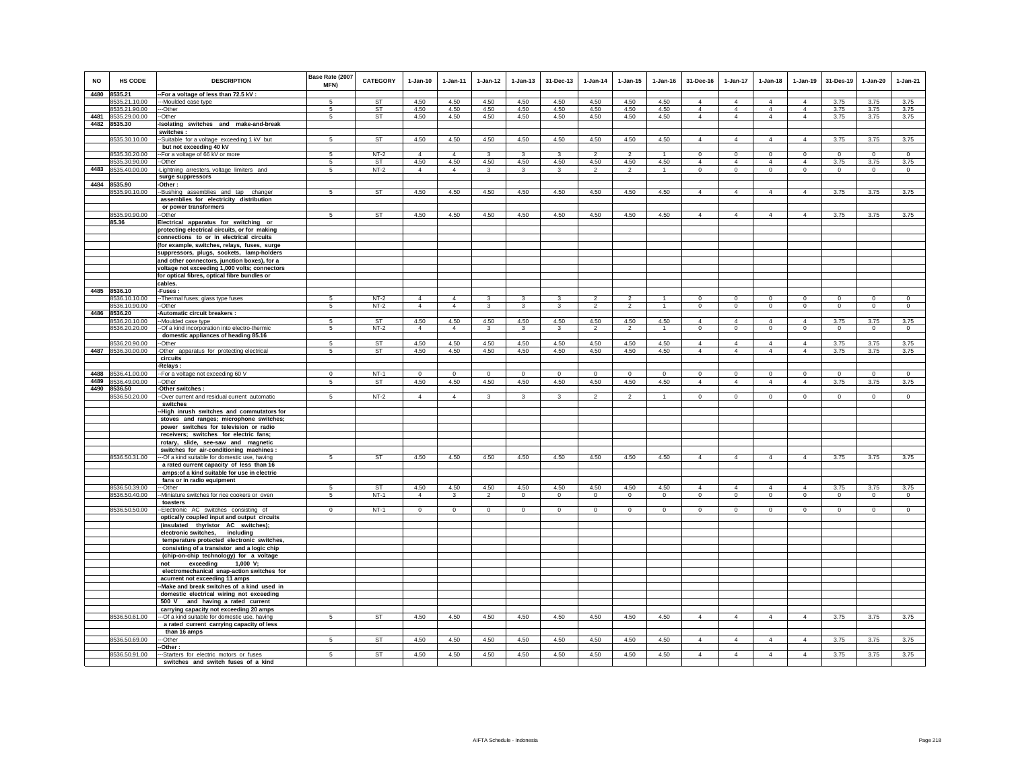| <b>NO</b> | HS CODE                        | <b>DESCRIPTION</b>                                                                          | Base Rate (2007<br><b>MFN)</b> | <b>CATEGORY</b> | $1-Jan-10$     | $1 - Jan-11$   | $1-Jan-12$              | $1 - Jan-13$            | 31-Dec-13               | $1-Jan-14$               | $1 - Jan-15$   | $1 - Jan-16$   | 31-Dec-16                        | $1 - Jan-17$                     | $1-Jan-18$                       | $1-Jan-19$                       | 31-Des-19      | $1-Jan-20$     | $1-Jan-21$     |
|-----------|--------------------------------|---------------------------------------------------------------------------------------------|--------------------------------|-----------------|----------------|----------------|-------------------------|-------------------------|-------------------------|--------------------------|----------------|----------------|----------------------------------|----------------------------------|----------------------------------|----------------------------------|----------------|----------------|----------------|
| 4480      | 8535.21                        | -For a voltage of less than 72.5 kV :                                                       |                                |                 |                |                |                         |                         |                         |                          |                |                |                                  |                                  |                                  |                                  |                |                |                |
|           | 8535.21.10.00                  | ---Moulded case type                                                                        | 5                              | ST<br>ST        | 4.50<br>4.50   | 4.50           | 4.50                    | 4.50                    | 4.50                    | 4.50                     | 4.50           | 4.50           | $\overline{4}$<br>$\overline{4}$ | $\overline{4}$<br>$\overline{4}$ | $\overline{4}$<br>$\overline{4}$ | $\overline{4}$<br>$\overline{4}$ | 3.75           | 3.75           | 3.75           |
| 4481      | 8535.21.90.00<br>8535.29.00.00 | --Other<br>-Other                                                                           | 5                              | <b>ST</b>       | 4.50           | 4.50<br>4.50   | 4.50<br>4.50            | 4.50<br>4.50            | 4.50<br>4.50            | 4.50<br>4.50             | 4.50<br>4.50   | 4.50<br>4.50   | $\overline{4}$                   | $\overline{4}$                   | $\overline{4}$                   | $\overline{4}$                   | 3.75<br>3.75   | 3.75<br>3.75   | 3.75<br>3.75   |
| 4482      | 8535.30                        | Isolating switches and make-and-break                                                       |                                |                 |                |                |                         |                         |                         |                          |                |                |                                  |                                  |                                  |                                  |                |                |                |
|           |                                | switches:                                                                                   |                                |                 |                |                |                         |                         |                         |                          |                |                |                                  |                                  |                                  |                                  |                |                |                |
|           | 8535.30.10.00                  | -Suitable for a voltage exceeding 1 kV but                                                  | $5\overline{)}$                | ST              | 4.50           | 4.50           | 4.50                    | 4.50                    | 4.50                    | 4.50                     | 4.50           | 4.50           | $\overline{4}$                   | $\overline{4}$                   | $\overline{4}$                   | $\overline{4}$                   | 3.75           | 3.75           | 3.75           |
|           |                                | but not exceeding 40 kV                                                                     |                                |                 |                |                |                         |                         |                         |                          |                |                |                                  |                                  |                                  |                                  |                |                |                |
|           | 8535.30.20.00                  | For a voltage of 66 kV or more                                                              | -5                             | $NT-2$          | $\overline{4}$ | $\overline{4}$ | $\overline{\mathbf{3}}$ | 3                       | $\overline{\mathbf{3}}$ | $\overline{\phantom{a}}$ | $\overline{2}$ | $\mathbf{1}$   | $\Omega$                         | $\overline{0}$                   | $\overline{0}$                   | $\overline{0}$                   | $\overline{0}$ | $\overline{0}$ | $\overline{0}$ |
|           | 8535.30.90.00                  | -Other                                                                                      | 5                              | ST              | 4.50           | 4.50           | 4.50                    | 4.50                    | 4.50                    | 4.50                     | 4.50           | 4.50           | $\overline{4}$                   | $\overline{4}$                   | $\overline{4}$                   | $\overline{4}$                   | 3.75           | 3.75           | 3.75           |
| 4483      | 8535.40.00.00                  | -Lightning arresters, voltage limiters and                                                  | 5                              | $NT-2$          | $\overline{4}$ | $\overline{4}$ | $\mathbf{3}$            | 3                       | $\mathbf{3}$            | $\overline{2}$           | $\overline{2}$ | $\overline{1}$ | $\circ$                          | $\mathbf 0$                      | $\circ$                          | $\mathbf 0$                      | $\mathbf{0}$   | $\mathbf{0}$   | $\circ$        |
|           |                                | surge suppressors                                                                           |                                |                 |                |                |                         |                         |                         |                          |                |                |                                  |                                  |                                  |                                  |                |                |                |
| 4484      | 8535.90                        | -Other:                                                                                     |                                |                 |                |                |                         |                         |                         |                          |                |                |                                  |                                  |                                  |                                  |                |                |                |
|           | 8535.90.10.00                  | -Bushing assemblies and tap changer                                                         | -5                             | <b>ST</b>       | 4.50           | 4.50           | 4.50                    | 4.50                    | 4.50                    | 4.50                     | 4.50           | 4.50           | $\overline{4}$                   | 4                                | $\overline{4}$                   | $\overline{4}$                   | 3.75           | 3.75           | 3.75           |
|           |                                | assemblies for electricity distribution                                                     |                                |                 |                |                |                         |                         |                         |                          |                |                |                                  |                                  |                                  |                                  |                |                |                |
|           |                                | or power transformers                                                                       |                                |                 |                |                |                         |                         |                         |                          |                |                |                                  |                                  |                                  |                                  |                |                |                |
|           | 8535.90.90.00<br>85.36         | --Other                                                                                     | $\sqrt{5}$                     | <b>ST</b>       | 4.50           | 4.50           | 4.50                    | 4.50                    | 4.50                    | 4.50                     | 4.50           | 4.50           | $\overline{4}$                   | $\overline{4}$                   | $\overline{4}$                   | $\overline{4}$                   | 3.75           | 3.75           | 3.75           |
|           |                                | Electrical apparatus for switching or<br>protecting electrical circuits, or for making      |                                |                 |                |                |                         |                         |                         |                          |                |                |                                  |                                  |                                  |                                  |                |                |                |
|           |                                | connections to or in electrical circuits                                                    |                                |                 |                |                |                         |                         |                         |                          |                |                |                                  |                                  |                                  |                                  |                |                |                |
|           |                                | (for example, switches, relays, fuses, surge                                                |                                |                 |                |                |                         |                         |                         |                          |                |                |                                  |                                  |                                  |                                  |                |                |                |
|           |                                | suppressors, plugs, sockets, lamp-holders                                                   |                                |                 |                |                |                         |                         |                         |                          |                |                |                                  |                                  |                                  |                                  |                |                |                |
|           |                                | and other connectors, junction boxes), for a                                                |                                |                 |                |                |                         |                         |                         |                          |                |                |                                  |                                  |                                  |                                  |                |                |                |
|           |                                | voltage not exceeding 1,000 volts; connectors                                               |                                |                 |                |                |                         |                         |                         |                          |                |                |                                  |                                  |                                  |                                  |                |                |                |
|           |                                | for optical fibres, optical fibre bundles or                                                |                                |                 |                |                |                         |                         |                         |                          |                |                |                                  |                                  |                                  |                                  |                |                |                |
|           |                                | cables.                                                                                     |                                |                 |                |                |                         |                         |                         |                          |                |                |                                  |                                  |                                  |                                  |                |                |                |
|           | 4485 8536.10                   | -Fuses :                                                                                    |                                |                 |                |                |                         |                         |                         |                          |                |                |                                  |                                  |                                  |                                  |                |                |                |
|           | 8536.10.10.00                  | --Thermal fuses; glass type fuses                                                           | 5                              | $NT-2$          | $\Delta$       | $\overline{4}$ | $\mathbf{3}$            | 3                       | $\mathbf{3}$            | $\overline{2}$           | $\overline{2}$ | $\mathbf{1}$   | $\circ$                          | $\mathbf 0$                      | $\Omega$                         | $\Omega$                         | $\mathbf 0$    | $\Omega$       | $\circ$        |
| 4486      | 8536.10.90.00<br>8536.20       | --Other<br>-Automatic circuit breakers :                                                    | 5                              | $NT-2$          | $\overline{4}$ | $\overline{4}$ | $\overline{\mathbf{3}}$ | $\overline{\mathbf{3}}$ | 3                       | $\overline{2}$           | $\overline{2}$ | $\overline{1}$ | $\overline{0}$                   | $\overline{0}$                   | $\overline{0}$                   | $\overline{0}$                   | $\overline{0}$ | $\overline{0}$ | $\overline{0}$ |
|           | 8536.20.10.00                  | --Moulded case type                                                                         | 5                              | <b>ST</b>       | 4.50           | 4.50           | 4.50                    | 4.50                    | 4.50                    | 4.50                     | 4.50           | 4.50           | $\overline{4}$                   | $\overline{4}$                   | $\overline{4}$                   | $\overline{4}$                   | 3.75           | 3.75           | 3.75           |
|           | 8536.20.20.00                  | -Of a kind incorporation into electro-thermic                                               | 5                              | $NT-2$          | $\overline{4}$ | $\overline{4}$ | $\mathbf{3}$            | $\mathbf{3}$            | $\mathbf{3}$            | $\overline{2}$           | $\overline{2}$ | $\overline{1}$ | $\Omega$                         | $\mathbf 0$                      | $\mathbf 0$                      | $\overline{0}$                   | $\circ$        | $\circ$        | $\overline{0}$ |
|           |                                | domestic appliances of heading 85.16                                                        |                                |                 |                |                |                         |                         |                         |                          |                |                |                                  |                                  |                                  |                                  |                |                |                |
|           | 8536.20.90.00                  | -Other                                                                                      | 5                              | <b>ST</b>       | 4.50           | 4.50           | 4.50                    | 4.50                    | 4.50                    | 4.50                     | 4.50           | 4.50           | $\overline{4}$                   | $\overline{4}$                   | $\overline{4}$                   | $\overline{4}$                   | 3.75           | 3.75           | 3.75           |
|           | 4487 8536.30.00.00             | -Other apparatus for protecting electrical                                                  | 5                              | ST              | 4.50           | 4.50           | 4.50                    | 4.50                    | 4.50                    | 4.50                     | 4.50           | 4.50           | $\overline{4}$                   | $\overline{4}$                   | $\overline{4}$                   | $\overline{4}$                   | 3.75           | 3.75           | 3.75           |
|           |                                | circuits                                                                                    |                                |                 |                |                |                         |                         |                         |                          |                |                |                                  |                                  |                                  |                                  |                |                |                |
|           |                                | Relays:                                                                                     |                                |                 |                |                |                         |                         |                         |                          |                |                |                                  |                                  |                                  |                                  |                |                |                |
| 4488      | 8536.41.00.00                  | -For a voltage not exceeding 60 V                                                           | $\Omega$                       | $NT-1$          | $\Omega$       | $\Omega$       | $\circ$                 | $\Omega$                | $\Omega$                | $\Omega$                 | $\Omega$       | $\Omega$       | $\Omega$                         | $\Omega$                         | $\Omega$                         | $\Omega$                         | $\mathbf{0}$   | $\Omega$       | $\Omega$       |
| 4489      | 8536.49.00.00                  | --Other                                                                                     | 5 <sup>5</sup>                 | ST              | 4.50           | 4.50           | 4.50                    | 4.50                    | 4.50                    | 4.50                     | 4.50           | 4.50           | $\overline{4}$                   | $\overline{4}$                   | $\overline{4}$                   | $\overline{4}$                   | 3.75           | 3.75           | 3.75           |
| 4490      | 8536.50<br>8536.50.20.00       | -Other switches :<br>-Over current and residual current automatic                           | 5                              | $NT-2$          | $\overline{4}$ | $\overline{4}$ | $\mathbf{3}$            | 3                       | 3                       | $\overline{2}$           | $\overline{2}$ | $\mathbf{1}$   | $\circ$                          | $\mathbf 0$                      | $\circ$                          | $\mathbf 0$                      | $\mathbf{0}$   | $\mathbf 0$    | $\circ$        |
|           |                                | switches                                                                                    |                                |                 |                |                |                         |                         |                         |                          |                |                |                                  |                                  |                                  |                                  |                |                |                |
|           |                                | -High inrush switches and commutators for                                                   |                                |                 |                |                |                         |                         |                         |                          |                |                |                                  |                                  |                                  |                                  |                |                |                |
|           |                                | stoves and ranges; microphone switches;                                                     |                                |                 |                |                |                         |                         |                         |                          |                |                |                                  |                                  |                                  |                                  |                |                |                |
|           |                                | power switches for television or radio                                                      |                                |                 |                |                |                         |                         |                         |                          |                |                |                                  |                                  |                                  |                                  |                |                |                |
|           |                                | receivers; switches for electric fans;                                                      |                                |                 |                |                |                         |                         |                         |                          |                |                |                                  |                                  |                                  |                                  |                |                |                |
|           |                                | rotary, slide, see-saw and magnetic                                                         |                                |                 |                |                |                         |                         |                         |                          |                |                |                                  |                                  |                                  |                                  |                |                |                |
|           |                                | switches for air-conditioning machines :                                                    |                                |                 |                |                |                         |                         |                         |                          |                |                |                                  |                                  |                                  |                                  |                |                |                |
|           | 8536.50.31.00                  | --- Of a kind suitable for domestic use, having<br>a rated current capacity of less than 16 | 5                              | <b>ST</b>       | 4.50           | 4.50           | 4.50                    | 4.50                    | 4.50                    | 4.50                     | 4.50           | 4.50           | $\overline{4}$                   | $\overline{4}$                   | $\overline{4}$                   | $\overline{4}$                   | 3.75           | 3.75           | 3.75           |
|           |                                | amps; of a kind suitable for use in electric                                                |                                |                 |                |                |                         |                         |                         |                          |                |                |                                  |                                  |                                  |                                  |                |                |                |
|           |                                | fans or in radio equipment                                                                  |                                |                 |                |                |                         |                         |                         |                          |                |                |                                  |                                  |                                  |                                  |                |                |                |
|           | 8536.50.39.00                  | --Other                                                                                     | 5                              | <b>ST</b>       | 4.50           | 4.50           | 4.50                    | 4.50                    | 4.50                    | 4.50                     | 4.50           | 4.50           | $\overline{4}$                   | $\overline{4}$                   | $\overline{4}$                   | $\overline{4}$                   | 3.75           | 3.75           | 3.75           |
|           | 8536.50.40.00                  | -Miniature switches for rice cookers or oven                                                | -5                             | $NT-1$          | $\overline{4}$ | 3              | $\overline{2}$          | $\circ$                 | $\mathbf{0}$            | $\circ$                  | $\circ$        | $\circ$        | $\circ$                          | $\circ$                          | $\circ$                          | $\circ$                          | $\circ$        | $\mathbf{0}$   | $\circ$        |
|           |                                | toasters                                                                                    |                                |                 |                |                |                         |                         |                         |                          |                |                |                                  |                                  |                                  |                                  |                |                |                |
|           | 8536.50.50.00                  | -Electronic AC switches consisting of                                                       | $\mathbf{0}$                   | $NT-1$          | $\mathbf{0}$   | $\overline{0}$ | $\overline{0}$          | $\overline{0}$          | $\mathbf{0}$            | $\overline{0}$           | $\mathbf 0$    | $\mathbf 0$    | $\circ$                          | $\mathbf 0$                      | $\mathbf{0}$                     | $\mathbf 0$                      | $\overline{0}$ | $\mathbf 0$    | $\overline{0}$ |
|           |                                | optically coupled input and output circuits<br>(insulated thyristor AC switches);           |                                |                 |                |                |                         |                         |                         |                          |                |                |                                  |                                  |                                  |                                  |                |                |                |
|           |                                | electronic switches, including                                                              |                                |                 |                |                |                         |                         |                         |                          |                |                |                                  |                                  |                                  |                                  |                |                |                |
|           |                                | temperature protected electronic switches.                                                  |                                |                 |                |                |                         |                         |                         |                          |                |                |                                  |                                  |                                  |                                  |                |                |                |
|           |                                | consisting of a transistor and a logic chip                                                 |                                |                 |                |                |                         |                         |                         |                          |                |                |                                  |                                  |                                  |                                  |                |                |                |
|           |                                | (chip-on-chip technology) for a voltage                                                     |                                |                 |                |                |                         |                         |                         |                          |                |                |                                  |                                  |                                  |                                  |                |                |                |
|           |                                | $exceeding$ $1,000$ V;<br>not                                                               |                                |                 |                |                |                         |                         |                         |                          |                |                |                                  |                                  |                                  |                                  |                |                |                |
|           |                                | electromechanical snap-action switches for                                                  |                                |                 |                |                |                         |                         |                         |                          |                |                |                                  |                                  |                                  |                                  |                |                |                |
|           |                                | acurrent not exceeding 11 amps                                                              |                                |                 |                |                |                         |                         |                         |                          |                |                |                                  |                                  |                                  |                                  |                |                |                |
|           |                                | -Make and break switches of a kind used in                                                  |                                |                 |                |                |                         |                         |                         |                          |                |                |                                  |                                  |                                  |                                  |                |                |                |
|           |                                | domestic electrical wiring not exceeding                                                    |                                |                 |                |                |                         |                         |                         |                          |                |                |                                  |                                  |                                  |                                  |                |                |                |
|           |                                | 500 V and having a rated current                                                            |                                |                 |                |                |                         |                         |                         |                          |                |                |                                  |                                  |                                  |                                  |                |                |                |
|           | 8536.50.61.00                  | carrying capacity not exceeding 20 amps<br>-- Of a kind suitable for domestic use, having   | 5                              | <b>ST</b>       | 4.50           | 4.50           | 4.50                    | 4.50                    | 4.50                    | 4.50                     | 4.50           | 4.50           | $\overline{4}$                   | $\overline{4}$                   | $\overline{4}$                   | $\overline{4}$                   | 3.75           | 3.75           | 3.75           |
|           |                                | a rated current carrying capacity of less                                                   |                                |                 |                |                |                         |                         |                         |                          |                |                |                                  |                                  |                                  |                                  |                |                |                |
|           |                                | than 16 amps                                                                                |                                |                 |                |                |                         |                         |                         |                          |                |                |                                  |                                  |                                  |                                  |                |                |                |
|           | 8536.50.69.00                  | -Other                                                                                      | 5                              | ST              | 4.50           | 4.50           | 4.50                    | 4.50                    | 4.50                    | 4.50                     | 4.50           | 4.50           | $\overline{4}$                   | $\overline{4}$                   | $\overline{4}$                   | $\overline{4}$                   | 3.75           | 3.75           | 3.75           |
|           |                                | -Other:                                                                                     |                                |                 |                |                |                         |                         |                         |                          |                |                |                                  |                                  |                                  |                                  |                |                |                |
|           | 8536.50.91.00                  | -Starters for electric motors or fuses                                                      | 5                              | ST              | 4.50           | 4.50           | 4.50                    | 4.50                    | 4.50                    | 4.50                     | 4.50           | 4.50           | $\overline{4}$                   | 4                                | $\overline{4}$                   | $\overline{4}$                   | 3.75           | 3.75           | 3.75           |
|           |                                | switches and switch fuses of a kind                                                         |                                |                 |                |                |                         |                         |                         |                          |                |                |                                  |                                  |                                  |                                  |                |                |                |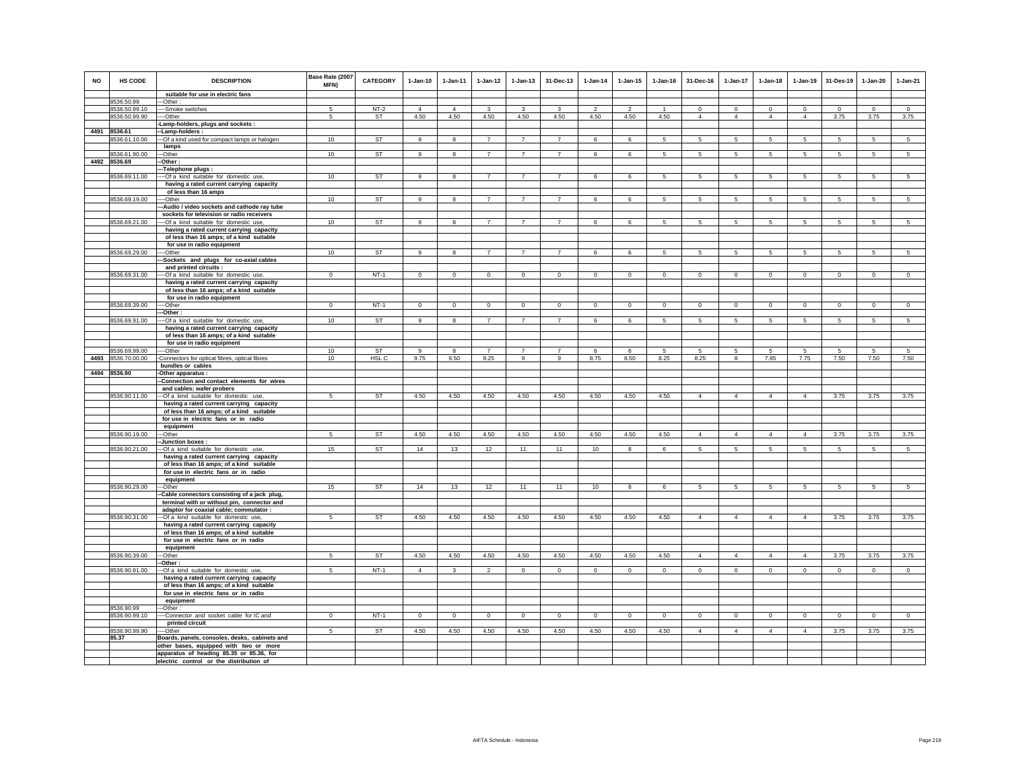| <b>NO</b> | HS CODE                       | <b>DESCRIPTION</b>                                                                   | Base Rate (2007<br>MFN) | <b>CATEGORY</b>  | $1-Jan-10$     | $1-Jan-11$     | $1-Jan-12$     | $1-Jan-13$     | 31-Dec-13      | $1-Jan-14$               | $1-Jan-15$    | $1 - Jan-16$   | 31-Dec-16       | $1-Jan-17$      | $1-Jan-18$      | $1-Jan-19$      | 31-Des-19       | $1-Jan-20$     | $1-Jan-21$      |
|-----------|-------------------------------|--------------------------------------------------------------------------------------|-------------------------|------------------|----------------|----------------|----------------|----------------|----------------|--------------------------|---------------|----------------|-----------------|-----------------|-----------------|-----------------|-----------------|----------------|-----------------|
|           |                               | suitable for use in electric fans                                                    |                         |                  |                |                |                |                |                |                          |               |                |                 |                 |                 |                 |                 |                |                 |
|           | 8536.50.99                    | -Other:                                                                              |                         |                  |                |                |                |                |                |                          |               |                |                 |                 |                 |                 |                 |                |                 |
|           | 8536.50.99.10                 | --Smoke switches                                                                     | 5                       | $NT-2$           | $\Delta$       | $\Delta$       | 3              | 3              | 3              | $\overline{\phantom{a}}$ | $\mathcal{P}$ |                | $\circ$         | $\mathbf 0$     | $\circ$         | $\mathbf 0$     | $\circ$         | $\Omega$       | $\circ$         |
|           | 8536.50.99.90                 | --Other                                                                              | 5                       | <b>ST</b>        | 4.50           | 4.50           | 4.50           | 4.50           | 4.50           | 4.50                     | 4.50          | 4.50           | $\overline{4}$  | 4               | $\overline{4}$  | $\overline{4}$  | 3.75            | 3.75           | 3.75            |
|           |                               | Lamp-holders, plugs and sockets:                                                     |                         |                  |                |                |                |                |                |                          |               |                |                 |                 |                 |                 |                 |                |                 |
|           | 4491 8536.61<br>8536.61.10.00 | -Lamp-holders:<br>-Of a kind used for compact lamps or halogen                       | 10                      | <b>ST</b>        | 9              | 8              | $\overline{7}$ | $\overline{7}$ | $\overline{7}$ | 6                        | 6             | 5              | 5               | 5               | 5               | 5               | 5               | 5              | 5               |
|           |                               | lamps                                                                                |                         |                  |                |                |                |                |                |                          |               |                |                 |                 |                 |                 |                 |                |                 |
|           | 8536.61.90.00                 | --Other                                                                              | 10                      | <b>ST</b>        | 9              | 8              | $\overline{7}$ | $\overline{7}$ | $\overline{7}$ | 6                        | 6             | 5              | 5               | $5\overline{5}$ | 5               | 5               | 5               | 5              | 5               |
|           | 4492 8536.69                  | -Other:                                                                              |                         |                  |                |                |                |                |                |                          |               |                |                 |                 |                 |                 |                 |                |                 |
|           |                               | -Telephone plugs:                                                                    |                         |                  |                |                |                |                |                |                          |               |                |                 |                 |                 |                 |                 |                |                 |
|           | 8536.69.11.00                 | --Of a kind suitable for domestic use,                                               | 10                      | <b>ST</b>        | 9              | 8              | $\overline{7}$ | $\overline{7}$ | $\overline{7}$ | 6                        | 6             | -5             | 5               | $5\overline{5}$ | 5               | $5\overline{5}$ | $5\overline{5}$ | -5             | $5\overline{5}$ |
|           |                               | having a rated current carrying capacity                                             |                         |                  |                |                |                |                |                |                          |               |                |                 |                 |                 |                 |                 |                |                 |
|           | 8536.69.19.00                 | of less than 16 amps                                                                 | 10                      | <b>ST</b>        | 9              |                | $\overline{7}$ | $\overline{7}$ | $\overline{7}$ | 6                        | 6             | 5              |                 | 5               | 5               |                 | $\overline{5}$  | 5              |                 |
|           |                               | --Other<br>-Audio / video sockets and cathode ray tube                               |                         |                  |                | 8              |                |                |                |                          |               |                | 5               |                 |                 | 5               |                 |                | 5               |
|           |                               | sockets for television or radio receivers                                            |                         |                  |                |                |                |                |                |                          |               |                |                 |                 |                 |                 |                 |                |                 |
|           | 8536.69.21.00                 | --Of a kind suitable for domestic use,                                               | 10                      | <b>ST</b>        | $\overline{9}$ | $\overline{8}$ | $\overline{7}$ | $\overline{7}$ | $\overline{7}$ | 6                        | 6             | $\overline{5}$ | 5               | $5\overline{5}$ | 5               | $\overline{5}$  | $\overline{5}$  | $\overline{5}$ | $\overline{5}$  |
|           |                               | having a rated current carrying capacity                                             |                         |                  |                |                |                |                |                |                          |               |                |                 |                 |                 |                 |                 |                |                 |
|           |                               | of less than 16 amps; of a kind suitable                                             |                         |                  |                |                |                |                |                |                          |               |                |                 |                 |                 |                 |                 |                |                 |
|           |                               | for use in radio equipment                                                           |                         |                  |                |                |                |                |                |                          |               |                |                 |                 |                 |                 |                 |                |                 |
|           | 8536.69.29.00                 | --Other                                                                              | 10                      | <b>ST</b>        | 9              | 8              | $\overline{7}$ | $\overline{7}$ | $\overline{7}$ | 6                        | 6             | -5             | -5              | 5               | -5              | 5               | 5               | 5              | -5              |
|           |                               | -Sockets and plugs for co-axial cables<br>and printed circuits :                     |                         |                  |                |                |                |                |                |                          |               |                |                 |                 |                 |                 |                 |                |                 |
|           | 8536.69.31.00                 | -Of a kind suitable for domestic use,                                                | $\mathbf 0$             | $NT-1$           | $\Omega$       | $\mathbf 0$    | $\mathbf 0$    | $\mathsf 0$    | $\Omega$       | $\mathbb O$              | $\mathbf 0$   | $\mathsf 0$    | $\circ$         | $\mathbf 0$     | $\mathbf 0$     | $\mathbf 0$     | $\mathbf 0$     | $\mathbf 0$    | $\circ$         |
|           |                               | having a rated current carrying capacity                                             |                         |                  |                |                |                |                |                |                          |               |                |                 |                 |                 |                 |                 |                |                 |
|           |                               | of less than 16 amps; of a kind suitable                                             |                         |                  |                |                |                |                |                |                          |               |                |                 |                 |                 |                 |                 |                |                 |
|           |                               | for use in radio equipment                                                           |                         |                  |                |                |                |                |                |                          |               |                |                 |                 |                 |                 |                 |                |                 |
|           | 8536.69.39.00                 | --Other                                                                              | $\Omega$                | $NT-1$           | $\Omega$       | $\Omega$       | $\circ$        | $\mathbf 0$    | $\mathbf 0$    | $\circ$                  | $\mathbf 0$   | $\Omega$       | $\mathbf{0}$    | $\mathbf{0}$    | $\circ$         | $\circ$         | $\circ$         | $\mathbf 0$    | $\overline{0}$  |
|           |                               | --Other                                                                              |                         | <b>ST</b>        | 9              |                |                | $\overline{7}$ | $\overline{7}$ |                          |               |                |                 |                 |                 |                 |                 |                |                 |
|           | 8536.69.91.00                 | --- Of a kind suitable for domestic use,<br>having a rated current carrying capacity | 10                      |                  |                | 8              | 7              |                |                | 6                        | 6             | 5              | $5\overline{5}$ | $5\overline{5}$ | $5\overline{5}$ | 5               | $5\overline{5}$ | 5              | 5               |
|           |                               | of less than 16 amps; of a kind suitable                                             |                         |                  |                |                |                |                |                |                          |               |                |                 |                 |                 |                 |                 |                |                 |
|           |                               | for use in radio equipment                                                           |                         |                  |                |                |                |                |                |                          |               |                |                 |                 |                 |                 |                 |                |                 |
|           | 8536.69.99.00                 | ---Other                                                                             | 10                      | ST               | $\mathsf g$    | 8              | $\overline{7}$ | $\overline{7}$ | $\overline{7}$ | 6                        | 6             | 5              | 5               | 5               | 5               | 5               | 5               | 5              | $\overline{5}$  |
| 4493      | 8536.70.00.00                 | Connectors for optical fibres, optical fibres                                        | 10 <sub>1</sub>         | HSL <sub>C</sub> | 9.75           | 9.50           | 9.25           | 9              | 9              | 8.75                     | 8.50          | 8.25           | 8.25            | $\bf{8}$        | 7.85            | 7.75            | 7.50            | 7.50           | 7.50            |
|           |                               | bundles or cables                                                                    |                         |                  |                |                |                |                |                |                          |               |                |                 |                 |                 |                 |                 |                |                 |
|           | 4494 8536.90                  | -Other apparatus :<br>-Connection and contact elements for wires                     |                         |                  |                |                |                |                |                |                          |               |                |                 |                 |                 |                 |                 |                |                 |
|           |                               | and cables; wafer probers                                                            |                         |                  |                |                |                |                |                |                          |               |                |                 |                 |                 |                 |                 |                |                 |
|           | 8536.90.11.00                 | --Of a kind suitable for domestic use,                                               | 5                       | <b>ST</b>        | 4.50           | 4.50           | 4.50           | 4.50           | 4.50           | 4.50                     | 4.50          | 4.50           | $\overline{4}$  | $\overline{4}$  | $\overline{4}$  | $\overline{4}$  | 3.75            | 3.75           | 3.75            |
|           |                               | having a rated current carrying capacity                                             |                         |                  |                |                |                |                |                |                          |               |                |                 |                 |                 |                 |                 |                |                 |
|           |                               | of less than 16 amps; of a kind suitable                                             |                         |                  |                |                |                |                |                |                          |               |                |                 |                 |                 |                 |                 |                |                 |
|           |                               | for use in electric fans or in radio                                                 |                         |                  |                |                |                |                |                |                          |               |                |                 |                 |                 |                 |                 |                |                 |
|           |                               | equipment                                                                            |                         |                  |                |                |                |                |                |                          |               |                |                 |                 |                 |                 |                 |                |                 |
|           | 8536.90.19.00                 | --Other<br>-Junction boxes:                                                          | 5                       | <b>ST</b>        | 4.50           | 4.50           | 4.50           | 4.50           | 4.50           | 4.50                     | 4.50          | 4.50           | $\overline{4}$  | $\overline{4}$  | $\overline{4}$  | $\overline{4}$  | 3.75            | 3.75           | 3.75            |
|           | 8536.90.21.00                 | --Of a kind suitable for domestic use,                                               | 15                      | ST               | 14             | 13             | 12             | 11             | 11             | 10                       | 8             | 6              | 5               | $5\overline{5}$ | 5               | 5               | 5               | 5              | 5               |
|           |                               | having a rated current carrying capacity                                             |                         |                  |                |                |                |                |                |                          |               |                |                 |                 |                 |                 |                 |                |                 |
|           |                               | of less than 16 amps; of a kind suitable                                             |                         |                  |                |                |                |                |                |                          |               |                |                 |                 |                 |                 |                 |                |                 |
|           |                               | for use in electric fans or in radio                                                 |                         |                  |                |                |                |                |                |                          |               |                |                 |                 |                 |                 |                 |                |                 |
|           | 8536.90.29.00                 | equipment                                                                            |                         | <b>ST</b>        |                | 13             |                |                |                |                          |               |                |                 |                 |                 |                 |                 |                |                 |
|           |                               | -Other<br>Cable connectors consisting of a jack plug,                                | 15                      |                  | 14             |                | 12             | 11             | 11             | 10                       | 8             | 6              | $5 -$           | 5               | 5               | 5               | 5               | 5              | 5               |
|           |                               | terminal with or without pin, connector and                                          |                         |                  |                |                |                |                |                |                          |               |                |                 |                 |                 |                 |                 |                |                 |
|           |                               | adaptor for coaxial cable; commutator :                                              |                         |                  |                |                |                |                |                |                          |               |                |                 |                 |                 |                 |                 |                |                 |
|           | 8536.90.31.00                 | --Of a kind suitable for domestic use,                                               | 5                       | ST               | 4.50           | 4.50           | 4.50           | 4.50           | 4.50           | 4.50                     | 4.50          | 4.50           | $\overline{4}$  | $\overline{4}$  | $\Delta$        | $\mathbf{A}$    | 3.75            | 3.75           | 3.75            |
|           |                               | having a rated current carrying capacity                                             |                         |                  |                |                |                |                |                |                          |               |                |                 |                 |                 |                 |                 |                |                 |
|           |                               | of less than 16 amps; of a kind suitable                                             |                         |                  |                |                |                |                |                |                          |               |                |                 |                 |                 |                 |                 |                |                 |
|           |                               | for use in electric fans or in radio                                                 |                         |                  |                |                |                |                |                |                          |               |                |                 |                 |                 |                 |                 |                |                 |
|           | 8536.90.39.00                 | equipment<br>-Other                                                                  | -5                      | <b>ST</b>        | 4.50           | 4.50           | 4.50           | 4.50           | 4.50           | 4.50                     | 4.50          | 4.50           | $\overline{4}$  | $\overline{4}$  | $\overline{4}$  | $\overline{4}$  | 3.75            | 3.75           | 3.75            |
|           |                               | Other:                                                                               |                         |                  |                |                |                |                |                |                          |               |                |                 |                 |                 |                 |                 |                |                 |
|           | 8536.90.91.00                 | --Of a kind suitable for domestic use,                                               | 5                       | $NT-1$           | $\overline{4}$ | 3              | $\overline{2}$ | $\overline{0}$ | $\overline{0}$ | $\overline{0}$           | $\mathbf 0$   | $\mathbf 0$    | $\overline{0}$  | $\overline{0}$  | $\overline{0}$  | $\overline{0}$  | $\overline{0}$  | $\overline{0}$ | $\overline{0}$  |
|           |                               | having a rated current carrying capacity                                             |                         |                  |                |                |                |                |                |                          |               |                |                 |                 |                 |                 |                 |                |                 |
|           |                               | of less than 16 amps; of a kind suitable                                             |                         |                  |                |                |                |                |                |                          |               |                |                 |                 |                 |                 |                 |                |                 |
|           |                               | for use in electric fans or in radio                                                 |                         |                  |                |                |                |                |                |                          |               |                |                 |                 |                 |                 |                 |                |                 |
|           |                               | equipment                                                                            |                         |                  |                |                |                |                |                |                          |               |                |                 |                 |                 |                 |                 |                |                 |
|           | 8536.90.99<br>8536.90.99.10   | --Other:<br>--Connector and socket cable for IC and                                  | $\mathbf{0}$            | $NT-1$           | $\mathbf{0}$   | $\mathbf{0}$   | $\circ$        | $\mathbf 0$    | $\mathbf{0}$   | $\circ$                  | $\mathbf 0$   | $\circ$        | $\Omega$        | $\mathbf{0}$    | $\mathbf{0}$    | $\circ$         | $\mathbf{0}$    | $\mathbf{0}$   | $\circ$         |
|           |                               | printed circuit                                                                      |                         |                  |                |                |                |                |                |                          |               |                |                 |                 |                 |                 |                 |                |                 |
|           | 8536.90.99.90                 | --Other                                                                              | $5\phantom{.0}$         | <b>ST</b>        | 4.50           | 4.50           | 4.50           | 4.50           | 4.50           | 4.50                     | 4.50          | 4.50           | $\overline{4}$  | $\overline{4}$  | $\overline{4}$  | $\overline{4}$  | 3.75            | 3.75           | 3.75            |
|           | 85.37                         | Boards, panels, consoles, desks, cabinets and                                        |                         |                  |                |                |                |                |                |                          |               |                |                 |                 |                 |                 |                 |                |                 |
|           |                               | other bases, equipped with two or more                                               |                         |                  |                |                |                |                |                |                          |               |                |                 |                 |                 |                 |                 |                |                 |
|           |                               | apparatus of heading 85.35 or 85.36, for                                             |                         |                  |                |                |                |                |                |                          |               |                |                 |                 |                 |                 |                 |                |                 |
|           |                               | electric control or the distribution of                                              |                         |                  |                |                |                |                |                |                          |               |                |                 |                 |                 |                 |                 |                |                 |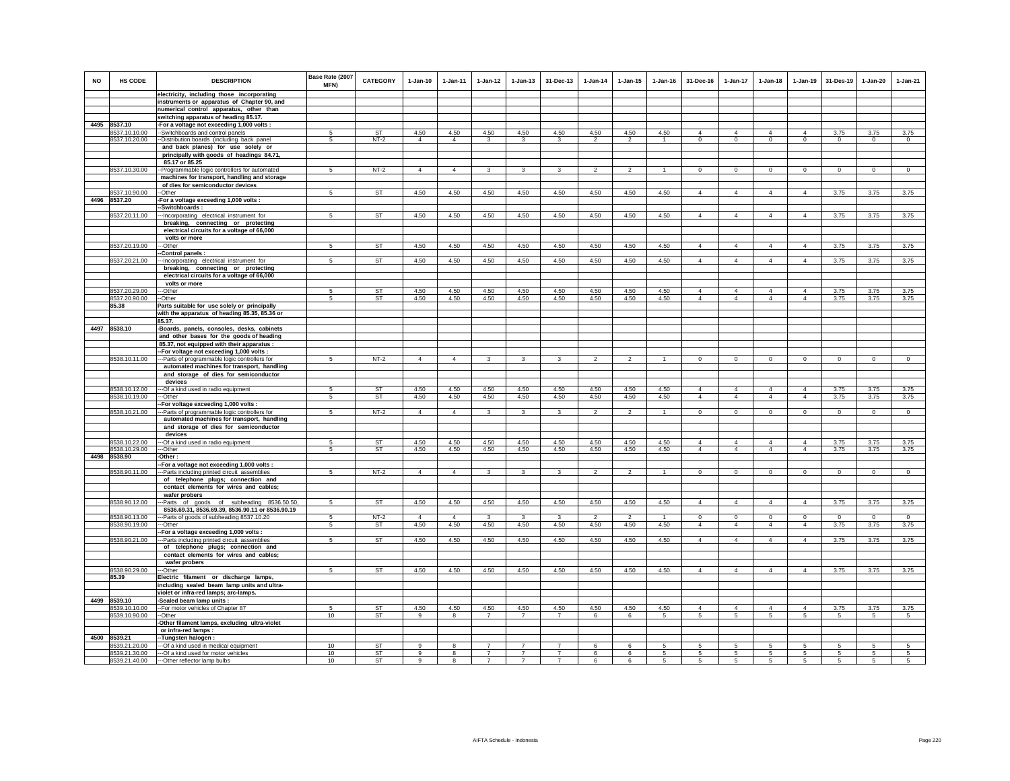| <b>NO</b> | HS CODE                        | <b>DESCRIPTION</b>                                                                            | Base Rate (2007<br><b>MFN)</b> | <b>CATEGORY</b> | $1 - Jan-10$   | $1-Jan-11$     | $1-Jan-12$     | $1 - Jan-13$   | 31-Dec-13      | $1 - Jan-14$             | $1 - Jan-15$   | $1 - Jan-16$   | 31-Dec-16                        | $1-Jan-17$                       | $1 - Jan-18$                     | $1 - Jan-19$               | 31-Des-19      | $1-Jan-20$     | $1-Jan-21$     |
|-----------|--------------------------------|-----------------------------------------------------------------------------------------------|--------------------------------|-----------------|----------------|----------------|----------------|----------------|----------------|--------------------------|----------------|----------------|----------------------------------|----------------------------------|----------------------------------|----------------------------|----------------|----------------|----------------|
|           |                                | electricity, including those incorporating<br>instruments or apparatus of Chapter 90, and     |                                |                 |                |                |                |                |                |                          |                |                |                                  |                                  |                                  |                            |                |                |                |
|           |                                | numerical control apparatus, other than                                                       |                                |                 |                |                |                |                |                |                          |                |                |                                  |                                  |                                  |                            |                |                |                |
|           |                                | switching apparatus of heading 85.17.                                                         |                                |                 |                |                |                |                |                |                          |                |                |                                  |                                  |                                  |                            |                |                |                |
|           | 4495 8537.10                   | -For a voltage not exceeding 1,000 volts :                                                    |                                |                 |                |                |                |                |                |                          |                |                |                                  |                                  |                                  |                            |                |                |                |
|           | 8537.10.10.00                  | -Switchboards and control panels                                                              | -5                             | <b>ST</b>       | 4.50           | 4.50           | 4.50           | 4.50           | 4.50           | 4.50                     | 4.50           | 4.50           | $\overline{4}$                   | $\overline{4}$                   | $\overline{4}$                   | $\overline{4}$             | 3.75           | 3.75           | 3.75           |
|           | 8537.10.20.00                  | -Distribution boards (including back panel                                                    | 5                              | $NT-2$          | $\overline{4}$ | $\overline{4}$ | $\mathbf{3}$   | 3              | 3              | $\mathcal{P}$            | $\mathfrak{p}$ | $\mathbf{1}$   | $\mathbf 0$                      | $\mathsf 0$                      | $\mathsf 0$                      | $\mathsf 0$                | $\mathbf 0$    | $\mathbf 0$    | $\mathbf 0$    |
|           |                                | and back planes) for use solely or<br>principally with goods of headings 84.71,               |                                |                 |                |                |                |                |                |                          |                |                |                                  |                                  |                                  |                            |                |                |                |
|           |                                | 85.17 or 85.25                                                                                |                                |                 |                |                |                |                |                |                          |                |                |                                  |                                  |                                  |                            |                |                |                |
|           | 8537.10.30.00                  | -- Programmable logic controllers for automated                                               | 5                              | $NT-2$          | $\overline{4}$ | $\overline{4}$ | 3              | 3              | 3              | $\overline{\phantom{a}}$ | $\overline{2}$ |                | $\overline{0}$                   | $\overline{0}$                   | $\overline{0}$                   | $\overline{0}$             | $\overline{0}$ | $\overline{0}$ | $\overline{0}$ |
|           |                                | machines for transport, handling and storage                                                  |                                |                 |                |                |                |                |                |                          |                |                |                                  |                                  |                                  |                            |                |                |                |
|           |                                | of dies for semiconductor devices                                                             |                                |                 |                |                |                |                |                |                          |                |                |                                  |                                  |                                  |                            |                |                |                |
|           | 8537.10.90.00                  | -Other                                                                                        | 5                              | <b>ST</b>       | 4.50           | 4.50           | 4.50           | 4.50           | 4.50           | 4.50                     | 4.50           | 4.50           | $\overline{4}$                   | $\overline{4}$                   | $\overline{4}$                   | $\overline{4}$             | 3.75           | 3.75           | 3.75           |
|           | 4496 8537.20                   | -For a voltage exceeding 1,000 volts :<br>Switchboards:                                       |                                |                 |                |                |                |                |                |                          |                |                |                                  |                                  |                                  |                            |                |                |                |
|           | 8537.20.11.00                  | -Incorporating electrical instrument for                                                      | 5                              | <b>ST</b>       | 4.50           | 4.50           | 4.50           | 4.50           | 4.50           | 4.50                     | 4.50           | 4.50           | $\overline{4}$                   | $\overline{4}$                   | $\overline{4}$                   | $\overline{4}$             | 3.75           | 3.75           | 3.75           |
|           |                                | breaking, connecting or protecting                                                            |                                |                 |                |                |                |                |                |                          |                |                |                                  |                                  |                                  |                            |                |                |                |
|           |                                | electrical circuits for a voltage of 66,000                                                   |                                |                 |                |                |                |                |                |                          |                |                |                                  |                                  |                                  |                            |                |                |                |
|           |                                | volts or more                                                                                 |                                |                 |                |                |                |                |                |                          |                |                |                                  |                                  |                                  |                            |                |                |                |
|           | 8537.20.19.00                  | -Other                                                                                        | 5                              | <b>ST</b>       | 4.50           | 4.50           | 4.50           | 4.50           | 4.50           | 4.50                     | 4.50           | 4.50           | $\overline{4}$                   | $\overline{4}$                   | $\overline{4}$                   | $\overline{4}$             | 3.75           | 3.75           | 3.75           |
|           | 8537.20.21.00                  | -Control panels :<br>--Incorporating electrical instrument for                                | 5                              | ST              | 4.50           | 4.50           | 4.50           | 4.50           | 4.50           | 4.50                     | 4.50           | 4.50           | $\overline{4}$                   | $\overline{4}$                   | $\overline{4}$                   | $\overline{4}$             | 3.75           | 3.75           | 3.75           |
|           |                                | breaking, connecting or protecting                                                            |                                |                 |                |                |                |                |                |                          |                |                |                                  |                                  |                                  |                            |                |                |                |
|           |                                | electrical circuits for a voltage of 66,000                                                   |                                |                 |                |                |                |                |                |                          |                |                |                                  |                                  |                                  |                            |                |                |                |
|           |                                | volts or more                                                                                 |                                |                 |                |                |                |                |                |                          |                |                |                                  |                                  |                                  |                            |                |                |                |
|           | 8537.20.29.00                  | -Other                                                                                        | 5                              | ST              | 4.50           | 4.50           | 4.50           | 4.50           | 4.50           | 4.50                     | 4.50           | 4.50           | $\overline{4}$                   | $\overline{4}$                   | $\overline{4}$                   | $\overline{4}$             | 3.75           | 3.75           | 3.75           |
|           | 8537.20.90.00<br>85.38         | --Other                                                                                       | 5                              | ST              | 4.50           | 4.50           | 4.50           | 4.50           | 4.50           | 4.50                     | 4.50           | 4.50           | $\overline{4}$                   | $\overline{4}$                   | $\overline{4}$                   | $\overline{4}$             | 3.75           | 3.75           | 3.75           |
|           |                                | Parts suitable for use solely or principally<br>with the apparatus of heading 85.35, 85.36 or |                                |                 |                |                |                |                |                |                          |                |                |                                  |                                  |                                  |                            |                |                |                |
|           |                                | 85.37.                                                                                        |                                |                 |                |                |                |                |                |                          |                |                |                                  |                                  |                                  |                            |                |                |                |
|           | 4497 8538.10                   | -Boards, panels, consoles, desks, cabinets                                                    |                                |                 |                |                |                |                |                |                          |                |                |                                  |                                  |                                  |                            |                |                |                |
|           |                                | and other bases for the goods of heading                                                      |                                |                 |                |                |                |                |                |                          |                |                |                                  |                                  |                                  |                            |                |                |                |
|           |                                | 85.37, not equipped with their apparatus :                                                    |                                |                 |                |                |                |                |                |                          |                |                |                                  |                                  |                                  |                            |                |                |                |
|           | 8538.10.11.00                  | -For voltage not exceeding 1,000 volts :                                                      | 5                              | $NT-2$          | $\overline{4}$ | $\overline{4}$ | $\mathbf{3}$   | 3              | 3              | $\overline{2}$           | $\overline{2}$ | $\overline{1}$ | $\mathbf{0}$                     | $\circ$                          | $\mathbf 0$                      | $\circ$                    | $\circ$        | $\circ$        | $\mathbf 0$    |
|           |                                | -- Parts of programmable logic controllers for<br>automated machines for transport, handling  |                                |                 |                |                |                |                |                |                          |                |                |                                  |                                  |                                  |                            |                |                |                |
|           |                                | and storage of dies for semiconductor                                                         |                                |                 |                |                |                |                |                |                          |                |                |                                  |                                  |                                  |                            |                |                |                |
|           |                                | devices                                                                                       |                                |                 |                |                |                |                |                |                          |                |                |                                  |                                  |                                  |                            |                |                |                |
|           | 8538.10.12.00                  | --Of a kind used in radio equipment                                                           | $\sqrt{2}$                     | <b>ST</b>       | 4.50           | 4.50           | 4.50           | 4.50           | 4.50           | 4.50                     | 4.50           | 4.50           | $\Delta$                         | $\Delta$                         | $\Delta$                         | $\Delta$                   | 3.75           | 3.75           | 3.75           |
|           | 8538.10.19.00                  | --Other<br>-For voltage exceeding 1,000 volts :                                               | 5                              | ST              | 4.50           | 4.50           | 4.50           | 4.50           | 4.50           | 4.50                     | 4.50           | 4.50           | $\overline{4}$                   | $\overline{4}$                   | $\overline{4}$                   | $\overline{4}$             | 3.75           | 3.75           | 3.75           |
|           | 8538.10.21.00                  | --Parts of programmable logic controllers for                                                 | 5                              | $NT-2$          | $\overline{4}$ | $\overline{4}$ | $\mathbf{3}$   | 3              | 3              | $\overline{2}$           | $\overline{2}$ | $\overline{1}$ | $\mathbf 0$                      | $\circ$                          | $\mathbf 0$                      | $\circ$                    | $\circ$        | $\circ$        | $\circ$        |
|           |                                | automated machines for transport, handling                                                    |                                |                 |                |                |                |                |                |                          |                |                |                                  |                                  |                                  |                            |                |                |                |
|           |                                | and storage of dies for semiconductor                                                         |                                |                 |                |                |                |                |                |                          |                |                |                                  |                                  |                                  |                            |                |                |                |
|           |                                | devices                                                                                       |                                |                 |                |                |                |                |                |                          |                |                |                                  |                                  |                                  |                            |                |                |                |
|           | 8538.10.22.00<br>8538.10.29.00 | -Of a kind used in radio equipment<br>--Other                                                 | 5                              | <b>ST</b><br>ST | 4.50<br>4.50   | 4.50<br>4.50   | 4.50<br>4.50   | 4.50<br>4.50   | 4.50<br>4.50   | 4.50<br>4.50             | 4.50<br>4.50   | 4.50<br>4.50   | $\overline{4}$<br>$\overline{4}$ | $\overline{4}$<br>$\overline{4}$ | $\overline{4}$<br>$\overline{4}$ | $\overline{4}$<br>$\Delta$ | 3.75<br>3.75   | 3.75<br>3.75   | 3.75<br>3.75   |
|           | 4498 8538.90                   | -Other:                                                                                       |                                |                 |                |                |                |                |                |                          |                |                |                                  |                                  |                                  |                            |                |                |                |
|           |                                | -For a voltage not exceeding 1,000 volts :                                                    |                                |                 |                |                |                |                |                |                          |                |                |                                  |                                  |                                  |                            |                |                |                |
|           | 8538.90.11.00                  | --Parts including printed circuit assemblies                                                  | 5                              | $NT-2$          | $\overline{4}$ | $\overline{4}$ | 3              | $\mathbf{3}$   | 3              | $\overline{2}$           | $\mathfrak{p}$ | $\mathbf{1}$   | $\Omega$                         | $\Omega$                         | $\Omega$                         | $\Omega$                   | $\Omega$       | $\Omega$       | $\Omega$       |
|           |                                | of telephone plugs; connection and                                                            |                                |                 |                |                |                |                |                |                          |                |                |                                  |                                  |                                  |                            |                |                |                |
|           |                                | contact elements for wires and cables;<br>wafer probers                                       |                                |                 |                |                |                |                |                |                          |                |                |                                  |                                  |                                  |                            |                |                |                |
|           | 8538.90.12.00                  | -Parts of goods of subheading 8536.50.50,                                                     | 5                              | <b>ST</b>       | 4.50           | 4.50           | 4.50           | 4.50           | 4.50           | 4.50                     | 4.50           | 4.50           | $\overline{4}$                   | $\overline{4}$                   | $\overline{4}$                   | $\overline{4}$             | 3.75           | 3.75           | 3.75           |
|           |                                | 8536.69.31, 8536.69.39, 8536.90.11 or 8536.90.19                                              |                                |                 |                |                |                |                |                |                          |                |                |                                  |                                  |                                  |                            |                |                |                |
|           | 8538.90.13.00                  | --Parts of goods of subheading 8537.10.20                                                     | 5                              | $NT-2$          | $\overline{4}$ | $\overline{4}$ | $\mathbf{3}$   | $\mathbf{3}$   | 3              | $\overline{2}$           | $\mathcal{L}$  |                | $\circ$                          | $\mathsf 0$                      | $\mathsf 0$                      | $\mathsf 0$                | $\mathbf 0$    | $\mathbf 0$    | $\mathsf 0$    |
|           | 8538.90.19.00                  | --Other                                                                                       | 5                              | ST              | 4.50           | 4.50           | 4.50           | 4.50           | 4.50           | 4.50                     | 4.50           | 4.50           | $\overline{4}$                   | $\overline{4}$                   | $\overline{4}$                   | $\Delta$                   | 3.75           | 3.75           | 3.75           |
|           | 8538.90.21.00                  | -For a voltage exceeding 1,000 volts :<br>---Parts including printed circuit assemblies       | 5                              | <b>ST</b>       | 4.50           | 4.50           | 4.50           | 4.50           | 4.50           | 4.50                     | 4.50           | 4.50           | $\overline{4}$                   | $\overline{4}$                   | $\overline{4}$                   | $\overline{4}$             | 3.75           | 3.75           | 3.75           |
|           |                                | of telephone plugs; connection and                                                            |                                |                 |                |                |                |                |                |                          |                |                |                                  |                                  |                                  |                            |                |                |                |
|           |                                | contact elements for wires and cables;                                                        |                                |                 |                |                |                |                |                |                          |                |                |                                  |                                  |                                  |                            |                |                |                |
|           |                                | wafer probers                                                                                 |                                |                 |                |                |                |                |                |                          |                |                |                                  |                                  |                                  |                            |                |                |                |
|           | 8538.90.29.00                  | -Other                                                                                        | -5                             | ST              | 4.50           | 4.50           | 4.50           | 4.50           | 4.50           | 4.50                     | 4.50           | 4.50           | $\overline{4}$                   | $\overline{4}$                   | $\overline{4}$                   | $\overline{4}$             | 3.75           | 3.75           | 3.75           |
|           | 85.39                          | Electric filament or discharge lamps,                                                         |                                |                 |                |                |                |                |                |                          |                |                |                                  |                                  |                                  |                            |                |                |                |
|           |                                | including sealed beam lamp units and ultra-<br>violet or infra-red lamps; arc-lamps.          |                                |                 |                |                |                |                |                |                          |                |                |                                  |                                  |                                  |                            |                |                |                |
| 4499      | 8539.10                        | -Sealed beam lamp units :                                                                     |                                |                 |                |                |                |                |                |                          |                |                |                                  |                                  |                                  |                            |                |                |                |
|           | 8539.10.10.00                  | -- For motor vehicles of Chapter 87                                                           | -5                             | <b>ST</b>       | 4.50           | 4.50           | 4.50           | 4.50           | 4.50           | 4.50                     | 4.50           | 4.50           | $\overline{4}$                   | $\overline{4}$                   | $\overline{4}$                   | $\overline{4}$             | 3.75           | 3.75           | 3.75           |
|           | 8539.10.90.00                  | --Other                                                                                       | 10                             | ST              | 9              | 8              | $\overline{7}$ | $\overline{7}$ | $\overline{7}$ | 6                        | 6              | 5              | 5                                | 5                                | 5                                | 5                          | $\sqrt{5}$     | 5              | 5              |
|           |                                | -Other filament lamps, excluding ultra-violet                                                 |                                |                 |                |                |                |                |                |                          |                |                |                                  |                                  |                                  |                            |                |                |                |
|           | 4500 8539.21                   | or infra-red lamps :                                                                          |                                |                 |                |                |                |                |                |                          |                |                |                                  |                                  |                                  |                            |                |                |                |
|           | 8539.21.20.00                  | -Tungsten halogen:<br>--- Of a kind used in medical equipment                                 | 10                             | ST              | 9              | 8              | 7              | $\overline{7}$ | $\overline{7}$ | 6                        | 6              | 5              | 5                                | 5                                | 5                                | 5                          | 5              | 5              | 5              |
|           | 8539.21.30.00                  | --- Of a kind used for motor vehicles                                                         | 10                             | ST              | 9              | 8              | $\overline{7}$ | $\overline{7}$ | $\overline{7}$ | 6                        | 6              | 5              | 5                                | 5                                | 5                                | 5                          | $\sqrt{5}$     | $\mathbf 5$    | 5              |
|           | 8539.21.40.00                  | --- Other reflector lamp bulbs                                                                | 10                             | <b>ST</b>       | $\alpha$       | 8              | $\overline{7}$ | $\overline{7}$ | $\overline{7}$ | 6                        | 6              | 5              | 5                                | 5                                | 5                                | 5                          | -5             | 5              | -5             |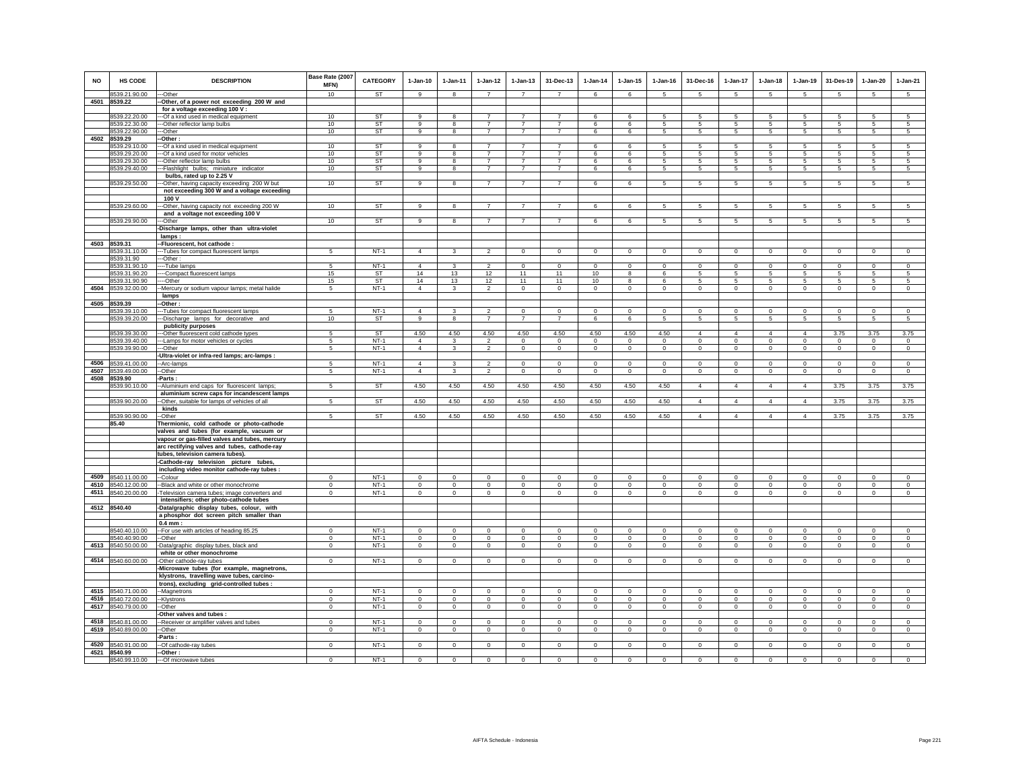| <b>NO</b> | <b>HS CODE</b><br>8539.21.90.00          | <b>DESCRIPTION</b><br>---Other                                                                 | Base Rate (2007<br>MFN)<br>10 | <b>CATEGORY</b><br><b>ST</b> | $1-Jan-10$<br>9      | $1 - Jan-11$<br>8       | $1 - Jan-12$<br>$\overline{7}$   | $1 - Jan-13$<br>$\overline{7}$   | 31-Dec-13<br>$\overline{7}$      | $1 - Jan-14$<br>6        | $1 - Jan-15$<br>6          | $1 - Jan-16$<br>$\sqrt{5}$ | 31-Dec-16<br>-5            | $1-Jan-17$<br>5            | $1 - Jan-18$<br>$\overline{5}$ | 1-Jan-19<br>$\sqrt{5}$     | 31-Des-19<br>-5            | $1 - Jan-20$<br>$\overline{5}$ | $1-Jan-21$<br>$\overline{5}$ |
|-----------|------------------------------------------|------------------------------------------------------------------------------------------------|-------------------------------|------------------------------|----------------------|-------------------------|----------------------------------|----------------------------------|----------------------------------|--------------------------|----------------------------|----------------------------|----------------------------|----------------------------|--------------------------------|----------------------------|----------------------------|--------------------------------|------------------------------|
|           | 4501 8539.22                             | -Other, of a power not exceeding 200 W and                                                     |                               |                              |                      |                         |                                  |                                  |                                  |                          |                            |                            |                            |                            |                                |                            |                            |                                |                              |
|           |                                          | for a voltage exceeding 100 V :                                                                |                               |                              |                      |                         |                                  |                                  |                                  |                          |                            |                            |                            |                            |                                |                            |                            |                                |                              |
|           | 8539.22.20.00                            | --Of a kind used in medical equipment                                                          | 10                            | ST                           | 9                    | 8                       | $\overline{7}$                   | $\overline{7}$                   | $\overline{7}$                   | 6                        | 6                          | 5                          | 5                          | 5                          | 5                              | 5                          | $\sqrt{5}$                 | 5                              | 5                            |
|           | 8539.22.30.00<br>8539.22.90.00           | -- Other reflector lamp bulbs<br>-Other                                                        | 10<br>10                      | <b>ST</b><br><b>ST</b>       | $\overline{9}$<br>9  | 8<br>$\mathbf{a}$       | $\overline{7}$<br>$\overline{7}$ | $\overline{7}$<br>$\overline{7}$ | $\overline{7}$<br>$\overline{7}$ | 6<br>6                   | 6<br>6                     | -5<br>5                    | 5<br>5                     | 5<br>$\overline{5}$        | 5<br>5                         | 5<br>5                     | -5<br>$\sqrt{5}$           | 5<br>5                         | -5<br>5                      |
| 4502      | 8539.29                                  | -Other:                                                                                        |                               |                              |                      |                         |                                  |                                  |                                  |                          |                            |                            |                            |                            |                                |                            |                            |                                |                              |
|           | 8539.29.10.00                            | ---Of a kind used in medical equipment                                                         | 10                            | <b>ST</b>                    | $\mathbf{Q}$         | $\mathbf{R}$            | $\overline{7}$                   | $\overline{7}$                   | $\overline{7}$                   | 6                        | 6                          | 5                          | 5                          | 5                          | $\overline{5}$                 | 5 <sup>5</sup>             | 5                          | 5                              | $\overline{5}$               |
|           | 8539.29.20.00                            | --- Of a kind used for motor vehicles                                                          | 10                            | <b>ST</b>                    | 9                    | 8                       | $\overline{7}$                   | $\overline{7}$                   | $\overline{7}$                   | 6                        | 6                          | 5                          | 5                          | 5                          | 5                              | 5                          | 5                          | 5                              | 5                            |
|           | 8539.29.30.00                            | --- Other reflector lamp bulbs                                                                 | 10                            | ST                           | 9                    |                         | $\overline{7}$                   | $\overline{7}$                   | $\overline{7}$                   | 6                        | 6                          | 5                          | 5                          | 5                          | 5                              | 5                          | $\sqrt{5}$                 | 5                              | -5                           |
|           | 8539.29.40.00                            | --Flashlight bulbs; miniature indicator<br>bulbs, rated up to 2.25 V                           | 10                            | ST                           | 9                    | 8                       | $\overline{7}$                   | $\overline{7}$                   | $\overline{7}$                   | 6                        | 6                          | $5\phantom{.0}$            | $5^{\circ}$                | $5\overline{5}$            | $5^{\circ}$                    | $5\overline{5}$            | 5                          | 5                              | 5                            |
|           | 8539.29.50.00                            | -Other, having capacity exceeding 200 W but                                                    | 10                            | <b>ST</b>                    | 9                    | 8                       | $\overline{7}$                   | $\overline{7}$                   | $\overline{7}$                   | 6                        | 6                          | 5                          | 5                          | 5                          | 5                              | 5                          | 5                          | 5                              | 5                            |
|           |                                          | not exceeding 300 W and a voltage exceeding                                                    |                               |                              |                      |                         |                                  |                                  |                                  |                          |                            |                            |                            |                            |                                |                            |                            |                                |                              |
|           |                                          | 100 V                                                                                          |                               |                              |                      |                         |                                  |                                  |                                  |                          |                            |                            |                            |                            |                                |                            |                            |                                |                              |
|           | 8539.29.60.00                            | -- Other, having capacity not exceeding 200 W                                                  | 10                            | ST                           | 9                    | 8                       | $\overline{7}$                   | $\overline{7}$                   | $\overline{7}$                   | $\,6\,$                  | 6                          | 5                          | 5                          | $\overline{5}$             | 5                              | 5                          | $\overline{5}$             | 5                              | $\overline{5}$               |
|           | 8539.29.90.00                            | and a voltage not exceeding 100 V                                                              | 10                            | ST                           | 9                    | 8                       | $\overline{7}$                   | $\overline{7}$                   | $\overline{7}$                   | 6                        | 6                          |                            | 5                          | 5                          |                                |                            | -5                         |                                |                              |
|           |                                          | --Other<br>-Discharge lamps, other than ultra-violet                                           |                               |                              |                      |                         |                                  |                                  |                                  |                          |                            | 5                          |                            |                            | 5                              | 5                          |                            | 5                              | $5\overline{5}$              |
|           |                                          | lamps:                                                                                         |                               |                              |                      |                         |                                  |                                  |                                  |                          |                            |                            |                            |                            |                                |                            |                            |                                |                              |
|           | 4503 8539.31                             | -Fluorescent, hot cathode :                                                                    |                               |                              |                      |                         |                                  |                                  |                                  |                          |                            |                            |                            |                            |                                |                            |                            |                                |                              |
|           | 8539.31.10.00                            | -- Tubes for compact fluorescent lamps                                                         | 5                             | $NT-1$                       | $\Delta$             |                         | $\mathcal{P}$                    | $\Omega$                         | $\mathbf 0$                      | $\Omega$                 | $\Omega$                   | $\Omega$                   | $\Omega$                   | $\mathsf 0$                | $\Omega$                       | $\mathsf 0$                | $\mathbf 0$                | $\mathsf 0$                    | $\circ$                      |
|           | 8539.31.90                               | -Other:                                                                                        |                               |                              |                      |                         |                                  |                                  |                                  |                          |                            |                            |                            |                            |                                |                            |                            |                                |                              |
|           | 8539.31.90.10<br>8539.31.90.20           | ---Tube lamps<br>---Compact fluorescent lamps                                                  | 5<br>15                       | $NT-1$<br><b>ST</b>          | $\overline{4}$<br>14 | 3<br>13                 | $\overline{2}$<br>12             | $^{\circ}$<br>11                 | $\overline{0}$<br>11             | $\mathbf 0$<br>10        | $\mathbf 0$<br>8           | $\Omega$<br>6              | $\circ$<br>5               | $\mathbf 0$<br>5           | $\mathbf 0$<br>5               | $\circ$<br>5               | $\mathbf 0$<br>-5          | $\mathsf 0$<br>5               | $^{\circ}$<br>5              |
|           | 8539.31.90.90                            | ---Other                                                                                       | 15                            | <b>ST</b>                    | 14                   | 13                      | 12                               | 11                               | 11                               | 10                       | 8                          | 6                          | 5                          | $5\phantom{.0}$            | 5                              | 5                          | $\sqrt{5}$                 | 5                              | 5                            |
| 4504      | 8539.32.00.00                            | -Mercury or sodium vapour lamps; metal halide                                                  | 5                             | $NT-1$                       | $\overline{4}$       | 3                       | $\overline{2}$                   | 0                                | $\,0\,$                          | $\Omega$                 | $\mathbf 0$                | $\Omega$                   | $\Omega$                   | $\Omega$                   | $\mathbf 0$                    | $\mathsf 0$                | $\Omega$                   | $\mathbf 0$                    | $\Omega$                     |
|           |                                          | lamps                                                                                          |                               |                              |                      |                         |                                  |                                  |                                  |                          |                            |                            |                            |                            |                                |                            |                            |                                |                              |
|           | 4505 8539.39<br>8539.39.10.00            | -Other:<br>-Tubes for compact fluorescent lamps                                                | -5                            | $NT-1$                       | $\overline{4}$       | 3                       | $\overline{2}$                   | $\Omega$                         | $\overline{0}$                   | $\Omega$                 | $\Omega$                   | $\Omega$                   | $\Omega$                   | $\Omega$                   | $\Omega$                       | $\Omega$                   | $\Omega$                   | $\Omega$                       | $\Omega$                     |
|           | 8539.39.20.00                            | -Discharge lamps for decorative and                                                            | 10                            | <b>ST</b>                    | 9                    | 8                       | $\overline{7}$                   | $\overline{7}$                   | $\overline{7}$                   | 6                        | 6                          | 5                          | 5                          | $5\overline{)}$            | 5                              | $\overline{5}$             | $\sqrt{5}$                 | 5                              | 5                            |
|           |                                          | publicity purposes                                                                             |                               |                              |                      |                         |                                  |                                  |                                  |                          |                            |                            |                            |                            |                                |                            |                            |                                |                              |
|           | 8539.39.30.00                            | --Other fluorescent cold cathode types                                                         | 5                             | <b>ST</b>                    | 4.50                 | 4.50                    | 4.50                             | 4.50                             | 4.50                             | 4.50                     | 4.50                       | 4.50                       | $\overline{4}$             | $\Delta$                   | $\overline{4}$                 | $\Delta$                   | 3.75                       | 3.75                           | 3.75                         |
|           | 8539.39.40.00                            | --- Lamps for motor vehicles or cycles                                                         | $5\overline{5}$               | $NT-1$                       | $\overline{4}$       | 3                       | $\overline{2}$                   | $\overline{0}$                   | $\overline{0}$                   | $\overline{0}$           | $\overline{0}$             | $\overline{0}$             | $\overline{0}$             | $\overline{0}$             | $\overline{0}$                 | $\overline{0}$             | $\overline{0}$             | $\overline{0}$                 | $\overline{0}$               |
|           | 8539.39.90.00                            | ---Other<br>-Ultra-violet or infra-red lamps; arc-lamps :                                      | 5                             | $NT-1$                       | $\overline{4}$       | 3                       | $\overline{2}$                   | $\mathbf 0$                      | $\mathbf{0}$                     | $\mathbf 0$              | $\mathbf 0$                | $\Omega$                   | $\Omega$                   | $\circ$                    | $\mathbf 0$                    | $\circ$                    | $\mathbf 0$                | $\circ$                        | $\circ$                      |
|           | 4506 8539.41.00.00                       | -Arc-lamps                                                                                     | -5                            | $NT-1$                       | $\overline{4}$       | 3                       | $\overline{2}$                   | 0                                | $\,0\,$                          | $\mathbf 0$              | 0                          | $\mathbf 0$                | $\Omega$                   | $\mathbf 0$                | $\mathbf 0$                    | $\mathbf 0$                | $\mathbf 0$                | $\mathsf 0$                    | $\mathbf 0$                  |
| 4507      | 8539.49.00.00                            | -Other                                                                                         | 5                             | $NT-1$                       | $\overline{4}$       | 3                       | $\overline{2}$                   | 0                                | $\mathbf{0}$                     | $\mathbf{0}$             | 0                          | 0                          | 0                          | $\mathbf 0$                | 0                              | $\mathbf 0$                | $\mathbf 0$                | $\mathbf 0$                    | $\mathbf 0$                  |
|           | 4508 8539.90                             | -Parts:                                                                                        |                               |                              |                      |                         |                                  |                                  |                                  |                          |                            |                            |                            |                            |                                |                            |                            |                                |                              |
|           | 8539.90.10.00                            | -- Aluminium end caps for fluorescent lamps;                                                   | 5                             | ST                           | 4.50                 | 4.50                    | 4.50                             | 4.50                             | 4.50                             | 4.50                     | 4.50                       | 4.50                       | $\overline{4}$             | $\overline{4}$             | $\overline{4}$                 | $\overline{4}$             | 3.75                       | 3.75                           | 3.75                         |
|           | 8539.90.20.00                            | aluminium screw caps for incandescent lamps                                                    | 5                             | ST                           |                      | 4.50                    | 4.50                             | 4.50                             | 4.50                             | 4.50                     |                            |                            | $\overline{4}$             | $\overline{4}$             | $\overline{4}$                 | $\Delta$                   | 3.75                       | 3.75                           | 3.75                         |
|           |                                          | -Other, suitable for lamps of vehicles of all<br>kinds                                         |                               |                              | 4.50                 |                         |                                  |                                  |                                  |                          | 4.50                       | 4.50                       |                            |                            |                                |                            |                            |                                |                              |
|           | 8539.90.90.00                            | -Other                                                                                         | 5                             | <b>ST</b>                    | 4.50                 | 4.50                    | 4.50                             | 4.50                             | 4.50                             | 4.50                     | 4.50                       | 4.50                       | $\overline{4}$             | $\overline{4}$             | $\overline{4}$                 | $\overline{4}$             | 3.75                       | 3.75                           | 3.75                         |
|           | 85.40                                    | Thermionic, cold cathode or photo-cathode                                                      |                               |                              |                      |                         |                                  |                                  |                                  |                          |                            |                            |                            |                            |                                |                            |                            |                                |                              |
|           |                                          | valves and tubes (for example, vacuum or                                                       |                               |                              |                      |                         |                                  |                                  |                                  |                          |                            |                            |                            |                            |                                |                            |                            |                                |                              |
|           |                                          | vapour or gas-filled valves and tubes, mercury<br>arc rectifying valves and tubes, cathode-ray |                               |                              |                      |                         |                                  |                                  |                                  |                          |                            |                            |                            |                            |                                |                            |                            |                                |                              |
|           |                                          | tubes, television camera tubes).                                                               |                               |                              |                      |                         |                                  |                                  |                                  |                          |                            |                            |                            |                            |                                |                            |                            |                                |                              |
|           |                                          | -Cathode-ray television picture tubes,                                                         |                               |                              |                      |                         |                                  |                                  |                                  |                          |                            |                            |                            |                            |                                |                            |                            |                                |                              |
|           |                                          | including video monitor cathode-ray tubes :                                                    |                               |                              |                      |                         |                                  |                                  |                                  |                          |                            |                            |                            |                            |                                |                            |                            |                                |                              |
|           | 4509 8540.11.00.00                       | --Colour                                                                                       | $\mathbf 0$                   | $NT-1$                       | $\mathsf 0$          | $\mathsf 0$             | $\mathsf 0$                      | $\mathbf 0$                      | $\mathsf 0$                      | $\mathbf 0$              | $\mathbf 0$                | $\mathbf 0$                | $\mathbf 0$                | $\mathbf 0$                | $\mathsf 0$                    | $\mathsf 0$                | $\mathbf 0$                | $\mathbf 0$                    | $\mathsf 0$                  |
|           | 4510 8540.12.00.00<br>4511 8540.20.00.00 | -Black and white or other monochrome                                                           | $\mathbf{0}$<br>$\Omega$      | $NT-1$<br>$NT-1$             | $\circ$<br>$\circ$   | $\circ$<br>$\Omega$     | $\circ$<br>$\circ$               | $\mathbf 0$<br>$\mathsf{O}$      | $\mathbf 0$<br>$\mathsf 0$       | $\circ$<br>$\mathsf 0$   | $\mathbf 0$<br>$\mathbf 0$ | $\mathbf 0$<br>$\Omega$    | $\mathbf 0$<br>$\mathbf 0$ | $\circ$<br>$\mathbf 0$     | $\mathsf 0$<br>$\mathsf 0$     | $\mathsf 0$<br>$\Omega$    | $\mathbf 0$<br>$\mathbf 0$ | $\circ$<br>$\mathbf 0$         | $\mathsf 0$<br>$\mathbf{0}$  |
|           |                                          | -Television camera tubes; image converters and<br>intensifiers; other photo-cathode tubes      |                               |                              |                      |                         |                                  |                                  |                                  |                          |                            |                            |                            |                            |                                |                            |                            |                                |                              |
|           | 4512 8540.40                             | -Data/graphic display tubes, colour, with                                                      |                               |                              |                      |                         |                                  |                                  |                                  |                          |                            |                            |                            |                            |                                |                            |                            |                                |                              |
|           |                                          | a phosphor dot screen pitch smaller than                                                       |                               |                              |                      |                         |                                  |                                  |                                  |                          |                            |                            |                            |                            |                                |                            |                            |                                |                              |
|           |                                          | $0.4$ mm:                                                                                      |                               |                              |                      |                         |                                  |                                  |                                  |                          |                            |                            |                            |                            |                                |                            |                            |                                |                              |
|           | 8540.40.10.00<br>8540.40.90.00           | -- For use with articles of heading 85.25<br>-Other                                            | $\Omega$<br>$\Omega$          | $NT-1$<br>$NT-1$             | $\Omega$<br>$\Omega$ | $\Omega$<br>$\mathbf 0$ | $\Omega$<br>$\mathbf{0}$         | $^{\circ}$<br>$^{\circ}$         | $^{\circ}$<br>$\,0\,$            | $^{\circ}$<br>$^{\circ}$ | $^{\circ}$                 | $\Omega$<br>$^{\circ}$     | $\Omega$<br>$^{\circ}$     | $\mathbf{0}$               | $\Omega$<br>$\mathbf 0$        | $^{\circ}$                 | $^{\circ}$<br>$\mathbf 0$  | $\circ$<br>$\mathbf 0$         | $^{\circ}$<br>$\mathbf{0}$   |
|           | 4513 8540.50.00.00                       | -Data/graphic display tubes, black and                                                         | $\mathbf 0$                   | $NT-1$                       | $\mathsf 0$          | $\mathsf 0$             | $\circ$                          | $\mathbf 0$                      | $\circ$                          | $\Omega$                 | 0<br>$\mathbf 0$           | $\mathbf 0$                | $\circ$                    | $\mathbf 0$<br>$\mathsf 0$ | $\mathsf 0$                    | $\mathbf 0$<br>$\mathsf 0$ | $\mathbf 0$                | $\mathbf 0$                    | $\circ$                      |
|           |                                          | white or other monochrome                                                                      |                               |                              |                      |                         |                                  |                                  |                                  |                          |                            |                            |                            |                            |                                |                            |                            |                                |                              |
|           | 4514 8540.60.00.00                       | -Other cathode-ray tubes                                                                       | $\mathbf 0$                   | $NT-1$                       | $\mathbf 0$          | $\mathbf 0$             | $\mathsf 0$                      | $\mathbf 0$                      | $\mathbf 0$                      | $\mathbf 0$              | $\Omega$                   | $\mathbf 0$                | $\Omega$                   | $\mathsf 0$                | $\mathbf 0$                    | $\mathsf 0$                | $\mathbf 0$                | $\mathbf 0$                    | $\mathsf 0$                  |
|           |                                          | -Microwave tubes (for example, magnetrons,                                                     |                               |                              |                      |                         |                                  |                                  |                                  |                          |                            |                            |                            |                            |                                |                            |                            |                                |                              |
|           |                                          | klystrons, travelling wave tubes, carcino-                                                     |                               |                              |                      |                         |                                  |                                  |                                  |                          |                            |                            |                            |                            |                                |                            |                            |                                |                              |
|           | 4515 8540.71.00.00                       | trons), excluding grid-controlled tubes :                                                      | $\Omega$                      | $NT-1$                       | $\Omega$             | $\Omega$                | $\Omega$                         | $\Omega$                         | $\Omega$                         | $\Omega$                 | $\Omega$                   | $\Omega$                   | $\Omega$                   | $\Omega$                   | $\Omega$                       | $\Omega$                   | $\Omega$                   | $\Omega$                       | $\Omega$                     |
|           | 4516 8540.72.00.00                       | --Magnetrons<br>-- Klystrons                                                                   | $\mathbf{0}$                  | $NT-1$                       | $\mathbf{0}$         | $\mathbf{0}$            | $\circ$                          | $\Omega$                         | $\mathbf 0$                      | $\mathbf 0$              | $\Omega$                   | $\mathbf 0$                | $\Omega$                   | $\mathbf{0}$               | $\mathbf{0}$                   | $\circ$                    | $\mathbf 0$                | $\Omega$                       | $\circ$                      |
|           | 4517 8540.79.00.00                       | --Other                                                                                        | $\mathbf{0}$                  | $NT-1$                       | $\mathbf 0$          | $\circ$                 | $\circ$                          | $\circ$                          | $\mathbf{0}$                     | $\circ$                  | $\circ$                    | $\mathbf 0$                | $\circ$                    | $\mathbf{0}$               | $\mathbf 0$                    | $\circ$                    | $\mathbf 0$                | $\circ$                        | $\circ$                      |
|           |                                          | -Other valves and tubes :                                                                      |                               |                              |                      |                         |                                  |                                  |                                  |                          |                            |                            |                            |                            |                                |                            |                            |                                |                              |
|           | 4518 8540.81.00.00                       | -Receiver or amplifier valves and tubes                                                        | $\mathbf 0$                   | $NT-1$                       | $\mathbf 0$          | $\mathbf 0$             | $\circ$                          | $\mathbf 0$                      | $\mathbf 0$                      | $\mathbf 0$              | $\mathbf 0$                | $\mathbf 0$                | $\mathbf 0$                | $\mathbf 0$                | $\mathbf 0$                    | $\mathbf 0$                | $\mathbf 0$                | $\mathbf 0$                    | $\circ$                      |
| 4519      | 8540.89.00.00                            | $-Other$<br>Parts:                                                                             | $^{\circ}$                    | $NT-1$                       | $^{\circ}$           | $^{\circ}$              | $\mathbf{0}$                     | 0                                | $\mathbf{0}$                     | $\mathbf{0}$             | 0                          | 0                          | $\mathbf 0$                | $\mathbf 0$                | 0                              | $\mathbf{0}$               | $\overline{0}$             | $\mathbf{0}$                   | $\mathbf{0}$                 |
|           | 4520 8540.91.00.00                       | -Of cathode-ray tubes                                                                          | $\circ$                       | $NT-1$                       | $\mathsf 0$          | $\mathbf{0}$            | $\circ$                          | $\mathbf 0$                      | $\mathbf 0$                      | $\Omega$                 | $\mathbf 0$                | $\mathbf 0$                | $\mathbf 0$                | $\mathsf 0$                | $\mathbf 0$                    | $\mathsf 0$                | $\mathbf 0$                | $\mathsf 0$                    | $\mathsf 0$                  |
|           | 4521 8540.99                             | -Other :                                                                                       |                               |                              |                      |                         |                                  |                                  |                                  |                          |                            |                            |                            |                            |                                |                            |                            |                                |                              |
|           | 8540.99.10.00                            | --- Of microwave tubes                                                                         | $\mathbf 0$                   | $NT-1$                       | $\mathbf 0$          | $\mathbf 0$             | $\circ$                          | $\mathbf 0$                      | $\mathbf 0$                      | $\mathbf 0$              | $\Omega$                   | $\Omega$                   | $\mathbf 0$                | $\mathbf 0$                | $\mathbf 0$                    | $\circ$                    | $\mathbf 0$                | $\circ$                        | $\circ$                      |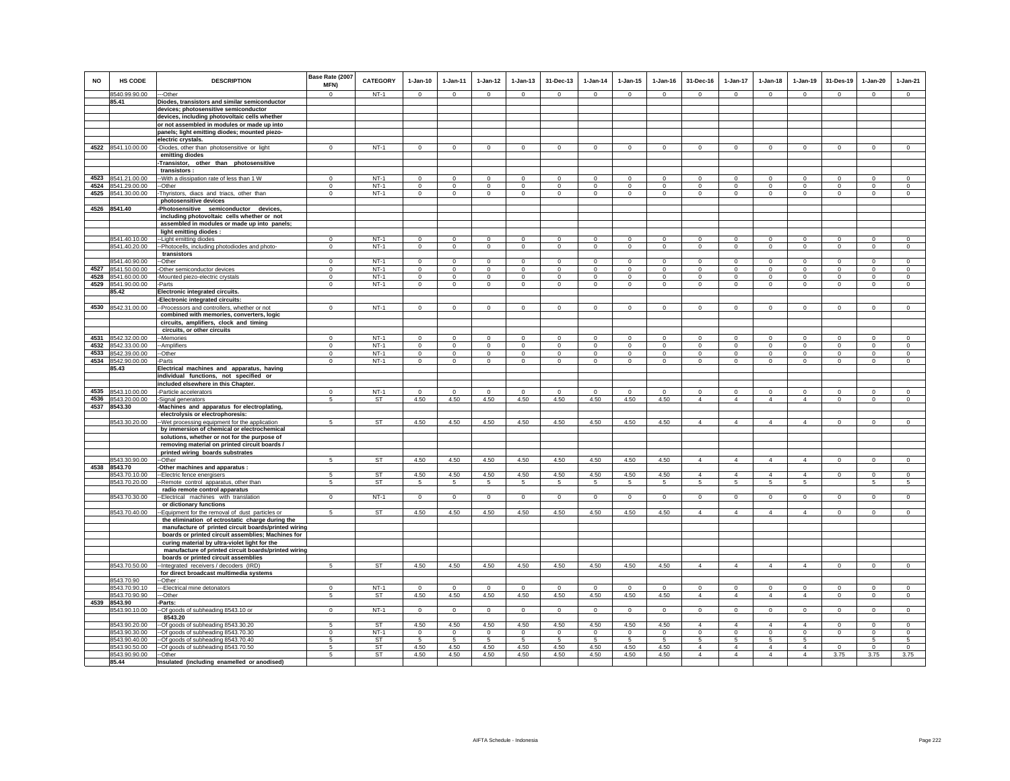| NO           | HS CODE                        | <b>DESCRIPTION</b>                                                                                 | Base Rate (2007<br><b>MFN)</b> | <b>CATEGORY</b>        | $1-Jan-10$              | 1-Jan-11                | $1 - Jan-12$                | $1 - Jan-13$                | 31-Dec-13               | $1-Jan-14$           | $1 - Jan-15$                | $1 - Jan-16$         | 31-Dec-16                 | $1-Jan-17$                        | $1-Jan-18$                        | $1-Jan-19$                    | 31-Des-19               | $1-Jan-20$              | $1-Jan-21$           |
|--------------|--------------------------------|----------------------------------------------------------------------------------------------------|--------------------------------|------------------------|-------------------------|-------------------------|-----------------------------|-----------------------------|-------------------------|----------------------|-----------------------------|----------------------|---------------------------|-----------------------------------|-----------------------------------|-------------------------------|-------------------------|-------------------------|----------------------|
|              | 8540.99.90.00                  | --Other                                                                                            | $\Omega$                       | $NT-1$                 | $\circ$                 | $\Omega$                | $\circ$                     | $\Omega$                    | $\Omega$                | $\circ$              | $\Omega$                    | $\Omega$             | $\Omega$                  | $\circ$                           | $\circ$                           | $\Omega$                      | $\circ$                 | $\Omega$                | $\circ$              |
|              | 85.41                          | Diodes, transistors and similar semiconductor<br>devices; photosensitive semiconductor             |                                |                        |                         |                         |                             |                             |                         |                      |                             |                      |                           |                                   |                                   |                               |                         |                         |                      |
|              |                                | devices, including photovoltaic cells whether                                                      |                                |                        |                         |                         |                             |                             |                         |                      |                             |                      |                           |                                   |                                   |                               |                         |                         |                      |
|              |                                | or not assembled in modules or made up into                                                        |                                |                        |                         |                         |                             |                             |                         |                      |                             |                      |                           |                                   |                                   |                               |                         |                         |                      |
|              |                                | panels; light emitting diodes; mounted piezo-                                                      |                                |                        |                         |                         |                             |                             |                         |                      |                             |                      |                           |                                   |                                   |                               |                         |                         |                      |
|              |                                | electric crystals.                                                                                 |                                |                        |                         |                         |                             |                             |                         |                      |                             |                      |                           |                                   |                                   |                               |                         |                         |                      |
| 4522         | 8541.10.00.00                  | Diodes, other than photosensitive or light                                                         | $^{\circ}$                     | $NT-1$                 | $\mathsf 0$             | $\mathsf 0$             | $\mathbf 0$                 | $\mathsf 0$                 | $\mathbf 0$             | $\mathsf 0$          | $\mathsf 0$                 | $\circ$              | $\mathbf 0$               | $\mathbf 0$                       | $\mathbf 0$                       | $\mathbf 0$                   | $\mathsf 0$             | $\mathsf 0$             | $\circ$              |
|              |                                | emitting diodes                                                                                    |                                |                        |                         |                         |                             |                             |                         |                      |                             |                      |                           |                                   |                                   |                               |                         |                         |                      |
|              |                                | -Transistor, other than photosensitive<br>transistors:                                             |                                |                        |                         |                         |                             |                             |                         |                      |                             |                      |                           |                                   |                                   |                               |                         |                         |                      |
| 4523         | 8541.21.00.00                  | -With a dissipation rate of less than 1 W                                                          | $\Omega$                       | $NT-1$                 | $\Omega$                | $\Omega$                | $\Omega$                    | $\Omega$                    | $\Omega$                | $\Omega$             | $\Omega$                    | $\Omega$             | $\Omega$                  | $\Omega$                          | $\Omega$                          | $\Omega$                      | $\Omega$                | $\Omega$                | $\Omega$             |
| 4524         | 8541.29.00.00                  | -Other                                                                                             | $\Omega$                       | $NT-1$                 | $\Omega$                | $\Omega$                | $\circ$                     | $\mathbf{0}$                | $\Omega$                | $\Omega$             | $\Omega$                    | $\Omega$             | $\Omega$                  | $\mathbf 0$                       | $\Omega$                          | $\Omega$                      | $\Omega$                | $\Omega$                | $\circ$              |
| 4525         | 8541.30.00.00                  | Thyristors, diacs and triacs, other than                                                           | $\mathbf 0$                    | $NT-1$                 | $\Omega$                | $\mathsf 0$             | $\mathsf 0$                 | $\mathsf 0$                 | $\mathbf 0$             | $\mathsf 0$          | $\mathsf 0$                 | $\Omega$             | $\mathbf 0$               | $\mathbf 0$                       | $\mathbf 0$                       | $\Omega$                      | $\mathbf 0$             | $\Omega$                | $\Omega$             |
|              |                                | photosensitive devices                                                                             |                                |                        |                         |                         |                             |                             |                         |                      |                             |                      |                           |                                   |                                   |                               |                         |                         |                      |
|              | 4526 8541.40                   | -Photosensitive semiconductor devices,<br>including photovoltaic cells whether or not              |                                |                        |                         |                         |                             |                             |                         |                      |                             |                      |                           |                                   |                                   |                               |                         |                         |                      |
|              |                                | assembled in modules or made up into panels;                                                       |                                |                        |                         |                         |                             |                             |                         |                      |                             |                      |                           |                                   |                                   |                               |                         |                         |                      |
|              |                                | light emitting diodes :                                                                            |                                |                        |                         |                         |                             |                             |                         |                      |                             |                      |                           |                                   |                                   |                               |                         |                         |                      |
|              | 8541.40.10.00                  | -Light emitting diodes                                                                             | $^{\circ}$                     | $NT-1$                 | $\mathbf 0$             | $\mathbf 0$             | $\mathbf 0$                 | $\mathbf 0$                 | $\mathbf 0$             | $\mathbf 0$          | $\mathbf 0$                 | $\mathbf 0$          | $\mathbf 0$               | 0                                 | $\mathbf 0$                       | $\circ$                       | $^{\circ}$              | $\circ$                 | $\circ$              |
|              | 8541.40.20.00                  | --Photocells, including photodiodes and photo-                                                     | $\Omega$                       | $NT-1$                 | $\overline{0}$          | $\overline{0}$          | $\overline{0}$              | $\overline{0}$              | $\overline{0}$          | $\overline{0}$       | $\overline{0}$              | $\overline{0}$       | $\overline{0}$            | $\overline{0}$                    | $\overline{0}$                    | $\overline{0}$                | $\overline{0}$          | $\overline{0}$          | $\overline{0}$       |
|              | 8541.40.90.00                  | transistors<br>-Other                                                                              | $\Omega$                       | $NT-1$                 | $\Omega$                | $\Omega$                | $\Omega$                    | $\Omega$                    | $\Omega$                | $\Omega$             | $\Omega$                    | $\Omega$             | $\Omega$                  | $\Omega$                          | $\Omega$                          | $\Omega$                      | $\Omega$                | $\Omega$                | $\Omega$             |
|              | 4527 8541.50.00.00             | -Other semiconductor devices                                                                       | $\mathbf 0$                    | $NT-1$                 | $\mathbf 0$             | $\mathbf 0$             | $\mathbf 0$                 | $\mathbf 0$                 | $\mathbf 0$             | $\mathbf 0$          | $\mathbf 0$                 | $\mathbf 0$          | $\mathbf 0$               | $\mathbf 0$                       | $\mathbf 0$                       | $\mathbf 0$                   | $^{\circ}$              | $\mathbf 0$             | $\mathbf 0$          |
|              | 4528 8541.60.00.00             | -Mounted piezo-electric crystals                                                                   | $\mathbf 0$                    | $NT-1$                 | $\circ$                 | $\circ$                 | $\circ$                     | $\mathbf 0$                 | $\mathbf 0$             | $\mathbf 0$          | $\mathbf 0$                 | $\circ$              | $\circ$                   | $\circ$                           | $\circ$                           | $\circ$                       | $\circ$                 | $\mathbf 0$             | $\circ$              |
| 4529         | 8541.90.00.00                  | -Parts                                                                                             | $^{\circ}$                     | $NT-1$                 | $\mathbf{0}$            | $\mathbf 0$             | $\circ$                     | $\mathbf 0$                 | $\mathbf 0$             | $\mathbf 0$          | $\mathbf 0$                 | $\mathbf 0$          | $\mathbf 0$               | $\mathbf 0$                       | $\mathbf 0$                       | $\mathbf 0$                   | $\mathbf 0$             | $\mathbf 0$             | $\mathbf 0$          |
|              | 85.42                          | Electronic integrated circuits.<br>Electronic integrated circuits:                                 |                                |                        |                         |                         |                             |                             |                         |                      |                             |                      |                           |                                   |                                   |                               |                         |                         |                      |
| 4530         | 8542.31.00.00                  | Processors and controllers, whether or not                                                         | $\mathbf 0$                    | $NT-1$                 | $\Omega$                | $\mathbf 0$             | $\mathsf 0$                 | $\mathsf 0$                 | $\mathbf 0$             | $\circ$              | $\mathsf 0$                 | $\circ$              | $\mathsf 0$               | $\mathbf 0$                       | $\mathbf 0$                       | $\mathbf 0$                   | $\mathbf 0$             | $\circ$                 | $\circ$              |
|              |                                | combined with memories, converters, logic                                                          |                                |                        |                         |                         |                             |                             |                         |                      |                             |                      |                           |                                   |                                   |                               |                         |                         |                      |
|              |                                | circuits, amplifiers, clock and timing                                                             |                                |                        |                         |                         |                             |                             |                         |                      |                             |                      |                           |                                   |                                   |                               |                         |                         |                      |
|              |                                | circuits, or other circuits                                                                        |                                |                        |                         |                         |                             |                             |                         |                      |                             |                      |                           |                                   |                                   |                               |                         |                         |                      |
| 4531         | 8542.32.00.00                  | -Memories                                                                                          | $\Omega$                       | $NT-1$                 | $\Omega$                | $\Omega$                | $\Omega$                    | $\Omega$                    | $\Omega$                | $\Omega$             | $\Omega$                    | $\Omega$             | $\Omega$                  | $\Omega$                          | $\Omega$                          | $\Omega$                      | $\Omega$                | $\Omega$                | $\Omega$             |
| 4532<br>4533 | 8542.33.00.00<br>8542.39.00.00 | --Amplifiers<br>-Other                                                                             | $\mathbf 0$<br>$\mathbf 0$     | $NT-1$<br>$NT-1$       | $\Omega$<br>$\circ$     | $\Omega$<br>$\circ$     | $\mathbf{0}$<br>$\mathbf 0$ | $\mathbf{0}$<br>$\mathbf 0$ | $\Omega$<br>$\mathbf 0$ | $\Omega$<br>$\Omega$ | $\mathbf{0}$<br>$\mathbf 0$ | $\Omega$<br>$\Omega$ | $\Omega$<br>$\circ$       | $\mathbf{0}$<br>$\mathbf 0$       | $\Omega$<br>$\mathbf 0$           | $\Omega$<br>$\mathbf 0$       | $\Omega$<br>$\mathbf 0$ | $\Omega$<br>$\mathbf 0$ | $\circ$<br>$\circ$   |
|              | 4534 8542.90.00.00             | -Parts                                                                                             | $^{\circ}$                     | $NT-1$                 | $\circ$                 | $\mathbf 0$             | $\circ$                     | $\mathbf 0$                 | $\mathsf 0$             | $\circ$              | $\mathsf 0$                 | $\mathbf{0}$         | $\mathbf 0$               | $\mathbf 0$                       | $\mathbf{0}$                      | $\mathbf 0$                   | $\overline{0}$          | $\mathbf 0$             | $\circ$              |
|              | 85.43                          | Electrical machines and apparatus, having                                                          |                                |                        |                         |                         |                             |                             |                         |                      |                             |                      |                           |                                   |                                   |                               |                         |                         |                      |
|              |                                | individual functions, not specified or                                                             |                                |                        |                         |                         |                             |                             |                         |                      |                             |                      |                           |                                   |                                   |                               |                         |                         |                      |
|              |                                | included elsewhere in this Chapter.                                                                |                                |                        |                         |                         |                             |                             |                         |                      |                             |                      |                           |                                   |                                   |                               |                         |                         |                      |
| 4535<br>4536 | 8543.10.00.00<br>8543.20.00.00 | Particle accelerators<br>-Signal generators                                                        | $\mathbf 0$<br>5               | $NT-1$<br>ST           | $\circ$<br>4.50         | $\Omega$<br>4.50        | $\circ$<br>4.50             | $\mathbf{0}$<br>4.50        | $\mathbf{0}$<br>4.50    | $\mathbf 0$<br>4.50  | $\mathbf{0}$<br>4.50        | $\Omega$<br>4.50     | $\circ$<br>$\overline{4}$ | $\mathbf{0}$<br>$\overline{4}$    | $\mathbf 0$<br>$\overline{4}$     | $\mathbf 0$<br>$\overline{4}$ | $\Omega$<br>$^{\circ}$  | $\Omega$<br>$\mathbf 0$ | $\Omega$<br>$\Omega$ |
|              | 4537 8543.30                   | -Machines and apparatus for electroplating,                                                        |                                |                        |                         |                         |                             |                             |                         |                      |                             |                      |                           |                                   |                                   |                               |                         |                         |                      |
|              |                                | electrolysis or electrophoresis:                                                                   |                                |                        |                         |                         |                             |                             |                         |                      |                             |                      |                           |                                   |                                   |                               |                         |                         |                      |
|              | 8543.30.20.00                  | -Wet processing equipment for the application                                                      | 5                              | <b>ST</b>              | 4.50                    | 4.50                    | 4.50                        | 4.50                        | 4.50                    | 4.50                 | 4.50                        | 4.50                 | $\overline{4}$            | $\overline{4}$                    | $\overline{4}$                    | $\overline{4}$                | $\Omega$                | $\Omega$                | $\circ$              |
|              |                                | by immersion of chemical or electrochemical<br>solutions, whether or not for the purpose of        |                                |                        |                         |                         |                             |                             |                         |                      |                             |                      |                           |                                   |                                   |                               |                         |                         |                      |
|              |                                | removing material on printed circuit boards /                                                      |                                |                        |                         |                         |                             |                             |                         |                      |                             |                      |                           |                                   |                                   |                               |                         |                         |                      |
|              |                                | printed wiring boards substrates                                                                   |                                |                        |                         |                         |                             |                             |                         |                      |                             |                      |                           |                                   |                                   |                               |                         |                         |                      |
|              | 8543.30.90.00                  | -Other                                                                                             | -5                             | ST                     | 4.50                    | 4.50                    | 4.50                        | 4.50                        | 4.50                    | 4.50                 | 4.50                        | 4.50                 | $\overline{4}$            | $\overline{4}$                    | $\overline{4}$                    | $\overline{4}$                | $\overline{0}$          | $\Omega$                | $\overline{0}$       |
| 4538         | 8543.70                        | Other machines and apparatus :                                                                     |                                |                        |                         |                         |                             |                             |                         |                      |                             |                      |                           |                                   |                                   |                               |                         |                         |                      |
|              | 6543.70.10.00<br>8543.70.20.00 | -Electric fence energisers<br>-Remote control apparatus, other than                                | $\sqrt{5}$                     | <b>ST</b><br><b>ST</b> | 4.50<br>$5\overline{5}$ | 4.50<br>$5\overline{5}$ | 4.50<br>$5\phantom{.0}$     | 4.50<br>5                   | 4.50<br>-5              | 4.50<br>5            | 4.50<br>5                   | 4.50<br>-5           | $\overline{4}$<br>$5 -$   | $\overline{4}$<br>$5\phantom{.0}$ | $\overline{4}$<br>$5\overline{5}$ | $\overline{4}$<br>5           | $\mathbf 0$             | $\circ$<br>5            | $\mathbf 0$<br>5     |
|              |                                | radio remote control apparatus                                                                     |                                |                        |                         |                         |                             |                             |                         |                      |                             |                      |                           |                                   |                                   |                               |                         |                         |                      |
|              | 8543.70.30.00                  | -Electrical machines with translation                                                              | $\mathbf 0$                    | $NT-1$                 | $\mathbf 0$             | $\mathbf 0$             | $\mathbf{0}$                | $\mathbf{0}$                | $\mathbf 0$             | $\mathbf 0$          | $\mathbf 0$                 | $\mathbf 0$          | $\mathbf 0$               | $\mathbf 0$                       | $\mathbf 0$                       | $\mathbf{0}$                  | $\mathbf{0}$            | $\mathbf 0$             | $\mathbf 0$          |
|              |                                | or dictionary functions                                                                            |                                |                        |                         |                         |                             |                             |                         |                      |                             |                      |                           |                                   |                                   |                               |                         |                         |                      |
|              | 8543.70.40.00                  | Equipment for the removal of dust particles or<br>the elimination of ectrostatic charge during the | -5                             | ST                     | 4.50                    | 4.50                    | 4.50                        | 4.50                        | 4.50                    | 4.50                 | 4.50                        | 4.50                 | $\overline{4}$            | $\overline{4}$                    | $\overline{4}$                    | $\overline{4}$                | $\circ$                 | $\circ$                 | $^{\circ}$           |
|              |                                | manufacture of printed circuit boards/printed wiring                                               |                                |                        |                         |                         |                             |                             |                         |                      |                             |                      |                           |                                   |                                   |                               |                         |                         |                      |
|              |                                | boards or printed circuit assemblies; Machines for                                                 |                                |                        |                         |                         |                             |                             |                         |                      |                             |                      |                           |                                   |                                   |                               |                         |                         |                      |
|              |                                | curing material by ultra-violet light for the                                                      |                                |                        |                         |                         |                             |                             |                         |                      |                             |                      |                           |                                   |                                   |                               |                         |                         |                      |
|              |                                | manufacture of printed circuit boards/printed wiring                                               |                                |                        |                         |                         |                             |                             |                         |                      |                             |                      |                           |                                   |                                   |                               |                         |                         |                      |
|              | 8543.70.50.00                  | boards or printed circuit assemblies<br>-Integrated receivers / decoders (IRD)                     | 5                              | <b>ST</b>              | 4.50                    | 4.50                    | 4.50                        | 4.50                        | 4.50                    | 4.50                 | 4.50                        | 4.50                 | $\overline{4}$            | $\overline{4}$                    | $\overline{4}$                    | $\overline{4}$                | $\mathbf 0$             | $\mathsf 0$             | $\mathsf 0$          |
|              |                                | for direct broadcast multimedia systems                                                            |                                |                        |                         |                         |                             |                             |                         |                      |                             |                      |                           |                                   |                                   |                               |                         |                         |                      |
|              | 8543.70.90                     | -Other:                                                                                            |                                |                        |                         |                         |                             |                             |                         |                      |                             |                      |                           |                                   |                                   |                               |                         |                         |                      |
|              | 8543.70.90.10                  | -Electrical mine detonators                                                                        | $\Omega$                       | $NT-1$                 | $\Omega$                | $\Omega$                | $\circ$                     | $^{\circ}$                  | $\Omega$                | $\Omega$             | $\Omega$                    | $\Omega$             | $\Omega$                  | $\mathbf 0$                       | $\Omega$                          | $\Omega$                      | $\Omega$                | $^{\circ}$              | $\Omega$             |
| 4539         | 8543.70.90.90<br>8543.90       | -Other                                                                                             | -5                             | ST                     | 4.50                    | 4.50                    | 4.50                        | 4.50                        | 4.50                    | 4.50                 | 4.50                        | 4.50                 | $\overline{4}$            | $\overline{4}$                    | 4                                 | $\overline{4}$                | $\mathbf 0$             | $\mathbf 0$             | $\circ$              |
|              | 8543.90.10.00                  | Parts:<br>-Of goods of subheading 8543.10 or                                                       | $\mathbf 0$                    | $NT-1$                 | $\circ$                 | $\circ$                 | $\mathbf 0$                 | $\mathbf 0$                 | $\,0\,$                 | $\mathbf 0$          | $\mathbf 0$                 | $\mathbf 0$          | $\circ$                   | $\overline{0}$                    | $\mathbf 0$                       | $\,0\,$                       | $\,0\,$                 | $\mathbf 0$             | $\mathsf 0$          |
|              |                                | 8543.20                                                                                            |                                |                        |                         |                         |                             |                             |                         |                      |                             |                      |                           |                                   |                                   |                               |                         |                         |                      |
|              | 8543.90.20.00                  | -Of goods of subheading 8543.30.20                                                                 | 5                              | ST                     | 4.50                    | 4.50                    | 4.50                        | 4.50                        | 4.50                    | 4.50                 | 4.50                        | 4.50                 | $\overline{4}$            | $\overline{4}$                    | 4                                 | $\overline{4}$                | $\Omega$                | $\Omega$                | $\Omega$             |
|              | 8543.90.30.00                  | -Of goods of subheading 8543.70.30                                                                 | $\mathbf 0$                    | <b>NT-1</b>            | $\mathbf 0$             | $\mathbf 0$             | $\mathbf 0$                 | $\mathbf 0$                 | $\mathbf 0$             | $\circ$              | $\mathbf 0$                 | $\mathbf 0$          | $^{\circ}$                | 0                                 | $\mathbf{0}$                      | $\mathbf 0$                   | $\circ$                 | $\mathbf 0$             | $\mathbf 0$          |
|              | 8543.90.40.00<br>8543.90.50.00 | -Of goods of subheading 8543.70.40<br>-Of goods of subheading 8543.70.50                           | 5<br>5                         | ST<br>ST               | 5<br>4.50               | 5<br>4.50               | 5<br>4.50                   | 5<br>4.50                   | 5<br>4.50               | 5<br>4.50            | 5<br>4.50                   | 5<br>4.50            | 5<br>$\overline{4}$       | 5<br>4                            | 5<br>$\overline{4}$               | 5<br>$\overline{4}$           | $\circ$                 | 5<br>$\circ$            | 5<br>$\circ$         |
|              | 8543.90.90.00                  | -Other                                                                                             | 5                              | <b>ST</b>              | 4.50                    | 4.50                    | 4.50                        | 4.50                        | 4.50                    | 4.50                 | 4.50                        | 4.50                 | $\overline{4}$            | $\overline{4}$                    | 4                                 | $\overline{4}$                | 3.75                    | 3.75                    | 3.75                 |
|              | 85.44                          | Insulated (including enamelled or anodised)                                                        |                                |                        |                         |                         |                             |                             |                         |                      |                             |                      |                           |                                   |                                   |                               |                         |                         |                      |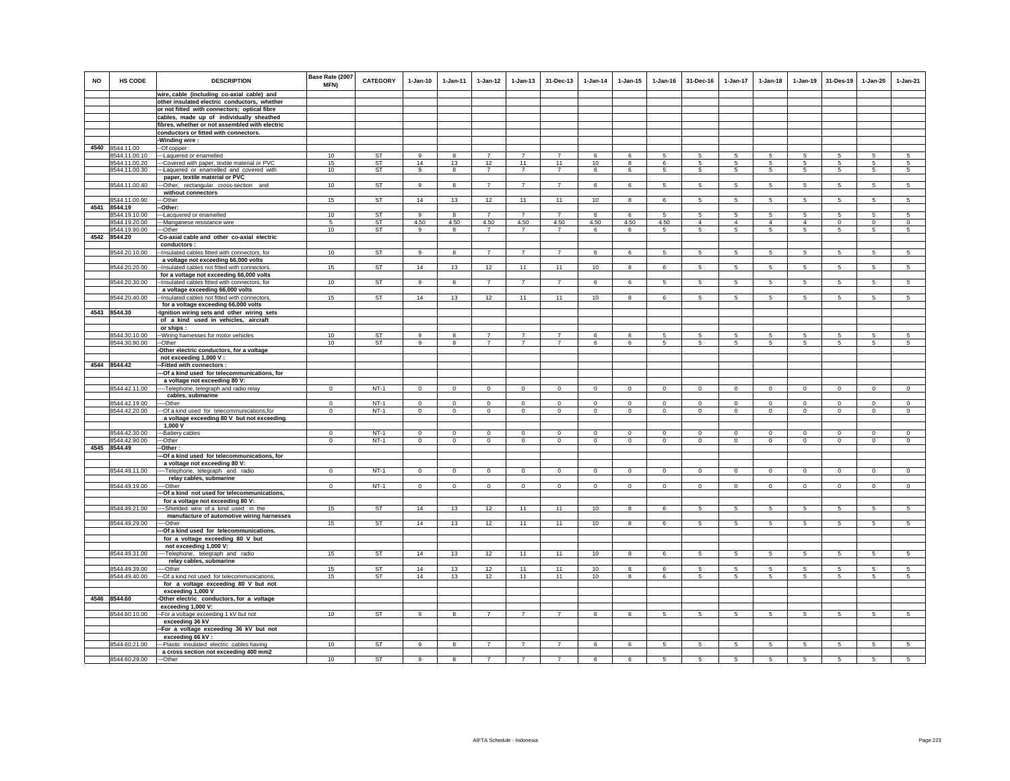| <b>NO</b> | HS CODE                        | <b>DESCRIPTION</b><br>wire, cable (including co-axial cable) and                           | Base Rate (2007<br><b>MFN)</b> | <b>CATEGORY</b>        | $1 - Jan-10$   | $1 - Jan-11$            | $1 - Jan-12$               | $1 - Jan-13$            | 31-Dec-13                        | $1-Jan-14$          | $1 - Jan-15$            | $1 - Jan-16$            | 31-Dec-16               | $1-Jan-17$                | $1-Jan-18$              | $1 - Jan-19$                  | 31-Des-19               | $1-Jan-20$                       | $1-Jan-21$                |
|-----------|--------------------------------|--------------------------------------------------------------------------------------------|--------------------------------|------------------------|----------------|-------------------------|----------------------------|-------------------------|----------------------------------|---------------------|-------------------------|-------------------------|-------------------------|---------------------------|-------------------------|-------------------------------|-------------------------|----------------------------------|---------------------------|
|           |                                | other insulated electric conductors, whether                                               |                                |                        |                |                         |                            |                         |                                  |                     |                         |                         |                         |                           |                         |                               |                         |                                  |                           |
|           |                                | or not fitted with connectors; optical fibre                                               |                                |                        |                |                         |                            |                         |                                  |                     |                         |                         |                         |                           |                         |                               |                         |                                  |                           |
|           |                                | cables, made up of individually sheathed                                                   |                                |                        |                |                         |                            |                         |                                  |                     |                         |                         |                         |                           |                         |                               |                         |                                  |                           |
|           |                                | fibres, whether or not assembled with electric                                             |                                |                        |                |                         |                            |                         |                                  |                     |                         |                         |                         |                           |                         |                               |                         |                                  |                           |
|           |                                | conductors or fitted with connectors.                                                      |                                |                        |                |                         |                            |                         |                                  |                     |                         |                         |                         |                           |                         |                               |                         |                                  |                           |
|           |                                | Winding wire:                                                                              |                                |                        |                |                         |                            |                         |                                  |                     |                         |                         |                         |                           |                         |                               |                         |                                  |                           |
| 4540      | 8544.11.00                     | -Of copper:                                                                                |                                |                        |                |                         |                            |                         |                                  |                     |                         |                         |                         |                           |                         |                               |                         |                                  |                           |
|           | 3544.11.00.10                  | --Laquered or enamelled                                                                    | 10<br>15                       | ST<br><b>ST</b>        | 9<br>14        | 13                      | $\overline{7}$<br>12       | $\overline{7}$<br>11    | 7<br>11                          | 6<br>10             | 6<br>8                  | 6                       | -5                      | 5<br>$5\phantom{.0}$      | -5                      | -5                            | 5<br>-5                 | 5<br>-5                          | 5<br>-5                   |
|           | 8544.11.00.20<br>8544.11.00.30 | --Covered with paper, textile material or PVC<br>-- Laquered or enamelled and covered with | 10                             | ST                     | $\overline{9}$ | $\overline{\mathbf{8}}$ | $\overline{7}$             | $\overline{7}$          | $\overline{7}$                   | 6                   | 6                       | 5                       | 5                       | $5\overline{)}$           | $5\overline{5}$         | 5                             | 5                       | 5                                | $5\overline{5}$           |
|           |                                | paper, textile material or PVC                                                             |                                |                        |                |                         |                            |                         |                                  |                     |                         |                         |                         |                           |                         |                               |                         |                                  |                           |
|           | 8544.11.00.40                  | --Other, rectangular cross-section and                                                     | 10                             | <b>ST</b>              | 9              | 8                       | $\overline{7}$             | $\overline{7}$          | $\overline{7}$                   | 6                   | 6                       | 5                       | 5                       | $5\phantom{.0}$           | 5                       | 5                             | $\sqrt{5}$              | 5                                | 5                         |
|           |                                | without connectors                                                                         |                                |                        |                |                         |                            |                         |                                  |                     |                         |                         |                         |                           |                         |                               |                         |                                  |                           |
|           | 8544.11.00.90                  | -Other                                                                                     | 15                             | <b>ST</b>              | 14             | 13                      | 12                         | 11                      | 11                               | 10                  | 8                       | 6                       | $5\phantom{.0}$         | $5\phantom{.0}$           | $5\phantom{.0}$         | $\overline{5}$                | $\sqrt{5}$              | $\overline{5}$                   | $5\overline{)}$           |
| 4541      | 8544.19                        | -Other:                                                                                    |                                |                        |                |                         |                            |                         |                                  |                     |                         |                         |                         |                           |                         |                               |                         |                                  |                           |
|           | 8544.19.10.00                  | -Lacquered or enamelled                                                                    | 10                             | <b>ST</b><br><b>ST</b> | 9<br>4.50      | 8<br>4.50               | $\overline{7}$<br>4.50     | $\overline{7}$<br>4.50  | $\overline{7}$<br>4.50           | 6                   | 6<br>4.50               | 5<br>4.50               | 5                       | 5<br>$\overline{4}$       | 5<br>$\overline{4}$     | 5<br>$\overline{4}$           | 5                       | 5                                | 5<br>$\mathbf{0}$         |
|           | 8544.19.20.00<br>8544.19.90.00 | -Manganese resistance wire<br>--Other                                                      | 5<br>10                        | ST                     | 9              | 8                       | $\overline{7}$             | $\overline{7}$          | $\overline{7}$                   | 4.50<br>6           | 6                       | 5                       | $\overline{4}$<br>5     | $5\phantom{.0}$           | 5                       | 5                             | $\,$ 0<br>5             | $\mathbf 0$<br>5                 | 5                         |
|           | 4542 8544.20                   | -Co-axial cable and other co-axial electric                                                |                                |                        |                |                         |                            |                         |                                  |                     |                         |                         |                         |                           |                         |                               |                         |                                  |                           |
|           |                                | conductors:                                                                                |                                |                        |                |                         |                            |                         |                                  |                     |                         |                         |                         |                           |                         |                               |                         |                                  |                           |
|           | 8544.20.10.00                  | -Insulated cables fitted with connectors, for                                              | 10                             | ST                     | 9              | 8                       | $\overline{7}$             | 7                       | $\overline{7}$                   | 6                   | 6                       | 5                       | 5                       | 5                         | 5                       | 5                             | 5                       | 5                                | 5                         |
|           |                                | a voltage not exceeding 66,000 volts                                                       |                                |                        |                |                         |                            |                         |                                  |                     |                         |                         |                         |                           |                         |                               |                         |                                  |                           |
|           | 8544.20.20.00                  | -Insulated cables not fitted with connectors,                                              | 15                             | <b>ST</b>              | 14             | 13                      | 12                         | 11                      | 11                               | 10                  | 8                       | 6                       | 5                       | $5\phantom{.0}$           | 5                       | $5\phantom{.0}$               | 5                       | 5                                | 5                         |
|           |                                | for a voltage not exceeding 66,000 volts                                                   | 10                             | <b>ST</b>              |                |                         |                            | $\overline{7}$          | $\overline{7}$                   |                     | 6                       |                         | 5                       |                           |                         |                               | $\sqrt{5}$              |                                  | $5\phantom{.0}$           |
|           | 8544.20.30.00                  | -Insulated cables fitted with connectors, for<br>a voltage exceeding 66,000 volts          |                                |                        | 9              | 8                       | $\overline{7}$             |                         |                                  | 6                   |                         | 5                       |                         | 5                         | 5                       | 5                             |                         | 5                                |                           |
|           | 8544.20.40.00                  | -Insulated cables not fitted with connectors                                               | 15                             | <b>ST</b>              | 14             | 13                      | 12                         | 11                      | 11                               | 10                  | $\mathbf{R}$            | $\epsilon$              | 5                       | 5                         | 5                       | 5                             | 5                       | 5                                | $\overline{5}$            |
|           |                                | for a voltage exceeding 66,000 volts                                                       |                                |                        |                |                         |                            |                         |                                  |                     |                         |                         |                         |                           |                         |                               |                         |                                  |                           |
|           | 4543 8544.30                   | -Ignition wiring sets and other wiring sets                                                |                                |                        |                |                         |                            |                         |                                  |                     |                         |                         |                         |                           |                         |                               |                         |                                  |                           |
|           |                                | of a kind used in vehicles, aircraft                                                       |                                |                        |                |                         |                            |                         |                                  |                     |                         |                         |                         |                           |                         |                               |                         |                                  |                           |
|           |                                | or ships:                                                                                  |                                |                        |                |                         |                            |                         |                                  |                     |                         |                         |                         |                           |                         |                               |                         |                                  |                           |
|           | 8544.30.10.00<br>8544.30.90.00 | -- Wiring harnesses for motor vehicles                                                     | 10<br>10                       | <b>ST</b><br><b>ST</b> | 9              | -8                      | $\overline{7}$             | $\overline{7}$          | $\overline{7}$<br>$\overline{7}$ | 6                   | 6                       | 5                       | 5                       | 5                         | 5                       | 5                             | 5<br>$\overline{5}$     | 5                                | 5<br>$5\overline{)}$      |
|           |                                | -Other<br>Other electric conductors, for a voltage                                         |                                |                        | 9              | 8                       | $\overline{7}$             | $\overline{7}$          |                                  | 6                   | 6                       | 5                       | 5                       | $5\phantom{.0}$           | 5                       | 5                             |                         | $5\phantom{.0}$                  |                           |
|           |                                | not exceeding 1,000 V:                                                                     |                                |                        |                |                         |                            |                         |                                  |                     |                         |                         |                         |                           |                         |                               |                         |                                  |                           |
|           | 4544 8544.42                   | -Fitted with connectors :                                                                  |                                |                        |                |                         |                            |                         |                                  |                     |                         |                         |                         |                           |                         |                               |                         |                                  |                           |
|           |                                | --Of a kind used for telecommunications, for                                               |                                |                        |                |                         |                            |                         |                                  |                     |                         |                         |                         |                           |                         |                               |                         |                                  |                           |
|           |                                | a voltage not exceeding 80 V:                                                              |                                |                        |                |                         |                            |                         |                                  |                     |                         |                         |                         |                           |                         |                               |                         |                                  |                           |
|           | 8544.42.11.00                  | --- Telephone, telegraph and radio relay                                                   | $\Omega$                       | $NT-1$                 | $\Omega$       | $\Omega$                | $\Omega$                   | $\Omega$                | $\mathbf{0}$                     | $\Omega$            | $\Omega$                | $\Omega$                | $\Omega$                | $\Omega$                  | $\mathbf{0}$            | $\mathbf{0}$                  | $\mathbf 0$             | $\mathbf{0}$                     | $\circ$                   |
|           | 8544.42.19.00                  | cables, submarine                                                                          | $\mathbf 0$                    | $NT-1$                 | $\mathbf{0}$   | $\mathbf 0$             |                            |                         |                                  |                     | $\mathbf 0$             |                         |                         |                           |                         |                               |                         |                                  |                           |
|           | 8544.42.20.00                  | --Other<br>-Of a kind used for telecommunications, for                                     | $\Omega$                       | $NT-1$                 | $\Omega$       | $\Omega$                | $\overline{0}$<br>$\Omega$ | $\mathbf 0$<br>$\Omega$ | $\overline{0}$<br>$\overline{0}$ | $\,0\,$<br>$\Omega$ | $\Omega$                | $\mathbf 0$<br>$\Omega$ | $\mathbf 0$<br>$\Omega$ | $\circ$<br>$\overline{0}$ | $\mathbf 0$<br>$\Omega$ | $\mathbf 0$<br>$\overline{0}$ | $\mathbf 0$<br>$\Omega$ | $\overline{0}$<br>$\overline{0}$ | $\circ$<br>$\overline{0}$ |
|           |                                | a voltage exceeding 80 V but not exceeding                                                 |                                |                        |                |                         |                            |                         |                                  |                     |                         |                         |                         |                           |                         |                               |                         |                                  |                           |
|           |                                | 1,000 V                                                                                    |                                |                        |                |                         |                            |                         |                                  |                     |                         |                         |                         |                           |                         |                               |                         |                                  |                           |
|           | 8544.42.30.00                  | --Battery cables                                                                           | $^{\circ}$                     | $NT-1$                 | $\mathbf 0$    | $^{\circ}$              | $\mathbf 0$                | 0                       | $\mathbf 0$                      | $\mathbf 0$         | $\Omega$                | $\Omega$                | $^{\circ}$              | $\circ$                   | $\mathbf 0$             | $\circ$                       | $\mathbf 0$             | $\mathbf 0$                      | $\mathsf 0$               |
|           | 8544.42.90.00                  | ---Other                                                                                   | $\Omega$                       | $NT-1$                 | $\Omega$       | $\circ$                 | $\circ$                    | $\mathsf 0$             | $\mathbf 0$                      | $\mathbf 0$         | $\circ$                 | $\Omega$                | $\mathbf{0}$            | $\circ$                   | $\mathsf 0$             | $\circ$                       | $\mathbf 0$             | $\circ$                          | $\circ$                   |
|           | 4545 8544.49                   | -Other:<br>--Of a kind used for telecommunications, for                                    |                                |                        |                |                         |                            |                         |                                  |                     |                         |                         |                         |                           |                         |                               |                         |                                  |                           |
|           |                                | a voltage not exceeding 80 V:                                                              |                                |                        |                |                         |                            |                         |                                  |                     |                         |                         |                         |                           |                         |                               |                         |                                  |                           |
|           | 8544.49.11.00                  | --- Telephone, telegraph and radio                                                         | $\mathbf{0}$                   | $NT-1$                 | $\mathbf{0}$   | $\circ$                 | $\overline{0}$             | $\mathbf 0$             | $\overline{0}$                   | $\circ$             | $\mathbf 0$             | $\mathbf 0$             | $\circ$                 | $\overline{0}$            | $\mathbf 0$             | $\circ$                       | $\circ$                 | $\overline{0}$                   | $\circ$                   |
|           |                                | relay cables, submarine                                                                    |                                |                        |                |                         |                            |                         |                                  |                     |                         |                         |                         |                           |                         |                               |                         |                                  |                           |
|           | 8544.49.19.00                  | --Other                                                                                    | $\circ$                        | $NT-1$                 | $\Omega$       | $\mathbf{0}$            | $\circ$                    | $\mathsf 0$             | $\mathbf{0}$                     | $\circ$             | $\mathbf 0$             | $\circ$                 | $\mathbf{0}$            | $\circ$                   | $\mathbf 0$             | $\circ$                       | $\circ$                 | $\circ$                          | $\circ$                   |
|           |                                | -Of a kind not used for telecommunications,                                                |                                |                        |                |                         |                            |                         |                                  |                     |                         |                         |                         |                           |                         |                               |                         |                                  |                           |
|           | 8544.49.21.00                  | for a voltage not exceeding 80 V:                                                          | 15                             | ST                     | 14             | 13                      | 12                         | 11                      | 11                               | 10                  | 8                       | 6                       | 5                       | $5\overline{)}$           | 5                       | 5                             | $\overline{5}$          | 5                                | $5\overline{)}$           |
|           |                                | --Shielded wire of a kind used in the<br>manufacture of automotive wiring harnesses        |                                |                        |                |                         |                            |                         |                                  |                     |                         |                         |                         |                           |                         |                               |                         |                                  |                           |
|           | 8544.49.29.00                  | -Other                                                                                     | 15                             | <b>ST</b>              | 14             | 13                      | 12                         | 11                      | 11                               | 10                  | $\overline{\mathbf{R}}$ | 6                       | 5                       | 5                         | 5                       | $\overline{5}$                | 5                       | 5                                | $\overline{5}$            |
|           |                                | -Of a kind used for telecommunications,                                                    |                                |                        |                |                         |                            |                         |                                  |                     |                         |                         |                         |                           |                         |                               |                         |                                  |                           |
|           |                                | for a voltage exceeding 80 V but                                                           |                                |                        |                |                         |                            |                         |                                  |                     |                         |                         |                         |                           |                         |                               |                         |                                  |                           |
|           |                                | not exceeding 1,000 V:                                                                     |                                |                        |                |                         |                            |                         |                                  |                     |                         |                         |                         |                           |                         |                               |                         |                                  |                           |
|           | 8544.49.31.00                  | -- Telephone, telegraph and radio                                                          | 15                             | <b>ST</b>              | 14             | 13                      | 12                         | 11                      | 11                               | 10                  | 8                       | 6                       | 5                       | 5                         | 5                       | -5                            | -5                      | 5                                | -5                        |
|           | 8544.49.39.00                  | relay cables, submarine                                                                    | 15                             | ST                     | 14             | 13                      | 12                         | 11                      | 11                               | 10                  | 8                       | 6                       | 5                       | 5                         | 5                       | 5                             | 5                       | 5                                | 5                         |
|           | 8544.49.40.00                  | --Other<br>-Of a kind not used for telecommunications,                                     | 15                             | <b>ST</b>              | 14             | 13                      | 12                         | 11                      | 11                               | 10                  | 8                       | 6                       | 5                       | 5                         | 5                       | -5                            | -5                      | 5                                | 5                         |
|           |                                | for a voltage exceeding 80 V but not                                                       |                                |                        |                |                         |                            |                         |                                  |                     |                         |                         |                         |                           |                         |                               |                         |                                  |                           |
|           |                                | exceeding 1,000 V                                                                          |                                |                        |                |                         |                            |                         |                                  |                     |                         |                         |                         |                           |                         |                               |                         |                                  |                           |
|           | 4546 8544.60                   | -Other electric conductors, for a voltage                                                  |                                |                        |                |                         |                            |                         |                                  |                     |                         |                         |                         |                           |                         |                               |                         |                                  |                           |
|           |                                | exceeding 1,000 V:                                                                         |                                |                        |                |                         |                            |                         |                                  |                     |                         |                         |                         |                           |                         |                               |                         |                                  |                           |
|           | 8544.60.10.00                  | -- For a voltage exceeding 1 kV but not                                                    | 10                             | <b>ST</b>              | 9              | 8                       | $\overline{7}$             | $\overline{7}$          | $\overline{7}$                   | 6                   | 6                       | 5                       | $5\phantom{.0}$         | $5\phantom{.0}$           | 5                       | 5                             | 5                       | $5\phantom{.0}$                  | 5                         |
|           |                                | exceeding 36 kV                                                                            |                                |                        |                |                         |                            |                         |                                  |                     |                         |                         |                         |                           |                         |                               |                         |                                  |                           |
|           |                                | -For a voltage exceeding 36 kV but not<br>exceeding 66 kV:                                 |                                |                        |                |                         |                            |                         |                                  |                     |                         |                         |                         |                           |                         |                               |                         |                                  |                           |
|           | 8544.60.21.00                  | --Plastic insulated electric cables having                                                 | 10                             | ST                     | $\mathsf g$    | 8                       | $\overline{7}$             | $\overline{7}$          | $\overline{7}$                   | 6                   | 6                       | 5                       | 5                       | 5                         | 5                       | 5                             | $\sqrt{5}$              | 5                                | 5                         |
|           |                                | a cross section not exceeding 400 mm2                                                      |                                |                        |                |                         |                            |                         |                                  |                     |                         |                         |                         |                           |                         |                               |                         |                                  |                           |
|           | 8544.60.29.00                  | ---Other                                                                                   | 10                             | <b>ST</b>              | 9              | 8                       | $\overline{7}$             | $\overline{z}$          | $\overline{7}$                   | 6                   | 6                       | 5                       | 5                       | 5                         | 5                       | 5                             | $\sqrt{5}$              | 5                                | 5                         |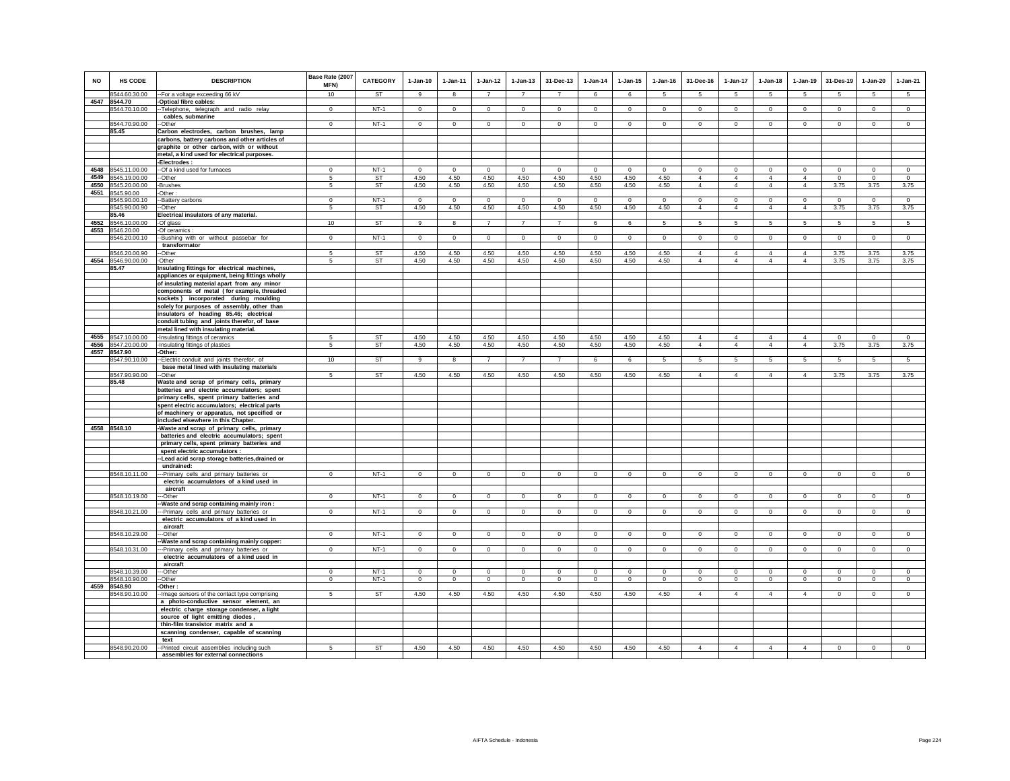| <b>NO</b> | HS CODE                        | <b>DESCRIPTION</b>                                                                          | Base Rate (2007<br>MFN) | <b>CATEGORY</b> | $1-Jan-10$      | 1-Jan-11         | $1 - Jan-12$         | $1 - Jan-13$         | 31-Dec-13            | $1-Jan-14$      | $1 - Jan-15$     | $1 - Jan-16$     | 31-Dec-16                  | $1-Jan-17$                     | $1-Jan-18$                | $1 - Jan-19$                  | 31-Des-19       | $1-Jan-20$           | $1-Jan-21$      |
|-----------|--------------------------------|---------------------------------------------------------------------------------------------|-------------------------|-----------------|-----------------|------------------|----------------------|----------------------|----------------------|-----------------|------------------|------------------|----------------------------|--------------------------------|---------------------------|-------------------------------|-----------------|----------------------|-----------------|
|           | 8544.60.30.00                  | --For a voltage exceeding 66 kV                                                             | 10                      | <b>ST</b>       | $\alpha$        | $\mathbf{R}$     | $\overline{7}$       | $\overline{7}$       | $\overline{7}$       | 6               | $\epsilon$       | 5                | 5.                         | 5                              | -5                        | -5                            | 5               | 5                    | 5               |
|           | 4547 8544.70                   | Optical fibre cables:                                                                       |                         |                 |                 |                  |                      |                      |                      |                 |                  |                  |                            |                                |                           |                               |                 |                      |                 |
|           | 8544.70.10.00                  | -- Telephone, telegraph and radio relay<br>cables, submarine                                | $\Omega$                | $NT-1$          | $\Omega$        | $\Omega$         | $\Omega$             | $\mathbf 0$          | $\mathbf{0}$         | $\Omega$        | $\mathbf 0$      | $\Omega$         | $\Omega$                   | $\Omega$                       | $\circ$                   | $\Omega$                      | $\mathbf 0$     | $\mathsf 0$          | $\mathsf 0$     |
|           | 8544.70.90.00                  | -Other                                                                                      | $^{\circ}$              | $NT-1$          | $^{\circ}$      | $\circ$          | $^{\circ}$           | $\mathbf{0}$         | $^{\circ}$           | $^{\circ}$      | $^{\circ}$       | $^{\circ}$       | $^{\circ}$                 | $^{\circ}$                     | $^{\circ}$                | $^{\circ}$                    | $\mathbf{0}$    | $\circ$              | $^{\circ}$      |
|           | 85.45                          | Carbon electrodes, carbon brushes, lamp                                                     |                         |                 |                 |                  |                      |                      |                      |                 |                  |                  |                            |                                |                           |                               |                 |                      |                 |
|           |                                | carbons, battery carbons and other articles of                                              |                         |                 |                 |                  |                      |                      |                      |                 |                  |                  |                            |                                |                           |                               |                 |                      |                 |
|           |                                | graphite or other carbon, with or without                                                   |                         |                 |                 |                  |                      |                      |                      |                 |                  |                  |                            |                                |                           |                               |                 |                      |                 |
|           |                                | metal, a kind used for electrical purposes.                                                 |                         |                 |                 |                  |                      |                      |                      |                 |                  |                  |                            |                                |                           |                               |                 |                      |                 |
| 4548      | 8545.11.00.00                  | Electrodes:<br>--Of a kind used for furnaces                                                | $\mathbf 0$             | $NT-1$          | $\mathbf 0$     | $\mathbf 0$      | $\circ$              | $\mathbf 0$          | $\mathbf 0$          | $\circ$         | $\mathbf 0$      | $\mathbf 0$      | $\circ$                    | $\mathbf 0$                    | $\circ$                   | $\mathbf 0$                   | $\circ$         | $\mathbf 0$          | $\circ$         |
| 4549      | 8545.19.00.00                  | -Other                                                                                      | 5                       | <b>ST</b>       | 4.50            | 4.50             | 4.50                 | 4.50                 | 4.50                 | 4.50            | 4.50             | 4.50             | $\overline{4}$             | $\overline{4}$                 | $\overline{4}$            | $\overline{4}$                | $\mathbf 0$     | $\Omega$             | $\Omega$        |
| 4550      | 8545.20.00.00                  | -Brushes                                                                                    | 5                       | <b>ST</b>       | 4.50            | 4.50             | 4.50                 | 4.50                 | 4.50                 | 4.50            | 4.50             | 4.50             | $\overline{4}$             | $\overline{4}$                 | $\overline{4}$            | $\overline{4}$                | 3.75            | 3.75                 | 3.75            |
| 4551      | 8545.90.00                     | Other:                                                                                      |                         |                 |                 |                  |                      |                      |                      |                 |                  |                  |                            |                                |                           |                               |                 |                      |                 |
|           | 8545.90.00.10<br>8545.90.00.90 | -Battery carbons<br>-Other                                                                  | $\Omega$<br>-5          | $NT-1$<br>ST    | $\circ$<br>4.50 | $\Omega$<br>4.50 | $\mathbf{0}$<br>4.50 | $\mathbf{0}$<br>4.50 | $\mathbf{0}$<br>4.50 | $\circ$<br>4.50 | $\Omega$<br>4.50 | $\Omega$<br>4.50 | $\Omega$<br>$\overline{4}$ | $\mathbf{0}$<br>$\overline{4}$ | $\circ$<br>$\overline{4}$ | $\mathbf 0$<br>$\overline{4}$ | $\circ$<br>3.75 | $\mathbf{0}$<br>3.75 | $\circ$<br>3.75 |
|           | 85.46                          | Electrical insulators of any material.                                                      |                         |                 |                 |                  |                      |                      |                      |                 |                  |                  |                            |                                |                           |                               |                 |                      |                 |
|           | 4552 8546.10.00.00             | -Of glass                                                                                   | 10                      | <b>ST</b>       | 9               | 8                | 7                    | $\overline{7}$       | 7                    | 6               | 6                | 5                | $5\overline{5}$            | $5\overline{5}$                | $5\overline{5}$           | $5\overline{5}$               | $5\overline{5}$ | $5\overline{5}$      | $5\overline{5}$ |
| 4553      | 8546.20.00                     | Of ceramics:                                                                                |                         |                 |                 |                  |                      |                      |                      |                 |                  |                  |                            |                                |                           |                               |                 |                      |                 |
|           | 8546.20.00.10                  | Bushing with or without passebar for<br>transformator                                       | $^{\circ}$              | $NT-1$          | $\overline{0}$  | $\overline{0}$   | $\overline{0}$       | $\overline{0}$       | $\overline{0}$       | $\overline{0}$  | $\circ$          | $\overline{0}$   | $\overline{0}$             | $\overline{0}$                 | $\overline{0}$            | $\overline{0}$                | $\overline{0}$  | $\overline{0}$       | $\overline{0}$  |
|           | 8546.20.00.90                  | -Other                                                                                      | 5                       | <b>ST</b>       | 4.50            | 4.50             | 4.50                 | 4.50                 | 4.50                 | 4.50            | 4.50             | 4.50             | $\overline{4}$             | $\overline{4}$                 | $\overline{4}$            | $\overline{4}$                | 3.75            | 3.75                 | 3.75            |
|           | 4554 8546.90.00.00             | -Other                                                                                      | 5                       | ST              | 4.50            | 4.50             | 4.50                 | 4.50                 | 4.50                 | 4.50            | 4.50             | 4.50             | $\overline{4}$             | $\overline{4}$                 | $\overline{4}$            | $\overline{4}$                | 3.75            | 3.75                 | 3.75            |
|           | 85.47                          | Insulating fittings for electrical machines,                                                |                         |                 |                 |                  |                      |                      |                      |                 |                  |                  |                            |                                |                           |                               |                 |                      |                 |
|           |                                | appliances or equipment, being fittings wholly                                              |                         |                 |                 |                  |                      |                      |                      |                 |                  |                  |                            |                                |                           |                               |                 |                      |                 |
|           |                                | of insulating material apart from any minor<br>components of metal (for example, threaded   |                         |                 |                 |                  |                      |                      |                      |                 |                  |                  |                            |                                |                           |                               |                 |                      |                 |
|           |                                | sockets) incorporated during moulding                                                       |                         |                 |                 |                  |                      |                      |                      |                 |                  |                  |                            |                                |                           |                               |                 |                      |                 |
|           |                                | solely for purposes of assembly, other than                                                 |                         |                 |                 |                  |                      |                      |                      |                 |                  |                  |                            |                                |                           |                               |                 |                      |                 |
|           |                                | insulators of heading 85.46; electrical                                                     |                         |                 |                 |                  |                      |                      |                      |                 |                  |                  |                            |                                |                           |                               |                 |                      |                 |
|           |                                | conduit tubing and joints therefor, of base<br>metal lined with insulating material.        |                         |                 |                 |                  |                      |                      |                      |                 |                  |                  |                            |                                |                           |                               |                 |                      |                 |
|           | 4555 8547.10.00.00             | Insulating fittings of ceramics                                                             | -5                      | ST              | 4.50            | 4.50             | 4.50                 | 4.50                 | 4.50                 | 4.50            | 4.50             | 4.50             | $\overline{4}$             | $\overline{4}$                 | $\overline{4}$            | $\overline{4}$                | $\mathbf 0$     | $\mathbf 0$          | $\mathbf 0$     |
|           | 4556 8547.20.00.00             | Insulating fittings of plastics                                                             | 5                       | ST              | 4.50            | 4.50             | 4.50                 | 4.50                 | 4.50                 | 4.50            | 4.50             | 4.50             | $\overline{4}$             | $\overline{4}$                 | $\overline{4}$            | $\overline{4}$                | 3.75            | 3.75                 | 3.75            |
|           | 4557 8547.90                   | -Other:                                                                                     |                         |                 |                 |                  |                      |                      |                      |                 |                  |                  |                            |                                |                           |                               |                 |                      |                 |
|           | 8547.90.10.00                  | -Electric conduit and joints therefor, of<br>base metal lined with insulating materials     | 10                      | ST              | 9               | 8                | $\overline{7}$       | $\overline{7}$       | $\overline{7}$       | 6               | 6                | 5                | 5                          | 5                              | 5                         | 5                             | 5               | 5                    | $\sqrt{5}$      |
|           | 8547.90.90.00                  | --Other                                                                                     | 5                       | ST              | 4.50            | 4.50             | 4.50                 | 4.50                 | 4.50                 | 4.50            | 4.50             | 4.50             | $\overline{4}$             | $\overline{4}$                 | $\overline{4}$            | $\overline{4}$                | 3.75            | 3.75                 | 3.75            |
|           | 85.48                          | Waste and scrap of primary cells, primary                                                   |                         |                 |                 |                  |                      |                      |                      |                 |                  |                  |                            |                                |                           |                               |                 |                      |                 |
|           |                                | batteries and electric accumulators; spent                                                  |                         |                 |                 |                  |                      |                      |                      |                 |                  |                  |                            |                                |                           |                               |                 |                      |                 |
|           |                                | primary cells, spent primary batteries and<br>spent electric accumulators; electrical parts |                         |                 |                 |                  |                      |                      |                      |                 |                  |                  |                            |                                |                           |                               |                 |                      |                 |
|           |                                | of machinery or apparatus, not specified or                                                 |                         |                 |                 |                  |                      |                      |                      |                 |                  |                  |                            |                                |                           |                               |                 |                      |                 |
|           |                                | included elsewhere in this Chapter.                                                         |                         |                 |                 |                  |                      |                      |                      |                 |                  |                  |                            |                                |                           |                               |                 |                      |                 |
|           | 4558 8548.10                   | -Waste and scrap of primary cells, primary                                                  |                         |                 |                 |                  |                      |                      |                      |                 |                  |                  |                            |                                |                           |                               |                 |                      |                 |
|           |                                | batteries and electric accumulators; spent                                                  |                         |                 |                 |                  |                      |                      |                      |                 |                  |                  |                            |                                |                           |                               |                 |                      |                 |
|           |                                | primary cells, spent primary batteries and<br>spent electric accumulators :                 |                         |                 |                 |                  |                      |                      |                      |                 |                  |                  |                            |                                |                           |                               |                 |                      |                 |
|           |                                | -Lead acid scrap storage batteries, drained or                                              |                         |                 |                 |                  |                      |                      |                      |                 |                  |                  |                            |                                |                           |                               |                 |                      |                 |
|           |                                | undrained:                                                                                  |                         |                 |                 |                  |                      |                      |                      |                 |                  |                  |                            |                                |                           |                               |                 |                      |                 |
|           | 8548.10.11.00                  | -Primary cells and primary batteries or                                                     | $\Omega$                | $NT-1$          | $\Omega$        | $\mathbf 0$      | $\mathsf 0$          | $\mathbf 0$          | $\Omega$             | $\mathbb O$     | $\Omega$         | $\mathbf 0$      | $\Omega$                   | $\Omega$                       | $\mathbf 0$               | $\mathbf 0$                   | $^{\circ}$      | $\Omega$             | $\Omega$        |
|           |                                | electric accumulators of a kind used in<br>aircraft                                         |                         |                 |                 |                  |                      |                      |                      |                 |                  |                  |                            |                                |                           |                               |                 |                      |                 |
|           | 8548.10.19.00                  | --Other                                                                                     | $\circ$                 | $NT-1$          | $\Omega$        | $\circ$          | $\overline{0}$       | $\overline{0}$       | $\mathbf{0}$         | $\overline{0}$  | $\mathbf{0}$     | $\Omega$         | $\circ$                    | $\mathbf{0}$                   | $\Omega$                  | $\mathbf 0$                   | $\overline{0}$  | $\mathbf{0}$         | $\overline{0}$  |
|           |                                | -Waste and scrap containing mainly iron :                                                   |                         |                 |                 |                  |                      |                      |                      |                 |                  |                  |                            |                                |                           |                               |                 |                      |                 |
|           | 8548.10.21.00                  | -Primary cells and primary batteries or<br>electric accumulators of a kind used in          | $\Omega$                | $NT-1$          | $\Omega$        | $\Omega$         | $\mathbf{0}$         | $\mathbf{0}$         | $\Omega$             | $\mathbf{0}$    | $\mathbf{0}$     | $\Omega$         | $\circ$                    | $\Omega$                       | $\circ$                   | $\Omega$                      | $\mathbf 0$     | $\Omega$             | $\Omega$        |
|           |                                | aircraft                                                                                    |                         |                 |                 |                  |                      |                      |                      |                 |                  |                  |                            |                                |                           |                               |                 |                      |                 |
|           | 8548.10.29.00                  | -Other                                                                                      | $^{\circ}$              | $NT-1$          | $^{\circ}$      | $^{\circ}$       | $\mathbf{0}$         | $\mathbf{0}$         | $^{\circ}$           | $\mathbf{0}$    | $^{\circ}$       | $^{\circ}$       | $\circ$                    | $^{\circ}$                     | $^{\circ}$                | $\mathbf{0}$                  | $\circ$         | $^{\circ}$           | $\mathbf{0}$    |
|           |                                | Waste and scrap containing mainly copper:                                                   |                         |                 |                 |                  |                      |                      |                      |                 |                  |                  |                            |                                |                           |                               |                 |                      |                 |
|           | 8548.10.31.00                  | -Primary cells and primary batteries or<br>electric accumulators of a kind used in          | $\mathbf 0$             | $NT-1$          | $\mathsf 0$     | $\mathsf 0$      | $\overline{0}$       | $\overline{0}$       | $\mathsf 0$          | $\circ$         | $\mathsf 0$      | $\circ$          | $\mathbf 0$                | $\overline{0}$                 | $\overline{0}$            | $\overline{0}$                | $\overline{0}$  | $\mathsf 0$          | $\overline{0}$  |
|           |                                | aircraft                                                                                    |                         |                 |                 |                  |                      |                      |                      |                 |                  |                  |                            |                                |                           |                               |                 |                      |                 |
|           | 8548.10.39.00                  | -Other                                                                                      | $\mathbf 0$             | $NT-1$          | $\Omega$        | $\mathbf 0$      | $\mathbf 0$          | $\mathbf 0$          | $\mathbf 0$          | $\mathbf 0$     | $\mathbf 0$      | $\mathbf 0$      | $\circ$                    | $\mathbf 0$                    | $\mathbf 0$               | $\mathbf 0$                   | $\circ$         | $\mathbf 0$          | $\Omega$        |
|           | 8548.10.90.00                  | --Other                                                                                     | $\mathbf 0$             | $NT-1$          | $\mathsf 0$     | $\mathsf 0$      | $\overline{0}$       | $\overline{0}$       | $\circ$              | $\overline{0}$  | $\mathbf 0$      | $\circ$          | $\circ$                    | $\overline{0}$                 | $\mathbf 0$               | $\mathbf 0$                   | $\overline{0}$  | $\mathsf 0$          | $\overline{0}$  |
| 4559      | 8548.90<br>8548.90.10.00       | -Other:<br>-Image sensors of the contact type comprising                                    | $5\overline{)}$         | <b>ST</b>       | 4.50            | 4.50             | 4.50                 | 4.50                 | 4.50                 | 4.50            | 4.50             | 4.50             | $\overline{4}$             | $\overline{4}$                 | $\overline{4}$            | $\overline{4}$                | $\circ$         | $\mathbf{0}$         | $\overline{0}$  |
|           |                                | a photo-conductive sensor element, an                                                       |                         |                 |                 |                  |                      |                      |                      |                 |                  |                  |                            |                                |                           |                               |                 |                      |                 |
|           |                                | electric charge storage condenser, a light                                                  |                         |                 |                 |                  |                      |                      |                      |                 |                  |                  |                            |                                |                           |                               |                 |                      |                 |
|           |                                | source of light emitting diodes                                                             |                         |                 |                 |                  |                      |                      |                      |                 |                  |                  |                            |                                |                           |                               |                 |                      |                 |
|           |                                | thin-film transistor matrix and a                                                           |                         |                 |                 |                  |                      |                      |                      |                 |                  |                  |                            |                                |                           |                               |                 |                      |                 |
|           |                                | scanning condenser, capable of scanning<br>text                                             |                         |                 |                 |                  |                      |                      |                      |                 |                  |                  |                            |                                |                           |                               |                 |                      |                 |
|           | 8548.90.20.00                  | -- Printed circuit assemblies including such                                                |                         | ST              | 4.50            | 4.50             | 4.50                 | 4.50                 | 4.50                 | 4.50            | 4.50             | 4.50             | 4                          | $\overline{4}$                 | 4                         | $\overline{4}$                | $\Omega$        |                      |                 |
|           |                                | assemblies for external connections                                                         |                         |                 |                 |                  |                      |                      |                      |                 |                  |                  |                            |                                |                           |                               |                 |                      |                 |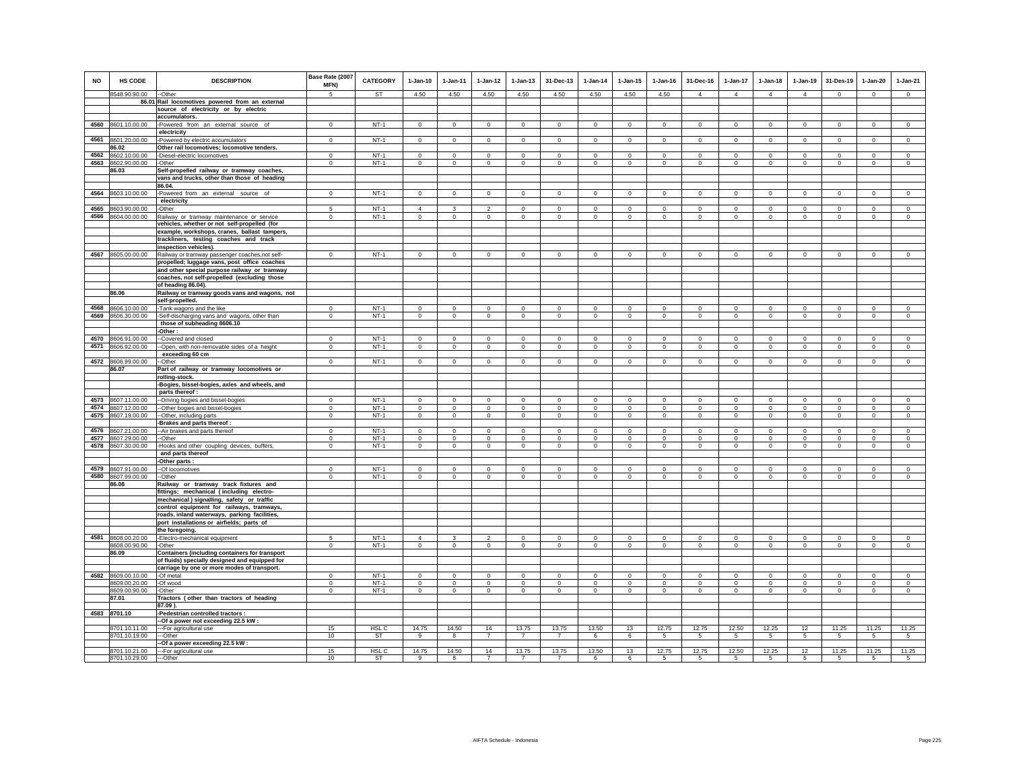| <b>NO</b> | <b>HS CODE</b>                 | <b>DESCRIPTION</b>                                                                                              | Base Rate (2007<br>MFN)       | CATEGORY              | $1 - Jan-10$       | 1-Jan-11           | $1 - Jan-12$           | $1 - Jan-13$               | 31-Dec-13                  | $1-Jan-14$         | $1 - Jan-15$            | $1 - Jan-16$        | 31-Dec-16           | 1-Jan-17               | $1 - Jan-18$   | $1-Jan-19$              | 31-Des-19           | $1-Jan-20$          | $1-Jan-21$             |
|-----------|--------------------------------|-----------------------------------------------------------------------------------------------------------------|-------------------------------|-----------------------|--------------------|--------------------|------------------------|----------------------------|----------------------------|--------------------|-------------------------|---------------------|---------------------|------------------------|----------------|-------------------------|---------------------|---------------------|------------------------|
|           | 8548.90.90.00                  | --Other                                                                                                         | 5                             | <b>ST</b>             | 4.50               | 4.50               | 4.50                   | 4.50                       | 4.50                       | 4.50               | 4.50                    | 4.50                | $\overline{4}$      | $\overline{4}$         | $\overline{4}$ | $\overline{4}$          | $\Omega$            | $\Omega$            | $\overline{0}$         |
|           |                                | 86.01 Rail locomotives powered from an external                                                                 |                               |                       |                    |                    |                        |                            |                            |                    |                         |                     |                     |                        |                |                         |                     |                     |                        |
|           |                                | source of electricity or by electric                                                                            |                               |                       |                    |                    |                        |                            |                            |                    |                         |                     |                     |                        |                |                         |                     |                     |                        |
|           |                                | accumulators.                                                                                                   |                               | $NT-1$                |                    |                    |                        |                            |                            |                    |                         |                     |                     |                        |                |                         |                     |                     |                        |
|           | 4560 8601.10.00.00             | -Powered from an external source of                                                                             | $\mathbf 0$                   |                       | $\circ$            | $\circ$            | $\circ$                | $\circ$                    | $\mathbf{0}$               | $\circ$            | $\circ$                 | $\mathbf 0$         | $\circ$             | $\mathbf 0$            | $\circ$        | $\mathbf 0$             | $\mathbf{0}$        | $\mathbf{0}$        | $\circ$                |
|           |                                | electricity                                                                                                     |                               | $NT-1$                |                    |                    |                        |                            |                            |                    |                         |                     |                     |                        |                |                         |                     |                     |                        |
| 4561      | 8601.20.00.00                  | -Powered by electric accumulators                                                                               | $\mathbf 0$                   |                       | $\circ$            | $\circ$            | $\circ$                | $\circ$                    | $\overline{0}$             | $\circ$            | $\mathbf 0$             | $\,0\,$             | $^{\circ}$          | $\circ$                | $\circ$        | $\overline{0}$          | $\circ$             | $\circ$             | $\mathsf 0$            |
|           | 86.02                          | Other rail locomotives; locomotive tenders.                                                                     |                               |                       |                    |                    |                        |                            |                            |                    |                         |                     |                     |                        |                |                         |                     |                     |                        |
| 4562      | 8602.10.00.00                  | -Diesel-electric locomotives                                                                                    | $\mathbf 0$                   | $NT-1$                | $\mathbf{0}$       | $\Omega$           | $\Omega$               | $\mathbf 0$                | $\mathbf{0}$               | $\Omega$           | $\mathbf 0$             | $\mathbf 0$         | $\Omega$            | $\mathbf{0}$           | $\Omega$       | $\mathbf 0$             | $\mathbf 0$         | $\mathbf{0}$        | $\mathbf{0}$           |
| 4563      | 8602.90.00.00                  | -Other                                                                                                          | $\mathbf 0$                   | $NT-1$                | $\mathbf 0$        | $\circ$            | $\mathbf 0$            | $\mathbf 0$                | $\mathbf 0$                | $\mathbf 0$        | $\mathbf 0$             | $\mathbf 0$         | $\mathbf 0$         | $\mathbf 0$            | $\mathbf 0$    | $\mathbf 0$             | $\mathbf 0$         | $\mathbf 0$         | $\mathbf 0$            |
|           | 86.03                          | Self-propelled railway or tramway coaches,                                                                      |                               |                       |                    |                    |                        |                            |                            |                    |                         |                     |                     |                        |                |                         |                     |                     |                        |
|           |                                | vans and trucks, other than those of heading                                                                    |                               |                       |                    |                    |                        |                            |                            |                    |                         |                     |                     |                        |                |                         |                     |                     |                        |
|           |                                | 86.04.                                                                                                          |                               |                       |                    |                    |                        |                            |                            |                    |                         |                     |                     |                        |                |                         |                     |                     |                        |
| 4564      | 8603.10.00.00                  | -Powered from an external source of                                                                             | $\mathbf 0$                   | $NT-1$                | $\mathsf 0$        | $\mathsf 0$        | $\mathbf 0$            | $\mathbf 0$                | $\mathsf 0$                | $\mathsf 0$        | $\mathbf 0$             | $\mathbf 0$         | $\mathbf 0$         | $\mathbf 0$            | $\mathsf 0$    | $\,0\,$                 | $\,0\,$             | $\mathsf 0$         | $\mathsf 0$            |
|           |                                | electricity                                                                                                     |                               |                       |                    |                    |                        |                            |                            |                    |                         |                     |                     |                        |                |                         |                     |                     |                        |
| 4565      | 8603.90.00.00                  | -Other                                                                                                          | 5                             | $NT-1$                | $\Delta$           | $\mathbf{3}$       | $\mathfrak{D}$         | $\mathbf 0$                | $\mathbf{0}$               | $\Omega$           | $\mathbf 0$             | $\Omega$            | $\Omega$            | $\Omega$               | $\mathbf 0$    | $\Omega$                | $\mathbf 0$         | $\Omega$            | $\circ$                |
| 4566      | 8604.00.00.00                  | Railway or tramway maintenance or service                                                                       | $\mathbf 0$                   | $NT-1$                | $\mathbf 0$        | $\circ$            | $\circ$                | $\circ$                    | $\mathbf 0$                | $\circ$            | $\mathbf 0$             | $\mathbf 0$         | $\circ$             | $\mathbf 0$            | $\circ$        | $\mathbf 0$             | $\mathbf{0}$        | $\mathbf 0$         | $\circ$                |
|           |                                | vehicles, whether or not self-propelled (for                                                                    |                               |                       |                    |                    |                        |                            |                            |                    |                         |                     |                     |                        |                |                         |                     |                     |                        |
|           |                                | example, workshops, cranes, ballast tampers,<br>trackliners, testing coaches and track<br>inspection vehicles). |                               |                       |                    |                    |                        |                            |                            |                    |                         |                     |                     |                        |                |                         |                     |                     |                        |
|           | 4567 8605.00.00.00             | Railway or tramway passenger coaches, not self-                                                                 | $\Omega$                      | $NT-1$                | $\mathsf 0$        | $\Omega$           | $\mathbf 0$            | $\mathbf 0$                | $\mathbf 0$                | $\mathsf 0$        | $\mathbf 0$             | $\mathbb O$         | $\Omega$            | $\mathbf 0$            | $\mathsf 0$    | $\mathbf 0$             | $\mathbf 0$         | $\Omega$            | $\mathsf 0$            |
|           |                                | propelled; luggage vans, post office coaches                                                                    |                               |                       |                    |                    |                        |                            |                            |                    |                         |                     |                     |                        |                |                         |                     |                     |                        |
|           |                                | and other special purpose railway or tramway                                                                    |                               |                       |                    |                    |                        |                            |                            |                    |                         |                     |                     |                        |                |                         |                     |                     |                        |
|           |                                | coaches, not self-propelled (excluding those                                                                    |                               |                       |                    |                    |                        |                            |                            |                    |                         |                     |                     |                        |                |                         |                     |                     |                        |
|           |                                | of heading 86.04).                                                                                              |                               |                       |                    |                    |                        |                            |                            |                    |                         |                     |                     |                        |                |                         |                     |                     |                        |
|           | 86.06                          | Railway or tramway goods vans and wagons, not                                                                   |                               |                       |                    |                    |                        |                            |                            |                    |                         |                     |                     |                        |                |                         |                     |                     |                        |
|           |                                | self-propelled.                                                                                                 |                               |                       |                    |                    |                        |                            |                            |                    |                         |                     |                     |                        |                |                         |                     |                     |                        |
| 4568      | 8606.10.00.00                  | -Tank wagons and the like                                                                                       | $\Omega$                      | $NT-1$                | $\Omega$           | $\Omega$           | $\Omega$               | $\Omega$                   | $\Omega$                   | $\Omega$           | $\Omega$                | $\Omega$            | $\Omega$            | $\Omega$               | $\Omega$       | $\Omega$                | $\Omega$            | $\Omega$            | $\circ$                |
| 4569      | 8606.30.00.00                  | -Self-discharging vans and wagons, other than                                                                   | $\mathbf 0$                   | $NT-1$                | $\mathbf{0}$       | $\circ$            | $\circ$                | $\mathbf 0$                | $\mathbf{0}$               | $\circ$            | $\mathbf 0$             | $\Omega$            | $\circ$             | $\mathbf{0}$           | $\mathbf 0$    | $\mathbf 0$             | $\mathbf 0$         | $\mathbf{0}$        | $\circ$                |
|           |                                | those of subheading 8606.10                                                                                     |                               |                       |                    |                    |                        |                            |                            |                    |                         |                     |                     |                        |                |                         |                     |                     |                        |
|           |                                | -Other:                                                                                                         |                               |                       |                    |                    |                        |                            |                            |                    |                         |                     |                     |                        |                |                         |                     |                     |                        |
| 4570      | 8606.91.00.00                  | --Covered and closed                                                                                            | $\mathbf 0$                   | $NT-1$                | $\mathbf 0$        | $\mathbf 0$        | $\circ$                | $\mathbf 0$                | $\mathbf 0$                | $\mathbf 0$        | $\mathbf 0$             | $^{\circ}$          | $\mathbf 0$         | $\mathbf 0$            | $\mathbf 0$    | $\mathbf 0$             | $\mathbf 0$         | $\mathbf 0$         | $\circ$                |
| 4571      | 8606.92.00.00                  | -Open, with non-removable sides of a height                                                                     | $\mathbf 0$                   | $NT-1$                | $\circ$            | $\circ$            | $\circ$                | $\mathbf 0$                | $\mathbf{0}$               | $\mathbf 0$        | $\mathbf 0$             | $\,0\,$             | $\mathbf 0$         | $\mathbf 0$            | $\mathbf 0$    | $\mathbf 0$             | $\,0\,$             | $\mathbf 0$         | $\mathbf 0$            |
|           |                                | exceeding 60 cm                                                                                                 |                               |                       |                    |                    |                        |                            |                            |                    |                         |                     |                     |                        |                |                         |                     |                     |                        |
| 4572      | 8606.99.00.00                  | -Other                                                                                                          | $\mathbf 0$                   | $NT-1$                | $\circ$            | $\circ$            | $\circ$                | $\circ$                    | $\mathbf 0$                | $\circ$            | $\mathbf 0$             | $\mathbf 0$         | $\circ$             | $\circ$                | $\circ$        | $\mathbf{0}$            | $\mathsf 0$         | $\mathbf 0$         | $\mathsf 0$            |
|           | 86.07                          | Part of railway or tramway locomotives or                                                                       |                               |                       |                    |                    |                        |                            |                            |                    |                         |                     |                     |                        |                |                         |                     |                     |                        |
|           |                                | rolling-stock.                                                                                                  |                               |                       |                    |                    |                        |                            |                            |                    |                         |                     |                     |                        |                |                         |                     |                     |                        |
|           |                                | -Bogies, bissel-bogies, axles and wheels, and                                                                   |                               |                       |                    |                    |                        |                            |                            |                    |                         |                     |                     |                        |                |                         |                     |                     |                        |
|           |                                | parts thereof :                                                                                                 |                               |                       |                    |                    |                        |                            |                            |                    |                         |                     |                     |                        |                |                         |                     |                     |                        |
| 4573      | 8607.11.00.00                  | -- Driving bogies and bissel-bogies                                                                             | $\mathsf 0$                   | $NT-1$                | $\mathsf 0$        | $\,$ 0             | $\mathbf 0$            | $\mathbf 0$                | $\mathbf 0$                | $\circ$            | $\mathbf 0$             | $\Omega$            | $\mathbf 0$         | $\mathsf 0$            | $\mathbf 0$    | $\mathbf 0$             | $\mathbf 0$         | $\circ$             | $\mathsf 0$            |
| 4574      | 8607.12.00.00                  | -- Other bogies and bissel-bogies                                                                               | $\mathsf 0$                   | $NT-1$                | $\circ$            | $\circ$            | $\Omega$               | $\Omega$                   | $\mathbf{0}$               | $\Omega$           | $\Omega$                | $\Omega$            | $\Omega$            | $\mathbf{0}$           | $\Omega$       | $\Omega$                | $\mathbf{0}$        | $\Omega$            | $\Omega$               |
| 4575      | 8607.19.00.00                  | -- Other, including parts                                                                                       | $\mathbf 0$                   | $NT-1$                | $\circ$            | $\circ$            | $\circ$                | $\circ$                    | $\mathbf{0}$               | $\circ$            | $\mathbf 0$             | $\Omega$            | $\circ$             | $\mathbf 0$            | $\circ$        | $\circ$                 | $\circ$             | $\Omega$            | $\circ$                |
|           |                                | -Brakes and parts thereof                                                                                       |                               |                       |                    |                    |                        |                            |                            |                    |                         |                     |                     |                        |                |                         |                     |                     |                        |
| 4576      | 8607.21.00.00                  | -- Air brakes and parts thereof                                                                                 | $\Omega$                      | $NT-1$                | $\Omega$           | $\Omega$           | $\mathbf 0$            | $\mathbf 0$                | $\mathbf 0$                | $\Omega$           | $\mathbf 0$             | $\Omega$            | $\Omega$            | $\mathbf 0$            | $\Omega$       | $\mathbf 0$             | $\mathbf 0$         | $\mathbf 0$         | $\Omega$               |
| 4577      | 8607.29.00.00                  | --Other                                                                                                         | $\mathsf 0$                   | $NT-1$                | $\mathsf 0$        | $\mathbf 0$        | $\mathsf 0$            | $\mathbf 0$                | $\mathbf 0$                | $\mathbf 0$        | $\mathbf 0$             | $^{\circ}$          | $\mathbf 0$         | $\mathbf 0$            | $\mathsf 0$    | $\mathbf 0$             | $\mathbf 0$         | $\mathsf 0$         | $\mathsf 0$            |
| 4578      | 8607.30.00.00                  | -Hooks and other coupling devices, buffers,                                                                     | $\mathbf 0$                   | $NT-1$                | $\circ$            | $\circ$            | $\circ$                | $\circ$                    | $\mathbf{0}$               | $\circ$            | $\circ$                 | $\mathbf 0$         | $\circ$             | $\circ$                | $\circ$        | $\circ$                 | $\mathbf{0}$        | $\circ$             | $\circ$                |
|           |                                | and parts thereof                                                                                               |                               |                       |                    |                    |                        |                            |                            |                    |                         |                     |                     |                        |                |                         |                     |                     |                        |
|           |                                | -Other parts :                                                                                                  |                               |                       |                    |                    |                        |                            |                            |                    |                         |                     |                     |                        |                |                         |                     |                     |                        |
| 4579      | 8607.91.00.00                  | --Of locomotives                                                                                                | $\Omega$                      | $NT-1$                | $\Omega$           | $\Omega$           | $\Omega$               | $\Omega$                   | $\Omega$                   | $\Omega$           | $\Omega$                | $\Omega$            | $\Omega$            | $\Omega$               | $\Omega$       | $\Omega$                | $\circ$             | $\Omega$            | $\mathbf 0$            |
| 4580      | 8607.99.00.00                  | --Other                                                                                                         | $\mathbf 0$                   | $NT-1$                | $\mathsf 0$        | $\mathsf 0$        | $\mathbf 0$            | $\mathbf 0$                | $\mathbf 0$                | $\mathbf 0$        | $\mathbf 0$             | $\mathbf 0$         | $\mathbf 0$         | $\mathbf 0$            | $\mathbf 0$    | $\mathbf 0$             | $\mathbf 0$         | $\mathsf 0$         | $\Omega$               |
|           | 86.08                          | Railway or tramway track fixtures and                                                                           |                               |                       |                    |                    |                        |                            |                            |                    |                         |                     |                     |                        |                |                         |                     |                     |                        |
|           |                                | fittings; mechanical (including electro-                                                                        |                               |                       |                    |                    |                        |                            |                            |                    |                         |                     |                     |                        |                |                         |                     |                     |                        |
|           |                                | mechanical) signalling, safety or traffic                                                                       |                               |                       |                    |                    |                        |                            |                            |                    |                         |                     |                     |                        |                |                         |                     |                     |                        |
|           |                                | control equipment for railways, tramways,                                                                       |                               |                       |                    |                    |                        |                            |                            |                    |                         |                     |                     |                        |                |                         |                     |                     |                        |
|           |                                | roads, inland waterways, parking facilities,                                                                    |                               |                       |                    |                    |                        |                            |                            |                    |                         |                     |                     |                        |                |                         |                     |                     |                        |
|           |                                | port installations or airfields; parts of                                                                       |                               |                       |                    |                    |                        |                            |                            |                    |                         |                     |                     |                        |                |                         |                     |                     |                        |
|           |                                | the foregoing.                                                                                                  |                               |                       |                    |                    |                        |                            |                            |                    |                         |                     |                     |                        |                |                         |                     |                     |                        |
|           | 4581 8608.00.20.00             |                                                                                                                 | 5                             | $NT-1$                | $\overline{4}$     | $\mathbf{3}$       | $\mathfrak{p}$         | $\Omega$                   | $\mathbf 0$                | $\Omega$           | $\Omega$                | $\Omega$            | $\Omega$            | $\Omega$               | $\Omega$       | $\Omega$                | $\mathbf 0$         | $\Omega$            | $\Omega$               |
|           | 8608.00.90.00                  | -Electro-mechanical equipment<br>-Other                                                                         | $\mathbf 0$                   | $NT-1$                | $\mathbf 0$        | $\circ$            | $\circ$                | $\mathbf 0$                | $\mathbf 0$                | $\circ$            | $\mathbf 0$             | $\,0\,$             | $\mathbf 0$         | $\mathbf 0$            | $\mathbf 0$    | $\mathbf 0$             | $\mathbf 0$         | $\mathbf 0$         | $\mathbf 0$            |
|           | 86.09                          | Containers (including containers for transport                                                                  |                               |                       |                    |                    |                        |                            |                            |                    |                         |                     |                     |                        |                |                         |                     |                     |                        |
|           |                                | of fluids) specially designed and equipped for                                                                  |                               |                       |                    |                    |                        |                            |                            |                    |                         |                     |                     |                        |                |                         |                     |                     |                        |
|           |                                | carriage by one or more modes of transport.                                                                     |                               |                       |                    |                    |                        |                            |                            |                    |                         |                     |                     |                        |                |                         |                     |                     |                        |
| 4582      | 8609.00.10.00                  |                                                                                                                 | $^{\circ}$                    | $NT-1$                | $\Omega$           | $\mathbf 0$        | $\mathbf 0$            | $\mathbf 0$                | $\mathbf 0$                | $\Omega$           |                         | $\Omega$            | $\Omega$            | $\Omega$               | $\Omega$       |                         | $^{\circ}$          | $\mathbf 0$         |                        |
|           |                                | -Of metal                                                                                                       |                               |                       |                    |                    |                        |                            |                            |                    | $\mathbf 0$             |                     |                     |                        | $\mathbf{0}$   | $\mathbf 0$             |                     |                     | $\mathbf 0$<br>$\circ$ |
|           | 8609.00.20.00<br>8609.00.90.00 | -Of wood                                                                                                        | $\overline{0}$<br>$\mathbf 0$ | <b>NT-1</b><br>$NT-1$ | $\circ$<br>$\circ$ | $\circ$<br>$\circ$ | $\circ$<br>$\mathbf 0$ | $\mathbf 0$<br>$\mathbf 0$ | $\overline{0}$<br>$\Omega$ | $\circ$<br>$\circ$ | $\mathbf 0$<br>$\Omega$ | $\,0\,$<br>$\Omega$ | $\circ$<br>$\Omega$ | $\mathbf 0$<br>$\circ$ | $\mathbf 0$    | $\mathbf 0$<br>$\Omega$ | $\circ$<br>$\Omega$ | $\circ$<br>$\Omega$ | $\circ$                |
|           | 87.01                          | -Other<br>Tractors (other than tractors of heading                                                              |                               |                       |                    |                    |                        |                            |                            |                    |                         |                     |                     |                        |                |                         |                     |                     |                        |
|           |                                | 87.09 )                                                                                                         |                               |                       |                    |                    |                        |                            |                            |                    |                         |                     |                     |                        |                |                         |                     |                     |                        |
|           | 4583 8701.10                   | -Pedestrian controlled tractors :                                                                               |                               |                       |                    |                    |                        |                            |                            |                    |                         |                     |                     |                        |                |                         |                     |                     |                        |
|           |                                | -- Of a power not exceeding 22.5 kW :                                                                           |                               |                       |                    |                    |                        |                            |                            |                    |                         |                     |                     |                        |                |                         |                     |                     |                        |
|           | 8701.10.11.00                  | --- For agricultural use                                                                                        | 15                            | HSL C                 | 14.75              | 14.50              | 14                     | 13.75                      | 13.75                      | 13.50              | 13                      | 12.75               | 12.75               | 12.50                  | 12.25          | 12                      | 11.25               | 11.25               | 11.25                  |
|           | 8701.10.19.00                  | ---Other                                                                                                        | 10                            | <b>ST</b>             | 9                  | 8                  | $\overline{7}$         | $\overline{7}$             | $\overline{7}$             | 6                  | 6                       | 5                   | 5                   | $5^{\circ}$            | 5              | 5                       | $\sqrt{5}$          | $5\overline{)}$     | $5\overline{)}$        |
|           |                                | -Of a power exceeding 22.5 kW:                                                                                  |                               |                       |                    |                    |                        |                            |                            |                    |                         |                     |                     |                        |                |                         |                     |                     |                        |
|           | 8701.10.21.00                  | --- For agricultural use                                                                                        | 15                            | HSL C                 | 14.75              | 14.50              | 14                     | 13.75                      | 13.75                      | 13.50              | 13                      | 12.75               | 12.75               | 12.50                  | 12.25          | 12                      | 11.25               | 11.25               | 11.25                  |
|           | 8701.10.29.00                  | ---Other                                                                                                        | 10                            | <b>ST</b>             | $\alpha$           | $\mathbf{R}$       | $\overline{7}$         | $\overline{7}$             | $\overline{7}$             | 6                  | 6                       | 5                   | $5^{\circ}$         | $5^{\circ}$            | $5^{\circ}$    | $\overline{5}$          | 5                   | 5                   | 5 <sup>5</sup>         |
|           |                                |                                                                                                                 |                               |                       |                    |                    |                        |                            |                            |                    |                         |                     |                     |                        |                |                         |                     |                     |                        |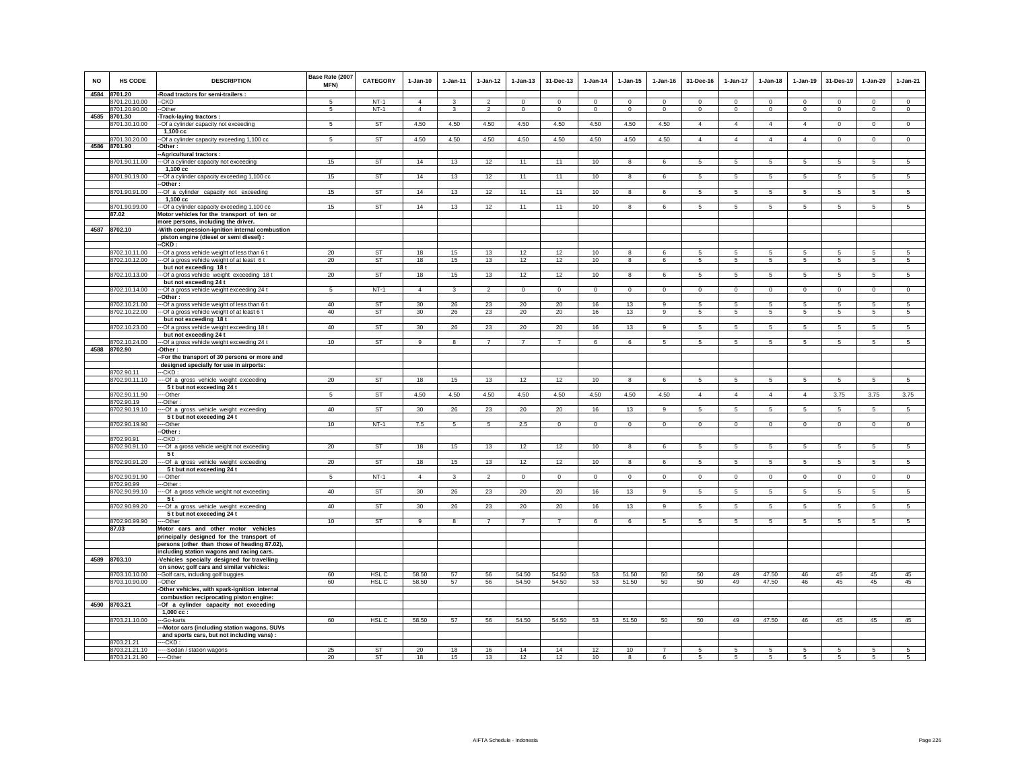| NO   | <b>HS CODE</b>              | <b>DESCRIPTION</b>                                                                         | Base Rate (2007<br>MFN) | <b>CATEGORY</b> | $1-Jan-10$      | 1-Jan-11       | $1-Jan-12$              | $1-Jan-13$     | 31-Dec-13      | $1-Jan-14$  | $1 - Jan-15$            | $1-Jan-16$     | 31-Dec-16       | $1-Jan-17$      | $1-Jan-18$     | $1-Jan-19$      | 31-Des-19       | 1-Jan-20        | $1-Jan-21$      |
|------|-----------------------------|--------------------------------------------------------------------------------------------|-------------------------|-----------------|-----------------|----------------|-------------------------|----------------|----------------|-------------|-------------------------|----------------|-----------------|-----------------|----------------|-----------------|-----------------|-----------------|-----------------|
| 4584 | 8701.20                     | -Road tractors for semi-trailers :                                                         |                         |                 |                 |                |                         |                |                |             |                         |                |                 |                 |                |                 |                 |                 |                 |
|      | 8701.20.10.00               | --CKD                                                                                      | 5                       | $NT-1$          | $\overline{4}$  | 3              | $\overline{\mathbf{c}}$ | $\mathbf 0$    | 0              | $\mathbf 0$ | $^{\circ}$              | $\Omega$       | $\Omega$        | $\mathbf 0$     | $\Omega$       | $^{\circ}$      | $\mathbf 0$     | 0               | $\mathsf 0$     |
|      | 8701.20.90.00               | --Other                                                                                    | 5                       | $NT-1$          | $\overline{4}$  | $\overline{3}$ | $\overline{2}$          | $\mathbf 0$    | $\mathbf 0$    | $\circ$     | $\mathbf 0$             | $\mathbb O$    | $\mathbf 0$     | $\mathbf 0$     | $\mathsf 0$    | $\mathbf 0$     | $\circ$         | $\mathbf 0$     | $\overline{0}$  |
| 4585 | 8701.30                     | Track-laying tractors:                                                                     |                         |                 |                 |                |                         |                |                |             |                         |                |                 |                 |                |                 |                 |                 |                 |
|      | 8701.30.10.00               | -- Of a cylinder capacity not exceeding                                                    | 5                       | <b>ST</b>       | 4.50            | 4.50           | 4.50                    | 4.50           | 4.50           | 4.50        | 4.50                    | 4.50           | $\overline{4}$  | $\overline{4}$  | $\overline{4}$ | $\overline{4}$  | $\mathbf{0}$    | $\mathbf{0}$    | $\overline{0}$  |
|      |                             | 1,100 cc                                                                                   |                         |                 |                 |                |                         |                |                |             |                         |                |                 |                 |                |                 |                 |                 |                 |
|      | 8701.30.20.00               | -- Of a cylinder capacity exceeding 1,100 cc                                               | 5                       | ST              | 4.50            | 4.50           | 4.50                    | 4.50           | 4.50           | 4.50        | 4.50                    | 4.50           | $\overline{4}$  | $\overline{4}$  | $\overline{4}$ | $\overline{4}$  | $\circ$         | $\circ$         | $\mathsf 0$     |
| 4586 | 8701.90                     | Other:                                                                                     |                         |                 |                 |                |                         |                |                |             |                         |                |                 |                 |                |                 |                 |                 |                 |
|      |                             | -Agricultural tractors :                                                                   |                         |                 |                 |                |                         |                |                |             |                         |                |                 |                 |                |                 |                 |                 |                 |
|      | 8701.90.11.00               | --- Of a cylinder capacity not exceeding                                                   | 15                      | <b>ST</b>       | 14              | 13             | 12                      | 11             | 11             | 10          | 8                       | 6              | $5\phantom{.0}$ | $5\phantom{.0}$ | $\sqrt{5}$     | $\sqrt{5}$      | $\sqrt{5}$      | $\sqrt{5}$      | $5\overline{)}$ |
|      | 8701.90.19.00               | 1.100 cc                                                                                   | 15                      | <b>ST</b>       | 14              | 13             | 12                      | 11             | 11             | 10          | $\overline{\mathbf{8}}$ | 6              | 5               | 5               | 5              | 5               | 5               | 5               | 5               |
|      |                             | --- Of a cylinder capacity exceeding 1,100 cc<br>-Other:                                   |                         |                 |                 |                |                         |                |                |             |                         |                |                 |                 |                |                 |                 |                 |                 |
|      | 8701.90.91.00               | --- Of a cylinder capacity not exceeding                                                   | 15                      | <b>ST</b>       | 14              | 13             | 12                      | 11             | 11             | 10          | 8                       | 6              | $5\overline{5}$ | $5^{\circ}$     | 5              | $5\phantom{.0}$ | 5               | 5               | 5               |
|      |                             | 1,100 cc                                                                                   |                         |                 |                 |                |                         |                |                |             |                         |                |                 |                 |                |                 |                 |                 |                 |
|      | 8701.90.99.00<br>87.02      | -- Of a cylinder capacity exceeding 1,100 cc<br>Motor vehicles for the transport of ten or | 15                      | <b>ST</b>       | 14              | 13             | 12                      | 11             | 11             | 10          | 8                       | 6              | 5               | $5\overline{5}$ | 5              | $5\phantom{.0}$ | $5\overline{5}$ | 5               | 5               |
|      |                             | more persons, including the driver.                                                        |                         |                 |                 |                |                         |                |                |             |                         |                |                 |                 |                |                 |                 |                 |                 |
| 4587 | 8702.10                     | -With compression-ignition internal combustion                                             |                         |                 |                 |                |                         |                |                |             |                         |                |                 |                 |                |                 |                 |                 |                 |
|      |                             | piston engine (diesel or semi diesel) :                                                    |                         |                 |                 |                |                         |                |                |             |                         |                |                 |                 |                |                 |                 |                 |                 |
|      |                             | $-CKD:$                                                                                    |                         |                 |                 |                |                         |                |                |             |                         |                |                 |                 |                |                 |                 |                 |                 |
|      | 8702.10.11.00               | --- Of a gross vehicle weight of less than 6 t                                             | 20                      | <b>ST</b>       | 18              | 15             | 13                      | 12             | 12             | 10          | $\overline{8}$          | 6              | 5               | 5               | 5              | 5               | 5               | 5               | 5               |
|      | 8702.10.12.00               | -- Of a gross vehicle weight of at least 6 t                                               | 20                      | ST              | 18              | 15             | 13                      | 12             | 12             | 10          | 8                       | 6              | 5               | 5               | 5              | 5               | 5               | 5               | 5               |
|      |                             | but not exceeding 18t                                                                      |                         |                 |                 |                |                         |                |                |             |                         |                |                 |                 |                |                 |                 |                 |                 |
|      | 8702.10.13.00               | --Of a gross vehicle weight exceeding 18 t<br>but not exceeding 24 t                       | 20                      | <b>ST</b>       | 18              | 15             | 13                      | 12             | 12             | 10          | 8                       | 6              | 5               | 5               | 5              | $5\overline{5}$ | $5\phantom{.0}$ | $5\overline{5}$ | $5\overline{5}$ |
|      | 8702.10.14.00               | -- Of a gross vehicle weight exceeding 24 t                                                | 5                       | $NT-1$          | $\overline{4}$  | 3              | $\overline{a}$          | $\circ$        | $\mathbf 0$    | $\circ$     | $\mathbf 0$             | $\mathbf 0$    | $\Omega$        | $\mathbf 0$     | $\mathsf 0$    | $\mathsf 0$     | $\circ$         | $\mathbf 0$     | $\mathsf 0$     |
|      |                             | Other:                                                                                     |                         |                 |                 |                |                         |                |                |             |                         |                |                 |                 |                |                 |                 |                 |                 |
|      | 8702.10.21.00               | --Of a gross vehicle weight of less than 6 t                                               | 40                      | ST              | 30              | 26             | 23                      | 20             | 20             | 16          | 13                      | 9              | 5               | 5               | 5              | 5               | 5               | 5               | 5               |
|      | 8702.10.22.00               | --Of a gross vehicle weight of at least 6 t                                                | 40                      | <b>ST</b>       | 30              | 26             | 23                      | $20\,$         | 20             | 16          | $13\,$                  | 9              | 5               | $5\overline{)}$ | 5              | $\sqrt{5}$      | $\sqrt{5}$      | 5               | $\overline{5}$  |
|      |                             | but not exceeding 18 t                                                                     |                         | <b>ST</b>       |                 |                | 23                      |                |                |             |                         | 9              | 5               |                 |                |                 |                 |                 |                 |
|      | 8702.10.23.00               | -- Of a gross vehicle weight exceeding 18 t<br>but not exceeding 24 t                      | 40                      |                 | 30              | 26             |                         | 20             | 20             | 16          | 13                      |                |                 | 5               | 5              | 5               | 5               | 5               | 5               |
|      | 8702.10.24.00               | --Of a gross vehicle weight exceeding 24 t                                                 | 10                      | <b>ST</b>       | 9               | 8              | $\overline{7}$          | $\overline{7}$ | $\overline{7}$ | 6           | 6                       | 5              | 5               | $5\overline{5}$ | 5              | $5\overline{5}$ | $5\overline{5}$ | $5\overline{5}$ | $5\overline{5}$ |
|      | 4588 8702.90                | -Other:                                                                                    |                         |                 |                 |                |                         |                |                |             |                         |                |                 |                 |                |                 |                 |                 |                 |
|      |                             | -For the transport of 30 persons or more and                                               |                         |                 |                 |                |                         |                |                |             |                         |                |                 |                 |                |                 |                 |                 |                 |
|      |                             | designed specially for use in airports:                                                    |                         |                 |                 |                |                         |                |                |             |                         |                |                 |                 |                |                 |                 |                 |                 |
|      | 8702.90.11                  | --CKD :                                                                                    |                         |                 |                 |                |                         |                |                |             |                         |                |                 |                 |                |                 |                 |                 |                 |
|      | 8702.90.11.10               | --- Of a gross vehicle weight exceeding                                                    | 20                      | <b>ST</b>       | 18              | 15             | 13                      | 12             | 12             | 10          | 8                       | 6              | 5               | 5               | 5              | $\,$ 5 $\,$     | $\sqrt{5}$      | $\sqrt{5}$      | $\sqrt{5}$      |
|      |                             | 5 t but not exceeding 24 t                                                                 |                         |                 |                 |                |                         |                |                |             |                         |                |                 |                 |                |                 |                 |                 |                 |
|      | 8702.90.11.90               | --Other                                                                                    | 5                       | <b>ST</b>       | 4.50            | 4.50           | 4.50                    | 4.50           | 4.50           | 4.50        | 4.50                    | 4.50           | $\overline{4}$  | $\overline{4}$  | $\overline{4}$ | $\overline{4}$  | 3.75            | 3.75            | 3.75            |
|      | 8702.90.19                  | -Other:                                                                                    |                         |                 |                 |                |                         |                |                |             |                         |                |                 |                 |                |                 |                 |                 |                 |
|      | 8702.90.19.10               | --Of a gross vehicle weight exceeding                                                      | 40                      | <b>ST</b>       | 30              | 26             | 23                      | 20             | 20             | 16          | 13                      | 9              | 5               | 5               | 5              | 5               | 5               | 5               | 5               |
|      |                             | 5 t but not exceeding 24 t                                                                 |                         |                 |                 |                |                         |                |                |             |                         |                |                 |                 |                |                 |                 |                 |                 |
|      | 8702.90.19.90               | --Other                                                                                    | 10                      | $NT-1$          | 7.5             | 5              | 5                       | 2.5            | $\mathsf 0$    | $\mathbf 0$ | $\mathbf 0$             | $\mathbf 0$    | $\mathbf 0$     | $\mathsf 0$     | $\mathsf 0$    | $\mathbf 0$     | $\mathbf 0$     | $\mathsf 0$     | $\mathsf 0$     |
|      | 8702.90.91                  | -Other<br>--CKD:                                                                           |                         |                 |                 |                |                         |                |                |             |                         |                |                 |                 |                |                 |                 |                 |                 |
|      | 8702.90.91.10               | ---- Of a gross vehicle weight not exceeding                                               | 20                      | <b>ST</b>       | 18              | 15             | 13                      | 12             | 12             | 10          | $\overline{8}$          | 6              | $\sqrt{5}$      | $5\overline{)}$ | $\overline{5}$ | 5               | 5               | $\overline{5}$  | $5\overline{)}$ |
|      |                             | 5 t                                                                                        |                         |                 |                 |                |                         |                |                |             |                         |                |                 |                 |                |                 |                 |                 |                 |
|      | 8702.90.91.20               | --Of a gross vehicle weight exceeding                                                      | 20                      | <b>ST</b>       | 18              | 15             | 13                      | 12             | 12             | 10          | 8                       | 6              | 5               | $5\phantom{.0}$ | 5              | $\sqrt{5}$      | $5\phantom{.0}$ | 5               | $\sqrt{5}$      |
|      |                             | 5 t but not exceeding 24 t                                                                 |                         |                 |                 |                |                         |                |                |             |                         |                |                 |                 |                |                 |                 |                 |                 |
|      | 8702.90.91.90               | --Other                                                                                    | 5                       | $NT-1$          | $\overline{4}$  | $\mathbf{3}$   | $\overline{2}$          | $\mathbf{0}$   | $\mathbf{0}$   | $\circ$     | 0                       | $\mathbf 0$    | $^{\circ}$      | $\circ$         | $\mathbf 0$    | $\circ$         | $\circ$         | $\mathbf 0$     | $\mathbf 0$     |
|      | 8702.90.99                  | --Other                                                                                    |                         |                 |                 |                |                         |                |                |             |                         |                |                 |                 |                |                 |                 |                 |                 |
|      | 8702.90.99.10               | --- Of a gross vehicle weight not exceeding                                                | 40                      | <b>ST</b>       | 30              | 26             | 23                      | 20             | 20             | 16          | 13                      | 9              | 5               | 5               | 5              | 5               | 5               | 5               | 5               |
|      |                             | 5 t                                                                                        |                         |                 |                 |                |                         |                |                |             |                         |                |                 |                 |                |                 |                 |                 |                 |
|      | 8702.90.99.20               | --Of a gross vehicle weight exceeding                                                      | 40                      | <b>ST</b>       | 30 <sup>°</sup> | 26             | 23                      | 20             | 20             | 16          | 13                      | $\alpha$       | 5.              | $\overline{5}$  | $\mathbf{5}$   | 5               | 5               | $\overline{5}$  | 5 <sup>7</sup>  |
|      | 8702.90.99.90               | 5 t but not exceeding 24 t<br>--Other                                                      | 10                      | ST              | 9               | 8              | $\overline{7}$          | $\overline{7}$ | $\overline{7}$ | 6           | 6                       | 5              | 5               | 5               | 5              | 5               | 5               | 5               | 5               |
|      | 87.03                       | Motor cars and other motor vehicles                                                        |                         |                 |                 |                |                         |                |                |             |                         |                |                 |                 |                |                 |                 |                 |                 |
|      |                             | principally designed for the transport of                                                  |                         |                 |                 |                |                         |                |                |             |                         |                |                 |                 |                |                 |                 |                 |                 |
|      |                             | persons (other than those of heading 87.02),                                               |                         |                 |                 |                |                         |                |                |             |                         |                |                 |                 |                |                 |                 |                 |                 |
|      |                             | including station wagons and racing cars.                                                  |                         |                 |                 |                |                         |                |                |             |                         |                |                 |                 |                |                 |                 |                 |                 |
| 4589 | 8703.10                     | Vehicles specially designed for travelling                                                 |                         |                 |                 |                |                         |                |                |             |                         |                |                 |                 |                |                 |                 |                 |                 |
|      |                             | on snow; golf cars and similar vehicles:                                                   |                         |                 |                 |                |                         |                |                |             |                         |                |                 |                 |                |                 |                 |                 |                 |
|      | 8703.10.10.00               | -- Golf cars, including golf buggies                                                       | 60                      | HSL C           | 58.50           | 57             | 56                      | 54.50          | 54.50          | 53          | 51.50                   | 50             | 50              | 49              | 47.50          | 46              | 45              | 45              | 45              |
|      | 8703.10.90.00               | --Other                                                                                    | 60                      | HSL C           | 58.50           | 57             | 56                      | 54.50          | 54.50          | 53          | 51.50                   | 50             | 50              | 49              | 47.50          | 46              | 45              | 45              | 45              |
|      |                             | -Other vehicles, with spark-ignition internal                                              |                         |                 |                 |                |                         |                |                |             |                         |                |                 |                 |                |                 |                 |                 |                 |
|      |                             | combustion reciprocating piston engine:                                                    |                         |                 |                 |                |                         |                |                |             |                         |                |                 |                 |                |                 |                 |                 |                 |
|      | 4590 8703.21                | -Of a cylinder capacity not exceeding                                                      |                         |                 |                 |                |                         |                |                |             |                         |                |                 |                 |                |                 |                 |                 |                 |
|      |                             | $1,000$ cc:                                                                                |                         |                 |                 |                |                         |                |                |             |                         |                |                 |                 |                |                 |                 |                 |                 |
|      | 8703.21.10.00               | ---Go-karts                                                                                | 60                      | HSL C           | 58.50           | 57             | 56                      | 54.50          | 54.50          | 53          | 51.50                   | 50             | 50              | 49              | 47.50          | 46              | 45              | 45              | 45              |
|      |                             | --Motor cars (including station wagons, SUVs                                               |                         |                 |                 |                |                         |                |                |             |                         |                |                 |                 |                |                 |                 |                 |                 |
|      |                             | and sports cars, but not including vans) :                                                 |                         |                 |                 |                |                         |                |                |             |                         |                |                 |                 |                |                 |                 |                 |                 |
|      | 8703.21.21<br>8703.21.21.10 | $---CKD$ :<br>-----Sedan / station wagons                                                  | 25                      | <b>ST</b>       | 20              | 18             | 16                      | 14             | 14             | 12          | 10                      | $\overline{7}$ | 5               | 5               | 5              | 5               | 5               | 5               | 5               |
|      | 8703.21.21.90 ----- Other   |                                                                                            | 20                      | <b>ST</b>       | 18              | 15             | 13                      | 12             | 12             | 10          | 8                       | 6              | 5               | $\overline{5}$  | 5              | 5               | 5               | $\overline{5}$  | 5 <sup>5</sup>  |
|      |                             |                                                                                            |                         |                 |                 |                |                         |                |                |             |                         |                |                 |                 |                |                 |                 |                 |                 |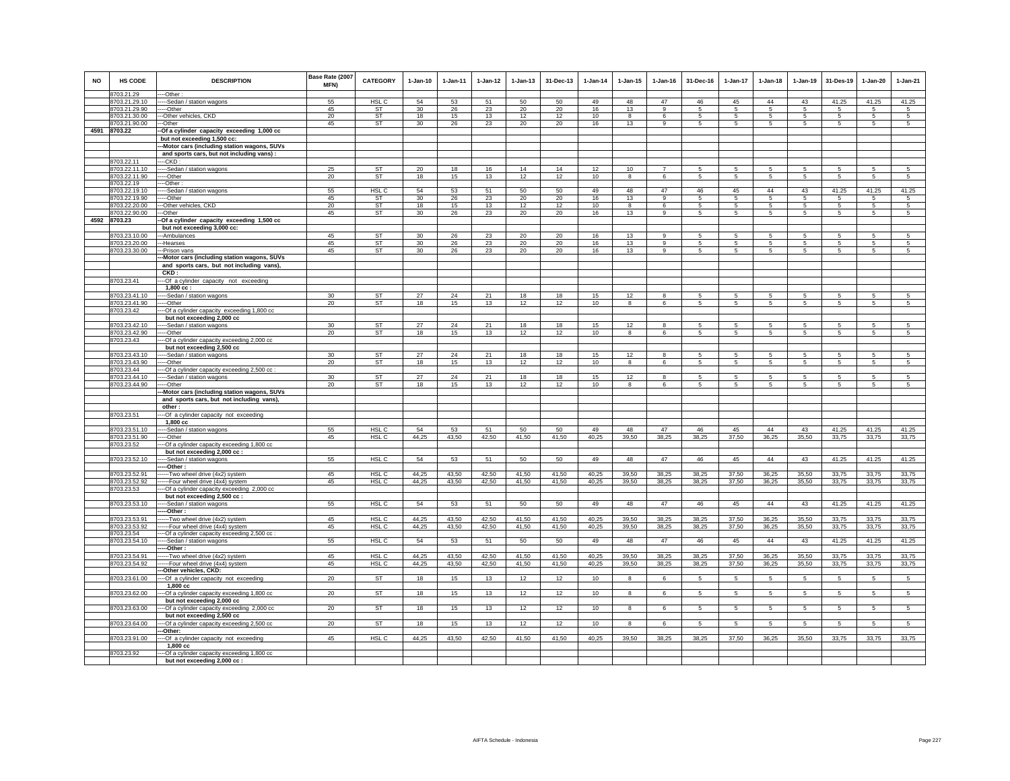| <b>NO</b> | <b>HS CODE</b><br>8703.21.29   | <b>DESCRIPTION</b><br>---Other:                                                          | Base Rate (2007<br>MFN) | <b>CATEGORY</b>  | $1-Jan-10$ | $1-Jan-11$ | $1 - Jan-12$ | $1 - Jan-13$ | 31-Dec-13 | $1-Jan-14$ | $1 - Jan-15$            | $1 - Jan-16$   | 31-Dec-16      | $1-Jan-17$      | $1-Jan-18$      | 1-Jan-19        | 31-Des-19      | 1-Jan-20       | 1-Jan-21        |
|-----------|--------------------------------|------------------------------------------------------------------------------------------|-------------------------|------------------|------------|------------|--------------|--------------|-----------|------------|-------------------------|----------------|----------------|-----------------|-----------------|-----------------|----------------|----------------|-----------------|
|           | 8703.21.29.10                  | ----Sedan / station wagons                                                               | 55                      | HSL C            | 54         | 53         | 51           | 50           | 50        | 49         | 48                      | 47             | 46             | 45              | 44              | 43              | 41.25          | 41.25          | 41.25           |
|           | 8703.21.29.90                  | ----Other                                                                                | 45                      | ST               | 30         | 26         | 23           | 20           | 20        | 16         | 13                      | 9              | 5              | 5               | 5               | 5               | 5              | 5              | 5               |
|           | 8703.21.30.00                  | --Other vehicles, CKD                                                                    | 20                      | <b>ST</b>        | 18         | 15         | 13           | 12           | 12        | 10         | 8                       | 6              | 5              | -5              | 5               | 5               | 5              | 5              | $\overline{5}$  |
|           | 8703.21.90.00                  | -Other                                                                                   | 45                      | ST               | 30         | 26         | 23           | 20           | 20        | 16         | 13                      | 9              | 5              | 5               | 5               | 5               | 5              | 5              |                 |
|           | 4591 8703.22                   | -Of a cylinder capacity exceeding 1,000 cc                                               |                         |                  |            |            |              |              |           |            |                         |                |                |                 |                 |                 |                |                |                 |
|           |                                | but not exceeding 1,500 cc:                                                              |                         |                  |            |            |              |              |           |            |                         |                |                |                 |                 |                 |                |                |                 |
|           |                                | -Motor cars (including station wagons, SUVs<br>and sports cars, but not including vans): |                         |                  |            |            |              |              |           |            |                         |                |                |                 |                 |                 |                |                |                 |
|           | 8703.22.11                     | ---CKD :                                                                                 |                         |                  |            |            |              |              |           |            |                         |                |                |                 |                 |                 |                |                |                 |
|           | 8703.22.11.10                  | ---Sedan / station wagons                                                                | 25                      | ST               | 20         | 18         | 16           | 14           | 14        | 12         | 10                      | $\overline{7}$ | 5              | 5               | 5               | 5               | 5              | 5              | 5               |
|           | 8703.22.11.90                  | ---Other                                                                                 | 20                      | <b>ST</b>        | 18         | 15         | 13           | 12           | 12        | 10         | 8                       | 6              | 5              | 5               | $\mathbf 5$     | 5               | $\,$ 5 $\,$    | $\,$ 5 $\,$    | $\,$ 5 $\,$     |
|           | 8703.22.19                     | ---Other                                                                                 |                         |                  |            |            |              |              |           |            |                         |                |                |                 |                 |                 |                |                |                 |
|           | 8703.22.19.10                  | ----Sedan / station wagons                                                               | 55                      | HSL <sub>C</sub> | 54         | 53         | 51           | 50           | 50        | 49         | 48                      | 47             | 46             | 45              | 44              | 43              | 41.25          | 41.25          | 41.25           |
|           | 8703.22.19.90                  | ----Other                                                                                | 45                      | <b>ST</b>        | 30         | 26         | 23           | 20           | 20        | 16         | 13                      | $\mathbf{9}$   | 5              | 5               | 5               | 5               | 5              | 5              | $\sqrt{5}$      |
|           | 8703.22.20.00                  | --Other vehicles, CKD                                                                    | 20                      | <b>ST</b>        | 18         | 15         | 13           | 12           | 12        | 10         | $\mathbf{g}$            | 6              | 5              | 5               | 5               | 5               | 5              | 5              | 5               |
|           | 8703.22.90.00                  | ---Other                                                                                 | 45                      | ST               | 30         | 26         | 23           | 20           | 20        | 16         | 13                      | 9              | $\sqrt{5}$     | $\sqrt{5}$      | -5              | 5               | 5              | 5              | 5               |
|           | 4592 8703.23                   | -Of a cylinder capacity exceeding 1,500 cc<br>but not exceeding 3,000 cc:                |                         |                  |            |            |              |              |           |            |                         |                |                |                 |                 |                 |                |                |                 |
|           | 8703.23.10.00                  | -Ambulances                                                                              | 45                      | <b>ST</b>        | 30         | 26         | 23           | 20           | 20        | 16         | 13                      | $\overline{9}$ | 5              | 5               | 5               | 5               | 5              | 5              | 5               |
|           | 8703.23.20.00                  | --Hearses                                                                                | 45                      | ST               | 30         | 26         | 23           | 20           | 20        | 16         | 13                      |                | 5              | 5               | 5               | 5               | 5              | 5              | 5               |
|           | 8703.23.30.00                  | --Prison vans                                                                            | 45                      | ST               | 30         | 26         | 23           | 20           | 20        | 16         | 13                      | 9              | 5              | $5\overline{5}$ | $5\overline{5}$ | $5\phantom{.0}$ | 5              | 5              | 5               |
|           |                                | -Motor cars (including station wagons, SUVs                                              |                         |                  |            |            |              |              |           |            |                         |                |                |                 |                 |                 |                |                |                 |
|           |                                | and sports cars, but not including vans),                                                |                         |                  |            |            |              |              |           |            |                         |                |                |                 |                 |                 |                |                |                 |
|           |                                | CKD:                                                                                     |                         |                  |            |            |              |              |           |            |                         |                |                |                 |                 |                 |                |                |                 |
|           | 8703.23.41                     | --- Of a cylinder capacity not exceeding                                                 |                         |                  |            |            |              |              |           |            |                         |                |                |                 |                 |                 |                |                |                 |
|           |                                | $1,800$ cc:                                                                              |                         |                  |            |            |              |              |           |            |                         |                |                |                 |                 |                 |                |                |                 |
|           | 8703.23.41.10                  | -----Sedan / station wagons                                                              | 30                      | <b>ST</b>        | 27         | 24         | 21           | 18           | 18        | 15         | 12                      | 8              | 5              | 5               | 5               | 5               | 5              | 5              | $\overline{5}$  |
|           | 8703.23.41.90                  | --Other                                                                                  | 20                      | ST               | 18         | 15         | 13           | 12           | 12        | 10         | 8                       | 6              | 5              | 5               | 5               | 5               | 5              | 5              | 5               |
|           | 8703.23.42                     | --- Of a cylinder capacity exceeding 1,800 cc                                            |                         |                  |            |            |              |              |           |            |                         |                |                |                 |                 |                 |                |                |                 |
|           |                                | but not exceeding 2,000 cc                                                               |                         |                  |            |            |              |              |           |            |                         |                |                |                 |                 |                 |                |                |                 |
|           | 8703.23.42.10                  | -Sedan / station wagons                                                                  | 30                      | <b>ST</b>        | 27         | 24         | 21           | 18           | 18        | 15         | 12                      | $\mathbf{R}$   | 5              | 5               | 5               | 5               | 5              | 5              | 5               |
|           | 8703.23.42.90                  | ----Other                                                                                | 20                      | ST               | 18         | 15         | 13           | 12           | 12        | 10         | 8                       | 6              | 5              | $5\phantom{.0}$ | 5               | 5               | 5              | 5              | 5               |
|           | 8703.23.43                     | -Of a cylinder capacity exceeding 2,000 cc                                               |                         |                  |            |            |              |              |           |            |                         |                |                |                 |                 |                 |                |                |                 |
|           |                                | but not exceeding 2,500 cc                                                               |                         |                  |            |            |              |              |           |            |                         |                |                |                 |                 |                 |                |                |                 |
|           | 8703.23.43.10                  | -Sedan / station wagons                                                                  | 30                      | <b>ST</b>        | 27         | 24         | 21           | 18           | 18        | 15         | 12                      | 8              | 5              | $\overline{5}$  | 5               | 5               | 5              | 5              | 5               |
|           | 8703.23.43.90                  | --Other                                                                                  | 20                      | ST               | 18         | 15         | 13           | 12           | 12        | 10         | 8                       | 6              | 5              | 5               | 5               | 5               | 5              | 5              | 5               |
|           | 8703.23.44                     | --- Of a cylinder capacity exceeding 2,500 cc :                                          |                         |                  |            |            |              |              |           |            |                         |                |                |                 |                 |                 |                |                |                 |
|           | 8703.23.44.10                  | ----Sedan / station wagons                                                               | 30                      | <b>ST</b>        | 27         | 24         | 21           | 18           | 18        | 15         | 12                      | 8              | 5              | $\overline{5}$  | 5               | 5               | 5              | 5              | 5               |
|           | 8703.23.44.90                  | ----Other                                                                                | 20                      | ST               | 18         | 15         | 13           | 12           | 12        | 10         | 8                       | 6              | 5              | 5               | 5               | 5               | 5              | 5              | 5               |
|           |                                | -Motor cars (including station wagons, SUVs                                              |                         |                  |            |            |              |              |           |            |                         |                |                |                 |                 |                 |                |                |                 |
|           |                                | and sports cars, but not including vans),<br>other:                                      |                         |                  |            |            |              |              |           |            |                         |                |                |                 |                 |                 |                |                |                 |
|           | 8703.23.51                     | -Of a cylinder capacity not exceeding                                                    |                         |                  |            |            |              |              |           |            |                         |                |                |                 |                 |                 |                |                |                 |
|           |                                | 1,800 cc                                                                                 |                         |                  |            |            |              |              |           |            |                         |                |                |                 |                 |                 |                |                |                 |
|           | 8703.23.51.10                  | --- Sedan / station wagons                                                               | 55                      | HSL C            | 54         | 53         | 51           | 50           | 50        | 49         | 48                      | 47             | 46             | 45              | 44              | 43              | 41.25          | 41.25          | 41.25           |
|           | 8703.23.51.90                  | -----Other                                                                               | 45                      | HSL <sub>C</sub> | 44,25      | 43,50      | 42,50        | 41,50        | 41,50     | 40,25      | 39,50                   | 38,25          | 38,25          | 37,50           | 36,25           | 35,50           | 33,75          | 33,75          | 33,75           |
|           | 8703.23.52                     | --Of a cylinder capacity exceeding 1,800 cc                                              |                         |                  |            |            |              |              |           |            |                         |                |                |                 |                 |                 |                |                |                 |
|           |                                | but not exceeding 2,000 cc :                                                             |                         |                  |            |            |              |              |           |            |                         |                |                |                 |                 |                 |                |                |                 |
|           | 8703.23.52.10                  | --Sedan / station wagons                                                                 | 55                      | HSL <sub>C</sub> | 54         | 53         | 51           | 50           | 50        | 49         | 48                      | 47             | 46             | 45              | 44              | 43              | 41.25          | 41.25          | 41.25           |
|           |                                | -Other:                                                                                  |                         |                  |            |            |              |              |           |            |                         |                |                |                 |                 |                 |                |                |                 |
|           | 8703.23.52.91                  | ---Two wheel drive (4x2) system                                                          | 45                      | HSL <sub>C</sub> | 44,25      | 43,50      | 42,50        | 41,50        | 41,50     | 40,25      | 39,50                   | 38,25          | 38,25          | 37,50           | 36,25           | 35,50           | 33,75          | 33,75          | 33,75           |
|           | 8703.23.52.92                  | ----Four wheel drive (4x4) system                                                        | 45                      | HSL C            | 44,25      | 43,50      | 42,50        | 41,50        | 41,50     | 40,25      | 39,50                   | 38,25          | 38,25          | 37,50           | 36,25           | 35,50           | 33,75          | 33,75          | 33,75           |
|           | 8703.23.53                     | -- Of a cylinder capacity exceeding 2,000 cc                                             |                         |                  |            |            |              |              |           |            |                         |                |                |                 |                 |                 |                |                |                 |
|           |                                | but not exceeding 2,500 cc :                                                             |                         |                  |            |            |              |              |           |            |                         |                |                |                 |                 |                 |                |                |                 |
|           | 8703.23.53.10                  | ----Sedan / station wagons                                                               | 55                      | HSL C            | 54         | 53         | 51           | 50           | 50        | 49         | 48                      | 47             | 46             | 45              | 44              | 43              | 41.25          | 41.25          | 41.25           |
|           |                                | -Other:                                                                                  |                         |                  |            |            |              |              |           |            |                         |                |                |                 |                 |                 |                |                |                 |
|           | 8703.23.53.91                  | ----Two wheel drive (4x2) system                                                         | 45                      | HSL <sub>C</sub> | 44,25      | 43,50      | 42,50        | 41,50        | 41,50     | 40,25      | 39,50                   | 38,25          | 38,25          | 37,50           | 36,25           | 35,50           | 33,75          | 33,75          | 33,75           |
|           | 8703.23.53.92                  | -Four wheel drive (4x4) system                                                           | 45                      | HSL C            | 44,25      | 43,50      | 42,50        | 41,50        | 41,50     | 40,25      | 39,50                   | 38,25          | 38,25          | 37,50           | 36,25           | 35,50           | 33,75          | 33,75          | 33,75           |
|           | 8703.23.54                     | --- Of a cylinder capacity exceeding 2,500 cc :                                          |                         |                  |            |            |              |              |           |            |                         |                |                |                 | 44              |                 |                |                |                 |
|           | 8703.23.54.10                  | ----Sedan / station wagons<br>-Other:                                                    | 55                      | HSL <sub>C</sub> | 54         | 53         | 51           | 50           | 50        | 49         | 48                      | 47             | 46             | 45              |                 | 43              | 41.25          | 41.25          | 41.25           |
|           |                                | -Two wheel drive (4x2) system                                                            | 45                      | HSL <sub>C</sub> | 44,25      | 43,50      | 42,50        | 41,50        | 41,50     | 40,25      | 39,50                   | 38,25          | 38,25          | 37,50           | 36,25           | 35,50           | 33,75          | 33,75          | 33,75           |
|           | 8703.23.54.91<br>8703.23.54.92 | ---Four wheel drive (4x4) system                                                         | 45                      | HSL C            | 44,25      | 43,50      | 42,50        | 41,50        | 41,50     | 40,25      | 39,50                   | 38,25          | 38,25          | 37,50           | 36,25           | 35,50           | 33,75          | 33,75          | 33,75           |
|           |                                | -Other vehicles, CKD:                                                                    |                         |                  |            |            |              |              |           |            |                         |                |                |                 |                 |                 |                |                |                 |
|           | 8703.23.61.00                  | -- Of a cylinder capacity not exceeding                                                  | 20                      | ST               | 18         | 15         | 13           | 12           | 12        | 10         | 8                       | 6              | 5              | $5\overline{5}$ | 5               | 5               | 5              | 5              | $5\phantom{.0}$ |
|           |                                | 1,800 cc                                                                                 |                         |                  |            |            |              |              |           |            |                         |                |                |                 |                 |                 |                |                |                 |
|           | 8703.23.62.00                  | --Of a cylinder capacity exceeding 1,800 cc                                              | 20                      | <b>ST</b>        | 18         | 15         | 13           | 12           | 12        | 10         | 8                       | 6              | $\sqrt{5}$     | $5\overline{)}$ | $\sqrt{5}$      | 5               | 5              | $\sqrt{5}$     | $\overline{5}$  |
|           | 8703.23.63.00                  | but not exceeding 2,000 cc<br>-- Of a cylinder capacity exceeding 2,000 cc               | 20                      | <b>ST</b>        | 18         | 15         | 13           | 12           | 12        | 10         | $\overline{\mathbf{8}}$ | 6              | $\overline{5}$ | $5\overline{)}$ | 5               | $5\overline{)}$ | $\overline{5}$ | $\overline{5}$ | $5\overline{)}$ |
|           |                                | but not exceeding 2,500 cc                                                               |                         |                  |            |            |              |              |           |            |                         |                |                |                 |                 |                 |                |                |                 |
|           | 8703.23.64.00                  | --Of a cylinder capacity exceeding 2,500 cc                                              | 20                      | ST               | 18         | 15         | 13           | 12           | 12        | 10         | 8                       | 6              | 5              | 5               | 5               | $\sqrt{5}$      | 5              | 5              | 5               |
|           | 8703.23.91.00                  | -Other:<br>-- Of a cylinder capacity not exceeding                                       | 45                      | HSL <sub>C</sub> | 44,25      | 43,50      | 42,50        | 41,50        | 41,50     | 40,25      | 39,50                   | 38,25          | 38,25          | 37,50           | 36,25           | 35,50           | 33,75          | 33,75          | 33,75           |
|           |                                | 1,800 cc                                                                                 |                         |                  |            |            |              |              |           |            |                         |                |                |                 |                 |                 |                |                |                 |
|           | 8703.23.92                     | --- Of a cylinder capacity exceeding 1,800 cc                                            |                         |                  |            |            |              |              |           |            |                         |                |                |                 |                 |                 |                |                |                 |
|           |                                | but not exceeding 2,000 cc :                                                             |                         |                  |            |            |              |              |           |            |                         |                |                |                 |                 |                 |                |                |                 |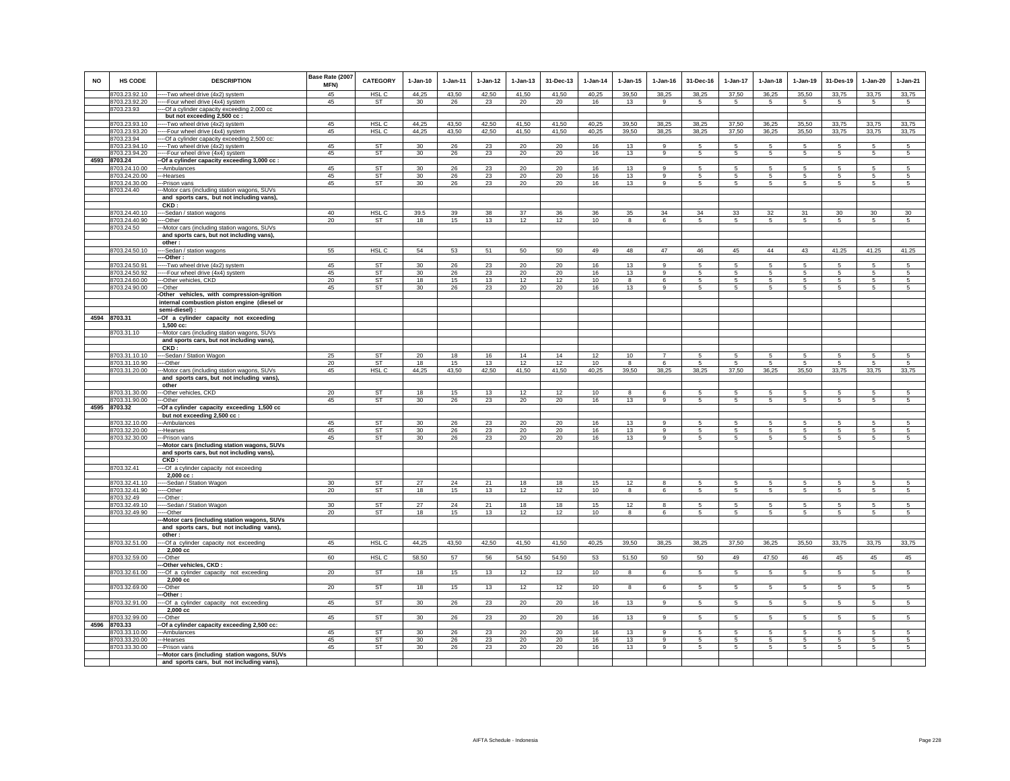| NO   | <b>HS CODE</b>                 | <b>DESCRIPTION</b>                                                                       | Base Rate (2007<br>MFN) | <b>CATEGORY</b>  | $1-Jan-10$      | $1-Jan-11$ | $1 - Jan-12$ | $1-Jan-13$ | 31-Dec-13    | $1 - Jan-14$ | $1-Jan-15$ | $1 - Jan-16$   | 31-Dec-16       | $1-Jan-17$               | $1-Jan-18$           | $1-Jan-19$          | 31-Des-19       | $1-Jan-20$          | 1-Jan-21        |
|------|--------------------------------|------------------------------------------------------------------------------------------|-------------------------|------------------|-----------------|------------|--------------|------------|--------------|--------------|------------|----------------|-----------------|--------------------------|----------------------|---------------------|-----------------|---------------------|-----------------|
|      | 8703.23.92.10                  | --Two wheel drive (4x2) system                                                           | 45                      | HSL C            | 44,25           | 43,50      | 42,50        | 41,50      | 41,50        | 40,25        | 39,50      | 38,25          | 38,25           | 37,50                    | 36,25                | 35,50               | 33,75           | 33,75               | 33,75           |
|      | 8703.23.92.20                  | --Four wheel drive (4x4) system                                                          | 45                      | ST               | 30              | 26         | 23           | 20         | 20           | 16           | 13         | 9              | $5\overline{5}$ | $5\phantom{.0}$          | 5                    | 5                   | $5\phantom{.0}$ | $5\phantom{.0}$     | $5\phantom{.0}$ |
|      | 8703.23.93                     | -- Of a cylinder capacity exceeding 2,000 cc                                             |                         |                  |                 |            |              |            |              |              |            |                |                 |                          |                      |                     |                 |                     |                 |
|      | 8703.23.93.10                  | but not exceeding 2,500 cc :<br>-- Two wheel drive (4x2) system                          | 45                      | HSL C            | 44,25           | 43,50      | 42,50        | 41,50      | 41.50        | 40,25        | 39,50      | 38,25          | 38,25           | 37,50                    | 36,25                | 35,50               | 33,75           | 33,75               | 33,75           |
|      | 8703.23.93.20                  | --Four wheel drive (4x4) system                                                          | 45                      | HSL C            | 44,25           | 43,50      | 42,50        | 41,50      | 41,50        | 40,25        | 39,50      | 38,25          | 38,25           | 37,50                    | 36,25                | 35,50               | 33,75           | 33,75               | 33,75           |
|      | 8703.23.94                     | -- Of a cylinder capacity exceeding 2,500 cc:                                            |                         |                  |                 |            |              |            |              |              |            |                |                 |                          |                      |                     |                 |                     |                 |
|      | 8703.23.94.10                  | --Two wheel drive (4x2) system                                                           | 45                      | <b>ST</b>        | 30              | 26         | 23           | 20         | 20           | 16           | 13         | $\alpha$       | 5.              | 5                        | 5                    | -5                  | 5               | 5                   | 5               |
|      | 8703.23.94.20                  | ---Four wheel drive (4x4) system                                                         | 45                      | ST               | 30 <sup>°</sup> | 26         | 23           | 20         | 20           | 16           | 13         | 9              | 5               | 5                        | 5                    | $\,$ 5 $\,$         | $\sqrt{5}$      | $\sqrt{5}$          | 5               |
| 4593 | 8703.24<br>8703.24.10.00       | -Of a cylinder capacity exceeding 3,000 cc :<br>-Ambulances                              | 45                      | <b>ST</b>        | 30              | 26         | 23           | 20         | 20           | 16           | 13         |                |                 | 5                        |                      | -5                  | 5               | 5                   |                 |
|      | 8703.24.20.00                  | -Hearses                                                                                 | 45                      | <b>ST</b>        | 30              | 26         | 23           | 20         | 20           | 16           | 13         | 9<br>9         | -5<br>5         | 5                        | -5<br>5              | 5                   | 5               | 5                   | 5<br>5          |
|      | 8703.24.30.00                  | -Prison vans                                                                             | 45                      | ST               | 30              | 26         | 23           | 20         | 20           | 16           | 13         | 9              | 5               | $5\phantom{.0}$          | 5                    | $\,$ 5 $\,$         | $\sqrt{5}$      | $\sqrt{5}$          | $\sqrt{5}$      |
|      | 8703.24.40                     | -Motor cars (including station wagons, SUVs                                              |                         |                  |                 |            |              |            |              |              |            |                |                 |                          |                      |                     |                 |                     |                 |
|      |                                | and sports cars, but not including vans),                                                |                         |                  |                 |            |              |            |              |              |            |                |                 |                          |                      |                     |                 |                     |                 |
|      |                                | CKD:                                                                                     |                         |                  |                 |            |              |            |              |              |            |                |                 |                          |                      |                     |                 |                     |                 |
|      | 8703.24.40.10<br>8703.24.40.90 | --Sedan / station wagons<br>-Other                                                       | 40<br>20                | HSL C            | 39.5<br>18      | 39         | 38           | 37         | 36           | 36<br>10     | 35         | 34             | 34<br>$5 -$     | 33                       | 32                   | 31                  | 30              | 30<br>5             | 30              |
|      | 8703.24.50                     | -Motor cars (including station wagons, SUVs                                              |                         | ST               |                 | 15         | 13           | 12         | 12           |              | 8          | 6              |                 | 5                        | $5\overline{5}$      | 5                   | 5               |                     | 5               |
|      |                                | and sports cars, but not including vans),                                                |                         |                  |                 |            |              |            |              |              |            |                |                 |                          |                      |                     |                 |                     |                 |
|      |                                | other:                                                                                   |                         |                  |                 |            |              |            |              |              |            |                |                 |                          |                      |                     |                 |                     |                 |
|      | 8703.24.50.10                  | --Sedan / station wagons                                                                 | 55                      | HSL C            | 54              | 53         | 51           | 50         | 50           | 49           | 48         | 47             | 46              | 45                       | 44                   | 43                  | 41.25           | 41.25               | 41.25           |
|      |                                | -Other:                                                                                  |                         |                  |                 |            |              |            |              |              |            |                |                 |                          |                      |                     |                 |                     |                 |
|      | 8703.24.50.91                  | -- Two wheel drive (4x2) system                                                          | 45                      | <b>ST</b>        | 30              | 26         | 23           | 20         | 20           | 16           | 13         | $\circ$        | 5.              | 5                        | -5                   | -5                  | 5               | 5                   | 5               |
|      | 8703.24.50.92<br>8703.24.60.00 | ---Four wheel drive (4x4) system<br>-Other vehicles, CKD                                 | 45<br>20                | <b>ST</b><br>ST  | 30<br>18        | 26<br>15   | 23<br>13     | 20<br>12   | $20\,$<br>12 | 16<br>10     | 13<br>8    | 9<br>6         | -5<br>5         | 5<br>5                   | 5<br>5               | 5<br>5              | 5<br>5          | 5<br>5              | 5<br>5          |
|      | 8703.24.90.00                  | -Other                                                                                   | 45                      | ST               | 30              | 26         | 23           | 20         | 20           | 16           | 13         | 9              | 5               | $5\phantom{.0}$          | 5                    | 5                   | -5              | 5                   | 5               |
|      |                                | Other vehicles, with compression-ignition                                                |                         |                  |                 |            |              |            |              |              |            |                |                 |                          |                      |                     |                 |                     |                 |
|      |                                | internal combustion piston engine (diesel or                                             |                         |                  |                 |            |              |            |              |              |            |                |                 |                          |                      |                     |                 |                     |                 |
|      |                                | semi-diesel) :                                                                           |                         |                  |                 |            |              |            |              |              |            |                |                 |                          |                      |                     |                 |                     |                 |
|      | 4594 8703.31                   | -Of a cylinder capacity not exceeding                                                    |                         |                  |                 |            |              |            |              |              |            |                |                 |                          |                      |                     |                 |                     |                 |
|      | 8703.31.10                     | $1,500$ cc:<br>-Motor cars (including station wagons, SUVs                               |                         |                  |                 |            |              |            |              |              |            |                |                 |                          |                      |                     |                 |                     |                 |
|      |                                | and sports cars, but not including vans),                                                |                         |                  |                 |            |              |            |              |              |            |                |                 |                          |                      |                     |                 |                     |                 |
|      |                                | CKD:                                                                                     |                         |                  |                 |            |              |            |              |              |            |                |                 |                          |                      |                     |                 |                     |                 |
|      | 8703.31.10.10                  | --Sedan / Station Wagon                                                                  | 25                      | ST               | 20              | 18         | 16           | 14         | 14           | 12           | 10         | $\overline{7}$ | 5               | 5                        | 5                    | 5                   | 5               | 5                   | 5               |
|      | 8703.31.10.90                  | --Other                                                                                  | 20                      | <b>ST</b>        | 18              | 15         | 13           | 12         | 12           | 10           | 8          | 6              | -5              | $5\phantom{.0}$<br>37.50 | 5                    | 5                   | -5              | 5                   | 5               |
|      | 8703.31.20.00                  | -Motor cars (including station wagons, SUVs<br>and sports cars, but not including vans), | 45                      | HSL C            | 44,25           | 43.50      | 42.50        | 41,50      | 41,50        | 40,25        | 39,50      | 38.25          | 38,25           |                          | 36,25                | 35,50               | 33.75           | 33,75               | 33,75           |
|      |                                | other                                                                                    |                         |                  |                 |            |              |            |              |              |            |                |                 |                          |                      |                     |                 |                     |                 |
|      | 8703.31.30.00                  | -Other vehicles, CKD                                                                     | 20                      | <b>ST</b>        | 18              | 15         | 13           | 12         | 12           | 10           | 8          | 6              | 5               | 5                        | 5                    | 5                   | $\sqrt{5}$      | $\sqrt{5}$          | 5               |
|      | 3703.31.90.00                  | -Other                                                                                   | 45                      | ST               | 30              | 26         | 23           | 20         | 20           | 16           | 13         | 9              | 5               | 5                        | 5                    | 5                   | 5               | 5                   | 5               |
| 4595 | 8703.32                        | -Of a cylinder capacity exceeding 1,500 cc                                               |                         |                  |                 |            |              |            |              |              |            |                |                 |                          |                      |                     |                 |                     |                 |
|      | 8703.32.10.00                  | but not exceeding 2,500 cc :                                                             | 45                      | <b>ST</b>        | 30              | 26         | 23           | 20         | 20           | 16           | 13         | $\circ$        | 5               | $\sqrt{2}$               | 5.                   | 5                   | -5              | $\overline{5}$      | 5 <sup>5</sup>  |
|      | 3703.32.20.00                  | ---Ambulances<br>--Hearses                                                               | 45                      | ST               | 30              | 26         | 23           | 20         | 20           | 16           | 13         | 9              | $5\overline{5}$ | 5                        | 5                    | -5                  | 5               | 5                   | 5               |
|      | 8703.32.30.00                  | -Prison vans                                                                             | 45                      | ST               | 30 <sup>°</sup> | 26         | 23           | 20         | 20           | 16           | 13         | 9              | 5               | 5                        | 5                    | 5                   | 5               | 5                   | 5               |
|      |                                | -Motor cars (including station wagons, SUVs                                              |                         |                  |                 |            |              |            |              |              |            |                |                 |                          |                      |                     |                 |                     |                 |
|      |                                | and sports cars, but not including vans),                                                |                         |                  |                 |            |              |            |              |              |            |                |                 |                          |                      |                     |                 |                     |                 |
|      | 8703.32.41                     | CKD:                                                                                     |                         |                  |                 |            |              |            |              |              |            |                |                 |                          |                      |                     |                 |                     |                 |
|      |                                | -- Of a cylinder capacity not exceeding<br>$2.000 \text{ cc}$ :                          |                         |                  |                 |            |              |            |              |              |            |                |                 |                          |                      |                     |                 |                     |                 |
|      | 8703.32.41.10                  | --Sedan / Station Wagon                                                                  | 30                      | <b>ST</b>        | 27              | 24         | 21           | 18         | 18           | 15           | 12         | 8              | -5              | $5^{\circ}$              | -5                   | -5                  | -5              | 5                   | 5               |
|      | 8703.32.41.90                  | --Other                                                                                  | 20                      | ST               | 18              | 15         | 13           | 12         | 12           | 10           | 8          | 6              | 5               | 5                        | 5                    | 5                   | 5               | 5                   | 5               |
|      | 8703.32.49                     | -Other:                                                                                  |                         |                  |                 |            |              |            |              |              |            |                |                 |                          |                      |                     |                 |                     |                 |
|      | 8703.32.49.10<br>8703.32.49.90 | --Sedan / Station Wagon<br>--Other                                                       | 30 <sup>2</sup><br>20   | ST<br><b>ST</b>  | 27<br>18        | 24<br>15   | 21<br>13     | 18<br>12   | 18<br>12     | 15<br>10     | 12<br>8    | 8<br>6         | -5<br>5         | 5<br>5                   | -5<br>5              | -5<br>5             | 5<br>5          | 5<br>5              | $\sqrt{5}$<br>5 |
|      |                                | -Motor cars (including station wagons, SUVs                                              |                         |                  |                 |            |              |            |              |              |            |                |                 |                          |                      |                     |                 |                     |                 |
|      |                                | and sports cars, but not including vans),                                                |                         |                  |                 |            |              |            |              |              |            |                |                 |                          |                      |                     |                 |                     |                 |
|      |                                | other:                                                                                   |                         |                  |                 |            |              |            |              |              |            |                |                 |                          |                      |                     |                 |                     |                 |
|      | 8703.32.51.00                  | -- Of a cylinder capacity not exceeding                                                  | 45                      | HSL <sub>C</sub> | 44,25           | 43,50      | 42,50        | 41,50      | 41,50        | 40,25        | 39,50      | 38,25          | 38,25           | 37,50                    | 36,25                | 35,50               | 33,75           | 33,75               | 33,75           |
|      | 8703.32.59.00                  | 2,000 cc<br>--Other                                                                      | 60                      | HSL C            | 58.50           | 57         | 56           | 54.50      | 54.50        | 53           | 51.50      | 50             | 50              | 49                       | 47.50                | 46                  | 45              | 45                  | 45              |
|      |                                | -Other vehicles, CKD :                                                                   |                         |                  |                 |            |              |            |              |              |            |                |                 |                          |                      |                     |                 |                     |                 |
|      | 8703.32.61.00                  | -Of a cylinder capacity not exceeding                                                    | 20                      | <b>ST</b>        | 18              | 15         | 13           | 12         | 12           | 10           | 8          | 6              | 5               | 5                        | $5\phantom{.0}$      | $5\phantom{.0}$     | $5\phantom{.0}$ | 5                   | $5\phantom{.0}$ |
|      |                                | 2,000 cc                                                                                 |                         |                  |                 |            |              |            |              |              |            |                |                 |                          |                      |                     |                 |                     |                 |
|      | 8703.32.69.00                  | --Other                                                                                  | 20                      | <b>ST</b>        | 18              | 15         | 13           | 12         | 12           | 10           | 8          | 6              | $5 -$           | $5\overline{)}$          | $\overline{5}$       | $5\overline{)}$     | $\overline{5}$  | $\overline{5}$      | $\overline{5}$  |
|      | 8703.32.91.00                  | -Other :<br>-- Of a cylinder capacity not exceeding                                      | 45                      | <b>ST</b>        | 30              | 26         | 23           | 20         | 20           | 16           | 13         | 9              | 5               | 5                        | 5                    | 5                   | 5               | 5                   | $5\phantom{.0}$ |
|      |                                | 2.000 cc                                                                                 |                         |                  |                 |            |              |            |              |              |            |                |                 |                          |                      |                     |                 |                     |                 |
|      | 8703.32.99.00                  | --Other                                                                                  | 45                      | ST               | 30              | 26         | 23           | 20         | 20           | 16           | 13         | 9              | 5               | $5\phantom{.0}$          | $5\phantom{.0}$      | $5\phantom{.0}$     | $5\phantom{.0}$ | $5\phantom{.0}$     | $5\phantom{.0}$ |
| 4596 | 8703.33                        | -Of a cylinder capacity exceeding 2,500 cc:                                              |                         |                  |                 |            |              |            |              |              |            |                |                 |                          |                      |                     |                 |                     |                 |
|      | 8703.33.10.00                  | -Ambulances                                                                              | 45                      | <b>ST</b>        | 30              | 26         | 23           | 20         | 20           | 16           | 13         | 9              | 5               | 5                        | 5                    | 5                   | 5               | 5                   | 5               |
|      | 8703.33.20.00<br>8703.33.30.00 | -Hearses<br>--Prison vans                                                                | 45<br>45                | ST<br><b>ST</b>  | 30<br>30        | 26<br>26   | 23<br>23     | 20<br>20   | 20<br>20     | 16<br>16     | 13<br>13   | 9<br>9         | 5<br>5          | 5<br>$5\overline{)}$     | 5<br>$5\overline{5}$ | 5<br>$\overline{5}$ | 5<br>$\sqrt{5}$ | 5<br>$\overline{5}$ | 5<br>5          |
|      |                                | -Motor cars (including station wagons, SUVs                                              |                         |                  |                 |            |              |            |              |              |            |                |                 |                          |                      |                     |                 |                     |                 |
|      |                                | and sports cars, but not including vans),                                                |                         |                  |                 |            |              |            |              |              |            |                |                 |                          |                      |                     |                 |                     |                 |
|      |                                |                                                                                          |                         |                  |                 |            |              |            |              |              |            |                |                 |                          |                      |                     |                 |                     |                 |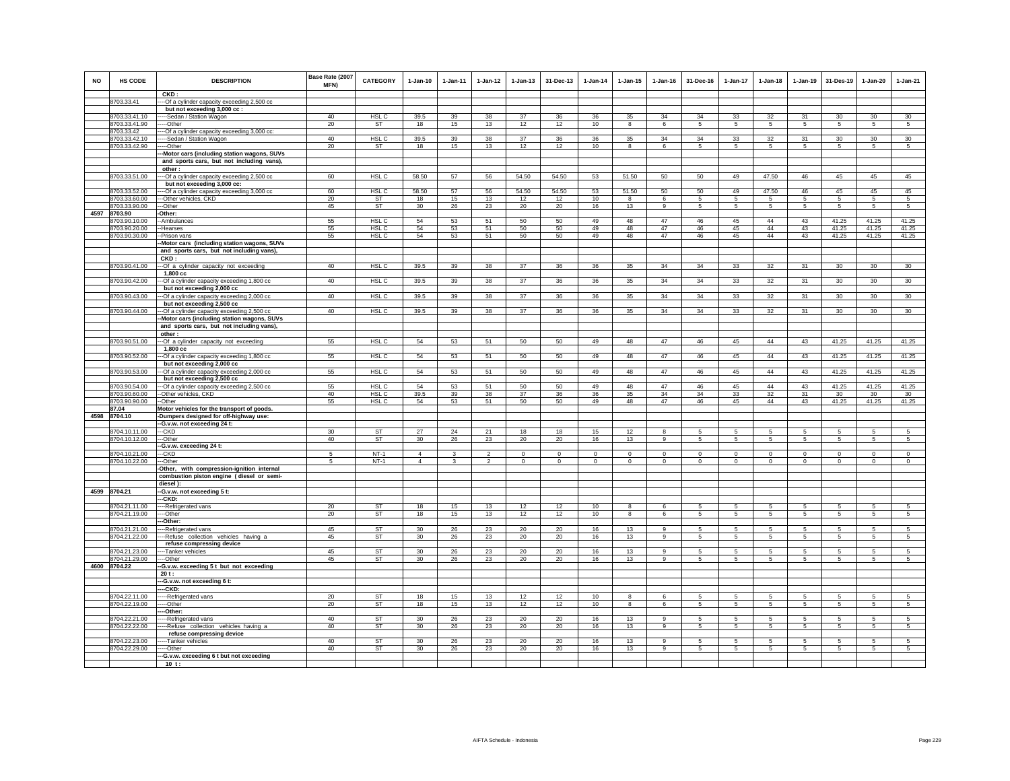| <b>NO</b> | <b>HS CODE</b>                 | <b>DESCRIPTION</b><br>CKD:                                                                 | Base Rate (2007<br>MFN) | <b>CATEGORY</b>        | $1-Jan-10$                       | $1 - Jan-11$ | $1 - Jan-12$                     | $1-Jan-13$                | 31-Dec-13                 | 1-Jan-14                | $1 - Jan-15$              | $1 - Jan-16$              | 31-Dec-16               | 1-Jan-17            | $1-Jan-18$              | $1-Jan-19$              | 31-Des-19              | $1-Jan-20$                | 1-Jan-21                   |
|-----------|--------------------------------|--------------------------------------------------------------------------------------------|-------------------------|------------------------|----------------------------------|--------------|----------------------------------|---------------------------|---------------------------|-------------------------|---------------------------|---------------------------|-------------------------|---------------------|-------------------------|-------------------------|------------------------|---------------------------|----------------------------|
|           | 8703.33.41                     | -- Of a cylinder capacity exceeding 2,500 cc                                               |                         |                        |                                  |              |                                  |                           |                           |                         |                           |                           |                         |                     |                         |                         |                        |                           |                            |
|           |                                | but not exceeding 3,000 cc :                                                               |                         |                        |                                  |              |                                  |                           |                           |                         |                           |                           |                         |                     |                         |                         |                        |                           |                            |
|           | 8703.33.41.10                  | --Sedan / Station Wagon                                                                    | 40                      | HSL C                  | 39.5                             | 39           | 38                               | 37                        | 36                        | 36                      | 35                        | 34                        | 34                      | 33                  | 32                      | 31                      | 30                     | 30                        | 30                         |
|           | 8703.33.41.90<br>8703.33.42    | --Other                                                                                    | 20                      | <b>ST</b>              | 18                               | 15           | 13                               | 12                        | 12                        | 10                      | 8                         | 6                         | 5                       | 5                   | 5                       | -5                      | -5                     | 5                         | 5                          |
|           | 8703.33.42.10                  | -Of a cylinder capacity exceeding 3,000 cc<br>--Sedan / Station Wagon                      | 40                      | HSL <sub>C</sub>       | 39.5                             | 39           | 38                               | 37                        | 36                        | 36                      | 35                        | 34                        | 34                      | 33                  | 32                      | 31                      | 30                     | 30                        | 30                         |
|           | 8703.33.42.90                  | ----Other                                                                                  | 20                      | <b>ST</b>              | 18                               | 15           | 13                               | 12                        | 12                        | 10                      | 8                         | 6                         | $5\overline{5}$         | $5\overline{)}$     | 5                       | 5                       | 5                      | 5                         | 5                          |
|           |                                | -Motor cars (including station wagons, SUVs                                                |                         |                        |                                  |              |                                  |                           |                           |                         |                           |                           |                         |                     |                         |                         |                        |                           |                            |
|           |                                | and sports cars, but not including vans),                                                  |                         |                        |                                  |              |                                  |                           |                           |                         |                           |                           |                         |                     |                         |                         |                        |                           |                            |
|           |                                | other:                                                                                     |                         |                        |                                  |              |                                  |                           |                           |                         |                           |                           |                         |                     |                         |                         |                        |                           |                            |
|           | 8703.33.51.00                  | -- Of a cylinder capacity exceeding 2,500 cc<br>but not exceeding 3,000 cc:                | 60                      | HSL <sub>C</sub>       | 58.50                            | 57           | 56                               | 54.50                     | 54.50                     | 53                      | 51.50                     | 50                        | 50                      | 49                  | 47.50                   | 46                      | 45                     | 45                        | 45                         |
|           | 8703.33.52.00                  | --- Of a cylinder capacity exceeding 3,000 cc                                              | 60                      | HSL C                  | 58.50                            | 57           | 56                               | 54.50                     | 54.50                     | 53                      | 51.50                     | 50                        | 50                      | 49                  | 47.50                   | 46                      | 45                     | 45                        | 45                         |
|           | 8703.33.60.00                  | ---Other vehicles, CKD                                                                     | 20                      | <b>ST</b>              | 18                               | 15           | 13                               | 12                        | 12                        | 10                      | $\mathbf{8}$              | 6                         | $\overline{5}$          | $5\overline{)}$     | 5                       | -5                      | $\overline{5}$         | $\overline{5}$            | $\overline{5}$             |
|           | 8703.33.90.00                  | ---Other                                                                                   | 45                      | ST                     | 30                               | 26           | 23                               | 20                        | 20                        | 16                      | 13                        | $\overline{9}$            | 5                       | 5                   | 5                       | 5                       | 5                      | 5                         | 5                          |
|           | 4597 8703.90                   | Other:                                                                                     |                         |                        | 54                               |              | 51                               |                           |                           | 49                      |                           | 47                        |                         | 45                  | 44                      | 43                      |                        |                           |                            |
|           | 8703.90.10.00<br>8703.90.20.00 | -Ambulances<br>-Hearses                                                                    | 55<br>55                | HSL C<br>HSL C         | 54                               | 53<br>53     | 51                               | 50<br>50                  | 50<br>50                  | 49                      | 48<br>48                  | 47                        | 46<br>46                | 45                  | 44                      | 43                      | 41.25<br>41.25         | 41.25<br>41.25            | 41.25<br>41.25             |
|           | 8703.90.30.00                  | -Prison vans                                                                               | 55                      | HSL C                  | 54                               | 53           | 51                               | 50                        | 50                        | 49                      | 48                        | 47                        | 46                      | 45                  | 44                      | 43                      | 41.25                  | 41.25                     | 41.25                      |
|           |                                | Motor cars (including station wagons, SUVs                                                 |                         |                        |                                  |              |                                  |                           |                           |                         |                           |                           |                         |                     |                         |                         |                        |                           |                            |
|           |                                | and sports cars, but not including vans),                                                  |                         |                        |                                  |              |                                  |                           |                           |                         |                           |                           |                         |                     |                         |                         |                        |                           |                            |
|           |                                | CKD:                                                                                       |                         |                        |                                  |              |                                  |                           |                           |                         |                           |                           |                         |                     |                         |                         |                        |                           |                            |
|           | 8703.90.41.00                  | --- Of a cylinder capacity not exceeding<br>1,800 cc                                       | 40                      | HSL C                  | 39.5                             | 39           | 38                               | 37                        | 36                        | 36                      | 35                        | $34\,$                    | 34                      | 33                  | 32                      | 31                      | $30\,$                 | $30\,$                    | 30                         |
|           | 8703.90.42.00                  | -- Of a cylinder capacity exceeding 1,800 cc                                               | 40                      | HSL <sub>C</sub>       | 39.5                             | 39           | 38                               | 37                        | 36                        | 36                      | 35                        | 34                        | 34                      | 33                  | 32                      | 31                      | 30                     | 30                        | 30 <sup>°</sup>            |
|           |                                | but not exceeding 2,000 cc                                                                 |                         |                        |                                  |              |                                  |                           |                           |                         |                           |                           |                         |                     |                         |                         |                        |                           |                            |
|           | 8703.90.43.00                  | --Of a cylinder capacity exceeding 2,000 cc                                                | 40                      | HSL C                  | 39.5                             | 39           | 38                               | 37                        | 36                        | 36                      | 35                        | 34                        | 34                      | 33                  | 32                      | 31                      | $30\,$                 | $30\,$                    | 30                         |
|           |                                | but not exceeding 2,500 cc                                                                 |                         |                        |                                  |              |                                  |                           |                           |                         |                           |                           |                         |                     |                         |                         |                        |                           |                            |
|           | 8703.90.44.00                  | -- Of a cylinder capacity exceeding 2,500 cc<br>Motor cars (including station wagons, SUVs | 40                      | HSL C                  | 39.5                             | 39           | 38                               | 37                        | 36                        | 36                      | 35                        | 34                        | 34                      | 33                  | 32                      | 31                      | 30                     | 30                        | 30                         |
|           |                                | and sports cars, but not including vans),                                                  |                         |                        |                                  |              |                                  |                           |                           |                         |                           |                           |                         |                     |                         |                         |                        |                           |                            |
|           |                                | other:                                                                                     |                         |                        |                                  |              |                                  |                           |                           |                         |                           |                           |                         |                     |                         |                         |                        |                           |                            |
|           | 8703.90.51.00                  | -- Of a cylinder capacity not exceeding                                                    | 55                      | HSL C                  | 54                               | 53           | 51                               | 50                        | 50                        | 49                      | 48                        | 47                        | 46                      | 45                  | 44                      | 43                      | 41.25                  | 41.25                     | 41.25                      |
|           |                                | 1,800 cc                                                                                   |                         |                        |                                  |              |                                  |                           |                           |                         |                           |                           |                         |                     |                         |                         |                        |                           |                            |
|           | 8703.90.52.00<br>8703.90.53.00 | -Of a cylinder capacity exceeding 1,800 cc<br>but not exceeding 2,000 cc                   | 55<br>55                | HSL C<br>HSL C         | 54<br>54                         | 53<br>53     | 51<br>51                         | 50<br>50                  | 50<br>50                  | 49<br>49                | 48<br>48                  | 47<br>47                  | 46<br>46                | 45<br>45            | 44<br>44                | 43<br>43                | 41.25<br>41.25         | 41.25<br>41.25            | 41.25<br>41.25             |
|           |                                | -- Of a cylinder capacity exceeding 2,000 cc<br>but not exceeding 2,500 cc                 |                         |                        |                                  |              |                                  |                           |                           |                         |                           |                           |                         |                     |                         |                         |                        |                           |                            |
|           | 8703.90.54.00                  | --- Of a cylinder capacity exceeding 2,500 cc                                              | 55                      | HSL C                  | 54                               | 53           | 51                               | 50                        | 50                        | 49                      | 48                        | 47                        | 46                      | 45                  | 44                      | 43                      | 41.25                  | 41.25                     | 41.25                      |
|           | 8703.90.60.00                  | --Other vehicles, CKD                                                                      | 40                      | HSL C                  | 39.5                             | 39           | 38                               | 37                        | $36\,$                    | 36                      | 35                        | 34                        | 34                      | 33                  | 32                      | 31                      | 30                     | 30                        | 30                         |
|           | 8703.90.90.00                  | --Other                                                                                    | 55                      | HSL C                  | 54                               | 53           | 51                               | 50                        | 50                        | 49                      | 48                        | 47                        | 46                      | 45                  | 44                      | 43                      | 41.25                  | 41.25                     | 41.25                      |
|           | 87.04<br>4598 8704.10          | Motor vehicles for the transport of goods.                                                 |                         |                        |                                  |              |                                  |                           |                           |                         |                           |                           |                         |                     |                         |                         |                        |                           |                            |
|           |                                | -Dumpers designed for off-highway use:<br>-G.v.w. not exceeding 24 t:                      |                         |                        |                                  |              |                                  |                           |                           |                         |                           |                           |                         |                     |                         |                         |                        |                           |                            |
|           | 8704.10.11.00                  | ---CKD                                                                                     | 30                      | ST                     | 27                               | 24           | 21                               | 18                        | 18                        | 15                      | 12                        |                           | 5                       | 5                   | 5                       | 5                       | 5                      | 5                         | 5                          |
|           | 8704.10.12.00                  | ---Other                                                                                   | 40                      | ST                     | 30                               | 26           | 23                               | 20                        | 20                        | 16                      | 13                        | 9                         | 5                       | $5\phantom{.0}$     | $5\overline{5}$         | 5                       | 5                      | $\sqrt{5}$                | $5^{\circ}$                |
|           |                                | -G.v.w. exceeding 24 t:                                                                    |                         |                        |                                  |              |                                  |                           |                           |                         |                           |                           |                         |                     |                         |                         |                        |                           |                            |
|           | 8704.10.21.00<br>8704.10.22.00 | --CKD<br>--Other                                                                           | -5<br>5                 | $NT-1$<br>$NT-1$       | $\overline{4}$<br>$\overline{4}$ | 3            | $\overline{2}$<br>$\overline{2}$ | $^{\circ}$<br>$\mathbf 0$ | $^{\circ}$<br>$\mathbf 0$ | $\Omega$<br>$\mathbf 0$ | $^{\circ}$<br>$\mathbf 0$ | $^{\circ}$<br>$\mathbf 0$ | $\Omega$<br>$\mathbf 0$ | 0<br>$\mathsf 0$    | $\Omega$<br>$\mathbf 0$ | $\Omega$<br>$\mathbf 0$ | $\Omega$<br>$^{\circ}$ | $^{\circ}$<br>$\mathbf 0$ | $\mathbf 0$<br>$\mathbf 0$ |
|           |                                | -Other, with compression-ignition internal                                                 |                         |                        |                                  |              |                                  |                           |                           |                         |                           |                           |                         |                     |                         |                         |                        |                           |                            |
|           |                                | combustion piston engine (diesel or semi-                                                  |                         |                        |                                  |              |                                  |                           |                           |                         |                           |                           |                         |                     |                         |                         |                        |                           |                            |
|           |                                | diesel):                                                                                   |                         |                        |                                  |              |                                  |                           |                           |                         |                           |                           |                         |                     |                         |                         |                        |                           |                            |
|           | 4599 8704.21                   | -G.v.w. not exceeding 5 t:                                                                 |                         |                        |                                  |              |                                  |                           |                           |                         |                           |                           |                         |                     |                         |                         |                        |                           |                            |
|           |                                | --CKD:                                                                                     | 20                      | <b>ST</b>              | 18                               |              | 13                               |                           |                           | 10                      | 8                         | 6                         | 5                       | 5                   | -5                      | 5                       |                        | 5                         | 5                          |
|           | 8704.21.11.00<br>8704.21.19.00 | ---Refrigerated vans<br>---Other                                                           | 20                      | <b>ST</b>              | 18                               | 15<br>15     | 13                               | 12<br>12                  | 12<br>12                  | 10                      | 8                         | 6                         | 5                       | 5                   | 5                       | $\sqrt{5}$              | 5<br>$\,$ 5 $\,$       | $\mathbf 5$               | 5                          |
|           |                                | -Other:                                                                                    |                         |                        |                                  |              |                                  |                           |                           |                         |                           |                           |                         |                     |                         |                         |                        |                           |                            |
|           | 8704.21.21.00                  | ---Refrigerated vans                                                                       | 45                      | <b>ST</b>              | 30                               | 26           | 23                               | 20                        | 20                        | 16                      | 13                        | 9                         | 5                       | $5 -$               | 5                       | -5                      | $\sqrt{5}$             | 5                         | 5                          |
|           | 8704.21.22.00                  | --- Refuse collection vehicles having a                                                    | 45                      | <b>ST</b>              | 30                               | 26           | 23                               | 20                        | 20                        | 16                      | 13                        | $\overline{9}$            | 5                       | $5\overline{)}$     | $5\overline{5}$         | 5                       | 5                      | 5                         | 5                          |
|           |                                | refuse compressing device                                                                  |                         | <b>ST</b>              |                                  |              |                                  |                           |                           |                         |                           | 9                         | 5                       |                     |                         |                         |                        |                           |                            |
|           | 8704.21.23.00<br>8704.21.29.00 | ----Tanker vehicles<br>---Other                                                            | 45<br>45                | ST                     | 30<br>30                         | 26<br>26     | 23<br>23                         | 20<br>20                  | 20<br>20                  | 16<br>16                | 13<br>13                  | 9                         | 5                       | 5<br>$\overline{5}$ | 5<br>5                  | 5<br>5                  | 5<br>-5                | 5<br>5                    | 5<br>$\sqrt{5}$            |
|           | 4600 8704.22                   | -G.v.w. exceeding 5 t but not exceeding                                                    |                         |                        |                                  |              |                                  |                           |                           |                         |                           |                           |                         |                     |                         |                         |                        |                           |                            |
|           |                                | 20t:                                                                                       |                         |                        |                                  |              |                                  |                           |                           |                         |                           |                           |                         |                     |                         |                         |                        |                           |                            |
|           |                                | --G.v.w. not exceeding 6 t:                                                                |                         |                        |                                  |              |                                  |                           |                           |                         |                           |                           |                         |                     |                         |                         |                        |                           |                            |
|           |                                | ---CKD:                                                                                    |                         |                        |                                  |              |                                  |                           |                           |                         |                           |                           |                         |                     |                         |                         |                        |                           |                            |
|           | 8704.22.11.00                  | -----Refrigerated vans                                                                     | 20                      | <b>ST</b><br><b>ST</b> | 18                               | 15           | 13<br>13                         | 12                        | 12                        | 10                      | 8                         | $\epsilon$                | 5                       | 5                   | 5                       | -5                      | 5                      | 5                         | 5                          |
|           | 8704.22.19.00                  | ----Other<br>--Other:                                                                      | 20                      |                        | 18                               | 15           |                                  | 12                        | 12                        | 10                      | 8                         | 6                         | 5                       | 5                   | $5\overline{5}$         | 5                       | 5                      | 5                         | $5\overline{5}$            |
|           | 8704.22.21.00                  | ---Refrigerated vans                                                                       | 40                      | <b>ST</b>              | 30                               | 26           | 23                               | 20                        | 20                        | 16                      | 13                        | 9                         | 5                       | 5                   | 5                       | 5                       | 5                      | $\sqrt{5}$                | 5                          |
|           | 8704.22.22.00                  | -Refuse collection vehicles having a                                                       | 40                      | ST                     | 30                               | 26           | 23                               | 20                        | 20                        | 16                      | 13                        | 9                         | 5                       | 5                   | 5                       | 5                       | 5                      | 5                         | 5                          |
|           |                                | refuse compressing device                                                                  |                         |                        |                                  |              |                                  |                           |                           |                         |                           |                           |                         |                     |                         |                         |                        |                           |                            |
|           | 8704.22.23.00<br>8704.22.29.00 | --Tanker vehicles<br>--Other                                                               | 40<br>40                | <b>ST</b><br>ST        | 30<br>30                         | 26<br>26     | 23<br>23                         | 20<br>20                  | 20<br>20                  | 16<br>16                | 13<br>13                  | $\alpha$<br>9             | 5<br>5                  | 5<br>5              | 5<br>5                  | 5<br>5                  | 5<br>5                 | 5<br>5                    | 5<br>5                     |
|           |                                | --G.v.w. exceeding 6 t but not exceeding                                                   |                         |                        |                                  |              |                                  |                           |                           |                         |                           |                           |                         |                     |                         |                         |                        |                           |                            |
|           |                                | $10$ t:                                                                                    |                         |                        |                                  |              |                                  |                           |                           |                         |                           |                           |                         |                     |                         |                         |                        |                           |                            |
|           |                                |                                                                                            |                         |                        |                                  |              |                                  |                           |                           |                         |                           |                           |                         |                     |                         |                         |                        |                           |                            |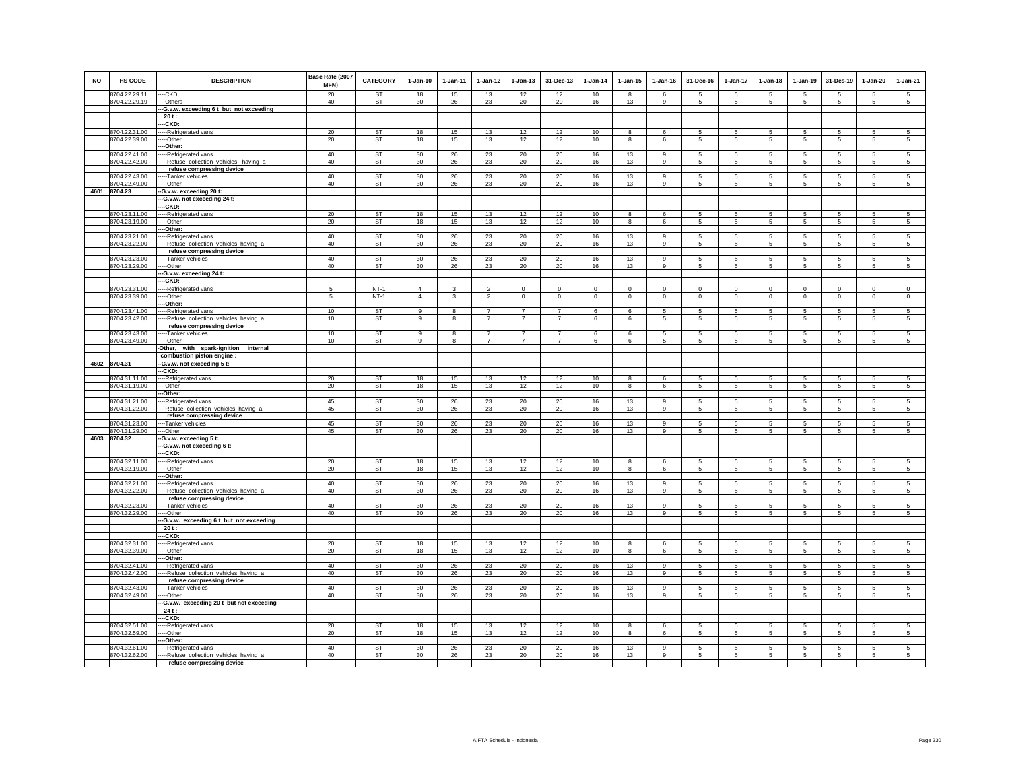| <b>NO</b> | <b>HS CODE</b>                 | <b>DESCRIPTION</b>                                                    | Base Rate (2007<br>MFN) | <b>CATEGORY</b>        | $1-Jan-10$            | $1-Jan-11$   | $1 - Jan-12$   | $1 - Jan-13$   | 31-Dec-13      | 1-Jan-14    | $1 - Jan-15$            | $1 - Jan-16$        | 31-Dec-16       | $1-Jan-17$          | $1-Jan-18$           | $1 - Jan-19$        | 31-Des-19           | $1 - Jan-20$        | $1-Jan-21$          |
|-----------|--------------------------------|-----------------------------------------------------------------------|-------------------------|------------------------|-----------------------|--------------|----------------|----------------|----------------|-------------|-------------------------|---------------------|-----------------|---------------------|----------------------|---------------------|---------------------|---------------------|---------------------|
|           | 8704.22.29.11                  | --CKD                                                                 | 20                      | <b>ST</b>              | 18                    | 15           | 13             | 12             | 12             | 10          | $\mathbf{a}$            | $\mathbf{f}$        | 5               | 5                   | 5                    | 5                   | 5                   | 5                   | 5                   |
|           | 8704.22.29.19                  | ---Others<br>--G.v.w. exceeding 6t but not exceeding                  | 40                      | ST                     | 30                    | 26           | 23             | 20             | 20             | 16          | 13                      | 9                   | 5               | 5                   | 5                    | $\,$ 5 $\,$         | $\sqrt{5}$          | 5                   | $5\phantom{.0}$     |
|           |                                | $20t$ :                                                               |                         |                        |                       |              |                |                |                |             |                         |                     |                 |                     |                      |                     |                     |                     |                     |
|           |                                | --CKD:                                                                |                         |                        |                       |              |                |                |                |             |                         |                     |                 |                     |                      |                     |                     |                     |                     |
|           | 8704.22.31.00                  | ----Refrigerated vans                                                 | 20                      | <b>ST</b>              | 18                    | 15           | 13             | 12             | 12             | 10          | $\overline{\mathbf{8}}$ | 6                   | 5               | 5                   | 5                    | $\sqrt{5}$          | 5                   | 5                   | $\sqrt{5}$          |
|           | 8704.22.39.00                  | --Other                                                               | 20                      | <b>ST</b>              | 18                    | 15           | 13             | 12             | 12             | 10          | $\bf8$                  | 6                   | $5\phantom{.0}$ | $5\phantom{.0}$     | $5\phantom{.0}$      | $\sqrt{5}$          | $\sqrt{5}$          | 5                   | $\sqrt{5}$          |
|           | 8704.22.41.00                  | --Other:<br>--Refrigerated vans                                       | 40                      | <b>ST</b>              | 30                    | 26           | 23             | 20             | 20             | 16          | 13                      | $\overline{9}$      | 5               | 5                   | 5                    | 5                   | 5                   | 5                   | 5                   |
|           | 8704.22.42.00                  | ---- Refuse collection vehicles having a                              | 40                      | ST                     | 30                    | 26           | 23             | 20             | 20             | 16          | 13                      | 9                   | 5               | $5\overline{5}$     | $5\phantom{.0}$      | $\sqrt{5}$          | 5                   | $\overline{5}$      | $5^{\circ}$         |
|           |                                | refuse compressing device                                             |                         |                        |                       |              |                |                |                |             |                         |                     |                 |                     |                      |                     |                     |                     |                     |
|           | 8704.22.43.00                  | ----Tanker vehicles                                                   | 40                      | <b>ST</b>              | 30                    | 26           | 23             | 20             | 20             | 16          | 13                      | 9                   | 5               | 5                   | 5                    | 5                   | 5                   | 5                   | 5                   |
|           | 8704.22.49.00                  | ---Other                                                              | 40                      | ST                     | 30                    | 26           | 23             | 20             | 20             | 16          | 13                      | $\mathsf g$         | 5               | 5                   | $5\phantom{.0}$      | $\,$ 5 $\,$         | $\sqrt{5}$          | $\sqrt{5}$          | $\sqrt{5}$          |
|           | 4601 8704.23                   | -- G.v.w. exceeding 20 t:                                             |                         |                        |                       |              |                |                |                |             |                         |                     |                 |                     |                      |                     |                     |                     |                     |
|           |                                | --- G.v.w. not exceeding 24 t:<br>---CKD:                             |                         |                        |                       |              |                |                |                |             |                         |                     |                 |                     |                      |                     |                     |                     |                     |
|           | 8704.23.11.00                  | -----Refrigerated vans                                                | 20                      | <b>ST</b>              | 18                    | 15           | 13             | 12             | 12             | 10          | 8                       | 6                   | 5               | 5                   | 5                    | 5                   | 5                   | 5                   | $\overline{5}$      |
|           | 8704.23.19.00                  | ----Other                                                             | 20                      | ST                     | 18                    | 15           | 13             | 12             | 12             | 10          | 8                       | 6                   | $5\overline{5}$ | $5\overline{5}$     | $5\overline{5}$      | $\sqrt{5}$          | 5                   | 5                   | $\overline{5}$      |
|           |                                | --Other:                                                              |                         |                        |                       |              |                |                |                |             |                         |                     |                 |                     |                      |                     |                     |                     |                     |
|           | 8704.23.21.00                  | --Refrigerated vans                                                   | 40                      | <b>ST</b>              | 30                    | 26           | 23             | 20             | 20             | 16          | 13                      | 9                   | 5               | 5                   | 5                    | $5\overline{5}$     | 5                   | 5                   | $\overline{5}$      |
|           | 8704.23.22.00                  | -- Refuse collection vehicles having a                                | 40                      | ST                     | 30                    | 26           | 23             | 20             | 20             | 16          | 13                      | 9                   | 5               | 5                   | 5                    | $\,$ 5 $\,$         | 5                   | 5                   | 5                   |
|           | 8704.23.23.00                  | refuse compressing device<br>----Tanker vehicles                      | 40                      | <b>ST</b>              | 30                    | 26           | 23             | 20             | 20             | 16          | 13                      | $\mathbf{q}$        | 5               | $\overline{5}$      | $\sqrt{5}$           | -5                  | -5                  | $\overline{5}$      | $\overline{5}$      |
|           | 8704.23.29.00                  | ----Other                                                             | 40                      | ST                     | 30                    | 26           | 23             | 20             | 20             | 16          | 13                      | 9                   | $\overline{5}$  | $5\phantom{.0}$     | 5                    | $\overline{5}$      | 5                   | $\sqrt{5}$          | $5\overline{5}$     |
|           |                                | --G.v.w. exceeding 24 t:                                              |                         |                        |                       |              |                |                |                |             |                         |                     |                 |                     |                      |                     |                     |                     |                     |
|           |                                | --CKD:                                                                |                         |                        |                       |              |                |                |                |             |                         |                     |                 |                     |                      |                     |                     |                     |                     |
|           | 8704.23.31.00                  | ---Refrigerated vans                                                  | 5                       | $NT-1$                 | $\overline{4}$        | 3            | $\overline{2}$ | $\mathbf 0$    | $\mathbf{0}$   | $\mathbf 0$ | $\mathbf{0}$            | $\mathsf 0$         | $\mathbf{0}$    | $\mathbf 0$         | $\mathbf{0}$         | $\mathbf{0}$        | $\mathbf 0$         | $\mathbf{0}$        | $\mathsf 0$         |
|           | 8704.23.39.00                  | --Other<br>--Other:                                                   | 5                       | $NT-1$                 | $\overline{4}$        | $\mathbf{3}$ | $\overline{2}$ | $\mathsf 0$    | $\mathbf{0}$   | $\circ$     | $\mathsf 0$             | $\mathsf 0$         | $\circ$         | $\circ$             | $\mathbf 0$          | $\mathbf 0$         | $\mathbf 0$         | $\mathsf 0$         | $\mathsf 0$         |
|           | 8704.23.41.00                  | ---Refrigerated vans                                                  | 10                      | <b>ST</b>              | 9                     | 8            | $\overline{7}$ | $\overline{7}$ | $\overline{7}$ | -6          | 6                       | -5                  | 5               | 5                   | 5                    | 5                   | 5                   | 5                   | 5                   |
|           | 8704.23.42.00                  | --Refuse collection vehicles having a                                 | 10                      | <b>ST</b>              | 9                     | 8            | $\overline{7}$ | $\overline{7}$ | $\overline{7}$ | 6           | 6                       | 5                   | 5               | $5\overline{)}$     | 5                    | $\overline{5}$      | 5                   | 5                   | 5                   |
|           |                                | refuse compressing device                                             |                         |                        |                       |              |                |                |                |             |                         |                     |                 |                     |                      |                     |                     |                     |                     |
|           | 8704.23.43.00                  | ---Tanker vehicles                                                    | 10                      | <b>ST</b>              | 9                     | 8            | $\overline{7}$ | $\overline{7}$ | $\overline{7}$ | 6           | 6                       | 5                   | 5               | $5\phantom{.0}$     | 5                    | $\sqrt{5}$          | $\sqrt{5}$          | $\sqrt{5}$          | $\sqrt{5}$          |
|           | 8704.23.49.00                  | ---Other                                                              | 10                      | <b>ST</b>              | $\overline{9}$        | 8            | $\overline{7}$ | $\overline{7}$ | $\overline{7}$ | 6           | 6                       | 5                   | 5               | 5                   | 5                    | 5                   | 5                   | 5                   | 5                   |
|           |                                | -Other, with spark-ignition internal<br>combustion piston engine :    |                         |                        |                       |              |                |                |                |             |                         |                     |                 |                     |                      |                     |                     |                     |                     |
|           | 4602 8704.31                   | --G.v.w. not exceeding 5 t:                                           |                         |                        |                       |              |                |                |                |             |                         |                     |                 |                     |                      |                     |                     |                     |                     |
|           |                                | --CKD:                                                                |                         |                        |                       |              |                |                |                |             |                         |                     |                 |                     |                      |                     |                     |                     |                     |
|           | 8704.31.11.00                  | ---Refrigerated vans                                                  | 20                      | <b>ST</b>              | 18                    | 15           | 13             | 12             | 12             | 10          | $\mathbf{a}$            | 6                   | 5               | 5                   | 5                    | 5                   | 5                   | 5                   | 5                   |
|           | 8704.31.19.00                  | ---Other                                                              | 20                      | ST                     | 18                    | 15           | 13             | 12             | 12             | 10          | 8                       | 6                   | 5               | 5                   | 5                    | $\,$ 5 $\,$         | $\sqrt{5}$          | $\sqrt{5}$          | $\sqrt{5}$          |
|           | 8704.31.21.00                  | -Other:                                                               | 45                      | <b>ST</b>              |                       |              |                |                |                |             |                         | $\alpha$            |                 |                     |                      |                     |                     |                     |                     |
|           | 8704.31.22.00                  | ---Refrigerated vans<br>--Refuse collection vehicles having a         | 45                      | ST                     | 30<br>30              | 26<br>26     | 23<br>23       | 20<br>20       | 20<br>20       | 16<br>16    | 13<br>13                | 9                   | 5<br>5          | 5<br>5              | -5<br>5              | 5<br>5              | 5<br>5              | 5<br>5              | 5<br>5              |
|           |                                | refuse compressing device                                             |                         |                        |                       |              |                |                |                |             |                         |                     |                 |                     |                      |                     |                     |                     |                     |
|           | 8704.31.23.00                  | ----Tanker vehicles                                                   | 45                      | <b>ST</b>              | 30                    | 26           | 23             | 20             | $20\,$         | 16          | 13                      | $\alpha$            | 5               | $\overline{5}$      | $\mathbf{5}$         | 5                   | $\sqrt{5}$          | $\overline{5}$      | $\overline{5}$      |
|           | 8704.31.29.00                  | ---Other                                                              | 45                      | <b>ST</b>              | 30                    | 26           | 23             | 20             | 20             | 16          | 13                      | 9                   | 5               | 5                   | 5                    | 5                   | 5                   | 5                   | 5                   |
|           | 4603 8704.32                   | -G.v.w. exceeding 5 t:                                                |                         |                        |                       |              |                |                |                |             |                         |                     |                 |                     |                      |                     |                     |                     |                     |
|           |                                | ---G.v.w. not exceeding 6 t:<br>---CKD:                               |                         |                        |                       |              |                |                |                |             |                         |                     |                 |                     |                      |                     |                     |                     |                     |
|           | 8704.32.11.00                  | ----Refrigerated vans                                                 | 20                      | ST                     | 18                    | 15           | 13             | 12             | 12             | 10          | 8                       | 6                   | 5               | 5                   | 5                    | 5                   | 5                   | 5                   | $\sqrt{5}$          |
|           | 8704.32.19.00                  | --Other                                                               | 20                      | ST                     | 18                    | 15           | 13             | 12             | 12             | 10          | 8                       | 6                   | 5               | $5\phantom{.0}$     | $5\phantom{.0}$      | $5\phantom{.0}$     | $\sqrt{5}$          | $\sqrt{5}$          | $\sqrt{5}$          |
|           |                                | --Other:                                                              |                         |                        |                       |              |                |                |                |             |                         |                     |                 |                     |                      |                     |                     |                     |                     |
|           | 8704.32.21.00                  | --Refrigerated vans                                                   | 40                      | <b>ST</b>              | 30                    | 26           | 23             | 20             | 20             | 16          | 13                      | -9                  | 5               | $5\phantom{.0}$     | 5                    | 5                   | 5                   | 5                   | $\sqrt{5}$          |
|           | 8704.32.22.00                  | ---- Refuse collection vehicles having a<br>refuse compressing device | 40                      | <b>ST</b>              | 30                    | 26           | 23             | 20             | 20             | 16          | 13                      | 9                   | $5\overline{)}$ | 5                   | 5                    | $5\phantom{.0}$     | 5                   | $5\overline{)}$     | $5\overline{)}$     |
|           | 8704.32.23.00                  | ---Tanker vehicles                                                    | 40                      | <b>ST</b>              | 30                    | 26           | 23             | 20             | 20             | 16          | 13                      | -9                  | 5               | 5                   | 5                    | 5                   | $5\phantom{.0}$     | 5                   | 5                   |
|           | 8704.32.29.00                  | ---Other                                                              | 40                      | <b>ST</b>              | 30                    | 26           | 23             | 20             | 20             | 16          | 13                      | $\overline{9}$      | 5 <sup>5</sup>  | 5                   | $5\overline{5}$      | $\overline{5}$      | $\overline{5}$      | $\overline{5}$      | $\overline{5}$      |
|           |                                | -G.v.w. exceeding 6 t but not exceeding                               |                         |                        |                       |              |                |                |                |             |                         |                     |                 |                     |                      |                     |                     |                     |                     |
|           |                                | 20t:                                                                  |                         |                        |                       |              |                |                |                |             |                         |                     |                 |                     |                      |                     |                     |                     |                     |
|           |                                | --CKD:                                                                |                         | <b>ST</b>              |                       |              |                |                |                |             | $\overline{8}$          | 6                   | $\overline{5}$  |                     |                      |                     |                     |                     |                     |
|           | 8704.32.31.00<br>8704.32.39.00 | --Refrigerated vans<br>--Other                                        | 20<br>20                | <b>ST</b>              | 18<br>18              | 15<br>15     | 13<br>13       | 12<br>12       | 12<br>12       | 10<br>10    | 8                       | 6                   | 5               | 5<br>5 <sup>5</sup> | $5\overline{5}$<br>5 | $\overline{5}$<br>5 | $\overline{5}$<br>5 | $\overline{5}$<br>5 | $\overline{5}$<br>5 |
|           |                                | --Other:                                                              |                         |                        |                       |              |                |                |                |             |                         |                     |                 |                     |                      |                     |                     |                     |                     |
|           | 8704.32.41.00                  | --Refrigerated vans                                                   | 40                      | <b>ST</b>              | 30                    | 26           | 23             | 20             | 20             | 16          | 13                      | 9                   | 5               | 5                   | 5                    | 5                   | 5                   | 5                   | 5                   |
|           | 8704.32.42.00                  | --Refuse collection vehicles having a                                 | 40                      | ST                     | 30                    | 26           | 23             | 20             | 20             | 16          | 13                      | 9                   | 5               | 5                   | 5                    | $\overline{5}$      | 5                   | 5                   | 5                   |
|           |                                | refuse compressing device                                             |                         |                        |                       |              |                |                |                |             |                         |                     |                 |                     |                      |                     |                     |                     |                     |
|           | 8704.32.43.00<br>8704.32.49.00 | ---Tanker vehicles<br>---Other                                        | 40<br>40                | <b>ST</b><br><b>ST</b> | 30<br>30 <sup>2</sup> | 26<br>26     | 23<br>23       | 20<br>20       | 20<br>20       | 16<br>16    | 13<br>13                | 9<br>$\overline{9}$ | 5<br>5          | 5<br>$\overline{5}$ | 5<br>$\overline{5}$  | 5<br>$\overline{5}$ | 5<br>5              | 5<br>5              | 5<br>$\overline{5}$ |
|           |                                | --G.v.w. exceeding 20 t but not exceeding                             |                         |                        |                       |              |                |                |                |             |                         |                     |                 |                     |                      |                     |                     |                     |                     |
|           |                                | 24t:                                                                  |                         |                        |                       |              |                |                |                |             |                         |                     |                 |                     |                      |                     |                     |                     |                     |
|           |                                | --CKD:                                                                |                         |                        |                       |              |                |                |                |             |                         |                     |                 |                     |                      |                     |                     |                     |                     |
|           | 8704.32.51.00                  | ---Refrigerated vans                                                  | 20                      | <b>ST</b>              | 18                    | 15           | 13             | 12             | $12\,$         | 10          | 8                       | 6                   | 5               | 5                   | 5                    | 5                   | $\sqrt{5}$          | 5                   | 5                   |
|           | 8704.32.59.00                  | ---Other                                                              | 20                      | <b>ST</b>              | 18                    | 15           | 13             | 12             | 12             | 10          | 8                       | 6                   | 5               | 5                   | 5                    | 5                   | 5                   | 5                   | 5                   |
|           |                                | -Other:                                                               | 40                      | <b>ST</b>              | 30                    |              | 23             | 20             | 20             |             | 13                      | $\mathbf{q}$        | 5               | 5                   | 5                    | 5                   | $\overline{5}$      | 5                   | $\overline{5}$      |
|           | 8704.32.61.00<br>8704.32.62.00 | --Refrigerated vans<br>-----Refuse collection vehicles having a       | 40                      | <b>ST</b>              | 30 <sup>2</sup>       | 26<br>26     | 23             | 20             | 20             | 16<br>16    | 13                      | $\overline{9}$      | 5               | 5                   | 5                    | 5                   | -5                  | 5                   | 5                   |
|           |                                | refuse compressing device                                             |                         |                        |                       |              |                |                |                |             |                         |                     |                 |                     |                      |                     |                     |                     |                     |
|           |                                |                                                                       |                         |                        |                       |              |                |                |                |             |                         |                     |                 |                     |                      |                     |                     |                     |                     |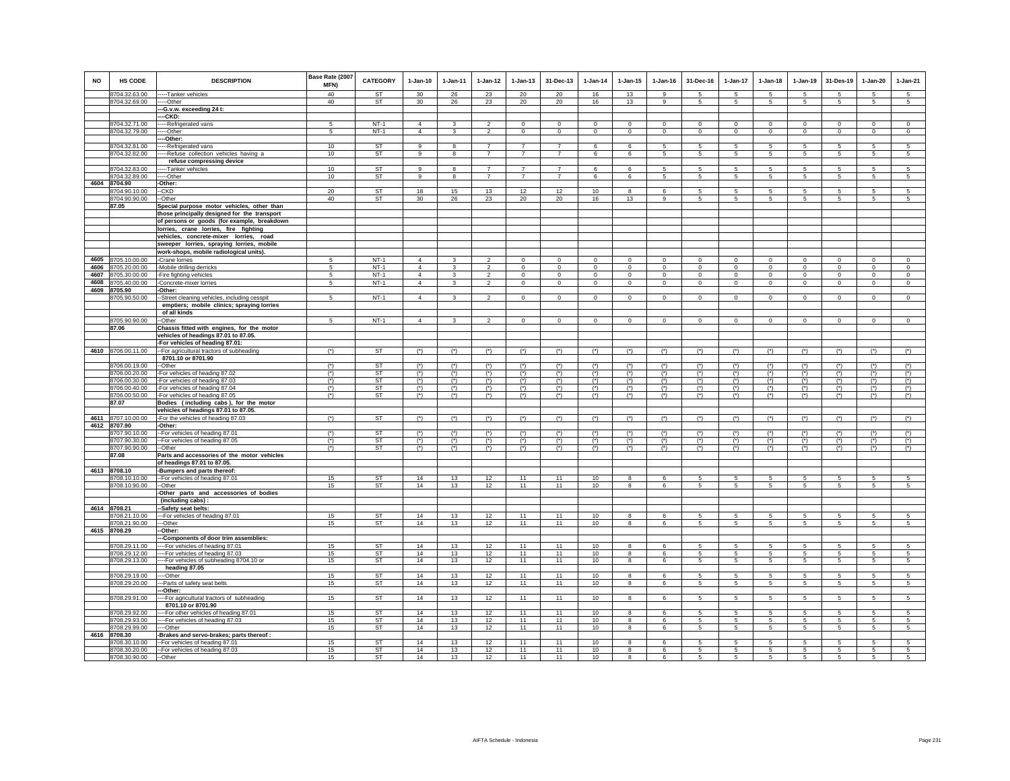| <b>NO</b>    | <b>HS CODE</b>                 | <b>DESCRIPTION</b>                                                                  | Base Rate (2007<br>MFN) | <b>CATEGORY</b> | $1-Jan-10$      | $1-Jan-11$     | $1 - Jan-12$   | $1 - Jan-13$   | 31-Dec-13                 | $1-Jan-14$     | $1 - Jan-15$   | $1 - Jan-16$      | 31-Dec-16            | 1-Jan-17              | $1 - Jan-18$                  | 1-Jan-19             | 31-Des-19      | $1-Jan-20$      | $1-Jan-21$           |
|--------------|--------------------------------|-------------------------------------------------------------------------------------|-------------------------|-----------------|-----------------|----------------|----------------|----------------|---------------------------|----------------|----------------|-------------------|----------------------|-----------------------|-------------------------------|----------------------|----------------|-----------------|----------------------|
|              | 8704.32.63.00<br>8704.32.69.00 | ---Tanker vehicles<br>---Other                                                      | 40<br>40                | <b>ST</b><br>ST | 30<br>30        | 26<br>26       | 23<br>23       | 20<br>20       | 20<br>20                  | 16<br>16       | 13<br>13       | $\mathbf{q}$<br>9 | 5<br>$5\overline{5}$ | -5<br>$5\overline{5}$ | $\sqrt{5}$<br>$5\overline{5}$ | 5<br>$5\overline{5}$ | -5<br>-5       | -5<br>5         | 5<br>$5\phantom{.0}$ |
|              |                                | --G.v.w. exceeding 24 t:                                                            |                         |                 |                 |                |                |                |                           |                |                |                   |                      |                       |                               |                      |                |                 |                      |
|              |                                | --CKD:                                                                              |                         |                 |                 |                |                |                |                           |                |                |                   |                      |                       |                               |                      |                |                 |                      |
|              | 8704.32.71.00                  | --Refrigerated vans                                                                 | -5                      | $NT-1$          | $\overline{4}$  | 3              | $\overline{2}$ | $\Omega$       | $\overline{0}$            | $\Omega$       | $\Omega$       | $\Omega$          | $\Omega$             | $\Omega$              | $\Omega$                      | $\Omega$             | $\Omega$       | $\Omega$        | $\overline{0}$       |
|              | 8704.32.79.00                  | --Other                                                                             | 5                       | $NT-1$          | $\overline{4}$  | $\mathbf{3}$   | $\mathfrak{p}$ | $\mathsf 0$    | $\mathbf 0$               | $\mathbf 0$    | $\Omega$       | $\mathbf 0$       | $\Omega$             | $\mathbf 0$           | $\Omega$                      | $\mathbf 0$          | $\mathbf 0$    | $\mathbf 0$     | $\mathbf 0$          |
|              |                                | -Other:                                                                             |                         | <b>ST</b>       | 9               | 8              | $\overline{7}$ | $\overline{7}$ | $\overline{7}$            | 6              | 6              | 5                 | 5                    | 5                     | 5                             | 5                    | 5              |                 | 5                    |
|              | 8704.32.81.00<br>8704.32.82.00 | --Refrigerated vans<br>--Refuse collection vehicles having a                        | 10<br>10                | <b>ST</b>       | $\overline{9}$  | 8              | $\overline{7}$ | $\overline{7}$ | $\overline{7}$            | 6              | 6              | 5                 | 5                    | $5\overline{5}$       | 5                             | 5                    | -5             | $\sqrt{5}$<br>5 | $5\overline{5}$      |
|              |                                | refuse compressing device                                                           |                         |                 |                 |                |                |                |                           |                |                |                   |                      |                       |                               |                      |                |                 |                      |
|              | 8704.32.83.00                  | ---Tanker vehicles                                                                  | 10                      | ST              | 9               | 8              | $\overline{7}$ | $\overline{7}$ | $\overline{7}$            | 6              | 6              | 5                 | 5                    | 5                     | 5                             | 5                    | 5              | 5               | 5                    |
|              | 8704.32.89.00                  | ----Other                                                                           | 10                      | ST              | 9               | 8              | $\overline{7}$ | $\overline{7}$ | $\overline{7}$            | 6              | 6              | 5                 | 5                    | 5                     | 5                             | $5\phantom{.0}$      | 5              | $\sqrt{5}$      | 5                    |
|              | 4604 8704.90<br>8704.90.10.00  | -Other:<br>-CKD                                                                     | 20                      | <b>ST</b>       | 18              | 15             | 13             | 12             | 12                        | 10             | 8              | 6                 | 5                    | 5                     | 5                             | 5                    | 5              | 5               | 5                    |
|              | 8704.90.90.00                  | --Other                                                                             | 40                      | <b>ST</b>       | 30 <sup>°</sup> | 26             | 23             | 20             | 20                        | 16             | 13             | $\mathsf g$       | 5                    | $5\phantom{.0}$       | 5                             | 5                    | 5              | 5               | 5                    |
|              | 87.05                          | Special purpose motor vehicles, other than                                          |                         |                 |                 |                |                |                |                           |                |                |                   |                      |                       |                               |                      |                |                 |                      |
|              |                                | those principally designed for the transport                                        |                         |                 |                 |                |                |                |                           |                |                |                   |                      |                       |                               |                      |                |                 |                      |
|              |                                | of persons or goods (for example, breakdown                                         |                         |                 |                 |                |                |                |                           |                |                |                   |                      |                       |                               |                      |                |                 |                      |
|              |                                | lorries, crane lorries, fire fighting                                               |                         |                 |                 |                |                |                |                           |                |                |                   |                      |                       |                               |                      |                |                 |                      |
|              |                                | vehicles, concrete-mixer lorries, road<br>sweeper lorries, spraying lorries, mobile |                         |                 |                 |                |                |                |                           |                |                |                   |                      |                       |                               |                      |                |                 |                      |
|              |                                | work-shops, mobile radiological units).                                             |                         |                 |                 |                |                |                |                           |                |                |                   |                      |                       |                               |                      |                |                 |                      |
| 4605         | 8705.10.00.00                  | -Crane lorries                                                                      | 5                       | $NT-1$          | $\overline{4}$  | 3              | $\overline{2}$ | $\mathbf 0$    | $\mathbf 0$               | $\mathbf 0$    | $\mathbf 0$    | $\mathbf 0$       | $\mathbf 0$          | $\mathbf 0$           | $\mathbf 0$                   | $\circ$              | $\mathbf 0$    | $\circ$         | $\circ$              |
| 4606         | 8705.20.00.00                  | -Mobile drilling derricks                                                           | 5                       | $NT-1$          | $\overline{4}$  | 3              | $\overline{2}$ | $\mathbf 0$    | $\mathbf 0$               | $\mathbf 0$    | 0              | $\mathbf 0$       | $\,0\,$              | $\mathbf 0$           | $\mathbf 0$                   | $\mathbf 0$          | $\,0\,$        | $\mathbf 0$     | $\,0\,$              |
| 4607         | 8705.30.00.00                  | -Fire fighting vehicles                                                             | 5                       | $NT-1$          | $\Delta$        | 3              | $\overline{2}$ | $\circ$        | $\circ$                   | $\mathbf 0$    | $\circ$        | $\Omega$          | $\Omega$             | $\mathbf 0$           | $\Omega$                      | $\mathbf 0$          | $\Omega$       | $\mathbf 0$     | $\circ$              |
| 4608<br>4609 | 8705.40.00.00<br>8705.90       | -Concrete-mixer lorries<br>Other:                                                   | 5                       | $NT-1$          | $\overline{4}$  | 3              | $\overline{2}$ | $\mathsf 0$    | $\circ$                   | $\mathbf 0$    | $\circ$        | $\circ$           | $\circ$              | $\circ$               | $\circ$                       | $\mathbf 0$          | $\mathbf 0$    | $\circ$         | $\circ$              |
|              | 8705.90.50.00                  | -Street cleaning vehicles, including cesspit                                        | 5                       | $NT-1$          | $\overline{4}$  | 3              | $\overline{2}$ | $\mathbf 0$    | $\mathbf 0$               | $\mathbf 0$    | $\mathbf 0$    | $\mathbf 0$       | $\mathbf 0$          | $\circ$               | $\mathbf 0$                   | $\circ$              | $\mathbf 0$    | $\circ$         | $\mathbf 0$          |
|              |                                | emptiers; mobile clinics; spraying lorries                                          |                         |                 |                 |                |                |                |                           |                |                |                   |                      |                       |                               |                      |                |                 |                      |
|              |                                | of all kinds                                                                        |                         |                 |                 |                |                |                |                           |                |                |                   |                      |                       |                               |                      |                |                 |                      |
|              | 8705.90.90.00                  | --Other                                                                             | $\overline{5}$          | $NT-1$          | $\overline{4}$  | 3              | $\overline{2}$ | $\Omega$       | $\overline{0}$            | $\Omega$       | $\Omega$       | $\Omega$          | $\Omega$             | $\overline{0}$        | $\Omega$                      | $\overline{0}$       | $\Omega$       | $\overline{0}$  | $\overline{0}$       |
|              | 87.06                          | Chassis fitted with engines, for the motor<br>vehicles of headings 87.01 to 87.05.  |                         |                 |                 |                |                |                |                           |                |                |                   |                      |                       |                               |                      |                |                 |                      |
|              |                                | -For vehicles of heading 87.01:                                                     |                         |                 |                 |                |                |                |                           |                |                |                   |                      |                       |                               |                      |                |                 |                      |
|              | 4610 8706.00.11.00             | -- For agricultural tractors of subheading                                          | $(*)$                   | ST              | $(*)$           | $(*)$          | $(*)$          | $(*)$          | $(*)$                     | $(*)$          | $(*)$          | $(*)$             | $(*)$                | $(*)$                 | $(*)$                         | $(*)$                | $(*)$          | $(*)$           | $(*)$                |
|              |                                | 8701.10 or 8701.90                                                                  |                         |                 |                 |                |                |                |                           |                |                |                   |                      |                       |                               |                      |                |                 |                      |
|              | 8706.00.19.00                  | --Other                                                                             | $(*)$                   | <b>ST</b>       | $(*)$           | $(*)$          | $(*)$          | $(*)$          | $(*)$                     | $(*)$          | $(*)$          | $(*)$             | $(*)$                | $(*)$                 | $(*)$                         | $(*)$                | $(*)$          | $(*)$           | $(*)$                |
|              | 8706.00.20.00<br>8706.00.30.00 | -For vehicles of heading 87.02<br>-For vehicles of heading 87.03                    | $(*)$<br>$(*)$          | <b>ST</b><br>ST | $(*)$<br>$(*)$  | $(*)$<br>$(*)$ | $(*)$<br>$(*)$ | $(*)$<br>$(*)$ | $(*)$<br>$(*)$            | $(*)$<br>$(*)$ | $(*)$<br>$(*)$ | $(*)$<br>$(*)$    | $(*)$<br>$(*)$       | $(*)$<br>$(*)$        | $(*)$<br>$(*)$                | $(*)$<br>$(*)$       | $(*)$<br>$(*)$ | $(*)$<br>$(*)$  | $(*)$<br>$(*)$       |
|              | 8706.00.40.00                  | -For vehicles of heading 87.04                                                      | $(*)$                   | <b>ST</b>       | $(*)$           | $(*)$          | $(*)$          | $(*)$          | $(*)$                     | $(*)$          | $(*)$          | $(*)$             | $(*)$                | $(*)$                 | $(*)$                         | $(*)$                | $(*)$          | $(*)$           | $(*)$                |
|              | 8706.00.50.00                  | -For vehicles of heading 87.05                                                      | $(*)$                   | <b>ST</b>       | $(*)$           | $(*)$          | $(*)$          | $(*)$          | $(*)$                     | $(*)$          | $(*)$          | $(*)$             | $(*)$                | $(*)$                 | $(*)$                         | $(*)$                | $(*)$          | $(*)$           | $(*)$                |
|              | 87.07                          | Bodies (including cabs), for the motor                                              |                         |                 |                 |                |                |                |                           |                |                |                   |                      |                       |                               |                      |                |                 |                      |
|              |                                | vehicles of headings 87.01 to 87.05.                                                |                         | <b>ST</b>       |                 |                |                |                |                           |                |                |                   |                      |                       |                               |                      |                |                 | $(*)$                |
| 4612         | 4611 8707.10.00.00<br>8707.90  | -For the vehicles of heading 87.03<br>-Other:                                       | $(*)$                   |                 | $(*)$           | $(*)$          | $(*)$          | $(*)$          | $(*)$                     | $(*)$          | $(*)$          | $(*)$             | $(*)$                | $(*)$                 | $(*)$                         | $(*)$                | $(*)$          | $(*)$           |                      |
|              | 8707.90.10.00                  | -For vehicles of heading 87.01                                                      | $(*)$                   | ST              | $(*)$           | $(*)$          | $(*)$          | $(*)$          | $(*)$                     | $(*)$          | $(*)$          | $(*)$             | $(*)$                | $(*)$                 | $(*)$                         | $(*)$                | $(*)$          | $(*)$           | $(*)$                |
|              | 8707.90.30.00                  | -- For vehicles of heading 87.05                                                    | $(*)$                   | <b>ST</b>       | $(*)$           | $(*)$          | $(*)$          | $(*)$          | $(*)$                     | $(*)$          | $(*)$          | $(*)$             | $(*)$                | $(*)$                 | $(*)$                         | $(*)$                | $(*)$          | $(*)$           | $(*)$                |
|              | 8707.90.90.00                  | --Other                                                                             | $(*)$                   | <b>ST</b>       | $(*)$           | $(*)$          | $(*)$          | $(*)$          | $^{\left( \star \right)}$ | $(*)$          | $(*)$          | $(*)$             | $(*)$                | $(*)$                 | $(*)$                         | $^{\circ}$           | $^{\circ}$     | $^{\circ}$      | $(*)$                |
|              | 87.08                          | Parts and accessories of the motor vehicles<br>of headings 87.01 to 87.05.          |                         |                 |                 |                |                |                |                           |                |                |                   |                      |                       |                               |                      |                |                 |                      |
| 4613         | 8708.10                        | -Bumpers and parts thereof:                                                         |                         |                 |                 |                |                |                |                           |                |                |                   |                      |                       |                               |                      |                |                 |                      |
|              | 8708.10.10.00                  | -- For vehicles of heading 87.01                                                    | 15                      | <b>ST</b>       | 14              | 13             | 12             | 11             | 11                        | 10             | 8              | 6                 | 5                    | 5                     | 5                             | 5                    | 5              | 5               | 5                    |
|              | 8708.10.90.00                  | $-Other$                                                                            | 15                      | <b>ST</b>       | 14              | 13             | 12             | 11             | 11                        | 10             | 8              | 6                 | $5\overline{5}$      | 5                     | $5\phantom{.0}$               | $5\overline{5}$      | $\sqrt{5}$     | 5               | 5                    |
|              |                                | -Other parts and accessories of bodies<br>(including cabs):                         |                         |                 |                 |                |                |                |                           |                |                |                   |                      |                       |                               |                      |                |                 |                      |
|              | 4614 8708.21                   | -Safety seat belts:                                                                 |                         |                 |                 |                |                |                |                           |                |                |                   |                      |                       |                               |                      |                |                 |                      |
|              | 8708.21.10.00                  | --For vehicles of heading 87.01                                                     | 15                      | <b>ST</b>       | 14              | 13             | 12             | 11             | 11                        | 10             | 8              | 6                 | 5                    | $\overline{5}$        | 5                             | 5                    | 5              | $\sqrt{5}$      | 5                    |
|              | 8708.21.90.00                  | --Other                                                                             | 15                      | <b>ST</b>       | 14              | 13             | 12             | 11             | 11                        | 10             | 8              | $\epsilon$        | 5                    | 5 <sup>5</sup>        | 5                             | 5                    | 5              | 5               | 5                    |
|              | 4615 8708.29                   | -Other:                                                                             |                         |                 |                 |                |                |                |                           |                |                |                   |                      |                       |                               |                      |                |                 |                      |
|              | 8708.29.11.00                  | -Components of door trim assemblies:<br>----For vehicles of heading 87.01           | 15                      | <b>ST</b>       | 14              | 13             | 12             | 11             | 11                        | 10             | 8              | 6                 | 5                    | 5                     | 5                             | 5                    | 5              | 5               | 5                    |
|              | 8708.29.12.00                  | --For vehicles of heading 87.03                                                     | 15                      | ST              | 14              | 13             | 12             | 11             | 11                        | 10             | 8              | 6                 | 5                    | $5\overline{5}$       | 5                             | $5\overline{5}$      | 5              | 5               | 5                    |
|              | 8708.29.13.00                  | -- For vehicles of subheading 8704.10 or                                            | 15                      | ST              | 14              | 13             | 12             | 11             | 11                        | 10             | 8              | 6                 | 5                    | 5                     | 5                             | $5\phantom{.0}$      | 5              | $5\phantom{.0}$ | 5                    |
|              |                                | heading 87.05                                                                       |                         |                 |                 |                |                |                |                           |                |                |                   |                      |                       |                               |                      |                |                 |                      |
|              | 8708.29.19.00                  | --Other                                                                             | 15                      | <b>ST</b>       | 14              | 13             | 12             | 11             | 11                        | 10             | 8              | 6                 | 5                    | 5                     | 5                             | 5                    | 5              | 5               | 5                    |
|              | 8708.29.20.00                  | -- Parts of safety seat belts<br>-Other:                                            | 15                      | <b>ST</b>       | 14              | 13             | 12             | 11             | 11                        | 10             | $\bf8$         | 6                 | $5\phantom{.0}$      | $5\overline{)}$       | $\overline{5}$                | $\overline{5}$       | 5              | $\sqrt{5}$      | $\sqrt{5}$           |
|              | 8708.29.91.00                  | --- For agricultural tractors of subheading                                         | 15                      | <b>ST</b>       | 14              | 13             | 12             | 11             | 11                        | 10             | 8              | 6                 | 5                    | 5                     | $5\overline{)}$               | $5\overline{5}$      | 5              | $5\overline{)}$ | $5\overline{)}$      |
|              |                                | 8701.10 or 8701.90                                                                  |                         |                 |                 |                |                |                |                           |                |                |                   |                      |                       |                               |                      |                |                 |                      |
|              | 8708.29.92.00                  | --- For other vehicles of heading 87.01                                             | 15                      | ST              | 14              | 13             | 12             | 11             | 11                        | 10             | 8              | 6                 | 5                    | $5\overline{5}$       | 5                             | 5                    | 5              | 5               | 5                    |
|              | 8708.29.93.00                  | -- For vehicles of heading 87.03                                                    | 15                      | <b>ST</b>       | 14              | 13             | 12             | 11             | 11                        | 10             | 8              | 6                 | 5                    | 5                     | 5                             | 5                    | -5             | $\sqrt{5}$      | 5                    |
| 4616         | 8708.29.99.00<br>8708.30       | --Other<br>Brakes and servo-brakes; parts thereof :                                 | 15                      | ST              | 14              | 13             | 12             | 11             | 11                        | 10             | 8              | 6                 | 5                    | 5                     | 5                             | 5                    | 5              | 5               | 5                    |
|              | 8708.30.10.00                  | -- For vehicles of heading 87.01                                                    | 15                      | <b>ST</b>       | 14              | 13             | 12             | 11             | 11                        | 10             | 8              | 6                 | 5                    | 5                     | 5                             | 5                    | 5              | 5               | 5                    |
|              | 8708.30.20.00                  | -- For vehicles of heading 87.03                                                    | 15                      | <b>ST</b>       | 14              | 13             | 12             | 11             | 11                        | 10             | $\mathbf{8}$   | 6                 | 5                    | 5                     | 5                             | 5                    | 5              | 5               | 5                    |
|              | 8708.30.90.00                  | $-Other$                                                                            | 15                      | ST              | 14              | 13             | 12             | 11             | 11                        | 10             | 8              | 6                 | 5                    | 5                     | 5                             | $5\overline{5}$      | -5             | 5               | 5                    |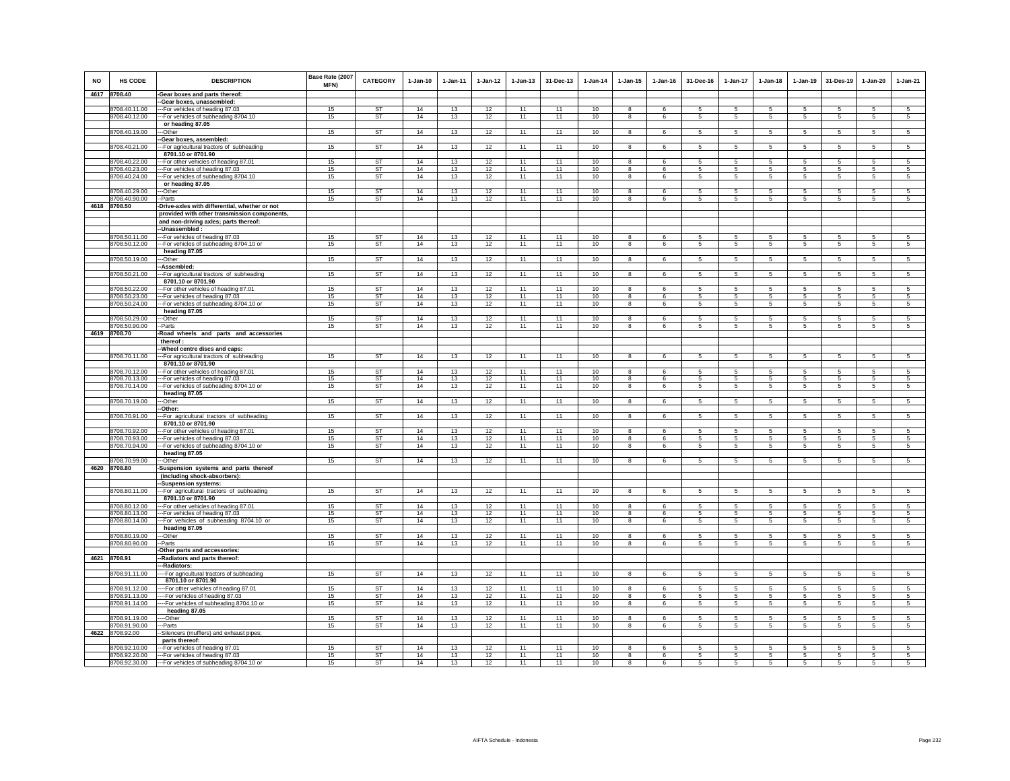| <b>NO</b> | <b>HS CODE</b>                 | <b>DESCRIPTION</b>                                                          | Base Rate (2007<br>MFN) | <b>CATEGORY</b>        | $1-Jan-10$ | $1-Jan-11$ | $1-Jan-12$ | $1 - Jan-13$ | 31-Dec-13 | $1-Jan-14$ | $1 - Jan-15$            | $1-Jan-16$ | 31-Dec-16            | 1-Jan-17        | $1-Jan-18$           | $1-Jan-19$      | 31-Des-19       | $1-Jan-20$     | $1-Jan-21$      |
|-----------|--------------------------------|-----------------------------------------------------------------------------|-------------------------|------------------------|------------|------------|------------|--------------|-----------|------------|-------------------------|------------|----------------------|-----------------|----------------------|-----------------|-----------------|----------------|-----------------|
|           | 4617 8708.40                   | -Gear boxes and parts thereof:                                              |                         |                        |            |            |            |              |           |            |                         |            |                      |                 |                      |                 |                 |                |                 |
|           |                                | --Gear boxes, unassembled:                                                  |                         |                        |            |            |            |              |           |            |                         |            |                      |                 |                      |                 |                 |                |                 |
|           | 3708.40.11.00                  | -- For vehicles of heading 87.03                                            | 15                      | ST                     | 14         | 13         | 12         | 11           | 11        | 10         | 8                       | $\epsilon$ | 5                    | 5               | 5                    | 5               | 5               | 5              | 5               |
|           | 8708.40.12.00                  | --For vehicles of subheading 8704.10                                        | 15                      | ST                     | 14         | 13         | 12         | 11           | 11        | 10         | 8                       | 6          | $5\overline{5}$      | $5\phantom{.0}$ | $5\overline{5}$      | 5               | $5\phantom{.0}$ | $\sqrt{5}$     | $5\overline{5}$ |
|           |                                | or heading 87.05                                                            |                         |                        |            |            |            |              |           |            |                         |            |                      |                 |                      |                 |                 |                |                 |
|           | 8708.40.19.00                  | -Other                                                                      | 15                      | ST                     | 14         | 13         | 12         | 11           | 11        | 10         | 8                       | 6          | $5 -$                | 5               | $5\phantom{.0}$      | $5\overline{)}$ | $\sqrt{5}$      | 5              | $\sqrt{5}$      |
|           |                                | Gear boxes, assembled:                                                      |                         |                        |            |            |            |              |           |            |                         |            |                      |                 |                      |                 |                 |                |                 |
|           | 8708.40.21.00                  | -For agricultural tractors of subheading                                    | 15                      | ST                     | 14         | 13         | 12         | 11           | 11        | 10         | $\bf8$                  | 6          | 5                    | 5               | 5                    | 5               | 5               | 5              | $5\overline{)}$ |
|           |                                | 8701.10 or 8701.90                                                          |                         |                        |            |            |            |              |           |            |                         |            |                      |                 |                      |                 |                 | 5              |                 |
|           | 8708.40.22.00<br>8708.40.23.00 | -- For other vehicles of heading 87.01<br>--- For vehicles of heading 87.03 | 15<br>15                | <b>ST</b><br><b>ST</b> | 14<br>14   | 13<br>13   | 12<br>12   | 11<br>11     | 11<br>11  | 10<br>10   | 8<br>8                  | 6<br>6     | -5<br>5              | 5<br>5          | 5<br>5               | 5<br>5          | 5<br>5          | 5              | 5<br>5          |
|           | 8708.40.24.00                  | --For vehicles of subheading 8704.10                                        | 15                      | ST                     | 14         | 13         | 12         | 11           | 11        | 10         | 8                       | 6          | $5\phantom{.0}$      | $5\phantom{.0}$ | $5\phantom{.0}$      | 5               | 5               | $\sqrt{5}$     | 5               |
|           |                                | or heading 87.05                                                            |                         |                        |            |            |            |              |           |            |                         |            |                      |                 |                      |                 |                 |                |                 |
|           | 8708.40.29.00                  | -Other                                                                      | 15                      | <b>ST</b>              | 14         | 13         | 12         | 11           | 11        | 10         | 8                       | 6          | 5                    | 5               | 5                    | 5               | 5               | 5              | $\overline{5}$  |
|           | 8708.40.90.00                  | -Parts                                                                      | 15                      | <b>ST</b>              | 14         | 13         | 12         | 11           | 11        | 10         | 8                       | 6          | $5\phantom{.0}$      | $5\phantom{.0}$ | $5\phantom{.0}$      | 5               | 5               | 5              | 5               |
|           | 4618 8708.50                   | -Drive-axles with differential, whether or not                              |                         |                        |            |            |            |              |           |            |                         |            |                      |                 |                      |                 |                 |                |                 |
|           |                                | provided with other transmission components,                                |                         |                        |            |            |            |              |           |            |                         |            |                      |                 |                      |                 |                 |                |                 |
|           |                                | and non-driving axles; parts thereof:                                       |                         |                        |            |            |            |              |           |            |                         |            |                      |                 |                      |                 |                 |                |                 |
|           |                                | -Unassembled:                                                               |                         |                        |            |            |            |              |           |            |                         |            |                      |                 |                      |                 |                 |                |                 |
|           | 8708.50.11.00                  | --For vehicles of heading 87.03                                             | 15                      | <b>ST</b>              | 14         | 13         | 12         | 11           | 11        | 10         | 8                       | 6          | 5                    | 5               | 5                    | 5               | 5               | 5              | -5              |
|           | 8708.50.12.00                  | -For vehicles of subheading 8704.10 or                                      | 15                      | ST                     | 14         | 13         | 12         | 11           | 11        | 10         | 8                       | 6          | $5\phantom{.0}$      | $5\phantom{.0}$ | $5\phantom{.0}$      | $\sqrt{5}$      | $\overline{5}$  | $\sqrt{5}$     | $\sqrt{5}$      |
|           |                                | heading 87.05                                                               |                         |                        |            |            |            |              |           |            |                         |            |                      |                 |                      |                 |                 |                |                 |
|           | 8708.50.19.00                  | -Other                                                                      | 15                      | ST                     | 14         | 13         | 12         | 11           | 11        | 10         | 8                       | 6          | 5                    | 5               | $5\overline{5}$      | 5               | 5               | 5              | 5               |
|           |                                | -Assembled:                                                                 |                         |                        |            |            |            |              |           |            |                         |            |                      |                 |                      |                 |                 |                |                 |
|           | 8708.50.21.00                  | -- For agricultural tractors of subheading                                  | 15                      | <b>ST</b>              | 14         | 13         | 12         | 11           | 11        | 10         | $\overline{\mathbf{8}}$ | 6          | 5                    | 5               | 5                    | $\overline{5}$  | $\overline{5}$  | $\overline{5}$ | $\overline{5}$  |
|           |                                | 8701.10 or 8701.90                                                          |                         |                        |            |            |            |              |           |            |                         |            |                      |                 |                      |                 |                 |                |                 |
|           | 8708.50.22.00                  | -- For other vehicles of heading 87.01                                      | 15                      | ST                     | 14         | 13         | 12         | 11           | 11        | 10         | 8                       | 6          | 5                    | 5               | 5                    | 5               | 5               | 5              | 5               |
|           | 8708.50.23.00<br>8708.50.24.00 | --For vehicles of heading 87.03<br>-For vehicles of subheading 8704.10 or   | 15<br>15                | ST<br>ST               | 14<br>14   | 13<br>13   | 12<br>12   | 11<br>11     | 11<br>11  | 10<br>10   | 8<br>8                  | 6<br>6     | 5<br>$5\overline{5}$ | 5<br>5          | 5<br>$5\phantom{.0}$ | 5<br>5          | 5<br>$\sqrt{5}$ | 5<br>5         | 5<br>5          |
|           |                                | heading 87.05                                                               |                         |                        |            |            |            |              |           |            |                         |            |                      |                 |                      |                 |                 |                |                 |
|           | 8708.50.29.00                  | -Other                                                                      | 15                      | <b>ST</b>              | 14         | 13         | 12         | 11           | 11        | 10         | 8                       | 6          | 5                    | 5               | 5                    | 5               | 5               | 5              | 5               |
|           | 8708.50.90.00                  | -Parts                                                                      | 15                      | ST                     | 14         | 13         | 12         | 11           | 11        | 10         | 8                       | $\epsilon$ | 5                    | 5               | 5                    | 5               | 5               | 5              | 5               |
|           | 4619 8708.70                   | Road wheels and parts and accessories                                       |                         |                        |            |            |            |              |           |            |                         |            |                      |                 |                      |                 |                 |                |                 |
|           |                                | thereof:                                                                    |                         |                        |            |            |            |              |           |            |                         |            |                      |                 |                      |                 |                 |                |                 |
|           |                                | -Wheel centre discs and caps:                                               |                         |                        |            |            |            |              |           |            |                         |            |                      |                 |                      |                 |                 |                |                 |
|           | 8708.70.11.00                  | -- For agricultural tractors of subheading                                  | 15                      | <b>ST</b>              | 14         | 13         | 12         | 11           | 11        | 10         | 8                       | 6          | $5\phantom{.0}$      | $5\phantom{.0}$ | $5\phantom{.0}$      | 5               | $\sqrt{5}$      | $\sqrt{5}$     | $\sqrt{5}$      |
|           |                                | 8701.10 or 8701.90                                                          |                         |                        |            |            |            |              |           |            |                         |            |                      |                 |                      |                 |                 |                |                 |
|           | 3708.70.12.00                  | -For other vehicles of heading 87.01                                        | 15                      | <b>ST</b>              | 14         | 13         | 12         | 11           | 11        | 10         | 8                       | 6          | 5                    | 5               | 5                    | 5               | 5               | 5              | 5               |
|           | 8708.70.13.00                  | -- For vehicles of heading 87.03                                            | 15                      | ST                     | 14         | 13         | 12         | 11           | 11        | $10$       | 8                       |            | 5                    | 5               | 5                    | 5               | 5               | 5              | 5               |
|           | 8708.70.14.00                  | --For vehicles of subheading 8704.10 or                                     | 15                      | <b>ST</b>              | 14         | 13         | 12         | 11           | 11        | $10$       | $\overline{\mathbf{8}}$ | 6          | 5                    | $\overline{5}$  | 5                    | $5\overline{)}$ | 5               | $\overline{5}$ | 5               |
|           |                                | heading 87.05                                                               |                         |                        |            |            |            |              |           |            |                         |            |                      |                 |                      |                 |                 |                |                 |
|           | 8708.70.19.00                  | --Other                                                                     | 15                      | <b>ST</b>              | 14         | 13         | 12         | 11           | 11        | 10         | 8                       | 6          | 5                    | 5               | 5                    | 5               | 5               | 5              | 5               |
|           | 8708.70.91.00                  | -Other:<br>-- For agricultural tractors of subheading                       | 15                      | <b>ST</b>              | 14         | 13         | 12         | 11           | 11        | 10         |                         |            | 5                    | $5\phantom{.0}$ | 5                    | 5               | 5               | $\sqrt{5}$     | 5               |
|           |                                | 8701.10 or 8701.90                                                          |                         |                        |            |            |            |              |           |            | 8                       | 6          |                      |                 |                      |                 |                 |                |                 |
|           | 8708.70.92.00                  | -- For other vehicles of heading 87.01                                      | 15                      | <b>ST</b>              | 14         | 13         | 12         | 11           | 11        | $10$       | 8                       | 6          | 5                    | 5               | 5                    | 5               | 5               | 5              | 5               |
|           | 8708.70.93.00                  | --For vehicles of heading 87.03                                             | 15                      | <b>ST</b>              | 14         | 13         | 12         | 11           | 11        | 10         | 8                       | 6          | $5\overline{5}$      | 5               | $5\overline{5}$      | 5               | 5               | 5              | 5               |
|           | 8708.70.94.00                  | -- For vehicles of subheading 8704.10 or                                    | 15                      | <b>ST</b>              | 14         | 13         | 12         | 11           | 11        | 10         | $\overline{8}$          | -6         | 5 <sub>1</sub>       | 5               | 5                    | 5               | 5               | 5              | $\sqrt{5}$      |
|           |                                | heading 87.05                                                               |                         |                        |            |            |            |              |           |            |                         |            |                      |                 |                      |                 |                 |                |                 |
|           | 8708.70.99.00                  | -Other                                                                      | 15                      | ST                     | 14         | 13         | 12         | 11           | 11        | 10         | 8                       | 6          | 5                    | 5               | $5\overline{5}$      | 5               | 5               | 5              | 5               |
|           | 4620 8708.80                   | Suspension systems and parts thereof                                        |                         |                        |            |            |            |              |           |            |                         |            |                      |                 |                      |                 |                 |                |                 |
|           |                                | (including shock-absorbers):                                                |                         |                        |            |            |            |              |           |            |                         |            |                      |                 |                      |                 |                 |                |                 |
|           |                                | -Suspension systems:                                                        |                         |                        |            |            |            |              |           |            |                         |            |                      |                 |                      |                 |                 |                |                 |
|           | 8708.80.11.00                  | -- For agricultural tractors of subheading                                  | 15                      | <b>ST</b>              | 14         | 13         | 12         | 11           | 11        | 10         | 8                       | 6          | 5                    | 5               | 5                    | 5               | 5               | $\mathbf 5$    | $\sqrt{5}$      |
|           |                                | 8701.10 or 8701.90                                                          |                         | <b>ST</b>              | 14         | 13         |            | 11           | 11        | 10         | 8                       | 6          | 5.                   | 5               | $5^{\circ}$          | 5               | 5               | 5              | 5               |
|           | 8708.80.12.00<br>8708.80.13.00 | --For other vehicles of heading 87.01<br>--For vehicles of heading 87.03    | 15<br>15                | <b>ST</b>              | 14         | 13         | 12<br>12   | 11           | 11        | 10         | 8                       | 6          | 5                    | 5               | 5                    | 5               | 5               | 5              | 5               |
|           | 8708.80.14.00                  | --For vehicles of subheading 8704.10 or                                     | 15                      | ST                     | 14         | 13         | 12         | 11           | 11        | 10         | 8                       | 6          | 5                    | 5               | 5                    | $\,$ 5 $\,$     | 5               | 5              | 5               |
|           |                                | heading 87.05                                                               |                         |                        |            |            |            |              |           |            |                         |            |                      |                 |                      |                 |                 |                |                 |
|           | 8708.80.19.00                  | -Other                                                                      | 15                      | <b>ST</b>              | 14         | 13         | 12         | 11           | 11        | 10         | 8                       | 6          | $5 -$                | 5               | 5                    | 5               | 5               | 5              | 5               |
|           | 8708.80.90.00                  | Parts                                                                       | 15                      | ST                     | 14         | 13         | 12         | 11           | 11        | 10         | 8                       | 6          | 5                    | 5               | 5                    | 5               | 5               | 5              | 5               |
|           |                                | Other parts and accessories:                                                |                         |                        |            |            |            |              |           |            |                         |            |                      |                 |                      |                 |                 |                |                 |
|           | 4621 8708.91                   | -Radiators and parts thereof:                                               |                         |                        |            |            |            |              |           |            |                         |            |                      |                 |                      |                 |                 |                |                 |
|           |                                | --Radiators:                                                                |                         |                        |            |            |            |              |           |            |                         |            |                      |                 |                      |                 |                 |                |                 |
|           | 8708.91.11.00                  | -- For agricultural tractors of subheading                                  | 15                      | <b>ST</b>              | 14         | 13         | 12         | 11           | 11        | 10         | 8                       | $\epsilon$ | 5                    | 5               | 5                    | 5               | 5               | 5              | 5               |
|           |                                | 8701.10 or 8701.90                                                          |                         |                        |            |            |            |              |           |            |                         |            |                      |                 |                      |                 |                 |                |                 |
|           | 8708.91.12.00                  | -- For other vehicles of heading 87.01                                      | 15                      | ST                     | 14         | 13         | 12         | 11           | 11        | 10         | 8                       | 6          | 5                    | 5               | $5\phantom{.0}$      | 5               | 5               | $\sqrt{5}$     | 5               |
|           | 8708.91.13.00                  | --For vehicles of heading 87.03                                             | 15                      | ST                     | 14         | 13         | 12         | 11           | 11        | 10         | 8                       | 6          | -5                   | 5               | 5                    | 5               | 5               | 5              | $\sqrt{5}$      |
|           | 8708.91.14.00                  | -- For vehicles of subheading 8704.10 or                                    | 15                      | ST                     | 14         | 13         | 12         | 11           | 11        | 10         | 8                       | 6          | 5                    | 5               | 5                    | 5               | 5               | 5              | 5               |
|           |                                | heading 87.05                                                               |                         |                        |            |            |            |              |           |            |                         |            |                      |                 |                      |                 |                 |                |                 |
|           | 8708.91.19.00                  | --Other                                                                     | 15                      | <b>ST</b>              | 14         | 13         | 12         | 11           | 11        | 10         | 8                       | -6         | 5                    | $5\overline{5}$ | 5                    | 5               | 5               | $\overline{5}$ | $\overline{5}$  |
|           | 8708.91.90.00                  | -Parts                                                                      | 15                      | <b>ST</b>              | 14         | 13         | 12         | 11           | 11        | 10         | $\overline{8}$          | 6          | 5                    | 5               | $\overline{5}$       | $\overline{5}$  | 5               | 5              | $\overline{5}$  |
| 4622      | 8708.92.00                     | Silencers (mufflers) and exhaust pipes;                                     |                         |                        |            |            |            |              |           |            |                         |            |                      |                 |                      |                 |                 |                |                 |
|           | 8708.92.10.00                  | parts thereof:                                                              | 15                      | <b>ST</b>              | 14         | 13         | 12         | 11           | 11        | 10         | 8                       | 6          | 5                    | 5               | 5                    | 5               | 5               | 5              | 5               |
|           | 8708.92.20.00                  | ---For vehicles of heading 87.01<br>---For vehicles of heading 87.03        | 15                      | <b>ST</b>              | 14         | 13         | 12         | 11           | 11        | 10         | 8                       | 6          | 5                    | 5               | 5                    | 5               | 5               | 5              | 5               |
|           |                                | 8708.92.30.00 --- For vehicles of subheading 8704.10 or                     | 15                      | <b>ST</b>              | 14         | 13         | 12         | 11           | 11        | 10         | 8                       | 6          | 5                    | 5               | 5                    | 5               | 5               | 5              |                 |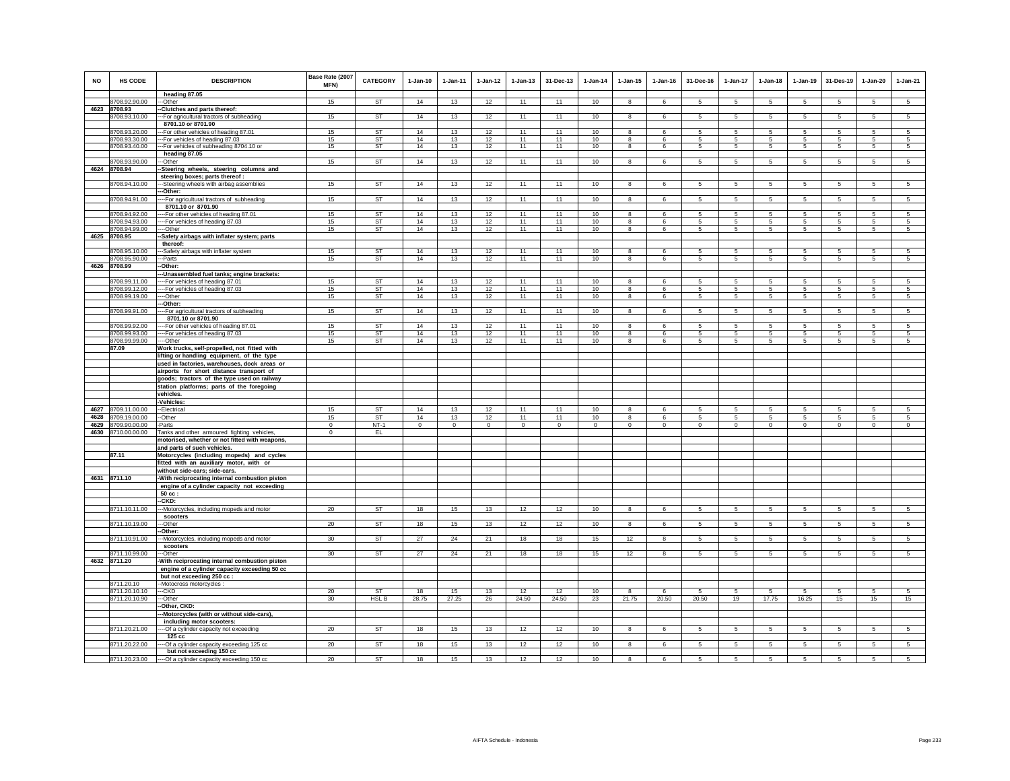| <b>NO</b> | HS CODE                             | <b>DESCRIPTION</b><br>heading 87.05                                             | Base Rate (2007<br>MFN) | CATEGORY               | $1-Jan-10$  | 1-Jan-11     | $1 - Jan-12$ | $1 - Jan-13$ | 31-Dec-13   | $1-Jan-14$ | $1 - Jan-15$                 | $1 - Jan-16$    | 31-Dec-16       | $1-Jan-17$                        | $1-Jan-18$           | $1-Jan-19$          | 31-Des-19           | $1-Jan-20$          | $1-Jan-21$      |
|-----------|-------------------------------------|---------------------------------------------------------------------------------|-------------------------|------------------------|-------------|--------------|--------------|--------------|-------------|------------|------------------------------|-----------------|-----------------|-----------------------------------|----------------------|---------------------|---------------------|---------------------|-----------------|
|           | 8708.92.90.00                       | -Other                                                                          | 15                      | <b>ST</b>              | 14          | 13           | 12           | 11           | 11          | 10         | 8                            | 6               | 5               | 5                                 | 5                    | 5                   | 5                   | 5                   | 5               |
| 4623      | 8708.93                             | -Clutches and parts thereof:                                                    |                         |                        |             |              |              |              |             |            |                              |                 |                 |                                   |                      |                     |                     |                     |                 |
|           | 8708.93.10.00                       | -- For agricultural tractors of subheading                                      | 15                      | ST                     | 14          | 13           | 12           | 11           | 11          | 10         | 8                            | 6               | $5\phantom{.0}$ | $5^{\circ}$                       | $5\phantom{.0}$      | 5                   | $5\phantom{.0}$     | $\sqrt{5}$          | 5               |
|           |                                     | 8701.10 or 8701.90                                                              |                         |                        |             |              |              |              |             |            |                              |                 |                 |                                   |                      |                     |                     |                     |                 |
|           | 8708.93.20.00<br>8708.93.30.00      | -For other vehicles of heading 87.01<br>-For vehicles of heading 87.03          | 15<br>15                | <b>ST</b><br><b>ST</b> | 14<br>14    | 13<br>13     | 12<br>12     | 11<br>11     | 11<br>11    | 10<br>10   | 8<br>8                       | 6<br>6          | 5<br>5          | 5<br>5                            | 5<br>5               | 5<br>5              | 5<br>5              | 5<br>5              | 5<br>5          |
|           | 8708.93.40.00                       | -For vehicles of subheading 8704.10 or                                          | 15                      | <b>ST</b>              | 14          | 13           | 12           | 11           | 11          | 10         | $\overline{\mathbf{8}}$      | 6               | 5               | $\overline{5}$                    | $5\overline{5}$      | $\overline{5}$      | $\overline{5}$      | $\overline{5}$      | $5\overline{5}$ |
|           |                                     | heading 87.05                                                                   |                         |                        |             |              |              |              |             |            |                              |                 |                 |                                   |                      |                     |                     |                     |                 |
|           | 8708.93.90.00                       | -Other                                                                          | 15                      | ST                     | 14          | 13           | 12           | 11           | 11          | 10         | 8                            | 6               | $5\overline{5}$ | 5 <sup>5</sup>                    | $5\overline{5}$      | $\overline{5}$      | $\overline{5}$      | 5                   | 5               |
| 4624      | 8708.94                             | -Steering wheels, steering columns and                                          |                         |                        |             |              |              |              |             |            |                              |                 |                 |                                   |                      |                     |                     |                     |                 |
|           | 8708.94.10.00                       | steering boxes; parts thereof :<br>--Steering wheels with airbag assemblies     | 15                      | <b>ST</b>              | 14          | 13           | 12           | 11           | 11          | 10         | 8                            | 6               | $5\phantom{.0}$ | $5^{\circ}$                       | $5\phantom{.0}$      | 5                   | $\sqrt{5}$          | $5\phantom{.0}$     | 5               |
|           |                                     | -Other:                                                                         |                         |                        |             |              |              |              |             |            |                              |                 |                 |                                   |                      |                     |                     |                     |                 |
|           | 8708.94.91.00                       | -- For agricultural tractors of subheading                                      | 15                      | <b>ST</b>              | 14          | 13           | 12           | 11           | 11          | 10         | 8                            | 6               | 5               | 5                                 | 5                    | $5\overline{5}$     | $\overline{5}$      | $\overline{5}$      | $5\overline{)}$ |
|           |                                     | 8701.10 or 8701.90                                                              |                         |                        |             |              |              |              |             |            |                              |                 |                 |                                   |                      |                     |                     |                     |                 |
|           | 8708.94.92.00<br>8708.94.93.00      | -- For other vehicles of heading 87.01                                          | 15<br>15                | ST<br><b>ST</b>        | 14<br>14    | 13<br>13     | 12<br>12     | 11<br>11     | 11<br>11    | 10<br>10   | 8<br>8                       | 6<br>$\epsilon$ | -5<br>5         | 5<br>5                            | -5<br>5              | 5<br>5              | 5<br>5              | 5<br>5              | $\sqrt{5}$<br>5 |
|           | 8708.94.99.00                       | -- For vehicles of heading 87.03<br>--Other                                     | 15                      | ST                     | 14          | 13           | 12           | 11           | 11          | 10         | 8                            | 6               | $5\overline{5}$ | 5                                 | $5\overline{5}$      | 5                   | 5                   | 5                   | 5               |
|           | 4625 8708.95                        | Safety airbags with inflater system; parts                                      |                         |                        |             |              |              |              |             |            |                              |                 |                 |                                   |                      |                     |                     |                     |                 |
|           |                                     | thereof:                                                                        |                         |                        |             |              |              |              |             |            |                              |                 |                 |                                   |                      |                     |                     |                     |                 |
|           | 8708.95.10.00                       | -Safety airbags with inflater system                                            | 15                      | ST                     | 14          | 13           | 12           | 11           | 11          | 10         | 8                            | 6               | 5               | 5                                 | 5                    | 5                   | 5                   | 5                   | 5               |
| 4626      | 3708.95.90.00<br>8708.99            | -Parts<br>-Other:                                                               | 15                      | ST                     | 14          | 13           | 12           | 11           | 11          | 10         | 8                            | 6               | -5              | 5                                 | 5                    | 5                   | 5                   | 5                   | 5               |
|           |                                     | -Unassembled fuel tanks; engine brackets:                                       |                         |                        |             |              |              |              |             |            |                              |                 |                 |                                   |                      |                     |                     |                     |                 |
|           | 8708.99.11.00                       | --For vehicles of heading 87.01                                                 | 15                      | <b>ST</b>              | 14          | 13           | 12           | 11           | 11          | 10         | 8                            | 6               | 5.              | 5                                 | 5.                   | 5                   | 5                   | 5                   | 5 <sup>1</sup>  |
|           | 8708.99.12.00                       | --- For vehicles of heading 87.03                                               | 15                      | <b>ST</b>              | 14          | 13           | 12           | 11           | 11          | 10         | 8                            | 6               | $\sqrt{5}$      | 5                                 | $\sqrt{5}$           | 5                   | 5                   | 5                   | $\sqrt{5}$      |
|           | 8708.99.19.00                       | ---Other<br>-Other:                                                             | 15                      | ST                     | 14          | 13           | 12           | 11           | 11          | 10         | 8                            | 6               | 5               | $5\phantom{.0}$                   | 5                    | 5                   | 5                   | $5\phantom{.0}$     | 5               |
|           | 8708.99.91.00                       | -- For agricultural tractors of subheading                                      | 15                      | ST                     | 14          | 13           | 12           | 11           | 11          | 10         | 8                            | 6               | 5               | $5\overline{5}$                   | $5\phantom{.0}$      | $5\phantom{.0}$     | $\overline{5}$      | $\overline{5}$      | $5\phantom{.0}$ |
|           |                                     | 8701.10 or 8701.90                                                              |                         |                        |             |              |              |              |             |            |                              |                 |                 |                                   |                      |                     |                     |                     |                 |
|           | 8708.99.92.00                       | -For other vehicles of heading 87.01                                            | 15                      | <b>ST</b>              | 14          | 13           | 12           | 11           | 11          | 10         | 8                            | 6               | 5               | 5                                 | 5                    | 5                   | 5                   | 5                   | 5               |
|           | 8708.99.93.00                       | --For vehicles of heading 87.03                                                 | 15<br>15                | ST<br>ST               | 14<br>14    | 13<br>13     | 12           | 11<br>11     | 11<br>11    | 10<br>10   | 8<br>$\overline{\mathbf{8}}$ | 6<br>6          | 5<br>5          | $5\overline{5}$<br>$\overline{5}$ | 5<br>$5\overline{)}$ | 5<br>$\overline{5}$ | 5<br>$\overline{5}$ | 5<br>$\overline{5}$ | 5<br>-5         |
|           | 8708.99.99.00<br>87.09              | ----Other<br>Work trucks, self-propelled, not fitted with                       |                         |                        |             |              | 12           |              |             |            |                              |                 |                 |                                   |                      |                     |                     |                     |                 |
|           |                                     | lifting or handling equipment, of the type                                      |                         |                        |             |              |              |              |             |            |                              |                 |                 |                                   |                      |                     |                     |                     |                 |
|           |                                     | used in factories, warehouses, dock areas or                                    |                         |                        |             |              |              |              |             |            |                              |                 |                 |                                   |                      |                     |                     |                     |                 |
|           |                                     | airports for short distance transport of                                        |                         |                        |             |              |              |              |             |            |                              |                 |                 |                                   |                      |                     |                     |                     |                 |
|           |                                     | goods; tractors of the type used on railway                                     |                         |                        |             |              |              |              |             |            |                              |                 |                 |                                   |                      |                     |                     |                     |                 |
|           |                                     | station platforms; parts of the foregoing<br>vehicles.                          |                         |                        |             |              |              |              |             |            |                              |                 |                 |                                   |                      |                     |                     |                     |                 |
|           |                                     | Vehicles:                                                                       |                         |                        |             |              |              |              |             |            |                              |                 |                 |                                   |                      |                     |                     |                     |                 |
| 4627      | 8709.11.00.00                       | -Electrical                                                                     | 15                      | ST                     | 14          | 13           | 12           | 11           | 11          | 10         | 8                            | 6               | 5               | 5                                 | 5                    | 5                   | 5                   | 5                   | 5               |
| 4628      | 8709.19.00.00                       | -Other                                                                          | 15                      | ST                     | 14          | 13           | 12           | 11           | 11          | $10$       | 8                            | 6               | 5               | 5                                 | 5                    | 5                   | 5                   | $\mathbf 5$         | $\mathbf 5$     |
| 4629      | 8709.90.00.00<br>4630 8710.00.00.00 | -Parts<br>Tanks and other armoured fighting vehicles,                           | $\mathbf 0$<br>$\,0\,$  | $NT-1$<br>EL           | $\circ$     | $\mathbf{0}$ | $\circ$      | $\mathbf 0$  | $\mathbf 0$ | $\circ$    | $\mathbf 0$                  | $\circ$         | $\circ$         | $\mathbf 0$                       | $\circ$              | $\mathbf 0$         | $\circ$             | $\circ$             | $\circ$         |
|           |                                     | motorised, whether or not fitted with weapons,                                  |                         |                        |             |              |              |              |             |            |                              |                 |                 |                                   |                      |                     |                     |                     |                 |
|           |                                     | and parts of such vehicles.                                                     |                         |                        |             |              |              |              |             |            |                              |                 |                 |                                   |                      |                     |                     |                     |                 |
|           | 87.11                               | Motorcycles (including mopeds) and cycles                                       |                         |                        |             |              |              |              |             |            |                              |                 |                 |                                   |                      |                     |                     |                     |                 |
|           |                                     | fitted with an auxiliary motor, with or                                         |                         |                        |             |              |              |              |             |            |                              |                 |                 |                                   |                      |                     |                     |                     |                 |
|           | 4631 8711.10                        | without side-cars; side-cars.<br>-With reciprocating internal combustion piston |                         |                        |             |              |              |              |             |            |                              |                 |                 |                                   |                      |                     |                     |                     |                 |
|           |                                     | engine of a cylinder capacity not exceeding                                     |                         |                        |             |              |              |              |             |            |                              |                 |                 |                                   |                      |                     |                     |                     |                 |
|           |                                     | 50 cc:                                                                          |                         |                        |             |              |              |              |             |            |                              |                 |                 |                                   |                      |                     |                     |                     |                 |
|           |                                     | -CKD:                                                                           |                         |                        |             |              |              |              |             |            |                              |                 |                 |                                   |                      |                     |                     |                     |                 |
|           | 8711.10.11.00                       | -Motorcycles, including mopeds and motor<br>scooters                            | 20                      | <b>ST</b>              | 18          | 15           | 13           | 12           | 12          | 10         | 8                            | 6               | 5               | 5                                 | 5                    | 5                   | 5                   | 5                   | 5               |
|           | 8711.10.19.00                       | -Other                                                                          | 20                      | <b>ST</b>              | 18          | 15           | 13           | 12           | 12          | 10         | 8                            | 6               | $\sqrt{5}$      | 5                                 | 5                    | $5\overline{5}$     | $\overline{5}$      | $\overline{5}$      | $\overline{5}$  |
|           |                                     | -Other:                                                                         |                         |                        |             |              |              |              |             |            |                              |                 |                 |                                   |                      |                     |                     |                     |                 |
|           | 8711.10.91.00                       | -- Motorcycles, including mopeds and motor                                      | 30                      | <b>ST</b>              | 27          | 24           | 21           | 18           | 18          | 15         | 12                           | $\mathbf{R}$    | 5               | 5                                 | 5                    | 5                   | 5                   | 5                   | 5               |
|           |                                     | scooters                                                                        |                         | <b>ST</b>              |             |              |              |              |             |            |                              |                 |                 |                                   |                      |                     |                     |                     |                 |
|           | 8711.10.99.00<br>4632 8711.20       | --Other<br>With reciprocating internal combustion piston                        | 30                      |                        | 27          | 24           | 21           | 18           | 18          | 15         | 12                           | 8               | $5\overline{5}$ | $5\overline{5}$                   | $5\overline{5}$      | 5                   | 5                   | 5                   | 5               |
|           |                                     | engine of a cylinder capacity exceeding 50 cc                                   |                         |                        |             |              |              |              |             |            |                              |                 |                 |                                   |                      |                     |                     |                     |                 |
|           |                                     | but not exceeding 250 cc :                                                      |                         |                        |             |              |              |              |             |            |                              |                 |                 |                                   |                      |                     |                     |                     |                 |
|           | 8711.20.10                          | -Motocross motorcycles :                                                        |                         |                        |             |              |              |              |             |            |                              |                 |                 |                                   |                      |                     |                     |                     |                 |
|           | 8711.20.10.10<br>8711.20.10.90      | --CKD<br>--Other                                                                | 20<br>30 <sup>°</sup>   | <b>ST</b><br>HSL B     | 18<br>28.75 | 15<br>27.25  | 13<br>26     | 12<br>24.50  | 12<br>24.50 | 10<br>23   | 8<br>21.75                   | 6<br>20.50      | 5<br>20.50      | 5<br>19                           | 5<br>17.75           | 5<br>16.25          | 5<br>15             | 5<br>15             | 5<br>15         |
|           |                                     | -Other, CKD:                                                                    |                         |                        |             |              |              |              |             |            |                              |                 |                 |                                   |                      |                     |                     |                     |                 |
|           |                                     | -Motorcycles (with or without side-cars),                                       |                         |                        |             |              |              |              |             |            |                              |                 |                 |                                   |                      |                     |                     |                     |                 |
|           |                                     | including motor scooters:                                                       |                         |                        |             |              |              |              |             |            |                              |                 |                 |                                   |                      |                     |                     |                     |                 |
|           | 8711.20.21.00                       | --Of a cylinder capacity not exceeding                                          | 20                      | <b>ST</b>              | 18          | 15           | 13           | 12           | 12          | 10         | 8                            | 6               | -5              | $5\overline{5}$                   | 5                    | $5\overline{5}$     | $5\overline{5}$     | $5\overline{5}$     | $5\overline{5}$ |
|           | 8711.20.22.00                       | 125 cc<br>-- Of a cylinder capacity exceeding 125 cc                            | 20                      | <b>ST</b>              | 18          | 15           | 13           | 12           | 12          | 10         | 8                            | 6               | $5\overline{5}$ | 5                                 | $5\overline{5}$      | 5                   | 5                   | 5                   | 5               |
|           |                                     | but not exceeding 150 cc                                                        |                         |                        |             |              |              |              |             |            |                              |                 |                 |                                   |                      |                     |                     |                     |                 |
|           |                                     | 8711.20.23.00 ---- Of a cylinder capacity exceeding 150 cc                      | 20                      | <b>ST</b>              | 18          | 15           | 13           | 12           | 12          | 10         | 8                            | 6               | $5 -$           | $5\overline{5}$                   | 5                    | -5                  | $\overline{5}$      | 5                   | 5               |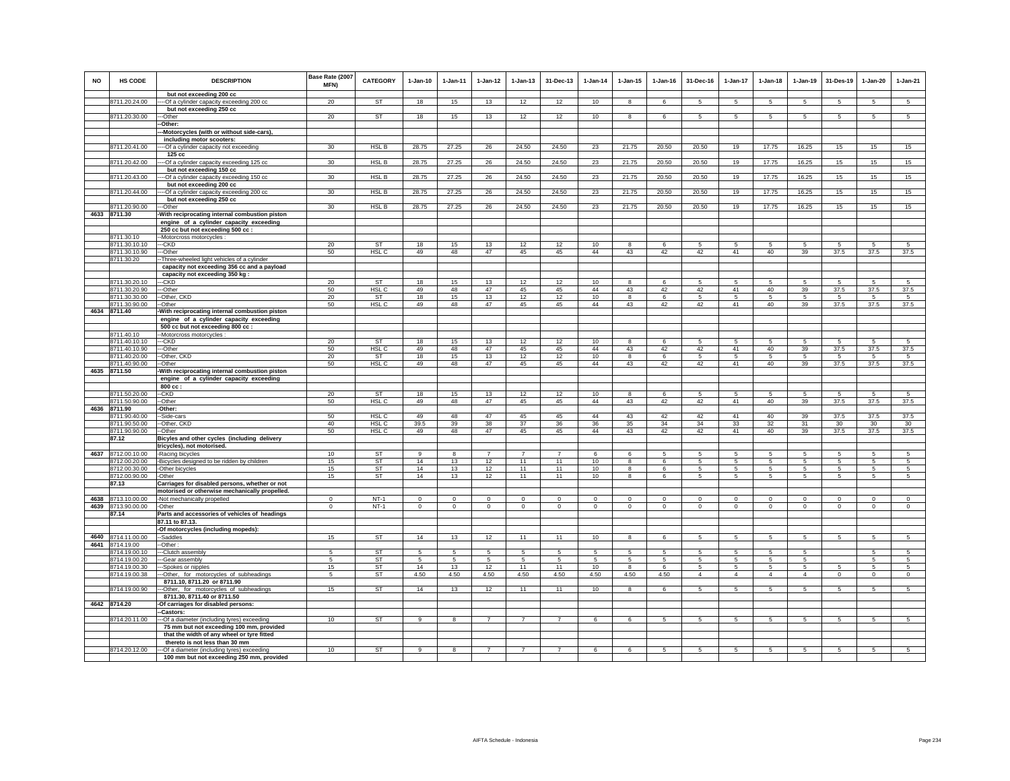| <b>NO</b> | HS CODE                        | <b>DESCRIPTION</b><br>but not exceeding 200 cc                                         | Base Rate (2007<br>MFN) | <b>CATEGORY</b>               | $1-Jan-10$ | $1-Jan-11$   | $1-Jan-12$     | $1-Jan-13$     | 31-Dec-13            | $1-Jan-14$ | $1-Jan-15$              | $1 - Jan-16$ | 31-Dec-16      | $1-Jan-17$           | $1-Jan-18$      | $1-Jan-19$      | 31-Des-19                | $1-Jan-20$      | $1-Jan-21$      |
|-----------|--------------------------------|----------------------------------------------------------------------------------------|-------------------------|-------------------------------|------------|--------------|----------------|----------------|----------------------|------------|-------------------------|--------------|----------------|----------------------|-----------------|-----------------|--------------------------|-----------------|-----------------|
|           | 8711.20.24.00                  | --Of a cylinder capacity exceeding 200 cc                                              | 20                      | ST                            | 18         | 15           | 13             | 12             | 12                   | 10         | 8                       | 6            | 5              | 5                    | 5               | 5               | -5                       | 5               | -5              |
|           | 8711.20.30.00                  | but not exceeding 250 cc<br>-Other                                                     | 20                      | <b>ST</b>                     | 18         | 15           | 13             | 12             | 12                   | 10         | 8                       | 6            | 5              | 5                    | 5               | 5               | $\sqrt{5}$               | 5               | $\overline{5}$  |
|           |                                | -Other:                                                                                |                         |                               |            |              |                |                |                      |            |                         |              |                |                      |                 |                 |                          |                 |                 |
|           |                                | -Motorcycles (with or without side-cars),                                              |                         |                               |            |              |                |                |                      |            |                         |              |                |                      |                 |                 |                          |                 |                 |
|           | 8711.20.41.00                  | including motor scooters:                                                              | 30                      | <b>HSLB</b>                   | 28.75      | 27.25        | 26             | 24.50          | 24.50                | 23         | 21.75                   | 20.50        | 20.50          | 19                   | 17.75           | 16.25           | 15                       | 15              | 15              |
|           |                                | -- Of a cylinder capacity not exceeding<br>125 cc                                      |                         |                               |            |              |                |                |                      |            |                         |              |                |                      |                 |                 |                          |                 |                 |
|           | 8711.20.42.00                  | -- Of a cylinder capacity exceeding 125 cc                                             | 30                      | HSL B                         | 28.75      | 27.25        | 26             | 24.50          | 24.50                | 23         | 21.75                   | 20.50        | 20.50          | 19                   | 17.75           | 16.25           | 15                       | 15              | 15              |
|           |                                | but not exceeding 150 cc                                                               |                         |                               |            |              |                |                |                      |            |                         |              |                |                      |                 |                 |                          |                 |                 |
|           | 8711.20.43.00                  | -- Of a cylinder capacity exceeding 150 cc<br>but not exceeding 200 cc                 | 30 <sup>°</sup>         | HSL B                         | 28.75      | 27.25        | 26             | 24.50          | 24.50                | 23         | 21.75                   | 20.50        | 20.50          | 19                   | 17.75           | 16.25           | 15                       | 15              | 15              |
|           | 8711.20.44.00                  | -- Of a cylinder capacity exceeding 200 cc                                             | 30 <sup>2</sup>         | HSL B                         | 28.75      | 27.25        | 26             | 24.50          | 24.50                | 23         | 21.75                   | 20.50        | 20.50          | 19                   | 17.75           | 16.25           | 15                       | 15              | 15              |
|           |                                | but not exceeding 250 cc                                                               |                         |                               |            |              |                |                |                      |            |                         |              |                |                      |                 |                 |                          |                 |                 |
|           | 8711.20.90.00<br>4633 8711.30  | -Other<br>With reciprocating internal combustion piston                                | 30                      | <b>HSLB</b>                   | 28.75      | 27.25        | 26             | 24.50          | 24.50                | 23         | 21.75                   | 20.50        | 20.50          | 19                   | 17.75           | 16.25           | 15                       | 15              | 15              |
|           |                                | engine of a cylinder capacity exceeding                                                |                         |                               |            |              |                |                |                      |            |                         |              |                |                      |                 |                 |                          |                 |                 |
|           |                                | 250 cc but not exceeding 500 cc :                                                      |                         |                               |            |              |                |                |                      |            |                         |              |                |                      |                 |                 |                          |                 |                 |
|           | 8711.30.10                     | -Motorcross motorcycles :                                                              | 20                      |                               |            |              |                |                |                      |            | 8                       | 6            | 5              | 5                    | 5               | 5               | -5                       | 5               |                 |
|           | 8711.30.10.10<br>8711.30.10.90 | --CKD<br>--Other                                                                       | 50                      | <b>ST</b><br>HSL C            | 18<br>49   | 15<br>48     | 13<br>47       | 12<br>45       | 12<br>45             | 10<br>44   | 43                      | 42           | 42             | 41                   | 40              | 39              | 37.5                     | 37.5            | 5<br>37.5       |
|           | 8711.30.20                     | -Three-wheeled light vehicles of a cylinder                                            |                         |                               |            |              |                |                |                      |            |                         |              |                |                      |                 |                 |                          |                 |                 |
|           |                                | capacity not exceeding 356 cc and a payload                                            |                         |                               |            |              |                |                |                      |            |                         |              |                |                      |                 |                 |                          |                 |                 |
|           | 8711.30.20.10                  | capacity not exceeding 350 kg:<br>-CKD                                                 | 20                      | ST                            | 18         | 15           | 13             | 12             | 12                   | 10         |                         |              | 5              | 5                    |                 |                 | 5                        | 5               | 5               |
|           | 8711.30.20.90                  | --Other                                                                                | 50                      | HSL C                         | 49         | 48           | 47             | 45             | 45                   | 44         | 43                      | 42           | 42             | 41                   | 40              | 39              | 37.5                     | 37.5            | 37.5            |
|           | 8711.30.30.00                  | --Other, CKD                                                                           | 20                      | <b>ST</b>                     | 18         | 15           | 13             | 12             | 12                   | 10         | 8                       | 6            | 5              | 5                    | 5               | 5               | -5                       | 5               | 5               |
|           | 8711.30.90.00<br>4634 8711.40  | --Other<br>With reciprocating internal combustion piston                               | 50                      | HSL C                         | 49         | 48           | 47             | 45             | 45                   | 44         | 43                      | 42           | 42             | 41                   | 40              | 39              | 37.5                     | 37.5            | 37.5            |
|           |                                | engine of a cylinder capacity exceeding                                                |                         |                               |            |              |                |                |                      |            |                         |              |                |                      |                 |                 |                          |                 |                 |
|           |                                | 500 cc but not exceeding 800 cc :                                                      |                         |                               |            |              |                |                |                      |            |                         |              |                |                      |                 |                 |                          |                 |                 |
|           | 8711.40.10<br>8711.40.10.10    | Motorcross motorcycles :<br>--CKD                                                      | 20                      | ST                            | 18         | 15           | 13             | 12             | 12                   | 10         | 8                       | 6            | 5              | 5                    | 5               | 5               | 5                        | 5               | 5               |
|           | 8711.40.10.90                  | --Other                                                                                | 50                      | HSL <sub>C</sub>              | 49         | 48           | 47             | 45             | 45                   | 44         | 43                      | 42           | 42             | 41                   | 40              | 39              | 37.5                     | 37.5            | 37.5            |
|           | 8711.40.20.00                  | -- Other, CKD                                                                          | 20                      | <b>ST</b>                     | 18         | 15           | 13             | 12             | 12                   | 10         | $\overline{\mathbf{8}}$ | $\epsilon$   | 5              | $5\overline{)}$      | $5\overline{)}$ | $5\overline{)}$ | 5                        | $5\overline{)}$ | 5               |
|           | 8711.40.90.00<br>4635 8711.50  | -Other<br>With reciprocating internal combustion piston                                | 50                      | HSL <sub>C</sub>              | 49         | 48           | 47             | 45             | 45                   | 44         | 43                      | 42           | 42             | 41                   | 40              | 39              | 37.5                     | 37.5            | 37.5            |
|           |                                | engine of a cylinder capacity exceeding                                                |                         |                               |            |              |                |                |                      |            |                         |              |                |                      |                 |                 |                          |                 |                 |
|           |                                | 800 cc:                                                                                |                         |                               |            |              |                |                |                      |            |                         |              |                |                      |                 |                 |                          |                 |                 |
|           | 8711.50.20.00<br>8711.50.90.00 | -CKD<br>-Other                                                                         | 20<br>50                | <b>ST</b><br>HSL <sub>C</sub> | 18<br>49   | 15<br>48     | 13<br>47       | 12<br>45       | 12<br>45             | 10<br>44   | 8<br>43                 | 6<br>42      | 5<br>42        | 5<br>41              | 5<br>40         | 5<br>39         | 5<br>37.5                | 5<br>37.5       | 5<br>37.5       |
| 4636      | 8711.90                        | Other:                                                                                 |                         |                               |            |              |                |                |                      |            |                         |              |                |                      |                 |                 |                          |                 |                 |
|           | 8711.90.40.00                  | -Side-cars                                                                             | 50                      | HSL C                         | 49         | 48           | 47             | 45             | 45                   | 44         | 43                      | 42           | 42             | 41                   | 40              | 39              | 37.5                     | 37.5            | 37.5            |
|           | 8711.90.50.00<br>8711.90.90.00 | --Other, CKD<br>--Other                                                                | 40<br>50                | HSL <sub>C</sub><br>HSL C     | 39.5<br>49 | 39<br>48     | 38<br>47       | 37<br>45       | 36<br>45             | 36<br>44   | 35<br>43                | 34<br>42     | 34<br>42       | 33<br>41             | 32<br>40        | 31<br>39        | 30<br>37.5               | 30<br>37.5      | 30<br>37.5      |
|           | 87.12                          | Bicyles and other cycles (including delivery                                           |                         |                               |            |              |                |                |                      |            |                         |              |                |                      |                 |                 |                          |                 |                 |
|           |                                | tricycles), not motorised.                                                             |                         |                               |            |              |                |                |                      |            |                         |              |                |                      |                 |                 |                          |                 |                 |
|           | 4637 8712.00.10.00             | -Racing bicycles                                                                       | 10                      | <b>ST</b>                     | 9<br>14    | 8            | $\overline{7}$ | $\overline{7}$ | $\overline{7}$<br>11 | 6          | 6                       | 5            | 5              | 5                    | 5               | 5               | $\sqrt{5}$               | 5               | 5               |
|           | 8712.00.20.00<br>8712.00.30.00 | -Bicycles designed to be ridden by children<br>Other bicycles                          | 15<br>15                | <b>ST</b><br>ST               | 14         | 13<br>13     | 12<br>12       | 11<br>11       | 11                   | 10<br>10   | 8<br>8                  | 6<br>6       | 5<br>5         | $5\overline{5}$<br>5 | 5<br>5          | 5<br>5          | $\sqrt{5}$<br>$\sqrt{5}$ | 5<br>5          | 5<br>5          |
|           | 8712.00.90.00                  | -Other                                                                                 | 15                      | ST                            | 14         | 13           | 12             | 11             | 11                   | 10         | 8                       | 6            | 5              | 5                    | 5               | 5               | 5                        | 5               | 5               |
|           | 87.13                          | Carriages for disabled persons, whether or not                                         |                         |                               |            |              |                |                |                      |            |                         |              |                |                      |                 |                 |                          |                 |                 |
|           | 4638 8713.10.00.00             | motorised or otherwise mechanically propelled.<br>-Not mechanically propelled          | $\overline{0}$          | $NT-1$                        | $\Omega$   | $\Omega$     | $\overline{0}$ | $\Omega$       | $\overline{0}$       | $\Omega$   | $\Omega$                | $\Omega$     | $\Omega$       | $\overline{0}$       | $\Omega$        | $\overline{0}$  | $\overline{0}$           | $\overline{0}$  | $\overline{0}$  |
|           | 4639 8713.90.00.00             | -Other                                                                                 | $\mathbf 0$             | $NT-1$                        | $\circ$    | $\circ$      | $\mathbf{0}$   | $\mathbf{0}$   | $\circ$              | $\Omega$   | $\mathbf{0}$            | $\mathbf 0$  | $\mathbf{0}$   | $\circ$              | $\mathbf{0}$    | $\circ$         | $\mathbf 0$              | $\circ$         | $\circ$         |
|           | 87.14                          | Parts and accessories of vehicles of headings                                          |                         |                               |            |              |                |                |                      |            |                         |              |                |                      |                 |                 |                          |                 |                 |
|           |                                | 87.11 to 87.13.<br>-Of motorcycles (including mopeds):                                 |                         |                               |            |              |                |                |                      |            |                         |              |                |                      |                 |                 |                          |                 |                 |
|           | 4640 8714.11.00.00             | -Saddles                                                                               | 15                      | <b>ST</b>                     | 14         | 13           | 12             | 11             | 11                   | 10         | 8                       | 6            | $\sqrt{5}$     | 5                    | 5               | 5               | $\sqrt{5}$               | $\overline{5}$  | $\overline{5}$  |
| 4641      | 8714.19.00                     | -Other:                                                                                |                         |                               |            |              |                |                |                      |            |                         |              |                |                      |                 |                 |                          |                 |                 |
|           | 8714.19.00.10<br>8714.19.00.20 | -Clutch assembly<br>-Gear assembly                                                     | -5<br>5                 | <b>ST</b><br>ST               | -5<br>5    | -5<br>5      | 5<br>5         | 5<br>5         | 5<br>5               | 5<br>5     | 5<br>5                  | 5<br>5       | 5<br>5         | 5<br>5               | 5<br>5          | 5<br>5          |                          | 5<br>5          | 5<br>5          |
|           | 8714.19.00.30                  | -Spokes or nipples                                                                     | 15                      | ST                            | 14         | 13           | 12             | 11             | 11                   | 10         | 8                       | 6            | $\sqrt{5}$     | 5                    | 5               | 5               | 5                        | 5               | 5               |
|           | 8714.19.00.38                  | --Other, for motorcycles of subheadings                                                | 5                       | <b>ST</b>                     | 4.50       | 4.50         | 4.50           | 4.50           | 4.50                 | 4.50       | 4.50                    | 4.50         | $\overline{4}$ | $\overline{4}$       | $\overline{4}$  | $\overline{4}$  | $\mathbf 0$              | $\mathsf 0$     | $\circ$         |
|           | 8714.19.00.90                  | 8711.10, 8711.20 or 8711.90                                                            | 15                      | <b>ST</b>                     | 14         | 13           | 12             | 11             | 11                   | 10         | 8                       | 6            | 5              | 5                    | 5               | 5               | 5                        | 5               | 5               |
|           |                                | --Other, for motorcycles of subheadings<br>8711.30, 8711.40 or 8711.50                 |                         |                               |            |              |                |                |                      |            |                         |              |                |                      |                 |                 |                          |                 |                 |
|           | 4642 8714.20                   | -Of carriages for disabled persons:                                                    |                         |                               |            |              |                |                |                      |            |                         |              |                |                      |                 |                 |                          |                 |                 |
|           |                                | -Castors:                                                                              |                         |                               |            |              |                |                |                      |            |                         |              |                |                      |                 |                 |                          |                 |                 |
|           | 8714.20.11.00                  | -Of a diameter (including tyres) exceeding<br>75 mm but not exceeding 100 mm, provided | 10                      | <b>ST</b>                     | 9          | 8            | $\overline{7}$ | $\overline{7}$ | $\overline{7}$       | 6          | 6                       | 5            | 5              | $5\overline{5}$      | 5               | 5               | 5                        | 5               | $5\overline{)}$ |
|           |                                | that the width of any wheel or tyre fitted                                             |                         |                               |            |              |                |                |                      |            |                         |              |                |                      |                 |                 |                          |                 |                 |
|           |                                | thereto is not less than 30 mm                                                         |                         |                               |            |              |                |                |                      |            |                         |              |                |                      |                 |                 |                          |                 |                 |
|           | 8714.20.12.00                  | -- Of a diameter (including tyres) exceeding                                           | 10                      | <b>ST</b>                     | $\alpha$   | $\mathbf{R}$ | $\overline{7}$ | $\overline{ }$ |                      | 6          | 6                       | 5            | 5              | 5                    | 5               | 5               | 5                        | 5               |                 |
|           |                                | 100 mm but not exceeding 250 mm, provided                                              |                         |                               |            |              |                |                |                      |            |                         |              |                |                      |                 |                 |                          |                 |                 |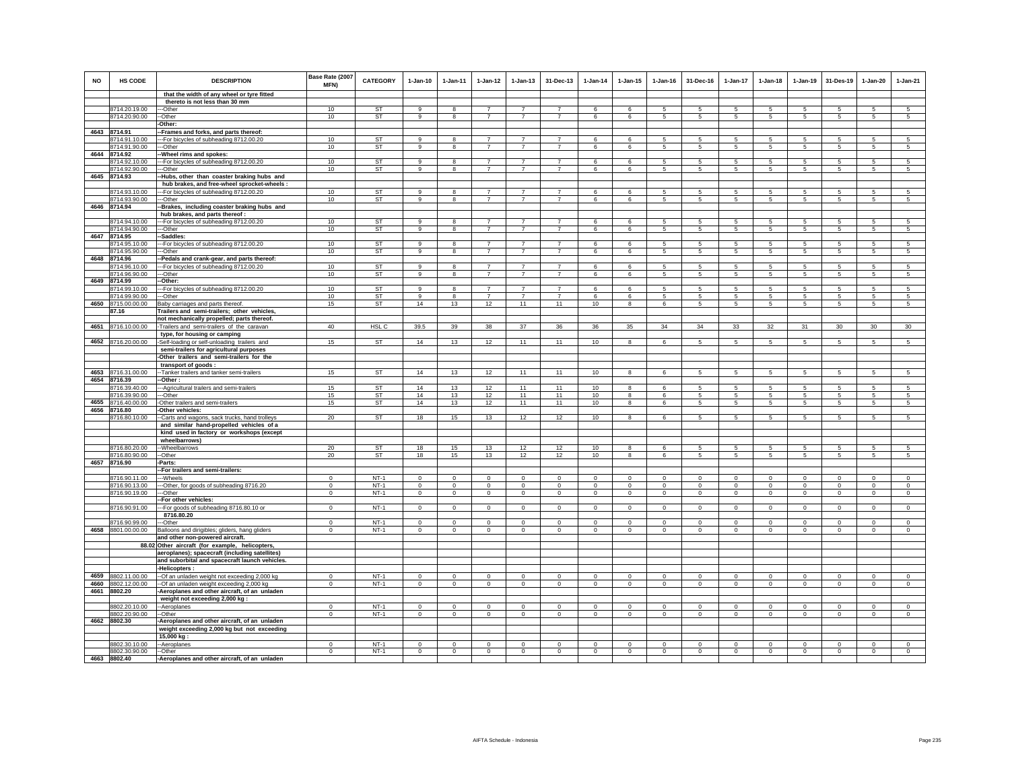| <b>NO</b> | <b>HS CODE</b>                      | <b>DESCRIPTION</b>                                                                    | Base Rate (2007<br><b>MFN)</b> | <b>CATEGORY</b>  | $1-Jan-10$             | 1-Jan-11               | $1-Jan-12$                       | $1 - Jan-13$                     | 31-Dec-13                        | $1-Jan-14$  | $1 - Jan-15$           | $1 - Jan-16$   | 31-Dec-16              | $1-Jan-17$      | $1-Jan-18$             | $1-Jan-19$     | 31-Des-19                 | $1-Jan-20$             | $1-Jan-21$      |
|-----------|-------------------------------------|---------------------------------------------------------------------------------------|--------------------------------|------------------|------------------------|------------------------|----------------------------------|----------------------------------|----------------------------------|-------------|------------------------|----------------|------------------------|-----------------|------------------------|----------------|---------------------------|------------------------|-----------------|
|           |                                     | that the width of any wheel or tyre fitted                                            |                                |                  |                        |                        |                                  |                                  |                                  |             |                        |                |                        |                 |                        |                |                           |                        |                 |
|           |                                     | thereto is not less than 30 mm                                                        |                                |                  |                        |                        |                                  |                                  |                                  |             |                        |                |                        |                 |                        |                |                           |                        |                 |
|           | 8714.20.19.00                       | --Other<br>-Other                                                                     | 10<br>10                       | ST<br><b>ST</b>  | 9<br>9                 | 8                      | $\overline{7}$<br>$\overline{7}$ | $\overline{7}$<br>$\overline{7}$ | $\overline{7}$<br>$\overline{7}$ | 6           | 6                      | 5              | 5                      | 5               | 5                      | 5              | -5                        | 5<br>5                 | 5               |
|           | 8714.20.90.00                       | Other:                                                                                |                                |                  |                        |                        |                                  |                                  |                                  | 6           | 6                      | 5              | 5                      | $\overline{5}$  | 5                      | 5              | $\sqrt{5}$                |                        | $\sqrt{5}$      |
|           | 4643 8714.91                        | -Frames and forks, and parts thereof:                                                 |                                |                  |                        |                        |                                  |                                  |                                  |             |                        |                |                        |                 |                        |                |                           |                        |                 |
|           | 8714.91.10.00                       | --For bicycles of subheading 8712.00.20                                               | 10                             | <b>ST</b>        | 9                      | 8                      | $\overline{7}$                   | $\overline{7}$                   | $\overline{7}$                   | 6           | 6                      | 5              | 5                      | 5               | 5                      | 5              | 5                         | 5                      | 5               |
|           | 8714.91.90.00                       | --Other                                                                               | 10                             | ST               | $\overline{9}$         | 8                      | $\overline{7}$                   | $\overline{7}$                   | $\overline{7}$                   | 6           | 6                      | 5              | 5                      | $\overline{5}$  | $\overline{5}$         | $\,$ 5 $\,$    | $\sqrt{5}$                | 5                      | 5               |
|           | 4644 8714.92                        | -Wheel rims and spokes:                                                               |                                |                  |                        |                        |                                  |                                  |                                  |             |                        |                |                        |                 |                        |                |                           |                        |                 |
|           | 8714.92.10.00                       | -- For bicycles of subheading 8712.00.20                                              | 10                             | ST               | 9                      |                        | $\overline{7}$                   | $\overline{7}$                   | $\overline{7}$                   | 6           | 6                      | 5              | 5                      | 5               | 5                      | -5             | 5                         | 5                      | 5               |
|           | 8714.92.90.00                       | --Other                                                                               | 10                             | <b>ST</b>        | 9                      | 8                      | $\overline{7}$                   | $\overline{7}$                   | $\overline{7}$                   | 6           | 6                      | $\sqrt{5}$     | 5                      | 5               | 5                      | 5              | $\sqrt{5}$                | 5                      | $\sqrt{5}$      |
|           | 4645 8714.93                        | -Hubs, other than coaster braking hubs and                                            |                                |                  |                        |                        |                                  |                                  |                                  |             |                        |                |                        |                 |                        |                |                           |                        |                 |
|           |                                     | hub brakes, and free-wheel sprocket-wheels :                                          |                                |                  |                        |                        |                                  |                                  |                                  |             |                        |                |                        |                 |                        |                |                           |                        |                 |
|           | 8714.93.10.00                       | -- For bicycles of subheading 8712.00.20                                              | 10                             | <b>ST</b>        | 9                      | 8                      | $\overline{7}$                   | $\overline{7}$                   | $\overline{7}$                   | 6           | 6                      | 5              | 5                      | 5.              | 5                      | -5             | -5                        | 5                      | 5               |
|           | 8714.93.90.00                       | --Other                                                                               | 10                             | ST               | 9                      | 8                      | $\overline{7}$                   | $\overline{7}$                   | $\overline{7}$                   | 6           | 6                      | 5              | 5                      | $5\overline{5}$ | $5\overline{5}$        | 5              | 5                         | 5                      | 5               |
|           | 4646 8714.94                        | -Brakes, including coaster braking hubs and                                           |                                |                  |                        |                        |                                  |                                  |                                  |             |                        |                |                        |                 |                        |                |                           |                        |                 |
|           |                                     | hub brakes, and parts thereof :                                                       |                                |                  |                        |                        |                                  |                                  |                                  |             |                        |                |                        |                 |                        |                |                           |                        |                 |
|           | 8714.94.10.00                       | --For bicycles of subheading 8712.00.20                                               | 10                             | <b>ST</b>        | $\overline{9}$         | 8                      | $\overline{7}$<br>$\overline{7}$ | $\overline{7}$                   |                                  | ĥ           | 6                      | 5              | 5                      | 5               | 5                      | 5              | 5                         | 5                      | 5               |
|           | 8714.94.90.00                       | ---Other<br>-Saddles:                                                                 | 10                             | ST               | 9                      | 8                      |                                  |                                  | $\overline{7}$                   | 6           | 6                      | 5              | 5                      | 5               | 5                      | 5              | 5                         | 5                      | 5               |
|           | 4647 8714.95<br>8714.95.10.00       | -- For bicycles of subheading 8712.00.20                                              | 10                             | <b>ST</b>        | $\alpha$               | $\mathbf{R}$           | $\overline{7}$                   | $\overline{7}$                   | $\overline{7}$                   | 6           | 6                      | -5             | 5                      | $5\phantom{.0}$ | 5                      | $\sqrt{5}$     | $\sqrt{5}$                | 5                      | $\sqrt{5}$      |
|           | 8714.95.90.00                       | -Other                                                                                | 10                             | ST               | $\overline{9}$         | 8                      | $\overline{7}$                   | $\overline{7}$                   | $\overline{7}$                   | 6           | 6                      | 5              | 5                      | 5               | $5\overline{5}$        | 5              | -5                        | 5                      | 5               |
|           | 4648 8714.96                        | -Pedals and crank-gear, and parts thereof:                                            |                                |                  |                        |                        |                                  |                                  |                                  |             |                        |                |                        |                 |                        |                |                           |                        |                 |
|           | 8714.96.10.00                       | -For bicycles of subheading 8712.00.20                                                | 10                             | <b>ST</b>        | 9                      | $\mathbf{R}$           | $\overline{7}$                   | $\overline{z}$                   | $\overline{7}$                   | 6           | 6                      | 5              | 5                      | 5               | 5                      | 5              | 5                         | 5                      | 5               |
|           | 8714.96.90.00                       | --Other                                                                               | 10                             | <b>ST</b>        | $\overline{9}$         | $\mathbf{g}$           | $\overline{7}$                   | $\overline{7}$                   | $\overline{7}$                   | 6           | $6\overline{6}$        | $\overline{5}$ | 5                      | $\sqrt{5}$      | $5\overline{5}$        | $\overline{5}$ | $\overline{5}$            | 5                      | $\overline{5}$  |
|           | 4649 8714.99                        | -Other:                                                                               |                                |                  |                        |                        |                                  |                                  |                                  |             |                        |                |                        |                 |                        |                |                           |                        |                 |
|           | 8714.99.10.00                       | --- For bicycles of subheading 8712.00.20                                             | 10                             | ST               | 9                      |                        | $\overline{7}$                   |                                  | $\overline{7}$                   | 6           | 6                      |                | 5                      | 5               | 5                      | 5              | 5                         | 5                      | 5               |
|           | 8714.99.90.00                       | ---Other                                                                              | 10                             | ST               | 9                      | 8                      | $\overline{7}$                   | $\overline{7}$                   | $\overline{7}$                   | 6           | 6                      | 5              | 5                      | $5\phantom{.0}$ | 5                      | $\sqrt{5}$     | $\sqrt{5}$                | $\sqrt{5}$             | $\sqrt{5}$      |
|           | 4650 8715.00.00.00                  | Baby carriages and parts thereof.                                                     | 15                             | <b>ST</b>        | 14                     | 13                     | 12                               | 11                               | 11                               | 10          | 8                      | 6              | 5                      | $5\phantom{.0}$ | $5\overline{5}$        | $\sqrt{5}$     | 5                         | 5                      | $\sqrt{5}$      |
|           | 87.16                               | Trailers and semi-trailers; other vehicles,                                           |                                |                  |                        |                        |                                  |                                  |                                  |             |                        |                |                        |                 |                        |                |                           |                        |                 |
|           |                                     | not mechanically propelled; parts thereof.                                            |                                |                  |                        |                        |                                  |                                  |                                  |             |                        |                |                        |                 |                        |                |                           |                        |                 |
| 4651      | 8716.10.00.00                       | -Trailers and semi-trailers of the caravan<br>type, for housing or camping            | 40                             | HSL C            | 39.5                   | 39                     | 38                               | 37                               | 36                               | 36          | 35                     | 34             | 34                     | 33              | 32                     | 31             | 30                        | 30                     | 30              |
|           | 4652 8716.20.00.00                  | -Self-loading or self-unloading trailers and                                          | 15                             | <b>ST</b>        | 14                     | 13                     | 12                               | 11                               | 11                               | 10          | 8                      | 6              | 5                      | $5\overline{5}$ | $5\overline{5}$        | 5              | 5                         | 5                      | 5               |
|           |                                     | semi-trailers for agricultural purposes                                               |                                |                  |                        |                        |                                  |                                  |                                  |             |                        |                |                        |                 |                        |                |                           |                        |                 |
|           |                                     | -Other trailers and semi-trailers for the                                             |                                |                  |                        |                        |                                  |                                  |                                  |             |                        |                |                        |                 |                        |                |                           |                        |                 |
|           |                                     | transport of goods:                                                                   |                                |                  |                        |                        |                                  |                                  |                                  |             |                        |                |                        |                 |                        |                |                           |                        |                 |
|           | 4653 8716.31.00.00                  | -- Tanker trailers and tanker semi-trailers                                           | 15                             | <b>ST</b>        | 14                     | 13                     | 12                               | 11                               | 11                               | 10          | 8                      | 6              | 5                      | 5               | 5                      | 5              | 5                         | 5                      | 5               |
|           | 4654 8716.39                        | -Other :                                                                              |                                |                  |                        |                        |                                  |                                  |                                  |             |                        |                |                        |                 |                        |                |                           |                        |                 |
|           | 8716.39.40.00                       | --- Agricultural trailers and semi-trailers                                           | 15                             | <b>ST</b>        | 14                     | 13                     | 12                               | 11                               | 11                               | 10          | 8                      | 6              | 5                      | 5               | 5                      | 5              | $\sqrt{5}$                | 5                      | $\sqrt{5}$      |
|           | 8716.39.90.00                       | --Other                                                                               | 15                             | <b>ST</b>        | 14                     | 13                     | 12                               | 11                               | 11                               | 10          | 8                      | 6              | 5                      | $\overline{5}$  | $\overline{5}$         | $\overline{5}$ | $\sqrt{5}$                | 5                      | $\overline{5}$  |
|           | 4655 8716.40.00.00                  | -Other trailers and semi-trailers                                                     | 15                             | ST               | 14                     | 13                     | 12                               | 11                               | 11                               | 10          | 8                      | 6              | 5                      | $5\phantom{.0}$ | $5\phantom{.0}$        | $\sqrt{5}$     | $\sqrt{5}$                | 5                      | 5               |
|           | 4656 8716.80                        | Other vehicles:                                                                       |                                |                  |                        |                        |                                  |                                  |                                  |             |                        |                |                        |                 |                        |                |                           |                        |                 |
|           | 8716.80.10.00                       | -Carts and wagons, sack trucks, hand trolleys                                         | 20                             | <b>ST</b>        | 18                     | 15                     | 13                               | 12                               | 12                               | 10          | 8                      | 6              | 5                      | $5\overline{5}$ | $5\overline{5}$        | 5              | 5                         | 5                      | $5\phantom{.0}$ |
|           |                                     | and similar hand-propelled vehicles of a<br>kind used in factory or workshops (except |                                |                  |                        |                        |                                  |                                  |                                  |             |                        |                |                        |                 |                        |                |                           |                        |                 |
|           |                                     | wheelbarrows)                                                                         |                                |                  |                        |                        |                                  |                                  |                                  |             |                        |                |                        |                 |                        |                |                           |                        |                 |
|           | 8716.80.20.00                       | --Wheelbarrows                                                                        | 20                             | <b>ST</b>        | 18                     | 15                     | 13                               | 12                               | 12                               | 10          | 8                      | 6              | 5                      | 5               | 5                      | 5              | 5                         | 5                      | 5               |
|           | 8716.80.90.00                       | --Other                                                                               | 20                             | ST               | 18                     | 15                     | 13                               | 12                               | 12                               | 10          | 8                      | 6              | 5                      | $5\overline{5}$ | $5\overline{5}$        | 5              | 5                         | 5                      | 5               |
|           | 4657 8716.90                        | -Parts:                                                                               |                                |                  |                        |                        |                                  |                                  |                                  |             |                        |                |                        |                 |                        |                |                           |                        |                 |
|           |                                     | -For trailers and semi-trailers:                                                      |                                |                  |                        |                        |                                  |                                  |                                  |             |                        |                |                        |                 |                        |                |                           |                        |                 |
|           | 8716.90.11.00                       | --Wheels                                                                              | $\mathbf 0$                    | $NT-1$           | $\mathbf 0$            | $\mathbf 0$            | $\mathbf 0$                      | $\mathbf 0$                      | $\mathbf 0$                      | $\mathbf 0$ | $\mathbf 0$            | $\mathbf 0$    | $\mathbf 0$            | $\mathbf 0$     | $\mathbf 0$            | $\mathbf 0$    | $\mathbf 0$               | $\mathbf 0$            | $\circ$         |
|           | 8716.90.13.00                       | ---Other, for goods of subheading 8716.20                                             | $^{\circ}$                     | $NT-1$           | $^{\circ}$             | $^{\circ}$             | $\mathbf 0$                      | $\mathbf 0$                      | $\mathbf 0$                      | $\mathbf 0$ | $\bf{0}$               | $\mathbf 0$    | $\mathbf 0$            | $\mathbf 0$     | 0                      | $\mathbf 0$    | $\mathbf 0$               | $\bf{0}$               | $\mathbf 0$     |
|           | 8716.90.19.00                       | --Other                                                                               | $\mathbf 0$                    | $NT-1$           | $\Omega$               | $\circ$                | $\circ$                          | $\circ$                          | $\mathbf{0}$                     | $\circ$     | $\circ$                | $\Omega$       | $\circ$                | $\mathbf 0$     | $\circ$                | $\mathbf 0$    | $\circ$                   | $^{\circ}$             | $\Omega$        |
|           |                                     | -For other vehicles:                                                                  |                                |                  |                        |                        |                                  |                                  |                                  |             |                        |                |                        |                 |                        |                |                           |                        |                 |
|           | 8716.90.91.00                       | --- For goods of subheading 8716.80.10 or                                             | $\Omega$                       | $NT-1$           | $\Omega$               | $\Omega$               | $\Omega$                         | $\Omega$                         | $\mathbf{0}$                     | $\Omega$    | $\Omega$               | $\Omega$       | $\Omega$               | $\mathbf{0}$    | $\Omega$               | $\Omega$       | $\Omega$                  | $\Omega$               | $\Omega$        |
|           |                                     | 8716.80.20                                                                            |                                |                  |                        |                        |                                  |                                  |                                  |             |                        |                |                        |                 |                        |                |                           |                        |                 |
|           | 8716.90.99.00<br>4658 8801.00.00.00 | --Other                                                                               | $\Omega$<br>$^{\circ}$         | $NT-1$<br>$NT-1$ | $\Omega$<br>$^{\circ}$ | $\Omega$<br>$^{\circ}$ | $\mathbf 0$                      | $\Omega$<br>$^{\circ}$           | $\mathbf 0$                      | $\mathbf 0$ | $\Omega$<br>$^{\circ}$ | $\,0\,$        | $\Omega$<br>$^{\circ}$ | $\Omega$<br>0   | $\Omega$<br>$^{\circ}$ | $\Omega$       | $\mathbf 0$<br>$^{\circ}$ | $\Omega$<br>$^{\circ}$ | $\mathbf 0$     |
|           |                                     | Balloons and dirigibles; gliders, hang gliders<br>and other non-powered aircraft.     |                                |                  |                        |                        | 0                                |                                  | 0                                | 0           |                        | $\mathbf 0$    |                        |                 |                        | 0              |                           |                        | 0               |
|           |                                     | 88.02 Other aircraft (for example, helicopters,                                       |                                |                  |                        |                        |                                  |                                  |                                  |             |                        |                |                        |                 |                        |                |                           |                        |                 |
|           |                                     | aeroplanes); spacecraft (including satellites)                                        |                                |                  |                        |                        |                                  |                                  |                                  |             |                        |                |                        |                 |                        |                |                           |                        |                 |
|           |                                     | and suborbital and spacecraft launch vehicles.                                        |                                |                  |                        |                        |                                  |                                  |                                  |             |                        |                |                        |                 |                        |                |                           |                        |                 |
|           |                                     | -Helicopters :                                                                        |                                |                  |                        |                        |                                  |                                  |                                  |             |                        |                |                        |                 |                        |                |                           |                        |                 |
|           | 4659 8802.11.00.00                  | -- Of an unladen weight not exceeding 2,000 kg                                        | $\Omega$                       | $NT-1$           | $^{\circ}$             | $^{\circ}$             | $^{\circ}$                       | $\mathsf 0$                      | $\bf{0}$                         | $^{\circ}$  | $\mathbf 0$            | $\mathbf 0$    | $\mathbf 0$            | $\mathsf 0$     | $\mathbf 0$            | $\mathbf 0$    | $\mathbf 0$               | $\mathbf 0$            | $\mathbf 0$     |
|           | 4660 8802.12.00.00                  | -Of an unladen weight exceeding 2,000 kg                                              | $\Omega$                       | $NT-1$           | $\Omega$               | $\circ$                | $\Omega$                         | $\circ$                          | $\Omega$                         | $\Omega$    | $\mathbf{0}$           | $\Omega$       | $\Omega$               | $\circ$         | $\Omega$               | $\Omega$       | $\Omega$                  | $\Omega$               | $\Omega$        |
|           | 4661 8802.20                        | -Aeroplanes and other aircraft, of an unladen                                         |                                |                  |                        |                        |                                  |                                  |                                  |             |                        |                |                        |                 |                        |                |                           |                        |                 |
|           |                                     | weight not exceeding 2,000 kg :                                                       |                                |                  |                        |                        |                                  |                                  |                                  |             |                        |                |                        |                 |                        |                |                           |                        |                 |
|           | 8802.20.10.00                       | --Aeroplanes                                                                          | $^{\circ}$                     | $NT-1$           | $\mathbf 0$            | $^{\circ}$             | $^{\circ}$                       | $\circ$                          | $^{\circ}$                       | $^{\circ}$  | $^{\circ}$             | $^{\circ}$     | $\mathbf 0$            | $\mathbf 0$     | $\mathbf 0$            | $^{\circ}$     | $\mathbf 0$               | $^{\circ}$             | $^{\circ}$      |
|           | 8802.20.90.00                       | -Other                                                                                | $\mathbf{0}$                   | $NT-1$           | $\mathbf{0}$           | $^{\circ}$             | $\mathbf 0$                      | $\mathbf 0$                      | $\mathbf 0$                      | $\mathbf 0$ | 0                      | $\mathbf 0$    | $\mathbf 0$            | $\mathbf 0$     | $\mathbf 0$            | $\,0\,$        | $\mathbf 0$               | $\mathbf 0$            | $\mathbf 0$     |
|           | 4662 8802.30                        | Aeroplanes and other aircraft, of an unladen                                          |                                |                  |                        |                        |                                  |                                  |                                  |             |                        |                |                        |                 |                        |                |                           |                        |                 |
|           |                                     | weight exceeding 2,000 kg but not exceeding                                           |                                |                  |                        |                        |                                  |                                  |                                  |             |                        |                |                        |                 |                        |                |                           |                        |                 |
|           | 8802.30.10.00                       | 15,000 kg<br>--Aeroplanes                                                             | $\mathbf 0$                    | $NT-1$           | $\mathbf 0$            | $\Omega$               | $\mathbf 0$                      | $\Omega$                         | $\mathbf 0$                      | $\mathbf 0$ | $\mathbf 0$            | $\Omega$       | $\mathbf 0$            | $\Omega$        | $\mathbf 0$            | $^{\circ}$     | $^{\circ}$                | $\mathbf 0$            | $\Omega$        |
|           | 8802.30.90.00                       | --Other                                                                               | $\mathbf 0$                    | $NT-1$           | $\mathbb O$            | $\mathbf 0$            | $\mathbf 0$                      | $\mathsf 0$                      | $\mathbf 0$                      | $\circ$     | $\Omega$               | $\Omega$       | $\mathsf 0$            | $\overline{0}$  | $\Omega$               | $\mathbf 0$    | $\mathbf 0$               | $\mathsf 0$            | $\overline{0}$  |
|           | 4663 8802.40                        | -Aeroplanes and other aircraft, of an unladen                                         |                                |                  |                        |                        |                                  |                                  |                                  |             |                        |                |                        |                 |                        |                |                           |                        |                 |
|           |                                     |                                                                                       |                                |                  |                        |                        |                                  |                                  |                                  |             |                        |                |                        |                 |                        |                |                           |                        |                 |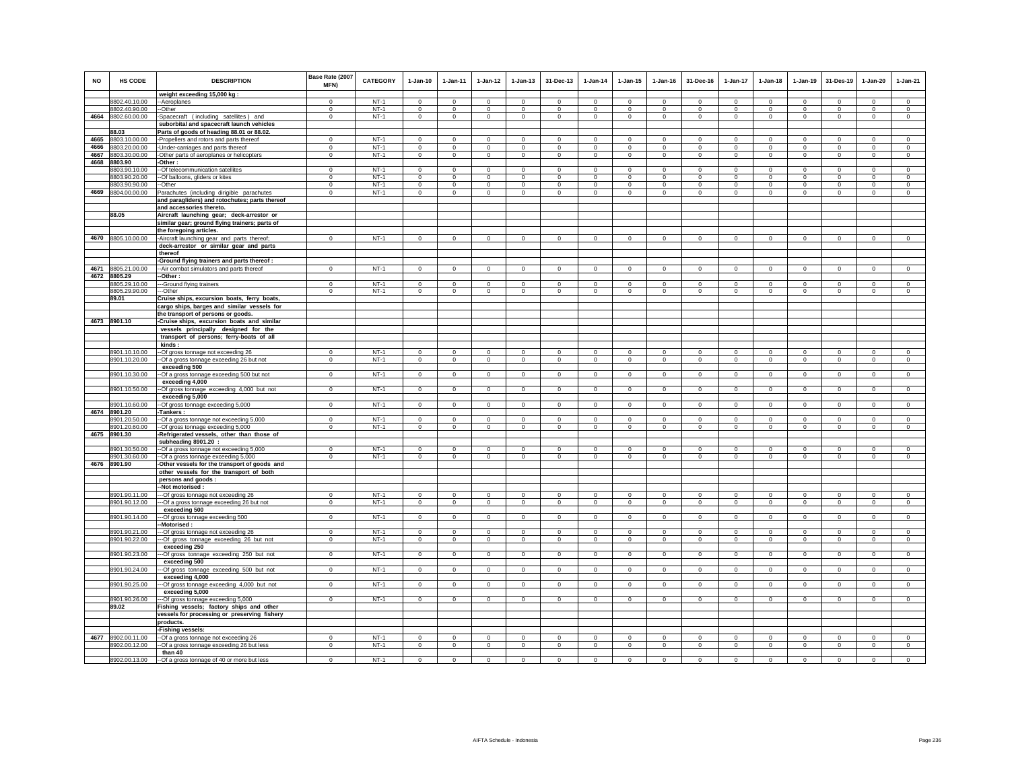| <b>NO</b> | HS CODE                       | <b>DESCRIPTION</b>                                                                           | Base Rate (2007<br>MFN)    | <b>CATEGORY</b> | $1-Jan-10$              | 1-Jan-11                   | $1 - Jan-12$   | $1 - Jan-13$               | 31-Dec-13                  | $1-Jan-14$                 | $1 - Jan-15$               | $1 - Jan-16$               | 31-Dec-16              | $1-Jan-17$                 | $1-Jan-18$                 | 1-Jan-19                   | 31-Des-19      | 1-Jan-20                   | $1-Jan-21$                 |
|-----------|-------------------------------|----------------------------------------------------------------------------------------------|----------------------------|-----------------|-------------------------|----------------------------|----------------|----------------------------|----------------------------|----------------------------|----------------------------|----------------------------|------------------------|----------------------------|----------------------------|----------------------------|----------------|----------------------------|----------------------------|
|           |                               | weight exceeding 15,000 kg:                                                                  |                            |                 |                         |                            |                |                            |                            |                            |                            |                            |                        |                            |                            |                            |                |                            |                            |
|           | 8802.40.10.00                 | -Aeroplanes                                                                                  | $\Omega$                   | $NT-1$          | $\Omega$                | $\Omega$                   | $\Omega$       | $\mathsf 0$                | $\Omega$                   | $\Omega$                   | $\mathsf 0$                | $\Omega$                   | $\Omega$               | $\Omega$                   | $\Omega$                   | $\Omega$                   | $\Omega$       | $\Omega$                   | $\mathsf 0$                |
|           | 8802.40.90.00                 | -Other                                                                                       | $\mathbf 0$                | $NT-1$          | $\circ$                 | $\circ$                    | $\mathbf 0$    | $\mathbf 0$                | $\mathbf 0$                | $^{\circ}$                 | $\mathbf 0$                | $^{\circ}$                 | $\circ$                | $\mathbf 0$                | $\circ$                    | $\mathbf 0$                | $\mathbf 0$    | $\mathbf 0$                | $\mathbf 0$                |
|           | 4664 8802.60.00.00            | -Spacecraft (including satellites) and                                                       | $\mathbf 0$                | $NT-1$          | $\circ$                 | $\circ$                    | $\overline{0}$ | $\mathbf 0$                | $\overline{0}$             | $\overline{0}$             | $\mathbf 0$                | $\mathbf 0$                | $\circ$                | $\circ$                    | $\mathbf 0$                | $\overline{0}$             | $\mathbf 0$    | $\circ$                    | $\mathbf 0$                |
|           |                               | suborbital and spacecraft launch vehicles                                                    |                            |                 |                         |                            |                |                            |                            |                            |                            |                            |                        |                            |                            |                            |                |                            |                            |
| 4665      | 88.03<br>8803.10.00.00        | Parts of goods of heading 88.01 or 88.02.                                                    |                            | $NT-1$          |                         |                            | $\mathbf 0$    |                            |                            |                            |                            |                            |                        |                            |                            |                            | $\mathbf 0$    |                            |                            |
| 4666      | 8803.20.00.00                 | Propellers and rotors and parts thereof<br>Under-carriages and parts thereof                 | $\mathbf 0$<br>$\mathbf 0$ | $NT-1$          | $\mathsf 0$<br>$\Omega$ | $\mathsf 0$<br>$\mathbf 0$ | $\mathsf 0$    | $\mathsf 0$<br>$\mathbf 0$ | $\mathsf 0$<br>$\mathbf 0$ | $\mathsf 0$<br>$\mathbf 0$ | $\mathsf 0$<br>$\mathbf 0$ | $\mathsf 0$<br>$\mathbf 0$ | $\mathsf 0$<br>$\circ$ | $\mathbf 0$<br>$\mathbf 0$ | $\mathbf 0$<br>$\mathbf 0$ | $\mathbf 0$<br>$\mathbf 0$ | $^{\circ}$     | $\mathsf 0$<br>$\mathbf 0$ | $\mathsf 0$<br>$\mathbf 0$ |
| 4667      | 8803.30.00.00                 | Other parts of aeroplanes or helicopters                                                     | $\mathbf 0$                | $NT-1$          | $\mathsf 0$             | $\mathbf 0$                | $\mathbf 0$    | $\mathsf 0$                | $\mathbf 0$                | $\mathsf 0$                | $\mathsf 0$                | $\mathsf 0$                | $\mathbf 0$            | $\mathsf 0$                | $\mathsf 0$                | $\mathbf 0$                | $\,0\,$        | $\mathsf 0$                | $\mathsf 0$                |
| 4668      | 8803.90                       | -Other :                                                                                     |                            |                 |                         |                            |                |                            |                            |                            |                            |                            |                        |                            |                            |                            |                |                            |                            |
|           | 8803.90.10.00                 | -- Of telecommunication satellites                                                           | $\Omega$                   | $NT-1$          | $\Omega$                | $\Omega$                   | $\overline{0}$ | $\Omega$                   | $\overline{0}$             | $\overline{0}$             | $\Omega$                   | $\Omega$                   | $\Omega$               | $\overline{0}$             | $\Omega$                   | $\Omega$                   | $\overline{0}$ | $\Omega$                   | $\overline{0}$             |
|           | 8803.90.20.00                 | -Of balloons, gliders or kites                                                               | $\mathbf 0$                | $NT-1$          | $\mathsf 0$             | $\mathsf 0$                | $\mathbf 0$    | $\mathsf 0$                | $\mathbf 0$                | $\Omega$                   | $\mathsf 0$                | $\Omega$                   | $\mathsf 0$            | $\mathbf 0$                | $\mathbf 0$                | $\mathbf 0$                | $\mathbf 0$    | $\circ$                    | $\mathsf 0$                |
|           | 8803.90.90.00                 | --Other                                                                                      | $\mathbf{0}$               | $NT-1$          | $\circ$                 | $\circ$                    | $\circ$        | $\mathbf 0$                | $\mathbf 0$                | $\circ$                    | $\mathbf 0$                | $\circ$                    | $\circ$                | $\mathbf 0$                | $\circ$                    | $\mathbf 0$                | $\circ$        | $\mathbf 0$                | $\circ$                    |
|           | 4669 8804.00.00.00            | Parachutes (including dirigible parachutes<br>and paragliders) and rotochutes; parts thereof | $^{\circ}$                 | $NT-1$          | $\circ$                 | $\circ$                    | $\circ$        | $^{\circ}$                 | $^{\circ}$                 | $\circ$                    | $\mathbf{0}$               | $^{\circ}$                 | $^{\circ}$             | $^{\circ}$                 | $\mathbf{0}$               | $^{\circ}$                 | $\mathbf{0}$   | $\circ$                    | $^{\circ}$                 |
|           |                               | and accessories thereto.                                                                     |                            |                 |                         |                            |                |                            |                            |                            |                            |                            |                        |                            |                            |                            |                |                            |                            |
|           | 88.05                         | Aircraft launching gear; deck-arrestor or                                                    |                            |                 |                         |                            |                |                            |                            |                            |                            |                            |                        |                            |                            |                            |                |                            |                            |
|           |                               | similar gear; ground flying trainers; parts of                                               |                            |                 |                         |                            |                |                            |                            |                            |                            |                            |                        |                            |                            |                            |                |                            |                            |
|           |                               | the foregoing articles.                                                                      |                            |                 |                         |                            |                |                            |                            |                            |                            |                            |                        |                            |                            |                            |                |                            |                            |
|           | 4670 8805.10.00.00            | -Aircraft launching gear and parts thereof;<br>deck-arrestor or similar gear and parts       | $\mathbf 0$                | $NT-1$          | $\mathsf 0$             | $\mathbf 0$                | $\overline{0}$ | $\mathsf 0$                | $\mathsf 0$                | $\overline{0}$             | $\mathsf 0$                | $\mathbf 0$                | $\circ$                | $\mathbf 0$                | $\mathbf 0$                | $\mathbf 0$                | $\overline{0}$ | $\mathbf 0$                | $\overline{0}$             |
|           |                               | thereof<br>-Ground flying trainers and parts thereof :                                       |                            |                 |                         |                            |                |                            |                            |                            |                            |                            |                        |                            |                            |                            |                |                            |                            |
|           | 4671 8805.21.00.00            | -Air combat simulators and parts thereof                                                     | $\Omega$                   | $NT-1$          | $\Omega$                | $\Omega$                   | $\Omega$       | $\Omega$                   | $\Omega$                   | $\Omega$                   | $\Omega$                   | $\Omega$                   | $\Omega$               | $\Omega$                   | $\Omega$                   | $\Omega$                   | $\Omega$       | $\Omega$                   | $\Omega$                   |
|           | 4672 8805.29                  | -Other :                                                                                     |                            |                 |                         |                            |                |                            |                            |                            |                            |                            |                        |                            |                            |                            |                |                            |                            |
|           | 8805.29.10.00                 | --Ground flying trainers                                                                     | $\Omega$                   | $NT-1$          | $\Omega$                | $^{\circ}$                 | $^{\circ}$     | $\Omega$                   | $\Omega$                   | $^{\circ}$                 | $\Omega$                   | $\Omega$                   | $\Omega$               | $\Omega$                   | $\Omega$                   | $^{\circ}$                 | $\overline{0}$ | $\Omega$                   | $^{\circ}$                 |
|           | 8805.29.90.00                 | -Other                                                                                       | $\Omega$                   | $NT-1$          | $\Omega$                | $\Omega$                   | $\mathbf{0}$   | $\mathbf 0$                | $\Omega$                   | $\Omega$                   | $^{\circ}$                 | $\Omega$                   | $\Omega$               | $\mathbf 0$                | $\Omega$                   | $\Omega$                   | $\mathbf 0$    | $\Omega$                   | $\circ$                    |
|           | 89.01                         | Cruise ships, excursion boats, ferry boats,<br>cargo ships, barges and similar vessels for   |                            |                 |                         |                            |                |                            |                            |                            |                            |                            |                        |                            |                            |                            |                |                            |                            |
|           |                               | the transport of persons or goods.                                                           |                            |                 |                         |                            |                |                            |                            |                            |                            |                            |                        |                            |                            |                            |                |                            |                            |
|           | 4673 8901.10                  | -Cruise ships, excursion boats and similar                                                   |                            |                 |                         |                            |                |                            |                            |                            |                            |                            |                        |                            |                            |                            |                |                            |                            |
|           |                               | vessels principally designed for the                                                         |                            |                 |                         |                            |                |                            |                            |                            |                            |                            |                        |                            |                            |                            |                |                            |                            |
|           |                               | transport of persons; ferry-boats of all                                                     |                            |                 |                         |                            |                |                            |                            |                            |                            |                            |                        |                            |                            |                            |                |                            |                            |
|           | 8901.10.10.00                 | kinds:<br>--Of gross tonnage not exceeding 26                                                | $\mathbf 0$                | $NT-1$          | $^{\circ}$              | $\circ$                    | $\circ$        | $\mathbf 0$                | $\mathbf 0$                | $^{\circ}$                 | $\mathbf 0$                | $^{\circ}$                 | $\circ$                | $\mathbf 0$                | $\circ$                    | $\mathbf 0$                | $\circ$        | $\circ$                    | $^{\circ}$                 |
|           | 8901.10.20.00                 | --Of a gross tonnage exceeding 26 but not                                                    | $^{\circ}$                 | $NT-1$          | $\mathbf{0}$            | $\circ$                    | $\circ$        | $\overline{0}$             | $\overline{0}$             | $\overline{0}$             | $\mathbf 0$                | $\mathbf{0}$               | $\circ$                | $\mathbf{0}$               | $\mathbf 0$                | $\overline{0}$             | $\overline{0}$ | $\circ$                    | $\overline{0}$             |
|           |                               | exceeding 500                                                                                |                            |                 |                         |                            |                |                            |                            |                            |                            |                            |                        |                            |                            |                            |                |                            |                            |
|           | 8901.10.30.00                 | -Of a gross tonnage exceeding 500 but not                                                    | $\mathbf 0$                | $NT-1$          | $\mathsf 0$             | $\mathsf 0$                | $\circ$        | $\mathbf 0$                | $\mathbf 0$                | $\mathsf 0$                | $\mathsf 0$                | $\mathsf 0$                | $\mathsf 0$            | $\mathbf 0$                | $\mathbf 0$                | $\mathbf 0$                | $\circ$        | $\mathbf 0$                | $\mathsf 0$                |
|           |                               | exceeding 4,000                                                                              |                            |                 |                         |                            |                |                            |                            |                            |                            |                            |                        |                            |                            |                            |                |                            |                            |
|           | 8901.10.50.00                 | -Of gross tonnage exceeding 4,000 but not<br>exceeding 5,000                                 | $\mathbf{0}$               | $NT-1$          | $\Omega$                | $\circ$                    | $\circ$        | $\mathbf 0$                | $\circ$                    | $\circ$                    | $\mathbf 0$                | $\circ$                    | $\circ$                | $\circ$                    | $\mathbf 0$                | $\mathbf 0$                | $\circ$        | $\circ$                    | $\overline{0}$             |
|           | 8901.10.60.00                 | -Of gross tonnage exceeding 5,000                                                            | $\circ$                    | $NT-1$          | $\circ$                 | $\circ$                    | $\mathbf{0}$   | $\mathbf{0}$               | $\mathbf{0}$               | $\circ$                    | $\mathbf{0}$               | $\Omega$                   | $\circ$                | $\mathbf{0}$               | $\circ$                    | $\mathbf 0$                | $\mathbf 0$    | $\mathbf{0}$               | $\circ$                    |
|           | 4674 8901.20                  | Tankers :                                                                                    |                            |                 |                         |                            |                |                            |                            |                            |                            |                            |                        |                            |                            |                            |                |                            |                            |
|           | 8901.20.50.00                 | -Of a gross tonnage not exceeding 5,000                                                      | $^{\circ}$                 | $NT-1$          | $\mathbf{0}$            | $\mathbf 0$                | $\circ$        | $\mathbf 0$                | $\mathbf 0$                | $\mathbf 0$                | $\mathbf 0$                | $\mathbf{0}$               | $\mathbf 0$            | 0                          | $\mathbf{0}$               | $\mathbf 0$                | $\mathbf 0$    | $\mathbf 0$                | $\mathbf 0$                |
|           | 8901.20.60.00<br>4675 8901.30 | -Of gross tonnage exceeding 5,000<br>Refrigerated vessels, other than those of               | $\Omega$                   | $NT-1$          | $\Omega$                | $\circ$                    | $\mathsf 0$    | $\mathbf 0$                | $\mathbf 0$                | $\mathbf 0$                | $\mathbf 0$                | $\circ$                    | $\Omega$               | $\mathbf 0$                | $\circ$                    | $\mathbf 0$                | $\mathbf 0$    | $\Omega$                   | $\mathsf 0$                |
|           |                               | subheading 8901.20:                                                                          |                            |                 |                         |                            |                |                            |                            |                            |                            |                            |                        |                            |                            |                            |                |                            |                            |
|           | 8901.30.50.00                 | --Of a gross tonnage not exceeding 5,000                                                     | $\mathbf 0$                | $NT-1$          | $^{\circ}$              | $\mathbf 0$                | $\mathbf 0$    | $\mathbf 0$                | $^{\circ}$                 | $\mathbf 0$                | $^{\circ}$                 | $^{\circ}$                 | $^{\circ}$             | $\mathbf 0$                | 0                          | $^{\circ}$                 | $\mathbf 0$    | $^{\circ}$                 | $\mathbf 0$                |
|           | 8901.30.60.00                 | --Of a gross tonnage exceeding 5,000                                                         | $\mathbf{0}$               | $NT-1$          | $\mathsf 0$             | $\mathsf 0$                | $\overline{0}$ | $\mathbf 0$                | $\mathsf 0$                | $\circ$                    | $\mathsf 0$                | $\mathsf 0$                | $\circ$                | $\mathbf 0$                | $\mathbf 0$                | $\mathbf 0$                | $\mathbf 0$    | $\mathsf 0$                | $\overline{0}$             |
|           | 4676 8901.90                  | -Other vessels for the transport of goods and                                                |                            |                 |                         |                            |                |                            |                            |                            |                            |                            |                        |                            |                            |                            |                |                            |                            |
|           |                               | other vessels for the transport of both<br>persons and goods :                               |                            |                 |                         |                            |                |                            |                            |                            |                            |                            |                        |                            |                            |                            |                |                            |                            |
|           |                               | -Not motorised :                                                                             |                            |                 |                         |                            |                |                            |                            |                            |                            |                            |                        |                            |                            |                            |                |                            |                            |
|           | 8901.90.11.00                 | --- Of gross tonnage not exceeding 26                                                        | $\Omega$                   | $NT-1$          | $\Omega$                | $\circ$                    | $\mathbf{0}$   | $\mathbf{0}$               | $\mathbf{0}$               | $\circ$                    | $\Omega$                   | $\mathbf{0}$               | $^{\circ}$             | $\Omega$                   | $\Omega$                   | $\mathbf{0}$               | $\overline{0}$ | $\Omega$                   | $\circ$                    |
|           | 8901.90.12.00                 | -Of a gross tonnage exceeding 26 but not                                                     | $\mathbf 0$                | $NT-1$          | $\circ$                 | $\circ$                    | $\circ$        | $\mathbf 0$                | $\mathsf 0$                | $\circ$                    | $\mathsf 0$                | $\circ$                    | $\circ$                | $\mathbf 0$                | $\circ$                    | $\circ$                    | $\circ$        | $\mathsf 0$                | $\circ$                    |
|           |                               | exceeding 500                                                                                |                            | $NT-1$          |                         |                            |                | $\mathbf 0$                |                            |                            |                            |                            |                        |                            | $\mathbf{0}$               |                            |                |                            |                            |
|           | 8901.90.14.00                 | -Of gross tonnage exceeding 500<br>-Motorised:                                               | $\mathbf 0$                |                 | $\mathbf 0$             | $\mathbf 0$                | $\mathbf 0$    |                            | $\mathbf 0$                | $\mathsf 0$                | $\mathbf 0$                | $\mathbf 0$                | $\mathbf 0$            | $\mathbf 0$                |                            | $\mathbf 0$                | $\,0\,$        | $\mathbf 0$                | $\mathsf 0$                |
|           | 8901.90.21.00                 | -Of gross tonnage not exceeding 26                                                           | $\overline{0}$             | $NT-1$          | $\overline{0}$          | $\overline{0}$             | $\overline{0}$ | $\overline{0}$             | $\overline{0}$             | $\overline{0}$             | $\overline{0}$             | $\overline{0}$             | $\overline{0}$         | $\overline{0}$             | $\overline{0}$             | $\overline{0}$             | $\overline{0}$ | $\overline{0}$             | $\overline{0}$             |
|           | 8901.90.22.00                 | -Of gross tonnage exceeding 26 but not                                                       | $\mathbf{0}$               | $NT-1$          | $\Omega$                | $\circ$                    | $\circ$        | $\mathbf 0$                | $\mathbf 0$                | $\mathbf{0}$               | $\mathbf 0$                | $\Omega$                   | $\Omega$               | $\circ$                    | $\Omega$                   | $\mathbf 0$                | $\circ$        | $\mathbf 0$                | $\mathsf 0$                |
|           |                               | exceeding 250                                                                                |                            |                 |                         |                            |                |                            |                            |                            |                            |                            |                        |                            |                            |                            |                |                            |                            |
|           | 8901.90.23.00                 | -Of gross tonnage exceeding 250 but not<br>exceeding 500                                     | $\mathbf{0}$               | $NT-1$          | $\mathsf 0$             | $\mathbf 0$                | $\mathbf 0$    | $\mathbf 0$                | $\,0\,$                    | $\mathsf 0$                | $\mathbf 0$                | $\mathsf 0$                | $\circ$                | $\mathsf 0$                | $\mathbf 0$                | $\mathbf 0$                | $\mathbf 0$    | $\circ$                    | $\overline{0}$             |
|           | 8901.90.24.00                 | -Of gross tonnage exceeding 500 but not                                                      | $\mathbf 0$                | $NT-1$          | $\mathsf 0$             | $\mathbf 0$                | $\circ$        | $\mathsf 0$                | $\mathsf 0$                | $\mathsf 0$                | $\mathsf 0$                | $\mathsf 0$                | $\mathsf 0$            | $\mathbf 0$                | $\mathbf 0$                | $\mathbf 0$                | $\mathbf 0$    | $\mathsf 0$                | $\mathsf 0$                |
|           |                               | exceeding 4,000                                                                              |                            |                 |                         |                            |                |                            |                            |                            |                            |                            |                        |                            |                            |                            |                |                            |                            |
|           | 8901.90.25.00                 | -Of gross tonnage exceeding 4,000 but not                                                    | $\mathbf 0$                | $NT-1$          | $\circ$                 | $\mathsf 0$                | $\overline{0}$ | $\mathbf{0}$               | $\circ$                    | $\circ$                    | $\mathbf{0}$               | $\circ$                    | $\Omega$               | $\mathbf 0$                | $\circ$                    | $\mathbf 0$                | $\mathbf 0$    | $\circ$                    | $\overline{0}$             |
|           | 8901.90.26.00                 | exceeding 5,000<br>-Of gross tonnage exceeding 5,000                                         | $\Omega$                   | $NT-1$          | $\Omega$                | $\Omega$                   | $\Omega$       | $\mathbf 0$                | $\Omega$                   | $\Omega$                   | $\Omega$                   | $\Omega$                   | $\Omega$               | $\Omega$                   | $\Omega$                   | $\Omega$                   | $\Omega$       | $\Omega$                   | $\Omega$                   |
|           | 89.02                         | Fishing vessels; factory ships and other                                                     |                            |                 |                         |                            |                |                            |                            |                            |                            |                            |                        |                            |                            |                            |                |                            |                            |
|           |                               | vessels for processing or preserving fishery                                                 |                            |                 |                         |                            |                |                            |                            |                            |                            |                            |                        |                            |                            |                            |                |                            |                            |
|           |                               | products.                                                                                    |                            |                 |                         |                            |                |                            |                            |                            |                            |                            |                        |                            |                            |                            |                |                            |                            |
|           | 4677 8902.00.11.00            | -Fishing vessels:<br>-Of a gross tonnage not exceeding 26                                    | $\Omega$                   | $NT-1$          | $\Omega$                | $\Omega$                   | $\mathbf{0}$   | $\mathbf{0}$               | $\mathbf{0}$               | $\circ$                    | $\Omega$                   | $\circ$                    | $\Omega$               | $\mathbf{0}$               | $\Omega$                   | $\Omega$                   | $\mathbf 0$    | $\Omega$                   | $\circ$                    |
|           | 8902.00.12.00                 | -- Of a gross tonnage exceeding 26 but less                                                  | $\mathbf 0$                | $NT-1$          | $\mathbf 0$             | $\circ$                    | $\circ$        | $\mathbf 0$                | $\mathbf 0$                | $\mathbf 0$                | $\mathbf 0$                | $\mathbf 0$                | $\circ$                | $\mathbf 0$                | $\mathbf 0$                | $\mathbf 0$                | $\circ$        | $\mathbf 0$                | $\circ$                    |
|           |                               | than 40                                                                                      |                            |                 |                         |                            |                |                            |                            |                            |                            |                            |                        |                            |                            |                            |                |                            |                            |
|           | 8902.00.13.00                 | --Of a gross tonnage of 40 or more but less                                                  | $\mathbf 0$                | $NT-1$          | $\Omega$                | $\mathbf 0$                | $\mathbf{0}$   | $\Omega$                   | $\Omega$                   | $\Omega$                   | $\Omega$                   | $\Omega$                   | $\Omega$               | $\Omega$                   | $\Omega$                   | $\Omega$                   | $\Omega$       | $\Omega$                   | $\Omega$                   |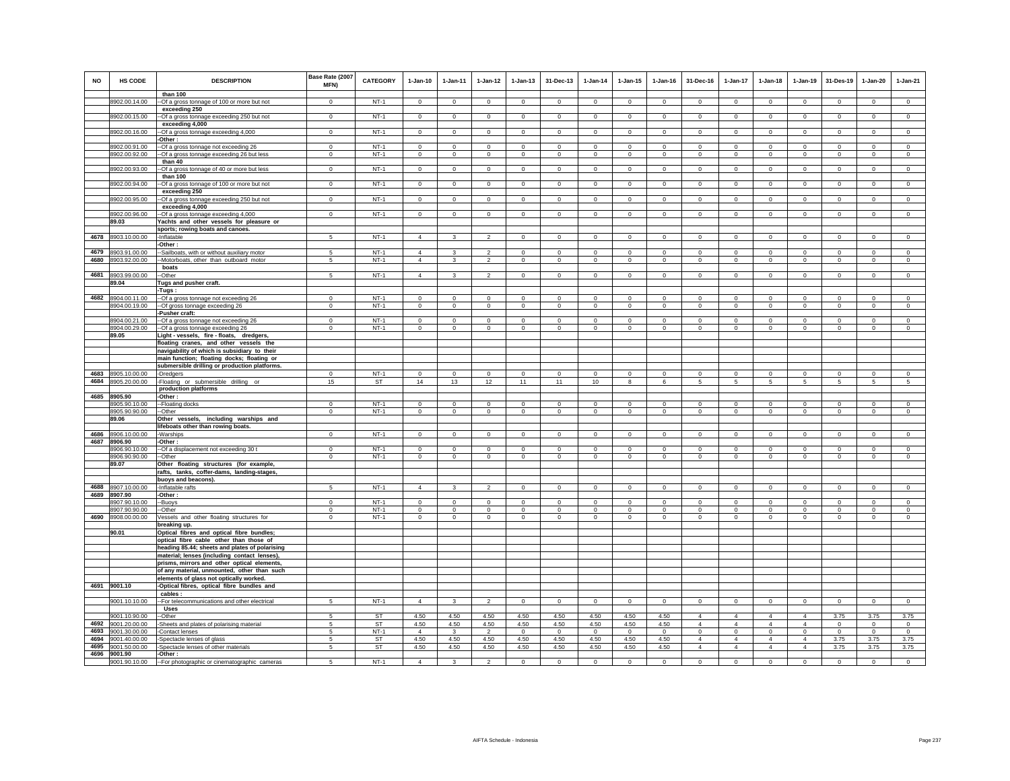| <b>NO</b> | <b>HS CODE</b>                           | <b>DESCRIPTION</b><br>than 100                                                                 | Base Rate (2007<br><b>MFN)</b> | <b>CATEGORY</b>     | $1-Jan-10$              | $1 - Jan-11$            | $1 - Jan-12$                 | $1 - Jan-13$            | 31-Dec-13                 | $1 - Jan-14$                   | $1 - Jan-15$            | $1 - Jan-16$            | 31-Dec-16                     | 1-Jan-17                      | $1-Jan-18$                    | 1-Jan-19                  | 31-Des-19                   | 1-Jan-20                   | $1-Jan-21$                  |
|-----------|------------------------------------------|------------------------------------------------------------------------------------------------|--------------------------------|---------------------|-------------------------|-------------------------|------------------------------|-------------------------|---------------------------|--------------------------------|-------------------------|-------------------------|-------------------------------|-------------------------------|-------------------------------|---------------------------|-----------------------------|----------------------------|-----------------------------|
|           | 8902.00.14.00                            | -- Of a gross tonnage of 100 or more but not                                                   | $\Omega$                       | $NT-1$              | $\mathbf 0$             | $\mathbf 0$             | $\Omega$                     | $\mathsf 0$             | $\mathbf 0$               | $\mathbf 0$                    | $\mathsf 0$             | $\mathsf 0$             | $\mathsf 0$                   | $\mathbf 0$                   | $\mathbf 0$                   | $\mathbf 0$               | $\mathbf 0$                 | $\mathsf 0$                | $\mathsf 0$                 |
|           | 8902.00.15.00                            | exceeding 250<br>-Of a gross tonnage exceeding 250 but not                                     | $\mathbf 0$                    | $NT-1$              | $^{\circ}$              | $^{\circ}$              | $\circ$                      | $\mathbf 0$             | $\mathbf{0}$              | $\mathbf{0}$                   | 0                       | $\mathbf{0}$            | $^{\circ}$                    | $\circ$                       | $\circ$                       | $\circ$                   | $\mathbf{0}$                | $\circ$                    | $\mathbf 0$                 |
|           |                                          | exceeding 4,000                                                                                |                                |                     |                         |                         |                              |                         |                           |                                |                         |                         |                               |                               |                               |                           |                             |                            |                             |
|           | 8902.00.16.00                            | -Of a gross tonnage exceeding 4,000<br>Other:                                                  | $\mathbf 0$                    | $NT-1$              | $\mathbf 0$             | $\mathbf 0$             | $\mathbf 0$                  | $\overline{0}$          | $\mathbf 0$               | $\mathbf 0$                    | $\mathbf 0$             | $\mathbf 0$             | $\mathbf 0$                   | $\overline{0}$                | $\mathbf 0$                   | $\overline{0}$            | $^{\circ}$                  | $\mathbf 0$                | $\mathbf 0$                 |
|           | 8902.00.91.00                            | -- Of a gross tonnage not exceeding 26                                                         | $\mathbf{0}$                   | $NT-1$              | $\mathbf 0$             | $\mathbf 0$             | $\mathbf 0$                  | $\mathbf 0$             | $^{\circ}$                | $\overline{0}$                 | $\mathbf 0$             | $\Omega$                | $\mathbf 0$                   | $\circ$                       | $\Omega$                      | $\mathbf 0$               | $\overline{0}$              | $\mathbf 0$                | $\Omega$                    |
|           | 8902.00.92.00                            | -Of a gross tonnage exceeding 26 but less<br>than 40                                           | $\mathbf 0$                    | $NT-1$              | $\circ$                 | $\circ$                 | $\circ$                      | $\mathbf{0}$            | $\mathbf{0}$              | $\circ$                        | $\mathbf{0}$            | $\circ$                 | $\mathbf{0}$                  | $\circ$                       | $\circ$                       | $\mathbf 0$               | $\circ$                     | $\mathbf{0}$               | $\circ$                     |
|           | 8902.00.93.00                            | --Of a gross tonnage of 40 or more but less                                                    | $\overline{0}$                 | $NT-1$              | $\mathbf{0}$            | $\overline{0}$          | $\overline{0}$               | $\circ$                 | $\overline{0}$            | $\overline{0}$                 | $\circ$                 | $\mathbf 0$             | $\overline{0}$                | $\overline{0}$                | $\mathbf{0}$                  | $\circ$                   | $\overline{0}$              | $\circ$                    | $\mathbf 0$                 |
|           |                                          | than 100                                                                                       |                                |                     |                         |                         |                              |                         |                           |                                |                         |                         |                               |                               |                               |                           |                             |                            |                             |
|           | 8902.00.94.00                            | -Of a gross tonnage of 100 or more but not<br>exceeding 250                                    | $\mathbf{0}$                   | $NT-1$              | $\Omega$                | $\mathbf{0}$            | $\circ$                      | $\mathbf 0$             | $\mathbf{0}$              | $\mathsf 0$                    | $\mathbf 0$             | $\circ$                 | $\mathbf 0$                   | $\circ$                       | $\mathbf 0$                   | $\circ$                   | $\circ$                     | $\mathbf 0$                | $\mathsf 0$                 |
|           | 8902.00.95.00                            | --Of a gross tonnage exceeding 250 but not                                                     | $\mathbf 0$                    | $NT-1$              | $\circ$                 | $\mathbf 0$             | $\circ$                      | $\mathbf 0$             | $\mathbf{0}$              | $\mathbf 0$                    | $\mathbf 0$             | $\mathbf 0$             | $\mathbf 0$                   | $\circ$                       | $\circ$                       | $\mathbf 0$               | $\circ$                     | $\mathbf 0$                | $\mathsf 0$                 |
|           | 8902.00.96.00                            | exceeding 4,000<br>--Of a gross tonnage exceeding 4,000                                        | $\overline{0}$                 | $NT-1$              | $\overline{0}$          | $\overline{0}$          | $\overline{0}$               | $\overline{0}$          | $\overline{0}$            | $\overline{0}$                 | $\overline{0}$          | $\overline{0}$          | $\overline{0}$                | $\overline{0}$                | $\overline{0}$                | $\overline{0}$            | $\overline{0}$              | $\overline{0}$             | $\overline{0}$              |
|           | 89.03                                    | Yachts and other vessels for pleasure or                                                       |                                |                     |                         |                         |                              |                         |                           |                                |                         |                         |                               |                               |                               |                           |                             |                            |                             |
|           |                                          | sports; rowing boats and canoes.                                                               |                                |                     |                         |                         |                              |                         |                           |                                |                         |                         |                               |                               |                               |                           |                             |                            |                             |
|           | 4678 8903.10.00.00                       | -Inflatable<br>Other:                                                                          | 5                              | $NT-1$              | $\overline{4}$          | 3                       | $\overline{2}$               | $\mathbf 0$             | $\overline{0}$            | $\mathbf 0$                    | $\mathbf 0$             | $\mathbf 0$             | $\circ$                       | $\mathbf 0$                   | $\mathbf{0}$                  | $\mathbf 0$               | $\circ$                     | $\mathbf 0$                | $\mathbf 0$                 |
|           | 4679 8903.91.00.00                       | -Sailboats, with or without auxiliary motor                                                    | 5                              | $NT-1$              | $\overline{4}$          | 3                       | $\mathcal{P}$                | $\Omega$                | $\mathbf{0}$              | $\mathbf 0$                    | $\Omega$                | $\circ$                 | $\Omega$                      | $\circ$                       | $\Omega$                      | $\mathbb O$               | $\mathbf 0$                 | $\Omega$                   | $\circ$                     |
|           | 4680 8903.92.00.00                       | -Motorboats, other than outboard motor                                                         | 5                              | $NT-1$              | $\overline{4}$          | $\mathbf{3}$            | $\overline{2}$               | $\mathsf 0$             | $\circ$                   | $\mathsf 0$                    | $\mathsf 0$             | $\mathsf 0$             | $\circ$                       | $\circ$                       | $\mathbf 0$                   | $\mathbb O$               | $\mathbf 0$                 | $\mathsf 0$                | $\mathsf 0$                 |
| 4681      | 8903.99.00.00                            | boats<br>-Other                                                                                | 5                              | $NT-1$              | $\overline{4}$          | 3                       | $\overline{2}$               | $\mathbf 0$             | $\mathbf 0$               | $\mathbf 0$                    | $\mathbf 0$             | $\mathbf 0$             | $\mathbf 0$                   | $\mathbf 0$                   | $\mathbf 0$                   | $\mathbf 0$               | $\mathbf 0$                 | $\mathbf 0$                | $\circ$                     |
|           | 89.04                                    | Tugs and pusher craft.                                                                         |                                |                     |                         |                         |                              |                         |                           |                                |                         |                         |                               |                               |                               |                           |                             |                            |                             |
|           |                                          | -Tugs :                                                                                        |                                |                     |                         |                         |                              |                         |                           |                                |                         |                         |                               |                               |                               |                           |                             |                            |                             |
| 4682      | 8904.00.11.00<br>8904.00.19.00           | -- Of a gross tonnage not exceeding 26<br>-- Of gross tonnage exceeding 26                     | $\Omega$<br>$\mathsf 0$        | $NT-1$<br>$NT-1$    | $\Omega$<br>$\mathbf 0$ | $\Omega$<br>$\mathbf 0$ | $\Omega$<br>$\mathbf 0$      | $\Omega$<br>$\mathsf 0$ | $\Omega$<br>$\mathbf 0$   | $\Omega$<br>$\circ$            | $\Omega$<br>$\mathsf 0$ | $\Omega$<br>$\mathsf 0$ | $\Omega$<br>$\mathbf 0$       | $\circ$<br>$\mathbf 0$        | $\Omega$<br>$\mathbf 0$       | $\Omega$<br>$\mathbf 0$   | $\mathbf 0$<br>$\mathbf 0$  | $\Omega$<br>$\mathsf 0$    | $\circ$<br>$\mathsf 0$      |
|           |                                          | -Pusher craft:                                                                                 |                                |                     |                         |                         |                              |                         |                           |                                |                         |                         |                               |                               |                               |                           |                             |                            |                             |
|           | 8904.00.21.00<br>8904.00.29.00           | -- Of a gross tonnage not exceeding 26                                                         | $\Omega$<br>$\mathbf{0}$       | $NT-1$<br>$NT-1$    | $\Omega$<br>$\Omega$    | $\Omega$<br>$^{\circ}$  | $\mathbf{0}$<br>$\mathbf{0}$ | $\circ$<br>$\mathbf 0$  | $^{\circ}$<br>$\mathbf 0$ | $\overline{0}$<br>$\mathbf{0}$ | $\circ$                 | $^{\circ}$<br>$\circ$   | $\Omega$<br>$\mathbf 0$       | $\circ$<br>$\circ$            | $\Omega$<br>$\mathbf{0}$      | $\Omega$<br>$\mathbf{0}$  | $\mathbf{0}$<br>$\mathbf 0$ | $^{\circ}$<br>$\mathbf{0}$ | $^{\circ}$<br>$\mathbf{0}$  |
|           | 89.05                                    | -- Of a gross tonnage exceeding 26<br>Light - vessels, fire - floats, dredgers,                |                                |                     |                         |                         |                              |                         |                           |                                | $\circ$                 |                         |                               |                               |                               |                           |                             |                            |                             |
|           |                                          | floating cranes, and other vessels the                                                         |                                |                     |                         |                         |                              |                         |                           |                                |                         |                         |                               |                               |                               |                           |                             |                            |                             |
|           |                                          | navigability of which is subsidiary to their<br>main function; floating docks; floating or     |                                |                     |                         |                         |                              |                         |                           |                                |                         |                         |                               |                               |                               |                           |                             |                            |                             |
|           |                                          | submersible drilling or production platforms.                                                  |                                |                     |                         |                         |                              |                         |                           |                                |                         |                         |                               |                               |                               |                           |                             |                            |                             |
|           | 4683 8905.10.00.00                       | -Dredgers                                                                                      | $\Omega$                       | $NT-1$              | $\Omega$                | $\Omega$                | $\Omega$                     | $\Omega$                | $\Omega$                  | $\Omega$                       | $\Omega$                | $\Omega$                | $\Omega$                      | $\Omega$                      | $\Omega$                      | $\Omega$                  | $\Omega$                    | $\Omega$                   | $\mathbf{0}$                |
|           | 4684 8905.20.00.00                       | -Floating or submersible drilling or<br>production platforms                                   | 15                             | ST                  | 14                      | 13                      | 12                           | 11                      | 11                        | 10                             | 8                       | 6                       | 5                             | 5                             | 5                             | 5                         | 5                           | 5                          | 5                           |
|           | 4685 8905.90                             | -Other:                                                                                        |                                |                     |                         |                         |                              |                         |                           |                                |                         |                         |                               |                               |                               |                           |                             |                            |                             |
|           | 8905.90.10.00                            | -Floating docks                                                                                | $\Omega$<br>$\Omega$           | $NT-1$              | $\Omega$                | $\Omega$                | $\Omega$                     | $\Omega$                | $\Omega$                  | $\Omega$                       | $\Omega$                | $\Omega$                | $\Omega$                      | $\Omega$                      | $\Omega$                      | $\Omega$                  | $\Omega$                    | $\Omega$                   | $\Omega$                    |
|           | 8905.90.90.00<br>89.06                   | -Other<br>Other vessels, including warships and                                                |                                | $NT-1$              | $\mathbf 0$             | $\mathbf 0$             | $\mathbf 0$                  | $\mathbf 0$             | $\mathbf 0$               | $\mathbf 0$                    | $\mathbf 0$             | $\mathbf 0$             | $\mathbf 0$                   | $\circ$                       | $\mathbf 0$                   | $\mathbf 0$               | $^{\circ}$                  | $\mathbf 0$                | $\mathbf 0$                 |
|           |                                          | lifeboats other than rowing boats.                                                             |                                |                     |                         |                         |                              |                         |                           |                                |                         |                         |                               |                               |                               |                           |                             |                            |                             |
| 4687      | 4686 8906.10.00.00<br>8906.90            | -Warships                                                                                      | $\mathbf 0$                    | $NT-1$              | $\Omega$                | $\mathbf 0$             | $\mathbf 0$                  | $\mathsf 0$             | $\mathbf 0$               | $\mathbf 0$                    | $\Omega$                | $\mathbf 0$             | $\circ$                       | $\mathbf 0$                   | $\mathbf 0$                   | $\mathbb O$               | $\mathbf 0$                 | $\circ$                    | $\circ$                     |
|           | 8906.90.10.00                            | -Other:<br>-Of a displacement not exceeding 30 t                                               | $\Omega$                       | $NT-1$              | $\Omega$                | $\Omega$                | $\Omega$                     | $\mathsf 0$             | $\Omega$                  | $\Omega$                       | $\Omega$                | $\Omega$                | $\mathsf 0$                   | $\Omega$                      | $\mathbf 0$                   | $\mathbf 0$               | $\Omega$                    | $\Omega$                   | $\mathsf 0$                 |
|           | 8906.90.90.00                            | --Other                                                                                        | $\mathbf 0$                    | $NT-1$              | $\circ$                 | $\circ$                 | $\circ$                      | $\mathbf 0$             | $\mathbf{0}$              | $\circ$                        | $\mathbf 0$             | $\mathbf 0$             | $\mathbf 0$                   | $\circ$                       | $\circ$                       | $\mathbf 0$               | $\circ$                     | $\mathbf 0$                | $\mathbf 0$                 |
|           | 89.07                                    | Other floating structures (for example,<br>rafts, tanks, coffer-dams, landing-stages,          |                                |                     |                         |                         |                              |                         |                           |                                |                         |                         |                               |                               |                               |                           |                             |                            |                             |
|           |                                          | buoys and beacons).                                                                            |                                |                     |                         |                         |                              |                         |                           |                                |                         |                         |                               |                               |                               |                           |                             |                            |                             |
| 4688      | 8907.10.00.00                            | -Inflatable rafts                                                                              | 5                              | $NT-1$              | $\overline{4}$          | $\mathbf{3}$            | $\overline{2}$               | $\mathsf 0$             | $\overline{0}$            | $\circ$                        | $\mathsf 0$             | $\mathsf 0$             | $\circ$                       | $\circ$                       | $\mathbf 0$                   | $\circ$                   | $\mathbf 0$                 | $\mathsf 0$                | $\mathsf 0$                 |
|           | 4689 8907.90<br>8907.90.10.00            | -Other:<br>-Buoys                                                                              | $\Omega$                       | $NT-1$              | $\Omega$                | $^{\circ}$              | $^{\circ}$                   | $\Omega$                | $\mathbf 0$               | $\Omega$                       | $\Omega$                | $\Omega$                | $\Omega$                      | $\circ$                       | $\Omega$                      | $\mathbf 0$               | $\mathbf 0$                 | $\Omega$                   | $\Omega$                    |
|           | 8907.90.90.00                            | -Other                                                                                         | $\Omega$                       | $NT-1$              | $\Omega$                | $\Omega$                | $\overline{0}$               | $\overline{0}$          | $\Omega$                  | $\overline{0}$                 | $\Omega$                | $\Omega$                | $\Omega$                      | $\overline{0}$                | $\overline{0}$                | $\Omega$                  | $\overline{0}$              | $\Omega$                   | $\overline{0}$              |
|           | 4690 8908.00.00.00                       | Vessels and other floating structures for<br>breaking up.                                      | $\mathsf 0$                    | $NT-1$              | $\mathbf 0$             | $\mathbf 0$             | $\mathbf 0$                  | $\mathsf 0$             | $\mathsf 0$               | $\Omega$                       | $\mathsf 0$             | $\mathbb O$             | $\mathbf 0$                   | $\mathbf 0$                   | $\mathbf 0$                   | $\Omega$                  | $\Omega$                    | $\Omega$                   | $\mathsf 0$                 |
|           | 90.01                                    | Optical fibres and optical fibre bundles;                                                      |                                |                     |                         |                         |                              |                         |                           |                                |                         |                         |                               |                               |                               |                           |                             |                            |                             |
|           |                                          | optical fibre cable other than those of                                                        |                                |                     |                         |                         |                              |                         |                           |                                |                         |                         |                               |                               |                               |                           |                             |                            |                             |
|           |                                          | heading 85.44; sheets and plates of polarising<br>material; lenses (including contact lenses), |                                |                     |                         |                         |                              |                         |                           |                                |                         |                         |                               |                               |                               |                           |                             |                            |                             |
|           |                                          | prisms, mirrors and other optical elements,                                                    |                                |                     |                         |                         |                              |                         |                           |                                |                         |                         |                               |                               |                               |                           |                             |                            |                             |
|           |                                          | of any material, unmounted, other than such                                                    |                                |                     |                         |                         |                              |                         |                           |                                |                         |                         |                               |                               |                               |                           |                             |                            |                             |
|           | 4691 9001.10                             | elements of glass not optically worked.<br>-Optical fibres, optical fibre bundles and          |                                |                     |                         |                         |                              |                         |                           |                                |                         |                         |                               |                               |                               |                           |                             |                            |                             |
|           |                                          | cables:                                                                                        |                                |                     |                         |                         |                              |                         |                           |                                |                         |                         |                               |                               |                               |                           |                             |                            |                             |
|           | 9001.10.10.00                            | -- For telecommunications and other electrical<br>Uses                                         | 5                              | $NT-1$              | $\overline{4}$          | $\mathbf{3}$            | $\overline{2}$               | $\overline{0}$          | $\mathbf 0$               | $\circ$                        | $\mathsf 0$             | $\mathsf 0$             | $\mathbf 0$                   | $\overline{0}$                | $\mathbf 0$                   | $\mathbf 0$               | $\mathbf 0$                 | $\mathsf 0$                | $\overline{0}$              |
|           | 9001.10.90.00                            | -Other                                                                                         | -5                             | <b>ST</b>           | 4.50                    | 4.50                    | 4.50                         | 4.50                    | 4.50                      | 4.50                           | 4.50                    | 4.50                    | $\overline{4}$                | $\overline{4}$                | $\overline{4}$                | $\overline{4}$            | 3.75                        | 3.75                       | 3.75                        |
|           | 4692 9001.20.00.00<br>4693 9001.30.00.00 | -Sheets and plates of polarising material<br>-Contact lenses                                   | 5<br>5                         | <b>ST</b><br>$NT-1$ | 4.50<br>$\overline{4}$  | 4.50<br>$\mathbf{3}$    | 4.50<br>$\overline{2}$       | 4.50<br>$\mathsf 0$     | 4.50<br>$\circ$           | 4.50<br>$\circ$                | 4.50<br>$\circ$         | 4.50<br>$\circ$         | $\overline{4}$<br>$\mathbf 0$ | $\overline{4}$<br>$\mathbf 0$ | $\overline{4}$<br>$\mathbf 0$ | $\overline{4}$<br>$\circ$ | $\mathbf 0$<br>$\circ$      | $\mathbf{0}$<br>$\circ$    | $\mathbf{0}$<br>$\mathsf 0$ |
|           | 4694 9001.40.00.00                       | -Spectacle lenses of glass                                                                     | 5                              | ST                  | 4.50                    | 4.50                    | 4.50                         | 4.50                    | 4.50                      | 4.50                           | 4.50                    | 4.50                    | $\overline{4}$                | $\overline{4}$                | $\overline{4}$                | $\overline{4}$            | 3.75                        | 3.75                       | 3.75                        |
|           | 4695 9001.50.00.00                       | -Spectacle lenses of other materials                                                           | 5                              | ST                  | 4.50                    | 4.50                    | 4.50                         | 4.50                    | 4.50                      | 4.50                           | 4.50                    | 4.50                    | $\overline{4}$                | $\overline{4}$                | $\overline{4}$                | $\overline{4}$            | 3.75                        | 3.75                       | 3.75                        |
|           | 4696 9001.90<br>9001.90.10.00            | -Other:<br>-- For photographic or cinematographic cameras                                      | 5                              | $NT-1$              | $\Delta$                | $\mathbf{R}$            | $\mathcal{P}$                | $\Omega$                | $\mathbf 0$               | $\mathbf 0$                    | $\Omega$                | $\mathbf 0$             | $\Omega$                      | $\circ$                       | $\Omega$                      | $\mathbf 0$               | $\Omega$                    | $\Omega$                   | $\Omega$                    |
|           |                                          |                                                                                                |                                |                     |                         |                         |                              |                         |                           |                                |                         |                         |                               |                               |                               |                           |                             |                            |                             |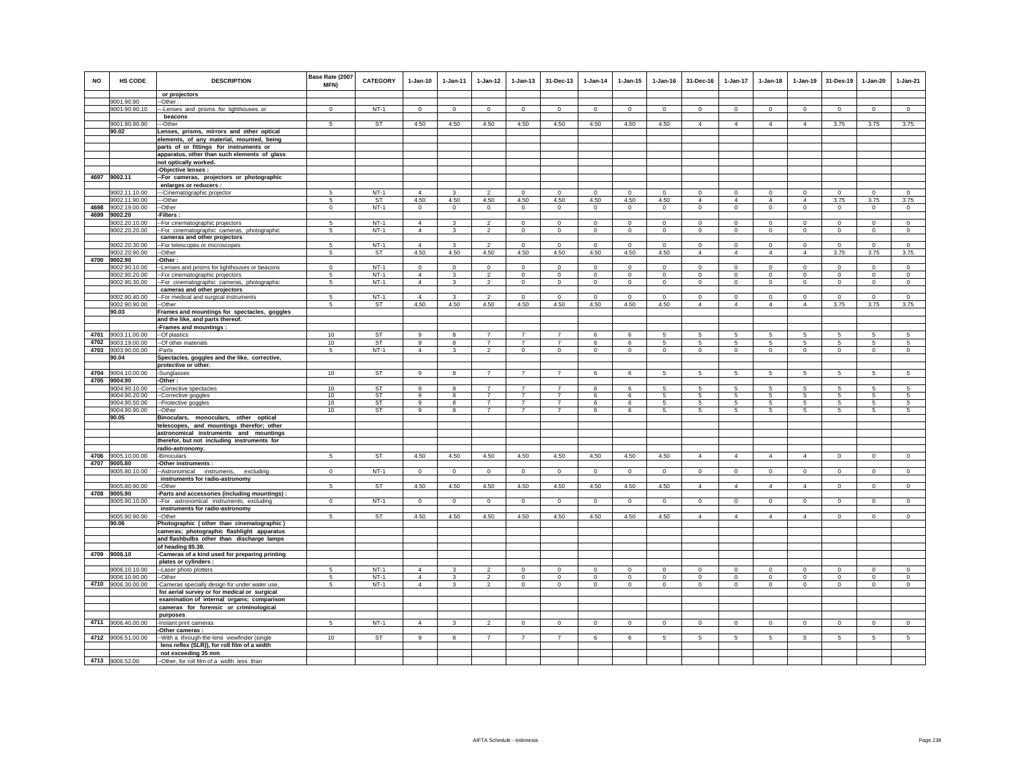| <b>NO</b> | <b>HS CODE</b>                           | <b>DESCRIPTION</b>                                                                                        | Base Rate (2007<br><b>MFN)</b> | <b>CATEGORY</b>     | $1-Jan-10$                     | $1 - Jan-11$      | $1 - Jan-12$                     | $1 - Jan-13$                     | 31-Dec-13                        | $1-Jan-14$       | $1 - Jan-15$                    | $1 - Jan-16$        | 31-Dec-16                       | $1-Jan-17$            | $1-Jan-18$          | $1-Jan-19$       | 31-Des-19                 | $1-Jan-20$        | $1-Jan-21$                       |
|-----------|------------------------------------------|-----------------------------------------------------------------------------------------------------------|--------------------------------|---------------------|--------------------------------|-------------------|----------------------------------|----------------------------------|----------------------------------|------------------|---------------------------------|---------------------|---------------------------------|-----------------------|---------------------|------------------|---------------------------|-------------------|----------------------------------|
|           |                                          | or projectors                                                                                             |                                |                     |                                |                   |                                  |                                  |                                  |                  |                                 |                     |                                 |                       |                     |                  |                           |                   |                                  |
|           | 9001.90.90                               | -Other:                                                                                                   |                                | $NT-1$              |                                |                   |                                  |                                  |                                  |                  |                                 |                     |                                 |                       |                     |                  |                           |                   |                                  |
|           | 9001.90.90.10                            | --- Lenses and prisms for lighthouses or<br>beacons                                                       | $\Omega$                       |                     | $^{\circ}$                     | $\Omega$          | $^{\circ}$                       | $\circ$                          | $\mathbf 0$                      | 0                | $\circ$                         | $\circ$             | $^{\circ}$                      | $\circ$               | $\mathbf 0$         | $\mathbf 0$      | $\circ$                   | $\circ$           | $\circ$                          |
|           | 9001.90.90.90                            | --Other                                                                                                   | 5                              | <b>ST</b>           | 4.50                           | 4.50              | 4.50                             | 4.50                             | 4.50                             | 4.50             | 4.50                            | 4.50                | $\overline{4}$                  | 4                     | $\overline{4}$      | $\overline{4}$   | 3.75                      | 3.75              | 3.75                             |
|           | 90.02                                    | Lenses, prisms, mirrors and other optical                                                                 |                                |                     |                                |                   |                                  |                                  |                                  |                  |                                 |                     |                                 |                       |                     |                  |                           |                   |                                  |
|           |                                          | elements, of any material, mounted, being                                                                 |                                |                     |                                |                   |                                  |                                  |                                  |                  |                                 |                     |                                 |                       |                     |                  |                           |                   |                                  |
|           |                                          | parts of or fittings for instruments or                                                                   |                                |                     |                                |                   |                                  |                                  |                                  |                  |                                 |                     |                                 |                       |                     |                  |                           |                   |                                  |
|           |                                          | apparatus, other than such elements of glass                                                              |                                |                     |                                |                   |                                  |                                  |                                  |                  |                                 |                     |                                 |                       |                     |                  |                           |                   |                                  |
|           |                                          | not optically worked.                                                                                     |                                |                     |                                |                   |                                  |                                  |                                  |                  |                                 |                     |                                 |                       |                     |                  |                           |                   |                                  |
|           | 4697 9002.11                             | -Objective lenses :                                                                                       |                                |                     |                                |                   |                                  |                                  |                                  |                  |                                 |                     |                                 |                       |                     |                  |                           |                   |                                  |
|           |                                          | -- For cameras, projectors or photographic<br>enlarges or reducers :                                      |                                |                     |                                |                   |                                  |                                  |                                  |                  |                                 |                     |                                 |                       |                     |                  |                           |                   |                                  |
|           | 9002.11.10.00                            | -- Cinematographic projector                                                                              | 5                              | $NT-1$              | $\Delta$                       | 3                 | $\overline{2}$                   | $\mathbf{0}$                     | $\mathbf{0}$                     | $\mathbf{0}$     | $^{\circ}$                      | $\circ$             | $\Omega$                        | $\circ$               | $\Omega$            | $\mathbf{0}$     | $\circ$                   | $\Omega$          | $\mathbf{0}$                     |
|           | 9002.11.90.00                            | --Other                                                                                                   | 5                              | ST                  | 4.50                           | 4.50              | 4.50                             | 4.50                             | 4.50                             | 4.50             | 4.50                            | 4.50                | $\overline{4}$                  | 4                     | $\overline{4}$      | $\overline{4}$   | 3.75                      | 3.75              | 3.75                             |
|           | 4698 9002.19.00.00                       | -Other                                                                                                    | $\mathbf 0$                    | $NT-1$              | $\mathbf 0$                    | $\mathbf 0$       | $\mathbf 0$                      | $\mathsf 0$                      | $\mathbf 0$                      | $\mathbf 0$      | $\mathsf 0$                     | $\circ$             | $\mathsf 0$                     | $\mathbf 0$           | $\mathbf 0$         | $\mathbf 0$      | $\mathbf 0$               | $\mathsf 0$       | $\mathsf 0$                      |
|           | 4699 9002.20                             | -Filters:                                                                                                 |                                |                     |                                |                   |                                  |                                  |                                  |                  |                                 |                     |                                 |                       |                     |                  |                           |                   |                                  |
|           | 9002.20.10.00                            | -- For cinematographic projectors                                                                         | -5                             | $NT-1$              | $\overline{4}$                 | 3                 | $\overline{2}$                   | $\Omega$                         | $\overline{0}$                   | $\Omega$         | $\Omega$                        | $\Omega$            | $\Omega$                        | $\overline{0}$        | $\Omega$            | $\Omega$         | $\overline{0}$            | $\Omega$          | $\overline{0}$                   |
|           | 9002.20.20.00                            | -- For cinematographic cameras, photographic                                                              | 5                              | $NT-1$              | $\overline{4}$                 | $\mathbf{3}$      | $\overline{2}$                   | $\mathsf 0$                      | $\mathsf 0$                      | $\circ$          | $\mathsf 0$                     | $\circ$             | $\mathbf 0$                     | $\mathbf 0$           | $\mathbf 0$         | $\mathbf 0$      | $\mathbf 0$               | $\mathsf 0$       | $\mathsf 0$                      |
|           | 9002.20.30.00                            | cameras and other projectors                                                                              | -5                             | $NT-1$              | $\overline{4}$                 | 3                 | $\overline{2}$                   | $\Omega$                         | $\Omega$                         | $\overline{0}$   | $\Omega$                        | $^{\circ}$          | $^{\circ}$                      | $\circ$               | $\Omega$            | $\mathbf 0$      | $\circ$                   | $\Omega$          | $^{\circ}$                       |
|           | 9002.20.90.00                            | -For telescopes or microscopes<br>-Other                                                                  | 5                              | <b>ST</b>           | 4.50                           | 4.50              | 4.50                             | 4.50                             | 4.50                             | 4.50             | 4.50                            | 4.50                | $\overline{4}$                  | 4                     | $\overline{4}$      | $\overline{4}$   | 3.75                      | 3.75              | 3.75                             |
|           | 4700 9002.90                             | Other:                                                                                                    |                                |                     |                                |                   |                                  |                                  |                                  |                  |                                 |                     |                                 |                       |                     |                  |                           |                   |                                  |
|           | 9002.90.10.00                            | -Lenses and prisms for lighthouses or beacons                                                             | $\Omega$                       | $NT-1$              | $\mathbf 0$                    | $\Omega$          | $\mathbf 0$                      | $\Omega$                         | $\mathbf 0$                      | $\Omega$         | $\Omega$                        | $\Omega$            | $\Omega$                        | $\Omega$              | $\Omega$            | $\mathbf 0$      | $^{\circ}$                | $\mathbf 0$       | $\Omega$                         |
|           | 9002.90.20.00                            | -For cinematographic projectors                                                                           | 5                              | $NT-1$              | $\overline{4}$                 | 3                 | $\overline{2}$                   | $\mathsf 0$                      | $\mathbf 0$                      | $\Omega$         | $\mathsf 0$                     | $\Omega$            | $\mathbf 0$                     | $\overline{0}$        | $\Omega$            | $\Omega$         | $\mathbf 0$               | $\Omega$          | $\Omega$                         |
|           | 9002.90.30.00                            | -For cinematographic cameras, photographic                                                                | 5                              | $NT-1$              | $\overline{4}$                 | $\mathbf{3}$      | $\overline{2}$                   | $\mathbf{0}$                     | $\circ$                          | $\circ$          | $\mathbf{0}$                    | $\circ$             | $\mathbf{0}$                    | $\circ$               | $\circ$             | $\mathbf 0$      | $\circ$                   | $\mathbf{0}$      | $\circ$                          |
|           | 9002.90.40.00                            | cameras and other projectors<br>-For medical and surgical instruments                                     | 5                              | $NT-1$              | $\overline{4}$                 | 3                 | $\overline{2}$                   | $\mathbf 0$                      | $\mathbf 0$                      | $\mathbf 0$      | $\mathbf 0$                     | $\,0\,$             | $\mathbf 0$                     | 0                     | $\mathbf{0}$        | $\,0\,$          | $\mathbf 0$               | $\mathbf 0$       | $\mathbf 0$                      |
|           | 9002.90.90.00                            | -Other                                                                                                    | 5                              | ST                  | 4.50                           | 4.50              | 4.50                             | 4.50                             | 4.50                             | 4.50             | 4.50                            | 4.50                | $\overline{4}$                  | $\overline{4}$        | $\overline{4}$      | $\overline{4}$   | 3.75                      | 3.75              | 3.75                             |
|           | 90.03                                    | Frames and mountings for spectacles, goggles                                                              |                                |                     |                                |                   |                                  |                                  |                                  |                  |                                 |                     |                                 |                       |                     |                  |                           |                   |                                  |
|           |                                          | and the like, and parts thereof.                                                                          |                                |                     |                                |                   |                                  |                                  |                                  |                  |                                 |                     |                                 |                       |                     |                  |                           |                   |                                  |
|           |                                          | -Frames and mountings :                                                                                   |                                |                     |                                |                   |                                  |                                  |                                  |                  |                                 |                     |                                 |                       |                     |                  |                           |                   |                                  |
|           | 4701 9003.11.00.00                       | -- Of plastics                                                                                            | 10                             | <b>ST</b>           | $\mathbf{q}$<br>$\overline{9}$ | 8<br>$\mathbf{R}$ | $\overline{7}$<br>$\overline{7}$ | $\overline{7}$<br>$\overline{7}$ | $\overline{7}$<br>$\overline{7}$ | 6                | 6                               | $\overline{5}$<br>5 | 5                               | 5                     | $\overline{5}$<br>5 | 5                | $\overline{5}$            | 5                 | $\overline{5}$<br>5 <sup>1</sup> |
|           | 4702 9003.19.00.00<br>4703 9003.90.00.00 | -- Of other materials<br>-Parts                                                                           | 10<br>5                        | <b>ST</b><br>$NT-1$ | $\overline{4}$                 | $\mathbf{3}$      | $\overline{2}$                   | $\mathbf{0}$                     | $\mathbf 0$                      | 6<br>$\mathbf 0$ | $6\overline{6}$<br>$\mathbf{0}$ | $\circ$             | $5\overline{)}$<br>$\mathbf{0}$ | $\sqrt{5}$<br>$\circ$ | $\circ$             | 5<br>$\mathbf 0$ | $\sqrt{5}$<br>$\mathbf 0$ | 5<br>$\mathbf{0}$ | $\circ$                          |
|           | 90.04                                    | Spectacles, goggles and the like, corrective,                                                             |                                |                     |                                |                   |                                  |                                  |                                  |                  |                                 |                     |                                 |                       |                     |                  |                           |                   |                                  |
|           |                                          | protective or other.                                                                                      |                                |                     |                                |                   |                                  |                                  |                                  |                  |                                 |                     |                                 |                       |                     |                  |                           |                   |                                  |
|           | 4704 9004.10.00.00                       | -Sunglasses                                                                                               | 10                             | ST                  | 9                              | 8                 |                                  |                                  | $\overline{7}$                   | 6                | 6                               | 5                   | 5                               | 5                     | 5                   | 5                | 5                         | 5                 | 5                                |
|           | 4705 9004.90                             | -Other :                                                                                                  |                                |                     |                                |                   |                                  |                                  |                                  |                  |                                 |                     |                                 |                       |                     |                  |                           |                   |                                  |
|           | 9004.90.10.00                            | -Corrective spectacles                                                                                    | 10 <sup>1</sup>                | <b>ST</b>           | $\alpha$                       | $\mathbf{R}$      | $\overline{7}$                   | $\overline{7}$                   | $\overline{7}$                   | 6                | 6                               | 5                   | 5                               | 5.                    | -5                  | -5               | 5                         | 5                 | -5                               |
|           | 9004.90.20.00<br>9004.90.50.00           | -Corrective goggles                                                                                       | 10<br>10                       | ST<br><b>ST</b>     | 9<br>9                         | 8<br>8            | $\overline{7}$<br>$\overline{7}$ | $\overline{7}$<br>$\overline{7}$ | $\overline{7}$<br>$\overline{7}$ | 6<br>6           | 6<br>6                          | 5<br>5              | 5<br>5                          | 5<br>$5\phantom{.0}$  | 5<br>5              | 5<br>5           | 5<br>$\sqrt{5}$           | 5<br>5            | 5<br>5                           |
|           | 9004.90.90.00                            | -- Protective goggles<br>--Other                                                                          | 10                             | <b>ST</b>           | $\alpha$                       | $\mathbf{R}$      | $\overline{7}$                   | $\overline{7}$                   | $\overline{7}$                   | $\kappa$         | 6                               | 5 <sup>5</sup>      | 5                               | 5                     | 5 <sup>7</sup>      | 5                | -5                        | $\overline{5}$    | $\mathbf{5}$                     |
|           | 90.05                                    | Binoculars, monoculars, other optical                                                                     |                                |                     |                                |                   |                                  |                                  |                                  |                  |                                 |                     |                                 |                       |                     |                  |                           |                   |                                  |
|           |                                          | telescopes, and mountings therefor; other                                                                 |                                |                     |                                |                   |                                  |                                  |                                  |                  |                                 |                     |                                 |                       |                     |                  |                           |                   |                                  |
|           |                                          | astronomical instruments and mountings<br>therefor, but not including instruments for<br>radio-astronomy. |                                |                     |                                |                   |                                  |                                  |                                  |                  |                                 |                     |                                 |                       |                     |                  |                           |                   |                                  |
|           | 4706 9005.10.00.00                       | -Binoculars                                                                                               | 5                              | <b>ST</b>           | 4.50                           | 4.50              | 4.50                             | 4.50                             | 4.50                             | 4.50             | 4.50                            | 4.50                | $\overline{4}$                  | $\overline{4}$        | $\overline{4}$      | $\overline{4}$   | $\mathbf 0$               | $\mathbf 0$       | $\mathsf 0$                      |
|           | 4707 9005.80                             | -Other instruments :                                                                                      |                                |                     |                                |                   |                                  |                                  |                                  |                  |                                 |                     |                                 |                       |                     |                  |                           |                   |                                  |
|           | 9005.80.10.00                            | -Astronomical instrumens,<br>excluding                                                                    | $\mathsf 0$                    | $NT-1$              | $\mathbf 0$                    | $\mathbf 0$       | $\mathsf 0$                      | $\mathsf 0$                      | $\mathsf 0$                      | $\mathbf 0$      | $\mathsf 0$                     | $\mathsf 0$         | $\mathsf 0$                     | $\mathsf 0$           | $\mathsf 0$         | $\mathbf 0$      | $\,0\,$                   | $\mathsf 0$       | $\mathsf 0$                      |
|           |                                          | instruments for radio-astronomy                                                                           |                                |                     |                                |                   |                                  |                                  |                                  |                  |                                 |                     |                                 |                       |                     |                  |                           |                   |                                  |
|           | 9005.80.90.00                            | --Other                                                                                                   | -5                             | <b>ST</b>           | 4.50                           | 4.50              | 4.50                             | 4.50                             | 4.50                             | 4.50             | 4.50                            | 4.50                | $\overline{4}$                  | $\overline{4}$        | $\overline{4}$      | $\overline{4}$   | $\overline{0}$            | $\mathbf{0}$      | $\overline{0}$                   |
|           | 4708 9005.90<br>9005.90.10.00            | -Parts and accessories (including mountings) :<br>-- For astronomical instruments, excluding              | $\Omega$                       | $NT-1$              | $\Omega$                       | $\Omega$          | $\Omega$                         | $\Omega$                         | $\Omega$                         | $\Omega$         | $\Omega$                        | $\Omega$            | $\Omega$                        | $\Omega$              | $\Omega$            | $\Omega$         | $\Omega$                  | $\Omega$          | $\Omega$                         |
|           |                                          | instruments for radio-astronomy                                                                           |                                |                     |                                |                   |                                  |                                  |                                  |                  |                                 |                     |                                 |                       |                     |                  |                           |                   |                                  |
|           | 9005.90.90.00                            | -Other                                                                                                    | 5                              | <b>ST</b>           | 4.50                           | 4.50              | 4.50                             | 4.50                             | 4.50                             | 4.50             | 4.50                            | 4.50                | $\overline{4}$                  | $\overline{4}$        | $\overline{4}$      | $\overline{4}$   | $\mathbf 0$               | $\mathbf{0}$      | $\mathbf 0$                      |
|           | 90.06                                    | Photographic (other than cinematographic)                                                                 |                                |                     |                                |                   |                                  |                                  |                                  |                  |                                 |                     |                                 |                       |                     |                  |                           |                   |                                  |
|           |                                          | cameras; photographic flashlight apparatus                                                                |                                |                     |                                |                   |                                  |                                  |                                  |                  |                                 |                     |                                 |                       |                     |                  |                           |                   |                                  |
|           |                                          | and flashbulbs other than discharge lamps                                                                 |                                |                     |                                |                   |                                  |                                  |                                  |                  |                                 |                     |                                 |                       |                     |                  |                           |                   |                                  |
|           | 4709 9006.10                             | of heading 85.39.<br>-Cameras of a kind used for preparing printing                                       |                                |                     |                                |                   |                                  |                                  |                                  |                  |                                 |                     |                                 |                       |                     |                  |                           |                   |                                  |
|           |                                          | plates or cylinders :                                                                                     |                                |                     |                                |                   |                                  |                                  |                                  |                  |                                 |                     |                                 |                       |                     |                  |                           |                   |                                  |
|           | 9006.10.10.00                            | --Laser photo plotters                                                                                    | 5                              | $NT-1$              | $\overline{4}$                 |                   |                                  | $\Omega$                         | $\Omega$                         | $\Omega$         | $\Omega$                        | $\Omega$            | $\Omega$                        | $\Omega$              | $\Omega$            | $\Omega$         | $\Omega$                  | $\Omega$          | $\Omega$                         |
|           | 9006.10.90.00                            | --Other                                                                                                   | 5                              | $NT-1$              | $\overline{4}$                 | 3                 | $\overline{2}$                   | $\mathbf 0$                      | $^{\circ}$                       | $^{\circ}$       | $\mathbf 0$                     | $\mathbf 0$         | $\mathsf 0$                     | $\mathbf 0$           | $\mathbf 0$         | $\mathbf 0$      | $\mathbf 0$               | $\mathbf 0$       | $\mathbf{0}$                     |
|           | 4710 9006.30.00.00                       | -Cameras specially design for under water use,                                                            | 5                              | $NT-1$              | $\overline{4}$                 | 3                 | $\overline{2}$                   | $\mathbf 0$                      | $\mathbf 0$                      | $\mathbf 0$      | $\mathbf 0$                     | $\mathbf 0$         | $\mathbf 0$                     | $\mathbf 0$           | $\mathbf 0$         | $\,0\,$          | $\mathbf 0$               | $\mathbf 0$       | $\mathbf 0$                      |
|           |                                          | for aerial survey or for medical or surgical                                                              |                                |                     |                                |                   |                                  |                                  |                                  |                  |                                 |                     |                                 |                       |                     |                  |                           |                   |                                  |
|           |                                          | examination of internal organs; comparison<br>cameras for forensic or criminological                      |                                |                     |                                |                   |                                  |                                  |                                  |                  |                                 |                     |                                 |                       |                     |                  |                           |                   |                                  |
|           |                                          | purposes                                                                                                  |                                |                     |                                |                   |                                  |                                  |                                  |                  |                                 |                     |                                 |                       |                     |                  |                           |                   |                                  |
|           | 4711 9006.40.00.00                       | -Instant print cameras                                                                                    | 5                              | $NT-1$              | $\overline{4}$                 | $\mathbf{R}$      | $\mathcal{P}$                    | $\mathbf 0$                      | $\mathbf 0$                      | $\mathbf 0$      | $\mathbf 0$                     | $\mathbb O$         | $\mathsf 0$                     | $\mathsf 0$           | $\mathbf 0$         | $\mathbf 0$      | $\mathbf 0$               | $\mathbf 0$       | $\mathsf 0$                      |
|           |                                          | -Other cameras :                                                                                          |                                |                     |                                |                   |                                  |                                  |                                  |                  |                                 |                     |                                 |                       |                     |                  |                           |                   |                                  |
|           | 4712 9006.51.00.00                       | -With a through-the-lens viewfinder (single                                                               | 10                             | ST                  | $\alpha$                       |                   | $\overline{7}$                   | $\overline{7}$                   | $\overline{7}$                   | $\mathbf{6}$     | $\mathbf{6}$                    | $\overline{5}$      | $\overline{5}$                  | 5                     | 5                   | 5                | 5                         | $\overline{5}$    | $\overline{5}$                   |
|           |                                          | lens reflex (SLR)), for roll film of a width                                                              |                                |                     |                                |                   |                                  |                                  |                                  |                  |                                 |                     |                                 |                       |                     |                  |                           |                   |                                  |
|           |                                          | not exceeding 35 mm                                                                                       |                                |                     |                                |                   |                                  |                                  |                                  |                  |                                 |                     |                                 |                       |                     |                  |                           |                   |                                  |
|           | 4713 9006.52.00                          | --Other, for roll film of a width less than                                                               |                                |                     |                                |                   |                                  |                                  |                                  |                  |                                 |                     |                                 |                       |                     |                  |                           |                   |                                  |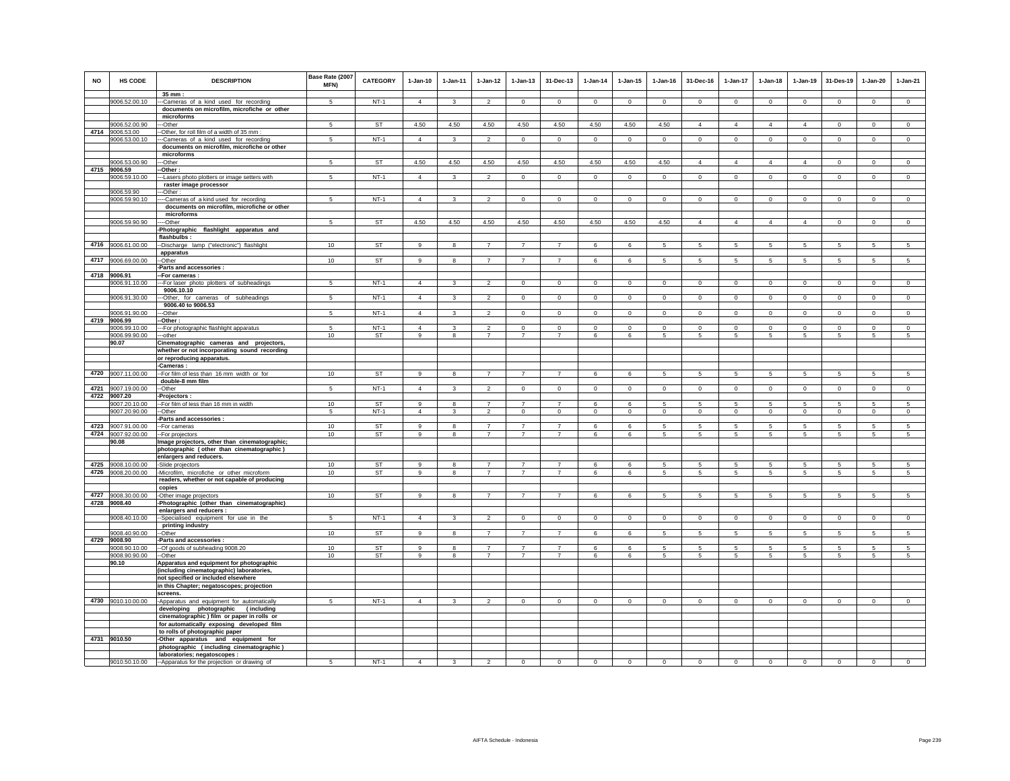| <b>NO</b> | <b>HS CODE</b>                     | <b>DESCRIPTION</b>                                                                                         | Base Rate (2007<br><b>MFN)</b> | <b>CATEGORY</b> | $1-Jan-10$     | $1 - Jan-11$ | $1 - Jan-12$             | $1 - Jan-13$   | 31-Dec-13      | $1 - Jan-14$   | $1 - Jan-15$   | 1-Jan-16       | 31-Dec-16       | $1 - Jan-17$    | $1-Jan-18$      | 1-Jan-19       | 31-Des-19      | 1-Jan-20       | $1-Jan-21$     |
|-----------|------------------------------------|------------------------------------------------------------------------------------------------------------|--------------------------------|-----------------|----------------|--------------|--------------------------|----------------|----------------|----------------|----------------|----------------|-----------------|-----------------|-----------------|----------------|----------------|----------------|----------------|
|           | 9006.52.00.10                      | $35 \text{ mm}$ :<br>--Cameras of a kind used for recording<br>documents on microfilm, microfiche or other | 5                              | $NT-1$          | $\overline{4}$ | 3            | $\overline{2}$           | $\mathsf 0$    | $\mathsf 0$    | $\mathbf 0$    | $\mathsf 0$    | $\circ$        | $\mathbf 0$     | $\mathbf 0$     | $\mathbf 0$     | $\mathbf 0$    | $\mathbf 0$    | $\mathsf 0$    | $\mathsf 0$    |
|           |                                    | microforms                                                                                                 |                                |                 |                |              |                          |                |                |                |                |                |                 |                 |                 |                |                |                |                |
|           | 9006.52.00.90<br>4714 9006.53.00   | --Other<br>-Other, for roll film of a width of 35 mm :                                                     | 5                              | <b>ST</b>       | 4.50           | 4.50         | 4.50                     | 4.50           | 4.50           | 4.50           | 4.50           | 4.50           | $\overline{4}$  | $\overline{4}$  | $\overline{4}$  | $\overline{4}$ | $\,0\,$        | $\mathbf{0}$   | $\mathbf 0$    |
|           | 9006.53.00.10                      | -Cameras of a kind used for recording                                                                      | 5                              | $NT-1$          | $\overline{4}$ | 3            | $\overline{2}$           | $\overline{0}$ | $\overline{0}$ | $\overline{0}$ | $\overline{0}$ | $\overline{0}$ | $\overline{0}$  | $\overline{0}$  | $\overline{0}$  | $\overline{0}$ | $\overline{0}$ | $\overline{0}$ | $\overline{0}$ |
|           |                                    | documents on microfilm, microfiche or other                                                                |                                |                 |                |              |                          |                |                |                |                |                |                 |                 |                 |                |                |                |                |
|           |                                    | microforms                                                                                                 |                                |                 |                |              |                          |                |                |                |                |                |                 |                 |                 |                |                |                |                |
|           | 9006.53.00.90                      | ---Other                                                                                                   | $\sqrt{5}$                     | <b>ST</b>       | 4.50           | 4.50         | 4.50                     | 4.50           | 4.50           | 4.50           | 4.50           | 4.50           | $\overline{4}$  | $\overline{4}$  | $\overline{4}$  | $\overline{4}$ | $\overline{0}$ | $\Omega$       | $\overline{0}$ |
|           | 4715 9006.59<br>9006.59.10.00      | --Other:<br>--Lasers photo plotters or image setters with                                                  | 5                              | $NT-1$          | $\overline{4}$ | 3            | $\overline{2}$           | $\mathbf{0}$   | $\mathbf{0}$   | $\mathbf{0}$   | $\mathbf 0$    | $\circ$        | $\mathbf 0$     | $\circ$         | $\circ$         | $\circ$        | $\mathbf{0}$   | $\mathbf 0$    | $\circ$        |
|           | 9006.59.90                         | raster image processor<br>-Other:                                                                          |                                |                 |                |              |                          |                |                |                |                |                |                 |                 |                 |                |                |                |                |
|           | 9006.59.90.10                      | --Cameras of a kind used for recording                                                                     |                                | $NT-1$          | $\overline{4}$ | 3            | $\mathfrak{p}$           | $\mathbf 0$    | $\mathbf 0$    | $\mathbf 0$    | $\mathbf 0$    | $\mathbf 0$    | $\mathbf 0$     | $\mathbf 0$     | $\mathbf 0$     | $\mathbf 0$    | $^{\circ}$     | $\mathbf 0$    | $\Omega$       |
|           |                                    | documents on microfilm, microfiche or other<br>microforms                                                  |                                |                 |                |              |                          |                |                |                |                |                |                 |                 |                 |                |                |                |                |
|           | 9006.59.90.90                      | --Other                                                                                                    | 5                              | ST              | 4.50           | 4.50         | 4.50                     | 4.50           | 4.50           | 4.50           | 4.50           | 4.50           | $\overline{4}$  | $\overline{4}$  | $\overline{4}$  | $\overline{4}$ | $\Omega$       | $\Omega$       | $\circ$        |
|           |                                    | -Photographic flashlight apparatus and<br>flashbulbs:                                                      |                                |                 |                |              |                          |                |                |                |                |                |                 |                 |                 |                |                |                |                |
|           | 4716 9006.61.00.00                 | --Discharge lamp ("electronic") flashlight                                                                 | 10                             | ST              | 9              | 8            | $\overline{7}$           | $\overline{7}$ | $\overline{7}$ | 6              | 6              | -5             | 5               | $5\overline{5}$ | $5\overline{5}$ | 5              | 5              | 5              | 5              |
|           |                                    | apparatus                                                                                                  |                                |                 |                |              |                          |                |                |                |                |                |                 |                 |                 |                |                |                |                |
|           | 4717 9006.69.00.00                 | --Other                                                                                                    | 10                             | <b>ST</b>       | 9              | 8            | $\overline{7}$           | $\overline{7}$ | $\overline{7}$ | 6              | 6              | 5              | $5\overline{5}$ | $\overline{5}$  | $5\overline{5}$ | $\overline{5}$ | $\overline{5}$ | $\overline{5}$ | $\overline{5}$ |
| 4718      | 9006.91                            | -Parts and accessories :<br>-For cameras:                                                                  |                                |                 |                |              |                          |                |                |                |                |                |                 |                 |                 |                |                |                |                |
|           | 9006.91.10.00                      | --For laser photo plotters of subheadings                                                                  | 5                              | $NT-1$          | $\overline{4}$ | 3            | $\overline{2}$           | $\mathbf 0$    | $\mathbf 0$    | $\mathbf 0$    | $\mathbf 0$    | $\mathbf 0$    | $\mathbf 0$     | $\circ$         | $\mathbf 0$     | $\mathbf 0$    | $\circ$        | $\mathbf 0$    | $\overline{0}$ |
|           |                                    | 9006.10.10                                                                                                 |                                |                 |                |              |                          |                |                |                |                |                |                 |                 |                 |                |                |                |                |
|           | 9006.91.30.00                      | ---Other, for cameras of subheadings                                                                       | 5                              | $NT-1$          | $\overline{4}$ | 3            | $\overline{\phantom{a}}$ | $\overline{0}$ | $\overline{0}$ | $\overline{0}$ | $\Omega$       | $\Omega$       | $\Omega$        | $\overline{0}$  | $\overline{0}$  | $\overline{0}$ | $\overline{0}$ | $\mathsf 0$    | $\overline{0}$ |
|           | 9006.91.90.00                      | 9006.40 to 9006.53<br>--Other                                                                              | 5                              | $NT-1$          | $\overline{4}$ | $\mathbf{3}$ | $\overline{2}$           | $\mathbf{0}$   | $\mathbf{0}$   | $\mathbf{0}$   | $\mathbf 0$    | $\circ$        | $\mathbf 0$     | $\circ$         | $\circ$         | $\circ$        | $\mathbf{0}$   | $\circ$        |                |
|           | 4719 9006.99                       | -Other:                                                                                                    |                                |                 |                |              |                          |                |                |                |                |                |                 |                 |                 |                |                |                | $\mathbf 0$    |
|           | 9006.99.10.00                      | --For photographic flashlight apparatus                                                                    | 5                              | $NT-1$          | $\overline{4}$ | -3           | $\overline{\mathbf{2}}$  | $^{\circ}$     | $^{\circ}$     | $^{\circ}$     | $^{\circ}$     | $^{\circ}$     | $^{\circ}$      | $^{\circ}$      | $^{\circ}$      | $^{\circ}$     | $\mathbf{0}$   | $^{\circ}$     | $^{\circ}$     |
|           | 9006.99.90.00                      | --other                                                                                                    | 10                             | <b>ST</b>       | 9              | 8            | $\overline{7}$           | $\overline{7}$ | $\overline{7}$ | 6              | 6              | 5              | 5               | 5               | 5               | 5              | 5              | 5              | 5              |
|           | 90.07                              | Cinematographic cameras and projectors,<br>whether or not incorporating sound recording                    |                                |                 |                |              |                          |                |                |                |                |                |                 |                 |                 |                |                |                |                |
|           |                                    | or reproducing apparatus.                                                                                  |                                |                 |                |              |                          |                |                |                |                |                |                 |                 |                 |                |                |                |                |
|           |                                    | -Cameras:                                                                                                  |                                |                 |                |              |                          |                |                |                |                |                |                 |                 |                 |                |                |                |                |
|           | 4720 9007.11.00.00                 | -- For film of less than 16 mm width or for                                                                | 10                             | ST              | $\overline{9}$ | $\mathbf{R}$ | $\overline{7}$           | $\overline{7}$ | $\overline{7}$ | 6              | 6              | $\overline{5}$ | 5               | 5               | 5               | 5              | 5              | 5              | 5              |
|           |                                    | double-8 mm film<br>-Other                                                                                 | 5                              | $NT-1$          | $\overline{4}$ | $\mathbf{3}$ | $\overline{2}$           | $\circ$        |                | $\circ$        | $\mathsf 0$    | $\mathsf 0$    | $\circ$         | $\circ$         | $\circ$         |                | $\circ$        |                |                |
|           | 4721 9007.19.00.00<br>4722 9007.20 | -Projectors:                                                                                               |                                |                 |                |              |                          |                | $\overline{0}$ |                |                |                |                 |                 |                 | $\mathbf 0$    |                | $\mathbf 0$    | $\mathsf 0$    |
|           | 9007.20.10.00                      | -- For film of less than 16 mm in width                                                                    | 10                             | <b>ST</b>       | 9              | -8           | $\overline{7}$           | $\overline{7}$ | $\overline{7}$ | 6              | 6              | -5             | 5               | 5               | 5               | 5              | 5              | 5              | $\sqrt{5}$     |
|           | 9007.20.90.00                      | -Other                                                                                                     | 5                              | $NT-1$          | $\overline{4}$ | $\mathbf{3}$ | $\overline{2}$           | $\mathsf 0$    | $\mathbf{0}$   | $\mathbf 0$    | $\mathsf 0$    | $\mathsf 0$    | $\mathsf 0$     | $\mathbf 0$     | $\mathbf 0$     | $\mathbb O$    | $\mathbf 0$    | $\mathsf 0$    | $\mathsf 0$    |
|           | 4723 9007.91.00.00                 | Parts and accessories :<br>-- For cameras                                                                  | 10                             | <b>ST</b>       | $\mathbf{q}$   | $\mathbf{g}$ | $\overline{7}$           | $\overline{7}$ | $\overline{7}$ | 6              | 6              | 5              | 5               | 5               | 5               | 5              | 5              | 5              | $\overline{5}$ |
|           | 4724 9007.92.00.00                 | -For projectors                                                                                            | 10                             | ST              | $\overline{9}$ | 8            | $\overline{7}$           | $\overline{7}$ | $\overline{7}$ | 6              | 6              | 5              | 5               | $\,$ 5 $\,$     | $\,$ 5 $\,$     | $\overline{5}$ | -5             | 5              | 5              |
|           | 90.08                              | Image projectors, other than cinematographic;                                                              |                                |                 |                |              |                          |                |                |                |                |                |                 |                 |                 |                |                |                |                |
|           |                                    | photographic (other than cinematographic)                                                                  |                                |                 |                |              |                          |                |                |                |                |                |                 |                 |                 |                |                |                |                |
|           | 4725 9008.10.00.00                 | enlargers and reducers.                                                                                    | 10                             | ST              | 9              | 8            | $\overline{7}$           | $\overline{7}$ |                | 6              | 6              | 5              | 5               | 5               | 5               | -5             | 5              | 5              | 5              |
|           | 4726 9008.20.00.00                 | -Slide projectors<br>-Microfilm, microfiche or other microform                                             | 10                             | ST              | 9              | 8            | $\overline{7}$           | $\overline{7}$ | $\overline{7}$ | $\,6\,$        | 6              | 5              | $5\phantom{.0}$ | $5\phantom{.0}$ | 5               | $\overline{5}$ | $\sqrt{5}$     | 5              | 5              |
|           |                                    | readers, whether or not capable of producing                                                               |                                |                 |                |              |                          |                |                |                |                |                |                 |                 |                 |                |                |                |                |
|           |                                    | copies                                                                                                     |                                |                 |                |              |                          |                |                |                |                |                |                 |                 |                 |                |                |                |                |
|           | 4727 9008.30.00.00<br>4728 9008.40 | -Other image projectors<br>-Photographic (other than cinematographic)                                      | 10                             | ST              | 9              | 8            | $\overline{7}$           | $\overline{7}$ | $\overline{7}$ | 6              | 6              | $\overline{5}$ | 5               | 5               | 5               | 5              | 5              | 5              | 5              |
|           |                                    | enlargers and reducers :                                                                                   |                                |                 |                |              |                          |                |                |                |                |                |                 |                 |                 |                |                |                |                |
|           | 9008.40.10.00                      | --Specialised equipment for use in the                                                                     | 5                              | $NT-1$          | $\overline{4}$ | $\mathbf{R}$ | $\overline{2}$           | $\overline{0}$ | $\overline{0}$ | $\overline{0}$ | $\mathsf 0$    | $\Omega$       | $\mathsf 0$     | $\overline{0}$  | $\mathbf 0$     | $\mathbf 0$    | $\overline{0}$ | $\mathsf 0$    | $\overline{0}$ |
|           |                                    | printing industry                                                                                          |                                |                 |                |              |                          |                |                |                |                |                |                 |                 |                 |                |                |                |                |
|           | 9008.40.90.00<br>4729 9008.90      | --Other<br>-Parts and accessories :                                                                        | 10                             | <b>ST</b>       | 9              | 8            |                          | $\overline{7}$ | $\overline{7}$ | 6              | 6              | 5              | 5               | 5               | 5               | -5             | 5              | 5              | 5              |
|           | 9008.90.10.00                      | --Of goods of subheading 9008.20                                                                           | 10                             | ST              | 9              | $\mathbf{R}$ | $\overline{7}$           | $\overline{7}$ | $\overline{7}$ | 6              | 6              | 5              | 5               | 5               | 5               | 5              | 5              | 5              | 5              |
|           | 9008.90.90.00                      | -Other                                                                                                     | 10 <sup>1</sup>                | ST              | 9              | -8           | $\overline{7}$           | 7              |                | 6              | 6              | -5             | 5               | 5               | 5               | 5              | 5              | 5              | 5              |
|           | 90.10                              | Apparatus and equipment for photographic<br>(including cinematographic) laboratories,                      |                                |                 |                |              |                          |                |                |                |                |                |                 |                 |                 |                |                |                |                |
|           |                                    | not specified or included elsewhere                                                                        |                                |                 |                |              |                          |                |                |                |                |                |                 |                 |                 |                |                |                |                |
|           |                                    | in this Chapter; negatoscopes; projection                                                                  |                                |                 |                |              |                          |                |                |                |                |                |                 |                 |                 |                |                |                |                |
|           | 4730 9010.10.00.00                 | screens.<br>-Apparatus and equipment for automatically                                                     | 5                              | $NT-1$          | $\overline{4}$ | 3            | $\overline{2}$           | $\mathsf 0$    | $\mathbf 0$    | $\mathsf 0$    | $\mathsf 0$    | $\mathsf 0$    | $\circ$         | $\circ$         | $\mathbf 0$     | $\mathbf 0$    | $\mathbf 0$    | $\mathsf 0$    | $\mathsf 0$    |
|           |                                    | developing photographic (including                                                                         |                                |                 |                |              |                          |                |                |                |                |                |                 |                 |                 |                |                |                |                |
|           |                                    | cinematographic) film or paper in rolls or                                                                 |                                |                 |                |              |                          |                |                |                |                |                |                 |                 |                 |                |                |                |                |
|           |                                    | for automatically exposing developed film                                                                  |                                |                 |                |              |                          |                |                |                |                |                |                 |                 |                 |                |                |                |                |
|           | 4731 9010.50                       | to rolls of photographic paper<br>-Other apparatus and equipment for                                       |                                |                 |                |              |                          |                |                |                |                |                |                 |                 |                 |                |                |                |                |
|           |                                    | photographic (including cinematographic)                                                                   |                                |                 |                |              |                          |                |                |                |                |                |                 |                 |                 |                |                |                |                |
|           |                                    | laboratories; negatoscopes :                                                                               |                                |                 |                |              |                          |                |                |                |                |                |                 |                 |                 |                |                |                |                |
|           |                                    | 9010.50.10.00 -Apparatus for the projection or drawing of                                                  | 5                              | $NT-1$          | $\overline{4}$ | 3            | $\overline{\phantom{a}}$ | $\Omega$       | $^{\circ}$     | $\overline{0}$ | $\mathbf 0$    | $\circ$        | $\overline{0}$  | $\overline{0}$  | $\overline{0}$  | $\overline{0}$ | $\overline{0}$ | $\overline{0}$ | $\overline{0}$ |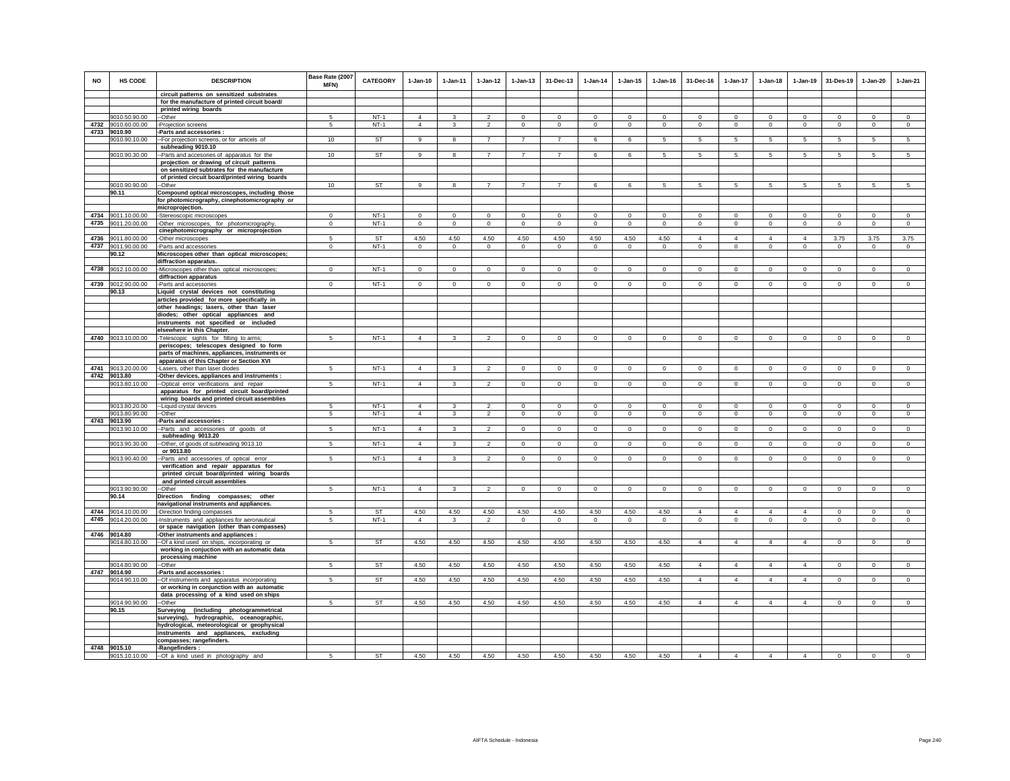| NO   | <b>HS CODE</b>                 | <b>DESCRIPTION</b>                                                                     | Base Rate (2007<br>MFN) | CATEGORY  | $1-Jan-10$     | 1-Jan-11     | $1 - Jan-12$   | $1 - Jan-13$   | 31-Dec-13      | $1-Jan-14$     | $1 - Jan-15$ | $1 - Jan-16$ | 31-Dec-16      | $1-Jan-17$      | $1-Jan-18$      | $1-Jan-19$      | 31-Des-19                               | $1-Jan-20$      | $1-Jan-21$     |
|------|--------------------------------|----------------------------------------------------------------------------------------|-------------------------|-----------|----------------|--------------|----------------|----------------|----------------|----------------|--------------|--------------|----------------|-----------------|-----------------|-----------------|-----------------------------------------|-----------------|----------------|
|      |                                | circuit patterns on sensitized substrates                                              |                         |           |                |              |                |                |                |                |              |              |                |                 |                 |                 |                                         |                 |                |
|      |                                | for the manufacture of printed circuit board/                                          |                         |           |                |              |                |                |                |                |              |              |                |                 |                 |                 |                                         |                 |                |
|      | 9010.50.90.00                  | printed wiring boards<br>--Other                                                       | 5                       | $NT-1$    | $\overline{4}$ | $\mathbf{3}$ | $\mathfrak{p}$ | $\mathsf 0$    | $\Omega$       | $\Omega$       | $\mathsf 0$  | $\Omega$     | $\Omega$       | $\Omega$        | $\Omega$        | $\Omega$        | $\Omega$                                | $\Omega$        | $\Omega$       |
| 4732 | 9010.60.00.00                  | -Projection screens                                                                    | 5                       | $NT-1$    | $\overline{4}$ | 3            | $\overline{2}$ | $\mathbf 0$    | $\mathbf 0$    | $\circ$        | $\mathbf 0$  | $\mathbf 0$  | $\circ$        | $\mathbf 0$     | $\mathbf 0$     | $\mathbf 0$     | $\circ$                                 | $\mathbf 0$     | $\circ$        |
|      | 4733 9010.90                   | -Parts and accessories :                                                               |                         |           |                |              |                |                |                |                |              |              |                |                 |                 |                 |                                         |                 |                |
|      | 9010.90.10.00                  | -For projection screens, or for articels of                                            | 10                      | <b>ST</b> | 9              | 8            | $\overline{7}$ | $\overline{7}$ | $\overline{7}$ | 6              | 6            | -5           | 5              | $5\overline{5}$ | 5               | $5\overline{5}$ | $5\phantom{.0}$                         | $5\phantom{.0}$ | 5              |
|      |                                | subheading 9010.10                                                                     |                         |           |                |              |                |                |                |                |              |              |                |                 |                 |                 |                                         |                 |                |
|      | 9010.90.30.00                  | -Parts and accesories of apparatus for the                                             | 10                      | <b>ST</b> | 9              | 8            | $\overline{7}$ | $\overline{7}$ | $\overline{7}$ | 6              | 6            | 5            | 5              | 5               | $5\overline{5}$ | $5\overline{5}$ | 5                                       | 5               | 5              |
|      |                                | projection or drawing of circuit patterns                                              |                         |           |                |              |                |                |                |                |              |              |                |                 |                 |                 |                                         |                 |                |
|      |                                | on sensitized subtrates for the manufacture                                            |                         |           |                |              |                |                |                |                |              |              |                |                 |                 |                 |                                         |                 |                |
|      |                                | of printed circuit board/printed wiring boards                                         |                         |           |                |              |                |                |                |                |              |              |                |                 |                 |                 |                                         |                 |                |
|      | 9010.90.90.00                  | --Other                                                                                | 10                      | <b>ST</b> | $\alpha$       | 8            | $\overline{7}$ | $\overline{7}$ | $\overline{7}$ | 6              | 6            | 5            | -5             | 5               | 5               | 5               | 5                                       | 5               | $\overline{5}$ |
|      | 90.11                          | Compound optical microscopes, including those                                          |                         |           |                |              |                |                |                |                |              |              |                |                 |                 |                 |                                         |                 |                |
|      |                                | for photomicrography, cinephotomicrography or<br>microprojection.                      |                         |           |                |              |                |                |                |                |              |              |                |                 |                 |                 |                                         |                 |                |
| 4734 | 9011.10.00.00                  | -Stereoscopic microscopes                                                              | $\Omega$                | $NT-1$    | $\Omega$       | $\Omega$     | $\Omega$       | $\mathbf 0$    | $\Omega$       | $\Omega$       | $\Omega$     | $\Omega$     | $\Omega$       | $\Omega$        | $\Omega$        | $\Omega$        | $\Omega$                                | $\Omega$        | $\Omega$       |
|      | 4735 9011.20.00.00             | -Other microscopes, for photomicrography.                                              | $\mathbf 0$             | $NT-1$    | $\circ$        | $\circ$      | $\circ$        | $\mathbf 0$    | $\mathsf 0$    | $\circ$        | $\mathbf 0$  | $\circ$      | $\Omega$       | $\mathbf 0$     | $\circ$         | $\mathbf 0$     | $\mathbf{0}$                            | $\circ$         | $\mathsf 0$    |
|      |                                | cinephotomicrography or microprojection                                                |                         |           |                |              |                |                |                |                |              |              |                |                 |                 |                 |                                         |                 |                |
| 4736 | 9011.80.00.00                  | -Other microscopes                                                                     | 5                       | ST        | 4.50           | 4.50         | 4.50           | 4.50           | 4.50           | 4.50           | 4.50         | 4.50         | $\overline{4}$ | $\overline{4}$  | $\overline{4}$  | $\overline{4}$  | 3.75                                    | 3.75            | 3.75           |
|      | 4737 9011.90.00.00             | -Parts and accessories                                                                 | $^{\circ}$              | $NT-1$    | $\circ$        | 0            | 0              | 0              | $\mathbf 0$    | $\mathbf{0}$   | 0            | $\mathbf{0}$ | $\circ$        | 0               | 0               | $\circ$         | $\circ$                                 | $\circ$         | $\mathbf{0}$   |
|      | 90.12                          | Microscopes other than optical microscopes;                                            |                         |           |                |              |                |                |                |                |              |              |                |                 |                 |                 |                                         |                 |                |
|      |                                | diffraction apparatus.                                                                 |                         |           |                |              |                |                |                |                |              |              |                |                 |                 |                 |                                         |                 |                |
| 4738 | 9012.10.00.00                  | -Microscopes other than optical microscopes;                                           | $\mathbf 0$             | $NT-1$    | $\Omega$       | $\Omega$     | $\mathbf{0}$   | $\mathbf 0$    | $\mathbf 0$    | $\circ$        | $\mathbf 0$  | $\circ$      | $\Omega$       | $\mathbf 0$     | $\mathbf 0$     | $\mathbf 0$     | $\Omega$                                | $\mathbf 0$     | $\circ$        |
|      |                                | diffraction apparatus                                                                  |                         |           |                |              |                |                |                |                |              |              |                |                 |                 |                 |                                         |                 |                |
|      | 4739 9012.90.00.00             | Parts and accessories                                                                  | $\mathbf 0$             | $NT-1$    | $\Omega$       | $\Omega$     | $\circ$        | $\Omega$       | $\Omega$       | $\Omega$       | $\Omega$     | $\Omega$     | $\Omega$       | $\mathbf 0$     | $\Omega$        | $\mathbf 0$     | $\mathbf 0$                             | $\Omega$        | $\circ$        |
|      | 90.13                          | Liquid crystal devices not constituting                                                |                         |           |                |              |                |                |                |                |              |              |                |                 |                 |                 |                                         |                 |                |
|      |                                | articles provided for more specifically in                                             |                         |           |                |              |                |                |                |                |              |              |                |                 |                 |                 |                                         |                 |                |
|      |                                | other headings; lasers, other than laser                                               |                         |           |                |              |                |                |                |                |              |              |                |                 |                 |                 |                                         |                 |                |
|      |                                | diodes; other optical appliances and<br>instruments not specified or included          |                         |           |                |              |                |                |                |                |              |              |                |                 |                 |                 |                                         |                 |                |
|      |                                | elsewhere in this Chapter.                                                             |                         |           |                |              |                |                |                |                |              |              |                |                 |                 |                 |                                         |                 |                |
|      | 4740 9013.10.00.00             | -Telescopic sights for fitting to arms;                                                | 5                       | $NT-1$    | $\overline{4}$ | $\mathbf{3}$ | $\mathfrak{p}$ | $\mathsf 0$    | $\mathbf 0$    | $\circ$        | $\circ$      | $\Omega$     | $\mathsf 0$    | $\mathbf 0$     | $\mathbf 0$     | $\Omega$        | $\mathbf 0$                             | $\circ$         | $\mathsf 0$    |
|      |                                | periscopes; telescopes designed to form                                                |                         |           |                |              |                |                |                |                |              |              |                |                 |                 |                 |                                         |                 |                |
|      |                                | parts of machines, appliances, instruments or                                          |                         |           |                |              |                |                |                |                |              |              |                |                 |                 |                 |                                         |                 |                |
|      |                                | apparatus of this Chapter or Section XVI                                               |                         |           |                |              |                |                |                |                |              |              |                |                 |                 |                 |                                         |                 |                |
|      | 4741 9013.20.00.00             | Lasers, other than laser diodes                                                        | 5                       | $NT-1$    | $\overline{4}$ | 3            | $\mathfrak{p}$ | $\mathbf 0$    | $\mathbf 0$    | $\,0\,$        | $\mathbf 0$  | $\mathbf 0$  | $\mathbf 0$    | 0               | $\mathbf 0$     | $\mathbf 0$     | $\mathbf 0$                             | $\mathbf 0$     | $\mathbf 0$    |
|      | 4742 9013.80                   | -Other devices, appliances and instruments :                                           |                         |           |                |              |                |                |                |                |              |              |                |                 |                 |                 |                                         |                 |                |
|      | 9013.80.10.00                  | -Optical error verifications and repair                                                | 5                       | $NT-1$    | $\overline{4}$ | $\mathbf{3}$ | $\mathfrak{p}$ | $\mathbf{0}$   | $\mathbf{0}$   | $\circ$        | $\mathbf{0}$ | $\circ$      | $\circ$        | $\circ$         | $\circ$         | $\circ$         | $\circ$                                 | $\mathbf{0}$    | $\circ$        |
|      |                                | apparatus for printed circuit board/printed                                            |                         |           |                |              |                |                |                |                |              |              |                |                 |                 |                 |                                         |                 |                |
|      |                                | wiring boards and printed circuit assemblies                                           | 5                       | $NT-1$    | $\overline{4}$ | 3            | $\overline{2}$ | $^{\circ}$     | 0              | $^{\circ}$     | $^{\circ}$   | 0            | $^{\circ}$     | 0               | $^{\circ}$      |                 |                                         | $^{\circ}$      | $^{\circ}$     |
|      | 9013.80.20.00<br>9013.80.90.00 | --Liquid crystal devices<br>--Other                                                    | -5                      | $NT-1$    | $\Delta$       | $\mathbf{3}$ | $\overline{2}$ | $\mathbf{0}$   | $\Omega$       | $\circ$        | $\Omega$     | $\Omega$     | $\Omega$       | $\circ$         | $\Omega$        | 0<br>$\Omega$   | $\overline{\phantom{0}}$<br>$\mathbf 0$ | $\Omega$        | $\Omega$       |
| 4743 | 9013.90                        | -Parts and accessories                                                                 |                         |           |                |              |                |                |                |                |              |              |                |                 |                 |                 |                                         |                 |                |
|      | 9013.90.10.00                  | -Parts and accessories of goods of                                                     | $\sqrt{5}$              | $NT-1$    | $\overline{4}$ | $\mathbf{3}$ | $\overline{2}$ | $\mathbf 0$    | $\mathbf 0$    | $\Omega$       | $\mathbf 0$  | $\Omega$     | $\Omega$       | $\mathbf 0$     | $\Omega$        | $\Omega$        | $\Omega$                                | $\Omega$        | $\Omega$       |
|      |                                | subheading 9013.20                                                                     |                         |           |                |              |                |                |                |                |              |              |                |                 |                 |                 |                                         |                 |                |
|      | 9013.90.30.00                  | -Other, of goods of subheading 9013.10                                                 | 5                       | $NT-1$    | $\overline{4}$ | 3            | $\overline{2}$ | $\mathbf 0$    | $\overline{0}$ | $\overline{0}$ | 0            | $\mathbf{0}$ | $\circ$        | $\mathbf{0}$    | $\mathbf{0}$    | $\overline{0}$  | $\overline{0}$                          | $\mathbf{0}$    | $\mathbf{0}$   |
|      |                                | or 9013.80                                                                             |                         |           |                |              |                |                |                |                |              |              |                |                 |                 |                 |                                         |                 |                |
|      | 9013.90.40.00                  | Parts and accessories of optical error                                                 | -5                      | $NT-1$    | $\overline{4}$ | 3            | $\mathfrak{p}$ | $\mathbf 0$    | $\mathbf 0$    | $\mathbf{0}$   | $\Omega$     | $\Omega$     | $\Omega$       | $\mathbf 0$     | $\Omega$        | $\Omega$        | $\circ$                                 | $\mathbf 0$     | $\mathbf{0}$   |
|      |                                | verification and repair apparatus for                                                  |                         |           |                |              |                |                |                |                |              |              |                |                 |                 |                 |                                         |                 |                |
|      |                                | printed circuit board/printed wiring boards                                            |                         |           |                |              |                |                |                |                |              |              |                |                 |                 |                 |                                         |                 |                |
|      | 9013.90.90.00                  | and printed circuit assemblies                                                         | 5                       | $NT-1$    | $\overline{4}$ | $\mathbf{3}$ | $\overline{2}$ | $\mathsf 0$    | $\mathbf 0$    | $\mathsf 0$    | $\Omega$     | $\mathbf 0$  | $\circ$        | $\mathbf 0$     | $\mathbf 0$     | $^{\circ}$      | $\mathbf 0$                             | $\Omega$        | $\circ$        |
|      | 90.14                          | -Other<br>Direction finding compasses; other                                           |                         |           |                |              |                |                |                |                |              |              |                |                 |                 |                 |                                         |                 |                |
|      |                                | navigational instruments and appliances.                                               |                         |           |                |              |                |                |                |                |              |              |                |                 |                 |                 |                                         |                 |                |
|      | 4744 9014.10.00.00             | -Direction finding compasses                                                           | 5                       | <b>ST</b> | 4.50           | 4.50         | 4.50           | 4.50           | 4.50           | 4.50           | 4.50         | 4.50         | $\overline{4}$ | $\overline{4}$  | $\Delta$        | $\Delta$        | $\Omega$                                | $\Omega$        | $\circ$        |
|      | 4745 9014.20.00.00             | Instruments and appliances for aeronautical                                            | $\sqrt{5}$              | $NT-1$    | $\overline{4}$ | $\mathbf{3}$ | $\mathfrak{D}$ | $\mathbf 0$    | $\mathbf 0$    | $\Omega$       | $\Omega$     | $\Omega$     | $\circ$        | $\mathbf 0$     | $\circ$         | $\mathbf 0$     | $\Omega$                                | $\mathbf 0$     | $\Omega$       |
|      |                                | or space navigation (other than compasses)                                             |                         |           |                |              |                |                |                |                |              |              |                |                 |                 |                 |                                         |                 |                |
|      | 4746 9014.80                   | -Other instruments and appliances :                                                    |                         |           |                |              |                |                |                |                |              |              |                |                 |                 |                 |                                         |                 |                |
|      | 9014.80.10.00                  | -Of a kind used on ships, incorporating or                                             | 5                       | ST        | 4.50           | 4.50         | 4.50           | 4.50           | 4.50           | 4.50           | 4.50         | 4.50         | $\overline{4}$ | $\overline{4}$  | $\overline{4}$  | $\overline{4}$  | $\mathbf{0}$                            | $\mathbf 0$     | $\circ$        |
|      |                                | working in conjuction with an automatic data                                           |                         |           |                |              |                |                |                |                |              |              |                |                 |                 |                 |                                         |                 |                |
|      |                                | processing machine                                                                     |                         |           |                |              |                |                |                |                |              |              |                |                 |                 |                 |                                         |                 |                |
|      | 9014.80.90.00                  | -Other                                                                                 | 5                       | ST        | 4.50           | 4.50         | 4.50           | 4.50           | 4.50           | 4.50           | 4.50         | 4.50         | $\overline{4}$ | $\overline{4}$  | $\overline{4}$  | $\overline{4}$  | $\mathbf 0$                             | $\mathsf 0$     | $\mathsf 0$    |
| 4747 | 9014.90                        | Parts and accessories :                                                                | 5                       | <b>ST</b> |                |              |                |                |                |                |              |              | $\overline{4}$ | $\overline{4}$  | $\overline{4}$  | $\overline{4}$  |                                         |                 | $\overline{0}$ |
|      | 9014.90.10.00                  | -Of instruments and apparatus incorporating                                            |                         |           | 4.50           | 4.50         | 4.50           | 4.50           | 4.50           | 4.50           | 4.50         | 4.50         |                |                 |                 |                 | $\mathbf 0$                             | $\mathbf 0$     |                |
|      |                                | or working in conjunction with an automatic<br>data processing of a kind used on ships |                         |           |                |              |                |                |                |                |              |              |                |                 |                 |                 |                                         |                 |                |
|      | 9014.90.90.00                  | --Other                                                                                | 5                       | ST        | 4.50           | 4.50         | 4.50           | 4.50           | 4.50           | 4.50           | 4.50         | 4.50         | $\overline{4}$ | $\overline{4}$  | $\overline{4}$  | $\Delta$        | $\mathbf 0$                             | $\Omega$        | $\circ$        |
|      | 90.15                          | Surveying<br>(including photogrammetrical                                              |                         |           |                |              |                |                |                |                |              |              |                |                 |                 |                 |                                         |                 |                |
|      |                                | surveying), hydrographic, oceanographic,                                               |                         |           |                |              |                |                |                |                |              |              |                |                 |                 |                 |                                         |                 |                |
|      |                                | hydrological, meteorological or geophysical                                            |                         |           |                |              |                |                |                |                |              |              |                |                 |                 |                 |                                         |                 |                |
|      |                                | instruments and appliances, excluding                                                  |                         |           |                |              |                |                |                |                |              |              |                |                 |                 |                 |                                         |                 |                |
|      |                                | compasses; rangefinders.                                                               |                         |           |                |              |                |                |                |                |              |              |                |                 |                 |                 |                                         |                 |                |
|      | 4748 9015.10                   | -Rangefinders :                                                                        |                         |           |                |              |                |                |                |                |              |              |                |                 |                 |                 |                                         |                 |                |
|      | 9015.10.10.00                  | --Of a kind used in photography and                                                    | 5                       | <b>ST</b> | 4.50           | 4.50         | 4.50           | 4.50           | 4.50           | 4.50           | 4.50         | 4.50         | $\overline{4}$ | $\overline{4}$  | $\overline{4}$  | $\overline{4}$  | $\mathbf 0$                             | $\Omega$        | $\Omega$       |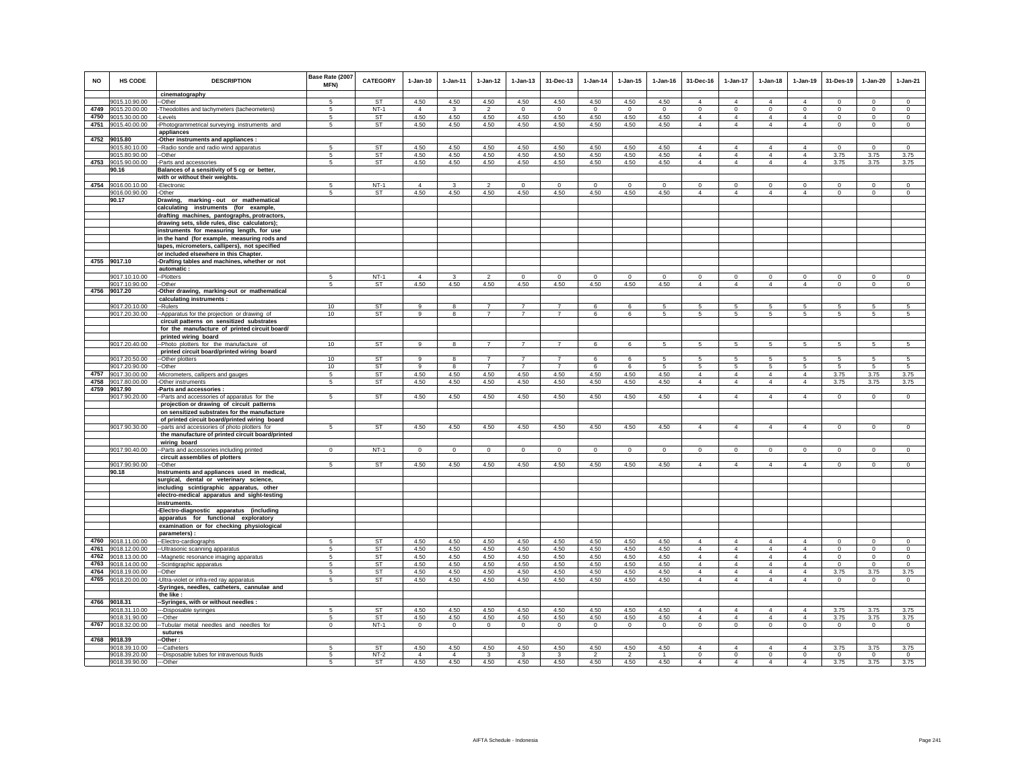| <b>NO</b> | HS CODE                             | <b>DESCRIPTION</b>                                                                            | Base Rate (2007<br>MFN) | <b>CATEGORY</b>        | $1-Jan-10$               | $1-Jan-11$              | $1 - Jan-12$                     | $1 - Jan-13$                     | 31-Dec-13                        | $1 - Jan-14$      | $1 - Jan-15$    | $1 - Jan-16$     | 31-Dec-16                  | $1-Jan-17$                       | $1-Jan-18$                       | $1-Jan-19$                       | 31-Des-19               | 1-Jan-20                | $1-Jan-21$             |
|-----------|-------------------------------------|-----------------------------------------------------------------------------------------------|-------------------------|------------------------|--------------------------|-------------------------|----------------------------------|----------------------------------|----------------------------------|-------------------|-----------------|------------------|----------------------------|----------------------------------|----------------------------------|----------------------------------|-------------------------|-------------------------|------------------------|
|           |                                     | cinematography                                                                                |                         |                        |                          |                         |                                  |                                  |                                  |                   |                 |                  |                            |                                  |                                  |                                  |                         |                         |                        |
|           | 9015.10.90.00                       | -Other                                                                                        | 5                       | ST                     | 4.50                     | 4.50                    | 4.50                             | 4.50                             | 4.50                             | 4.50              | 4.50            | 4.50             | $\overline{4}$             | $\overline{4}$                   | $\overline{4}$                   | $\overline{4}$                   | $\Omega$                | $\Omega$                | $\mathsf 0$            |
| 4750      | 4749 9015.20.00.00                  | -Theodolites and tachymeters (tacheometers)<br>Levels                                         | -5<br>5                 | $NT-1$                 | $\overline{4}$<br>4.50   | $\mathbf{3}$<br>4.50    | $\mathfrak{p}$<br>4.50           | $\Omega$                         | $\Omega$<br>4.50                 | $\Omega$<br>4.50  | $\Omega$        | $\Omega$<br>4.50 | $\Omega$<br>$\overline{4}$ | $\Omega$<br>$\overline{4}$       | $\Omega$<br>$\overline{4}$       | $\mathbf 0$<br>$\overline{4}$    | $\Omega$<br>$\mathbf 0$ | $\Omega$<br>$\mathbf 0$ | $\Omega$<br>$\circ$    |
|           | 9015.30.00.00<br>4751 9015.40.00.00 | Photogrammetrical surveying instruments and<br>appliances                                     | 5                       | ST<br>ST               | 4.50                     | 4.50                    | 4.50                             | 4.50<br>4.50                     | 4.50                             | 4.50              | 4.50<br>4.50    | 4.50             | $\overline{4}$             | $\overline{4}$                   | $\overline{4}$                   | $\overline{4}$                   | $\mathbf 0$             | $\mathbf 0$             | $\circ$                |
| 4752      | 9015.80                             | -Other instruments and appliances :                                                           |                         |                        |                          |                         |                                  |                                  |                                  |                   |                 |                  |                            |                                  |                                  |                                  |                         |                         |                        |
|           | 9015.80.10.00                       | -Radio sonde and radio wind apparatus                                                         | 5                       | <b>ST</b>              | 4.50                     | 4.50                    | 4.50                             | 4.50                             | 4.50                             | 4.50              | 4.50            | 4.50             | $\overline{4}$             | $\overline{4}$                   | $\overline{4}$                   | $\overline{4}$                   | $\mathbf 0$             | $\circ$                 | $\mathbf 0$            |
|           | 9015.80.90.00                       | --Other                                                                                       | $\overline{5}$          | <b>ST</b>              | 4.50                     | 4.50                    | 4.50                             | 4.50                             | 4.50                             | 4.50              | 4.50            | 4.50             | $\Delta$                   | $\overline{4}$                   | $\Delta$                         | $\Delta$                         | 3.75                    | 3.75                    | 3.75                   |
| 4753      | 9015.90.00.00                       | Parts and accessories                                                                         | 5                       | <b>ST</b>              | 4.50                     | 4.50                    | 4.50                             | 4.50                             | 4.50                             | 4.50              | 4.50            | 4.50             | $\overline{4}$             | $\overline{4}$                   | $\overline{4}$                   | $\overline{4}$                   | 3.75                    | 3.75                    | 3.75                   |
|           | 90.16                               | Balances of a sensitivity of 5 cg or better,                                                  |                         |                        |                          |                         |                                  |                                  |                                  |                   |                 |                  |                            |                                  |                                  |                                  |                         |                         |                        |
|           |                                     | with or without their weights.                                                                |                         |                        |                          |                         |                                  |                                  |                                  |                   |                 |                  |                            |                                  |                                  |                                  |                         |                         |                        |
|           | 4754 9016.00.10.00                  | -Electronic                                                                                   | 5                       | $NT-1$                 | $\Delta$                 | 3                       | $\overline{2}$                   | $\circ$                          | $\Omega$                         | $\overline{0}$    | $\mathbf 0$     | $\mathbf 0$      | $^{\circ}$                 | $\circ$                          | $\mathbf 0$                      | $\mathbf{0}$                     | $\mathbf 0$             | $\mathbf 0$             | $\circ$                |
|           | 9016.00.90.00                       | -Other                                                                                        | 5                       | <b>ST</b>              | 4.50                     | 4.50                    | 4.50                             | 4.50                             | 4.50                             | 4.50              | 4.50            | 4.50             | $\overline{4}$             | $\overline{4}$                   | $\overline{4}$                   | $\overline{4}$                   | $\circ$                 | $^{\circ}$              | $^{\circ}$             |
|           | 90.17                               | marking-out or mathematical<br>Drawing,<br>calculating instruments (for example,              |                         |                        |                          |                         |                                  |                                  |                                  |                   |                 |                  |                            |                                  |                                  |                                  |                         |                         |                        |
|           |                                     | drafting machines, pantographs, protractors,                                                  |                         |                        |                          |                         |                                  |                                  |                                  |                   |                 |                  |                            |                                  |                                  |                                  |                         |                         |                        |
|           |                                     | drawing sets, slide rules, disc calculators);<br>instruments for measuring length, for use    |                         |                        |                          |                         |                                  |                                  |                                  |                   |                 |                  |                            |                                  |                                  |                                  |                         |                         |                        |
|           |                                     | in the hand (for example, measuring rods and                                                  |                         |                        |                          |                         |                                  |                                  |                                  |                   |                 |                  |                            |                                  |                                  |                                  |                         |                         |                        |
|           |                                     | tapes, micrometers, callipers), not specified                                                 |                         |                        |                          |                         |                                  |                                  |                                  |                   |                 |                  |                            |                                  |                                  |                                  |                         |                         |                        |
|           |                                     | or included elsewhere in this Chapter.                                                        |                         |                        |                          |                         |                                  |                                  |                                  |                   |                 |                  |                            |                                  |                                  |                                  |                         |                         |                        |
|           | 4755 9017.10                        | -Drafting tables and machines, whether or not<br>automatic:                                   |                         |                        |                          |                         |                                  |                                  |                                  |                   |                 |                  |                            |                                  |                                  |                                  |                         |                         |                        |
|           | 9017.10.10.00                       | -Plotters                                                                                     | -5                      | $NT-1$                 | $\Delta$                 | $\mathbf{3}$            | $\mathcal{P}$                    | $\Omega$                         | $\Omega$                         | $\Omega$          | $\Omega$        | $\Omega$         | $\Omega$                   | $\Omega$                         | $\Omega$                         | $\mathbf 0$                      | $\Omega$                | $\Omega$                | $\mathbf 0$            |
|           | 9017.10.90.00                       | -Other                                                                                        | 5                       | ST                     | 4.50                     | 4.50                    | 4.50                             | 4.50                             | 4.50                             | 4.50              | 4.50            | 4.50             | $\overline{4}$             | $\overline{4}$                   | $\overline{4}$                   | $\overline{4}$                   | $\mathbf 0$             | $\mathbf 0$             | $\circ$                |
| 4756      | 9017.20                             | Other drawing, marking-out or mathematical                                                    |                         |                        |                          |                         |                                  |                                  |                                  |                   |                 |                  |                            |                                  |                                  |                                  |                         |                         |                        |
|           |                                     | calculating instruments :                                                                     |                         |                        |                          |                         |                                  |                                  |                                  |                   |                 |                  |                            |                                  |                                  |                                  |                         |                         |                        |
|           | 9017.20.10.00<br>9017.20.30.00      | -Rulers<br>-Apparatus for the projection or drawing of                                        | 10<br>10                | <b>ST</b><br>ST        | $\Omega$<br>$\mathbf{q}$ | $\mathbf{R}$<br>8       | $\overline{7}$<br>$\overline{7}$ | $\overline{7}$<br>$\overline{7}$ | $\overline{7}$<br>$\overline{7}$ | $\mathbf{6}$<br>6 | $\epsilon$<br>6 | -5<br>$\sqrt{5}$ | 5<br>$\sqrt{5}$            | 5.<br>5                          | 5<br>5                           | 5<br>5                           | 5<br>5                  | 5<br>5                  | 5<br>$5\phantom{.0}$   |
|           |                                     | circuit patterns on sensitized substrates                                                     |                         |                        |                          |                         |                                  |                                  |                                  |                   |                 |                  |                            |                                  |                                  |                                  |                         |                         |                        |
|           |                                     | for the manufacture of printed circuit board/                                                 |                         |                        |                          |                         |                                  |                                  |                                  |                   |                 |                  |                            |                                  |                                  |                                  |                         |                         |                        |
|           |                                     | printed wiring board                                                                          |                         |                        |                          |                         |                                  |                                  |                                  |                   |                 |                  |                            |                                  |                                  |                                  |                         |                         |                        |
|           | 9017.20.40.00                       | -Photo plotters for the manufacture of                                                        | 10                      | <b>ST</b>              | 9                        | $\overline{\mathbf{8}}$ | $\overline{7}$                   | $\overline{7}$                   | $\overline{7}$                   | 6                 | 6               | $5\overline{5}$  | 5                          | 5                                | 5                                | $5\overline{)}$                  | 5                       | 5                       | $5\overline{5}$        |
|           |                                     | printed circuit board/printed wiring board                                                    |                         |                        |                          |                         |                                  |                                  |                                  |                   |                 |                  |                            |                                  |                                  |                                  |                         |                         |                        |
|           | 9017.20.50.00                       | -Other plotters                                                                               | 10                      | <b>ST</b>              | $\Omega$<br>9            | 8                       | $\overline{z}$<br>$\overline{7}$ | $\overline{7}$<br>$\overline{7}$ | $\overline{7}$<br>$\overline{7}$ | 6<br>6            | 6<br>6          | 5<br>5           |                            | 5<br>5                           | -5                               | 5                                | 5<br>$\overline{5}$     | 5<br>-5                 | 5<br>$\overline{5}$    |
| 4757      | 9017.20.90.00<br>9017.30.00.00      | --Other<br>-Micrometers, callipers and gauges                                                 | 10<br>5                 | <b>ST</b><br><b>ST</b> | 4.50                     | 8<br>4.50               | 4.50                             | 4.50                             | 4.50                             | 4.50              | 4.50            | 4.50             | -5<br>$\overline{4}$       | $\overline{4}$                   | 5<br>$\overline{4}$              | $\sqrt{5}$<br>$\overline{4}$     | 3.75                    | 3.75                    | 3.75                   |
| 4758      | 9017.80.00.00                       | -Other instruments                                                                            | -5                      | <b>ST</b>              | 4.50                     | 4.50                    | 4.50                             | 4.50                             | 4.50                             | 4.50              | 4.50            | 4.50             | $\overline{4}$             | $\overline{4}$                   | $\overline{4}$                   | $\overline{4}$                   | 3.75                    | 3.75                    | 3.75                   |
|           | 4759 9017.90                        | Parts and accessories                                                                         |                         |                        |                          |                         |                                  |                                  |                                  |                   |                 |                  |                            |                                  |                                  |                                  |                         |                         |                        |
|           | 9017.90.20.00                       | -Parts and accessories of apparatus for the                                                   | -5                      | <b>ST</b>              | 4.50                     | 4.50                    | 4.50                             | 4.50                             | 4.50                             | 4.50              | 4.50            | 4.50             | $\overline{4}$             | $\overline{4}$                   | $\overline{4}$                   | $\overline{4}$                   | $\circ$                 | $\circ$                 | $\circ$                |
|           |                                     | projection or drawing of circuit patterns                                                     |                         |                        |                          |                         |                                  |                                  |                                  |                   |                 |                  |                            |                                  |                                  |                                  |                         |                         |                        |
|           |                                     | on sensitized substrates for the manufacture                                                  |                         |                        |                          |                         |                                  |                                  |                                  |                   |                 |                  |                            |                                  |                                  |                                  |                         |                         |                        |
|           | 9017.90.30.00                       | of printed circuit board/printed wiring board<br>-parts and accessories of photo plotters for | -5                      | <b>ST</b>              | 4.50                     | 4.50                    | 4.50                             | 4.50                             | 4.50                             | 4.50              | 4.50            | 4.50             | $\overline{4}$             | $\overline{4}$                   | $\overline{4}$                   | $\overline{4}$                   | $\mathbf 0$             | $\Omega$                | $\circ$                |
|           |                                     | the manufacture of printed circuit board/printed                                              |                         |                        |                          |                         |                                  |                                  |                                  |                   |                 |                  |                            |                                  |                                  |                                  |                         |                         |                        |
|           | 9017.90.40.00                       | wiring board<br>-Parts and accessories including printed                                      | $\Omega$                | $NT-1$                 | $\Omega$                 | $\Omega$                | $\Omega$                         | $\circ$                          | $\mathbf 0$                      | $\Omega$          | $\Omega$        | $\Omega$         | $\Omega$                   | $\circ$                          | $\circ$                          | $\mathbf{0}$                     | $\mathbf 0$             | $\Omega$                | $\Omega$               |
|           |                                     | circuit assemblies of plotters                                                                |                         |                        |                          |                         |                                  |                                  |                                  |                   |                 |                  |                            |                                  |                                  |                                  |                         |                         |                        |
|           | 9017.90.90.00                       | -Other                                                                                        | 5                       | ST                     | 4.50                     | 4.50                    | 4.50                             | 4.50                             | 4.50                             | 4.50              | 4.50            | 4.50             | $\overline{4}$             | $\overline{4}$                   | $\overline{4}$                   | $\overline{4}$                   | $\circ$                 | $\mathbf 0$             | $\overline{0}$         |
|           | 90.18                               | Instruments and appliances used in medical,                                                   |                         |                        |                          |                         |                                  |                                  |                                  |                   |                 |                  |                            |                                  |                                  |                                  |                         |                         |                        |
|           |                                     | surgical, dental or veterinary science,                                                       |                         |                        |                          |                         |                                  |                                  |                                  |                   |                 |                  |                            |                                  |                                  |                                  |                         |                         |                        |
|           |                                     | including scintigraphic apparatus, other                                                      |                         |                        |                          |                         |                                  |                                  |                                  |                   |                 |                  |                            |                                  |                                  |                                  |                         |                         |                        |
|           |                                     | electro-medical apparatus and sight-testing<br>instruments.                                   |                         |                        |                          |                         |                                  |                                  |                                  |                   |                 |                  |                            |                                  |                                  |                                  |                         |                         |                        |
|           |                                     | -Electro-diagnostic apparatus (including                                                      |                         |                        |                          |                         |                                  |                                  |                                  |                   |                 |                  |                            |                                  |                                  |                                  |                         |                         |                        |
|           |                                     | apparatus for functional exploratory                                                          |                         |                        |                          |                         |                                  |                                  |                                  |                   |                 |                  |                            |                                  |                                  |                                  |                         |                         |                        |
|           |                                     | examination or for checking physiological                                                     |                         |                        |                          |                         |                                  |                                  |                                  |                   |                 |                  |                            |                                  |                                  |                                  |                         |                         |                        |
|           |                                     | parameters):                                                                                  |                         |                        |                          |                         |                                  |                                  |                                  |                   |                 |                  |                            |                                  |                                  |                                  |                         |                         |                        |
| 4761      | 4760 9018.11.00.00                  | -- Electro-cardiographs                                                                       | -5                      | <b>ST</b>              | 4.50                     | 4.50                    | 4.50                             | 4.50                             | 4.50                             | 4.50              | 4.50            | 4.50             | $\Delta$<br>$\overline{4}$ | $\overline{4}$                   | $\overline{4}$                   | $\overline{4}$                   | $\Omega$                | $\Omega$                | $\Omega$               |
| 4762      | 9018.12.00.00<br>9018.13.00.00      | -Ultrasonic scanning apparatus<br>-Magnetic resonance imaging apparatus                       | 5<br>5                  | ST<br>ST               | 4.50<br>4.50             | 4.50<br>4.50            | 4.50<br>4.50                     | 4.50<br>4.50                     | 4.50<br>4.50                     | 4.50<br>4.50      | 4.50<br>4.50    | 4.50<br>4.50     | $\overline{4}$             | $\overline{4}$<br>$\overline{4}$ | $\overline{4}$<br>$\overline{4}$ | $\overline{4}$<br>$\overline{4}$ | $\circ$<br>$\mathbf 0$  | $\circ$<br>$\mathbf 0$  | $\circ$<br>$\mathbf 0$ |
|           | 4763 9018.14.00.00                  | -Scintigraphic apparatus                                                                      | -5                      | ST                     | 4.50                     | 4.50                    | 4.50                             | 4.50                             | 4.50                             | 4.50              | 4.50            | 4.50             | $\Delta$                   | $\mathbf{A}$                     | $\Delta$                         | $\mathbf{A}$                     | $\Omega$                | $\Omega$                | $\Omega$               |
| 4764      | 9018.19.00.00                       | -Other                                                                                        | -5                      | ST                     | 4.50                     | 4.50                    | 4.50                             | 4.50                             | 4.50                             | 4.50              | 4.50            | 4.50             | $\overline{4}$             | $\overline{4}$                   | $\overline{4}$                   | $\overline{4}$                   | 3.75                    | 3.75                    | 3.75                   |
| 4765      | 9018.20.00.00                       | Ultra-violet or infra-red ray apparatus                                                       | 5                       | ST                     | 4.50                     | 4.50                    | 4.50                             | 4.50                             | 4.50                             | 4.50              | 4.50            | 4.50             | $\overline{4}$             | $\overline{4}$                   | $\overline{4}$                   | $\overline{4}$                   | $\mathsf 0$             | $\mathsf 0$             | $\circ$                |
|           |                                     | Syringes, needles, catheters, cannulae and<br>the like:                                       |                         |                        |                          |                         |                                  |                                  |                                  |                   |                 |                  |                            |                                  |                                  |                                  |                         |                         |                        |
|           | 4766 9018.31                        | -Syringes, with or without needles :                                                          |                         |                        |                          |                         |                                  |                                  |                                  |                   |                 |                  |                            |                                  |                                  |                                  |                         |                         |                        |
|           | 9018.31.10.00                       | --Disposable syringes                                                                         | 5                       | ST                     | 4.50                     | 4.50                    | 4.50                             | 4.50                             | 4.50                             | 4.50              | 4.50            | 4.50             | $\Delta$                   | $\overline{4}$                   | $\Delta$                         | $\overline{4}$                   | 3.75                    | 3.75                    | 3.75                   |
|           | 9018.31.90.00                       | --Other                                                                                       | 5                       | ST                     | 4.50                     | 4.50                    | 4.50                             | 4.50                             | 4.50                             | 4.50              | 4.50            | 4.50             | $\overline{4}$             | $\overline{4}$                   | $\overline{4}$                   | $\overline{4}$                   | 3.75                    | 3.75                    | 3.75                   |
|           | 4767 9018.32.00.00                  | -Tubular metal needles and needles for                                                        | $\mathbf{0}$            | $NT-1$                 | $\circ$                  | $\mathbf{0}$            | $\circ$                          | $\circ$                          | $\overline{0}$                   | $\circ$           | $\circ$         | $\overline{0}$   | $\circ$                    | $\mathbf{0}$                     | $\mathbf{0}$                     | $\overline{0}$                   | $\overline{0}$          | $\circ$                 | $\overline{0}$         |
|           | 4768 9018.39                        | sutures<br>Other:                                                                             |                         |                        |                          |                         |                                  |                                  |                                  |                   |                 |                  |                            |                                  |                                  |                                  |                         |                         |                        |
|           | 9018.39.10.00                       | -Catheters                                                                                    | 5                       | <b>ST</b>              | 4.50                     | 4.50                    | 4.50                             | 4.50                             | 4.50                             | 4.50              | 4.50            | 4.50             | $\overline{4}$             | $\overline{4}$                   | $\overline{4}$                   | $\overline{4}$                   | 3.75                    | 3.75                    | 3.75                   |
|           | 9018.39.20.00                       | -Disposable tubes for intravenous fluids                                                      | 5                       | $NT-2$                 | $\overline{4}$           | $\overline{4}$          | 3                                | 3                                | 3                                | $\mathcal{P}$     | $\mathcal{P}$   | $\overline{1}$   | $\mathbf 0$                | $\mathbf 0$                      | $\mathbf 0$                      | $\mathbf 0$                      | $\circ$                 | $\mathbf{0}$            | $\circ$                |
|           | 9018.39.90.00                       | --Other                                                                                       | 5                       | <b>ST</b>              | 4.50                     | 4.50                    | 4.50                             | 4.50                             | 4.50                             | 4.50              | 4.50            | 4.50             | $\overline{4}$             | $\overline{4}$                   | $\overline{4}$                   | $\overline{4}$                   | 3.75                    | 3.75                    | 3.75                   |
|           |                                     |                                                                                               |                         |                        |                          |                         |                                  |                                  |                                  |                   |                 |                  |                            |                                  |                                  |                                  |                         |                         |                        |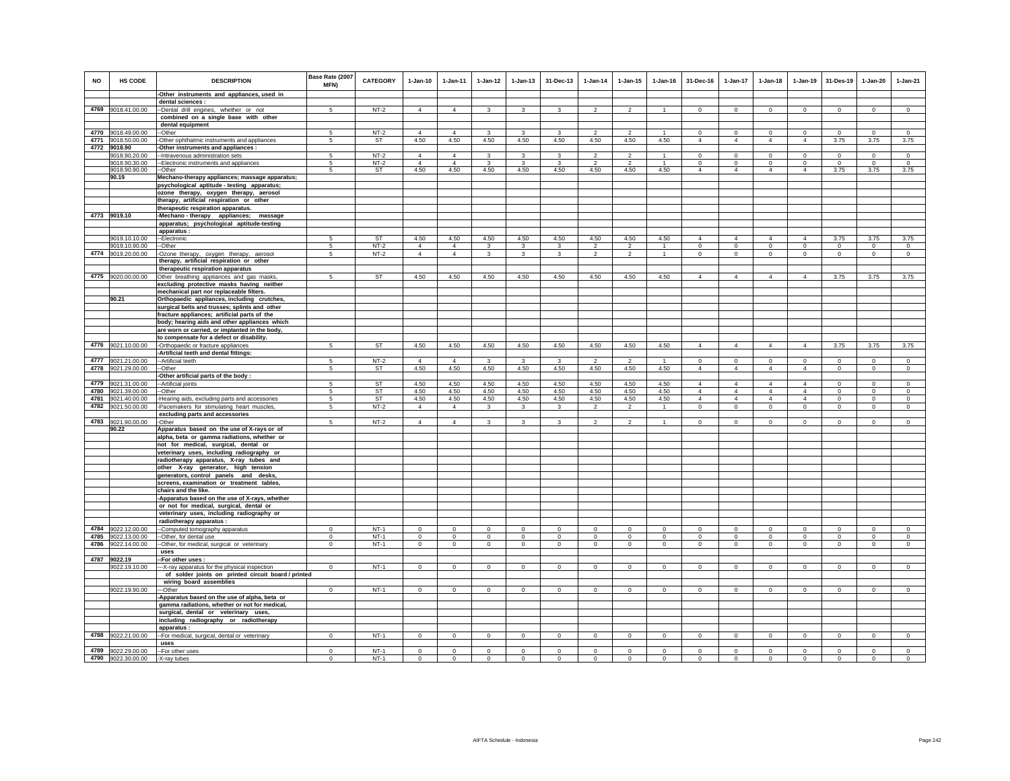| NO   | HS CODE            | <b>DESCRIPTION</b>                                                                    | Base Rate (2007<br>MFN) | <b>CATEGORY</b> | $1 - Jan-10$   | $1 - Jan-11$   | $1 - Jan-12$   | $1 - Jan-13$   | 31-Dec-13      | $1 - Jan-14$   | $1 - Jan-15$   | $1 - Jan-16$   | 31-Dec-16      | $1 - Jan-17$   | $1 - Jan-18$   | $1-Jan-19$     | 31-Des-19      | $1-Jan-20$   | $1-Jan-21$     |
|------|--------------------|---------------------------------------------------------------------------------------|-------------------------|-----------------|----------------|----------------|----------------|----------------|----------------|----------------|----------------|----------------|----------------|----------------|----------------|----------------|----------------|--------------|----------------|
|      |                    | -Other instruments and appliances, used in                                            |                         |                 |                |                |                |                |                |                |                |                |                |                |                |                |                |              |                |
|      |                    | dental sciences :                                                                     |                         |                 |                |                |                |                |                |                |                |                |                |                |                |                |                |              |                |
|      | 4769 9018.41.00.00 | --Dental drill engines, whether or not                                                | $5^{\circ}$             | $NT-2$          | $\overline{4}$ | $\overline{4}$ | 3              | $\mathbf{3}$   | 3              | $\overline{2}$ | $\overline{2}$ |                | $\mathbf 0$    | $\mathbf 0$    | $\mathsf 0$    | $\mathbf 0$    | $\mathbf 0$    | $\mathsf 0$  | $\mathsf 0$    |
|      |                    | combined on a single base with other                                                  |                         |                 |                |                |                |                |                |                |                |                |                |                |                |                |                |              |                |
|      | 4770 9018.49.00.00 | dental equipment<br>-Other                                                            | 5                       | $NT-2$          | $\Delta$       | $\overline{4}$ | 3              | $\mathbf{3}$   | 3              | $\mathcal{P}$  | $\mathfrak{p}$ | $\overline{1}$ | $\Omega$       | $\mathbf 0$    | $\circ$        | $\circ$        | $\circ$        | $\Omega$     | $\circ$        |
|      | 4771 9018.50.00.00 | -Other ophthalmic instruments and appliances                                          | 5                       | ST              | 4.50           | 4.50           | 4.50           | 4.50           | 4.50           | 4.50           | 4.50           | 4.50           | $\overline{4}$ | $\overline{4}$ | $\overline{4}$ | $\overline{4}$ | 3.75           | 3.75         | 3.75           |
| 4772 | 9018.90            | Other instruments and appliances :                                                    |                         |                 |                |                |                |                |                |                |                |                |                |                |                |                |                |              |                |
|      | 9018.90.20.00      | -- Intravenous administration sets                                                    | 5                       | $NT-2$          | $\Delta$       | 4              | 3              | 3              | 3              | $\mathfrak{p}$ | $\overline{2}$ |                | $\Omega$       | $\Omega$       | $\Omega$       | $\Omega$       | $\Omega$       | $\Omega$     | $\Omega$       |
|      | 9018.90.30.00      | -- Electronic instruments and appliances                                              | 5                       | $NT-2$          | $\overline{4}$ | $\overline{4}$ | 3              | 3              | 3              |                |                |                | $\mathbf 0$    | $\mathbf 0$    | $\mathbf 0$    | $\mathbf 0$    | $^{\circ}$     | $\theta$     | $\mathbf 0$    |
|      | 9018.90.90.00      | --Other                                                                               | 5                       | <b>ST</b>       | 4.50           | 4.50           | 4.50           | 4.50           | 4.50           | 4.50           | 4.50           | 4.50           | $\overline{4}$ | $\overline{4}$ | $\overline{4}$ | $\overline{4}$ | 3.75           | 3.75         | 3.75           |
|      | 90.19              | Mechano-therapy appliances; massage apparatus;                                        |                         |                 |                |                |                |                |                |                |                |                |                |                |                |                |                |              |                |
|      |                    | psychological aptitude - testing apparatus;                                           |                         |                 |                |                |                |                |                |                |                |                |                |                |                |                |                |              |                |
|      |                    | ozone therapy, oxygen therapy, aerosol                                                |                         |                 |                |                |                |                |                |                |                |                |                |                |                |                |                |              |                |
|      |                    | therapy, artificial respiration or other                                              |                         |                 |                |                |                |                |                |                |                |                |                |                |                |                |                |              |                |
|      |                    | therapeutic respiration apparatus.                                                    |                         |                 |                |                |                |                |                |                |                |                |                |                |                |                |                |              |                |
|      | 4773 9019.10       | -Mechano-therapy appliances; massage                                                  |                         |                 |                |                |                |                |                |                |                |                |                |                |                |                |                |              |                |
|      |                    | apparatus; psychological aptitude-testing                                             |                         |                 |                |                |                |                |                |                |                |                |                |                |                |                |                |              |                |
|      | 9019.10.10.00      | apparatus :<br>--Electronic                                                           | 5                       | ST              | 4.50           | 4.50           | 4.50           | 4.50           | 4.50           | 4.50           | 4.50           | 4.50           | $\overline{4}$ | $\overline{4}$ | $\overline{4}$ | $\overline{4}$ | 3.75           | 3.75         | 3.75           |
|      | 9019.10.90.00      | --Other                                                                               | $\sqrt{5}$              | $NT-2$          | $\overline{4}$ | $\overline{4}$ | $\mathbf{3}$   | 3              | 3              | $\overline{2}$ | $\overline{2}$ | $\overline{1}$ | $\mathbf 0$    | $\mathbf 0$    | $\mathbf 0$    | $\mathbf 0$    | $\mathbf 0$    | $\mathbf 0$  | $\circ$        |
|      | 4774 9019.20.00.00 | -Ozone therapy, oxygen therapy, aerosol                                               | 5                       | $NT-2$          | $\overline{4}$ | $\overline{4}$ | $\mathbf{3}$   | $\mathbf{3}$   | $\mathbf{3}$   | $\overline{2}$ | $\overline{2}$ | $\overline{1}$ | $\circ$        | $\mathbf 0$    | $\circ$        | $\mathbf 0$    | $\circ$        | $\circ$      | $\circ$        |
|      |                    | therapy, artificial respiration or other                                              |                         |                 |                |                |                |                |                |                |                |                |                |                |                |                |                |              |                |
|      |                    | therapeutic respiration apparatus                                                     |                         |                 |                |                |                |                |                |                |                |                |                |                |                |                |                |              |                |
|      | 4775 9020.00.00.00 | Other breathing appliances and gas masks                                              | 5                       | <b>ST</b>       | 4.50           | 4.50           | 4.50           | 4.50           | 4.50           | 4.50           | 4.50           | 4.50           | $\overline{4}$ | $\overline{4}$ | $\overline{4}$ | $\overline{4}$ | 3.75           | 3.75         | 3.75           |
|      |                    | excluding protective masks having neither                                             |                         |                 |                |                |                |                |                |                |                |                |                |                |                |                |                |              |                |
|      |                    | mechanical part nor replaceable filters.                                              |                         |                 |                |                |                |                |                |                |                |                |                |                |                |                |                |              |                |
|      | 90.21              | Orthopaedic appliances, including crutches,                                           |                         |                 |                |                |                |                |                |                |                |                |                |                |                |                |                |              |                |
|      |                    | surgical belts and trusses; splints and other                                         |                         |                 |                |                |                |                |                |                |                |                |                |                |                |                |                |              |                |
|      |                    | fracture appliances; artificial parts of the                                          |                         |                 |                |                |                |                |                |                |                |                |                |                |                |                |                |              |                |
|      |                    | body; hearing aids and other appliances which                                         |                         |                 |                |                |                |                |                |                |                |                |                |                |                |                |                |              |                |
|      |                    | are worn or carried, or implanted in the body,                                        |                         |                 |                |                |                |                |                |                |                |                |                |                |                |                |                |              |                |
|      |                    | to compensate for a defect or disability.                                             |                         |                 |                |                |                |                |                |                |                |                |                |                |                |                |                |              |                |
| 4776 | 9021.10.00.00      | -Orthopaedic or fracture appliances<br>Artificial teeth and dental fittings:          | 5                       | <b>ST</b>       | 4.50           | 4.50           | 4.50           | 4.50           | 4.50           | 4.50           | 4.50           | 4.50           | $\overline{4}$ | $\overline{4}$ | $\overline{4}$ | $\overline{4}$ | 3.75           | 3.75         | 3.75           |
| 4777 | 9021.21.00.00      |                                                                                       | 5                       | $NT-2$          | $\overline{4}$ | $\overline{4}$ | 3              | 3              | 3              | $\mathcal{P}$  | $\mathcal{P}$  |                | $^{\circ}$     | $\mathbf 0$    | $\mathbf 0$    | $\mathbf 0$    | $\mathbf 0$    | $\circ$      | $\mathbb O$    |
| 4778 | 9021.29.00.00      | --Artificial teeth<br>--Other                                                         | 5                       | ST              | 4.50           | 4.50           | 4.50           | 4.50           | 4.50           | 4.50           | 4.50           | 4.50           | $\overline{4}$ | $\overline{4}$ | $\overline{4}$ | $\overline{4}$ | $\circ$        | $\mathbf 0$  | $\circ$        |
|      |                    | -Other artificial parts of the body:                                                  |                         |                 |                |                |                |                |                |                |                |                |                |                |                |                |                |              |                |
| 4779 | 9021.31.00.00      | -- Artificial joints                                                                  | 5                       | <b>ST</b>       | 4.50           | 4.50           | 4.50           | 4.50           | 4.50           | 4.50           | 4.50           | 4.50           | $\Delta$       | $\overline{4}$ | $\Delta$       | $\overline{4}$ | $\overline{0}$ | $\Omega$     | $\overline{0}$ |
| 4780 | 9021.39.00.00      | --Other                                                                               | 5                       | <b>ST</b>       | 4.50           | 4.50           | 4.50           | 4.50           | 4.50           | 4.50           | 4.50           | 4.50           | $\overline{4}$ | $\overline{4}$ | $\overline{4}$ | $\overline{4}$ | $\Omega$       | $\Omega$     | $\circ$        |
| 4781 | 9021.40.00.00      | -Hearing aids, excluding parts and accessories                                        | 5                       | ST              | 4.50           | 4.50           | 4.50           | 4.50           | 4.50           | 4.50           | 4.50           | 4.50           | $\overline{4}$ | $\overline{4}$ | $\overline{4}$ | $\overline{4}$ | $\mathbf 0$    | $\mathsf 0$  | $\mathsf 0$    |
| 4782 | 9021.50.00.00      | -Pacemakers for stimulating heart muscles.                                            | 5                       | $NT-2$          | $\overline{4}$ | $\overline{4}$ | 3              | $\mathbf{3}$   | $\mathbf{3}$   | $\overline{2}$ | $\overline{2}$ | $\overline{1}$ | $\circ$        | $\mathbf 0$    | $\circ$        | $\mathbf 0$    | $\mathbf{0}$   | $\mathbf 0$  | $\circ$        |
|      |                    | excluding parts and accessories                                                       |                         |                 |                |                |                |                |                |                |                |                |                |                |                |                |                |              |                |
|      | 4783 9021.90.00.00 | -Other                                                                                | $5\overline{5}$         | $NT-2$          | $\overline{4}$ | $\overline{4}$ | $\mathbf{3}$   | $\mathbf{3}$   | $\mathbf{3}$   | $\overline{2}$ | $\overline{2}$ | $\mathbf{1}$   | $\mathbf{0}$   | $\mathbf{0}$   | $\mathbf{0}$   | $\circ$        | $\mathbf{0}$   | $\mathbf{0}$ | $\circ$        |
|      | 90.22              | Apparatus based on the use of X-rays or of                                            |                         |                 |                |                |                |                |                |                |                |                |                |                |                |                |                |              |                |
|      |                    | alpha, beta or gamma radiations, whether or                                           |                         |                 |                |                |                |                |                |                |                |                |                |                |                |                |                |              |                |
|      |                    | not for medical, surgical, dental or                                                  |                         |                 |                |                |                |                |                |                |                |                |                |                |                |                |                |              |                |
|      |                    | veterinary uses, including radiography or                                             |                         |                 |                |                |                |                |                |                |                |                |                |                |                |                |                |              |                |
|      |                    | radiotherapy apparatus, X-ray tubes and                                               |                         |                 |                |                |                |                |                |                |                |                |                |                |                |                |                |              |                |
|      |                    | other X-ray generator, high tension                                                   |                         |                 |                |                |                |                |                |                |                |                |                |                |                |                |                |              |                |
|      |                    | generators, control panels and desks,<br>screens, examination or treatment tables,    |                         |                 |                |                |                |                |                |                |                |                |                |                |                |                |                |              |                |
|      |                    | chairs and the like.                                                                  |                         |                 |                |                |                |                |                |                |                |                |                |                |                |                |                |              |                |
|      |                    | -Apparatus based on the use of X-rays, whether                                        |                         |                 |                |                |                |                |                |                |                |                |                |                |                |                |                |              |                |
|      |                    | or not for medical, surgical, dental or                                               |                         |                 |                |                |                |                |                |                |                |                |                |                |                |                |                |              |                |
|      |                    | veterinary uses, including radiography or                                             |                         |                 |                |                |                |                |                |                |                |                |                |                |                |                |                |              |                |
|      |                    | radiotherapy apparatus :                                                              |                         |                 |                |                |                |                |                |                |                |                |                |                |                |                |                |              |                |
|      | 4784 9022.12.00.00 | --Computed tomography apparatus                                                       | $^{\circ}$              | $NT-1$          | $^{\circ}$     | $\mathbf 0$    | $\mathbf 0$    | $\mathbf 0$    | $\mathbf 0$    | $\mathbf 0$    | $\mathbf 0$    | $^{\circ}$     | $^{\circ}$     | $^{\circ}$     | $^{\circ}$     | $^{\circ}$     | $^{\circ}$     | $\mathbf 0$  | $\circ$        |
| 4785 | 9022.13.00.00      | --Other, for dental use                                                               | $\mathbf{0}$            | $NT-1$          | $\mathbf 0$    | $\circ$        | $\mathbf 0$    | $\mathbf 0$    | $\overline{0}$ | $\circ$        | $\mathbf 0$    | $\,0\,$        | $\mathbf{0}$   | $\mathbf 0$    | $\mathbf 0$    | $\mathbf 0$    | $\mathbf 0$    | $\mathbf 0$  | $\mathbf 0$    |
| 4786 | 9022.14.00.00      | --Other, for medical, surgical or veterinary                                          | $^{\circ}$              | $NT-1$          | $\circ$        | $\mathbf{0}$   | $\circ$        | $\mathbf 0$    | $\mathbf{0}$   | $\circ$        | $\mathbf{0}$   | $\,0\,$        | $\circ$        | $\circ$        | $\mathbf 0$    | $\circ$        | $\circ$        | $\circ$      | $\mathbf 0$    |
|      |                    | uses                                                                                  |                         |                 |                |                |                |                |                |                |                |                |                |                |                |                |                |              |                |
| 4787 | 9022.19            | -For other uses:                                                                      |                         |                 |                |                |                |                |                |                |                |                |                |                |                |                |                |              |                |
|      | 9022.19.10.00      | --X-ray apparatus for the physical inspection                                         | $\overline{0}$          | $NT-1$          | $\mathbf 0$    | $\overline{0}$ | $\overline{0}$ | $\overline{0}$ | $\overline{0}$ | $\overline{0}$ | $\mathbf 0$    | $\mathbf 0$    | $\mathbf 0$    | $\overline{0}$ | $\overline{0}$ | $\mathbf 0$    | $\overline{0}$ | $\mathbf 0$  | $\overline{0}$ |
|      |                    | of solder joints on printed circuit board / printed                                   |                         |                 |                |                |                |                |                |                |                |                |                |                |                |                |                |              |                |
|      |                    | wiring board assemblies                                                               |                         |                 |                |                |                |                |                |                |                |                |                |                |                |                |                |              |                |
|      | 9022.19.90.00      | ---Other                                                                              | $\circ$                 | $NT-1$          | $\Omega$       | $\Omega$       | $\Omega$       | $\Omega$       | $\Omega$       | $\Omega$       | $\Omega$       | $\Omega$       | $\Omega$       | $\Omega$       | $\Omega$       | $\Omega$       | $\Omega$       | $\Omega$     | $\Omega$       |
|      |                    | -Apparatus based on the use of alpha, beta or                                         |                         |                 |                |                |                |                |                |                |                |                |                |                |                |                |                |              |                |
|      |                    | gamma radiations, whether or not for medical,<br>surgical, dental or veterinary uses, |                         |                 |                |                |                |                |                |                |                |                |                |                |                |                |                |              |                |
|      |                    | including radiography or radiotherapy                                                 |                         |                 |                |                |                |                |                |                |                |                |                |                |                |                |                |              |                |
|      |                    | apparatus :                                                                           |                         |                 |                |                |                |                |                |                |                |                |                |                |                |                |                |              |                |
| 4788 | 9022.21.00.00      | -- For medical, surgical, dental or veterinary                                        | $\mathbf 0$             | $NT-1$          | $\mathbf{0}$   | $\circ$        | $\mathbf 0$    | $\mathbf 0$    | $\mathbf 0$    | $\mathbf 0$    | $\mathbf 0$    | $\,0\,$        | $\mathbf{0}$   | $\mathbf 0$    | $\mathbf 0$    | $\circ$        | $\circ$        | $\mathbf 0$  | $\mathbf 0$    |
|      |                    | uses                                                                                  |                         |                 |                |                |                |                |                |                |                |                |                |                |                |                |                |              |                |
| 4789 | 9022.29.00.00      | -- For other uses                                                                     | $\Omega$                | $NT-1$          | $\Omega$       | $\Omega$       | 0              | $\Omega$       | $^{\circ}$     | $\mathbf 0$    | $\Omega$       | $\Omega$       | $\Omega$       | $\circ$        | $\Omega$       | $\Omega$       | $\Omega$       | $\circ$      | $\Omega$       |
|      | 4790 9022,30,00,00 | -X-ray tubes                                                                          | $\Omega$                | $NT-1$          | $\Omega$       | $\Omega$       | $\Omega$       | $\Omega$       | $\Omega$       | $\Omega$       | $\Omega$       | $\Omega$       | $\Omega$       | $\Omega$       | $\Omega$       | $\Omega$       | $\Omega$       | $\Omega$     | $\Omega$       |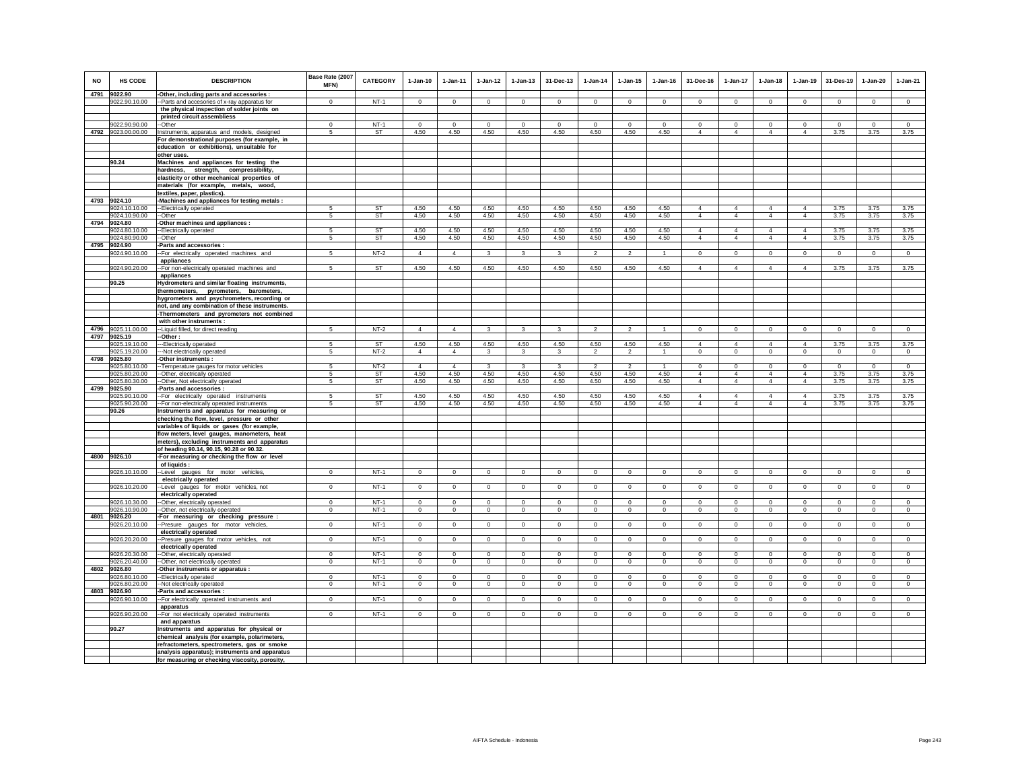| <b>NO</b> | HS CODE                        | <b>DESCRIPTION</b>                                                                          | Base Rate (2007<br>MFN) | CATEGORY  | $1-Jan-10$     | 1-Jan-11       | $1 - Jan-12$   | $1 - Jan-13$   | 31-Dec-13    | $1 - Jan-14$             | $1 - Jan-15$   | 1-Jan-16       | 31-Dec-16                        | $1-Jan-17$                       | $1 - Jan-18$                     | $1 - Jan-19$                     | 31-Des-19      | 1-Jan-20       | $1-Jan-21$     |
|-----------|--------------------------------|---------------------------------------------------------------------------------------------|-------------------------|-----------|----------------|----------------|----------------|----------------|--------------|--------------------------|----------------|----------------|----------------------------------|----------------------------------|----------------------------------|----------------------------------|----------------|----------------|----------------|
|           | 4791 9022.90                   | -Other, including parts and accessories :                                                   |                         |           |                |                |                |                |              |                          |                |                |                                  |                                  |                                  |                                  |                |                |                |
|           | 9022.90.10.00                  | -Parts and accesories of x-ray apparatus for<br>the physical inspection of solder joints on | $\Omega$                | $NT-1$    | $\mathsf 0$    | $\mathbf 0$    | $\mathsf 0$    | $\mathsf 0$    | $\mathbf 0$  | $\mathbb O$              | $\mathsf 0$    | $\Omega$       | $\mathsf 0$                      | $\mathbf 0$                      | $\mathbf 0$                      | $\Omega$                         | $\mathbf 0$    | $\Omega$       | $\mathsf 0$    |
|           |                                | printed circuit assembliess                                                                 |                         |           |                |                |                |                |              |                          |                |                |                                  |                                  |                                  |                                  |                |                |                |
|           | 9022.90.90.00                  | --Other                                                                                     | $^{\circ}$              | $NT-1$    | $^{\circ}$     | $^{\circ}$     | 0              | $^{\circ}$     | $^{\circ}$   | $\mathbf 0$              | $\Omega$       | $^{\circ}$     | $^{\circ}$                       | $^{\circ}$                       | $^{\circ}$                       | $^{\circ}$                       | $^{\circ}$     | $\Omega$       | $^{\circ}$     |
|           | 4792 9023.00.00.00             | Instruments, apparatus and models, designed                                                 | 5                       | ST        | 4.50           | 4.50           | 4.50           | 4.50           | 4.50         | 4.50                     | 4.50           | 4.50           | $\overline{4}$                   | $\overline{4}$                   | $\overline{4}$                   | $\overline{4}$                   | 3.75           | 3.75           | 3.75           |
|           |                                | For demonstrational purposes (for example, in                                               |                         |           |                |                |                |                |              |                          |                |                |                                  |                                  |                                  |                                  |                |                |                |
|           |                                | education or exhibitions), unsuitable for                                                   |                         |           |                |                |                |                |              |                          |                |                |                                  |                                  |                                  |                                  |                |                |                |
|           | 90.24                          | other uses.<br>Machines and appliances for testing the                                      |                         |           |                |                |                |                |              |                          |                |                |                                  |                                  |                                  |                                  |                |                |                |
|           |                                | strength,<br>hardness,<br>compressibility,                                                  |                         |           |                |                |                |                |              |                          |                |                |                                  |                                  |                                  |                                  |                |                |                |
|           |                                | elasticity or other mechanical properties of                                                |                         |           |                |                |                |                |              |                          |                |                |                                  |                                  |                                  |                                  |                |                |                |
|           |                                | materials (for example, metals, wood,                                                       |                         |           |                |                |                |                |              |                          |                |                |                                  |                                  |                                  |                                  |                |                |                |
|           | 4793 9024.10                   | textiles, paper, plastics).                                                                 |                         |           |                |                |                |                |              |                          |                |                |                                  |                                  |                                  |                                  |                |                |                |
|           | 9024.10.10.00                  | -Machines and appliances for testing metals :<br>--Electrically operated                    | 5                       | <b>ST</b> | 4.50           | 4.50           | 4.50           | 4.50           | 4.50         | 4.50                     | 4.50           | 4.50           | $\overline{4}$                   | $\overline{4}$                   | $\overline{4}$                   | $\overline{4}$                   | 3.75           | 3.75           | 3.75           |
|           | 9024.10.90.00                  | -Other                                                                                      | -5                      | ST        | 4.50           | 4.50           | 4.50           | 4.50           | 4.50         | 4.50                     | 4.50           | 4.50           | $\overline{4}$                   | $\overline{4}$                   | $\overline{4}$                   | $\overline{4}$                   | 3.75           | 3.75           | 3.75           |
| 4794      | 9024.80                        | -Other machines and appliances :                                                            |                         |           |                |                |                |                |              |                          |                |                |                                  |                                  |                                  |                                  |                |                |                |
|           | 9024.80.10.00                  | --Electrically operated                                                                     | 5                       | <b>ST</b> | 4.50           | 4.50           | 4.50           | 4.50           | 4.50         | 4.50                     | 4.50           | 4.50           | $\overline{4}$                   | $\overline{4}$                   | $\overline{4}$                   | $\overline{4}$                   | 3.75           | 3.75           | 3.75           |
| 4795      | 9024.80.90.00<br>9024.90       | --Other<br>Parts and accessories :                                                          | -5                      | <b>ST</b> | 4.50           | 4.50           | 4.50           | 4.50           | 4.50         | 4.50                     | 4.50           | 4.50           | $\overline{4}$                   | $\overline{4}$                   | $\overline{4}$                   | $\overline{4}$                   | 3.75           | 3.75           | 3.75           |
|           | 9024.90.10.00                  | -- For electrically operated machines and                                                   |                         | $NT-2$    | $\overline{4}$ | $\overline{4}$ | 3              | 3              | 3            | $\overline{2}$           | $\mathcal{P}$  |                | $\Omega$                         | $\Omega$                         | $\Omega$                         | $\mathbf 0$                      | $\mathbf 0$    | $\mathbf 0$    | $\mathbf 0$    |
|           |                                | appliances                                                                                  |                         |           |                |                |                |                |              |                          |                |                |                                  |                                  |                                  |                                  |                |                |                |
|           | 9024.90.20.00                  | -For non-electrically operated machines and                                                 | 5                       | <b>ST</b> | 4.50           | 4.50           | 4.50           | 4.50           | 4.50         | 4.50                     | 4.50           | 4.50           | $\overline{4}$                   | $\overline{4}$                   | $\overline{4}$                   | $\overline{4}$                   | 3.75           | 3.75           | 3.75           |
|           | 90.25                          | appliances<br>Hydrometers and similar floating instruments,                                 |                         |           |                |                |                |                |              |                          |                |                |                                  |                                  |                                  |                                  |                |                |                |
|           |                                | thermometers, pyrometers, barometers,                                                       |                         |           |                |                |                |                |              |                          |                |                |                                  |                                  |                                  |                                  |                |                |                |
|           |                                | hygrometers and psychrometers, recording or                                                 |                         |           |                |                |                |                |              |                          |                |                |                                  |                                  |                                  |                                  |                |                |                |
|           |                                | not, and any combination of these instruments.                                              |                         |           |                |                |                |                |              |                          |                |                |                                  |                                  |                                  |                                  |                |                |                |
|           |                                | -Thermometers and pyrometers not combined                                                   |                         |           |                |                |                |                |              |                          |                |                |                                  |                                  |                                  |                                  |                |                |                |
| 4796      | 9025.11.00.00                  | with other instruments<br>--Liquid filled, for direct reading                               | 5                       | $NT-2$    | $\overline{4}$ | $\overline{4}$ | $\mathbf{3}$   | 3              | 3            | $\overline{2}$           | $\overline{2}$ | $\overline{1}$ | $\circ$                          | $\circ$                          | $\circ$                          | $\mathbf 0$                      | $\mathbf{0}$   | $\mathbf 0$    | $\circ$        |
|           | 4797 9025.19                   | -Other:                                                                                     |                         |           |                |                |                |                |              |                          |                |                |                                  |                                  |                                  |                                  |                |                |                |
|           | 9025.19.10.00                  | -Electrically operated                                                                      | 5                       | <b>ST</b> | 4.50           | 4.50           | 4.50           | 4.50           | 4.50         | 4.50                     | 4.50           | 4.50           | $\overline{4}$                   | $\overline{4}$                   | $\overline{4}$                   | $\overline{4}$                   | 3.75           | 3.75           | 3.75           |
|           | 9025.19.20.00                  | --Not electrically operated                                                                 | 5                       | $NT-2$    | $\overline{4}$ | $\overline{4}$ | $\mathbf{3}$   | $\mathbf{3}$   | 3            | $\overline{2}$           | $\overline{a}$ | $\overline{1}$ | $\Omega$                         | $\mathbf 0$                      | $\mathbf 0$                      | $\circ$                          | $\mathbf 0$    | $\overline{0}$ | $\mathbf 0$    |
| 4798      | 9025.80<br>9025.80.10.00       | Other instruments:<br>-Temperature gauges for motor vehicles                                | 5                       | $NT-2$    | $\overline{4}$ | $\overline{4}$ | $\mathbf{3}$   | 3              | 3            | $\overline{\phantom{a}}$ | $\mathcal{P}$  |                | $\circ$                          | $\mathbf 0$                      | $\mathbf 0$                      | $\mathbf 0$                      | $\mathbf 0$    | $\circ$        | $\circ$        |
|           | 9025.80.20.00                  | -Other, electrically operated                                                               | 5                       | ST        | 4.50           | 4.50           | 4.50           | 4.50           | 4.50         | 4.50                     | 4.50           | 4.50           | $\overline{4}$                   | $\overline{4}$                   | $\overline{4}$                   | $\overline{4}$                   | 3.75           | 3.75           | 3.75           |
|           | 9025.80.30.00                  | -Other, Not electrically operated                                                           | 5                       | ST        | 4.50           | 4.50           | 4.50           | 4.50           | 4.50         | 4.50                     | 4.50           | 4.50           | $\overline{4}$                   | $\overline{4}$                   | $\overline{4}$                   | $\overline{4}$                   | 3.75           | 3.75           | 3.75           |
| 4799      | 9025.90                        | Parts and accessories :                                                                     |                         |           |                |                |                |                |              |                          |                |                |                                  |                                  |                                  |                                  |                |                |                |
|           | 9025.90.10.00<br>9025.90.20.00 | -- For electrically operated instruments<br>-For non-electrically operated instruments      | 5<br>5                  | ST<br>ST  | 4.50<br>4.50   | 4.50<br>4.50   | 4.50<br>4.50   | 4.50<br>4.50   | 4.50<br>4.50 | 4.50<br>4.50             | 4.50<br>4.50   | 4.50<br>4.50   | $\overline{4}$<br>$\overline{4}$ | $\overline{4}$<br>$\overline{4}$ | $\overline{4}$<br>$\overline{4}$ | $\overline{4}$<br>$\overline{4}$ | 3.75<br>3.75   | 3.75<br>3.75   | 3.75<br>3.75   |
|           | 90.26                          | Instruments and apparatus for measuring or                                                  |                         |           |                |                |                |                |              |                          |                |                |                                  |                                  |                                  |                                  |                |                |                |
|           |                                | checking the flow, level, pressure or other                                                 |                         |           |                |                |                |                |              |                          |                |                |                                  |                                  |                                  |                                  |                |                |                |
|           |                                | variables of liquids or gases (for example,                                                 |                         |           |                |                |                |                |              |                          |                |                |                                  |                                  |                                  |                                  |                |                |                |
|           |                                | flow meters, level gauges, manometers, heat<br>meters), excluding instruments and apparatus |                         |           |                |                |                |                |              |                          |                |                |                                  |                                  |                                  |                                  |                |                |                |
|           |                                | of heading 90.14, 90.15, 90.28 or 90.32.                                                    |                         |           |                |                |                |                |              |                          |                |                |                                  |                                  |                                  |                                  |                |                |                |
| 4800      | 9026.10                        | -For measuring or checking the flow or level                                                |                         |           |                |                |                |                |              |                          |                |                |                                  |                                  |                                  |                                  |                |                |                |
|           |                                | of liquids :                                                                                |                         |           |                |                |                |                |              |                          |                |                |                                  |                                  |                                  |                                  |                |                |                |
|           | 9026.10.10.00                  | --Level gauges for motor vehicles,                                                          | $\mathbf{0}$            | NT-1      | $\mathbf{0}$   | $\circ$        | $\circ$        | $\mathbf 0$    | $\mathbf 0$  | $\mathbf{0}$             | $\mathbf 0$    | $\circ$        | $\mathbf{0}$                     | $\mathbf{0}$                     | $\mathbf{0}$                     | $\circ$                          | $\mathbf{0}$   | $\mathbf 0$    | $\circ$        |
|           | 9026.10.20.00                  | electrically operated<br>-Level gauges for motor vehicles, not                              | $\Omega$                | $NT-1$    | $\Omega$       | $\mathbf{0}$   | $\overline{0}$ | $\mathbf 0$    | $\mathbf 0$  | $\circ$                  | $^{\circ}$     | $\circ$        | $^{\circ}$                       | $\mathbf{0}$                     | $\circ$                          | $\mathbf{0}$                     | $\overline{0}$ | $\mathbf{0}$   | $\overline{0}$ |
|           |                                | electrically operated                                                                       |                         |           |                |                |                |                |              |                          |                |                |                                  |                                  |                                  |                                  |                |                |                |
|           | 9026.10.30.00                  | -Other, electrically operated                                                               | $^{\circ}$              | $NT-1$    | $\mathbf 0$    | $\mathbf 0$    | $\mathbf 0$    | $\mathbf 0$    | $\bf{0}$     | $\mathbf 0$              | $\mathbf 0$    | $\mathbf 0$    | $\mathbf 0$                      | $\mathbf 0$                      | $\mathbf 0$                      | $\mathbf 0$                      | $\mathbf 0$    | $\circ$        | $\mathbf 0$    |
|           | 9026.10.90.00<br>4801 9026.20  | --Other, not electrically operated                                                          | $\mathbf 0$             | $NT-1$    | $\mathsf 0$    | $\circ$        | $\mathbf 0$    | $\overline{0}$ | $\circ$      | $\circ$                  | $\mathsf 0$    | $\mathbf 0$    | $\circ$                          | $\mathsf 0$                      | $\mathbf 0$                      | $\mathbf 0$                      | $\mathbf 0$    | $\mathsf 0$    | $\overline{0}$ |
|           | 9026.20.10.00                  | For measuring or checking pressure<br>--Presure gauges for motor vehicles                   | $\mathbf 0$             | NT-1      | $\mathbf 0$    | $\mathbf 0$    | $\mathbf 0$    | $\mathbf 0$    | $\mathbf 0$  | $\mathbf 0$              | $\mathbf 0$    | $\mathbf 0$    | $\mathbf 0$                      | $\mathbf 0$                      | $\mathbf 0$                      | $^{\circ}$                       | $\mathbf{0}$   | $\mathbf 0$    | $\circ$        |
|           |                                | electrically operated                                                                       |                         |           |                |                |                |                |              |                          |                |                |                                  |                                  |                                  |                                  |                |                |                |
|           | 9026.20.20.00                  | -Presure gauges for motor vehicles, not                                                     | $\mathbf{0}$            | $NT-1$    | $\circ$        | $\mathbf{0}$   | $\overline{0}$ | $\mathbf{0}$   | $\mathbf{0}$ | $\overline{0}$           | $\mathbf 0$    | $\mathbf{0}$   | $^{\circ}$                       | $\mathbf{0}$                     | $^{\circ}$                       | $\overline{0}$                   | $\overline{0}$ | $\mathbf{0}$   | $\mathbf{0}$   |
|           | 9026.20.30.00                  | electrically operated                                                                       | $\mathbf 0$             | $NT-1$    | $\mathbf 0$    | $\mathbf 0$    | $\mathbf 0$    | $\mathbf 0$    | $\mathbf 0$  | $\mathbf 0$              | $\mathbf 0$    | $\mathbf 0$    | $\circ$                          | $\mathbf 0$                      | $\mathbf 0$                      | $\mathbf 0$                      | $^{\circ}$     | $\mathbf 0$    | $\mathbf 0$    |
|           | 9026.20.40.00                  | -Other, electrically operated<br>-Other, not electrically operated                          | $\mathbf 0$             | $NT-1$    | $\mathsf 0$    | $\mathsf 0$    | $\mathsf 0$    | $\mathsf 0$    | $\mathbf 0$  | $\mathsf 0$              | $\mathsf 0$    | $\circ$        | $\mathsf 0$                      | $\mathbf 0$                      | $\mathbf 0$                      | $\mathbf 0$                      | $\mathbf 0$    | $\mathbf 0$    | $\mathbb O$    |
| 4802      | 9026.80                        | -Other instruments or apparatus :                                                           |                         |           |                |                |                |                |              |                          |                |                |                                  |                                  |                                  |                                  |                |                |                |
|           | 9026.80.10.00                  | --Electrically operated                                                                     | $\Omega$                | $NT-1$    | $\Omega$       | $\Omega$       | $\mathbf{0}$   | $\Omega$       | $\Omega$     | $\Omega$                 | $\Omega$       | $\Omega$       | $\Omega$                         | $\mathbf{0}$                     | $\Omega$                         | $\Omega$                         | $\mathbf 0$    | $\Omega$       | $\circ$        |
|           | 9026.80.20.00<br>4803 9026.90  | -- Not electrically operated                                                                | $\mathbf 0$             | NT-1      | $\mathbf{0}$   | $\mathbf 0$    | $\circ$        | $\mathbf 0$    | $\mathbf 0$  | $\mathbf 0$              | $\mathbf 0$    | $\mathbf 0$    | $\circ$                          | 0                                | $\mathbf{0}$                     | $\mathbf 0$                      | $\mathbf 0$    | $\mathbf 0$    | $\mathbf 0$    |
|           | 9026.90.10.00                  | -Parts and accessories :<br>-- For electrically operated instruments and                    | $^{\circ}$              | NT-1      | $^{\circ}$     | $\circ$        | $\mathbf{0}$   | 0              | $\mathbf 0$  | $\mathbf 0$              | 0              | $\overline{0}$ | $^{\circ}$                       | 0                                | $^{\circ}$                       | 0                                | $\mathbf{0}$   | 0              | $^{\circ}$     |
|           |                                | apparatus                                                                                   |                         |           |                |                |                |                |              |                          |                |                |                                  |                                  |                                  |                                  |                |                |                |
|           | 9026.90.20.00                  | -- For not electrically operated instruments                                                | $\Omega$                | $NT-1$    | $\Omega$       | $\mathbf 0$    | $\mathbf 0$    | $\mathbf 0$    | $\Omega$     | $\Omega$                 | $\mathbf 0$    | $\mathbf 0$    | $\circ$                          | $\Omega$                         | $\Omega$                         | $\mathbf 0$                      | $\mathbf 0$    | $\mathbf 0$    | $\Omega$       |
|           |                                | and apparatus                                                                               |                         |           |                |                |                |                |              |                          |                |                |                                  |                                  |                                  |                                  |                |                |                |
|           | 90.27                          | Instruments and apparatus for physical or<br>chemical analysis (for example, polarimeters   |                         |           |                |                |                |                |              |                          |                |                |                                  |                                  |                                  |                                  |                |                |                |
|           |                                | refractometers, spectrometers, gas or smoke                                                 |                         |           |                |                |                |                |              |                          |                |                |                                  |                                  |                                  |                                  |                |                |                |
|           |                                | analysis apparatus); instruments and apparatus                                              |                         |           |                |                |                |                |              |                          |                |                |                                  |                                  |                                  |                                  |                |                |                |
|           |                                | for measuring or checking viscosity, porosity,                                              |                         |           |                |                |                |                |              |                          |                |                |                                  |                                  |                                  |                                  |                |                |                |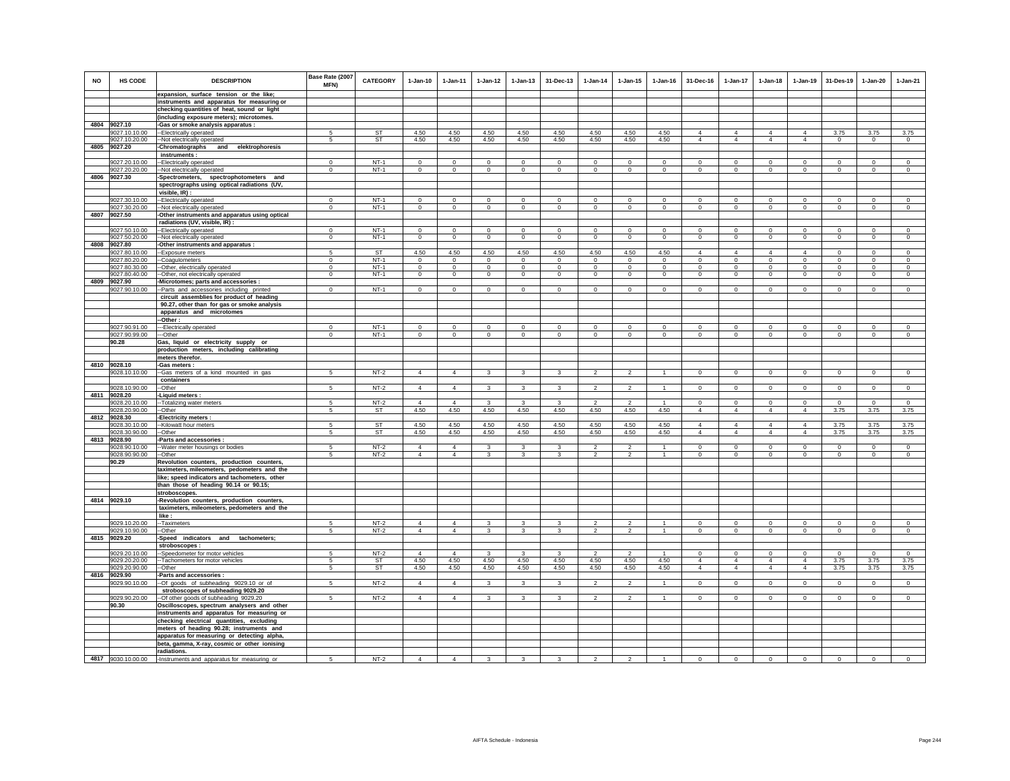| <b>NO</b> | HS CODE                        | <b>DESCRIPTION</b>                                                                          | Base Rate (2007<br>MFN)    | <b>CATEGORY</b>  | $1-Jan-10$                | 1-Jan-11                   | $1 - Jan-12$                  | $1 - Jan-13$               | 31-Dec-13               | $1-Jan-14$                    | $1 - Jan-15$               | $1 - Jan-16$              | 31-Dec-16                        | $1-Jan-17$                    | $1-Jan-18$                       | $1 - Jan-19$           | 31-Des-19                    | $1-Jan-20$                 | $1-Jan-21$                    |
|-----------|--------------------------------|---------------------------------------------------------------------------------------------|----------------------------|------------------|---------------------------|----------------------------|-------------------------------|----------------------------|-------------------------|-------------------------------|----------------------------|---------------------------|----------------------------------|-------------------------------|----------------------------------|------------------------|------------------------------|----------------------------|-------------------------------|
|           |                                | expansion, surface tension or the like;                                                     |                            |                  |                           |                            |                               |                            |                         |                               |                            |                           |                                  |                               |                                  |                        |                              |                            |                               |
|           |                                | instruments and apparatus for measuring or<br>checking quantities of heat, sound or light   |                            |                  |                           |                            |                               |                            |                         |                               |                            |                           |                                  |                               |                                  |                        |                              |                            |                               |
|           |                                | (including exposure meters); microtomes.                                                    |                            |                  |                           |                            |                               |                            |                         |                               |                            |                           |                                  |                               |                                  |                        |                              |                            |                               |
|           | 4804 9027.10                   | Gas or smoke analysis apparatus :                                                           |                            |                  |                           |                            |                               |                            |                         |                               |                            |                           |                                  |                               |                                  |                        |                              |                            |                               |
|           | 9027.10.10.00                  | -Electrically operated                                                                      | 5                          | ST               | 4.50                      | 4.50                       | 4.50                          | 4.50                       | 4.50                    | 4.50                          | 4.50                       | 4.50                      | $\overline{4}$                   | $\overline{4}$                | $\overline{4}$                   | $\overline{4}$         | 3.75                         | 3.75                       | 3.75                          |
|           | 9027.10.20.00                  | -Not electrically operated                                                                  | -5                         | ST               | 4.50                      | 4.50                       | 4.50                          | 4.50                       | 4.50                    | 4.50                          | 4.50                       | 4.50                      | $\overline{4}$                   | $\overline{4}$                | $\overline{4}$                   | $\overline{4}$         | $\mathbf{0}$                 | $^{\circ}$                 | $\circ$                       |
| 4805      | 9027.20                        | Chromatographs<br>and elektrophoresis                                                       |                            |                  |                           |                            |                               |                            |                         |                               |                            |                           |                                  |                               |                                  |                        |                              |                            |                               |
|           |                                | instruments :                                                                               |                            |                  |                           |                            |                               |                            |                         |                               |                            |                           |                                  |                               |                                  |                        |                              |                            |                               |
|           | 9027.20.10.00                  | -Electrically operated                                                                      | $^{\circ}$                 | $NT-1$<br>$NT-1$ | $\Omega$<br>$\Omega$      | $\mathbf 0$                | $\mathbf 0$<br>$\circ$        | $\mathbf 0$                | $\mathbf 0$<br>$\Omega$ | $\mathbf 0$<br>$\Omega$       | $\mathbf 0$<br>$\Omega$    | $\mathbf 0$<br>$\Omega$   | $\mathbf 0$<br>$\Omega$          | $\mathbf 0$                   | $\Omega$<br>$\Omega$             | $^{\circ}$<br>$\Omega$ | $\mathbf 0$<br>$\Omega$      | $\mathbf 0$<br>$\Omega$    | $\Omega$<br>$\circ$           |
|           | 9027.20.20.00<br>4806 9027.30  | -Not electrically operated<br>Spectrometers, spectrophotometers and                         | $\Omega$                   |                  |                           | $\circ$                    |                               | $\mathsf 0$                |                         |                               |                            |                           |                                  | $\mathbf 0$                   |                                  |                        |                              |                            |                               |
|           |                                | spectrographs using optical radiations (UV,                                                 |                            |                  |                           |                            |                               |                            |                         |                               |                            |                           |                                  |                               |                                  |                        |                              |                            |                               |
|           |                                | visible, IR) :                                                                              |                            |                  |                           |                            |                               |                            |                         |                               |                            |                           |                                  |                               |                                  |                        |                              |                            |                               |
|           | 9027.30.10.00                  | --Electrically operated                                                                     | $\mathbf{0}$               | $NT-1$           | $\mathbf{0}$              | $\mathbf 0$                | $\circ$                       | $\mathbf 0$                | $\mathbf 0$             | $\mathbf 0$                   | $\mathbf 0$                | $\mathbf{0}$              | $\circ$                          | 0                             | $\mathbf{0}$                     | $\mathbf 0$            | $\circ$                      | $\mathbf 0$                | $\mathbf 0$                   |
|           | 9027.30.20.00                  | --Not electrically operated                                                                 | $\Omega$                   | $NT-1$           | $\Omega$                  | $\Omega$                   | $\overline{0}$                | $\mathbf 0$                | $\overline{0}$          | $\circ$                       | $\Omega$                   | $\Omega$                  | $\Omega$                         | $\overline{0}$                | $\Omega$                         | $\overline{0}$         | $\overline{0}$               | $\Omega$                   | $\Omega$                      |
|           | 4807 9027.50                   | -Other instruments and apparatus using optical                                              |                            |                  |                           |                            |                               |                            |                         |                               |                            |                           |                                  |                               |                                  |                        |                              |                            |                               |
|           |                                | radiations (UV, visible, IR) :                                                              |                            |                  |                           |                            |                               |                            |                         |                               |                            |                           |                                  |                               |                                  |                        |                              |                            |                               |
|           | 9027.50.10.00<br>9027.50.20.00 | -Electrically operated<br>-- Not electrically operated                                      | $\mathbf 0$<br>$\mathbf 0$ | $NT-1$<br>$NT-1$ | $^{\circ}$<br>$\mathsf 0$ | $\mathbf 0$<br>$\mathsf 0$ | $\mathbf 0$<br>$\overline{0}$ | $\mathbf 0$<br>$\mathbf 0$ | $\mathbf 0$<br>$\,0\,$  | $\mathbf 0$<br>$\overline{0}$ | $\mathbf 0$<br>$\mathsf 0$ | $^{\circ}$<br>$\mathsf 0$ | $^{\circ}$<br>$\mathsf 0$        | $\mathbf 0$<br>$\overline{0}$ | $\mathbf 0$<br>$\mathbf 0$       | $^{\circ}$<br>$\,0\,$  | $^{\circ}$<br>$\overline{0}$ | $\mathbf 0$<br>$\mathsf 0$ | $\mathbf 0$<br>$\overline{0}$ |
|           | 4808 9027.80                   | -Other instruments and apparatus :                                                          |                            |                  |                           |                            |                               |                            |                         |                               |                            |                           |                                  |                               |                                  |                        |                              |                            |                               |
|           | 9027.80.10.00                  | -- Exposure meters                                                                          | 5                          | <b>ST</b>        | 4.50                      | 4.50                       | 4.50                          | 4.50                       | 4.50                    | 4.50                          | 4.50                       | 4.50                      | $\overline{4}$                   | 4                             | $\overline{4}$                   | $\overline{4}$         | $\circ$                      | $\mathbf 0$                | $\mathbf 0$                   |
|           | 9027.80.20.00                  | -Coagulometers                                                                              | $\mathbf 0$                | $NT-1$           | $\circ$                   | $\circ$                    | $\circ$                       | $\mathbf 0$                | $\mathbf 0$             | $^{\circ}$                    | $\mathbf 0$                | $\circ$                   | $\circ$                          | $\mathbf 0$                   | $\mathbf 0$                      | $\mathbf 0$            | $\mathbf 0$                  | $\mathbf 0$                | $\circ$                       |
|           | 9027.80.30.00                  | -Other, electrically operated                                                               | $\Omega$                   | $NT-1$           | $\mathbf 0$               | $^{\circ}$                 | $\mathsf 0$                   | $\mathbf 0$                | $\mathbf{0}$            | $\mathbf 0$                   | $\mathbf 0$                | $\mathbf{0}$              | $\Omega$                         | $\mathbf 0$                   | $^{\circ}$                       | $\circ$                | $\mathbf 0$                  | $\mathbf 0$                | $\circ$                       |
|           | 9027.80.40.00                  | -Other, not electrically operated                                                           | $\mathbf 0$                | $NT-1$           | $\circ$                   | $\Omega$                   | $\mathbf{0}$                  | $\mathsf 0$                | $\overline{0}$          | $\Omega$                      | $\mathbf 0$                | $\circ$                   | $\circ$                          | $\mathbf 0$                   | $\Omega$                         | $\mathbf 0$            | $\mathbf 0$                  | $\Omega$                   | $\Omega$                      |
| 4809      | 9027.90<br>9027.90.10.00       | Microtomes; parts and accessories :<br>-Parts and accessories including printed             | $\Omega$                   | $NT-1$           | $\Omega$                  | $\Omega$                   | $\circ$                       | $\Omega$                   | $\Omega$                | $\Omega$                      | $\Omega$                   | $\Omega$                  | $\Omega$                         | $\mathbf 0$                   | $\Omega$                         | $\Omega$               | $\Omega$                     | $\Omega$                   | $\circ$                       |
|           |                                | circuit assemblies for product of heading                                                   |                            |                  |                           |                            |                               |                            |                         |                               |                            |                           |                                  |                               |                                  |                        |                              |                            |                               |
|           |                                | 90.27, other than for gas or smoke analysis                                                 |                            |                  |                           |                            |                               |                            |                         |                               |                            |                           |                                  |                               |                                  |                        |                              |                            |                               |
|           |                                | apparatus and microtomes                                                                    |                            |                  |                           |                            |                               |                            |                         |                               |                            |                           |                                  |                               |                                  |                        |                              |                            |                               |
|           |                                | -Other:                                                                                     |                            |                  |                           |                            |                               |                            |                         |                               |                            |                           |                                  |                               |                                  |                        |                              |                            |                               |
|           | 9027.90.91.00                  | ---Electrically operated                                                                    | $\mathbf 0$                | $NT-1$           | $\circ$                   | $\mathbf 0$                | $\circ$                       | $\mathbf 0$                | $\mathbf 0$             | $\mathbf 0$                   | $\mathbf 0$                | $^{\circ}$                | $\circ$                          | $\mathbf 0$                   | $\circ$                          | $\mathbf 0$            | $\circ$                      | $\mathbf 0$                | $\circ$                       |
|           | 9027.90.99.00<br>90.28         | --Other<br>Gas, liquid or electricity supply or                                             | $^{\circ}$                 | $NT-1$           | $^{\circ}$                | $\circ$                    | $\mathbf{0}$                  | $\mathbf 0$                | $^{\circ}$              | $\mathbf{0}$                  | 0                          | $^{\circ}$                | $\circ$                          | $\mathbf{0}$                  | $^{\circ}$                       | $\mathbf{0}$           | $\,0\,$                      | $\circ$                    | $^{\circ}$                    |
|           |                                | production meters, including calibrating                                                    |                            |                  |                           |                            |                               |                            |                         |                               |                            |                           |                                  |                               |                                  |                        |                              |                            |                               |
|           |                                | meters therefor.                                                                            |                            |                  |                           |                            |                               |                            |                         |                               |                            |                           |                                  |                               |                                  |                        |                              |                            |                               |
|           | 4810 9028.10                   | -Gas meters :                                                                               |                            |                  |                           |                            |                               |                            |                         |                               |                            |                           |                                  |                               |                                  |                        |                              |                            |                               |
|           | 9028.10.10.00                  | -Gas meters of a kind mounted in gas                                                        | 5                          | $NT-2$           | $\overline{4}$            | $\overline{4}$             | $\mathbf{3}$                  | 3                          | $\mathbf{3}$            | $\overline{2}$                | $\overline{2}$             | $\mathbf{1}$              | $\mathbf{0}$                     | $\mathsf 0$                   | $\mathbf{0}$                     | $\mathbf 0$            | $\,0\,$                      | $\mathbf{0}$               | $\mathsf 0$                   |
|           | 9028.10.90.00                  | containers<br>-Other                                                                        | 5                          | $NT-2$           | $\overline{4}$            | $\overline{4}$             | 3                             | 3                          | 3                       | $\overline{2}$                | $\overline{2}$             |                           | $\overline{0}$                   | $\overline{0}$                | $\overline{0}$                   | $\overline{0}$         | $\overline{0}$               | $\overline{0}$             | $\overline{0}$                |
| 4811      | 9028.20                        | Liquid meters:                                                                              |                            |                  |                           |                            |                               |                            |                         |                               |                            |                           |                                  |                               |                                  |                        |                              |                            |                               |
|           | 9028.20.10.00                  | -Totalizing water meters                                                                    | 5                          | $NT-2$           | $\overline{4}$            | $\overline{4}$             | 3                             | 3                          | 3                       | $\overline{\phantom{a}}$      | $\mathcal{P}$              |                           | $\circ$                          | $\mathbf 0$                   | $\circ$                          | $\mathbf 0$            | $\circ$                      | $\mathbf 0$                | $\circ$                       |
|           | 9028.20.90.00                  | -Other                                                                                      | 5                          | ST               | 4.50                      | 4.50                       | 4.50                          | 4.50                       | 4.50                    | 4.50                          | 4.50                       | 4.50                      | $\overline{4}$                   | $\overline{4}$                | $\overline{4}$                   | $\overline{4}$         | 3.75                         | 3.75                       | 3.75                          |
| 4812      | 9028.30                        | Electricity meters :                                                                        |                            |                  |                           |                            |                               |                            |                         |                               |                            |                           |                                  |                               |                                  |                        |                              |                            |                               |
|           | 9028.30.10.00                  | -Kilowatt hour meters                                                                       | 5                          | <b>ST</b><br>ST  | 4.50                      | 4.50                       | 4.50                          | 4.50                       | 4.50                    | 4.50                          | 4.50                       | 4.50                      | $\overline{4}$<br>$\overline{4}$ | 4<br>$\overline{4}$           | $\overline{4}$<br>$\overline{4}$ | $\overline{4}$         | 3.75                         | 3.75                       | 3.75                          |
| 4813      | 9028.30.90.00<br>9028.90       | -Other<br>-Parts and accessories :                                                          | 5                          |                  | 4.50                      | 4.50                       | 4.50                          | 4.50                       | 4.50                    | 4.50                          | 4.50                       | 4.50                      |                                  |                               |                                  | $\overline{4}$         | 3.75                         | 3.75                       | 3.75                          |
|           | 9028.90.10.00                  | -Water meter housings or bodies                                                             | 5                          | $NT-2$           | $\Delta$                  | $\Delta$                   | $\mathbf{3}$                  | 3                          | 3                       | $\mathfrak{p}$                | $\overline{2}$             | $\mathbf{1}$              | $\Omega$                         | $\mathbf{0}$                  | $\mathbf 0$                      | $\mathbf 0$            | $\Omega$                     | $\mathbf{0}$               | $\circ$                       |
|           | 9028.90.90.00                  | --Other                                                                                     | 5                          | $NT-2$           | $\overline{4}$            | $\overline{4}$             | 3                             | 3                          | 3                       | $\mathfrak{p}$                | $\overline{2}$             |                           | $\Omega$                         | $\mathbf 0$                   | $\Omega$                         | $\mathbf 0$            | $\mathbf 0$                  | $\mathbf 0$                | $\circ$                       |
|           | 90.29                          | Revolution counters, production counters,                                                   |                            |                  |                           |                            |                               |                            |                         |                               |                            |                           |                                  |                               |                                  |                        |                              |                            |                               |
|           |                                | taximeters, mileometers, pedometers and the                                                 |                            |                  |                           |                            |                               |                            |                         |                               |                            |                           |                                  |                               |                                  |                        |                              |                            |                               |
|           |                                | like; speed indicators and tachometers, other<br>than those of heading 90.14 or 90.15;      |                            |                  |                           |                            |                               |                            |                         |                               |                            |                           |                                  |                               |                                  |                        |                              |                            |                               |
|           |                                | stroboscopes.                                                                               |                            |                  |                           |                            |                               |                            |                         |                               |                            |                           |                                  |                               |                                  |                        |                              |                            |                               |
|           | 4814 9029.10                   | -Revolution counters, production counters,                                                  |                            |                  |                           |                            |                               |                            |                         |                               |                            |                           |                                  |                               |                                  |                        |                              |                            |                               |
|           |                                | taximeters, mileometers, pedometers and the                                                 |                            |                  |                           |                            |                               |                            |                         |                               |                            |                           |                                  |                               |                                  |                        |                              |                            |                               |
|           |                                | like:                                                                                       |                            |                  |                           |                            |                               |                            |                         |                               |                            |                           |                                  |                               |                                  |                        |                              |                            |                               |
|           | 9029.10.20.00                  | --Taximeters                                                                                | 5                          | $NT-2$           | $\Delta$                  | $\overline{4}$             | $\mathbf{3}$                  | 3                          | 3                       | $\overline{2}$                | $\overline{c}$             | $\mathbf{1}$              | $\Omega$                         | $\mathbf 0$                   | $\Omega$                         | $^{\circ}$             | $\mathbf 0$                  | $^{\circ}$                 | $\mathbf 0$                   |
|           | 9029.10.90.00                  | -Other                                                                                      | 5                          | $NT-2$           | $\overline{4}$            | $\overline{4}$             | $\mathbf{3}$                  | $\mathbf{3}$               | $\mathbf{3}$            | $\overline{2}$                | $\overline{2}$             | $\overline{1}$            | $\mathbf 0$                      | $\circ$                       | $\mathbf 0$                      | $\mathbf 0$            | $\mathbf 0$                  | $\mathsf 0$                | $\mathsf 0$                   |
|           | 4815 9029.20                   | Speed indicators and tachometers;<br>stroboscopes :                                         |                            |                  |                           |                            |                               |                            |                         |                               |                            |                           |                                  |                               |                                  |                        |                              |                            |                               |
|           | 9029.20.10.00                  | -Speedometer for motor vehicles                                                             | 5                          | $NT-2$           | $\overline{4}$            | $\overline{4}$             | 3                             | 3                          | 3                       | $\overline{\phantom{a}}$      | $\overline{2}$             | $\mathbf{1}$              | $\circ$                          | $\mathbf 0$                   | $\circ$                          | $\mathbf 0$            | $\circ$                      | $\circ$                    | $\circ$                       |
|           | 9029.20.20.00                  | -Tachometers for motor vehicles                                                             | -5                         | ST               | 4.50                      | 4.50                       | 4.50                          | 4.50                       | 4.50                    | 4.50                          | 4.50                       | 4.50                      | $\overline{4}$                   | 4                             | $\overline{4}$                   | $\overline{4}$         | 3.75                         | 3.75                       | 3.75                          |
|           | 9029.20.90.00                  | -Other                                                                                      | 5                          | ST               | 4.50                      | 4.50                       | 4.50                          | 4.50                       | 4.50                    | 4.50                          | 4.50                       | 4.50                      | $\overline{4}$                   | $\overline{4}$                | $\overline{4}$                   | $\overline{4}$         | 3.75                         | 3.75                       | 3.75                          |
| 4816      | 9029.90                        | Parts and accessories :                                                                     |                            |                  |                           |                            |                               |                            |                         |                               |                            |                           |                                  |                               |                                  |                        |                              |                            |                               |
|           | 9029.90.10.00                  | -Of goods of subheading 9029.10 or of                                                       | 5                          | $NT-2$           | $\overline{4}$            | $\overline{4}$             | $\mathbf{3}$                  | 3                          | 3                       | $\overline{2}$                | $\overline{2}$             | $\mathbf{1}$              | $\mathbf 0$                      | $\mathsf 0$                   | $\mathbf{0}$                     | $\mathbf 0$            | $\mathbf 0$                  | $\mathbf 0$                | $\mathsf 0$                   |
|           | 9029.90.20.00                  | stroboscopes of subheading 9029.20<br>-Of other goods of subheading 9029.20                 | $5^{\circ}$                | $NT-2$           | $\overline{4}$            | $\overline{4}$             | $\mathbf{3}$                  | 3                          | 3                       | $\overline{2}$                | $\overline{2}$             | $\mathbf{1}$              | $\mathbf 0$                      | $\mathbf 0$                   | $\mathbf 0$                      | $\mathbf 0$            | $\mathbf 0$                  | $\mathsf 0$                | $\mathsf 0$                   |
|           | 90.30                          | Oscilloscopes, spectrum analysers and other                                                 |                            |                  |                           |                            |                               |                            |                         |                               |                            |                           |                                  |                               |                                  |                        |                              |                            |                               |
|           |                                | instruments and apparatus for measuring or                                                  |                            |                  |                           |                            |                               |                            |                         |                               |                            |                           |                                  |                               |                                  |                        |                              |                            |                               |
|           |                                | checking electrical quantities, excluding                                                   |                            |                  |                           |                            |                               |                            |                         |                               |                            |                           |                                  |                               |                                  |                        |                              |                            |                               |
|           |                                | meters of heading 90.28; instruments and                                                    |                            |                  |                           |                            |                               |                            |                         |                               |                            |                           |                                  |                               |                                  |                        |                              |                            |                               |
|           |                                | apparatus for measuring or detecting alpha,<br>beta, gamma, X-ray, cosmic or other ionising |                            |                  |                           |                            |                               |                            |                         |                               |                            |                           |                                  |                               |                                  |                        |                              |                            |                               |
|           |                                | radiations.                                                                                 |                            |                  |                           |                            |                               |                            |                         |                               |                            |                           |                                  |                               |                                  |                        |                              |                            |                               |
|           | 4817 9030.10.00.00             | -Instruments and apparatus for measuring or                                                 |                            | $NT-2$           | $\overline{4}$            | $\overline{4}$             | 3                             | 3                          | 3                       | $\overline{c}$                | $\overline{2}$             |                           | $\mathsf 0$                      | $\mathbf 0$                   | $\mathbf 0$                      | $\mathbf 0$            | $\mathbf 0$                  | $\mathbf 0$                | $\mathbf 0$                   |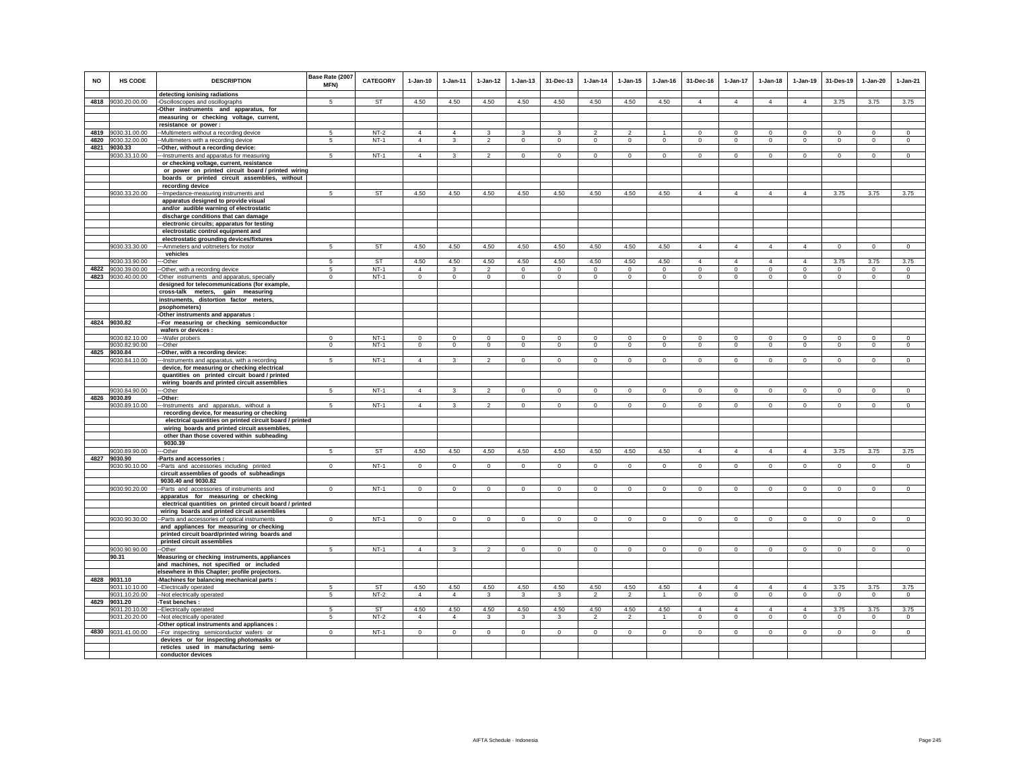| NO   | HS CODE                        | <b>DESCRIPTION</b>                                                                 | Base Rate (2007<br>MFN) | CATEGORY  | $1-Jan-10$     | 1-Jan-11       | $1 - Jan-12$   | $1 - Jan-13$        | 31-Dec-13      | $1 - Jan-14$   | $1 - Jan-15$   | $1 - Jan-16$   | 31-Dec-16      | $1-Jan-17$     | $1-Jan-18$     | $1-Jan-19$     | 31-Des-19       | $1-Jan-20$          | $1-Jan-21$     |
|------|--------------------------------|------------------------------------------------------------------------------------|-------------------------|-----------|----------------|----------------|----------------|---------------------|----------------|----------------|----------------|----------------|----------------|----------------|----------------|----------------|-----------------|---------------------|----------------|
|      | 4818 9030.20.00.00             | detecting ionising radiations<br>-Oscilloscopes and oscillographs                  | 5                       | <b>ST</b> | 4.50           | 4.50           | 4.50           | 4.50                | 4.50           | 4.50           | 4.50           | 4.50           | $\overline{4}$ | $\overline{4}$ | $\overline{4}$ | $\overline{4}$ | 3.75            | 3.75                | 3.75           |
|      |                                | -Other instruments and apparatus, for                                              |                         |           |                |                |                |                     |                |                |                |                |                |                |                |                |                 |                     |                |
|      |                                | measuring or checking voltage, current,                                            |                         |           |                |                |                |                     |                |                |                |                |                |                |                |                |                 |                     |                |
|      |                                | resistance or power:                                                               |                         |           |                |                |                |                     |                |                |                |                |                |                |                |                |                 |                     |                |
| 4819 | 9030.31.00.00                  | -Multimeters without a recording device                                            | 5                       | $NT-2$    | $\overline{4}$ | $\overline{4}$ | 3              | 3                   | 3              | $\overline{2}$ | $\overline{2}$ |                | $\mathbf 0$    | $\mathbf 0$    | $\mathbf 0$    | $\mathbf 0$    | $^{\circ}$      | $\mathbf 0$         | $\circ$        |
|      | 4820 9030.32.00.00             | -Multimeters with a recording device                                               | 5                       | $NT-1$    | $\overline{4}$ | 3              | $\overline{2}$ | $\mathbf 0$         | $\mathbf 0$    | $\circ$        | $\mathbf 0$    | $\mathbf 0$    | $\circ$        | $\mathbf 0$    | $\circ$        | $\mathbf 0$    | $\mathbf{0}$    | $\mathbf 0$         | $\circ$        |
|      | 4821 9030.33<br>9030.33.10.00  | -Other, without a recording device:<br>-Instruments and apparatus for measuring    | -5                      | $NT-1$    | $\Delta$       | 3              | $\mathfrak{p}$ | $\Omega$            | $\mathbf 0$    | $\circ$        | $^{\circ}$     | $\circ$        | $\Omega$       | $\Omega$       | $\Omega$       | $\circ$        | $\Omega$        | $\Omega$            | $\circ$        |
|      |                                | or checking voltage, current, resistance                                           |                         |           |                |                |                |                     |                |                |                |                |                |                |                |                |                 |                     |                |
|      |                                | or power on printed circuit board / printed wiring                                 |                         |           |                |                |                |                     |                |                |                |                |                |                |                |                |                 |                     |                |
|      |                                | boards or printed circuit assemblies, without                                      |                         |           |                |                |                |                     |                |                |                |                |                |                |                |                |                 |                     |                |
|      |                                | recording device                                                                   |                         |           |                |                |                |                     |                |                |                |                |                |                |                |                |                 |                     |                |
|      | 9030.33.20.00                  | -Impedance-measuring instruments and<br>apparatus designed to provide visual       | -5                      | <b>ST</b> | 4.50           | 4.50           | 4.50           | 4.50                | 4.50           | 4.50           | 4.50           | 4.50           | $\overline{4}$ | $\overline{4}$ | $\overline{4}$ | $\overline{4}$ | 3.75            | 3.75                | 3.75           |
|      |                                | and/or audible warning of electrostatic                                            |                         |           |                |                |                |                     |                |                |                |                |                |                |                |                |                 |                     |                |
|      |                                | discharge conditions that can damage                                               |                         |           |                |                |                |                     |                |                |                |                |                |                |                |                |                 |                     |                |
|      |                                | electronic circuits; apparatus for testing                                         |                         |           |                |                |                |                     |                |                |                |                |                |                |                |                |                 |                     |                |
|      |                                | electrostatic control equipment and                                                |                         |           |                |                |                |                     |                |                |                |                |                |                |                |                |                 |                     |                |
|      |                                | electrostatic grounding devices/fixtures                                           |                         |           |                |                |                |                     |                |                |                |                |                |                |                |                |                 |                     |                |
|      | 9030.33.30.00                  | -Ammeters and voltmeters for motor                                                 | 5                       | ST        | 4.50           | 4.50           | 4.50           | 4.50                | 4.50           | 4.50           | 4.50           | 4.50           | $\overline{4}$ | $\overline{4}$ | $\overline{4}$ | $\overline{4}$ | $\overline{0}$  | $\mathbf{0}$        | $\overline{0}$ |
|      | 9030.33.90.00                  | vehicles<br>--Other                                                                | -5                      | ST        | 4.50           | 4.50           | 4.50           | 4.50                | 4.50           | 4.50           | 4.50           | 4.50           | $\overline{4}$ | $\overline{4}$ | $\overline{4}$ | $\overline{4}$ | 3.75            | 3.75                | 3.75           |
| 4822 | 9030.39.00.00                  | -Other, with a recording device                                                    | 5                       | $NT-1$    | $\overline{4}$ | 3              | $\mathfrak{p}$ | $\Omega$            | $\Omega$       | $\Omega$       | $\Omega$       | $\Omega$       | $\circ$        | $\mathbf{0}$   | $\circ$        | $\mathbf 0$    | $\circ$         | $\Omega$            | $\circ$        |
| 4823 | 9030.40.00.00                  | -Other instruments and apparatus, specially                                        | $\mathbf 0$             | $NT-1$    | $\mathsf 0$    | $\mathsf 0$    | $\mathbf 0$    | $\mathsf{O}\xspace$ | $\mathbf 0$    | $\mathsf 0$    | $\mathsf 0$    | $\mathsf 0$    | $\mathsf 0$    | $\mathbf{0}$   | $\mathbf 0$    | $\mathbf 0$    | $\circ$         | $\mathsf 0$         | $\mathsf 0$    |
|      |                                | designed for telecommunications (for example,                                      |                         |           |                |                |                |                     |                |                |                |                |                |                |                |                |                 |                     |                |
|      |                                | cross-talk meters, gain measuring                                                  |                         |           |                |                |                |                     |                |                |                |                |                |                |                |                |                 |                     |                |
|      |                                | instruments, distortion factor meters,                                             |                         |           |                |                |                |                     |                |                |                |                |                |                |                |                |                 |                     |                |
|      |                                | psophometers)<br>-Other instruments and apparatus :                                |                         |           |                |                |                |                     |                |                |                |                |                |                |                |                |                 |                     |                |
|      | 4824 9030.82                   | -For measuring or checking semiconductor                                           |                         |           |                |                |                |                     |                |                |                |                |                |                |                |                |                 |                     |                |
|      |                                | wafers or devices :                                                                |                         |           |                |                |                |                     |                |                |                |                |                |                |                |                |                 |                     |                |
|      | 9030.82.10.00                  | --Wafer probers                                                                    | $^{\circ}$              | $NT-1$    | $\mathbf 0$    | $\mathbf 0$    | $\mathbf 0$    | $\mathbf 0$         | $\mathbf 0$    | $\mathbf 0$    | $\mathbf 0$    | $\mathbf 0$    | $\mathbf 0$    | $\mathbf 0$    | $\mathbf 0$    | $^{\circ}$     | $^{\circ}$      | $\mathbf 0$         | $\circ$        |
|      | 9030.82.90.00                  | --Other                                                                            | $^{\circ}$              | $NT-1$    | $\mathbf 0$    | $\mathbf{0}$   | $\mathbf{0}$   | $\mathbf 0$         | $\mathbf{0}$   | $\overline{0}$ | $\mathbf 0$    | $\mathbf{0}$   | $\circ$        | $\mathbf{0}$   | $\mathbf{0}$   | $\overline{0}$ | $\mathbf{0}$    | $\mathbf{0}$        | $\overline{0}$ |
|      | 4825 9030.84<br>9030.84.10.00  | -Other, with a recording device:<br>-Instruments and apparatus, with a recording   | -5                      | $NT-1$    | $\overline{4}$ | 3              | $\mathfrak{p}$ | $\mathbf 0$         | $\Omega$       | $\Omega$       | $^{\circ}$     | $\circ$        | $\Omega$       | $\circ$        | $\circ$        | $\circ$        | $\circ$         | $\Omega$            | $\circ$        |
|      |                                | device, for measuring or checking electrical                                       |                         |           |                |                |                |                     |                |                |                |                |                |                |                |                |                 |                     |                |
|      |                                | quantities on printed circuit board / printed                                      |                         |           |                |                |                |                     |                |                |                |                |                |                |                |                |                 |                     |                |
|      |                                | wiring boards and printed circuit assemblies                                       |                         |           |                |                |                |                     |                |                |                |                |                |                |                |                |                 |                     |                |
|      | 9030.84.90.00                  | -Other                                                                             | $5\overline{5}$         | $NT-1$    | $\overline{4}$ | $\overline{3}$ | $\overline{2}$ | $\mathbf 0$         | $\mathbf{0}$   | $\circ$        | $^{\circ}$     | $\circ$        | $^{\circ}$     | $\mathbf{0}$   | $\circ$        | $\circ$        | $\circ$         | $^{\circ}$          | $\overline{0}$ |
|      | 4826 9030.89<br>9030.89.10.00  | --Other:<br>-Instruments and apparatus, without a                                  | $5\overline{5}$         | $NT-1$    | $\overline{4}$ | 3              | $\overline{2}$ | $\overline{0}$      | $\overline{0}$ | $\overline{0}$ | $\overline{0}$ | $\overline{0}$ | $\overline{0}$ | $\overline{0}$ | $\overline{0}$ | $\overline{0}$ | $\overline{0}$  | $\overline{0}$      | $\overline{0}$ |
|      |                                | recording device, for measuring or checking                                        |                         |           |                |                |                |                     |                |                |                |                |                |                |                |                |                 |                     |                |
|      |                                | electrical quantities on printed circuit board / printed                           |                         |           |                |                |                |                     |                |                |                |                |                |                |                |                |                 |                     |                |
|      |                                | wiring boards and printed circuit assemblies,                                      |                         |           |                |                |                |                     |                |                |                |                |                |                |                |                |                 |                     |                |
|      |                                | other than those covered within subheading<br>9030.39                              |                         |           |                |                |                |                     |                |                |                |                |                |                |                |                |                 |                     |                |
|      | 9030.89.90.00                  | --Other                                                                            | -5                      | <b>ST</b> | 4.50           | 4.50           | 4.50           | 4.50                | 4.50           | 4.50           | 4.50           | 4.50           | $\overline{4}$ | $\overline{4}$ | $\overline{4}$ | $\overline{4}$ | 3.75            | 3.75                | 3.75           |
| 4827 | 9030.90                        | Parts and accessories :                                                            |                         |           |                |                |                |                     |                |                |                |                |                |                |                |                |                 |                     |                |
|      | 9030.90.10.00                  | -Parts and accessories including printed                                           | $\mathbf 0$             | $NT-1$    | $\mathbf 0$    | $\mathsf 0$    | $\mathsf 0$    | $\mathsf 0$         | $\mathbf 0$    | $\mathsf 0$    | $\mathbf 0$    | $\mathbf 0$    | $\mathsf 0$    | $\mathbf 0$    | $\mathbf 0$    | $\mathbf 0$    | $\mathbf 0$     | $\mathsf 0$         | $\mathsf 0$    |
|      |                                | circuit assemblies of goods of subheadings                                         |                         |           |                |                |                |                     |                |                |                |                |                |                |                |                |                 |                     |                |
|      | 9030.90.20.00                  | 9030.40 and 9030.82                                                                | $\circ$                 | $NT-1$    | $\Omega$       | $\mathbf{0}$   | $\circ$        | $\mathbf{0}$        | $\Omega$       | $\circ$        | $\Omega$       | $\Omega$       | $\Omega$       | $\circ$        | $\Omega$       | $\Omega$       | $\circ$         | $\Omega$            | $\Omega$       |
|      |                                | -Parts and accessories of instruments and<br>apparatus for measuring or checking   |                         |           |                |                |                |                     |                |                |                |                |                |                |                |                |                 |                     |                |
|      |                                | electrical quantities on printed circuit board / printed                           |                         |           |                |                |                |                     |                |                |                |                |                |                |                |                |                 |                     |                |
|      |                                | wiring boards and printed circuit assemblies                                       |                         |           |                |                |                |                     |                |                |                |                |                |                |                |                |                 |                     |                |
|      | 9030.90.30.00                  | -Parts and accessories of optical instruments                                      | $\mathbf{0}$            | NT-1      | $^{\circ}$     | $\circ$        | $^{\circ}$     | $\mathbf 0$         | $\mathbf{0}$   | $\mathbf{0}$   | $^{\circ}$     | $^{\circ}$     | $\circ$        | $^{\circ}$     | $\circ$        | $^{\circ}$     | $\mathbf{0}$    | $\Omega$            | $\Omega$       |
|      |                                | and appliances for measuring or checking                                           |                         |           |                |                |                |                     |                |                |                |                |                |                |                |                |                 |                     |                |
|      |                                | printed circuit board/printed wiring boards and<br>printed circuit assemblies      |                         |           |                |                |                |                     |                |                |                |                |                |                |                |                |                 |                     |                |
|      | 9030.90.90.00                  | -Other                                                                             | 5                       | $NT-1$    | $\overline{4}$ | $\mathbf{3}$   | $\overline{2}$ | $\mathsf 0$         | $\mathsf 0$    | $\circ$        | $\mathsf 0$    | $\mathsf 0$    | $\mathsf 0$    | $\mathbf 0$    | $\mathbf 0$    | $\mathbf 0$    | $\mathbf 0$     | $\mathsf 0$         | $\mathsf 0$    |
|      | 90.31                          | Measuring or checking instruments, appliances                                      |                         |           |                |                |                |                     |                |                |                |                |                |                |                |                |                 |                     |                |
|      |                                | and machines, not specified or included                                            |                         |           |                |                |                |                     |                |                |                |                |                |                |                |                |                 |                     |                |
|      |                                | elsewhere in this Chapter; profile projectors.                                     |                         |           |                |                |                |                     |                |                |                |                |                |                |                |                |                 |                     |                |
|      | 4828 9031.10                   | -Machines for balancing mechanical parts :                                         | -5                      | ST        | 4.50           | 4.50           | 4.50           | 4.50                | 4.50           | 4.50           | 4.50           | 4.50           | $\Delta$       | $\overline{4}$ | $\Delta$       | $\Delta$       |                 |                     | 3.75           |
|      | 9031.10.10.00<br>9031.10.20.00 | --Electrically operated<br>-Not electrically operated                              | 5                       | $NT-2$    | $\overline{4}$ | $\overline{4}$ | $\mathbf{3}$   | $\mathbf{3}$        | $\mathbf{3}$   | $\overline{a}$ | $\overline{a}$ | $\mathbf{1}$   | $\mathbf 0$    | $\mathbf{0}$   | $\mathbf 0$    | $\mathbf 0$    | 3.75<br>$\circ$ | 3.75<br>$\mathsf 0$ | $\mathsf 0$    |
|      | 4829 9031.20                   | Test benches:                                                                      |                         |           |                |                |                |                     |                |                |                |                |                |                |                |                |                 |                     |                |
|      | 9031.20.10.00                  | --Electrically operated                                                            | 5                       | ST        | 4.50           | 4.50           | 4.50           | 4.50                | 4.50           | 4.50           | 4.50           | 4.50           | $\Delta$       | $\Delta$       | $\Delta$       | $\Delta$       | 3.75            | 3.75                | 3.75           |
|      | 9031.20.20.00                  | --Not electrically operated                                                        | 5                       | $NT-2$    | $\overline{4}$ | $\overline{4}$ | $\mathbf{3}$   | $\mathbf{3}$        | 3              | $\overline{2}$ | $\overline{a}$ | $\overline{1}$ | $\circ$        | $\circ$        | $\circ$        | $\overline{0}$ | $\circ$         | $\circ$             | $\mathbf{0}$   |
|      | 4830 9031.41.00.00             | Other optical instruments and appliances :                                         | $\mathbf 0$             | $NT-1$    | $\circ$        | $\circ$        | $\circ$        | $\mathbf 0$         |                | $\mathsf 0$    |                |                | $\Omega$       | $\mathbf 0$    | $\mathbf 0$    |                | $\circ$         |                     | $\mathsf 0$    |
|      |                                | -For inspecting semiconductor wafers or<br>devices or for inspecting photomasks or |                         |           |                |                |                |                     | $\mathbf 0$    |                | $\mathbf 0$    | $\circ$        |                |                |                | $\mathbf 0$    |                 | $\circ$             |                |
|      |                                | reticles used in manufacturing semi-                                               |                         |           |                |                |                |                     |                |                |                |                |                |                |                |                |                 |                     |                |
|      |                                | conductor devices                                                                  |                         |           |                |                |                |                     |                |                |                |                |                |                |                |                |                 |                     |                |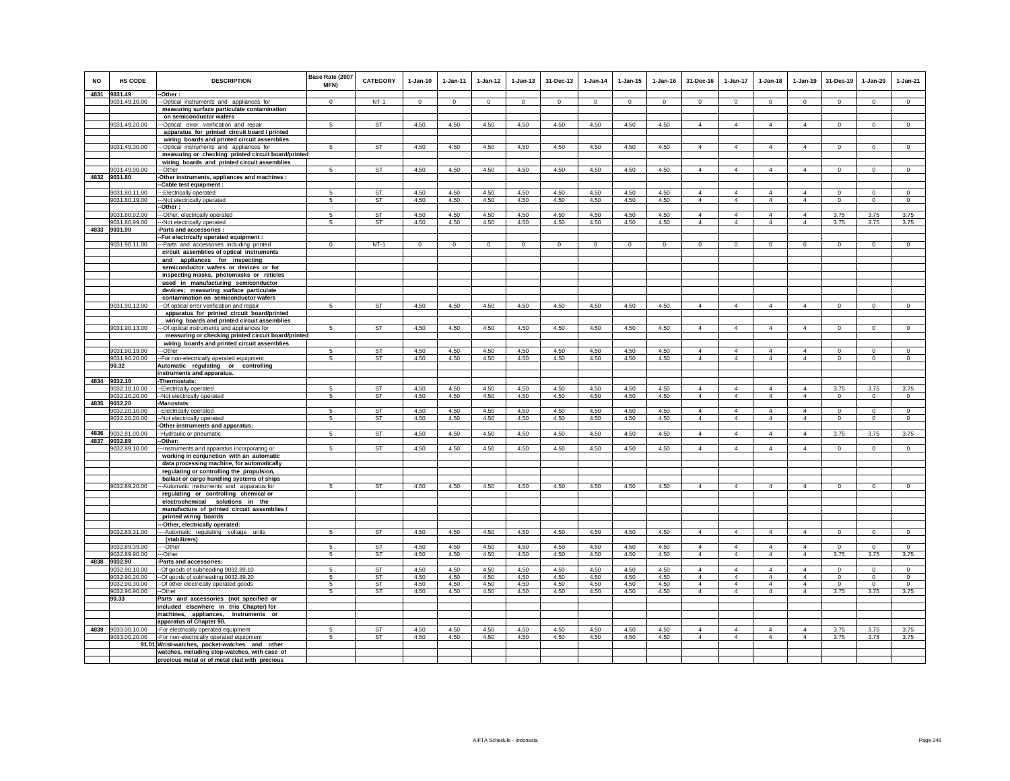| <b>NO</b> | HS CODE                        | <b>DESCRIPTION</b>                                                                             | Base Rate (2007<br><b>MFN)</b>   | <b>CATEGORY</b>        | $1-Jan-10$   | $1 - Jan-11$ | $1 - Jan-12$ | $1 - Jan-13$ | 31-Dec-13    | $1 - Jan-14$ | $1 - Jan-15$ | $1 - Jan-16$ | 31-Dec-16                        | $1-Jan-17$                       | $1-Jan-18$                       | 1-Jan-19                         | 31-Des-19               | $1 - Jan-20$            | $1-Jan-21$              |
|-----------|--------------------------------|------------------------------------------------------------------------------------------------|----------------------------------|------------------------|--------------|--------------|--------------|--------------|--------------|--------------|--------------|--------------|----------------------------------|----------------------------------|----------------------------------|----------------------------------|-------------------------|-------------------------|-------------------------|
|           | 4831 9031.49                   | -Other:                                                                                        |                                  |                        |              |              |              |              |              |              |              |              |                                  |                                  |                                  |                                  |                         |                         |                         |
|           | 9031.49.10.00                  | -Optical instruments and appliances for                                                        | $\Omega$                         | $NT-1$                 | $\Omega$     | $\Omega$     | $\Omega$     | $\Omega$     | $\Omega$     | $\Omega$     | $\Omega$     | $\mathbf 0$  | $\Omega$                         | $\Omega$                         | $\Omega$                         | $\Omega$                         | $\Omega$                | $\Omega$                | $\mathsf 0$             |
|           |                                | measuring surface particulate contamination<br>on semiconductor wafers                         |                                  |                        |              |              |              |              |              |              |              |              |                                  |                                  |                                  |                                  |                         |                         |                         |
|           | 9031.49.20.00                  | -Optical error verification and repair                                                         | -5                               | <b>ST</b>              | 4.50         | 4.50         | 4.50         | 4.50         | 4.50         | 4.50         | 4.50         | 4.50         | $\overline{4}$                   | $\overline{4}$                   | $\overline{4}$                   | $\overline{4}$                   | $\circ$                 | $\circ$                 | $\Omega$                |
|           |                                | apparatus for printed circuit board / printed                                                  |                                  |                        |              |              |              |              |              |              |              |              |                                  |                                  |                                  |                                  |                         |                         |                         |
|           |                                | wiring boards and printed circuit assemblies                                                   |                                  |                        |              |              |              |              |              |              |              |              |                                  |                                  |                                  |                                  |                         |                         |                         |
|           | 9031.49.30.00                  | -Optical instruments and appliances for<br>measuring or checking printed circuit board/printed | 5                                | <b>ST</b>              | 4.50         | 4.50         | 4.50         | 4.50         | 4.50         | 4.50         | 4.50         | 4.50         | $\overline{4}$                   | $\overline{4}$                   | $\overline{4}$                   | $\overline{4}$                   | $\mathbf 0$             | $\mathbf 0$             | $\circ$                 |
|           |                                | wiring boards and printed circuit assemblies                                                   |                                  |                        |              |              |              |              |              |              |              |              |                                  |                                  |                                  |                                  |                         |                         |                         |
|           | 9031.49.90.00                  | --Other                                                                                        | 5                                | ST                     | 4.50         | 4.50         | 4.50         | 4.50         | 4.50         | 4.50         | 4.50         | 4.50         | $\overline{4}$                   | $\overline{4}$                   | $\overline{4}$                   | $\overline{4}$                   | $\mathbf 0$             | $\Omega$                | $\circ$                 |
|           | 4832 9031.80                   | -Other instruments, appliances and machines :                                                  |                                  |                        |              |              |              |              |              |              |              |              |                                  |                                  |                                  |                                  |                         |                         |                         |
|           | 9031.80.11.00                  | -Cable test equipment :<br>--Electrically operated                                             | 5                                | <b>ST</b>              | 4.50         | 4.50         | 4.50         | 4.50         | 4.50         | 4.50         | 4.50         | 4.50         | $\overline{4}$                   | $\overline{4}$                   | $\overline{4}$                   | $\overline{4}$                   | $^{\circ}$              | $^{\circ}$              | $^{\circ}$              |
|           | 9031.80.19.00                  | --Not electrically operated                                                                    | -5                               | <b>ST</b>              | 4.50         | 4.50         | 4.50         | 4.50         | 4.50         | 4.50         | 4.50         | 4.50         | $\overline{4}$                   | $\overline{4}$                   | $\overline{4}$                   | $\overline{4}$                   | $\overline{0}$          | $\overline{0}$          | $\overline{0}$          |
|           |                                | Other:                                                                                         |                                  |                        |              |              |              |              |              |              |              |              |                                  |                                  |                                  |                                  |                         |                         |                         |
|           | 9031.80.92.00<br>9031.80.99.00 | --Other, electrically operated<br>--Not electrically operated                                  | 5<br>$\sqrt{2}$                  | ST<br><b>ST</b>        | 4.50<br>4.50 | 4.50<br>4.50 | 4.50<br>4.50 | 4.50<br>4.50 | 4.50<br>4.50 | 4.50<br>4.50 | 4.50<br>4.50 | 4.50<br>4.50 | $\overline{4}$<br>$\Delta$       | $\overline{4}$<br>$\overline{4}$ | $\overline{4}$<br>$\Delta$       | $\overline{4}$<br>$\Delta$       | 3.75<br>3.75            | 3.75<br>3.75            | 3.75<br>3.75            |
|           | 4833 9031.90                   | Parts and accessories :                                                                        |                                  |                        |              |              |              |              |              |              |              |              |                                  |                                  |                                  |                                  |                         |                         |                         |
|           |                                | -For electrically operated equipment :                                                         |                                  |                        |              |              |              |              |              |              |              |              |                                  |                                  |                                  |                                  |                         |                         |                         |
|           | 9031.90.11.00                  | --Parts and accessories including printed                                                      | $\Omega$                         | $NT-1$                 | $^{\circ}$   | $\Omega$     | $^{\circ}$   | $\Omega$     | $\mathbf 0$  | $^{\circ}$   | 0            | $^{\circ}$   | $\Omega$                         | $\mathbf 0$                      | $\mathbf 0$                      | $\mathbf 0$                      | $\mathbf 0$             | $\mathbf 0$             | $\circ$                 |
|           |                                | circuit assemblies of optical instruments<br>and appliances for inspecting                     |                                  |                        |              |              |              |              |              |              |              |              |                                  |                                  |                                  |                                  |                         |                         |                         |
|           |                                | semiconductor wafers or devices or for                                                         |                                  |                        |              |              |              |              |              |              |              |              |                                  |                                  |                                  |                                  |                         |                         |                         |
|           |                                | inspecting masks, photomasks or reticles                                                       |                                  |                        |              |              |              |              |              |              |              |              |                                  |                                  |                                  |                                  |                         |                         |                         |
|           |                                | used in manufacturing semiconductor<br>devices; measuring surface particulate                  |                                  |                        |              |              |              |              |              |              |              |              |                                  |                                  |                                  |                                  |                         |                         |                         |
|           |                                | contamination on semiconductor wafers                                                          |                                  |                        |              |              |              |              |              |              |              |              |                                  |                                  |                                  |                                  |                         |                         |                         |
|           | 9031.90.12.00                  | --Of optical error verification and repair                                                     | 5                                | <b>ST</b>              | 4.50         | 4.50         | 4.50         | 4.50         | 4.50         | 4.50         | 4.50         | 4.50         | $\Delta$                         | $\Delta$                         | $\Delta$                         | $\Delta$                         | $\Omega$                | $\Omega$                | $\Omega$                |
|           |                                | apparatus for printed circuit board/printed                                                    |                                  |                        |              |              |              |              |              |              |              |              |                                  |                                  |                                  |                                  |                         |                         |                         |
|           | 9031.90.13.00                  | wiring boards and printed circuit assemblies<br>--- Of optical instruments and appliances for  | 5                                | ST                     | 4.50         | 4.50         | 4.50         | 4.50         | 4.50         | 4.50         | 4.50         | 4.50         | $\overline{4}$                   | $\overline{4}$                   | $\overline{4}$                   | $\overline{4}$                   | $\circ$                 | $\circ$                 | $\circ$                 |
|           |                                | measuring or checking printed circuit board/printed                                            |                                  |                        |              |              |              |              |              |              |              |              |                                  |                                  |                                  |                                  |                         |                         |                         |
|           |                                | wiring boards and printed circuit assemblies                                                   |                                  |                        |              |              |              |              |              |              |              |              |                                  |                                  |                                  |                                  |                         |                         |                         |
|           | 9031.90.19.00<br>9031.90.20.00 | --Other<br>-- For non-electrically operated equipment                                          | 5<br>5                           | <b>ST</b><br>ST        | 4.50<br>4.50 | 4.50<br>4.50 | 4.50<br>4.50 | 4.50<br>4.50 | 4.50<br>4.50 | 4.50<br>4.50 | 4.50<br>4.50 | 4.50<br>4.50 | 4<br>$\overline{4}$              | $\overline{4}$<br>$\overline{4}$ | 4<br>$\overline{4}$              | $\overline{4}$<br>$\Delta$       | $\Omega$<br>$\mathsf 0$ | $\Omega$<br>$\mathsf 0$ | $\Omega$<br>$\mathbf 0$ |
|           | 90.32                          | Automatic regulating or controlling                                                            |                                  |                        |              |              |              |              |              |              |              |              |                                  |                                  |                                  |                                  |                         |                         |                         |
|           |                                | instruments and apparatus.                                                                     |                                  |                        |              |              |              |              |              |              |              |              |                                  |                                  |                                  |                                  |                         |                         |                         |
|           | 4834 9032.10<br>9032.10.10.00  | -Thermostats:<br>-Electrically operated                                                        | 5                                | ST                     | 4.50         | 4.50         | 4.50         | 4.50         | 4.50         | 4.50         | 4.50         | 4.50         | $\overline{\mathbf{4}}$          | $\overline{4}$                   | $\overline{4}$                   | $\overline{4}$                   | 3.75                    | 3.75                    | 3.75                    |
|           | 9032.10.20.00                  | -Not electrically operated                                                                     | 5                                | ST                     | 4.50         | 4.50         | 4.50         | 4.50         | 4.50         | 4.50         | 4.50         | 4.50         | $\overline{4}$                   | $\overline{4}$                   | $\overline{4}$                   | $\overline{4}$                   | $\mathbf{0}$            | $\circ$                 | $\mathbf{0}$            |
|           | 4835 9032.20                   | -Manostats:                                                                                    |                                  |                        |              |              |              |              |              |              |              |              |                                  |                                  |                                  |                                  |                         |                         |                         |
|           | 9032.20.10.00<br>9032.20.20.00 | -Electrically operated<br>Not electrically operated                                            | $\overline{5}$<br>5              | <b>ST</b><br><b>ST</b> | 4.50<br>4.50 | 4.50<br>4.50 | 4.50<br>4.50 | 4.50<br>4.50 | 4.50<br>4.50 | 4.50<br>4.50 | 4.50<br>4.50 | 4.50<br>4.50 | $\overline{4}$<br>$\overline{4}$ | $\overline{4}$<br>$\overline{4}$ | $\overline{4}$<br>$\overline{4}$ | $\overline{4}$<br>$\overline{4}$ | $\Omega$<br>$\mathbf 0$ | $\Omega$<br>$\mathbf 0$ | $\Omega$<br>$\circ$     |
|           |                                | Other instruments and apparatus:                                                               |                                  |                        |              |              |              |              |              |              |              |              |                                  |                                  |                                  |                                  |                         |                         |                         |
|           | 4836 9032.81.00.00             | -Hydraulic or pneumatic                                                                        | 5                                | <b>ST</b>              | 4.50         | 4.50         | 4.50         | 4.50         | 4.50         | 4.50         | 4.50         | 4.50         | $\overline{4}$                   | $\overline{4}$                   | $\overline{4}$                   | $\overline{4}$                   | 3.75                    | 3.75                    | 3.75                    |
|           | 4837 9032.89                   | -Other:                                                                                        |                                  |                        | 4.50         | 4.50         | 4.50         | 4.50         |              | 4.50         | 4.50         | 4.50         |                                  | $\overline{4}$                   | $\overline{4}$                   |                                  |                         |                         | $\overline{0}$          |
|           | 9032.89.10.00                  | -- Instruments and apparatus incorporating or<br>working in conjunction with an automatic      | $\overline{5}$                   | <b>ST</b>              |              |              |              |              | 4.50         |              |              |              | $\overline{4}$                   |                                  |                                  | $\overline{4}$                   | $\Omega$                | $\Omega$                |                         |
|           |                                | data processing machine, for automatically                                                     |                                  |                        |              |              |              |              |              |              |              |              |                                  |                                  |                                  |                                  |                         |                         |                         |
|           |                                | regulating or controlling the propulsion,                                                      |                                  |                        |              |              |              |              |              |              |              |              |                                  |                                  |                                  |                                  |                         |                         |                         |
|           | 9032.89.20.00                  | ballast or cargo handling systems of ships<br>--Automatic instruments and apparatus for        | -5                               | ST                     | 4.50         | 4.50         | 4.50         | 4.50         | 4.50         | 4.50         | 4.50         | 4.50         | $\overline{4}$                   | $\overline{4}$                   | $\overline{4}$                   | $\overline{4}$                   | $\Omega$                | $\circ$                 | $\circ$                 |
|           |                                | regulating or controlling chemical or                                                          |                                  |                        |              |              |              |              |              |              |              |              |                                  |                                  |                                  |                                  |                         |                         |                         |
|           |                                | electrochemical solutions in the                                                               |                                  |                        |              |              |              |              |              |              |              |              |                                  |                                  |                                  |                                  |                         |                         |                         |
|           |                                | manufacture of printed circuit assemblies /<br>printed wiring boards                           |                                  |                        |              |              |              |              |              |              |              |              |                                  |                                  |                                  |                                  |                         |                         |                         |
|           |                                | --Other, electrically operated:                                                                |                                  |                        |              |              |              |              |              |              |              |              |                                  |                                  |                                  |                                  |                         |                         |                         |
|           | 9032.89.31.00                  | --Automatic regulating voltage units                                                           | $\overline{5}$                   | <b>ST</b>              | 4.50         | 4.50         | 4.50         | 4.50         | 4.50         | 4.50         | 4.50         | 4.50         | $\overline{4}$                   | $\overline{4}$                   | $\overline{4}$                   | $\overline{4}$                   | $\overline{0}$          | $\overline{0}$          | $\overline{0}$          |
|           | 9032.89.39.00                  | (stabilizers)<br>--Other                                                                       | -5                               | ST                     | 4.50         | 4.50         | 4.50         | 4.50         | 4.50         | 4.50         | 4.50         | 4.50         | $\overline{4}$                   | $\overline{4}$                   | $\overline{4}$                   | $\overline{4}$                   | $\mathbf 0$             | $^{\circ}$              | $\circ$                 |
|           | 9032.89.90.00                  | -Other                                                                                         | 5                                | ST                     | 4.50         | 4.50         | 4.50         | 4.50         | 4.50         | 4.50         | 4.50         | 4.50         | $\overline{4}$                   | $\overline{4}$                   | $\overline{4}$                   | $\overline{4}$                   | 3.75                    | 3.75                    | 3.75                    |
| 4838      | 9032.90                        | Parts and accessories:                                                                         |                                  |                        |              |              |              |              |              |              |              |              |                                  |                                  |                                  |                                  |                         |                         |                         |
|           | 9032.90.10.00                  | --Of goods of subheading 9032.89.10                                                            |                                  | ST                     | 4.50         | 4.50         | 4.50         | 4.50         | 4.50         | 4.50         | 4.50         | 4.50         | $\overline{4}$                   | $\overline{4}$                   | $\overline{4}$                   | $\overline{4}$                   | $\Omega$                | $\mathbf 0$             | $\mathsf 0$             |
|           | 9032.90.20.00<br>9032.90.30.00 | --Of goods of subheading 9032.89.20<br>-- Of other electrically operated goods                 | $\overline{5}$<br>$\overline{5}$ | ST<br><b>ST</b>        | 4.50<br>4.50 | 4.50<br>4.50 | 4.50<br>4.50 | 4.50<br>4.50 | 4.50<br>4.50 | 4.50<br>4.50 | 4.50<br>4.50 | 4.50<br>4.50 | $\overline{4}$<br>$\overline{4}$ | $\mathbf{A}$<br>$\overline{4}$   | $\Delta$<br>$\overline{4}$       | $\Delta$<br>$\overline{4}$       | $\mathbf 0$<br>$\Omega$ | $\mathbf 0$<br>$\Omega$ | $\Omega$<br>$\Omega$    |
|           | 9032.90.90.00                  | --Other                                                                                        | 5                                | ST                     | 4.50         | 4.50         | 4.50         | 4.50         | 4.50         | 4.50         | 4.50         | 4.50         | $\overline{4}$                   | $\overline{4}$                   | $\overline{4}$                   | $\overline{4}$                   | 3.75                    | 3.75                    | 3.75                    |
|           | 90.33                          | Parts and accessories (not specified or                                                        |                                  |                        |              |              |              |              |              |              |              |              |                                  |                                  |                                  |                                  |                         |                         |                         |
|           |                                | included elsewhere in this Chapter) for<br>machines, appliances, instruments or                |                                  |                        |              |              |              |              |              |              |              |              |                                  |                                  |                                  |                                  |                         |                         |                         |
|           |                                | apparatus of Chapter 90.                                                                       |                                  |                        |              |              |              |              |              |              |              |              |                                  |                                  |                                  |                                  |                         |                         |                         |
|           | 4839 9033.00.10.00             | -For electrically operated equipment                                                           | -5                               | ST                     | 4.50         | 4.50         | 4.50         | 4.50         | 4.50         | 4.50         | 4.50         | 4.50         | $\overline{a}$                   | 4                                | $\overline{4}$                   | $\overline{4}$                   | 3.75                    | 3.75                    | 3.75                    |
|           | 9033.00.20.00                  | -For non-electrically operated equipment                                                       | 5                                | ST                     | 4.50         | 4.50         | 4.50         | 4.50         | 4.50         | 4.50         | 4.50         | 4.50         | $\overline{4}$                   | $\overline{4}$                   | $\Delta$                         | $\Delta$                         | 3.75                    | 3.75                    | 3.75                    |
|           |                                | 91.01 Wrist-watches, pocket-watches and other<br>watches, including stop-watches, with case of |                                  |                        |              |              |              |              |              |              |              |              |                                  |                                  |                                  |                                  |                         |                         |                         |
|           |                                | precious metal or of metal clad with precious                                                  |                                  |                        |              |              |              |              |              |              |              |              |                                  |                                  |                                  |                                  |                         |                         |                         |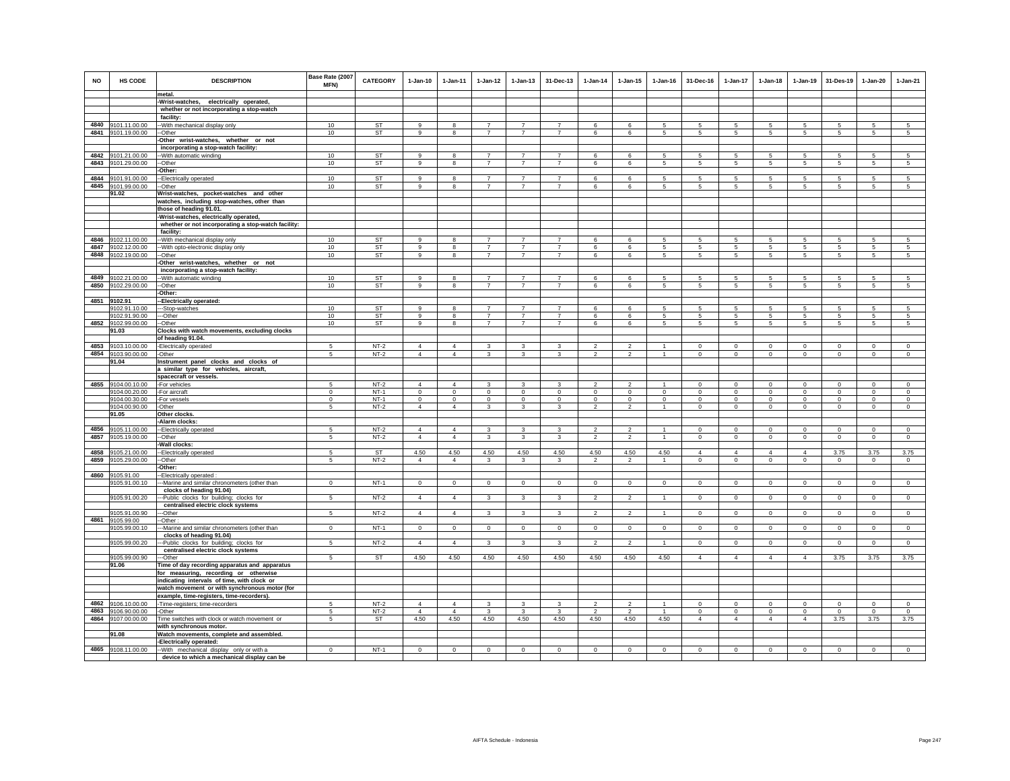| <b>NO</b> | HS CODE                             | <b>DESCRIPTION</b><br>metal.                                                                 | Base Rate (2007<br>MFN) | <b>CATEGORY</b>  | 1-Jan-10                   | 1-Jan-11            | $1 - Jan-12$            | $1 - Jan-13$                | 31-Dec-13               | $1 - Jan-14$                                       | $1 - Jan-15$                                       | $1 - Jan-16$       | 31-Dec-16               | $1-Jan-17$                 | $1-Jan-18$              | $1 - Jan-19$            | 31-Des-19               | 1-Jan-20                   | 1-Jan-21                |
|-----------|-------------------------------------|----------------------------------------------------------------------------------------------|-------------------------|------------------|----------------------------|---------------------|-------------------------|-----------------------------|-------------------------|----------------------------------------------------|----------------------------------------------------|--------------------|-------------------------|----------------------------|-------------------------|-------------------------|-------------------------|----------------------------|-------------------------|
|           |                                     | Wrist-watches, electrically operated,                                                        |                         |                  |                            |                     |                         |                             |                         |                                                    |                                                    |                    |                         |                            |                         |                         |                         |                            |                         |
|           |                                     | whether or not incorporating a stop-watch                                                    |                         |                  |                            |                     |                         |                             |                         |                                                    |                                                    |                    |                         |                            |                         |                         |                         |                            |                         |
|           |                                     | facility:                                                                                    |                         |                  |                            |                     |                         |                             |                         |                                                    |                                                    |                    |                         |                            |                         |                         |                         |                            |                         |
|           | 4840 9101.11.00.00                  | -With mechanical display only                                                                | 10                      | <b>ST</b>        | 9                          | 8                   | $\overline{7}$          | $\overline{7}$              | $\overline{7}$          | 6                                                  | 6                                                  | 5                  | 5                       | 5                          | 5                       | 5                       | 5                       | 5                          | 5                       |
|           | 4841 9101.19.00.00                  | -Other                                                                                       | 10                      | ST               | 9                          | 8                   | $\overline{7}$          | $\overline{7}$              | $\overline{7}$          | 6                                                  | 6                                                  | 5                  | $5\overline{5}$         | $5\overline{5}$            | $5\overline{5}$         | 5                       | 5                       | 5                          | 5                       |
|           |                                     | Other wrist-watches, whether or not                                                          |                         |                  |                            |                     |                         |                             |                         |                                                    |                                                    |                    |                         |                            |                         |                         |                         |                            |                         |
|           | 4842 9101.21.00.00                  | incorporating a stop-watch facility:<br>-With automatic winding                              | 10                      | ST               | 9                          | 8                   | $\overline{7}$          | $\overline{7}$              | $\overline{7}$          | 6                                                  | 6                                                  | 5                  | -5                      | 5                          | 5                       | 5                       | 5                       | 5                          | 5                       |
|           | 4843 9101.29.00.00                  | -Other                                                                                       | 10                      | ST               | 9                          | 8                   | $\overline{7}$          | $\overline{7}$              | $\overline{7}$          | 6                                                  | 6                                                  | 5                  | 5                       | 5                          | 5                       | 5                       | 5                       | 5                          | 5                       |
|           |                                     | Other:                                                                                       |                         |                  |                            |                     |                         |                             |                         |                                                    |                                                    |                    |                         |                            |                         |                         |                         |                            |                         |
|           | 4844 9101.91.00.00                  | -Electrically operated                                                                       | 10                      | ST               | $\mathsf g$                | 8                   | $\overline{7}$          | $\overline{7}$              | $\overline{7}$          | 6                                                  | 6                                                  | 5                  | 5                       | 5                          | 5                       | 5                       | 5                       | 5                          | $\overline{5}$          |
|           | 4845 9101.99.00.00                  | -Other                                                                                       | 10                      | ST               | 9                          | 8                   | $\overline{7}$          | $\overline{7}$              | $\overline{7}$          | 6                                                  | 6                                                  | 5                  | 5                       | 5                          | 5                       | 5                       | 5                       | 5                          | 5                       |
|           | 91.02                               | Wrist-watches, pocket-watches and other                                                      |                         |                  |                            |                     |                         |                             |                         |                                                    |                                                    |                    |                         |                            |                         |                         |                         |                            |                         |
|           |                                     | watches, including stop-watches, other than                                                  |                         |                  |                            |                     |                         |                             |                         |                                                    |                                                    |                    |                         |                            |                         |                         |                         |                            |                         |
|           |                                     | those of heading 91.01.                                                                      |                         |                  |                            |                     |                         |                             |                         |                                                    |                                                    |                    |                         |                            |                         |                         |                         |                            |                         |
|           |                                     | Wrist-watches, electrically operated,<br>whether or not incorporating a stop-watch facility: |                         |                  |                            |                     |                         |                             |                         |                                                    |                                                    |                    |                         |                            |                         |                         |                         |                            |                         |
|           |                                     | facility:                                                                                    |                         |                  |                            |                     |                         |                             |                         |                                                    |                                                    |                    |                         |                            |                         |                         |                         |                            |                         |
|           | 4846 9102.11.00.00                  | -With mechanical display only                                                                | 10                      | ST               | 9                          | 8                   | $\overline{7}$          | $\overline{7}$              | $\overline{7}$          | 6                                                  | 6                                                  | 5                  | 5                       | 5                          | 5                       | 5                       | 5                       | 5                          | 5                       |
|           | 4847 9102.12.00.00                  | -With opto-electronic display only                                                           | 10                      | <b>ST</b>        | 9                          | 8                   | $\overline{7}$          | $\overline{7}$              | $\overline{7}$          | 6                                                  | 6                                                  | 5                  | 5                       | $5\phantom{.0}$            | $5\phantom{.0}$         | 5                       | $\sqrt{5}$              | $\sqrt{5}$                 | $\sqrt{5}$              |
| 4848      | 9102.19.00.00                       | -Other                                                                                       | 10                      | <b>ST</b>        | 9                          | 8                   | $\overline{7}$          | $\overline{7}$              | $\overline{7}$          | 6                                                  | 6                                                  | 5                  | $5\overline{5}$         | $5\phantom{.0}$            | $5\overline{5}$         | 5                       | $\sqrt{5}$              | 5                          | 5                       |
|           |                                     | -Other wrist-watches, whether or not                                                         |                         |                  |                            |                     |                         |                             |                         |                                                    |                                                    |                    |                         |                            |                         |                         |                         |                            |                         |
|           | 4849 9102.21.00.00                  | incorporating a stop-watch facility:<br>With automatic winding                               | 10                      | <b>ST</b>        | 9                          | 8                   | $\overline{7}$          | $\overline{7}$              | $\overline{7}$          | 6                                                  | 6                                                  | 5                  | 5                       | 5                          | 5                       | 5                       | 5                       | 5                          | 5                       |
| 4850      | 9102.29.00.00                       | -Other                                                                                       | 10                      | ST               | 9                          | 8                   | $\overline{7}$          | $\overline{7}$              | $\overline{7}$          | 6                                                  | 6                                                  | 5                  | 5                       | 5                          | 5                       | 5                       | 5                       | 5                          | 5                       |
|           |                                     | Other:                                                                                       |                         |                  |                            |                     |                         |                             |                         |                                                    |                                                    |                    |                         |                            |                         |                         |                         |                            |                         |
|           | 4851 9102.91                        | -Electrically operated:                                                                      |                         |                  |                            |                     |                         |                             |                         |                                                    |                                                    |                    |                         |                            |                         |                         |                         |                            |                         |
|           | 9102.91.10.00                       | --Stop-watches                                                                               | 10                      | <b>ST</b>        | $\alpha$                   | 8                   | $\overline{7}$          | $\overline{7}$              | $\overline{7}$          | 6                                                  | 6                                                  | 5                  | -5                      | 5                          | 5                       | 5                       | 5                       | 5                          | $\sqrt{5}$              |
|           | 9102.91.90.00                       | --Other                                                                                      | 10                      | ST               | 9                          | 8                   | $\overline{7}$          | $\overline{7}$              | $\overline{7}$          | 6                                                  | 6                                                  | 5                  | 5                       | 5                          | 5                       | 5                       | 5                       | 5                          | 5                       |
| 4852      | 9102.99.00.00                       | -Other                                                                                       | 10                      | ST               | 9                          | 8                   | $\overline{7}$          | $\overline{7}$              | $\overline{7}$          | 6                                                  | 6                                                  | 5                  | $5\overline{5}$         | 5                          | 5                       | 5                       | 5                       | 5                          | 5                       |
|           | 91.03                               | Clocks with watch movements, excluding clocks<br>of heading 91.04.                           |                         | $NT-2$           | $\overline{4}$             | $\overline{4}$      |                         |                             |                         |                                                    |                                                    |                    | $\mathbf 0$             |                            | $\mathbf 0$             | $\mathbf 0$             |                         |                            |                         |
| 4854      | 4853 9103.10.00.00<br>9103.90.00.00 | Electrically operated<br>Other                                                               | $\sqrt{5}$<br>5         | $NT-2$           | $\Delta$                   | $\overline{4}$      | 3<br>3                  | 3<br>3                      | 3<br>3                  | $\overline{\mathbf{c}}$<br>$\overline{\mathbf{c}}$ | $\overline{\mathbf{2}}$<br>$\overline{\mathbf{c}}$ | -1<br>$\mathbf{1}$ | $\circ$                 | 0<br>$\mathbf 0$           | $\circ$                 | $\circ$                 | $\mathbf 0$<br>$\circ$  | $\mathbf 0$<br>$\mathbf 0$ | $\,0\,$<br>$\circ$      |
|           | 91.04                               | Instrument panel clocks and clocks of                                                        |                         |                  |                            |                     |                         |                             |                         |                                                    |                                                    |                    |                         |                            |                         |                         |                         |                            |                         |
|           |                                     | a similar type for vehicles, aircraft,                                                       |                         |                  |                            |                     |                         |                             |                         |                                                    |                                                    |                    |                         |                            |                         |                         |                         |                            |                         |
|           |                                     | spacecraft or vessels.                                                                       |                         |                  |                            |                     |                         |                             |                         |                                                    |                                                    |                    |                         |                            |                         |                         |                         |                            |                         |
|           | 4855 9104.00.10.00                  | -For vehicles                                                                                | 5                       | $NT-2$<br>$NT-1$ | $\overline{4}$<br>$\Omega$ | $\overline{4}$      | $\mathbf{3}$<br>$\circ$ | $\mathbf{3}$<br>$\mathsf 0$ | 3                       | $\mathcal{L}$<br>$\circ$                           | $\mathfrak{D}$<br>$\mathbf{0}$                     | $\Omega$           | $\mathsf 0$<br>$\Omega$ | $\mathbf 0$<br>$\mathbf 0$ | $\mathbf 0$<br>$\Omega$ | $\mathbf 0$             | $\mathbf 0$             | $\circ$<br>$\Omega$        | $\mathsf 0$<br>$\Omega$ |
|           | 9104.00.20.00<br>9104.00.30.00      | -For aircraft<br>-For vessels                                                                | $\mathbf 0$<br>$\Omega$ | $NT-1$           | $\Omega$                   | $\circ$<br>$\Omega$ | $\overline{0}$          | $\Omega$                    | $\mathbf 0$<br>$\Omega$ | $\Omega$                                           | $\Omega$                                           | $\Omega$           | $\Omega$                | $\overline{0}$             | $\Omega$                | $\mathbf 0$<br>$\Omega$ | $\mathbf 0$<br>$\Omega$ | $\Omega$                   | $\Omega$                |
|           | 9104.00.90.00                       | -Other                                                                                       | -5                      | $NT-2$           | $\overline{4}$             | $\overline{4}$      | 3                       | 3                           | 3                       | $\mathfrak{p}$                                     | $\overline{2}$                                     | $\mathbf{1}$       | $\circ$                 | $\mathbf 0$                | $\mathbf 0$             | $\mathbf 0$             | $\mathbf 0$             | $\mathbf 0$                | $\mathbf 0$             |
|           | 91.05                               | Other clocks                                                                                 |                         |                  |                            |                     |                         |                             |                         |                                                    |                                                    |                    |                         |                            |                         |                         |                         |                            |                         |
|           |                                     | -Alarm clocks:                                                                               |                         |                  |                            |                     |                         |                             |                         |                                                    |                                                    |                    |                         |                            |                         |                         |                         |                            |                         |
|           | 4856 9105.11.00.00                  | -Electrically operated                                                                       | 5                       | $NT-2$           | $\overline{4}$             | $\overline{4}$      | 3                       | 3                           | $\mathbf{3}$            | $\overline{2}$                                     | $\overline{2}$                                     | $\mathbf{1}$       | $\circ$                 | $^{\circ}$                 | $^{\circ}$              | 0                       | $\mathbf 0$             | $\circ$                    | $\mathbf{0}$            |
| 4857      | 9105.19.00.00                       | -Other<br>Wall clocks:                                                                       | 5                       | $NT-2$           | $\overline{4}$             | $\overline{4}$      | $\overline{\mathbf{3}}$ | $\mathbf{3}$                | $\mathbf{3}$            | $\overline{2}$                                     | $\overline{a}$                                     | $\overline{1}$     | $\circ$                 | $\circ$                    | $\circ$                 | $\circ$                 | $\circ$                 | $\circ$                    | $\mathsf 0$             |
| 4858      | 9105.21.00.00                       | -Electrically operated                                                                       | 5                       | <b>ST</b>        | 4.50                       | 4.50                | 4.50                    | 4.50                        | 4.50                    | 4.50                                               | 4.50                                               | 4.50               | $\overline{4}$          | $\overline{4}$             | $\overline{4}$          | $\overline{4}$          | 3.75                    | 3.75                       | 3.75                    |
| 4859      | 9105.29.00.00                       | -Other                                                                                       | 5                       | $NT-2$           | $\overline{4}$             | $\overline{4}$      | $\mathbf{3}$            | 3                           | 3                       | $\overline{2}$                                     | $\overline{2}$                                     | $\mathbf{1}$       | $\mathsf 0$             | $\mathbf 0$                | $\circ$                 | $\mathbf 0$             | $\mathbf 0$             | $\mathsf 0$                | $\mathsf 0$             |
|           |                                     | Other:                                                                                       |                         |                  |                            |                     |                         |                             |                         |                                                    |                                                    |                    |                         |                            |                         |                         |                         |                            |                         |
|           | 4860 9105.91.00                     | -Electrically operated :                                                                     |                         |                  |                            |                     |                         |                             |                         |                                                    |                                                    |                    |                         |                            |                         |                         |                         |                            |                         |
|           | 9105.91.00.10                       | --Marine and similar chronometers (other than                                                | $\mathbf{0}$            | $NT-1$           | $\overline{0}$             | $\overline{0}$      | $\overline{0}$          | $\overline{0}$              | $\overline{0}$          | $\overline{0}$                                     | $\overline{0}$                                     | $\overline{0}$     | $\Omega$                | $\overline{0}$             | $\overline{0}$          | $\overline{0}$          | $\overline{0}$          | $\overline{0}$             | $\overline{0}$          |
|           | 9105.91.00.20                       | clocks of heading 91.04)<br>--Public clocks for building; clocks for                         | 5                       | $NT-2$           | $\overline{4}$             | $\overline{4}$      | $\mathbf{3}$            | 3                           | 3                       | $\overline{2}$                                     | $\overline{2}$                                     |                    | $\Omega$                | $\mathbf 0$                | $\mathbf 0$             | $\mathbf 0$             | $\circ$                 | $\mathsf 0$                | $\mathsf 0$             |
|           |                                     | centralised electric clock systems                                                           |                         |                  |                            |                     |                         |                             |                         |                                                    |                                                    |                    |                         |                            |                         |                         |                         |                            |                         |
|           | 9105.91.00.90                       | -Other                                                                                       | 5                       | $NT-2$           | $\overline{4}$             | $\overline{4}$      | $\mathbf{3}$            | 3                           | $\mathbf{3}$            | $\overline{2}$                                     | $\overline{2}$                                     | $\overline{1}$     | $^{\circ}$              | $\circ$                    | $^{\circ}$              | $\overline{0}$          | $\overline{0}$          | $\mathbf{0}$               | $\mathsf 0$             |
|           | 4861 9105.99.00                     | -Other:                                                                                      |                         |                  |                            |                     |                         |                             |                         |                                                    |                                                    |                    |                         |                            |                         |                         |                         |                            |                         |
|           | 9105.99.00.10                       | -Marine and similar chronometers (other than                                                 | $\mathbf{0}$            | $NT-1$           | $\circ$                    | $\mathbf{0}$        | $\overline{0}$          | $\mathbf 0$                 | $\mathbf 0$             | $\circ$                                            | $\mathbf 0$                                        | $\circ$            | $\circ$                 | $\circ$                    | $\circ$                 | $\circ$                 | $\mathbf{0}$            | $\circ$                    | $\overline{0}$          |
|           | 9105.99.00.20                       | clocks of heading 91.04)<br>-Public clocks for building; clocks for                          | 5                       | $NT-2$           | $\overline{4}$             | $\overline{4}$      | $\mathbf{3}$            | 3                           | 3                       | $\overline{\phantom{a}}$                           | $\mathfrak{p}$                                     | $\mathbf{1}$       | $\circ$                 | $\mathbf 0$                | $\circ$                 | $\mathbf 0$             | $\circ$                 | $\mathbf 0$                | $\circ$                 |
|           |                                     | centralised electric clock systems                                                           |                         |                  |                            |                     |                         |                             |                         |                                                    |                                                    |                    |                         |                            |                         |                         |                         |                            |                         |
|           | 9105.99.00.90                       | -Other                                                                                       | 5                       | ST               | 4.50                       | 4.50                | 4.50                    | 4.50                        | 4.50                    | 4.50                                               | 4.50                                               | 4.50               | $\overline{4}$          | $\overline{4}$             | $\overline{4}$          | $\overline{4}$          | 3.75                    | 3.75                       | 3.75                    |
|           | 91.06                               | Time of day recording apparatus and apparatus                                                |                         |                  |                            |                     |                         |                             |                         |                                                    |                                                    |                    |                         |                            |                         |                         |                         |                            |                         |
|           |                                     | for measuring, recording or otherwise                                                        |                         |                  |                            |                     |                         |                             |                         |                                                    |                                                    |                    |                         |                            |                         |                         |                         |                            |                         |
|           |                                     | indicating intervals of time, with clock or                                                  |                         |                  |                            |                     |                         |                             |                         |                                                    |                                                    |                    |                         |                            |                         |                         |                         |                            |                         |
|           |                                     | watch movement or with synchronous motor (for                                                |                         |                  |                            |                     |                         |                             |                         |                                                    |                                                    |                    |                         |                            |                         |                         |                         |                            |                         |
|           | 4862 9106.10.00.00                  | example, time-registers, time-recorders).<br>-Time-registers; time-recorders                 | 5                       | $NT-2$           | $\Delta$                   | $\overline{4}$      | 3                       | 3                           | 3                       | $\overline{2}$                                     | $\overline{2}$                                     | $\mathbf{1}$       | $\Omega$                | 0                          | $\Omega$                | $\Omega$                | $\overline{0}$          | $\Omega$                   | $^{\circ}$              |
|           | 4863 9106.90.00.00                  | -Other                                                                                       | 5                       | $NT-2$           | $\overline{4}$             | $\overline{4}$      | $\mathbf{3}$            | 3                           | 3                       | $\overline{2}$                                     | $\overline{2}$                                     | -1                 | $\Omega$                | $\mathbf 0$                | $^{\circ}$              | $\circ$                 | $\mathbf{0}$            | $\Omega$                   | $\circ$                 |
| 4864      | 9107.00.00.00                       | Time switches with clock or watch movement or                                                | 5                       | <b>ST</b>        | 4.50                       | 4.50                | 4.50                    | 4.50                        | 4.50                    | 4.50                                               | 4.50                                               | 4.50               | $\overline{4}$          | $\overline{4}$             | $\overline{4}$          | $\overline{4}$          | 3.75                    | 3.75                       | 3.75                    |
|           |                                     | with synchronous motor.                                                                      |                         |                  |                            |                     |                         |                             |                         |                                                    |                                                    |                    |                         |                            |                         |                         |                         |                            |                         |
|           | 91.08                               | Watch movements, complete and assembled.                                                     |                         |                  |                            |                     |                         |                             |                         |                                                    |                                                    |                    |                         |                            |                         |                         |                         |                            |                         |
|           | 4865 9108.11.00.00                  | -Electrically operated:                                                                      | $\mathbf 0$             | $NT-1$           | $\mathbf{0}$               | $\mathbf 0$         | $\mathsf 0$             | $\Omega$                    | $\Omega$                | $\mathsf 0$                                        | $\mathbf 0$                                        | $\mathbf 0$        | $\Omega$                | $\mathbf 0$                | $\Omega$                | $^{\circ}$              | $\mathbf 0$             | $\mathbf 0$                | $\Omega$                |
|           |                                     | -- With mechanical display only or with a<br>device to which a mechanical display can be     |                         |                  |                            |                     |                         |                             |                         |                                                    |                                                    |                    |                         |                            |                         |                         |                         |                            |                         |
|           |                                     |                                                                                              |                         |                  |                            |                     |                         |                             |                         |                                                    |                                                    |                    |                         |                            |                         |                         |                         |                            |                         |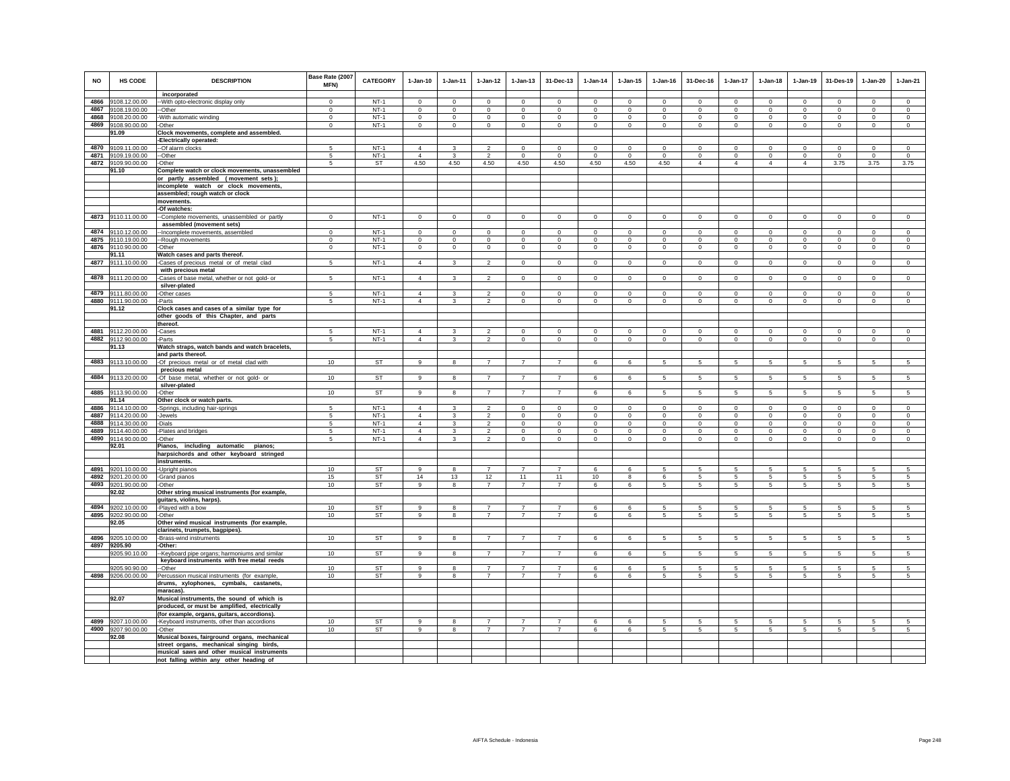| <b>NO</b> | <b>HS CODE</b>     | <b>DESCRIPTION</b><br>incorporated                 | Base Rate (2007<br><b>MFN)</b> | <b>CATEGORY</b> | $1-Jan-10$     | $1 - Jan-11$   | $1 - Jan-12$            | $1 - Jan-13$   | 31-Dec-13               | $1-Jan-14$     | $1 - Jan-15$            | $1 - Jan-16$            | 31-Dec-16               | $1-Jan-17$                 | $1-Jan-18$      | $1-Jan-19$      | 31-Des-19      | $1-Jan-20$     | $1-Jan-21$              |
|-----------|--------------------|----------------------------------------------------|--------------------------------|-----------------|----------------|----------------|-------------------------|----------------|-------------------------|----------------|-------------------------|-------------------------|-------------------------|----------------------------|-----------------|-----------------|----------------|----------------|-------------------------|
|           | 4866 9108.12.00.00 | -- With opto-electronic display only               | $\Omega$                       | $NT-1$          | $\Omega$       | $\Omega$       | $\Omega$                | $\Omega$       | $\Omega$                | $\Omega$       | $\Omega$                | $\Omega$                | $\Omega$                | $\Omega$                   | $\Omega$        | $\Omega$        | $\Omega$       | $\Omega$       | $\Omega$                |
|           | 4867 9108.19.00.00 | --Other                                            | $\mathbf 0$                    | $NT-1$          | $\circ$        | $\mathbf 0$    | $\mathbf 0$             | $\mathbf 0$    | $\mathbf 0$             | $\mathbf 0$    | $\mathbf 0$             | $\circ$                 | $\mathbf 0$             | $\mathbf 0$                | $\circ$         | $\mathbf 0$     | $\circ$        | $\mathbf 0$    | $\circ$                 |
|           | 4868 9108.20.00.00 | -With automatic winding                            | $\mathbf{0}$                   | $NT-1$          | $\mathbf{0}$   | $\mathbf{0}$   | $\mathbf{0}$            | $\mathbf{0}$   | $\mathbf{0}$            | $\mathbf 0$    | $\mathbf 0$             | $\mathbf 0$             | $\mathbf{0}$            | $\circ$                    | $\mathbf{0}$    | $\mathbf 0$     | $\circ$        | $\mathbf{0}$   | $\mathbf 0$             |
|           | 4869 9108.90.00.00 | -Other                                             | $\mathbf 0$                    | $NT-1$          | $\circ$        | $\circ$        | $\mathbf{0}$            | $\mathbf 0$    | $\mathbf{0}$            | $\circ$        | 0                       | $\circ$                 | $\circ$                 | $\circ$                    | $\circ$         | $\mathbf 0$     | $\circ$        | $^{\circ}$     | $\circ$                 |
|           | 91.09              | Clock movements, complete and assembled.           |                                |                 |                |                |                         |                |                         |                |                         |                         |                         |                            |                 |                 |                |                |                         |
|           |                    | -Electrically operated:                            |                                |                 |                |                |                         |                |                         |                |                         |                         |                         |                            |                 |                 |                |                |                         |
|           | 4870 9109.11.00.00 | -Of alarm clocks                                   | 5                              | $NT-1$          | $\overline{4}$ | 3              | $\mathfrak{p}$          | $\mathbf 0$    | $\mathbf 0$             | $\circ$        | $\mathbf 0$             | $\mathbf 0$             | $\mathbf 0$             | $\mathbf 0$                | $\mathbf 0$     | $\mathbf 0$     | $^{\circ}$     | $\mathbf 0$    | $\circ$                 |
|           | 4871 9109.19.00.00 | -Other                                             | 5                              | $NT-1$          | $\overline{4}$ |                | $\overline{2}$          | $\circ$        | $\mathbf 0$             | 0              | $\mathbf 0$             | $\mathbf 0$             | $\mathbf 0$             | $\mathsf 0$                | 0               | $\mathbf 0$     | $^{\circ}$     | $\theta$       | $\mathbf 0$             |
|           | 4872 9109.90.00.00 | -Other                                             | 5                              | <b>ST</b>       | 4.50           | 4.50           | 4.50                    | 4.50           | 4.50                    | 4.50           | 4.50                    | 4.50                    | $\overline{4}$          | $\overline{4}$             | $\overline{4}$  | $\overline{4}$  | 3.75           | 3.75           | 3.75                    |
|           | 91.10              | Complete watch or clock movements, unassembled     |                                |                 |                |                |                         |                |                         |                |                         |                         |                         |                            |                 |                 |                |                |                         |
|           |                    | or partly assembled (movement sets);               |                                |                 |                |                |                         |                |                         |                |                         |                         |                         |                            |                 |                 |                |                |                         |
|           |                    | incomplete watch or clock movements,               |                                |                 |                |                |                         |                |                         |                |                         |                         |                         |                            |                 |                 |                |                |                         |
|           |                    | assembled; rough watch or clock                    |                                |                 |                |                |                         |                |                         |                |                         |                         |                         |                            |                 |                 |                |                |                         |
|           |                    | movements.                                         |                                |                 |                |                |                         |                |                         |                |                         |                         |                         |                            |                 |                 |                |                |                         |
|           |                    | -Of watches:                                       |                                |                 |                |                |                         |                |                         |                |                         |                         |                         |                            |                 |                 |                |                |                         |
|           | 4873 9110.11.00.00 | --Complete movements, unassembled or partly        | $\mathbf{0}$                   | $NT-1$          | $\mathbf{0}$   | $\overline{0}$ | $\overline{0}$          | $\circ$        | $\overline{0}$          | $\overline{0}$ | $\mathbf 0$             | $\mathbf 0$             | $\mathbf{0}$            | $\circ$                    | $\mathbf{0}$    | $\circ$         | $\overline{0}$ | $\circ$        | $\circ$                 |
|           |                    | assembled (movement sets)                          |                                |                 |                |                |                         |                |                         |                |                         |                         |                         |                            |                 |                 |                |                |                         |
|           | 4874 9110.12.00.00 | -Incomplete movements, assembled                   | $\mathbf{0}$                   | $NT-1$          | $\Omega$       | $\Omega$       | $\circ$                 | $\mathbf 0$    | $\mathbf{0}$            | $^{\circ}$     | $\Omega$                | $^{\circ}$              | $\Omega$                | $\circ$                    | $\Omega$        | $\circ$         | $\circ$        | $\Omega$       | $\mathsf 0$             |
|           | 4875 9110.19.00.00 |                                                    | $\mathbf 0$                    | $NT-1$          | $\mathbf 0$    | $\mathbf 0$    | $\mathbf 0$             | $\mathsf 0$    | $\mathbf{0}$            | $\mathsf 0$    | $\mathsf 0$             | $\mathsf 0$             | $\mathbf 0$             | $\mathbf 0$                | $\mathbf 0$     | $\circ$         | $\mathbf 0$    | $\mathsf 0$    | $\mathsf 0$             |
|           |                    | -Rough movements                                   |                                |                 |                |                |                         |                |                         |                |                         |                         |                         |                            |                 |                 |                |                |                         |
|           | 4876 9110.90.00.00 | -Other                                             | $\mathsf 0$                    | $NT-1$          | $\circ$        | $\mathbf 0$    | $\mathbf 0$             | $\mathsf 0$    | $\mathbf 0$             | $\mathbf 0$    | $\mathbf 0$             | $\mathbf 0$             | $\mathbf 0$             | $\mathbf 0$                | $\mathbf 0$     | $\mathbf 0$     | $\mathbf 0$    | $\mathbf 0$    | $\mathbf 0$             |
|           | 91.11              | Watch cases and parts thereof.                     |                                | $NT-1$          | $\overline{4}$ | 3              | $\overline{2}$          |                |                         |                |                         |                         |                         | $\mathbf 0$                |                 |                 |                |                | $\mathsf 0$             |
|           | 4877 9111.10.00.00 | -Cases of precious metal or of metal clad          | 5                              |                 |                |                |                         | $\mathbf 0$    | $\mathbf 0$             | $\mathbf 0$    | $\mathbf 0$             | $\mathbf 0$             | $\mathbf 0$             |                            | $\circ$         | $\mathbf 0$     | $\circ$        | $\mathbf 0$    |                         |
|           |                    | with precious metal                                | 5                              | $NT-1$          | $\overline{4}$ | 3              | $\overline{2}$          | $\overline{0}$ | $\overline{0}$          | $\overline{0}$ | $\overline{0}$          | $\overline{0}$          |                         | $\overline{0}$             | $\overline{0}$  | $\overline{0}$  | $\overline{0}$ |                | $\overline{0}$          |
|           | 4878 9111.20.00.00 | -Cases of base metal, whether or not gold- or      |                                |                 |                |                |                         |                |                         |                |                         |                         | $\mathbf 0$             |                            |                 |                 |                | $\mathsf 0$    |                         |
|           | 4879 9111.80.00.00 | silver-plated                                      |                                | $NT-1$          | $\overline{4}$ | 3              | $\mathfrak{D}$          | $\Omega$       |                         | $\Omega$       |                         |                         |                         |                            | $\Omega$        | $\Omega$        | $\mathbf 0$    | $\mathbf 0$    |                         |
|           | 4880 9111.90.00.00 | -Other cases                                       | 5<br>$5 -$                     | $NT-1$          | $\overline{4}$ | 3              | $\mathfrak{D}$          | $\Omega$       | $\mathsf 0$<br>$\Omega$ | $\Omega$       | $\mathsf 0$<br>$\Omega$ | $\mathsf 0$<br>$\Omega$ | $\mathsf 0$<br>$\Omega$ | $\mathbf 0$<br>$\mathbf 0$ | $\Omega$        | $\Omega$        | $\Omega$       | $\Omega$       | $\mathsf 0$<br>$\Omega$ |
|           |                    | -Parts                                             |                                |                 |                |                |                         |                |                         |                |                         |                         |                         |                            |                 |                 |                |                |                         |
|           | 91.12              | Clock cases and cases of a similar type for        |                                |                 |                |                |                         |                |                         |                |                         |                         |                         |                            |                 |                 |                |                |                         |
|           |                    | other goods of this Chapter, and parts<br>thereof. |                                |                 |                |                |                         |                |                         |                |                         |                         |                         |                            |                 |                 |                |                |                         |
|           | 4881 9112.20.00.00 | -Cases                                             | 5                              | $NT-1$          | $\overline{4}$ | 3              | $\overline{2}$          | $\Omega$       | $\mathsf 0$             | $^{\circ}$     | $\Omega$                | $\mathsf 0$             | $\Omega$                | $\mathbf 0$                | $\Omega$        | $\mathbf 0$     | $\mathbf 0$    | $\Omega$       | $\mathsf 0$             |
|           | 4882 9112.90.00.00 | -Parts                                             | 5                              | $NT-1$          | $\overline{4}$ | $\mathbf{3}$   | $\mathfrak{p}$          | $\mathsf 0$    | $\mathbf{0}$            | $\mathsf 0$    | $\mathsf 0$             | $\mathsf 0$             | $\circ$                 | $\circ$                    | $\mathbf 0$     | $\mathbb O$     | $\circ$        | $\mathsf 0$    | $\mathsf 0$             |
|           | 91.13              | Watch straps, watch bands and watch bracelets,     |                                |                 |                |                |                         |                |                         |                |                         |                         |                         |                            |                 |                 |                |                |                         |
|           |                    | and parts thereof.                                 |                                |                 |                |                |                         |                |                         |                |                         |                         |                         |                            |                 |                 |                |                |                         |
|           | 4883 9113.10.00.00 | -Of precious metal or of metal clad with           | 10                             | <b>ST</b>       | 9              | 8              | $\overline{7}$          | $\overline{7}$ | $\overline{7}$          | 6              | 6                       | 5                       | 5                       | 5                          | 5               | 5               | 5              | 5              | 5                       |
|           |                    | precious metal                                     |                                |                 |                |                |                         |                |                         |                |                         |                         |                         |                            |                 |                 |                |                |                         |
|           | 4884 9113.20.00.00 | -Of base metal, whether or not gold- or            | 10                             | <b>ST</b>       | $\mathbf{9}$   | 8              | $\overline{7}$          | $\overline{7}$ | $\overline{7}$          | 6              | $6\overline{6}$         | 5                       | $5\phantom{.0}$         | $5\overline{)}$            | $5\overline{5}$ | $5\overline{)}$ | $\overline{5}$ | $\overline{5}$ | $\overline{5}$          |
|           |                    | silver-plated                                      |                                |                 |                |                |                         |                |                         |                |                         |                         |                         |                            |                 |                 |                |                |                         |
|           | 4885 9113.90.00.00 | -Other                                             | 10                             | <b>ST</b>       | 9              | 8              | $\overline{7}$          | $\overline{7}$ | $\overline{7}$          | 6              | 6                       | 5                       | 5                       | $5\overline{)}$            | 5               | $5\phantom{.0}$ | 5              | 5              | 5                       |
|           | 91.14              | Other clock or watch parts.                        |                                |                 |                |                |                         |                |                         |                |                         |                         |                         |                            |                 |                 |                |                |                         |
|           | 4886 9114.10.00.00 | -Springs, including hair-springs                   | 5                              | $NT-1$          | $\overline{4}$ | 3              | $\overline{2}$          | $\mathbf 0$    | $\mathbf 0$             | $\mathbf 0$    | $\mathbf 0$             | $\circ$                 | $\mathbf 0$             | $\mathbf 0$                | $\circ$         | $\mathbf 0$     | $\circ$        | $\mathbf 0$    | $\circ$                 |
| 4887      | 9114.20.00.00      | -Jewels                                            | 5                              | $NT-1$          | $\overline{4}$ | 3              | $\overline{2}$          | $\mathbf 0$    | $\mathbf 0$             | $\mathbf 0$    | $\mathbf 0$             | $\mathbf 0$             | $\mathbf 0$             | $\mathbf 0$                | $\mathbf{0}$    | $\,0\,$         | $\mathbf 0$    | $\mathbf 0$    | $\mathbf 0$             |
|           | 4888 9114.30.00.00 | -Dials                                             | 5                              | $NT-1$          | $\overline{4}$ | 3              | $\overline{2}$          | $\mathbf 0$    | $\mathbf{0}$            | 0              | $\circ$                 | $^{\circ}$              | $\mathbf 0$             | $\circ$                    | $\circ$         | $\mathbf 0$     | $\mathbf 0$    | $\circ$        | $\circ$                 |
|           | 4889 9114.40.00.00 | -Plates and bridges                                | 5                              | $NT-1$          | $\overline{4}$ | 3              | $\overline{\mathbf{2}}$ | $\mathsf 0$    | $\mathbf{0}$            | $^{\circ}$     | $\circ$                 | $\mathsf 0$             | $\mathsf 0$             | $\mathbf 0$                | $\mathbf 0$     | $\mathbb O$     | $\mathbf 0$    | $\mathsf 0$    | $\mathsf 0$             |
|           | 4890 9114.90.00.00 | -Other                                             | 5                              | $NT-1$          | $\overline{4}$ | $\mathbf{3}$   | $\overline{2}$          | $\mathsf 0$    | $\mathbf{0}$            | $\mathsf 0$    | $\mathsf 0$             | $\mathsf 0$             | $\mathbf 0$             | $\mathbf 0$                | $\mathbf 0$     | $\mathbb O$     | $\circ$        | $\mathsf 0$    | $\mathsf 0$             |
|           | 92.01              | Pianos, including automatic<br>pianos;             |                                |                 |                |                |                         |                |                         |                |                         |                         |                         |                            |                 |                 |                |                |                         |
|           |                    | harpsichords and other keyboard stringed           |                                |                 |                |                |                         |                |                         |                |                         |                         |                         |                            |                 |                 |                |                |                         |
|           |                    | instruments.                                       |                                |                 |                |                |                         |                |                         |                |                         |                         |                         |                            |                 |                 |                |                |                         |
|           | 4891 9201.10.00.00 | -Upright pianos                                    | 10                             | <b>ST</b>       | 9              | 8              | $\overline{7}$          | $\overline{7}$ | $\overline{7}$          | 6              | 6                       | $\sqrt{5}$              | 5                       | 5                          | 5               | 5               | 5              | 5              | 5                       |
|           | 4892 9201.20.00.00 | -Grand pianos                                      | 15                             | <b>ST</b>       | 14             | 13             | 12                      | 11             | 11                      | 10             | $\overline{\mathbf{8}}$ | 6                       | 5                       | $5\overline{)}$            | $5\overline{5}$ | $\,$ 5 $\,$     | $\sqrt{5}$     | $\overline{5}$ | 5                       |
|           | 4893 9201.90.00.00 | -Other                                             | 10                             | <b>ST</b>       | 9              | 8              | $\overline{7}$          | $\overline{7}$ | $\overline{7}$          | 6              | 6                       | 5                       | 5                       | $5\phantom{.0}$            | 5               | 5               | 5              | 5              | 5                       |
|           | 92.02              | Other string musical instruments (for example,     |                                |                 |                |                |                         |                |                         |                |                         |                         |                         |                            |                 |                 |                |                |                         |
|           |                    | guitars, violins, harps).                          |                                |                 |                |                |                         |                |                         |                |                         |                         |                         |                            |                 |                 |                |                |                         |
|           | 4894 9202.10.00.00 | -Played with a bow                                 | 10                             | <b>ST</b>       | 9              | 8              | $\overline{7}$          | $\overline{7}$ | $\overline{7}$          | 6              | 6                       | 5                       | 5                       | 5                          | 5               | 5               | 5              | 5              | 5                       |
|           | 4895 9202.90.00.00 | -Other                                             | 10                             | <b>ST</b>       | $\mathsf g$    | 8              | $\overline{7}$          | $\overline{7}$ | $\overline{7}$          | 6              | 6                       | 5                       | 5                       | $5\phantom{.0}$            | $5\phantom{.0}$ | $\sqrt{5}$      | 5              | $\sqrt{5}$     | $\sqrt{5}$              |
|           | 92.05              | Other wind musical instruments (for example,       |                                |                 |                |                |                         |                |                         |                |                         |                         |                         |                            |                 |                 |                |                |                         |
|           |                    | clarinets, trumpets, bagpipes).                    |                                |                 |                |                |                         |                |                         |                |                         |                         |                         |                            |                 |                 |                |                |                         |
|           | 4896 9205.10.00.00 | -Brass-wind instruments                            | 10                             | <b>ST</b>       | 9              | 8              | $\overline{7}$          | $\overline{7}$ | $\overline{7}$          | 6              | 6                       | 5                       | 5                       | 5                          | 5               | $\overline{5}$  | 5              | 5              | 5                       |
| 4897      | 9205.90            | Other:                                             |                                |                 |                |                |                         |                |                         |                |                         |                         |                         |                            |                 |                 |                |                |                         |
|           | 9205.90.10.00      | -Keyboard pipe organs; harmoniums and similar      | 10                             | <b>ST</b>       | 9              | 8              | $\overline{7}$          | $\overline{7}$ | $\overline{7}$          | 6              | 6                       | $\overline{5}$          | 5                       | 5                          | 5               | 5               | 5              | 5              | 5                       |
|           |                    | keyboard instruments with free metal reeds         |                                |                 |                |                |                         |                |                         |                |                         |                         |                         |                            |                 |                 |                |                |                         |
|           | 9205.90.90.00      | --Other                                            | 10                             | <b>ST</b>       | $\overline{9}$ | $\mathbf{R}$   | $\overline{7}$          | $\overline{7}$ | $\overline{7}$          | 6              | 6                       | -5                      | 5                       | 5                          | 5               | $\overline{5}$  | 5              | 5              | $\overline{5}$          |
|           | 4898 9206.00.00.00 | Percussion musical instruments (for example,       | 10                             | ST              | 9              | $\mathbf{R}$   | $\overline{7}$          | $\overline{7}$ | $\overline{7}$          | 6              | 6                       | $\overline{5}$          | 5                       | 5                          | 5               | 5               | 5              | 5              | 5                       |
|           |                    | drums, xylophones, cymbals, castanets,             |                                |                 |                |                |                         |                |                         |                |                         |                         |                         |                            |                 |                 |                |                |                         |
|           |                    | maracas).                                          |                                |                 |                |                |                         |                |                         |                |                         |                         |                         |                            |                 |                 |                |                |                         |
|           | 92.07              | Musical instruments, the sound of which is         |                                |                 |                |                |                         |                |                         |                |                         |                         |                         |                            |                 |                 |                |                |                         |
|           |                    | produced, or must be amplified, electrically       |                                |                 |                |                |                         |                |                         |                |                         |                         |                         |                            |                 |                 |                |                |                         |
|           |                    | (for example, organs, guitars, accordions).        |                                |                 |                |                |                         |                |                         |                |                         |                         |                         |                            |                 |                 |                |                |                         |
|           | 4899 9207.10.00.00 | -Keyboard instruments, other than accordions       | 10                             | ST              | 9              | 8              | $\overline{7}$          | $\overline{7}$ | $\overline{7}$          | 6              | 6                       | 5                       | 5                       | 5                          | 5               | -5              | 5              | 5              | 5                       |
|           | 4900 9207.90.00.00 | -Other                                             | 10                             | ST              | 9              | 8              | $\overline{7}$          | $\overline{7}$ | $\overline{7}$          | 6              | 6                       | 5                       | 5                       | 5                          | 5               | 5               | 5              | 5              | 5                       |
|           | 92.08              | Musical boxes, fairground organs, mechanical       |                                |                 |                |                |                         |                |                         |                |                         |                         |                         |                            |                 |                 |                |                |                         |
|           |                    | street organs, mechanical singing birds,           |                                |                 |                |                |                         |                |                         |                |                         |                         |                         |                            |                 |                 |                |                |                         |
|           |                    | musical saws and other musical instruments         |                                |                 |                |                |                         |                |                         |                |                         |                         |                         |                            |                 |                 |                |                |                         |
|           |                    | not falling within any other heading of            |                                |                 |                |                |                         |                |                         |                |                         |                         |                         |                            |                 |                 |                |                |                         |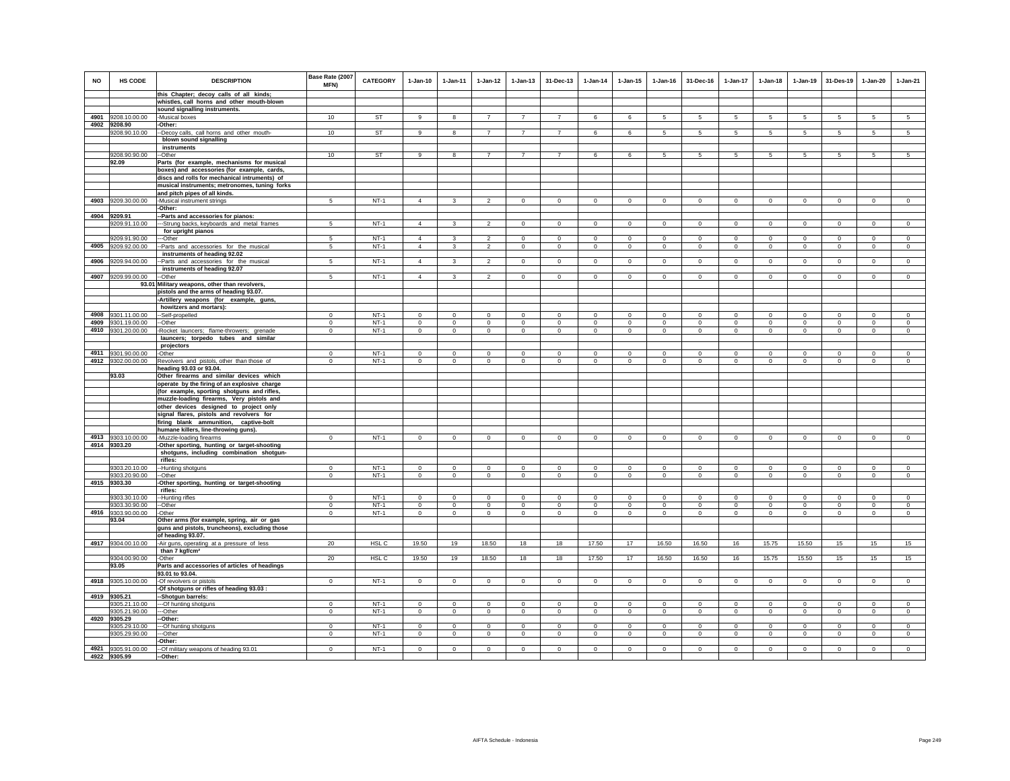| NO   | HS CODE                            | <b>DESCRIPTION</b>                                                                            | Base Rate (2007<br>MFN)    | <b>CATEGORY</b>  | $1-Jan-10$              | $1 - Jan-11$   | $1 - Jan-12$   | $1 - Jan-13$   | 31-Dec-13                    | $1 - Jan-14$   | $1 - Jan-15$ | $1 - Jan-16$ | 31-Dec-16               | $1 - Jan-17$          | $1-Jan-18$                 | $1 - Jan-19$ | 31-Des-19          | 1-Jan-20       | $1-Jan-21$   |
|------|------------------------------------|-----------------------------------------------------------------------------------------------|----------------------------|------------------|-------------------------|----------------|----------------|----------------|------------------------------|----------------|--------------|--------------|-------------------------|-----------------------|----------------------------|--------------|--------------------|----------------|--------------|
|      |                                    | this Chapter; decoy calls of all kinds;                                                       |                            |                  |                         |                |                |                |                              |                |              |              |                         |                       |                            |              |                    |                |              |
|      |                                    | whistles, call horns and other mouth-blown<br>sound signalling instruments.                   |                            |                  |                         |                |                |                |                              |                |              |              |                         |                       |                            |              |                    |                |              |
|      | 4901 9208.10.00.00                 | -Musical boxes                                                                                | 10                         | ST               | 9                       | 8              | $\overline{7}$ | $\overline{7}$ | $\overline{7}$               | 6              | 6            | 5            | 5                       | 5                     | 5                          | 5            | 5                  | 5              | 5            |
|      | 4902 9208.90                       | -Other:                                                                                       |                            |                  |                         |                |                |                |                              |                |              |              |                         |                       |                            |              |                    |                |              |
|      | 9208.90.10.00                      | -Decoy calls, call horns and other mouth-                                                     | 10                         | <b>ST</b>        | 9                       | 8              | $\overline{7}$ | $\overline{7}$ | $\overline{7}$               | 6              | 6            | 5            | 5                       | $5\overline{5}$       | $5\overline{5}$            | 5            | 5                  | 5              | 5            |
|      |                                    | blown sound signalling                                                                        |                            |                  |                         |                |                |                |                              |                |              |              |                         |                       |                            |              |                    |                |              |
|      |                                    | instruments                                                                                   |                            |                  |                         |                |                |                |                              |                |              |              |                         |                       |                            |              |                    |                |              |
|      | 9208.90.90.00                      | -Other                                                                                        | 10                         | <b>ST</b>        | 9                       | 8              | $\overline{7}$ | $\overline{7}$ | $\overline{7}$               | 6              | 6            | 5            | 5                       | 5                     | 5                          | 5            | 5                  | 5              | 5            |
|      | 92.09                              | Parts (for example, mechanisms for musical                                                    |                            |                  |                         |                |                |                |                              |                |              |              |                         |                       |                            |              |                    |                |              |
|      |                                    | boxes) and accessories (for example, cards,                                                   |                            |                  |                         |                |                |                |                              |                |              |              |                         |                       |                            |              |                    |                |              |
|      |                                    | discs and rolls for mechanical intruments) of                                                 |                            |                  |                         |                |                |                |                              |                |              |              |                         |                       |                            |              |                    |                |              |
|      |                                    | musical instruments; metronomes, tuning forks                                                 |                            |                  |                         |                |                |                |                              |                |              |              |                         |                       |                            |              |                    |                |              |
|      |                                    | and pitch pipes of all kinds.                                                                 |                            |                  |                         |                |                |                |                              |                |              |              |                         |                       |                            |              |                    |                |              |
| 4903 | 9209.30.00.00                      | -Musical instrument strings                                                                   | 5                          | $NT-1$           | $\overline{4}$          | $\mathbf{3}$   | $\overline{2}$ | $\mathsf 0$    | $\mathbf 0$                  | $\mathbf 0$    | $\mathbf{0}$ | $\circ$      | $\mathbf 0$             | $\mathbf 0$           | $\mathbf 0$                | $\mathbf 0$  | $\mathbf 0$        | $\mathbf{0}$   | $\circ$      |
|      |                                    | -Other:                                                                                       |                            |                  |                         |                |                |                |                              |                |              |              |                         |                       |                            |              |                    |                |              |
|      | 4904 9209.91                       | -- Parts and accessories for pianos:                                                          |                            |                  |                         |                |                |                |                              |                |              |              |                         |                       |                            |              |                    |                |              |
|      | 9209.91.10.00                      | ---Strung backs, keyboards and metal frames                                                   | 5                          | $NT-1$           | $\overline{4}$          | $\mathbf{3}$   | $\overline{2}$ | $\circ$        | $\overline{0}$               | $\overline{0}$ | $\circ$      | $\circ$      | $\circ$                 | $\circ$               | $\mathbf{0}$               | $\circ$      | $\overline{0}$     | $\circ$        | $\mathbf 0$  |
|      | 9209.91.90.00                      | for upright pianos<br>--Other                                                                 | 5                          | $NT-1$           | $\overline{4}$          | 3              | $\overline{2}$ | $\mathbf{0}$   | $\overline{0}$               | $\Omega$       | $\circ$      | $\circ$      | $\mathbf{0}$            | $\circ$               | $\mathbf{0}$               | $\circ$      | $\Omega$           | $\mathbf{0}$   | $\mathbf{0}$ |
|      | 4905 9209.92.00.00                 | -Parts and accessories for the musical                                                        | 5                          | $NT-1$           | $\overline{4}$          | $\mathbf{3}$   | $\overline{2}$ | $\mathsf 0$    | $\circ$                      | $\circ$        | $\mathsf 0$  | $\circ$      | $\mathbf{0}$            | $\mathbf 0$           | $\circ$                    | $\mathbf 0$  | $\circ$            | $\mathsf 0$    | $\circ$      |
|      |                                    | instruments of heading 92.02                                                                  |                            |                  |                         |                |                |                |                              |                |              |              |                         |                       |                            |              |                    |                |              |
|      | 4906 9209.94.00.00                 | -Parts and accessories for the musical                                                        | 5                          | $NT-1$           | $\overline{4}$          |                | $\mathcal{P}$  | $\Omega$       | $\mathsf 0$                  | $\mathbf 0$    | $\mathbf 0$  | $\Omega$     | $\Omega$                | $\mathbf 0$           | $\Omega$                   | $\mathbf 0$  | $\mathbf 0$        | $\mathbf 0$    | $\Omega$     |
|      |                                    | instruments of heading 92.07                                                                  |                            |                  |                         |                |                |                |                              |                |              |              |                         |                       |                            |              |                    |                |              |
|      | 4907 9209.99.00.00                 | -Other                                                                                        | 5                          | $NT-1$           | $\Delta$                | $\mathbf{R}$   | 2              | $\mathsf 0$    | $\mathbf 0$                  | $\mathbf 0$    | $\Omega$     | $\Omega$     | $\mathbf 0$             | $\overline{0}$        | $\mathsf 0$                | $\mathbf 0$  | $\,0\,$            | $\overline{0}$ | $\circ$      |
|      |                                    | 93.01 Military weapons, other than revolvers,                                                 |                            |                  |                         |                |                |                |                              |                |              |              |                         |                       |                            |              |                    |                |              |
|      |                                    | pistols and the arms of heading 93.07.                                                        |                            |                  |                         |                |                |                |                              |                |              |              |                         |                       |                            |              |                    |                |              |
|      |                                    | -Artillery weapons (for example, guns,                                                        |                            |                  |                         |                |                |                |                              |                |              |              |                         |                       |                            |              |                    |                |              |
|      |                                    | howitzers and mortars):                                                                       |                            |                  |                         |                |                |                |                              |                |              |              |                         |                       |                            |              |                    |                |              |
|      | 4908 9301.11.00.00                 | -Self-propelled                                                                               | $\Omega$                   | $NT-1$           | $\Omega$                | $\Omega$       | $\Omega$       | $\Omega$       | $\Omega$                     | $\Omega$       | $\Omega$     | $\Omega$     | $\Omega$                | $\Omega$              | $\Omega$                   | $\Omega$     | $\Omega$           | $\Omega$       | $\Omega$     |
|      | 4909 9301.19.00.00                 | --Other                                                                                       | $\mathbf 0$                | $NT-1$           | $\mathbf 0$             | $\mathbf 0$    | $\circ$        | $\mathsf 0$    | $\mathbf 0$                  | $\mathbf 0$    | $\mathsf 0$  | $\mathsf 0$  | $\mathbf 0$             | $\mathbf 0$           | $\mathbf 0$                | $\mathbb O$  | $\,0\,$            | $\mathsf 0$    | $\mathbf 0$  |
|      | 4910 9301.20.00.00                 | -Rocket launcers; flame-throwers; grenade<br>launcers; torpedo tubes and similar              | $\mathbf 0$                | $NT-1$           | $\circ$                 | $\circ$        | $\mathbf{0}$   | $\mathbf 0$    | $\mathbf{0}$                 | $\mathbf{0}$   | $\mathbf 0$  | $\circ$      | $\circ$                 | $\circ$               | $\circ$                    | $\mathbf 0$  | $\mathbf{0}$       | $\circ$        | $\circ$      |
|      |                                    | projectors                                                                                    |                            |                  |                         |                |                |                |                              |                |              |              |                         |                       |                            |              |                    |                |              |
|      | 4911 9301.90.00.00                 | -Other                                                                                        | $\Omega$                   | $NT-1$           | $\Omega$                | $\Omega$       | $\Omega$       | $\Omega$       | $^{\circ}$                   | $\Omega$       | $^{\circ}$   | $^{\circ}$   | $\Omega$                | $\Omega$              | $\Omega$                   | $\Omega$     | $^{\circ}$         | $\Omega$       | $\mathbf 0$  |
|      | 4912 9302.00.00.00                 | Revolvers and pistols, other than those of                                                    | $\mathbf{0}$               | $NT-1$           | $\mathbf 0$             | $\mathbf 0$    | $\circ$        | $\mathsf 0$    | $\mathsf 0$                  | $\Omega$       | $\mathbf 0$  | $\circ$      | $\mathbf{0}$            | $\mathbf 0$           | $\mathbf 0$                | $\mathbf 0$  | $\circ$            | $\mathbf 0$    | $\Omega$     |
|      |                                    | heading 93.03 or 93.04.                                                                       |                            |                  |                         |                |                |                |                              |                |              |              |                         |                       |                            |              |                    |                |              |
|      | 93.03                              | Other firearms and similar devices which                                                      |                            |                  |                         |                |                |                |                              |                |              |              |                         |                       |                            |              |                    |                |              |
|      |                                    | operate by the firing of an explosive charge                                                  |                            |                  |                         |                |                |                |                              |                |              |              |                         |                       |                            |              |                    |                |              |
|      |                                    | (for example, sporting shotguns and rifles,                                                   |                            |                  |                         |                |                |                |                              |                |              |              |                         |                       |                            |              |                    |                |              |
|      |                                    | muzzle-loading firearms, Very pistols and                                                     |                            |                  |                         |                |                |                |                              |                |              |              |                         |                       |                            |              |                    |                |              |
|      |                                    | other devices designed to project only                                                        |                            |                  |                         |                |                |                |                              |                |              |              |                         |                       |                            |              |                    |                |              |
|      |                                    | signal flares, pistols and revolvers for                                                      |                            |                  |                         |                |                |                |                              |                |              |              |                         |                       |                            |              |                    |                |              |
|      |                                    | firing blank ammunition, captive-bolt                                                         |                            |                  |                         |                |                |                |                              |                |              |              |                         |                       |                            |              |                    |                |              |
|      |                                    | humane killers, line-throwing guns).                                                          |                            | $NT-1$           |                         |                |                |                |                              |                |              |              |                         |                       |                            |              |                    |                |              |
|      | 4913 9303.10.00.00<br>4914 9303.20 | -Muzzle-loading firearms                                                                      | $\mathbf 0$                |                  | $\circ$                 | $\mathbf 0$    | $\circ$        | $\circ$        | $\mathbf{0}$                 | $\circ$        | $\mathsf 0$  | $\mathsf 0$  | $\circ$                 | $\circ$               | $\mathbf 0$                | $\mathbb O$  | $\circ$            | $\mathsf 0$    | $\mathsf 0$  |
|      |                                    | -Other sporting, hunting or target-shooting<br>shotguns, including combination shotgun-       |                            |                  |                         |                |                |                |                              |                |              |              |                         |                       |                            |              |                    |                |              |
|      |                                    | rifles:                                                                                       |                            |                  |                         |                |                |                |                              |                |              |              |                         |                       |                            |              |                    |                |              |
|      | 9303.20.10.00                      | -Hunting shotguns                                                                             | $\mathbf 0$                | $NT-1$           | $\mathbf 0$             | $\Omega$       | $\mathbf 0$    | $\mathbf 0$    | $\mathbf 0$                  | $\circ$        | $\mathbf 0$  | $\mathbf 0$  | $\mathbf 0$             | $\mathbf 0$           | $\mathbf 0$                | $\mathbf 0$  | $^{\circ}$         | $\mathbf 0$    | $\mathbf 0$  |
|      | 9303.20.90.00                      | -Other                                                                                        | $\mathbf 0$                | $NT-1$           | $\mathbf 0$             | $\mathbf 0$    | $\mathbf 0$    | $\mathbf 0$    | $^{\circ}$                   | $\circ$        | $\mathbf 0$  | $\mathbf 0$  | $\mathbf 0$             | $\mathbf 0$           | $\mathbf 0$                | $\mathbf 0$  | $\mathbf 0$        | $\mathbf 0$    | $\Omega$     |
|      | 4915 9303.30                       | Other sporting, hunting or target-shooting                                                    |                            |                  |                         |                |                |                |                              |                |              |              |                         |                       |                            |              |                    |                |              |
|      |                                    | rifles:                                                                                       |                            |                  |                         |                |                |                |                              |                |              |              |                         |                       |                            |              |                    |                |              |
|      | 9303.30.10.00                      | -Hunting rifles                                                                               | $\Omega$                   | $NT-1$           | $\Omega$                | $\Omega$       | $\Omega$       | $\Omega$       | $\Omega$                     | $\Omega$       | $\Omega$     | $\Omega$     | $\Omega$                | $\Omega$              | $\Omega$                   | $\Omega$     | $\Omega$           | $\Omega$       | $\Omega$     |
|      | 9303.30.90.00                      | --Other                                                                                       | $\mathsf 0$                | $NT-1$           | $\mathbf{0}$            | $^{\circ}$     | $^{\circ}$     | $\mathsf 0$    | $\mathbf 0$                  | $\mathbf 0$    | $\mathbf 0$  | $\circ$      | $\mathbf{0}$            | 0                     | $^{\circ}$                 | $^{\circ}$   | $\overline{0}$     | $\mathbf 0$    | $\mathbf 0$  |
|      | 4916 9303.90.00.00<br>93.04        | -Other                                                                                        | $\mathbf 0$                | $NT-1$           | $\mathbf{0}$            | $\circ$        | $\mathbf{0}$   | $\mathbf{0}$   | $\mathbf{0}$                 | $\mathbf 0$    | $\mathbf 0$  | $\circ$      | $\mathbf{0}$            | $\circ$               | $\circ$                    | $\mathbf 0$  | $\circ$            | $\mathbf 0$    | $\circ$      |
|      |                                    | Other arms (for example, spring, air or gas<br>guns and pistols, truncheons), excluding those |                            |                  |                         |                |                |                |                              |                |              |              |                         |                       |                            |              |                    |                |              |
|      |                                    | of heading 93.07.                                                                             |                            |                  |                         |                |                |                |                              |                |              |              |                         |                       |                            |              |                    |                |              |
|      | 4917 9304.00.10.00                 | -Air guns, operating at a pressure of less                                                    | 20                         | HSL C            | 19.50                   | 19             | 18.50          | 18             | 18                           | 17.50          | 17           | 16.50        | 16.50                   | 16                    | 15.75                      | 15.50        | 15                 | 15             | 15           |
|      |                                    | than 7 kgf/cm <sup>2</sup>                                                                    |                            |                  |                         |                |                |                |                              |                |              |              |                         |                       |                            |              |                    |                |              |
|      | 9304.00.90.00                      | -Other                                                                                        | 20                         | HSL <sub>C</sub> | 19.50                   | 19             | 18.50          | 18             | 18                           | 17.50          | 17           | 16.50        | 16.50                   | 16                    | 15.75                      | 15.50        | 15                 | 15             | 15           |
|      | 93.05                              | Parts and accessories of articles of headings                                                 |                            |                  |                         |                |                |                |                              |                |              |              |                         |                       |                            |              |                    |                |              |
|      |                                    | 93.01 to 93.04.                                                                               |                            |                  |                         |                |                |                |                              |                |              |              |                         |                       |                            |              |                    |                |              |
|      | 4918 9305.10.00.00                 | -Of revolvers or pistols                                                                      | $\mathbf 0$                | $NT-1$           | $\mathbf 0$             | $\mathbf 0$    | $\mathbf 0$    | $\mathsf 0$    | $\mathbf 0$                  | $\mathsf 0$    | $\mathsf 0$  | $\circ$      | $\mathbf 0$             | $\mathbf 0$           | $\mathbf 0$                | $\mathbf 0$  | $\mathbf 0$        | $\mathbf{0}$   | $\circ$      |
|      |                                    | -Of shotguns or rifles of heading 93.03 :                                                     |                            |                  |                         |                |                |                |                              |                |              |              |                         |                       |                            |              |                    |                |              |
|      | 4919 9305.21                       | -Shotgun barrels:                                                                             |                            |                  |                         |                |                |                |                              |                |              |              |                         |                       |                            |              |                    |                |              |
|      | 9305.21.10.00<br>9305.21.90.00     | --- Of hunting shotguns                                                                       | $\mathsf 0$<br>$\mathbf 0$ | $NT-1$<br>$NT-1$ | $\mathbf{0}$<br>$\circ$ | $^{\circ}$     | $^{\circ}$     | $\mathbf 0$    | $^{\circ}$<br>$\overline{0}$ | $\overline{0}$ | $\mathbf 0$  | $\mathbf 0$  | $\mathbf{0}$<br>$\circ$ | $^{\circ}$<br>$\circ$ | $\mathbf{0}$<br>$^{\circ}$ | $^{\circ}$   | $\circ$<br>$\circ$ | $\mathbf 0$    | $\mathbf{0}$ |
|      | 4920 9305.29                       | --Other<br>-Other:                                                                            |                            |                  |                         | $\overline{0}$ | $\overline{0}$ | $\mathbf{0}$   |                              | $\mathbf{0}$   | 0            | $\mathbf{0}$ |                         |                       |                            | $\mathbf{0}$ |                    | $\mathbf 0$    | $\mathbf 0$  |
|      | 9305.29.10.00                      | -Of hunting shotguns                                                                          | $\Omega$                   | $NT-1$           | $\Omega$                | $\Omega$       | $\Omega$       | $\Omega$       | $\Omega$                     | $\Omega$       | $\Omega$     | $\Omega$     | $\Omega$                | $\Omega$              | $\Omega$                   | $\Omega$     | $\Omega$           | $\Omega$       | $\Omega$     |
|      | 9305.29.90.00                      | --Other                                                                                       | $\mathbf 0$                | $NT-1$           | $\mathbf 0$             | $\mathbf 0$    | $\mathbf 0$    | $\mathsf 0$    | $\mathbf 0$                  | $\mathbf 0$    | $\mathbf 0$  | $\mathbf 0$  | $\mathsf 0$             | $\mathbf 0$           | $\mathbf 0$                | $\mathbf 0$  | $\mathbf 0$        | $\mathbf 0$    | $\mathbf 0$  |
|      |                                    | -Other:                                                                                       |                            |                  |                         |                |                |                |                              |                |              |              |                         |                       |                            |              |                    |                |              |
|      | 4921 9305.91.00.00                 | -Of military weapons of heading 93.01                                                         | $\Omega$                   | $NT-1$           | $\mathbf 0$             | $\Omega$       | $\Omega$       | $\Omega$       | $\Omega$                     | $\Omega$       | $\Omega$     | $\Omega$     | $\Omega$                | $\mathbf 0$           | $\Omega$                   | $\Omega$     | $\Omega$           | $\Omega$       | $\Omega$     |
|      | 4922 9305.99                       | -Other:                                                                                       |                            |                  |                         |                |                |                |                              |                |              |              |                         |                       |                            |              |                    |                |              |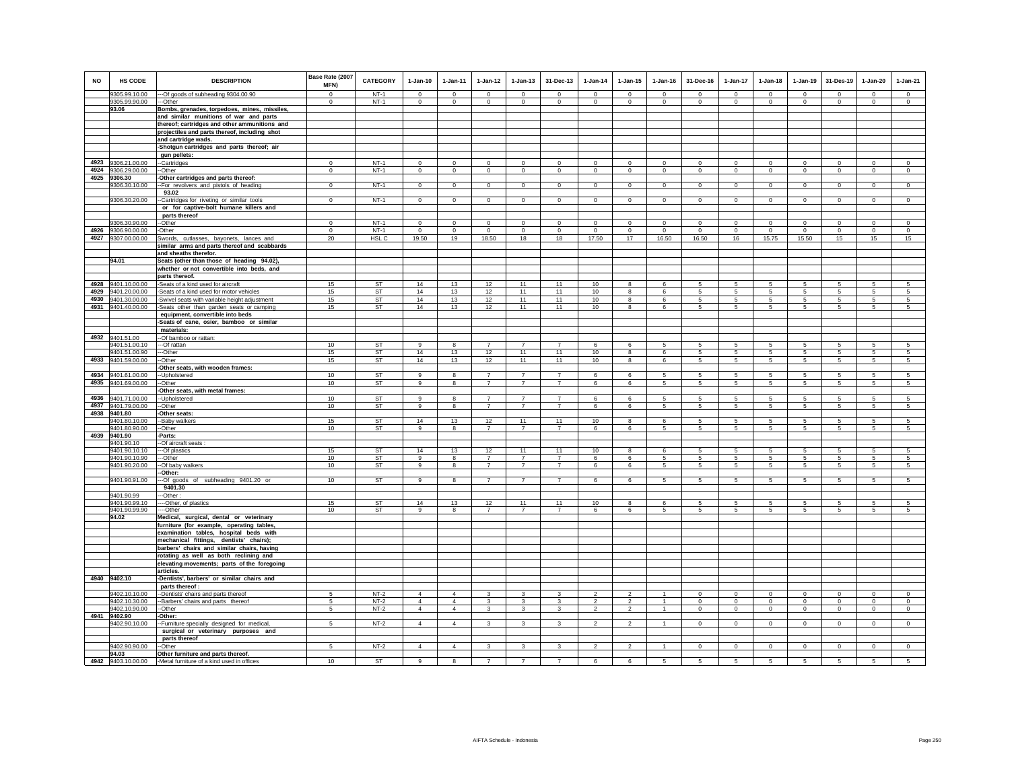| <b>NO</b> | HS CODE<br>9305.99.10.00                 | <b>DESCRIPTION</b>                                                                         | Base Rate (2007<br><b>MFN)</b><br>$\overline{0}$ | <b>CATEGORY</b><br>$NT-1$ | $1-Jan-10$<br>$\Omega$  | $1 - Jan-11$<br>$\Omega$   | $1 - Jan-12$<br>$\Omega$   | $1 - Jan-13$<br>$\Omega$      | 31-Dec-13<br>$\Omega$         | $1 - Jan-14$<br>$\Omega$  | $1 - Jan-15$<br>$\Omega$   | $1 - Jan-16$<br>$\Omega$ | 31-Dec-16<br>$\Omega$      | 1-Jan-17<br>$\Omega$          | $1-Jan-18$<br>$\Omega$ | $1-Jan-19$<br>$\Omega$     | 31-Des-19<br>$\overline{0}$ | $1-Jan-20$<br>$\Omega$ | $1-Jan-21$<br>$\overline{0}$ |
|-----------|------------------------------------------|--------------------------------------------------------------------------------------------|--------------------------------------------------|---------------------------|-------------------------|----------------------------|----------------------------|-------------------------------|-------------------------------|---------------------------|----------------------------|--------------------------|----------------------------|-------------------------------|------------------------|----------------------------|-----------------------------|------------------------|------------------------------|
|           | 9305.99.90.00                            | --- Of goods of subheading 9304.00.90<br>---Other                                          | $^{\circ}$                                       | $NT-1$                    | $\mathbf{0}$            | $\mathbf 0$                | $\mathbf 0$                | $\mathbf 0$                   | $^{\circ}$                    | $\overline{0}$            | $\mathbf 0$                | $\circ$                  | $\mathbf{0}$               | $\mathbf 0$                   | $\mathbf 0$            | $\mathbf 0$                | $\circ$                     | $\mathbf 0$            | $\mathsf 0$                  |
|           | 93.06                                    | Bombs, grenades, torpedoes, mines, missiles,                                               |                                                  |                           |                         |                            |                            |                               |                               |                           |                            |                          |                            |                               |                        |                            |                             |                        |                              |
|           |                                          | and similar munitions of war and parts                                                     |                                                  |                           |                         |                            |                            |                               |                               |                           |                            |                          |                            |                               |                        |                            |                             |                        |                              |
|           |                                          | thereof; cartridges and other ammunitions and                                              |                                                  |                           |                         |                            |                            |                               |                               |                           |                            |                          |                            |                               |                        |                            |                             |                        |                              |
|           |                                          | projectiles and parts thereof, including shot                                              |                                                  |                           |                         |                            |                            |                               |                               |                           |                            |                          |                            |                               |                        |                            |                             |                        |                              |
|           |                                          | and cartridge wads.                                                                        |                                                  |                           |                         |                            |                            |                               |                               |                           |                            |                          |                            |                               |                        |                            |                             |                        |                              |
|           |                                          | -Shotgun cartridges and parts thereof; air                                                 |                                                  |                           |                         |                            |                            |                               |                               |                           |                            |                          |                            |                               |                        |                            |                             |                        |                              |
|           |                                          | gun pellets:                                                                               | $\Omega$                                         | $NT-1$                    |                         |                            |                            |                               |                               |                           | $\Omega$                   | $\Omega$                 |                            | $\overline{0}$                |                        |                            | $\overline{0}$              | $\Omega$               | $\overline{0}$               |
|           | 4923 9306.21.00.00<br>4924 9306.29.00.00 | --Cartridges<br>--Other                                                                    | $\mathbf 0$                                      | $NT-1$                    | $\mathbf 0$<br>$\circ$  | $\mathbf 0$<br>$\mathbf 0$ | $\mathbf 0$<br>$\mathsf 0$ | $\mathsf 0$<br>$\overline{0}$ | $\mathsf 0$<br>$\mathbf 0$    | $\mathbf 0$<br>$\circ$    | $\mathbf{0}$               | $\circ$                  | $\mathsf 0$<br>$\mathbf 0$ | $\overline{0}$                | $\mathbf 0$<br>$\circ$ | $\mathbf 0$<br>$\mathbf 0$ | $\,0\,$                     | $\circ$                | $\overline{0}$               |
|           | 4925 9306.30                             | -Other cartridges and parts thereof:                                                       |                                                  |                           |                         |                            |                            |                               |                               |                           |                            |                          |                            |                               |                        |                            |                             |                        |                              |
|           | 9306.30.10.00                            | -- For revolvers and pistols of heading                                                    | $\overline{0}$                                   | $NT-1$                    | $\mathbf{0}$            | $\mathbf{0}$               | $\mathbf{0}$               | $\overline{0}$                | $\overline{0}$                | $\overline{0}$            | $\mathbf 0$                | $\circ$                  | $\overline{0}$             | $\overline{0}$                | $\overline{0}$         | $\overline{0}$             | $\overline{0}$              | $\mathbf 0$            | $\mathbf{0}$                 |
|           |                                          | 93.02                                                                                      |                                                  |                           |                         |                            |                            |                               |                               |                           |                            |                          |                            |                               |                        |                            |                             |                        |                              |
|           | 9306.30.20.00                            | -Cartridges for riveting or similar tools                                                  | $\Omega$                                         | $NT-1$                    | $\Omega$                | $^{\circ}$                 | $\mathbf{0}$               | $\mathbf 0$                   | $\mathbf 0$                   | $\circ$                   | $\circ$                    | $^{\circ}$               | $\mathbf 0$                | $\circ$                       | $\circ$                | $\circ$                    | $\mathbf{0}$                | $\circ$                | $\circ$                      |
|           |                                          | or for captive-bolt humane killers and                                                     |                                                  |                           |                         |                            |                            |                               |                               |                           |                            |                          |                            |                               |                        |                            |                             |                        |                              |
|           |                                          | parts thereof                                                                              |                                                  |                           |                         |                            |                            |                               |                               |                           |                            |                          |                            |                               |                        |                            |                             |                        |                              |
|           | 9306.30.90.00<br>4926 9306.90.00.00      | --Other                                                                                    | $\mathbf 0$<br>$\mathbf 0$                       | $NT-1$<br>$NT-1$          | $\mathbf 0$             | $\mathbf 0$<br>$\mathbf 0$ | $\mathbf 0$<br>$\mathbf 0$ | $\mathbf 0$<br>$\mathsf 0$    | $\mathbf 0$<br>$\overline{0}$ | $^{\circ}$<br>$\mathbf 0$ | $\mathbf 0$<br>$\mathbf 0$ | $\mathbf 0$              | $\mathbf 0$                | $\mathbf 0$<br>$\overline{0}$ | $\mathbf 0$            | $\mathbf 0$                | $^{\circ}$<br>$\,0\,$       | $\mathbf 0$            | $\mathbf 0$<br>$\mathsf 0$   |
|           | 4927 9307.00.00.00                       | -Other<br>Swords, cutlasses, bayonets, lances and                                          | 20                                               | HSL <sub>C</sub>          | $\overline{0}$<br>19.50 | 19                         | 18.50                      | 18                            | 18                            | 17.50                     | 17                         | $\mathbf 0$<br>16.50     | $\overline{0}$<br>16.50    | 16                            | $\mathbf 0$<br>15.75   | $\,0\,$<br>15.50           | 15                          | $\mathbf 0$<br>15      | 15                           |
|           |                                          | similar arms and parts thereof and scabbards                                               |                                                  |                           |                         |                            |                            |                               |                               |                           |                            |                          |                            |                               |                        |                            |                             |                        |                              |
|           |                                          | and sheaths therefor.                                                                      |                                                  |                           |                         |                            |                            |                               |                               |                           |                            |                          |                            |                               |                        |                            |                             |                        |                              |
|           | 94.01                                    | Seats (other than those of heading 94.02),                                                 |                                                  |                           |                         |                            |                            |                               |                               |                           |                            |                          |                            |                               |                        |                            |                             |                        |                              |
|           |                                          | whether or not convertible into beds, and                                                  |                                                  |                           |                         |                            |                            |                               |                               |                           |                            |                          |                            |                               |                        |                            |                             |                        |                              |
|           |                                          | parts thereof.                                                                             |                                                  |                           |                         |                            |                            |                               |                               |                           |                            |                          |                            |                               |                        |                            |                             |                        |                              |
|           | 4928 9401.10.00.00                       | -Seats of a kind used for aircraft                                                         | 15                                               | <b>ST</b>                 | 14                      | 13                         | 12                         | 11                            | 11                            | 10                        | 8                          | 6                        | -5                         | 5                             | 5                      | 5                          | $\sqrt{5}$                  | 5                      | 5                            |
| 4929      | 9401.20.00.00<br>4930 9401.30.00.00      | -Seats of a kind used for motor vehicles                                                   | 15<br>15                                         | <b>ST</b><br><b>ST</b>    | 14<br>14                | 13<br>13                   | 12<br>12                   | 11<br>11                      | 11<br>11                      | 10<br>10                  | 8<br>8                     | 6<br>6                   | 5<br>5                     | $5\phantom{.0}$<br>5          | 5<br>5                 | $\sqrt{5}$<br>5            | $\sqrt{5}$<br>5             | 5<br>5                 | $\sqrt{5}$<br>5              |
|           | 4931 9401.40.00.00                       | -Swivel seats with variable height adjustment<br>-Seats other than garden seats or camping | 15                                               | ST                        | 14                      | 13                         | 12                         | 11                            | 11                            | 10                        | 8                          | 6                        | 5                          | 5                             | 5                      | -5                         | 5                           | 5                      | 5                            |
|           |                                          | equipment, convertible into beds                                                           |                                                  |                           |                         |                            |                            |                               |                               |                           |                            |                          |                            |                               |                        |                            |                             |                        |                              |
|           |                                          | -Seats of cane, osier, bamboo or similar                                                   |                                                  |                           |                         |                            |                            |                               |                               |                           |                            |                          |                            |                               |                        |                            |                             |                        |                              |
|           |                                          | materials:                                                                                 |                                                  |                           |                         |                            |                            |                               |                               |                           |                            |                          |                            |                               |                        |                            |                             |                        |                              |
|           | 4932 9401.51.00                          | -- Of bamboo or rattan:                                                                    |                                                  |                           |                         |                            |                            |                               |                               |                           |                            |                          |                            |                               |                        |                            |                             |                        |                              |
|           | 9401.51.00.10                            | --- Of rattan                                                                              | 10                                               | <b>ST</b>                 | 9                       | 8                          |                            | $\overline{7}$                |                               | 6                         | 6                          | 5                        | 5                          | 5                             | 5                      | -5                         | 5                           | 5                      | 5                            |
|           | 9401.51.00.90                            | ---Other                                                                                   | 15                                               | ST                        | 14                      | 13                         | 12                         | 11                            | 11                            | 10                        | 8                          | 6                        | $5\overline{5}$            | $5\overline{5}$               | $5\overline{5}$        | 5                          | 5                           | 5                      | 5                            |
|           | 4933 9401.59.00.00                       | --Other<br>-Other seats, with wooden frames:                                               | 15                                               | ST                        | 14                      | 13                         | 12                         | 11                            | 11                            | 10                        | 8                          | 6                        | 5                          | $5\phantom{.0}$               | $5\phantom{.0}$        | $\sqrt{5}$                 | 5                           | $\sqrt{5}$             | $\sqrt{5}$                   |
|           | 4934 9401.61.00.00                       | -Upholstered                                                                               | 10                                               | <b>ST</b>                 | 9                       | 8                          | $\overline{7}$             | $\overline{7}$                | $\overline{7}$                | 6                         | 6                          | 5                        | 5                          | 5                             | 5                      | 5                          | -5                          | 5                      | $\overline{5}$               |
|           | 4935 9401.69.00.00                       | -Other                                                                                     | 10                                               | ST                        | $\mathsf g$             | 8                          | $\overline{7}$             | $\overline{7}$                | $\overline{7}$                | 6                         | 6                          | 5                        | 5                          | 5                             | 5                      | $\overline{5}$             | 5                           | 5                      | 5                            |
|           |                                          | -Other seats, with metal frames:                                                           |                                                  |                           |                         |                            |                            |                               |                               |                           |                            |                          |                            |                               |                        |                            |                             |                        |                              |
|           | 4936 9401.71.00.00                       | -Upholstered                                                                               | 10                                               | <b>ST</b>                 | 9                       | 8                          | $\overline{7}$             | $\overline{7}$                | $\overline{7}$                | 6                         | 6                          | 5                        | 5                          | 5                             | 5                      | 5                          | 5                           | 5                      | 5                            |
|           | 4937 9401.79.00.00                       | -Other                                                                                     | 10                                               | ST                        | $\overline{9}$          | 8                          | $\overline{7}$             | $\overline{7}$                | $\overline{7}$                | 6                         | 6                          | 5                        | 5                          | $\overline{5}$                | 5                      | $\,$ 5 $\,$                | $\sqrt{5}$                  | $\,$ 5 $\,$            | 5                            |
|           | 4938 9401.80                             | -Other seats:                                                                              |                                                  | <b>ST</b>                 |                         | 13                         | 12                         |                               | 11                            |                           | 8                          | 6                        |                            |                               |                        |                            |                             |                        |                              |
|           | 9401.80.10.00<br>9401.80.90.00           | -Baby walkers<br>-Other                                                                    | 15<br>10                                         | ST                        | 14<br>9                 | 8                          | $\overline{7}$             | 11<br>$\overline{7}$          | $\overline{7}$                | 10<br>6                   | 6                          | 5                        | 5<br>5                     | 5<br>5                        | 5<br>5                 | 5<br>5                     | 5<br>5                      | 5<br>5                 | 5<br>5                       |
|           | 4939 9401.90                             | -Parts:                                                                                    |                                                  |                           |                         |                            |                            |                               |                               |                           |                            |                          |                            |                               |                        |                            |                             |                        |                              |
|           | 9401.90.10                               | -Of aircraft seats :                                                                       |                                                  |                           |                         |                            |                            |                               |                               |                           |                            |                          |                            |                               |                        |                            |                             |                        |                              |
|           | 9401.90.10.10                            | --Of plastics                                                                              | 15                                               | ST                        | 14                      | 13                         | 12                         | 11                            | 11                            | 10                        | 8                          | 6                        | 5                          | 5                             | 5                      | 5                          | 5                           | 5                      | 5                            |
|           | 9401.90.10.90                            | --Other                                                                                    | 10                                               | ST                        | 9                       | 8                          | $\overline{7}$             | $\overline{7}$                | $\overline{7}$                | 6                         | 6                          | 5                        | 5                          | $5\overline{5}$               | 5                      | 5                          | 5                           | 5                      | 5                            |
|           | 9401.90.20.00                            | -- Of baby walkers<br>-Other:                                                              | 10                                               | <b>ST</b>                 | $\overline{9}$          | $\mathbf{a}$               | $\overline{7}$             | $\overline{7}$                | $\overline{7}$                | 6                         | 6                          | $\overline{5}$           | $\overline{5}$             | 5                             | 5                      | $\overline{5}$             | $\overline{5}$              | $\overline{5}$         | $\overline{5}$               |
|           | 9401.90.91.00                            | --Of goods of subheading 9401.20 or                                                        | 10                                               | <b>ST</b>                 | 9                       | 8                          | $\overline{7}$             | $\overline{7}$                | $\overline{7}$                | 6                         | 6                          | 5                        | 5                          | 5                             | 5                      | $\,$ 5 $\,$                | 5                           | 5                      | $\sqrt{5}$                   |
|           |                                          | 9401.30                                                                                    |                                                  |                           |                         |                            |                            |                               |                               |                           |                            |                          |                            |                               |                        |                            |                             |                        |                              |
|           | 9401.90.99                               | --Other:                                                                                   |                                                  |                           |                         |                            |                            |                               |                               |                           |                            |                          |                            |                               |                        |                            |                             |                        |                              |
|           | 9401.90.99.10                            | --- Other, of plastics                                                                     | 15                                               | <b>ST</b>                 | 14                      | 13                         | 12                         | 11                            | 11                            | 10                        | 8                          | 6                        | 5                          | 5                             | 5                      | 5                          | 5                           | 5                      | 5                            |
|           | 9401.90.99.90                            | ----Other                                                                                  | 10                                               | <b>ST</b>                 | 9                       | 8                          | $\overline{7}$             | $\overline{7}$                | $\overline{7}$                | 6                         | 6                          | 5                        | 5                          | $5\overline{5}$               | 5                      | 5                          | 5                           | 5                      | 5                            |
|           | 94.02                                    | Medical, surgical, dental or veterinary<br>furniture (for example, operating tables,       |                                                  |                           |                         |                            |                            |                               |                               |                           |                            |                          |                            |                               |                        |                            |                             |                        |                              |
|           |                                          | examination tables, hospital beds with                                                     |                                                  |                           |                         |                            |                            |                               |                               |                           |                            |                          |                            |                               |                        |                            |                             |                        |                              |
|           |                                          | mechanical fittings, dentists' chairs);                                                    |                                                  |                           |                         |                            |                            |                               |                               |                           |                            |                          |                            |                               |                        |                            |                             |                        |                              |
|           |                                          | barbers' chairs and similar chairs, having                                                 |                                                  |                           |                         |                            |                            |                               |                               |                           |                            |                          |                            |                               |                        |                            |                             |                        |                              |
|           |                                          | rotating as well as both reclining and                                                     |                                                  |                           |                         |                            |                            |                               |                               |                           |                            |                          |                            |                               |                        |                            |                             |                        |                              |
|           |                                          | elevating movements; parts of the foregoing                                                |                                                  |                           |                         |                            |                            |                               |                               |                           |                            |                          |                            |                               |                        |                            |                             |                        |                              |
|           |                                          | articles.                                                                                  |                                                  |                           |                         |                            |                            |                               |                               |                           |                            |                          |                            |                               |                        |                            |                             |                        |                              |
|           | 4940 9402.10                             | -Dentists', barbers' or similar chairs and                                                 |                                                  |                           |                         |                            |                            |                               |                               |                           |                            |                          |                            |                               |                        |                            |                             |                        |                              |
|           | 9402.10.10.00                            | parts thereof :<br>-Dentists' chairs and parts thereof                                     |                                                  | $NT-2$                    | $\overline{4}$          | $\overline{4}$             | 3                          |                               |                               |                           |                            |                          | $\mathbf 0$                | $\mathbf 0$                   | $\mathbf 0$            | $^{\circ}$                 | $\mathbf 0$                 | $\mathbf 0$            | $\mathbf 0$                  |
|           | 9402.10.30.00                            | -Barbers' chairs and parts thereof                                                         | 5                                                | $NT-2$                    | $\Delta$                | $\Delta$                   | $\mathbf{3}$               | $\overline{\mathbf{3}}$       | 3                             | $\hat{z}$                 | $\mathcal{P}$              | $\overline{1}$           | $\Omega$                   | $\circ$                       | $\Omega$               | $\Omega$                   | $\Omega$                    | $\Omega$               | $\Omega$                     |
|           | 9402.10.90.00                            | --Other                                                                                    | 5                                                | $NT-2$                    | $\overline{4}$          | $\overline{4}$             | $\overline{\mathbf{3}}$    | $\overline{3}$                | 3                             | $\overline{2}$            | $\overline{2}$             | $\overline{1}$           | $\overline{0}$             | $\overline{0}$                | $\overline{0}$         | $\overline{0}$             | $\overline{0}$              | $\overline{0}$         | $\overline{0}$               |
|           | 4941 9402.90                             | -Other:                                                                                    |                                                  |                           |                         |                            |                            |                               |                               |                           |                            |                          |                            |                               |                        |                            |                             |                        |                              |
|           | 9402.90.10.00                            | -Furniture specially designed for medical,                                                 | $5\overline{5}$                                  | $NT-2$                    | $\overline{4}$          | 4                          | $\mathbf{3}$               | $\mathbf{3}$                  | $\mathbf{3}$                  | $\overline{2}$            | $\overline{2}$             | $\overline{1}$           | $\overline{0}$             | $\circ$                       | $\mathbf{0}$           | $\circ$                    | $\mathbf{0}$                | $\circ$                | $\circ$                      |
|           |                                          | surgical or veterinary purposes and                                                        |                                                  |                           |                         |                            |                            |                               |                               |                           |                            |                          |                            |                               |                        |                            |                             |                        |                              |
|           | 9402.90.90.00                            | parts thereof                                                                              |                                                  | $NT-2$                    |                         | $\overline{4}$             | $\mathbf{3}$               | 3                             | $\mathbf{3}$                  | $\overline{2}$            | $\overline{a}$             | $\mathbf{1}$             | $\mathbf 0$                | $\mathbf 0$                   |                        | $\circ$                    | $\circ$                     | $\circ$                | $\mathsf 0$                  |
|           | 94.03                                    | --Other<br>Other furniture and parts thereof.                                              | 5                                                |                           | $\overline{4}$          |                            |                            |                               |                               |                           |                            |                          |                            |                               | $\circ$                |                            |                             |                        |                              |
|           | 4942 9403.10.00.00                       | -Metal furniture of a kind used in offices                                                 | 10                                               | <b>ST</b>                 | 9                       | 8                          | $\overline{7}$             | $\overline{7}$                | $\overline{7}$                | 6                         | 6                          | 5                        | 5                          | $5\overline{5}$               | 5                      | -5                         | $\overline{5}$              | 5                      | 5                            |
|           |                                          |                                                                                            |                                                  |                           |                         |                            |                            |                               |                               |                           |                            |                          |                            |                               |                        |                            |                             |                        |                              |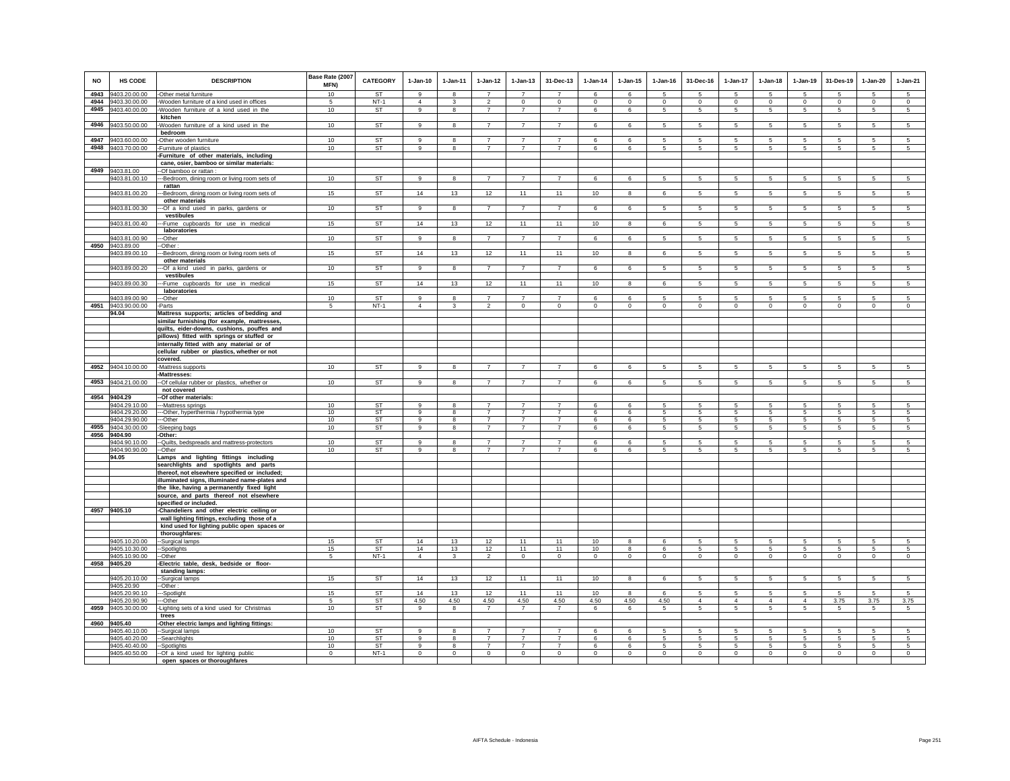| <b>NO</b> | HS CODE                        | <b>DESCRIPTION</b>                                   | Base Rate (2007<br><b>MFN)</b> | <b>CATEGORY</b>     | $1-Jan-10$     | $1-Jan-11$        | 1-Jan-12                         | $1 - Jan-13$                     | 31-Dec-13                        | $1 - Jan-14$ | $1 - Jan-15$    | $1 - Jan-16$   | 31-Dec-16      | 1-Jan-17             | $1-Jan-18$           | 1-Jan-19        | 31-Des-19       | 1-Jan-20         | $1-Jan-21$                 |
|-----------|--------------------------------|------------------------------------------------------|--------------------------------|---------------------|----------------|-------------------|----------------------------------|----------------------------------|----------------------------------|--------------|-----------------|----------------|----------------|----------------------|----------------------|-----------------|-----------------|------------------|----------------------------|
| 4943      | 9403.20.00.00                  | -Other metal furniture                               | 10                             | <b>ST</b>           | 9              | 8                 | $\overline{7}$                   | $\overline{7}$                   | $\overline{7}$                   | 6            | 6               | -5             | 5              | 5                    | 5                    | 5               | 5               | -5               | 5                          |
| 4944      | 9403.30.00.00                  | Wooden furniture of a kind used in offices           | 5                              | $NT-1$              | $\overline{4}$ | $\mathbf{3}$      | $\overline{2}$                   | $\mathbf 0$                      | $\mathbf 0$                      | $\circ$      | $\mathsf 0$     | $\mathsf 0$    | $\mathbf 0$    | $\mathbf 0$          | $\mathbf 0$          | $\mathsf 0$     | $\mathbf 0$     | $\mathsf 0$      | $\mathbf 0$                |
| 4945      | 9403.40.00.00                  | Wooden furniture of a kind used in the               | 10                             | ST                  | 9              | 8                 | $\overline{7}$                   | $\overline{7}$                   | $\overline{7}$                   | 6            | 6               | 5              | 5              | 5                    | 5                    | 5               | $\sqrt{5}$      | 5                | 5                          |
| 4946      | 9403.50.00.00                  | kitchen                                              | 10                             | <b>ST</b>           | 9              | 8                 | $\overline{7}$                   | $\overline{7}$                   | $\overline{7}$                   | 6            | 6               | 5              | 5              | $5\overline{5}$      | $5\phantom{.0}$      | 5               | 5               | 5                | $\overline{5}$             |
|           |                                | Wooden furniture of a kind used in the<br>bedroom    |                                |                     |                |                   |                                  |                                  |                                  |              |                 |                |                |                      |                      |                 |                 |                  |                            |
| 4947      | 9403.60.00.00                  | -Other wooden furniture                              | 10                             | <b>ST</b>           | 9              | 8                 | $\overline{7}$                   | $\overline{7}$                   | $\overline{7}$                   | 6            | 6               | 5              | 5              | 5                    | -5                   | 5               | 5               | 5                | 5                          |
| 4948      | 9403.70.00.00                  | Furniture of plastics                                | 10                             | <b>ST</b>           | 9              | 8                 | $\overline{7}$                   | $\overline{7}$                   | $\overline{7}$                   | 6            | 6               | 5              | 5              | $5\overline{5}$      | 5                    | 5               | $\sqrt{5}$      | 5                | $\overline{5}$             |
|           |                                | Furniture of other materials, including              |                                |                     |                |                   |                                  |                                  |                                  |              |                 |                |                |                      |                      |                 |                 |                  |                            |
|           |                                | cane, osier, bamboo or similar materials:            |                                |                     |                |                   |                                  |                                  |                                  |              |                 |                |                |                      |                      |                 |                 |                  |                            |
| 4949      | 9403.81.00                     | --Of bamboo or rattan :                              |                                |                     |                |                   |                                  |                                  |                                  |              |                 |                |                |                      |                      |                 |                 |                  |                            |
|           | 9403.81.00.10                  | --Bedroom, dining room or living room sets of        | 10                             | <b>ST</b>           | $\alpha$       | $\mathbf{R}$      | $\overline{7}$                   | $\overline{7}$                   | $\overline{7}$                   | 6            | $\mathbf{f}$    | 5              | 5              | 5                    | 5                    | 5               | $\sqrt{5}$      | 5                | $5\overline{)}$            |
|           |                                | rattan                                               |                                |                     |                |                   |                                  |                                  |                                  |              |                 |                |                |                      |                      |                 |                 |                  |                            |
|           | 9403.81.00.20                  | --Bedroom, dining room or living room sets of        | 15                             | ST                  | 14             | 13                | 12                               | 11                               | 11                               | 10           | 8               | 6              | 5              | $5\overline{5}$      | $5\phantom{.0}$      | $\overline{5}$  | $\overline{5}$  | $\overline{5}$   | $\overline{5}$             |
|           |                                | other materials                                      |                                |                     |                |                   |                                  |                                  |                                  |              |                 |                |                |                      |                      |                 |                 |                  |                            |
|           | 9403.81.00.30                  | -Of a kind used in parks, gardens or                 | 10                             | <b>ST</b>           | $\overline{9}$ | 8                 | $\overline{7}$                   | $\overline{7}$                   | $\overline{7}$                   | 6            | 6               | 5              | 5              | $5\overline{)}$      | 5 <sub>5</sub>       | $5\overline{5}$ | $5\overline{5}$ | $5\overline{5}$  | $5\overline{5}$            |
|           |                                | vestibules                                           |                                |                     |                |                   |                                  |                                  |                                  |              |                 |                |                |                      |                      |                 |                 |                  |                            |
|           | 9403.81.00.40                  | --Fume cupboards for use in medical                  | 15                             | <b>ST</b>           | 14             | 13                | 12                               | 11                               | 11                               | 10           | 8               | 6              | 5              | 5                    | 5                    | $\sqrt{5}$      | $\,$ 5          | 5                | $\sqrt{5}$                 |
|           |                                | laboratories                                         |                                |                     |                |                   |                                  |                                  |                                  |              |                 |                |                |                      |                      |                 |                 |                  |                            |
|           | 9403.81.00.90                  | --Other                                              | 10                             | <b>ST</b>           | $\overline{9}$ | 8                 | $\overline{7}$                   | $\overline{7}$                   | $\overline{7}$                   | 6            | $6\overline{6}$ | 5              | 5              | $5\overline{)}$      | $5\overline{5}$      | $5\overline{)}$ | $\overline{5}$  | $5\overline{)}$  | $5\overline{)}$            |
| 4950      | 9403.89.00                     | -Other:                                              |                                |                     |                |                   |                                  |                                  |                                  |              |                 |                |                |                      |                      |                 |                 |                  |                            |
|           | 9403.89.00.10                  | --Bedroom, dining room or living room sets of        | 15                             | <b>ST</b>           | 14             | 13                | 12                               | 11                               | 11                               | 10           | 8               | 6              | 5              | $5\overline{5}$      | $5\overline{5}$      | 5               | 5               | 5                | $5\phantom{.0}$            |
|           |                                | other materials                                      | 10                             | <b>ST</b>           | 9              |                   | $\overline{7}$                   | $\overline{7}$                   | $\overline{7}$                   |              |                 | -5             |                |                      |                      |                 |                 | $\overline{5}$   | $\overline{5}$             |
|           | 9403.89.00.20                  | -- Of a kind used in parks, gardens or<br>vestibules |                                |                     |                | 8                 |                                  |                                  |                                  | 6            | 6               |                | 5              | $\overline{5}$       | $5\phantom{.0}$      | $\overline{5}$  | $\sqrt{5}$      |                  |                            |
|           | 9403.89.00.30                  | --Fume cupboards for use in medical                  | 15                             | <b>ST</b>           | 14             | 13                | 12                               | 11                               | 11                               | 10           | 8               | 6              | 5              | $5\phantom{.0}$      | $\sqrt{5}$           | $\sqrt{5}$      | $\,$ 5          | $\sqrt{5}$       | $\overline{5}$             |
|           |                                | laboratories                                         |                                |                     |                |                   |                                  |                                  |                                  |              |                 |                |                |                      |                      |                 |                 |                  |                            |
|           | 9403.89.00.90                  | --Other                                              | 10                             | <b>ST</b>           | 9              | 8                 | $\overline{7}$                   | $\overline{7}$                   | $\overline{7}$                   | 6            | 6               | -5             | 5              | 5                    | $5 -$                | 5               | -5              | 5                | 5                          |
| 4951      | 9403.90.00.00                  | -Parts                                               | 5                              | $NT-1$              | $\overline{4}$ | $\mathbf{3}$      | $\overline{2}$                   | $\mathbf 0$                      | $\mathbf 0$                      | $\mathbf 0$  | $\mathsf 0$     | $\mathsf 0$    | $\mathbf 0$    | $\mathbf 0$          | $\mathbf 0$          | $\mathsf 0$     | $\mathbf 0$     | $\mathsf 0$      | $\mathbf 0$                |
|           | 94.04                          | Mattress supports; articles of bedding and           |                                |                     |                |                   |                                  |                                  |                                  |              |                 |                |                |                      |                      |                 |                 |                  |                            |
|           |                                | similar furnishing (for example, mattresses,         |                                |                     |                |                   |                                  |                                  |                                  |              |                 |                |                |                      |                      |                 |                 |                  |                            |
|           |                                | quilts, eider-downs, cushions, pouffes and           |                                |                     |                |                   |                                  |                                  |                                  |              |                 |                |                |                      |                      |                 |                 |                  |                            |
|           |                                | pillows) fitted with springs or stuffed or           |                                |                     |                |                   |                                  |                                  |                                  |              |                 |                |                |                      |                      |                 |                 |                  |                            |
|           |                                | internally fitted with any material or of            |                                |                     |                |                   |                                  |                                  |                                  |              |                 |                |                |                      |                      |                 |                 |                  |                            |
|           |                                | cellular rubber or plastics, whether or not          |                                |                     |                |                   |                                  |                                  |                                  |              |                 |                |                |                      |                      |                 |                 |                  |                            |
|           |                                | covered.                                             |                                |                     |                |                   |                                  |                                  |                                  |              |                 |                |                |                      |                      |                 |                 |                  |                            |
| 4952      | 9404.10.00.00                  | -Mattress supports                                   | 10                             | <b>ST</b>           | 9              | 8                 | $\overline{7}$                   | $\overline{7}$                   | $\overline{7}$                   | 6            | 6               | 5              | 5              | $5\phantom{.0}$      | 5                    | $\sqrt{5}$      | $\sqrt{5}$      | 5                | 5                          |
|           |                                | Mattresses:                                          |                                |                     |                |                   |                                  |                                  |                                  |              |                 |                |                |                      |                      |                 |                 |                  |                            |
| 4953      | 9404.21.00.00                  | -- Of cellular rubber or plastics, whether or        | 10                             | ST                  | $\alpha$       | 8                 | $\overline{7}$                   | $\overline{7}$                   | $\overline{7}$                   | 6            | 6               | 5              | 5              | $5\overline{)}$      | $5\overline{5}$      | $5\overline{)}$ | $\sqrt{5}$      | $\overline{5}$   | $5\overline{)}$            |
|           |                                | not covered                                          |                                |                     |                |                   |                                  |                                  |                                  |              |                 |                |                |                      |                      |                 |                 |                  |                            |
| 4954      | 9404.29                        | -Of other materials:                                 |                                |                     |                |                   | $\overline{7}$                   | $\overline{7}$                   | $\overline{7}$                   |              |                 |                |                |                      |                      |                 |                 |                  |                            |
|           | 9404.29.10.00                  | --Mattress springs                                   | 10<br>10                       | ST<br>ST            | -9             | 8                 | $\overline{7}$                   | $\overline{7}$                   | $\overline{7}$                   |              | 6               | -5             | 5              | 5                    | 5<br>5               | -5              | 5<br>-5         | 5<br>5           | 5<br>5                     |
|           | 9404.29.20.00<br>9404.29.90.00 | --Other, hyperthermia / hypothermia type<br>--Other  | 10                             | <b>ST</b>           | 9              | 8<br>8            | $\overline{7}$                   | $\overline{7}$                   | $\overline{7}$                   | 6<br>6       | 6<br>6          | -5             | 5              | 5<br>5               | $\sqrt{5}$           | 5               | 5               | $\sqrt{5}$       | $\sqrt{5}$                 |
| 4955      | 9404.30.00.00                  | -Sleeping bags                                       | 10                             | ST                  | 9              | 8                 | $\overline{7}$                   | $\overline{7}$                   | $\overline{7}$                   | 6            | 6               | 5              | 5              | 5                    | $\sqrt{5}$           | $\sqrt{5}$      | $\sqrt{5}$      | 5                | $\sqrt{5}$                 |
| 4956      | 9404.90                        | Other:                                               |                                |                     |                |                   |                                  |                                  |                                  |              |                 |                |                |                      |                      |                 |                 |                  |                            |
|           | 9404.90.10.00                  | -- Quilts, bedspreads and mattress-protectors        | 10                             | <b>ST</b>           | $\alpha$       | 8                 | $\overline{7}$                   | $\overline{7}$                   | $\overline{7}$                   | 6            | 6               | 5              | 5              | 5                    | -5                   | -5              | $\sqrt{5}$      | 5                | $\overline{5}$             |
|           | 9404.90.90.00                  | --Other                                              | 10                             | <b>ST</b>           | 9              | 8                 | $\overline{7}$                   | $\overline{7}$                   | $\overline{7}$                   | 6            | 6               | 5              | 5              | 5                    | 5                    | 5               | $\sqrt{5}$      | 5                | 5                          |
|           | 94.05                          | Lamps and lighting fittings including                |                                |                     |                |                   |                                  |                                  |                                  |              |                 |                |                |                      |                      |                 |                 |                  |                            |
|           |                                | searchlights and spotlights and parts                |                                |                     |                |                   |                                  |                                  |                                  |              |                 |                |                |                      |                      |                 |                 |                  |                            |
|           |                                | thereof, not elsewhere specified or included;        |                                |                     |                |                   |                                  |                                  |                                  |              |                 |                |                |                      |                      |                 |                 |                  |                            |
|           |                                | illuminated signs, illuminated name-plates and       |                                |                     |                |                   |                                  |                                  |                                  |              |                 |                |                |                      |                      |                 |                 |                  |                            |
|           |                                | the like, having a permanently fixed light           |                                |                     |                |                   |                                  |                                  |                                  |              |                 |                |                |                      |                      |                 |                 |                  |                            |
|           |                                | source, and parts thereof not elsewhere              |                                |                     |                |                   |                                  |                                  |                                  |              |                 |                |                |                      |                      |                 |                 |                  |                            |
|           |                                | specified or included.                               |                                |                     |                |                   |                                  |                                  |                                  |              |                 |                |                |                      |                      |                 |                 |                  |                            |
|           | 4957 9405.10                   | -Chandeliers and other electric ceiling or           |                                |                     |                |                   |                                  |                                  |                                  |              |                 |                |                |                      |                      |                 |                 |                  |                            |
|           |                                | wall lighting fittings, excluding those of a         |                                |                     |                |                   |                                  |                                  |                                  |              |                 |                |                |                      |                      |                 |                 |                  |                            |
|           |                                | kind used for lighting public open spaces or         |                                |                     |                |                   |                                  |                                  |                                  |              |                 |                |                |                      |                      |                 |                 |                  |                            |
|           | 9405.10.20.00                  | thoroughfares:                                       | 15                             | ST                  | 14             | 13                | 12                               | 11                               | 11                               | 10           | 8               | 6              | 5              | 5                    | 5                    | 5               | 5               | 5                | 5                          |
|           | 9405.10.30.00                  | -Surgical lamps<br>-Spotlights                       | 15                             | ST                  | 14             | 13                | 12                               | 11                               | 11                               | 10           | 8               | 6              | 5              | $5\phantom{.0}$      | $5\overline{5}$      | 5               | 5               | $\overline{5}$   | 5                          |
|           | 9405.10.90.00                  | --Other                                              | 5                              | $NT-1$              | $\overline{4}$ | $\mathbf{3}$      | $\overline{2}$                   | $\overline{0}$                   | $\overline{0}$                   | $\mathbf{0}$ | $\overline{0}$  | $\overline{0}$ | $\overline{0}$ | $\overline{0}$       | $\overline{0}$       | $\overline{0}$  | $\overline{0}$  | $\overline{0}$   | $\overline{0}$             |
| 4958      | 9405.20                        | Electric table, desk, bedside or floor-              |                                |                     |                |                   |                                  |                                  |                                  |              |                 |                |                |                      |                      |                 |                 |                  |                            |
|           |                                | standing lamps:                                      |                                |                     |                |                   |                                  |                                  |                                  |              |                 |                |                |                      |                      |                 |                 |                  |                            |
|           | 9405.20.10.00                  | -Surgical lamps                                      | 15                             | ST                  | 14             | 13                | 12                               | 11                               | 11                               | 10           | 8               | 6              | 5              | 5                    | 5                    | 5               | $\sqrt{5}$      | 5                | $\overline{5}$             |
|           | 9405.20.90                     | --Other :                                            |                                |                     |                |                   |                                  |                                  |                                  |              |                 |                |                |                      |                      |                 |                 |                  |                            |
|           | 9405.20.90.10                  | --Spotlight                                          | 15                             | <b>ST</b>           | 14             | 13                | 12                               | 11                               | 11                               | 10           | 8               | 6              | 5              | 5                    | 5                    | 5               | 5               | 5                | 5                          |
|           | 9405.20.90.90                  | --Other                                              | $\sqrt{5}$                     | ST                  | 4.50           | 4.50              | 4.50                             | 4.50                             | 4.50                             | 4.50         | 4.50            | 4.50           | $\overline{4}$ | $\overline{4}$       | $\overline{4}$       | $\overline{4}$  | 3.75            | 3.75             | 3.75                       |
| 4959      | 9405.30.00.00                  | Lighting sets of a kind used for Christmas           | 10                             | ST                  | 9              | 8                 | $\overline{7}$                   | $\overline{7}$                   | $\overline{7}$                   | 6            | 6               | 5              | 5              | 5                    | $5\phantom{.0}$      | 5               | 5               | 5                | 5                          |
|           |                                | trees                                                |                                |                     |                |                   |                                  |                                  |                                  |              |                 |                |                |                      |                      |                 |                 |                  |                            |
| 4960      | 9405.40                        | -Other electric lamps and lighting fittings:         |                                |                     |                |                   |                                  |                                  |                                  |              |                 |                |                |                      |                      |                 |                 |                  |                            |
|           | 9405.40.10.00                  | -Surgical lamps                                      | 10                             | <b>ST</b>           | $\mathbf{q}$   | 8                 | $\overline{7}$                   | $\overline{7}$                   | $\overline{7}$                   | 6            | 6               | 5              | 5              | 5                    | 5                    | 5               | $\sqrt{5}$      | 5                | $\sqrt{5}$                 |
|           | 9405.40.20.00                  | -Searchlights                                        | 10                             | <b>ST</b>           | 9<br>9         | 8<br>$\mathbf{8}$ | $\overline{7}$<br>$\overline{7}$ | $\overline{7}$<br>$\overline{7}$ | $\overline{7}$<br>$\overline{7}$ | 6<br>6       | 6<br>6          | 5<br>-5        | 5<br>$5 -$     | $5\overline{5}$<br>5 | $5\overline{5}$<br>5 | 5<br>5          | 5<br>-5         | 5                | $5\overline{5}$            |
|           | 9405.40.40.00                  | --Spotlights<br>--Of a kind used for lighting public | 10<br>$\Omega$                 | <b>ST</b><br>$NT-1$ | $\Omega$       | $\Omega$          | $\circ$                          | $\Omega$                         | $\mathbf{0}$                     |              |                 | $\Omega$       | $\Omega$       |                      | $\Omega$             | $\Omega$        | $\mathbf 0$     | 5<br>$\mathbf 0$ | $5\overline{)}$<br>$\circ$ |
|           | 9405.40.50.00                  | open spaces or thoroughfares                         |                                |                     |                |                   |                                  |                                  |                                  | $\mathbf 0$  | $\mathbf 0$     |                |                | $\mathbf 0$          |                      |                 |                 |                  |                            |
|           |                                |                                                      |                                |                     |                |                   |                                  |                                  |                                  |              |                 |                |                |                      |                      |                 |                 |                  |                            |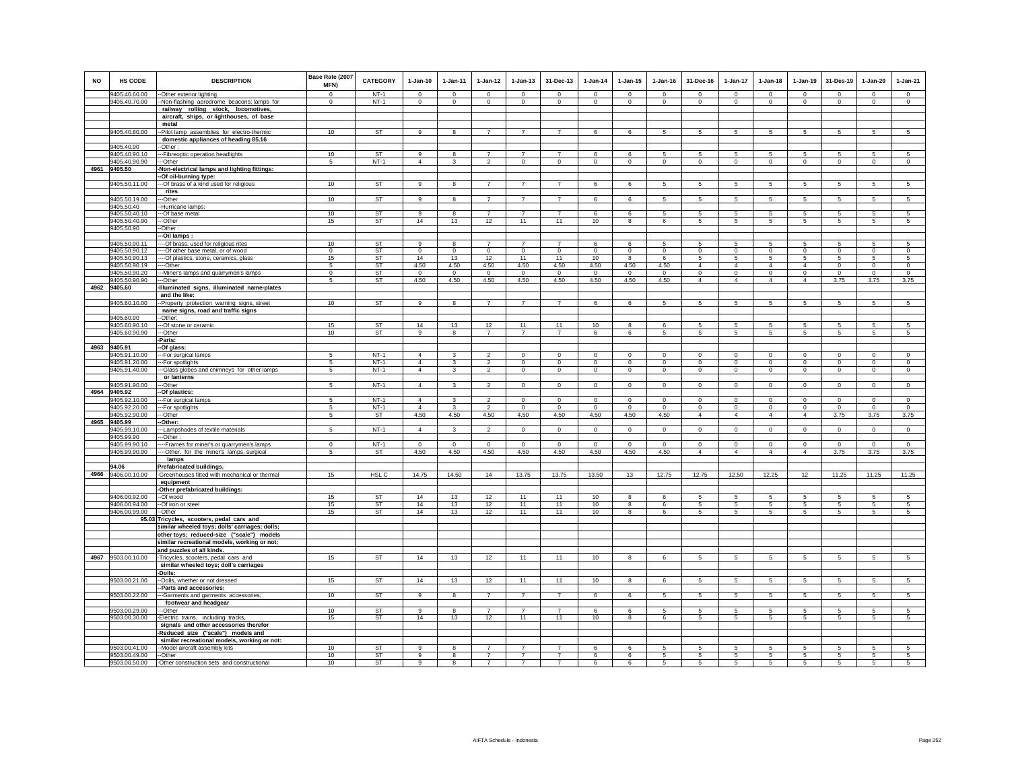| <b>NO</b> | HS CODE                        | <b>DESCRIPTION</b>                                                             | Base Rate (2007<br>MFN) | <b>CATEGORY</b> | $1-Jan-10$     | $1-Jan-11$              | $1 - Jan-12$   | $1-Jan-13$        | 31-Dec-13         | $1-Jan-14$     | $1 - Jan-15$                  | $1-Jan-16$       | 31-Dec-16                      | 1-Jan-17                      | $1-Jan-18$       | 1-Jan-19         | 31-Des-19        | 1-Jan-20         | $1-Jan-21$                |
|-----------|--------------------------------|--------------------------------------------------------------------------------|-------------------------|-----------------|----------------|-------------------------|----------------|-------------------|-------------------|----------------|-------------------------------|------------------|--------------------------------|-------------------------------|------------------|------------------|------------------|------------------|---------------------------|
|           | 9405.40.60.00                  | -- Other exterior lighting                                                     | 0                       | $NT-1$          | $\Omega$       | $^{\circ}$              | $^{\circ}$     | $^{\circ}$        | $^{\circ}$        | $^{\circ}$     | $^{\circ}$                    | $\Omega$         | $^{\circ}$                     | $^{\circ}$                    | $^{\circ}$       | $^{\circ}$       | $^{\circ}$       | $^{\circ}$       | $\circ$                   |
|           | 9405.40.70.00                  | --Non-flashing aerodrome beacons; lamps for                                    | $\mathbf 0$             | $NT-1$          | $\mathsf 0$    | $\circ$                 | $\circ$        | $\mathbf 0$       | $\mathsf 0$       | $\mathsf 0$    | $\mathsf 0$                   | $\mathsf 0$      | $\mathbf 0$                    | $\circ$                       | $\mathbf 0$      | $\mathsf 0$      | $\mathbf 0$      | $\circ$          | $\circ$                   |
|           |                                | railway rolling stock, locomotives,                                            |                         |                 |                |                         |                |                   |                   |                |                               |                  |                                |                               |                  |                  |                  |                  |                           |
|           |                                | aircraft, ships, or lighthouses, of base<br>metal                              |                         |                 |                |                         |                |                   |                   |                |                               |                  |                                |                               |                  |                  |                  |                  |                           |
|           | 9405.40.80.00                  | -Pilot lamp assemblies for electro-thermic                                     | 10                      | <b>ST</b>       | 9              | -8                      | $\overline{7}$ | $\overline{7}$    | $\overline{7}$    | 6              | 6                             | 5                | 5                              | 5                             | 5                | 5                | -5               | 5                | $5\overline{)}$           |
|           |                                | domestic appliances of heading 85.16                                           |                         |                 |                |                         |                |                   |                   |                |                               |                  |                                |                               |                  |                  |                  |                  |                           |
|           | 9405.40.90                     | -Other:                                                                        |                         |                 |                |                         |                |                   |                   |                |                               |                  |                                |                               |                  |                  |                  |                  |                           |
|           | 9405.40.90.10                  | --- Fibreoptic operation headlights                                            | 10                      | <b>ST</b>       | $\alpha$       | $\mathbf{R}$            | $\overline{7}$ | $\overline{7}$    | $\overline{7}$    | $\epsilon$     | 6                             | 5                | 5                              | 5                             | 5                | $\overline{5}$   | 5                | 5                | 5                         |
|           | 9405.40.90.90                  | ---Other                                                                       | 5                       | $NT-1$          | $\overline{4}$ | $\mathbf{3}$            | $\overline{2}$ | $\mathbf 0$       | $\mathbf 0$       | $\circ$        | $\mathbf 0$                   | $\circ$          | $\mathbf 0$                    | $\mathbf 0$                   | $\mathbf 0$      | $\circ$          | $\circ$          | $\overline{0}$   | $\circ$                   |
| 4961      | 9405.50                        | -Non-electrical lamps and lighting fittings:                                   |                         |                 |                |                         |                |                   |                   |                |                               |                  |                                |                               |                  |                  |                  |                  |                           |
|           |                                | -Of oil-burning type:                                                          |                         |                 |                |                         |                |                   |                   |                |                               |                  |                                |                               |                  |                  |                  |                  |                           |
|           | 9405.50.11.00                  | --- Of brass of a kind used for religious                                      | 10                      | <b>ST</b>       | 9              | 8                       | $\overline{7}$ | $\overline{7}$    | $\overline{7}$    | 6              | 6                             | 5                | 5                              | 5                             | 5                | 5                | 5                | 5                | $\sqrt{5}$                |
|           | 9405.50.19.00                  | rites<br>--Other                                                               | 10                      | <b>ST</b>       | 9              | $\bf8$                  | $\overline{7}$ | $\overline{7}$    | $\overline{7}$    | 6              | 6                             | 5                | $\mathbf 5$                    | 5                             | 5                | 5                | $\,$ 5           | 5                | $\sqrt{5}$                |
|           | 9405.50.40                     | --Hurricane lamps:                                                             |                         |                 |                |                         |                |                   |                   |                |                               |                  |                                |                               |                  |                  |                  |                  |                           |
|           | 9405.50.40.10                  | --- Of base metal                                                              | 10 <sup>10</sup>        | <b>ST</b>       | $\mathbf{9}$   | $\mathbf{a}$            | $\overline{7}$ | $\overline{7}$    | $\overline{7}$    | 6              | 6                             | 5                | 5                              | 5 <sup>5</sup>                | 5                | -5               | 5                | 5                | $\overline{5}$            |
|           | 9405.50.40.90                  | ---Other                                                                       | 15                      | ST              | 14             | 13                      | 12             | 11                | 11                | 10             | 8                             | 6                | $\overline{5}$                 | 5                             | 5                | 5                | $\sqrt{5}$       | 5                | $\overline{5}$            |
|           | 9405.50.90                     | -Other:                                                                        |                         |                 |                |                         |                |                   |                   |                |                               |                  |                                |                               |                  |                  |                  |                  |                           |
|           |                                | --Oil lamps:                                                                   |                         |                 |                |                         |                |                   |                   |                |                               |                  |                                |                               |                  |                  |                  |                  |                           |
|           | 9405.50.90.11                  | --- Of brass, used for religious rites                                         | 10                      | ST              | 9              | 8                       |                | $\overline{7}$    | $\overline{7}$    | 6              | 6                             | 5                | 5                              | 5                             | 5                | 5                | 5                | 5                | 5                         |
|           | 9405.50.90.12                  | --- Of other base metal, or of wood                                            | $\mathbf 0$<br>15       | ST<br><b>ST</b> | $\circ$<br>14  | $\mathbf 0$             | $\circ$<br>12  | $\mathbf 0$<br>11 | $\mathbf 0$<br>11 | $\mathbf 0$    | $\mathbf 0$<br>$\overline{8}$ | $\mathbf 0$<br>6 | $\mathbf 0$<br>$5\overline{)}$ | $\mathbf 0$<br>$\overline{5}$ | $\mathbf 0$<br>5 | $\mathbf 0$<br>5 | $\mathbf 0$<br>5 | $\mathbf 0$<br>5 | $\circ$<br>$\overline{5}$ |
|           | 9405.50.90.13<br>9405.50.90.19 | ---- Of plastics, stone, ceramics, glass<br>----Other                          | 5                       | ST              | 4.50           | 13<br>4.50              | 4.50           | 4.50              | 4.50              | 10<br>4.50     | 4.50                          | 4.50             | $\overline{4}$                 | $\overline{4}$                | $\overline{4}$   | $\overline{4}$   | $\mathbf 0$      | $\circ$          | $\mathbf 0$               |
|           | 9405.50.90.20                  | ---Miner's lamps and quarrymen's lamps                                         | $\mathbf 0$             | ST              | $\mathbf 0$    | $\mathbf 0$             | $^{\circ}$     | $\mathbf 0$       | $\mathbf 0$       | $\overline{0}$ | $^{\circ}$                    | $^{\circ}$       | $\mathbf 0$                    | $\circ$                       | $\mathbf 0$      | $\circ$          | $\mathbf 0$      | $\mathbf 0$      | $\circ$                   |
|           | 9405.50.90.90                  | --Other                                                                        | 5                       | <b>ST</b>       | 4.50           | 4.50                    | 4.50           | 4.50              | 4.50              | 4.50           | 4.50                          | 4.50             | $\overline{4}$                 | $\overline{4}$                | $\overline{4}$   | $\overline{4}$   | 3.75             | 3.75             | 3.75                      |
|           | 4962 9405.60                   | -Illuminated signs, illuminated name-plates                                    |                         |                 |                |                         |                |                   |                   |                |                               |                  |                                |                               |                  |                  |                  |                  |                           |
|           |                                | and the like:                                                                  |                         |                 |                |                         |                |                   |                   |                |                               |                  |                                |                               |                  |                  |                  |                  |                           |
|           | 9405.60.10.00                  | -- Property protection warning signs, street                                   | 10                      | <b>ST</b>       | 9              | 8                       | $\overline{7}$ | $\overline{7}$    | $\overline{7}$    | 6              | 6                             | 5                | 5                              | 5                             | 5                | 5                | $\sqrt{5}$       | 5                | 5                         |
|           |                                | name signs, road and traffic signs                                             |                         |                 |                |                         |                |                   |                   |                |                               |                  |                                |                               |                  |                  |                  |                  |                           |
|           | 9405.60.90<br>9405.60.90.10    | --Other:                                                                       | 15                      | <b>ST</b>       | 14             | 13                      | 12             | 11                | 11                | 10             | $\mathbf{8}$                  | 6                | 5                              | 5                             | 5                | 5                | 5                | 5                | 5                         |
|           | 9405.60.90.90                  | --- Of stone or ceramic<br>---Other                                            | 10                      | ST              | 9              | 8                       | $\overline{7}$ | $\overline{7}$    | $\overline{7}$    | 6              | 6                             | 5                | 5                              | 5                             | 5                | 5                | $\sqrt{5}$       | 5                | $5\phantom{.0}$           |
|           |                                | -Parts:                                                                        |                         |                 |                |                         |                |                   |                   |                |                               |                  |                                |                               |                  |                  |                  |                  |                           |
|           | 4963 9405.91                   | -Of glass:                                                                     |                         |                 |                |                         |                |                   |                   |                |                               |                  |                                |                               |                  |                  |                  |                  |                           |
|           | 9405.91.10.00                  | --- For surgical lamps                                                         | 5                       | $NT-1$          | $\overline{4}$ | 3                       |                | 0                 | $\mathbf 0$       | 0              | $\mathbf 0$                   | $^{\circ}$       | $^{\circ}$                     | $\mathbf 0$                   | $^{\circ}$       | $\mathbf 0$      | $\mathbf 0$      | $\mathbf 0$      | $^{\circ}$                |
|           | 9405.91.20.00                  | ---For spotlights                                                              | 5                       | $NT-1$          | $\overline{4}$ | 3                       | $\mathfrak{D}$ | $\mathbf 0$       | $\mathbf 0$       | $\mathbf 0$    | $\mathbf 0$                   | $\mathbf 0$      | $\mathbf 0$                    | $\circ$                       | $\mathbf 0$      | $\circ$          | $\mathbf 0$      | $\circ$          | $\circ$                   |
|           | 9405.91.40.00                  | ---Glass globes and chimneys for other lamps                                   | 5                       | $NT-1$          | $\overline{4}$ | $\overline{3}$          | $\overline{2}$ | $\overline{0}$    | $\overline{0}$    | $\overline{0}$ | $\overline{0}$                | $\overline{0}$   | $\overline{0}$                 | $\overline{0}$                | $\overline{0}$   | $\overline{0}$   | $\overline{0}$   | $\overline{0}$   | $\overline{0}$            |
|           | 9405.91.90.00                  | or lanterns<br>---Other                                                        | 5                       | $NT-1$          | $\overline{4}$ | 3                       | $\overline{2}$ | $\mathbf 0$       | $\mathbf 0$       | $\mathbf 0$    | $\mathbf 0$                   | $\mathbf 0$      | $\mathbf 0$                    | $\mathbf 0$                   | $\mathbf 0$      | $\circ$          | $\mathbf 0$      | $\mathbf 0$      | $\circ$                   |
|           | 4964 9405.92                   | --Of plastics:                                                                 |                         |                 |                |                         |                |                   |                   |                |                               |                  |                                |                               |                  |                  |                  |                  |                           |
|           | 9405.92.10.00                  | --- For surgical lamps                                                         | 5                       | $NT-1$          | $\overline{4}$ | 3                       | $\overline{2}$ | $\mathbf{0}$      | $\mathbf{0}$      | $\mathbf{0}$   | $^{\circ}$                    | $\circ$          | $\circ$                        | $\mathbf{0}$                  | $\mathbf{0}$     | $\mathbf{0}$     | $\mathbf{0}$     | $\mathbf{0}$     | $\mathbf{0}$              |
|           | 9405.92.20.00                  | ---For spotlights                                                              | 5                       | $NT-1$          | $\overline{4}$ | $\mathbf{3}$            | $\overline{2}$ | $\mathbf 0$       | $\mathbf 0$       | $\mathbf 0$    | $\mathbf 0$                   | $\mathbf 0$      | $\mathbf 0$                    | $\circ$                       | $\mathbf 0$      | $\mathsf 0$      | $\mathbf 0$      | $\circ$          | $\mathsf 0$               |
|           | 9405.92.90.00                  | --Other                                                                        | 5                       | ST              | 4.50           | 4.50                    | 4.50           | 4.50              | 4.50              | 4.50           | 4.50                          | 4.50             | $\overline{4}$                 | $\overline{4}$                | $\overline{4}$   | $\overline{4}$   | 3.75             | 3.75             | 3.75                      |
| 4965      | 9405.99                        | --Other:                                                                       |                         |                 |                |                         |                |                   |                   |                |                               |                  |                                |                               |                  |                  |                  |                  |                           |
|           | 9405.99.10.00                  | --Lampshades of textile materials                                              | 5                       | $NT-1$          | $\overline{4}$ | $\mathbf{3}$            | $\overline{2}$ | $\mathbf{0}$      | $\mathsf 0$       | $\mathbf 0$    | $\mathbf{0}$                  | $\circ$          | $\mathbf{0}$                   | $\circ$                       | $\mathbf{0}$     | $\circ$          | $\mathbf 0$      | $\mathsf 0$      | $\circ$                   |
|           | 9405.99.90<br>9405.99.90.10    | ---Other:<br>----Frames for miner's or quarrymen's lamps                       | $^{\circ}$              | $NT-1$          | $\circ$        | $\mathbf 0$             | $\circ$        | $\mathbf 0$       | $\mathbf 0$       | $\mathbf 0$    | $\Omega$                      | $\mathbf 0$      | $\mathbf 0$                    | $\circ$                       | $\mathbf 0$      | $\mathbf 0$      | $\mathbf{0}$     | $\mathbf 0$      | $\mathbf{0}$              |
|           | 9405.99.90.90                  | --Other, for the miner's lamps, surgical                                       | -5                      | ST              | 4.50           | 4.50                    | 4.50           | 4.50              | 4.50              | 4.50           | 4.50                          | 4.50             | $\overline{4}$                 | $\overline{4}$                | $\overline{4}$   | $\overline{4}$   | 3.75             | 3.75             | 3.75                      |
|           |                                | lamps                                                                          |                         |                 |                |                         |                |                   |                   |                |                               |                  |                                |                               |                  |                  |                  |                  |                           |
|           | 94.06                          | Prefabricated buildings.                                                       |                         |                 |                |                         |                |                   |                   |                |                               |                  |                                |                               |                  |                  |                  |                  |                           |
| 4966      | 9406.00.10.00                  | -Greenhouses fitted with mechanical or thermal                                 | 15                      | HSL C           | 14.75          | 14.50                   | 14             | 13.75             | 13.75             | 13.50          | 13                            | 12.75            | 12.75                          | 12.50                         | 12.25            | 12               | 11.25            | 11.25            | 11.25                     |
|           |                                | equipment                                                                      |                         |                 |                |                         |                |                   |                   |                |                               |                  |                                |                               |                  |                  |                  |                  |                           |
|           | 9406.00.92.00                  | -Other prefabricated buildings:                                                |                         | <b>ST</b>       |                |                         |                |                   |                   |                | 8                             | 6                | 5                              |                               | 5                | 5                | -5               | 5                |                           |
|           | 9406.00.94.00                  | --Of wood<br>-- Of iron or steel                                               | 15<br>15                | ST              | 14<br>14       | 13<br>13                | 12<br>12       | 11<br>11          | 11<br>11          | 10<br>10       | 8                             | 6                | 5                              | 5<br>5                        | 5                | 5                | 5                | 5                | 5<br>$5\overline{5}$      |
|           | 9406.00.99.00                  | --Other                                                                        | 15                      | <b>ST</b>       | 14             | 13                      | 12             | 11                | 11                | 10             | 8                             | 6                | 5                              | 5                             | 5                | 5                | $\,$ 5           | 5                | 5                         |
|           |                                | 95.03 Tricycles, scooters, pedal cars and                                      |                         |                 |                |                         |                |                   |                   |                |                               |                  |                                |                               |                  |                  |                  |                  |                           |
|           |                                | similar wheeled toys; dolls' carriages; dolls;                                 |                         |                 |                |                         |                |                   |                   |                |                               |                  |                                |                               |                  |                  |                  |                  |                           |
|           |                                | other toys; reduced-size ("scale") models                                      |                         |                 |                |                         |                |                   |                   |                |                               |                  |                                |                               |                  |                  |                  |                  |                           |
|           |                                | similar recreational models, working or not;                                   |                         |                 |                |                         |                |                   |                   |                |                               |                  |                                |                               |                  |                  |                  |                  |                           |
|           |                                | and puzzles of all kinds.                                                      |                         |                 |                |                         |                |                   |                   |                |                               |                  |                                |                               |                  |                  |                  |                  |                           |
|           | 4967 9503.00.10.00             | -Tricycles, scooters, pedal cars and                                           | 15                      | <b>ST</b>       | 14             | 13                      | 12             | 11                | 11                | 10             | 8                             | 6                | 5                              | 5                             | 5                | 5                | $\overline{5}$   | 5                | $\overline{5}$            |
|           |                                | similar wheeled toys; doll's carriages<br>-Dolls:                              |                         |                 |                |                         |                |                   |                   |                |                               |                  |                                |                               |                  |                  |                  |                  |                           |
|           | 9503.00.21.00                  | -- Dolls, whether or not dressed                                               | 15                      | <b>ST</b>       | 14             | 13                      | 12             | 11                | 11                | 10             | 8                             | 6                | 5                              | $5\phantom{.0}$               | 5                | 5                | 5                | 5                | 5                         |
|           |                                | --Parts and accessories:                                                       |                         |                 |                |                         |                |                   |                   |                |                               |                  |                                |                               |                  |                  |                  |                  |                           |
|           | 9503.00.22.00                  | --Garments and garments accessories;                                           | 10                      | <b>ST</b>       | 9              | 8                       | $\overline{7}$ | $\overline{7}$    | $\overline{7}$    | 6              | 6                             | 5                | 5                              | 5                             | 5                | 5                | $\sqrt{5}$       | 5                | 5                         |
|           |                                | footwear and headgear                                                          |                         |                 |                |                         |                |                   |                   |                |                               |                  |                                |                               |                  |                  |                  |                  |                           |
|           | 9503.00.29.00                  | --Other                                                                        | 10                      | <b>ST</b>       | 9              | 8                       | $\overline{7}$ | $\overline{7}$    | $\overline{7}$    | 6              | 6                             | 5                | 5                              | 5                             | 5                | 5                | $\sqrt{5}$       | 5                | 5                         |
|           | 9503.00.30.00                  | -Electric trains, including tracks                                             | 15                      | <b>ST</b>       | 14             | 13                      | 12             | 11                | 11                | 10             | 8                             | -6               | 5                              | $5\overline{)}$               | 5                | 5                | -5               | 5                | $\overline{5}$            |
|           |                                | signals and other accessories therefor                                         |                         |                 |                |                         |                |                   |                   |                |                               |                  |                                |                               |                  |                  |                  |                  |                           |
|           |                                | -Reduced size ("scale") models and                                             |                         |                 |                |                         |                |                   |                   |                |                               |                  |                                |                               |                  |                  |                  |                  |                           |
|           | 9503.00.41.00                  | similar recreational models, working or not:<br>--Model aircraft assembly kits | 10                      | ST              | 9              | 8                       | $\overline{7}$ | $\overline{7}$    | $\overline{7}$    | 6              | 6                             | -5               | -5                             | 5                             | 5                | 5                | $\sqrt{5}$       | 5                | 5                         |
|           | 9503.00.49.00 -- Other         |                                                                                | 10                      | <b>ST</b>       | 9              | $\overline{\mathbf{8}}$ | $\overline{7}$ | $\overline{7}$    | $\overline{7}$    | 6              | $6\overline{6}$               | 5                | $5\overline{5}$                | 5                             | 5                | 5                | 5                | 5                | 5                         |
|           | 9503.00.50.00                  | -Other construction sets and constructional                                    | 10                      | <b>ST</b>       | -9             | 8                       | $\overline{7}$ | $\overline{7}$    | $\overline{7}$    | 6              | 6                             | 5                | 5                              | 5                             | 5                | 5                | 5                | 5                | 5                         |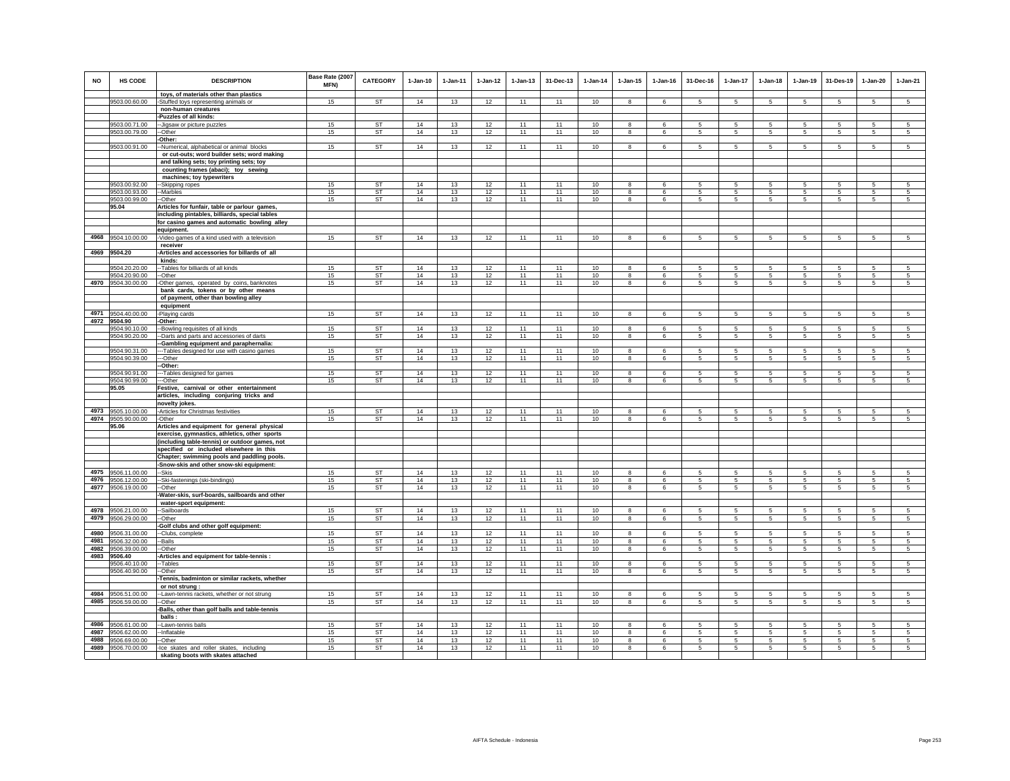| <b>NO</b>    | <b>HS CODE</b>                           | <b>DESCRIPTION</b>                                                                                                                              | Base Rate (2007<br>MFN) | CATEGORY        | $1-Jan-10$ | $1-Jan-11$ | $1-Jan-12$ | $1-Jan-13$ | 31-Dec-13 | $1-Jan-14$ | $1 - Jan-15$            | $1-Jan-16$      | 31-Dec-16       | 1-Jan-17        | $1-Jan-18$                         | $1-Jan-19$      | 31-Des-19      | $1-Jan-20$     | $1-Jan-21$                       |
|--------------|------------------------------------------|-------------------------------------------------------------------------------------------------------------------------------------------------|-------------------------|-----------------|------------|------------|------------|------------|-----------|------------|-------------------------|-----------------|-----------------|-----------------|------------------------------------|-----------------|----------------|----------------|----------------------------------|
|              | 9503.00.60.00                            | toys, of materials other than plastics                                                                                                          | 15                      | <b>ST</b>       | 14         | 13         | 12         | 11         | 11        | 10         | 8                       | -6              | 5               | $5\phantom{.0}$ | 5                                  | 5               | 5              | 5              | 5                                |
|              |                                          | -Stuffed toys representing animals or<br>non-human creatures                                                                                    |                         |                 |            |            |            |            |           |            |                         |                 |                 |                 |                                    |                 |                |                |                                  |
|              |                                          | -Puzzles of all kinds:                                                                                                                          |                         |                 |            |            |            |            |           |            |                         |                 |                 |                 |                                    |                 |                |                |                                  |
|              | 9503.00.71.00                            | -- Jigsaw or picture puzzles                                                                                                                    | 15                      | <b>ST</b>       | 14         | 13         | 12         | 11         | 11        | 10         | 8                       | 6               | 5               | 5               | 5                                  | 5               | 5              | 5              | 5                                |
|              | 9503.00.79.00                            | --Other                                                                                                                                         | 15                      | <b>ST</b>       | 14         | 13         | 12         | 11         | 11        | 10         | 8                       | 6               | 5               | 5               | 5                                  | 5               | 5              | 5              | 5                                |
|              |                                          | -Other:                                                                                                                                         |                         |                 |            |            |            |            |           |            |                         |                 |                 |                 |                                    |                 |                |                |                                  |
|              | 9503.00.91.00                            | -Numerical, alphabetical or animal blocks                                                                                                       | 15                      | <b>ST</b>       | 14         | 13         | 12         | 11         | 11        | 10         | 8                       | 6               | 5               | 5               | 5                                  | 5               | 5              | 5              | 5                                |
|              |                                          | or cut-outs; word builder sets; word making                                                                                                     |                         |                 |            |            |            |            |           |            |                         |                 |                 |                 |                                    |                 |                |                |                                  |
|              |                                          | and talking sets; toy printing sets; toy                                                                                                        |                         |                 |            |            |            |            |           |            |                         |                 |                 |                 |                                    |                 |                |                |                                  |
|              |                                          | counting frames (abaci); toy sewing                                                                                                             |                         |                 |            |            |            |            |           |            |                         |                 |                 |                 |                                    |                 |                |                |                                  |
|              | 9503.00.92.00                            | machines; toy typewriters<br>--Skipping ropes                                                                                                   | 15                      | <b>ST</b>       | 14         | 13         | 12         | 11         | 11        | 10         | 8                       | $\epsilon$      | 5               | 5               | 5                                  | 5               | 5              | 5              | 5                                |
|              | 9503.00.93.00                            | --Marbles                                                                                                                                       | 15                      | <b>ST</b>       | 14         | 13         | 12         | 11         | 11        | 10         | 8                       | 6               | 5               | 5               | 5                                  | -5              | 5              | 5              | $\sqrt{5}$                       |
|              | 9503.00.99.00                            | --Other                                                                                                                                         | 15                      | ST              | 14         | 13         | 12         | 11         | 11        | 10         | 8                       | 6               | $5\overline{5}$ | $5\overline{5}$ | $5\overline{5}$                    | 5               | 5              | 5              | 5                                |
|              | 95.04                                    | Articles for funfair, table or parlour games,<br>including pintables, billiards, special tables<br>for casino games and automatic bowling alley |                         |                 |            |            |            |            |           |            |                         |                 |                 |                 |                                    |                 |                |                |                                  |
|              |                                          | equipment.                                                                                                                                      |                         |                 |            |            |            |            |           |            |                         |                 |                 |                 |                                    |                 |                |                |                                  |
| 4968         | 9504.10.00.00                            | -Video games of a kind used with a television                                                                                                   | 15                      | ST              | 14         | 13         | 12         | 11         | 11        | 10         | 8                       | 6               | 5               | 5               | 5                                  | 5               | 5              | 5              | 5                                |
|              |                                          | receiver                                                                                                                                        |                         |                 |            |            |            |            |           |            |                         |                 |                 |                 |                                    |                 |                |                |                                  |
|              | 4969 9504.20                             | -Articles and accessories for billards of all                                                                                                   |                         |                 |            |            |            |            |           |            |                         |                 |                 |                 |                                    |                 |                |                |                                  |
|              |                                          | kinds:                                                                                                                                          |                         |                 |            |            |            |            |           |            |                         |                 |                 |                 |                                    |                 |                |                |                                  |
|              | 9504.20.20.00                            | -- Tables for billiards of all kinds                                                                                                            | 15                      | <b>ST</b>       | 14         | 13         | 12         | 11         | 11        | 10         | $\mathbf{a}$            | 6               | 5               | 5               | 5                                  | 5               | 5              | 5              | $\overline{5}$                   |
|              | 9504.20.90.00                            | --Other                                                                                                                                         | 15<br>15                | <b>ST</b><br>ST | 14<br>14   | 13         | 12         | 11<br>11   | 11<br>11  | 10         | 8<br>8                  | 6<br>6          | 5<br>5          | 5<br>5          | $5\overline{5}$<br>$5\overline{5}$ | 5<br>5          | 5<br>5         | 5<br>5         | 5<br>5                           |
|              | 4970 9504.30.00.00                       | -Other games, operated by coins, banknotes<br>bank cards, tokens or by other means                                                              |                         |                 |            | 13         | 12         |            |           | 10         |                         |                 |                 |                 |                                    |                 |                |                |                                  |
|              |                                          | of payment, other than bowling alley                                                                                                            |                         |                 |            |            |            |            |           |            |                         |                 |                 |                 |                                    |                 |                |                |                                  |
|              |                                          | equipment                                                                                                                                       |                         |                 |            |            |            |            |           |            |                         |                 |                 |                 |                                    |                 |                |                |                                  |
|              | 4971 9504.40.00.00                       | -Playing cards                                                                                                                                  | 15                      | ST              | 14         | 13         | 12         | 11         | 11        | 10         | 8                       | 6               | 5               | 5               | $5\overline{5}$                    | 5               | 5              | 5              | 5                                |
|              | 4972 9504.90                             | -Other:                                                                                                                                         |                         |                 |            |            |            |            |           |            |                         |                 |                 |                 |                                    |                 |                |                |                                  |
|              | 9504.90.10.00                            | -Bowling requisites of all kinds                                                                                                                | 15                      | ST              | 14         | 13         | 12         | 11         | 11        | 10         | 8                       | 6               | 5               | 5               | 5                                  | 5               | 5              | 5              | 5                                |
|              | 9504.90.20.00                            | -Darts and parts and accessories of darts                                                                                                       | 15                      | ST              | 14         | 13         | 12         | 11         | 11        | 10         | $\bf8$                  | 6               | 5               | $5\phantom{.0}$ | 5                                  | $\sqrt{5}$      | $\sqrt{5}$     | $\sqrt{5}$     | $\sqrt{5}$                       |
|              | 9504.90.31.00                            | -Gambling equipment and paraphernalia:                                                                                                          | 15                      | <b>ST</b>       | 14         | 13         | 12         | 11         | 11        | 10         | $\mathbf{g}$            | -6              | 5               | $5^{\circ}$     | 5 <sup>1</sup>                     | -5              | -5             | $\overline{5}$ | 5 <sup>1</sup>                   |
|              | 9504.90.39.00                            | --- Tables designed for use with casino games<br>---Other                                                                                       | 15                      | ST              | 14         | 13         | 12         | 11         | 11        | 10         | 8                       | 6               | 5               | 5               | -5                                 | 5               | 5              | 5              | 5                                |
|              |                                          | -Other:                                                                                                                                         |                         |                 |            |            |            |            |           |            |                         |                 |                 |                 |                                    |                 |                |                |                                  |
|              | 9504.90.91.00                            | -Tables designed for games                                                                                                                      | 15                      | <b>ST</b>       | 14         | 13         | 12         | 11         | 11        | 10         | 8                       | -6              | 5               | 5               | 5                                  | 5               | 5              | 5              | 5                                |
|              | 9504.90.99.00                            | --Other                                                                                                                                         | 15                      | <b>ST</b>       | 14         | 13         | 12         | 11         | 11        | 10         | 8                       | 6               | 5               | 5               | 5                                  | 5               | $\overline{5}$ | 5              | 5                                |
|              | 95.05                                    | Festive, carnival or other entertainment                                                                                                        |                         |                 |            |            |            |            |           |            |                         |                 |                 |                 |                                    |                 |                |                |                                  |
|              |                                          | articles, including conjuring tricks and                                                                                                        |                         |                 |            |            |            |            |           |            |                         |                 |                 |                 |                                    |                 |                |                |                                  |
|              | 4973 9505.10.00.00                       | novelty jokes.                                                                                                                                  | 15                      | ST              | 14         | 13         | 12         | 11         | 11        |            | 8                       | 6               | 5               | 5               | 5                                  |                 | 5              | 5              | 5                                |
|              | 4974 9505.90.00.00                       | -Articles for Christmas festivities<br>-Other                                                                                                   | 15                      | <b>ST</b>       | 14         | 13         | 12         | 11         | 11        | 10<br>10   | $\bf8$                  | $\epsilon$      | 5               | $\mathbf 5$     | 5                                  | 5<br>5          | 5              | 5              | $\overline{5}$                   |
|              | 95.06                                    | Articles and equipment for general physical                                                                                                     |                         |                 |            |            |            |            |           |            |                         |                 |                 |                 |                                    |                 |                |                |                                  |
|              |                                          | exercise, gymnastics, athletics, other sports                                                                                                   |                         |                 |            |            |            |            |           |            |                         |                 |                 |                 |                                    |                 |                |                |                                  |
|              |                                          | (including table-tennis) or outdoor games, not                                                                                                  |                         |                 |            |            |            |            |           |            |                         |                 |                 |                 |                                    |                 |                |                |                                  |
|              |                                          | specified or included elsewhere in this                                                                                                         |                         |                 |            |            |            |            |           |            |                         |                 |                 |                 |                                    |                 |                |                |                                  |
|              |                                          | Chapter; swimming pools and paddling pools.                                                                                                     |                         |                 |            |            |            |            |           |            |                         |                 |                 |                 |                                    |                 |                |                |                                  |
|              |                                          | -Snow-skis and other snow-ski equipment:                                                                                                        |                         | ST              |            |            |            |            |           |            |                         |                 |                 |                 |                                    |                 |                |                |                                  |
|              | 4975 9506.11.00.00<br>4976 9506.12.00.00 | -Skis                                                                                                                                           | 15                      | ST              | 14<br>14   | 13         | 12         | 11<br>11   | 11<br>11  | 10         | 8<br>8                  | 6               | 5               | 5               | 5                                  | 5               | 5              | 5              | 5                                |
|              | 4977 9506.19.00.00                       | -Ski-fastenings (ski-bindings)<br>-Other                                                                                                        | 15<br>15                | ST              | 14         | 13<br>13   | 12<br>12   | 11         | 11        | 10<br>10   | 8                       | 6<br>6          | 5<br>5          | 5<br>5          | 5<br>5                             | 5<br>5          | 5<br>5         | 5<br>5         | 5<br>5                           |
|              |                                          | Water-skis, surf-boards, sailboards and other                                                                                                   |                         |                 |            |            |            |            |           |            |                         |                 |                 |                 |                                    |                 |                |                |                                  |
|              |                                          | water-sport equipment:                                                                                                                          |                         |                 |            |            |            |            |           |            |                         |                 |                 |                 |                                    |                 |                |                |                                  |
| 4978         | 9506.21.00.00                            | -Sailboards                                                                                                                                     | 15                      | ST              | 14         | 13         | 12         | 11         | 11        | 10         | 8                       | 6               | 5               | 5               | 5                                  | 5               | 5              | 5              | 5                                |
| 4979         | 9506.29.00.00                            | -Other                                                                                                                                          | 15                      | ST              | 14         | 13         | 12         | 11         | 11        | 10         | $\bf8$                  | 6               | 5               | 5               | 5                                  | 5               | 5              | 5              | 5                                |
|              |                                          | Golf clubs and other golf equipment:                                                                                                            |                         |                 |            |            |            |            |           |            |                         |                 |                 |                 |                                    |                 |                |                |                                  |
| 4980<br>4981 | 9506.31.00.00                            | -Clubs, complete                                                                                                                                | 15<br>15                | <b>ST</b><br>ST | 14<br>14   | 13<br>13   | 12         | 11<br>11   | 11<br>11  | 10<br>10   | 8<br>$\mathbf{R}$       | 6<br>$\epsilon$ | 5<br>5          | 5<br>5          | 5<br>5                             | 5<br>5.         | 5<br>5         | 5<br>5         | $\overline{5}$<br>$\overline{5}$ |
| 4982         | 9506.32.00.00<br>9506.39.00.00           | -Balls<br>-Other                                                                                                                                | 15                      | ST              | 14         | 13         | 12<br>12   | 11         | 11        | 10         | 8                       | 6               | 5               | 5               | 5                                  | $5\overline{5}$ | -5             | $\sqrt{5}$     | $5\overline{5}$                  |
|              | 4983 9506.40                             | -Articles and equipment for table-tennis :                                                                                                      |                         |                 |            |            |            |            |           |            |                         |                 |                 |                 |                                    |                 |                |                |                                  |
|              | 9506.40.10.00                            | --Tables                                                                                                                                        | 15                      | <b>ST</b>       | 14         | 13         | 12         | 11         | 11        | 10         | 8                       | 6               | 5               | 5               | 5                                  | 5               | 5              | 5              | 5                                |
|              | 9506.40.90.00                            | --Other                                                                                                                                         | 15                      | ST              | 14         | 13         | 12         | 11         | 11        | 10         | 8                       | 6               | 5               | 5               | 5                                  | 5               | 5              | 5              | 5                                |
|              |                                          | Tennis, badminton or similar rackets, whether                                                                                                   |                         |                 |            |            |            |            |           |            |                         |                 |                 |                 |                                    |                 |                |                |                                  |
|              |                                          | or not strung :                                                                                                                                 |                         |                 |            |            |            |            |           |            |                         |                 |                 |                 |                                    |                 |                |                |                                  |
|              | 4984 9506.51.00.00                       | -Lawn-tennis rackets, whether or not strung                                                                                                     | 15                      | ST              | 14         | 13         | 12         | 11         | 11        | 10         | 8                       | 6               | 5               | 5               | 5                                  | 5               | 5              | 5              | 5                                |
|              | 4985 9506.59.00.00                       | -Other                                                                                                                                          | 15                      | ST              | 14         | 13         | 12         | 11         | 11        | 10         | 8                       | 6               | 5               | 5               | 5                                  | 5               | 5              | 5              | 5                                |
|              |                                          | -Balls, other than golf balls and table-tennis                                                                                                  |                         |                 |            |            |            |            |           |            |                         |                 |                 |                 |                                    |                 |                |                |                                  |
| 4986         | 9506.61.00.00                            | balls:                                                                                                                                          | 15                      | <b>ST</b>       | 14         | 13         | 12         | 11         | 11        | 10         | 8                       | 6               | 5               | 5               | 5                                  | -5              | 5              | 5              | 5                                |
| 4987         | 9506.62.00.00                            | --Lawn-tennis balls<br>-Inflatable                                                                                                              | 15                      | <b>ST</b>       | 14         | 13         | 12         | 11         | 11        | 10         | $\overline{\mathbf{8}}$ | 6               | 5               | $5\overline{)}$ | $5\overline{5}$                    | 5               | $\sqrt{5}$     | 5              | 5                                |
| 4988         | 9506.69.00.00                            | -Other                                                                                                                                          | 15                      | <b>ST</b>       | 14         | 13         | 12         | 11         | 11        | 10         | 8                       | -6              | 5               | 5               | 5                                  | 5               | 5              | 5              | 5                                |
| 4989         | 9506.70.00.00                            | -Ice skates and roller skates, including                                                                                                        | 15                      | <b>ST</b>       | 14         | 13         | 12         | 11         | 11        | 10         | 8                       | 6               | 5               | 5               | 5                                  | 5               | 5              | 5              | 5                                |
|              |                                          | skating boots with skates attached                                                                                                              |                         |                 |            |            |            |            |           |            |                         |                 |                 |                 |                                    |                 |                |                |                                  |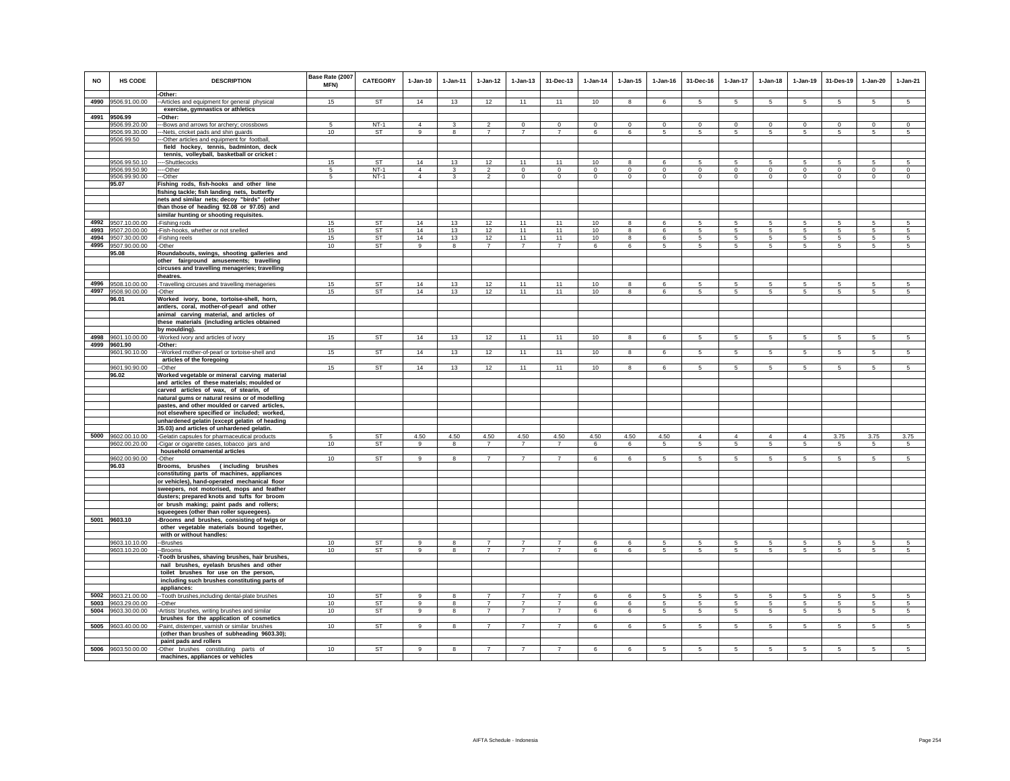| NO           | HS CODE                             | <b>DESCRIPTION</b><br>-Other:                                                               | Base Rate (2007<br>MFN) | CATEGORY        | $1-Jan-10$     | 1-Jan-11                | $1 - Jan-12$                     | $1 - Jan-13$                     | 31-Dec-13                        | $1-Jan-14$     | $1 - Jan-15$   | $1 - Jan-16$ | 31-Dec-16            | $1-Jan-17$                         | $1-Jan-18$           | $1 - Jan-19$    | 31-Des-19       | $1-Jan-20$     | $1-Jan-21$      |
|--------------|-------------------------------------|---------------------------------------------------------------------------------------------|-------------------------|-----------------|----------------|-------------------------|----------------------------------|----------------------------------|----------------------------------|----------------|----------------|--------------|----------------------|------------------------------------|----------------------|-----------------|-----------------|----------------|-----------------|
| 4990         | 9506.91.00.00                       | -- Articles and equipment for general physical                                              | 15                      | ST              | 14             | 13                      | 12                               | 11                               | 11                               | 10             | 8              | 6            | $5 -$                | 5                                  | 5                    | 5               | 5               | 5              | 5               |
|              |                                     | exercise, gymnastics or athletics                                                           |                         |                 |                |                         |                                  |                                  |                                  |                |                |              |                      |                                    |                      |                 |                 |                |                 |
|              | 4991 9506.99                        | Other:                                                                                      |                         |                 |                |                         |                                  |                                  |                                  |                |                |              |                      |                                    |                      |                 |                 |                |                 |
|              | 9506.99.20.00                       | -- Bows and arrows for archery; crossbows                                                   |                         | $NT-1$          | $\overline{4}$ |                         |                                  | $\mathbf 0$                      | $\mathbf 0$                      | $\mathbf 0$    | $\mathbf 0$    | $\mathbf 0$  | $\mathbf 0$          | 0                                  | $\mathbf 0$          | $^{\circ}$      | $\mathbf 0$     | $\mathbf 0$    | $\mathbf 0$     |
|              | 9506.99.30.00<br>9506.99.50         | --Nets, cricket pads and shin guards<br>-Other articles and equipment for football,         | 10                      | ST              | 9              | 8                       | $\overline{7}$                   | $\overline{7}$                   | $\overline{7}$                   | 6              | 6              | -5           | 5                    | $5\phantom{.0}$                    | $5\overline{5}$      | $5\overline{5}$ | 5               | 5              | 5               |
|              |                                     | field hockey, tennis, badminton, deck                                                       |                         |                 |                |                         |                                  |                                  |                                  |                |                |              |                      |                                    |                      |                 |                 |                |                 |
|              |                                     | tennis, volleyball, basketball or cricket :                                                 |                         |                 |                |                         |                                  |                                  |                                  |                |                |              |                      |                                    |                      |                 |                 |                |                 |
|              | 9506.99.50.10                       | --Shuttlecocks                                                                              | 15                      | <b>ST</b>       | 14             | 13                      | 12                               | 11                               | 11                               | 10             | 8              | 6            | -5                   | 5                                  | 5                    | 5               | 5               | 5              | 5               |
|              | 9506.99.50.90                       | ---Other                                                                                    | $\overline{5}$          | $NT-1$          | $\overline{4}$ | $\overline{\mathbf{3}}$ | $\overline{2}$                   | $\overline{0}$                   | $\overline{0}$                   | $\overline{0}$ | $\overline{0}$ | $\Omega$     | $\Omega$             | $\overline{0}$                     | $\overline{0}$       | $\Omega$        | $\overline{0}$  | $\Omega$       | $\overline{0}$  |
|              | 9506.99.90.00                       | ---Other                                                                                    | $\sqrt{5}$              | $NT-1$          | $\overline{4}$ | 3                       | $\mathfrak{D}$                   | $\mathbf 0$                      | $\Omega$                         | $\circ$        | $\mathbf 0$    | $\Omega$     | $\Omega$             | $\mathbf 0$                        | $\Omega$             | $\Omega$        | $\Omega$        | $\mathbf 0$    | $\overline{0}$  |
|              | 95.07                               | Fishing rods, fish-hooks and other line<br>fishing tackle; fish landing nets, butterfly     |                         |                 |                |                         |                                  |                                  |                                  |                |                |              |                      |                                    |                      |                 |                 |                |                 |
|              |                                     | nets and similar nets; decoy "birds" (other                                                 |                         |                 |                |                         |                                  |                                  |                                  |                |                |              |                      |                                    |                      |                 |                 |                |                 |
|              |                                     | than those of heading 92.08 or 97.05) and                                                   |                         |                 |                |                         |                                  |                                  |                                  |                |                |              |                      |                                    |                      |                 |                 |                |                 |
|              |                                     | similar hunting or shooting requisites.                                                     |                         |                 |                |                         |                                  |                                  |                                  |                |                |              |                      |                                    |                      |                 |                 |                |                 |
| 4992         | 9507.10.00.00                       | Fishing rods                                                                                | 15                      | <b>ST</b>       | 14             | 13                      | 12                               | 11                               | 11                               | 10             | 8              | 6            | $5 -$                | 5                                  | 5                    | 5               | 5               | 5              | $\sqrt{5}$      |
| 4993<br>4994 | 9507.20.00.00<br>9507.30.00.00      | Fish-hooks, whether or not snelled<br>Fishing reels                                         | 15<br>15                | ST<br>ST        | 14<br>14       | 13<br>13                | 12<br>12                         | 11<br>11                         | 11<br>11                         | 10<br>10       | 8<br>8         | 6<br>6       | 5<br>-5              | 5<br>5                             | 5<br>5               | 5<br>5          | 5<br>5          | 5<br>5         | 5<br>5          |
| 4995         | 9507.90.00.00                       | -Other                                                                                      | 10                      | <b>ST</b>       | 9              | 8                       | $\overline{7}$                   | $\overline{7}$                   | $\overline{7}$                   | 6              | 6              | 5            | 5                    | 5                                  | 5                    | 5               | 5               | 5              | 5               |
|              | 95.08                               | Roundabouts, swings, shooting galleries and                                                 |                         |                 |                |                         |                                  |                                  |                                  |                |                |              |                      |                                    |                      |                 |                 |                |                 |
|              |                                     | other fairground amusements; travelling                                                     |                         |                 |                |                         |                                  |                                  |                                  |                |                |              |                      |                                    |                      |                 |                 |                |                 |
|              |                                     | circuses and travelling menageries; travelling                                              |                         |                 |                |                         |                                  |                                  |                                  |                |                |              |                      |                                    |                      |                 |                 |                |                 |
|              |                                     | theatres.                                                                                   |                         |                 |                |                         |                                  |                                  |                                  |                |                |              |                      |                                    |                      |                 |                 |                |                 |
| 4996         | 9508.10.00.00<br>4997 9508.90.00.00 | Travelling circuses and travelling menageries<br>-Other                                     | 15<br>15                | <b>ST</b><br>ST | 14<br>14       | 13<br>13                | 12<br>12                         | 11<br>11                         | 11<br>11                         | 10<br>10       | 8<br>8         | 6<br>6       | 5<br>$5\overline{5}$ | 5<br>5                             | 5<br>$5\overline{5}$ | 5<br>-5         | 5<br>5          | 5<br>5         | 5<br>$\sqrt{5}$ |
|              | 96.01                               | Worked ivory, bone, tortoise-shell, horn,                                                   |                         |                 |                |                         |                                  |                                  |                                  |                |                |              |                      |                                    |                      |                 |                 |                |                 |
|              |                                     | antlers, coral, mother-of-pearl and other                                                   |                         |                 |                |                         |                                  |                                  |                                  |                |                |              |                      |                                    |                      |                 |                 |                |                 |
|              |                                     | animal carving material, and articles of                                                    |                         |                 |                |                         |                                  |                                  |                                  |                |                |              |                      |                                    |                      |                 |                 |                |                 |
|              |                                     | these materials (including articles obtained                                                |                         |                 |                |                         |                                  |                                  |                                  |                |                |              |                      |                                    |                      |                 |                 |                |                 |
|              | 4998 9601.10.00.00                  | by moulding).<br>Worked ivory and articles of ivory                                         | 15                      | ST              | 14             | 13                      | 12                               | 11                               | 11                               | 10             | 8              | 6            | 5                    | $5\phantom{.0}$                    | 5                    | 5               | 5               | 5              | 5               |
| 4999         | 9601.90                             | -Other:                                                                                     |                         |                 |                |                         |                                  |                                  |                                  |                |                |              |                      |                                    |                      |                 |                 |                |                 |
|              | 9601.90.10.00                       | -Worked mother-of-pearl or tortoise-shell and                                               | 15                      | ST              | 14             | 13                      | 12                               | 11                               | 11                               | 10             | 8              | 6            | -5                   | 5                                  | 5                    | 5               | 5               | 5              | 5               |
|              |                                     | articles of the foregoing                                                                   |                         |                 |                |                         |                                  |                                  |                                  |                |                |              |                      |                                    |                      |                 |                 |                |                 |
|              | 9601.90.90.00                       | --Other                                                                                     | 15                      | <b>ST</b>       | 14             | 13                      | 12                               | 11                               | 11                               | 10             | 8              | $\epsilon$   | 5                    | 5                                  | 5                    | 5               | $\overline{5}$  | $\overline{5}$ | 5 <sup>7</sup>  |
|              | 96.02                               | Worked vegetable or mineral carving material<br>and articles of these materials; moulded or |                         |                 |                |                         |                                  |                                  |                                  |                |                |              |                      |                                    |                      |                 |                 |                |                 |
|              |                                     | carved articles of wax, of stearin, of                                                      |                         |                 |                |                         |                                  |                                  |                                  |                |                |              |                      |                                    |                      |                 |                 |                |                 |
|              |                                     | natural gums or natural resins or of modelling                                              |                         |                 |                |                         |                                  |                                  |                                  |                |                |              |                      |                                    |                      |                 |                 |                |                 |
|              |                                     | pastes, and other moulded or carved articles,                                               |                         |                 |                |                         |                                  |                                  |                                  |                |                |              |                      |                                    |                      |                 |                 |                |                 |
|              |                                     | not elsewhere specified or included; worked,                                                |                         |                 |                |                         |                                  |                                  |                                  |                |                |              |                      |                                    |                      |                 |                 |                |                 |
|              |                                     | unhardened gelatin (except gelatin of heading<br>35.03) and articles of unhardened gelatin. |                         |                 |                |                         |                                  |                                  |                                  |                |                |              |                      |                                    |                      |                 |                 |                |                 |
| 5000         | 9602.00.10.00                       | -Gelatin capsules for pharmaceutical products                                               | -5                      | <b>ST</b>       | 4.50           | 4.50                    | 4.50                             | 4.50                             | 4.50                             | 4.50           | 4.50           | 4.50         | $\overline{4}$       | $\overline{4}$                     | $\overline{4}$       | $\overline{4}$  | 3.75            | 3.75           | 3.75            |
|              | 9602.00.20.00                       | Cigar or cigarette cases, tobacco jars and                                                  | 10                      | ST              | $\overline{9}$ | 8                       | $\overline{7}$                   | $\overline{7}$                   | $\overline{7}$                   | 6              | 6              | 5            | 5                    | 5 <sup>5</sup>                     | 5 <sup>5</sup>       | 5               | 5               | $\sqrt{5}$     | $\sqrt{5}$      |
|              |                                     | household ornamental articles                                                               |                         |                 |                |                         |                                  |                                  |                                  |                |                |              |                      |                                    |                      |                 |                 |                |                 |
|              | 9602.00.90.00<br>96.03              | -Other<br>Brooms, brushes (including brushes                                                | 10                      | <b>ST</b>       | 9              | 8                       | $\overline{7}$                   | $\overline{7}$                   | $\overline{7}$                   | 6              | 6              | 5            | 5 <sub>1</sub>       | 5 <sup>5</sup>                     | 5                    | $\overline{5}$  | $\overline{5}$  | 5              | $\overline{5}$  |
|              |                                     | constituting parts of machines, appliances                                                  |                         |                 |                |                         |                                  |                                  |                                  |                |                |              |                      |                                    |                      |                 |                 |                |                 |
|              |                                     | or vehicles), hand-operated mechanical floor                                                |                         |                 |                |                         |                                  |                                  |                                  |                |                |              |                      |                                    |                      |                 |                 |                |                 |
|              |                                     | sweepers, not motorised, mops and feather                                                   |                         |                 |                |                         |                                  |                                  |                                  |                |                |              |                      |                                    |                      |                 |                 |                |                 |
|              |                                     | dusters; prepared knots and tufts for broom                                                 |                         |                 |                |                         |                                  |                                  |                                  |                |                |              |                      |                                    |                      |                 |                 |                |                 |
|              |                                     | or brush making; paint pads and rollers;                                                    |                         |                 |                |                         |                                  |                                  |                                  |                |                |              |                      |                                    |                      |                 |                 |                |                 |
|              | 5001 9603.10                        | squeegees (other than roller squeegees).<br>-Brooms and brushes, consisting of twigs or     |                         |                 |                |                         |                                  |                                  |                                  |                |                |              |                      |                                    |                      |                 |                 |                |                 |
|              |                                     | other vegetable materials bound together,                                                   |                         |                 |                |                         |                                  |                                  |                                  |                |                |              |                      |                                    |                      |                 |                 |                |                 |
|              |                                     | with or without handles:                                                                    |                         |                 |                |                         |                                  |                                  |                                  |                |                |              |                      |                                    |                      |                 |                 |                |                 |
|              | 9603.10.10.00                       | -Brushes                                                                                    | 10                      | <b>ST</b>       | 9              | 8                       | $\overline{7}$                   | $\overline{7}$                   |                                  | 6              | 6              | 5            | 5                    | 5                                  | 5                    | 5               | 5               | 5              | 5               |
|              | 9603.10.20.00                       | -Brooms<br>Tooth brushes, shaving brushes, hair brushes,                                    | 10                      | <b>ST</b>       | 9              | 8                       | $\overline{7}$                   | $\overline{7}$                   | $\overline{7}$                   | 6              | 6              | 5            | $5\overline{5}$      | $5\overline{5}$                    | $5\overline{5}$      | 5               | 5               | 5              | 5               |
|              |                                     | nail brushes, eyelash brushes and other                                                     |                         |                 |                |                         |                                  |                                  |                                  |                |                |              |                      |                                    |                      |                 |                 |                |                 |
|              |                                     | toilet brushes for use on the person,                                                       |                         |                 |                |                         |                                  |                                  |                                  |                |                |              |                      |                                    |                      |                 |                 |                |                 |
|              |                                     | including such brushes constituting parts of                                                |                         |                 |                |                         |                                  |                                  |                                  |                |                |              |                      |                                    |                      |                 |                 |                |                 |
|              |                                     | appliances:                                                                                 |                         |                 |                |                         |                                  |                                  |                                  |                |                |              |                      |                                    |                      |                 |                 |                |                 |
| 5002         | 9603.21.00.00                       | -- Tooth brushes, including dental-plate brushes                                            | 10                      | ST              | 9              | 8                       | $\overline{7}$                   | $\overline{7}$                   | $\overline{7}$                   | 6              | 6              | 5            | 5                    | 5                                  | 5                    | 5               | 5               | 5              | 5               |
| 5003<br>5004 | 9603.29.00.00<br>9603.30.00.00      | --Other<br>-Artists' brushes, writing brushes and similar                                   | 10<br>10                | ST<br>ST        | 9<br>9         | 8<br>8                  | $\overline{7}$<br>$\overline{7}$ | $\overline{7}$<br>$\overline{7}$ | $\overline{7}$<br>$\overline{7}$ | 6<br>6         | 6<br>6         | 5<br>5       | 5<br>$5\overline{5}$ | $5\phantom{.0}$<br>$5\overline{5}$ | 5<br>$5\overline{5}$ | $\sqrt{5}$<br>5 | $\sqrt{5}$<br>5 | 5<br>5         | 5<br>5          |
|              |                                     | brushes for the application of cosmetics                                                    |                         |                 |                |                         |                                  |                                  |                                  |                |                |              |                      |                                    |                      |                 |                 |                |                 |
| 5005         | 9603.40.00.00                       | Paint, distemper, varnish or similar brushes                                                | 10                      | ST              | 9              | 8                       | $\overline{7}$                   | $\overline{7}$                   | $\overline{7}$                   | 6              | 6              | 5            | 5                    | 5                                  | $5\phantom{.0}$      | 5               | 5               | 5              | 5               |
|              |                                     | (other than brushes of subheading 9603.30);                                                 |                         |                 |                |                         |                                  |                                  |                                  |                |                |              |                      |                                    |                      |                 |                 |                |                 |
|              |                                     | paint pads and rollers                                                                      |                         |                 |                |                         |                                  |                                  |                                  |                |                |              |                      |                                    |                      |                 |                 |                | 5               |
| 5006         | 9603.50.00.00                       | -Other brushes constituting parts of<br>machines, appliances or vehicles                    | 10                      | ST              | 9              | 8                       | $\overline{7}$                   | $\overline{7}$                   |                                  | 6              | 6              | 5            | 5                    | 5                                  | 5                    | 5               | 5               | 5              |                 |
|              |                                     |                                                                                             |                         |                 |                |                         |                                  |                                  |                                  |                |                |              |                      |                                    |                      |                 |                 |                |                 |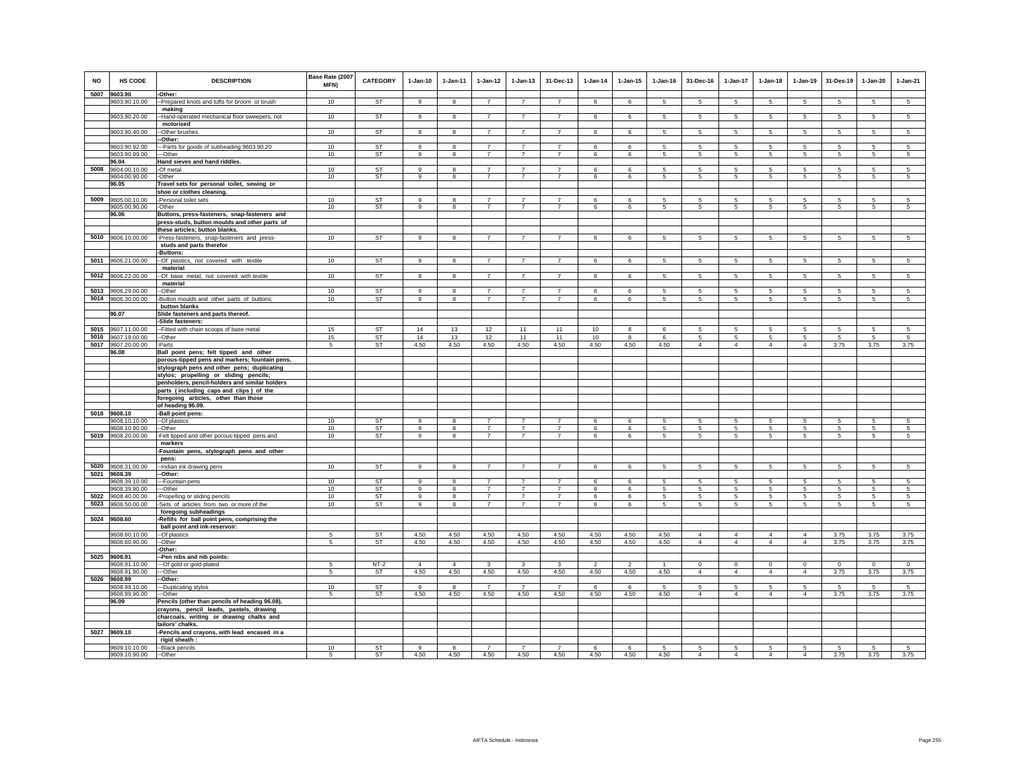| NO           | <b>HS CODE</b>                      | <b>DESCRIPTION</b>                                                                    | Base Rate (2007<br>MFN) | <b>CATEGORY</b>        | $1-Jan-10$         | $1-Jan-11$              | $1-Jan-12$                       | $1 - Jan-13$                     | 31-Dec-13                        | $1-Jan-14$     | $1 - Jan-15$   | $1 - Jan-16$ | 31-Dec-16             | $1-Jan-17$                        | $1-Jan-18$            | $1-Jan-19$                    | 31-Des-19       | $1-Jan-20$     | $1-Jan-21$          |
|--------------|-------------------------------------|---------------------------------------------------------------------------------------|-------------------------|------------------------|--------------------|-------------------------|----------------------------------|----------------------------------|----------------------------------|----------------|----------------|--------------|-----------------------|-----------------------------------|-----------------------|-------------------------------|-----------------|----------------|---------------------|
|              | 5007 9603.90<br>9603.90.10.00       | -Other:<br>-- Prepared knots and tufts for broom or brush                             | 10                      | <b>ST</b>              | $\mathbf{q}$       | 8                       | $\overline{7}$                   | $\overline{7}$                   | $\overline{7}$                   | 6              | 6              | -5           | 5                     | 5                                 | 5                     | 5                             | 5               | 5              | $\overline{5}$      |
|              |                                     | making                                                                                |                         |                        |                    |                         |                                  |                                  |                                  |                |                |              |                       |                                   |                       |                               |                 |                |                     |
|              | 9603.90.20.00                       | -Hand-operated mechanical floor sweepers, not                                         | 10                      | ST                     | 9                  | 8                       | $\overline{7}$                   | $\overline{7}$                   | $\overline{7}$                   | 6              | 6              | 5            | -5                    | 5                                 | 5                     | 5                             | $\sqrt{5}$      | $\sqrt{5}$     | $\sqrt{5}$          |
|              |                                     | motorised                                                                             |                         | ST                     |                    |                         |                                  |                                  |                                  |                |                |              |                       |                                   |                       |                               |                 |                |                     |
|              | 9603.90.40.00                       | -Other brushes<br>-Other:                                                             | 10                      |                        | 9                  | 8                       | $\overline{7}$                   | $\overline{7}$                   | $\overline{7}$                   | 6              | 6              | 5            | 5                     | 5                                 | 5                     | 5                             | $5\phantom{.0}$ | 5              | $5\overline{5}$     |
|              | 9603.90.92.00                       | -Parts for goods of subheading 9603.90.20                                             | 10                      | ST                     | 9                  | 8                       | $\overline{7}$                   | $\overline{7}$                   | $\overline{7}$                   | 6              | 6              | 5            | -5                    | 5                                 | 5                     | -5                            | 5               | 5              | 5                   |
|              | 9603.90.99.00                       | -Other                                                                                | 10                      | ST                     | 9                  | $\bf8$                  | $\overline{7}$                   | $\overline{7}$                   | $\overline{7}$                   | 6              | 6              | 5            | $\sqrt{5}$            | 5                                 | $5\phantom{.0}$       | $\,$ 5 $\,$                   | $\sqrt{5}$      | $\mathbf 5$    | $\sqrt{5}$          |
|              | 96.04                               | Hand sieves and hand riddles.                                                         |                         |                        |                    |                         | $\overline{7}$                   |                                  | $\overline{7}$                   |                |                |              |                       |                                   |                       |                               |                 |                |                     |
| 5008         | 9604.00.10.00<br>9604.00.90.00      | -Of metal<br>-Other                                                                   | 10<br>10                | <b>ST</b><br><b>ST</b> | $\alpha$<br>$_{9}$ | 8<br>8                  | $\overline{7}$                   | $\overline{7}$<br>$\overline{7}$ | $\overline{7}$                   | 6<br>6         | 6<br>6         | -5<br>-5     | -5<br>$5\overline{5}$ | $\overline{5}$<br>$5\overline{)}$ | 5<br>5                | $\,$ 5 $\,$<br>5              | $\sqrt{5}$<br>5 | 5<br>5         | 5<br>5              |
|              | 96.05                               | Travel sets for personal toilet, sewing or                                            |                         |                        |                    |                         |                                  |                                  |                                  |                |                |              |                       |                                   |                       |                               |                 |                |                     |
|              |                                     | shoe or clothes cleaning.                                                             |                         |                        |                    |                         |                                  |                                  |                                  |                |                |              |                       |                                   |                       |                               |                 |                |                     |
| 5009         | 9605.00.10.00                       | -Personal toilet sets                                                                 | 10                      | <b>ST</b>              | $\mathbf{q}$       | 8                       | $\overline{7}$                   | $\overline{7}$                   | $\overline{7}$                   | 6              | 6              | 5            | -5                    | 5                                 | -5                    | -5                            | 5               | 5              | 5                   |
|              | 9605.00.90.00<br>96.06              | -Other<br>Buttons, press-fasteners, snap-fasteners and                                | 10                      | ST                     | 9                  | $\bf8$                  | $\overline{7}$                   | $\overline{7}$                   | $\overline{7}$                   | 6              | 6              | 5            | 5                     | $5\phantom{.0}$                   | 5                     | $\sqrt{5}$                    | $\sqrt{5}$      | 5              | 5                   |
|              |                                     | press-studs, button moulds and other parts of                                         |                         |                        |                    |                         |                                  |                                  |                                  |                |                |              |                       |                                   |                       |                               |                 |                |                     |
|              |                                     | these articles; button blanks.                                                        |                         |                        |                    |                         |                                  |                                  |                                  |                |                |              |                       |                                   |                       |                               |                 |                |                     |
| 5010         | 9606.10.00.00                       | Press-fasteners, snap-fasteners and press-                                            | 10                      | ST                     | 9                  | 8                       | $\overline{7}$                   | $\overline{7}$                   | $\overline{7}$                   | 6              | 6              | 5            | 5                     | 5 <sub>5</sub>                    | $5\overline{5}$       | $\overline{5}$                | $\overline{5}$  | 5              | 5                   |
|              |                                     | studs and parts therefor<br>Buttons:                                                  |                         |                        |                    |                         |                                  |                                  |                                  |                |                |              |                       |                                   |                       |                               |                 |                |                     |
| 5011         | 9606.21.00.00                       | -Of plastics, not covered with textile                                                | 10                      | ST                     | $\mathbf{g}$       | 8                       | $\overline{7}$                   | $\overline{7}$                   | $\overline{7}$                   | 6              | 6              | 5            | 5                     | 5                                 | 5                     | 5                             | $\overline{5}$  | 5              | 5                   |
|              |                                     | material                                                                              |                         |                        |                    |                         |                                  |                                  |                                  |                |                |              |                       |                                   |                       |                               |                 |                |                     |
| 5012         | 9606.22.00.00                       | -Of base metal, not covered with textile                                              | 10                      | <b>ST</b>              | 9                  | 8                       | $\overline{7}$                   | $\overline{7}$                   | $\overline{7}$                   | 6              | 6              | 5            | 5                     | 5                                 | 5                     | 5                             | 5               | 5              | $\overline{5}$      |
|              |                                     | material                                                                              |                         |                        | $\mathbf{Q}$       |                         | $\overline{7}$                   | $\overline{7}$                   | $\overline{7}$                   |                |                |              |                       |                                   |                       |                               |                 |                |                     |
| 5013<br>5014 | 9606.29.00.00<br>9606.30.00.00      | -Other<br>Button moulds and other parts of buttons;                                   | 10<br>10                | ST<br>ST               | 9                  | 8<br>8                  | $\overline{7}$                   | $\overline{7}$                   | $\overline{7}$                   | 6<br>6         | 6<br>6         | 5<br>5       | 5<br>5                | 5<br>5                            | 5<br>5                | $\,$ 5 $\,$<br>5              | 5<br>5          | 5<br>5         | $\overline{5}$<br>5 |
|              |                                     | button blanks                                                                         |                         |                        |                    |                         |                                  |                                  |                                  |                |                |              |                       |                                   |                       |                               |                 |                |                     |
|              | 96.07                               | Slide fasteners and parts thereof.                                                    |                         |                        |                    |                         |                                  |                                  |                                  |                |                |              |                       |                                   |                       |                               |                 |                |                     |
|              |                                     | -Slide fasteners:                                                                     |                         |                        |                    |                         |                                  |                                  |                                  |                |                |              |                       |                                   |                       |                               |                 |                |                     |
| 5015         | 9607.11.00.00<br>5016 9607.19.00.00 | -Fitted with chain scoops of base metal<br>-Other                                     | 15<br>15                | ST<br><b>ST</b>        | 14<br>14           | 13<br>13                | 12<br>12                         | 11<br>11                         | 11<br>11                         | 10<br>10       | 8<br>8         | 6<br>6       | 5<br>-5               | 5<br>5                            | 5<br>$5\overline{5}$  | 5<br>5                        | 5<br>5          | 5<br>5         | 5<br>5              |
|              | 5017 9607.20.00.00                  | -Parts                                                                                | 5                       | ST                     | 4.50               | 4.50                    | 4.50                             | 4.50                             | 4.50                             | 4.50           | 4.50           | 4.50         | $\overline{4}$        | $\overline{4}$                    | $\overline{4}$        | $\overline{4}$                | 3.75            | 3.75           | 3.75                |
|              | 96.08                               | Ball point pens; felt tipped and other                                                |                         |                        |                    |                         |                                  |                                  |                                  |                |                |              |                       |                                   |                       |                               |                 |                |                     |
|              |                                     | porous-tipped pens and markers; fountain pens,                                        |                         |                        |                    |                         |                                  |                                  |                                  |                |                |              |                       |                                   |                       |                               |                 |                |                     |
|              |                                     | stylograph pens and other pens; duplicating<br>stylos; propelling or sliding pencils; |                         |                        |                    |                         |                                  |                                  |                                  |                |                |              |                       |                                   |                       |                               |                 |                |                     |
|              |                                     | penholders, pencil-holders and similar holders                                        |                         |                        |                    |                         |                                  |                                  |                                  |                |                |              |                       |                                   |                       |                               |                 |                |                     |
|              |                                     | parts (including caps and clips) of the                                               |                         |                        |                    |                         |                                  |                                  |                                  |                |                |              |                       |                                   |                       |                               |                 |                |                     |
|              |                                     | foregoing articles, other than those                                                  |                         |                        |                    |                         |                                  |                                  |                                  |                |                |              |                       |                                   |                       |                               |                 |                |                     |
| 5018         | 9608.10                             | of heading 96.09.<br>-Ball point pens:                                                |                         |                        |                    |                         |                                  |                                  |                                  |                |                |              |                       |                                   |                       |                               |                 |                |                     |
|              | 9608.10.10.00                       | --Of plastics                                                                         | 10                      | <b>ST</b>              | $\alpha$           | 8                       | $\overline{7}$                   | $\overline{7}$                   | $\overline{7}$                   | 6              | 6              | 5            | -5                    | 5                                 | -5                    | -5                            | 5               | 5              | 5                   |
|              | 9608.10.90.00                       | $-Other$                                                                              | 10                      | <b>ST</b>              | $_{9}$             | $\overline{\mathbf{8}}$ | $\overline{7}$                   | $\overline{7}$                   | $\overline{7}$                   | 6              | 6              | 5            | 5                     | 5                                 | 5                     | 5                             | -5              | 5              | 5                   |
| 5019         | 9608.20.00.00                       | -Felt tipped and other porous-tipped pens and                                         | 10                      | ST                     | 9                  | 8                       | $\overline{7}$                   | $\overline{7}$                   | $\overline{7}$                   | 6              | 6              | 5            | $5\overline{5}$       | 5                                 | $5\overline{5}$       | 5                             | 5               | 5              | 5                   |
|              |                                     | markers<br>-Fountain pens, stylograph pens and other                                  |                         |                        |                    |                         |                                  |                                  |                                  |                |                |              |                       |                                   |                       |                               |                 |                |                     |
|              |                                     | pens:                                                                                 |                         |                        |                    |                         |                                  |                                  |                                  |                |                |              |                       |                                   |                       |                               |                 |                |                     |
|              | 5020 9608.31.00.00                  | --Indian ink drawing pens                                                             | 10                      | <b>ST</b>              | 9                  | 8                       | $\overline{7}$                   | $\overline{7}$                   | $\overline{7}$                   | 6              | 6              | 5            | $5\phantom{.0}$       | $5^{\circ}$                       | $5\phantom{.0}$       | 5                             | $5\phantom{.0}$ | $\overline{5}$ | 5                   |
|              | 5021 9608.39                        | -Other:                                                                               |                         |                        |                    |                         |                                  |                                  |                                  |                |                |              |                       |                                   |                       |                               |                 |                |                     |
|              | 9608.39.10.00<br>9608.39.90.00      | -Fountain pens<br>-Other                                                              | 10<br>10                | <b>ST</b><br>ST        | $\alpha$<br>9      | $\mathbf{R}$<br>8       | $\overline{7}$<br>$\overline{7}$ | $\overline{7}$<br>$\overline{7}$ | $\overline{7}$<br>$\overline{7}$ | -6<br>6        | 6<br>6         | -5<br>5      | -5<br>5               | 5<br>5                            | -5<br>$5\overline{5}$ | 5<br>5                        | 5<br>5          | 5<br>5         | $\sqrt{5}$<br>5     |
| 5022         | 9608.40.00.00                       | Propelling or sliding pencils                                                         | 10                      | ST                     | 9                  | 8                       | $\overline{7}$                   | $\overline{7}$                   | $\overline{7}$                   | 6              | 6              | 5            | 5                     | 5                                 | 5                     | 5                             | 5               | 5              | 5                   |
| 5023         | 9608.50.00.00                       | Sets of articles from two or more of the                                              | 10                      | ST                     | 9                  | 8                       | $\overline{7}$                   | $\overline{7}$                   | $\overline{7}$                   | 6              | 6              | 5            | $\sqrt{5}$            | 5                                 | $5\phantom{.0}$       | 5                             | 5               | 5              | 5                   |
|              |                                     | foregoing subheadings                                                                 |                         |                        |                    |                         |                                  |                                  |                                  |                |                |              |                       |                                   |                       |                               |                 |                |                     |
|              | 5024 9608.60                        | -Refills for ball point pens, comprising the<br>ball point and ink-reservoir:         |                         |                        |                    |                         |                                  |                                  |                                  |                |                |              |                       |                                   |                       |                               |                 |                |                     |
|              | 9608.60.10.00                       | -- Of plastics                                                                        | 5                       | <b>ST</b>              | 4.50               | 4.50                    | 4.50                             | 4.50                             | 4.50                             | 4.50           | 4.50           | 4.50         | $\overline{4}$        | $\overline{4}$                    | $\overline{4}$        | $\overline{4}$                | 3.75            | 3.75           | 3.75                |
|              | 9608.60.90.00                       | --Other                                                                               | 5                       | ST                     | 4.50               | 4.50                    | 4.50                             | 4.50                             | 4.50                             | 4.50           | 4.50           | 4.50         | $\overline{4}$        | $\overline{4}$                    | $\overline{4}$        | $\overline{4}$                | 3.75            | 3.75           | 3.75                |
|              |                                     | -Other:                                                                               |                         |                        |                    |                         |                                  |                                  |                                  |                |                |              |                       |                                   |                       |                               |                 |                |                     |
|              | 5025 9608.91<br>9608.91.10.00       | Pen nibs and nib points:<br>-- Of gold or gold-plated                                 | 5                       | $NT-2$                 | $\overline{4}$     | $\overline{4}$          | 3                                | 3                                | 3                                | $\overline{2}$ | $\overline{2}$ | $\mathbf{1}$ | $\Omega$              | $\mathbf 0$                       | $\Omega$              | $\circ$                       | $\circ$         | $^{\circ}$     | $\circ$             |
|              | 9608.91.90.00                       | --Other                                                                               | 5                       | <b>ST</b>              | 4.50               | 4.50                    | 4.50                             | 4.50                             | 4.50                             | 4.50           | 4.50           | 4.50         | $\overline{4}$        | $\overline{4}$                    | $\overline{4}$        | $\overline{4}$                | 3.75            | 3.75           | 3.75                |
| 5026         | 9608.99                             | Other:                                                                                |                         |                        |                    |                         |                                  |                                  |                                  |                |                |              |                       |                                   |                       |                               |                 |                |                     |
|              | 9608.99.10.00                       | -Duplicating stylos                                                                   | 10<br>5                 | ST<br><b>ST</b>        | 9                  | 8<br>4.50               | $\overline{7}$<br>4.50           | $\overline{7}$                   | $\overline{7}$                   | 6              | 6              | 5            | 5<br>$\overline{4}$   | 5<br>$\overline{4}$               | 5<br>$\overline{4}$   | $\,$ 5 $\,$<br>$\overline{4}$ | 5               | 5              | $\sqrt{5}$<br>3.75  |
|              | 9608.99.90.00<br>96.09              | -Other<br>Pencils (other than pencils of heading 96.08)                               |                         |                        | 4.50               |                         |                                  | 4.50                             | 4.50                             | 4.50           | 4.50           | 4.50         |                       |                                   |                       |                               | 3.75            | 3.75           |                     |
|              |                                     | crayons, pencil leads, pastels, drawing                                               |                         |                        |                    |                         |                                  |                                  |                                  |                |                |              |                       |                                   |                       |                               |                 |                |                     |
|              |                                     | charcoals, writing or drawing chalks and                                              |                         |                        |                    |                         |                                  |                                  |                                  |                |                |              |                       |                                   |                       |                               |                 |                |                     |
|              |                                     | tailors' chalks.                                                                      |                         |                        |                    |                         |                                  |                                  |                                  |                |                |              |                       |                                   |                       |                               |                 |                |                     |
| 5027         | 9609.10                             | -Pencils and crayons, with lead encased in a<br>rigid sheath:                         |                         |                        |                    |                         |                                  |                                  |                                  |                |                |              |                       |                                   |                       |                               |                 |                |                     |
|              | 9609.10.10.00                       | --Black pencils                                                                       | 10                      | ST                     | 9                  | 8                       | $\overline{7}$                   | $\overline{7}$                   | $\overline{7}$                   | 6              | 6              | 5            | 5                     | 5                                 | 5                     | 5                             | 5               | 5              | -5                  |
|              | 9609.10.90.00                       | --Other                                                                               | 5                       | <b>ST</b>              | 4.50               | 4.50                    | 4.50                             | 4.50                             | 4.50                             | 4.50           | 4.50           | 4.50         | $\overline{4}$        | $\overline{4}$                    | $\overline{4}$        | $\overline{4}$                | 3.75            | 3.75           | 3.75                |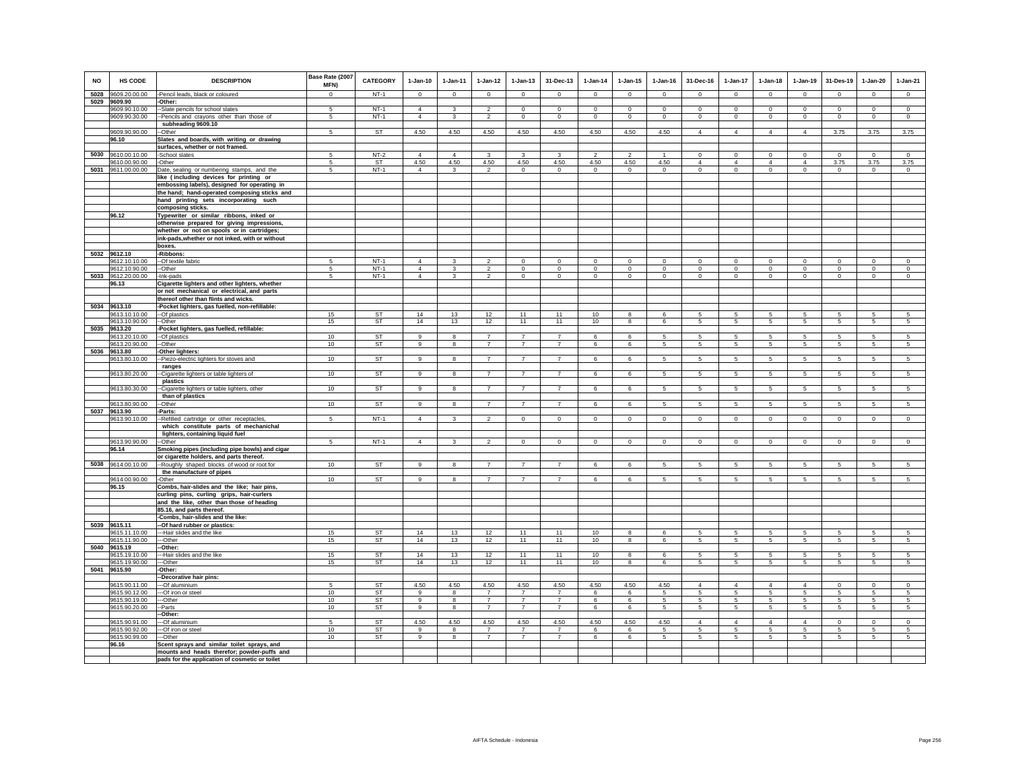| <b>NO</b> | HS CODE                        | <b>DESCRIPTION</b>                                                                         | Base Rate (2007<br>MFN) | <b>CATEGORY</b>     | $1-Jan-10$                       | $1-Jan-11$                              | $1 - Jan-12$                               | $1-Jan-13$                       | 31-Dec-13                        | $1-Jan-14$              | $1-Jan-15$              | $1-Jan-16$              | 31-Dec-16                  | 1-Jan-17                      | $1-Jan-18$              | $1-Jan-19$                    | 31-Des-19                     | $1-Jan-20$              | $1-Jan-21$                |
|-----------|--------------------------------|--------------------------------------------------------------------------------------------|-------------------------|---------------------|----------------------------------|-----------------------------------------|--------------------------------------------|----------------------------------|----------------------------------|-------------------------|-------------------------|-------------------------|----------------------------|-------------------------------|-------------------------|-------------------------------|-------------------------------|-------------------------|---------------------------|
| 5028      | 9609.20.00.00                  | -Pencil leads, black or coloured                                                           | $\mathbf{0}$            | $NT-1$              | $\Omega$                         | $^{\circ}$                              | $\circ$                                    | $\mathbf{0}$                     | $^{\circ}$                       | $\circ$                 | $^{\circ}$              | $\Omega$                | $^{\circ}$                 | $\circ$                       | $\Omega$                | $^{\circ}$                    | $\mathbf{0}$                  | $^{\circ}$              | $\circ$                   |
| 5029      | 9609.90                        | -Other:                                                                                    |                         |                     |                                  |                                         |                                            |                                  |                                  |                         |                         |                         |                            |                               |                         |                               |                               |                         |                           |
|           | 9609.90.10.00                  | Slate pencils for school slates                                                            | -5                      | $NT-1$              | $\overline{4}$                   | 3                                       | $\mathfrak{p}$                             | $\Omega$                         | $\Omega$                         | $\Omega$                | $\Omega$                | $\Omega$                | $\Omega$                   | $\Omega$                      | $\Omega$                | $\Omega$                      | $\Omega$                      | $\Omega$                | $\circ$                   |
|           | 9609.90.30.00                  | -- Pencils and crayons other than those of<br>subheading 9609.10                           | 5                       | $NT-1$              | $\overline{4}$                   | $\mathbf{3}$                            | $\overline{2}$                             | $\mathbf 0$                      | $\mathbf 0$                      | $\mathsf 0$             | $\mathsf 0$             | $\mathbf 0$             | $\circ$                    | $\mathbf 0$                   | $\mathsf 0$             | $\mathbf 0$                   | $\,0\,$                       | $\mathsf 0$             | $\mathsf 0$               |
|           | 9609.90.90.00                  | -Other                                                                                     | 5                       | <b>ST</b>           | 4.50                             | 4.50                                    | 4.50                                       | 4.50                             | 4.50                             | 4.50                    | 4.50                    | 4.50                    | $\overline{4}$             | $\overline{4}$                | $\overline{4}$          | $\overline{4}$                | 3.75                          | 3.75                    | 3.75                      |
|           | 96.10                          | Slates and boards, with writing or drawing                                                 |                         |                     |                                  |                                         |                                            |                                  |                                  |                         |                         |                         |                            |                               |                         |                               |                               |                         |                           |
|           |                                | surfaces, whether or not framed.                                                           |                         |                     |                                  |                                         |                                            |                                  |                                  |                         |                         |                         |                            |                               |                         |                               |                               |                         |                           |
| 5030      | 9610.00.10.00                  | School slates                                                                              | 5                       | $NT-2$              | $\overline{4}$                   | $\overline{4}$                          | 3                                          | 3                                | 3                                | $\mathfrak{p}$          | $\mathfrak{p}$          |                         | $\mathsf 0$                | $\mathbf 0$                   | $\mathbf 0$             | $\mathbf 0$                   | $\mathbf 0$                   | $\circ$                 | $\mathbb O$               |
| 5031      | 9610.00.90.00<br>9611.00.00.00 | -Other                                                                                     | 5<br>5                  | <b>ST</b><br>$NT-1$ | 4.50<br>$\Delta$                 | 4.50<br>3                               | 4.50<br>$\overline{2}$                     | 4.50<br>$\mathbf 0$              | 4.50<br>$^{\circ}$               | 4.50<br>$\circ$         | 4.50<br>$\Omega$        | 4.50<br>$\Omega$        | $\overline{4}$<br>$\Omega$ | $\overline{4}$<br>$\mathbf 0$ | $\Delta$<br>$\circ$     | $\overline{4}$<br>$\mathbf 0$ | 3.75<br>$\circ$               | 3.75<br>$^{\circ}$      | 3.75<br>$\circ$           |
|           |                                | Date, sealing or numbering stamps, and the<br>like (including devices for printing or      |                         |                     |                                  |                                         |                                            |                                  |                                  |                         |                         |                         |                            |                               |                         |                               |                               |                         |                           |
|           |                                | embossing labels), designed for operating in                                               |                         |                     |                                  |                                         |                                            |                                  |                                  |                         |                         |                         |                            |                               |                         |                               |                               |                         |                           |
|           |                                | the hand; hand-operated composing sticks and                                               |                         |                     |                                  |                                         |                                            |                                  |                                  |                         |                         |                         |                            |                               |                         |                               |                               |                         |                           |
|           |                                | hand printing sets incorporating such                                                      |                         |                     |                                  |                                         |                                            |                                  |                                  |                         |                         |                         |                            |                               |                         |                               |                               |                         |                           |
|           | 96.12                          | composing sticks.                                                                          |                         |                     |                                  |                                         |                                            |                                  |                                  |                         |                         |                         |                            |                               |                         |                               |                               |                         |                           |
|           |                                | Typewriter or similar ribbons, inked or<br>otherwise prepared for giving impressions,      |                         |                     |                                  |                                         |                                            |                                  |                                  |                         |                         |                         |                            |                               |                         |                               |                               |                         |                           |
|           |                                | whether or not on spools or in cartridges;                                                 |                         |                     |                                  |                                         |                                            |                                  |                                  |                         |                         |                         |                            |                               |                         |                               |                               |                         |                           |
|           |                                | ink-pads, whether or not inked, with or without                                            |                         |                     |                                  |                                         |                                            |                                  |                                  |                         |                         |                         |                            |                               |                         |                               |                               |                         |                           |
|           |                                | boxes.                                                                                     |                         |                     |                                  |                                         |                                            |                                  |                                  |                         |                         |                         |                            |                               |                         |                               |                               |                         |                           |
|           | 5032 9612.10                   | -Ribbons:                                                                                  |                         |                     |                                  |                                         |                                            |                                  |                                  |                         |                         |                         |                            |                               |                         |                               |                               |                         |                           |
|           | 9612.10.10.00<br>9612.10.90.00 | -- Of textile fabric<br>-Other                                                             | -5<br>5                 | $NT-1$<br>$NT-1$    | $\overline{4}$<br>$\overline{4}$ | $\mathbf{3}$<br>$\overline{\mathbf{3}}$ | $\overline{\phantom{a}}$<br>$\overline{2}$ | $\mathsf 0$<br>$\mathbf 0$       | $\Omega$<br>$\mathbf 0$          | $\Omega$<br>$\mathbf 0$ | $\Omega$<br>$\mathbf 0$ | $\Omega$<br>$\mathbf 0$ | $\Omega$<br>$\circ$        | $\Omega$<br>$\mathbf 0$       | $\Omega$<br>$\mathbf 0$ | $\Omega$<br>$\mathbf 0$       | $\overline{0}$<br>$\mathbf 0$ | $\Omega$<br>$\mathbf 0$ | $\overline{0}$<br>$\circ$ |
| 5033      | 9612.20.00.00                  | -Ink-pads                                                                                  | 5                       | $NT-1$              | $\overline{4}$                   | $\mathbf{3}$                            | $\overline{2}$                             | $\mathbf 0$                      | $\mathbf 0$                      | $\mathsf 0$             | $\mathbf 0$             | $\mathsf 0$             | $\mathbf 0$                | $\circ$                       | $\mathbf 0$             | $\mathbf 0$                   | $\circ$                       | $\mathbf 0$             | $\circ$                   |
|           | 96.13                          | Cigarette lighters and other lighters, whether                                             |                         |                     |                                  |                                         |                                            |                                  |                                  |                         |                         |                         |                            |                               |                         |                               |                               |                         |                           |
|           |                                | or not mechanical or electrical, and parts                                                 |                         |                     |                                  |                                         |                                            |                                  |                                  |                         |                         |                         |                            |                               |                         |                               |                               |                         |                           |
|           |                                | thereof other than flints and wicks.                                                       |                         |                     |                                  |                                         |                                            |                                  |                                  |                         |                         |                         |                            |                               |                         |                               |                               |                         |                           |
|           | 5034 9613.10<br>9613.10.10.00  | Pocket lighters, gas fuelled, non-refillable:<br>-Of plastics                              | 15                      |                     | 14                               | 13                                      |                                            | 11                               | 11                               | 10                      | 8                       | 6                       | 5                          | 5                             | 5                       | 5                             | 5                             | 5                       | 5                         |
|           | 9613.10.90.00                  | -Other                                                                                     | 15                      | ST<br>ST            | 14                               | 13                                      | $\frac{12}{12}$                            | 11                               | 11                               | 10                      | 8                       | 6                       | 5                          | $5\phantom{.0}$               | $5\phantom{.0}$         | $5\phantom{.0}$               | $\sqrt{5}$                    | $\sqrt{5}$              | $5\phantom{.0}$           |
|           | 5035 9613.20                   | -Pocket lighters, gas fuelled, refillable:                                                 |                         |                     |                                  |                                         |                                            |                                  |                                  |                         |                         |                         |                            |                               |                         |                               |                               |                         |                           |
|           | 9613.20.10.00                  | -- Of plastics                                                                             | 10                      | <b>ST</b>           | $\overline{9}$                   | $\overline{\mathbf{g}}$                 | $\overline{7}$                             | $\overline{7}$                   | $\overline{7}$                   | 6                       | 6                       | 5                       | 5                          | 5                             | 5                       | 5                             | 5                             | 5                       | 5                         |
|           | 9613.20.90.00<br>5036 9613.80  | --Other<br>-Other lighters:                                                                | 10                      | ST                  | $\mathbf{q}$                     | 8                                       | $\overline{7}$                             | $\overline{7}$                   | $\overline{7}$                   | 6                       | 6                       | 5                       | -5                         | 5                             | 5                       | 5                             | 5                             | 5                       | 5                         |
|           | 9613.80.10.00                  | -Piezo-electric lighters for stoves and                                                    | 10                      | <b>ST</b>           | 9                                | 8                                       | $\overline{7}$                             | $\overline{7}$                   | $\overline{7}$                   | 6                       | 6                       | 5                       | $5\phantom{.0}$            | $5\phantom{.0}$               | $5\phantom{.0}$         | $\sqrt{5}$                    | $\overline{5}$                | $\sqrt{5}$              | 5                         |
|           |                                | ranges                                                                                     |                         |                     |                                  |                                         |                                            |                                  |                                  |                         |                         |                         |                            |                               |                         |                               |                               |                         |                           |
|           | 9613.80.20.00                  | -Cigarette lighters or table lighters of                                                   | 10                      | <b>ST</b>           | 9                                | 8                                       | $\overline{7}$                             | $\overline{7}$                   | $\overline{7}$                   | 6                       | 6                       | 5                       | 5                          | 5                             | 5                       | 5                             | 5                             | 5                       | 5                         |
|           |                                | plastics                                                                                   |                         |                     |                                  |                                         |                                            | $\overline{7}$                   | $\overline{7}$                   |                         |                         |                         |                            |                               |                         |                               |                               |                         |                           |
|           | 9613.80.30.00                  | -Cigarette lighters or table lighters, other<br>than of plastics                           | 10                      | <b>ST</b>           | 9                                | 8                                       | $\overline{7}$                             |                                  |                                  | 6                       | 6                       | 5                       | 5                          | $5\phantom{.0}$               | 5                       | 5                             | $\sqrt{5}$                    | 5                       | 5                         |
|           | 9613.80.90.00                  | -Other                                                                                     | 10                      | ST                  | 9                                | 8                                       | $\overline{7}$                             | $\overline{7}$                   | $\overline{7}$                   | 6                       | 6                       | 5                       | 5                          | 5                             | 5                       | 5                             | 5                             | 5                       | 5                         |
|           | 5037 9613.90                   | -Parts:                                                                                    |                         |                     |                                  |                                         |                                            |                                  |                                  |                         |                         |                         |                            |                               |                         |                               |                               |                         |                           |
|           | 9613.90.10.00                  | -Refilled cartridge or other receptacles                                                   | 5                       | $NT-1$              | $\overline{4}$                   | 3                                       | $\overline{2}$                             | $\mathbf 0$                      | $\mathbf 0$                      | $\mathbf 0$             | $\mathbf 0$             | $\mathbf{0}$            | $\circ$                    | $\mathbf{0}$                  | $\mathbf{0}$            | $\mathbf 0$                   | $\circ$                       | $\circ$                 | $\mathbf 0$               |
|           |                                | which constitute parts of mechanichal                                                      |                         |                     |                                  |                                         |                                            |                                  |                                  |                         |                         |                         |                            |                               |                         |                               |                               |                         |                           |
|           | 9613.90.90.00                  | lighters, containing liquid fuel<br>-Other                                                 | 5                       | $NT-1$              | $\overline{4}$                   | $\mathbf{3}$                            | $\mathfrak{p}$                             | $\mathsf 0$                      | $\mathbf 0$                      | $\circ$                 | $\mathbf 0$             | $\circ$                 | $\mathsf 0$                | $\mathbf 0$                   | $\mathbf 0$             | $\mathbf 0$                   | $\mathbf 0$                   | $\mathsf 0$             | $\circ$                   |
|           | 96.14                          | Smoking pipes (including pipe bowls) and cigar                                             |                         |                     |                                  |                                         |                                            |                                  |                                  |                         |                         |                         |                            |                               |                         |                               |                               |                         |                           |
|           |                                | or cigarette holders, and parts thereof.                                                   |                         |                     |                                  |                                         |                                            |                                  |                                  |                         |                         |                         |                            |                               |                         |                               |                               |                         |                           |
|           | 5038 9614.00.10.00             | -- Roughly shaped blocks of wood or root for                                               | 10                      | <b>ST</b>           | $\alpha$                         | 8                                       | $\overline{7}$                             | $\overline{7}$                   | $\overline{7}$                   | 6                       | 6                       | 5                       | $5 -$                      | 5                             | 5                       | 5                             | 5                             | 5                       | $\overline{5}$            |
|           | 9614.00.90.00                  | the manufacture of pipes<br>-Other                                                         | 10                      | <b>ST</b>           | 9                                | 8                                       | $\overline{7}$                             | $\overline{7}$                   | $\overline{7}$                   | 6.                      | 6                       | 5                       | 5.                         | 5                             | 5                       | -5                            | $\sqrt{5}$                    | 5                       | 5                         |
|           | 96.15                          | Combs, hair-slides and the like; hair pins,                                                |                         |                     |                                  |                                         |                                            |                                  |                                  |                         |                         |                         |                            |                               |                         |                               |                               |                         |                           |
|           |                                | curling pins, curling grips, hair-curlers                                                  |                         |                     |                                  |                                         |                                            |                                  |                                  |                         |                         |                         |                            |                               |                         |                               |                               |                         |                           |
|           |                                | and the like, other than those of heading                                                  |                         |                     |                                  |                                         |                                            |                                  |                                  |                         |                         |                         |                            |                               |                         |                               |                               |                         |                           |
|           |                                | 85.16, and parts thereof.                                                                  |                         |                     |                                  |                                         |                                            |                                  |                                  |                         |                         |                         |                            |                               |                         |                               |                               |                         |                           |
|           | 5039 9615.11                   | Combs, hair-slides and the like:<br>-Of hard rubber or plastics:                           |                         |                     |                                  |                                         |                                            |                                  |                                  |                         |                         |                         |                            |                               |                         |                               |                               |                         |                           |
|           | 9615.11.10.00                  | --Hair slides and the like                                                                 | 15                      | ST                  | 14                               | 13                                      | 12                                         | 11                               | 11                               | 10                      | 8                       |                         | 5                          | 5                             | 5.                      | 5                             | 5                             | 5                       | 5                         |
|           | 9615.11.90.00                  | --Other                                                                                    | 15                      | ST                  | 14                               | 13                                      | 12                                         | 11                               | 11                               | 10                      | $\overline{8}$          | 6                       | 5 <sup>1</sup>             | $\sqrt{5}$                    | 5                       | $\overline{5}$                | 5                             | $\overline{5}$          | 5 <sup>7</sup>            |
| 5040      | 9615.19                        | -Other:                                                                                    |                         |                     |                                  |                                         |                                            |                                  |                                  |                         |                         |                         |                            |                               |                         |                               |                               |                         |                           |
|           | 9615.19.10.00<br>9615.19.90.00 | ---Hair slides and the like<br>--Other                                                     | 15<br>15                | ST<br>ST            | 14<br>14                         | 13<br>13                                | 12<br>12                                   | 11<br>11                         | 11<br>11                         | 10<br>10                | 8<br>8                  | 6<br>6                  | 5<br>$5\overline{5}$       | 5<br>5                        | 5<br>$5\overline{5}$    | 5<br>5                        | 5<br>5                        | 5<br>5                  | 5<br>5                    |
|           | 5041 9615.90                   | -Other:                                                                                    |                         |                     |                                  |                                         |                                            |                                  |                                  |                         |                         |                         |                            |                               |                         |                               |                               |                         |                           |
|           |                                | Decorative hair pins:                                                                      |                         |                     |                                  |                                         |                                            |                                  |                                  |                         |                         |                         |                            |                               |                         |                               |                               |                         |                           |
|           | 9615.90.11.00                  | -Of aluminium                                                                              | $\sqrt{5}$              | ST                  | 4.50                             | 4.50                                    | 4.50                                       | 4.50                             | 4.50                             | 4.50                    | 4.50                    | 4.50                    | $\overline{4}$             | 4                             | 4                       | $\overline{4}$                | $^{\circ}$                    | $\mathbf 0$             | $\circ$                   |
|           | 9615.90.12.00                  | --Of iron or steel                                                                         | 10                      | <b>ST</b>           | 9                                | 8                                       | $\overline{7}$<br>$\overline{7}$           | $\overline{7}$<br>$\overline{7}$ | $\overline{7}$<br>$\overline{7}$ | 6                       | 6                       | 5                       | 5                          | 5                             | 5                       | 5                             | 5                             | 5                       | 5                         |
|           | 9615.90.19.00<br>9615.90.20.00 | --Other<br>-Parts                                                                          | 10<br>10                | ST<br>ST            | $\alpha$<br>9                    | 8<br>8                                  | $\overline{7}$                             | $\overline{7}$                   | $\overline{7}$                   | 6<br>6                  | 6<br>6                  | 5<br>5                  | $5 -$<br>$5\overline{5}$   | 5<br>5                        | 5<br>$5\overline{5}$    | -5<br>5                       | 5<br>5                        | 5<br>5                  | $\sqrt{5}$<br>5           |
|           |                                | -Other:                                                                                    |                         |                     |                                  |                                         |                                            |                                  |                                  |                         |                         |                         |                            |                               |                         |                               |                               |                         |                           |
|           | 9615.90.91.00                  | --Of aluminium                                                                             | 5                       | <b>ST</b>           | 4.50                             | 4.50                                    | 4.50                                       | 4.50                             | 4.50                             | 4.50                    | 4.50                    | 4.50                    | $\overline{4}$             | $\overline{4}$                | $\overline{4}$          | $\overline{4}$                | $\mathbf{0}$                  | $\mathbf 0$             | $\circ$                   |
|           | 9615.90.92.00                  | --Of iron or steel                                                                         | 10 <sup>1</sup>         | <b>ST</b>           | 9                                | 8                                       | $\overline{7}$                             | $\overline{7}$                   | $\overline{7}$                   | 6                       | 6                       | 5                       | -5                         | 5                             | 5                       | 5                             | 5                             | 5                       | 5                         |
|           | 9615.90.99.00<br>96.16         | -Other                                                                                     | 10                      | ST                  | 9                                | 8                                       | $\overline{7}$                             | $\overline{7}$                   | $\overline{7}$                   | 6                       | 6                       | 5                       | -5                         | 5                             | 5                       | 5                             | 5                             | 5                       | 5                         |
|           |                                | Scent sprays and similar toilet sprays, and<br>mounts and heads therefor; powder-puffs and |                         |                     |                                  |                                         |                                            |                                  |                                  |                         |                         |                         |                            |                               |                         |                               |                               |                         |                           |
|           |                                | pads for the application of cosmetic or toilet                                             |                         |                     |                                  |                                         |                                            |                                  |                                  |                         |                         |                         |                            |                               |                         |                               |                               |                         |                           |